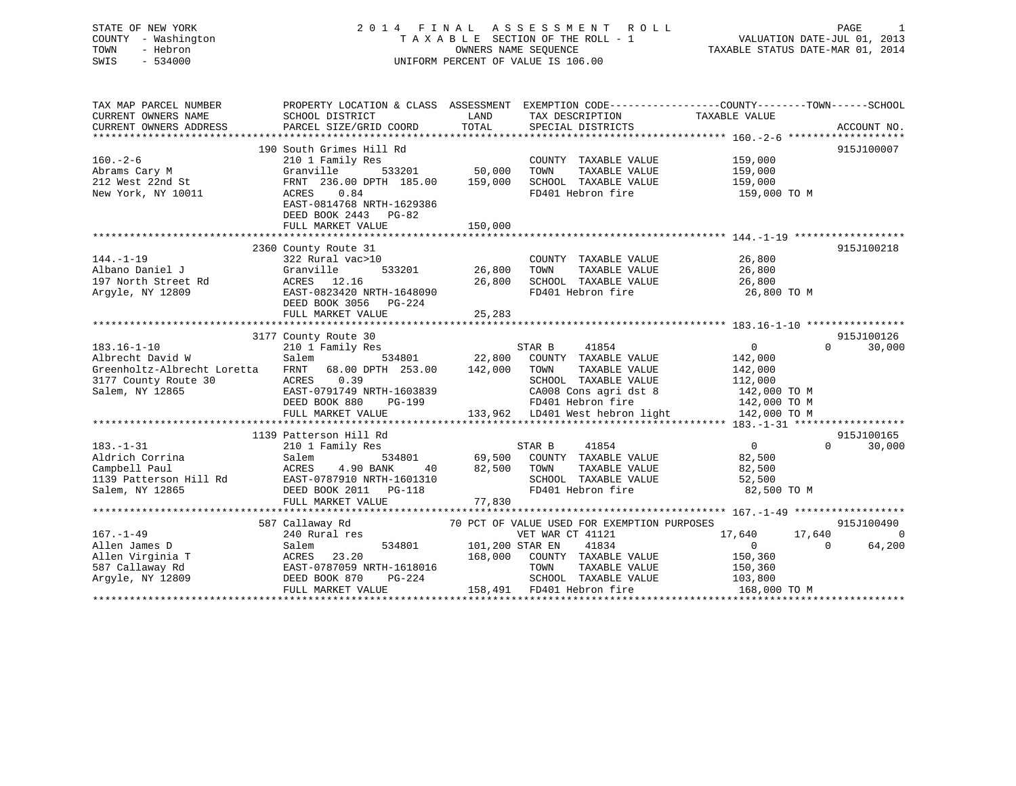# STATE OF NEW YORK 2 0 1 4 F I N A L A S S E S S M E N T R O L L PAGE 1 COUNTY - Washington T A X A B L E SECTION OF THE ROLL - 1 VALUATION DATE-JUL 01, 2013 TOWN - Hebron OWNERS NAME SEQUENCE TAXABLE STATUS DATE-MAR 01, 2014 SWIS - 534000 UNIFORM PERCENT OF VALUE IS 106.00

| TAXABLE VALUE<br>CURRENT OWNERS NAME<br>SCHOOL DISTRICT<br>LAND<br>TAX DESCRIPTION<br>PARCEL SIZE/GRID COORD<br>TOTAL<br>CURRENT OWNERS ADDRESS<br>SPECIAL DISTRICTS<br>ACCOUNT NO.<br>190 South Grimes Hill Rd<br>915J100007<br>$160. - 2 - 6$<br>210 1 Family Res<br>COUNTY TAXABLE VALUE<br>159,000<br>533201 50,000<br>Granville<br>TAXABLE VALUE<br>TOWN<br>159,000<br>Abrams Cary M<br>212 West 22nd St<br>159,000<br>FRNT 236.00 DPTH 185.00 159,000<br>SCHOOL TAXABLE VALUE<br>FD401 Hebron fire<br>New York, NY 10011<br>ACRES 0.84<br>159,000 TO M<br>EAST-0814768 NRTH-1629386<br>DEED BOOK 2443 PG-82<br>150,000<br>FULL MARKET VALUE<br>2360 County Route 31<br>915J100218<br>26,800<br>322 Rural vac>10<br>COUNTY TAXABLE VALUE<br>533201 26,800<br>TAXABLE VALUE 26,800<br>TOWN<br>Granville<br>ACRES 12.16<br>EAST-0823420 NRTH-1648090<br>26,800<br>SCHOOL TAXABLE VALUE<br>26,800<br>FD401 Hebron fire<br>26,800 TO M<br>DEED BOOK 3056<br>PG-224<br>FULL MARKET VALUE<br>25,283<br>3177 County Route 30<br>915J100126<br>STAR B 41854<br>$\overline{0}$<br>$\Omega$<br>30,000<br>210 1 Family Res<br>534801 22,800 COUNTY TAXABLE VALUE<br>142,000<br>Salem<br>Greenholtz-Albrecht Loretta FRNT 68.00 DPTH 253.00 142,000 TOWN<br>TAXABLE VALUE<br>142,000<br>ACRES 0.39<br>SCHOOL TAXABLE VALUE<br>3177 County Route 30<br>112,000<br>CA008 Cons agri dst 8 142,000 TO M<br>Salem, NY 12865<br>EAST-0791749 NRTH-1603839<br>1139 Patterson Hill Rd<br>915J100165<br>$183. - 1 - 31$<br>41854<br>$\overline{0}$<br>30,000<br>210 1 Family Res<br>STAR B<br>$0 \qquad \qquad$<br>Aldrich Corrina<br>534801 69,500 COUNTY TAXABLE VALUE 82,500<br>Salem<br>Campbell Paul<br>ACRES<br>4.90 BANK<br>82,500<br>TOWN<br>TAXABLE VALUE<br>82,500<br>40<br>EAST-0787910 NRTH-1601310<br>SCHOOL TAXABLE VALUE<br>1139 Patterson Hill Rd<br>52,500<br>FD401 Hebron fire<br>Salem, NY 12865<br>DEED BOOK 2011    PG-118<br>82,500 TO M<br>77,830<br>FULL MARKET VALUE<br>915J100490<br>587 Callaway Rd<br>70 PCT OF VALUE USED FOR EXEMPTION PURPOSES<br>$\overline{0}$<br>$167. - 1 - 49$<br>240 Rural res<br>VET WAR CT 41121<br>17,640<br>17,640<br>64,200<br>Allen James D<br>534801<br>101,200 STAR EN<br>41834<br>$\overline{0}$<br>Salem<br>$\Omega$<br>ACRES 23.20<br>EAST-0787059 NRTH-1618016<br>Allen Virginia T<br>168,000 COUNTY TAXABLE VALUE<br>150,360<br>150,360<br>587 Callaway Rd<br>TOWN<br>TAXABLE VALUE<br>SCHOOL TAXABLE VALUE<br>Argyle, NY 12809<br>DEED BOOK 870<br>PG-224<br>103,800<br>158,491 FD401 Hebron fire<br>FULL MARKET VALUE<br>168,000 TO M | TAX MAP PARCEL NUMBER | PROPERTY LOCATION & CLASS ASSESSMENT EXEMPTION CODE---------------COUNTY-------TOWN------SCHOOL |  |  |
|-------------------------------------------------------------------------------------------------------------------------------------------------------------------------------------------------------------------------------------------------------------------------------------------------------------------------------------------------------------------------------------------------------------------------------------------------------------------------------------------------------------------------------------------------------------------------------------------------------------------------------------------------------------------------------------------------------------------------------------------------------------------------------------------------------------------------------------------------------------------------------------------------------------------------------------------------------------------------------------------------------------------------------------------------------------------------------------------------------------------------------------------------------------------------------------------------------------------------------------------------------------------------------------------------------------------------------------------------------------------------------------------------------------------------------------------------------------------------------------------------------------------------------------------------------------------------------------------------------------------------------------------------------------------------------------------------------------------------------------------------------------------------------------------------------------------------------------------------------------------------------------------------------------------------------------------------------------------------------------------------------------------------------------------------------------------------------------------------------------------------------------------------------------------------------------------------------------------------------------------------------------------------------------------------------------------------------------------------------------------------------------------------------------------------------------------------------------------------------------------------------------------------------------------------------------------------------------------|-----------------------|-------------------------------------------------------------------------------------------------|--|--|
|                                                                                                                                                                                                                                                                                                                                                                                                                                                                                                                                                                                                                                                                                                                                                                                                                                                                                                                                                                                                                                                                                                                                                                                                                                                                                                                                                                                                                                                                                                                                                                                                                                                                                                                                                                                                                                                                                                                                                                                                                                                                                                                                                                                                                                                                                                                                                                                                                                                                                                                                                                                           |                       |                                                                                                 |  |  |
|                                                                                                                                                                                                                                                                                                                                                                                                                                                                                                                                                                                                                                                                                                                                                                                                                                                                                                                                                                                                                                                                                                                                                                                                                                                                                                                                                                                                                                                                                                                                                                                                                                                                                                                                                                                                                                                                                                                                                                                                                                                                                                                                                                                                                                                                                                                                                                                                                                                                                                                                                                                           |                       |                                                                                                 |  |  |
|                                                                                                                                                                                                                                                                                                                                                                                                                                                                                                                                                                                                                                                                                                                                                                                                                                                                                                                                                                                                                                                                                                                                                                                                                                                                                                                                                                                                                                                                                                                                                                                                                                                                                                                                                                                                                                                                                                                                                                                                                                                                                                                                                                                                                                                                                                                                                                                                                                                                                                                                                                                           |                       |                                                                                                 |  |  |
|                                                                                                                                                                                                                                                                                                                                                                                                                                                                                                                                                                                                                                                                                                                                                                                                                                                                                                                                                                                                                                                                                                                                                                                                                                                                                                                                                                                                                                                                                                                                                                                                                                                                                                                                                                                                                                                                                                                                                                                                                                                                                                                                                                                                                                                                                                                                                                                                                                                                                                                                                                                           |                       |                                                                                                 |  |  |
|                                                                                                                                                                                                                                                                                                                                                                                                                                                                                                                                                                                                                                                                                                                                                                                                                                                                                                                                                                                                                                                                                                                                                                                                                                                                                                                                                                                                                                                                                                                                                                                                                                                                                                                                                                                                                                                                                                                                                                                                                                                                                                                                                                                                                                                                                                                                                                                                                                                                                                                                                                                           |                       |                                                                                                 |  |  |
|                                                                                                                                                                                                                                                                                                                                                                                                                                                                                                                                                                                                                                                                                                                                                                                                                                                                                                                                                                                                                                                                                                                                                                                                                                                                                                                                                                                                                                                                                                                                                                                                                                                                                                                                                                                                                                                                                                                                                                                                                                                                                                                                                                                                                                                                                                                                                                                                                                                                                                                                                                                           |                       |                                                                                                 |  |  |
|                                                                                                                                                                                                                                                                                                                                                                                                                                                                                                                                                                                                                                                                                                                                                                                                                                                                                                                                                                                                                                                                                                                                                                                                                                                                                                                                                                                                                                                                                                                                                                                                                                                                                                                                                                                                                                                                                                                                                                                                                                                                                                                                                                                                                                                                                                                                                                                                                                                                                                                                                                                           |                       |                                                                                                 |  |  |
|                                                                                                                                                                                                                                                                                                                                                                                                                                                                                                                                                                                                                                                                                                                                                                                                                                                                                                                                                                                                                                                                                                                                                                                                                                                                                                                                                                                                                                                                                                                                                                                                                                                                                                                                                                                                                                                                                                                                                                                                                                                                                                                                                                                                                                                                                                                                                                                                                                                                                                                                                                                           |                       |                                                                                                 |  |  |
|                                                                                                                                                                                                                                                                                                                                                                                                                                                                                                                                                                                                                                                                                                                                                                                                                                                                                                                                                                                                                                                                                                                                                                                                                                                                                                                                                                                                                                                                                                                                                                                                                                                                                                                                                                                                                                                                                                                                                                                                                                                                                                                                                                                                                                                                                                                                                                                                                                                                                                                                                                                           |                       |                                                                                                 |  |  |
|                                                                                                                                                                                                                                                                                                                                                                                                                                                                                                                                                                                                                                                                                                                                                                                                                                                                                                                                                                                                                                                                                                                                                                                                                                                                                                                                                                                                                                                                                                                                                                                                                                                                                                                                                                                                                                                                                                                                                                                                                                                                                                                                                                                                                                                                                                                                                                                                                                                                                                                                                                                           |                       |                                                                                                 |  |  |
|                                                                                                                                                                                                                                                                                                                                                                                                                                                                                                                                                                                                                                                                                                                                                                                                                                                                                                                                                                                                                                                                                                                                                                                                                                                                                                                                                                                                                                                                                                                                                                                                                                                                                                                                                                                                                                                                                                                                                                                                                                                                                                                                                                                                                                                                                                                                                                                                                                                                                                                                                                                           |                       |                                                                                                 |  |  |
|                                                                                                                                                                                                                                                                                                                                                                                                                                                                                                                                                                                                                                                                                                                                                                                                                                                                                                                                                                                                                                                                                                                                                                                                                                                                                                                                                                                                                                                                                                                                                                                                                                                                                                                                                                                                                                                                                                                                                                                                                                                                                                                                                                                                                                                                                                                                                                                                                                                                                                                                                                                           |                       |                                                                                                 |  |  |
|                                                                                                                                                                                                                                                                                                                                                                                                                                                                                                                                                                                                                                                                                                                                                                                                                                                                                                                                                                                                                                                                                                                                                                                                                                                                                                                                                                                                                                                                                                                                                                                                                                                                                                                                                                                                                                                                                                                                                                                                                                                                                                                                                                                                                                                                                                                                                                                                                                                                                                                                                                                           |                       |                                                                                                 |  |  |
|                                                                                                                                                                                                                                                                                                                                                                                                                                                                                                                                                                                                                                                                                                                                                                                                                                                                                                                                                                                                                                                                                                                                                                                                                                                                                                                                                                                                                                                                                                                                                                                                                                                                                                                                                                                                                                                                                                                                                                                                                                                                                                                                                                                                                                                                                                                                                                                                                                                                                                                                                                                           | $144. - 1 - 19$       |                                                                                                 |  |  |
|                                                                                                                                                                                                                                                                                                                                                                                                                                                                                                                                                                                                                                                                                                                                                                                                                                                                                                                                                                                                                                                                                                                                                                                                                                                                                                                                                                                                                                                                                                                                                                                                                                                                                                                                                                                                                                                                                                                                                                                                                                                                                                                                                                                                                                                                                                                                                                                                                                                                                                                                                                                           | Albano Daniel J       |                                                                                                 |  |  |
|                                                                                                                                                                                                                                                                                                                                                                                                                                                                                                                                                                                                                                                                                                                                                                                                                                                                                                                                                                                                                                                                                                                                                                                                                                                                                                                                                                                                                                                                                                                                                                                                                                                                                                                                                                                                                                                                                                                                                                                                                                                                                                                                                                                                                                                                                                                                                                                                                                                                                                                                                                                           | 197 North Street Rd   |                                                                                                 |  |  |
|                                                                                                                                                                                                                                                                                                                                                                                                                                                                                                                                                                                                                                                                                                                                                                                                                                                                                                                                                                                                                                                                                                                                                                                                                                                                                                                                                                                                                                                                                                                                                                                                                                                                                                                                                                                                                                                                                                                                                                                                                                                                                                                                                                                                                                                                                                                                                                                                                                                                                                                                                                                           | Argyle, NY 12809      |                                                                                                 |  |  |
|                                                                                                                                                                                                                                                                                                                                                                                                                                                                                                                                                                                                                                                                                                                                                                                                                                                                                                                                                                                                                                                                                                                                                                                                                                                                                                                                                                                                                                                                                                                                                                                                                                                                                                                                                                                                                                                                                                                                                                                                                                                                                                                                                                                                                                                                                                                                                                                                                                                                                                                                                                                           |                       |                                                                                                 |  |  |
|                                                                                                                                                                                                                                                                                                                                                                                                                                                                                                                                                                                                                                                                                                                                                                                                                                                                                                                                                                                                                                                                                                                                                                                                                                                                                                                                                                                                                                                                                                                                                                                                                                                                                                                                                                                                                                                                                                                                                                                                                                                                                                                                                                                                                                                                                                                                                                                                                                                                                                                                                                                           |                       |                                                                                                 |  |  |
|                                                                                                                                                                                                                                                                                                                                                                                                                                                                                                                                                                                                                                                                                                                                                                                                                                                                                                                                                                                                                                                                                                                                                                                                                                                                                                                                                                                                                                                                                                                                                                                                                                                                                                                                                                                                                                                                                                                                                                                                                                                                                                                                                                                                                                                                                                                                                                                                                                                                                                                                                                                           |                       |                                                                                                 |  |  |
|                                                                                                                                                                                                                                                                                                                                                                                                                                                                                                                                                                                                                                                                                                                                                                                                                                                                                                                                                                                                                                                                                                                                                                                                                                                                                                                                                                                                                                                                                                                                                                                                                                                                                                                                                                                                                                                                                                                                                                                                                                                                                                                                                                                                                                                                                                                                                                                                                                                                                                                                                                                           |                       |                                                                                                 |  |  |
|                                                                                                                                                                                                                                                                                                                                                                                                                                                                                                                                                                                                                                                                                                                                                                                                                                                                                                                                                                                                                                                                                                                                                                                                                                                                                                                                                                                                                                                                                                                                                                                                                                                                                                                                                                                                                                                                                                                                                                                                                                                                                                                                                                                                                                                                                                                                                                                                                                                                                                                                                                                           | $183.16 - 1 - 10$     |                                                                                                 |  |  |
|                                                                                                                                                                                                                                                                                                                                                                                                                                                                                                                                                                                                                                                                                                                                                                                                                                                                                                                                                                                                                                                                                                                                                                                                                                                                                                                                                                                                                                                                                                                                                                                                                                                                                                                                                                                                                                                                                                                                                                                                                                                                                                                                                                                                                                                                                                                                                                                                                                                                                                                                                                                           | Albrecht David W      |                                                                                                 |  |  |
|                                                                                                                                                                                                                                                                                                                                                                                                                                                                                                                                                                                                                                                                                                                                                                                                                                                                                                                                                                                                                                                                                                                                                                                                                                                                                                                                                                                                                                                                                                                                                                                                                                                                                                                                                                                                                                                                                                                                                                                                                                                                                                                                                                                                                                                                                                                                                                                                                                                                                                                                                                                           |                       |                                                                                                 |  |  |
|                                                                                                                                                                                                                                                                                                                                                                                                                                                                                                                                                                                                                                                                                                                                                                                                                                                                                                                                                                                                                                                                                                                                                                                                                                                                                                                                                                                                                                                                                                                                                                                                                                                                                                                                                                                                                                                                                                                                                                                                                                                                                                                                                                                                                                                                                                                                                                                                                                                                                                                                                                                           |                       |                                                                                                 |  |  |
|                                                                                                                                                                                                                                                                                                                                                                                                                                                                                                                                                                                                                                                                                                                                                                                                                                                                                                                                                                                                                                                                                                                                                                                                                                                                                                                                                                                                                                                                                                                                                                                                                                                                                                                                                                                                                                                                                                                                                                                                                                                                                                                                                                                                                                                                                                                                                                                                                                                                                                                                                                                           |                       |                                                                                                 |  |  |
|                                                                                                                                                                                                                                                                                                                                                                                                                                                                                                                                                                                                                                                                                                                                                                                                                                                                                                                                                                                                                                                                                                                                                                                                                                                                                                                                                                                                                                                                                                                                                                                                                                                                                                                                                                                                                                                                                                                                                                                                                                                                                                                                                                                                                                                                                                                                                                                                                                                                                                                                                                                           |                       |                                                                                                 |  |  |
|                                                                                                                                                                                                                                                                                                                                                                                                                                                                                                                                                                                                                                                                                                                                                                                                                                                                                                                                                                                                                                                                                                                                                                                                                                                                                                                                                                                                                                                                                                                                                                                                                                                                                                                                                                                                                                                                                                                                                                                                                                                                                                                                                                                                                                                                                                                                                                                                                                                                                                                                                                                           |                       |                                                                                                 |  |  |
|                                                                                                                                                                                                                                                                                                                                                                                                                                                                                                                                                                                                                                                                                                                                                                                                                                                                                                                                                                                                                                                                                                                                                                                                                                                                                                                                                                                                                                                                                                                                                                                                                                                                                                                                                                                                                                                                                                                                                                                                                                                                                                                                                                                                                                                                                                                                                                                                                                                                                                                                                                                           |                       |                                                                                                 |  |  |
|                                                                                                                                                                                                                                                                                                                                                                                                                                                                                                                                                                                                                                                                                                                                                                                                                                                                                                                                                                                                                                                                                                                                                                                                                                                                                                                                                                                                                                                                                                                                                                                                                                                                                                                                                                                                                                                                                                                                                                                                                                                                                                                                                                                                                                                                                                                                                                                                                                                                                                                                                                                           |                       |                                                                                                 |  |  |
|                                                                                                                                                                                                                                                                                                                                                                                                                                                                                                                                                                                                                                                                                                                                                                                                                                                                                                                                                                                                                                                                                                                                                                                                                                                                                                                                                                                                                                                                                                                                                                                                                                                                                                                                                                                                                                                                                                                                                                                                                                                                                                                                                                                                                                                                                                                                                                                                                                                                                                                                                                                           |                       |                                                                                                 |  |  |
|                                                                                                                                                                                                                                                                                                                                                                                                                                                                                                                                                                                                                                                                                                                                                                                                                                                                                                                                                                                                                                                                                                                                                                                                                                                                                                                                                                                                                                                                                                                                                                                                                                                                                                                                                                                                                                                                                                                                                                                                                                                                                                                                                                                                                                                                                                                                                                                                                                                                                                                                                                                           |                       |                                                                                                 |  |  |
|                                                                                                                                                                                                                                                                                                                                                                                                                                                                                                                                                                                                                                                                                                                                                                                                                                                                                                                                                                                                                                                                                                                                                                                                                                                                                                                                                                                                                                                                                                                                                                                                                                                                                                                                                                                                                                                                                                                                                                                                                                                                                                                                                                                                                                                                                                                                                                                                                                                                                                                                                                                           |                       |                                                                                                 |  |  |
|                                                                                                                                                                                                                                                                                                                                                                                                                                                                                                                                                                                                                                                                                                                                                                                                                                                                                                                                                                                                                                                                                                                                                                                                                                                                                                                                                                                                                                                                                                                                                                                                                                                                                                                                                                                                                                                                                                                                                                                                                                                                                                                                                                                                                                                                                                                                                                                                                                                                                                                                                                                           |                       |                                                                                                 |  |  |
|                                                                                                                                                                                                                                                                                                                                                                                                                                                                                                                                                                                                                                                                                                                                                                                                                                                                                                                                                                                                                                                                                                                                                                                                                                                                                                                                                                                                                                                                                                                                                                                                                                                                                                                                                                                                                                                                                                                                                                                                                                                                                                                                                                                                                                                                                                                                                                                                                                                                                                                                                                                           |                       |                                                                                                 |  |  |
|                                                                                                                                                                                                                                                                                                                                                                                                                                                                                                                                                                                                                                                                                                                                                                                                                                                                                                                                                                                                                                                                                                                                                                                                                                                                                                                                                                                                                                                                                                                                                                                                                                                                                                                                                                                                                                                                                                                                                                                                                                                                                                                                                                                                                                                                                                                                                                                                                                                                                                                                                                                           |                       |                                                                                                 |  |  |
|                                                                                                                                                                                                                                                                                                                                                                                                                                                                                                                                                                                                                                                                                                                                                                                                                                                                                                                                                                                                                                                                                                                                                                                                                                                                                                                                                                                                                                                                                                                                                                                                                                                                                                                                                                                                                                                                                                                                                                                                                                                                                                                                                                                                                                                                                                                                                                                                                                                                                                                                                                                           |                       |                                                                                                 |  |  |
|                                                                                                                                                                                                                                                                                                                                                                                                                                                                                                                                                                                                                                                                                                                                                                                                                                                                                                                                                                                                                                                                                                                                                                                                                                                                                                                                                                                                                                                                                                                                                                                                                                                                                                                                                                                                                                                                                                                                                                                                                                                                                                                                                                                                                                                                                                                                                                                                                                                                                                                                                                                           |                       |                                                                                                 |  |  |
|                                                                                                                                                                                                                                                                                                                                                                                                                                                                                                                                                                                                                                                                                                                                                                                                                                                                                                                                                                                                                                                                                                                                                                                                                                                                                                                                                                                                                                                                                                                                                                                                                                                                                                                                                                                                                                                                                                                                                                                                                                                                                                                                                                                                                                                                                                                                                                                                                                                                                                                                                                                           |                       |                                                                                                 |  |  |
|                                                                                                                                                                                                                                                                                                                                                                                                                                                                                                                                                                                                                                                                                                                                                                                                                                                                                                                                                                                                                                                                                                                                                                                                                                                                                                                                                                                                                                                                                                                                                                                                                                                                                                                                                                                                                                                                                                                                                                                                                                                                                                                                                                                                                                                                                                                                                                                                                                                                                                                                                                                           |                       |                                                                                                 |  |  |
|                                                                                                                                                                                                                                                                                                                                                                                                                                                                                                                                                                                                                                                                                                                                                                                                                                                                                                                                                                                                                                                                                                                                                                                                                                                                                                                                                                                                                                                                                                                                                                                                                                                                                                                                                                                                                                                                                                                                                                                                                                                                                                                                                                                                                                                                                                                                                                                                                                                                                                                                                                                           |                       |                                                                                                 |  |  |
|                                                                                                                                                                                                                                                                                                                                                                                                                                                                                                                                                                                                                                                                                                                                                                                                                                                                                                                                                                                                                                                                                                                                                                                                                                                                                                                                                                                                                                                                                                                                                                                                                                                                                                                                                                                                                                                                                                                                                                                                                                                                                                                                                                                                                                                                                                                                                                                                                                                                                                                                                                                           |                       |                                                                                                 |  |  |
|                                                                                                                                                                                                                                                                                                                                                                                                                                                                                                                                                                                                                                                                                                                                                                                                                                                                                                                                                                                                                                                                                                                                                                                                                                                                                                                                                                                                                                                                                                                                                                                                                                                                                                                                                                                                                                                                                                                                                                                                                                                                                                                                                                                                                                                                                                                                                                                                                                                                                                                                                                                           |                       |                                                                                                 |  |  |
|                                                                                                                                                                                                                                                                                                                                                                                                                                                                                                                                                                                                                                                                                                                                                                                                                                                                                                                                                                                                                                                                                                                                                                                                                                                                                                                                                                                                                                                                                                                                                                                                                                                                                                                                                                                                                                                                                                                                                                                                                                                                                                                                                                                                                                                                                                                                                                                                                                                                                                                                                                                           |                       |                                                                                                 |  |  |
|                                                                                                                                                                                                                                                                                                                                                                                                                                                                                                                                                                                                                                                                                                                                                                                                                                                                                                                                                                                                                                                                                                                                                                                                                                                                                                                                                                                                                                                                                                                                                                                                                                                                                                                                                                                                                                                                                                                                                                                                                                                                                                                                                                                                                                                                                                                                                                                                                                                                                                                                                                                           |                       |                                                                                                 |  |  |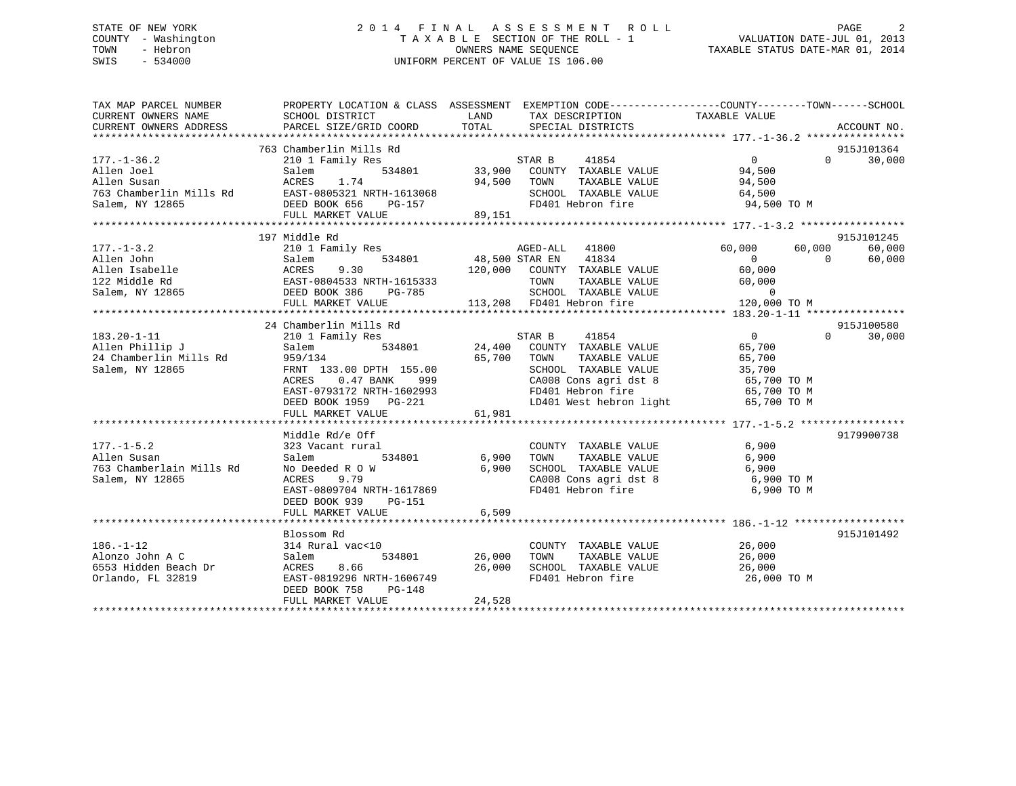# STATE OF NEW YORK 2 0 1 4 F I N A L A S S E S S M E N T R O L L PAGE 2 COUNTY - Washington T A X A B L E SECTION OF THE ROLL - 1 VALUATION DATE-JUL 01, 2013 TOWN - Hebron **CONNERS NAME SEQUENCE** TAXABLE STATUS DATE-MAR 01, 2014 SWIS - 534000 UNIFORM PERCENT OF VALUE IS 106.00

| TAX MAP PARCEL NUMBER                                                                                                                       |                                                                                                    |                       | PROPERTY LOCATION & CLASS ASSESSMENT EXEMPTION CODE---------------COUNTY-------TOWN------SCHOOL |                |          |                    |
|---------------------------------------------------------------------------------------------------------------------------------------------|----------------------------------------------------------------------------------------------------|-----------------------|-------------------------------------------------------------------------------------------------|----------------|----------|--------------------|
| CURRENT OWNERS NAME                                                                                                                         | SCHOOL DISTRICT                                                                                    | <b>LAND</b>           | TAX DESCRIPTION                                                                                 | TAXABLE VALUE  |          |                    |
| CURRENT OWNERS ADDRESS                                                                                                                      | PARCEL SIZE/GRID COORD                                                                             | TOTAL                 | SPECIAL DISTRICTS                                                                               |                |          | ACCOUNT NO.        |
|                                                                                                                                             |                                                                                                    |                       |                                                                                                 |                |          |                    |
|                                                                                                                                             | 763 Chamberlin Mills Rd                                                                            |                       |                                                                                                 |                |          | 915J101364         |
| $177. - 1 - 36.2$                                                                                                                           | 210 1 Family Res                                                                                   |                       |                                                                                                 | $\overline{0}$ |          | 30,000<br>$\Omega$ |
| Allen Joel                                                                                                                                  | Salem                                                                                              |                       |                                                                                                 |                |          |                    |
| Allen Susan                                                                                                                                 |                                                                                                    |                       | 94,500 TOWN                                                                                     |                |          |                    |
| 763 Chamberlin Mills Rd                                                                                                                     |                                                                                                    |                       |                                                                                                 |                |          |                    |
| Salem, NY 12865                                                                                                                             |                                                                                                    |                       | FD401 Hebron fire 94,500 TO M                                                                   |                |          |                    |
|                                                                                                                                             | ACRES 1.74 94,500<br>EAST-0805321 NRTH-1613068<br>DEED BOOK 656 PG-157<br>FULL MARKET VALUE 89,151 |                       |                                                                                                 |                |          |                    |
|                                                                                                                                             |                                                                                                    |                       |                                                                                                 |                |          |                    |
|                                                                                                                                             | 197 Middle Rd                                                                                      |                       |                                                                                                 |                |          | 915J101245         |
| $177. - 1 - 3.2$                                                                                                                            | 210 1 Family Res                                                                                   |                       | AGED-ALL 41800                                                                                  | 60,000         | 60,000   | 60,000             |
| 177.-1-3.2<br>Allen John Salem 534801<br>Allen Isabelle (ACRES 9.30<br>122 Middle Rd (BAST-0804533 NRTH-1615333)<br>-- 2007 2006 PM THE-785 |                                                                                                    | 534801 48,500 STAR EN | 41834                                                                                           | $\overline{0}$ | $\Omega$ | 60,000             |
|                                                                                                                                             |                                                                                                    |                       | 120,000 COUNTY TAXABLE VALUE                                                                    | 60,000         |          |                    |
|                                                                                                                                             |                                                                                                    |                       | TOWN<br>TAXABLE VALUE                                                                           | 60,000         |          |                    |
| Salem, NY 12865 DEED BOOK 386                                                                                                               | PG-785                                                                                             |                       | SCHOOL TAXABLE VALUE 0<br>FD401 Hebron fire 120,000                                             |                |          |                    |
|                                                                                                                                             | FULL MARKET VALUE                                                                                  |                       | TOWN TAXABLE VA<br>SCHOOL TAXABLE VA<br>113,208 FD401 Hebron fire                               | 120,000 TO M   |          |                    |
|                                                                                                                                             |                                                                                                    |                       |                                                                                                 |                |          |                    |
|                                                                                                                                             | 24 Chamberlin Mills Rd                                                                             |                       |                                                                                                 |                |          | 915J100580         |
| $183.20 - 1 - 11$                                                                                                                           | 210 1 Family Res                                                                                   |                       | STAR B 41854                                                                                    | $\overline{0}$ | $\Omega$ | 30,000             |
| Allen Phillip J<br>24 Chamberlin Mills Rd                                                                                                   | Salem 534801 24,400 COUNTY TAXABLE VALUE                                                           |                       |                                                                                                 | 65,700         |          |                    |
|                                                                                                                                             | 959/134                                                                                            |                       | 65,700 TOWN<br>TAXABLE VALUE                                                                    | 65,700         |          |                    |
| Salem, NY 12865                                                                                                                             | FRNT 133.00 DPTH 155.00                                                                            |                       | SCHOOL TAXABLE VALUE 35,700                                                                     |                |          |                    |
|                                                                                                                                             | ACRES<br>0.47 BANK 999                                                                             |                       | CA008 Cons agri dst 8 65,700 TO M<br>FD401 Hebron fire 65,700 TO M                              |                |          |                    |
|                                                                                                                                             | EAST-0793172 NRTH-1602993                                                                          |                       |                                                                                                 |                |          |                    |
|                                                                                                                                             | DEED BOOK 1959 PG-221                                                                              | 61.981                | LD401 West hebron light                                                                         | 65,700 TO M    |          |                    |
|                                                                                                                                             | FULL MARKET VALUE                                                                                  | 61,981                |                                                                                                 |                |          |                    |
|                                                                                                                                             |                                                                                                    |                       |                                                                                                 |                |          |                    |
|                                                                                                                                             | Middle Rd/e Off                                                                                    |                       |                                                                                                 |                |          | 9179900738         |
| $177. - 1 - 5.2$                                                                                                                            | 323 Vacant rural                                                                                   |                       | COUNTY TAXABLE VALUE 6,900                                                                      |                |          |                    |
| Allen Susan                                                                                                                                 | 534801<br>Salem                                                                                    | 6,900                 |                                                                                                 |                |          |                    |
| 763 Chamberlain Mills Rd                                                                                                                    | No Deeded R O W                                                                                    | 6,900                 |                                                                                                 |                |          |                    |
| Salem, NY 12865                                                                                                                             | ACRES<br>9.79                                                                                      |                       | CA008 Cons agri dst 8 6,900 TO M                                                                |                |          |                    |
|                                                                                                                                             | EAST-0809704 NRTH-1617869                                                                          |                       | FD401 Hebron fire                                                                               | 6,900 TO M     |          |                    |
|                                                                                                                                             | DEED BOOK 939<br>PG-151                                                                            |                       |                                                                                                 |                |          |                    |
|                                                                                                                                             | FULL MARKET VALUE                                                                                  | 6,509                 |                                                                                                 |                |          |                    |
|                                                                                                                                             |                                                                                                    |                       |                                                                                                 |                |          |                    |
|                                                                                                                                             | Blossom Rd                                                                                         |                       |                                                                                                 |                |          | 915J101492         |
| $186. - 1 - 12$                                                                                                                             | $314$ Rural vac<10                                                                                 |                       | COUNTY TAXABLE VALUE 26,000                                                                     |                |          |                    |
| Alonzo John A C                                                                                                                             | 534801<br>Salem                                                                                    | 26,000                | TAXABLE VALUE 26,000<br>TOWN                                                                    |                |          |                    |
| 6553 Hidden Beach Dr                                                                                                                        | ACRES 8.66                                                                                         | 26,000                | SCHOOL TAXABLE VALUE 26,000                                                                     |                |          |                    |
| Orlando, FL 32819                                                                                                                           | EAST-0819296 NRTH-1606749                                                                          |                       | FD401 Hebron fire                                                                               | 26,000 TO M    |          |                    |
|                                                                                                                                             | DEED BOOK 758<br>PG-148                                                                            |                       |                                                                                                 |                |          |                    |
|                                                                                                                                             | FULL MARKET VALUE                                                                                  | 24,528                |                                                                                                 |                |          |                    |
|                                                                                                                                             |                                                                                                    |                       |                                                                                                 |                |          |                    |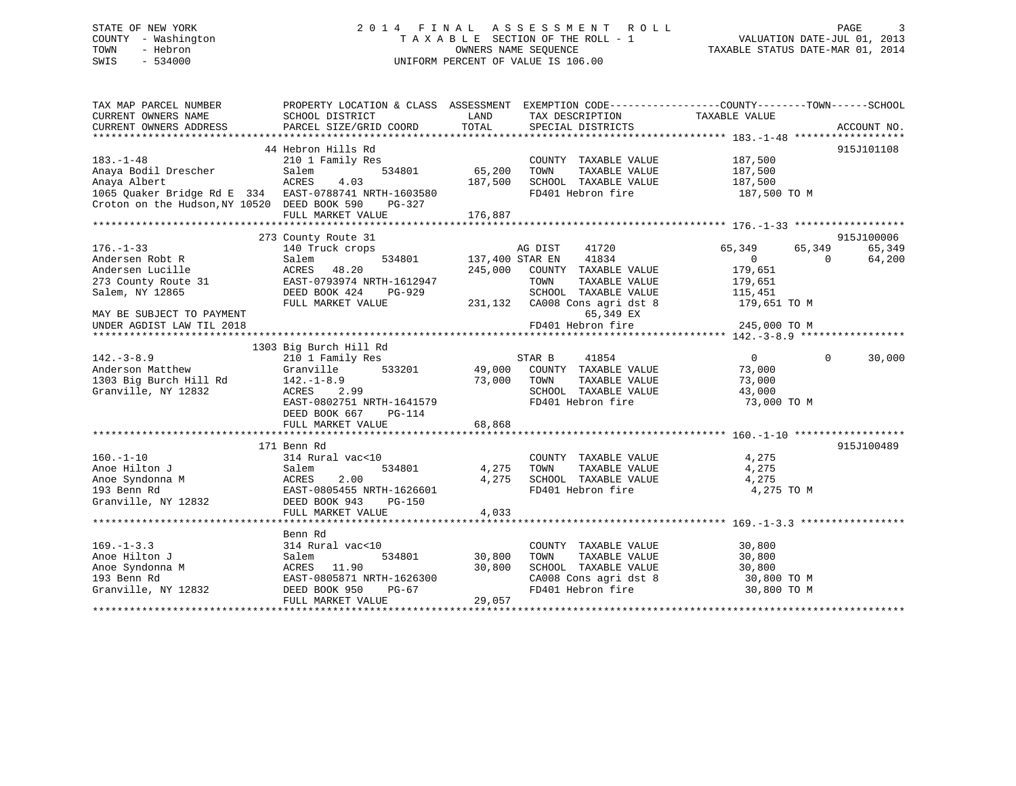# STATE OF NEW YORK 2 0 1 4 F I N A L A S S E S S M E N T R O L L PAGE 3 COUNTY - Washington T A X A B L E SECTION OF THE ROLL - 1 VALUATION DATE-JUL 01, 2013 TOWN - Hebron **CONNERS NAME SEQUENCE** TAXABLE STATUS DATE-MAR 01, 2014 SWIS - 534000 UNIFORM PERCENT OF VALUE IS 106.00

| TAX MAP PARCEL NUMBER<br>CURRENT OWNERS NAME<br>CURRENT OWNERS ADDRESS                                                                                           | PROPERTY LOCATION & CLASS ASSESSMENT EXEMPTION CODE---------------COUNTY-------TOWN------SCHOOL<br>SCHOOL DISTRICT<br>PARCEL SIZE/GRID COORD       | LAND<br>TOTAL              | TAX DESCRIPTION TAXABLE VALUE<br>SPECIAL DISTRICTS                                                                                               |                                                                                           | ACCOUNT NO.                    |
|------------------------------------------------------------------------------------------------------------------------------------------------------------------|----------------------------------------------------------------------------------------------------------------------------------------------------|----------------------------|--------------------------------------------------------------------------------------------------------------------------------------------------|-------------------------------------------------------------------------------------------|--------------------------------|
| $183. - 1 - 48$<br>Anaya Bodil Drescher<br>Anaya Albert<br>1065 Quaker Bridge Rd E 334 EAST-0788741 NRTH-1603580<br>Croton on the Hudson, NY 10520 DEED BOOK 590 | 44 Hebron Hills Rd<br>210 1 Family Res<br>534801<br>Salem<br>ACRES<br>4.03<br>PG-327                                                               | 65,200<br>187,500          | COUNTY TAXABLE VALUE<br>TOWN<br>TAXABLE VALUE<br>SCHOOL TAXABLE VALUE 187,500<br>FD401 Hebron fire                                               | 187,500<br>187,500<br>187,500 TO M                                                        | 915J101108                     |
|                                                                                                                                                                  | FULL MARKET VALUE                                                                                                                                  | 176,887                    |                                                                                                                                                  |                                                                                           |                                |
| $176. - 1 - 33$<br>Andersen Robt R<br>Andersen Lucille<br>273 County Route 31<br>Salem, NY 12865                                                                 | 273 County Route 31<br>140 Truck crops<br>534801<br>Salem<br>ACRES<br>48.20<br>EAST-0793974 NRTH-1612947<br>DEED BOOK 424<br>PG-929                | 245,000                    | AG DIST 41720<br>137,400 STAR EN 41834<br>COUNTY TAXABLE VALUE<br>TAXABLE VALUE<br>TOWN<br>SCHOOL TAXABLE VALUE<br>231,132 CA008 Cons agri dst 8 | 65,349<br>65,349<br>$\Omega$<br>$\Omega$<br>179,651<br>179,651<br>115,451<br>179,651 TO M | 915J100006<br>65,349<br>64,200 |
| MAY BE SUBJECT TO PAYMENT<br>UNDER AGDIST LAW TIL 2018                                                                                                           | FULL MARKET VALUE                                                                                                                                  |                            | 65,349 EX<br>FD401 Hebron fire                                                                                                                   | 245,000 TO M                                                                              |                                |
|                                                                                                                                                                  | 1303 Big Burch Hill Rd                                                                                                                             |                            |                                                                                                                                                  |                                                                                           |                                |
| $142. - 3 - 8.9$<br>Anderson Matthew<br>1303 Big Burch Hill Rd<br>Granville, NY 12832                                                                            | 210 1 Family Res<br>Granville<br>533201<br>$142.-1-8.9$<br>ACRES 2.99<br>EAST-0802751 NRTH-1641579<br>DEED BOOK 667<br>PG-114<br>FULL MARKET VALUE | 49,000<br>73,000<br>68,868 | STAR B<br>41854<br>COUNTY TAXABLE VALUE<br>TOWN<br>TAXABLE VALUE<br>SCHOOL TAXABLE VALUE<br>FD401 Hebron fire                                    | $\overline{0}$<br>$\Omega$<br>73,000<br>73,000<br>43,000<br>73,000 TO M                   | 30,000                         |
|                                                                                                                                                                  |                                                                                                                                                    |                            |                                                                                                                                                  |                                                                                           |                                |
| $160. -1 - 10$<br>Anoe Hilton J<br>Anoe Syndonna M<br>193 Benn Rd<br>Granville, NY 12832                                                                         | 171 Benn Rd<br>314 Rural vac<10<br>534801<br>Salem<br>2.00<br>ACRES<br>EAST-0805455 NRTH-1626601<br>DEED BOOK 943 PG-150<br>FULL MARKET VALUE      | 4,275<br>4,275<br>4,033    | COUNTY TAXABLE VALUE<br>TOWN<br>TAXABLE VALUE<br>SCHOOL TAXABLE VALUE<br>FD401 Hebron fire                                                       | 4,275<br>4,275<br>4,275<br>4,275 TO M                                                     | 915J100489                     |
|                                                                                                                                                                  |                                                                                                                                                    |                            |                                                                                                                                                  |                                                                                           |                                |
| $169. - 1 - 3.3$<br>Anoe Hilton J<br>Anoe Syndonna M<br>193 Benn Rd<br>Granville, NY 12832                                                                       | Benn Rd<br>314 Rural vac<10<br>534801<br>Salem<br>ACRES 11.90<br>EAST-0805871 NRTH-1626300<br>DEED BOOK 950<br>PG-67<br>FULL MARKET VALUE          | 30,800<br>30,800<br>29,057 | COUNTY TAXABLE VALUE<br>TAXABLE VALUE<br>TOWN<br>SCHOOL TAXABLE VALUE<br>CA008 Cons agri dst 8<br>FD401 Hebron fire                              | 30,800<br>30,800<br>30,800<br>30,800 TO M<br>30,800 TO M                                  |                                |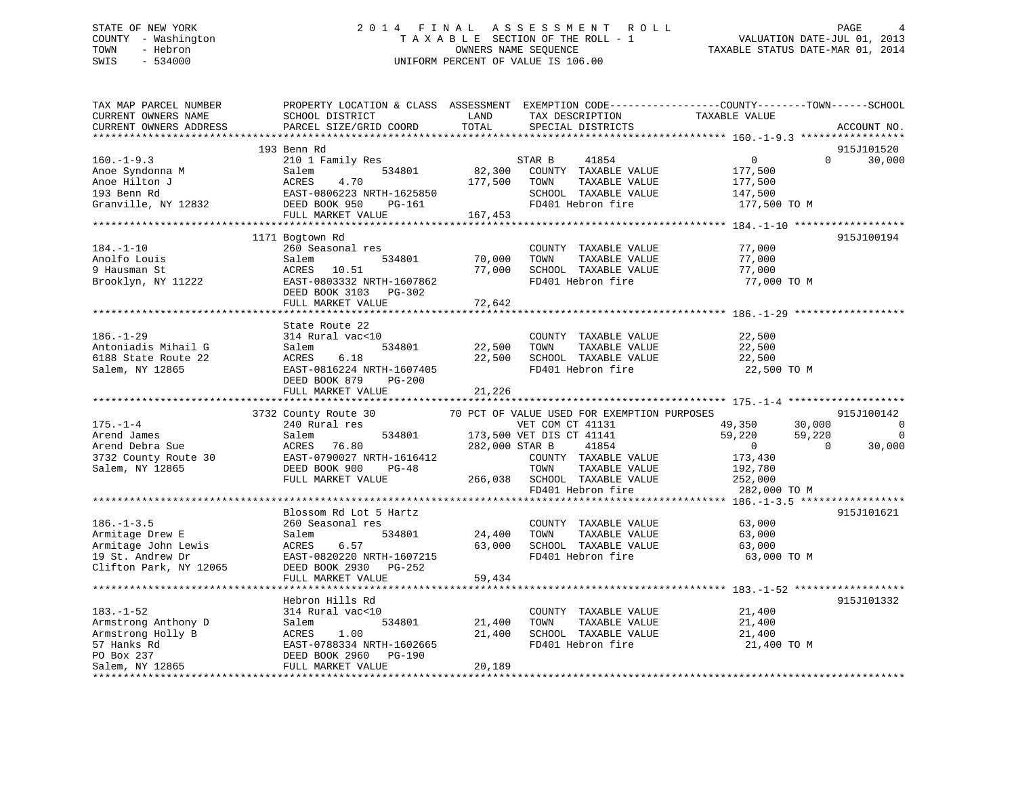# STATE OF NEW YORK 2 0 1 4 F I N A L A S S E S S M E N T R O L L PAGE 4 COUNTY - Washington T A X A B L E SECTION OF THE ROLL - 1 VALUATION DATE-JUL 01, 2013 TOWN - Hebron **CONNERS NAME SEQUENCE** TAXABLE STATUS DATE-MAR 01, 2014 SWIS - 534000 UNIFORM PERCENT OF VALUE IS 106.00

| TAX MAP PARCEL NUMBER<br>CURRENT OWNERS NAME<br>CURRENT OWNERS ADDRESS                                                                                                                | PROPERTY LOCATION & CLASS ASSESSMENT EXEMPTION CODE----------------COUNTY-------TOWN-----SCHOOL<br>SCHOOL DISTRICT<br>PARCEL SIZE/GRID COORD | LAND<br>TOTAL       | TAX DESCRIPTION<br>SPECIAL DISTRICTS                                                                                                                                                                                                          | TAXABLE VALUE                                                                   |                          | ACCOUNT NO.                                |
|---------------------------------------------------------------------------------------------------------------------------------------------------------------------------------------|----------------------------------------------------------------------------------------------------------------------------------------------|---------------------|-----------------------------------------------------------------------------------------------------------------------------------------------------------------------------------------------------------------------------------------------|---------------------------------------------------------------------------------|--------------------------|--------------------------------------------|
|                                                                                                                                                                                       |                                                                                                                                              |                     |                                                                                                                                                                                                                                               |                                                                                 |                          |                                            |
| $160. - 1 - 9.3$                                                                                                                                                                      | 193 Benn Rd<br>210 1 Family Res<br>534801<br>FULL MARKET VALUE                                                                               | 177,500<br>167, 453 | STAR B<br>41854<br>82,300 COUNTY TAXABLE VALUE<br>TAXABLE VALUE<br>TOWN<br>SCHOOL TAXABLE VALUE<br>FD401 Hebron fire                                                                                                                          | $\overline{0}$<br>177,500<br>177,500<br>147,500<br>177,500 TO M                 | $\Omega$                 | 915J101520<br>30,000                       |
|                                                                                                                                                                                       |                                                                                                                                              |                     |                                                                                                                                                                                                                                               |                                                                                 |                          |                                            |
| $184. - 1 - 10$<br>Anolfo Louis<br>9 Hausman St<br>Brooklyn, NY 11222                                                                                                                 | 1171 Bogtown Rd<br>260 Seasonal res<br>534801<br>Salem<br>ACRES 10.51<br>EAST-0803332 NRTH-1607862<br>DEED BOOK 3103 PG-302                  | 70,000<br>77,000    | COUNTY TAXABLE VALUE<br>TOWN<br>TAXABLE VALUE<br>SCHOOL TAXABLE VALUE<br>FD401 Hebron fire                                                                                                                                                    | 77,000<br>77,000<br>77,000<br>77,000 TO M                                       |                          | 915J100194                                 |
|                                                                                                                                                                                       | FULL MARKET VALUE                                                                                                                            | 72,642              |                                                                                                                                                                                                                                               |                                                                                 |                          |                                            |
| $186. - 1 - 29$<br>Antoniadis Mihail G                                                                                                                                                | State Route 22<br>314 Rural vac<10<br>534801<br>Salem                                                                                        | 22,500              | COUNTY TAXABLE VALUE<br>TAXABLE VALUE<br>TOWN                                                                                                                                                                                                 | 22,500<br>22,500                                                                |                          |                                            |
| 6188 State Route 22<br>Salem, NY 12865                                                                                                                                                | 6.18<br>ACRES<br>EAST-0816224 NRTH-1607405<br>DEED BOOK 879<br>$PG-200$<br>FULL MARKET VALUE                                                 | 21,226              | 22,500 SCHOOL TAXABLE VALUE<br>FD401 Hebron fire                                                                                                                                                                                              | 22,500<br>22,500 TO M                                                           |                          |                                            |
|                                                                                                                                                                                       |                                                                                                                                              |                     |                                                                                                                                                                                                                                               |                                                                                 |                          |                                            |
|                                                                                                                                                                                       | 3732 County Route 30                                                                                                                         |                     | 70 PCT OF VALUE USED FOR EXEMPTION PURPOSES                                                                                                                                                                                                   |                                                                                 |                          | 915J100142                                 |
| $175. - 1 - 4$<br>Salem, NY 12865                                                                                                                                                     | 240 Rural res<br>DEED BOOK 900 PG-48<br>FULL MARKET VALUE                                                                                    |                     | VET COM CT 41131<br>534801 173,500 VET DIS CT 41141<br>600 000 STAR B 41854<br>VET COM CT 41131<br>COUNTY TAXABLE VALUE<br>TOWN<br>TAXABLE VALUE<br>266,038 SCHOOL TAXABLE VALUE<br>SCHOOL TAXABLE VALUE 252,000<br>FD401 Hebron fire 282.000 | 49,350 30,000<br>59,220<br>$\overline{0}$<br>173,430<br>192,780<br>282,000 TO M | 59,220<br>$\overline{0}$ | $\overline{0}$<br>$\overline{0}$<br>30,000 |
|                                                                                                                                                                                       |                                                                                                                                              |                     |                                                                                                                                                                                                                                               |                                                                                 |                          |                                            |
| $186. - 1 - 3.5$<br>Armitage Drew E<br>Armitage John Lewis<br>Armitage John Lewis<br>19 St. Andrew Dr<br>Clifton Park, NY 12065                                                       | Blossom Rd Lot 5 Hartz<br>260 Seasonal res<br>534801<br>Salem<br>6.57<br>ACRES<br>EAST-0820220 NRTH-1607215<br>DEED BOOK 2930 PG-252         | 24,400 TOWN         | COUNTY TAXABLE VALUE<br>TAXABLE VALUE<br>63,000 SCHOOL TAXABLE VALUE<br>FD401 Hebron fire                                                                                                                                                     | 63,000<br>63,000<br>63,000<br>63,000 TO M                                       |                          | 915J101621                                 |
|                                                                                                                                                                                       | FULL MARKET VALUE                                                                                                                            | 59,434              |                                                                                                                                                                                                                                               |                                                                                 |                          |                                            |
| $183. - 1 - 52$                                                                                                                                                                       | Hebron Hills Rd<br>314 Rural vac<10                                                                                                          |                     | COUNTY TAXABLE VALUE                                                                                                                                                                                                                          | 21,400                                                                          |                          | 915J101332                                 |
| Armstrong Anthony D<br>Armstrong Holly B<br>Salem<br>57 Hanks Rd<br>PO Box 237<br>PO Box 237<br>PO Box 237<br>PEED BOX 237<br>PEED BOX PEED BOX<br>PEED BOX PEED BOX<br>PRILL MATRIMS | 534801<br>1.00<br>EAST-0788334 NRTH-1602665<br>DEED BOOK 2960 PG-190                                                                         | 21,400<br>21,400    | TOWN<br>TAXABLE VALUE<br>SCHOOL TAXABLE VALUE<br>FD401 Hebron fire                                                                                                                                                                            | 21,400<br>21,400<br>21,400 TO M                                                 |                          |                                            |
|                                                                                                                                                                                       | FULL MARKET VALUE                                                                                                                            | 20,189              |                                                                                                                                                                                                                                               |                                                                                 |                          |                                            |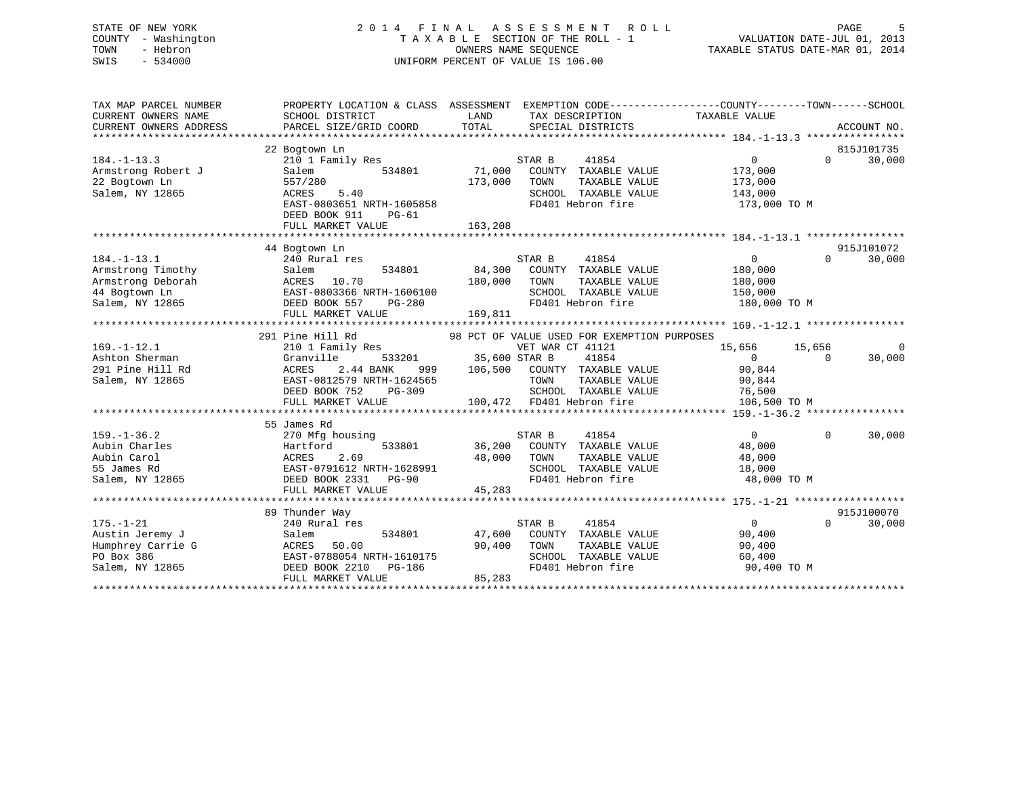# STATE OF NEW YORK 2 0 1 4 F I N A L A S S E S S M E N T R O L L PAGE 5 COUNTY - Washington T A X A B L E SECTION OF THE ROLL - 1 VALUATION DATE-JUL 01, 2013 TOWN - Hebron OWNERS NAME SEQUENCE TAXABLE STATUS DATE-MAR 01, 2014 SWIS - 534000 UNIFORM PERCENT OF VALUE IS 106.00

| TAX MAP PARCEL NUMBER                              |                                                                                                                                                                                                      | PROPERTY LOCATION & CLASS ASSESSMENT EXEMPTION CODE---------------COUNTY-------TOWN-----SCHOOL |                                      |
|----------------------------------------------------|------------------------------------------------------------------------------------------------------------------------------------------------------------------------------------------------------|------------------------------------------------------------------------------------------------|--------------------------------------|
| CURRENT OWNERS NAME                                | SCHOOL DISTRICT                                                                                                                                                                                      | LAND<br>TAX DESCRIPTION                                                                        | TAXABLE VALUE                        |
| CURRENT OWNERS ADDRESS                             | PARCEL SIZE/GRID COORD                                                                                                                                                                               | TOTAL<br>SPECIAL DISTRICTS                                                                     | ACCOUNT NO.                          |
|                                                    |                                                                                                                                                                                                      |                                                                                                |                                      |
|                                                    | 22 Bogtown Ln                                                                                                                                                                                        |                                                                                                | 815J101735                           |
| $184. - 1 - 13.3$                                  | 210 1 Family Res                                                                                                                                                                                     | STAR B<br>41854                                                                                | $\overline{0}$<br>$\Omega$<br>30,000 |
| Armstrong Robert J                                 | Salem<br>534801<br>557/280                                                                                                                                                                           | 71,000<br>COUNTY TAXABLE VALUE<br>TOWN<br>TAXABLE VALUE                                        | 173,000                              |
| 22 Bogtown Ln<br>Salem, NY 12865                   | ACRES<br>5.40                                                                                                                                                                                        | 173,000<br>SCHOOL TAXABLE VALUE                                                                | 173,000<br>143,000                   |
|                                                    | ACRES 5.40<br>EAST-0803651 NRTH-1605858                                                                                                                                                              | FD401 Hebron fire                                                                              | 173,000 TO M                         |
|                                                    | DEED BOOK 911<br>PG-61                                                                                                                                                                               |                                                                                                |                                      |
|                                                    | FULL MARKET VALUE                                                                                                                                                                                    | 163,208                                                                                        |                                      |
|                                                    |                                                                                                                                                                                                      |                                                                                                |                                      |
|                                                    | 44 Bogtown Ln                                                                                                                                                                                        |                                                                                                | 915J101072                           |
| $184. - 1 - 13.1$                                  | 240 Rural res                                                                                                                                                                                        | STAR B<br>41854                                                                                | $\overline{0}$<br>$\Omega$<br>30,000 |
|                                                    |                                                                                                                                                                                                      | 84,300 COUNTY TAXABLE VALUE                                                                    | 180,000                              |
|                                                    | Armstrong Timothy<br>Armstrong Deborah<br>10.70<br>14 Bogtown Ln<br>2008 BAST-0803366 NRTH-1606100<br>2008 BAST-0803366 NRTH-1606100<br>2008 BEED BOOK 557<br>2008 DEED BOOK 557<br>2008 PAPET VALUE | 180,000 TOWN<br>TAXABLE VALUE                                                                  | 180,000                              |
|                                                    |                                                                                                                                                                                                      | SCHOOL TAXABLE VALUE 150,000                                                                   |                                      |
|                                                    |                                                                                                                                                                                                      | FD401 Hebron fire                                                                              | 180,000 TO M                         |
|                                                    | FULL MARKET VALUE                                                                                                                                                                                    | 169, 811                                                                                       |                                      |
|                                                    |                                                                                                                                                                                                      |                                                                                                |                                      |
|                                                    | 291 Pine Hill Rd                                                                                                                                                                                     | 98 PCT OF VALUE USED FOR EXEMPTION PURPOSES                                                    |                                      |
| $169. - 1 - 12.1$                                  | 210 1 Family Res                                                                                                                                                                                     | VET WAR CT 41121                                                                               | 15,656 15,656<br>$\mathbf 0$         |
| Ashton Sherman                                     | Granville                                                                                                                                                                                            | 533201 35,600 STAR B<br>41854                                                                  | $\overline{0}$<br>30,000<br>$\Omega$ |
| 291 Pine Hill Rd                                   | ACRES<br>2.44 BANK                                                                                                                                                                                   | 999 106,500 COUNTY TAXABLE VALUE                                                               | 90,844                               |
| Salem, NY 12865                                    | EAST-0812579 NRTH-1624565                                                                                                                                                                            | TOWN<br>TAXABLE VALUE                                                                          | 90,844                               |
|                                                    | DEED BOOK 752<br>PG-309                                                                                                                                                                              | SCHOOL TAXABLE VALUE 76,500                                                                    |                                      |
|                                                    | FULL MARKET VALUE                                                                                                                                                                                    | 100,472 FD401 Hebron fire                                                                      | 106,500 TO M                         |
|                                                    |                                                                                                                                                                                                      |                                                                                                |                                      |
|                                                    | 55 James Rd                                                                                                                                                                                          |                                                                                                |                                      |
| $159. - 1 - 36.2$                                  | 270 Mfg housing                                                                                                                                                                                      | STAR B<br>41854                                                                                | 30,000<br>$\overline{0}$<br>$\Omega$ |
| Aubin Charles                                      | Hartford<br>533801<br>ACRES 2.69<br>EAST-0791612 NRTH-1628991<br>DEED BOOK 2331 PG-90                                                                                                                | 36,200 COUNTY TAXABLE VALUE                                                                    | 48,000                               |
| Aubin Carol                                        |                                                                                                                                                                                                      | 48,000 TOWN<br>TAXABLE VALUE                                                                   | 48,000                               |
| 55 James Rd                                        | EAST-0791612 NRTH-1628991<br>DEED BOOK 2331 PG-90                                                                                                                                                    | SCHOOL TAXABLE VALUE                                                                           | 18,000                               |
| Salem, NY 12865                                    |                                                                                                                                                                                                      | FD401 Hebron fire                                                                              | 48,000 TO M                          |
|                                                    |                                                                                                                                                                                                      | 45,283                                                                                         |                                      |
|                                                    | 89 Thunder Way                                                                                                                                                                                       |                                                                                                | 915J100070                           |
| $175. - 1 - 21$                                    | 240 Rural res                                                                                                                                                                                        | 41854<br>STAR B                                                                                | $\overline{0}$<br>$\Omega$<br>30,000 |
| Austin Jeremy J                                    | 534801<br>Salem                                                                                                                                                                                      | 47,600 COUNTY TAXABLE VALUE                                                                    | 90,400                               |
|                                                    | 50.00<br>ACRES                                                                                                                                                                                       | 90,400<br>TOWN<br>TAXABLE VALUE                                                                | 90,400                               |
| Austin Jeremy J<br>Humphrey Carrie G<br>PO Box 386 | EAST-0788054 NRTH-1610175                                                                                                                                                                            | SCHOOL TAXABLE VALUE                                                                           | 60,400                               |
| Salem, NY 12865                                    | DEED BOOK 2210 PG-186                                                                                                                                                                                | FD401 Hebron fire                                                                              | 90,400 TO M                          |
|                                                    | FULL MARKET VALUE                                                                                                                                                                                    | 85,283                                                                                         |                                      |
|                                                    |                                                                                                                                                                                                      |                                                                                                |                                      |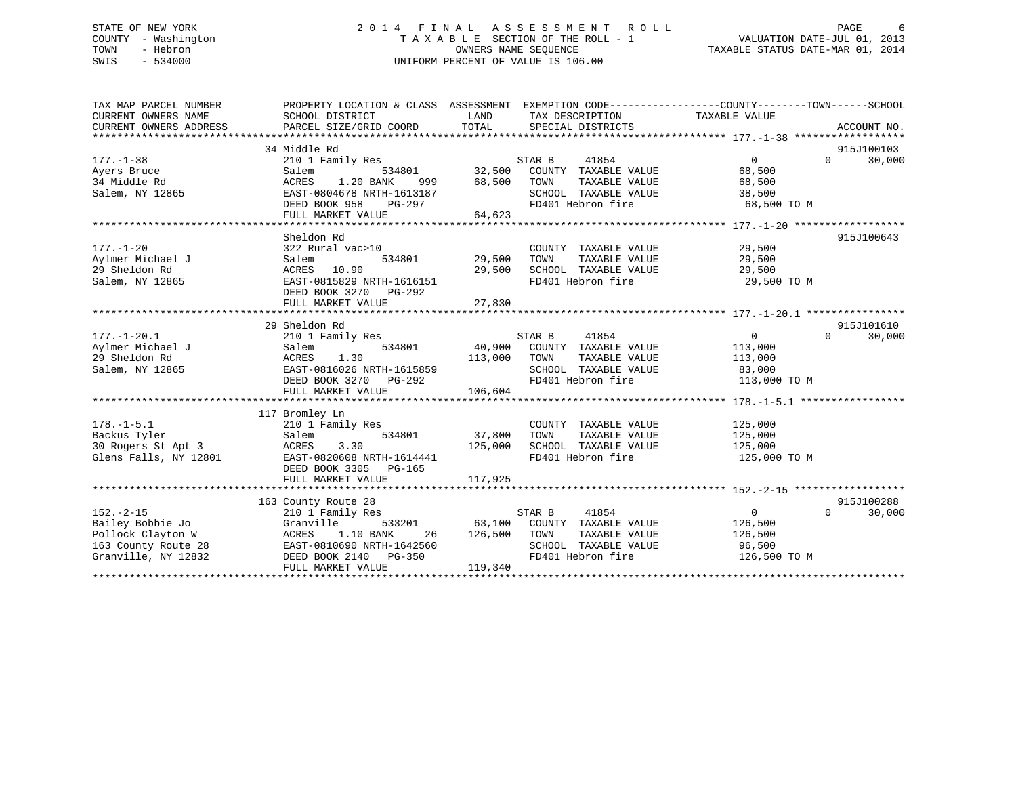# STATE OF NEW YORK 2 0 1 4 F I N A L A S S E S S M E N T R O L L PAGE 6 COUNTY - Washington T A X A B L E SECTION OF THE ROLL - 1 VALUATION DATE-JUL 01, 2013 TOWN - Hebron **CONNERS NAME SEQUENCE** TAXABLE STATUS DATE-MAR 01, 2014 SWIS - 534000 UNIFORM PERCENT OF VALUE IS 106.00

| TAX MAP PARCEL NUMBER<br>CURRENT OWNERS NAME<br>CURRENT OWNERS ADDRESS | PROPERTY LOCATION & CLASS ASSESSMENT EXEMPTION CODE---------------COUNTY-------TOWN-----SCHOOL<br>SCHOOL DISTRICT | LAND          | TAX DESCRIPTION                    | TAXABLE VALUE  |          |            |
|------------------------------------------------------------------------|-------------------------------------------------------------------------------------------------------------------|---------------|------------------------------------|----------------|----------|------------|
|                                                                        | 34 Middle Rd                                                                                                      |               |                                    |                |          | 915J100103 |
| $177. - 1 - 38$                                                        | 210 1 Family Res                                                                                                  |               | 41854<br>STAR B                    | $\Omega$       | $\Omega$ | 30,000     |
| Ayers Bruce                                                            | Salem                                                                                                             |               | 534801 32,500 COUNTY TAXABLE VALUE | 68,500         |          |            |
| 34 Middle Rd                                                           | ACRES<br>1.20 BANK<br>999                                                                                         | 68,500        | TOWN<br>TAXABLE VALUE              | 68,500         |          |            |
| Salem, NY 12865                                                        | EAST-0804678 NRTH-1613187                                                                                         |               | SCHOOL TAXABLE VALUE               | 38,500         |          |            |
|                                                                        | DEED BOOK 958 PG-297                                                                                              |               | FD401 Hebron fire                  | 68,500 TO M    |          |            |
|                                                                        | FULL MARKET VALUE                                                                                                 | 64,623        |                                    |                |          |            |
|                                                                        |                                                                                                                   |               |                                    |                |          |            |
|                                                                        | Sheldon Rd                                                                                                        |               |                                    |                |          | 915J100643 |
| $177. - 1 - 20$                                                        | 322 Rural vac>10                                                                                                  |               | COUNTY TAXABLE VALUE               | 29,500         |          |            |
| Aylmer Michael J                                                       | Salem                                                                                                             | 534801 29,500 | TAXABLE VALUE<br>TOWN              | 29,500         |          |            |
| 29 Sheldon Rd                                                          | ACRES 10.90                                                                                                       | 29,500        | SCHOOL TAXABLE VALUE               | 29,500         |          |            |
| Salem, NY 12865                                                        | EAST-0815829 NRTH-1616151                                                                                         |               | FD401 Hebron fire                  | 29,500 TO M    |          |            |
|                                                                        | DEED BOOK 3270<br>PG-292                                                                                          |               |                                    |                |          |            |
|                                                                        | FULL MARKET VALUE                                                                                                 | 27,830        |                                    |                |          |            |
|                                                                        |                                                                                                                   |               |                                    |                |          |            |
|                                                                        | 29 Sheldon Rd                                                                                                     |               |                                    |                |          | 915J101610 |
| $177. - 1 - 20.1$                                                      | 210 1 Family Res                                                                                                  |               | STAR B 41854                       | $\overline{0}$ | $\Omega$ | 30,000     |
| Aylmer Michael J                                                       | 534801<br>Salem                                                                                                   |               | 40,900 COUNTY TAXABLE VALUE        | 113,000        |          |            |
| 29 Sheldon Rd                                                          | ACRES<br>1.30                                                                                                     | 113,000       | TOWN<br>TAXABLE VALUE              | 113,000        |          |            |
| Salem, NY 12865                                                        | EAST-0816026 NRTH-1615859                                                                                         |               | SCHOOL TAXABLE VALUE               | 83,000         |          |            |
|                                                                        | DEED BOOK 3270 PG-292                                                                                             |               | FD401 Hebron fire                  | 113,000 TO M   |          |            |
|                                                                        | FULL MARKET VALUE                                                                                                 | 106,604       |                                    |                |          |            |
|                                                                        |                                                                                                                   |               |                                    |                |          |            |
|                                                                        | 117 Bromley Ln                                                                                                    |               |                                    |                |          |            |
| $178. - 1 - 5.1$                                                       | 210 1 Family Res                                                                                                  |               | COUNTY TAXABLE VALUE 125,000       |                |          |            |
| Backus Tyler                                                           | Salem                                                                                                             | 534801 37,800 | TOWN<br>TAXABLE VALUE              | 125,000        |          |            |
| 30 Rogers St Apt 3                                                     | 3.30<br>ACRES                                                                                                     | 125,000       | SCHOOL TAXABLE VALUE               | 125,000        |          |            |
| Glens Falls, NY 12801                                                  | EAST-0820608 NRTH-1614441                                                                                         |               | FD401 Hebron fire                  | 125,000 TO M   |          |            |
|                                                                        | DEED BOOK 3305 PG-165                                                                                             |               |                                    |                |          |            |
|                                                                        | FULL MARKET VALUE                                                                                                 | 117,925       |                                    |                |          |            |
|                                                                        |                                                                                                                   |               |                                    |                |          |            |
|                                                                        | 163 County Route 28                                                                                               |               |                                    |                |          | 915J100288 |
| $152. - 2 - 15$                                                        | 210 1 Family Res                                                                                                  |               | STAR B<br>41854                    | $\overline{0}$ | $\Omega$ | 30,000     |
| Bailey Bobbie Jo                                                       | Granville<br>533201                                                                                               |               | 63,100 COUNTY TAXABLE VALUE        | 126,500        |          |            |
| Pollock Clayton W                                                      | ACRES 1.10 BANK<br>26                                                                                             | 126,500 TOWN  | TAXABLE VALUE                      | 126,500        |          |            |
| 163 County Route 28                                                    | EAST-0810690 NRTH-1642560                                                                                         |               | SCHOOL TAXABLE VALUE 96,500        |                |          |            |
| Granville, NY 12832                                                    | DEED BOOK 2140 PG-350                                                                                             |               | FD401 Hebron fire 126,500 TO M     |                |          |            |
|                                                                        | FULL MARKET VALUE                                                                                                 | 119,340       |                                    |                |          |            |
|                                                                        |                                                                                                                   |               |                                    |                |          |            |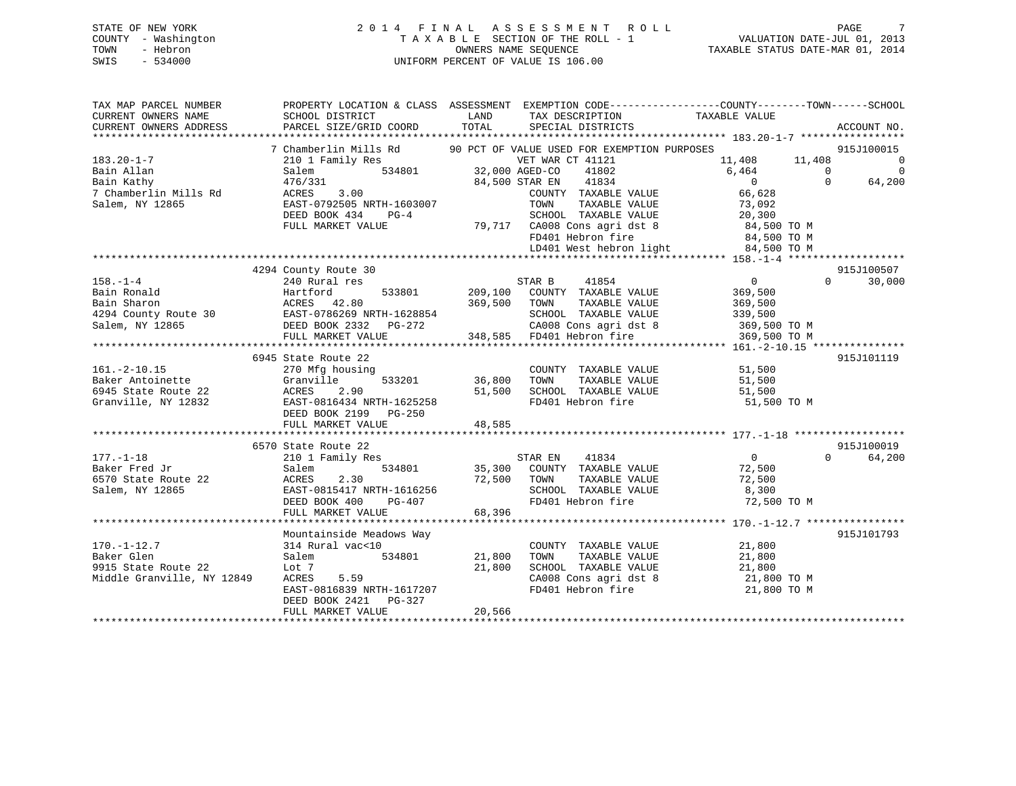# STATE OF NEW YORK 2 0 1 4 F I N A L A S S E S S M E N T R O L L PAGE 7 COUNTY - Washington T A X A B L E SECTION OF THE ROLL - 1 VALUATION DATE-JUL 01, 2013 TOWN - Hebron OWNERS NAME SEQUENCE TAXABLE STATUS DATE-MAR 01, 2014 SWIS - 534000 UNIFORM PERCENT OF VALUE IS 106.00

| TAX MAP PARCEL NUMBER                                                                  | PROPERTY LOCATION & CLASS ASSESSMENT EXEMPTION CODE----------------COUNTY-------TOWN------SCHOOL |                |                                                   |                                     |                          |
|----------------------------------------------------------------------------------------|--------------------------------------------------------------------------------------------------|----------------|---------------------------------------------------|-------------------------------------|--------------------------|
| CURRENT OWNERS NAME                                                                    | SCHOOL DISTRICT                                                                                  | LAND           | TAX DESCRIPTION                                   | TAXABLE VALUE                       |                          |
| CURRENT OWNERS ADDRESS                                                                 | PARCEL SIZE/GRID COORD                                                                           | TOTAL          | SPECIAL DISTRICTS                                 |                                     | ACCOUNT NO.              |
|                                                                                        |                                                                                                  |                |                                                   |                                     |                          |
|                                                                                        | 7 Chamberlin Mills Rd                                                                            |                | 90 PCT OF VALUE USED FOR EXEMPTION PURPOSES       |                                     | 915J100015               |
| $183.20 - 1 - 7$                                                                       | 7amily Res<br>534801 32,000 AGED-CO<br>210 1 Family Res                                          |                | VET WAR CT 41121                                  | 11,408 11,408 0                     |                          |
| Bain Allan                                                                             | Salem                                                                                            |                | 41802                                             | $6,464$ 0                           | $\overline{\phantom{0}}$ |
| Bain Kathy                                                                             | 476/331                                                                                          | 84,500 STAR EN | 41834                                             | $\overline{0}$                      | $\Omega$<br>64,200       |
| 7 Chamberlin Mills Rd                                                                  | 3.00<br>ACRES                                                                                    |                | COUNTY TAXABLE VALUE                              | 66,628                              |                          |
| Salem, NY 12865                                                                        | EAST-0792505 NRTH-1603007                                                                        |                | TOWN<br>TAXABLE VALUE                             | 73,092                              |                          |
|                                                                                        | DEED BOOK 434<br>$PG-4$                                                                          |                | SCHOOL TAXABLE VALUE                              | 20, 300                             |                          |
|                                                                                        | FULL MARKET VALUE                                                                                |                | 79,717 CA008 Cons agri dst 8<br>FD401 Hebron fire | 84,500 TO M<br>84,500 TO M          |                          |
|                                                                                        |                                                                                                  |                |                                                   |                                     |                          |
|                                                                                        |                                                                                                  |                |                                                   | LD401 West hebron light 84,500 TO M |                          |
|                                                                                        |                                                                                                  |                |                                                   |                                     |                          |
|                                                                                        | 4294 County Route 30                                                                             |                |                                                   |                                     | 915J100507               |
| $158. - 1 - 4$                                                                         | 240 Rural res                                                                                    |                | 41854<br>STAR B                                   | $\overline{0}$                      | 30,000<br>$\Omega$       |
| Bain Ronald                                                                            | 533801<br>Hartiora<br>ACRES 42.80                                                                | 209,100        | COUNTY TAXABLE VALUE                              | 369,500                             |                          |
|                                                                                        |                                                                                                  |                | TOWN<br>TAXABLE VALUE                             | 369,500                             |                          |
| Bain Sharon<br>4294 County Route 30 EAST-0786269 NRTH-1628854<br>DRED BOOK 2332 PG-272 |                                                                                                  |                | SCHOOL TAXABLE VALUE                              | 339,500                             |                          |
|                                                                                        |                                                                                                  |                |                                                   | CA008 Cons agri dst 8 369,500 TO M  |                          |
|                                                                                        | FULL MARKET VALUE                                                                                |                | 348,585 FD401 Hebron fire                         | 369,500 TO M                        |                          |
|                                                                                        |                                                                                                  |                |                                                   |                                     |                          |
|                                                                                        | 6945 State Route 22                                                                              |                |                                                   |                                     | 915J101119               |
| $161. - 2 - 10.15$                                                                     | 270 Mfg housing                                                                                  |                | COUNTY TAXABLE VALUE                              | 51,500                              |                          |
| Baker Antoinette                                                                       | 533201<br>Granville                                                                              | 36,800         | TOWN<br>TAXABLE VALUE                             | 51,500                              |                          |
| 6945 State Route 22                                                                    | ACRES<br>2.90                                                                                    | 51,500         | SCHOOL TAXABLE VALUE                              | 51,500                              |                          |
| Granville, NY 12832                                                                    | EAST-0816434 NRTH-1625258                                                                        |                | FD401 Hebron fire                                 | 51,500 TO M                         |                          |
|                                                                                        | DEED BOOK 2199<br>PG-250                                                                         |                |                                                   |                                     |                          |
|                                                                                        | FULL MARKET VALUE                                                                                | 48,585         |                                                   |                                     |                          |
|                                                                                        | 6570 State Route 22                                                                              |                |                                                   |                                     | 915J100019               |
| $177. - 1 - 18$                                                                        | 210 1 Family Res                                                                                 |                | STAR EN 41834                                     | $\overline{0}$                      | 64,200<br>$\Omega$       |
| Baker Fred Jr                                                                          | 534801<br>Salem                                                                                  |                | 35,300 COUNTY TAXABLE VALUE                       | 72,500                              |                          |
| 6570 State Route 22                                                                    |                                                                                                  | 72,500 TOWN    | TAXABLE VALUE                                     | 72,500                              |                          |
| Salem, NY 12865                                                                        |                                                                                                  |                | SCHOOL TAXABLE VALUE 8,300                        |                                     |                          |
|                                                                                        | Salem 2.30 (2.99)<br>EAST-0815417 NRTH-1616256 (2.999)                                           |                | FD401 Hebron fire                                 | 72,500 TO M                         |                          |
|                                                                                        | FULL MARKET VALUE                                                                                | 68,396         |                                                   |                                     |                          |
|                                                                                        |                                                                                                  |                |                                                   |                                     |                          |
|                                                                                        | Mountainside Meadows Way                                                                         |                |                                                   |                                     | 915J101793               |
| $170. - 1 - 12.7$                                                                      | 314 Rural vac<10                                                                                 |                | COUNTY TAXABLE VALUE                              | 21,800                              |                          |
| Baker Glen                                                                             | Salem<br>534801                                                                                  | 21,800         | TAXABLE VALUE<br>TOWN                             | 21,800                              |                          |
| 9915 State Route 22                                                                    | Lot 7                                                                                            | 21,800         | SCHOOL TAXABLE VALUE                              | 21,800                              |                          |
| Middle Granville, NY 12849                                                             | ACRES<br>5.59                                                                                    |                | CA008 Cons agri dst 8                             | 21,800 TO M                         |                          |
|                                                                                        | EAST-0816839 NRTH-1617207                                                                        |                | FD401 Hebron fire                                 | 21,800 TO M                         |                          |
|                                                                                        | DEED BOOK 2421 PG-327                                                                            |                |                                                   |                                     |                          |
|                                                                                        | FULL MARKET VALUE                                                                                | 20,566         |                                                   |                                     |                          |
|                                                                                        |                                                                                                  |                |                                                   |                                     |                          |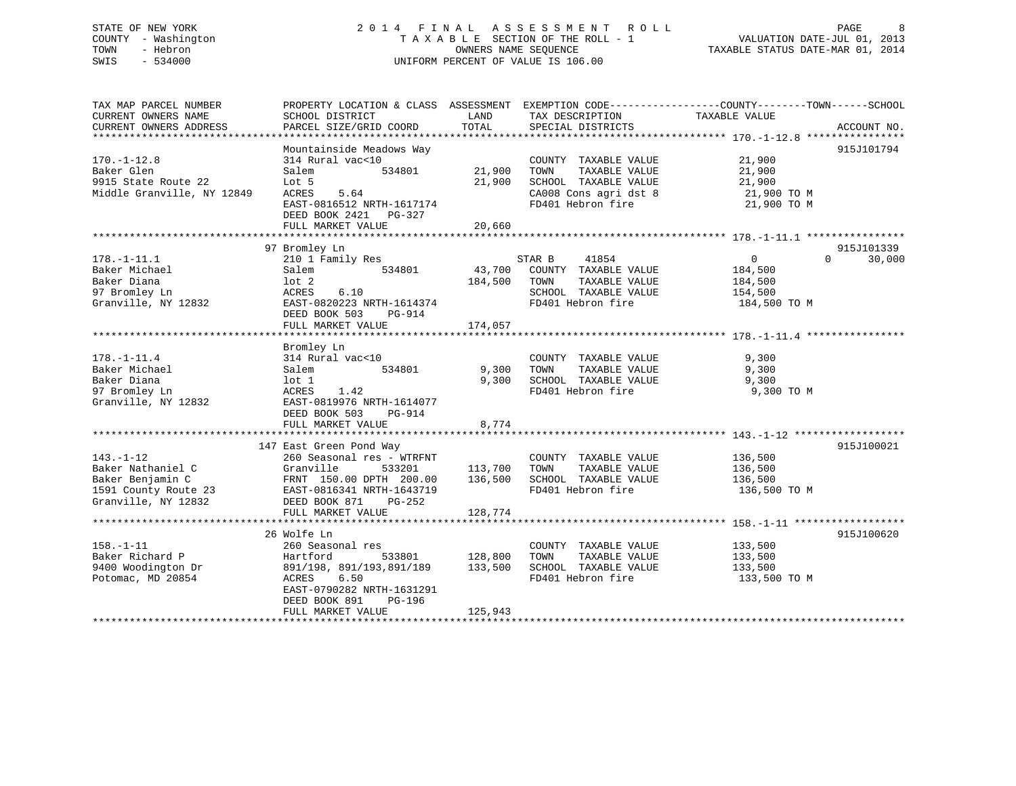# STATE OF NEW YORK 2 0 1 4 F I N A L A S S E S S M E N T R O L L PAGE 8 COUNTY - Washington T A X A B L E SECTION OF THE ROLL - 1 VALUATION DATE-JUL 01, 2013 TOWN - Hebron **CONNERS NAME SEQUENCE** TAXABLE STATUS DATE-MAR 01, 2014 SWIS - 534000 UNIFORM PERCENT OF VALUE IS 106.00

| TAX MAP PARCEL NUMBER      | PROPERTY LOCATION & CLASS ASSESSMENT EXEMPTION CODE----------------COUNTY-------TOWN-----SCHOOL |                                     |                                   |                |                    |
|----------------------------|-------------------------------------------------------------------------------------------------|-------------------------------------|-----------------------------------|----------------|--------------------|
| CURRENT OWNERS NAME        | SCHOOL DISTRICT                                                                                 | LAND                                | TAX DESCRIPTION                   | TAXABLE VALUE  |                    |
| CURRENT OWNERS ADDRESS     | PARCEL SIZE/GRID COORD                                                                          | TOTAL                               | SPECIAL DISTRICTS                 |                | ACCOUNT NO.        |
|                            |                                                                                                 |                                     |                                   |                |                    |
|                            | Mountainside Meadows Way                                                                        |                                     |                                   |                | 915J101794         |
| $170. - 1 - 12.8$          | 314 Rural vac<10                                                                                |                                     | COUNTY TAXABLE VALUE              | 21,900         |                    |
| Baker Glen                 | Salem                                                                                           | 534801 21,900                       | TAXABLE VALUE<br>TOWN             | 21,900         |                    |
| 9915 State Route 22        | Lot 5                                                                                           | 21,900                              | SCHOOL TAXABLE VALUE              | 21,900         |                    |
| Middle Granville, NY 12849 | 5.64<br>ACRES                                                                                   |                                     | CA008 Cons agri dst 8 21,900 TO M |                |                    |
|                            | EAST-0816512 NRTH-1617174                                                                       |                                     | FD401 Hebron fire                 | 21,900 TO M    |                    |
|                            | DEED BOOK 2421 PG-327                                                                           |                                     |                                   |                |                    |
|                            | FULL MARKET VALUE                                                                               | 20,660                              |                                   |                |                    |
|                            |                                                                                                 |                                     |                                   |                |                    |
|                            | 97 Bromley Ln                                                                                   |                                     |                                   |                | 915J101339         |
| $178. - 1 - 11.1$          | 210 1 Family Res                                                                                |                                     | STAR B<br>41854                   | $\overline{0}$ | $\Omega$<br>30,000 |
| Baker Michael              | 534801<br>Salem                                                                                 |                                     | 43,700 COUNTY TAXABLE VALUE       | 184,500        |                    |
| Baker Diana                | lot <sub>2</sub>                                                                                | 184,500 TOWN                        | TAXABLE VALUE                     | 184,500        |                    |
| 97 Bromley Ln              | 6.10<br>ACRES                                                                                   |                                     | SCHOOL TAXABLE VALUE 154,500      |                |                    |
| Granville, NY 12832        | EAST-0820223 NRTH-1614374                                                                       |                                     | FD401 Hebron fire                 | 184,500 TO M   |                    |
|                            | DEED BOOK 503<br>PG-914                                                                         |                                     |                                   |                |                    |
|                            | FULL MARKET VALUE                                                                               | 174,057                             |                                   |                |                    |
|                            |                                                                                                 |                                     |                                   |                |                    |
|                            | Bromley Ln                                                                                      |                                     |                                   |                |                    |
| $178. - 1 - 11.4$          | 314 Rural vac<10                                                                                |                                     | COUNTY TAXABLE VALUE              | 9,300          |                    |
| Baker Michael              | 534801<br>Salem                                                                                 | 9,300                               | TAXABLE VALUE<br>TOWN             | 9,300          |                    |
| Baker Diana                | lot 1                                                                                           | 9,300                               | SCHOOL TAXABLE VALUE              | 9,300          |                    |
| 97 Bromley Ln              | 1.42<br>ACRES                                                                                   |                                     | FD401 Hebron fire                 | 9,300 TO M     |                    |
| Granville, NY 12832        | EAST-0819976 NRTH-1614077                                                                       |                                     |                                   |                |                    |
|                            | DEED BOOK 503<br>PG-914                                                                         |                                     |                                   |                |                    |
|                            | FULL MARKET VALUE                                                                               | 8,774                               |                                   |                |                    |
|                            | 147 East Green Pond Way                                                                         |                                     |                                   |                | 915J100021         |
| $143. - 1 - 12$            | 260 Seasonal res - WTRFNT                                                                       |                                     | COUNTY TAXABLE VALUE              | 136,500        |                    |
| Baker Nathaniel C          | Granville<br>533201                                                                             | 113,700 TOWN                        | TAXABLE VALUE                     | 136,500        |                    |
| Baker Benjamin C           | FRNT 150.00 DPTH 200.00 136,500                                                                 |                                     | SCHOOL TAXABLE VALUE              | 136,500        |                    |
| 1591 County Route 23       | EAST-0816341 NRTH-1643719                                                                       |                                     | FD401 Hebron fire                 | 136,500 TO M   |                    |
| Granville, NY 12832        | DEED BOOK 871 PG-252                                                                            |                                     |                                   |                |                    |
|                            | FULL MARKET VALUE                                                                               | 128,774                             |                                   |                |                    |
|                            |                                                                                                 |                                     |                                   |                |                    |
|                            | 26 Wolfe Ln                                                                                     |                                     |                                   |                | 915J100620         |
| $158. - 1 - 11$            | 260 Seasonal res                                                                                |                                     | COUNTY TAXABLE VALUE              | 133,500        |                    |
| Baker Richard P            | Hartford                                                                                        |                                     | TOWN<br>TAXABLE VALUE             | 133,500        |                    |
| 9400 Woodington Dr         | 891/198, 891/193,891/189                                                                        | 533801 128,800<br>3,891/189 133,500 | SCHOOL TAXABLE VALUE              | 133,500        |                    |
| Potomac, MD 20854          | ACRES<br>6.50                                                                                   |                                     | FD401 Hebron fire                 | 133,500 TO M   |                    |
|                            | EAST-0790282 NRTH-1631291                                                                       |                                     |                                   |                |                    |
|                            | DEED BOOK 891<br>PG-196                                                                         |                                     |                                   |                |                    |
|                            | FULL MARKET VALUE                                                                               | 125,943                             |                                   |                |                    |
|                            |                                                                                                 |                                     |                                   |                |                    |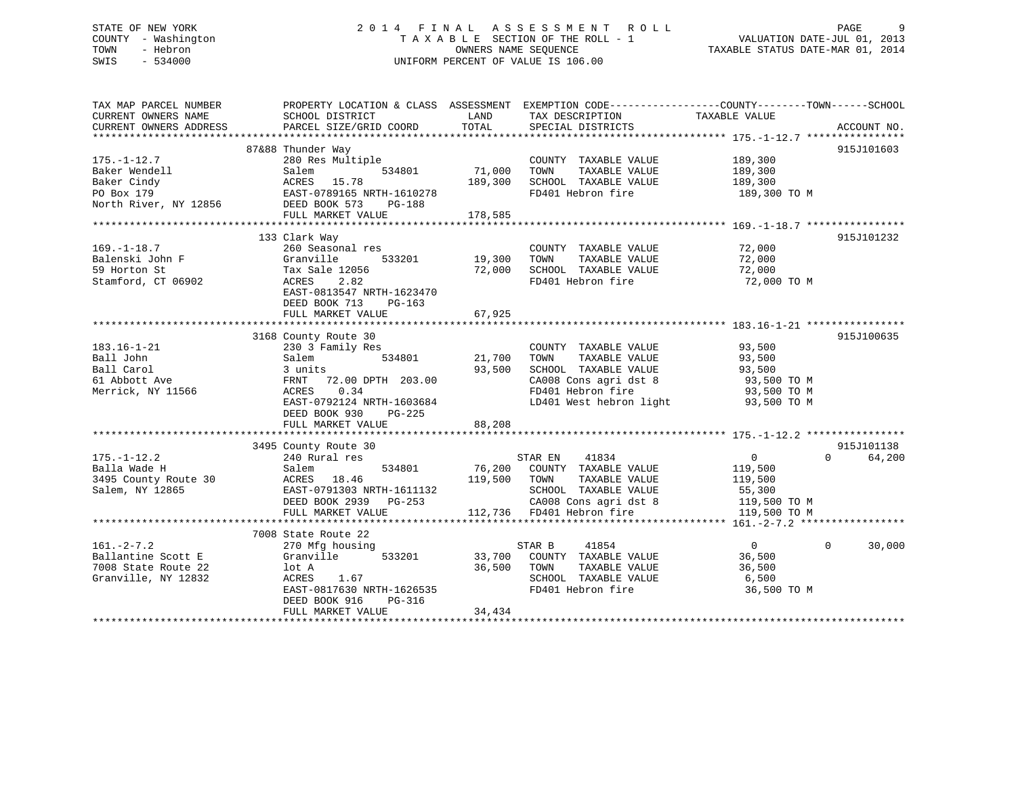# STATE OF NEW YORK 2 0 1 4 F I N A L A S S E S S M E N T R O L L PAGE 9 COUNTY - Washington T A X A B L E SECTION OF THE ROLL - 1 VALUATION DATE-JUL 01, 2013 TOWN - Hebron **CONNERS NAME SEQUENCE** TAXABLE STATUS DATE-MAR 01, 2014 SWIS - 534000 UNIFORM PERCENT OF VALUE IS 106.00

| TAX MAP PARCEL NUMBER<br>CURRENT OWNERS NAME<br>CURRENT OWNERS ADDRESS                                 | PROPERTY LOCATION & CLASS ASSESSMENT EXEMPTION CODE---------------COUNTY-------TOWN------SCHOOL<br>SCHOOL DISTRICT<br>PARCEL SIZE/GRID COORD                                                                                       | LAND<br>TOTAL                       | TAX DESCRIPTION<br>SPECIAL DISTRICTS                                                                                                                                                                                                                                                                                                                                            | TAXABLE VALUE                                              | ACCOUNT NO.                      |
|--------------------------------------------------------------------------------------------------------|------------------------------------------------------------------------------------------------------------------------------------------------------------------------------------------------------------------------------------|-------------------------------------|---------------------------------------------------------------------------------------------------------------------------------------------------------------------------------------------------------------------------------------------------------------------------------------------------------------------------------------------------------------------------------|------------------------------------------------------------|----------------------------------|
| $175. - 1 - 12.7$<br>Baker Wendell<br>Baker Cindy<br>PO Box 179<br>North River, NY 12856 DEED BOOK 573 | 87&88 Thunder Way<br>280 Res Multiple<br>Salem<br>ACRES 15.78<br>EAST-0789165 NRTH-1610278<br>PG-188<br>FULL MARKET VALUE                                                                                                          | 534801 71,000<br>189,300<br>178,585 | COUNTY TAXABLE VALUE 189,300<br>TOWN<br>SCHOOL TAXABLE VALUE 189,300<br>FD401 Hebron fire 189,300 TO M                                                                                                                                                                                                                                                                          | TAXABLE VALUE 189,300                                      | 915J101603                       |
| $169. - 1 - 18.7$<br>Balenski John F<br>59 Horton St<br>Stamford, CT 06902                             | 133 Clark Way<br>260 Seasonal res<br>Granville<br>533201<br>Tax Sale 12056<br>2.82<br>ACRES<br>EAST-0813547 NRTH-1623470<br>DEED BOOK 713<br>PG-163                                                                                | 19,300<br>72,000                    | COUNTY TAXABLE VALUE<br>TAXABLE VALUE<br>TOWN<br>SCHOOL TAXABLE VALUE<br>FD401 Hebron fire                                                                                                                                                                                                                                                                                      | 72,000<br>72,000<br>72,000<br>72,000 TO M                  | 915J101232                       |
| $183.16 - 1 - 21$<br>Ball John<br>Ball Carol<br>61 Abbott Ave<br>Merrick, NY 11566                     | 3168 County Route 30<br>230 3 Family Res<br>534801<br>Salem<br>3 units<br>FRNT 72.00 DPTH 203.00<br>0.34<br>ACRES<br>EAST-0792124 NRTH-1603684<br>DEED BOOK 930<br>PG-225<br>FULL MARKET VALUE                                     | 21,700<br>93,500<br>88,208          | COUNTY TAXABLE VALUE<br>TAXABLE VALUE<br>TOWN<br>SCHOOL TAXABLE VALUE<br>$\begin{array}{lll} \texttt{CA008} \texttt{ Cons} & \texttt{aspti} & \texttt{dst} & \texttt{8} & \texttt{93,500} & \texttt{TO} \; \texttt{M} \\ \texttt{FD401} & \texttt{Hebron} & \texttt{fire} & & & \texttt{93,500} & \texttt{TO} \; \texttt{M} \end{array}$<br>LD401 West hebron light 93,500 TO M | 93,500<br>93,500<br>93,500                                 | 915J100635                       |
| $175. - 1 - 12.2$<br>Balla Wade H<br>3495 County Route 30<br>Salem, NY 12865                           | 3495 County Route 30<br>240 Rural res<br>Salem<br>534801<br>ACRES 18.46<br>EAST-0791303<br>119,500 TOWN<br>EAST-0791303 NRTH-1611132<br>DEED BOOK 2939 PG-253 CA008 Cons agri dst 8<br>FULL MARKET VALUE 112,736 FD401 Hebron fire |                                     | STAR EN 41834<br>76,200 COUNTY TAXABLE VALUE<br>TOWN TAXABLE VALUE 119,500<br>SCHOOL TAXABLE VALUE 55,300<br>$\frac{119}{500}$ TO M<br>CA008 Cons agri dst 8 119,500 TO M                                                                                                                                                                                                       | $\overline{0}$<br>119,500<br>119,500 TO M                  | 915J101138<br>$\Omega$<br>64,200 |
| $161. - 2 - 7.2$<br>Ballantine Scott E<br>7008 State Route 22<br>Granville, NY 12832                   | 7008 State Route 22<br>270 Mfg housing<br>533201<br>Granville<br>lot A<br>1.67<br>ACRES<br>EAST-0817630 NRTH-1626535<br>DEED BOOK 916<br>PG-316<br>FULL MARKET VALUE                                                               | 36,500<br>34,434                    | STAR B<br>41854<br>33,700 COUNTY TAXABLE VALUE<br>TOWN<br>TAXABLE VALUE<br>SCHOOL TAXABLE VALUE<br>FD401 Hebron fire                                                                                                                                                                                                                                                            | $\overline{0}$<br>36,500<br>36,500<br>6,500<br>36,500 TO M | $\Omega$<br>30,000               |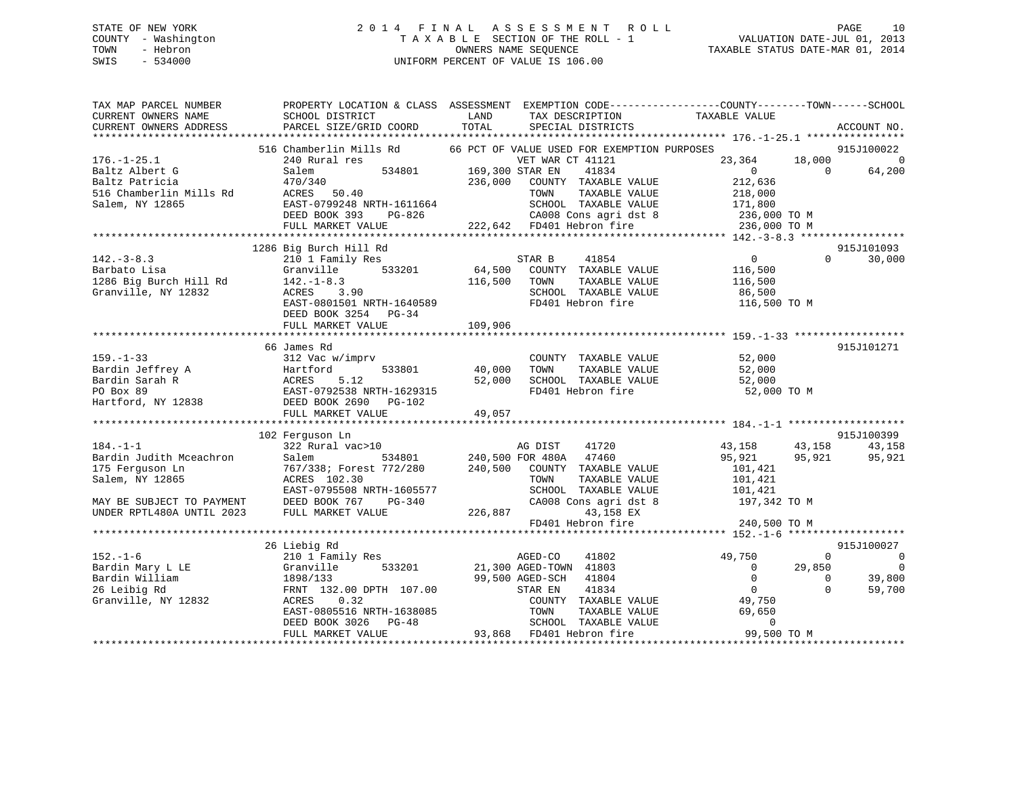# STATE OF NEW YORK 2 0 1 4 F I N A L A S S E S S M E N T R O L L PAGE 10 COUNTY - Washington T A X A B L E SECTION OF THE ROLL - 1 VALUATION DATE-JUL 01, 2013 TOWN - Hebron OWNERS NAME SEQUENCE TAXABLE STATUS DATE-MAR 01, 2014 SWIS - 534000 UNIFORM PERCENT OF VALUE IS 106.00

| TAX MAP PARCEL NUMBER<br>CURRENT OWNERS NAME | SCHOOL DISTRICT                                          | LAND<br>TAX DESCRIPTION                                                 | PROPERTY LOCATION & CLASS ASSESSMENT EXEMPTION CODE---------------COUNTY-------TOWN-----SCHOOL<br>TAXABLE VALUE |
|----------------------------------------------|----------------------------------------------------------|-------------------------------------------------------------------------|-----------------------------------------------------------------------------------------------------------------|
| CURRENT OWNERS ADDRESS                       | PARCEL SIZE/GRID COORD                                   | TOTAL<br>SPECIAL DISTRICTS                                              | ACCOUNT NO.                                                                                                     |
|                                              | 516 Chamberlin Mills Rd                                  | 66 PCT OF VALUE USED FOR EXEMPTION PURPOSES                             | 915J100022                                                                                                      |
| $176. - 1 - 25.1$                            | 240 Rural res                                            | VET WAR<br>534801 169,300 STAR EN<br>VET WAR CT 41121                   | 23,364<br>18,000<br>$\overline{0}$                                                                              |
| Baltz Albert G                               | Salem                                                    | 41834                                                                   | 64,200<br>$\bigcap$<br>$\overline{0}$                                                                           |
| Baltz Patricia                               | 470/340<br>ACRES 50.40                                   | 236,000<br>COUNTY TAXABLE VALUE                                         | 212,636                                                                                                         |
| 516 Chamberlin Mills Rd<br>Salem, NY 12865   | EAST-0799248 NRTH-1611664                                | TAXABLE VALUE<br>TOWN<br>SCHOOL TAXABLE VALUE                           | 218,000<br>171,800                                                                                              |
|                                              | DEED BOOK 393<br>PG-826                                  |                                                                         | 236,000 TO M                                                                                                    |
|                                              | FULL MARKET VALUE                                        | CA008 Cons agri dst 8<br>FD401 Hebron fire<br>222,642 FD401 Hebron fire | 236,000 TO M                                                                                                    |
|                                              |                                                          |                                                                         |                                                                                                                 |
|                                              | 1286 Big Burch Hill Rd                                   |                                                                         | 915J101093                                                                                                      |
| $142. - 3 - 8.3$                             | 210 1 Family Res                                         | 41854<br>STAR B                                                         | 0<br>$\Omega$<br>30,000                                                                                         |
| Barbato Lisa                                 | 533201<br>Granville                                      | $64,500$ <sup>-</sup><br>COUNTY TAXABLE VALUE                           | 116,500                                                                                                         |
| 1286 Big Burch Hill Rd                       | $142. - 1 - 8.3$                                         | TAXABLE VALUE<br>116,500<br>TOWN                                        | 116,500                                                                                                         |
| Granville, NY 12832                          | ACRES 3.90                                               | SCHOOL TAXABLE VALUE                                                    | 86,500                                                                                                          |
|                                              | EAST-0801501 NRTH-1640589                                | FD401 Hebron fire                                                       | 116,500 TO M                                                                                                    |
|                                              | DEED BOOK 3254 PG-34                                     |                                                                         |                                                                                                                 |
|                                              | FULL MARKET VALUE                                        | 109,906                                                                 |                                                                                                                 |
|                                              |                                                          |                                                                         |                                                                                                                 |
| $159. - 1 - 33$                              | 66 James Rd                                              |                                                                         | 915J101271<br>52,000                                                                                            |
|                                              | 312 Vac w/imprv<br>533801<br>Hartford                    | COUNTY TAXABLE VALUE<br>40,000<br>TOWN<br>TAXABLE VALUE                 | 52,000                                                                                                          |
| Bardin Jeffrey A<br>Bardin Sarah R           | 5.12                                                     | 52,000<br>SCHOOL TAXABLE VALUE                                          | 52,000                                                                                                          |
| PO Box 89                                    | EAST-0792538 NRTH-1629315                                | FD401 Hebron fire                                                       | 52,000 TO M                                                                                                     |
| Hartford, NY 12838                           | DEED BOOK 2690 PG-102                                    |                                                                         |                                                                                                                 |
|                                              | 312<br>Hart.<br>ACRES<br>EAST<br>Pr<br>FULL MARKET VALUE | 49,057                                                                  |                                                                                                                 |
|                                              |                                                          |                                                                         |                                                                                                                 |
|                                              | 102 Ferguson Ln                                          |                                                                         | 915J100399                                                                                                      |
| $184. - 1 - 1$                               | 322 Rural vac>10                                         | 41720<br>AG DIST                                                        | 43,158<br>43,158<br>43,158                                                                                      |
| Bardin Judith Mceachron                      | Salem                                                    | 534801 240,500 FOR 480A 47460<br>5772/280 240,500 COUNTY TAXABLE VALUE  | 95,921<br>95,921<br>95,921                                                                                      |
| 175 Ferguson Ln                              | 767/338; Forest 772/280                                  |                                                                         | 101,421                                                                                                         |
| Salem, NY 12865                              | ACRES 102.30                                             | TAXABLE VALUE<br>TOWN                                                   | 101,421                                                                                                         |
|                                              | EAST-0795508 NRTH-1605577                                | SCHOOL TAXABLE VALUE                                                    | 101,421                                                                                                         |
| MAY BE SUBJECT TO PAYMENT                    | DEED BOOK 767<br>PG-340                                  | CA008 Cons agri dst 8                                                   | 197,342 TO M                                                                                                    |
| UNDER RPTL480A UNTIL 2023                    | FULL MARKET VALUE                                        | 226,887<br>43,158 EX<br>FD401 Hebron fire                               | 240,500 TO M                                                                                                    |
|                                              |                                                          |                                                                         |                                                                                                                 |
|                                              | 26 Liebig Rd                                             |                                                                         | 915J100027                                                                                                      |
| $152. - 1 - 6$                               | 210 1 Family Res                                         | AGED-CO<br>41802                                                        | 49,750<br>$\mathbf{0}$<br>$\overline{\phantom{0}}$                                                              |
| Bardin Mary L LE                             | 533201<br>Granville                                      | 21,300 AGED-TOWN 41803                                                  | $\overline{0}$<br>29,850<br>$\overline{\phantom{0}}$                                                            |
| Bardin William                               | 1898/133                                                 | 99,500 AGED-SCH<br>41804                                                | $\overline{0}$<br>39,800<br>$\overline{0}$                                                                      |
| 26 Leibig Rd                                 | FRNT 132.00 DPTH 107.00                                  | 41834<br>STAR EN                                                        | $\overline{0}$<br>$\Omega$<br>59,700                                                                            |
| Granville, NY 12832                          | ACRES<br>0.32                                            | COUNTY TAXABLE VALUE                                                    | 49,750                                                                                                          |
|                                              |                                                          | TOWN<br>TAXABLE VALUE                                                   | 69,650                                                                                                          |
|                                              | ACRES 0.32<br>EAST-0805516 NRTH-1638085<br>PC-48         | SCHOOL TAXABLE VALUE                                                    | $\mathbf 0$                                                                                                     |
|                                              | FULL MARKET VALUE                                        | 93,868 FD401 Hebron fire                                                | 99,500 TO M                                                                                                     |
|                                              |                                                          |                                                                         |                                                                                                                 |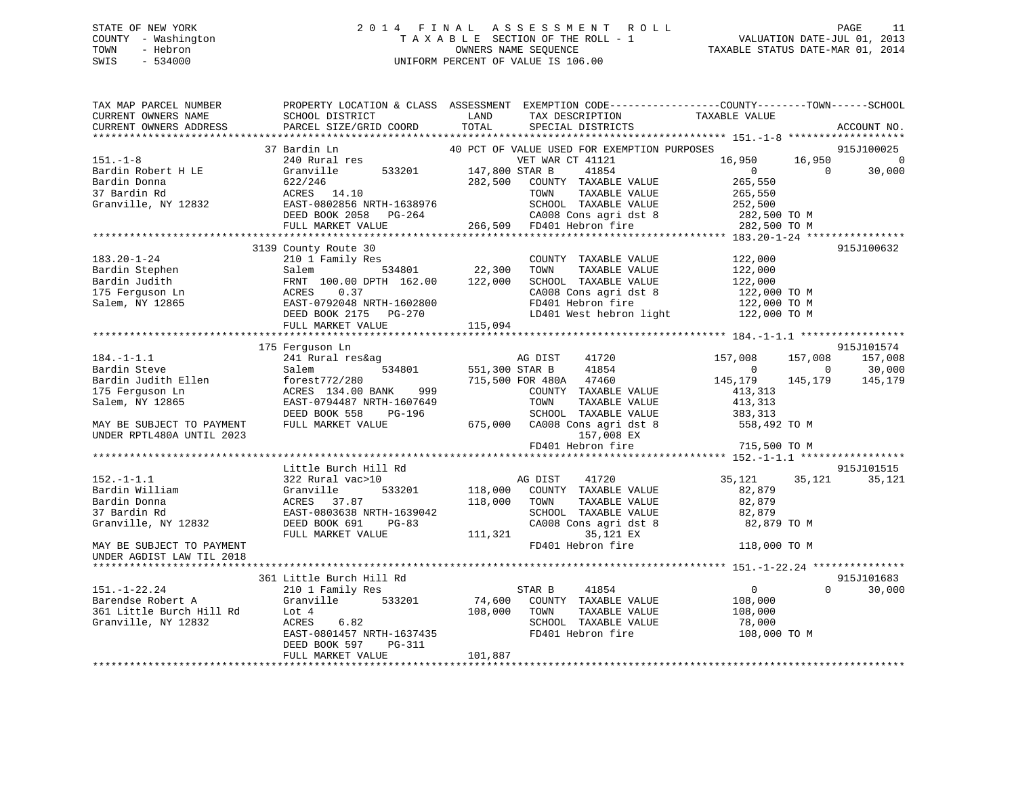# STATE OF NEW YORK 2 0 1 4 F I N A L A S S E S S M E N T R O L L PAGE 11 COUNTY - Washington T A X A B L E SECTION OF THE ROLL - 1 VALUATION DATE-JUL 01, 2013 TOWN - Hebron OWNERS NAME SEQUENCE TAXABLE STATUS DATE-MAR 01, 2014 SWIS - 534000 UNIFORM PERCENT OF VALUE IS 106.00

| TAX MAP PARCEL NUMBER<br>CURRENT OWNERS NAME<br>CURRENT OWNERS ADDRESS | SCHOOL DISTRICT<br>PARCEL SIZE/GRID COORD                                         | PROPERTY LOCATION & CLASS ASSESSMENT EXEMPTION CODE----------------COUNTY-------TOWN------SCHOOL<br>LAND<br>TAX DESCRIPTION<br>TOTAL<br>SPECIAL DISTRICTS | TAXABLE VALUE<br>ACCOUNT NO.               |
|------------------------------------------------------------------------|-----------------------------------------------------------------------------------|-----------------------------------------------------------------------------------------------------------------------------------------------------------|--------------------------------------------|
|                                                                        |                                                                                   |                                                                                                                                                           |                                            |
|                                                                        | 37 Bardin Ln<br>240 Rural res<br>240 Rural res                                    | 40 PCT OF VALUE USED FOR EXEMPTION PURPOSES                                                                                                               | 915J100025                                 |
| $151. - 1 - 8$                                                         | 240 Rural res<br>Granville 533201 147,800 STAR B                                  | VET WAR CT 41121                                                                                                                                          | 16,950<br>16,950<br>$\overline{0}$         |
| Bardin Robert H LE                                                     |                                                                                   | 41854                                                                                                                                                     | $\overline{0}$<br>$\Omega$<br>30,000       |
| Bardin Donna                                                           | 622/246                                                                           | 282,500<br>COUNTY TAXABLE VALUE                                                                                                                           | 265,550                                    |
| 37 Bardin Rd                                                           | ACALD 14.10<br>EAST-0802856 NRTH-1638976<br>DEED BOOK 2058 PG-264<br>FULL MENT--- | TAXABLE VALUE<br>TOWN                                                                                                                                     | 265,550                                    |
| Granville, NY 12832                                                    |                                                                                   | SCHOOL TAXABLE VALUE                                                                                                                                      | 252,500                                    |
|                                                                        |                                                                                   | CA008 Cons agri dst 8                                                                                                                                     | 282,500 TO M                               |
|                                                                        | FULL MARKET VALUE                                                                 | 266,509 FD401 Hebron fire                                                                                                                                 | 282,500 TO M                               |
|                                                                        |                                                                                   |                                                                                                                                                           |                                            |
|                                                                        | 3139 County Route 30                                                              |                                                                                                                                                           | 915J100632                                 |
| $183.20 - 1 - 24$                                                      | 210 1 Family Res                                                                  | COUNTY TAXABLE VALUE                                                                                                                                      | 122,000                                    |
| Bardin Stephen<br>BULLE                                                | 534801<br>Salem                                                                   | 22,300<br>TOWN<br>TAXABLE VALUE                                                                                                                           | 122,000                                    |
| Bardin Judith                                                          | FRNT 100.00 DPTH 162.00                                                           | 122,000<br>SCHOOL TAXABLE VALUE                                                                                                                           | 122,000                                    |
| 175 Ferquson Ln                                                        | 0.37                                                                              | CA008 Cons agri dst 8<br>FD401 Hebron fire                                                                                                                | 122,000 TO M                               |
| Salem, NY 12865                                                        | EAST-0792048 NRTH-1602800                                                         |                                                                                                                                                           | 122,000 TO M                               |
|                                                                        | DEED BOOK 2175 PG-270                                                             | LD401 West hebron light                                                                                                                                   | 122,000 TO M                               |
|                                                                        | FULL MARKET VALUE                                                                 | 115,094                                                                                                                                                   |                                            |
|                                                                        | 175 Ferguson Ln                                                                   |                                                                                                                                                           | 915J101574                                 |
| $184. - 1 - 1.1$                                                       | 241 Rural res&ag                                                                  | AG DIST<br>41720                                                                                                                                          | 157,008<br>157,008<br>157,008              |
| Bardin Steve                                                           | 534801<br>Salem                                                                   | 551,300 STAR B<br>41854                                                                                                                                   | $\overline{0}$<br>$\overline{0}$<br>30,000 |
| Bardin Judith Ellen                                                    | forest772/280                                                                     | 715,500 FOR 480A 47460                                                                                                                                    | 145,179<br>145,179<br>145,179              |
| 175 Ferguson Ln                                                        | 999<br>ACRES 134.00 BANK                                                          | COUNTY TAXABLE VALUE                                                                                                                                      | 413,313                                    |
| Salem, NY 12865                                                        | EAST-0794487 NRTH-1607649                                                         | TAXABLE VALUE<br>TOWN                                                                                                                                     | 413,313                                    |
|                                                                        | DEED BOOK 558<br>PG-196                                                           | SCHOOL TAXABLE VALUE 383,313                                                                                                                              |                                            |
| MAY BE SUBJECT TO PAYMENT                                              | FULL MARKET VALUE                                                                 | 675,000 CA008 Cons agri dst 8                                                                                                                             | 558,492 TO M                               |
| UNDER RPTL480A UNTIL 2023                                              |                                                                                   | 157,008 EX                                                                                                                                                |                                            |
|                                                                        |                                                                                   | FD401 Hebron fire                                                                                                                                         | 715,500 TO M                               |
|                                                                        |                                                                                   |                                                                                                                                                           |                                            |
|                                                                        | Little Burch Hill Rd                                                              |                                                                                                                                                           | 915J101515                                 |
| $152. - 1 - 1.1$                                                       | 322 Rural vac>10                                                                  | AG DIST<br>41720                                                                                                                                          | 35,121<br>35,121<br>35,121                 |
| Bardin William                                                         | Granville                                                                         | 533201 118,000 COUNTY TAXABLE VALUE                                                                                                                       | 82,879                                     |
| Bardin Donna                                                           | ACRES 37.87                                                                       | 118,000<br>TOWN<br>TAXABLE VALUE                                                                                                                          | 82,879                                     |
| 37 Bardin Rd                                                           | EAST-0803638 NRTH-1639042                                                         | SCHOOL TAXABLE VALUE                                                                                                                                      | 82,879                                     |
| Granville, NY 12832                                                    | DEED BOOK 691<br>PG-83                                                            | CA008 Cons agri dst 8                                                                                                                                     | 82,879 TO M                                |
|                                                                        | FULL MARKET VALUE                                                                 | 111,321<br>35,121 EX                                                                                                                                      |                                            |
| MAY BE SUBJECT TO PAYMENT                                              |                                                                                   | FD401 Hebron fire                                                                                                                                         | 118,000 TO M                               |
| UNDER AGDIST LAW TIL 2018                                              |                                                                                   |                                                                                                                                                           |                                            |
|                                                                        |                                                                                   |                                                                                                                                                           |                                            |
|                                                                        | 361 Little Burch Hill Rd                                                          |                                                                                                                                                           | 915J101683                                 |
| $151. - 1 - 22.24$                                                     | 210 1 Family Res                                                                  | STAR B<br>41854                                                                                                                                           | $\overline{0}$<br>$\Omega$<br>30,000       |
| Barendse Robert A                                                      | Granville 533201                                                                  | 74,600<br>COUNTY TAXABLE VALUE                                                                                                                            | 108,000                                    |
| 361 Little Burch Hill Rd                                               | Lot 4                                                                             | 108,000<br>TAXABLE VALUE<br>TOWN                                                                                                                          | 108,000                                    |
| Granville, NY 12832                                                    | 6.82<br>ACRES                                                                     | SCHOOL TAXABLE VALUE                                                                                                                                      | 78,000                                     |
|                                                                        | EAST-0801457 NRTH-1637435                                                         | FD401 Hebron fire                                                                                                                                         | 108,000 TO M                               |
|                                                                        | DEED BOOK 597<br>PG-311                                                           |                                                                                                                                                           |                                            |
|                                                                        | FULL MARKET VALUE                                                                 | 101,887                                                                                                                                                   |                                            |
|                                                                        |                                                                                   |                                                                                                                                                           |                                            |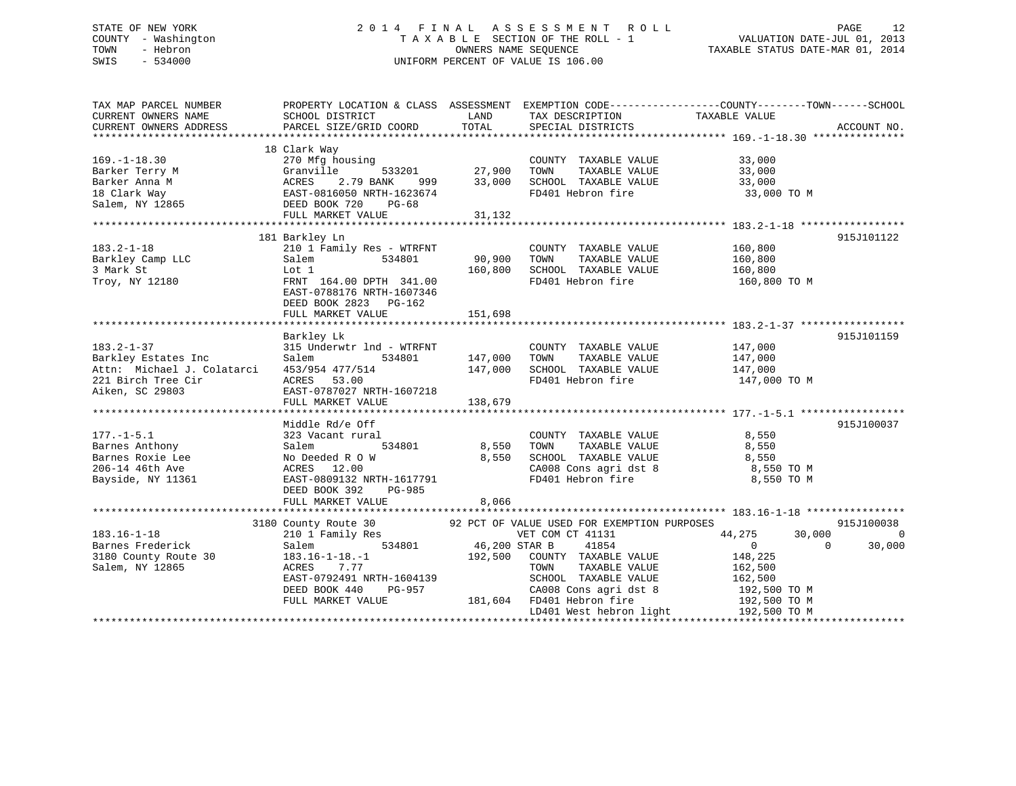# STATE OF NEW YORK 2 0 1 4 F I N A L A S S E S S M E N T R O L L PAGE 12 COUNTY - Washington T A X A B L E SECTION OF THE ROLL - 1 VALUATION DATE-JUL 01, 2013 TOWN - Hebron OWNERS NAME SEQUENCE TAXABLE STATUS DATE-MAR 01, 2014 SWIS - 534000 UNIFORM PERCENT OF VALUE IS 106.00

| TAX MAP PARCEL NUMBER<br>CURRENT OWNERS NAME<br>CURRENT OWNERS ADDRESS                                                                                                                      | SCHOOL DISTRICT<br>PARCEL SIZE/GRID COORD                                                                                                                                                                                                                                                                                        | <b>EXAMPLE DESCRIPTION OF STREET AND STREET AND STREET AND STREET AND STREET AND STREET AND STREET AND STREET AND</b><br>TOTAL | TAX DESCRIPTION TAXABLE VALUE SPECIAL DISTRICTS<br>TAX DESCRIPTION                                                                                                              | PROPERTY LOCATION & CLASS ASSESSMENT EXEMPTION CODE---------------COUNTY-------TOWN-----SCHOOL                                                     | ACCOUNT NO.                            |
|---------------------------------------------------------------------------------------------------------------------------------------------------------------------------------------------|----------------------------------------------------------------------------------------------------------------------------------------------------------------------------------------------------------------------------------------------------------------------------------------------------------------------------------|--------------------------------------------------------------------------------------------------------------------------------|---------------------------------------------------------------------------------------------------------------------------------------------------------------------------------|----------------------------------------------------------------------------------------------------------------------------------------------------|----------------------------------------|
| $169. - 1 - 18.30$<br>Barker Terry M (3781)<br>Barker Anna M (3792)<br>18 Clark Way (3792)<br>18 Clark Way (3792)<br>279 BANK 999<br>28 EAST-0816050 NRTH-1623674<br>28 DEED BOOK 720 PG-68 | 18 Clark Way<br>270 Mfg housing                                                                                                                                                                                                                                                                                                  |                                                                                                                                | Vay 3<br>33,000 333201 37,900 700NTY TAXABLE VALUE<br>2.79 BANK 999 33,000 SCHOOL TAXABLE VALUE<br>2.79 BANK 999 33,000 SCHOOL TAXABLE VALUE<br>FD401 Hebron fire 33,000 33,000 | 33,000 TO M                                                                                                                                        |                                        |
| $183.2 - 1 - 18$<br>Barkley Camp LLC<br>3 Mark St<br>Troy, NY 12180                                                                                                                         | 181 Barkley Ln<br>210 1 Family Res - WTRFNT<br>Salem 534801 90,900 TOWN<br>Lot 1 160,800 SCHOO<br>FRNT 164.00 DPTH 341.00 FD401<br>FD401<br>EAST-0788176 NRTH-1607346<br>DEED BOOK 2823 PG-162                                                                                                                                   |                                                                                                                                | COUNTY TAXABLE VALUE 160,800<br>TAXABLE VALUE<br>TAXABLE VALUE<br>TAYARLE VALUE<br>SCHOOL TAXABLE VALUE                                                                         | 160,800<br>160,800<br>FD401 Hebron fire 160,800 TO M                                                                                               | 915J101122                             |
| $183.2 - 1 - 37$<br>Barkley Estates Inc<br>Attn: Michael J. Colatarci<br>221 Birch Tree Cir<br>Aiken, SC 29803                                                                              | Barkley Lk<br>315 Underwtr 1nd - WTRFNT<br>Salem<br>534801<br>453/954 477/514<br>ACRES 53.00<br>EAST-0787027 NRTH-1607218                                                                                                                                                                                                        | 147,000<br>147,000                                                                                                             | COUNTY TAXABLE VALUE 147,000                                                                                                                                                    | FD401 Hebron fire 147,000 TO M                                                                                                                     | 915J101159                             |
| $177. - 1 - 5.1$<br>177.-1-5.1 323 Vacant rur<br>Barnes Anthony Salem<br>Barnes Roxie Lee No Deeded R 0<br>206-14 46th Ave ACRES 12.00<br>Bayside, NY 11361                                 | Middle Rd/e Off<br>323 Vacant rural<br>No Deeded R O W $8,550$ SCHOOL TAXABLE VALUE $8,550$ SCHOOL TAXABLE VALUE $8,550$ 8,550 TO M CA008 Cons agri dst 8 $8,550$ TO M<br>EAST-0809132 NRTH-1617791<br>DEED BOOK 392 PG-985<br>FULL MARKET VALUE                                                                                 | 8,066                                                                                                                          | COUNTY TAXABLE VALUE 8,550<br>TOWN TAXABLE VALUE 8,550<br>FD401 Hebron fire                                                                                                     | 8,550<br>8,550 TO M                                                                                                                                | 915J100037                             |
| $183.16 - 1 - 18$<br>Barnes Frederick<br>3180 County Route 30<br>Salem, NY 12865                                                                                                            | 3180 County Route 30 92 PCT OF VALUE USED FOR EXEMPTION PURPOSES<br>$\begin{tabular}{lllllllll} \bf 210 & I\ \bf Family\ Res & \tt VET\ COM & \tt Salem & \tt 534801 & \tt 46,200\ STR\ B \\ \end{tabular}$<br>$183.16 - 1 - 18. - 1$<br>ACRES 7.77<br>EAST-0792491 NRTH-1604139<br>DEED BOOK 440<br>PG-957<br>FULL MARKET VALUE |                                                                                                                                | VET COM CT 41131<br>41854<br>192,500 COUNTY TAXABLE VALUE<br>TAXABLE VALUE<br>TOWN<br>SCHOOL TAXABLE VALUE 162,500<br>3-957 CA008 Cons agri dst 8<br>181,604 FD401 Hebron fire  | 44,275<br>30,000<br>$\overline{0}$<br>$\overline{0}$<br>148,225<br>162,500<br>192,500 TO M<br>192,500 TO M<br>LD401 West hebron light 192,500 TO M | 915J100038<br>$\overline{0}$<br>30,000 |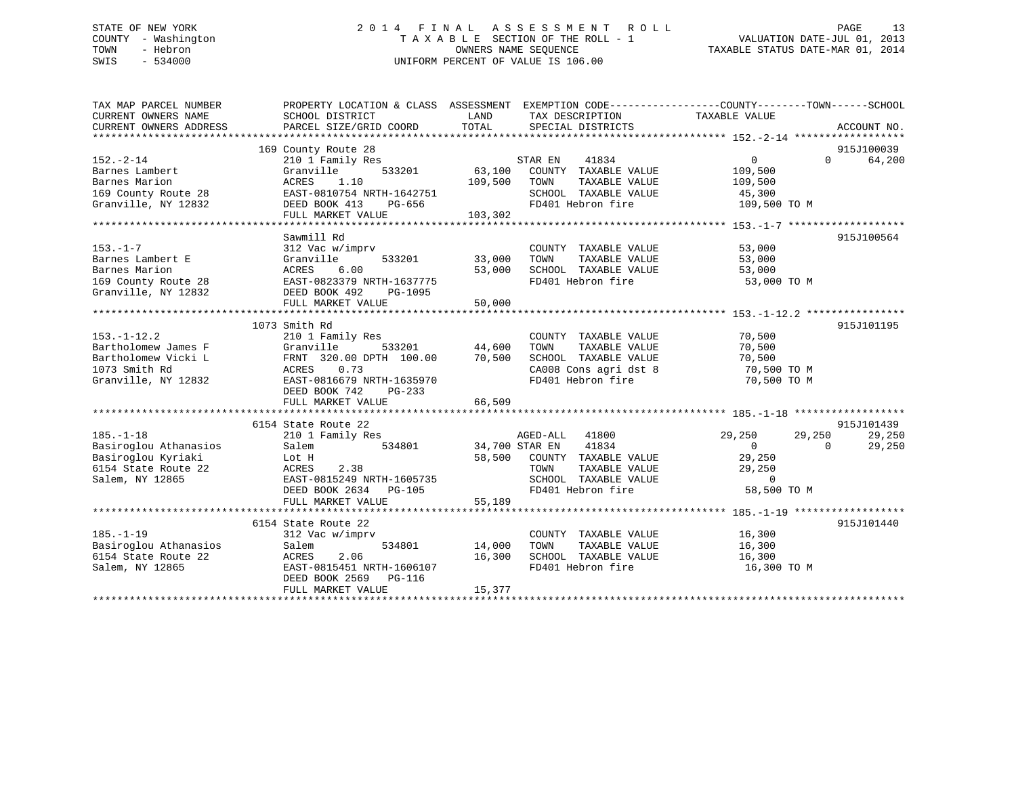# STATE OF NEW YORK 2 0 1 4 F I N A L A S S E S S M E N T R O L L PAGE 13 COUNTY - Washington T A X A B L E SECTION OF THE ROLL - 1 VALUATION DATE-JUL 01, 2013 TOWN - Hebron OWNERS NAME SEQUENCE TAXABLE STATUS DATE-MAR 01, 2014 SWIS - 534000 UNIFORM PERCENT OF VALUE IS 106.00

| TAX MAP PARCEL NUMBER<br>CURRENT OWNERS NAME<br>CURRENT OWNERS ADDRESS | PROPERTY LOCATION & CLASS ASSESSMENT EXEMPTION CODE---------------COUNTY-------TOWN-----SCHOOL<br>SCHOOL DISTRICT<br>PARCEL SIZE/GRID COORD | LAND<br>TOTAL  | TAX DESCRIPTION TAXABLE VALUE<br>SPECIAL DISTRICTS |                      | ACCOUNT NO.                 |
|------------------------------------------------------------------------|---------------------------------------------------------------------------------------------------------------------------------------------|----------------|----------------------------------------------------|----------------------|-----------------------------|
|                                                                        | 169 County Route 28                                                                                                                         |                |                                                    |                      | 915J100039                  |
| $152 - 2 - 14$                                                         | 210 1 Family Res                                                                                                                            |                | STAR EN<br>41834                                   | $\overline{0}$       | $0 \qquad \qquad$<br>64,200 |
| Barnes Lambert                                                         | 533201<br>Granville                                                                                                                         | 63,100         | COUNTY TAXABLE VALUE                               | 109,500              |                             |
| Barnes Marion                                                          | ACRES<br>1.10                                                                                                                               | 109,500        | TAXABLE VALUE<br>TOWN                              | 109,500              |                             |
| 169 County Route 28                                                    | EAST-0810754 NRTH-1642751                                                                                                                   |                | SCHOOL TAXABLE VALUE                               | 45,300               |                             |
| Granville, NY 12832                                                    | DEED BOOK 413<br>PG-656                                                                                                                     |                | FD401 Hebron fire                                  | 109,500 TO M         |                             |
|                                                                        | FULL MARKET VALUE                                                                                                                           | 103,302        |                                                    |                      |                             |
|                                                                        |                                                                                                                                             |                |                                                    |                      |                             |
|                                                                        | Sawmill Rd                                                                                                                                  |                |                                                    |                      | 915J100564                  |
| $153. - 1 - 7$                                                         | 312 Vac w/imprv                                                                                                                             |                | COUNTY TAXABLE VALUE                               | 53,000               |                             |
| Barnes Lambert E                                                       | 533201<br>Granville                                                                                                                         | 33,000         | TOWN<br>TAXABLE VALUE                              | 53,000               |                             |
| Barnes Marion                                                          | 6.00<br>ACRES                                                                                                                               | 53,000         | SCHOOL TAXABLE VALUE                               | 53,000               |                             |
| 169 County Route 28                                                    | EAST-0823379 NRTH-1637775                                                                                                                   |                | FD401 Hebron fire                                  | 53,000 TO M          |                             |
| Granville, NY 12832                                                    | DEED BOOK 492<br>PG-1095                                                                                                                    |                |                                                    |                      |                             |
|                                                                        | FULL MARKET VALUE                                                                                                                           | 50,000         |                                                    |                      |                             |
|                                                                        |                                                                                                                                             |                |                                                    |                      |                             |
|                                                                        | 1073 Smith Rd                                                                                                                               |                |                                                    |                      | 915J101195                  |
| $153. - 1 - 12.2$                                                      | 210 1 Family Res                                                                                                                            |                | COUNTY TAXABLE VALUE                               | 70,500               |                             |
| Bartholomew James F                                                    | Granville                                                                                                                                   | 533201 44,600  | TOWN<br>TAXABLE VALUE                              | 70,500               |                             |
| Bartholomew Vicki L                                                    | FRNT 320.00 DPTH 100.00                                                                                                                     | 70,500         | SCHOOL TAXABLE VALUE                               | 70,500               |                             |
| 1073 Smith Rd                                                          | ACRES<br>0.73                                                                                                                               |                | CA008 Cons agri dst 8                              | 70,500 TO M          |                             |
| Granville, NY 12832                                                    | EAST-0816679 NRTH-1635970                                                                                                                   |                | FD401 Hebron fire                                  | 70,500 TO M          |                             |
|                                                                        | DEED BOOK 742<br>$PG-233$                                                                                                                   |                |                                                    |                      |                             |
|                                                                        | FULL MARKET VALUE                                                                                                                           | 66,509         |                                                    |                      |                             |
|                                                                        |                                                                                                                                             |                |                                                    |                      |                             |
|                                                                        | 6154 State Route 22                                                                                                                         |                |                                                    |                      | 915J101439                  |
| $185. - 1 - 18$                                                        | 210 1 Family Res                                                                                                                            |                | AGED-ALL<br>41800                                  | 29,250<br>29,250     | 29,250                      |
| Basiroglou Athanasios                                                  | 534801<br>Salem                                                                                                                             | 34,700 STAR EN | 41834                                              | $\Omega$<br>$\Omega$ | 29,250                      |
| Basiroglou Kyriaki                                                     | Lot H                                                                                                                                       |                | 58,500 COUNTY TAXABLE VALUE                        | 29,250               |                             |
| 6154 State Route 22                                                    | ACRES<br>2.38                                                                                                                               |                | TOWN<br>TAXABLE VALUE                              | 29,250               |                             |
| Salem, NY 12865                                                        | EAST-0815249 NRTH-1605735                                                                                                                   |                | SCHOOL TAXABLE VALUE                               | $\overline{0}$       |                             |
|                                                                        | DEED BOOK 2634<br>PG-105                                                                                                                    |                | FD401 Hebron fire                                  | 58,500 TO M          |                             |
|                                                                        | FULL MARKET VALUE                                                                                                                           | 55,189         |                                                    |                      |                             |
|                                                                        |                                                                                                                                             |                |                                                    |                      |                             |
|                                                                        | 6154 State Route 22                                                                                                                         |                |                                                    |                      | 915J101440                  |
| $185. - 1 - 19$                                                        | 312 Vac w/imprv                                                                                                                             |                | COUNTY TAXABLE VALUE                               | 16,300               |                             |
| Basiroglou Athanasios                                                  | 534801<br>Salem                                                                                                                             | 14,000         | TOWN<br>TAXABLE VALUE                              | 16,300               |                             |
| 6154 State Route 22                                                    | 2.06<br>ACRES                                                                                                                               | 16,300         | SCHOOL TAXABLE VALUE                               | 16,300               |                             |
| Salem, NY 12865                                                        | EAST-0815451 NRTH-1606107                                                                                                                   |                | FD401 Hebron fire                                  | 16,300 TO M          |                             |
|                                                                        | DEED BOOK 2569 PG-116<br>FULL MARKET VALUE                                                                                                  | 15,377         |                                                    |                      |                             |
|                                                                        |                                                                                                                                             |                |                                                    |                      |                             |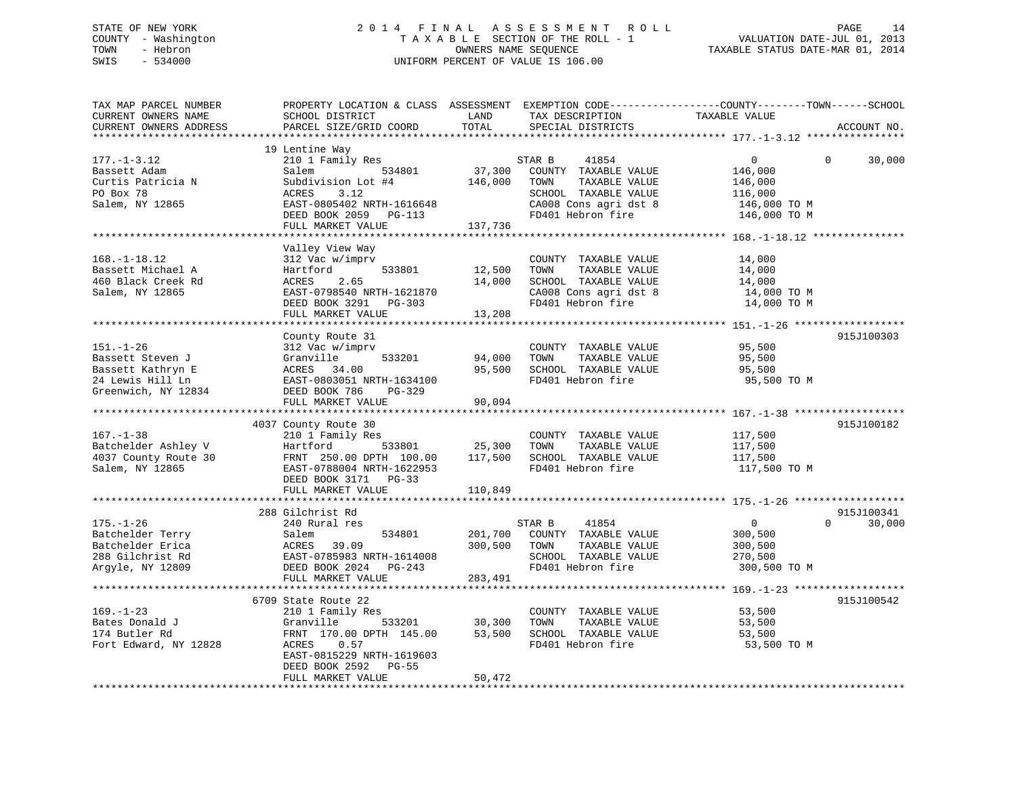# STATE OF NEW YORK 2 0 1 4 F I N A L A S S E S S M E N T R O L L PAGE 14 COUNTY - Washington T A X A B L E SECTION OF THE ROLL - 1 VALUATION DATE-JUL 01, 2013 TOWN - Hebron OWNERS NAME SEQUENCE TAXABLE STATUS DATE-MAR 01, 2014 SWIS - 534000 UNIFORM PERCENT OF VALUE IS 106.00

| TAX MAP PARCEL NUMBER<br>CURRENT OWNERS NAME<br>CURRENT OWNERS ADDRESS                              | PROPERTY LOCATION & CLASS ASSESSMENT EXEMPTION CODE----------------COUNTY-------TOWN------SCHOOL<br>SCHOOL DISTRICT<br>PARCEL SIZE/GRID COORD                                             | LAND<br>TOTAL                    | TAX DESCRIPTION<br>SPECIAL DISTRICTS                                                                                                   | TAXABLE VALUE                                                                                | ACCOUNT NO.                      |
|-----------------------------------------------------------------------------------------------------|-------------------------------------------------------------------------------------------------------------------------------------------------------------------------------------------|----------------------------------|----------------------------------------------------------------------------------------------------------------------------------------|----------------------------------------------------------------------------------------------|----------------------------------|
|                                                                                                     |                                                                                                                                                                                           |                                  |                                                                                                                                        |                                                                                              |                                  |
| $177. - 1 - 3.12$<br>Bassett Adam<br>Curtis Patricia N<br>PO Box 78<br>Salem, NY 12865              | 19 Lentine Way<br>210 1 Family Res<br>534801<br>Salem<br>Subdivision Lot #4<br>ACRES<br>3.12<br>EAST-0805402 NRTH-1616648<br>DEED BOOK 2059 PG-113                                        | 37,300<br>146,000                | STAR B<br>41854<br>COUNTY TAXABLE VALUE<br>TAXABLE VALUE<br>TOWN<br>SCHOOL TAXABLE VALUE<br>CA008 Cons agri dst 8<br>FD401 Hebron fire | $\overline{0}$<br>146,000<br>146,000<br>116,000<br>146,000 TO M<br>146,000 TO M              | $\mathbf 0$<br>30,000            |
|                                                                                                     | FULL MARKET VALUE                                                                                                                                                                         | 137,736                          |                                                                                                                                        |                                                                                              |                                  |
| $168. - 1 - 18.12$<br>Bassett Michael A<br>460 Black Creek Rd<br>Salem, NY 12865                    | Valley View Way<br>312 Vac w/imprv<br>533801<br>Hartford<br>2.65<br>ACRES<br>EAST-0798540 NRTH-1621870<br>DEED BOOK 3291 PG-303<br>FULL MARKET VALUE                                      | 12,500<br>14,000<br>13,208       | COUNTY TAXABLE VALUE<br>TOWN<br>TAXABLE VALUE<br>SCHOOL TAXABLE VALUE<br>CA008 Cons agri dst 8<br>FD401 Hebron fire                    | 14,000<br>14,000<br>14,000<br>14,000 TO M<br>14,000 TO M                                     |                                  |
|                                                                                                     |                                                                                                                                                                                           |                                  |                                                                                                                                        |                                                                                              |                                  |
| $151. - 1 - 26$<br>Bassett Steven J<br>Bassett Kathryn E<br>24 Lewis Hill Ln<br>Greenwich, NY 12834 | County Route 31<br>312 Vac w/imprv<br>Granville<br>533201<br>ACRES<br>34.00<br>EAST-0803051 NRTH-1634100<br>DEED BOOK 786<br>PG-329<br>FULL MARKET VALUE                                  | 94,000<br>95,500<br>90,094       | COUNTY TAXABLE VALUE<br>TAXABLE VALUE<br>TOWN<br>SCHOOL TAXABLE VALUE<br>FD401 Hebron fire                                             | 95,500<br>95,500<br>95,500<br>95,500 TO M                                                    | 915J100303                       |
|                                                                                                     |                                                                                                                                                                                           |                                  |                                                                                                                                        |                                                                                              |                                  |
| $167. - 1 - 38$<br>Batchelder Ashley V<br>4037 County Route 30<br>Salem, NY 12865                   | 4037 County Route 30<br>210 1 Family Res<br>Hartford<br>533801<br>FRNT 250.00 DPTH 100.00<br>EAST-0788004 NRTH-1622953<br>DEED BOOK 3171 PG-33                                            | 25,300<br>117,500                | COUNTY TAXABLE VALUE<br>TOWN<br>TAXABLE VALUE<br>SCHOOL TAXABLE VALUE<br>FD401 Hebron fire                                             | 117,500<br>117,500<br>117,500<br>117,500 TO M                                                | 915J100182                       |
|                                                                                                     | FULL MARKET VALUE                                                                                                                                                                         | 110,849                          |                                                                                                                                        |                                                                                              |                                  |
| $175. - 1 - 26$<br>Batchelder Terry<br>Batchelder Erica                                             | ***********************<br>288 Gilchrist Rd<br>240 Rural res<br>Salem<br>534801<br>ACRES<br>39.09                                                                                         | **********<br>201,700<br>300,500 | 41854<br>STAR B<br>COUNTY TAXABLE VALUE<br>TOWN<br>TAXABLE VALUE                                                                       | ********************** 175.-1-26 *******************<br>$\overline{0}$<br>300,500<br>300,500 | 915J100341<br>$\Omega$<br>30,000 |
| 288 Gilchrist Rd<br>Argyle, NY 12809                                                                | EAST-0785983 NRTH-1614008<br>DEED BOOK 2024 PG-243<br>FULL MARKET VALUE                                                                                                                   | 283,491                          | SCHOOL TAXABLE VALUE<br>FD401 Hebron fire                                                                                              | 270,500<br>300,500 TO M                                                                      |                                  |
|                                                                                                     |                                                                                                                                                                                           |                                  |                                                                                                                                        |                                                                                              |                                  |
| $169. - 1 - 23$<br>Bates Donald J<br>174 Butler Rd<br>Fort Edward, NY 12828                         | 6709 State Route 22<br>210 1 Family Res<br>Granville<br>533201<br>FRNT 170.00 DPTH 145.00<br>ACRES<br>0.57<br>EAST-0815229 NRTH-1619603<br>DEED BOOK 2592<br>$PG-55$<br>FULL MARKET VALUE | 30,300<br>53,500<br>50,472       | COUNTY TAXABLE VALUE<br>TAXABLE VALUE<br>TOWN<br>SCHOOL TAXABLE VALUE<br>FD401 Hebron fire                                             | 53,500<br>53,500<br>53,500<br>53,500 TO M                                                    | 915J100542                       |
| *************************                                                                           |                                                                                                                                                                                           |                                  |                                                                                                                                        |                                                                                              |                                  |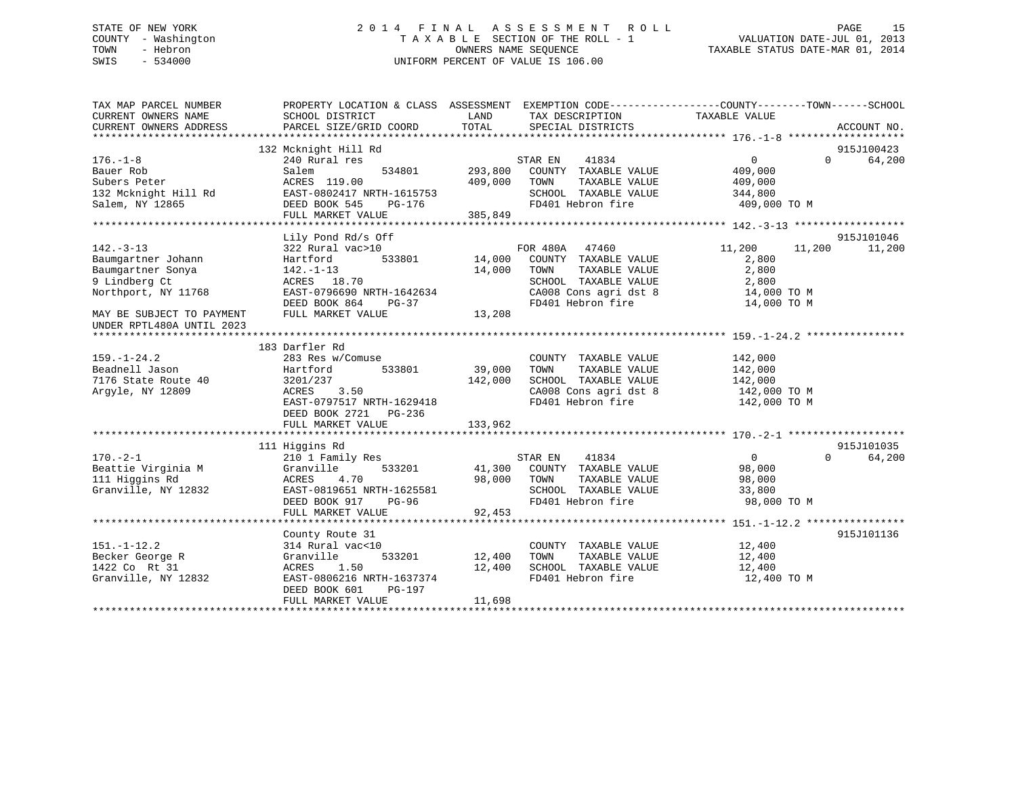# STATE OF NEW YORK 2 0 1 4 F I N A L A S S E S S M E N T R O L L PAGE 15 COUNTY - Washington T A X A B L E SECTION OF THE ROLL - 1 VALUATION DATE-JUL 01, 2013 TOWN - Hebron **CONNERS NAME SEQUENCE** TAXABLE STATUS DATE-MAR 01, 2014 SWIS - 534000 UNIFORM PERCENT OF VALUE IS 106.00

| CURRENT OWNERS NAME<br>LAND<br>TAX DESCRIPTION<br>TAXABLE VALUE<br>SCHOOL DISTRICT<br>TOTAL<br>CURRENT OWNERS ADDRESS<br>PARCEL SIZE/GRID COORD<br>SPECIAL DISTRICTS<br>ACCOUNT NO.<br>132 Mcknight Hill Rd<br>915J100423<br>41834<br>64,200<br>$176. - 1 - 8$<br>240 Rural res<br>STAR EN<br>$0 \qquad \qquad$<br>$\Omega$<br>293,800<br>Bauer Rob<br>Salem<br>534801<br>COUNTY TAXABLE VALUE<br>409,000<br>409,000<br>Subers Peter<br>ACRES 119.00<br>TOWN<br>TAXABLE VALUE<br>409,000<br>EAST-0802417 NRTH-1615753<br>SCHOOL TAXABLE VALUE<br>132 Mcknight Hill Rd<br>344,800<br>FD401 Hebron fire<br>Salem, NY 12865<br>DEED BOOK 545<br>409,000 TO M<br>PG-176<br>FULL MARKET VALUE<br>385,849<br>Lily Pond Rd/s Off<br>915J101046<br>$142. - 3 - 13$<br>11,200<br>322 Rural vac>10<br>FOR 480A 47460<br>11,200<br>11,200<br>Baumgartner Johann<br>533801<br>14,000<br>COUNTY TAXABLE VALUE<br>2,800<br>Hartford<br>14,000<br>2,800<br>Baumgartner Sonya<br>$142. - 1 - 13$<br>TOWN<br>TAXABLE VALUE<br>9 Lindberg Ct<br>ACRES 18.70<br>SCHOOL TAXABLE VALUE<br>2,800<br>Northport, NY 11768<br>EAST-0796690 NRTH-1642634<br>CA008 Cons agri dst 8<br>14,000 TO M<br>DEED BOOK 864<br>FD401 Hebron fire<br>PG-37<br>14,000 TO M<br>FULL MARKET VALUE<br>13,208<br>MAY BE SUBJECT TO PAYMENT<br>UNDER RPTL480A UNTIL 2023<br>183 Darfler Rd<br>$159. - 1 - 24.2$<br>283 Res w/Comuse<br>142,000<br>COUNTY TAXABLE VALUE<br>39,000<br>Beadnell Jason<br>Hartford<br>533801<br>TOWN<br>TAXABLE VALUE<br>142,000<br>142,000<br>SCHOOL TAXABLE VALUE<br>7176 State Route 40<br>3201/237<br>142,000<br>Argyle, NY 12809<br>3.50<br>CA008 Cons agri dst 8<br>142,000 TO M<br>ACRES |
|----------------------------------------------------------------------------------------------------------------------------------------------------------------------------------------------------------------------------------------------------------------------------------------------------------------------------------------------------------------------------------------------------------------------------------------------------------------------------------------------------------------------------------------------------------------------------------------------------------------------------------------------------------------------------------------------------------------------------------------------------------------------------------------------------------------------------------------------------------------------------------------------------------------------------------------------------------------------------------------------------------------------------------------------------------------------------------------------------------------------------------------------------------------------------------------------------------------------------------------------------------------------------------------------------------------------------------------------------------------------------------------------------------------------------------------------------------------------------------------------------------------------------------------------------------------------------------------------------------------------------------------------------------------------------------|
|                                                                                                                                                                                                                                                                                                                                                                                                                                                                                                                                                                                                                                                                                                                                                                                                                                                                                                                                                                                                                                                                                                                                                                                                                                                                                                                                                                                                                                                                                                                                                                                                                                                                                  |
|                                                                                                                                                                                                                                                                                                                                                                                                                                                                                                                                                                                                                                                                                                                                                                                                                                                                                                                                                                                                                                                                                                                                                                                                                                                                                                                                                                                                                                                                                                                                                                                                                                                                                  |
|                                                                                                                                                                                                                                                                                                                                                                                                                                                                                                                                                                                                                                                                                                                                                                                                                                                                                                                                                                                                                                                                                                                                                                                                                                                                                                                                                                                                                                                                                                                                                                                                                                                                                  |
|                                                                                                                                                                                                                                                                                                                                                                                                                                                                                                                                                                                                                                                                                                                                                                                                                                                                                                                                                                                                                                                                                                                                                                                                                                                                                                                                                                                                                                                                                                                                                                                                                                                                                  |
|                                                                                                                                                                                                                                                                                                                                                                                                                                                                                                                                                                                                                                                                                                                                                                                                                                                                                                                                                                                                                                                                                                                                                                                                                                                                                                                                                                                                                                                                                                                                                                                                                                                                                  |
|                                                                                                                                                                                                                                                                                                                                                                                                                                                                                                                                                                                                                                                                                                                                                                                                                                                                                                                                                                                                                                                                                                                                                                                                                                                                                                                                                                                                                                                                                                                                                                                                                                                                                  |
|                                                                                                                                                                                                                                                                                                                                                                                                                                                                                                                                                                                                                                                                                                                                                                                                                                                                                                                                                                                                                                                                                                                                                                                                                                                                                                                                                                                                                                                                                                                                                                                                                                                                                  |
|                                                                                                                                                                                                                                                                                                                                                                                                                                                                                                                                                                                                                                                                                                                                                                                                                                                                                                                                                                                                                                                                                                                                                                                                                                                                                                                                                                                                                                                                                                                                                                                                                                                                                  |
|                                                                                                                                                                                                                                                                                                                                                                                                                                                                                                                                                                                                                                                                                                                                                                                                                                                                                                                                                                                                                                                                                                                                                                                                                                                                                                                                                                                                                                                                                                                                                                                                                                                                                  |
|                                                                                                                                                                                                                                                                                                                                                                                                                                                                                                                                                                                                                                                                                                                                                                                                                                                                                                                                                                                                                                                                                                                                                                                                                                                                                                                                                                                                                                                                                                                                                                                                                                                                                  |
|                                                                                                                                                                                                                                                                                                                                                                                                                                                                                                                                                                                                                                                                                                                                                                                                                                                                                                                                                                                                                                                                                                                                                                                                                                                                                                                                                                                                                                                                                                                                                                                                                                                                                  |
|                                                                                                                                                                                                                                                                                                                                                                                                                                                                                                                                                                                                                                                                                                                                                                                                                                                                                                                                                                                                                                                                                                                                                                                                                                                                                                                                                                                                                                                                                                                                                                                                                                                                                  |
|                                                                                                                                                                                                                                                                                                                                                                                                                                                                                                                                                                                                                                                                                                                                                                                                                                                                                                                                                                                                                                                                                                                                                                                                                                                                                                                                                                                                                                                                                                                                                                                                                                                                                  |
|                                                                                                                                                                                                                                                                                                                                                                                                                                                                                                                                                                                                                                                                                                                                                                                                                                                                                                                                                                                                                                                                                                                                                                                                                                                                                                                                                                                                                                                                                                                                                                                                                                                                                  |
|                                                                                                                                                                                                                                                                                                                                                                                                                                                                                                                                                                                                                                                                                                                                                                                                                                                                                                                                                                                                                                                                                                                                                                                                                                                                                                                                                                                                                                                                                                                                                                                                                                                                                  |
|                                                                                                                                                                                                                                                                                                                                                                                                                                                                                                                                                                                                                                                                                                                                                                                                                                                                                                                                                                                                                                                                                                                                                                                                                                                                                                                                                                                                                                                                                                                                                                                                                                                                                  |
|                                                                                                                                                                                                                                                                                                                                                                                                                                                                                                                                                                                                                                                                                                                                                                                                                                                                                                                                                                                                                                                                                                                                                                                                                                                                                                                                                                                                                                                                                                                                                                                                                                                                                  |
|                                                                                                                                                                                                                                                                                                                                                                                                                                                                                                                                                                                                                                                                                                                                                                                                                                                                                                                                                                                                                                                                                                                                                                                                                                                                                                                                                                                                                                                                                                                                                                                                                                                                                  |
|                                                                                                                                                                                                                                                                                                                                                                                                                                                                                                                                                                                                                                                                                                                                                                                                                                                                                                                                                                                                                                                                                                                                                                                                                                                                                                                                                                                                                                                                                                                                                                                                                                                                                  |
|                                                                                                                                                                                                                                                                                                                                                                                                                                                                                                                                                                                                                                                                                                                                                                                                                                                                                                                                                                                                                                                                                                                                                                                                                                                                                                                                                                                                                                                                                                                                                                                                                                                                                  |
|                                                                                                                                                                                                                                                                                                                                                                                                                                                                                                                                                                                                                                                                                                                                                                                                                                                                                                                                                                                                                                                                                                                                                                                                                                                                                                                                                                                                                                                                                                                                                                                                                                                                                  |
|                                                                                                                                                                                                                                                                                                                                                                                                                                                                                                                                                                                                                                                                                                                                                                                                                                                                                                                                                                                                                                                                                                                                                                                                                                                                                                                                                                                                                                                                                                                                                                                                                                                                                  |
|                                                                                                                                                                                                                                                                                                                                                                                                                                                                                                                                                                                                                                                                                                                                                                                                                                                                                                                                                                                                                                                                                                                                                                                                                                                                                                                                                                                                                                                                                                                                                                                                                                                                                  |
|                                                                                                                                                                                                                                                                                                                                                                                                                                                                                                                                                                                                                                                                                                                                                                                                                                                                                                                                                                                                                                                                                                                                                                                                                                                                                                                                                                                                                                                                                                                                                                                                                                                                                  |
|                                                                                                                                                                                                                                                                                                                                                                                                                                                                                                                                                                                                                                                                                                                                                                                                                                                                                                                                                                                                                                                                                                                                                                                                                                                                                                                                                                                                                                                                                                                                                                                                                                                                                  |
| FD401 Hebron fire<br>EAST-0797517 NRTH-1629418<br>142,000 TO M                                                                                                                                                                                                                                                                                                                                                                                                                                                                                                                                                                                                                                                                                                                                                                                                                                                                                                                                                                                                                                                                                                                                                                                                                                                                                                                                                                                                                                                                                                                                                                                                                   |
| DEED BOOK 2721 PG-236                                                                                                                                                                                                                                                                                                                                                                                                                                                                                                                                                                                                                                                                                                                                                                                                                                                                                                                                                                                                                                                                                                                                                                                                                                                                                                                                                                                                                                                                                                                                                                                                                                                            |
| FULL MARKET VALUE<br>133,962                                                                                                                                                                                                                                                                                                                                                                                                                                                                                                                                                                                                                                                                                                                                                                                                                                                                                                                                                                                                                                                                                                                                                                                                                                                                                                                                                                                                                                                                                                                                                                                                                                                     |
|                                                                                                                                                                                                                                                                                                                                                                                                                                                                                                                                                                                                                                                                                                                                                                                                                                                                                                                                                                                                                                                                                                                                                                                                                                                                                                                                                                                                                                                                                                                                                                                                                                                                                  |
| 915J101035<br>111 Higgins Rd<br>$\Omega$                                                                                                                                                                                                                                                                                                                                                                                                                                                                                                                                                                                                                                                                                                                                                                                                                                                                                                                                                                                                                                                                                                                                                                                                                                                                                                                                                                                                                                                                                                                                                                                                                                         |
| $170. - 2 - 1$<br>210 1 Family Res<br>$\overline{0}$<br>64,200<br>STAR EN<br>41834                                                                                                                                                                                                                                                                                                                                                                                                                                                                                                                                                                                                                                                                                                                                                                                                                                                                                                                                                                                                                                                                                                                                                                                                                                                                                                                                                                                                                                                                                                                                                                                               |
| Beattie Virginia M<br>Granville<br>533201<br>41,300<br>COUNTY TAXABLE VALUE<br>98,000                                                                                                                                                                                                                                                                                                                                                                                                                                                                                                                                                                                                                                                                                                                                                                                                                                                                                                                                                                                                                                                                                                                                                                                                                                                                                                                                                                                                                                                                                                                                                                                            |
| 111 Higgins Rd<br>98,000<br>ACRES<br>4.70<br>TOWN<br>TAXABLE VALUE<br>98,000                                                                                                                                                                                                                                                                                                                                                                                                                                                                                                                                                                                                                                                                                                                                                                                                                                                                                                                                                                                                                                                                                                                                                                                                                                                                                                                                                                                                                                                                                                                                                                                                     |
| Granville, NY 12832<br>EAST-0819651 NRTH-1625581<br>SCHOOL TAXABLE VALUE<br>33,800<br>FD401 Hebron fire                                                                                                                                                                                                                                                                                                                                                                                                                                                                                                                                                                                                                                                                                                                                                                                                                                                                                                                                                                                                                                                                                                                                                                                                                                                                                                                                                                                                                                                                                                                                                                          |
| DEED BOOK 917<br>98,000 TO M<br>PG-96                                                                                                                                                                                                                                                                                                                                                                                                                                                                                                                                                                                                                                                                                                                                                                                                                                                                                                                                                                                                                                                                                                                                                                                                                                                                                                                                                                                                                                                                                                                                                                                                                                            |
| 92,453<br>FULL MARKET VALUE                                                                                                                                                                                                                                                                                                                                                                                                                                                                                                                                                                                                                                                                                                                                                                                                                                                                                                                                                                                                                                                                                                                                                                                                                                                                                                                                                                                                                                                                                                                                                                                                                                                      |
| 915J101136                                                                                                                                                                                                                                                                                                                                                                                                                                                                                                                                                                                                                                                                                                                                                                                                                                                                                                                                                                                                                                                                                                                                                                                                                                                                                                                                                                                                                                                                                                                                                                                                                                                                       |
| County Route 31<br>$151. - 1 - 12.2$<br>COUNTY TAXABLE VALUE<br>12,400                                                                                                                                                                                                                                                                                                                                                                                                                                                                                                                                                                                                                                                                                                                                                                                                                                                                                                                                                                                                                                                                                                                                                                                                                                                                                                                                                                                                                                                                                                                                                                                                           |
| 314 Rural vac<10<br>533201<br>12,400<br>TOWN<br>TAXABLE VALUE                                                                                                                                                                                                                                                                                                                                                                                                                                                                                                                                                                                                                                                                                                                                                                                                                                                                                                                                                                                                                                                                                                                                                                                                                                                                                                                                                                                                                                                                                                                                                                                                                    |
| Becker George R<br>Granville<br>12,400<br>1422 Co Rt 31<br>12,400<br>SCHOOL TAXABLE VALUE<br>ACRES 1.50<br>12,400                                                                                                                                                                                                                                                                                                                                                                                                                                                                                                                                                                                                                                                                                                                                                                                                                                                                                                                                                                                                                                                                                                                                                                                                                                                                                                                                                                                                                                                                                                                                                                |
| Granville, NY 12832<br>EAST-0806216 NRTH-1637374<br>FD401 Hebron fire                                                                                                                                                                                                                                                                                                                                                                                                                                                                                                                                                                                                                                                                                                                                                                                                                                                                                                                                                                                                                                                                                                                                                                                                                                                                                                                                                                                                                                                                                                                                                                                                            |
| 12,400 TO M<br>DEED BOOK 601<br>PG-197                                                                                                                                                                                                                                                                                                                                                                                                                                                                                                                                                                                                                                                                                                                                                                                                                                                                                                                                                                                                                                                                                                                                                                                                                                                                                                                                                                                                                                                                                                                                                                                                                                           |
| 11,698<br>FULL MARKET VALUE                                                                                                                                                                                                                                                                                                                                                                                                                                                                                                                                                                                                                                                                                                                                                                                                                                                                                                                                                                                                                                                                                                                                                                                                                                                                                                                                                                                                                                                                                                                                                                                                                                                      |
|                                                                                                                                                                                                                                                                                                                                                                                                                                                                                                                                                                                                                                                                                                                                                                                                                                                                                                                                                                                                                                                                                                                                                                                                                                                                                                                                                                                                                                                                                                                                                                                                                                                                                  |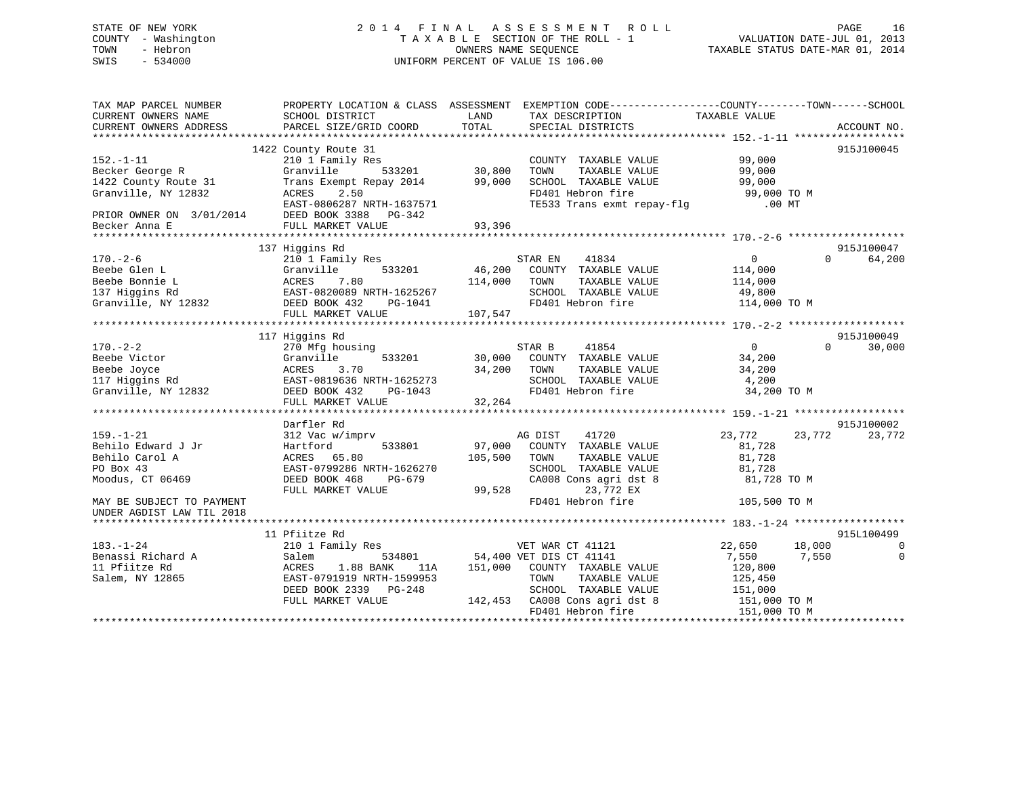# STATE OF NEW YORK 2 0 1 4 F I N A L A S S E S S M E N T R O L L PAGE 16 COUNTY - Washington T A X A B L E SECTION OF THE ROLL - 1 VALUATION DATE-JUL 01, 2013 TOWN - Hebron OWNERS NAME SEQUENCE TAXABLE STATUS DATE-MAR 01, 2014 SWIS - 534000 UNIFORM PERCENT OF VALUE IS 106.00

| TAX MAP PARCEL NUMBER<br>CURRENT OWNERS NAME<br>CURRENT OWNERS ADDRESS | SCHOOL DISTRICT<br>PARCEL SIZE/GRID COORD                                                                                                                             | PROPERTY LOCATION & CLASS ASSESSMENT EXEMPTION CODE---------------COUNTY-------TOWN-----SCHOOL<br><b>EXAMPLE THE STATE OF STATE OF STATE OF STATE OF STATE OF STATE OF STATE OF STATE</b><br>TAX DESCRIPTION<br>TOTAL<br>SPECIAL DISTRICTS                             | TAXABLE VALUE<br>ACCOUNT NO.   |
|------------------------------------------------------------------------|-----------------------------------------------------------------------------------------------------------------------------------------------------------------------|------------------------------------------------------------------------------------------------------------------------------------------------------------------------------------------------------------------------------------------------------------------------|--------------------------------|
|                                                                        |                                                                                                                                                                       |                                                                                                                                                                                                                                                                        |                                |
|                                                                        | 1422 County Route 31                                                                                                                                                  |                                                                                                                                                                                                                                                                        | 915J100045                     |
| 152.-1-11                                                              | 210 1 Family Res                                                                                                                                                      | COUNTY TAXABLE VALUE                                                                                                                                                                                                                                                   | 99,000                         |
| ---. - --<br>Becker George R                                           | Granville                                                                                                                                                             | TAXABLE VALUE<br>TOWN                                                                                                                                                                                                                                                  | 99,000                         |
| Becker Scorps<br>1422 County Route 31<br>Granville, NY 12832           | Trans Exempt Repay 2014 99,000                                                                                                                                        | SCHOOL TAXABLE VALUE<br>FD401 Hebron fire                                                                                                                                                                                                                              | 99,000                         |
|                                                                        | 2.50<br>ACRES                                                                                                                                                         |                                                                                                                                                                                                                                                                        | 99,000 TO M                    |
|                                                                        | EAST-0806287 NRTH-1637571                                                                                                                                             | TE533 Trans exmt repay-flg .00 MT                                                                                                                                                                                                                                      |                                |
|                                                                        | DEED BOOK 3388 PG-342                                                                                                                                                 |                                                                                                                                                                                                                                                                        |                                |
|                                                                        | FULL MARKET VALUE                                                                                                                                                     | 93,396                                                                                                                                                                                                                                                                 |                                |
|                                                                        |                                                                                                                                                                       |                                                                                                                                                                                                                                                                        |                                |
|                                                                        | 137 Higgins Rd                                                                                                                                                        |                                                                                                                                                                                                                                                                        | 915J100047                     |
|                                                                        |                                                                                                                                                                       |                                                                                                                                                                                                                                                                        | $0 \qquad \qquad$<br>64,200    |
| $170. - 2 - 6$                                                         |                                                                                                                                                                       | 210 1 Family Res<br>Granville 533201 46,200 COUNTY TAXABLE VALUE                                                                                                                                                                                                       |                                |
|                                                                        |                                                                                                                                                                       |                                                                                                                                                                                                                                                                        |                                |
|                                                                        |                                                                                                                                                                       |                                                                                                                                                                                                                                                                        |                                |
|                                                                        |                                                                                                                                                                       |                                                                                                                                                                                                                                                                        |                                |
|                                                                        |                                                                                                                                                                       |                                                                                                                                                                                                                                                                        |                                |
|                                                                        |                                                                                                                                                                       |                                                                                                                                                                                                                                                                        |                                |
|                                                                        |                                                                                                                                                                       | $\begin{tabular}{lllllllllllllllllll} \rule{0pt}{0pt} \multicolumn{3}{l}{} & 170.-2-6 & 210\ 1\ 1\ 210\ 1\ 1\ 210\ 1\ 1\ 210\ 1\ 1\ 210\ 1\ 1\ 210\ 1\ 1\ 210\ 1\ 1\ 210\ 1\ 210\ 1\ 210\ 1\ 210\ 1\ 210\ 1\ 210\ 1\ 210\ 1\ 210\ 1\ 210\ 1\ 210\ 1\ 210\ 1\ 210\ 1\ $ |                                |
|                                                                        | 117 Higgins Rd                                                                                                                                                        |                                                                                                                                                                                                                                                                        | 915J100049                     |
| $170. - 2 - 2$                                                         | 270 Mfg housing                                                                                                                                                       | 41854<br>STAR B                                                                                                                                                                                                                                                        | $\Omega$<br>30,000<br>$\Omega$ |
|                                                                        |                                                                                                                                                                       | 533201 30,000 COUNTY TAXABLE VALUE                                                                                                                                                                                                                                     | 34,200                         |
|                                                                        |                                                                                                                                                                       | 34,200<br>TAXABLE VALUE<br>TOWN                                                                                                                                                                                                                                        | 34,200                         |
|                                                                        |                                                                                                                                                                       | SCHOOL TAXABLE VALUE                                                                                                                                                                                                                                                   | 4,200                          |
|                                                                        |                                                                                                                                                                       |                                                                                                                                                                                                                                                                        |                                |
|                                                                        | Beebe Victor<br>Beebe Joyce<br>Beebe Joyce<br>117 Higgins Rd<br>6 EAST-0819636 NRTH-1625273<br>Granville, NY 12832<br>2 DEED BOOK 432<br>PG-1043<br>THE MENTER NATIVE | FD401 Hebron fire                                                                                                                                                                                                                                                      | 34,200 TO M                    |
|                                                                        | FULL MARKET VALUE                                                                                                                                                     | 32,264                                                                                                                                                                                                                                                                 |                                |
|                                                                        |                                                                                                                                                                       |                                                                                                                                                                                                                                                                        |                                |
|                                                                        | Darfler Rd                                                                                                                                                            |                                                                                                                                                                                                                                                                        | 915J100002                     |
| $159. - 1 - 21$                                                        | 312 Vac w/imprv                                                                                                                                                       | AG DIST 41720<br>97,000 COUNTY TAXABLE VALUE                                                                                                                                                                                                                           | 23,772<br>23,772<br>23,772     |
| Behilo Edward J Jr                                                     | Hartford<br>533801                                                                                                                                                    |                                                                                                                                                                                                                                                                        | 81,728                         |
| Behilo Carol A                                                         | ACRES 65.80                                                                                                                                                           | 105,500<br>TOWN<br>TAXABLE VALUE                                                                                                                                                                                                                                       | 81,728                         |
| PO Box 43                                                              | EAST-0799286 NRTH-1626270                                                                                                                                             | SCHOOL TAXABLE VALUE                                                                                                                                                                                                                                                   | 81,728                         |
| Moodus, CT 06469                                                       | DEED BOOK 468<br>PG-679                                                                                                                                               | SCHOOL TAXABLE VALUE 81,728<br>CA008 Cons agri dst 8 61,728 TO M                                                                                                                                                                                                       |                                |
|                                                                        | FULL MARKET VALUE                                                                                                                                                     | 23,772 EX<br>99,528                                                                                                                                                                                                                                                    |                                |
| MAY BE SUBJECT TO PAYMENT                                              |                                                                                                                                                                       | FD401 Hebron fire                                                                                                                                                                                                                                                      | 105,500 TO M                   |
| UNDER AGDIST LAW TIL 2018                                              |                                                                                                                                                                       |                                                                                                                                                                                                                                                                        |                                |
|                                                                        |                                                                                                                                                                       |                                                                                                                                                                                                                                                                        |                                |
|                                                                        |                                                                                                                                                                       |                                                                                                                                                                                                                                                                        | 915L100499                     |
|                                                                        | 11 Pfiitze Rd                                                                                                                                                         |                                                                                                                                                                                                                                                                        |                                |
| $183. - 1 - 24$                                                        | 210 1 Family Res                                                                                                                                                      | VET WAR CT 41121                                                                                                                                                                                                                                                       | 22,650 18,000<br>$\Omega$      |
| Benassi Richard A                                                      | Salem                                                                                                                                                                 | 534801 54,400 VET DIS CT 41141                                                                                                                                                                                                                                         | 7,550 7,550<br>$\mathbf 0$     |
| 11 Pfiitze Rd                                                          | ACRES<br>1.88 BANK                                                                                                                                                    | 11A 151,000 COUNTY TAXABLE VALUE                                                                                                                                                                                                                                       | 120,800                        |
| Salem, NY 12865                                                        | EAST-0791919 NRTH-1599953                                                                                                                                             | TOWN<br>TAXABLE VALUE                                                                                                                                                                                                                                                  | 125,450                        |
|                                                                        | DEED BOOK 2339 PG-248                                                                                                                                                 | SCHOOL TAXABLE VALUE                                                                                                                                                                                                                                                   |                                |
|                                                                        | FULL MARKET VALUE                                                                                                                                                     | 142,453 CA008 Cons agri dst 8                                                                                                                                                                                                                                          | 151,000<br>151,000 TO M        |
|                                                                        |                                                                                                                                                                       | FD401 Hebron fire                                                                                                                                                                                                                                                      | 151,000 TO M                   |
|                                                                        |                                                                                                                                                                       |                                                                                                                                                                                                                                                                        |                                |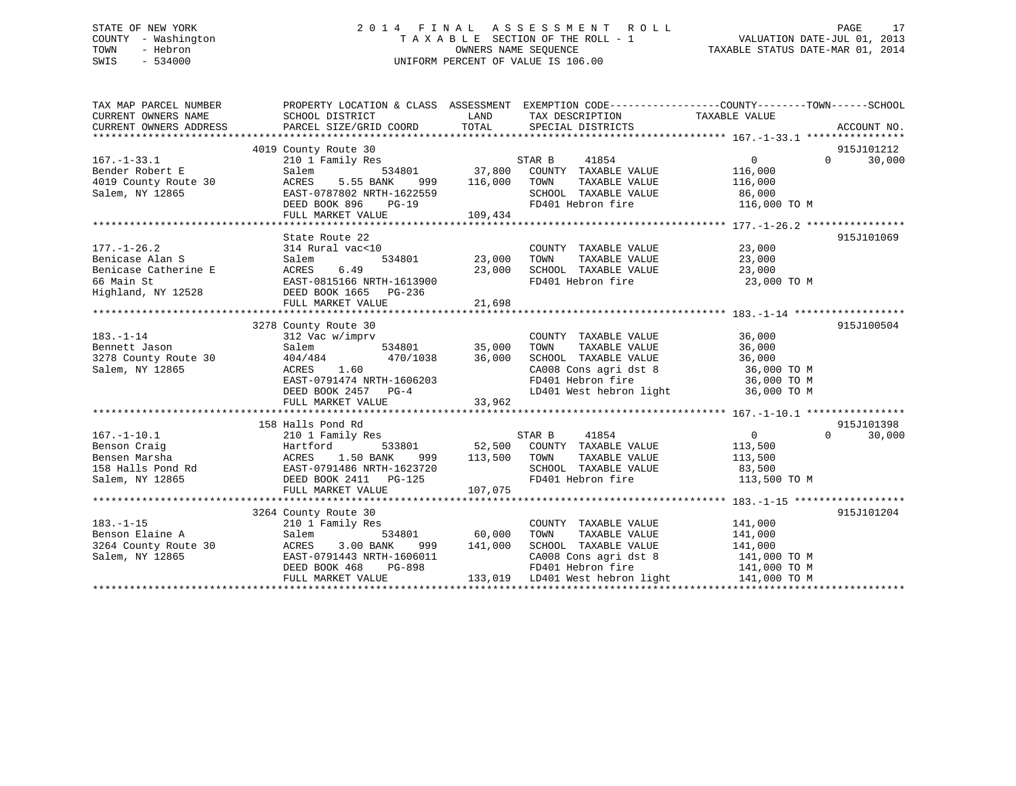# STATE OF NEW YORK 2 0 1 4 F I N A L A S S E S S M E N T R O L L PAGE 17 COUNTY - Washington T A X A B L E SECTION OF THE ROLL - 1 VALUATION DATE-JUL 01, 2013 TOWN - Hebron OWNERS NAME SEQUENCE TAXABLE STATUS DATE-MAR 01, 2014 SWIS - 534000 UNIFORM PERCENT OF VALUE IS 106.00

| TAX MAP PARCEL NUMBER<br>CURRENT OWNERS NAME<br>CURRENT OWNERS ADDRESS          | PROPERTY LOCATION & CLASS ASSESSMENT EXEMPTION CODE---------------COUNTY-------TOWN-----SCHOOL<br>SCHOOL DISTRICT<br>PARCEL SIZE/GRID COORD TOTAL SPECIAL DISTRICTS                                                                                                                                                                                                                                                                                                                                                  | <b>LAND</b>                 | TAX DESCRIPTION                                                                                                                                                                                      | TAXABLE VALUE                               | ACCOUNT NO.                      |
|---------------------------------------------------------------------------------|----------------------------------------------------------------------------------------------------------------------------------------------------------------------------------------------------------------------------------------------------------------------------------------------------------------------------------------------------------------------------------------------------------------------------------------------------------------------------------------------------------------------|-----------------------------|------------------------------------------------------------------------------------------------------------------------------------------------------------------------------------------------------|---------------------------------------------|----------------------------------|
| $167. - 1 - 33.1$<br>Bender Robert E<br>4019 County Route 30<br>Salem, NY 12865 | 4019 County Route 30<br>210 1 Family Res<br>Salem<br>ACRES                                                                                                                                                                                                                                                                                                                                                                                                                                                           |                             | STAR B<br>41854<br>SCHOOL TAXABLE VALUE 86,000<br>FD401 Hebron fire 116,000 TO M                                                                                                                     | $\overline{0}$                              | 915J101212<br>$\Omega$<br>30,000 |
| $177. - 1 - 26.2$<br>Benicase Alan S                                            | State Route 22<br>State Route 22<br>314 Rural vac<10 COUNT<br>Salem 534801 23,000 TOWN<br>Exercise Catherine E<br>Exercise Catherine E<br>EXARES 23,000<br>EXARES 23,000<br>EXARES 23,000<br>FD401 Hebron fire<br>23,000<br>FD401 Hebron fire<br>23,000<br>FD401 Hebron fire<br>23,000<br>23,000<br>23,000                                                                                                                                                                                                           |                             | COUNTY TAXABLE VALUE 23,000<br>TAXABLE VALUE 23,000                                                                                                                                                  | 23,000 TO M                                 | 915J101069                       |
| $183. - 1 - 14$<br>Bennett Jason<br>Salem, NY 12865                             | 3278 County Route 30<br>312 Vac $\texttt{w}/\texttt{imprv}$ COUNTY Salem 534801 35,000 TOWN<br>Bennett Jason<br>3278 County Route 30 404/484 470/1038 36,000<br>ACRES 1.60<br>EAST-0791474 NRTH-1606203<br>DEED BOOK 2457 PG-4<br>FULL MADKER -------                                                                                                                                                                                                                                                                |                             | COUNTY TAXABLE VALUE 36,000<br>TOWN TAXABLE VALUE 36,000<br>SCHOOL TAXABLE VALUE 36,000<br>CA008 Cons agri dst 8 36,000 TO M<br>FD401 Hebron fire 36,000 TO M<br>LD401 West hebron light 36,000 TO M |                                             | 915J100504                       |
|                                                                                 | 158 Halls Pond Rd<br>167.-1-10.1 210 1 Family Res<br>Benson Craig (10 1 Family Res<br>Hartford 533801<br>Bensen Marsha (158 Halls Pond Rd (158 EAST-0791486 NRTH-1623720<br>Salem, NY 12865 (158 DEED BOOK 2411 PG-125<br>FULL MARKET VALUE                                                                                                                                                                                                                                                                          | 999 113,500 TOWN<br>107,075 | TAXABLE VALUE 113,500<br>SCHOOL TAXABLE VALUE 83,500<br>FD401 Hebron fire 113,500 TO M<br>FD401 Hebron fire                                                                                          | $\begin{array}{c} 0 \\ 113,500 \end{array}$ | 915J101398<br>$\Omega$<br>30,000 |
| $183. - 1 - 15$<br>Benson Elaine A<br>3264 County Route 30<br>Salem, NY 12865   | 3264 County Route 30<br>210 1 Family Res<br>Salem 534801 60,000<br>ACRES 3.00 BANK 999 141,000<br>ACRES 3.00 BANK<br>$\begin{tabular}{lllllllll} \texttt{Salem, NY} & $\color{red}12865$ & $\color{red}E\texttt{AST}-0791443$ NRTH-1606011$ & $\color{red}C\texttt{A008} $\color{red}C\texttt{ons} $ {a} {g} {r} {i} $ d{f} {j} $ & $\color{red}141,000$ $TO$ $M$ \\ & $\color{red} \texttt{DEED} $ B\texttt{OOK} $ & $468$ & $P\texttt{G}-898$ & $\color{red} \texttt{FD401} $ Hebron $ f$ ir $ & $141,000$ $TO$ $$ |                             | COUNTY TAXABLE VALUE 141,000<br>TOWN<br>TAXABLE VALUE 141,000<br>TAXABLE VALUE 141,000<br>SCHOOL TAXABLE VALUE<br>CA008 Cons agri dst 8 $141,000$ TO M                                               |                                             | 915J101204                       |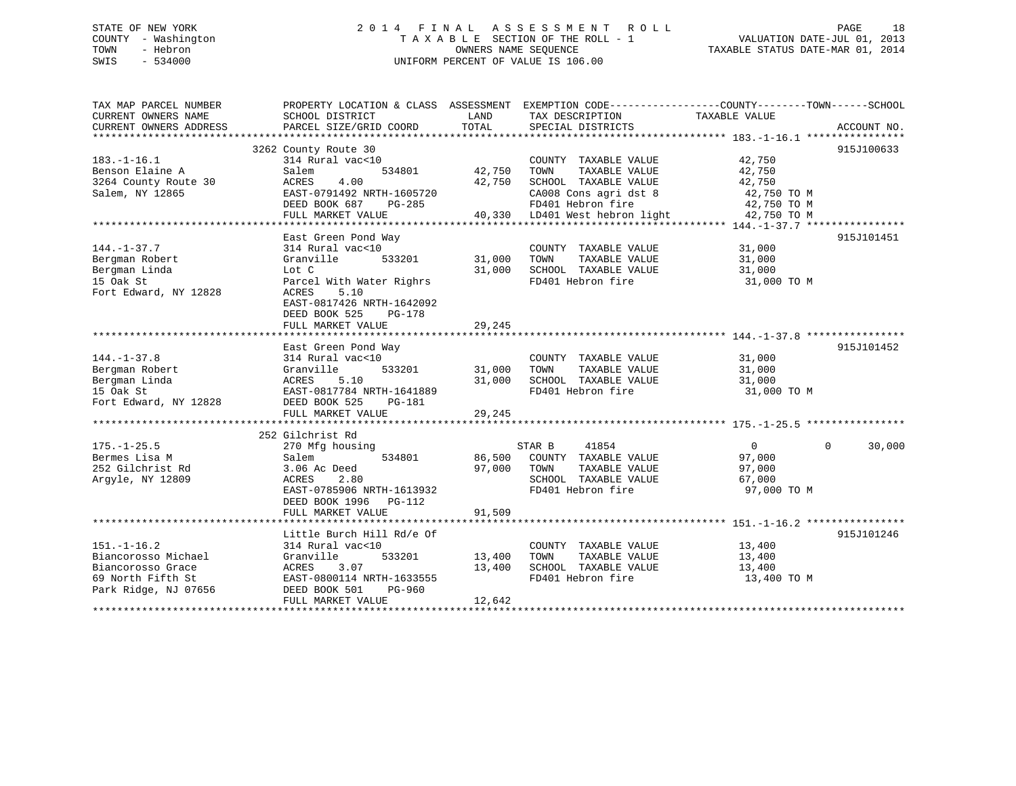# STATE OF NEW YORK 2 0 1 4 F I N A L A S S E S S M E N T R O L L PAGE 18 COUNTY - Washington T A X A B L E SECTION OF THE ROLL - 1 VALUATION DATE-JUL 01, 2013 TOWN - Hebron OWNERS NAME SEQUENCE TAXABLE STATUS DATE-MAR 01, 2014 SWIS - 534000 UNIFORM PERCENT OF VALUE IS 106.00

| TAX MAP PARCEL NUMBER  | PROPERTY LOCATION & CLASS ASSESSMENT EXEMPTION CODE---------------COUNTY-------TOWN-----SCHOOL |        |                                |                |                    |
|------------------------|------------------------------------------------------------------------------------------------|--------|--------------------------------|----------------|--------------------|
| CURRENT OWNERS NAME    | SCHOOL DISTRICT                                                                                | LAND   | TAX DESCRIPTION                | TAXABLE VALUE  |                    |
| CURRENT OWNERS ADDRESS | PARCEL SIZE/GRID COORD                                                                         | TOTAL  | SPECIAL DISTRICTS              |                | ACCOUNT NO.        |
|                        |                                                                                                |        |                                |                |                    |
|                        | 3262 County Route 30                                                                           |        |                                |                | 915J100633         |
| $183. - 1 - 16.1$      | 314 Rural vac<10                                                                               |        | COUNTY TAXABLE VALUE           | 42,750         |                    |
| Benson Elaine A        | 534801<br>Salem                                                                                | 42,750 | TAXABLE VALUE<br>TOWN          | 42,750         |                    |
| 3264 County Route 30   | 4.00<br>ACRES                                                                                  | 42,750 | SCHOOL TAXABLE VALUE           | 42,750         |                    |
| Salem, NY 12865        | EAST-0791492 NRTH-1605720                                                                      |        | CA008 Cons agri dst 8          | 42,750 TO M    |                    |
|                        | DEED BOOK 687<br>PG-285                                                                        |        | FD401 Hebron fire              | 42,750 TO M    |                    |
|                        | FULL MARKET VALUE                                                                              |        | 40,330 LD401 West hebron light | 42,750 TO M    |                    |
|                        |                                                                                                |        |                                |                |                    |
|                        | East Green Pond Way                                                                            |        |                                |                | 915J101451         |
| $144. - 1 - 37.7$      | 314 Rural vac<10                                                                               |        | COUNTY TAXABLE VALUE           | 31,000         |                    |
| Bergman Robert         | Granville<br>533201                                                                            | 31,000 | TAXABLE VALUE<br>TOWN          | 31,000         |                    |
| Bergman Linda          | Lot C                                                                                          | 31,000 | SCHOOL TAXABLE VALUE           | 31,000         |                    |
| 15 Oak St              | Parcel With Water Righrs                                                                       |        | FD401 Hebron fire              | 31,000 TO M    |                    |
| Fort Edward, NY 12828  | ACRES<br>5.10                                                                                  |        |                                |                |                    |
|                        | EAST-0817426 NRTH-1642092                                                                      |        |                                |                |                    |
|                        | DEED BOOK 525<br>PG-178                                                                        |        |                                |                |                    |
|                        | FULL MARKET VALUE                                                                              | 29,245 |                                |                |                    |
|                        |                                                                                                |        |                                |                |                    |
|                        | East Green Pond Way                                                                            |        |                                |                | 915J101452         |
| $144. - 1 - 37.8$      | 314 Rural vac<10                                                                               |        | COUNTY TAXABLE VALUE           | 31,000         |                    |
| Bergman Robert         | 533201<br>Granville                                                                            | 31,000 | TAXABLE VALUE<br>TOWN          | 31,000         |                    |
| Bergman Linda          | ACRES<br>5.10                                                                                  | 31,000 | SCHOOL TAXABLE VALUE           | 31,000         |                    |
| 15 Oak St              | EAST-0817784 NRTH-1641889                                                                      |        | FD401 Hebron fire              | 31,000 TO M    |                    |
| Fort Edward, NY 12828  | DEED BOOK 525<br>PG-181                                                                        |        |                                |                |                    |
|                        | FULL MARKET VALUE                                                                              | 29,245 |                                |                |                    |
|                        |                                                                                                |        |                                |                |                    |
|                        | 252 Gilchrist Rd                                                                               |        |                                |                |                    |
| $175. - 1 - 25.5$      | 270 Mfg housing                                                                                |        | STAR B<br>41854                | $\overline{0}$ | $\Omega$<br>30,000 |
| Bermes Lisa M          | 534801<br>Salem                                                                                |        | 86,500 COUNTY TAXABLE VALUE    | 97,000         |                    |
| 252 Gilchrist Rd       | 3.06 Ac Deed                                                                                   | 97,000 | TAXABLE VALUE<br>TOWN          | 97,000         |                    |
| Argyle, NY 12809       | ACRES<br>2.80                                                                                  |        | SCHOOL TAXABLE VALUE           | 67,000         |                    |
|                        | EAST-0785906 NRTH-1613932                                                                      |        | FD401 Hebron fire              | 97,000 TO M    |                    |
|                        | DEED BOOK 1996<br>$PG-112$                                                                     |        |                                |                |                    |
|                        | FULL MARKET VALUE                                                                              | 91,509 |                                |                |                    |
|                        |                                                                                                |        |                                |                |                    |
|                        | Little Burch Hill Rd/e Of                                                                      |        |                                |                | 915J101246         |
| $151. - 1 - 16.2$      | 314 Rural vac<10                                                                               |        | COUNTY TAXABLE VALUE           | 13,400         |                    |
| Biancorosso Michael    | Granville<br>533201                                                                            | 13,400 | TOWN<br>TAXABLE VALUE          | 13,400         |                    |
| Biancorosso Grace      | ACRES<br>3.07                                                                                  | 13,400 | SCHOOL TAXABLE VALUE           | 13,400         |                    |
| 69 North Fifth St      | EAST-0800114 NRTH-1633555                                                                      |        | FD401 Hebron fire              | 13,400 TO M    |                    |
| Park Ridge, NJ 07656   | DEED BOOK 501<br>PG-960                                                                        |        |                                |                |                    |
|                        | FULL MARKET VALUE                                                                              | 12,642 |                                |                |                    |
|                        |                                                                                                |        |                                |                |                    |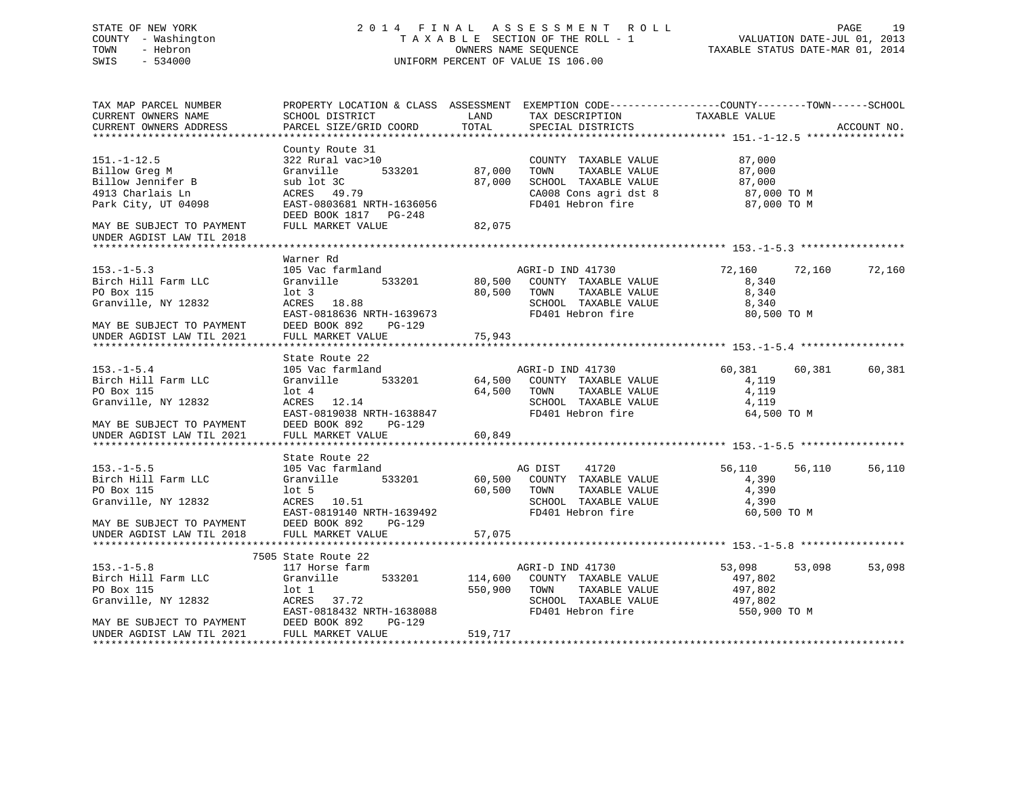# STATE OF NEW YORK 2 0 1 4 F I N A L A S S E S S M E N T R O L L PAGE 19 COUNTY - Washington T A X A B L E SECTION OF THE ROLL - 1 VALUATION DATE-JUL 01, 2013 TOWN - Hebron OWNERS NAME SEQUENCE TAXABLE STATUS DATE-MAR 01, 2014 SWIS - 534000 UNIFORM PERCENT OF VALUE IS 106.00

| TAX MAP PARCEL NUMBER<br>CURRENT OWNERS NAME                             | SCHOOL DISTRICT                                    | LAND         | PROPERTY LOCATION & CLASS ASSESSMENT EXEMPTION CODE----------------COUNTY-------TOWN------SCHOOL<br>TAX DESCRIPTION | TAXABLE VALUE                                    |        |             |
|--------------------------------------------------------------------------|----------------------------------------------------|--------------|---------------------------------------------------------------------------------------------------------------------|--------------------------------------------------|--------|-------------|
| CURRENT OWNERS ADDRESS                                                   | PARCEL SIZE/GRID COORD                             | TOTAL        | SPECIAL DISTRICTS                                                                                                   |                                                  |        | ACCOUNT NO. |
|                                                                          |                                                    |              |                                                                                                                     |                                                  |        |             |
|                                                                          | County Route 31                                    |              |                                                                                                                     |                                                  |        |             |
| $151. - 1 - 12.5$                                                        | 322 Rural vac>10                                   |              | COUNTY TAXABLE VALUE 87,000                                                                                         |                                                  |        |             |
| Billow Greg M                                                            | 533201<br>Granville                                | 87,000       | TOWN<br>TAXABLE VALUE                                                                                               |                                                  |        |             |
| Billow Jennifer B                                                        | sub lot 3C                                         | 87,000       | SCHOOL TAXABLE VALUE                                                                                                |                                                  |        |             |
| 4913 Charlais Ln                                                         | ACRES 49.79                                        |              | CA008 Cons agri dst 8<br>FD401 Hebron fire                                                                          |                                                  |        |             |
| Park City, UT 04098                                                      | EAST-0803681 NRTH-1636056<br>DEED BOOK 1817 PG-248 |              |                                                                                                                     | 87,00 <sub>0</sub><br>87,000 TO M<br>07 000 TO M |        |             |
| MAY BE SUBJECT TO PAYMENT                                                | FULL MARKET VALUE                                  | 82,075       |                                                                                                                     |                                                  |        |             |
| UNDER AGDIST LAW TIL 2018                                                |                                                    |              |                                                                                                                     |                                                  |        |             |
|                                                                          |                                                    |              |                                                                                                                     |                                                  |        |             |
|                                                                          | Warner Rd                                          |              |                                                                                                                     |                                                  |        |             |
| $153. - 1 - 5.3$                                                         | 105 Vac farmland                                   |              | AGRI-D IND 41730                                                                                                    | 72,160                                           | 72,160 | 72,160      |
| Birch Hill Farm LLC                                                      | 533201<br>Granville                                |              | 80,500 COUNTY TAXABLE VALUE                                                                                         | 8,340                                            |        |             |
| PO Box 115                                                               | lot 3<br>ACRES 18.88                               |              | 80,500 TOWN<br>TAXABLE VALUE                                                                                        | 8,340                                            |        |             |
| Granville, NY 12832                                                      |                                                    |              |                                                                                                                     | 8,340                                            |        |             |
|                                                                          | EAST-0818636 NRTH-1639673                          |              | SCHOOL TAXABLE VALUE<br>FD401 Hebron fire                                                                           | 80,500 TO M                                      |        |             |
| MAY BE SUBJECT TO PAYMENT                                                | DEED BOOK 892 PG-129                               |              |                                                                                                                     |                                                  |        |             |
| UNDER AGDIST LAW TIL 2021                                                | FULL MARKET VALUE                                  | 75,943       |                                                                                                                     |                                                  |        |             |
|                                                                          |                                                    |              |                                                                                                                     |                                                  |        |             |
|                                                                          | State Route 22                                     |              |                                                                                                                     |                                                  |        |             |
| $153. - 1 - 5.4$                                                         | 105 Vac farmland                                   |              | AGRI-D IND 41730                                                                                                    | 60,381 60,381                                    |        | 60,381      |
| Birch Hill Farm LLC                                                      | Granville                                          |              | 533201 64,500 COUNTY TAXABLE VALUE                                                                                  | 4,119                                            |        |             |
| PO Box 115                                                               | $1$ ot $4$                                         |              | 64,500 TOWN<br>TAXABLE VALUE                                                                                        | 4,119                                            |        |             |
| Granville, NY 12832                                                      | ACRES 12.14                                        |              | SCHOOL TAXABLE VALUE                                                                                                | 4,119                                            |        |             |
|                                                                          | EAST-0819038 NRTH-1638847                          |              | FD401 Hebron fire                                                                                                   | 64,500 TO M                                      |        |             |
| MAY BE SUBJECT TO PAYMENT                                                | DEED BOOK 892<br>PG-129                            |              |                                                                                                                     |                                                  |        |             |
| UNDER AGDIST LAW TIL 2021                                                | FULL MARKET VALUE                                  | 60,849       |                                                                                                                     |                                                  |        |             |
|                                                                          |                                                    |              |                                                                                                                     |                                                  |        |             |
|                                                                          | State Route 22                                     |              |                                                                                                                     |                                                  |        |             |
| $153. - 1 - 5.5$                                                         | 105 Vac farmland                                   |              | AG DIST 41720                                                                                                       | 56,110                                           | 56,110 | 56,110      |
| Birch Hill Farm LLC                                                      | Granville 533201                                   |              | 60,500 COUNTY TAXABLE VALUE                                                                                         | 4,390                                            |        |             |
| PO Box 115                                                               | $1$ ot 5                                           |              | 60,500 TOWN<br>TAXABLE VALUE                                                                                        | 4,390                                            |        |             |
| Granville, NY 12832<br>MAY BE SUBJECT TO PAYMENT                         | ACRES 10.51                                        |              | SCHOOL TAXABLE VALUE                                                                                                | 4,390                                            |        |             |
|                                                                          | EAST-0819140 NRTH-1639492                          |              | FD401 Hebron fire                                                                                                   | 60,500 TO M                                      |        |             |
| UNDER AGDIST LAW TIL 2018                                                | DEED BOOK 892<br>PG-129                            |              |                                                                                                                     |                                                  |        |             |
|                                                                          | FULL MARKET VALUE                                  | 57,075       |                                                                                                                     |                                                  |        |             |
|                                                                          | 7505 State Route 22                                |              |                                                                                                                     |                                                  |        |             |
| $153. - 1 - 5.8$                                                         | 117 Horse farm                                     |              | AGRI-D IND 41730                                                                                                    | 53,098                                           | 53,098 | 53,098      |
| Birch Hill Farm LLC                                                      | 533201<br>Granville                                |              | 114,600 COUNTY TAXABLE VALUE                                                                                        | 497,802                                          |        |             |
| PO Box 115                                                               | lot 1                                              | 550,900 TOWN | TAXABLE VALUE                                                                                                       | 497,802                                          |        |             |
| Granville, NY 12832                                                      | ACRES 37.72                                        |              | SCHOOL TAXABLE VALUE 497,802                                                                                        |                                                  |        |             |
|                                                                          | EAST-0818432 NRTH-1638088                          |              | FD401 Hebron fire                                                                                                   | 550,900 TO M                                     |        |             |
|                                                                          | PG-129                                             |              |                                                                                                                     |                                                  |        |             |
| MAY BE SUBJECT TO PAYMENT<br>UNDER AGDIST LAW TIL 2021 FULL MARKET VALUE |                                                    | 519,717      |                                                                                                                     |                                                  |        |             |
|                                                                          |                                                    |              |                                                                                                                     |                                                  |        |             |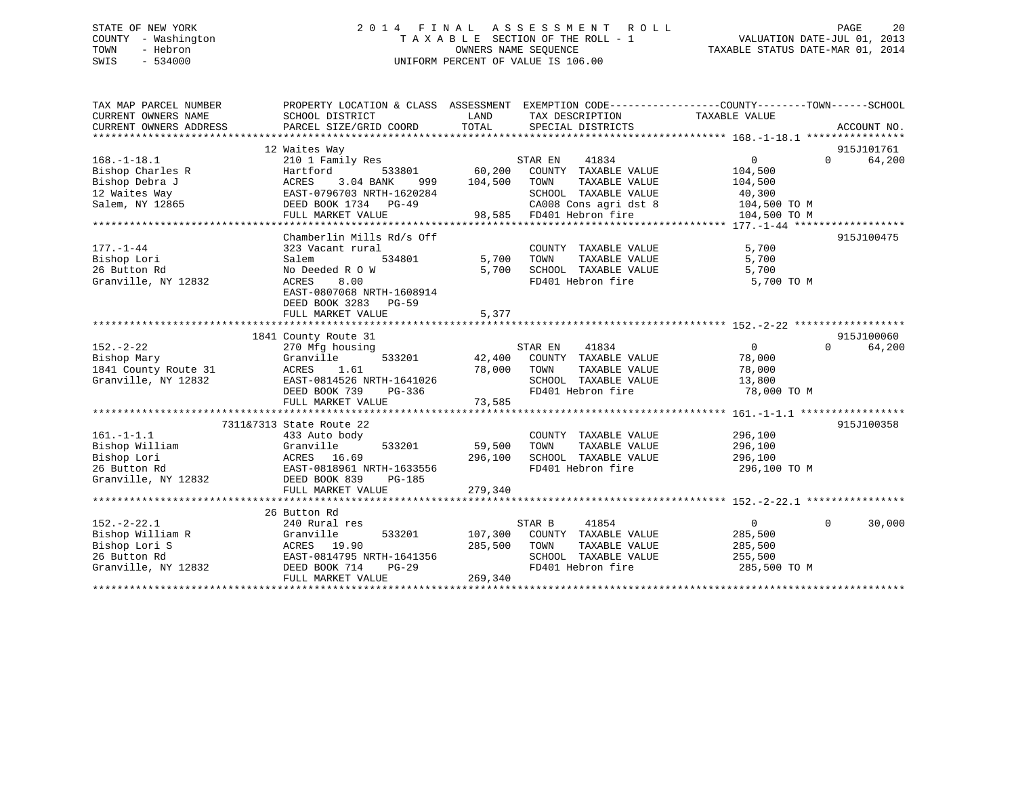# STATE OF NEW YORK 2 0 1 4 F I N A L A S S E S S M E N T R O L L PAGE 20 COUNTY - Washington T A X A B L E SECTION OF THE ROLL - 1 VALUATION DATE-JUL 01, 2013 TOWN - Hebron **CONNERS NAME SEQUENCE** TAXABLE STATUS DATE-MAR 01, 2014 SWIS - 534000 UNIFORM PERCENT OF VALUE IS 106.00

| TAX MAP PARCEL NUMBER<br>CURRENT OWNERS NAME<br>CURRENT OWNERS ADDRESS                       | PROPERTY LOCATION & CLASS ASSESSMENT<br>SCHOOL DISTRICT<br>PARCEL SIZE/GRID COORD                                                                                              | LAND<br>TOTAL                     | EXEMPTION CODE-----------------COUNTY-------TOWN------SCHOOL<br>TAX DESCRIPTION<br>SPECIAL DISTRICTS                                           | TAXABLE VALUE                                                            | ACCOUNT NO.                      |
|----------------------------------------------------------------------------------------------|--------------------------------------------------------------------------------------------------------------------------------------------------------------------------------|-----------------------------------|------------------------------------------------------------------------------------------------------------------------------------------------|--------------------------------------------------------------------------|----------------------------------|
| $168. - 1 - 18.1$<br>Bishop Charles R<br>Bishop Debra J<br>12 Waites Way<br>Salem, NY 12865  | 12 Waites Way<br>210 1 Family Res<br>533801<br>Hartford<br>3.04 BANK<br>ACRES<br>999<br>EAST-0796703 NRTH-1620284<br>DEED BOOK 1734 PG-49<br>FULL MARKET VALUE                 | 60,200<br>104,500                 | STAR EN<br>41834<br>COUNTY TAXABLE VALUE<br>TOWN<br>TAXABLE VALUE<br>SCHOOL TAXABLE VALUE<br>CA008 Cons agri dst 8<br>98,585 FD401 Hebron fire | $\Omega$<br>104,500<br>104,500<br>40,300<br>104,500 TO M<br>104,500 TO M | 915J101761<br>64,200<br>$\Omega$ |
| $177. - 1 - 44$<br>Bishop Lori<br>26 Button Rd<br>Granville, NY 12832                        | Chamberlin Mills Rd/s Off<br>323 Vacant rural<br>534801<br>Salem<br>No Deeded R O W<br>ACRES<br>8.00<br>EAST-0807068 NRTH-1608914<br>DEED BOOK 3283 PG-59<br>FULL MARKET VALUE | 5,700<br>5,700<br>5,377           | COUNTY TAXABLE VALUE<br>TOWN<br>TAXABLE VALUE<br>SCHOOL TAXABLE VALUE<br>FD401 Hebron fire                                                     | 5,700<br>5,700<br>5,700<br>5,700 TO M                                    | 915J100475                       |
| $152. - 2 - 22$<br>Bishop Mary<br>1841 County Route 31<br>Granville, NY 12832                | 1841 County Route 31<br>270 Mfg housing<br>Granville<br>1.61<br>ACRES<br>EAST-0814526 NRTH-1641026<br>DEED BOOK 739<br>PG-336<br>FULL MARKET VALUE                             | 533201 42,400<br>78,000<br>73,585 | 41834<br>STAR EN<br>COUNTY TAXABLE VALUE<br>TOWN<br>TAXABLE VALUE<br>SCHOOL TAXABLE VALUE<br>FD401 Hebron fire                                 | $\Omega$<br>78,000<br>78,000<br>13,800<br>78,000 TO M                    | 915J100060<br>$\Omega$<br>64,200 |
| $161. - 1 - 1.1$<br>Bishop William<br>Bishop Lori<br>26 Button Rd<br>Granville, NY 12832     | 7311&7313 State Route 22<br>433 Auto body<br>Granville<br>533201<br>ACRES 16.69<br>EAST-0818961 NRTH-1633556<br>DEED BOOK 839<br>PG-185<br>FULL MARKET VALUE                   | 59,500<br>296,100<br>279,340      | COUNTY TAXABLE VALUE<br>TOWN<br>TAXABLE VALUE<br>SCHOOL TAXABLE VALUE<br>FD401 Hebron fire                                                     | 296,100<br>296,100<br>296,100<br>296,100 TO M                            | 915J100358                       |
| $152 - 2 - 22.1$<br>Bishop William R<br>Bishop Lori S<br>26 Button Rd<br>Granville, NY 12832 | 26 Button Rd<br>240 Rural res<br>533201<br>Granville<br>ACRES 19.90<br>EAST-0814795 NRTH-1641356<br>DEED BOOK 714<br>$PG-29$<br>FULL MARKET VALUE                              | 107,300<br>285,500<br>269,340     | 41854<br>STAR B<br>COUNTY TAXABLE VALUE<br>TOWN<br>TAXABLE VALUE<br>SCHOOL TAXABLE VALUE<br>FD401 Hebron fire                                  | $\overline{0}$<br>285,500<br>285,500<br>255,500<br>285,500 TO M          | $\Omega$<br>30,000               |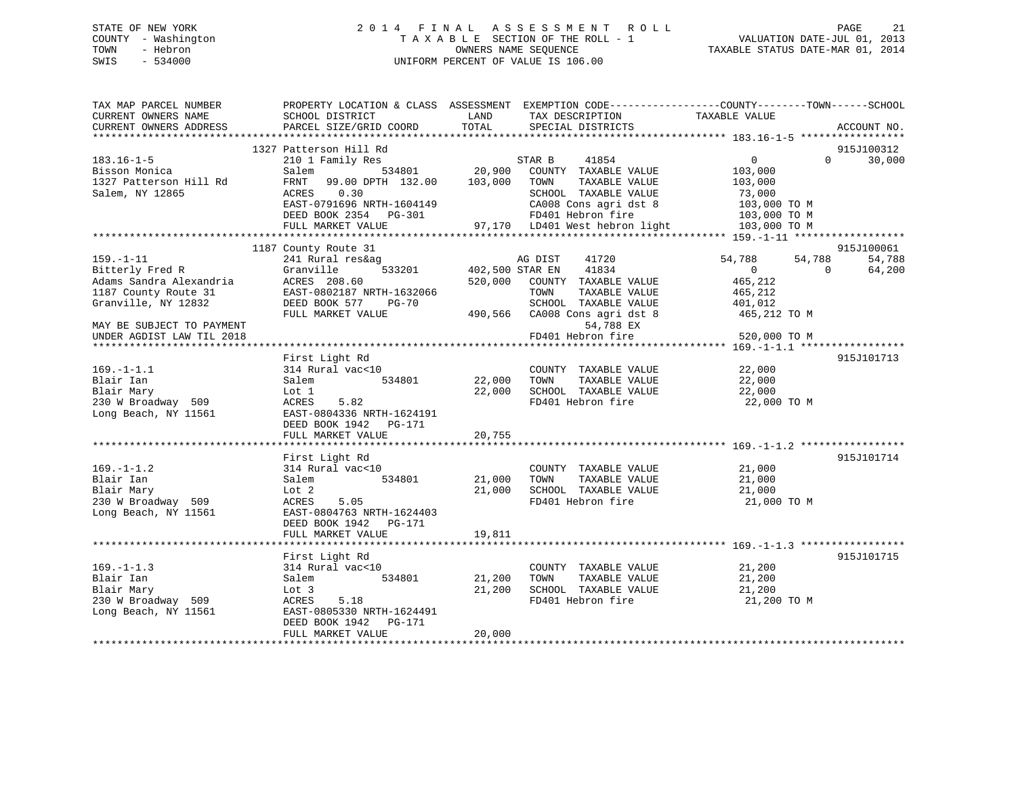# STATE OF NEW YORK 2 0 1 4 F I N A L A S S E S S M E N T R O L L PAGE 21 COUNTY - Washington T A X A B L E SECTION OF THE ROLL - 1 VALUATION DATE-JUL 01, 2013 TOWN - Hebron **CONNERS NAME SEQUENCE** TAXABLE STATUS DATE-MAR 01, 2014 SWIS - 534000 UNIFORM PERCENT OF VALUE IS 106.00

| TAX MAP PARCEL NUMBER<br>CURRENT OWNERS NAME<br>CURRENT OWNERS ADDRESS                    | PROPERTY LOCATION & CLASS ASSESSMENT<br>SCHOOL DISTRICT<br>PARCEL SIZE/GRID COORD                                                          | LAND<br>TOTAL     | TAX DESCRIPTION<br>SPECIAL DISTRICTS                                                                              | EXEMPTION CODE-----------------COUNTY-------TOWN------SCHOOL<br>TAXABLE VALUE<br>ACCOUNT NO. |  |
|-------------------------------------------------------------------------------------------|--------------------------------------------------------------------------------------------------------------------------------------------|-------------------|-------------------------------------------------------------------------------------------------------------------|----------------------------------------------------------------------------------------------|--|
|                                                                                           |                                                                                                                                            |                   |                                                                                                                   |                                                                                              |  |
|                                                                                           | 1327 Patterson Hill Rd                                                                                                                     |                   |                                                                                                                   | 915J100312                                                                                   |  |
| $183.16 - 1 - 5$<br>Bisson Monica<br>1327 Patterson Hill Rd<br>Salem, NY 12865            | 210 1 Family Res<br>Salem<br>534801<br>FRNT<br>99.00 DPTH 132.00<br>0.30<br>ACRES<br>EAST-0791696 NRTH-1604149                             | 20,900<br>103,000 | STAR B<br>41854<br>COUNTY TAXABLE VALUE<br>TAXABLE VALUE<br>TOWN<br>SCHOOL TAXABLE VALUE<br>CA008 Cons agri dst 8 | $\overline{0}$<br>$\Omega$<br>30,000<br>103,000<br>103,000<br>73,000<br>103,000 TO M         |  |
|                                                                                           | DEED BOOK 2354 PG-301                                                                                                                      |                   | FD401 Hebron fire                                                                                                 | 103,000 TO M                                                                                 |  |
|                                                                                           | FULL MARKET VALUE                                                                                                                          |                   | 97,170 LD401 West hebron light                                                                                    | 103,000 TO M                                                                                 |  |
|                                                                                           |                                                                                                                                            |                   |                                                                                                                   |                                                                                              |  |
| $159. - 1 - 11$<br>Bitterly Fred R<br>Adams Sandra Alexandria                             | 1187 County Route 31<br>241 Rural res&ag<br>Granville<br>533201<br>ACRES 208.60                                                            | 520,000           | AG DIST<br>41720<br>402,500 STAR EN<br>41834<br>COUNTY TAXABLE VALUE                                              | 915J100061<br>54,788<br>54,788<br>54,788<br>$\overline{0}$<br>$\Omega$<br>64,200<br>465,212  |  |
| 1187 County Route 31<br>Granville, NY 12832                                               | EAST-0802187 NRTH-1632066<br>DEED BOOK 577<br><b>PG-70</b>                                                                                 |                   | TOWN<br>TAXABLE VALUE<br>SCHOOL TAXABLE VALUE                                                                     | 465,212<br>401,012                                                                           |  |
| MAY BE SUBJECT TO PAYMENT<br>UNDER AGDIST LAW TIL 2018                                    | FULL MARKET VALUE                                                                                                                          | 490,566           | CA008 Cons agri dst 8<br>54,788 EX<br>FD401 Hebron fire                                                           | 465,212 TO M                                                                                 |  |
| ******************************                                                            |                                                                                                                                            |                   |                                                                                                                   | 520,000 TO M                                                                                 |  |
| $169. - 1 - 1.1$<br>Blair Ian<br>Blair Mary<br>230 W Broadway 509<br>Long Beach, NY 11561 | First Light Rd<br>314 Rural vac<10<br>534801<br>Salem<br>Lot 1<br>5.82<br>ACRES<br>EAST-0804336 NRTH-1624191<br>DEED BOOK 1942<br>$PG-171$ | 22,000<br>22,000  | COUNTY TAXABLE VALUE<br>TOWN<br>TAXABLE VALUE<br>SCHOOL TAXABLE VALUE<br>FD401 Hebron fire                        | 915J101713<br>22,000<br>22,000<br>22,000<br>22,000 TO M                                      |  |
|                                                                                           | FULL MARKET VALUE                                                                                                                          | 20,755            |                                                                                                                   |                                                                                              |  |
|                                                                                           | First Light Rd                                                                                                                             |                   |                                                                                                                   | 915J101714                                                                                   |  |
| $169. - 1 - 1.2$<br>Blair Ian<br>Blair Mary<br>230 W Broadway 509<br>Long Beach, NY 11561 | 314 Rural vac<10<br>534801<br>Salem<br>Lot 2<br>5.05<br>ACRES<br>EAST-0804763 NRTH-1624403<br>DEED BOOK 1942    PG-171                     | 21,000<br>21,000  | COUNTY TAXABLE VALUE<br>TOWN<br>TAXABLE VALUE<br>SCHOOL TAXABLE VALUE<br>FD401 Hebron fire                        | 21,000<br>21,000<br>21,000<br>21,000 TO M                                                    |  |
|                                                                                           | FULL MARKET VALUE                                                                                                                          | 19,811            |                                                                                                                   |                                                                                              |  |
|                                                                                           | First Light Rd                                                                                                                             |                   |                                                                                                                   | 915J101715                                                                                   |  |
| $169. - 1 - 1.3$<br>Blair Ian<br>Blair Mary<br>230 W Broadway 509<br>Long Beach, NY 11561 | 314 Rural vac<10<br>534801<br>Salem<br>Lot 3<br>5.18<br>ACRES<br>EAST-0805330 NRTH-1624491<br>DEED BOOK 1942<br>PG-171                     | 21,200<br>21,200  | COUNTY TAXABLE VALUE<br>TOWN<br>TAXABLE VALUE<br>SCHOOL TAXABLE VALUE<br>FD401 Hebron fire                        | 21,200<br>21,200<br>21,200<br>21,200 TO M                                                    |  |
|                                                                                           | FULL MARKET VALUE                                                                                                                          | 20,000            |                                                                                                                   |                                                                                              |  |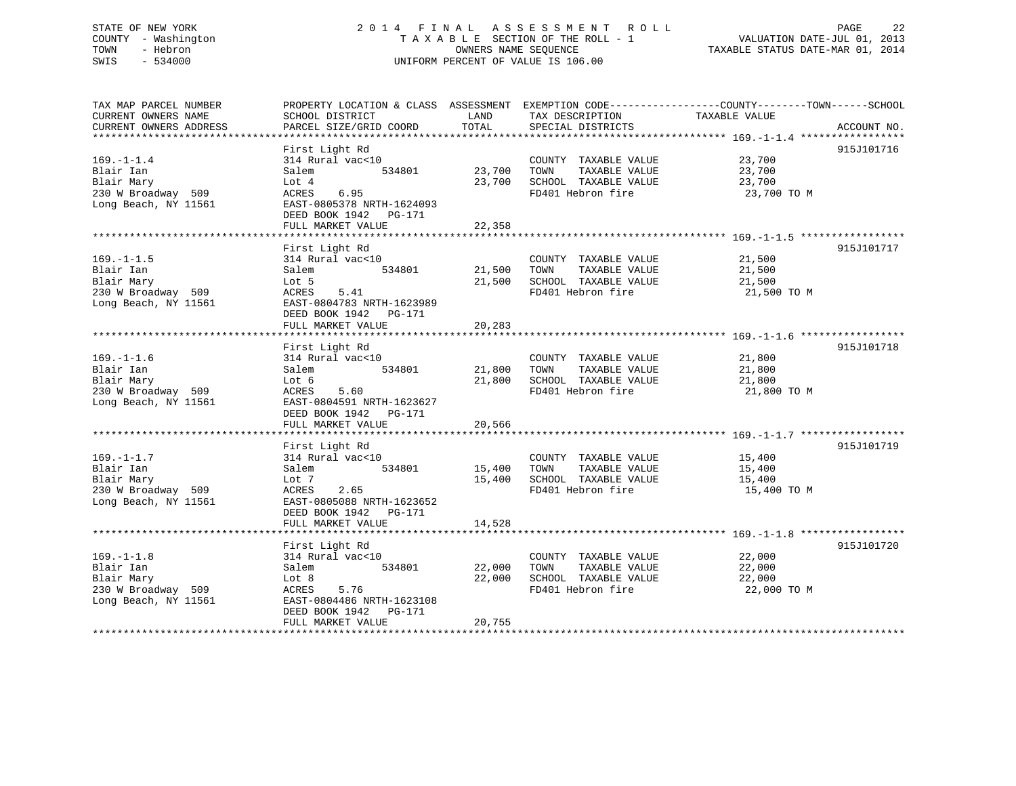# STATE OF NEW YORK 2 0 1 4 F I N A L A S S E S S M E N T R O L L PAGE 22 COUNTY - Washington T A X A B L E SECTION OF THE ROLL - 1 VALUATION DATE-JUL 01, 2013 TOWN - Hebron **CONNERS NAME SEQUENCE** TAXABLE STATUS DATE-MAR 01, 2014 SWIS - 534000 UNIFORM PERCENT OF VALUE IS 106.00

| TAX MAP PARCEL NUMBER  |                           |        |                       | PROPERTY LOCATION & CLASS ASSESSMENT EXEMPTION CODE---------------COUNTY-------TOWN------SCHOOL |             |
|------------------------|---------------------------|--------|-----------------------|-------------------------------------------------------------------------------------------------|-------------|
| CURRENT OWNERS NAME    | SCHOOL DISTRICT           | LAND   | TAX DESCRIPTION       | TAXABLE VALUE                                                                                   |             |
| CURRENT OWNERS ADDRESS | PARCEL SIZE/GRID COORD    | TOTAL  | SPECIAL DISTRICTS     |                                                                                                 | ACCOUNT NO. |
|                        |                           |        |                       |                                                                                                 |             |
|                        | First Light Rd            |        |                       |                                                                                                 | 915J101716  |
| $169. - 1 - 1.4$       | 314 Rural vac<10          |        | COUNTY TAXABLE VALUE  | 23,700                                                                                          |             |
| Blair Ian              | 534801<br>Salem           | 23,700 | TAXABLE VALUE<br>TOWN | 23,700                                                                                          |             |
| Blair Mary             | Lot $4$                   | 23,700 | SCHOOL TAXABLE VALUE  | 23,700                                                                                          |             |
| 230 W Broadway 509     | 6.95<br>ACRES             |        | FD401 Hebron fire     | 23,700 TO M                                                                                     |             |
| Long Beach, NY 11561   | EAST-0805378 NRTH-1624093 |        |                       |                                                                                                 |             |
|                        | DEED BOOK 1942<br>PG-171  |        |                       |                                                                                                 |             |
|                        | FULL MARKET VALUE         |        |                       |                                                                                                 |             |
|                        |                           | 22,358 |                       |                                                                                                 |             |
|                        |                           |        |                       |                                                                                                 |             |
|                        | First Light Rd            |        |                       |                                                                                                 | 915J101717  |
| $169. - 1 - 1.5$       | 314 Rural vac<10          |        | COUNTY TAXABLE VALUE  | 21,500                                                                                          |             |
| Blair Ian              | Salem<br>534801           | 21,500 | TAXABLE VALUE<br>TOWN | 21,500                                                                                          |             |
| Blair Mary             | Lot 5                     | 21,500 | SCHOOL TAXABLE VALUE  | 21,500                                                                                          |             |
| 230 W Broadway 509     | 5.41<br>ACRES             |        | FD401 Hebron fire     | 21,500 TO M                                                                                     |             |
| Long Beach, NY 11561   | EAST-0804783 NRTH-1623989 |        |                       |                                                                                                 |             |
|                        | DEED BOOK 1942<br>PG-171  |        |                       |                                                                                                 |             |
|                        | FULL MARKET VALUE         | 20,283 |                       |                                                                                                 |             |
|                        |                           |        |                       |                                                                                                 |             |
|                        | First Light Rd            |        |                       |                                                                                                 | 915J101718  |
| $169. - 1 - 1.6$       | 314 Rural vac<10          |        | COUNTY TAXABLE VALUE  | 21,800                                                                                          |             |
| Blair Ian              | Salem<br>534801           | 21,800 | TOWN<br>TAXABLE VALUE | 21,800                                                                                          |             |
| Blair Mary             | Lot 6                     | 21,800 | SCHOOL TAXABLE VALUE  | 21,800                                                                                          |             |
| 230 W Broadway 509     | ACRES<br>5.60             |        | FD401 Hebron fire     | 21,800 TO M                                                                                     |             |
| Long Beach, NY 11561   | EAST-0804591 NRTH-1623627 |        |                       |                                                                                                 |             |
|                        | DEED BOOK 1942 PG-171     |        |                       |                                                                                                 |             |
|                        | FULL MARKET VALUE         | 20,566 |                       |                                                                                                 |             |
|                        |                           |        |                       |                                                                                                 |             |
|                        | First Light Rd            |        |                       |                                                                                                 | 915J101719  |
| $169. - 1 - 1.7$       | 314 Rural vac<10          |        | COUNTY TAXABLE VALUE  | 15,400                                                                                          |             |
| Blair Ian              | 534801<br>Salem           | 15,400 | TAXABLE VALUE<br>TOWN | 15,400                                                                                          |             |
| Blair Mary             | Lot 7                     | 15,400 | SCHOOL TAXABLE VALUE  |                                                                                                 |             |
| 230 W Broadway 509     |                           |        | FD401 Hebron fire     | 15,400                                                                                          |             |
|                        | ACRES<br>2.65             |        |                       | 15,400 TO M                                                                                     |             |
| Long Beach, NY 11561   | EAST-0805088 NRTH-1623652 |        |                       |                                                                                                 |             |
|                        | DEED BOOK 1942<br>PG-171  |        |                       |                                                                                                 |             |
|                        | FULL MARKET VALUE         | 14,528 |                       |                                                                                                 |             |
|                        |                           |        |                       |                                                                                                 |             |
|                        | First Light Rd            |        |                       |                                                                                                 | 915J101720  |
| $169. - 1 - 1.8$       | 314 Rural vac<10          |        | COUNTY TAXABLE VALUE  | 22,000                                                                                          |             |
| Blair Ian              | Salem<br>534801           | 22,000 | TOWN<br>TAXABLE VALUE | 22,000                                                                                          |             |
| Blair Mary             | Lot 8                     | 22,000 | SCHOOL TAXABLE VALUE  | 22,000                                                                                          |             |
| 230 W Broadway 509     | ACRES<br>5.76             |        | FD401 Hebron fire     | 22,000 TO M                                                                                     |             |
| Long Beach, NY 11561   | EAST-0804486 NRTH-1623108 |        |                       |                                                                                                 |             |
|                        | DEED BOOK 1942<br>PG-171  |        |                       |                                                                                                 |             |
|                        | FULL MARKET VALUE         | 20,755 |                       |                                                                                                 |             |
|                        |                           |        |                       |                                                                                                 |             |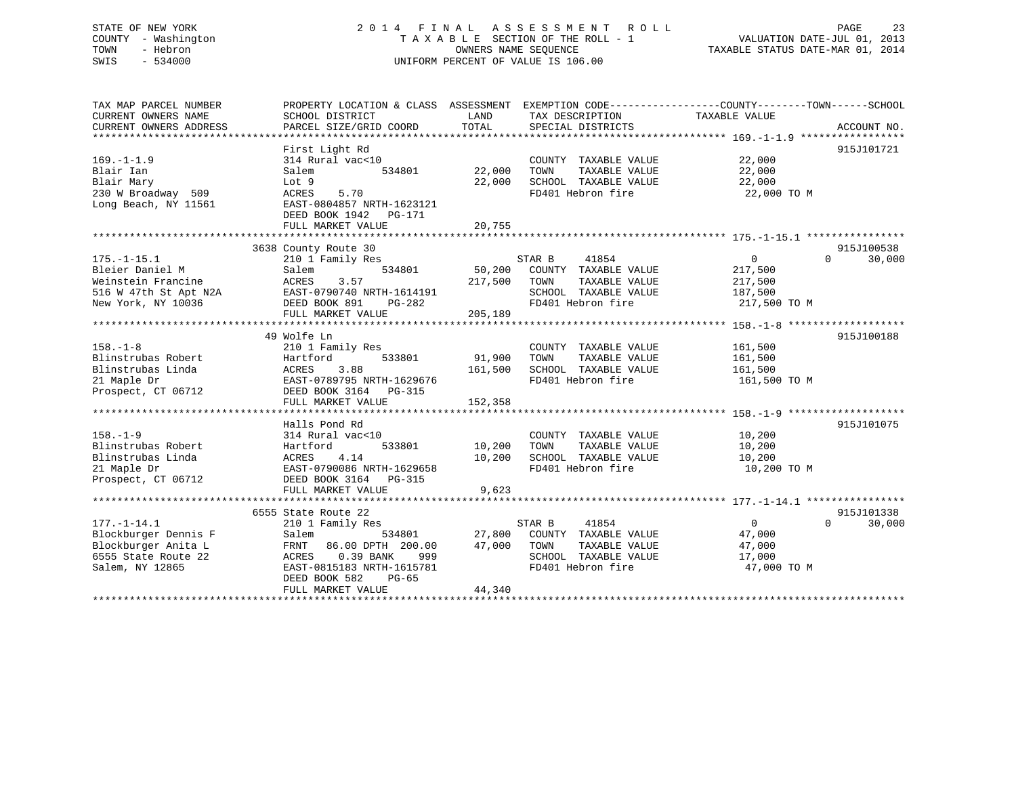# STATE OF NEW YORK 2 0 1 4 F I N A L A S S E S S M E N T R O L L PAGE 23 COUNTY - Washington T A X A B L E SECTION OF THE ROLL - 1 VALUATION DATE-JUL 01, 2013 TOWN - Hebron OWNERS NAME SEQUENCE TAXABLE STATUS DATE-MAR 01, 2014 SWIS - 534000 UNIFORM PERCENT OF VALUE IS 106.00

| TAX MAP PARCEL NUMBER<br>CURRENT OWNERS NAME | PROPERTY LOCATION & CLASS ASSESSMENT<br>SCHOOL DISTRICT | LAND    | TAX DESCRIPTION       | EXEMPTION CODE-----------------COUNTY-------TOWN------SCHOOL<br>TAXABLE VALUE |             |
|----------------------------------------------|---------------------------------------------------------|---------|-----------------------|-------------------------------------------------------------------------------|-------------|
| CURRENT OWNERS ADDRESS                       | PARCEL SIZE/GRID COORD                                  | TOTAL   | SPECIAL DISTRICTS     |                                                                               | ACCOUNT NO. |
|                                              |                                                         |         |                       |                                                                               |             |
|                                              | First Light Rd                                          |         |                       |                                                                               | 915J101721  |
| $169. - 1 - 1.9$                             | 314 Rural vac<10                                        |         | COUNTY TAXABLE VALUE  | 22,000                                                                        |             |
| Blair Ian                                    | Salem<br>534801                                         | 22,000  | TAXABLE VALUE<br>TOWN | 22,000                                                                        |             |
| Blair Mary                                   | Lot 9                                                   | 22,000  | SCHOOL TAXABLE VALUE  | 22,000                                                                        |             |
| 230 W Broadway 509                           | ACRES<br>5.70                                           |         | FD401 Hebron fire     | 22,000 TO M                                                                   |             |
| Long Beach, NY 11561                         | EAST-0804857 NRTH-1623121<br>DEED BOOK 1942 PG-171      |         |                       |                                                                               |             |
|                                              | FULL MARKET VALUE                                       | 20,755  |                       |                                                                               |             |
|                                              |                                                         |         |                       |                                                                               |             |
|                                              | 3638 County Route 30                                    |         |                       |                                                                               | 915J100538  |
| $175. - 1 - 15.1$                            | 210 1 Family Res                                        |         | STAR B<br>41854       | $\overline{0}$<br>$\Omega$                                                    | 30,000      |
| Bleier Daniel M                              | Salem<br>534801                                         | 50,200  | COUNTY TAXABLE VALUE  | 217,500                                                                       |             |
| Weinstein Francine                           | 3.57<br>ACRES                                           | 217,500 | TOWN<br>TAXABLE VALUE | 217,500                                                                       |             |
| 516 W 47th St Apt N2A                        | EAST-0790740 NRTH-1614191                               |         | SCHOOL TAXABLE VALUE  | 187,500                                                                       |             |
| New York, NY 10036                           | DEED BOOK 891<br>$PG-282$                               |         | FD401 Hebron fire     | 217,500 TO M                                                                  |             |
|                                              | FULL MARKET VALUE                                       | 205,189 |                       |                                                                               |             |
|                                              |                                                         |         |                       |                                                                               |             |
|                                              | 49 Wolfe Ln                                             |         |                       |                                                                               | 915J100188  |
| $158. - 1 - 8$                               | 210 1 Family Res                                        |         | COUNTY TAXABLE VALUE  | 161,500                                                                       |             |
| Blinstrubas Robert                           | Hartford<br>533801                                      | 91,900  | TOWN<br>TAXABLE VALUE | 161,500                                                                       |             |
| Blinstrubas Linda                            | 3.88<br>ACRES                                           | 161,500 | SCHOOL TAXABLE VALUE  | 161,500                                                                       |             |
| 21 Maple Dr                                  | EAST-0789795 NRTH-1629676                               |         | FD401 Hebron fire     | 161,500 TO M                                                                  |             |
| Prospect, CT 06712                           | DEED BOOK 3164 PG-315                                   |         |                       |                                                                               |             |
|                                              | FULL MARKET VALUE                                       | 152,358 |                       |                                                                               |             |
|                                              |                                                         |         |                       |                                                                               |             |
|                                              | Halls Pond Rd                                           |         |                       |                                                                               | 915J101075  |
| $158. - 1 - 9$                               | 314 Rural vac<10                                        |         | COUNTY TAXABLE VALUE  | 10,200                                                                        |             |
| Blinstrubas Robert                           | Hartford<br>533801                                      | 10,200  | TOWN<br>TAXABLE VALUE | 10,200                                                                        |             |
| Blinstrubas Linda                            | ACRES<br>4.14                                           | 10,200  | SCHOOL TAXABLE VALUE  | 10,200                                                                        |             |
| 21 Maple Dr                                  | EAST-0790086 NRTH-1629658                               |         | FD401 Hebron fire     | 10,200 TO M                                                                   |             |
| Prospect, CT 06712                           | DEED BOOK 3164<br><b>PG-315</b>                         |         |                       |                                                                               |             |
|                                              | FULL MARKET VALUE                                       | 9,623   |                       |                                                                               |             |
|                                              |                                                         |         |                       |                                                                               |             |
|                                              | 6555 State Route 22                                     |         |                       |                                                                               | 915J101338  |
| $177. - 1 - 14.1$                            | 210 1 Family Res                                        |         | STAR B<br>41854       | $\Omega$<br>$\Omega$                                                          | 30,000      |
| Blockburger Dennis F                         | Salem<br>534801                                         | 27,800  | COUNTY TAXABLE VALUE  | 47,000                                                                        |             |
| Blockburger Anita L                          | 86.00 DPTH 200.00<br>FRNT                               | 47,000  | TOWN<br>TAXABLE VALUE | 47,000                                                                        |             |
| 6555 State Route 22                          | 0.39 BANK<br>999<br>ACRES                               |         | SCHOOL TAXABLE VALUE  | 17,000                                                                        |             |
| Salem, NY 12865                              | EAST-0815183 NRTH-1615781                               |         | FD401 Hebron fire     | 47,000 TO M                                                                   |             |
|                                              | DEED BOOK 582<br>$PG-65$                                |         |                       |                                                                               |             |
|                                              | FULL MARKET VALUE                                       | 44,340  |                       |                                                                               |             |
|                                              |                                                         |         |                       |                                                                               |             |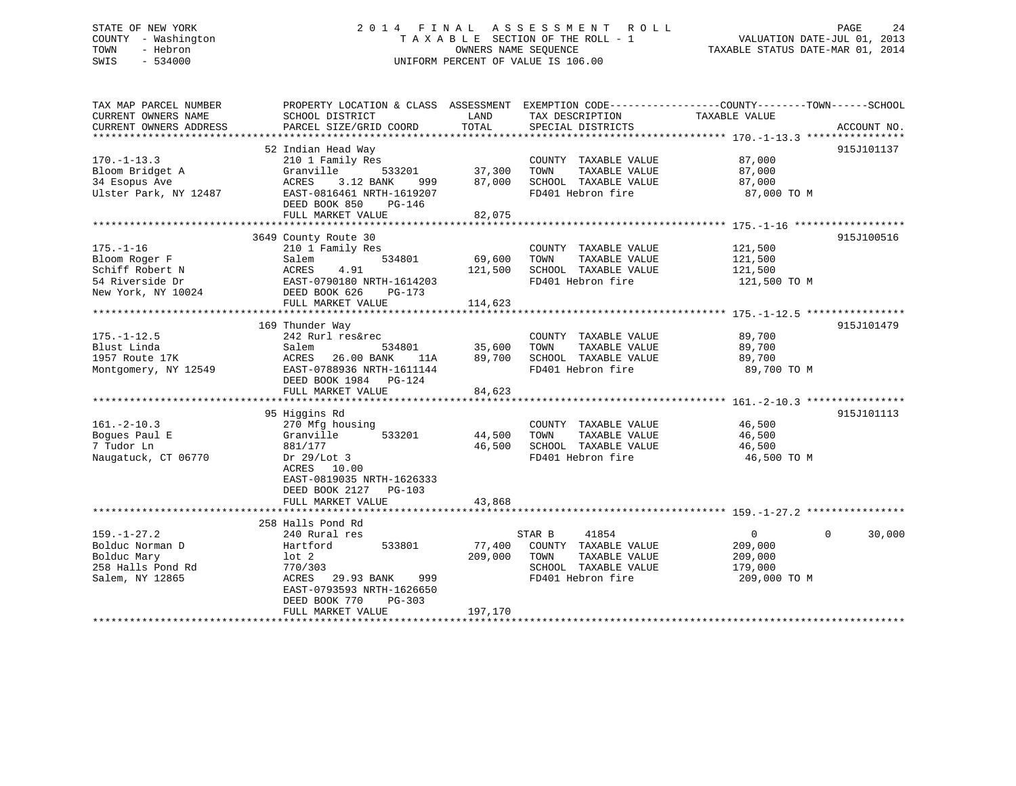# STATE OF NEW YORK 2 0 1 4 F I N A L A S S E S S M E N T R O L L PAGE 24 COUNTY - Washington T A X A B L E SECTION OF THE ROLL - 1 VALUATION DATE-JUL 01, 2013 TOWN - Hebron OWNERS NAME SEQUENCE TAXABLE STATUS DATE-MAR 01, 2014 SWIS - 534000 UNIFORM PERCENT OF VALUE IS 106.00

| TOTAL<br>CURRENT OWNERS ADDRESS<br>PARCEL SIZE/GRID COORD<br>SPECIAL DISTRICTS<br>52 Indian Head Way<br>$170. - 1 - 13.3$<br>COUNTY TAXABLE VALUE<br>87,000<br>210 1 Family Res<br>533201<br>37,300<br>Bloom Bridget A<br>Granville<br>TOWN<br>TAXABLE VALUE<br>87,000<br>34 Esopus Ave<br>3.12 BANK<br>87,000<br>SCHOOL TAXABLE VALUE<br>87,000<br>ACRES<br>999 | ACCOUNT NO.<br>915J101137 |
|------------------------------------------------------------------------------------------------------------------------------------------------------------------------------------------------------------------------------------------------------------------------------------------------------------------------------------------------------------------|---------------------------|
|                                                                                                                                                                                                                                                                                                                                                                  |                           |
|                                                                                                                                                                                                                                                                                                                                                                  |                           |
|                                                                                                                                                                                                                                                                                                                                                                  |                           |
| Ulster Park, NY 12487<br>EAST-0816461 NRTH-1619207<br>FD401 Hebron fire<br>87,000 TO M<br>DEED BOOK 850<br>PG-146                                                                                                                                                                                                                                                |                           |
| FULL MARKET VALUE<br>82,075                                                                                                                                                                                                                                                                                                                                      |                           |
| 3649 County Route 30                                                                                                                                                                                                                                                                                                                                             | 915J100516                |
| $175. - 1 - 16$<br>210 1 Family Res<br>COUNTY TAXABLE VALUE<br>121,500<br>Bloom Roger F<br>534801<br>69,600<br>TAXABLE VALUE<br>121,500<br>TOWN                                                                                                                                                                                                                  |                           |
| Salem<br>4.91<br>SCHOOL TAXABLE VALUE<br>Schiff Robert N<br>ACRES<br>121,500<br>121,500                                                                                                                                                                                                                                                                          |                           |
| 54 Riverside Dr<br>FD401 Hebron fire<br>EAST-0790180 NRTH-1614203<br>121,500 TO M                                                                                                                                                                                                                                                                                |                           |
| New York, NY 10024<br>DEED BOOK 626<br>PG-173                                                                                                                                                                                                                                                                                                                    |                           |
| FULL MARKET VALUE<br>114,623                                                                                                                                                                                                                                                                                                                                     |                           |
| 169 Thunder Way                                                                                                                                                                                                                                                                                                                                                  | 915J101479                |
| $175. - 1 - 12.5$<br>242 Rurl res&rec<br>89,700<br>COUNTY TAXABLE VALUE                                                                                                                                                                                                                                                                                          |                           |
| 35,600<br>TOWN<br>TAXABLE VALUE<br>Blust Linda<br>Salem<br>534801<br>89,700                                                                                                                                                                                                                                                                                      |                           |
| 26.00 BANK<br>1957 Route 17K<br>ACRES<br>89,700<br>SCHOOL TAXABLE VALUE<br>89,700<br>11A<br>89,700 TO M<br>Montgomery, NY 12549<br>EAST-0788936 NRTH-1611144<br>FD401 Hebron fire<br>DEED BOOK 1984 PG-124                                                                                                                                                       |                           |
| 84,623<br>FULL MARKET VALUE                                                                                                                                                                                                                                                                                                                                      |                           |
| 95 Higgins Rd                                                                                                                                                                                                                                                                                                                                                    | 915J101113                |
| $161. - 2 - 10.3$<br>46,500<br>270 Mfg housing<br>COUNTY TAXABLE VALUE                                                                                                                                                                                                                                                                                           |                           |
| Boques Paul E<br>Granville<br>533201<br>44,500<br>TOWN<br>TAXABLE VALUE<br>46,500                                                                                                                                                                                                                                                                                |                           |
| 7 Tudor Ln<br>46,500<br>SCHOOL TAXABLE VALUE<br>46,500<br>881/177                                                                                                                                                                                                                                                                                                |                           |
| Naugatuck, CT 06770<br>FD401 Hebron fire<br>Dr $29/Lot$ 3<br>46,500 TO M<br>ACRES 10.00<br>EAST-0819035 NRTH-1626333<br>DEED BOOK 2127<br>$PG-103$<br>FULL MARKET VALUE<br>43,868                                                                                                                                                                                |                           |
|                                                                                                                                                                                                                                                                                                                                                                  |                           |
| 258 Halls Pond Rd                                                                                                                                                                                                                                                                                                                                                |                           |
| $159. - 1 - 27.2$<br>41854<br>240 Rural res<br>STAR B<br>$\overline{0}$<br>$\Omega$                                                                                                                                                                                                                                                                              | 30,000                    |
| 77,400<br>Bolduc Norman D<br>533801<br>COUNTY TAXABLE VALUE<br>209,000<br>Hartford                                                                                                                                                                                                                                                                               |                           |
| Bolduc Mary<br>209,000<br>TOWN<br>TAXABLE VALUE<br>209,000<br>lot 2                                                                                                                                                                                                                                                                                              |                           |
| 258 Halls Pond Rd<br>770/303<br>SCHOOL TAXABLE VALUE<br>179,000                                                                                                                                                                                                                                                                                                  |                           |
| FD401 Hebron fire<br>Salem, NY 12865<br>ACRES<br>29.93 BANK<br>209,000 TO M<br>999<br>EAST-0793593 NRTH-1626650<br>DEED BOOK 770<br>$PG-303$                                                                                                                                                                                                                     |                           |
| FULL MARKET VALUE<br>197,170                                                                                                                                                                                                                                                                                                                                     |                           |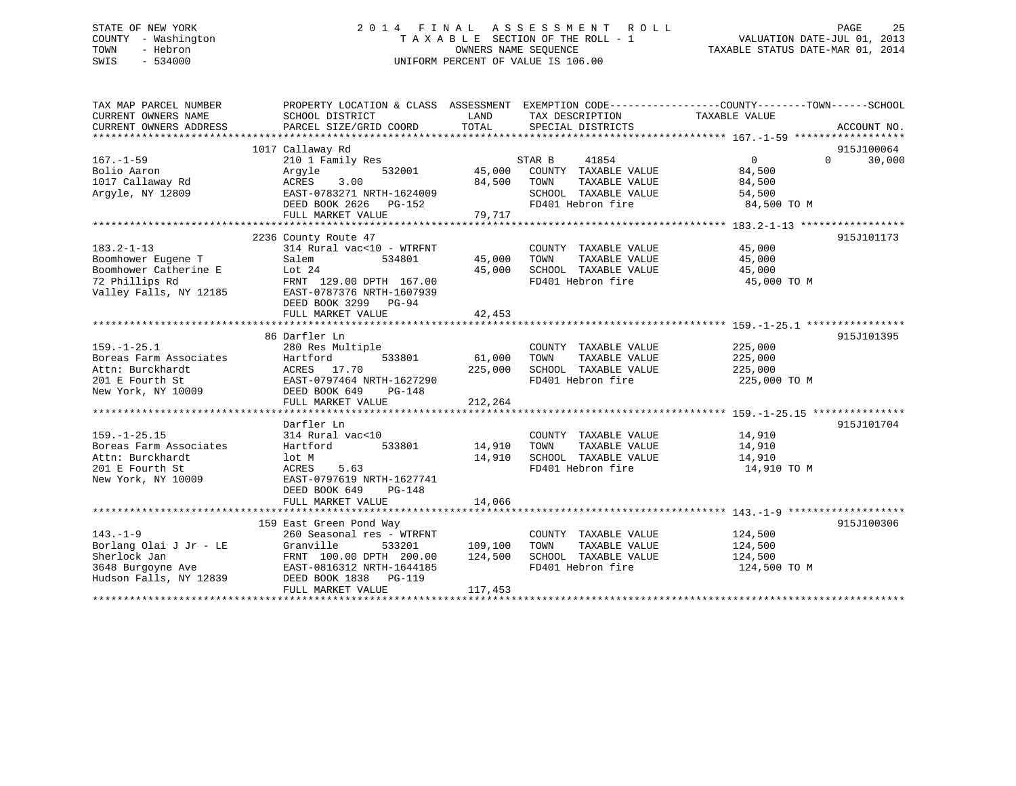# STATE OF NEW YORK 2 0 1 4 F I N A L A S S E S S M E N T R O L L PAGE 25 COUNTY - Washington T A X A B L E SECTION OF THE ROLL - 1 VALUATION DATE-JUL 01, 2013 TOWN - Hebron OWNERS NAME SEQUENCE TAXABLE STATUS DATE-MAR 01, 2014 SWIS - 534000 UNIFORM PERCENT OF VALUE IS 106.00

| TAX MAP PARCEL NUMBER<br>CURRENT OWNERS NAME                  | PROPERTY LOCATION & CLASS ASSESSMENT EXEMPTION CODE----------------COUNTY-------TOWN-----SCHOOL<br>SCHOOL DISTRICT<br>PARCEL SIZE/GRID COORD | LAND<br>TOTAL | TAX DESCRIPTION                               | TAXABLE VALUE |                    |
|---------------------------------------------------------------|----------------------------------------------------------------------------------------------------------------------------------------------|---------------|-----------------------------------------------|---------------|--------------------|
| CURRENT OWNERS ADDRESS                                        |                                                                                                                                              |               | SPECIAL DISTRICTS                             |               | ACCOUNT NO.        |
|                                                               | 1017 Callaway Rd                                                                                                                             |               |                                               |               | 915J100064         |
| $167. - 1 - 59$                                               | 210 1 Family Res                                                                                                                             |               | STAR B<br>41854                               | $\Omega$      | 30,000<br>$\Omega$ |
| Bolio Aaron                                                   | 532001<br>Arqyle                                                                                                                             | 45,000        | COUNTY TAXABLE VALUE                          | 84,500        |                    |
| 1017 Callaway Rd                                              | ACRES<br>3.00                                                                                                                                | 84,500        | TOWN<br>TAXABLE VALUE                         | 84,500        |                    |
| Arqyle, NY 12809                                              | EAST-0783271 NRTH-1624009                                                                                                                    |               | SCHOOL TAXABLE VALUE                          | 54,500        |                    |
|                                                               | DEED BOOK 2626 PG-152                                                                                                                        |               | FD401 Hebron fire                             | 84,500 TO M   |                    |
|                                                               | FULL MARKET VALUE                                                                                                                            | 79,717        |                                               |               |                    |
|                                                               |                                                                                                                                              |               |                                               |               | 915J101173         |
| $183.2 - 1 - 13$                                              | 2236 County Route 47<br>314 Rural vac<10 - WTRFNT                                                                                            |               |                                               | 45,000        |                    |
|                                                               | Salem<br>534801                                                                                                                              | 45,000        | COUNTY TAXABLE VALUE<br>TOWN<br>TAXABLE VALUE | 45,000        |                    |
|                                                               | Lot 24                                                                                                                                       | 45,000        | SCHOOL TAXABLE VALUE                          | 45,000        |                    |
| Boomhower Eugene T<br>Boomhower Catherine E<br>72 Phillips Rd | FRNT 129.00 DPTH 167.00                                                                                                                      |               | FD401 Hebron fire                             | 45,000 TO M   |                    |
| 72 Phillips Rd<br>Valley Falls, NY 12185                      | EAST-0787376 NRTH-1607939                                                                                                                    |               |                                               |               |                    |
|                                                               | DEED BOOK 3299 PG-94                                                                                                                         |               |                                               |               |                    |
|                                                               | FULL MARKET VALUE                                                                                                                            | 42,453        |                                               |               |                    |
|                                                               |                                                                                                                                              |               |                                               |               |                    |
|                                                               | 86 Darfler Ln                                                                                                                                |               |                                               |               | 915J101395         |
| $159. - 1 - 25.1$                                             | 280 Res Multiple                                                                                                                             |               | COUNTY TAXABLE VALUE                          | 225,000       |                    |
| Boreas Farm Associates                                        | Hartford<br>533801                                                                                                                           | 61,000        | TAXABLE VALUE<br>TOWN                         | 225,000       |                    |
| Attn: Burckhardt                                              | ACRES 17.70                                                                                                                                  | 225,000       | SCHOOL TAXABLE VALUE                          | 225,000       |                    |
| 201 E Fourth St                                               | EAST-0797464 NRTH-1627290                                                                                                                    |               | FD401 Hebron fire                             | 225,000 TO M  |                    |
| New York, NY 10009                                            | DEED BOOK 649<br>PG-148                                                                                                                      |               |                                               |               |                    |
|                                                               | FULL MARKET VALUE                                                                                                                            | 212,264       |                                               |               |                    |
|                                                               |                                                                                                                                              |               |                                               |               |                    |
|                                                               | Darfler Ln                                                                                                                                   |               |                                               |               | 915J101704         |
| $159. - 1 - 25.15$                                            | 314 Rural vac<10                                                                                                                             |               | COUNTY TAXABLE VALUE                          | 14,910        |                    |
| Boreas Farm Associates                                        | 533801<br>Hartford                                                                                                                           | 14,910        | TOWN<br>TAXABLE VALUE                         | 14,910        |                    |
| Attn: Burckhardt                                              | lot M                                                                                                                                        | 14,910        | SCHOOL TAXABLE VALUE                          | 14,910        |                    |
| 201 E Fourth St                                               | ACRES<br>5.63                                                                                                                                |               | FD401 Hebron fire                             | 14,910 TO M   |                    |
| New York, NY 10009                                            | EAST-0797619 NRTH-1627741                                                                                                                    |               |                                               |               |                    |
|                                                               | DEED BOOK 649<br>$PG-148$                                                                                                                    |               |                                               |               |                    |
|                                                               | FULL MARKET VALUE                                                                                                                            | 14,066        |                                               |               |                    |
|                                                               |                                                                                                                                              |               |                                               |               |                    |
|                                                               | 159 East Green Pond Way                                                                                                                      |               |                                               |               | 915J100306         |
| $143. - 1 - 9$                                                | 260 Seasonal res - WTRFNT                                                                                                                    |               | COUNTY TAXABLE VALUE                          | 124,500       |                    |
| Borlang Olai J Jr - LE                                        | Granville<br>533201                                                                                                                          | 109,100       | TAXABLE VALUE<br>TOWN                         | 124,500       |                    |
| Sherlock Jan                                                  | FRNT 100.00 DPTH 200.00                                                                                                                      | 124,500       | SCHOOL TAXABLE VALUE                          | 124,500       |                    |
| 3648 Burgoyne Ave                                             | EAST-0816312 NRTH-1644185                                                                                                                    |               | FD401 Hebron fire                             | 124,500 TO M  |                    |
| Hudson Falls, NY 12839                                        | DEED BOOK 1838 PG-119                                                                                                                        |               |                                               |               |                    |
|                                                               | FULL MARKET VALUE                                                                                                                            | 117,453       |                                               |               |                    |
|                                                               |                                                                                                                                              |               |                                               |               |                    |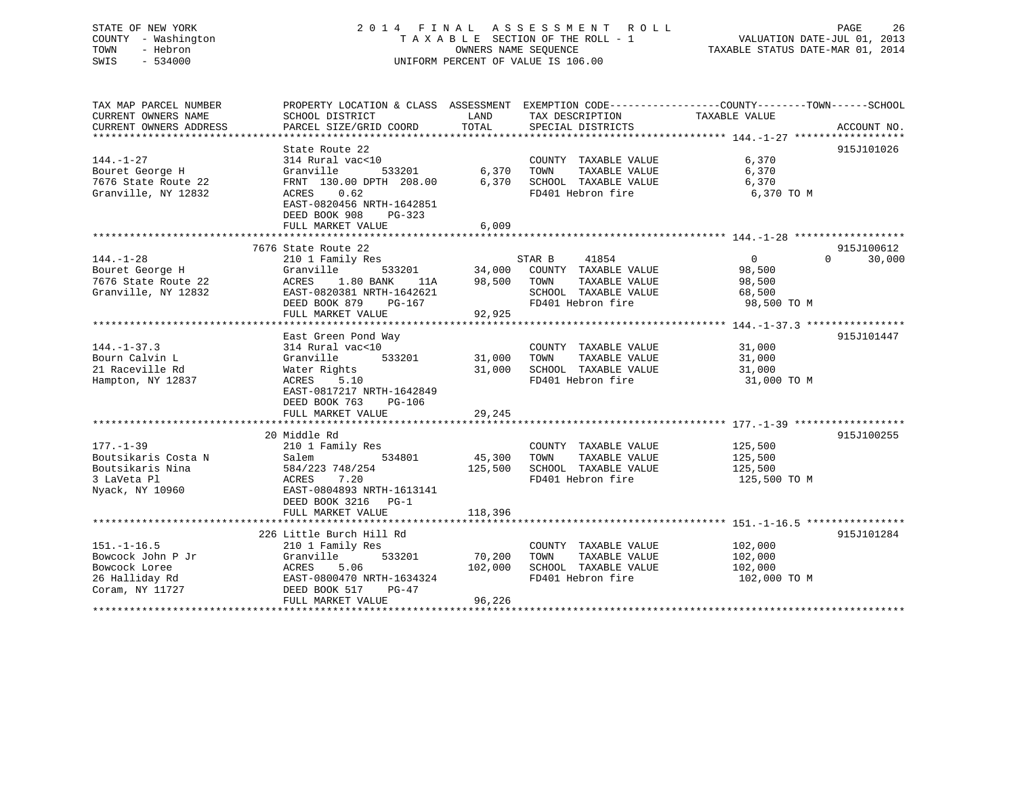| STATE OF NEW YORK<br>COUNTY - Washington<br>TOWN<br>- Hebron<br>SWIS<br>$-534000$                       | 2014 FINAL                                                                                                                                                                                    | OWNERS NAME SEOUENCE         | A S S E S S M E N T<br><b>ROLL</b><br>TAXABLE SECTION OF THE ROLL - 1<br>UNIFORM PERCENT OF VALUE IS 106.00   | PAGE<br>VALUATION DATE-JUL 01, 2013<br>TAXABLE STATUS DATE-MAR 01, 2014                                           | 26                   |
|---------------------------------------------------------------------------------------------------------|-----------------------------------------------------------------------------------------------------------------------------------------------------------------------------------------------|------------------------------|---------------------------------------------------------------------------------------------------------------|-------------------------------------------------------------------------------------------------------------------|----------------------|
| TAX MAP PARCEL NUMBER<br>CURRENT OWNERS NAME<br>CURRENT OWNERS ADDRESS<br>***************************** | SCHOOL DISTRICT<br>PARCEL SIZE/GRID COORD                                                                                                                                                     | LAND<br>TOTAL                | TAX DESCRIPTION<br>SPECIAL DISTRICTS                                                                          | PROPERTY LOCATION & CLASS ASSESSMENT EXEMPTION CODE----------------COUNTY-------TOWN------SCHOOL<br>TAXABLE VALUE | ACCOUNT NO.          |
| $144. - 1 - 27$<br>Bouret George H<br>7676 State Route 22<br>Granville, NY 12832                        | State Route 22<br>314 Rural vac<10<br>Granville<br>533201<br>FRNT 130.00 DPTH 208.00<br><b>ACRES</b><br>0.62<br>EAST-0820456 NRTH-1642851<br>DEED BOOK 908<br>$PG-323$<br>FULL MARKET VALUE   | 6,370<br>6,370<br>6,009      | COUNTY TAXABLE VALUE<br>TAXABLE VALUE<br>TOWN<br>SCHOOL TAXABLE VALUE<br>FD401 Hebron fire                    | 6,370<br>6,370<br>6,370<br>6,370 TO M                                                                             | 915J101026           |
|                                                                                                         |                                                                                                                                                                                               |                              |                                                                                                               |                                                                                                                   |                      |
| $144. - 1 - 28$<br>Bouret George H<br>7676 State Route 22<br>Granville, NY 12832                        | 7676 State Route 22<br>210 1 Family Res<br>Granville<br>533201<br>ACRES<br>1.80 BANK<br>11A<br>EAST-0820381 NRTH-1642621<br>DEED BOOK 879<br>PG-167<br>FULL MARKET VALUE                      | 34,000<br>98,500<br>92,925   | STAR B<br>41854<br>COUNTY TAXABLE VALUE<br>TAXABLE VALUE<br>TOWN<br>SCHOOL TAXABLE VALUE<br>FD401 Hebron fire | $\overline{0}$<br>$\Omega$<br>98,500<br>98,500<br>68,500<br>98,500 TO M                                           | 915J100612<br>30,000 |
|                                                                                                         | *************************                                                                                                                                                                     |                              |                                                                                                               |                                                                                                                   |                      |
| $144. - 1 - 37.3$<br>Bourn Calvin L<br>21 Raceville Rd<br>Hampton, NY 12837                             | East Green Pond Way<br>314 Rural vac<10<br>Granville<br>533201<br>Water Rights<br>ACRES<br>5.10<br>EAST-0817217 NRTH-1642849<br>DEED BOOK 763<br>PG-106                                       | 31,000<br>31,000             | COUNTY TAXABLE VALUE<br>TAXABLE VALUE<br>TOWN<br>SCHOOL TAXABLE VALUE<br>FD401 Hebron fire                    | 31,000<br>31,000<br>31,000<br>31,000 TO M                                                                         | 915J101447           |
|                                                                                                         | FULL MARKET VALUE                                                                                                                                                                             | 29,245                       |                                                                                                               |                                                                                                                   |                      |
| $177. - 1 - 39$<br>Boutsikaris Costa N<br>Boutsikaris Nina<br>3 LaVeta Pl<br>Nyack, NY 10960            | ********************<br>20 Middle Rd<br>210 1 Family Res<br>Salem<br>534801<br>584/223 748/254<br>7.20<br>ACRES<br>EAST-0804893 NRTH-1613141<br>DEED BOOK 3216<br>$PG-1$<br>FULL MARKET VALUE | 45,300<br>125,500<br>118,396 | COUNTY TAXABLE VALUE<br>TOWN<br>TAXABLE VALUE<br>SCHOOL TAXABLE VALUE<br>FD401 Hebron fire                    | 125,500<br>125,500<br>125,500<br>125,500 TO M                                                                     | 915J100255           |
|                                                                                                         |                                                                                                                                                                                               |                              |                                                                                                               |                                                                                                                   |                      |
| $151. - 1 - 16.5$<br>Bowcock John P Jr<br>Bowcock Loree<br>26 Halliday Rd<br>Coram, NY 11727            | 226 Little Burch Hill Rd<br>210 1 Family Res<br>Granville<br>533201<br>ACRES<br>5.06<br>EAST-0800470 NRTH-1634324<br>DEED BOOK 517<br>$PG-47$                                                 | 70,200<br>102,000            | COUNTY TAXABLE VALUE<br>TOWN<br>TAXABLE VALUE<br>SCHOOL TAXABLE VALUE<br>FD401 Hebron fire                    | 102,000<br>102,000<br>102,000<br>102,000 TO M                                                                     | 915J101284           |

\*\*\*\*\*\*\*\*\*\*\*\*\*\*\*\*\*\*\*\*\*\*\*\*\*\*\*\*\*\*\*\*\*\*\*\*\*\*\*\*\*\*\*\*\*\*\*\*\*\*\*\*\*\*\*\*\*\*\*\*\*\*\*\*\*\*\*\*\*\*\*\*\*\*\*\*\*\*\*\*\*\*\*\*\*\*\*\*\*\*\*\*\*\*\*\*\*\*\*\*\*\*\*\*\*\*\*\*\*\*\*\*\*\*\*\*\*\*\*\*\*\*\*\*\*\*\*\*\*\*\*\*

FULL MARKET VALUE 96,226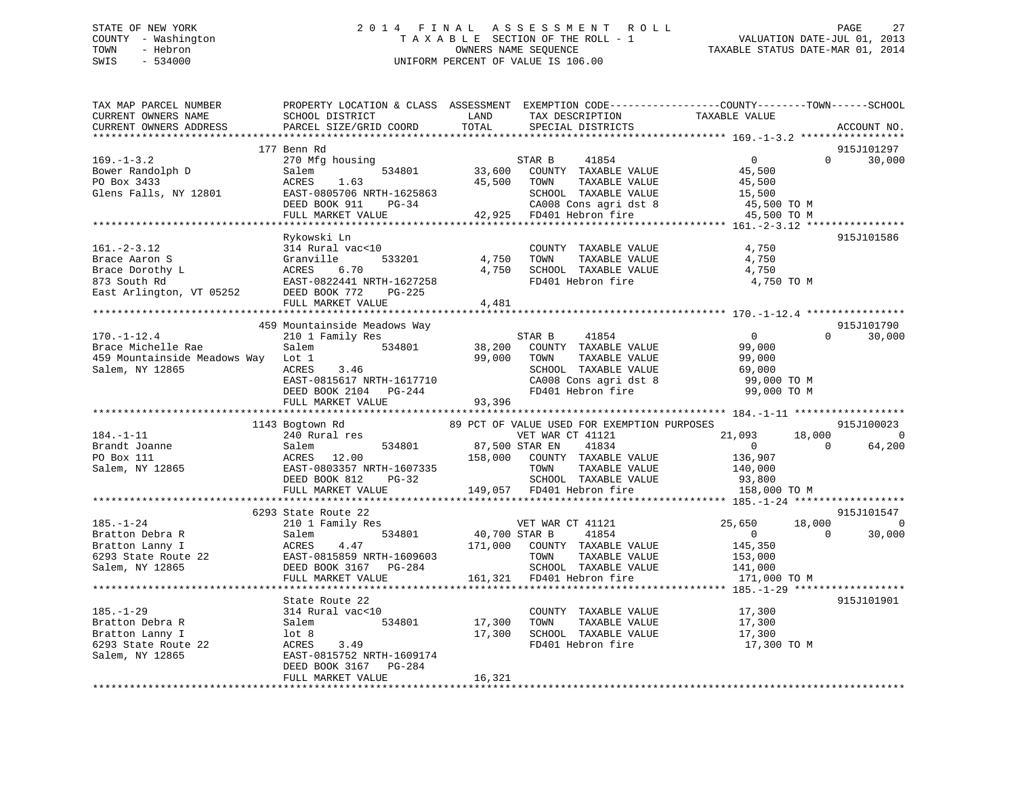# STATE OF NEW YORK 2 0 1 4 F I N A L A S S E S S M E N T R O L L PAGE 27 COUNTY - Washington T A X A B L E SECTION OF THE ROLL - 1 VALUATION DATE-JUL 01, 2013 TOWN - Hebron OWNERS NAME SEQUENCE TAXABLE STATUS DATE-MAR 01, 2014 SWIS - 534000 UNIFORM PERCENT OF VALUE IS 106.00

| TAX MAP PARCEL NUMBER<br>CURRENT OWNERS NAME<br>CURRENT OWNERS ADDRESS                                                                 | SCHOOL DISTRICT<br>PARCEL SIZE/GRID COORD                                                                                                    | LAND<br>TAX DESCRIPTION<br>TOTAL<br>SPECIAL DISTRICTS                                                                                                                 | PROPERTY LOCATION & CLASS ASSESSMENT EXEMPTION CODE---------------COUNTY-------TOWN-----SCHOOL<br>TAXABLE VALUE<br>ACCOUNT NO. |
|----------------------------------------------------------------------------------------------------------------------------------------|----------------------------------------------------------------------------------------------------------------------------------------------|-----------------------------------------------------------------------------------------------------------------------------------------------------------------------|--------------------------------------------------------------------------------------------------------------------------------|
| ***********************                                                                                                                |                                                                                                                                              |                                                                                                                                                                       |                                                                                                                                |
| $169. - 1 - 3.2$<br>Bower Randolph D<br>PO Box 3433<br>Glens Falls, NY 12801                                                           | 177 Benn Rd<br>270 Mfg housing<br>Salem<br>ACRES<br>1.63<br>EAST-0805706 NRTH-1625863<br>$PG-34$<br>DEED BOOK 911<br>FULL MARKET VALUE       | 41854<br>STAR B<br>534801 33,600 COUNTY TAXABLE VALUE<br>45,500<br>TAXABLE VALUE<br>TOWN<br>SCHOOL TAXABLE VALUE<br>CA008 Cons agri dst 8<br>42,925 FD401 Hebron fire | 915J101297<br>$\overline{0}$<br>$\Omega$<br>30,000<br>45,500<br>45,500<br>15,500<br>45,500 TO M<br>45,500 TO M                 |
|                                                                                                                                        |                                                                                                                                              |                                                                                                                                                                       |                                                                                                                                |
| $161. - 2 - 3.12$<br>Brace Aaron S<br>Brace Dorothy L<br>873 South Rd<br>873 South Rd<br>East Arlington, VT 05252 DEED BOOK 772 PG-225 | Rykowski Ln<br>314 Rural vac<10<br>533201<br>Granville<br>ACRES<br>6.70<br>EAST-0822441 NRTH-1627258<br>FULL MARKET VALUE                    | COUNTY TAXABLE VALUE<br>4,750<br>TAXABLE VALUE<br>TOWN<br>SCHOOL TAXABLE VALUE<br>4,750<br>FD401 Hebron fire<br>4,481                                                 | 915J101586<br>4,750<br>4,750<br>4,750<br>4,750 TO M                                                                            |
|                                                                                                                                        |                                                                                                                                              |                                                                                                                                                                       |                                                                                                                                |
| $170. - 1 - 12.4$<br>Brace Michelle Rae<br>459 Mountainside Meadows Way<br>Salem, NY 12865                                             | 459 Mountainside Meadows Way<br>210 1 Family Res<br>534801<br>Salem<br>Lot 1<br>3.46<br>ACRES                                                | STAR B 41854<br>38,200 COUNTY TAXABLE VALUE<br>99,000<br>TOWN<br>TAXABLE VALUE<br>SCHOOL TAXABLE VALUE                                                                | 915J101790<br>$\overline{0}$<br>$\Omega$<br>30,000<br>99,000<br>99,000<br>69,000                                               |
|                                                                                                                                        | EAST-0815617 NRTH-1617710<br>DEED BOOK 2104<br>DEED BOOK 2104 PG-244<br>FULL MARKET VALUE                                                    | CA008 Cons agri dst 8<br>FD401 Hebron fire<br>93,396                                                                                                                  | 99,000 TO M<br>99,000 TO M                                                                                                     |
|                                                                                                                                        | 1143 Bogtown Rd                                                                                                                              | 89 PCT OF VALUE USED FOR EXEMPTION PURPOSES                                                                                                                           | 915J100023                                                                                                                     |
| $184. - 1 - 11$<br>Brandt Joanne<br>PO Box 111<br>Salem, NY 12865                                                                      | 240 Rural res<br>534801<br>Salem<br>ACRES 12.00<br>EAST-0803357 NRTH-1607335<br>DEED BOOK 812 PG-32<br>FULL MARKET VALUE                     | VET WAR CT 41121<br>87,500 STAR EN<br>41834<br>158,000 COUNTY TAXABLE VALUE<br>TAXABLE VALUE<br>TOWN<br>SCHOOL TAXABLE VALUE<br>149,057 FD401 Hebron fire             | 21,093<br>18,000<br>$\overline{0}$<br>$\overline{0}$<br>$\Omega$<br>64,200<br>136,907<br>140,000<br>93,800<br>158,000 TO M     |
|                                                                                                                                        |                                                                                                                                              |                                                                                                                                                                       | 915J101547                                                                                                                     |
| $185. - 1 - 24$<br>Bratton Debra R<br>Bratton Lanny I<br>6293 State Route 22<br>Salem, NY 12865                                        | 6293 State Route 22<br>210 1 Family Res<br>Salem<br>4.47<br>ACRES<br>EAST-0815859 NRTH-1609603<br>DEED BOOK 3167 PG-284<br>FULL MARKET VALUE | VET WAR CT 41121<br>534801 40,700 STAR B<br>41854<br>171,000 COUNTY TAXABLE VALUE<br>TOWN<br>TAXABLE VALUE<br>SCHOOL TAXABLE VALUE<br>161,321 FD401 Hebron fire       | 25,650<br>18,000<br>0<br>$\overline{0}$<br>$\Omega$<br>30,000<br>145,350<br>153,000<br>133,000<br>141,000<br>171,000 TO M      |
|                                                                                                                                        |                                                                                                                                              |                                                                                                                                                                       |                                                                                                                                |
| $185. - 1 - 29$<br>Bratton Debra R<br>Bratton Lanny I<br>6293 State Route 22<br>Salem, NY 12865                                        | State Route 22<br>314 Rural vac<10<br>Salem<br>534801<br>lot 8<br>ACRES<br>3.49<br>EAST-0815752 NRTH-1609174<br>DEED BOOK 3167<br>PG-284     | COUNTY TAXABLE VALUE<br>17,300<br>TOWN<br>TAXABLE VALUE<br>SCHOOL TAXABLE VALUE<br>17,300<br>ACHOOD TAXABLE VALUE<br>FD401 Hebron fire                                | 915J101901<br>17,300<br>17,300<br>17,300<br>17,300 TO M                                                                        |
|                                                                                                                                        | FULL MARKET VALUE                                                                                                                            | 16,321                                                                                                                                                                |                                                                                                                                |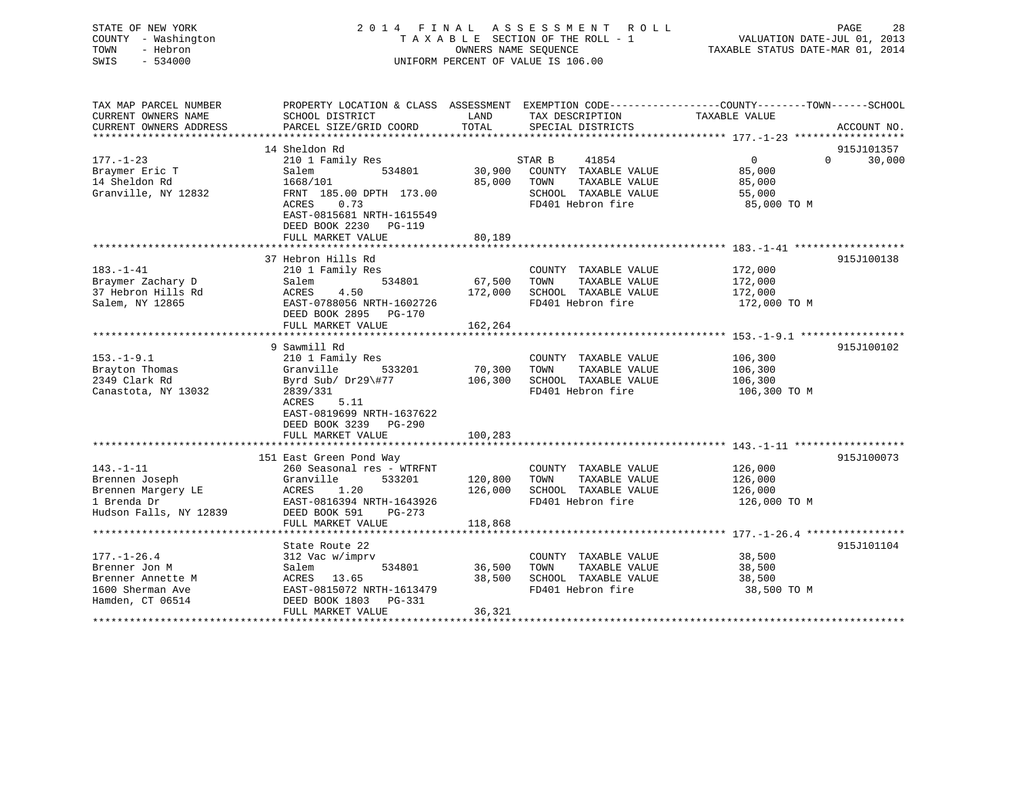| STATE OF NEW YORK      |                                                                                                |                                  | 2014 FINAL ASSESSMENT<br>ROLL |               | PAGE<br>28         |
|------------------------|------------------------------------------------------------------------------------------------|----------------------------------|-------------------------------|---------------|--------------------|
| COUNTY - Washington    | TAXABLE SECTION OF THE ROLL - 1                                                                |                                  | VALUATION DATE-JUL 01, 2013   |               |                    |
| TOWN<br>- Hebron       |                                                                                                | TAXABLE STATUS DATE-MAR 01, 2014 |                               |               |                    |
| SWIS<br>$-534000$      | OWNERS NAME SEQUENCE<br>UNIFORM PERCENT OF VALUE IS 106.00                                     |                                  |                               |               |                    |
|                        |                                                                                                |                                  |                               |               |                    |
|                        |                                                                                                |                                  |                               |               |                    |
|                        |                                                                                                |                                  |                               |               |                    |
| TAX MAP PARCEL NUMBER  | PROPERTY LOCATION & CLASS ASSESSMENT EXEMPTION CODE---------------COUNTY-------TOWN-----SCHOOL |                                  |                               |               |                    |
| CURRENT OWNERS NAME    | SCHOOL DISTRICT                                                                                | LAND                             | TAX DESCRIPTION               | TAXABLE VALUE |                    |
| CURRENT OWNERS ADDRESS | PARCEL SIZE/GRID COORD                                                                         | TOTAL                            | SPECIAL DISTRICTS             |               | ACCOUNT NO.        |
|                        |                                                                                                |                                  |                               |               |                    |
|                        | 14 Sheldon Rd                                                                                  |                                  |                               |               | 915J101357         |
| $177. - 1 - 23$        | 210 1 Family Res                                                                               |                                  | STAR B<br>41854               | $\Omega$      | $\Omega$<br>30,000 |
| Braymer Eric T         | Salem<br>534801                                                                                | 30,900                           | COUNTY TAXABLE VALUE          | 85,000        |                    |
| 14 Sheldon Rd          | 1668/101                                                                                       | 85,000                           | TOWN<br>TAXABLE VALUE         | 85,000        |                    |
| Granville, NY 12832    | FRNT 185.00 DPTH 173.00                                                                        |                                  | SCHOOL TAXABLE VALUE          | 55,000        |                    |
|                        | ACRES<br>0.73                                                                                  |                                  | FD401 Hebron fire             | 85,000 TO M   |                    |
|                        | EAST-0815681 NRTH-1615549                                                                      |                                  |                               |               |                    |
|                        | DEED BOOK 2230 PG-119                                                                          |                                  |                               |               |                    |
|                        |                                                                                                |                                  |                               |               |                    |
|                        | FULL MARKET VALUE                                                                              | 80,189                           |                               |               |                    |
|                        |                                                                                                |                                  |                               |               |                    |
|                        | 37 Hebron Hills Rd                                                                             |                                  |                               |               | 915J100138         |
| $183. - 1 - 41$        | 210 1 Family Res                                                                               |                                  | COUNTY TAXABLE VALUE          | 172,000       |                    |
| Braymer Zachary D      | Salem<br>534801                                                                                | 67,500                           | TOWN<br>TAXABLE VALUE         | 172,000       |                    |
| 37 Hebron Hills Rd     | ACRES<br>4.50                                                                                  | 172,000                          | SCHOOL TAXABLE VALUE          | 172,000       |                    |
| Salem, NY 12865        | EAST-0788056 NRTH-1602726                                                                      |                                  | FD401 Hebron fire             | 172,000 TO M  |                    |
|                        | DEED BOOK 2895 PG-170                                                                          |                                  |                               |               |                    |
|                        | FULL MARKET VALUE                                                                              | 162,264                          |                               |               |                    |
|                        |                                                                                                |                                  |                               |               |                    |
|                        | 9 Sawmill Rd                                                                                   |                                  |                               |               | 915J100102         |
| $153. - 1 - 9.1$       | 210 1 Family Res                                                                               |                                  | COUNTY TAXABLE VALUE          | 106,300       |                    |
| Brayton Thomas         | Granville<br>533201                                                                            | 70,300                           | TOWN<br>TAXABLE VALUE         | 106,300       |                    |
| 2349 Clark Rd          | Byrd Sub/ Dr29\#77                                                                             | 106,300                          | SCHOOL TAXABLE VALUE          | 106,300       |                    |
| Canastota, NY 13032    | 2839/331                                                                                       |                                  | FD401 Hebron fire             | 106,300 TO M  |                    |
|                        | ACRES<br>5.11                                                                                  |                                  |                               |               |                    |
|                        | EAST-0819699 NRTH-1637622                                                                      |                                  |                               |               |                    |
|                        | DEED BOOK 3239<br>PG-290                                                                       |                                  |                               |               |                    |
|                        | FULL MARKET VALUE                                                                              | 100,283                          |                               |               |                    |
|                        |                                                                                                |                                  |                               |               |                    |
|                        | 151 East Green Pond Way                                                                        |                                  |                               |               | 915J100073         |
| $143. - 1 - 11$        |                                                                                                |                                  |                               |               |                    |
|                        | 260 Seasonal res - WTRFNT                                                                      |                                  | COUNTY TAXABLE VALUE          | 126,000       |                    |
| Brennen Joseph         | Granville<br>533201                                                                            | 120,800                          | TOWN<br>TAXABLE VALUE         | 126,000       |                    |
| Brennen Margery LE     | 1.20<br>ACRES                                                                                  | 126,000                          | SCHOOL TAXABLE VALUE          | 126,000       |                    |
| 1 Brenda Dr            | EAST-0816394 NRTH-1643926                                                                      |                                  | FD401 Hebron fire             | 126,000 TO M  |                    |
| Hudson Falls, NY 12839 | DEED BOOK 591<br>$PG-273$                                                                      |                                  |                               |               |                    |
|                        | FULL MARKET VALUE                                                                              | 118,868                          |                               |               |                    |
|                        |                                                                                                |                                  |                               |               |                    |

State Route 22

Brenner Jon M Salem 534801 36,500 TOWN TAXABLE VALUE

FULL MARKET VALUE 36,321

DEED BOOK 1803 PG-331

177.-1-26.4 312 Vac w/imprv COUNTY TAXABLE VALUE 38,500

Brenner Annette M ACRES 13.65 38,500 SCHOOL TAXABLE VALUE 38,500 1600 Sherman Ave EAST-0815072 NRTH-1613479 FD401 Hebron fire 38,500 TO M

\*\*\*\*\*\*\*\*\*\*\*\*\*\*\*\*\*\*\*\*\*\*\*\*\*\*\*\*\*\*\*\*\*\*\*\*\*\*\*\*\*\*\*\*\*\*\*\*\*\*\*\*\*\*\*\*\*\*\*\*\*\*\*\*\*\*\*\*\*\*\*\*\*\*\*\*\*\*\*\*\*\*\*\*\*\*\*\*\*\*\*\*\*\*\*\*\*\*\*\*\*\*\*\*\*\*\*\*\*\*\*\*\*\*\*\*\*\*\*\*\*\*\*\*\*\*\*\*\*\*\*\*

915J101104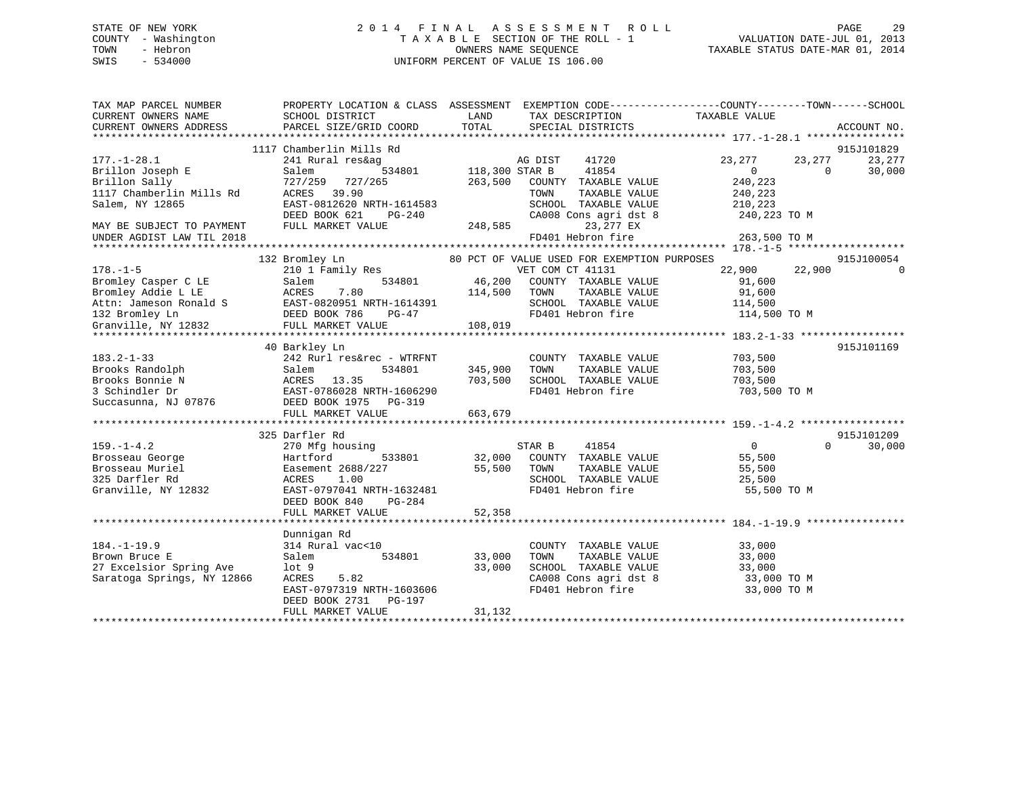# STATE OF NEW YORK 2 0 1 4 F I N A L A S S E S S M E N T R O L L PAGE 29 COUNTY - Washington T A X A B L E SECTION OF THE ROLL - 1 VALUATION DATE-JUL 01, 2013 TOWN - Hebron **CONNERS NAME SEQUENCE** TAXABLE STATUS DATE-MAR 01, 2014 SWIS - 534000 UNIFORM PERCENT OF VALUE IS 106.00

| TAX MAP PARCEL NUMBER      | PROPERTY LOCATION & CLASS ASSESSMENT EXEMPTION CODE----------------COUNTY-------TOWN------SCHOOL     |                |                                             |                  |                    |
|----------------------------|------------------------------------------------------------------------------------------------------|----------------|---------------------------------------------|------------------|--------------------|
| CURRENT OWNERS NAME        | SCHOOL DISTRICT                                                                                      | LAND           | TAX DESCRIPTION TAXABLE VALUE               |                  |                    |
| CURRENT OWNERS ADDRESS     | PARCEL SIZE/GRID COORD                                                                               | TOTAL          | SPECIAL DISTRICTS                           |                  | ACCOUNT NO.        |
|                            |                                                                                                      |                |                                             |                  |                    |
|                            | 1117 Chamberlin Mills Rd                                                                             |                |                                             |                  | 915J101829         |
| $177. - 1 - 28.1$          | 241 Rural res&ag                                                                                     |                | AG DIST<br>41720                            | 23,277<br>23,277 | 23,277             |
| Brillon Joseph E           | 534801<br>Salem                                                                                      | 118,300 STAR B | 41854                                       | $\mathbf{0}$     | 30,000<br>$\Omega$ |
| Brillon Sally              | 727/259 727/265                                                                                      | 263,500        | COUNTY TAXABLE VALUE                        | 240,223          |                    |
| 1117 Chamberlin Mills Rd   | ACRES 39.90                                                                                          |                | TOWN<br>TAXABLE VALUE                       | 240,223          |                    |
| Salem, NY 12865            | EAST-0812620 NRTH-1614583                                                                            |                | SCHOOL TAXABLE VALUE                        | 210,223          |                    |
|                            | DEED BOOK 621<br>PG-240                                                                              |                | CA008 Cons agri dst 8                       | 240,223 TO M     |                    |
| MAY BE SUBJECT TO PAYMENT  | FULL MARKET VALUE                                                                                    | 248,585        | 23,277 EX                                   |                  |                    |
| UNDER AGDIST LAW TIL 2018  |                                                                                                      |                | FD401 Hebron fire                           | 263,500 TO M     |                    |
|                            |                                                                                                      |                |                                             |                  |                    |
|                            | 132 Bromley Ln                                                                                       |                | 80 PCT OF VALUE USED FOR EXEMPTION PURPOSES |                  | 915J100054         |
| $178. - 1 - 5$             | $210$ 1 $Family$ Res                                                                                 |                | VET COM CT 41131                            | 22,900 22,900    | $\Omega$           |
| Bromley Casper C LE        | 534801<br>Salem                                                                                      | 46,200         | COUNTY TAXABLE VALUE                        | 91,600           |                    |
| Bromley Addie L LE         | ACRES<br>7.80                                                                                        | 114,500        | TOWN<br>TAXABLE VALUE                       | 91,600           |                    |
|                            |                                                                                                      |                | SCHOOL TAXABLE VALUE                        | 114,500          |                    |
|                            |                                                                                                      |                | FD401 Hebron fire                           | 114,500 TO M     |                    |
|                            | Example 1 22<br>Attn: Jameson Ronald S<br>132 Bromley Ln<br>Granville, NY 12832<br>FULL MARKET VALUE | 108,019        |                                             |                  |                    |
|                            |                                                                                                      |                |                                             |                  |                    |
|                            | 40 Barkley Ln                                                                                        |                |                                             |                  | 915J101169         |
| $183.2 - 1 - 33$           | 242 Rurl res&rec - WTRFNT                                                                            |                | COUNTY TAXABLE VALUE                        | 703,500          |                    |
| Brooks Randolph            | Salem<br>534801                                                                                      | 345,900        | TOWN<br>TAXABLE VALUE                       | 703,500          |                    |
| Brooks Bonnie N            | ACRES 13.35                                                                                          | 703,500        | SCHOOL TAXABLE VALUE                        | 703,500          |                    |
| 3 Schindler Dr             | EAST-0786028 NRTH-1606290                                                                            |                | FD401 Hebron fire                           | 703,500 TO M     |                    |
| Succasunna, NJ 07876       | DEED BOOK 1975 PG-319                                                                                |                |                                             |                  |                    |
|                            | FULL MARKET VALUE                                                                                    | 663,679        |                                             |                  |                    |
|                            |                                                                                                      |                |                                             |                  |                    |
|                            | 325 Darfler Rd                                                                                       |                |                                             |                  | 915J101209         |
| $159. - 1 - 4.2$           | 270 Mfg housing                                                                                      |                | 41854<br>STAR B                             | $\overline{0}$   | $\Omega$<br>30,000 |
| Brosseau George            | Hartford<br>533801                                                                                   | 32,000         | COUNTY TAXABLE VALUE                        | 55,500           |                    |
| Brosseau Muriel            | Easement 2688/227                                                                                    | 55,500         | TOWN<br>TAXABLE VALUE                       | 55,500           |                    |
| 325 Darfler Rd             | ACRES<br>1.00                                                                                        |                | SCHOOL TAXABLE VALUE                        | 25,500           |                    |
| Granville, NY 12832        | EAST-0797041 NRTH-1632481                                                                            |                | FD401 Hebron fire                           | 55,500 TO M      |                    |
|                            | DEED BOOK 840<br>PG-284                                                                              |                |                                             |                  |                    |
|                            | FULL MARKET VALUE                                                                                    | 52,358         |                                             |                  |                    |
|                            |                                                                                                      |                |                                             |                  |                    |
|                            | Dunnigan Rd                                                                                          |                |                                             |                  |                    |
| $184. - 1 - 19.9$          | 314 Rural vac<10                                                                                     |                | COUNTY TAXABLE VALUE                        | 33,000           |                    |
| Brown Bruce E              | Salem<br>534801                                                                                      | 33,000         | TAXABLE VALUE<br>TOWN                       | 33,000           |                    |
| 27 Excelsior Spring Ave    | $1$ ot 9                                                                                             | 33,000         | SCHOOL TAXABLE VALUE                        | 33,000           |                    |
| Saratoga Springs, NY 12866 | ACRES<br>5.82                                                                                        |                | CA008 Cons agri dst 8                       | 33,000 TO M      |                    |
|                            | EAST-0797319 NRTH-1603606                                                                            |                | FD401 Hebron fire                           | 33,000 TO M      |                    |
|                            | DEED BOOK 2731<br>PG-197                                                                             |                |                                             |                  |                    |
|                            | FULL MARKET VALUE                                                                                    | 31,132         |                                             |                  |                    |
|                            |                                                                                                      |                |                                             |                  |                    |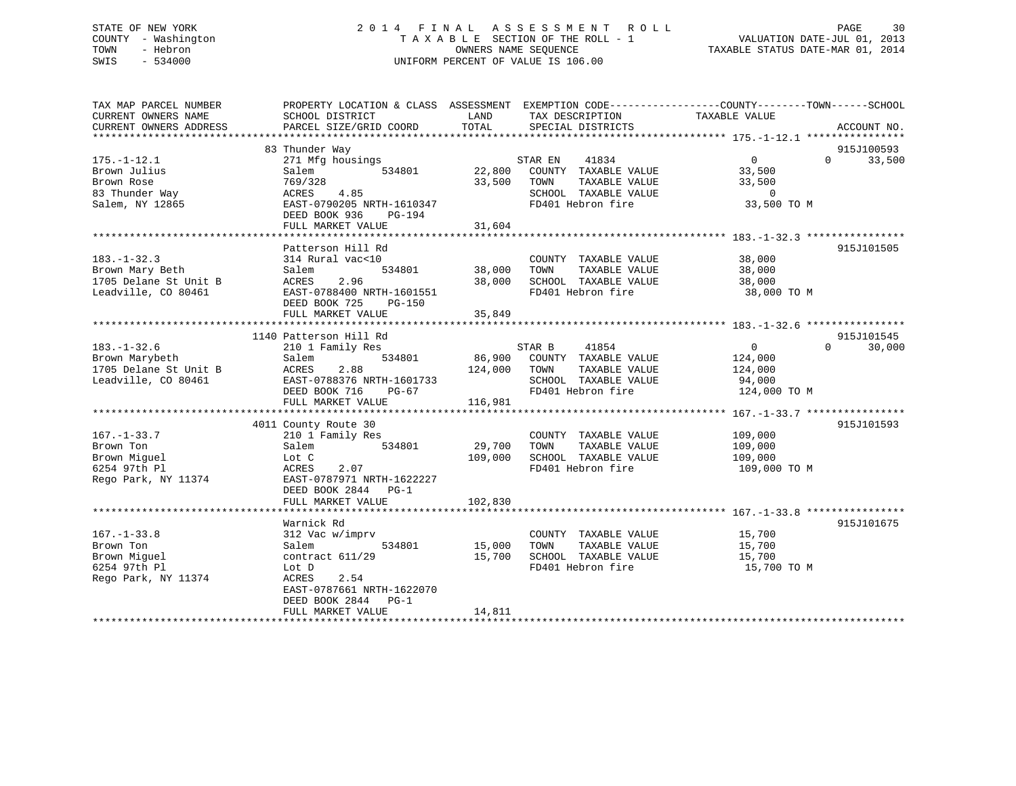# STATE OF NEW YORK 2 0 1 4 F I N A L A S S E S S M E N T R O L L PAGE 30 COUNTY - Washington T A X A B L E SECTION OF THE ROLL - 1 VALUATION DATE-JUL 01, 2013 TOWN - Hebron OWNERS NAME SEQUENCE TAXABLE STATUS DATE-MAR 01, 2014 SWIS - 534000 UNIFORM PERCENT OF VALUE IS 106.00

| TAX MAP PARCEL NUMBER<br>CURRENT OWNERS NAME<br>CURRENT OWNERS ADDRESS                | PROPERTY LOCATION & CLASS ASSESSMENT<br>SCHOOL DISTRICT<br>PARCEL SIZE/GRID COORD                                                                                        | LAND<br>TOTAL                | EXEMPTION CODE-----------------COUNTY--------TOWN------SCHOOL<br>TAX DESCRIPTION<br>SPECIAL DISTRICTS         | TAXABLE VALUE                                                       | ACCOUNT NO.                               |
|---------------------------------------------------------------------------------------|--------------------------------------------------------------------------------------------------------------------------------------------------------------------------|------------------------------|---------------------------------------------------------------------------------------------------------------|---------------------------------------------------------------------|-------------------------------------------|
| $175. - 1 - 12.1$<br>Brown Julius<br>Brown Rose<br>83 Thunder Way<br>Salem, NY 12865  | 83 Thunder Way<br>271 Mfg housings<br>534801<br>Salem<br>769/328<br>4.85<br>ACRES<br>EAST-0790205 NRTH-1610347<br>DEED BOOK 936<br>PG-194<br>FULL MARKET VALUE           | 33,500 TOWN<br>31,604        | STAR EN 41834<br>22,800 COUNTY TAXABLE VALUE<br>TAXABLE VALUE<br>SCHOOL TAXABLE VALUE<br>FD401 Hebron fire    | $\overline{0}$<br>33,500<br>33,500<br>$\overline{0}$<br>33,500 TO M | 915J100593<br>33,500<br>$\Omega$          |
| $183. - 1 - 32.3$<br>Brown Mary Beth<br>1705 Delane St Unit B<br>Leadville, CO 80461  | Patterson Hill Rd<br>314 Rural vac<10<br>534801<br>Salem<br>ACRES<br>2.96<br>EAST-0788400 NRTH-1601551<br>DEED BOOK 725<br>PG-150<br>FULL MARKET VALUE                   | 38,000<br>38,000<br>35,849   | COUNTY TAXABLE VALUE<br>TOWN<br>TAXABLE VALUE<br>SCHOOL TAXABLE VALUE<br>FD401 Hebron fire                    | 38,000<br>38,000<br>38,000<br>38,000 TO M                           | 915J101505                                |
| $183. - 1 - 32.6$<br>Brown Marybeth<br>1705 Delane St Unit B<br>Leadville, CO 80461   | 1140 Patterson Hill Rd<br>210 1 Family Res<br>534801<br>Salem<br>ACRES<br>2.88<br>EAST-0788376 NRTH-1601733<br>DEED BOOK 716<br>$PG-67$<br>FULL MARKET VALUE             | 86,900<br>124,000<br>116,981 | STAR B<br>41854<br>COUNTY TAXABLE VALUE<br>TAXABLE VALUE<br>TOWN<br>SCHOOL TAXABLE VALUE<br>FD401 Hebron fire | $\overline{0}$<br>124,000<br>124,000<br>94,000<br>124,000 TO M      | 915J101545<br>$0 \qquad \qquad$<br>30,000 |
| $167. - 1 - 33.7$<br>Brown Ton<br>Brown Miguel<br>6254 97th Pl<br>Rego Park, NY 11374 | 4011 County Route 30<br>210 1 Family Res<br>534801<br>Salem<br>Lot C<br>ACRES<br>2.07<br>EAST-0787971 NRTH-1622227<br>DEED BOOK 2844 PG-1<br>FULL MARKET VALUE           | 29,700<br>109,000<br>102,830 | COUNTY TAXABLE VALUE<br>TAXABLE VALUE<br>TOWN<br>SCHOOL TAXABLE VALUE<br>FD401 Hebron fire                    | 109,000<br>109,000<br>109,000<br>109,000 ТО М                       | 915J101593                                |
| $167. - 1 - 33.8$<br>Brown Ton<br>Brown Miquel<br>6254 97th Pl<br>Rego Park, NY 11374 | Warnick Rd<br>312 Vac w/imprv<br>534801<br>Salem<br>contract $611/29$<br>Lot D<br>2.54<br>ACRES<br>EAST-0787661 NRTH-1622070<br>DEED BOOK 2844 PG-1<br>FULL MARKET VALUE | 15,000<br>15,700<br>14,811   | COUNTY TAXABLE VALUE<br>TOWN<br>TAXABLE VALUE<br>SCHOOL TAXABLE VALUE<br>FD401 Hebron fire                    | 15,700<br>15,700<br>15,700<br>15,700 TO M                           | 915J101675                                |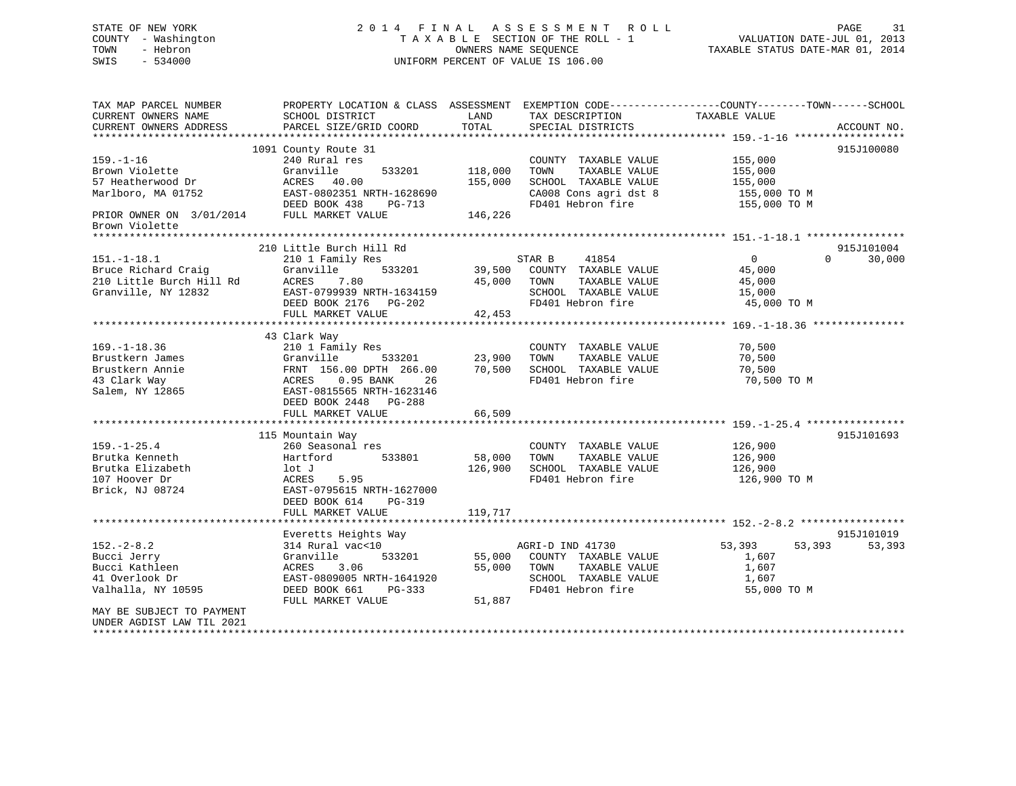# STATE OF NEW YORK 2 0 1 4 F I N A L A S S E S S M E N T R O L L PAGE 31 COUNTY - Washington T A X A B L E SECTION OF THE ROLL - 1 VALUATION DATE-JUL 01, 2013 TOWN - Hebron **CONNERS NAME SEQUENCE** TAXABLE STATUS DATE-MAR 01, 2014 SWIS - 534000 UNIFORM PERCENT OF VALUE IS 106.00

| TAX MAP PARCEL NUMBER                                                                                  |                                                                                                |         |                              | PROPERTY LOCATION & CLASS ASSESSMENT EXEMPTION CODE---------------COUNTY-------TOWN------SCHOOL |
|--------------------------------------------------------------------------------------------------------|------------------------------------------------------------------------------------------------|---------|------------------------------|-------------------------------------------------------------------------------------------------|
| CURRENT OWNERS NAME                                                                                    | SCHOOL DISTRICT                                                                                | LAND    | TAX DESCRIPTION              | TAXABLE VALUE                                                                                   |
| CURRENT OWNERS ADDRESS                                                                                 | PARCEL SIZE/GRID COORD                                                                         | TOTAL   | SPECIAL DISTRICTS            | ACCOUNT NO.                                                                                     |
|                                                                                                        |                                                                                                |         |                              |                                                                                                 |
|                                                                                                        | 1091 County Route 31                                                                           |         |                              | 915J100080                                                                                      |
| $159. - 1 - 16$                                                                                        | 240 Rural res                                                                                  |         | COUNTY TAXABLE VALUE         | 155,000                                                                                         |
| Brown Violette                                                                                         | 533201<br>Granville<br>Granville<br>ACRES    40.00                                             | 118,000 | TOWN<br>TAXABLE VALUE        | 155,000                                                                                         |
| 57 Heatherwood Dr                                                                                      |                                                                                                | 155,000 | SCHOOL TAXABLE VALUE         | 155,000                                                                                         |
|                                                                                                        | Marlboro, MA 01752<br>DEED BOOK 438 PG-713                                                     |         | CA008 Cons agri dst 8        | 155,000 TO M                                                                                    |
|                                                                                                        |                                                                                                |         | FD401 Hebron fire            | 155,000 TO M                                                                                    |
| PRIOR OWNER ON 3/01/2014 FULL MARKET VALUE<br>Brown Violette                                           |                                                                                                | 146,226 |                              |                                                                                                 |
| *******************                                                                                    |                                                                                                |         |                              |                                                                                                 |
|                                                                                                        | 210 Little Burch Hill Rd                                                                       |         |                              | 915J101004                                                                                      |
| $151.-1-18.1$                                                                                          | 210 1 Family Res                                                                               |         | STAR B<br>41854              | $\overline{0}$<br>$\Omega$<br>30,000                                                            |
| Bruce Richard Craig<br>Bruce Richard Craig<br>210 Little Burch Hill Rd<br>Granville, NY 12832<br>EAST- | 533201<br>Granville                                                                            |         | 39,500 COUNTY TAXABLE VALUE  | 45,000                                                                                          |
|                                                                                                        | 7.80                                                                                           | 45,000  | TOWN<br>TAXABLE VALUE        | 45,000                                                                                          |
|                                                                                                        | EAST-0799939 NRTH-1634159                                                                      |         | SCHOOL TAXABLE VALUE         | 15,000                                                                                          |
|                                                                                                        | DEED BOOK 2176 PG-202                                                                          |         | FD401 Hebron fire            | 45,000 TO M                                                                                     |
|                                                                                                        | FULL MARKET VALUE                                                                              | 42,453  |                              |                                                                                                 |
|                                                                                                        |                                                                                                |         |                              |                                                                                                 |
|                                                                                                        | 43 Clark Way                                                                                   |         |                              |                                                                                                 |
| $169. - 1 - 18.36$                                                                                     | 210 1 Family Res                                                                               |         | COUNTY TAXABLE VALUE         | 70,500                                                                                          |
| Brustkern James                                                                                        | 533201 23,900                                                                                  |         | TOWN<br>TAXABLE VALUE        | 70,500                                                                                          |
| Brustkern Annie                                                                                        |                                                                                                | 70,500  | SCHOOL TAXABLE VALUE         | 70,500                                                                                          |
| 43 Clark Way                                                                                           |                                                                                                |         | FD401 Hebron fire            | 70,500 TO M                                                                                     |
| Salem, NY 12865                                                                                        | Granville 533201<br>FRNT 156.00 DPTH 266.00<br>ACRES 0.95 BANK 26<br>EAST-0815565 NRTH-1623146 |         |                              |                                                                                                 |
|                                                                                                        | DEED BOOK 2448 PG-288                                                                          |         |                              |                                                                                                 |
|                                                                                                        | FULL MARKET VALUE                                                                              | 66,509  |                              |                                                                                                 |
|                                                                                                        |                                                                                                |         |                              |                                                                                                 |
|                                                                                                        | 115 Mountain Way                                                                               |         |                              | 915J101693                                                                                      |
| $159. - 1 - 25.4$                                                                                      | 260 Seasonal res                                                                               |         | COUNTY TAXABLE VALUE 126,900 |                                                                                                 |
| Brutka Kenneth                                                                                         | Hartford 533801                                                                                | 58,000  | TOWN<br>TAXABLE VALUE        | 126,900                                                                                         |
| Brutka Elizabeth                                                                                       | lot J                                                                                          | 126,900 | SCHOOL TAXABLE VALUE         | 126,900                                                                                         |
| 107 Hoover Dr                                                                                          | ACRES 5.95                                                                                     |         | FD401 Hebron fire            | 126,900 ТО М                                                                                    |
| Brick, NJ 08724                                                                                        | EAST-0795615 NRTH-1627000                                                                      |         |                              |                                                                                                 |
|                                                                                                        | DEED BOOK 614<br>$PG-319$                                                                      |         |                              |                                                                                                 |
|                                                                                                        | FULL MARKET VALUE                                                                              | 119,717 |                              |                                                                                                 |
|                                                                                                        |                                                                                                |         |                              |                                                                                                 |
|                                                                                                        | Everetts Heights Way                                                                           |         |                              | 915J101019                                                                                      |
| $152 - 2 - 8.2$                                                                                        | 314 Rural vac<10                                                                               |         | AGRI-D IND 41730             | 53,393 53,393<br>53,393                                                                         |
| Bucci Jerry                                                                                            | Granville<br>533201                                                                            | 55,000  | COUNTY TAXABLE VALUE         | 1,607                                                                                           |
| Bucci Kathleen                                                                                         | 3.06<br>ACRES                                                                                  | 55,000  | TOWN<br>TAXABLE VALUE        | 1,607                                                                                           |
| 41 Overlook Dr                                                                                         | EAST-0809005 NRTH-1641920                                                                      |         | SCHOOL TAXABLE VALUE         | 1,607                                                                                           |
| Valhalla, NY 10595                                                                                     | DEED BOOK 661<br>PG-333                                                                        |         | FD401 Hebron fire            | 55,000 TO M                                                                                     |
|                                                                                                        | FULL MARKET VALUE                                                                              | 51,887  |                              |                                                                                                 |
| MAY BE SUBJECT TO PAYMENT                                                                              |                                                                                                |         |                              |                                                                                                 |
| UNDER AGDIST LAW TIL 2021                                                                              |                                                                                                |         |                              |                                                                                                 |
|                                                                                                        |                                                                                                |         |                              |                                                                                                 |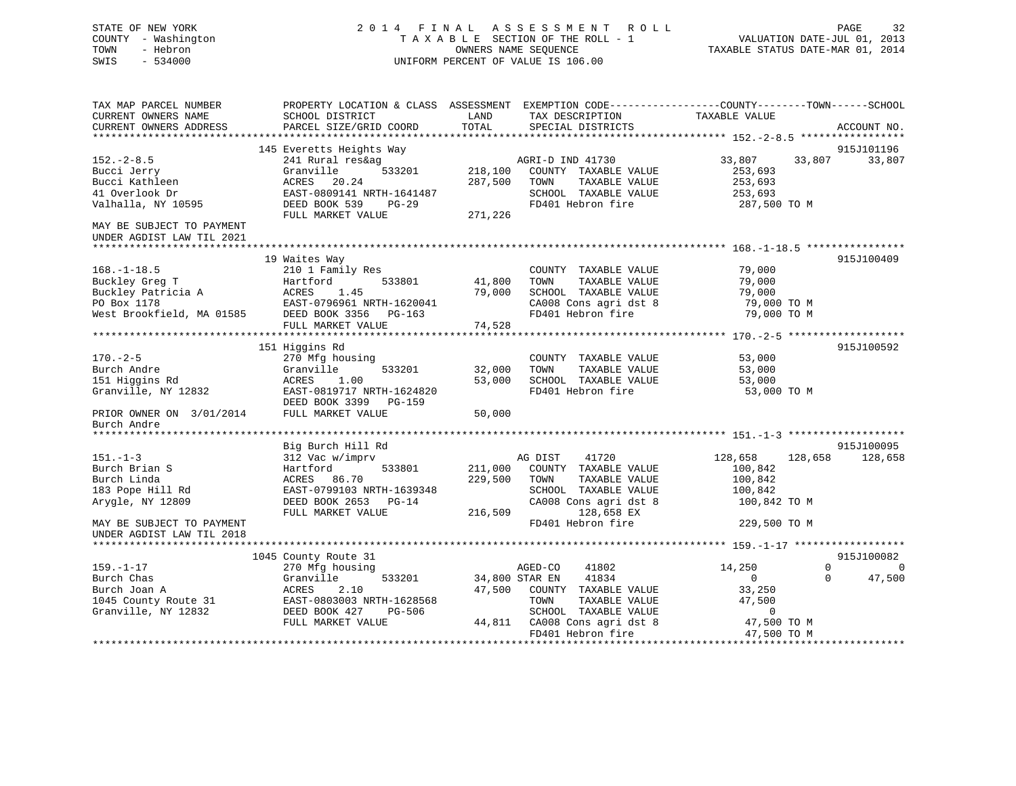# STATE OF NEW YORK 2 0 1 4 F I N A L A S S E S S M E N T R O L L PAGE 32 COUNTY - Washington T A X A B L E SECTION OF THE ROLL - 1 VALUATION DATE-JUL 01, 2013 TOWN - Hebron OWNERS NAME SEQUENCE TAXABLE STATUS DATE-MAR 01, 2014 SWIS - 534000 UNIFORM PERCENT OF VALUE IS 106.00

| TAX MAP PARCEL NUMBER     | PROPERTY LOCATION & CLASS ASSESSMENT |                | EXEMPTION CODE-----------------COUNTY-------TOWN------SCHOOL |                    |                    |
|---------------------------|--------------------------------------|----------------|--------------------------------------------------------------|--------------------|--------------------|
| CURRENT OWNERS NAME       | SCHOOL DISTRICT                      | LAND           | TAX DESCRIPTION                                              | TAXABLE VALUE      |                    |
| CURRENT OWNERS ADDRESS    | PARCEL SIZE/GRID COORD               | TOTAL          | SPECIAL DISTRICTS                                            |                    | ACCOUNT NO.        |
|                           |                                      |                |                                                              |                    |                    |
|                           | 145 Everetts Heights Way             |                |                                                              |                    | 915J101196         |
| $152. - 2 - 8.5$          | 241 Rural res&ag                     |                | AGRI-D IND 41730                                             | 33,807<br>33,807   | 33,807             |
| Bucci Jerry               | Granville<br>533201                  | 218,100        | COUNTY TAXABLE VALUE                                         | 253,693            |                    |
| Bucci Kathleen            | ACRES<br>20.24                       | 287,500        | TOWN<br>TAXABLE VALUE                                        | 253,693            |                    |
| 41 Overlook Dr            | EAST-0809141 NRTH-1641487            |                | SCHOOL TAXABLE VALUE                                         | 253,693            |                    |
| Valhalla, NY 10595        | DEED BOOK 539<br>$PG-29$             |                | FD401 Hebron fire                                            | 287,500 TO M       |                    |
|                           | FULL MARKET VALUE                    | 271,226        |                                                              |                    |                    |
| MAY BE SUBJECT TO PAYMENT |                                      |                |                                                              |                    |                    |
| UNDER AGDIST LAW TIL 2021 |                                      |                |                                                              |                    |                    |
|                           |                                      |                |                                                              |                    |                    |
|                           | 19 Waites Way                        |                |                                                              |                    | 915J100409         |
| $168. - 1 - 18.5$         | 210 1 Family Res                     |                | COUNTY TAXABLE VALUE                                         | 79,000             |                    |
| Buckley Greg T            | 533801<br>Hartford                   | 41,800         | TOWN<br>TAXABLE VALUE                                        | 79,000             |                    |
| Buckley Patricia A        | ACRES<br>1.45                        | 79,000         | SCHOOL TAXABLE VALUE                                         | 79,000             |                    |
| PO Box 1178               | EAST-0796961 NRTH-1620041            |                | CA008 Cons agri dst 8                                        | 79,000 TO M        |                    |
| West Brookfield, MA 01585 | DEED BOOK 3356<br>PG-163             |                | FD401 Hebron fire                                            | 79,000 TO M        |                    |
|                           | FULL MARKET VALUE                    | 74,528         |                                                              |                    |                    |
|                           |                                      |                |                                                              |                    |                    |
|                           | 151 Higgins Rd                       |                |                                                              |                    | 915J100592         |
| $170. - 2 - 5$            | 270 Mfg housing                      |                | COUNTY TAXABLE VALUE                                         | 53,000             |                    |
| Burch Andre               | Granville<br>533201                  | 32,000         | TOWN<br>TAXABLE VALUE                                        | 53,000             |                    |
| 151 Higgins Rd            | ACRES<br>1.00                        | 53,000         | SCHOOL TAXABLE VALUE                                         | 53,000             |                    |
| Granville, NY 12832       | EAST-0819717 NRTH-1624820            |                | FD401 Hebron fire                                            | 53,000 TO M        |                    |
|                           | DEED BOOK 3399<br>PG-159             |                |                                                              |                    |                    |
| PRIOR OWNER ON 3/01/2014  | FULL MARKET VALUE                    | 50,000         |                                                              |                    |                    |
| Burch Andre               |                                      |                |                                                              |                    |                    |
|                           |                                      |                |                                                              |                    |                    |
|                           | Big Burch Hill Rd                    |                |                                                              |                    | 915J100095         |
| $151. - 1 - 3$            | 312 Vac w/imprv                      |                | AG DIST<br>41720                                             | 128,658<br>128,658 | 128,658            |
| Burch Brian S             | Hartford<br>533801                   | 211,000        | COUNTY TAXABLE VALUE                                         | 100,842            |                    |
| Burch Linda               | ACRES<br>86.70                       | 229,500        | TAXABLE VALUE<br>TOWN                                        | 100,842            |                    |
| 183 Pope Hill Rd          | EAST-0799103 NRTH-1639348            |                | SCHOOL TAXABLE VALUE                                         | 100,842            |                    |
| Arygle, NY 12809          | DEED BOOK 2653<br>$PG-14$            |                | CA008 Cons agri dst 8                                        | 100,842 TO M       |                    |
|                           | FULL MARKET VALUE                    | 216,509        | 128,658 EX                                                   |                    |                    |
| MAY BE SUBJECT TO PAYMENT |                                      |                | FD401 Hebron fire                                            | 229,500 TO M       |                    |
| UNDER AGDIST LAW TIL 2018 |                                      |                |                                                              |                    |                    |
|                           |                                      |                |                                                              |                    |                    |
|                           | 1045 County Route 31                 |                |                                                              |                    | 915J100082         |
| $159. - 1 - 17$           | 270 Mfg housing                      |                | AGED-CO<br>41802                                             | 14,250             | $\Omega$<br>0      |
| Burch Chas                | Granville<br>533201                  | 34,800 STAR EN | 41834                                                        | $\mathbf{0}$       | 47,500<br>$\Omega$ |
| Burch Joan A              | ACRES<br>2.10                        | 47,500         | COUNTY TAXABLE VALUE                                         | 33,250             |                    |
| 1045 County Route 31      | EAST-0803003 NRTH-1628568            |                | TAXABLE VALUE<br>TOWN                                        | 47,500             |                    |
| Granville, NY 12832       | DEED BOOK 427<br><b>PG-506</b>       |                | SCHOOL TAXABLE VALUE                                         | $\Omega$           |                    |
|                           | FULL MARKET VALUE                    | 44,811         | CA008 Cons agri dst 8                                        | 47,500 TO M        |                    |
|                           |                                      |                | FD401 Hebron fire                                            | 47,500 TO M        |                    |
|                           |                                      |                |                                                              |                    |                    |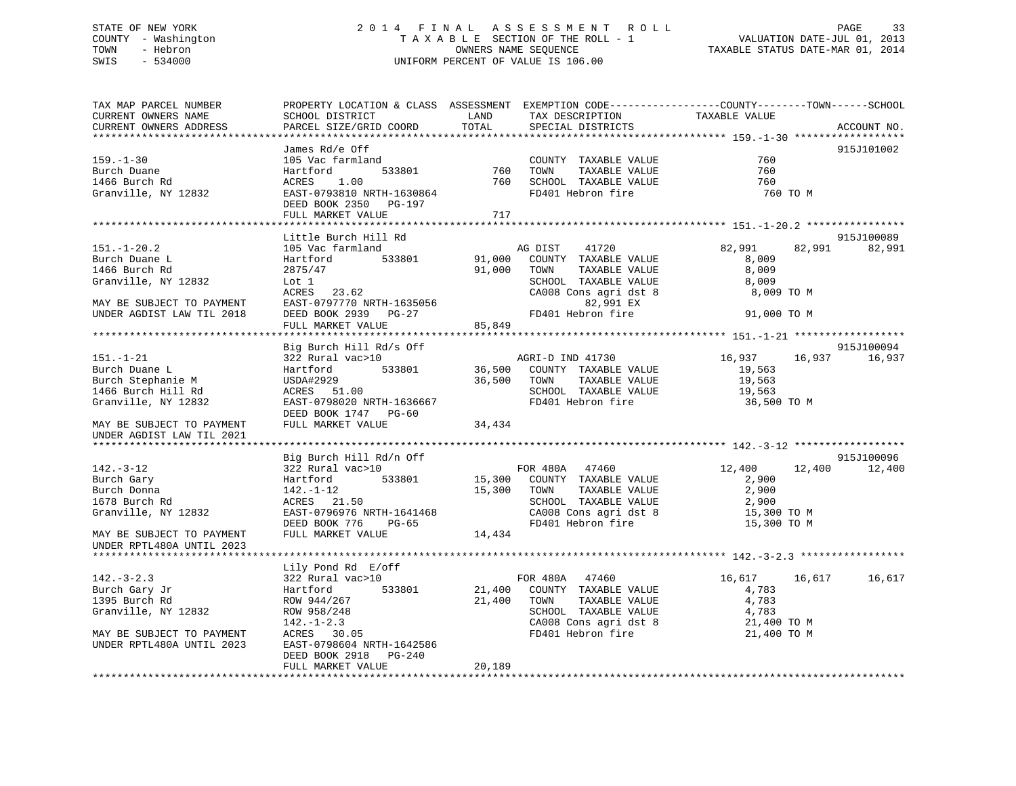# STATE OF NEW YORK 2 0 1 4 F I N A L A S S E S S M E N T R O L L PAGE 33 COUNTY - Washington T A X A B L E SECTION OF THE ROLL - 1 VALUATION DATE-JUL 01, 2013 TOWN - Hebron OWNERS NAME SEQUENCE TAXABLE STATUS DATE-MAR 01, 2014 SWIS - 534000 UNIFORM PERCENT OF VALUE IS 106.00

| TAX MAP PARCEL NUMBER<br>CURRENT OWNERS NAME<br>CURRENT OWNERS ADDRESS                                                                                                 | PROPERTY LOCATION & CLASS ASSESSMENT EXEMPTION CODE---------------COUNTY-------TOWN-----SCHOOL<br>SCHOOL DISTRICT<br>PARCEL SIZE/GRID COORD                                                              | LAND<br>TOTAL          | TAX DESCRIPTION<br>SPECIAL DISTRICTS                                                                                                                                        | TAXABLE VALUE                                                             | ACCOUNT NO.                 |
|------------------------------------------------------------------------------------------------------------------------------------------------------------------------|----------------------------------------------------------------------------------------------------------------------------------------------------------------------------------------------------------|------------------------|-----------------------------------------------------------------------------------------------------------------------------------------------------------------------------|---------------------------------------------------------------------------|-----------------------------|
| $159. - 1 - 30$<br>Burch Duane<br>1466 Burch Rd<br>Granville, NY 12832                                                                                                 | James Rd/e Off<br>105 Vac farmland<br>533801<br>Hartford<br>1.00<br>ACRES<br>EAST-0793810 NRTH-1630864<br>DEED BOOK 2350 PG-197<br>FULL MARKET VALUE                                                     | 760 TOWN<br>760<br>717 | COUNTY TAXABLE VALUE<br>TOWN      TAXABLE VALUE<br>SCHOOL TAXABLE VALUE<br>שטא <sub>י</sub> א TAXABLE VALUE<br>FD401 Hebron fire                                            | 760<br>760<br>760<br>760 TO M                                             | 915J101002                  |
| $151. - 1 - 20.2$<br>Burch Duane L<br>1466 Burch Rd<br>Granville, NY 12832<br>MAY BE SUBJECT TO PAYMENT<br>UNDER AGDIST LAW TIL 2018 DEED BOOK 2939 PG-27 85,849 FD401 | Little Burch Hill Rd<br>105 Vac farmland<br>533801<br>Hartford<br>2875/47<br>Lot 1<br>$ACRES$ 23.62                                                                                                      | 91,000                 | 41720<br>AG DIST<br>COUNTY TAXABLE VALUE<br>91,000 TOWN<br>TAXABLE VALUE<br>SCHOOL TAXABLE VALUE<br>CA008 Cons agri dst 8<br>82,991 EX<br>FD401 Hebron fire                 | 82,991<br>8,009<br>8,009<br>8,009<br>8,009 TO M<br>91,000 TO M            | 915J100089<br>82,991 82,991 |
| $151. - 1 - 21$<br>Burch Duane L<br>Burch Stephanie M<br>1466 Burch Hill Rd<br>Granville, NY 12832<br>MAY BE SUBJECT TO PAYMENT<br>UNDER AGDIST LAW TIL 2021           | Big Burch Hill Rd/s Off<br>322 Rural vac>10<br>533801<br>Hartford<br>USDA#2929<br>ACRES 51.00<br>EAST-0798020 NRTH-1636667<br>DEED BOOK 1747 PG-60<br>FULL MARKET VALUE                                  | 34,434                 | AGRI-D IND 41730<br>36,500 COUNTY TAXABLE VALUE<br>36,500 TOWN TAXABLE VALUE<br>SCHOOL TAXABLE VALUE<br>FD401 Hebron fire                                                   | 16,937<br>16,937<br>19,563<br>19,563<br>19,563<br>36,500 TO M             | 915J100094<br>16,937        |
| $142. - 3 - 12$<br>Burch Gary<br>Burch Donna<br>1678 Burch Rd<br>Granville, NY 12832<br>MAY BE SUBJECT TO PAYMENT<br>UNDER RPTL480A UNTIL 2023                         | Big Burch Hill Rd/n Off<br>322 Rural vac>10<br>533801<br>Hartford<br>142.-1-12<br>ACRES 21.50<br>EAST-0796976 NRTH-1641468<br>DEED BOOK 776 PG-65<br>FULL MARKET VALUE                                   | 14,434                 | FOR 480A 47460<br>15,300 COUNTY TAXABLE VALUE<br>15,300 TOWN<br>TAXABLE VALUE<br>SCHOOL TAXABLE VALUE<br>CA008 Cons agri dst 8<br>FD401 Hebron fire                         | 12,400<br>12,400<br>2,900<br>2,900<br>2,900<br>15,300 TO M<br>15,300 TO M | 915J100096<br>12,400        |
| $142. - 3 - 2.3$<br>Burch Gary Jr<br>1205 Burch Rd<br>Granville, NY 12832<br>MAY BE SUBJECT TO PAYMENT<br>UNDER RPTL480A UNTIL 2023                                    | Lily Pond Rd E/off<br>322 Rural vac>10<br>533801<br>Hartford<br>ROW 944/267<br>ROW 958/248<br>$142. - 1 - 2.3$<br>ACRES 30.05<br>EAST-0798604 NRTH-1642586<br>DEED BOOK 2918 PG-240<br>FULL MARKET VALUE | 20,189                 | FOR 480A 47460<br>21,400 COUNTY TAXABLE VALUE<br>21,400 TOWN<br>TAXABLE VALUE<br>SCHOOL TAXABLE VALUE<br>SCHOOL TAXABLE VALUE<br>CA008 Cons agri dst 8<br>FD401 Hebron fire | 16,617<br>16,617<br>4,783<br>4,783<br>4,783<br>21,400 TO M<br>21,400 TO M | 16,617                      |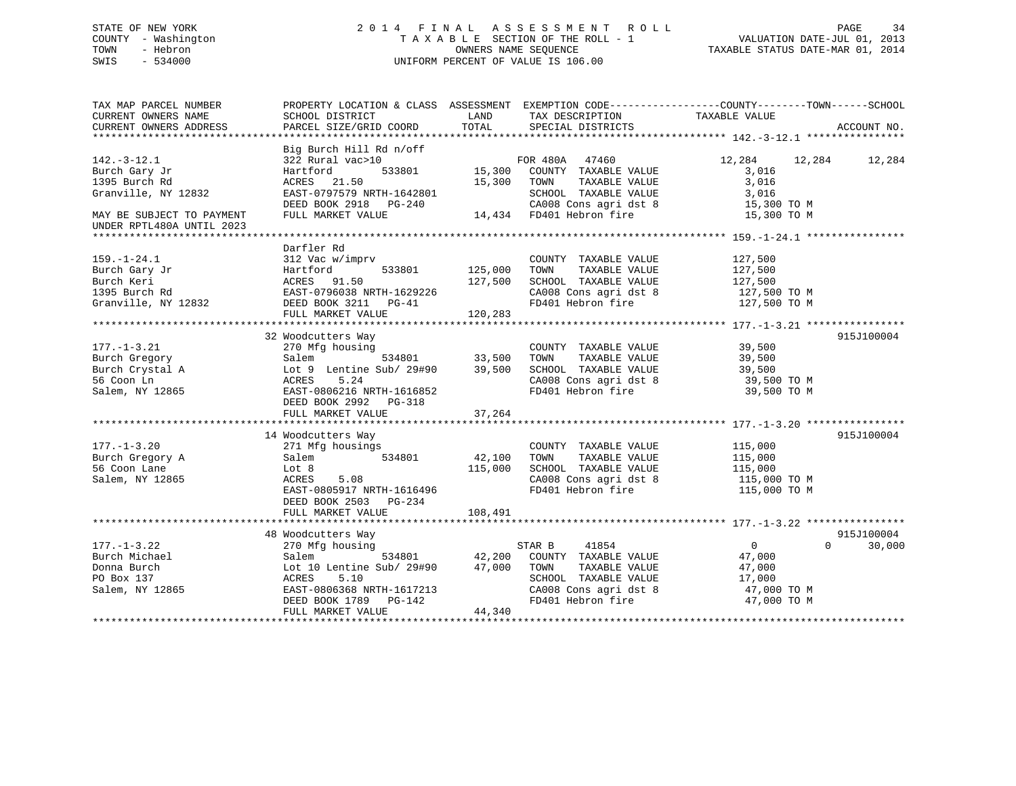# STATE OF NEW YORK 2 0 1 4 F I N A L A S S E S S M E N T R O L L PAGE 34 COUNTY - Washington T A X A B L E SECTION OF THE ROLL - 1 VALUATION DATE-JUL 01, 2013 TOWN - Hebron OWNERS NAME SEQUENCE TAXABLE STATUS DATE-MAR 01, 2014 SWIS - 534000 UNIFORM PERCENT OF VALUE IS 106.00

| TAX MAP PARCEL NUMBER     | PROPERTY LOCATION & CLASS ASSESSMENT EXEMPTION CODE----------------COUNTY-------TOWN------SCHOOL |         |                               |                |                    |
|---------------------------|--------------------------------------------------------------------------------------------------|---------|-------------------------------|----------------|--------------------|
| CURRENT OWNERS NAME       | SCHOOL DISTRICT                                                                                  | LAND    | TAX DESCRIPTION TAXABLE VALUE |                |                    |
| CURRENT OWNERS ADDRESS    | PARCEL SIZE/GRID COORD                                                                           | TOTAL   | SPECIAL DISTRICTS             |                | ACCOUNT NO.        |
|                           |                                                                                                  |         |                               |                |                    |
|                           | Big Burch Hill Rd n/off                                                                          |         |                               |                |                    |
| $142. - 3 - 12.1$         | 322 Rural vac>10                                                                                 |         | FOR 480A<br>47460             | 12,284         | 12,284<br>12,284   |
| Burch Gary Jr             | Hartford<br>533801                                                                               | 15,300  | COUNTY TAXABLE VALUE          | 3,016          |                    |
| 1395 Burch Rd             | ACRES<br>21.50                                                                                   | 15,300  | TOWN<br>TAXABLE VALUE         | 3,016          |                    |
| Granville, NY 12832       | EAST-0797579 NRTH-1642801                                                                        |         | SCHOOL TAXABLE VALUE          | 3,016          |                    |
|                           |                                                                                                  |         |                               |                |                    |
|                           | DEED BOOK 2918 PG-240                                                                            |         | CA008 Cons agri dst 8         | 15,300 TO M    |                    |
| MAY BE SUBJECT TO PAYMENT | FULL MARKET VALUE                                                                                |         | 14,434 FD401 Hebron fire      | 15,300 TO M    |                    |
| UNDER RPTL480A UNTIL 2023 |                                                                                                  |         |                               |                |                    |
|                           |                                                                                                  |         |                               |                |                    |
|                           | Darfler Rd                                                                                       |         |                               |                |                    |
| $159. - 1 - 24.1$         | 312 Vac w/imprv                                                                                  |         | COUNTY TAXABLE VALUE          | 127,500        |                    |
| Burch Gary Jr             | Hartford<br>533801                                                                               | 125,000 | TAXABLE VALUE<br>TOWN         | 127,500        |                    |
| Burch Keri                | ACRES 91.50                                                                                      | 127,500 | SCHOOL TAXABLE VALUE          | 127,500        |                    |
| 1395 Burch Rd             | EAST-0796038 NRTH-1629226                                                                        |         | CA008 Cons agri dst 8         | 127,500 TO M   |                    |
| Granville, NY 12832       | DEED BOOK 3211 PG-41                                                                             |         | FD401 Hebron fire             | 127,500 TO M   |                    |
|                           | FULL MARKET VALUE                                                                                | 120,283 |                               |                |                    |
|                           |                                                                                                  |         |                               |                |                    |
|                           | 32 Woodcutters Way                                                                               |         |                               |                | 915J100004         |
| $177. - 1 - 3.21$         | 270 Mfg housing                                                                                  |         | COUNTY TAXABLE VALUE          | 39,500         |                    |
|                           | 534801<br>Salem                                                                                  |         | TAXABLE VALUE<br>TOWN         |                |                    |
| Burch Gregory             |                                                                                                  | 33,500  |                               | 39,500         |                    |
| Burch Crystal A           | Lot 9 Lentine Sub/ 29#90                                                                         | 39,500  | SCHOOL TAXABLE VALUE          | 39,500         |                    |
| 56 Coon Ln                | ACRES<br>5.24                                                                                    |         | CA008 Cons agri dst 8         | 39,500 TO M    |                    |
| Salem, NY 12865           | EAST-0806216 NRTH-1616852                                                                        |         | FD401 Hebron fire             | 39,500 TO M    |                    |
|                           | DEED BOOK 2992 PG-318                                                                            |         |                               |                |                    |
|                           | FULL MARKET VALUE                                                                                | 37,264  |                               |                |                    |
|                           |                                                                                                  |         |                               |                |                    |
|                           | 14 Woodcutters Way                                                                               |         |                               |                | 915J100004         |
| $177. - 1 - 3.20$         | 271 Mfg housings                                                                                 |         | COUNTY TAXABLE VALUE          | 115,000        |                    |
| Burch Gregory A           | 534801<br>Salem                                                                                  | 42,100  | TAXABLE VALUE<br>TOWN         | 115,000        |                    |
| 56 Coon Lane              | Lot 8                                                                                            | 115,000 | SCHOOL TAXABLE VALUE          | 115,000        |                    |
| Salem, NY 12865           | ACRES<br>5.08                                                                                    |         | CA008 Cons agri dst 8         | 115,000 TO M   |                    |
|                           | EAST-0805917 NRTH-1616496                                                                        |         | FD401 Hebron fire             | 115,000 TO M   |                    |
|                           | DEED BOOK 2503 PG-234                                                                            |         |                               |                |                    |
|                           |                                                                                                  | 108,491 |                               |                |                    |
|                           | FULL MARKET VALUE                                                                                |         |                               |                |                    |
|                           |                                                                                                  |         |                               |                |                    |
|                           | 48 Woodcutters Way                                                                               |         |                               |                | 915J100004         |
| $177. - 1 - 3.22$         | 270 Mfg housing                                                                                  |         | STAR B<br>41854               | $\overline{0}$ | $\Omega$<br>30,000 |
| Burch Michael             | 534801<br>Salem                                                                                  | 42,200  | COUNTY TAXABLE VALUE          | 47,000         |                    |
| Donna Burch               | Lot 10 Lentine Sub/ 29#90                                                                        | 47,000  | TOWN<br>TAXABLE VALUE         | 47,000         |                    |
| PO Box 137                | 5.10<br>ACRES                                                                                    |         | SCHOOL TAXABLE VALUE          | 17,000         |                    |
| Salem, NY 12865           | EAST-0806368 NRTH-1617213                                                                        |         | CA008 Cons agri dst 8         | 47,000 TO M    |                    |
|                           | DEED BOOK 1789<br>PG-142                                                                         |         | FD401 Hebron fire             | 47,000 TO M    |                    |
|                           | FULL MARKET VALUE                                                                                | 44,340  |                               |                |                    |
|                           |                                                                                                  |         |                               |                |                    |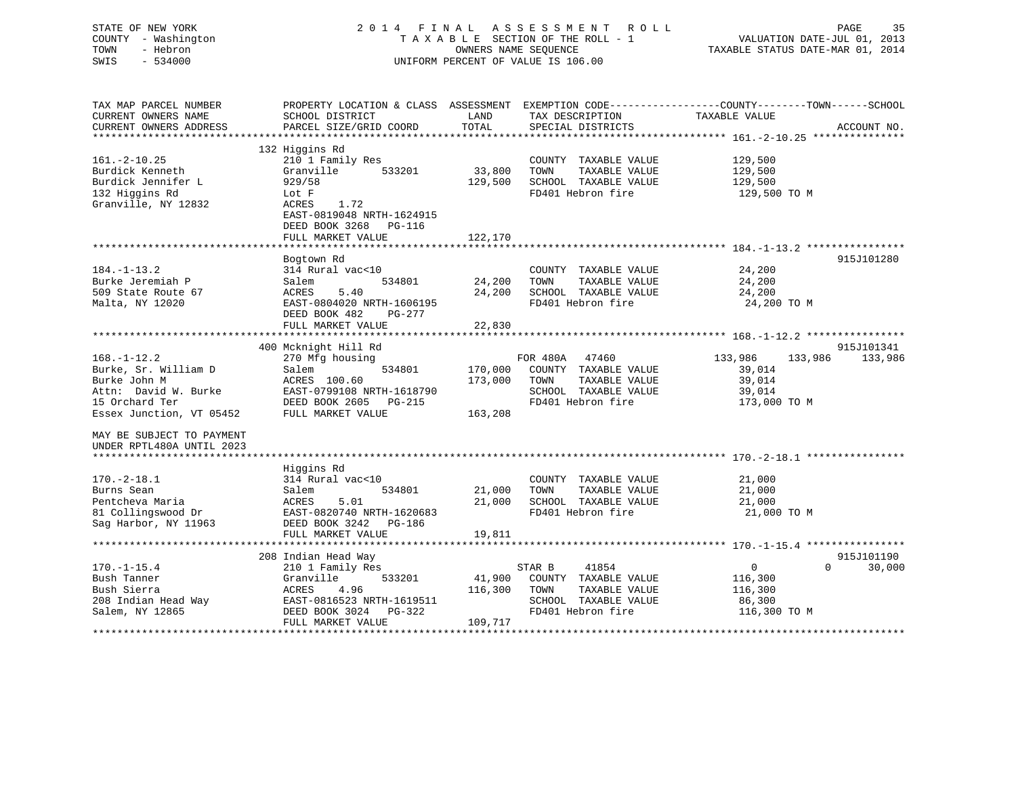| STATE OF NEW YORK<br>COUNTY - Washington<br>- Hebron<br>TOWN<br>SWIS<br>$-534000$                    |                                                                                                                                                                          |                              | 2014 FINAL ASSESSMENT ROLL<br>TAXABLE SECTION OF THE ROLL - 1<br>OWNERS NAME SEQUENCE<br>UNIFORM PERCENT OF VALUE IS 106.00              | VALUATION DATE-JUL 01, 2013<br>TAXABLE STATUS DATE-MAR 01, 2014            | PAGE<br>35            |
|------------------------------------------------------------------------------------------------------|--------------------------------------------------------------------------------------------------------------------------------------------------------------------------|------------------------------|------------------------------------------------------------------------------------------------------------------------------------------|----------------------------------------------------------------------------|-----------------------|
| TAX MAP PARCEL NUMBER<br>CURRENT OWNERS NAME<br>CURRENT OWNERS ADDRESS                               | SCHOOL DISTRICT<br>PARCEL SIZE/GRID COORD                                                                                                                                | LAND<br>TOTAL                | PROPERTY LOCATION & CLASS ASSESSMENT EXEMPTION CODE----------------COUNTY-------TOWN------SCHOOL<br>TAX DESCRIPTION<br>SPECIAL DISTRICTS | TAXABLE VALUE                                                              | ACCOUNT NO.           |
| $161. - 2 - 10.25$<br>Burdick Kenneth<br>Burdick Jennifer L<br>132 Higgins Rd<br>Granville, NY 12832 | 132 Higgins Rd<br>210 1 Family Res<br>Granville<br>533201<br>929/58<br>Lot F<br>ACRES<br>1.72<br>EAST-0819048 NRTH-1624915<br>DEED BOOK 3268 PG-116<br>FULL MARKET VALUE | 33,800<br>129,500<br>122,170 | COUNTY TAXABLE VALUE<br>TOWN<br>TAXABLE VALUE<br>SCHOOL TAXABLE VALUE<br>FD401 Hebron fire                                               | 129,500<br>129,500<br>129,500<br>129,500 TO M                              |                       |
| $184. - 1 - 13.2$<br>Burke Jeremiah P<br>509 State Route 67<br>Malta, NY 12020                       | Bogtown Rd<br>314 Rural vac<10<br>Salem<br>534801<br>ACRES<br>5.40<br>EAST-0804020 NRTH-1606195<br>DEED BOOK 482<br>PG-277                                               | 24,200<br>24,200             | COUNTY TAXABLE VALUE<br>TOWN<br>TAXABLE VALUE<br>SCHOOL TAXABLE VALUE<br>FD401 Hebron fire                                               | 24,200<br>24,200<br>24,200<br>24,200 TO M                                  | 915J101280            |
| $168. - 1 - 12.2$<br>Burke, Sr. William D<br>Burke John M                                            | FULL MARKET VALUE<br>400 Mcknight Hill Rd<br>270 Mfg housing<br>Salem<br>534801<br>ACRES 100.60                                                                          | 22,830<br>170,000<br>173,000 | FOR 480A 47460<br>COUNTY TAXABLE VALUE<br>TOWN<br>TAXABLE VALUE                                                                          | 133,986<br>133,986<br>39,014<br>39,014                                     | 915J101341<br>133,986 |
| Attn: David W. Burke<br>15 Orchard Ter<br>Essex Junction, VT 05452<br>MAY BE SUBJECT TO PAYMENT      | EAST-0799108 NRTH-1618790<br>DEED BOOK 2605 PG-215<br>FULL MARKET VALUE                                                                                                  | 163,208                      | SCHOOL TAXABLE VALUE<br>FD401 Hebron fire                                                                                                | 39,014<br>173,000 TO M                                                     |                       |
| UNDER RPTL480A UNTIL 2023                                                                            | Higgins Rd                                                                                                                                                               |                              |                                                                                                                                          |                                                                            |                       |
| $170. - 2 - 18.1$<br>Burns Sean<br>Pentcheva Maria<br>81 Collingswood Dr<br>Sag Harbor, NY 11963     | 314 Rural vac<10<br>534801<br>Salem<br>ACRES<br>5.01<br>EAST-0820740 NRTH-1620683<br>DEED BOOK 3242 PG-186<br>FULL MARKET VALUE                                          | 21,000<br>21,000<br>19,811   | COUNTY TAXABLE VALUE<br>TOWN<br>TAXABLE VALUE<br>SCHOOL TAXABLE VALUE<br>FD401 Hebron fire                                               | 21,000<br>21,000<br>21,000<br>21,000 TO M                                  |                       |
|                                                                                                      | ********************************                                                                                                                                         |                              |                                                                                                                                          |                                                                            |                       |
| $170. - 1 - 15.4$<br>Bush Tanner<br>Bush Sierra<br>208 Indian Head Way<br>Salem, NY 12865            | 208 Indian Head Way<br>210 1 Family Res<br>533201<br>Granville<br>ACRES<br>4.96<br>EAST-0816523 NRTH-1619511<br>DEED BOOK 3024 PG-322<br>FULL MARKET VALUE               | 41,900<br>116,300<br>109,717 | STAR B<br>41854<br>COUNTY TAXABLE VALUE<br>TOWN<br>TAXABLE VALUE<br>SCHOOL TAXABLE VALUE<br>FD401 Hebron fire                            | $\Omega$<br>$\overline{0}$<br>116,300<br>116,300<br>86,300<br>116,300 TO M | 915J101190<br>30,000  |
|                                                                                                      |                                                                                                                                                                          |                              |                                                                                                                                          |                                                                            |                       |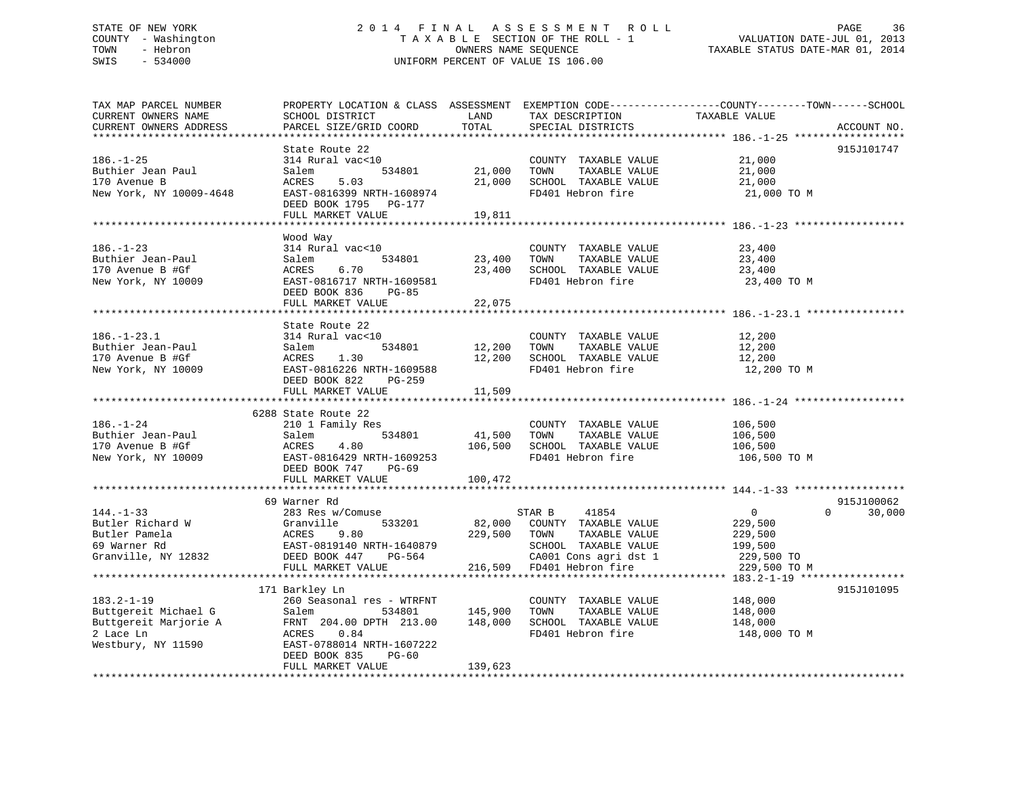# STATE OF NEW YORK 2 0 1 4 F I N A L A S S E S S M E N T R O L L PAGE 36 COUNTY - Washington T A X A B L E SECTION OF THE ROLL - 1 VALUATION DATE-JUL 01, 2013 TOWN - Hebron OWNERS NAME SEQUENCE TAXABLE STATUS DATE-MAR 01, 2014 SWIS - 534000 UNIFORM PERCENT OF VALUE IS 106.00

TAX MAP PARCEL NUMBER PROPERTY LOCATION & CLASS ASSESSMENT EXEMPTION CODE------------------COUNTY--------TOWN------SCHOOL

CURRENT OWNERS NAME SCHOOL DISTRICT LAND TAX DESCRIPTION TAXABLE VALUE CURRENT OWNERS ADDRESS PARCEL SIZE/GRID COORD TOTAL SPECIAL DISTRICTS ACCOUNT NO. \*\*\*\*\*\*\*\*\*\*\*\*\*\*\*\*\*\*\*\*\*\*\*\*\*\*\*\*\*\*\*\*\*\*\*\*\*\*\*\*\*\*\*\*\*\*\*\*\*\*\*\*\*\*\*\*\*\*\*\*\*\*\*\*\*\*\*\*\*\*\*\*\*\*\*\*\*\*\*\*\*\*\*\*\*\*\*\*\*\*\*\*\*\*\*\*\*\*\*\*\*\*\* 186.-1-25 \*\*\*\*\*\*\*\*\*\*\*\*\*\*\*\*\*\* State Route 22 915J101747 186.-1-25 314 Rural vac<10 COUNTY TAXABLE VALUE 21,000 Buthier Jean Paul Salem 534801 21,000 TOWN TAXABLE VALUE 21,000 170 Avenue B ACRES 5.03 21,000 SCHOOL TAXABLE VALUE 21,000 New York, NY 10009-4648 EAST-0816399 NRTH-1608974 FD401 Hebron fire 21,000 TO M DEED BOOK 1795 PG-177 FULL MARKET VALUE 19,811 \*\*\*\*\*\*\*\*\*\*\*\*\*\*\*\*\*\*\*\*\*\*\*\*\*\*\*\*\*\*\*\*\*\*\*\*\*\*\*\*\*\*\*\*\*\*\*\*\*\*\*\*\*\*\*\*\*\*\*\*\*\*\*\*\*\*\*\*\*\*\*\*\*\*\*\*\*\*\*\*\*\*\*\*\*\*\*\*\*\*\*\*\*\*\*\*\*\*\*\*\*\*\* 186.-1-23 \*\*\*\*\*\*\*\*\*\*\*\*\*\*\*\*\*\*Wood Way<br>314 Rural vac<10 186.-1-23 314 Rural vac<10 COUNTY TAXABLE VALUE 23,400 Buthier Jean-Paul Salem 534801 23,400 TOWN TAXABLE VALUE 23,400 170 Avenue B #Gf ACRES 6.70 23,400 SCHOOL TAXABLE VALUE 23,400 New York, NY 10009 **EAST-0816717 NRTH-1609581** FD401 Hebron fire 23,400 TO M DEED BOOK 836 PG-85 FULL MARKET VALUE 22,075 \*\*\*\*\*\*\*\*\*\*\*\*\*\*\*\*\*\*\*\*\*\*\*\*\*\*\*\*\*\*\*\*\*\*\*\*\*\*\*\*\*\*\*\*\*\*\*\*\*\*\*\*\*\*\*\*\*\*\*\*\*\*\*\*\*\*\*\*\*\*\*\*\*\*\*\*\*\*\*\*\*\*\*\*\*\*\*\*\*\*\*\*\*\*\*\*\*\*\*\*\*\*\* 186.-1-23.1 \*\*\*\*\*\*\*\*\*\*\*\*\*\*\*\* State Route 22314 Rural vac<10 186.-1-23.1 314 Rural vac<10 COUNTY TAXABLE VALUE 12,200 Buthier Jean-Paul Salem 534801 12,200 TOWN TAXABLE VALUE 12,200 170 Avenue B #Gf ACRES 1.30 12,200 SCHOOL TAXABLE VALUE 12,200 New York, NY 10009 EAST-0816226 NRTH-1609588 FD401 Hebron fire 12,200 TO M DEED BOOK 822 PG-259FULL MARKET VALUE 11,509 \*\*\*\*\*\*\*\*\*\*\*\*\*\*\*\*\*\*\*\*\*\*\*\*\*\*\*\*\*\*\*\*\*\*\*\*\*\*\*\*\*\*\*\*\*\*\*\*\*\*\*\*\*\*\*\*\*\*\*\*\*\*\*\*\*\*\*\*\*\*\*\*\*\*\*\*\*\*\*\*\*\*\*\*\*\*\*\*\*\*\*\*\*\*\*\*\*\*\*\*\*\*\* 186.-1-24 \*\*\*\*\*\*\*\*\*\*\*\*\*\*\*\*\*\* 6288 State Route 22210 1 Family Res<br>Salem E2400 186.-1-24 210 1 Family Res COUNTY TAXABLE VALUE 106,500 Buthier Jean-Paul Salem 534801 41,500 TOWN TAXABLE VALUE 106,500 170 Avenue B #Gf ACRES 4.80 106,500 SCHOOL TAXABLE VALUE 106,500 New York, NY 10009 **EAST-0816429 NRTH-1609253** FD401 Hebron fire 106,500 TO M DEED BOOK 747 PG-69FULL MARKET VALUE 100,472 \*\*\*\*\*\*\*\*\*\*\*\*\*\*\*\*\*\*\*\*\*\*\*\*\*\*\*\*\*\*\*\*\*\*\*\*\*\*\*\*\*\*\*\*\*\*\*\*\*\*\*\*\*\*\*\*\*\*\*\*\*\*\*\*\*\*\*\*\*\*\*\*\*\*\*\*\*\*\*\*\*\*\*\*\*\*\*\*\*\*\*\*\*\*\*\*\*\*\*\*\*\*\* 144.-1-33 \*\*\*\*\*\*\*\*\*\*\*\*\*\*\*\*\*\*915-T100062 69 Warner Rd 144.-1-33 283 Res w/Comuse STAR B 41854 0 0 30,000 Butler Richard W Granville 533201 82,000 COUNTY TAXABLE VALUE 229,500 Butler Pamela ACRES 9.80 229,500 TOWN TAXABLE VALUE 229,500 69 Warner Rd EAST-0819140 NRTH-1640879 SCHOOL TAXABLE VALUE 199,500 Granville, NY 12832 DEED BOOK 447 PG-564 CA001 Cons agri dst 1 229,500 TO FULL MARKET VALUE 216,509 FD401 Hebron fire 229,500 TO M \*\*\*\*\*\*\*\*\*\*\*\*\*\*\*\*\*\*\*\*\*\*\*\*\*\*\*\*\*\*\*\*\*\*\*\*\*\*\*\*\*\*\*\*\*\*\*\*\*\*\*\*\*\*\*\*\*\*\*\*\*\*\*\*\*\*\*\*\*\*\*\*\*\*\*\*\*\*\*\*\*\*\*\*\*\*\*\*\*\*\*\*\*\*\*\*\*\*\*\*\*\*\* 183.2-1-19 \*\*\*\*\*\*\*\*\*\*\*\*\*\*\*\*\* 171 Barkley Ln 915J101095 183.2-1-19 260 Seasonal res - WTRFNT COUNTY TAXABLE VALUE 148,000 Buttgereit Michael G Salem 534801 145,900 TOWN TAXABLE VALUE 148,000 Buttgereit Marjorie A FRNT 204.00 DPTH 213.00 148,000 SCHOOL TAXABLE VALUE 148,000 2 Lace Ln ACRES 0.84 FD401 Hebron fire 148,000 TO M Westbury, NY 11590 EAST-0788014 NRTH-1607222 DEED BOOK 835 PG-60FULL MARKET VALUE 139,623 \*\*\*\*\*\*\*\*\*\*\*\*\*\*\*\*\*\*\*\*\*\*\*\*\*\*\*\*\*\*\*\*\*\*\*\*\*\*\*\*\*\*\*\*\*\*\*\*\*\*\*\*\*\*\*\*\*\*\*\*\*\*\*\*\*\*\*\*\*\*\*\*\*\*\*\*\*\*\*\*\*\*\*\*\*\*\*\*\*\*\*\*\*\*\*\*\*\*\*\*\*\*\*\*\*\*\*\*\*\*\*\*\*\*\*\*\*\*\*\*\*\*\*\*\*\*\*\*\*\*\*\*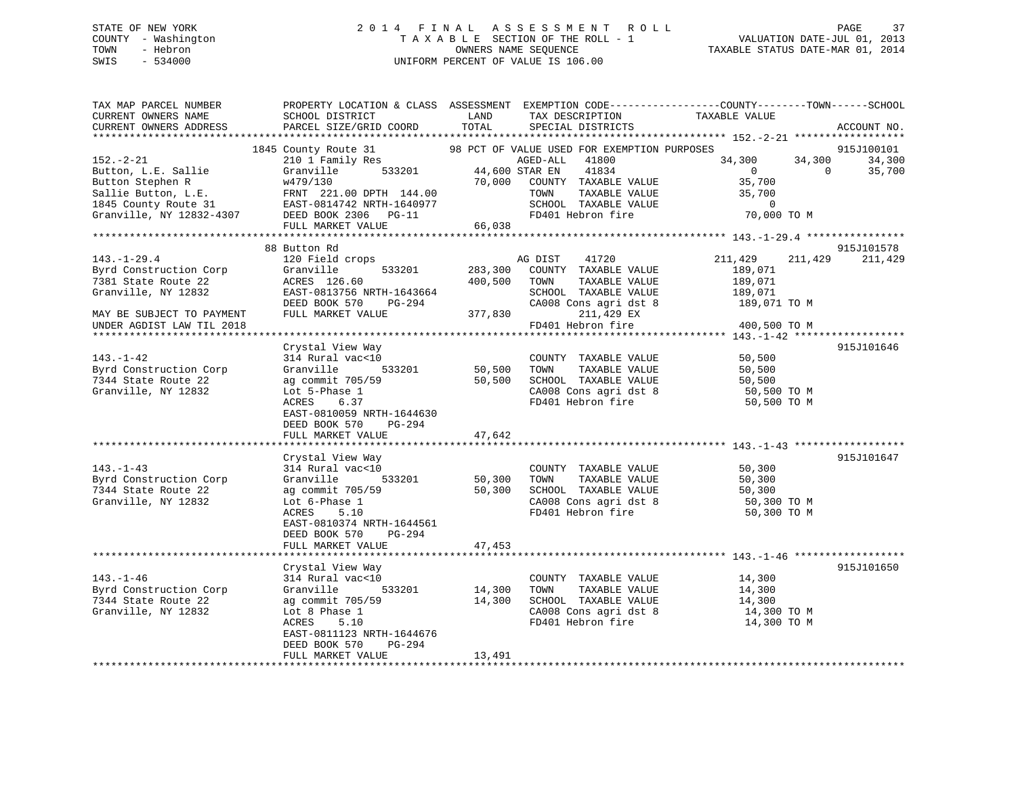## STATE OF NEW YORK 2 0 1 4 F I N A L A S S E S S M E N T R O L L PAGE 37 COUNTY - Washington T A X A B L E SECTION OF THE ROLL - 1 VALUATION DATE-JUL 01, 2013 TOWN - Hebron OWNERS NAME SEQUENCE TAXABLE STATUS DATE-MAR 01, 2014 SWIS - 534000 UNIFORM PERCENT OF VALUE IS 106.00

| TAX MAP PARCEL NUMBER<br>CURRENT OWNERS NAME<br>CURRENT OWNERS ADDRESS                                                                                                               | PROPERTY LOCATION & CLASS ASSESSMENT EXEMPTION CODE----------------COUNTY-------TOWN------SCHOOL<br>SCHOOL DISTRICT<br>PARCEL SIZE/GRID COORD     | LAND<br>TOTAL | TAX DESCRIPTION<br>SPECIAL DISTRICTS                     | TAXABLE VALUE                                                    | ACCOUNT NO.         |
|--------------------------------------------------------------------------------------------------------------------------------------------------------------------------------------|---------------------------------------------------------------------------------------------------------------------------------------------------|---------------|----------------------------------------------------------|------------------------------------------------------------------|---------------------|
|                                                                                                                                                                                      |                                                                                                                                                   |               |                                                          |                                                                  |                     |
|                                                                                                                                                                                      |                                                                                                                                                   |               |                                                          |                                                                  | 915J100101          |
| $152 - 2 - 21$                                                                                                                                                                       | $\begin{tabular}{llllll} \bf 210 & 1 & Family\;\; Res & \tt AGED-ALL \\ \bf Granville & \tt 533201 & \tt 44,600 \;\; STR\;\; EN \\ \end{tabular}$ |               |                                                          | 34,300                                                           | 34,300<br>34,300    |
| Button, L.E. Sallie                                                                                                                                                                  |                                                                                                                                                   |               | 41834                                                    | $\overline{0}$                                                   | $\bigcap$<br>35,700 |
|                                                                                                                                                                                      |                                                                                                                                                   |               | 70,000 COUNTY TAXABLE VALUE                              | 35,700                                                           |                     |
|                                                                                                                                                                                      |                                                                                                                                                   |               | TAXABLE VALUE<br>TOWN                                    | 35,700                                                           |                     |
|                                                                                                                                                                                      |                                                                                                                                                   |               | SCHOOL TAXABLE VALUE<br>FD401 Hebron fire                | 0<br>70,000 TO M                                                 |                     |
| Button Stephen R $w479/130$ 70,000<br>Sallie Button, L.E. FRNT 221.00 DPTH 144.00<br>1845 County Route 31 EAST-0814742 NRTH-1640977<br>Granville, NY 12832-4307 DEED BOOK 2306 PG-11 |                                                                                                                                                   |               | FD401 Hebron fire                                        |                                                                  |                     |
|                                                                                                                                                                                      | FULL MARKET VALUE                                                                                                                                 | 66,038        |                                                          |                                                                  |                     |
|                                                                                                                                                                                      |                                                                                                                                                   |               |                                                          |                                                                  |                     |
|                                                                                                                                                                                      | 88 Button Rd                                                                                                                                      |               |                                                          |                                                                  | 915J101578          |
| $143. - 1 - 29.4$                                                                                                                                                                    | 120 Field crops                                                                                                                                   |               | AG DIST<br>41720                                         | 211,429                                                          | 211,429<br>211,429  |
| Byrd Construction Corp                                                                                                                                                               | 533201<br>Granville                                                                                                                               | 283,300       | COUNTY TAXABLE VALUE                                     | 189,071                                                          |                     |
| 7381 State Route 22                                                                                                                                                                  | ACRES 126.60                                                                                                                                      | 400,500       | TOWN<br>TAXABLE VALUE                                    | 189,071                                                          |                     |
| Granville, NY 12832                                                                                                                                                                  | EAST-0813756 NRTH-1643664                                                                                                                         |               | SCHOOL TAXABLE VALUE                                     | 189,071                                                          |                     |
|                                                                                                                                                                                      | DEED BOOK 570<br>PG-294                                                                                                                           |               |                                                          | CA008 Cons agri dst 8 189,071 TO M                               |                     |
| MAY BE SUBJECT TO PAYMENT                                                                                                                                                            | FULL MARKET VALUE                                                                                                                                 | 377,830       | 211,429 EX                                               |                                                                  |                     |
| UNDER AGDIST LAW TIL 2018                                                                                                                                                            |                                                                                                                                                   |               | FD401 Hebron fire                                        | 400,500 TO M                                                     |                     |
|                                                                                                                                                                                      |                                                                                                                                                   |               |                                                          |                                                                  |                     |
|                                                                                                                                                                                      | Crystal View Way                                                                                                                                  |               |                                                          |                                                                  | 915J101646          |
| $143. - 1 - 42$                                                                                                                                                                      | )<br>533201<br>314 Rural vac<10                                                                                                                   | 50, 500       | COUNTY TAXABLE VALUE 50,500                              |                                                                  |                     |
| Byrd Construction Corp                                                                                                                                                               | Granville                                                                                                                                         |               | TOWN<br>TAXABLE VALUE                                    | 50,500                                                           |                     |
| 7344 State Route 22                                                                                                                                                                  | ag commit 705/59                                                                                                                                  | 50,500        |                                                          | SCHOOL TAXABLE VALUE 50,500<br>CA008 Cons agri dst 8 50,500 TO M |                     |
| Granville, NY 12832                                                                                                                                                                  | Lot 5-Phase 1                                                                                                                                     |               |                                                          |                                                                  |                     |
|                                                                                                                                                                                      | ACRES 6.37                                                                                                                                        |               | FD401 Hebron fire                                        | 50,500 TO M                                                      |                     |
|                                                                                                                                                                                      | EAST-0810059 NRTH-1644630                                                                                                                         |               |                                                          |                                                                  |                     |
|                                                                                                                                                                                      | DEED BOOK 570<br>PG-294                                                                                                                           |               |                                                          |                                                                  |                     |
|                                                                                                                                                                                      | FULL MARKET VALUE                                                                                                                                 | 47,642        |                                                          |                                                                  |                     |
|                                                                                                                                                                                      |                                                                                                                                                   |               |                                                          |                                                                  | 915J101647          |
| $143. - 1 - 43$                                                                                                                                                                      | Crystal View Way<br>314 Rural vac<10                                                                                                              |               | COUNTY TAXABLE VALUE 50,300                              |                                                                  |                     |
| Byrd Construction Corp                                                                                                                                                               | 533201<br>Granville                                                                                                                               | 50,300        | TOWN<br>TAXABLE VALUE                                    | 50,300                                                           |                     |
| 7344 State Route 22                                                                                                                                                                  | ag commit 705/59                                                                                                                                  | 50,300        | TOWN TAXABLE VALUE 50,300<br>SCHOOL TAXABLE VALUE 50,300 |                                                                  |                     |
| Granville, NY 12832                                                                                                                                                                  | Lot 6-Phase 1                                                                                                                                     |               |                                                          |                                                                  |                     |
|                                                                                                                                                                                      | 5.10<br>ACRES                                                                                                                                     |               | CA008 Cons agri dst 8<br>FD401 Hebron fire               | 50,300 TO M<br>50,300 TO M                                       |                     |
|                                                                                                                                                                                      | EAST-0810374 NRTH-1644561                                                                                                                         |               |                                                          |                                                                  |                     |
|                                                                                                                                                                                      | PG-294                                                                                                                                            |               |                                                          |                                                                  |                     |
|                                                                                                                                                                                      | DEED BOOK 570<br>FULL MARKET VALUE                                                                                                                | 47,453        |                                                          |                                                                  |                     |
|                                                                                                                                                                                      |                                                                                                                                                   |               |                                                          |                                                                  |                     |
|                                                                                                                                                                                      | Crystal View Way                                                                                                                                  |               |                                                          |                                                                  | 915J101650          |
| $143. - 1 - 46$                                                                                                                                                                      | 314 Rural vac<10                                                                                                                                  |               | COUNTY TAXABLE VALUE                                     | 14,300                                                           |                     |
| Byrd Construction Corp                                                                                                                                                               | Granville                                                                                                                                         | 533201 14,300 | TAXABLE VALUE<br>TOWN                                    | 14,300                                                           |                     |
| 7344 State Route 22                                                                                                                                                                  | ag commit 705/59                                                                                                                                  | 14,300        | SCHOOL TAXABLE VALUE                                     | 14,300                                                           |                     |
| Granville, NY 12832                                                                                                                                                                  | Lot 8 Phase 1                                                                                                                                     |               |                                                          | CA008 Cons agri dst 8 14,300 TO M                                |                     |
|                                                                                                                                                                                      | ACRES<br>5.10                                                                                                                                     |               | FD401 Hebron fire                                        | 14,300 TO M                                                      |                     |
|                                                                                                                                                                                      | EAST-0811123 NRTH-1644676                                                                                                                         |               |                                                          |                                                                  |                     |
|                                                                                                                                                                                      | DEED BOOK 570<br>PG-294                                                                                                                           |               |                                                          |                                                                  |                     |
|                                                                                                                                                                                      | FULL MARKET VALUE                                                                                                                                 | 13,491        |                                                          |                                                                  |                     |
|                                                                                                                                                                                      |                                                                                                                                                   |               |                                                          |                                                                  |                     |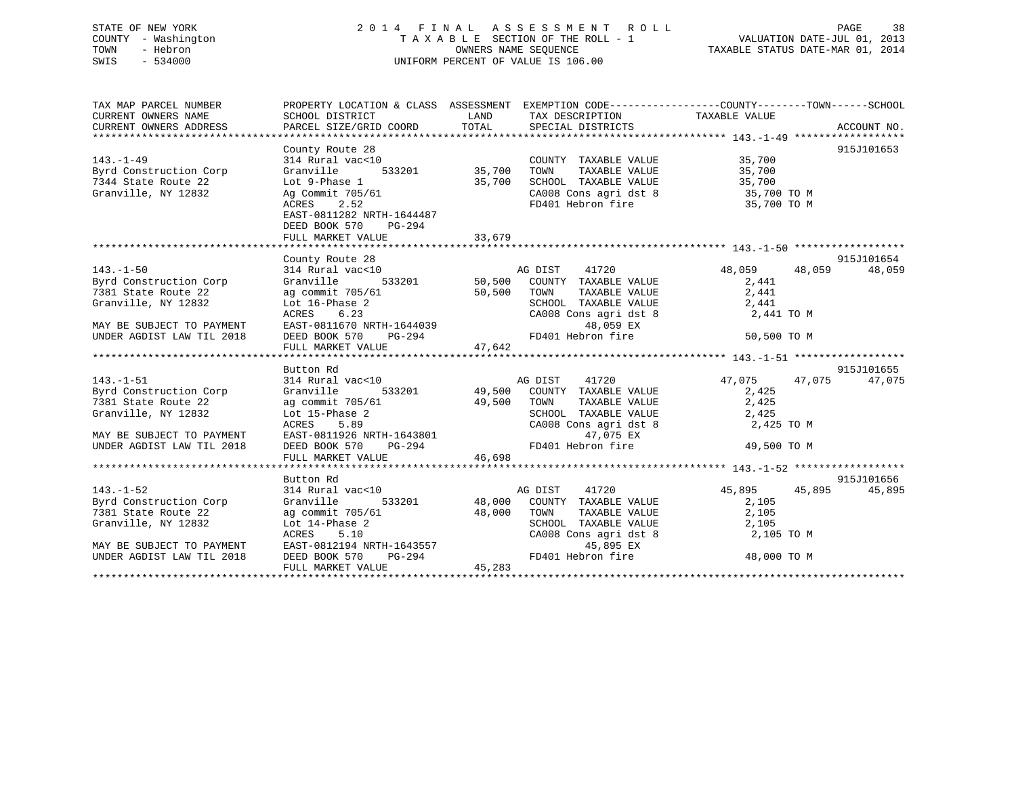## STATE OF NEW YORK 2 0 1 4 F I N A L A S S E S S M E N T R O L L PAGE 38 COUNTY - Washington T A X A B L E SECTION OF THE ROLL - 1 VALUATION DATE-JUL 01, 2013 TOWN - Hebron OWNERS NAME SEQUENCE TAXABLE STATUS DATE-MAR 01, 2014 SWIS - 534000 UNIFORM PERCENT OF VALUE IS 106.00

| TAX MAP PARCEL NUMBER                            |                                                                                                                             |                                                                                                                                                                                                                                                                          | PROPERTY LOCATION & CLASS ASSESSMENT EXEMPTION CODE---------------COUNTY-------TOWN-----SCHOOL        |            |
|--------------------------------------------------|-----------------------------------------------------------------------------------------------------------------------------|--------------------------------------------------------------------------------------------------------------------------------------------------------------------------------------------------------------------------------------------------------------------------|-------------------------------------------------------------------------------------------------------|------------|
| CURRENT OWNERS NAME                              | SCHOOL DISTRICT                                                                                                             | LAND TAX DESCRIPTION TAXABLE VALUE<br>COORD TOTAL SPECIAL DISTRICTS                                                                                                                                                                                                      |                                                                                                       |            |
|                                                  |                                                                                                                             |                                                                                                                                                                                                                                                                          |                                                                                                       |            |
|                                                  |                                                                                                                             |                                                                                                                                                                                                                                                                          |                                                                                                       |            |
|                                                  | County Route 28                                                                                                             |                                                                                                                                                                                                                                                                          |                                                                                                       | 915J101653 |
| $143. - 1 - 49$                                  | 314 Rural vac<10                                                                                                            |                                                                                                                                                                                                                                                                          | COUNTY TAXABLE VALUE 35,700                                                                           |            |
| Byrd Construction Corp                           | 533201 35,700<br>Granville                                                                                                  | TOWN                                                                                                                                                                                                                                                                     | TAXABLE VALUE 35,700                                                                                  |            |
| 7344 State Route 22                              | Lot 9-Phase 1<br>Ag Commit 705/61                                                                                           | 35,700                                                                                                                                                                                                                                                                   |                                                                                                       |            |
| Granville, NY 12832                              |                                                                                                                             |                                                                                                                                                                                                                                                                          | SCHOOL TAXABLE VALUE 35,700<br>CA008 Cons agri dst 8 35,700 TO M<br>FD401 Hebron fire 35,700 TO M     |            |
|                                                  | ACRES 2.52                                                                                                                  |                                                                                                                                                                                                                                                                          |                                                                                                       |            |
|                                                  | EAST-0811282 NRTH-1644487                                                                                                   |                                                                                                                                                                                                                                                                          |                                                                                                       |            |
|                                                  | DEED BOOK 570 PG-294                                                                                                        |                                                                                                                                                                                                                                                                          |                                                                                                       |            |
|                                                  | FULL MARKET VALUE                                                                                                           | 33,679                                                                                                                                                                                                                                                                   |                                                                                                       |            |
|                                                  |                                                                                                                             |                                                                                                                                                                                                                                                                          |                                                                                                       |            |
|                                                  | County Route 28                                                                                                             |                                                                                                                                                                                                                                                                          | 915,<br>314 Rural vac<10 715, 314 Rural vac<10<br>Granville 533201 50,500 COUNTY TAXABLE VALUE 31,441 | 915J101654 |
| $143. - 1 - 50$                                  |                                                                                                                             |                                                                                                                                                                                                                                                                          |                                                                                                       | 48,059     |
| Byrd Construction Corp                           |                                                                                                                             |                                                                                                                                                                                                                                                                          |                                                                                                       |            |
| 7381 State Route 22                              |                                                                                                                             |                                                                                                                                                                                                                                                                          |                                                                                                       |            |
| Granville, NY 12832                              | ag commit 705/61 50,500 TOWN<br>Lot 16-Phase 2 SCHOO:<br>ACRES 6.23 CA008                                                   |                                                                                                                                                                                                                                                                          | TOWN TAXABLE VALUE<br>SCHOOL TAXABLE VALUE 2,441<br>CA008 Cons agri dst 8 2,441 TO M                  |            |
|                                                  |                                                                                                                             |                                                                                                                                                                                                                                                                          |                                                                                                       |            |
| MAY BE SUBJECT TO PAYMENT                        |                                                                                                                             |                                                                                                                                                                                                                                                                          |                                                                                                       |            |
| UNDER AGDIST LAW TIL 2018                        |                                                                                                                             | EAST-0811670 NRTH-1644039<br>DEED BOOK 570 PG-294 FD401 Hebron fire 50,500 TO M<br>FULL MARKET VALUE 47,642                                                                                                                                                              |                                                                                                       |            |
|                                                  |                                                                                                                             |                                                                                                                                                                                                                                                                          |                                                                                                       |            |
|                                                  | Button Rd                                                                                                                   |                                                                                                                                                                                                                                                                          |                                                                                                       | 915J101655 |
| $143. - 1 - 51$                                  |                                                                                                                             |                                                                                                                                                                                                                                                                          | 47,075 47,075                                                                                         | 47,075     |
| 143.-1-51<br>Byrd Construction Corp<br>Granville |                                                                                                                             | $\begin{tabular}{lllllllllll} 314~Rural&\verb vac<10&\verb ACDIST&\verb 41720&\verb 47,075\\  \end{tabular} \begin{tabular}{lllllllllll} \bf 314~Rural&\verb vac<10 &\verb 47,075&\verb 33201&\verb 49,500&\verb COUNTY &\verb TAXABLE VALUE&\verb 2,425  \end{tabular}$ |                                                                                                       |            |
| The Company<br>7381 State Route 22               | ag commit 705/61 49,500 TOWN                                                                                                |                                                                                                                                                                                                                                                                          | TAXABLE VALUE 2,425                                                                                   |            |
| Granville, NY 12832                              |                                                                                                                             |                                                                                                                                                                                                                                                                          |                                                                                                       |            |
|                                                  |                                                                                                                             |                                                                                                                                                                                                                                                                          | SCHOOL TAXABLE VALUE 2,425<br>CA008 Cons agri dst 8 2,42!<br>2,425 TO M                               |            |
| MAY BE SUBJECT TO PAYMENT                        |                                                                                                                             | 47,075 EX                                                                                                                                                                                                                                                                |                                                                                                       |            |
| UNDER AGDIST LAW TIL 2018                        | Lot 15-Phase 2<br>ACRES 5.89 CA008 CONTENT<br>LOT EAST-0811926 NRTH-1643801<br>CA008 CONTENT EAST-0800K 570 PG-294 FD401 He |                                                                                                                                                                                                                                                                          | FD401 Hebron fire 500 49,500 TO M                                                                     |            |
|                                                  | FULL MARKET VALUE                                                                                                           | 46,698                                                                                                                                                                                                                                                                   |                                                                                                       |            |
|                                                  |                                                                                                                             |                                                                                                                                                                                                                                                                          |                                                                                                       |            |
|                                                  | Button Rd                                                                                                                   |                                                                                                                                                                                                                                                                          |                                                                                                       | 915J101656 |
| $143. - 1 - 52$                                  | Succon www.<br>314 Rural vac<10                                                                                             |                                                                                                                                                                                                                                                                          | 45,895 45,895                                                                                         | 45,895     |
|                                                  | Granville                                                                                                                   | 7ac<10                                  533201        48,000   COUNTY   TAXABLE VALUE                                                                                                                                                                                    | 2,105                                                                                                 |            |
| Byrd Construction Corp<br>7381 State Route 22    |                                                                                                                             |                                                                                                                                                                                                                                                                          | TAXABLE VALUE<br>2,105                                                                                |            |
| Granville, NY 12832                              |                                                                                                                             |                                                                                                                                                                                                                                                                          | SCHOOL TAXABLE VALUE 2,105                                                                            |            |
|                                                  |                                                                                                                             | $CA008$ Cons agri dst 8                                                                                                                                                                                                                                                  | 2,105 TO M                                                                                            |            |
| MAY BE SUBJECT TO PAYMENT                        |                                                                                                                             | 45,895 EX                                                                                                                                                                                                                                                                |                                                                                                       |            |
| UNDER AGDIST LAW TIL 2018                        | ag commit 705/61<br>Lot 14-Phase 2 8CHOOL<br>ACRES 5.10 CA008<br>EAST-0812194 NRTH-1643557<br>DEED BOOK 570 PG-294 FD401    |                                                                                                                                                                                                                                                                          | FD401 Hebron fire<br>48,000 TO M                                                                      |            |
|                                                  | FULL MARKET VALUE                                                                                                           | 45, 283                                                                                                                                                                                                                                                                  |                                                                                                       |            |
|                                                  |                                                                                                                             |                                                                                                                                                                                                                                                                          |                                                                                                       |            |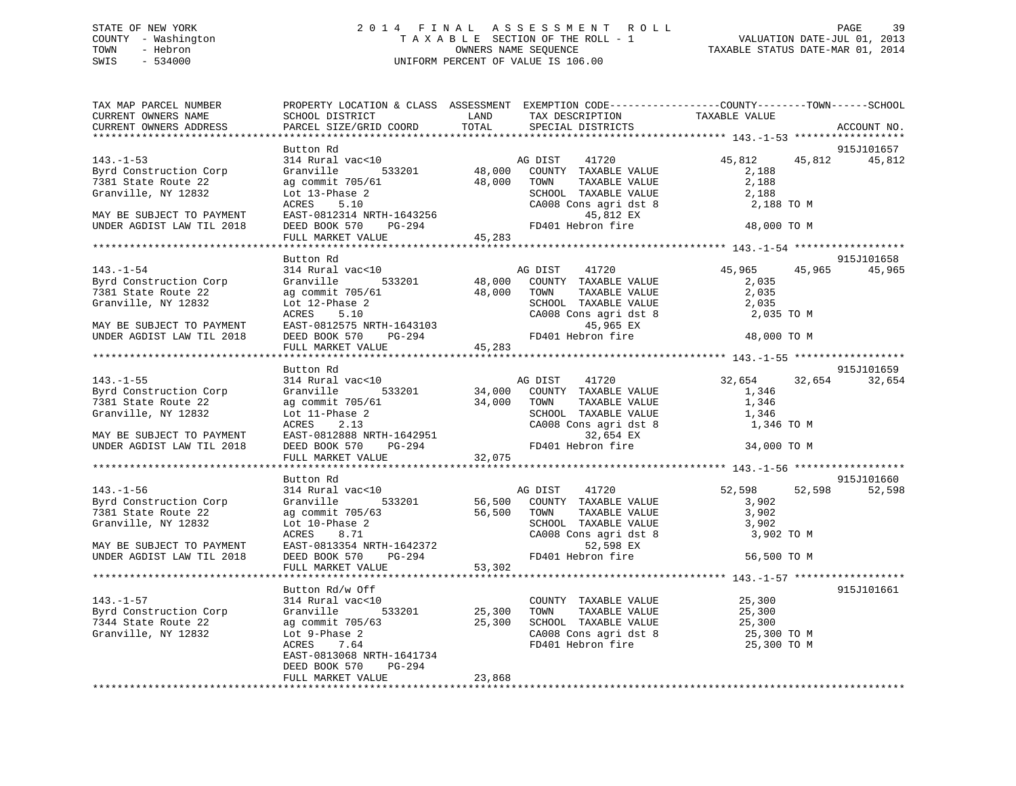## STATE OF NEW YORK 2 0 1 4 F I N A L A S S E S S M E N T R O L L PAGE 39 COUNTY - Washington T A X A B L E SECTION OF THE ROLL - 1 VALUATION DATE-JUL 01, 2013 TOWN - Hebron OWNERS NAME SEQUENCE TAXABLE STATUS DATE-MAR 01, 2014 SWIS - 534000 UNIFORM PERCENT OF VALUE IS 106.00

| TAX MAP PARCEL NUMBER<br>CURRENT OWNERS NAME           | PROPERTY LOCATION & CLASS ASSESSMENT EXEMPTION CODE---------------COUNTY-------TOWN-----SCHOOL<br>SCHOOL DISTRICT                         |        |               | LAND TAX DESCRIPTION                                                                       | TAXABLE VALUE                                                                                                                                                                                                     |        |                      |
|--------------------------------------------------------|-------------------------------------------------------------------------------------------------------------------------------------------|--------|---------------|--------------------------------------------------------------------------------------------|-------------------------------------------------------------------------------------------------------------------------------------------------------------------------------------------------------------------|--------|----------------------|
| CURRENT OWNERS ADDRESS                                 | PARCEL SIZE/GRID COORD TOTAL SPECIAL DISTRICTS                                                                                            |        |               |                                                                                            |                                                                                                                                                                                                                   |        | ACCOUNT NO.          |
|                                                        |                                                                                                                                           |        |               |                                                                                            |                                                                                                                                                                                                                   |        |                      |
| $143. - 1 - 53$                                        | Button Rd<br>314 Rural vac<10                                                                                                             |        |               | AG DIST 41720                                                                              | 45,812                                                                                                                                                                                                            | 45,812 | 915J101657<br>45,812 |
| Byrd Construction Corp                                 | 314 Rural vac<10<br>Granville 533201 48,000 COUNTY TAXABLE VALUE<br>$\alpha$ commit 705/61 48,000 TOWN TAXABLE VALUE                      |        |               |                                                                                            | 2,188                                                                                                                                                                                                             |        |                      |
| 7381 State Route 22                                    |                                                                                                                                           |        |               | TAXABLE VALUE                                                                              | 2,188                                                                                                                                                                                                             |        |                      |
| Granville, NY 12832                                    | Lot 13-Phase 2                                                                                                                            |        |               |                                                                                            | 2,188                                                                                                                                                                                                             |        |                      |
|                                                        |                                                                                                                                           |        |               | SCHOOL TAXABLE VALUE<br>CA008 Cons agri dst 8                                              |                                                                                                                                                                                                                   |        |                      |
| MAY BE SUBJECT TO PAYMENT                              |                                                                                                                                           |        |               |                                                                                            |                                                                                                                                                                                                                   |        |                      |
| UNDER AGDIST LAW TIL 2018                              | DEED BOOK 570 PG-294                                                                                                                      |        |               |                                                                                            |                                                                                                                                                                                                                   |        |                      |
|                                                        | Lot 13-Phase 2<br>ACRES 5.10 CA008 Cons agri dst 8<br>EAST-0812314 NRTH-1643256 FD401 Hebron fire 48,000 TO M<br>FULL MARKET VALUE 45,283 |        |               |                                                                                            |                                                                                                                                                                                                                   |        |                      |
|                                                        |                                                                                                                                           |        |               |                                                                                            |                                                                                                                                                                                                                   |        |                      |
|                                                        | Button Rd                                                                                                                                 |        |               |                                                                                            |                                                                                                                                                                                                                   |        | 915J101658           |
| $143. - 1 - 54$                                        | 314 Rural vac<10                                                                                                                          |        | AG DIST 41720 |                                                                                            | 45,965                                                                                                                                                                                                            |        | 45,965 45,965        |
| Byrd Construction Corp                                 |                                                                                                                                           |        |               |                                                                                            | 2,035                                                                                                                                                                                                             |        |                      |
| 7381 State Route 22                                    | Granville 533201 48,000 COUNTY TAXABLE VALUE<br>ag commit 705/61 48,000 TOWN TAXABLE VALUE                                                |        |               | TAXABLE VALUE                                                                              | 2,035                                                                                                                                                                                                             |        |                      |
| Granville, NY 12832                                    | Lot 12-Phase 2                                                                                                                            |        |               |                                                                                            | 2,035                                                                                                                                                                                                             |        |                      |
|                                                        |                                                                                                                                           |        |               | SCHOOL TAXABLE VALUE<br>CA008 Cons agri dst 8                                              | 2,035 TO M                                                                                                                                                                                                        |        |                      |
| MAY BE SUBJECT TO PAYMENT                              |                                                                                                                                           |        |               |                                                                                            |                                                                                                                                                                                                                   |        |                      |
| UNDER AGDIST LAW TIL 2018                              |                                                                                                                                           |        |               |                                                                                            | 48,000 TO M                                                                                                                                                                                                       |        |                      |
|                                                        | Lot 12-Phase 2<br>ACRES 5.10<br>EAST-0812575 NRTH-1643103<br>DEED BOOK 570 PG-294<br>FD401 Hebron fire<br>FULL MARKET VALUE 45,283        |        |               |                                                                                            |                                                                                                                                                                                                                   |        |                      |
|                                                        |                                                                                                                                           |        |               |                                                                                            |                                                                                                                                                                                                                   |        |                      |
|                                                        | Button Rd                                                                                                                                 |        |               |                                                                                            |                                                                                                                                                                                                                   |        | 915J101659           |
| $143. - 1 - 55$                                        | 314 Rural vac<10                                                                                                                          |        |               | AG DIST 41720                                                                              | 32,654                                                                                                                                                                                                            | 32,654 | 32,654               |
| Byrd Construction Corp                                 | Granville 533201 34,000 COUNTY TAXABLE VALUE<br>ag commit 705/61 34,000 TOWN TAXABLE VALUE                                                |        |               |                                                                                            | 1,346                                                                                                                                                                                                             |        |                      |
| 7381 State Route 22                                    |                                                                                                                                           |        |               |                                                                                            | 1,346                                                                                                                                                                                                             |        |                      |
| Granville, NY 12832                                    |                                                                                                                                           |        |               | -<br>SCHOOL TAXABLE VALUE<br>CA008 Cons agri dst 8                                         | 1,346                                                                                                                                                                                                             |        |                      |
|                                                        |                                                                                                                                           |        |               |                                                                                            | 1,346 TO M                                                                                                                                                                                                        |        |                      |
| MAY BE SUBJECT TO PAYMENT                              |                                                                                                                                           |        |               | 32,654 EX                                                                                  |                                                                                                                                                                                                                   |        |                      |
| UNDER AGDIST LAW TIL 2018                              |                                                                                                                                           |        |               | FD401 Hebron fire                                                                          | 34,000 TO M                                                                                                                                                                                                       |        |                      |
|                                                        |                                                                                                                                           |        |               |                                                                                            |                                                                                                                                                                                                                   |        |                      |
|                                                        |                                                                                                                                           |        |               |                                                                                            |                                                                                                                                                                                                                   |        |                      |
|                                                        | Button Rd                                                                                                                                 |        |               |                                                                                            |                                                                                                                                                                                                                   |        | 915J101660           |
| $143. - 1 - 56$                                        | 314 Rural vac<10                                                                                                                          |        | AG DIST       | 41720                                                                                      | 52,598                                                                                                                                                                                                            | 52,598 | 52,598               |
| Byrd Construction Corp                                 | Granville 533201                                                                                                                          |        |               |                                                                                            | 3,902                                                                                                                                                                                                             |        |                      |
| 7381 State Route 22                                    | ag commit 705/63                                                                                                                          |        |               | AG DIST 41720<br>56,500 COUNTY TAXABLE VALUE<br>56,500 TOWN TAXABLE VALUE<br>TAXABLE VALUE | 3,902                                                                                                                                                                                                             |        |                      |
| Granville, NY 12832                                    | Lot 10-Phase 2<br>ACRES 8.71<br>EAST-0813354 NRTH-1642372<br>DEED BOOK 570 PG-294<br>FD401 Heb                                            |        |               | SCHOOL TAXABLE VALUE                                                                       | 3,902                                                                                                                                                                                                             |        |                      |
|                                                        |                                                                                                                                           |        |               | CA008 Cons agri dst 8                                                                      | 3,902 TO M                                                                                                                                                                                                        |        |                      |
| MAY BE SUBJECT TO PAYMENT<br>UNDER AGDIST LAW TIL 2018 |                                                                                                                                           |        |               | 52,598 EX<br>FD401 Hebron fire                                                             | 56,500 TO M                                                                                                                                                                                                       |        |                      |
|                                                        |                                                                                                                                           | 53,302 |               |                                                                                            |                                                                                                                                                                                                                   |        |                      |
|                                                        | FULL MARKET VALUE                                                                                                                         |        |               |                                                                                            |                                                                                                                                                                                                                   |        |                      |
|                                                        | Button Rd/w Off                                                                                                                           |        |               |                                                                                            |                                                                                                                                                                                                                   |        | 915J101661           |
| $143. - 1 - 57$                                        | 314 Rural vac<10                                                                                                                          |        |               |                                                                                            |                                                                                                                                                                                                                   |        |                      |
| Byrd Construction Corp                                 | Granville 533201                                                                                                                          |        |               | 25,300 TOWN TAXABLE VALUE                                                                  | $\begin{tabular}{lllllllllll} \multicolumn{2}{c}{\textbf{COUNTY}} & \textbf{TXABLE VALUE} & & & \textbf{25,300} \\ \multicolumn{2}{c}{\textbf{TOWN}} & \textbf{TXABLE VALUE} & & & \textbf{25,300} \end{tabular}$ |        |                      |
| 7344 State Route 22                                    |                                                                                                                                           |        |               |                                                                                            |                                                                                                                                                                                                                   |        |                      |
| Granville, NY 12832                                    |                                                                                                                                           |        |               |                                                                                            | 25,300<br>25,300 TO M                                                                                                                                                                                             |        |                      |
|                                                        | ag commit 705/63 (25,300 SCHOOL TAXABLE VALUE<br>Lot 9-Phase 2 (2008 Cons agri dst 8<br>ACRES 7.64 (FD401 Hebron fire<br>ACRES 7.64       |        |               | FD401 Hebron fire                                                                          | 25,300 TO M                                                                                                                                                                                                       |        |                      |
|                                                        | EAST-0813068 NRTH-1641734                                                                                                                 |        |               |                                                                                            |                                                                                                                                                                                                                   |        |                      |
|                                                        | DEED BOOK 570<br>PG-294                                                                                                                   |        |               |                                                                                            |                                                                                                                                                                                                                   |        |                      |
|                                                        | FULL MARKET VALUE                                                                                                                         | 23,868 |               |                                                                                            |                                                                                                                                                                                                                   |        |                      |
|                                                        |                                                                                                                                           |        |               |                                                                                            |                                                                                                                                                                                                                   |        |                      |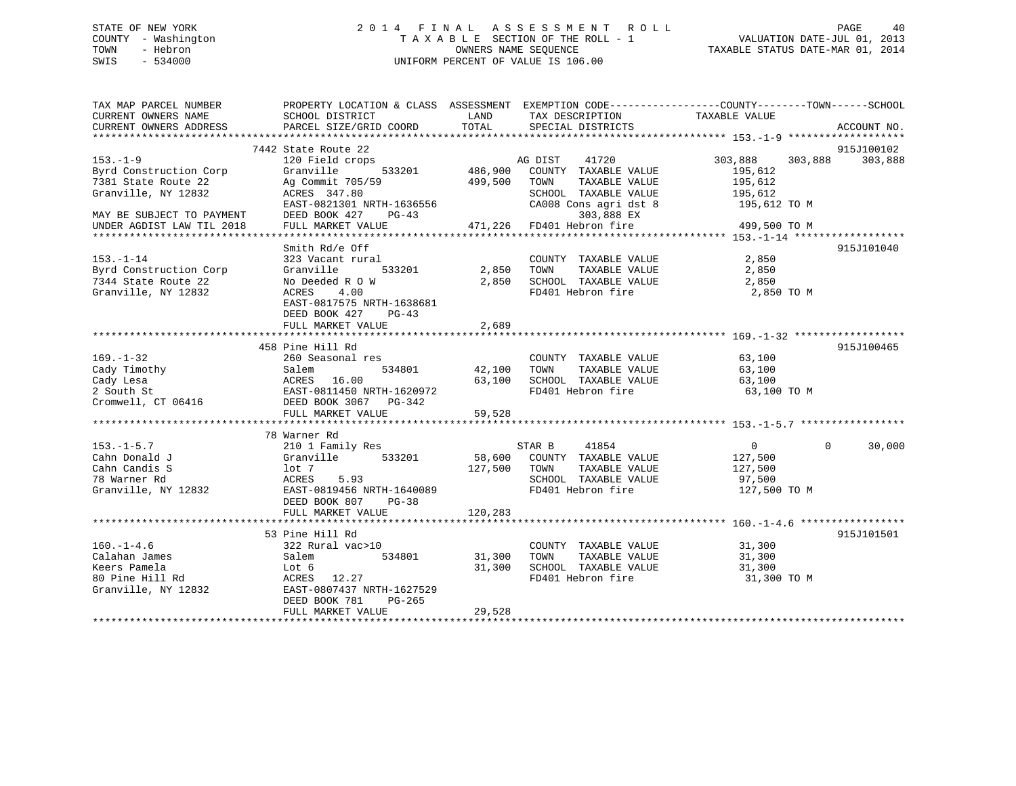## STATE OF NEW YORK 2 0 1 4 F I N A L A S S E S S M E N T R O L L PAGE 40 COUNTY - Washington T A X A B L E SECTION OF THE ROLL - 1 VALUATION DATE-JUL 01, 2013 TOWN - Hebron **CONNERS NAME SEQUENCE** TAXABLE STATUS DATE-MAR 01, 2014 SWIS - 534000 UNIFORM PERCENT OF VALUE IS 106.00

| TAX MAP PARCEL NUMBER     |                                                                                   |         |                                                       | PROPERTY LOCATION & CLASS ASSESSMENT EXEMPTION CODE---------------COUNTY-------TOWN------SCHOOL |             |
|---------------------------|-----------------------------------------------------------------------------------|---------|-------------------------------------------------------|-------------------------------------------------------------------------------------------------|-------------|
| CURRENT OWNERS NAME       | SCHOOL DISTRICT                                                                   | LAND    | TAX DESCRIPTION                                       | TAXABLE VALUE                                                                                   |             |
| CURRENT OWNERS ADDRESS    | PARCEL SIZE/GRID COORD                                                            | TOTAL   | SPECIAL DISTRICTS                                     |                                                                                                 | ACCOUNT NO. |
|                           |                                                                                   |         |                                                       |                                                                                                 |             |
|                           | 7442 State Route 22                                                               |         |                                                       |                                                                                                 | 915J100102  |
| $153. - 1 - 9$            | 120 Field crops                                                                   |         |                                                       | 303,888<br>303,888                                                                              | 303,888     |
| Byrd Construction Corp    | 533201<br>Granville                                                               |         | AG DIST TAXABLE VALUE<br>486,900 COUNTY TAXABLE VALUE | 195,612                                                                                         |             |
| 7381 State Route 22       | Ag Commit 705/59                                                                  | 499,500 | TAXABLE VALUE                                         | 195,612                                                                                         |             |
| Granville, NY 12832       | ACRES 347.80                                                                      |         | SCHOOL TAXABLE VALUE                                  | 195,612                                                                                         |             |
|                           | EAST-0821301 NRTH-1636556                                                         |         | CA008 Cons agri dst 8                                 | $195,612$ TO M                                                                                  |             |
| MAY BE SUBJECT TO PAYMENT | DEED BOOK 427<br>$PG-43$                                                          |         |                                                       |                                                                                                 |             |
| UNDER AGDIST LAW TIL 2018 | FULL MARKET VALUE                                                                 |         | $471,226$ FD401 Hebron fire                           | 499,500 TO M                                                                                    |             |
|                           |                                                                                   |         |                                                       |                                                                                                 |             |
|                           | Smith Rd/e Off                                                                    |         |                                                       |                                                                                                 | 915J101040  |
| $153. - 1 - 14$           | 323 Vacant rural                                                                  |         | COUNTY TAXABLE VALUE 2,850                            |                                                                                                 |             |
| Byrd Construction Corp    | Granville<br>533201                                                               |         | 2,850 TOWN TAXABLE VALUE                              | 2,850                                                                                           |             |
| 7344 State Route 22       | No Deeded R O W                                                                   | 2,850   | SCHOOL TAXABLE VALUE                                  | 2,850                                                                                           |             |
| Granville, NY 12832       | ACRES                                                                             |         | FD401 Hebron fire 2,850 TO M                          |                                                                                                 |             |
|                           | 4.00                                                                              |         |                                                       |                                                                                                 |             |
|                           | EAST-0817575 NRTH-1638681                                                         |         |                                                       |                                                                                                 |             |
|                           | DEED BOOK 427<br>$PG-43$                                                          |         |                                                       |                                                                                                 |             |
|                           | FULL MARKET VALUE                                                                 | 2,689   |                                                       |                                                                                                 |             |
|                           |                                                                                   |         |                                                       |                                                                                                 |             |
|                           | 458 Pine Hill Rd                                                                  |         |                                                       |                                                                                                 | 915J100465  |
| $169. - 1 - 32$           | 260 Seasonal res                                                                  |         | COUNTY TAXABLE VALUE 63,100                           |                                                                                                 |             |
| Cady Timothy              | Salem 534801<br>ACRES 16.00<br>EAST-0811450 NRTH-1620972<br>DEED BOOK 3067 PG-342 | 42,100  | TOWN TAXABLE VALUE                                    | $63,100$<br>$-3,100$                                                                            |             |
| Cady Lesa                 |                                                                                   | 63,100  | SCHOOL TAXABLE VALUE                                  |                                                                                                 |             |
| 2 South St                |                                                                                   |         | FD401 Hebron fire                                     | 63,100 TO M                                                                                     |             |
| Cromwell, CT 06416        |                                                                                   |         |                                                       |                                                                                                 |             |
|                           | FULL MARKET VALUE                                                                 | 59,528  |                                                       |                                                                                                 |             |
|                           |                                                                                   |         |                                                       |                                                                                                 |             |
|                           | 78 Warner Rd                                                                      |         |                                                       |                                                                                                 |             |
| $153. - 1 - 5.7$          | 210 1 Family Res                                                                  |         | STAR B<br>41854                                       | $\Omega$<br>$\Omega$                                                                            | 30,000      |
| Cahn Donald J             | $410 + 440$<br>Granville 533201                                                   |         | 58,600 COUNTY TAXABLE VALUE                           | 127,500                                                                                         |             |
| Cahn Candis S             | lot <sub>7</sub>                                                                  |         | 127,500 TOWN TAXABLE VALUE                            | 127,500                                                                                         |             |
| 78 Warner Rd              | ACRES<br>5.93                                                                     |         | SCHOOL TAXABLE VALUE                                  | 97,500                                                                                          |             |
| Granville, NY 12832       | EAST-0819456 NRTH-1640089                                                         |         | FD401 Hebron fire                                     | 127,500 TO M                                                                                    |             |
|                           | DEED BOOK 807<br>$PG-38$                                                          |         |                                                       |                                                                                                 |             |
|                           | FULL MARKET VALUE                                                                 | 120,283 |                                                       |                                                                                                 |             |
|                           |                                                                                   |         |                                                       |                                                                                                 |             |
|                           | 53 Pine Hill Rd                                                                   |         |                                                       |                                                                                                 | 915J101501  |
| $160. - 1 - 4.6$          | 322 Rural vac>10                                                                  |         | COUNTY TAXABLE VALUE                                  | 31,300                                                                                          |             |
| Calahan James             | Salem<br>534801                                                                   | 31,300  | TOWN<br>TAXABLE VALUE                                 | 31,300                                                                                          |             |
| Keers Pamela              | Lot 6                                                                             | 31,300  | SCHOOL TAXABLE VALUE 31,300                           |                                                                                                 |             |
| 80 Pine Hill Rd           | ACRES 12.27                                                                       |         | FD401 Hebron fire                                     | 31,300 TO M                                                                                     |             |
| Granville, NY 12832       | EAST-0807437 NRTH-1627529                                                         |         |                                                       |                                                                                                 |             |
|                           | DEED BOOK 781<br>$PG-265$                                                         |         |                                                       |                                                                                                 |             |
|                           | FULL MARKET VALUE                                                                 | 29,528  |                                                       |                                                                                                 |             |
|                           |                                                                                   |         |                                                       |                                                                                                 |             |
|                           |                                                                                   |         |                                                       |                                                                                                 |             |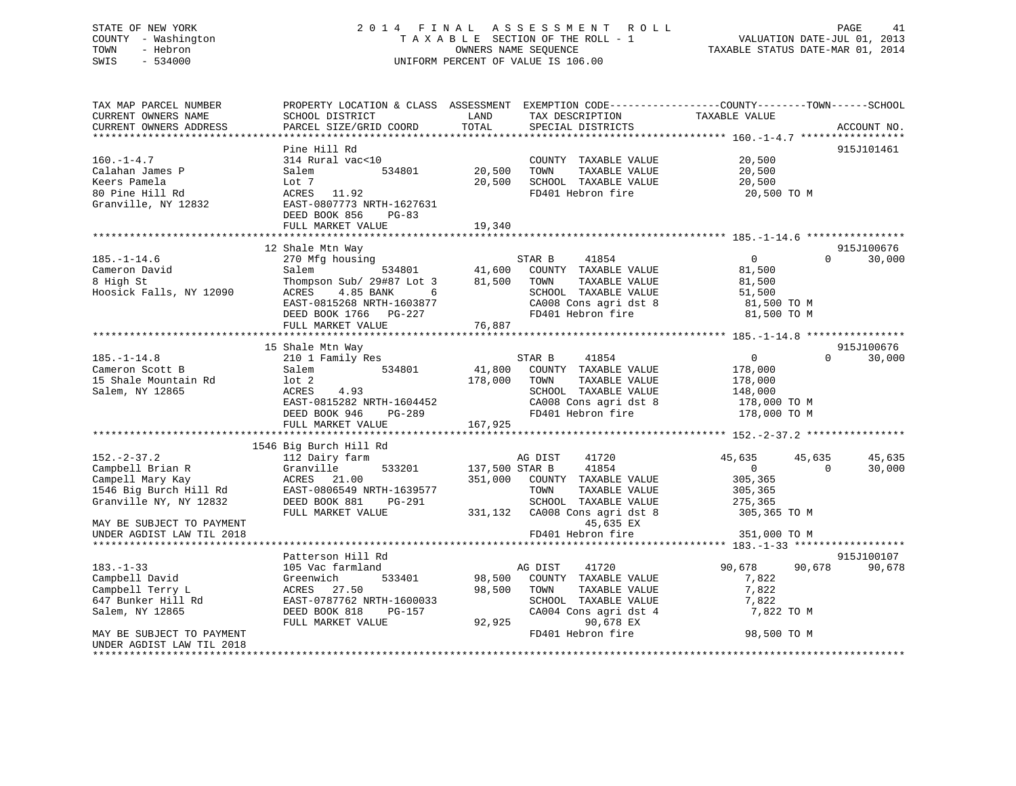## STATE OF NEW YORK 2 0 1 4 F I N A L A S S E S S M E N T R O L L PAGE 41 COUNTY - Washington T A X A B L E SECTION OF THE ROLL - 1 VALUATION DATE-JUL 01, 2013 TOWN - Hebron OWNERS NAME SEQUENCE TAXABLE STATUS DATE-MAR 01, 2014 SWIS - 534000 UNIFORM PERCENT OF VALUE IS 106.00

| TAX MAP PARCEL NUMBER<br>CURRENT OWNERS NAME | SCHOOL DISTRICT                                       | LAND<br>TAX DESCRIPTION          | PROPERTY LOCATION & CLASS ASSESSMENT EXEMPTION CODE----------------COUNTY-------TOWN------SCHOOL<br>TAXABLE VALUE |                    |
|----------------------------------------------|-------------------------------------------------------|----------------------------------|-------------------------------------------------------------------------------------------------------------------|--------------------|
| CURRENT OWNERS ADDRESS                       | PARCEL SIZE/GRID COORD                                | TOTAL<br>SPECIAL DISTRICTS       |                                                                                                                   | ACCOUNT NO.        |
|                                              |                                                       |                                  |                                                                                                                   |                    |
| $160. - 1 - 4.7$                             | Pine Hill Rd<br>314 Rural vac<10                      | COUNTY TAXABLE VALUE             | 20,500                                                                                                            | 915J101461         |
| Calahan James P                              | Salem<br>534801                                       | 20,500<br>TOWN                   | TAXABLE VALUE<br>20,500                                                                                           |                    |
| Keers Pamela                                 | Lot 7                                                 | 20,500<br>SCHOOL TAXABLE VALUE   | 20,500                                                                                                            |                    |
| 80 Pine Hill Rd                              | ACRES 11.92                                           | FD401 Hebron fire                | 20,500 TO M                                                                                                       |                    |
| Granville, NY 12832                          | EAST-0807773 NRTH-1627631<br>DEED BOOK 856<br>$PG-83$ |                                  |                                                                                                                   |                    |
|                                              | FULL MARKET VALUE                                     | 19,340                           |                                                                                                                   |                    |
|                                              |                                                       |                                  |                                                                                                                   |                    |
|                                              | 12 Shale Mtn Way                                      |                                  |                                                                                                                   | 915J100676         |
| $185. - 1 - 14.6$                            | 270 Mfg housing                                       | 41854<br>STAR B                  | $\Omega$                                                                                                          | $\Omega$<br>30,000 |
| Cameron David                                | 534801<br>Salem                                       | 41,600<br>COUNTY TAXABLE VALUE   | 81,500                                                                                                            |                    |
| 8 High St                                    | Thompson Sub/ 29#87 Lot 3                             | 81,500<br>TOWN                   | TAXABLE VALUE<br>81,500                                                                                           |                    |
| Hoosick Falls, NY 12090                      | 4.85 BANK<br>ACRES<br>6                               | SCHOOL TAXABLE VALUE             | 51,500                                                                                                            |                    |
|                                              | EAST-0815268 NRTH-1603877                             | CA008 Cons agri dst 8            | 81,500 TO M                                                                                                       |                    |
|                                              | DEED BOOK 1766 PG-227                                 | FD401 Hebron fire                | 81,500 TO M                                                                                                       |                    |
|                                              | FULL MARKET VALUE                                     | 76,887                           |                                                                                                                   |                    |
|                                              | 15 Shale Mtn Way                                      |                                  |                                                                                                                   | 915J100676         |
| $185. - 1 - 14.8$                            | 210 1 Family Res                                      | 41854<br>STAR B                  | $\overline{0}$                                                                                                    | $\Omega$<br>30,000 |
| Cameron Scott B                              | 534801<br>Salem                                       | 41,800<br>COUNTY TAXABLE VALUE   | 178,000                                                                                                           |                    |
| 15 Shale Mountain Rd                         | $1$ ot $2$                                            | 178,000<br>TOWN                  | TAXABLE VALUE<br>178,000                                                                                          |                    |
| Salem, NY 12865                              | 4.93<br>ACRES                                         | SCHOOL TAXABLE VALUE             | 148,000                                                                                                           |                    |
|                                              | EAST-0815282 NRTH-1604452                             | CA008 Cons agri dst 8            | 178,000 TO M                                                                                                      |                    |
|                                              | DEED BOOK 946<br>PG-289                               | FD401 Hebron fire                | 178,000 TO M                                                                                                      |                    |
|                                              | FULL MARKET VALUE                                     | 167,925                          |                                                                                                                   |                    |
|                                              | ****************************                          |                                  |                                                                                                                   |                    |
|                                              | 1546 Big Burch Hill Rd                                |                                  |                                                                                                                   |                    |
| $152 - 2 - 37.2$                             | 112 Dairy farm                                        | AG DIST<br>41720                 | 45,635                                                                                                            | 45,635<br>45,635   |
| Campbell Brian R                             | Granville<br>533201                                   | 137,500 STAR B<br>41854          | $\overline{0}$                                                                                                    | $\Omega$<br>30,000 |
| Campell Mary Kay                             | ACRES 21.00                                           | 351,000<br>COUNTY TAXABLE VALUE  | 305,365                                                                                                           |                    |
| 1546 Big Burch Hill Rd                       | EAST-0806549 NRTH-1639577                             | TOWN                             | TAXABLE VALUE<br>305,365                                                                                          |                    |
| Granville NY, NY 12832                       | DEED BOOK 881<br>PG-291                               | SCHOOL TAXABLE VALUE             | 275,365                                                                                                           |                    |
|                                              | FULL MARKET VALUE                                     | CA008 Cons agri dst 8<br>331,132 | 305,365 TO M                                                                                                      |                    |
| MAY BE SUBJECT TO PAYMENT                    |                                                       |                                  | 45,635 EX                                                                                                         |                    |
| UNDER AGDIST LAW TIL 2018                    |                                                       | FD401 Hebron fire                | 351,000 TO M                                                                                                      |                    |
|                                              |                                                       |                                  |                                                                                                                   |                    |
|                                              | Patterson Hill Rd                                     |                                  |                                                                                                                   | 915J100107         |
| $183. - 1 - 33$                              | 105 Vac farmland                                      | AG DIST<br>41720                 | 90,678                                                                                                            | 90,678<br>90,678   |
| Campbell David                               | Greenwich<br>533401                                   | 98,500<br>COUNTY TAXABLE VALUE   | 7,822                                                                                                             |                    |
| Campbell Terry L                             | ACRES<br>27.50                                        | 98,500<br>TOWN                   | 7,822<br>TAXABLE VALUE                                                                                            |                    |
| 647 Bunker Hill Rd                           | EAST-0787762 NRTH-1600033                             | SCHOOL TAXABLE VALUE             | 7,822                                                                                                             |                    |
| Salem, NY 12865                              | DEED BOOK 818<br>PG-157                               | CA004 Cons agri dst 4            | 7,822 TO M                                                                                                        |                    |
|                                              | FULL MARKET VALUE                                     | 92,925                           | 90,678 EX                                                                                                         |                    |
| MAY BE SUBJECT TO PAYMENT                    |                                                       | FD401 Hebron fire                | 98,500 TO M                                                                                                       |                    |
| UNDER AGDIST LAW TIL 2018                    |                                                       |                                  |                                                                                                                   |                    |
|                                              |                                                       |                                  |                                                                                                                   |                    |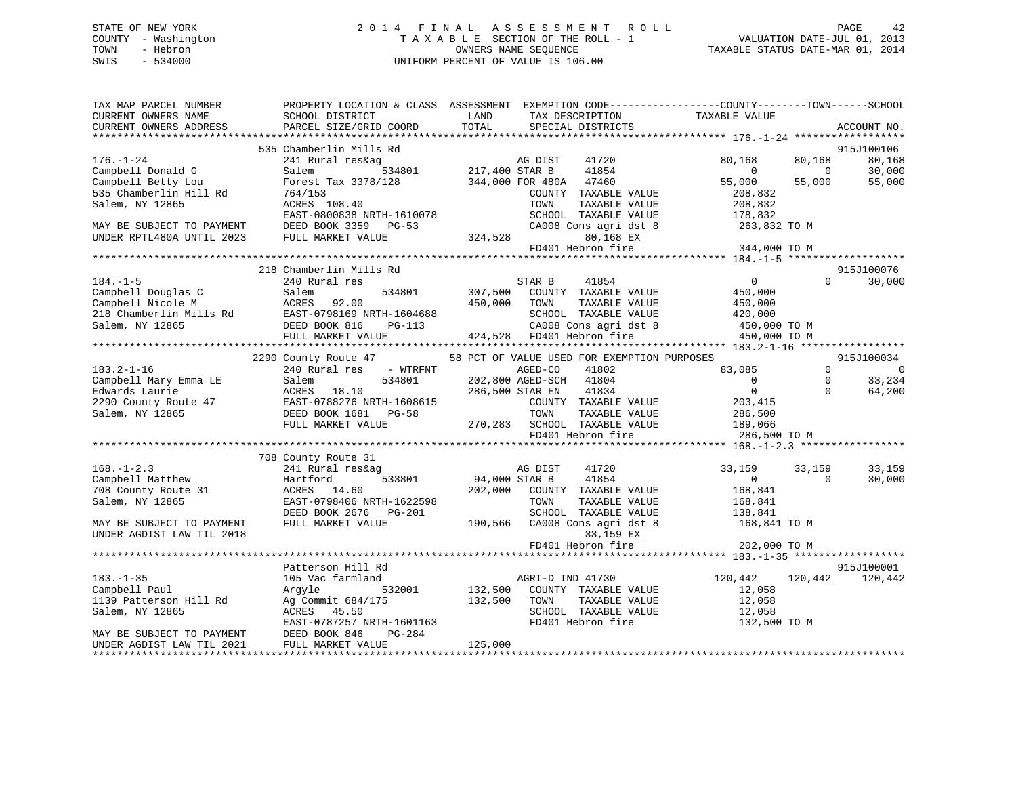## STATE OF NEW YORK 2 0 1 4 F I N A L A S S E S S M E N T R O L L PAGE 42 COUNTY - Washington T A X A B L E SECTION OF THE ROLL - 1 VALUATION DATE-JUL 01, 2013 TOWN - Hebron OWNERS NAME SEQUENCE TAXABLE STATUS DATE-MAR 01, 2014 SWIS - 534000 UNIFORM PERCENT OF VALUE IS 106.00

| TAX MAP PARCEL NUMBER<br>CURRENT OWNERS NAME<br>CURRENT OWNERS ADDRESS | SCHOOL DISTRICT<br>PARCEL SIZE/GRID COORD                                                                                                                                                                                                                                     | LAND<br>TAX DESCRIPTION<br>TOTAL<br>SPECIAL DISTRICTS | PROPERTY LOCATION & CLASS ASSESSMENT EXEMPTION CODE---------------COUNTY-------TOWN-----SCHOOL<br>TAXABLE VALUE<br>ACCOUNT NO. |
|------------------------------------------------------------------------|-------------------------------------------------------------------------------------------------------------------------------------------------------------------------------------------------------------------------------------------------------------------------------|-------------------------------------------------------|--------------------------------------------------------------------------------------------------------------------------------|
|                                                                        |                                                                                                                                                                                                                                                                               |                                                       |                                                                                                                                |
|                                                                        | 535 Chamberlin Mills Rd                                                                                                                                                                                                                                                       |                                                       | 915J100106                                                                                                                     |
| $176. - 1 - 24$                                                        | 241 Rural res&ag                                                                                                                                                                                                                                                              | AG DIST<br>534801 217,400 STAR B<br>AG DIST<br>41720  | 80,168<br>80,168<br>80,168                                                                                                     |
| Campbell Donald G                                                      | Salem                                                                                                                                                                                                                                                                         | 41854                                                 | 30,000<br>$\sim$ 0<br>$\overline{0}$                                                                                           |
| Campbell Betty Lou                                                     | Forest Tax 3378/128                                                                                                                                                                                                                                                           | 344,000 FOR 480A 47460                                | 55,000<br>55,000<br>55,000                                                                                                     |
| 535 Chamberlin Hill Rd                                                 | 764/153                                                                                                                                                                                                                                                                       | COUNTY TAXABLE VALUE                                  | 208,832                                                                                                                        |
| Salem, NY 12865                                                        | ACRES 108.40                                                                                                                                                                                                                                                                  | TOWN<br>TAXABLE VALUE                                 | 208,832                                                                                                                        |
|                                                                        | EAST-0800838 NRTH-1610078                                                                                                                                                                                                                                                     | SCHOOL TAXABLE VALUE                                  | 178,832                                                                                                                        |
| MAY BE SUBJECT TO PAYMENT                                              | DEED BOOK 3359 PG-53                                                                                                                                                                                                                                                          | CA008 Cons agri dst 8                                 | 263,832 TO M                                                                                                                   |
| UNDER RPTL480A UNTIL 2023                                              | FULL MARKET VALUE                                                                                                                                                                                                                                                             | 324,528<br>80,168 EX                                  |                                                                                                                                |
|                                                                        |                                                                                                                                                                                                                                                                               | FD401 Hebron fire                                     | 344,000 TO M                                                                                                                   |
|                                                                        |                                                                                                                                                                                                                                                                               |                                                       |                                                                                                                                |
|                                                                        | 218 Chamberlin Mills Rd                                                                                                                                                                                                                                                       |                                                       | 915J100076                                                                                                                     |
| $184. - 1 - 5$                                                         | 240 Rural res                                                                                                                                                                                                                                                                 | STAR B<br>41854                                       | $\overline{0}$<br>$\Omega$<br>30,000                                                                                           |
|                                                                        | Campbell Douglas C<br>Campbell Nicole M<br>218 Chamberlin Mills Rd<br>534801<br>218 Chamberlin Mills Rd<br>52.00<br>52.00<br>52.00<br>52.00<br>52.00<br>52.00<br>52.00<br>52.00<br>52.00<br>52.00<br>52.00<br>52.00<br>52.00<br>52.00<br>52.00<br>52.00<br>52.00<br>52.00<br> | 534801 307,500 COUNTY TAXABLE VALUE                   | 450,000                                                                                                                        |
|                                                                        |                                                                                                                                                                                                                                                                               | 450,000<br>TOWN<br>TAXABLE VALUE                      | 450,000                                                                                                                        |
|                                                                        |                                                                                                                                                                                                                                                                               | SCHOOL TAXABLE VALUE<br>$_{15} - 100 + 088$<br>PG-113 | 420,000                                                                                                                        |
|                                                                        |                                                                                                                                                                                                                                                                               | CA008 Cons agri dst 8                                 | 450,000 TO M                                                                                                                   |
|                                                                        | FULL MARKET VALUE                                                                                                                                                                                                                                                             | 424,528 FD401 Hebron fire                             | 450,000 TO M                                                                                                                   |
|                                                                        |                                                                                                                                                                                                                                                                               |                                                       |                                                                                                                                |
| $183.2 - 1 - 16$                                                       | 2290 County Route 47                                                                                                                                                                                                                                                          | 58 PCT OF VALUE USED FOR EXEMPTION PURPOSES<br>41802  | 915J100034<br>83,085<br>$\Omega$<br>0                                                                                          |
| Campbell Mary Emma LE                                                  |                                                                                                                                                                                                                                                                               | AGED-CO<br>202,800 AGED-SCH 41804                     | $\overline{0}$<br>$\mathbf 0$<br>33,234                                                                                        |
|                                                                        | Campbell Mary Emma LE Salem 534801<br>Edwards Laurie ACRES 18.10<br>2290 County Route 47 EAST-0788276 NRTH-1608615<br>Salem, NY 12865 DEED BOOK 1681 PG-58                                                                                                                    | 286,500 STAR EN<br>41834                              | $\overline{0}$<br>$\Omega$<br>64,200                                                                                           |
|                                                                        |                                                                                                                                                                                                                                                                               | COUNTY TAXABLE VALUE                                  | 203,415                                                                                                                        |
|                                                                        |                                                                                                                                                                                                                                                                               | TOWN<br>TAXABLE VALUE                                 |                                                                                                                                |
|                                                                        | FULL MARKET VALUE                                                                                                                                                                                                                                                             |                                                       | 286,500<br>189,066                                                                                                             |
|                                                                        |                                                                                                                                                                                                                                                                               | FD401 Hebron fire                                     | 286,500 TO M                                                                                                                   |
|                                                                        |                                                                                                                                                                                                                                                                               |                                                       |                                                                                                                                |
|                                                                        | 708 County Route 31                                                                                                                                                                                                                                                           |                                                       |                                                                                                                                |
| $168. - 1 - 2.3$                                                       | 241 Rural res&ag                                                                                                                                                                                                                                                              | AG DIST<br>41720                                      | 33,159<br>33,159<br>33,159                                                                                                     |
| Campbell Matthew                                                       | 533801<br>Hartford                                                                                                                                                                                                                                                            | 94,000 STAR B<br>41854                                | 30,000<br>$\overline{0}$<br>$\Omega$                                                                                           |
| 708 County Route 31                                                    | 14.60<br>ACRES                                                                                                                                                                                                                                                                | 202,000<br>COUNTY TAXABLE VALUE                       | 168,841                                                                                                                        |
| Salem, NY 12865                                                        | EAST-0798406 NRTH-1622598                                                                                                                                                                                                                                                     | TOWN<br>TAXABLE VALUE                                 | 168,841                                                                                                                        |
|                                                                        | DEED BOOK 2676 PG-201                                                                                                                                                                                                                                                         | SCHOOL TAXABLE VALUE                                  | 138,841                                                                                                                        |
| MAY BE SUBJECT TO PAYMENT                                              | FULL MARKET VALUE                                                                                                                                                                                                                                                             | 190,566 CA008 Cons agri dst 8                         | 168,841 TO M                                                                                                                   |
| UNDER AGDIST LAW TIL 2018                                              |                                                                                                                                                                                                                                                                               | 33,159 EX                                             |                                                                                                                                |
|                                                                        |                                                                                                                                                                                                                                                                               | FD401 Hebron fire                                     | 202,000 TO M                                                                                                                   |
|                                                                        |                                                                                                                                                                                                                                                                               |                                                       |                                                                                                                                |
|                                                                        | Patterson Hill Rd                                                                                                                                                                                                                                                             |                                                       | 915J100001                                                                                                                     |
| $183. - 1 - 35$                                                        | 105 Vac farmland                                                                                                                                                                                                                                                              | AGRI-D IND 41730                                      | 120,442<br>120,442<br>120,442                                                                                                  |
| Campbell Paul                                                          | 532001<br>Argyle                                                                                                                                                                                                                                                              | 132,500<br>COUNTY TAXABLE VALUE                       | 12,058                                                                                                                         |
| 1139 Patterson Hill Rd                                                 | Ag Commit 684/175                                                                                                                                                                                                                                                             | 132,500<br>TOWN<br>TAXABLE VALUE                      | 12,058                                                                                                                         |
| Salem, NY 12865                                                        | ACRES 45.50                                                                                                                                                                                                                                                                   | SCHOOL TAXABLE VALUE                                  | 12,058                                                                                                                         |
|                                                                        | EAST-0787257 NRTH-1601163                                                                                                                                                                                                                                                     | FD401 Hebron fire                                     | 132,500 TO M                                                                                                                   |
| MAY BE SUBJECT TO PAYMENT                                              | PG-284<br>DEED BOOK 846                                                                                                                                                                                                                                                       |                                                       |                                                                                                                                |
| UNDER AGDIST LAW TIL 2021                                              | FULL MARKET VALUE                                                                                                                                                                                                                                                             | 125,000                                               |                                                                                                                                |
|                                                                        |                                                                                                                                                                                                                                                                               |                                                       |                                                                                                                                |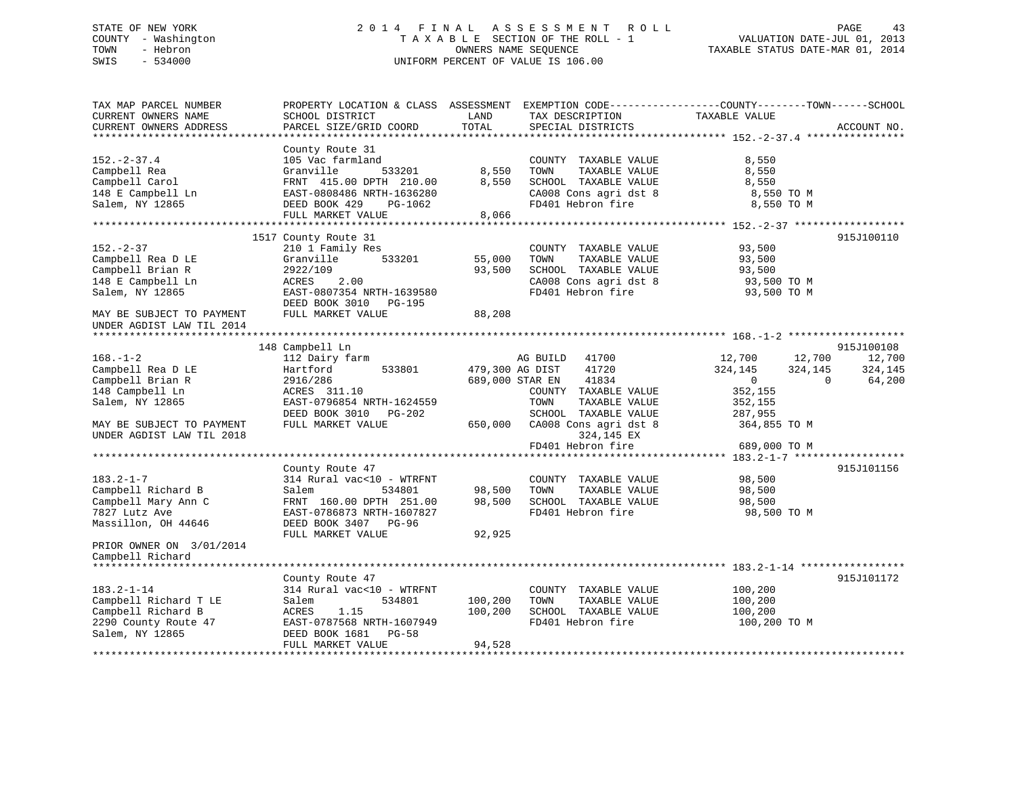# STATE OF NEW YORK 2 0 1 4 F I N A L A S S E S S M E N T R O L L PAGE 43COUNTY - Washington  $T A X A B L E$  SECTION OF THE ROLL - 1<br>TOWN - Hebron DATE-JUL 000NERS NAME SEQUENCE SWIS - 534000 UNIFORM PERCENT OF VALUE IS 106.00

TAXABLE STATUS DATE-MAR 01, 2014

| TAX MAP PARCEL NUMBER<br>CURRENT OWNERS NAME           | SCHOOL DISTRICT                     | LAND            | TAX DESCRIPTION          | PROPERTY LOCATION & CLASS ASSESSMENT EXEMPTION CODE----------------COUNTY-------TOWN------SCHOOL<br>TAXABLE VALUE |             |
|--------------------------------------------------------|-------------------------------------|-----------------|--------------------------|-------------------------------------------------------------------------------------------------------------------|-------------|
| CURRENT OWNERS ADDRESS                                 | PARCEL SIZE/GRID COORD              | TOTAL           | SPECIAL DISTRICTS        |                                                                                                                   | ACCOUNT NO. |
|                                                        |                                     |                 |                          |                                                                                                                   |             |
| $152. - 2 - 37.4$                                      | County Route 31<br>105 Vac farmland |                 | COUNTY TAXABLE VALUE     |                                                                                                                   |             |
| Campbell Rea                                           | Granville<br>533201                 | 8,550           | TAXABLE VALUE<br>TOWN    | 8,550<br>8,550                                                                                                    |             |
| Campbell Carol                                         | FRNT 415.00 DPTH 210.00             | 8,550           | SCHOOL TAXABLE VALUE     | 8,550                                                                                                             |             |
| 148 E Campbell Ln                                      | EAST-0808486 NRTH-1636280           |                 | CA008 Cons agri dst 8    | 8,550 TO M                                                                                                        |             |
| Salem, NY 12865                                        | DEED BOOK 429<br>PG-1062            |                 | FD401 Hebron fire        | 8,550 TO M                                                                                                        |             |
|                                                        | FULL MARKET VALUE                   | 8,066           |                          |                                                                                                                   |             |
|                                                        | ****************************        | *************   |                          |                                                                                                                   |             |
|                                                        | 1517 County Route 31                |                 |                          |                                                                                                                   | 915J100110  |
| $152 - 2 - 37$                                         | 210 1 Family Res                    |                 | COUNTY TAXABLE VALUE     | 93,500                                                                                                            |             |
| Campbell Rea D LE                                      | Granville<br>533201                 | 55,000          | TOWN<br>TAXABLE VALUE    | 93,500                                                                                                            |             |
| Campbell Brian R                                       | 2922/109                            | 93,500          | SCHOOL TAXABLE VALUE     | 93,500                                                                                                            |             |
| 148 E Campbell Ln                                      | 2.00<br>ACRES                       |                 | CA008 Cons agri dst 8    | 93,500 TO M                                                                                                       |             |
| Salem, NY 12865                                        | EAST-0807354 NRTH-1639580           |                 | FD401 Hebron fire        | 93,500 TO M                                                                                                       |             |
|                                                        | DEED BOOK 3010 PG-195               |                 |                          |                                                                                                                   |             |
| MAY BE SUBJECT TO PAYMENT<br>UNDER AGDIST LAW TIL 2014 | FULL MARKET VALUE                   | 88,208          |                          |                                                                                                                   |             |
|                                                        |                                     |                 |                          |                                                                                                                   |             |
|                                                        | 148 Campbell Ln                     |                 |                          |                                                                                                                   | 915J100108  |
| $168. - 1 - 2$                                         | 112 Dairy farm                      |                 | 41700<br>AG BUILD        | 12,700<br>12,700                                                                                                  | 12,700      |
| Campbell Rea D LE                                      | Hartford<br>533801                  | 479,300 AG DIST | 41720                    | 324,145<br>324,145                                                                                                | 324,145     |
| Campbell Brian R                                       | 2916/286                            |                 | 689,000 STAR EN<br>41834 | $\mathbf 0$<br>$\mathbf 0$                                                                                        | 64,200      |
| 148 Campbell Ln                                        | ACRES 311.10                        |                 | COUNTY TAXABLE VALUE     | 352,155                                                                                                           |             |
| Salem, NY 12865                                        | EAST-0796854 NRTH-1624559           |                 | TOWN<br>TAXABLE VALUE    | 352,155                                                                                                           |             |
|                                                        | DEED BOOK 3010 PG-202               |                 | SCHOOL TAXABLE VALUE     | 287,955                                                                                                           |             |
| MAY BE SUBJECT TO PAYMENT                              | FULL MARKET VALUE                   | 650,000         | CA008 Cons agri dst 8    | 364,855 TO M                                                                                                      |             |
| UNDER AGDIST LAW TIL 2018                              |                                     |                 | 324,145 EX               |                                                                                                                   |             |
|                                                        |                                     |                 | FD401 Hebron fire        | 689,000 TO M                                                                                                      |             |
|                                                        | County Route 47                     |                 |                          |                                                                                                                   | 915J101156  |
| $183.2 - 1 - 7$                                        | 314 Rural vac<10 - WTRFNT           |                 | COUNTY TAXABLE VALUE     | 98,500                                                                                                            |             |
| Campbell Richard B                                     | Salem<br>534801                     | 98,500          | TOWN<br>TAXABLE VALUE    | 98,500                                                                                                            |             |
| Campbell Mary Ann C                                    | FRNT 160.00 DPTH 251.00             | 98,500          | SCHOOL TAXABLE VALUE     | 98,500                                                                                                            |             |
| 7827 Lutz Ave                                          | EAST-0786873 NRTH-1607827           |                 | FD401 Hebron fire        | 98,500 TO M                                                                                                       |             |
| Massillon, OH 44646                                    | DEED BOOK 3407 PG-96                |                 |                          |                                                                                                                   |             |
|                                                        | FULL MARKET VALUE                   | 92,925          |                          |                                                                                                                   |             |
| PRIOR OWNER ON 3/01/2014<br>Campbell Richard           |                                     |                 |                          |                                                                                                                   |             |
|                                                        |                                     |                 |                          |                                                                                                                   |             |
|                                                        | County Route 47                     |                 |                          |                                                                                                                   | 915J101172  |
| $183.2 - 1 - 14$                                       | 314 Rural vac<10 - WTRFNT           |                 | COUNTY TAXABLE VALUE     | 100,200                                                                                                           |             |
| Campbell Richard T LE                                  | 534801<br>Salem                     | 100,200         | TOWN<br>TAXABLE VALUE    | 100,200                                                                                                           |             |
| Campbell Richard B                                     | ACRES<br>1.15                       | 100,200         | SCHOOL TAXABLE VALUE     | 100,200                                                                                                           |             |
| 2290 County Route 47                                   | EAST-0787568 NRTH-1607949           |                 | FD401 Hebron fire        | 100,200 TO M                                                                                                      |             |
| Salem, NY 12865                                        | DEED BOOK 1681 PG-58                |                 |                          |                                                                                                                   |             |
|                                                        | FULL MARKET VALUE                   | 94,528          |                          |                                                                                                                   |             |
|                                                        |                                     |                 |                          |                                                                                                                   |             |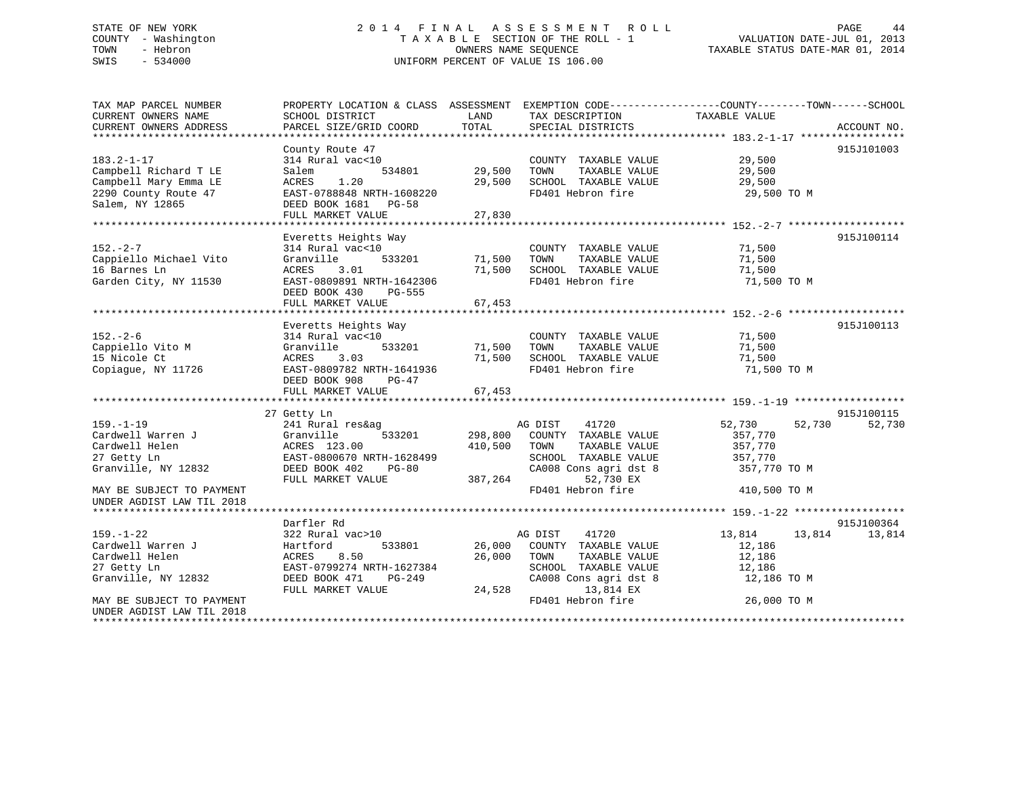# STATE OF NEW YORK 2 0 1 4 F I N A L A S S E S S M E N T R O L L PAGE 44COUNTY - Washington  $T A X A B L E$  SECTION OF THE ROLL - 1<br>TOWN - Hebron DATE-JUL 2001 OWNERS NAME SEQUENCE SWIS - 534000 UNIFORM PERCENT OF VALUE IS 106.00

TAXABLE STATUS DATE-MAR 01, 2014

| TAX MAP PARCEL NUMBER     | PROPERTY LOCATION & CLASS ASSESSMENT EXEMPTION CODE---------------COUNTY-------TOWN-----SCHOOL |             |                              |                  |             |
|---------------------------|------------------------------------------------------------------------------------------------|-------------|------------------------------|------------------|-------------|
| CURRENT OWNERS NAME       | SCHOOL DISTRICT                                                                                | LAND        | TAX DESCRIPTION              | TAXABLE VALUE    |             |
| CURRENT OWNERS ADDRESS    | PARCEL SIZE/GRID COORD                                                                         | TOTAL       | SPECIAL DISTRICTS            |                  | ACCOUNT NO. |
|                           |                                                                                                |             |                              |                  |             |
|                           | County Route 47                                                                                |             |                              |                  | 915J101003  |
| $183.2 - 1 - 17$          | 314 Rural vac<10                                                                               |             | COUNTY TAXABLE VALUE         | 29,500           |             |
| Campbell Richard T LE     | 534801<br>Salem                                                                                | 29,500      | TAXABLE VALUE<br>TOWN        | 29,500           |             |
| Campbell Mary Emma LE     | ACRES<br>1.20                                                                                  | 29,500      | SCHOOL TAXABLE VALUE         | 29,500           |             |
| 2290 County Route 47      | EAST-0788848 NRTH-1608220                                                                      |             | FD401 Hebron fire            | 29,500 TO M      |             |
| Salem, NY 12865           | DEED BOOK 1681 PG-58                                                                           |             |                              |                  |             |
|                           | FULL MARKET VALUE                                                                              | 27,830      |                              |                  |             |
|                           |                                                                                                |             |                              |                  |             |
|                           | Everetts Heights Way                                                                           |             |                              |                  | 915J100114  |
| $152 - 2 - 7$             | 314 Rural vac<10                                                                               |             | COUNTY TAXABLE VALUE         | 71,500           |             |
| Cappiello Michael Vito    | Granville<br>533201                                                                            | 71,500 TOWN | TAXABLE VALUE                | 71,500           |             |
| 16 Barnes Ln              | ACRES<br>3.01                                                                                  |             | 71,500 SCHOOL TAXABLE VALUE  | 71,500           |             |
| Garden City, NY 11530     | EAST-0809891 NRTH-1642306                                                                      |             | FD401 Hebron fire            | 71,500 TO M      |             |
|                           | DEED BOOK 430 PG-555                                                                           |             |                              |                  |             |
|                           | FULL MARKET VALUE                                                                              | 67,453      |                              |                  |             |
|                           |                                                                                                |             |                              |                  |             |
|                           |                                                                                                |             |                              |                  |             |
|                           | Everetts Heights Way                                                                           |             |                              |                  | 915J100113  |
| $152 - 2 - 6$             | 314 Rural vac<10                                                                               |             | COUNTY TAXABLE VALUE         | 71,500           |             |
| Cappiello Vito M          | Granville<br>533201                                                                            | 71,500      | TOWN<br>TAXABLE VALUE        | 71,500           |             |
| 15 Nicole Ct              | 3.03<br>ACRES                                                                                  | 71,500      | SCHOOL TAXABLE VALUE         | 71,500           |             |
| Copiaque, NY 11726        | EAST-0809782 NRTH-1641936                                                                      |             | FD401 Hebron fire            | 71,500 TO M      |             |
|                           | DEED BOOK 908<br>PG-47                                                                         |             |                              |                  |             |
|                           | FULL MARKET VALUE                                                                              | 67,453      |                              |                  |             |
|                           |                                                                                                |             |                              |                  |             |
|                           | 27 Getty Ln                                                                                    |             |                              |                  | 915J100115  |
| $159. - 1 - 19$           | 241 Rural res&ag                                                                               |             | 41720<br>AG DIST             | 52,730<br>52,730 | 52,730      |
| Cardwell Warren J         | 533201<br>Granville                                                                            |             | 298,800 COUNTY TAXABLE VALUE | 357,770          |             |
| Cardwell Helen            | ACRES 123.00                                                                                   | 410,500     | TOWN<br>TAXABLE VALUE        | 357,770          |             |
| 27 Getty Ln               | EAST-0800670 NRTH-1628499                                                                      |             | SCHOOL TAXABLE VALUE         | 357,770          |             |
| Granville, NY 12832       | DEED BOOK 402<br>PG-80                                                                         |             | CA008 Cons agri dst 8        | 357,770 TO M     |             |
|                           | FULL MARKET VALUE                                                                              | 387,264     | 52,730 EX                    |                  |             |
| MAY BE SUBJECT TO PAYMENT |                                                                                                |             | FD401 Hebron fire            | 410,500 TO M     |             |
| UNDER AGDIST LAW TIL 2018 |                                                                                                |             |                              |                  |             |
|                           |                                                                                                |             |                              |                  |             |
|                           | Darfler Rd                                                                                     |             |                              |                  | 915J100364  |
| $159. - 1 - 22$           | 322 Rural vac>10                                                                               |             | AG DIST<br>41720             | 13,814<br>13,814 | 13,814      |
| Cardwell Warren J         | Hartford<br>533801                                                                             |             | 26,000 COUNTY TAXABLE VALUE  | 12,186           |             |
| Cardwell Helen            | 8.50<br>ACRES                                                                                  | 26,000      | TAXABLE VALUE<br>TOWN        | 12,186           |             |
| 27 Getty Ln               | EAST-0799274 NRTH-1627384                                                                      |             | SCHOOL TAXABLE VALUE         | 12,186           |             |
| Granville, NY 12832       | DEED BOOK 471<br>PG-249                                                                        |             | CA008 Cons agri dst 8        | 12,186 TO M      |             |
|                           | FULL MARKET VALUE                                                                              | 24,528      | 13,814 EX                    |                  |             |
| MAY BE SUBJECT TO PAYMENT |                                                                                                |             | FD401 Hebron fire            | 26,000 TO M      |             |
| UNDER AGDIST LAW TIL 2018 |                                                                                                |             |                              |                  |             |
|                           |                                                                                                |             |                              |                  |             |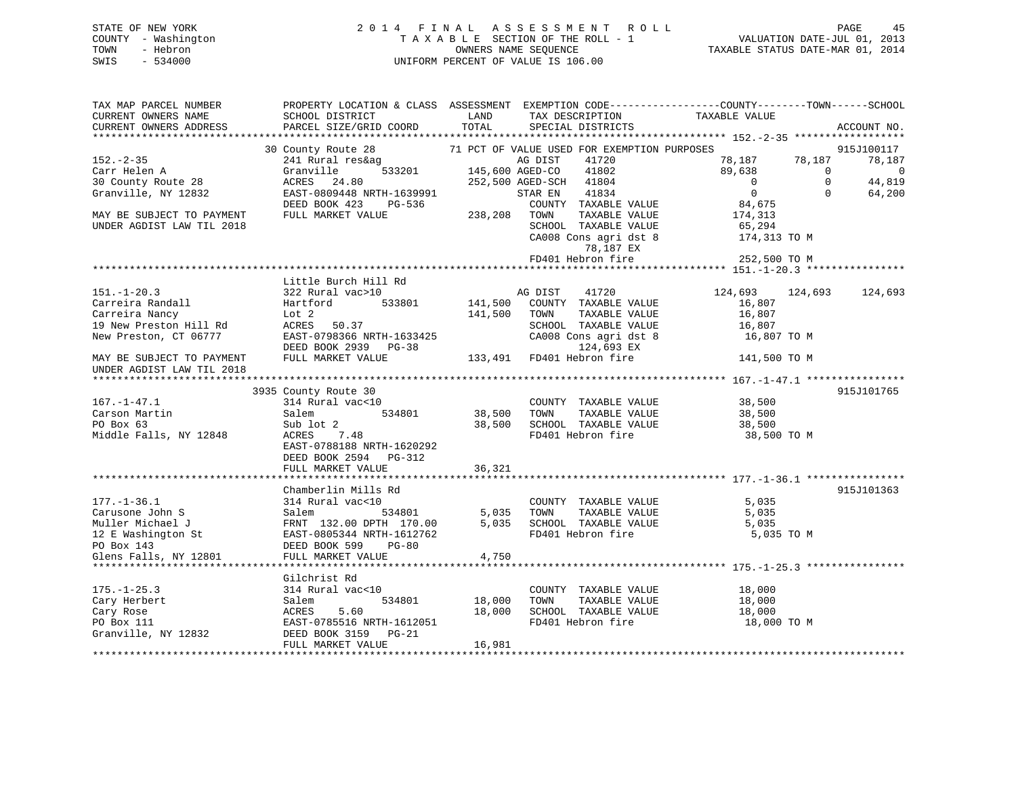## STATE OF NEW YORK 2 0 1 4 F I N A L A S S E S S M E N T R O L L PAGE 45 COUNTY - Washington T A X A B L E SECTION OF THE ROLL - 1 VALUATION DATE-JUL 01, 2013 TOWN - Hebron OWNERS NAME SEQUENCE TAXABLE STATUS DATE-MAR 01, 2014 SWIS - 534000 UNIFORM PERCENT OF VALUE IS 106.00

| TAX MAP PARCEL NUMBER     | PROPERTY LOCATION & CLASS ASSESSMENT EXEMPTION CODE----------------COUNTY-------TOWN------SCHOOL |                           |                                                                  |                |            |                |
|---------------------------|--------------------------------------------------------------------------------------------------|---------------------------|------------------------------------------------------------------|----------------|------------|----------------|
| CURRENT OWNERS NAME       | SCHOOL DISTRICT                                                                                  | LAND                      | TAX DESCRIPTION                                                  | TAXABLE VALUE  |            |                |
| CURRENT OWNERS ADDRESS    | PARCEL SIZE/GRID COORD TOTAL                                                                     |                           | SPECIAL DISTRICTS                                                |                |            | ACCOUNT NO.    |
|                           |                                                                                                  |                           |                                                                  |                |            |                |
|                           | 30 County Route 28                                                                               |                           | 71 PCT OF VALUE USED FOR EXEMPTION PURPOSES                      |                |            | 915J100117     |
| $152. - 2 - 35$           | 241 Rural res&ag                                                                                 |                           | AG DIST<br>41720                                                 | 78,187 78,187  |            | 78,187         |
| Carr Helen A              | Granville                                                                                        |                           | 41802                                                            | 89,638         | $\bigcirc$ | $\overline{0}$ |
|                           | 24.80                                                                                            | $145,600 \text{ AGED-CO}$ | 252,500 AGED-SCH 41804                                           | $\overline{0}$ | $\Omega$   | 44,819         |
| 30 County Route 28        | ACRES                                                                                            |                           |                                                                  |                |            |                |
| Granville, NY 12832       | EAST-0809448 NRTH-1639991<br>DEED BOOK 423 PG-536                                                |                           | STAR EN<br>41834                                                 | $\overline{0}$ | $\Omega$   | 64,200         |
|                           |                                                                                                  |                           | COUNTY TAXABLE VALUE                                             | 84,675         |            |                |
| MAY BE SUBJECT TO PAYMENT | FULL MARKET VALUE                                                                                | 238,208 TOWN              | TAXABLE VALUE                                                    | 174,313        |            |                |
| UNDER AGDIST LAW TIL 2018 |                                                                                                  |                           | SCHOOL TAXABLE VALUE                                             | 65,294         |            |                |
|                           |                                                                                                  |                           | CA008 Cons agri dst 8                                            | 174,313 TO M   |            |                |
|                           |                                                                                                  |                           | 78,187 EX                                                        |                |            |                |
|                           |                                                                                                  |                           | FD401 Hebron fire                                                | 252,500 TO M   |            |                |
|                           |                                                                                                  |                           |                                                                  |                |            |                |
|                           | Little Burch Hill Rd                                                                             |                           |                                                                  |                |            |                |
| $151. - 1 - 20.3$         | 322 Rural vac>10                                                                                 |                           | AG DIST<br>41720                                                 | 124,693        | 124,693    | 124,693        |
| Carreira Randall          | 533801<br>Hartford                                                                               |                           | 141,500 COUNTY TAXABLE VALUE                                     | 16,807         |            |                |
| Carreira Nancy            | Lot 2                                                                                            | 141,500                   | TOWN<br>TAXABLE VALUE                                            | 16,807         |            |                |
| 19 New Preston Hill Rd    | ACRES<br>50.37                                                                                   |                           |                                                                  |                |            |                |
| New Preston, CT 06777     | EAST-0798366 NRTH-1633425                                                                        |                           | SCHOOL TAXABLE VALUE 16,807<br>CA008 Cons agri dst 8 16,807 TO M |                |            |                |
|                           | DEED BOOK 2939 PG-38                                                                             |                           | 124,693 EX                                                       |                |            |                |
|                           | FULL MARKET VALUE                                                                                |                           | 133,491 FD401 Hebron fire                                        | 141,500 TO M   |            |                |
| MAY BE SUBJECT TO PAYMENT |                                                                                                  |                           |                                                                  |                |            |                |
| UNDER AGDIST LAW TIL 2018 |                                                                                                  |                           |                                                                  |                |            |                |
|                           |                                                                                                  |                           |                                                                  |                |            |                |
|                           | 3935 County Route 30                                                                             |                           |                                                                  |                |            | 915J101765     |
| $167. - 1 - 47.1$         | 314 Rural vac<10                                                                                 | 38,500                    | COUNTY TAXABLE VALUE                                             | 38,500         |            |                |
| Carson Martin             | Salem<br>534801                                                                                  |                           | TOWN<br>TAXABLE VALUE                                            | 38,500         |            |                |
| PO Box 63                 | Sub lot 2                                                                                        | 38,500                    | SCHOOL TAXABLE VALUE                                             | 38,500         |            |                |
| Middle Falls, NY 12848    | 7.48<br>ACRES                                                                                    |                           | FD401 Hebron fire                                                | 38,500 TO M    |            |                |
|                           | EAST-0788188 NRTH-1620292                                                                        |                           |                                                                  |                |            |                |
|                           | DEED BOOK 2594 PG-312                                                                            |                           |                                                                  |                |            |                |
|                           | FULL MARKET VALUE                                                                                | 36,321                    |                                                                  |                |            |                |
|                           |                                                                                                  |                           |                                                                  |                |            |                |
|                           | Chamberlin Mills Rd                                                                              |                           |                                                                  |                |            | 915J101363     |
| $177. - 1 - 36.1$         | 314 Rural vac<10                                                                                 |                           | COUNTY TAXABLE VALUE                                             | 5,035          |            |                |
| Carusone John S           |                                                                                                  | 5,035                     | TAXABLE VALUE<br>TOWN                                            | 5,035          |            |                |
| Muller Michael J          | Salem 534801<br>FRNT 132.00 DPTH 170.00                                                          |                           | 5,035 SCHOOL TAXABLE VALUE                                       | 5,035          |            |                |
| 12 E Washington St        | EAST-0805344 NRTH-1612762                                                                        |                           | FD401 Hebron fire                                                | 5,035 TO M     |            |                |
| PO Box 143                | DEED BOOK 599<br>PG-80                                                                           |                           |                                                                  |                |            |                |
| Glens Falls, NY 12801     | FULL MARKET VALUE                                                                                | 4,750                     |                                                                  |                |            |                |
|                           |                                                                                                  |                           |                                                                  |                |            |                |
|                           | Gilchrist Rd                                                                                     |                           |                                                                  |                |            |                |
| $175. - 1 - 25.3$         | 314 Rural vac<10                                                                                 |                           | COUNTY TAXABLE VALUE                                             | 18,000         |            |                |
| Cary Herbert              | 534801<br>Salem                                                                                  | 18,000                    | TOWN<br>TAXABLE VALUE                                            | 18,000         |            |                |
| Cary Rose                 | 5.60<br>ACRES                                                                                    | 18,000                    | SCHOOL TAXABLE VALUE                                             | 18,000         |            |                |
| PO Box 111                | EAST-0785516 NRTH-1612051                                                                        |                           | FD401 Hebron fire                                                | 18,000 TO M    |            |                |
| Granville, NY 12832       | DEED BOOK 3159 PG-21                                                                             |                           |                                                                  |                |            |                |
|                           | FULL MARKET VALUE                                                                                | 16,981                    |                                                                  |                |            |                |
|                           |                                                                                                  |                           |                                                                  |                |            |                |
|                           |                                                                                                  |                           |                                                                  |                |            |                |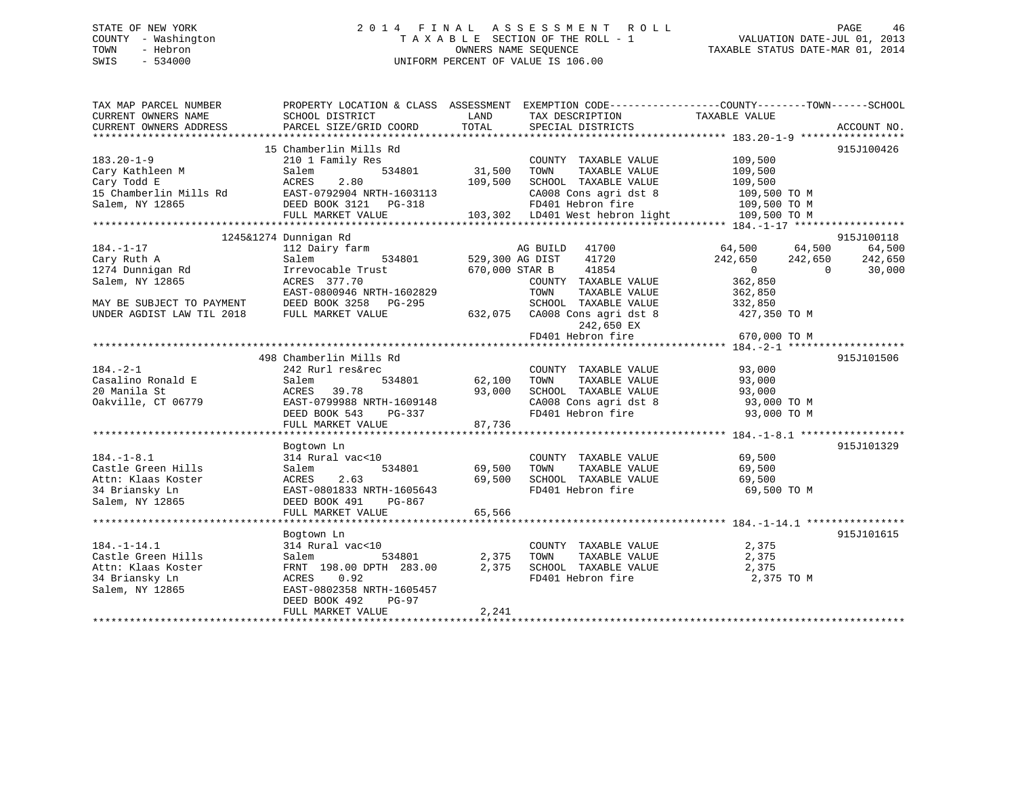## STATE OF NEW YORK 2 0 1 4 F I N A L A S S E S S M E N T R O L L PAGE 46 COUNTY - Washington T A X A B L E SECTION OF THE ROLL - 1 VALUATION DATE-JUL 01, 2013 TOWN - Hebron OWNERS NAME SEQUENCE TAXABLE STATUS DATE-MAR 01, 2014 SWIS - 534000 UNIFORM PERCENT OF VALUE IS 106.00

| TAX MAP PARCEL NUMBER<br>CURRENT OWNERS NAME                                                                                                                                                                                                                                               | SCHOOL DISTRICT                                                                                                                                                           | LAND                           | PROPERTY LOCATION & CLASS ASSESSMENT EXEMPTION CODE---------------COUNTY-------TOWN-----SCHOOL<br>TAX DESCRIPTION                                                             | TAXABLE VALUE                                                                                                      |                             |
|--------------------------------------------------------------------------------------------------------------------------------------------------------------------------------------------------------------------------------------------------------------------------------------------|---------------------------------------------------------------------------------------------------------------------------------------------------------------------------|--------------------------------|-------------------------------------------------------------------------------------------------------------------------------------------------------------------------------|--------------------------------------------------------------------------------------------------------------------|-----------------------------|
| CURRENT OWNERS ADDRESS                                                                                                                                                                                                                                                                     | PARCEL SIZE/GRID COORD                                                                                                                                                    | TOTAL                          | SPECIAL DISTRICTS                                                                                                                                                             |                                                                                                                    | ACCOUNT NO.                 |
| $183.20 - 1 - 9$<br>Cary Kathleen M<br>Cary Todd E<br>015 Chamberlin Mills Rd EAST-0792904 NRTH-1603113 CA008 Cons agri dst 8 109,500 TO M<br>Salem, NY 12865 DEED BOOK 3121 PG-318 FD401 Hebron fire 109,500 TO M<br>FULL MARKET VALUE 103,302 LD401 West hebron light 109,500 TO M<br>** | 15 Chamberlin Mills Rd<br>210 1 Family Res<br>534801<br>Salem<br>2.80<br>ACRES                                                                                            | 31,500<br>109,500              | COUNTY TAXABLE VALUE<br>TOWN<br>TAXABLE VALUE<br>SCHOOL TAXABLE VALUE<br>CA008 Cons agri dst 8 109,500 TO M                                                                   | 109,500<br>109,500<br>109,500                                                                                      | 915J100426                  |
|                                                                                                                                                                                                                                                                                            | 1245&1274 Dunnigan Rd                                                                                                                                                     |                                |                                                                                                                                                                               |                                                                                                                    | 915J100118                  |
| $184. - 1 - 17$<br>Cary Ruth A<br>1274 Dunnigan Rd<br>Salem, NY 12865<br>MAY BE SUBJECT TO PAYMENT<br>UNDER AGDIST LAW TIL 2018                                                                                                                                                            | 112 Dairy farm<br>Salem<br>534801<br>Irrevocable Trust<br>ACRES 377.70<br>EAST-0800946 NRTH-1602829<br>DEED BOOK 3258 PG-295<br>FULL MARKET VALUE                         | 529,300 AG DIST                | AG BUILD<br>41700<br>41720<br>670,000 STAR B<br>41854<br>COUNTY TAXABLE VALUE<br>TAXABLE VALUE<br>TOWN<br>SCHOOL TAXABLE VALUE<br>632,075 CA008 Cons agri dst 8<br>242,650 EX | 64,500 64,500<br>242,650<br>242,650<br>$\overline{0}$<br>$\Omega$<br>362,850<br>362,850<br>332,850<br>427,350 TO M | 64,500<br>242,650<br>30,000 |
|                                                                                                                                                                                                                                                                                            |                                                                                                                                                                           |                                | FD401 Hebron fire                                                                                                                                                             | 670,000 TO M                                                                                                       |                             |
| $184. - 2 - 1$<br>Casalino Ronald E<br>20 Manila St<br>Oakville, CT 06779                                                                                                                                                                                                                  | 498 Chamberlin Mills Rd<br>242 Rurl res&rec<br>534801<br>Salem<br>39.78<br>ACRES<br>EAST-0799988 NRTH-1609148<br>DEED BOOK 543<br>PG-337<br>FULL MARKET VALUE             | 62,100<br>93,000<br>87,736     | COUNTY TAXABLE VALUE<br>TOWN<br>TAXABLE VALUE<br>SCHOOL TAXABLE VALUE<br>CA008 Cons agri dst 8 93,000 TO M<br>FD401 Hebron fire                                               | 93,000<br>93,000<br>93,000<br>93,000 TO M                                                                          | 915J101506                  |
| $184. - 1 - 8.1$<br>Castle Green Hills<br>Attn: Klaas Koster<br>34 Briansky Ln<br>Salem, NY 12865                                                                                                                                                                                          | Bogtown Ln<br>314 Rural vac<10<br>534801<br>Salem<br>2.63<br>ACRES<br>EAST-0801833 NRTH-1605643<br>DEED BOOK 491<br>PG-867<br>FULL MARKET VALUE                           | 69,500<br>69,500<br>65,566     | COUNTY TAXABLE VALUE<br>TOWN<br>TAXABLE VALUE<br>SCHOOL TAXABLE VALUE<br>FD401 Hebron fire                                                                                    | 69,500<br>69,500<br>69,500<br>69,500 TO M                                                                          | 915J101329                  |
| $184. - 1 - 14.1$<br>Castle Green Hills<br>Attn: Klaas Koster<br>34 Briansky Ln<br>Salem, NY 12865                                                                                                                                                                                         | Bogtown Ln<br>314 Rural vac<10<br>534801<br>Salem<br>FRNT 198.00 DPTH 283.00<br>0.92<br>ACRES<br>EAST-0802358 NRTH-1605457<br>DEED BOOK 492<br>PG-97<br>FULL MARKET VALUE | $2,375$<br>00 $2,375$<br>2,241 | COUNTY TAXABLE VALUE<br>TOWN<br>TAXABLE VALUE<br>SCHOOL TAXABLE VALUE<br>FD401 Hebron fire                                                                                    | 2,375<br>2,375<br>2,375<br>2,375 TO M                                                                              | 915J101615                  |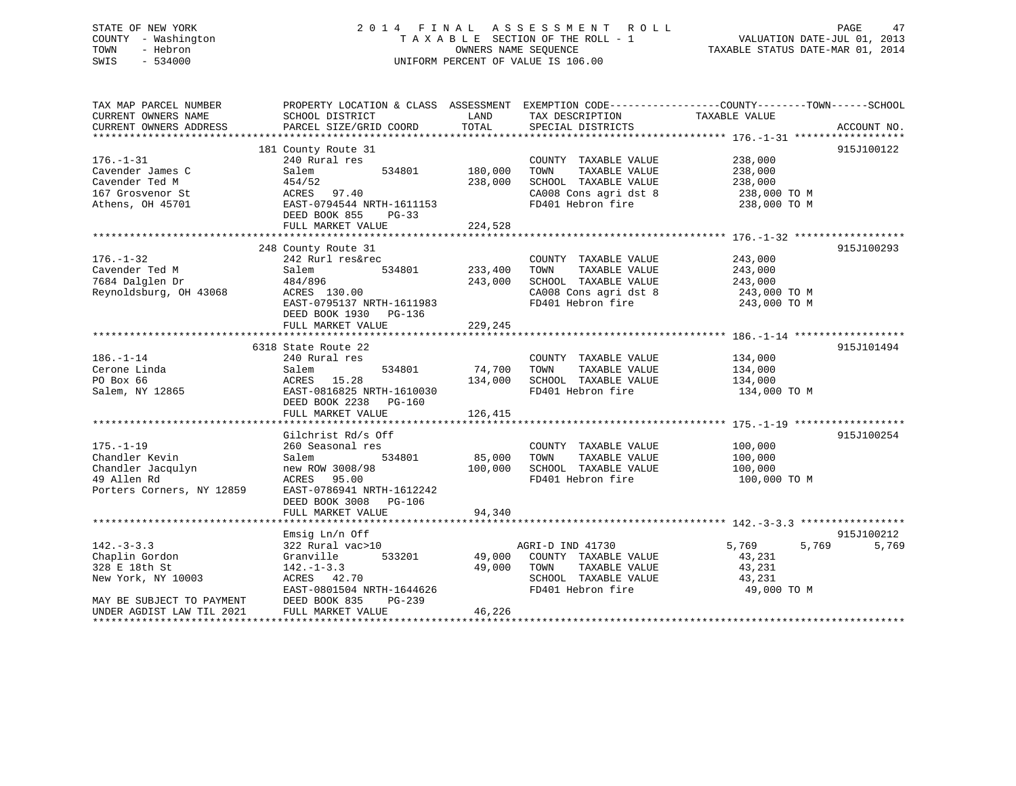## STATE OF NEW YORK 2 0 1 4 F I N A L A S S E S S M E N T R O L L PAGE 47 COUNTY - Washington T A X A B L E SECTION OF THE ROLL - 1 VALUATION DATE-JUL 01, 2013 TOWN - Hebron OWNERS NAME SEQUENCE TAXABLE STATUS DATE-MAR 01, 2014 SWIS - 534000 UNIFORM PERCENT OF VALUE IS 106.00

| TAX MAP PARCEL NUMBER<br>CURRENT OWNERS NAME<br>CURRENT OWNERS ADDRESS                                 | SCHOOL DISTRICT<br>PARCEL SIZE/GRID COORD                                                                                                               | LAND<br>TOTAL                | TAX DESCRIPTION<br>SPECIAL DISTRICTS                                                                                | PROPERTY LOCATION & CLASS ASSESSMENT EXEMPTION CODE----------------COUNTY-------TOWN-----SCHOOL<br>TAXABLE VALUE | ACCOUNT NO. |
|--------------------------------------------------------------------------------------------------------|---------------------------------------------------------------------------------------------------------------------------------------------------------|------------------------------|---------------------------------------------------------------------------------------------------------------------|------------------------------------------------------------------------------------------------------------------|-------------|
|                                                                                                        |                                                                                                                                                         |                              |                                                                                                                     |                                                                                                                  |             |
| $176. - 1 - 31$                                                                                        | 181 County Route 31<br>240 Rural res                                                                                                                    |                              | COUNTY TAXABLE VALUE                                                                                                | 238,000                                                                                                          | 915J100122  |
| Cavender James C<br>Cavender Ted M<br>167 Grosvenor St<br>Athens, OH 45701                             | 534801<br>Salem<br>454/52<br>ACRES<br>97.40<br>EAST-0794544 NRTH-1611153<br>DEED BOOK 855<br>$PG-33$                                                    | 180,000<br>238,000           | TAXABLE VALUE<br>TOWN<br>SCHOOL TAXABLE VALUE<br>CA008 Cons agri dst 8<br>FD401 Hebron fire                         | 238,000<br>238,000<br>238,000 TO M<br>238,000 TO M                                                               |             |
|                                                                                                        | FULL MARKET VALUE                                                                                                                                       | 224,528                      |                                                                                                                     |                                                                                                                  |             |
|                                                                                                        |                                                                                                                                                         |                              |                                                                                                                     |                                                                                                                  |             |
| $176. - 1 - 32$<br>Cavender Ted M<br>7684 Dalglen Dr<br>Reynoldsburg, OH 43068                         | 248 County Route 31<br>242 Rurl res&rec<br>Salem<br>534801<br>484/896<br>ACRES 130.00<br>EAST-0795137 NRTH-1611983<br>DEED BOOK 1930<br>PG-136          | 233,400<br>243,000           | COUNTY TAXABLE VALUE<br>TOWN<br>TAXABLE VALUE<br>SCHOOL TAXABLE VALUE<br>CA008 Cons agri dst 8<br>FD401 Hebron fire | 243,000<br>243,000<br>243,000<br>243,000 TO M<br>243,000 TO M                                                    | 915J100293  |
|                                                                                                        | FULL MARKET VALUE                                                                                                                                       | 229,245                      |                                                                                                                     |                                                                                                                  |             |
|                                                                                                        |                                                                                                                                                         |                              |                                                                                                                     |                                                                                                                  |             |
| $186. - 1 - 14$<br>Cerone Linda<br>PO Box 66<br>Salem, NY 12865                                        | 6318 State Route 22<br>240 Rural res<br>Salem<br>534801<br>ACRES<br>15.28<br>EAST-0816825 NRTH-1610030<br>DEED BOOK 2238<br>PG-160<br>FULL MARKET VALUE | 74,700<br>134,000<br>126,415 | COUNTY TAXABLE VALUE<br>TOWN<br>TAXABLE VALUE<br>SCHOOL TAXABLE VALUE<br>FD401 Hebron fire                          | 134,000<br>134,000<br>134,000<br>134,000 TO M                                                                    | 915J101494  |
|                                                                                                        |                                                                                                                                                         |                              |                                                                                                                     |                                                                                                                  |             |
| $175. - 1 - 19$<br>Chandler Kevin<br>Chandler Jacqulyn<br>49 Allen Rd<br>Porters Corners, NY 12859     | Gilchrist Rd/s Off<br>260 Seasonal res<br>534801<br>Salem<br>new ROW 3008/98<br>ACRES<br>95.00<br>EAST-0786941 NRTH-1612242<br>DEED BOOK 3008<br>PG-106 | 85,000<br>100,000            | COUNTY TAXABLE VALUE<br>TAXABLE VALUE<br>TOWN<br>SCHOOL TAXABLE VALUE<br>FD401 Hebron fire                          | 100,000<br>100,000<br>100,000<br>100,000 TO M                                                                    | 915J100254  |
|                                                                                                        | FULL MARKET VALUE                                                                                                                                       | 94,340                       |                                                                                                                     |                                                                                                                  |             |
|                                                                                                        | Emsig $Ln/n$ Off                                                                                                                                        |                              |                                                                                                                     |                                                                                                                  | 915J100212  |
| $142. - 3 - 3.3$<br>Chaplin Gordon<br>328 E 18th St<br>New York, NY 10003<br>MAY BE SUBJECT TO PAYMENT | 322 Rural vac>10<br>533201<br>Granville<br>$142. - 1 - 3.3$<br>ACRES 42.70<br>EAST-0801504 NRTH-1644626<br>DEED BOOK 835<br>$PG-239$                    | 49,000<br>49,000             | AGRI-D IND 41730<br>COUNTY TAXABLE VALUE<br>TOWN<br>TAXABLE VALUE<br>SCHOOL TAXABLE VALUE<br>FD401 Hebron fire      | 5,769<br>5,769<br>43,231<br>43,231<br>43,231<br>49,000 TO M                                                      | 5,769       |
| UNDER AGDIST LAW TIL 2021                                                                              | FULL MARKET VALUE                                                                                                                                       | 46,226                       |                                                                                                                     |                                                                                                                  |             |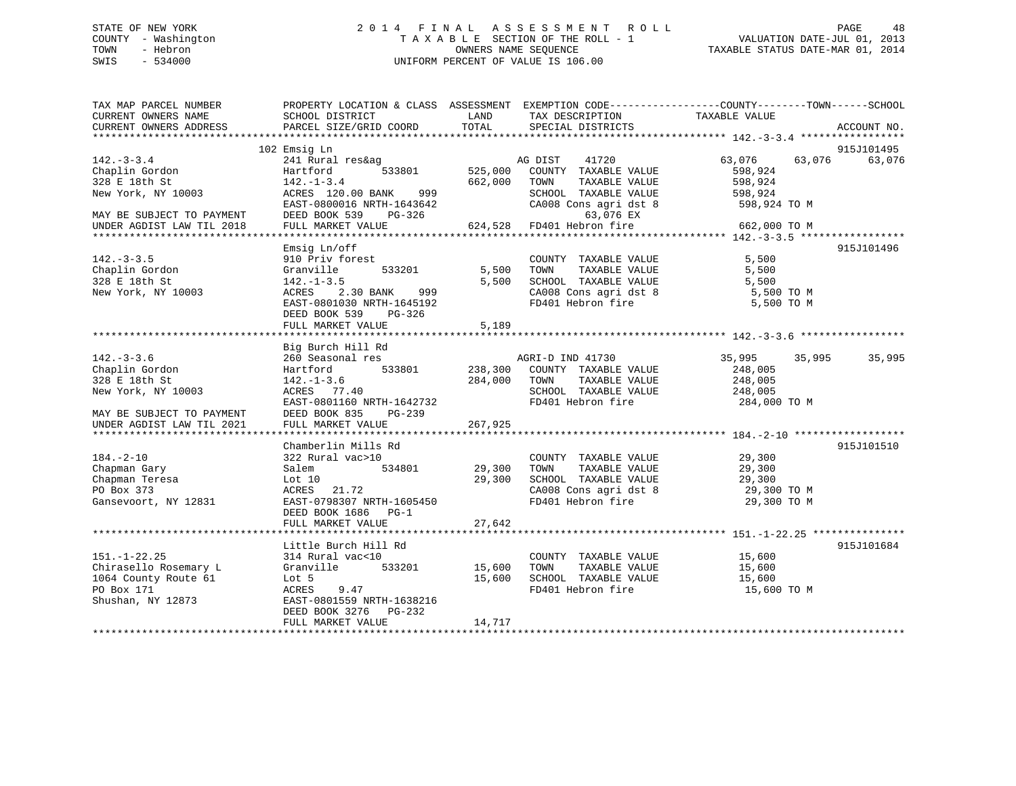## STATE OF NEW YORK 2 0 1 4 F I N A L A S S E S S M E N T R O L L PAGE 48 COUNTY - Washington T A X A B L E SECTION OF THE ROLL - 1 VALUATION DATE-JUL 01, 2013 TOWN - Hebron **CONNERS NAME SEQUENCE** TAXABLE STATUS DATE-MAR 01, 2014 SWIS - 534000 UNIFORM PERCENT OF VALUE IS 106.00

| TAX MAP PARCEL NUMBER                                                                                                  | PROPERTY LOCATION & CLASS ASSESSMENT EXEMPTION CODE----------------COUNTY-------TOWN------SCHOOL |                       |                                                                    |                       |                      |
|------------------------------------------------------------------------------------------------------------------------|--------------------------------------------------------------------------------------------------|-----------------------|--------------------------------------------------------------------|-----------------------|----------------------|
| CURRENT OWNERS NAME                                                                                                    | SCHOOL DISTRICT                                                                                  | LAND                  | TAX DESCRIPTION                                                    | TAXABLE VALUE         |                      |
| CURRENT OWNERS ADDRESS                                                                                                 | PARCEL SIZE/GRID COORD                                                                           | TOTAL                 | SPECIAL DISTRICTS                                                  |                       | ACCOUNT NO.          |
|                                                                                                                        |                                                                                                  |                       |                                                                    |                       |                      |
|                                                                                                                        | 102 Emsig Ln                                                                                     |                       |                                                                    |                       | 915J101495           |
| $142. - 3 - 3.4$                                                                                                       | 241 Rural res&ag                                                                                 |                       | AG DIST 41720                                                      | 63,076                | 63,076 63,076        |
| 142.-3-3<br>Chaplin Gordon                                                                                             | Hartford 533801<br>$Harttonu$<br>142.-1-3.4                                                      |                       | 525,000 COUNTY TAXABLE VALUE                                       | 598,924               |                      |
|                                                                                                                        |                                                                                                  | 662,000               | TOWN<br>TAXABLE VALUE                                              | 598,924               |                      |
| New York, NY 10003<br>New York, NY 10003<br>EAST-0800016 NRTH-1643642                                                  |                                                                                                  |                       |                                                                    |                       |                      |
|                                                                                                                        |                                                                                                  |                       | SCHOOL TAXABLE VALUE 598,924<br>CA008 Cons agri dst 8 598,924 TO M |                       |                      |
| MAY BE SUBJECT TO PAYMENT<br>UNDER AGDIST LAW TIL 2018                                                                 | DEED BOOK 539 PG-326 63,076 EX<br>FULL MARKET VALUE 624,528 FD401 Hebron fire                    |                       |                                                                    |                       |                      |
|                                                                                                                        |                                                                                                  |                       |                                                                    | 662,000 TO M          |                      |
|                                                                                                                        |                                                                                                  |                       |                                                                    |                       |                      |
|                                                                                                                        | Emsig Ln/off                                                                                     |                       |                                                                    |                       | 915J101496           |
| $142. - 3 - 3.5$                                                                                                       | 910 Priv forest                                                                                  |                       | COUNTY TAXABLE VALUE 5,500                                         |                       |                      |
| Chaplin Gordon                                                                                                         | Granville 533201                                                                                 |                       | 5,500 TOWN TAXABLE VALUE 5,500<br>5,500 SCHOOL TAXABLE VALUE 5,500 |                       |                      |
| 328 E 18th St                                                                                                          | ACRES 2.30 BANK 999                                                                              |                       |                                                                    |                       |                      |
| New York, NY 10003                                                                                                     |                                                                                                  |                       | CA008 Cons agri dst 8<br>FD401 Hebron fire                         | 5,500 TO M            |                      |
|                                                                                                                        | EAST-0801030 NRTH-1645192                                                                        |                       |                                                                    | 5,500 TO M            |                      |
|                                                                                                                        | DEED BOOK 539 PG-326                                                                             |                       |                                                                    |                       |                      |
|                                                                                                                        | FULL MARKET VALUE                                                                                | 5,189                 |                                                                    |                       |                      |
|                                                                                                                        |                                                                                                  |                       |                                                                    |                       |                      |
|                                                                                                                        | Big Burch Hill Rd                                                                                |                       |                                                                    |                       |                      |
| $142. - 3 - 3.6$                                                                                                       |                                                                                                  |                       | AGRI-D IND 41730                                                   |                       | 35,995 35,995 35,995 |
| Chaplin Gordon                                                                                                         |                                                                                                  |                       |                                                                    | 248,005               |                      |
| 328 E 18th St                                                                                                          | 142.-1-3.6<br>ACRES 77.40                                                                        | 284,000 TOWN<br>SCHOC | TAXABLE VALUE                                                      | 248,005<br>248,005    |                      |
| New York, NY 10003                                                                                                     |                                                                                                  |                       | SCHOOL TAXABLE VALUE                                               |                       |                      |
|                                                                                                                        | EAST-0801160 NRTH-1642732                                                                        |                       | FD401 Hebron fire 284,000 TO M                                     |                       |                      |
| MAY BE SUBJECT TO PAYMENT                                                                                              | DEED BOOK 835<br>$PG-239$                                                                        |                       |                                                                    |                       |                      |
| UNDER AGDIST LAW TIL 2021                                                                                              | FULL MARKET VALUE                                                                                | 267,925               |                                                                    |                       |                      |
|                                                                                                                        |                                                                                                  |                       |                                                                    |                       |                      |
|                                                                                                                        | Chamberlin Mills Rd                                                                              |                       |                                                                    |                       | 915J101510           |
| $184. - 2 - 10$                                                                                                        | 322 Rural vac>10                                                                                 |                       | COUNTY TAXABLE VALUE 29,300                                        |                       |                      |
| Chapman Gary                                                                                                           | Salem                                                                                            | 534801 29,300         | TOWN                                                               | TAXABLE VALUE 29,300  |                      |
| Chapman Teresa                                                                                                         | Lot 10                                                                                           | 29,300                | SCHOOL TAXABLE VALUE<br>CA008 Cons agri dst 8                      | 29,300<br>29,300 TO M |                      |
| PO Box 373                                                                                                             | ACRES 21.72                                                                                      |                       |                                                                    |                       |                      |
| Gansevoort, NY 12831                                                                                                   | EAST-0798307 NRTH-1605450                                                                        |                       | FD401 Hebron fire                                                  | 29,300 TO M           |                      |
|                                                                                                                        | DEED BOOK 1686 PG-1                                                                              |                       |                                                                    |                       |                      |
|                                                                                                                        | FULL MARKET VALUE                                                                                | 27,642                |                                                                    |                       |                      |
|                                                                                                                        |                                                                                                  |                       |                                                                    |                       |                      |
|                                                                                                                        | Little Burch Hill Rd                                                                             |                       |                                                                    |                       | 915J101684           |
| $151. - 1 - 22.25$                                                                                                     | 314 Rural vac<10                                                                                 |                       | COUNTY TAXABLE VALUE 15,600                                        |                       |                      |
| Chirasello Rosemary L<br>15,600<br>164 County Route 61<br>PO Box 171<br>Shushan, NY 12873<br>EAST-0801559 NRTH-1638216 |                                                                                                  |                       | TOWN                                                               | TAXABLE VALUE 15,600  |                      |
|                                                                                                                        |                                                                                                  |                       | SCHOOL TAXABLE VALUE                                               | 15,600                |                      |
|                                                                                                                        |                                                                                                  |                       | FD401 Hebron fire 15,600 TO M                                      |                       |                      |
|                                                                                                                        |                                                                                                  |                       |                                                                    |                       |                      |
|                                                                                                                        | DEED BOOK 3276 PG-232                                                                            |                       |                                                                    |                       |                      |
|                                                                                                                        | FULL MARKET VALUE                                                                                | 14,717                |                                                                    |                       |                      |
|                                                                                                                        |                                                                                                  |                       |                                                                    |                       |                      |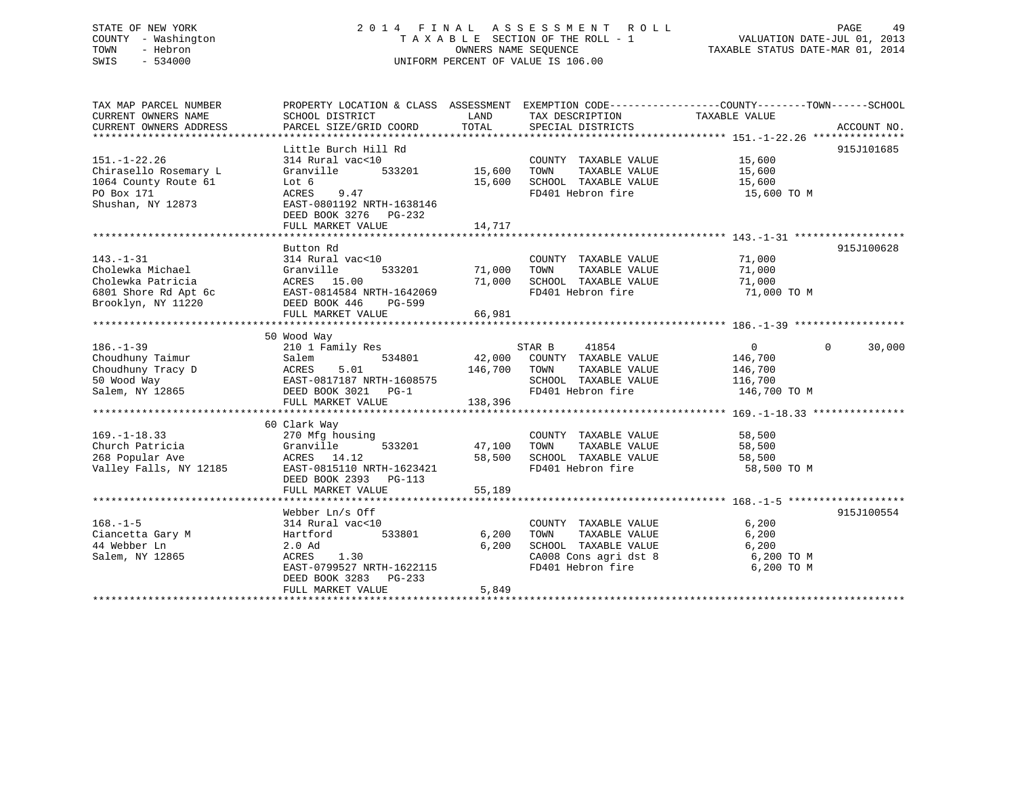## STATE OF NEW YORK 2 0 1 4 F I N A L A S S E S S M E N T R O L L PAGE 49 COUNTY - Washington T A X A B L E SECTION OF THE ROLL - 1 VALUATION DATE-JUL 01, 2013 TOWN - Hebron **CONNERS NAME SEQUENCE** TAXABLE STATUS DATE-MAR 01, 2014 SWIS - 534000 UNIFORM PERCENT OF VALUE IS 106.00

| TAX MAP PARCEL NUMBER                                                        | PROPERTY LOCATION & CLASS ASSESSMENT EXEMPTION CODE----------------COUNTY-------TOWN-----SCHOOL                                                        |                    |                                                                |                      |                    |
|------------------------------------------------------------------------------|--------------------------------------------------------------------------------------------------------------------------------------------------------|--------------------|----------------------------------------------------------------|----------------------|--------------------|
| CURRENT OWNERS NAME                                                          | SCHOOL DISTRICT                                                                                                                                        | LAND               | TAX DESCRIPTION                                                | TAXABLE VALUE        |                    |
| CURRENT OWNERS ADDRESS                                                       | PARCEL SIZE/GRID COORD                                                                                                                                 | TOTAL              | SPECIAL DISTRICTS                                              |                      | ACCOUNT NO.        |
|                                                                              |                                                                                                                                                        |                    |                                                                |                      |                    |
|                                                                              | Little Burch Hill Rd                                                                                                                                   |                    |                                                                |                      | 915J101685         |
| $151. - 1 - 22.26$                                                           | 314 Rural vac<10                                                                                                                                       |                    | COUNTY TAXABLE VALUE 15,600                                    |                      |                    |
| Chirasello Rosemary L                                                        | Granville                                                                                                                                              | 533201 15,600 TOWN |                                                                | TAXABLE VALUE 15,600 |                    |
| 1064 County Route 61                                                         | Lot 6                                                                                                                                                  |                    | 15,600 SCHOOL TAXABLE VALUE 15,600                             |                      |                    |
| PO Box 171                                                                   | ACRES<br>9.47                                                                                                                                          |                    | FD401 Hebron fire                                              | 15,600 TO M          |                    |
| Shushan, NY 12873                                                            | EAST-0801192 NRTH-1638146                                                                                                                              |                    |                                                                |                      |                    |
|                                                                              | DEED BOOK 3276 PG-232                                                                                                                                  |                    |                                                                |                      |                    |
|                                                                              |                                                                                                                                                        |                    |                                                                |                      |                    |
|                                                                              |                                                                                                                                                        |                    |                                                                |                      |                    |
|                                                                              | Button Rd                                                                                                                                              |                    |                                                                |                      | 915J100628         |
| $143. - 1 - 31$                                                              | 314 Rural vac<10                                                                                                                                       |                    | COUNTY TAXABLE VALUE                                           | 71,000               |                    |
| Cholewka Michael                                                             |                                                                                                                                                        |                    | TAXABLE VALUE                                                  | 71,000               |                    |
|                                                                              | 533201 71,000<br>Granville                                                                                                                             |                    | TOWN                                                           |                      |                    |
| Cholewka Patricia                                                            | ACRES 15.00<br>6801 Shore Rd Apt 6c EAST-0814584 NRTH-1642069                                                                                          |                    | 71,000 SCHOOL TAXABLE VALUE                                    | 71,000               |                    |
|                                                                              |                                                                                                                                                        |                    | FD401 Hebron fire                                              | 71,000 TO M          |                    |
| Brooklyn, NY 11220                                                           | DEED BOOK 446<br>PG-599                                                                                                                                |                    |                                                                |                      |                    |
|                                                                              | FULL MARKET VALUE                                                                                                                                      | 66,981             |                                                                |                      |                    |
|                                                                              |                                                                                                                                                        |                    |                                                                |                      |                    |
|                                                                              | 50 Wood Way                                                                                                                                            |                    |                                                                |                      |                    |
| $186. - 1 - 39$                                                              | 210 1 Family Res                                                                                                                                       |                    | STAR B 41854                                                   | $\overline{0}$       | $\Omega$<br>30,000 |
| Choudhuny Taimur                                                             |                                                                                                                                                        |                    | 534801 42,000 COUNTY TAXABLE VALUE 146,700                     |                      |                    |
| Choudhuny Tracy D<br>50 Wood Way                                             |                                                                                                                                                        |                    | TAXABLE VALUE                                                  | 146,700              |                    |
|                                                                              |                                                                                                                                                        |                    | SCHOOL TAXABLE VALUE 116,700                                   |                      |                    |
| Salem, NY 12865 DEED BOOK 3021 PG-1                                          |                                                                                                                                                        |                    | FD401 Hebron fire 146,700 TO M                                 |                      |                    |
|                                                                              | Salem 534801 42,000 COOLL<br>ACRES 5.01 146,700 TOWN<br>EAST-0817187 NRTH-1608575 SCHOOL<br>DEED BOOK 3021 PG-1 FD401 He<br>FIILL MARKET VALUE 138,396 |                    |                                                                |                      |                    |
|                                                                              |                                                                                                                                                        |                    |                                                                |                      |                    |
|                                                                              | 60 Clark Way                                                                                                                                           |                    |                                                                |                      |                    |
| $169. - 1 - 18.33$                                                           | 270 Mfg housing                                                                                                                                        |                    | COUNTY TAXABLE VALUE                                           | 58,500               |                    |
|                                                                              | $533201$ 47,100<br>Granville                                                                                                                           |                    | TOWN                                                           | TAXABLE VALUE 58,500 |                    |
|                                                                              | ACRES 14.12                                                                                                                                            | 58,500             | SCHOOL TAXABLE VALUE<br>FD401 Hebron fire                      | 58,500               |                    |
| ---- + +0.33<br>Church Patricia<br>268 Popular Ave<br>Valley Falls, NY 12185 | EAST-0815110 NRTH-1623421                                                                                                                              |                    |                                                                | 58,500 TO M          |                    |
|                                                                              | DEED BOOK 2393 PG-113                                                                                                                                  |                    |                                                                |                      |                    |
|                                                                              | FULL MARKET VALUE                                                                                                                                      | 55,189             |                                                                |                      |                    |
|                                                                              |                                                                                                                                                        |                    |                                                                |                      |                    |
|                                                                              | Webber Ln/s Off                                                                                                                                        |                    |                                                                |                      | 915J100554         |
| $168. - 1 - 5$                                                               | 314 Rural vac<10                                                                                                                                       |                    | COUNTY TAXABLE VALUE                                           | 6,200                |                    |
| Ciancetta Gary M                                                             | Hartford<br>533801                                                                                                                                     | 6,200              | TOWN<br>TAXABLE VALUE                                          | 6,200                |                    |
| 44 Webber Ln                                                                 | $2.0$ Ad                                                                                                                                               | 6,200              | SCHOOL TAXABLE VALUE                                           |                      |                    |
| Salem, NY 12865                                                              | ACRES 1.30                                                                                                                                             |                    | SCHOOL TAXABLE VALUE 6,200<br>CA008 Cons agri dst 8 6,200 TO M |                      |                    |
|                                                                              | EAST-0799527 NRTH-1622115                                                                                                                              |                    | FD401 Hebron fire                                              | 6,200 TO M           |                    |
|                                                                              | DEED BOOK 3283 PG-233                                                                                                                                  |                    |                                                                |                      |                    |
|                                                                              | FULL MARKET VALUE                                                                                                                                      | 5,849              |                                                                |                      |                    |
|                                                                              |                                                                                                                                                        |                    |                                                                |                      |                    |
|                                                                              |                                                                                                                                                        |                    |                                                                |                      |                    |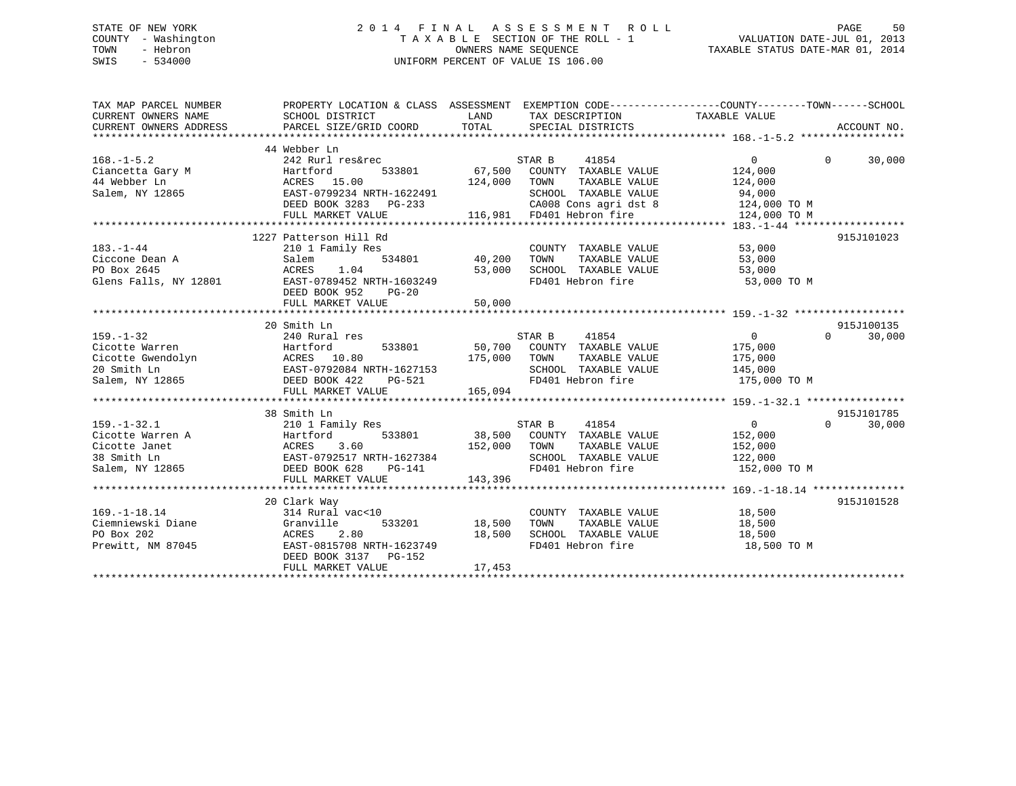## STATE OF NEW YORK 2 0 1 4 F I N A L A S S E S S M E N T R O L L PAGE 50 COUNTY - Washington T A X A B L E SECTION OF THE ROLL - 1 VALUATION DATE-JUL 01, 2013 TOWN - Hebron OWNERS NAME SEQUENCE TAXABLE STATUS DATE-MAR 01, 2014 SWIS - 534000 UNIFORM PERCENT OF VALUE IS 106.00

| TAX MAP PARCEL NUMBER<br>CURRENT OWNERS NAME<br>CURRENT OWNERS ADDRESS                   | SCHOOL DISTRICT<br>PARCEL SIZE/GRID COORD                                                                                                                                  | TAX DESCRIPTION TAXABLE VALUE<br>LAND<br>TOTAL<br>SPECIAL DISTRICTS                                                                                                              | PROPERTY LOCATION & CLASS ASSESSMENT EXEMPTION CODE---------------COUNTY-------TOWN------SCHOOL<br>ACCOUNT NO. |
|------------------------------------------------------------------------------------------|----------------------------------------------------------------------------------------------------------------------------------------------------------------------------|----------------------------------------------------------------------------------------------------------------------------------------------------------------------------------|----------------------------------------------------------------------------------------------------------------|
| $168. - 1 - 5.2$<br>Ciancetta Gary M<br>44 Webber Ln<br>Salem, NY 12865                  | 44 Webber Ln<br>242 Rurl res&rec<br>Hartford<br>533801<br>ACRES 15.00<br>EAST-0799234 NRTH-1622491<br>DEED BOOK 3283 PG-233<br>FULL MARKET VALUE                           | STAR B<br>41854<br>67,500 COUNTY TAXABLE VALUE<br>124,000<br>TOWN<br>TAXABLE VALUE<br>SCHOOL TAXABLE VALUE<br>$\mathbf{L}$<br>CA008 Cons agri dst 8<br>116,981 FD401 Hebron fire | $\Omega$<br>$\Omega$<br>30,000<br>124,000<br>124,000<br>94,000<br>124,000 TO M<br>124,000 TO M                 |
| $183. - 1 - 44$<br>Ciccone Dean A<br>PO Box 2645<br>Glens Falls, NY 12801                | 1227 Patterson Hill Rd<br>210 1 Family Res<br>Salem<br>ACRES<br>1.04<br>EAST-0789452 NRTH-1603249<br>DEED BOOK 952<br>$PG-20$<br>FULL MARKET VALUE                         | COUNTY TAXABLE VALUE<br>534801 40,200<br>TOWN<br>TAXABLE VALUE<br>SCHOOL TAXABLE VALUE<br>53,000<br>FD401 Hebron fire<br>50,000                                                  | 915J101023<br>53,000<br>53,000<br>53,000<br>53,000 TO M                                                        |
|                                                                                          | 20 Smith Ln                                                                                                                                                                |                                                                                                                                                                                  | 915J100135                                                                                                     |
| $159. - 1 - 32$<br>Cicotte Warren<br>Cicotte Gwendolyn<br>20 Smith Ln<br>Salem, NY 12865 | 240 Rural res<br>Hartford<br>533801<br>ACRES 10.80<br>EAST-0792084 NRTH-1627153<br>DEED BOOK 422 PG-521<br>FULL MARKET VALUE                                               | STAR B<br>41854<br>50,700 COUNTY TAXABLE VALUE<br>175,000<br>TOWN<br>TAXABLE VALUE<br>SCHOOL TAXABLE VALUE<br>FD401 Hebron fire<br>165,094                                       | 30,000<br>$\Omega$<br>$\sim$ 0<br>175,000<br>175,000<br>145,000<br>175,000 TO M                                |
|                                                                                          |                                                                                                                                                                            |                                                                                                                                                                                  |                                                                                                                |
| $159. - 1 - 32.1$<br>Cicotte Warren A<br>Cicotte Janet<br>38 Smith Ln<br>Salem, NY 12865 | 38 Smith Ln<br>210 1 Family Res<br>533801<br>Hartford<br>ACRES د.ov<br>EAST-0792517 NRTH-1627384<br>EAST-079 PG-141<br>DEED BOOK 628<br><b>PG-141</b><br>FULL MARKET VALUE | STAR B<br>41854<br>38,500 COUNTY TAXABLE VALUE<br>152,000<br>TOWN<br>TAXABLE VALUE<br>SCHOOL TAXABLE VALUE<br>FD401 Hebron fire<br>143,396                                       | 915J101785<br>30,000<br>$\overline{0}$<br>$\Omega$<br>152,000<br>152,000<br>122,000<br>152,000 TO M            |
|                                                                                          | 20 Clark Way                                                                                                                                                               |                                                                                                                                                                                  | 915J101528                                                                                                     |
| $169. - 1 - 18.14$<br>Ciemniewski Diane<br>PO Box 202<br>Prewitt, NM 87045               | 314 Rural vac<10<br>533201<br>Granville<br>ACRES<br>2.80<br>EAST-0815708 NRTH-1623749<br>DEED BOOK 3137 PG-152<br>FULL MARKET VALUE                                        | COUNTY TAXABLE VALUE<br>18,500<br>TAXABLE VALUE<br>TOWN<br>18,500<br>SCHOOL TAXABLE VALUE<br>FD401 Hebron fire<br>17,453                                                         | 18,500<br>18,500<br>18,500<br>18,500 TO M                                                                      |
|                                                                                          |                                                                                                                                                                            |                                                                                                                                                                                  |                                                                                                                |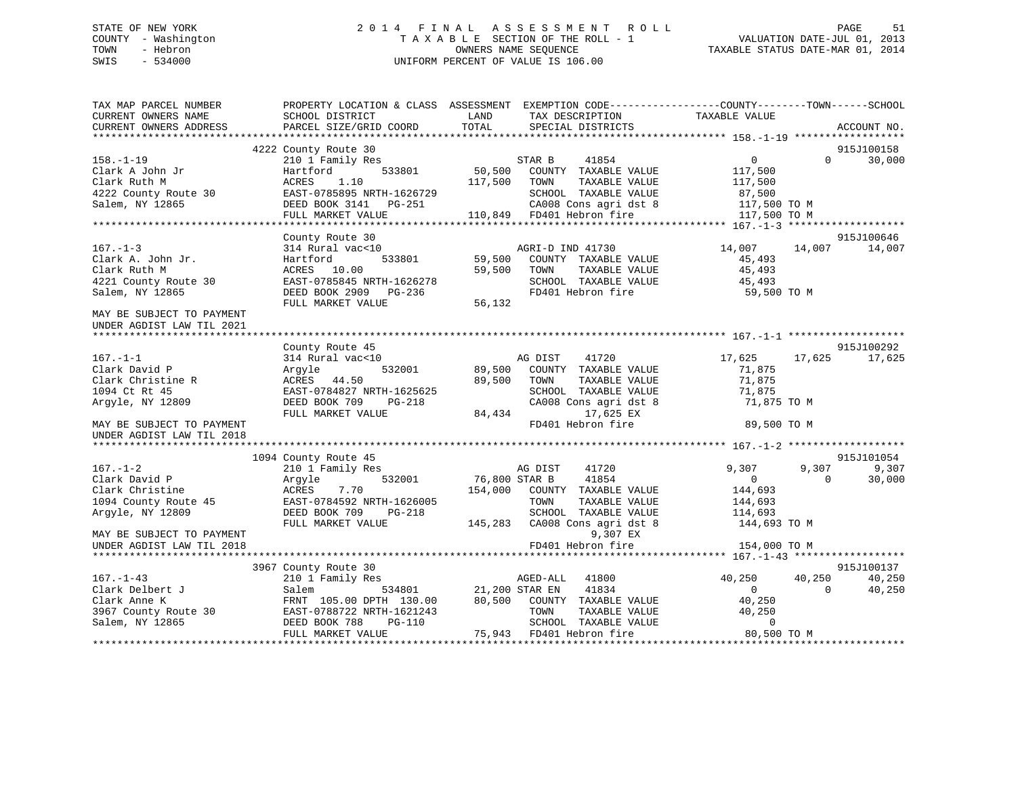## STATE OF NEW YORK 2 0 1 4 F I N A L A S S E S S M E N T R O L L PAGE 51 COUNTY - Washington T A X A B L E SECTION OF THE ROLL - 1 VALUATION DATE-JUL 01, 2013 TOWN - Hebron OWNERS NAME SEQUENCE TAXABLE STATUS DATE-MAR 01, 2014 SWIS - 534000 UNIFORM PERCENT OF VALUE IS 106.00

| TAX MAP PARCEL NUMBER<br>CURRENT OWNERS NAME                                                   | PROPERTY LOCATION & CLASS ASSESSMENT EXEMPTION CODE----------------COUNTY-------TOWN------SCHOOL<br>SCHOOL DISTRICT                                 | LAND             | TAX DESCRIPTION                                                                                                       | TAXABLE VALUE                                            |                    |                                |
|------------------------------------------------------------------------------------------------|-----------------------------------------------------------------------------------------------------------------------------------------------------|------------------|-----------------------------------------------------------------------------------------------------------------------|----------------------------------------------------------|--------------------|--------------------------------|
| CURRENT OWNERS ADDRESS                                                                         | PARCEL SIZE/GRID COORD                                                                                                                              | TOTAL            | SPECIAL DISTRICTS                                                                                                     |                                                          |                    | ACCOUNT NO.                    |
|                                                                                                | 4222 County Route 30                                                                                                                                |                  |                                                                                                                       |                                                          |                    | 915J100158                     |
| $158. - 1 - 19$<br>Clark A John Jr<br>Clark Ruth M<br>4222 County Route 30                     | 210 1 Family Res<br>533801<br>Hartford<br>1.10<br>ACRES<br>EAST-0785895 NRTH-1626729                                                                | 117,500          | STAR B<br>41854<br>50,500 COUNTY TAXABLE VALUE<br>TOWN<br>TAXABLE VALUE<br>SCHOOL TAXABLE VALUE                       | $\overline{0}$<br>117,500<br>117,500<br>87,500           | $\Omega$           | 30,000                         |
| Salem, NY 12865                                                                                | DEED BOOK 3141    PG-251                                                                                                                            |                  | CA008 Cons agri dst 8                                                                                                 | 117,500 TO M                                             |                    |                                |
|                                                                                                | FULL MARKET VALUE                                                                                                                                   |                  | 110,849 FD401 Hebron fire                                                                                             | 117,500 TO M                                             |                    |                                |
|                                                                                                |                                                                                                                                                     |                  |                                                                                                                       |                                                          |                    | 915J100646                     |
| $167. - 1 - 3$<br>Clark A. John Jr.<br>Clark Ruth M<br>4221 County Route 30<br>Salem, NY 12865 | County Route 30<br>314 Rural vac<10<br>533801<br>Hartford<br>ACRES 10.00<br>EAST-0785845 NRTH-1626278<br>DEED BOOK 2909 PG-236<br>FULL MARKET VALUE | 59,500<br>56,132 | AGRI-D IND 41730<br>59,500 COUNTY TAXABLE VALUE<br>TOWN<br>TAXABLE VALUE<br>SCHOOL TAXABLE VALUE<br>FD401 Hebron fire | 14,007<br>45,493<br>45,493<br>45,493<br>59,500 TO M      | 14,007             | 14,007                         |
| MAY BE SUBJECT TO PAYMENT<br>UNDER AGDIST LAW TIL 2021                                         |                                                                                                                                                     |                  |                                                                                                                       |                                                          |                    |                                |
|                                                                                                |                                                                                                                                                     |                  |                                                                                                                       |                                                          |                    |                                |
| $167. - 1 - 1$                                                                                 | County Route 45<br>314 Rural vac<10                                                                                                                 |                  | 41720<br>AG DIST                                                                                                      | 17,625                                                   | 17,625             | 915J100292<br>17,625           |
| Clark David P<br>Clark Christine R<br>1094 Ct Rt 45<br>Argyle, NY 12809                        | 532001<br>Argyle<br>ACRES 44.50<br>EAST-0784827 NRTH-1625625<br>DEED BOOK 709<br>PG-218                                                             | 89,500<br>89,500 | COUNTY TAXABLE VALUE<br>TOWN<br>TAXABLE VALUE<br>SCHOOL TAXABLE VALUE<br>CA008 Cons agri dst 8                        | 71,875<br>71,875<br>71,875<br>71,875 TO M                |                    |                                |
|                                                                                                | FULL MARKET VALUE                                                                                                                                   | 84,434           | 17,625 EX                                                                                                             |                                                          |                    |                                |
| MAY BE SUBJECT TO PAYMENT<br>UNDER AGDIST LAW TIL 2018                                         |                                                                                                                                                     |                  | FD401 Hebron fire                                                                                                     | 89,500 TO M                                              |                    |                                |
|                                                                                                |                                                                                                                                                     |                  |                                                                                                                       |                                                          |                    |                                |
|                                                                                                | 1094 County Route 45                                                                                                                                |                  |                                                                                                                       |                                                          |                    | 915J101054                     |
| $167. - 1 - 2$<br>Clark David P<br>Clark Christine<br>1094 County Route 45<br>Arqyle, NY 12809 | 210 1 Family Res<br>532001<br>Argyle<br>ACRES<br>7.70<br>EAST-0784592 NRTH-1626005<br>DEED BOOK 709<br>$PG-218$                                     | 76,800 STAR B    | 41720<br>AG DIST<br>41854<br>154,000 COUNTY TAXABLE VALUE<br>TAXABLE VALUE<br>TOWN<br>SCHOOL TAXABLE VALUE            | 9,307<br>$\overline{0}$<br>144,693<br>144,693<br>114,693 | 9,307<br>$\Omega$  | 9,307<br>30,000                |
| MAY BE SUBJECT TO PAYMENT                                                                      | FULL MARKET VALUE                                                                                                                                   |                  | 145,283 CA008 Cons agri dst 8<br>9,307 EX                                                                             | 144,693 TO M                                             |                    |                                |
| UNDER AGDIST LAW TIL 2018                                                                      |                                                                                                                                                     |                  | FD401 Hebron fire                                                                                                     | 154,000 TO M                                             |                    |                                |
|                                                                                                |                                                                                                                                                     |                  |                                                                                                                       |                                                          |                    |                                |
| $167. - 1 - 43$<br>Clark Delbert J<br>Clark Anne K<br>Sultain Anne --<br>3967 County Route 30  | 3967 County Route 30<br>210 1 Family Res<br>Salem<br>534801<br>FRNT 105.00 DPTH 130.00<br>EAST-0788722 NRTH-1621243                                 | 21,200 STAR EN   | AGED-ALL<br>41800<br>41834<br>80,500 COUNTY TAXABLE VALUE<br>TOWN<br>TAXABLE VALUE                                    | 40,250<br>$\Omega$<br>40,250<br>40,250                   | 40,250<br>$\Omega$ | 915J100137<br>40,250<br>40,250 |
| Salem, NY 12865                                                                                | DEED BOOK 788<br>PG-110<br>FULL MARKET VALUE                                                                                                        |                  | SCHOOL TAXABLE VALUE<br>75,943 FD401 Hebron fire                                                                      | $\mathbf 0$<br>80,500 TO M                               |                    |                                |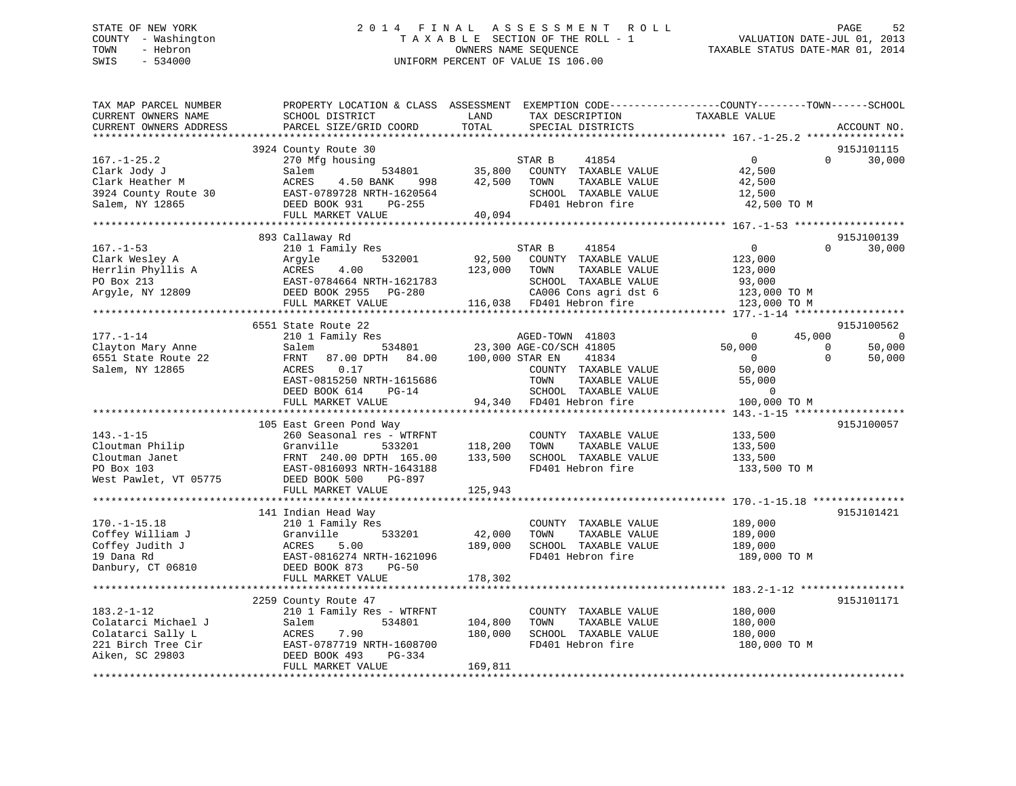## STATE OF NEW YORK 2 0 1 4 F I N A L A S S E S S M E N T R O L L PAGE 52 COUNTY - Washington T A X A B L E SECTION OF THE ROLL - 1 VALUATION DATE-JUL 01, 2013 TOWN - Hebron OWNERS NAME SEQUENCE TAXABLE STATUS DATE-MAR 01, 2014 SWIS - 534000 UNIFORM PERCENT OF VALUE IS 106.00

| TAX MAP PARCEL NUMBER<br>CURRENT OWNERS NAME<br>CURRENT OWNERS ADDRESS                                | PROPERTY LOCATION & CLASS ASSESSMENT EXEMPTION CODE----------------COUNTY-------TOWN-----SCHOOL<br>SCHOOL DISTRICT<br>PARCEL SIZE/GRID COORD                                        | LAND<br>TOTAL                 | TAX DESCRIPTION<br>SPECIAL DISTRICTS                                                                                                           | TAXABLE VALUE                                                                  | ACCOUNT NO.                              |
|-------------------------------------------------------------------------------------------------------|-------------------------------------------------------------------------------------------------------------------------------------------------------------------------------------|-------------------------------|------------------------------------------------------------------------------------------------------------------------------------------------|--------------------------------------------------------------------------------|------------------------------------------|
|                                                                                                       |                                                                                                                                                                                     |                               |                                                                                                                                                |                                                                                |                                          |
| $167. - 1 - 25.2$<br>Clark Jody J<br>Clark Heather M<br>3924 County Route 30<br>Salem, NY 12865       | 3924 County Route 30<br>270 Mfg housing<br>534801<br>Salem<br>ACRES<br>4.50 BANK<br>998<br>EAST-0789728 NRTH-1620564<br>DEED BOOK 931<br>PG-255                                     | 35,800<br>42,500              | 41854<br>STAR B<br>COUNTY TAXABLE VALUE<br>TAXABLE VALUE<br>TOWN<br>SCHOOL TAXABLE VALUE<br>FD401 Hebron fire                                  | $\overline{0}$<br>42,500<br>42,500<br>12,500<br>42,500 TO M                    | 915J101115<br>$\Omega$<br>30,000         |
|                                                                                                       | FULL MARKET VALUE                                                                                                                                                                   | 40,094                        |                                                                                                                                                |                                                                                |                                          |
|                                                                                                       |                                                                                                                                                                                     |                               |                                                                                                                                                |                                                                                |                                          |
| $167. - 1 - 53$<br>Clark Wesley A<br>Herrlin Phyllis A<br>PO Box 213<br>Argyle, NY 12809              | 893 Callaway Rd<br>210 1 Family Res<br>Argyle<br>532001<br>ACRES<br>4.00<br>EAST-0784664 NRTH-1621783<br>DEED BOOK 2955 PG-280<br>FULL MARKET VALUE                                 | 92,500<br>123,000             | STAR B<br>41854<br>COUNTY TAXABLE VALUE<br>TOWN<br>TAXABLE VALUE<br>SCHOOL TAXABLE VALUE<br>CA006 Cons agri dst 6<br>116,038 FD401 Hebron fire | $\overline{0}$<br>123,000<br>123,000<br>93,000<br>123,000 TO M<br>123,000 TO M | 915J100139<br>$\Omega$<br>30,000         |
|                                                                                                       |                                                                                                                                                                                     |                               |                                                                                                                                                |                                                                                |                                          |
| $177. - 1 - 14$                                                                                       | 6551 State Route 22<br>210 1 Family Res                                                                                                                                             |                               | AGED-TOWN 41803                                                                                                                                | 45,000<br>$\overline{0}$                                                       | 915J100562<br>$\overline{0}$             |
| Clayton Mary Anne<br>6551 State Route 22<br>Salem, NY 12865                                           | 534801<br>Salem<br>FRNT<br>87.00 DPTH 84.00 100,000 STAR EN<br>ACRES<br>0.17<br>EAST-0815250 NRTH-1615686<br>DEED BOOK 614<br>$PG-14$                                               |                               | 23,300 AGE-CO/SCH 41805<br>41834<br>COUNTY TAXABLE VALUE<br>TOWN<br>TAXABLE VALUE<br>SCHOOL TAXABLE VALUE                                      | 50,000<br>$\overline{0}$<br>50,000<br>55,000<br>$\Omega$                       | 50,000<br>$\Omega$<br>$\Omega$<br>50,000 |
|                                                                                                       | FULL MARKET VALUE                                                                                                                                                                   |                               | 94,340 FD401 Hebron fire                                                                                                                       | 100,000 TO M                                                                   |                                          |
|                                                                                                       |                                                                                                                                                                                     |                               |                                                                                                                                                |                                                                                |                                          |
| $143. - 1 - 15$<br>Cloutman Philip<br>Cloutman Janet<br>PO Box 103<br>West Pawlet, VT 05775           | 105 East Green Pond Way<br>260 Seasonal res - WTRFNT<br>Granville<br>533201<br>FRNT 240.00 DPTH 165.00<br>EAST-0816093 NRTH-1643188<br>DEED BOOK 500<br>PG-897<br>FULL MARKET VALUE | 118,200<br>133,500<br>125,943 | COUNTY TAXABLE VALUE<br>TOWN<br>TAXABLE VALUE<br>SCHOOL TAXABLE VALUE<br>FD401 Hebron fire                                                     | 133,500<br>133,500<br>133,500<br>133,500 TO M                                  | 915J100057                               |
|                                                                                                       |                                                                                                                                                                                     |                               |                                                                                                                                                |                                                                                |                                          |
| $170. - 1 - 15.18$<br>Coffey William J<br>Coffey Judith J<br>19 Dana Rd<br>Danbury, CT 06810          | 141 Indian Head Way<br>210 1 Family Res<br>533201<br>Granville<br>ACRES<br>5.00<br>EAST-0816274 NRTH-1621096<br>DEED BOOK 873<br>$PG-50$                                            | 42,000<br>189,000             | COUNTY TAXABLE VALUE<br>TAXABLE VALUE<br>TOWN<br>SCHOOL TAXABLE VALUE<br>FD401 Hebron fire                                                     | 189,000<br>189,000<br>189,000<br>189,000 TO M                                  | 915J101421                               |
|                                                                                                       | FULL MARKET VALUE                                                                                                                                                                   | 178,302                       |                                                                                                                                                |                                                                                |                                          |
|                                                                                                       | 2259 County Route 47                                                                                                                                                                |                               |                                                                                                                                                |                                                                                | 915J101171                               |
| $183.2 - 1 - 12$<br>Colatarci Michael J<br>Colatarci Sally L<br>221 Birch Tree Cir<br>Aiken, SC 29803 | 210 1 Family Res - WTRFNT<br>534801<br>Salem<br>ACRES<br>7.90<br>EAST-0787719 NRTH-1608700<br>DEED BOOK 493<br>PG-334<br>FULL MARKET VALUE                                          | 104,800<br>180,000<br>169,811 | COUNTY TAXABLE VALUE<br>TOWN<br>TAXABLE VALUE<br>SCHOOL TAXABLE VALUE<br>FD401 Hebron fire                                                     | 180,000<br>180,000<br>180,000<br>180,000 TO M                                  |                                          |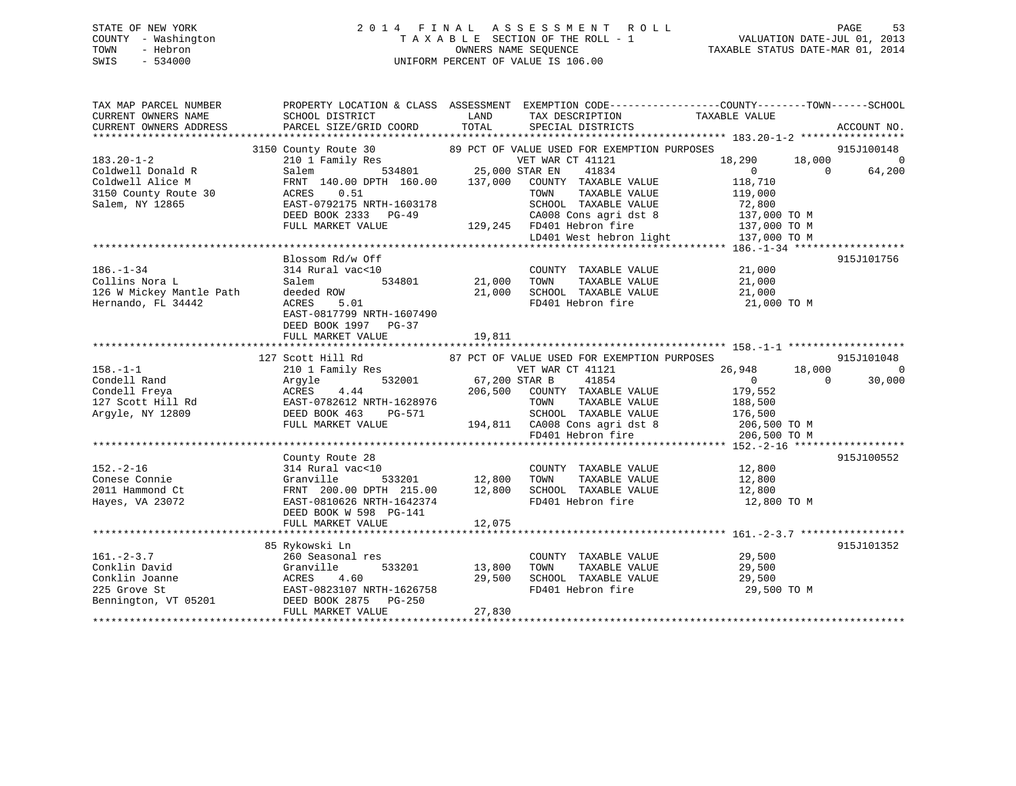## STATE OF NEW YORK 2 0 1 4 F I N A L A S S E S S M E N T R O L L PAGE 53 COUNTY - Washington T A X A B L E SECTION OF THE ROLL - 1 VALUATION DATE-JUL 01, 2013 TOWN - Hebron **CONNERS NAME SEQUENCE** TAXABLE STATUS DATE-MAR 01, 2014 SWIS - 534000 UNIFORM PERCENT OF VALUE IS 106.00

| TAX MAP PARCEL NUMBER    |                                                                                                                                                             |                       |                                             | PROPERTY LOCATION & CLASS ASSESSMENT EXEMPTION CODE----------------COUNTY-------TOWN------SCHOOL                         |                |
|--------------------------|-------------------------------------------------------------------------------------------------------------------------------------------------------------|-----------------------|---------------------------------------------|--------------------------------------------------------------------------------------------------------------------------|----------------|
| CURRENT OWNERS NAME      | SCHOOL DISTRICT                                                                                                                                             | LAND                  | TAX DESCRIPTION TAXABLE VALUE               |                                                                                                                          |                |
| CURRENT OWNERS ADDRESS   | PARCEL SIZE/GRID COORD                                                                                                                                      | TOTAL                 | SPECIAL DISTRICTS                           |                                                                                                                          | ACCOUNT NO.    |
|                          |                                                                                                                                                             |                       |                                             |                                                                                                                          |                |
|                          | 3150 County Route 30 $\,$ 89 PCT OF VALUE USED FOR EXEMPTION PURPOSES 210 1 Family Res $\,$ VET WAR CT 41121                                                |                       |                                             |                                                                                                                          | 915J100148     |
| $183.20 - 1 - 2$         |                                                                                                                                                             |                       |                                             | 18,290                                                                                                                   | 18,000 0       |
| Coldwell Donald R        | Salem                                                                                                                                                       | 534801 25,000 STAR EN | 41834                                       | $\overline{0}$<br>$\Omega$                                                                                               | 64,200         |
| Coldwell Alice M         | FRNT 140.00 DPTH 160.00 137,000 COUNTY TAXABLE VALUE                                                                                                        |                       |                                             | 118,710                                                                                                                  |                |
| 3150 County Route 30     | 0.51<br>ACRES                                                                                                                                               |                       | TAXABLE VALUE<br>TOWN                       | 119,000                                                                                                                  |                |
| Salem, NY 12865          | EAST-0792175 NRTH-1603178                                                                                                                                   |                       | SCHOOL TAXABLE VALUE                        | 72,800<br>137,000 TO M                                                                                                   |                |
|                          | DEED BOOK 2333 PG-49                                                                                                                                        |                       | CA008 Cons agri dst 8                       |                                                                                                                          |                |
|                          | FULL MARKET VALUE                                                                                                                                           |                       |                                             | 129,245 FD401 Hebron fire 137,000 TO M<br>LD401 West hebron light 137,000 TO M                                           |                |
|                          |                                                                                                                                                             |                       |                                             |                                                                                                                          |                |
|                          |                                                                                                                                                             |                       |                                             |                                                                                                                          |                |
|                          | Blossom Rd/w Off                                                                                                                                            |                       |                                             |                                                                                                                          | 915J101756     |
| $186. - 1 - 34$          | 314 Rural vac<10                                                                                                                                            |                       | COUNTY TAXABLE VALUE 21,000                 |                                                                                                                          |                |
| Collins Nora L           | 534801<br>Salem                                                                                                                                             | 21,000                | TOWN<br>TAXABLE VALUE                       | 21,000<br>21,000                                                                                                         |                |
| 126 W Mickey Mantle Path | deeded ROW                                                                                                                                                  | 21,000                | SCHOOL TAXABLE VALUE                        |                                                                                                                          |                |
| Hernando, FL 34442       | ACRES<br>5.01                                                                                                                                               |                       |                                             | FD401 Hebron fire 21,000 TO M                                                                                            |                |
|                          | EAST-0817799 NRTH-1607490                                                                                                                                   |                       |                                             |                                                                                                                          |                |
|                          | DEED BOOK 1997 PG-37                                                                                                                                        |                       |                                             |                                                                                                                          |                |
|                          | FULL MARKET VALUE                                                                                                                                           | 19,811                |                                             |                                                                                                                          |                |
|                          |                                                                                                                                                             |                       |                                             |                                                                                                                          |                |
|                          | 127 Scott Hill Rd                                                                                                                                           |                       | 87 PCT OF VALUE USED FOR EXEMPTION PURPOSES |                                                                                                                          | 915J101048     |
| $158. - 1 - 1$           | Scott Hill Rd<br>210 1 Family Res                                                                                                                           |                       | VET WAR CT 41121                            | 26,948<br>18,000                                                                                                         | $\overline{0}$ |
| Condell Rand             | 532001<br>Argyle                                                                                                                                            | 67,200 STAR B         | 41854                                       | $\overline{0}$<br>$\Omega$                                                                                               | 30,000         |
|                          | Condell Freya<br>127 Scott Hill Rd<br>127 Scott Hill Rd<br>127 Scott Hill Rd<br>12809<br>12809<br>122 Scott Press PG-571<br>12809<br>122 Scott Press PG-571 |                       | 206,500 COUNTY TAXABLE VALUE                | 179,552                                                                                                                  |                |
|                          |                                                                                                                                                             |                       | TAXABLE VALUE<br>TOWN                       | 188,500                                                                                                                  |                |
|                          |                                                                                                                                                             |                       |                                             |                                                                                                                          |                |
|                          | FULL MARKET VALUE                                                                                                                                           |                       |                                             |                                                                                                                          |                |
|                          |                                                                                                                                                             |                       |                                             | 3-571 SCHOOL TAXABLE VALUE 176,500<br>3-571 194,811 CA008 Cons agri dst 8 206,500 TO M<br>FD401 Hebron fire 206,500 TO M |                |
|                          |                                                                                                                                                             |                       |                                             |                                                                                                                          |                |
|                          | County Route 28                                                                                                                                             |                       |                                             |                                                                                                                          | 915J100552     |
| $152 - 2 - 16$           | 314 Rural vac<10                                                                                                                                            |                       | COUNTY TAXABLE VALUE 12,800                 |                                                                                                                          |                |
| Conese Connie            | Granville                                                                                                                                                   | 533201 12,800         | TOWN                                        | TAXABLE VALUE 12,800                                                                                                     |                |
| 2011 Hammond Ct          |                                                                                                                                                             |                       |                                             | 12,800                                                                                                                   |                |
| Hayes, VA 23072          | FRNT 200.00 DPTH 215.00 12,800<br>EAST-0810626 NRTH-1642374                                                                                                 |                       | TOWN LOADLE VALUE<br>SCHOOL TAXABLE VALUE   | 12,800 TO M                                                                                                              |                |
|                          | DEED BOOK W 598 PG-141                                                                                                                                      |                       |                                             |                                                                                                                          |                |
|                          | FULL MARKET VALUE                                                                                                                                           | 12,075                |                                             |                                                                                                                          |                |
|                          |                                                                                                                                                             |                       |                                             |                                                                                                                          |                |
|                          | 85 Rykowski Ln                                                                                                                                              |                       |                                             |                                                                                                                          | 915J101352     |
| $161. - 2 - 3.7$         | 260 Seasonal res                                                                                                                                            |                       | COUNTY TAXABLE VALUE                        | 29,500                                                                                                                   |                |
| Conklin David            | 533201 13,800<br>Granville                                                                                                                                  |                       | TAXABLE VALUE<br>TOWN                       | 29,500                                                                                                                   |                |
| Conklin Joanne           | ACRES<br>4.60                                                                                                                                               | 29,500                | SCHOOL TAXABLE VALUE 29,500                 |                                                                                                                          |                |
|                          |                                                                                                                                                             |                       | FD401 Hebron fire                           |                                                                                                                          |                |
| 225 Grove St             | EAST-0823107 NRTH-1626758<br>DEED BOOK 2875 PG-250                                                                                                          |                       |                                             | 29,500 TO M                                                                                                              |                |
| Bennington, VT 05201     |                                                                                                                                                             |                       |                                             |                                                                                                                          |                |
|                          | FULL MARKET VALUE                                                                                                                                           | 27,830                |                                             |                                                                                                                          |                |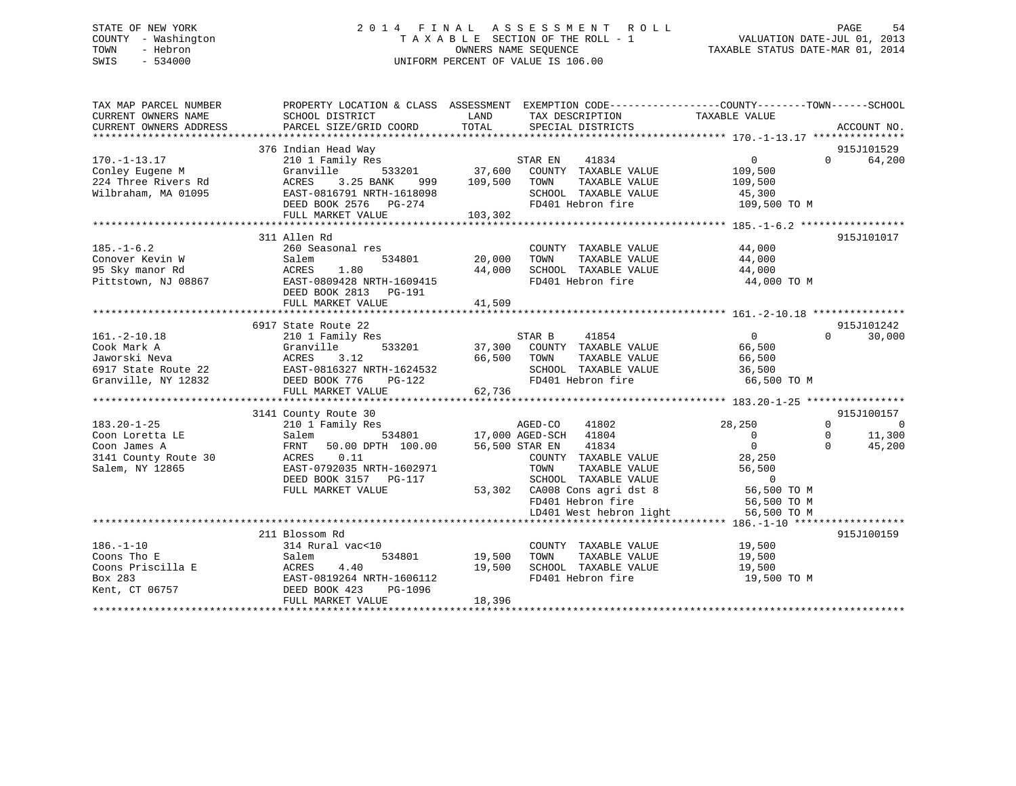## STATE OF NEW YORK 2 0 1 4 F I N A L A S S E S S M E N T R O L L PAGE 54 COUNTY - Washington T A X A B L E SECTION OF THE ROLL - 1 VALUATION DATE-JUL 01, 2013 TOWN - Hebron OWNERS NAME SEQUENCE TAXABLE STATUS DATE-MAR 01, 2014 SWIS - 534000 UNIFORM PERCENT OF VALUE IS 106.00

| TAX MAP PARCEL NUMBER<br>CURRENT OWNERS NAME<br>CURRENT OWNERS ADDRESS                          | PROPERTY LOCATION & CLASS ASSESSMENT EXEMPTION CODE---------------COUNTY-------TOWN-----SCHOOL<br>SCHOOL DISTRICT<br>PARCEL SIZE/GRID COORD                                | LAND<br>TOTAL                     | TAX DESCRIPTION<br>SPECIAL DISTRICTS                                                                                                                                                                                  | TAXABLE VALUE                                                                                                                          | ACCOUNT NO.                                                                          |
|-------------------------------------------------------------------------------------------------|----------------------------------------------------------------------------------------------------------------------------------------------------------------------------|-----------------------------------|-----------------------------------------------------------------------------------------------------------------------------------------------------------------------------------------------------------------------|----------------------------------------------------------------------------------------------------------------------------------------|--------------------------------------------------------------------------------------|
| $170. - 1 - 13.17$<br>Conley Eugene M<br>224 Three Rivers Rd<br>Wilbraham, MA 01095             | 376 Indian Head Way<br>210 1 Family Res<br>533201<br>Granville<br>ACRES<br>3.25 BANK<br>999<br>EAST-0816791 NRTH-1618098<br>DEED BOOK 2576 PG-274<br>FULL MARKET VALUE     | 109,500<br>103,302                | STAR EN 41834<br>37,600 COUNTY TAXABLE VALUE<br>TOWN<br>TAXABLE VALUE<br>SCHOOL TAXABLE VALUE<br>FD401 Hebron fire                                                                                                    | $0 \qquad \qquad$<br>109,500<br>109,500<br>45,300<br>109,500 TO M                                                                      | 915J101529<br>$\Omega$<br>64,200                                                     |
| $185. - 1 - 6.2$<br>Conover Kevin W<br>95 Sky manor Rd<br>Pittstown, NJ 08867                   | 311 Allen Rd<br>260 Seasonal res<br>Salem<br>ACRES<br>1.80<br>EAST-0809428 NRTH-1609415<br>DEED BOOK 2813 PG-191<br>FULL MARKET VALUE                                      | 534801 20,000<br>44,000<br>41,509 | COUNTY TAXABLE VALUE<br>TAXABLE VALUE<br>TOWN<br>SCHOOL TAXABLE VALUE<br>FD401 Hebron fire                                                                                                                            | 44,000<br>44,000<br>44,000<br>44,000 TO M                                                                                              | 915J101017                                                                           |
| $161.-2-10.18$<br>Cook Mark A<br>Jaworski Neva<br>6917 State Route 22<br>Granville, NY 12832    | 6917 State Route 22<br>210 1 Family Res<br>533201<br>Granville<br>3.12<br>ACRES<br>EAST-0816327 NRTH-1624532<br>DEED BOOK 776<br>PG-122<br>FULL MARKET VALUE               | 62,736                            | 41854<br>STAR B<br>37,300 COUNTY TAXABLE VALUE<br>66,500 TOWN<br>TAXABLE VALUE<br>SCHOOL TAXABLE VALUE<br>FD401 Hebron fire                                                                                           | $\overline{0}$<br>66,500<br>66,500<br>36,500<br>66,500 TO M                                                                            | 915J101242<br>$\Omega$<br>30,000                                                     |
| $183.20 - 1 - 25$<br>Coon Loretta LE<br>Coon James A<br>3141 County Route 30<br>Salem, NY 12865 | 3141 County Route 30<br>210 1 Family Res<br>Salem<br>FRNT<br>50.00 DPTH 100.00<br>ACRES<br>0.11<br>EAST-0792035 NRTH-1602971<br>DEED BOOK 3157 PG-117<br>FULL MARKET VALUE | 56,500 STAR EN                    | AGED-CO<br>41802<br>534801 17,000 AGED-SCH<br>41804<br>41834<br>COUNTY TAXABLE VALUE<br>TOWN<br>TAXABLE VALUE<br>SCHOOL TAXABLE VALUE<br>53,302 CA008 Cons agri dst 8<br>FD401 Hebron fire<br>LD401 West hebron light | 28,250<br>$\overline{0}$<br>$\Omega$<br>28,250<br>56,500<br>$\overline{0}$<br>56,500 TO M<br>56,500 TO M<br>56,500 TO M<br>56,500 TO M | 915J100157<br>$\Omega$<br>$\overline{0}$<br>11,300<br>$\Omega$<br>$\Omega$<br>45,200 |
| $186. - 1 - 10$<br>Coons Tho E<br>Coons Priscilla E<br>Box 283<br>Kent, CT 06757                | 211 Blossom Rd<br>314 Rural vac<10<br>534801<br>Salem<br>4.40<br>ACRES<br>EAST-0819264 NRTH-1606112<br>DEED BOOK 423<br>PG-1096<br>FULL MARKET VALUE                       | 19,500<br>19,500<br>18,396        | COUNTY TAXABLE VALUE<br>TOWN<br>TAXABLE VALUE<br>SCHOOL TAXABLE VALUE<br>FD401 Hebron fire                                                                                                                            | 19,500<br>19,500<br>19,500<br>19,500 TO M                                                                                              | 915J100159                                                                           |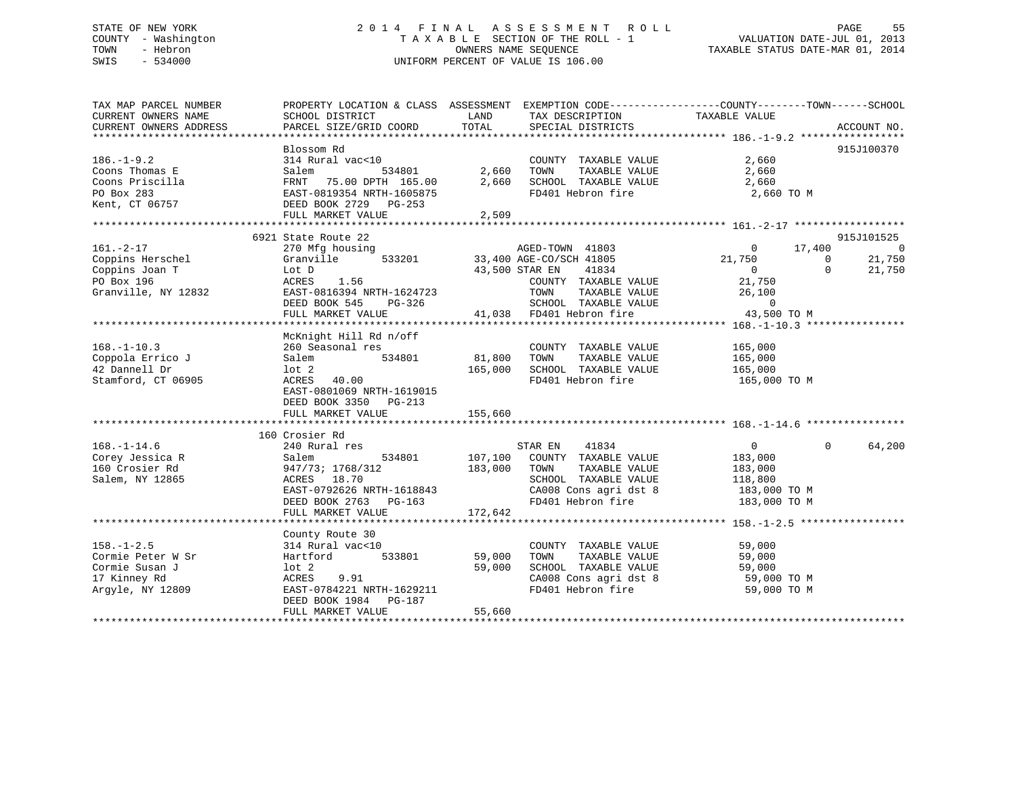## STATE OF NEW YORK 2 0 1 4 F I N A L A S S E S S M E N T R O L L PAGE 55 COUNTY - Washington T A X A B L E SECTION OF THE ROLL - 1 VALUATION DATE-JUL 01, 2013 TOWN - Hebron OWNERS NAME SEQUENCE TAXABLE STATUS DATE-MAR 01, 2014 SWIS - 534000 UNIFORM PERCENT OF VALUE IS 106.00

| TAX MAP PARCEL NUMBER<br>CURRENT OWNERS NAME<br>CURRENT OWNERS ADDRESS                      | SCHOOL DISTRICT<br>PARCEL SIZE/GRID COORD                                                                                                                            | PROPERTY LOCATION & CLASS ASSESSMENT EXEMPTION CODE----------------COUNTY-------TOWN------SCHOOL<br>LAND<br>TAX DESCRIPTION<br>TOTAL<br>SPECIAL DISTRICTS                                                            | TAXABLE VALUE<br>ACCOUNT NO.                                                                                                                                                 |
|---------------------------------------------------------------------------------------------|----------------------------------------------------------------------------------------------------------------------------------------------------------------------|----------------------------------------------------------------------------------------------------------------------------------------------------------------------------------------------------------------------|------------------------------------------------------------------------------------------------------------------------------------------------------------------------------|
| $186. - 1 - 9.2$<br>Coons Thomas E<br>Coons Priscilla<br>PO Box 283<br>Kent, CT 06757       | Blossom Rd<br>314 Rural vac<10<br>Salem<br>534801<br>FRNT 75.00 DPTH 165.00<br>EAST-0819354 NRTH-1605875<br>DEED BOOK 2729 PG-253<br>FULL MARKET VALUE               | COUNTY TAXABLE VALUE<br>2,660<br>TOWN<br>TAXABLE VALUE<br>2,660<br>SCHOOL TAXABLE VALUE<br>FD401 Hebron fire<br>2,509                                                                                                | 915J100370<br>2,660<br>2,660<br>2,660<br>2,660 TO M                                                                                                                          |
| $161. - 2 - 17$<br>Coppins Herschel<br>Coppins Joan T<br>PO Box 196<br>Granville, NY 12832  | 6921 State Route 22<br>270 Mfg housing<br>Granville<br>533201<br>Lot D<br>ACRES<br>1.56<br>EAST-0816394 NRTH-1624723<br>DEED BOOK 545<br>PG-326<br>FULL MARKET VALUE | AGED-TOWN 41803<br>33,400 AGE-CO/SCH 41805<br>43,500 STAR EN<br>41834<br>COUNTY TAXABLE VALUE<br>TOWN<br>TAXABLE VALUE<br>SCHOOL TAXABLE VA<br>41,038 FD401 Hebron fire<br>SCHOOL TAXABLE VALUE<br>FD401 Hebron fire | 915J101525<br>17,400<br>$\overline{0}$<br>$\circ$<br>21,750<br>21,750<br>$\mathbf{0}$<br>$\sim$ 0<br>$\Omega$<br>21,750<br>21,750<br>26,100<br>$\overline{0}$<br>43,500 TO M |
| $168. - 1 - 10.3$<br>Coppola Errico J<br>42 Dannell Dr<br>Stamford, CT 06905                | McKnight Hill Rd n/off<br>260 Seasonal res<br>534801<br>Salem<br>lot 2<br>ACRES 40.00<br>EAST-0801069 NRTH-1619015<br>DEED BOOK 3350 PG-213<br>FULL MARKET VALUE     | COUNTY TAXABLE VALUE<br>81,800<br>TOWN<br>TAXABLE VALUE<br>165,000<br>SCHOOL TAXABLE VALUE<br>FD401 Hebron fire<br>155,660                                                                                           | 165,000<br>165,000<br>165,000<br>165,000 TO M                                                                                                                                |
| $168. - 1 - 14.6$<br>Corey Jessica R<br>160 Crosier Rd<br>Salem, NY 12865                   | 160 Crosier Rd<br>240 Rural res<br>534801<br>Salem<br>947/73; 1768/312<br>ACRES 18.70<br>EAST-0792626 NRTH-1618843<br>DEED BOOK 2763 PG-163<br>FULL MARKET VALUE     | STAR EN<br>41834<br>107,100 COUNTY TAXABLE VALUE<br>183,000<br>TOWN<br>TAXABLE VALUE<br>SCHOOL TAXABLE VALUE<br>CA008 Cons agri dst 8 183,000 TO M<br>FD401 Hebron fire 183,000 TO M<br>172,642                      | $\overline{0}$<br>$\Omega$<br>64,200<br>183,000<br>183,000<br>118,800<br>183,000 TO M                                                                                        |
| $158. - 1 - 2.5$<br>Cormie Peter W Sr<br>Cormie Susan J<br>17 Kinney Rd<br>Argyle, NY 12809 | County Route 30<br>314 Rural vac<10<br>533801<br>Hartford<br>lot 2<br>ACRES<br>9.91<br>EAST-0784221 NRTH-1629211<br>DEED BOOK 1984 PG-187<br>FULL MARKET VALUE       | COUNTY TAXABLE VALUE<br>59,000<br>TOWN<br>TAXABLE VALUE<br>59,000<br>SCHOOL TAXABLE VALUE<br>CA008 Cons agri dst 8<br>FD401 Hebron fire<br>55,660                                                                    | 59,000<br>59,000<br>59,000<br>59,000 TO M<br>59,000 TO M                                                                                                                     |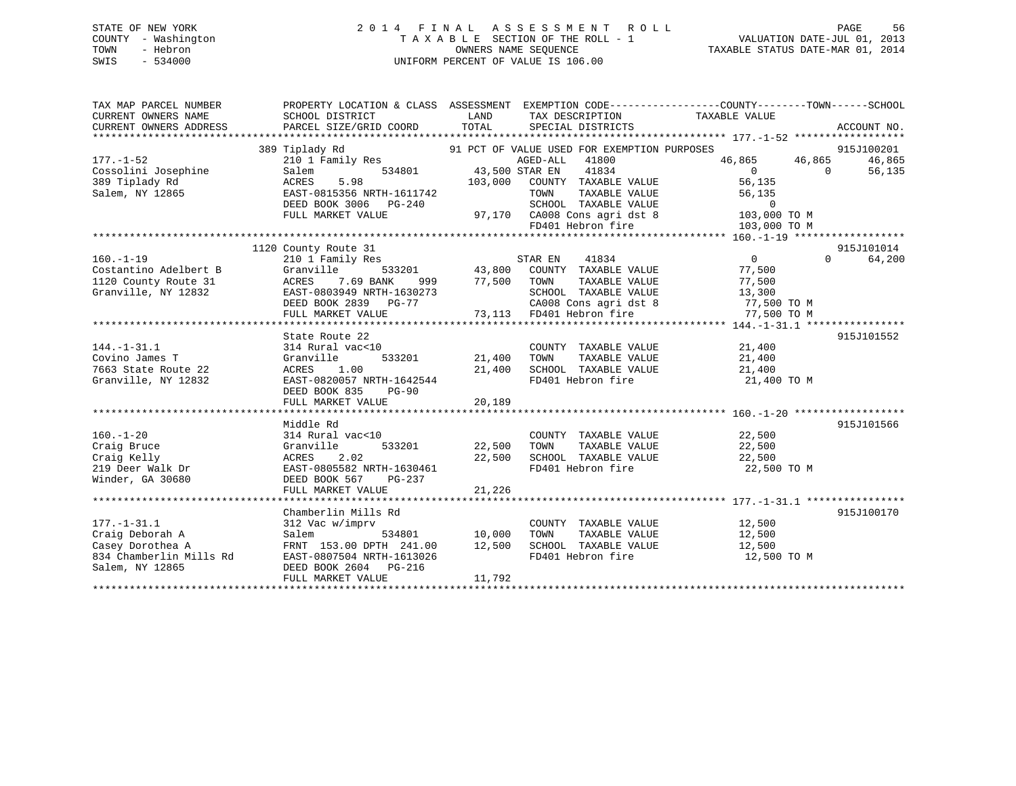## STATE OF NEW YORK 2 0 1 4 F I N A L A S S E S S M E N T R O L L PAGE 56 COUNTY - Washington T A X A B L E SECTION OF THE ROLL - 1 VALUATION DATE-JUL 01, 2013 TOWN - Hebron OWNERS NAME SEQUENCE TAXABLE STATUS DATE-MAR 01, 2014 SWIS - 534000 UNIFORM PERCENT OF VALUE IS 106.00

| TAX MAP PARCEL NUMBER<br>CURRENT OWNERS NAME<br>CURRENT OWNERS ADDRESS                                 | PROPERTY LOCATION & CLASS ASSESSMENT EXEMPTION CODE----------------COUNTY-------TOWN-----SCHOOL<br>SCHOOL DISTRICT<br>PARCEL SIZE/GRID COORD                    | LAND<br>TOTAL                  | TAX DESCRIPTION<br>SPECIAL DISTRICTS                                                                                                                                                                                       | TAXABLE VALUE                                                                                         | ACCOUNT NO.                                      |
|--------------------------------------------------------------------------------------------------------|-----------------------------------------------------------------------------------------------------------------------------------------------------------------|--------------------------------|----------------------------------------------------------------------------------------------------------------------------------------------------------------------------------------------------------------------------|-------------------------------------------------------------------------------------------------------|--------------------------------------------------|
| $177. - 1 - 52$<br>Cossolini Josephine<br>389 Tiplady Rd<br>Salem, NY 12865                            | 389 Tiplady Rd<br>210 1 Family Res<br>Salem<br>ACRES<br>5.98<br>EAST-0815356 NRTH-1611742<br>DEED BOOK 3006 PG-240<br>FULL MARKET VALUE                         | 103,000                        | 91 PCT OF VALUE USED FOR EXEMPTION PURPOSES<br>AGED-ALL 41800<br>534801 43,500 STAR EN 41834<br>COUNTY TAXABLE VALUE<br>TAXABLE VALUE<br>TOWN<br>SCHOOL TAXABLE VALUE<br>97,170 CA008 Cons agri dst 8<br>FD401 Hebron fire | 46,865 46,865<br>$\overline{0}$<br>56,135<br>56,135<br>$\overline{0}$<br>103,000 TO M<br>103,000 TO M | 915J100201<br>46,865<br>$\overline{0}$<br>56,135 |
| $160. - 1 - 19$<br>Costantino Adelbert B<br>1120 County Route 31<br>Granville, NY 12832                | 1120 County Route 31<br>210 1 Family Res<br>Granville<br>ACRES 7.69 BANK<br>EAST-0803949 NRTH-1630273                                                           |                                | 41834<br>STAR EN<br>533201 43,800 COUNTY TAXABLE VALUE<br>ANK 999 77,500 TOWN TAXABLE VALUE<br>SCHOOL TAXABLE VALUE                                                                                                        | $\overline{0}$<br>77,500<br>77,500<br>13,300                                                          | 915J101014<br>$\Omega$<br>64,200                 |
| $144. - 1 - 31.1$<br>Covino James T<br>7663 State Route 22<br>Granville, NY 12832                      | State Route 22<br>314 Rural vac<10<br>Granville<br>ACRES<br>1.00<br>EAST-0820057 NRTH-1642544<br>DEED BOOK 835<br>$PG-90$                                       | 533201 21,400<br>21,400        | COUNTY TAXABLE VALUE<br>TAXABLE VALUE<br>TOWN<br>SCHOOL TAXABLE VALUE<br>FD401 Hebron fire                                                                                                                                 | 21,400<br>21,400<br>21,400<br>21,400 TO M                                                             | 915J101552                                       |
| $160. - 1 - 20$<br>Craig Bruce<br>Craig Kelly<br>219 Deer Walk Dr<br>Winder, GA 30680                  | Middle Rd<br>314 Rural vac<10<br>533201<br>Granville<br>2.02<br>ACRES<br>EAST-0805582 NRTH-1630461<br>DEED BOOK 567 PG-237<br>FULL MARKET VALUE                 | 22,500<br>22,500<br>21,226     | COUNTY TAXABLE VALUE<br>TAXABLE VALUE<br>TOWN<br>SCHOOL TAXABLE VALUE 22,500                                                                                                                                               | $22,500$<br>$22.500$<br>22,500<br>FD401 Hebron fire 22,500 TO M                                       | 915J101566                                       |
| $177. - 1 - 31.1$<br>Craig Deborah A<br>Casey Dorothea A<br>834 Chamberlin Mills Rd<br>Salem, NY 12865 | Chamberlin Mills Rd<br>312 Vac w/imprv<br>Salem<br>534801<br>FRNT 153.00 DPTH 241.00<br>EAST-0807504 NRTH-1613026<br>DEED BOOK 2604 PG-216<br>FULL MARKET VALUE | $10,000$<br>$12,500$<br>11,792 | COUNTY TAXABLE VALUE 12,500                                                                                                                                                                                                | TOWN TAXABLE VALUE 12,500<br>SCHOOL TAXABLE VALUE 12,500<br>FD401 Hebron fire 12,500 TO M             | 915J100170                                       |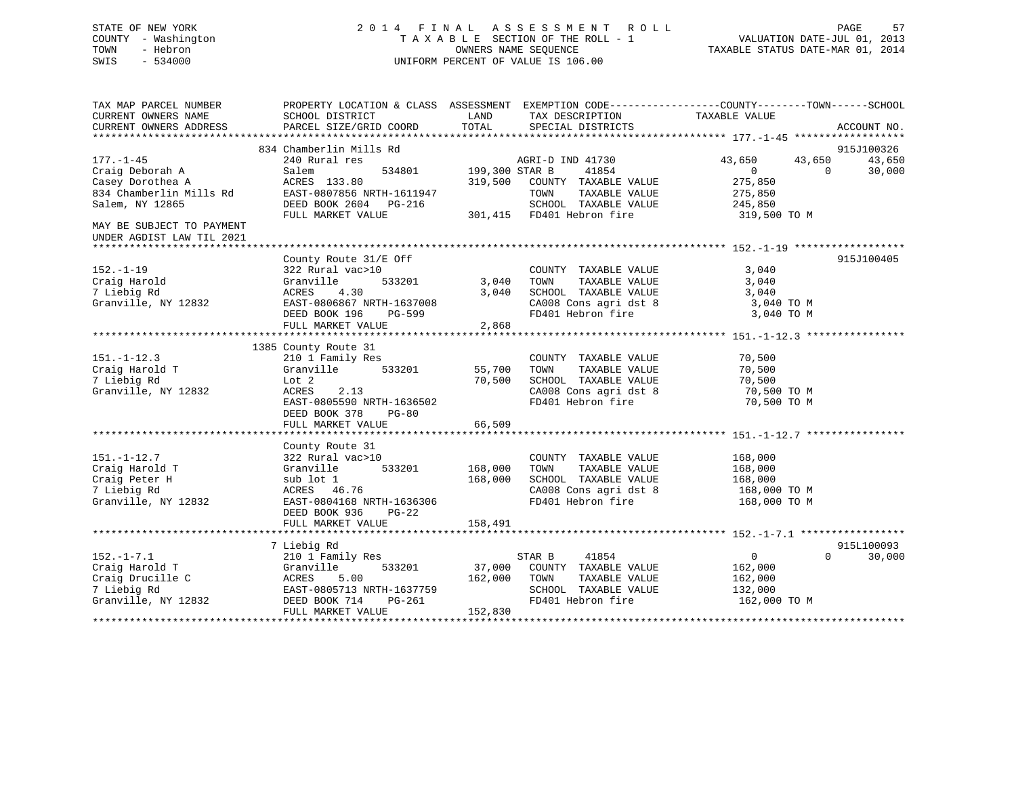## STATE OF NEW YORK 2 0 1 4 F I N A L A S S E S S M E N T R O L L PAGE 57 COUNTY - Washington T A X A B L E SECTION OF THE ROLL - 1 VALUATION DATE-JUL 01, 2013 TOWN - Hebron OWNERS NAME SEQUENCE TAXABLE STATUS DATE-MAR 01, 2014 SWIS - 534000 UNIFORM PERCENT OF VALUE IS 106.00

| TAX MAP PARCEL NUMBER<br>CURRENT OWNERS NAME<br>CURRENT OWNERS ADDRESS | SCHOOL DISTRICT<br>PARCEL SIZE/GRID COORD          | PROPERTY LOCATION & CLASS ASSESSMENT EXEMPTION CODE----------------COUNTY-------TOWN------SCHOOL<br>LAND<br>TAX DESCRIPTION<br>TOTAL<br>SPECIAL DISTRICTS | TAXABLE VALUE<br>ACCOUNT NO.                                 |
|------------------------------------------------------------------------|----------------------------------------------------|-----------------------------------------------------------------------------------------------------------------------------------------------------------|--------------------------------------------------------------|
|                                                                        |                                                    |                                                                                                                                                           |                                                              |
|                                                                        | 834 Chamberlin Mills Rd                            |                                                                                                                                                           | 915J100326                                                   |
| $177. - 1 - 45$<br>Craig Deborah A                                     | 240 Rural res<br>Salem<br>534801                   | AGRI-D IND 41730<br>199,300 STAR B<br>41854                                                                                                               | 43,650<br>43,650<br>43,650<br>30,000<br>$\Omega$<br>$\Omega$ |
| Casey Dorothea A                                                       | ACRES 133.80                                       | 319,500<br>COUNTY TAXABLE VALUE                                                                                                                           | 275,850                                                      |
| 834 Chamberlin Mills Rd                                                | EAST-0807856 NRTH-1611947                          | TOWN<br>TAXABLE VALUE                                                                                                                                     | 275,850                                                      |
| Salem, NY 12865                                                        | DEED BOOK 2604 PG-216<br>FULL MARKET VALUE         | SCHOOL TAXABLE VALUE<br>301,415 FD401 Hebron fire                                                                                                         | 245,850<br>319,500 TO M                                      |
| MAY BE SUBJECT TO PAYMENT<br>UNDER AGDIST LAW TIL 2021                 |                                                    |                                                                                                                                                           |                                                              |
|                                                                        |                                                    |                                                                                                                                                           |                                                              |
| $152. - 1 - 19$                                                        | County Route 31/E Off<br>322 Rural vac>10          | COUNTY TAXABLE VALUE                                                                                                                                      | 915J100405<br>3,040                                          |
| Craig Harold                                                           | 533201<br>Granville                                | 3,040<br>TOWN<br>TAXABLE VALUE                                                                                                                            | 3,040                                                        |
| 7 Liebig Rd                                                            | 4.30<br>ACRES                                      | 3,040<br>SCHOOL TAXABLE VALUE                                                                                                                             | 3,040                                                        |
| Granville, NY 12832                                                    | EAST-0806867 NRTH-1637008                          | CA008 Cons agri dst 8                                                                                                                                     | 3,040 TO M                                                   |
|                                                                        | DEED BOOK 196<br>PG-599                            | FD401 Hebron fire                                                                                                                                         | 3,040 TO M                                                   |
|                                                                        | FULL MARKET VALUE                                  | 2,868                                                                                                                                                     |                                                              |
|                                                                        |                                                    |                                                                                                                                                           |                                                              |
|                                                                        | 1385 County Route 31                               |                                                                                                                                                           |                                                              |
| $151. - 1 - 12.3$                                                      | 210 1 Family Res                                   | COUNTY TAXABLE VALUE                                                                                                                                      | 70,500                                                       |
| Craig Harold T                                                         | Granville<br>533201                                | 55,700<br>TAXABLE VALUE<br>TOWN                                                                                                                           | 70,500                                                       |
| 7 Liebig Rd                                                            | Lot 2                                              | 70,500<br>SCHOOL TAXABLE VALUE                                                                                                                            | 70,500                                                       |
| Granville, NY 12832                                                    | ACRES<br>2.13                                      | CA008 Cons agri dst 8<br>FD401 Hebron fire                                                                                                                | 70,500 TO M                                                  |
|                                                                        | EAST-0805590 NRTH-1636502                          |                                                                                                                                                           | 70,500 TO M                                                  |
|                                                                        | DEED BOOK 378<br><b>PG-80</b><br>FULL MARKET VALUE | 66,509                                                                                                                                                    |                                                              |
|                                                                        |                                                    |                                                                                                                                                           |                                                              |
|                                                                        | County Route 31                                    |                                                                                                                                                           |                                                              |
| $151. - 1 - 12.7$                                                      | 322 Rural vac>10                                   | COUNTY TAXABLE VALUE                                                                                                                                      | 168,000                                                      |
| Craig Harold T                                                         | 533201<br>Granville                                | 168,000<br>TAXABLE VALUE<br>TOWN                                                                                                                          | 168,000                                                      |
| Craig Peter H                                                          | sub lot 1                                          | 168,000<br>SCHOOL TAXABLE VALUE                                                                                                                           | 168,000                                                      |
| 7 Liebig Rd                                                            | ACRES 46.76                                        | CA008 Cons agri dst 8                                                                                                                                     | 168,000 TO M                                                 |
| Granville, NY 12832                                                    | EAST-0804168 NRTH-1636306                          | FD401 Hebron fire                                                                                                                                         | 168,000 TO M                                                 |
|                                                                        | DEED BOOK 936<br>PG-22                             |                                                                                                                                                           |                                                              |
|                                                                        | FULL MARKET VALUE                                  | 158,491                                                                                                                                                   |                                                              |
|                                                                        |                                                    |                                                                                                                                                           |                                                              |
|                                                                        | 7 Liebig Rd                                        |                                                                                                                                                           | 915L100093                                                   |
| $152. - 1 - 7.1$                                                       | 210 1 Family Res                                   | 41854<br>STAR B                                                                                                                                           | $\overline{0}$<br>$\Omega$<br>30,000                         |
| Craig Harold T                                                         | Granville<br>533201                                | 37,000<br>COUNTY TAXABLE VALUE                                                                                                                            | 162,000                                                      |
| Craig Drucille C                                                       | ACRES<br>5.00                                      | 162,000<br>TOWN<br>TAXABLE VALUE                                                                                                                          | 162,000                                                      |
| 7 Liebig Rd                                                            | EAST-0805713 NRTH-1637759                          | SCHOOL TAXABLE VALUE                                                                                                                                      | 132,000                                                      |
| Granville, NY 12832                                                    | DEED BOOK 714<br>PG-261<br>FULL MARKET VALUE       | FD401 Hebron fire<br>152,830                                                                                                                              | 162,000 TO M                                                 |
|                                                                        |                                                    |                                                                                                                                                           |                                                              |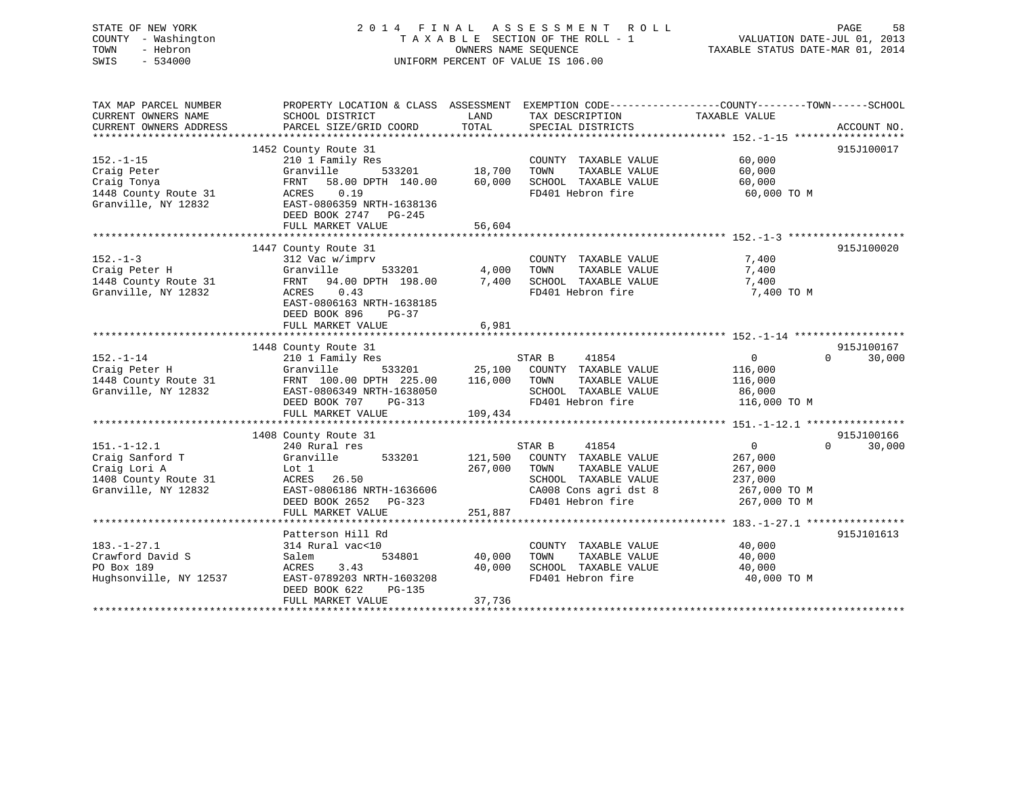## STATE OF NEW YORK 2 0 1 4 F I N A L A S S E S S M E N T R O L L PAGE 58 COUNTY - Washington T A X A B L E SECTION OF THE ROLL - 1 VALUATION DATE-JUL 01, 2013 TOWN - Hebron OWNERS NAME SEQUENCE TAXABLE STATUS DATE-MAR 01, 2014 SWIS - 534000 UNIFORM PERCENT OF VALUE IS 106.00

| TAX MAP PARCEL NUMBER<br>CURRENT OWNERS NAME<br>CURRENT OWNERS ADDRESS                              | SCHOOL DISTRICT<br>PARCEL SIZE/GRID COORD                                                                                                                                                | LAND<br>TOTAL                 | TAX DESCRIPTION<br>SPECIAL DISTRICTS                                                                                                   | PROPERTY LOCATION & CLASS ASSESSMENT EXEMPTION CODE----------------COUNTY-------TOWN------SCHOOL<br>TAXABLE VALUE<br>ACCOUNT NO. |
|-----------------------------------------------------------------------------------------------------|------------------------------------------------------------------------------------------------------------------------------------------------------------------------------------------|-------------------------------|----------------------------------------------------------------------------------------------------------------------------------------|----------------------------------------------------------------------------------------------------------------------------------|
| $152. - 1 - 15$<br>Craig Peter<br>Craig Tonya<br>1448 County Route 31<br>Granville, NY 12832        | 1452 County Route 31<br>210 1 Family Res<br>Granville<br>533201<br>58.00 DPTH 140.00<br>FRNT<br>0.19<br>ACRES<br>EAST-0806359 NRTH-1638136<br>DEED BOOK 2747 PG-245<br>FULL MARKET VALUE | 18,700<br>60,000<br>56,604    | COUNTY TAXABLE VALUE<br>TOWN<br>TAXABLE VALUE<br>SCHOOL TAXABLE VALUE<br>FD401 Hebron fire                                             | 915J100017<br>60,000<br>60,000<br>60,000<br>60,000 TO M                                                                          |
| $152. - 1 - 3$<br>Craig Peter H<br>1448 County Route 31<br>Granville, NY 12832                      | 1447 County Route 31<br>312 Vac w/imprv<br>Granville<br>533201<br>FRNT 94.00 DPTH 198.00<br>0.43<br>ACRES<br>EAST-0806163 NRTH-1638185<br>DEED BOOK 896<br>$PG-37$                       | 4,000<br>7,400                | COUNTY TAXABLE VALUE<br>TOWN<br>TAXABLE VALUE<br>SCHOOL TAXABLE VALUE<br>FD401 Hebron fire                                             | 915J100020<br>7,400<br>7,400<br>7,400<br>7,400 TO M                                                                              |
|                                                                                                     | FULL MARKET VALUE                                                                                                                                                                        | 6,981                         |                                                                                                                                        |                                                                                                                                  |
| $152. - 1 - 14$<br>Craig Peter H<br>1448 County Route 31<br>Granville, NY 12832                     | 1448 County Route 31<br>210 1 Family Res<br>Granville<br>533201<br>FRNT 100.00 DPTH 225.00<br>EAST-0806349 NRTH-1638050<br>DEED BOOK 707<br>$PG-313$<br>FULL MARKET VALUE                | 25,100<br>116,000<br>109,434  | STAR B<br>41854<br>COUNTY TAXABLE VALUE<br>TOWN<br>TAXABLE VALUE<br>SCHOOL TAXABLE VALUE<br>FD401 Hebron fire                          | 915J100167<br>$\mathbf{0}$<br>$\Omega$<br>30,000<br>116,000<br>116,000<br>86,000<br>116,000 TO M                                 |
| $151. - 1 - 12.1$<br>Craig Sanford T<br>Craig Lori A<br>1408 County Route 31<br>Granville, NY 12832 | 1408 County Route 31<br>240 Rural res<br>Granville<br>533201<br>Lot 1<br>ACRES<br>26.50<br>EAST-0806186 NRTH-1636606<br>DEED BOOK 2652<br>$PG-323$<br>FULL MARKET VALUE                  | 121,500<br>267,000<br>251,887 | 41854<br>STAR B<br>COUNTY TAXABLE VALUE<br>TAXABLE VALUE<br>TOWN<br>SCHOOL TAXABLE VALUE<br>CA008 Cons agri dst 8<br>FD401 Hebron fire | 915J100166<br>$\overline{0}$<br>$\Omega$<br>30,000<br>267,000<br>267,000<br>237,000<br>267,000 TO M<br>267,000 TO M              |
| $183. - 1 - 27.1$<br>Crawford David S<br>PO Box 189<br>Hughsonville, NY 12537                       | Patterson Hill Rd<br>314 Rural vac<10<br>534801<br>Salem<br>3.43<br>ACRES<br>EAST-0789203 NRTH-1603208<br>DEED BOOK 622<br>PG-135<br>FULL MARKET VALUE                                   | 40,000<br>40,000<br>37,736    | COUNTY TAXABLE VALUE<br>TOWN<br>TAXABLE VALUE<br>SCHOOL TAXABLE VALUE<br>FD401 Hebron fire                                             | 915J101613<br>40,000<br>40,000<br>40,000<br>40,000 TO M                                                                          |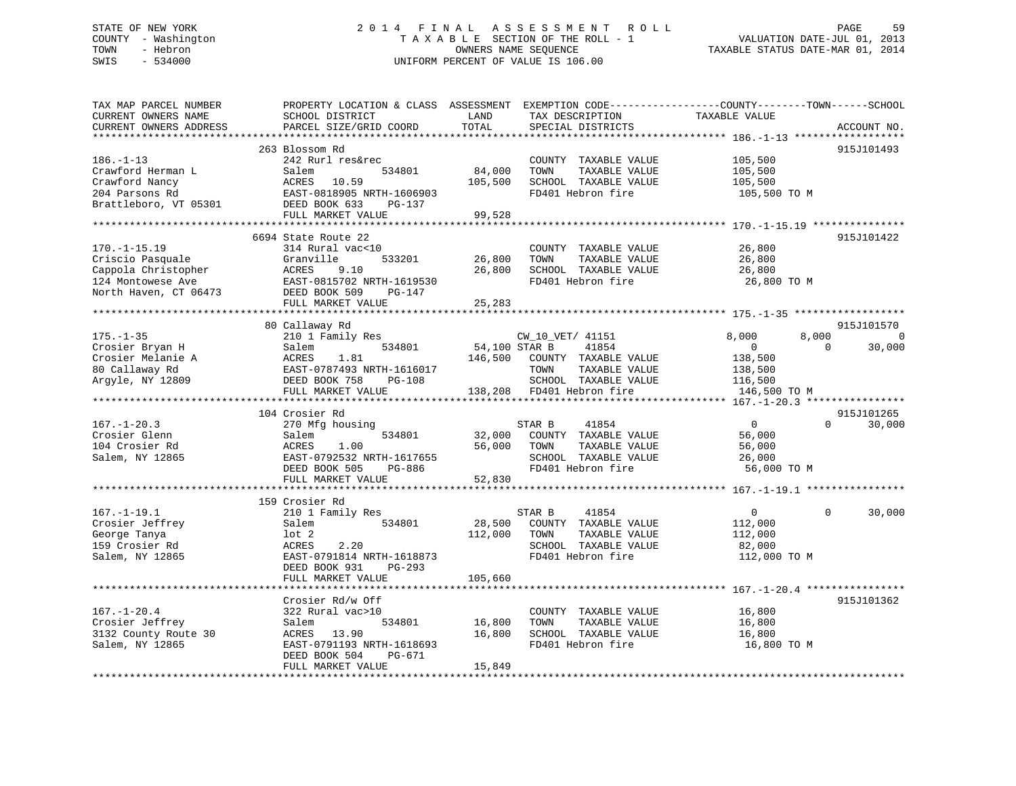# STATE OF NEW YORK GOOD CONTROLL ASSESSMENT ROLL FOR PAGE 59 COUNTY - Washington  $T A X A B L E$  SECTION OF THE ROLL - 1<br>TOWN - Hebron DATE-JUL 000NERS NAME SEQUENCE SWIS - 534000 UNIFORM PERCENT OF VALUE IS 106.00

TAXABLE STATUS DATE-MAR 01, 2014

| TAX MAP PARCEL NUMBER<br>CURRENT OWNERS NAME<br>CURRENT OWNERS ADDRESS                                      | PROPERTY LOCATION & CLASS ASSESSMENT<br>SCHOOL DISTRICT<br>PARCEL SIZE/GRID COORD                                                              | LAND<br>TOTAL            | EXEMPTION CODE-----------------COUNTY-------TOWN------SCHOOL<br>TAX DESCRIPTION<br>SPECIAL DISTRICTS          | TAXABLE VALUE                                                   |                   | ACCOUNT NO.               |
|-------------------------------------------------------------------------------------------------------------|------------------------------------------------------------------------------------------------------------------------------------------------|--------------------------|---------------------------------------------------------------------------------------------------------------|-----------------------------------------------------------------|-------------------|---------------------------|
|                                                                                                             | ************************                                                                                                                       |                          |                                                                                                               |                                                                 |                   |                           |
| $186. - 1 - 13$<br>Crawford Herman L<br>Crawford Nancy<br>204 Parsons Rd                                    | 263 Blossom Rd<br>242 Rurl res&rec<br>Salem<br>534801<br>10.59<br>ACRES<br>EAST-0818905 NRTH-1606903                                           | 84,000<br>105,500        | COUNTY TAXABLE VALUE<br>TAXABLE VALUE<br>TOWN<br>SCHOOL TAXABLE VALUE<br>FD401 Hebron fire                    | 105,500<br>105,500<br>105,500<br>105,500 TO M                   |                   | 915J101493                |
| Brattleboro, VT 05301                                                                                       | DEED BOOK 633<br>PG-137<br>FULL MARKET VALUE                                                                                                   | 99,528                   |                                                                                                               |                                                                 |                   |                           |
|                                                                                                             |                                                                                                                                                |                          |                                                                                                               |                                                                 |                   |                           |
| $170. - 1 - 15.19$<br>Criscio Pasquale<br>Cappola Christopher<br>124 Montowese Ave<br>North Haven, CT 06473 | 6694 State Route 22<br>314 Rural vac<10<br>Granville<br>533201<br>9.10<br>ACRES<br>EAST-0815702 NRTH-1619530<br>DEED BOOK 509<br><b>PG-147</b> | 26,800<br>26,800         | COUNTY TAXABLE VALUE<br>TAXABLE VALUE<br>TOWN<br>SCHOOL TAXABLE VALUE<br>FD401 Hebron fire                    | 26,800<br>26,800<br>26,800<br>26,800 TO M                       |                   | 915J101422                |
|                                                                                                             | FULL MARKET VALUE                                                                                                                              | 25,283                   |                                                                                                               |                                                                 |                   |                           |
|                                                                                                             | *****************************                                                                                                                  |                          |                                                                                                               |                                                                 |                   |                           |
| $175. - 1 - 35$                                                                                             | 80 Callaway Rd<br>210 1 Family Res                                                                                                             |                          | CW_10_VET/ 41151                                                                                              | 8,000                                                           | 8,000<br>$\Omega$ | 915J101570<br>$\mathbf 0$ |
| Crosier Bryan H<br>Crosier Melanie A<br>80 Callaway Rd<br>Argyle, NY 12809                                  | Salem<br>534801<br>ACRES<br>1.81<br>EAST-0787493 NRTH-1616017<br>DEED BOOK 758<br>PG-108<br>FULL MARKET VALUE                                  | 54,100 STAR B<br>146,500 | 41854<br>COUNTY TAXABLE VALUE<br>TAXABLE VALUE<br>TOWN<br>SCHOOL TAXABLE VALUE<br>138,208 FD401 Hebron fire   | $\overline{0}$<br>138,500<br>138,500<br>116,500<br>146,500 TO M |                   | 30,000                    |
|                                                                                                             |                                                                                                                                                |                          |                                                                                                               |                                                                 |                   |                           |
| $167. - 1 - 20.3$<br>Crosier Glenn<br>104 Crosier Rd<br>Salem, NY 12865                                     | 104 Crosier Rd<br>270 Mfg housing<br>Salem<br>534801<br>ACRES<br>1.00<br>EAST-0792532 NRTH-1617655<br>DEED BOOK 505<br>PG-886                  | 32,000<br>56,000         | STAR B<br>41854<br>COUNTY TAXABLE VALUE<br>TOWN<br>TAXABLE VALUE<br>SCHOOL TAXABLE VALUE<br>FD401 Hebron fire | $\overline{0}$<br>56,000<br>56,000<br>26,000<br>56,000 TO M     | $\Omega$          | 915J101265<br>30,000      |
|                                                                                                             | FULL MARKET VALUE                                                                                                                              | 52,830                   |                                                                                                               |                                                                 |                   |                           |
|                                                                                                             | ***********************                                                                                                                        |                          |                                                                                                               |                                                                 |                   |                           |
| $167. - 1 - 19.1$<br>Crosier Jeffrey<br>George Tanya<br>159 Crosier Rd<br>Salem, NY 12865                   | 159 Crosier Rd<br>210 1 Family Res<br>534801<br>Salem<br>$1$ ot $2$<br>ACRES<br>2.20<br>EAST-0791814 NRTH-1618873                              | 28,500<br>112,000        | 41854<br>STAR B<br>COUNTY TAXABLE VALUE<br>TAXABLE VALUE<br>TOWN<br>SCHOOL TAXABLE VALUE<br>FD401 Hebron fire | $\overline{0}$<br>112,000<br>112,000<br>82,000<br>112,000 TO M  | $\Omega$          | 30,000                    |
|                                                                                                             | DEED BOOK 931<br>$PG-293$<br>FULL MARKET VALUE                                                                                                 | 105,660                  |                                                                                                               |                                                                 |                   |                           |
|                                                                                                             |                                                                                                                                                |                          |                                                                                                               |                                                                 |                   |                           |
| $167. - 1 - 20.4$<br>Crosier Jeffrey<br>3132 County Route 30<br>Salem, NY 12865                             | Crosier Rd/w Off<br>322 Rural vac>10<br>534801<br>Salem<br>ACRES<br>13.90<br>EAST-0791193 NRTH-1618693<br>DEED BOOK 504<br>PG-671              | 16,800<br>16,800         | COUNTY TAXABLE VALUE<br>TAXABLE VALUE<br>TOWN<br>SCHOOL TAXABLE VALUE<br>FD401 Hebron fire                    | 16,800<br>16,800<br>16,800<br>16,800 TO M                       |                   | 915J101362                |
|                                                                                                             | FULL MARKET VALUE                                                                                                                              | 15,849                   |                                                                                                               |                                                                 |                   |                           |
|                                                                                                             |                                                                                                                                                |                          |                                                                                                               |                                                                 |                   |                           |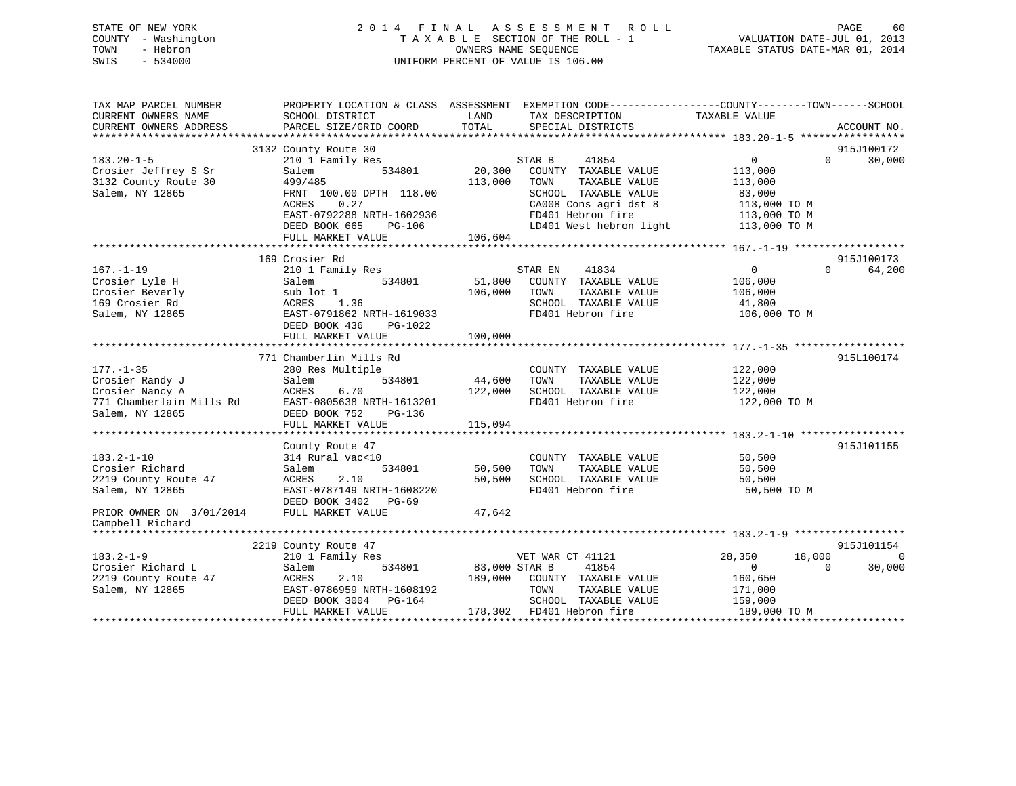## STATE OF NEW YORK 2 0 1 4 F I N A L A S S E S S M E N T R O L L PAGE 60 COUNTY - Washington T A X A B L E SECTION OF THE ROLL - 1 VALUATION DATE-JUL 01, 2013 TOWN - Hebron OWNERS NAME SEQUENCE TAXABLE STATUS DATE-MAR 01, 2014 SWIS - 534000 UNIFORM PERCENT OF VALUE IS 106.00

| TAX MAP PARCEL NUMBER<br>CURRENT OWNERS NAME | PROPERTY LOCATION & CLASS ASSESSMENT EXEMPTION CODE---------------COUNTY-------TOWN------SCHOOL<br>SCHOOL DISTRICT | LAND          | TAX DESCRIPTION                                   | TAXABLE VALUE           |                        |
|----------------------------------------------|--------------------------------------------------------------------------------------------------------------------|---------------|---------------------------------------------------|-------------------------|------------------------|
| CURRENT OWNERS ADDRESS                       | PARCEL SIZE/GRID COORD                                                                                             | TOTAL         | SPECIAL DISTRICTS                                 |                         | ACCOUNT NO.            |
|                                              |                                                                                                                    |               |                                                   |                         |                        |
|                                              | 3132 County Route 30                                                                                               |               |                                                   | $0 \qquad \qquad$       | 915J100172<br>$\Omega$ |
| $183.20 - 1 - 5$                             | 210 1 Family Res<br>534801<br>Salem                                                                                | 20,300        | 41854<br>STAR B                                   | 113,000                 | 30,000                 |
| Crosier Jeffrey S Sr<br>3132 County Route 30 | 499/485                                                                                                            | 113,000       | COUNTY TAXABLE VALUE<br>TOWN<br>TAXABLE VALUE     | 113,000                 |                        |
| Salem, NY 12865                              | FRNT 100.00 DPTH 118.00                                                                                            |               | SCHOOL TAXABLE VALUE                              | 83,000                  |                        |
|                                              | ACRES<br>0.27                                                                                                      |               | CA008 Cons agri dst 8                             | 113,000 TO M            |                        |
|                                              | EAST-0792288 NRTH-1602936                                                                                          |               | FD401 Hebron fire                                 | 113,000 TO M            |                        |
|                                              | DEED BOOK 665<br>PG-106                                                                                            |               | LD401 West hebron light                           | 113,000 TO M            |                        |
|                                              | FULL MARKET VALUE                                                                                                  | 106,604       |                                                   |                         |                        |
|                                              |                                                                                                                    |               |                                                   |                         |                        |
|                                              | 169 Crosier Rd                                                                                                     |               |                                                   |                         | 915J100173             |
| $167. - 1 - 19$                              | 210 1 Family Res                                                                                                   |               | 41834<br>STAR EN                                  | $\overline{0}$          | $\Omega$<br>64,200     |
| Crosier Lyle H                               | 534801<br>Salem                                                                                                    | 51,800        | COUNTY TAXABLE VALUE                              | 106,000                 |                        |
| Crosier Beverly                              | sub lot 1                                                                                                          | 106,000       | TOWN<br>TAXABLE VALUE                             | 106,000                 |                        |
| 169 Crosier Rd                               | ACRES<br>1.36                                                                                                      |               | SCHOOL TAXABLE VALUE                              | 41,800                  |                        |
| Salem, NY 12865                              | EAST-0791862 NRTH-1619033                                                                                          |               | FD401 Hebron fire                                 | 106,000 TO M            |                        |
|                                              | DEED BOOK 436<br>PG-1022                                                                                           |               |                                                   |                         |                        |
|                                              | FULL MARKET VALUE                                                                                                  | 100,000       |                                                   |                         |                        |
|                                              |                                                                                                                    |               |                                                   |                         |                        |
|                                              | 771 Chamberlin Mills Rd                                                                                            |               |                                                   |                         | 915L100174             |
| $177. - 1 - 35$                              | 280 Res Multiple                                                                                                   |               | COUNTY TAXABLE VALUE                              | 122,000                 |                        |
| Crosier Randy J                              | 534801<br>Salem                                                                                                    | 44,600        | TOWN<br>TAXABLE VALUE                             | 122,000                 |                        |
| Crosier Nancy A                              | ACRES<br>6.70                                                                                                      | 122,000       | SCHOOL TAXABLE VALUE                              | 122,000                 |                        |
| 771 Chamberlain Mills Rd                     | EAST-0805638 NRTH-1613201                                                                                          |               | FD401 Hebron fire                                 | 122,000 TO M            |                        |
| Salem, NY 12865                              | DEED BOOK 752<br>PG-136                                                                                            |               |                                                   |                         |                        |
|                                              | FULL MARKET VALUE                                                                                                  | 115,094       |                                                   |                         |                        |
|                                              |                                                                                                                    |               |                                                   |                         |                        |
|                                              | County Route 47                                                                                                    |               |                                                   |                         | 915J101155             |
| $183.2 - 1 - 10$                             | 314 Rural vac<10                                                                                                   |               | COUNTY TAXABLE VALUE                              | 50,500                  |                        |
| Crosier Richard                              | Salem<br>534801                                                                                                    | 50,500        | TOWN<br>TAXABLE VALUE                             | 50,500                  |                        |
| 2219 County Route 47                         | ACRES<br>2.10                                                                                                      | 50,500        | SCHOOL TAXABLE VALUE                              | 50,500                  |                        |
| Salem, NY 12865                              | EAST-0787149 NRTH-1608220                                                                                          |               | FD401 Hebron fire                                 | 50,500 TO M             |                        |
|                                              | DEED BOOK 3402 PG-69                                                                                               |               |                                                   |                         |                        |
| PRIOR OWNER ON 3/01/2014                     | FULL MARKET VALUE                                                                                                  | 47,642        |                                                   |                         |                        |
| Campbell Richard                             |                                                                                                                    |               |                                                   |                         |                        |
|                                              |                                                                                                                    |               |                                                   |                         |                        |
|                                              | 2219 County Route 47                                                                                               |               |                                                   |                         | 915J101154             |
| $183.2 - 1 - 9$                              | 210 1 Family Res                                                                                                   |               | VET WAR CT 41121                                  | 28,350<br>18,000        | $\Omega$               |
| Crosier Richard L                            | 534801<br>Salem                                                                                                    | 83,000 STAR B | 41854                                             | $\mathbf{0}$            | 30,000<br>$\Omega$     |
| 2219 County Route 47                         | 2.10<br>ACRES                                                                                                      | 189,000       | COUNTY TAXABLE VALUE                              | 160,650                 |                        |
| Salem, NY 12865                              |                                                                                                                    |               |                                                   |                         |                        |
|                                              | EAST-0786959 NRTH-1608192                                                                                          |               | TOWN<br>TAXABLE VALUE                             | 171,000                 |                        |
|                                              | DEED BOOK 3004<br>PG-164<br>FULL MARKET VALUE                                                                      |               | SCHOOL TAXABLE VALUE<br>178,302 FD401 Hebron fire | 159,000<br>189,000 TO M |                        |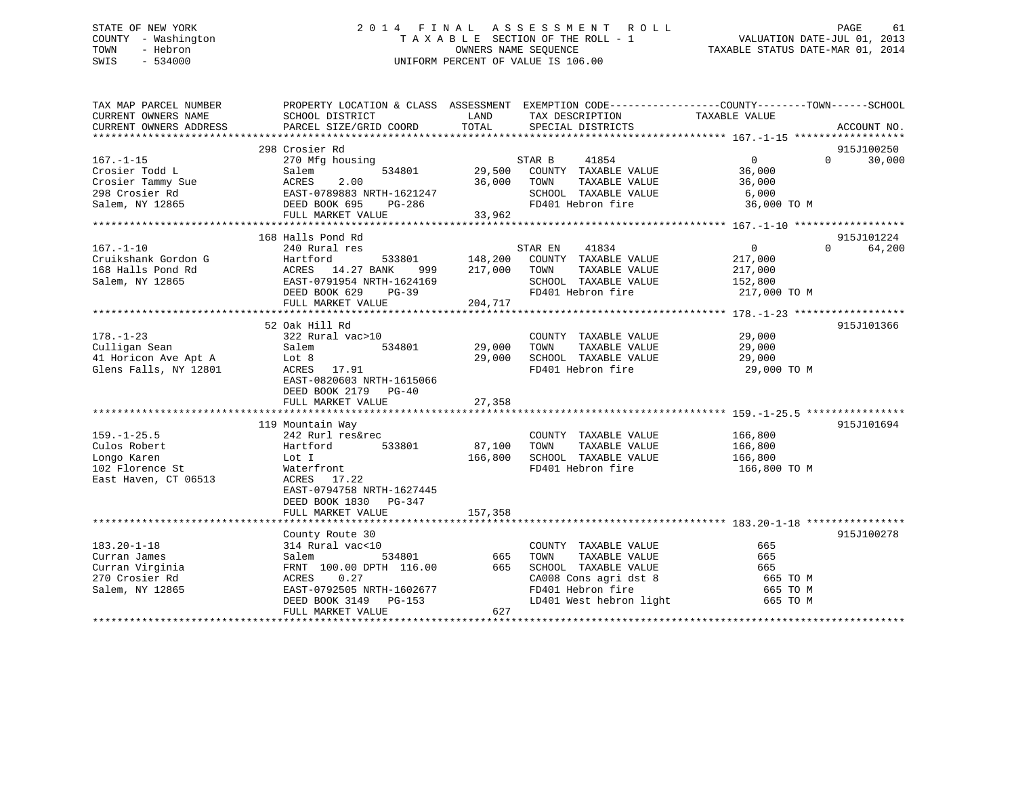## STATE OF NEW YORK 2 0 1 4 F I N A L A S S E S S M E N T R O L L PAGE 61 COUNTY - Washington T A X A B L E SECTION OF THE ROLL - 1 VALUATION DATE-JUL 01, 2013 TOWN - Hebron OWNERS NAME SEQUENCE TAXABLE STATUS DATE-MAR 01, 2014 SWIS - 534000 UNIFORM PERCENT OF VALUE IS 106.00

| TAX MAP PARCEL NUMBER<br>CURRENT OWNERS NAME | PROPERTY LOCATION & CLASS ASSESSMENT EXEMPTION CODE----------------COUNTY-------TOWN------SCHOOL<br>SCHOOL DISTRICT | LAND    | TAX DESCRIPTION         | TAXABLE VALUE  |                    |
|----------------------------------------------|---------------------------------------------------------------------------------------------------------------------|---------|-------------------------|----------------|--------------------|
| CURRENT OWNERS ADDRESS                       | PARCEL SIZE/GRID COORD                                                                                              | TOTAL   | SPECIAL DISTRICTS       |                | ACCOUNT NO.        |
|                                              |                                                                                                                     |         |                         |                |                    |
|                                              | 298 Crosier Rd                                                                                                      |         |                         |                | 915J100250         |
| $167. - 1 - 15$                              | 270 Mfg housing                                                                                                     |         | STAR B<br>41854         | $\overline{0}$ | 30,000<br>$\Omega$ |
| Crosier Todd L                               | 534801<br>Salem                                                                                                     | 29,500  | COUNTY TAXABLE VALUE    | 36,000         |                    |
| Crosier Tammy Sue                            | 2.00<br>ACRES                                                                                                       | 36,000  | TAXABLE VALUE<br>TOWN   | 36,000         |                    |
| 298 Crosier Rd                               | EAST-0789883 NRTH-1621247                                                                                           |         | SCHOOL TAXABLE VALUE    | 6,000          |                    |
| Salem, NY 12865                              | DEED BOOK 695<br>PG-286                                                                                             |         | FD401 Hebron fire       | 36,000 TO M    |                    |
|                                              | FULL MARKET VALUE                                                                                                   | 33,962  |                         |                |                    |
|                                              |                                                                                                                     |         |                         |                |                    |
|                                              | 168 Halls Pond Rd                                                                                                   |         |                         |                | 915J101224         |
| $167. - 1 - 10$                              | 240 Rural res                                                                                                       |         | 41834<br>STAR EN        | $\mathbf{0}$   | 64,200<br>$\Omega$ |
| Cruikshank Gordon G                          | Hartford<br>533801<br>Hartronu<br>ACRES 14.27 BANK                                                                  | 148,200 | COUNTY TAXABLE VALUE    | 217,000        |                    |
| 168 Halls Pond Rd                            | 999                                                                                                                 | 217,000 | TOWN<br>TAXABLE VALUE   | 217,000        |                    |
| Salem, NY 12865                              | EAST-0791954 NRTH-1624169                                                                                           |         | SCHOOL TAXABLE VALUE    | 152,800        |                    |
|                                              | DEED BOOK 629<br>PG-39                                                                                              |         | FD401 Hebron fire       | 217,000 TO M   |                    |
|                                              | FULL MARKET VALUE                                                                                                   | 204,717 |                         |                |                    |
|                                              |                                                                                                                     |         |                         |                |                    |
|                                              | 52 Oak Hill Rd                                                                                                      |         |                         |                | 915J101366         |
| $178. - 1 - 23$                              | 322 Rural vac>10                                                                                                    |         | COUNTY TAXABLE VALUE    | 29,000         |                    |
| Culligan Sean                                | 534801<br>Salem                                                                                                     | 29,000  | TAXABLE VALUE<br>TOWN   | 29,000         |                    |
| 41 Horicon Ave Apt A                         | Lot 8                                                                                                               | 29,000  | SCHOOL TAXABLE VALUE    | 29,000         |                    |
| Glens Falls, NY 12801                        | ACRES 17.91                                                                                                         |         | FD401 Hebron fire       | 29,000 TO M    |                    |
|                                              | EAST-0820603 NRTH-1615066                                                                                           |         |                         |                |                    |
|                                              | DEED BOOK 2179 PG-40                                                                                                |         |                         |                |                    |
|                                              | FULL MARKET VALUE                                                                                                   | 27,358  |                         |                |                    |
|                                              |                                                                                                                     |         |                         |                |                    |
|                                              | 119 Mountain Way                                                                                                    |         |                         |                | 915J101694         |
| $159. - 1 - 25.5$                            | 242 Rurl res&rec                                                                                                    |         | COUNTY TAXABLE VALUE    | 166,800        |                    |
| Culos Robert                                 | 533801<br>Hartford                                                                                                  | 87,100  | TAXABLE VALUE<br>TOWN   | 166,800        |                    |
| Longo Karen                                  | Lot I                                                                                                               | 166,800 | SCHOOL TAXABLE VALUE    | 166,800        |                    |
| 102 Florence St                              | Waterfront                                                                                                          |         | FD401 Hebron fire       | 166,800 ТО М   |                    |
| East Haven, CT 06513                         | ACRES<br>17.22                                                                                                      |         |                         |                |                    |
|                                              | EAST-0794758 NRTH-1627445                                                                                           |         |                         |                |                    |
|                                              | DEED BOOK 1830 PG-347                                                                                               |         |                         |                |                    |
|                                              | FULL MARKET VALUE                                                                                                   | 157,358 |                         |                |                    |
|                                              |                                                                                                                     |         |                         |                |                    |
|                                              |                                                                                                                     |         |                         |                |                    |
| $183.20 - 1 - 18$                            | County Route 30                                                                                                     |         |                         | 665            | 915J100278         |
|                                              | 314 Rural vac<10                                                                                                    |         | COUNTY TAXABLE VALUE    |                |                    |
| Curran James                                 | 534801<br>Salem                                                                                                     | 665     | TOWN<br>TAXABLE VALUE   | 665            |                    |
| Curran Virginia                              | FRNT 100.00 DPTH 116.00                                                                                             | 665     | SCHOOL TAXABLE VALUE    | 665            |                    |
| 270 Crosier Rd                               | 0.27<br>ACRES                                                                                                       |         | CA008 Cons agri dst 8   | 665 TO M       |                    |
| Salem, NY 12865                              | EAST-0792505 NRTH-1602677                                                                                           |         | FD401 Hebron fire       | 665 TO M       |                    |
|                                              | DEED BOOK 3149<br>PG-153                                                                                            |         | LD401 West hebron light | 665 TO M       |                    |
|                                              | FULL MARKET VALUE                                                                                                   | 627     |                         |                |                    |
|                                              |                                                                                                                     |         |                         |                |                    |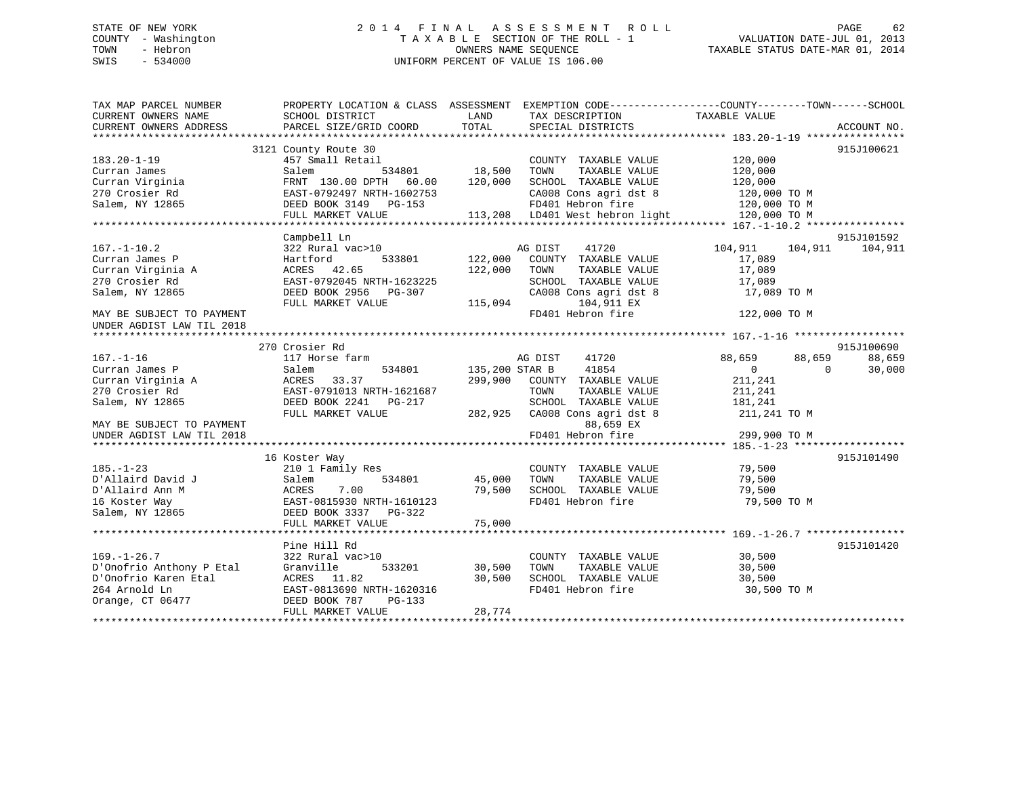## STATE OF NEW YORK 2 0 1 4 F I N A L A S S E S S M E N T R O L L PAGE 62 COUNTY - Washington T A X A B L E SECTION OF THE ROLL - 1 VALUATION DATE-JUL 01, 2013 TOWN - Hebron OWNERS NAME SEQUENCE TAXABLE STATUS DATE-MAR 01, 2014 SWIS - 534000 UNIFORM PERCENT OF VALUE IS 106.00

| TAX MAP PARCEL NUMBER<br>CURRENT OWNERS NAME<br>CURRENT OWNERS ADDRESS | PROPERTY LOCATION & CLASS ASSESSMENT EXEMPTION CODE---------------COUNTY-------TOWN-----SCHOOL<br>SCHOOL DISTRICT<br>PARCEL SIZE/GRID COORD | LAND<br>TOTAL  | TAX DESCRIPTION<br>SPECIAL DISTRICTS                                            | TAXABLE VALUE                    | ACCOUNT NO. |
|------------------------------------------------------------------------|---------------------------------------------------------------------------------------------------------------------------------------------|----------------|---------------------------------------------------------------------------------|----------------------------------|-------------|
|                                                                        |                                                                                                                                             |                |                                                                                 |                                  |             |
|                                                                        | 3121 County Route 30                                                                                                                        |                |                                                                                 |                                  | 915J100621  |
| 183.20-1-19                                                            | 457 Small Retail                                                                                                                            |                | COUNTY TAXABLE VALUE                                                            | 120,000                          |             |
| Curran James                                                           | Salem                                                                                                                                       | 534801 18,500  | TOWN<br>TAXABLE VALUE                                                           | 120,000                          |             |
| Curran Virginia                                                        | FRNT 130.00 DPTH 60.00                                                                                                                      | 120,000        | SCHOOL TAXABLE VALUE                                                            | 120,000                          |             |
| 270 Crosier Rd                                                         | EAST-0792497 NRTH-1602753                                                                                                                   |                | CA008 Cons agri dst 8                                                           | $120,000$ TO M<br>$120,000$ TO M |             |
| Salem, NY 12865                                                        | DEED BOOK 3149 PG-153                                                                                                                       |                |                                                                                 | 120,000 TO M                     |             |
|                                                                        | FULL MARKET VALUE                                                                                                                           |                | CAUU8 Cons agri dst 8<br>FD401 Hebron fire<br>113,208   LD401 West hebron light | $120,000$ TO M                   |             |
|                                                                        |                                                                                                                                             |                |                                                                                 |                                  |             |
|                                                                        | Campbell Ln                                                                                                                                 |                |                                                                                 |                                  | 915J101592  |
| $167. - 1 - 10.2$                                                      | 322 Rural vac>10                                                                                                                            |                | AG DIST<br>41720                                                                | 104,911<br>104,911               | 104,911     |
| Curran James P                                                         | Hartford<br>533801                                                                                                                          | 122,000        | COUNTY TAXABLE VALUE                                                            | 17,089                           |             |
| Curran Virginia A                                                      | ACRES 42.65                                                                                                                                 | 122,000        | TOWN<br>TAXABLE VALUE                                                           | 17,089                           |             |
| 270 Crosier Rd                                                         | EAST-0792045 NRTH-1623225                                                                                                                   |                | SCHOOL TAXABLE VALUE                                                            | 17,089                           |             |
| Salem, NY 12865                                                        | DEED BOOK 2956 PG-307                                                                                                                       |                | CA008 Cons agri dst 8                                                           | 17,089 TO M                      |             |
|                                                                        | FULL MARKET VALUE                                                                                                                           | 115,094        | 104,911 EX                                                                      |                                  |             |
| MAY BE SUBJECT TO PAYMENT                                              |                                                                                                                                             |                | FD401 Hebron fire                                                               | 122,000 TO M                     |             |
| UNDER AGDIST LAW TIL 2018                                              |                                                                                                                                             |                |                                                                                 |                                  |             |
|                                                                        |                                                                                                                                             |                |                                                                                 |                                  |             |
|                                                                        | 270 Crosier Rd                                                                                                                              |                |                                                                                 |                                  | 915J100690  |
| $167. - 1 - 16$                                                        | 117 Horse farm                                                                                                                              |                | 41720<br>AG DIST                                                                | 88,659<br>88,659                 | 88,659      |
| Curran James P                                                         | 534801<br>Salem                                                                                                                             | 135,200 STAR B | 41854                                                                           | $\overline{0}$<br>$\Omega$       | 30,000      |
| Curran Virginia A                                                      | ACRES<br>33.37                                                                                                                              |                | 299,900 COUNTY TAXABLE VALUE                                                    | 211,241                          |             |
| 270 Crosier Rd                                                         | EAST-0791013 NRTH-1621687                                                                                                                   |                | TOWN<br>TAXABLE VALUE                                                           | 211,241                          |             |
| Salem, NY 12865                                                        | DEED BOOK 2241 PG-217                                                                                                                       |                | SCHOOL TAXABLE VALUE                                                            | 181,241                          |             |
|                                                                        | FULL MARKET VALUE                                                                                                                           |                | 282,925 CA008 Cons agri dst 8                                                   | 211,241 TO M                     |             |
| MAY BE SUBJECT TO PAYMENT                                              |                                                                                                                                             |                | 88,659 EX                                                                       |                                  |             |
| UNDER AGDIST LAW TIL 2018                                              |                                                                                                                                             |                | FD401 Hebron fire                                                               | 299,900 TO M                     |             |
|                                                                        |                                                                                                                                             |                |                                                                                 |                                  |             |
|                                                                        | 16 Koster Way                                                                                                                               |                |                                                                                 |                                  | 915J101490  |
| $185. - 1 - 23$                                                        | 210 1 Family Res                                                                                                                            |                | COUNTY TAXABLE VALUE                                                            | 79,500                           |             |
| D'Allaird David J                                                      | Salem 534801<br>ACRES 7.00<br>EAST-0815930 NRTH-1610123                                                                                     | 45,000         | TOWN<br>TAXABLE VALUE                                                           | 79,500                           |             |
| D'Allaird Ann M                                                        |                                                                                                                                             | 79,500         | SCHOOL TAXABLE VALUE                                                            | 79,500                           |             |
| 16 Koster Way                                                          |                                                                                                                                             |                | FD401 Hebron fire                                                               | 79,500 TO M                      |             |
| Salem, NY 12865                                                        | DEED BOOK 3337 PG-322                                                                                                                       |                |                                                                                 |                                  |             |
|                                                                        | FULL MARKET VALUE                                                                                                                           | 75,000         |                                                                                 |                                  |             |
|                                                                        |                                                                                                                                             |                |                                                                                 |                                  |             |
|                                                                        | Pine Hill Rd                                                                                                                                |                |                                                                                 |                                  | 915J101420  |
| $169. - 1 - 26.7$                                                      | 322 Rural vac>10                                                                                                                            |                | COUNTY TAXABLE VALUE                                                            | 30,500                           |             |
| D'Onofrio Anthony P Etal                                               | Granville<br>533201                                                                                                                         | 30,500         | TOWN<br>TAXABLE VALUE                                                           | 30,500                           |             |
| D'Onofrio Karen Etal                                                   | ACRES 11.82                                                                                                                                 | 30,500         | SCHOOL TAXABLE VALUE                                                            | 30,500                           |             |
| 264 Arnold Ln                                                          | EAST-0813690 NRTH-1620316                                                                                                                   |                | FD401 Hebron fire                                                               | 30,500 TO M                      |             |
| Orange, CT 06477                                                       | DEED BOOK 787<br>PG-133                                                                                                                     |                |                                                                                 |                                  |             |
|                                                                        | FULL MARKET VALUE                                                                                                                           | 28,774         |                                                                                 |                                  |             |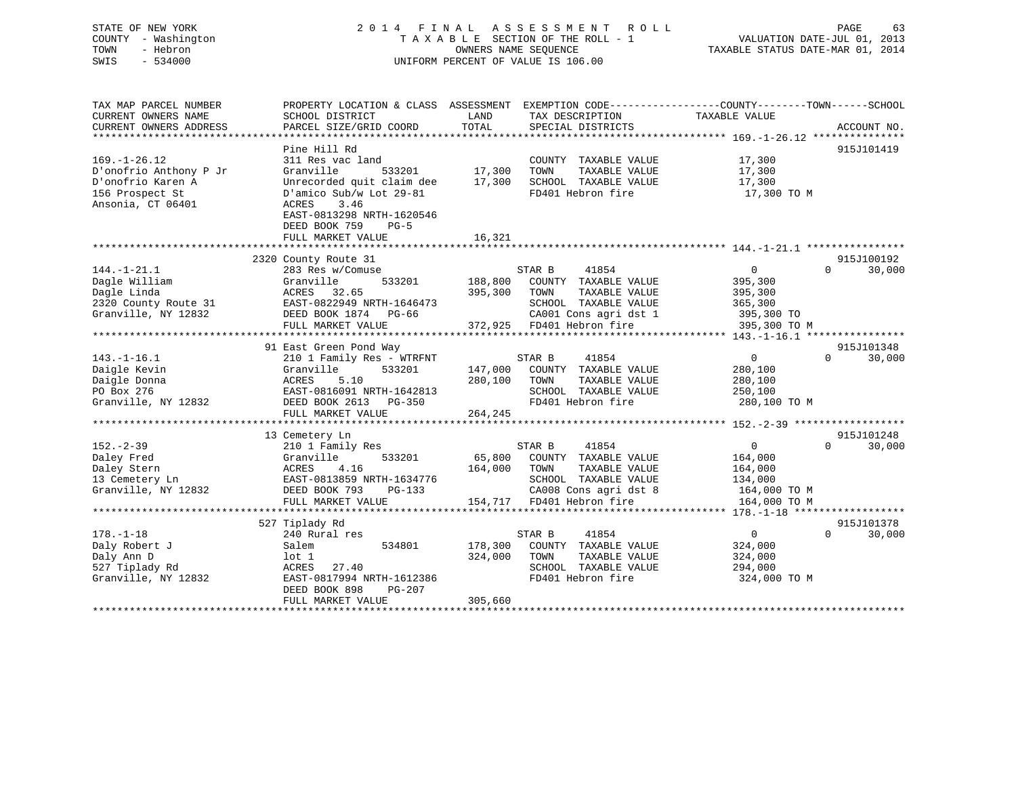## STATE OF NEW YORK 2 0 1 4 F I N A L A S S E S S M E N T R O L L PAGE 63 COUNTY - Washington T A X A B L E SECTION OF THE ROLL - 1 VALUATION DATE-JUL 01, 2013 TOWN - Hebron OWNERS NAME SEQUENCE TAXABLE STATUS DATE-MAR 01, 2014 SWIS - 534000 UNIFORM PERCENT OF VALUE IS 106.00

| TAX MAP PARCEL NUMBER<br>CURRENT OWNERS NAME<br>CURRENT OWNERS ADDRESS                                    | PROPERTY LOCATION & CLASS ASSESSMENT<br>SCHOOL DISTRICT<br>PARCEL SIZE/GRID COORD                                                                                                                             | LAND<br>TAX DESCRIPTION<br>TOTAL<br>SPECIAL DISTRICTS                                                                                                                  | EXEMPTION CODE-----------------COUNTY-------TOWN------SCHOOL<br>TAXABLE VALUE<br>ACCOUNT NO.          |
|-----------------------------------------------------------------------------------------------------------|---------------------------------------------------------------------------------------------------------------------------------------------------------------------------------------------------------------|------------------------------------------------------------------------------------------------------------------------------------------------------------------------|-------------------------------------------------------------------------------------------------------|
| $169. - 1 - 26.12$<br>D'onofrio Anthony P Jr<br>D'onofrio Karen A<br>156 Prospect St<br>Ansonia, CT 06401 | Pine Hill Rd<br>311 Res vac land<br>Granville<br>533201<br>Unrecorded quit claim dee<br>D'amico Sub/w Lot 29-81<br>3.46<br>ACRES<br>EAST-0813298 NRTH-1620546<br>DEED BOOK 759<br>$PG-5$<br>FULL MARKET VALUE | COUNTY TAXABLE VALUE<br>17,300<br>TAXABLE VALUE<br>TOWN<br>17,300<br>SCHOOL TAXABLE VALUE<br>FD401 Hebron fire<br>16,321                                               | 915J101419<br>17,300<br>17,300<br>17,300<br>17,300 TO M                                               |
|                                                                                                           |                                                                                                                                                                                                               |                                                                                                                                                                        |                                                                                                       |
| $144. - 1 - 21.1$<br>Dagle William<br>Dagle Linda<br>2320 County Route 31<br>Granville, NY 12832          | 2320 County Route 31<br>283 Res w/Comuse<br>533201<br>Granville<br>ACRES 32.65<br>EAST-0822949 NRTH-1646473<br>DEED BOOK 1874 PG-66                                                                           | STAR B<br>41854<br>188,800<br>COUNTY TAXABLE VALUE<br>395,300<br>TOWN<br>TAXABLE VALUE<br>SCHOOL TAXABLE VALUE<br>CA001 Cons agri dst 1                                | 915J100192<br>$\overline{0}$<br>30,000<br>$\Omega$<br>395,300<br>395,300<br>365,300<br>395,300 TO     |
|                                                                                                           | FULL MARKET VALUE                                                                                                                                                                                             | 372,925 FD401 Hebron fire                                                                                                                                              | 395,300 TO M                                                                                          |
|                                                                                                           |                                                                                                                                                                                                               |                                                                                                                                                                        |                                                                                                       |
|                                                                                                           | 91 East Green Pond Way                                                                                                                                                                                        |                                                                                                                                                                        | 915J101348<br>$\Omega$                                                                                |
| $143. - 1 - 16.1$<br>Daigle Kevin<br>Daigle Donna<br>PO Box 276<br>Granville, NY 12832                    | 210 1 Family Res - WTRFNT<br>Granville<br>533201<br>5.10<br>ACRES<br>EAST-0816091 NRTH-1642813<br>DEED BOOK 2613 PG-350                                                                                       | 41854<br>STAR B<br>147,000<br>COUNTY TAXABLE VALUE<br>280,100<br>TAXABLE VALUE<br>TOWN<br>SCHOOL TAXABLE VALUE<br>FD401 Hebron fire                                    | $\mathbf{0}$<br>30,000<br>280,100<br>280,100<br>250,100<br>280,100 TO M                               |
|                                                                                                           | FULL MARKET VALUE<br>**************************                                                                                                                                                               | 264,245<br>* * * * * * * * * * * *                                                                                                                                     | **************** 152.-2-39 ******************                                                         |
|                                                                                                           | 13 Cemetery Ln                                                                                                                                                                                                |                                                                                                                                                                        | 915J101248                                                                                            |
| $152 - 2 - 39$<br>Daley Fred<br>Daley Stern<br>13 Cemetery Ln<br>Granville, NY 12832                      | 210 1 Family Res<br>533201<br>Granville<br>ACRES<br>4.16<br>EAST-0813859 NRTH-1634776<br>DEED BOOK 793<br>$PG-133$<br>FULL MARKET VALUE                                                                       | STAR B<br>41854<br>65,800<br>COUNTY TAXABLE VALUE<br>164,000<br>TOWN<br>TAXABLE VALUE<br>SCHOOL TAXABLE VALUE<br>CA008 Cons agri dst 8<br>154,717<br>FD401 Hebron fire | $\overline{0}$<br>$\Omega$<br>30,000<br>164,000<br>164,000<br>134,000<br>164,000 TO M<br>164,000 TO M |
|                                                                                                           | ***************************                                                                                                                                                                                   |                                                                                                                                                                        |                                                                                                       |
| $178. - 1 - 18$<br>Daly Robert J<br>Daly Ann D<br>527 Tiplady Rd<br>Granville, NY 12832                   | 527 Tiplady Rd<br>240 Rural res<br>Salem<br>534801<br>lot 1<br>ACRES<br>27.40<br>EAST-0817994 NRTH-1612386<br>DEED BOOK 898<br>PG-207<br>FULL MARKET VALUE                                                    | STAR B<br>41854<br>178,300<br>COUNTY TAXABLE VALUE<br>324,000<br>TOWN<br>TAXABLE VALUE<br>SCHOOL TAXABLE VALUE<br>FD401 Hebron fire<br>305,660                         | 915J101378<br>$\overline{0}$<br>$\Omega$<br>30,000<br>324,000<br>324,000<br>294,000<br>324,000 TO M   |
|                                                                                                           |                                                                                                                                                                                                               |                                                                                                                                                                        |                                                                                                       |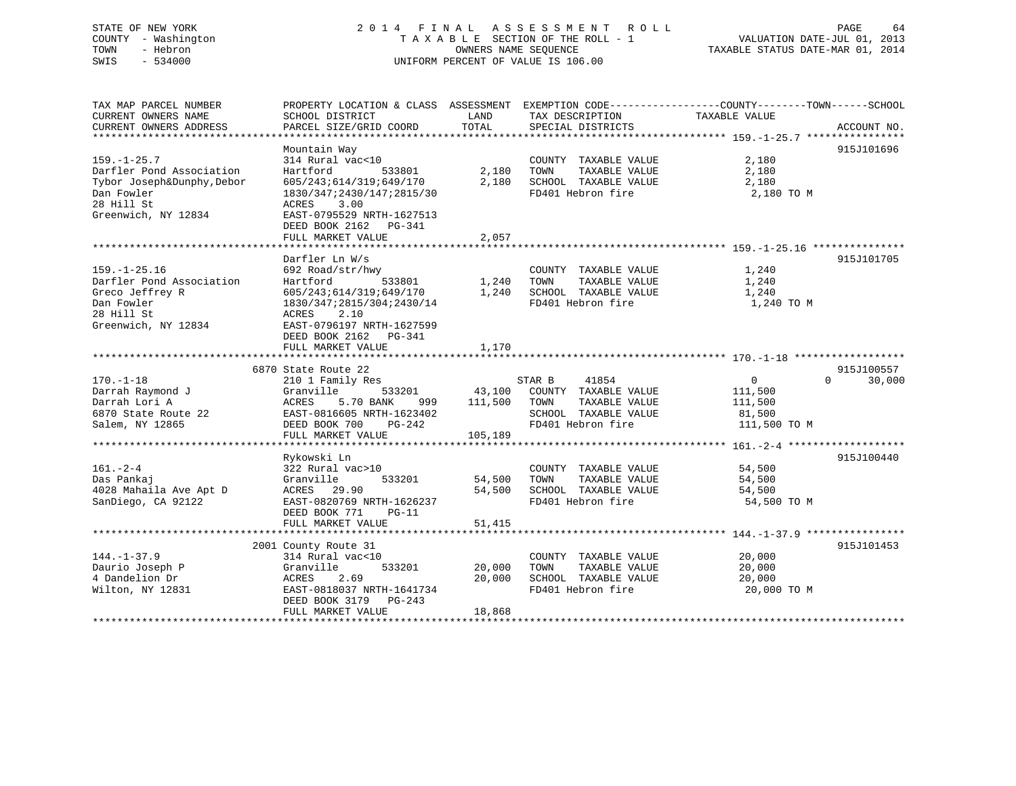## STATE OF NEW YORK 2 0 1 4 F I N A L A S S E S S M E N T R O L L PAGE 64 COUNTY - Washington T A X A B L E SECTION OF THE ROLL - 1 VALUATION DATE-JUL 01, 2013 TOWN - Hebron OWNERS NAME SEQUENCE TAXABLE STATUS DATE-MAR 01, 2014 SWIS - 534000 UNIFORM PERCENT OF VALUE IS 106.00

| TAX MAP PARCEL NUMBER                        | PROPERTY LOCATION & CLASS ASSESSMENT EXEMPTION CODE---------------COUNTY-------TOWN-----SCHOOL |         |                                           |                       |                    |
|----------------------------------------------|------------------------------------------------------------------------------------------------|---------|-------------------------------------------|-----------------------|--------------------|
| CURRENT OWNERS NAME                          | SCHOOL DISTRICT                                                                                | LAND    | TAX DESCRIPTION                           | TAXABLE VALUE         |                    |
| CURRENT OWNERS ADDRESS                       | PARCEL SIZE/GRID COORD                                                                         | TOTAL   | SPECIAL DISTRICTS                         |                       | ACCOUNT NO.        |
|                                              |                                                                                                |         |                                           |                       |                    |
|                                              | Mountain Way                                                                                   |         |                                           |                       | 915J101696         |
| $159. - 1 - 25.7$                            | 314 Rural vac<10                                                                               |         | COUNTY TAXABLE VALUE                      | 2,180                 |                    |
| Darfler Pond Association                     | Hartford<br>533801                                                                             | 2,180   | TOWN<br>TAXABLE VALUE                     | 2,180                 |                    |
| Tybor Joseph&Dunphy, Debor                   | 605/243;614/319;649/170                                                                        | 2,180   | SCHOOL TAXABLE VALUE                      | 2,180                 |                    |
| Dan Fowler                                   | 1830/347;2430/147;2815/30                                                                      |         | FD401 Hebron fire                         | 2,180 TO M            |                    |
| 28 Hill St                                   | ACRES<br>3.00                                                                                  |         |                                           |                       |                    |
| Greenwich, NY 12834                          | EAST-0795529 NRTH-1627513                                                                      |         |                                           |                       |                    |
|                                              | DEED BOOK 2162 PG-341                                                                          |         |                                           |                       |                    |
|                                              | FULL MARKET VALUE                                                                              | 2,057   |                                           |                       |                    |
|                                              |                                                                                                |         |                                           |                       |                    |
|                                              | Darfler Ln W/s                                                                                 |         |                                           |                       | 915J101705         |
| $159. - 1 - 25.16$                           | 692 Road/str/hwy                                                                               |         | COUNTY TAXABLE VALUE                      | 1,240                 |                    |
| Darfler Pond Association                     | Hartford<br>533801                                                                             | 1,240   | TAXABLE VALUE<br>TOWN                     | 1,240                 |                    |
| Greco Jeffrey R                              | 605/243;614/319;649/170                                                                        | 1,240   | SCHOOL TAXABLE VALUE                      | 1,240                 |                    |
| Dan Fowler                                   | 1830/347;2815/304;2430/14                                                                      |         | FD401 Hebron fire                         | 1,240 TO M            |                    |
| 28 Hill St                                   | 2.10<br>ACRES                                                                                  |         |                                           |                       |                    |
| Greenwich, NY 12834                          | EAST-0796197 NRTH-1627599                                                                      |         |                                           |                       |                    |
|                                              | DEED BOOK 2162 PG-341                                                                          |         |                                           |                       |                    |
|                                              | FULL MARKET VALUE                                                                              | 1,170   |                                           |                       |                    |
|                                              |                                                                                                |         |                                           |                       |                    |
|                                              | 6870 State Route 22                                                                            |         |                                           |                       | 915J100557         |
| $170. - 1 - 18$                              | 210 1 Family Res                                                                               |         | STAR B<br>41854                           | $\mathbf{0}$          | $\Omega$<br>30,000 |
| Darrah Raymond J                             | 533201<br>Granville                                                                            | 43,100  | COUNTY TAXABLE VALUE                      | 111,500               |                    |
| Darrah Lori A                                | ACRES<br>5.70 BANK<br>999                                                                      | 111,500 | TAXABLE VALUE<br>TOWN                     | 111,500               |                    |
| 6870 State Route 22                          | EAST-0816605 NRTH-1623402                                                                      |         | SCHOOL TAXABLE VALUE                      | 81,500                |                    |
| Salem, NY 12865                              | DEED BOOK 700<br>PG-242                                                                        |         | FD401 Hebron fire                         | 111,500 TO M          |                    |
|                                              | FULL MARKET VALUE                                                                              | 105,189 |                                           |                       |                    |
|                                              | Rykowski Ln                                                                                    |         |                                           |                       | 915J100440         |
| $161. - 2 - 4$                               | 322 Rural vac>10                                                                               |         | COUNTY TAXABLE VALUE                      |                       |                    |
| Das Pankaj                                   | Granville<br>533201                                                                            | 54,500  | TOWN<br>TAXABLE VALUE                     | 54,500<br>54,500      |                    |
|                                              | ACRES 29.90                                                                                    |         |                                           |                       |                    |
| 4028 Mahaila Ave Apt D<br>SanDiego, CA 92122 | EAST-0820769 NRTH-1626237                                                                      | 54,500  | SCHOOL TAXABLE VALUE<br>FD401 Hebron fire | 54,500<br>54,500 TO M |                    |
|                                              | $PG-11$                                                                                        |         |                                           |                       |                    |
|                                              | DEED BOOK 771<br>FULL MARKET VALUE                                                             | 51,415  |                                           |                       |                    |
|                                              |                                                                                                |         |                                           |                       |                    |
|                                              | 2001 County Route 31                                                                           |         |                                           |                       | 915J101453         |
| $144. - 1 - 37.9$                            | 314 Rural vac<10                                                                               |         | COUNTY TAXABLE VALUE                      | 20,000                |                    |
| Daurio Joseph P                              | 533201<br>Granville                                                                            | 20,000  | TOWN<br>TAXABLE VALUE                     | 20,000                |                    |
| 4 Dandelion Dr                               | 2.69<br>ACRES                                                                                  | 20,000  | SCHOOL TAXABLE VALUE                      | 20,000                |                    |
| Wilton, NY 12831                             | EAST-0818037 NRTH-1641734                                                                      |         | FD401 Hebron fire                         | 20,000 TO M           |                    |
|                                              | DEED BOOK 3179<br>$PG-243$                                                                     |         |                                           |                       |                    |
|                                              | FULL MARKET VALUE                                                                              | 18,868  |                                           |                       |                    |
|                                              |                                                                                                |         |                                           |                       |                    |
|                                              |                                                                                                |         |                                           |                       |                    |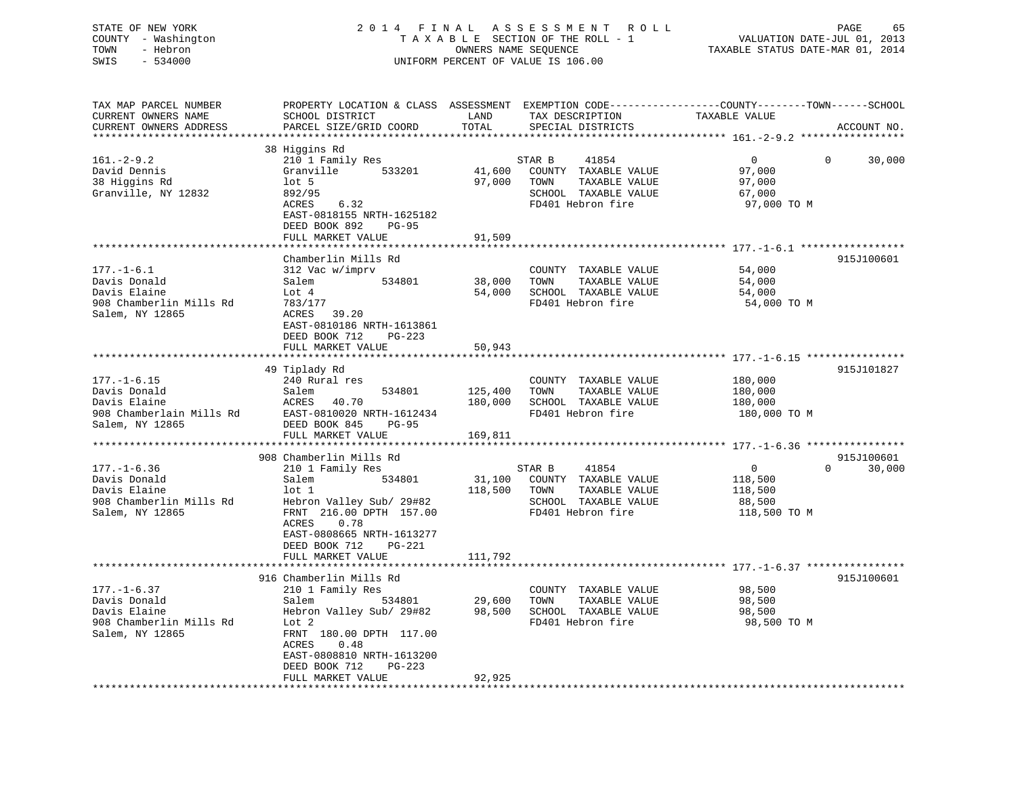| STATE OF NEW YORK<br>COUNTY - Washington<br>TOWN<br>- Hebron<br>SWIS<br>$-534000$ |                                                                       |                | 2014 FINAL ASSESSMENT ROLL<br>TAXABLE SECTION OF THE ROLL - 1<br>OWNERS NAME SEQUENCE<br>UNIFORM PERCENT OF VALUE IS 106.00 | PAGE<br>65<br>VALUATION DATE-JUL 01, 2013<br>TAXABLE STATUS DATE-MAR 01, 2014                                                  |
|-----------------------------------------------------------------------------------|-----------------------------------------------------------------------|----------------|-----------------------------------------------------------------------------------------------------------------------------|--------------------------------------------------------------------------------------------------------------------------------|
| TAX MAP PARCEL NUMBER<br>CURRENT OWNERS NAME<br>CURRENT OWNERS ADDRESS            | SCHOOL DISTRICT<br>PARCEL SIZE/GRID COORD                             | LAND<br>TOTAL  | TAX DESCRIPTION<br>SPECIAL DISTRICTS                                                                                        | PROPERTY LOCATION & CLASS ASSESSMENT EXEMPTION CODE---------------COUNTY-------TOWN-----SCHOOL<br>TAXABLE VALUE<br>ACCOUNT NO. |
|                                                                                   | 38 Higgins Rd                                                         |                |                                                                                                                             |                                                                                                                                |
| $161.-2-9.2$                                                                      | 210 1 Family Res                                                      |                | STAR B<br>41854                                                                                                             | 30,000<br>$\overline{0}$<br>$\overline{0}$                                                                                     |
| David Dennis                                                                      | Granville 533201                                                      |                | 41,600 COUNTY TAXABLE VALUE                                                                                                 | 97,000                                                                                                                         |
| 38 Higgins Rd                                                                     | $1$ ot 5                                                              | 97,000         | TOWN TAXABLE VALUE                                                                                                          | 97,000                                                                                                                         |
| Granville, NY 12832                                                               | 892/95                                                                |                | SCHOOL TAXABLE VALUE                                                                                                        | 67,000                                                                                                                         |
|                                                                                   | ACRES 6.32                                                            |                | FD401 Hebron fire                                                                                                           | 97,000 TO M                                                                                                                    |
|                                                                                   | EAST-0818155 NRTH-1625182                                             |                |                                                                                                                             |                                                                                                                                |
|                                                                                   | DEED BOOK 892<br>PG-95                                                |                |                                                                                                                             |                                                                                                                                |
|                                                                                   | FULL MARKET VALUE                                                     | 91,509         |                                                                                                                             |                                                                                                                                |
|                                                                                   |                                                                       |                |                                                                                                                             |                                                                                                                                |
| $177. - 1 - 6.1$                                                                  | Chamberlin Mills Rd<br>312 Vac w/imprv                                |                | COUNTY TAXABLE VALUE                                                                                                        | 915J100601<br>54,000                                                                                                           |
| Davis Donald                                                                      | Salem<br>534801                                                       | 38,000 TOWN    | TAXABLE VALUE                                                                                                               | 54,000                                                                                                                         |
| Davis Elaine                                                                      | Lot 4                                                                 |                | 54,000 SCHOOL TAXABLE VALUE                                                                                                 | 54,000                                                                                                                         |
| 908 Chamberlin Mills Rd                                                           | 783/177                                                               |                | FD401 Hebron fire                                                                                                           | 54,000 TO M                                                                                                                    |
| Salem, NY 12865                                                                   | ACRES 39.20                                                           |                |                                                                                                                             |                                                                                                                                |
|                                                                                   | EAST-0810186 NRTH-1613861                                             |                |                                                                                                                             |                                                                                                                                |
|                                                                                   | DEED BOOK 712 PG-223                                                  |                |                                                                                                                             |                                                                                                                                |
|                                                                                   | FULL MARKET VALUE                                                     | 50,943         |                                                                                                                             |                                                                                                                                |
|                                                                                   |                                                                       |                |                                                                                                                             |                                                                                                                                |
|                                                                                   | 49 Tiplady Rd                                                         |                |                                                                                                                             | 915J101827                                                                                                                     |
| $177. - 1 - 6.15$                                                                 | 240 Rural res                                                         |                | COUNTY TAXABLE VALUE                                                                                                        | 180,000                                                                                                                        |
| Davis Donald                                                                      | Salem                                                                 | 534801 125,400 | TOWN TAXABLE VALUE                                                                                                          | 180,000                                                                                                                        |
| Davis Elaine                                                                      | ACRES 40.70                                                           | 180,000        | SCHOOL TAXABLE VALUE                                                                                                        | 180,000                                                                                                                        |
| 908 Chamberlain Mills Rd                                                          | EAST-0810020 NRTH-1612434                                             |                | FD401 Hebron fire                                                                                                           | 180,000 TO M                                                                                                                   |
| Salem, NY 12865                                                                   | DEED BOOK 845<br>PG-95                                                |                |                                                                                                                             |                                                                                                                                |
|                                                                                   | FULL MARKET VALUE                                                     | 169,811        |                                                                                                                             |                                                                                                                                |
|                                                                                   |                                                                       |                |                                                                                                                             |                                                                                                                                |
|                                                                                   | 908 Chamberlin Mills Rd                                               |                |                                                                                                                             | 915J100601                                                                                                                     |
| $177. - 1 - 6.36$                                                                 | 210 1 Family Res                                                      |                | STAR B<br>41854                                                                                                             | $0 \qquad \qquad$<br>$\overline{0}$<br>30,000                                                                                  |
| Davis Donald                                                                      | Salem 534801                                                          |                | 31,100 COUNTY TAXABLE VALUE                                                                                                 | 118,500                                                                                                                        |
| Davis Elaine                                                                      | $1$ ot $1$                                                            |                | 118,500 TOWN TAXABLE VALUE                                                                                                  | 118,500                                                                                                                        |
| 908 Chamberlin Mills Rd                                                           | Hebron Valley Sub/ 29#82                                              |                | SCHOOL TAXABLE VALUE                                                                                                        | 88,500                                                                                                                         |
| Salem, NY 12865                                                                   | FRNT 216.00 DPTH 157.00<br>ACRES<br>0.78                              |                | FD401 Hebron fire                                                                                                           | 118,500 TO M                                                                                                                   |
|                                                                                   | EAST-0808665 NRTH-1613277                                             |                |                                                                                                                             |                                                                                                                                |
|                                                                                   | DEED BOOK 712 PG-221                                                  |                |                                                                                                                             |                                                                                                                                |
|                                                                                   | FULL MARKET VALUE                                                     | 111,792        |                                                                                                                             |                                                                                                                                |
|                                                                                   |                                                                       |                |                                                                                                                             |                                                                                                                                |
|                                                                                   | 916 Chamberlin Mills Rd                                               |                |                                                                                                                             | 915J100601                                                                                                                     |
| $177. - 1 - 6.37$                                                                 | 210 1 Family Res                                                      |                | COUNTY TAXABLE VALUE                                                                                                        | 98,500                                                                                                                         |
| Davis Donald                                                                      | Salem                                                                 |                | TAXABLE VALUE<br>TOWN                                                                                                       | 98,500                                                                                                                         |
| Davis Elaine                                                                      | 534801 29,600<br>Valley Sub/ 29#82 98,500<br>Hebron Valley Sub/ 29#82 |                | SCHOOL TAXABLE VALUE                                                                                                        | 98,500                                                                                                                         |
| 908 Chamberlin Mills Rd                                                           | Lot 2                                                                 |                | FD401 Hebron fire                                                                                                           | 98,500 TO M                                                                                                                    |
| Salem, NY 12865                                                                   | FRNT 180.00 DPTH 117.00                                               |                |                                                                                                                             |                                                                                                                                |
|                                                                                   | ACRES 0.48                                                            |                |                                                                                                                             |                                                                                                                                |

\*\*\*\*\*\*\*\*\*\*\*\*\*\*\*\*\*\*\*\*\*\*\*\*\*\*\*\*\*\*\*\*\*\*\*\*\*\*\*\*\*\*\*\*\*\*\*\*\*\*\*\*\*\*\*\*\*\*\*\*\*\*\*\*\*\*\*\*\*\*\*\*\*\*\*\*\*\*\*\*\*\*\*\*\*\*\*\*\*\*\*\*\*\*\*\*\*\*\*\*\*\*\*\*\*\*\*\*\*\*\*\*\*\*\*\*\*\*\*\*\*\*\*\*\*\*\*\*\*\*\*\*

 EAST-0808810 NRTH-1613200DEED BOOK 712 PG-223

FULL MARKET VALUE 92,925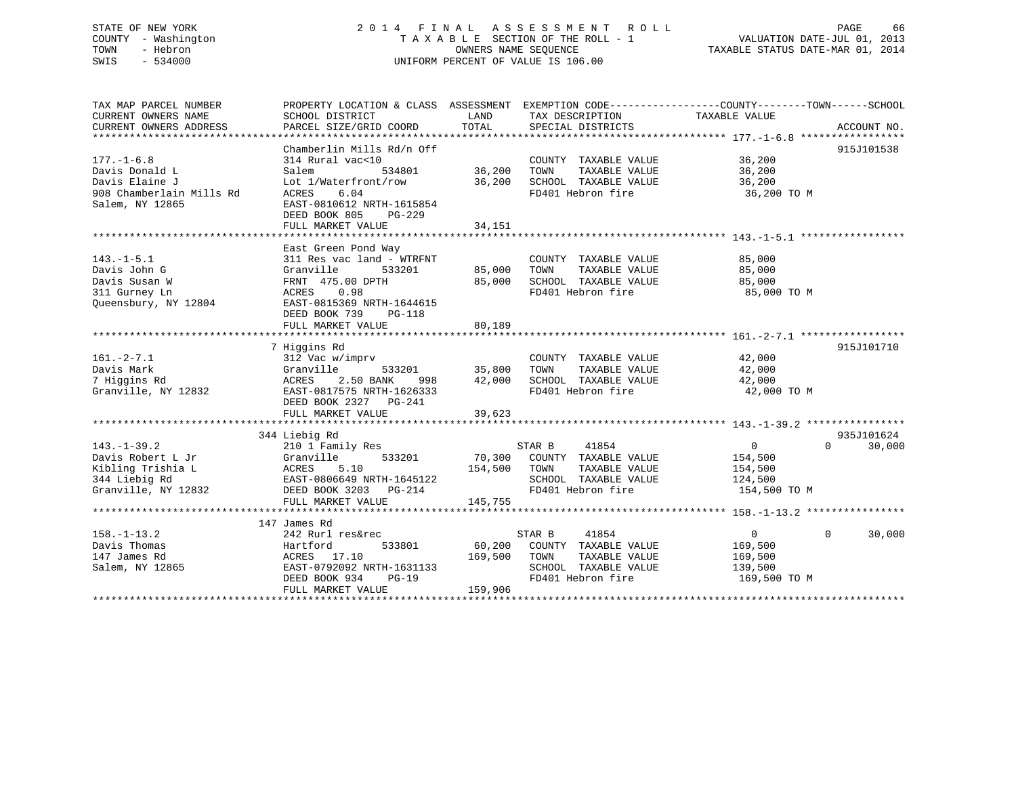## STATE OF NEW YORK 2 0 1 4 F I N A L A S S E S S M E N T R O L L PAGE 66 COUNTY - Washington T A X A B L E SECTION OF THE ROLL - 1 VALUATION DATE-JUL 01, 2013 TOWN - Hebron OWNERS NAME SEQUENCE TAXABLE STATUS DATE-MAR 01, 2014 SWIS - 534000 UNIFORM PERCENT OF VALUE IS 106.00

| TAX MAP PARCEL NUMBER    | PROPERTY LOCATION & CLASS ASSESSMENT EXEMPTION CODE----------------COUNTY-------TOWN------SCHOOL |         |                             |                |                    |
|--------------------------|--------------------------------------------------------------------------------------------------|---------|-----------------------------|----------------|--------------------|
| CURRENT OWNERS NAME      | SCHOOL DISTRICT                                                                                  | LAND    | TAX DESCRIPTION             | TAXABLE VALUE  |                    |
| CURRENT OWNERS ADDRESS   | PARCEL SIZE/GRID COORD                                                                           | TOTAL   | SPECIAL DISTRICTS           |                | ACCOUNT NO.        |
|                          |                                                                                                  |         |                             |                |                    |
| $177. - 1 - 6.8$         | Chamberlin Mills Rd/n Off                                                                        |         | COUNTY TAXABLE VALUE        | 36,200         | 915J101538         |
|                          | 314 Rural vac<10                                                                                 |         |                             |                |                    |
| Davis Donald L           | Salem<br>534801                                                                                  | 36,200  | TAXABLE VALUE<br>TOWN       | 36,200         |                    |
| Davis Elaine J           | Lot 1/Waterfront/row                                                                             | 36,200  | SCHOOL TAXABLE VALUE        | 36,200         |                    |
| 908 Chamberlain Mills Rd | ACRES<br>6.04                                                                                    |         | FD401 Hebron fire           | 36,200 TO M    |                    |
| Salem, NY 12865          | EAST-0810612 NRTH-1615854                                                                        |         |                             |                |                    |
|                          | DEED BOOK 805<br>PG-229                                                                          |         |                             |                |                    |
|                          | FULL MARKET VALUE                                                                                | 34,151  |                             |                |                    |
|                          |                                                                                                  |         |                             |                |                    |
|                          | East Green Pond Way                                                                              |         |                             |                |                    |
| $143. - 1 - 5.1$         | 311 Res vac land - WTRFNT                                                                        |         | COUNTY TAXABLE VALUE        | 85,000         |                    |
| Davis John G             | Granville<br>533201                                                                              | 85,000  | TAXABLE VALUE<br>TOWN       | 85,000         |                    |
| Davis Susan W            | FRNT 475.00 DPTH                                                                                 | 85,000  | SCHOOL TAXABLE VALUE        | 85,000         |                    |
| 311 Gurney Ln            | ACRES<br>0.98                                                                                    |         | FD401 Hebron fire           | 85,000 TO M    |                    |
| Oueensbury, NY 12804     | EAST-0815369 NRTH-1644615                                                                        |         |                             |                |                    |
|                          | DEED BOOK 739<br>PG-118                                                                          |         |                             |                |                    |
|                          | FULL MARKET VALUE                                                                                | 80,189  |                             |                |                    |
|                          |                                                                                                  |         |                             |                |                    |
|                          | 7 Higgins Rd                                                                                     |         |                             |                | 915J101710         |
| $161. - 2 - 7.1$         | 312 Vac w/imprv                                                                                  |         | COUNTY TAXABLE VALUE        | 42,000         |                    |
| Davis Mark               | Granville<br>533201                                                                              | 35,800  | TAXABLE VALUE<br>TOWN       | 42,000         |                    |
| 7 Higgins Rd             | <b>ACRES</b><br>2.50 BANK<br>998                                                                 | 42,000  | SCHOOL TAXABLE VALUE        | 42,000         |                    |
| Granville, NY 12832      | EAST-0817575 NRTH-1626333                                                                        |         | FD401 Hebron fire           | 42,000 TO M    |                    |
|                          | DEED BOOK 2327 PG-241                                                                            |         |                             |                |                    |
|                          | FULL MARKET VALUE                                                                                | 39,623  |                             |                |                    |
|                          |                                                                                                  |         |                             |                |                    |
|                          | 344 Liebig Rd                                                                                    |         |                             |                | 935J101624         |
| $143. - 1 - 39.2$        | 210 1 Family Res                                                                                 |         | STAR B<br>41854             | $\overline{0}$ | $\Omega$<br>30,000 |
| Davis Robert L Jr        | 533201<br>Granville<br>Granvi<br>ACRES                                                           |         | 70,300 COUNTY TAXABLE VALUE | 154,500        |                    |
| Kibling Trishia L        | 5.10                                                                                             | 154,500 | TOWN<br>TAXABLE VALUE       | 154,500        |                    |
| 344 Liebig Rd            | EAST-0806649 NRTH-1645122                                                                        |         | SCHOOL TAXABLE VALUE        | 124,500        |                    |
| Granville, NY 12832      | DEED BOOK 3203 PG-214                                                                            |         | FD401 Hebron fire           | 154,500 TO M   |                    |
|                          | FULL MARKET VALUE                                                                                | 145,755 |                             |                |                    |
|                          |                                                                                                  |         |                             |                |                    |
|                          | 147 James Rd                                                                                     |         |                             | $\overline{0}$ | $\Omega$           |
| $158. - 1 - 13.2$        | 242 Rurl res&rec                                                                                 |         | STAR B<br>41854             |                | 30,000             |
| Davis Thomas             | 533801<br>Hartford                                                                               |         | 60,200 COUNTY TAXABLE VALUE | 169,500        |                    |
| 147 James Rd             | ACRES 17.10                                                                                      | 169,500 | TOWN<br>TAXABLE VALUE       | 169,500        |                    |
| Salem, NY 12865          | EAST-0792092 NRTH-1631133                                                                        |         | SCHOOL TAXABLE VALUE        | 139,500        |                    |
|                          | DEED BOOK 934<br>$PG-19$                                                                         |         | FD401 Hebron fire           | 169,500 TO M   |                    |
|                          | FULL MARKET VALUE                                                                                | 159,906 |                             |                |                    |
|                          |                                                                                                  |         |                             |                |                    |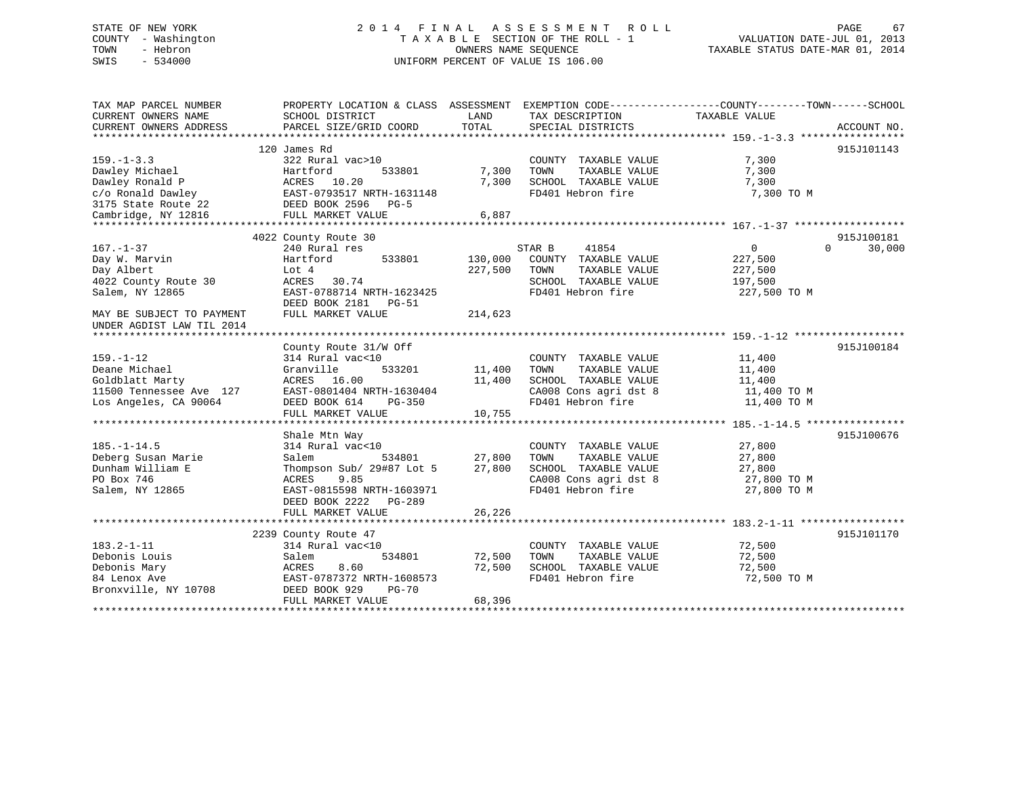## STATE OF NEW YORK 2 0 1 4 F I N A L A S S E S S M E N T R O L L PAGE 67 COUNTY - Washington T A X A B L E SECTION OF THE ROLL - 1 VALUATION DATE-JUL 01, 2013 TOWN - Hebron OWNERS NAME SEQUENCE TAXABLE STATUS DATE-MAR 01, 2014 SWIS - 534000 UNIFORM PERCENT OF VALUE IS 106.00

| TAX MAP PARCEL NUMBER<br>CURRENT OWNERS NAME<br>CURRENT OWNERS ADDRESS | PROPERTY LOCATION & CLASS ASSESSMENT<br>SCHOOL DISTRICT<br>PARCEL SIZE/GRID COORD | LAND<br>TOTAL | EXEMPTION CODE-----------------COUNTY-------TOWN------SCHOOL<br>TAX DESCRIPTION<br>SPECIAL DISTRICTS | TAXABLE VALUE              | ACCOUNT NO.        |
|------------------------------------------------------------------------|-----------------------------------------------------------------------------------|---------------|------------------------------------------------------------------------------------------------------|----------------------------|--------------------|
|                                                                        |                                                                                   |               |                                                                                                      |                            |                    |
|                                                                        | 120 James Rd                                                                      |               |                                                                                                      |                            | 915J101143         |
| $159. - 1 - 3.3$                                                       | 322 Rural vac>10                                                                  |               | COUNTY TAXABLE VALUE                                                                                 | 7,300                      |                    |
| Dawley Michael                                                         | Hartford<br>533801                                                                | 7,300         | TOWN<br>TAXABLE VALUE                                                                                | 7,300                      |                    |
| Dawley Ronald P                                                        | ACRES 10.20                                                                       | 7,300         | SCHOOL TAXABLE VALUE                                                                                 | 7,300                      |                    |
| c/o Ronald Dawley                                                      | EAST-0793517 NRTH-1631148                                                         |               | FD401 Hebron fire                                                                                    | 7,300 TO M                 |                    |
| 3175 State Route 22                                                    | DEED BOOK 2596<br>$PG-5$                                                          |               |                                                                                                      |                            |                    |
| Cambridge, NY 12816                                                    | FULL MARKET VALUE                                                                 | 6,887         |                                                                                                      |                            |                    |
|                                                                        |                                                                                   |               |                                                                                                      |                            |                    |
|                                                                        | 4022 County Route 30                                                              |               |                                                                                                      |                            | 915J100181         |
| $167. - 1 - 37$                                                        | 240 Rural res                                                                     |               | STAR B<br>41854                                                                                      | $\Omega$                   | $\Omega$<br>30,000 |
| Day W. Marvin                                                          | Hartford<br>533801                                                                | 130,000       | COUNTY TAXABLE VALUE                                                                                 | 227,500                    |                    |
| Day Albert                                                             | Lot 4                                                                             | 227,500       | TAXABLE VALUE<br>TOWN                                                                                | 227,500                    |                    |
| 4022 County Route 30                                                   | 30.74<br>ACRES                                                                    |               | SCHOOL TAXABLE VALUE                                                                                 | 197,500                    |                    |
| Salem, NY 12865                                                        | EAST-0788714 NRTH-1623425                                                         |               | FD401 Hebron fire                                                                                    | 227,500 TO M               |                    |
|                                                                        | DEED BOOK 2181<br>PG-51                                                           |               |                                                                                                      |                            |                    |
| MAY BE SUBJECT TO PAYMENT                                              | FULL MARKET VALUE                                                                 | 214,623       |                                                                                                      |                            |                    |
| UNDER AGDIST LAW TIL 2014                                              |                                                                                   |               |                                                                                                      |                            |                    |
|                                                                        |                                                                                   |               |                                                                                                      |                            |                    |
|                                                                        | County Route 31/W Off                                                             |               |                                                                                                      |                            | 915J100184         |
| $159. - 1 - 12$                                                        | 314 Rural vac<10                                                                  |               | COUNTY TAXABLE VALUE                                                                                 | 11,400                     |                    |
| Deane Michael                                                          | Granville<br>533201                                                               | 11,400        | TAXABLE VALUE<br>TOWN                                                                                | 11,400                     |                    |
| Goldblatt Marty                                                        | ACRES 16.00                                                                       | 11,400        | SCHOOL TAXABLE VALUE                                                                                 | 11,400                     |                    |
| 11500 Tennessee Ave 127                                                | EAST-0801404 NRTH-1630404                                                         |               | CA008 Cons agri dst 8                                                                                | 11,400 TO M                |                    |
| Los Angeles, CA 90064                                                  | DEED BOOK 614<br>PG-350                                                           |               | FD401 Hebron fire                                                                                    | 11,400 TO M                |                    |
|                                                                        | FULL MARKET VALUE                                                                 | 10,755        |                                                                                                      |                            |                    |
|                                                                        |                                                                                   |               |                                                                                                      |                            |                    |
| $185. - 1 - 14.5$                                                      | Shale Mtn Way                                                                     |               |                                                                                                      | 27,800                     | 915J100676         |
| Deberg Susan Marie                                                     | 314 Rural vac<10<br>534801<br>Salem                                               | 27,800        | COUNTY TAXABLE VALUE<br>TAXABLE VALUE<br>TOWN                                                        | 27,800                     |                    |
|                                                                        |                                                                                   |               |                                                                                                      |                            |                    |
| Dunham William E<br>PO Box 746                                         | Thompson Sub/ 29#87 Lot 5<br>9.85                                                 | 27,800        | SCHOOL TAXABLE VALUE<br>CA008 Cons agri dst 8                                                        | 27,800                     |                    |
| Salem, NY 12865                                                        | ACRES<br>EAST-0815598 NRTH-1603971                                                |               | FD401 Hebron fire                                                                                    | 27,800 TO M<br>27,800 TO M |                    |
|                                                                        | DEED BOOK 2222<br>$PG-289$                                                        |               |                                                                                                      |                            |                    |
|                                                                        | FULL MARKET VALUE                                                                 | 26,226        |                                                                                                      |                            |                    |
|                                                                        |                                                                                   |               |                                                                                                      |                            |                    |
|                                                                        | 2239 County Route 47                                                              |               |                                                                                                      |                            | 915J101170         |
| $183.2 - 1 - 11$                                                       | 314 Rural vac<10                                                                  |               | COUNTY TAXABLE VALUE                                                                                 | 72,500                     |                    |
| Debonis Louis                                                          | Salem<br>534801                                                                   | 72,500        | TOWN<br>TAXABLE VALUE                                                                                | 72,500                     |                    |
| Debonis Mary                                                           | 8.60<br>ACRES                                                                     | 72,500        | SCHOOL TAXABLE VALUE                                                                                 | 72,500                     |                    |
| 84 Lenox Ave                                                           | EAST-0787372 NRTH-1608573                                                         |               | FD401 Hebron fire                                                                                    | 72,500 TO M                |                    |
| Bronxville, NY 10708                                                   | DEED BOOK 929<br><b>PG-70</b>                                                     |               |                                                                                                      |                            |                    |
|                                                                        | FULL MARKET VALUE                                                                 | 68,396        |                                                                                                      |                            |                    |
|                                                                        |                                                                                   |               |                                                                                                      |                            |                    |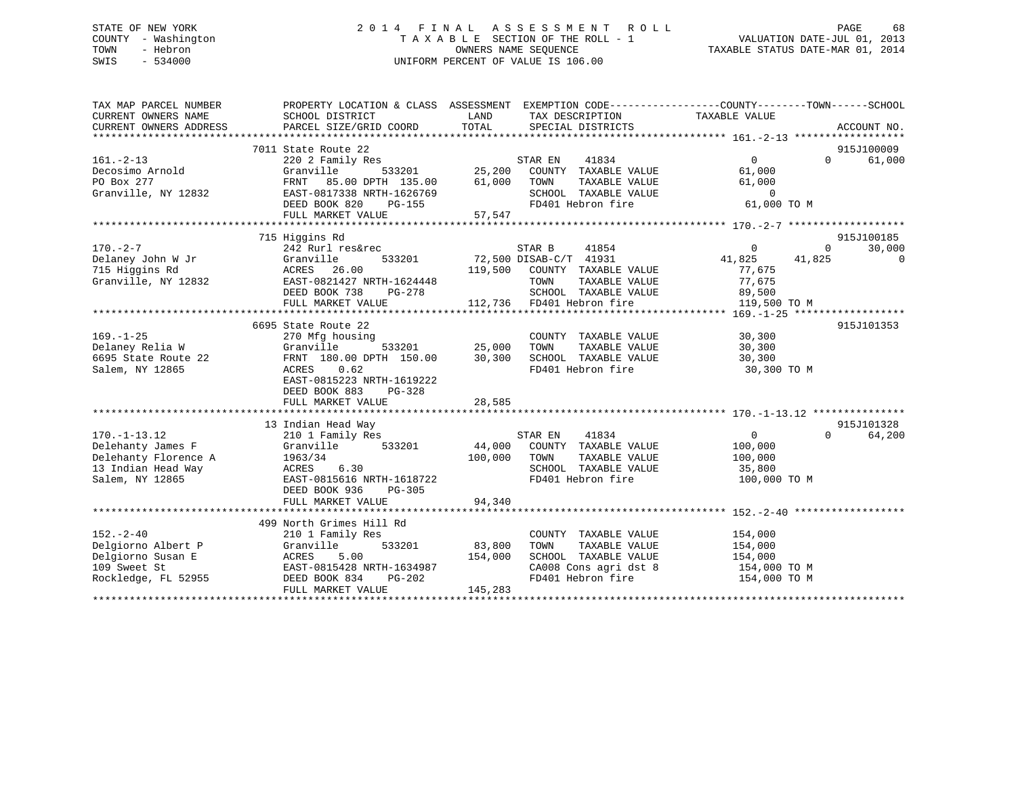## STATE OF NEW YORK 2 0 1 4 F I N A L A S S E S S M E N T R O L L PAGE 68 COUNTY - Washington T A X A B L E SECTION OF THE ROLL - 1 VALUATION DATE-JUL 01, 2013 TOWN - Hebron **CONNERS NAME SEQUENCE** TAXABLE STATUS DATE-MAR 01, 2014 SWIS - 534000 UNIFORM PERCENT OF VALUE IS 106.00

| TAX MAP PARCEL NUMBER<br>CURRENT OWNERS NAME<br>CURRENT OWNERS ADDRESS | PROPERTY LOCATION & CLASS ASSESSMENT EXEMPTION CODE----------------COUNTY-------TOWN-----SCHOOL<br>SCHOOL DISTRICT<br>PARCEL SIZE/GRID COORD | LAND<br>TOTAL                     | TAX DESCRIPTION<br>SPECIAL DISTRICTS                          | TAXABLE VALUE              | ACCOUNT NO.        |
|------------------------------------------------------------------------|----------------------------------------------------------------------------------------------------------------------------------------------|-----------------------------------|---------------------------------------------------------------|----------------------------|--------------------|
|                                                                        |                                                                                                                                              |                                   |                                                               |                            |                    |
|                                                                        | 7011 State Route 22                                                                                                                          |                                   |                                                               |                            | 915J100009         |
| $161. - 2 - 13$                                                        | 220 2 Family Res<br>Granville 533201 25,200 COUNTY TAXABLE VALUE<br>FRNT 85.00 DPTH 135.00 61,000 TOWN TAXABLE VALUE                         |                                   |                                                               | $\Omega$                   | 61,000<br>$\Omega$ |
| Decosimo Arnold                                                        |                                                                                                                                              |                                   |                                                               | 61,000                     |                    |
| PO Box 277                                                             |                                                                                                                                              |                                   |                                                               | 61,000                     |                    |
| Granville, NY 12832                                                    | EAST-0817338 NRTH-1626769                                                                                                                    |                                   | SCHOOL TAXABLE VALUE                                          | $\overline{0}$             |                    |
|                                                                        | DEED BOOK 820<br>PG-155                                                                                                                      |                                   | FD401 Hebron fire                                             | 61,000 TO M                |                    |
|                                                                        | FULL MARKET VALUE                                                                                                                            | 57,547                            |                                                               |                            |                    |
|                                                                        |                                                                                                                                              |                                   |                                                               |                            |                    |
|                                                                        | 715 Higgins Rd                                                                                                                               |                                   |                                                               |                            | 915J100185         |
| $170. - 2 - 7$                                                         | 242 Rurl res&rec                                                                                                                             |                                   | STAR B<br>41854                                               | 0<br>$\Omega$              | 30,000             |
| Delaney John W Jr<br>715 Higgins Rd                                    | 533201<br>Granville                                                                                                                          |                                   | $72,500$ DISAB-C/T $41931$                                    | 41,825 41,825              | $\overline{0}$     |
|                                                                        | ACRES 26.00                                                                                                                                  |                                   | 119,500 COUNTY TAXABLE VALUE                                  | 77,675                     |                    |
| Granville, NY 12832                                                    | EAST-0821427 NRTH-1624448                                                                                                                    |                                   | TOWN<br>TAXABLE VALUE                                         | 77,675                     |                    |
|                                                                        | DEED BOOK 738<br>$PG-278$                                                                                                                    |                                   | SCHOOL TAXABLE VALUE                                          | 89,500                     |                    |
|                                                                        | FULL MARKET VALUE                                                                                                                            |                                   | 112,736 FD401 Hebron fire                                     | 119,500 TO M               |                    |
|                                                                        |                                                                                                                                              |                                   |                                                               |                            |                    |
|                                                                        | 6695 State Route 22                                                                                                                          |                                   |                                                               |                            | 915J101353         |
| $169. - 1 - 25$                                                        | 270 Mfg housing                                                                                                                              |                                   | COUNTY TAXABLE VALUE 30,300                                   |                            |                    |
| Delaney Relia W                                                        | Granville                                                                                                                                    |                                   | TAXABLE VALUE<br>TOWN                                         | 30,300                     |                    |
| 6695 State Route 22                                                    | FRNT 180.00 DPTH 150.00                                                                                                                      | 533201 25,000<br>TH 150.00 30,300 | SCHOOL TAXABLE VALUE                                          | 30,300                     |                    |
| Salem, NY 12865                                                        | 0.62<br>ACRES                                                                                                                                |                                   | FD401 Hebron fire                                             | 30,300 TO M                |                    |
|                                                                        | EAST-0815223 NRTH-1619222                                                                                                                    |                                   |                                                               |                            |                    |
|                                                                        | DEED BOOK 883<br>PG-328                                                                                                                      |                                   |                                                               |                            |                    |
|                                                                        | FULL MARKET VALUE                                                                                                                            | 28,585                            |                                                               |                            |                    |
|                                                                        |                                                                                                                                              |                                   |                                                               |                            |                    |
|                                                                        | 13 Indian Head Way                                                                                                                           |                                   |                                                               |                            | 915J101328         |
| $170. - 1 - 13.12$                                                     | 210 1 Family Res                                                                                                                             |                                   |                                                               | $\overline{0}$<br>$\Omega$ | 64,200             |
| Delehanty James F                                                      | Granville 533201                                                                                                                             |                                   | STAR EN 41834<br>44,000 COUNTY TAXABLE VALUE                  | 100,000                    |                    |
| Delehanty Florence A 1963/34                                           |                                                                                                                                              | 100,000 TOWN                      | TAXABLE VALUE                                                 | 100,000                    |                    |
| 13 Indian Head Way                                                     |                                                                                                                                              |                                   | SCHOOL TAXABLE VALUE                                          | 35,800                     |                    |
| Salem, NY 12865                                                        |                                                                                                                                              |                                   | FD401 Hebron fire                                             | 100,000 TO M               |                    |
|                                                                        |                                                                                                                                              |                                   |                                                               |                            |                    |
|                                                                        | FULL MARKET VALUE                                                                                                                            | 94,340                            |                                                               |                            |                    |
|                                                                        |                                                                                                                                              |                                   |                                                               |                            |                    |
|                                                                        | 499 North Grimes Hill Rd                                                                                                                     |                                   |                                                               |                            |                    |
| $152. - 2 - 40$                                                        | 210 1 Family Res                                                                                                                             |                                   | COUNTY TAXABLE VALUE                                          | 154,000                    |                    |
| Delgiorno Albert P                                                     | Granville                                                                                                                                    | 533201 83,800                     | TAXABLE VALUE<br>TOWN                                         | 154,000                    |                    |
| Delgiorno Susan E                                                      | 154,000<br><b>ACRES</b><br>5.00                                                                                                              |                                   |                                                               |                            |                    |
| 109 Sweet St                                                           | EAST-0815428 NRTH-1634987                                                                                                                    |                                   | SCHOOL TAXABLE VALUE 154,000<br>CA008 Cons agri dst 8 154,000 | 154,000 TO M               |                    |
| Rockledge, FL 52955                                                    | $PG-202$<br>DEED BOOK 834                                                                                                                    |                                   | FD401 Hebron fire 154,000 TO M                                |                            |                    |
|                                                                        | FULL MARKET VALUE                                                                                                                            | 145,283                           |                                                               |                            |                    |
|                                                                        |                                                                                                                                              |                                   |                                                               |                            |                    |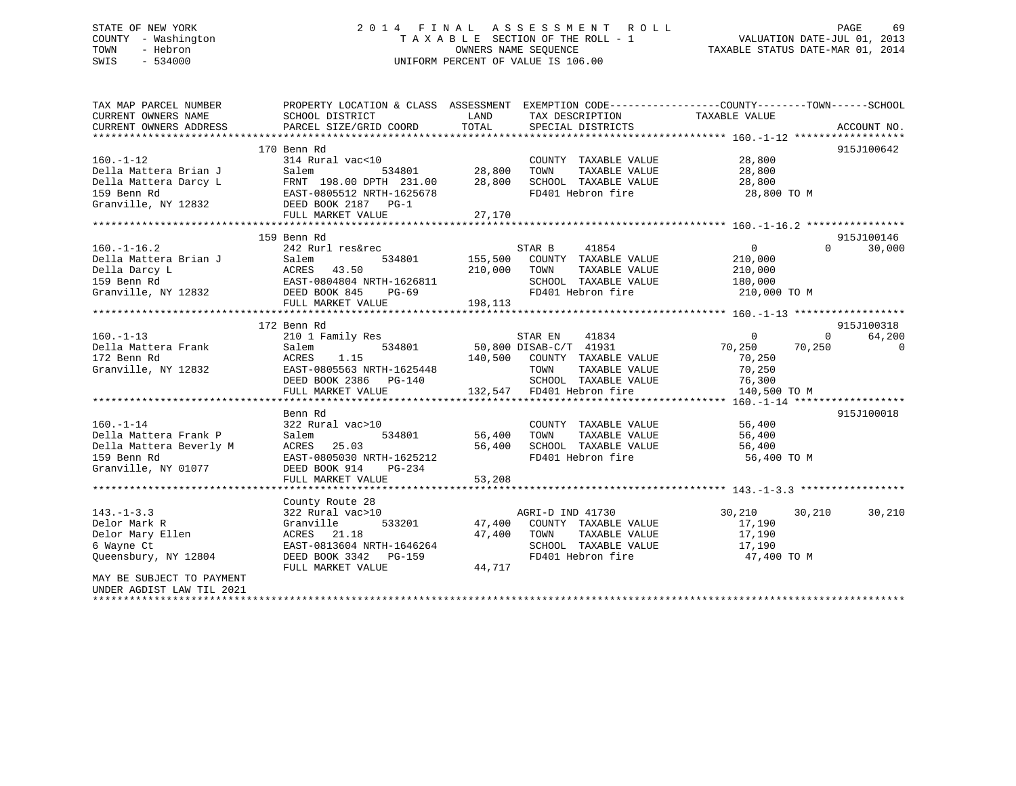## STATE OF NEW YORK 2 0 1 4 F I N A L A S S E S S M E N T R O L L PAGE 69 COUNTY - Washington T A X A B L E SECTION OF THE ROLL - 1 VALUATION DATE-JUL 01, 2013 TOWN - Hebron OWNERS NAME SEQUENCE TAXABLE STATUS DATE-MAR 01, 2014 SWIS - 534000 UNIFORM PERCENT OF VALUE IS 106.00

| TAX MAP PARCEL NUMBER<br>CURRENT OWNERS NAME<br>CURRENT OWNERS ADDRESS | PROPERTY LOCATION & CLASS ASSESSMENT EXEMPTION CODE----------------COUNTY-------TOWN------SCHOOL<br>SCHOOL DISTRICT<br>PARCEL SIZE/GRID COORD | LAND<br>TOTAL | TAX DESCRIPTION<br>SPECIAL DISTRICTS | TAXABLE VALUE  | ACCOUNT NO.              |
|------------------------------------------------------------------------|-----------------------------------------------------------------------------------------------------------------------------------------------|---------------|--------------------------------------|----------------|--------------------------|
|                                                                        |                                                                                                                                               |               |                                      |                |                          |
|                                                                        | 170 Benn Rd                                                                                                                                   |               |                                      |                | 915J100642               |
| $160. - 1 - 12$                                                        | 314 Rural vac<10                                                                                                                              |               | COUNTY TAXABLE VALUE                 | 28,800         |                          |
| Della Mattera Brian J                                                  | Salem<br>534801                                                                                                                               | 28,800        | TAXABLE VALUE<br>TOWN                | 28,800         |                          |
| Della Mattera Darcy L                                                  | FRNT 198.00 DPTH 231.00                                                                                                                       | 28,800        | SCHOOL TAXABLE VALUE                 | 28,800         |                          |
| 159 Benn Rd                                                            | EAST-0805512 NRTH-1625678                                                                                                                     |               | FD401 Hebron fire                    | 28,800 TO M    |                          |
| Granville, NY 12832                                                    | DEED BOOK 2187 PG-1                                                                                                                           |               |                                      |                |                          |
|                                                                        | FULL MARKET VALUE                                                                                                                             | 27,170        |                                      |                |                          |
|                                                                        |                                                                                                                                               |               |                                      |                |                          |
|                                                                        | 159 Benn Rd                                                                                                                                   |               |                                      |                | 915J100146               |
| $160. - 1 - 16.2$                                                      | 242 Rurl res&rec                                                                                                                              |               | STAR B<br>41854                      | $\overline{0}$ | $\Omega$<br>30,000       |
| Della Mattera Brian J                                                  | 534801<br>Salem                                                                                                                               |               | 155,500 COUNTY TAXABLE VALUE         | 210,000        |                          |
| Della Darcy L                                                          | ACRES<br>43.50                                                                                                                                | 210,000       | TOWN<br>TAXABLE VALUE                | 210,000        |                          |
| 159 Benn Rd                                                            | EAST-0804804 NRTH-1626811                                                                                                                     |               | SCHOOL TAXABLE VALUE                 | 180,000        |                          |
| Granville, NY 12832                                                    | DEED BOOK 845<br>PG-69                                                                                                                        |               | FD401 Hebron fire                    | 210,000 TO M   |                          |
|                                                                        | FULL MARKET VALUE                                                                                                                             | 198,113       |                                      |                |                          |
|                                                                        |                                                                                                                                               |               |                                      |                |                          |
|                                                                        | 172 Benn Rd                                                                                                                                   |               |                                      |                | 915J100318               |
| $160. -1 - 13$                                                         | 210 1 Family Res                                                                                                                              |               | STAR EN<br>41834                     | $\overline{0}$ | 64,200<br>$\overline{0}$ |
| Della Mattera Frank                                                    | Salem                                                                                                                                         |               | 534801 50,800 DISAB-C/T 41931        | 70,250         | 70,250<br>$\Omega$       |
| 172 Benn Rd                                                            | ACRES<br>1.15                                                                                                                                 |               | 140,500 COUNTY TAXABLE VALUE         | 70,250         |                          |
| Granville, NY 12832                                                    | EAST-0805563 NRTH-1625448                                                                                                                     |               | TOWN<br>TAXABLE VALUE                | 70,250         |                          |
|                                                                        | DEED BOOK 2386 PG-140                                                                                                                         |               | SCHOOL TAXABLE VALUE                 | 76,300         |                          |
|                                                                        | FULL MARKET VALUE                                                                                                                             |               | 132,547 FD401 Hebron fire            | 140,500 TO M   |                          |
|                                                                        |                                                                                                                                               |               |                                      |                |                          |
|                                                                        | Benn Rd                                                                                                                                       |               |                                      |                | 915J100018               |
| $160. - 1 - 14$                                                        | 322 Rural vac>10                                                                                                                              |               | COUNTY TAXABLE VALUE                 | 56,400         |                          |
| Della Mattera Frank P                                                  | Salem<br>534801                                                                                                                               | 56,400        | TOWN<br>TAXABLE VALUE                | 56,400         |                          |
| Della Mattera Beverly M                                                | 25.03<br>ACRES                                                                                                                                | 56,400        | SCHOOL TAXABLE VALUE                 | 56,400         |                          |
| 159 Benn Rd                                                            | EAST-0805030 NRTH-1625212                                                                                                                     |               | FD401 Hebron fire                    | 56,400 TO M    |                          |
| Granville, NY 01077                                                    | DEED BOOK 914<br>PG-234                                                                                                                       |               |                                      |                |                          |
|                                                                        |                                                                                                                                               |               |                                      |                |                          |
|                                                                        |                                                                                                                                               |               |                                      |                |                          |
|                                                                        | County Route 28                                                                                                                               |               |                                      |                |                          |
| $143. - 1 - 3.3$                                                       | 322 Rural vac>10                                                                                                                              |               | AGRI-D IND 41730                     | 30,210         | 30,210<br>30,210         |
| Delor Mark R                                                           | Granville<br>533201                                                                                                                           | 47,400        | COUNTY TAXABLE VALUE                 | 17,190         |                          |
| Delor Mary Ellen                                                       | ACRES 21.18                                                                                                                                   | 47,400        | TOWN<br>TAXABLE VALUE                | 17,190         |                          |
| 6 Wayne Ct                                                             | EAST-0813604 NRTH-1646264                                                                                                                     |               | SCHOOL TAXABLE VALUE                 | 17,190         |                          |
| Queensbury, NY 12804                                                   | DEED BOOK 3342 PG-159                                                                                                                         |               | FD401 Hebron fire                    | 47,400 TO M    |                          |
|                                                                        | FULL MARKET VALUE                                                                                                                             | 44,717        |                                      |                |                          |
| MAY BE SUBJECT TO PAYMENT                                              |                                                                                                                                               |               |                                      |                |                          |
| UNDER AGDIST LAW TIL 2021                                              |                                                                                                                                               |               |                                      |                |                          |
|                                                                        |                                                                                                                                               |               |                                      |                |                          |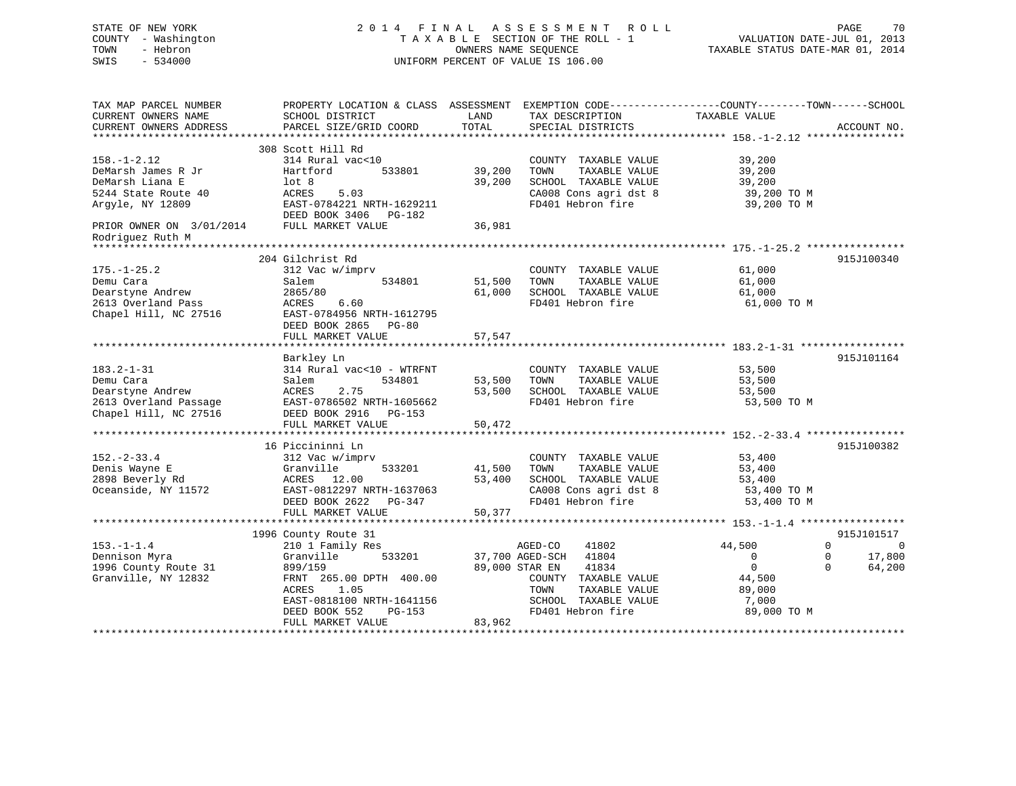#### STATE OF NEW YORK 2 0 1 4 F I N A L A S S E S S M E N T R O L L PAGE 70COUNTY - Washington  $\begin{array}{ccc} 1 & 0 & 0 \\ -1 & 0 & 0 \end{array}$  T A X A B L E SECTION OF THE ROLL - 1 VALUATION DATE-JUL 01, 2013 OWNERS NAME SEQUENCE TAXABLE STATUS DATE-MAR 01, 2014 SWIS - 534000 UNIFORM PERCENT OF VALUE IS 106.00

| TAX MAP PARCEL NUMBER                       | PROPERTY LOCATION & CLASS ASSESSMENT EXEMPTION CODE----------------COUNTY-------TOWN-----SCHOOL |                |                          |                       |             |
|---------------------------------------------|-------------------------------------------------------------------------------------------------|----------------|--------------------------|-----------------------|-------------|
| CURRENT OWNERS NAME                         | SCHOOL DISTRICT                                                                                 | LAND           | TAX DESCRIPTION          | TAXABLE VALUE         |             |
| CURRENT OWNERS ADDRESS<br>***************** | PARCEL SIZE/GRID COORD                                                                          | TOTAL          | SPECIAL DISTRICTS        |                       | ACCOUNT NO. |
|                                             |                                                                                                 |                |                          |                       |             |
|                                             | 308 Scott Hill Rd                                                                               |                |                          |                       |             |
| $158. - 1 - 2.12$                           | 314 Rural vac<10                                                                                |                | COUNTY TAXABLE VALUE     | 39,200                |             |
| DeMarsh James R Jr                          | Hartford<br>533801                                                                              | 39,200         | TAXABLE VALUE<br>TOWN    | 39,200                |             |
| DeMarsh Liana E                             | lot 8                                                                                           | 39,200         | SCHOOL TAXABLE VALUE     | 39,200                |             |
| 5244 State Route 40                         | ACRES<br>5.03                                                                                   |                | CA008 Cons agri dst 8    | 39,200 TO M           |             |
| Arqyle, NY 12809                            | EAST-0784221 NRTH-1629211                                                                       |                | FD401 Hebron fire        | 39,200 TO M           |             |
|                                             | DEED BOOK 3406 PG-182                                                                           |                |                          |                       |             |
| PRIOR OWNER ON 3/01/2014                    | FULL MARKET VALUE                                                                               | 36,981         |                          |                       |             |
| Rodriguez Ruth M                            |                                                                                                 |                |                          |                       |             |
|                                             |                                                                                                 |                |                          |                       |             |
|                                             | 204 Gilchrist Rd                                                                                |                |                          |                       | 915J100340  |
| $175. - 1 - 25.2$                           | 312 Vac w/imprv                                                                                 |                | COUNTY TAXABLE VALUE     | 61,000                |             |
| Demu Cara                                   | 534801<br>Salem                                                                                 | 51,500         | TOWN<br>TAXABLE VALUE    | 61,000                |             |
| Dearstyne Andrew                            | 2865/80                                                                                         | 61,000         | SCHOOL TAXABLE VALUE     | 61,000                |             |
| 2613 Overland Pass                          | ACRES<br>6.60                                                                                   |                | FD401 Hebron fire        | 61,000 TO M           |             |
| Chapel Hill, NC 27516                       | EAST-0784956 NRTH-1612795                                                                       |                |                          |                       |             |
|                                             | DEED BOOK 2865 PG-80                                                                            |                |                          |                       |             |
|                                             |                                                                                                 |                |                          |                       |             |
|                                             | FULL MARKET VALUE                                                                               | 57,547         |                          |                       |             |
|                                             |                                                                                                 |                |                          |                       |             |
|                                             | Barkley Ln                                                                                      |                |                          |                       | 915J101164  |
| $183.2 - 1 - 31$                            | 314 Rural vac<10 - WTRFNT                                                                       |                | COUNTY TAXABLE VALUE     | 53,500                |             |
| Demu Cara                                   | 534801<br>Salem                                                                                 | 53,500         | TOWN<br>TAXABLE VALUE    | 53,500                |             |
| Dearstyne Andrew                            | ACRES<br>2.75                                                                                   | 53,500         | SCHOOL TAXABLE VALUE     | 53,500                |             |
| 2613 Overland Passage                       | EAST-0786502 NRTH-1605662                                                                       |                | FD401 Hebron fire        | 53,500 TO M           |             |
| Chapel Hill, NC 27516                       | DEED BOOK 2916<br>PG-153                                                                        |                |                          |                       |             |
|                                             | FULL MARKET VALUE                                                                               | 50,472         |                          |                       |             |
|                                             |                                                                                                 |                |                          |                       |             |
|                                             | 16 Piccininni Ln                                                                                |                |                          |                       | 915J100382  |
| $152. - 2 - 33.4$                           | 312 Vac w/imprv                                                                                 |                | COUNTY TAXABLE VALUE     | 53,400                |             |
| Denis Wayne E                               | Granville<br>533201                                                                             | 41,500         | TAXABLE VALUE<br>TOWN    | 53,400                |             |
| 2898 Beverly Rd                             | ACRES 12.00                                                                                     | 53,400         | SCHOOL TAXABLE VALUE     | 53,400                |             |
| Oceanside, NY 11572                         | EAST-0812297 NRTH-1637063                                                                       |                | CA008 Cons agri dst 8    | 53,400 TO M           |             |
|                                             | DEED BOOK 2622<br>$PG-347$                                                                      |                | FD401 Hebron fire        | 53,400 TO M           |             |
|                                             | FULL MARKET VALUE                                                                               | 50,377         |                          |                       |             |
|                                             | ***************************                                                                     |                |                          |                       |             |
|                                             | 1996 County Route 31                                                                            |                |                          |                       | 915J101517  |
| $153. - 1 - 1.4$                            | 210 1 Family Res                                                                                |                | 41802<br>AGED-CO         | 44,500<br>$\mathbf 0$ | $\Omega$    |
| Dennison Myra                               | Granville<br>533201                                                                             |                | 41804<br>37,700 AGED-SCH | $\Omega$<br>$\Omega$  | 17,800      |
| 1996 County Route 31                        | 899/159                                                                                         | 89,000 STAR EN | 41834                    | $\Omega$<br>$\Omega$  | 64,200      |
| Granville, NY 12832                         | FRNT 265.00 DPTH 400.00                                                                         |                | COUNTY TAXABLE VALUE     | 44,500                |             |
|                                             | <b>ACRES</b><br>1.05                                                                            |                | TOWN<br>TAXABLE VALUE    | 89,000                |             |
|                                             | EAST-0818100 NRTH-1641156                                                                       |                | SCHOOL TAXABLE VALUE     | 7,000                 |             |
|                                             | DEED BOOK 552<br>$PG-153$                                                                       |                | FD401 Hebron fire        | 89,000 TO M           |             |
|                                             |                                                                                                 | 83,962         |                          |                       |             |
|                                             | FULL MARKET VALUE                                                                               |                |                          |                       |             |
|                                             |                                                                                                 |                |                          |                       |             |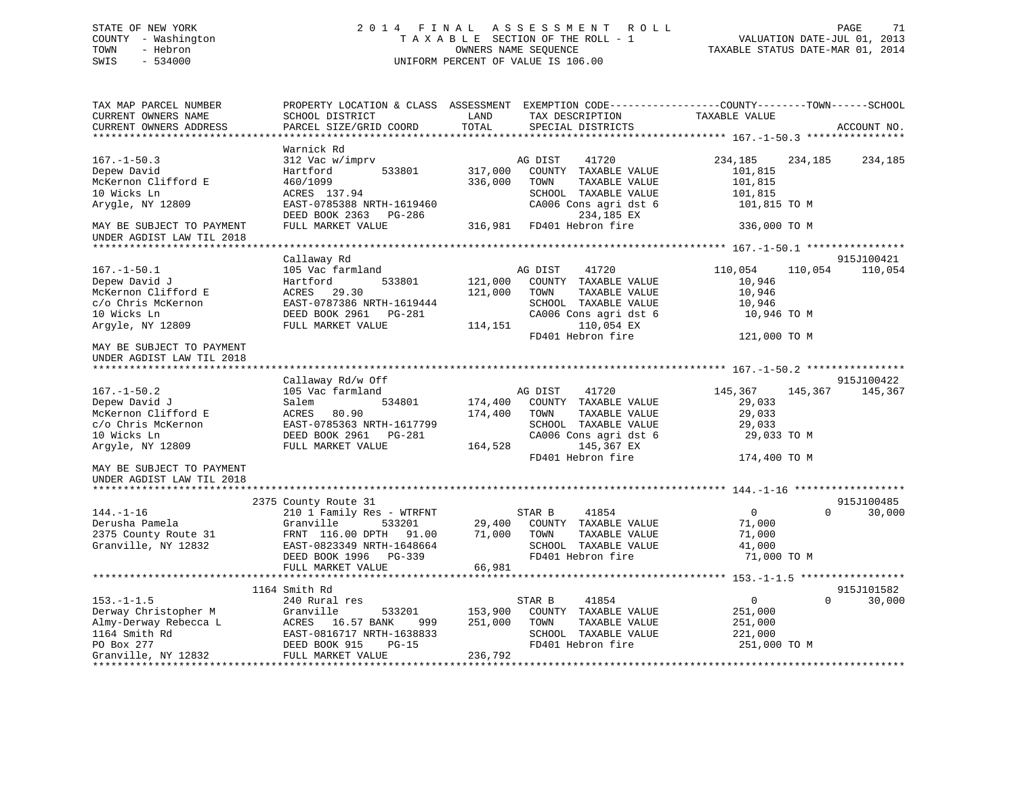## STATE OF NEW YORK 2 0 1 4 F I N A L A S S E S S M E N T R O L L PAGE 71 COUNTY - Washington T A X A B L E SECTION OF THE ROLL - 1 VALUATION DATE-JUL 01, 2013 TOWN - Hebron OWNERS NAME SEQUENCE TAXABLE STATUS DATE-MAR 01, 2014 SWIS - 534000 UNIFORM PERCENT OF VALUE IS 106.00UNIFORM PERCENT OF VALUE IS 106.00

| Warnick Rd<br>$167. - 1 - 50.3$<br>312 Vac w/imprv<br>AG DIST<br>41720<br>234,185<br>234,185<br>234,185<br>Depew David<br>Hartford<br>533801<br>317,000<br>COUNTY TAXABLE VALUE<br>101,815                                                                                                                                                                                              |
|-----------------------------------------------------------------------------------------------------------------------------------------------------------------------------------------------------------------------------------------------------------------------------------------------------------------------------------------------------------------------------------------|
| McKernon Clifford E<br>336,000<br>460/1099<br>TOWN<br>TAXABLE VALUE<br>101,815<br>10 Wicks Ln<br>SCHOOL TAXABLE VALUE<br>ACRES 137.94<br>101,815<br>Arygle, NY 12809<br>EAST-0785388 NRTH-1619460<br>CA006 Cons agri dst 6<br>101,815 TO M<br>234,185 EX<br>DEED BOOK 2363 PG-286                                                                                                       |
| FD401 Hebron fire<br>FULL MARKET VALUE<br>316,981<br>336,000 TO M<br>MAY BE SUBJECT TO PAYMENT<br>UNDER AGDIST LAW TIL 2018                                                                                                                                                                                                                                                             |
|                                                                                                                                                                                                                                                                                                                                                                                         |
| 915J100421<br>Callaway Rd<br>105 Vac farmland<br>110,054<br>$167. - 1 - 50.1$<br>AG DIST<br>41720<br>110,054<br>110,054<br>COUNTY TAXABLE VALUE<br>Depew David J<br>Hartford<br>533801<br>121,000<br>10,946<br>McKernon Clifford E<br>29.30<br>121,000<br>ACRES<br>TOWN<br>TAXABLE VALUE<br>10,946<br>c/o Chris McKernon<br>EAST-0787386 NRTH-1619444<br>SCHOOL TAXABLE VALUE<br>10,946 |
| 10 Wicks Ln<br>DEED BOOK 2961 PG-281<br>CA006 Cons agri dst 6<br>10,946 TO M<br>Argyle, NY 12809<br>110,054 EX<br>FULL MARKET VALUE<br>114,151<br>FD401 Hebron fire<br>121,000 TO M                                                                                                                                                                                                     |
| MAY BE SUBJECT TO PAYMENT                                                                                                                                                                                                                                                                                                                                                               |
| UNDER AGDIST LAW TIL 2018                                                                                                                                                                                                                                                                                                                                                               |
|                                                                                                                                                                                                                                                                                                                                                                                         |
| Callaway Rd/w Off<br>915J100422                                                                                                                                                                                                                                                                                                                                                         |
| $167. - 1 - 50.2$<br>105 Vac farmland<br>AG DIST<br>41720<br>145,367<br>145,367<br>145,367                                                                                                                                                                                                                                                                                              |
| Depew David J<br>534801<br>174,400<br>COUNTY TAXABLE VALUE<br>Salem<br>29,033                                                                                                                                                                                                                                                                                                           |
| McKernon Clifford E<br>174,400<br>ACRES<br>80.90<br>TOWN<br>TAXABLE VALUE<br>29,033                                                                                                                                                                                                                                                                                                     |
| c/o Chris McKernon<br>EAST-0785363 NRTH-1617799<br>SCHOOL TAXABLE VALUE<br>29,033<br>10 Wicks Ln<br>CA006 Cons agri dst 6<br>DEED BOOK 2961<br>PG-281                                                                                                                                                                                                                                   |
| 29,033 TO M<br>145,367 EX<br>Argyle, NY 12809<br>FULL MARKET VALUE<br>164,528                                                                                                                                                                                                                                                                                                           |
| FD401 Hebron fire<br>174,400 TO M                                                                                                                                                                                                                                                                                                                                                       |
| MAY BE SUBJECT TO PAYMENT                                                                                                                                                                                                                                                                                                                                                               |
| UNDER AGDIST LAW TIL 2018                                                                                                                                                                                                                                                                                                                                                               |
|                                                                                                                                                                                                                                                                                                                                                                                         |
| 2375 County Route 31<br>915J100485                                                                                                                                                                                                                                                                                                                                                      |
| $\overline{0}$<br>$144. - 1 - 16$<br>210 1 Family Res - WTRFNT<br>STAR B<br>41854<br>$\Omega$<br>30,000                                                                                                                                                                                                                                                                                 |
| Derusha Pamela<br>Granville<br>533201<br>29,400<br>COUNTY TAXABLE VALUE<br>71,000                                                                                                                                                                                                                                                                                                       |
| 2375 County Route 31<br>FRNT 116.00 DPTH<br>91.00<br>71,000<br>TOWN<br>TAXABLE VALUE<br>71,000                                                                                                                                                                                                                                                                                          |
| Granville, NY 12832<br>SCHOOL TAXABLE VALUE<br>EAST-0823349 NRTH-1648664<br>41,000                                                                                                                                                                                                                                                                                                      |
| FD401 Hebron fire<br>71,000 TO M<br>DEED BOOK 1996 PG-339                                                                                                                                                                                                                                                                                                                               |
| FULL MARKET VALUE<br>66,981                                                                                                                                                                                                                                                                                                                                                             |
| ********************** 153.-1-1.5 ******************                                                                                                                                                                                                                                                                                                                                    |
| 915J101582<br>1164 Smith Rd                                                                                                                                                                                                                                                                                                                                                             |
| $153. - 1 - 1.5$<br>240 Rural res<br>$\mathbf{0}$<br>30,000<br>STAR B<br>41854<br>$\Omega$                                                                                                                                                                                                                                                                                              |
| Derway Christopher M<br>Granville<br>533201<br>153,900<br>COUNTY TAXABLE VALUE<br>251,000                                                                                                                                                                                                                                                                                               |
| Almy-Derway Rebecca L<br>16.57 BANK<br>251,000<br>TAXABLE VALUE<br>ACRES<br>TOWN<br>251,000<br>999                                                                                                                                                                                                                                                                                      |
| 1164 Smith Rd<br>EAST-0816717 NRTH-1638833<br>SCHOOL TAXABLE VALUE<br>221,000                                                                                                                                                                                                                                                                                                           |
| FD401 Hebron fire<br>PO Box 277<br>251,000 TO M<br>DEED BOOK 915<br>$PG-15$                                                                                                                                                                                                                                                                                                             |
| Granville, NY 12832<br>FULL MARKET VALUE<br>236,792                                                                                                                                                                                                                                                                                                                                     |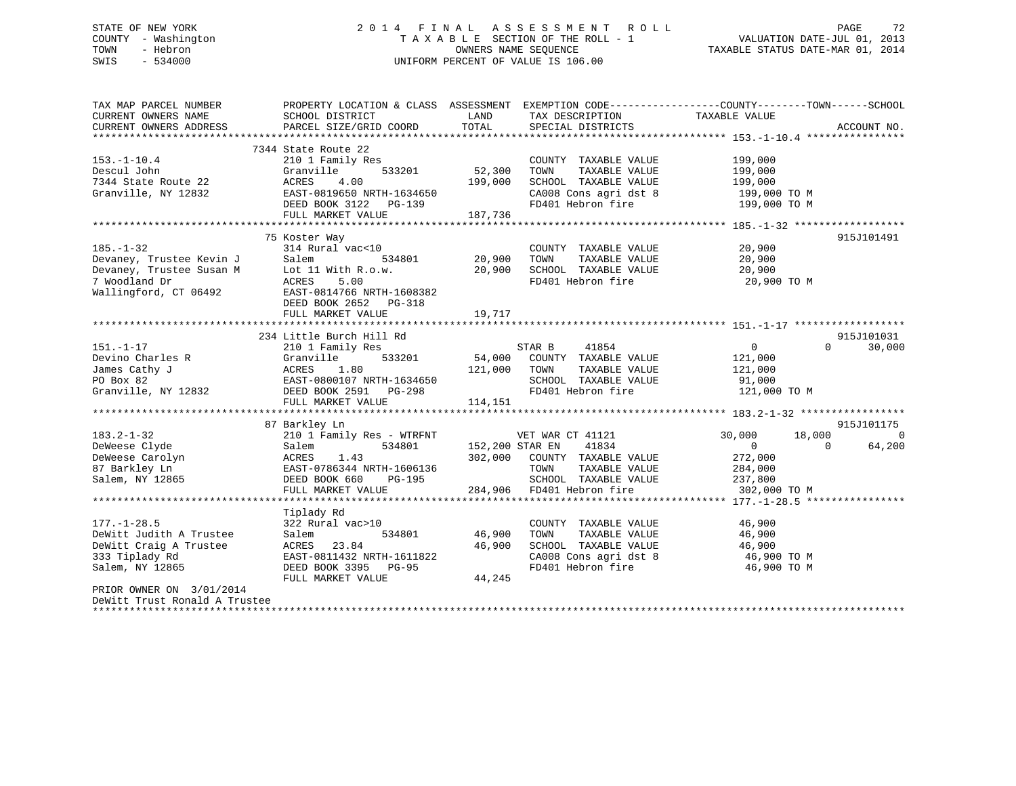## STATE OF NEW YORK 2 0 1 4 F I N A L A S S E S S M E N T R O L L PAGE 72 COUNTY - Washington T A X A B L E SECTION OF THE ROLL - 1 VALUATION DATE-JUL 01, 2013 TOWN - Hebron **CONNERS NAME SEQUENCE** TAXABLE STATUS DATE-MAR 01, 2014 SWIS - 534000 UNIFORM PERCENT OF VALUE IS 106.00

| TAX MAP PARCEL NUMBER         | PROPERTY LOCATION & CLASS ASSESSMENT EXEMPTION CODE---------------COUNTY-------TOWN-----SCHOOL                                                                                                                                       |               |                                                                                                       |                                            |                    |
|-------------------------------|--------------------------------------------------------------------------------------------------------------------------------------------------------------------------------------------------------------------------------------|---------------|-------------------------------------------------------------------------------------------------------|--------------------------------------------|--------------------|
| CURRENT OWNERS NAME           | SCHOOL DISTRICT                                                                                                                                                                                                                      | LAND          | TAX DESCRIPTION                                                                                       | TAXABLE VALUE                              |                    |
| CURRENT OWNERS ADDRESS        | PARCEL SIZE/GRID COORD                                                                                                                                                                                                               | TOTAL         | SPECIAL DISTRICTS                                                                                     |                                            | ACCOUNT NO.        |
|                               |                                                                                                                                                                                                                                      |               |                                                                                                       |                                            |                    |
|                               | 7344 State Route 22                                                                                                                                                                                                                  |               |                                                                                                       |                                            |                    |
| $153.-1-10.4$                 | 210 1 Family Res                                                                                                                                                                                                                     |               | COUNTY TAXABLE VALUE                                                                                  | 199,000                                    |                    |
| Descul John                   | Granville<br>533201                                                                                                                                                                                                                  | 52,300        | TAXABLE VALUE<br>TOWN                                                                                 | 199,000                                    |                    |
| 7344 State Route 22           | 4.00<br>ACRES                                                                                                                                                                                                                        | 199,000       | SCHOOL TAXABLE VALUE                                                                                  | 199,000                                    |                    |
| Granville, NY 12832           | EAST-0819650 NRTH-1634650                                                                                                                                                                                                            |               |                                                                                                       |                                            |                    |
|                               | DEED BOOK 3122 PG-139                                                                                                                                                                                                                |               | $\texttt{CA008}$ Cons agri dst 8 $\texttt{199,000}$ TO M<br>FD401 Hebron fire $\texttt{199,000}$ TO M |                                            |                    |
|                               | FULL MARKET VALUE                                                                                                                                                                                                                    | 187,736       |                                                                                                       |                                            |                    |
|                               |                                                                                                                                                                                                                                      |               |                                                                                                       |                                            |                    |
|                               | 75 Koster Way                                                                                                                                                                                                                        |               |                                                                                                       |                                            | 915J101491         |
| $185. - 1 - 32$               | 314 Rural vac<10                                                                                                                                                                                                                     |               | COUNTY TAXABLE VALUE                                                                                  | 20,900                                     |                    |
| Devaney, Trustee Kevin J      | Salem                                                                                                                                                                                                                                | 534801 20,900 | TAXABLE VALUE<br>TOWN                                                                                 | 20,900                                     |                    |
| Devaney, Trustee Susan M      | Lot 11 With R.o.w.                                                                                                                                                                                                                   | 20,900        | SCHOOL TAXABLE VALUE                                                                                  | 20,900                                     |                    |
| 7 Woodland Dr                 | 5.00<br>ACRES                                                                                                                                                                                                                        |               | FD401 Hebron fire                                                                                     | 20,900 TO M                                |                    |
| Wallingford, CT 06492         | EAST-0814766 NRTH-1608382                                                                                                                                                                                                            |               |                                                                                                       |                                            |                    |
|                               |                                                                                                                                                                                                                                      |               |                                                                                                       |                                            |                    |
|                               | DEED BOOK 2652 PG-318                                                                                                                                                                                                                |               |                                                                                                       |                                            |                    |
|                               | FULL MARKET VALUE                                                                                                                                                                                                                    | 19,717        |                                                                                                       |                                            |                    |
|                               |                                                                                                                                                                                                                                      |               |                                                                                                       |                                            |                    |
|                               | 234 Little Burch Hill Rd                                                                                                                                                                                                             |               |                                                                                                       |                                            | 915J101031         |
| $151. - 1 - 17$               | 210 1 Family Res<br>151.-1-17 210 1 Family Res<br>Devino Charles R Granville 533201<br>James Cathy J ACRES 1.80<br>PO Box 82 EAST-0800107 NRTH-1634650<br>Granville, NY 12832 DEED BOOK 2591 PG-298                                  |               |                                                                                                       | $0 \qquad \qquad$                          | 30,000<br>$\Omega$ |
|                               |                                                                                                                                                                                                                                      |               |                                                                                                       | 121,000                                    |                    |
|                               |                                                                                                                                                                                                                                      | 121,000 TOWN  | TAXABLE VALUE                                                                                         | 121,000                                    |                    |
|                               |                                                                                                                                                                                                                                      |               | SCHOOL TAXABLE VALUE                                                                                  | 91,000                                     |                    |
|                               |                                                                                                                                                                                                                                      |               | FD401 Hebron fire 121,000 TO M                                                                        |                                            |                    |
|                               | FULL MARKET VALUE                                                                                                                                                                                                                    | 114,151       |                                                                                                       |                                            |                    |
|                               |                                                                                                                                                                                                                                      |               |                                                                                                       |                                            |                    |
|                               | 87 Barkley Ln                                                                                                                                                                                                                        |               |                                                                                                       |                                            | 915J101175         |
| $183.2 - 1 - 32$              | 210 1 Family Res - WTRFNT                                                                                                                                                                                                            |               | VET WAR CT 41121                                                                                      | 18,000<br>30,000                           | $\overline{0}$     |
|                               |                                                                                                                                                                                                                                      |               |                                                                                                       | $\overline{0}$                             | $\Omega$<br>64,200 |
|                               |                                                                                                                                                                                                                                      |               |                                                                                                       | 272,000                                    |                    |
|                               |                                                                                                                                                                                                                                      |               |                                                                                                       | TAXABLE VALUE 284,000                      |                    |
|                               | DeWeese Clyde Salem 534801 152,200 STAR EN 41834<br>DeWeese Carolyn ACRES 1.43 302,000 COUNTY TAXABLE VALUE<br>87 Barkley Ln EAST-0786344 NRTH-1606136 TOWN TAXABLE VALUE<br>Salem, NY 12865 DEED BOOK 660 PG-195 SCHOOL TAXABLE VAL |               |                                                                                                       |                                            |                    |
|                               | FULL MARKET VALUE                                                                                                                                                                                                                    |               | 284,906 FD401 Hebron fire                                                                             | 237,800<br>200 201 201 201<br>302,000 TO M |                    |
|                               |                                                                                                                                                                                                                                      |               |                                                                                                       |                                            |                    |
|                               |                                                                                                                                                                                                                                      |               |                                                                                                       |                                            |                    |
|                               | Tiplady Rd                                                                                                                                                                                                                           |               |                                                                                                       |                                            |                    |
| $177. - 1 - 28.5$             | 322 Rural vac>10                                                                                                                                                                                                                     |               | COUNTY TAXABLE VALUE                                                                                  | 46,900                                     |                    |
| DeWitt Judith A Trustee       | Salem<br>534801                                                                                                                                                                                                                      | 46,900        | ------<br>TAXABLE VALUE<br>TAXABLE VALUE<br>TOWN                                                      | 46,900<br>46,900                           |                    |
| DeWitt Craig A Trustee        | ACRES 23.84                                                                                                                                                                                                                          | 46,900        | SCHOOL TAXABLE VALUE                                                                                  |                                            |                    |
| 333 Tiplady Rd                | EAST-0811432 NRTH-1611822                                                                                                                                                                                                            |               | CA008 Cons agri dst 8 46,900 TO M                                                                     |                                            |                    |
| Salem, NY 12865               | DEED BOOK 3395 PG-95                                                                                                                                                                                                                 |               | FD401 Hebron fire                                                                                     | 46,900 TO M                                |                    |
|                               | FULL MARKET VALUE                                                                                                                                                                                                                    | 44,245        |                                                                                                       |                                            |                    |
| PRIOR OWNER ON 3/01/2014      |                                                                                                                                                                                                                                      |               |                                                                                                       |                                            |                    |
| DeWitt Trust Ronald A Trustee |                                                                                                                                                                                                                                      |               |                                                                                                       |                                            |                    |
|                               |                                                                                                                                                                                                                                      |               |                                                                                                       |                                            |                    |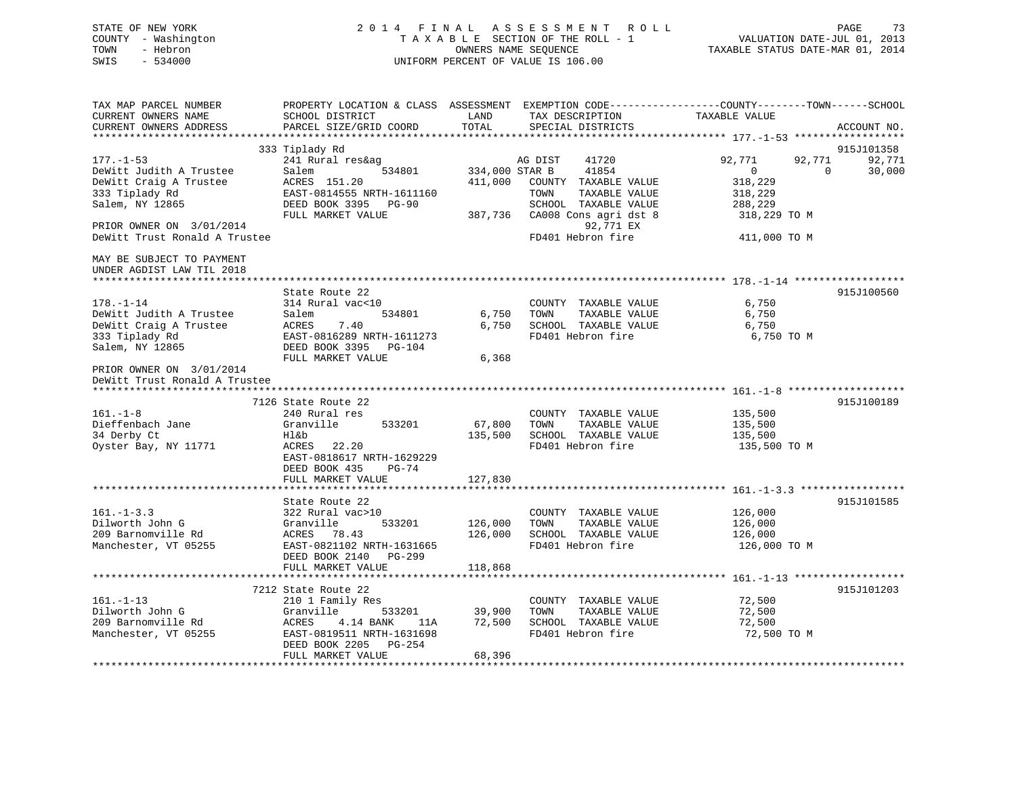# STATE OF NEW YORK 2 0 1 4 F I N A L A S S E S S M E N T R O L L PAGE 73 COUNTY - Washington T A X A B L E SECTION OF THE ROLL - 1 VALUATION DATE-JUL 01, 2013 TOWN - Hebron **CONNERS NAME SEQUENCE** TAXABLE STATUS DATE-MAR 01, 2014 SWIS - 534000 UNIFORM PERCENT OF VALUE IS 106.00

| TAX MAP PARCEL NUMBER<br>CURRENT OWNERS NAME<br>CURRENT OWNERS ADDRESS            | SCHOOL DISTRICT<br>PARCEL SIZE/GRID COORD                                                                                                                | LAND<br>TOTAL                 | TAX DESCRIPTION<br>SPECIAL DISTRICTS                                                       | PROPERTY LOCATION & CLASS ASSESSMENT EXEMPTION CODE---------------COUNTY-------TOWN------SCHOOL<br>TAXABLE VALUE | ACCOUNT NO.      |
|-----------------------------------------------------------------------------------|----------------------------------------------------------------------------------------------------------------------------------------------------------|-------------------------------|--------------------------------------------------------------------------------------------|------------------------------------------------------------------------------------------------------------------|------------------|
|                                                                                   |                                                                                                                                                          |                               |                                                                                            |                                                                                                                  |                  |
|                                                                                   | 333 Tiplady Rd                                                                                                                                           |                               |                                                                                            |                                                                                                                  | 915J101358       |
| $177. - 1 - 53$<br>DeWitt Judith A Trustee<br>DeWitt Craig A Trustee              | 241 Rural res&ag<br>Salem<br>534801<br>ACRES 151.20                                                                                                      | 334,000 STAR B<br>411,000     | AG DIST<br>41720<br>41854<br>COUNTY TAXABLE VALUE                                          | 92,771<br>92,771<br>$\mathbf{0}$<br>$\Omega$<br>318,229                                                          | 92,771<br>30,000 |
| 333 Tiplady Rd<br>Salem, NY 12865                                                 | EAST-0814555 NRTH-1611160<br>DEED BOOK 3395<br>$PG-90$<br>FULL MARKET VALUE                                                                              | 387,736                       | TOWN<br>TAXABLE VALUE<br>SCHOOL TAXABLE VALUE<br>CA008 Cons agri dst 8                     | 318,229<br>288,229<br>318,229 TO M                                                                               |                  |
| PRIOR OWNER ON 3/01/2014<br>DeWitt Trust Ronald A Trustee                         |                                                                                                                                                          |                               | 92,771 EX<br>FD401 Hebron fire                                                             | 411,000 TO M                                                                                                     |                  |
| MAY BE SUBJECT TO PAYMENT<br>UNDER AGDIST LAW TIL 2018                            |                                                                                                                                                          |                               |                                                                                            |                                                                                                                  |                  |
|                                                                                   |                                                                                                                                                          |                               |                                                                                            |                                                                                                                  |                  |
| $178. - 1 - 14$<br>DeWitt Judith A Trustee                                        | State Route 22<br>314 Rural vac<10<br>Salem<br>534801                                                                                                    | 6,750                         | COUNTY TAXABLE VALUE<br>TAXABLE VALUE<br>TOWN                                              | 6,750<br>6,750                                                                                                   | 915J100560       |
| DeWitt Craig A Trustee<br>333 Tiplady Rd                                          | 7.40<br>ACRES<br>EAST-0816289 NRTH-1611273                                                                                                               | 6,750                         | SCHOOL TAXABLE VALUE<br>FD401 Hebron fire                                                  | 6,750<br>6,750 TO M                                                                                              |                  |
| Salem, NY 12865                                                                   | DEED BOOK 3395 PG-104<br>FULL MARKET VALUE                                                                                                               | 6,368                         |                                                                                            |                                                                                                                  |                  |
| PRIOR OWNER ON 3/01/2014<br>DeWitt Trust Ronald A Trustee                         |                                                                                                                                                          |                               |                                                                                            |                                                                                                                  |                  |
|                                                                                   | 7126 State Route 22                                                                                                                                      |                               |                                                                                            |                                                                                                                  | 915J100189       |
| $161. - 1 - 8$                                                                    | 240 Rural res                                                                                                                                            |                               | COUNTY TAXABLE VALUE                                                                       | 135,500                                                                                                          |                  |
| Dieffenbach Jane                                                                  | Granville<br>533201                                                                                                                                      | 67,800                        | TAXABLE VALUE<br>TOWN                                                                      | 135,500                                                                                                          |                  |
| 34 Derby Ct                                                                       | Hl&b                                                                                                                                                     | 135,500                       | SCHOOL TAXABLE VALUE                                                                       | 135,500                                                                                                          |                  |
| Oyster Bay, NY 11771                                                              | ACRES<br>22.20<br>EAST-0818617 NRTH-1629229<br>DEED BOOK 435<br>$PG-74$                                                                                  |                               | FD401 Hebron fire                                                                          | 135,500 TO M                                                                                                     |                  |
|                                                                                   | FULL MARKET VALUE                                                                                                                                        | 127,830                       |                                                                                            |                                                                                                                  |                  |
|                                                                                   |                                                                                                                                                          |                               |                                                                                            |                                                                                                                  |                  |
| $161. - 1 - 3.3$<br>Dilworth John G<br>209 Barnomville Rd<br>Manchester, VT 05255 | State Route 22<br>322 Rural vac>10<br>Granville<br>533201<br>ACRES 78.43<br>EAST-0821102 NRTH-1631665<br>DEED BOOK 2140<br>$PG-299$<br>FULL MARKET VALUE | 126,000<br>126,000<br>118,868 | COUNTY TAXABLE VALUE<br>TOWN<br>TAXABLE VALUE<br>SCHOOL TAXABLE VALUE<br>FD401 Hebron fire | 126,000<br>126,000<br>126,000<br>126,000 TO M                                                                    | 915J101585       |
|                                                                                   |                                                                                                                                                          |                               |                                                                                            |                                                                                                                  |                  |
| $161. - 1 - 13$                                                                   | 7212 State Route 22<br>210 1 Family Res                                                                                                                  |                               | COUNTY TAXABLE VALUE                                                                       | 72,500                                                                                                           | 915J101203       |
| Dilworth John G                                                                   | Granville<br>533201                                                                                                                                      | 39,900                        | TAXABLE VALUE<br>TOWN                                                                      | 72,500                                                                                                           |                  |
| 209 Barnomville Rd                                                                | ACRES<br>4.14 BANK<br>11A                                                                                                                                | 72,500                        | SCHOOL TAXABLE VALUE                                                                       | 72,500                                                                                                           |                  |
| Manchester, VT 05255                                                              | EAST-0819511 NRTH-1631698<br>DEED BOOK 2205<br>PG-254<br>FULL MARKET VALUE                                                                               | 68,396                        | FD401 Hebron fire                                                                          | 72,500 TO M                                                                                                      |                  |
|                                                                                   |                                                                                                                                                          |                               |                                                                                            |                                                                                                                  |                  |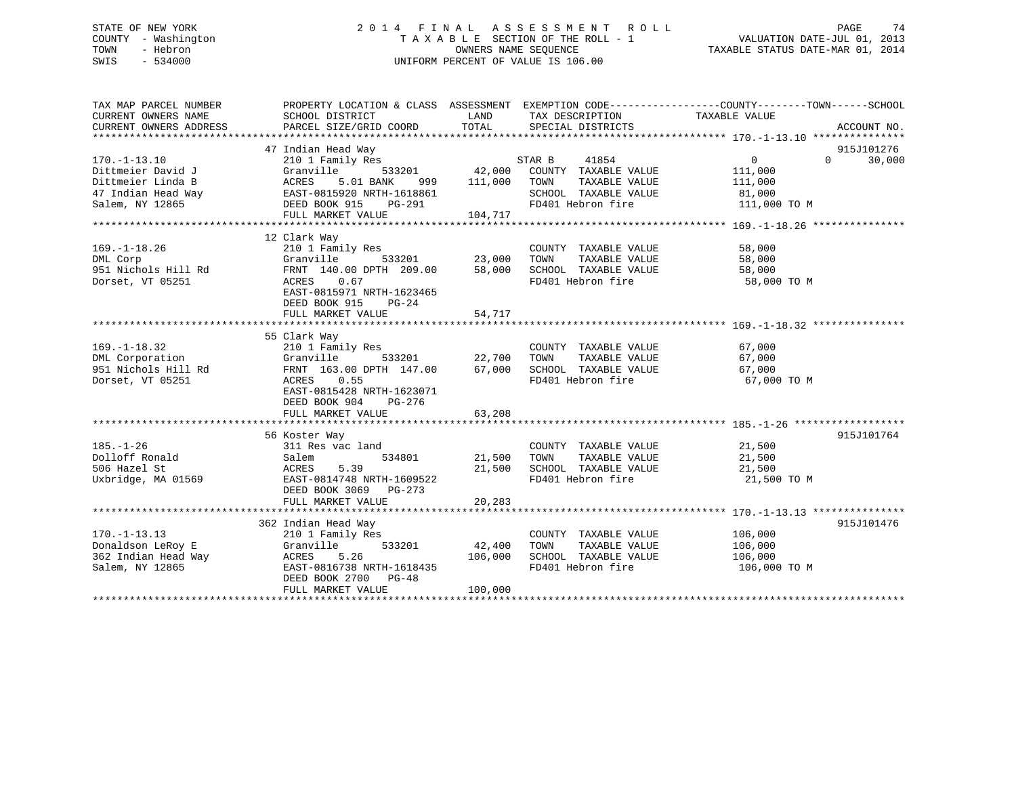# STATE OF NEW YORK 2 0 1 4 F I N A L A S S E S S M E N T R O L L PAGE 74 COUNTY - Washington T A X A B L E SECTION OF THE ROLL - 1 VALUATION DATE-JUL 01, 2013 TOWN - Hebron **CONNERS NAME SEQUENCE** TAXABLE STATUS DATE-MAR 01, 2014 SWIS - 534000 UNIFORM PERCENT OF VALUE IS 106.00

| TAX MAP PARCEL NUMBER            | PROPERTY LOCATION & CLASS ASSESSMENT EXEMPTION CODE---------------COUNTY-------TOWN-----SCHOOL                                                                                                                                        |               |                                            |                                              |                    |
|----------------------------------|---------------------------------------------------------------------------------------------------------------------------------------------------------------------------------------------------------------------------------------|---------------|--------------------------------------------|----------------------------------------------|--------------------|
| CURRENT OWNERS NAME              | SCHOOL DISTRICT                                                                                                                                                                                                                       | LAND          | TAX DESCRIPTION                            | TAXABLE VALUE                                |                    |
| CURRENT OWNERS ADDRESS           | PARCEL SIZE/GRID COORD                                                                                                                                                                                                                | TOTAL         | SPECIAL DISTRICTS                          |                                              | ACCOUNT NO.        |
|                                  |                                                                                                                                                                                                                                       |               |                                            |                                              |                    |
|                                  | 47 Indian Head Way                                                                                                                                                                                                                    |               |                                            |                                              | 915J101276         |
| $170. - 1 - 13.10$               | 210 1 Family Res                                                                                                                                                                                                                      |               |                                            | $\overline{0}$                               | $\Omega$<br>30,000 |
| Dittmeier David J                | Granville                                                                                                                                                                                                                             |               |                                            | 111,000                                      |                    |
|                                  |                                                                                                                                                                                                                                       |               |                                            |                                              |                    |
|                                  |                                                                                                                                                                                                                                       |               |                                            |                                              |                    |
|                                  |                                                                                                                                                                                                                                       |               |                                            |                                              |                    |
|                                  |                                                                                                                                                                                                                                       |               |                                            |                                              |                    |
|                                  | Dittmeier Linda B<br>2007 - ACRES 5.01 BANK 999 111,000 TOWN TAXABLE VALUE 111,000<br>21 Indian Head Way EAST-0815920 NRTH-1618861 SCHOOL TAXABLE VALUE 81,000<br>21 Salem, NY 12865 DEED BOOK 915 PG-291 FD401 Hebron fire 111,000   |               |                                            |                                              |                    |
|                                  | 12 Clark Way                                                                                                                                                                                                                          |               |                                            |                                              |                    |
| $169. - 1 - 18.26$               | 210 1 Family Res                                                                                                                                                                                                                      |               |                                            | 58,000                                       |                    |
| DML Corp                         |                                                                                                                                                                                                                                       |               | COUNTY TAXABLE VALUE<br>TOWN TAXABLE VALUE | 58,000                                       |                    |
| 951 Nichols Hill Rd              |                                                                                                                                                                                                                                       |               |                                            | 58,000                                       |                    |
| Dorset, VT 05251                 |                                                                                                                                                                                                                                       |               | FD401 Hebron fire                          | 58,000 TO M                                  |                    |
|                                  | EAST-0815971 NRTH-1623465                                                                                                                                                                                                             |               |                                            |                                              |                    |
|                                  | DEED BOOK 915<br>$PG-24$                                                                                                                                                                                                              |               |                                            |                                              |                    |
|                                  |                                                                                                                                                                                                                                       |               |                                            |                                              |                    |
|                                  | FULL MARKET VALUE                                                                                                                                                                                                                     | 54,717        |                                            |                                              |                    |
|                                  |                                                                                                                                                                                                                                       |               |                                            |                                              |                    |
|                                  | 55 Clark Way<br>210 1 Family Res                                                                                                                                                                                                      |               |                                            |                                              |                    |
| $169. - 1 - 18.32$               |                                                                                                                                                                                                                                       |               | COUNTY TAXABLE VALUE 67,000                |                                              |                    |
|                                  |                                                                                                                                                                                                                                       |               |                                            |                                              |                    |
|                                  | 169.-1-18.32<br>DML Corporation Granville 533201 22,700 TOWN TAXABLE VALUE<br>951 Nichols Hill Rd FRNT 163.00 DPTH 147.00 67,000 SCHOOL TAXABLE VALUE 67,000<br>Porset VT 05251 ACRES 0.55 FD401 Hebron fire 67,000<br>Porset VT 0525 |               |                                            |                                              |                    |
|                                  |                                                                                                                                                                                                                                       |               |                                            | 67,000 TO M                                  |                    |
|                                  |                                                                                                                                                                                                                                       |               |                                            |                                              |                    |
|                                  | DEED BOOK 904 PG-276                                                                                                                                                                                                                  |               |                                            |                                              |                    |
|                                  |                                                                                                                                                                                                                                       |               |                                            |                                              |                    |
|                                  |                                                                                                                                                                                                                                       |               |                                            |                                              |                    |
|                                  | 56 Koster Way                                                                                                                                                                                                                         |               |                                            |                                              | 915J101764         |
| $185. - 1 - 26$                  | 311 Res vac land                                                                                                                                                                                                                      |               | COUNTY TAXABLE VALUE 21,500                |                                              |                    |
| Dolloff Ronald<br>Salem<br>ACRES |                                                                                                                                                                                                                                       | 534801 21,500 | TOWN                                       | TAXABLE VALUE 21,500<br>TAXABLE VALUE 21,500 |                    |
| 506 Hazel St                     | 5.39                                                                                                                                                                                                                                  | 21,500        | SCHOOL TAXABLE VALUE<br>FD401 Hebron fire  |                                              |                    |
|                                  | Uxbridge, MA 01569 EAST-0814748 NRTH-1609522                                                                                                                                                                                          |               |                                            | 21,500 TO M                                  |                    |
|                                  | DEED BOOK 3069 PG-273                                                                                                                                                                                                                 |               |                                            |                                              |                    |
|                                  | FULL MARKET VALUE                                                                                                                                                                                                                     | 20,283        |                                            |                                              |                    |
|                                  |                                                                                                                                                                                                                                       |               |                                            |                                              |                    |
|                                  | 362 Indian Head Way                                                                                                                                                                                                                   |               |                                            |                                              | 915J101476         |
| $170. - 1 - 13.13$               | 210 1 Family Res                                                                                                                                                                                                                      |               | COUNTY TAXABLE VALUE 106,000               |                                              |                    |
| Donaldson LeRoy E                | Granville 533201 42,400                                                                                                                                                                                                               |               | TOWN                                       | TAXABLE VALUE 106,000                        |                    |
|                                  |                                                                                                                                                                                                                                       |               | SCHOOL TAXABLE VALUE                       | 106,000                                      |                    |
|                                  | ACRES 5.26 106,000<br>EAST-0816738 NRTH-1618435                                                                                                                                                                                       |               | FD401 Hebron fire                          | 106,000 TO M                                 |                    |
|                                  | DEED BOOK 2700 PG-48                                                                                                                                                                                                                  |               |                                            |                                              |                    |
|                                  | FULL MARKET VALUE                                                                                                                                                                                                                     | 100,000       |                                            |                                              |                    |
|                                  |                                                                                                                                                                                                                                       |               |                                            |                                              |                    |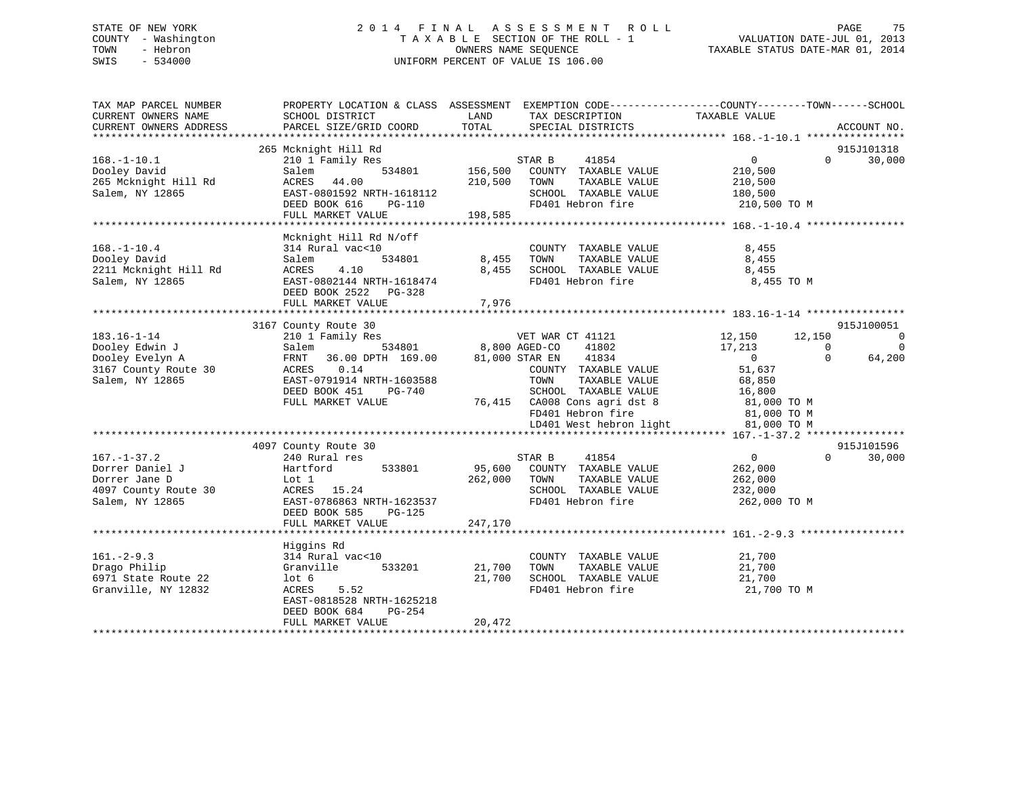# STATE OF NEW YORK 2 0 1 4 F I N A L A S S E S S M E N T R O L L PAGE 75 COUNTY - Washington T A X A B L E SECTION OF THE ROLL - 1 VALUATION DATE-JUL 01, 2013 TOWN - Hebron OWNERS NAME SEQUENCE TAXABLE STATUS DATE-MAR 01, 2014 SWIS - 534000 UNIFORM PERCENT OF VALUE IS 106.00

| TAX MAP PARCEL NUMBER<br>CURRENT OWNERS NAME<br>CURRENT OWNERS ADDRESS | PROPERTY LOCATION & CLASS ASSESSMENT EXEMPTION CODE----------------COUNTY-------TOWN-----SCHOOL<br>SCHOOL DISTRICT<br>PARCEL SIZE/GRID COORD | LAND<br>TOTAL | TAX DESCRIPTION<br>SPECIAL DISTRICTS          | TAXABLE VALUE  |          | ACCOUNT NO. |
|------------------------------------------------------------------------|----------------------------------------------------------------------------------------------------------------------------------------------|---------------|-----------------------------------------------|----------------|----------|-------------|
|                                                                        |                                                                                                                                              |               |                                               |                |          |             |
|                                                                        | 265 Mcknight Hill Rd                                                                                                                         |               |                                               |                |          | 915J101318  |
| $168. - 1 - 10.1$                                                      | 210 1 Family Res                                                                                                                             |               | STAR B<br>41854                               | $\overline{0}$ | $\Omega$ | 30,000      |
| Dooley David                                                           | Salem<br>534801                                                                                                                              | 156,500       | COUNTY TAXABLE VALUE                          | 210,500        |          |             |
| 265 Mcknight Hill Rd                                                   | ACRES<br>44.00                                                                                                                               | 210,500       | TAXABLE VALUE<br>TOWN                         | 210,500        |          |             |
| Salem, NY 12865                                                        | EAST-0801592 NRTH-1618112                                                                                                                    |               | SCHOOL TAXABLE VALUE                          | 180,500        |          |             |
|                                                                        | DEED BOOK 616<br>PG-110                                                                                                                      |               | FD401 Hebron fire                             | 210,500 TO M   |          |             |
|                                                                        | FULL MARKET VALUE                                                                                                                            | 198,585       |                                               |                |          |             |
|                                                                        |                                                                                                                                              |               |                                               |                |          |             |
|                                                                        | Mcknight Hill Rd N/off<br>314 Rural vac<10                                                                                                   |               |                                               | 8,455          |          |             |
| $168. - 1 - 10.4$<br>Dooley David                                      | Salem<br>534801                                                                                                                              | 8,455         | COUNTY TAXABLE VALUE<br>TAXABLE VALUE<br>TOWN | 8,455          |          |             |
| 2211 Mcknight Hill Rd                                                  | ACRES<br>4.10                                                                                                                                | 8,455         | SCHOOL TAXABLE VALUE                          | 8,455          |          |             |
| Salem, NY 12865                                                        | EAST-0802144 NRTH-1618474                                                                                                                    |               | FD401 Hebron fire                             | 8,455 TO M     |          |             |
|                                                                        | DEED BOOK 2522 PG-328                                                                                                                        |               |                                               |                |          |             |
|                                                                        | FULL MARKET VALUE                                                                                                                            | 7,976         |                                               |                |          |             |
|                                                                        |                                                                                                                                              |               |                                               |                |          |             |
|                                                                        | 3167 County Route 30                                                                                                                         |               |                                               |                |          | 915J100051  |
| $183.16 - 1 - 14$                                                      | 210 1 Family Res                                                                                                                             |               | VET WAR CT 41121                              | 12,150         | 12,150   | $\mathbf 0$ |
| Dooley Edwin J                                                         | 534801<br>Salem                                                                                                                              |               | 41802<br>8,800 AGED-CO                        | 17,213         | $\Omega$ | $\Omega$    |
| Dooley Evelyn A                                                        | 36.00 DPTH 169.00<br>FRNT                                                                                                                    |               | 81,000 STAR EN<br>41834                       | $\overline{0}$ | $\Omega$ | 64,200      |
| 3167 County Route 30                                                   | 0.14<br>ACRES                                                                                                                                |               | COUNTY TAXABLE VALUE                          | 51,637         |          |             |
| Salem, NY 12865                                                        | EAST-0791914 NRTH-1603588                                                                                                                    |               | TOWN<br>TAXABLE VALUE                         | 68,850         |          |             |
|                                                                        | DEED BOOK 451<br>PG-740                                                                                                                      |               | SCHOOL TAXABLE VALUE                          | 16,800         |          |             |
|                                                                        | FULL MARKET VALUE                                                                                                                            |               | 76,415 CA008 Cons agri dst 8                  | 81,000 TO M    |          |             |
|                                                                        |                                                                                                                                              |               | FD401 Hebron fire                             | 81,000 TO M    |          |             |
|                                                                        |                                                                                                                                              |               | LD401 West hebron light                       | 81,000 TO M    |          |             |
|                                                                        |                                                                                                                                              |               |                                               |                |          |             |
|                                                                        | 4097 County Route 30                                                                                                                         |               |                                               |                |          | 915J101596  |
| $167. - 1 - 37.2$                                                      | 240 Rural res                                                                                                                                |               | 41854<br>STAR B                               | $\overline{0}$ | $\Omega$ | 30,000      |
| Dorrer Daniel J                                                        | Hartford<br>533801                                                                                                                           | 95,600        | COUNTY TAXABLE VALUE                          | 262,000        |          |             |
| Dorrer Jane D                                                          | Lot 1                                                                                                                                        | 262,000       | TAXABLE VALUE<br>TOWN                         | 262,000        |          |             |
| 4097 County Route 30                                                   | ACRES 15.24                                                                                                                                  |               | SCHOOL TAXABLE VALUE                          | 232,000        |          |             |
| Salem, NY 12865                                                        | EAST-0786863 NRTH-1623537                                                                                                                    |               | FD401 Hebron fire                             | 262,000 TO M   |          |             |
|                                                                        | DEED BOOK 585<br>$PG-125$                                                                                                                    |               |                                               |                |          |             |
|                                                                        | FULL MARKET VALUE                                                                                                                            | 247,170       |                                               |                |          |             |
|                                                                        |                                                                                                                                              |               |                                               |                |          |             |
|                                                                        | Higgins Rd                                                                                                                                   |               |                                               |                |          |             |
| $161. - 2 - 9.3$                                                       | 314 Rural vac<10                                                                                                                             |               | COUNTY TAXABLE VALUE                          | 21,700         |          |             |
| Drago Philip                                                           | Granville<br>533201                                                                                                                          | 21,700        | TOWN<br>TAXABLE VALUE                         | 21,700         |          |             |
| 6971 State Route 22                                                    | $1$ ot 6                                                                                                                                     | 21,700        | SCHOOL TAXABLE VALUE                          | 21,700         |          |             |
| Granville, NY 12832                                                    | 5.52<br>ACRES                                                                                                                                |               | FD401 Hebron fire                             | 21,700 TO M    |          |             |
|                                                                        | EAST-0818528 NRTH-1625218                                                                                                                    |               |                                               |                |          |             |
|                                                                        | PG-254<br>DEED BOOK 684                                                                                                                      |               |                                               |                |          |             |
|                                                                        | FULL MARKET VALUE                                                                                                                            | 20,472        |                                               |                |          |             |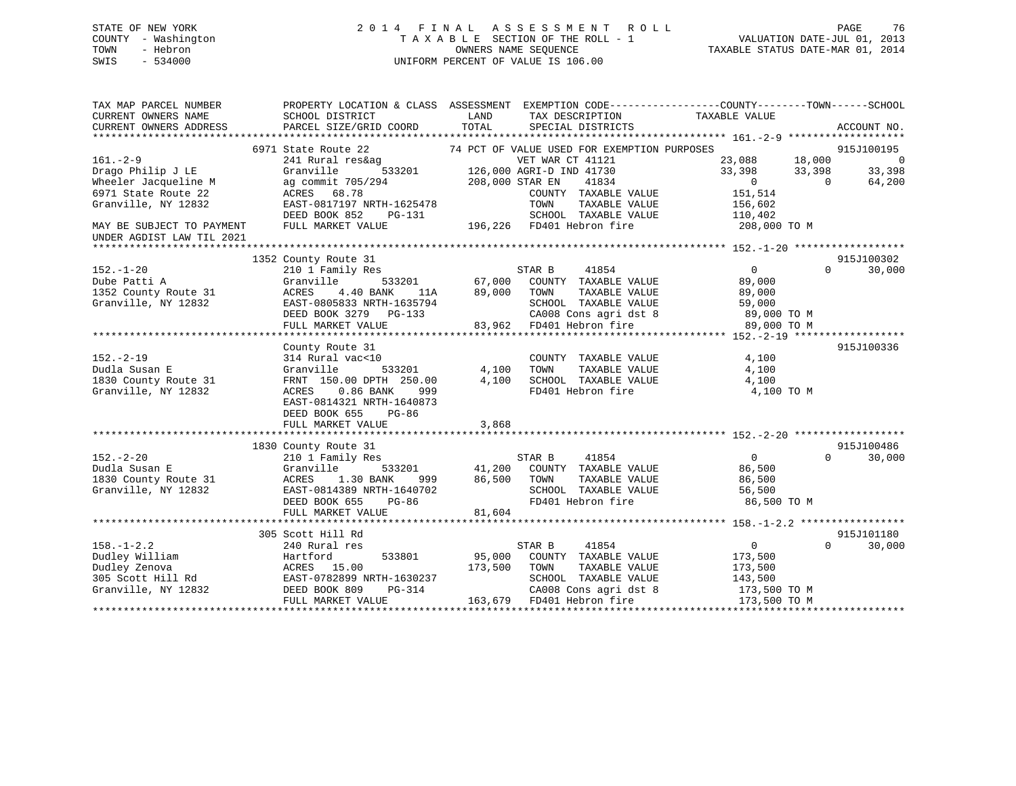# STATE OF NEW YORK 2 0 1 4 F I N A L A S S E S S M E N T R O L L PAGE 76 COUNTY - Washington T A X A B L E SECTION OF THE ROLL - 1 VALUATION DATE-JUL 01, 2013 TOWN - Hebron OWNERS NAME SEQUENCE TAXABLE STATUS DATE-MAR 01, 2014 SWIS - 534000 UNIFORM PERCENT OF VALUE IS 106.00

| TAX MAP PARCEL NUMBER<br>CURRENT OWNERS NAME<br>CURRENT OWNERS ADDRESS                                                                                              | PROPERTY LOCATION & CLASS ASSESSMENT EXEMPTION CODE----------------COUNTY-------TOWN------SCHOOL<br>SCHOOL DISTRICT<br>PARCEL SIZE/GRID COORD                                                    | LAND<br>TOTAL           | TAX DESCRIPTION TAXABLE VALUE<br>SPECIAL DISTRICTS                                                                                                                                                                                                                                    |                                                                                     | ACCOUNT NO.                                                        |
|---------------------------------------------------------------------------------------------------------------------------------------------------------------------|--------------------------------------------------------------------------------------------------------------------------------------------------------------------------------------------------|-------------------------|---------------------------------------------------------------------------------------------------------------------------------------------------------------------------------------------------------------------------------------------------------------------------------------|-------------------------------------------------------------------------------------|--------------------------------------------------------------------|
| $161. - 2 - 9$<br>Drago Philip J LE<br>Wheeler Jacqueline M<br>6971 State Route 22<br>Granville, NY 12832<br>MAY BE SUBJECT TO PAYMENT<br>UNDER AGDIST LAW TIL 2021 | 6971 State Route 22<br>241 Rural res&ag<br>Granville<br>ag commit 705/294<br>ACRES 68.78<br>EAST-0817197 NRTH-1625478<br>DEED BOOK 852<br>PG-131<br>FULL MARKET VALUE                            |                         | 74 PCT OF VALUE USED FOR EXEMPTION PURPOSES<br>VET WAR CT 41121<br>3<br>533201 126,000 AGRI-D IND 41730<br>94 208,000 STAR EN 41834<br>41834<br>COUNTY TAXABLE VALUE<br>TOWN<br>TAXABLE VALUE<br>SCHOOL TAXABLE VALUE 110,402<br>3-131 SCHOOL TAXABLE VA<br>196,226 FD401 Hebron fire | 23,088 18,000<br>33,398<br>33,398<br>$\sim$ 0<br>151,514<br>156,602<br>208,000 TO M | 915J100195<br>$\overline{0}$<br>33,398<br>$\overline{0}$<br>64,200 |
| $152. - 1 - 20$<br>Dube Patti A<br>1352 County Route 31<br>Granville, NY 12832                                                                                      | 1352 County Route 31<br>210 1 Family Res<br>Granville<br>11A<br>4.40 BANK<br>ACRES<br>EAST-0805833 NRTH-1635794<br>DEED BOOK 3279 PG-133<br>FULL MARKET VALUE                                    | 89,000 TOWN             | <sup>3</sup><br>533201 67,000 COUNTY TAXABLE VALUE<br>TAXABLE VALUE<br>635794 SCHOOL TAXABLE VALUE 59,000<br>-133 CA008 Cons agri dst 8 89,000 TO M<br>83,962 FD401 Hebron fire 89,000 TO M                                                                                           | $\overline{0}$<br>89,000<br>89,000                                                  | 915J100302<br>$\Omega$<br>30,000                                   |
| $152 - 2 - 19$<br>Dudla Susan E<br>1830 County Route 31<br>Granville, NY 12832                                                                                      | County Route 31<br>314 Rural vac<10<br>533201<br>Granville<br>FRNT 150.00 DPTH 250.00<br>ACRES 0.86 BANK<br>999<br>EAST-0814321 NRTH-1640873<br>DEED BOOK 655<br>PG-86<br>FULL MARKET VALUE      | 4,100<br>4,100<br>3,868 | COUNTY TAXABLE VALUE<br>TOWN      TAXABLE VALUE<br>SCHOOL TAXABLE VALUE<br>FD401 Hebron fire                                                                                                                                                                                          | 4,100<br>4,100<br>4,100<br>4,100 TO M                                               | 915J100336                                                         |
| $152 - 2 - 20$<br>Dudla Susan E<br>1830 County Route 31 ACRES<br>Granville, NY 12832                                                                                | 1830 County Route 31<br>210 1 Family Res<br>Granville<br>1.30 BANK<br>999<br>EAST-0814389 NRTH-1640702<br>DEED BOOK 655<br>PG-86<br>FULL MARKET VALUE                                            | 86,500 TOWN<br>81,604   | TAXABLE VALUE<br>SCHOOL TAXABLE VALUE<br>FD401 Hebron fire                                                                                                                                                                                                                            | $\overline{0}$<br>86,500<br>86,500<br>56,500<br>86,500 TO M                         | 915J100486<br>$\Omega$<br>30,000                                   |
| $158. - 1 - 2.2$<br>Dudley William<br>Granville, NY 12832                                                                                                           | 305 Scott Hill Rd<br>240 Rural res<br>533801<br>Hartford<br>Dudley Zenova<br>305 Scott Hill Rd<br>305 Scott Hill Rd<br>EAST-0782899 NRTH-1630237<br>DEED BOOK 809<br>PG-314<br>FULL MARKET VALUE | 173,500                 | STAR B<br>41854<br>95,000 COUNTY TAXABLE VALUE<br>TOWN<br>TAXABLE VALUE<br>SCHOOL TAXABLE VALUE<br>CA008 Cons agri dst 8<br>163,679 FD401 Hebron fire                                                                                                                                 | $\overline{0}$<br>173,500<br>173,500<br>143,500<br>173,500 TO M<br>173,500 TO M     | 915J101180<br>$\Omega$<br>30,000                                   |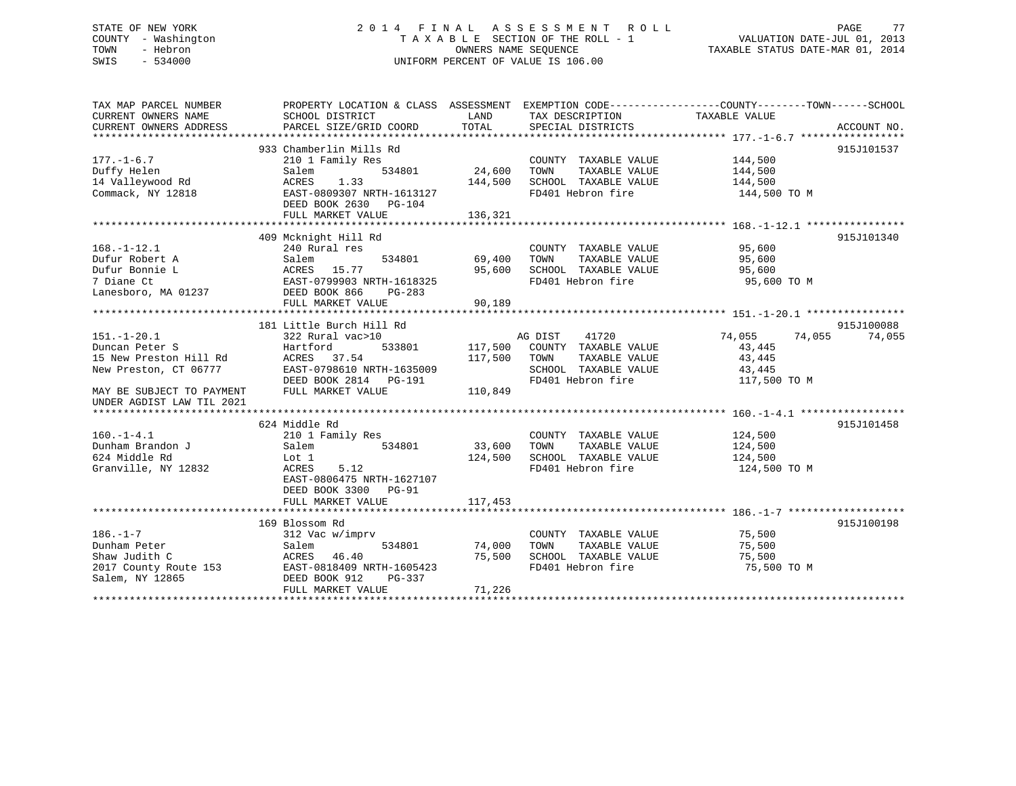# STATE OF NEW YORK 2 0 1 4 F I N A L A S S E S S M E N T R O L L PAGE 77 COUNTY - Washington T A X A B L E SECTION OF THE ROLL - 1 VALUATION DATE-JUL 01, 2013 TOWN - Hebron **CONNERS NAME SEQUENCE** TAXABLE STATUS DATE-MAR 01, 2014 SWIS - 534000 UNIFORM PERCENT OF VALUE IS 106.00

| TAX MAP PARCEL NUMBER<br>CURRENT OWNERS NAME<br>CURRENT OWNERS ADDRESS | SCHOOL DISTRICT<br>PARCEL SIZE/GRID COORD | LAND<br>TOTAL | TAX DESCRIPTION<br>SPECIAL DISTRICTS          | PROPERTY LOCATION & CLASS ASSESSMENT EXEMPTION CODE---------------COUNTY-------TOWN-----SCHOOL<br>TAXABLE VALUE<br>ACCOUNT NO. |  |
|------------------------------------------------------------------------|-------------------------------------------|---------------|-----------------------------------------------|--------------------------------------------------------------------------------------------------------------------------------|--|
|                                                                        |                                           |               |                                               |                                                                                                                                |  |
|                                                                        | 933 Chamberlin Mills Rd                   |               |                                               | 915J101537                                                                                                                     |  |
| $177. - 1 - 6.7$                                                       | 210 1 Family Res                          |               | COUNTY TAXABLE VALUE                          | 144,500                                                                                                                        |  |
| Duffy Helen                                                            | 534801<br>Salem                           | 24,600        | TAXABLE VALUE<br>TOWN                         | 144,500                                                                                                                        |  |
| 14 Valleywood Rd                                                       | ACRES<br>1.33                             | 144,500       | SCHOOL TAXABLE VALUE                          | 144,500                                                                                                                        |  |
| Commack, NY 12818                                                      | EAST-0809307 NRTH-1613127                 |               | FD401 Hebron fire                             | 144,500 TO M                                                                                                                   |  |
|                                                                        | DEED BOOK 2630<br>PG-104                  |               |                                               |                                                                                                                                |  |
|                                                                        | FULL MARKET VALUE                         | 136,321       |                                               |                                                                                                                                |  |
|                                                                        |                                           |               |                                               |                                                                                                                                |  |
|                                                                        | 409 Mcknight Hill Rd                      |               |                                               | 915J101340                                                                                                                     |  |
| $168. - 1 - 12.1$                                                      | 240 Rural res                             |               | COUNTY TAXABLE VALUE                          | 95,600                                                                                                                         |  |
| Dufur Robert A                                                         | Salem<br>534801                           | 69,400        | TOWN<br>TAXABLE VALUE                         | 95,600                                                                                                                         |  |
| Dufur Bonnie L                                                         | ACRES 15.77                               | 95,600        | SCHOOL TAXABLE VALUE                          | 95,600                                                                                                                         |  |
| 7 Diane Ct                                                             | EAST-0799903 NRTH-1618325                 |               | FD401 Hebron fire                             | 95,600 TO M                                                                                                                    |  |
| Lanesboro, MA 01237                                                    | DEED BOOK 866<br>$PG-283$                 |               |                                               |                                                                                                                                |  |
|                                                                        | FULL MARKET VALUE                         | 90,189        |                                               |                                                                                                                                |  |
|                                                                        |                                           |               |                                               |                                                                                                                                |  |
|                                                                        | 181 Little Burch Hill Rd                  |               |                                               | 915J100088                                                                                                                     |  |
| $151. - 1 - 20.1$                                                      | 322 Rural vac>10                          |               | 41720<br>AG DIST                              | 74,055<br>74,055<br>74,055                                                                                                     |  |
| Duncan Peter S                                                         | Hartford<br>533801                        | 117,500       | COUNTY TAXABLE VALUE                          | 43,445                                                                                                                         |  |
| 15 New Preston Hill Rd                                                 | ACRES 37.54                               | 117,500       | TOWN<br>TAXABLE VALUE                         | 43,445                                                                                                                         |  |
| New Preston, CT 06777                                                  | EAST-0798610 NRTH-1635009                 |               | SCHOOL TAXABLE VALUE                          | 43,445                                                                                                                         |  |
|                                                                        | DEED BOOK 2814 PG-191                     |               | FD401 Hebron fire                             | 117,500 TO M                                                                                                                   |  |
| MAY BE SUBJECT TO PAYMENT                                              | FULL MARKET VALUE                         | 110,849       |                                               |                                                                                                                                |  |
| UNDER AGDIST LAW TIL 2021                                              |                                           |               |                                               |                                                                                                                                |  |
|                                                                        |                                           |               |                                               |                                                                                                                                |  |
|                                                                        | 624 Middle Rd                             |               |                                               | 915J101458                                                                                                                     |  |
| $160.-1-4.1$                                                           | 210 1 Family Res                          |               | COUNTY TAXABLE VALUE                          | 124,500                                                                                                                        |  |
| Dunham Brandon J                                                       | 534801<br>Salem                           | 33,600        | TAXABLE VALUE<br>TOWN                         | 124,500                                                                                                                        |  |
| 624 Middle Rd                                                          | Lot 1                                     | 124,500       | SCHOOL TAXABLE VALUE                          | 124,500                                                                                                                        |  |
| Granville, NY 12832                                                    | 5.12<br>ACRES                             |               | FD401 Hebron fire                             | 124,500 TO M                                                                                                                   |  |
|                                                                        | EAST-0806475 NRTH-1627107                 |               |                                               |                                                                                                                                |  |
|                                                                        | DEED BOOK 3300<br>PG-91                   | 117,453       |                                               |                                                                                                                                |  |
|                                                                        | FULL MARKET VALUE                         |               |                                               |                                                                                                                                |  |
|                                                                        | 169 Blossom Rd                            |               |                                               | 915J100198                                                                                                                     |  |
| $186. - 1 - 7$                                                         |                                           |               |                                               |                                                                                                                                |  |
| Dunham Peter                                                           | 312 Vac w/imprv<br>534801<br>Salem        | 74,000        | COUNTY TAXABLE VALUE<br>TAXABLE VALUE<br>TOWN | 75,500<br>75,500                                                                                                               |  |
| Shaw Judith C                                                          | ACRES 46.40                               | 75,500        | SCHOOL TAXABLE VALUE                          | 75,500                                                                                                                         |  |
| 2017 County Route 153                                                  | EAST-0818409 NRTH-1605423                 |               | FD401 Hebron fire                             | 75,500 TO M                                                                                                                    |  |
| Salem, NY 12865                                                        | DEED BOOK 912<br>PG-337                   |               |                                               |                                                                                                                                |  |
|                                                                        | FULL MARKET VALUE                         | 71,226        |                                               |                                                                                                                                |  |
|                                                                        |                                           |               |                                               |                                                                                                                                |  |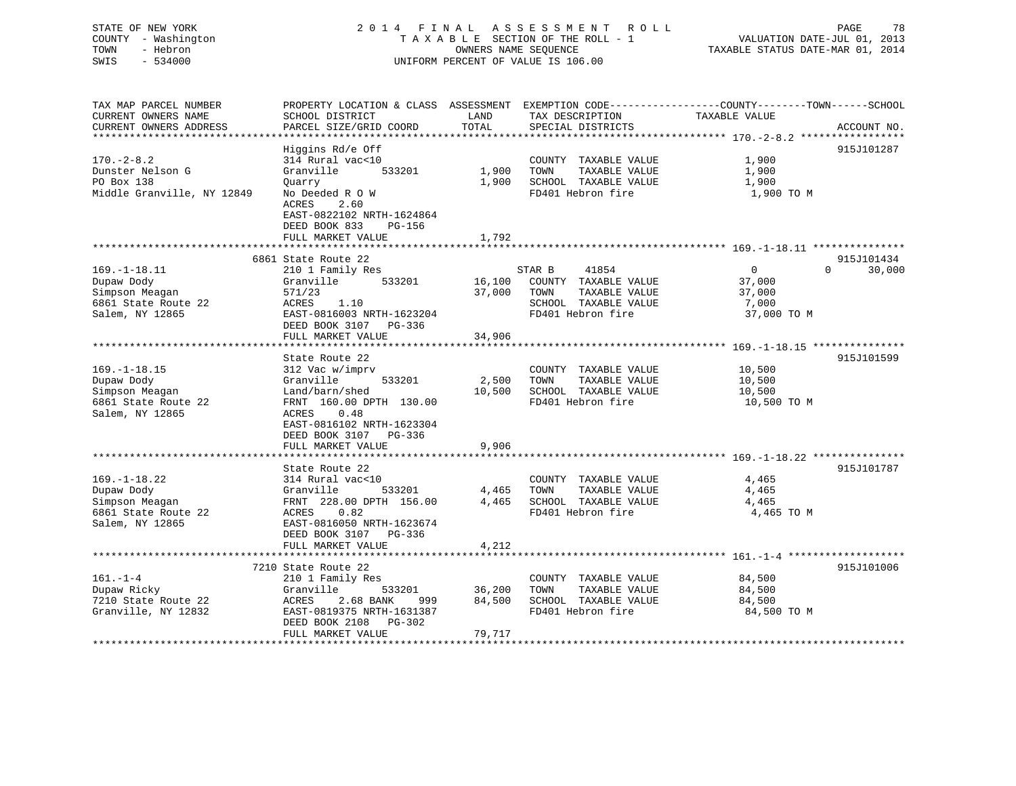## STATE OF NEW YORK 2 0 1 4 F I N A L A S S E S S M E N T R O L L PAGE 78 COUNTY - Washington T A X A B L E SECTION OF THE ROLL - 1 VALUATION DATE-JUL 01, 2013 TOWN - Hebron OWNERS NAME SEQUENCE TAXABLE STATUS DATE-MAR 01, 2014 SWIS - 534000 UNIFORM PERCENT OF VALUE IS 106.00

TAX MAP PARCEL NUMBER PROPERTY LOCATION & CLASS ASSESSMENT EXEMPTION CODE------------------COUNTY--------TOWN------SCHOOL

CURRENT OWNERS NAME SCHOOL DISTRICT THE LAND TAX DESCRIPTION TAXABLE VALUE

CURRENT OWNERS ADDRESS PARCEL SIZE/GRID COORD TOTAL SPECIAL DISTRICTS ACCOUNT NO. \*\*\*\*\*\*\*\*\*\*\*\*\*\*\*\*\*\*\*\*\*\*\*\*\*\*\*\*\*\*\*\*\*\*\*\*\*\*\*\*\*\*\*\*\*\*\*\*\*\*\*\*\*\*\*\*\*\*\*\*\*\*\*\*\*\*\*\*\*\*\*\*\*\*\*\*\*\*\*\*\*\*\*\*\*\*\*\*\*\*\*\*\*\*\*\*\*\*\*\*\*\*\* 170.-2-8.2 \*\*\*\*\*\*\*\*\*\*\*\*\*\*\*\*\*Higgins Rd/e Off 915J101287 170.-2-8.2 314 Rural vac<10 COUNTY TAXABLE VALUE 1,900 Dunster Nelson G Granville 533201 1,900 TOWN TAXABLE VALUE 1,900 PO Box 138 Quarry 1,900 SCHOOL TAXABLE VALUE 1,900 Middle Granville, NY 12849 No Deeded R O W FD401 Hebron fire 31,900 TO M ACRES 2.60 EAST-0822102 NRTH-1624864 DEED BOOK 833 PG-156FULL MARKET VALUE 1,792 \*\*\*\*\*\*\*\*\*\*\*\*\*\*\*\*\*\*\*\*\*\*\*\*\*\*\*\*\*\*\*\*\*\*\*\*\*\*\*\*\*\*\*\*\*\*\*\*\*\*\*\*\*\*\*\*\*\*\*\*\*\*\*\*\*\*\*\*\*\*\*\*\*\*\*\*\*\*\*\*\*\*\*\*\*\*\*\*\*\*\*\*\*\*\*\*\*\*\*\*\*\*\* 169.-1-18.11 \*\*\*\*\*\*\*\*\*\*\*\*\*\*\* 6861 State Route 22 915J101434 $0 \t30.000$ 169.-1-18.11 210 1 Family Res STAR B 41854 0 0 30,000 Dupaw Dody Granville 533201 16,100 COUNTY TAXABLE VALUE 37,000 Simpson Meagan 571/23 37,000 TOWN TAXABLE VALUE 37,000 6861 State Route 22 ACRES 1.10 SCHOOL TAXABLE VALUE 7,000 Salem, NY 12865 **EAST-0816003 NRTH-1623204** FD401 Hebron fire 37,000 TO M DEED BOOK 3107 PG-336 FULL MARKET VALUE 34,906 \*\*\*\*\*\*\*\*\*\*\*\*\*\*\*\*\*\*\*\*\*\*\*\*\*\*\*\*\*\*\*\*\*\*\*\*\*\*\*\*\*\*\*\*\*\*\*\*\*\*\*\*\*\*\*\*\*\*\*\*\*\*\*\*\*\*\*\*\*\*\*\*\*\*\*\*\*\*\*\*\*\*\*\*\*\*\*\*\*\*\*\*\*\*\*\*\*\*\*\*\*\*\* 169.-1-18.15 \*\*\*\*\*\*\*\*\*\*\*\*\*\*\*State Route 22 915J101599 169.-1-18.15 312 Vac w/imprv COUNTY TAXABLE VALUE 10,500 Dupaw Dody Granville 533201 2,500 TOWN TAXABLE VALUE 10,500 Simpson Meagan Land/barn/shed 10,500 SCHOOL TAXABLE VALUE 10,500 6861 State Route 22 FRNT 160.00 DPTH 130.00 FD401 Hebron fire 10,500 TO M Salem, NY 12865 (2008) ACRES (2008) 848 EAST-0816102 NRTH-1623304 DEED BOOK 3107 PG-336FULL MARKET VALUE 9,906 \*\*\*\*\*\*\*\*\*\*\*\*\*\*\*\*\*\*\*\*\*\*\*\*\*\*\*\*\*\*\*\*\*\*\*\*\*\*\*\*\*\*\*\*\*\*\*\*\*\*\*\*\*\*\*\*\*\*\*\*\*\*\*\*\*\*\*\*\*\*\*\*\*\*\*\*\*\*\*\*\*\*\*\*\*\*\*\*\*\*\*\*\*\*\*\*\*\*\*\*\*\*\* 169.-1-18.22 \*\*\*\*\*\*\*\*\*\*\*\*\*\*\*State Route 22 915J101787 169.-1-18.22 314 Rural vac<10 COUNTY TAXABLE VALUE 4,465 Dupaw Dody Granville 533201 4,465 TOWN TAXABLE VALUE 4,465 Simpson Meagan FRNT 228.00 DPTH 156.00 4,465 SCHOOL TAXABLE VALUE 4,465 6861 State Route 22 ACRES 0.82 FD401 Hebron fire 4,465 TO M Salem, NY 12865 EAST-0816050 NRTH-1623674 DEED BOOK 3107 PG-336FULL MARKET VALUE 4,212

\*\*\*\*\*\*\*\*\*\*\*\*\*\*\*\*\*\*\*\*\*\*\*\*\*\*\*\*\*\*\*\*\*\*\*\*\*\*\*\*\*\*\*\*\*\*\*\*\*\*\*\*\*\*\*\*\*\*\*\*\*\*\*\*\*\*\*\*\*\*\*\*\*\*\*\*\*\*\*\*\*\*\*\*\*\*\*\*\*\*\*\*\*\*\*\*\*\*\*\*\*\*\* 161.-1-4 \*\*\*\*\*\*\*\*\*\*\*\*\*\*\*\*\*\*\* 7210 State Route 22 915J101006161.-1-4 210 1 Family Res COUNTY TAXABLE VALUE 84,500 Dupaw Ricky Granville 533201 36,200 TOWN TAXABLE VALUE 84,500 7210 State Route 22 ACRES 2.68 BANK 999 84,500 SCHOOL TAXABLE VALUE 84,500 Granville, NY 12832 **EAST-0819375 NRTH-1631387** FD401 Hebron fire 84,500 TO M DEED BOOK 2108 PG-302FULL MARKET VALUE 79,717 \*\*\*\*\*\*\*\*\*\*\*\*\*\*\*\*\*\*\*\*\*\*\*\*\*\*\*\*\*\*\*\*\*\*\*\*\*\*\*\*\*\*\*\*\*\*\*\*\*\*\*\*\*\*\*\*\*\*\*\*\*\*\*\*\*\*\*\*\*\*\*\*\*\*\*\*\*\*\*\*\*\*\*\*\*\*\*\*\*\*\*\*\*\*\*\*\*\*\*\*\*\*\*\*\*\*\*\*\*\*\*\*\*\*\*\*\*\*\*\*\*\*\*\*\*\*\*\*\*\*\*\*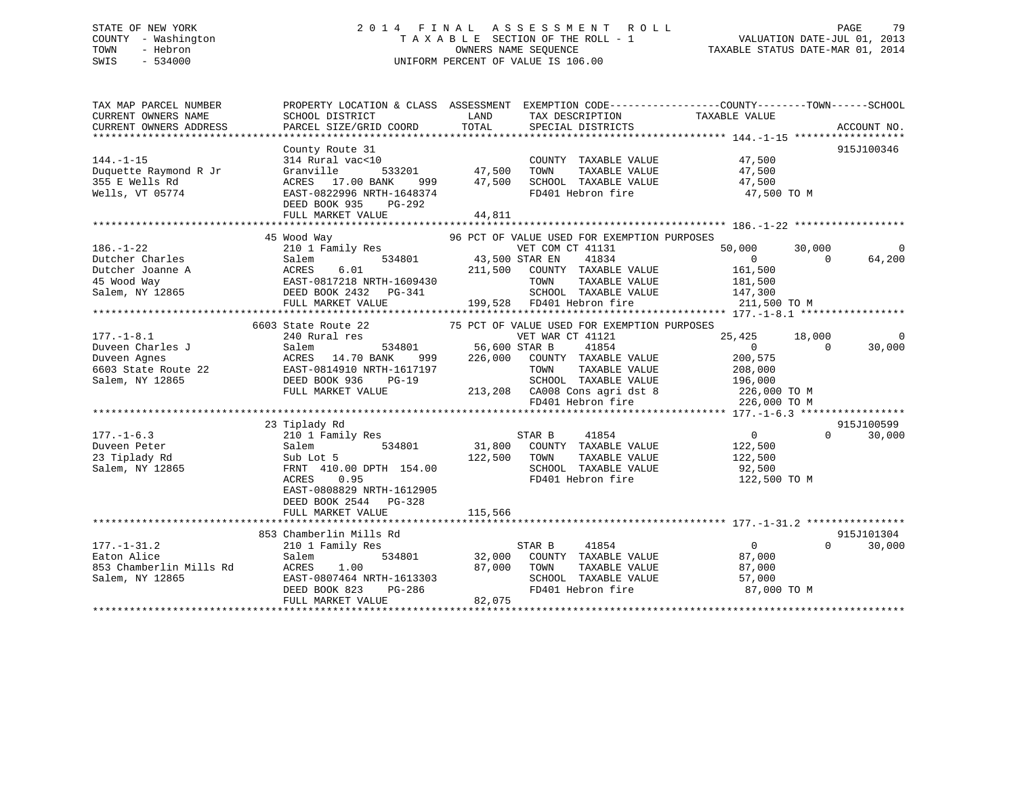# STATE OF NEW YORK 2 0 1 4 F I N A L A S S E S S M E N T R O L L PAGE 79 COUNTY - Washington T A X A B L E SECTION OF THE ROLL - 1 VALUATION DATE-JUL 01, 2013 TOWN - Hebron **CONNERS NAME SEQUENCE** TAXABLE STATUS DATE-MAR 01, 2014 SWIS - 534000 UNIFORM PERCENT OF VALUE IS 106.00

| TAX MAP PARCEL NUMBER<br>CURRENT OWNERS NAME<br>CURRENT OWNERS ADDRESS                                                                                                                                                                 | PROPERTY LOCATION & CLASS ASSESSMENT EXEMPTION CODE---------------COUNTY-------TOWN-----SCHOOL<br>SCHOOL DISTRICT<br>PARCEL SIZE/GRID COORD                                                                                          | LAND<br>TOTAL           | TAX DESCRIPTION TAXABLE VALUE<br>SPECIAL DISTRICTS                                                                                                                                                                     |                                                                         |                      | ACCOUNT NO.                         |
|----------------------------------------------------------------------------------------------------------------------------------------------------------------------------------------------------------------------------------------|--------------------------------------------------------------------------------------------------------------------------------------------------------------------------------------------------------------------------------------|-------------------------|------------------------------------------------------------------------------------------------------------------------------------------------------------------------------------------------------------------------|-------------------------------------------------------------------------|----------------------|-------------------------------------|
| $144. - 1 - 15$<br>Duquette Raymond R Jr<br>355 E Wells Rd<br>Wells, VT 05774                                                                                                                                                          | County Route 31<br>314 Rural vac<10<br>Granville<br>ACRES 17.00 BANK<br>EAST-0822996 NRTH-1648374<br>DEED BOOK 935 PG-292<br>FULL MARKET VALUE                                                                                       | 44,811                  | COUNTY TAXABLE VALUE<br>TAXABLE VALUE<br>999 47,500 SCHOOL TAXABLE VALUE 47,500<br>FD401 Hebron fire                                                                                                                   | 47,500<br>47,500<br>47,500 TO M                                         |                      | 915J100346                          |
|                                                                                                                                                                                                                                        |                                                                                                                                                                                                                                      |                         |                                                                                                                                                                                                                        |                                                                         |                      |                                     |
| $186. - 1 - 22$<br>186.-1-22 210 1 Family Res<br>Dutcher Charles Salem 534801 43,500<br>Dutcher Joanne A ACRES 6.01 211,500<br>45 Wood Way EAST-0817218 NRTH-1609430<br>Salem, NY 12865 DEED BOOK 2432 PG-341<br>HERE BOOK 2432 PG-341 | 45 Wood Way<br>$\begin{tabular}{llllll} \bf 210 & 1 & Family \bf \; Res & & \tt VET\; COM \\ \bf 534801 & & \tt 43,500 \; \; STR \; \; EN \\ \end{tabular}$<br>FULL MARKET VALUE                                                     |                         | 96 PCT OF VALUE USED FOR EXEMPTION PURPOSES<br>VET COM CT 41131<br>41834<br>COUNTY TAXABLE VALUE<br>TAXABLE VALUE<br>TOWN<br>SCHOOL TAXABLE VALUE 147,300<br>199,528 FD401 Hebron fire                                 | 50,000<br>$\overline{0}$<br>161,500<br>181,500<br>211,500 TO M          | 30,000<br>$\bigcap$  | 64,200                              |
|                                                                                                                                                                                                                                        |                                                                                                                                                                                                                                      |                         |                                                                                                                                                                                                                        |                                                                         |                      |                                     |
|                                                                                                                                                                                                                                        |                                                                                                                                                                                                                                      |                         | 75 PCT OF VALUE USED FOR EXEMPTION PURPOSES                                                                                                                                                                            |                                                                         |                      |                                     |
| $177. - 1 - 8.1$<br>Duveen Charles J<br>Duveen Agnes<br>6603 State Route 22<br>Salem, NY 12865<br>$177. - 1 - 6.3$                                                                                                                     | 6603 State Route 22<br>240 Rural res<br>534801 56,600 STAR B<br>Salem<br>ACRES 14.70 BANK<br>ACRES 14.70 BANK 999<br>EAST-0814910 NRTH-1617197<br>DEED BOOK 936<br>$PG-19$<br>FULL MARKET VALUE<br>23 Tiplady Rd<br>210 1 Family Res |                         | VET WAR CT 41121<br>41854<br>999 226,000 COUNTY TAXABLE VALUE<br>TAXABLE VALUE<br>TOWN<br>SCHOOL TAXABLE VALUE 196,000<br>213,208 CA008 Cons agri dst 8 226,000 TO M<br>FD401 Hebron fire 226,000 TO M<br>STAR B 41854 | 25,425 18,000<br>$\overline{0}$<br>200,575<br>208,000<br>$\overline{0}$ | $\Omega$<br>$\Omega$ | 0<br>30,000<br>915J100599<br>30,000 |
| Duveen Peter<br>23 Tiplady Rd<br>Salem, NY 12865                                                                                                                                                                                       | 534801<br>Salem<br>Sub Lot 5<br>FRNT 410.00 DPTH 154.00<br>ACRES<br>0.95<br>EAST-0808829 NRTH-1612905<br>DEED BOOK 2544 PG-328<br>FULL MARKET VALUE                                                                                  | 122,500 TOWN<br>115,566 | 31,800 COUNTY TAXABLE VALUE<br>TAXABLE VALUE<br>SCHOOL TAXABLE VALUE 92,500<br>FD401 Hebron fire 122,500 TO M                                                                                                          | 122,500<br>122,500                                                      |                      |                                     |
|                                                                                                                                                                                                                                        |                                                                                                                                                                                                                                      |                         |                                                                                                                                                                                                                        |                                                                         |                      |                                     |
| $177. - 1 - 31.2$<br>Eaton Alice<br>853 Chamberlin Mills Rd<br>Salem, NY 12865                                                                                                                                                         | 853 Chamberlin Mills Rd<br>210 1 Family Res<br>Salem<br>ACRES 1.00 87,000<br>EAST-0807464 NRTH-1613303<br>DEED BOOK 823 PG-286<br>FULL MARKET VALUE                                                                                  | 82,075                  | STAR B<br>41854<br>534801 32,000 COUNTY TAXABLE VALUE<br>87,000 TOWN<br>TOWN TAXABLE VALUE<br>SCHOOL TAXABLE VALUE<br>FD401 Hebron fire                                                                                | $\overline{0}$<br>87,000<br>87,000<br>57,000<br>87,000 TO M             |                      | 915J101304<br>$\Omega$<br>30,000    |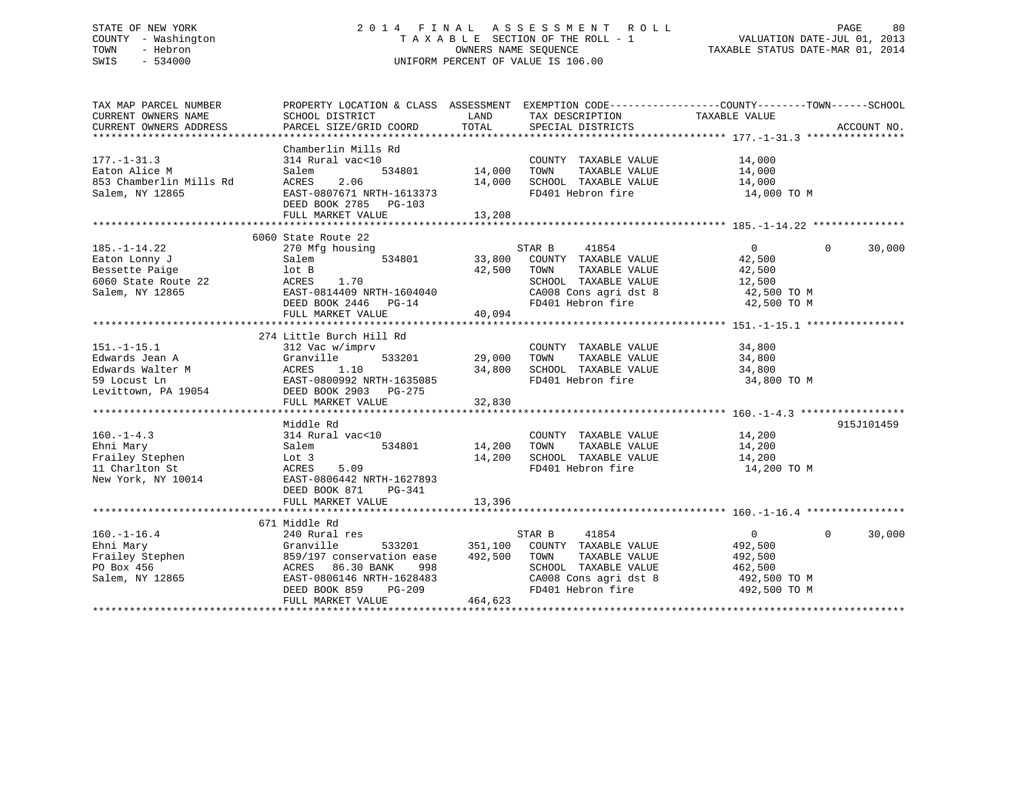# STATE OF NEW YORK 2 0 1 4 F I N A L A S S E S S M E N T R O L L PAGE 80 COUNTY - Washington T A X A B L E SECTION OF THE ROLL - 1 VALUATION DATE-JUL 01, 2013 TOWN - Hebron OWNERS NAME SEQUENCE TAXABLE STATUS DATE-MAR 01, 2014 SWIS - 534000 UNIFORM PERCENT OF VALUE IS 106.00

TAX MAP PARCEL NUMBER PROPERTY LOCATION & CLASS ASSESSMENT EXEMPTION CODE------------------COUNTY--------TOWN------SCHOOL CURRENT OWNERS NAME SCHOOL DISTRICT THE LAND TAX DESCRIPTION TAXABLE VALUE CURRENT OWNERS ADDRESS PARCEL SIZE/GRID COORD TOTAL SPECIAL DISTRICTS ACCOUNT NO. \*\*\*\*\*\*\*\*\*\*\*\*\*\*\*\*\*\*\*\*\*\*\*\*\*\*\*\*\*\*\*\*\*\*\*\*\*\*\*\*\*\*\*\*\*\*\*\*\*\*\*\*\*\*\*\*\*\*\*\*\*\*\*\*\*\*\*\*\*\*\*\*\*\*\*\*\*\*\*\*\*\*\*\*\*\*\*\*\*\*\*\*\*\*\*\*\*\*\*\*\*\*\* 177.-1-31.3 \*\*\*\*\*\*\*\*\*\*\*\*\*\*\*\* Chamberlin Mills Rd177.-1-31.3 314 Rural vac<10 COUNTY TAXABLE VALUE 14,000 Eaton Alice M Salem 534801 14,000 TOWN TAXABLE VALUE 14,000 853 Chamberlin Mills Rd ACRES 2.06 14,000 SCHOOL TAXABLE VALUE 14,000 Salem, NY 12865 EAST-0807671 NRTH-1613373 FD401 Hebron fire 14,000 TO M DEED BOOK 2785 PG-103 FULL MARKET VALUE 13,208 \*\*\*\*\*\*\*\*\*\*\*\*\*\*\*\*\*\*\*\*\*\*\*\*\*\*\*\*\*\*\*\*\*\*\*\*\*\*\*\*\*\*\*\*\*\*\*\*\*\*\*\*\*\*\*\*\*\*\*\*\*\*\*\*\*\*\*\*\*\*\*\*\*\*\*\*\*\*\*\*\*\*\*\*\*\*\*\*\*\*\*\*\*\*\*\*\*\*\*\*\*\*\* 185.-1-14.22 \*\*\*\*\*\*\*\*\*\*\*\*\*\*\* 6060 State Route 22185.-1-14.22 270 Mfg housing STAR B 41854 0 0 30,000 Eaton Lonny J Salem 534801 33,800 COUNTY TAXABLE VALUE 42,500 Bessette Paige lot B 42,500 TOWN TAXABLE VALUE 42,500 6060 State Route 22 ACRES 1.70 SCHOOL TAXABLE VALUE 12,500 Salem, NY 12865 EAST-0814409 NRTH-1604040 CA008 Cons agri dst 8 42,500 TO M DEED BOOK 2446 PG-14 FD401 Hebron fire 42,500 TO M FULL MARKET VALUE 40,094 \*\*\*\*\*\*\*\*\*\*\*\*\*\*\*\*\*\*\*\*\*\*\*\*\*\*\*\*\*\*\*\*\*\*\*\*\*\*\*\*\*\*\*\*\*\*\*\*\*\*\*\*\*\*\*\*\*\*\*\*\*\*\*\*\*\*\*\*\*\*\*\*\*\*\*\*\*\*\*\*\*\*\*\*\*\*\*\*\*\*\*\*\*\*\*\*\*\*\*\*\*\*\* 151.-1-15.1 \*\*\*\*\*\*\*\*\*\*\*\*\*\*\*\* 274 Little Burch Hill Rd 151.-1-15.1 312 Vac w/imprv COUNTY TAXABLE VALUE 34,800 Edwards Jean A Granville 533201 29,000 TOWN TAXABLE VALUE 34,800 Edwards Walter M ACRES 1.10 34,800 SCHOOL TAXABLE VALUE 34,800 59 Locust Ln EAST-0800992 NRTH-1635085 FD401 Hebron fire 34,800 TO M Levittown, PA 19054 **DEED BOOK 2903** PG-275 FULL MARKET VALUE 32,830 \*\*\*\*\*\*\*\*\*\*\*\*\*\*\*\*\*\*\*\*\*\*\*\*\*\*\*\*\*\*\*\*\*\*\*\*\*\*\*\*\*\*\*\*\*\*\*\*\*\*\*\*\*\*\*\*\*\*\*\*\*\*\*\*\*\*\*\*\*\*\*\*\*\*\*\*\*\*\*\*\*\*\*\*\*\*\*\*\*\*\*\*\*\*\*\*\*\*\*\*\*\*\* 160.-1-4.3 \*\*\*\*\*\*\*\*\*\*\*\*\*\*\*\*\* Middle Rd 915J101459160.-1-4.3 314 Rural vac<10 COUNTY TAXABLE VALUE 14,200 Ehni Mary Salem 534801 14,200 TOWN TAXABLE VALUE 14,200 Frailey Stephen 14,200 Lot 3 14,200 SCHOOL TAXABLE VALUE 14,200 11 Charlton St ACRES 5.09 FD401 Hebron fire 14,200 TO M New York, NY 10014 EAST-0806442 NRTH-1627893 DEED BOOK 871 PG-341FULL MARKET VALUE 13,396 \*\*\*\*\*\*\*\*\*\*\*\*\*\*\*\*\*\*\*\*\*\*\*\*\*\*\*\*\*\*\*\*\*\*\*\*\*\*\*\*\*\*\*\*\*\*\*\*\*\*\*\*\*\*\*\*\*\*\*\*\*\*\*\*\*\*\*\*\*\*\*\*\*\*\*\*\*\*\*\*\*\*\*\*\*\*\*\*\*\*\*\*\*\*\*\*\*\*\*\*\*\*\* 160.-1-16.4 \*\*\*\*\*\*\*\*\*\*\*\*\*\*\*\* 671 Middle Rd240 Rural res 160.-1-16.4 240 Rural res STAR B 41854 0 0 30,000 Ehni Mary Granville 533201 351,100 COUNTY TAXABLE VALUE 492,500 Frailey Stephen 859/197 conservation ease 492,500 TOWN TAXABLE VALUE 492,500 PO Box 456 ACRES 86.30 BANK 998 SCHOOL TAXABLE VALUE 462,500 Salem, NY 12865 EAST-0806146 NRTH-1628483 CA008 Cons agri dst 8 492,500 TO M DEED BOOK 859 PG-209 FD401 Hebron fire 492,500 TO M FULL MARKET VALUE 464,623 \*\*\*\*\*\*\*\*\*\*\*\*\*\*\*\*\*\*\*\*\*\*\*\*\*\*\*\*\*\*\*\*\*\*\*\*\*\*\*\*\*\*\*\*\*\*\*\*\*\*\*\*\*\*\*\*\*\*\*\*\*\*\*\*\*\*\*\*\*\*\*\*\*\*\*\*\*\*\*\*\*\*\*\*\*\*\*\*\*\*\*\*\*\*\*\*\*\*\*\*\*\*\*\*\*\*\*\*\*\*\*\*\*\*\*\*\*\*\*\*\*\*\*\*\*\*\*\*\*\*\*\*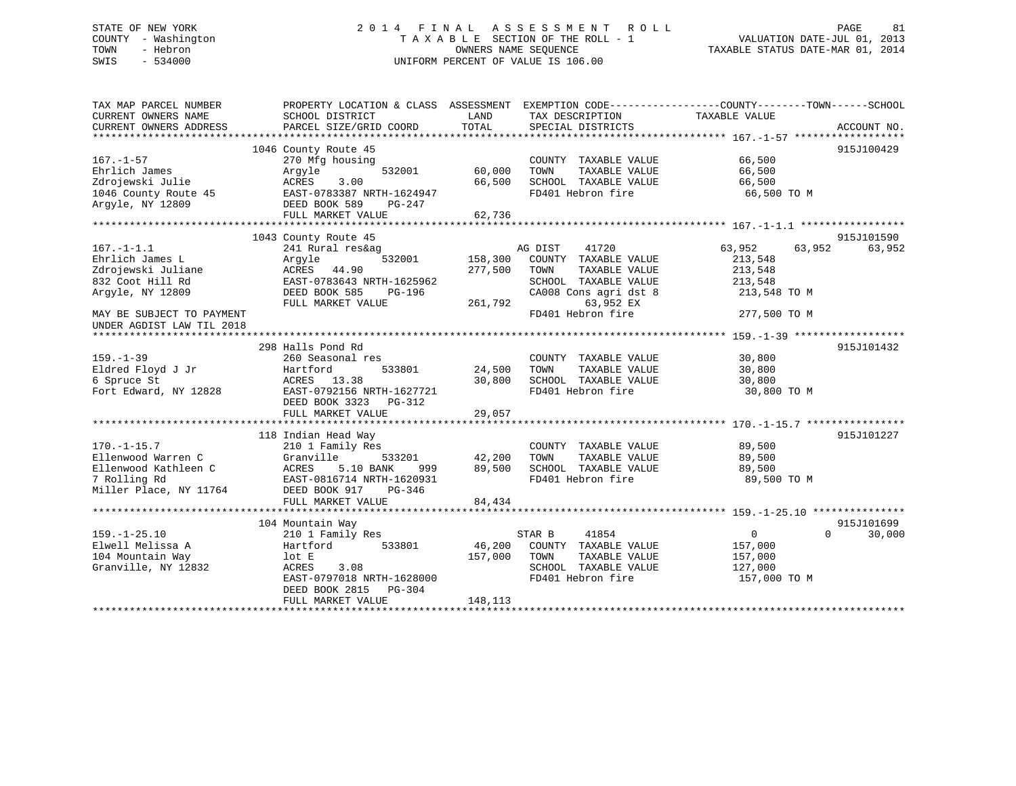# STATE OF NEW YORK 2 0 1 4 F I N A L A S S E S S M E N T R O L L PAGE 81 COUNTY - Washington T A X A B L E SECTION OF THE ROLL - 1 VALUATION DATE-JUL 01, 2013 TOWN - Hebron OWNERS NAME SEQUENCE TAXABLE STATUS DATE-MAR 01, 2014 SWIS - 534000 UNIFORM PERCENT OF VALUE IS 106.00

| TAX MAP PARCEL NUMBER<br>CURRENT OWNERS NAME           | PROPERTY LOCATION & CLASS ASSESSMENT<br>SCHOOL DISTRICT | LAND    | TAX DESCRIPTION                               | EXEMPTION CODE-----------------COUNTY-------TOWN------SCHOOL<br>TAXABLE VALUE |             |
|--------------------------------------------------------|---------------------------------------------------------|---------|-----------------------------------------------|-------------------------------------------------------------------------------|-------------|
| CURRENT OWNERS ADDRESS                                 | PARCEL SIZE/GRID COORD                                  | TOTAL   | SPECIAL DISTRICTS                             |                                                                               | ACCOUNT NO. |
|                                                        | 1046 County Route 45                                    |         |                                               |                                                                               | 915J100429  |
| $167. - 1 - 57$<br>Ehrlich James                       | 270 Mfg housing<br>Arqyle<br>532001                     | 60,000  | COUNTY TAXABLE VALUE<br>TAXABLE VALUE<br>TOWN | 66,500<br>66,500                                                              |             |
| Zdrojewski Julie                                       | ACRES<br>3.00                                           | 66,500  | SCHOOL TAXABLE VALUE                          | 66,500                                                                        |             |
| 1046 County Route 45<br>Argyle, NY 12809               | EAST-0783387 NRTH-1624947<br>DEED BOOK 589<br>PG-247    |         | FD401 Hebron fire                             | 66,500 TO M                                                                   |             |
|                                                        | FULL MARKET VALUE                                       | 62,736  |                                               |                                                                               |             |
|                                                        |                                                         |         |                                               |                                                                               |             |
|                                                        | 1043 County Route 45                                    |         |                                               |                                                                               | 915J101590  |
| $167. - 1 - 1.1$<br>Ehrlich James L                    | 241 Rural res&ag<br>532001<br>Arqyle                    | 158,300 | AG DIST<br>41720<br>COUNTY TAXABLE VALUE      | 63,952<br>63,952<br>213,548                                                   | 63,952      |
| Zdrojewski Juliane                                     | ACRES 44.90                                             | 277,500 | TOWN<br>TAXABLE VALUE                         | 213,548                                                                       |             |
| 832 Coot Hill Rd                                       | EAST-0783643 NRTH-1625962                               |         | SCHOOL TAXABLE VALUE                          | 213,548                                                                       |             |
| Argyle, NY 12809                                       | DEED BOOK 585<br>PG-196                                 |         | CA008 Cons agri dst 8                         | 213,548 TO M                                                                  |             |
|                                                        | FULL MARKET VALUE                                       | 261,792 | 63,952 EX                                     |                                                                               |             |
| MAY BE SUBJECT TO PAYMENT<br>UNDER AGDIST LAW TIL 2018 |                                                         |         | FD401 Hebron fire                             | 277,500 TO M                                                                  |             |
|                                                        |                                                         |         |                                               |                                                                               |             |
|                                                        | 298 Halls Pond Rd                                       |         |                                               |                                                                               | 915J101432  |
| $159. - 1 - 39$                                        | 260 Seasonal res                                        |         | COUNTY TAXABLE VALUE                          | 30,800                                                                        |             |
| Eldred Floyd J Jr                                      | Hartford<br>533801                                      | 24,500  | TOWN<br>TAXABLE VALUE                         | 30,800                                                                        |             |
| 6 Spruce St                                            | ACRES 13.38                                             | 30,800  | SCHOOL TAXABLE VALUE                          | 30,800                                                                        |             |
| Fort Edward, NY 12828                                  | EAST-0792156 NRTH-1627721<br>DEED BOOK 3323<br>PG-312   |         | FD401 Hebron fire                             | 30,800 TO M                                                                   |             |
|                                                        | FULL MARKET VALUE                                       | 29,057  |                                               |                                                                               |             |
|                                                        |                                                         |         |                                               |                                                                               |             |
|                                                        | 118 Indian Head Way                                     |         |                                               | 89,500                                                                        | 915J101227  |
| $170. - 1 - 15.7$<br>Ellenwood Warren C                | 210 1 Family Res<br>Granville<br>533201                 | 42,200  | COUNTY TAXABLE VALUE<br>TOWN<br>TAXABLE VALUE | 89,500                                                                        |             |
| Ellenwood Kathleen C                                   | ACRES<br>5.10 BANK<br>999                               | 89,500  | SCHOOL TAXABLE VALUE                          | 89,500                                                                        |             |
| 7 Rolling Rd                                           | EAST-0816714 NRTH-1620931                               |         | FD401 Hebron fire                             | 89,500 TO M                                                                   |             |
| Miller Place, NY 11764                                 | DEED BOOK 917<br>PG-346                                 |         |                                               |                                                                               |             |
|                                                        | FULL MARKET VALUE                                       | 84,434  |                                               |                                                                               |             |
|                                                        |                                                         |         |                                               |                                                                               |             |
|                                                        | 104 Mountain Way                                        |         |                                               |                                                                               | 915J101699  |
| $159. - 1 - 25.10$                                     | 210 1 Family Res                                        |         | 41854<br>STAR B                               | $\Omega$<br>$\Omega$                                                          | 30,000      |
| Elwell Melissa A                                       | 533801<br>Hartford                                      | 46,200  | COUNTY TAXABLE VALUE                          | 157,000                                                                       |             |
| 104 Mountain Way                                       | lot E                                                   | 157,000 | TOWN<br>TAXABLE VALUE                         | 157,000                                                                       |             |
| Granville, NY 12832                                    | ACRES<br>3.08                                           |         | SCHOOL TAXABLE VALUE                          | 127,000                                                                       |             |
|                                                        | EAST-0797018 NRTH-1628000<br>DEED BOOK 2815<br>PG-304   |         | FD401 Hebron fire                             | 157,000 TO M                                                                  |             |
|                                                        | FULL MARKET VALUE                                       | 148,113 |                                               |                                                                               |             |
|                                                        |                                                         |         |                                               |                                                                               |             |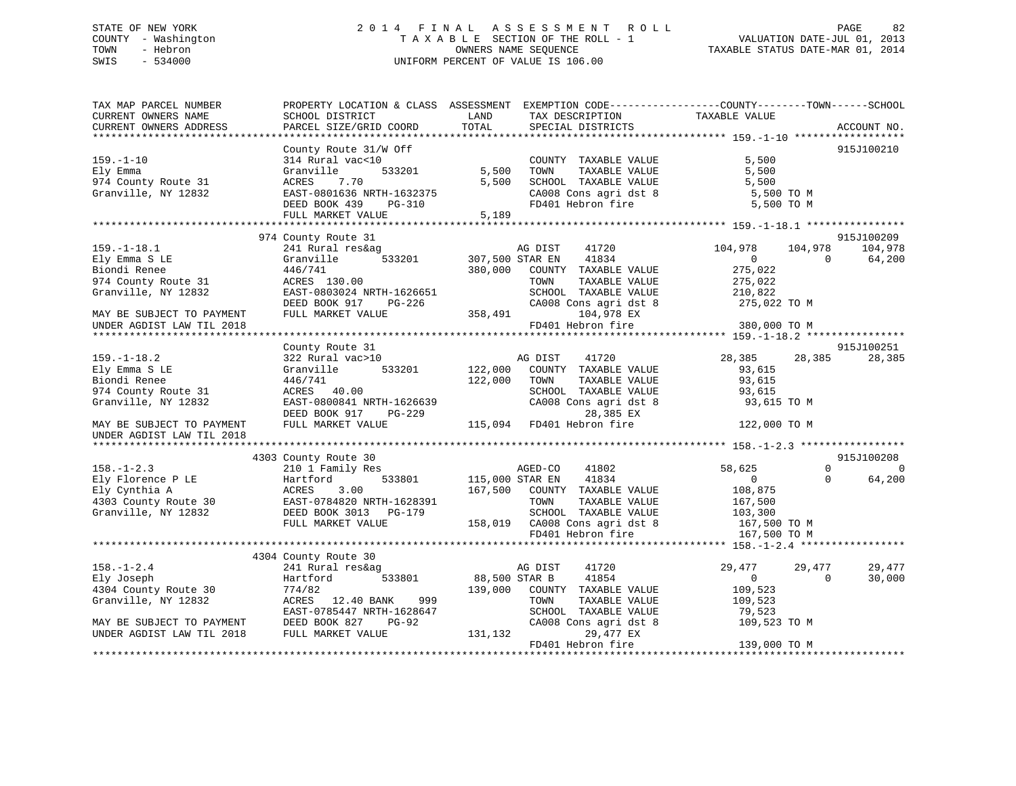# STATE OF NEW YORK 2 0 1 4 F I N A L A S S E S S M E N T R O L L PAGE 82 COUNTY - Washington T A X A B L E SECTION OF THE ROLL - 1 VALUATION DATE-JUL 01, 2013 TOWN - Hebron OWNERS NAME SEQUENCE TAXABLE STATUS DATE-MAR 01, 2014 SWIS - 534000 UNIFORM PERCENT OF VALUE IS 106.00

| TAX MAP PARCEL NUMBER<br>CURRENT OWNERS NAME | PROPERTY LOCATION & CLASS ASSESSMENT EXEMPTION CODE---------------COUNTY-------TOWN-----SCHOOL<br>SCHOOL DISTRICT | LAND            | TAX DESCRIPTION                                  | TAXABLE VALUE                      |                      |
|----------------------------------------------|-------------------------------------------------------------------------------------------------------------------|-----------------|--------------------------------------------------|------------------------------------|----------------------|
| CURRENT OWNERS ADDRESS                       | PARCEL SIZE/GRID COORD                                                                                            | TOTAL           | SPECIAL DISTRICTS                                |                                    | ACCOUNT NO.          |
|                                              | County Route 31/W Off                                                                                             |                 |                                                  |                                    | 915J100210           |
| $159. - 1 - 10$                              | 314 Rural vac<10                                                                                                  |                 | COUNTY TAXABLE VALUE                             | 5,500                              |                      |
| Ely Emma                                     | Granville<br>533201                                                                                               | 5,500           | TOWN<br>TAXABLE VALUE                            | 5,500                              |                      |
| 974 County Route 31                          | 7.70<br>ACRES                                                                                                     | 5,500           | SCHOOL TAXABLE VALUE                             | 5,500                              |                      |
| Granville, NY 12832                          | EAST-0801636 NRTH-1632375                                                                                         |                 | CA008 Cons agri dst 8                            | 5,500 TO M                         |                      |
|                                              | DEED BOOK 439<br>PG-310                                                                                           |                 | FD401 Hebron fire                                | 5,500 TO M                         |                      |
|                                              | FULL MARKET VALUE                                                                                                 | 5,189           |                                                  |                                    |                      |
|                                              |                                                                                                                   |                 |                                                  |                                    |                      |
|                                              | 974 County Route 31                                                                                               |                 |                                                  |                                    | 915J100209           |
| $159. - 1 - 18.1$                            | 241 Rural res&ag                                                                                                  |                 | AG DIST<br>41720                                 | 104,978<br>104,978<br>$\mathbf{0}$ | 104,978<br>$\Omega$  |
| Ely Emma S LE<br>Biondi Renee                | Granville<br>533201<br>446/741                                                                                    | 380,000         | 307,500 STAR EN<br>41834<br>COUNTY TAXABLE VALUE | 275,022                            | 64,200               |
| 974 County Route 31                          | ACRES 130.00                                                                                                      |                 | TOWN<br>TAXABLE VALUE                            | 275,022                            |                      |
| Granville, NY 12832                          | EAST-0803024 NRTH-1626651                                                                                         |                 | SCHOOL TAXABLE VALUE                             | 210,822                            |                      |
|                                              | DEED BOOK 917 PG-226                                                                                              |                 | CA008 Cons agri dst 8                            | 275,022 TO M                       |                      |
| MAY BE SUBJECT TO PAYMENT                    | FULL MARKET VALUE                                                                                                 | 358,491         | 104,978 EX                                       |                                    |                      |
| UNDER AGDIST LAW TIL 2018                    |                                                                                                                   |                 | FD401 Hebron fire                                | 380,000 TO M                       |                      |
|                                              |                                                                                                                   |                 |                                                  |                                    |                      |
|                                              | County Route 31                                                                                                   |                 |                                                  |                                    | 915J100251           |
| $159. - 1 - 18.2$                            | 322 Rural vac>10                                                                                                  |                 | AG DIST<br>41720                                 | 28,385<br>28,385                   | 28,385               |
| Ely Emma S LE                                | Granville<br>533201                                                                                               | 122,000         | COUNTY TAXABLE VALUE                             | 93,615                             |                      |
| Biondi Renee                                 | 446/741                                                                                                           | 122,000         | TAXABLE VALUE<br>TOWN                            | 93,615                             |                      |
| 974 County Route 31                          | ACRES 40.00                                                                                                       |                 | SCHOOL TAXABLE VALUE                             | 93,615                             |                      |
| Granville, NY 12832                          | EAST-0800841 NRTH-1626639                                                                                         |                 | CA008 Cons agri dst 8                            | 93,615 TO M                        |                      |
|                                              | DEED BOOK 917<br>PG-229                                                                                           |                 | 28,385 EX                                        |                                    |                      |
| MAY BE SUBJECT TO PAYMENT                    | FULL MARKET VALUE                                                                                                 |                 | 115,094 FD401 Hebron fire                        | 122,000 TO M                       |                      |
| UNDER AGDIST LAW TIL 2018                    |                                                                                                                   |                 |                                                  |                                    |                      |
|                                              |                                                                                                                   |                 |                                                  |                                    |                      |
|                                              | 4303 County Route 30                                                                                              |                 |                                                  |                                    | 915J100208           |
| $158. - 1 - 2.3$                             | 210 1 Family Res                                                                                                  |                 | AGED-CO<br>41802                                 | 58,625                             | $\Omega$<br>$\Omega$ |
| Ely Florence P LE                            | Hartford<br>533801                                                                                                | 115,000 STAR EN | 41834                                            | $\overline{0}$                     | 64,200<br>$\Omega$   |
| Ely Cynthia A                                | 3.00<br>ACRES                                                                                                     | 167,500         | COUNTY TAXABLE VALUE                             | 108,875                            |                      |
| 4303 County Route 30                         | EAST-0784820 NRTH-1628391                                                                                         |                 | TOWN<br>TAXABLE VALUE                            | 167,500                            |                      |
| Granville, NY 12832                          | DEED BOOK 3013 PG-179                                                                                             |                 | SCHOOL TAXABLE VALUE                             | 103,300                            |                      |
|                                              | FULL MARKET VALUE                                                                                                 |                 | 158,019 CA008 Cons agri dst 8                    | 167,500 TO M                       |                      |
|                                              |                                                                                                                   |                 | FD401 Hebron fire                                | 167,500 TO M                       |                      |
|                                              | 4304 County Route 30                                                                                              |                 |                                                  |                                    |                      |
| $158. - 1 - 2.4$                             | 241 Rural res&ag                                                                                                  |                 | 41720<br>AG DIST                                 | 29,477<br>29,477                   | 29,477               |
| Ely Joseph                                   | Hartford<br>533801                                                                                                | 88,500 STAR B   | 41854                                            | $\overline{0}$                     | $\Omega$<br>30,000   |
| 4304 County Route 30                         | 774/82                                                                                                            | 139,000         | COUNTY TAXABLE VALUE                             | 109,523                            |                      |
| Granville, NY 12832                          | 999<br>ACRES<br>12.40 BANK                                                                                        |                 | TAXABLE VALUE<br>TOWN                            | 109,523                            |                      |
|                                              | EAST-0785447 NRTH-1628647                                                                                         |                 | SCHOOL TAXABLE VALUE                             | 79,523                             |                      |
| MAY BE SUBJECT TO PAYMENT                    | DEED BOOK 827<br>PG-92                                                                                            |                 | CA008 Cons agri dst 8                            | 109,523 TO M                       |                      |
| UNDER AGDIST LAW TIL 2018                    | FULL MARKET VALUE                                                                                                 | 131,132         | 29,477 EX                                        |                                    |                      |
|                                              |                                                                                                                   |                 | FD401 Hebron fire                                | 139,000 TO M                       |                      |
|                                              |                                                                                                                   |                 |                                                  |                                    |                      |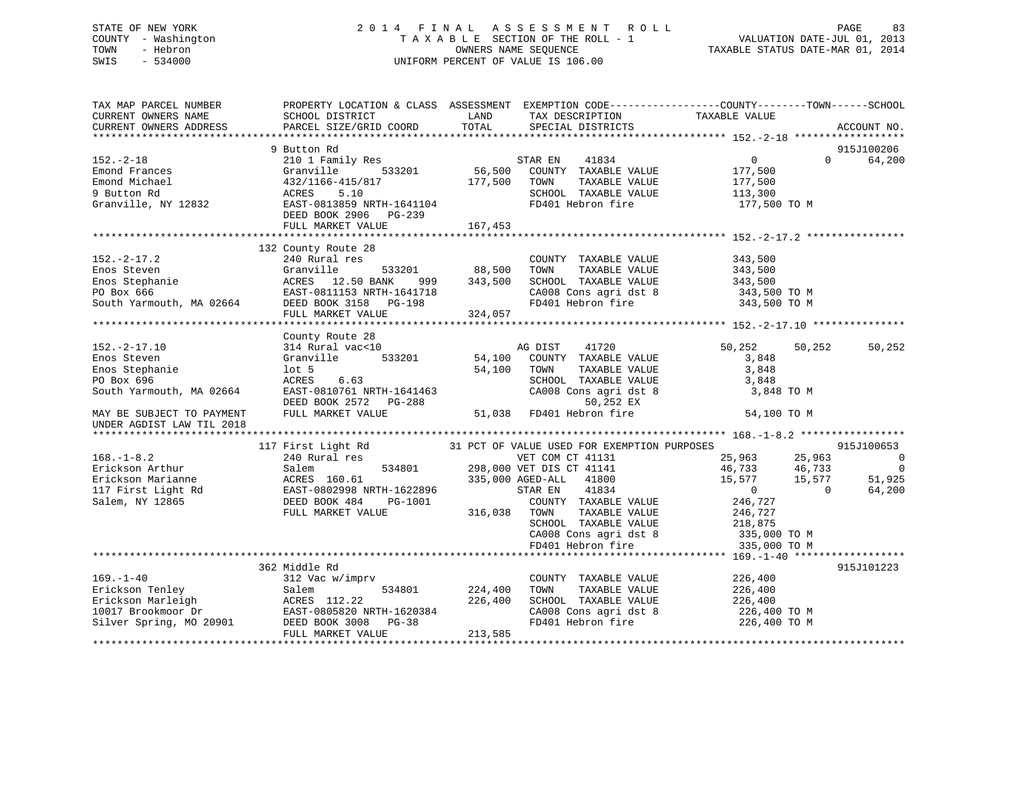# STATE OF NEW YORK 2 0 1 4 F I N A L A S S E S S M E N T R O L L PAGE 83 COUNTY - Washington T A X A B L E SECTION OF THE ROLL - 1 VALUATION DATE-JUL 01, 2013 TOWN - Hebron OWNERS NAME SEQUENCE TAXABLE STATUS DATE-MAR 01, 2014 SWIS - 534000 UNIFORM PERCENT OF VALUE IS 106.00

| TAX MAP PARCEL NUMBER<br>CURRENT OWNERS NAME<br>CURRENT OWNERS ADDRESS                                                                                                                                                                                                                                                                                                      | PROPERTY LOCATION & CLASS ASSESSMENT EXEMPTION CODE----------------COUNTY-------TOWN-----SCHOOL<br>SCHOOL DISTRICT<br>PARCEL SIZE/GRID COORD | LAND<br>TOTAL | TAX DESCRIPTION TAXABLE VALUE<br>SPECIAL DISTRICTS                                 |                                                                                                                            | ACCOUNT NO.                                                        |
|-----------------------------------------------------------------------------------------------------------------------------------------------------------------------------------------------------------------------------------------------------------------------------------------------------------------------------------------------------------------------------|----------------------------------------------------------------------------------------------------------------------------------------------|---------------|------------------------------------------------------------------------------------|----------------------------------------------------------------------------------------------------------------------------|--------------------------------------------------------------------|
| $152 - 2 - 18$<br>Emond Frances<br>Emond Frances<br>Emond Michael (13/2/1166-415/817)<br>9 Button Rd (13/2/1166-415/817)<br>Granville, NY 12832<br>EAST-0813859 NRTH-1641104<br>DEED BOOK 2906 PG-239<br>PG-239                                                                                                                                                             | 9 Button Rd<br>FULL MARKET VALUE                                                                                                             | 167,453       | TAXABLE VALUE<br>SCHOOL TAXABLE VALUE 113,300                                      | $\overline{0}$<br>177,500<br>177,500<br>FD401 Hebron fire 177,500 TO M                                                     | 915J100206<br>$\Omega$<br>64,200                                   |
| $152 - 2 - 17.2$<br>152.-2-17.2<br>Enos Steven Granville 533201 88,500<br>Enos Stephanie ACRES 12.50 BANK 999 343,500<br>PO Box 666 EAST-0811153 NRTH-1641718<br>South Yarmouth, MA 02664 DEED BOOK 3158 PG-198<br>FULL MARKET VALUE 324,057                                                                                                                                | 132 County Route 28<br>240 Rural res                                                                                                         | 533201 88,500 | COUNTY TAXABLE VALUE 343,500<br>TOWN TAXABLE VALUE<br>SCHOOL TAXABLE VALUE 343,500 | 343,500<br>CA008 Cons agri dst 8 343,500 TO M<br>FD401 Hebron fire 343,500 TO M                                            |                                                                    |
| $152. - 2 - 17.10$<br>Enos Steven<br>Enos Steven<br>Enos Stephanie<br>PO Box 696<br>Enos Stephanie<br>Enos Stephanie<br>PO Box 696<br>South Yarmouth, MA 02664<br>DEED BOOK 2572<br>MAY BE SUBJECT TO PAYMENT<br>FULL MARKET VALUE<br>PO Box 696<br>DEED BOOK 2572<br>PG-288<br>BOOK 2572<br>PG-288<br>50,252 EX<br>51,038<br>FD401 Hebron fir<br>UNDER AGDIST LAW TIL 2018 | County Route 28<br>314 Rural vac<10<br>Granville 533201 54,100 COUNTY TAXABLE VALUE                                                          |               | 41720                                                                              | 50,252 50,252<br>3,848<br>3,848<br>SCHOOL TAXABLE VALUE 3,848<br>CA008 Cons agri dst 8 3,848 TO M<br>54,100 TO M           | 50,252                                                             |
| 168.-1-8.2<br>Erickson Arthur Salem 534801<br>Erickson Marianne ACRES 160.61<br>17 First Light Rd EAST-0802998 NRTH-1622896<br>Salem, NY 12865<br>EED BOOK 484 PG-1001<br>FULL MARKET VALUE 316,038 TOWNY TAXABLE VALUE 246,727<br>298,000 A                                                                                                                                |                                                                                                                                              |               |                                                                                    | SCHOOL TAXABLE VALUE<br>CA008 Cons agri dst 8 335,000 TO M<br>FD401 Hebron fire 335,000 TO M                               | 915J100653<br>$\overline{0}$<br>$\overline{0}$<br>51,925<br>64,200 |
| 169.-1-40<br>Erickson Tenley<br>Erickson Marleigh Salem 534801 224,400<br>10017 Brookmoor Dr EAST-0805820 NRTH-1620384<br>Silver Spring, MO 20901 DEED BOOK 3008 PG-38<br>10017 Brookmoor Dr EAST-0805820 NRTH-1620384<br>Silver Spring, M                                                                                                                                  | 362 Middle Rd<br>FULL MARKET VALUE                                                                                                           | 213,585       | COUNTY TAXABLE VALUE 226,400<br>TAXABLE VALUE<br>TOWN                              | 226,400<br>226,400<br>SCHOOL TAXABLE VALUE 226,400<br>CA008 Cons agri dst 8 226,400 TO M<br>FD401 Hebron fire 226,400 TO M | 915J101223                                                         |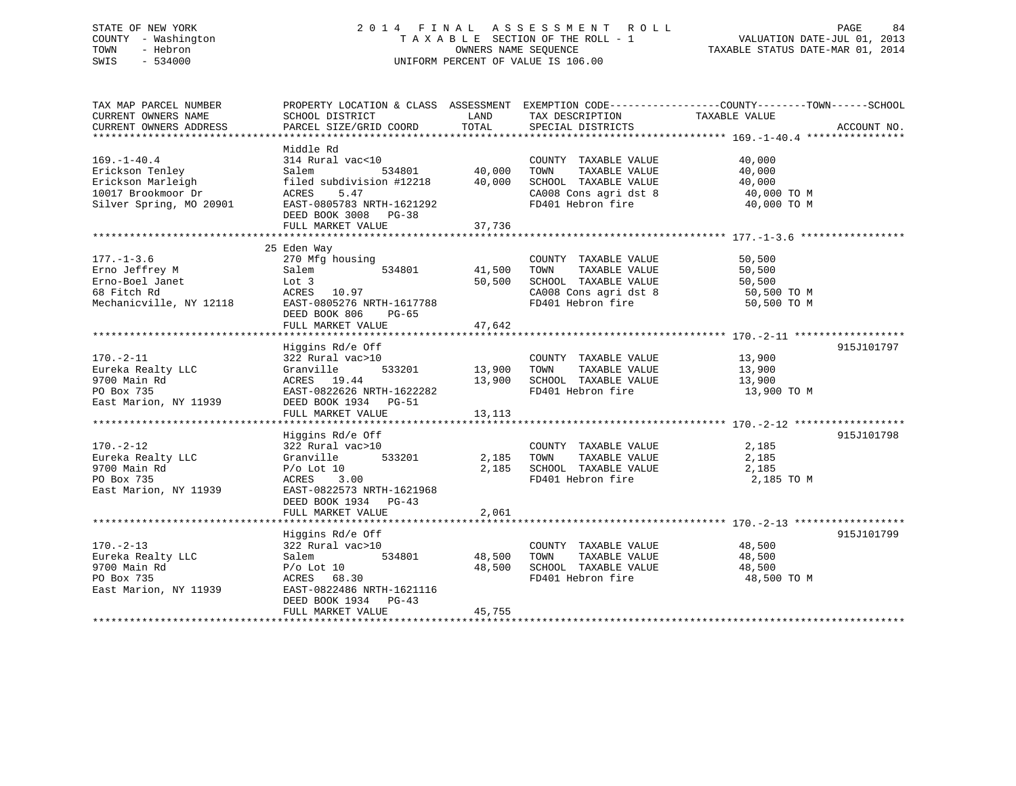# STATE OF NEW YORK 2 0 1 4 F I N A L A S S E S S M E N T R O L L PAGE 84 COUNTY - Washington T A X A B L E SECTION OF THE ROLL - 1 VALUATION DATE-JUL 01, 2013 TOWN - Hebron **CONNERS NAME SEQUENCE** TAXABLE STATUS DATE-MAR 01, 2014 SWIS - 534000 UNIFORM PERCENT OF VALUE IS 106.00

| TAX MAP PARCEL NUMBER<br>CURRENT OWNERS NAME<br>CURRENT OWNERS ADDRESS                                     | SCHOOL DISTRICT<br>PARCEL SIZE/GRID COORD                                                                                                                               | LAND<br>TOTAL              | TAX DESCRIPTION<br>SPECIAL DISTRICTS                                                                                | PROPERTY LOCATION & CLASS ASSESSMENT EXEMPTION CODE----------------COUNTY-------TOWN------SCHOOL<br>TAXABLE VALUE | ACCOUNT NO. |
|------------------------------------------------------------------------------------------------------------|-------------------------------------------------------------------------------------------------------------------------------------------------------------------------|----------------------------|---------------------------------------------------------------------------------------------------------------------|-------------------------------------------------------------------------------------------------------------------|-------------|
| $169. - 1 - 40.4$<br>Erickson Tenley<br>Erickson Marleigh<br>10017 Brookmoor Dr<br>Silver Spring, MO 20901 | Middle Rd<br>314 Rural vac<10<br>Salem<br>534801<br>filed subdivision #12218<br>ACRES<br>5.47<br>EAST-0805783 NRTH-1621292<br>DEED BOOK 3008 PG-38<br>FULL MARKET VALUE | 40,000<br>40,000<br>37,736 | COUNTY TAXABLE VALUE<br>TOWN<br>TAXABLE VALUE<br>SCHOOL TAXABLE VALUE<br>CA008 Cons agri dst 8<br>FD401 Hebron fire | 40,000<br>40,000<br>40,000<br>40,000 TO M<br>40,000 TO M                                                          |             |
| $177. - 1 - 3.6$<br>Erno Jeffrey M<br>Erno-Boel Janet<br>68 Fitch Rd<br>Mechanicville, NY 12118            | 25 Eden Way<br>270 Mfg housing<br>534801<br>Salem<br>Lot 3<br>ACRES<br>10.97<br>EAST-0805276 NRTH-1617788<br>DEED BOOK 806<br>$PG-65$<br>FULL MARKET VALUE              | 41,500<br>50,500<br>47,642 | COUNTY TAXABLE VALUE<br>TAXABLE VALUE<br>TOWN<br>SCHOOL TAXABLE VALUE<br>CA008 Cons agri dst 8<br>FD401 Hebron fire | 50,500<br>50,500<br>50,500<br>50,500 TO M<br>50,500 TO M                                                          |             |
| $170. - 2 - 11$<br>Eureka Realty LLC<br>9700 Main Rd<br>PO Box 735<br>East Marion, NY 11939                | Higgins Rd/e Off<br>322 Rural vac>10<br>533201<br>Granville<br>ACRES 19.44<br>EAST-0822626 NRTH-1622282<br>DEED BOOK 1934 PG-51<br>FULL MARKET VALUE                    | 13,900<br>13,900<br>13,113 | COUNTY TAXABLE VALUE<br>TAXABLE VALUE<br>TOWN<br>SCHOOL TAXABLE VALUE<br>FD401 Hebron fire                          | 13,900<br>13,900<br>13,900<br>13,900 TO M                                                                         | 915J101797  |
| $170. - 2 - 12$<br>Eureka Realty LLC<br>9700 Main Rd<br>PO Box 735<br>East Marion, NY 11939                | Higgins Rd/e Off<br>322 Rural vac>10<br>Granville<br>533201<br>$P/O$ Lot 10<br>3.00<br>ACRES<br>EAST-0822573 NRTH-1621968<br>DEED BOOK 1934 PG-43<br>FULL MARKET VALUE  | 2,185<br>2,185<br>2,061    | COUNTY TAXABLE VALUE<br>TAXABLE VALUE<br>TOWN<br>SCHOOL TAXABLE VALUE<br>FD401 Hebron fire                          | 2,185<br>2,185<br>2,185<br>2,185 TO M                                                                             | 915J101798  |
| $170. - 2 - 13$<br>Eureka Realty LLC<br>9700 Main Rd<br>PO Box 735<br>East Marion, NY 11939                | Higgins Rd/e Off<br>322 Rural vac>10<br>534801<br>Salem<br>$P/O$ Lot 10<br>ACRES 68.30<br>EAST-0822486 NRTH-1621116<br>DEED BOOK 1934<br>$PG-43$<br>FULL MARKET VALUE   | 48,500<br>48,500<br>45,755 | COUNTY TAXABLE VALUE<br>TOWN<br>TAXABLE VALUE<br>SCHOOL TAXABLE VALUE<br>FD401 Hebron fire                          | 48,500<br>48,500<br>48,500<br>48,500 TO M                                                                         | 915J101799  |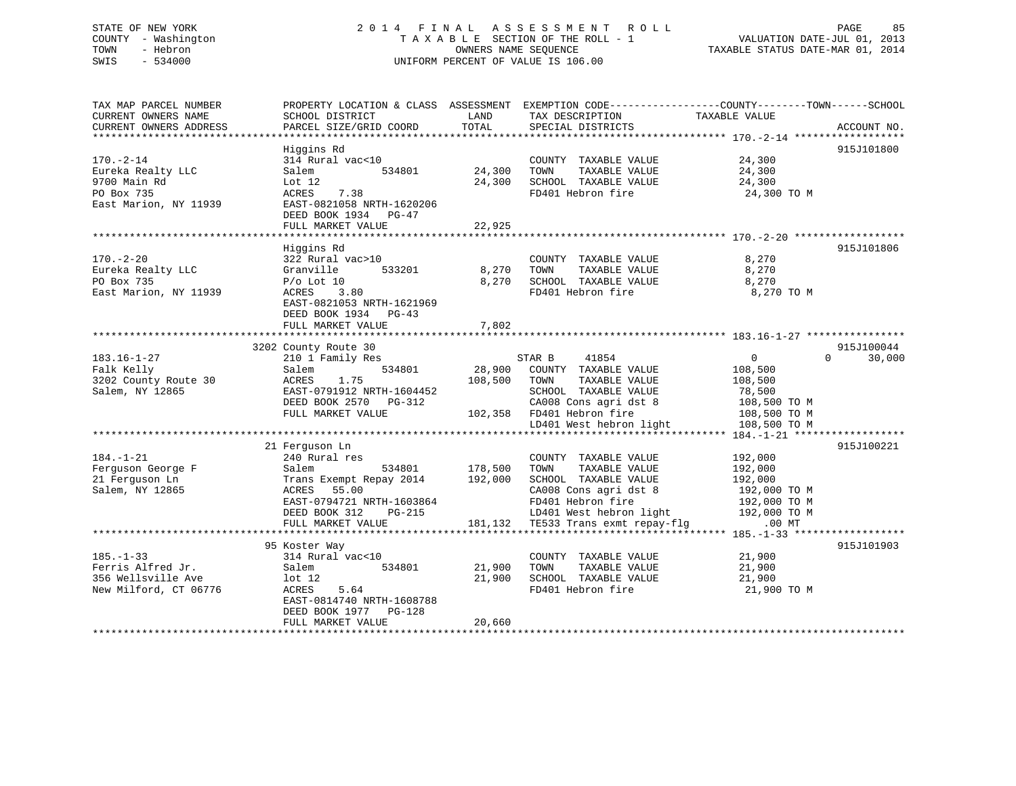# STATE OF NEW YORK 2 0 1 4 F I N A L A S S E S S M E N T R O L L PAGE 85 COUNTY - Washington T A X A B L E SECTION OF THE ROLL - 1 VALUATION DATE-JUL 01, 2013 TOWN - Hebron OWNERS NAME SEQUENCE TAXABLE STATUS DATE-MAR 01, 2014 SWIS - 534000 UNIFORM PERCENT OF VALUE IS 106.00

| TAX MAP PARCEL NUMBER<br>CURRENT OWNERS NAME<br>CURRENT OWNERS ADDRESS                      | SCHOOL DISTRICT<br>PARCEL SIZE/GRID COORD                                                                                                                      | LAND<br>TOTAL         | PROPERTY LOCATION & CLASS ASSESSMENT EXEMPTION CODE----------------COUNTY-------TOWN-----SCHOOL<br>TAX DESCRIPTION<br>SPECIAL DISTRICTS                                   | TAXABLE VALUE                                                                                | ACCOUNT NO.        |
|---------------------------------------------------------------------------------------------|----------------------------------------------------------------------------------------------------------------------------------------------------------------|-----------------------|---------------------------------------------------------------------------------------------------------------------------------------------------------------------------|----------------------------------------------------------------------------------------------|--------------------|
|                                                                                             |                                                                                                                                                                |                       |                                                                                                                                                                           |                                                                                              |                    |
| $170. - 2 - 14$<br>Eureka Realty LLC<br>9700 Main Rd<br>PO Box 735<br>East Marion, NY 11939 | Hiqqins Rd<br>314 Rural vac<10<br>534801<br>Salem<br>Lot 12<br>ACRES<br>7.38<br>EAST-0821058 NRTH-1620206                                                      | 24,300<br>24,300      | COUNTY TAXABLE VALUE<br>TOWN<br>TAXABLE VALUE<br>SCHOOL TAXABLE VALUE<br>FD401 Hebron fire                                                                                | 24,300<br>24,300<br>24,300<br>24,300 TO M                                                    | 915J101800         |
|                                                                                             | DEED BOOK 1934 PG-47<br>FULL MARKET VALUE<br>************************                                                                                          | 22,925<br>*********** |                                                                                                                                                                           |                                                                                              |                    |
|                                                                                             | Higgins Rd                                                                                                                                                     |                       |                                                                                                                                                                           |                                                                                              | 915J101806         |
| $170. - 2 - 20$<br>Eureka Realty LLC<br>PO Box 735<br>East Marion, NY 11939                 | 322 Rural vac>10<br>Granville<br>533201<br>$P/O$ Lot 10<br>ACRES<br>3.80<br>EAST-0821053 NRTH-1621969                                                          | 8,270<br>8,270        | COUNTY TAXABLE VALUE<br>TAXABLE VALUE<br>TOWN<br>SCHOOL TAXABLE VALUE<br>FD401 Hebron fire                                                                                | 8,270<br>8,270<br>8,270<br>8,270 TO M                                                        |                    |
|                                                                                             | DEED BOOK 1934 PG-43<br>FULL MARKET VALUE                                                                                                                      | 7,802                 |                                                                                                                                                                           |                                                                                              |                    |
|                                                                                             |                                                                                                                                                                |                       |                                                                                                                                                                           |                                                                                              |                    |
|                                                                                             | 3202 County Route 30                                                                                                                                           |                       |                                                                                                                                                                           |                                                                                              | 915J100044         |
| $183.16 - 1 - 27$<br>Falk Kelly<br>3202 County Route 30<br>Salem, NY 12865                  | 210 1 Family Res<br>Salem<br>534801<br>1.75<br>ACRES<br>EAST-0791912 NRTH-1604452<br>DEED BOOK 2570 PG-312<br>FULL MARKET VALUE                                | 28,900<br>108,500     | STAR B<br>41854<br>COUNTY TAXABLE VALUE<br>TAXABLE VALUE<br>TOWN<br>SCHOOL TAXABLE VALUE<br>CA008 Cons agri dst 8<br>102,358 FD401 Hebron fire<br>LD401 West hebron light | $\mathbf{0}$<br>108,500<br>108,500<br>78,500<br>108,500 TO M<br>108,500 TO M<br>108,500 TO M | $\Omega$<br>30,000 |
|                                                                                             |                                                                                                                                                                |                       |                                                                                                                                                                           |                                                                                              |                    |
| $184. - 1 - 21$<br>Ferguson George F<br>21 Ferquson Ln<br>Salem, NY 12865                   | 21 Ferguson Ln<br>240 Rural res<br>534801<br>Salem<br>Trans Exempt Repay 2014<br>55.00<br>ACRES<br>EAST-0794721 NRTH-1603864<br>DEED BOOK 312<br><b>PG-215</b> | 178,500<br>192,000    | COUNTY TAXABLE VALUE<br>TAXABLE VALUE<br>TOWN<br>SCHOOL TAXABLE VALUE<br>CA008 Cons agri dst 8<br>FD401 Hebron fire<br>LD401 West hebron light                            | 192,000<br>192,000<br>192,000<br>192,000 TO M<br>192,000 TO M<br>192,000 TO M                | 915J100221         |
|                                                                                             | FULL MARKET VALUE                                                                                                                                              | 181,132               | TE533 Trans exmt repay-flg                                                                                                                                                | $.00$ MT                                                                                     |                    |
| $185. - 1 - 33$<br>Ferris Alfred Jr.<br>356 Wellsville Ave<br>New Milford, CT 06776         | 95 Koster Way<br>314 Rural vac<10<br>Salem<br>534801<br>$1$ ot $12$<br>ACRES<br>5.64<br>EAST-0814740 NRTH-1608788<br>DEED BOOK 1977 PG-128                     | 21,900<br>21,900      | COUNTY TAXABLE VALUE<br>TOWN<br>TAXABLE VALUE<br>SCHOOL TAXABLE VALUE<br>FD401 Hebron fire                                                                                | 21,900<br>21,900<br>21,900<br>21,900 TO M                                                    | 915J101903         |
|                                                                                             | FULL MARKET VALUE                                                                                                                                              | 20,660                |                                                                                                                                                                           |                                                                                              |                    |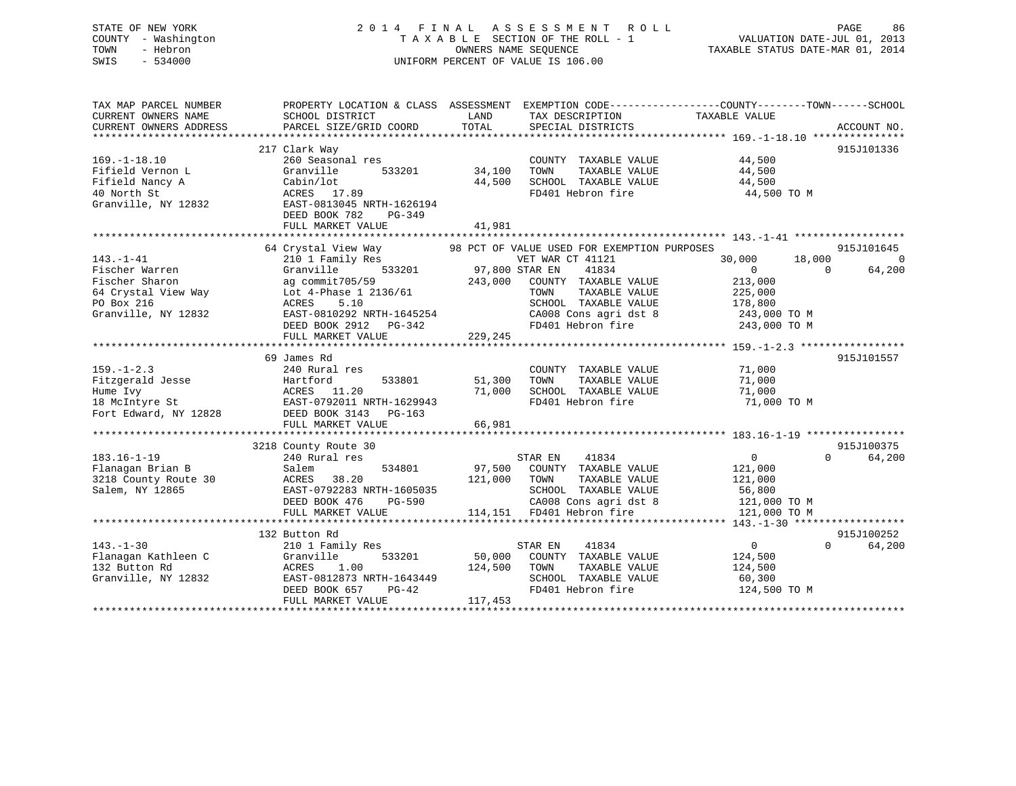# STATE OF NEW YORK 2 0 1 4 F I N A L A S S E S S M E N T R O L L PAGE 86 COUNTY - Washington T A X A B L E SECTION OF THE ROLL - 1 VALUATION DATE-JUL 01, 2013 TOWN - Hebron OWNERS NAME SEQUENCE TAXABLE STATUS DATE-MAR 01, 2014 SWIS - 534000 UNIFORM PERCENT OF VALUE IS 106.00

| TAX MAP PARCEL NUMBER<br>CURRENT OWNERS NAME<br>CURRENT OWNERS ADDRESS                                                                                                | PROPERTY LOCATION & CLASS ASSESSMENT EXEMPTION CODE---------------COUNTY-------TOWN-----SCHOOL<br>SCHOOL DISTRICT<br>PARCEL SIZE/GRID COORD                                                            | LAND<br>TOTAL                        | TAX DESCRIPTION<br>SPECIAL DISTRICTS                                                                                                                                   | TAXABLE VALUE                                                                                                                   | ACCOUNT NO.                      |
|-----------------------------------------------------------------------------------------------------------------------------------------------------------------------|--------------------------------------------------------------------------------------------------------------------------------------------------------------------------------------------------------|--------------------------------------|------------------------------------------------------------------------------------------------------------------------------------------------------------------------|---------------------------------------------------------------------------------------------------------------------------------|----------------------------------|
| $169. - 1 - 18.10$<br>Fifield Vernon L<br>Fifield Nancy A<br>40 North St<br>Granville, NY 12832                                                                       | 217 Clark Way<br>260 Seasonal res<br>Granville<br>533201<br>Cabin/lot<br>ACRES 17.89<br>EAST-0813045 NRTH-1626194<br>DEED BOOK 782<br>PG-349<br>FULL MARKET VALUE                                      | 34,100<br>44,500<br>41,981           | COUNTY TAXABLE VALUE<br>TAXABLE VALUE<br>TOWN<br>SCHOOL TAXABLE VALUE<br>FD401 Hebron fire                                                                             | 44,500<br>44,500<br>44,500<br>44,500 TO M                                                                                       | 915J101336                       |
|                                                                                                                                                                       |                                                                                                                                                                                                        |                                      |                                                                                                                                                                        |                                                                                                                                 |                                  |
| $143. - 1 - 41$<br>Fischer Warren<br>Fischer Sharon<br>64 Crystal View Way<br>PO Box 216<br>Granville, NY 12832                                                       | 64 Crystal View Way<br>210 1 Family Res<br>533201<br>Granville<br>ag commit705/59<br>Lot 4-Phase 1 2136/61<br>5.10<br>ACRES<br>EAST-0810292 NRTH-1645254<br>DEED BOOK 2912 PG-342<br>FULL MARKET VALUE | 97,800 STAR EN<br>243,000<br>229,245 | 98 PCT OF VALUE USED FOR EXEMPTION PURPOSES<br>VET WAR CT 41121<br>41834<br>COUNTY TAXABLE VALUE<br>TAXABLE VALUE<br>TOWN<br>SCHOOL TAXABLE VALUE<br>FD401 Hebron fire | 30,000<br>18,000<br>$\Omega$<br>$\Omega$<br>213,000<br>225,000<br>178,800<br>CA008 Cons agri dst 8 243,000 TO M<br>243,000 TO M | 915J101645<br>$\Omega$<br>64,200 |
|                                                                                                                                                                       | 69 James Rd                                                                                                                                                                                            |                                      |                                                                                                                                                                        |                                                                                                                                 | 915J101557                       |
| $159. - 1 - 2.3$<br>Fitzgerald Jesse<br>Hume Ivy<br>18 McIntyre St                 EAST-0792011 NRTH-1629943<br>Fort Edward, NY 12828         DEED BOOK 3143   PG-163 | 240 Rural res<br>533801<br>Hartford<br>ACRES 11.20<br>FULL MARKET VALUE                                                                                                                                | 51,300<br>71,000<br>66,981           | COUNTY TAXABLE VALUE<br>TAXABLE VALUE<br>TOWN<br>SCHOOL TAXABLE VALUE<br>FD401 Hebron fire                                                                             | 71,000<br>71,000<br>71,000<br>71,000 TO M                                                                                       |                                  |
|                                                                                                                                                                       |                                                                                                                                                                                                        |                                      |                                                                                                                                                                        |                                                                                                                                 |                                  |
| $183.16 - 1 - 19$<br>Flanagan Brian B<br>3218 County Route 30<br>Salem, NY 12865                                                                                      | 3218 County Route 30<br>240 Rural res<br>534801<br>Salem<br>ACRES<br>38.20<br>EAST-0792283 NRTH-1605035<br>DEED BOOK 476<br>PG-590<br>FULL MARKET VALUE                                                | 121,000                              | STAR EN<br>41834<br>97,500 COUNTY TAXABLE VALUE<br>TOWN<br>TAXABLE VALUE<br>SCHOOL TAXABLE VALUE<br>CA008 Cons agri dst 8<br>114,151 FD401 Hebron fire                 | $0 \qquad \qquad$<br>$\Omega$<br>121,000<br>121,000<br>56,800<br>121,000 TO M<br>121,000 TO M                                   | 915J100375<br>64,200             |
|                                                                                                                                                                       |                                                                                                                                                                                                        |                                      |                                                                                                                                                                        |                                                                                                                                 |                                  |
| $143. - 1 - 30$<br>Flanagan Kathleen C<br>132 Button Rd<br>Granville, NY 12832                                                                                        | 132 Button Rd<br>210 1 Family Res<br>533201<br>Granville<br>ACRES 1.00<br>EAST-0812873 NRTH-1643449<br>DEED BOOK 657<br>$PG-42$<br>FULL MARKET VALUE                                                   | 50,000<br>124,500<br>117,453         | 41834<br>STAR EN<br>COUNTY TAXABLE VALUE<br>TOWN<br>TAXABLE VALUE<br>SCHOOL TAXABLE VALUE<br>FD401 Hebron fire                                                         | $\overline{0}$<br>$\Omega$<br>124,500<br>124,500<br>60,300<br>124,500 TO M                                                      | 915J100252<br>64,200             |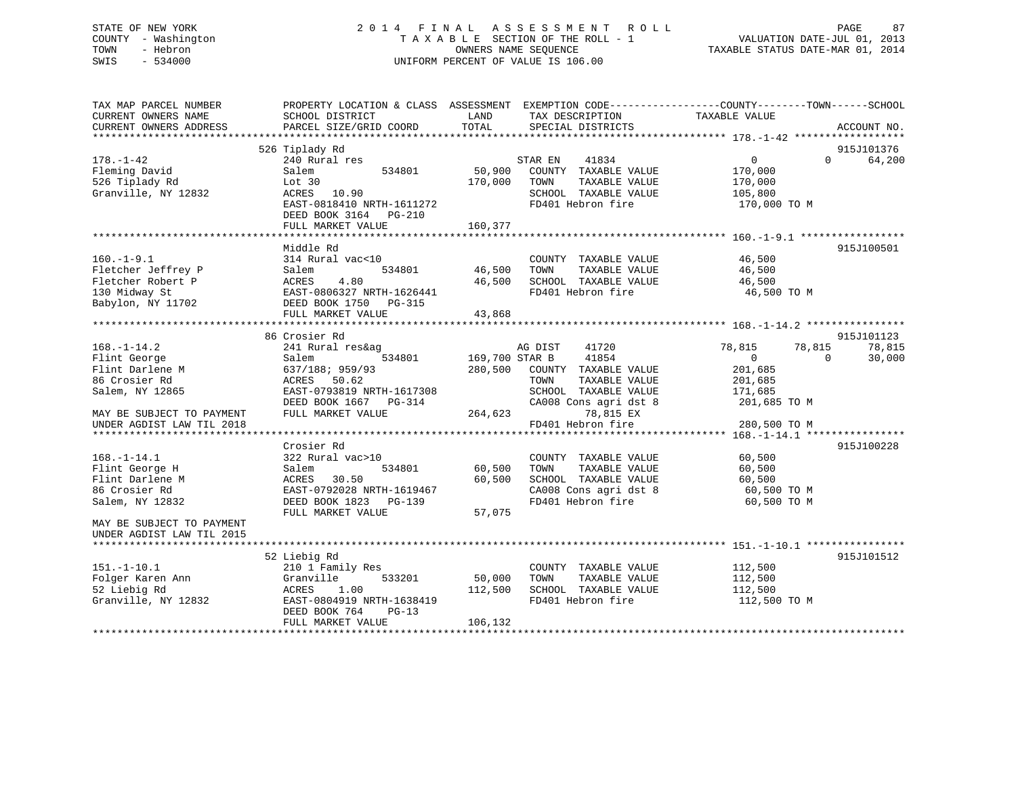# STATE OF NEW YORK 2 0 1 4 F I N A L A S S E S S M E N T R O L L PAGE 87 COUNTY - Washington T A X A B L E SECTION OF THE ROLL - 1 VALUATION DATE-JUL 01, 2013 TOWN - Hebron OWNERS NAME SEQUENCE TAXABLE STATUS DATE-MAR 01, 2014 SWIS - 534000 UNIFORM PERCENT OF VALUE IS 106.00

| TAX MAP PARCEL NUMBER<br>CURRENT OWNERS NAME<br>CURRENT OWNERS ADDRESS                                                                               | PROPERTY LOCATION & CLASS ASSESSMENT<br>SCHOOL DISTRICT<br>PARCEL SIZE/GRID COORD                                                                                    | LAND<br>TOTAL                        | TAX DESCRIPTION<br>SPECIAL DISTRICTS                                                                                                                          | EXEMPTION CODE-----------------COUNTY-------TOWN------SCHOOL<br>TAXABLE VALUE                                   | ACCOUNT NO.                      |
|------------------------------------------------------------------------------------------------------------------------------------------------------|----------------------------------------------------------------------------------------------------------------------------------------------------------------------|--------------------------------------|---------------------------------------------------------------------------------------------------------------------------------------------------------------|-----------------------------------------------------------------------------------------------------------------|----------------------------------|
| $178. - 1 - 42$<br>Fleming David<br>526 Tiplady Rd<br>Granville, NY 12832                                                                            | 526 Tiplady Rd<br>240 Rural res<br>Salem<br>534801<br>Lot 30<br>10.90<br>ACRES<br>EAST-0818410 NRTH-1611272<br>DEED BOOK 3164<br>$PG-210$<br>FULL MARKET VALUE       | 50,900<br>170,000<br>160,377         | STAR EN<br>41834<br>COUNTY TAXABLE VALUE<br>TAXABLE VALUE<br>TOWN<br>SCHOOL TAXABLE VALUE<br>FD401 Hebron fire                                                | $\Omega$<br>170,000<br>170,000<br>105,800<br>170,000 TO M                                                       | 915J101376<br>64,200<br>$\Omega$ |
| $160. -1 - 9.1$<br>Fletcher Jeffrey P<br>Fletcher Robert P<br>130 Midway St<br>Babylon, NY 11702                                                     | Middle Rd<br>314 Rural vac<10<br>534801<br>Salem<br>4.80<br>ACRES<br>EAST-0806327 NRTH-1626441<br>DEED BOOK 1750 PG-315<br>FULL MARKET VALUE                         | 46,500<br>46,500<br>43,868           | COUNTY TAXABLE VALUE<br>TOWN<br>TAXABLE VALUE<br>SCHOOL TAXABLE VALUE<br>FD401 Hebron fire                                                                    | 46,500<br>46,500<br>46,500<br>46,500 TO M                                                                       | 915J100501                       |
| $168. - 1 - 14.2$<br>Flint George<br>Flint Darlene M<br>86 Crosier Rd<br>Salem, NY 12865<br>MAY BE SUBJECT TO PAYMENT<br>UNDER AGDIST LAW TIL 2018   | 86 Crosier Rd<br>241 Rural res&ag<br>Salem<br>534801<br>637/188; 959/93<br>ACRES<br>50.62<br>EAST-0793819 NRTH-1617308<br>DEED BOOK 1667 PG-314<br>FULL MARKET VALUE | 169,700 STAR B<br>280,500<br>264,623 | AG DIST<br>41720<br>41854<br>COUNTY TAXABLE VALUE<br>TOWN<br>TAXABLE VALUE<br>SCHOOL TAXABLE VALUE<br>CA008 Cons agri dst 8<br>78,815 EX<br>FD401 Hebron fire | 78,815<br>78,815<br>$\overline{0}$<br>$\Omega$<br>201,685<br>201,685<br>171,685<br>201,685 TO M<br>280,500 TO M | 915J101123<br>78,815<br>30,000   |
| $168. - 1 - 14.1$<br>Flint George H<br>Flint Darlene M<br>86 Crosier Rd<br>Salem, NY 12832<br>MAY BE SUBJECT TO PAYMENT<br>UNDER AGDIST LAW TIL 2015 | Crosier Rd<br>322 Rural vac>10<br>Salem<br>534801<br><b>ACRES</b><br>30.50<br>EAST-0792028 NRTH-1619467<br>DEED BOOK 1823 PG-139<br>FULL MARKET VALUE                | 60,500<br>60,500<br>57,075           | COUNTY TAXABLE VALUE<br>TOWN<br>TAXABLE VALUE<br>SCHOOL TAXABLE VALUE<br>CA008 Cons agri dst 8<br>FD401 Hebron fire                                           | 60,500<br>60,500<br>60,500<br>60,500 TO M<br>60,500 TO M                                                        | 915J100228                       |
| $151. - 1 - 10.1$<br>Folger Karen Ann<br>52 Liebig Rd<br>Granville, NY 12832                                                                         | 52 Liebig Rd<br>210 1 Family Res<br>Granville<br>533201<br>1.00<br>ACRES<br>EAST-0804919 NRTH-1638419<br>DEED BOOK 764<br>$PG-13$<br>FULL MARKET VALUE               | 50,000<br>112,500<br>106,132         | COUNTY TAXABLE VALUE<br>TOWN<br>TAXABLE VALUE<br>SCHOOL TAXABLE VALUE<br>FD401 Hebron fire                                                                    | 112,500<br>112,500<br>112,500<br>112,500 TO M                                                                   | 915J101512                       |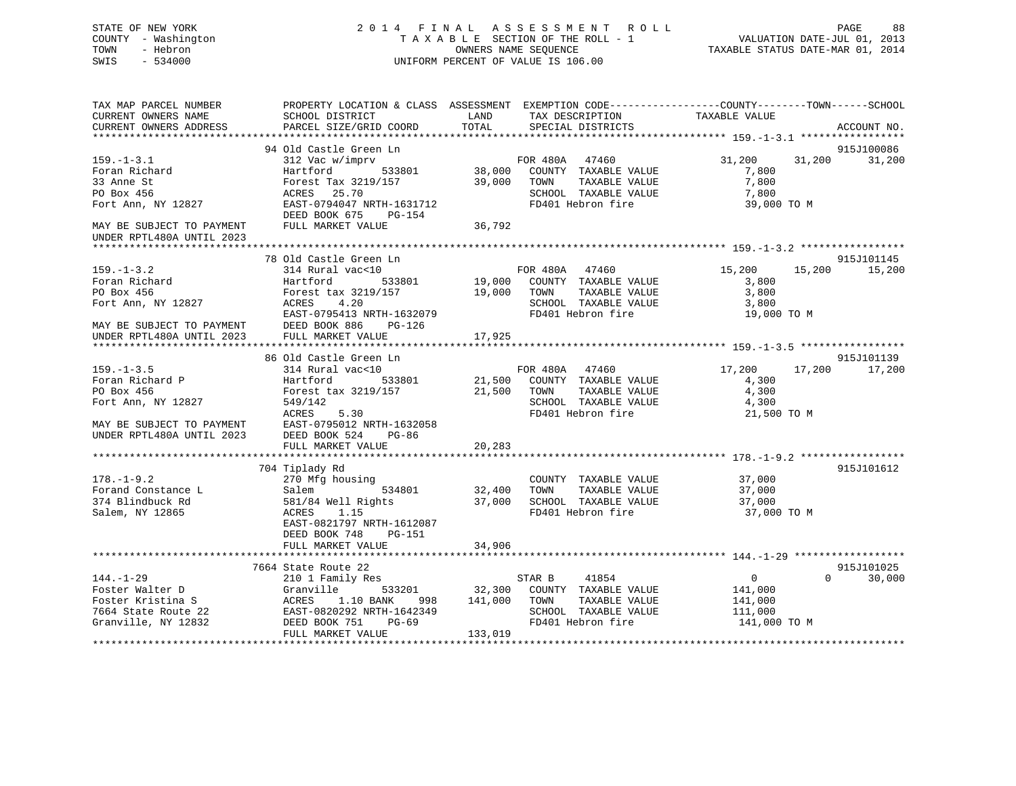# STATE OF NEW YORK 2 0 1 4 F I N A L A S S E S S M E N T R O L L PAGE 88 COUNTY - Washington T A X A B L E SECTION OF THE ROLL - 1 VALUATION DATE-JUL 01, 2013 TOWN - Hebron **CONNERS NAME SEQUENCE** TAXABLE STATUS DATE-MAR 01, 2014 SWIS - 534000 UNIFORM PERCENT OF VALUE IS 106.00

| TAX MAP PARCEL NUMBER<br>CURRENT OWNERS NAME<br>CURRENT OWNERS ADDRESS                                                            | SCHOOL DISTRICT<br>PARCEL SIZE/GRID COORD                                                                                                           | PROPERTY LOCATION & CLASS ASSESSMENT EXEMPTION CODE---------------COUNTY-------TOWN------SCHOOL<br>LAND<br>TAX DESCRIPTION<br>TOTAL<br>SPECIAL DISTRICTS | TAXABLE VALUE<br>ACCOUNT NO.                                             |
|-----------------------------------------------------------------------------------------------------------------------------------|-----------------------------------------------------------------------------------------------------------------------------------------------------|----------------------------------------------------------------------------------------------------------------------------------------------------------|--------------------------------------------------------------------------|
|                                                                                                                                   |                                                                                                                                                     |                                                                                                                                                          |                                                                          |
|                                                                                                                                   | 94 Old Castle Green Ln                                                                                                                              |                                                                                                                                                          | 915J100086                                                               |
| $159. - 1 - 3.1$<br>Foran Richard<br>33 Anne St<br>PO Box 456<br>Fort Ann, NY 12827                                               | 312 Vac w/imprv<br>533801<br>Hartford<br>Forest Tax 3219/157<br>ACRES 25.70<br>EAST-0794047 NRTH-1631712                                            | FOR 480A 47460<br>38,000 COUNTY TAXABLE VALUE<br>39,000 TOWN<br>TAXABLE VALUE<br>SCHOOL TAXABLE VALUE<br>FD401 Hebron fire                               | 31,200<br>31,200<br>31,200<br>7,800<br>7,800<br>7,800<br>39,000 TO M     |
| MAY BE SUBJECT TO PAYMENT                                                                                                         | DEED BOOK 675<br>PG-154<br>FULL MARKET VALUE                                                                                                        | 36,792                                                                                                                                                   |                                                                          |
| UNDER RPTL480A UNTIL 2023                                                                                                         |                                                                                                                                                     |                                                                                                                                                          |                                                                          |
|                                                                                                                                   |                                                                                                                                                     |                                                                                                                                                          |                                                                          |
| $159. - 1 - 3.2$<br>Foran Richard<br>PO Box 456                                                                                   | 78 Old Castle Green Ln<br>314 Rural vac<10<br>Hartford<br>533801<br>Forest tax 3219/157                                                             | FOR 480A 47460<br>19,000 COUNTY TAXABLE VALUE<br>TOWN<br>TAXABLE VALUE<br>19,000                                                                         | 915J101145<br>15,200<br>15,200<br>15,200<br>3,800<br>3,800               |
| Fort Ann, NY 12827                                                                                                                | ACRES<br>4.20<br>EAST-0795413 NRTH-1632079                                                                                                          | SCHOOL TAXABLE VALUE<br>FD401 Hebron fire                                                                                                                | 3,800<br>19,000 TO M                                                     |
| MAY BE SUBJECT TO PAYMENT<br>UNDER RPTL480A UNTIL 2023                                                                            | DEED BOOK 886<br>PG-126<br>FULL MARKET VALUE                                                                                                        | 17,925                                                                                                                                                   |                                                                          |
|                                                                                                                                   | 86 Old Castle Green Ln                                                                                                                              |                                                                                                                                                          | 915J101139                                                               |
| $159. - 1 - 3.5$<br>Foran Richard P<br>PO Box 456<br>Fort Ann, NY 12827<br>MAY BE SUBJECT TO PAYMENT<br>UNDER RPTL480A UNTIL 2023 | 314 Rural vac<10<br>Hartford<br>533801<br>Forest tax 3219/157<br>549/142<br>ACRES<br>5.30<br>EAST-0795012 NRTH-1632058<br>DEED BOOK 524<br>PG-86    | FOR 480A 47460<br>21,500 COUNTY TAXABLE VALUE<br>21,500 TOWN<br>TAXABLE VALUE<br>SCHOOL TAXABLE VALUE<br>FD401 Hebron fire                               | 17,200<br>17,200<br>17,200<br>4,300<br>4,300<br>4,300<br>21,500 TO M     |
|                                                                                                                                   | FULL MARKET VALUE                                                                                                                                   | 20,283                                                                                                                                                   |                                                                          |
|                                                                                                                                   |                                                                                                                                                     |                                                                                                                                                          |                                                                          |
| $178. - 1 - 9.2$<br>Forand Constance L<br>374 Blindbuck Rd<br>Salem, NY 12865                                                     | 704 Tiplady Rd<br>270 Mfg housing<br>534801<br>Salem<br>581/84 Well Rights<br>ACRES<br>1.15<br>EAST-0821797 NRTH-1612087<br>DEED BOOK 748<br>PG-151 | COUNTY TAXABLE VALUE<br>32,400<br>TOWN<br>TAXABLE VALUE<br>37,000<br>SCHOOL TAXABLE VALUE<br>FD401 Hebron fire                                           | 915J101612<br>37,000<br>37,000<br>37,000<br>37,000 TO M                  |
|                                                                                                                                   | FULL MARKET VALUE                                                                                                                                   | 34,906                                                                                                                                                   |                                                                          |
|                                                                                                                                   |                                                                                                                                                     |                                                                                                                                                          |                                                                          |
| $144. - 1 - 29$<br>Foster Walter D<br>Foster Kristina S                                                                           | 7664 State Route 22<br>210 1 Family Res<br>533201<br>Granville<br>ACRES<br>1.10 BANK<br>998                                                         | 41854<br>STAR B<br>32,300 COUNTY TAXABLE VALUE<br>TAXABLE VALUE<br>141,000<br>TOWN                                                                       | 915J101025<br>$\overline{0}$<br>$\Omega$<br>30,000<br>141,000<br>141,000 |
| 7664 State Route 22<br>Granville, NY 12832                                                                                        | EAST-0820292 NRTH-1642349<br>DEED BOOK 751<br>PG-69<br>FULL MARKET VALUE                                                                            | SCHOOL TAXABLE VALUE<br>FD401 Hebron fire<br>133,019                                                                                                     | 111,000<br>141,000 TO M                                                  |
|                                                                                                                                   |                                                                                                                                                     |                                                                                                                                                          |                                                                          |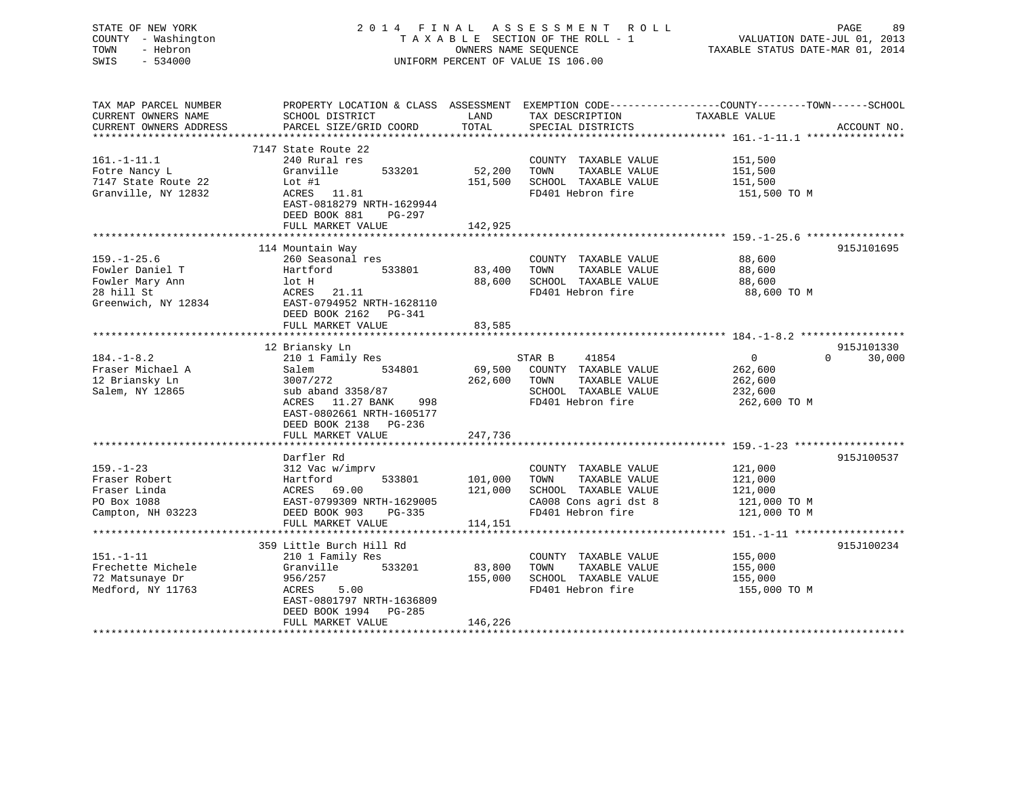# STATE OF NEW YORK 2 0 1 4 F I N A L A S S E S S M E N T R O L L PAGE 89 COUNTY - Washington T A X A B L E SECTION OF THE ROLL - 1 VALUATION DATE-JUL 01, 2013 TOWN - Hebron **CONNERS NAME SEQUENCE** TAXABLE STATUS DATE-MAR 01, 2014 SWIS - 534000 UNIFORM PERCENT OF VALUE IS 106.00

| TAX MAP PARCEL NUMBER<br>CURRENT OWNERS NAME<br>CURRENT OWNERS ADDRESS                       | SCHOOL DISTRICT<br>PARCEL SIZE/GRID COORD                                                                                                                                                           | LAND<br>TOTAL                              | TAX DESCRIPTION<br>SPECIAL DISTRICTS                                                                                | PROPERTY LOCATION & CLASS ASSESSMENT EXEMPTION CODE----------------COUNTY-------TOWN------SCHOOL<br>TAXABLE VALUE<br>ACCOUNT NO. |
|----------------------------------------------------------------------------------------------|-----------------------------------------------------------------------------------------------------------------------------------------------------------------------------------------------------|--------------------------------------------|---------------------------------------------------------------------------------------------------------------------|----------------------------------------------------------------------------------------------------------------------------------|
| $161. - 1 - 11.1$<br>Fotre Nancy L<br>7147 State Route 22<br>Granville, NY 12832             | 7147 State Route 22<br>240 Rural res<br>Granville<br>533201<br>$Lot$ #1<br>ACRES 11.81<br>EAST-0818279 NRTH-1629944<br>DEED BOOK 881<br>$PG-297$<br>FULL MARKET VALUE                               | 52,200<br>151,500<br>142,925               | COUNTY TAXABLE VALUE<br>TAXABLE VALUE<br>TOWN<br>SCHOOL TAXABLE VALUE<br>FD401 Hebron fire                          | 151,500<br>151,500<br>151,500<br>151,500 TO M                                                                                    |
| $159. - 1 - 25.6$<br>Fowler Daniel T<br>Fowler Mary Ann<br>28 hill St<br>Greenwich, NY 12834 | 114 Mountain Way<br>260 Seasonal res<br>533801<br>Hartford<br>lot H<br>ACRES<br>21.11<br>EAST-0794952 NRTH-1628110<br>DEED BOOK 2162<br>PG-341<br>FULL MARKET VALUE<br>**************************** | 83,400<br>88,600<br>83,585<br>************ | COUNTY TAXABLE VALUE<br>TOWN<br>TAXABLE VALUE<br>SCHOOL TAXABLE VALUE<br>FD401 Hebron fire                          | 915J101695<br>88,600<br>88,600<br>88,600<br>88,600 TO M                                                                          |
|                                                                                              |                                                                                                                                                                                                     |                                            |                                                                                                                     | 915J101330                                                                                                                       |
| $184. - 1 - 8.2$<br>Fraser Michael A<br>12 Briansky Ln<br>Salem, NY 12865                    | 12 Briansky Ln<br>210 1 Family Res<br>Salem<br>534801<br>3007/272<br>sub aband 3358/87<br>11.27 BANK<br>998<br>ACRES<br>EAST-0802661 NRTH-1605177<br>DEED BOOK 2138 PG-236                          | 69,500<br>262,600                          | STAR B<br>41854<br>COUNTY TAXABLE VALUE<br>TOWN<br>TAXABLE VALUE<br>SCHOOL TAXABLE VALUE<br>FD401 Hebron fire       | $\mathbf{0}$<br>$\Omega$<br>30,000<br>262,600<br>262,600<br>232,600<br>262,600 TO M                                              |
|                                                                                              | FULL MARKET VALUE                                                                                                                                                                                   | 247,736                                    |                                                                                                                     |                                                                                                                                  |
| $159. - 1 - 23$<br>Fraser Robert<br>Fraser Linda<br>PO Box 1088<br>Campton, NH 03223         | Darfler Rd<br>312 Vac w/imprv<br>Hartford<br>533801<br>69.00<br>ACRES<br>EAST-0799309 NRTH-1629005<br>DEED BOOK 903<br>$PG-335$                                                                     | 101,000<br>121,000                         | COUNTY TAXABLE VALUE<br>TAXABLE VALUE<br>TOWN<br>SCHOOL TAXABLE VALUE<br>CA008 Cons agri dst 8<br>FD401 Hebron fire | 915J100537<br>121,000<br>121,000<br>121,000<br>121,000 TO M<br>121,000 TO M                                                      |
|                                                                                              | FULL MARKET VALUE                                                                                                                                                                                   | 114,151                                    |                                                                                                                     |                                                                                                                                  |
| $151. - 1 - 11$<br>Frechette Michele<br>72 Matsunaye Dr<br>Medford, NY 11763                 | 359 Little Burch Hill Rd<br>210 1 Family Res<br>Granville<br>533201<br>956/257<br>ACRES<br>5.00<br>EAST-0801797 NRTH-1636809<br>DEED BOOK 1994<br>PG-285<br>FULL MARKET VALUE                       | 83,800<br>155,000<br>146,226               | COUNTY TAXABLE VALUE<br>TOWN<br>TAXABLE VALUE<br>SCHOOL TAXABLE VALUE<br>FD401 Hebron fire                          | 915J100234<br>155,000<br>155,000<br>155,000<br>155,000 TO M                                                                      |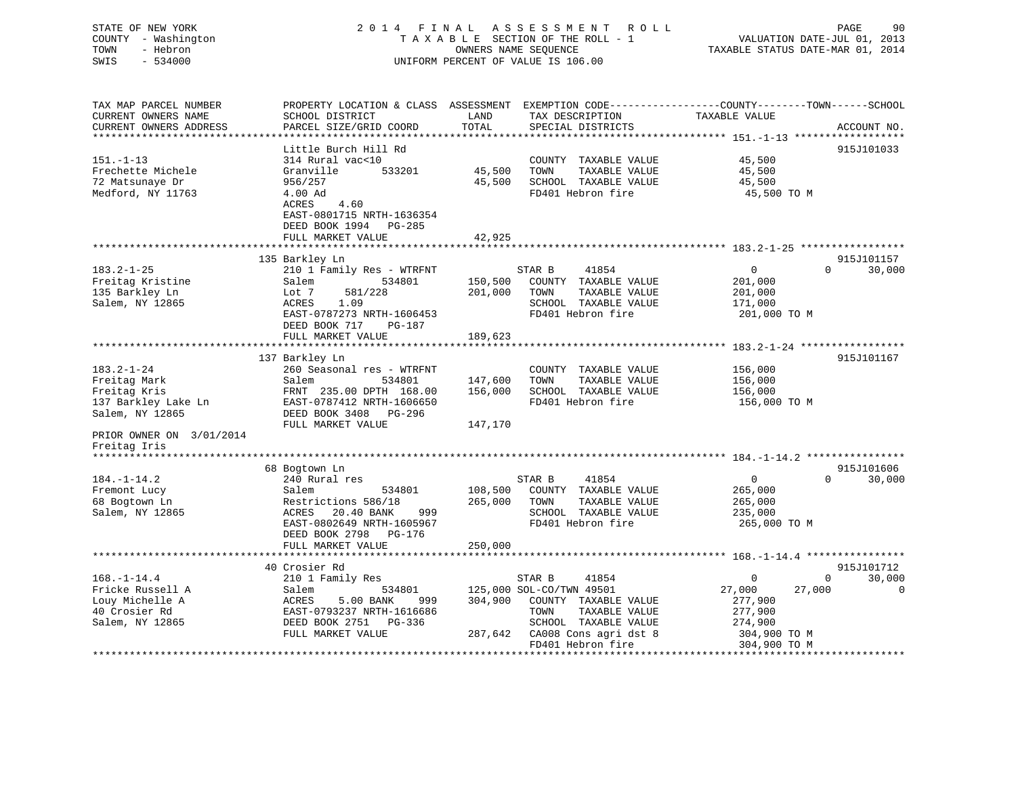# STATE OF NEW YORK 2 0 1 4 F I N A L A S S E S S M E N T R O L L PAGE 90 COUNTY - Washington T A X A B L E SECTION OF THE ROLL - 1 VALUATION DATE-JUL 01, 2013 TOWN - Hebron OWNERS NAME SEQUENCE TAXABLE STATUS DATE-MAR 01, 2014 SWIS - 534000 UNIFORM PERCENT OF VALUE IS 106.00

| TAX MAP PARCEL NUMBER    | PROPERTY LOCATION & CLASS ASSESSMENT |         |                          |                  |                    |
|--------------------------|--------------------------------------|---------|--------------------------|------------------|--------------------|
| CURRENT OWNERS NAME      | SCHOOL DISTRICT                      | LAND    | TAX DESCRIPTION          | TAXABLE VALUE    |                    |
| CURRENT OWNERS ADDRESS   | PARCEL SIZE/GRID COORD               | TOTAL   | SPECIAL DISTRICTS        |                  | ACCOUNT NO.        |
|                          |                                      |         |                          |                  |                    |
|                          | Little Burch Hill Rd                 |         |                          |                  | 915J101033         |
|                          |                                      |         |                          |                  |                    |
| $151. - 1 - 13$          | 314 Rural vac<10                     |         | COUNTY TAXABLE VALUE     | 45,500           |                    |
| Frechette Michele        | 533201<br>Granville                  | 45,500  | TAXABLE VALUE<br>TOWN    | 45,500           |                    |
| 72 Matsunaye Dr          | 956/257                              | 45,500  | SCHOOL TAXABLE VALUE     | 45,500           |                    |
| Medford, NY 11763        | 4.00 Ad                              |         | FD401 Hebron fire        | 45,500 TO M      |                    |
|                          | ACRES<br>4.60                        |         |                          |                  |                    |
|                          | EAST-0801715 NRTH-1636354            |         |                          |                  |                    |
|                          | DEED BOOK 1994<br>PG-285             |         |                          |                  |                    |
|                          | FULL MARKET VALUE                    | 42,925  |                          |                  |                    |
|                          |                                      |         |                          |                  |                    |
|                          |                                      |         |                          |                  |                    |
|                          | 135 Barkley Ln                       |         |                          |                  | 915J101157         |
| $183.2 - 1 - 25$         | 210 1 Family Res - WTRFNT            |         | STAR B<br>41854          | $\overline{0}$   | 30,000<br>$\Omega$ |
| Freitag Kristine         | Salem<br>534801                      | 150,500 | COUNTY TAXABLE VALUE     | 201,000          |                    |
| 135 Barkley Ln           | Lot 7<br>581/228                     | 201,000 | TAXABLE VALUE<br>TOWN    | 201,000          |                    |
| Salem, NY 12865          | 1.09<br>ACRES                        |         | SCHOOL TAXABLE VALUE     | 171,000          |                    |
|                          | EAST-0787273 NRTH-1606453            |         | FD401 Hebron fire        | 201,000 TO M     |                    |
|                          | DEED BOOK 717<br>PG-187              |         |                          |                  |                    |
|                          |                                      |         |                          |                  |                    |
|                          | FULL MARKET VALUE                    | 189,623 |                          |                  |                    |
|                          |                                      |         |                          |                  |                    |
|                          | 137 Barkley Ln                       |         |                          |                  | 915J101167         |
| $183.2 - 1 - 24$         | 260 Seasonal res - WTRFNT            |         | COUNTY TAXABLE VALUE     | 156,000          |                    |
| Freitag Mark             | Salem<br>534801                      | 147,600 | TAXABLE VALUE<br>TOWN    | 156,000          |                    |
| Freitag Kris             | FRNT 235.00 DPTH 168.00              | 156,000 | SCHOOL TAXABLE VALUE     | 156,000          |                    |
| 137 Barkley Lake Ln      | EAST-0787412 NRTH-1606650            |         | FD401 Hebron fire        | 156,000 TO M     |                    |
| Salem, NY 12865          | DEED BOOK 3408 PG-296                |         |                          |                  |                    |
|                          | FULL MARKET VALUE                    | 147,170 |                          |                  |                    |
|                          |                                      |         |                          |                  |                    |
| PRIOR OWNER ON 3/01/2014 |                                      |         |                          |                  |                    |
| Freitag Iris             |                                      |         |                          |                  |                    |
|                          |                                      |         |                          |                  |                    |
|                          | 68 Bogtown Ln                        |         |                          |                  | 915J101606         |
| $184. - 1 - 14.2$        | 240 Rural res                        |         | STAR B<br>41854          | $\overline{0}$   | $\Omega$<br>30,000 |
| Fremont Lucy             | Salem<br>534801                      | 108,500 | COUNTY TAXABLE VALUE     | 265,000          |                    |
| 68 Bogtown Ln            | Restrictions 586/18                  | 265,000 | TOWN<br>TAXABLE VALUE    | 265,000          |                    |
| Salem, NY 12865          | ACRES<br>20.40 BANK<br>999           |         | SCHOOL TAXABLE VALUE     | 235,000          |                    |
|                          | EAST-0802649 NRTH-1605967            |         | FD401 Hebron fire        | 265,000 TO M     |                    |
|                          |                                      |         |                          |                  |                    |
|                          | DEED BOOK 2798<br>PG-176             |         |                          |                  |                    |
|                          | FULL MARKET VALUE                    | 250,000 |                          |                  |                    |
|                          |                                      |         |                          |                  |                    |
|                          | 40 Crosier Rd                        |         |                          |                  | 915J101712         |
| $168. - 1 - 14.4$        | 210 1 Family Res                     |         | STAR B<br>41854          | $\Omega$         | 30,000<br>$\Omega$ |
| Fricke Russell A         | Salem<br>534801                      |         | 125,000 SOL-CO/TWN 49501 | 27,000<br>27,000 | $\mathbf 0$        |
| Louy Michelle A          | ACRES<br>5.00 BANK<br>999            | 304,900 | COUNTY TAXABLE VALUE     | 277,900          |                    |
| 40 Crosier Rd            | EAST-0793237 NRTH-1616686            |         | TAXABLE VALUE<br>TOWN    | 277,900          |                    |
|                          |                                      |         |                          |                  |                    |
| Salem, NY 12865          | DEED BOOK 2751 PG-336                |         | SCHOOL TAXABLE VALUE     | 274,900          |                    |
|                          | FULL MARKET VALUE                    | 287,642 | CA008 Cons agri dst 8    | 304,900 TO M     |                    |
|                          |                                      |         | FD401 Hebron fire        | 304,900 TO M     |                    |
|                          |                                      |         |                          |                  |                    |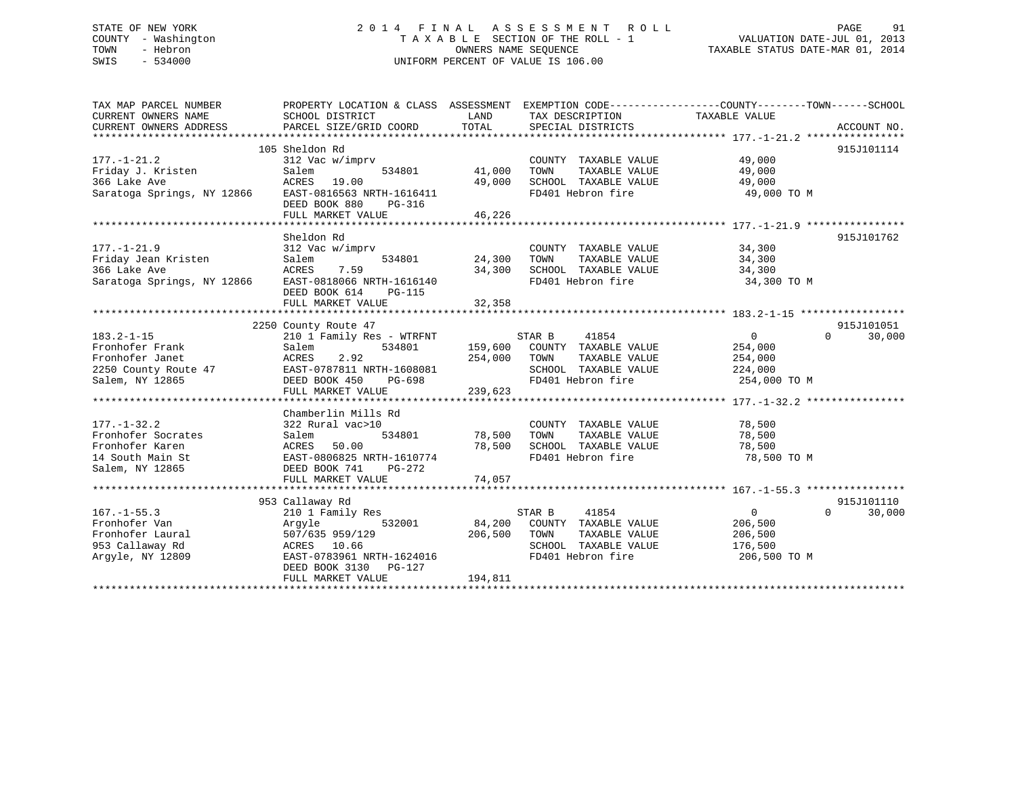# STATE OF NEW YORK 2 0 1 4 F I N A L A S S E S S M E N T R O L L PAGE 91 COUNTY - Washington T A X A B L E SECTION OF THE ROLL - 1 VALUATION DATE-JUL 01, 2013 TOWN - Hebron **CONNERS NAME SEQUENCE** TAXABLE STATUS DATE-MAR 01, 2014 SWIS - 534000 UNIFORM PERCENT OF VALUE IS 106.00

| TAX MAP PARCEL NUMBER<br>CURRENT OWNERS NAME<br>CURRENT OWNERS ADDRESS                                         | PROPERTY LOCATION & CLASS ASSESSMENT EXEMPTION CODE----------------COUNTY-------TOWN------SCHOOL<br>SCHOOL DISTRICT<br>PARCEL SIZE/GRID COORD                        | LAND<br>TOTAL                | TAX DESCRIPTION<br>SPECIAL DISTRICTS                                                                                  | TAXABLE VALUE                                                   | ACCOUNT NO.                      |
|----------------------------------------------------------------------------------------------------------------|----------------------------------------------------------------------------------------------------------------------------------------------------------------------|------------------------------|-----------------------------------------------------------------------------------------------------------------------|-----------------------------------------------------------------|----------------------------------|
| $177. - 1 - 21.2$<br>Friday J. Kristen<br>366 Lake Ave<br>Saratoga Springs, NY 12866 EAST-0816563 NRTH-1616411 | 105 Sheldon Rd<br>312 Vac w/imprv<br>Salem<br>534801<br>ACRES 19.00<br>DEED BOOK 880<br>PG-316<br>FULL MARKET VALUE                                                  | 41,000<br>49,000<br>46,226   | COUNTY TAXABLE VALUE<br>TOWN<br>TAXABLE VALUE<br>SCHOOL TAXABLE VALUE<br>FD401 Hebron fire                            | 49,000<br>49,000<br>49,000<br>49,000 TO M                       | 915J101114                       |
| $177. - 1 - 21.9$<br>Friday Jean Kristen<br>366 Lake Ave<br>Saratoga Springs, NY 12866                         | Sheldon Rd<br>312 Vac w/imprv<br>534801<br>Salem<br>7.59<br>ACRES<br>EAST-0818066 NRTH-1616140<br>DEED BOOK 614<br>PG-115<br>FULL MARKET VALUE                       | 24,300<br>34,300<br>32,358   | COUNTY TAXABLE VALUE<br>TOWN<br>TAXABLE VALUE<br>SCHOOL TAXABLE VALUE<br>FD401 Hebron fire                            | 34,300<br>34,300<br>34,300<br>34,300 TO M                       | 915J101762                       |
|                                                                                                                | 2250 County Route 47                                                                                                                                                 |                              |                                                                                                                       |                                                                 | 915J101051                       |
| $183.2 - 1 - 15$<br>Fronhofer Frank<br>Fronhofer Janet<br>2250 County Route 47<br>Salem, NY 12865              | 210 1 Family Res - WTRFNT<br>Salem<br>534801<br>2.92<br>ACRES<br>EAST-0787811 NRTH-1608081<br>DEED BOOK 450<br>PG-698<br>FULL MARKET VALUE                           | 254,000<br>239,623           | STAR B<br>41854<br>159,600 COUNTY TAXABLE VALUE<br>TAXABLE VALUE<br>TOWN<br>SCHOOL TAXABLE VALUE<br>FD401 Hebron fire | $\overline{0}$<br>254,000<br>254,000<br>224,000<br>254,000 TO M | $\Omega$<br>30,000               |
|                                                                                                                | Chamberlin Mills Rd                                                                                                                                                  |                              |                                                                                                                       |                                                                 |                                  |
| $177. - 1 - 32.2$<br>Fronhofer Socrates<br>Fronhofer Karen<br>14 South Main St<br>Salem, NY 12865              | 322 Rural vac>10<br>Salem<br>534801<br>50.00<br>ACRES<br>EAST-0806825 NRTH-1610774<br>DEED BOOK 741<br>PG-272<br>FULL MARKET VALUE                                   | 78,500<br>78,500<br>74,057   | COUNTY TAXABLE VALUE<br>TAXABLE VALUE<br>TOWN<br>SCHOOL TAXABLE VALUE<br>FD401 Hebron fire                            | 78,500<br>78,500<br>78,500<br>78,500 TO M                       |                                  |
|                                                                                                                |                                                                                                                                                                      |                              |                                                                                                                       |                                                                 |                                  |
| $167. - 1 - 55.3$<br>Fronhofer Van<br>Fronhofer Laural<br>953 Callaway Rd<br>Argyle, NY 12809                  | 953 Callaway Rd<br>210 1 Family Res<br>Argyle<br>532001<br>507/635 959/129<br>ACRES 10.66<br>EAST-0783961 NRTH-1624016<br>DEED BOOK 3130 PG-127<br>FULL MARKET VALUE | 84,200<br>206,500<br>194,811 | 41854<br>STAR B<br>COUNTY TAXABLE VALUE<br>TOWN<br>TAXABLE VALUE<br>SCHOOL TAXABLE VALUE<br>FD401 Hebron fire         | $\overline{0}$<br>206,500<br>206,500<br>176,500<br>206,500 TO M | 915J101110<br>$\Omega$<br>30,000 |
|                                                                                                                |                                                                                                                                                                      |                              |                                                                                                                       |                                                                 |                                  |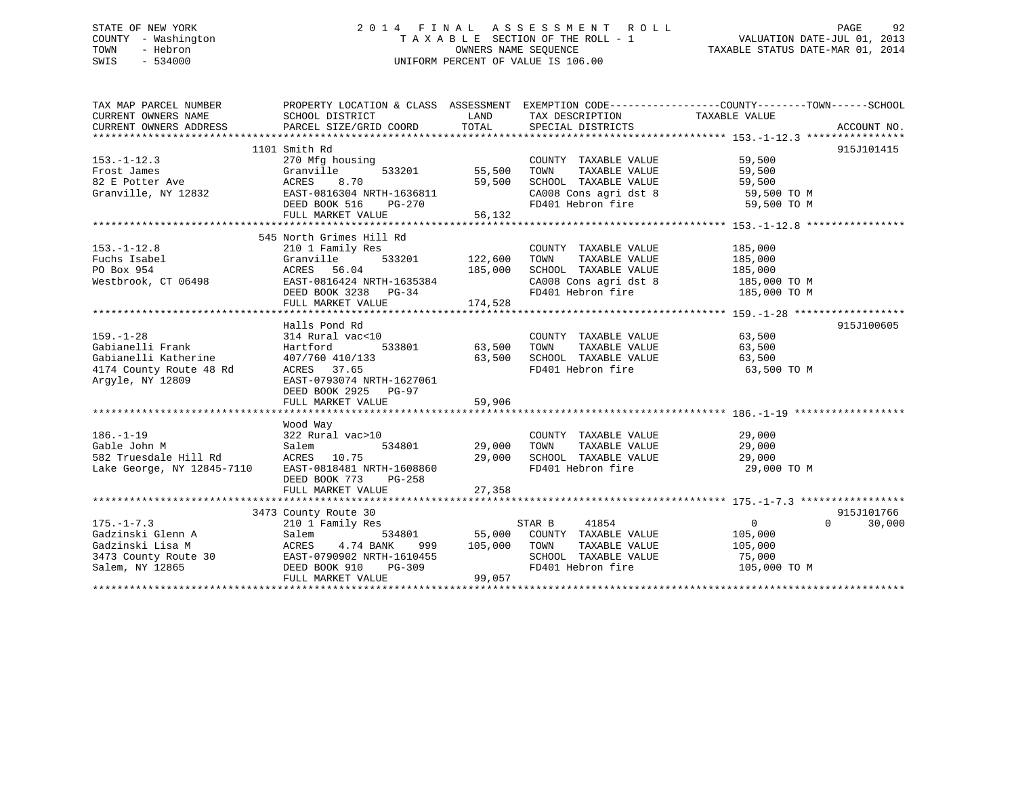# STATE OF NEW YORK 2 0 1 4 F I N A L A S S E S S M E N T R O L L PAGE 92 COUNTY - Washington T A X A B L E SECTION OF THE ROLL - 1 VALUATION DATE-JUL 01, 2013 TOWN - Hebron OWNERS NAME SEQUENCE TAXABLE STATUS DATE-MAR 01, 2014 SWIS - 534000 UNIFORM PERCENT OF VALUE IS 106.00

| TAX MAP PARCEL NUMBER | PROPERTY LOCATION & CLASS ASSESSMENT EXEMPTION CODE---------------COUNTY-------TOWN-----SCHOOL                                                                                                                                                       |                              |                                                                                                                                                                                             |                       |                    |
|-----------------------|------------------------------------------------------------------------------------------------------------------------------------------------------------------------------------------------------------------------------------------------------|------------------------------|---------------------------------------------------------------------------------------------------------------------------------------------------------------------------------------------|-----------------------|--------------------|
| CURRENT OWNERS NAME   | SCHOOL DISTRICT                                                                                                                                                                                                                                      | <b>EXAMPLE EXAMPLE STATE</b> | TAX DESCRIPTION TAXABLE VALUE                                                                                                                                                               |                       |                    |
|                       |                                                                                                                                                                                                                                                      |                              |                                                                                                                                                                                             |                       |                    |
|                       |                                                                                                                                                                                                                                                      |                              |                                                                                                                                                                                             |                       |                    |
|                       | 1101 Smith Rd<br>153.-1-12.3<br>Frost James Granville 533201 55,500<br>82 E Potter Ave ACRES 8.70 59,500<br>Granville, NY 12832 EAST-0816304 NRTH-1636811<br>DEED BOOK 516 PG-270<br>The Matthew VALUE 56,132                                        |                              |                                                                                                                                                                                             |                       | 915J101415         |
|                       |                                                                                                                                                                                                                                                      |                              | COUNTY TAXABLE VALUE 59,500<br>TOWN TAXABLE VALUE 59,500                                                                                                                                    |                       |                    |
|                       |                                                                                                                                                                                                                                                      |                              |                                                                                                                                                                                             |                       |                    |
|                       |                                                                                                                                                                                                                                                      |                              | 59,500 SCHOOL TAXABLE VALUE                                                                                                                                                                 | 59,500                |                    |
|                       |                                                                                                                                                                                                                                                      |                              | CA008 Cons agri dst 8<br>FD401 Hebron fire                                                                                                                                                  | 59,500 TO M           |                    |
|                       |                                                                                                                                                                                                                                                      |                              |                                                                                                                                                                                             | 59,500 TO M           |                    |
|                       |                                                                                                                                                                                                                                                      |                              |                                                                                                                                                                                             |                       |                    |
|                       |                                                                                                                                                                                                                                                      |                              |                                                                                                                                                                                             |                       |                    |
|                       | 545 North Grimes Hill Rd                                                                                                                                                                                                                             |                              |                                                                                                                                                                                             |                       |                    |
| $153.-1-12.8$         | 210 1 Family Res                                                                                                                                                                                                                                     |                              | COUNTY TAXABLE VALUE 185,000                                                                                                                                                                |                       |                    |
| Fuchs Isabel          | Granville                                                                                                                                                                                                                                            | 533201 122,600               |                                                                                                                                                                                             |                       |                    |
|                       | PO Box 954<br>Mestbrook, CT 06498<br>Mestbrook, CT 06498<br>Mestbrook, CT 06498<br>Mestbrook, CT 06498<br>Mestbrook, CT 06498<br>Mestbrook, CT 06498<br>Mestbrook, CT 06498<br>Mestbrook, CT 06498<br>Mestbrook, CT 06498<br>Mestbrook, CT 06498<br> |                              |                                                                                                                                                                                             |                       |                    |
|                       |                                                                                                                                                                                                                                                      |                              |                                                                                                                                                                                             |                       |                    |
|                       |                                                                                                                                                                                                                                                      |                              |                                                                                                                                                                                             |                       |                    |
|                       |                                                                                                                                                                                                                                                      |                              |                                                                                                                                                                                             |                       |                    |
|                       |                                                                                                                                                                                                                                                      |                              |                                                                                                                                                                                             |                       |                    |
| $159. - 1 - 28$       | Halls Pond Rd                                                                                                                                                                                                                                        |                              |                                                                                                                                                                                             |                       | 915J100605         |
| Gabianelli Frank      | 314 Rural vac<10                                                                                                                                                                                                                                     |                              | COUNTY TAXABLE VALUE<br>TAXABLE VALUE                                                                                                                                                       | 63,500<br>63,500      |                    |
|                       | Hartford                                                                                                                                                                                                                                             |                              |                                                                                                                                                                                             |                       |                    |
|                       |                                                                                                                                                                                                                                                      | 63,500                       | SCHOOL TAXABLE VALUE<br>FD401 Hebron fire                                                                                                                                                   | 63,500<br>63,500 TO M |                    |
| Arqyle, NY 12809      | EAST-0793074 NRTH-1627061                                                                                                                                                                                                                            |                              |                                                                                                                                                                                             |                       |                    |
|                       | DEED BOOK 2925 PG-97                                                                                                                                                                                                                                 |                              |                                                                                                                                                                                             |                       |                    |
|                       | FULL MARKET VALUE                                                                                                                                                                                                                                    | 59,906                       |                                                                                                                                                                                             |                       |                    |
|                       |                                                                                                                                                                                                                                                      |                              |                                                                                                                                                                                             |                       |                    |
|                       | Wood Way                                                                                                                                                                                                                                             |                              |                                                                                                                                                                                             |                       |                    |
| $186. - 1 - 19$       | 322 Rural vac>10                                                                                                                                                                                                                                     |                              | COUNTY TAXABLE VALUE 29,000                                                                                                                                                                 |                       |                    |
|                       |                                                                                                                                                                                                                                                      | 534801 29,000 TOWN           | TAXABLE VALUE 29,000                                                                                                                                                                        |                       |                    |
|                       |                                                                                                                                                                                                                                                      |                              | $29,000 \qquad \text{SCHOOL} \qquad \text{TAXABLE VALUE} \qquad \qquad 29,000$                                                                                                              |                       |                    |
|                       | Compared to the Salem Salem Salem 1999<br>Sable John M Salem Salem 534801<br>Lake George, NY 12845-7110 EAST-0818481 NRTH-1608860                                                                                                                    |                              | FD401 Hebron fire                                                                                                                                                                           | 29,000 TO M           |                    |
|                       | DEED BOOK 773 PG-258                                                                                                                                                                                                                                 |                              |                                                                                                                                                                                             |                       |                    |
|                       |                                                                                                                                                                                                                                                      |                              |                                                                                                                                                                                             |                       |                    |
|                       |                                                                                                                                                                                                                                                      |                              |                                                                                                                                                                                             |                       |                    |
|                       | 3473 County Route 30                                                                                                                                                                                                                                 |                              |                                                                                                                                                                                             |                       | 915J101766         |
| $175. - 1 - 7.3$      | 210 1 Family Res                                                                                                                                                                                                                                     |                              |                                                                                                                                                                                             | $\overline{0}$        | $\Omega$<br>30,000 |
|                       |                                                                                                                                                                                                                                                      |                              | $\begin{array}{ccccccccc} \texttt{534801} & & & & \texttt{STAR B} & & & \texttt{41854} \\ \texttt{534801} & & & \texttt{55,000} & & \texttt{COUNTY} & & \texttt{TAXABLE VALUE} \end{array}$ | 105,000               |                    |
|                       |                                                                                                                                                                                                                                                      | 999 105,000 TOWN             | TAXABLE VALUE 105,000                                                                                                                                                                       |                       |                    |
|                       |                                                                                                                                                                                                                                                      |                              | SCHOOL TAXABLE VALUE 75,000                                                                                                                                                                 |                       |                    |
|                       |                                                                                                                                                                                                                                                      |                              | FD401 Hebron fire                                                                                                                                                                           | 105,000 TO M          |                    |
|                       | 3473 County Route 30<br>Salem, NY 12865<br>Salem, NY 12865<br>FULL MARKET VALUE 99,057                                                                                                                                                               |                              |                                                                                                                                                                                             |                       |                    |
|                       |                                                                                                                                                                                                                                                      |                              |                                                                                                                                                                                             |                       |                    |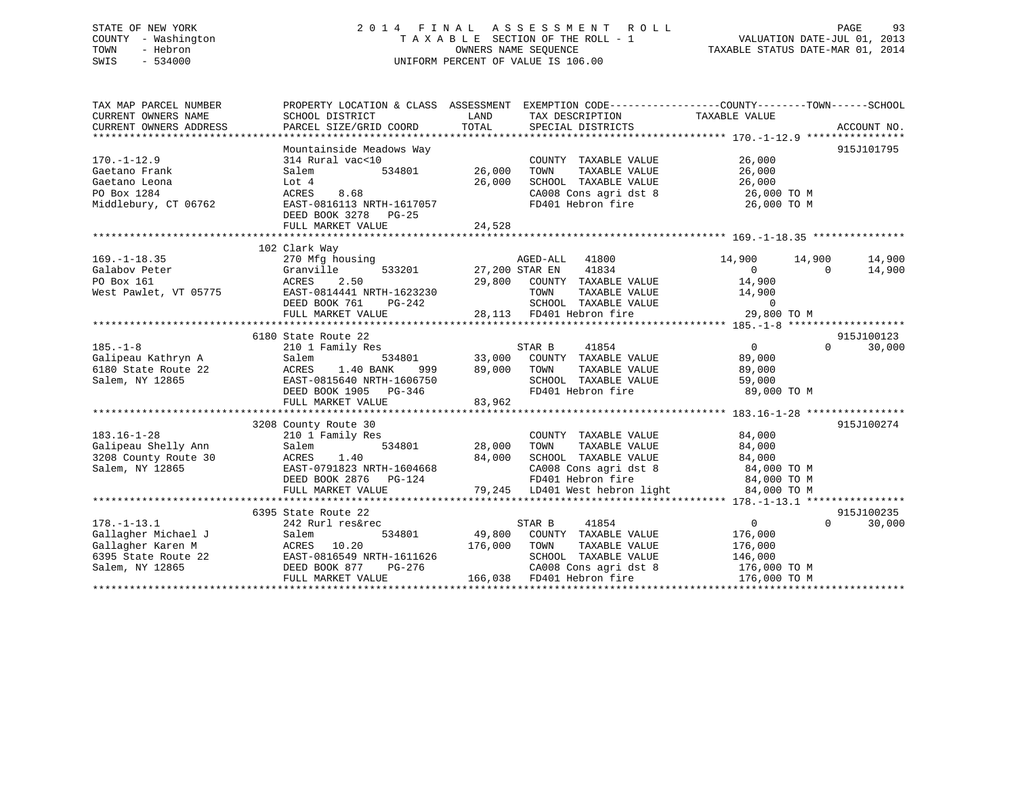# STATE OF NEW YORK 2 0 1 4 F I N A L A S S E S S M E N T R O L L PAGE 93 COUNTY - Washington T A X A B L E SECTION OF THE ROLL - 1 VALUATION DATE-JUL 01, 2013 TOWN - Hebron OWNERS NAME SEQUENCE TAXABLE STATUS DATE-MAR 01, 2014 SWIS - 534000 UNIFORM PERCENT OF VALUE IS 106.00

| TAX MAP PARCEL NUMBER<br>CURRENT OWNERS NAME<br>CURRENT OWNERS ADDRESS                                                                                                                                                                                                                                                     | PROPERTY LOCATION & CLASS ASSESSMENT<br>SCHOOL DISTRICT<br>PARCEL SIZE/GRID COORD            | LAND<br>TOTAL | TAX DESCRIPTION<br>SPECIAL DISTRICTS                                 | EXEMPTION CODE----------------COUNTY-------TOWN------SCHOOL<br>TAXABLE VALUE | ACCOUNT NO.        |
|----------------------------------------------------------------------------------------------------------------------------------------------------------------------------------------------------------------------------------------------------------------------------------------------------------------------------|----------------------------------------------------------------------------------------------|---------------|----------------------------------------------------------------------|------------------------------------------------------------------------------|--------------------|
|                                                                                                                                                                                                                                                                                                                            |                                                                                              |               |                                                                      |                                                                              |                    |
|                                                                                                                                                                                                                                                                                                                            | Mountainside Meadows Way                                                                     |               |                                                                      |                                                                              | 915J101795         |
| $170. - 1 - 12.9$                                                                                                                                                                                                                                                                                                          | 314 Rural vac<10                                                                             |               | COUNTY TAXABLE VALUE                                                 | 26,000                                                                       |                    |
| Gaetano Frank                                                                                                                                                                                                                                                                                                              | Salem<br>534801                                                                              | 26,000        | TOWN<br>TAXABLE VALUE                                                | 26,000                                                                       |                    |
| Gaetano Leona                                                                                                                                                                                                                                                                                                              | Lot 4                                                                                        | 26,000        | SCHOOL TAXABLE VALUE                                                 | 26,000                                                                       |                    |
| PO Box 1284                                                                                                                                                                                                                                                                                                                | 8.68<br>ACRES                                                                                |               | CA008 Cons agri dst 8                                                | 26,000 TO M                                                                  |                    |
| Middlebury, CT 06762                                                                                                                                                                                                                                                                                                       | EAST-0816113 NRTH-1617057<br>DEED BOOK 3278 PG-25                                            |               | FD401 Hebron fire                                                    | 26,000 TO M                                                                  |                    |
|                                                                                                                                                                                                                                                                                                                            | FULL MARKET VALUE                                                                            | 24,528        |                                                                      |                                                                              |                    |
|                                                                                                                                                                                                                                                                                                                            |                                                                                              |               |                                                                      |                                                                              |                    |
| $169. - 1 - 18.35$                                                                                                                                                                                                                                                                                                         | 102 Clark Way                                                                                |               | AGED-ALL 41800                                                       |                                                                              | 14,900             |
| Galabov Peter                                                                                                                                                                                                                                                                                                              | 270 Mfg housing<br>533201<br>Granville                                                       |               | 27,200 STAR EN 41834                                                 | 14,900<br>14,900<br>$\overline{0}$                                           | 14,900<br>$\Omega$ |
| PO Box 161                                                                                                                                                                                                                                                                                                                 | 2.50<br>ACRES                                                                                |               | 29,800 COUNTY TAXABLE VALUE                                          | 14,900                                                                       |                    |
| West Pawlet, VT 05775                                                                                                                                                                                                                                                                                                      | EAST-0814441 NRTH-1623230                                                                    |               | TOWN                                                                 | TAXABLE VALUE 14,900                                                         |                    |
|                                                                                                                                                                                                                                                                                                                            | DEED BOOK 761<br>PG-242                                                                      |               |                                                                      | $\Omega$                                                                     |                    |
|                                                                                                                                                                                                                                                                                                                            |                                                                                              |               | SCHOOL TAXABLE VALUE<br>FD401 Hebron fire                            |                                                                              |                    |
| $\begin{array}{@{}l@{}} \texttt{UDED} & \texttt{DUD} & \texttt{FU}^{-2+2} & \texttt{UUUU} & \texttt{IADUDU} & \texttt{VADU} & \texttt{VUU} \ \texttt{FULL} & \texttt{MARKET} & \texttt{VALUE} & 28,113 & \texttt{FD401} & \texttt{Hebron fire} & 29,800 & \texttt{T0 M} \ \texttt{m} & 29,800 & \texttt{T0 M} \end{array}$ |                                                                                              |               |                                                                      |                                                                              |                    |
|                                                                                                                                                                                                                                                                                                                            | 6180 State Route 22                                                                          |               |                                                                      |                                                                              | 915J100123         |
| $185. - 1 - 8$                                                                                                                                                                                                                                                                                                             | 210 1 Family Res                                                                             |               | 41854<br>STAR B                                                      | $\overline{0}$                                                               | $\Omega$<br>30,000 |
| Galipeau Kathryn A                                                                                                                                                                                                                                                                                                         | 534801<br>Salem                                                                              | 33,000        | COUNTY TAXABLE VALUE                                                 | 89,000                                                                       |                    |
| 6180 State Route 22                                                                                                                                                                                                                                                                                                        | 999<br>ACRES 1.30 2010.<br>EAST-0815640 NRTH-1606750                                         | 89,000        | TOWN<br>TAXABLE VALUE                                                | 89,000                                                                       |                    |
| Salem, NY 12865                                                                                                                                                                                                                                                                                                            |                                                                                              |               | SCHOOL TAXABLE VALUE                                                 | 59,000                                                                       |                    |
|                                                                                                                                                                                                                                                                                                                            | DEED BOOK 1905 PG-346                                                                        |               | FD401 Hebron fire                                                    | 89,000 TO M                                                                  |                    |
|                                                                                                                                                                                                                                                                                                                            | FULL MARKET VALUE                                                                            | 83,962        |                                                                      |                                                                              |                    |
|                                                                                                                                                                                                                                                                                                                            |                                                                                              |               |                                                                      |                                                                              |                    |
|                                                                                                                                                                                                                                                                                                                            | 3208 County Route 30                                                                         |               |                                                                      |                                                                              | 915J100274         |
| $183.16 - 1 - 28$                                                                                                                                                                                                                                                                                                          | 210 1 Family Res                                                                             |               | COUNTY TAXABLE VALUE                                                 | 84,000                                                                       |                    |
| Galipeau Shelly Ann                                                                                                                                                                                                                                                                                                        | 534801<br>Salem                                                                              | 28,000        | TAXABLE VALUE<br>TOWN                                                | 84,000                                                                       |                    |
| 3208 County Route 30                                                                                                                                                                                                                                                                                                       | ACRES<br>1.40                                                                                | 84,000        | SCHOOL TAXABLE VALUE<br>SCHOOL TAXABLE WILL<br>CA008 Cons agri dst 8 | 84,000                                                                       |                    |
| Salem, NY 12865                                                                                                                                                                                                                                                                                                            | EAST-0791823 NRTH-1604668                                                                    |               |                                                                      | 84,000 TO M                                                                  |                    |
|                                                                                                                                                                                                                                                                                                                            | DEED BOOK 2876 PG-124                                                                        |               |                                                                      | 84,000 TO M                                                                  |                    |
|                                                                                                                                                                                                                                                                                                                            | FULL MARKET VALUE                                                                            |               | 79,245 LD401 West hebron light                                       | 84,000 TO M                                                                  |                    |
|                                                                                                                                                                                                                                                                                                                            |                                                                                              |               |                                                                      |                                                                              |                    |
|                                                                                                                                                                                                                                                                                                                            | 6395 State Route 22                                                                          |               |                                                                      |                                                                              | 915J100235         |
| $178. - 1 - 13.1$                                                                                                                                                                                                                                                                                                          | 242 Rurl res&rec                                                                             |               | STAR B<br>41854                                                      | $\overline{0}$                                                               | $\Omega$<br>30,000 |
| Gallagher Michael J                                                                                                                                                                                                                                                                                                        | Salem<br>534801                                                                              | 49,800        | COUNTY TAXABLE VALUE                                                 | 176,000                                                                      |                    |
| Gallagher Karen M                                                                                                                                                                                                                                                                                                          | ACRES<br>10.20                                                                               | 176,000       | TAXABLE VALUE<br>TOWN                                                | 176,000                                                                      |                    |
| 6395 State Route 22                                                                                                                                                                                                                                                                                                        |                                                                                              |               | SCHOOL TAXABLE VALUE                                                 | 146,000                                                                      |                    |
| Salem, NY 12865                                                                                                                                                                                                                                                                                                            | EAST-0816549 NRTH-1611626<br>DEED BOOK 877 PG-276<br>ETILE MADEET VALUE<br>FULL MARKET VALUE |               | CA008 Cons agri dst 8<br>166,038 FD401 Hebron fire                   | 176,000 TO M<br>176,000 TO M                                                 |                    |
|                                                                                                                                                                                                                                                                                                                            |                                                                                              |               |                                                                      |                                                                              |                    |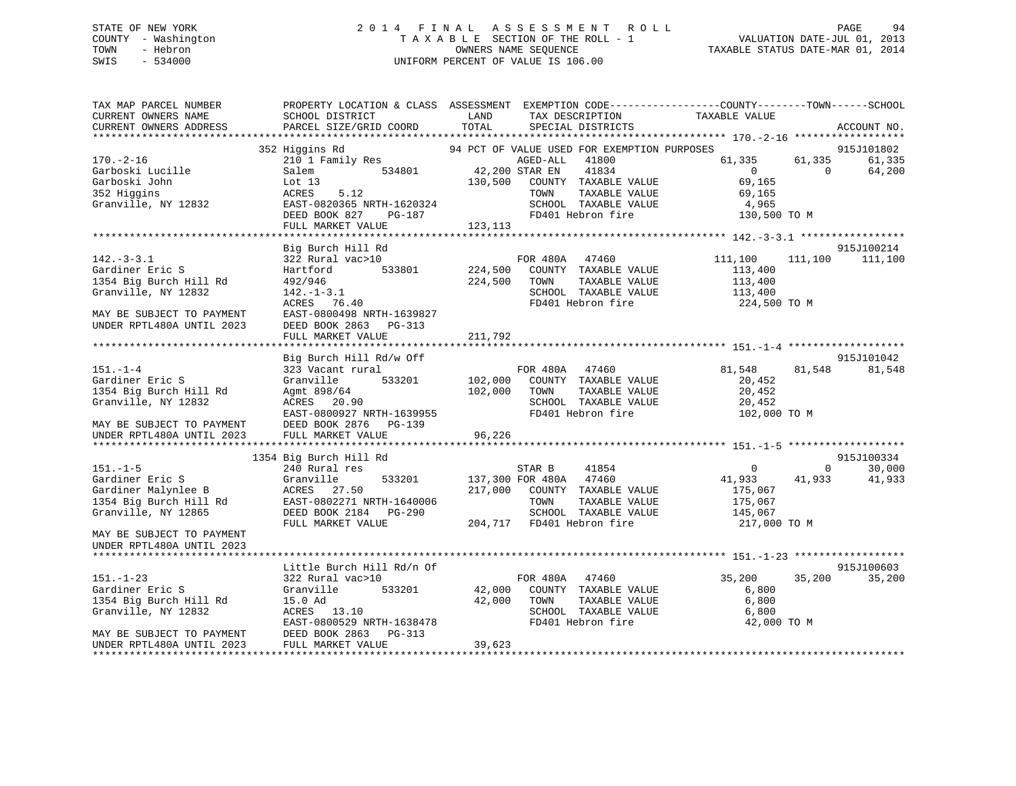# STATE OF NEW YORK 2 0 1 4 F I N A L A S S E S S M E N T R O L L PAGE 94 COUNTY - Washington T A X A B L E SECTION OF THE ROLL - 1 VALUATION DATE-JUL 01, 2013 TOWN - Hebron **CONNERS NAME SEQUENCE** TAXABLE STATUS DATE-MAR 01, 2014 SWIS - 534000 UNIFORM PERCENT OF VALUE IS 106.00

| TAX MAP PARCEL NUMBER<br>CURRENT OWNERS NAME<br>CURRENT OWNERS ADDRESS | SCHOOL DISTRICT<br>PARCEL SIZE/GRID COORD | LAND<br>TAX DESCRIPTION<br>TOTAL<br>SPECIAL DISTRICTS    | PROPERTY LOCATION & CLASS ASSESSMENT EXEMPTION CODE----------------COUNTY-------TOWN------SCHOOL<br>TAXABLE VALUE<br>ACCOUNT NO. |
|------------------------------------------------------------------------|-------------------------------------------|----------------------------------------------------------|----------------------------------------------------------------------------------------------------------------------------------|
|                                                                        |                                           |                                                          |                                                                                                                                  |
|                                                                        | 352 Higgins Rd                            | 94 PCT OF VALUE USED FOR EXEMPTION PURPOSES              | 915J101802                                                                                                                       |
| $170. - 2 - 16$                                                        | 210 1 Family Res                          | AGED-ALL 41800                                           | 61,335<br>61,335<br>61,335                                                                                                       |
| Garboski Lucille                                                       | 534801<br>Salem                           | 42,200 STAR EN<br>41834                                  | $\overline{0}$<br>$\Omega$<br>64,200                                                                                             |
| Garboski John                                                          | Lot $13$                                  | 130,500<br>COUNTY TAXABLE VALUE                          | 69,165                                                                                                                           |
| 352 Higgins                                                            | ACRES<br>5.12                             | TAXABLE VALUE<br>TOWN                                    | 69,165                                                                                                                           |
| Granville, NY 12832                                                    | EAST-0820365 NRTH-1620324                 | SCHOOL TAXABLE VALUE                                     | 4,965                                                                                                                            |
|                                                                        | DEED BOOK 827<br>PG-187                   | FD401 Hebron fire                                        | 130,500 TO M                                                                                                                     |
|                                                                        | FULL MARKET VALUE                         | 123,113                                                  |                                                                                                                                  |
|                                                                        | Big Burch Hill Rd                         |                                                          | 915J100214                                                                                                                       |
| $142. - 3 - 3.1$                                                       | 322 Rural vac>10                          | FOR 480A 47460                                           | 111,100<br>111,100 111,100                                                                                                       |
| Gardiner Eric S                                                        | 533801<br>Hartford                        | 224,500<br>COUNTY TAXABLE VALUE                          | 113,400                                                                                                                          |
| 1354 Big Burch Hill Rd                                                 | 492/946                                   | 224,500<br>TOWN<br>TAXABLE VALUE                         | 113,400                                                                                                                          |
| Granville, NY 12832                                                    | $142. - 1 - 3.1$                          | SCHOOL TAXABLE VALUE                                     | 113,400                                                                                                                          |
|                                                                        | ACRES 76.40                               | FD401 Hebron fire                                        | 224,500 TO M                                                                                                                     |
| MAY BE SUBJECT TO PAYMENT                                              | EAST-0800498 NRTH-1639827                 |                                                          |                                                                                                                                  |
| UNDER RPTL480A UNTIL 2023                                              | DEED BOOK 2863 PG-313                     |                                                          |                                                                                                                                  |
|                                                                        | FULL MARKET VALUE                         | 211,792                                                  |                                                                                                                                  |
|                                                                        |                                           |                                                          |                                                                                                                                  |
|                                                                        | Big Burch Hill Rd/w Off                   |                                                          | 915J101042                                                                                                                       |
| $151. - 1 - 4$                                                         | 323 Vacant rural                          | FOR 480A 47460                                           | 81,548<br>81,548<br>81,548                                                                                                       |
| Gardiner Eric S                                                        | 533201<br>Granville                       | 102,000 COUNTY TAXABLE VALUE                             | 20,452                                                                                                                           |
| 1354 Big Burch Hill Rd<br>Granville, NY 12832                          | Agmt 898/64<br>ACRES 20.90                | 102,000<br>TOWN<br>TAXABLE VALUE<br>SCHOOL TAXABLE VALUE | 20,452<br>20,452                                                                                                                 |
|                                                                        | EAST-0800927 NRTH-1639955                 | FD401 Hebron fire                                        | 102,000 TO M                                                                                                                     |
| MAY BE SUBJECT TO PAYMENT                                              | DEED BOOK 2876 PG-139                     |                                                          |                                                                                                                                  |
| UNDER RPTL480A UNTIL 2023                                              | FULL MARKET VALUE                         | 96,226                                                   |                                                                                                                                  |
|                                                                        |                                           |                                                          |                                                                                                                                  |
|                                                                        | 1354 Big Burch Hill Rd                    |                                                          | 915J100334                                                                                                                       |
| $151. - 1 - 5$                                                         | 240 Rural res                             | STAR B<br>41854                                          | $0 \qquad \qquad$<br>30,000<br>0                                                                                                 |
| Gardiner Eric S                                                        | Granville<br>533201                       | 137,300 FOR 480A 47460                                   | 41,933<br>41,933<br>41,933                                                                                                       |
| Gardiner Malynlee B                                                    | ACRES 27.50                               | 217,000<br>COUNTY TAXABLE VALUE                          | 175,067                                                                                                                          |
| 1354 Big Burch Hill Rd                                                 | EAST-0802271 NRTH-1640006                 | TOWN<br>TAXABLE VALUE                                    | 175,067                                                                                                                          |
| Granville, NY 12865                                                    | DEED BOOK 2184 PG-290                     | SCHOOL TAXABLE VALUE                                     | 145,067                                                                                                                          |
|                                                                        | FULL MARKET VALUE                         | 204,717 FD401 Hebron fire                                | 217,000 TO M                                                                                                                     |
| MAY BE SUBJECT TO PAYMENT                                              |                                           |                                                          |                                                                                                                                  |
| UNDER RPTL480A UNTIL 2023                                              |                                           |                                                          |                                                                                                                                  |
|                                                                        | Little Burch Hill Rd/n Of                 |                                                          | 915J100603                                                                                                                       |
| $151. - 1 - 23$                                                        | 322 Rural vac>10                          | FOR 480A 47460                                           | 35,200<br>35,200<br>35,200                                                                                                       |
| Gardiner Eric S                                                        | 533201<br>Granville                       | 42,000<br>COUNTY TAXABLE VALUE                           | 6,800                                                                                                                            |
| 1354 Big Burch Hill Rd                                                 | 15.0 Ad                                   | 42,000<br>TAXABLE VALUE<br>TOWN                          | 6,800                                                                                                                            |
| Granville, NY 12832                                                    | ACRES 13.10                               | SCHOOL TAXABLE VALUE                                     | 6,800                                                                                                                            |
|                                                                        | EAST-0800529 NRTH-1638478                 | FD401 Hebron fire                                        | 42,000 TO M                                                                                                                      |
| MAY BE SUBJECT TO PAYMENT                                              | DEED BOOK 2863 PG-313                     |                                                          |                                                                                                                                  |
| UNDER RPTL480A UNTIL 2023                                              | FULL MARKET VALUE                         | 39,623                                                   |                                                                                                                                  |
|                                                                        |                                           |                                                          |                                                                                                                                  |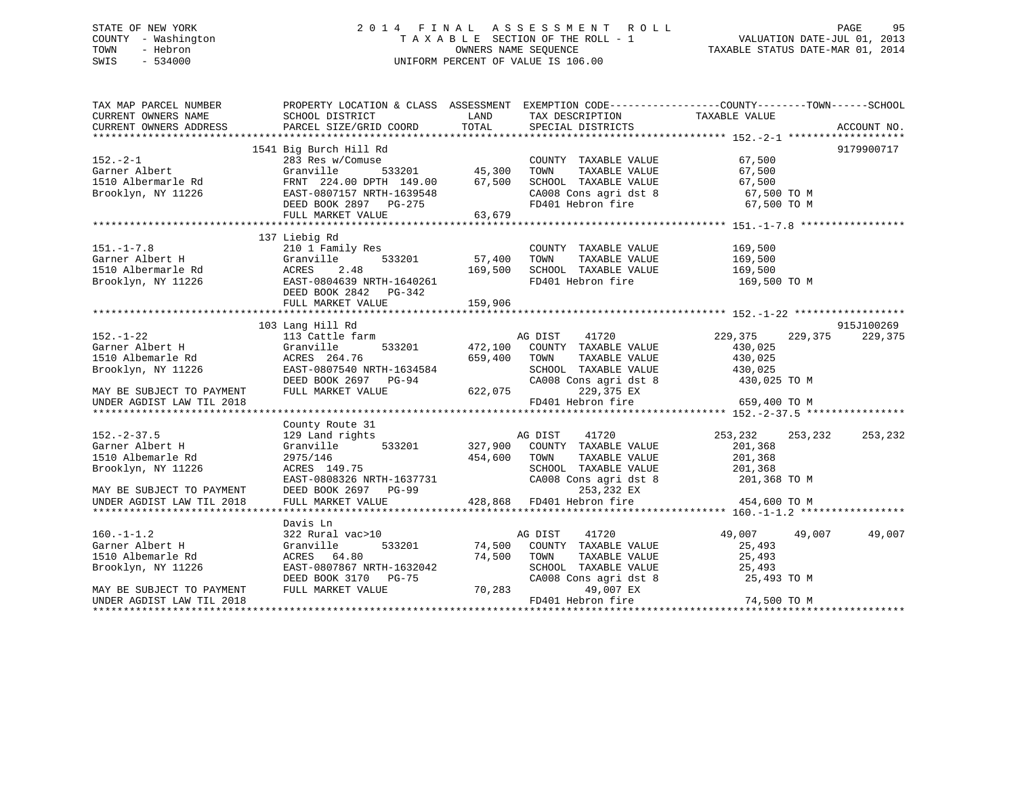# STATE OF NEW YORK 2 0 1 4 F I N A L A S S E S S M E N T R O L L PAGE 95 COUNTY - Washington T A X A B L E SECTION OF THE ROLL - 1 VALUATION DATE-JUL 01, 2013 TOWN - Hebron **CONNERS NAME SEQUENCE** TAXABLE STATUS DATE-MAR 01, 2014 SWIS - 534000 UNIFORM PERCENT OF VALUE IS 106.00

| TAX MAP PARCEL NUMBER                                       | PROPERTY LOCATION & CLASS ASSESSMENT EXEMPTION CODE----------------COUNTY-------TOWN------SCHOOL                                                                  |         |                                                                                                                        |                       |                   |
|-------------------------------------------------------------|-------------------------------------------------------------------------------------------------------------------------------------------------------------------|---------|------------------------------------------------------------------------------------------------------------------------|-----------------------|-------------------|
| CURRENT OWNERS NAME SCHOOL DISTRICT                         |                                                                                                                                                                   | LAND    | TAX DESCRIPTION TAXABLE VALUE                                                                                          |                       |                   |
| CURRENT OWNERS ADDRESS                                      | PARCEL SIZE/GRID COORD                                                                                                                                            | TOTAL   | SPECIAL DISTRICTS                                                                                                      |                       | ACCOUNT NO.       |
|                                                             |                                                                                                                                                                   |         |                                                                                                                        |                       |                   |
|                                                             | 1541 Big Burch Hill Rd                                                                                                                                            |         |                                                                                                                        |                       | 9179900717        |
| $152 - 2 - 1$                                               | 283 Res w/Comuse                                                                                                                                                  |         | COUNTY TAXABLE VALUE 67,500                                                                                            |                       |                   |
| Garner Albert                                               | Granville                                                                                                                                                         |         | TOWN                                                                                                                   | TAXABLE VALUE 67,500  |                   |
|                                                             |                                                                                                                                                                   |         |                                                                                                                        |                       |                   |
|                                                             |                                                                                                                                                                   |         |                                                                                                                        |                       |                   |
|                                                             |                                                                                                                                                                   |         |                                                                                                                        |                       |                   |
|                                                             |                                                                                                                                                                   |         |                                                                                                                        |                       |                   |
|                                                             |                                                                                                                                                                   |         |                                                                                                                        |                       |                   |
|                                                             | 137 Liebig Rd                                                                                                                                                     |         |                                                                                                                        |                       |                   |
| $151. - 1 - 7.8$                                            | 210 1 Family Res                                                                                                                                                  |         | COUNTY TAXABLE VALUE                                                                                                   | 169,500               |                   |
| Garner Albert H                                             | 533201 57,400                                                                                                                                                     |         | TOWN                                                                                                                   | TAXABLE VALUE 169,500 |                   |
| 1510 Albermarle Rd                                          |                                                                                                                                                                   | 169,500 | SCHOOL TAXABLE VALUE                                                                                                   | 169,500               |                   |
| Brooklyn, NY 11226                                          |                                                                                                                                                                   |         | FD401 Hebron fire                                                                                                      | 169,500 TO M          |                   |
|                                                             | STORES 2.48<br>Cranville 533201<br>Rd ACRES 2.48<br>PESST-0804639 NRTH-1640261<br>DEED BOOK 2842 PG-342<br>FIILL MARKET VALUE                                     |         |                                                                                                                        |                       |                   |
|                                                             | FULL MARKET VALUE                                                                                                                                                 | 159,906 |                                                                                                                        |                       |                   |
|                                                             |                                                                                                                                                                   |         |                                                                                                                        |                       |                   |
|                                                             | 103 Lang Hill Rd                                                                                                                                                  |         |                                                                                                                        |                       | 915J100269        |
| $152. - 1 - 22$                                             | 113 Cattle farm                                                                                                                                                   |         | AG DIST 41720 229,375                                                                                                  |                       | 229,375 229,375   |
| Garner Albert H (Granville 1510 Albemarle Rd (ACRES 264.76) |                                                                                                                                                                   |         | 533201 472,100 COUNTY TAXABLE VALUE                                                                                    |                       |                   |
|                                                             |                                                                                                                                                                   | 659,400 | TOWN<br>TAXABLE VALUE                                                                                                  | 430,025<br>430,025    |                   |
|                                                             |                                                                                                                                                                   |         | SCHOOL TAXABLE VALUE 430,025                                                                                           |                       |                   |
|                                                             | Brooklyn, NY 11226<br>Brooklyn, NY 11226<br>MRTH-1634584<br>DEED BOOK 2697 PG-94<br>MAY BE SUBJECT TO PAYMENT<br>FULL MARKET VALUE 622,075                        |         | CA008 Cons agri dst 8                                                                                                  | 430,025 TO M          |                   |
|                                                             |                                                                                                                                                                   |         | 229,375 EX                                                                                                             |                       |                   |
| UNDER AGDIST LAW TIL 2018                                   |                                                                                                                                                                   |         | FD401 Hebron fire                                                                                                      | 659,400 TO M          |                   |
|                                                             |                                                                                                                                                                   |         |                                                                                                                        |                       |                   |
|                                                             | County Route 31                                                                                                                                                   |         |                                                                                                                        |                       |                   |
| $152. - 2 - 37.5$                                           | 129 Land rights                                                                                                                                                   |         | AG DIST<br>41720                                                                                                       | 253,232               | 253, 232 253, 232 |
| Garner Albert H                                             | Granville 533201 327,900 COUNTY TAXABLE VALUE                                                                                                                     |         |                                                                                                                        | 201,368               |                   |
| 1510 Albemarle Rd                                           |                                                                                                                                                                   |         |                                                                                                                        |                       |                   |
| Brooklyn, NY 11226                                          | 2975/146<br>ACRES 149.75                                                                                                                                          |         | 454,600 TOWN TAXABLE VALUE 201,368<br>SCHOOL TAXABLE VALUE 201,368                                                     |                       |                   |
|                                                             |                                                                                                                                                                   |         |                                                                                                                        |                       |                   |
| MAY BE SUBJECT TO PAYMENT                                   |                                                                                                                                                                   |         |                                                                                                                        |                       |                   |
| UNDER AGDIST LAW TIL 2018                                   | EAST-0808326 NRTH-1637731 CA008 Cons agri dst 8 201,368 TO M<br>DEED BOOK 2697 PG-99 253,232 EX<br>FULL MARKET VALUE 428,868 FD401 Hebron fire 1988 1984,600 TO M |         |                                                                                                                        |                       |                   |
|                                                             |                                                                                                                                                                   |         |                                                                                                                        |                       |                   |
|                                                             | Davis Ln                                                                                                                                                          |         |                                                                                                                        |                       |                   |
|                                                             | 322 Rural vac>10                                                                                                                                                  |         | AG DIST<br>41720                                                                                                       | 49,007 49,007 49,007  |                   |
| 160.-1-1.2<br>Garner Albert H                               | Granville                                                                                                                                                         |         |                                                                                                                        |                       |                   |
| 1510 Albemarle Rd                                           | ACRES 64.80                                                                                                                                                       |         | 74,500 COUNTY TAXABLE VALUE 25,493<br>533201 74,500 COUNTY TAXABLE VALUE 25,493<br>80 74,500 TOWN TAXABLE VALUE 25,493 |                       |                   |
| Brooklyn, NY 11226                                          | EAST-0807867 NRTH-1632042                                                                                                                                         |         |                                                                                                                        |                       |                   |
|                                                             | DEED BOOK 3170 PG-75                                                                                                                                              |         | SCHOOL TAXABLE VALUE<br>CA008 Cons agri dst 8                                                                          | 25,4פל<br>25,493 TO M |                   |
| MAY BE SUBJECT TO PAYMENT                                   | FULL MARKET VALUE                                                                                                                                                 | 70,283  | 49,007 EX                                                                                                              |                       |                   |
| UNDER AGDIST LAW TIL 2018                                   |                                                                                                                                                                   |         | FD401 Hebron fire                                                                                                      | 74,500 TO M           |                   |
|                                                             |                                                                                                                                                                   |         |                                                                                                                        |                       |                   |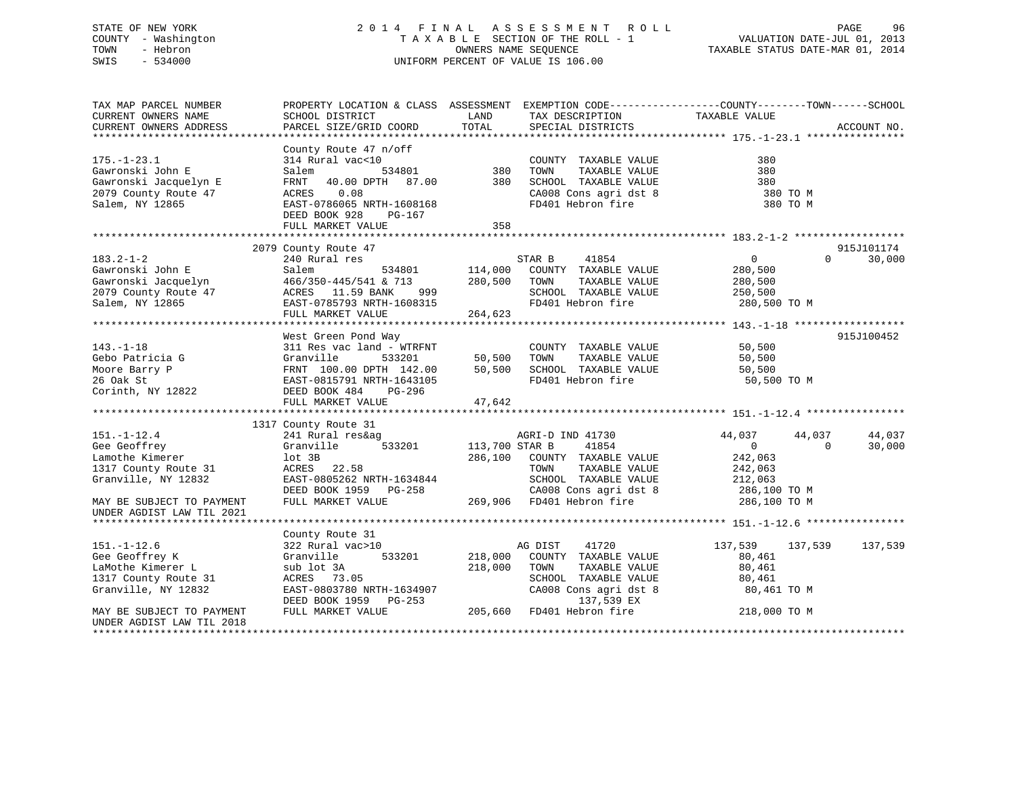# STATE OF NEW YORK 2 0 1 4 F I N A L A S S E S S M E N T R O L L PAGE 96 COUNTY - Washington T A X A B L E SECTION OF THE ROLL - 1 VALUATION DATE-JUL 01, 2013 TOWN - Hebron **CONNERS NAME SEQUENCE** TAXABLE STATUS DATE-MAR 01, 2014 SWIS - 534000 UNIFORM PERCENT OF VALUE IS 106.00

| TAX MAP PARCEL NUMBER<br>CURRENT OWNERS NAME<br>CURRENT OWNERS ADDRESS                                                           | SCHOOL DISTRICT<br>PARCEL SIZE/GRID COORD                                                                                                                                              | LAND<br>TOTAL                        | TAX DESCRIPTION<br>SPECIAL DISTRICTS                                                                                                             | PROPERTY LOCATION & CLASS ASSESSMENT EXEMPTION CODE----------------COUNTY-------TOWN-----SCHOOL<br>TAXABLE VALUE | ACCOUNT NO.      |
|----------------------------------------------------------------------------------------------------------------------------------|----------------------------------------------------------------------------------------------------------------------------------------------------------------------------------------|--------------------------------------|--------------------------------------------------------------------------------------------------------------------------------------------------|------------------------------------------------------------------------------------------------------------------|------------------|
| $175. - 1 - 23.1$<br>Gawronski John E<br>Gawronski Jacquelyn E<br>2079 County Route 47<br>Salem, NY 12865                        | County Route 47 n/off<br>314 Rural vac<10<br>Salem<br>534801<br>FRNT<br>40.00 DPTH 87.00<br>0.08<br>ACRES<br>EAST-0786065 NRTH-1608168<br>DEED BOOK 928<br>PG-167<br>FULL MARKET VALUE | 380<br>380<br>358                    | COUNTY TAXABLE VALUE<br>TOWN<br>TAXABLE VALUE<br>SCHOOL TAXABLE VALUE<br>CA008 Cons agri dst 8<br>FD401 Hebron fire                              | 380<br>380<br>380<br>380 TO M<br>380 TO M                                                                        |                  |
|                                                                                                                                  | 2079 County Route 47                                                                                                                                                                   |                                      |                                                                                                                                                  |                                                                                                                  | 915J101174       |
| $183.2 - 1 - 2$<br>Gawronski John E<br>Gawronski Jacquelyn<br>2079 County Route 47<br>Salem, NY 12865                            | 240 Rural res<br>534801<br>Salem<br>466/350-445/541 & 713<br>ACRES 11.59 BANK<br>999<br>EAST-0785793 NRTH-1608315<br>FULL MARKET VALUE                                                 | 114,000<br>280,500<br>264,623        | STAR B<br>41854<br>COUNTY TAXABLE VALUE<br>TOWN<br>TAXABLE VALUE<br>SCHOOL TAXABLE VALUE<br>FD401 Hebron fire                                    | $\overline{0}$<br>$\Omega$<br>280,500<br>280,500<br>250,500<br>280,500 TO M                                      | 30,000           |
|                                                                                                                                  | West Green Pond Way                                                                                                                                                                    |                                      |                                                                                                                                                  |                                                                                                                  | 915J100452       |
| $143. - 1 - 18$<br>Gebo Patricia G<br>Moore Barry P<br>26 Oak St<br>Corinth, NY 12822                                            | 311 Res vac land - WTRFNT<br>Granville<br>533201<br>FRNT 100.00 DPTH 142.00<br>EAST-0815791 NRTH-1643105<br>DEED BOOK 484<br>PG-296<br>FULL MARKET VALUE                               | 50,500<br>50,500<br>47,642           | COUNTY TAXABLE VALUE<br>TOWN<br>TAXABLE VALUE<br>SCHOOL TAXABLE VALUE<br>FD401 Hebron fire                                                       | 50,500<br>50,500<br>50,500<br>50,500 TO M                                                                        |                  |
|                                                                                                                                  | 1317 County Route 31                                                                                                                                                                   |                                      |                                                                                                                                                  |                                                                                                                  |                  |
| $151. - 1 - 12.4$<br>Gee Geoffrey<br>Lamothe Kimerer<br>1317 County Route 31<br>Granville, NY 12832<br>MAY BE SUBJECT TO PAYMENT | 241 Rural res&ag<br>533201<br>Granville<br>lot 3B<br>ACRES 22.58<br>EAST-0805262 NRTH-1634844<br>DEED BOOK 1959 PG-258<br>FULL MARKET VALUE                                            | 113,700 STAR B<br>286,100<br>269,906 | AGRI-D IND 41730<br>41854<br>COUNTY TAXABLE VALUE<br>TOWN<br>TAXABLE VALUE<br>SCHOOL TAXABLE VALUE<br>CA008 Cons agri dst 8<br>FD401 Hebron fire | 44,037<br>44,037<br>$\mathbf 0$<br>$\Omega$<br>242,063<br>242,063<br>212,063<br>286,100 TO M<br>286,100 TO M     | 44,037<br>30,000 |
| UNDER AGDIST LAW TIL 2021                                                                                                        |                                                                                                                                                                                        |                                      |                                                                                                                                                  |                                                                                                                  |                  |
| $151. - 1 - 12.6$<br>Gee Geoffrey K<br>LaMothe Kimerer L<br>1317 County Route 31<br>Granville, NY 12832                          | County Route 31<br>322 Rural vac>10<br>533201<br>Granville<br>sub lot 3A<br>ACRES 73.05<br>EAST-0803780 NRTH-1634907                                                                   | 218,000<br>218,000                   | 41720<br>AG DIST<br>COUNTY TAXABLE VALUE<br>TOWN<br>TAXABLE VALUE<br>SCHOOL TAXABLE VALUE<br>CA008 Cons agri dst 8                               | 137,539<br>137,539<br>80,461<br>80,461<br>80,461<br>80,461 TO M                                                  | 137,539          |
| MAY BE SUBJECT TO PAYMENT<br>UNDER AGDIST LAW TIL 2018                                                                           | DEED BOOK 1959<br>PG-253<br>FULL MARKET VALUE                                                                                                                                          | 205,660                              | 137,539 EX<br>FD401 Hebron fire                                                                                                                  | 218,000 TO M                                                                                                     |                  |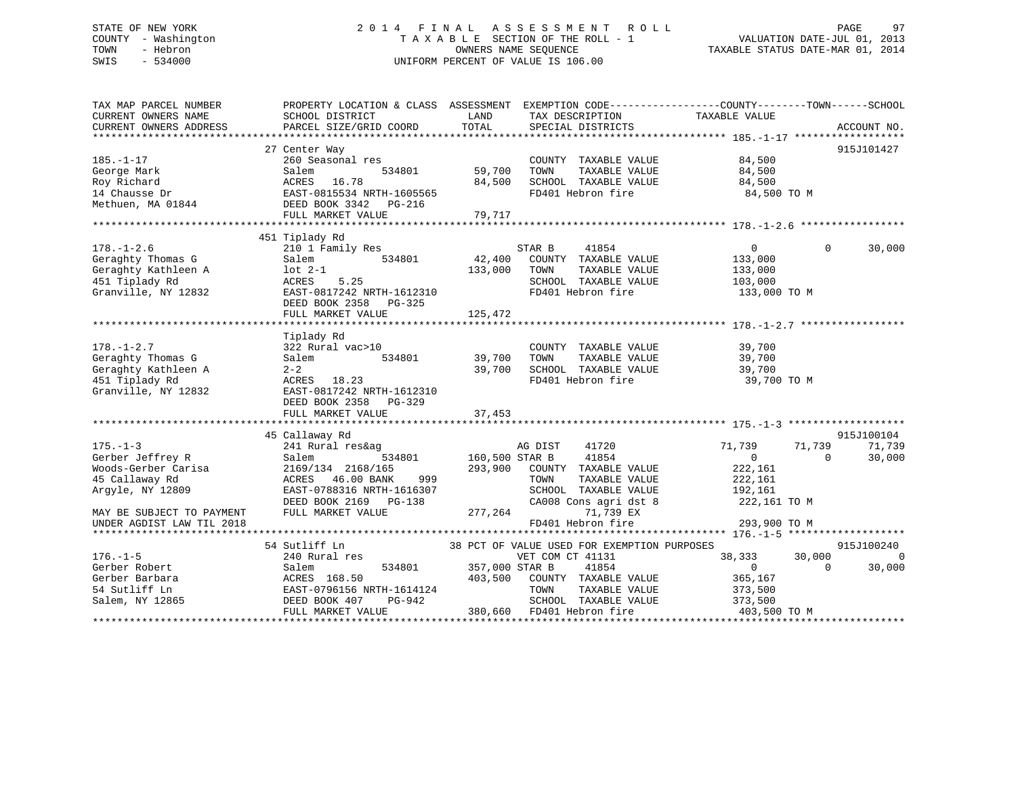# STATE OF NEW YORK 2 0 1 4 F I N A L A S S E S S M E N T R O L L PAGE 97 COUNTY - Washington T A X A B L E SECTION OF THE ROLL - 1 VALUATION DATE-JUL 01, 2013 TOWN - Hebron **CONNERS NAME SEQUENCE** TAXABLE STATUS DATE-MAR 01, 2014 SWIS - 534000 UNIFORM PERCENT OF VALUE IS 106.00

| TAX MAP PARCEL NUMBER<br>CURRENT OWNERS NAME<br>CURRENT OWNERS ADDRESS                                                                                    | PROPERTY LOCATION & CLASS ASSESSMENT EXEMPTION CODE-----------------COUNTY--------TOWN------SCHOOL<br>SCHOOL DISTRICT<br>PARCEL SIZE/GRID COORD                                  | LAND<br>TOTAL                        | TAX DESCRIPTION<br>SPECIAL DISTRICTS                                                                                                                                           | TAXABLE VALUE                                                                                       | ACCOUNT NO.                                  |
|-----------------------------------------------------------------------------------------------------------------------------------------------------------|----------------------------------------------------------------------------------------------------------------------------------------------------------------------------------|--------------------------------------|--------------------------------------------------------------------------------------------------------------------------------------------------------------------------------|-----------------------------------------------------------------------------------------------------|----------------------------------------------|
| $185. - 1 - 17$<br>George Mark<br>Roy Richard<br>14 Chausse Dr<br>Methuen, MA 01844                                                                       | 27 Center Way<br>260 Seasonal res<br>534801<br>Salem<br>ACRES<br>16.78<br>EAST-0815534 NRTH-1605565<br>DEED BOOK 3342 PG-216<br>FULL MARKET VALUE                                | 59,700<br>84,500<br>79,717           | COUNTY TAXABLE VALUE<br>TAXABLE VALUE<br>TOWN<br>SCHOOL TAXABLE VALUE<br>FD401 Hebron fire                                                                                     | 84,500<br>84,500<br>84,500<br>84,500 TO M                                                           | 915J101427                                   |
| $178. - 1 - 2.6$<br>Geraghty Thomas G<br>Geraghty Kathleen A<br>451 Tiplady Rd<br>Granville, NY 12832                                                     | 451 Tiplady Rd<br>210 1 Family Res<br>Salem<br>534801<br>$lot 2-1$<br>ACRES<br>5.25<br>EAST-0817242 NRTH-1612310<br>DEED BOOK 2358 PG-325                                        | 42,400<br>133,000                    | STAR B<br>41854<br>COUNTY TAXABLE VALUE<br>TAXABLE VALUE<br>TOWN<br>SCHOOL TAXABLE VALUE<br>FD401 Hebron fire                                                                  | $\overline{0}$<br>133,000<br>133,000<br>103,000<br>133,000 TO M                                     | $\Omega$<br>30,000                           |
| $178. - 1 - 2.7$<br>Geraghty Thomas G<br>Geraghty Kathleen A<br>451 Tiplady Rd<br>Granville, NY 12832                                                     | Tiplady Rd<br>322 Rural vac>10<br>534801<br>Salem<br>$2 - 2$<br>ACRES 18.23<br>EAST-0817242 NRTH-1612310<br>DEED BOOK 2358 PG-329                                                | 39,700<br>39,700                     | COUNTY TAXABLE VALUE<br>TAXABLE VALUE<br>TOWN<br>SCHOOL TAXABLE VALUE<br>FD401 Hebron fire                                                                                     | 39,700<br>39,700<br>39,700<br>39,700 TO M                                                           |                                              |
| $175. - 1 - 3$<br>Gerber Jeffrey R<br>Woods-Gerber Carisa<br>45 Callaway Rd<br>Arqyle, NY 12809<br>MAY BE SUBJECT TO PAYMENT<br>UNDER AGDIST LAW TIL 2018 | 45 Callaway Rd<br>241 Rural res&ag<br>534801<br>Salem<br>2169/134 2168/165<br>ACRES 46.00 BANK<br>999<br>EAST-0788316 NRTH-1616307<br>DEED BOOK 2169 PG-138<br>FULL MARKET VALUE | 160,500 STAR B<br>293,900<br>277,264 | 41720<br>AG DIST<br>41854<br>COUNTY TAXABLE VALUE<br>TOWN<br>TAXABLE VALUE<br>SCHOOL TAXABLE VALUE<br>CA008 Cons agri dst 8<br>71,739 EX<br>FD401 Hebron fire                  | 71,739<br>71,739<br>$\overline{0}$<br>222,161<br>222,161<br>192,161<br>222,161 TO M<br>293,900 TO M | 915J100104<br>71,739<br>30,000<br>$\Omega$   |
| $176. - 1 - 5$<br>Gerber Robert<br>Gerber Barbara<br>54 Sutliff Ln<br>Salem, NY 12865                                                                     | 54 Sutliff Ln<br>240 Rural res<br>534801<br>Salem<br>ACRES 168.50<br>EAST-0796156 NRTH-1614124<br>DEED BOOK 407<br>PG-942<br>FULL MARKET VALUE                                   | 357,000 STAR B<br>403,500            | 38 PCT OF VALUE USED FOR EXEMPTION PURPOSES<br>VET COM CT 41131<br>41854<br>COUNTY TAXABLE VALUE<br>TAXABLE VALUE<br>TOWN<br>SCHOOL TAXABLE VALUE<br>380,660 FD401 Hebron fire | 38,333<br>30,000<br>$\overline{0}$<br>365,167<br>373,500<br>373,500<br>403,500 TO M                 | 915J100240<br>$\Omega$<br>30,000<br>$\Omega$ |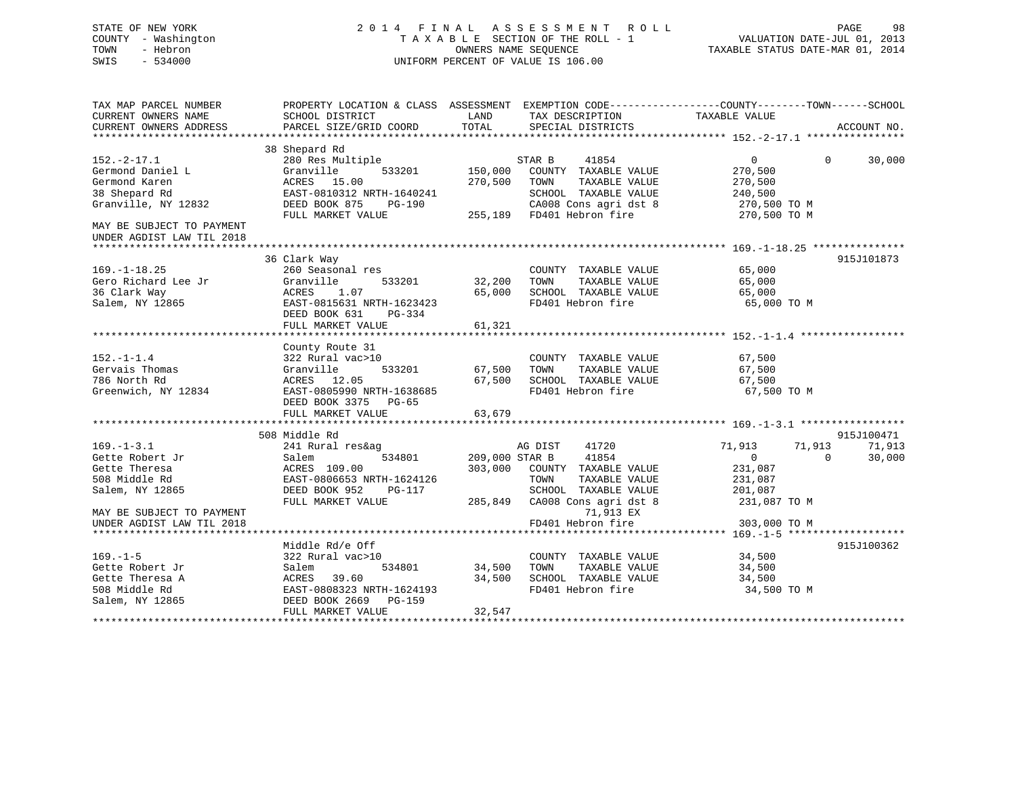# STATE OF NEW YORK 2 0 1 4 F I N A L A S S E S S M E N T R O L L PAGE 98 COUNTY - Washington T A X A B L E SECTION OF THE ROLL - 1 VALUATION DATE-JUL 01, 2013 TOWN - Hebron **CONNERS NAME SEQUENCE** TAXABLE STATUS DATE-MAR 01, 2014 SWIS - 534000 UNIFORM PERCENT OF VALUE IS 106.00

| TAX MAP PARCEL NUMBER<br>CURRENT OWNERS NAME<br>CURRENT OWNERS ADDRESS                                                  | PROPERTY LOCATION & CLASS ASSESSMENT EXEMPTION CODE----------------COUNTY-------TOWN------SCHOOL<br>SCHOOL DISTRICT<br>PARCEL SIZE/GRID COORD         | LAND<br>TOTAL                        | TAX DESCRIPTION<br>SPECIAL DISTRICTS                                                                                                           | TAXABLE VALUE                                                                                  | ACCOUNT NO.      |
|-------------------------------------------------------------------------------------------------------------------------|-------------------------------------------------------------------------------------------------------------------------------------------------------|--------------------------------------|------------------------------------------------------------------------------------------------------------------------------------------------|------------------------------------------------------------------------------------------------|------------------|
|                                                                                                                         | 38 Shepard Rd                                                                                                                                         |                                      |                                                                                                                                                |                                                                                                |                  |
| $152.-2-17.1$<br>Germond Daniel L<br>Germond Karen<br>38 Shepard Rd<br>Granville, NY 12832<br>MAY BE SUBJECT TO PAYMENT | 280 Res Multiple<br>Granville<br>533201<br>ACRES 15.00<br>EAST-0810312 NRTH-1640241<br>DEED BOOK 875<br>PG-190<br>FULL MARKET VALUE                   | 150,000<br>270,500                   | 41854<br>STAR B<br>COUNTY TAXABLE VALUE<br>TOWN<br>TAXABLE VALUE<br>SCHOOL TAXABLE VALUE<br>CA008 Cons agri dst 8<br>255,189 FD401 Hebron fire | $0 \qquad \qquad$<br>$\Omega$<br>270,500<br>270,500<br>240,500<br>270,500 TO M<br>270,500 TO M | 30,000           |
| UNDER AGDIST LAW TIL 2018                                                                                               |                                                                                                                                                       |                                      |                                                                                                                                                |                                                                                                |                  |
| $169. - 1 - 18.25$<br>Gero Richard Lee Jr<br>36 Clark Way<br>Salem, NY 12865                                            | 36 Clark Way<br>260 Seasonal res<br>Granville<br>533201<br>ACRES<br>1.07<br>EAST-0815631 NRTH-1623423<br>DEED BOOK 631<br>PG-334<br>FULL MARKET VALUE | 32,200 TOWN<br>65,000<br>61,321      | COUNTY TAXABLE VALUE 65,000<br>TAXABLE VALUE<br>SCHOOL TAXABLE VALUE<br>FD401 Hebron fire                                                      | 65,000<br>65,000<br>65,000 TO M                                                                | 915J101873       |
|                                                                                                                         | County Route 31                                                                                                                                       |                                      |                                                                                                                                                |                                                                                                |                  |
| $152. - 1 - 1.4$<br>Gervais Thomas<br>786 North Rd<br>Greenwich, NY 12834                                               | 322 Rural vac>10<br>533201<br>Granville<br>ACRES 12.05 67,500<br>EAST-0805990 NRTH-1638685 67,500<br>DEED BOOK 3375 PG-65                             | 67,500                               | COUNTY TAXABLE VALUE<br>TAXABLE VALUE<br>TOWN<br>SCHOOL TAXABLE VALUE<br>FD401 Hebron fire                                                     | 67,500<br>67,500<br>67,500<br>67,500 TO M                                                      |                  |
|                                                                                                                         | 508 Middle Rd                                                                                                                                         |                                      |                                                                                                                                                |                                                                                                | 915J100471       |
| $169. - 1 - 3.1$<br>Gette Robert Jr<br>Gette Theresa<br>508 Middle Rd<br>Salem, NY 12865                                | 241 Rural res&ag<br>534801<br>Salem<br>ACRES 109.00<br>EAST-0806653 NRTH-1624126<br>DEED BOOK 952<br>PG-117<br>FULL MARKET VALUE                      | 209,000 STAR B<br>303,000<br>285,849 | AG DIST<br>41720<br>41854<br>COUNTY TAXABLE VALUE<br>TOWN<br>TAXABLE VALUE<br>SCHOOL TAXABLE VALUE<br>CA008 Cons agri dst 8 231,087 TO M       | 71,913<br>71,913<br>$\overline{0}$<br>$\Omega$<br>231,087<br>231,087<br>201,087                | 71,913<br>30,000 |
| MAY BE SUBJECT TO PAYMENT<br>UNDER AGDIST LAW TIL 2018                                                                  |                                                                                                                                                       |                                      | 71,913 EX<br>FD401 Hebron fire                                                                                                                 | 303,000 TO M                                                                                   |                  |
|                                                                                                                         | Middle Rd/e Off                                                                                                                                       |                                      |                                                                                                                                                |                                                                                                | 915J100362       |
| $169. - 1 - 5$<br>Gette Robert Jr<br>Gette Theresa A<br>508 Middle Rd<br>Salem, NY 12865                                | 322 Rural vac>10<br>534801<br>Salem<br>39.60<br>ACRES<br>EAST-0808323 NRTH-1624193<br>DEED BOOK 2669<br><b>PG-159</b><br>FULL MARKET VALUE            | 34,500<br>34,500<br>32,547           | COUNTY TAXABLE VALUE<br>TOWN<br>TAXABLE VALUE<br>SCHOOL TAXABLE VALUE<br>FD401 Hebron fire                                                     | 34,500<br>34,500<br>34,500<br>34,500<br>34,500 TO M                                            |                  |
|                                                                                                                         |                                                                                                                                                       |                                      |                                                                                                                                                |                                                                                                |                  |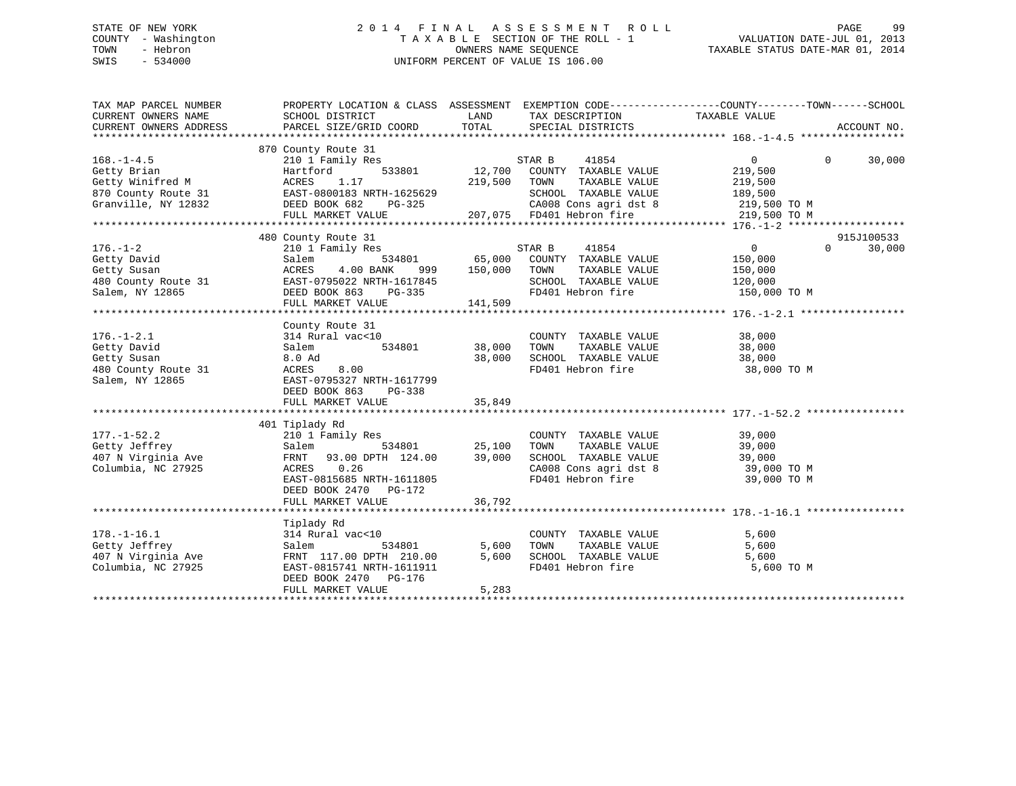# STATE OF NEW YORK 2 0 1 4 F I N A L A S S E S S M E N T R O L L PAGE 99 COUNTY - Washington T A X A B L E SECTION OF THE ROLL - 1 VALUATION DATE-JUL 01, 2013 TOWN - Hebron **CONNERS NAME SEQUENCE** TAXABLE STATUS DATE-MAR 01, 2014 SWIS - 534000 UNIFORM PERCENT OF VALUE IS 106.00

| TAX MAP PARCEL NUMBER                                                                                                                                                                                             | PROPERTY LOCATION & CLASS ASSESSMENT EXEMPTION CODE----------------COUNTY-------TOWN------SCHOOL |               |                                                                          |                                                              |            |
|-------------------------------------------------------------------------------------------------------------------------------------------------------------------------------------------------------------------|--------------------------------------------------------------------------------------------------|---------------|--------------------------------------------------------------------------|--------------------------------------------------------------|------------|
|                                                                                                                                                                                                                   |                                                                                                  |               |                                                                          |                                                              |            |
| $168. - 1 - 4.5$                                                                                                                                                                                                  | 870 County Route 31<br>210 1 Family Res                                                          |               | STAR B<br>41854                                                          | $0 \qquad \qquad$<br>$\Omega$                                | 30,000     |
|                                                                                                                                                                                                                   | Hartford                                                                                         |               | 533801 12,700 COUNTY TAXABLE VALUE                                       | 219,500                                                      |            |
| Jecty Brian<br>Getty Winifred M<br>970 G                                                                                                                                                                          | 1.17<br>ACRES                                                                                    | 219,500       | TOWN<br>TAXABLE VALUE                                                    | 219,500                                                      |            |
| 870 County Route 31<br>Granville, NY 12832<br>County Route 31<br>DEED BOOK 682<br>DEED ACT-080183<br>DEED ACT-082<br>DEED ACT-082<br>DEED ACT-082<br>DEED ACT-082<br>DEED ACT-082<br>DEED ACT-082<br>DEED ACT-082 |                                                                                                  |               | SCHOOL TAXABLE VALUE 189,500                                             |                                                              |            |
|                                                                                                                                                                                                                   |                                                                                                  |               | 325 CA008 Cons agri dst 8<br>207,075 FD401 Hebron fire                   | 219,500 TO M                                                 |            |
|                                                                                                                                                                                                                   | FULL MARKET VALUE                                                                                |               |                                                                          | 219,500 TO M                                                 |            |
|                                                                                                                                                                                                                   |                                                                                                  |               |                                                                          |                                                              |            |
|                                                                                                                                                                                                                   | 480 County Route 31                                                                              |               |                                                                          |                                                              | 915J100533 |
| $176. - 1 - 2$                                                                                                                                                                                                    | 210 1 Family Res                                                                                 |               | STAR B<br>41854                                                          | $\overline{0}$<br>$\Omega$                                   | 30,000     |
| Getty David                                                                                                                                                                                                       | Salem                                                                                            |               | 534801 65,000 COUNTY TAXABLE VALUE<br>ANK 999 150,000 TOWN TAXABLE VALUE | 150,000                                                      |            |
| Getty Susan<br>480 County Route 31 EAST-0795022 NRTH-1617845<br>Salem, NY 12865 DEED BOOK 863 PG-335<br>FIILL MARKET VALUE 141,509                                                                                |                                                                                                  |               |                                                                          | 150,000                                                      |            |
|                                                                                                                                                                                                                   |                                                                                                  |               | SCHOOL TAXABLE VALUE 120,000                                             |                                                              |            |
|                                                                                                                                                                                                                   |                                                                                                  |               |                                                                          | FD401 Hebron fire 150,000 TO M                               |            |
|                                                                                                                                                                                                                   |                                                                                                  |               |                                                                          |                                                              |            |
|                                                                                                                                                                                                                   |                                                                                                  |               |                                                                          |                                                              |            |
|                                                                                                                                                                                                                   | County Route 31                                                                                  |               |                                                                          |                                                              |            |
| $176. - 1 - 2.1$                                                                                                                                                                                                  | 314 Rural vac<10                                                                                 |               | COUNTY TAXABLE VALUE                                                     | 38,000                                                       |            |
| Getty David                                                                                                                                                                                                       | Salem                                                                                            | 534801 38,000 | TOWN                                                                     | TAXABLE VALUE 38,000                                         |            |
| Getty Susan                                                                                                                                                                                                       | 8.0 Ad                                                                                           | 38,000        |                                                                          | SCHOOL TAXABLE VALUE 38,000<br>FD401 Hebron fire 38,000 TO M |            |
| 480 County Route 31                                                                                                                                                                                               | ACRES 8.00                                                                                       |               |                                                                          |                                                              |            |
| Salem, NY 12865                                                                                                                                                                                                   | EAST-0795327 NRTH-1617799                                                                        |               |                                                                          |                                                              |            |
|                                                                                                                                                                                                                   | DEED BOOK 863 PG-338                                                                             |               |                                                                          |                                                              |            |
|                                                                                                                                                                                                                   | FULL MARKET VALUE                                                                                | 35,849        |                                                                          |                                                              |            |
|                                                                                                                                                                                                                   |                                                                                                  |               |                                                                          |                                                              |            |
|                                                                                                                                                                                                                   | 401 Tiplady Rd                                                                                   |               |                                                                          |                                                              |            |
| $177. - 1 - 52.2$                                                                                                                                                                                                 |                                                                                                  |               | COUNTY TAXABLE VALUE 39,000                                              |                                                              |            |
|                                                                                                                                                                                                                   | 210 1 Family Res COUNTY<br>Salem 534801 25,100 TOWN                                              |               |                                                                          |                                                              |            |
| Getty Jeffrey<br>407 N Virginia Ave                                                                                                                                                                               | FRNT 93.00 DPTH 124.00 39,000                                                                    |               |                                                                          |                                                              |            |
| Columbia, NC 27925                                                                                                                                                                                                | 0.26<br>ACRES                                                                                    |               |                                                                          | CA008 Cons agri dst 8 39,000 TO M                            |            |
|                                                                                                                                                                                                                   | EAST-0815685 NRTH-1611805                                                                        |               | FD401 Hebron fire                                                        | 39,000 TO M                                                  |            |
|                                                                                                                                                                                                                   | DEED BOOK 2470 PG-172                                                                            |               |                                                                          |                                                              |            |
|                                                                                                                                                                                                                   |                                                                                                  |               |                                                                          |                                                              |            |
|                                                                                                                                                                                                                   |                                                                                                  |               |                                                                          |                                                              |            |
|                                                                                                                                                                                                                   | Tiplady Rd                                                                                       |               |                                                                          |                                                              |            |
| $178. - 1 - 16.1$                                                                                                                                                                                                 | 314 Rural vac<10                                                                                 |               | COUNTY TAXABLE VALUE                                                     | 5,600                                                        |            |
| Getty Jeffrey                                                                                                                                                                                                     | 534801<br>Salem                                                                                  | 5,600         | TAXABLE VALUE<br>TOWN                                                    | 5,600                                                        |            |
|                                                                                                                                                                                                                   |                                                                                                  | 5,600         | SCHOOL TAXABLE VALUE                                                     | 5,600                                                        |            |
|                                                                                                                                                                                                                   |                                                                                                  |               | FD401 Hebron fire                                                        | 5,600 TO M                                                   |            |
|                                                                                                                                                                                                                   | DEED BOOK 2470 PG-176                                                                            |               |                                                                          |                                                              |            |
|                                                                                                                                                                                                                   | FULL MARKET VALUE                                                                                | 5,283         |                                                                          |                                                              |            |
|                                                                                                                                                                                                                   |                                                                                                  |               |                                                                          |                                                              |            |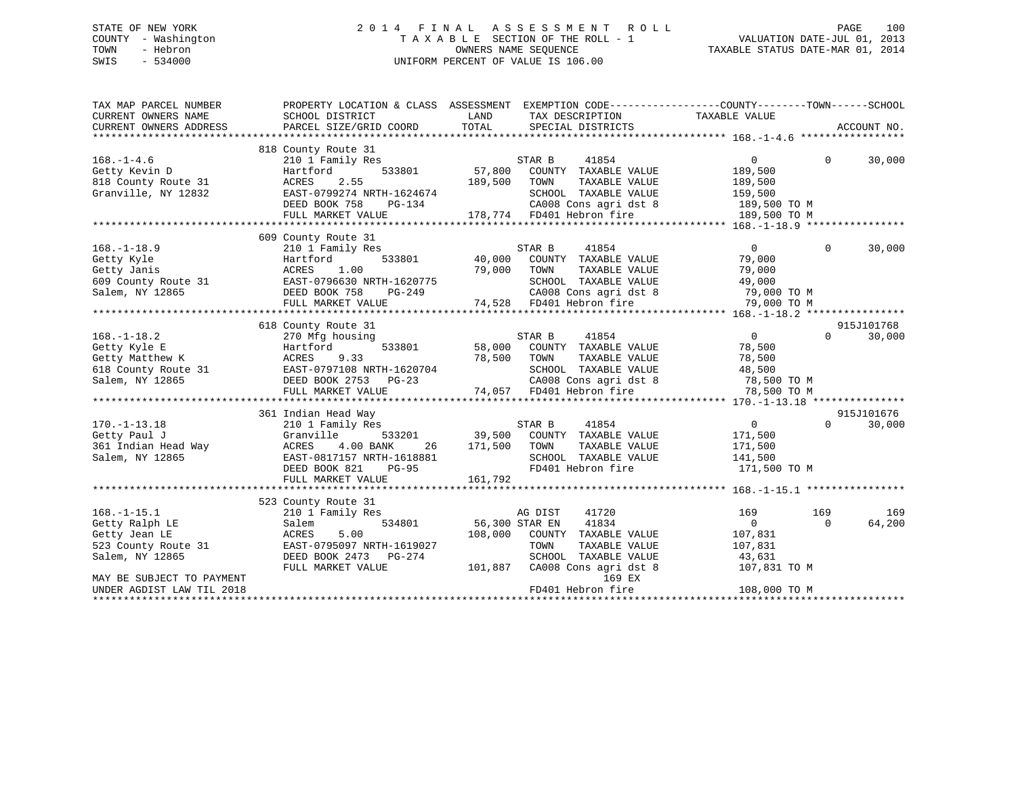# STATE OF NEW YORK 2 0 1 4 F I N A L A S S E S S M E N T R O L L PAGE 100 COUNTY - Washington T A X A B L E SECTION OF THE ROLL - 1 VALUATION DATE-JUL 01, 2013 TOWN - Hebron OWNERS NAME SEQUENCE TAXABLE STATUS DATE-MAR 01, 2014 SWIS - 534000 UNIFORM PERCENT OF VALUE IS 106.00

| TAX MAP PARCEL NUMBER<br>CURRENT OWNERS NAME<br>CURRENT OWNERS ADDRESS | PROPERTY LOCATION & CLASS ASSESSMENT<br>SCHOOL DISTRICT<br>PARCEL SIZE/GRID COORD | LAND<br>TOTAL    | EXEMPTION CODE-----------------COUNTY-------TOWN------SCHOOL<br>TAX DESCRIPTION TAXABLE VALUE<br>SPECIAL DISTRICTS |                                    |              | ACCOUNT NO. |
|------------------------------------------------------------------------|-----------------------------------------------------------------------------------|------------------|--------------------------------------------------------------------------------------------------------------------|------------------------------------|--------------|-------------|
|                                                                        |                                                                                   |                  |                                                                                                                    |                                    |              |             |
| $168. - 1 - 4.6$<br>Getty Kevin D                                      | 818 County Route 31<br>210 1 Family Res<br>533801<br>Hartford                     | 57,800           | STAR B<br>41854<br>COUNTY TAXABLE VALUE                                                                            | $\mathbf{0}$<br>189,500            | $\Omega$     | 30,000      |
| 818 County Route 31<br>Granville, NY 12832                             | 2.55<br>ACRES<br>EAST-0799274 NRTH-1624674                                        | 189,500          | TAXABLE VALUE<br>TOWN<br>SCHOOL TAXABLE VALUE                                                                      | 189,500<br>159,500                 |              |             |
|                                                                        | DEED BOOK 758<br>PG-134<br>FULL MARKET VALUE                                      |                  | CA008 Cons agri dst 8<br>178,774 FD401 Hebron fire                                                                 | 189,500 TO M<br>189,500 TO M       |              |             |
|                                                                        |                                                                                   |                  |                                                                                                                    |                                    |              |             |
|                                                                        | 609 County Route 31                                                               |                  |                                                                                                                    |                                    |              |             |
| $168. - 1 - 18.9$<br>Getty Kyle                                        | 210 1 Family Res<br>533801<br>Hartford                                            | 40,000           | STAR B<br>41854<br>COUNTY TAXABLE VALUE                                                                            | $\overline{0}$<br>79,000           | $\mathbf{0}$ | 30,000      |
| Getty Janis                                                            | 1.00<br>ACRES                                                                     | 79,000           | TOWN<br>TAXABLE VALUE                                                                                              | 79,000                             |              |             |
| 609 County Route 31<br>Salem, NY 12865                                 | EAST-0796630 NRTH-1620775<br>DEED BOOK 758<br>PG-249                              |                  | SCHOOL TAXABLE VALUE<br>CA008 Cons agri dst 8<br>CA008 Cons agri dst 8<br>74,528 FD401 Hebron fire                 | 49,000<br>79,000 TO M              |              |             |
|                                                                        | FULL MARKET VALUE                                                                 |                  |                                                                                                                    | 79,000 TO M                        |              |             |
|                                                                        |                                                                                   |                  |                                                                                                                    |                                    |              |             |
|                                                                        | 618 County Route 31                                                               |                  |                                                                                                                    |                                    |              | 915J101768  |
| $168. - 1 - 18.2$<br>Getty Kyle E<br>Getty Matthew K                   | 270 Mfg housing<br>533801<br>Hartford<br>9.33<br>ACRES                            | 58,000<br>78,500 | STAR B<br>41854<br>COUNTY TAXABLE VALUE<br>TOWN<br>TAXABLE VALUE                                                   | $\overline{0}$<br>78,500<br>78,500 | $\Omega$     | 30,000      |
| 618 County Route 31<br>Salem, NY 12865                                 | EAST-0797108 NRTH-1620704<br>DEED BOOK 2753 PG-23                                 |                  | SCHOOL TAXABLE VALUE<br>CA008 Cons agri dst 8                                                                      | 48,500<br>78,500 TO M              |              |             |
|                                                                        | FULL MARKET VALUE                                                                 |                  | 74,057 FD401 Hebron fire                                                                                           | 78,500 TO M                        |              |             |
|                                                                        |                                                                                   |                  |                                                                                                                    |                                    |              |             |
|                                                                        | 361 Indian Head Way                                                               |                  |                                                                                                                    |                                    |              | 915J101676  |
| $170. - 1 - 13.18$                                                     | 210 1 Family Res                                                                  |                  | 41854<br>STAR B                                                                                                    | $\overline{0}$                     | $\Omega$     | 30,000      |
| Getty Paul J                                                           | Granville<br>533201                                                               |                  | 39,500 COUNTY TAXABLE VALUE                                                                                        | 171,500                            |              |             |
| 361 Indian Head Way                                                    | 4.00 BANK<br>ACRES<br>26                                                          | 171,500          | TOWN<br>TAXABLE VALUE                                                                                              | 171,500                            |              |             |
| Salem, NY 12865                                                        | EAST-0817157 NRTH-1618881<br>DEED BOOK 821<br>PG-95                               |                  | SCHOOL TAXABLE VALUE<br>FD401 Hebron fire                                                                          | 141,500<br>171,500 TO M            |              |             |
|                                                                        | FULL MARKET VALUE                                                                 | 161,792          |                                                                                                                    |                                    |              |             |
|                                                                        |                                                                                   |                  |                                                                                                                    |                                    |              |             |
|                                                                        | 523 County Route 31                                                               |                  |                                                                                                                    |                                    |              |             |
| $168. - 1 - 15.1$                                                      | 210 1 Family Res                                                                  |                  | AG DIST<br>41720                                                                                                   | 169                                | 169          | 169         |
| Getty Ralph LE                                                         | 534801<br>Salem                                                                   | 56,300 STAR EN   | 41834                                                                                                              | $\overline{0}$                     | $\Omega$     | 64,200      |
| Getty Jean LE                                                          | 5.00<br>ACRES                                                                     | 108,000          | COUNTY TAXABLE VALUE                                                                                               | 107,831                            |              |             |
| 523 County Route 31                                                    | EAST-0795097 NRTH-1619027                                                         |                  | TOWN<br>TAXABLE VALUE                                                                                              | 107,831                            |              |             |
| Salem, NY 12865                                                        | DEED BOOK 2473 PG-274                                                             |                  | SCHOOL TAXABLE VALUE                                                                                               | 43,631                             |              |             |
|                                                                        | FULL MARKET VALUE                                                                 | 101,887          | CA008 Cons agri dst 8                                                                                              | 107,831 TO M                       |              |             |
| MAY BE SUBJECT TO PAYMENT                                              |                                                                                   |                  | 169 EX                                                                                                             |                                    |              |             |
| UNDER AGDIST LAW TIL 2018                                              |                                                                                   |                  | FD401 Hebron fire                                                                                                  | 108,000 TO M                       |              |             |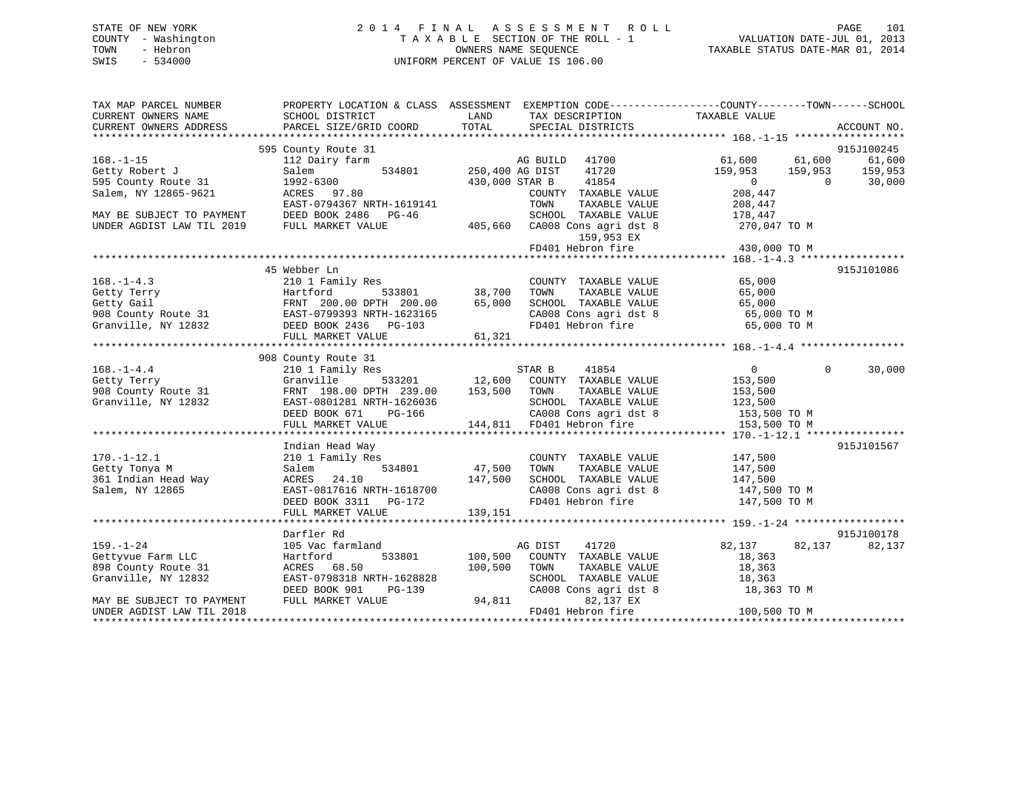| STATE OF NEW YORK   | 2014 FINAL ASSESSMENT ROLL         | 101<br>PAGE                      |
|---------------------|------------------------------------|----------------------------------|
| COUNTY - Washington | TAXABLE SECTION OF THE ROLL - 1    | VALUATION DATE-JUL 01, 2013      |
| TOWN<br>- Hebron    | OWNERS NAME SEOUENCE               | TAXABLE STATUS DATE-MAR 01, 2014 |
| $-534000$<br>SWIS   | UNIFORM PERCENT OF VALUE IS 106.00 |                                  |

| TAX MAP PARCEL NUMBER                                  |                                                                                                                                                                                                                                       |                                                                                                                                                                               | PROPERTY LOCATION & CLASS ASSESSMENT EXEMPTION CODE----------------COUNTY-------TOWN------SCHOOL |
|--------------------------------------------------------|---------------------------------------------------------------------------------------------------------------------------------------------------------------------------------------------------------------------------------------|-------------------------------------------------------------------------------------------------------------------------------------------------------------------------------|--------------------------------------------------------------------------------------------------|
| CURRENT OWNERS NAME                                    | SCHOOL DISTRICT                                                                                                                                                                                                                       | LAND<br>TAX DESCRIPTION<br>TOTAL                                                                                                                                              | TAXABLE VALUE<br>ACCOUNT NO.                                                                     |
| CURRENT OWNERS ADDRESS                                 | PARCEL SIZE/GRID COORD                                                                                                                                                                                                                | SPECIAL DISTRICTS                                                                                                                                                             |                                                                                                  |
|                                                        | 595 County Route 31                                                                                                                                                                                                                   |                                                                                                                                                                               | 915J100245                                                                                       |
| $168. - 1 - 15$                                        |                                                                                                                                                                                                                                       | 41700                                                                                                                                                                         | 61,600 61,600<br>61,600                                                                          |
| Getty Robert J                                         | Salem                                                                                                                                                                                                                                 | 534801 250,400 AG DIST<br>41720                                                                                                                                               | 159,953 159,953 159,953                                                                          |
| 595 County Route 31                                    |                                                                                                                                                                                                                                       | 430,000 STAR B<br>41854                                                                                                                                                       | $\overline{0}$<br>30,000<br>$\overline{0}$                                                       |
| Salem, NY 12865-9621                                   | 1992-6300<br>ACRES 97.80                                                                                                                                                                                                              | COUNTY TAXABLE VALUE                                                                                                                                                          | 208,447                                                                                          |
|                                                        | EAST-0794367 NRTH-1619141                                                                                                                                                                                                             | TOWN<br>TAXABLE VALUE                                                                                                                                                         | 208,447                                                                                          |
| MAY BE SUBJECT TO PAYMENT                              | DEED BOOK 2486 PG-46                                                                                                                                                                                                                  | SCHOOL TAXABLE VALUE                                                                                                                                                          | 178,447                                                                                          |
| UNDER AGDIST LAW TIL 2019                              | FULL MARKET VALUE                                                                                                                                                                                                                     | 405,660 CA008 Cons agri dst 8 270,047 TO M                                                                                                                                    |                                                                                                  |
|                                                        |                                                                                                                                                                                                                                       | 159,953 EX                                                                                                                                                                    |                                                                                                  |
|                                                        |                                                                                                                                                                                                                                       | FD401 Hebron fire                                                                                                                                                             | 430,000 TO M                                                                                     |
|                                                        |                                                                                                                                                                                                                                       |                                                                                                                                                                               |                                                                                                  |
|                                                        | 45 Webber Ln                                                                                                                                                                                                                          |                                                                                                                                                                               | 915J101086                                                                                       |
| $168. - 1 - 4.3$                                       | 210 1 Family Res                                                                                                                                                                                                                      | s<br>533801 533801 38,700 TOWN<br>COUNTY TAXABLE VALUE 65,000<br>TOWN TAXABLE VALUE 65,000                                                                                    |                                                                                                  |
|                                                        |                                                                                                                                                                                                                                       |                                                                                                                                                                               |                                                                                                  |
|                                                        |                                                                                                                                                                                                                                       | SCHOOL TAXABLE VALUE 65,000<br>CA008 Cons agri dst 8 65,000 TO M<br>FD401 Hebron fire 65,000 TO M                                                                             |                                                                                                  |
|                                                        |                                                                                                                                                                                                                                       |                                                                                                                                                                               |                                                                                                  |
|                                                        | 168.-1-4.3<br>Getty Terry Ferry Hartford 533801 38,700<br>Getty Gail FRNT 200.00 DPTH 200.00 65,000<br>908 County Route 31 EAST-0799393 NRTH-1623165<br>Granville, NY 12832 DEED BOOK 2436 PG-103<br>THE MONTH MONTH CALLER SONG 2436 |                                                                                                                                                                               |                                                                                                  |
|                                                        | FULL MARKET VALUE                                                                                                                                                                                                                     | 61,321                                                                                                                                                                        |                                                                                                  |
|                                                        |                                                                                                                                                                                                                                       |                                                                                                                                                                               |                                                                                                  |
|                                                        | 908 County Route 31                                                                                                                                                                                                                   |                                                                                                                                                                               |                                                                                                  |
| $168. - 1 - 4.4$                                       | 210 1 Family Res                                                                                                                                                                                                                      | STAR B<br>41854                                                                                                                                                               | $\overline{0}$<br>$\overline{0}$<br>30,000                                                       |
| $\frac{1}{2}$ and $\frac{1}{2}$<br>Getty Terry         |                                                                                                                                                                                                                                       | Granville 533201 12,600 COUNTY TAXABLE VALUE<br>FRNT 198.00 DPTH 239.00 153,500 TOWN TAXABLE VALUE                                                                            | 153,500                                                                                          |
| 908 County Route 31                                    |                                                                                                                                                                                                                                       |                                                                                                                                                                               | 153,500                                                                                          |
| Granville, NY 12832                                    |                                                                                                                                                                                                                                       |                                                                                                                                                                               |                                                                                                  |
|                                                        |                                                                                                                                                                                                                                       | EAST-0801281 NRTH-1626036 SCHOOL TAXABLE VALUE 123,500<br>DEED BOOK 671 PG-166 CA008 Cons agri dst 8 153,500 TO M<br>FULL MARKET VALUE 144,811 FD401 Hebron fire 153,500 TO M |                                                                                                  |
|                                                        |                                                                                                                                                                                                                                       |                                                                                                                                                                               |                                                                                                  |
|                                                        | Indian Head Way                                                                                                                                                                                                                       |                                                                                                                                                                               | 915J101567                                                                                       |
| $170. - 1 - 12.1$                                      | 210 1 Family Res                                                                                                                                                                                                                      | COUNTY TAXABLE VALUE                                                                                                                                                          |                                                                                                  |
| Getty Tonya M                                          | Salem                                                                                                                                                                                                                                 | $534801$ $47,500$ TOWN<br>TAXABLE VALUE                                                                                                                                       | 147,500<br>147,500                                                                               |
| 361 Indian Head Way                                    | ACRES 24.10                                                                                                                                                                                                                           | SCHOOL TAXABLE VALUE 147,500                                                                                                                                                  |                                                                                                  |
|                                                        | 147,500                                                                                                                                                                                                                               |                                                                                                                                                                               |                                                                                                  |
| Salem, NY 12865                                        | EAST-0817616 NRTH-1618700<br>DEED BOOK 3311 PG-172                                                                                                                                                                                    | CA008 Cons agri dst 8 147,500 TO M<br>FD401 Hebron fire 147,500 TO M                                                                                                          |                                                                                                  |
|                                                        |                                                                                                                                                                                                                                       |                                                                                                                                                                               |                                                                                                  |
|                                                        | FULL MARKET VALUE                                                                                                                                                                                                                     | 139,151                                                                                                                                                                       |                                                                                                  |
|                                                        |                                                                                                                                                                                                                                       |                                                                                                                                                                               |                                                                                                  |
|                                                        |                                                                                                                                                                                                                                       |                                                                                                                                                                               |                                                                                                  |
|                                                        | Darfler Rd                                                                                                                                                                                                                            |                                                                                                                                                                               | 915J100178                                                                                       |
| $159. - 1 - 24$                                        | 105 Vac farmland                                                                                                                                                                                                                      | AG DIST<br>41720                                                                                                                                                              | 82,137<br>82,137<br>82,137                                                                       |
| Gettyvue Farm LLC                                      | Hartford                                                                                                                                                                                                                              | 533801 100,500<br>COUNTY TAXABLE VALUE                                                                                                                                        | 18,363                                                                                           |
| 898 County Route 31                                    | ACRES 68.50                                                                                                                                                                                                                           | 100,500<br>TAXABLE VALUE<br>TOWN                                                                                                                                              | 18,363                                                                                           |
| Granville, NY 12832                                    | EAST-0798318 NRTH-1628828                                                                                                                                                                                                             | SCHOOL TAXABLE VALUE 18,363                                                                                                                                                   |                                                                                                  |
|                                                        | DEED BOOK 901<br>PG-139                                                                                                                                                                                                               |                                                                                                                                                                               | CA008 Cons agri dst 8 18,363 TO M                                                                |
| MAY BE SUBJECT TO PAYMENT<br>UNDER AGDIST LAW TIL 2018 | FULL MARKET VALUE                                                                                                                                                                                                                     | 82,137 EX<br>FD401 Hebron fire                                                                                                                                                | 100,500 TO M                                                                                     |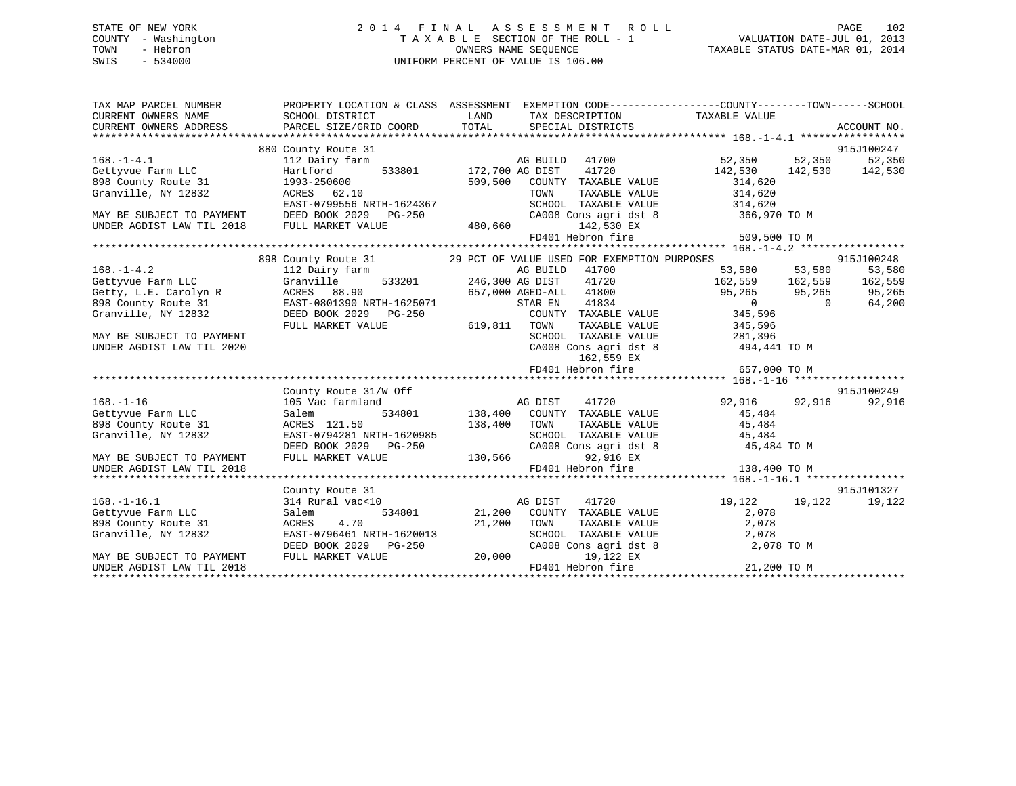# STATE OF NEW YORK 2 0 1 4 F I N A L A S S E S S M E N T R O L L PAGE 102 COUNTY - Washington T A X A B L E SECTION OF THE ROLL - 1 VALUATION DATE-JUL 01, 2013 TOWN - Hebron **CONNERS NAME SEQUENCE** TAXABLE STATUS DATE-MAR 01, 2014 SWIS - 534000 UNIFORM PERCENT OF VALUE IS 106.00

| TAX MAP PARCEL NUMBER<br>CURRENT OWNERS NAME<br>CURRENT OWNERS ADDRESS | PROPERTY LOCATION & CLASS ASSESSMENT EXEMPTION CODE---------------COUNTY-------TOWN------SCHOOL<br>SCHOOL DISTRICT               | LAND    |                                     | TAX DESCRIPTION TAXABLE VALUE                                                                                                                                                                                                                                                         |                          |
|------------------------------------------------------------------------|----------------------------------------------------------------------------------------------------------------------------------|---------|-------------------------------------|---------------------------------------------------------------------------------------------------------------------------------------------------------------------------------------------------------------------------------------------------------------------------------------|--------------------------|
|                                                                        |                                                                                                                                  |         |                                     |                                                                                                                                                                                                                                                                                       |                          |
|                                                                        | 880 County Route 31                                                                                                              |         |                                     |                                                                                                                                                                                                                                                                                       | 915J100247               |
| $168. - 1 - 4.1$                                                       | 112 Dairy farm                                                                                                                   |         | AG BUILD 41700                      | 52,350 52,350 52,350                                                                                                                                                                                                                                                                  |                          |
| Gettyvue Farm LLC                                                      | Hartford                                                                                                                         |         |                                     | 142,530 142,530 142,530                                                                                                                                                                                                                                                               |                          |
| 898 County Route 31                                                    | 1993-250600                                                                                                                      |         | 509,500 COUNTY TAXABLE VALUE        | 314,620                                                                                                                                                                                                                                                                               |                          |
| Granville, NY 12832                                                    | ACRES 62.10                                                                                                                      |         | TOWN<br>TAXABLE VALUE               | 314,620                                                                                                                                                                                                                                                                               |                          |
|                                                                        | EAST-0799556 NRTH-1624367                                                                                                        |         |                                     | SCHOOL TAXABLE VALUE 314,620                                                                                                                                                                                                                                                          |                          |
| MAY BE SUBJECT TO PAYMENT                                              | DEED BOOK 2029    PG-250                                                                                                         |         |                                     | CA008 Cons agri dst 8 366,970 TO M                                                                                                                                                                                                                                                    |                          |
| UNDER AGDIST LAW TIL 2018                                              | FULL MARKET VALUE                                                                                                                | 480,660 | 142,530 EX                          |                                                                                                                                                                                                                                                                                       |                          |
|                                                                        |                                                                                                                                  |         |                                     | FD401 Hebron fire 509,500 TO M                                                                                                                                                                                                                                                        |                          |
|                                                                        |                                                                                                                                  |         |                                     |                                                                                                                                                                                                                                                                                       |                          |
|                                                                        | 898 County Route 31 29 PCT OF VALUE USED FOR EXEMPTION PURPOSES                                                                  |         |                                     |                                                                                                                                                                                                                                                                                       | 915J100248               |
| $168. - 1 - 4.2$                                                       | 112 Dairy farm                                                                                                                   |         | AG BUILD 41700                      |                                                                                                                                                                                                                                                                                       | 53,580                   |
| Gettyvue Farm LLC                                                      | Granville                                                                                                                        |         |                                     | $\frac{1}{246,300}$ and $\frac{1}{246,300}$ and $\frac{1}{246}$ and $\frac{1}{246}$ and $\frac{1}{246}$ and $\frac{1}{246}$ and $\frac{1}{246}$ and $\frac{1}{246}$ and $\frac{1}{246}$ and $\frac{1}{246}$ and $\frac{1}{246}$ and $\frac{1}{246}$ and $\frac{1}{246}$ and $\frac{1$ |                          |
| Getty, L.E. Carolyn R                                                  | ACRES 88.90<br>EAST-0801390 N<br>DEED BOOK 2029<br>ACRES 88.90 657,000 AGED-ALL 41800<br>EAST-0801390 NRTH-1625071 STAR EN 41834 |         |                                     |                                                                                                                                                                                                                                                                                       | 95,265 95,265 95,265     |
| 898 County Route 31                                                    | DEED BOOK 2029 PG-250<br>FIILL MADVER WALLER                                                                                     |         |                                     | $\overline{0}$                                                                                                                                                                                                                                                                        | $\overline{0}$<br>64,200 |
| Granville, NY 12832                                                    |                                                                                                                                  |         |                                     |                                                                                                                                                                                                                                                                                       |                          |
|                                                                        | FULL MARKET VALUE                                                                                                                | 619,811 | TOWN                                | TAXABLE VALUE 345,596                                                                                                                                                                                                                                                                 |                          |
| MAY BE SUBJECT TO PAYMENT                                              |                                                                                                                                  |         | SCHOOL TAXABLE VALUE                | 281,396                                                                                                                                                                                                                                                                               |                          |
| UNDER AGDIST LAW TIL 2020                                              |                                                                                                                                  |         | CA008 Cons agri dst 8               | 494,441 TO M                                                                                                                                                                                                                                                                          |                          |
|                                                                        |                                                                                                                                  |         | 162,559 EX                          |                                                                                                                                                                                                                                                                                       |                          |
|                                                                        |                                                                                                                                  |         | FD401 Hebron fire                   | 657,000 TO M                                                                                                                                                                                                                                                                          |                          |
|                                                                        |                                                                                                                                  |         |                                     |                                                                                                                                                                                                                                                                                       |                          |
|                                                                        | County Route 31/W Off                                                                                                            |         |                                     |                                                                                                                                                                                                                                                                                       | 915J100249               |
| $168. - 1 - 16$                                                        | 105 Vac farmland                                                                                                                 |         | AG DIST<br>41720                    | 92,916 92,916                                                                                                                                                                                                                                                                         | 92,916                   |
| Gettyvue Farm LLC                                                      | Salem                                                                                                                            |         | 534801 138,400 COUNTY TAXABLE VALUE | 45,484<br>45,484                                                                                                                                                                                                                                                                      |                          |
| 898 County Route 31                                                    | ACRES 121.50                                                                                                                     | 138,400 | TOWN                                | TOWN TAXABLE VALUE 45,484<br>SCHOOL TAXABLE VALUE 45,484                                                                                                                                                                                                                              |                          |
| Granville, NY 12832                                                    | EAST-0794281 NRTH-1620985<br>DEED BOOK 2029 PG-250 CA008 Cor<br>FULL MARKET VALUE 130,566                                        |         |                                     |                                                                                                                                                                                                                                                                                       |                          |
| MAY BE SUBJECT TO PAYMENT                                              |                                                                                                                                  |         | CA008 Cons agri dst 8<br>92,916 EX  | 45,484 TO M                                                                                                                                                                                                                                                                           |                          |
| UNDER AGDIST LAW TIL 2018                                              |                                                                                                                                  |         |                                     |                                                                                                                                                                                                                                                                                       |                          |
|                                                                        |                                                                                                                                  |         |                                     |                                                                                                                                                                                                                                                                                       |                          |
|                                                                        | County Route 31                                                                                                                  |         |                                     |                                                                                                                                                                                                                                                                                       | 915J101327               |
| $168. - 1 - 16.1$                                                      | 314 Rural vac<10                                                                                                                 | AG DIST | 41720                               | 19,122                                                                                                                                                                                                                                                                                | 19,122<br>19,122         |
| Gettyvue Farm LLC                                                      | Salem                                                                                                                            |         | 534801 21,200 COUNTY TAXABLE VALUE  | 2,078                                                                                                                                                                                                                                                                                 |                          |
| 898 County Route 31                                                    | 4.70<br>ACRES                                                                                                                    | 21,200  | TOWN                                |                                                                                                                                                                                                                                                                                       |                          |
| Granville, NY 12832                                                    | EAST-0796461 NRTH-1620013                                                                                                        |         |                                     |                                                                                                                                                                                                                                                                                       |                          |
|                                                                        | DEED BOOK 2029 PG-250                                                                                                            |         |                                     | TOWN TAXABLE VALUE 2,078<br>SCHOOL TAXABLE VALUE 2,078<br>CA008 Cons agri dst 8 2,078 TO M                                                                                                                                                                                            |                          |
| MAY BE SUBJECT TO PAYMENT                                              | FULL MARKET VALUE                                                                                                                | 20,000  | 19,122 EX                           |                                                                                                                                                                                                                                                                                       |                          |
| UNDER AGDIST LAW TIL 2018                                              |                                                                                                                                  |         | FD401 Hebron fire                   | 21,200 TO M                                                                                                                                                                                                                                                                           |                          |
|                                                                        |                                                                                                                                  |         |                                     |                                                                                                                                                                                                                                                                                       |                          |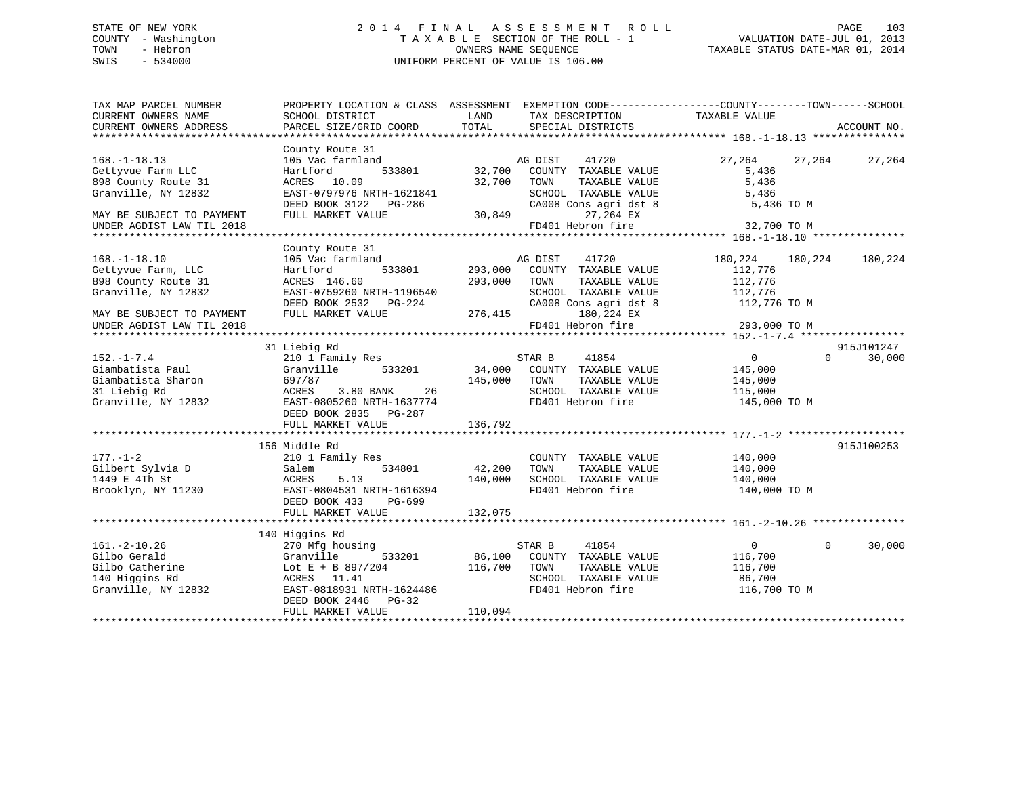# STATE OF NEW YORK 2 0 1 4 F I N A L A S S E S S M E N T R O L L PAGE 103 COUNTY - Washington T A X A B L E SECTION OF THE ROLL - 1 VALUATION DATE-JUL 01, 2013 TOWN - Hebron OWNERS NAME SEQUENCE TAXABLE STATUS DATE-MAR 01, 2014 SWIS - 534000 UNIFORM PERCENT OF VALUE IS 106.00

| TAX MAP PARCEL NUMBER<br>CURRENT OWNERS NAME<br>CURRENT OWNERS ADDRESS                                                                           | PROPERTY LOCATION & CLASS ASSESSMENT<br>SCHOOL DISTRICT<br>PARCEL SIZE/GRID COORD                                                                                           | LAND<br>TAX DESCRIPTION<br>TOTAL<br>SPECIAL DISTRICTS                                                                                                                                  | EXEMPTION CODE-----------------COUNTY-------TOWN------SCHOOL<br>TAXABLE VALUE<br>ACCOUNT NO.        |
|--------------------------------------------------------------------------------------------------------------------------------------------------|-----------------------------------------------------------------------------------------------------------------------------------------------------------------------------|----------------------------------------------------------------------------------------------------------------------------------------------------------------------------------------|-----------------------------------------------------------------------------------------------------|
| $168. - 1 - 18.13$<br>Gettyvue Farm LLC<br>898 County Route 31<br>Granville, NY 12832<br>MAY BE SUBJECT TO PAYMENT<br>UNDER AGDIST LAW TIL 2018  | County Route 31<br>105 Vac farmland<br>533801<br>Hartford<br>ACRES 10.09<br>EAST-0797976 NRTH-1621841<br>DEED BOOK 3122 PG-286<br>FULL MARKET VALUE                         | AG DIST<br>41720<br>32,700<br>COUNTY TAXABLE VALUE<br>32,700<br>TOWN<br>TAXABLE VALUE<br>SCHOOL TAXABLE VALUE<br>CA008 Cons agri dst 8<br>30,849<br>27,264 EX<br>FD401 Hebron fire     | 27,264<br>27,264<br>27,264<br>5,436<br>5,436<br>5,436<br>5,436 TO M<br>32,700 TO M                  |
|                                                                                                                                                  |                                                                                                                                                                             |                                                                                                                                                                                        |                                                                                                     |
| $168. - 1 - 18.10$<br>Gettyvue Farm, LLC<br>898 County Route 31<br>Granville, NY 12832<br>MAY BE SUBJECT TO PAYMENT<br>UNDER AGDIST LAW TIL 2018 | County Route 31<br>105 Vac farmland<br>533801<br>Hartford<br>ACRES 146.60<br>EAST-0759260 NRTH-1196540<br>DEED BOOK 2532    PG-224<br>FULL MARKET VALUE                     | AG DIST<br>41720<br>293,000<br>COUNTY TAXABLE VALUE<br>293,000<br>TOWN<br>TAXABLE VALUE<br>SCHOOL TAXABLE VALUE<br>CA008 Cons agri dst 8<br>276,415<br>180,224 EX<br>FD401 Hebron fire | 180,224<br>180,224<br>180,224<br>112,776<br>112,776<br>112,776<br>112,776 TO M<br>293,000 TO M      |
|                                                                                                                                                  |                                                                                                                                                                             |                                                                                                                                                                                        |                                                                                                     |
| $152. - 1 - 7.4$<br>Giambatista Paul<br>Giambatista Sharon<br>31 Liebig Rd<br>Granville, NY 12832                                                | 31 Liebig Rd<br>210 1 Family Res<br>Granville<br>533201<br>697/87<br>ACRES<br>3.80 BANK<br>26<br>EAST-0805260 NRTH-1637774<br>DEED BOOK 2835 PG-287<br>FULL MARKET VALUE    | STAR B<br>41854<br>34,000<br>COUNTY TAXABLE VALUE<br>145,000<br>TAXABLE VALUE<br>TOWN<br>SCHOOL TAXABLE VALUE<br>FD401 Hebron fire<br>136,792                                          | 915J101247<br>$\Omega$<br>30,000<br>$\overline{0}$<br>145,000<br>145,000<br>115,000<br>145,000 TO M |
|                                                                                                                                                  |                                                                                                                                                                             |                                                                                                                                                                                        |                                                                                                     |
| $177. - 1 - 2$<br>Gilbert Sylvia D<br>1449 E 4Th St<br>Brooklyn, NY 11230                                                                        | 156 Middle Rd<br>210 1 Family Res<br>534801<br>Salem<br>ACRES<br>5.13<br>EAST-0804531 NRTH-1616394<br>DEED BOOK 433<br>PG-699                                               | COUNTY TAXABLE VALUE<br>42,200<br>TAXABLE VALUE<br>TOWN<br>140,000<br>SCHOOL TAXABLE VALUE<br>FD401 Hebron fire                                                                        | 915J100253<br>140,000<br>140,000<br>140,000<br>140,000 TO M                                         |
|                                                                                                                                                  | FULL MARKET VALUE                                                                                                                                                           | 132,075                                                                                                                                                                                |                                                                                                     |
| $161.-2-10.26$<br>Gilbo Gerald<br>Gilbo Catherine<br>140 Higgins Rd<br>Granville, NY 12832                                                       | 140 Higgins Rd<br>270 Mfg housing<br>Granville<br>533201<br>Lot E + B 897/204<br>ACRES 11.41<br>EAST-0818931 NRTH-1624486<br>DEED BOOK 2446<br>$PG-32$<br>FULL MARKET VALUE | STAR B<br>41854<br>86,100<br>COUNTY TAXABLE VALUE<br>116,700<br>TAXABLE VALUE<br>TOWN<br>SCHOOL TAXABLE VALUE<br>FD401 Hebron fire<br>110,094                                          | $\overline{0}$<br>$\Omega$<br>30,000<br>116,700<br>116,700<br>86,700<br>116,700 TO M                |
|                                                                                                                                                  |                                                                                                                                                                             |                                                                                                                                                                                        |                                                                                                     |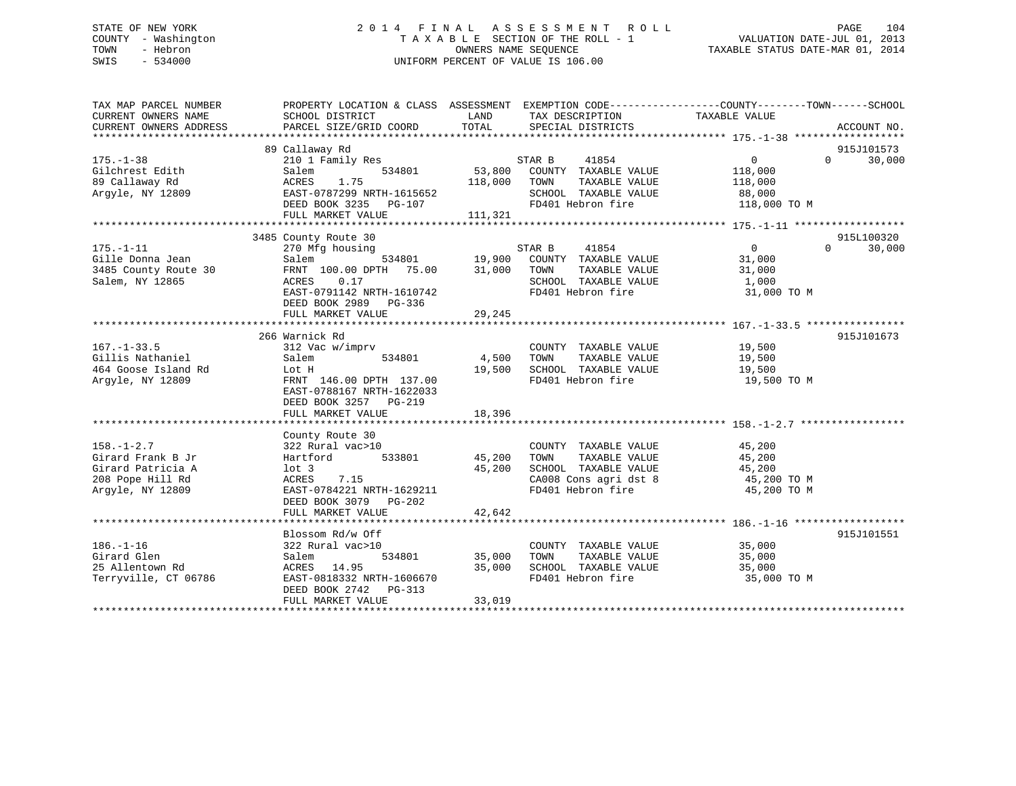# STATE OF NEW YORK 2 0 1 4 F I N A L A S S E S S M E N T R O L L PAGE 104 COUNTY - Washington T A X A B L E SECTION OF THE ROLL - 1 VALUATION DATE-JUL 01, 2013 TOWN - Hebron OWNERS NAME SEQUENCE TAXABLE STATUS DATE-MAR 01, 2014 SWIS - 534000 UNIFORM PERCENT OF VALUE IS 106.00

| TAX MAP PARCEL NUMBER<br>CURRENT OWNERS NAME<br>CURRENT OWNERS ADDRESS                             | PROPERTY LOCATION & CLASS ASSESSMENT EXEMPTION CODE----------------COUNTY-------TOWN------SCHOOL<br>SCHOOL DISTRICT<br>PARCEL SIZE/GRID COORD                                 | LAND<br>TOTAL                | TAX DESCRIPTION TAXABLE VALUE<br>SPECIAL DISTRICTS                                                                                                                                                                                 |                                                                                                     | ACCOUNT NO.                      |
|----------------------------------------------------------------------------------------------------|-------------------------------------------------------------------------------------------------------------------------------------------------------------------------------|------------------------------|------------------------------------------------------------------------------------------------------------------------------------------------------------------------------------------------------------------------------------|-----------------------------------------------------------------------------------------------------|----------------------------------|
| $175. - 1 - 38$<br>Gilchrest Edith<br>89 Callaway Rd<br>Argyle, NY 12809                           | 89 Callaway Rd<br>210 1 Family Res<br>534801<br>Salem<br>1.75<br>ACRES<br>EAST-0787299 NRTH-1615652<br>EASI-078729 NRTH-1615652<br>DEED BOOK 3235 PG-107<br>FULL MARKET VALUE | 53,800<br>118,000<br>111,321 | STAR B<br>41854<br>COUNTY TAXABLE VALUE<br>TAXABLE VALUE<br>TOWN<br>SCHOOL TAXABLE VALUE<br>FD401 Hebron fire                                                                                                                      | $0 \qquad \qquad$<br>118,000<br>118,000<br>88,000<br>118,000 TO M                                   | 915J101573<br>$\Omega$<br>30,000 |
|                                                                                                    |                                                                                                                                                                               |                              |                                                                                                                                                                                                                                    |                                                                                                     |                                  |
| $175. - 1 - 11$<br>Gille Donna Jean<br>3485 County Route 30<br>Salem, NY 12865                     | 3485 County Route 30<br>270 Mfg housing<br>Salem<br>FRNT 100.00 DPTH 75.00 31,000<br>ACRES 0.17<br>EAST-0791142 NRTH-1610742<br>DEED BOOK 2989 PG-336<br>FULL MARKET VALUE    | 29,245                       | $\begin{array}{cccc}\texttt{STAR} & \texttt{B} & \texttt{41854} \\ \texttt{534801} & \texttt{19,900} & \texttt{COUNTY} & \texttt{TAXABLE VALUE} \end{array}$<br>TOWN<br>TAXABLE VALUE<br>SCHOOL TAXABLE VALUE<br>FD401 Hebron fire | $0 \qquad \qquad$<br>31,000<br>31,000<br>$\frac{1}{1}$ , 000<br>31,000 TO M                         | 915L100320<br>$\Omega$<br>30,000 |
|                                                                                                    |                                                                                                                                                                               |                              |                                                                                                                                                                                                                                    |                                                                                                     |                                  |
| $167. - 1 - 33.5$<br>Gillis Nathaniel<br>464 Goose Island Rd<br>Argyle, NY 12809                   | 266 Warnick Rd<br>312 Vac w/imprv<br>Salem<br>534801<br>Lot H<br>FRNT 146.00 DPTH 137.00<br>EAST-0788167 NRTH-1622033<br>DEED BOOK 3257 PG-219<br>FULL MARKET VALUE           | 4,500 TOWN<br>18,396         | COUNTY TAXABLE VALUE 19,500<br>TAXABLE VALUE<br>19,500 SCHOOL TAXABLE VALUE 19,500<br>FD401 Hebron fire                                                                                                                            | 19,500<br>19,500 TO M                                                                               | 915J101673                       |
|                                                                                                    | County Route 30                                                                                                                                                               |                              |                                                                                                                                                                                                                                    |                                                                                                     |                                  |
| $158. - 1 - 2.7$<br>Girard Frank B Jr<br>Girard Patricia A<br>208 Pope Hill Rd<br>Arqyle, NY 12809 | 322 Rural vac>10<br>Hartford 533801<br>lot 3<br>ACRES<br>7.15<br>EAST-0784221 NRTH-1629211<br>DEED BOOK 3079 PG-202                                                           | 45,200<br>45,200             | COUNTY TAXABLE VALUE<br>TAXABLE VALUE<br>TOWN<br>FD401 Hebron fire                                                                                                                                                                 | 45,200<br>45,200<br>SCHOOL TAXABLE VALUE 45,200<br>CA008 Cons agri dst 8 45,200 TO M<br>45,200 TO M |                                  |
|                                                                                                    | FULL MARKET VALUE                                                                                                                                                             | 42,642                       |                                                                                                                                                                                                                                    |                                                                                                     |                                  |
| $186. - 1 - 16$<br>Girard Glen<br>25 Allentown Rd<br>Terryville, CT 06786                          | Blossom Rd/w Off<br>322 Rural vac>10<br>534801 35,000<br>Salem<br>ACRES 14.95<br>EAST-0818332 NRTH-1606670<br>DEED BOOK 2742 PG-313<br>FULL MARKET VALUE                      | 35,000<br>33,019             | COUNTY TAXABLE VALUE<br>TAXABLE VALUE<br>TOWN<br>SCHOOL TAXABLE VALUE 35,000<br>FD401 Hebron fire                                                                                                                                  | 35,000<br>35,000<br>35,000 TO M                                                                     | 915J101551                       |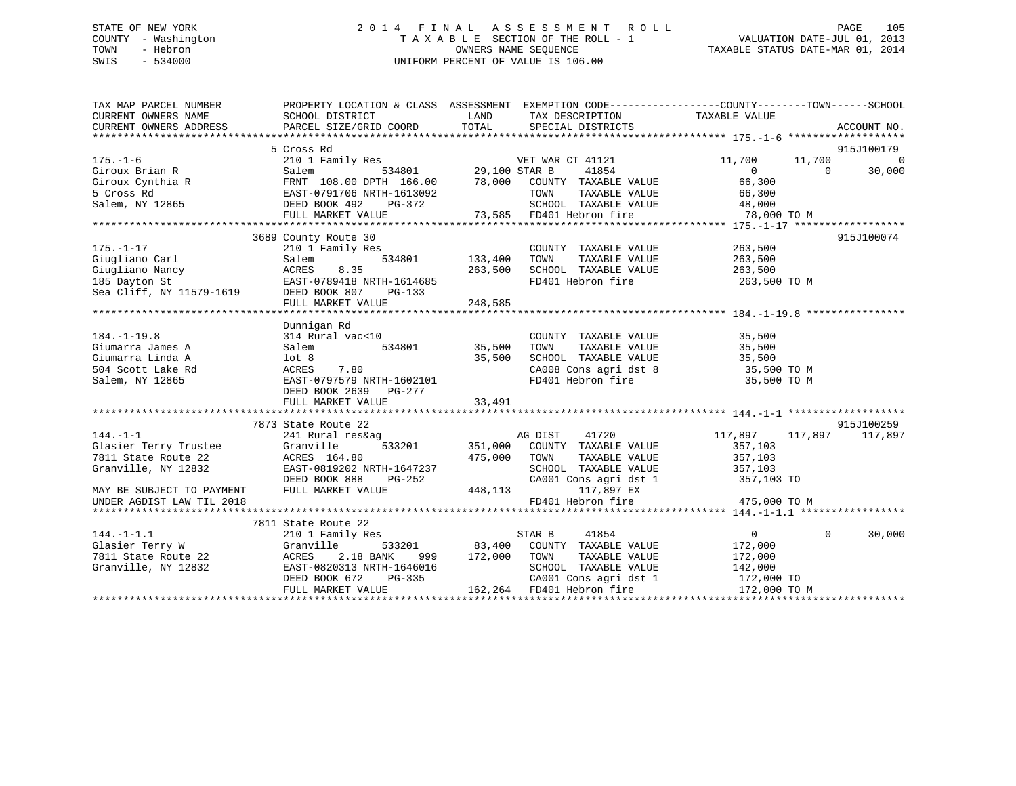# STATE OF NEW YORK 2 0 1 4 F I N A L A S S E S S M E N T R O L L PAGE 105 COUNTY - Washington T A X A B L E SECTION OF THE ROLL - 1 VALUATION DATE-JUL 01, 2013 TOWN - Hebron **CONNERS NAME SEQUENCE** TAXABLE STATUS DATE-MAR 01, 2014 SWIS - 534000 UNIFORM PERCENT OF VALUE IS 106.00

| TAX MAP PARCEL NUMBER                                                                                                                                                                                                                                                                                                                                                                                                        | PROPERTY LOCATION & CLASS ASSESSMENT EXEMPTION CODE----------------COUNTY-------TOWN------SCHOOL                            |             |                                                                                                                          |             |                    |
|------------------------------------------------------------------------------------------------------------------------------------------------------------------------------------------------------------------------------------------------------------------------------------------------------------------------------------------------------------------------------------------------------------------------------|-----------------------------------------------------------------------------------------------------------------------------|-------------|--------------------------------------------------------------------------------------------------------------------------|-------------|--------------------|
|                                                                                                                                                                                                                                                                                                                                                                                                                              |                                                                                                                             | <b>LAND</b> | TAX DESCRIPTION TAXABLE VALUE                                                                                            |             |                    |
| CURRENT OWNERS NAME<br>CURRENT OWNERS NAME<br>CURRENT OWNERS ADDRESS<br>PARCEL SIZE/GRIL                                                                                                                                                                                                                                                                                                                                     |                                                                                                                             |             |                                                                                                                          |             |                    |
|                                                                                                                                                                                                                                                                                                                                                                                                                              |                                                                                                                             |             |                                                                                                                          |             |                    |
|                                                                                                                                                                                                                                                                                                                                                                                                                              |                                                                                                                             |             |                                                                                                                          |             |                    |
|                                                                                                                                                                                                                                                                                                                                                                                                                              |                                                                                                                             |             |                                                                                                                          |             |                    |
|                                                                                                                                                                                                                                                                                                                                                                                                                              |                                                                                                                             |             |                                                                                                                          |             |                    |
|                                                                                                                                                                                                                                                                                                                                                                                                                              |                                                                                                                             |             |                                                                                                                          |             |                    |
|                                                                                                                                                                                                                                                                                                                                                                                                                              |                                                                                                                             |             |                                                                                                                          |             |                    |
|                                                                                                                                                                                                                                                                                                                                                                                                                              |                                                                                                                             |             |                                                                                                                          |             |                    |
|                                                                                                                                                                                                                                                                                                                                                                                                                              |                                                                                                                             |             |                                                                                                                          |             |                    |
|                                                                                                                                                                                                                                                                                                                                                                                                                              |                                                                                                                             |             |                                                                                                                          |             |                    |
|                                                                                                                                                                                                                                                                                                                                                                                                                              | 3689 County Route 30                                                                                                        |             |                                                                                                                          |             | 915J100074         |
| $175. - 1 - 17$                                                                                                                                                                                                                                                                                                                                                                                                              | 210 1 Family Res                                                                                                            |             | COUNTY TAXABLE VALUE 263,500                                                                                             |             |                    |
|                                                                                                                                                                                                                                                                                                                                                                                                                              |                                                                                                                             |             | TOWN TAXABLE VALUE 263,500<br>SCHOOL TAXABLE VALUE 263,500                                                               |             |                    |
|                                                                                                                                                                                                                                                                                                                                                                                                                              |                                                                                                                             |             |                                                                                                                          |             |                    |
|                                                                                                                                                                                                                                                                                                                                                                                                                              |                                                                                                                             |             | FD401 Hebron fire 263,500 TO M                                                                                           |             |                    |
| 175.-1-17 210 1 Family Res<br>Giugliano Carl Salem 534801 133,400<br>Giugliano Nancy ACRES 8.35 263,500<br>185 Dayton St EAST-0789418 NRTH-1614685<br>Sea Cliff, NY 11579-1619 DEED BOOK 807 PG-133<br>FIILL MARKET VALUE 248.585                                                                                                                                                                                            |                                                                                                                             |             |                                                                                                                          |             |                    |
|                                                                                                                                                                                                                                                                                                                                                                                                                              | FULL MARKET VALUE                                                                                                           | 248,585     |                                                                                                                          |             |                    |
|                                                                                                                                                                                                                                                                                                                                                                                                                              |                                                                                                                             |             |                                                                                                                          |             |                    |
|                                                                                                                                                                                                                                                                                                                                                                                                                              | Dunnigan Rd                                                                                                                 |             |                                                                                                                          |             |                    |
| $184. - 1 - 19.8$                                                                                                                                                                                                                                                                                                                                                                                                            |                                                                                                                             |             | COUNTY TAXABLE VALUE 35,500                                                                                              |             |                    |
| Giumarra James A                                                                                                                                                                                                                                                                                                                                                                                                             |                                                                                                                             |             | TOWN TAXABLE VALUE 35,500<br>SCHOOL TAXABLE VALUE 35,500<br>CA008 Cons agri dst 8 35,500 TO M<br>35,500 TO M             |             |                    |
| Giumarra Linda A                                                                                                                                                                                                                                                                                                                                                                                                             |                                                                                                                             |             |                                                                                                                          |             |                    |
| 504 Scott Lake Rd                                                                                                                                                                                                                                                                                                                                                                                                            |                                                                                                                             |             |                                                                                                                          |             |                    |
| Salem, NY 12865                                                                                                                                                                                                                                                                                                                                                                                                              |                                                                                                                             |             | FD401 Hebron fire                                                                                                        | 35,500 TO M |                    |
|                                                                                                                                                                                                                                                                                                                                                                                                                              | 314 Rural vac<10<br>Salem 534801 35,500<br>lot 8 35,500<br>ACRES 7.80<br>EAST-0797579 NRTH-1602101<br>DEED BOOK 2639 PG-277 |             |                                                                                                                          |             |                    |
|                                                                                                                                                                                                                                                                                                                                                                                                                              |                                                                                                                             |             |                                                                                                                          |             |                    |
|                                                                                                                                                                                                                                                                                                                                                                                                                              |                                                                                                                             |             |                                                                                                                          |             |                    |
|                                                                                                                                                                                                                                                                                                                                                                                                                              | 7873 State Route 22                                                                                                         |             |                                                                                                                          |             | 915J100259         |
| $144. -1 -1$                                                                                                                                                                                                                                                                                                                                                                                                                 |                                                                                                                             |             | 9<br>533201 117,897 117,897 117,897<br>533201 351,000 COUNTY TAXABLE VALUE 357,103<br>475,000 TOWN TAXABLE VALUE 357,103 |             |                    |
|                                                                                                                                                                                                                                                                                                                                                                                                                              |                                                                                                                             |             |                                                                                                                          |             |                    |
|                                                                                                                                                                                                                                                                                                                                                                                                                              |                                                                                                                             |             |                                                                                                                          |             |                    |
|                                                                                                                                                                                                                                                                                                                                                                                                                              |                                                                                                                             |             |                                                                                                                          |             |                    |
|                                                                                                                                                                                                                                                                                                                                                                                                                              |                                                                                                                             |             | SCHOOL TAXABLE VALUE 357,103<br>CA001 Cons agri dst 1 357,103 TO                                                         |             |                    |
| $\begin{tabular}{lllllllllllllllllllll} \hline 144.-1-1 & 241~\mathrm{Rural}~\mathrm{res\&ag} & \mathrm{AG~DIST} & 41720 \\ \mathrm{Glasticr~ Terry~Trustee} & \mathrm{Granville} & 533201 & 351,000 & \mathrm{COUNTY~ TAXABLE~VALU} \\ \hline 7811~\mathrm{State~Route~22} & \mathrm{ACRES~164.80} & 475,000 & \mathrm{TOWN} & \mathrm{TAXABLE~VALU} \\ \mathrm{Granville,~NY~12832} & \mathrm{EAST-0819202~\mathrm{NRTH-1$ |                                                                                                                             |             |                                                                                                                          |             |                    |
| UNDER AGDIST LAW TIL 2018                                                                                                                                                                                                                                                                                                                                                                                                    |                                                                                                                             |             | FD401 Hebron fire 475,000 TO M                                                                                           |             |                    |
|                                                                                                                                                                                                                                                                                                                                                                                                                              |                                                                                                                             |             |                                                                                                                          |             |                    |
|                                                                                                                                                                                                                                                                                                                                                                                                                              | 7811 State Route 22                                                                                                         |             |                                                                                                                          |             |                    |
| $144. -1 - 1.1$                                                                                                                                                                                                                                                                                                                                                                                                              | 210 1 Family Res                                                                                                            |             | 41854<br>STAR B                                                                                                          |             | $0 \t 0 \t 30,000$ |
| Glasier Terry W                                                                                                                                                                                                                                                                                                                                                                                                              | Granville                                                                                                                   |             | 533201 83,400 COUNTY TAXABLE VALUE 172,000                                                                               |             |                    |
|                                                                                                                                                                                                                                                                                                                                                                                                                              |                                                                                                                             |             |                                                                                                                          |             |                    |
|                                                                                                                                                                                                                                                                                                                                                                                                                              |                                                                                                                             |             |                                                                                                                          |             |                    |
| 7811 State Route 22 (18 BANK 999 172,000 TOWN TAXABLE VALUE 172,000 (2000)<br>Granville, NY 12832 (EAST-0820313 NRTH-1646016 (SCHOOL TAXABLE VALUE 142,000                                                                                                                                                                                                                                                                   | DEED BOOK 672                                                                                                               |             |                                                                                                                          |             |                    |
|                                                                                                                                                                                                                                                                                                                                                                                                                              | FULL MARKET VALUE                                                                                                           |             | PG-335 CA001 Cons agri dst 1 172,000 TO<br>LUE 162,264 FD401 Hebron fire 172,000 TO M                                    |             |                    |
|                                                                                                                                                                                                                                                                                                                                                                                                                              |                                                                                                                             |             |                                                                                                                          |             |                    |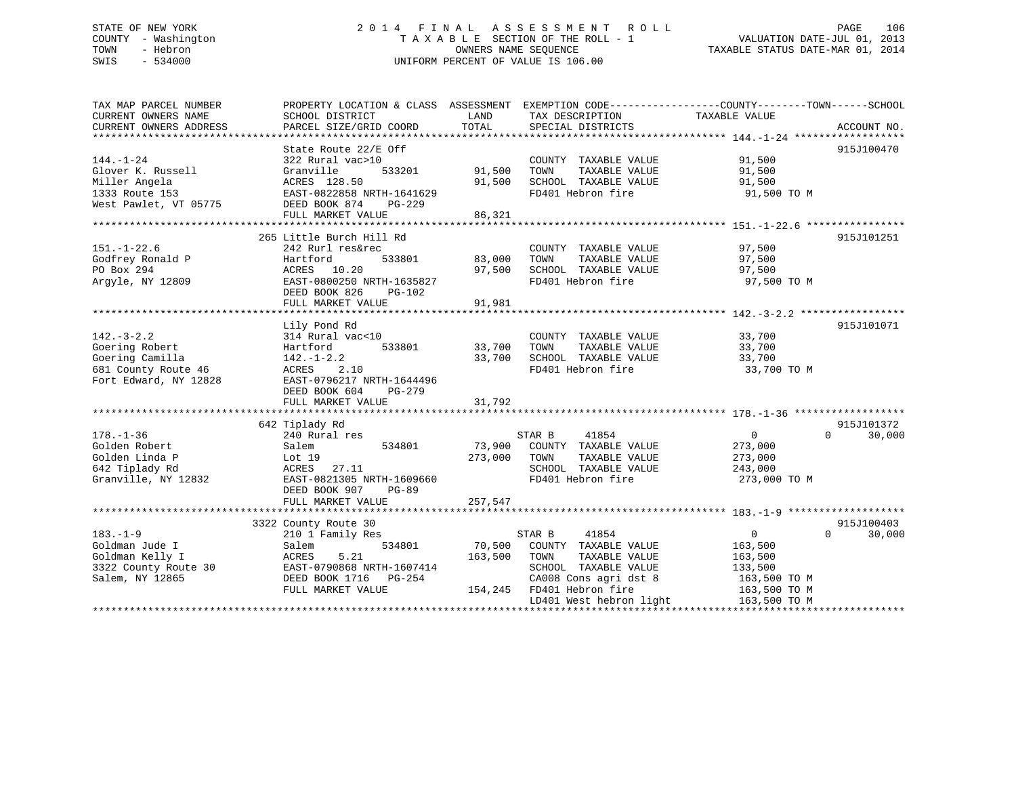# STATE OF NEW YORK 2 0 1 4 F I N A L A S S E S S M E N T R O L L PAGE 106 COUNTY - Washington T A X A B L E SECTION OF THE ROLL - 1 VALUATION DATE-JUL 01, 2013 TOWN - Hebron OWNERS NAME SEQUENCE TAXABLE STATUS DATE-MAR 01, 2014 SWIS - 534000 UNIFORM PERCENT OF VALUE IS 106.00

| TAX MAP PARCEL NUMBER<br>CURRENT OWNERS NAME<br>CURRENT OWNERS ADDRESS                                | PROPERTY LOCATION & CLASS ASSESSMENT EXEMPTION CODE---------------COUNTY-------TOWN------SCHOOL<br>SCHOOL DISTRICT<br>PARCEL SIZE/GRID COORD                             | LAND<br>TOTAL                     | TAX DESCRIPTION<br>SPECIAL DISTRICTS                                                                                                                                      | TAXABLE VALUE                                                                                   | ACCOUNT NO.                      |
|-------------------------------------------------------------------------------------------------------|--------------------------------------------------------------------------------------------------------------------------------------------------------------------------|-----------------------------------|---------------------------------------------------------------------------------------------------------------------------------------------------------------------------|-------------------------------------------------------------------------------------------------|----------------------------------|
| $144. - 1 - 24$<br>Glover K. Russell<br>Miller Angela<br>1333 Route 153<br>West Pawlet, VT 05775      | State Route 22/E Off<br>322 Rural vac>10<br>Granville<br>533201<br>ACRES 128.50<br>EAST-0822858 NRTH-1641629<br>DEED BOOK 874<br>PG-229<br>FULL MARKET VALUE             | 91,500 TOWN<br>91,500<br>86,321   | COUNTY TAXABLE VALUE<br>TAXABLE VALUE<br>SCHOOL TAXABLE VALUE<br>FD401 Hebron fire                                                                                        | 91,500<br>91,500<br>91,500<br>91,500 TO M                                                       | 915J100470                       |
| $151. - 1 - 22.6$<br>Godfrey Ronald P<br>PO Box 294<br>Argyle, NY 12809                               | 265 Little Burch Hill Rd<br>242 Rurl res&rec<br>533801<br>Hartford<br>ACRES 10.20<br>EAST-0800250 NRTH-1635827<br>DEED BOOK 826<br>$PG-102$<br>FULL MARKET VALUE         | 83,000 TOWN<br>97,500<br>91,981   | COUNTY TAXABLE VALUE<br>TAXABLE VALUE<br>SCHOOL TAXABLE VALUE<br>FD401 Hebron fire                                                                                        | 97,500<br>97,500<br>97,500<br>97,500 TO M                                                       | 915J101251                       |
| $142. - 3 - 2.2$<br>Goering Robert<br>Goering Camilla<br>681 County Route 46<br>Fort Edward, NY 12828 | Lily Pond Rd<br>314 Rural vac<10<br>533801<br>Hartford<br>$142. - 1 - 2.2$<br>ACRES<br>2.10<br>EAST-0796217 NRTH-1644496<br>DEED BOOK 604<br>PG-279<br>FULL MARKET VALUE | 33,700<br>33,700<br>31,792        | COUNTY TAXABLE VALUE<br>TOWN<br>TAXABLE VALUE<br>SCHOOL TAXABLE VALUE<br>FD401 Hebron fire                                                                                | 33,700<br>33,700<br>33,700<br>33,700 TO M                                                       | 915J101071                       |
| $178. - 1 - 36$<br>Golden Robert<br>Golden Linda P<br>642 Tiplady Rd<br>Granville, NY 12832           | 642 Tiplady Rd<br>240 Rural res<br>534801<br>Salem<br>Lot 19<br>ACRES 27.11<br>EAST-0821305 NRTH-1609660<br>DEED BOOK 907<br>PG-89<br>FULL MARKET VALUE                  | 73,900<br>273,000 TOWN<br>257,547 | 41854<br>STAR B<br>COUNTY TAXABLE VALUE<br>TAXABLE VALUE<br>SCHOOL TAXABLE VALUE<br>FD401 Hebron fire                                                                     | $\overline{0}$<br>273,000<br>273,000<br>243,000<br>273,000 TO M                                 | 915J101372<br>$\Omega$<br>30,000 |
| $183. - 1 - 9$<br>Goldman Jude I<br>Goldman Kelly I<br>3322 County Route 30<br>Salem, NY 12865        | 3322 County Route 30<br>210 1 Family Res<br>534801<br>Salem<br>ACRES<br>5.21<br>EAST-0790868 NRTH-1607414<br>DEED BOOK 1716 PG-254<br>FULL MARKET VALUE                  | 70,500<br>163,500                 | STAR B<br>41854<br>COUNTY TAXABLE VALUE<br>TOWN<br>TAXABLE VALUE<br>SCHOOL TAXABLE VALUE<br>CA008 Cons agri dst 8<br>154,245 FD401 Hebron fire<br>LD401 West hebron light | $\overline{0}$<br>163,500<br>163,500<br>133,500<br>163,500 TO M<br>163,500 TO M<br>163,500 TO M | 915J100403<br>$\Omega$<br>30,000 |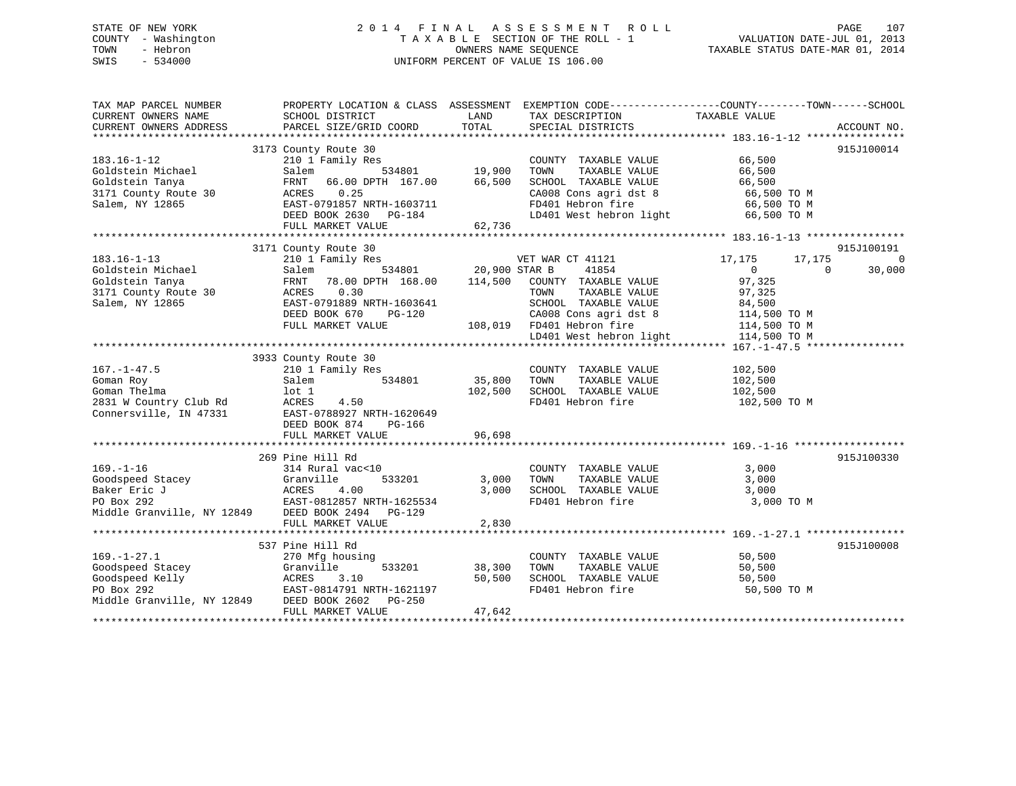# STATE OF NEW YORK 2 0 1 4 F I N A L A S S E S S M E N T R O L L PAGE 107 COUNTY - Washington T A X A B L E SECTION OF THE ROLL - 1 VALUATION DATE-JUL 01, 2013 TOWN - Hebron OWNERS NAME SEQUENCE TAXABLE STATUS DATE-MAR 01, 2014 SWIS - 534000 UNIFORM PERCENT OF VALUE IS 106.00

| TAX MAP PARCEL NUMBER<br>CURRENT OWNERS NAME                                                                                                                            | PROPERTY LOCATION & CLASS ASSESSMENT EXEMPTION CODE----------------COUNTY-------TOWN------SCHOOL<br>SCHOOL DISTRICT                                                                                                                                                                                       | LAND                       | TAX DESCRIPTION TAXABLE VALUE                                                                                                         |                                                                                                    |                          |
|-------------------------------------------------------------------------------------------------------------------------------------------------------------------------|-----------------------------------------------------------------------------------------------------------------------------------------------------------------------------------------------------------------------------------------------------------------------------------------------------------|----------------------------|---------------------------------------------------------------------------------------------------------------------------------------|----------------------------------------------------------------------------------------------------|--------------------------|
| CURRENT OWNERS ADDRESS                                                                                                                                                  | PARCEL SIZE/GRID COORD                                                                                                                                                                                                                                                                                    | TOTAL                      | SPECIAL DISTRICTS                                                                                                                     |                                                                                                    | ACCOUNT NO.              |
|                                                                                                                                                                         |                                                                                                                                                                                                                                                                                                           |                            |                                                                                                                                       |                                                                                                    |                          |
| $183.16 - 1 - 12$<br>Goldstein Michael<br>Goldstein Tanya<br>Gordbooter<br>3171 County Route 30 ACRES<br>3171 County Route 30 ACRES<br>Salem, NY 12865 EAST-0<br>DEED F | 3173 County Route 30<br>210 1 Family Res<br>Salem 534801 19,900 TOWN TAXABLE VALUE<br>FRNT 66.00 DPTH 167.00 66,500 SCHOOL TAXABLE VALUE<br>ACRES 0.25<br>0.25<br>EAST-0791857 NRTH-1603711<br>DEED BOOK 2630 PG-184 LD401 West hebron light 66,500 TO M<br>FULL MARKET VALUE                             | 62,736                     | COUNTY TAXABLE VALUE 66,500<br>TAXABLE VALUE 66,500<br>TAXABLE VALUE 66,500<br>CA008 Cons agri dst 8 66,500 TO M<br>FD401 Hebron fire | 66,500 TO M                                                                                        | 915J100014               |
|                                                                                                                                                                         | 3171 County Route 30                                                                                                                                                                                                                                                                                      |                            |                                                                                                                                       |                                                                                                    | 915J100191               |
| $183.16 - 1 - 13$                                                                                                                                                       | 210 1 Family Res<br>Coldstein Michael Salem 534801 20,900 STAR B 41854<br>Goldstein Tanya FRNT 78.00 DPTH 168.00 114,500 COUNTY TAXABLE VALUE<br>3171 County Route 30 ACRES 0.30 TOWN TAXABLE VALUE<br>Salem, NY 12865 EAST-0791889 NRTH-1603641 SCHOOL<br>$PG-120$<br>DEED BOOK 670<br>FULL MARKET VALUE | 534801 20,900 STAR B       | VET WAR CT 41121<br>41854<br>TAXABLE VALUE<br>SCHOOL TAXABLE VALUE<br>CA008 Cons agri dst 8                                           | 17,175<br>17,175<br>$\overline{0}$<br>$\overline{0}$<br>97,325<br>97,325<br>84,500<br>114,500 TO M | $\overline{0}$<br>30,000 |
|                                                                                                                                                                         |                                                                                                                                                                                                                                                                                                           |                            | 108,019 FD401 Hebron fire 114,500 TO M<br>LD401 West hebron light 114,500 TO M                                                        |                                                                                                    |                          |
| $167. - 1 - 47.5$<br>Goman Roy<br>Goman Thelma                                                                                                                          | 3933 County Route 30<br>210 1 Family Res<br>Salem 534801<br>lot 1<br>4.50<br>2831 W Country Club Rd<br>Connersville, IN 47331 EAST-0788927 NRTH-1620649<br>DEED BOOK 874<br>PG-166<br>FULL MARKET VALUE                                                                                                   | 35,800 TOWN<br>96,698      | COUNTY TAXABLE VALUE<br>TAXABLE VALUE<br>102,500 SCHOOL TAXABLE VALUE<br>FD401 Hebron fire 102,500 TO M                               | 102,500<br>102,500<br>102,500                                                                      |                          |
|                                                                                                                                                                         | 269 Pine Hill Rd                                                                                                                                                                                                                                                                                          |                            |                                                                                                                                       |                                                                                                    | 915J100330               |
|                                                                                                                                                                         | 314 Rural vac<10<br>169.-1-16<br>Goodspeed Stacey<br>Baker Eric J<br>PO Box 292<br>Middle Granville, NY 12849<br>PO Box 292<br>Middle Granville, NY 12849<br>PO BOX 292<br>PO BOX 292<br>PO BOX 292<br>PO BOX 292<br>PO BOX 292<br>PO BOX 292<br>PO BOX 294<br>PC-129<br>PO BOX<br>FULL MARKET VALUE      | 3,000 TOWN<br>2,830        | COUNTY TAXABLE VALUE 3,000<br>TAXABLE VALUE<br>3,000 TOWN TAXABLE VALUE<br>3,000 SCHOOL TAXABLE VALUE<br>FD401 Hebron fire 3,000 TO M | 3,000<br>3,000                                                                                     |                          |
|                                                                                                                                                                         |                                                                                                                                                                                                                                                                                                           |                            |                                                                                                                                       |                                                                                                    |                          |
| $169. - 1 - 27.1$<br>Middle Granville, NY 12849 DEED BOOK 2602 PG-250                                                                                                   | 537 Pine Hill Rd<br>270 Mfg housing<br>199.-1-27.1<br>Goodspeed Stacey<br>Goodspeed Kelly<br>PO Box 292<br>PO Box 292<br>PO Box 292<br>PO Box 292<br>PO Box 292<br>PO Box 292<br>PO Box 292<br>533201<br>FULL MARKET VALUE                                                                                | 38,300<br>50,500<br>47,642 | COUNTY TAXABLE VALUE 50,500<br>TOWN TAXABLE VALUE 50,500<br>TOWN<br>SCHOOL TAXABLE VALUE<br>FD401 Hebron fire                         | 50,500<br>50,500 TO M                                                                              | 915J100008               |
|                                                                                                                                                                         |                                                                                                                                                                                                                                                                                                           |                            |                                                                                                                                       |                                                                                                    |                          |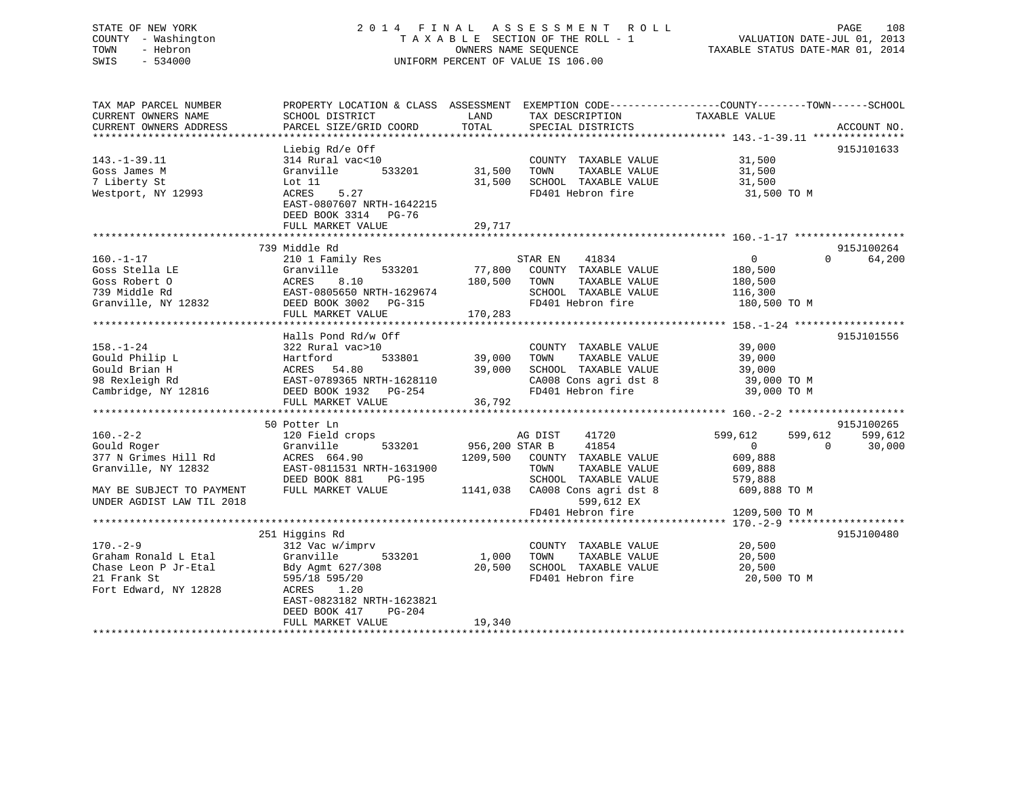# STATE OF NEW YORK 2 0 1 4 F I N A L A S S E S S M E N T R O L L PAGE 108 COUNTY - Washington T A X A B L E SECTION OF THE ROLL - 1 VALUATION DATE-JUL 01, 2013 TOWN - Hebron **CONNERS NAME SEQUENCE** TAXABLE STATUS DATE-MAR 01, 2014 SWIS - 534000 UNIFORM PERCENT OF VALUE IS 106.00

| TAX MAP PARCEL NUMBER<br>CURRENT OWNERS NAME<br>CURRENT OWNERS ADDRESS                                 | PROPERTY LOCATION & CLASS ASSESSMENT<br>SCHOOL DISTRICT<br>PARCEL SIZE/GRID COORD                                                                                                             | LAND<br>TOTAL                | TAX DESCRIPTION<br>SPECIAL DISTRICTS                                                                                | EXEMPTION CODE-----------------COUNTY-------TOWN------SCHOOL<br>TAXABLE VALUE<br>ACCOUNT NO.     |
|--------------------------------------------------------------------------------------------------------|-----------------------------------------------------------------------------------------------------------------------------------------------------------------------------------------------|------------------------------|---------------------------------------------------------------------------------------------------------------------|--------------------------------------------------------------------------------------------------|
| $143. - 1 - 39.11$<br>Goss James M<br>7 Liberty St<br>Westport, NY 12993                               | Liebig Rd/e Off<br>314 Rural vac<10<br>533201<br>Granville<br>Lot $11$<br>5.27<br>ACRES<br>EAST-0807607 NRTH-1642215<br>DEED BOOK 3314 PG-76<br>FULL MARKET VALUE                             | 31,500<br>31,500<br>29,717   | COUNTY TAXABLE VALUE<br>TOWN<br>TAXABLE VALUE<br>SCHOOL TAXABLE VALUE<br>FD401 Hebron fire                          | 915J101633<br>31,500<br>31,500<br>31,500<br>31,500 TO M                                          |
|                                                                                                        | 739 Middle Rd                                                                                                                                                                                 |                              |                                                                                                                     | 915J100264                                                                                       |
| $160. - 1 - 17$<br>Goss Stella LE<br>Goss Robert O<br>739 Middle Rd<br>Granville, NY 12832             | 210 1 Family Res<br>533201<br>Granville<br>8.10<br>ACRES<br>EAST-0805650 NRTH-1629674<br>DEED BOOK 3002 PG-315<br>FULL MARKET VALUE                                                           | 77,800<br>180,500<br>170,283 | 41834<br>STAR EN<br>COUNTY TAXABLE VALUE<br>TOWN<br>TAXABLE VALUE<br>SCHOOL TAXABLE VALUE<br>FD401 Hebron fire      | $\overline{0}$<br>$\Omega$<br>64,200<br>180,500<br>180,500<br>116,300<br>180,500 TO M            |
|                                                                                                        | Halls Pond Rd/w Off                                                                                                                                                                           |                              |                                                                                                                     | 915J101556                                                                                       |
| $158. - 1 - 24$<br>Gould Philip L<br>Gould Brian H<br>98 Rexleigh Rd<br>Cambridge, NY 12816            | 322 Rural vac>10<br>533801<br>Hartford<br>ACRES 54.80<br>EAST-0789365 NRTH-1628110<br>DEED BOOK 1932 PG-254                                                                                   | 39,000<br>39,000             | COUNTY TAXABLE VALUE<br>TOWN<br>TAXABLE VALUE<br>SCHOOL TAXABLE VALUE<br>CA008 Cons agri dst 8<br>FD401 Hebron fire | 39,000<br>39,000<br>39,000<br>39,000 TO M<br>39,000 TO M                                         |
|                                                                                                        | FULL MARKET VALUE                                                                                                                                                                             | 36,792                       |                                                                                                                     |                                                                                                  |
|                                                                                                        |                                                                                                                                                                                               |                              |                                                                                                                     | 915J100265                                                                                       |
| $160. - 2 - 2$<br>Gould Roger<br>377 N Grimes Hill Rd<br>Granville, NY 12832                           | 50 Potter Ln<br>120 Field crops<br>Granville<br>533201<br>ACRES 664.90<br>EAST-0811531 NRTH-1631900<br>DEED BOOK 881<br>PG-195                                                                | 956,200 STAR B<br>1209,500   | 41720<br>AG DIST<br>41854<br>COUNTY TAXABLE VALUE<br>TOWN<br>TAXABLE VALUE<br>SCHOOL TAXABLE VALUE                  | 599,612<br>599,612<br>599,612<br>$\Omega$<br>30,000<br>$\Omega$<br>609,888<br>609,888<br>579,888 |
| MAY BE SUBJECT TO PAYMENT<br>UNDER AGDIST LAW TIL 2018                                                 | FULL MARKET VALUE                                                                                                                                                                             | 1141,038                     | CA008 Cons agri dst 8<br>599,612 EX<br>FD401 Hebron fire                                                            | 609,888 TO M<br>1209,500 TO M                                                                    |
|                                                                                                        |                                                                                                                                                                                               |                              |                                                                                                                     |                                                                                                  |
| $170. - 2 - 9$<br>Graham Ronald L Etal<br>Chase Leon P Jr-Etal<br>21 Frank St<br>Fort Edward, NY 12828 | 251 Higgins Rd<br>312 Vac w/imprv<br>Granville<br>533201<br>Bdy Agmt 627/308<br>595/18 595/20<br>ACRES<br>1.20<br>EAST-0823182 NRTH-1623821<br>$PG-204$<br>DEED BOOK 417<br>FULL MARKET VALUE | 1,000<br>20,500<br>19,340    | COUNTY TAXABLE VALUE<br>TOWN<br>TAXABLE VALUE<br>SCHOOL TAXABLE VALUE<br>FD401 Hebron fire                          | 915J100480<br>20,500<br>20,500<br>20,500<br>20,500 TO M                                          |
|                                                                                                        |                                                                                                                                                                                               |                              |                                                                                                                     |                                                                                                  |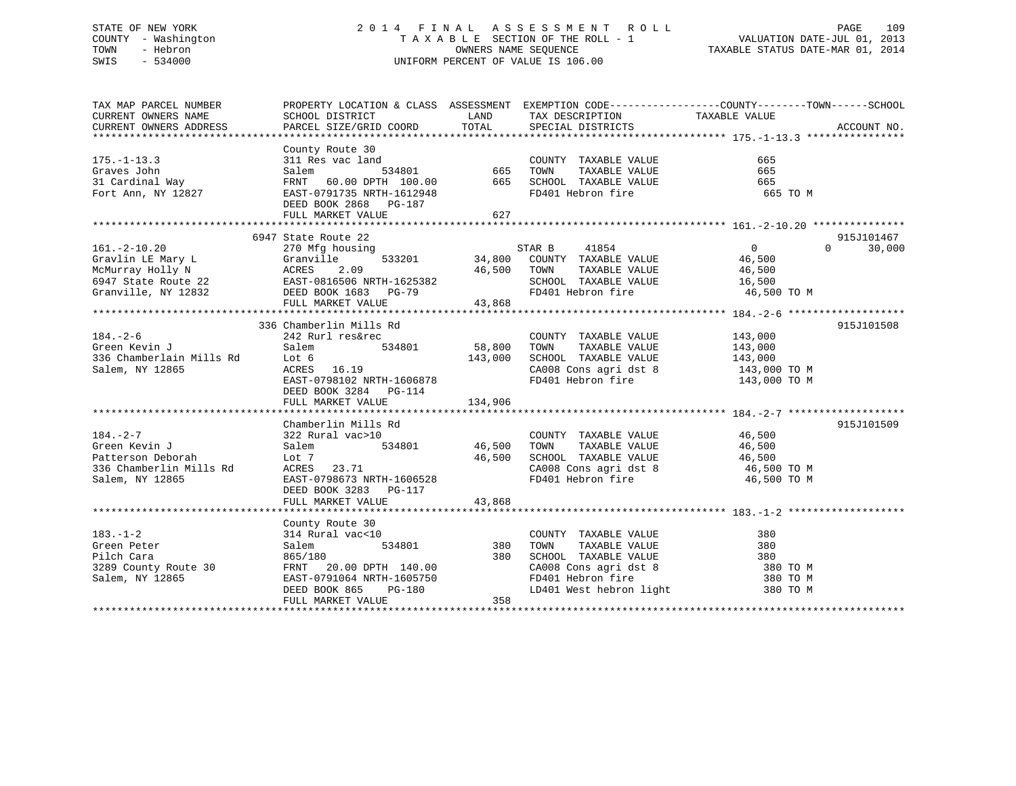# STATE OF NEW YORK 2 0 1 4 F I N A L A S S E S S M E N T R O L L PAGE 109 COUNTY - Washington T A X A B L E SECTION OF THE ROLL - 1 VALUATION DATE-JUL 01, 2013 TOWN - Hebron OWNERS NAME SEQUENCE TAXABLE STATUS DATE-MAR 01, 2014 SWIS - 534000 UNIFORM PERCENT OF VALUE IS 106.00

| TAX MAP PARCEL NUMBER                                                | PROPERTY LOCATION & CLASS ASSESSMENT EXEMPTION CODE----------------COUNTY-------TOWN-----SCHOOL                                                                                                                      |                    |                                                                                                                                                                                                                                                          |                  |                    |
|----------------------------------------------------------------------|----------------------------------------------------------------------------------------------------------------------------------------------------------------------------------------------------------------------|--------------------|----------------------------------------------------------------------------------------------------------------------------------------------------------------------------------------------------------------------------------------------------------|------------------|--------------------|
| CURRENT OWNERS NAME                                                  | SCHOOL DISTRICT                                                                                                                                                                                                      | LAND               | TAX DESCRIPTION TAXABLE VALUE                                                                                                                                                                                                                            |                  |                    |
|                                                                      |                                                                                                                                                                                                                      |                    |                                                                                                                                                                                                                                                          |                  |                    |
|                                                                      |                                                                                                                                                                                                                      |                    |                                                                                                                                                                                                                                                          |                  |                    |
|                                                                      | County Route 30                                                                                                                                                                                                      |                    |                                                                                                                                                                                                                                                          |                  |                    |
| $175. - 1 - 13.3$                                                    | County Route 30<br>311 Res vac land<br>534801 665 TOWN TAXABLE VALUE<br>FRNT 60.00 DPTH 100.00 665 SCHOOL TAXABLE VALUE<br>EAST-0791735 NRTH-1612948 FD401 Hebron fire                                               |                    |                                                                                                                                                                                                                                                          | 665              |                    |
| Graves John                                                          |                                                                                                                                                                                                                      |                    | TAXABLE VALUE                                                                                                                                                                                                                                            | 665              |                    |
| 31 Cardinal Way                                                      |                                                                                                                                                                                                                      |                    |                                                                                                                                                                                                                                                          | 665              |                    |
| Fort Ann, NY 12827                                                   |                                                                                                                                                                                                                      |                    |                                                                                                                                                                                                                                                          | 665 TO M         |                    |
|                                                                      | DEED BOOK 2868 PG-187                                                                                                                                                                                                |                    |                                                                                                                                                                                                                                                          |                  |                    |
|                                                                      | FULL MARKET VALUE                                                                                                                                                                                                    | 627                |                                                                                                                                                                                                                                                          |                  |                    |
|                                                                      |                                                                                                                                                                                                                      |                    |                                                                                                                                                                                                                                                          |                  |                    |
|                                                                      | 6947 State Route 22                                                                                                                                                                                                  |                    |                                                                                                                                                                                                                                                          |                  | 915J101467         |
|                                                                      | 270 Mfg housing                                                                                                                                                                                                      |                    | STAR B<br>41854                                                                                                                                                                                                                                          | $\overline{0}$   | $\Omega$<br>30,000 |
| $161. - 2 - 10.20$                                                   |                                                                                                                                                                                                                      |                    |                                                                                                                                                                                                                                                          |                  |                    |
|                                                                      |                                                                                                                                                                                                                      |                    | $\frac{34}{100}$ , 533201 34,800 COUNTY TAXABLE VALUE                                                                                                                                                                                                    | 46,500<br>46.500 |                    |
|                                                                      |                                                                                                                                                                                                                      | 46,500 TOWN        | TAXABLE VALUE                                                                                                                                                                                                                                            | 46,500           |                    |
|                                                                      |                                                                                                                                                                                                                      |                    | SCHOOL TAXABLE VALUE 16,500                                                                                                                                                                                                                              |                  |                    |
|                                                                      | Gravlin LE Mary L<br>Gravlin LE Mary L<br>McMurray Holly N<br>6947 State Route 22<br>Granville, NY 12832<br>Cranville, NY 12832<br>EED BOOK 1683 PG-79<br>FIILL MARKET VALUE AND 12982<br>FIILL MARKET VALUE AS 2060 |                    | FD401 Hebron fire                                                                                                                                                                                                                                        | 46,500 TO M      |                    |
|                                                                      | FULL MARKET VALUE                                                                                                                                                                                                    | 43,868             |                                                                                                                                                                                                                                                          |                  |                    |
|                                                                      |                                                                                                                                                                                                                      |                    |                                                                                                                                                                                                                                                          |                  |                    |
|                                                                      | 336 Chamberlin Mills Rd                                                                                                                                                                                              |                    |                                                                                                                                                                                                                                                          |                  | 915J101508         |
| $184. - 2 - 6$                                                       | 242 Rurl res&rec                                                                                                                                                                                                     |                    | COUNTY TAXABLE VALUE 143,000                                                                                                                                                                                                                             |                  |                    |
|                                                                      | 534801 58,800 TOWN                                                                                                                                                                                                   |                    |                                                                                                                                                                                                                                                          |                  |                    |
|                                                                      | Lot 6<br>ACRES 16.19                                                                                                                                                                                                 | 143,000            |                                                                                                                                                                                                                                                          |                  |                    |
|                                                                      |                                                                                                                                                                                                                      |                    |                                                                                                                                                                                                                                                          |                  |                    |
| Salem<br>336 Chamberlain Mills Rd<br>5 Salem, NY 12865<br>2008 ACRES | EAST-0798102 NRTH-1606878                                                                                                                                                                                            |                    | $\begin{array}{lll} \texttt{CA008} \texttt{ Cons} & \texttt{aspti} & \texttt{dst} & \texttt{8} & \texttt{143,000} \texttt{ TO M} \\ \texttt{FD401} & \texttt{Hebron} & \texttt{fire} & \texttt{143,000} \texttt{ TO M} \end{array}$<br>FD401 Hebron fire |                  |                    |
|                                                                      | DEED BOOK 3284 PG-114                                                                                                                                                                                                |                    |                                                                                                                                                                                                                                                          |                  |                    |
|                                                                      | FULL MARKET VALUE                                                                                                                                                                                                    | 134,906            |                                                                                                                                                                                                                                                          |                  |                    |
|                                                                      |                                                                                                                                                                                                                      |                    |                                                                                                                                                                                                                                                          |                  |                    |
|                                                                      | Chamberlin Mills Rd                                                                                                                                                                                                  |                    |                                                                                                                                                                                                                                                          |                  | 915J101509         |
| $184. - 2 - 7$                                                       | 322 Rural vac>10                                                                                                                                                                                                     |                    | COUNTY TAXABLE VALUE 46,500                                                                                                                                                                                                                              |                  |                    |
|                                                                      |                                                                                                                                                                                                                      | 534801 46,500 TOWN | TAXABLE VALUE 46,500                                                                                                                                                                                                                                     |                  |                    |
|                                                                      |                                                                                                                                                                                                                      | 46,500             |                                                                                                                                                                                                                                                          |                  |                    |
|                                                                      |                                                                                                                                                                                                                      |                    | SCHOOL TAXABLE VALUE 46,500<br>CA008 Cons agri dst 8 46,500 TO M                                                                                                                                                                                         |                  |                    |
| Salem, NY 12865                                                      | EAST-0798673 NRTH-1606528                                                                                                                                                                                            |                    | FD401 Hebron fire 46,500 TO M                                                                                                                                                                                                                            |                  |                    |
|                                                                      | DEED BOOK 3283 PG-117                                                                                                                                                                                                |                    |                                                                                                                                                                                                                                                          |                  |                    |
|                                                                      | FULL MARKET VALUE                                                                                                                                                                                                    | 43,868             |                                                                                                                                                                                                                                                          |                  |                    |
|                                                                      |                                                                                                                                                                                                                      |                    |                                                                                                                                                                                                                                                          |                  |                    |
|                                                                      |                                                                                                                                                                                                                      |                    |                                                                                                                                                                                                                                                          |                  |                    |
|                                                                      | County Route 30                                                                                                                                                                                                      |                    |                                                                                                                                                                                                                                                          |                  |                    |
| $183. - 1 - 2$                                                       | 314 Rural vac<10                                                                                                                                                                                                     | 380                | COUNTY TAXABLE VALUE                                                                                                                                                                                                                                     | 380              |                    |
| Green Peter                                                          | 534801<br>Salem                                                                                                                                                                                                      |                    | TAXABLE VALUE<br>TOWN                                                                                                                                                                                                                                    | 380              |                    |
| Pilch Cara                                                           | 865/180                                                                                                                                                                                                              | 380                | SCHOOL TAXABLE VALUE 380                                                                                                                                                                                                                                 |                  |                    |
| 3289 County Route 30                                                 | FRNT 20.00 DPTH 140.00<br>EAST-0791064 NRTH-1605750                                                                                                                                                                  |                    | CA008 Cons agri dst 8<br>FD401 Hebron fire<br>LD401 West hebron light                                                                                                                                                                                    | 380 TO M         |                    |
| Salem, NY 12865                                                      |                                                                                                                                                                                                                      |                    |                                                                                                                                                                                                                                                          | 380 TO M         |                    |
|                                                                      | DEED BOOK 865<br>PG-180                                                                                                                                                                                              |                    |                                                                                                                                                                                                                                                          | 380 TO M         |                    |
|                                                                      | FULL MARKET VALUE                                                                                                                                                                                                    | 358                |                                                                                                                                                                                                                                                          |                  |                    |
|                                                                      |                                                                                                                                                                                                                      |                    |                                                                                                                                                                                                                                                          |                  |                    |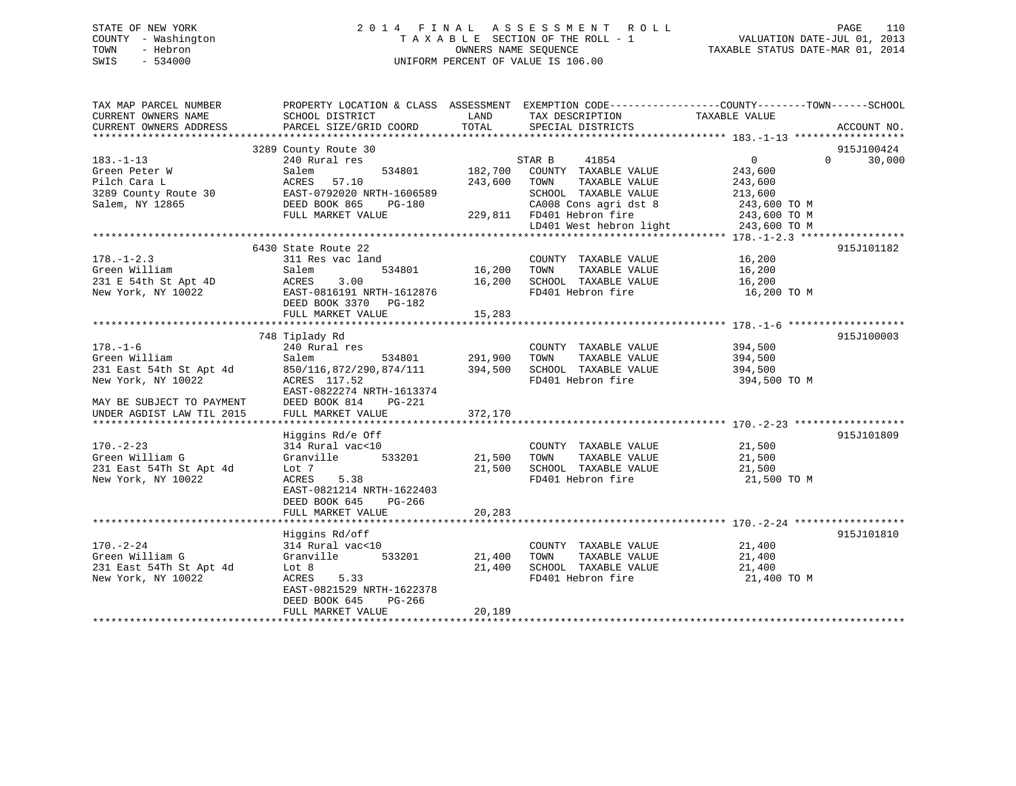# STATE OF NEW YORK 2 0 1 4 F I N A L A S S E S S M E N T R O L L PAGE 110 COUNTY - Washington T A X A B L E SECTION OF THE ROLL - 1 VALUATION DATE-JUL 01, 2013 TOWN - Hebron **CONNERS NAME SEQUENCE** TAXABLE STATUS DATE-MAR 01, 2014 SWIS - 534000 UNIFORM PERCENT OF VALUE IS 106.00

| SCHOOL DISTRICT                                                                                                                                          | LAND                                                                         | TAX DESCRIPTION                                                                                         | TAXABLE VALUE                                                                                      |                                                                                                                             |
|----------------------------------------------------------------------------------------------------------------------------------------------------------|------------------------------------------------------------------------------|---------------------------------------------------------------------------------------------------------|----------------------------------------------------------------------------------------------------|-----------------------------------------------------------------------------------------------------------------------------|
| PARCEL SIZE/GRID COORD                                                                                                                                   | TOTAL                                                                        | SPECIAL DISTRICTS                                                                                       |                                                                                                    | ACCOUNT NO.                                                                                                                 |
|                                                                                                                                                          |                                                                              |                                                                                                         |                                                                                                    | 915J100424                                                                                                                  |
| 240 Rural res<br>534801<br>Salem<br>ACRES<br>57.10<br>EAST-0792020 NRTH-1606589<br>DEED BOOK 865<br>PG-180<br>FULL MARKET VALUE                          | 182,700<br>243,600                                                           | 41854<br>COUNTY TAXABLE VALUE<br>TOWN<br>TAXABLE VALUE<br>SCHOOL TAXABLE VALUE<br>CA008 Cons agri dst 8 | $0 \qquad \qquad$<br>243,600<br>243,600<br>213,600<br>243,600 TO M<br>243,600 TO M<br>243,600 TO M | $\Omega$<br>30,000                                                                                                          |
| 6430 State Route 22                                                                                                                                      |                                                                              |                                                                                                         |                                                                                                    | 915J101182                                                                                                                  |
| 311 Res vac land<br>Salem<br>534801<br>3.00<br>ACRES<br>EAST-0816191 NRTH-1612876<br>DEED BOOK 3370 PG-182<br>FULL MARKET VALUE                          | 16,200<br>16,200<br>15,283                                                   | COUNTY TAXABLE VALUE<br>TOWN<br>TAXABLE VALUE<br>SCHOOL TAXABLE VALUE<br>FD401 Hebron fire              | 16,200<br>16,200<br>16,200<br>16,200 TO M                                                          |                                                                                                                             |
|                                                                                                                                                          |                                                                              |                                                                                                         |                                                                                                    | 915J100003                                                                                                                  |
| 240 Rural res<br>Salem<br>534801<br>850/116,872/290,874/111<br>ACRES 117.52<br>EAST-0822274 NRTH-1613374<br>DEED BOOK 814<br>PG-221<br>FULL MARKET VALUE | 291,900<br>394,500<br>372,170                                                | COUNTY TAXABLE VALUE<br>TAXABLE VALUE<br>TOWN<br>SCHOOL TAXABLE VALUE<br>FD401 Hebron fire              | 394,500<br>394,500<br>394,500<br>394,500 TO M                                                      |                                                                                                                             |
|                                                                                                                                                          |                                                                              |                                                                                                         |                                                                                                    | 915J101809                                                                                                                  |
| 314 Rural vac<10<br>533201<br>Granville<br>Lot 7<br>5.38<br>ACRES<br>EAST-0821214 NRTH-1622403<br>DEED BOOK 645<br>PG-266<br>FULL MARKET VALUE           | 21,500<br>20,283                                                             | COUNTY TAXABLE VALUE<br>TOWN<br>TAXABLE VALUE<br>SCHOOL TAXABLE VALUE<br>FD401 Hebron fire              | 21,500<br>21,500<br>21,500<br>21,500 TO M                                                          |                                                                                                                             |
|                                                                                                                                                          |                                                                              |                                                                                                         |                                                                                                    |                                                                                                                             |
| 314 Rural vac<10<br>Granville<br>533201<br>Lot 8<br>ACRES<br>5.33<br>EAST-0821529 NRTH-1622378<br>DEED BOOK 645<br>PG-266<br>FULL MARKET VALUE           | 21,400<br>21,400<br>20,189                                                   | COUNTY TAXABLE VALUE<br>TOWN<br>TAXABLE VALUE<br>SCHOOL TAXABLE VALUE<br>FD401 Hebron fire              | 21,400<br>21,400<br>21,400<br>21,400 TO M                                                          | 915J101810                                                                                                                  |
|                                                                                                                                                          | 3289 County Route 30<br>748 Tiplady Rd<br>Higgins Rd/e Off<br>Higgins Rd/off |                                                                                                         | STAR B<br>229,811 FD401 Hebron fire<br>21,500                                                      | PROPERTY LOCATION & CLASS ASSESSMENT EXEMPTION CODE----------------COUNTY-------TOWN------SCHOOL<br>LD401 West hebron light |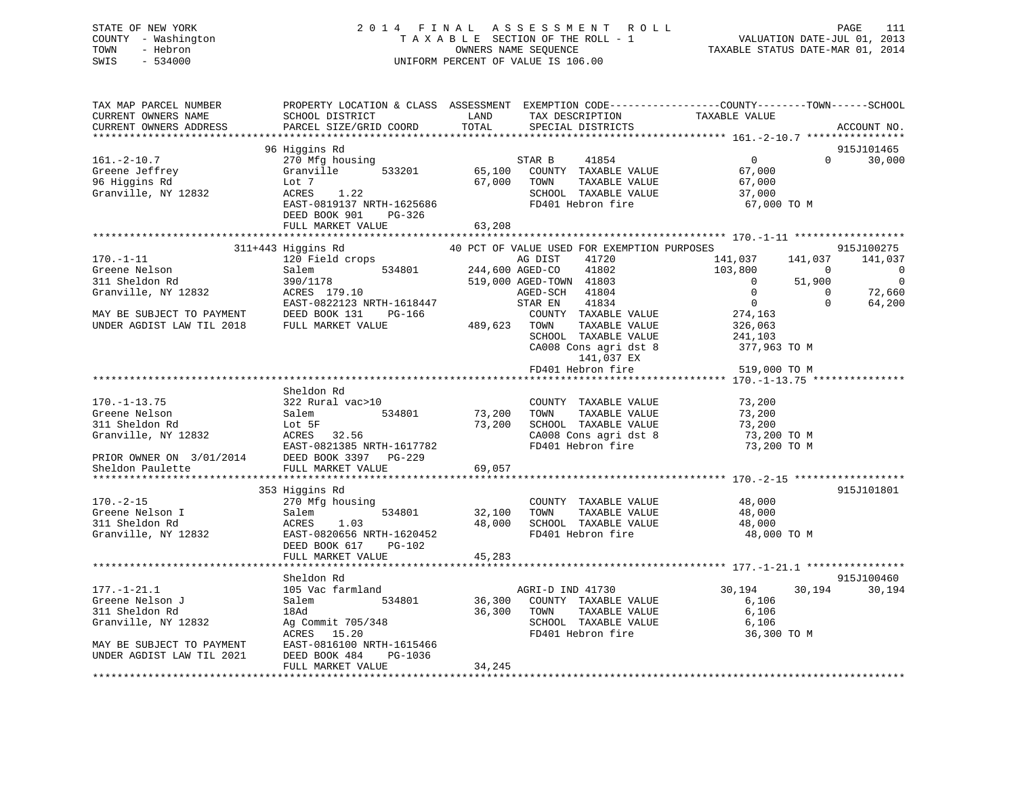# STATE OF NEW YORK 2 0 1 4 F I N A L A S S E S S M E N T R O L L PAGE 111 COUNTY - Washington T A X A B L E SECTION OF THE ROLL - 1 VALUATION DATE-JUL 01, 2013 TOWN - Hebron OWNERS NAME SEQUENCE TAXABLE STATUS DATE-MAR 01, 2014 SWIS - 534000 UNIFORM PERCENT OF VALUE IS 106.00

| TAX MAP PARCEL NUMBER<br>CURRENT OWNERS NAME<br>CURRENT OWNERS ADDRESS        | PROPERTY LOCATION & CLASS ASSESSMENT EXEMPTION CODE----------------COUNTY-------TOWN-----SCHOOL<br>SCHOOL DISTRICT<br>PARCEL SIZE/GRID COORD | LAND<br>TOTAL            | TAX DESCRIPTION<br>SPECIAL DISTRICTS                                                                           | TAXABLE VALUE                                                  |                               | ACCOUNT NO.                    |
|-------------------------------------------------------------------------------|----------------------------------------------------------------------------------------------------------------------------------------------|--------------------------|----------------------------------------------------------------------------------------------------------------|----------------------------------------------------------------|-------------------------------|--------------------------------|
| *********************                                                         |                                                                                                                                              |                          |                                                                                                                |                                                                |                               |                                |
|                                                                               | 96 Higgins Rd                                                                                                                                |                          |                                                                                                                |                                                                |                               | 915J101465                     |
| $161. - 2 - 10.7$<br>Greene Jeffrey<br>96 Higgins Rd<br>Granville, NY 12832   | 270 Mfg housing<br>Granville<br>533201<br>Lot 7<br>1.22<br>ACRES                                                                             | 65,100<br>67,000         | STAR B<br>41854<br>COUNTY TAXABLE VALUE<br>TOWN<br>TAXABLE VALUE<br>SCHOOL TAXABLE VALUE<br>FD401 Hebron fire  | $\mathbf{0}$<br>67,000<br>67,000<br>37,000                     | $\Omega$                      | 30,000                         |
|                                                                               | EAST-0819137 NRTH-1625686<br>DEED BOOK 901<br>PG-326<br>FULL MARKET VALUE                                                                    | 63,208                   |                                                                                                                | 67,000 TO M                                                    |                               |                                |
|                                                                               |                                                                                                                                              |                          |                                                                                                                |                                                                |                               |                                |
|                                                                               | 311+443 Higgins Rd                                                                                                                           |                          | 40 PCT OF VALUE USED FOR EXEMPTION PURPOSES                                                                    |                                                                |                               | 915J100275                     |
| $170. - 1 - 11$<br>Greene Nelson<br>311 Sheldon Rd                            | 120 Field crops<br>534801<br>Salem<br>390/1178                                                                                               |                          | AG DIST<br>41720<br>41802<br>244,600 AGED-CO<br>519,000 AGED-TOWN 41803                                        | 141,037<br>103,800<br>$\Omega$                                 | 141,037<br>$\Omega$<br>51,900 | 141,037<br>0<br>$\overline{0}$ |
| Granville, NY 12832<br>MAY BE SUBJECT TO PAYMENT<br>UNDER AGDIST LAW TIL 2018 | ACRES 179.10<br>EAST-0822123 NRTH-1618447<br>DEED BOOK 131<br>PG-166<br>FULL MARKET VALUE                                                    | 489,623                  | 41804<br>AGED-SCH<br>41834<br>STAR EN<br>COUNTY TAXABLE VALUE<br>TAXABLE VALUE<br>TOWN<br>SCHOOL TAXABLE VALUE | $\mathbf 0$<br>$\overline{0}$<br>274,163<br>326,063<br>241,103 | $\mathbf 0$<br>$\Omega$       | 72,660<br>64,200               |
|                                                                               |                                                                                                                                              |                          | CA008 Cons agri dst 8<br>141,037 EX<br>FD401 Hebron fire                                                       | 377,963 TO M<br>519,000 TO M                                   |                               |                                |
|                                                                               |                                                                                                                                              |                          |                                                                                                                | *************** 170.-1-13.75 ***************                   |                               |                                |
|                                                                               | Sheldon Rd                                                                                                                                   |                          |                                                                                                                |                                                                |                               |                                |
| $170. - 1 - 13.75$                                                            | 322 Rural vac>10                                                                                                                             |                          | COUNTY TAXABLE VALUE                                                                                           | 73,200                                                         |                               |                                |
| Greene Nelson                                                                 | 534801<br>Salem                                                                                                                              | 73,200                   | TAXABLE VALUE<br>TOWN                                                                                          | 73,200                                                         |                               |                                |
| 311 Sheldon Rd                                                                | Lot 5F                                                                                                                                       | 73,200                   | SCHOOL TAXABLE VALUE                                                                                           | 73,200                                                         |                               |                                |
| Granville, NY 12832                                                           | 32.56<br>ACRES                                                                                                                               |                          | CA008 Cons agri dst 8                                                                                          | 73,200 TO M                                                    |                               |                                |
|                                                                               | EAST-0821385 NRTH-1617782                                                                                                                    |                          | FD401 Hebron fire                                                                                              | 73,200 TO M                                                    |                               |                                |
| PRIOR OWNER ON 3/01/2014                                                      | DEED BOOK 3397<br>PG-229                                                                                                                     |                          |                                                                                                                |                                                                |                               |                                |
| Sheldon Paulette                                                              | FULL MARKET VALUE                                                                                                                            | 69,057<br>************** |                                                                                                                | ********************** 170.-2-15 ******************            |                               |                                |
|                                                                               | 353 Higgins Rd                                                                                                                               |                          |                                                                                                                |                                                                |                               | 915J101801                     |
| $170. - 2 - 15$                                                               | 270 Mfg housing                                                                                                                              |                          | COUNTY TAXABLE VALUE                                                                                           | 48,000                                                         |                               |                                |
| Greene Nelson I                                                               | 534801<br>Salem                                                                                                                              | 32,100                   | TOWN<br>TAXABLE VALUE                                                                                          | 48,000                                                         |                               |                                |
| 311 Sheldon Rd                                                                | ACRES<br>1.03                                                                                                                                | 48,000                   | SCHOOL TAXABLE VALUE                                                                                           | 48,000                                                         |                               |                                |
| Granville, NY 12832                                                           | EAST-0820656 NRTH-1620452<br>DEED BOOK 617<br>PG-102                                                                                         |                          | FD401 Hebron fire                                                                                              | 48,000 TO M                                                    |                               |                                |
|                                                                               | FULL MARKET VALUE                                                                                                                            | 45,283                   |                                                                                                                |                                                                |                               |                                |
|                                                                               | Sheldon Rd                                                                                                                                   |                          |                                                                                                                |                                                                |                               | 915J100460                     |
| $177. - 1 - 21.1$                                                             | 105 Vac farmland                                                                                                                             |                          | AGRI-D IND 41730                                                                                               | 30,194                                                         | 30,194                        | 30,194                         |
| Greene Nelson J                                                               | Salem<br>534801                                                                                                                              | 36,300                   | COUNTY TAXABLE VALUE                                                                                           | 6,106                                                          |                               |                                |
| 311 Sheldon Rd                                                                | 18Ad                                                                                                                                         | 36,300                   | TOWN<br>TAXABLE VALUE                                                                                          | 6,106                                                          |                               |                                |
| Granville, NY 12832                                                           | Ag Commit 705/348                                                                                                                            |                          | SCHOOL TAXABLE VALUE                                                                                           | 6,106                                                          |                               |                                |
|                                                                               | ACRES<br>15.20                                                                                                                               |                          | FD401 Hebron fire                                                                                              | 36,300 TO M                                                    |                               |                                |
| MAY BE SUBJECT TO PAYMENT<br>UNDER AGDIST LAW TIL 2021                        | EAST-0816100 NRTH-1615466<br>DEED BOOK 484<br>PG-1036<br>FULL MARKET VALUE                                                                   | 34,245                   |                                                                                                                |                                                                |                               |                                |
|                                                                               |                                                                                                                                              |                          |                                                                                                                |                                                                |                               |                                |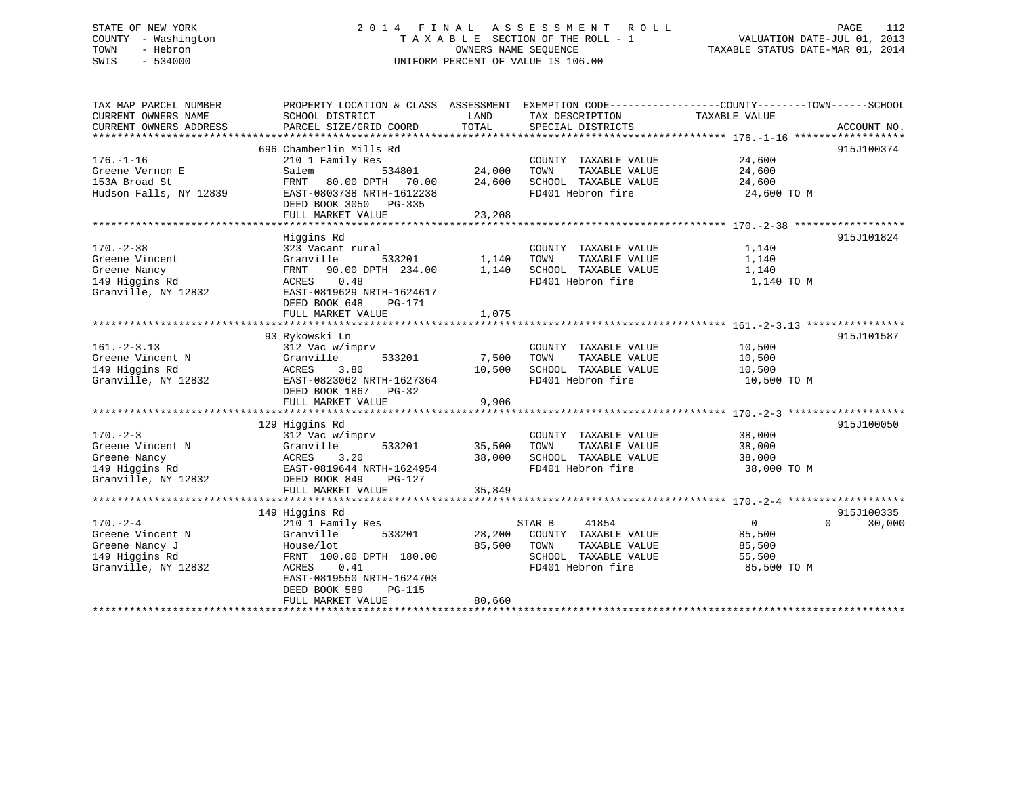# STATE OF NEW YORK 2 0 1 4 F I N A L A S S E S S M E N T R O L L PAGE 112 COUNTY - Washington T A X A B L E SECTION OF THE ROLL - 1 VALUATION DATE-JUL 01, 2013 TOWN - Hebron OWNERS NAME SEQUENCE TAXABLE STATUS DATE-MAR 01, 2014 SWIS - 534000 UNIFORM PERCENT OF VALUE IS 106.00

| TAX MAP PARCEL NUMBER  | PROPERTY LOCATION & CLASS ASSESSMENT |        | EXEMPTION CODE-----------------COUNTY-------TOWN------SCHOOL |               |                    |
|------------------------|--------------------------------------|--------|--------------------------------------------------------------|---------------|--------------------|
| CURRENT OWNERS NAME    | SCHOOL DISTRICT                      | LAND   | TAX DESCRIPTION                                              | TAXABLE VALUE |                    |
| CURRENT OWNERS ADDRESS | PARCEL SIZE/GRID COORD               | TOTAL  | SPECIAL DISTRICTS                                            |               | ACCOUNT NO.        |
|                        |                                      |        |                                                              |               |                    |
|                        | 696 Chamberlin Mills Rd              |        |                                                              |               | 915J100374         |
| $176. - 1 - 16$        | 210 1 Family Res                     |        | COUNTY TAXABLE VALUE                                         | 24,600        |                    |
| Greene Vernon E        | Salem<br>534801                      | 24,000 | TOWN<br>TAXABLE VALUE                                        | 24,600        |                    |
| 153A Broad St          | 80.00 DPTH 70.00<br>FRNT             | 24,600 | SCHOOL TAXABLE VALUE                                         | 24,600        |                    |
| Hudson Falls, NY 12839 | EAST-0803738 NRTH-1612238            |        | FD401 Hebron fire                                            | 24,600 TO M   |                    |
|                        | DEED BOOK 3050 PG-335                |        |                                                              |               |                    |
|                        | FULL MARKET VALUE                    | 23,208 |                                                              |               |                    |
|                        |                                      |        |                                                              |               |                    |
|                        | Higgins Rd                           |        |                                                              |               | 915J101824         |
| $170. - 2 - 38$        | 323 Vacant rural                     |        | COUNTY TAXABLE VALUE                                         | 1,140         |                    |
| Greene Vincent         | Granville<br>533201                  | 1,140  | TOWN<br>TAXABLE VALUE                                        | 1,140         |                    |
| Greene Nancy           | FRNT 90.00 DPTH 234.00               | 1,140  | SCHOOL TAXABLE VALUE                                         | 1,140         |                    |
| 149 Higgins Rd         | 0.48<br>ACRES                        |        | FD401 Hebron fire                                            | 1,140 TO M    |                    |
| Granville, NY 12832    | EAST-0819629 NRTH-1624617            |        |                                                              |               |                    |
|                        | DEED BOOK 648<br>PG-171              |        |                                                              |               |                    |
|                        | FULL MARKET VALUE                    | 1,075  |                                                              |               |                    |
|                        |                                      |        |                                                              |               |                    |
|                        | 93 Rykowski Ln                       |        |                                                              |               | 915J101587         |
| $161. - 2 - 3.13$      | 312 Vac w/imprv                      |        | COUNTY TAXABLE VALUE                                         | 10,500        |                    |
| Greene Vincent N       | Granville<br>533201                  | 7,500  | TOWN<br>TAXABLE VALUE                                        | 10,500        |                    |
|                        | 3.80                                 |        | SCHOOL TAXABLE VALUE                                         |               |                    |
| 149 Higgins Rd         | ACRES                                | 10,500 |                                                              | 10,500        |                    |
| Granville, NY 12832    | EAST-0823062 NRTH-1627364            |        | FD401 Hebron fire                                            | 10,500 TO M   |                    |
|                        | DEED BOOK 1867<br>PG-32              |        |                                                              |               |                    |
|                        | FULL MARKET VALUE                    | 9,906  |                                                              |               |                    |
|                        |                                      |        |                                                              |               |                    |
|                        | 129 Higgins Rd                       |        |                                                              |               | 915J100050         |
| $170. - 2 - 3$         | 312 Vac w/imprv                      |        | COUNTY TAXABLE VALUE                                         | 38,000        |                    |
| Greene Vincent N       | 533201<br>Granville                  | 35,500 | TOWN<br>TAXABLE VALUE                                        | 38,000        |                    |
| Greene Nancy           | 3.20<br>ACRES                        | 38,000 | SCHOOL TAXABLE VALUE                                         | 38,000        |                    |
| 149 Higgins Rd         | EAST-0819644 NRTH-1624954            |        | FD401 Hebron fire                                            | 38,000 TO M   |                    |
| Granville, NY 12832    | DEED BOOK 849<br>PG-127              |        |                                                              |               |                    |
|                        | FULL MARKET VALUE                    | 35,849 |                                                              |               |                    |
|                        |                                      |        |                                                              |               |                    |
|                        | 149 Higgins Rd                       |        |                                                              |               | 915J100335         |
| $170. - 2 - 4$         | 210 1 Family Res                     |        | 41854<br>STAR B                                              | $\mathbf{0}$  | $\Omega$<br>30,000 |
| Greene Vincent N       | 533201<br>Granville                  | 28,200 | COUNTY TAXABLE VALUE                                         | 85,500        |                    |
| Greene Nancy J         | House/lot                            | 85,500 | TOWN<br>TAXABLE VALUE                                        | 85,500        |                    |
| 149 Higgins Rd         | FRNT 100.00 DPTH 180.00              |        | SCHOOL TAXABLE VALUE                                         | 55,500        |                    |
| Granville, NY 12832    | ACRES<br>0.41                        |        | FD401 Hebron fire                                            | 85,500 TO M   |                    |
|                        | EAST-0819550 NRTH-1624703            |        |                                                              |               |                    |
|                        | DEED BOOK 589<br><b>PG-115</b>       |        |                                                              |               |                    |
|                        | FULL MARKET VALUE                    | 80,660 |                                                              |               |                    |
|                        |                                      |        |                                                              |               |                    |
|                        |                                      |        |                                                              |               |                    |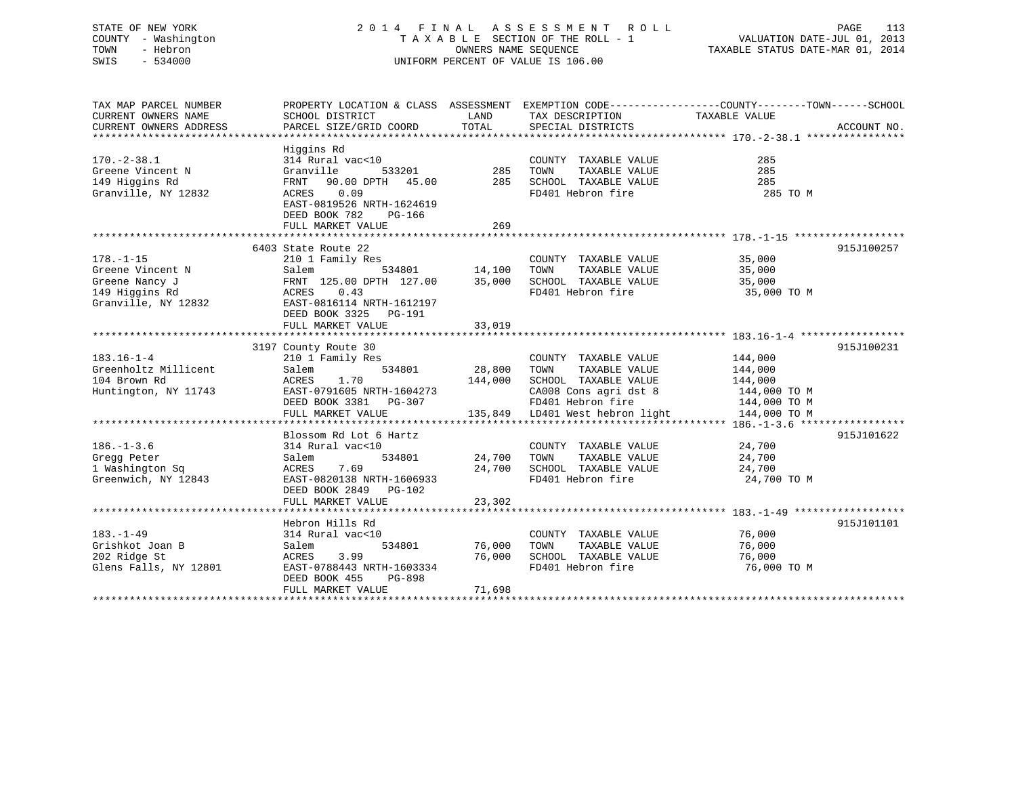# STATE OF NEW YORK 2 0 1 4 F I N A L A S S E S S M E N T R O L L PAGE 113 COUNTY - Washington T A X A B L E SECTION OF THE ROLL - 1 VALUATION DATE-JUL 01, 2013 TOWN - Hebron OWNERS NAME SEQUENCE TAXABLE STATUS DATE-MAR 01, 2014 SWIS - 534000 UNIFORM PERCENT OF VALUE IS 106.00

| TAX MAP PARCEL NUMBER<br>CURRENT OWNERS NAME<br>CURRENT OWNERS ADDRESS                         | PROPERTY LOCATION & CLASS ASSESSMENT EXEMPTION CODE----------------COUNTY-------TOWN-----SCHOOL<br>SCHOOL DISTRICT<br>PARCEL SIZE/GRID COORD                                         | LAND<br>TOTAL              | TAX DESCRIPTION<br>SPECIAL DISTRICTS                                                                                                                   | TAXABLE VALUE                                                                 | ACCOUNT NO. |
|------------------------------------------------------------------------------------------------|--------------------------------------------------------------------------------------------------------------------------------------------------------------------------------------|----------------------------|--------------------------------------------------------------------------------------------------------------------------------------------------------|-------------------------------------------------------------------------------|-------------|
| $170. - 2 - 38.1$<br>Greene Vincent N<br>149 Higgins Rd<br>Granville, NY 12832                 | Higgins Rd<br>314 Rural vac<10<br>Granville<br>533201<br>90.00 DPTH 45.00<br>FRNT<br>0.09<br>ACRES<br>EAST-0819526 NRTH-1624619<br>DEED BOOK 782<br>PG-166<br>FULL MARKET VALUE      | 285<br>285<br>269          | COUNTY TAXABLE VALUE<br>TOWN<br>TAXABLE VALUE<br>SCHOOL TAXABLE VALUE<br>FD401 Hebron fire                                                             | 285<br>285<br>285<br>285 TO M                                                 |             |
| $178. - 1 - 15$<br>Greene Vincent N<br>Greene Nancy J<br>149 Higgins Rd<br>Granville, NY 12832 | 6403 State Route 22<br>210 1 Family Res<br>534801<br>Salem<br>FRNT 125.00 DPTH 127.00<br>ACRES<br>0.43<br>EAST-0816114 NRTH-1612197<br>DEED BOOK 3325<br>PG-191<br>FULL MARKET VALUE | 14,100<br>35,000<br>33,019 | COUNTY TAXABLE VALUE<br>TAXABLE VALUE<br>TOWN<br>SCHOOL TAXABLE VALUE<br>FD401 Hebron fire                                                             | 35,000<br>35,000<br>35,000<br>35,000 TO M                                     | 915J100257  |
| $183.16 - 1 - 4$<br>Greenholtz Millicent<br>104 Brown Rd<br>Huntington, NY 11743               | 3197 County Route 30<br>210 1 Family Res<br>534801<br>Salem<br>1.70<br>ACRES<br>EAST-0791605 NRTH-1604273<br>DEED BOOK 3381 PG-307<br>FULL MARKET VALUE                              | 28,800<br>144,000          | COUNTY TAXABLE VALUE<br>TOWN<br>TAXABLE VALUE<br>SCHOOL TAXABLE VALUE<br>CA008 Cons agri dst 8<br>FD401 Hebron fire<br>135,849 LD401 West hebron light | 144,000<br>144,000<br>144,000<br>144,000 TO M<br>144,000 TO M<br>144,000 TO M | 915J100231  |
| $186. - 1 - 3.6$<br>Gregg Peter<br>1 Washington Sq<br>Greenwich, NY 12843                      | Blossom Rd Lot 6 Hartz<br>314 Rural vac<10<br>534801<br>Salem<br>7.69<br>ACRES<br>EAST-0820138 NRTH-1606933<br>DEED BOOK 2849<br>PG-102<br>FULL MARKET VALUE                         | 24,700<br>24,700<br>23,302 | COUNTY TAXABLE VALUE<br>TOWN<br>TAXABLE VALUE<br>SCHOOL TAXABLE VALUE<br>FD401 Hebron fire                                                             | 24,700<br>24,700<br>24,700<br>24,700 TO M                                     | 915J101622  |
| $183. - 1 - 49$<br>Grishkot Joan B<br>202 Ridge St<br>Glens Falls, NY 12801                    | Hebron Hills Rd<br>314 Rural vac<10<br>534801<br>Salem<br>3.99<br>ACRES<br>EAST-0788443 NRTH-1603334<br>DEED BOOK 455<br>PG-898<br>FULL MARKET VALUE                                 | 76,000<br>76,000<br>71,698 | COUNTY TAXABLE VALUE<br>TOWN<br>TAXABLE VALUE<br>SCHOOL TAXABLE VALUE<br>FD401 Hebron fire                                                             | 76,000<br>76,000<br>76,000<br>76,000 TO M                                     | 915J101101  |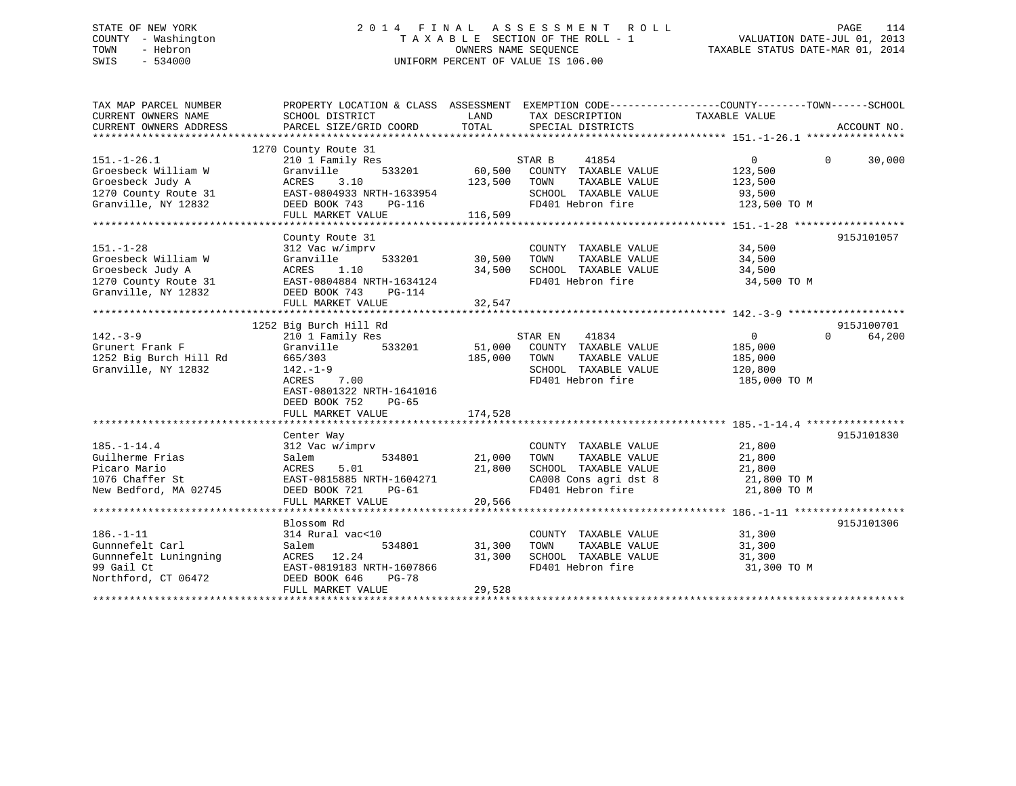# STATE OF NEW YORK 2 0 1 4 F I N A L A S S E S S M E N T R O L L PAGE 114 COUNTY - Washington T A X A B L E SECTION OF THE ROLL - 1 VALUATION DATE-JUL 01, 2013 TOWN - Hebron OWNERS NAME SEQUENCE TAXABLE STATUS DATE-MAR 01, 2014 SWIS - 534000 UNIFORM PERCENT OF VALUE IS 106.00

| TAX MAP PARCEL NUMBER  | PROPERTY LOCATION & CLASS ASSESSMENT EXEMPTION CODE--------------COUNTY-------TOWN-----SCHOOL |         |                       |                |                    |
|------------------------|-----------------------------------------------------------------------------------------------|---------|-----------------------|----------------|--------------------|
| CURRENT OWNERS NAME    | SCHOOL DISTRICT                                                                               | LAND    | TAX DESCRIPTION       | TAXABLE VALUE  |                    |
| CURRENT OWNERS ADDRESS | PARCEL SIZE/GRID COORD                                                                        | TOTAL   | SPECIAL DISTRICTS     |                | ACCOUNT NO.        |
|                        |                                                                                               |         |                       |                |                    |
|                        | 1270 County Route 31                                                                          |         |                       |                |                    |
| $151. - 1 - 26.1$      | 210 1 Family Res                                                                              |         | STAR B<br>41854       | $\overline{0}$ | 30,000<br>$\Omega$ |
| Groesbeck William W    | 533201<br>Granville                                                                           | 60,500  | COUNTY TAXABLE VALUE  | 123,500        |                    |
| Groesbeck Judy A       | 3.10<br>ACRES                                                                                 | 123,500 | TOWN<br>TAXABLE VALUE | 123,500        |                    |
| 1270 County Route 31   | EAST-0804933 NRTH-1633954                                                                     |         | SCHOOL TAXABLE VALUE  | 93,500         |                    |
| Granville, NY 12832    | DEED BOOK 743<br><b>PG-116</b>                                                                |         | FD401 Hebron fire     | 123,500 TO M   |                    |
|                        | FULL MARKET VALUE                                                                             | 116,509 |                       |                |                    |
|                        |                                                                                               |         |                       |                |                    |
|                        | County Route 31                                                                               |         |                       |                | 915J101057         |
| $151. - 1 - 28$        | 312 Vac w/imprv                                                                               |         | COUNTY TAXABLE VALUE  | 34,500         |                    |
| Groesbeck William W    | Granville<br>533201                                                                           | 30,500  | TAXABLE VALUE<br>TOWN | 34,500         |                    |
| Groesbeck Judy A       | ACRES<br>1.10                                                                                 | 34,500  | SCHOOL TAXABLE VALUE  | 34,500         |                    |
| 1270 County Route 31   | EAST-0804884 NRTH-1634124                                                                     |         | FD401 Hebron fire     | 34,500 TO M    |                    |
| Granville, NY 12832    | DEED BOOK 743<br><b>PG-114</b>                                                                |         |                       |                |                    |
|                        | FULL MARKET VALUE                                                                             | 32,547  |                       |                |                    |
|                        |                                                                                               |         |                       |                |                    |
|                        | 1252 Big Burch Hill Rd                                                                        |         |                       |                | 915J100701         |
| $142 - 3 - 9$          | 210 1 Family Res                                                                              |         | 41834<br>STAR EN      | $\overline{0}$ | $\Omega$<br>64,200 |
| Grunert Frank F        | Granville<br>533201                                                                           | 51,000  | COUNTY TAXABLE VALUE  | 185,000        |                    |
|                        |                                                                                               |         |                       |                |                    |
| 1252 Big Burch Hill Rd | 665/303                                                                                       | 185,000 | TOWN<br>TAXABLE VALUE | 185,000        |                    |
| Granville, NY 12832    | $142. - 1 - 9$                                                                                |         | SCHOOL TAXABLE VALUE  | 120,800        |                    |
|                        | 7.00<br>ACRES                                                                                 |         | FD401 Hebron fire     | 185,000 TO M   |                    |
|                        | EAST-0801322 NRTH-1641016                                                                     |         |                       |                |                    |
|                        | DEED BOOK 752<br>$PG-65$                                                                      |         |                       |                |                    |
|                        | FULL MARKET VALUE                                                                             | 174,528 |                       |                |                    |
|                        |                                                                                               |         |                       |                |                    |
|                        | Center Way                                                                                    |         |                       |                | 915J101830         |
| $185. - 1 - 14.4$      | 312 Vac w/imprv                                                                               |         | COUNTY TAXABLE VALUE  | 21,800         |                    |
| Guilherme Frias        | 534801<br>Salem                                                                               | 21,000  | TOWN<br>TAXABLE VALUE | 21,800         |                    |
| Picaro Mario           | 5.01<br>ACRES                                                                                 | 21,800  | SCHOOL TAXABLE VALUE  | 21,800         |                    |
| 1076 Chaffer St        | EAST-0815885 NRTH-1604271                                                                     |         | CA008 Cons agri dst 8 | 21,800 TO M    |                    |
| New Bedford, MA 02745  | DEED BOOK 721<br>$PG-61$                                                                      |         | FD401 Hebron fire     | 21,800 TO M    |                    |
|                        | FULL MARKET VALUE                                                                             | 20,566  |                       |                |                    |
|                        |                                                                                               |         |                       |                |                    |
|                        | Blossom Rd                                                                                    |         |                       |                | 915J101306         |
| $186. - 1 - 11$        | 314 Rural vac<10                                                                              |         | COUNTY TAXABLE VALUE  | 31,300         |                    |
| Gunnnefelt Carl        | 534801<br>Salem                                                                               | 31,300  | TOWN<br>TAXABLE VALUE | 31,300         |                    |
| Gunnnefelt Luningning  | ACRES 12.24                                                                                   | 31,300  | SCHOOL TAXABLE VALUE  | 31,300         |                    |
| 99 Gail Ct             | EAST-0819183 NRTH-1607866                                                                     |         | FD401 Hebron fire     | 31,300 TO M    |                    |
| Northford, CT 06472    | DEED BOOK 646<br><b>PG-78</b>                                                                 |         |                       |                |                    |
|                        | FULL MARKET VALUE                                                                             | 29,528  |                       |                |                    |
|                        |                                                                                               |         |                       |                |                    |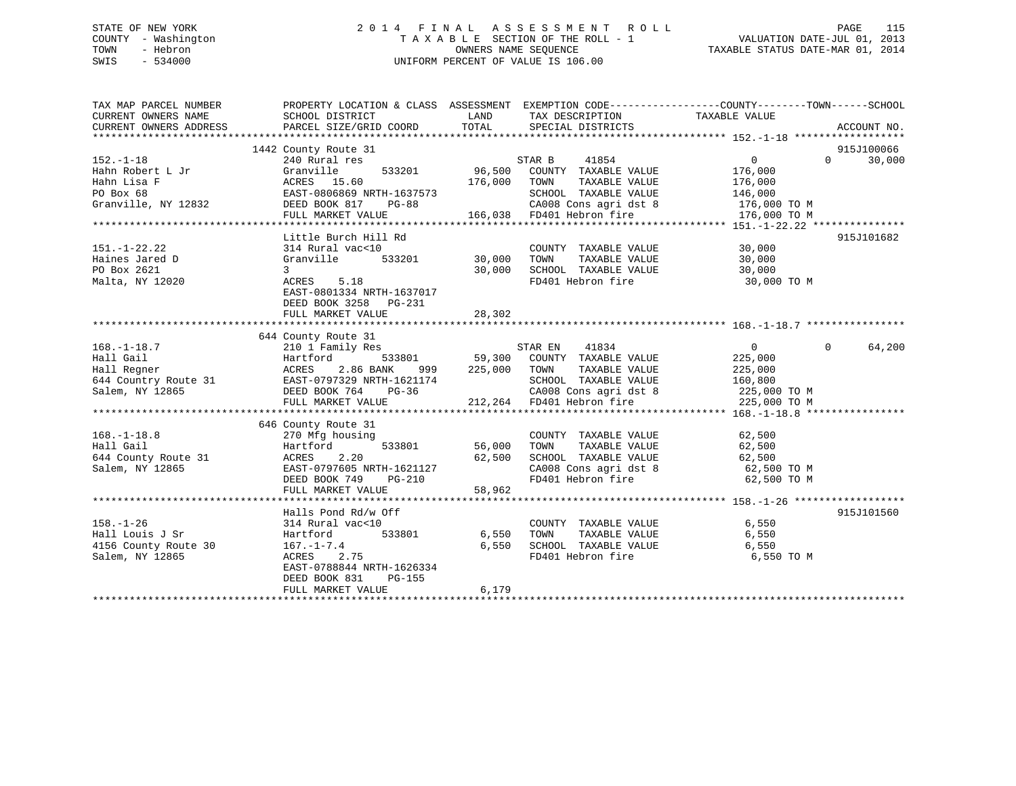# STATE OF NEW YORK 2 0 1 4 F I N A L A S S E S S M E N T R O L L PAGE 115 COUNTY - Washington T A X A B L E SECTION OF THE ROLL - 1 VALUATION DATE-JUL 01, 2013 TOWN - Hebron OWNERS NAME SEQUENCE TAXABLE STATUS DATE-MAR 01, 2014 SWIS - 534000 UNIFORM PERCENT OF VALUE IS 106.00

| TAX MAP PARCEL NUMBER<br>CURRENT OWNERS NAME<br>CURRENT OWNERS ADDRESS                                                                                                                                                               | PROPERTY LOCATION & CLASS ASSESSMENT EXEMPTION CODE---------------COUNTY-------TOWN-----SCHOOL<br>SCHOOL DISTRICT<br>PARCEL SIZE/GRID COORD TOTAL SPECIAL DISTRICTS          |              | LAND TAX DESCRIPTION                                                                                | TAXABLE VALUE                           | ACCOUNT NO.                 |
|--------------------------------------------------------------------------------------------------------------------------------------------------------------------------------------------------------------------------------------|------------------------------------------------------------------------------------------------------------------------------------------------------------------------------|--------------|-----------------------------------------------------------------------------------------------------|-----------------------------------------|-----------------------------|
|                                                                                                                                                                                                                                      |                                                                                                                                                                              |              |                                                                                                     |                                         |                             |
|                                                                                                                                                                                                                                      |                                                                                                                                                                              |              |                                                                                                     | $\begin{array}{c} 0 \\ 176 \end{array}$ | 915J100066                  |
|                                                                                                                                                                                                                                      |                                                                                                                                                                              |              |                                                                                                     |                                         | $0 \qquad \qquad$<br>30,000 |
|                                                                                                                                                                                                                                      |                                                                                                                                                                              |              |                                                                                                     |                                         |                             |
|                                                                                                                                                                                                                                      |                                                                                                                                                                              |              |                                                                                                     | TAXABLE VALUE 176,000                   |                             |
|                                                                                                                                                                                                                                      | EAST-0806869 NRTH-1637573 SCHOOL TAXABLE VALUE 146,000<br>DEED BOOK 817 PG-88 CA008 Cons agri dst 8 176,000 TO M<br>FULL MARKET VALUE 166,038 FD401 Hebron fire 176,000 TO M |              |                                                                                                     |                                         |                             |
|                                                                                                                                                                                                                                      |                                                                                                                                                                              |              |                                                                                                     |                                         |                             |
|                                                                                                                                                                                                                                      |                                                                                                                                                                              |              |                                                                                                     |                                         |                             |
|                                                                                                                                                                                                                                      |                                                                                                                                                                              |              |                                                                                                     |                                         |                             |
|                                                                                                                                                                                                                                      | Little Burch Hill Rd                                                                                                                                                         |              |                                                                                                     |                                         | 915J101682                  |
| $151. - 1 - 22.22$                                                                                                                                                                                                                   | 314 Rural vac<10 000NTY<br>Granville 533201 30,000 TOWN                                                                                                                      |              | COUNTY TAXABLE VALUE 30,000                                                                         |                                         |                             |
| Haines Jared D<br>Po Por 2621                                                                                                                                                                                                        |                                                                                                                                                                              |              | TAXABLE VALUE                                                                                       | 30,000                                  |                             |
|                                                                                                                                                                                                                                      | $\overline{3}$                                                                                                                                                               |              | 30,000 SCHOOL TAXABLE VALUE 50,000<br>FD401 Hebron fire 30,000 30,000                               |                                         |                             |
| Malta, NY 12020                                                                                                                                                                                                                      | $ACRES$ 5.18                                                                                                                                                                 |              | FD401 Hebron fire 30,000 TO M                                                                       |                                         |                             |
|                                                                                                                                                                                                                                      | EAST-0801334 NRTH-1637017                                                                                                                                                    |              |                                                                                                     |                                         |                             |
|                                                                                                                                                                                                                                      | DEED BOOK 3258 PG-231                                                                                                                                                        |              |                                                                                                     |                                         |                             |
|                                                                                                                                                                                                                                      | FULL MARKET VALUE                                                                                                                                                            | 28,302       |                                                                                                     |                                         |                             |
|                                                                                                                                                                                                                                      |                                                                                                                                                                              |              |                                                                                                     |                                         |                             |
|                                                                                                                                                                                                                                      | 644 County Route 31<br>County Route 31<br>210 1 Family Res                                                                                                                   |              |                                                                                                     |                                         |                             |
| $168. - 1 - 18.7$                                                                                                                                                                                                                    |                                                                                                                                                                              |              | STAR EN 41834                                                                                       | $\overline{0}$                          | $\Omega$<br>64,200          |
| 168.-1-18.7 2.10 168.-1-18.7 2.25,000<br>Hall Gail Martford 533801 59,300 COUNTY TAXABLE VALUE<br>Hall Regner 2.86 BANK 999 225,000 TOWN TAXABLE VALUE 225,000<br>644 Country Route 31 EAST-0797329 NRTH-1621174 5CHOOL TAXABLE VALU |                                                                                                                                                                              |              |                                                                                                     |                                         |                             |
|                                                                                                                                                                                                                                      |                                                                                                                                                                              |              |                                                                                                     |                                         |                             |
|                                                                                                                                                                                                                                      |                                                                                                                                                                              |              |                                                                                                     |                                         |                             |
|                                                                                                                                                                                                                                      |                                                                                                                                                                              |              | CA008 Cons agri dst 8<br>FD401 Hebron fire 1997 1998 225,000 TO M<br>FD401 Hebron fire 225,000 TO M |                                         |                             |
|                                                                                                                                                                                                                                      |                                                                                                                                                                              |              |                                                                                                     |                                         |                             |
|                                                                                                                                                                                                                                      |                                                                                                                                                                              |              |                                                                                                     |                                         |                             |
|                                                                                                                                                                                                                                      | 646 County Route 31                                                                                                                                                          |              |                                                                                                     |                                         |                             |
| $168. - 1 - 18.8$                                                                                                                                                                                                                    | using<br>533801 56,000<br>270 Mfg housing                                                                                                                                    |              | COUNTY TAXABLE VALUE                                                                                | 62,500                                  |                             |
|                                                                                                                                                                                                                                      |                                                                                                                                                                              |              | TOWN                                                                                                | TAXABLE VALUE 62,500                    |                             |
|                                                                                                                                                                                                                                      |                                                                                                                                                                              | 62,500       |                                                                                                     |                                         |                             |
|                                                                                                                                                                                                                                      |                                                                                                                                                                              |              | SCHOOL TAXABLE VALUE 62,500<br>CA008 Cons agri dst 8 62,500 TO M<br>FD401 Hebron fire 62,500 TO M   |                                         |                             |
|                                                                                                                                                                                                                                      | DEED BOOK 749                                                                                                                                                                | $PG-210$     |                                                                                                     |                                         |                             |
|                                                                                                                                                                                                                                      | FULL MARKET VALUE                                                                                                                                                            | 58,962       |                                                                                                     |                                         |                             |
|                                                                                                                                                                                                                                      |                                                                                                                                                                              |              |                                                                                                     |                                         |                             |
|                                                                                                                                                                                                                                      | Halls Pond Rd/w Off                                                                                                                                                          |              |                                                                                                     |                                         | 915J101560                  |
| $158. - 1 - 26$                                                                                                                                                                                                                      | 314 Rural vac<10                                                                                                                                                             |              | COUNTY TAXABLE VALUE 6,550                                                                          |                                         |                             |
| Hall Louis J Sr                                                                                                                                                                                                                      | Hartford                                                                                                                                                                     | 533801 6,550 | TAXABLE VALUE 6,550<br>TOWN                                                                         |                                         |                             |
| 4156 County Route 30                                                                                                                                                                                                                 | 167.-1-7.4<br>ACRES 2.75                                                                                                                                                     | 6,550        |                                                                                                     |                                         |                             |
| Salem, NY 12865                                                                                                                                                                                                                      |                                                                                                                                                                              |              |                                                                                                     | 6,550 TO M                              |                             |
|                                                                                                                                                                                                                                      | EAST-0788844 NRTH-1626334                                                                                                                                                    |              |                                                                                                     |                                         |                             |
|                                                                                                                                                                                                                                      | DEED BOOK 831 PG-155                                                                                                                                                         |              |                                                                                                     |                                         |                             |
|                                                                                                                                                                                                                                      | FULL MARKET VALUE                                                                                                                                                            | 6,179        |                                                                                                     |                                         |                             |
|                                                                                                                                                                                                                                      |                                                                                                                                                                              |              |                                                                                                     |                                         |                             |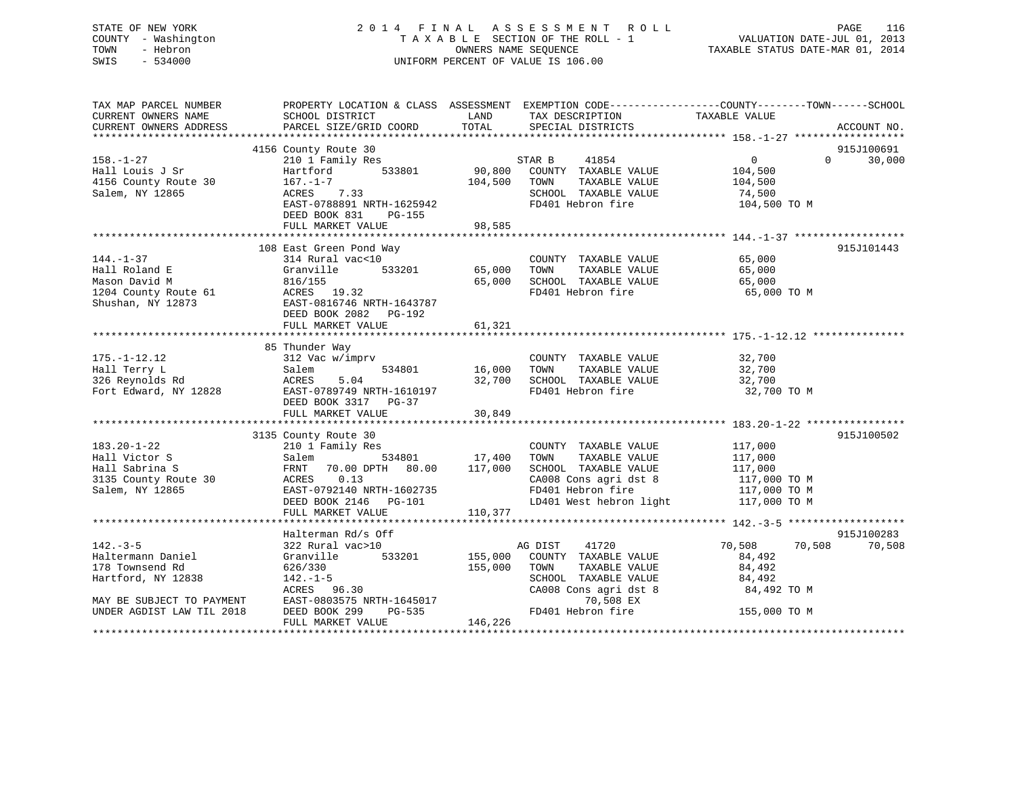# STATE OF NEW YORK 2 0 1 4 F I N A L A S S E S S M E N T R O L L PAGE 116 COUNTY - Washington T A X A B L E SECTION OF THE ROLL - 1 VALUATION DATE-JUL 01, 2013 TOWN - Hebron **CONNERS NAME SEQUENCE** TAXABLE STATUS DATE-MAR 01, 2014 SWIS - 534000 UNIFORM PERCENT OF VALUE IS 106.00

| TAX MAP PARCEL NUMBER<br>CURRENT OWNERS NAME<br>CURRENT OWNERS ADDRESS                                                                                                            | PROPERTY LOCATION & CLASS ASSESSMENT EXEMPTION CODE----------------COUNTY-------TOWN------SCHOOL<br>SCHOOL DISTRICT<br>PARCEL SIZE/GRID COORD TOTAL                                    | <b>LAND</b>             | TAX DESCRIPTION TAXABLE VALUE<br>SPECIAL DISTRICTS                                                                                                                                                         |                                                            | ACCOUNT NO.          |
|-----------------------------------------------------------------------------------------------------------------------------------------------------------------------------------|----------------------------------------------------------------------------------------------------------------------------------------------------------------------------------------|-------------------------|------------------------------------------------------------------------------------------------------------------------------------------------------------------------------------------------------------|------------------------------------------------------------|----------------------|
|                                                                                                                                                                                   |                                                                                                                                                                                        |                         |                                                                                                                                                                                                            |                                                            |                      |
|                                                                                                                                                                                   | 4156 County Route 30                                                                                                                                                                   |                         |                                                                                                                                                                                                            |                                                            | 915J100691           |
| $158. - 1 - 27$                                                                                                                                                                   | County Route 30<br>210 1 Family Res<br>Hartford 533801 90,800 COUNTY TAXABLE VALUE 104,500<br>ACRES 7.33<br>EAST-0788891 NRTH-1625942<br>DEED BOOK 831<br>PG-155                       | 104,500                 | STAR B 41854<br>TOWN TAXABLE VALUE<br>SCHOOL TAXABLE VALUE<br>FD401 Hebron fire                                                                                                                            | $\overline{0}$<br>104,500<br>74,500<br>104,500 TO M        | $0 \t 30,000$        |
|                                                                                                                                                                                   | FULL MARKET VALUE                                                                                                                                                                      | 98,585                  |                                                                                                                                                                                                            |                                                            |                      |
|                                                                                                                                                                                   |                                                                                                                                                                                        |                         |                                                                                                                                                                                                            |                                                            |                      |
| $144. - 1 - 37$<br>Hall Roland E                                                                                                                                                  | 108 East Green Pond Way<br>314 Rural vac<10<br>Granville 533201 65,000 TOWN TAXABLE VALUE<br>Granvill<br>816/155                                                                       | $\mathcal{Y}$<br>65,000 | COUNTY TAXABLE VALUE 65,000<br>SCHOOL TAXABLE VALUE<br>FD401 Hebron fire 65,000 TO M                                                                                                                       | 65,000<br>65,000                                           | 915J101443           |
| 1204 County Route 61<br>204 County Route 61<br>204 County Route 61<br>204 CAST-0816746 NRTH-1643787<br>205D BOOK 2082<br>205-192                                                  | FULL MARKET VALUE                                                                                                                                                                      | 61,321                  |                                                                                                                                                                                                            |                                                            |                      |
|                                                                                                                                                                                   |                                                                                                                                                                                        |                         |                                                                                                                                                                                                            |                                                            |                      |
| $175. - 1 - 12.12$<br>175.-1-12.12<br>Hall Terry L<br>326 Reynolds Rd<br>Fort Edward, NY 12828<br>Fort Edward, NY 12828<br>EAST-0789749 NRTH-1610197<br>EAST-0789749 NRTH-1610197 | 85 Thunder Way<br>DEED BOOK 3317 PG-37<br>FULL MARKET VALUE                                                                                                                            | 30,849                  | COUNTY TAXABLE VALUE 32,700<br>32,700 SCHOOL TAXABLE VALUE 32,700<br>FD401 Hebron fire                                                                                                                     | 32,700<br>32,700 TO M                                      |                      |
|                                                                                                                                                                                   |                                                                                                                                                                                        |                         |                                                                                                                                                                                                            |                                                            |                      |
| $183.20 - 1 - 22$<br>Hall Victor S<br>Hall Sabrina S<br>3135 County Route 30<br>Salem, NY 12865<br>EAST-0792140 NRTH-1602735                                                      | 3135 County Route 30<br>210 1 Family Res<br>Salem 534801 17,400 TOWN TAXABLE VALUE<br>FRNT 70.00 DPTH 80.00 117,000 SCHOOL TAXABLE VALUE<br>DEED BOOK 2146 PG-101<br>FULL MARKET VALUE | 110,377                 | COUNTY TAXABLE VALUE 117,000<br>TOWN TAXABLE VALUE 117,000<br>SCHOOL TAXABLE VALUE 117,000<br>CA008 Cons agri dst 8 117,000 TO M<br>FD401 Hebron fire 117,000 TO M<br>LD401 West hebron light 117,000 TO M |                                                            | 915J100502           |
|                                                                                                                                                                                   |                                                                                                                                                                                        |                         |                                                                                                                                                                                                            |                                                            |                      |
| $142. - 3 - 5$<br>Haltermann Daniel<br>178 Townsend Rd<br>Hartford, NY 12838                                                                                                      | Halterman Rd/s Off<br>322 Rural vac>10<br>Granville 533201<br>626/330                                                                                                                  | 155,000                 | AG DIST<br>41720<br>155,000 COUNTY TAXABLE VALUE<br>TOWN<br>TAXABLE VALUE<br>SCHOOL TAXABLE VALUE<br>CA008 Cons agri dst 8                                                                                 | 70,508 70,508<br>84,492<br>84,492<br>84,492<br>84,492 TO M | 915J100283<br>70,508 |
| MAY BE SUBJECT TO PAYMENT<br>UNDER AGDIST LAW TIL 2018                                                                                                                            | 142.-1-5<br>ACRES 96.30<br>EAST-0803575 NRTH-1645017<br>DEED BOOK 299 PG-535<br>FULL MARKET VALUE                                                                                      | 146,226                 | 70,508 EX<br>$FD401$ Hebron fire 155,000 TO M                                                                                                                                                              |                                                            |                      |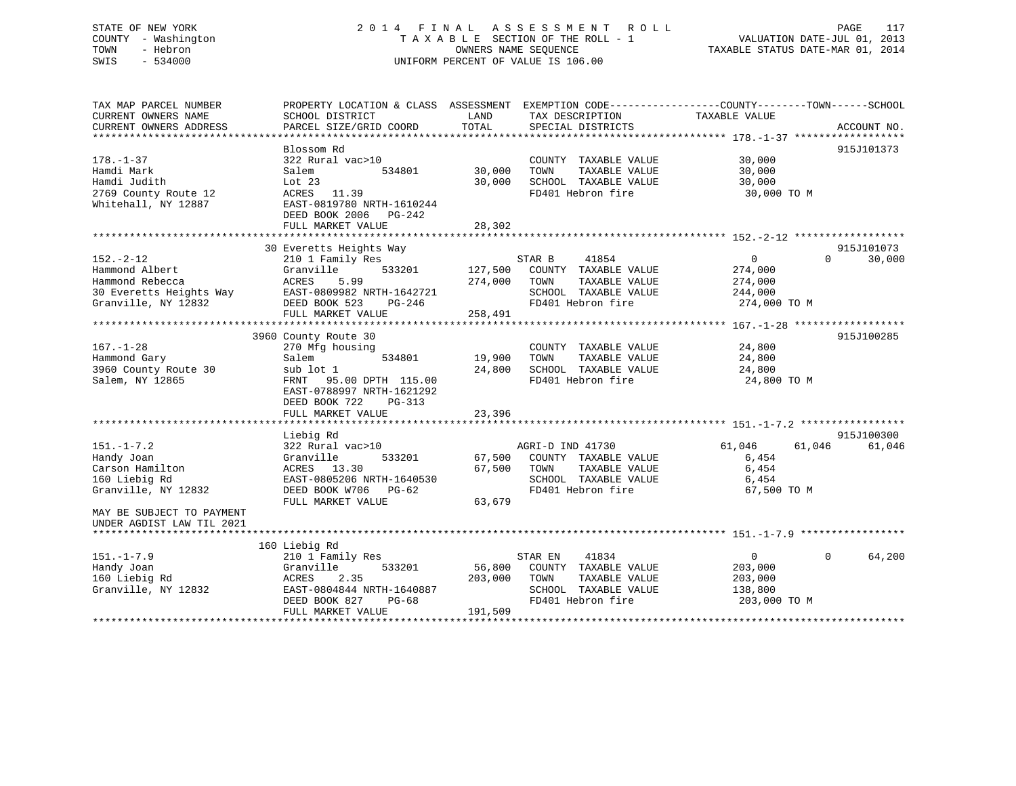# STATE OF NEW YORK 2 0 1 4 F I N A L A S S E S S M E N T R O L L PAGE 117 COUNTY - Washington T A X A B L E SECTION OF THE ROLL - 1 VALUATION DATE-JUL 01, 2013 TOWN - Hebron OWNERS NAME SEQUENCE TAXABLE STATUS DATE-MAR 01, 2014 SWIS - 534000 UNIFORM PERCENT OF VALUE IS 106.00

| 915J101373<br>Blossom Rd<br>322 Rural vac>10<br>30,000<br>COUNTY TAXABLE VALUE<br>Hamdi Mark<br>534801<br>30,000<br>TAXABLE VALUE<br>30,000<br>Salem<br>TOWN<br>Hamdi Judith<br>30,000<br>Lot 23<br>SCHOOL TAXABLE VALUE<br>30,000<br>2769 County Route 12<br>ACRES<br>11.39<br>FD401 Hebron fire<br>30,000 TO M<br>EAST-0819780 NRTH-1610244<br>DEED BOOK 2006<br>PG-242<br>28,302<br>FULL MARKET VALUE<br>30 Everetts Heights Way<br>915J101073<br>$152. - 2 - 12$<br>STAR B<br>41854<br>30,000<br>210 1 Family Res<br>$\mathbf{0}$<br>$\Omega$<br>Hammond Albert<br>Granville<br>533201<br>127,500<br>COUNTY TAXABLE VALUE<br>274,000<br>Hammond Rebecca<br>274,000<br>TAXABLE VALUE<br>ACRES<br>5.99<br>TOWN<br>274,000<br>EAST-0809982 NRTH-1642721<br>SCHOOL TAXABLE VALUE<br>30 Everetts Heights Way<br>244,000<br>FD401 Hebron fire<br>DEED BOOK 523<br>274,000 TO M<br>PG-246<br>258,491<br>FULL MARKET VALUE<br>3960 County Route 30<br>915J100285<br>270 Mfg housing<br>24,800<br>COUNTY TAXABLE VALUE<br>19,900<br>TAXABLE VALUE<br>24,800<br>Salem<br>534801<br>TOWN<br>sub lot 1<br>24,800<br>SCHOOL TAXABLE VALUE<br>24,800<br>95.00 DPTH 115.00<br>FD401 Hebron fire<br>24,800 TO M<br>FRNT<br>EAST-0788997 NRTH-1621292<br>DEED BOOK 722<br>$PG-313$<br>FULL MARKET VALUE<br>23,396<br>915J100300<br>Liebig Rd<br>$151. - 1 - 7.2$<br>322 Rural vac>10<br>AGRI-D IND 41730<br>61,046<br>61,046<br>61,046<br>Handy Joan<br>Granville<br>533201<br>67,500<br>COUNTY TAXABLE VALUE<br>6,454<br>6,454<br>Carson Hamilton<br>ACRES 13.30<br>67,500<br>TAXABLE VALUE<br>TOWN<br>160 Liebig Rd<br>EAST-0805206 NRTH-1640530<br>SCHOOL TAXABLE VALUE<br>6,454<br>Granville, NY 12832<br>DEED BOOK W706<br>FD401 Hebron fire<br>PG-62<br>67,500 TO M<br>63,679<br>FULL MARKET VALUE<br>MAY BE SUBJECT TO PAYMENT<br>UNDER AGDIST LAW TIL 2021<br>160 Liebig Rd<br>64,200<br>$151. - 1 - 7.9$<br>41834<br>$\Omega$<br>210 1 Family Res<br>STAR EN<br>$\mathbf{0}$<br>Handy Joan<br>56,800<br>Granville<br>533201<br>COUNTY TAXABLE VALUE<br>203,000<br>160 Liebig Rd<br>203,000<br>ACRES<br>2.35<br>TOWN<br>TAXABLE VALUE<br>203,000<br>Granville, NY 12832<br>EAST-0804844 NRTH-1640887<br>SCHOOL TAXABLE VALUE<br>138,800<br>FD401 Hebron fire<br>203,000 TO M<br>DEED BOOK 827<br>$PG-68$<br>FULL MARKET VALUE<br>191,509 | TAX MAP PARCEL NUMBER<br>CURRENT OWNERS NAME | PROPERTY LOCATION & CLASS ASSESSMENT<br>SCHOOL DISTRICT | LAND  | EXEMPTION CODE-----------------COUNTY-------TOWN------SCHOOL<br>TAX DESCRIPTION | TAXABLE VALUE |             |
|-------------------------------------------------------------------------------------------------------------------------------------------------------------------------------------------------------------------------------------------------------------------------------------------------------------------------------------------------------------------------------------------------------------------------------------------------------------------------------------------------------------------------------------------------------------------------------------------------------------------------------------------------------------------------------------------------------------------------------------------------------------------------------------------------------------------------------------------------------------------------------------------------------------------------------------------------------------------------------------------------------------------------------------------------------------------------------------------------------------------------------------------------------------------------------------------------------------------------------------------------------------------------------------------------------------------------------------------------------------------------------------------------------------------------------------------------------------------------------------------------------------------------------------------------------------------------------------------------------------------------------------------------------------------------------------------------------------------------------------------------------------------------------------------------------------------------------------------------------------------------------------------------------------------------------------------------------------------------------------------------------------------------------------------------------------------------------------------------------------------------------------------------------------------------------------------------------------------------------------------------------------------------------------------------------------------------------------|----------------------------------------------|---------------------------------------------------------|-------|---------------------------------------------------------------------------------|---------------|-------------|
|                                                                                                                                                                                                                                                                                                                                                                                                                                                                                                                                                                                                                                                                                                                                                                                                                                                                                                                                                                                                                                                                                                                                                                                                                                                                                                                                                                                                                                                                                                                                                                                                                                                                                                                                                                                                                                                                                                                                                                                                                                                                                                                                                                                                                                                                                                                                     | CURRENT OWNERS ADDRESS                       | PARCEL SIZE/GRID COORD                                  | TOTAL | SPECIAL DISTRICTS                                                               |               | ACCOUNT NO. |
|                                                                                                                                                                                                                                                                                                                                                                                                                                                                                                                                                                                                                                                                                                                                                                                                                                                                                                                                                                                                                                                                                                                                                                                                                                                                                                                                                                                                                                                                                                                                                                                                                                                                                                                                                                                                                                                                                                                                                                                                                                                                                                                                                                                                                                                                                                                                     |                                              |                                                         |       |                                                                                 |               |             |
|                                                                                                                                                                                                                                                                                                                                                                                                                                                                                                                                                                                                                                                                                                                                                                                                                                                                                                                                                                                                                                                                                                                                                                                                                                                                                                                                                                                                                                                                                                                                                                                                                                                                                                                                                                                                                                                                                                                                                                                                                                                                                                                                                                                                                                                                                                                                     | $178. - 1 - 37$                              |                                                         |       |                                                                                 |               |             |
|                                                                                                                                                                                                                                                                                                                                                                                                                                                                                                                                                                                                                                                                                                                                                                                                                                                                                                                                                                                                                                                                                                                                                                                                                                                                                                                                                                                                                                                                                                                                                                                                                                                                                                                                                                                                                                                                                                                                                                                                                                                                                                                                                                                                                                                                                                                                     |                                              |                                                         |       |                                                                                 |               |             |
|                                                                                                                                                                                                                                                                                                                                                                                                                                                                                                                                                                                                                                                                                                                                                                                                                                                                                                                                                                                                                                                                                                                                                                                                                                                                                                                                                                                                                                                                                                                                                                                                                                                                                                                                                                                                                                                                                                                                                                                                                                                                                                                                                                                                                                                                                                                                     |                                              |                                                         |       |                                                                                 |               |             |
|                                                                                                                                                                                                                                                                                                                                                                                                                                                                                                                                                                                                                                                                                                                                                                                                                                                                                                                                                                                                                                                                                                                                                                                                                                                                                                                                                                                                                                                                                                                                                                                                                                                                                                                                                                                                                                                                                                                                                                                                                                                                                                                                                                                                                                                                                                                                     | Whitehall, NY 12887                          |                                                         |       |                                                                                 |               |             |
|                                                                                                                                                                                                                                                                                                                                                                                                                                                                                                                                                                                                                                                                                                                                                                                                                                                                                                                                                                                                                                                                                                                                                                                                                                                                                                                                                                                                                                                                                                                                                                                                                                                                                                                                                                                                                                                                                                                                                                                                                                                                                                                                                                                                                                                                                                                                     |                                              |                                                         |       |                                                                                 |               |             |
|                                                                                                                                                                                                                                                                                                                                                                                                                                                                                                                                                                                                                                                                                                                                                                                                                                                                                                                                                                                                                                                                                                                                                                                                                                                                                                                                                                                                                                                                                                                                                                                                                                                                                                                                                                                                                                                                                                                                                                                                                                                                                                                                                                                                                                                                                                                                     |                                              |                                                         |       |                                                                                 |               |             |
|                                                                                                                                                                                                                                                                                                                                                                                                                                                                                                                                                                                                                                                                                                                                                                                                                                                                                                                                                                                                                                                                                                                                                                                                                                                                                                                                                                                                                                                                                                                                                                                                                                                                                                                                                                                                                                                                                                                                                                                                                                                                                                                                                                                                                                                                                                                                     |                                              |                                                         |       |                                                                                 |               |             |
|                                                                                                                                                                                                                                                                                                                                                                                                                                                                                                                                                                                                                                                                                                                                                                                                                                                                                                                                                                                                                                                                                                                                                                                                                                                                                                                                                                                                                                                                                                                                                                                                                                                                                                                                                                                                                                                                                                                                                                                                                                                                                                                                                                                                                                                                                                                                     |                                              |                                                         |       |                                                                                 |               |             |
|                                                                                                                                                                                                                                                                                                                                                                                                                                                                                                                                                                                                                                                                                                                                                                                                                                                                                                                                                                                                                                                                                                                                                                                                                                                                                                                                                                                                                                                                                                                                                                                                                                                                                                                                                                                                                                                                                                                                                                                                                                                                                                                                                                                                                                                                                                                                     |                                              |                                                         |       |                                                                                 |               |             |
|                                                                                                                                                                                                                                                                                                                                                                                                                                                                                                                                                                                                                                                                                                                                                                                                                                                                                                                                                                                                                                                                                                                                                                                                                                                                                                                                                                                                                                                                                                                                                                                                                                                                                                                                                                                                                                                                                                                                                                                                                                                                                                                                                                                                                                                                                                                                     |                                              |                                                         |       |                                                                                 |               |             |
|                                                                                                                                                                                                                                                                                                                                                                                                                                                                                                                                                                                                                                                                                                                                                                                                                                                                                                                                                                                                                                                                                                                                                                                                                                                                                                                                                                                                                                                                                                                                                                                                                                                                                                                                                                                                                                                                                                                                                                                                                                                                                                                                                                                                                                                                                                                                     |                                              |                                                         |       |                                                                                 |               |             |
|                                                                                                                                                                                                                                                                                                                                                                                                                                                                                                                                                                                                                                                                                                                                                                                                                                                                                                                                                                                                                                                                                                                                                                                                                                                                                                                                                                                                                                                                                                                                                                                                                                                                                                                                                                                                                                                                                                                                                                                                                                                                                                                                                                                                                                                                                                                                     | Granville, NY 12832                          |                                                         |       |                                                                                 |               |             |
|                                                                                                                                                                                                                                                                                                                                                                                                                                                                                                                                                                                                                                                                                                                                                                                                                                                                                                                                                                                                                                                                                                                                                                                                                                                                                                                                                                                                                                                                                                                                                                                                                                                                                                                                                                                                                                                                                                                                                                                                                                                                                                                                                                                                                                                                                                                                     |                                              |                                                         |       |                                                                                 |               |             |
|                                                                                                                                                                                                                                                                                                                                                                                                                                                                                                                                                                                                                                                                                                                                                                                                                                                                                                                                                                                                                                                                                                                                                                                                                                                                                                                                                                                                                                                                                                                                                                                                                                                                                                                                                                                                                                                                                                                                                                                                                                                                                                                                                                                                                                                                                                                                     |                                              |                                                         |       |                                                                                 |               |             |
|                                                                                                                                                                                                                                                                                                                                                                                                                                                                                                                                                                                                                                                                                                                                                                                                                                                                                                                                                                                                                                                                                                                                                                                                                                                                                                                                                                                                                                                                                                                                                                                                                                                                                                                                                                                                                                                                                                                                                                                                                                                                                                                                                                                                                                                                                                                                     |                                              |                                                         |       |                                                                                 |               |             |
|                                                                                                                                                                                                                                                                                                                                                                                                                                                                                                                                                                                                                                                                                                                                                                                                                                                                                                                                                                                                                                                                                                                                                                                                                                                                                                                                                                                                                                                                                                                                                                                                                                                                                                                                                                                                                                                                                                                                                                                                                                                                                                                                                                                                                                                                                                                                     | $167. - 1 - 28$                              |                                                         |       |                                                                                 |               |             |
|                                                                                                                                                                                                                                                                                                                                                                                                                                                                                                                                                                                                                                                                                                                                                                                                                                                                                                                                                                                                                                                                                                                                                                                                                                                                                                                                                                                                                                                                                                                                                                                                                                                                                                                                                                                                                                                                                                                                                                                                                                                                                                                                                                                                                                                                                                                                     | Hammond Gary                                 |                                                         |       |                                                                                 |               |             |
|                                                                                                                                                                                                                                                                                                                                                                                                                                                                                                                                                                                                                                                                                                                                                                                                                                                                                                                                                                                                                                                                                                                                                                                                                                                                                                                                                                                                                                                                                                                                                                                                                                                                                                                                                                                                                                                                                                                                                                                                                                                                                                                                                                                                                                                                                                                                     | 3960 County Route 30                         |                                                         |       |                                                                                 |               |             |
|                                                                                                                                                                                                                                                                                                                                                                                                                                                                                                                                                                                                                                                                                                                                                                                                                                                                                                                                                                                                                                                                                                                                                                                                                                                                                                                                                                                                                                                                                                                                                                                                                                                                                                                                                                                                                                                                                                                                                                                                                                                                                                                                                                                                                                                                                                                                     | Salem, NY 12865                              |                                                         |       |                                                                                 |               |             |
|                                                                                                                                                                                                                                                                                                                                                                                                                                                                                                                                                                                                                                                                                                                                                                                                                                                                                                                                                                                                                                                                                                                                                                                                                                                                                                                                                                                                                                                                                                                                                                                                                                                                                                                                                                                                                                                                                                                                                                                                                                                                                                                                                                                                                                                                                                                                     |                                              |                                                         |       |                                                                                 |               |             |
|                                                                                                                                                                                                                                                                                                                                                                                                                                                                                                                                                                                                                                                                                                                                                                                                                                                                                                                                                                                                                                                                                                                                                                                                                                                                                                                                                                                                                                                                                                                                                                                                                                                                                                                                                                                                                                                                                                                                                                                                                                                                                                                                                                                                                                                                                                                                     |                                              |                                                         |       |                                                                                 |               |             |
|                                                                                                                                                                                                                                                                                                                                                                                                                                                                                                                                                                                                                                                                                                                                                                                                                                                                                                                                                                                                                                                                                                                                                                                                                                                                                                                                                                                                                                                                                                                                                                                                                                                                                                                                                                                                                                                                                                                                                                                                                                                                                                                                                                                                                                                                                                                                     |                                              |                                                         |       |                                                                                 |               |             |
|                                                                                                                                                                                                                                                                                                                                                                                                                                                                                                                                                                                                                                                                                                                                                                                                                                                                                                                                                                                                                                                                                                                                                                                                                                                                                                                                                                                                                                                                                                                                                                                                                                                                                                                                                                                                                                                                                                                                                                                                                                                                                                                                                                                                                                                                                                                                     |                                              |                                                         |       |                                                                                 |               |             |
|                                                                                                                                                                                                                                                                                                                                                                                                                                                                                                                                                                                                                                                                                                                                                                                                                                                                                                                                                                                                                                                                                                                                                                                                                                                                                                                                                                                                                                                                                                                                                                                                                                                                                                                                                                                                                                                                                                                                                                                                                                                                                                                                                                                                                                                                                                                                     |                                              |                                                         |       |                                                                                 |               |             |
|                                                                                                                                                                                                                                                                                                                                                                                                                                                                                                                                                                                                                                                                                                                                                                                                                                                                                                                                                                                                                                                                                                                                                                                                                                                                                                                                                                                                                                                                                                                                                                                                                                                                                                                                                                                                                                                                                                                                                                                                                                                                                                                                                                                                                                                                                                                                     |                                              |                                                         |       |                                                                                 |               |             |
|                                                                                                                                                                                                                                                                                                                                                                                                                                                                                                                                                                                                                                                                                                                                                                                                                                                                                                                                                                                                                                                                                                                                                                                                                                                                                                                                                                                                                                                                                                                                                                                                                                                                                                                                                                                                                                                                                                                                                                                                                                                                                                                                                                                                                                                                                                                                     |                                              |                                                         |       |                                                                                 |               |             |
|                                                                                                                                                                                                                                                                                                                                                                                                                                                                                                                                                                                                                                                                                                                                                                                                                                                                                                                                                                                                                                                                                                                                                                                                                                                                                                                                                                                                                                                                                                                                                                                                                                                                                                                                                                                                                                                                                                                                                                                                                                                                                                                                                                                                                                                                                                                                     |                                              |                                                         |       |                                                                                 |               |             |
|                                                                                                                                                                                                                                                                                                                                                                                                                                                                                                                                                                                                                                                                                                                                                                                                                                                                                                                                                                                                                                                                                                                                                                                                                                                                                                                                                                                                                                                                                                                                                                                                                                                                                                                                                                                                                                                                                                                                                                                                                                                                                                                                                                                                                                                                                                                                     |                                              |                                                         |       |                                                                                 |               |             |
|                                                                                                                                                                                                                                                                                                                                                                                                                                                                                                                                                                                                                                                                                                                                                                                                                                                                                                                                                                                                                                                                                                                                                                                                                                                                                                                                                                                                                                                                                                                                                                                                                                                                                                                                                                                                                                                                                                                                                                                                                                                                                                                                                                                                                                                                                                                                     |                                              |                                                         |       |                                                                                 |               |             |
|                                                                                                                                                                                                                                                                                                                                                                                                                                                                                                                                                                                                                                                                                                                                                                                                                                                                                                                                                                                                                                                                                                                                                                                                                                                                                                                                                                                                                                                                                                                                                                                                                                                                                                                                                                                                                                                                                                                                                                                                                                                                                                                                                                                                                                                                                                                                     |                                              |                                                         |       |                                                                                 |               |             |
|                                                                                                                                                                                                                                                                                                                                                                                                                                                                                                                                                                                                                                                                                                                                                                                                                                                                                                                                                                                                                                                                                                                                                                                                                                                                                                                                                                                                                                                                                                                                                                                                                                                                                                                                                                                                                                                                                                                                                                                                                                                                                                                                                                                                                                                                                                                                     |                                              |                                                         |       |                                                                                 |               |             |
|                                                                                                                                                                                                                                                                                                                                                                                                                                                                                                                                                                                                                                                                                                                                                                                                                                                                                                                                                                                                                                                                                                                                                                                                                                                                                                                                                                                                                                                                                                                                                                                                                                                                                                                                                                                                                                                                                                                                                                                                                                                                                                                                                                                                                                                                                                                                     |                                              |                                                         |       |                                                                                 |               |             |
|                                                                                                                                                                                                                                                                                                                                                                                                                                                                                                                                                                                                                                                                                                                                                                                                                                                                                                                                                                                                                                                                                                                                                                                                                                                                                                                                                                                                                                                                                                                                                                                                                                                                                                                                                                                                                                                                                                                                                                                                                                                                                                                                                                                                                                                                                                                                     |                                              |                                                         |       |                                                                                 |               |             |
|                                                                                                                                                                                                                                                                                                                                                                                                                                                                                                                                                                                                                                                                                                                                                                                                                                                                                                                                                                                                                                                                                                                                                                                                                                                                                                                                                                                                                                                                                                                                                                                                                                                                                                                                                                                                                                                                                                                                                                                                                                                                                                                                                                                                                                                                                                                                     |                                              |                                                         |       |                                                                                 |               |             |
|                                                                                                                                                                                                                                                                                                                                                                                                                                                                                                                                                                                                                                                                                                                                                                                                                                                                                                                                                                                                                                                                                                                                                                                                                                                                                                                                                                                                                                                                                                                                                                                                                                                                                                                                                                                                                                                                                                                                                                                                                                                                                                                                                                                                                                                                                                                                     |                                              |                                                         |       |                                                                                 |               |             |
|                                                                                                                                                                                                                                                                                                                                                                                                                                                                                                                                                                                                                                                                                                                                                                                                                                                                                                                                                                                                                                                                                                                                                                                                                                                                                                                                                                                                                                                                                                                                                                                                                                                                                                                                                                                                                                                                                                                                                                                                                                                                                                                                                                                                                                                                                                                                     |                                              |                                                         |       |                                                                                 |               |             |
|                                                                                                                                                                                                                                                                                                                                                                                                                                                                                                                                                                                                                                                                                                                                                                                                                                                                                                                                                                                                                                                                                                                                                                                                                                                                                                                                                                                                                                                                                                                                                                                                                                                                                                                                                                                                                                                                                                                                                                                                                                                                                                                                                                                                                                                                                                                                     |                                              |                                                         |       |                                                                                 |               |             |
|                                                                                                                                                                                                                                                                                                                                                                                                                                                                                                                                                                                                                                                                                                                                                                                                                                                                                                                                                                                                                                                                                                                                                                                                                                                                                                                                                                                                                                                                                                                                                                                                                                                                                                                                                                                                                                                                                                                                                                                                                                                                                                                                                                                                                                                                                                                                     |                                              |                                                         |       |                                                                                 |               |             |
|                                                                                                                                                                                                                                                                                                                                                                                                                                                                                                                                                                                                                                                                                                                                                                                                                                                                                                                                                                                                                                                                                                                                                                                                                                                                                                                                                                                                                                                                                                                                                                                                                                                                                                                                                                                                                                                                                                                                                                                                                                                                                                                                                                                                                                                                                                                                     |                                              |                                                         |       |                                                                                 |               |             |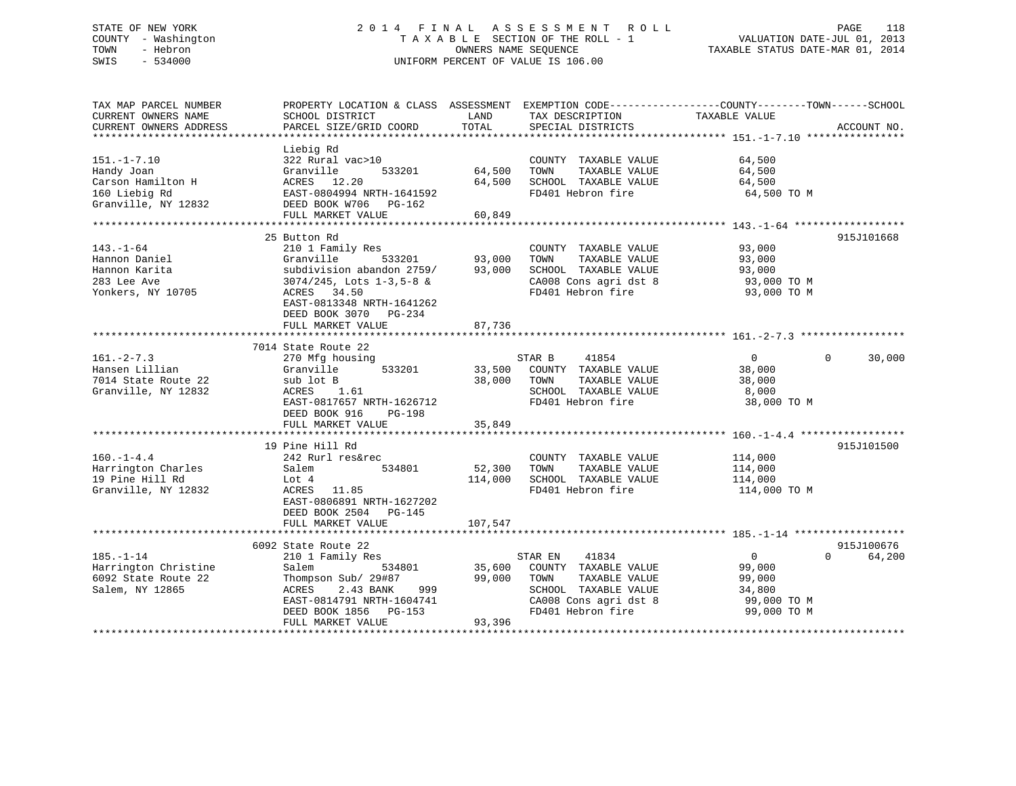# STATE OF NEW YORK 2 0 1 4 F I N A L A S S E S S M E N T R O L L PAGE 118 COUNTY - Washington T A X A B L E SECTION OF THE ROLL - 1 VALUATION DATE-JUL 01, 2013 TOWN - Hebron OWNERS NAME SEQUENCE TAXABLE STATUS DATE-MAR 01, 2014 SWIS - 534000 UNIFORM PERCENT OF VALUE IS 106.00

| TAX MAP PARCEL NUMBER<br>CURRENT OWNERS NAME<br>CURRENT OWNERS ADDRESS                       | PROPERTY LOCATION & CLASS ASSESSMENT<br>SCHOOL DISTRICT<br>PARCEL SIZE/GRID COORD                                                                                                                     | LAND<br>TOTAL              | TAX DESCRIPTION<br>SPECIAL DISTRICTS                                                                                                 | EXEMPTION CODE-----------------COUNTY-------TOWN------SCHOOL<br>TAXABLE VALUE | ACCOUNT NO.          |
|----------------------------------------------------------------------------------------------|-------------------------------------------------------------------------------------------------------------------------------------------------------------------------------------------------------|----------------------------|--------------------------------------------------------------------------------------------------------------------------------------|-------------------------------------------------------------------------------|----------------------|
| $151. - 1 - 7.10$<br>Handy Joan<br>Carson Hamilton H<br>160 Liebig Rd<br>Granville, NY 12832 | Liebig Rd<br>322 Rural vac>10<br>533201<br>Granville<br>ACRES 12.20<br>EAST-0804994 NRTH-1641592<br>DEED BOOK W706 PG-162<br>FULL MARKET VALUE                                                        | 64,500<br>64,500<br>60,849 | COUNTY TAXABLE VALUE<br>TAXABLE VALUE<br>TOWN<br>SCHOOL TAXABLE VALUE<br>FD401 Hebron fire                                           | 64,500<br>64,500<br>64,500<br>64,500 TO M                                     |                      |
|                                                                                              | 25 Button Rd                                                                                                                                                                                          |                            |                                                                                                                                      |                                                                               | 915J101668           |
| $143. - 1 - 64$<br>Hannon Daniel<br>Hannon Karita<br>283 Lee Ave<br>Yonkers, NY 10705        | 210 1 Family Res<br>533201<br>Granville<br>subdivision abandon 2759/93,000<br>$3074/245$ , Lots $1-3,5-8$ &<br>ACRES 34.50<br>EAST-0813348 NRTH-1641262<br>DEED BOOK 3070 PG-234<br>FULL MARKET VALUE | 93,000<br>87,736           | COUNTY TAXABLE VALUE<br>TAXABLE VALUE<br>TOWN<br>SCHOOL TAXABLE VALUE<br>CA008 Cons agri dst 8<br>FD401 Hebron fire                  | 93,000<br>93,000<br>93,000<br>93,000 TO M<br>93,000 TO M                      |                      |
|                                                                                              |                                                                                                                                                                                                       |                            |                                                                                                                                      |                                                                               |                      |
| $161. - 2 - 7.3$<br>Hansen Lillian<br>7014 State Route 22                                    | 7014 State Route 22<br>270 Mfg housing<br>533201<br>Granville<br>sub lot B                                                                                                                            | 38,000                     | STAR B<br>41854<br>33,500 COUNTY TAXABLE VALUE<br>TAXABLE VALUE<br>TOWN                                                              | $\overline{0}$<br>$\Omega$<br>38,000<br>38,000                                | 30,000               |
| Granville, NY 12832                                                                          | ACRES 1.61<br>EAST-0817657 NRTH-1626712<br>DEED BOOK 916<br>PG-198                                                                                                                                    |                            | SCHOOL TAXABLE VALUE<br>FD401 Hebron fire                                                                                            | 8,000<br>38,000 TO M                                                          |                      |
|                                                                                              | FULL MARKET VALUE                                                                                                                                                                                     | 35,849                     |                                                                                                                                      |                                                                               |                      |
| $160. - 1 - 4.4$<br>Harrington Charles<br>19 Pine Hill Rd<br>Granville, NY 12832             | 19 Pine Hill Rd<br>242 Rurl res&rec<br>534801<br>Salem<br>Lot 4<br>ACRES 11.85<br>EAST-0806891 NRTH-1627202                                                                                           | 52,300<br>114,000          | COUNTY TAXABLE VALUE<br>TOWN<br>TAXABLE VALUE<br>SCHOOL TAXABLE VALUE<br>FD401 Hebron fire                                           | 114,000<br>114,000<br>114,000<br>114,000 TO M                                 | 915J101500           |
|                                                                                              | DEED BOOK 2504 PG-145<br>FULL MARKET VALUE                                                                                                                                                            | 107,547                    |                                                                                                                                      |                                                                               |                      |
|                                                                                              |                                                                                                                                                                                                       |                            |                                                                                                                                      |                                                                               |                      |
| $185. - 1 - 14$<br>Harrington Christine<br>6092 State Route 22<br>Salem, NY 12865            | 6092 State Route 22<br>210 1 Family Res<br>Salem<br>534801<br>Thompson Sub/ 29#87<br>2.43 BANK<br>999<br>ACRES<br>EAST-0814791 NRTH-1604741<br>DEED BOOK 1856 PG-153<br>FULL MARKET VALUE             | 35,600<br>99,000<br>93,396 | STAR EN 41834<br>COUNTY TAXABLE VALUE<br>TAXABLE VALUE<br>TOWN<br>SCHOOL TAXABLE VALUE<br>CA008 Cons agri dst 8<br>FD401 Hebron fire | 0<br>$\Omega$<br>99,000<br>99,000<br>34,800<br>99,000 TO M<br>99,000 TO M     | 915J100676<br>64,200 |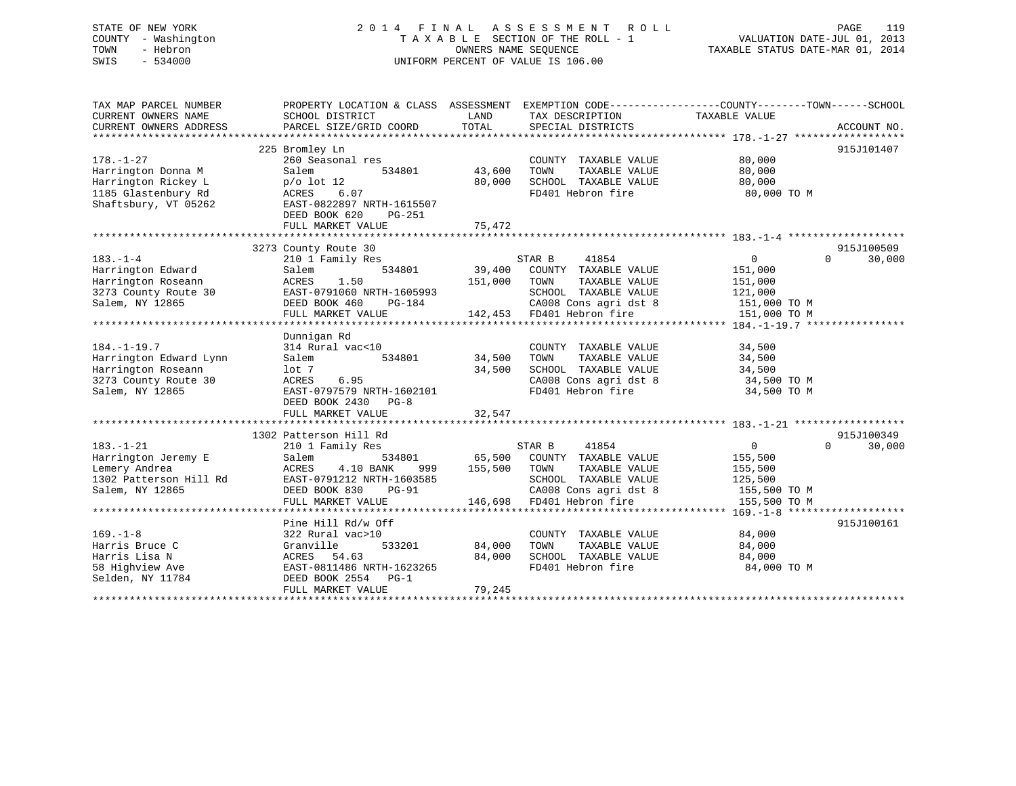STATE OF NEW YORK 2 0 1 4 F I N A L A S S E S S M E N T R O L L PAGE 119 COUNTY - Washington T A X A B L E SECTION OF THE ROLL - 1 VALUATION DATE-JUL 01, 2013 TOWN - Hebron OWNERS NAME SEQUENCE TAXABLE STATUS DATE-MAR 01, 2014 SWIS - 534000 UNIFORM PERCENT OF VALUE IS 106.00

| TAX MAP PARCEL NUMBER<br>CURRENT OWNERS NAME<br>CURRENT OWNERS ADDRESS                                       | PROPERTY LOCATION & CLASS ASSESSMENT<br>SCHOOL DISTRICT<br>PARCEL SIZE/GRID COORD                                                                           | LAND<br>TOTAL                | TAX DESCRIPTION<br>SPECIAL DISTRICTS                                                                                                      | EXEMPTION CODE-----------------COUNTY-------TOWN------SCHOOL<br>TAXABLE VALUE   | ACCOUNT NO.        |
|--------------------------------------------------------------------------------------------------------------|-------------------------------------------------------------------------------------------------------------------------------------------------------------|------------------------------|-------------------------------------------------------------------------------------------------------------------------------------------|---------------------------------------------------------------------------------|--------------------|
|                                                                                                              | 225 Bromley Ln                                                                                                                                              |                              |                                                                                                                                           |                                                                                 | 915J101407         |
| $178. - 1 - 27$<br>Harrington Donna M<br>Harrington Rickey L                                                 | 260 Seasonal res<br>534801<br>Salem<br>$p/\text{o}$ lot 12                                                                                                  | 43,600<br>80,000             | COUNTY TAXABLE VALUE<br>TAXABLE VALUE<br>TOWN<br>SCHOOL TAXABLE VALUE                                                                     | 80,000<br>80,000<br>80,000                                                      |                    |
| 1185 Glastenbury Rd<br>Shaftsbury, VT 05262                                                                  | 6.07<br>ACRES<br>EAST-0822897 NRTH-1615507<br>DEED BOOK 620<br>$PG-251$<br>FULL MARKET VALUE                                                                | 75,472                       | FD401 Hebron fire                                                                                                                         | 80,000 TO M                                                                     |                    |
|                                                                                                              |                                                                                                                                                             |                              |                                                                                                                                           |                                                                                 |                    |
|                                                                                                              | 3273 County Route 30                                                                                                                                        |                              |                                                                                                                                           |                                                                                 | 915J100509         |
| $183. - 1 - 4$<br>Harrington Edward<br>Harrington Roseann<br>3273 County Route 30<br>Salem, NY 12865         | 210 1 Family Res<br>Salem<br>534801<br>ACRES<br>1.50<br>EAST-0791060 NRTH-1605993<br>DEED BOOK 460<br>PG-184<br>FULL MARKET VALUE                           | 39,400<br>151,000<br>142,453 | STAR B<br>41854<br>COUNTY TAXABLE VALUE<br>TOWN<br>TAXABLE VALUE<br>SCHOOL TAXABLE VALUE<br>CA008 Cons agri dst 8<br>FD401 Hebron fire    | $\overline{0}$<br>151,000<br>151,000<br>121,000<br>151,000 TO M<br>151,000 TO M | $\Omega$<br>30,000 |
|                                                                                                              |                                                                                                                                                             |                              |                                                                                                                                           |                                                                                 |                    |
| $184. - 1 - 19.7$<br>Harrington Edward Lynn<br>Harrington Roseann<br>3273 County Route 30<br>Salem, NY 12865 | Dunnigan Rd<br>314 Rural vac<10<br>Salem<br>534801<br>lot 7<br>ACRES<br>6.95<br>EAST-0797579 NRTH-1602101<br>DEED BOOK 2430 PG-8                            | 34,500<br>34,500             | COUNTY TAXABLE VALUE<br>TOWN<br>TAXABLE VALUE<br>SCHOOL TAXABLE VALUE<br>CA008 Cons agri dst 8<br>FD401 Hebron fire                       | 34,500<br>34,500<br>34,500<br>34,500 TO M<br>34,500 TO M                        |                    |
|                                                                                                              | FULL MARKET VALUE                                                                                                                                           | 32,547                       |                                                                                                                                           |                                                                                 |                    |
|                                                                                                              | 1302 Patterson Hill Rd                                                                                                                                      |                              |                                                                                                                                           |                                                                                 | 915J100349         |
| $183. - 1 - 21$<br>Harrington Jeremy E<br>Lemery Andrea<br>1302 Patterson Hill Rd<br>Salem, NY 12865         | 210 1 Family Res<br>Salem<br>534801<br>ACRES<br>4.10 BANK<br>999<br>EAST-0791212 NRTH-1603585<br>DEED BOOK 830<br>$PG-91$<br>FULL MARKET VALUE              | 65,500<br>155,500<br>146,698 | 41854<br>STAR B<br>COUNTY<br>TAXABLE VALUE<br>TOWN<br>TAXABLE VALUE<br>SCHOOL TAXABLE VALUE<br>CA008 Cons agri dst 8<br>FD401 Hebron fire | $\mathbf{0}$<br>155,500<br>155,500<br>125,500<br>155,500 TO M<br>155,500 TO M   | $\Omega$<br>30,000 |
|                                                                                                              |                                                                                                                                                             |                              |                                                                                                                                           |                                                                                 |                    |
| $169. - 1 - 8$<br>Harris Bruce C<br>Harris Lisa N<br>58 Highview Ave<br>Selden, NY 11784                     | Pine Hill Rd/w Off<br>322 Rural vac>10<br>Granville<br>533201<br>ACRES<br>54.63<br>EAST-0811486 NRTH-1623265<br>DEED BOOK 2554<br>PG-1<br>FULL MARKET VALUE | 84,000<br>84,000<br>79,245   | COUNTY TAXABLE VALUE<br>TOWN<br>TAXABLE VALUE<br>SCHOOL TAXABLE VALUE<br>FD401 Hebron fire                                                | 84,000<br>84,000<br>84,000<br>84,000 TO M                                       | 915J100161         |
|                                                                                                              |                                                                                                                                                             |                              |                                                                                                                                           |                                                                                 |                    |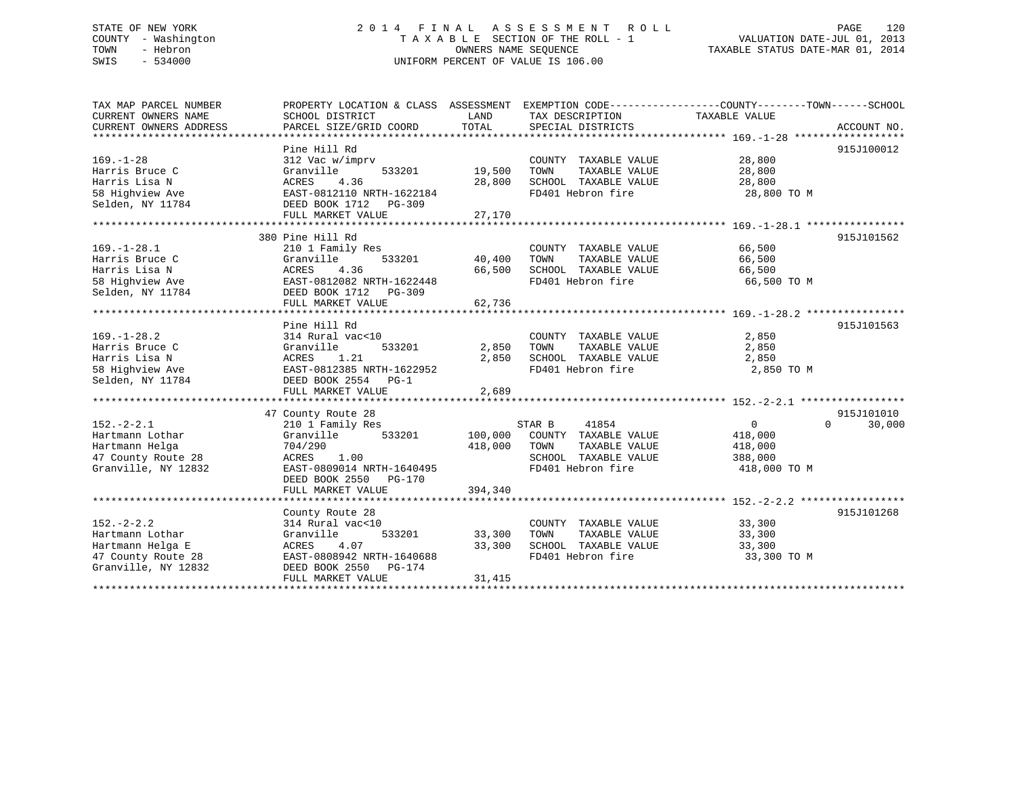#### STATE OF NEW YORK 2 0 1 4 F I N A L A S S E S S M E N T R O L L PAGE 120COUNTY - Washington  $\begin{array}{ccc} 1 & 0 & 0 \\ 0 & 0 & 0 \end{array}$  T A X A B L E SECTION OF THE ROLL - 1 TOWN - Hebron OWNERS NAME SEQUENCE TAXABLE STATUS DATE-MAR 01, 2014 SWIS - 534000 UNIFORM PERCENT OF VALUE IS 106.00

| TAX MAP PARCEL NUMBER  |                           |         |                              | PROPERTY LOCATION & CLASS ASSESSMENT EXEMPTION CODE----------------COUNTY-------TOWN------SCHOOL |
|------------------------|---------------------------|---------|------------------------------|--------------------------------------------------------------------------------------------------|
| CURRENT OWNERS NAME    | SCHOOL DISTRICT           | LAND    | TAX DESCRIPTION              | TAXABLE VALUE                                                                                    |
| CURRENT OWNERS ADDRESS | PARCEL SIZE/GRID COORD    | TOTAL   | SPECIAL DISTRICTS            | ACCOUNT NO.                                                                                      |
|                        |                           |         |                              |                                                                                                  |
|                        | Pine Hill Rd              |         |                              | 915J100012                                                                                       |
| $169. - 1 - 28$        | 312 Vac w/imprv           |         | COUNTY TAXABLE VALUE         | 28,800                                                                                           |
| Harris Bruce C         | Granville<br>533201       | 19,500  | TOWN<br>TAXABLE VALUE        | 28,800                                                                                           |
| Harris Lisa N          | 4.36<br>ACRES             | 28,800  | SCHOOL TAXABLE VALUE         | 28,800                                                                                           |
| 58 Highview Ave        | EAST-0812110 NRTH-1622184 |         | FD401 Hebron fire            | 28,800 TO M                                                                                      |
| Selden, NY 11784       | DEED BOOK 1712    PG-309  |         |                              |                                                                                                  |
|                        | FULL MARKET VALUE         | 27,170  |                              |                                                                                                  |
|                        |                           |         |                              |                                                                                                  |
|                        | 380 Pine Hill Rd          |         |                              | 915J101562                                                                                       |
| $169. - 1 - 28.1$      | 210 1 Family Res          |         | COUNTY TAXABLE VALUE         | 66,500                                                                                           |
| Harris Bruce C         | 533201<br>Granville       | 40,400  | TOWN<br>TAXABLE VALUE        | 66,500                                                                                           |
| Harris Lisa N          | 4.36<br>ACRES             | 66,500  | SCHOOL TAXABLE VALUE         | 66,500                                                                                           |
| 58 Highview Ave        | EAST-0812082 NRTH-1622448 |         | FD401 Hebron fire            | 66,500 TO M                                                                                      |
| Selden, NY 11784       | DEED BOOK 1712 PG-309     |         |                              |                                                                                                  |
|                        | FULL MARKET VALUE         | 62,736  |                              |                                                                                                  |
|                        |                           |         |                              |                                                                                                  |
|                        | Pine Hill Rd              |         |                              | 915J101563                                                                                       |
| $169. - 1 - 28.2$      | 314 Rural vac<10          |         | COUNTY TAXABLE VALUE         | 2,850                                                                                            |
| Harris Bruce C         | Granville<br>533201       | 2,850   | TAXABLE VALUE<br>TOWN        | 2,850                                                                                            |
| Harris Lisa N          | 1.21<br>ACRES             | 2,850   | SCHOOL TAXABLE VALUE         | 2,850                                                                                            |
| 58 Highview Ave        | EAST-0812385 NRTH-1622952 |         | FD401 Hebron fire            | 2,850 TO M                                                                                       |
| Selden, NY 11784       | DEED BOOK 2554 PG-1       |         |                              |                                                                                                  |
|                        | FULL MARKET VALUE         | 2,689   |                              |                                                                                                  |
|                        |                           |         |                              |                                                                                                  |
|                        | 47 County Route 28        |         |                              | 915J101010                                                                                       |
| $152. - 2 - 2.1$       | 210 1 Family Res          |         | STAR B<br>41854              | $\Omega$<br>30,000<br>0                                                                          |
| Hartmann Lothar        | Granville 533201          |         | 100,000 COUNTY TAXABLE VALUE | 418,000                                                                                          |
| Hartmann Helga         | 704/290                   | 418,000 | TOWN<br>TAXABLE VALUE        | 418,000                                                                                          |
| 47 County Route 28     | 1.00<br>ACRES             |         | SCHOOL TAXABLE VALUE         | 388,000                                                                                          |
| Granville, NY 12832    | EAST-0809014 NRTH-1640495 |         | FD401 Hebron fire            | 418,000 TO M                                                                                     |
|                        | DEED BOOK 2550 PG-170     |         |                              |                                                                                                  |
|                        | FULL MARKET VALUE         | 394,340 |                              |                                                                                                  |
|                        |                           |         |                              |                                                                                                  |
|                        | County Route 28           |         |                              | 915J101268                                                                                       |
| $152 - 2 - 2.2$        | 314 Rural vac<10          |         | COUNTY TAXABLE VALUE         | 33,300                                                                                           |
| Hartmann Lothar        | 533201<br>Granville       | 33,300  | TAXABLE VALUE<br>TOWN        | 33,300                                                                                           |
| Hartmann Helga E       | ACRES<br>4.07             | 33,300  | SCHOOL TAXABLE VALUE 33,300  |                                                                                                  |
| 47 County Route 28     | EAST-0808942 NRTH-1640688 |         | FD401 Hebron fire            | 33,300 TO M                                                                                      |
| Granville, NY 12832    | DEED BOOK 2550 PG-174     |         |                              |                                                                                                  |
|                        | FULL MARKET VALUE         | 31,415  |                              |                                                                                                  |
|                        |                           |         |                              |                                                                                                  |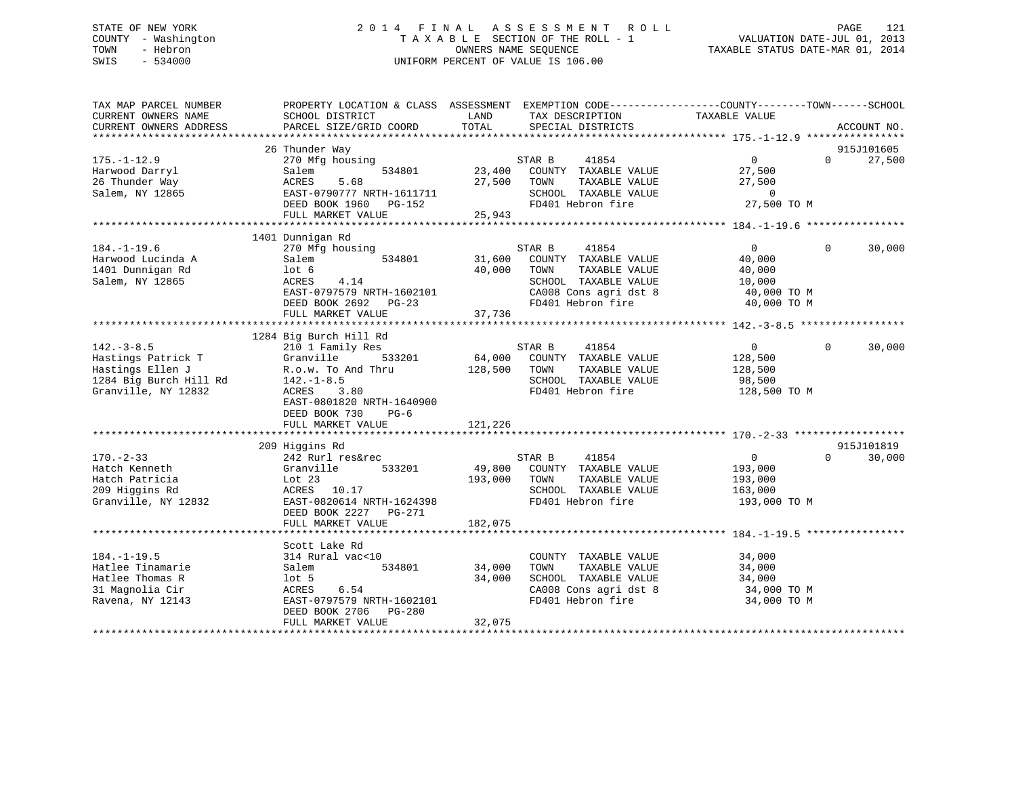# STATE OF NEW YORK 2 0 1 4 F I N A L A S S E S S M E N T R O L L PAGE 121 COUNTY - Washington T A X A B L E SECTION OF THE ROLL - 1 VALUATION DATE-JUL 01, 2013 TOWN - Hebron OWNERS NAME SEQUENCE TAXABLE STATUS DATE-MAR 01, 2014 SWIS - 534000 UNIFORM PERCENT OF VALUE IS 106.00

| TAX MAP PARCEL NUMBER            | PROPERTY LOCATION & CLASS ASSESSMENT EXEMPTION CODE----------------COUNTY-------TOWN------SCHOOL |         |                                           |                |                   |             |
|----------------------------------|--------------------------------------------------------------------------------------------------|---------|-------------------------------------------|----------------|-------------------|-------------|
| CURRENT OWNERS NAME              | SCHOOL DISTRICT                                                                                  | LAND    | TAX DESCRIPTION                           | TAXABLE VALUE  |                   |             |
| CURRENT OWNERS ADDRESS           | PARCEL SIZE/GRID COORD                                                                           | TOTAL   | SPECIAL DISTRICTS                         |                |                   | ACCOUNT NO. |
|                                  | 26 Thunder Way                                                                                   |         |                                           |                |                   | 915J101605  |
|                                  | 270 Mfg housing                                                                                  |         | 41854                                     | $\overline{0}$ | $0 \qquad \qquad$ |             |
| $175. - 1 - 12.9$                | 534801                                                                                           | 23,400  | STAR B<br>COUNTY TAXABLE VALUE            | 27,500         |                   | 27,500      |
| Harwood Darryl<br>26 Thunder Way | Salem<br>5.68<br>ACRES                                                                           | 27,500  | TOWN<br>TAXABLE VALUE                     | 27,500         |                   |             |
|                                  |                                                                                                  |         |                                           | $\overline{0}$ |                   |             |
| Salem, NY 12865                  | EAST-0790777 NRTH-1611711<br>DEED BOOK 1960 PG-152                                               |         | SCHOOL TAXABLE VALUE<br>FD401 Hebron fire | 27,500 TO M    |                   |             |
|                                  | FULL MARKET VALUE                                                                                | 25,943  |                                           |                |                   |             |
|                                  |                                                                                                  |         |                                           |                |                   |             |
|                                  |                                                                                                  |         |                                           |                |                   |             |
|                                  | 1401 Dunnigan Rd                                                                                 |         |                                           |                | $\Omega$          |             |
| $184. - 1 - 19.6$                | 270 Mfg housing                                                                                  |         | STAR B<br>41854                           | $\overline{0}$ |                   | 30,000      |
| Harwood Lucinda A                | 534801<br>Salem                                                                                  | 31,600  | COUNTY TAXABLE VALUE                      | 40,000         |                   |             |
| 1401 Dunnigan Rd                 | lot 6                                                                                            | 40,000  | TAXABLE VALUE<br>TOWN                     | 40,000         |                   |             |
| Salem, NY 12865                  | 4.14<br>ACRES                                                                                    |         | SCHOOL TAXABLE VALUE                      | 10,000         |                   |             |
|                                  | EAST-0797579 NRTH-1602101                                                                        |         | CA008 Cons agri dst 8                     | 40,000 TO M    |                   |             |
|                                  | DEED BOOK 2692<br>$PG-23$                                                                        |         | FD401 Hebron fire                         | 40,000 TO M    |                   |             |
|                                  | FULL MARKET VALUE                                                                                | 37,736  |                                           |                |                   |             |
|                                  |                                                                                                  |         |                                           |                |                   |             |
|                                  | 1284 Big Burch Hill Rd                                                                           |         |                                           |                |                   |             |
| $142. - 3 - 8.5$                 | 210 1 Family Res                                                                                 |         | 41854<br>STAR B                           | $\overline{0}$ | $\Omega$          | 30,000      |
| Hastings Patrick T               | 533201<br>Granville                                                                              |         | 64,000 COUNTY TAXABLE VALUE               | 128,500        |                   |             |
| Hastings Ellen J                 | R.o.w. To And Thru                                                                               | 128,500 | TOWN<br>TAXABLE VALUE                     | 128,500        |                   |             |
| 1284 Big Burch Hill Rd           | $142. - 1 - 8.5$                                                                                 |         | SCHOOL TAXABLE VALUE                      | 98,500         |                   |             |
| Granville, NY 12832              | ACRES 3.80                                                                                       |         | FD401 Hebron fire                         | 128,500 TO M   |                   |             |
|                                  | EAST-0801820 NRTH-1640900                                                                        |         |                                           |                |                   |             |
|                                  | DEED BOOK 730<br>$PG-6$                                                                          |         |                                           |                |                   |             |
|                                  | FULL MARKET VALUE                                                                                | 121,226 |                                           |                |                   |             |
|                                  |                                                                                                  |         |                                           |                |                   |             |
|                                  | 209 Higgins Rd                                                                                   |         |                                           |                |                   | 915J101819  |
| $170. - 2 - 33$                  | 242 Rurl res&rec                                                                                 |         | 41854<br>STAR B                           | $\overline{0}$ | $\Omega$          | 30,000      |
| Hatch Kenneth                    | 533201<br>Granville                                                                              | 49,800  | COUNTY TAXABLE VALUE                      | 193,000        |                   |             |
| Hatch Patricia                   | Lot $23$                                                                                         | 193,000 | TOWN<br>TAXABLE VALUE                     | 193,000        |                   |             |
| 209 Higgins Rd                   | ACRES 10.17                                                                                      |         | SCHOOL TAXABLE VALUE                      | 163,000        |                   |             |
| Granville, NY 12832              | EAST-0820614 NRTH-1624398                                                                        |         | FD401 Hebron fire                         | 193,000 TO M   |                   |             |
|                                  | DEED BOOK 2227 PG-271                                                                            |         |                                           |                |                   |             |
|                                  | FULL MARKET VALUE                                                                                | 182,075 |                                           |                |                   |             |
|                                  |                                                                                                  |         |                                           |                |                   |             |
|                                  | Scott Lake Rd                                                                                    |         |                                           |                |                   |             |
| $184. - 1 - 19.5$                | 314 Rural vac<10                                                                                 |         | COUNTY TAXABLE VALUE                      | 34,000         |                   |             |
| Hatlee Tinamarie                 | 534801<br>Salem                                                                                  | 34,000  | TOWN<br>TAXABLE VALUE                     | 34,000         |                   |             |
| Hatlee Thomas R                  | lot 5                                                                                            | 34,000  | SCHOOL TAXABLE VALUE                      | 34,000         |                   |             |
| 31 Magnolia Cir                  | 6.54<br>ACRES                                                                                    |         | CA008 Cons agri dst 8                     | 34,000 TO M    |                   |             |
| Ravena, NY 12143                 | EAST-0797579 NRTH-1602101                                                                        |         | FD401 Hebron fire                         | 34,000 TO M    |                   |             |
|                                  | DEED BOOK 2706<br>PG-280                                                                         |         |                                           |                |                   |             |
|                                  | FULL MARKET VALUE                                                                                | 32,075  |                                           |                |                   |             |
|                                  |                                                                                                  |         |                                           |                |                   |             |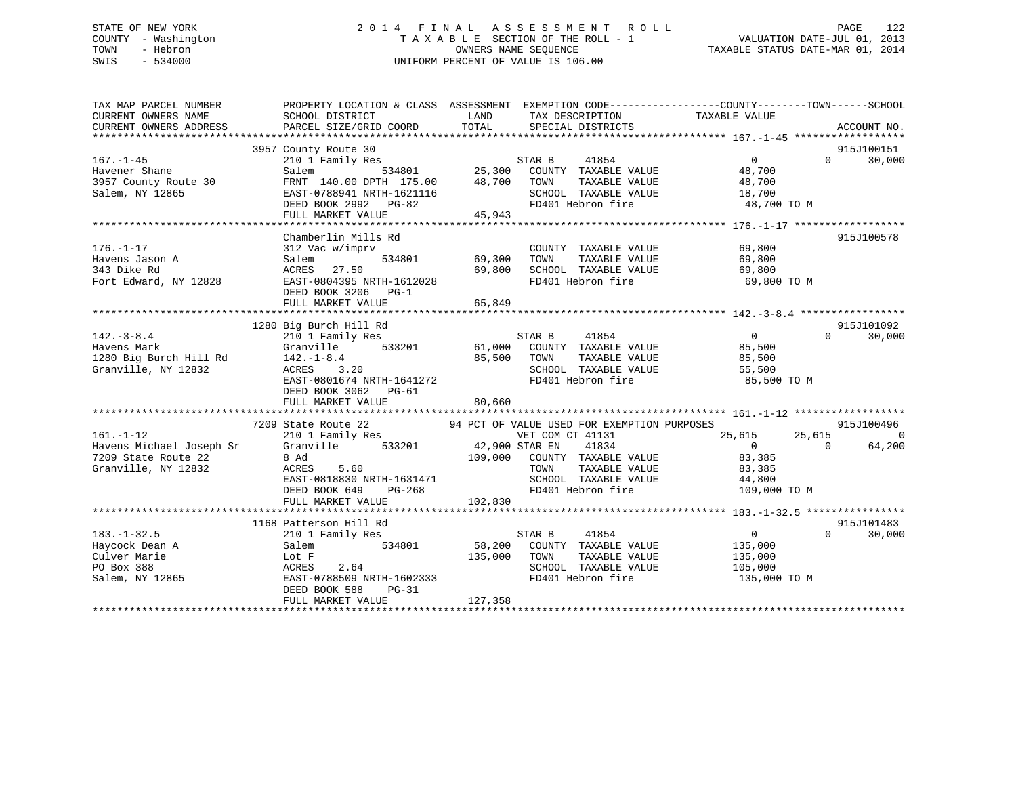# STATE OF NEW YORK 2 0 1 4 F I N A L A S S E S S M E N T R O L L PAGE 122 COUNTY - Washington T A X A B L E SECTION OF THE ROLL - 1 VALUATION DATE-JUL 01, 2013 TOWN - Hebron OWNERS NAME SEQUENCE TAXABLE STATUS DATE-MAR 01, 2014 SWIS - 534000 UNIFORM PERCENT OF VALUE IS 106.00

| TAX MAP PARCEL NUMBER<br>CURRENT OWNERS NAME<br>CURRENT OWNERS ADDRESS | PROPERTY LOCATION & CLASS ASSESSMENT EXEMPTION CODE---------------COUNTY-------TOWN-----SCHOOL<br>SCHOOL DISTRICT<br>PARCEL SIZE/GRID COORD | LAND TAX DESCRIPTION<br>TOTAL SPECIAL DISTRICTS |                                        | TAXABLE VALUE                                                                       |          | ACCOUNT NO.    |
|------------------------------------------------------------------------|---------------------------------------------------------------------------------------------------------------------------------------------|-------------------------------------------------|----------------------------------------|-------------------------------------------------------------------------------------|----------|----------------|
|                                                                        |                                                                                                                                             |                                                 |                                        |                                                                                     |          |                |
|                                                                        | 3957 County Route 30                                                                                                                        |                                                 |                                        |                                                                                     |          | 915J100151     |
| $167. - 1 - 45$                                                        | 210 1 Family Res<br>Salem 534801 25,300 COUNTY TAXABLE VALUE<br>FRNT 140.00 DPTH 175.00 48,700 TOWN TAXABLE VALUE                           |                                                 |                                        | $\overline{0}$                                                                      | $\Omega$ | 30,000         |
| Havener Shane                                                          |                                                                                                                                             |                                                 |                                        | 48,700                                                                              |          |                |
| 3957 County Route 30                                                   |                                                                                                                                             |                                                 |                                        |                                                                                     |          |                |
| Salem, NY 12865                                                        |                                                                                                                                             |                                                 |                                        |                                                                                     |          |                |
|                                                                        | FRNI 170.00 211-<br>EAST-0788941 NRTH-1621116<br>DEED ROOK 2992 PG-82                                                                       |                                                 |                                        |                                                                                     |          |                |
|                                                                        | FULL MARKET VALUE 45,943                                                                                                                    |                                                 |                                        |                                                                                     |          |                |
|                                                                        |                                                                                                                                             |                                                 |                                        |                                                                                     |          |                |
|                                                                        | Chamberlin Mills Rd                                                                                                                         |                                                 |                                        |                                                                                     |          | 915J100578     |
| $176. - 1 - 17$                                                        | 312 Vac w/imprv                                                                                                                             |                                                 | COUNTY TAXABLE VALUE                   | 69,800                                                                              |          |                |
| Havens Jason A                                                         | Salem                                                                                                                                       | COUNT<br>534801 69,300 TOWN                     | TAXABLE VALUE 69,800                   |                                                                                     |          |                |
| 343 Dike Rd                                                            | ACRES 27.50                                                                                                                                 | 69,800                                          | SCHOOL TAXABLE VALUE                   | 69,800                                                                              |          |                |
| Fort Edward, NY 12828                                                  | EAST-0804395 NRTH-1612028                                                                                                                   |                                                 | FD401 Hebron fire<br>FD401 Hebron fire | 69,800 TO M                                                                         |          |                |
|                                                                        | DEED BOOK 3206 PG-1                                                                                                                         |                                                 |                                        |                                                                                     |          |                |
|                                                                        | FULL MARKET VALUE                                                                                                                           | 65,849                                          |                                        |                                                                                     |          |                |
|                                                                        |                                                                                                                                             |                                                 |                                        |                                                                                     |          |                |
|                                                                        | 1280 Big Burch Hill Rd                                                                                                                      |                                                 |                                        |                                                                                     |          | 915J101092     |
| $142. - 3 - 8.4$                                                       | piy surch Hill Rd<br>210 1 Family Res                                                                                                       | STAR B                                          | 41854                                  | $\overline{0}$                                                                      | $\Omega$ | 30,000         |
| Havens Mark                                                            | Granville 533201 61,000 COUNTY TAXABLE VALUE 85,500                                                                                         |                                                 |                                        |                                                                                     |          |                |
| 1280 Big Burch Hill Rd                                                 | $142. - 1 - 8.4$                                                                                                                            | 85,500 TOWN                                     | TAXABLE VALUE                          | 85,500                                                                              |          |                |
| Granville, NY 12832                                                    | ACRES 3.20                                                                                                                                  |                                                 | SCHOOL TAXABLE VALUE 55,500            |                                                                                     |          |                |
|                                                                        | EAST-0801674 NRTH-1641272                                                                                                                   |                                                 |                                        | FD401 Hebron fire 35,500 TO M                                                       |          |                |
|                                                                        | DEED BOOK 3062 PG-61                                                                                                                        |                                                 |                                        |                                                                                     |          |                |
|                                                                        | FULL MARKET VALUE                                                                                                                           | 80,660                                          |                                        |                                                                                     |          |                |
|                                                                        |                                                                                                                                             |                                                 |                                        |                                                                                     |          |                |
|                                                                        | 7209 State Route 22 94 PCT OF VALUE USED FOR EXEMPTION PURPOSES                                                                             |                                                 |                                        |                                                                                     |          | 915J100496     |
| $161. - 1 - 12$                                                        | 210 1 Family Res                                                                                                                            | VET COM CT 41131                                |                                        | 25,615                                                                              | 25,615   | $\overline{0}$ |
| Havens Michael Joseph Sr                                               | Granville 533201 42,900 STAR EN                                                                                                             |                                                 | 41834                                  | $\overline{0}$                                                                      | $\Omega$ | 64,200         |
| 7209 State Route 22                                                    |                                                                                                                                             | 109,000 COUNTY TAXABLE VALUE                    |                                        | 83,385                                                                              |          |                |
| Granville, NY 12832                                                    |                                                                                                                                             | TOWN                                            | TAXABLE VALUE                          | 83,385                                                                              |          |                |
|                                                                        | EAST-0818830 NRTH-1631471                                                                                                                   |                                                 |                                        |                                                                                     |          |                |
|                                                                        | DEED BOOK 649 PG-268                                                                                                                        |                                                 | FD401 Hebron fire                      | 10WN IAAADDE VIEUL<br>SCHOOL TAXABLE VALUE 44,800<br>EDA01 Hebron fire 109,000 TO M |          |                |
|                                                                        | FULL MARKET VALUE                                                                                                                           | 102,830                                         |                                        |                                                                                     |          |                |
|                                                                        |                                                                                                                                             |                                                 |                                        |                                                                                     |          |                |
|                                                                        | 1168 Patterson Hill Rd                                                                                                                      |                                                 |                                        |                                                                                     |          | 915J101483     |
| $183. - 1 - 32.5$                                                      | 210 1 Family Res                                                                                                                            | STAR B                                          | 41854                                  | $\overline{0}$                                                                      | $\Omega$ | 30,000         |
| Haycock Dean A                                                         | 534801<br>Salem                                                                                                                             | 58,200 COUNTY TAXABLE VALUE                     |                                        | 135,000                                                                             |          |                |
| Culver Marie                                                           | Lot F                                                                                                                                       | 135,000 TOWN                                    | TAXABLE VALUE                          | 135,000                                                                             |          |                |
| PO Box 388                                                             |                                                                                                                                             |                                                 | SCHOOL TAXABLE VALUE                   | 105,000                                                                             |          |                |
| Salem, NY 12865                                                        | ACRES 2.64<br>EAST-0788509 NRTH-1602333                                                                                                     |                                                 | FD401 Hebron fire                      | 135,000 TO M                                                                        |          |                |
|                                                                        | $PG-31$<br>DEED BOOK 588                                                                                                                    |                                                 |                                        |                                                                                     |          |                |
|                                                                        | FULL MARKET VALUE                                                                                                                           | 127,358                                         |                                        |                                                                                     |          |                |
|                                                                        |                                                                                                                                             |                                                 |                                        |                                                                                     |          |                |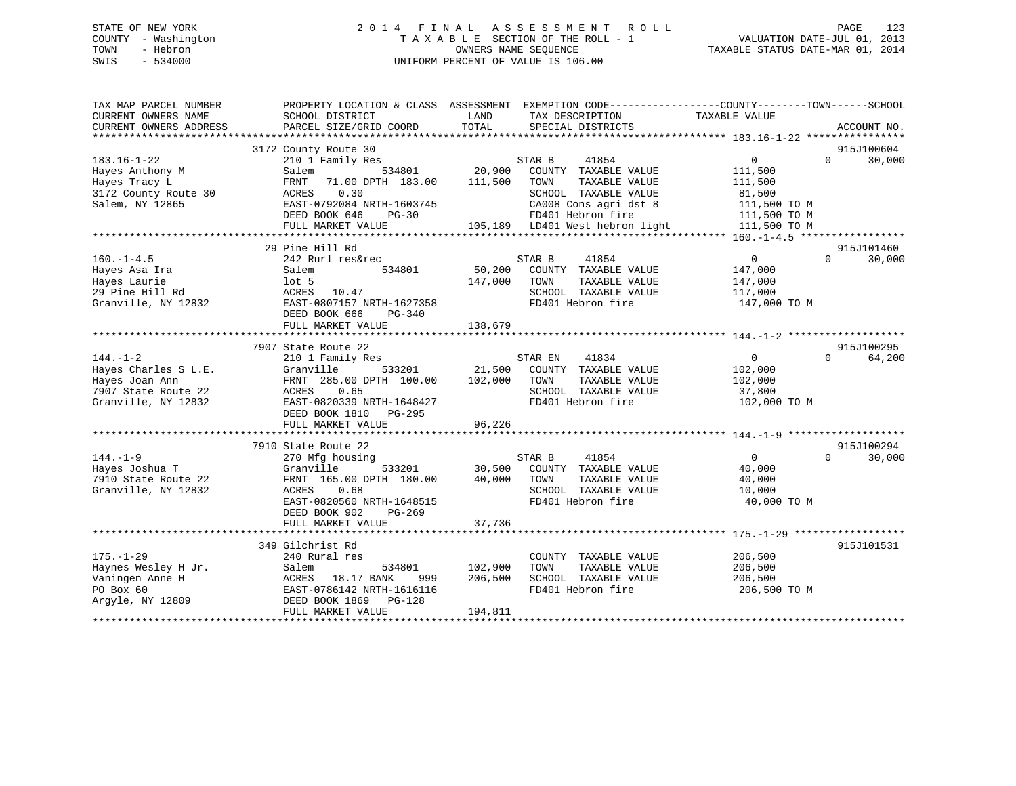# STATE OF NEW YORK 2 0 1 4 F I N A L A S S E S S M E N T R O L L PAGE 123 COUNTY - Washington T A X A B L E SECTION OF THE ROLL - 1 VALUATION DATE-JUL 01, 2013 TOWN - Hebron OWNERS NAME SEQUENCE TAXABLE STATUS DATE-MAR 01, 2014 SWIS - 534000 UNIFORM PERCENT OF VALUE IS 106.00

| TAX MAP PARCEL NUMBER<br>CURRENT OWNERS NAME<br>CURRENT OWNERS ADDRESS                                 | SCHOOL DISTRICT<br>PARCEL SIZE/GRID COORD                                                                                                                                             | PROPERTY LOCATION & CLASS ASSESSMENT EXEMPTION CODE----------------COUNTY-------TOWN------SCHOOL<br>LAND<br>TAX DESCRIPTION<br>TOTAL<br>SPECIAL DISTRICTS                                             | TAXABLE VALUE<br>ACCOUNT NO.                                                                                          |
|--------------------------------------------------------------------------------------------------------|---------------------------------------------------------------------------------------------------------------------------------------------------------------------------------------|-------------------------------------------------------------------------------------------------------------------------------------------------------------------------------------------------------|-----------------------------------------------------------------------------------------------------------------------|
| $183.16 - 1 - 22$<br>Hayes Anthony M<br>Hayes Tracy L<br>3172 County Route 30<br>Salem, NY 12865       | 3172 County Route 30<br>210 1 Family Res<br>Salem<br>71.00 DPTH 183.00<br>FRNT<br>ACRES<br>0.30<br>EAST-0792084 NRTH-1603745<br>DEED BOOK 646<br>$PG-30$<br>FULL MARKET VALUE         | STAR B<br>41854<br>534801 20,900<br>COUNTY TAXABLE VALUE<br>111,500<br>TOWN<br>TAXABLE VALUE<br>SCHOOL TAXABLE VALUE<br>CA008 Cons agri dst 8<br>FD401 Hebron fire<br>105,189 LD401 West hebron light | 915J100604<br>0<br>$\Omega$<br>30,000<br>111,500<br>111,500<br>81,500<br>111,500 TO M<br>111,500 TO M<br>111,500 TO M |
| $160. - 1 - 4.5$<br>Hayes Asa Ira<br>Hayes Laurie<br>29 Pine Hill Rd<br>Granville, NY 12832            | 29 Pine Hill Rd<br>242 Rurl res&rec<br>Salem<br>534801<br>$1$ ot 5<br>ACRES 10.47<br>EAST-0807157 NRTH-1627358<br>DEED BOOK 666<br>PG-340<br>FULL MARKET VALUE                        | STAR B<br>41854<br>50,200<br>COUNTY TAXABLE VALUE<br>147,000<br>TOWN<br>TAXABLE VALUE<br>SCHOOL TAXABLE VALUE<br>FD401 Hebron fire<br>138,679                                                         | 915J101460<br>30,000<br>$\overline{0}$<br>$\Omega$<br>147,000<br>147,000<br>117,000<br>147,000 TO M                   |
| $144. - 1 - 2$<br>Hayes Charles S L.E.<br>Hayes Joan Ann<br>7907 State Route 22<br>Granville, NY 12832 | 7907 State Route 22<br>210 1 Family Res<br>Granville<br>FRNT 285.00 DPTH 100.00 102,000 TOWN<br>ACRES 0.65<br>EAST-0820339 NRTH-1648427<br>DEED BOOK 1810 PG-295<br>FULL MARKET VALUE | STAR EN<br>41834<br>533201 21,500 COUNTY TAXABLE VALUE<br>TAXABLE VALUE<br>SCHOOL TAXABLE VALUE<br>FD401 Hebron fire<br>96,226                                                                        | 915J100295<br>$\overline{0}$<br>64,200<br>$\Omega$<br>102,000<br>102,000<br>37,800<br>102,000 TO M                    |
| $144. - 1 - 9$<br>Hayes Joshua T<br>7910 State Route 22<br>Granville, NY 12832                         | 7910 State Route 22<br>270 Mfg housing<br>Granville<br>FRNT 165.00 DPTH 180.00<br>ACRES<br>0.68<br>EAST-0820560 NRTH-1648515<br>DEED BOOK 902<br>PG-269<br>FULL MARKET VALUE          | STAR B<br>41854<br>533201 30,500 COUNTY TAXABLE VALUE<br>40,000<br>TOWN<br>TAXABLE VALUE<br>SCHOOL TAXABLE VALUE<br>FD401 Hebron fire<br>37,736                                                       | 915J100294<br>$\overline{0}$<br>30,000<br>$\Omega$<br>40,000<br>40,000<br>10,000<br>40,000 TO M                       |
| $175. - 1 - 29$<br>Haynes Wesley H Jr.<br>Vaningen Anne H<br>PO Box 60<br>Argyle, NY 12809             | 349 Gilchrist Rd<br>240 Rural res<br>Salem<br>534801<br>ACRES 18.17 BANK<br>999<br>EAST-0786142 NRTH-1616116<br>DEED BOOK 1869 PG-128<br>FULL MARKET VALUE                            | COUNTY TAXABLE VALUE<br>102,900<br>TOWN<br>TAXABLE VALUE<br>206,500<br>SCHOOL TAXABLE VALUE<br>FD401 Hebron fire<br>194,811                                                                           | 915J101531<br>206,500<br>206,500<br>206,500<br>206,500 TO M                                                           |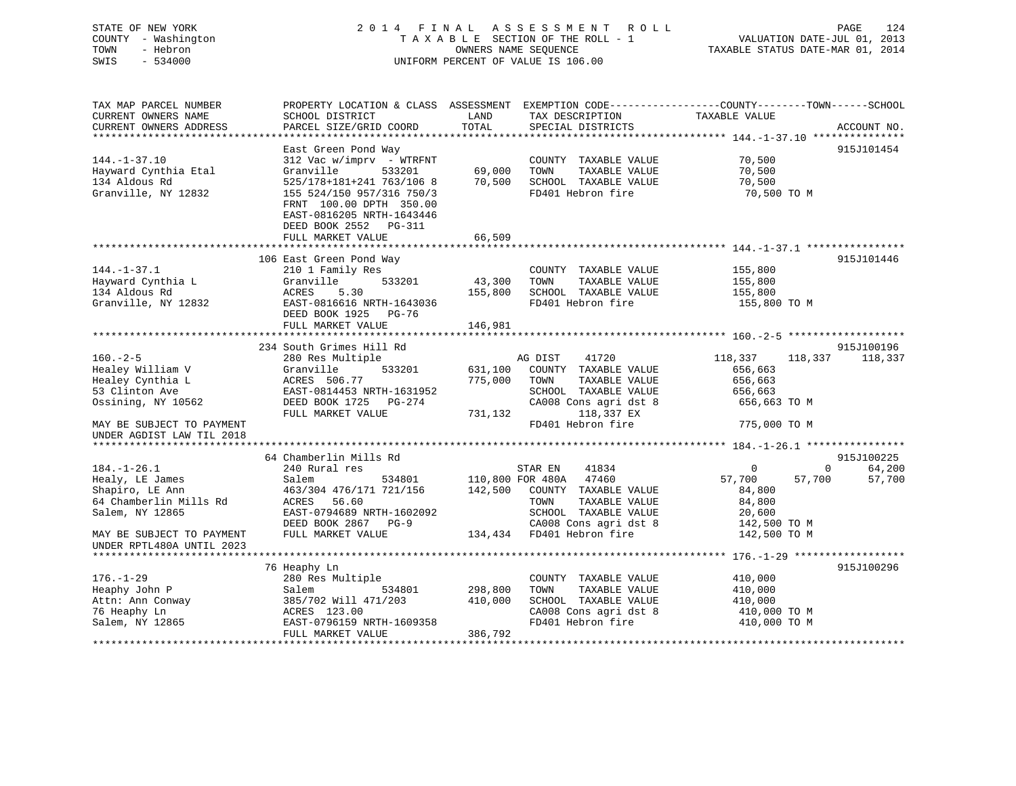# STATE OF NEW YORK 2 0 1 4 F I N A L A S S E S S M E N T R O L L PAGE 124 COUNTY - Washington T A X A B L E SECTION OF THE ROLL - 1 VALUATION DATE-JUL 01, 2013 TOWN - Hebron **CONNERS NAME SEQUENCE** TAXABLE STATUS DATE-MAR 01, 2014 SWIS - 534000 UNIFORM PERCENT OF VALUE IS 106.00

| TAX MAP PARCEL NUMBER              |                                        |         |                                               | PROPERTY LOCATION & CLASS ASSESSMENT EXEMPTION CODE----------------COUNTY-------TOWN------SCHOOL |             |
|------------------------------------|----------------------------------------|---------|-----------------------------------------------|--------------------------------------------------------------------------------------------------|-------------|
| CURRENT OWNERS NAME                | SCHOOL DISTRICT                        | LAND    | TAX DESCRIPTION                               | TAXABLE VALUE                                                                                    |             |
| CURRENT OWNERS ADDRESS             | PARCEL SIZE/GRID COORD                 | TOTAL   | SPECIAL DISTRICTS                             |                                                                                                  | ACCOUNT NO. |
|                                    |                                        |         |                                               |                                                                                                  |             |
|                                    | East Green Pond Way                    |         |                                               |                                                                                                  | 915J101454  |
| $144. - 1 - 37.10$                 | $312$ Vac w/imprv - WTRFNT             |         | COUNTY TAXABLE VALUE                          | 70,500                                                                                           |             |
| Hayward Cynthia Etal               | Granville<br>533201                    | 69,000  | TOWN<br>TAXABLE VALUE                         | 70,500                                                                                           |             |
| 134 Aldous Rd                      | 525/178+181+241 763/106 8              | 70,500  | SCHOOL TAXABLE VALUE                          | 70,500                                                                                           |             |
| Granville, NY 12832                | 155 524/150 957/316 750/3              |         | FD401 Hebron fire                             | 70,500 TO M                                                                                      |             |
|                                    | FRNT 100.00 DPTH 350.00                |         |                                               |                                                                                                  |             |
|                                    | EAST-0816205 NRTH-1643446              |         |                                               |                                                                                                  |             |
|                                    | DEED BOOK 2552 PG-311                  |         |                                               |                                                                                                  |             |
|                                    | FULL MARKET VALUE                      | 66,509  |                                               |                                                                                                  |             |
|                                    |                                        |         |                                               |                                                                                                  |             |
|                                    | 106 East Green Pond Way                |         |                                               |                                                                                                  | 915J101446  |
| $144. - 1 - 37.1$                  | 210 1 Family Res                       |         | COUNTY TAXABLE VALUE                          | 155,800                                                                                          |             |
| Hayward Cynthia L                  | 533201<br>Granville                    | 43,300  | TOWN<br>TAXABLE VALUE                         | 155,800                                                                                          |             |
| 134 Aldous Rd                      | 5.30<br>ACRES                          | 155,800 | SCHOOL TAXABLE VALUE                          | 155,800                                                                                          |             |
| Granville, NY 12832                | EAST-0816616 NRTH-1643036              |         | FD401 Hebron fire                             | 155,800 TO M                                                                                     |             |
|                                    | DEED BOOK 1925 PG-76                   |         |                                               |                                                                                                  |             |
|                                    | FULL MARKET VALUE                      | 146,981 |                                               |                                                                                                  |             |
|                                    |                                        |         |                                               |                                                                                                  |             |
|                                    | 234 South Grimes Hill Rd               |         |                                               |                                                                                                  | 915J100196  |
| $160. -2 - 5$                      | 280 Res Multiple                       |         | AG DIST<br>41720                              | 118,337<br>118,337                                                                               | 118,337     |
| Healey William V                   | 533201<br>Granville                    | 631,100 | COUNTY TAXABLE VALUE                          | 656,663                                                                                          |             |
| Healey Cynthia L                   | ACRES 506.77                           | 775,000 | TOWN<br>TAXABLE VALUE                         | 656,663                                                                                          |             |
| 53 Clinton Ave                     | EAST-0814453 NRTH-1631952              |         | SCHOOL TAXABLE VALUE                          | 656,663                                                                                          |             |
| Ossining, NY 10562                 | DEED BOOK 1725 PG-274                  |         | CA008 Cons agri dst 8                         | 656,663 TO M                                                                                     |             |
|                                    | FULL MARKET VALUE                      | 731,132 | 118,337 EX                                    |                                                                                                  |             |
| MAY BE SUBJECT TO PAYMENT          |                                        |         | FD401 Hebron fire                             | 775,000 TO M                                                                                     |             |
| UNDER AGDIST LAW TIL 2018          |                                        |         |                                               |                                                                                                  |             |
|                                    |                                        |         |                                               |                                                                                                  | 915J100225  |
| $184. - 1 - 26.1$                  | 64 Chamberlin Mills Rd                 |         |                                               | $\Omega$                                                                                         | 64,200      |
|                                    | 240 Rural res                          |         | STAR EN<br>41834<br>110,800 FOR 480A 47460    | 0<br>57,700                                                                                      | 57,700      |
| Healy, LE James<br>Shapiro, LE Ann | Salem<br>534801                        | 142,500 |                                               | 57,700                                                                                           |             |
| 64 Chamberlin Mills Rd             | 463/304 476/171 721/156<br>ACRES 56.60 |         | COUNTY TAXABLE VALUE<br>TOWN<br>TAXABLE VALUE | 84,800                                                                                           |             |
| Salem, NY 12865                    | EAST-0794689 NRTH-1602092              |         | SCHOOL TAXABLE VALUE                          | 84,800                                                                                           |             |
|                                    | DEED BOOK 2867 PG-9                    |         | CA008 Cons agri dst 8                         | 20,600<br>142,500 TO M                                                                           |             |
| MAY BE SUBJECT TO PAYMENT          | FULL MARKET VALUE                      |         | 134,434 FD401 Hebron fire                     | 142,500 TO M                                                                                     |             |
| UNDER RPTL480A UNTIL 2023          |                                        |         |                                               |                                                                                                  |             |
|                                    |                                        |         |                                               |                                                                                                  |             |
|                                    | 76 Heaphy Ln                           |         |                                               |                                                                                                  | 915J100296  |
| $176. - 1 - 29$                    | 280 Res Multiple                       |         | COUNTY TAXABLE VALUE                          | 410,000                                                                                          |             |
| Heaphy John P                      | Salem<br>534801                        | 298,800 | TOWN<br>TAXABLE VALUE                         | 410,000                                                                                          |             |
| Attn: Ann Conway                   | 385/702 Will 471/203                   | 410,000 | SCHOOL TAXABLE VALUE                          | 410,000                                                                                          |             |
| 76 Heaphy Ln                       | ACRES 123.00                           |         | CA008 Cons agri dst 8                         | 410,000 TO M                                                                                     |             |
| Salem, NY 12865                    | EAST-0796159 NRTH-1609358              |         | FD401 Hebron fire                             | 410,000 TO M                                                                                     |             |
|                                    | FULL MARKET VALUE                      | 386,792 |                                               |                                                                                                  |             |
|                                    |                                        |         |                                               |                                                                                                  |             |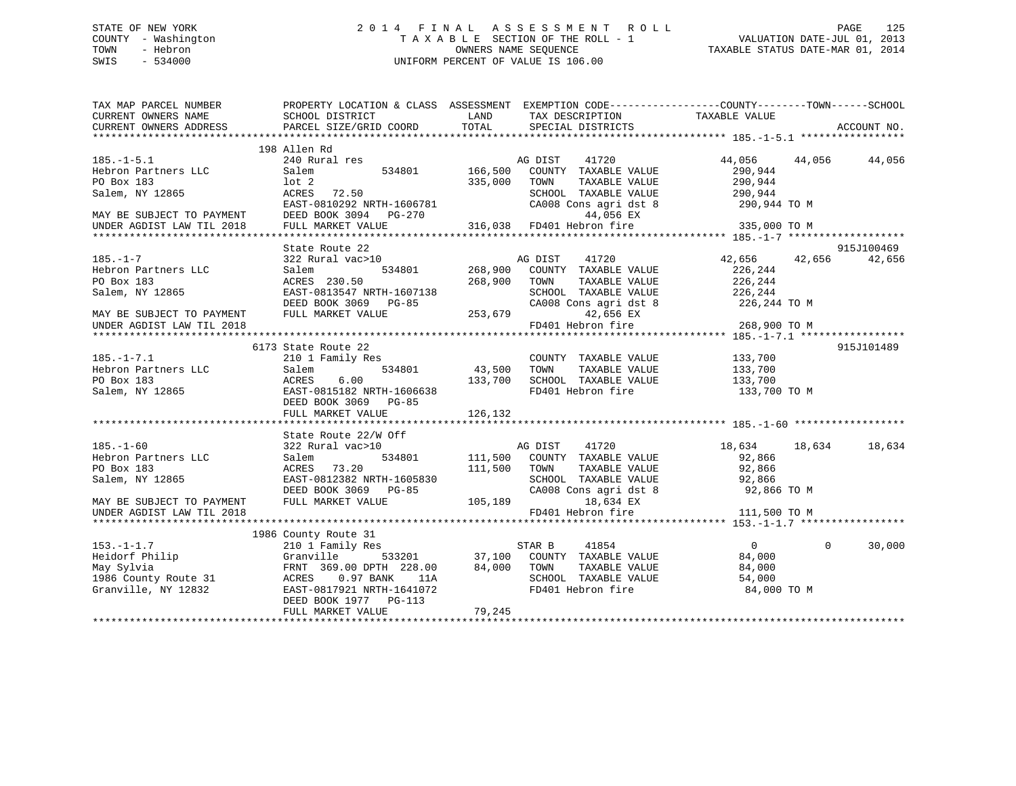# STATE OF NEW YORK 2 0 1 4 F I N A L A S S E S S M E N T R O L L PAGE 125 COUNTY - Washington T A X A B L E SECTION OF THE ROLL - 1 VALUATION DATE-JUL 01, 2013 TOWN - Hebron OWNERS NAME SEQUENCE TAXABLE STATUS DATE-MAR 01, 2014 SWIS - 534000 UNIFORM PERCENT OF VALUE IS 106.00

| TAX MAP PARCEL NUMBER<br>CURRENT OWNERS NAME           | SCHOOL DISTRICT                                         | <b>LAND</b><br>TAX DESCRIPTION                                                                                                                                                      | PROPERTY LOCATION & CLASS ASSESSMENT EXEMPTION CODE----------------COUNTY-------TOWN------SCHOOL                                                                                                                                   |
|--------------------------------------------------------|---------------------------------------------------------|-------------------------------------------------------------------------------------------------------------------------------------------------------------------------------------|------------------------------------------------------------------------------------------------------------------------------------------------------------------------------------------------------------------------------------|
| CURRENT OWNERS ADDRESS                                 | PARCEL SIZE/GRID COORD                                  | TOTAL<br>SPECIAL DISTRICTS                                                                                                                                                          | TAXABLE VALUE<br>ACCOUNT NO.                                                                                                                                                                                                       |
|                                                        |                                                         |                                                                                                                                                                                     |                                                                                                                                                                                                                                    |
|                                                        | 198 Allen Rd                                            |                                                                                                                                                                                     |                                                                                                                                                                                                                                    |
| $185. - 1 - 5.1$                                       | 240 Rural res                                           | AG DIST<br>41720                                                                                                                                                                    | 44,056 44,056<br>44,056                                                                                                                                                                                                            |
| Hebron Partners LLC                                    | 534801<br>Salem                                         | 166,500<br>COUNTY TAXABLE VALUE                                                                                                                                                     | 290,944                                                                                                                                                                                                                            |
| PO Box 183                                             | $1$ ot $2$                                              | 335,000<br>TOWN<br>TAXABLE VALUE                                                                                                                                                    | 290,944                                                                                                                                                                                                                            |
| Salem, NY 12865                                        | ACRES 72.50                                             | SCHOOL TAXABLE VALUE                                                                                                                                                                | 290,944                                                                                                                                                                                                                            |
|                                                        |                                                         |                                                                                                                                                                                     | CA008 Cons agri dst 8 290,944 TO M                                                                                                                                                                                                 |
|                                                        | EAST-0810292 NRTH-1606781 CA008 (DEED BOOK 3094 PG-270  | 44,056 EX                                                                                                                                                                           |                                                                                                                                                                                                                                    |
| MAY BE SUBJECT TO PAYMENT<br>UNDER AGDIST LAW TIL 2018 | FULL MARKET VALUE                                       | 316,038 FD401 Hebron fire                                                                                                                                                           | 335,000 TO M                                                                                                                                                                                                                       |
|                                                        |                                                         |                                                                                                                                                                                     |                                                                                                                                                                                                                                    |
|                                                        | State Route 22                                          |                                                                                                                                                                                     | 915J100469                                                                                                                                                                                                                         |
| $185. - 1 - 7$                                         | 322 Rural vac>10                                        | AG DIST<br>41720                                                                                                                                                                    | 42,656 42,656 42,656                                                                                                                                                                                                               |
| Hebron Partners LLC                                    | 534801<br>Salem                                         | 268,900<br>COUNTY TAXABLE VALUE                                                                                                                                                     | 226,244                                                                                                                                                                                                                            |
| PO Box 183                                             | ACRES 230.50                                            | 268,900<br>TOWN<br>TAXABLE VALUE                                                                                                                                                    | 226,244                                                                                                                                                                                                                            |
| Salem, NY 12865                                        | EAST-0813547 NRTH-1607138                               |                                                                                                                                                                                     |                                                                                                                                                                                                                                    |
|                                                        | DEED BOOK 3069 PG-85                                    |                                                                                                                                                                                     | $\begin{tabular}{lllllllll} \texttt{SCHOOL} & \texttt{TAXABLE} & \texttt{VALUE} & & \texttt{226,244} \\ \texttt{CA008} & \texttt{Cons}\xspace & \texttt{dst}\xspace & & \texttt{226,244} & \texttt{TO} $\texttt{M}$ \end{tabular}$ |
|                                                        | FULL MARKET VALUE                                       |                                                                                                                                                                                     |                                                                                                                                                                                                                                    |
| MAY BE SUBJECT TO PAYMENT                              |                                                         | 253,679<br>42,656 EX<br>FD401 Hebron fire                                                                                                                                           |                                                                                                                                                                                                                                    |
| UNDER AGDIST LAW TIL 2018                              |                                                         |                                                                                                                                                                                     | 268,900 TO M                                                                                                                                                                                                                       |
|                                                        |                                                         |                                                                                                                                                                                     |                                                                                                                                                                                                                                    |
|                                                        | 6173 State Route 22                                     |                                                                                                                                                                                     | 915J101489                                                                                                                                                                                                                         |
| $185. - 1 - 7.1$                                       | 210 1 Family Res                                        | COUNTY TAXABLE VALUE                                                                                                                                                                | 133,700                                                                                                                                                                                                                            |
| Hebron Partners LLC                                    | 534801<br>Salem                                         | 43,500 TOWN<br>TAXABLE VALUE                                                                                                                                                        | 133,700                                                                                                                                                                                                                            |
| PO Box 183                                             |                                                         | SCHOOL TAXABLE VALUE 133,700                                                                                                                                                        |                                                                                                                                                                                                                                    |
| Salem, NY 12865                                        | ACRES 6.00 133,700<br>EAST-0815182 NRTH-1606638 133,700 | FD401 Hebron fire                                                                                                                                                                   | 133,700 TO M                                                                                                                                                                                                                       |
|                                                        | DEED BOOK 3069 PG-85                                    |                                                                                                                                                                                     |                                                                                                                                                                                                                                    |
|                                                        |                                                         |                                                                                                                                                                                     |                                                                                                                                                                                                                                    |
|                                                        |                                                         |                                                                                                                                                                                     |                                                                                                                                                                                                                                    |
|                                                        | State Route 22/W Off                                    |                                                                                                                                                                                     |                                                                                                                                                                                                                                    |
| $185. - 1 - 60$                                        | 322 Rural vac>10                                        | AG DIST 41720                                                                                                                                                                       | 18,634<br>18,634<br>18,634                                                                                                                                                                                                         |
| Hebron Partners LLC                                    | Salem                                                   | 534801 111,500 COUNTY TAXABLE VALUE                                                                                                                                                 | 92,866                                                                                                                                                                                                                             |
| PO Box 183                                             | ACRES 73.20                                             | 111,500 TOWN<br>TAXABLE VALUE                                                                                                                                                       | 92,866                                                                                                                                                                                                                             |
| Salem, NY 12865                                        | EAST-0812382 NRTH-1605830                               |                                                                                                                                                                                     | SCHOOL TAXABLE VALUE 92,866                                                                                                                                                                                                        |
|                                                        | DEED BOOK 3069 PG-85                                    |                                                                                                                                                                                     | CA008 Cons agri dst 8 92,866 TO M                                                                                                                                                                                                  |
| MAY BE SUBJECT TO PAYMENT                              | FULL MARKET VALUE                                       | 105, 189<br>18,634 EX                                                                                                                                                               |                                                                                                                                                                                                                                    |
| UNDER AGDIST LAW TIL 2018                              |                                                         | FD401 Hebron fire                                                                                                                                                                   | 111,500 TO M                                                                                                                                                                                                                       |
|                                                        |                                                         |                                                                                                                                                                                     |                                                                                                                                                                                                                                    |
|                                                        | 1986 County Route 31                                    |                                                                                                                                                                                     |                                                                                                                                                                                                                                    |
| $153. - 1 - 1.7$                                       | 210 1 Family Res                                        |                                                                                                                                                                                     | $\Omega$<br>30,000                                                                                                                                                                                                                 |
| Heidorf Philip                                         | Granville                                               | $\begin{array}{ccccccccc}\n\text{ly Res} & & & \text{STAR B} & & \text{41854} & & & 0 \\  & & & 533201 & & 37,100 & \text{COUNTY} & \text{TAXABLE VALUE} & & & 84,000\n\end{array}$ |                                                                                                                                                                                                                                    |
| May Sylvia                                             | FRNT 369.00 DPTH 228.00                                 | 84,000 TOWN<br>TAXABLE VALUE                                                                                                                                                        | 84,000                                                                                                                                                                                                                             |
| 1986 County Route 31                                   | 0.97 BANK<br>ACRES<br>11A                               | SCHOOL TAXABLE VALUE                                                                                                                                                                | 54,000                                                                                                                                                                                                                             |
| Granville, NY 12832                                    | EAST-0817921 NRTH-1641072                               | FD401 Hebron fire                                                                                                                                                                   | 84,000 TO M                                                                                                                                                                                                                        |
|                                                        | DEED BOOK 1977 PG-113                                   |                                                                                                                                                                                     |                                                                                                                                                                                                                                    |
|                                                        | FULL MARKET VALUE                                       | 79,245                                                                                                                                                                              |                                                                                                                                                                                                                                    |
|                                                        |                                                         |                                                                                                                                                                                     |                                                                                                                                                                                                                                    |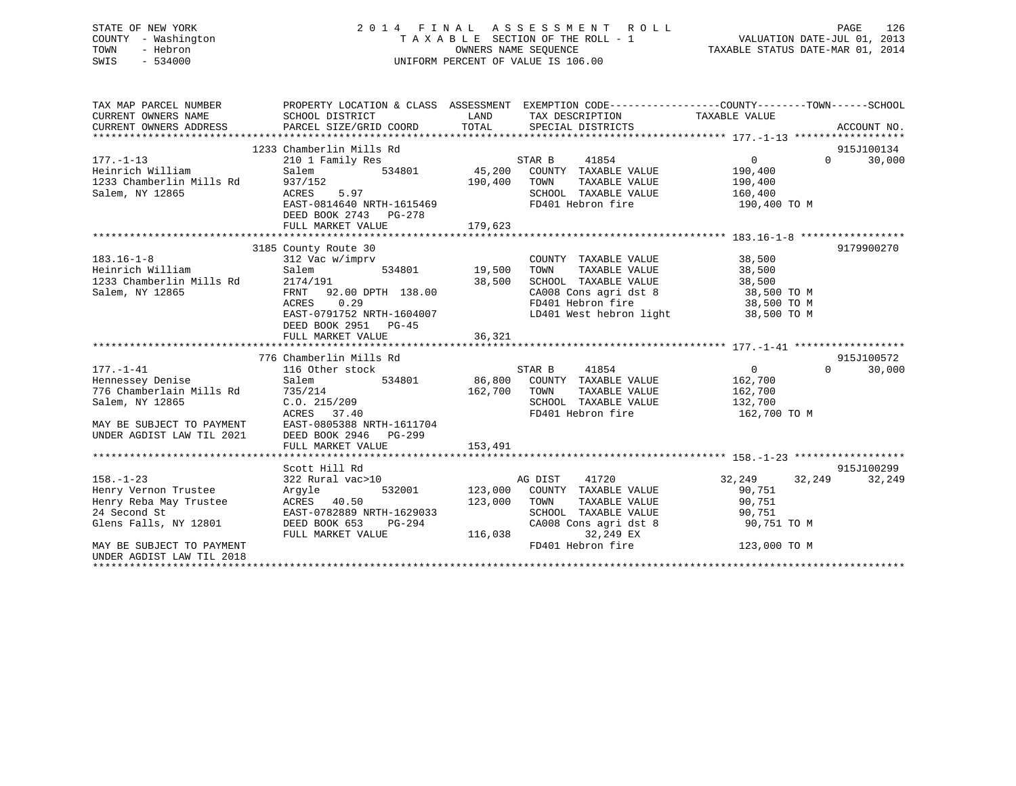# STATE OF NEW YORK 2 0 1 4 F I N A L A S S E S S M E N T R O L L PAGE 126 COUNTY - Washington T A X A B L E SECTION OF THE ROLL - 1 VALUATION DATE-JUL 01, 2013 TOWN - Hebron OWNERS NAME SEQUENCE TAXABLE STATUS DATE-MAR 01, 2014 SWIS - 534000 UNIFORM PERCENT OF VALUE IS 106.00

| TAX MAP PARCEL NUMBER<br>CURRENT OWNERS NAME<br>CURRENT OWNERS NAME<br>CURRENT OWNERS ADDRESS                                                                               | PROPERTY LOCATION & CLASS ASSESSMENT EXEMPTION CODE---------------COUNTY-------TOWN------SCHOOL<br>SCHOOL DISTRICT                                                                                              | LAND                    | TAX DESCRIPTION TAXABLE VALUE                                                                                                                                                                                                                                                                                      |                                                                       |                                  |
|-----------------------------------------------------------------------------------------------------------------------------------------------------------------------------|-----------------------------------------------------------------------------------------------------------------------------------------------------------------------------------------------------------------|-------------------------|--------------------------------------------------------------------------------------------------------------------------------------------------------------------------------------------------------------------------------------------------------------------------------------------------------------------|-----------------------------------------------------------------------|----------------------------------|
| $177. - 1 - 13$<br>Heinrich William<br>1233 Chamberlin Mills Rd 937/152<br>Salem, NY 12865                                                                                  | 1233 Chamberlin Mills Rd<br>210 1 Family Res<br>5.97<br>ACRES<br>EAST-0814640 NRTH-1615469<br>DEED BOOK 2743 PG-278                                                                                             | 190,400 TOWN            | SCHOOL TAXABLE VALUE 160,400<br>FD401 Hebron fire                                                                                                                                                                                                                                                                  | $0 \qquad \qquad$<br>190,400<br>TAXABLE VALUE 190,400<br>190,400 TO M | 915J100134<br>30,000<br>$\Omega$ |
| $183.16 - 1 - 8$<br>Heinrich William<br>1233 Chamberlin Mills Rd<br>Salem, NY 12865                                                                                         | 3185 County Route 30<br>$w/imprv$<br>534801 19,500<br>312 Vac w/imprv<br>Salem<br>2174/191<br>FRNT 92.00 DPTH 138.00<br>ACRES<br>0.29<br>EAST-0791752 NRTH-1604007<br>DEED BOOK 2951 PG-45<br>FULL MARKET VALUE | 38,500<br>36,321        | COUNTY TAXABLE VALUE<br>TAXABLE VALUE<br>TOWN<br>SCHOOL TAXABLE VALUE 38,500<br>$\begin{array}{llllll} \texttt{CA008} & \texttt{Cons}\ \texttt{agri}\ \texttt{dst}\ 8 & & & 38,500\ \texttt{TO401} & \texttt{Hebron}\ \texttt{fire} & & & 38,500\ \texttt{TO} & \texttt{M} \end{array}$<br>LD401 West hebron light | 38,500<br>38,500<br>38,500 TO M                                       | 9179900270                       |
| $177. - 1 - 41$<br>Hennessey Denise<br>776 Chamberlain Mills Rd 735/214<br>Salem, NY 12865                                                                                  | 776 Chamberlin Mills Rd<br>116 Other stock<br>Salem<br>C.0.215/209<br>ACRES 37.40<br>MAY BE SUBJECT TO PAYMENT<br>UNDER AGDIST LAW TIL 2021 DEED BOOK 2946 PG-299<br>FULL MARKET VALUE                          | 162,700 TOWN<br>153,491 | er stock<br>534801 66,800 COUNTY TAXABLE VALUE<br>TAXABLE VALUE<br>SCHOOL TAXABLE VALUE 132,700<br>FD401 Hebron fire                                                                                                                                                                                               | $\overline{0}$<br>162,700<br>162,700<br>162,700 TO M                  | 915J100572<br>30,000<br>$\Omega$ |
| $158. - 1 - 23$<br>Henry Vernon Trustee Argyle<br>Henry Reba May Trustee<br>24 Second St<br>Glens Falls, NY 12801<br>MAY BE SUBJECT TO PAYMENT<br>UNDER AGDIST LAW TIL 2018 | Scott Hill Rd<br>322 Rural vac>10<br>ACRES 40.50<br>EAST-0782889 NRTH-1629033<br>DEED BOOK 653 PG-294<br>FULL MARKET VALUE                                                                                      | 123,000 TOWN<br>116,038 | 41720<br>AG DIST<br>532001 123,000 COUNTY TAXABLE VALUE 90,751<br>TOWN TAXABLE VALUE 90,751<br>SCHOOL TAXABLE VALUE 90,751<br>CA008 Cons agri dst 8 90,751 TO M<br>32,249 EX<br>FD401 Hebron fire                                                                                                                  | 32, 249 32, 249<br>123,000 TO M                                       | 915J100299<br>32,249             |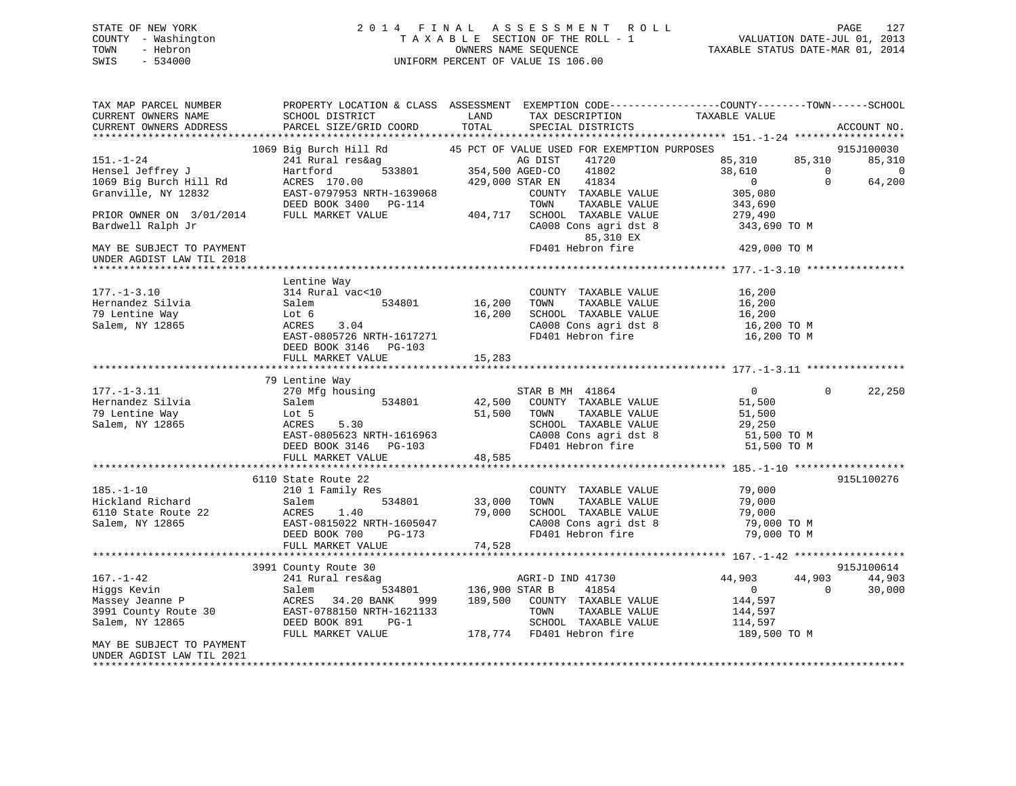# STATE OF NEW YORK 2 0 1 4 F I N A L A S S E S S M E N T R O L L PAGE 127 COUNTY - Washington T A X A B L E SECTION OF THE ROLL - 1 VALUATION DATE-JUL 01, 2013 TOWN - Hebron OWNERS NAME SEQUENCE TAXABLE STATUS DATE-MAR 01, 2014 SWIS - 534000 UNIFORM PERCENT OF VALUE IS 106.00

| TAX MAP PARCEL NUMBER<br>CURRENT OWNERS NAME<br>CURRENT OWNERS ADDRESS | SCHOOL DISTRICT<br>PARCEL SIZE/GRID COORD | LAND<br>TOTAL   | TAX DESCRIPTION<br>SPECIAL DISTRICTS        | PROPERTY LOCATION & CLASS ASSESSMENT EXEMPTION CODE----------------COUNTY-------TOWN-----SCHOOL<br>TAXABLE VALUE | ACCOUNT NO. |
|------------------------------------------------------------------------|-------------------------------------------|-----------------|---------------------------------------------|------------------------------------------------------------------------------------------------------------------|-------------|
|                                                                        |                                           |                 |                                             |                                                                                                                  |             |
|                                                                        | 1069 Big Burch Hill Rd                    |                 | 45 PCT OF VALUE USED FOR EXEMPTION PURPOSES |                                                                                                                  | 915J100030  |
| 151.-1-24                                                              | 241 Rural res&ag                          |                 | AG DIST<br>41720                            | 85,310<br>85,310                                                                                                 | 85,310      |
| Hensel Jeffrey J                                                       | 1g<br>533801 - 354<br>Hartford            | 354,500 AGED-CO | 41802                                       | 38,610<br>$\Omega$                                                                                               | $\Omega$    |
| 1069 Big Burch Hill Rd                                                 | ACRES 170.00                              | 429,000 STAR EN | 41834                                       | $\Omega$<br>$\overline{0}$                                                                                       | 64,200      |
| Granville, NY 12832                                                    | EAST-0797953 NRTH-1639068                 |                 | COUNTY TAXABLE VALUE                        | 305,080                                                                                                          |             |
|                                                                        | DEED BOOK 3400 PG-114                     |                 | TOWN<br>TAXABLE VALUE                       | 343,690                                                                                                          |             |
| PRIOR OWNER ON 3/01/2014                                               | FULL MARKET VALUE                         | 404,717         | SCHOOL TAXABLE VALUE                        | 279,490                                                                                                          |             |
| Bardwell Ralph Jr                                                      |                                           |                 | CA008 Cons agri dst 8<br>85,310 EX          | 343,690 TO M                                                                                                     |             |
| MAY BE SUBJECT TO PAYMENT                                              |                                           |                 | FD401 Hebron fire                           | 429,000 TO M                                                                                                     |             |
| UNDER AGDIST LAW TIL 2018                                              |                                           |                 |                                             |                                                                                                                  |             |
|                                                                        |                                           |                 |                                             | ************** 177.-1-3.10 ****                                                                                  |             |
|                                                                        | Lentine Way                               |                 |                                             |                                                                                                                  |             |
| $177. - 1 - 3.10$                                                      | 314 Rural vac<10                          |                 | COUNTY TAXABLE VALUE                        | 16,200                                                                                                           |             |
| Hernandez Silvia                                                       | 534801<br>Salem                           | 16,200          | TAXABLE VALUE<br>TOWN                       | 16,200                                                                                                           |             |
| 79 Lentine Way                                                         | Lot 6                                     | 16,200          | SCHOOL TAXABLE VALUE                        | 16,200                                                                                                           |             |
| Salem, NY 12865                                                        | ACRES<br>3.04                             |                 | CA008 Cons agri dst 8                       | 16,200 TO M                                                                                                      |             |
|                                                                        | EAST-0805726 NRTH-1617271                 |                 | FD401 Hebron fire                           | 16,200 TO M                                                                                                      |             |
|                                                                        | DEED BOOK 3146 PG-103                     |                 |                                             |                                                                                                                  |             |
|                                                                        | FULL MARKET VALUE                         | 15,283          |                                             |                                                                                                                  |             |
|                                                                        |                                           |                 |                                             |                                                                                                                  |             |
|                                                                        | 79 Lentine Way                            |                 |                                             |                                                                                                                  |             |
| $177. - 1 - 3.11$                                                      | 270 Mfg housing                           |                 | STAR B MH 41864                             | $\overline{0}$<br>$\Omega$                                                                                       | 22,250      |
| Hernandez Silvia                                                       | 534801<br>Salem                           | 42,500          | COUNTY TAXABLE VALUE                        | 51,500                                                                                                           |             |
| 79 Lentine Way                                                         | Lot 5                                     | 51,500          | TAXABLE VALUE<br>TOWN                       | 51,500                                                                                                           |             |
| Salem, NY 12865                                                        | ACRES<br>5.30                             |                 | SCHOOL TAXABLE VALUE                        | 29,250                                                                                                           |             |
|                                                                        | ACRES 5.30<br>EAST-0805623 NRTH-1616963   |                 | CA008 Cons agri dst 8                       | 51,500 TO M                                                                                                      |             |
|                                                                        | DEED BOOK 3146 PG-103                     |                 | FD401 Hebron fire                           | 51,500 TO M                                                                                                      |             |
|                                                                        | FULL MARKET VALUE                         | 48,585          |                                             |                                                                                                                  |             |
|                                                                        |                                           |                 |                                             |                                                                                                                  |             |
|                                                                        | 6110 State Route 22                       |                 |                                             |                                                                                                                  | 915L100276  |
| $185. - 1 - 10$                                                        | 210 1 Family Res                          |                 | COUNTY TAXABLE VALUE                        | 79,000                                                                                                           |             |
| Hickland Richard                                                       | 534801<br>Salem                           | 33,000          | TAXABLE VALUE<br>TOWN                       | 79,000                                                                                                           |             |
| 6110 State Route 22                                                    | ACRES<br>1.40                             | 79,000          | SCHOOL TAXABLE VALUE                        | 79,000                                                                                                           |             |
| Salem, NY 12865                                                        | EAST-0815022 NRTH-1605047                 |                 | CA008 Cons agri dst 8                       | 79,000 TO M                                                                                                      |             |
|                                                                        | DEED BOOK 700<br>PG-173                   |                 | FD401 Hebron fire                           | 79,000 TO M                                                                                                      |             |
|                                                                        | FULL MARKET VALUE                         | 74,528          |                                             |                                                                                                                  |             |
|                                                                        |                                           |                 |                                             |                                                                                                                  |             |
|                                                                        | 3991 County Route 30                      |                 |                                             |                                                                                                                  | 915J100614  |
| $167. - 1 - 42$                                                        | 241 Rural res&ag                          |                 | AGRI-D IND 41730                            | 44,903<br>44,903                                                                                                 | 44,903      |
| Higgs Kevin                                                            | Salem<br>534801                           | 136,900 STAR B  | 41854                                       | $\Omega$<br>$\overline{0}$                                                                                       | 30,000      |
| Massey Jeanne P                                                        | ACRES 34.20 BANK<br>999                   |                 | 189,500 COUNTY TAXABLE VALUE                | 144,597                                                                                                          |             |
| 3991 County Route 30                                                   | EAST-0788150 NRTH-1621133                 |                 | TAXABLE VALUE<br>TOWN                       | 144,597                                                                                                          |             |
| Salem, NY 12865                                                        | DEED BOOK 891<br>$PG-1$                   |                 | SCHOOL TAXABLE VALUE                        | 114,597                                                                                                          |             |
|                                                                        | FULL MARKET VALUE                         |                 | 178,774 FD401 Hebron fire                   | 189,500 TO M                                                                                                     |             |
| MAY BE SUBJECT TO PAYMENT                                              |                                           |                 |                                             |                                                                                                                  |             |
| UNDER AGDIST LAW TIL 2021<br>*********************                     |                                           |                 |                                             |                                                                                                                  |             |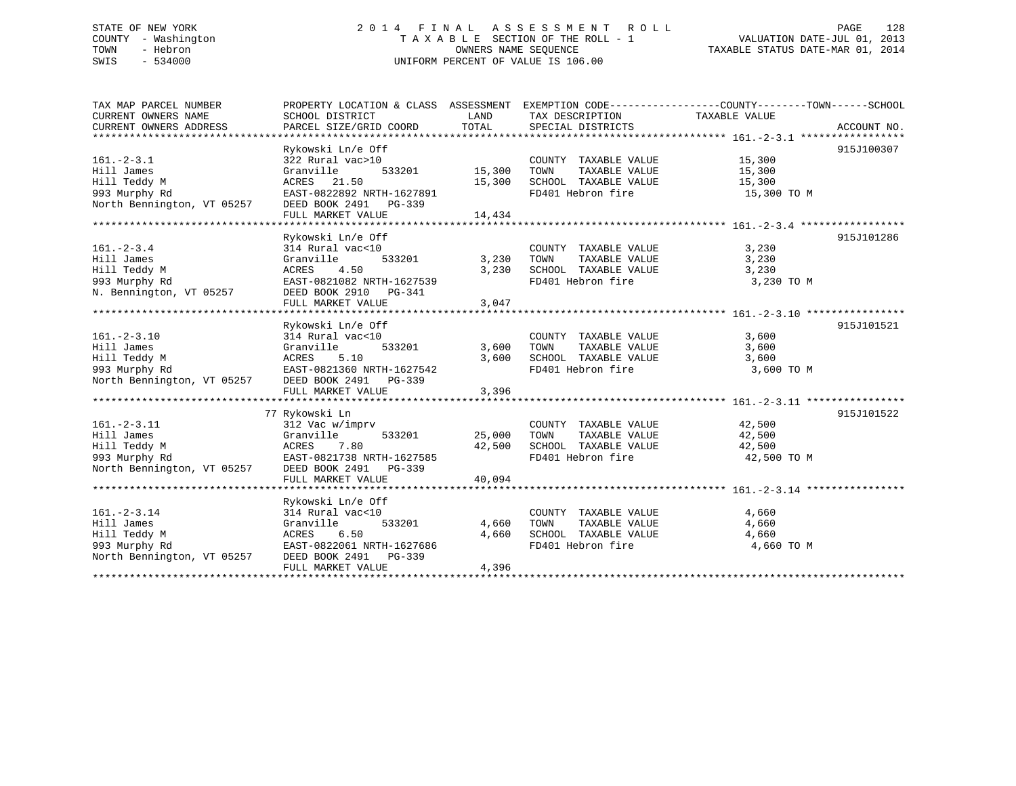# STATE OF NEW YORK 2 0 1 4 F I N A L A S S E S S M E N T R O L L PAGE 128 COUNTY - Washington T A X A B L E SECTION OF THE ROLL - 1 VALUATION DATE-JUL 01, 2013 TOWN - Hebron OWNERS NAME SEQUENCE TAXABLE STATUS DATE-MAR 01, 2014 SWIS - 534000 UNIFORM PERCENT OF VALUE IS 106.00

| 915J100307<br>Rykowski Ln/e Off<br>COUNTY TAXABLE VALUE 15,300<br>TOWN TAXABLE VALUE 15,300<br>$161. - 2 - 3.1$<br>322 Rural vac>10<br>Hill James<br>Granville<br>15,300 SCHOOL TAXABLE VALUE 15,300<br>Hill Teddy M<br>ACRES 21.50<br>993 Murphy Rd<br>North Bennington, VT 05257 DEED BOOK 2491 PG-339<br>FD401 Hebron fire 15,300 TO M<br>FULL MARKET VALUE<br>14,434<br>915J101286<br>Rykowski Ln/e Off<br>COUNTY TAXABLE VALUE<br>3,230<br>$161. - 2 - 3.4$<br>314 Rural vac<10<br>533201<br>3,230 TOWN<br>TAXABLE VALUE<br>3,230<br>Hill James<br>Granville<br>ACRES 4.50<br>EAST-0821082 NRTH-1627539<br>3,230 SCHOOL TAXABLE VALUE 3,230<br>Hill Teddy M<br>993 Murphy Rd<br>N. Bennington, VT 05257<br>DEED BOOK 2910 PG-341<br>FD401 Hebron fire<br>3,230 TO M<br>3,047<br>FULL MARKET VALUE<br>915J101521<br>Rykowski Ln/e Off<br>COUNTY TAXABLE VALUE<br>3,600<br>$161 - 2 - 3.10$<br>314 Rural vac<10<br>533201 3,600 TOWN<br>Hill James<br>TAXABLE VALUE<br>3,600<br>Granville 533201<br>ACRES 5.10<br>EAST-0821360 NRTH-1627542<br>3,600 SCHOOL TAXABLE VALUE 3,600<br>FD401 Hebron fire 3,600<br>Hill Teddy M<br>3,600 TO M<br>993 Murphy Rd<br>North Bennington, VT 05257 DEED BOOK 2491 PG-339<br>FULL MARKET VALUE<br>3,396<br>915J101522<br>77 Rykowski Ln<br>COUNTY TAXABLE VALUE 42,500<br>161.-2-3.11<br>161.-2-3.11<br>111 James 312 Vac w/imprv<br>111 Teddy M<br>12 Vac w/imprv<br>1533201<br>12 Vac w/imprv<br>533201<br>163250<br>163201<br>1627585<br>1627585<br>1627585<br>262D<br>262D<br>262D<br>2738 NRTH-1627585<br>2739<br>2739<br>2739<br>2739<br>273<br>533201 25,000 TOWN<br>$25,000$ TOWN TAXABLE VALUE $42,500$ SCHOOL TAXABLE VALUE $42,500$ FD401 Hebron fire $42,500$ TO M<br>40,094<br>FULL MARKET VALUE<br>Rykowski Ln/e Off<br>$161. - 2 - 3.14$<br>314 Rural vac<10<br>4,660<br>COUNTY TAXABLE VALUE<br>TOWN TAXABLE VALUE<br>533201<br>4,660<br>Hill James<br>Granville<br>TOWN<br>4,660<br>Hill Teddy M<br>Hill Teddy M<br>93 Murphy Rd<br>North Bennington, VT 05257<br>DEED BOOK 2491 PG-339<br>SCHOOL TAXABLE VALUE 4,660<br>4,660<br>FD401 Hebron fire<br>4,660 TO M<br>FULL MARKET VALUE<br>4,396 | TAX MAP PARCEL NUMBER | PROPERTY LOCATION & CLASS ASSESSMENT EXEMPTION CODE----------------COUNTY-------TOWN------SCHOOL |      |                 |               |  |
|---------------------------------------------------------------------------------------------------------------------------------------------------------------------------------------------------------------------------------------------------------------------------------------------------------------------------------------------------------------------------------------------------------------------------------------------------------------------------------------------------------------------------------------------------------------------------------------------------------------------------------------------------------------------------------------------------------------------------------------------------------------------------------------------------------------------------------------------------------------------------------------------------------------------------------------------------------------------------------------------------------------------------------------------------------------------------------------------------------------------------------------------------------------------------------------------------------------------------------------------------------------------------------------------------------------------------------------------------------------------------------------------------------------------------------------------------------------------------------------------------------------------------------------------------------------------------------------------------------------------------------------------------------------------------------------------------------------------------------------------------------------------------------------------------------------------------------------------------------------------------------------------------------------------------------------------------------------------------------------------------------------------------------------------------------------------------------------------------------------------------------------------------------|-----------------------|--------------------------------------------------------------------------------------------------|------|-----------------|---------------|--|
|                                                                                                                                                                                                                                                                                                                                                                                                                                                                                                                                                                                                                                                                                                                                                                                                                                                                                                                                                                                                                                                                                                                                                                                                                                                                                                                                                                                                                                                                                                                                                                                                                                                                                                                                                                                                                                                                                                                                                                                                                                                                                                                                                         | CURRENT OWNERS NAME   | SCHOOL DISTRICT                                                                                  | LAND | TAX DESCRIPTION | TAXABLE VALUE |  |
|                                                                                                                                                                                                                                                                                                                                                                                                                                                                                                                                                                                                                                                                                                                                                                                                                                                                                                                                                                                                                                                                                                                                                                                                                                                                                                                                                                                                                                                                                                                                                                                                                                                                                                                                                                                                                                                                                                                                                                                                                                                                                                                                                         |                       |                                                                                                  |      |                 |               |  |
|                                                                                                                                                                                                                                                                                                                                                                                                                                                                                                                                                                                                                                                                                                                                                                                                                                                                                                                                                                                                                                                                                                                                                                                                                                                                                                                                                                                                                                                                                                                                                                                                                                                                                                                                                                                                                                                                                                                                                                                                                                                                                                                                                         |                       |                                                                                                  |      |                 |               |  |
|                                                                                                                                                                                                                                                                                                                                                                                                                                                                                                                                                                                                                                                                                                                                                                                                                                                                                                                                                                                                                                                                                                                                                                                                                                                                                                                                                                                                                                                                                                                                                                                                                                                                                                                                                                                                                                                                                                                                                                                                                                                                                                                                                         |                       |                                                                                                  |      |                 |               |  |
|                                                                                                                                                                                                                                                                                                                                                                                                                                                                                                                                                                                                                                                                                                                                                                                                                                                                                                                                                                                                                                                                                                                                                                                                                                                                                                                                                                                                                                                                                                                                                                                                                                                                                                                                                                                                                                                                                                                                                                                                                                                                                                                                                         |                       |                                                                                                  |      |                 |               |  |
|                                                                                                                                                                                                                                                                                                                                                                                                                                                                                                                                                                                                                                                                                                                                                                                                                                                                                                                                                                                                                                                                                                                                                                                                                                                                                                                                                                                                                                                                                                                                                                                                                                                                                                                                                                                                                                                                                                                                                                                                                                                                                                                                                         |                       |                                                                                                  |      |                 |               |  |
|                                                                                                                                                                                                                                                                                                                                                                                                                                                                                                                                                                                                                                                                                                                                                                                                                                                                                                                                                                                                                                                                                                                                                                                                                                                                                                                                                                                                                                                                                                                                                                                                                                                                                                                                                                                                                                                                                                                                                                                                                                                                                                                                                         |                       |                                                                                                  |      |                 |               |  |
|                                                                                                                                                                                                                                                                                                                                                                                                                                                                                                                                                                                                                                                                                                                                                                                                                                                                                                                                                                                                                                                                                                                                                                                                                                                                                                                                                                                                                                                                                                                                                                                                                                                                                                                                                                                                                                                                                                                                                                                                                                                                                                                                                         |                       |                                                                                                  |      |                 |               |  |
|                                                                                                                                                                                                                                                                                                                                                                                                                                                                                                                                                                                                                                                                                                                                                                                                                                                                                                                                                                                                                                                                                                                                                                                                                                                                                                                                                                                                                                                                                                                                                                                                                                                                                                                                                                                                                                                                                                                                                                                                                                                                                                                                                         |                       |                                                                                                  |      |                 |               |  |
|                                                                                                                                                                                                                                                                                                                                                                                                                                                                                                                                                                                                                                                                                                                                                                                                                                                                                                                                                                                                                                                                                                                                                                                                                                                                                                                                                                                                                                                                                                                                                                                                                                                                                                                                                                                                                                                                                                                                                                                                                                                                                                                                                         |                       |                                                                                                  |      |                 |               |  |
|                                                                                                                                                                                                                                                                                                                                                                                                                                                                                                                                                                                                                                                                                                                                                                                                                                                                                                                                                                                                                                                                                                                                                                                                                                                                                                                                                                                                                                                                                                                                                                                                                                                                                                                                                                                                                                                                                                                                                                                                                                                                                                                                                         |                       |                                                                                                  |      |                 |               |  |
|                                                                                                                                                                                                                                                                                                                                                                                                                                                                                                                                                                                                                                                                                                                                                                                                                                                                                                                                                                                                                                                                                                                                                                                                                                                                                                                                                                                                                                                                                                                                                                                                                                                                                                                                                                                                                                                                                                                                                                                                                                                                                                                                                         |                       |                                                                                                  |      |                 |               |  |
|                                                                                                                                                                                                                                                                                                                                                                                                                                                                                                                                                                                                                                                                                                                                                                                                                                                                                                                                                                                                                                                                                                                                                                                                                                                                                                                                                                                                                                                                                                                                                                                                                                                                                                                                                                                                                                                                                                                                                                                                                                                                                                                                                         |                       |                                                                                                  |      |                 |               |  |
|                                                                                                                                                                                                                                                                                                                                                                                                                                                                                                                                                                                                                                                                                                                                                                                                                                                                                                                                                                                                                                                                                                                                                                                                                                                                                                                                                                                                                                                                                                                                                                                                                                                                                                                                                                                                                                                                                                                                                                                                                                                                                                                                                         |                       |                                                                                                  |      |                 |               |  |
|                                                                                                                                                                                                                                                                                                                                                                                                                                                                                                                                                                                                                                                                                                                                                                                                                                                                                                                                                                                                                                                                                                                                                                                                                                                                                                                                                                                                                                                                                                                                                                                                                                                                                                                                                                                                                                                                                                                                                                                                                                                                                                                                                         |                       |                                                                                                  |      |                 |               |  |
|                                                                                                                                                                                                                                                                                                                                                                                                                                                                                                                                                                                                                                                                                                                                                                                                                                                                                                                                                                                                                                                                                                                                                                                                                                                                                                                                                                                                                                                                                                                                                                                                                                                                                                                                                                                                                                                                                                                                                                                                                                                                                                                                                         |                       |                                                                                                  |      |                 |               |  |
|                                                                                                                                                                                                                                                                                                                                                                                                                                                                                                                                                                                                                                                                                                                                                                                                                                                                                                                                                                                                                                                                                                                                                                                                                                                                                                                                                                                                                                                                                                                                                                                                                                                                                                                                                                                                                                                                                                                                                                                                                                                                                                                                                         |                       |                                                                                                  |      |                 |               |  |
|                                                                                                                                                                                                                                                                                                                                                                                                                                                                                                                                                                                                                                                                                                                                                                                                                                                                                                                                                                                                                                                                                                                                                                                                                                                                                                                                                                                                                                                                                                                                                                                                                                                                                                                                                                                                                                                                                                                                                                                                                                                                                                                                                         |                       |                                                                                                  |      |                 |               |  |
|                                                                                                                                                                                                                                                                                                                                                                                                                                                                                                                                                                                                                                                                                                                                                                                                                                                                                                                                                                                                                                                                                                                                                                                                                                                                                                                                                                                                                                                                                                                                                                                                                                                                                                                                                                                                                                                                                                                                                                                                                                                                                                                                                         |                       |                                                                                                  |      |                 |               |  |
|                                                                                                                                                                                                                                                                                                                                                                                                                                                                                                                                                                                                                                                                                                                                                                                                                                                                                                                                                                                                                                                                                                                                                                                                                                                                                                                                                                                                                                                                                                                                                                                                                                                                                                                                                                                                                                                                                                                                                                                                                                                                                                                                                         |                       |                                                                                                  |      |                 |               |  |
|                                                                                                                                                                                                                                                                                                                                                                                                                                                                                                                                                                                                                                                                                                                                                                                                                                                                                                                                                                                                                                                                                                                                                                                                                                                                                                                                                                                                                                                                                                                                                                                                                                                                                                                                                                                                                                                                                                                                                                                                                                                                                                                                                         |                       |                                                                                                  |      |                 |               |  |
|                                                                                                                                                                                                                                                                                                                                                                                                                                                                                                                                                                                                                                                                                                                                                                                                                                                                                                                                                                                                                                                                                                                                                                                                                                                                                                                                                                                                                                                                                                                                                                                                                                                                                                                                                                                                                                                                                                                                                                                                                                                                                                                                                         |                       |                                                                                                  |      |                 |               |  |
|                                                                                                                                                                                                                                                                                                                                                                                                                                                                                                                                                                                                                                                                                                                                                                                                                                                                                                                                                                                                                                                                                                                                                                                                                                                                                                                                                                                                                                                                                                                                                                                                                                                                                                                                                                                                                                                                                                                                                                                                                                                                                                                                                         |                       |                                                                                                  |      |                 |               |  |
|                                                                                                                                                                                                                                                                                                                                                                                                                                                                                                                                                                                                                                                                                                                                                                                                                                                                                                                                                                                                                                                                                                                                                                                                                                                                                                                                                                                                                                                                                                                                                                                                                                                                                                                                                                                                                                                                                                                                                                                                                                                                                                                                                         |                       |                                                                                                  |      |                 |               |  |
|                                                                                                                                                                                                                                                                                                                                                                                                                                                                                                                                                                                                                                                                                                                                                                                                                                                                                                                                                                                                                                                                                                                                                                                                                                                                                                                                                                                                                                                                                                                                                                                                                                                                                                                                                                                                                                                                                                                                                                                                                                                                                                                                                         |                       |                                                                                                  |      |                 |               |  |
|                                                                                                                                                                                                                                                                                                                                                                                                                                                                                                                                                                                                                                                                                                                                                                                                                                                                                                                                                                                                                                                                                                                                                                                                                                                                                                                                                                                                                                                                                                                                                                                                                                                                                                                                                                                                                                                                                                                                                                                                                                                                                                                                                         |                       |                                                                                                  |      |                 |               |  |
|                                                                                                                                                                                                                                                                                                                                                                                                                                                                                                                                                                                                                                                                                                                                                                                                                                                                                                                                                                                                                                                                                                                                                                                                                                                                                                                                                                                                                                                                                                                                                                                                                                                                                                                                                                                                                                                                                                                                                                                                                                                                                                                                                         |                       |                                                                                                  |      |                 |               |  |
|                                                                                                                                                                                                                                                                                                                                                                                                                                                                                                                                                                                                                                                                                                                                                                                                                                                                                                                                                                                                                                                                                                                                                                                                                                                                                                                                                                                                                                                                                                                                                                                                                                                                                                                                                                                                                                                                                                                                                                                                                                                                                                                                                         |                       |                                                                                                  |      |                 |               |  |
|                                                                                                                                                                                                                                                                                                                                                                                                                                                                                                                                                                                                                                                                                                                                                                                                                                                                                                                                                                                                                                                                                                                                                                                                                                                                                                                                                                                                                                                                                                                                                                                                                                                                                                                                                                                                                                                                                                                                                                                                                                                                                                                                                         |                       |                                                                                                  |      |                 |               |  |
|                                                                                                                                                                                                                                                                                                                                                                                                                                                                                                                                                                                                                                                                                                                                                                                                                                                                                                                                                                                                                                                                                                                                                                                                                                                                                                                                                                                                                                                                                                                                                                                                                                                                                                                                                                                                                                                                                                                                                                                                                                                                                                                                                         |                       |                                                                                                  |      |                 |               |  |
|                                                                                                                                                                                                                                                                                                                                                                                                                                                                                                                                                                                                                                                                                                                                                                                                                                                                                                                                                                                                                                                                                                                                                                                                                                                                                                                                                                                                                                                                                                                                                                                                                                                                                                                                                                                                                                                                                                                                                                                                                                                                                                                                                         |                       |                                                                                                  |      |                 |               |  |
|                                                                                                                                                                                                                                                                                                                                                                                                                                                                                                                                                                                                                                                                                                                                                                                                                                                                                                                                                                                                                                                                                                                                                                                                                                                                                                                                                                                                                                                                                                                                                                                                                                                                                                                                                                                                                                                                                                                                                                                                                                                                                                                                                         |                       |                                                                                                  |      |                 |               |  |
|                                                                                                                                                                                                                                                                                                                                                                                                                                                                                                                                                                                                                                                                                                                                                                                                                                                                                                                                                                                                                                                                                                                                                                                                                                                                                                                                                                                                                                                                                                                                                                                                                                                                                                                                                                                                                                                                                                                                                                                                                                                                                                                                                         |                       |                                                                                                  |      |                 |               |  |
|                                                                                                                                                                                                                                                                                                                                                                                                                                                                                                                                                                                                                                                                                                                                                                                                                                                                                                                                                                                                                                                                                                                                                                                                                                                                                                                                                                                                                                                                                                                                                                                                                                                                                                                                                                                                                                                                                                                                                                                                                                                                                                                                                         |                       |                                                                                                  |      |                 |               |  |
|                                                                                                                                                                                                                                                                                                                                                                                                                                                                                                                                                                                                                                                                                                                                                                                                                                                                                                                                                                                                                                                                                                                                                                                                                                                                                                                                                                                                                                                                                                                                                                                                                                                                                                                                                                                                                                                                                                                                                                                                                                                                                                                                                         |                       |                                                                                                  |      |                 |               |  |
|                                                                                                                                                                                                                                                                                                                                                                                                                                                                                                                                                                                                                                                                                                                                                                                                                                                                                                                                                                                                                                                                                                                                                                                                                                                                                                                                                                                                                                                                                                                                                                                                                                                                                                                                                                                                                                                                                                                                                                                                                                                                                                                                                         |                       |                                                                                                  |      |                 |               |  |
|                                                                                                                                                                                                                                                                                                                                                                                                                                                                                                                                                                                                                                                                                                                                                                                                                                                                                                                                                                                                                                                                                                                                                                                                                                                                                                                                                                                                                                                                                                                                                                                                                                                                                                                                                                                                                                                                                                                                                                                                                                                                                                                                                         |                       |                                                                                                  |      |                 |               |  |
|                                                                                                                                                                                                                                                                                                                                                                                                                                                                                                                                                                                                                                                                                                                                                                                                                                                                                                                                                                                                                                                                                                                                                                                                                                                                                                                                                                                                                                                                                                                                                                                                                                                                                                                                                                                                                                                                                                                                                                                                                                                                                                                                                         |                       |                                                                                                  |      |                 |               |  |
|                                                                                                                                                                                                                                                                                                                                                                                                                                                                                                                                                                                                                                                                                                                                                                                                                                                                                                                                                                                                                                                                                                                                                                                                                                                                                                                                                                                                                                                                                                                                                                                                                                                                                                                                                                                                                                                                                                                                                                                                                                                                                                                                                         |                       |                                                                                                  |      |                 |               |  |
|                                                                                                                                                                                                                                                                                                                                                                                                                                                                                                                                                                                                                                                                                                                                                                                                                                                                                                                                                                                                                                                                                                                                                                                                                                                                                                                                                                                                                                                                                                                                                                                                                                                                                                                                                                                                                                                                                                                                                                                                                                                                                                                                                         |                       |                                                                                                  |      |                 |               |  |
|                                                                                                                                                                                                                                                                                                                                                                                                                                                                                                                                                                                                                                                                                                                                                                                                                                                                                                                                                                                                                                                                                                                                                                                                                                                                                                                                                                                                                                                                                                                                                                                                                                                                                                                                                                                                                                                                                                                                                                                                                                                                                                                                                         |                       |                                                                                                  |      |                 |               |  |
|                                                                                                                                                                                                                                                                                                                                                                                                                                                                                                                                                                                                                                                                                                                                                                                                                                                                                                                                                                                                                                                                                                                                                                                                                                                                                                                                                                                                                                                                                                                                                                                                                                                                                                                                                                                                                                                                                                                                                                                                                                                                                                                                                         |                       |                                                                                                  |      |                 |               |  |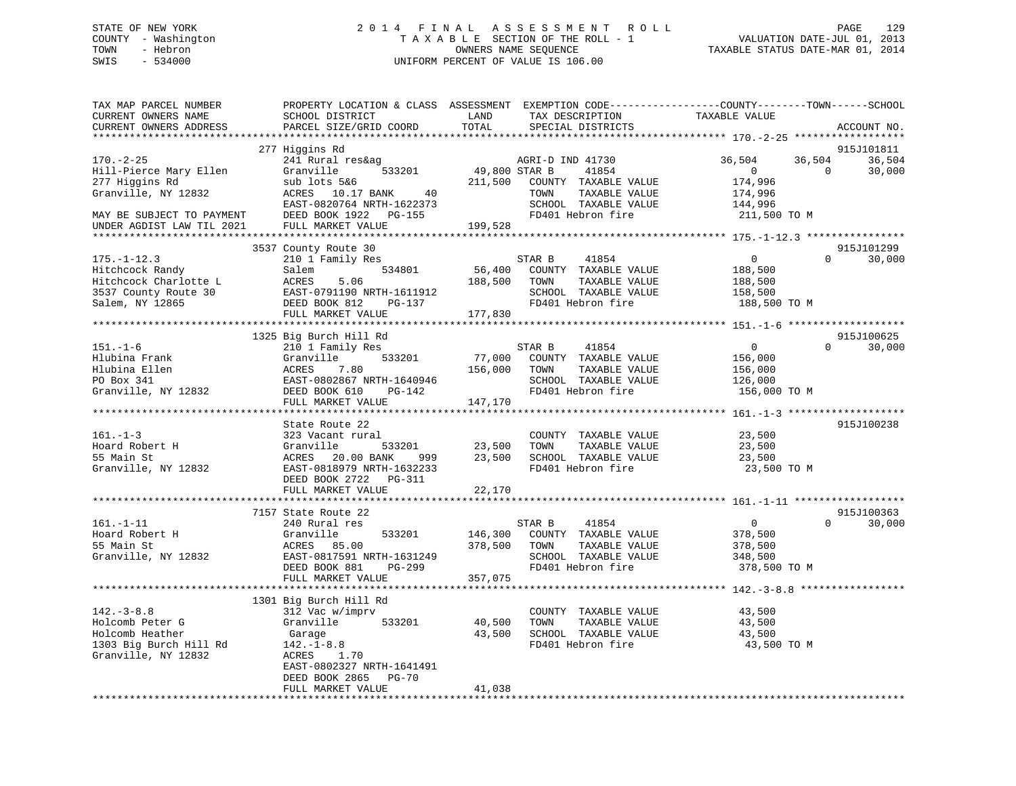# STATE OF NEW YORK 2 0 1 4 F I N A L A S S E S S M E N T R O L L PAGE 129 COUNTY - Washington T A X A B L E SECTION OF THE ROLL - 1 VALUATION DATE-JUL 01, 2013 TOWN - Hebron OWNERS NAME SEQUENCE TAXABLE STATUS DATE-MAR 01, 2014 SWIS - 534000 UNIFORM PERCENT OF VALUE IS 106.00

| TAX MAP PARCEL NUMBER<br>CURRENT OWNERS NAME<br>CURRENT OWNERS ADDRESS | PROPERTY LOCATION & CLASS ASSESSMENT EXEMPTION CODE----------------COUNTY-------TOWN------SCHOOL<br>SCHOOL DISTRICT<br>PARCEL SIZE/GRID COORD | LAND<br>TOTAL | TAX DESCRIPTION<br>SPECIAL DISTRICTS | TAXABLE VALUE              | ACCOUNT NO. |
|------------------------------------------------------------------------|-----------------------------------------------------------------------------------------------------------------------------------------------|---------------|--------------------------------------|----------------------------|-------------|
|                                                                        | ***********************                                                                                                                       |               |                                      |                            |             |
|                                                                        | 277 Higgins Rd                                                                                                                                |               |                                      |                            | 915J101811  |
| $170. - 2 - 25$                                                        | 241 Rural res&ag                                                                                                                              |               | AGRI-D IND 41730                     | 36,504<br>36,504           | 36,504      |
| Hill-Pierce Mary Ellen                                                 | Granville<br>533201                                                                                                                           | 49,800 STAR B | 41854                                | $\overline{0}$<br>$\Omega$ | 30,000      |
| 277 Higgins Rd                                                         | sub lots 5&6                                                                                                                                  | 211,500       | COUNTY TAXABLE VALUE                 | 174,996                    |             |
| Granville, NY 12832                                                    | ACRES 10.17 BANK<br>40                                                                                                                        |               | TAXABLE VALUE<br>TOWN                | 174,996                    |             |
|                                                                        | EAST-0820764 NRTH-1622373                                                                                                                     |               | SCHOOL TAXABLE VALUE                 | 144,996                    |             |
| MAY BE SUBJECT TO PAYMENT                                              | DEED BOOK 1922 PG-155                                                                                                                         |               | FD401 Hebron fire                    | 211,500 TO M               |             |
| UNDER AGDIST LAW TIL 2021                                              | FULL MARKET VALUE                                                                                                                             | 199,528       |                                      |                            |             |
|                                                                        |                                                                                                                                               |               |                                      |                            |             |
|                                                                        | 3537 County Route 30                                                                                                                          |               |                                      |                            | 915J101299  |
| $175. - 1 - 12.3$                                                      | 210 1 Family Res                                                                                                                              |               | STAR B<br>41854                      | $\overline{0}$<br>$\Omega$ | 30,000      |
| Hitchcock Randy                                                        | 534801<br>Salem                                                                                                                               | 56,400        | COUNTY TAXABLE VALUE                 | 188,500                    |             |
| Hitchcock Charlotte L                                                  | ACRES<br>5.06                                                                                                                                 | 188,500       | TOWN<br>TAXABLE VALUE                | 188,500                    |             |
| 3537 County Route 30                                                   | EAST-0791190 NRTH-1611912                                                                                                                     |               | SCHOOL TAXABLE VALUE                 | 158,500                    |             |
| Salem, NY 12865                                                        | DEED BOOK 812<br>PG-137                                                                                                                       |               | FD401 Hebron fire                    | 188,500 TO M               |             |
|                                                                        | FULL MARKET VALUE                                                                                                                             | 177,830       |                                      |                            |             |
|                                                                        |                                                                                                                                               |               |                                      |                            |             |
|                                                                        | 1325 Big Burch Hill Rd                                                                                                                        |               |                                      |                            | 915J100625  |
| $151. - 1 - 6$                                                         | 210 1 Family Res                                                                                                                              |               | STAR B<br>41854                      | $\overline{0}$<br>$\Omega$ | 30,000      |
| Hlubina Frank                                                          | Granville<br>533201                                                                                                                           | 77,000        | COUNTY TAXABLE VALUE                 | 156,000                    |             |
| Hlubina Ellen                                                          | ACRES<br>7.80                                                                                                                                 | 156,000       | TOWN<br>TAXABLE VALUE                | 156,000                    |             |
| PO Box 341                                                             | EAST-0802867 NRTH-1640946                                                                                                                     |               | SCHOOL TAXABLE VALUE                 | 126,000                    |             |
| Granville, NY 12832                                                    | DEED BOOK 610<br>PG-142                                                                                                                       |               | FD401 Hebron fire                    | 156,000 TO M               |             |
|                                                                        | FULL MARKET VALUE                                                                                                                             | 147,170       |                                      |                            |             |
|                                                                        |                                                                                                                                               |               |                                      |                            |             |
|                                                                        | State Route 22                                                                                                                                |               |                                      |                            | 915J100238  |
| $161. - 1 - 3$                                                         | 323 Vacant rural                                                                                                                              |               | COUNTY TAXABLE VALUE                 | 23,500                     |             |
| Hoard Robert H                                                         | 533201<br>Granville                                                                                                                           | 23,500        | TAXABLE VALUE<br>TOWN                | 23,500                     |             |
| 55 Main St                                                             | ACRES 20.00 BANK<br>999                                                                                                                       | 23,500        | SCHOOL TAXABLE VALUE                 | 23,500                     |             |
| Granville, NY 12832                                                    | EAST-0818979 NRTH-1632233                                                                                                                     |               | FD401 Hebron fire                    | 23,500 TO M                |             |
|                                                                        | DEED BOOK 2722 PG-311                                                                                                                         |               |                                      |                            |             |
|                                                                        | FULL MARKET VALUE                                                                                                                             | 22,170        |                                      |                            |             |
|                                                                        | *************************                                                                                                                     |               |                                      |                            |             |
|                                                                        | 7157 State Route 22                                                                                                                           |               |                                      |                            | 915J100363  |
| $161. - 1 - 11$                                                        | 240 Rural res                                                                                                                                 |               | STAR B<br>41854                      | $\overline{0}$<br>$\Omega$ | 30,000      |
| Hoard Robert H                                                         | Granville<br>533201                                                                                                                           | 146,300       | COUNTY TAXABLE VALUE                 | 378,500                    |             |
| 55 Main St                                                             | ACRES 85.00                                                                                                                                   | 378,500       | TOWN<br>TAXABLE VALUE                | 378,500                    |             |
| Granville, NY 12832                                                    | EAST-0817591 NRTH-1631249                                                                                                                     |               | SCHOOL TAXABLE VALUE                 | 348,500                    |             |
|                                                                        | DEED BOOK 881<br>PG-299                                                                                                                       |               | FD401 Hebron fire                    | 378,500 TO M               |             |
|                                                                        | FULL MARKET VALUE                                                                                                                             | 357,075       |                                      |                            |             |
|                                                                        |                                                                                                                                               |               |                                      |                            |             |
|                                                                        | 1301 Big Burch Hill Rd                                                                                                                        |               |                                      |                            |             |
| $142.-3-8.8$                                                           | 312 Vac w/imprv                                                                                                                               |               | COUNTY TAXABLE VALUE                 | 43,500                     |             |
| Holcomb Peter G                                                        | Granville<br>533201                                                                                                                           | 40,500        | TOWN<br>TAXABLE VALUE                | 43,500                     |             |
| Holcomb Heather                                                        | Garage                                                                                                                                        | 43,500        | SCHOOL TAXABLE VALUE                 | 43,500                     |             |
| 1303 Big Burch Hill Rd                                                 | $142. - 1 - 8.8$                                                                                                                              |               | FD401 Hebron fire                    | 43,500 TO M                |             |
| Granville, NY 12832                                                    | ACRES<br>1.70                                                                                                                                 |               |                                      |                            |             |
|                                                                        | EAST-0802327 NRTH-1641491                                                                                                                     |               |                                      |                            |             |
|                                                                        | DEED BOOK 2865<br><b>PG-70</b>                                                                                                                |               |                                      |                            |             |
|                                                                        | FULL MARKET VALUE                                                                                                                             | 41,038        |                                      |                            |             |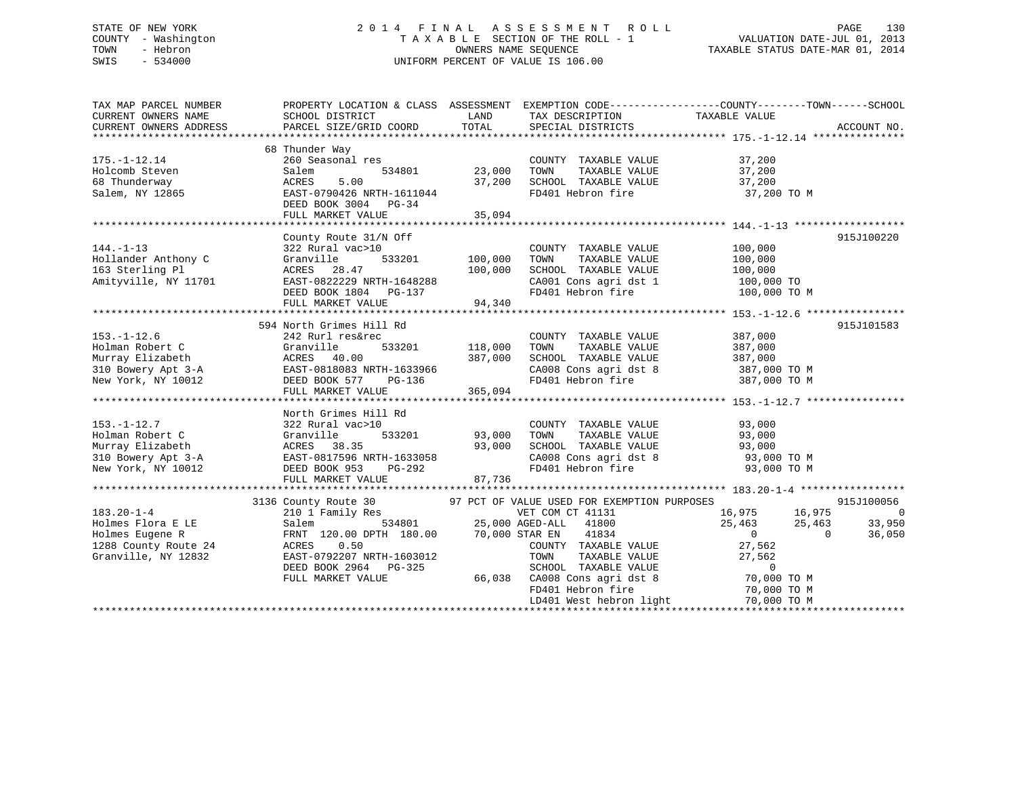# STATE OF NEW YORK 2 0 1 4 F I N A L A S S E S S M E N T R O L L PAGE 130 COUNTY - Washington T A X A B L E SECTION OF THE ROLL - 1 VALUATION DATE-JUL 01, 2013 TOWN - Hebron OWNERS NAME SEQUENCE TAXABLE STATUS DATE-MAR 01, 2014 SWIS - 534000 UNIFORM PERCENT OF VALUE IS 106.00

| TAX MAP PARCEL NUMBER<br>CURRENT OWNERS NAME<br>CURRENT OWNERS ADDRESS                                                                                                                                                                                                | SCHOOL DISTRICT<br>PARCEL SIZE/GRID COORD                                                                                                                                               | LAND<br>TOTAL              | TAX DESCRIPTION TAXABLE VALUE SPECIAL DISTRICTS                                                                                                           | PROPERTY LOCATION & CLASS ASSESSMENT EXEMPTION CODE----------------COUNTY-------TOWN------SCHOOL   | ACCOUNT NO.                                      |
|-----------------------------------------------------------------------------------------------------------------------------------------------------------------------------------------------------------------------------------------------------------------------|-----------------------------------------------------------------------------------------------------------------------------------------------------------------------------------------|----------------------------|-----------------------------------------------------------------------------------------------------------------------------------------------------------|----------------------------------------------------------------------------------------------------|--------------------------------------------------|
| $175. - 1 - 12.14$<br>Holcomb Steven<br>68 Thunderway<br>Salem, NY 12865                                                                                                                                                                                              | 68 Thunder Way<br>260 Seasonal res<br>Salem<br>534801<br>5.00<br>ACRES<br>EAST-0790426 NRTH-1611044<br>DEED BOOK 3004 PG-34<br>FULL MARKET VALUE                                        | 23,000<br>37,200<br>35,094 | COUNTY TAXABLE VALUE<br>FD401 Hebron fire 37,200 TO M                                                                                                     | 37,200                                                                                             |                                                  |
| $144. - 1 - 13$<br>Hollander Anthony C<br>163 Sterling Pl<br>Amityville, NY 11701                                                                                                                                                                                     | County Route 31/N Off<br>322 ALL<br>Granville 533202<br>ACRES 28.47 LUU,000<br>EAST-0822229 NRTH-1648288<br>DEED BOOK 1804 PG-137<br>THE MARKET VALUE 94,340<br>THE MARKET VALUE 94,340 |                            | COUNTY TAXABLE VALUE<br>TAXABLE VALUE<br>TOWN<br>SCHOOL TAXABLE VALUE $100,000$<br>CA001 Cons agri dst 1 $100,000$ TO<br>FD401 Hebron fire $100,000$ TO M | 100,000<br>100,000                                                                                 | 915J100220                                       |
| $153. - 1 - 12.6$<br>153.-1-12.0<br>Holman Robert C (116,000 STATE: 16,000 STATE: 16,000 STATE: 16,000 STATE: 1633966<br>30 Bowery Apt 3-A (10818083 NRTH-1633966 New York, NY 10012 DEED BOOK 577 PG-136<br>TIILL MARKET VALUE 365,094                               | 594 North Grimes Hill Rd<br>242 Rurl res&rec                                                                                                                                            |                            | COUNTY TAXABLE VALUE 387,000<br>TOWN<br>SCHOOL TAXABLE VALUE 387,000<br>CA008 Cons agri dst 8 387,000 TO M<br>FD401 Hebron fire 387,000 TO M              | TAXABLE VALUE 387,000                                                                              | 915J101583                                       |
| $153. - 1 - 12.7$<br>153.-1-12.7<br>Holman Robert C<br>Murray Elizabeth<br>310 Bowery Apt 3-A<br>310 Bowery Apt 3-A<br>322 Rural vac>10<br>33201 93,000<br>310 Bowery Apt 3-A<br>32 Rural vac>10<br>33201 93,000<br>310 Bowery Apt 3-A<br>32 Rural 38.35<br>38.35<br> | North Grimes Hill Rd<br>322 Rural vac>10<br>FULL MARKET VALUE                                                                                                                           | 87,736                     | COUNTY TAXABLE VALUE<br>TOWN TAXABLE VALUE 93,000<br>SCHOOL TAXABLE VALUE 93,000<br>CA008 Cons agri dst 8 93,000 TO M<br>FD401 Hebron fire 93,000 TO M    | 93,000                                                                                             |                                                  |
| $183.20 - 1 - 4$<br>Holmes Flora E LE<br>Holmes Eugene R<br>1288 County Route 24<br>Granville, NY 12832                                                                                                                                                               | FRNT 120.00 DPTH 180.00 70,000 STAR EN<br>0.50<br>ACRES<br>EAST-0792207 NRTH-1603012<br>DEED BOOK 2964 PG-325<br>FULL MARKET VALUE                                                      |                            | 41834<br>COUNTY TAXABLE VALUE<br>TAXABLE VALUE<br>TOWN<br>FD401 Hebron fire                                                                               | $16,975$ $16,975$ $25,463$ $25,463$ $33$ $0$ $36$<br>$\frac{1}{\sqrt{3}}$<br>27,562<br>70,000 TO M | 915J100056<br>$\overline{0}$<br>33,950<br>36,050 |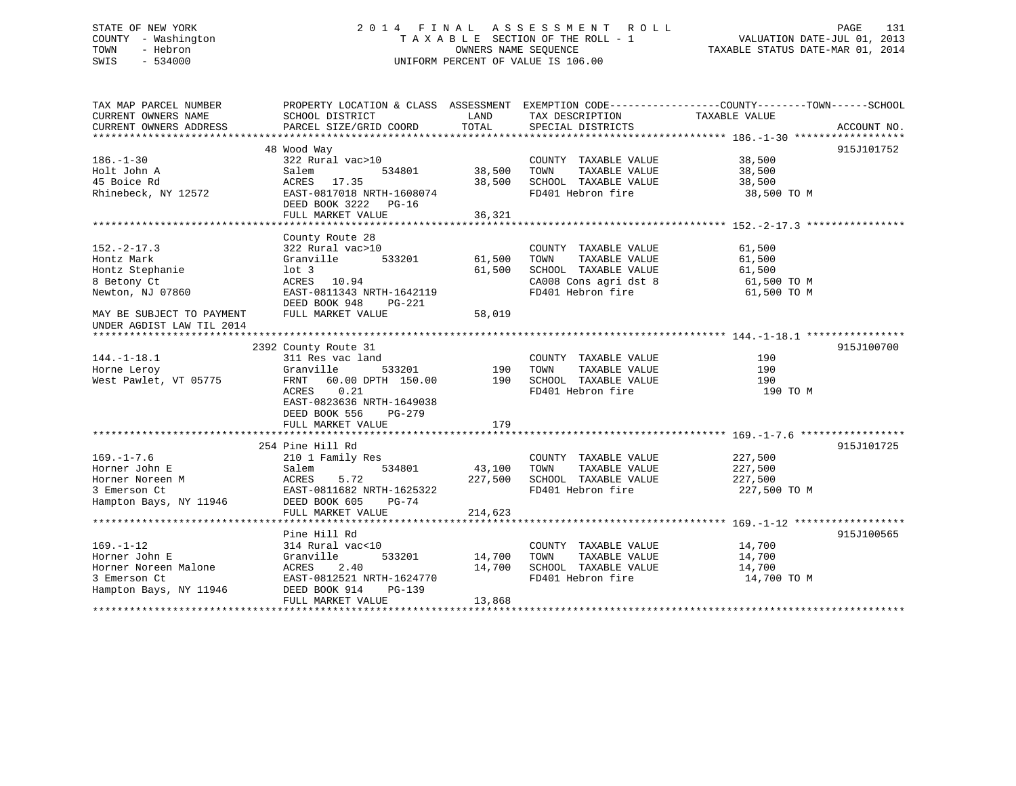# STATE OF NEW YORK 2 0 1 4 F I N A L A S S E S S M E N T R O L L PAGE 131 COUNTY - Washington T A X A B L E SECTION OF THE ROLL - 1 VALUATION DATE-JUL 01, 2013 TOWN - Hebron OWNERS NAME SEQUENCE TAXABLE STATUS DATE-MAR 01, 2014 SWIS - 534000 UNIFORM PERCENT OF VALUE IS 106.00

| TAX MAP PARCEL NUMBER<br>CURRENT OWNERS NAME | PROPERTY LOCATION & CLASS ASSESSMENT<br>SCHOOL DISTRICT | LAND       | EXEMPTION CODE----------------COUNTY-------TOWN------SCHOOL<br>TAX DESCRIPTION | TAXABLE VALUE    |             |
|----------------------------------------------|---------------------------------------------------------|------------|--------------------------------------------------------------------------------|------------------|-------------|
| CURRENT OWNERS ADDRESS                       | PARCEL SIZE/GRID COORD                                  | TOTAL      | SPECIAL DISTRICTS                                                              |                  | ACCOUNT NO. |
|                                              |                                                         |            |                                                                                |                  |             |
| $186. - 1 - 30$                              | 48 Wood Way                                             |            |                                                                                |                  | 915J101752  |
|                                              | 322 Rural vac>10<br>Salem<br>534801                     | 38,500     | COUNTY TAXABLE VALUE<br>TAXABLE VALUE<br>TOWN                                  | 38,500<br>38,500 |             |
| Holt John A<br>45 Boice Rd                   | ACRES 17.35                                             | 38,500     | SCHOOL TAXABLE VALUE                                                           | 38,500           |             |
|                                              |                                                         |            | FD401 Hebron fire                                                              |                  |             |
| Rhinebeck, NY 12572                          | EAST-0817018 NRTH-1608074<br>DEED BOOK 3222 PG-16       |            |                                                                                | 38,500 TO M      |             |
|                                              | FULL MARKET VALUE                                       | 36,321     |                                                                                |                  |             |
|                                              |                                                         |            |                                                                                |                  |             |
| $152 - 2 - 17.3$                             | County Route 28<br>322 Rural vac>10                     |            | COUNTY TAXABLE VALUE                                                           | 61,500           |             |
| Hontz Mark                                   | Granville<br>533201                                     | 61,500     | TAXABLE VALUE<br>TOWN                                                          | 61,500           |             |
| Hontz Stephanie                              | lot 3                                                   | 61,500     | SCHOOL TAXABLE VALUE                                                           | 61,500           |             |
|                                              |                                                         |            |                                                                                | $61,500$ TO M    |             |
| 8 Betony Ct                                  | ACRES 10.94<br>EAST-0811343 NRTH-1642119                |            | CA008 Cons agri dst 8<br>FD401 Hebron fire                                     |                  |             |
| Newton, NJ 07860                             | DEED BOOK 948<br>PG-221                                 |            |                                                                                | 61,500 TO M      |             |
| MAY BE SUBJECT TO PAYMENT                    | FULL MARKET VALUE                                       | 58,019     |                                                                                |                  |             |
| UNDER AGDIST LAW TIL 2014                    |                                                         |            |                                                                                |                  |             |
|                                              |                                                         |            |                                                                                |                  |             |
|                                              | 2392 County Route 31                                    |            |                                                                                |                  | 915J100700  |
| $144. - 1 - 18.1$                            | 311 Res vac land                                        |            | COUNTY TAXABLE VALUE                                                           | 190              |             |
| Horne Leroy                                  | Granville                                               | 533201 190 | TAXABLE VALUE<br>TOWN                                                          | 190              |             |
| West Pawlet, VT 05775                        | 60.00 DPTH 150.00<br>FRNT                               | 190        | SCHOOL TAXABLE VALUE                                                           | 190              |             |
|                                              | 0.21<br>ACRES                                           |            | FD401 Hebron fire                                                              | 190 TO M         |             |
|                                              | EAST-0823636 NRTH-1649038                               |            |                                                                                |                  |             |
|                                              | DEED BOOK 556<br>PG-279                                 |            |                                                                                |                  |             |
|                                              | FULL MARKET VALUE                                       | 179        |                                                                                |                  |             |
|                                              |                                                         |            |                                                                                |                  |             |
|                                              | 254 Pine Hill Rd                                        |            |                                                                                |                  | 915J101725  |
| $169. - 1 - 7.6$                             | 210 1 Family Res                                        |            | COUNTY TAXABLE VALUE                                                           | 227,500          |             |
| Horner John E                                | Salem<br>534801                                         | 43,100     | TAXABLE VALUE<br>TOWN                                                          | 227,500          |             |
| Horner Noreen M                              | ACRES<br>5.72                                           | 227,500    | SCHOOL TAXABLE VALUE                                                           | 227,500          |             |
| 3 Emerson Ct                                 | EAST-0811682 NRTH-1625322                               |            | FD401 Hebron fire                                                              | 227,500 TO M     |             |
| Hampton Bays, NY 11946                       | DEED BOOK 605<br>$PG-74$                                |            |                                                                                |                  |             |
|                                              | FULL MARKET VALUE                                       | 214,623    |                                                                                |                  |             |
|                                              |                                                         |            |                                                                                |                  |             |
|                                              | Pine Hill Rd                                            |            |                                                                                |                  | 915J100565  |
| $169. - 1 - 12$                              | 314 Rural vac<10                                        |            | COUNTY TAXABLE VALUE                                                           | 14,700           |             |
| Horner John E                                | Granville<br>533201                                     | 14,700     | TOWN<br>TAXABLE VALUE                                                          | 14,700           |             |
| Horner Noreen Malone                         | ACRES<br>2.40                                           | 14,700     | SCHOOL TAXABLE VALUE                                                           | 14,700           |             |
| 3 Emerson Ct                                 | EAST-0812521 NRTH-1624770                               |            | FD401 Hebron fire                                                              | 14,700 TO M      |             |
| Hampton Bays, NY 11946                       | DEED BOOK 914<br><b>PG-139</b>                          |            |                                                                                |                  |             |
|                                              | FULL MARKET VALUE                                       | 13,868     |                                                                                |                  |             |
|                                              |                                                         |            |                                                                                |                  |             |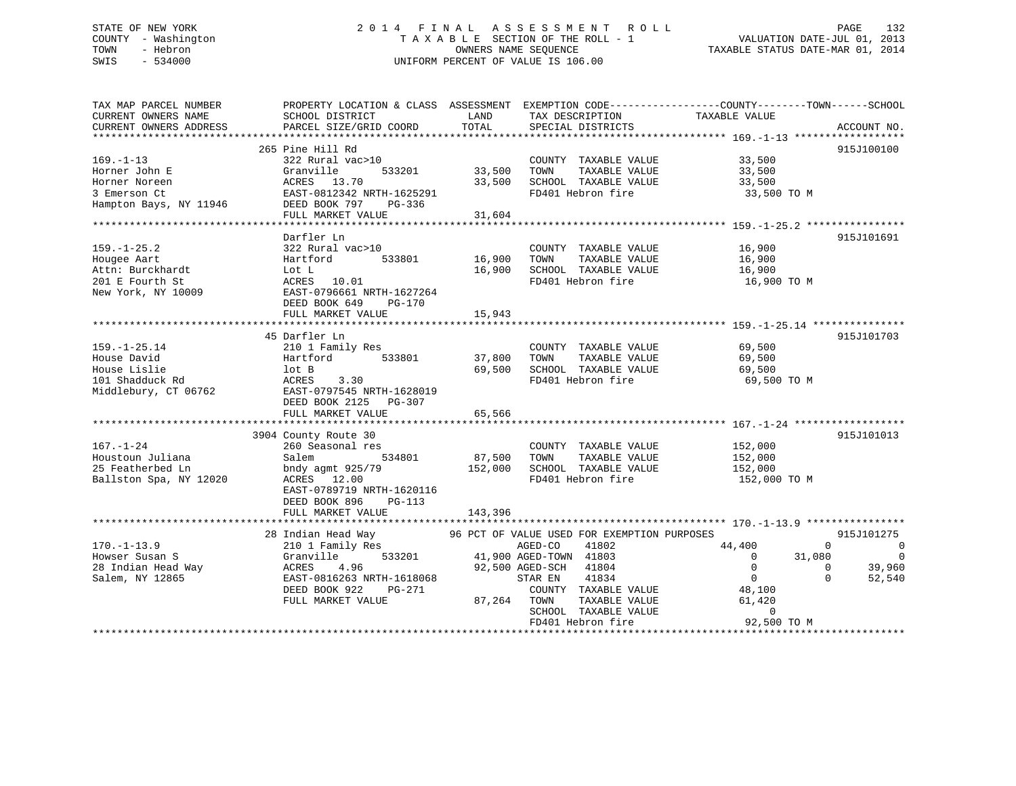# STATE OF NEW YORK 2 0 1 4 F I N A L A S S E S S M E N T R O L L PAGE 132 COUNTY - Washington T A X A B L E SECTION OF THE ROLL - 1 VALUATION DATE-JUL 01, 2013 TOWN - Hebron OWNERS NAME SEQUENCE TAXABLE STATUS DATE-MAR 01, 2014 SWIS - 534000 UNIFORM PERCENT OF VALUE IS 106.00

| TAX MAP PARCEL NUMBER<br>CURRENT OWNERS NAME<br>CURRENT OWNERS ADDRESS                        | SCHOOL DISTRICT<br>PARCEL SIZE/GRID COORD                                                                                                                                   | LAND<br>TOTAL              | TAX DESCRIPTION<br>SPECIAL DISTRICTS                                                                                                                                                                                                           | PROPERTY LOCATION & CLASS ASSESSMENT EXEMPTION CODE----------------COUNTY-------TOWN------SCHOOL<br>TAXABLE VALUE<br>ACCOUNT NO.                                                                                         |
|-----------------------------------------------------------------------------------------------|-----------------------------------------------------------------------------------------------------------------------------------------------------------------------------|----------------------------|------------------------------------------------------------------------------------------------------------------------------------------------------------------------------------------------------------------------------------------------|--------------------------------------------------------------------------------------------------------------------------------------------------------------------------------------------------------------------------|
| $169. - 1 - 13$<br>Horner John E<br>Horner Noreen<br>3 Emerson Ct<br>Hampton Bays, NY 11946   | 265 Pine Hill Rd<br>322 Rural vac>10<br>533201<br>Granville<br>ACRES 13.70<br>EAST-0812342 NRTH-1625291<br>DEED BOOK 797 PG-336<br>FULL MARKET VALUE                        | 33,500<br>33,500<br>31,604 | COUNTY TAXABLE VALUE<br>TOWN<br>TAXABLE VALUE<br>SCHOOL TAXABLE VALUE<br>FD401 Hebron fire                                                                                                                                                     | 915J100100<br>33,500<br>33,500<br>33,500<br>33,500 TO M                                                                                                                                                                  |
| $159. - 1 - 25.2$<br>Hougee Aart<br>Attn: Burckhardt<br>201 E Fourth St<br>New York, NY 10009 | Darfler Ln<br>322 Rural vac>10<br>Hartford<br>533801<br>Lot L<br>ACRES 10.01<br>EAST-0796661 NRTH-1627264<br>DEED BOOK 649<br>PG-170<br>FULL MARKET VALUE                   | 16,900<br>15,943           | COUNTY TAXABLE VALUE<br>TAXABLE VALUE<br>TOWN<br>16,900 SCHOOL TAXABLE VALUE<br>FD401 Hebron fire                                                                                                                                              | 915J101691<br>16,900<br>16,900<br>16,900<br>16,900 TO M                                                                                                                                                                  |
| $159. - 1 - 25.14$<br>House David<br>House Lislie<br>101 Shadduck Rd<br>Middlebury, CT 06762  | 45 Darfler Ln<br>210 1 Family Res<br>Hartford<br>533801<br>lot B<br>ACRES<br>3.30<br>EAST-0797545 NRTH-1628019<br>DEED BOOK 2125 PG-307<br>FULL MARKET VALUE                | 37,800<br>65,566           | COUNTY TAXABLE VALUE<br>TOWN<br>TAXABLE VALUE<br>69,500 SCHOOL TAXABLE VALUE<br>FD401 Hebron fire                                                                                                                                              | 915J101703<br>69,500<br>69,500<br>69,500<br>69,500 TO M                                                                                                                                                                  |
| $167. - 1 - 24$<br>Houstoun Juliana<br>25 Featherbed Ln<br>Ballston Spa, NY 12020             | 3904 County Route 30<br>260 Seasonal res<br>534801<br>Salem<br>bndy agmt 925/79<br>ACRES 12.00<br>EAST-0789719 NRTH-1620116<br>DEED BOOK 896<br>PG-113<br>FULL MARKET VALUE | 143,396                    | COUNTY TAXABLE VALUE<br>87,500 TOWN<br>TAXABLE VALUE<br>152,000 SCHOOL TAXABLE VALUE<br>FD401 Hebron fire                                                                                                                                      | 915J101013<br>152,000<br>152,000<br>152,000<br>152,000 TO M                                                                                                                                                              |
| $170. - 1 - 13.9$<br>Howser Susan S<br>28 Indian Head Way<br>Salem, NY 12865                  | 28 Indian Head Way<br>210 1 Family Res<br>533201<br>Granville<br>ACRES<br>4.96<br>EAST-0816263 NRTH-1618068<br>DEED BOOK 922<br>PG-271<br>FULL MARKET VALUE                 |                            | 96 PCT OF VALUE USED FOR EXEMPTION PURPOSES<br>AGED-CO<br>41802<br>41,900 AGED-TOWN 41803<br>92,500 AGED-SCH<br>41804<br>STAR EN<br>41834<br>COUNTY TAXABLE VALUE<br>87,264 TOWN<br>TAXABLE VALUE<br>SCHOOL TAXABLE VALUE<br>FD401 Hebron fire | 915J101275<br>44,400<br>0<br>$\Omega$<br>$\overline{0}$<br>$\overline{0}$<br>31,080<br>$\overline{0}$<br>39,960<br>$\Omega$<br>$\overline{0}$<br>$\Omega$<br>52,540<br>48,100<br>61,420<br>$\overline{0}$<br>92,500 TO M |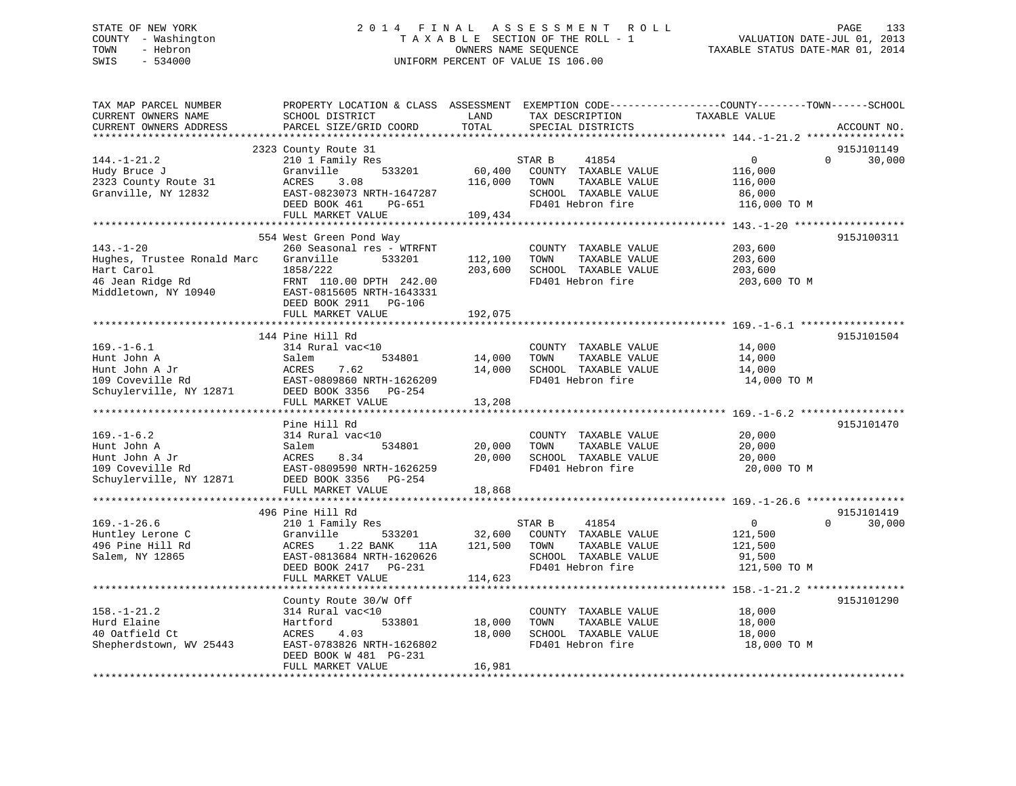# STATE OF NEW YORK 2 0 1 4 F I N A L A S S E S S M E N T R O L L PAGE 133 COUNTY - Washington T A X A B L E SECTION OF THE ROLL - 1 VALUATION DATE-JUL 01, 2013 TOWN - Hebron OWNERS NAME SEQUENCE TAXABLE STATUS DATE-MAR 01, 2014 SWIS - 534000 UNIFORM PERCENT OF VALUE IS 106.00

| TAX MAP PARCEL NUMBER<br>CURRENT OWNERS NAME<br>CURRENT OWNERS ADDRESS                                                         | PROPERTY LOCATION & CLASS ASSESSMENT<br>SCHOOL DISTRICT<br>PARCEL SIZE/GRID COORD                                                                                                  | LAND<br>TOTAL                | TAX DESCRIPTION<br>SPECIAL DISTRICTS                                                                          | EXEMPTION CODE-----------------COUNTY-------TOWN------SCHOOL<br>TAXABLE VALUE | ACCOUNT NO.          |
|--------------------------------------------------------------------------------------------------------------------------------|------------------------------------------------------------------------------------------------------------------------------------------------------------------------------------|------------------------------|---------------------------------------------------------------------------------------------------------------|-------------------------------------------------------------------------------|----------------------|
| *************************                                                                                                      |                                                                                                                                                                                    |                              |                                                                                                               |                                                                               |                      |
| $144. - 1 - 21.2$<br>Hudy Bruce J<br>2323 County Route 31<br>Granville, NY 12832                                               | 2323 County Route 31<br>210 1 Family Res<br>533201<br>Granville<br>3.08<br>ACRES<br>EAST-0823073 NRTH-1647287<br>DEED BOOK 461<br>PG-651<br>FULL MARKET VALUE                      | 60,400<br>116,000<br>109,434 | STAR B<br>41854<br>COUNTY TAXABLE VALUE<br>TAXABLE VALUE<br>TOWN<br>SCHOOL TAXABLE VALUE<br>FD401 Hebron fire | $\mathbf 0$<br>$\Omega$<br>116,000<br>116,000<br>86,000<br>116,000 TO M       | 915J101149<br>30,000 |
|                                                                                                                                |                                                                                                                                                                                    |                              |                                                                                                               |                                                                               | 915J100311           |
| $143. - 1 - 20$<br>Hughes, Trustee Ronald Marc<br>Hart Carol<br>t saror<br>46 Jean Ridge Rd<br>Middler<br>Middletown, NY 10940 | 554 West Green Pond Way<br>260 Seasonal res - WTRFNT<br>Granville<br>533201<br>1858/222<br>FRNT 110.00 DPTH 242.00<br>EAST-0815605 NRTH-1643331<br>DEED BOOK 2911<br><b>PG-106</b> | 112,100<br>203,600           | COUNTY TAXABLE VALUE<br>TAXABLE VALUE<br>TOWN<br>SCHOOL TAXABLE VALUE<br>FD401 Hebron fire                    | 203,600<br>203,600<br>203,600<br>203,600 TO M                                 |                      |
|                                                                                                                                | FULL MARKET VALUE                                                                                                                                                                  | 192,075                      |                                                                                                               |                                                                               |                      |
|                                                                                                                                | ******************************<br>144 Pine Hill Rd                                                                                                                                 | ************                 |                                                                                                               |                                                                               | 915J101504           |
| $169. - 1 - 6.1$<br>Hunt John A<br>Hunt John A Jr<br>109 Coveville Rd<br>Schuylerville, NY 12871                               | 314 Rural vac<10<br>534801<br>Salem<br>7.62<br>ACRES<br>EAST-0809860 NRTH-1626209<br>DEED BOOK 3356 PG-254                                                                         | 14,000<br>14,000             | COUNTY TAXABLE VALUE<br>TOWN<br>TAXABLE VALUE<br>SCHOOL TAXABLE VALUE<br>FD401 Hebron fire                    | 14,000<br>14,000<br>14,000<br>14,000 TO M                                     |                      |
|                                                                                                                                | FULL MARKET VALUE                                                                                                                                                                  | 13,208                       |                                                                                                               |                                                                               |                      |
|                                                                                                                                |                                                                                                                                                                                    |                              |                                                                                                               |                                                                               |                      |
| $169. - 1 - 6.2$<br>Hunt John A<br>Hunt John A Jr<br>109 Coveville Rd<br>Schuylerville, NY 12871                               | Pine Hill Rd<br>314 Rural vac<10<br>534801<br>Salem<br>ACRES<br>8.34<br>EAST-0809590 NRTH-1626259<br>DEED BOOK 3356<br>PG-254<br>FULL MARKET VALUE                                 | 20,000<br>20,000<br>18,868   | COUNTY TAXABLE VALUE<br>TAXABLE VALUE<br>TOWN<br>SCHOOL TAXABLE VALUE<br>FD401 Hebron fire                    | 20,000<br>20,000<br>20,000<br>20,000 TO M                                     | 915J101470           |
|                                                                                                                                |                                                                                                                                                                                    |                              |                                                                                                               |                                                                               |                      |
| $169. - 1 - 26.6$<br>Huntley Lerone C<br>496 Pine Hill Rd<br>Salem, NY 12865                                                   | 496 Pine Hill Rd<br>210 1 Family Res<br>Granville<br>533201<br>ACRES<br>1.22 BANK<br>11A<br>EAST-0813684 NRTH-1620626<br>DEED BOOK 2417 PG-231                                     | 32,600<br>121,500            | STAR B<br>41854<br>COUNTY TAXABLE VALUE<br>TOWN<br>TAXABLE VALUE<br>SCHOOL TAXABLE VALUE<br>FD401 Hebron fire | $\overline{0}$<br>$\Omega$<br>121,500<br>121,500<br>91,500<br>121,500 TO M    | 915J101419<br>30,000 |
|                                                                                                                                | FULL MARKET VALUE                                                                                                                                                                  | 114,623                      |                                                                                                               |                                                                               |                      |
| $158. - 1 - 21.2$<br>Hurd Elaine<br>40 Oatfield Ct<br>Shepherdstown, WV 25443                                                  | County Route 30/W Off<br>314 Rural vac<10<br>Hartford<br>533801<br>ACRES<br>4.03<br>EAST-0783826 NRTH-1626802<br>DEED BOOK W 481 PG-231                                            | 18,000<br>18,000             | COUNTY TAXABLE VALUE<br>TOWN<br>TAXABLE VALUE<br>SCHOOL TAXABLE VALUE<br>FD401 Hebron fire                    | 18,000<br>18,000<br>18,000<br>18,000 TO M                                     | 915J101290           |
|                                                                                                                                | FULL MARKET VALUE                                                                                                                                                                  | 16,981                       |                                                                                                               |                                                                               |                      |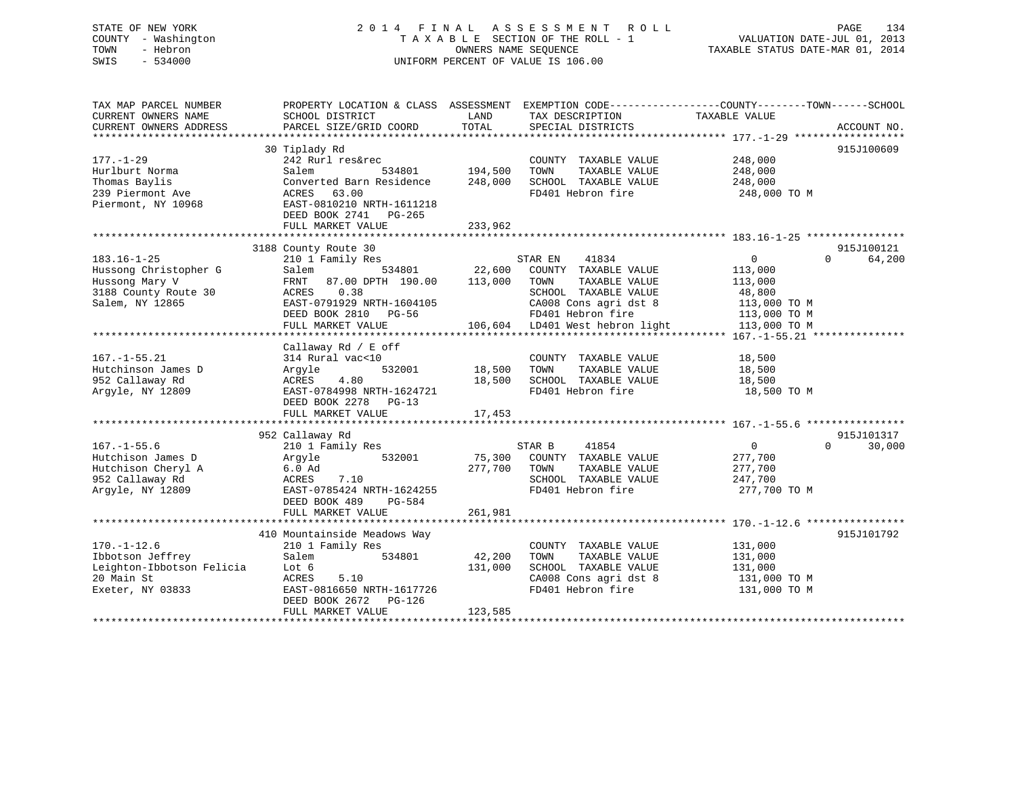SWIS - 534000 UNIFORM PERCENT OF VALUE IS 106.00

# STATE OF NEW YORK 2 0 1 4 F I N A L A S S E S S M E N T R O L L PAGE 134 COUNTY - Washington T A X A B L E SECTION OF THE ROLL - 1 VALUATION DATE-JUL 01, 2013 TOWN - Hebron OWNERS NAME SEQUENCE TAXABLE STATUS DATE-MAR 01, 2014

| TAX MAP PARCEL NUMBER<br>CURRENT OWNERS NAME<br>CURRENT OWNERS ADDRESS                                  | PROPERTY LOCATION & CLASS ASSESSMENT<br>SCHOOL DISTRICT<br>PARCEL SIZE/GRID COORD                                                                                                      | LAND<br>TOTAL                 | EXEMPTION CODE-----------------COUNTY--------TOWN------SCHOOL<br>TAX DESCRIPTION<br>SPECIAL DISTRICTS                                                              | TAXABLE VALUE                                                                                  | ACCOUNT NO.                      |
|---------------------------------------------------------------------------------------------------------|----------------------------------------------------------------------------------------------------------------------------------------------------------------------------------------|-------------------------------|--------------------------------------------------------------------------------------------------------------------------------------------------------------------|------------------------------------------------------------------------------------------------|----------------------------------|
| $177. - 1 - 29$<br>Hurlburt Norma<br>Thomas Baylis<br>239 Piermont Ave<br>Piermont, NY 10968            | 30 Tiplady Rd<br>242 Rurl res&rec<br>534801<br>Salem<br>Converted Barn Residence<br>63.00<br>ACRES<br>EAST-0810210 NRTH-1611218<br>DEED BOOK 2741<br>$PG-265$<br>FULL MARKET VALUE     | 194,500<br>248,000<br>233,962 | COUNTY TAXABLE VALUE<br>TOWN<br>TAXABLE VALUE<br>SCHOOL TAXABLE VALUE<br>FD401 Hebron fire                                                                         | 248,000<br>248,000<br>248,000<br>248,000 TO M                                                  | 915J100609                       |
| $183.16 - 1 - 25$<br>Hussong Christopher G<br>Hussong Mary V<br>3188 County Route 30<br>Salem, NY 12865 | 3188 County Route 30<br>210 1 Family Res<br>534801<br>Salem<br>87.00 DPTH 190.00<br>FRNT<br>0.38<br>ACRES<br>EAST-0791929 NRTH-1604105<br>DEED BOOK 2810<br>PG-56<br>FULL MARKET VALUE | 22,600<br>113,000<br>106,604  | STAR EN<br>41834<br>COUNTY TAXABLE VALUE<br>TOWN<br>TAXABLE VALUE<br>SCHOOL TAXABLE VALUE<br>CA008 Cons agri dst 8<br>FD401 Hebron fire<br>LD401 West hebron light | $\overline{0}$<br>113,000<br>113,000<br>48,800<br>113,000 TO M<br>113,000 TO M<br>113,000 TO M | 915J100121<br>$\Omega$<br>64,200 |
| $167. - 1 - 55.21$<br>Hutchinson James D<br>952 Callaway Rd<br>Arqyle, NY 12809                         | Callaway Rd / E off<br>314 Rural vac<10<br>532001<br>Argyle<br>4.80<br>ACRES<br>EAST-0784998 NRTH-1624721<br>DEED BOOK 2278 PG-13<br>FULL MARKET VALUE                                 | 18,500<br>18,500<br>17,453    | COUNTY TAXABLE VALUE<br>TOWN<br>TAXABLE VALUE<br>SCHOOL TAXABLE VALUE<br>FD401 Hebron fire                                                                         | 18,500<br>18,500<br>18,500<br>18,500 TO M                                                      |                                  |
| $167. - 1 - 55.6$<br>Hutchison James D<br>Hutchison Cheryl A<br>952 Callaway Rd<br>Argyle, NY 12809     | 952 Callaway Rd<br>210 1 Family Res<br>532001<br>Argyle<br>$6.0$ Ad<br>7.10<br>ACRES<br>EAST-0785424 NRTH-1624255<br>DEED BOOK 489<br>PG-584<br>FULL MARKET VALUE                      | 75,300<br>277,700<br>261,981  | STAR B<br>41854<br>COUNTY TAXABLE VALUE<br>TOWN<br>TAXABLE VALUE<br>SCHOOL TAXABLE VALUE<br>FD401 Hebron fire                                                      | $\overline{0}$<br>277,700<br>277,700<br>247,700<br>277,700 TO M                                | 915J101317<br>$\Omega$<br>30,000 |
| $170. - 1 - 12.6$<br>Ibbotson Jeffrey<br>Leighton-Ibbotson Felicia<br>20 Main St<br>Exeter, NY 03833    | 410 Mountainside Meadows Way<br>210 1 Family Res<br>Salem<br>534801<br>Lot 6<br>ACRES<br>5.10<br>EAST-0816650 NRTH-1617726<br>DEED BOOK 2672<br>PG-126<br>FULL MARKET VALUE            | 42,200<br>131,000<br>123,585  | COUNTY TAXABLE VALUE<br>TOWN<br>TAXABLE VALUE<br>SCHOOL TAXABLE VALUE<br>CA008 Cons agri dst 8<br>FD401 Hebron fire                                                | 131,000<br>131,000<br>131,000<br>131,000 TO M<br>131,000 TO M                                  | 915J101792                       |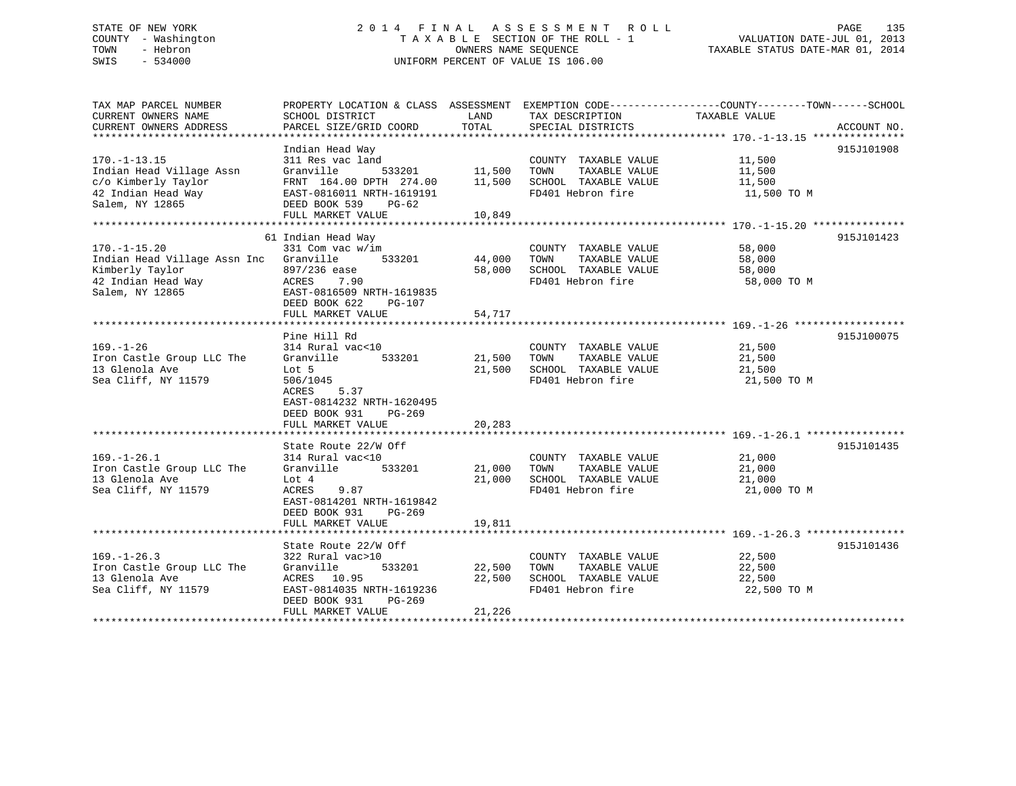# STATE OF NEW YORK 2 0 1 4 F I N A L A S S E S S M E N T R O L L PAGE 135 COUNTY - Washington T A X A B L E SECTION OF THE ROLL - 1 VALUATION DATE-JUL 01, 2013 TOWN - Hebron OWNERS NAME SEQUENCE TAXABLE STATUS DATE-MAR 01, 2014 SWIS - 534000 UNIFORM PERCENT OF VALUE IS 106.00

| TAX MAP PARCEL NUMBER<br>CURRENT OWNERS NAME<br>CURRENT OWNERS ADDRESS                                                   | PROPERTY LOCATION & CLASS ASSESSMENT EXEMPTION CODE-----------------COUNTY-------TOWN------SCHOOL<br>SCHOOL DISTRICT<br>PARCEL SIZE/GRID COORD                               | LAND<br>TOTAL                     | TAX DESCRIPTION<br>SPECIAL DISTRICTS                                                       | TAXABLE VALUE                                                      | ACCOUNT NO. |
|--------------------------------------------------------------------------------------------------------------------------|------------------------------------------------------------------------------------------------------------------------------------------------------------------------------|-----------------------------------|--------------------------------------------------------------------------------------------|--------------------------------------------------------------------|-------------|
| $170. - 1 - 13.15$<br>Indian Head Village Assn<br>c/o Kimberly Taylor<br>42 Indian Head Way<br>Salem, NY 12865           | Indian Head Way<br>311 Res vac land<br>Granville<br>FRNT 164.00 DPTH 274.00<br>EAST-0816011 NRTH-1619191<br>DEED BOOK 539<br>PG-62<br>FULL MARKET VALUE                      | 533201 11,500<br>11,500<br>10,849 | COUNTY TAXABLE VALUE<br>TOWN<br>TAXABLE VALUE<br>SCHOOL TAXABLE VALUE<br>FD401 Hebron fire | 11,500<br>11,500<br>11,500<br>11,500 TO M                          | 915J101908  |
| $170. - 1 - 15.20$<br>Indian Head Village Assn Inc Granville<br>Kimberly Taylor<br>42 Indian Head Way<br>Salem, NY 12865 | 61 Indian Head Way<br>$331$ Com vac w/im<br>533201<br>897/236 ease<br>7.90<br>ACRES<br>EAST-0816509 NRTH-1619835<br>DEED BOOK 622<br>PG-107<br>FULL MARKET VALUE             | 44,000<br>58,000<br>54,717        | COUNTY TAXABLE VALUE<br>TAXABLE VALUE<br>TOWN<br>SCHOOL TAXABLE VALUE<br>FD401 Hebron fire | 58,000<br>58,000<br>58,000<br>58,000 TO M                          | 915J101423  |
| $169. - 1 - 26$<br>Iron Castle Group LLC The<br>13 Glenola Ave<br>Sea Cliff, NY 11579                                    | Pine Hill Rd<br>314 Rural vac<10<br>Granville<br>533201<br>Lot 5<br>506/1045<br>5.37<br>ACRES<br>EAST-0814232 NRTH-1620495<br>DEED BOOK 931<br>$PG-269$<br>FULL MARKET VALUE | 21,500<br>21,500<br>20,283        | COUNTY TAXABLE VALUE<br>TAXABLE VALUE<br>TOWN<br>SCHOOL TAXABLE VALUE<br>FD401 Hebron fire | 21,500<br>21,500<br>21,500<br>21,500 TO M                          | 915J100075  |
| $169. - 1 - 26.1$<br>Iron Castle Group LLC The<br>13 Glenola Ave<br>Sea Cliff, NY 11579                                  | State Route 22/W Off<br>314 Rural vac<10<br>533201<br>Granville<br>Lot 4<br>ACRES<br>9.87<br>EAST-0814201 NRTH-1619842<br>DEED BOOK 931<br>PG-269<br>FULL MARKET VALUE       | 21,000<br>21,000<br>19,811        | COUNTY TAXABLE VALUE<br>TAXABLE VALUE<br>TOWN<br>SCHOOL TAXABLE VALUE<br>FD401 Hebron fire | 21,000<br>21,000<br>21,000<br>21,000 TO M                          | 915J101435  |
| $169. - 1 - 26.3$<br>Iron Castle Group LLC The<br>13 Glenola Ave<br>Sea Cliff, NY 11579                                  | State Route 22/W Off<br>322 Rural vac>10<br>Granville<br>533201<br>ACRES 10.95<br>EAST-0814035 NRTH-1619236<br>DEED BOOK 931<br>PG-269<br>FULL MARKET VALUE                  | 22,500<br>22,500<br>21,226        | COUNTY TAXABLE VALUE<br>TAXABLE VALUE<br>TOWN<br>SCHOOL TAXABLE VALUE<br>FD401 Hebron fire | $\frac{22}{22}$ , 500<br>22.500<br>22,500<br>22,500<br>22,500 TO M | 915J101436  |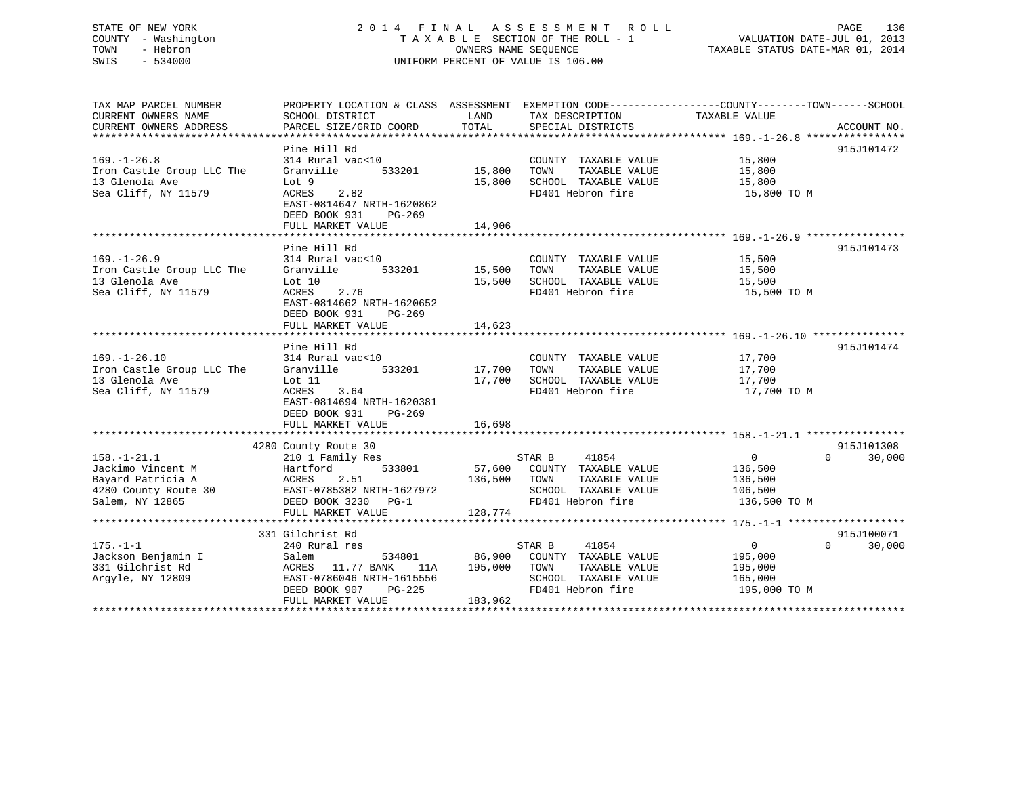# STATE OF NEW YORK 2 0 1 4 F I N A L A S S E S S M E N T R O L L PAGE 136 COUNTY - Washington T A X A B L E SECTION OF THE ROLL - 1 VALUATION DATE-JUL 01, 2013 TOWN - Hebron OWNERS NAME SEQUENCE TAXABLE STATUS DATE-MAR 01, 2014 SWIS - 534000 UNIFORM PERCENT OF VALUE IS 106.00

TAX MAP PARCEL NUMBER PROPERTY LOCATION & CLASS ASSESSMENT EXEMPTION CODE------------------COUNTY--------TOWN------SCHOOL

CURRENT OWNERS NAME SCHOOL DISTRICT THE LAND TAX DESCRIPTION TAXABLE VALUE CURRENT OWNERS ADDRESS PARCEL SIZE/GRID COORD TOTAL SPECIAL DISTRICTS ACCOUNT NO. \*\*\*\*\*\*\*\*\*\*\*\*\*\*\*\*\*\*\*\*\*\*\*\*\*\*\*\*\*\*\*\*\*\*\*\*\*\*\*\*\*\*\*\*\*\*\*\*\*\*\*\*\*\*\*\*\*\*\*\*\*\*\*\*\*\*\*\*\*\*\*\*\*\*\*\*\*\*\*\*\*\*\*\*\*\*\*\*\*\*\*\*\*\*\*\*\*\*\*\*\*\*\* 169.-1-26.8 \*\*\*\*\*\*\*\*\*\*\*\*\*\*\*\* Pine Hill Rd 915J101472 169.-1-26.8 314 Rural vac<10 COUNTY TAXABLE VALUE 15,800 Iron Castle Group LLC The Granville 533201 15,800 TOWN TAXABLE VALUE 15,800 13 Glenola Ave Lot 9 15,800 SCHOOL TAXABLE VALUE 15,800 Sea Cliff, NY 11579 ACRES 2.82 FD401 Hebron fire 15,800 TO M EAST-0814647 NRTH-1620862 DEED BOOK 931 PG-269 FULL MARKET VALUE 14,906 \*\*\*\*\*\*\*\*\*\*\*\*\*\*\*\*\*\*\*\*\*\*\*\*\*\*\*\*\*\*\*\*\*\*\*\*\*\*\*\*\*\*\*\*\*\*\*\*\*\*\*\*\*\*\*\*\*\*\*\*\*\*\*\*\*\*\*\*\*\*\*\*\*\*\*\*\*\*\*\*\*\*\*\*\*\*\*\*\*\*\*\*\*\*\*\*\*\*\*\*\*\*\* 169.-1-26.9 \*\*\*\*\*\*\*\*\*\*\*\*\*\*\*\*Pine Hill Rd 915J101473 169.-1-26.9 314 Rural vac<10 COUNTY TAXABLE VALUE 15,500 Iron Castle Group LLC The Granville 533201 15,500 TOWN TAXABLE VALUE 15,500 13 Glenola Ave Lot 10 15,500 SCHOOL TAXABLE VALUE 15,500 Sea Cliff, NY 11579 ACRES 2.76 FD401 Hebron fire 15,500 TO M EAST-0814662 NRTH-1620652 DEED BOOK 931 PG-269 FULL MARKET VALUE 14,623 \*\*\*\*\*\*\*\*\*\*\*\*\*\*\*\*\*\*\*\*\*\*\*\*\*\*\*\*\*\*\*\*\*\*\*\*\*\*\*\*\*\*\*\*\*\*\*\*\*\*\*\*\*\*\*\*\*\*\*\*\*\*\*\*\*\*\*\*\*\*\*\*\*\*\*\*\*\*\*\*\*\*\*\*\*\*\*\*\*\*\*\*\*\*\*\*\*\*\*\*\*\*\* 169.-1-26.10 \*\*\*\*\*\*\*\*\*\*\*\*\*\*\*Pine Hill Rd 915J101474 169.-1-26.10 314 Rural vac<10 COUNTY TAXABLE VALUE 17,700 Iron Castle Group LLC The Granville 533201 17,700 TOWN TAXABLE VALUE 17,700 13 Glenola Ave Lot 11 17,700 SCHOOL TAXABLE VALUE 17,700 Sea Cliff, NY 11579 ACRES 3.64 FD401 Hebron fire 17,700 TO M EAST-0814694 NRTH-1620381 DEED BOOK 931 PG-269FULL MARKET VALUE 16,698 \*\*\*\*\*\*\*\*\*\*\*\*\*\*\*\*\*\*\*\*\*\*\*\*\*\*\*\*\*\*\*\*\*\*\*\*\*\*\*\*\*\*\*\*\*\*\*\*\*\*\*\*\*\*\*\*\*\*\*\*\*\*\*\*\*\*\*\*\*\*\*\*\*\*\*\*\*\*\*\*\*\*\*\*\*\*\*\*\*\*\*\*\*\*\*\*\*\*\*\*\*\*\* 158.-1-21.1 \*\*\*\*\*\*\*\*\*\*\*\*\*\*\*\* 4280 County Route 30 915J101308 158.-1-21.1 210 1 Family Res STAR B 41854 0 0 30,000 Jackimo Vincent M Hartford 533801 57,600 COUNTY TAXABLE VALUE 136,500 Bayard Patricia A ACRES 2.51 136,500 TOWN TAXABLE VALUE 136,500 4280 County Route 30 EAST-0785382 NRTH-1627972 SCHOOL TAXABLE VALUE 106,500 Salem, NY 12865 DEED BOOK 3230 PG-1 FD401 Hebron fire 136,500 TO M FULL MARKET VALUE 128,774 \*\*\*\*\*\*\*\*\*\*\*\*\*\*\*\*\*\*\*\*\*\*\*\*\*\*\*\*\*\*\*\*\*\*\*\*\*\*\*\*\*\*\*\*\*\*\*\*\*\*\*\*\*\*\*\*\*\*\*\*\*\*\*\*\*\*\*\*\*\*\*\*\*\*\*\*\*\*\*\*\*\*\*\*\*\*\*\*\*\*\*\*\*\*\*\*\*\*\*\*\*\*\* 175.-1-1 \*\*\*\*\*\*\*\*\*\*\*\*\*\*\*\*\*\*\* 331 Gilchrist Rd 915J100071 $0 \t30,000$ 175.-1-1 240 Rural res STAR B 41854 0 0 30,000 Jackson Benjamin I Salem 534801 86,900 COUNTY TAXABLE VALUE 195,000 331 Gilchrist Rd ACRES 11.77 BANK 11A 195,000 TOWN TAXABLE VALUE 195,000 Argyle, NY 12809 EAST-0786046 NRTH-1615556 SCHOOL TAXABLE VALUE 165,000 DEED BOOK 907 PG-225 FD401 Hebron fire 195,000 TO M FULL MARKET VALUE 183,962 \*\*\*\*\*\*\*\*\*\*\*\*\*\*\*\*\*\*\*\*\*\*\*\*\*\*\*\*\*\*\*\*\*\*\*\*\*\*\*\*\*\*\*\*\*\*\*\*\*\*\*\*\*\*\*\*\*\*\*\*\*\*\*\*\*\*\*\*\*\*\*\*\*\*\*\*\*\*\*\*\*\*\*\*\*\*\*\*\*\*\*\*\*\*\*\*\*\*\*\*\*\*\*\*\*\*\*\*\*\*\*\*\*\*\*\*\*\*\*\*\*\*\*\*\*\*\*\*\*\*\*\*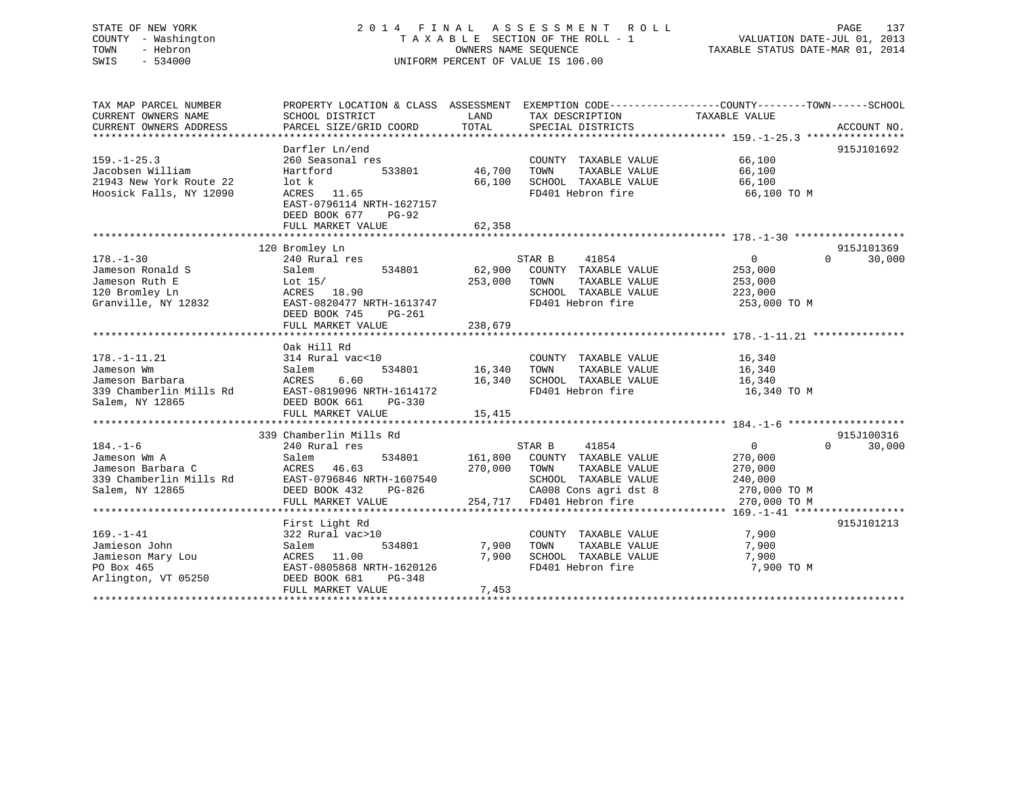# STATE OF NEW YORK 2 0 1 4 F I N A L A S S E S S M E N T R O L L PAGE 137 COUNTY - Washington T A X A B L E SECTION OF THE ROLL - 1 VALUATION DATE-JUL 01, 2013 TOWN - Hebron OWNERS NAME SEQUENCE TAXABLE STATUS DATE-MAR 01, 2014 SWIS - 534000 UNIFORM PERCENT OF VALUE IS 106.00

| TAX MAP PARCEL NUMBER   | PROPERTY LOCATION & CLASS ASSESSMENT |         | EXEMPTION CODE-----------------COUNTY--------TOWN------SCHOOL |                |                    |
|-------------------------|--------------------------------------|---------|---------------------------------------------------------------|----------------|--------------------|
| CURRENT OWNERS NAME     | SCHOOL DISTRICT                      | LAND    | TAX DESCRIPTION                                               | TAXABLE VALUE  |                    |
| CURRENT OWNERS ADDRESS  | PARCEL SIZE/GRID COORD               | TOTAL   | SPECIAL DISTRICTS                                             |                | ACCOUNT NO.        |
|                         |                                      |         |                                                               |                |                    |
|                         | Darfler Ln/end                       |         |                                                               |                | 915J101692         |
| $159. - 1 - 25.3$       | 260 Seasonal res                     |         | COUNTY TAXABLE VALUE                                          | 66,100         |                    |
| Jacobsen William        | Hartford<br>533801                   | 46,700  | TOWN<br>TAXABLE VALUE                                         | 66,100         |                    |
| 21943 New York Route 22 | lot k                                | 66,100  | SCHOOL TAXABLE VALUE                                          | 66,100         |                    |
| Hoosick Falls, NY 12090 | ACRES<br>11.65                       |         | FD401 Hebron fire                                             | 66,100 TO M    |                    |
|                         | EAST-0796114 NRTH-1627157            |         |                                                               |                |                    |
|                         | DEED BOOK 677<br>$PG-92$             |         |                                                               |                |                    |
|                         | FULL MARKET VALUE                    | 62,358  |                                                               |                |                    |
|                         |                                      |         |                                                               |                |                    |
|                         | 120 Bromley Ln                       |         |                                                               |                | 915J101369         |
| $178. - 1 - 30$         | 240 Rural res                        |         | STAR B<br>41854                                               | $\overline{0}$ | $\Omega$<br>30,000 |
| Jameson Ronald S        | 534801<br>Salem                      | 62,900  | COUNTY TAXABLE VALUE                                          | 253,000        |                    |
| Jameson Ruth E          | Lot $15/$                            | 253,000 | TOWN<br>TAXABLE VALUE                                         | 253,000        |                    |
| 120 Bromley Ln          | ACRES 18.90                          |         | SCHOOL TAXABLE VALUE                                          | 223,000        |                    |
| Granville, NY 12832     | EAST-0820477 NRTH-1613747            |         | FD401 Hebron fire                                             | 253,000 TO M   |                    |
|                         | DEED BOOK 745<br>$PG-261$            |         |                                                               |                |                    |
|                         | FULL MARKET VALUE                    | 238,679 |                                                               |                |                    |
|                         |                                      |         |                                                               |                |                    |
|                         | Oak Hill Rd                          |         |                                                               |                |                    |
| $178. - 1 - 11.21$      | 314 Rural vac<10                     |         | COUNTY TAXABLE VALUE                                          | 16,340         |                    |
| Jameson Wm              | 534801<br>Salem                      | 16,340  | TOWN<br>TAXABLE VALUE                                         | 16,340         |                    |
| Jameson Barbara         | 6.60<br>ACRES                        | 16,340  | SCHOOL TAXABLE VALUE                                          | 16,340         |                    |
| 339 Chamberlin Mills Rd | EAST-0819096 NRTH-1614172            |         | FD401 Hebron fire                                             | 16,340 TO M    |                    |
|                         |                                      |         |                                                               |                |                    |
| Salem, NY 12865         | DEED BOOK 661<br>$PG-330$            |         |                                                               |                |                    |
|                         | FULL MARKET VALUE                    | 15,415  |                                                               |                |                    |
|                         | 339 Chamberlin Mills Rd              |         |                                                               |                | 915J100316         |
|                         |                                      |         |                                                               |                |                    |
| $184. - 1 - 6$          | 240 Rural res                        |         | 41854<br>STAR B                                               | $\overline{0}$ | 30,000<br>$\Omega$ |
| Jameson Wm A            | Salem<br>534801                      | 161,800 | COUNTY TAXABLE VALUE                                          | 270,000        |                    |
| Jameson Barbara C       | 46.63<br>ACRES                       | 270,000 | TOWN<br>TAXABLE VALUE                                         | 270,000        |                    |
| 339 Chamberlin Mills Rd | EAST-0796846 NRTH-1607540            |         | SCHOOL TAXABLE VALUE                                          | 240,000        |                    |
| Salem, NY 12865         | DEED BOOK 432<br>PG-826              |         | CA008 Cons agri dst 8                                         | 270,000 TO M   |                    |
|                         | FULL MARKET VALUE                    | 254,717 | FD401 Hebron fire                                             | 270,000 TO M   |                    |
|                         |                                      |         |                                                               |                |                    |
|                         | First Light Rd                       |         |                                                               |                | 915J101213         |
| $169. - 1 - 41$         | 322 Rural vac>10                     |         | COUNTY TAXABLE VALUE                                          | 7,900          |                    |
| Jamieson John           | 534801<br>Salem                      | 7,900   | TOWN<br>TAXABLE VALUE                                         | 7,900          |                    |
| Jamieson Mary Lou       | ACRES 11.00                          | 7,900   | SCHOOL TAXABLE VALUE                                          | 7,900          |                    |
| PO Box 465              | EAST-0805868 NRTH-1620126            |         | FD401 Hebron fire                                             | 7,900 TO M     |                    |
| Arlington, VT 05250     | DEED BOOK 681<br>PG-348              |         |                                                               |                |                    |
|                         | FULL MARKET VALUE                    | 7,453   |                                                               |                |                    |
|                         |                                      |         |                                                               |                |                    |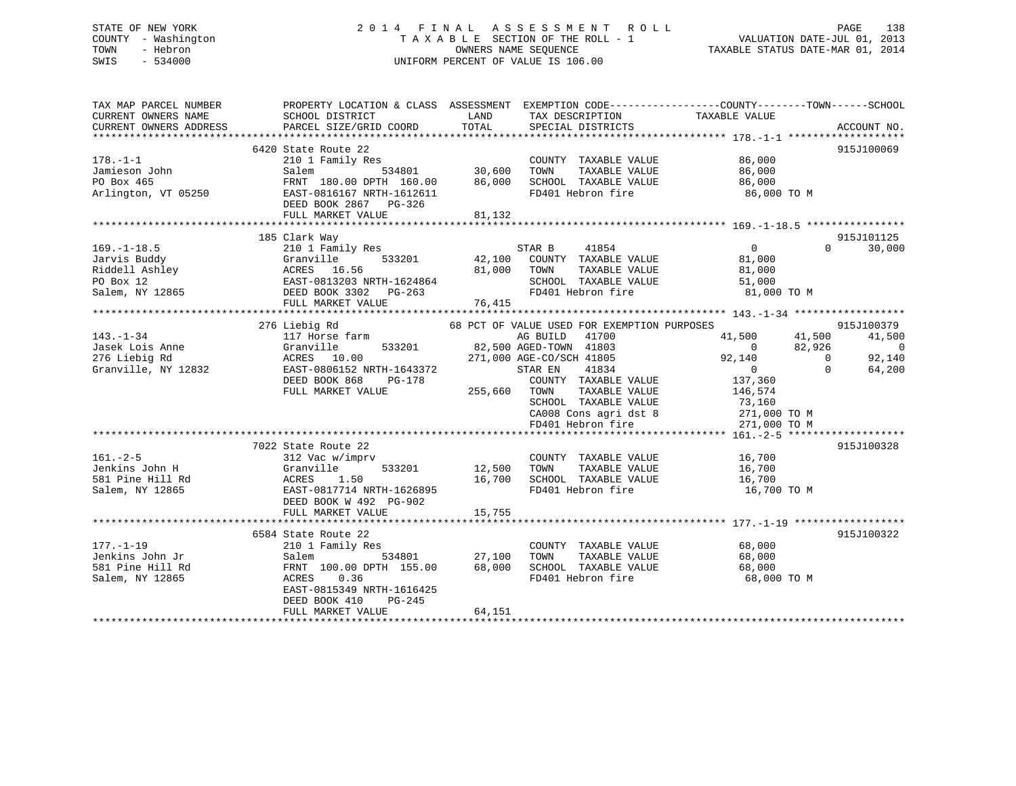# STATE OF NEW YORK 2 0 1 4 F I N A L A S S E S S M E N T R O L L PAGE 138 COUNTY - Washington T A X A B L E SECTION OF THE ROLL - 1 VALUATION DATE-JUL 01, 2013 TOWN - Hebron OWNERS NAME SEQUENCE TAXABLE STATUS DATE-MAR 01, 2014 SWIS - 534000 UNIFORM PERCENT OF VALUE IS 106.00

| TAX MAP PARCEL NUMBER<br>CURRENT OWNERS NAME<br>CURRENT OWNERS ADDRESS    | SCHOOL DISTRICT<br>PARCEL SIZE/GRID COORD                                                                                                                                                                                                                                | PROPERTY LOCATION & CLASS ASSESSMENT EXEMPTION CODE---------------COUNTY-------TOWN------SCHOOL<br>LAND<br>TAX DESCRIPTION<br>TOTAL<br>SPECIAL DISTRICTS                                                     | TAXABLE VALUE<br>ACCOUNT NO.                                                                                                                             |
|---------------------------------------------------------------------------|--------------------------------------------------------------------------------------------------------------------------------------------------------------------------------------------------------------------------------------------------------------------------|--------------------------------------------------------------------------------------------------------------------------------------------------------------------------------------------------------------|----------------------------------------------------------------------------------------------------------------------------------------------------------|
| $178. - 1 - 1$<br>Jamieson John<br>PO Box 465<br>Arlington, VT 05250      | 6420 State Route 22<br>DEED BOOK 2867 PG-326                                                                                                                                                                                                                             | State Route 22<br>210 1 Family Res<br>Salem 534801 30,600 TOWN TAXABLE VALUE 86,000<br>FRNT 180.00 DPTH 160.00 86,000 SCHOOL TAXABLE VALUE 86,000<br>EAST-0816167 NRTH-1612611 FD401 Hebron fire 86,000 TO M | 915J100069                                                                                                                                               |
|                                                                           | FULL MARKET VALUE                                                                                                                                                                                                                                                        | 81,132                                                                                                                                                                                                       |                                                                                                                                                          |
| $169. - 1 - 18.5$                                                         | 185 Clark Way<br>210 1 Family Res<br>31 January 1991<br>Tanuary 1992<br>Riddell Ashley (Granulle 1992)<br>Riddell Ashley ACRES 16.56 81,000 TOWN<br>PO Box 12 EAST-0813203 NRTH-1624864 8CHOO<br>Salem, NY 12865 DEED BOOK 3302 PG-263 FD401<br>FULL MARKET VALUE 76,415 | STAR B 41854<br>42,100 COUNTY TAXABLE VALUE<br>TAXABLE VALUE<br>SCHOOL TAXABLE VALUE 51,000<br>FD401 Hebron fire 81,000 TO M<br>FD401 Hebron fire                                                            | 915J101125<br>$\Omega$<br>30,000<br>$\overline{0}$<br>81,000<br>81,000                                                                                   |
|                                                                           | 276 Liebig Rd                                                                                                                                                                                                                                                            | 68 PCT OF VALUE USED FOR EXEMPTION PURPOSES                                                                                                                                                                  | 915J100379                                                                                                                                               |
|                                                                           |                                                                                                                                                                                                                                                                          | AG BUILD<br>41700<br>533201 82,500 AGED-TOWN 41803                                                                                                                                                           | 41,500 41,500<br>41,500<br>$\overline{0}$<br>82,926<br>$\overline{0}$                                                                                    |
|                                                                           |                                                                                                                                                                                                                                                                          | 271,000 AGE-CO/SCH 41805<br>41834<br>COUNTY TAXABLE VALUE<br>SCHOOL TAXABLE VALUE<br>SCHOOL TAXABLE VALUE<br>CA008 Cons agri dst 8<br>FD401 Hebron fire                                                      | 92,140<br>92,140<br>$\overline{0}$<br>$\overline{0}$<br>$\Omega$<br>64,200<br>137,360<br>TAXABLE VALUE 146,574<br>73,160<br>271,000 TO M<br>271,000 TO M |
|                                                                           |                                                                                                                                                                                                                                                                          |                                                                                                                                                                                                              |                                                                                                                                                          |
| $161. - 2 - 5$<br>Jenkins John H<br>581 Pine Hill Rd<br>Salem, NY 12865   | 7022 State Route 22<br>312 Vac w/imprv<br>DEED BOOK W 492 PG-902<br>FULL MARKET VALUE                                                                                                                                                                                    | COUNTY TAXABLE VALUE 16,700<br>Granville 533201 12,500 TOWN TAXABLE VALUE<br>ACRES 1.50 16,700 SCHOOL TAXABLE VALUE<br>EAST-0817714 NRTH-1626895 FD401 Hebron fire<br>15,755                                 | 915J100328<br>16,700<br>16,700<br>16,700 TO M                                                                                                            |
|                                                                           | 6584 State Route 22                                                                                                                                                                                                                                                      |                                                                                                                                                                                                              | 915J100322                                                                                                                                               |
| $177. - 1 - 19$<br>Jenkins John Jr<br>581 Pine Hill Rd<br>Salem, NY 12865 | 210 1 Family Res<br>534801<br>Salem<br>FRNT 100.00 DPTH 155.00 68,000<br>ACRES 0.36<br>EAST-0815349 NRTH-1616425<br>DEED BOOK 410<br>PG-245<br>FULL MARKET VALUE                                                                                                         | COUNTY TAXABLE VALUE<br>TAXABLE VALUE<br>27,100<br>TOWN<br>SCHOOL TAXABLE VALUE<br>FD401 Hebron fire<br>64,151                                                                                               | 68,000<br>68,000<br>68,000<br>68,000 TO M                                                                                                                |
|                                                                           |                                                                                                                                                                                                                                                                          |                                                                                                                                                                                                              |                                                                                                                                                          |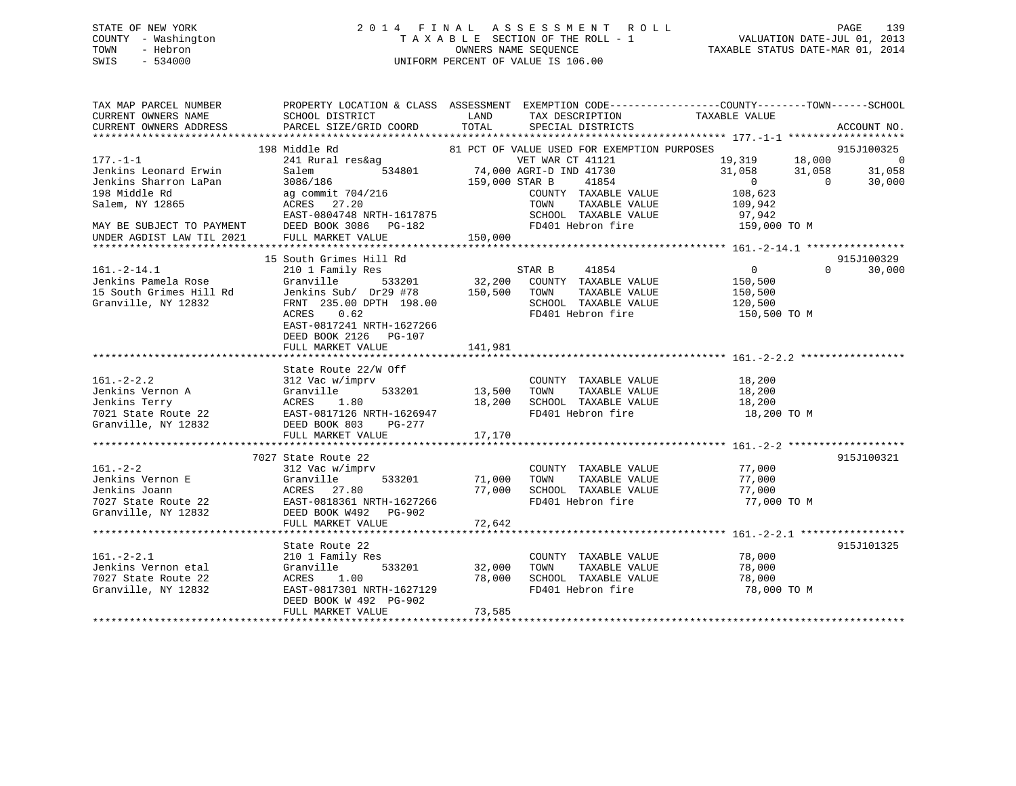# STATE OF NEW YORK 2 0 1 4 F I N A L A S S E S S M E N T R O L L PAGE 139 COUNTY - Washington T A X A B L E SECTION OF THE ROLL - 1 VALUATION DATE-JUL 01, 2013 TOWN - Hebron OWNERS NAME SEQUENCE TAXABLE STATUS DATE-MAR 01, 2014 SWIS - 534000 UNIFORM PERCENT OF VALUE IS 106.00

| TAX MAP PARCEL NUMBER<br>CURRENT OWNERS NAME<br>CURRENT OWNERS ADDRESS                                                                                         | SCHOOL DISTRICT<br>PARCEL SIZE/GRID COORD                                                                                                                                                             | LAND<br>TAX DESCRIPTION TAXABLE VALUE<br>TOTAL<br>SPECIAL DISTRICTS                                                                                                                                                            | PROPERTY LOCATION & CLASS ASSESSMENT EXEMPTION CODE----------------COUNTY-------TOWN------SCHOOL<br>ACCOUNT NO.                                                        |
|----------------------------------------------------------------------------------------------------------------------------------------------------------------|-------------------------------------------------------------------------------------------------------------------------------------------------------------------------------------------------------|--------------------------------------------------------------------------------------------------------------------------------------------------------------------------------------------------------------------------------|------------------------------------------------------------------------------------------------------------------------------------------------------------------------|
| $177. - 1 - 1$<br>Jenkins Leonard Erwin<br>Jenkins Sharron LaPan<br>198 Middle Rd<br>Salem, NY 12865<br>MAY BE SUBJECT TO PAYMENT<br>UNDER AGDIST LAW TIL 2021 | 198 Middle Rd<br>241 Rural res&ag<br>534801<br>Salem<br>3086/186<br>ag commit 704/216<br>ACRES 27.20<br>EAST-0804748 NRTH-1617875<br>DEED BOOK 3086 PG-182<br>FULL MARKET VALUE                       | 81 PCT OF VALUE USED FOR EXEMPTION PURPOSES<br>VET WAR CT 41121<br>74,000 AGRI-D IND 41730<br>159,000 STAR B<br>41854<br>COUNTY TAXABLE VALUE<br>TAXABLE VALUE<br>TOWN<br>SCHOOL TAXABLE VALUE<br>FD401 Hebron fire<br>150,000 | 915J100325<br>18,000<br>19,319<br>$\overline{0}$<br>31,058<br>31,058<br>31,058<br>$\overline{0}$<br>$\Omega$<br>30,000<br>108,623<br>109,942<br>97,942<br>159,000 TO M |
| $161.-2-14.1$<br>Jenkins Pamela Rose<br>15 South Grimes Hill Rd<br>Granville, NY 12832                                                                         | 15 South Grimes Hill Rd<br>210 1 Family Res<br>Granville<br>Jenkins Sub/ Dr29 #78<br>FRNT 235.00 DPTH 198.00<br>ACRES 0.62<br>EAST-0817241 NRTH-1627266<br>DEED BOOK 2126 PG-107<br>FULL MARKET VALUE | 41854<br>STAR B<br>533201 32,200 COUNTY TAXABLE VALUE<br>150,500<br>TOWN<br>TAXABLE VALUE<br>SCHOOL TAXABLE VALUE<br>FD401 Hebron fire<br>141,981                                                                              | 915J100329<br>$\overline{0}$<br>$\Omega$<br>30,000<br>150,500<br>150,500<br>120,500<br>150,500 TO M                                                                    |
| $161. - 2 - 2.2$<br>Jenkins Vernon A<br>Jenkins Terry<br>7021 State Route 22<br>Granville, NY 12832                                                            | State Route 22/W Off<br>312 Vac w/imprv<br>Granville<br>533201<br>1.80<br>ACRES<br>EAST-0817126 NRTH-1626947<br>DEED BOOK 803<br>PG-277<br>FULL MARKET VALUE                                          | COUNTY TAXABLE VALUE<br>TAXABLE VALUE<br>13,500<br>TOWN<br>18,200<br>SCHOOL TAXABLE VALUE<br>FD401 Hebron fire<br>17,170                                                                                                       | 18,200<br>18,200<br>18,200<br>18,200 TO M                                                                                                                              |
| $161. - 2 - 2$<br>Jenkins Vernon E<br>Jenkins Joann<br>7027 State Route 22<br>Granville, NY 12832                                                              | 7027 State Route 22<br>312 Vac w/imprv<br>Granville<br>533201<br>ACRES 27.80<br>EAST-0818361 NRTH-1627266<br>DEED BOOK W492 PG-902<br>FULL MARKET VALUE                                               | COUNTY TAXABLE VALUE<br>71,000<br>TOWN<br>TAXABLE VALUE<br>SCHOOL TAXABLE VALUE<br>77,000<br>FD401 Hebron fire<br>72,642                                                                                                       | 915J100321<br>77,000<br>77,000<br>77,000<br>77,000 TO M                                                                                                                |
| $161. - 2 - 2.1$<br>Jenkins Vernon etal<br>7027 State Route 22<br>Granville, NY 12832                                                                          | State Route 22<br>210 1 Family Res<br>Granville<br>533201<br>ACRES<br>1.00<br>EAST-0817301 NRTH-1627129<br>DEED BOOK W 492 PG-902<br>FULL MARKET VALUE                                                | COUNTY TAXABLE VALUE<br>32,000<br>TOWN<br>TAXABLE VALUE<br>78,000<br>SCHOOL TAXABLE VALUE<br>FD401 Hebron fire<br>73,585                                                                                                       | 915J101325<br>78,000<br>78,000<br>78,000<br>78,000 TO M                                                                                                                |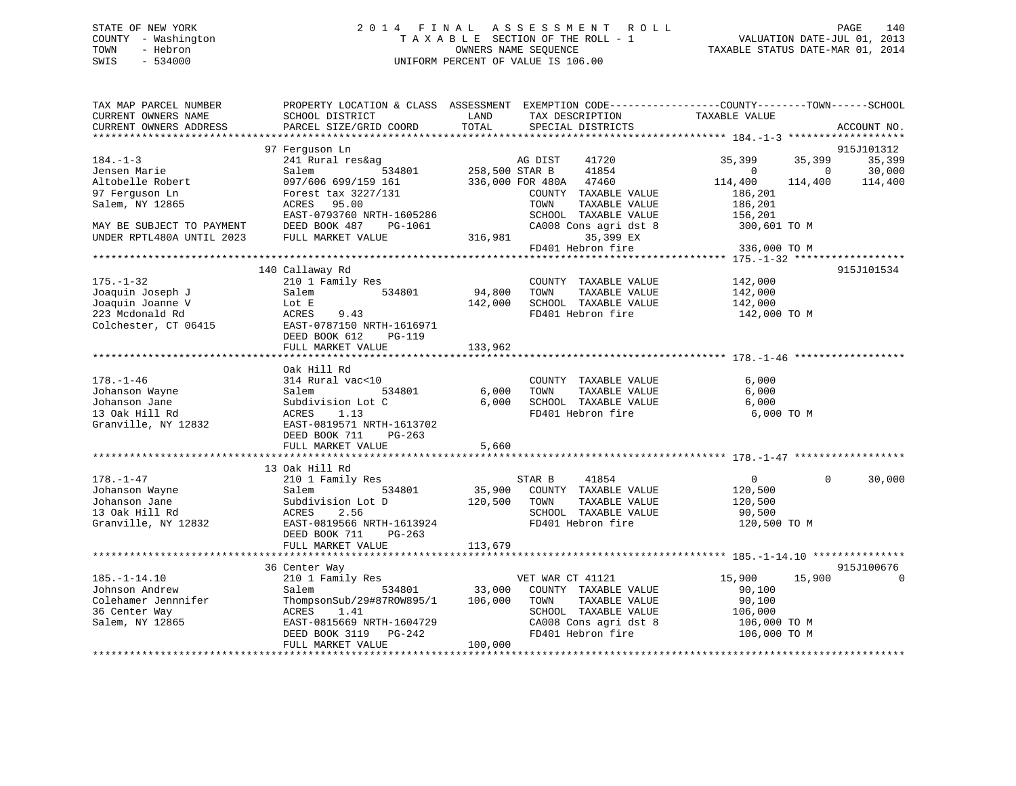# STATE OF NEW YORK 2 0 1 4 F I N A L A S S E S S M E N T R O L L PAGE 140 COUNTY - Washington T A X A B L E SECTION OF THE ROLL - 1 VALUATION DATE-JUL 01, 2013 TOWN - Hebron OWNERS NAME SEQUENCE TAXABLE STATUS DATE-MAR 01, 2014 SWIS - 534000 UNIFORM PERCENT OF VALUE IS 106.00

| TAX MAP PARCEL NUMBER<br>CURRENT OWNERS NAME<br>CURRENT OWNERS ADDRESS | SCHOOL DISTRICT<br>PARCEL SIZE/GRID COORD      | LAND<br>TAX DESCRIPTION<br>TOTAL<br>SPECIAL DISTRICTS | PROPERTY LOCATION & CLASS ASSESSMENT EXEMPTION CODE----------------COUNTY-------TOWN-----SCHOOL<br>TAXABLE VALUE<br>ACCOUNT NO. |
|------------------------------------------------------------------------|------------------------------------------------|-------------------------------------------------------|---------------------------------------------------------------------------------------------------------------------------------|
|                                                                        |                                                |                                                       |                                                                                                                                 |
|                                                                        | 97 Ferquson Ln                                 |                                                       | 915J101312                                                                                                                      |
| $184. - 1 - 3$                                                         | 241 Rural res&ag                               | AG DIST<br>41720                                      | 35,399<br>35,399<br>35,399                                                                                                      |
| Jensen Marie                                                           | 534801<br>Salem                                | 258,500 STAR B<br>41854                               | 30,000<br>$\Omega$<br>$\mathbf{0}$                                                                                              |
| Altobelle Robert                                                       | 097/606 699/159 161                            | 336,000 FOR 480A<br>47460                             | 114,400<br>114,400<br>114,400                                                                                                   |
| 97 Ferguson Ln                                                         | Forest tax 3227/131                            | COUNTY TAXABLE VALUE                                  | 186,201                                                                                                                         |
| Salem, NY 12865                                                        | 95.00<br>ACRES                                 | TOWN<br>TAXABLE VALUE                                 | 186,201                                                                                                                         |
|                                                                        | EAST-0793760 NRTH-1605286                      | SCHOOL TAXABLE VALUE                                  | 156,201                                                                                                                         |
| MAY BE SUBJECT TO PAYMENT                                              | DEED BOOK 487<br>PG-1061                       | CA008 Cons agri dst 8                                 | 300,601 TO M                                                                                                                    |
| UNDER RPTL480A UNTIL 2023                                              | FULL MARKET VALUE                              | 316,981<br>35,399 EX                                  |                                                                                                                                 |
|                                                                        |                                                | FD401 Hebron fire                                     | 336,000 TO M                                                                                                                    |
|                                                                        | 140 Callaway Rd                                |                                                       | 915J101534                                                                                                                      |
| $175. - 1 - 32$                                                        | 210 1 Family Res                               | COUNTY TAXABLE VALUE                                  | 142,000                                                                                                                         |
| Joaquin Joseph J                                                       | 534801<br>Salem                                | 94,800<br>TOWN<br>TAXABLE VALUE                       | 142,000                                                                                                                         |
| Joaquin Joanne V                                                       | Lot E                                          | SCHOOL TAXABLE VALUE<br>142,000                       | 142,000                                                                                                                         |
| 223 Mcdonald Rd                                                        | ACRES<br>9.43                                  | FD401 Hebron fire                                     | 142,000 TO M                                                                                                                    |
| Colchester, CT 06415                                                   | EAST-0787150 NRTH-1616971                      |                                                       |                                                                                                                                 |
|                                                                        | DEED BOOK 612<br>PG-119                        |                                                       |                                                                                                                                 |
|                                                                        | FULL MARKET VALUE                              | 133,962                                               |                                                                                                                                 |
|                                                                        |                                                |                                                       |                                                                                                                                 |
|                                                                        | Oak Hill Rd                                    |                                                       |                                                                                                                                 |
| $178. - 1 - 46$                                                        | 314 Rural vac<10                               | COUNTY TAXABLE VALUE                                  | 6,000                                                                                                                           |
| Johanson Wayne                                                         | 534801<br>Salem                                | TAXABLE VALUE<br>6,000<br>TOWN                        | 6,000                                                                                                                           |
| Johanson Jane                                                          | Subdivision Lot C                              | 6,000<br>SCHOOL TAXABLE VALUE                         | 6,000                                                                                                                           |
| 13 Oak Hill Rd                                                         | ACRES<br>1.13                                  | FD401 Hebron fire                                     | 6,000 TO M                                                                                                                      |
| Granville, NY 12832                                                    | EAST-0819571 NRTH-1613702                      |                                                       |                                                                                                                                 |
|                                                                        | DEED BOOK 711<br>PG-263                        |                                                       |                                                                                                                                 |
|                                                                        | FULL MARKET VALUE                              | 5,660                                                 |                                                                                                                                 |
|                                                                        |                                                |                                                       |                                                                                                                                 |
|                                                                        | 13 Oak Hill Rd                                 |                                                       |                                                                                                                                 |
| $178. - 1 - 47$                                                        | 210 1 Family Res                               | 41854<br>STAR B                                       | 30,000<br>$\overline{0}$<br>$\Omega$                                                                                            |
| Johanson Wayne                                                         | 534801<br>Salem                                | 35,900<br>COUNTY TAXABLE VALUE                        | 120,500                                                                                                                         |
| Johanson Jane                                                          | Subdivision Lot D                              | TAXABLE VALUE<br>120,500<br>TOWN                      | 120,500                                                                                                                         |
| 13 Oak Hill Rd                                                         | 2.56<br>ACRES                                  | SCHOOL TAXABLE VALUE<br>FD401 Hebron fire             | 90,500                                                                                                                          |
| Granville, NY 12832                                                    | EAST-0819566 NRTH-1613924                      |                                                       | 120,500 TO M                                                                                                                    |
|                                                                        | DEED BOOK 711<br>$PG-263$<br>FULL MARKET VALUE | 113,679                                               |                                                                                                                                 |
|                                                                        | *************************                      |                                                       |                                                                                                                                 |
|                                                                        | 36 Center Way                                  |                                                       | 915J100676                                                                                                                      |
| $185. - 1 - 14.10$                                                     | 210 1 Family Res                               | VET WAR CT 41121                                      | 15,900<br>15,900                                                                                                                |
| Johnson Andrew                                                         | 534801<br>Salem                                | 33,000<br>COUNTY TAXABLE VALUE                        | 90,100                                                                                                                          |
| Colehamer Jennnifer                                                    | ThompsonSub/29#87ROW895/1                      | 106,000<br>TAXABLE VALUE<br>TOWN                      | 90,100                                                                                                                          |
| 36 Center Way                                                          | ACRES<br>1.41                                  | SCHOOL TAXABLE VALUE                                  | 106,000                                                                                                                         |
| Salem, NY 12865                                                        | EAST-0815669 NRTH-1604729                      | CA008 Cons agri dst 8                                 | 106,000 то м                                                                                                                    |
|                                                                        | PG-242<br>DEED BOOK 3119                       | FD401 Hebron fire                                     | 106,000 TO M                                                                                                                    |
|                                                                        | FULL MARKET VALUE                              | 100,000                                               |                                                                                                                                 |
|                                                                        |                                                |                                                       |                                                                                                                                 |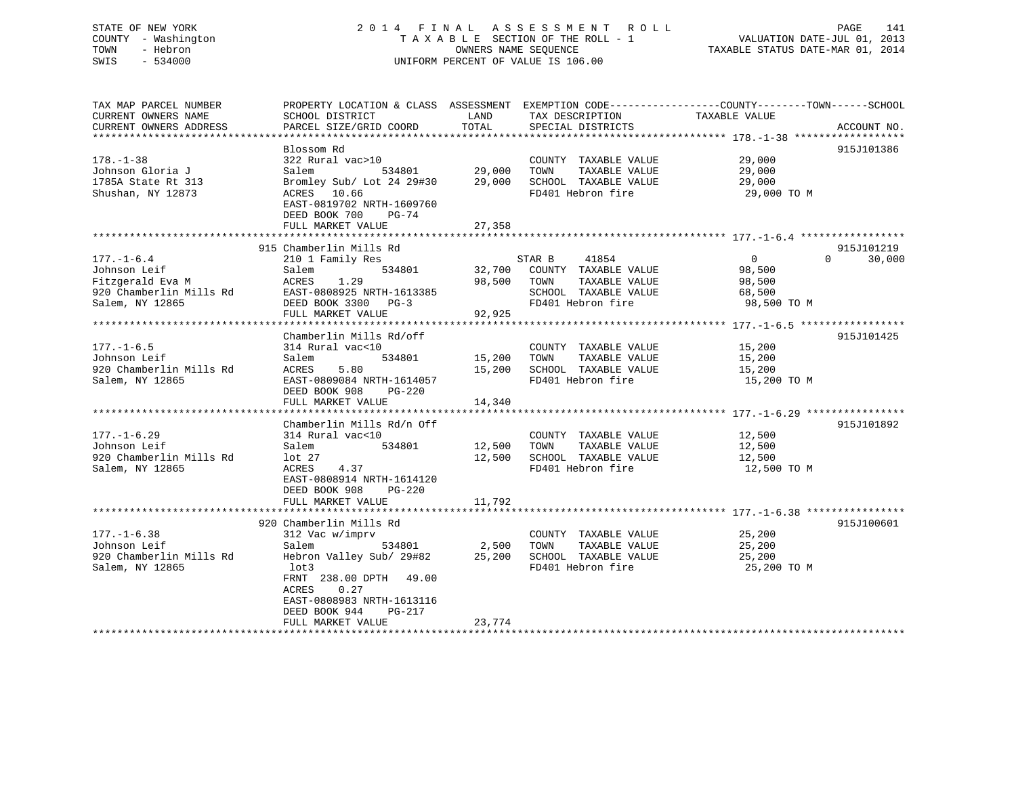# STATE OF NEW YORK 2 0 1 4 F I N A L A S S E S S M E N T R O L L PAGE 141 COUNTY - Washington T A X A B L E SECTION OF THE ROLL - 1 VALUATION DATE-JUL 01, 2013 TOWN - Hebron OWNERS NAME SEQUENCE TAXABLE STATUS DATE-MAR 01, 2014 SWIS - 534000 UNIFORM PERCENT OF VALUE IS 106.00

| TAX MAP PARCEL NUMBER<br>CURRENT OWNERS NAME<br>CURRENT OWNERS ADDRESS                             | PROPERTY LOCATION & CLASS ASSESSMENT<br>SCHOOL DISTRICT<br>PARCEL SIZE/GRID COORD                                                                                                                                              | LAND<br>TOTAL              | EXEMPTION CODE-----------------COUNTY-------TOWN------SCHOOL<br>TAX DESCRIPTION<br>SPECIAL DISTRICTS          | TAXABLE VALUE                                               | ACCOUNT NO.                      |
|----------------------------------------------------------------------------------------------------|--------------------------------------------------------------------------------------------------------------------------------------------------------------------------------------------------------------------------------|----------------------------|---------------------------------------------------------------------------------------------------------------|-------------------------------------------------------------|----------------------------------|
| $178. - 1 - 38$<br>Johnson Gloria J<br>1785A State Rt 313<br>Shushan, NY 12873                     | Blossom Rd<br>322 Rural vac>10<br>534801<br>Salem<br>Bromley Sub/ Lot 24 29#30<br>ACRES 10.66<br>EAST-0819702 NRTH-1609760<br>DEED BOOK 700<br>$PG-74$<br>FULL MARKET VALUE                                                    | 29,000<br>29,000<br>27,358 | COUNTY TAXABLE VALUE<br>TOWN<br>TAXABLE VALUE<br>SCHOOL TAXABLE VALUE<br>FD401 Hebron fire                    | 29,000<br>29,000<br>29,000<br>29,000 TO M                   | 915J101386                       |
| $177. - 1 - 6.4$<br>Johnson Leif<br>Fitzgerald Eva M<br>920 Chamberlin Mills Rd<br>Salem, NY 12865 | 915 Chamberlin Mills Rd<br>210 1 Family Res<br>534801<br>Salem<br>1.29<br>ACRES<br>EAST-0808925 NRTH-1613385<br>DEED BOOK 3300 PG-3<br>FULL MARKET VALUE                                                                       | 32,700<br>98,500<br>92,925 | STAR B<br>41854<br>COUNTY TAXABLE VALUE<br>TOWN<br>TAXABLE VALUE<br>SCHOOL TAXABLE VALUE<br>FD401 Hebron fire | $\overline{0}$<br>98,500<br>98,500<br>68,500<br>98,500 TO M | 915J101219<br>$\Omega$<br>30,000 |
| $177. - 1 - 6.5$<br>Johnson Leif<br>920 Chamberlin Mills Rd<br>Salem, NY 12865                     | Chamberlin Mills Rd/off<br>314 Rural vac<10<br>Salem<br>534801<br>ACRES<br>5.80<br>EAST-0809084 NRTH-1614057<br>DEED BOOK 908<br>$PG-220$<br>FULL MARKET VALUE                                                                 | 15,200<br>15,200<br>14,340 | COUNTY TAXABLE VALUE<br>TOWN<br>TAXABLE VALUE<br>SCHOOL TAXABLE VALUE<br>FD401 Hebron fire                    | 15,200<br>15,200<br>15,200<br>15,200 TO M                   | 915J101425                       |
| $177. - 1 - 6.29$<br>Johnson Leif<br>920 Chamberlin Mills Rd<br>Salem, NY 12865                    | Chamberlin Mills Rd/n Off<br>314 Rural vac<10<br>Salem<br>534801<br>lot <sub>27</sub><br>4.37<br>ACRES<br>EAST-0808914 NRTH-1614120<br>DEED BOOK 908<br><b>PG-220</b><br>FULL MARKET VALUE                                     | 12,500<br>12,500<br>11,792 | COUNTY TAXABLE VALUE<br>TOWN<br>TAXABLE VALUE<br>SCHOOL TAXABLE VALUE<br>FD401 Hebron fire                    | 12,500<br>12,500<br>12,500<br>12,500 TO M                   | 915J101892                       |
| $177. - 1 - 6.38$<br>Johnson Leif<br>920 Chamberlin Mills Rd<br>Salem, NY 12865                    | 920 Chamberlin Mills Rd<br>312 Vac w/imprv<br>Salem<br>534801<br>Hebron Valley Sub/ 29#82<br>lot3<br>FRNT 238.00 DPTH<br>49.00<br>0.27<br>ACRES<br>EAST-0808983 NRTH-1613116<br>DEED BOOK 944<br>$PG-217$<br>FULL MARKET VALUE | 2,500<br>25,200<br>23,774  | COUNTY TAXABLE VALUE<br>TOWN<br>TAXABLE VALUE<br>SCHOOL TAXABLE VALUE<br>FD401 Hebron fire                    | 25,200<br>25,200<br>25,200<br>25,200 TO M                   | 915J100601                       |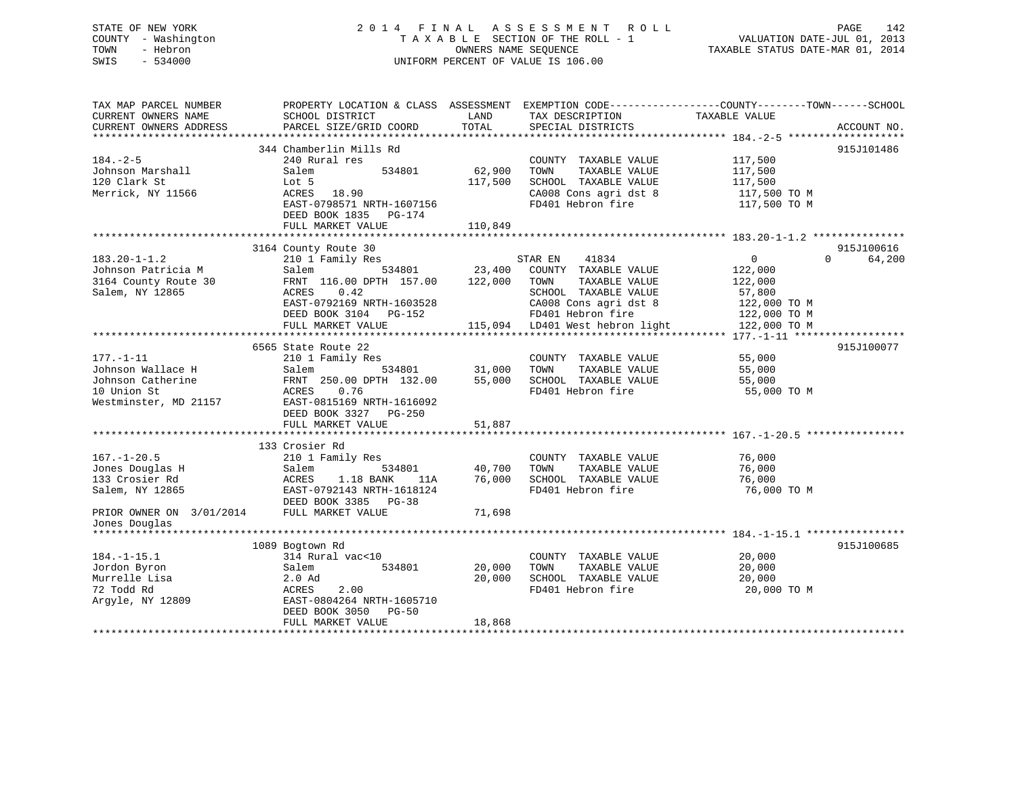# STATE OF NEW YORK 2 0 1 4 F I N A L A S S E S S M E N T R O L L PAGE 142 COUNTY - Washington T A X A B L E SECTION OF THE ROLL - 1 VALUATION DATE-JUL 01, 2013 TOWN - Hebron **CONNERS NAME SEQUENCE** TAXABLE STATUS DATE-MAR 01, 2014 SWIS - 534000 UNIFORM PERCENT OF VALUE IS 106.00

| TAX MAP PARCEL NUMBER<br>CURRENT OWNERS NAME<br>CURRENT OWNERS ADDRESS | PROPERTY LOCATION & CLASS ASSESSMENT<br>SCHOOL DISTRICT<br>PARCEL SIZE/GRID COORD | LAND<br>TOTAL | TAX DESCRIPTION<br>SPECIAL DISTRICTS | EXEMPTION CODE-----------------COUNTY-------TOWN------SCHOOL<br>TAXABLE VALUE<br>ACCOUNT NO. |
|------------------------------------------------------------------------|-----------------------------------------------------------------------------------|---------------|--------------------------------------|----------------------------------------------------------------------------------------------|
|                                                                        |                                                                                   |               |                                      |                                                                                              |
|                                                                        | 344 Chamberlin Mills Rd                                                           |               |                                      | 915J101486                                                                                   |
| $184. - 2 - 5$                                                         | 240 Rural res                                                                     |               | COUNTY TAXABLE VALUE                 | 117,500                                                                                      |
| Johnson Marshall                                                       | 534801<br>Salem                                                                   | 62,900        | TAXABLE VALUE<br>TOWN                | 117,500                                                                                      |
| 120 Clark St                                                           | Lot 5                                                                             | 117,500       | SCHOOL TAXABLE VALUE                 | 117,500                                                                                      |
| Merrick, NY 11566                                                      | ACRES<br>18.90                                                                    |               | CA008 Cons agri dst 8                | 117,500 TO M                                                                                 |
|                                                                        | EAST-0798571 NRTH-1607156                                                         |               | FD401 Hebron fire                    | 117,500 TO M                                                                                 |
|                                                                        | DEED BOOK 1835<br>PG-174                                                          |               |                                      |                                                                                              |
|                                                                        | FULL MARKET VALUE                                                                 | 110,849       |                                      |                                                                                              |
|                                                                        |                                                                                   |               |                                      |                                                                                              |
|                                                                        | 3164 County Route 30                                                              |               |                                      | 915J100616                                                                                   |
| $183.20 - 1 - 1.2$                                                     | 210 1 Family Res                                                                  |               | 41834<br>STAR EN                     | $\overline{0}$<br>$\Omega$<br>64,200                                                         |
| Johnson Patricia M                                                     | 534801<br>Salem                                                                   | 23,400        | COUNTY TAXABLE VALUE                 | 122,000                                                                                      |
| 3164 County Route 30                                                   | FRNT 116.00 DPTH 157.00                                                           | 122,000       | TAXABLE VALUE<br>TOWN                | 122,000                                                                                      |
| Salem, NY 12865                                                        | 0.42<br>ACRES                                                                     |               | SCHOOL TAXABLE VALUE                 | 57,800                                                                                       |
|                                                                        | EAST-0792169 NRTH-1603528                                                         |               | CA008 Cons agri dst 8                | 122,000 TO M                                                                                 |
|                                                                        | DEED BOOK 3104 PG-152                                                             |               | FD401 Hebron fire                    | 122,000 TO M                                                                                 |
|                                                                        | FULL MARKET VALUE                                                                 |               | 115,094 LD401 West hebron light      | 122,000 TO M                                                                                 |
|                                                                        |                                                                                   |               |                                      |                                                                                              |
|                                                                        | 6565 State Route 22                                                               |               |                                      | 915J100077                                                                                   |
| $177. - 1 - 11$                                                        | 210 1 Family Res                                                                  |               | COUNTY TAXABLE VALUE                 | 55,000                                                                                       |
| Johnson Wallace H                                                      | 534801<br>Salem                                                                   | 31,000        | TOWN<br>TAXABLE VALUE                | 55,000                                                                                       |
| Johnson Catherine                                                      | FRNT 250.00 DPTH 132.00                                                           | 55,000        | SCHOOL TAXABLE VALUE                 | 55,000                                                                                       |
| 10 Union St                                                            | 0.76<br>ACRES                                                                     |               | FD401 Hebron fire                    | 55,000 TO M                                                                                  |
| Westminster, MD 21157                                                  | EAST-0815169 NRTH-1616092                                                         |               |                                      |                                                                                              |
|                                                                        | DEED BOOK 3327 PG-250                                                             |               |                                      |                                                                                              |
|                                                                        | FULL MARKET VALUE                                                                 | 51,887        |                                      |                                                                                              |
|                                                                        |                                                                                   |               |                                      |                                                                                              |
|                                                                        | 133 Crosier Rd                                                                    |               |                                      |                                                                                              |
| $167. - 1 - 20.5$                                                      | 210 1 Family Res                                                                  |               | COUNTY TAXABLE VALUE                 | 76,000                                                                                       |
| Jones Douglas H                                                        | Salem<br>534801                                                                   | 40,700        | TOWN<br>TAXABLE VALUE                | 76,000                                                                                       |
| 133 Crosier Rd                                                         | ACRES<br>1.18 BANK<br>11A                                                         | 76,000        | SCHOOL TAXABLE VALUE                 | 76,000                                                                                       |
| Salem, NY 12865                                                        | EAST-0792143 NRTH-1618124<br>DEED BOOK 3385 PG-38                                 |               | FD401 Hebron fire                    | 76,000 TO M                                                                                  |
| PRIOR OWNER ON 3/01/2014                                               | FULL MARKET VALUE                                                                 | 71,698        |                                      |                                                                                              |
| Jones Douglas                                                          |                                                                                   |               |                                      |                                                                                              |
|                                                                        |                                                                                   |               |                                      |                                                                                              |
|                                                                        | 1089 Bogtown Rd                                                                   |               |                                      | 915J100685                                                                                   |
| $184. - 1 - 15.1$                                                      | 314 Rural vac<10                                                                  |               | COUNTY TAXABLE VALUE                 | 20,000                                                                                       |
| Jordon Byron                                                           | Salem<br>534801                                                                   | 20,000        | TOWN<br>TAXABLE VALUE                | 20,000                                                                                       |
| Murrelle Lisa                                                          | 2.0 Ad                                                                            | 20,000        | SCHOOL TAXABLE VALUE                 | 20,000                                                                                       |
| 72 Todd Rd                                                             | 2.00<br>ACRES                                                                     |               | FD401 Hebron fire                    | 20,000 TO M                                                                                  |
| Argyle, NY 12809                                                       | EAST-0804264 NRTH-1605710                                                         |               |                                      |                                                                                              |
|                                                                        | DEED BOOK 3050<br><b>PG-50</b>                                                    |               |                                      |                                                                                              |
|                                                                        | FULL MARKET VALUE                                                                 | 18,868        |                                      |                                                                                              |
|                                                                        |                                                                                   |               |                                      |                                                                                              |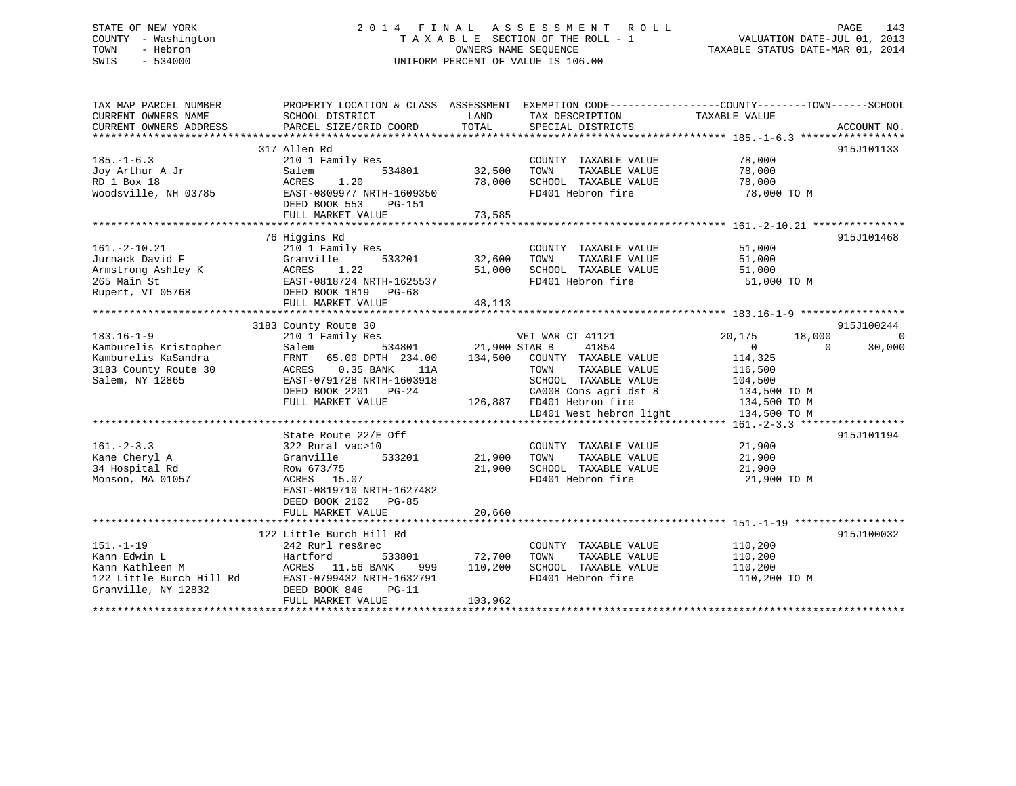# STATE OF NEW YORK 2 0 1 4 F I N A L A S S E S S M E N T R O L L PAGE 143 COUNTY - Washington T A X A B L E SECTION OF THE ROLL - 1 VALUATION DATE-JUL 01, 2013 TOWN - Hebron OWNERS NAME SEQUENCE TAXABLE STATUS DATE-MAR 01, 2014 SWIS - 534000 UNIFORM PERCENT OF VALUE IS 106.00

| TAX MAP PARCEL NUMBER<br>CURRENT OWNERS NAME<br>CURRENT OWNERS ADDRESS                               | PROPERTY LOCATION & CLASS ASSESSMENT EXEMPTION CODE----------------COUNTY-------TOWN------SCHOOL<br>SCHOOL DISTRICT<br>PARCEL SIZE/GRID COORD | LAND<br>TOTAL        | TAX DESCRIPTION TAXABLE VALUE SPECIAL DISTRICTS<br>SPECIAL DISTRICTS |                            | ACCOUNT NO.    |
|------------------------------------------------------------------------------------------------------|-----------------------------------------------------------------------------------------------------------------------------------------------|----------------------|----------------------------------------------------------------------|----------------------------|----------------|
|                                                                                                      |                                                                                                                                               |                      |                                                                      |                            |                |
|                                                                                                      | 317 Allen Rd                                                                                                                                  |                      |                                                                      |                            | 915J101133     |
| $185. - 1 - 6.3$                                                                                     | 210 1 Family Res                                                                                                                              |                      | COUNTY TAXABLE VALUE                                                 | 78,000                     |                |
| Joy Arthur A Jr                                                                                      | 534801<br>Salem                                                                                                                               | 32,500               | TOWN<br>TAXABLE VALUE                                                | 78,000                     |                |
| RD 1 Box 18                                                                                          | ACRES<br>1.20                                                                                                                                 | 78,000               | SCHOOL TAXABLE VALUE                                                 | 78,000                     |                |
| Woodsville, NH 03785                                                                                 | EAST-0809977 NRTH-1609350                                                                                                                     |                      | FD401 Hebron fire                                                    | 78,000 TO M                |                |
|                                                                                                      | DEED BOOK 553<br>PG-151                                                                                                                       |                      |                                                                      |                            |                |
|                                                                                                      | FULL MARKET VALUE                                                                                                                             | 73,585               |                                                                      |                            |                |
|                                                                                                      |                                                                                                                                               |                      |                                                                      |                            |                |
|                                                                                                      | 76 Higgins Rd                                                                                                                                 |                      |                                                                      |                            | 915J101468     |
| $161. - 2 - 10.21$                                                                                   | 210 1 Family Res                                                                                                                              |                      | COUNTY TAXABLE VALUE                                                 | 51,000                     |                |
| Jurnack David F                                                                                      | 533201<br>Granville                                                                                                                           | 32,600               | TAXABLE VALUE<br>TOWN                                                | 51,000                     |                |
|                                                                                                      |                                                                                                                                               | 51,000               | SCHOOL TAXABLE VALUE                                                 | 51,000                     |                |
|                                                                                                      |                                                                                                                                               |                      |                                                                      |                            |                |
|                                                                                                      |                                                                                                                                               |                      | FD401 Hebron fire                                                    | 51,000 TO M                |                |
| Rupert, VT 05768                                                                                     | DEED BOOK 1819 PG-68                                                                                                                          |                      |                                                                      |                            |                |
|                                                                                                      | FULL MARKET VALUE                                                                                                                             | 48,113               |                                                                      |                            |                |
|                                                                                                      |                                                                                                                                               |                      |                                                                      |                            |                |
|                                                                                                      | 3183 County Route 30                                                                                                                          |                      |                                                                      |                            | 915J100244     |
| $183.16 - 1 - 9$                                                                                     | 210 1 Family Res                                                                                                                              |                      | VET WAR CT 41121                                                     | 20,175<br>18,000           | $\overline{0}$ |
| Kamburelis Kristopher                                                                                | Salem                                                                                                                                         | 534801 21,900 STAR B | 41854                                                                | $\overline{0}$<br>$\Omega$ | 30,000         |
| Kamburelis KaSandra                                                                                  | FRNT<br>65.00 DPTH 234.00                                                                                                                     |                      | 134,500 COUNTY TAXABLE VALUE                                         | 114,325                    |                |
| 3183 County Route 30                                                                                 | 0.35 BANK<br>ACRES<br>11A                                                                                                                     |                      | TOWN<br>TAXABLE VALUE                                                | 116,500                    |                |
| Salem, NY 12865                                                                                      | EAST-0791728 NRTH-1603918                                                                                                                     |                      | SCHOOL TAXABLE VALUE                                                 | 104,500                    |                |
|                                                                                                      | DEED BOOK 2201 PG-24                                                                                                                          |                      | CA008 Cons agri dst 8                                                | 134,500 TO M               |                |
|                                                                                                      | FULL MARKET VALUE                                                                                                                             |                      | 126,887 FD401 Hebron fire                                            | 134,500 TO M               |                |
|                                                                                                      |                                                                                                                                               |                      | LD401 West hebron light                                              | 134,500 TO M               |                |
|                                                                                                      |                                                                                                                                               |                      |                                                                      |                            |                |
|                                                                                                      |                                                                                                                                               |                      |                                                                      |                            |                |
|                                                                                                      | State Route 22/E Off                                                                                                                          |                      |                                                                      |                            | 915J101194     |
| $161. - 2 - 3.3$                                                                                     | 322 Rural vac>10                                                                                                                              |                      | COUNTY TAXABLE VALUE                                                 | 21,900                     |                |
| Kane Cheryl A                                                                                        | 533201<br>Granville                                                                                                                           | 21,900               | TAXABLE VALUE<br>TOWN                                                | 21,900                     |                |
| 34 Hospital Rd                                                                                       | Row 673/75                                                                                                                                    | 21,900               | SCHOOL TAXABLE VALUE                                                 | 21,900                     |                |
| Monson, MA 01057                                                                                     | ACRES 15.07                                                                                                                                   |                      | FD401 Hebron fire                                                    | 21,900 TO M                |                |
|                                                                                                      | EAST-0819710 NRTH-1627482                                                                                                                     |                      |                                                                      |                            |                |
|                                                                                                      | DEED BOOK 2102 PG-85                                                                                                                          |                      |                                                                      |                            |                |
|                                                                                                      | FULL MARKET VALUE                                                                                                                             | 20,660               |                                                                      |                            |                |
|                                                                                                      |                                                                                                                                               |                      |                                                                      |                            |                |
|                                                                                                      | 122 Little Burch Hill Rd                                                                                                                      |                      |                                                                      |                            | 915J100032     |
|                                                                                                      | 242 Rurl res&rec                                                                                                                              |                      | COUNTY TAXABLE VALUE                                                 | 110,200                    |                |
| 151.-1-19<br>Kann Edwin L<br>Kann Kathleen M<br>122 Little Burch Hill Rd<br>112 Little Burch Hill Rd | Hartford<br>533801                                                                                                                            | 72,700               | TAXABLE VALUE<br>TOWN                                                | 110,200                    |                |
|                                                                                                      | ACRES 11.56 BANK<br>999                                                                                                                       | 110,200              | SCHOOL TAXABLE VALUE                                                 | 110,200                    |                |
|                                                                                                      | EAST-0799432 NRTH-1632791                                                                                                                     |                      | FD401 Hebron fire                                                    | 110,200 TO M               |                |
| Granville, NY 12832                                                                                  | DEED BOOK 846<br>$PG-11$                                                                                                                      |                      |                                                                      |                            |                |
|                                                                                                      |                                                                                                                                               | 103,962              |                                                                      |                            |                |
|                                                                                                      | FULL MARKET VALUE                                                                                                                             |                      |                                                                      |                            |                |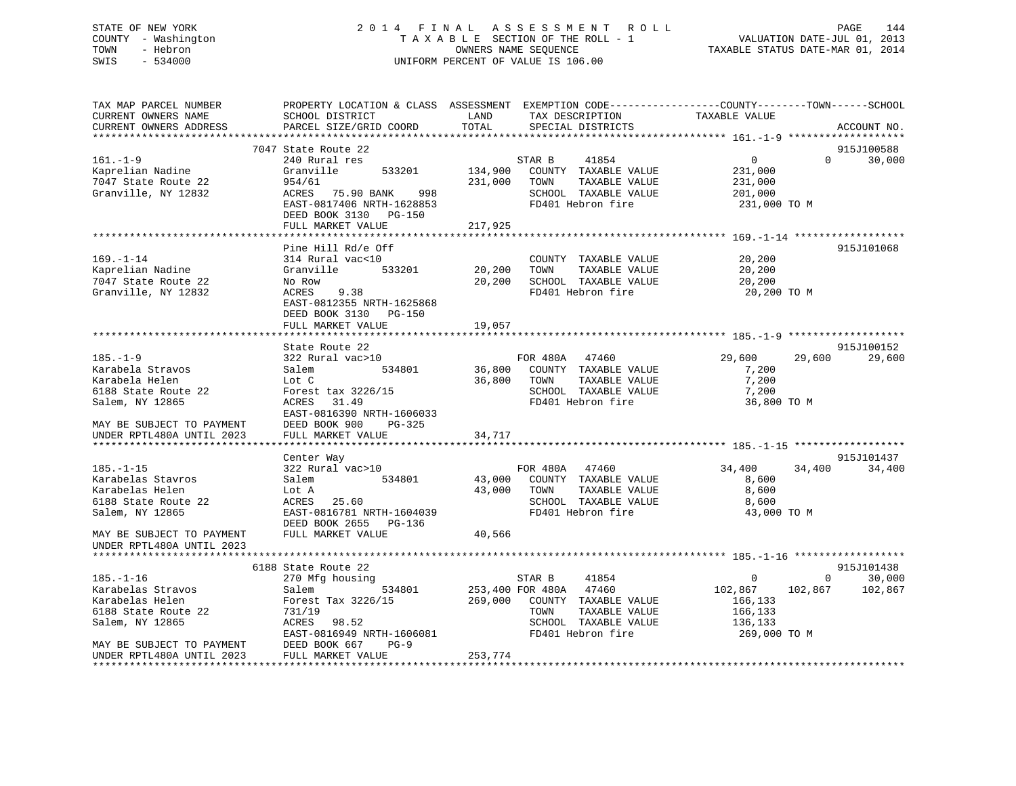# STATE OF NEW YORK 2 0 1 4 F I N A L A S S E S S M E N T R O L L PAGE 144 COUNTY - Washington T A X A B L E SECTION OF THE ROLL - 1 VALUATION DATE-JUL 01, 2013 TOWN - Hebron **CONNERS NAME SEQUENCE** TAXABLE STATUS DATE-MAR 01, 2014 SWIS - 534000 UNIFORM PERCENT OF VALUE IS 106.00

| TAX MAP PARCEL NUMBER<br>CURRENT OWNERS NAME | PROPERTY LOCATION & CLASS ASSESSMENT EXEMPTION CODE----------------COUNTY-------TOWN------SCHOOL<br>SCHOOL DISTRICT | LAND        | TAX DESCRIPTION                               | TAXABLE VALUE      |                        |
|----------------------------------------------|---------------------------------------------------------------------------------------------------------------------|-------------|-----------------------------------------------|--------------------|------------------------|
| CURRENT OWNERS ADDRESS                       | PARCEL SIZE/GRID COORD                                                                                              | TOTAL       | SPECIAL DISTRICTS                             |                    | ACCOUNT NO.            |
|                                              |                                                                                                                     |             |                                               |                    |                        |
|                                              | 7047 State Route 22                                                                                                 |             |                                               |                    | 915J100588             |
| $161. - 1 - 9$                               | 240 Rural res                                                                                                       |             | STAR B<br>41854                               | $0 \qquad \qquad$  | $\Omega$<br>30,000     |
| Kaprelian Nadine                             | 533201<br>Granville                                                                                                 | 134,900     | COUNTY TAXABLE VALUE                          | 231,000            |                        |
| 7047 State Route 22                          | 954/61                                                                                                              | 231,000     | TAXABLE VALUE<br>TOWN                         | 231,000            |                        |
| Granville, NY 12832                          | ACRES 75.90 BANK<br>998                                                                                             |             | SCHOOL TAXABLE VALUE                          | 201,000            |                        |
|                                              | EAST-0817406 NRTH-1628853                                                                                           |             | FD401 Hebron fire                             | 231,000 TO M       |                        |
|                                              | DEED BOOK 3130 PG-150                                                                                               |             |                                               |                    |                        |
|                                              | FULL MARKET VALUE                                                                                                   | 217,925     |                                               |                    |                        |
|                                              |                                                                                                                     |             |                                               |                    |                        |
|                                              | Pine Hill Rd/e Off                                                                                                  |             |                                               |                    | 915J101068             |
| $169. - 1 - 14$                              | 314 Rural vac<10                                                                                                    |             | COUNTY TAXABLE VALUE                          | 20,200             |                        |
| Kaprelian Nadine                             | Granville<br>533201                                                                                                 | 20,200      | TAXABLE VALUE<br>TOWN                         | 20,200             |                        |
| 7047 State Route 22                          | No Row                                                                                                              | 20,200      | SCHOOL TAXABLE VALUE                          | 20,200             |                        |
| Granville, NY 12832                          | ACRES<br>9.38                                                                                                       |             | FD401 Hebron fire                             | 20,200 TO M        |                        |
|                                              | EAST-0812355 NRTH-1625868                                                                                           |             |                                               |                    |                        |
|                                              | DEED BOOK 3130 PG-150                                                                                               |             |                                               |                    |                        |
|                                              | FULL MARKET VALUE                                                                                                   | 19,057      |                                               |                    |                        |
|                                              |                                                                                                                     |             |                                               |                    |                        |
|                                              | State Route 22                                                                                                      |             |                                               |                    | 915J100152             |
| $185. - 1 - 9$                               | 322 Rural vac>10                                                                                                    |             | FOR 480A 47460                                | 29,600<br>29,600   | 29,600                 |
| Karabela Stravos                             | 534801<br>Salem                                                                                                     |             | 36,800 COUNTY TAXABLE VALUE                   | 7,200              |                        |
| Karabela Helen                               | Lot C                                                                                                               | 36,800 TOWN | TAXABLE VALUE                                 | 7,200              |                        |
| 6188 State Route 22                          | Forest tax 3226/15                                                                                                  |             | SCHOOL TAXABLE VALUE                          | 7,200              |                        |
| Salem, NY 12865                              | 31.49<br>ACRES                                                                                                      |             | FD401 Hebron fire                             | 36,800 TO M        |                        |
|                                              | EAST-0816390 NRTH-1606033                                                                                           |             |                                               |                    |                        |
| MAY BE SUBJECT TO PAYMENT                    | DEED BOOK 900<br>PG-325                                                                                             |             |                                               |                    |                        |
| UNDER RPTL480A UNTIL 2023                    | FULL MARKET VALUE                                                                                                   | 34,717      |                                               |                    |                        |
|                                              |                                                                                                                     |             |                                               |                    |                        |
|                                              | Center Way                                                                                                          |             |                                               |                    | 915J101437             |
| $185. - 1 - 15$                              | 322 Rural vac>10                                                                                                    |             | FOR 480A 47460                                | 34,400 34,400      | 34,400                 |
| Karabelas Stavros                            | Salem 534801                                                                                                        |             | 43,000 COUNTY TAXABLE VALUE                   | 8,600              |                        |
| Karabelas Helen                              | Lot A                                                                                                               | 43,000 TOWN | TAXABLE VALUE                                 | 8,600              |                        |
| 6188 State Route 22                          | ACRES 25.60                                                                                                         |             | SCHOOL TAXABLE VALUE                          | 8,600              |                        |
| Salem, NY 12865                              | EAST-0816781 NRTH-1604039                                                                                           |             | FD401 Hebron fire                             | 43,000 TO M        |                        |
|                                              | DEED BOOK 2655 PG-136                                                                                               |             |                                               |                    |                        |
| MAY BE SUBJECT TO PAYMENT                    | FULL MARKET VALUE                                                                                                   | 40,566      |                                               |                    |                        |
| UNDER RPTL480A UNTIL 2023                    |                                                                                                                     |             |                                               |                    |                        |
|                                              |                                                                                                                     |             |                                               |                    |                        |
|                                              | 6188 State Route 22                                                                                                 |             |                                               |                    | 915J101438<br>$\Omega$ |
| $185. - 1 - 16$                              | 270 Mfg housing                                                                                                     |             | 41854<br>STAR B                               | $\overline{0}$     | 30,000<br>102,867      |
| Karabelas Stravos                            | Salem<br>534801                                                                                                     |             | 253,400 FOR 480A 47460                        | 102,867            | 102,867                |
| Karabelas Helen                              | Forest Tax 3226/15                                                                                                  |             | 269,000 COUNTY TAXABLE VALUE                  | 166,133            |                        |
| 6188 State Route 22                          | 731/19<br>ACRES 98.52                                                                                               |             | TAXABLE VALUE<br>TOWN<br>SCHOOL TAXABLE VALUE | 166,133<br>136,133 |                        |
| Salem, NY 12865                              | EAST-0816949 NRTH-1606081                                                                                           |             | FD401 Hebron fire                             | 269,000 ТО М       |                        |
| MAY BE SUBJECT TO PAYMENT DEED BOOK 667      | $PG-9$                                                                                                              |             |                                               |                    |                        |
| UNDER RPTL480A UNTIL 2023                    | FULL MARKET VALUE                                                                                                   | 253,774     |                                               |                    |                        |
|                                              |                                                                                                                     |             |                                               |                    |                        |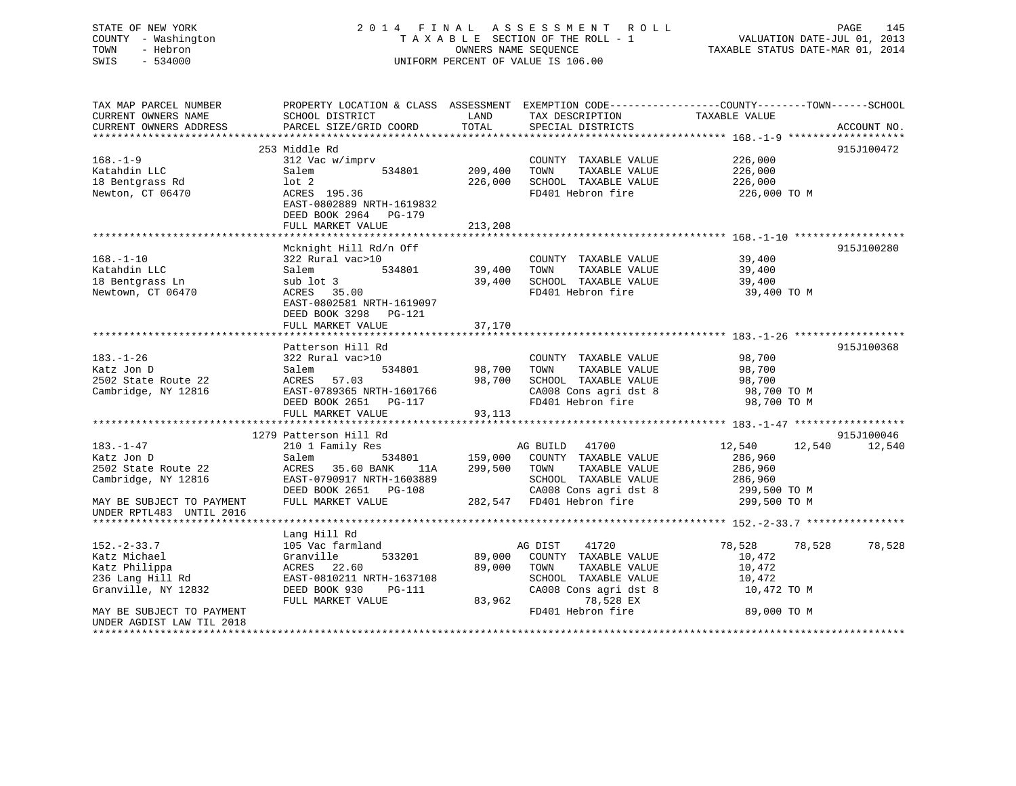#### STATE OF NEW YORK 2 0 1 4 F I N A L A S S E S S M E N T R O L L PAGE 145COUNTY - Washington  $\begin{array}{ccc} 1 & 0 & 0 \\ 0 & 0 & 0 \end{array}$  T A X A B L E SECTION OF THE ROLL - 1 OWNERS NAME SEQUENCE OWNERS NAME SEQUENCE TAXABLE STATUS DATE-MAR 01, 2014 SWIS - 534000 UNIFORM PERCENT OF VALUE IS 106.00

VALUATION DATE-JUL 01, 2013

| TAX MAP PARCEL NUMBER<br>CURRENT OWNERS NAME<br>CURRENT OWNERS ADDRESS | PROPERTY LOCATION & CLASS ASSESSMENT EXEMPTION CODE----------------COUNTY-------TOWN------SCHOOL<br>SCHOOL DISTRICT<br>PARCEL SIZE/GRID COORD | LAND<br>TOTAL      | TAX DESCRIPTION<br>SPECIAL DISTRICTS                                                       | TAXABLE VALUE                                 | ACCOUNT NO. |
|------------------------------------------------------------------------|-----------------------------------------------------------------------------------------------------------------------------------------------|--------------------|--------------------------------------------------------------------------------------------|-----------------------------------------------|-------------|
|                                                                        |                                                                                                                                               |                    |                                                                                            |                                               |             |
|                                                                        | 253 Middle Rd                                                                                                                                 |                    |                                                                                            |                                               | 915J100472  |
| $168. - 1 - 9$<br>Katahdin LLC<br>18 Bentgrass Rd<br>Newton, CT 06470  | 312 Vac w/imprv<br>534801<br>Salem<br>$1$ ot $2$<br>ACRES 195.36<br>EAST-0802889 NRTH-1619832                                                 | 209,400<br>226,000 | COUNTY TAXABLE VALUE<br>TAXABLE VALUE<br>TOWN<br>SCHOOL TAXABLE VALUE<br>FD401 Hebron fire | 226,000<br>226,000<br>226,000<br>226,000 TO M |             |
|                                                                        | DEED BOOK 2964 PG-179<br>FULL MARKET VALUE                                                                                                    | 213,208            |                                                                                            |                                               |             |
|                                                                        |                                                                                                                                               |                    |                                                                                            |                                               |             |
|                                                                        | Mcknight Hill Rd/n Off                                                                                                                        |                    |                                                                                            |                                               | 915J100280  |
| $168. - 1 - 10$                                                        | 322 Rural vac>10                                                                                                                              |                    | COUNTY TAXABLE VALUE                                                                       | 39,400                                        |             |
| Katahdin LLC                                                           | 534801<br>Salem                                                                                                                               | 39,400             | TOWN<br>TAXABLE VALUE                                                                      | 39,400                                        |             |
| 18 Bentgrass Ln                                                        | sub lot 3                                                                                                                                     | 39,400             | SCHOOL TAXABLE VALUE                                                                       | 39,400                                        |             |
| Newtown, CT 06470                                                      | ACRES 35.00<br>EAST-0802581 NRTH-1619097<br>DEED BOOK 3298 PG-121                                                                             |                    | FD401 Hebron fire                                                                          | 39,400 TO M                                   |             |
|                                                                        | FULL MARKET VALUE                                                                                                                             | 37,170             |                                                                                            |                                               |             |
|                                                                        |                                                                                                                                               |                    |                                                                                            |                                               |             |
|                                                                        | Patterson Hill Rd                                                                                                                             |                    |                                                                                            |                                               | 915J100368  |
| $183. - 1 - 26$<br>Katz Jon D                                          | 322 Rural vac>10<br>534801<br>Salem                                                                                                           |                    | COUNTY TAXABLE VALUE<br>98,700 TOWN<br>TAXABLE VALUE                                       | 98,700<br>98,700                              |             |
| 2502 State Route 22                                                    | 57.03<br>ACRES                                                                                                                                | 98,700             | SCHOOL TAXABLE VALUE                                                                       | 98,700                                        |             |
| Cambridge, NY 12816                                                    | EAST-0789365 NRTH-1601766                                                                                                                     |                    | CA008 Cons agri dst 8                                                                      | 98,700 TO M                                   |             |
|                                                                        | DEED BOOK 2651 PG-117                                                                                                                         |                    | FD401 Hebron fire                                                                          | 98,700 TO M                                   |             |
|                                                                        | FULL MARKET VALUE                                                                                                                             | 93,113             |                                                                                            |                                               |             |
|                                                                        |                                                                                                                                               |                    |                                                                                            |                                               |             |
|                                                                        | 1279 Patterson Hill Rd                                                                                                                        |                    |                                                                                            |                                               | 915J100046  |
| 183.-1-47<br>Katz Jon D<br>2502 State Route 22                         | 210 1 Family Res<br>Salem<br>ACRES 35.60 BANK<br>11A                                                                                          | 299,500 TOWN       | AG BUILD 41700<br>534801 159,000 COUNTY TAXABLE VALUE<br>TAXABLE VALUE                     | 12,540<br>12,540<br>286,960<br>286,960        | 12,540      |
| Cambridge, NY 12816                                                    | EAST-0790917 NRTH-1603889                                                                                                                     |                    | SCHOOL TAXABLE VALUE                                                                       | 286,960                                       |             |
| MAY BE SUBJECT TO PAYMENT                                              | DEED BOOK 2651 PG-108<br>FULL MARKET VALUE                                                                                                    |                    | CA008 Cons agri dst 8<br>282,547 FD401 Hebron fire                                         | 299,500 TO M<br>299,500 TO M                  |             |
| UNDER RPTL483 UNTIL 2016                                               |                                                                                                                                               |                    |                                                                                            |                                               |             |
|                                                                        |                                                                                                                                               |                    |                                                                                            |                                               |             |
| $152. - 2 - 33.7$                                                      | Lang Hill Rd<br>105 Vac farmland                                                                                                              |                    | AG DIST<br>41720                                                                           | 78,528<br>78,528                              | 78,528      |
| Katz Michael                                                           | Granville<br>533201                                                                                                                           | 89,000             | COUNTY TAXABLE VALUE                                                                       | 10,472                                        |             |
| Katz Philippa                                                          | ACRES 22.60                                                                                                                                   | 89,000             | TOWN<br>TAXABLE VALUE                                                                      | 10,472                                        |             |
| 236 Lang Hill Rd                                                       | EAST-0810211 NRTH-1637108                                                                                                                     |                    | SCHOOL TAXABLE VALUE                                                                       | 10,472                                        |             |
| Granville, NY 12832                                                    | DEED BOOK 930<br>PG-111                                                                                                                       |                    | CA008 Cons agri dst 8                                                                      | 10,472 TO M                                   |             |
| MAY BE SUBJECT TO PAYMENT<br>UNDER AGDIST LAW TIL 2018                 | FULL MARKET VALUE                                                                                                                             | 83,962             | 78,528 EX<br>FD401 Hebron fire                                                             | 89,000 TO M                                   |             |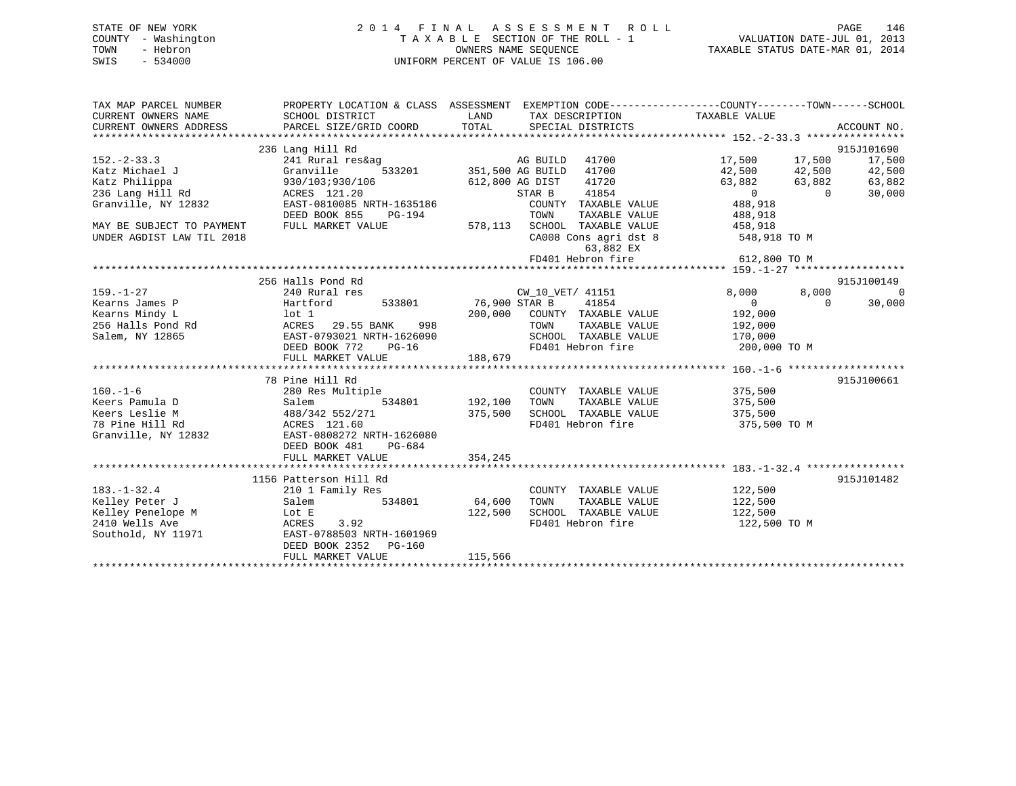| STATE OF NEW YORK   | 2014 FINAL ASSESSMENT ROLL         | 146<br>PAGE                      |
|---------------------|------------------------------------|----------------------------------|
| COUNTY - Washington | TAXABLE SECTION OF THE ROLL - 1    | VALUATION DATE-JUL 01, 2013      |
| TOWN<br>- Hebron    | OWNERS NAME SEOUENCE               | TAXABLE STATUS DATE-MAR 01, 2014 |
| SWIS<br>- 534000    | UNIFORM PERCENT OF VALUE IS 106.00 |                                  |
|                     |                                    |                                  |

| TAX MAP PARCEL NUMBER                                                                                                                                                                                                             | PROPERTY LOCATION & CLASS ASSESSMENT EXEMPTION CODE---------------COUNTY-------TOWN-----SCHOOL                                                                |          |                                                                                               |                                                              |                    |
|-----------------------------------------------------------------------------------------------------------------------------------------------------------------------------------------------------------------------------------|---------------------------------------------------------------------------------------------------------------------------------------------------------------|----------|-----------------------------------------------------------------------------------------------|--------------------------------------------------------------|--------------------|
| CURRENT OWNERS NAME                                                                                                                                                                                                               |                                                                                                                                                               |          |                                                                                               |                                                              |                    |
|                                                                                                                                                                                                                                   |                                                                                                                                                               |          |                                                                                               |                                                              |                    |
|                                                                                                                                                                                                                                   |                                                                                                                                                               |          |                                                                                               |                                                              |                    |
|                                                                                                                                                                                                                                   | 236 Lang Hill Rd                                                                                                                                              |          |                                                                                               |                                                              | 915J101690         |
| $152 - 2 - 33.3$                                                                                                                                                                                                                  | 241 Rural res&ag                                                                                                                                              |          | سة 17,500 AG BUILD 41700<br>17,500 17,500 17,500 17,500 17,500<br>12,500 42,500 42,500 42,500 |                                                              |                    |
| Katz Michael J                                                                                                                                                                                                                    | Granville                                                                                                                                                     |          |                                                                                               |                                                              |                    |
|                                                                                                                                                                                                                                   |                                                                                                                                                               |          |                                                                                               | $63,882$ $63,882$ $63,882$ $63,882$<br>0 0 30,000<br>488,918 |                    |
|                                                                                                                                                                                                                                   | ACRES 121.20<br>EAST-0810085 NRTH-1635186                                                                                                                     |          |                                                                                               |                                                              |                    |
|                                                                                                                                                                                                                                   |                                                                                                                                                               |          |                                                                                               |                                                              |                    |
|                                                                                                                                                                                                                                   | $PG-194$<br>DEED BOOK 855                                                                                                                                     |          | TOWN                                                                                          | TAXABLE VALUE 488,918                                        |                    |
| MAY BE SUBJECT TO PAYMENT                                                                                                                                                                                                         | FULL MARKET VALUE                                                                                                                                             |          | 578,113 SCHOOL TAXABLE VALUE 458,918                                                          |                                                              |                    |
| UNDER AGDIST LAW TIL 2018                                                                                                                                                                                                         |                                                                                                                                                               |          | CA008 Cons agri dst 8 548,918 TO M                                                            |                                                              |                    |
|                                                                                                                                                                                                                                   |                                                                                                                                                               |          | 63,882 EX                                                                                     |                                                              |                    |
|                                                                                                                                                                                                                                   |                                                                                                                                                               |          | FD401 Hebron fire 612,800 TO M                                                                |                                                              |                    |
|                                                                                                                                                                                                                                   |                                                                                                                                                               |          |                                                                                               |                                                              |                    |
|                                                                                                                                                                                                                                   | 256 Halls Pond Rd                                                                                                                                             |          |                                                                                               |                                                              | 915J100149         |
| $159. - 1 - 27$                                                                                                                                                                                                                   |                                                                                                                                                               |          |                                                                                               |                                                              | 8,000<br>$\sim$ 0  |
| Hartford<br>Kearns James P                                                                                                                                                                                                        | 533801 76,900 STAR B                                                                                                                                          |          | 41854                                                                                         | $\overline{0}$                                               | $\Omega$<br>30,000 |
|                                                                                                                                                                                                                                   |                                                                                                                                                               |          |                                                                                               |                                                              |                    |
| Exearns Mindy Land Motel (192,000 Note 198,000 Note 192,000 Note 192,000 Note 256 Halls Pond Rd (192,000 ACRES<br>29.55 BANK 1988 198 TOWN TAXABLE VALUE 192,000 Salem, NY 12865 29.55 BANK 10887-0793021 NRTH-1626090 25CHOOL TA |                                                                                                                                                               |          |                                                                                               |                                                              |                    |
|                                                                                                                                                                                                                                   |                                                                                                                                                               |          |                                                                                               |                                                              |                    |
|                                                                                                                                                                                                                                   | DEED BOOK 772 PG-16                                                                                                                                           |          | FD401 Hebron fire 200,000 TO M                                                                |                                                              |                    |
|                                                                                                                                                                                                                                   |                                                                                                                                                               |          |                                                                                               |                                                              |                    |
|                                                                                                                                                                                                                                   |                                                                                                                                                               |          |                                                                                               |                                                              |                    |
|                                                                                                                                                                                                                                   | 78 Pine Hill Rd                                                                                                                                               |          |                                                                                               |                                                              | 915J100661         |
| $160. - 1 - 6$                                                                                                                                                                                                                    | 280 Res Multiple                                                                                                                                              |          | COUNTY TAXABLE VALUE 375,500                                                                  |                                                              |                    |
|                                                                                                                                                                                                                                   | 534801 192,100 TOWN                                                                                                                                           |          |                                                                                               | TAXABLE VALUE 375,500                                        |                    |
|                                                                                                                                                                                                                                   |                                                                                                                                                               |          |                                                                                               | 375,500                                                      |                    |
|                                                                                                                                                                                                                                   |                                                                                                                                                               |          | 375,500 SCHOOL TAXABLE VALUE<br>FD401 Hebron fire                                             | 375,500 TO M                                                 |                    |
| Veers Pamula D<br>Extern Pamula D<br>Salem 188/342 552/271<br>78 Pine Hill Rd ACRES 121.60<br>Granville, NY 12832<br>EAST-0808272 NRTH-1626080                                                                                    |                                                                                                                                                               |          |                                                                                               |                                                              |                    |
|                                                                                                                                                                                                                                   | DEED BOOK 481<br>PG-684                                                                                                                                       |          |                                                                                               |                                                              |                    |
|                                                                                                                                                                                                                                   | FULL MARKET VALUE                                                                                                                                             | 354, 245 |                                                                                               |                                                              |                    |
|                                                                                                                                                                                                                                   |                                                                                                                                                               |          |                                                                                               |                                                              |                    |
|                                                                                                                                                                                                                                   | 1156 Patterson Hill Rd                                                                                                                                        |          |                                                                                               |                                                              | 915J101482         |
|                                                                                                                                                                                                                                   |                                                                                                                                                               |          |                                                                                               |                                                              |                    |
|                                                                                                                                                                                                                                   | $\begin{tabular}{llllll} 210&1 & Family & Res & \multicolumn{2}{l}{{\small \texttt{COUNTY}}} \\ \texttt{Salem} & & 534801 & & 64,600 & TOWN \\ \end{tabular}$ |          | COUNTY TAXABLE VALUE 122,500<br>TOWN TAXABLE VALUE 122,500<br>SCHOOL TAXABLE VALUE 122,500    |                                                              |                    |
|                                                                                                                                                                                                                                   |                                                                                                                                                               | 122,500  |                                                                                               |                                                              |                    |
|                                                                                                                                                                                                                                   |                                                                                                                                                               |          | FD401 Hebron fire 122,500 TO M                                                                |                                                              |                    |
|                                                                                                                                                                                                                                   |                                                                                                                                                               |          |                                                                                               |                                                              |                    |
|                                                                                                                                                                                                                                   | DEED BOOK 2352 PG-160                                                                                                                                         |          |                                                                                               |                                                              |                    |
|                                                                                                                                                                                                                                   |                                                                                                                                                               |          |                                                                                               |                                                              |                    |
|                                                                                                                                                                                                                                   |                                                                                                                                                               |          |                                                                                               |                                                              |                    |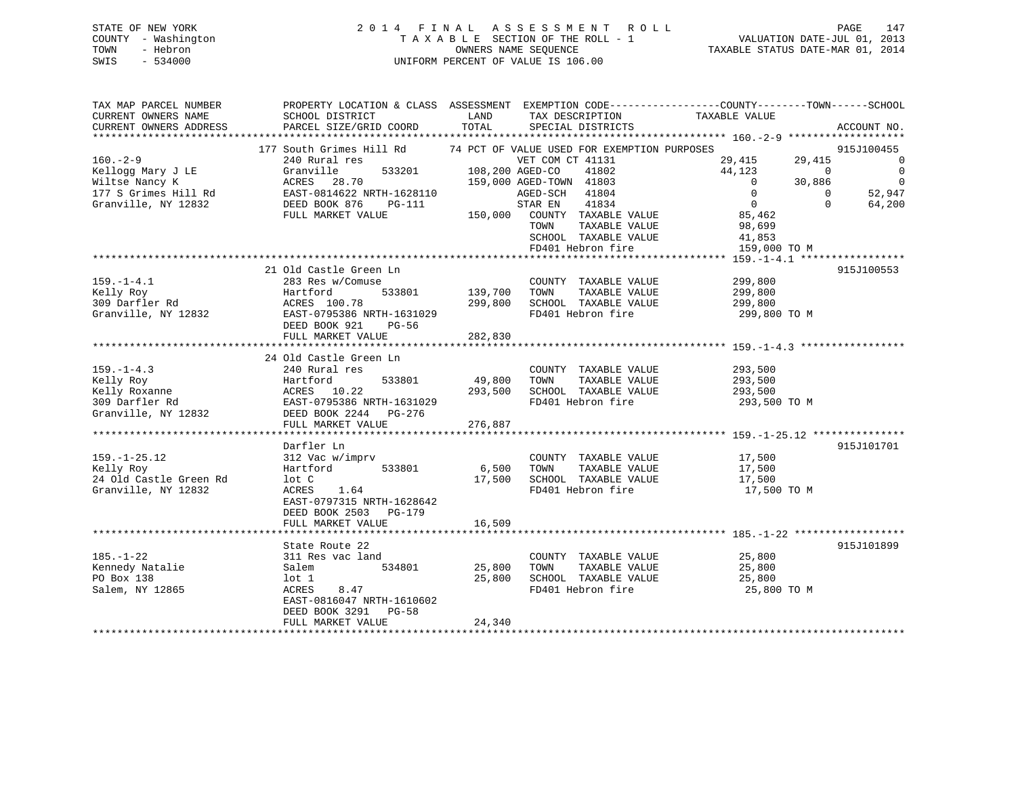## STATE OF NEW YORK 2 0 1 4 F I N A L A S S E S S M E N T R O L L PAGE 147 COUNTY - Washington T A X A B L E SECTION OF THE ROLL - 1 VALUATION DATE-JUL 01, 2013 TOWN - Hebron OWNERS NAME SEQUENCE TAXABLE STATUS DATE-MAR 01, 2014 SWIS - 534000 UNIFORM PERCENT OF VALUE IS 106.00

| 177 South Grimes Hill Rd<br>74 PCT OF VALUE USED FOR EXEMPTION PURPOSES<br>915J100455<br>$160. - 2 - 9$<br>240 Rural res<br>VET COM CT 41131<br>$\Omega$<br>29,415<br>29,415<br>533201<br>108,200 AGED-CO<br>44,123<br>$\mathbf 0$<br>Granville<br>41802<br>$\Omega$<br>$\overline{0}$<br>ACRES 28.70<br>159,000 AGED-TOWN 41803<br>$\mathbf 0$<br>30,886<br>EAST-0814622 NRTH-1628110<br>$\Omega$<br>41804<br>52,947<br>AGED-SCH<br>$\Omega$<br>$\overline{0}$<br>DEED BOOK 876<br>STAR EN<br>41834<br>$\Omega$<br>64,200<br>PG-111<br>FULL MARKET VALUE<br>150,000<br>COUNTY TAXABLE VALUE<br>85,462<br>TOWN<br>TAXABLE VALUE<br>98,699<br>SCHOOL TAXABLE VALUE<br>41,853<br>FD401 Hebron fire<br>159,000 TO M<br>21 Old Castle Green Ln<br>915J100553<br>$159. - 1 - 4.1$<br>283 Res w/Comuse<br>COUNTY TAXABLE VALUE<br>299,800<br>533801<br>139,700<br>TAXABLE VALUE<br>Hartford<br>TOWN<br>299,800<br>309 Darfler Rd<br>ACRES 100.78<br>299,800<br>SCHOOL TAXABLE VALUE<br>299,800<br>FD401 Hebron fire<br>Granville, NY 12832<br>EAST-0795386 NRTH-1631029<br>299,800 TO M<br>DEED BOOK 921<br>PG-56<br>FULL MARKET VALUE<br>282,830<br>24 Old Castle Green Ln<br>$159. - 1 - 4.3$<br>240 Rural res<br>COUNTY TAXABLE VALUE<br>293,500<br>Kelly Roy<br>49,800<br>TOWN<br>TAXABLE VALUE<br>293,500<br>Hartford<br>533801<br>ACRES 10.22<br>SCHOOL TAXABLE VALUE<br>Kelly Roxanne<br>293,500<br>293,500<br>309 Darfler Rd<br>EAST-0795386 NRTH-1631029<br>FD401 Hebron fire<br>293,500 TO M<br>Granville, NY 12832<br>DEED BOOK 2244<br>PG-276<br>FULL MARKET VALUE<br>276,887<br>Darfler Ln<br>915J101701<br>$159. - 1 - 25.12$<br>312 Vac w/imprv<br>COUNTY TAXABLE VALUE<br>17,500<br>533801<br>6,500<br>TAXABLE VALUE<br>Kelly Roy<br>Hartford<br>TOWN<br>17,500<br>24 Old Castle Green Rd<br>SCHOOL TAXABLE VALUE<br>lot C<br>17,500<br>17,500<br>FD401 Hebron fire<br>Granville, NY 12832<br>ACRES<br>1.64<br>17,500 TO M<br>EAST-0797315 NRTH-1628642<br>DEED BOOK 2503 PG-179<br>16,509<br>FULL MARKET VALUE<br>915J101899<br>State Route 22<br>$185. - 1 - 22$<br>311 Res vac land<br>COUNTY TAXABLE VALUE<br>25,800<br>Kennedy Natalie<br>534801<br>25,800<br>TOWN<br>TAXABLE VALUE<br>Salem<br>25,800<br>PO Box 138<br>25,800<br>SCHOOL TAXABLE VALUE<br>25,800<br>lot 1<br>Salem, NY 12865<br>FD401 Hebron fire<br>ACRES<br>8.47<br>25,800 TO M<br>EAST-0816047 NRTH-1610602<br>DEED BOOK 3291 PG-58<br>24,340<br>FULL MARKET VALUE | TAX MAP PARCEL NUMBER<br>CURRENT OWNERS NAME<br>CURRENT OWNERS ADDRESS | SCHOOL DISTRICT<br>PARCEL SIZE/GRID COORD | LAND<br>TOTAL | TAX DESCRIPTION<br>SPECIAL DISTRICTS | PROPERTY LOCATION & CLASS ASSESSMENT EXEMPTION CODE----------------COUNTY-------TOWN-----SCHOOL<br>TAXABLE VALUE | ACCOUNT NO. |
|------------------------------------------------------------------------------------------------------------------------------------------------------------------------------------------------------------------------------------------------------------------------------------------------------------------------------------------------------------------------------------------------------------------------------------------------------------------------------------------------------------------------------------------------------------------------------------------------------------------------------------------------------------------------------------------------------------------------------------------------------------------------------------------------------------------------------------------------------------------------------------------------------------------------------------------------------------------------------------------------------------------------------------------------------------------------------------------------------------------------------------------------------------------------------------------------------------------------------------------------------------------------------------------------------------------------------------------------------------------------------------------------------------------------------------------------------------------------------------------------------------------------------------------------------------------------------------------------------------------------------------------------------------------------------------------------------------------------------------------------------------------------------------------------------------------------------------------------------------------------------------------------------------------------------------------------------------------------------------------------------------------------------------------------------------------------------------------------------------------------------------------------------------------------------------------------------------------------------------------------------------------------------------------------------------------------------------------------------------------------------------------------------------------------------------------------------|------------------------------------------------------------------------|-------------------------------------------|---------------|--------------------------------------|------------------------------------------------------------------------------------------------------------------|-------------|
|                                                                                                                                                                                                                                                                                                                                                                                                                                                                                                                                                                                                                                                                                                                                                                                                                                                                                                                                                                                                                                                                                                                                                                                                                                                                                                                                                                                                                                                                                                                                                                                                                                                                                                                                                                                                                                                                                                                                                                                                                                                                                                                                                                                                                                                                                                                                                                                                                                                      |                                                                        |                                           |               |                                      |                                                                                                                  |             |
|                                                                                                                                                                                                                                                                                                                                                                                                                                                                                                                                                                                                                                                                                                                                                                                                                                                                                                                                                                                                                                                                                                                                                                                                                                                                                                                                                                                                                                                                                                                                                                                                                                                                                                                                                                                                                                                                                                                                                                                                                                                                                                                                                                                                                                                                                                                                                                                                                                                      |                                                                        |                                           |               |                                      |                                                                                                                  |             |
|                                                                                                                                                                                                                                                                                                                                                                                                                                                                                                                                                                                                                                                                                                                                                                                                                                                                                                                                                                                                                                                                                                                                                                                                                                                                                                                                                                                                                                                                                                                                                                                                                                                                                                                                                                                                                                                                                                                                                                                                                                                                                                                                                                                                                                                                                                                                                                                                                                                      |                                                                        |                                           |               |                                      |                                                                                                                  |             |
|                                                                                                                                                                                                                                                                                                                                                                                                                                                                                                                                                                                                                                                                                                                                                                                                                                                                                                                                                                                                                                                                                                                                                                                                                                                                                                                                                                                                                                                                                                                                                                                                                                                                                                                                                                                                                                                                                                                                                                                                                                                                                                                                                                                                                                                                                                                                                                                                                                                      | Kellogg Mary J LE                                                      |                                           |               |                                      |                                                                                                                  |             |
|                                                                                                                                                                                                                                                                                                                                                                                                                                                                                                                                                                                                                                                                                                                                                                                                                                                                                                                                                                                                                                                                                                                                                                                                                                                                                                                                                                                                                                                                                                                                                                                                                                                                                                                                                                                                                                                                                                                                                                                                                                                                                                                                                                                                                                                                                                                                                                                                                                                      | Wiltse Nancy K                                                         |                                           |               |                                      |                                                                                                                  |             |
|                                                                                                                                                                                                                                                                                                                                                                                                                                                                                                                                                                                                                                                                                                                                                                                                                                                                                                                                                                                                                                                                                                                                                                                                                                                                                                                                                                                                                                                                                                                                                                                                                                                                                                                                                                                                                                                                                                                                                                                                                                                                                                                                                                                                                                                                                                                                                                                                                                                      | 177 S Grimes Hill Rd                                                   |                                           |               |                                      |                                                                                                                  |             |
|                                                                                                                                                                                                                                                                                                                                                                                                                                                                                                                                                                                                                                                                                                                                                                                                                                                                                                                                                                                                                                                                                                                                                                                                                                                                                                                                                                                                                                                                                                                                                                                                                                                                                                                                                                                                                                                                                                                                                                                                                                                                                                                                                                                                                                                                                                                                                                                                                                                      | Granville, NY 12832                                                    |                                           |               |                                      |                                                                                                                  |             |
|                                                                                                                                                                                                                                                                                                                                                                                                                                                                                                                                                                                                                                                                                                                                                                                                                                                                                                                                                                                                                                                                                                                                                                                                                                                                                                                                                                                                                                                                                                                                                                                                                                                                                                                                                                                                                                                                                                                                                                                                                                                                                                                                                                                                                                                                                                                                                                                                                                                      |                                                                        |                                           |               |                                      |                                                                                                                  |             |
|                                                                                                                                                                                                                                                                                                                                                                                                                                                                                                                                                                                                                                                                                                                                                                                                                                                                                                                                                                                                                                                                                                                                                                                                                                                                                                                                                                                                                                                                                                                                                                                                                                                                                                                                                                                                                                                                                                                                                                                                                                                                                                                                                                                                                                                                                                                                                                                                                                                      |                                                                        |                                           |               |                                      |                                                                                                                  |             |
|                                                                                                                                                                                                                                                                                                                                                                                                                                                                                                                                                                                                                                                                                                                                                                                                                                                                                                                                                                                                                                                                                                                                                                                                                                                                                                                                                                                                                                                                                                                                                                                                                                                                                                                                                                                                                                                                                                                                                                                                                                                                                                                                                                                                                                                                                                                                                                                                                                                      |                                                                        |                                           |               |                                      |                                                                                                                  |             |
|                                                                                                                                                                                                                                                                                                                                                                                                                                                                                                                                                                                                                                                                                                                                                                                                                                                                                                                                                                                                                                                                                                                                                                                                                                                                                                                                                                                                                                                                                                                                                                                                                                                                                                                                                                                                                                                                                                                                                                                                                                                                                                                                                                                                                                                                                                                                                                                                                                                      |                                                                        |                                           |               |                                      |                                                                                                                  |             |
|                                                                                                                                                                                                                                                                                                                                                                                                                                                                                                                                                                                                                                                                                                                                                                                                                                                                                                                                                                                                                                                                                                                                                                                                                                                                                                                                                                                                                                                                                                                                                                                                                                                                                                                                                                                                                                                                                                                                                                                                                                                                                                                                                                                                                                                                                                                                                                                                                                                      |                                                                        |                                           |               |                                      |                                                                                                                  |             |
|                                                                                                                                                                                                                                                                                                                                                                                                                                                                                                                                                                                                                                                                                                                                                                                                                                                                                                                                                                                                                                                                                                                                                                                                                                                                                                                                                                                                                                                                                                                                                                                                                                                                                                                                                                                                                                                                                                                                                                                                                                                                                                                                                                                                                                                                                                                                                                                                                                                      |                                                                        |                                           |               |                                      |                                                                                                                  |             |
|                                                                                                                                                                                                                                                                                                                                                                                                                                                                                                                                                                                                                                                                                                                                                                                                                                                                                                                                                                                                                                                                                                                                                                                                                                                                                                                                                                                                                                                                                                                                                                                                                                                                                                                                                                                                                                                                                                                                                                                                                                                                                                                                                                                                                                                                                                                                                                                                                                                      |                                                                        |                                           |               |                                      |                                                                                                                  |             |
|                                                                                                                                                                                                                                                                                                                                                                                                                                                                                                                                                                                                                                                                                                                                                                                                                                                                                                                                                                                                                                                                                                                                                                                                                                                                                                                                                                                                                                                                                                                                                                                                                                                                                                                                                                                                                                                                                                                                                                                                                                                                                                                                                                                                                                                                                                                                                                                                                                                      | Kelly Roy                                                              |                                           |               |                                      |                                                                                                                  |             |
|                                                                                                                                                                                                                                                                                                                                                                                                                                                                                                                                                                                                                                                                                                                                                                                                                                                                                                                                                                                                                                                                                                                                                                                                                                                                                                                                                                                                                                                                                                                                                                                                                                                                                                                                                                                                                                                                                                                                                                                                                                                                                                                                                                                                                                                                                                                                                                                                                                                      |                                                                        |                                           |               |                                      |                                                                                                                  |             |
|                                                                                                                                                                                                                                                                                                                                                                                                                                                                                                                                                                                                                                                                                                                                                                                                                                                                                                                                                                                                                                                                                                                                                                                                                                                                                                                                                                                                                                                                                                                                                                                                                                                                                                                                                                                                                                                                                                                                                                                                                                                                                                                                                                                                                                                                                                                                                                                                                                                      |                                                                        |                                           |               |                                      |                                                                                                                  |             |
|                                                                                                                                                                                                                                                                                                                                                                                                                                                                                                                                                                                                                                                                                                                                                                                                                                                                                                                                                                                                                                                                                                                                                                                                                                                                                                                                                                                                                                                                                                                                                                                                                                                                                                                                                                                                                                                                                                                                                                                                                                                                                                                                                                                                                                                                                                                                                                                                                                                      |                                                                        |                                           |               |                                      |                                                                                                                  |             |
|                                                                                                                                                                                                                                                                                                                                                                                                                                                                                                                                                                                                                                                                                                                                                                                                                                                                                                                                                                                                                                                                                                                                                                                                                                                                                                                                                                                                                                                                                                                                                                                                                                                                                                                                                                                                                                                                                                                                                                                                                                                                                                                                                                                                                                                                                                                                                                                                                                                      |                                                                        |                                           |               |                                      |                                                                                                                  |             |
|                                                                                                                                                                                                                                                                                                                                                                                                                                                                                                                                                                                                                                                                                                                                                                                                                                                                                                                                                                                                                                                                                                                                                                                                                                                                                                                                                                                                                                                                                                                                                                                                                                                                                                                                                                                                                                                                                                                                                                                                                                                                                                                                                                                                                                                                                                                                                                                                                                                      |                                                                        |                                           |               |                                      |                                                                                                                  |             |
|                                                                                                                                                                                                                                                                                                                                                                                                                                                                                                                                                                                                                                                                                                                                                                                                                                                                                                                                                                                                                                                                                                                                                                                                                                                                                                                                                                                                                                                                                                                                                                                                                                                                                                                                                                                                                                                                                                                                                                                                                                                                                                                                                                                                                                                                                                                                                                                                                                                      |                                                                        |                                           |               |                                      |                                                                                                                  |             |
|                                                                                                                                                                                                                                                                                                                                                                                                                                                                                                                                                                                                                                                                                                                                                                                                                                                                                                                                                                                                                                                                                                                                                                                                                                                                                                                                                                                                                                                                                                                                                                                                                                                                                                                                                                                                                                                                                                                                                                                                                                                                                                                                                                                                                                                                                                                                                                                                                                                      |                                                                        |                                           |               |                                      |                                                                                                                  |             |
|                                                                                                                                                                                                                                                                                                                                                                                                                                                                                                                                                                                                                                                                                                                                                                                                                                                                                                                                                                                                                                                                                                                                                                                                                                                                                                                                                                                                                                                                                                                                                                                                                                                                                                                                                                                                                                                                                                                                                                                                                                                                                                                                                                                                                                                                                                                                                                                                                                                      |                                                                        |                                           |               |                                      |                                                                                                                  |             |
|                                                                                                                                                                                                                                                                                                                                                                                                                                                                                                                                                                                                                                                                                                                                                                                                                                                                                                                                                                                                                                                                                                                                                                                                                                                                                                                                                                                                                                                                                                                                                                                                                                                                                                                                                                                                                                                                                                                                                                                                                                                                                                                                                                                                                                                                                                                                                                                                                                                      |                                                                        |                                           |               |                                      |                                                                                                                  |             |
|                                                                                                                                                                                                                                                                                                                                                                                                                                                                                                                                                                                                                                                                                                                                                                                                                                                                                                                                                                                                                                                                                                                                                                                                                                                                                                                                                                                                                                                                                                                                                                                                                                                                                                                                                                                                                                                                                                                                                                                                                                                                                                                                                                                                                                                                                                                                                                                                                                                      |                                                                        |                                           |               |                                      |                                                                                                                  |             |
|                                                                                                                                                                                                                                                                                                                                                                                                                                                                                                                                                                                                                                                                                                                                                                                                                                                                                                                                                                                                                                                                                                                                                                                                                                                                                                                                                                                                                                                                                                                                                                                                                                                                                                                                                                                                                                                                                                                                                                                                                                                                                                                                                                                                                                                                                                                                                                                                                                                      |                                                                        |                                           |               |                                      |                                                                                                                  |             |
|                                                                                                                                                                                                                                                                                                                                                                                                                                                                                                                                                                                                                                                                                                                                                                                                                                                                                                                                                                                                                                                                                                                                                                                                                                                                                                                                                                                                                                                                                                                                                                                                                                                                                                                                                                                                                                                                                                                                                                                                                                                                                                                                                                                                                                                                                                                                                                                                                                                      |                                                                        |                                           |               |                                      |                                                                                                                  |             |
|                                                                                                                                                                                                                                                                                                                                                                                                                                                                                                                                                                                                                                                                                                                                                                                                                                                                                                                                                                                                                                                                                                                                                                                                                                                                                                                                                                                                                                                                                                                                                                                                                                                                                                                                                                                                                                                                                                                                                                                                                                                                                                                                                                                                                                                                                                                                                                                                                                                      |                                                                        |                                           |               |                                      |                                                                                                                  |             |
|                                                                                                                                                                                                                                                                                                                                                                                                                                                                                                                                                                                                                                                                                                                                                                                                                                                                                                                                                                                                                                                                                                                                                                                                                                                                                                                                                                                                                                                                                                                                                                                                                                                                                                                                                                                                                                                                                                                                                                                                                                                                                                                                                                                                                                                                                                                                                                                                                                                      |                                                                        |                                           |               |                                      |                                                                                                                  |             |
|                                                                                                                                                                                                                                                                                                                                                                                                                                                                                                                                                                                                                                                                                                                                                                                                                                                                                                                                                                                                                                                                                                                                                                                                                                                                                                                                                                                                                                                                                                                                                                                                                                                                                                                                                                                                                                                                                                                                                                                                                                                                                                                                                                                                                                                                                                                                                                                                                                                      |                                                                        |                                           |               |                                      |                                                                                                                  |             |
|                                                                                                                                                                                                                                                                                                                                                                                                                                                                                                                                                                                                                                                                                                                                                                                                                                                                                                                                                                                                                                                                                                                                                                                                                                                                                                                                                                                                                                                                                                                                                                                                                                                                                                                                                                                                                                                                                                                                                                                                                                                                                                                                                                                                                                                                                                                                                                                                                                                      |                                                                        |                                           |               |                                      |                                                                                                                  |             |
|                                                                                                                                                                                                                                                                                                                                                                                                                                                                                                                                                                                                                                                                                                                                                                                                                                                                                                                                                                                                                                                                                                                                                                                                                                                                                                                                                                                                                                                                                                                                                                                                                                                                                                                                                                                                                                                                                                                                                                                                                                                                                                                                                                                                                                                                                                                                                                                                                                                      |                                                                        |                                           |               |                                      |                                                                                                                  |             |
|                                                                                                                                                                                                                                                                                                                                                                                                                                                                                                                                                                                                                                                                                                                                                                                                                                                                                                                                                                                                                                                                                                                                                                                                                                                                                                                                                                                                                                                                                                                                                                                                                                                                                                                                                                                                                                                                                                                                                                                                                                                                                                                                                                                                                                                                                                                                                                                                                                                      |                                                                        |                                           |               |                                      |                                                                                                                  |             |
|                                                                                                                                                                                                                                                                                                                                                                                                                                                                                                                                                                                                                                                                                                                                                                                                                                                                                                                                                                                                                                                                                                                                                                                                                                                                                                                                                                                                                                                                                                                                                                                                                                                                                                                                                                                                                                                                                                                                                                                                                                                                                                                                                                                                                                                                                                                                                                                                                                                      |                                                                        |                                           |               |                                      |                                                                                                                  |             |
|                                                                                                                                                                                                                                                                                                                                                                                                                                                                                                                                                                                                                                                                                                                                                                                                                                                                                                                                                                                                                                                                                                                                                                                                                                                                                                                                                                                                                                                                                                                                                                                                                                                                                                                                                                                                                                                                                                                                                                                                                                                                                                                                                                                                                                                                                                                                                                                                                                                      |                                                                        |                                           |               |                                      |                                                                                                                  |             |
|                                                                                                                                                                                                                                                                                                                                                                                                                                                                                                                                                                                                                                                                                                                                                                                                                                                                                                                                                                                                                                                                                                                                                                                                                                                                                                                                                                                                                                                                                                                                                                                                                                                                                                                                                                                                                                                                                                                                                                                                                                                                                                                                                                                                                                                                                                                                                                                                                                                      |                                                                        |                                           |               |                                      |                                                                                                                  |             |
|                                                                                                                                                                                                                                                                                                                                                                                                                                                                                                                                                                                                                                                                                                                                                                                                                                                                                                                                                                                                                                                                                                                                                                                                                                                                                                                                                                                                                                                                                                                                                                                                                                                                                                                                                                                                                                                                                                                                                                                                                                                                                                                                                                                                                                                                                                                                                                                                                                                      |                                                                        |                                           |               |                                      |                                                                                                                  |             |
|                                                                                                                                                                                                                                                                                                                                                                                                                                                                                                                                                                                                                                                                                                                                                                                                                                                                                                                                                                                                                                                                                                                                                                                                                                                                                                                                                                                                                                                                                                                                                                                                                                                                                                                                                                                                                                                                                                                                                                                                                                                                                                                                                                                                                                                                                                                                                                                                                                                      |                                                                        |                                           |               |                                      |                                                                                                                  |             |
|                                                                                                                                                                                                                                                                                                                                                                                                                                                                                                                                                                                                                                                                                                                                                                                                                                                                                                                                                                                                                                                                                                                                                                                                                                                                                                                                                                                                                                                                                                                                                                                                                                                                                                                                                                                                                                                                                                                                                                                                                                                                                                                                                                                                                                                                                                                                                                                                                                                      |                                                                        |                                           |               |                                      |                                                                                                                  |             |
|                                                                                                                                                                                                                                                                                                                                                                                                                                                                                                                                                                                                                                                                                                                                                                                                                                                                                                                                                                                                                                                                                                                                                                                                                                                                                                                                                                                                                                                                                                                                                                                                                                                                                                                                                                                                                                                                                                                                                                                                                                                                                                                                                                                                                                                                                                                                                                                                                                                      |                                                                        |                                           |               |                                      |                                                                                                                  |             |
|                                                                                                                                                                                                                                                                                                                                                                                                                                                                                                                                                                                                                                                                                                                                                                                                                                                                                                                                                                                                                                                                                                                                                                                                                                                                                                                                                                                                                                                                                                                                                                                                                                                                                                                                                                                                                                                                                                                                                                                                                                                                                                                                                                                                                                                                                                                                                                                                                                                      |                                                                        |                                           |               |                                      |                                                                                                                  |             |
|                                                                                                                                                                                                                                                                                                                                                                                                                                                                                                                                                                                                                                                                                                                                                                                                                                                                                                                                                                                                                                                                                                                                                                                                                                                                                                                                                                                                                                                                                                                                                                                                                                                                                                                                                                                                                                                                                                                                                                                                                                                                                                                                                                                                                                                                                                                                                                                                                                                      |                                                                        |                                           |               |                                      |                                                                                                                  |             |
|                                                                                                                                                                                                                                                                                                                                                                                                                                                                                                                                                                                                                                                                                                                                                                                                                                                                                                                                                                                                                                                                                                                                                                                                                                                                                                                                                                                                                                                                                                                                                                                                                                                                                                                                                                                                                                                                                                                                                                                                                                                                                                                                                                                                                                                                                                                                                                                                                                                      |                                                                        |                                           |               |                                      |                                                                                                                  |             |
|                                                                                                                                                                                                                                                                                                                                                                                                                                                                                                                                                                                                                                                                                                                                                                                                                                                                                                                                                                                                                                                                                                                                                                                                                                                                                                                                                                                                                                                                                                                                                                                                                                                                                                                                                                                                                                                                                                                                                                                                                                                                                                                                                                                                                                                                                                                                                                                                                                                      |                                                                        |                                           |               |                                      |                                                                                                                  |             |
|                                                                                                                                                                                                                                                                                                                                                                                                                                                                                                                                                                                                                                                                                                                                                                                                                                                                                                                                                                                                                                                                                                                                                                                                                                                                                                                                                                                                                                                                                                                                                                                                                                                                                                                                                                                                                                                                                                                                                                                                                                                                                                                                                                                                                                                                                                                                                                                                                                                      |                                                                        |                                           |               |                                      |                                                                                                                  |             |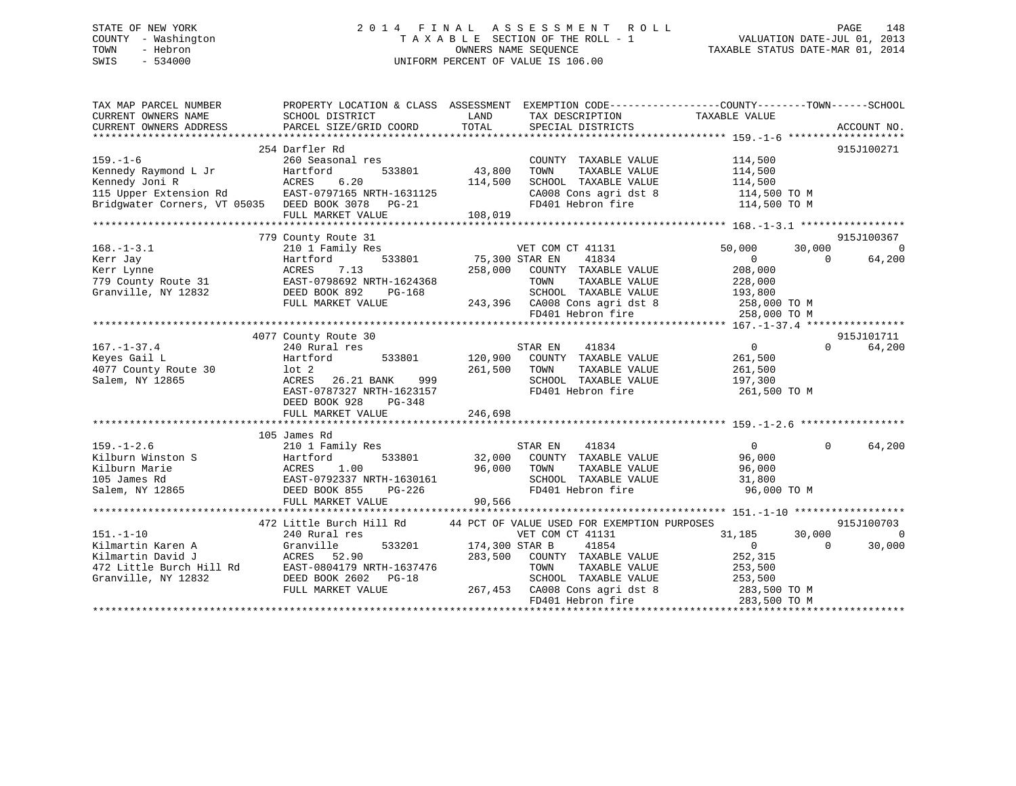## STATE OF NEW YORK 2 0 1 4 F I N A L A S S E S S M E N T R O L L PAGE 148 COUNTY - Washington T A X A B L E SECTION OF THE ROLL - 1 VALUATION DATE-JUL 01, 2013 TOWN - Hebron OWNERS NAME SEQUENCE TAXABLE STATUS DATE-MAR 01, 2014 SWIS - 534000 UNIFORM PERCENT OF VALUE IS 106.00

| TAX MAP PARCEL NUMBER<br>CURRENT OWNERS NAME<br>CURRENT OWNERS ADDRESS | PROPERTY LOCATION & CLASS ASSESSMENT<br>SCHOOL DISTRICT<br>PARCEL SIZE/GRID COORD | LAND<br>TOTAL  | TAX DESCRIPTION<br>SPECIAL DISTRICTS        | EXEMPTION CODE-----------------COUNTY-------TOWN------SCHOOL<br>TAXABLE VALUE | ACCOUNT NO.        |
|------------------------------------------------------------------------|-----------------------------------------------------------------------------------|----------------|---------------------------------------------|-------------------------------------------------------------------------------|--------------------|
|                                                                        |                                                                                   |                |                                             |                                                                               |                    |
|                                                                        | 254 Darfler Rd                                                                    |                |                                             |                                                                               | 915J100271         |
| $159. - 1 - 6$                                                         | 260 Seasonal res                                                                  |                | COUNTY TAXABLE VALUE                        | 114,500                                                                       |                    |
| Kennedy Raymond L Jr                                                   | Hartford<br>533801                                                                | 43,800         | TOWN<br>TAXABLE VALUE                       | 114,500                                                                       |                    |
| Kennedy Joni R                                                         | ACRES<br>6.20                                                                     | 114,500        | SCHOOL TAXABLE VALUE                        | 114,500                                                                       |                    |
| 115 Upper Extension Rd                                                 | EAST-0797165 NRTH-1631125                                                         |                | CA008 Cons agri dst 8                       | 114,500 TO M                                                                  |                    |
| Bridgwater Corners, VT 05035 DEED BOOK 3078 PG-21                      |                                                                                   |                | FD401 Hebron fire                           | 114,500 TO M                                                                  |                    |
|                                                                        | FULL MARKET VALUE                                                                 | 108,019        |                                             |                                                                               |                    |
|                                                                        |                                                                                   |                |                                             |                                                                               |                    |
|                                                                        | 779 County Route 31                                                               |                |                                             |                                                                               | 915J100367         |
| $168. - 1 - 3.1$                                                       | 210 1 Family Res                                                                  |                | VET COM CT 41131                            | 50,000<br>30,000                                                              | $\Omega$           |
| Kerr Jay                                                               | 533801<br>Hartford                                                                | 75,300 STAR EN | 41834                                       | $\Omega$                                                                      | $\Omega$<br>64,200 |
| Kerr Lynne                                                             | ACRES<br>7.13                                                                     | 258,000        | COUNTY TAXABLE VALUE                        | 208,000                                                                       |                    |
| 779 County Route 31                                                    | EAST-0798692 NRTH-1624368                                                         |                | TOWN<br>TAXABLE VALUE                       | 228,000                                                                       |                    |
| Granville, NY 12832                                                    | DEED BOOK 892<br>PG-168                                                           |                | SCHOOL TAXABLE VALUE                        | 193,800                                                                       |                    |
|                                                                        | FULL MARKET VALUE                                                                 |                | 243,396 CA008 Cons agri dst 8               | 258,000 TO M                                                                  |                    |
|                                                                        |                                                                                   |                | FD401 Hebron fire                           | 258,000 TO M                                                                  |                    |
|                                                                        |                                                                                   |                |                                             |                                                                               |                    |
|                                                                        | 4077 County Route 30                                                              |                |                                             |                                                                               | 915J101711         |
| $167. - 1 - 37.4$                                                      | 240 Rural res                                                                     |                | 41834<br>STAR EN                            | $\overline{0}$                                                                | $\Omega$<br>64,200 |
| Keyes Gail L                                                           | Hartford<br>533801                                                                | 120,900        | COUNTY TAXABLE VALUE                        | 261,500                                                                       |                    |
| 4077 County Route 30                                                   | $1$ ot $2$                                                                        | 261,500        | TAXABLE VALUE<br>TOWN                       | 261,500                                                                       |                    |
| Salem, NY 12865                                                        | ACRES<br>26.21 BANK<br>999                                                        |                | SCHOOL TAXABLE VALUE                        | 197,300                                                                       |                    |
|                                                                        | EAST-0787327 NRTH-1623157                                                         |                | FD401 Hebron fire                           | 261,500 TO M                                                                  |                    |
|                                                                        | DEED BOOK 928<br>PG-348                                                           |                |                                             |                                                                               |                    |
|                                                                        | FULL MARKET VALUE                                                                 | 246,698        |                                             |                                                                               |                    |
|                                                                        |                                                                                   |                |                                             |                                                                               |                    |
|                                                                        | 105 James Rd                                                                      |                |                                             |                                                                               |                    |
| $159. - 1 - 2.6$                                                       | 210 1 Family Res                                                                  |                | 41834<br>STAR EN                            | $\overline{0}$                                                                | 64,200<br>$\Omega$ |
| Kilburn Winston S                                                      | 533801<br>Hartford                                                                | 32,000         | COUNTY TAXABLE VALUE                        | 96,000                                                                        |                    |
| Kilburn Marie                                                          | ACRES<br>1.00                                                                     | 96,000         | TAXABLE VALUE<br>TOWN                       | 96,000                                                                        |                    |
| 105 James Rd                                                           | EAST-0792337 NRTH-1630161                                                         |                | SCHOOL TAXABLE VALUE                        | 31,800                                                                        |                    |
| Salem, NY 12865                                                        | DEED BOOK 855<br>PG-226                                                           |                | FD401 Hebron fire                           | 96,000 TO M                                                                   |                    |
|                                                                        | FULL MARKET VALUE                                                                 | 90,566         |                                             |                                                                               |                    |
|                                                                        |                                                                                   |                |                                             |                                                                               |                    |
|                                                                        | 472 Little Burch Hill Rd                                                          |                | 44 PCT OF VALUE USED FOR EXEMPTION PURPOSES |                                                                               | 915J100703         |
| $151. - 1 - 10$                                                        | 240 Rural res                                                                     |                | VET COM CT 41131                            | 31,185<br>30,000                                                              | $\Omega$           |
| Kilmartin Karen A                                                      | Granville<br>533201                                                               | 174,300 STAR B | 41854                                       | $\overline{0}$                                                                | $\Omega$<br>30,000 |
| Kilmartin David J                                                      | ACRES 52.90                                                                       | 283,500        | COUNTY TAXABLE VALUE                        | 252,315                                                                       |                    |
| 472 Little Burch Hill Rd                                               | EAST-0804179 NRTH-1637476                                                         |                | TAXABLE VALUE<br>TOWN                       | 253,500                                                                       |                    |
| Granville, NY 12832                                                    | DEED BOOK 2602<br>$PG-18$                                                         |                | SCHOOL TAXABLE VALUE                        | 253,500                                                                       |                    |
|                                                                        | FULL MARKET VALUE                                                                 |                | 267,453 CA008 Cons agri dst 8               | 283,500 TO M                                                                  |                    |
|                                                                        |                                                                                   |                | FD401 Hebron fire                           | 283,500 TO M                                                                  |                    |
|                                                                        |                                                                                   |                |                                             |                                                                               |                    |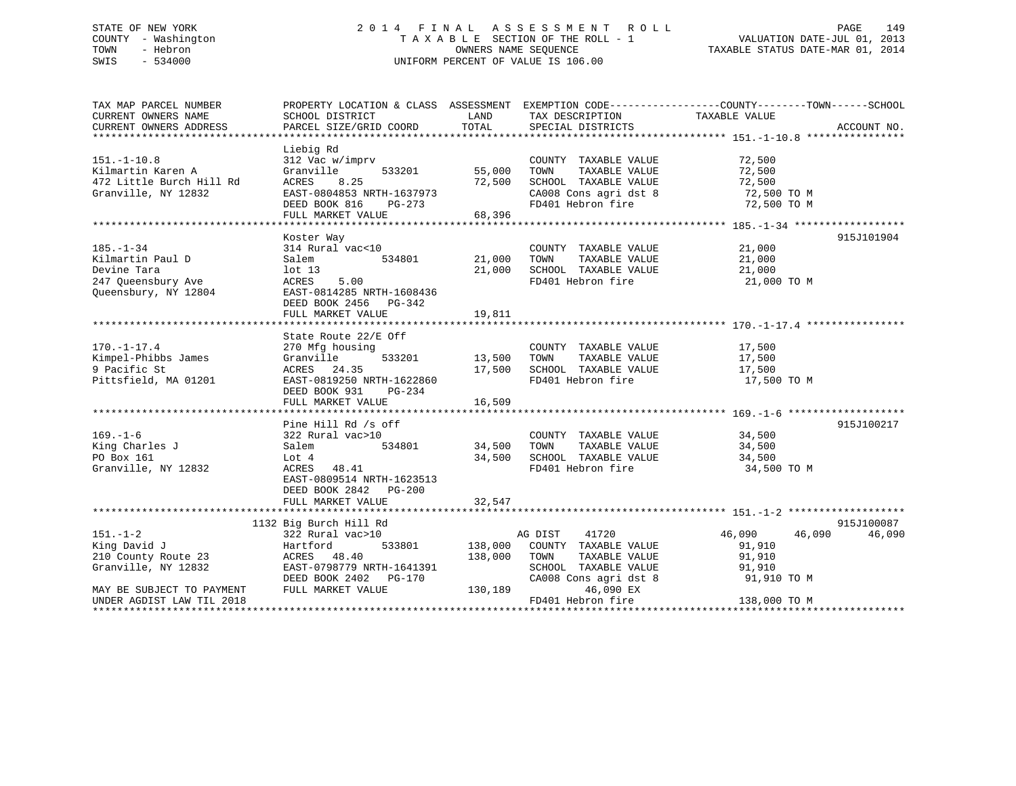## STATE OF NEW YORK 2 0 1 4 F I N A L A S S E S S M E N T R O L L PAGE 149 COUNTY - Washington T A X A B L E SECTION OF THE ROLL - 1 VALUATION DATE-JUL 01, 2013 TOWN - Hebron OWNERS NAME SEQUENCE TAXABLE STATUS DATE-MAR 01, 2014 SWIS - 534000 UNIFORM PERCENT OF VALUE IS 106.00

| TAX MAP PARCEL NUMBER                                         | PROPERTY LOCATION & CLASS ASSESSMENT EXEMPTION CODE---------------COUNTY-------TOWN-----SCHOOL            |                              |                                                                                                   |                      |             |
|---------------------------------------------------------------|-----------------------------------------------------------------------------------------------------------|------------------------------|---------------------------------------------------------------------------------------------------|----------------------|-------------|
| CURRENT OWNERS NAME                                           | SCHOOL DISTRICT                                                                                           | LAND                         | TAX DESCRIPTION                                                                                   | TAXABLE VALUE        |             |
| CURRENT OWNERS ADDRESS                                        | PARCEL SIZE/GRID COORD                                                                                    | TOTAL                        | SPECIAL DISTRICTS                                                                                 |                      | ACCOUNT NO. |
|                                                               |                                                                                                           |                              |                                                                                                   |                      |             |
|                                                               | Liebig Rd                                                                                                 |                              |                                                                                                   |                      |             |
| $151. - 1 - 10.8$                                             | 312 Vac w/imprv                                                                                           |                              | COUNTY TAXABLE VALUE                                                                              | 72,500               |             |
| Kilmartin Karen A                                             | Granville                                                                                                 | 533201 55,000                | TOWN<br>TAXABLE VALUE                                                                             | 72,500               |             |
| 472 Little Burch Hill Rd                                      | 8.25<br>ACRES                                                                                             | 72,500                       |                                                                                                   |                      |             |
| Granville, NY 12832                                           |                                                                                                           |                              |                                                                                                   |                      |             |
|                                                               |                                                                                                           |                              | SCHOOL TAXABLE VALUE 72,500<br>CA008 Cons agri dst 8 72,500 TO M<br>FD401 Hebron fire 72,500 TO M |                      |             |
|                                                               | ACRES 8.25 72,500<br>EAST-0804853 NRTH-1637973<br>DEED BOOK 816 PG-273 68,396<br>FULL MARKET VALUE 68,396 |                              |                                                                                                   |                      |             |
|                                                               |                                                                                                           |                              |                                                                                                   |                      |             |
|                                                               | Koster Way                                                                                                |                              |                                                                                                   |                      | 915J101904  |
| $185. - 1 - 34$                                               | 314 Rural vac<10                                                                                          |                              | COUNTY TAXABLE VALUE                                                                              | 21,000               |             |
| Kilmartin Paul D                                              | 534801 21,000<br>Salem                                                                                    |                              | TOWN                                                                                              | 21,000               |             |
| Devine Tara                                                   | lot 13                                                                                                    | 21,000                       | TAXABLE VALUE<br>TAXABLE VALUE<br>SCHOOL TAXABLE VALUE                                            | 21,000               |             |
| 247 Queensbury Ave                                            | ACRES 5.00                                                                                                |                              | FD401 Hebron fire 21,000 TO M                                                                     |                      |             |
| Queensbury, NY 12804                                          | EAST-0814285 NRTH-1608436                                                                                 |                              |                                                                                                   |                      |             |
|                                                               | DEED BOOK 2456 PG-342                                                                                     |                              |                                                                                                   |                      |             |
|                                                               |                                                                                                           |                              |                                                                                                   |                      |             |
|                                                               |                                                                                                           |                              |                                                                                                   |                      |             |
|                                                               |                                                                                                           |                              |                                                                                                   |                      |             |
|                                                               | State Route 22/E Off                                                                                      |                              |                                                                                                   |                      |             |
| $170. - 1 - 17.4$                                             | 270 Mfg housing                                                                                           | COUNTY<br>533201 13,500 TOWN | COUNTY TAXABLE VALUE<br>TOWN TAXABLE VALUE                                                        | 17,500               |             |
| Kimpel-Phibbs James                                           | 270 Mfg ho<br>Granville<br>ACRES 24<br>EAST-08192                                                         |                              |                                                                                                   | 17,500               |             |
| 9 Pacific St                                                  | ACRES 24.35                                                                                               |                              | 17,500 SCHOOL TAXABLE VALUE                                                                       | 17,500               |             |
| Pittsfield, MA 01201                                          | EAST-0819250 NRTH-1622860                                                                                 |                              | FD401 Hebron fire                                                                                 | 17,500 TO M          |             |
|                                                               | DEED BOOK 931<br>PG-234                                                                                   |                              |                                                                                                   |                      |             |
|                                                               | FULL MARKET VALUE                                                                                         | 16,509                       |                                                                                                   |                      |             |
|                                                               |                                                                                                           |                              |                                                                                                   |                      |             |
|                                                               | Pine Hill Rd /s off                                                                                       |                              |                                                                                                   |                      | 915J100217  |
| $169. - 1 - 6$                                                | 322 Rural vac>10                                                                                          |                              | COUNTY TAXABLE VALUE 34,500                                                                       |                      |             |
| King Charles J                                                | 534801 34,500 TOWN<br>Salem                                                                               |                              |                                                                                                   | TAXABLE VALUE 34,500 |             |
| PO Box 161                                                    |                                                                                                           |                              |                                                                                                   | $34,500$<br>$34.500$ |             |
| Granville, NY 12832                                           | LOT 4<br>ACRES 48.41                                                                                      |                              | 34,500 SCHOOL TAXABLE VALUE<br>FD401 Hebron fire                                                  | 34,500 TO M          |             |
|                                                               | EAST-0809514 NRTH-1623513                                                                                 |                              |                                                                                                   |                      |             |
|                                                               | DEED BOOK 2842 PG-200                                                                                     |                              |                                                                                                   |                      |             |
|                                                               | FULL MARKET VALUE                                                                                         | 32,547                       |                                                                                                   |                      |             |
|                                                               |                                                                                                           |                              |                                                                                                   |                      |             |
|                                                               | 1132 Big Burch Hill Rd                                                                                    |                              |                                                                                                   |                      | 915J100087  |
| $151. - 1 - 2$                                                | 322 Rural vac>10                                                                                          |                              | AG DIST 41720                                                                                     | 46,090 46,090        | 46,090      |
| ده است این استفاده به استفادهاست.<br>Hartford<br>King David J |                                                                                                           |                              | 533801 138,000 COUNTY TAXABLE VALUE                                                               | 91,910               |             |
|                                                               | ACRES 48.40                                                                                               |                              | 138,000 TOWN                                                                                      | TAXABLE VALUE 91,910 |             |
| Granville, NY 12832                                           | EAST-0798779 NRTH-1641391                                                                                 |                              |                                                                                                   |                      |             |
|                                                               | DEED BOOK 2402    PG-170                                                                                  |                              | SCHOOL TAXABLE VALUE 91,910<br>CA008 Cons agri dst 8 91,910 TO M                                  |                      |             |
| MAY BE SUBJECT TO PAYMENT                                     | FULL MARKET VALUE                                                                                         | 130,189                      | 46,090 EX                                                                                         |                      |             |
| UNDER AGDIST LAW TIL 2018                                     |                                                                                                           |                              | FD401 Hebron fire                                                                                 | 138,000 TO M         |             |
|                                                               |                                                                                                           |                              |                                                                                                   |                      |             |
|                                                               |                                                                                                           |                              |                                                                                                   |                      |             |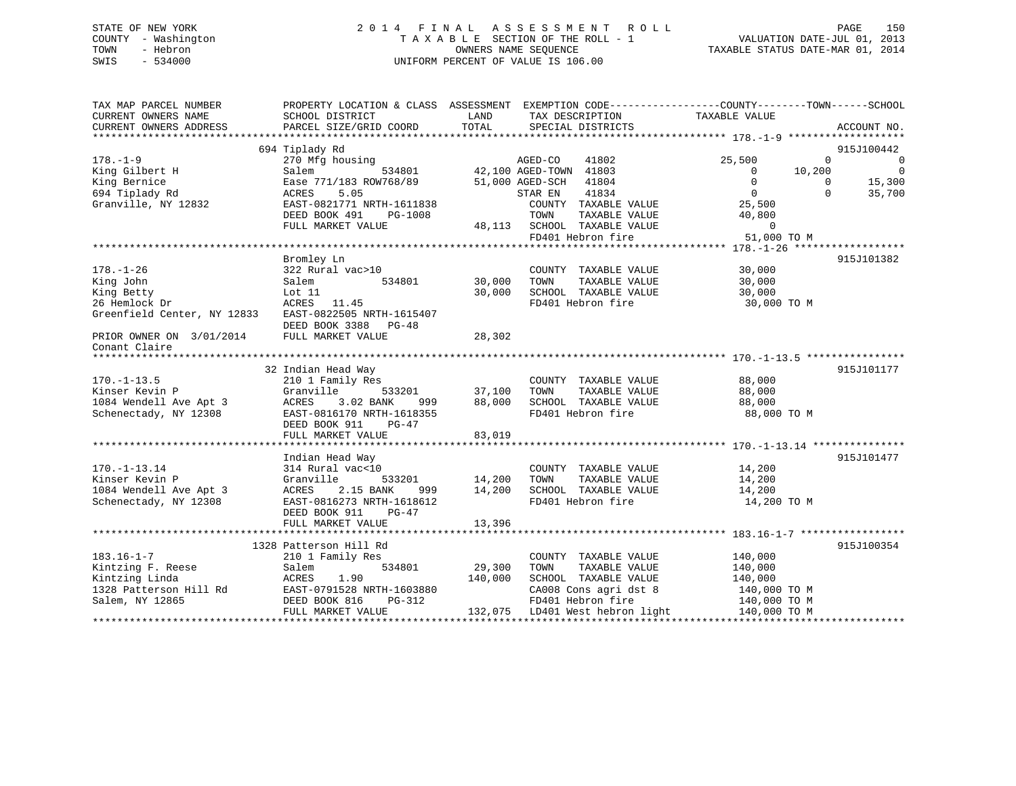## STATE OF NEW YORK 2 0 1 4 F I N A L A S S E S S M E N T R O L L PAGE 150 COUNTY - Washington T A X A B L E SECTION OF THE ROLL - 1 VALUATION DATE-JUL 01, 2013 TOWN - Hebron OWNERS NAME SEQUENCE TAXABLE STATUS DATE-MAR 01, 2014 SWIS - 534000 UNIFORM PERCENT OF VALUE IS 106.00

| TAX MAP PARCEL NUMBER<br>CURRENT OWNERS NAME          | PROPERTY LOCATION & CLASS ASSESSMENT<br>SCHOOL DISTRICT | LAND       | EXEMPTION CODE-----------------COUNTY-------TOWN------SCHOOL<br>TAX DESCRIPTION | TAXABLE VALUE  |              |                |
|-------------------------------------------------------|---------------------------------------------------------|------------|---------------------------------------------------------------------------------|----------------|--------------|----------------|
| CURRENT OWNERS ADDRESS                                | PARCEL SIZE/GRID COORD                                  | TOTAL      | SPECIAL DISTRICTS                                                               |                |              | ACCOUNT NO.    |
|                                                       |                                                         |            |                                                                                 |                |              |                |
|                                                       | 694 Tiplady Rd                                          |            |                                                                                 |                |              | 915J100442     |
| $178. - 1 - 9$                                        | 270 Mfg housing                                         |            |                                                                                 | 25,500         | $\Omega$     | $\overline{0}$ |
| King Gilbert H                                        | Salem                                                   |            | AGED-CO 41802<br>534801 42,100 AGED-TOWN 41803                                  | $\overline{0}$ | 10,200       | $\overline{0}$ |
| King Bernice                                          | Ease 771/183 ROW768/89                                  |            | 51,000 AGED-SCH 41804                                                           | $\Omega$       | $\mathbf{0}$ | 15,300         |
| 694 Tiplady Rd                                        | 5.05<br>ACRES                                           |            | 41834<br>STAR EN                                                                | $\overline{0}$ | $\Omega$     | 35,700         |
| Granville, NY 12832                                   | EAST-0821771 NRTH-1611838                               |            | COUNTY TAXABLE VALUE                                                            | 25,500         |              |                |
|                                                       | DEED BOOK 491<br>PG-1008                                |            | TOWN<br>TAXABLE VALUE                                                           | 40,800         |              |                |
|                                                       | FULL MARKET VALUE                                       |            | 48,113 SCHOOL TAXABLE VALUE                                                     | $\overline{0}$ |              |                |
|                                                       |                                                         |            | FD401 Hebron fire                                                               | 51,000 TO M    |              |                |
|                                                       |                                                         |            |                                                                                 |                |              |                |
|                                                       | Bromley Ln                                              |            |                                                                                 |                |              | 915J101382     |
|                                                       |                                                         |            |                                                                                 |                |              |                |
| $178. - 1 - 26$                                       | 322 Rural vac>10                                        |            | COUNTY TAXABLE VALUE                                                            | 30,000         |              |                |
| King John                                             | 534801<br>Salem                                         | 30,000     | TAXABLE VALUE<br>TOWN                                                           | 30,000         |              |                |
| King Betty                                            | Lot $11$                                                | 30,000     | SCHOOL TAXABLE VALUE                                                            | 30,000         |              |                |
| 26 Hemlock Dr                                         | ACRES 11.45                                             |            | FD401 Hebron fire                                                               | 30,000 TO M    |              |                |
| Greenfield Center, NY 12833 EAST-0822505 NRTH-1615407 |                                                         |            |                                                                                 |                |              |                |
|                                                       | DEED BOOK 3388<br>PG-48                                 |            |                                                                                 |                |              |                |
| PRIOR OWNER ON 3/01/2014                              | FULL MARKET VALUE                                       | 28,302     |                                                                                 |                |              |                |
| Conant Claire                                         |                                                         |            |                                                                                 |                |              |                |
|                                                       |                                                         |            |                                                                                 |                |              |                |
|                                                       | 32 Indian Head Way                                      |            |                                                                                 |                |              | 915J101177     |
| $170. - 1 - 13.5$                                     | 210 1 Family Res                                        |            | COUNTY TAXABLE VALUE                                                            | 88,000         |              |                |
| Kinser Kevin P                                        | Granville<br>533201                                     | 37,100     | TAXABLE VALUE<br>TOWN                                                           | 88,000         |              |                |
| 1084 Wendell Ave Apt 3                                | 3.02 BANK<br>ACRES<br>999                               | 88,000     | SCHOOL TAXABLE VALUE                                                            | 88,000         |              |                |
| Schenectady, NY 12308                                 | EAST-0816170 NRTH-1618355                               |            | FD401 Hebron fire                                                               | 88,000 TO M    |              |                |
|                                                       | DEED BOOK 911<br>$PG-47$                                |            |                                                                                 |                |              |                |
|                                                       | FULL MARKET VALUE                                       | 83,019     |                                                                                 |                |              |                |
|                                                       |                                                         |            |                                                                                 |                |              |                |
|                                                       | Indian Head Way                                         |            |                                                                                 |                |              | 915J101477     |
| $170. - 1 - 13.14$                                    | 314 Rural vac<10                                        |            | COUNTY TAXABLE VALUE                                                            | 14,200         |              |                |
| Kinser Kevin P                                        | Granville<br>533201                                     | 14,200     | TOWN<br>TAXABLE VALUE                                                           | 14,200         |              |                |
| 1084 Wendell Ave Apt 3                                |                                                         |            | SCHOOL TAXABLE VALUE                                                            | 14,200         |              |                |
|                                                       | ACRES<br>2.15 BANK                                      | 999 14,200 |                                                                                 |                |              |                |
| Schenectady, NY 12308                                 | EAST-0816273 NRTH-1618612                               |            | FD401 Hebron fire                                                               | 14,200 TO M    |              |                |
|                                                       | DEED BOOK 911<br>$PG-47$                                |            |                                                                                 |                |              |                |
|                                                       | FULL MARKET VALUE                                       | 13,396     |                                                                                 |                |              |                |
|                                                       |                                                         |            |                                                                                 |                |              |                |
|                                                       | 1328 Patterson Hill Rd                                  |            |                                                                                 |                |              | 915J100354     |
| $183.16 - 1 - 7$                                      | 210 1 Family Res                                        |            | COUNTY TAXABLE VALUE                                                            | 140,000        |              |                |
| Kintzing F. Reese                                     | 534801<br>Salem                                         | 29,300     | TAXABLE VALUE<br>TOWN                                                           | 140,000        |              |                |
| Kintzing Linda                                        | ACRES<br>1.90                                           | 140,000    | SCHOOL TAXABLE VALUE                                                            | 140,000        |              |                |
| 1328 Patterson Hill Rd                                | EAST-0791528 NRTH-1603880                               |            | CA008 Cons agri dst 8                                                           | 140,000 TO M   |              |                |
| Salem, NY 12865                                       | DEED BOOK 816<br>PG-312                                 |            | FD401 Hebron fire                                                               | 140,000 TO M   |              |                |
|                                                       | FULL MARKET VALUE                                       |            | 132,075 LD401 West hebron light                                                 | 140,000 TO M   |              |                |
|                                                       |                                                         |            |                                                                                 |                |              |                |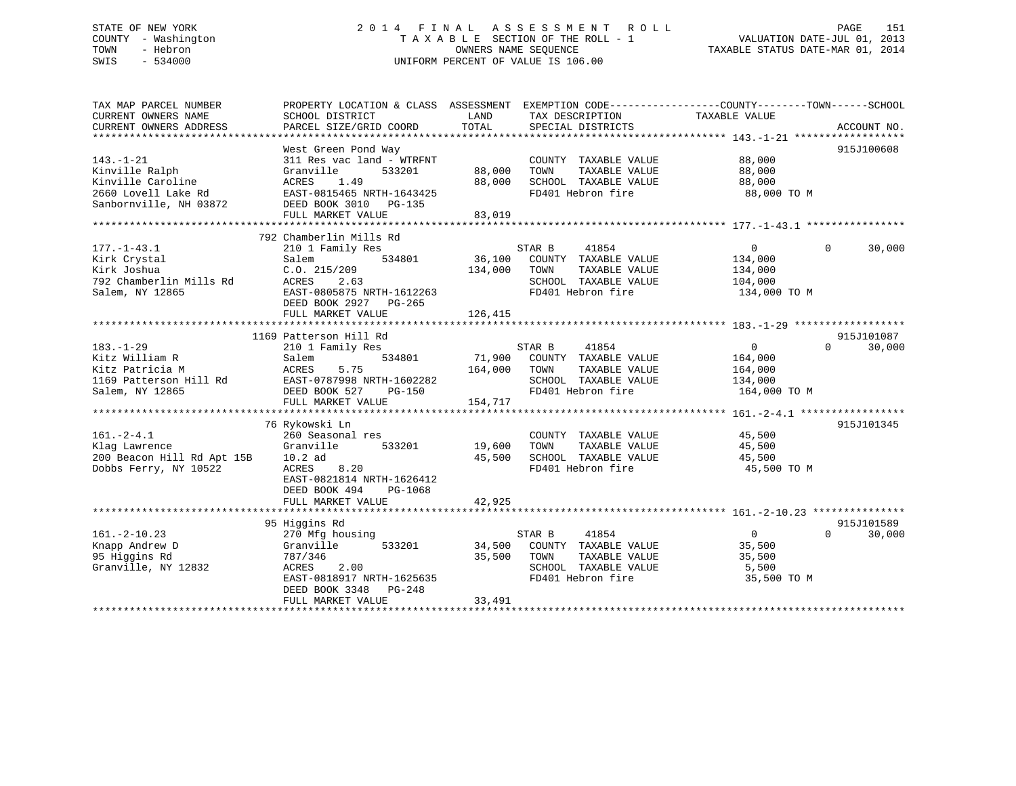## STATE OF NEW YORK 2 0 1 4 F I N A L A S S E S S M E N T R O L L PAGE 151 COUNTY - Washington T A X A B L E SECTION OF THE ROLL - 1 VALUATION DATE-JUL 01, 2013 TOWN - Hebron OWNERS NAME SEQUENCE TAXABLE STATUS DATE-MAR 01, 2014 SWIS - 534000 UNIFORM PERCENT OF VALUE IS 106.00

| TAX MAP PARCEL NUMBER               | PROPERTY LOCATION & CLASS ASSESSMENT |         |                                       | EXEMPTION CODE-----------------COUNTY-------TOWN------SCHOOL |                    |
|-------------------------------------|--------------------------------------|---------|---------------------------------------|--------------------------------------------------------------|--------------------|
| CURRENT OWNERS NAME                 | SCHOOL DISTRICT                      | LAND    | TAX DESCRIPTION                       | TAXABLE VALUE                                                |                    |
| CURRENT OWNERS ADDRESS              | PARCEL SIZE/GRID COORD               | TOTAL   | SPECIAL DISTRICTS                     |                                                              | ACCOUNT NO.        |
|                                     | West Green Pond Way                  |         |                                       |                                                              | 915J100608         |
| $143. - 1 - 21$                     | 311 Res vac land - WTRFNT            |         | COUNTY TAXABLE VALUE                  | 88,000                                                       |                    |
|                                     | Granville<br>533201                  | 88,000  | TOWN                                  | 88,000                                                       |                    |
| Kinville Ralph<br>Kinville Caroline | 1.49                                 | 88,000  | TAXABLE VALUE<br>SCHOOL TAXABLE VALUE | 88,000                                                       |                    |
|                                     | ACRES                                |         |                                       |                                                              |                    |
| 2660 Lovell Lake Rd                 | EAST-0815465 NRTH-1643425            |         | FD401 Hebron fire                     | 88,000 TO M                                                  |                    |
| Sanbornville, NH 03872              | DEED BOOK 3010 PG-135                |         |                                       |                                                              |                    |
|                                     | FULL MARKET VALUE                    | 83,019  |                                       |                                                              |                    |
|                                     | 792 Chamberlin Mills Rd              |         |                                       |                                                              |                    |
| $177. - 1 - 43.1$                   | 210 1 Family Res                     |         | STAR B<br>41854                       | $\Omega$                                                     | 30,000<br>$\Omega$ |
| Kirk Crystal                        | Salem<br>534801                      | 36,100  | COUNTY TAXABLE VALUE                  | 134,000                                                      |                    |
|                                     | C.0.215/209                          |         |                                       |                                                              |                    |
| Kirk Joshua                         |                                      | 134,000 | TOWN<br>TAXABLE VALUE                 | 134,000                                                      |                    |
| 792 Chamberlin Mills Rd             | ACRES<br>2.63                        |         | SCHOOL TAXABLE VALUE                  | 104,000                                                      |                    |
| Salem, NY 12865                     | EAST-0805875 NRTH-1612263            |         | FD401 Hebron fire                     | 134,000 TO M                                                 |                    |
|                                     | DEED BOOK 2927 PG-265                |         |                                       |                                                              |                    |
|                                     | FULL MARKET VALUE                    | 126,415 |                                       |                                                              |                    |
|                                     |                                      |         |                                       |                                                              |                    |
|                                     | 1169 Patterson Hill Rd               |         |                                       |                                                              | 915J101087         |
| $183. - 1 - 29$                     | 210 1 Family Res                     |         | STAR B<br>41854                       | $\overline{0}$                                               | 30,000<br>$\Omega$ |
| Kitz William R                      | Salem<br>534801                      | 71,900  | COUNTY TAXABLE VALUE                  | 164,000                                                      |                    |
| Kitz Patricia M                     | ACRES<br>5.75                        | 164,000 | TOWN<br>TAXABLE VALUE                 | 164,000                                                      |                    |
| 1169 Patterson Hill Rd              | EAST-0787998 NRTH-1602282            |         | SCHOOL TAXABLE VALUE                  | 134,000                                                      |                    |
| Salem, NY 12865                     | DEED BOOK 527<br><b>PG-150</b>       |         | FD401 Hebron fire                     | 164,000 TO M                                                 |                    |
|                                     | FULL MARKET VALUE                    | 154,717 |                                       |                                                              |                    |
|                                     |                                      |         |                                       |                                                              |                    |
|                                     | 76 Rykowski Ln                       |         |                                       |                                                              | 915J101345         |
| $161. - 2 - 4.1$                    | 260 Seasonal res                     |         | COUNTY TAXABLE VALUE                  | 45,500                                                       |                    |
| Klag Lawrence                       | 533201<br>Granville                  | 19,600  | TAXABLE VALUE<br>TOWN                 | 45,500                                                       |                    |
| 200 Beacon Hill Rd Apt 15B          | $10.2$ ad                            | 45,500  | SCHOOL TAXABLE VALUE                  | 45,500                                                       |                    |
| Dobbs Ferry, NY 10522               | ACRES<br>8.20                        |         | FD401 Hebron fire                     | 45,500 TO M                                                  |                    |
|                                     | EAST-0821814 NRTH-1626412            |         |                                       |                                                              |                    |
|                                     | DEED BOOK 494<br>PG-1068             |         |                                       |                                                              |                    |
|                                     | FULL MARKET VALUE                    | 42,925  |                                       |                                                              |                    |
|                                     |                                      |         |                                       |                                                              |                    |
|                                     | 95 Higgins Rd                        |         |                                       |                                                              | 915J101589         |
| $161. - 2 - 10.23$                  | 270 Mfg housing                      |         | 41854<br>STAR B                       | $\Omega$                                                     | 30,000<br>$\Omega$ |
| Knapp Andrew D                      | 533201<br>Granville                  | 34,500  | COUNTY TAXABLE VALUE                  | 35,500                                                       |                    |
| 95 Higgins Rd                       | 787/346                              | 35,500  | TAXABLE VALUE<br>TOWN                 | 35,500                                                       |                    |
| Granville, NY 12832                 | <b>ACRES</b><br>2.00                 |         | SCHOOL TAXABLE VALUE                  | 5,500                                                        |                    |
|                                     | EAST-0818917 NRTH-1625635            |         | FD401 Hebron fire                     | 35,500 TO M                                                  |                    |
|                                     | DEED BOOK 3348<br>PG-248             |         |                                       |                                                              |                    |
|                                     | FULL MARKET VALUE                    | 33,491  |                                       |                                                              |                    |
|                                     |                                      |         |                                       |                                                              |                    |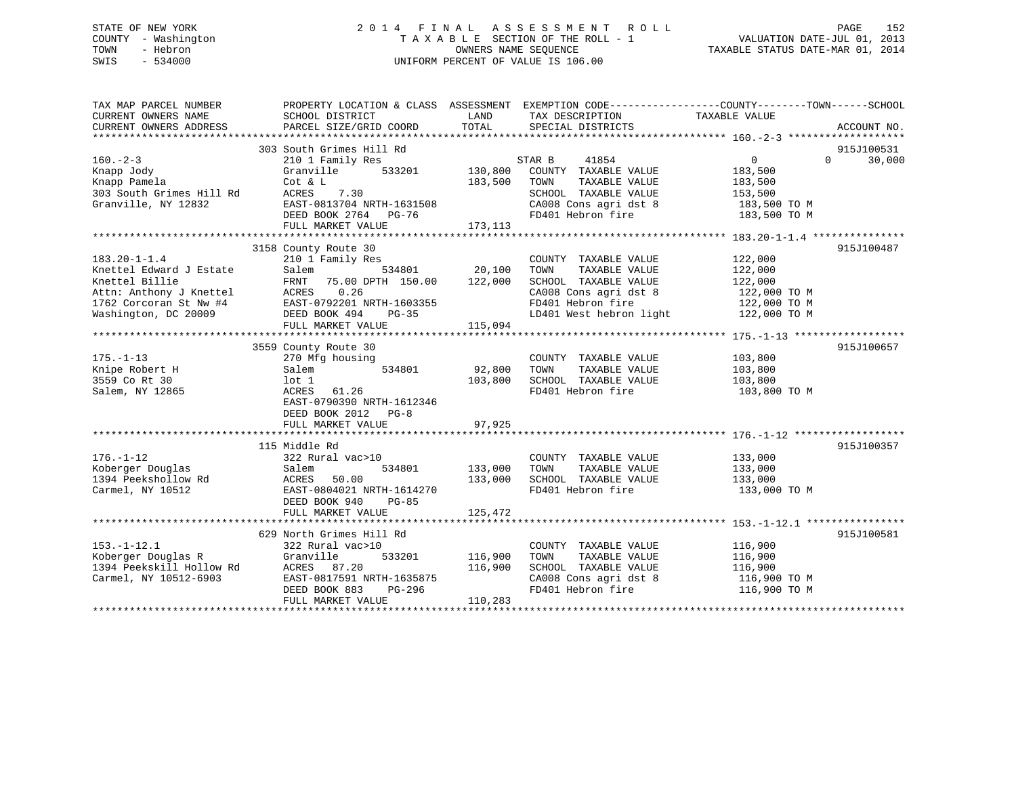## STATE OF NEW YORK 2 0 1 4 F I N A L A S S E S S M E N T R O L L PAGE 152 COUNTY - Washington T A X A B L E SECTION OF THE ROLL - 1 VALUATION DATE-JUL 01, 2013 TOWN - Hebron OWNERS NAME SEQUENCE TAXABLE STATUS DATE-MAR 01, 2014 SWIS - 534000 UNIFORM PERCENT OF VALUE IS 106.00

| TAX MAP PARCEL NUMBER<br>CURRENT OWNERS NAME<br>CURRENT OWNERS ADDRESS                                                                       | PROPERTY LOCATION & CLASS ASSESSMENT EXEMPTION CODE---------------COUNTY-------TOWN-----SCHOOL<br>SCHOOL DISTRICT<br>PARCEL SIZE/GRID COORD                               | LAND<br>TOTAL                       | TAX DESCRIPTION TAXABLE VALUE<br>SPECIAL DISTRICTS                                                                                             |                                                                                    | ACCOUNT NO.                      |
|----------------------------------------------------------------------------------------------------------------------------------------------|---------------------------------------------------------------------------------------------------------------------------------------------------------------------------|-------------------------------------|------------------------------------------------------------------------------------------------------------------------------------------------|------------------------------------------------------------------------------------|----------------------------------|
| $160. - 2 - 3$<br>Knapp Jody<br>Knapp Pamela<br>303 South Grimes Hill Rd<br>Granville, NY 12832                                              | 303 South Grimes Hill Rd<br>210 1 Family Res<br>Granville<br>533201<br>Cot & L<br>7.30<br>ACRES<br>EAST-0813704 NRTH-1631508<br>DEED BOOK 2764 PG-76<br>FULL MARKET VALUE | 130,800<br>183,500<br>173, 113      | STAR B<br>41854<br>COUNTY TAXABLE VALUE<br>TOWN<br>TAXABLE VALUE<br>SCHOOL TAXABLE VALUE<br>CA008 Cons agri dst 8<br>FD401 Hebron fire         | $0 \qquad \qquad$<br>183,500<br>183,500<br>153,500<br>183,500 TO M<br>183,500 TO M | 915J100531<br>30,000<br>$\Omega$ |
| $183.20 - 1 - 1.4$<br>Knettel Edward J Estate<br>Knettel Billie<br>Attn: Anthony J Knettel<br>1762 Corcoran St Nw #4<br>Washington, DC 20009 | 3158 County Route 30<br>210 1 Family Res<br>Salem<br>FRNT 75.00 DPTH 150.00<br>ACRES 0.26<br>EAST-0792201 NRTH-1603355<br>DEED BOOK 494<br>PG-35<br>FULL MARKET VALUE     | 534801 20,100<br>122,000<br>115,094 | COUNTY TAXABLE VALUE<br>TAXABLE VALUE<br>TOWN<br>SCHOOL TAXABLE VALUE<br>CA008 Cons agri dst 8<br>FD401 Hebron fire<br>LD401 West hebron light | 122,000<br>122,000<br>122,000<br>122,000 TO M<br>122,000 TO M<br>122,000 TO M      | 915J100487                       |
| $175. - 1 - 13$<br>Knipe Robert H<br>3559 Co Rt 30<br>Salem, NY 12865                                                                        | 3559 County Route 30<br>270 Mfg housing<br>534801<br>Salem<br>lot 1<br>ACRES 61.26<br>EAST-0790390 NRTH-1612346<br>DEED BOOK 2012 PG-8<br>FULL MARKET VALUE               | 92,800<br>103,800<br>97,925         | COUNTY TAXABLE VALUE<br>TAXABLE VALUE<br>TOWN<br>SCHOOL TAXABLE VALUE<br>FD401 Hebron fire                                                     | 103,800<br>103,800<br>103,800<br>103,800 TO M                                      | 915J100657                       |
| $176. - 1 - 12$<br>Koberger Douglas<br>1394 Peekshollow Rd<br>Carmel, NY 10512                                                               | 115 Middle Rd<br>322 Rural vac>10<br>Salem<br>534801<br>ACRES<br>50.00<br>EAST-0804021 NRTH-1614270<br>DEED BOOK 940<br>$PG-85$<br>FULL MARKET VALUE                      | 133,000<br>133,000<br>125,472       | COUNTY TAXABLE VALUE<br>TAXABLE VALUE<br>TOWN<br>SCHOOL TAXABLE VALUE 133,000<br>FD401 Hebron fire                                             | 133,000<br>133,000<br>133,000 TO M                                                 | 915J100357                       |
| $153. - 1 - 12.1$<br>Koberger Douglas R<br>1394 Peekskill Hollow Rd<br>Carmel, NY 10512-6903                                                 | 629 North Grimes Hill Rd<br>322 Rural vac>10<br>533201<br>Granville<br>ACRES 87.20<br>EAST-0817591 NRTH-1635875<br>DEED BOOK 883<br>PG-296<br>FULL MARKET VALUE           | 116,900<br>116,900<br>110,283       | COUNTY TAXABLE VALUE<br>TOWN<br>TAXABLE VALUE<br>SCHOOL TAXABLE VALUE<br>CA008 Cons agri dst 8<br>FD401 Hebron fire                            | 116,900<br>116,900<br>116,900<br>116,900 TO M<br>116,900 TO M                      | 915J100581                       |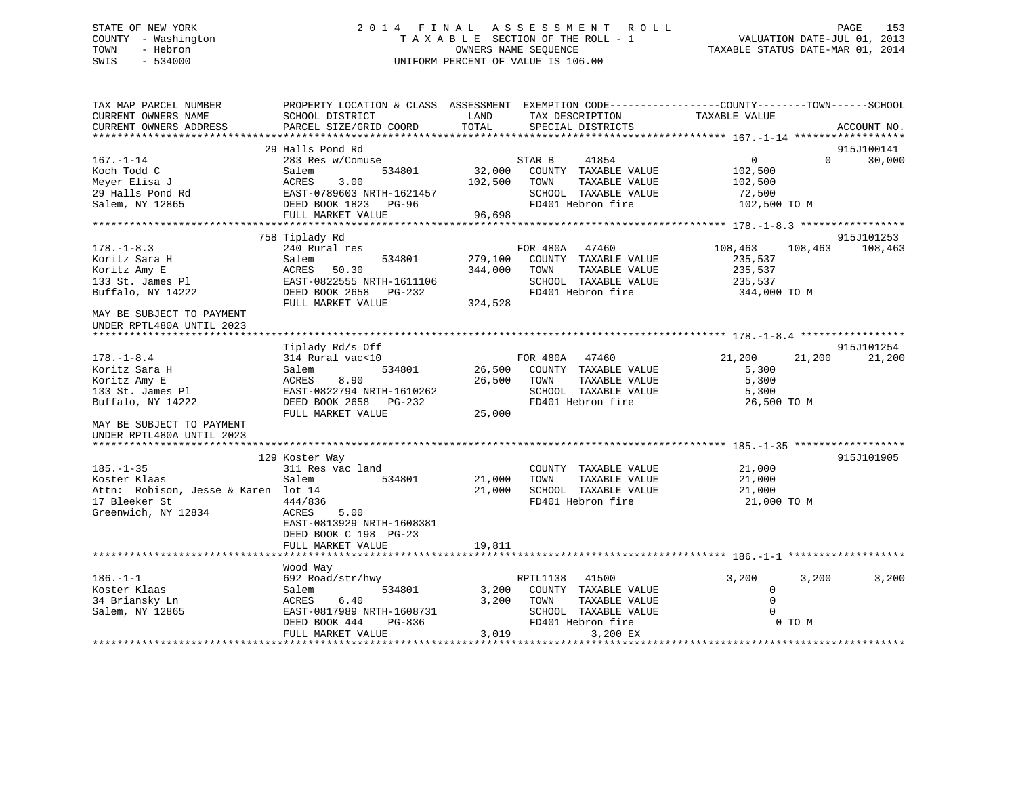## STATE OF NEW YORK 2 0 1 4 F I N A L A S S E S S M E N T R O L L PAGE 153 COUNTY - Washington T A X A B L E SECTION OF THE ROLL - 1 VALUATION DATE-JUL 01, 2013 TOWN - Hebron OWNERS NAME SEQUENCE TAXABLE STATUS DATE-MAR 01, 2014 SWIS - 534000 UNIFORM PERCENT OF VALUE IS 106.00

| TAX MAP PARCEL NUMBER<br>CURRENT OWNERS NAME<br>CURRENT OWNERS ADDRESS                                         | PROPERTY LOCATION & CLASS ASSESSMENT EXEMPTION CODE----------------COUNTY-------TOWN------SCHOOL<br>SCHOOL DISTRICT<br>PARCEL SIZE/GRID COORD   | LAND<br>TOTAL                 | TAX DESCRIPTION<br>SPECIAL DISTRICTS                                                                          | TAXABLE VALUE                                                  |          |                       |
|----------------------------------------------------------------------------------------------------------------|-------------------------------------------------------------------------------------------------------------------------------------------------|-------------------------------|---------------------------------------------------------------------------------------------------------------|----------------------------------------------------------------|----------|-----------------------|
|                                                                                                                |                                                                                                                                                 |                               |                                                                                                               |                                                                |          | ACCOUNT NO.           |
|                                                                                                                | 29 Halls Pond Rd                                                                                                                                |                               |                                                                                                               |                                                                |          | 915J100141            |
| $167. - 1 - 14$<br>Koch Todd C<br>Meyer Elisa J<br>29 Halls Pond Rd<br>Salem, NY 12865                         | 283 Res w/Comuse<br>534801<br>Salem<br>ACRES<br>3.00<br>EAST-0789603 NRTH-1621457<br>DEED BOOK 1823 PG-96<br>FULL MARKET VALUE                  | 32,000<br>102,500<br>96,698   | 41854<br>STAR B<br>COUNTY TAXABLE VALUE<br>TAXABLE VALUE<br>TOWN<br>SCHOOL TAXABLE VALUE<br>FD401 Hebron fire | $\overline{0}$<br>102,500<br>102,500<br>72,500<br>102,500 TO M | $\Omega$ | 30,000                |
|                                                                                                                |                                                                                                                                                 |                               |                                                                                                               |                                                                |          |                       |
| $178. - 1 - 8.3$<br>Koritz Sara H<br>Koritz Amy E<br>133 St. James Pl<br>Buffalo, NY 14222                     | 758 Tiplady Rd<br>240 Rural res<br>534801<br>Salem<br>50.30<br>ACRES<br>EAST-0822555 NRTH-1611106<br>DEED BOOK 2658 PG-232<br>FULL MARKET VALUE | 279,100<br>344,000<br>324,528 | FOR 480A 47460<br>COUNTY TAXABLE VALUE<br>TOWN<br>TAXABLE VALUE<br>SCHOOL TAXABLE VALUE<br>FD401 Hebron fire  | 108,463<br>235,537<br>235,537<br>235,537<br>344,000 TO M       | 108,463  | 915J101253<br>108,463 |
| MAY BE SUBJECT TO PAYMENT<br>UNDER RPTL480A UNTIL 2023                                                         |                                                                                                                                                 |                               |                                                                                                               |                                                                |          |                       |
|                                                                                                                |                                                                                                                                                 |                               |                                                                                                               |                                                                |          |                       |
|                                                                                                                | Tiplady Rd/s Off                                                                                                                                |                               |                                                                                                               |                                                                |          | 915J101254            |
| $178. - 1 - 8.4$<br>Koritz Sara H<br>Koritz Amy E<br>133 St. James Pl<br>Buffalo, NY 14222                     | 314 Rural vac<10<br>534801<br>Salem<br>ACRES<br>8.90<br>EAST-0822794 NRTH-1610262<br>DEED BOOK 2658 PG-232                                      | 26,500<br>26,500              | FOR 480A 47460<br>COUNTY TAXABLE VALUE<br>TOWN<br>TAXABLE VALUE<br>SCHOOL TAXABLE VALUE<br>FD401 Hebron fire  | 21,200<br>5,300<br>5,300<br>5,300<br>26,500 TO M               | 21,200   | 21,200                |
| MAY BE SUBJECT TO PAYMENT<br>UNDER RPTL480A UNTIL 2023                                                         | FULL MARKET VALUE                                                                                                                               | 25,000                        |                                                                                                               |                                                                |          |                       |
|                                                                                                                |                                                                                                                                                 |                               |                                                                                                               |                                                                |          |                       |
| $185. - 1 - 35$<br>Koster Klaas<br>Attn: Robison, Jesse & Karen lot 14<br>17 Bleeker St<br>Greenwich, NY 12834 | 129 Koster Way<br>311 Res vac land<br>Salem<br>534801<br>444/836<br>ACRES<br>5.00<br>EAST-0813929 NRTH-1608381<br>DEED BOOK C 198 PG-23         | 21,000<br>21,000              | COUNTY TAXABLE VALUE<br>TOWN<br>TAXABLE VALUE<br>SCHOOL TAXABLE VALUE<br>FD401 Hebron fire                    | 21,000<br>21,000<br>21,000<br>21,000 TO M                      |          | 915J101905            |
|                                                                                                                | FULL MARKET VALUE                                                                                                                               | 19,811                        |                                                                                                               |                                                                |          |                       |
|                                                                                                                |                                                                                                                                                 |                               |                                                                                                               |                                                                |          |                       |
| $186. - 1 - 1$<br>Koster Klaas<br>34 Briansky Ln<br>Salem, NY 12865                                            | Wood Way<br>692 Road/str/hwy<br>Salem<br>534801<br>ACRES<br>6.40<br>EAST-0817989 NRTH-1608731                                                   | 3,200<br>3,200                | RPTL1138<br>41500<br>COUNTY TAXABLE VALUE<br>TAXABLE VALUE<br>TOWN<br>SCHOOL TAXABLE VALUE                    | 3,200<br>$\mathbf 0$<br>$\Omega$<br>$\Omega$                   | 3,200    | 3,200                 |
|                                                                                                                | DEED BOOK 444<br>PG-836<br>FULL MARKET VALUE                                                                                                    | 3,019                         | FD401 Hebron fire<br>3,200 EX                                                                                 |                                                                | 0 TO M   |                       |
|                                                                                                                |                                                                                                                                                 |                               |                                                                                                               |                                                                |          |                       |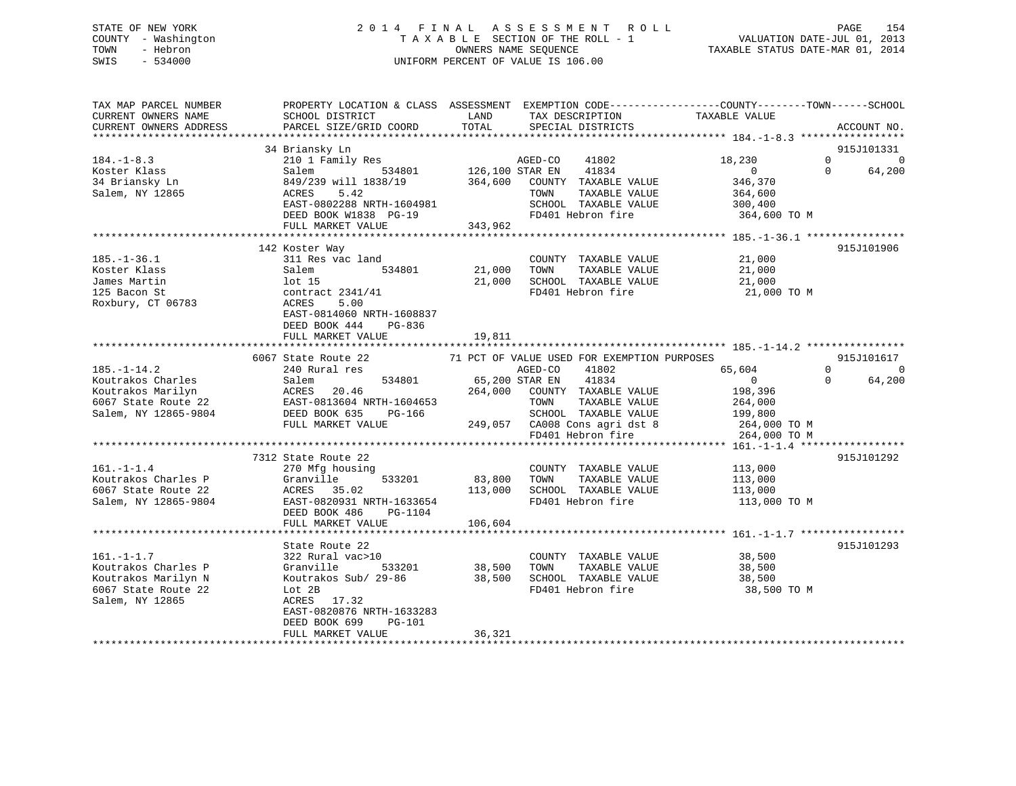## STATE OF NEW YORK 2 0 1 4 F I N A L A S S E S S M E N T R O L L PAGE 154 COUNTY - Washington T A X A B L E SECTION OF THE ROLL - 1 VALUATION DATE-JUL 01, 2013 TOWN - Hebron OWNERS NAME SEQUENCE TAXABLE STATUS DATE-MAR 01, 2014 SWIS - 534000 UNIFORM PERCENT OF VALUE IS 106.00

| TAX MAP PARCEL NUMBER<br>CURRENT OWNERS NAME<br>CURRENT OWNERS ADDRESS<br>**********************           | PROPERTY LOCATION & CLASS ASSESSMENT<br>SCHOOL DISTRICT<br>PARCEL SIZE/GRID COORD                                                                                                        | LAND<br>TOTAL                                            | TAX DESCRIPTION<br>SPECIAL DISTRICTS                                                                                                                                         | EXEMPTION CODE-----------------COUNTY-------TOWN------SCHOOL<br>TAXABLE VALUE             | ACCOUNT NO.                                              |
|------------------------------------------------------------------------------------------------------------|------------------------------------------------------------------------------------------------------------------------------------------------------------------------------------------|----------------------------------------------------------|------------------------------------------------------------------------------------------------------------------------------------------------------------------------------|-------------------------------------------------------------------------------------------|----------------------------------------------------------|
|                                                                                                            | 34 Briansky Ln                                                                                                                                                                           |                                                          |                                                                                                                                                                              |                                                                                           | 915J101331                                               |
| $184. - 1 - 8.3$<br>Koster Klass<br>34 Briansky Ln<br>Salem, NY 12865                                      | 210 1 Family Res<br>Salem<br>534801<br>849/239 will 1838/19<br>ACRES<br>5.42<br>EAST-0802288 NRTH-1604981<br>DEED BOOK W1838 PG-19<br>FULL MARKET VALUE                                  | AGED-CO<br>126,100 STAR EN<br>364,600<br>TOWN<br>343,962 | 41802<br>41834<br>COUNTY TAXABLE VALUE<br>TAXABLE VALUE<br>SCHOOL TAXABLE VALUE<br>FD401 Hebron fire                                                                         | 18,230<br>$\overline{0}$<br>346,370<br>364,600<br>300,400<br>364,600 TO M                 | $\Omega$<br>$\Omega$<br>64,200<br>$\Omega$               |
|                                                                                                            |                                                                                                                                                                                          | * * * * * * * * * * * * *                                |                                                                                                                                                                              | ***************** 185.-1-36.1 *****************                                           |                                                          |
| $185. - 1 - 36.1$<br>Koster Klass<br>James Martin<br>125 Bacon St<br>Roxbury, CT 06783                     | 142 Koster Way<br>311 Res vac land<br>Salem<br>534801<br>$1$ ot $15$<br>contract $2341/41$<br>ACRES<br>5.00<br>EAST-0814060 NRTH-1608837<br>DEED BOOK 444<br>PG-836<br>FULL MARKET VALUE | 21,000<br>TOWN<br>21,000<br>19,811                       | COUNTY TAXABLE VALUE<br>TAXABLE VALUE<br>SCHOOL TAXABLE VALUE<br>FD401 Hebron fire                                                                                           | 21,000<br>21,000<br>21,000<br>21,000 TO M                                                 | 915J101906                                               |
|                                                                                                            |                                                                                                                                                                                          |                                                          |                                                                                                                                                                              |                                                                                           |                                                          |
| $185. - 1 - 14.2$<br>Koutrakos Charles<br>Koutrakos Marilyn<br>6067 State Route 22<br>Salem, NY 12865-9804 | 6067 State Route 22<br>240 Rural res<br>534801<br>Salem<br>ACRES<br>20.46<br>EAST-0813604 NRTH-1604653<br>DEED BOOK 635<br>PG-166<br>FULL MARKET VALUE                                   | AGED-CO<br>65,200 STAR EN<br>264,000<br>TOWN<br>249,057  | 71 PCT OF VALUE USED FOR EXEMPTION PURPOSES<br>41802<br>41834<br>COUNTY TAXABLE VALUE<br>TAXABLE VALUE<br>SCHOOL TAXABLE VALUE<br>CA008 Cons agri dst 8<br>FD401 Hebron fire | 65,604<br>$\overline{0}$<br>198,396<br>264,000<br>199,800<br>264,000 TO M<br>264,000 TO M | 915J101617<br>$\Omega$<br>$\Omega$<br>$\Omega$<br>64,200 |
|                                                                                                            |                                                                                                                                                                                          |                                                          |                                                                                                                                                                              |                                                                                           |                                                          |
| $161. - 1 - 1.4$<br>Koutrakos Charles P<br>6067 State Route 22<br>Salem, NY 12865-9804                     | 7312 State Route 22<br>270 Mfg housing<br>Granville<br>533201<br>ACRES<br>35.02<br>EAST-0820931 NRTH-1633654<br>DEED BOOK 486<br>PG-1104                                                 | 83,800<br>TOWN<br>113,000                                | COUNTY TAXABLE VALUE<br>TAXABLE VALUE<br>SCHOOL TAXABLE VALUE<br>FD401 Hebron fire                                                                                           | 113,000<br>113,000<br>113,000<br>113,000 TO M                                             | 915J101292                                               |
|                                                                                                            | FULL MARKET VALUE                                                                                                                                                                        | 106,604                                                  |                                                                                                                                                                              |                                                                                           |                                                          |
|                                                                                                            |                                                                                                                                                                                          |                                                          |                                                                                                                                                                              |                                                                                           |                                                          |
| $161. - 1 - 1.7$<br>Koutrakos Charles P<br>Koutrakos Marilyn N<br>6067 State Route 22<br>Salem, NY 12865   | State Route 22<br>322 Rural vac>10<br>Granville<br>533201<br>Koutrakos Sub/ 29-86<br>Lot 2B<br>17.32<br>ACRES<br>EAST-0820876 NRTH-1633283<br>DEED BOOK 699<br><b>PG-101</b>             | TOWN<br>38,500<br>38,500                                 | COUNTY TAXABLE VALUE<br>TAXABLE VALUE<br>SCHOOL TAXABLE VALUE<br>FD401 Hebron fire                                                                                           | 38,500<br>38,500<br>38,500<br>38,500 TO M                                                 | 915J101293                                               |
|                                                                                                            | FULL MARKET VALUE                                                                                                                                                                        | 36,321                                                   |                                                                                                                                                                              |                                                                                           |                                                          |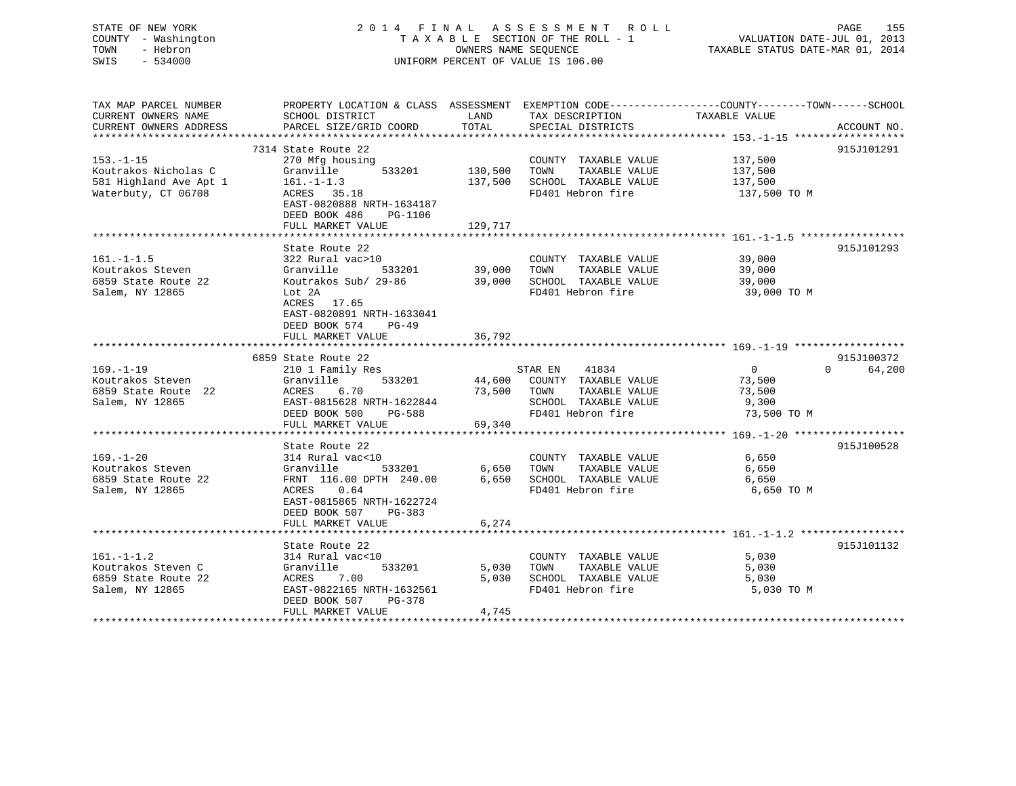## STATE OF NEW YORK 2 0 1 4 F I N A L A S S E S S M E N T R O L L PAGE 155 COUNTY - Washington T A X A B L E SECTION OF THE ROLL - 1 VALUATION DATE-JUL 01, 2013 TOWN - Hebron **CONNERS NAME SEQUENCE** TAXABLE STATUS DATE-MAR 01, 2014 SWIS - 534000 UNIFORM PERCENT OF VALUE IS 106.00

| TAX MAP PARCEL NUMBER<br>CURRENT OWNERS NAME                                             | PROPERTY LOCATION & CLASS ASSESSMENT EXEMPTION CODE---------------COUNTY-------TOWN------SCHOOL<br>SCHOOL DISTRICT                                                                       | LAND                          | TAX DESCRIPTION                                                                                                       | TAXABLE VALUE                                              |                                  |
|------------------------------------------------------------------------------------------|------------------------------------------------------------------------------------------------------------------------------------------------------------------------------------------|-------------------------------|-----------------------------------------------------------------------------------------------------------------------|------------------------------------------------------------|----------------------------------|
| CURRENT OWNERS ADDRESS                                                                   | PARCEL SIZE/GRID COORD                                                                                                                                                                   | TOTAL                         | SPECIAL DISTRICTS                                                                                                     |                                                            | ACCOUNT NO.                      |
|                                                                                          | 7314 State Route 22                                                                                                                                                                      |                               |                                                                                                                       |                                                            | 915J101291                       |
| $153. - 1 - 15$<br>Koutrakos Nicholas C<br>581 Highland Ave Apt 1<br>Waterbuty, CT 06708 | 270 Mfg housing<br>533201<br>Granville<br>$161. - 1 - 1.3$<br>ACRES 35.18<br>EAST-0820888 NRTH-1634187<br>DEED BOOK 486<br>PG-1106<br>FULL MARKET VALUE                                  | 130,500<br>137,500<br>129,717 | COUNTY TAXABLE VALUE<br>TAXABLE VALUE<br>TOWN<br>SCHOOL TAXABLE VALUE<br>FD401 Hebron fire                            | 137,500<br>137,500<br>137,500<br>137,500 TO M              |                                  |
|                                                                                          |                                                                                                                                                                                          |                               |                                                                                                                       |                                                            |                                  |
| $161. - 1 - 1.5$<br>Koutrakos Steven<br>6859 State Route 22<br>Salem, NY 12865           | State Route 22<br>322 Rural vac>10<br>Granville<br>533201<br>Koutrakos Sub/ 29-86<br>Lot 2A<br>ACRES 17.65<br>EAST-0820891 NRTH-1633041<br>DEED BOOK 574<br>$PG-49$<br>FULL MARKET VALUE | 39,000<br>39,000<br>36,792    | COUNTY TAXABLE VALUE<br>TAXABLE VALUE<br>TOWN<br>SCHOOL TAXABLE VALUE<br>FD401 Hebron fire                            | 39,000<br>39,000<br>39,000<br>39,000<br>39,000 TO M        | 915J101293                       |
|                                                                                          |                                                                                                                                                                                          |                               |                                                                                                                       |                                                            |                                  |
| $169. - 1 - 19$<br>Koutrakos Steven<br>6859 State Route 22<br>Salem, NY 12865            | 6859 State Route 22<br>210 1 Family Res<br>533201<br>Granville<br>ACRES<br>6.70<br>EAST-0815628 NRTH-1622844<br>DEED BOOK 500<br>PG-588<br>FULL MARKET VALUE                             | 73,500<br>69,340              | 41834<br>STAR EN<br>44,600 COUNTY TAXABLE VALUE<br>TOWN<br>TAXABLE VALUE<br>SCHOOL TAXABLE VALUE<br>FD401 Hebron fire | $\overline{0}$<br>73,500<br>73,500<br>9,300<br>73,500 TO M | 915J100372<br>$\Omega$<br>64,200 |
|                                                                                          |                                                                                                                                                                                          |                               |                                                                                                                       |                                                            |                                  |
| $169. - 1 - 20$<br>Koutrakos Steven<br>6859 State Route 22<br>Salem, NY 12865            | State Route 22<br>314 Rural vac<10<br>Granville<br>533201<br>FRNT 116.00 DPTH 240.00<br>ACRES 0.64<br>EAST-0815865 NRTH-1622724<br>DEED BOOK 507<br>PG-383<br>FULL MARKET VALUE          | 6,650<br>6,650<br>6,274       | COUNTY TAXABLE VALUE<br>TAXABLE VALUE<br>TOWN<br>SCHOOL TAXABLE VALUE<br>FD401 Hebron fire                            | 6,650<br>6,650<br>6,650<br>6,650 TO M                      | 915J100528                       |
|                                                                                          |                                                                                                                                                                                          |                               |                                                                                                                       |                                                            |                                  |
| $161. - 1 - 1.2$<br>Koutrakos Steven C<br>6859 State Route 22<br>Salem, NY 12865         | State Route 22<br>314 Rural vac<10<br>Granville<br>533201<br>ACRES<br>7.00<br>EAST-0822165 NRTH-1632561<br>DEED BOOK 507<br>PG-378<br>FULL MARKET VALUE                                  | 5,030<br>5,030<br>4,745       | COUNTY TAXABLE VALUE<br>TOWN<br>TAXABLE VALUE<br>SCHOOL TAXABLE VALUE<br>FD401 Hebron fire                            | 5,030<br>5,030<br>5,030<br>5,030 TO M                      | 915J101132                       |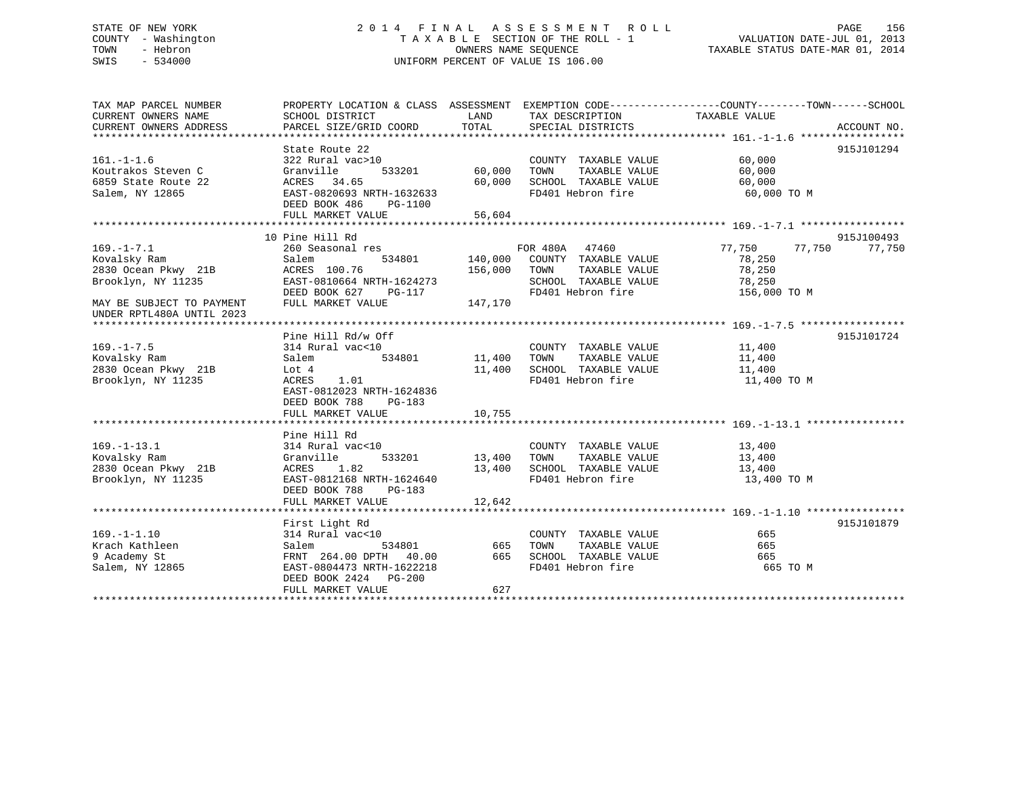## STATE OF NEW YORK 2 0 1 4 F I N A L A S S E S S M E N T R O L L PAGE 156 COUNTY - Washington T A X A B L E SECTION OF THE ROLL - 1 VALUATION DATE-JUL 01, 2013 TOWN - Hebron OWNERS NAME SEQUENCE TAXABLE STATUS DATE-MAR 01, 2014 SWIS - 534000 UNIFORM PERCENT OF VALUE IS 106.00

| TAX MAP PARCEL NUMBER<br>CURRENT OWNERS NAME<br>CURRENT OWNERS ADDRESS                                                                  | PROPERTY LOCATION & CLASS ASSESSMENT<br>SCHOOL DISTRICT<br>PARCEL SIZE/GRID COORD                                                                                | LAND<br>TOTAL                     | TAX DESCRIPTION TAXABLE VALUE<br>SPECIAL DISTRICTS                                                           | EXEMPTION CODE-----------------COUNTY-------TOWN------SCHOOL<br>ACCOUNT NO.            |
|-----------------------------------------------------------------------------------------------------------------------------------------|------------------------------------------------------------------------------------------------------------------------------------------------------------------|-----------------------------------|--------------------------------------------------------------------------------------------------------------|----------------------------------------------------------------------------------------|
| $161. - 1 - 1.6$<br>Koutrakos Steven C<br>6859 State Route 22<br>Salem, NY 12865                                                        | State Route 22<br>322 Rural vac>10<br>Granville<br>533201<br>ACRES 34.65<br>EAST-0820693 NRTH-1632633<br>DEED BOOK 486<br>PG-1100<br>FULL MARKET VALUE           | 60,000<br>60,000<br>56,604        | COUNTY TAXABLE VALUE<br>TOWN<br>TAXABLE VALUE<br>SCHOOL TAXABLE VALUE<br>FD401 Hebron fire                   | 915J101294<br>60,000<br>60,000<br>60,000<br>60,000 TO M                                |
|                                                                                                                                         |                                                                                                                                                                  |                                   |                                                                                                              |                                                                                        |
| $169. - 1 - 7.1$<br>Kovalsky Ram<br>2830 Ocean Pkwy 21B<br>Brooklyn, NY 11235<br>MAY BE SUBJECT TO PAYMENT<br>UNDER RPTL480A UNTIL 2023 | 10 Pine Hill Rd<br>260 Seasonal res<br>534801<br>Salem<br>ACRES 100.76<br>EAST-0810664 NRTH-1624273<br>DEED BOOK 627<br>PG-117<br>FULL MARKET VALUE              | 140,000<br>156,000<br>147,170     | FOR 480A 47460<br>COUNTY TAXABLE VALUE<br>TAXABLE VALUE<br>TOWN<br>SCHOOL TAXABLE VALUE<br>FD401 Hebron fire | 915J100493<br>77,750<br>77,750<br>77,750<br>78,250<br>78,250<br>78,250<br>156,000 TO M |
|                                                                                                                                         |                                                                                                                                                                  |                                   |                                                                                                              |                                                                                        |
| $169. - 1 - 7.5$<br>Kovalsky Ram<br>2830 Ocean Pkwy 21B<br>Brooklyn, NY 11235                                                           | Pine Hill Rd/w Off<br>314 Rural vac<10<br>534801<br>Salem<br>Lot 4<br>ACRES<br>1.01<br>EAST-0812023 NRTH-1624836<br>DEED BOOK 788<br>PG-183<br>FULL MARKET VALUE | 11,400<br>11,400<br>10,755        | COUNTY TAXABLE VALUE<br>TAXABLE VALUE<br>TOWN<br>SCHOOL TAXABLE VALUE<br>FD401 Hebron fire                   | 915J101724<br>11,400<br>11,400<br>11,400<br>11,400 TO M                                |
|                                                                                                                                         |                                                                                                                                                                  |                                   |                                                                                                              |                                                                                        |
| $169. - 1 - 13.1$<br>Kovalsky Ram<br>2830 Ocean Pkwy 21B<br>Brooklyn, NY 11235                                                          | Pine Hill Rd<br>314 Rural vac<10<br>Granville<br>ACRES<br>1.82<br>EAST-0812168 NRTH-1624640<br>DEED BOOK 788<br>PG-183<br>FULL MARKET VALUE                      | 533201 13,400<br>13,400<br>12,642 | COUNTY TAXABLE VALUE<br>TAXABLE VALUE<br>TOWN<br>SCHOOL TAXABLE VALUE<br>FD401 Hebron fire                   | 13,400<br>13,400<br>13,400<br>13,400 TO M                                              |
|                                                                                                                                         |                                                                                                                                                                  |                                   |                                                                                                              |                                                                                        |
| $169. - 1 - 1.10$<br>Krach Kathleen<br>9 Academy St<br>Salem, NY 12865                                                                  | First Light Rd<br>314 Rural vac<10<br>Salem<br>534801<br>FRNT 264.00 DPTH 40.00<br>EAST-0804473 NRTH-1622218<br>DEED BOOK 2424 PG-200<br>FULL MARKET VALUE       | 665<br>665<br>627                 | COUNTY TAXABLE VALUE<br>TOWN<br>TAXABLE VALUE<br>TOWN<br>SCHOOL TAXABLE VALUE<br>FD401 Hebron fire           | 915J101879<br>665<br>665<br>665<br>665 TO M                                            |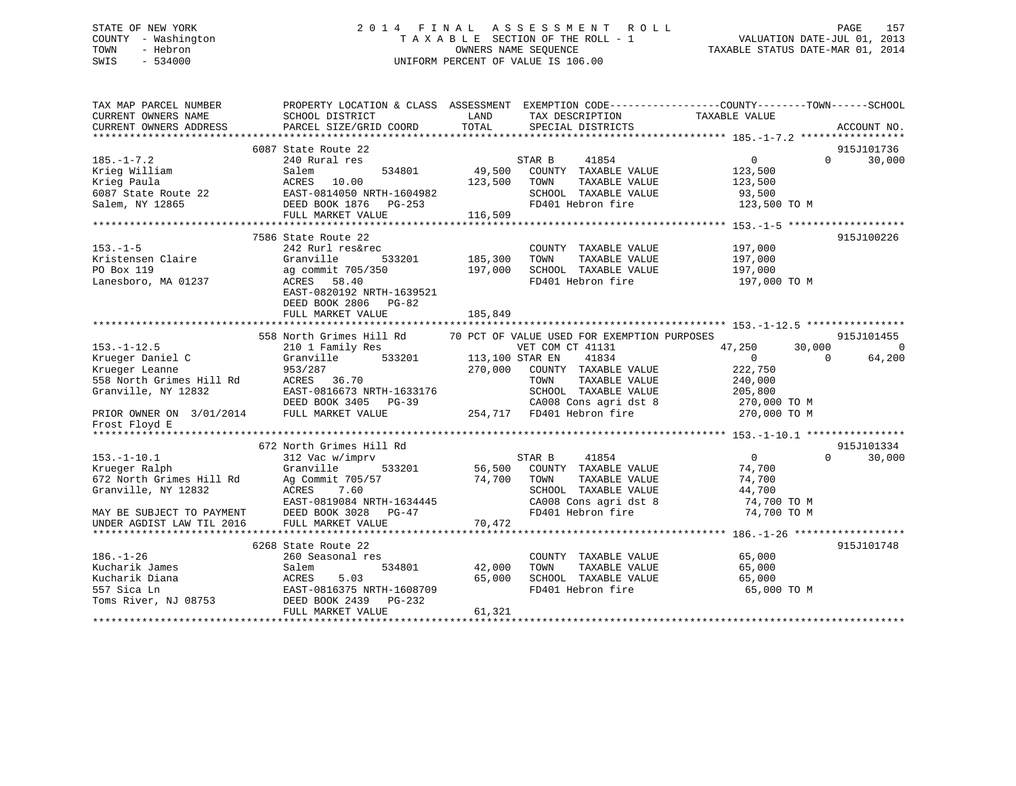## STATE OF NEW YORK 2 0 1 4 F I N A L A S S E S S M E N T R O L L PAGE 157 COUNTY - Washington T A X A B L E SECTION OF THE ROLL - 1 VALUATION DATE-JUL 01, 2013 TOWN - Hebron OWNERS NAME SEQUENCE TAXABLE STATUS DATE-MAR 01, 2014 SWIS - 534000 UNIFORM PERCENT OF VALUE IS 106.00

| TAX MAP PARCEL NUMBER<br>CURRENT OWNERS NAME<br>CURRENT OWNERS ADDRESS | SCHOOL DISTRICT<br>PARCEL SIZE/GRID COORD                                          | LAND<br>TAX DESCRIPTION<br>TOTAL<br>SPECIAL DISTRICTS                | PROPERTY LOCATION & CLASS ASSESSMENT EXEMPTION CODE---------------COUNTY-------TOWN------SCHOOL<br>TAXABLE VALUE<br>ACCOUNT NO. |
|------------------------------------------------------------------------|------------------------------------------------------------------------------------|----------------------------------------------------------------------|---------------------------------------------------------------------------------------------------------------------------------|
|                                                                        |                                                                                    |                                                                      |                                                                                                                                 |
|                                                                        | 6087 State Route 22                                                                |                                                                      | 915J101736                                                                                                                      |
| $185. - 1 - 7.2$                                                       | 240 Rural res                                                                      | STAR B<br>41854                                                      | $\overline{0}$<br>30,000<br>$\Omega$                                                                                            |
| Krieg William                                                          | Salem<br>534801                                                                    | 49,500 COUNTY TAXABLE VALUE                                          | 123,500                                                                                                                         |
| Krieg Paula                                                            |                                                                                    | 123,500 TOWN<br>TAXABLE VALUE                                        | 123,500<br>93,500                                                                                                               |
| 6087 State Route 22                                                    |                                                                                    | SCHOOL TAXABLE VALUE                                                 |                                                                                                                                 |
| Salem, NY 12865                                                        |                                                                                    | FD401 Hebron fire                                                    | 123,500 TO M                                                                                                                    |
|                                                                        | ACRES 10.00<br>EAST-0814050 NRTH-1604982<br>DEED BOOK 1876 PG-253<br>------- MALIE |                                                                      |                                                                                                                                 |
|                                                                        |                                                                                    |                                                                      |                                                                                                                                 |
|                                                                        | 7586 State Route 22                                                                |                                                                      | 915J100226                                                                                                                      |
| $153. - 1 - 5$                                                         | 242 Rurl res&rec                                                                   | COUNTY TAXABLE VALUE                                                 | 197,000                                                                                                                         |
| Kristensen Claire                                                      | Granville<br>533201                                                                | TAXABLE VALUE<br>185,300<br>TOWN                                     | 197,000                                                                                                                         |
| PO Box 119                                                             | ag commit 705/350                                                                  | 197,000<br>SCHOOL TAXABLE VALUE                                      | 197,000                                                                                                                         |
| Lanesboro, MA 01237                                                    | ACRES 58.40                                                                        | FD401 Hebron fire                                                    | 197,000 TO M                                                                                                                    |
|                                                                        | EAST-0820192 NRTH-1639521                                                          |                                                                      |                                                                                                                                 |
|                                                                        | DEED BOOK 2806 PG-82                                                               |                                                                      |                                                                                                                                 |
|                                                                        | FULL MARKET VALUE                                                                  | 185,849                                                              |                                                                                                                                 |
|                                                                        |                                                                                    |                                                                      |                                                                                                                                 |
|                                                                        |                                                                                    | 558 North Grimes Hill Rd 70 PCT OF VALUE USED FOR EXEMPTION PURPOSES | 915J101455                                                                                                                      |
| $153. - 1 - 12.5$                                                      | 210 1 Family Res                                                                   | VET COM CT 41131                                                     | 47,250<br>30,000<br>$\Omega$                                                                                                    |
| Krueger Daniel C<br>Krueger Leanne                                     | Granville                                                                          | 533201 113,100 STAR EN<br>41834                                      | $\Omega$<br>64,200<br>$\overline{0}$                                                                                            |
| Krueger Leanne                                                         | 953/287                                                                            | 270,000<br>COUNTY TAXABLE VALUE                                      | 222,750                                                                                                                         |
|                                                                        |                                                                                    | TAXABLE VALUE<br>TOWN                                                | 240,000                                                                                                                         |
| 558 North Grimes Hill Rd<br>Granville, NY 12832 EAST-0816673 N         | EAST-0816673 NRTH-1633176                                                          | SCHOOL TAXABLE VALUE                                                 | 205,800                                                                                                                         |
|                                                                        | DEED BOOK 3405 PG-39                                                               | CA008 Cons agri dst 8 270,000 TO M                                   |                                                                                                                                 |
| PRIOR OWNER ON 3/01/2014 FULL MARKET VALUE                             |                                                                                    | G-39 CA008 Cons agri dst 8<br>254,717 FD401 Hebron fire              | 270,000 TO M                                                                                                                    |
| Frost Floyd E                                                          |                                                                                    |                                                                      |                                                                                                                                 |
|                                                                        |                                                                                    |                                                                      |                                                                                                                                 |
|                                                                        | 672 North Grimes Hill Rd                                                           |                                                                      | 915J101334                                                                                                                      |
| $153.-1-10.1$                                                          | 312 Vac w/imprv                                                                    | STAR B<br>41854                                                      | $\overline{0}$<br>$\Omega$<br>30,000                                                                                            |
| Krueger Ralph                                                          | 533201<br>Granville                                                                | $56,500$ COUNTY TAXABLE VALUE                                        | 74,700                                                                                                                          |
| 672 North Grimes Hill Rd                                               | Ag Commit 705/57                                                                   | 74,700 TOWN<br>TAXABLE VALUE                                         | 74,700                                                                                                                          |
| Granville, NY 12832                                                    | ACRES 7.60                                                                         | SCHOOL TAXABLE VALUE                                                 | 44,700                                                                                                                          |
|                                                                        | EAST-0819084 NRTH-1634445                                                          | CA008 Cons agri dst 8 $74,700$ TO M                                  |                                                                                                                                 |
| MAY BE SUBJECT TO PAYMENT                                              | DEED BOOK 3028 PG-47                                                               | FD401 Hebron fire                                                    | 74,700 TO M                                                                                                                     |
| THAI BE SUBJECT TO PAYMENT<br>UNDER AGDIST LAW TIL 2016                | FULL MARKET VALUE                                                                  | 70,472                                                               |                                                                                                                                 |
|                                                                        |                                                                                    |                                                                      |                                                                                                                                 |
|                                                                        | 6268 State Route 22                                                                |                                                                      | 915J101748                                                                                                                      |
| $186. - 1 - 26$                                                        | 260 Seasonal res                                                                   | COUNTY TAXABLE VALUE                                                 | 65,000                                                                                                                          |
| Kucharik James                                                         | 534801<br>Salem                                                                    | 42,000<br>TAXABLE VALUE<br>TOWN                                      |                                                                                                                                 |
| Kucharik Diana                                                         | ACRES<br>5.03                                                                      | 65,000<br>SCHOOL TAXABLE VALUE                                       | 65,000                                                                                                                          |
| 557 Sica Ln                                                            | EAST-0816375 NRTH-1608709                                                          | FD401 Hebron fire                                                    | 65,000 TO M                                                                                                                     |
|                                                                        | Toms River, NJ 08753 DEED BOOK 2439 PG-232                                         |                                                                      |                                                                                                                                 |
|                                                                        | FULL MARKET VALUE                                                                  | 61,321                                                               |                                                                                                                                 |
|                                                                        |                                                                                    |                                                                      |                                                                                                                                 |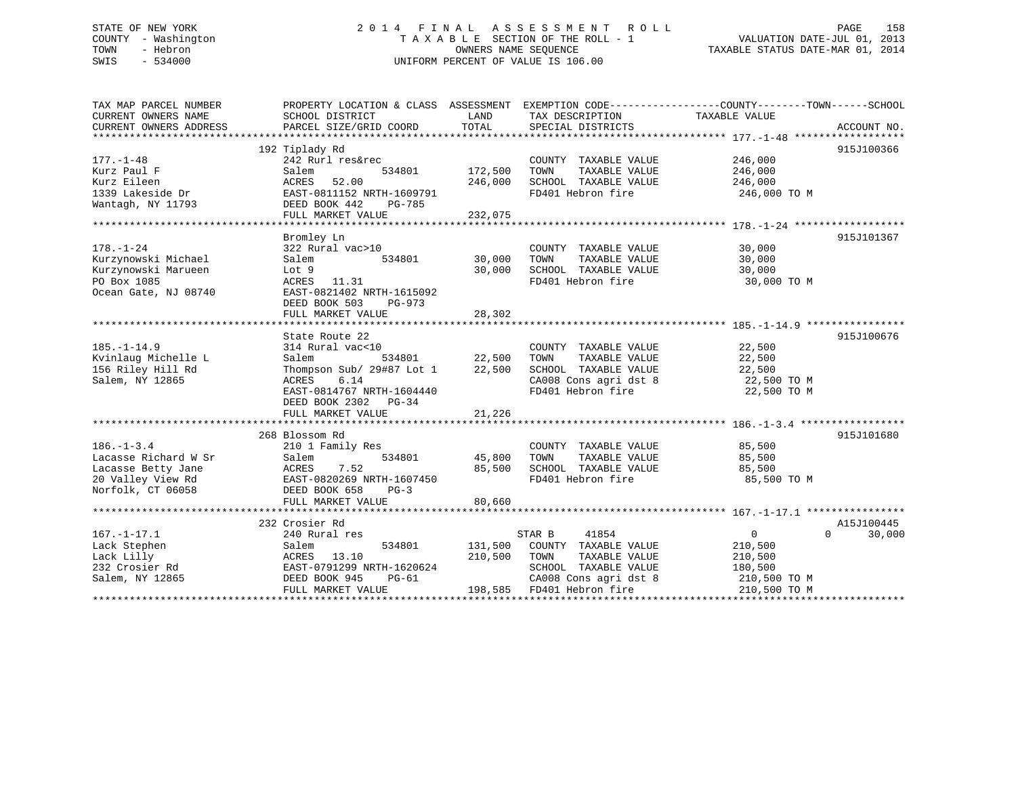## STATE OF NEW YORK 2 0 1 4 F I N A L A S S E S S M E N T R O L L PAGE 158 COUNTY - Washington T A X A B L E SECTION OF THE ROLL - 1 VALUATION DATE-JUL 01, 2013 TOWN - Hebron **CONNERS NAME SEQUENCE** TAXABLE STATUS DATE-MAR 01, 2014 SWIS - 534000 UNIFORM PERCENT OF VALUE IS 106.00

| TAX MAP PARCEL NUMBER  |                           |         |                           | PROPERTY LOCATION & CLASS ASSESSMENT EXEMPTION CODE----------------COUNTY-------TOWN------SCHOOL |             |
|------------------------|---------------------------|---------|---------------------------|--------------------------------------------------------------------------------------------------|-------------|
| CURRENT OWNERS NAME    | SCHOOL DISTRICT           | LAND    | TAX DESCRIPTION           | TAXABLE VALUE                                                                                    |             |
| CURRENT OWNERS ADDRESS | PARCEL SIZE/GRID COORD    | TOTAL   | SPECIAL DISTRICTS         |                                                                                                  | ACCOUNT NO. |
|                        |                           |         |                           |                                                                                                  |             |
|                        | 192 Tiplady Rd            |         |                           |                                                                                                  | 915J100366  |
| $177. - 1 - 48$        | 242 Rurl res&rec          |         | COUNTY TAXABLE VALUE      | 246,000                                                                                          |             |
| Kurz Paul F            | Salem<br>534801           | 172,500 | TOWN<br>TAXABLE VALUE     | 246,000                                                                                          |             |
| Kurz Eileen            | ACRES<br>52.00            | 246,000 | SCHOOL TAXABLE VALUE      | 246,000                                                                                          |             |
| 1339 Lakeside Dr       | EAST-0811152 NRTH-1609791 |         | FD401 Hebron fire         | 246,000 TO M                                                                                     |             |
| Wantagh, NY 11793      | DEED BOOK 442<br>PG-785   |         |                           |                                                                                                  |             |
|                        | FULL MARKET VALUE         | 232,075 |                           |                                                                                                  |             |
|                        |                           |         |                           |                                                                                                  |             |
|                        | Bromley Ln                |         |                           |                                                                                                  | 915J101367  |
| $178. - 1 - 24$        | 322 Rural vac>10          |         | COUNTY TAXABLE VALUE      | 30,000                                                                                           |             |
| Kurzynowski Michael    | 534801<br>Salem           | 30,000  | TOWN<br>TAXABLE VALUE     | 30,000                                                                                           |             |
| Kurzynowski Marueen    | Lot 9                     | 30,000  | SCHOOL TAXABLE VALUE      | 30,000                                                                                           |             |
| PO Box 1085            | ACRES 11.31               |         | FD401 Hebron fire         | 30,000 TO M                                                                                      |             |
| Ocean Gate, NJ 08740   | EAST-0821402 NRTH-1615092 |         |                           |                                                                                                  |             |
|                        | DEED BOOK 503<br>$PG-973$ |         |                           |                                                                                                  |             |
|                        | FULL MARKET VALUE         | 28,302  |                           |                                                                                                  |             |
|                        |                           |         |                           |                                                                                                  |             |
|                        | State Route 22            |         |                           |                                                                                                  | 915J100676  |
| $185. - 1 - 14.9$      | 314 Rural vac<10          |         | COUNTY TAXABLE VALUE      | 22,500                                                                                           |             |
| Kvinlaug Michelle L    | Salem<br>534801           | 22,500  | TAXABLE VALUE<br>TOWN     | 22,500                                                                                           |             |
| 156 Riley Hill Rd      | Thompson Sub/ 29#87 Lot 1 | 22,500  | SCHOOL TAXABLE VALUE      | 22,500                                                                                           |             |
| Salem, NY 12865        | 6.14<br>ACRES             |         | CA008 Cons agri dst 8     | 22,500 TO M                                                                                      |             |
|                        | EAST-0814767 NRTH-1604440 |         | FD401 Hebron fire         | 22,500 TO M                                                                                      |             |
|                        | DEED BOOK 2302 PG-34      |         |                           |                                                                                                  |             |
|                        | FULL MARKET VALUE         | 21,226  |                           |                                                                                                  |             |
|                        |                           |         |                           |                                                                                                  |             |
|                        | 268 Blossom Rd            |         |                           |                                                                                                  | 915J101680  |
| $186. - 1 - 3.4$       | 210 1 Family Res          |         | COUNTY TAXABLE VALUE      | 85,500                                                                                           |             |
| Lacasse Richard W Sr   | 534801<br>Salem           | 45,800  | TOWN<br>TAXABLE VALUE     | 85,500                                                                                           |             |
| Lacasse Betty Jane     | 7.52<br>ACRES             | 85,500  | SCHOOL TAXABLE VALUE      | 85,500                                                                                           |             |
| 20 Valley View Rd      | EAST-0820269 NRTH-1607450 |         | FD401 Hebron fire         | 85,500 TO M                                                                                      |             |
| Norfolk, CT 06058      | DEED BOOK 658<br>$PG-3$   |         |                           |                                                                                                  |             |
|                        | FULL MARKET VALUE         | 80,660  |                           |                                                                                                  |             |
|                        |                           |         |                           |                                                                                                  |             |
|                        | 232 Crosier Rd            |         |                           |                                                                                                  | A15J100445  |
| $167. - 1 - 17.1$      | 240 Rural res             |         | 41854<br>STAR B           | $\overline{0}$<br>$\Omega$                                                                       | 30,000      |
| Lack Stephen           | 534801<br>Salem           | 131,500 | COUNTY TAXABLE VALUE      | 210,500                                                                                          |             |
| Lack Lilly             | ACRES<br>13.10            | 210,500 | TOWN<br>TAXABLE VALUE     | 210,500                                                                                          |             |
| 232 Crosier Rd         | EAST-0791299 NRTH-1620624 |         | SCHOOL TAXABLE VALUE      | 180,500                                                                                          |             |
| Salem, NY 12865        | DEED BOOK 945<br>$PG-61$  |         | CA008 Cons agri dst 8     | 210,500 TO M                                                                                     |             |
|                        | FULL MARKET VALUE         |         | 198,585 FD401 Hebron fire | 210,500 TO M                                                                                     |             |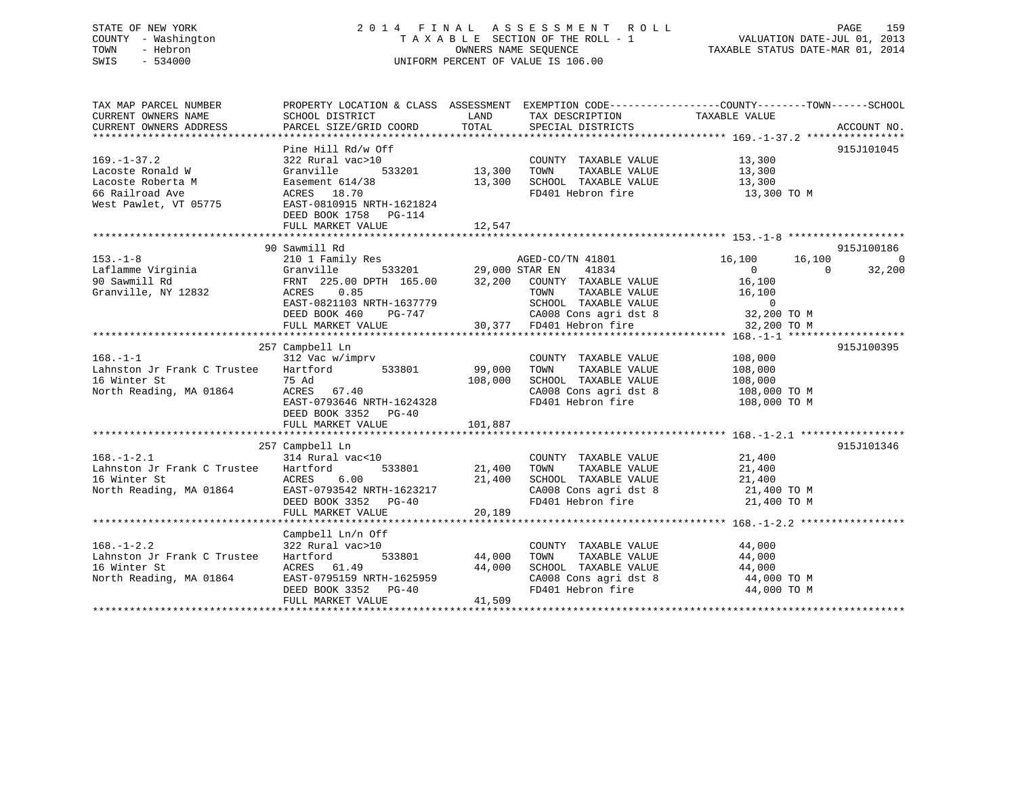## STATE OF NEW YORK 2 0 1 4 F I N A L A S S E S S M E N T R O L L PAGE 159 COUNTY - Washington T A X A B L E SECTION OF THE ROLL - 1 VALUATION DATE-JUL 01, 2013 TOWN - Hebron **CONNERS NAME SEQUENCE** TAXABLE STATUS DATE-MAR 01, 2014 SWIS - 534000 UNIFORM PERCENT OF VALUE IS 106.00

| TAX MAP PARCEL NUMBER<br>CURRENT OWNERS NAME<br>CURRENT OWNERS ADDRESS                                                           | SCHOOL DISTRICT<br>PARCEL SIZE/GRID COORD                                                                                                                                 | LAND<br>TOTAL                     | TAX DESCRIPTION TAXABLE VALUE<br>SPECIAL DISTRICTS                                                                                                              | PROPERTY LOCATION & CLASS ASSESSMENT EXEMPTION CODE---------------COUNTY-------TOWN------SCHOOL<br>ACCOUNT NO.             |
|----------------------------------------------------------------------------------------------------------------------------------|---------------------------------------------------------------------------------------------------------------------------------------------------------------------------|-----------------------------------|-----------------------------------------------------------------------------------------------------------------------------------------------------------------|----------------------------------------------------------------------------------------------------------------------------|
| $169. - 1 - 37.2$<br>Lacoste Ronald W<br>Lacoste Roberta M<br>66 Railroad Ave<br>West Pawlet, VT 05775 EAST-0810915 NRTH-1621824 | Pine Hill Rd/w Off<br>322 Rural vac>10<br>Granville<br>533201<br>Easement 614/38<br>ACRES 18.70<br>DEED BOOK 1758 PG-114                                                  | 13,300<br>13,300                  | COUNTY TAXABLE VALUE<br>TOWN<br>TAXABLE VALUE<br>SCHOOL TAXABLE VALUE 13,300<br>FD401 Hebron fire                                                               | 915J101045<br>13,300<br>13,300<br>13,300 TO M                                                                              |
|                                                                                                                                  |                                                                                                                                                                           |                                   |                                                                                                                                                                 |                                                                                                                            |
| $153. - 1 - 8$<br>Laflamme Virginia<br>90 Sawmill Rd<br>Granville, NY 12832                                                      | 90 Sawmill Rd<br>210 1 Family Res<br>533201 29,000 STAR EN<br>Granville<br>FRNT 225.00 DPTH 165.00 32,200 COUNTY TAXABLE VALUE<br>ACRES 0.85<br>EAST-0821103 NRTH-1637779 |                                   | AGED-CO/TN 41801<br>41834<br>TOWN<br>RTH-1637779 SCHOOL TAXABLE VALUE 0<br>PG-747 CA008 Cons agri dst 8 32,200 TO M<br>LUE 30,377 FD401 Hebron fire 32,200 TO M | 915J100186<br>16,100<br>16,100<br>$\overline{0}$<br>32,200<br>$\sim$ 0<br>$\overline{0}$<br>16,100<br>TAXABLE VALUE 16,100 |
|                                                                                                                                  | DEED BOOK 460                                                                                                                                                             |                                   |                                                                                                                                                                 |                                                                                                                            |
|                                                                                                                                  | FULL MARKET VALUE                                                                                                                                                         |                                   |                                                                                                                                                                 |                                                                                                                            |
| $168. - 1 - 1$                                                                                                                   | 257 Campbell Ln<br>312 Vac w/imprv                                                                                                                                        |                                   | COUNTY TAXABLE VALUE                                                                                                                                            | 915J100395<br>108,000                                                                                                      |
| Lahnston Jr Frank C Trustee Hartford 533801 99,000<br>16 Winter St<br>North Reading, MA 01864 ACRES 67.40                        | 75 Ad<br>EAST-0793646 NRTH-1624328<br>DEED BOOK 3352 PG-40<br>FULL MARKET VALUE                                                                                           | 108,000<br>101,887                | TAXABLE VALUE<br>TOWN<br>SCHOOL TAXABLE VALUE 108,000<br>CA008 Cons agri dst 8 108,000 TO M<br>FD401 Hebron fire 108,000 TO M                                   | 108,000                                                                                                                    |
|                                                                                                                                  |                                                                                                                                                                           |                                   |                                                                                                                                                                 |                                                                                                                            |
| $168. - 1 - 2.1$<br>Lahnston Jr Frank C Trustee Hartford<br>16 Winter St<br>16 Winter St<br>North Reading, MA 01864              | 257 Campbell Ln<br>314 Rural vac<10<br>533801<br>ACRES 6.00<br>EAST-0793542 NRTH-1623217<br>DEED BOOK 3352 PG-40<br>FULL MARKET VALUE                                     | 21,400<br>21,400<br>20,189        | COUNTY TAXABLE VALUE 21,400<br>TOWN<br>TAXABLE VALUE<br>SCHOOL TAXABLE VALUE 21,400<br>CA008 Cons agri dst 8<br>FD401 Hebron fire                               | 915J101346<br>21,400<br>21,400 TO M<br>21,400 TO M                                                                         |
|                                                                                                                                  |                                                                                                                                                                           |                                   |                                                                                                                                                                 |                                                                                                                            |
| $168. - 1 - 2.2$<br>Lahnston Jr Frank C Trustee<br>16 Winter St<br>North Reading, MA 01864                                       | Campbell Ln/n Off<br>322 Rural vac>10<br>Hartford<br>ACRES 61.49<br>EAST-0795159 NRTH-1625959<br>DEED BOOK 3352 PG-40<br>FULL MARKET VALUE                                | 533801 44,000<br>44,000<br>41,509 | COUNTY TAXABLE VALUE<br>TAXABLE VALUE<br>TOWN<br>SCHOOL TAXABLE VALUE 44,000<br>CA008 Cons agri dst 8<br>FD401 Hebron fire                                      | 44,000<br>44,000<br>44,000 TO M<br>44,000 TO M                                                                             |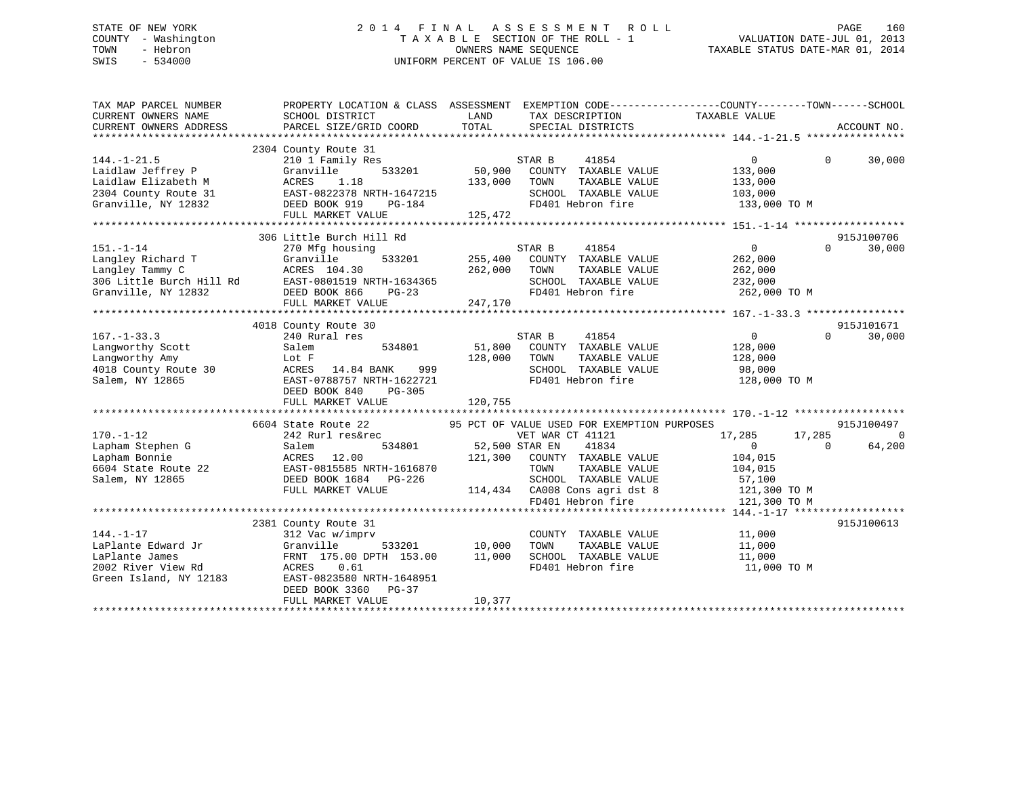## STATE OF NEW YORK 2 0 1 4 F I N A L A S S E S S M E N T R O L L PAGE 160 COUNTY - Washington T A X A B L E SECTION OF THE ROLL - 1 VALUATION DATE-JUL 01, 2013 TOWN - Hebron OWNERS NAME SEQUENCE TAXABLE STATUS DATE-MAR 01, 2014 SWIS - 534000 UNIFORM PERCENT OF VALUE IS 106.00

| TAX MAP PARCEL NUMBER<br>CURRENT OWNERS NAME | PROPERTY LOCATION & CLASS ASSESSMENT<br>SCHOOL DISTRICT | LAND    | TAX DESCRIPTION                             | EXEMPTION CODE-----------------COUNTY-------TOWN------SCHOOL<br>TAXABLE VALUE |                |
|----------------------------------------------|---------------------------------------------------------|---------|---------------------------------------------|-------------------------------------------------------------------------------|----------------|
| CURRENT OWNERS ADDRESS                       | PARCEL SIZE/GRID COORD                                  | TOTAL   | SPECIAL DISTRICTS                           |                                                                               | ACCOUNT NO.    |
|                                              |                                                         |         |                                             |                                                                               |                |
|                                              | 2304 County Route 31                                    |         |                                             |                                                                               |                |
| $144. - 1 - 21.5$                            | 210 1 Family Res                                        |         | 41854<br>STAR B                             | $\Omega$<br>$\Omega$                                                          | 30,000         |
| Laidlaw Jeffrey P                            | Granville<br>533201                                     | 50,900  | COUNTY TAXABLE VALUE                        | 133,000                                                                       |                |
| Laidlaw Elizabeth M                          | ACRES<br>1.18                                           | 133,000 | TAXABLE VALUE<br>TOWN                       | 133,000                                                                       |                |
| 2304 County Route 31                         | EAST-0822378 NRTH-1647215                               |         | SCHOOL TAXABLE VALUE                        | 103,000                                                                       |                |
| Granville, NY 12832                          | DEED BOOK 919<br>PG-184                                 |         | FD401 Hebron fire                           | 133,000 TO M                                                                  |                |
|                                              | FULL MARKET VALUE                                       | 125,472 |                                             |                                                                               |                |
|                                              |                                                         |         |                                             |                                                                               |                |
|                                              | 306 Little Burch Hill Rd                                |         |                                             |                                                                               | 915J100706     |
| $151. - 1 - 14$                              | 270 Mfg housing                                         |         | STAR B<br>41854                             | $\Omega$<br>$\Omega$                                                          | 30,000         |
| Langley Richard T                            | 533201<br>Granville                                     | 255,400 | COUNTY TAXABLE VALUE                        | 262,000                                                                       |                |
| Langley Tammy C                              | ACRES 104.30                                            | 262,000 | TOWN<br>TAXABLE VALUE                       | 262,000                                                                       |                |
|                                              | 306 Little Burch Hill Rd EAST-0801519 NRTH-1634365      |         | SCHOOL TAXABLE VALUE                        | 232,000                                                                       |                |
| Granville, NY 12832                          | DEED BOOK 866<br>$PG-23$                                |         | FD401 Hebron fire                           | 262,000 TO M                                                                  |                |
|                                              | FULL MARKET VALUE                                       | 247,170 |                                             |                                                                               |                |
|                                              |                                                         |         |                                             |                                                                               |                |
|                                              | 4018 County Route 30                                    |         |                                             |                                                                               | 915J101671     |
| $167. - 1 - 33.3$                            | 240 Rural res                                           |         | STAR B<br>41854                             | $\overline{0}$<br>$\Omega$                                                    | 30,000         |
| Langworthy Scott                             | 534801<br>Salem                                         | 51,800  | COUNTY TAXABLE VALUE                        | 128,000                                                                       |                |
| Langworthy Amy                               | Lot F                                                   | 128,000 | TAXABLE VALUE<br>TOWN                       | 128,000                                                                       |                |
| 4018 County Route 30                         | ACRES<br>14.84 BANK<br>999                              |         | SCHOOL TAXABLE VALUE                        | 98,000                                                                        |                |
| Salem, NY 12865                              | EAST-0788757 NRTH-1622721                               |         | FD401 Hebron fire                           | 128,000 TO M                                                                  |                |
|                                              | DEED BOOK 840<br>$PG-305$                               |         |                                             |                                                                               |                |
|                                              | FULL MARKET VALUE                                       | 120,755 |                                             |                                                                               |                |
|                                              |                                                         |         |                                             |                                                                               |                |
|                                              | 6604 State Route 22                                     |         | 95 PCT OF VALUE USED FOR EXEMPTION PURPOSES |                                                                               | 915J100497     |
| $170. - 1 - 12$                              | 242 Rurl res&rec                                        |         | VET WAR CT 41121                            | 17,285<br>17,285                                                              | $\overline{0}$ |
| Lapham Stephen G                             | Salem<br>534801                                         |         | 41834<br>52,500 STAR EN                     | $\Omega$<br>$\Omega$                                                          | 64,200         |
| Lapham Bonnie                                | ACRES 12.00                                             |         | 121,300 COUNTY TAXABLE VALUE                | 104,015                                                                       |                |
| 6604 State Route 22                          | EAST-0815585 NRTH-1616870                               |         | TAXABLE VALUE<br>TOWN                       | 104,015                                                                       |                |
| Salem, NY 12865                              | DEED BOOK 1684 PG-226                                   |         | SCHOOL TAXABLE VALUE                        | 57,100                                                                        |                |
|                                              | FULL MARKET VALUE                                       |         | 114,434 CA008 Cons agri dst 8               | 121,300 TO M                                                                  |                |
|                                              |                                                         |         | FD401 Hebron fire                           | 121,300 TO M                                                                  |                |
|                                              |                                                         |         |                                             |                                                                               |                |
|                                              | 2381 County Route 31                                    |         |                                             |                                                                               | 915J100613     |
| $144. - 1 - 17$                              | 312 Vac w/imprv                                         |         | COUNTY TAXABLE VALUE                        | 11,000                                                                        |                |
| LaPlante Edward Jr                           | Granville<br>533201                                     | 10,000  | TAXABLE VALUE<br>TOWN                       | 11,000                                                                        |                |
| LaPlante James                               | FRNT 175.00 DPTH 153.00                                 | 11,000  | SCHOOL TAXABLE VALUE                        | 11,000                                                                        |                |
| 2002 River View Rd                           | ACRES<br>0.61                                           |         | FD401 Hebron fire                           | 11,000 TO M                                                                   |                |
| Green Island, NY 12183                       | EAST-0823580 NRTH-1648951                               |         |                                             |                                                                               |                |
|                                              | DEED BOOK 3360<br>$PG-37$                               |         |                                             |                                                                               |                |
|                                              | FULL MARKET VALUE                                       | 10,377  |                                             |                                                                               |                |
|                                              |                                                         |         |                                             |                                                                               |                |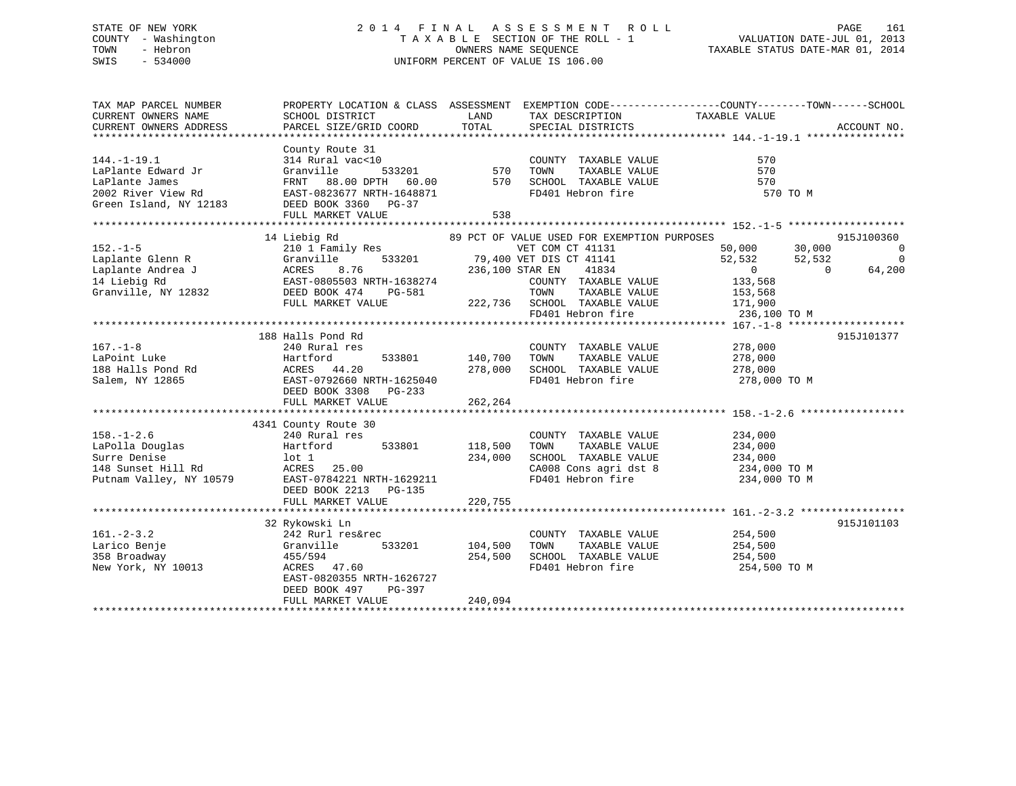## STATE OF NEW YORK 2 0 1 4 F I N A L A S S E S S M E N T R O L L PAGE 161 COUNTY - Washington T A X A B L E SECTION OF THE ROLL - 1 VALUATION DATE-JUL 01, 2013 TOWN - Hebron OWNERS NAME SEQUENCE TAXABLE STATUS DATE-MAR 01, 2014 SWIS - 534000 UNIFORM PERCENT OF VALUE IS 106.00

| TAX MAP PARCEL NUMBER   |                                                                                                  |         |                                                                 | PROPERTY LOCATION & CLASS ASSESSMENT EXEMPTION CODE---------------COUNTY-------TOWN-----SCHOOL |                |
|-------------------------|--------------------------------------------------------------------------------------------------|---------|-----------------------------------------------------------------|------------------------------------------------------------------------------------------------|----------------|
| CURRENT OWNERS NAME     | SCHOOL DISTRICT                                                                                  | LAND    | TAX DESCRIPTION                                                 | TAXABLE VALUE                                                                                  |                |
| CURRENT OWNERS ADDRESS  | PARCEL SIZE/GRID COORD                                                                           | TOTAL   | SPECIAL DISTRICTS                                               |                                                                                                | ACCOUNT NO.    |
|                         |                                                                                                  |         |                                                                 |                                                                                                |                |
|                         | County Route 31                                                                                  |         |                                                                 |                                                                                                |                |
| $144. - 1 - 19.1$       | 314 Rural vac<10                                                                                 |         | COUNTY TAXABLE VALUE                                            | 570                                                                                            |                |
| LaPlante Edward Jr      | 533201<br>Granville                                                                              | 570     | TAXABLE VALUE<br>TOWN                                           | 570                                                                                            |                |
| LaPlante James          | FRNT 88.00 DPTH 60.00                                                                            | 570     | SCHOOL TAXABLE VALUE                                            | 570                                                                                            |                |
| 2002 River View Rd      | EAST-0823677 NRTH-1648871                                                                        |         | FD401 Hebron fire                                               | 570 TO M                                                                                       |                |
| Green Island, NY 12183  | DEED BOOK 3360 PG-37                                                                             |         |                                                                 |                                                                                                |                |
|                         | FULL MARKET VALUE                                                                                | 538     |                                                                 |                                                                                                |                |
|                         |                                                                                                  |         |                                                                 |                                                                                                |                |
|                         | 14 Liebig Rd                                                                                     |         | 89 PCT OF VALUE USED FOR EXEMPTION PURPOSES                     |                                                                                                | 915J100360     |
| $152. - 1 - 5$          |                                                                                                  |         | VET COM CT 41131                                                | 50,000<br>30,000                                                                               | $\overline{0}$ |
| Laplante Glenn R        |                                                                                                  |         | 533201 79,400 VET DIS CT 41141                                  | 52,532<br>52,532                                                                               | $\overline{0}$ |
| Laplante Andrea J       | --- 1 ramlly Res<br>Granville 533201<br>ACRES 8.76<br>EAST-0805503 NRTH-1638274<br>DEED BOOK 474 |         | $CT$ 41141<br>41834<br>236,100 STAR EN                          | $\overline{0}$<br>$\overline{0}$                                                               | 64,200         |
| 14 Liebig Rd            |                                                                                                  |         | COUNTY TAXABLE VALUE                                            | 133,568                                                                                        |                |
|                         |                                                                                                  |         |                                                                 |                                                                                                |                |
| Granville, NY 12832     |                                                                                                  |         | TAXABLE VALUE<br>TOWN<br>$222,736$ SCHOOL TAXABLE VALUE 171,900 | 153,568                                                                                        |                |
|                         | FULL MARKET VALUE                                                                                |         |                                                                 |                                                                                                |                |
|                         |                                                                                                  |         | FD401 Hebron fire                                               | 236,100 TO M                                                                                   |                |
|                         |                                                                                                  |         |                                                                 |                                                                                                |                |
|                         | 188 Halls Pond Rd                                                                                |         |                                                                 |                                                                                                | 915J101377     |
| $167. - 1 - 8$          | 240 Rural res                                                                                    |         | COUNTY TAXABLE VALUE                                            | 278,000                                                                                        |                |
| LaPoint Luke            | Hartford<br>533801                                                                               | 140,700 | TOWN<br>TAXABLE VALUE                                           | 278,000                                                                                        |                |
| 188 Halls Pond Rd       | ACRES 44.20                                                                                      | 278,000 | SCHOOL TAXABLE VALUE                                            | 278,000                                                                                        |                |
| Salem, NY 12865         | EAST-0792660 NRTH-1625040                                                                        |         | FD401 Hebron fire                                               | 278,000 TO M                                                                                   |                |
|                         | DEED BOOK 3308<br>$PG-233$                                                                       |         |                                                                 |                                                                                                |                |
|                         | FULL MARKET VALUE                                                                                | 262,264 |                                                                 |                                                                                                |                |
|                         |                                                                                                  |         |                                                                 |                                                                                                |                |
|                         | 4341 County Route 30                                                                             |         |                                                                 |                                                                                                |                |
| $158. - 1 - 2.6$        | 240 Rural res                                                                                    |         | COUNTY TAXABLE VALUE                                            | 234,000                                                                                        |                |
| LaPolla Douglas         | 533801<br>Hartford                                                                               | 118,500 | TOWN<br>TAXABLE VALUE                                           | 234,000                                                                                        |                |
|                         |                                                                                                  |         |                                                                 |                                                                                                |                |
| Surre Denise            | lot 1                                                                                            | 234,000 | SCHOOL TAXABLE VALUE<br>CA008 Cons agri dst 8 234,000 TO M      | 234,000                                                                                        |                |
| 148 Sunset Hill Rd      | ACRES<br>25.00                                                                                   |         |                                                                 |                                                                                                |                |
| Putnam Valley, NY 10579 | EAST-0784221 NRTH-1629211                                                                        |         | FD401 Hebron fire                                               | 234,000 TO M                                                                                   |                |
|                         | DEED BOOK 2213<br>PG-135                                                                         |         |                                                                 |                                                                                                |                |
|                         | FULL MARKET VALUE                                                                                | 220,755 |                                                                 |                                                                                                |                |
|                         |                                                                                                  |         |                                                                 |                                                                                                |                |
|                         | 32 Rykowski Ln                                                                                   |         |                                                                 |                                                                                                | 915J101103     |
| $161 - 2 - 3.2$         | 242 Rurl res&rec                                                                                 |         | COUNTY TAXABLE VALUE                                            | 254,500                                                                                        |                |
| Larico Benje            | Granville<br>533201                                                                              | 104,500 | TOWN<br>TAXABLE VALUE                                           | 254,500                                                                                        |                |
| 358 Broadway            | 455/594                                                                                          | 254,500 | SCHOOL TAXABLE VALUE                                            | 254,500                                                                                        |                |
| New York, NY 10013      | ACRES 47.60                                                                                      |         | FD401 Hebron fire                                               | 254,500 TO M                                                                                   |                |
|                         | EAST-0820355 NRTH-1626727                                                                        |         |                                                                 |                                                                                                |                |
|                         | DEED BOOK 497<br>PG-397                                                                          |         |                                                                 |                                                                                                |                |
|                         | FULL MARKET VALUE                                                                                | 240,094 |                                                                 |                                                                                                |                |
|                         |                                                                                                  |         |                                                                 |                                                                                                |                |
|                         |                                                                                                  |         |                                                                 |                                                                                                |                |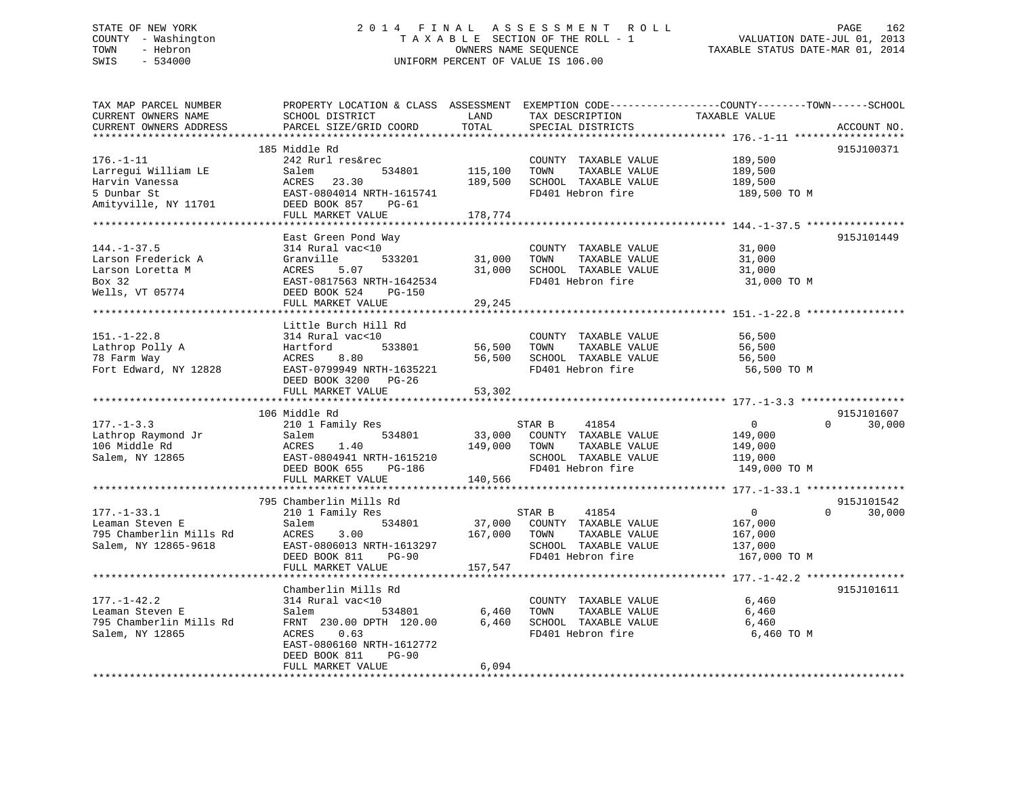## STATE OF NEW YORK 2 0 1 4 F I N A L A S S E S S M E N T R O L L PAGE 162 COUNTY - Washington T A X A B L E SECTION OF THE ROLL - 1 VALUATION DATE-JUL 01, 2013 TOWN - Hebron **CONNERS NAME SEQUENCE** TAXABLE STATUS DATE-MAR 01, 2014 SWIS - 534000 UNIFORM PERCENT OF VALUE IS 106.00

| TAX MAP PARCEL NUMBER<br>CURRENT OWNERS NAME<br>CURRENT OWNERS ADDRESS<br>********************* | SCHOOL DISTRICT<br>PARCEL SIZE/GRID COORD                                                                                                                                                | LAND<br>TOTAL                 | TAX DESCRIPTION<br>SPECIAL DISTRICTS                                                                          | PROPERTY LOCATION & CLASS ASSESSMENT EXEMPTION CODE----------------COUNTY-------TOWN-----SCHOOL<br>TAXABLE VALUE<br>ACCOUNT NO. |
|-------------------------------------------------------------------------------------------------|------------------------------------------------------------------------------------------------------------------------------------------------------------------------------------------|-------------------------------|---------------------------------------------------------------------------------------------------------------|---------------------------------------------------------------------------------------------------------------------------------|
| $176. - 1 - 11$<br>Larregui William LE<br>Harvin Vanessa<br>5 Dunbar St<br>Amityville, NY 11701 | 185 Middle Rd<br>242 Rurl res&rec<br>Salem<br>534801<br>23.30<br>ACRES<br>EAST-0804014 NRTH-1615741<br>DEED BOOK 857<br>$PG-61$<br>FULL MARKET VALUE                                     | 115,100<br>189,500<br>178,774 | COUNTY TAXABLE VALUE<br>TOWN<br>TAXABLE VALUE<br>SCHOOL TAXABLE VALUE<br>FD401 Hebron fire                    | 915J100371<br>189,500<br>189,500<br>189,500<br>189,500 TO M                                                                     |
| $144. - 1 - 37.5$<br>Larson Frederick A<br>Larson Loretta M<br>Box 32<br>Wells, VT 05774        | East Green Pond Way<br>314 Rural vac<10<br>533201<br>Granville<br>5.07<br>ACRES<br>EAST-0817563 NRTH-1642534<br>DEED BOOK 524<br><b>PG-150</b><br>FULL MARKET VALUE                      | 31,000<br>31,000<br>29,245    | COUNTY TAXABLE VALUE<br>TOWN<br>TAXABLE VALUE<br>SCHOOL TAXABLE VALUE<br>FD401 Hebron fire                    | 915J101449<br>31,000<br>31,000<br>31,000<br>31,000 TO M                                                                         |
| $151. - 1 - 22.8$<br>Lathrop Polly A<br>78 Farm Way<br>Fort Edward, NY 12828                    | Little Burch Hill Rd<br>314 Rural vac<10<br>Hartford<br>533801<br>8.80<br>ACRES<br>EAST-0799949 NRTH-1635221<br>DEED BOOK 3200 PG-26<br>FULL MARKET VALUE                                | 56,500<br>56,500<br>53,302    | COUNTY TAXABLE VALUE<br>TOWN<br>TAXABLE VALUE<br>SCHOOL TAXABLE VALUE<br>FD401 Hebron fire                    | 56,500<br>56,500<br>56,500<br>56,500 TO M                                                                                       |
| $177. - 1 - 3.3$<br>Lathrop Raymond Jr<br>106 Middle Rd<br>Salem, NY 12865                      | **************************<br>106 Middle Rd<br>210 1 Family Res<br>534801<br>Salem<br>ACRES<br>1.40<br>EAST-0804941 NRTH-1615210<br>DEED BOOK 655<br>PG-186<br>FULL MARKET VALUE         | 33,000<br>149,000<br>140,566  | 41854<br>STAR B<br>COUNTY TAXABLE VALUE<br>TOWN<br>TAXABLE VALUE<br>SCHOOL TAXABLE VALUE<br>FD401 Hebron fire | 915J101607<br>$\overline{\mathbf{0}}$<br>$\Omega$<br>30,000<br>149,000<br>149,000<br>119,000<br>149,000 TO M                    |
| $177. - 1 - 33.1$<br>Leaman Steven E<br>795 Chamberlin Mills Rd<br>Salem, NY 12865-9618         | ***********************<br>795 Chamberlin Mills Rd<br>210 1 Family Res<br>534801<br>Salem<br>3.00<br>ACRES<br>EAST-0806013 NRTH-1613297<br>DEED BOOK 811<br>$PG-90$<br>FULL MARKET VALUE | 37,000<br>167,000<br>157,547  | 41854<br>STAR B<br>COUNTY TAXABLE VALUE<br>TOWN<br>TAXABLE VALUE<br>SCHOOL TAXABLE VALUE<br>FD401 Hebron fire | 915J101542<br>$\overline{0}$<br>$\Omega$<br>30,000<br>167,000<br>167,000<br>137,000<br>167,000 TO M                             |
| $177. - 1 - 42.2$<br>Leaman Steven E<br>795 Chamberlin Mills Rd<br>Salem, NY 12865              | Chamberlin Mills Rd<br>314 Rural vac<10<br>Salem<br>534801<br>FRNT 230.00 DPTH 120.00<br>0.63<br>ACRES<br>EAST-0806160 NRTH-1612772<br>DEED BOOK 811<br>$PG-90$<br>FULL MARKET VALUE     | 6,460<br>6,460<br>6,094       | COUNTY TAXABLE VALUE<br>TOWN<br>TAXABLE VALUE<br>SCHOOL TAXABLE VALUE<br>FD401 Hebron fire                    | 915J101611<br>6,460<br>6,460<br>6,460<br>6,460 ТО М                                                                             |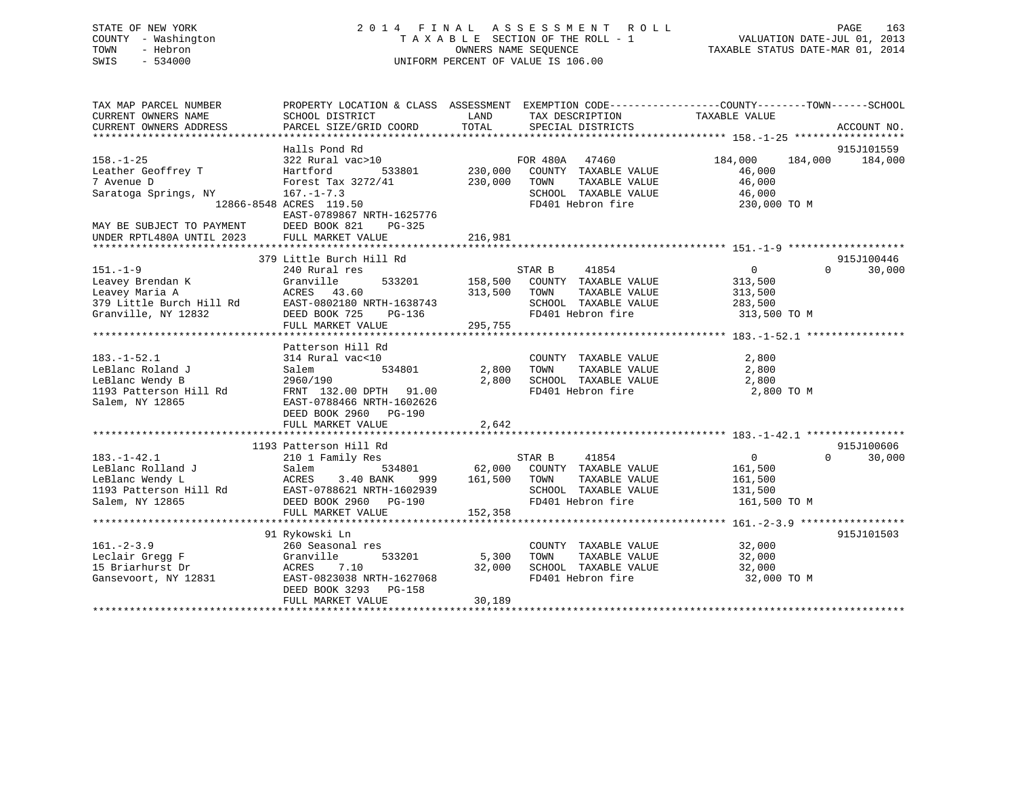## STATE OF NEW YORK 2 0 1 4 F I N A L A S S E S S M E N T R O L L PAGE 163 COUNTY - Washington T A X A B L E SECTION OF THE ROLL - 1 VALUATION DATE-JUL 01, 2013 TOWN - Hebron **CONNERS NAME SEQUENCE** TAXABLE STATUS DATE-MAR 01, 2014 SWIS - 534000 UNIFORM PERCENT OF VALUE IS 106.00

| TAX MAP PARCEL NUMBER<br>CURRENT OWNERS NAME | PROPERTY LOCATION & CLASS ASSESSMENT EXEMPTION CODE---------------COUNTY-------TOWN------SCHOOL<br>SCHOOL DISTRICT | LAND               | TAX DESCRIPTION                               | TAXABLE VALUE         |                    |
|----------------------------------------------|--------------------------------------------------------------------------------------------------------------------|--------------------|-----------------------------------------------|-----------------------|--------------------|
| CURRENT OWNERS ADDRESS                       | PARCEL SIZE/GRID COORD                                                                                             | TOTAL              | SPECIAL DISTRICTS                             |                       | ACCOUNT NO.        |
|                                              | Halls Pond Rd                                                                                                      |                    |                                               |                       | 915J101559         |
| $158. - 1 - 25$                              | 322 Rural vac>10                                                                                                   |                    | FOR 480A 47460                                | 184,000<br>184,000    | 184,000            |
| Leather Geoffrey T<br>7 Avenue D             | 533801<br>Hartford<br>Forest Tax 3272/41                                                                           | 230,000<br>230,000 | COUNTY TAXABLE VALUE<br>TOWN<br>TAXABLE VALUE | 46,000<br>46,000      |                    |
| Saratoga Springs, NY                         | $167. - 1 - 7.3$                                                                                                   |                    | SCHOOL TAXABLE VALUE                          | 46,000                |                    |
|                                              | 12866-8548 ACRES 119.50                                                                                            |                    | FD401 Hebron fire                             | 230,000 TO M          |                    |
| MAY BE SUBJECT TO PAYMENT                    | EAST-0789867 NRTH-1625776<br>DEED BOOK 821<br>$PG-325$                                                             |                    |                                               |                       |                    |
| UNDER RPTL480A UNTIL 2023                    | FULL MARKET VALUE                                                                                                  | 216,981            |                                               |                       |                    |
|                                              |                                                                                                                    |                    |                                               |                       |                    |
|                                              | 379 Little Burch Hill Rd                                                                                           |                    |                                               |                       | 915J100446         |
| $151. - 1 - 9$                               | 240 Rural res                                                                                                      |                    | 41854<br>STAR B                               | $\overline{0}$        | $\Omega$<br>30,000 |
| Leavey Brendan K                             | Granville<br>533201                                                                                                | 158,500            | COUNTY TAXABLE VALUE                          | 313,500               |                    |
| Leavey Maria A                               | ACRES 43.60                                                                                                        | 313,500            | TOWN<br>TAXABLE VALUE                         | 313,500               |                    |
| 379 Little Burch Hill Rd                     | EAST-0802180 NRTH-1638743                                                                                          |                    | SCHOOL TAXABLE VALUE                          | 283,500               |                    |
| Granville, NY 12832                          | DEED BOOK 725<br>PG-136                                                                                            |                    | FD401 Hebron fire                             | 313,500 TO M          |                    |
|                                              | FULL MARKET VALUE                                                                                                  | 295,755            |                                               |                       |                    |
|                                              |                                                                                                                    |                    |                                               |                       |                    |
|                                              | Patterson Hill Rd                                                                                                  |                    |                                               |                       |                    |
| $183. - 1 - 52.1$                            | 314 Rural vac<10                                                                                                   |                    | COUNTY TAXABLE VALUE                          | 2,800                 |                    |
| LeBlanc Roland J                             | 534801<br>Salem                                                                                                    | 2,800              | TOWN<br>TAXABLE VALUE                         | 2,800                 |                    |
| LeBlanc Wendy B                              | 2960/190                                                                                                           | 2,800              | SCHOOL TAXABLE VALUE                          | 2,800                 |                    |
| 1193 Patterson Hill Rd<br>Salem, NY 12865    | FRNT 132.00 DPTH 91.00<br>EAST-0788466 NRTH-1602626                                                                |                    | FD401 Hebron fire                             | 2,800 TO M            |                    |
|                                              | DEED BOOK 2960 PG-190                                                                                              |                    |                                               |                       |                    |
|                                              | FULL MARKET VALUE                                                                                                  | 2,642              |                                               |                       |                    |
|                                              |                                                                                                                    |                    |                                               |                       |                    |
|                                              | 1193 Patterson Hill Rd                                                                                             |                    |                                               |                       | 915J100606         |
| $183. - 1 - 42.1$                            | 210 1 Family Res                                                                                                   |                    | STAR B<br>41854                               | $\overline{0}$        | $\Omega$<br>30,000 |
| LeBlanc Rolland J                            | 534801<br>Salem                                                                                                    | 62,000             | COUNTY TAXABLE VALUE                          | 161,500               |                    |
| LeBlanc Wendy L                              | ACRES<br>3.40 BANK<br>999                                                                                          | 161,500            | TAXABLE VALUE<br>TOWN                         | 161,500               |                    |
| 1193 Patterson Hill Rd                       | EAST-0788621 NRTH-1602939                                                                                          |                    | SCHOOL TAXABLE VALUE                          | 131,500               |                    |
| Salem, NY 12865                              | DEED BOOK 2960 PG-190                                                                                              |                    | FD401 Hebron fire                             | 161,500 TO M          |                    |
|                                              | FULL MARKET VALUE                                                                                                  | 152,358            |                                               |                       |                    |
|                                              |                                                                                                                    |                    |                                               |                       |                    |
|                                              | 91 Rykowski Ln                                                                                                     |                    |                                               |                       | 915J101503         |
| $161. - 2 - 3.9$                             | 260 Seasonal res                                                                                                   |                    | COUNTY TAXABLE VALUE                          | 32,000                |                    |
| Leclair Gregg F                              | 533201<br>Granville                                                                                                | 5,300              | TOWN<br>TAXABLE VALUE                         | 32,000                |                    |
| 15 Briarhurst Dr<br>Gansevoort, NY 12831     | ACRES 7.10<br>EAST-0823038 NRTH-1627068                                                                            | 32,000             | SCHOOL TAXABLE VALUE<br>FD401 Hebron fire     | 32,000<br>32,000 TO M |                    |
|                                              | DEED BOOK 3293 PG-158                                                                                              |                    |                                               |                       |                    |
|                                              | FULL MARKET VALUE                                                                                                  | 30,189             |                                               |                       |                    |
|                                              |                                                                                                                    |                    |                                               |                       |                    |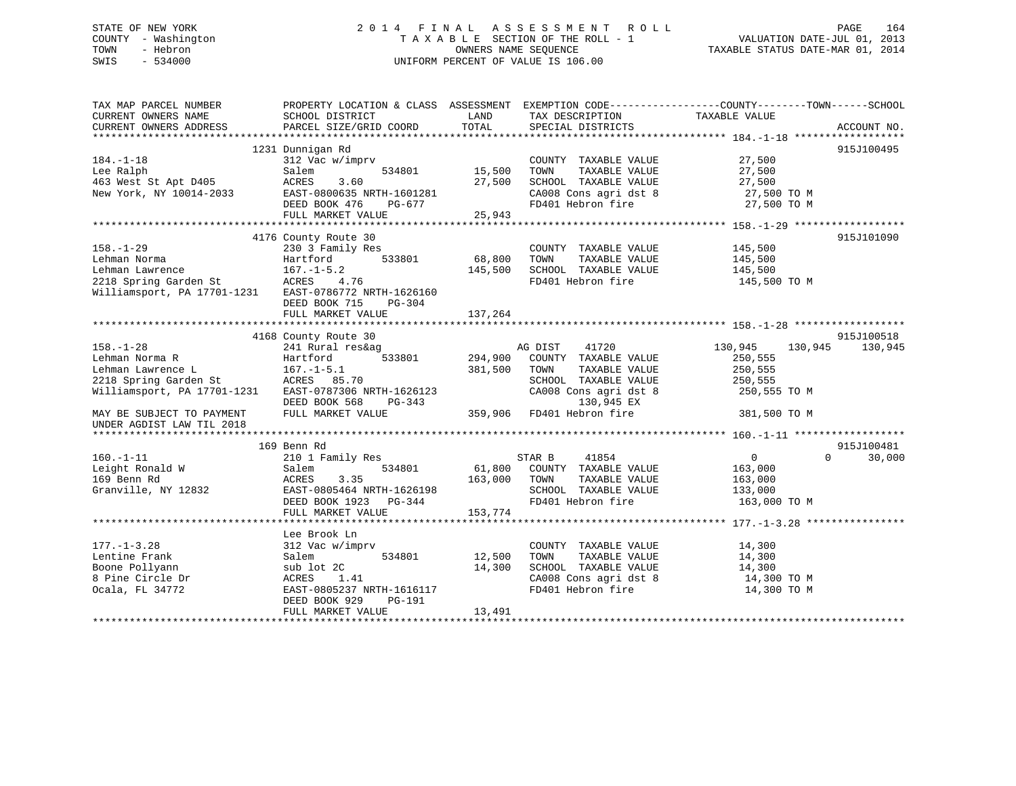## STATE OF NEW YORK 2 0 1 4 F I N A L A S S E S S M E N T R O L L PAGE 164 COUNTY - Washington T A X A B L E SECTION OF THE ROLL - 1 VALUATION DATE-JUL 01, 2013 TOWN - Hebron **CONNERS NAME SEQUENCE** TAXABLE STATUS DATE-MAR 01, 2014 SWIS - 534000 UNIFORM PERCENT OF VALUE IS 106.00

| TAX MAP PARCEL NUMBER<br>CURRENT OWNERS NAME<br>CURRENT OWNERS ADDRESS                                                                                                   | SCHOOL DISTRICT<br>PARCEL SIZE/GRID COORD                                                                                                                                           | LAND<br>TOTAL                | TAX DESCRIPTION<br>SPECIAL DISTRICTS                                                                                                                                | PROPERTY LOCATION & CLASS ASSESSMENT EXEMPTION CODE---------------COUNTY-------TOWN------SCHOOL<br>TAXABLE VALUE<br>ACCOUNT NO. |
|--------------------------------------------------------------------------------------------------------------------------------------------------------------------------|-------------------------------------------------------------------------------------------------------------------------------------------------------------------------------------|------------------------------|---------------------------------------------------------------------------------------------------------------------------------------------------------------------|---------------------------------------------------------------------------------------------------------------------------------|
| $184. - 1 - 18$<br>Lee Ralph<br>463 West St Apt D405<br>New York, NY 10014-2033                                                                                          | 1231 Dunnigan Rd<br>312 Vac w/imprv<br>Salem<br>534801<br>ACRES<br>3.60<br>EAST-0800635 NRTH-1601281<br>DEED BOOK 476<br>PG-677<br>FULL MARKET VALUE                                | 15,500<br>27,500<br>25,943   | COUNTY TAXABLE VALUE<br>TOWN<br>TAXABLE VALUE<br>SCHOOL TAXABLE VALUE<br>$CAO08$ Cons agri dst 8<br>$FD401$ $U_{\text{other}}$ of $U$                               | 915J100495<br>27,500<br>27,500<br>27,500<br>$27,500$ TO M<br>FD401 Hebron fire 27,500 TO M                                      |
| $158. - 1 - 29$<br>Lehman Norma<br>Hartford<br>167.-1-5.2<br>Lehman Lawrence<br>2218 Spring Garden St<br>Williamsport, PA 17701-1231 EAST-0786772 NRTH-1626160           | 4176 County Route 30<br>230 3 Family Res<br>533801<br>DEED BOOK 715<br>PG-304                                                                                                       | 68,800<br>145,500            | COUNTY TAXABLE VALUE 145,500<br>TOWN<br>TAXABLE VALUE<br>SCHOOL TAXABLE VALUE<br>FD401 Hebron fire                                                                  | 915J101090<br>145,500<br>145,500<br>145,500 TO M                                                                                |
| $158. - 1 - 28$<br>Lehman Norma R<br>Lehman Lawrence L<br>2218 Spring Garden St<br>Williamsport, PA 17701-1231<br>MAY BE SUBJECT TO PAYMENT<br>UNDER AGDIST LAW TIL 2018 | 4168 County Route 30<br>241 Rural res&ag<br>Hartford<br>$167. - 1 - 5.1$<br>ACRES 85.70<br>ACKES 85.70<br>EAST-0787306 NRTH-1626123<br>DEED BOOK 568<br>PG-343<br>FULL MARKET VALUE | 533801 294,900<br>381,500    | AG DIST<br>41720<br>COUNTY TAXABLE VALUE<br>TOWN<br>TAXABLE VALUE<br>SCHOOL TAXABLE VALUE<br>CA008 Cons agri dst 8<br>3-343 130,945 EX<br>359,906 FD401 Hebron fire | 915J100518<br>130,945<br>130,945<br>130,945<br>250,555<br>250,555<br>250,555<br>250,555 TO M<br>381,500 TO M                    |
| $160. - 1 - 11$<br>Leight Ronald W<br>169 Benn Rd<br>Granville, NY 12832                                                                                                 | 169 Benn Rd<br>210 1 Family Res<br>534801<br>Salem<br>3.35<br>ACRES<br>EAST-0805464 NRTH-1626198<br>DEED BOOK 1923 PG-344<br>FULL MARKET VALUE                                      | 61,800<br>163,000<br>153,774 | 41854<br>STAR B<br>COUNTY TAXABLE VALUE<br>TOWN<br>TAXABLE VALUE<br>SCHOOL TAXABLE VALUE<br>FD401 Hebron fire                                                       | 915J100481<br>$0 \qquad \qquad$<br>$\Omega$<br>30,000<br>163,000<br>163,000<br>133,000<br>163,000 TO M                          |
| $177. - 1 - 3.28$<br>Lentine Frank<br>Boone Pollyann<br>8 Pine Circle Dr<br>Ocala, FL 34772                                                                              | Lee Brook Ln<br>312 Vac w/imprv<br>534801<br>Salem<br>sub lot 2C<br>ACRES<br>1.41<br>EAST-0805237 NRTH-1616117<br>PG-191<br>DEED BOOK 929<br>FULL MARKET VALUE                      | 12,500<br>14,300<br>13,491   | COUNTY TAXABLE VALUE<br>TOWN<br>TAXABLE VALUE<br>SCHOOL TAXABLE VALUE<br>CA008 Cons agri dst 8<br>FD401 Hebron fire                                                 | 14,300<br>14,300<br>14,300<br>14,300 TO M<br>14,300 TO M                                                                        |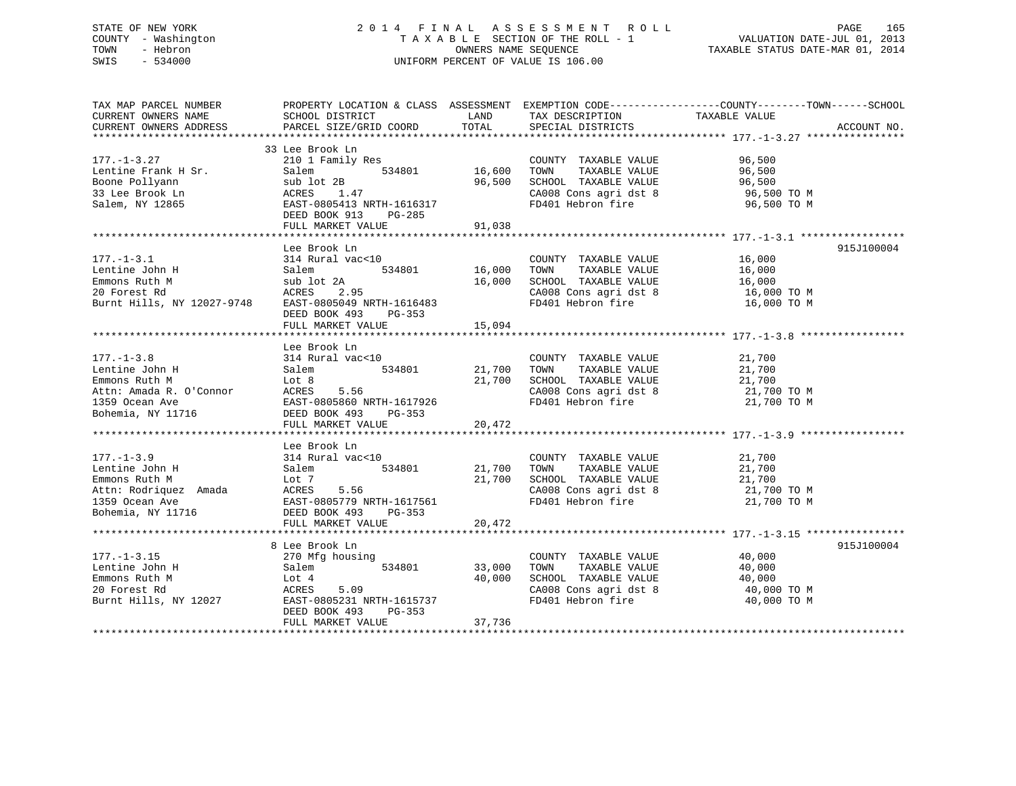## STATE OF NEW YORK 2 0 1 4 F I N A L A S S E S S M E N T R O L L PAGE 165 COUNTY - Washington T A X A B L E SECTION OF THE ROLL - 1 VALUATION DATE-JUL 01, 2013 TOWN - Hebron OWNERS NAME SEQUENCE TAXABLE STATUS DATE-MAR 01, 2014 SWIS - 534000 UNIFORM PERCENT OF VALUE IS 106.00

| TAX MAP PARCEL NUMBER                                                                                                                                  | PROPERTY LOCATION & CLASS ASSESSMENT EXEMPTION CODE----------------COUNTY-------TOWN------SCHOOL |               |                                                                                                                                            |                                              |             |
|--------------------------------------------------------------------------------------------------------------------------------------------------------|--------------------------------------------------------------------------------------------------|---------------|--------------------------------------------------------------------------------------------------------------------------------------------|----------------------------------------------|-------------|
| CURRENT OWNERS NAME                                                                                                                                    | SCHOOL DISTRICT                                                                                  | LAND          | TAX DESCRIPTION                                                                                                                            | TAXABLE VALUE                                |             |
| CURRENT OWNERS ADDRESS                                                                                                                                 | PARCEL SIZE/GRID COORD                                                                           | TOTAL         | SPECIAL DISTRICTS                                                                                                                          |                                              | ACCOUNT NO. |
|                                                                                                                                                        |                                                                                                  |               |                                                                                                                                            |                                              |             |
|                                                                                                                                                        | 33 Lee Brook Ln                                                                                  |               |                                                                                                                                            |                                              |             |
| $177. - 1 - 3.27$                                                                                                                                      | 210 1 Family Res                                                                                 |               | COUNTY TAXABLE VALUE 96,500                                                                                                                |                                              |             |
| Lentine Frank H Sr.                                                                                                                                    | 534801 16,600 TOWN                                                                               |               |                                                                                                                                            |                                              |             |
| Boone Pollyann                                                                                                                                         |                                                                                                  | 96,500        |                                                                                                                                            |                                              |             |
| 33 Lee Brook Ln                                                                                                                                        |                                                                                                  |               | CA008 Cons agri dst 8 96,500 TO M                                                                                                          |                                              |             |
| Salem, NY 12865                                                                                                                                        | Sr. Salem 534801<br>sub lot 2B<br>ACRES 1.47<br>EAST-0805413 NRTH-1616317                        |               | FD401 Hebron fire                                                                                                                          | 96,500 TO M                                  |             |
|                                                                                                                                                        | DEED BOOK 913<br>PG-285                                                                          |               |                                                                                                                                            |                                              |             |
|                                                                                                                                                        | FULL MARKET VALUE                                                                                | 91,038        |                                                                                                                                            |                                              |             |
|                                                                                                                                                        |                                                                                                  |               |                                                                                                                                            |                                              |             |
|                                                                                                                                                        | Lee Brook Ln                                                                                     |               |                                                                                                                                            |                                              | 915J100004  |
| $177. - 1 - 3.1$                                                                                                                                       | 314 Rural vac<10<br>314 Rural vac<10<br>534801 16,000 TOWN TAXABLE VALUE                         |               | COUNTY TAXABLE VALUE 16,000<br>TOWN TAXABLE VALUE 16,000                                                                                   |                                              |             |
| Lentine John H                                                                                                                                         |                                                                                                  |               |                                                                                                                                            |                                              |             |
| Emmons Ruth M                                                                                                                                          |                                                                                                  |               |                                                                                                                                            |                                              |             |
| 20 Forest Rd                                                                                                                                           | 314 Rural vac<10<br>Salem 534801<br>sub lot 2A<br>ACRES 2.95                                     |               |                                                                                                                                            |                                              |             |
| Burnt Hills, NY 12027-9748 EAST-0805049 NRTH-1616483                                                                                                   |                                                                                                  |               | 16,000 SCHOOL TAXABLE VALUE 16,000 CA008 Cons agri dst 8 16,000 TO M<br>CA008 Cons agri dst 8 16,000 TO M<br>FD401 Hebron fire 16,000 TO M |                                              |             |
|                                                                                                                                                        | DEED BOOK 493 PG-353                                                                             |               |                                                                                                                                            |                                              |             |
|                                                                                                                                                        | FULL MARKET VALUE                                                                                | 15,094        |                                                                                                                                            |                                              |             |
|                                                                                                                                                        |                                                                                                  |               |                                                                                                                                            |                                              |             |
|                                                                                                                                                        |                                                                                                  |               |                                                                                                                                            |                                              |             |
|                                                                                                                                                        |                                                                                                  |               |                                                                                                                                            |                                              |             |
|                                                                                                                                                        |                                                                                                  |               |                                                                                                                                            |                                              |             |
|                                                                                                                                                        |                                                                                                  |               | 21,700 SCHOOL TAXABLE VALUE 21,700<br>21,700 SCHOOL TAXABLE VALUE 21,700 TO M                                                              |                                              |             |
|                                                                                                                                                        |                                                                                                  |               | CA008 Cons agri dst 8 $21,700$ TO M<br>FD401 Hebron fire $21,700$ TO M                                                                     |                                              |             |
|                                                                                                                                                        |                                                                                                  |               |                                                                                                                                            |                                              |             |
|                                                                                                                                                        |                                                                                                  |               |                                                                                                                                            |                                              |             |
|                                                                                                                                                        |                                                                                                  |               |                                                                                                                                            |                                              |             |
|                                                                                                                                                        |                                                                                                  |               |                                                                                                                                            |                                              |             |
|                                                                                                                                                        | Lee Brook Ln                                                                                     |               |                                                                                                                                            |                                              |             |
|                                                                                                                                                        |                                                                                                  |               |                                                                                                                                            |                                              |             |
|                                                                                                                                                        |                                                                                                  |               |                                                                                                                                            |                                              |             |
|                                                                                                                                                        |                                                                                                  |               |                                                                                                                                            |                                              |             |
|                                                                                                                                                        |                                                                                                  |               |                                                                                                                                            |                                              |             |
|                                                                                                                                                        |                                                                                                  |               |                                                                                                                                            |                                              |             |
|                                                                                                                                                        |                                                                                                  |               |                                                                                                                                            |                                              |             |
|                                                                                                                                                        | FULL MARKET VALUE                                                                                | 20,472        |                                                                                                                                            |                                              |             |
|                                                                                                                                                        |                                                                                                  |               |                                                                                                                                            |                                              |             |
|                                                                                                                                                        | 8 Lee Brook Ln                                                                                   |               |                                                                                                                                            |                                              | 915J100004  |
| $177. - 1 - 3.15$                                                                                                                                      | 270 Mfg housing                                                                                  |               | COUNTY TAXABLE VALUE 40,000                                                                                                                |                                              |             |
|                                                                                                                                                        |                                                                                                  | 534801 33,000 | TOWN                                                                                                                                       | TAXABLE VALUE 40,000<br>TAXABLE VALUE 40,000 |             |
| Eentine John H Salem 534801 33,000<br>Emmons Ruth M Lot 4 40,000<br>20 Forest Rd ACRES 5.09 400,000<br>Burnt Hills, NY 12027 EAST-0805231 NRTH-1615737 |                                                                                                  | 40,000        | SCHOOL TAXABLE VALUE                                                                                                                       |                                              |             |
|                                                                                                                                                        |                                                                                                  |               | CA008 Cons agri dst 8 40,000 TO M                                                                                                          |                                              |             |
|                                                                                                                                                        |                                                                                                  |               | FD401 Hebron fire                                                                                                                          | 40,000 TO M                                  |             |
|                                                                                                                                                        | DEED BOOK 493<br>PG-353                                                                          |               |                                                                                                                                            |                                              |             |
|                                                                                                                                                        | FULL MARKET VALUE                                                                                | 37,736        |                                                                                                                                            |                                              |             |
|                                                                                                                                                        |                                                                                                  |               |                                                                                                                                            |                                              |             |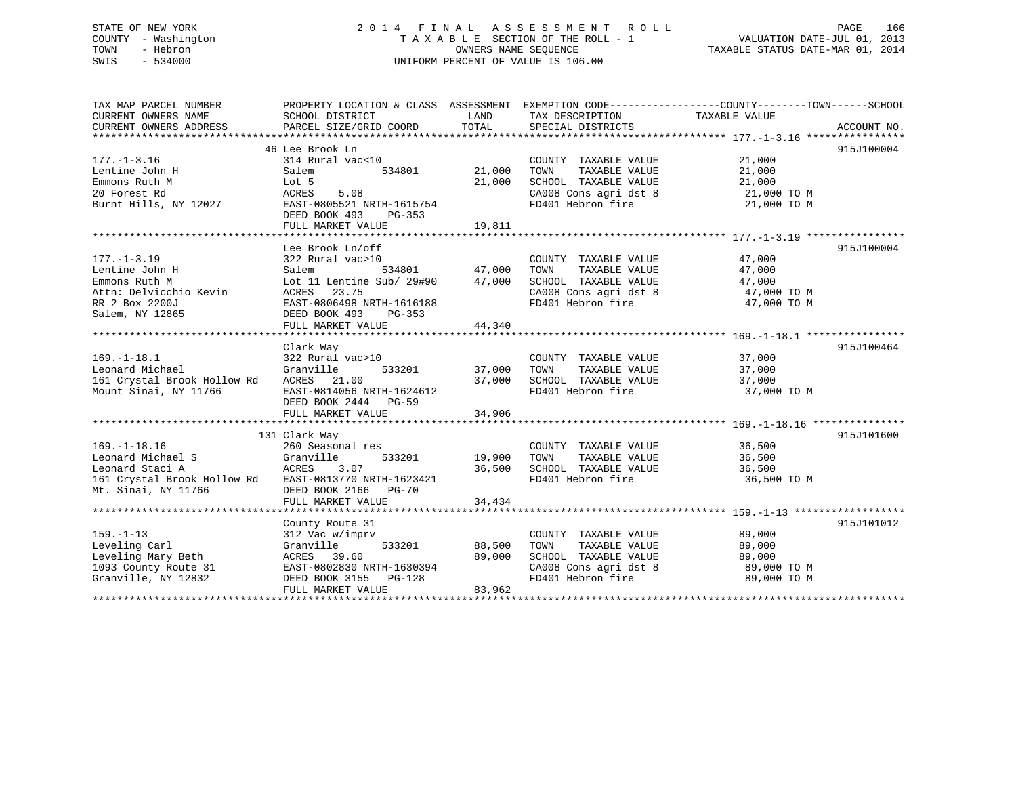## STATE OF NEW YORK 2 0 1 4 F I N A L A S S E S S M E N T R O L L PAGE 166 COUNTY - Washington T A X A B L E SECTION OF THE ROLL - 1 VALUATION DATE-JUL 01, 2013 TOWN - Hebron OWNERS NAME SEQUENCE TAXABLE STATUS DATE-MAR 01, 2014 SWIS - 534000 UNIFORM PERCENT OF VALUE IS 106.00

| TAX MAP PARCEL NUMBER<br>CURRENT OWNERS NAME<br>CURRENT OWNERS ADDRESS                                                                     | SCHOOL DISTRICT<br>PARCEL SIZE/GRID COORD                                                                                                                                             | LAND<br>TOTAL              | TAX DESCRIPTION<br>SPECIAL DISTRICTS                                                                                | PROPERTY LOCATION & CLASS ASSESSMENT EXEMPTION CODE---------------COUNTY-------TOWN------SCHOOL<br>TAXABLE VALUE<br>ACCOUNT NO. |
|--------------------------------------------------------------------------------------------------------------------------------------------|---------------------------------------------------------------------------------------------------------------------------------------------------------------------------------------|----------------------------|---------------------------------------------------------------------------------------------------------------------|---------------------------------------------------------------------------------------------------------------------------------|
| $177. - 1 - 3.16$<br>Lentine John H<br>Emmons Ruth M<br>20 Forest Rd<br>Burnt Hills, NY 12027                                              | 46 Lee Brook Ln<br>314 Rural vac<10<br>534801<br>Salem<br>Lot 5<br>5.08<br>ACRES<br>EAST-0805521 NRTH-1615754<br>DEED BOOK 493<br>PG-353<br>FULL MARKET VALUE                         | 21,000<br>21,000<br>19,811 | COUNTY TAXABLE VALUE<br>TOWN<br>TAXABLE VALUE<br>SCHOOL TAXABLE VALUE<br>CA008 Cons agri dst 8<br>FD401 Hebron fire | 915J100004<br>21,000<br>21,000<br>21,000<br>21,000 TO M<br>21,000 TO M                                                          |
| $177. - 1 - 3.19$<br>Lentine John H<br>Emmons Ruth M<br>Attn: Delvicchio Kevin<br>RR 2 Box 2200J<br>Salem, NY 12865                        | Lee Brook Ln/off<br>322 Rural vac>10<br>534801<br>Salem<br>Lot 11 Lentine Sub/ 29#90<br>ACRES<br>23.75<br>EAST-0806498 NRTH-1616188<br>DEED BOOK 493<br>$PG-353$<br>FULL MARKET VALUE | 47,000<br>47,000<br>44,340 | COUNTY TAXABLE VALUE<br>TOWN<br>TAXABLE VALUE<br>SCHOOL TAXABLE VALUE<br>CA008 Cons agri dst 8<br>FD401 Hebron fire | 915J100004<br>47,000<br>47,000<br>47,000<br>47,000 TO M<br>47,000 TO M                                                          |
| $169. - 1 - 18.1$<br>Leonard Michael<br>161 Crystal Brook Hollow Rd<br>Mount Sinai, NY 11766                                               | Clark Way<br>322 Rural vac>10<br>Granville<br>533201<br>ACRES 21.00<br>EAST-0814056 NRTH-1624612<br>DEED BOOK 2444 PG-59<br>FULL MARKET VALUE                                         | 37,000<br>37,000<br>34,906 | COUNTY TAXABLE VALUE<br>TOWN<br>TAXABLE VALUE<br>SCHOOL TAXABLE VALUE<br>FD401 Hebron fire                          | 915J100464<br>37,000<br>37,000<br>37,000<br>37,000 TO M                                                                         |
| $169. - 1 - 18.16$<br>Leonard Michael S<br>Leonard Staci A<br>161 Crystal Brook Hollow Rd EAST-0813770 NRTH-1623421<br>Mt. Sinai, NY 11766 | 131 Clark Way<br>260 Seasonal res<br>Granville<br>533201<br>ACRES<br>3.07<br>DEED BOOK 2166<br><b>PG-70</b><br>FULL MARKET VALUE                                                      | 19,900<br>36,500<br>34,434 | COUNTY TAXABLE VALUE<br>TOWN<br>TAXABLE VALUE<br>SCHOOL TAXABLE VALUE<br>FD401 Hebron fire                          | 915J101600<br>36,500<br>36,500<br>36,500<br>36,500 TO M                                                                         |
| $159. - 1 - 13$<br>Leveling Carl<br>Leveling Mary Beth<br>1093 County Route 31<br>Granville, NY 12832                                      | County Route 31<br>312 Vac w/imprv<br>533201<br>Granville<br>ACRES 39.60<br>EAST-0802830 NRTH-1630394<br>DEED BOOK 3155<br>PG-128<br>FULL MARKET VALUE                                | 88,500<br>89,000<br>83,962 | COUNTY TAXABLE VALUE<br>TOWN<br>TAXABLE VALUE<br>SCHOOL TAXABLE VALUE<br>CA008 Cons agri dst 8<br>FD401 Hebron fire | 915J101012<br>89,000<br>89,000<br>89,000<br>89,000 TO M<br>89,000 TO M                                                          |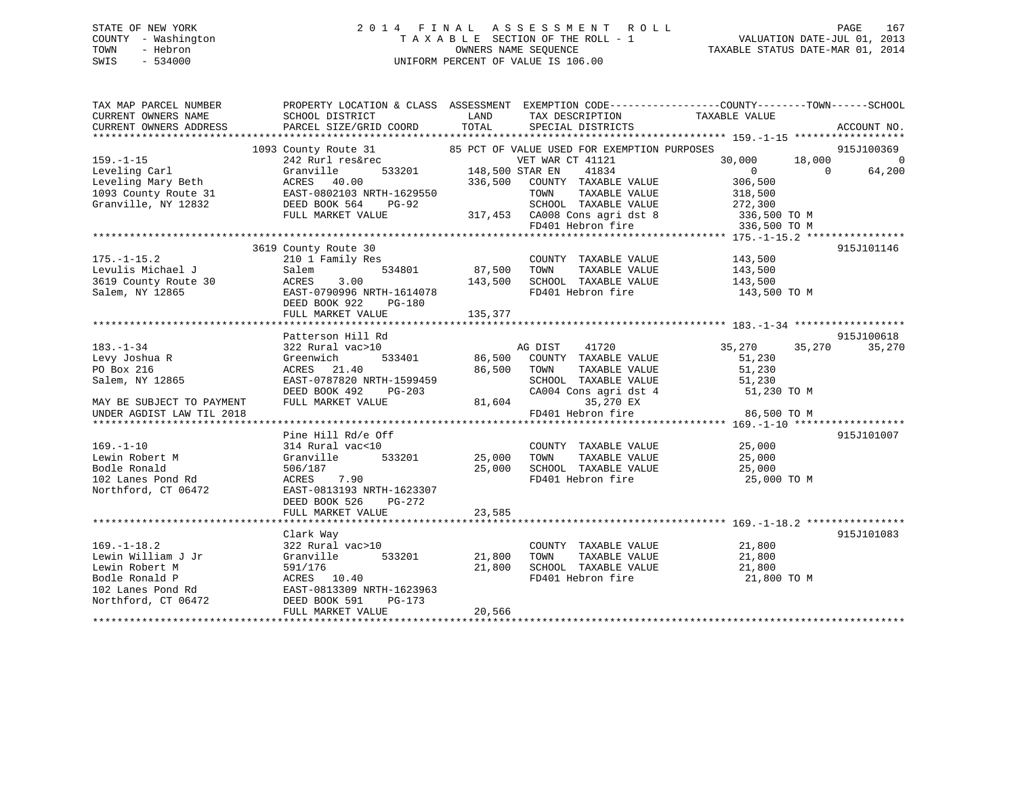## STATE OF NEW YORK 2 0 1 4 F I N A L A S S E S S M E N T R O L L PAGE 167 COUNTY - Washington T A X A B L E SECTION OF THE ROLL - 1 VALUATION DATE-JUL 01, 2013 TOWN - Hebron OWNERS NAME SEQUENCE TAXABLE STATUS DATE-MAR 01, 2014 SWIS - 534000 UNIFORM PERCENT OF VALUE IS 106.00

| TAX MAP PARCEL NUMBER<br>CURRENT OWNERS NAME<br>CURRENT OWNERS ADDRESS                                                      | PROPERTY LOCATION & CLASS ASSESSMENT<br>SCHOOL DISTRICT<br>PARCEL SIZE/GRID COORD                                                                                      | LAND<br>TOTAL              | TAX DESCRIPTION TAXABLE VALUE<br>SPECIAL DISTRICTS                                                                                                                                                      | EXEMPTION CODE-----------------COUNTY-------TOWN------SCHOOL                                                    | ACCOUNT NO.                      |
|-----------------------------------------------------------------------------------------------------------------------------|------------------------------------------------------------------------------------------------------------------------------------------------------------------------|----------------------------|---------------------------------------------------------------------------------------------------------------------------------------------------------------------------------------------------------|-----------------------------------------------------------------------------------------------------------------|----------------------------------|
| $159. - 1 - 15$<br>Leveling Carl<br>Leveling Mary Beth<br>1093 County Route 31<br>Granville, NY 12832                       | 1093 County Route 31<br>242 Rurl res&rec<br>533201<br>Granville<br>ACRES 40.00<br>EAST-0802103 NRTH-1629550<br>DEED BOOK 564<br>PG-92<br>FULL MARKET VALUE             | 148,500 STAR EN<br>336,500 | 85 PCT OF VALUE USED FOR EXEMPTION PURPOSES<br>VET WAR CT 41121<br>41834<br>COUNTY TAXABLE VALUE<br>TAXABLE VALUE<br>TOWN<br>SCHOOL TAXABLE VALUE<br>317,453 CA008 Cons agri dst 8<br>FD401 Hebron fire | 30,000<br>18,000<br>$\overline{0}$<br>$\Omega$<br>306,500<br>318,500<br>272,300<br>336,500 TO M<br>336,500 TO M | 915J100369<br>$\Omega$<br>64,200 |
| $175. - 1 - 15.2$<br>Levulis Michael J<br>3619 County Route 30<br>Salem, NY 12865                                           | 3619 County Route 30<br>210 1 Family Res<br>534801<br>Salem<br>3.00<br>ACRES<br>EAST-0790996 NRTH-1614078<br>DEED BOOK 922<br>PG-180                                   | 87,500<br>143,500          | COUNTY TAXABLE VALUE<br>TAXABLE VALUE<br>TOWN<br>SCHOOL TAXABLE VALUE<br>FD401 Hebron fire                                                                                                              | 143,500<br>143,500<br>143,500<br>143,500 TO M                                                                   | 915J101146                       |
| $183. - 1 - 34$<br>Levy Joshua R<br>PO Box 216<br>Salem, NY 12865<br>MAY BE SUBJECT TO PAYMENT<br>UNDER AGDIST LAW TIL 2018 | Patterson Hill Rd<br>322 Rural vac>10<br>Greenwich<br>533401<br>ACRES<br>21.40<br>EAST-0787820 NRTH-1599459<br>DEED BOOK 492<br>PG-203<br>FULL MARKET VALUE            | 86,500<br>86,500<br>81,604 | AG DIST<br>41720<br>COUNTY TAXABLE VALUE<br>TAXABLE VALUE<br>TOWN<br>SCHOOL TAXABLE VALUE<br>SCHOOL TAXABLE VALUE<br>CA004 Cons agri dst 4<br>35,270 EX<br>FD401 Hebron fire                            | 35,270<br>35,270<br>51,230<br>51,230<br>51,230<br>51,230 TO M<br>86,500 TO M                                    | 915J100618<br>35,270             |
| $169. - 1 - 10$<br>Lewin Robert M<br>Bodle Ronald<br>102 Lanes Pond Rd<br>Northford, CT 06472                               | Pine Hill Rd/e Off<br>314 Rural vac<10<br>Granville<br>533201<br>506/187<br>7.90<br>ACRES<br>EAST-0813193 NRTH-1623307<br>DEED BOOK 526<br>PG-272<br>FULL MARKET VALUE | 25,000<br>25,000<br>23,585 | COUNTY TAXABLE VALUE<br>TAXABLE VALUE<br>TOWN<br>SCHOOL TAXABLE VALUE<br>FD401 Hebron fire                                                                                                              | 25,000<br>25,000<br>25,000<br>25,000 TO M                                                                       | 915J101007                       |
| $169. - 1 - 18.2$<br>Lewin William J Jr<br>Lewin Robert M<br>Bodle Ronald P<br>102 Lanes Pond Rd<br>Northford, CT 06472     | Clark Way<br>322 Rural vac>10<br>Granville<br>533201<br>591/176<br>ACRES 10.40<br>EAST-0813309 NRTH-1623963<br>DEED BOOK 591<br>PG-173<br>FULL MARKET VALUE            | 21,800<br>21,800<br>20,566 | COUNTY TAXABLE VALUE<br>TAXABLE VALUE<br>TOWN<br>SCHOOL TAXABLE VALUE<br>FD401 Hebron fire                                                                                                              | 21,800<br>21,800<br>21,800<br>21,800 TO M                                                                       | 915J101083                       |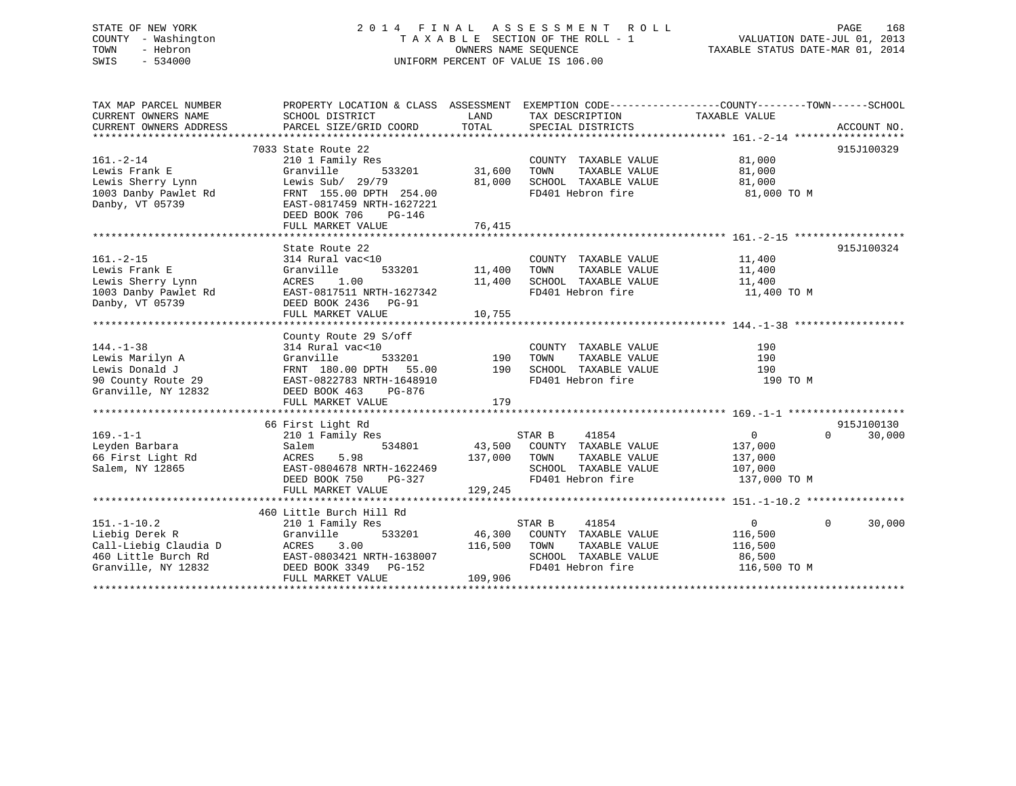# STATE OF NEW YORK 2014 FINAL ASSESSMENT ROLL PAGE 168 COUNTY - Washington  $T A X A B L E$  SECTION OF THE ROLL - 1<br>TOWN - Hebron DATE-JUL 000NERS NAME SEQUENCE SWIS - 534000 UNIFORM PERCENT OF VALUE IS 106.00

VALUATION DATE-JUL 01, 2013

TAXABLE STATUS DATE-MAR 01, 2014

| SCHOOL DISTRICT<br>LAND<br>TAX DESCRIPTION<br>TAXABLE VALUE<br>TOTAL<br>PARCEL SIZE/GRID COORD<br>SPECIAL DISTRICTS<br>7033 State Route 22<br>$161. - 2 - 14$<br>81,000<br>210 1 Family Res<br>COUNTY TAXABLE VALUE<br>31,600<br>533201<br>TOWN<br>TAXABLE VALUE<br>81,000<br>Lewis Frank E<br>Granville<br>Lewis Sherry Lynn<br>Lewis Sub/ 29/79<br>81,000<br>SCHOOL TAXABLE VALUE<br>81,000<br>FD401 Hebron fire<br>1003 Danby Pawlet Rd<br>FRNT 155.00 DPTH 254.00<br>81,000 TO M<br>Danby, VT 05739<br>EAST-0817459 NRTH-1627221<br>DEED BOOK 706<br>PG-146<br>76,415<br>FULL MARKET VALUE<br>915J100324<br>State Route 22<br>$161. - 2 - 15$<br>11,400<br>314 Rural vac<10<br>COUNTY TAXABLE VALUE<br>11,400<br>Lewis Frank E<br>Granville<br>533201<br>TOWN<br>TAXABLE VALUE<br>11,400<br>SCHOOL TAXABLE VALUE<br>Lewis Sherry Lynn<br>ACRES<br>1.00<br>11,400<br>11,400<br>1003 Danby Pawlet Rd<br>EAST-0817511 NRTH-1627342<br>FD401 Hebron fire<br>11,400 TO M<br>Danby, VT 05739<br>DEED BOOK 2436 PG-91<br>10,755<br>FULL MARKET VALUE<br>County Route 29 S/off<br>$144. - 1 - 38$<br>314 Rural vac<10<br>COUNTY TAXABLE VALUE<br>190<br>190<br>Lewis Marilyn A<br>Granville<br>533201<br>TAXABLE VALUE<br>190<br>TOWN<br>Lewis Donald J<br>FRNT 180.00 DPTH<br>55.00<br>190<br>SCHOOL TAXABLE VALUE<br>190<br>FD401 Hebron fire<br>90 County Route 29 EAST-0822783 NRTH-1648910<br>190 TO M<br>Granville, NY 12832<br>DEED BOOK 463<br>PG-876<br>179<br>FULL MARKET VALUE<br>915J100130<br>66 First Light Rd<br>$169. - 1 - 1$<br>41854<br>210 1 Family Res<br>STAR B<br>$\overline{0}$<br>$\Omega$<br>30,000<br>43,500 COUNTY TAXABLE VALUE<br>Leyden Barbara<br>Salem<br>534801<br>137,000<br>5.98<br>137,000<br>66 First Light Rd<br>ACRES<br>TOWN<br>TAXABLE VALUE<br>137,000<br>SCHOOL TAXABLE VALUE<br>107,000<br>Salem, NY 12865<br>EAST-0804678 NRTH-1622469<br>FD401 Hebron fire<br>PG-327<br>137,000 TO M<br>DEED BOOK 750<br>FULL MARKET VALUE<br>129,245<br>460 Little Burch Hill Rd<br>$151. - 1 - 10.2$<br>0<br>$\Omega$<br>210 1 Family Res<br>STAR B<br>41854<br>533201<br>46,300<br>116,500<br>Liebig Derek R<br>Granville<br>COUNTY TAXABLE VALUE<br>116,500<br>Call-Liebig Claudia D<br>ACRES<br>3.00<br>TOWN<br>TAXABLE VALUE<br>116,500<br>EAST-0803421 NRTH-1638007<br>SCHOOL TAXABLE VALUE<br>86,500<br>DEED BOOK 3349 PG-152<br>FD401 Hebron fire<br>116,500 TO M<br>FULL MARKET VALUE<br>109,906 | TAX MAP PARCEL NUMBER  | PROPERTY LOCATION & CLASS ASSESSMENT EXEMPTION CODE----------------COUNTY-------TOWN------SCHOOL |  |             |
|---------------------------------------------------------------------------------------------------------------------------------------------------------------------------------------------------------------------------------------------------------------------------------------------------------------------------------------------------------------------------------------------------------------------------------------------------------------------------------------------------------------------------------------------------------------------------------------------------------------------------------------------------------------------------------------------------------------------------------------------------------------------------------------------------------------------------------------------------------------------------------------------------------------------------------------------------------------------------------------------------------------------------------------------------------------------------------------------------------------------------------------------------------------------------------------------------------------------------------------------------------------------------------------------------------------------------------------------------------------------------------------------------------------------------------------------------------------------------------------------------------------------------------------------------------------------------------------------------------------------------------------------------------------------------------------------------------------------------------------------------------------------------------------------------------------------------------------------------------------------------------------------------------------------------------------------------------------------------------------------------------------------------------------------------------------------------------------------------------------------------------------------------------------------------------------------------------------------------------------------------------------------------------------------------------------------------------------------------------------------------------------------------------------------------------------|------------------------|--------------------------------------------------------------------------------------------------|--|-------------|
|                                                                                                                                                                                                                                                                                                                                                                                                                                                                                                                                                                                                                                                                                                                                                                                                                                                                                                                                                                                                                                                                                                                                                                                                                                                                                                                                                                                                                                                                                                                                                                                                                                                                                                                                                                                                                                                                                                                                                                                                                                                                                                                                                                                                                                                                                                                                                                                                                                       | CURRENT OWNERS NAME    |                                                                                                  |  |             |
|                                                                                                                                                                                                                                                                                                                                                                                                                                                                                                                                                                                                                                                                                                                                                                                                                                                                                                                                                                                                                                                                                                                                                                                                                                                                                                                                                                                                                                                                                                                                                                                                                                                                                                                                                                                                                                                                                                                                                                                                                                                                                                                                                                                                                                                                                                                                                                                                                                       | CURRENT OWNERS ADDRESS |                                                                                                  |  | ACCOUNT NO. |
|                                                                                                                                                                                                                                                                                                                                                                                                                                                                                                                                                                                                                                                                                                                                                                                                                                                                                                                                                                                                                                                                                                                                                                                                                                                                                                                                                                                                                                                                                                                                                                                                                                                                                                                                                                                                                                                                                                                                                                                                                                                                                                                                                                                                                                                                                                                                                                                                                                       |                        |                                                                                                  |  |             |
|                                                                                                                                                                                                                                                                                                                                                                                                                                                                                                                                                                                                                                                                                                                                                                                                                                                                                                                                                                                                                                                                                                                                                                                                                                                                                                                                                                                                                                                                                                                                                                                                                                                                                                                                                                                                                                                                                                                                                                                                                                                                                                                                                                                                                                                                                                                                                                                                                                       |                        |                                                                                                  |  | 915J100329  |
|                                                                                                                                                                                                                                                                                                                                                                                                                                                                                                                                                                                                                                                                                                                                                                                                                                                                                                                                                                                                                                                                                                                                                                                                                                                                                                                                                                                                                                                                                                                                                                                                                                                                                                                                                                                                                                                                                                                                                                                                                                                                                                                                                                                                                                                                                                                                                                                                                                       |                        |                                                                                                  |  |             |
|                                                                                                                                                                                                                                                                                                                                                                                                                                                                                                                                                                                                                                                                                                                                                                                                                                                                                                                                                                                                                                                                                                                                                                                                                                                                                                                                                                                                                                                                                                                                                                                                                                                                                                                                                                                                                                                                                                                                                                                                                                                                                                                                                                                                                                                                                                                                                                                                                                       |                        |                                                                                                  |  |             |
|                                                                                                                                                                                                                                                                                                                                                                                                                                                                                                                                                                                                                                                                                                                                                                                                                                                                                                                                                                                                                                                                                                                                                                                                                                                                                                                                                                                                                                                                                                                                                                                                                                                                                                                                                                                                                                                                                                                                                                                                                                                                                                                                                                                                                                                                                                                                                                                                                                       |                        |                                                                                                  |  |             |
|                                                                                                                                                                                                                                                                                                                                                                                                                                                                                                                                                                                                                                                                                                                                                                                                                                                                                                                                                                                                                                                                                                                                                                                                                                                                                                                                                                                                                                                                                                                                                                                                                                                                                                                                                                                                                                                                                                                                                                                                                                                                                                                                                                                                                                                                                                                                                                                                                                       |                        |                                                                                                  |  |             |
|                                                                                                                                                                                                                                                                                                                                                                                                                                                                                                                                                                                                                                                                                                                                                                                                                                                                                                                                                                                                                                                                                                                                                                                                                                                                                                                                                                                                                                                                                                                                                                                                                                                                                                                                                                                                                                                                                                                                                                                                                                                                                                                                                                                                                                                                                                                                                                                                                                       |                        |                                                                                                  |  |             |
|                                                                                                                                                                                                                                                                                                                                                                                                                                                                                                                                                                                                                                                                                                                                                                                                                                                                                                                                                                                                                                                                                                                                                                                                                                                                                                                                                                                                                                                                                                                                                                                                                                                                                                                                                                                                                                                                                                                                                                                                                                                                                                                                                                                                                                                                                                                                                                                                                                       |                        |                                                                                                  |  |             |
|                                                                                                                                                                                                                                                                                                                                                                                                                                                                                                                                                                                                                                                                                                                                                                                                                                                                                                                                                                                                                                                                                                                                                                                                                                                                                                                                                                                                                                                                                                                                                                                                                                                                                                                                                                                                                                                                                                                                                                                                                                                                                                                                                                                                                                                                                                                                                                                                                                       |                        |                                                                                                  |  |             |
|                                                                                                                                                                                                                                                                                                                                                                                                                                                                                                                                                                                                                                                                                                                                                                                                                                                                                                                                                                                                                                                                                                                                                                                                                                                                                                                                                                                                                                                                                                                                                                                                                                                                                                                                                                                                                                                                                                                                                                                                                                                                                                                                                                                                                                                                                                                                                                                                                                       |                        |                                                                                                  |  |             |
|                                                                                                                                                                                                                                                                                                                                                                                                                                                                                                                                                                                                                                                                                                                                                                                                                                                                                                                                                                                                                                                                                                                                                                                                                                                                                                                                                                                                                                                                                                                                                                                                                                                                                                                                                                                                                                                                                                                                                                                                                                                                                                                                                                                                                                                                                                                                                                                                                                       |                        |                                                                                                  |  |             |
|                                                                                                                                                                                                                                                                                                                                                                                                                                                                                                                                                                                                                                                                                                                                                                                                                                                                                                                                                                                                                                                                                                                                                                                                                                                                                                                                                                                                                                                                                                                                                                                                                                                                                                                                                                                                                                                                                                                                                                                                                                                                                                                                                                                                                                                                                                                                                                                                                                       |                        |                                                                                                  |  |             |
|                                                                                                                                                                                                                                                                                                                                                                                                                                                                                                                                                                                                                                                                                                                                                                                                                                                                                                                                                                                                                                                                                                                                                                                                                                                                                                                                                                                                                                                                                                                                                                                                                                                                                                                                                                                                                                                                                                                                                                                                                                                                                                                                                                                                                                                                                                                                                                                                                                       |                        |                                                                                                  |  |             |
|                                                                                                                                                                                                                                                                                                                                                                                                                                                                                                                                                                                                                                                                                                                                                                                                                                                                                                                                                                                                                                                                                                                                                                                                                                                                                                                                                                                                                                                                                                                                                                                                                                                                                                                                                                                                                                                                                                                                                                                                                                                                                                                                                                                                                                                                                                                                                                                                                                       |                        |                                                                                                  |  |             |
|                                                                                                                                                                                                                                                                                                                                                                                                                                                                                                                                                                                                                                                                                                                                                                                                                                                                                                                                                                                                                                                                                                                                                                                                                                                                                                                                                                                                                                                                                                                                                                                                                                                                                                                                                                                                                                                                                                                                                                                                                                                                                                                                                                                                                                                                                                                                                                                                                                       |                        |                                                                                                  |  |             |
|                                                                                                                                                                                                                                                                                                                                                                                                                                                                                                                                                                                                                                                                                                                                                                                                                                                                                                                                                                                                                                                                                                                                                                                                                                                                                                                                                                                                                                                                                                                                                                                                                                                                                                                                                                                                                                                                                                                                                                                                                                                                                                                                                                                                                                                                                                                                                                                                                                       |                        |                                                                                                  |  |             |
|                                                                                                                                                                                                                                                                                                                                                                                                                                                                                                                                                                                                                                                                                                                                                                                                                                                                                                                                                                                                                                                                                                                                                                                                                                                                                                                                                                                                                                                                                                                                                                                                                                                                                                                                                                                                                                                                                                                                                                                                                                                                                                                                                                                                                                                                                                                                                                                                                                       |                        |                                                                                                  |  |             |
|                                                                                                                                                                                                                                                                                                                                                                                                                                                                                                                                                                                                                                                                                                                                                                                                                                                                                                                                                                                                                                                                                                                                                                                                                                                                                                                                                                                                                                                                                                                                                                                                                                                                                                                                                                                                                                                                                                                                                                                                                                                                                                                                                                                                                                                                                                                                                                                                                                       |                        |                                                                                                  |  |             |
|                                                                                                                                                                                                                                                                                                                                                                                                                                                                                                                                                                                                                                                                                                                                                                                                                                                                                                                                                                                                                                                                                                                                                                                                                                                                                                                                                                                                                                                                                                                                                                                                                                                                                                                                                                                                                                                                                                                                                                                                                                                                                                                                                                                                                                                                                                                                                                                                                                       |                        |                                                                                                  |  |             |
|                                                                                                                                                                                                                                                                                                                                                                                                                                                                                                                                                                                                                                                                                                                                                                                                                                                                                                                                                                                                                                                                                                                                                                                                                                                                                                                                                                                                                                                                                                                                                                                                                                                                                                                                                                                                                                                                                                                                                                                                                                                                                                                                                                                                                                                                                                                                                                                                                                       |                        |                                                                                                  |  |             |
|                                                                                                                                                                                                                                                                                                                                                                                                                                                                                                                                                                                                                                                                                                                                                                                                                                                                                                                                                                                                                                                                                                                                                                                                                                                                                                                                                                                                                                                                                                                                                                                                                                                                                                                                                                                                                                                                                                                                                                                                                                                                                                                                                                                                                                                                                                                                                                                                                                       |                        |                                                                                                  |  |             |
|                                                                                                                                                                                                                                                                                                                                                                                                                                                                                                                                                                                                                                                                                                                                                                                                                                                                                                                                                                                                                                                                                                                                                                                                                                                                                                                                                                                                                                                                                                                                                                                                                                                                                                                                                                                                                                                                                                                                                                                                                                                                                                                                                                                                                                                                                                                                                                                                                                       |                        |                                                                                                  |  |             |
|                                                                                                                                                                                                                                                                                                                                                                                                                                                                                                                                                                                                                                                                                                                                                                                                                                                                                                                                                                                                                                                                                                                                                                                                                                                                                                                                                                                                                                                                                                                                                                                                                                                                                                                                                                                                                                                                                                                                                                                                                                                                                                                                                                                                                                                                                                                                                                                                                                       |                        |                                                                                                  |  |             |
|                                                                                                                                                                                                                                                                                                                                                                                                                                                                                                                                                                                                                                                                                                                                                                                                                                                                                                                                                                                                                                                                                                                                                                                                                                                                                                                                                                                                                                                                                                                                                                                                                                                                                                                                                                                                                                                                                                                                                                                                                                                                                                                                                                                                                                                                                                                                                                                                                                       |                        |                                                                                                  |  |             |
|                                                                                                                                                                                                                                                                                                                                                                                                                                                                                                                                                                                                                                                                                                                                                                                                                                                                                                                                                                                                                                                                                                                                                                                                                                                                                                                                                                                                                                                                                                                                                                                                                                                                                                                                                                                                                                                                                                                                                                                                                                                                                                                                                                                                                                                                                                                                                                                                                                       |                        |                                                                                                  |  |             |
|                                                                                                                                                                                                                                                                                                                                                                                                                                                                                                                                                                                                                                                                                                                                                                                                                                                                                                                                                                                                                                                                                                                                                                                                                                                                                                                                                                                                                                                                                                                                                                                                                                                                                                                                                                                                                                                                                                                                                                                                                                                                                                                                                                                                                                                                                                                                                                                                                                       |                        |                                                                                                  |  |             |
|                                                                                                                                                                                                                                                                                                                                                                                                                                                                                                                                                                                                                                                                                                                                                                                                                                                                                                                                                                                                                                                                                                                                                                                                                                                                                                                                                                                                                                                                                                                                                                                                                                                                                                                                                                                                                                                                                                                                                                                                                                                                                                                                                                                                                                                                                                                                                                                                                                       |                        |                                                                                                  |  |             |
|                                                                                                                                                                                                                                                                                                                                                                                                                                                                                                                                                                                                                                                                                                                                                                                                                                                                                                                                                                                                                                                                                                                                                                                                                                                                                                                                                                                                                                                                                                                                                                                                                                                                                                                                                                                                                                                                                                                                                                                                                                                                                                                                                                                                                                                                                                                                                                                                                                       |                        |                                                                                                  |  |             |
|                                                                                                                                                                                                                                                                                                                                                                                                                                                                                                                                                                                                                                                                                                                                                                                                                                                                                                                                                                                                                                                                                                                                                                                                                                                                                                                                                                                                                                                                                                                                                                                                                                                                                                                                                                                                                                                                                                                                                                                                                                                                                                                                                                                                                                                                                                                                                                                                                                       |                        |                                                                                                  |  |             |
|                                                                                                                                                                                                                                                                                                                                                                                                                                                                                                                                                                                                                                                                                                                                                                                                                                                                                                                                                                                                                                                                                                                                                                                                                                                                                                                                                                                                                                                                                                                                                                                                                                                                                                                                                                                                                                                                                                                                                                                                                                                                                                                                                                                                                                                                                                                                                                                                                                       |                        |                                                                                                  |  |             |
|                                                                                                                                                                                                                                                                                                                                                                                                                                                                                                                                                                                                                                                                                                                                                                                                                                                                                                                                                                                                                                                                                                                                                                                                                                                                                                                                                                                                                                                                                                                                                                                                                                                                                                                                                                                                                                                                                                                                                                                                                                                                                                                                                                                                                                                                                                                                                                                                                                       |                        |                                                                                                  |  |             |
|                                                                                                                                                                                                                                                                                                                                                                                                                                                                                                                                                                                                                                                                                                                                                                                                                                                                                                                                                                                                                                                                                                                                                                                                                                                                                                                                                                                                                                                                                                                                                                                                                                                                                                                                                                                                                                                                                                                                                                                                                                                                                                                                                                                                                                                                                                                                                                                                                                       |                        |                                                                                                  |  |             |
|                                                                                                                                                                                                                                                                                                                                                                                                                                                                                                                                                                                                                                                                                                                                                                                                                                                                                                                                                                                                                                                                                                                                                                                                                                                                                                                                                                                                                                                                                                                                                                                                                                                                                                                                                                                                                                                                                                                                                                                                                                                                                                                                                                                                                                                                                                                                                                                                                                       |                        |                                                                                                  |  |             |
|                                                                                                                                                                                                                                                                                                                                                                                                                                                                                                                                                                                                                                                                                                                                                                                                                                                                                                                                                                                                                                                                                                                                                                                                                                                                                                                                                                                                                                                                                                                                                                                                                                                                                                                                                                                                                                                                                                                                                                                                                                                                                                                                                                                                                                                                                                                                                                                                                                       |                        |                                                                                                  |  |             |
|                                                                                                                                                                                                                                                                                                                                                                                                                                                                                                                                                                                                                                                                                                                                                                                                                                                                                                                                                                                                                                                                                                                                                                                                                                                                                                                                                                                                                                                                                                                                                                                                                                                                                                                                                                                                                                                                                                                                                                                                                                                                                                                                                                                                                                                                                                                                                                                                                                       |                        |                                                                                                  |  |             |
|                                                                                                                                                                                                                                                                                                                                                                                                                                                                                                                                                                                                                                                                                                                                                                                                                                                                                                                                                                                                                                                                                                                                                                                                                                                                                                                                                                                                                                                                                                                                                                                                                                                                                                                                                                                                                                                                                                                                                                                                                                                                                                                                                                                                                                                                                                                                                                                                                                       |                        |                                                                                                  |  |             |
|                                                                                                                                                                                                                                                                                                                                                                                                                                                                                                                                                                                                                                                                                                                                                                                                                                                                                                                                                                                                                                                                                                                                                                                                                                                                                                                                                                                                                                                                                                                                                                                                                                                                                                                                                                                                                                                                                                                                                                                                                                                                                                                                                                                                                                                                                                                                                                                                                                       |                        |                                                                                                  |  | 30,000      |
|                                                                                                                                                                                                                                                                                                                                                                                                                                                                                                                                                                                                                                                                                                                                                                                                                                                                                                                                                                                                                                                                                                                                                                                                                                                                                                                                                                                                                                                                                                                                                                                                                                                                                                                                                                                                                                                                                                                                                                                                                                                                                                                                                                                                                                                                                                                                                                                                                                       |                        |                                                                                                  |  |             |
|                                                                                                                                                                                                                                                                                                                                                                                                                                                                                                                                                                                                                                                                                                                                                                                                                                                                                                                                                                                                                                                                                                                                                                                                                                                                                                                                                                                                                                                                                                                                                                                                                                                                                                                                                                                                                                                                                                                                                                                                                                                                                                                                                                                                                                                                                                                                                                                                                                       |                        |                                                                                                  |  |             |
|                                                                                                                                                                                                                                                                                                                                                                                                                                                                                                                                                                                                                                                                                                                                                                                                                                                                                                                                                                                                                                                                                                                                                                                                                                                                                                                                                                                                                                                                                                                                                                                                                                                                                                                                                                                                                                                                                                                                                                                                                                                                                                                                                                                                                                                                                                                                                                                                                                       | 460 Little Burch Rd    |                                                                                                  |  |             |
|                                                                                                                                                                                                                                                                                                                                                                                                                                                                                                                                                                                                                                                                                                                                                                                                                                                                                                                                                                                                                                                                                                                                                                                                                                                                                                                                                                                                                                                                                                                                                                                                                                                                                                                                                                                                                                                                                                                                                                                                                                                                                                                                                                                                                                                                                                                                                                                                                                       | Granville, NY 12832    |                                                                                                  |  |             |
|                                                                                                                                                                                                                                                                                                                                                                                                                                                                                                                                                                                                                                                                                                                                                                                                                                                                                                                                                                                                                                                                                                                                                                                                                                                                                                                                                                                                                                                                                                                                                                                                                                                                                                                                                                                                                                                                                                                                                                                                                                                                                                                                                                                                                                                                                                                                                                                                                                       |                        |                                                                                                  |  |             |
|                                                                                                                                                                                                                                                                                                                                                                                                                                                                                                                                                                                                                                                                                                                                                                                                                                                                                                                                                                                                                                                                                                                                                                                                                                                                                                                                                                                                                                                                                                                                                                                                                                                                                                                                                                                                                                                                                                                                                                                                                                                                                                                                                                                                                                                                                                                                                                                                                                       |                        |                                                                                                  |  |             |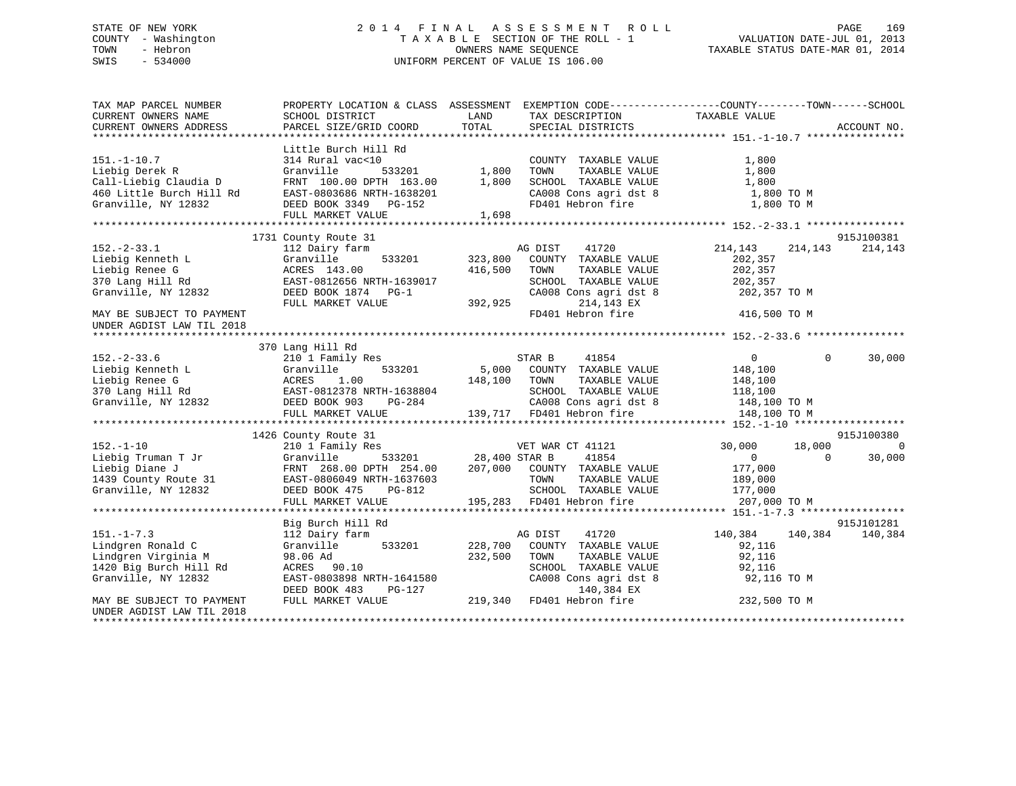## STATE OF NEW YORK 2 0 1 4 F I N A L A S S E S S M E N T R O L L PAGE 169 COUNTY - Washington T A X A B L E SECTION OF THE ROLL - 1 VALUATION DATE-JUL 01, 2013 TOWN - Hebron OWNERS NAME SEQUENCE TAXABLE STATUS DATE-MAR 01, 2014 SWIS - 534000 UNIFORM PERCENT OF VALUE IS 106.00

| Little Burch Hill Rd<br>$151. - 1 - 10.7$<br>314 Rural vac<10<br>1,800<br>COUNTY TAXABLE VALUE<br>1,800<br>Liebig Derek R<br>Granville<br>533201<br>TAXABLE VALUE<br>1,800<br>TOWN<br>Call-Liebig Claudia D<br>1,800<br>FRNT 100.00 DPTH 163.00<br>SCHOOL TAXABLE VALUE<br>1,800<br>460 Little Burch Hill Rd<br>CA008 Cons agri dst 8<br>1,800 TO M<br>EAST-0803686 NRTH-1638201<br>FD401 Hebron fire<br>Granville, NY 12832<br>DEED BOOK 3349 PG-152<br>1,800 TO M<br>FULL MARKET VALUE<br>1,698<br>1731 County Route 31<br>915J100381<br>$152 - 2 - 33.1$<br>112 Dairy farm<br>41720<br>214,143<br>214,143<br>AG DIST<br>214,143<br>Liebig Kenneth L<br>Granville<br>533201 323,800<br>COUNTY TAXABLE VALUE<br>202,357<br>Liebig Renee G<br>416,500<br>ACRES 143.00<br>TOWN<br>TAXABLE VALUE<br>202,357<br>370 Lang Hill Rd<br>EAST-0812656 NRTH-1639017<br>SCHOOL TAXABLE VALUE<br>202,357<br>Granville, NY 12832<br>CA008 Cons agri dst 8<br>DEED BOOK 1874 PG-1<br>202,357 TO M<br>214,143 EX<br>FULL MARKET VALUE<br>392,925<br>FD401 Hebron fire<br>416,500 TO M<br>MAY BE SUBJECT TO PAYMENT<br>UNDER AGDIST LAW TIL 2018<br>370 Lang Hill Rd<br>$152. - 2 - 33.6$<br>210 1 Family Res<br>$\Omega$<br>30,000<br>STAR B<br>41854<br>$\Omega$<br>533201<br>Liebig Kenneth L<br>Granville<br>5,000 COUNTY TAXABLE VALUE<br>148,100<br>Liebig Renec G<br>370 Lang Hill Rd<br>370 Lang Hill Rd<br>370 Lang Hill Rd<br>370 Lang Hill Rd<br>370 Lang Hill Rd<br>370 Lang Hill Rd<br>38804<br>38804<br>288T-0812378 NRTH-1638804<br>295244<br>148,100<br>TOWN<br>TAXABLE VALUE<br>148,100<br>SCHOOL TAXABLE VALUE<br>118,100<br>SCHOOL TAXABLE VALUE 118,100<br>CA008 Cons agri dst 8 148,100 TO M<br>139,717 FD401 Hebron fire<br>FULL MARKET VALUE<br>148,100 TO M<br>1426 County Route 31<br>915J100380<br>$152. - 1 - 10$<br>$\Omega$<br>210 1 Family Res<br>VET WAR CT 41121<br>30,000<br>18,000<br>533201 28,400 STAR B<br>41854<br>Liebig Truman T Jr<br>Granville<br>$\overline{0}$<br>$\Omega$<br>30,000<br>Liebig Diane J<br>FRNT 268.00 DPTH 254.00<br>207,000 COUNTY TAXABLE VALUE<br>177,000<br>1439 County Route 31<br>189,000<br>EAST-0806049 NRTH-1637603<br>TOWN<br>TAXABLE VALUE<br>Granville, NY 12832<br>DEED BOOK 475<br>PG-812<br>SCHOOL TAXABLE VALUE 177,000<br>195,283 FD401 Hebron fire<br>FULL MARKET VALUE<br>207,000 TO M<br>915J101281<br>Big Burch Hill Rd<br>$151. - 1 - 7.3$<br>41720<br>112 Dairy farm<br>AG DIST<br>140,384<br>140,384<br>140,384<br>Lindgren Ronald C<br>Granville 533201<br>228,700<br>COUNTY TAXABLE VALUE<br>92,116<br>98.06 Ad<br>232,500<br>92,116<br>Lindgren Virginia M<br>TOWN<br>TAXABLE VALUE<br>1420 Big Burch Hill Rd<br>SCHOOL TAXABLE VALUE<br>ACRES 90.10<br>92,116<br>Granville, NY 12832<br>EAST-0803898 NRTH-1641580<br>CA008 Cons agri dst 8<br>92,116 TO M<br>DEED BOOK 483<br>PG-127<br>140,384 EX<br>219,340<br>FD401 Hebron fire<br>232,500 TO M<br>FULL MARKET VALUE<br>MAY BE SUBJECT TO PAYMENT<br>UNDER AGDIST LAW TIL 2018 | TAX MAP PARCEL NUMBER<br>CURRENT OWNERS NAME<br>CURRENT OWNERS ADDRESS | SCHOOL DISTRICT<br>PARCEL SIZE/GRID COORD | LAND<br>TAX DESCRIPTION TAXABLE VALUE SPECIAL DISTRICTS<br>TOTAL | PROPERTY LOCATION & CLASS ASSESSMENT EXEMPTION CODE----------------COUNTY-------TOWN------SCHOOL<br>ACCOUNT NO. |
|------------------------------------------------------------------------------------------------------------------------------------------------------------------------------------------------------------------------------------------------------------------------------------------------------------------------------------------------------------------------------------------------------------------------------------------------------------------------------------------------------------------------------------------------------------------------------------------------------------------------------------------------------------------------------------------------------------------------------------------------------------------------------------------------------------------------------------------------------------------------------------------------------------------------------------------------------------------------------------------------------------------------------------------------------------------------------------------------------------------------------------------------------------------------------------------------------------------------------------------------------------------------------------------------------------------------------------------------------------------------------------------------------------------------------------------------------------------------------------------------------------------------------------------------------------------------------------------------------------------------------------------------------------------------------------------------------------------------------------------------------------------------------------------------------------------------------------------------------------------------------------------------------------------------------------------------------------------------------------------------------------------------------------------------------------------------------------------------------------------------------------------------------------------------------------------------------------------------------------------------------------------------------------------------------------------------------------------------------------------------------------------------------------------------------------------------------------------------------------------------------------------------------------------------------------------------------------------------------------------------------------------------------------------------------------------------------------------------------------------------------------------------------------------------------------------------------------------------------------------------------------------------------------------------------------------------------------------------------------------------------------|------------------------------------------------------------------------|-------------------------------------------|------------------------------------------------------------------|-----------------------------------------------------------------------------------------------------------------|
|                                                                                                                                                                                                                                                                                                                                                                                                                                                                                                                                                                                                                                                                                                                                                                                                                                                                                                                                                                                                                                                                                                                                                                                                                                                                                                                                                                                                                                                                                                                                                                                                                                                                                                                                                                                                                                                                                                                                                                                                                                                                                                                                                                                                                                                                                                                                                                                                                                                                                                                                                                                                                                                                                                                                                                                                                                                                                                                                                                                                            |                                                                        |                                           |                                                                  |                                                                                                                 |
|                                                                                                                                                                                                                                                                                                                                                                                                                                                                                                                                                                                                                                                                                                                                                                                                                                                                                                                                                                                                                                                                                                                                                                                                                                                                                                                                                                                                                                                                                                                                                                                                                                                                                                                                                                                                                                                                                                                                                                                                                                                                                                                                                                                                                                                                                                                                                                                                                                                                                                                                                                                                                                                                                                                                                                                                                                                                                                                                                                                                            |                                                                        |                                           |                                                                  |                                                                                                                 |
|                                                                                                                                                                                                                                                                                                                                                                                                                                                                                                                                                                                                                                                                                                                                                                                                                                                                                                                                                                                                                                                                                                                                                                                                                                                                                                                                                                                                                                                                                                                                                                                                                                                                                                                                                                                                                                                                                                                                                                                                                                                                                                                                                                                                                                                                                                                                                                                                                                                                                                                                                                                                                                                                                                                                                                                                                                                                                                                                                                                                            |                                                                        |                                           |                                                                  |                                                                                                                 |
|                                                                                                                                                                                                                                                                                                                                                                                                                                                                                                                                                                                                                                                                                                                                                                                                                                                                                                                                                                                                                                                                                                                                                                                                                                                                                                                                                                                                                                                                                                                                                                                                                                                                                                                                                                                                                                                                                                                                                                                                                                                                                                                                                                                                                                                                                                                                                                                                                                                                                                                                                                                                                                                                                                                                                                                                                                                                                                                                                                                                            |                                                                        |                                           |                                                                  |                                                                                                                 |
|                                                                                                                                                                                                                                                                                                                                                                                                                                                                                                                                                                                                                                                                                                                                                                                                                                                                                                                                                                                                                                                                                                                                                                                                                                                                                                                                                                                                                                                                                                                                                                                                                                                                                                                                                                                                                                                                                                                                                                                                                                                                                                                                                                                                                                                                                                                                                                                                                                                                                                                                                                                                                                                                                                                                                                                                                                                                                                                                                                                                            |                                                                        |                                           |                                                                  |                                                                                                                 |
|                                                                                                                                                                                                                                                                                                                                                                                                                                                                                                                                                                                                                                                                                                                                                                                                                                                                                                                                                                                                                                                                                                                                                                                                                                                                                                                                                                                                                                                                                                                                                                                                                                                                                                                                                                                                                                                                                                                                                                                                                                                                                                                                                                                                                                                                                                                                                                                                                                                                                                                                                                                                                                                                                                                                                                                                                                                                                                                                                                                                            |                                                                        |                                           |                                                                  |                                                                                                                 |
|                                                                                                                                                                                                                                                                                                                                                                                                                                                                                                                                                                                                                                                                                                                                                                                                                                                                                                                                                                                                                                                                                                                                                                                                                                                                                                                                                                                                                                                                                                                                                                                                                                                                                                                                                                                                                                                                                                                                                                                                                                                                                                                                                                                                                                                                                                                                                                                                                                                                                                                                                                                                                                                                                                                                                                                                                                                                                                                                                                                                            |                                                                        |                                           |                                                                  |                                                                                                                 |
|                                                                                                                                                                                                                                                                                                                                                                                                                                                                                                                                                                                                                                                                                                                                                                                                                                                                                                                                                                                                                                                                                                                                                                                                                                                                                                                                                                                                                                                                                                                                                                                                                                                                                                                                                                                                                                                                                                                                                                                                                                                                                                                                                                                                                                                                                                                                                                                                                                                                                                                                                                                                                                                                                                                                                                                                                                                                                                                                                                                                            |                                                                        |                                           |                                                                  |                                                                                                                 |
|                                                                                                                                                                                                                                                                                                                                                                                                                                                                                                                                                                                                                                                                                                                                                                                                                                                                                                                                                                                                                                                                                                                                                                                                                                                                                                                                                                                                                                                                                                                                                                                                                                                                                                                                                                                                                                                                                                                                                                                                                                                                                                                                                                                                                                                                                                                                                                                                                                                                                                                                                                                                                                                                                                                                                                                                                                                                                                                                                                                                            |                                                                        |                                           |                                                                  |                                                                                                                 |
|                                                                                                                                                                                                                                                                                                                                                                                                                                                                                                                                                                                                                                                                                                                                                                                                                                                                                                                                                                                                                                                                                                                                                                                                                                                                                                                                                                                                                                                                                                                                                                                                                                                                                                                                                                                                                                                                                                                                                                                                                                                                                                                                                                                                                                                                                                                                                                                                                                                                                                                                                                                                                                                                                                                                                                                                                                                                                                                                                                                                            |                                                                        |                                           |                                                                  |                                                                                                                 |
|                                                                                                                                                                                                                                                                                                                                                                                                                                                                                                                                                                                                                                                                                                                                                                                                                                                                                                                                                                                                                                                                                                                                                                                                                                                                                                                                                                                                                                                                                                                                                                                                                                                                                                                                                                                                                                                                                                                                                                                                                                                                                                                                                                                                                                                                                                                                                                                                                                                                                                                                                                                                                                                                                                                                                                                                                                                                                                                                                                                                            |                                                                        |                                           |                                                                  |                                                                                                                 |
|                                                                                                                                                                                                                                                                                                                                                                                                                                                                                                                                                                                                                                                                                                                                                                                                                                                                                                                                                                                                                                                                                                                                                                                                                                                                                                                                                                                                                                                                                                                                                                                                                                                                                                                                                                                                                                                                                                                                                                                                                                                                                                                                                                                                                                                                                                                                                                                                                                                                                                                                                                                                                                                                                                                                                                                                                                                                                                                                                                                                            |                                                                        |                                           |                                                                  |                                                                                                                 |
|                                                                                                                                                                                                                                                                                                                                                                                                                                                                                                                                                                                                                                                                                                                                                                                                                                                                                                                                                                                                                                                                                                                                                                                                                                                                                                                                                                                                                                                                                                                                                                                                                                                                                                                                                                                                                                                                                                                                                                                                                                                                                                                                                                                                                                                                                                                                                                                                                                                                                                                                                                                                                                                                                                                                                                                                                                                                                                                                                                                                            |                                                                        |                                           |                                                                  |                                                                                                                 |
|                                                                                                                                                                                                                                                                                                                                                                                                                                                                                                                                                                                                                                                                                                                                                                                                                                                                                                                                                                                                                                                                                                                                                                                                                                                                                                                                                                                                                                                                                                                                                                                                                                                                                                                                                                                                                                                                                                                                                                                                                                                                                                                                                                                                                                                                                                                                                                                                                                                                                                                                                                                                                                                                                                                                                                                                                                                                                                                                                                                                            |                                                                        |                                           |                                                                  |                                                                                                                 |
|                                                                                                                                                                                                                                                                                                                                                                                                                                                                                                                                                                                                                                                                                                                                                                                                                                                                                                                                                                                                                                                                                                                                                                                                                                                                                                                                                                                                                                                                                                                                                                                                                                                                                                                                                                                                                                                                                                                                                                                                                                                                                                                                                                                                                                                                                                                                                                                                                                                                                                                                                                                                                                                                                                                                                                                                                                                                                                                                                                                                            |                                                                        |                                           |                                                                  |                                                                                                                 |
|                                                                                                                                                                                                                                                                                                                                                                                                                                                                                                                                                                                                                                                                                                                                                                                                                                                                                                                                                                                                                                                                                                                                                                                                                                                                                                                                                                                                                                                                                                                                                                                                                                                                                                                                                                                                                                                                                                                                                                                                                                                                                                                                                                                                                                                                                                                                                                                                                                                                                                                                                                                                                                                                                                                                                                                                                                                                                                                                                                                                            |                                                                        |                                           |                                                                  |                                                                                                                 |
|                                                                                                                                                                                                                                                                                                                                                                                                                                                                                                                                                                                                                                                                                                                                                                                                                                                                                                                                                                                                                                                                                                                                                                                                                                                                                                                                                                                                                                                                                                                                                                                                                                                                                                                                                                                                                                                                                                                                                                                                                                                                                                                                                                                                                                                                                                                                                                                                                                                                                                                                                                                                                                                                                                                                                                                                                                                                                                                                                                                                            |                                                                        |                                           |                                                                  |                                                                                                                 |
|                                                                                                                                                                                                                                                                                                                                                                                                                                                                                                                                                                                                                                                                                                                                                                                                                                                                                                                                                                                                                                                                                                                                                                                                                                                                                                                                                                                                                                                                                                                                                                                                                                                                                                                                                                                                                                                                                                                                                                                                                                                                                                                                                                                                                                                                                                                                                                                                                                                                                                                                                                                                                                                                                                                                                                                                                                                                                                                                                                                                            |                                                                        |                                           |                                                                  |                                                                                                                 |
|                                                                                                                                                                                                                                                                                                                                                                                                                                                                                                                                                                                                                                                                                                                                                                                                                                                                                                                                                                                                                                                                                                                                                                                                                                                                                                                                                                                                                                                                                                                                                                                                                                                                                                                                                                                                                                                                                                                                                                                                                                                                                                                                                                                                                                                                                                                                                                                                                                                                                                                                                                                                                                                                                                                                                                                                                                                                                                                                                                                                            |                                                                        |                                           |                                                                  |                                                                                                                 |
|                                                                                                                                                                                                                                                                                                                                                                                                                                                                                                                                                                                                                                                                                                                                                                                                                                                                                                                                                                                                                                                                                                                                                                                                                                                                                                                                                                                                                                                                                                                                                                                                                                                                                                                                                                                                                                                                                                                                                                                                                                                                                                                                                                                                                                                                                                                                                                                                                                                                                                                                                                                                                                                                                                                                                                                                                                                                                                                                                                                                            |                                                                        |                                           |                                                                  |                                                                                                                 |
|                                                                                                                                                                                                                                                                                                                                                                                                                                                                                                                                                                                                                                                                                                                                                                                                                                                                                                                                                                                                                                                                                                                                                                                                                                                                                                                                                                                                                                                                                                                                                                                                                                                                                                                                                                                                                                                                                                                                                                                                                                                                                                                                                                                                                                                                                                                                                                                                                                                                                                                                                                                                                                                                                                                                                                                                                                                                                                                                                                                                            |                                                                        |                                           |                                                                  |                                                                                                                 |
|                                                                                                                                                                                                                                                                                                                                                                                                                                                                                                                                                                                                                                                                                                                                                                                                                                                                                                                                                                                                                                                                                                                                                                                                                                                                                                                                                                                                                                                                                                                                                                                                                                                                                                                                                                                                                                                                                                                                                                                                                                                                                                                                                                                                                                                                                                                                                                                                                                                                                                                                                                                                                                                                                                                                                                                                                                                                                                                                                                                                            |                                                                        |                                           |                                                                  |                                                                                                                 |
|                                                                                                                                                                                                                                                                                                                                                                                                                                                                                                                                                                                                                                                                                                                                                                                                                                                                                                                                                                                                                                                                                                                                                                                                                                                                                                                                                                                                                                                                                                                                                                                                                                                                                                                                                                                                                                                                                                                                                                                                                                                                                                                                                                                                                                                                                                                                                                                                                                                                                                                                                                                                                                                                                                                                                                                                                                                                                                                                                                                                            |                                                                        |                                           |                                                                  |                                                                                                                 |
|                                                                                                                                                                                                                                                                                                                                                                                                                                                                                                                                                                                                                                                                                                                                                                                                                                                                                                                                                                                                                                                                                                                                                                                                                                                                                                                                                                                                                                                                                                                                                                                                                                                                                                                                                                                                                                                                                                                                                                                                                                                                                                                                                                                                                                                                                                                                                                                                                                                                                                                                                                                                                                                                                                                                                                                                                                                                                                                                                                                                            |                                                                        |                                           |                                                                  |                                                                                                                 |
|                                                                                                                                                                                                                                                                                                                                                                                                                                                                                                                                                                                                                                                                                                                                                                                                                                                                                                                                                                                                                                                                                                                                                                                                                                                                                                                                                                                                                                                                                                                                                                                                                                                                                                                                                                                                                                                                                                                                                                                                                                                                                                                                                                                                                                                                                                                                                                                                                                                                                                                                                                                                                                                                                                                                                                                                                                                                                                                                                                                                            |                                                                        |                                           |                                                                  |                                                                                                                 |
|                                                                                                                                                                                                                                                                                                                                                                                                                                                                                                                                                                                                                                                                                                                                                                                                                                                                                                                                                                                                                                                                                                                                                                                                                                                                                                                                                                                                                                                                                                                                                                                                                                                                                                                                                                                                                                                                                                                                                                                                                                                                                                                                                                                                                                                                                                                                                                                                                                                                                                                                                                                                                                                                                                                                                                                                                                                                                                                                                                                                            |                                                                        |                                           |                                                                  |                                                                                                                 |
|                                                                                                                                                                                                                                                                                                                                                                                                                                                                                                                                                                                                                                                                                                                                                                                                                                                                                                                                                                                                                                                                                                                                                                                                                                                                                                                                                                                                                                                                                                                                                                                                                                                                                                                                                                                                                                                                                                                                                                                                                                                                                                                                                                                                                                                                                                                                                                                                                                                                                                                                                                                                                                                                                                                                                                                                                                                                                                                                                                                                            |                                                                        |                                           |                                                                  |                                                                                                                 |
|                                                                                                                                                                                                                                                                                                                                                                                                                                                                                                                                                                                                                                                                                                                                                                                                                                                                                                                                                                                                                                                                                                                                                                                                                                                                                                                                                                                                                                                                                                                                                                                                                                                                                                                                                                                                                                                                                                                                                                                                                                                                                                                                                                                                                                                                                                                                                                                                                                                                                                                                                                                                                                                                                                                                                                                                                                                                                                                                                                                                            |                                                                        |                                           |                                                                  |                                                                                                                 |
|                                                                                                                                                                                                                                                                                                                                                                                                                                                                                                                                                                                                                                                                                                                                                                                                                                                                                                                                                                                                                                                                                                                                                                                                                                                                                                                                                                                                                                                                                                                                                                                                                                                                                                                                                                                                                                                                                                                                                                                                                                                                                                                                                                                                                                                                                                                                                                                                                                                                                                                                                                                                                                                                                                                                                                                                                                                                                                                                                                                                            |                                                                        |                                           |                                                                  |                                                                                                                 |
|                                                                                                                                                                                                                                                                                                                                                                                                                                                                                                                                                                                                                                                                                                                                                                                                                                                                                                                                                                                                                                                                                                                                                                                                                                                                                                                                                                                                                                                                                                                                                                                                                                                                                                                                                                                                                                                                                                                                                                                                                                                                                                                                                                                                                                                                                                                                                                                                                                                                                                                                                                                                                                                                                                                                                                                                                                                                                                                                                                                                            |                                                                        |                                           |                                                                  |                                                                                                                 |
|                                                                                                                                                                                                                                                                                                                                                                                                                                                                                                                                                                                                                                                                                                                                                                                                                                                                                                                                                                                                                                                                                                                                                                                                                                                                                                                                                                                                                                                                                                                                                                                                                                                                                                                                                                                                                                                                                                                                                                                                                                                                                                                                                                                                                                                                                                                                                                                                                                                                                                                                                                                                                                                                                                                                                                                                                                                                                                                                                                                                            |                                                                        |                                           |                                                                  |                                                                                                                 |
|                                                                                                                                                                                                                                                                                                                                                                                                                                                                                                                                                                                                                                                                                                                                                                                                                                                                                                                                                                                                                                                                                                                                                                                                                                                                                                                                                                                                                                                                                                                                                                                                                                                                                                                                                                                                                                                                                                                                                                                                                                                                                                                                                                                                                                                                                                                                                                                                                                                                                                                                                                                                                                                                                                                                                                                                                                                                                                                                                                                                            |                                                                        |                                           |                                                                  |                                                                                                                 |
|                                                                                                                                                                                                                                                                                                                                                                                                                                                                                                                                                                                                                                                                                                                                                                                                                                                                                                                                                                                                                                                                                                                                                                                                                                                                                                                                                                                                                                                                                                                                                                                                                                                                                                                                                                                                                                                                                                                                                                                                                                                                                                                                                                                                                                                                                                                                                                                                                                                                                                                                                                                                                                                                                                                                                                                                                                                                                                                                                                                                            |                                                                        |                                           |                                                                  |                                                                                                                 |
|                                                                                                                                                                                                                                                                                                                                                                                                                                                                                                                                                                                                                                                                                                                                                                                                                                                                                                                                                                                                                                                                                                                                                                                                                                                                                                                                                                                                                                                                                                                                                                                                                                                                                                                                                                                                                                                                                                                                                                                                                                                                                                                                                                                                                                                                                                                                                                                                                                                                                                                                                                                                                                                                                                                                                                                                                                                                                                                                                                                                            |                                                                        |                                           |                                                                  |                                                                                                                 |
|                                                                                                                                                                                                                                                                                                                                                                                                                                                                                                                                                                                                                                                                                                                                                                                                                                                                                                                                                                                                                                                                                                                                                                                                                                                                                                                                                                                                                                                                                                                                                                                                                                                                                                                                                                                                                                                                                                                                                                                                                                                                                                                                                                                                                                                                                                                                                                                                                                                                                                                                                                                                                                                                                                                                                                                                                                                                                                                                                                                                            |                                                                        |                                           |                                                                  |                                                                                                                 |
|                                                                                                                                                                                                                                                                                                                                                                                                                                                                                                                                                                                                                                                                                                                                                                                                                                                                                                                                                                                                                                                                                                                                                                                                                                                                                                                                                                                                                                                                                                                                                                                                                                                                                                                                                                                                                                                                                                                                                                                                                                                                                                                                                                                                                                                                                                                                                                                                                                                                                                                                                                                                                                                                                                                                                                                                                                                                                                                                                                                                            |                                                                        |                                           |                                                                  |                                                                                                                 |
|                                                                                                                                                                                                                                                                                                                                                                                                                                                                                                                                                                                                                                                                                                                                                                                                                                                                                                                                                                                                                                                                                                                                                                                                                                                                                                                                                                                                                                                                                                                                                                                                                                                                                                                                                                                                                                                                                                                                                                                                                                                                                                                                                                                                                                                                                                                                                                                                                                                                                                                                                                                                                                                                                                                                                                                                                                                                                                                                                                                                            |                                                                        |                                           |                                                                  |                                                                                                                 |
|                                                                                                                                                                                                                                                                                                                                                                                                                                                                                                                                                                                                                                                                                                                                                                                                                                                                                                                                                                                                                                                                                                                                                                                                                                                                                                                                                                                                                                                                                                                                                                                                                                                                                                                                                                                                                                                                                                                                                                                                                                                                                                                                                                                                                                                                                                                                                                                                                                                                                                                                                                                                                                                                                                                                                                                                                                                                                                                                                                                                            |                                                                        |                                           |                                                                  |                                                                                                                 |
|                                                                                                                                                                                                                                                                                                                                                                                                                                                                                                                                                                                                                                                                                                                                                                                                                                                                                                                                                                                                                                                                                                                                                                                                                                                                                                                                                                                                                                                                                                                                                                                                                                                                                                                                                                                                                                                                                                                                                                                                                                                                                                                                                                                                                                                                                                                                                                                                                                                                                                                                                                                                                                                                                                                                                                                                                                                                                                                                                                                                            |                                                                        |                                           |                                                                  |                                                                                                                 |
|                                                                                                                                                                                                                                                                                                                                                                                                                                                                                                                                                                                                                                                                                                                                                                                                                                                                                                                                                                                                                                                                                                                                                                                                                                                                                                                                                                                                                                                                                                                                                                                                                                                                                                                                                                                                                                                                                                                                                                                                                                                                                                                                                                                                                                                                                                                                                                                                                                                                                                                                                                                                                                                                                                                                                                                                                                                                                                                                                                                                            |                                                                        |                                           |                                                                  |                                                                                                                 |
|                                                                                                                                                                                                                                                                                                                                                                                                                                                                                                                                                                                                                                                                                                                                                                                                                                                                                                                                                                                                                                                                                                                                                                                                                                                                                                                                                                                                                                                                                                                                                                                                                                                                                                                                                                                                                                                                                                                                                                                                                                                                                                                                                                                                                                                                                                                                                                                                                                                                                                                                                                                                                                                                                                                                                                                                                                                                                                                                                                                                            |                                                                        |                                           |                                                                  |                                                                                                                 |
|                                                                                                                                                                                                                                                                                                                                                                                                                                                                                                                                                                                                                                                                                                                                                                                                                                                                                                                                                                                                                                                                                                                                                                                                                                                                                                                                                                                                                                                                                                                                                                                                                                                                                                                                                                                                                                                                                                                                                                                                                                                                                                                                                                                                                                                                                                                                                                                                                                                                                                                                                                                                                                                                                                                                                                                                                                                                                                                                                                                                            |                                                                        |                                           |                                                                  |                                                                                                                 |
|                                                                                                                                                                                                                                                                                                                                                                                                                                                                                                                                                                                                                                                                                                                                                                                                                                                                                                                                                                                                                                                                                                                                                                                                                                                                                                                                                                                                                                                                                                                                                                                                                                                                                                                                                                                                                                                                                                                                                                                                                                                                                                                                                                                                                                                                                                                                                                                                                                                                                                                                                                                                                                                                                                                                                                                                                                                                                                                                                                                                            |                                                                        |                                           |                                                                  |                                                                                                                 |
|                                                                                                                                                                                                                                                                                                                                                                                                                                                                                                                                                                                                                                                                                                                                                                                                                                                                                                                                                                                                                                                                                                                                                                                                                                                                                                                                                                                                                                                                                                                                                                                                                                                                                                                                                                                                                                                                                                                                                                                                                                                                                                                                                                                                                                                                                                                                                                                                                                                                                                                                                                                                                                                                                                                                                                                                                                                                                                                                                                                                            |                                                                        |                                           |                                                                  |                                                                                                                 |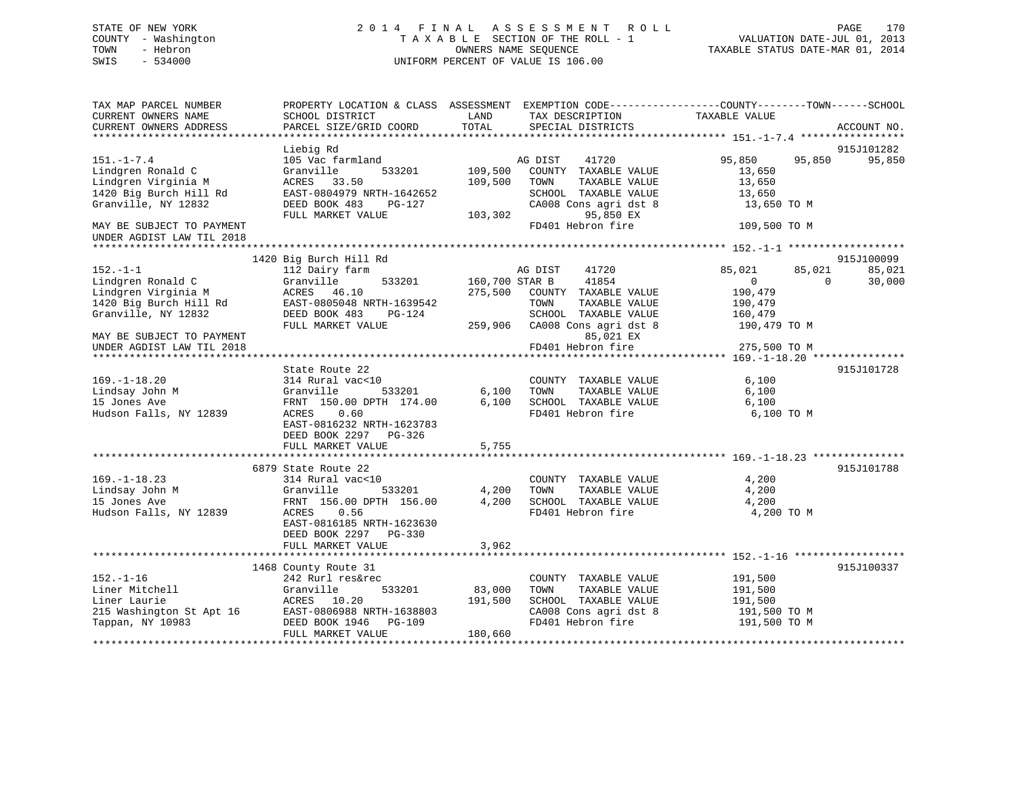## STATE OF NEW YORK 2 0 1 4 F I N A L A S S E S S M E N T R O L L PAGE 170 COUNTY - Washington T A X A B L E SECTION OF THE ROLL - 1 VALUATION DATE-JUL 01, 2013 TOWN - Hebron **CONNERS NAME SEQUENCE** TAXABLE STATUS DATE-MAR 01, 2014 SWIS - 534000 UNIFORM PERCENT OF VALUE IS 106.00

| TAX MAP PARCEL NUMBER     | PROPERTY LOCATION & CLASS ASSESSMENT EXEMPTION CODE----------------COUNTY-------TOWN------SCHOOL |                |                       |                |                    |
|---------------------------|--------------------------------------------------------------------------------------------------|----------------|-----------------------|----------------|--------------------|
| CURRENT OWNERS NAME       | SCHOOL DISTRICT                                                                                  | LAND           | TAX DESCRIPTION       | TAXABLE VALUE  |                    |
| CURRENT OWNERS ADDRESS    | PARCEL SIZE/GRID COORD                                                                           | TOTAL          | SPECIAL DISTRICTS     |                | ACCOUNT NO.        |
|                           |                                                                                                  |                |                       |                |                    |
|                           | Liebig Rd                                                                                        |                |                       |                | 915J101282         |
| $151. - 1 - 7.4$          | 105 Vac farmland                                                                                 |                | AG DIST<br>41720      | 95,850         | 95,850<br>95,850   |
| Lindgren Ronald C         | Granville<br>533201                                                                              | 109,500        | COUNTY TAXABLE VALUE  | 13,650         |                    |
| Lindgren Virginia M       | ACRES<br>33.50                                                                                   | 109,500        | TOWN<br>TAXABLE VALUE | 13,650         |                    |
| 1420 Big Burch Hill Rd    | EAST-0804979 NRTH-1642652                                                                        |                | SCHOOL TAXABLE VALUE  | 13,650         |                    |
| Granville, NY 12832       | DEED BOOK 483<br>PG-127                                                                          |                | CA008 Cons agri dst 8 | 13,650 TO M    |                    |
|                           | FULL MARKET VALUE                                                                                | 103,302        | 95,850 EX             |                |                    |
| MAY BE SUBJECT TO PAYMENT |                                                                                                  |                | FD401 Hebron fire     | 109,500 TO M   |                    |
| UNDER AGDIST LAW TIL 2018 |                                                                                                  |                |                       |                |                    |
|                           |                                                                                                  |                |                       |                |                    |
|                           | 1420 Big Burch Hill Rd                                                                           |                |                       |                | 915J100099         |
| $152. - 1 - 1$            | 112 Dairy farm                                                                                   |                | 41720<br>AG DIST      | 85,021         | 85,021<br>85,021   |
| Lindgren Ronald C         | Granville<br>533201                                                                              | 160,700 STAR B | 41854                 | $\overline{0}$ | $\Omega$<br>30,000 |
| Lindgren Virginia M       | 46.10<br>ACRES                                                                                   | 275,500        | COUNTY TAXABLE VALUE  | 190,479        |                    |
| 1420 Big Burch Hill Rd    | EAST-0805048 NRTH-1639542                                                                        |                | TOWN<br>TAXABLE VALUE | 190,479        |                    |
| Granville, NY 12832       | DEED BOOK 483<br>PG-124                                                                          |                | SCHOOL TAXABLE VALUE  | 160,479        |                    |
|                           | FULL MARKET VALUE                                                                                | 259,906        | CA008 Cons agri dst 8 | 190,479 TO M   |                    |
| MAY BE SUBJECT TO PAYMENT |                                                                                                  |                | 85,021 EX             |                |                    |
| UNDER AGDIST LAW TIL 2018 |                                                                                                  |                | FD401 Hebron fire     | 275,500 TO M   |                    |
|                           |                                                                                                  |                |                       |                |                    |
|                           | State Route 22                                                                                   |                |                       |                | 915J101728         |
| $169. - 1 - 18.20$        | 314 Rural vac<10                                                                                 |                | COUNTY TAXABLE VALUE  | 6,100          |                    |
| Lindsay John M            | Granville<br>533201                                                                              | 6,100          | TOWN<br>TAXABLE VALUE | 6,100          |                    |
| 15 Jones Ave              | FRNT 150.00 DPTH 174.00                                                                          | 6,100          | SCHOOL TAXABLE VALUE  | 6,100          |                    |
| Hudson Falls, NY 12839    | ACRES<br>0.60                                                                                    |                | FD401 Hebron fire     | 6,100 TO M     |                    |
|                           | EAST-0816232 NRTH-1623783                                                                        |                |                       |                |                    |
|                           | DEED BOOK 2297<br>PG-326                                                                         |                |                       |                |                    |
|                           | FULL MARKET VALUE                                                                                | 5,755          |                       |                |                    |
|                           |                                                                                                  |                |                       |                |                    |
|                           | 6879 State Route 22                                                                              |                |                       |                | 915J101788         |
| $169. - 1 - 18.23$        | 314 Rural vac<10                                                                                 |                | COUNTY TAXABLE VALUE  | 4,200          |                    |
| Lindsay John M            | Granville<br>533201                                                                              | 4,200          | TOWN<br>TAXABLE VALUE | 4,200          |                    |
| 15 Jones Ave              | FRNT 156.00 DPTH 156.00                                                                          | 4,200          | SCHOOL TAXABLE VALUE  | 4,200          |                    |
| Hudson Falls, NY 12839    | 0.56<br>ACRES                                                                                    |                | FD401 Hebron fire     | 4,200 TO M     |                    |
|                           | EAST-0816185 NRTH-1623630                                                                        |                |                       |                |                    |
|                           | DEED BOOK 2297<br>PG-330                                                                         |                |                       |                |                    |
|                           | FULL MARKET VALUE                                                                                | 3,962          |                       |                |                    |
|                           |                                                                                                  |                |                       |                |                    |
|                           | 1468 County Route 31                                                                             |                |                       |                | 915J100337         |
| $152. - 1 - 16$           | 242 Rurl res&rec                                                                                 |                | COUNTY TAXABLE VALUE  | 191,500        |                    |
| Liner Mitchell            | Granville<br>533201                                                                              | 83,000         | TOWN<br>TAXABLE VALUE | 191,500        |                    |
| Liner Laurie              | 10.20<br>ACRES                                                                                   | 191,500        | SCHOOL TAXABLE VALUE  | 191,500        |                    |
| 215 Washington St Apt 16  | EAST-0806988 NRTH-1638803                                                                        |                | CA008 Cons agri dst 8 | 191,500 TO M   |                    |
| Tappan, NY 10983          | DEED BOOK 1946<br><b>PG-109</b>                                                                  |                | FD401 Hebron fire     | 191,500 TO M   |                    |
|                           | FULL MARKET VALUE                                                                                | 180,660        |                       |                |                    |
|                           |                                                                                                  |                |                       |                |                    |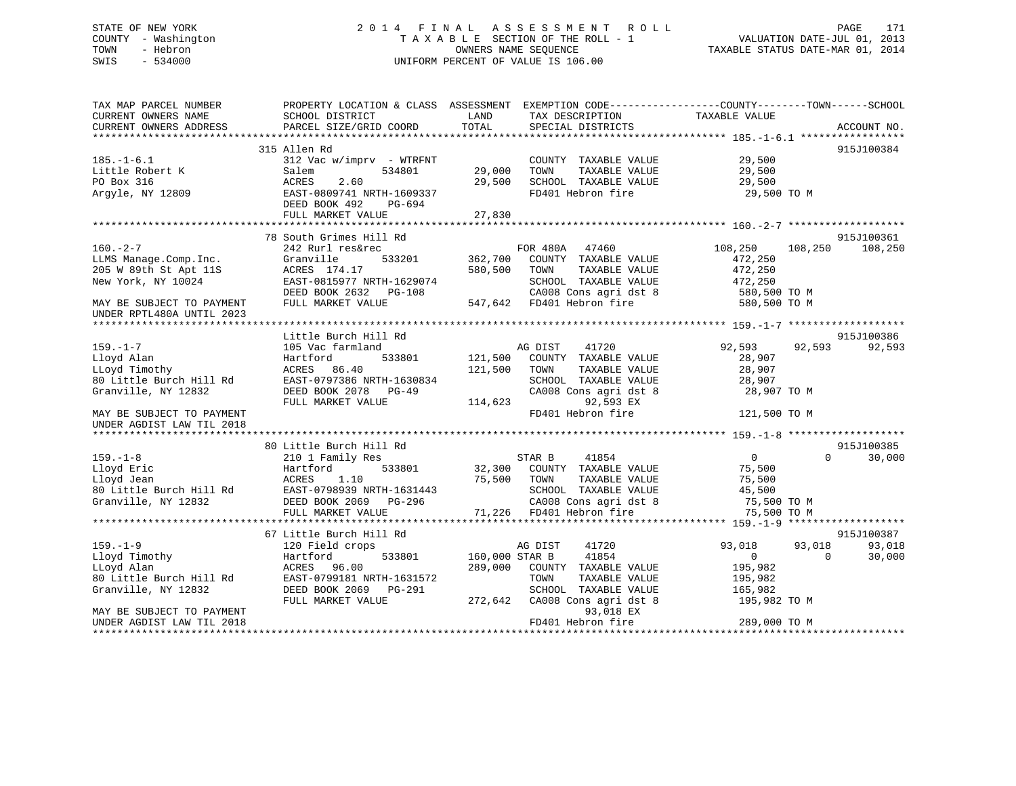## STATE OF NEW YORK 2 0 1 4 F I N A L A S S E S S M E N T R O L L PAGE 171 COUNTY - Washington T A X A B L E SECTION OF THE ROLL - 1 VALUATION DATE-JUL 01, 2013 TOWN - Hebron OWNERS NAME SEQUENCE TAXABLE STATUS DATE-MAR 01, 2014 SWIS - 534000 UNIFORM PERCENT OF VALUE IS 106.00

| CURRENT OWNERS NAME<br>SCHOOL DISTRICT<br>LAND<br>TAX DESCRIPTION<br>TAXABLE VALUE<br>TOTAL<br>CURRENT OWNERS ADDRESS<br>PARCEL SIZE/GRID COORD<br>SPECIAL DISTRICTS<br>ACCOUNT NO.<br>315 Allen Rd<br>915J100384<br>COUNTY TAXABLE VALUE 29,500<br>$185. - 1 - 6.1$<br>$312$ Vac w/imprv - WTRFNT<br>29,000<br>29,500<br>Little Robert K<br>Salem<br>534801<br>TOWN<br>TAXABLE VALUE<br>PO Box 316<br>2.60<br>29,500<br>SCHOOL TAXABLE VALUE<br>29,500<br>ACRES<br>FD401 Hebron fire<br>Argyle, NY 12809<br>EAST-0809741 NRTH-1609337<br>29,500 TO M<br>DEED BOOK 492<br>PG-694<br>FULL MARKET VALUE<br>27,830<br>78 South Grimes Hill Rd<br>915J100361<br>$160. -2 - 7$<br>FOR 480A 47460<br>108,250<br>242 Rurl res&rec<br>108,250<br>108,250<br>533201 362,700<br>COUNTY TAXABLE VALUE<br>LLMS Manage.Comp.Inc.<br>Granville<br>472,250<br>205 W 89th St Apt 11S<br>580,500<br>TOWN<br>TAXABLE VALUE<br>472,250<br>ACRES 174.17<br>472,250<br>New York, NY 10024<br>EAST-0815977 NRTH-1629074<br>SCHOOL TAXABLE VALUE<br>DEED BOOK 2632 PG-108<br>CA008 Cons agri dst 8<br>580,500 TO M<br>547,642 FD401 Hebron fire<br>FULL MARKET VALUE<br>580,500 TO M<br>MAY BE SUBJECT TO PAYMENT<br>UNDER RPTL480A UNTIL 2023<br>915J100386<br>Little Burch Hill Rd<br>$159. - 1 - 7$<br>AG DIST<br>41720<br>92,593<br>92,593<br>92,593<br>105 Vac farmland<br>Lloyd Alan<br>Hartford<br>533801<br>121,500<br>COUNTY TAXABLE VALUE<br>28,907<br>121,500<br>LLoyd Timothy<br>ACRES 86.40<br>TOWN<br>TAXABLE VALUE<br>28,907<br>80 Little Burch Hill Rd<br>EAST-0797386 NRTH-1630834<br>SCHOOL TAXABLE VALUE<br>28,907<br>Granville, NY 12832<br>DEED BOOK 2078 PG-49<br>CA008 Cons agri dst 8<br>28,907 TO M<br>92,593 EX<br>FULL MARKET VALUE<br>114,623<br>FD401 Hebron fire<br>121,500 TO M<br>MAY BE SUBJECT TO PAYMENT<br>UNDER AGDIST LAW TIL 2018<br>915J100385<br>80 Little Burch Hill Rd<br>$\overline{0}$<br>$\Omega$<br>30,000<br>$159. - 1 - 8$<br>210 1 Family Res<br>STAR B<br>41854<br>32,300<br>Lloyd Eric<br>COUNTY TAXABLE VALUE<br>75,500<br>Hartford<br>533801<br>75,500<br>TAXABLE VALUE<br>Lloyd Jean<br>ACRES<br>1.10<br>TOWN<br>75,500<br>EAST-0798939 NRTH-1631443<br>80 Little Burch Hill Rd<br>SCHOOL TAXABLE VALUE<br>45,500<br>Granville, NY 12832<br>DEED BOOK 2069 PG-296<br>CA008 Cons agri dst 8<br>75,500 TO M<br>71,226 FD401 Hebron fire<br>FULL MARKET VALUE<br>75,500 TO M<br>915J100387<br>67 Little Burch Hill Rd<br>$159. - 1 - 9$<br>AG DIST<br>41720<br>93,018<br>93,018<br>93,018<br>120 Field crops<br>Lloyd Timothy<br>160,000 STAR B<br>41854<br>$0 \qquad \qquad$<br>$\Omega$<br>30,000<br>Hartford<br>533801<br>289,000<br>LLoyd Alan<br>ACRES 96.00<br>COUNTY TAXABLE VALUE<br>195,982<br>80 Little Burch Hill Rd<br>EAST-0799181 NRTH-1631572<br>TOWN<br>TAXABLE VALUE<br>195,982<br>Granville, NY 12832<br>DEED BOOK 2069 PG-291<br>SCHOOL TAXABLE VALUE<br>165,982<br>FULL MARKET VALUE<br>272,642<br>CA008 Cons agri dst 8<br>195,982 TO M<br>93,018 EX<br>MAY BE SUBJECT TO PAYMENT<br>FD401 Hebron fire<br>289,000 TO M<br>UNDER AGDIST LAW TIL 2018 | TAX MAP PARCEL NUMBER | PROPERTY LOCATION & CLASS ASSESSMENT EXEMPTION CODE----------------COUNTY-------TOWN------SCHOOL |  |  |  |
|-------------------------------------------------------------------------------------------------------------------------------------------------------------------------------------------------------------------------------------------------------------------------------------------------------------------------------------------------------------------------------------------------------------------------------------------------------------------------------------------------------------------------------------------------------------------------------------------------------------------------------------------------------------------------------------------------------------------------------------------------------------------------------------------------------------------------------------------------------------------------------------------------------------------------------------------------------------------------------------------------------------------------------------------------------------------------------------------------------------------------------------------------------------------------------------------------------------------------------------------------------------------------------------------------------------------------------------------------------------------------------------------------------------------------------------------------------------------------------------------------------------------------------------------------------------------------------------------------------------------------------------------------------------------------------------------------------------------------------------------------------------------------------------------------------------------------------------------------------------------------------------------------------------------------------------------------------------------------------------------------------------------------------------------------------------------------------------------------------------------------------------------------------------------------------------------------------------------------------------------------------------------------------------------------------------------------------------------------------------------------------------------------------------------------------------------------------------------------------------------------------------------------------------------------------------------------------------------------------------------------------------------------------------------------------------------------------------------------------------------------------------------------------------------------------------------------------------------------------------------------------------------------------------------------------------------------------------------------------------------------------------------------------------------------------------------------------------------------------|-----------------------|--------------------------------------------------------------------------------------------------|--|--|--|
|                                                                                                                                                                                                                                                                                                                                                                                                                                                                                                                                                                                                                                                                                                                                                                                                                                                                                                                                                                                                                                                                                                                                                                                                                                                                                                                                                                                                                                                                                                                                                                                                                                                                                                                                                                                                                                                                                                                                                                                                                                                                                                                                                                                                                                                                                                                                                                                                                                                                                                                                                                                                                                                                                                                                                                                                                                                                                                                                                                                                                                                                                                       |                       |                                                                                                  |  |  |  |
|                                                                                                                                                                                                                                                                                                                                                                                                                                                                                                                                                                                                                                                                                                                                                                                                                                                                                                                                                                                                                                                                                                                                                                                                                                                                                                                                                                                                                                                                                                                                                                                                                                                                                                                                                                                                                                                                                                                                                                                                                                                                                                                                                                                                                                                                                                                                                                                                                                                                                                                                                                                                                                                                                                                                                                                                                                                                                                                                                                                                                                                                                                       |                       |                                                                                                  |  |  |  |
|                                                                                                                                                                                                                                                                                                                                                                                                                                                                                                                                                                                                                                                                                                                                                                                                                                                                                                                                                                                                                                                                                                                                                                                                                                                                                                                                                                                                                                                                                                                                                                                                                                                                                                                                                                                                                                                                                                                                                                                                                                                                                                                                                                                                                                                                                                                                                                                                                                                                                                                                                                                                                                                                                                                                                                                                                                                                                                                                                                                                                                                                                                       |                       |                                                                                                  |  |  |  |
|                                                                                                                                                                                                                                                                                                                                                                                                                                                                                                                                                                                                                                                                                                                                                                                                                                                                                                                                                                                                                                                                                                                                                                                                                                                                                                                                                                                                                                                                                                                                                                                                                                                                                                                                                                                                                                                                                                                                                                                                                                                                                                                                                                                                                                                                                                                                                                                                                                                                                                                                                                                                                                                                                                                                                                                                                                                                                                                                                                                                                                                                                                       |                       |                                                                                                  |  |  |  |
|                                                                                                                                                                                                                                                                                                                                                                                                                                                                                                                                                                                                                                                                                                                                                                                                                                                                                                                                                                                                                                                                                                                                                                                                                                                                                                                                                                                                                                                                                                                                                                                                                                                                                                                                                                                                                                                                                                                                                                                                                                                                                                                                                                                                                                                                                                                                                                                                                                                                                                                                                                                                                                                                                                                                                                                                                                                                                                                                                                                                                                                                                                       |                       |                                                                                                  |  |  |  |
|                                                                                                                                                                                                                                                                                                                                                                                                                                                                                                                                                                                                                                                                                                                                                                                                                                                                                                                                                                                                                                                                                                                                                                                                                                                                                                                                                                                                                                                                                                                                                                                                                                                                                                                                                                                                                                                                                                                                                                                                                                                                                                                                                                                                                                                                                                                                                                                                                                                                                                                                                                                                                                                                                                                                                                                                                                                                                                                                                                                                                                                                                                       |                       |                                                                                                  |  |  |  |
|                                                                                                                                                                                                                                                                                                                                                                                                                                                                                                                                                                                                                                                                                                                                                                                                                                                                                                                                                                                                                                                                                                                                                                                                                                                                                                                                                                                                                                                                                                                                                                                                                                                                                                                                                                                                                                                                                                                                                                                                                                                                                                                                                                                                                                                                                                                                                                                                                                                                                                                                                                                                                                                                                                                                                                                                                                                                                                                                                                                                                                                                                                       |                       |                                                                                                  |  |  |  |
|                                                                                                                                                                                                                                                                                                                                                                                                                                                                                                                                                                                                                                                                                                                                                                                                                                                                                                                                                                                                                                                                                                                                                                                                                                                                                                                                                                                                                                                                                                                                                                                                                                                                                                                                                                                                                                                                                                                                                                                                                                                                                                                                                                                                                                                                                                                                                                                                                                                                                                                                                                                                                                                                                                                                                                                                                                                                                                                                                                                                                                                                                                       |                       |                                                                                                  |  |  |  |
|                                                                                                                                                                                                                                                                                                                                                                                                                                                                                                                                                                                                                                                                                                                                                                                                                                                                                                                                                                                                                                                                                                                                                                                                                                                                                                                                                                                                                                                                                                                                                                                                                                                                                                                                                                                                                                                                                                                                                                                                                                                                                                                                                                                                                                                                                                                                                                                                                                                                                                                                                                                                                                                                                                                                                                                                                                                                                                                                                                                                                                                                                                       |                       |                                                                                                  |  |  |  |
|                                                                                                                                                                                                                                                                                                                                                                                                                                                                                                                                                                                                                                                                                                                                                                                                                                                                                                                                                                                                                                                                                                                                                                                                                                                                                                                                                                                                                                                                                                                                                                                                                                                                                                                                                                                                                                                                                                                                                                                                                                                                                                                                                                                                                                                                                                                                                                                                                                                                                                                                                                                                                                                                                                                                                                                                                                                                                                                                                                                                                                                                                                       |                       |                                                                                                  |  |  |  |
|                                                                                                                                                                                                                                                                                                                                                                                                                                                                                                                                                                                                                                                                                                                                                                                                                                                                                                                                                                                                                                                                                                                                                                                                                                                                                                                                                                                                                                                                                                                                                                                                                                                                                                                                                                                                                                                                                                                                                                                                                                                                                                                                                                                                                                                                                                                                                                                                                                                                                                                                                                                                                                                                                                                                                                                                                                                                                                                                                                                                                                                                                                       |                       |                                                                                                  |  |  |  |
|                                                                                                                                                                                                                                                                                                                                                                                                                                                                                                                                                                                                                                                                                                                                                                                                                                                                                                                                                                                                                                                                                                                                                                                                                                                                                                                                                                                                                                                                                                                                                                                                                                                                                                                                                                                                                                                                                                                                                                                                                                                                                                                                                                                                                                                                                                                                                                                                                                                                                                                                                                                                                                                                                                                                                                                                                                                                                                                                                                                                                                                                                                       |                       |                                                                                                  |  |  |  |
|                                                                                                                                                                                                                                                                                                                                                                                                                                                                                                                                                                                                                                                                                                                                                                                                                                                                                                                                                                                                                                                                                                                                                                                                                                                                                                                                                                                                                                                                                                                                                                                                                                                                                                                                                                                                                                                                                                                                                                                                                                                                                                                                                                                                                                                                                                                                                                                                                                                                                                                                                                                                                                                                                                                                                                                                                                                                                                                                                                                                                                                                                                       |                       |                                                                                                  |  |  |  |
|                                                                                                                                                                                                                                                                                                                                                                                                                                                                                                                                                                                                                                                                                                                                                                                                                                                                                                                                                                                                                                                                                                                                                                                                                                                                                                                                                                                                                                                                                                                                                                                                                                                                                                                                                                                                                                                                                                                                                                                                                                                                                                                                                                                                                                                                                                                                                                                                                                                                                                                                                                                                                                                                                                                                                                                                                                                                                                                                                                                                                                                                                                       |                       |                                                                                                  |  |  |  |
|                                                                                                                                                                                                                                                                                                                                                                                                                                                                                                                                                                                                                                                                                                                                                                                                                                                                                                                                                                                                                                                                                                                                                                                                                                                                                                                                                                                                                                                                                                                                                                                                                                                                                                                                                                                                                                                                                                                                                                                                                                                                                                                                                                                                                                                                                                                                                                                                                                                                                                                                                                                                                                                                                                                                                                                                                                                                                                                                                                                                                                                                                                       |                       |                                                                                                  |  |  |  |
|                                                                                                                                                                                                                                                                                                                                                                                                                                                                                                                                                                                                                                                                                                                                                                                                                                                                                                                                                                                                                                                                                                                                                                                                                                                                                                                                                                                                                                                                                                                                                                                                                                                                                                                                                                                                                                                                                                                                                                                                                                                                                                                                                                                                                                                                                                                                                                                                                                                                                                                                                                                                                                                                                                                                                                                                                                                                                                                                                                                                                                                                                                       |                       |                                                                                                  |  |  |  |
|                                                                                                                                                                                                                                                                                                                                                                                                                                                                                                                                                                                                                                                                                                                                                                                                                                                                                                                                                                                                                                                                                                                                                                                                                                                                                                                                                                                                                                                                                                                                                                                                                                                                                                                                                                                                                                                                                                                                                                                                                                                                                                                                                                                                                                                                                                                                                                                                                                                                                                                                                                                                                                                                                                                                                                                                                                                                                                                                                                                                                                                                                                       |                       |                                                                                                  |  |  |  |
|                                                                                                                                                                                                                                                                                                                                                                                                                                                                                                                                                                                                                                                                                                                                                                                                                                                                                                                                                                                                                                                                                                                                                                                                                                                                                                                                                                                                                                                                                                                                                                                                                                                                                                                                                                                                                                                                                                                                                                                                                                                                                                                                                                                                                                                                                                                                                                                                                                                                                                                                                                                                                                                                                                                                                                                                                                                                                                                                                                                                                                                                                                       |                       |                                                                                                  |  |  |  |
|                                                                                                                                                                                                                                                                                                                                                                                                                                                                                                                                                                                                                                                                                                                                                                                                                                                                                                                                                                                                                                                                                                                                                                                                                                                                                                                                                                                                                                                                                                                                                                                                                                                                                                                                                                                                                                                                                                                                                                                                                                                                                                                                                                                                                                                                                                                                                                                                                                                                                                                                                                                                                                                                                                                                                                                                                                                                                                                                                                                                                                                                                                       |                       |                                                                                                  |  |  |  |
|                                                                                                                                                                                                                                                                                                                                                                                                                                                                                                                                                                                                                                                                                                                                                                                                                                                                                                                                                                                                                                                                                                                                                                                                                                                                                                                                                                                                                                                                                                                                                                                                                                                                                                                                                                                                                                                                                                                                                                                                                                                                                                                                                                                                                                                                                                                                                                                                                                                                                                                                                                                                                                                                                                                                                                                                                                                                                                                                                                                                                                                                                                       |                       |                                                                                                  |  |  |  |
|                                                                                                                                                                                                                                                                                                                                                                                                                                                                                                                                                                                                                                                                                                                                                                                                                                                                                                                                                                                                                                                                                                                                                                                                                                                                                                                                                                                                                                                                                                                                                                                                                                                                                                                                                                                                                                                                                                                                                                                                                                                                                                                                                                                                                                                                                                                                                                                                                                                                                                                                                                                                                                                                                                                                                                                                                                                                                                                                                                                                                                                                                                       |                       |                                                                                                  |  |  |  |
|                                                                                                                                                                                                                                                                                                                                                                                                                                                                                                                                                                                                                                                                                                                                                                                                                                                                                                                                                                                                                                                                                                                                                                                                                                                                                                                                                                                                                                                                                                                                                                                                                                                                                                                                                                                                                                                                                                                                                                                                                                                                                                                                                                                                                                                                                                                                                                                                                                                                                                                                                                                                                                                                                                                                                                                                                                                                                                                                                                                                                                                                                                       |                       |                                                                                                  |  |  |  |
|                                                                                                                                                                                                                                                                                                                                                                                                                                                                                                                                                                                                                                                                                                                                                                                                                                                                                                                                                                                                                                                                                                                                                                                                                                                                                                                                                                                                                                                                                                                                                                                                                                                                                                                                                                                                                                                                                                                                                                                                                                                                                                                                                                                                                                                                                                                                                                                                                                                                                                                                                                                                                                                                                                                                                                                                                                                                                                                                                                                                                                                                                                       |                       |                                                                                                  |  |  |  |
|                                                                                                                                                                                                                                                                                                                                                                                                                                                                                                                                                                                                                                                                                                                                                                                                                                                                                                                                                                                                                                                                                                                                                                                                                                                                                                                                                                                                                                                                                                                                                                                                                                                                                                                                                                                                                                                                                                                                                                                                                                                                                                                                                                                                                                                                                                                                                                                                                                                                                                                                                                                                                                                                                                                                                                                                                                                                                                                                                                                                                                                                                                       |                       |                                                                                                  |  |  |  |
|                                                                                                                                                                                                                                                                                                                                                                                                                                                                                                                                                                                                                                                                                                                                                                                                                                                                                                                                                                                                                                                                                                                                                                                                                                                                                                                                                                                                                                                                                                                                                                                                                                                                                                                                                                                                                                                                                                                                                                                                                                                                                                                                                                                                                                                                                                                                                                                                                                                                                                                                                                                                                                                                                                                                                                                                                                                                                                                                                                                                                                                                                                       |                       |                                                                                                  |  |  |  |
|                                                                                                                                                                                                                                                                                                                                                                                                                                                                                                                                                                                                                                                                                                                                                                                                                                                                                                                                                                                                                                                                                                                                                                                                                                                                                                                                                                                                                                                                                                                                                                                                                                                                                                                                                                                                                                                                                                                                                                                                                                                                                                                                                                                                                                                                                                                                                                                                                                                                                                                                                                                                                                                                                                                                                                                                                                                                                                                                                                                                                                                                                                       |                       |                                                                                                  |  |  |  |
|                                                                                                                                                                                                                                                                                                                                                                                                                                                                                                                                                                                                                                                                                                                                                                                                                                                                                                                                                                                                                                                                                                                                                                                                                                                                                                                                                                                                                                                                                                                                                                                                                                                                                                                                                                                                                                                                                                                                                                                                                                                                                                                                                                                                                                                                                                                                                                                                                                                                                                                                                                                                                                                                                                                                                                                                                                                                                                                                                                                                                                                                                                       |                       |                                                                                                  |  |  |  |
|                                                                                                                                                                                                                                                                                                                                                                                                                                                                                                                                                                                                                                                                                                                                                                                                                                                                                                                                                                                                                                                                                                                                                                                                                                                                                                                                                                                                                                                                                                                                                                                                                                                                                                                                                                                                                                                                                                                                                                                                                                                                                                                                                                                                                                                                                                                                                                                                                                                                                                                                                                                                                                                                                                                                                                                                                                                                                                                                                                                                                                                                                                       |                       |                                                                                                  |  |  |  |
|                                                                                                                                                                                                                                                                                                                                                                                                                                                                                                                                                                                                                                                                                                                                                                                                                                                                                                                                                                                                                                                                                                                                                                                                                                                                                                                                                                                                                                                                                                                                                                                                                                                                                                                                                                                                                                                                                                                                                                                                                                                                                                                                                                                                                                                                                                                                                                                                                                                                                                                                                                                                                                                                                                                                                                                                                                                                                                                                                                                                                                                                                                       |                       |                                                                                                  |  |  |  |
|                                                                                                                                                                                                                                                                                                                                                                                                                                                                                                                                                                                                                                                                                                                                                                                                                                                                                                                                                                                                                                                                                                                                                                                                                                                                                                                                                                                                                                                                                                                                                                                                                                                                                                                                                                                                                                                                                                                                                                                                                                                                                                                                                                                                                                                                                                                                                                                                                                                                                                                                                                                                                                                                                                                                                                                                                                                                                                                                                                                                                                                                                                       |                       |                                                                                                  |  |  |  |
|                                                                                                                                                                                                                                                                                                                                                                                                                                                                                                                                                                                                                                                                                                                                                                                                                                                                                                                                                                                                                                                                                                                                                                                                                                                                                                                                                                                                                                                                                                                                                                                                                                                                                                                                                                                                                                                                                                                                                                                                                                                                                                                                                                                                                                                                                                                                                                                                                                                                                                                                                                                                                                                                                                                                                                                                                                                                                                                                                                                                                                                                                                       |                       |                                                                                                  |  |  |  |
|                                                                                                                                                                                                                                                                                                                                                                                                                                                                                                                                                                                                                                                                                                                                                                                                                                                                                                                                                                                                                                                                                                                                                                                                                                                                                                                                                                                                                                                                                                                                                                                                                                                                                                                                                                                                                                                                                                                                                                                                                                                                                                                                                                                                                                                                                                                                                                                                                                                                                                                                                                                                                                                                                                                                                                                                                                                                                                                                                                                                                                                                                                       |                       |                                                                                                  |  |  |  |
|                                                                                                                                                                                                                                                                                                                                                                                                                                                                                                                                                                                                                                                                                                                                                                                                                                                                                                                                                                                                                                                                                                                                                                                                                                                                                                                                                                                                                                                                                                                                                                                                                                                                                                                                                                                                                                                                                                                                                                                                                                                                                                                                                                                                                                                                                                                                                                                                                                                                                                                                                                                                                                                                                                                                                                                                                                                                                                                                                                                                                                                                                                       |                       |                                                                                                  |  |  |  |
|                                                                                                                                                                                                                                                                                                                                                                                                                                                                                                                                                                                                                                                                                                                                                                                                                                                                                                                                                                                                                                                                                                                                                                                                                                                                                                                                                                                                                                                                                                                                                                                                                                                                                                                                                                                                                                                                                                                                                                                                                                                                                                                                                                                                                                                                                                                                                                                                                                                                                                                                                                                                                                                                                                                                                                                                                                                                                                                                                                                                                                                                                                       |                       |                                                                                                  |  |  |  |
|                                                                                                                                                                                                                                                                                                                                                                                                                                                                                                                                                                                                                                                                                                                                                                                                                                                                                                                                                                                                                                                                                                                                                                                                                                                                                                                                                                                                                                                                                                                                                                                                                                                                                                                                                                                                                                                                                                                                                                                                                                                                                                                                                                                                                                                                                                                                                                                                                                                                                                                                                                                                                                                                                                                                                                                                                                                                                                                                                                                                                                                                                                       |                       |                                                                                                  |  |  |  |
|                                                                                                                                                                                                                                                                                                                                                                                                                                                                                                                                                                                                                                                                                                                                                                                                                                                                                                                                                                                                                                                                                                                                                                                                                                                                                                                                                                                                                                                                                                                                                                                                                                                                                                                                                                                                                                                                                                                                                                                                                                                                                                                                                                                                                                                                                                                                                                                                                                                                                                                                                                                                                                                                                                                                                                                                                                                                                                                                                                                                                                                                                                       |                       |                                                                                                  |  |  |  |
|                                                                                                                                                                                                                                                                                                                                                                                                                                                                                                                                                                                                                                                                                                                                                                                                                                                                                                                                                                                                                                                                                                                                                                                                                                                                                                                                                                                                                                                                                                                                                                                                                                                                                                                                                                                                                                                                                                                                                                                                                                                                                                                                                                                                                                                                                                                                                                                                                                                                                                                                                                                                                                                                                                                                                                                                                                                                                                                                                                                                                                                                                                       |                       |                                                                                                  |  |  |  |
|                                                                                                                                                                                                                                                                                                                                                                                                                                                                                                                                                                                                                                                                                                                                                                                                                                                                                                                                                                                                                                                                                                                                                                                                                                                                                                                                                                                                                                                                                                                                                                                                                                                                                                                                                                                                                                                                                                                                                                                                                                                                                                                                                                                                                                                                                                                                                                                                                                                                                                                                                                                                                                                                                                                                                                                                                                                                                                                                                                                                                                                                                                       |                       |                                                                                                  |  |  |  |
|                                                                                                                                                                                                                                                                                                                                                                                                                                                                                                                                                                                                                                                                                                                                                                                                                                                                                                                                                                                                                                                                                                                                                                                                                                                                                                                                                                                                                                                                                                                                                                                                                                                                                                                                                                                                                                                                                                                                                                                                                                                                                                                                                                                                                                                                                                                                                                                                                                                                                                                                                                                                                                                                                                                                                                                                                                                                                                                                                                                                                                                                                                       |                       |                                                                                                  |  |  |  |
|                                                                                                                                                                                                                                                                                                                                                                                                                                                                                                                                                                                                                                                                                                                                                                                                                                                                                                                                                                                                                                                                                                                                                                                                                                                                                                                                                                                                                                                                                                                                                                                                                                                                                                                                                                                                                                                                                                                                                                                                                                                                                                                                                                                                                                                                                                                                                                                                                                                                                                                                                                                                                                                                                                                                                                                                                                                                                                                                                                                                                                                                                                       |                       |                                                                                                  |  |  |  |
|                                                                                                                                                                                                                                                                                                                                                                                                                                                                                                                                                                                                                                                                                                                                                                                                                                                                                                                                                                                                                                                                                                                                                                                                                                                                                                                                                                                                                                                                                                                                                                                                                                                                                                                                                                                                                                                                                                                                                                                                                                                                                                                                                                                                                                                                                                                                                                                                                                                                                                                                                                                                                                                                                                                                                                                                                                                                                                                                                                                                                                                                                                       |                       |                                                                                                  |  |  |  |
|                                                                                                                                                                                                                                                                                                                                                                                                                                                                                                                                                                                                                                                                                                                                                                                                                                                                                                                                                                                                                                                                                                                                                                                                                                                                                                                                                                                                                                                                                                                                                                                                                                                                                                                                                                                                                                                                                                                                                                                                                                                                                                                                                                                                                                                                                                                                                                                                                                                                                                                                                                                                                                                                                                                                                                                                                                                                                                                                                                                                                                                                                                       |                       |                                                                                                  |  |  |  |
|                                                                                                                                                                                                                                                                                                                                                                                                                                                                                                                                                                                                                                                                                                                                                                                                                                                                                                                                                                                                                                                                                                                                                                                                                                                                                                                                                                                                                                                                                                                                                                                                                                                                                                                                                                                                                                                                                                                                                                                                                                                                                                                                                                                                                                                                                                                                                                                                                                                                                                                                                                                                                                                                                                                                                                                                                                                                                                                                                                                                                                                                                                       |                       |                                                                                                  |  |  |  |
|                                                                                                                                                                                                                                                                                                                                                                                                                                                                                                                                                                                                                                                                                                                                                                                                                                                                                                                                                                                                                                                                                                                                                                                                                                                                                                                                                                                                                                                                                                                                                                                                                                                                                                                                                                                                                                                                                                                                                                                                                                                                                                                                                                                                                                                                                                                                                                                                                                                                                                                                                                                                                                                                                                                                                                                                                                                                                                                                                                                                                                                                                                       |                       |                                                                                                  |  |  |  |
|                                                                                                                                                                                                                                                                                                                                                                                                                                                                                                                                                                                                                                                                                                                                                                                                                                                                                                                                                                                                                                                                                                                                                                                                                                                                                                                                                                                                                                                                                                                                                                                                                                                                                                                                                                                                                                                                                                                                                                                                                                                                                                                                                                                                                                                                                                                                                                                                                                                                                                                                                                                                                                                                                                                                                                                                                                                                                                                                                                                                                                                                                                       |                       |                                                                                                  |  |  |  |
|                                                                                                                                                                                                                                                                                                                                                                                                                                                                                                                                                                                                                                                                                                                                                                                                                                                                                                                                                                                                                                                                                                                                                                                                                                                                                                                                                                                                                                                                                                                                                                                                                                                                                                                                                                                                                                                                                                                                                                                                                                                                                                                                                                                                                                                                                                                                                                                                                                                                                                                                                                                                                                                                                                                                                                                                                                                                                                                                                                                                                                                                                                       |                       |                                                                                                  |  |  |  |
|                                                                                                                                                                                                                                                                                                                                                                                                                                                                                                                                                                                                                                                                                                                                                                                                                                                                                                                                                                                                                                                                                                                                                                                                                                                                                                                                                                                                                                                                                                                                                                                                                                                                                                                                                                                                                                                                                                                                                                                                                                                                                                                                                                                                                                                                                                                                                                                                                                                                                                                                                                                                                                                                                                                                                                                                                                                                                                                                                                                                                                                                                                       |                       |                                                                                                  |  |  |  |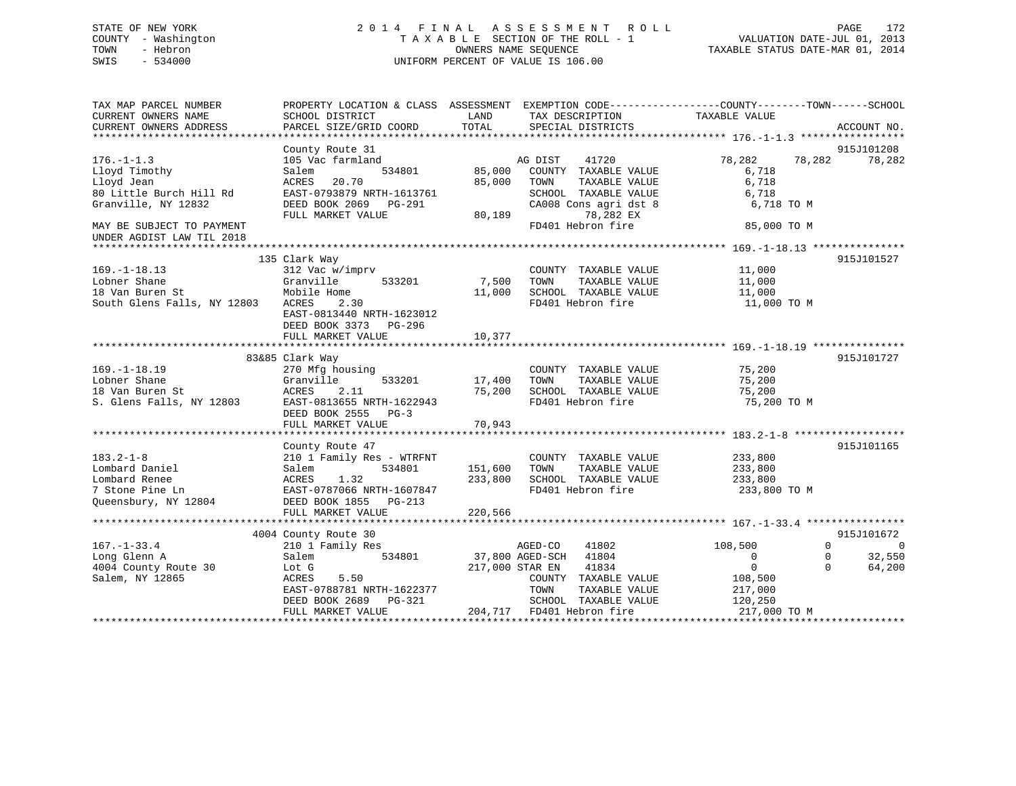## STATE OF NEW YORK 2 0 1 4 F I N A L A S S E S S M E N T R O L L PAGE 172 COUNTY - Washington T A X A B L E SECTION OF THE ROLL - 1 VALUATION DATE-JUL 01, 2013 TOWN - Hebron **CONNERS NAME SEQUENCE** TAXABLE STATUS DATE-MAR 01, 2014 SWIS - 534000 UNIFORM PERCENT OF VALUE IS 106.00

| TAX MAP PARCEL NUMBER<br>CURRENT OWNERS NAME                                                  | PROPERTY LOCATION & CLASS ASSESSMENT<br>SCHOOL DISTRICT                                                                                     | LAND<br>TAX DESCRIPTION                                                                                                   | EXEMPTION CODE-----------------COUNTY-------TOWN------SCHOOL<br>TAXABLE VALUE                                                                 |
|-----------------------------------------------------------------------------------------------|---------------------------------------------------------------------------------------------------------------------------------------------|---------------------------------------------------------------------------------------------------------------------------|-----------------------------------------------------------------------------------------------------------------------------------------------|
| CURRENT OWNERS ADDRESS                                                                        | PARCEL SIZE/GRID COORD                                                                                                                      | TOTAL<br>SPECIAL DISTRICTS                                                                                                | ACCOUNT NO.                                                                                                                                   |
|                                                                                               |                                                                                                                                             |                                                                                                                           | 915J101208                                                                                                                                    |
| $176. - 1 - 1.3$<br>Lloyd Timothy                                                             | County Route 31<br>105 Vac farmland<br>534801<br>Salem                                                                                      | 41720<br>AG DIST<br>85,000<br>COUNTY TAXABLE VALUE                                                                        | 78,282<br>78,282<br>78,282<br>6,718                                                                                                           |
| Lloyd Jean<br>80 Little Burch Hill Rd                                                         | ACRES<br>20.70<br>EAST-0793879 NRTH-1613761                                                                                                 | 85,000<br>TOWN<br>TAXABLE VALUE<br>SCHOOL TAXABLE VALUE                                                                   | 6,718<br>6,718                                                                                                                                |
| Granville, NY 12832                                                                           | DEED BOOK 2069<br>PG-291<br>FULL MARKET VALUE                                                                                               | CA008 Cons agri dst 8<br>80,189<br>78,282 EX                                                                              | 6,718 TO M                                                                                                                                    |
| MAY BE SUBJECT TO PAYMENT<br>UNDER AGDIST LAW TIL 2018                                        |                                                                                                                                             | FD401 Hebron fire                                                                                                         | 85,000 TO M                                                                                                                                   |
|                                                                                               |                                                                                                                                             |                                                                                                                           |                                                                                                                                               |
| $169. - 1 - 18.13$                                                                            | 135 Clark Way<br>312 Vac w/imprv                                                                                                            | COUNTY TAXABLE VALUE                                                                                                      | 915J101527<br>11,000                                                                                                                          |
| Lobner Shane<br>18 Van Buren St                                                               | Granville<br>533201<br>Mobile Home                                                                                                          | 7,500<br>TOWN<br>TAXABLE VALUE<br>SCHOOL TAXABLE VALUE<br>11,000                                                          | 11,000<br>11,000                                                                                                                              |
| South Glens Falls, NY 12803                                                                   | <b>ACRES</b><br>2.30<br>EAST-0813440 NRTH-1623012<br>DEED BOOK 3373<br>PG-296                                                               | FD401 Hebron fire                                                                                                         | 11,000 TO M                                                                                                                                   |
|                                                                                               | FULL MARKET VALUE                                                                                                                           | 10,377                                                                                                                    |                                                                                                                                               |
|                                                                                               |                                                                                                                                             |                                                                                                                           |                                                                                                                                               |
| $169. - 1 - 18.19$<br>Lobner Shane<br>18 Van Buren St<br>S. Glens Falls, NY 12803             | 83&85 Clark Way<br>270 Mfg housing<br>533201<br>Granville<br>2.11<br>ACRES<br>EAST-0813655 NRTH-1622943<br>DEED BOOK 2555 PG-3              | COUNTY TAXABLE VALUE<br>17,400<br>TOWN<br>TAXABLE VALUE<br>75,200<br>SCHOOL TAXABLE VALUE<br>FD401 Hebron fire            | 915J101727<br>75,200<br>75,200<br>75,200<br>75,200 TO M                                                                                       |
|                                                                                               | FULL MARKET VALUE                                                                                                                           | 70,943                                                                                                                    |                                                                                                                                               |
|                                                                                               |                                                                                                                                             |                                                                                                                           |                                                                                                                                               |
| $183.2 - 1 - 8$<br>Lombard Daniel<br>Lombard Renee<br>7 Stone Pine Ln<br>Queensbury, NY 12804 | County Route 47<br>210 1 Family Res - WTRFNT<br>534801<br>Salem<br>ACRES<br>1.32<br>EAST-0787066 NRTH-1607847<br>DEED BOOK 1855<br>$PG-213$ | COUNTY TAXABLE VALUE<br>151,600<br>TOWN<br>TAXABLE VALUE<br>233,800<br>SCHOOL TAXABLE VALUE<br>FD401 Hebron fire          | 915J101165<br>233,800<br>233,800<br>233,800<br>233,800 TO M                                                                                   |
|                                                                                               | FULL MARKET VALUE                                                                                                                           | 220,566                                                                                                                   |                                                                                                                                               |
|                                                                                               |                                                                                                                                             |                                                                                                                           |                                                                                                                                               |
| $167. - 1 - 33.4$<br>Long Glenn A<br>4004 County Route 30<br>Salem, NY 12865                  | 4004 County Route 30<br>210 1 Family Res<br>534801<br>Salem<br>Lot G<br>ACRES<br>5.50<br>EAST-0788781 NRTH-1622377                          | AGED-CO<br>41802<br>37,800 AGED-SCH<br>41804<br>41834<br>217,000 STAR EN<br>COUNTY TAXABLE VALUE<br>TOWN<br>TAXABLE VALUE | 915J101672<br>108,500<br>$\Omega$<br>$\overline{0}$<br>32,550<br>$\mathbf{0}$<br>0<br>$\mathbf 0$<br>$\Omega$<br>64,200<br>108,500<br>217,000 |
|                                                                                               | DEED BOOK 2689<br>PG-321<br>FULL MARKET VALUE                                                                                               | SCHOOL TAXABLE VALUE<br>204,717 FD401 Hebron fire                                                                         | 120,250<br>217,000 TO M                                                                                                                       |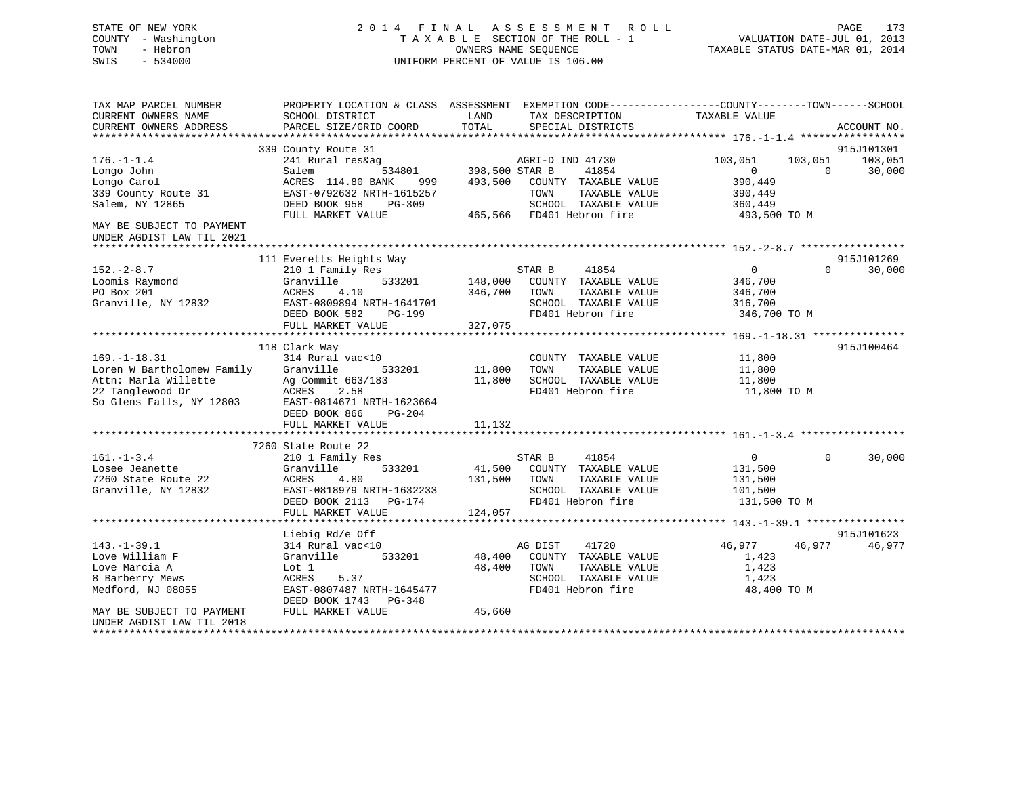## STATE OF NEW YORK 2 0 1 4 F I N A L A S S E S S M E N T R O L L PAGE 173 COUNTY - Washington T A X A B L E SECTION OF THE ROLL - 1 VALUATION DATE-JUL 01, 2013 TOWN - Hebron OWNERS NAME SEQUENCE TAXABLE STATUS DATE-MAR 01, 2014 SWIS - 534000 UNIFORM PERCENT OF VALUE IS 106.00

| TAX MAP PARCEL NUMBER<br>CURRENT OWNERS NAME<br>CURRENT OWNERS ADDRESS | PROPERTY LOCATION & CLASS ASSESSMENT<br>SCHOOL DISTRICT<br>PARCEL SIZE/GRID COORD | LAND<br>TOTAL             | EXEMPTION CODE----------------COUNTY-------TOWN------SCHOOL<br>TAX DESCRIPTION<br>SPECIAL DISTRICTS | TAXABLE VALUE           |          | ACCOUNT NO. |
|------------------------------------------------------------------------|-----------------------------------------------------------------------------------|---------------------------|-----------------------------------------------------------------------------------------------------|-------------------------|----------|-------------|
|                                                                        | 339 County Route 31                                                               |                           |                                                                                                     |                         |          | 915J101301  |
| $176. - 1 - 1.4$                                                       | 241 Rural res&ag                                                                  |                           | AGRI-D IND 41730                                                                                    | 103,051                 | 103,051  | 103,051     |
| Longo John                                                             | 534801<br>Salem                                                                   | 398,500 STAR B            | 41854                                                                                               | $\overline{0}$          | $\Omega$ | 30,000      |
| Longo Carol                                                            | ACRES 114.80 BANK<br>999                                                          | 493,500                   | COUNTY TAXABLE VALUE                                                                                | 390,449                 |          |             |
| 339 County Route 31                                                    | EAST-0792632 NRTH-1615257                                                         | TOWN                      | TAXABLE VALUE                                                                                       | 390,449                 |          |             |
| Salem, NY 12865                                                        | DEED BOOK 958<br>$PG-309$<br>FULL MARKET VALUE                                    | 465,566 FD401 Hebron fire | SCHOOL TAXABLE VALUE                                                                                | 360,449<br>493,500 TO M |          |             |
| MAY BE SUBJECT TO PAYMENT                                              |                                                                                   |                           |                                                                                                     |                         |          |             |
| UNDER AGDIST LAW TIL 2021                                              |                                                                                   |                           |                                                                                                     |                         |          |             |
|                                                                        |                                                                                   |                           |                                                                                                     |                         |          |             |
|                                                                        | 111 Everetts Heights Way                                                          |                           |                                                                                                     |                         |          | 915J101269  |
| $152 - 2 - 8.7$                                                        | 210 1 Family Res                                                                  | STAR B                    | 41854                                                                                               | $\overline{0}$          | $\Omega$ | 30,000      |
| Loomis Raymond                                                         | Granville<br>533201                                                               | 148,000                   | COUNTY TAXABLE VALUE                                                                                | 346,700                 |          |             |
| PO Box 201                                                             | ACRES<br>4.10                                                                     | 346,700<br>TOWN           | TAXABLE VALUE                                                                                       | 346,700                 |          |             |
| Granville, NY 12832                                                    | EAST-0809894 NRTH-1641701                                                         |                           | SCHOOL TAXABLE VALUE                                                                                | 316,700                 |          |             |
|                                                                        | DEED BOOK 582<br>PG-199                                                           |                           | FD401 Hebron fire                                                                                   | 346,700 TO M            |          |             |
|                                                                        | FULL MARKET VALUE                                                                 | 327,075                   |                                                                                                     |                         |          |             |
|                                                                        |                                                                                   |                           |                                                                                                     |                         |          |             |
|                                                                        | 118 Clark Way                                                                     |                           |                                                                                                     |                         |          | 915J100464  |
| $169. - 1 - 18.31$                                                     | 314 Rural vac<10                                                                  |                           | COUNTY TAXABLE VALUE                                                                                | 11,800                  |          |             |
| Loren W Bartholomew Family<br>Attn: Marla Willette                     | Granville<br>533201                                                               | 11,800<br>TOWN            | TAXABLE VALUE                                                                                       | 11,800                  |          |             |
| 22 Tanglewood Dr                                                       | Ag Commit 663/183<br>2.58                                                         | 11,800                    | SCHOOL TAXABLE VALUE<br>FD401 Hebron fire                                                           | 11,800                  |          |             |
| So Glens Falls, NY 12803                                               | ACRES<br>EAST-0814671 NRTH-1623664                                                |                           |                                                                                                     | 11,800 TO M             |          |             |
|                                                                        | DEED BOOK 866<br>$PG-204$                                                         |                           |                                                                                                     |                         |          |             |
|                                                                        | FULL MARKET VALUE                                                                 | 11,132                    |                                                                                                     |                         |          |             |
|                                                                        |                                                                                   |                           |                                                                                                     |                         |          |             |
|                                                                        | 7260 State Route 22                                                               |                           |                                                                                                     |                         |          |             |
| $161. - 1 - 3.4$                                                       | 210 1 Family Res                                                                  | STAR B                    | 41854                                                                                               | $\overline{0}$          | $\Omega$ | 30,000      |
| Losee Jeanette                                                         | Granville<br>533201                                                               | 41,500                    | COUNTY TAXABLE VALUE                                                                                | 131,500                 |          |             |
| 7260 State Route 22                                                    | ACRES<br>4.80                                                                     | 131,500<br>TOWN           | TAXABLE VALUE                                                                                       | 131,500                 |          |             |
| Granville, NY 12832                                                    | EAST-0818979 NRTH-1632233                                                         |                           | SCHOOL TAXABLE VALUE                                                                                | 101,500                 |          |             |
|                                                                        | DEED BOOK 2113<br>PG-174                                                          |                           | FD401 Hebron fire                                                                                   | 131,500 TO M            |          |             |
|                                                                        | FULL MARKET VALUE                                                                 | 124,057                   |                                                                                                     |                         |          |             |
|                                                                        |                                                                                   |                           |                                                                                                     |                         |          |             |
|                                                                        | Liebig Rd/e Off                                                                   |                           |                                                                                                     |                         |          | 915J101623  |
| $143. - 1 - 39.1$                                                      | 314 Rural vac<10                                                                  | AG DIST                   | 41720                                                                                               | 46,977                  | 46,977   | 46,977      |
| Love William F                                                         | 533201<br>Granville                                                               | 48,400                    | COUNTY TAXABLE VALUE                                                                                | 1,423                   |          |             |
| Love Marcia A                                                          | Lot 1                                                                             | 48,400<br>TOWN            | TAXABLE VALUE                                                                                       | 1,423                   |          |             |
| 8 Barberry Mews                                                        | ACRES<br>5.37                                                                     |                           | SCHOOL TAXABLE VALUE                                                                                | 1,423                   |          |             |
| Medford, NJ 08055                                                      | EAST-0807487 NRTH-1645477                                                         |                           | FD401 Hebron fire                                                                                   | 48,400 TO M             |          |             |
| MAY BE SUBJECT TO PAYMENT                                              | DEED BOOK 1743 PG-348<br>FULL MARKET VALUE                                        | 45,660                    |                                                                                                     |                         |          |             |
| UNDER AGDIST LAW TIL 2018                                              |                                                                                   |                           |                                                                                                     |                         |          |             |
|                                                                        |                                                                                   |                           |                                                                                                     |                         |          |             |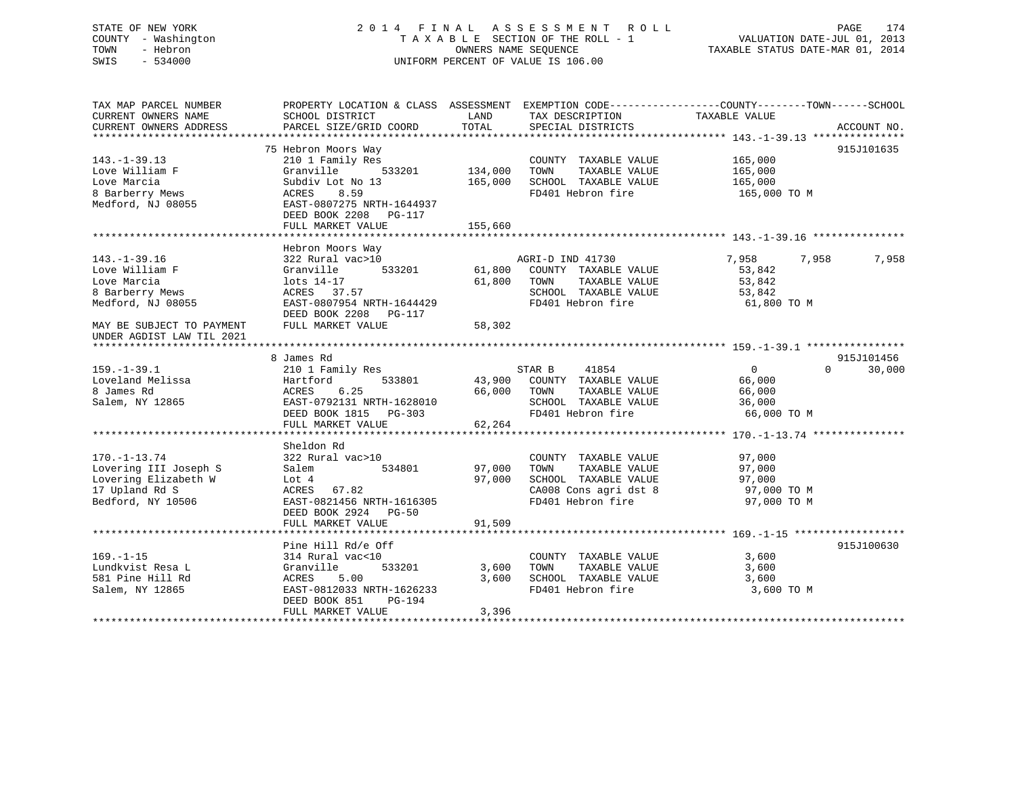## STATE OF NEW YORK 2 0 1 4 F I N A L A S S E S S M E N T R O L L PAGE 174 COUNTY - Washington T A X A B L E SECTION OF THE ROLL - 1 VALUATION DATE-JUL 01, 2013 TOWN - Hebron OWNERS NAME SEQUENCE TAXABLE STATUS DATE-MAR 01, 2014 SWIS - 534000 UNIFORM PERCENT OF VALUE IS 106.00

| TAX DESCRIPTION TAXABLE VALUE<br>TOTAL<br>PARCEL SIZE/GRID COORD<br>SPECIAL DISTRICTS<br>ACCOUNT NO.<br>CURRENT OWNERS ADDRESS<br>75 Hebron Moors Way<br>915J101635<br>$143. - 1 - 39.13$<br>210 1 Family Res<br>COUNTY TAXABLE VALUE<br>165,000<br>Love William F<br>Granville<br>533201<br>134,000<br>TAXABLE VALUE<br>TOWN<br>165,000<br>165,000<br>165,000<br>SCHOOL TAXABLE VALUE<br>Subdiv Lot No 13<br>8.59<br>FD401 Hebron fire<br>ACRES<br>165,000 TO M<br>EAST-0807275 NRTH-1644937<br>DEED BOOK 2208 PG-117<br>155,660<br>FULL MARKET VALUE<br>Hebron Moors Way<br>7,958<br>$143. - 1 - 39.16$<br>322 Rural vac>10<br>AGRI-D IND 41730<br>7,958<br>7,958<br>Love William F<br>533201<br>61,800<br>COUNTY TAXABLE VALUE<br>53,842<br>Granville<br>Love Marcia<br>61,800 TOWN<br>TAXABLE VALUE<br>53,842<br>lots 14-17<br>8 Barberry Mews<br>SCHOOL TAXABLE VALUE<br>ED401 Hebron fire<br>ACRES 37.57<br>53,842<br>EAST-0807954 NRTH-1644429<br>FD401 Hebron fire<br>61,800 TO M<br>DEED BOOK 2208 PG-117<br>FULL MARKET VALUE<br>58,302<br>MAY BE SUBJECT TO PAYMENT<br>UNDER AGDIST LAW TIL 2021<br>915J101456<br>8 James Rd<br>$159. - 1 - 39.1$<br>41854<br>$\overline{0}$<br>$\Omega$<br>210 1 Family Res<br>STAR B<br>30,000<br>Loveland Melissa<br>533801<br>43,900 COUNTY TAXABLE VALUE<br>66,000<br>Hartford<br>8 James Rd<br>66,000 TOWN<br>ACRES<br>6.25<br>TAXABLE VALUE<br>66,000<br>SCHOOL TAXABLE VALUE<br>Salem, NY 12865<br>EAST-0792131 NRTH-1628010<br>36,000<br>FD401 Hebron fire<br>DEED BOOK 1815 PG-303<br>66,000 TO M<br>62,264<br>FULL MARKET VALUE<br>Sheldon Rd<br>$170. - 1 - 13.74$<br>322 Rural vac>10<br>COUNTY TAXABLE VALUE<br>97,000<br>Lovering III Joseph S<br>534801<br>97,000<br>TAXABLE VALUE<br>97,000<br>Salem<br>TOWN<br>Lovering Elizabeth W<br>97,000<br>SCHOOL TAXABLE VALUE<br>97,000<br>Lot 4<br>17 Upland Rd S<br>CA008 Cons agri dst 8<br>ACRES 67.82<br>97,000 TO M<br>Bedford, NY 10506<br>EAST-0821456 NRTH-1616305<br>FD401 Hebron fire<br>97,000 TO M<br>DEED BOOK 2924 PG-50<br>91,509<br>FULL MARKET VALUE<br>Pine Hill Rd/e Off<br>915J100630<br>314 Rural vac<10<br>3,600<br>COUNTY TAXABLE VALUE<br>Lundkvist Resa L<br>Granville<br>533201<br>TAXABLE VALUE<br>3,600<br>3,600<br>TOWN<br>581 Pine Hill Rd<br>5.00<br>3,600<br>SCHOOL TAXABLE VALUE<br>3,600<br>ACRES<br>FD401 Hebron fire<br>Salem, NY 12865<br>EAST-0812033 NRTH-1626233<br>3,600 TO M<br>DEED BOOK 851<br>PG-194<br>3,396<br>FULL MARKET VALUE | TAX MAP PARCEL NUMBER<br>CURRENT OWNERS NAME | PROPERTY LOCATION & CLASS ASSESSMENT EXEMPTION CODE----------------COUNTY-------TOWN------SCHOOL<br>SCHOOL DISTRICT | LAND |  |  |
|---------------------------------------------------------------------------------------------------------------------------------------------------------------------------------------------------------------------------------------------------------------------------------------------------------------------------------------------------------------------------------------------------------------------------------------------------------------------------------------------------------------------------------------------------------------------------------------------------------------------------------------------------------------------------------------------------------------------------------------------------------------------------------------------------------------------------------------------------------------------------------------------------------------------------------------------------------------------------------------------------------------------------------------------------------------------------------------------------------------------------------------------------------------------------------------------------------------------------------------------------------------------------------------------------------------------------------------------------------------------------------------------------------------------------------------------------------------------------------------------------------------------------------------------------------------------------------------------------------------------------------------------------------------------------------------------------------------------------------------------------------------------------------------------------------------------------------------------------------------------------------------------------------------------------------------------------------------------------------------------------------------------------------------------------------------------------------------------------------------------------------------------------------------------------------------------------------------------------------------------------------------------------------------------------------------------------------------------------------------------------------------------------------------------------------------------------------------------------------------|----------------------------------------------|---------------------------------------------------------------------------------------------------------------------|------|--|--|
|                                                                                                                                                                                                                                                                                                                                                                                                                                                                                                                                                                                                                                                                                                                                                                                                                                                                                                                                                                                                                                                                                                                                                                                                                                                                                                                                                                                                                                                                                                                                                                                                                                                                                                                                                                                                                                                                                                                                                                                                                                                                                                                                                                                                                                                                                                                                                                                                                                                                                       |                                              |                                                                                                                     |      |  |  |
|                                                                                                                                                                                                                                                                                                                                                                                                                                                                                                                                                                                                                                                                                                                                                                                                                                                                                                                                                                                                                                                                                                                                                                                                                                                                                                                                                                                                                                                                                                                                                                                                                                                                                                                                                                                                                                                                                                                                                                                                                                                                                                                                                                                                                                                                                                                                                                                                                                                                                       |                                              |                                                                                                                     |      |  |  |
|                                                                                                                                                                                                                                                                                                                                                                                                                                                                                                                                                                                                                                                                                                                                                                                                                                                                                                                                                                                                                                                                                                                                                                                                                                                                                                                                                                                                                                                                                                                                                                                                                                                                                                                                                                                                                                                                                                                                                                                                                                                                                                                                                                                                                                                                                                                                                                                                                                                                                       |                                              |                                                                                                                     |      |  |  |
|                                                                                                                                                                                                                                                                                                                                                                                                                                                                                                                                                                                                                                                                                                                                                                                                                                                                                                                                                                                                                                                                                                                                                                                                                                                                                                                                                                                                                                                                                                                                                                                                                                                                                                                                                                                                                                                                                                                                                                                                                                                                                                                                                                                                                                                                                                                                                                                                                                                                                       |                                              |                                                                                                                     |      |  |  |
|                                                                                                                                                                                                                                                                                                                                                                                                                                                                                                                                                                                                                                                                                                                                                                                                                                                                                                                                                                                                                                                                                                                                                                                                                                                                                                                                                                                                                                                                                                                                                                                                                                                                                                                                                                                                                                                                                                                                                                                                                                                                                                                                                                                                                                                                                                                                                                                                                                                                                       |                                              |                                                                                                                     |      |  |  |
|                                                                                                                                                                                                                                                                                                                                                                                                                                                                                                                                                                                                                                                                                                                                                                                                                                                                                                                                                                                                                                                                                                                                                                                                                                                                                                                                                                                                                                                                                                                                                                                                                                                                                                                                                                                                                                                                                                                                                                                                                                                                                                                                                                                                                                                                                                                                                                                                                                                                                       |                                              |                                                                                                                     |      |  |  |
|                                                                                                                                                                                                                                                                                                                                                                                                                                                                                                                                                                                                                                                                                                                                                                                                                                                                                                                                                                                                                                                                                                                                                                                                                                                                                                                                                                                                                                                                                                                                                                                                                                                                                                                                                                                                                                                                                                                                                                                                                                                                                                                                                                                                                                                                                                                                                                                                                                                                                       | Love Marcia                                  |                                                                                                                     |      |  |  |
|                                                                                                                                                                                                                                                                                                                                                                                                                                                                                                                                                                                                                                                                                                                                                                                                                                                                                                                                                                                                                                                                                                                                                                                                                                                                                                                                                                                                                                                                                                                                                                                                                                                                                                                                                                                                                                                                                                                                                                                                                                                                                                                                                                                                                                                                                                                                                                                                                                                                                       | 8 Barberry Mews                              |                                                                                                                     |      |  |  |
|                                                                                                                                                                                                                                                                                                                                                                                                                                                                                                                                                                                                                                                                                                                                                                                                                                                                                                                                                                                                                                                                                                                                                                                                                                                                                                                                                                                                                                                                                                                                                                                                                                                                                                                                                                                                                                                                                                                                                                                                                                                                                                                                                                                                                                                                                                                                                                                                                                                                                       | Medford, NJ 08055                            |                                                                                                                     |      |  |  |
|                                                                                                                                                                                                                                                                                                                                                                                                                                                                                                                                                                                                                                                                                                                                                                                                                                                                                                                                                                                                                                                                                                                                                                                                                                                                                                                                                                                                                                                                                                                                                                                                                                                                                                                                                                                                                                                                                                                                                                                                                                                                                                                                                                                                                                                                                                                                                                                                                                                                                       |                                              |                                                                                                                     |      |  |  |
|                                                                                                                                                                                                                                                                                                                                                                                                                                                                                                                                                                                                                                                                                                                                                                                                                                                                                                                                                                                                                                                                                                                                                                                                                                                                                                                                                                                                                                                                                                                                                                                                                                                                                                                                                                                                                                                                                                                                                                                                                                                                                                                                                                                                                                                                                                                                                                                                                                                                                       |                                              |                                                                                                                     |      |  |  |
|                                                                                                                                                                                                                                                                                                                                                                                                                                                                                                                                                                                                                                                                                                                                                                                                                                                                                                                                                                                                                                                                                                                                                                                                                                                                                                                                                                                                                                                                                                                                                                                                                                                                                                                                                                                                                                                                                                                                                                                                                                                                                                                                                                                                                                                                                                                                                                                                                                                                                       |                                              |                                                                                                                     |      |  |  |
|                                                                                                                                                                                                                                                                                                                                                                                                                                                                                                                                                                                                                                                                                                                                                                                                                                                                                                                                                                                                                                                                                                                                                                                                                                                                                                                                                                                                                                                                                                                                                                                                                                                                                                                                                                                                                                                                                                                                                                                                                                                                                                                                                                                                                                                                                                                                                                                                                                                                                       |                                              |                                                                                                                     |      |  |  |
|                                                                                                                                                                                                                                                                                                                                                                                                                                                                                                                                                                                                                                                                                                                                                                                                                                                                                                                                                                                                                                                                                                                                                                                                                                                                                                                                                                                                                                                                                                                                                                                                                                                                                                                                                                                                                                                                                                                                                                                                                                                                                                                                                                                                                                                                                                                                                                                                                                                                                       |                                              |                                                                                                                     |      |  |  |
|                                                                                                                                                                                                                                                                                                                                                                                                                                                                                                                                                                                                                                                                                                                                                                                                                                                                                                                                                                                                                                                                                                                                                                                                                                                                                                                                                                                                                                                                                                                                                                                                                                                                                                                                                                                                                                                                                                                                                                                                                                                                                                                                                                                                                                                                                                                                                                                                                                                                                       |                                              |                                                                                                                     |      |  |  |
|                                                                                                                                                                                                                                                                                                                                                                                                                                                                                                                                                                                                                                                                                                                                                                                                                                                                                                                                                                                                                                                                                                                                                                                                                                                                                                                                                                                                                                                                                                                                                                                                                                                                                                                                                                                                                                                                                                                                                                                                                                                                                                                                                                                                                                                                                                                                                                                                                                                                                       |                                              |                                                                                                                     |      |  |  |
|                                                                                                                                                                                                                                                                                                                                                                                                                                                                                                                                                                                                                                                                                                                                                                                                                                                                                                                                                                                                                                                                                                                                                                                                                                                                                                                                                                                                                                                                                                                                                                                                                                                                                                                                                                                                                                                                                                                                                                                                                                                                                                                                                                                                                                                                                                                                                                                                                                                                                       |                                              |                                                                                                                     |      |  |  |
|                                                                                                                                                                                                                                                                                                                                                                                                                                                                                                                                                                                                                                                                                                                                                                                                                                                                                                                                                                                                                                                                                                                                                                                                                                                                                                                                                                                                                                                                                                                                                                                                                                                                                                                                                                                                                                                                                                                                                                                                                                                                                                                                                                                                                                                                                                                                                                                                                                                                                       |                                              |                                                                                                                     |      |  |  |
|                                                                                                                                                                                                                                                                                                                                                                                                                                                                                                                                                                                                                                                                                                                                                                                                                                                                                                                                                                                                                                                                                                                                                                                                                                                                                                                                                                                                                                                                                                                                                                                                                                                                                                                                                                                                                                                                                                                                                                                                                                                                                                                                                                                                                                                                                                                                                                                                                                                                                       | Medford, NJ 08055                            |                                                                                                                     |      |  |  |
|                                                                                                                                                                                                                                                                                                                                                                                                                                                                                                                                                                                                                                                                                                                                                                                                                                                                                                                                                                                                                                                                                                                                                                                                                                                                                                                                                                                                                                                                                                                                                                                                                                                                                                                                                                                                                                                                                                                                                                                                                                                                                                                                                                                                                                                                                                                                                                                                                                                                                       |                                              |                                                                                                                     |      |  |  |
|                                                                                                                                                                                                                                                                                                                                                                                                                                                                                                                                                                                                                                                                                                                                                                                                                                                                                                                                                                                                                                                                                                                                                                                                                                                                                                                                                                                                                                                                                                                                                                                                                                                                                                                                                                                                                                                                                                                                                                                                                                                                                                                                                                                                                                                                                                                                                                                                                                                                                       |                                              |                                                                                                                     |      |  |  |
|                                                                                                                                                                                                                                                                                                                                                                                                                                                                                                                                                                                                                                                                                                                                                                                                                                                                                                                                                                                                                                                                                                                                                                                                                                                                                                                                                                                                                                                                                                                                                                                                                                                                                                                                                                                                                                                                                                                                                                                                                                                                                                                                                                                                                                                                                                                                                                                                                                                                                       |                                              |                                                                                                                     |      |  |  |
|                                                                                                                                                                                                                                                                                                                                                                                                                                                                                                                                                                                                                                                                                                                                                                                                                                                                                                                                                                                                                                                                                                                                                                                                                                                                                                                                                                                                                                                                                                                                                                                                                                                                                                                                                                                                                                                                                                                                                                                                                                                                                                                                                                                                                                                                                                                                                                                                                                                                                       |                                              |                                                                                                                     |      |  |  |
|                                                                                                                                                                                                                                                                                                                                                                                                                                                                                                                                                                                                                                                                                                                                                                                                                                                                                                                                                                                                                                                                                                                                                                                                                                                                                                                                                                                                                                                                                                                                                                                                                                                                                                                                                                                                                                                                                                                                                                                                                                                                                                                                                                                                                                                                                                                                                                                                                                                                                       |                                              |                                                                                                                     |      |  |  |
|                                                                                                                                                                                                                                                                                                                                                                                                                                                                                                                                                                                                                                                                                                                                                                                                                                                                                                                                                                                                                                                                                                                                                                                                                                                                                                                                                                                                                                                                                                                                                                                                                                                                                                                                                                                                                                                                                                                                                                                                                                                                                                                                                                                                                                                                                                                                                                                                                                                                                       |                                              |                                                                                                                     |      |  |  |
|                                                                                                                                                                                                                                                                                                                                                                                                                                                                                                                                                                                                                                                                                                                                                                                                                                                                                                                                                                                                                                                                                                                                                                                                                                                                                                                                                                                                                                                                                                                                                                                                                                                                                                                                                                                                                                                                                                                                                                                                                                                                                                                                                                                                                                                                                                                                                                                                                                                                                       |                                              |                                                                                                                     |      |  |  |
|                                                                                                                                                                                                                                                                                                                                                                                                                                                                                                                                                                                                                                                                                                                                                                                                                                                                                                                                                                                                                                                                                                                                                                                                                                                                                                                                                                                                                                                                                                                                                                                                                                                                                                                                                                                                                                                                                                                                                                                                                                                                                                                                                                                                                                                                                                                                                                                                                                                                                       |                                              |                                                                                                                     |      |  |  |
|                                                                                                                                                                                                                                                                                                                                                                                                                                                                                                                                                                                                                                                                                                                                                                                                                                                                                                                                                                                                                                                                                                                                                                                                                                                                                                                                                                                                                                                                                                                                                                                                                                                                                                                                                                                                                                                                                                                                                                                                                                                                                                                                                                                                                                                                                                                                                                                                                                                                                       |                                              |                                                                                                                     |      |  |  |
|                                                                                                                                                                                                                                                                                                                                                                                                                                                                                                                                                                                                                                                                                                                                                                                                                                                                                                                                                                                                                                                                                                                                                                                                                                                                                                                                                                                                                                                                                                                                                                                                                                                                                                                                                                                                                                                                                                                                                                                                                                                                                                                                                                                                                                                                                                                                                                                                                                                                                       |                                              |                                                                                                                     |      |  |  |
|                                                                                                                                                                                                                                                                                                                                                                                                                                                                                                                                                                                                                                                                                                                                                                                                                                                                                                                                                                                                                                                                                                                                                                                                                                                                                                                                                                                                                                                                                                                                                                                                                                                                                                                                                                                                                                                                                                                                                                                                                                                                                                                                                                                                                                                                                                                                                                                                                                                                                       |                                              |                                                                                                                     |      |  |  |
|                                                                                                                                                                                                                                                                                                                                                                                                                                                                                                                                                                                                                                                                                                                                                                                                                                                                                                                                                                                                                                                                                                                                                                                                                                                                                                                                                                                                                                                                                                                                                                                                                                                                                                                                                                                                                                                                                                                                                                                                                                                                                                                                                                                                                                                                                                                                                                                                                                                                                       |                                              |                                                                                                                     |      |  |  |
|                                                                                                                                                                                                                                                                                                                                                                                                                                                                                                                                                                                                                                                                                                                                                                                                                                                                                                                                                                                                                                                                                                                                                                                                                                                                                                                                                                                                                                                                                                                                                                                                                                                                                                                                                                                                                                                                                                                                                                                                                                                                                                                                                                                                                                                                                                                                                                                                                                                                                       |                                              |                                                                                                                     |      |  |  |
|                                                                                                                                                                                                                                                                                                                                                                                                                                                                                                                                                                                                                                                                                                                                                                                                                                                                                                                                                                                                                                                                                                                                                                                                                                                                                                                                                                                                                                                                                                                                                                                                                                                                                                                                                                                                                                                                                                                                                                                                                                                                                                                                                                                                                                                                                                                                                                                                                                                                                       |                                              |                                                                                                                     |      |  |  |
|                                                                                                                                                                                                                                                                                                                                                                                                                                                                                                                                                                                                                                                                                                                                                                                                                                                                                                                                                                                                                                                                                                                                                                                                                                                                                                                                                                                                                                                                                                                                                                                                                                                                                                                                                                                                                                                                                                                                                                                                                                                                                                                                                                                                                                                                                                                                                                                                                                                                                       |                                              |                                                                                                                     |      |  |  |
|                                                                                                                                                                                                                                                                                                                                                                                                                                                                                                                                                                                                                                                                                                                                                                                                                                                                                                                                                                                                                                                                                                                                                                                                                                                                                                                                                                                                                                                                                                                                                                                                                                                                                                                                                                                                                                                                                                                                                                                                                                                                                                                                                                                                                                                                                                                                                                                                                                                                                       |                                              |                                                                                                                     |      |  |  |
|                                                                                                                                                                                                                                                                                                                                                                                                                                                                                                                                                                                                                                                                                                                                                                                                                                                                                                                                                                                                                                                                                                                                                                                                                                                                                                                                                                                                                                                                                                                                                                                                                                                                                                                                                                                                                                                                                                                                                                                                                                                                                                                                                                                                                                                                                                                                                                                                                                                                                       |                                              |                                                                                                                     |      |  |  |
|                                                                                                                                                                                                                                                                                                                                                                                                                                                                                                                                                                                                                                                                                                                                                                                                                                                                                                                                                                                                                                                                                                                                                                                                                                                                                                                                                                                                                                                                                                                                                                                                                                                                                                                                                                                                                                                                                                                                                                                                                                                                                                                                                                                                                                                                                                                                                                                                                                                                                       |                                              |                                                                                                                     |      |  |  |
|                                                                                                                                                                                                                                                                                                                                                                                                                                                                                                                                                                                                                                                                                                                                                                                                                                                                                                                                                                                                                                                                                                                                                                                                                                                                                                                                                                                                                                                                                                                                                                                                                                                                                                                                                                                                                                                                                                                                                                                                                                                                                                                                                                                                                                                                                                                                                                                                                                                                                       |                                              |                                                                                                                     |      |  |  |
|                                                                                                                                                                                                                                                                                                                                                                                                                                                                                                                                                                                                                                                                                                                                                                                                                                                                                                                                                                                                                                                                                                                                                                                                                                                                                                                                                                                                                                                                                                                                                                                                                                                                                                                                                                                                                                                                                                                                                                                                                                                                                                                                                                                                                                                                                                                                                                                                                                                                                       |                                              |                                                                                                                     |      |  |  |
|                                                                                                                                                                                                                                                                                                                                                                                                                                                                                                                                                                                                                                                                                                                                                                                                                                                                                                                                                                                                                                                                                                                                                                                                                                                                                                                                                                                                                                                                                                                                                                                                                                                                                                                                                                                                                                                                                                                                                                                                                                                                                                                                                                                                                                                                                                                                                                                                                                                                                       |                                              |                                                                                                                     |      |  |  |
|                                                                                                                                                                                                                                                                                                                                                                                                                                                                                                                                                                                                                                                                                                                                                                                                                                                                                                                                                                                                                                                                                                                                                                                                                                                                                                                                                                                                                                                                                                                                                                                                                                                                                                                                                                                                                                                                                                                                                                                                                                                                                                                                                                                                                                                                                                                                                                                                                                                                                       |                                              |                                                                                                                     |      |  |  |
|                                                                                                                                                                                                                                                                                                                                                                                                                                                                                                                                                                                                                                                                                                                                                                                                                                                                                                                                                                                                                                                                                                                                                                                                                                                                                                                                                                                                                                                                                                                                                                                                                                                                                                                                                                                                                                                                                                                                                                                                                                                                                                                                                                                                                                                                                                                                                                                                                                                                                       |                                              |                                                                                                                     |      |  |  |
|                                                                                                                                                                                                                                                                                                                                                                                                                                                                                                                                                                                                                                                                                                                                                                                                                                                                                                                                                                                                                                                                                                                                                                                                                                                                                                                                                                                                                                                                                                                                                                                                                                                                                                                                                                                                                                                                                                                                                                                                                                                                                                                                                                                                                                                                                                                                                                                                                                                                                       |                                              |                                                                                                                     |      |  |  |
|                                                                                                                                                                                                                                                                                                                                                                                                                                                                                                                                                                                                                                                                                                                                                                                                                                                                                                                                                                                                                                                                                                                                                                                                                                                                                                                                                                                                                                                                                                                                                                                                                                                                                                                                                                                                                                                                                                                                                                                                                                                                                                                                                                                                                                                                                                                                                                                                                                                                                       | $169. - 1 - 15$                              |                                                                                                                     |      |  |  |
|                                                                                                                                                                                                                                                                                                                                                                                                                                                                                                                                                                                                                                                                                                                                                                                                                                                                                                                                                                                                                                                                                                                                                                                                                                                                                                                                                                                                                                                                                                                                                                                                                                                                                                                                                                                                                                                                                                                                                                                                                                                                                                                                                                                                                                                                                                                                                                                                                                                                                       |                                              |                                                                                                                     |      |  |  |
|                                                                                                                                                                                                                                                                                                                                                                                                                                                                                                                                                                                                                                                                                                                                                                                                                                                                                                                                                                                                                                                                                                                                                                                                                                                                                                                                                                                                                                                                                                                                                                                                                                                                                                                                                                                                                                                                                                                                                                                                                                                                                                                                                                                                                                                                                                                                                                                                                                                                                       |                                              |                                                                                                                     |      |  |  |
|                                                                                                                                                                                                                                                                                                                                                                                                                                                                                                                                                                                                                                                                                                                                                                                                                                                                                                                                                                                                                                                                                                                                                                                                                                                                                                                                                                                                                                                                                                                                                                                                                                                                                                                                                                                                                                                                                                                                                                                                                                                                                                                                                                                                                                                                                                                                                                                                                                                                                       |                                              |                                                                                                                     |      |  |  |
|                                                                                                                                                                                                                                                                                                                                                                                                                                                                                                                                                                                                                                                                                                                                                                                                                                                                                                                                                                                                                                                                                                                                                                                                                                                                                                                                                                                                                                                                                                                                                                                                                                                                                                                                                                                                                                                                                                                                                                                                                                                                                                                                                                                                                                                                                                                                                                                                                                                                                       |                                              |                                                                                                                     |      |  |  |
|                                                                                                                                                                                                                                                                                                                                                                                                                                                                                                                                                                                                                                                                                                                                                                                                                                                                                                                                                                                                                                                                                                                                                                                                                                                                                                                                                                                                                                                                                                                                                                                                                                                                                                                                                                                                                                                                                                                                                                                                                                                                                                                                                                                                                                                                                                                                                                                                                                                                                       |                                              |                                                                                                                     |      |  |  |
|                                                                                                                                                                                                                                                                                                                                                                                                                                                                                                                                                                                                                                                                                                                                                                                                                                                                                                                                                                                                                                                                                                                                                                                                                                                                                                                                                                                                                                                                                                                                                                                                                                                                                                                                                                                                                                                                                                                                                                                                                                                                                                                                                                                                                                                                                                                                                                                                                                                                                       |                                              |                                                                                                                     |      |  |  |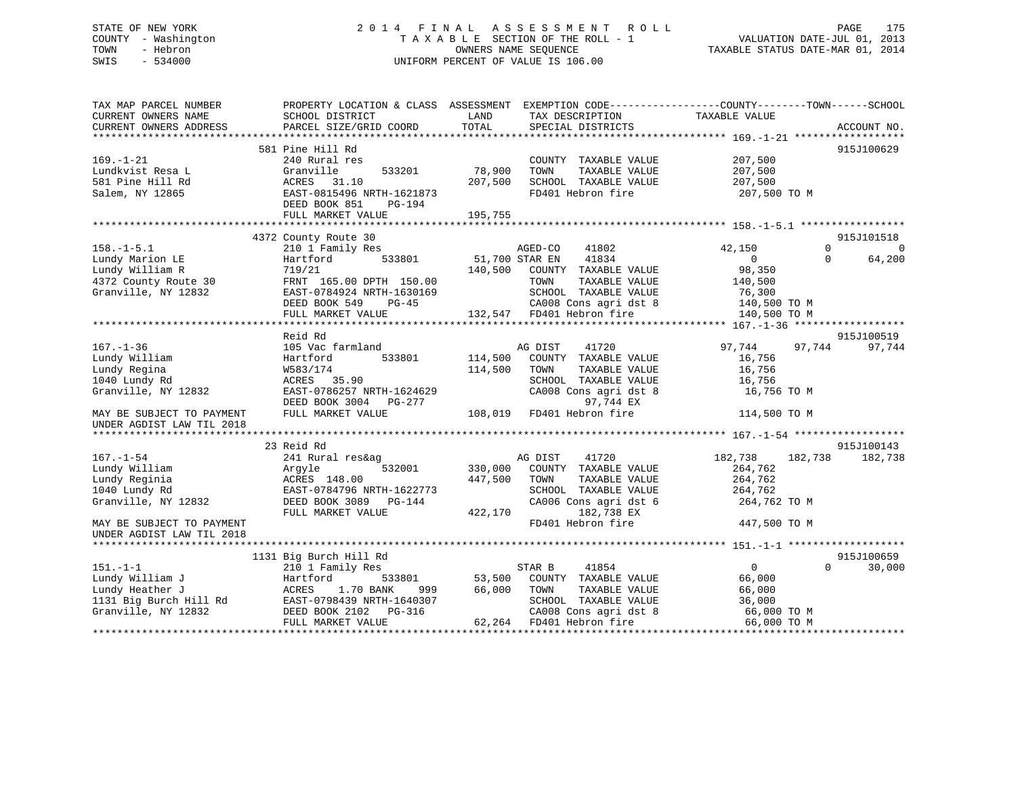## STATE OF NEW YORK 2 0 1 4 F I N A L A S S E S S M E N T R O L L PAGE 175 COUNTY - Washington T A X A B L E SECTION OF THE ROLL - 1 VALUATION DATE-JUL 01, 2013 TOWN - Hebron OWNERS NAME SEQUENCE TAXABLE STATUS DATE-MAR 01, 2014 SWIS - 534000 UNIFORM PERCENT OF VALUE IS 106.00

| TAX MAP PARCEL NUMBER<br>CURRENT OWNERS NAME | PROPERTY LOCATION & CLASS ASSESSMENT<br>SCHOOL DISTRICT | LAND           | EXEMPTION CODE----------------COUNTY-------TOWN------SCHOOL<br>TAX DESCRIPTION | TAXABLE VALUE  |          |             |
|----------------------------------------------|---------------------------------------------------------|----------------|--------------------------------------------------------------------------------|----------------|----------|-------------|
| CURRENT OWNERS ADDRESS                       | PARCEL SIZE/GRID COORD                                  | TOTAL          | SPECIAL DISTRICTS                                                              |                |          | ACCOUNT NO. |
|                                              | 581 Pine Hill Rd                                        |                |                                                                                |                |          | 915J100629  |
| $169. - 1 - 21$                              | 240 Rural res                                           |                | COUNTY TAXABLE VALUE                                                           | 207,500        |          |             |
| Lundkvist Resa L                             | Granville<br>533201                                     | 78,900         | TOWN<br>TAXABLE VALUE                                                          | 207,500        |          |             |
| 581 Pine Hill Rd                             | ACRES<br>31.10                                          | 207,500        | SCHOOL TAXABLE VALUE                                                           | 207,500        |          |             |
| Salem, NY 12865                              | EAST-0815496 NRTH-1621873                               |                | FD401 Hebron fire                                                              | 207,500 TO M   |          |             |
|                                              | DEED BOOK 851<br>PG-194                                 |                |                                                                                |                |          |             |
|                                              | FULL MARKET VALUE                                       | 195,755        |                                                                                |                |          |             |
|                                              |                                                         |                |                                                                                |                |          |             |
|                                              | 4372 County Route 30                                    |                |                                                                                |                |          | 915J101518  |
| $158. - 1 - 5.1$                             | 210 1 Family Res                                        |                | AGED-CO<br>41802                                                               | 42,150         | $\Omega$ | $\Omega$    |
| Lundy Marion LE                              | Hartford<br>533801                                      | 51,700 STAR EN | 41834                                                                          | $\overline{0}$ | $\Omega$ | 64,200      |
| Lundy William R                              | 719/21                                                  | 140,500        | COUNTY TAXABLE VALUE                                                           | 98,350         |          |             |
| 4372 County Route 30                         | FRNT 165.00 DPTH 150.00                                 |                | TOWN<br>TAXABLE VALUE                                                          | 140,500        |          |             |
| Granville, NY 12832                          | EAST-0784924 NRTH-1630169                               |                | SCHOOL TAXABLE VALUE                                                           | 76,300         |          |             |
|                                              | DEED BOOK 549 PG-45                                     |                | CA008 Cons agri dst 8                                                          | 140,500 TO M   |          |             |
|                                              | FULL MARKET VALUE                                       |                | 132,547 FD401 Hebron fire                                                      | 140,500 TO M   |          |             |
|                                              |                                                         |                |                                                                                |                |          |             |
|                                              | Reid Rd                                                 |                |                                                                                |                |          | 915J100519  |
| $167. - 1 - 36$                              | 105 Vac farmland                                        |                | AG DIST<br>41720                                                               | 97,744         | 97,744   | 97,744      |
| Lundy William                                | 533801<br>Hartford                                      | 114,500        | COUNTY TAXABLE VALUE                                                           | 16,756         |          |             |
| Lundy Regina                                 | W583/174                                                | 114,500        | TOWN<br>TAXABLE VALUE                                                          | 16,756         |          |             |
| 1040 Lundy Rd                                | ACRES 35.90                                             |                | SCHOOL TAXABLE VALUE                                                           | 16,756         |          |             |
| Granville, NY 12832                          | EAST-0786257 NRTH-1624629                               |                | CA008 Cons agri dst 8                                                          | 16,756 TO M    |          |             |
|                                              | DEED BOOK 3004 PG-277                                   |                | 97,744 EX                                                                      |                |          |             |
| MAY BE SUBJECT TO PAYMENT                    | FULL MARKET VALUE                                       | 108,019        | FD401 Hebron fire                                                              | 114,500 TO M   |          |             |
| UNDER AGDIST LAW TIL 2018                    |                                                         |                |                                                                                |                |          |             |
|                                              | 23 Reid Rd                                              |                |                                                                                |                |          | 915J100143  |
| $167. - 1 - 54$                              | 241 Rural res&ag                                        |                | AG DIST<br>41720                                                               | 182,738        | 182,738  | 182,738     |
| Lundy William                                | 532001<br>Argyle                                        | 330,000        | COUNTY TAXABLE VALUE                                                           | 264,762        |          |             |
| Lundy Reginia                                | ACRES 148.00                                            | 447,500        | TAXABLE VALUE<br>TOWN                                                          | 264,762        |          |             |
| 1040 Lundy Rd                                | EAST-0784796 NRTH-1622773                               |                | SCHOOL TAXABLE VALUE                                                           | 264,762        |          |             |
| Granville, NY 12832                          | DEED BOOK 3089 PG-144                                   |                | CA006 Cons agri dst 6                                                          | 264,762 TO M   |          |             |
|                                              | FULL MARKET VALUE                                       | 422,170        | 182,738 EX                                                                     |                |          |             |
| MAY BE SUBJECT TO PAYMENT                    |                                                         |                | FD401 Hebron fire                                                              | 447,500 TO M   |          |             |
| UNDER AGDIST LAW TIL 2018                    |                                                         |                |                                                                                |                |          |             |
|                                              |                                                         |                |                                                                                |                |          |             |
|                                              | 1131 Big Burch Hill Rd                                  |                |                                                                                |                |          | 915J100659  |
| $151. - 1 - 1$                               | 210 1 Family Res                                        |                | STAR B<br>41854                                                                | $\overline{0}$ | $\Omega$ | 30,000      |
| Lundy William J                              | 533801<br>Hartford                                      | 53,500         | COUNTY TAXABLE VALUE                                                           | 66,000         |          |             |
| Lundy Heather J                              | 1.70 BANK<br>ACRES<br>999                               | 66,000         | TOWN<br>TAXABLE VALUE                                                          | 66,000         |          |             |
| 1131 Big Burch Hill Rd                       | EAST-0798439 NRTH-1640307                               |                | SCHOOL TAXABLE VALUE                                                           | 36,000         |          |             |
| Granville, NY 12832                          | DEED BOOK 2102 PG-316                                   |                | CA008 Cons agri dst 8                                                          | 66,000 TO M    |          |             |
|                                              | FULL MARKET VALUE                                       |                | 62,264 FD401 Hebron fire                                                       | 66,000 TO M    |          |             |
|                                              |                                                         |                |                                                                                |                |          |             |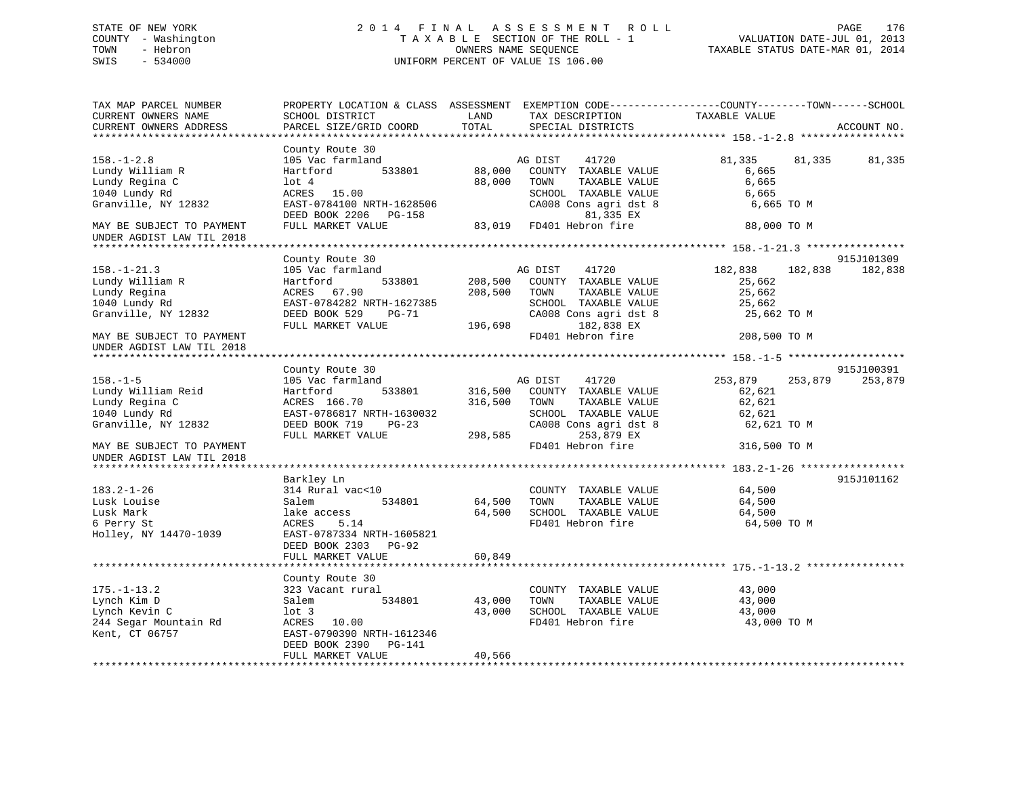## STATE OF NEW YORK 2 0 1 4 F I N A L A S S E S S M E N T R O L L PAGE 176 COUNTY - Washington T A X A B L E SECTION OF THE ROLL - 1 VALUATION DATE-JUL 01, 2013 TOWN - Hebron OWNERS NAME SEQUENCE TAXABLE STATUS DATE-MAR 01, 2014 SWIS - 534000 UNIFORM PERCENT OF VALUE IS 106.00

| TAX MAP PARCEL NUMBER<br>CURRENT OWNERS NAME<br>CURRENT OWNERS ADDRESS                                                      | PROPERTY LOCATION & CLASS ASSESSMENT<br>SCHOOL DISTRICT<br>PARCEL SIZE/GRID COORD                                                             | LAND<br>TOTAL                 | TAX DESCRIPTION<br>SPECIAL DISTRICTS                                                                                                                  | EXEMPTION CODE-----------------COUNTY-------TOWN------SCHOOL<br>TAXABLE VALUE   | ACCOUNT NO.           |
|-----------------------------------------------------------------------------------------------------------------------------|-----------------------------------------------------------------------------------------------------------------------------------------------|-------------------------------|-------------------------------------------------------------------------------------------------------------------------------------------------------|---------------------------------------------------------------------------------|-----------------------|
|                                                                                                                             |                                                                                                                                               |                               |                                                                                                                                                       |                                                                                 |                       |
| $158. - 1 - 2.8$<br>Lundy William R<br>Lundy Regina C                                                                       | County Route 30<br>105 Vac farmland<br>533801<br>Hartford<br>$1$ ot $4$                                                                       | 88,000<br>88,000              | AG DIST<br>41720<br>COUNTY TAXABLE VALUE<br>TOWN<br>TAXABLE VALUE                                                                                     | 81,335<br>81,335<br>6,665<br>6,665                                              | 81,335                |
| 1040 Lundy Rd<br>Granville, NY 12832                                                                                        | ACRES 15.00<br>EAST-0784100 NRTH-1628506<br>DEED BOOK 2206 PG-158                                                                             |                               | SCHOOL TAXABLE VALUE<br>CA008 Cons agri dst 8<br>81,335 EX                                                                                            | 6,665<br>6,665 TO M                                                             |                       |
| MAY BE SUBJECT TO PAYMENT<br>UNDER AGDIST LAW TIL 2018                                                                      | FULL MARKET VALUE                                                                                                                             | 83,019                        | FD401 Hebron fire                                                                                                                                     | 88,000 TO M                                                                     |                       |
|                                                                                                                             |                                                                                                                                               |                               |                                                                                                                                                       |                                                                                 |                       |
| $158. - 1 - 21.3$<br>Lundy William R<br>Lundy Regina<br>1040 Lundy Rd<br>Granville, NY 12832                                | County Route 30<br>105 Vac farmland<br>Hartford<br>533801<br>ACRES 67.90<br>EAST-0784282 NRTH-1627385<br>DEED BOOK 529<br>PG-71               | 208,500<br>208,500            | AG DIST<br>41720<br>COUNTY TAXABLE VALUE<br>TOWN<br>TAXABLE VALUE<br>SCHOOL TAXABLE VALUE<br>CA008 Cons agri dst 8                                    | 182,838<br>182,838<br>25,662<br>25,662<br>25,662<br>25,662 TO M                 | 915J101309<br>182,838 |
| MAY BE SUBJECT TO PAYMENT                                                                                                   | FULL MARKET VALUE                                                                                                                             | 196,698                       | 182,838 EX<br>FD401 Hebron fire                                                                                                                       | 208,500 TO M                                                                    |                       |
| UNDER AGDIST LAW TIL 2018                                                                                                   |                                                                                                                                               |                               |                                                                                                                                                       |                                                                                 |                       |
|                                                                                                                             | County Route 30                                                                                                                               |                               |                                                                                                                                                       |                                                                                 | 915J100391            |
| $158. - 1 - 5$<br>Lundy William Reid<br>Lundy Regina C<br>1040 Lundy Rd<br>Granville, NY 12832<br>MAY BE SUBJECT TO PAYMENT | 105 Vac farmland<br>Hartford<br>533801<br>ACRES 166.70<br>EAST-0786817 NRTH-1630032<br>DEED BOOK 719<br>$PG-23$<br>FULL MARKET VALUE          | 316,500<br>316,500<br>298,585 | 41720<br>AG DIST<br>COUNTY TAXABLE VALUE<br>TOWN<br>TAXABLE VALUE<br>SCHOOL TAXABLE VALUE<br>CA008 Cons agri dst 8<br>253,879 EX<br>FD401 Hebron fire | 253,879<br>253,879<br>62,621<br>62,621<br>62,621<br>62,621 TO M<br>316,500 TO M | 253,879               |
| UNDER AGDIST LAW TIL 2018                                                                                                   |                                                                                                                                               |                               |                                                                                                                                                       |                                                                                 |                       |
|                                                                                                                             | Barkley Ln                                                                                                                                    |                               |                                                                                                                                                       |                                                                                 | 915J101162            |
| $183.2 - 1 - 26$<br>Lusk Louise<br>Lusk Mark<br>6 Perry St<br>Holley, NY 14470-1039                                         | 314 Rural vac<10<br>Salem<br>534801<br>lake access<br>ACRES<br>5.14<br>EAST-0787334 NRTH-1605821<br>DEED BOOK 2303 PG-92<br>FULL MARKET VALUE | 64,500<br>64,500<br>60,849    | COUNTY TAXABLE VALUE<br>TAXABLE VALUE<br>TOWN<br>SCHOOL TAXABLE VALUE<br>FD401 Hebron fire                                                            | 64,500<br>64,500<br>64,500<br>64,500 TO M                                       |                       |
|                                                                                                                             |                                                                                                                                               |                               |                                                                                                                                                       |                                                                                 |                       |
| $175. - 1 - 13.2$<br>Lynch Kim D<br>Lynch Kevin C<br>244 Segar Mountain Rd<br>Kent, CT 06757                                | County Route 30<br>323 Vacant rural<br>534801<br>Salem<br>$1$ ot 3<br>ACRES 10.00<br>EAST-0790390 NRTH-1612346                                | 43,000<br>43,000              | COUNTY TAXABLE VALUE<br>TAXABLE VALUE<br>TOWN<br>SCHOOL TAXABLE VALUE<br>FD401 Hebron fire                                                            | 43,000<br>43,000<br>43,000<br>43,000 TO M                                       |                       |
|                                                                                                                             | DEED BOOK 2390<br>PG-141<br>FULL MARKET VALUE                                                                                                 | 40,566                        |                                                                                                                                                       |                                                                                 |                       |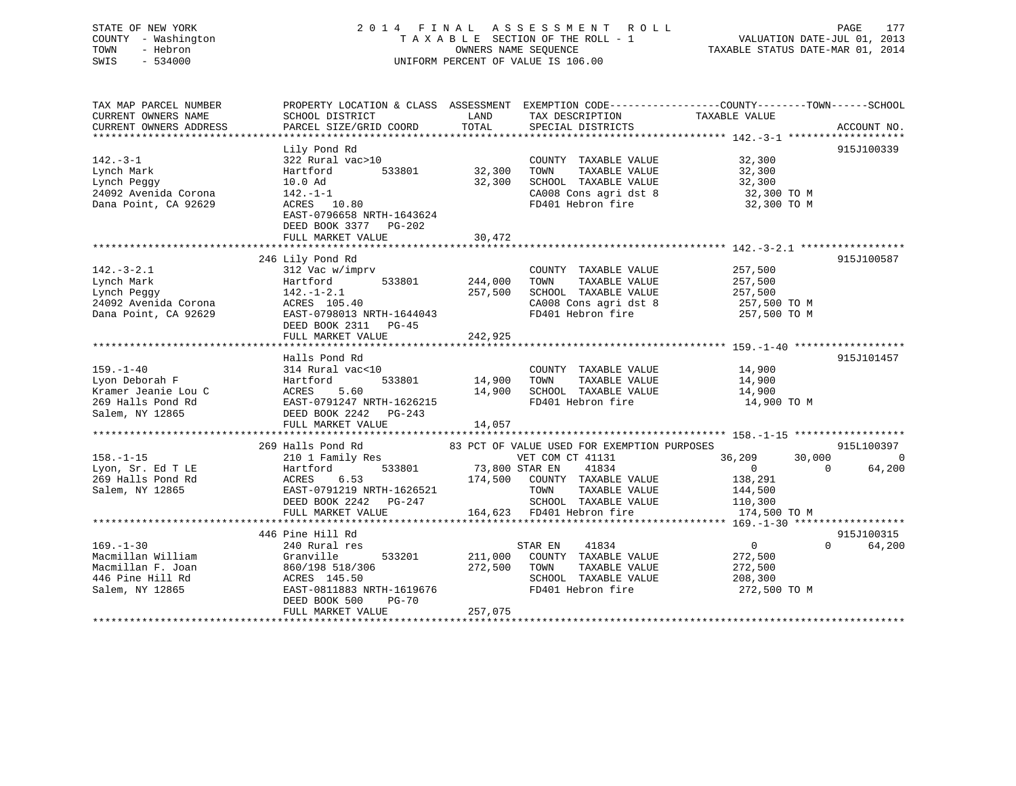## STATE OF NEW YORK 2 0 1 4 F I N A L A S S E S S M E N T R O L L PAGE 177 COUNTY - Washington T A X A B L E SECTION OF THE ROLL - 1 VALUATION DATE-JUL 01, 2013 TOWN - Hebron OWNERS NAME SEQUENCE TAXABLE STATUS DATE-MAR 01, 2014 SWIS - 534000 UNIFORM PERCENT OF VALUE IS 106.00

| TAX MAP PARCEL NUMBER<br>CURRENT OWNERS NAME | PROPERTY LOCATION & CLASS ASSESSMENT EXEMPTION CODE---------------COUNTY-------TOWN-----SCHOOL<br>SCHOOL DISTRICT | LAND           | TAX DESCRIPTION                             | TAXABLE VALUE              |                    |
|----------------------------------------------|-------------------------------------------------------------------------------------------------------------------|----------------|---------------------------------------------|----------------------------|--------------------|
| CURRENT OWNERS ADDRESS                       | PARCEL SIZE/GRID COORD                                                                                            | TOTAL          | SPECIAL DISTRICTS                           |                            | ACCOUNT NO.        |
|                                              | Lily Pond Rd                                                                                                      |                |                                             |                            | 915J100339         |
| $142. - 3 - 1$                               | 322 Rural vac>10                                                                                                  |                | COUNTY TAXABLE VALUE                        | 32,300                     |                    |
| Lynch Mark                                   | 533801<br>Hartford                                                                                                | 32,300         | TAXABLE VALUE<br>TOWN                       | 32,300                     |                    |
| Lynch Peggy                                  | 10.0 Ad                                                                                                           | 32,300         | SCHOOL TAXABLE VALUE                        | 32,300                     |                    |
| 24092 Avenida Corona                         | $142. - 1 - 1$                                                                                                    |                | CA008 Cons agri dst 8                       | 32,300 TO M                |                    |
| Dana Point, CA 92629                         | ACRES 10.80                                                                                                       |                | FD401 Hebron fire                           | 32,300 TO M                |                    |
|                                              | EAST-0796658 NRTH-1643624<br>DEED BOOK 3377 PG-202                                                                |                |                                             |                            |                    |
|                                              | FULL MARKET VALUE                                                                                                 | 30,472         |                                             |                            |                    |
|                                              |                                                                                                                   |                |                                             |                            |                    |
|                                              | 246 Lily Pond Rd                                                                                                  |                |                                             |                            | 915J100587         |
| $142.-3-2.1$                                 | 312 Vac w/imprv                                                                                                   |                | COUNTY TAXABLE VALUE                        | 257,500                    |                    |
| Lynch Mark                                   | 533801<br>Hartford                                                                                                | 244,000        | TAXABLE VALUE<br>TOWN                       | 257,500                    |                    |
| Lynch Peggy                                  | $142. - 1 - 2.1$                                                                                                  | 257,500        | SCHOOL TAXABLE VALUE                        | 257,500                    |                    |
| 24092 Avenida Corona                         | ACRES 105.40                                                                                                      |                | CA008 Cons agri dst 8                       | 257,500 TO M               |                    |
| Dana Point, CA 92629                         | EAST-0798013 NRTH-1644043                                                                                         |                | FD401 Hebron fire                           | 257,500 TO M               |                    |
|                                              | DEED BOOK 2311 PG-45                                                                                              |                |                                             |                            |                    |
|                                              | FULL MARKET VALUE                                                                                                 | 242,925        |                                             |                            |                    |
|                                              |                                                                                                                   |                |                                             |                            |                    |
|                                              | Halls Pond Rd                                                                                                     |                |                                             |                            | 915J101457         |
| $159. - 1 - 40$                              | 314 Rural vac<10                                                                                                  |                | COUNTY TAXABLE VALUE                        | 14,900                     |                    |
| Lyon Deborah F                               | 533801<br>Hartford                                                                                                | 14,900         | TOWN<br>TAXABLE VALUE                       | 14,900                     |                    |
| Kramer Jeanie Lou C                          | ACRES<br>5.60                                                                                                     | 14,900         | SCHOOL TAXABLE VALUE                        | 14,900                     |                    |
| 269 Halls Pond Rd                            | EAST-0791247 NRTH-1626215                                                                                         |                | FD401 Hebron fire                           | 14,900 TO M                |                    |
| Salem, NY 12865                              | DEED BOOK 2242 PG-243                                                                                             |                |                                             |                            |                    |
|                                              | FULL MARKET VALUE                                                                                                 | 14,057         |                                             |                            |                    |
|                                              |                                                                                                                   |                |                                             |                            |                    |
|                                              | 269 Halls Pond Rd                                                                                                 |                | 83 PCT OF VALUE USED FOR EXEMPTION PURPOSES |                            | 915L100397         |
| $158. - 1 - 15$                              | 210 1 Family Res                                                                                                  |                | VET COM CT 41131                            | 36,209<br>30,000           | $\Omega$           |
| Lyon, Sr. Ed T LE                            | 533801<br>Hartford                                                                                                | 73,800 STAR EN | 41834                                       | $\overline{0}$<br>$\Omega$ | 64,200             |
| 269 Halls Pond Rd                            | 6.53<br>ACRES                                                                                                     | 174,500        | COUNTY TAXABLE VALUE                        | 138,291                    |                    |
| Salem, NY 12865                              | EAST-0791219 NRTH-1626521                                                                                         |                | TOWN<br>TAXABLE VALUE                       | 144,500                    |                    |
|                                              | DEED BOOK 2242 PG-247                                                                                             |                | SCHOOL TAXABLE VALUE                        | 110,300                    |                    |
|                                              | FULL MARKET VALUE                                                                                                 |                | 164,623 FD401 Hebron fire                   | 174,500 TO M               |                    |
|                                              |                                                                                                                   |                |                                             |                            |                    |
|                                              | 446 Pine Hill Rd                                                                                                  |                |                                             |                            | 915J100315         |
| $169. - 1 - 30$                              | 240 Rural res                                                                                                     |                | 41834<br>STAR EN                            | $\overline{0}$             | 64,200<br>$\Omega$ |
| Macmillan William                            | 533201<br>Granville                                                                                               | 211,000        | COUNTY TAXABLE VALUE                        | 272,500                    |                    |
| Macmillan F. Joan                            | 860/198 518/306                                                                                                   | 272,500        | TOWN<br>TAXABLE VALUE                       | 272,500                    |                    |
| 446 Pine Hill Rd                             | ACRES 145.50                                                                                                      |                | SCHOOL TAXABLE VALUE                        | 208,300                    |                    |
| Salem, NY 12865                              | EAST-0811883 NRTH-1619676                                                                                         |                | FD401 Hebron fire                           | 272,500 TO M               |                    |
|                                              | DEED BOOK 500<br>PG-70                                                                                            |                |                                             |                            |                    |
|                                              | FULL MARKET VALUE                                                                                                 | 257,075        |                                             |                            |                    |
|                                              |                                                                                                                   |                |                                             |                            |                    |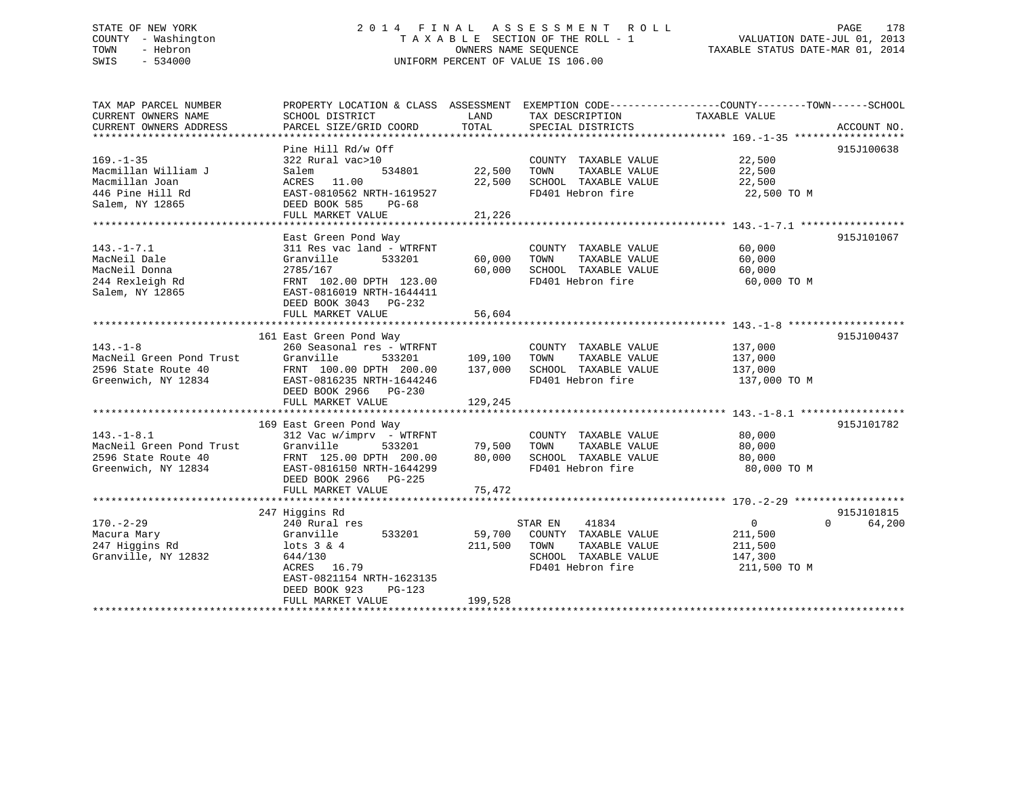## STATE OF NEW YORK 2 0 1 4 F I N A L A S S E S S M E N T R O L L PAGE 178 COUNTY - Washington T A X A B L E SECTION OF THE ROLL - 1 VALUATION DATE-JUL 01, 2013 TOWN - Hebron OWNERS NAME SEQUENCE TAXABLE STATUS DATE-MAR 01, 2014 SWIS - 534000 UNIFORM PERCENT OF VALUE IS 106.00

| TAX MAP PARCEL NUMBER         | PROPERTY LOCATION & CLASS ASSESSMENT EXEMPTION CODE---------------COUNTY-------TOWN-----SCHOOL |                   |                                               |                    |                    |
|-------------------------------|------------------------------------------------------------------------------------------------|-------------------|-----------------------------------------------|--------------------|--------------------|
| CURRENT OWNERS NAME           | SCHOOL DISTRICT                                                                                | LAND              | TAX DESCRIPTION                               | TAXABLE VALUE      |                    |
| CURRENT OWNERS ADDRESS        | PARCEL SIZE/GRID COORD                                                                         | TOTAL             | SPECIAL DISTRICTS                             |                    | ACCOUNT NO.        |
|                               | Pine Hill Rd/w Off                                                                             |                   |                                               |                    | 915J100638         |
| $169. - 1 - 35$               | 322 Rural vac>10                                                                               |                   | COUNTY TAXABLE VALUE                          | 22,500             |                    |
| Macmillan William J           | 534801<br>Salem                                                                                | 22,500            | TOWN<br>TAXABLE VALUE                         | 22,500             |                    |
| Macmillan Joan                | ACRES 11.00                                                                                    | 22,500            | SCHOOL TAXABLE VALUE                          | 22,500             |                    |
| 446 Pine Hill Rd              | EAST-0810562 NRTH-1619527                                                                      |                   | FD401 Hebron fire                             | 22,500 TO M        |                    |
| Salem, NY 12865               | DEED BOOK 585<br>PG-68                                                                         |                   |                                               |                    |                    |
|                               | FULL MARKET VALUE                                                                              | 21,226            |                                               |                    |                    |
|                               |                                                                                                |                   |                                               |                    |                    |
|                               | East Green Pond Way                                                                            |                   |                                               |                    | 915J101067         |
| $143. - 1 - 7.1$              | 311 Res vac land - WTRFNT                                                                      |                   | COUNTY TAXABLE VALUE                          | 60,000             |                    |
| MacNeil Dale                  | Granville<br>533201                                                                            | 60,000            | TOWN<br>TAXABLE VALUE                         | 60,000             |                    |
| MacNeil Donna                 | 2785/167                                                                                       | 60,000            | SCHOOL TAXABLE VALUE                          | 60,000             |                    |
| 244 Rexleigh Rd               | FRNT 102.00 DPTH 123.00                                                                        |                   | FD401 Hebron fire                             | 60,000 TO M        |                    |
| Salem, NY 12865               | EAST-0816019 NRTH-1644411                                                                      |                   |                                               |                    |                    |
|                               | DEED BOOK 3043 PG-232                                                                          |                   |                                               |                    |                    |
|                               | FULL MARKET VALUE                                                                              | 56,604            |                                               |                    |                    |
|                               | 161 East Green Pond Way                                                                        |                   |                                               |                    | 915J100437         |
| $143. - 1 - 8$                | 260 Seasonal res - WTRFNT                                                                      |                   | COUNTY TAXABLE VALUE                          | 137,000            |                    |
| MacNeil Green Pond Trust      | Granville<br>533201                                                                            | 109,100           | TAXABLE VALUE<br>TOWN                         | 137,000            |                    |
| 2596 State Route 40           | FRNT 100.00 DPTH 200.00                                                                        | 137,000           | SCHOOL TAXABLE VALUE                          | 137,000            |                    |
| Greenwich, NY 12834           | EAST-0816235 NRTH-1644246                                                                      |                   | FD401 Hebron fire                             | 137,000 TO M       |                    |
|                               | DEED BOOK 2966 PG-230                                                                          |                   |                                               |                    |                    |
|                               | FULL MARKET VALUE                                                                              | 129,245           |                                               |                    |                    |
|                               |                                                                                                |                   |                                               |                    |                    |
|                               | 169 East Green Pond Way                                                                        |                   |                                               |                    | 915J101782         |
| $143. - 1 - 8.1$              | 312 Vac w/imprv - WTRFNT                                                                       |                   | COUNTY TAXABLE VALUE                          | 80,000             |                    |
| MacNeil Green Pond Trust      | Granville<br>533201                                                                            | 79,500            | TAXABLE VALUE<br>TOWN                         | 80,000             |                    |
| 2596 State Route 40           | FRNT 125.00 DPTH 200.00                                                                        | 80,000            | SCHOOL TAXABLE VALUE                          | 80,000             |                    |
| Greenwich, NY 12834           | EAST-0816150 NRTH-1644299                                                                      |                   | FD401 Hebron fire                             | 80,000 TO M        |                    |
|                               | DEED BOOK 2966 PG-225                                                                          |                   |                                               |                    |                    |
|                               | FULL MARKET VALUE                                                                              | 75,472            |                                               |                    |                    |
|                               |                                                                                                |                   |                                               |                    |                    |
|                               | 247 Higgins Rd                                                                                 |                   |                                               |                    | 915J101815         |
| $170. - 2 - 29$               | 240 Rural res                                                                                  |                   | 41834<br>STAR EN                              | $\overline{0}$     | $\Omega$<br>64,200 |
| Macura Mary<br>247 Higgins Rd | Granville<br>533201<br>lots 3 & 4                                                              | 59,700<br>211,500 | COUNTY TAXABLE VALUE<br>TOWN<br>TAXABLE VALUE | 211,500<br>211,500 |                    |
| Granville, NY 12832           | 644/130                                                                                        |                   | SCHOOL TAXABLE VALUE                          | 147,300            |                    |
|                               | ACRES 16.79                                                                                    |                   | FD401 Hebron fire                             | 211,500 TO M       |                    |
|                               | EAST-0821154 NRTH-1623135                                                                      |                   |                                               |                    |                    |
|                               | DEED BOOK 923<br>$PG-123$                                                                      |                   |                                               |                    |                    |
|                               | FULL MARKET VALUE                                                                              | 199,528           |                                               |                    |                    |
|                               |                                                                                                |                   |                                               |                    |                    |
|                               |                                                                                                |                   |                                               |                    |                    |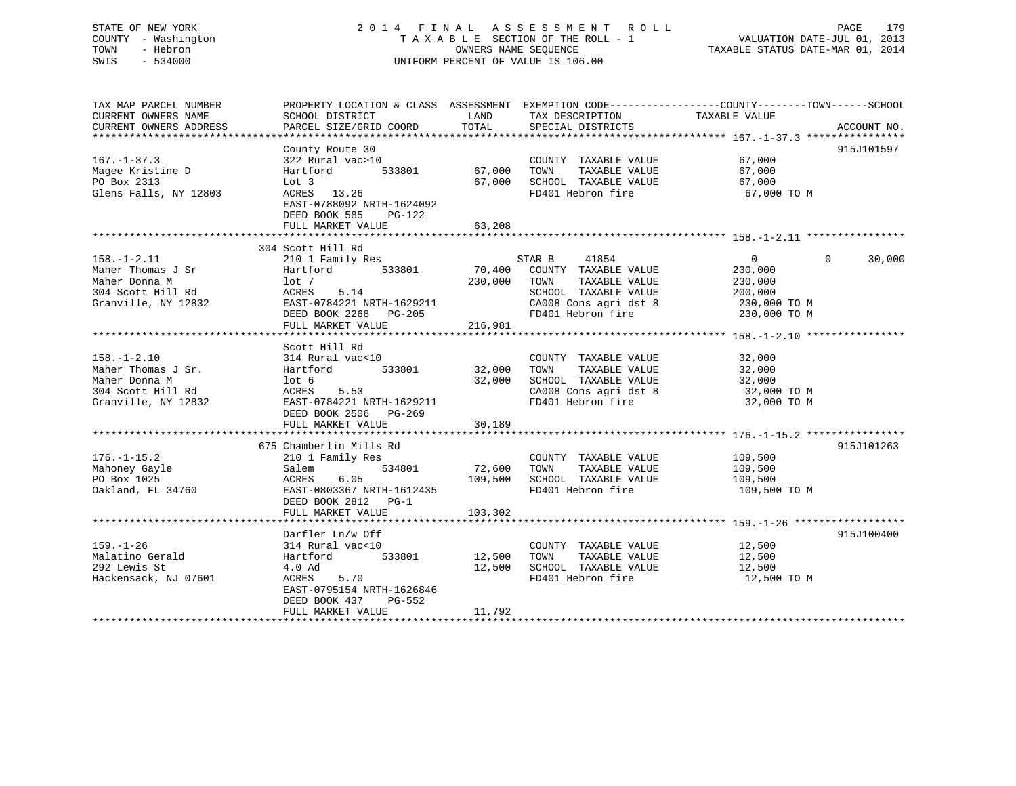## STATE OF NEW YORK 2 0 1 4 F I N A L A S S E S S M E N T R O L L PAGE 179 COUNTY - Washington T A X A B L E SECTION OF THE ROLL - 1 VALUATION DATE-JUL 01, 2013 TOWN - Hebron OWNERS NAME SEQUENCE TAXABLE STATUS DATE-MAR 01, 2014 SWIS - 534000 UNIFORM PERCENT OF VALUE IS 106.00

| TAX MAP PARCEL NUMBER<br>CURRENT OWNERS NAME | SCHOOL DISTRICT                                                           | LAND    | PROPERTY LOCATION & CLASS ASSESSMENT EXEMPTION CODE----------------COUNTY-------TOWN-----SCHOOL<br>TAX DESCRIPTION | TAXABLE VALUE  |                    |
|----------------------------------------------|---------------------------------------------------------------------------|---------|--------------------------------------------------------------------------------------------------------------------|----------------|--------------------|
| CURRENT OWNERS ADDRESS                       | PARCEL SIZE/GRID COORD                                                    | TOTAL   | SPECIAL DISTRICTS                                                                                                  |                | ACCOUNT NO.        |
|                                              |                                                                           |         |                                                                                                                    |                |                    |
|                                              | County Route 30                                                           |         |                                                                                                                    |                | 915J101597         |
| $167. - 1 - 37.3$                            | 322 Rural vac>10                                                          |         | COUNTY TAXABLE VALUE                                                                                               | 67,000         |                    |
| Magee Kristine D                             | 533801<br>Hartford                                                        | 67,000  | TAXABLE VALUE<br>TOWN                                                                                              | 67,000         |                    |
| PO Box 2313                                  | Lot 3                                                                     | 67,000  | SCHOOL TAXABLE VALUE                                                                                               | 67,000         |                    |
| Glens Falls, NY 12803                        | 13.26<br>ACRES                                                            |         | FD401 Hebron fire                                                                                                  | 67,000 TO M    |                    |
|                                              | EAST-0788092 NRTH-1624092<br>DEED BOOK 585<br>PG-122<br>FULL MARKET VALUE | 63,208  |                                                                                                                    |                |                    |
|                                              |                                                                           |         |                                                                                                                    |                |                    |
|                                              | 304 Scott Hill Rd                                                         |         |                                                                                                                    |                |                    |
| $158. - 1 - 2.11$                            | 210 1 Family Res                                                          |         | 41854<br>STAR B                                                                                                    | $\overline{0}$ | 30,000<br>$\Omega$ |
| Maher Thomas J Sr                            | 533801<br>Hartford                                                        | 70,400  | COUNTY TAXABLE VALUE                                                                                               | 230,000        |                    |
| Maher Donna M                                | lot 7                                                                     | 230,000 | TOWN<br>TAXABLE VALUE                                                                                              | 230,000        |                    |
| 304 Scott Hill Rd                            | ACRES<br>5.14                                                             |         | SCHOOL TAXABLE VALUE                                                                                               | 200,000        |                    |
| Granville, NY 12832                          | EAST-0784221 NRTH-1629211                                                 |         | CA008 Cons agri dst 8                                                                                              | 230,000 TO M   |                    |
|                                              | DEED BOOK 2268 PG-205                                                     |         | FD401 Hebron fire                                                                                                  | 230,000 TO M   |                    |
|                                              | FULL MARKET VALUE                                                         | 216,981 |                                                                                                                    |                |                    |
|                                              |                                                                           |         |                                                                                                                    |                |                    |
|                                              | Scott Hill Rd                                                             |         |                                                                                                                    |                |                    |
| $158. - 1 - 2.10$                            | 314 Rural vac<10                                                          |         | COUNTY TAXABLE VALUE                                                                                               | 32,000         |                    |
| Maher Thomas J Sr.                           | 533801<br>Hartford                                                        | 32,000  | TOWN<br>TAXABLE VALUE                                                                                              | 32,000         |                    |
| Maher Donna M                                | lot 6                                                                     | 32,000  | SCHOOL TAXABLE VALUE                                                                                               | 32,000         |                    |
| 304 Scott Hill Rd                            | 5.53<br>ACRES                                                             |         | CA008 Cons agri dst 8                                                                                              | 32,000 TO M    |                    |
| Granville, NY 12832                          | EAST-0784221 NRTH-1629211                                                 |         | FD401 Hebron fire                                                                                                  | 32,000 TO M    |                    |
|                                              | DEED BOOK 2506 PG-269                                                     |         |                                                                                                                    |                |                    |
|                                              | FULL MARKET VALUE                                                         | 30,189  |                                                                                                                    |                |                    |
|                                              |                                                                           |         |                                                                                                                    |                |                    |
|                                              | 675 Chamberlin Mills Rd                                                   |         |                                                                                                                    |                | 915J101263         |
| $176. - 1 - 15.2$                            | 210 1 Family Res                                                          |         | COUNTY TAXABLE VALUE                                                                                               | 109,500        |                    |
| Mahoney Gayle                                | 534801<br>Salem                                                           | 72,600  | TOWN<br>TAXABLE VALUE                                                                                              | 109,500        |                    |
| PO Box 1025                                  | 6.05<br>ACRES                                                             | 109,500 | SCHOOL TAXABLE VALUE                                                                                               | 109,500        |                    |
| Oakland, FL 34760                            | EAST-0803367 NRTH-1612435                                                 |         | FD401 Hebron fire                                                                                                  | 109,500 TO M   |                    |
|                                              | DEED BOOK 2812 PG-1                                                       |         |                                                                                                                    |                |                    |
|                                              | FULL MARKET VALUE                                                         | 103,302 |                                                                                                                    |                |                    |
|                                              |                                                                           |         |                                                                                                                    |                |                    |
|                                              | Darfler Ln/w Off                                                          |         |                                                                                                                    |                | 915J100400         |
| $159. - 1 - 26$                              | 314 Rural vac<10                                                          |         | COUNTY TAXABLE VALUE                                                                                               | 12,500         |                    |
| Malatino Gerald                              | Hartford<br>533801                                                        | 12,500  | TAXABLE VALUE<br>TOWN                                                                                              | 12,500         |                    |
| 292 Lewis St                                 | 4.0 Ad                                                                    | 12,500  | SCHOOL TAXABLE VALUE                                                                                               | 12,500         |                    |
| Hackensack, NJ 07601                         | ACRES<br>5.70                                                             |         | FD401 Hebron fire                                                                                                  | 12,500 TO M    |                    |
|                                              | EAST-0795154 NRTH-1626846                                                 |         |                                                                                                                    |                |                    |
|                                              | DEED BOOK 437<br>PG-552                                                   |         |                                                                                                                    |                |                    |
|                                              | FULL MARKET VALUE                                                         | 11,792  |                                                                                                                    |                |                    |
|                                              |                                                                           |         |                                                                                                                    |                |                    |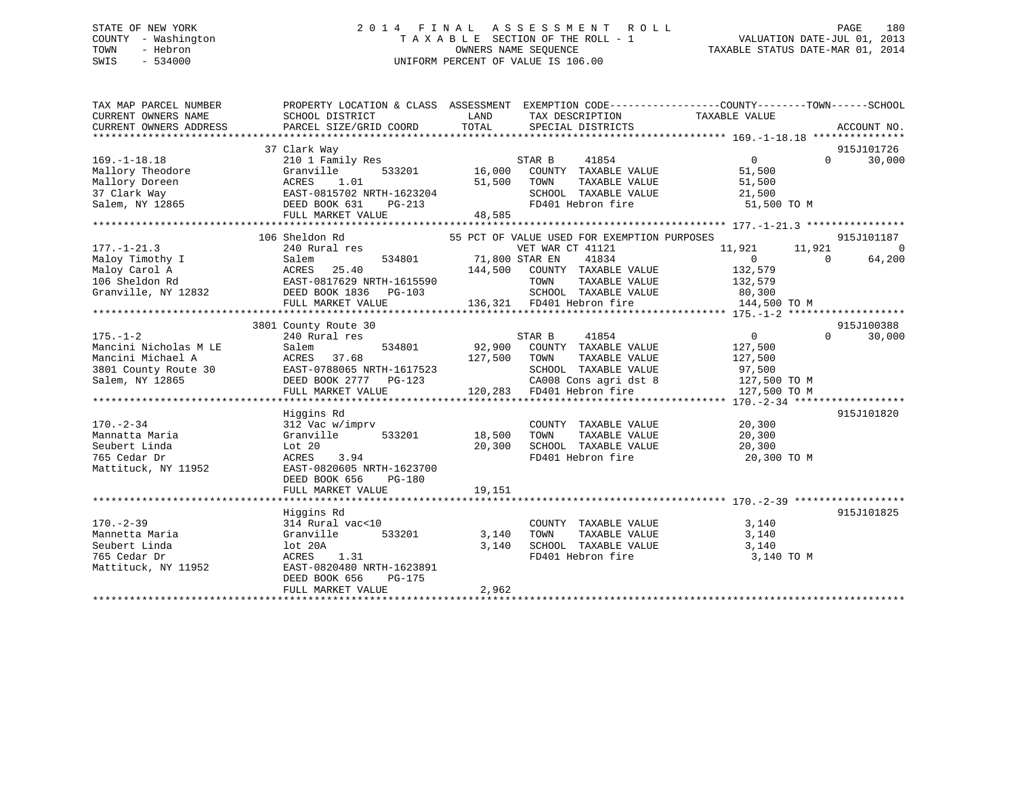## STATE OF NEW YORK 2 0 1 4 F I N A L A S S E S S M E N T R O L L PAGE 180 COUNTY - Washington T A X A B L E SECTION OF THE ROLL - 1 VALUATION DATE-JUL 01, 2013 TOWN - Hebron OWNERS NAME SEQUENCE TAXABLE STATUS DATE-MAR 01, 2014 SWIS - 534000 UNIFORM PERCENT OF VALUE IS 106.00

| TAX MAP PARCEL NUMBER<br>CURRENT OWNERS NAME<br>CURRENT OWNERS ADDRESS | PROPERTY LOCATION & CLASS ASSESSMENT EXEMPTION CODE----------------COUNTY-------TOWN------SCHOOL<br>SCHOOL DISTRICT<br>PARCEL SIZE/GRID COORD | LAND<br>TOTAL  | TAX DESCRIPTION<br>SPECIAL DISTRICTS                                        | TAXABLE VALUE          | ACCOUNT NO.            |
|------------------------------------------------------------------------|-----------------------------------------------------------------------------------------------------------------------------------------------|----------------|-----------------------------------------------------------------------------|------------------------|------------------------|
|                                                                        |                                                                                                                                               |                |                                                                             |                        |                        |
|                                                                        | 37 Clark Way                                                                                                                                  |                |                                                                             |                        | 915J101726             |
| $169. - 1 - 18.18$                                                     | 210 1 Family Res                                                                                                                              |                | STAR B<br>41854                                                             | $\Omega$               | $\Omega$<br>30,000     |
| Mallory Theodore                                                       | Granville<br>533201                                                                                                                           | 16,000         | COUNTY TAXABLE VALUE                                                        | 51,500                 |                        |
| Mallory Doreen                                                         | ACRES<br>1.01                                                                                                                                 | 51,500         | TOWN<br>TAXABLE VALUE                                                       | 51,500                 |                        |
| 37 Clark Way                                                           | EAST-0815702 NRTH-1623204                                                                                                                     |                | SCHOOL TAXABLE VALUE                                                        | 21,500                 |                        |
| Salem, NY 12865                                                        | DEED BOOK 631<br>PG-213                                                                                                                       |                | FD401 Hebron fire                                                           | 51,500 TO M            |                        |
|                                                                        | FULL MARKET VALUE                                                                                                                             | 48,585         |                                                                             |                        |                        |
|                                                                        |                                                                                                                                               |                |                                                                             |                        |                        |
|                                                                        | 106 Sheldon Rd                                                                                                                                |                | 55 PCT OF VALUE USED FOR EXEMPTION PURPOSES                                 |                        | 915J101187             |
| $177. - 1 - 21.3$                                                      | 240 Rural res                                                                                                                                 |                | VET WAR CT 41121                                                            | 11,921<br>11,921       | $\Omega$               |
| Maloy Timothy I                                                        | Salem<br>534801                                                                                                                               | 71,800 STAR EN | 41834                                                                       | $\Omega$               | $\Omega$<br>64,200     |
| Maloy Carol A                                                          | ACRES<br>25.40                                                                                                                                |                | 144,500 COUNTY TAXABLE VALUE                                                | 132,579                |                        |
| 106 Sheldon Rd                                                         | EAST-0817629 NRTH-1615590                                                                                                                     |                | TOWN<br>TAXABLE VALUE                                                       | 132,579                |                        |
| Granville, NY 12832                                                    | DEED BOOK 1836 PG-103                                                                                                                         |                | SCHOOL TAXABLE VALUE                                                        | 80,300                 |                        |
|                                                                        | FULL MARKET VALUE                                                                                                                             |                | 136,321 FD401 Hebron fire                                                   | 144,500 TO M           |                        |
|                                                                        |                                                                                                                                               |                |                                                                             |                        |                        |
|                                                                        | 3801 County Route 30                                                                                                                          |                |                                                                             |                        | 915J100388<br>$\Omega$ |
| $175. - 1 - 2$<br>Mancini Nicholas M LE                                | 240 Rural res<br>534801                                                                                                                       | 92,900         | STAR B<br>41854<br>COUNTY TAXABLE VALUE                                     | $\overline{0}$         | 30,000                 |
| Mancini Michael A                                                      | Salem<br>37.68<br>ACRES                                                                                                                       |                | TAXABLE VALUE                                                               | 127,500                |                        |
| 3801 County Route 30                                                   | EAST-0788065 NRTH-1617523                                                                                                                     | 127,500        | TOWN<br>SCHOOL TAXABLE VALUE                                                | 127,500                |                        |
| Salem, NY 12865                                                        | DEED BOOK 2777 PG-123                                                                                                                         |                |                                                                             | 97,500<br>127,500 TO M |                        |
|                                                                        | FULL MARKET VALUE                                                                                                                             |                | CA008 Cons agri dst 8<br>CA008 Cons agri dst 8<br>120,283 FD401 Hebron fire | 127,500 TO M           |                        |
|                                                                        |                                                                                                                                               |                |                                                                             |                        |                        |
|                                                                        | Higgins Rd                                                                                                                                    |                |                                                                             |                        | 915J101820             |
| $170. - 2 - 34$                                                        | 312 Vac w/imprv                                                                                                                               |                | COUNTY TAXABLE VALUE                                                        | 20,300                 |                        |
| Mannatta Maria                                                         | Granville<br>533201                                                                                                                           | 18,500         | TOWN<br>TAXABLE VALUE                                                       | 20,300                 |                        |
| Seubert Linda                                                          | Lot 20                                                                                                                                        | 20,300         | SCHOOL TAXABLE VALUE                                                        | 20,300                 |                        |
| 765 Cedar Dr                                                           | ACRES<br>3.94                                                                                                                                 |                | FD401 Hebron fire                                                           | 20,300 TO M            |                        |
| Mattituck, NY 11952                                                    | EAST-0820605 NRTH-1623700                                                                                                                     |                |                                                                             |                        |                        |
|                                                                        | DEED BOOK 656<br>$PG-180$                                                                                                                     |                |                                                                             |                        |                        |
|                                                                        | FULL MARKET VALUE                                                                                                                             | 19,151         |                                                                             |                        |                        |
|                                                                        |                                                                                                                                               |                |                                                                             |                        |                        |
|                                                                        | Higgins Rd                                                                                                                                    |                |                                                                             |                        | 915J101825             |
| $170. - 2 - 39$                                                        | 314 Rural vac<10                                                                                                                              |                | COUNTY TAXABLE VALUE                                                        | 3,140                  |                        |
| Mannetta Maria                                                         | Granville<br>533201                                                                                                                           | 3,140          | TAXABLE VALUE<br>TOWN                                                       | 3,140                  |                        |
| Seubert Linda                                                          | lot 20A                                                                                                                                       | 3,140          | SCHOOL TAXABLE VALUE                                                        | 3,140                  |                        |
| 765 Cedar Dr                                                           | ACRES<br>1.31                                                                                                                                 |                | FD401 Hebron fire                                                           | 3,140 TO M             |                        |
| Mattituck, NY 11952                                                    | EAST-0820480 NRTH-1623891                                                                                                                     |                |                                                                             |                        |                        |
|                                                                        | DEED BOOK 656<br>PG-175                                                                                                                       |                |                                                                             |                        |                        |
|                                                                        | FULL MARKET VALUE                                                                                                                             | 2,962          |                                                                             |                        |                        |
|                                                                        |                                                                                                                                               |                |                                                                             |                        |                        |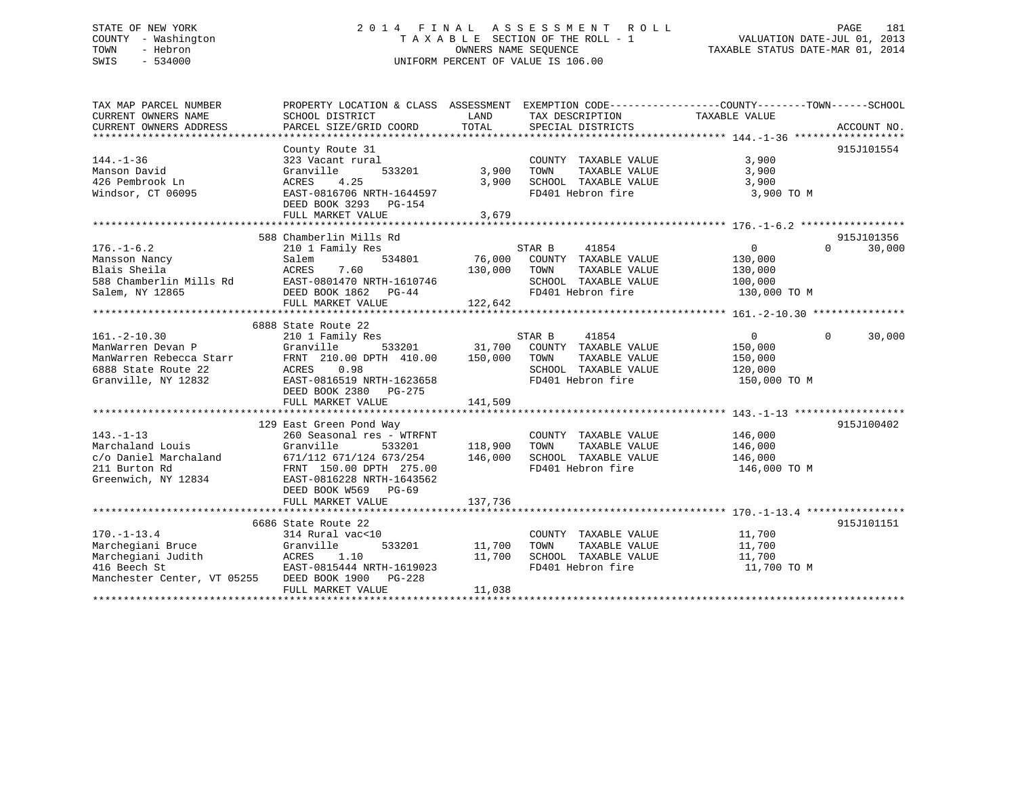# STATE OF NEW YORK 2 0 1 4 F I N A L A S S E S S M E N T R O L L PAGE 181 COUNTY - Washington T A X A B L E SECTION OF THE ROLL - 1 VALUATION DATE-JUL 01, 2013 TOWN - Hebron **CONNERS NAME SEQUENCE** TAXABLE STATUS DATE-MAR 01, 2014 SWIS - 534000 UNIFORM PERCENT OF VALUE IS 106.00

| TAX MAP PARCEL NUMBER       |                                 |                |                             | PROPERTY LOCATION & CLASS ASSESSMENT EXEMPTION CODE---------------COUNTY-------TOWN-----SCHOOL |                    |
|-----------------------------|---------------------------------|----------------|-----------------------------|------------------------------------------------------------------------------------------------|--------------------|
| CURRENT OWNERS NAME         | SCHOOL DISTRICT                 | LAND           | TAX DESCRIPTION             | TAXABLE VALUE                                                                                  |                    |
| CURRENT OWNERS ADDRESS      | PARCEL SIZE/GRID COORD          | TOTAL          | SPECIAL DISTRICTS           |                                                                                                | ACCOUNT NO.        |
|                             |                                 |                |                             |                                                                                                |                    |
|                             | County Route 31                 |                |                             |                                                                                                | 915J101554         |
| $144. - 1 - 36$             | 323 Vacant rural                |                | COUNTY TAXABLE VALUE        | 3,900                                                                                          |                    |
| Manson David                | Granville<br>533201             | 3,900          | TOWN<br>TAXABLE VALUE       | 3,900                                                                                          |                    |
| 426 Pembrook Ln             | 4.25<br>ACRES                   | 3,900          | SCHOOL TAXABLE VALUE        | 3,900                                                                                          |                    |
| Windsor, CT 06095           | EAST-0816706 NRTH-1644597       |                | FD401 Hebron fire           | 3,900 TO M                                                                                     |                    |
|                             | DEED BOOK 3293 PG-154           |                |                             |                                                                                                |                    |
|                             | FULL MARKET VALUE               | 3,679          |                             |                                                                                                |                    |
|                             |                                 |                |                             |                                                                                                |                    |
|                             | 588 Chamberlin Mills Rd         |                |                             |                                                                                                | 915J101356         |
| $176. - 1 - 6.2$            | 210 1 Family Res                |                | STAR B<br>41854             | 0                                                                                              | $\Omega$<br>30,000 |
| Mansson Nancy               | 534801<br>Salem                 |                | 76,000 COUNTY TAXABLE VALUE | 130,000                                                                                        |                    |
| Blais Sheila                | ACRES<br>7.60                   | 130,000        | TOWN<br>TAXABLE VALUE       | 130,000                                                                                        |                    |
| 588 Chamberlin Mills Rd     | EAST-0801470 NRTH-1610746       |                | SCHOOL TAXABLE VALUE        | 100,000                                                                                        |                    |
| Salem, NY 12865             | DEED BOOK 1862 PG-44            |                | FD401 Hebron fire           | 130,000 TO M                                                                                   |                    |
|                             | FULL MARKET VALUE               | 122,642        |                             |                                                                                                |                    |
|                             |                                 |                |                             |                                                                                                |                    |
|                             | 6888 State Route 22             |                |                             |                                                                                                |                    |
| $161. - 2 - 10.30$          | 210 1 Family Res                |                | 41854<br>STAR B             | $\overline{0}$                                                                                 | $\Omega$<br>30,000 |
| ManWarren Devan P           | Granville                       | 533201 31,700  | COUNTY TAXABLE VALUE        | 150,000                                                                                        |                    |
| ManWarren Rebecca Starr     | FRNT 210.00 DPTH 410.00 150,000 |                | TOWN<br>TAXABLE VALUE       | 150,000                                                                                        |                    |
| 6888 State Route 22         | ACRES 0.98                      |                | SCHOOL TAXABLE VALUE        | 120,000                                                                                        |                    |
| Granville, NY 12832         | EAST-0816519 NRTH-1623658       |                | FD401 Hebron fire           | 150,000 TO M                                                                                   |                    |
|                             | DEED BOOK 2380 PG-275           |                |                             |                                                                                                |                    |
|                             | FULL MARKET VALUE               | 141,509        |                             |                                                                                                |                    |
|                             |                                 |                |                             |                                                                                                |                    |
|                             | 129 East Green Pond Way         |                |                             |                                                                                                | 915J100402         |
| $143. - 1 - 13$             | 260 Seasonal res - WTRFNT       |                | COUNTY TAXABLE VALUE        | 146,000                                                                                        |                    |
| Marchaland Louis            | Granville                       | 533201 118,900 | TOWN<br>TAXABLE VALUE       | 146,000                                                                                        |                    |
| c/o Daniel Marchaland       | 671/112 671/124 673/254         | 146,000        | SCHOOL TAXABLE VALUE        | 146,000                                                                                        |                    |
| 211 Burton Rd               | FRNT 150.00 DPTH 275.00         |                | FD401 Hebron fire           | 146,000 TO M                                                                                   |                    |
| Greenwich, NY 12834         | EAST-0816228 NRTH-1643562       |                |                             |                                                                                                |                    |
|                             |                                 |                |                             |                                                                                                |                    |
|                             | DEED BOOK W569 PG-69            |                |                             |                                                                                                |                    |
|                             | FULL MARKET VALUE               | 137,736        |                             |                                                                                                |                    |
|                             |                                 |                |                             |                                                                                                |                    |
|                             | 6686 State Route 22             |                |                             |                                                                                                | 915J101151         |
| $170. - 1 - 13.4$           | 314 Rural vac<10                |                | COUNTY TAXABLE VALUE        | 11,700                                                                                         |                    |
| Marchegiani Bruce           | 533201<br>Granville             | 11,700         | TOWN<br>TAXABLE VALUE       | 11,700                                                                                         |                    |
| Marchegiani Judith          | ACRES 1.10                      | 11,700         | SCHOOL TAXABLE VALUE        | 11,700                                                                                         |                    |
| 416 Beech St                | EAST-0815444 NRTH-1619023       |                | FD401 Hebron fire           | 11,700 TO M                                                                                    |                    |
| Manchester Center, VT 05255 | DEED BOOK 1900 PG-228           |                |                             |                                                                                                |                    |
|                             | FULL MARKET VALUE               | 11,038         |                             |                                                                                                |                    |
|                             |                                 |                |                             |                                                                                                |                    |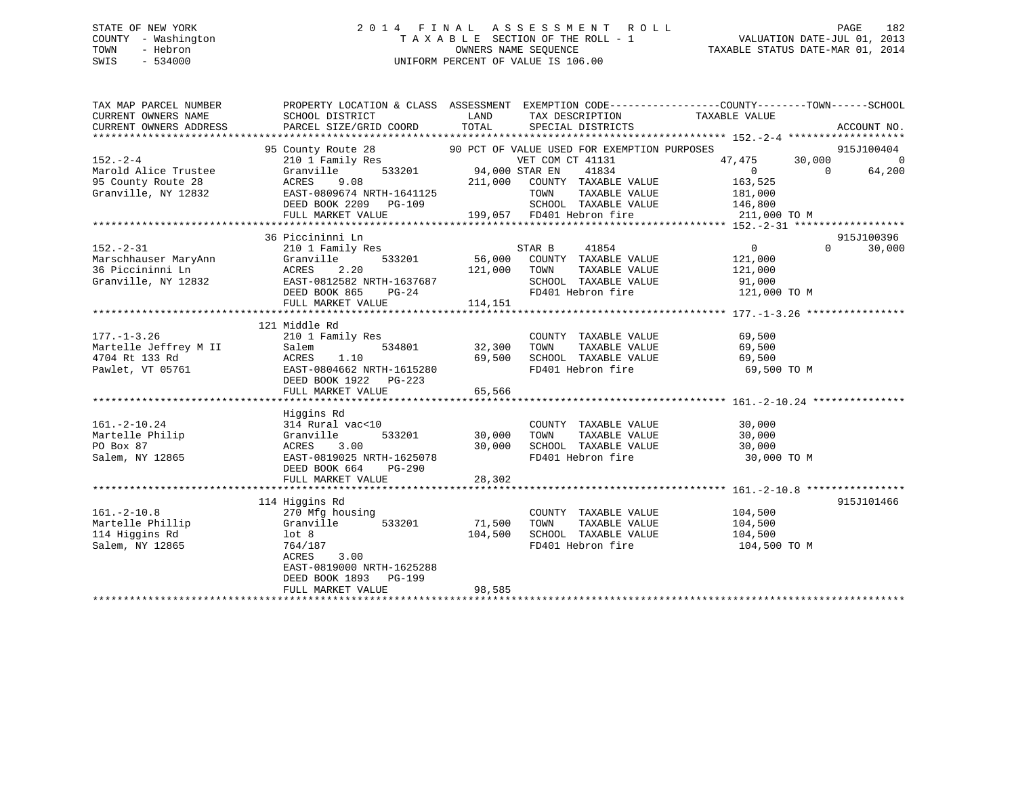# STATE OF NEW YORK 2 0 1 4 F I N A L A S S E S S M E N T R O L L PAGE 182 COUNTY - Washington T A X A B L E SECTION OF THE ROLL - 1 VALUATION DATE-JUL 01, 2013 TOWN - Hebron OWNERS NAME SEQUENCE TAXABLE STATUS DATE-MAR 01, 2014 SWIS - 534000 UNIFORM PERCENT OF VALUE IS 106.00

| TAX MAP PARCEL NUMBER              | PROPERTY LOCATION & CLASS ASSESSMENT EXEMPTION CODE---------------COUNTY-------TOWN-----SCHOOL                                                         |              |                                                                                                                  |                                   |          |             |
|------------------------------------|--------------------------------------------------------------------------------------------------------------------------------------------------------|--------------|------------------------------------------------------------------------------------------------------------------|-----------------------------------|----------|-------------|
| CURRENT OWNERS NAME                | SCHOOL DISTRICT                                                                                                                                        | LAND         | TAX DESCRIPTION                                                                                                  | TAXABLE VALUE                     |          |             |
| CURRENT OWNERS ADDRESS             | PARCEL SIZE/GRID COORD                                                                                                                                 | TOTAL        | SPECIAL DISTRICTS                                                                                                |                                   |          | ACCOUNT NO. |
|                                    |                                                                                                                                                        |              |                                                                                                                  |                                   |          |             |
|                                    | 95 County Route 28 90 PCT OF VALUE USED FOR EXEMPTION PURPOSES                                                                                         |              |                                                                                                                  |                                   |          | 915J100404  |
| $152 - 2 - 4$                      | $\begin{tabular}{lllllllll} \bf 210 & I\ \tt Family\ Res & & \tt VET\ COM \\ \bf Granville & \tt 533201 & & \tt 94,000\ STR\ EN \\ \end{tabular}$      |              | VET COM CT 41131                                                                                                 | $47,475$ $30,000$ 0<br>0 0 64,200 |          |             |
| Marold Alice Trustee               |                                                                                                                                                        |              | 41834                                                                                                            | $\sim$ 0                          |          | 64,200      |
| 95 County Route 28                 | ACRES 9.08 211,000 COUNTY TAXABLE VALUE<br>EAST-0809674 NRTH-1641125 70WN TAXABLE VALUE<br>DEED BOOK 2209 PG-109 SCHOOL TAXABLE VALUE                  |              |                                                                                                                  | 163,525                           |          |             |
| Granville, NY 12832                |                                                                                                                                                        |              |                                                                                                                  | 181,000                           |          |             |
|                                    |                                                                                                                                                        |              | SCHOOL TAXABLE VALUE 146,800                                                                                     |                                   |          |             |
|                                    |                                                                                                                                                        |              |                                                                                                                  |                                   |          |             |
|                                    |                                                                                                                                                        |              |                                                                                                                  |                                   |          |             |
|                                    | 36 Piccininni Ln                                                                                                                                       |              |                                                                                                                  |                                   |          | 915J100396  |
|                                    | 1992–1993<br>Marschhauser MaryAnn 210 1 Family Res<br>36 Piccininni Ln ACRES 2.20<br>Granville, NY 12832<br>DEED BOOK 865<br>PAST-0812582 NRTH-1637687 |              |                                                                                                                  | $\overline{0}$                    | $\Omega$ | 30,000      |
|                                    |                                                                                                                                                        |              |                                                                                                                  | 121,000                           |          |             |
|                                    |                                                                                                                                                        | 121,000 TOWN |                                                                                                                  | TAXABLE VALUE 121,000             |          |             |
|                                    |                                                                                                                                                        |              |                                                                                                                  |                                   |          |             |
|                                    |                                                                                                                                                        |              |                                                                                                                  |                                   |          |             |
|                                    | FULL MARKET VALUE                                                                                                                                      | 114,151      |                                                                                                                  |                                   |          |             |
|                                    |                                                                                                                                                        |              |                                                                                                                  |                                   |          |             |
|                                    | 121 Middle Rd                                                                                                                                          |              |                                                                                                                  |                                   |          |             |
| $177. - 1 - 3.26$                  | 210 1 Family Res                                                                                                                                       |              | COUNTY TAXABLE VALUE                                                                                             | 69,500<br>69,500                  |          |             |
|                                    |                                                                                                                                                        | 32,300 TOWN  | TAXABLE VALUE                                                                                                    |                                   |          |             |
|                                    |                                                                                                                                                        |              | 69,500 SCHOOL TAXABLE VALUE 69,500                                                                               |                                   |          |             |
|                                    |                                                                                                                                                        |              | FD401 Hebron fire                                                                                                | 69,500 TO M                       |          |             |
|                                    | DEED BOOK 1922 PG-223                                                                                                                                  |              |                                                                                                                  |                                   |          |             |
|                                    | FULL MARKET VALUE                                                                                                                                      | 65,566       |                                                                                                                  |                                   |          |             |
|                                    |                                                                                                                                                        |              |                                                                                                                  |                                   |          |             |
|                                    | Higgins Rd                                                                                                                                             |              |                                                                                                                  |                                   |          |             |
| $161.-2-10.24$                     |                                                                                                                                                        |              | COUNTY TAXABLE VALUE $30,000$<br>TOWN TAXABLE VALUE $30,000$                                                     |                                   |          |             |
| Martelle Philip                    | 533201                                                                                                                                                 |              | TAXABLE VALUE                                                                                                    | 30,000                            |          |             |
| PO Box 87                          | 314 Rural vac<10<br>Granville 5<br>ACRES 3.00<br>EAST-0819025 NRTH                                                                                     |              | 30,000 SCHOOL TAXABLE VALUE                                                                                      | 30,000                            |          |             |
| Salem, NY 12865                    | EAST-0819025 NRTH-1625078                                                                                                                              |              | FD401 Hebron fire                                                                                                | 30,000 TO M                       |          |             |
|                                    | DEED BOOK 664 PG-290                                                                                                                                   |              |                                                                                                                  |                                   |          |             |
|                                    | FULL MARKET VALUE                                                                                                                                      | 28,302       |                                                                                                                  |                                   |          |             |
|                                    |                                                                                                                                                        |              |                                                                                                                  |                                   |          |             |
|                                    | 114 Higgins Rd                                                                                                                                         |              |                                                                                                                  |                                   |          | 915J101466  |
| $161. - 2 - 10.8$                  | 270 Mfg housing                                                                                                                                        |              | $\begin{array}{cccc}\n\text{COUNTY} & \text{TAXABLE VALUE} & & 104,500 \\ & & \text{SVD} & 104,500\n\end{array}$ |                                   |          |             |
| Martelle Phillip<br>114 Wiesing Rd | 533201<br>Granville                                                                                                                                    | 71,500 TOWN  | TAXABLE VALUE                                                                                                    | 104,500                           |          |             |
| 114 Higgins Rd                     | lot 8                                                                                                                                                  | 104,500      | SCHOOL TAXABLE VALUE 104,500                                                                                     |                                   |          |             |
| Salem, NY 12865                    | 764/187                                                                                                                                                |              | FD401 Hebron fire                                                                                                | 104,500 TO M                      |          |             |
|                                    | 3.00<br>ACRES                                                                                                                                          |              |                                                                                                                  |                                   |          |             |
|                                    | EAST-0819000 NRTH-1625288                                                                                                                              |              |                                                                                                                  |                                   |          |             |
|                                    | DEED BOOK 1893 PG-199                                                                                                                                  |              |                                                                                                                  |                                   |          |             |
|                                    | FULL MARKET VALUE                                                                                                                                      | 98,585       |                                                                                                                  |                                   |          |             |
|                                    |                                                                                                                                                        |              |                                                                                                                  |                                   |          |             |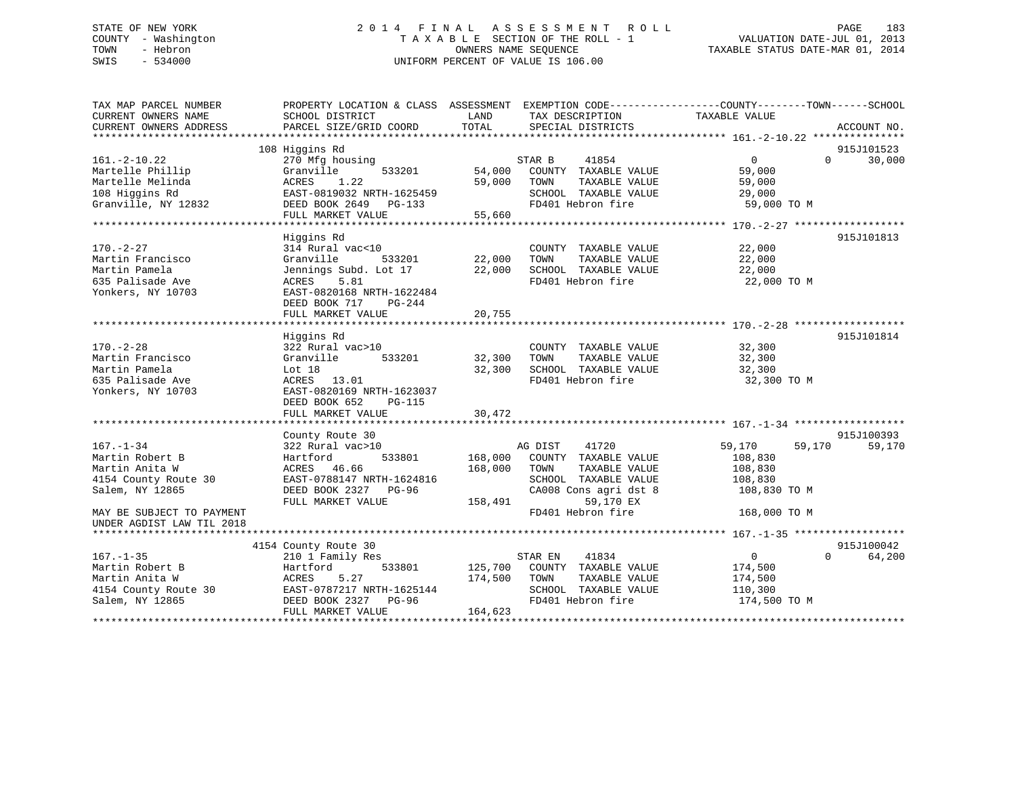# STATE OF NEW YORK 2 0 1 4 F I N A L A S S E S S M E N T R O L L PAGE 183 COUNTY - Washington T A X A B L E SECTION OF THE ROLL - 1 VALUATION DATE-JUL 01, 2013 TOWN - Hebron OWNERS NAME SEQUENCE TAXABLE STATUS DATE-MAR 01, 2014 SWIS - 534000 UNIFORM PERCENT OF VALUE IS 106.00UNIFORM PERCENT OF VALUE IS 106.00

| TAX MAP PARCEL NUMBER<br>CURRENT OWNERS NAME | SCHOOL DISTRICT           | LAND<br>TAX DESCRIPTION          | PROPERTY LOCATION & CLASS ASSESSMENT EXEMPTION CODE----------------COUNTY-------TOWN------SCHOOL<br>TAXABLE VALUE |
|----------------------------------------------|---------------------------|----------------------------------|-------------------------------------------------------------------------------------------------------------------|
| CURRENT OWNERS ADDRESS                       | PARCEL SIZE/GRID COORD    | TOTAL<br>SPECIAL DISTRICTS       | ACCOUNT NO.                                                                                                       |
|                                              |                           |                                  |                                                                                                                   |
|                                              | 108 Higgins Rd            |                                  | 915J101523                                                                                                        |
| $161.-2-10.22$                               | 270 Mfg housing           | STAR B<br>41854                  | $\overline{0}$<br>30,000<br>$\Omega$                                                                              |
| Martelle Phillip                             | Granville<br>533201       | 54,000<br>COUNTY TAXABLE VALUE   | 59,000                                                                                                            |
| Martelle Melinda                             | 1.22<br>ACRES             | 59,000<br>TOWN<br>TAXABLE VALUE  | 59,000                                                                                                            |
| 108 Higgins Rd                               | EAST-0819032 NRTH-1625459 | SCHOOL TAXABLE VALUE             | 29,000                                                                                                            |
| Granville, NY 12832                          | DEED BOOK 2649 PG-133     | FD401 Hebron fire                | 59,000 TO M                                                                                                       |
|                                              | FULL MARKET VALUE         | 55,660                           |                                                                                                                   |
|                                              |                           |                                  |                                                                                                                   |
|                                              | Higgins Rd                |                                  | 915J101813                                                                                                        |
| $170. - 2 - 27$                              | 314 Rural vac<10          | COUNTY TAXABLE VALUE             | 22,000                                                                                                            |
| Martin Francisco                             | Granville<br>533201       | 22,000<br>TAXABLE VALUE<br>TOWN  | 22,000                                                                                                            |
| Martin Pamela                                | Jennings Subd. Lot 17     | 22,000<br>SCHOOL TAXABLE VALUE   | 22,000                                                                                                            |
| 635 Palisade Ave                             | 5.81<br>ACRES             | FD401 Hebron fire                | 22,000 TO M                                                                                                       |
| Yonkers, NY 10703                            | EAST-0820168 NRTH-1622484 |                                  |                                                                                                                   |
|                                              | DEED BOOK 717<br>PG-244   |                                  |                                                                                                                   |
|                                              | FULL MARKET VALUE         | 20,755                           |                                                                                                                   |
|                                              |                           |                                  |                                                                                                                   |
|                                              | Higgins Rd                |                                  | 915J101814                                                                                                        |
| $170. - 2 - 28$                              | 322 Rural vac>10          | COUNTY TAXABLE VALUE             | 32,300                                                                                                            |
| Martin Francisco                             | 533201<br>Granville       | 32,300<br>TAXABLE VALUE<br>TOWN  | 32,300                                                                                                            |
| Martin Pamela                                | Lot 18                    | 32,300<br>SCHOOL TAXABLE VALUE   | 32,300                                                                                                            |
|                                              |                           |                                  |                                                                                                                   |
| 635 Palisade Ave                             | ACRES 13.01               | FD401 Hebron fire                | 32,300 TO M                                                                                                       |
| Yonkers, NY 10703                            | EAST-0820169 NRTH-1623037 |                                  |                                                                                                                   |
|                                              | DEED BOOK 652<br>PG-115   |                                  |                                                                                                                   |
|                                              | FULL MARKET VALUE         | 30,472                           |                                                                                                                   |
|                                              |                           |                                  |                                                                                                                   |
|                                              | County Route 30           |                                  | 915J100393                                                                                                        |
| $167. - 1 - 34$                              | 322 Rural vac>10          | AG DIST<br>41720                 | 59,170<br>59,170<br>59,170                                                                                        |
| Martin Robert B                              | 533801<br>Hartford        | 168,000<br>COUNTY TAXABLE VALUE  | 108,830                                                                                                           |
| Martin Anita W                               | ACRES 46.66               | 168,000<br>TOWN<br>TAXABLE VALUE | 108,830                                                                                                           |
| 4154 County Route 30                         | EAST-0788147 NRTH-1624816 | SCHOOL TAXABLE VALUE             | 108,830                                                                                                           |
| Salem, NY 12865                              | DEED BOOK 2327 PG-96      | CA008 Cons agri dst 8            | 108,830 TO M                                                                                                      |
|                                              | FULL MARKET VALUE         | 59,170 EX<br>158,491             |                                                                                                                   |
| MAY BE SUBJECT TO PAYMENT                    |                           | FD401 Hebron fire                | 168,000 TO M                                                                                                      |
| UNDER AGDIST LAW TIL 2018                    |                           |                                  |                                                                                                                   |
|                                              |                           |                                  |                                                                                                                   |
|                                              | 4154 County Route 30      |                                  | 915J100042                                                                                                        |
| $167. - 1 - 35$                              | 210 1 Family Res          | STAR EN<br>41834                 | $\mathbf{0}$<br>64,200<br>$\Omega$                                                                                |
| Martin Robert B                              | 533801<br>Hartford        | 125,700<br>COUNTY TAXABLE VALUE  | 174,500                                                                                                           |
| Martin Anita W                               | 5.27<br>ACRES             | 174,500<br>TOWN<br>TAXABLE VALUE | 174,500                                                                                                           |
|                                              | EAST-0787217 NRTH-1625144 | SCHOOL TAXABLE VALUE             |                                                                                                                   |
| 4154 County Route 30                         |                           |                                  | 110,300                                                                                                           |
| Salem, NY 12865                              | DEED BOOK 2327 PG-96      | FD401 Hebron fire                | 174,500 TO M                                                                                                      |
|                                              | FULL MARKET VALUE         | 164,623                          |                                                                                                                   |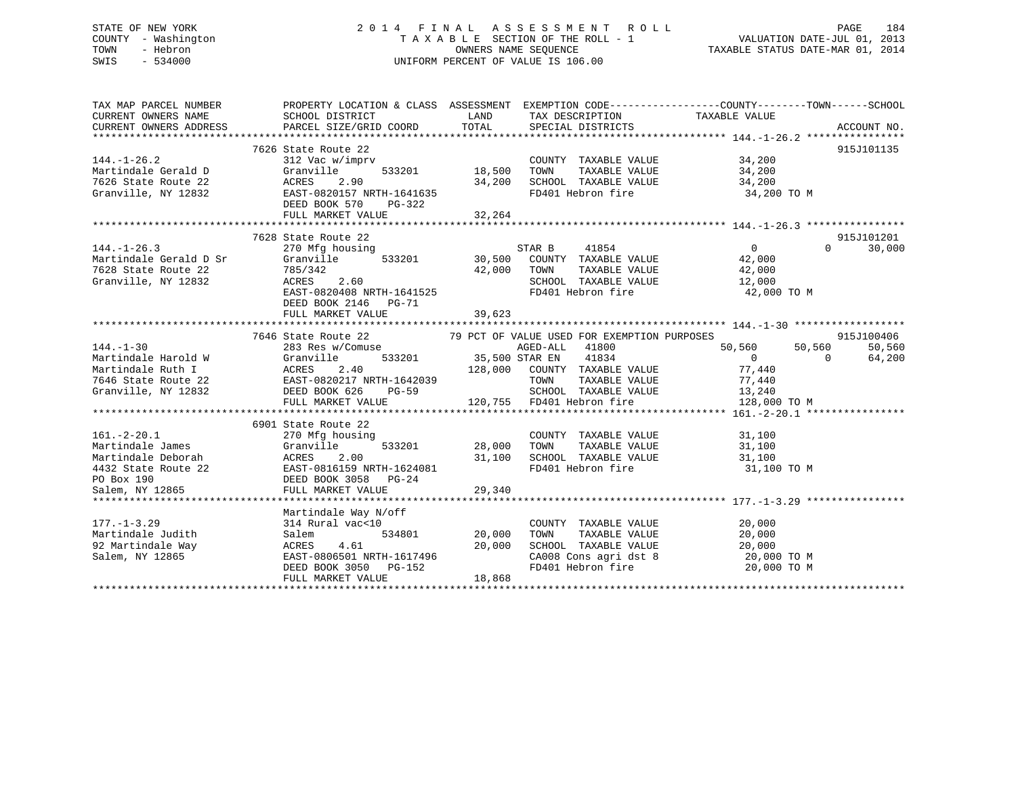# STATE OF NEW YORK 2 0 1 4 F I N A L A S S E S S M E N T R O L L PAGE 184 COUNTY - Washington T A X A B L E SECTION OF THE ROLL - 1 VALUATION DATE-JUL 01, 2013 TOWN - Hebron OWNERS NAME SEQUENCE TAXABLE STATUS DATE-MAR 01, 2014 SWIS - 534000 UNIFORM PERCENT OF VALUE IS 106.00

| TAX MAP PARCEL NUMBER<br>CURRENT OWNERS NAME<br>CURRENT OWNERS ADDRESS                                                                                                                                                                                                               | SCHOOL DISTRICT<br>PARCEL SIZE/GRID COORD                                                                                                                                                                      | LAND<br>TOTAL                     | TAX DESCRIPTION<br>SPECIAL DISTRICTS                                                                                                                                                  | PROPERTY LOCATION & CLASS ASSESSMENT EXEMPTION CODE---------------COUNTY-------TOWN-----SCHOOL<br>TAXABLE VALUE               | ACCOUNT NO.                    |
|--------------------------------------------------------------------------------------------------------------------------------------------------------------------------------------------------------------------------------------------------------------------------------------|----------------------------------------------------------------------------------------------------------------------------------------------------------------------------------------------------------------|-----------------------------------|---------------------------------------------------------------------------------------------------------------------------------------------------------------------------------------|-------------------------------------------------------------------------------------------------------------------------------|--------------------------------|
| $144. - 1 - 26.2$<br>Martindale Gerald D<br>7626 State Route 22<br>Granville, NY 12832                                                                                                                                                                                               | 7626 State Route 22<br>312 Vac w/imprv<br>Granville<br>2.90<br>ACRES<br>EAST-0820157 NRTH-1641635<br>DEED BOOK 570<br>PG-322<br>FULL MARKET VALUE                                                              | 533201 18,500<br>34,200<br>32,264 | COUNTY TAXABLE VALUE 34,200<br>TOWN<br>SCHOOL TAXABLE VALUE<br>FD401 Hebron fire                                                                                                      | TAXABLE VALUE 34,200<br>34,200<br>$34,200$ TO M                                                                               | 915J101135                     |
| $144. - 1 - 26.3$<br>Martindale Gerald D Sr<br>7628 State Route 22<br>Granville, NY 12832                                                                                                                                                                                            | 7628 State Route 22<br>270 Mfg housing<br>Granville<br>785/342<br>ACRES<br>2.60<br>ACRES<br>EAST-0820408 NRTH-1641525<br>DEED BOOK 2146 PG-71<br>FULL MARKET VALUE                                             | 42,000 TOWN<br>39,623             | STAR B 41854<br>$533201$ 30,500 COUNTY TAXABLE VALUE 42,000                                                                                                                           | $\overline{0}$<br>$\Omega$<br>TOWN TAXABLE VALUE $42,000$<br>SCHOOL TAXABLE VALUE $12,000$<br>FD401 Hebron fire $42,000$ TO M | 915J101201<br>30,000           |
| $144. - 1 - 30$<br>Martindale Harold W<br>Martindale Ruth I<br>7646 State Route 22<br>Granville, NY 12832                                                                                                                                                                            | 7646 State Route 22 79 PCT OF VALUE USED FOR EXEMPTION PURPOSES<br>283 Res w/Comuse<br>Granville<br>ACRES 2.40<br>EAST-0820217 NRTH-1642039<br>DEED BOOK 626 PG-59<br>DEED BOOK 626 PG-59<br>FULL MARKET VALUE | $PG-59$                           | AGED-ALL 41800<br>2 AGED-ALL 41800<br>1834 533201 35,500 STAR EN<br>128,000 COUNTY TAXABLE VALUE<br>TOWN<br>TAXABLE VALUE<br>SCHOOL TAXABLE VALUE 13,240<br>120,755 FD401 Hebron fire | 50,560<br>50,560<br>$\overline{0}$<br>$\Omega$<br>77,440<br>77,440<br>128,000 TO M                                            | 915J100406<br>50,560<br>64,200 |
| $161. - 2 - 20.1$<br>Martindale James<br>Martindale Deborah (1994)<br>Martindale Deborah (1994)<br>1992 - Martindale Route 22 (1994)<br>1993 - Martin (1994)<br>1994 - Martin Marker VALUE (1994)<br>1994 - Marker VALUE (1994)<br>1995 - Marker VALUE (1994)<br>1995 - Marker VALUE | 6901 State Route 22<br>270 Mfg housing<br>533201<br>Granville                                                                                                                                                  | 28,000 TOWN<br>31,100<br>29,340   | COUNTY TAXABLE VALUE<br>TAXABLE VALUE<br>SCHOOL TAXABLE VALUE<br>FD401 Hebron fire                                                                                                    | $31,100$<br>$31,100$<br>31,100<br>31,100 TO M                                                                                 |                                |
| $177. - 1 - 3.29$<br>Salem, NY 12865                                                                                                                                                                                                                                                 | Martindale Way N/off<br>314 Rural vac<10<br>534801<br>Salem<br>4.61<br>EAST-0806501 NRTH-1617496<br>DEED BOOK 3050 PG-152<br>FULL MARKET VALUE                                                                 | 20,000<br>20,000<br>18,868        | COUNTY TAXABLE VALUE<br>TOWN TAXABLE VALUE $20,000$<br>SCHOOL TAXABLE VALUE $20,000$                                                                                                  | 20,000<br>CA008 Cons agri dst 8 20,000 TO M<br>FD401 Hebron fire 20,000 TO M                                                  |                                |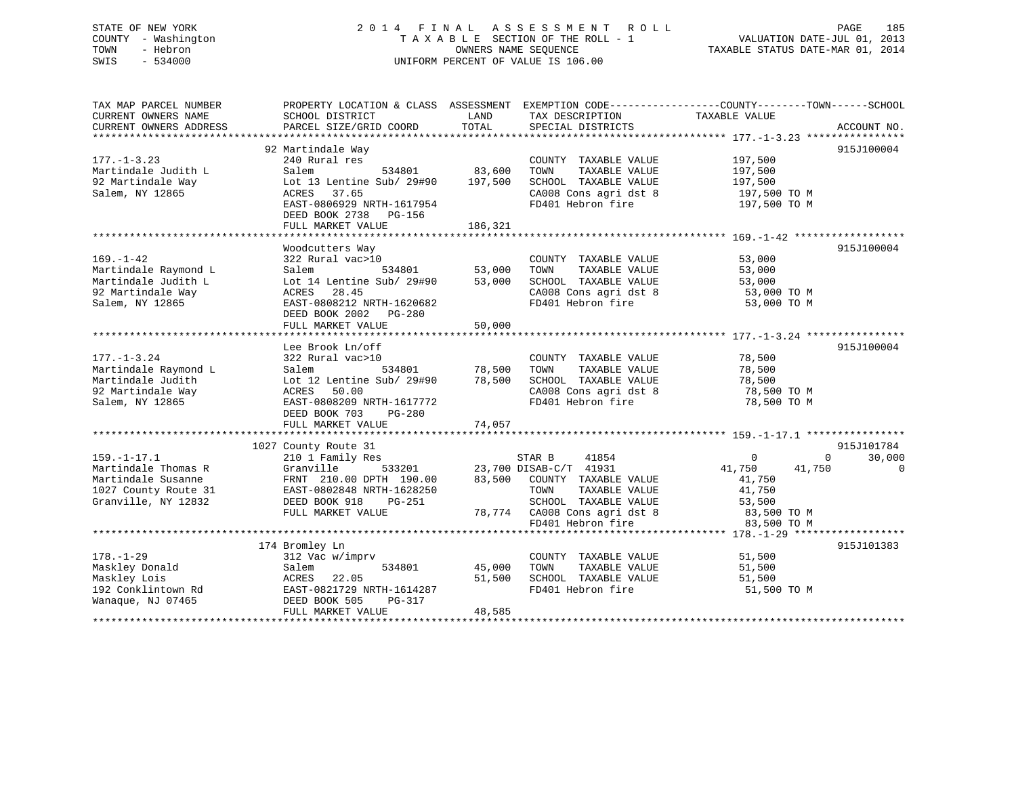# STATE OF NEW YORK 2 0 1 4 F I N A L A S S E S S M E N T R O L L PAGE 185 COUNTY - Washington T A X A B L E SECTION OF THE ROLL - 1 VALUATION DATE-JUL 01, 2013 TOWN - Hebron OWNERS NAME SEQUENCE TAXABLE STATUS DATE-MAR 01, 2014 SWIS - 534000 UNIFORM PERCENT OF VALUE IS 106.00

| TAX MAP PARCEL NUMBER<br>CURRENT OWNERS NAME | PROPERTY LOCATION & CLASS ASSESSMENT<br>SCHOOL DISTRICT | LAND    | EXEMPTION CODE-----------------COUNTY-------TOWN------SCHOOL<br>TAX DESCRIPTION | TAXABLE VALUE    |                    |
|----------------------------------------------|---------------------------------------------------------|---------|---------------------------------------------------------------------------------|------------------|--------------------|
| CURRENT OWNERS ADDRESS                       | PARCEL SIZE/GRID COORD                                  | TOTAL   | SPECIAL DISTRICTS                                                               |                  | ACCOUNT NO.        |
|                                              |                                                         |         |                                                                                 |                  |                    |
|                                              | 92 Martindale Way                                       |         |                                                                                 |                  | 915J100004         |
| $177. - 1 - 3.23$                            | 240 Rural res                                           |         | COUNTY TAXABLE VALUE                                                            | 197,500          |                    |
| Martindale Judith L                          | 534801<br>Salem                                         | 83,600  | TAXABLE VALUE<br>TOWN                                                           | 197,500          |                    |
| 92 Martindale Way                            | Lot 13 Lentine Sub/ 29#90                               | 197,500 | SCHOOL TAXABLE VALUE                                                            | 197,500          |                    |
| Salem, NY 12865                              | 37.65<br>ACRES                                          |         | CA008 Cons agri dst 8                                                           | 197,500 TO M     |                    |
|                                              | EAST-0806929 NRTH-1617954                               |         | FD401 Hebron fire                                                               | 197,500 TO M     |                    |
|                                              | DEED BOOK 2738<br>PG-156                                |         |                                                                                 |                  |                    |
|                                              | FULL MARKET VALUE                                       | 186,321 |                                                                                 |                  |                    |
|                                              |                                                         |         |                                                                                 |                  |                    |
|                                              | Woodcutters Way                                         |         |                                                                                 |                  | 915J100004         |
| $169. - 1 - 42$                              | 322 Rural vac>10                                        |         | COUNTY TAXABLE VALUE                                                            | 53,000           |                    |
| Martindale Raymond L                         | 534801<br>Salem                                         | 53,000  | TAXABLE VALUE<br>TOWN                                                           | 53,000           |                    |
| Martindale Judith L                          | Lot 14 Lentine Sub/ 29#90                               | 53,000  | SCHOOL TAXABLE VALUE                                                            | 53,000           |                    |
| 92 Martindale Way                            | ACRES<br>28.45                                          |         | CA008 Cons agri dst 8                                                           | 53,000 TO M      |                    |
| Salem, NY 12865                              | EAST-0808212 NRTH-1620682                               |         | FD401 Hebron fire                                                               | 53,000 TO M      |                    |
|                                              | DEED BOOK 2002 PG-280                                   |         |                                                                                 |                  |                    |
|                                              | FULL MARKET VALUE                                       | 50,000  |                                                                                 |                  |                    |
|                                              |                                                         |         |                                                                                 |                  |                    |
|                                              | Lee Brook Ln/off                                        |         |                                                                                 |                  | 915J100004         |
| $177. - 1 - 3.24$                            | 322 Rural vac>10                                        |         | COUNTY TAXABLE VALUE                                                            | 78,500           |                    |
| Martindale Raymond L                         | 534801<br>Salem                                         | 78,500  | TAXABLE VALUE<br>TOWN                                                           | 78,500           |                    |
| Martindale Judith                            | Lot 12 Lentine Sub/ 29#90                               | 78,500  | SCHOOL TAXABLE VALUE                                                            | 78,500           |                    |
| 92 Martindale Way                            | ACRES<br>50.00                                          |         | CA008 Cons agri dst 8                                                           | 78,500 TO M      |                    |
| Salem, NY 12865                              | EAST-0808209 NRTH-1617772                               |         | FD401 Hebron fire                                                               | 78,500 TO M      |                    |
|                                              | DEED BOOK 703<br>PG-280                                 |         |                                                                                 |                  |                    |
|                                              | FULL MARKET VALUE                                       | 74,057  |                                                                                 |                  |                    |
|                                              |                                                         |         |                                                                                 |                  |                    |
|                                              | 1027 County Route 31                                    |         |                                                                                 |                  | 915J101784         |
| $159. - 1 - 17.1$                            | 210 1 Family Res                                        |         | 41854<br>STAR B                                                                 | $\mathbf 0$      | 30,000<br>$\Omega$ |
| Martindale Thomas R                          | Granville<br>533201                                     |         | 23,700 DISAB-C/T 41931                                                          | 41,750<br>41,750 | 0                  |
| Martindale Susanne                           | FRNT 210.00 DPTH 190.00                                 | 83,500  | COUNTY TAXABLE VALUE                                                            | 41,750           |                    |
| 1027 County Route 31                         | EAST-0802848 NRTH-1628250                               |         | TOWN<br>TAXABLE VALUE                                                           | 41,750           |                    |
| Granville, NY 12832                          | DEED BOOK 918<br>PG-251                                 |         | SCHOOL TAXABLE VALUE                                                            | 53,500           |                    |
|                                              | FULL MARKET VALUE                                       |         | 78,774 CA008 Cons agri dst 8                                                    | 83,500 TO M      |                    |
|                                              |                                                         |         | FD401 Hebron fire                                                               | 83,500 TO M      |                    |
|                                              |                                                         |         |                                                                                 |                  |                    |
|                                              | 174 Bromley Ln                                          |         |                                                                                 |                  | 915J101383         |
| $178. - 1 - 29$                              | 312 Vac w/imprv                                         |         | COUNTY TAXABLE VALUE                                                            | 51,500           |                    |
| Maskley Donald                               | Salem<br>534801                                         | 45,000  | TOWN<br>TAXABLE VALUE                                                           | 51,500           |                    |
| Maskley Lois                                 | ACRES<br>22.05                                          | 51,500  | SCHOOL TAXABLE VALUE                                                            | 51,500           |                    |
| 192 Conklintown Rd                           | EAST-0821729 NRTH-1614287                               |         | FD401 Hebron fire                                                               | 51,500 TO M      |                    |
| Wanaque, NJ 07465                            | DEED BOOK 505<br>PG-317                                 |         |                                                                                 |                  |                    |
|                                              | FULL MARKET VALUE                                       | 48,585  |                                                                                 |                  |                    |
|                                              |                                                         |         |                                                                                 |                  |                    |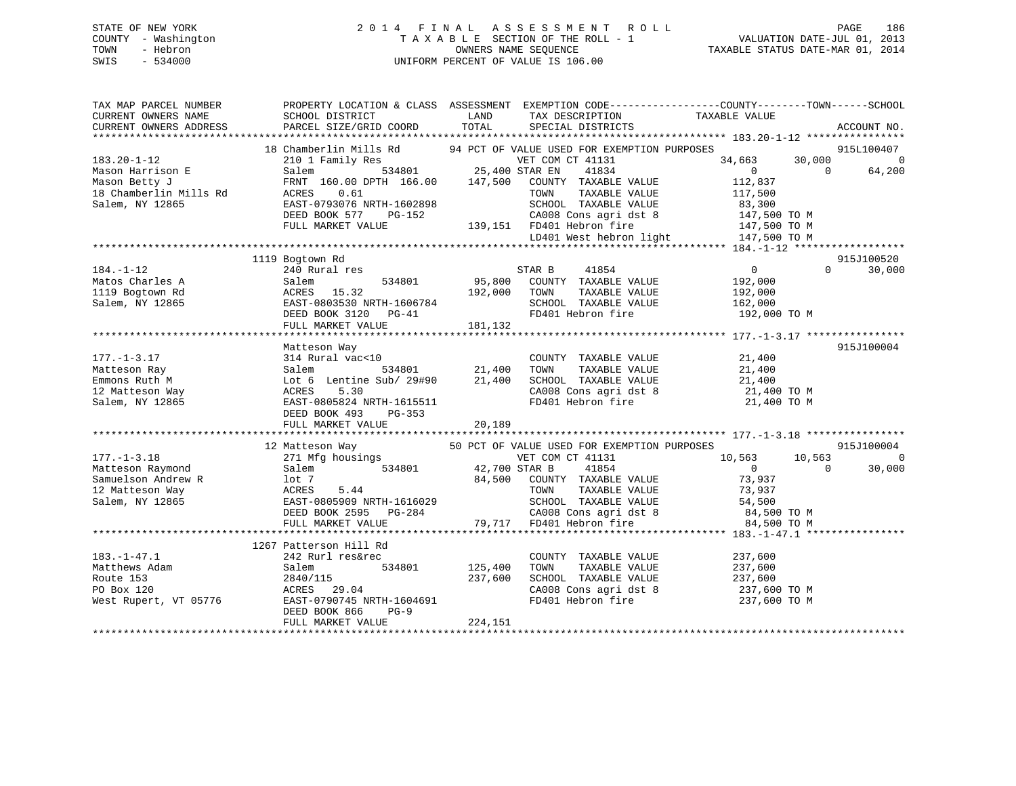# STATE OF NEW YORK 2 0 1 4 F I N A L A S S E S S M E N T R O L L PAGE 186 COUNTY - Washington T A X A B L E SECTION OF THE ROLL - 1 VALUATION DATE-JUL 01, 2013 TOWN - Hebron OWNERS NAME SEQUENCE TAXABLE STATUS DATE-MAR 01, 2014 SWIS - 534000 UNIFORM PERCENT OF VALUE IS 106.00

| TAX MAP PARCEL NUMBER<br>CURRENT OWNERS NAME<br>CURRENT OWNERS ADDRESS | SCHOOL DISTRICT<br>PARCEL SIZE/GRID COORD                                                         | LAND<br>TOTAL            | TAX DESCRIPTION<br>SPECIAL DISTRICTS        | PROPERTY LOCATION & CLASS ASSESSMENT EXEMPTION CODE----------------COUNTY-------TOWN-----SCHOOL<br>TAXABLE VALUE | ACCOUNT NO.                            |
|------------------------------------------------------------------------|---------------------------------------------------------------------------------------------------|--------------------------|---------------------------------------------|------------------------------------------------------------------------------------------------------------------|----------------------------------------|
|                                                                        |                                                                                                   |                          |                                             |                                                                                                                  |                                        |
| $183.20 - 1 - 12$                                                      | 18 Chamberlin Mills Rd 94 PCT OF VALUE USED FOR EXEMPTION PURPOSES                                |                          | VET COM CT 41131                            | 34,663                                                                                                           | 915L100407<br>30,000<br>$\overline{0}$ |
| Mason Harrison E                                                       | 210 1 Family Res<br>Salem                                                                         | 534801 25,400 STAR EN    | 41834                                       | $\overline{0}$<br>$\Omega$                                                                                       | 64,200                                 |
| Mason Betty J                                                          | FRNT 160.00 DPTH 166.00 147,500 COUNTY TAXABLE VALUE                                              |                          |                                             | 112,837                                                                                                          |                                        |
| 18 Chamberlin Mills Rd                                                 | 0.61<br>ACRES                                                                                     |                          | TAXABLE VALUE<br>TOWN                       | 117,500                                                                                                          |                                        |
| Salem, NY 12865                                                        | EAST-0793076 NRTH-1602898                                                                         |                          | SCHOOL TAXABLE VALUE                        | 83,300                                                                                                           |                                        |
|                                                                        | DEED BOOK 577<br>PG-152                                                                           |                          |                                             |                                                                                                                  |                                        |
|                                                                        | FULL MARKET VALUE                                                                                 |                          | 139,151 FD401 Hebron fire                   | 147,500 TO M                                                                                                     |                                        |
|                                                                        |                                                                                                   |                          |                                             | LD401 West hebron light 147,500 TO M                                                                             |                                        |
|                                                                        |                                                                                                   |                          |                                             |                                                                                                                  |                                        |
|                                                                        | 1119 Bogtown Rd                                                                                   |                          |                                             |                                                                                                                  | 915J100520                             |
| $184. - 1 - 12$                                                        | 240 Rural res                                                                                     |                          | STAR B<br>41854                             | $\overline{0}$<br>$\Omega$                                                                                       | 30,000                                 |
| Matos Charles A                                                        | Salem<br>534801                                                                                   | 95,800                   | COUNTY TAXABLE VALUE                        | 192,000                                                                                                          |                                        |
| 1119 Bogtown Rd                                                        | ACRES 15.32                                                                                       | 192,000                  | TOWN<br>TAXABLE VALUE                       | 192,000                                                                                                          |                                        |
| Salem, NY 12865                                                        | EAST-0803530 NRTH-1606784                                                                         |                          | SCHOOL TAXABLE VALUE                        | 162,000                                                                                                          |                                        |
|                                                                        | DEED BOOK 3120 PG-41                                                                              |                          | FD401 Hebron fire                           | 192,000 TO M                                                                                                     |                                        |
|                                                                        | FULL MARKET VALUE                                                                                 | 181,132                  |                                             |                                                                                                                  |                                        |
|                                                                        |                                                                                                   |                          |                                             |                                                                                                                  |                                        |
|                                                                        | Matteson Way                                                                                      |                          |                                             |                                                                                                                  | 915J100004                             |
| $177. - 1 - 3.17$                                                      | 314 Rural vac<10                                                                                  |                          | COUNTY TAXABLE VALUE                        | 21,400                                                                                                           |                                        |
| Matteson Ray                                                           |                                                                                                   | )<br>534801     21,400   | TOWN<br>TAXABLE VALUE                       | 21,400                                                                                                           |                                        |
| Emmons Ruth M                                                          | Salem 534801 21,400<br>Lot 6 Lentine Sub/ 29#90 21,400<br>ACRES 5.30<br>EAST-0805824 NRTH-1615511 |                          |                                             | TOWN TAXABLE VALUE<br>SCHOOL TAXABLE VALUE 21,400<br>21,400 Consider 1 at 8 21,400 TO M                          |                                        |
| 12 Matteson Way                                                        |                                                                                                   |                          |                                             |                                                                                                                  |                                        |
| Salem, NY 12865                                                        |                                                                                                   |                          | CA008 Cons agri dst 8<br>FD401 Hebron fire  | 21,400 TO M                                                                                                      |                                        |
|                                                                        | DEED BOOK 493<br>PG-353                                                                           |                          |                                             |                                                                                                                  |                                        |
|                                                                        | FULL MARKET VALUE                                                                                 | 20,189                   |                                             |                                                                                                                  |                                        |
|                                                                        |                                                                                                   |                          |                                             |                                                                                                                  |                                        |
|                                                                        | 12 Matteson Way                                                                                   |                          | 50 PCT OF VALUE USED FOR EXEMPTION PURPOSES |                                                                                                                  | 915J100004                             |
| $177. - 1 - 3.18$                                                      | 271 Mfg housings                                                                                  |                          | VET COM CT 41131                            | 10,563<br>10,563                                                                                                 | $\overline{0}$                         |
| Matteson Raymond                                                       | 534801<br>Salem                                                                                   | VET COM<br>42,700 STAR B | 41854                                       | $\overline{0}$<br>$\overline{0}$                                                                                 | 30,000                                 |
|                                                                        |                                                                                                   |                          | 84,500 COUNTY TAXABLE VALUE                 | 73,937                                                                                                           |                                        |
| Samuelson Andrew R 10t 7<br>12 Matteson Way 12 ACRES                   | 5.44                                                                                              |                          | TAXABLE VALUE<br>TOWN                       | 73,937                                                                                                           |                                        |
| Salem, NY 12865                                                        |                                                                                                   |                          | SCHOOL TAXABLE VALUE                        |                                                                                                                  |                                        |
|                                                                        | EAST-0805909 NRTH-1616029<br>DEED BOOK 2595 PG-284                                                |                          | CA008 Cons agri dst 8                       |                                                                                                                  |                                        |
|                                                                        | FULL MARKET VALUE                                                                                 |                          | 79,717 FD401 Hebron fire                    | 54,500 TO M<br>84,500 TO M<br>84,500 TO M                                                                        |                                        |
|                                                                        |                                                                                                   |                          |                                             |                                                                                                                  |                                        |
|                                                                        | 1267 Patterson Hill Rd                                                                            |                          |                                             |                                                                                                                  |                                        |
| $183. - 1 - 47.1$                                                      | 242 Rurl res&rec                                                                                  |                          | COUNTY TAXABLE VALUE                        | 237,600                                                                                                          |                                        |
| Matthews Adam                                                          | 534801<br>Salem                                                                                   | 125,400                  | TOWN<br>TAXABLE VALUE                       | 237,600                                                                                                          |                                        |
| Route 153                                                              | 2840/115                                                                                          | 237,600                  | SCHOOL TAXABLE VALUE                        | 237,600                                                                                                          |                                        |
| PO Box 120                                                             |                                                                                                   |                          |                                             | CA008 Cons agri dst 8 237,600 TO M                                                                               |                                        |
| West Rupert, VT 05776                                                  | ACRES 29.04<br>EAST-0790745 N<br>EAST-0790745 NRTH-1604691                                        |                          | FD401 Hebron fire                           | 237,600 TO M                                                                                                     |                                        |
|                                                                        | DEED BOOK 866<br>$PG-9$                                                                           |                          |                                             |                                                                                                                  |                                        |
|                                                                        | FULL MARKET VALUE                                                                                 | 224,151                  |                                             |                                                                                                                  |                                        |
|                                                                        |                                                                                                   |                          |                                             |                                                                                                                  |                                        |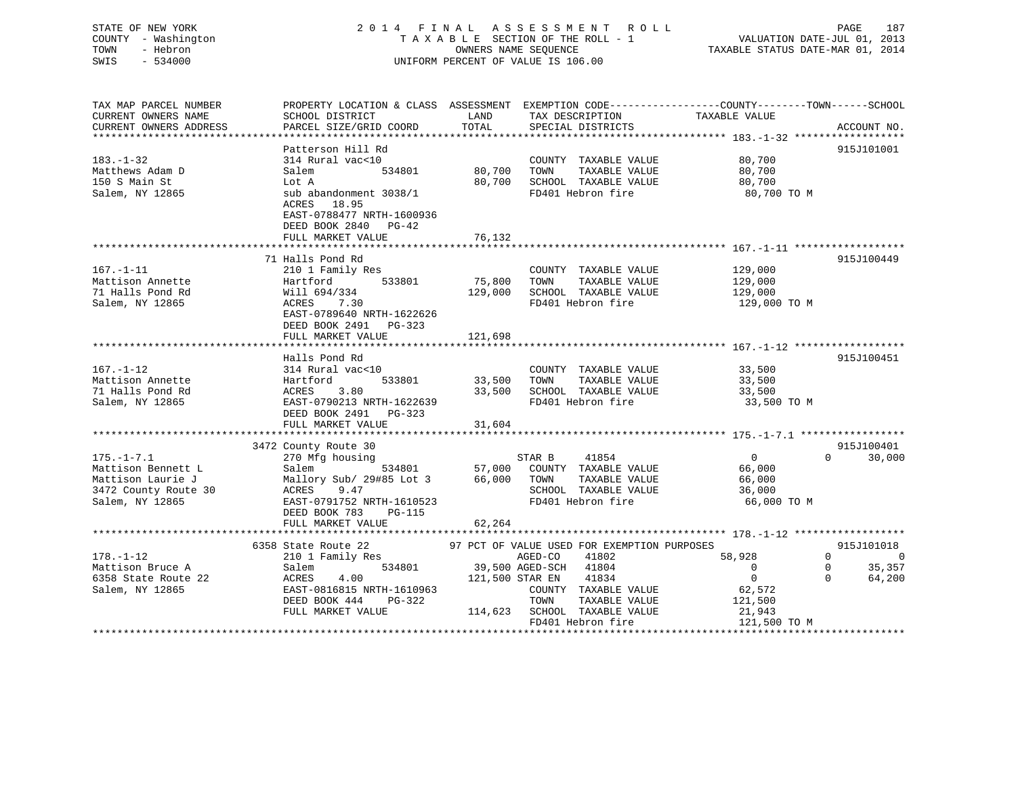# STATE OF NEW YORK 2 0 1 4 F I N A L A S S E S S M E N T R O L L PAGE 187 COUNTY - Washington T A X A B L E SECTION OF THE ROLL - 1 VALUATION DATE-JUL 01, 2013 TOWN - Hebron OWNERS NAME SEQUENCE TAXABLE STATUS DATE-MAR 01, 2014 SWIS - 534000 UNIFORM PERCENT OF VALUE IS 106.00UNIFORM PERCENT OF VALUE IS 106.00

TAX MAP PARCEL NUMBER PROPERTY LOCATION & CLASS ASSESSMENT EXEMPTION CODE------------------COUNTY--------TOWN------SCHOOL

| CURRENT OWNERS NAME    | SCHOOL DISTRICT                                                                                                       | LAND            | TAX DESCRIPTION                             | TAXABLE VALUE                          |                          |
|------------------------|-----------------------------------------------------------------------------------------------------------------------|-----------------|---------------------------------------------|----------------------------------------|--------------------------|
| CURRENT OWNERS ADDRESS | PARCEL SIZE/GRID COORD                                                                                                | TOTAL           | SPECIAL DISTRICTS                           |                                        | ACCOUNT NO.              |
|                        |                                                                                                                       |                 | *********************************           | ***************** 183.-1-32 ********** |                          |
|                        | Patterson Hill Rd                                                                                                     |                 |                                             |                                        | 915J101001               |
| $183. - 1 - 32$        | 314 Rural vac<10                                                                                                      |                 | COUNTY TAXABLE VALUE                        | 80,700                                 |                          |
| Matthews Adam D        | 534801<br>Salem                                                                                                       | 80,700          | TAXABLE VALUE<br>TOWN                       | 80,700                                 |                          |
| 150 S Main St          | Lot A                                                                                                                 | 80,700          | SCHOOL TAXABLE VALUE                        | 80,700                                 |                          |
| Salem, NY 12865        | sub abandonment 3038/1<br>18.95<br>ACRES<br>EAST-0788477 NRTH-1600936<br>DEED BOOK 2840<br>PG-42<br>FULL MARKET VALUE | 76,132          | FD401 Hebron fire                           | 80,700 TO M                            |                          |
|                        |                                                                                                                       |                 |                                             |                                        |                          |
|                        | 71 Halls Pond Rd                                                                                                      |                 |                                             |                                        | 915J100449               |
| $167. - 1 - 11$        | 210 1 Family Res                                                                                                      |                 | COUNTY TAXABLE VALUE                        | 129,000                                |                          |
| Mattison Annette       | Hartford<br>533801                                                                                                    | 75,800          | TOWN<br>TAXABLE VALUE                       | 129,000                                |                          |
| 71 Halls Pond Rd       | Will 694/334                                                                                                          | 129,000         | SCHOOL TAXABLE VALUE                        | 129,000                                |                          |
| Salem, NY 12865        | ACRES<br>7.30<br>EAST-0789640 NRTH-1622626<br>DEED BOOK 2491<br>PG-323                                                |                 | FD401 Hebron fire                           | 129,000 TO M                           |                          |
|                        | FULL MARKET VALUE                                                                                                     | 121,698         |                                             |                                        |                          |
|                        |                                                                                                                       |                 |                                             |                                        |                          |
|                        | Halls Pond Rd                                                                                                         |                 |                                             |                                        | 915J100451               |
| $167. - 1 - 12$        | 314 Rural vac<10                                                                                                      |                 | COUNTY TAXABLE VALUE                        | 33,500                                 |                          |
| Mattison Annette       | Hartford<br>533801                                                                                                    | 33,500          | TAXABLE VALUE<br>TOWN                       | 33,500                                 |                          |
| 71 Halls Pond Rd       | ACRES<br>3.80                                                                                                         | 33,500          | SCHOOL TAXABLE VALUE                        | 33,500                                 |                          |
| Salem, NY 12865        | EAST-0790213 NRTH-1622639                                                                                             |                 | FD401 Hebron fire                           | 33,500 TO M                            |                          |
|                        | DEED BOOK 2491 PG-323                                                                                                 |                 |                                             |                                        |                          |
|                        | FULL MARKET VALUE                                                                                                     | 31,604          |                                             |                                        |                          |
|                        |                                                                                                                       |                 |                                             |                                        |                          |
|                        | 3472 County Route 30                                                                                                  |                 |                                             |                                        | 915J100401               |
| $175. - 1 - 7.1$       | 270 Mfg housing                                                                                                       |                 | STAR B<br>41854                             | $\mathbf 0$                            | $\Omega$<br>30,000       |
| Mattison Bennett L     | Salem<br>534801                                                                                                       | 57,000          | COUNTY TAXABLE VALUE                        | 66,000                                 |                          |
| Mattison Laurie J      | Mallory Sub/ 29#85 Lot 3                                                                                              | 66,000          | TOWN<br>TAXABLE VALUE                       | 66,000                                 |                          |
| 3472 County Route 30   | ACRES<br>9.47                                                                                                         |                 | SCHOOL TAXABLE VALUE                        | 36,000                                 |                          |
| Salem, NY 12865        | EAST-0791752 NRTH-1610523                                                                                             |                 | FD401 Hebron fire                           | 66,000 TO M                            |                          |
|                        | DEED BOOK 783<br><b>PG-115</b>                                                                                        |                 |                                             |                                        |                          |
|                        | FULL MARKET VALUE                                                                                                     | 62,264          |                                             |                                        |                          |
|                        | 6358 State Route 22                                                                                                   |                 | 97 PCT OF VALUE USED FOR EXEMPTION PURPOSES |                                        | 915J101018               |
| $178. - 1 - 12$        |                                                                                                                       |                 | AGED-CO<br>41802                            | 58,928                                 | $\Omega$<br>$\mathsf{C}$ |
| Mattison Bruce A       | 210 1 Family Res<br>534801<br>Salem                                                                                   |                 | 39,500 AGED-SCH<br>41804                    | 0                                      | 35,357<br>$\Omega$       |
| 6358 State Route 22    | 4.00<br>ACRES                                                                                                         | 121,500 STAR EN | 41834                                       | $\mathbf 0$                            | $\Omega$<br>64,200       |
| Salem, NY 12865        | EAST-0816815 NRTH-1610963                                                                                             |                 | COUNTY TAXABLE VALUE                        | 62,572                                 |                          |
|                        | DEED BOOK 444<br>PG-322                                                                                               |                 | TOWN<br>TAXABLE VALUE                       | 121,500                                |                          |
|                        | FULL MARKET VALUE                                                                                                     | 114,623         | SCHOOL TAXABLE VALUE                        | 21,943                                 |                          |
|                        |                                                                                                                       |                 | FD401 Hebron fire                           | 121,500 TO M                           |                          |
|                        |                                                                                                                       |                 |                                             |                                        |                          |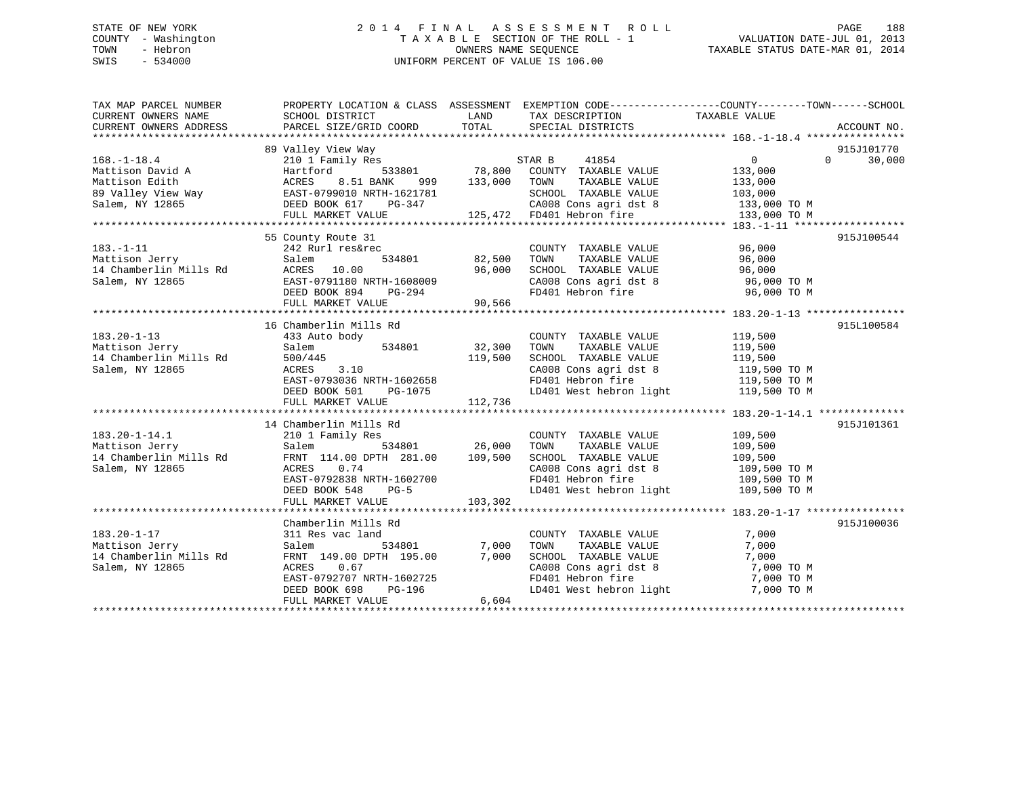# STATE OF NEW YORK 2 0 1 4 F I N A L A S S E S S M E N T R O L L PAGE 188 COUNTY - Washington T A X A B L E SECTION OF THE ROLL - 1 VALUATION DATE-JUL 01, 2013 TOWN - Hebron **CONNERS NAME SEQUENCE** TAXABLE STATUS DATE-MAR 01, 2014 SWIS - 534000 UNIFORM PERCENT OF VALUE IS 106.00

| TAX MAP PARCEL NUMBER                                       | PROPERTY LOCATION & CLASS ASSESSMENT EXEMPTION CODE---------------COUNTY-------TOWN------SCHOOL                                                                                                                                        |               |                                                                                                                                           |                                  |                    |
|-------------------------------------------------------------|----------------------------------------------------------------------------------------------------------------------------------------------------------------------------------------------------------------------------------------|---------------|-------------------------------------------------------------------------------------------------------------------------------------------|----------------------------------|--------------------|
| CURRENT OWNERS NAME                                         | SCHOOL DISTRICT                                                                                                                                                                                                                        | LAND          | TAX DESCRIPTION                                                                                                                           | TAXABLE VALUE                    |                    |
| CURRENT OWNERS ADDRESS                                      | PARCEL SIZE/GRID COORD                                                                                                                                                                                                                 | TOTAL         | SPECIAL DISTRICTS                                                                                                                         |                                  | ACCOUNT NO.        |
|                                                             |                                                                                                                                                                                                                                        |               |                                                                                                                                           |                                  |                    |
|                                                             | 89 Valley View Way                                                                                                                                                                                                                     |               |                                                                                                                                           |                                  | 915J101770         |
|                                                             |                                                                                                                                                                                                                                        |               | 3<br>533801 78,800 COUNTY TAXABLE VALUE                                                                                                   |                                  | $\Omega$<br>30,000 |
|                                                             |                                                                                                                                                                                                                                        |               |                                                                                                                                           |                                  |                    |
|                                                             |                                                                                                                                                                                                                                        |               |                                                                                                                                           |                                  |                    |
|                                                             |                                                                                                                                                                                                                                        |               |                                                                                                                                           |                                  |                    |
|                                                             |                                                                                                                                                                                                                                        |               |                                                                                                                                           |                                  |                    |
|                                                             |                                                                                                                                                                                                                                        |               |                                                                                                                                           |                                  |                    |
|                                                             | 168.-1-18.4<br>Mattison David A Hartford 533801<br>Mattison Edith ACRES 8.51 BANK 999 133,000 TOWN TAXABLE VALUE<br>89 Valley View Way EAST-0799010 NRTH-1621781<br>Salem, NY 12865 DEED BOOK 617 PG-347 CA008 Cons agri dst 8 133,000 |               |                                                                                                                                           |                                  |                    |
|                                                             |                                                                                                                                                                                                                                        |               |                                                                                                                                           |                                  | 915J100544         |
|                                                             |                                                                                                                                                                                                                                        |               |                                                                                                                                           |                                  |                    |
|                                                             | Salem                                                                                                                                                                                                                                  | 534801 82,500 | TAXABLE VALUE 96,000<br>TOWN                                                                                                              |                                  |                    |
|                                                             |                                                                                                                                                                                                                                        |               |                                                                                                                                           |                                  |                    |
|                                                             |                                                                                                                                                                                                                                        |               |                                                                                                                                           |                                  |                    |
| רוסט שוט Uerry<br>14 Chamberlin Mills Rd<br>Salem, NY 12865 |                                                                                                                                                                                                                                        |               | SCHOOL TAXABLE VALUE 96,000<br>CA008 Cons agri dst 8 96,000 TO M<br>FD401 Hebron fire 96,000 TO M                                         |                                  |                    |
|                                                             | ACRES 10.00 96,000<br>EAST-0791180 NRTH-1608009<br>DEED BOOK 894 PG-294<br>FULL MARKET VALUE 90,566                                                                                                                                    |               |                                                                                                                                           |                                  |                    |
|                                                             |                                                                                                                                                                                                                                        |               |                                                                                                                                           |                                  |                    |
|                                                             | 16 Chamberlin Mills Rd                                                                                                                                                                                                                 |               |                                                                                                                                           |                                  | 915L100584         |
| $183.20 - 1 - 13$                                           | 433 Auto body                                                                                                                                                                                                                          |               | COUNTY TAXABLE VALUE 119,500                                                                                                              |                                  |                    |
| lls Rd<br>Mattison Jerry                                    | 534801<br>Salem                                                                                                                                                                                                                        | 32,300        | TOWN<br>TAXABLE VALUE                                                                                                                     | 119,500<br>119,500               |                    |
| 14 Chamberlin Mills Rd                                      | 500/445                                                                                                                                                                                                                                | 119,500       | SCHOOL TAXABLE VALUE                                                                                                                      |                                  |                    |
| Salem, NY 12865                                             | 3.10<br>ACRES                                                                                                                                                                                                                          |               | $\frac{119}{500}$ TOM CA008 Cons agri dst 8 119,500 TOM                                                                                   |                                  |                    |
|                                                             | EAST-0793036 NRTH-1602658                                                                                                                                                                                                              |               |                                                                                                                                           |                                  |                    |
|                                                             | DEED BOOK 501                                                                                                                                                                                                                          | $PG-1075$     | FD401 Hebron fire 119,500 TO M<br>LD401 West hebron light 119,500 TO M                                                                    |                                  |                    |
|                                                             | FULL MARKET VALUE                                                                                                                                                                                                                      | 112,736       |                                                                                                                                           |                                  |                    |
|                                                             |                                                                                                                                                                                                                                        |               |                                                                                                                                           |                                  |                    |
|                                                             | 14 Chamberlin Mills Rd                                                                                                                                                                                                                 |               |                                                                                                                                           |                                  | 915J101361         |
| $183.20 - 1 - 14.1$                                         | 210 1 Family Res                                                                                                                                                                                                                       |               | COUNTY TAXABLE VALUE                                                                                                                      | 109,500                          |                    |
| Mattison Jerry                                              | Salem                                                                                                                                                                                                                                  | 534801 26,000 | TOWN<br>TAXABLE VALUE                                                                                                                     | 109,500                          |                    |
| 14 Chamberlin Mills Rd                                      | FRNT 114.00 DPTH 281.00 109,500                                                                                                                                                                                                        |               | SCHOOL TAXABLE VALUE                                                                                                                      |                                  |                    |
| Salem, NY 12865                                             | ACRES 0.74                                                                                                                                                                                                                             |               |                                                                                                                                           | $109,500$ TO M<br>$109,500$ TO M |                    |
|                                                             | EAST-0792838 NRTH-1602700                                                                                                                                                                                                              |               | CA008 Cons agri dst 8<br>FD401 Hebron fire                                                                                                | 109,500 TO M                     |                    |
|                                                             | DEED BOOK 548<br>$PG-5$                                                                                                                                                                                                                |               | LD401 West hebron light 109,500 TO M                                                                                                      |                                  |                    |
|                                                             | FULL MARKET VALUE                                                                                                                                                                                                                      | 103,302       |                                                                                                                                           |                                  |                    |
|                                                             |                                                                                                                                                                                                                                        |               |                                                                                                                                           |                                  |                    |
|                                                             | Chamberlin Mills Rd                                                                                                                                                                                                                    |               |                                                                                                                                           |                                  | 915J100036         |
| $183.20 - 1 - 17$                                           | 311 Res vac land                                                                                                                                                                                                                       |               | COUNTY TAXABLE VALUE                                                                                                                      | 7,000                            |                    |
| Mattison Jerry                                              | 534801<br>Salem                                                                                                                                                                                                                        | 7,000         | TOWN<br>TAXABLE VALUE                                                                                                                     | 7,000                            |                    |
| 14 Chamberlin Mills Rd                                      | FRNT 149.00 DPTH 195.00                                                                                                                                                                                                                | 7,000         | SCHOOL TAXABLE VALUE                                                                                                                      | 7,000                            |                    |
| Salem, NY 12865                                             | ACRES 0.67                                                                                                                                                                                                                             |               | $\begin{array}{llll}\n\text{CA008} & \text{Cons}\n\text{ a grid dist 8} & \text{7,000 TO M} \\ \text{FD401} & \text{Hebron}\n\end{array}$ |                                  |                    |
|                                                             | EAST-0792707 NRTH-1602725                                                                                                                                                                                                              |               |                                                                                                                                           |                                  |                    |
|                                                             | DEED BOOK 698<br>PG-196                                                                                                                                                                                                                |               | LD401 West hebron light 7,000 TO M                                                                                                        |                                  |                    |
|                                                             | FULL MARKET VALUE                                                                                                                                                                                                                      | 6,604         |                                                                                                                                           |                                  |                    |
|                                                             |                                                                                                                                                                                                                                        |               |                                                                                                                                           |                                  |                    |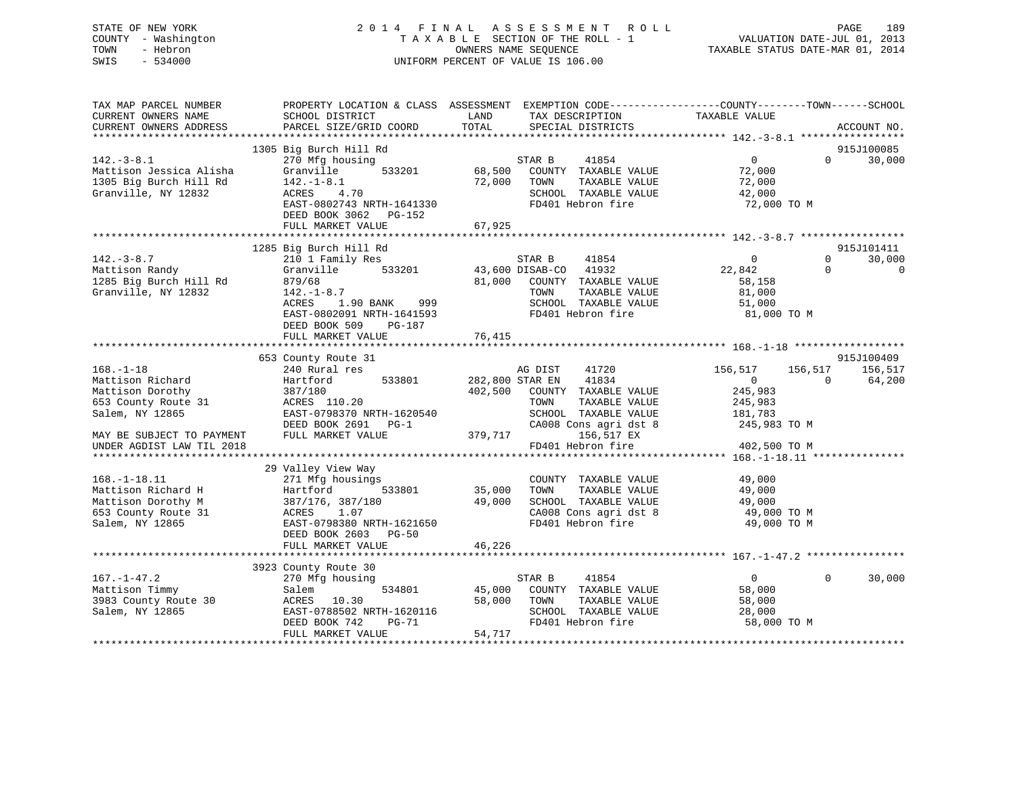# STATE OF NEW YORK 2 0 1 4 F I N A L A S S E S S M E N T R O L L PAGE 189 COUNTY - Washington T A X A B L E SECTION OF THE ROLL - 1 VALUATION DATE-JUL 01, 2013 TOWN - Hebron OWNERS NAME SEQUENCE TAXABLE STATUS DATE-MAR 01, 2014 SWIS - 534000 UNIFORM PERCENT OF VALUE IS 106.00

| TAX MAP PARCEL NUMBER<br>CURRENT OWNERS NAME<br>CURRENT OWNERS ADDRESS | SCHOOL DISTRICT<br>PARCEL SIZE/GRID COORD                                            | LAND<br>TAX DESCRIPTION<br>TOTAL<br>SPECIAL DISTRICTS                      | PROPERTY LOCATION & CLASS ASSESSMENT EXEMPTION CODE---------------COUNTY-------TOWN-----SCHOOL<br>TAXABLE VALUE<br>ACCOUNT NO. |
|------------------------------------------------------------------------|--------------------------------------------------------------------------------------|----------------------------------------------------------------------------|--------------------------------------------------------------------------------------------------------------------------------|
|                                                                        |                                                                                      |                                                                            |                                                                                                                                |
| $142.-3-8.1$<br>Mattison Jessica Alisha<br>1305 Big Burch Hill Rd      | 1305 Big Burch Hill Rd<br>270 Mfg housing<br>533201<br>Granville<br>$142. - 1 - 8.1$ | 41854<br>STAR B<br>68,500<br>COUNTY TAXABLE VALUE<br>TOWN<br>TAXABLE VALUE | 915J100085<br>$\overline{0}$<br>30,000<br>$\Omega$<br>72,000                                                                   |
| Granville, NY 12832                                                    | ACRES 4.70<br>EAST-0802743 NRTH-1641330<br>DEED BOOK 3062 PG-152                     | 72,000<br>SCHOOL TAXABLE VALUE<br>FD401 Hebron fire                        | 72,000<br>42,000<br>72,000 TO M                                                                                                |
|                                                                        | FULL MARKET VALUE                                                                    | 67,925                                                                     |                                                                                                                                |
|                                                                        |                                                                                      |                                                                            |                                                                                                                                |
| $142. - 3 - 8.7$                                                       | 1285 Big Burch Hill Rd                                                               | STAR B<br>41854                                                            | 915J101411<br>$\mathbf 0$<br>$\Omega$                                                                                          |
| Mattison Randy                                                         | 210 1 Family Res<br>533201<br>Granville                                              | 43,600 DISAB-CO<br>41932                                                   | 30,000<br>$\Omega$<br>$\Omega$<br>22,842                                                                                       |
| 1285 Big Burch Hill Rd                                                 | 879/68                                                                               | 81,000<br>COUNTY TAXABLE VALUE                                             | 58,158                                                                                                                         |
| Granville, NY 12832                                                    | $142.-1-8.7$                                                                         | TOWN<br>TAXABLE VALUE                                                      | 81,000                                                                                                                         |
|                                                                        | 1.90 BANK<br>ACRES<br>999                                                            | SCHOOL TAXABLE VALUE                                                       | 51,000                                                                                                                         |
|                                                                        | EAST-0802091 NRTH-1641593<br>DEED BOOK 509<br>PG-187                                 | FD401 Hebron fire                                                          | 81,000 TO M                                                                                                                    |
|                                                                        | FULL MARKET VALUE                                                                    | 76,415                                                                     |                                                                                                                                |
|                                                                        |                                                                                      |                                                                            |                                                                                                                                |
|                                                                        | 653 County Route 31                                                                  |                                                                            | 915J100409                                                                                                                     |
| $168. - 1 - 18$                                                        | 240 Rural res                                                                        | AG DIST<br>41720                                                           | 156,517<br>156,517<br>156,517                                                                                                  |
| Mattison Richard                                                       | 533801<br>Hartford                                                                   | 282,800 STAR EN<br>41834                                                   | $\overline{0}$<br>64,200<br>$\Omega$                                                                                           |
| Mattison Dorothy                                                       | 387/180                                                                              | 402,500<br>COUNTY TAXABLE VALUE                                            | 245,983                                                                                                                        |
| 653 County Route 31                                                    | ACRES 110.20                                                                         | TOWN<br>TAXABLE VALUE                                                      | 245,983                                                                                                                        |
| Salem, NY 12865                                                        | EAST-0798370 NRTH-1620540                                                            | SCHOOL TAXABLE VALUE                                                       | 181,783                                                                                                                        |
| MAY BE SUBJECT TO PAYMENT                                              | DEED BOOK 2691 PG-1<br>FULL MARKET VALUE                                             | CA008 Cons agri dst 8<br>379,717<br>156,517 EX                             | 245,983 TO M                                                                                                                   |
| UNDER AGDIST LAW TIL 2018                                              |                                                                                      | FD401 Hebron fire                                                          | 402,500 TO M                                                                                                                   |
|                                                                        |                                                                                      |                                                                            |                                                                                                                                |
|                                                                        | 29 Valley View Way                                                                   |                                                                            |                                                                                                                                |
| $168. - 1 - 18.11$                                                     | 271 Mfg housings                                                                     | COUNTY TAXABLE VALUE                                                       | 49,000                                                                                                                         |
| Mattison Richard H                                                     | Hartford<br>533801                                                                   | 35,000<br>TOWN<br>TAXABLE VALUE                                            | 49,000                                                                                                                         |
| Mattison Dorothy M                                                     | 387/176, 387/180                                                                     | 49,000<br>SCHOOL TAXABLE VALUE                                             | 49,000                                                                                                                         |
| 653 County Route 31                                                    | 1.07<br>ACRES                                                                        | CA008 Cons agri dst 8                                                      | 49,000 TO M                                                                                                                    |
| Salem, NY 12865                                                        | EAST-0798380 NRTH-1621650                                                            | FD401 Hebron fire                                                          | 49,000 TO M                                                                                                                    |
|                                                                        | DEED BOOK 2603 PG-50                                                                 |                                                                            |                                                                                                                                |
|                                                                        | FULL MARKET VALUE                                                                    | 46,226                                                                     |                                                                                                                                |
|                                                                        |                                                                                      |                                                                            |                                                                                                                                |
|                                                                        | 3923 County Route 30                                                                 |                                                                            |                                                                                                                                |
| $167. - 1 - 47.2$                                                      | 270 Mfg housing                                                                      | 41854<br>STAR B                                                            | $\overline{0}$<br>$\Omega$<br>30,000                                                                                           |
| Mattison Timmy<br>3983 County Route 30                                 | 534801<br>Salem                                                                      | 45,000<br>COUNTY TAXABLE VALUE<br>TAXABLE VALUE<br>TOWN                    | 58,000                                                                                                                         |
| Salem, NY 12865                                                        | ACRES<br>10.30<br>EAST-0788502 NRTH-1620116                                          | 58,000<br>SCHOOL TAXABLE VALUE                                             | 58,000<br>28,000                                                                                                               |
|                                                                        | DEED BOOK 742<br><b>PG-71</b>                                                        | FD401 Hebron fire                                                          | 58,000 TO M                                                                                                                    |
|                                                                        | FULL MARKET VALUE                                                                    | 54,717                                                                     |                                                                                                                                |
|                                                                        |                                                                                      |                                                                            |                                                                                                                                |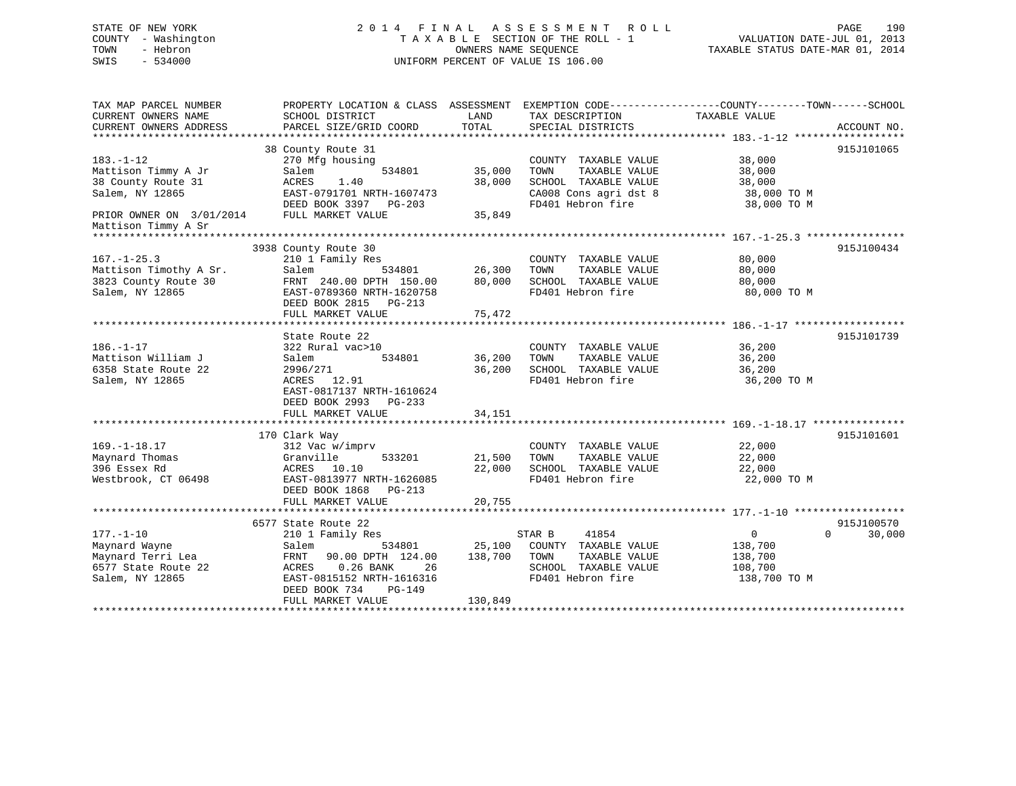# STATE OF NEW YORK 2 0 1 4 F I N A L A S S E S S M E N T R O L L PAGE 190 COUNTY - Washington T A X A B L E SECTION OF THE ROLL - 1 VALUATION DATE-JUL 01, 2013 TOWN - Hebron OWNERS NAME SEQUENCE TAXABLE STATUS DATE-MAR 01, 2014 SWIS - 534000 UNIFORM PERCENT OF VALUE IS 106.00

TAX MAP PARCEL NUMBER PROPERTY LOCATION & CLASS ASSESSMENT EXEMPTION CODE------------------COUNTY--------TOWN------SCHOOL CURRENT OWNERS NAME SCHOOL DISTRICT LAND TAX DESCRIPTION TAXABLE VALUE CURRENT OWNERS ADDRESS PARCEL SIZE/GRID COORD TOTAL SPECIAL DISTRICTS ACCOUNT NO. \*\*\*\*\*\*\*\*\*\*\*\*\*\*\*\*\*\*\*\*\*\*\*\*\*\*\*\*\*\*\*\*\*\*\*\*\*\*\*\*\*\*\*\*\*\*\*\*\*\*\*\*\*\*\*\*\*\*\*\*\*\*\*\*\*\*\*\*\*\*\*\*\*\*\*\*\*\*\*\*\*\*\*\*\*\*\*\*\*\*\*\*\*\*\*\*\*\*\*\*\*\*\* 183.-1-12 \*\*\*\*\*\*\*\*\*\*\*\*\*\*\*\*\*\* 38 County Route 31 915J101065 183.-1-12 270 Mfg housing COUNTY TAXABLE VALUE 38,000 Mattison Timmy A Jr Salem 534801 35,000 TOWN TAXABLE VALUE 38,000 38 County Route 31 ACRES 1.40 38,000 SCHOOL TAXABLE VALUE 38,000 Salem, NY 12865 EAST-0791701 NRTH-1607473 CA008 Cons agri dst 8 38,000 TO M DEED BOOK 3397 PG-203 FD401 Hebron fire 38,000 TO M PRIOR OWNER ON 3/01/2014 DEED BOOK 3397 PG-203 35,849 Mattison Timmy A Sr \*\*\*\*\*\*\*\*\*\*\*\*\*\*\*\*\*\*\*\*\*\*\*\*\*\*\*\*\*\*\*\*\*\*\*\*\*\*\*\*\*\*\*\*\*\*\*\*\*\*\*\*\*\*\*\*\*\*\*\*\*\*\*\*\*\*\*\*\*\*\*\*\*\*\*\*\*\*\*\*\*\*\*\*\*\*\*\*\*\*\*\*\*\*\*\*\*\*\*\*\*\*\* 167.-1-25.3 \*\*\*\*\*\*\*\*\*\*\*\*\*\*\*\* 3938 County Route 30 915J100434 167.-1-25.3 210 1 Family Res COUNTY TAXABLE VALUE 80,000 Mattison Timothy A Sr. Salem 534801 26,300 TOWN TAXABLE VALUE 80,000 3823 County Route 30 FRNT 240.00 DPTH 150.00 80,000 SCHOOL TAXABLE VALUE 80,000 Salem, NY 12865 EAST-0789360 NRTH-1620758 FD401 Hebron fire 80,000 TO M DEED BOOK 2815 PG-213 FULL MARKET VALUE 75,472 \*\*\*\*\*\*\*\*\*\*\*\*\*\*\*\*\*\*\*\*\*\*\*\*\*\*\*\*\*\*\*\*\*\*\*\*\*\*\*\*\*\*\*\*\*\*\*\*\*\*\*\*\*\*\*\*\*\*\*\*\*\*\*\*\*\*\*\*\*\*\*\*\*\*\*\*\*\*\*\*\*\*\*\*\*\*\*\*\*\*\*\*\*\*\*\*\*\*\*\*\*\*\* 186.-1-17 \*\*\*\*\*\*\*\*\*\*\*\*\*\*\*\*\*\*State Route 22 915J101739 186.-1-17 322 Rural vac>10 COUNTY TAXABLE VALUE 36,200 Mattison William J Salem 534801 36,200 TOWN TAXABLE VALUE 36,200 6358 State Route 22 2996/271 36,200 SCHOOL TAXABLE VALUE 36,200 Access 6358 State Route 22 2996/271 36,200 SCHOOL TAXABLE VALUE 36,200 36,200 36,200 FORM 36,200 TO M EAST-0817137 NRTH-1610624 DEED BOOK 2993 PG-233FULL MARKET VALUE 34,151 \*\*\*\*\*\*\*\*\*\*\*\*\*\*\*\*\*\*\*\*\*\*\*\*\*\*\*\*\*\*\*\*\*\*\*\*\*\*\*\*\*\*\*\*\*\*\*\*\*\*\*\*\*\*\*\*\*\*\*\*\*\*\*\*\*\*\*\*\*\*\*\*\*\*\*\*\*\*\*\*\*\*\*\*\*\*\*\*\*\*\*\*\*\*\*\*\*\*\*\*\*\*\* 169.-1-18.17 \*\*\*\*\*\*\*\*\*\*\*\*\*\*\* 170 Clark Way 915J101601 169.-1-18.17 312 Vac w/imprv COUNTY TAXABLE VALUE 22,000 Maynard Thomas Granville 533201 21,500 TOWN TAXABLE VALUE 22,000 396 Essex Rd ACRES 10.10 22,000 SCHOOL TAXABLE VALUE 22,000 Westbrook, CT 06498 **EAST-0813977 NRTH-1626085** FD401 Hebron fire 22,000 TO M DEED BOOK 1868 PG-213 FULL MARKET VALUE 20,755 \*\*\*\*\*\*\*\*\*\*\*\*\*\*\*\*\*\*\*\*\*\*\*\*\*\*\*\*\*\*\*\*\*\*\*\*\*\*\*\*\*\*\*\*\*\*\*\*\*\*\*\*\*\*\*\*\*\*\*\*\*\*\*\*\*\*\*\*\*\*\*\*\*\*\*\*\*\*\*\*\*\*\*\*\*\*\*\*\*\*\*\*\*\*\*\*\*\*\*\*\*\*\* 177.-1-10 \*\*\*\*\*\*\*\*\*\*\*\*\*\*\*\*\*\* 6577 State Route 22 915J100570 $0 \t 30,000$ 177.-1-10 210 1 Family Res STAR B 41854 0 0 30,000 Maynard Wayne Salem 534801 25,100 COUNTY TAXABLE VALUE 138,700 Maynard Terri Lea FRNT 90.00 DPTH 124.00 138,700 TOWN TAXABLE VALUE 138,700 6577 State Route 22 ACRES 0.26 BANK 26 SCHOOL TAXABLE VALUE 108,700 Salem, NY 12865 EAST-0815152 NRTH-1616316 FD401 Hebron fire 138,700 TO M DEED BOOK 734 PG-149FULL MARKET VALUE 130,849 \*\*\*\*\*\*\*\*\*\*\*\*\*\*\*\*\*\*\*\*\*\*\*\*\*\*\*\*\*\*\*\*\*\*\*\*\*\*\*\*\*\*\*\*\*\*\*\*\*\*\*\*\*\*\*\*\*\*\*\*\*\*\*\*\*\*\*\*\*\*\*\*\*\*\*\*\*\*\*\*\*\*\*\*\*\*\*\*\*\*\*\*\*\*\*\*\*\*\*\*\*\*\*\*\*\*\*\*\*\*\*\*\*\*\*\*\*\*\*\*\*\*\*\*\*\*\*\*\*\*\*\*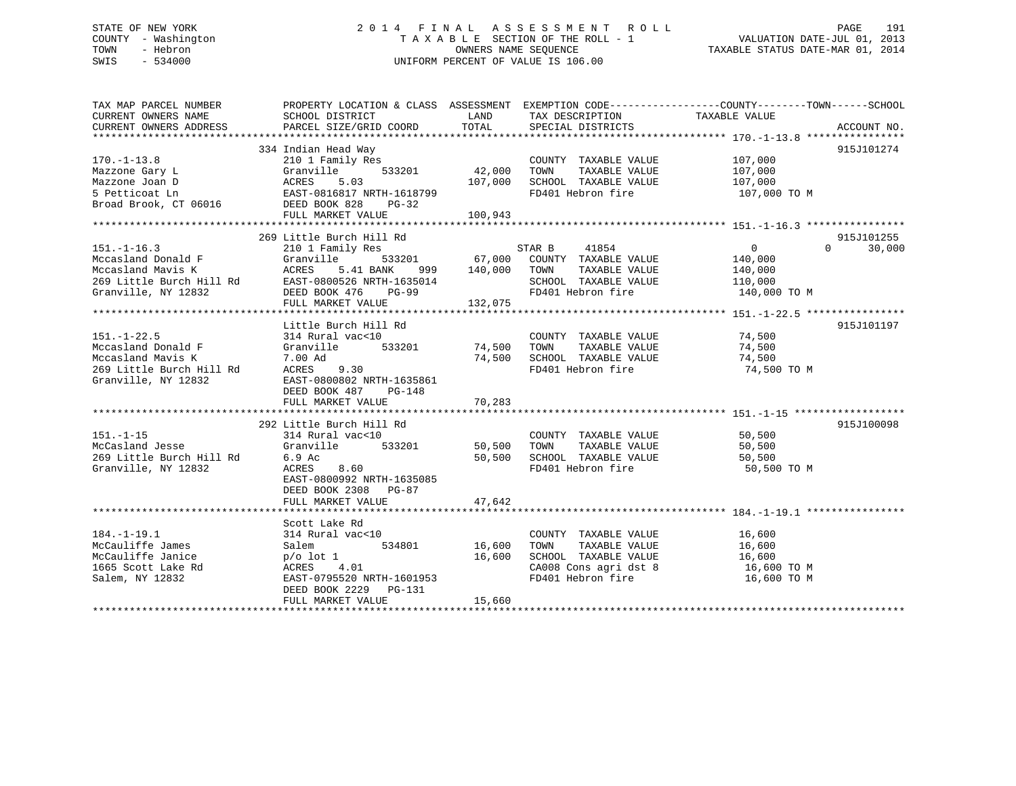# STATE OF NEW YORK 2 0 1 4 F I N A L A S S E S S M E N T R O L L PAGE 191 COUNTY - Washington T A X A B L E SECTION OF THE ROLL - 1 VALUATION DATE-JUL 01, 2013 TOWN - Hebron OWNERS NAME SEQUENCE TAXABLE STATUS DATE-MAR 01, 2014 SWIS - 534000 UNIFORM PERCENT OF VALUE IS 106.00

| TAX MAP PARCEL NUMBER<br>CURRENT OWNERS NAME<br>CURRENT OWNERS ADDRESS | SCHOOL DISTRICT<br>PARCEL SIZE/GRID COORD | LAND<br>TOTAL | TAX DESCRIPTION<br>SPECIAL DISTRICTS | PROPERTY LOCATION & CLASS ASSESSMENT EXEMPTION CODE----------------COUNTY-------TOWN-----SCHOOL<br>TAXABLE VALUE | ACCOUNT NO. |
|------------------------------------------------------------------------|-------------------------------------------|---------------|--------------------------------------|------------------------------------------------------------------------------------------------------------------|-------------|
|                                                                        |                                           |               |                                      |                                                                                                                  |             |
| $170. - 1 - 13.8$                                                      | 334 Indian Head Way<br>210 1 Family Res   |               | COUNTY TAXABLE VALUE                 | 107,000<br>107 nnn                                                                                               | 915J101274  |
| Mazzone Gary L                                                         | 533201<br>Granville                       | 42,000        | TOWN<br>TAXABLE VALUE                | 107,000                                                                                                          |             |
| Mazzone Joan D                                                         | ACRES<br>5.03                             | 107,000       | SCHOOL TAXABLE VALUE                 | 107,000                                                                                                          |             |
| 5 Petticoat Ln                                                         | EAST-0816817 NRTH-1618799                 |               | FD401 Hebron fire                    | 107,000 TO M                                                                                                     |             |
| Broad Brook, CT 06016                                                  | DEED BOOK 828<br>PG-32                    |               |                                      |                                                                                                                  |             |
|                                                                        | FULL MARKET VALUE                         | 100,943       |                                      |                                                                                                                  |             |
|                                                                        |                                           |               |                                      |                                                                                                                  |             |
|                                                                        | 269 Little Burch Hill Rd                  |               |                                      |                                                                                                                  | 915J101255  |
| $151. - 1 - 16.3$                                                      | 210 1 Family Res                          |               | 41854<br>STAR B                      | $\overline{0}$<br>$\Omega$                                                                                       | 30,000      |
|                                                                        |                                           |               | 533201 67,000 COUNTY TAXABLE VALUE   | 140,000                                                                                                          |             |
|                                                                        |                                           | 140,000       | TOWN<br>TAXABLE VALUE                | 140,000                                                                                                          |             |
|                                                                        |                                           |               | SCHOOL TAXABLE VALUE                 | 110,000                                                                                                          |             |
| Granville, NY 12832                                                    | DEED BOOK 476<br>PG-99                    |               | FD401 Hebron fire 140,000 TO M       |                                                                                                                  |             |
|                                                                        | FULL MARKET VALUE                         | 132,075       |                                      |                                                                                                                  |             |
|                                                                        |                                           |               |                                      |                                                                                                                  |             |
|                                                                        | Little Burch Hill Rd                      |               |                                      |                                                                                                                  | 915J101197  |
| $151. - 1 - 22.5$                                                      | 314 Rural vac<10                          |               | COUNTY TAXABLE VALUE 74,500          |                                                                                                                  |             |
| Mccasland Donald F                                                     | 533201<br>Granville                       | 74,500        | TOWN<br>TAXABLE VALUE                |                                                                                                                  |             |
| Mccasland Mavis K                                                      | 7.00 Ad                                   |               | 74,500 SCHOOL TAXABLE VALUE          | 74,500<br>74,500                                                                                                 |             |
| 269 Little Burch Hill Rd                                               | ACRES<br>9.30                             |               | FD401 Hebron fire                    | 74,500 TO M                                                                                                      |             |
| Granville, NY 12832                                                    | EAST-0800802 NRTH-1635861                 |               |                                      |                                                                                                                  |             |
|                                                                        | DEED BOOK 487<br>PG-148                   |               |                                      |                                                                                                                  |             |
|                                                                        | FULL MARKET VALUE                         | 70,283        |                                      |                                                                                                                  |             |
|                                                                        |                                           |               |                                      |                                                                                                                  |             |
|                                                                        | 292 Little Burch Hill Rd                  |               |                                      |                                                                                                                  | 915J100098  |
| $151. - 1 - 15$                                                        | 314 Rural vac<10                          |               | COUNTY TAXABLE VALUE                 | 50,500                                                                                                           |             |
| Granville<br>McCasland Jesse                                           | 533201                                    | 50,500 TOWN   | TAXABLE VALUE                        | 50,500                                                                                                           |             |
| 269 Little Burch Hill Rd                                               | 6.9 Ac                                    |               | 50,500 SCHOOL TAXABLE VALUE          | 50,500                                                                                                           |             |
| Granville, NY 12832                                                    | 8.60<br>ACRES                             |               | FD401 Hebron fire                    | 50,500 TO M                                                                                                      |             |
|                                                                        | EAST-0800992 NRTH-1635085                 |               |                                      |                                                                                                                  |             |
|                                                                        | DEED BOOK 2308 PG-87                      |               |                                      |                                                                                                                  |             |
|                                                                        | FULL MARKET VALUE                         | 47,642        |                                      |                                                                                                                  |             |
|                                                                        |                                           |               |                                      |                                                                                                                  |             |
|                                                                        | Scott Lake Rd                             |               |                                      |                                                                                                                  |             |
| $184. - 1 - 19.1$                                                      | 314 Rural vac<10                          |               | COUNTY TAXABLE VALUE                 |                                                                                                                  |             |
| McCauliffe James                                                       | 534801<br>Salem                           | 16,600        | TAXABLE VALUE<br>TOWN                | 16,600<br>16,600                                                                                                 |             |
| McCauliffe Janice                                                      | $p/o$ lot 1                               | 16,600        | SCHOOL TAXABLE VALUE                 | 16,600                                                                                                           |             |
| 1665 Scott Lake Rd                                                     | ACRES 4.01                                |               | CA008 Cons agri dst 8                | 16,600 TO M                                                                                                      |             |
| Salem, NY 12832                                                        | EAST-0795520 NRTH-1601953                 |               | FD401 Hebron fire                    | 16,600 TO M                                                                                                      |             |
|                                                                        | DEED BOOK 2229 PG-131                     |               |                                      |                                                                                                                  |             |
|                                                                        | FULL MARKET VALUE                         | 15,660        |                                      |                                                                                                                  |             |
|                                                                        |                                           |               |                                      |                                                                                                                  |             |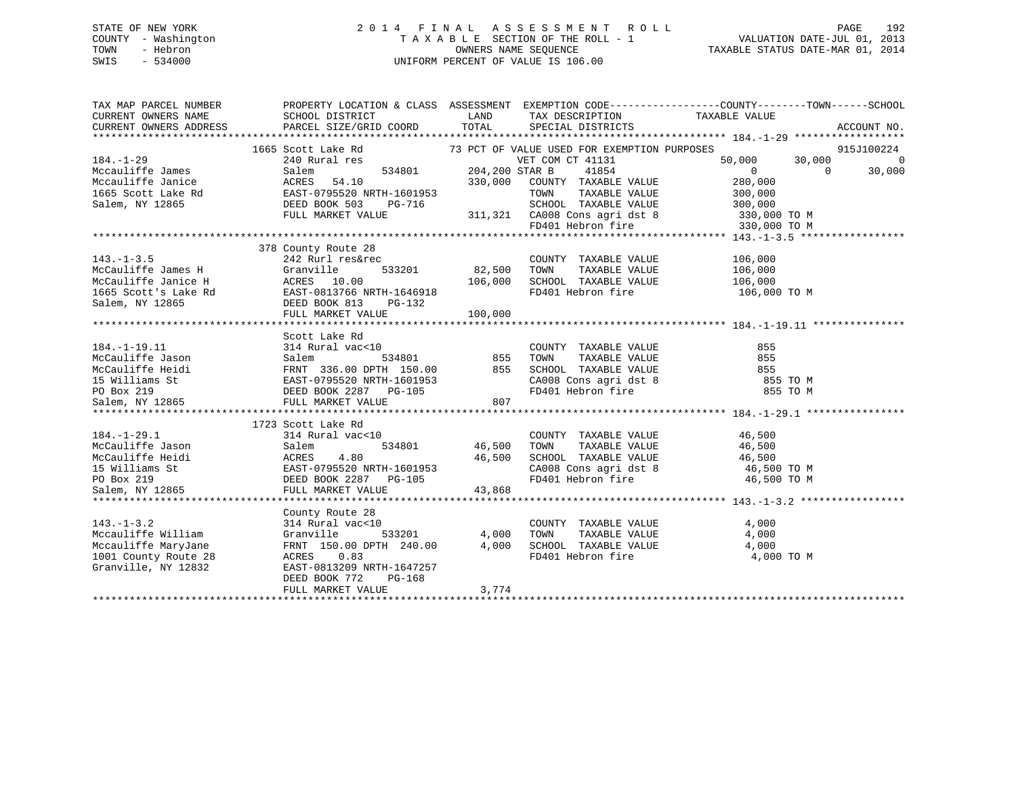# STATE OF NEW YORK 2 0 1 4 F I N A L A S S E S S M E N T R O L L PAGE 192 COUNTY - Washington T A X A B L E SECTION OF THE ROLL - 1 VALUATION DATE-JUL 01, 2013 TOWN - Hebron OWNERS NAME SEQUENCE TAXABLE STATUS DATE-MAR 01, 2014 SWIS - 534000 UNIFORM PERCENT OF VALUE IS 106.00

| CURRENT OWNERS NAME<br>SCHOOL DISTRICT LAND LAND PARCEL SIZE/GRID COORD TOTAL<br>TAX DESCRIPTION TAXABLE VALUE<br>CURRENT OWNERS ADDRESS<br>SPECIAL DISTRICTS<br>Scott Lake Rd 30<br>2013 PCT OF VALUE USED FOR EXEMPTION PURPOSES<br>240 Rural res 534801 204,200 STAR B 41854 50,000 30,<br>1665 Scott Lake Rd<br>$184. - 1 - 29$<br>184.-1-23<br>Mccauliffe James<br>Mccauliffe Jamice McCRES 54.10<br>1665 Scott Lake Rd EAST-0795520 NRTH-1601953<br>Salem, NY 12865<br>204,200 STAR B 330,000 COUNTY TAXABLE VALUE<br>204,200 STAR B 310,000 COUNTY TAXABLE VALUE<br>2000 SCH |                      | ACCOUNT NO. |
|-------------------------------------------------------------------------------------------------------------------------------------------------------------------------------------------------------------------------------------------------------------------------------------------------------------------------------------------------------------------------------------------------------------------------------------------------------------------------------------------------------------------------------------------------------------------------------------|----------------------|-------------|
|                                                                                                                                                                                                                                                                                                                                                                                                                                                                                                                                                                                     |                      |             |
|                                                                                                                                                                                                                                                                                                                                                                                                                                                                                                                                                                                     |                      |             |
|                                                                                                                                                                                                                                                                                                                                                                                                                                                                                                                                                                                     |                      |             |
|                                                                                                                                                                                                                                                                                                                                                                                                                                                                                                                                                                                     |                      | 915J100224  |
|                                                                                                                                                                                                                                                                                                                                                                                                                                                                                                                                                                                     | 50,000 30,000 0      |             |
|                                                                                                                                                                                                                                                                                                                                                                                                                                                                                                                                                                                     | $\overline{0}$       | 30,000      |
|                                                                                                                                                                                                                                                                                                                                                                                                                                                                                                                                                                                     | 280,000              |             |
|                                                                                                                                                                                                                                                                                                                                                                                                                                                                                                                                                                                     |                      |             |
|                                                                                                                                                                                                                                                                                                                                                                                                                                                                                                                                                                                     |                      |             |
| RTH-1601953 TOWN TAXABLE VALUE<br>PG-716 SCHOOL TAXABLE VALUE 300,000<br>LUE 311,321 CA008 Cons agri dst 8 330,000 TO M<br>FD401 Hebron fire 330,000 TO M<br>CA01 Hebron fire 330,000 TO M                                                                                                                                                                                                                                                                                                                                                                                          |                      |             |
|                                                                                                                                                                                                                                                                                                                                                                                                                                                                                                                                                                                     |                      |             |
|                                                                                                                                                                                                                                                                                                                                                                                                                                                                                                                                                                                     |                      |             |
|                                                                                                                                                                                                                                                                                                                                                                                                                                                                                                                                                                                     |                      |             |
| 378 County Route 28                                                                                                                                                                                                                                                                                                                                                                                                                                                                                                                                                                 |                      |             |
| $143. - 1 - 3.5$<br>242 Rurl res&rec<br>COUNTY TAXABLE VALUE                                                                                                                                                                                                                                                                                                                                                                                                                                                                                                                        | 106,000              |             |
| 533201 82,500<br>00 106,000<br>TOWN TAXABLE VALUE 106,000<br>SCHOOL TAXABLE VALUE 106,000<br>TOWN                                                                                                                                                                                                                                                                                                                                                                                                                                                                                   |                      |             |
|                                                                                                                                                                                                                                                                                                                                                                                                                                                                                                                                                                                     |                      |             |
| McCauliffe James H Granville 533201<br>McCauliffe Janice H ACRES 10.00<br>1665 Scott's Lake Rd EAST-0813766 NRTH-1646918<br>Salem, NY 12865 DEED BOOK 813<br>FUILL MAPKET VALUE<br>FD401 Hebron fire 106,000 TO M                                                                                                                                                                                                                                                                                                                                                                   |                      |             |
|                                                                                                                                                                                                                                                                                                                                                                                                                                                                                                                                                                                     |                      |             |
| FULL MARKET VALUE<br>100,000                                                                                                                                                                                                                                                                                                                                                                                                                                                                                                                                                        |                      |             |
|                                                                                                                                                                                                                                                                                                                                                                                                                                                                                                                                                                                     |                      |             |
|                                                                                                                                                                                                                                                                                                                                                                                                                                                                                                                                                                                     |                      |             |
|                                                                                                                                                                                                                                                                                                                                                                                                                                                                                                                                                                                     |                      |             |
|                                                                                                                                                                                                                                                                                                                                                                                                                                                                                                                                                                                     |                      |             |
|                                                                                                                                                                                                                                                                                                                                                                                                                                                                                                                                                                                     |                      |             |
|                                                                                                                                                                                                                                                                                                                                                                                                                                                                                                                                                                                     |                      |             |
|                                                                                                                                                                                                                                                                                                                                                                                                                                                                                                                                                                                     |                      |             |
|                                                                                                                                                                                                                                                                                                                                                                                                                                                                                                                                                                                     |                      |             |
|                                                                                                                                                                                                                                                                                                                                                                                                                                                                                                                                                                                     |                      |             |
| McCauliffe Jason Salem 1 vac<10<br>McCauliffe Jason Salem 534801 855 TOWN TAXABLE VALUE 855<br>McCauliffe Heidi FRNT 336.00 DPTH 150.00 855 SCHOOL TAXABLE VALUE 855<br>15 Williams St EAST-0795520 NRTH-1601953 CA008 Cons agri dst<br>1723 Scott Lake Rd                                                                                                                                                                                                                                                                                                                          |                      |             |
| $184. - 1 - 29.1$<br>COUNTY TAXABLE VALUE<br>314 Rural vac<10                                                                                                                                                                                                                                                                                                                                                                                                                                                                                                                       | 46,500               |             |
| TOWN                                                                                                                                                                                                                                                                                                                                                                                                                                                                                                                                                                                | TAXABLE VALUE 46,500 |             |
|                                                                                                                                                                                                                                                                                                                                                                                                                                                                                                                                                                                     |                      |             |
|                                                                                                                                                                                                                                                                                                                                                                                                                                                                                                                                                                                     |                      |             |
| Neclausiffe Jason<br>McCauliffe Jason<br>McCauliffe Heidi<br>20 McCauliffe Heidi<br>20 McCauliffe Heidi<br>20 McCauliffe Heidi<br>20 McCauliffe Heidi<br>20 McCauliffe Heidi<br>20 McCauliffe Heidi<br>20 McCauliffe Heidi<br>20 McCauliffe Heidi<br><br>SCHOOL TAXABLE VALUE $46,500$<br>CA008 Cons agri dst 8 $46,500$ TO M<br>FD401 Hebron fire $46,500$ TO M                                                                                                                                                                                                                    |                      |             |
|                                                                                                                                                                                                                                                                                                                                                                                                                                                                                                                                                                                     |                      |             |
| Salem, NY 12865<br>FULL MARKET VALUE<br>43,868                                                                                                                                                                                                                                                                                                                                                                                                                                                                                                                                      |                      |             |
|                                                                                                                                                                                                                                                                                                                                                                                                                                                                                                                                                                                     |                      |             |
| County Route 28                                                                                                                                                                                                                                                                                                                                                                                                                                                                                                                                                                     |                      |             |
| COUNTY TAXABLE VALUE 4,000<br>$143. - 1 - 3.2$<br>314 Rural vac<10                                                                                                                                                                                                                                                                                                                                                                                                                                                                                                                  |                      |             |
| Granville<br>Mccauliffe William<br>533201 4,000<br>TOWN                                                                                                                                                                                                                                                                                                                                                                                                                                                                                                                             | TAXABLE VALUE 4,000  |             |
| SCHOOL TAXABLE VALUE 4,000<br>FD401 Hebron fire 4,000<br>Mccauliffe MaryJane<br>1001 County Route 28<br>FRNT 150.00 DPTH 240.00 4,000                                                                                                                                                                                                                                                                                                                                                                                                                                               |                      |             |
| 1001 County Route 28<br>ACRES 0.83                                                                                                                                                                                                                                                                                                                                                                                                                                                                                                                                                  | 4,000 TO M           |             |
| Granville, NY 12832<br>EAST-0813209 NRTH-1647257                                                                                                                                                                                                                                                                                                                                                                                                                                                                                                                                    |                      |             |
|                                                                                                                                                                                                                                                                                                                                                                                                                                                                                                                                                                                     |                      |             |
| DEED BOOK 772<br>PG-168                                                                                                                                                                                                                                                                                                                                                                                                                                                                                                                                                             |                      |             |
| 3,774<br>FULL MARKET VALUE                                                                                                                                                                                                                                                                                                                                                                                                                                                                                                                                                          |                      |             |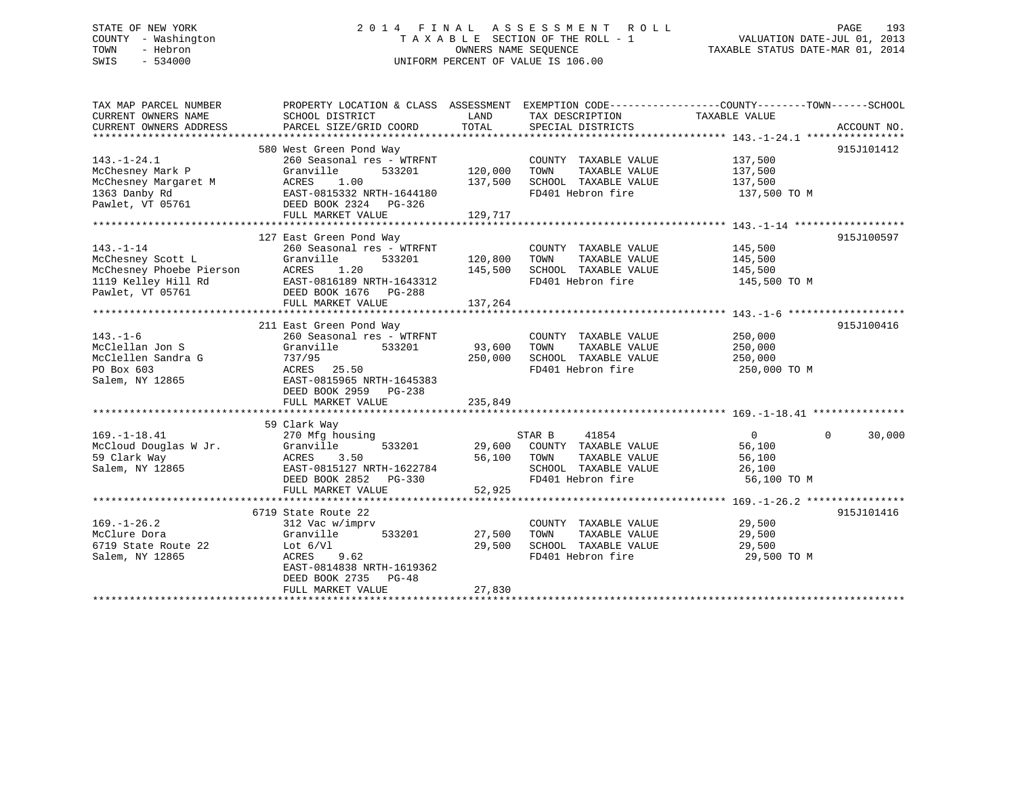# STATE OF NEW YORK 2 0 1 4 F I N A L A S S E S S M E N T R O L L PAGE 193 COUNTY - Washington T A X A B L E SECTION OF THE ROLL - 1 VALUATION DATE-JUL 01, 2013 TOWN - Hebron OWNERS NAME SEQUENCE TAXABLE STATUS DATE-MAR 01, 2014 SWIS - 534000 UNIFORM PERCENT OF VALUE IS 106.00

| 580 West Green Pond Way<br>915J101412<br>$143. - 1 - 24.1$<br>260 Seasonal res - WTRFNT<br>137,500<br>COUNTY TAXABLE VALUE<br>120,000<br>TAXABLE VALUE<br>McChesney Mark P<br>Granville<br>533201<br>TOWN<br>137,500<br>137,500<br>McChesney Margaret M<br>1.00<br>137,500<br>SCHOOL TAXABLE VALUE<br>ACRES<br>1363 Danby Rd<br>EAST-0815332 NRTH-1644180<br>FD401 Hebron fire<br>137,500 TO M<br>Pawlet, VT 05761<br>DEED BOOK 2324 PG-326<br>FULL MARKET VALUE<br>129,717<br>127 East Green Pond Way<br>915J100597<br>$143. - 1 - 14$<br>260 Seasonal res - WTRFNT<br>COUNTY TAXABLE VALUE<br>145,500<br>533201<br>120,800<br>McChesney Scott L<br>Granville<br>TOWN<br>TAXABLE VALUE<br>145,500<br>McChesney Phoebe Pierson<br>145,500<br>ACRES<br>1.20<br>145,500<br>SCHOOL TAXABLE VALUE<br>FD401 Hebron fire<br>1119 Kelley Hill Rd<br>EAST-0816189 NRTH-1643312<br>145,500 TO M<br>Pawlet, VT 05761<br>DEED BOOK 1676 PG-288<br>137,264<br>FULL MARKET VALUE<br>915J100416<br>211 East Green Pond Way<br>$143. - 1 - 6$<br>260 Seasonal res - WTRFNT<br>COUNTY TAXABLE VALUE<br>250,000<br>McClellan Jon S<br>93,600<br>TAXABLE VALUE<br>Granville<br>533201<br>TOWN<br>250,000<br>McClellen Sandra G<br>737/95<br>250,000<br>SCHOOL TAXABLE VALUE<br>250,000<br>PO Box 603<br>ACRES 25.50<br>FD401 Hebron fire<br>250,000 TO M<br>Salem, NY 12865<br>EAST-0815965 NRTH-1645383<br>DEED BOOK 2959 PG-238<br>235,849<br>FULL MARKET VALUE<br>59 Clark Way<br>$\Omega$<br>$169. - 1 - 18.41$<br>$\overline{0}$<br>30,000<br>270 Mfg housing<br>STAR B<br>41854<br>Granville<br>McCloud Douglas W Jr.<br>533201<br>29,600 COUNTY TAXABLE VALUE<br>56,100<br>56,100<br>59 Clark Way<br>ACRES<br>3.50<br>TOWN<br>TAXABLE VALUE<br>56,100<br>Salem, NY 12865<br>EAST-0815127 NRTH-1622784<br>SCHOOL TAXABLE VALUE<br>26,100<br>FD401 Hebron fire<br>56,100 TO M<br>DEED BOOK 2852<br>$PG-330$<br>FULL MARKET VALUE<br>52,925<br>6719 State Route 22<br>915J101416<br>29,500<br>$169. - 1 - 26.2$<br>312 Vac w/imprv<br>COUNTY TAXABLE VALUE<br>McClure Dora<br>TAXABLE VALUE<br>29,500<br>Granville<br>533201<br>27,500<br>TOWN<br>6719 State Route 22<br>29,500<br>SCHOOL TAXABLE VALUE<br>29,500<br>Lot $6/V1$<br>Salem, NY 12865<br>ACRES 9.62<br>FD401 Hebron fire<br>29,500 TO M<br>EAST-0814838 NRTH-1619362<br>DEED BOOK 2735 PG-48 | TAX MAP PARCEL NUMBER<br>CURRENT OWNERS NAME<br>CURRENT OWNERS ADDRESS | PROPERTY LOCATION & CLASS ASSESSMENT EXEMPTION CODE---------------COUNTY-------TOWN-----SCHOOL<br>SCHOOL DISTRICT<br>PARCEL SIZE/GRID COORD | LAND<br>TOTAL | TAX DESCRIPTION<br>SPECIAL DISTRICTS | TAXABLE VALUE | ACCOUNT NO. |
|---------------------------------------------------------------------------------------------------------------------------------------------------------------------------------------------------------------------------------------------------------------------------------------------------------------------------------------------------------------------------------------------------------------------------------------------------------------------------------------------------------------------------------------------------------------------------------------------------------------------------------------------------------------------------------------------------------------------------------------------------------------------------------------------------------------------------------------------------------------------------------------------------------------------------------------------------------------------------------------------------------------------------------------------------------------------------------------------------------------------------------------------------------------------------------------------------------------------------------------------------------------------------------------------------------------------------------------------------------------------------------------------------------------------------------------------------------------------------------------------------------------------------------------------------------------------------------------------------------------------------------------------------------------------------------------------------------------------------------------------------------------------------------------------------------------------------------------------------------------------------------------------------------------------------------------------------------------------------------------------------------------------------------------------------------------------------------------------------------------------------------------------------------------------------------------------------------------------------------------------------------------------------------------------------------------------------------------------|------------------------------------------------------------------------|---------------------------------------------------------------------------------------------------------------------------------------------|---------------|--------------------------------------|---------------|-------------|
|                                                                                                                                                                                                                                                                                                                                                                                                                                                                                                                                                                                                                                                                                                                                                                                                                                                                                                                                                                                                                                                                                                                                                                                                                                                                                                                                                                                                                                                                                                                                                                                                                                                                                                                                                                                                                                                                                                                                                                                                                                                                                                                                                                                                                                                                                                                                             |                                                                        |                                                                                                                                             |               |                                      |               |             |
|                                                                                                                                                                                                                                                                                                                                                                                                                                                                                                                                                                                                                                                                                                                                                                                                                                                                                                                                                                                                                                                                                                                                                                                                                                                                                                                                                                                                                                                                                                                                                                                                                                                                                                                                                                                                                                                                                                                                                                                                                                                                                                                                                                                                                                                                                                                                             |                                                                        |                                                                                                                                             |               |                                      |               |             |
|                                                                                                                                                                                                                                                                                                                                                                                                                                                                                                                                                                                                                                                                                                                                                                                                                                                                                                                                                                                                                                                                                                                                                                                                                                                                                                                                                                                                                                                                                                                                                                                                                                                                                                                                                                                                                                                                                                                                                                                                                                                                                                                                                                                                                                                                                                                                             |                                                                        |                                                                                                                                             |               |                                      |               |             |
|                                                                                                                                                                                                                                                                                                                                                                                                                                                                                                                                                                                                                                                                                                                                                                                                                                                                                                                                                                                                                                                                                                                                                                                                                                                                                                                                                                                                                                                                                                                                                                                                                                                                                                                                                                                                                                                                                                                                                                                                                                                                                                                                                                                                                                                                                                                                             |                                                                        |                                                                                                                                             |               |                                      |               |             |
|                                                                                                                                                                                                                                                                                                                                                                                                                                                                                                                                                                                                                                                                                                                                                                                                                                                                                                                                                                                                                                                                                                                                                                                                                                                                                                                                                                                                                                                                                                                                                                                                                                                                                                                                                                                                                                                                                                                                                                                                                                                                                                                                                                                                                                                                                                                                             |                                                                        |                                                                                                                                             |               |                                      |               |             |
|                                                                                                                                                                                                                                                                                                                                                                                                                                                                                                                                                                                                                                                                                                                                                                                                                                                                                                                                                                                                                                                                                                                                                                                                                                                                                                                                                                                                                                                                                                                                                                                                                                                                                                                                                                                                                                                                                                                                                                                                                                                                                                                                                                                                                                                                                                                                             |                                                                        |                                                                                                                                             |               |                                      |               |             |
|                                                                                                                                                                                                                                                                                                                                                                                                                                                                                                                                                                                                                                                                                                                                                                                                                                                                                                                                                                                                                                                                                                                                                                                                                                                                                                                                                                                                                                                                                                                                                                                                                                                                                                                                                                                                                                                                                                                                                                                                                                                                                                                                                                                                                                                                                                                                             |                                                                        |                                                                                                                                             |               |                                      |               |             |
|                                                                                                                                                                                                                                                                                                                                                                                                                                                                                                                                                                                                                                                                                                                                                                                                                                                                                                                                                                                                                                                                                                                                                                                                                                                                                                                                                                                                                                                                                                                                                                                                                                                                                                                                                                                                                                                                                                                                                                                                                                                                                                                                                                                                                                                                                                                                             |                                                                        |                                                                                                                                             |               |                                      |               |             |
|                                                                                                                                                                                                                                                                                                                                                                                                                                                                                                                                                                                                                                                                                                                                                                                                                                                                                                                                                                                                                                                                                                                                                                                                                                                                                                                                                                                                                                                                                                                                                                                                                                                                                                                                                                                                                                                                                                                                                                                                                                                                                                                                                                                                                                                                                                                                             |                                                                        |                                                                                                                                             |               |                                      |               |             |
|                                                                                                                                                                                                                                                                                                                                                                                                                                                                                                                                                                                                                                                                                                                                                                                                                                                                                                                                                                                                                                                                                                                                                                                                                                                                                                                                                                                                                                                                                                                                                                                                                                                                                                                                                                                                                                                                                                                                                                                                                                                                                                                                                                                                                                                                                                                                             |                                                                        |                                                                                                                                             |               |                                      |               |             |
|                                                                                                                                                                                                                                                                                                                                                                                                                                                                                                                                                                                                                                                                                                                                                                                                                                                                                                                                                                                                                                                                                                                                                                                                                                                                                                                                                                                                                                                                                                                                                                                                                                                                                                                                                                                                                                                                                                                                                                                                                                                                                                                                                                                                                                                                                                                                             |                                                                        |                                                                                                                                             |               |                                      |               |             |
|                                                                                                                                                                                                                                                                                                                                                                                                                                                                                                                                                                                                                                                                                                                                                                                                                                                                                                                                                                                                                                                                                                                                                                                                                                                                                                                                                                                                                                                                                                                                                                                                                                                                                                                                                                                                                                                                                                                                                                                                                                                                                                                                                                                                                                                                                                                                             |                                                                        |                                                                                                                                             |               |                                      |               |             |
|                                                                                                                                                                                                                                                                                                                                                                                                                                                                                                                                                                                                                                                                                                                                                                                                                                                                                                                                                                                                                                                                                                                                                                                                                                                                                                                                                                                                                                                                                                                                                                                                                                                                                                                                                                                                                                                                                                                                                                                                                                                                                                                                                                                                                                                                                                                                             |                                                                        |                                                                                                                                             |               |                                      |               |             |
|                                                                                                                                                                                                                                                                                                                                                                                                                                                                                                                                                                                                                                                                                                                                                                                                                                                                                                                                                                                                                                                                                                                                                                                                                                                                                                                                                                                                                                                                                                                                                                                                                                                                                                                                                                                                                                                                                                                                                                                                                                                                                                                                                                                                                                                                                                                                             |                                                                        |                                                                                                                                             |               |                                      |               |             |
|                                                                                                                                                                                                                                                                                                                                                                                                                                                                                                                                                                                                                                                                                                                                                                                                                                                                                                                                                                                                                                                                                                                                                                                                                                                                                                                                                                                                                                                                                                                                                                                                                                                                                                                                                                                                                                                                                                                                                                                                                                                                                                                                                                                                                                                                                                                                             |                                                                        |                                                                                                                                             |               |                                      |               |             |
|                                                                                                                                                                                                                                                                                                                                                                                                                                                                                                                                                                                                                                                                                                                                                                                                                                                                                                                                                                                                                                                                                                                                                                                                                                                                                                                                                                                                                                                                                                                                                                                                                                                                                                                                                                                                                                                                                                                                                                                                                                                                                                                                                                                                                                                                                                                                             |                                                                        |                                                                                                                                             |               |                                      |               |             |
|                                                                                                                                                                                                                                                                                                                                                                                                                                                                                                                                                                                                                                                                                                                                                                                                                                                                                                                                                                                                                                                                                                                                                                                                                                                                                                                                                                                                                                                                                                                                                                                                                                                                                                                                                                                                                                                                                                                                                                                                                                                                                                                                                                                                                                                                                                                                             |                                                                        |                                                                                                                                             |               |                                      |               |             |
|                                                                                                                                                                                                                                                                                                                                                                                                                                                                                                                                                                                                                                                                                                                                                                                                                                                                                                                                                                                                                                                                                                                                                                                                                                                                                                                                                                                                                                                                                                                                                                                                                                                                                                                                                                                                                                                                                                                                                                                                                                                                                                                                                                                                                                                                                                                                             |                                                                        |                                                                                                                                             |               |                                      |               |             |
|                                                                                                                                                                                                                                                                                                                                                                                                                                                                                                                                                                                                                                                                                                                                                                                                                                                                                                                                                                                                                                                                                                                                                                                                                                                                                                                                                                                                                                                                                                                                                                                                                                                                                                                                                                                                                                                                                                                                                                                                                                                                                                                                                                                                                                                                                                                                             |                                                                        |                                                                                                                                             |               |                                      |               |             |
|                                                                                                                                                                                                                                                                                                                                                                                                                                                                                                                                                                                                                                                                                                                                                                                                                                                                                                                                                                                                                                                                                                                                                                                                                                                                                                                                                                                                                                                                                                                                                                                                                                                                                                                                                                                                                                                                                                                                                                                                                                                                                                                                                                                                                                                                                                                                             |                                                                        |                                                                                                                                             |               |                                      |               |             |
|                                                                                                                                                                                                                                                                                                                                                                                                                                                                                                                                                                                                                                                                                                                                                                                                                                                                                                                                                                                                                                                                                                                                                                                                                                                                                                                                                                                                                                                                                                                                                                                                                                                                                                                                                                                                                                                                                                                                                                                                                                                                                                                                                                                                                                                                                                                                             |                                                                        |                                                                                                                                             |               |                                      |               |             |
|                                                                                                                                                                                                                                                                                                                                                                                                                                                                                                                                                                                                                                                                                                                                                                                                                                                                                                                                                                                                                                                                                                                                                                                                                                                                                                                                                                                                                                                                                                                                                                                                                                                                                                                                                                                                                                                                                                                                                                                                                                                                                                                                                                                                                                                                                                                                             |                                                                        |                                                                                                                                             |               |                                      |               |             |
|                                                                                                                                                                                                                                                                                                                                                                                                                                                                                                                                                                                                                                                                                                                                                                                                                                                                                                                                                                                                                                                                                                                                                                                                                                                                                                                                                                                                                                                                                                                                                                                                                                                                                                                                                                                                                                                                                                                                                                                                                                                                                                                                                                                                                                                                                                                                             |                                                                        |                                                                                                                                             |               |                                      |               |             |
|                                                                                                                                                                                                                                                                                                                                                                                                                                                                                                                                                                                                                                                                                                                                                                                                                                                                                                                                                                                                                                                                                                                                                                                                                                                                                                                                                                                                                                                                                                                                                                                                                                                                                                                                                                                                                                                                                                                                                                                                                                                                                                                                                                                                                                                                                                                                             |                                                                        |                                                                                                                                             |               |                                      |               |             |
|                                                                                                                                                                                                                                                                                                                                                                                                                                                                                                                                                                                                                                                                                                                                                                                                                                                                                                                                                                                                                                                                                                                                                                                                                                                                                                                                                                                                                                                                                                                                                                                                                                                                                                                                                                                                                                                                                                                                                                                                                                                                                                                                                                                                                                                                                                                                             |                                                                        |                                                                                                                                             |               |                                      |               |             |
|                                                                                                                                                                                                                                                                                                                                                                                                                                                                                                                                                                                                                                                                                                                                                                                                                                                                                                                                                                                                                                                                                                                                                                                                                                                                                                                                                                                                                                                                                                                                                                                                                                                                                                                                                                                                                                                                                                                                                                                                                                                                                                                                                                                                                                                                                                                                             |                                                                        |                                                                                                                                             |               |                                      |               |             |
|                                                                                                                                                                                                                                                                                                                                                                                                                                                                                                                                                                                                                                                                                                                                                                                                                                                                                                                                                                                                                                                                                                                                                                                                                                                                                                                                                                                                                                                                                                                                                                                                                                                                                                                                                                                                                                                                                                                                                                                                                                                                                                                                                                                                                                                                                                                                             |                                                                        |                                                                                                                                             |               |                                      |               |             |
|                                                                                                                                                                                                                                                                                                                                                                                                                                                                                                                                                                                                                                                                                                                                                                                                                                                                                                                                                                                                                                                                                                                                                                                                                                                                                                                                                                                                                                                                                                                                                                                                                                                                                                                                                                                                                                                                                                                                                                                                                                                                                                                                                                                                                                                                                                                                             |                                                                        |                                                                                                                                             |               |                                      |               |             |
|                                                                                                                                                                                                                                                                                                                                                                                                                                                                                                                                                                                                                                                                                                                                                                                                                                                                                                                                                                                                                                                                                                                                                                                                                                                                                                                                                                                                                                                                                                                                                                                                                                                                                                                                                                                                                                                                                                                                                                                                                                                                                                                                                                                                                                                                                                                                             |                                                                        |                                                                                                                                             |               |                                      |               |             |
|                                                                                                                                                                                                                                                                                                                                                                                                                                                                                                                                                                                                                                                                                                                                                                                                                                                                                                                                                                                                                                                                                                                                                                                                                                                                                                                                                                                                                                                                                                                                                                                                                                                                                                                                                                                                                                                                                                                                                                                                                                                                                                                                                                                                                                                                                                                                             |                                                                        |                                                                                                                                             |               |                                      |               |             |
|                                                                                                                                                                                                                                                                                                                                                                                                                                                                                                                                                                                                                                                                                                                                                                                                                                                                                                                                                                                                                                                                                                                                                                                                                                                                                                                                                                                                                                                                                                                                                                                                                                                                                                                                                                                                                                                                                                                                                                                                                                                                                                                                                                                                                                                                                                                                             |                                                                        |                                                                                                                                             |               |                                      |               |             |
|                                                                                                                                                                                                                                                                                                                                                                                                                                                                                                                                                                                                                                                                                                                                                                                                                                                                                                                                                                                                                                                                                                                                                                                                                                                                                                                                                                                                                                                                                                                                                                                                                                                                                                                                                                                                                                                                                                                                                                                                                                                                                                                                                                                                                                                                                                                                             |                                                                        |                                                                                                                                             |               |                                      |               |             |
|                                                                                                                                                                                                                                                                                                                                                                                                                                                                                                                                                                                                                                                                                                                                                                                                                                                                                                                                                                                                                                                                                                                                                                                                                                                                                                                                                                                                                                                                                                                                                                                                                                                                                                                                                                                                                                                                                                                                                                                                                                                                                                                                                                                                                                                                                                                                             |                                                                        |                                                                                                                                             |               |                                      |               |             |
|                                                                                                                                                                                                                                                                                                                                                                                                                                                                                                                                                                                                                                                                                                                                                                                                                                                                                                                                                                                                                                                                                                                                                                                                                                                                                                                                                                                                                                                                                                                                                                                                                                                                                                                                                                                                                                                                                                                                                                                                                                                                                                                                                                                                                                                                                                                                             |                                                                        |                                                                                                                                             |               |                                      |               |             |
|                                                                                                                                                                                                                                                                                                                                                                                                                                                                                                                                                                                                                                                                                                                                                                                                                                                                                                                                                                                                                                                                                                                                                                                                                                                                                                                                                                                                                                                                                                                                                                                                                                                                                                                                                                                                                                                                                                                                                                                                                                                                                                                                                                                                                                                                                                                                             |                                                                        |                                                                                                                                             |               |                                      |               |             |
|                                                                                                                                                                                                                                                                                                                                                                                                                                                                                                                                                                                                                                                                                                                                                                                                                                                                                                                                                                                                                                                                                                                                                                                                                                                                                                                                                                                                                                                                                                                                                                                                                                                                                                                                                                                                                                                                                                                                                                                                                                                                                                                                                                                                                                                                                                                                             |                                                                        |                                                                                                                                             |               |                                      |               |             |
|                                                                                                                                                                                                                                                                                                                                                                                                                                                                                                                                                                                                                                                                                                                                                                                                                                                                                                                                                                                                                                                                                                                                                                                                                                                                                                                                                                                                                                                                                                                                                                                                                                                                                                                                                                                                                                                                                                                                                                                                                                                                                                                                                                                                                                                                                                                                             |                                                                        |                                                                                                                                             |               |                                      |               |             |
|                                                                                                                                                                                                                                                                                                                                                                                                                                                                                                                                                                                                                                                                                                                                                                                                                                                                                                                                                                                                                                                                                                                                                                                                                                                                                                                                                                                                                                                                                                                                                                                                                                                                                                                                                                                                                                                                                                                                                                                                                                                                                                                                                                                                                                                                                                                                             |                                                                        |                                                                                                                                             |               |                                      |               |             |
|                                                                                                                                                                                                                                                                                                                                                                                                                                                                                                                                                                                                                                                                                                                                                                                                                                                                                                                                                                                                                                                                                                                                                                                                                                                                                                                                                                                                                                                                                                                                                                                                                                                                                                                                                                                                                                                                                                                                                                                                                                                                                                                                                                                                                                                                                                                                             |                                                                        |                                                                                                                                             |               |                                      |               |             |
|                                                                                                                                                                                                                                                                                                                                                                                                                                                                                                                                                                                                                                                                                                                                                                                                                                                                                                                                                                                                                                                                                                                                                                                                                                                                                                                                                                                                                                                                                                                                                                                                                                                                                                                                                                                                                                                                                                                                                                                                                                                                                                                                                                                                                                                                                                                                             |                                                                        |                                                                                                                                             |               |                                      |               |             |
| 27,830<br>FULL MARKET VALUE                                                                                                                                                                                                                                                                                                                                                                                                                                                                                                                                                                                                                                                                                                                                                                                                                                                                                                                                                                                                                                                                                                                                                                                                                                                                                                                                                                                                                                                                                                                                                                                                                                                                                                                                                                                                                                                                                                                                                                                                                                                                                                                                                                                                                                                                                                                 |                                                                        |                                                                                                                                             |               |                                      |               |             |
|                                                                                                                                                                                                                                                                                                                                                                                                                                                                                                                                                                                                                                                                                                                                                                                                                                                                                                                                                                                                                                                                                                                                                                                                                                                                                                                                                                                                                                                                                                                                                                                                                                                                                                                                                                                                                                                                                                                                                                                                                                                                                                                                                                                                                                                                                                                                             |                                                                        |                                                                                                                                             |               |                                      |               |             |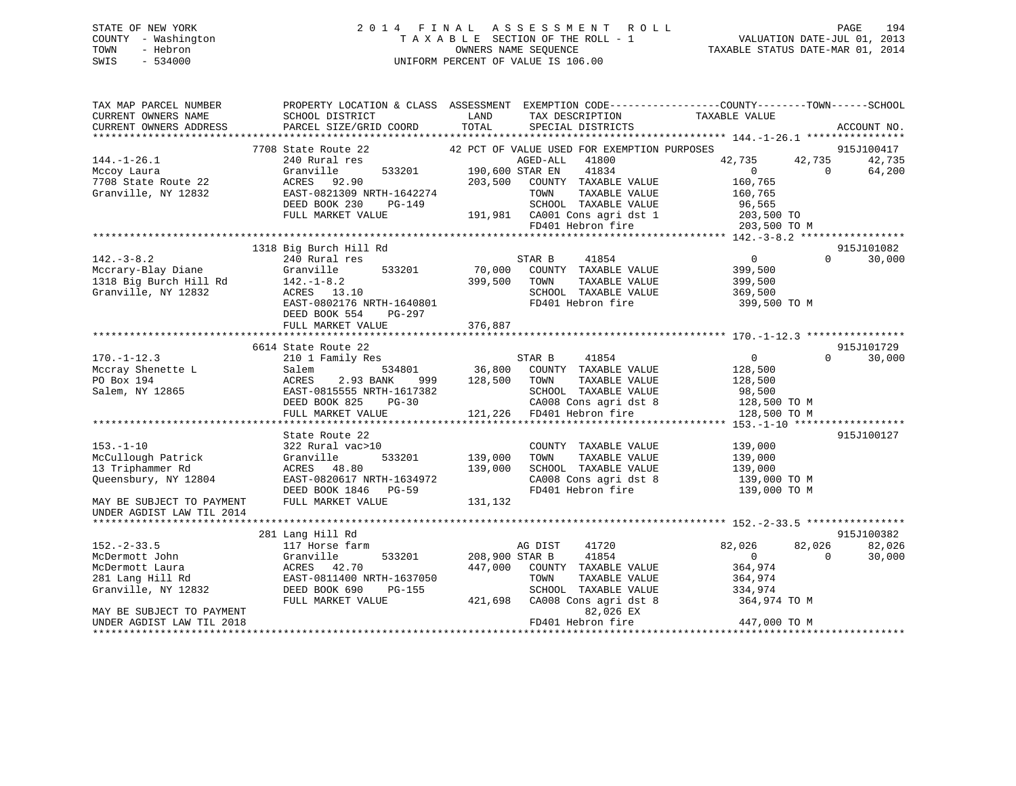# STATE OF NEW YORK 2 0 1 4 F I N A L A S S E S S M E N T R O L L PAGE 194 COUNTY - Washington T A X A B L E SECTION OF THE ROLL - 1 VALUATION DATE-JUL 01, 2013 TOWN - Hebron OWNERS NAME SEQUENCE TAXABLE STATUS DATE-MAR 01, 2014 SWIS - 534000 UNIFORM PERCENT OF VALUE IS 106.00

| TAX MAP PARCEL NUMBER<br>CURRENT OWNERS NAME<br>CURRENT OWNERS ADDRESS                                                                                      | PROPERTY LOCATION & CLASS ASSESSMENT<br>SCHOOL DISTRICT<br>PARCEL SIZE/GRID COORD                                                                                              | LAND<br>TAX DESCRIPTION<br>TOTAL<br>SPECIAL DISTRICTS                                                                                                                                                                                  | EXEMPTION CODE----------------COUNTY-------TOWN------SCHOOL<br>TAXABLE VALUE<br>ACCOUNT NO.                                                       |
|-------------------------------------------------------------------------------------------------------------------------------------------------------------|--------------------------------------------------------------------------------------------------------------------------------------------------------------------------------|----------------------------------------------------------------------------------------------------------------------------------------------------------------------------------------------------------------------------------------|---------------------------------------------------------------------------------------------------------------------------------------------------|
| $144. - 1 - 26.1$<br>Mccoy Laura<br>7708 State Route 22<br>Granville, NY 12832                                                                              | 7708 State Route 22<br>240 Rural res<br>Granville<br>533201<br>ACRES 92.90<br>EAST-0821309 NRTH-1642274<br>DEED BOOK 230<br>PG-149<br>FULL MARKET VALUE                        | 42 PCT OF VALUE USED FOR EXEMPTION PURPOSES<br>AGED-ALL<br>41800<br>41834<br>190,600 STAR EN<br>203,500<br>COUNTY TAXABLE VALUE<br>TAXABLE VALUE<br>TOWN<br>SCHOOL TAXABLE VALUE<br>191,981 CA001 Cons agri dst 1<br>FD401 Hebron fire | 915J100417<br>42,735<br>42,735<br>42,735<br>$\overline{0}$<br>$\Omega$<br>64,200<br>160,765<br>160,765<br>96,565<br>203,500 TO<br>203,500 TO M    |
| $142.-3-8.2$<br>Mccrary-Blay Diane<br>1318 Big Burch Hill Rd<br>Granville, NY 12832                                                                         | 1318 Big Burch Hill Rd<br>240 Rural res<br>533201<br>Granville<br>$142. - 1 - 8.2$<br>ACRES 13.10<br>EAST-0802176 NRTH-1640801<br>DEED BOOK 554<br>PG-297<br>FULL MARKET VALUE | STAR B<br>41854<br>70,000<br>COUNTY TAXABLE VALUE<br>399,500<br>TOWN<br>TAXABLE VALUE<br>SCHOOL TAXABLE VALUE<br>FD401 Hebron fire<br>376,887                                                                                          | 915J101082<br>$\overline{0}$<br>$\Omega$<br>30,000<br>399,500<br>399,500<br>369,500<br>399,500 TO M                                               |
| $170. - 1 - 12.3$<br>Mccray Shenette L<br>PO Box 194<br>Salem, NY 12865                                                                                     | 6614 State Route 22<br>210 1 Family Res<br>Salem<br>534801<br>ACRES<br>2.93 BANK<br>999<br>EAST-0815555 NRTH-1617382<br>DEED BOOK 825<br>$PG-30$<br>FULL MARKET VALUE          | STAR B<br>41854<br>36,800<br>COUNTY TAXABLE VALUE<br>128,500<br>TOWN<br>TAXABLE VALUE<br>SCHOOL TAXABLE VALUE<br>CA008 Cons agri dst 8<br>121,226<br>FD401 Hebron fire                                                                 | 915J101729<br>$\overline{0}$<br>$\Omega$<br>30,000<br>128,500<br>128,500<br>98,500<br>128,500 TO M<br>128,500 TO M                                |
| $153. - 1 - 10$<br>McCullough Patrick<br>13 Triphammer Rd<br>Queensbury, NY 12804<br>MAY BE SUBJECT TO PAYMENT<br>UNDER AGDIST LAW TIL 2014                 | State Route 22<br>322 Rural vac>10<br>Granville<br>533201<br>ACRES 48.80<br>EAST-0820617 NRTH-1634972<br>DEED BOOK 1846 PG-59<br>FULL MARKET VALUE                             | COUNTY TAXABLE VALUE<br>139,000<br>TAXABLE VALUE<br>TOWN<br>139,000<br>SCHOOL TAXABLE VALUE<br>CA008 Cons agri dst 8<br>FD401 Hebron fire<br>131,132                                                                                   | 915J100127<br>139,000<br>139,000<br>139,000<br>139,000 TO M<br>139,000 TO M                                                                       |
| $152. - 2 - 33.5$<br>McDermott John<br>McDermott Laura<br>281 Lang Hill Rd<br>Granville, NY 12832<br>MAY BE SUBJECT TO PAYMENT<br>UNDER AGDIST LAW TIL 2018 | 281 Lang Hill Rd<br>117 Horse farm<br>533201<br>Granville<br>ACRES<br>42.70<br>EAST-0811400 NRTH-1637050<br>DEED BOOK 690<br>PG-155<br>FULL MARKET VALUE                       | 41720<br>AG DIST<br>208,900 STAR B<br>41854<br>447,000<br>COUNTY TAXABLE VALUE<br>TOWN<br>TAXABLE VALUE<br>SCHOOL TAXABLE VALUE<br>CA008 Cons agri dst 8<br>421,698<br>82,026 EX<br>FD401 Hebron fire                                  | 915J100382<br>82,026<br>82,026<br>82,026<br>$\overline{0}$<br>$\Omega$<br>30,000<br>364,974<br>364,974<br>334,974<br>364,974 TO M<br>447,000 TO M |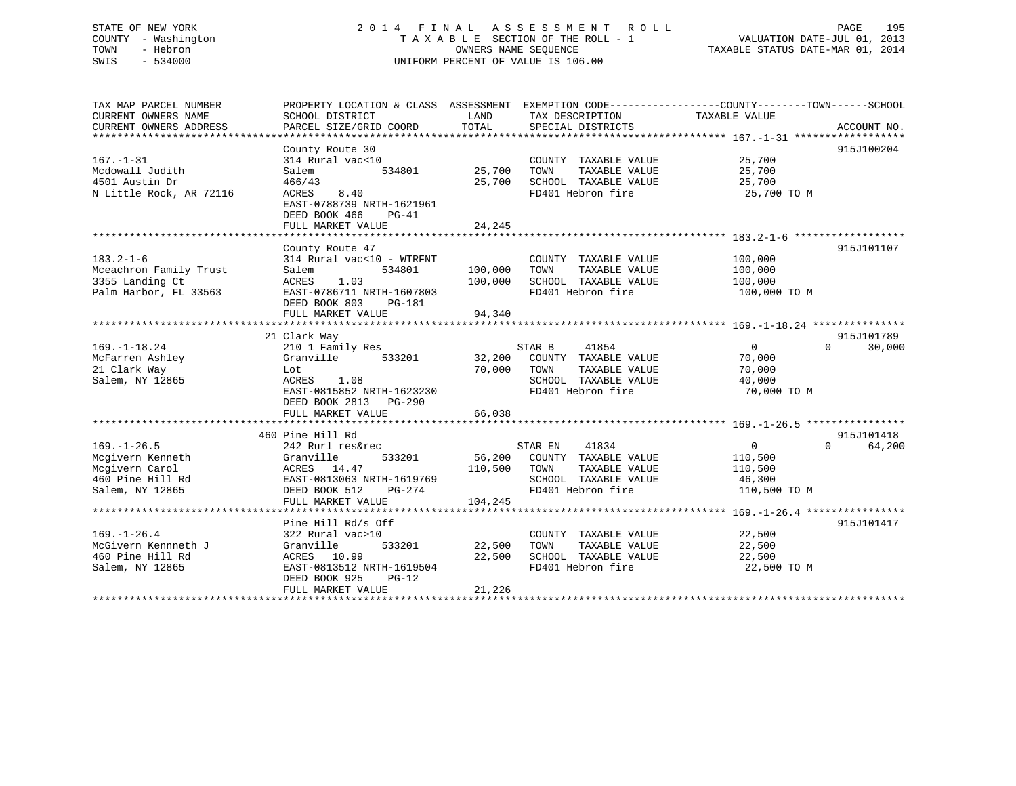# STATE OF NEW YORK 2 0 1 4 F I N A L A S S E S S M E N T R O L L PAGE 195 COUNTY - Washington T A X A B L E SECTION OF THE ROLL - 1 VALUATION DATE-JUL 01, 2013 TOWN - Hebron OWNERS NAME SEQUENCE TAXABLE STATUS DATE-MAR 01, 2014 SWIS - 534000 UNIFORM PERCENT OF VALUE IS 106.00

| TAX MAP PARCEL NUMBER   |                                              |                           |                                    | PROPERTY LOCATION & CLASS ASSESSMENT EXEMPTION CODE-----------------COUNTY-------TOWN------SCHOOL                                                                      |
|-------------------------|----------------------------------------------|---------------------------|------------------------------------|------------------------------------------------------------------------------------------------------------------------------------------------------------------------|
| CURRENT OWNERS NAME     | SCHOOL DISTRICT                              | LAND                      | TAX DESCRIPTION                    | TAXABLE VALUE                                                                                                                                                          |
|                         |                                              |                           |                                    | COKRENT OWNERS NATION SERVER DESCRIPTION AND THE CONFERENT OWNERS ARE ACCOUNT NO.<br>CURRENT OWNERS ADDRESS PARCEL SIZE/GRID COORD TOTAL SPECIAL DISTRICTS ACCOUNT NO. |
|                         |                                              |                           |                                    |                                                                                                                                                                        |
|                         | County Route 30                              |                           |                                    | 915J100204                                                                                                                                                             |
| $167. - 1 - 31$         | 314 Rural vac<10                             |                           | COUNTY TAXABLE VALUE 25,700        |                                                                                                                                                                        |
|                         |                                              |                           |                                    |                                                                                                                                                                        |
| Mcdowall Judith         | 534801 25,700 TOWN<br>Salem                  |                           | TAXABLE VALUE 25,700               |                                                                                                                                                                        |
| 4501 Austin Dr          | 466/43<br>ACRES 8.40                         |                           | 25,700 SCHOOL TAXABLE VALUE        | 25,700                                                                                                                                                                 |
| N Little Rock, AR 72116 |                                              |                           | FD401 Hebron fire 25,700 TO M      |                                                                                                                                                                        |
|                         | EAST-0788739 NRTH-1621961                    |                           |                                    |                                                                                                                                                                        |
|                         | DEED BOOK 466<br>$PG-41$                     |                           |                                    |                                                                                                                                                                        |
|                         | FULL MARKET VALUE                            | 24,245                    |                                    |                                                                                                                                                                        |
|                         |                                              |                           |                                    |                                                                                                                                                                        |
|                         | County Route 47                              |                           |                                    | 915J101107                                                                                                                                                             |
| $183.2 - 1 - 6$         | 314 Rural vac<10 - WTRFNT                    |                           | COUNTY TAXABLE VALUE 100,000       |                                                                                                                                                                        |
| Mceachron Family Trust  | Salem                                        |                           | TOWN<br>TAXABLE VALUE              | 100,000                                                                                                                                                                |
| 3355 Landing Ct         | ACRES<br>1.03                                | 534801 100,000<br>100,000 | SCHOOL TAXABLE VALUE               | 100,000                                                                                                                                                                |
| Palm Harbor, FL 33563   | EAST-0786711 NRTH-1607803                    |                           | FD401 Hebron fire                  | 100,000 TO M                                                                                                                                                           |
|                         |                                              |                           |                                    |                                                                                                                                                                        |
|                         | DEED BOOK 803 PG-181                         |                           |                                    |                                                                                                                                                                        |
|                         | FULL MARKET VALUE                            | 94,340                    |                                    |                                                                                                                                                                        |
|                         |                                              |                           |                                    |                                                                                                                                                                        |
|                         | 21 Clark Way                                 |                           |                                    | 915J101789                                                                                                                                                             |
| $169. - 1 - 18.24$      | 210 1 Family Res                             |                           | 41854<br>STAR B                    | $\overline{0}$<br>$\Omega$<br>30,000                                                                                                                                   |
| McFarren Ashley         | Granville 533201 32,200 COUNTY TAXABLE VALUE |                           |                                    | 70,000                                                                                                                                                                 |
| 21 Clark Way            | Lot                                          | 70,000 TOWN               | TAXABLE VALUE                      | 70,000                                                                                                                                                                 |
| Salem, NY 12865         | ACRES 1.08                                   |                           | SCHOOL TAXABLE VALUE 40,000        |                                                                                                                                                                        |
|                         | EAST-0815852 NRTH-1623230                    |                           | FD401 Hebron fire                  | 70,000 TO M                                                                                                                                                            |
|                         | DEED BOOK 2813 PG-290                        |                           |                                    |                                                                                                                                                                        |
|                         | FULL MARKET VALUE                            | 66,038                    |                                    |                                                                                                                                                                        |
|                         |                                              |                           |                                    |                                                                                                                                                                        |
|                         | 460 Pine Hill Rd                             |                           |                                    | 915J101418                                                                                                                                                             |
|                         |                                              |                           |                                    |                                                                                                                                                                        |
| $169. - 1 - 26.5$       | 242 Rurl res&rec                             |                           | STAR EN<br>41834                   | $\overline{0}$<br>0 64,200                                                                                                                                             |
| Mcgivern Kenneth        | Granville                                    |                           | 533201 56,200 COUNTY TAXABLE VALUE | 110,500                                                                                                                                                                |
| Mcgivern Carol          | ACRES 14.47                                  | 110,500                   | TOWN<br>TAXABLE VALUE              | 110,500                                                                                                                                                                |
| 460 Pine Hill Rd        | EAST-0813063 NRTH-1619769                    |                           | SCHOOL TAXABLE VALUE 46,300        |                                                                                                                                                                        |
| Salem, NY 12865         | DEED BOOK 512 PG-274                         |                           | FD401 Hebron fire                  | 110,500 TO M                                                                                                                                                           |
|                         | FULL MARKET VALUE                            | 104,245                   |                                    |                                                                                                                                                                        |
|                         |                                              |                           |                                    |                                                                                                                                                                        |
|                         | Pine Hill Rd/s Off                           |                           |                                    | 915J101417                                                                                                                                                             |
| $169. - 1 - 26.4$       | 322 Rural vac>10                             |                           | COUNTY TAXABLE VALUE 22,500        |                                                                                                                                                                        |
| McGivern Kennneth J     | 533201<br>Granville                          | 22,500                    | TOWN TAXABLE VALUE                 | 22,500                                                                                                                                                                 |
| 460 Pine Hill Rd        | ACRES 10.99                                  | 22,500                    | SCHOOL TAXABLE VALUE               | 22,500                                                                                                                                                                 |
| Salem, NY 12865         | EAST-0813512 NRTH-1619504                    |                           | FD401 Hebron fire                  | 22,500 TO M                                                                                                                                                            |
|                         | DEED BOOK 925<br>$PG-12$                     |                           |                                    |                                                                                                                                                                        |
|                         |                                              |                           |                                    |                                                                                                                                                                        |
|                         | FULL MARKET VALUE                            | 21,226                    |                                    |                                                                                                                                                                        |
|                         |                                              |                           |                                    |                                                                                                                                                                        |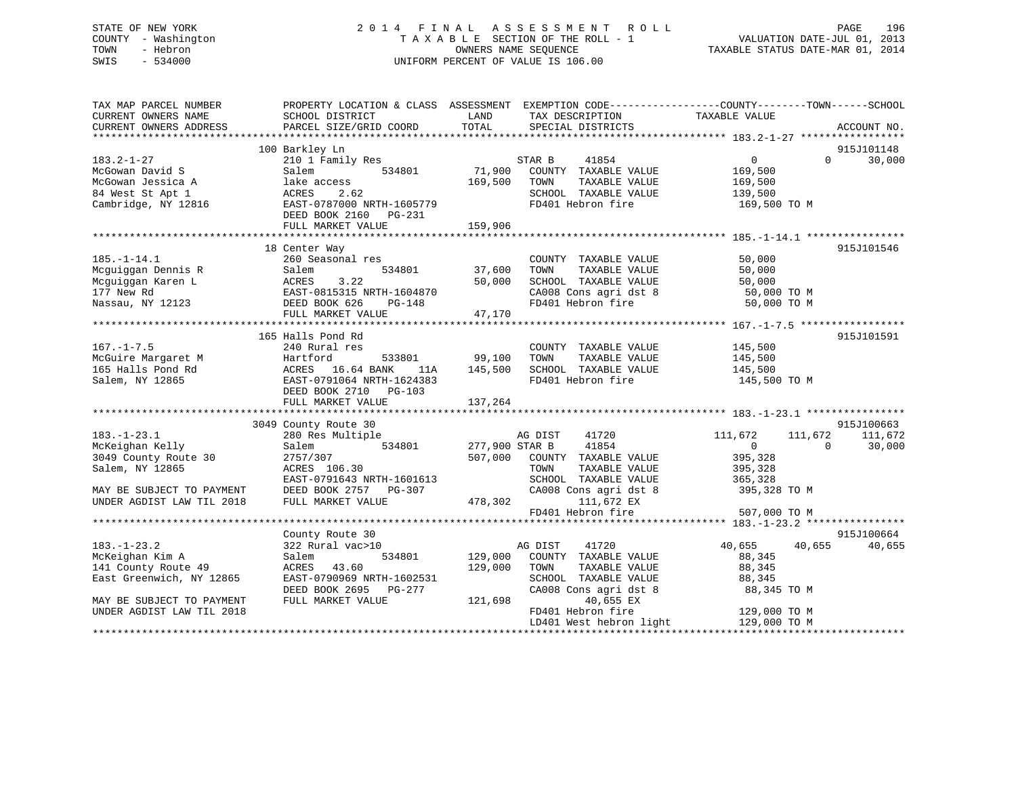# STATE OF NEW YORK 2 0 1 4 F I N A L A S S E S S M E N T R O L L PAGE 196 COUNTY - Washington T A X A B L E SECTION OF THE ROLL - 1 VALUATION DATE-JUL 01, 2013 TOWN - Hebron OWNERS NAME SEQUENCE TAXABLE STATUS DATE-MAR 01, 2014 SWIS - 534000 UNIFORM PERCENT OF VALUE IS 106.00

| TAX MAP PARCEL NUMBER     | PROPERTY LOCATION & CLASS ASSESSMENT EXEMPTION CODE----------------COUNTY-------TOWN------SCHOOL                                                                                                                                       |                                  |                                                                                                                                      |                                                                           |            |
|---------------------------|----------------------------------------------------------------------------------------------------------------------------------------------------------------------------------------------------------------------------------------|----------------------------------|--------------------------------------------------------------------------------------------------------------------------------------|---------------------------------------------------------------------------|------------|
|                           | 100 Barkley Ln                                                                                                                                                                                                                         |                                  |                                                                                                                                      |                                                                           | 915J101148 |
| $183.2 - 1 - 27$          | 210 1 Family Res                                                                                                                                                                                                                       |                                  | STAR B<br>41854                                                                                                                      | $\overline{0}$<br>$\Omega$                                                | 30,000     |
| McGowan David S           | Salem                                                                                                                                                                                                                                  |                                  | 534801 71,900 COUNTY TAXABLE VALUE 169,500                                                                                           |                                                                           |            |
|                           |                                                                                                                                                                                                                                        | 169,500 TOWN                     | TAXABLE VALUE                                                                                                                        | 169,500                                                                   |            |
|                           |                                                                                                                                                                                                                                        |                                  | SCHOOL TAXABLE VALUE 139,500                                                                                                         |                                                                           |            |
|                           |                                                                                                                                                                                                                                        |                                  | FD401 Hebron fire 169,500 TO M                                                                                                       |                                                                           |            |
|                           | McGowan Jessica A 1ake access 169,500<br>McGowan Jessica A 1ake access 2.62<br>Cambridge, NY 12816 EAST-0787000 NRTH-1605779<br>DEED BOOK 2160 PG-231                                                                                  |                                  |                                                                                                                                      |                                                                           |            |
|                           | FULL MARKET VALUE                                                                                                                                                                                                                      | 159,906                          |                                                                                                                                      |                                                                           |            |
|                           |                                                                                                                                                                                                                                        |                                  |                                                                                                                                      |                                                                           |            |
|                           | 18 Center Way                                                                                                                                                                                                                          |                                  |                                                                                                                                      |                                                                           | 915J101546 |
| $185. - 1 - 14.1$         | 260 Seasonal res                                                                                                                                                                                                                       |                                  | COUNTY TAXABLE VALUE 50,000                                                                                                          |                                                                           |            |
|                           |                                                                                                                                                                                                                                        | s<br>534801     37,600<br>50,000 | TOWN       TAXABLE  VALUE<br>SCHOOL    TAXABLE  VALUE                                                                                | 50,000                                                                    |            |
|                           |                                                                                                                                                                                                                                        |                                  |                                                                                                                                      | 50,000                                                                    |            |
|                           | RTH-1604870<br>PG-148                                                                                                                                                                                                                  |                                  |                                                                                                                                      |                                                                           |            |
|                           | Moguiggan Dennis R<br>Moguiggan Aaren L<br>Moguiggan Karen L<br>177 New Rd<br>Nassau, NY 12123<br>PEED BOOK 626 PG-148<br>FULL MARKET VALUE                                                                                            |                                  | CA008 Cons agri dst 8 50,000 TO M<br>FD401 Hebron fire 50,000 TO M                                                                   |                                                                           |            |
|                           | FULL MARKET VALUE                                                                                                                                                                                                                      | 47,170                           |                                                                                                                                      |                                                                           |            |
|                           |                                                                                                                                                                                                                                        |                                  |                                                                                                                                      |                                                                           |            |
|                           | 165 Halls Pond Rd                                                                                                                                                                                                                      |                                  |                                                                                                                                      |                                                                           | 915J101591 |
| $167. - 1 - 7.5$          | 240 Rural res                                                                                                                                                                                                                          |                                  |                                                                                                                                      |                                                                           |            |
|                           |                                                                                                                                                                                                                                        |                                  |                                                                                                                                      |                                                                           |            |
|                           | Notative Margaret M and Hartford 533801 99,100<br>165 Halls Pond Rd ACRES 16.64 BANK 11A 145,500<br>Salem, NY 12865 EAST-0791064 NRTH-1624383                                                                                          |                                  |                                                                                                                                      |                                                                           |            |
|                           |                                                                                                                                                                                                                                        |                                  |                                                                                                                                      |                                                                           |            |
|                           | DEED BOOK 2710 PG-103                                                                                                                                                                                                                  |                                  | res<br>533801 99,100 TOWN TAXABLE VALUE<br>5.64 BANK 11A 145,500 SCHOOL TAXABLE VALUE 145,500 TO M<br>FD401 Hebron fire 145,500 TO M |                                                                           |            |
|                           |                                                                                                                                                                                                                                        |                                  |                                                                                                                                      |                                                                           |            |
|                           | 3049 County Route 30                                                                                                                                                                                                                   |                                  |                                                                                                                                      |                                                                           | 915J100663 |
| $183. - 1 - 23.1$         | 280 Res Multiple                                                                                                                                                                                                                       |                                  | 41720                                                                                                                                | 111,672                                                                   | 111,672    |
| McKeighan Kelly           | Salem                                                                                                                                                                                                                                  |                                  | 41854                                                                                                                                | $\begin{array}{c} 111 \text{ , } 672 \\ \text{0} \end{array}$<br>$\sim$ 0 | 30,000     |
|                           | 2757/307                                                                                                                                                                                                                               |                                  |                                                                                                                                      | 395,328                                                                   |            |
| Salem, NY 12865           | ACRES 106.30                                                                                                                                                                                                                           |                                  | 507,000 COUNTY TAXABLE VALUE<br>TOWN TAXABLE VALUE                                                                                   | 395, 328                                                                  |            |
|                           |                                                                                                                                                                                                                                        |                                  |                                                                                                                                      |                                                                           |            |
|                           |                                                                                                                                                                                                                                        |                                  |                                                                                                                                      | 395,328 TO M                                                              |            |
|                           |                                                                                                                                                                                                                                        |                                  |                                                                                                                                      |                                                                           |            |
|                           | EAST-0791643 NRTH-1601613<br>MAY BE SUBJECT TO PAYMENT DEED BOOK 2757 PG-307 CA008 Cons agri dst 8 395,328<br>UNDER AGDIST LAW TIL 2018 FULL MARKET VALUE 478,302 111,672 EX<br>FULL MARKET VALUE 478,302 111,672 EX<br>FD401 Hebron f |                                  |                                                                                                                                      | 507,000 TO M                                                              |            |
|                           |                                                                                                                                                                                                                                        |                                  |                                                                                                                                      |                                                                           |            |
|                           | County Route 30                                                                                                                                                                                                                        |                                  |                                                                                                                                      |                                                                           | 915J100664 |
| $183. - 1 - 23.2$         | 322 Rural vac>10                                                                                                                                                                                                                       |                                  | )<br>534801 129,000 COUNTY TAXABLE VALUE                                                                                             | 40,655 40,655                                                             | 40,655     |
| McKeighan Kim A           | Salem                                                                                                                                                                                                                                  |                                  |                                                                                                                                      | 88,345                                                                    |            |
| 141 County Route 49       | ACRES 43.60                                                                                                                                                                                                                            | 129,000                          | TOWN<br>TAXABLE VALUE                                                                                                                | 88,345                                                                    |            |
| East Greenwich, NY 12865  | EAST-0790969 NRTH-1602531                                                                                                                                                                                                              |                                  |                                                                                                                                      |                                                                           |            |
|                           | DEED BOOK 2695 PG-277                                                                                                                                                                                                                  |                                  | SCHOOL TAXABLE VALUE 88,345<br>CA008 Cons agri dst 8 88,345 TO M                                                                     |                                                                           |            |
| MAY BE SUBJECT TO PAYMENT | FULL MARKET VALUE                                                                                                                                                                                                                      | 121,698                          | 40,655 EX                                                                                                                            |                                                                           |            |
| UNDER AGDIST LAW TIL 2018 |                                                                                                                                                                                                                                        |                                  | FD401 Hebron fire                                                                                                                    | 129,000 TO M                                                              |            |
|                           |                                                                                                                                                                                                                                        |                                  | LD401 West hebron light 129,000 TO M                                                                                                 |                                                                           |            |
|                           |                                                                                                                                                                                                                                        |                                  |                                                                                                                                      |                                                                           |            |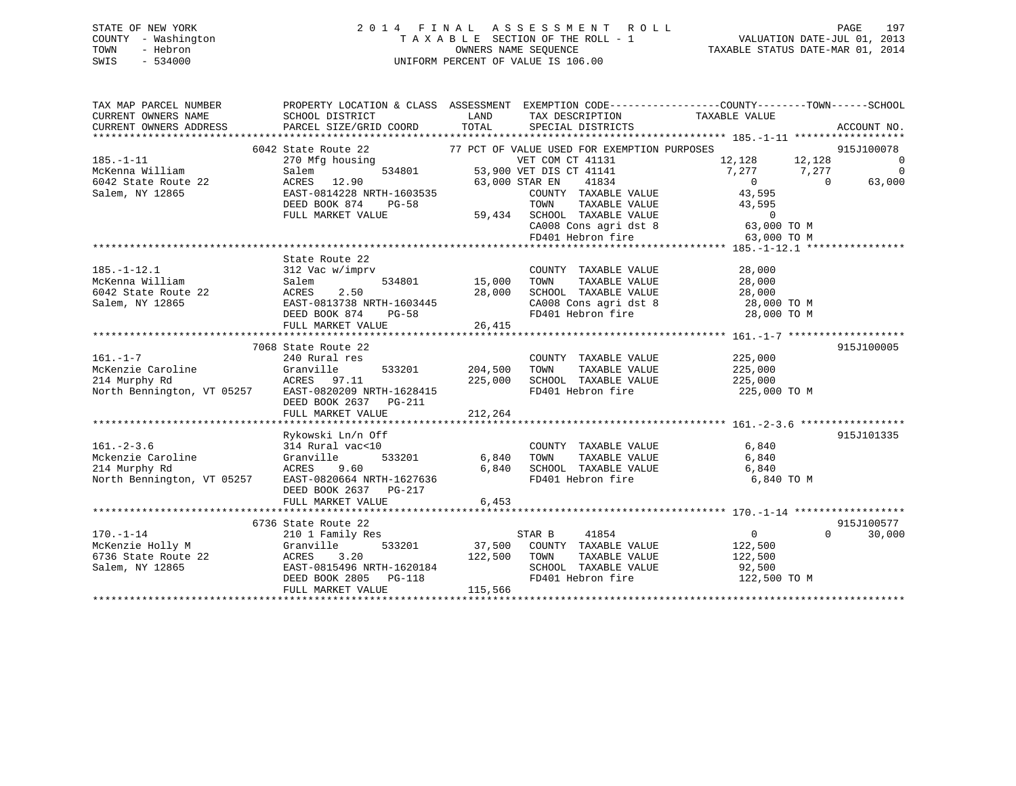# STATE OF NEW YORK 2 0 1 4 F I N A L A S S E S S M E N T R O L L PAGE 197 COUNTY - Washington T A X A B L E SECTION OF THE ROLL - 1 VALUATION DATE-JUL 01, 2013 TOWN - Hebron OWNERS NAME SEQUENCE TAXABLE STATUS DATE-MAR 01, 2014 SWIS - 534000 UNIFORM PERCENT OF VALUE IS 106.00

| TAX MAP PARCEL NUMBER<br>CURRENT OWNERS NAME<br>CURRENT OWNERS ADDRESS                                                                    | PROPERTY LOCATION & CLASS ASSESSMENT EXEMPTION CODE---------------COUNTY-------TOWN-----SCHOOL<br>SCHOOL DISTRICT<br>PARCEL SIZE/GRID COORD                                | LAND<br>TOTAL                        | TAX DESCRIPTION TAXABLE VALUE<br>SPECIAL DISTRICTS                                                                                                                                                                                                                                    |                                                                                                     | ACCOUNT NO.                                                            |
|-------------------------------------------------------------------------------------------------------------------------------------------|----------------------------------------------------------------------------------------------------------------------------------------------------------------------------|--------------------------------------|---------------------------------------------------------------------------------------------------------------------------------------------------------------------------------------------------------------------------------------------------------------------------------------|-----------------------------------------------------------------------------------------------------|------------------------------------------------------------------------|
| $185. - 1 - 11$<br>McKenna William<br>6042 State Route 22<br>Salem, NY 12865                                                              | 6042 State Route 22<br>270 Mfg housing                                                                                                                                     |                                      | 77 PCT OF VALUE USED FOR EXEMPTION PURPOSES<br>VET COM CT 41131<br>534801 53,900 VET DIS CT 41141<br>63.000 STAR EN 41834<br>COUNTY TAXABLE VALUE<br>TOWN TAXABLE VALUE 43,595<br>59,434 SCHOOL TAXABLE VALUE 0<br>CA008 Cons agri dst 8 63,000 TO M<br>FD401 Hebron fire 63,000 TO M | 12, 128 12, 128<br>$7,277$ $7,277$<br>$\overline{0}$<br>43,595                                      | 915J100078<br>$\overline{0}$<br>$\overline{0}$<br>$\bigcirc$<br>63,000 |
|                                                                                                                                           |                                                                                                                                                                            |                                      |                                                                                                                                                                                                                                                                                       |                                                                                                     |                                                                        |
| $185. - 1 - 12.1$<br>Movema William<br>Mokenna William<br>6042 State Route 22 (ACRES 2.50<br>Salem, NY 12865 (EAST-0813738 NRTH-1603445   | State Route 22<br>312 Vac w/imprv<br>DEED BOOK 874<br>PG-58<br>FULL MARKET VALUE                                                                                           | 534801 15,000<br>28,000<br>26,415    | COUNTY TAXABLE VALUE<br>TOWN<br>TAXABLE VALUE<br>FD401 Hebron fire                                                                                                                                                                                                                    | 28,000<br>28,000<br>SCHOOL TAXABLE VALUE 28,000<br>CA008 Cons agri dst 8 28,000 TO M<br>28,000 TO M |                                                                        |
|                                                                                                                                           | 7068 State Route 22                                                                                                                                                        |                                      |                                                                                                                                                                                                                                                                                       |                                                                                                     | 915J100005                                                             |
| $161. - 1 - 7$<br>McKenzie Caroline Granville 533201<br>214 Murphy Rd ACRES 97.11<br>North Bennington, VT 05257 EAST-0820209 NRTH-1628415 | 240 Rural res<br>DEED BOOK 2637 PG-211<br>FULL MARKET VALUE                                                                                                                | 533201 204,500<br>225,000<br>212,264 | COUNTY TAXABLE VALUE 225,000<br>TOWN<br>TAXABLE VALUE<br>SCHOOL TAXABLE VALUE<br>FD401 Hebron fire                                                                                                                                                                                    | 225,000<br>225,000<br>225,000 TO M                                                                  |                                                                        |
|                                                                                                                                           |                                                                                                                                                                            |                                      |                                                                                                                                                                                                                                                                                       |                                                                                                     |                                                                        |
| North Bennington, VT 05257 EAST-0820664 NRTH-1627636                                                                                      | Rykowski Ln/n Off<br>314 Rural vac<10<br>533201 6,840<br>9.60<br>DEED BOOK 2637 PG-217<br>FULL MARKET VALUE                                                                | 6.840<br>6,453                       | COUNTY TAXABLE VALUE<br>TAXABLE VALUE<br>TOWN<br>SCHOOL TAXABLE VALUE<br>FD401 Hebron fire                                                                                                                                                                                            | 6,840<br>6,840<br>6,840<br>6,840 TO M                                                               | 915J101335                                                             |
|                                                                                                                                           |                                                                                                                                                                            |                                      |                                                                                                                                                                                                                                                                                       |                                                                                                     |                                                                        |
| $170. - 1 - 14$<br>McKenzie Holly M<br>6736 State Route 22<br>Salem, NY 12865                                                             | 6736 State Route 22<br>210 1 Family Res<br>Granville<br>ACRES 3.20 122,500 TOWN<br>EAST-0815496 NRTH-1620184 SCHOOL<br>DEED BOOK 2805 PG-118 FD401 He<br>FULL MARKET VALUE | 115,566                              | STAR B<br>41854<br>533201 37,500 COUNTY TAXABLE VALUE 122,500<br>TOWN      TAXABLE  VALUE<br>SCHOOL   TAXABLE  VALUE                                                                                                                                                                  | $\overline{0}$<br>122,500<br>92,500<br>FD401 Hebron fire 122,500 TO M                               | 915J100577<br>$\Omega$<br>30,000                                       |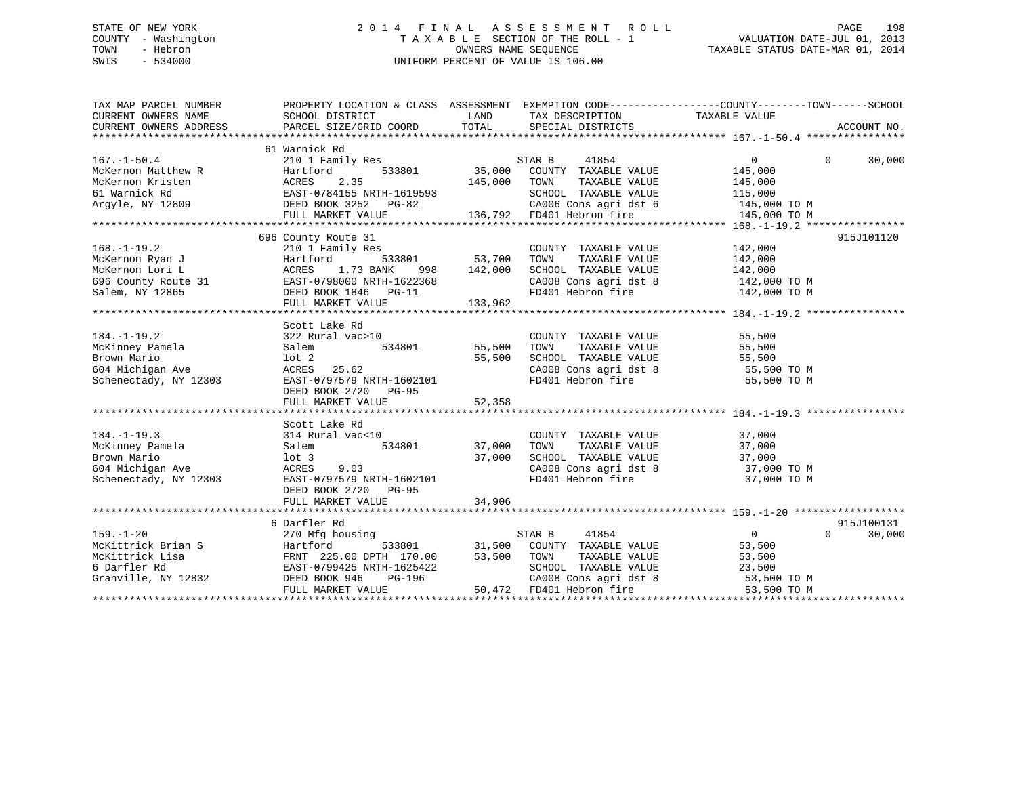# STATE OF NEW YORK 2 0 1 4 F I N A L A S S E S S M E N T R O L L PAGE 198 COUNTY - Washington T A X A B L E SECTION OF THE ROLL - 1 VALUATION DATE-JUL 01, 2013 TOWN - Hebron OWNERS NAME SEQUENCE TAXABLE STATUS DATE-MAR 01, 2014 SWIS - 534000 UNIFORM PERCENT OF VALUE IS 106.00

| TAX MAP PARCEL NUMBER<br>CURRENT OWNERS ADDRESS                                                                                                                                                                                                    | PROPERTY LOCATION & CLASS ASSESSMENT EXEMPTION CODE---------------COUNTY-------TOWN-----SCHOOL                                                                                                              |        |                                                                  |                |                             |
|----------------------------------------------------------------------------------------------------------------------------------------------------------------------------------------------------------------------------------------------------|-------------------------------------------------------------------------------------------------------------------------------------------------------------------------------------------------------------|--------|------------------------------------------------------------------|----------------|-----------------------------|
|                                                                                                                                                                                                                                                    |                                                                                                                                                                                                             |        |                                                                  |                |                             |
| $167. - 1 - 50.4$                                                                                                                                                                                                                                  | 61 Warnick Rd                                                                                                                                                                                               |        |                                                                  |                | $\Omega$<br>30,000          |
|                                                                                                                                                                                                                                                    |                                                                                                                                                                                                             |        |                                                                  |                |                             |
|                                                                                                                                                                                                                                                    |                                                                                                                                                                                                             |        |                                                                  |                |                             |
|                                                                                                                                                                                                                                                    |                                                                                                                                                                                                             |        |                                                                  |                |                             |
|                                                                                                                                                                                                                                                    |                                                                                                                                                                                                             |        |                                                                  |                |                             |
| 167.-1-50.4<br>McKernon Matthew R<br>McKernon Kristen (145,000 EOUNTY TAXABLE VALUE)<br>McKernon Kristen (145,000 ENGLES 2.35<br>145,000 ENGLES 145,000 ENGLES 145,000 ENGLES 145,000 ENGLES 145,000 ENGLES 145,000 ENGLES 145,000 ENG             |                                                                                                                                                                                                             |        |                                                                  |                |                             |
|                                                                                                                                                                                                                                                    |                                                                                                                                                                                                             |        |                                                                  |                |                             |
|                                                                                                                                                                                                                                                    |                                                                                                                                                                                                             |        |                                                                  |                |                             |
| 31 68.-1-19.2<br>McKernon Ryan J<br>McKernon Lori L<br>McKernon Lori L<br>McKernon Lori L<br>McKernon Lori L<br>McKernon Lori L<br>McKernon Lori L<br>ACRES 1.73 BANK 998 142,000 SCHOOL TAXABLE VALUE<br>MCKernon Lori L<br>ACRES 1.73 BANK 998 1 | 696 County Route 31                                                                                                                                                                                         |        |                                                                  |                | 915J101120                  |
|                                                                                                                                                                                                                                                    |                                                                                                                                                                                                             |        |                                                                  |                |                             |
|                                                                                                                                                                                                                                                    |                                                                                                                                                                                                             |        |                                                                  |                |                             |
|                                                                                                                                                                                                                                                    |                                                                                                                                                                                                             |        |                                                                  |                |                             |
|                                                                                                                                                                                                                                                    |                                                                                                                                                                                                             |        |                                                                  |                |                             |
|                                                                                                                                                                                                                                                    |                                                                                                                                                                                                             |        |                                                                  |                |                             |
|                                                                                                                                                                                                                                                    |                                                                                                                                                                                                             |        |                                                                  |                |                             |
|                                                                                                                                                                                                                                                    |                                                                                                                                                                                                             |        |                                                                  |                |                             |
|                                                                                                                                                                                                                                                    | Scott Lake Rd                                                                                                                                                                                               |        |                                                                  |                |                             |
| $184. - 1 - 19.2$                                                                                                                                                                                                                                  | 322 Rural vac>10                                                                                                                                                                                            |        | COUNTY TAXABLE VALUE                                             | 55,500         |                             |
|                                                                                                                                                                                                                                                    | al vac>10<br>534801 55,500                                                                                                                                                                                  |        | TAXABLE VALUE 55,500<br>TOWN                                     |                |                             |
|                                                                                                                                                                                                                                                    |                                                                                                                                                                                                             |        | SCHOOL TAXABLE VALUE 55,500<br>CA008 Cons agri dst 8 55,500 TO M |                |                             |
|                                                                                                                                                                                                                                                    |                                                                                                                                                                                                             |        |                                                                  |                |                             |
| McKinney Pamela<br>Brown Mario 10t 2<br>55,500<br>604 Michigan Ave 25.62<br>Schenectady, NY 12303<br>FAST-07975790 RTH-1602101                                                                                                                     |                                                                                                                                                                                                             |        | FD401 Hebron fire                                                | 55,500 TO M    |                             |
|                                                                                                                                                                                                                                                    | DEED BOOK 2720 PG-95                                                                                                                                                                                        |        |                                                                  |                |                             |
|                                                                                                                                                                                                                                                    | FULL MARKET VALUE                                                                                                                                                                                           | 52,358 |                                                                  |                |                             |
|                                                                                                                                                                                                                                                    |                                                                                                                                                                                                             |        |                                                                  |                |                             |
|                                                                                                                                                                                                                                                    | Scott Lake Rd                                                                                                                                                                                               |        |                                                                  |                |                             |
|                                                                                                                                                                                                                                                    |                                                                                                                                                                                                             |        |                                                                  |                |                             |
|                                                                                                                                                                                                                                                    |                                                                                                                                                                                                             |        |                                                                  |                |                             |
|                                                                                                                                                                                                                                                    |                                                                                                                                                                                                             |        |                                                                  |                |                             |
|                                                                                                                                                                                                                                                    | 314 Rural vac<10<br>S34801 534801 37,000 TOWN TAXABLE VALUE 37,000<br>100 321 534801 37,000 TOWN TAXABLE VALUE 37,000<br>100 327,000 SCHOOL TAXABLE VALUE 37,000<br>ACRES 9.03 CA008 Cons agri dst 8 37,000 |        | CA008 Cons agri dst 8 37,000 TO M                                |                |                             |
| 184.-1-19.3<br>McKinney Pamela<br>Brown Mario<br>604 Michigan Ave and Salem<br>Schenectady, NY 12303<br>DEED BOOK 27:                                                                                                                              | EAST-0797579 NRTH-1602101                                                                                                                                                                                   |        | FD401 Hebron fire                                                | 37,000 TO M    |                             |
|                                                                                                                                                                                                                                                    | DEED BOOK 2720 PG-95                                                                                                                                                                                        |        |                                                                  |                |                             |
|                                                                                                                                                                                                                                                    |                                                                                                                                                                                                             |        |                                                                  |                |                             |
|                                                                                                                                                                                                                                                    |                                                                                                                                                                                                             |        |                                                                  |                |                             |
|                                                                                                                                                                                                                                                    | 6 Darfler Rd                                                                                                                                                                                                |        |                                                                  |                | 915J100131                  |
| $159. - 1 - 20$                                                                                                                                                                                                                                    | 270 Mfg housing                                                                                                                                                                                             |        |                                                                  | $\overline{0}$ | 30,000<br>$0 \qquad \qquad$ |
| 159.-1-20 270 Mfg housing 533801 57AR B<br>McKittrick Brian S Hartford 533801 31,500 COUNT<br>McKittrick Lisa FRNT 225.00 DPTH 170.00 53,500 TOWN<br>6 Darfler Rd EAST-0799425 NRTH-1625422 SCHOO<br>Granville, NY 12832 DEED BOOK 946             |                                                                                                                                                                                                             |        | using<br>533801 531,500 COUNTY TAXABLE VALUE                     | 53,500         |                             |
|                                                                                                                                                                                                                                                    |                                                                                                                                                                                                             |        | TAXABLE VALUE 53,500                                             |                |                             |
|                                                                                                                                                                                                                                                    |                                                                                                                                                                                                             |        |                                                                  |                |                             |
|                                                                                                                                                                                                                                                    |                                                                                                                                                                                                             |        | SCHOOL TAXABLE VALUE 23,500<br>CA008 Cons agri dst 8 53,500 TO M |                |                             |
|                                                                                                                                                                                                                                                    | FULL MARKET VALUE                                                                                                                                                                                           |        | 50,472 $FD401$ Hebron fire 53,500 TO M                           |                |                             |
|                                                                                                                                                                                                                                                    |                                                                                                                                                                                                             |        |                                                                  |                |                             |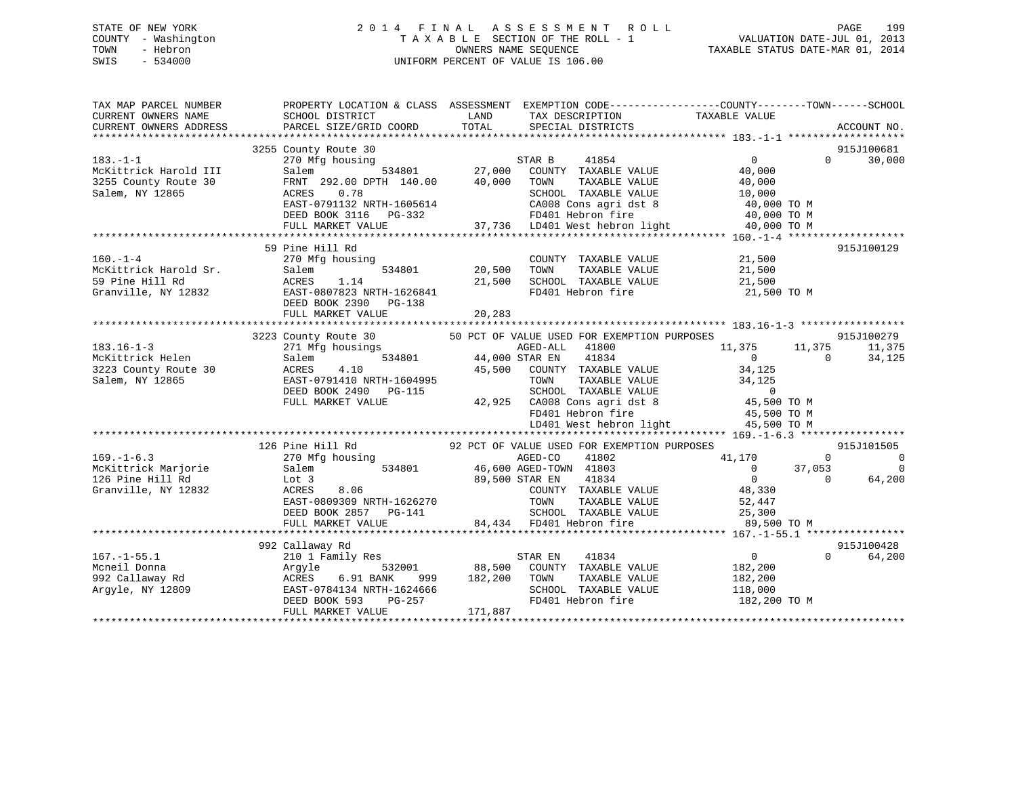# STATE OF NEW YORK 2 0 1 4 F I N A L A S S E S S M E N T R O L L PAGE 199 COUNTY - Washington T A X A B L E SECTION OF THE ROLL - 1 VALUATION DATE-JUL 01, 2013 TOWN - Hebron OWNERS NAME SEQUENCE TAXABLE STATUS DATE-MAR 01, 2014 SWIS - 534000 UNIFORM PERCENT OF VALUE IS 106.00

| TAX MAP PARCEL NUMBER<br>CURRENT OWNERS NAME<br>CURRENT OWNERS ADDRESS             | PROPERTY LOCATION & CLASS ASSESSMENT EXEMPTION CODE----------------COUNTY-------TOWN------SCHOOL<br>SCHOOL DISTRICT<br>PARCEL SIZE/GRID COORD                           | LAND<br>TOTAL                                   | TAX DESCRIPTION<br>SPECIAL DISTRICTS                                                                                                                                                                                                           | TAXABLE VALUE                                                                                | ACCOUNT NO.                                                                   |
|------------------------------------------------------------------------------------|-------------------------------------------------------------------------------------------------------------------------------------------------------------------------|-------------------------------------------------|------------------------------------------------------------------------------------------------------------------------------------------------------------------------------------------------------------------------------------------------|----------------------------------------------------------------------------------------------|-------------------------------------------------------------------------------|
| $183. - 1 - 1$<br>McKittrick Harold III<br>3255 County Route 30<br>Salem, NY 12865 | 3255 County Route 30<br>270 Mfg housing<br>Salem<br>FRNT 292.00 DPTH 140.00<br>0.78<br>ACRES<br>EAST-0791132 NRTH-1605614<br>DEED BOOK 3116 PG-332<br>FULL MARKET VALUE | $534801$ 27,000<br>STAR B<br>40,000             | 41854<br>COUNTY TAXABLE VALUE<br>TAXABLE VALUE<br>TOWN<br>SCHOOL TAXABLE VALUE<br>CA008 Cons agri dst 8<br>FD401 Hebron fire<br>37,736 LD401 West hebron light                                                                                 | 0<br>40,000<br>40,000<br>10,000<br>40,000 TO M<br>40,000 TO M<br>40,000 TO M                 | 915J100681<br>30,000<br>$\Omega$                                              |
| $160. - 1 - 4$<br>McKittrick Harold Sr.<br>59 Pine Hill Rd<br>Granville, NY 12832  | 59 Pine Hill Rd<br>270 Mfg housing<br>534801<br>Salem<br>ACRES<br>1.14<br>EAST-0807823 NRTH-1626841<br>DEED BOOK 2390 PG-138<br>FULL MARKET VALUE                       | 20,500<br>21,500<br>20,283                      | COUNTY TAXABLE VALUE<br>TAXABLE VALUE<br>TOWN<br>SCHOOL TAXABLE VALUE<br>FD401 Hebron fire                                                                                                                                                     | 21,500<br>21,500<br>21,500<br>21,500 TO M                                                    | 915J100129                                                                    |
| $183.16 - 1 - 3$<br>McKittrick Helen<br>3223 County Route 30<br>Salem, NY 12865    | 3223 County Route 30<br>271 Mfg housings<br>534801<br>Salem<br>ACRES<br>4.10<br>EAST-0791410 NRTH-1604995<br>DEED BOOK 2490 PG-115<br>FULL MARKET VALUE                 | 44,000 STAR EN<br>45,500                        | 50 PCT OF VALUE USED FOR EXEMPTION PURPOSES<br>AGED-ALL<br>41800<br>41834<br>COUNTY TAXABLE VALUE<br>TOWN<br>TAXABLE VALUE<br>SCHOOL TAXABLE VALUE<br>42,925 CA008 Cons agri dst 8 45,500 TO M<br>FD401 Hebron fire<br>LD401 West hebron light | 11,375<br>$\overline{0}$<br>34,125<br>34,125<br>$\overline{0}$<br>45,500 TO M<br>45,500 TO M | 915J100279<br>11,375<br>11,375<br>$\Omega$<br>34,125                          |
| $169. - 1 - 6.3$<br>McKittrick Marjorie<br>126 Pine Hill Rd<br>Granville, NY 12832 | 126 Pine Hill Rd<br>270 Mfg housing<br>Salem<br>Lot 3<br>8.06<br>ACRES<br>EAST-0809309 NRTH-1626270<br>DEED BOOK 2857 PG-141<br>FULL MARKET VALUE                       | 534801 46,600 AGED-TOWN 41803<br>89,500 STAR EN | 92 PCT OF VALUE USED FOR EXEMPTION PURPOSES<br>AGED-CO<br>41802<br>41834<br>COUNTY TAXABLE VALUE<br>TOWN<br>TAXABLE VALUE<br>SCHOOL TAXABLE VALUE<br>84,434 FD401 Hebron fire                                                                  | 41,170<br>$\overline{0}$<br>$\overline{0}$<br>48,330<br>52,447<br>25,300<br>89,500 TO M      | 915J101505<br>$\Omega$<br>$\overline{0}$<br>37,053<br>0<br>$\Omega$<br>64,200 |
| $167. - 1 - 55.1$<br>Mcneil Donna<br>992 Callaway Rd<br>Arqyle, NY 12809           | 992 Callaway Rd<br>210 1 Family Res<br>Argyle<br>6.91 BANK<br>ACRES<br>EAST-0784134 NRTH-1624666<br>DEED BOOK 593<br>PG-257<br>FULL MARKET VALUE                        | 532001 88,500<br>999 182,200<br>171,887         | STAR EN<br>41834<br>COUNTY TAXABLE VALUE<br>TOWN<br>TAXABLE VALUE<br>SCHOOL TAXABLE VALUE<br>FD401 Hebron fire                                                                                                                                 | $\overline{0}$<br>182,200<br>182,200<br>118,000<br>182,200 TO M                              | 915J100428<br>$\Omega$<br>64,200                                              |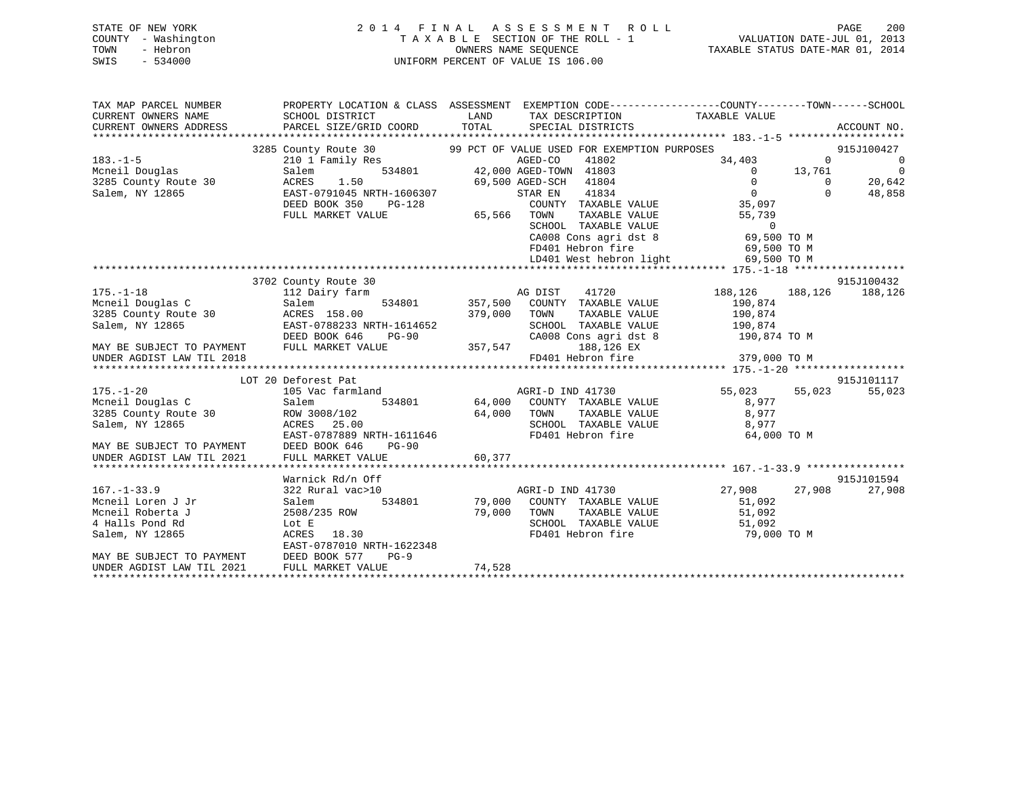# STATE OF NEW YORK 2 0 1 4 F I N A L A S S E S S M E N T R O L L PAGE 200 COUNTY - Washington T A X A B L E SECTION OF THE ROLL - 1 VALUATION DATE-JUL 01, 2013 TOWN - Hebron **CONNERS NAME SEQUENCE** TAXABLE STATUS DATE-MAR 01, 2014 SWIS - 534000 UNIFORM PERCENT OF VALUE IS 106.00

| SCHOOL DISTRICT<br><b>ELAND</b><br>TAX DESCRIPTION TAXABLE VALUE<br>TOTAL<br>PARCEL SIZE/GRID COORD<br>SPECIAL DISTRICTS<br>ACCOUNT NO.<br>3285 County Route 30 99 PCT OF VALUE USED FOR EXEMPTION PURPOSES<br>915J100427<br>$183. - 1 - 5$<br>210 1 Family Res<br>AGED-CO<br>41802<br>$\Omega$<br>$\overline{0}$<br>34,403<br>534801 42,000 AGED-TOWN 41803<br>Mcneil Douglas<br>3285 County Route 30<br>Salem, NY 12865<br>$\overline{0}$<br>$0 \t 13,761$<br>Salem<br>AGED-CONT 41803<br>42,000 AGED-TOWN 41803<br>69,500 AGED-SCH 41804<br>CTAR EN 41834<br>761<br>0<br>1.50<br>$\overline{0}$<br>20,642<br>ACRES<br>$\overline{0}$<br>EAST-0791045 NRTH-1606307<br>$\Omega$<br>48,858<br>COUNTY TAXABLE VALUE 35,097<br>DEED BOOK 350<br>PG-128<br>FULL MARKET VALUE<br>TOWN TAXABLE VALUE 55,739<br>SCHOOL TAXABLE VALUE 0<br>CA008 Cons agri dst 8 69,500 TO M<br>FD401 Hebron fire 69,500 TO M<br>LD401 West hebron light 69,500 TO M<br>915J100432<br>3702 County Route 30<br>188,126 188,126 188,126<br>$175. - 1 - 18$<br>AG DIST 41720<br>112 Dairy farm<br>534801 357,500 COUNTY TAXABLE VALUE<br>190,874<br>Mcneil Douglas C<br>Salem<br>3285 County Route 30 ACRES 158.00<br>379,000 TOWN<br>TAXABLE VALUE 190,874<br>Salem, NY 12865<br>EAST-0788233 NRTH-1614652<br>DEED BOOK 646 PG-90<br>SCHOOL TAXABLE VALUE 190,874<br>CA008 Cons agri dst 8 190,874 TO M<br>357,547<br>MAY BE SUBJECT TO PAYMENT FULL MARKET VALUE<br>188,126 EX<br>UNDER AGDIST LAW TIL 2018<br>915J101117<br>LOT 20 Deforest Pat<br>55,023 55,023<br>$175. - 1 - 20$<br>55,023<br>105 Vac farmland<br>AGRI-D IND 41730<br>Mcneil Douglas C<br>3285 County Route 30<br>534801 64,000 COUNTY TAXABLE VALUE<br>Salem<br>8,977<br>8,977<br>64,000 TOWN<br>SCHOOL<br>ROW 3008/102<br>TAXABLE VALUE<br>SCHOOL TAXABLE VALUE 8,977<br>ACRES 25.00<br>Salem, NY 12865<br>EAST-0787889 NRTH-1611646<br>FD401 Hebron fire<br>64,000 TO M<br>EAST-0787889 N<br>MAY BE SUBJECT TO PAYMENT DEED BOOK 646<br>UNDER AGDIST LAW TIL 2021 FULL MARKET VA<br>PG-90<br>60,377<br>FULL MARKET VALUE<br>915J101594<br>Warnick Rd/n Off<br>AGRI-D IND 41730 27,908 27,908<br>$167. - 1 - 33.9$<br>27,908<br>322 Rural vac>10<br>534801 79,000 COUNTY TAXABLE VALUE<br>Mcneil Loren J Jr<br>Salem<br>51,092<br>79,000 TOWN TAXABLE VALUE 51,092<br>SCHOOL TAXABLE VALUE 51,092<br>Mcneil Roberta J<br>2508/235 ROW<br>4 Halls Pond Rd<br>SCHOOL TAXABLE VALUE<br>FD401 Hebron fire<br>Lot E<br>51,092<br>79,000 TO M<br>ACRES 18.30<br>Salem, NY 12865<br>EAST-0787010 NRTH-1622348 | TAX MAP PARCEL NUMBER                                  | PROPERTY LOCATION & CLASS ASSESSMENT EXEMPTION CODE----------------COUNTY-------TOWN------SCHOOL |  |  |  |
|------------------------------------------------------------------------------------------------------------------------------------------------------------------------------------------------------------------------------------------------------------------------------------------------------------------------------------------------------------------------------------------------------------------------------------------------------------------------------------------------------------------------------------------------------------------------------------------------------------------------------------------------------------------------------------------------------------------------------------------------------------------------------------------------------------------------------------------------------------------------------------------------------------------------------------------------------------------------------------------------------------------------------------------------------------------------------------------------------------------------------------------------------------------------------------------------------------------------------------------------------------------------------------------------------------------------------------------------------------------------------------------------------------------------------------------------------------------------------------------------------------------------------------------------------------------------------------------------------------------------------------------------------------------------------------------------------------------------------------------------------------------------------------------------------------------------------------------------------------------------------------------------------------------------------------------------------------------------------------------------------------------------------------------------------------------------------------------------------------------------------------------------------------------------------------------------------------------------------------------------------------------------------------------------------------------------------------------------------------------------------------------------------------------------------------------------------------------------------------------------------------------------------------------------------|--------------------------------------------------------|--------------------------------------------------------------------------------------------------|--|--|--|
|                                                                                                                                                                                                                                                                                                                                                                                                                                                                                                                                                                                                                                                                                                                                                                                                                                                                                                                                                                                                                                                                                                                                                                                                                                                                                                                                                                                                                                                                                                                                                                                                                                                                                                                                                                                                                                                                                                                                                                                                                                                                                                                                                                                                                                                                                                                                                                                                                                                                                                                                                      | CURRENT OWNERS NAME                                    |                                                                                                  |  |  |  |
|                                                                                                                                                                                                                                                                                                                                                                                                                                                                                                                                                                                                                                                                                                                                                                                                                                                                                                                                                                                                                                                                                                                                                                                                                                                                                                                                                                                                                                                                                                                                                                                                                                                                                                                                                                                                                                                                                                                                                                                                                                                                                                                                                                                                                                                                                                                                                                                                                                                                                                                                                      | CURRENT OWNERS ADDRESS                                 |                                                                                                  |  |  |  |
|                                                                                                                                                                                                                                                                                                                                                                                                                                                                                                                                                                                                                                                                                                                                                                                                                                                                                                                                                                                                                                                                                                                                                                                                                                                                                                                                                                                                                                                                                                                                                                                                                                                                                                                                                                                                                                                                                                                                                                                                                                                                                                                                                                                                                                                                                                                                                                                                                                                                                                                                                      |                                                        |                                                                                                  |  |  |  |
|                                                                                                                                                                                                                                                                                                                                                                                                                                                                                                                                                                                                                                                                                                                                                                                                                                                                                                                                                                                                                                                                                                                                                                                                                                                                                                                                                                                                                                                                                                                                                                                                                                                                                                                                                                                                                                                                                                                                                                                                                                                                                                                                                                                                                                                                                                                                                                                                                                                                                                                                                      |                                                        |                                                                                                  |  |  |  |
|                                                                                                                                                                                                                                                                                                                                                                                                                                                                                                                                                                                                                                                                                                                                                                                                                                                                                                                                                                                                                                                                                                                                                                                                                                                                                                                                                                                                                                                                                                                                                                                                                                                                                                                                                                                                                                                                                                                                                                                                                                                                                                                                                                                                                                                                                                                                                                                                                                                                                                                                                      |                                                        |                                                                                                  |  |  |  |
|                                                                                                                                                                                                                                                                                                                                                                                                                                                                                                                                                                                                                                                                                                                                                                                                                                                                                                                                                                                                                                                                                                                                                                                                                                                                                                                                                                                                                                                                                                                                                                                                                                                                                                                                                                                                                                                                                                                                                                                                                                                                                                                                                                                                                                                                                                                                                                                                                                                                                                                                                      |                                                        |                                                                                                  |  |  |  |
|                                                                                                                                                                                                                                                                                                                                                                                                                                                                                                                                                                                                                                                                                                                                                                                                                                                                                                                                                                                                                                                                                                                                                                                                                                                                                                                                                                                                                                                                                                                                                                                                                                                                                                                                                                                                                                                                                                                                                                                                                                                                                                                                                                                                                                                                                                                                                                                                                                                                                                                                                      |                                                        |                                                                                                  |  |  |  |
|                                                                                                                                                                                                                                                                                                                                                                                                                                                                                                                                                                                                                                                                                                                                                                                                                                                                                                                                                                                                                                                                                                                                                                                                                                                                                                                                                                                                                                                                                                                                                                                                                                                                                                                                                                                                                                                                                                                                                                                                                                                                                                                                                                                                                                                                                                                                                                                                                                                                                                                                                      |                                                        |                                                                                                  |  |  |  |
|                                                                                                                                                                                                                                                                                                                                                                                                                                                                                                                                                                                                                                                                                                                                                                                                                                                                                                                                                                                                                                                                                                                                                                                                                                                                                                                                                                                                                                                                                                                                                                                                                                                                                                                                                                                                                                                                                                                                                                                                                                                                                                                                                                                                                                                                                                                                                                                                                                                                                                                                                      |                                                        |                                                                                                  |  |  |  |
|                                                                                                                                                                                                                                                                                                                                                                                                                                                                                                                                                                                                                                                                                                                                                                                                                                                                                                                                                                                                                                                                                                                                                                                                                                                                                                                                                                                                                                                                                                                                                                                                                                                                                                                                                                                                                                                                                                                                                                                                                                                                                                                                                                                                                                                                                                                                                                                                                                                                                                                                                      |                                                        |                                                                                                  |  |  |  |
|                                                                                                                                                                                                                                                                                                                                                                                                                                                                                                                                                                                                                                                                                                                                                                                                                                                                                                                                                                                                                                                                                                                                                                                                                                                                                                                                                                                                                                                                                                                                                                                                                                                                                                                                                                                                                                                                                                                                                                                                                                                                                                                                                                                                                                                                                                                                                                                                                                                                                                                                                      |                                                        |                                                                                                  |  |  |  |
|                                                                                                                                                                                                                                                                                                                                                                                                                                                                                                                                                                                                                                                                                                                                                                                                                                                                                                                                                                                                                                                                                                                                                                                                                                                                                                                                                                                                                                                                                                                                                                                                                                                                                                                                                                                                                                                                                                                                                                                                                                                                                                                                                                                                                                                                                                                                                                                                                                                                                                                                                      |                                                        |                                                                                                  |  |  |  |
|                                                                                                                                                                                                                                                                                                                                                                                                                                                                                                                                                                                                                                                                                                                                                                                                                                                                                                                                                                                                                                                                                                                                                                                                                                                                                                                                                                                                                                                                                                                                                                                                                                                                                                                                                                                                                                                                                                                                                                                                                                                                                                                                                                                                                                                                                                                                                                                                                                                                                                                                                      |                                                        |                                                                                                  |  |  |  |
|                                                                                                                                                                                                                                                                                                                                                                                                                                                                                                                                                                                                                                                                                                                                                                                                                                                                                                                                                                                                                                                                                                                                                                                                                                                                                                                                                                                                                                                                                                                                                                                                                                                                                                                                                                                                                                                                                                                                                                                                                                                                                                                                                                                                                                                                                                                                                                                                                                                                                                                                                      |                                                        |                                                                                                  |  |  |  |
|                                                                                                                                                                                                                                                                                                                                                                                                                                                                                                                                                                                                                                                                                                                                                                                                                                                                                                                                                                                                                                                                                                                                                                                                                                                                                                                                                                                                                                                                                                                                                                                                                                                                                                                                                                                                                                                                                                                                                                                                                                                                                                                                                                                                                                                                                                                                                                                                                                                                                                                                                      |                                                        |                                                                                                  |  |  |  |
|                                                                                                                                                                                                                                                                                                                                                                                                                                                                                                                                                                                                                                                                                                                                                                                                                                                                                                                                                                                                                                                                                                                                                                                                                                                                                                                                                                                                                                                                                                                                                                                                                                                                                                                                                                                                                                                                                                                                                                                                                                                                                                                                                                                                                                                                                                                                                                                                                                                                                                                                                      |                                                        |                                                                                                  |  |  |  |
|                                                                                                                                                                                                                                                                                                                                                                                                                                                                                                                                                                                                                                                                                                                                                                                                                                                                                                                                                                                                                                                                                                                                                                                                                                                                                                                                                                                                                                                                                                                                                                                                                                                                                                                                                                                                                                                                                                                                                                                                                                                                                                                                                                                                                                                                                                                                                                                                                                                                                                                                                      |                                                        |                                                                                                  |  |  |  |
|                                                                                                                                                                                                                                                                                                                                                                                                                                                                                                                                                                                                                                                                                                                                                                                                                                                                                                                                                                                                                                                                                                                                                                                                                                                                                                                                                                                                                                                                                                                                                                                                                                                                                                                                                                                                                                                                                                                                                                                                                                                                                                                                                                                                                                                                                                                                                                                                                                                                                                                                                      |                                                        |                                                                                                  |  |  |  |
|                                                                                                                                                                                                                                                                                                                                                                                                                                                                                                                                                                                                                                                                                                                                                                                                                                                                                                                                                                                                                                                                                                                                                                                                                                                                                                                                                                                                                                                                                                                                                                                                                                                                                                                                                                                                                                                                                                                                                                                                                                                                                                                                                                                                                                                                                                                                                                                                                                                                                                                                                      |                                                        |                                                                                                  |  |  |  |
|                                                                                                                                                                                                                                                                                                                                                                                                                                                                                                                                                                                                                                                                                                                                                                                                                                                                                                                                                                                                                                                                                                                                                                                                                                                                                                                                                                                                                                                                                                                                                                                                                                                                                                                                                                                                                                                                                                                                                                                                                                                                                                                                                                                                                                                                                                                                                                                                                                                                                                                                                      |                                                        |                                                                                                  |  |  |  |
|                                                                                                                                                                                                                                                                                                                                                                                                                                                                                                                                                                                                                                                                                                                                                                                                                                                                                                                                                                                                                                                                                                                                                                                                                                                                                                                                                                                                                                                                                                                                                                                                                                                                                                                                                                                                                                                                                                                                                                                                                                                                                                                                                                                                                                                                                                                                                                                                                                                                                                                                                      |                                                        |                                                                                                  |  |  |  |
|                                                                                                                                                                                                                                                                                                                                                                                                                                                                                                                                                                                                                                                                                                                                                                                                                                                                                                                                                                                                                                                                                                                                                                                                                                                                                                                                                                                                                                                                                                                                                                                                                                                                                                                                                                                                                                                                                                                                                                                                                                                                                                                                                                                                                                                                                                                                                                                                                                                                                                                                                      |                                                        |                                                                                                  |  |  |  |
|                                                                                                                                                                                                                                                                                                                                                                                                                                                                                                                                                                                                                                                                                                                                                                                                                                                                                                                                                                                                                                                                                                                                                                                                                                                                                                                                                                                                                                                                                                                                                                                                                                                                                                                                                                                                                                                                                                                                                                                                                                                                                                                                                                                                                                                                                                                                                                                                                                                                                                                                                      |                                                        |                                                                                                  |  |  |  |
|                                                                                                                                                                                                                                                                                                                                                                                                                                                                                                                                                                                                                                                                                                                                                                                                                                                                                                                                                                                                                                                                                                                                                                                                                                                                                                                                                                                                                                                                                                                                                                                                                                                                                                                                                                                                                                                                                                                                                                                                                                                                                                                                                                                                                                                                                                                                                                                                                                                                                                                                                      |                                                        |                                                                                                  |  |  |  |
|                                                                                                                                                                                                                                                                                                                                                                                                                                                                                                                                                                                                                                                                                                                                                                                                                                                                                                                                                                                                                                                                                                                                                                                                                                                                                                                                                                                                                                                                                                                                                                                                                                                                                                                                                                                                                                                                                                                                                                                                                                                                                                                                                                                                                                                                                                                                                                                                                                                                                                                                                      |                                                        |                                                                                                  |  |  |  |
|                                                                                                                                                                                                                                                                                                                                                                                                                                                                                                                                                                                                                                                                                                                                                                                                                                                                                                                                                                                                                                                                                                                                                                                                                                                                                                                                                                                                                                                                                                                                                                                                                                                                                                                                                                                                                                                                                                                                                                                                                                                                                                                                                                                                                                                                                                                                                                                                                                                                                                                                                      |                                                        |                                                                                                  |  |  |  |
|                                                                                                                                                                                                                                                                                                                                                                                                                                                                                                                                                                                                                                                                                                                                                                                                                                                                                                                                                                                                                                                                                                                                                                                                                                                                                                                                                                                                                                                                                                                                                                                                                                                                                                                                                                                                                                                                                                                                                                                                                                                                                                                                                                                                                                                                                                                                                                                                                                                                                                                                                      |                                                        |                                                                                                  |  |  |  |
|                                                                                                                                                                                                                                                                                                                                                                                                                                                                                                                                                                                                                                                                                                                                                                                                                                                                                                                                                                                                                                                                                                                                                                                                                                                                                                                                                                                                                                                                                                                                                                                                                                                                                                                                                                                                                                                                                                                                                                                                                                                                                                                                                                                                                                                                                                                                                                                                                                                                                                                                                      |                                                        |                                                                                                  |  |  |  |
|                                                                                                                                                                                                                                                                                                                                                                                                                                                                                                                                                                                                                                                                                                                                                                                                                                                                                                                                                                                                                                                                                                                                                                                                                                                                                                                                                                                                                                                                                                                                                                                                                                                                                                                                                                                                                                                                                                                                                                                                                                                                                                                                                                                                                                                                                                                                                                                                                                                                                                                                                      |                                                        |                                                                                                  |  |  |  |
|                                                                                                                                                                                                                                                                                                                                                                                                                                                                                                                                                                                                                                                                                                                                                                                                                                                                                                                                                                                                                                                                                                                                                                                                                                                                                                                                                                                                                                                                                                                                                                                                                                                                                                                                                                                                                                                                                                                                                                                                                                                                                                                                                                                                                                                                                                                                                                                                                                                                                                                                                      |                                                        |                                                                                                  |  |  |  |
|                                                                                                                                                                                                                                                                                                                                                                                                                                                                                                                                                                                                                                                                                                                                                                                                                                                                                                                                                                                                                                                                                                                                                                                                                                                                                                                                                                                                                                                                                                                                                                                                                                                                                                                                                                                                                                                                                                                                                                                                                                                                                                                                                                                                                                                                                                                                                                                                                                                                                                                                                      |                                                        |                                                                                                  |  |  |  |
|                                                                                                                                                                                                                                                                                                                                                                                                                                                                                                                                                                                                                                                                                                                                                                                                                                                                                                                                                                                                                                                                                                                                                                                                                                                                                                                                                                                                                                                                                                                                                                                                                                                                                                                                                                                                                                                                                                                                                                                                                                                                                                                                                                                                                                                                                                                                                                                                                                                                                                                                                      |                                                        |                                                                                                  |  |  |  |
|                                                                                                                                                                                                                                                                                                                                                                                                                                                                                                                                                                                                                                                                                                                                                                                                                                                                                                                                                                                                                                                                                                                                                                                                                                                                                                                                                                                                                                                                                                                                                                                                                                                                                                                                                                                                                                                                                                                                                                                                                                                                                                                                                                                                                                                                                                                                                                                                                                                                                                                                                      |                                                        |                                                                                                  |  |  |  |
|                                                                                                                                                                                                                                                                                                                                                                                                                                                                                                                                                                                                                                                                                                                                                                                                                                                                                                                                                                                                                                                                                                                                                                                                                                                                                                                                                                                                                                                                                                                                                                                                                                                                                                                                                                                                                                                                                                                                                                                                                                                                                                                                                                                                                                                                                                                                                                                                                                                                                                                                                      |                                                        |                                                                                                  |  |  |  |
|                                                                                                                                                                                                                                                                                                                                                                                                                                                                                                                                                                                                                                                                                                                                                                                                                                                                                                                                                                                                                                                                                                                                                                                                                                                                                                                                                                                                                                                                                                                                                                                                                                                                                                                                                                                                                                                                                                                                                                                                                                                                                                                                                                                                                                                                                                                                                                                                                                                                                                                                                      |                                                        |                                                                                                  |  |  |  |
|                                                                                                                                                                                                                                                                                                                                                                                                                                                                                                                                                                                                                                                                                                                                                                                                                                                                                                                                                                                                                                                                                                                                                                                                                                                                                                                                                                                                                                                                                                                                                                                                                                                                                                                                                                                                                                                                                                                                                                                                                                                                                                                                                                                                                                                                                                                                                                                                                                                                                                                                                      |                                                        |                                                                                                  |  |  |  |
|                                                                                                                                                                                                                                                                                                                                                                                                                                                                                                                                                                                                                                                                                                                                                                                                                                                                                                                                                                                                                                                                                                                                                                                                                                                                                                                                                                                                                                                                                                                                                                                                                                                                                                                                                                                                                                                                                                                                                                                                                                                                                                                                                                                                                                                                                                                                                                                                                                                                                                                                                      |                                                        |                                                                                                  |  |  |  |
|                                                                                                                                                                                                                                                                                                                                                                                                                                                                                                                                                                                                                                                                                                                                                                                                                                                                                                                                                                                                                                                                                                                                                                                                                                                                                                                                                                                                                                                                                                                                                                                                                                                                                                                                                                                                                                                                                                                                                                                                                                                                                                                                                                                                                                                                                                                                                                                                                                                                                                                                                      |                                                        |                                                                                                  |  |  |  |
|                                                                                                                                                                                                                                                                                                                                                                                                                                                                                                                                                                                                                                                                                                                                                                                                                                                                                                                                                                                                                                                                                                                                                                                                                                                                                                                                                                                                                                                                                                                                                                                                                                                                                                                                                                                                                                                                                                                                                                                                                                                                                                                                                                                                                                                                                                                                                                                                                                                                                                                                                      |                                                        |                                                                                                  |  |  |  |
|                                                                                                                                                                                                                                                                                                                                                                                                                                                                                                                                                                                                                                                                                                                                                                                                                                                                                                                                                                                                                                                                                                                                                                                                                                                                                                                                                                                                                                                                                                                                                                                                                                                                                                                                                                                                                                                                                                                                                                                                                                                                                                                                                                                                                                                                                                                                                                                                                                                                                                                                                      |                                                        | DEED BOOK 577<br>$PG-9$                                                                          |  |  |  |
| 74,528<br>FULL MARKET VALUE                                                                                                                                                                                                                                                                                                                                                                                                                                                                                                                                                                                                                                                                                                                                                                                                                                                                                                                                                                                                                                                                                                                                                                                                                                                                                                                                                                                                                                                                                                                                                                                                                                                                                                                                                                                                                                                                                                                                                                                                                                                                                                                                                                                                                                                                                                                                                                                                                                                                                                                          | MAY BE SUBJECT TO PAYMENT<br>UNDER AGDIST LAW TIL 2021 |                                                                                                  |  |  |  |
|                                                                                                                                                                                                                                                                                                                                                                                                                                                                                                                                                                                                                                                                                                                                                                                                                                                                                                                                                                                                                                                                                                                                                                                                                                                                                                                                                                                                                                                                                                                                                                                                                                                                                                                                                                                                                                                                                                                                                                                                                                                                                                                                                                                                                                                                                                                                                                                                                                                                                                                                                      |                                                        |                                                                                                  |  |  |  |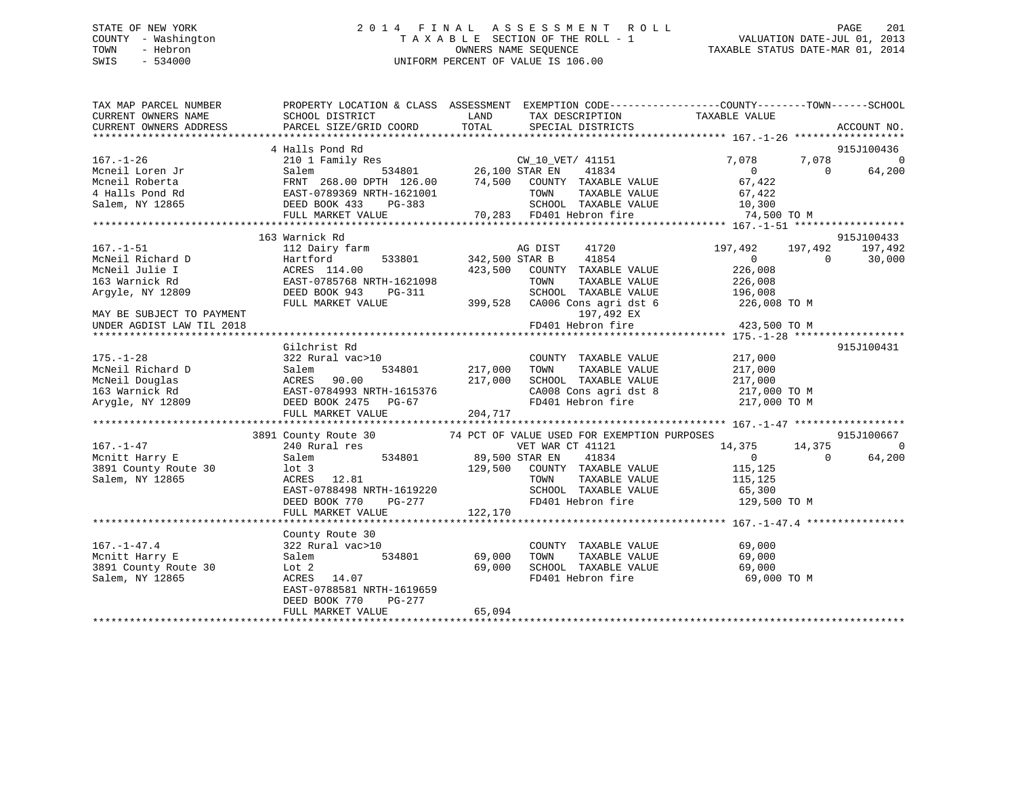# STATE OF NEW YORK 2 0 1 4 F I N A L A S S E S S M E N T R O L L PAGE 201 COUNTY - Washington T A X A B L E SECTION OF THE ROLL - 1 VALUATION DATE-JUL 01, 2013 TOWN - Hebron OWNERS NAME SEQUENCE TAXABLE STATUS DATE-MAR 01, 2014 SWIS - 534000 UNIFORM PERCENT OF VALUE IS 106.00

| TAX MAP PARCEL NUMBER<br>CURRENT OWNERS NAME                                                                                                                                                                                               | PROPERTY LOCATION & CLASS ASSESSMENT EXEMPTION CODE---------------COUNTY-------TOWN-----SCHOOL<br>SCHOOL DISTRICT | <b>LAND</b>    | TAX DESCRIPTION TAXABLE VALUE SPECIAL DISTRICTS                                                  |                                                                                                      |                          |
|--------------------------------------------------------------------------------------------------------------------------------------------------------------------------------------------------------------------------------------------|-------------------------------------------------------------------------------------------------------------------|----------------|--------------------------------------------------------------------------------------------------|------------------------------------------------------------------------------------------------------|--------------------------|
| CURRENT OWNERS ADDRESS                                                                                                                                                                                                                     | PARCEL SIZE/GRID COORD                                                                                            | TOTAL          |                                                                                                  |                                                                                                      | ACCOUNT NO.              |
|                                                                                                                                                                                                                                            | 4 Halls Pond Rd                                                                                                   |                |                                                                                                  |                                                                                                      | 915J100436               |
| 167.-1-26<br>Mcneil Loren Jr (2010 Family Res CW_10_VET/ 41151 7,078 7,078 7,078 0<br>Mcneil Roberta FRNT 268.00 DPTH 126.00 74,500 COUNTY TAXABLE VALUE 67,422<br>Mcneil Roberta FRNT 268.00 DPTH 126.00 74,500 COUNTY TAXABLE VAL        | Halis Pond Rd<br>210 1 Family Res<br>Salem 534801 26,100 STAR EN                                                  |                |                                                                                                  |                                                                                                      |                          |
|                                                                                                                                                                                                                                            |                                                                                                                   |                |                                                                                                  |                                                                                                      |                          |
|                                                                                                                                                                                                                                            |                                                                                                                   |                |                                                                                                  |                                                                                                      |                          |
|                                                                                                                                                                                                                                            |                                                                                                                   |                |                                                                                                  |                                                                                                      |                          |
|                                                                                                                                                                                                                                            |                                                                                                                   |                |                                                                                                  |                                                                                                      |                          |
|                                                                                                                                                                                                                                            |                                                                                                                   |                |                                                                                                  |                                                                                                      |                          |
|                                                                                                                                                                                                                                            |                                                                                                                   |                |                                                                                                  |                                                                                                      |                          |
|                                                                                                                                                                                                                                            | 163 Warnick Rd                                                                                                    |                |                                                                                                  |                                                                                                      | 915J100433               |
| $167. - 1 - 51$                                                                                                                                                                                                                            | 112 Dairy farm                                                                                                    |                | AG DIST<br>41720                                                                                 | 197,492                                                                                              | 197,492<br>197,492       |
| McNeil Richard D<br>McNeil Julie I                                                                                                                                                                                                         | 533801 342,500 STAR B<br>Hartford                                                                                 |                | 41854                                                                                            | $\overline{0}$                                                                                       | $\bigcirc$<br>30,000     |
|                                                                                                                                                                                                                                            | ACRES 114.00                                                                                                      | 423,500        | COUNTY TAXABLE VALUE                                                                             | 226,008                                                                                              |                          |
| 163 Warnick Rd                                                                                                                                                                                                                             |                                                                                                                   |                | TOWN                                                                                             | TAXABLE VALUE 226,008<br>TAXABLE VALUE 196,008                                                       |                          |
| Argyle, NY 12809                                                                                                                                                                                                                           | DEED BOOK 943 PG-311                                                                                              |                | SCHOOL TAXABLE VALUE                                                                             |                                                                                                      |                          |
|                                                                                                                                                                                                                                            | FULL MARKET VALUE                                                                                                 |                |                                                                                                  | 399,528 CA006 Cons agri dst 6 226,008 TO M                                                           |                          |
| MAY BE SUBJECT TO PAYMENT                                                                                                                                                                                                                  |                                                                                                                   |                | 197,492 EX                                                                                       |                                                                                                      |                          |
| UNDER AGDIST LAW TIL 2018                                                                                                                                                                                                                  |                                                                                                                   |                |                                                                                                  | FD401 Hebron fire 423,500 TO M                                                                       |                          |
|                                                                                                                                                                                                                                            |                                                                                                                   |                |                                                                                                  |                                                                                                      |                          |
|                                                                                                                                                                                                                                            | Gilchrist Rd                                                                                                      |                |                                                                                                  |                                                                                                      | 915J100431               |
| $175. - 1 - 28$<br>McNeil Richard D                                                                                                                                                                                                        | 322 Rural vac>10<br>Salem                                                                                         | 534801 217,000 | COUNTY TAXABLE VALUE<br>TAXABLE VALUE<br>TOWN                                                    | 217,000<br>217,000                                                                                   |                          |
|                                                                                                                                                                                                                                            |                                                                                                                   |                |                                                                                                  |                                                                                                      |                          |
|                                                                                                                                                                                                                                            |                                                                                                                   |                |                                                                                                  | SCHOOL TAXABLE VALUE 217,000<br>CA008 Cons agri dst 8 217,000 TO M<br>FD401 Hebron fire 217,000 TO M |                          |
|                                                                                                                                                                                                                                            |                                                                                                                   |                |                                                                                                  |                                                                                                      |                          |
| McNeil Douglas<br>McNeil Douglas<br>163 Warnick Rd<br>217,000<br>163 Warnick Rd<br>204,717<br>DEED BOOK 2475 PG-67<br>FULL MARKET VALUE<br>204,717                                                                                         |                                                                                                                   |                |                                                                                                  |                                                                                                      |                          |
|                                                                                                                                                                                                                                            |                                                                                                                   |                |                                                                                                  |                                                                                                      |                          |
|                                                                                                                                                                                                                                            |                                                                                                                   |                |                                                                                                  |                                                                                                      | 915J100667               |
| 167.–1–47                                                                                                                                                                                                                                  | 3891 County Route 30 $\frac{74}{74}$ PCT OF VALUE USED FOR EXEMPTION PURPOSES 240 Rural res                       |                |                                                                                                  | 14,375 14,375                                                                                        | $\overline{0}$           |
| Mcnitt Harry E                                                                                                                                                                                                                             | Salem                                                                                                             |                | VET WAR CT 41121 14,375<br>534801 89,500 STAR EN 41834 0<br>129,500 COUNTY TAXABLE VALUE 115,125 |                                                                                                      | 64,200<br>$\overline{0}$ |
|                                                                                                                                                                                                                                            |                                                                                                                   |                |                                                                                                  |                                                                                                      |                          |
| Salem, NY 12865                                                                                                                                                                                                                            |                                                                                                                   |                |                                                                                                  |                                                                                                      |                          |
|                                                                                                                                                                                                                                            |                                                                                                                   |                |                                                                                                  |                                                                                                      |                          |
|                                                                                                                                                                                                                                            |                                                                                                                   |                |                                                                                                  |                                                                                                      |                          |
|                                                                                                                                                                                                                                            |                                                                                                                   |                |                                                                                                  |                                                                                                      |                          |
| 129,500 COUNTY TAXABLE VALUE 115,125<br>3891 County Route 30 10t 3<br>Salem, NY 12865 22.81<br>EAST-0788498 NRTH-1619220 SCHOOL TAXABLE VALUE 115,125<br>EED BOOK 770 PG-277 122,170<br>FULL MARKET VALUE 122,170<br>FULL MARKET VALUE 122 |                                                                                                                   |                |                                                                                                  |                                                                                                      |                          |
|                                                                                                                                                                                                                                            | County Route 30                                                                                                   |                |                                                                                                  |                                                                                                      |                          |
| $167. - 1 - 47.4$                                                                                                                                                                                                                          | 322 Rural vac>10                                                                                                  |                | COUNTY TAXABLE VALUE                                                                             | 69,000                                                                                               |                          |
| Mcnitt Harry E                                                                                                                                                                                                                             | Salem                                                                                                             | 534801 69,000  | TOWN       TAXABLE  VALUE<br>SCHOOL    TAXABLE  VALUE                                            | 69,000                                                                                               |                          |
| 3891 County Route 30                                                                                                                                                                                                                       | Lot 2                                                                                                             | 69,000         |                                                                                                  | 69,000                                                                                               |                          |
| Salem, NY 12865                                                                                                                                                                                                                            | ACRES 14.07                                                                                                       |                |                                                                                                  | FD401 Hebron fire 69,000 TO M                                                                        |                          |
|                                                                                                                                                                                                                                            | EAST-0788581 NRTH-1619659                                                                                         |                |                                                                                                  |                                                                                                      |                          |
|                                                                                                                                                                                                                                            | PG-277<br>DEED BOOK 770                                                                                           |                |                                                                                                  |                                                                                                      |                          |
|                                                                                                                                                                                                                                            | FULL MARKET VALUE                                                                                                 | 65,094         |                                                                                                  |                                                                                                      |                          |
|                                                                                                                                                                                                                                            |                                                                                                                   |                |                                                                                                  |                                                                                                      |                          |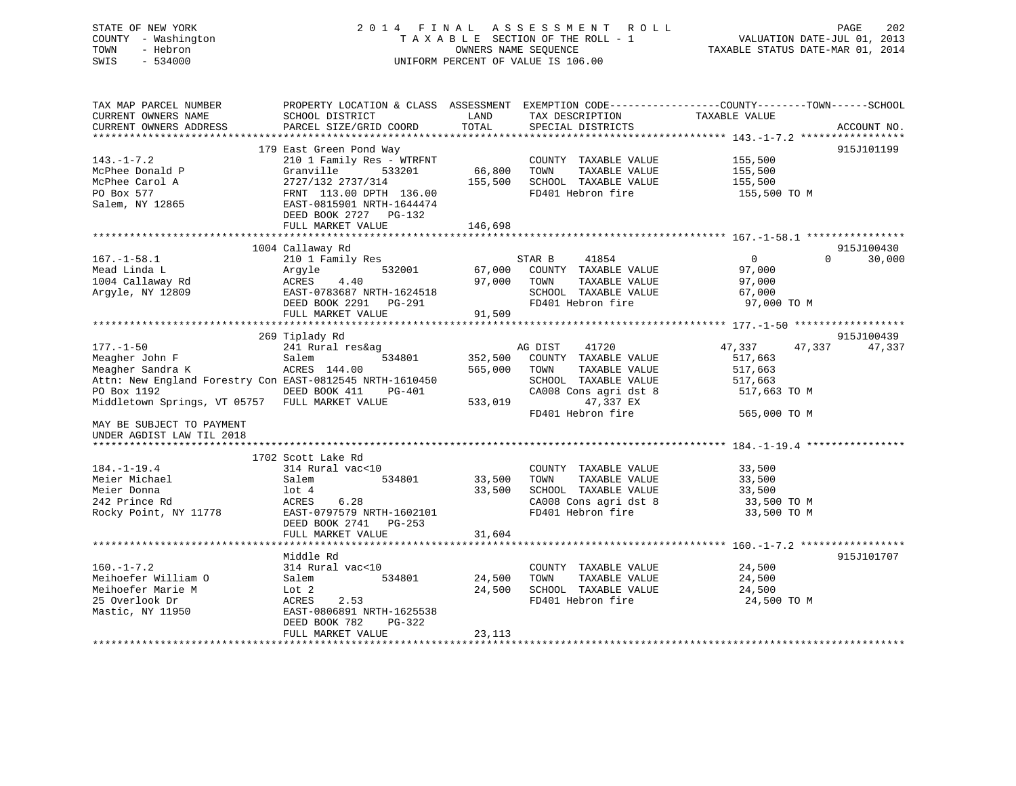# STATE OF NEW YORK 2 0 1 4 F I N A L A S S E S S M E N T R O L L PAGE 202 COUNTY - Washington T A X A B L E SECTION OF THE ROLL - 1 VALUATION DATE-JUL 01, 2013 TOWN - Hebron OWNERS NAME SEQUENCE TAXABLE STATUS DATE-MAR 01, 2014 SWIS - 534000 UNIFORM PERCENT OF VALUE IS 106.00

| TAX MAP PARCEL NUMBER<br>CURRENT OWNERS NAME<br>CURRENT OWNERS ADDRESS                                                                                                                                                                                                                                                                                       | PROPERTY LOCATION & CLASS ASSESSMENT EXEMPTION CODE---------------COUNTY-------TOWN-----SCHOOL<br>SCHOOL DISTRICT<br>PARCEL SIZE/GRID COORD                                                                   | LAND<br>TOTAL                                     | TAX DESCRIPTION<br>SPECIAL DISTRICTS                                                                                                                                                                                                                                               | TAXABLE VALUE                                                                                                                       | ACCOUNT NO. |
|--------------------------------------------------------------------------------------------------------------------------------------------------------------------------------------------------------------------------------------------------------------------------------------------------------------------------------------------------------------|---------------------------------------------------------------------------------------------------------------------------------------------------------------------------------------------------------------|---------------------------------------------------|------------------------------------------------------------------------------------------------------------------------------------------------------------------------------------------------------------------------------------------------------------------------------------|-------------------------------------------------------------------------------------------------------------------------------------|-------------|
|                                                                                                                                                                                                                                                                                                                                                              |                                                                                                                                                                                                               |                                                   |                                                                                                                                                                                                                                                                                    |                                                                                                                                     |             |
| $143. - 1 - 7.2$<br>McPhee Donald P<br>McPhee Carol A<br>PO Box 577<br>Salem, NY 12865                                                                                                                                                                                                                                                                       | 179 East Green Pond Way<br>210 1 Family Res - WTRFNT<br>Granville<br>533201<br>2727/132 2737/314<br>FRNT 113.00 DPTH 136.00<br>EAST-0815901 NRTH-1644474                                                      | 66,800<br>155,500                                 | COUNTY TAXABLE VALUE 155,500<br>TOWN<br>TAXABLE VALUE<br>SCHOOL TAXABLE VALUE<br>FD401 Hebron fire                                                                                                                                                                                 | 155,500<br>155,500<br>155,500 TO M                                                                                                  | 915J101199  |
|                                                                                                                                                                                                                                                                                                                                                              | DEED BOOK 2727 PG-132<br>FULL MARKET VALUE                                                                                                                                                                    | 146,698                                           |                                                                                                                                                                                                                                                                                    |                                                                                                                                     |             |
|                                                                                                                                                                                                                                                                                                                                                              |                                                                                                                                                                                                               |                                                   |                                                                                                                                                                                                                                                                                    |                                                                                                                                     |             |
|                                                                                                                                                                                                                                                                                                                                                              | 1004 Callaway Rd                                                                                                                                                                                              |                                                   |                                                                                                                                                                                                                                                                                    |                                                                                                                                     | 915J100430  |
| $167. - 1 - 58.1$<br>Mead Linda L<br>1004 Callaway Rd<br>Arqyle, NY 12809                                                                                                                                                                                                                                                                                    | 210 1 Family Res<br>532001<br>Argyle<br>ACRES<br>4.40<br>EAST-0783687 NRTH-1624518<br>DEED BOOK 2291 PG-291                                                                                                   | 67,000<br>97,000                                  | 41854<br>STAR B<br>COUNTY TAXABLE VALUE<br>TAXABLE VALUE<br>TOWN<br>SCHOOL TAXABLE VALUE<br>FD401 Hebron fire                                                                                                                                                                      | $\overline{0}$<br>$\Omega$<br>97,000<br>97,000<br>67,000<br>97,000 TO M                                                             | 30,000      |
|                                                                                                                                                                                                                                                                                                                                                              | FULL MARKET VALUE                                                                                                                                                                                             | 91,509                                            |                                                                                                                                                                                                                                                                                    |                                                                                                                                     |             |
|                                                                                                                                                                                                                                                                                                                                                              |                                                                                                                                                                                                               |                                                   |                                                                                                                                                                                                                                                                                    |                                                                                                                                     |             |
|                                                                                                                                                                                                                                                                                                                                                              | 269 Tiplady Rd                                                                                                                                                                                                |                                                   |                                                                                                                                                                                                                                                                                    |                                                                                                                                     | 915J100439  |
| $177. - 1 - 50$<br>Meagher John F<br>Meagher Sandra K<br>Attn: New England Forestry Con EAST-0812545 NRTH-1610450<br>PO Box 1192<br>DEED BOOK 411<br>Middletown Springs, VT 05757 FULL MARKET VALUE<br>MAY BE SUBJECT TO PAYMENT<br>UNDER AGDIST LAW TIL 2018<br>$184. - 1 - 19.4$<br>Meier Michael<br>Meier Donna<br>242 Prince Rd<br>Rocky Point, NY 11778 | 241 Rural res&ag<br>Salem<br>534801<br>ACRES 144.00<br>PG-401<br>1702 Scott Lake Rd<br>314 Rural vac<10<br>Salem<br>534801<br>lot 4<br>ACRES<br>6.28<br>EAST-0797579 NRTH-1602101<br>DEED BOOK 2741<br>PG-253 | 352,500<br>565,000<br>533,019<br>33,500<br>33,500 | AG DIST<br>41720<br>COUNTY TAXABLE VALUE<br>TAXABLE VALUE<br>TOWN<br>SCHOOL TAXABLE VALUE<br>CA008 Cons agri dst 8<br>47,337 EX<br>FD401 Hebron fire<br>COUNTY TAXABLE VALUE 33,500<br>TAXABLE VALUE<br>TOWN<br>SCHOOL TAXABLE VALUE<br>CA008 Cons agri dst 8<br>FD401 Hebron fire | 47,337<br>47,337<br>517,663<br>517,663<br>517,663<br>517,663 TO M<br>565,000 TO M<br>33,500<br>33,500<br>33,500 TO M<br>33,500 TO M | 47,337      |
|                                                                                                                                                                                                                                                                                                                                                              | FULL MARKET VALUE                                                                                                                                                                                             | 31,604                                            |                                                                                                                                                                                                                                                                                    |                                                                                                                                     |             |
| $160. - 1 - 7.2$<br>Meihoefer William O<br>Meihoefer Marie M<br>25 Overlook Dr<br>Mastic, NY 11950                                                                                                                                                                                                                                                           | Middle Rd<br>314 Rural vac<10<br>534801<br>Salem<br>Lot 2<br>2.53<br>ACRES<br>EAST-0806891 NRTH-1625538<br>DEED BOOK 782<br>PG-322<br>FULL MARKET VALUE                                                       | 24,500<br>24,500<br>23,113                        | COUNTY TAXABLE VALUE<br>TOWN<br>TAXABLE VALUE<br>SCHOOL TAXABLE VALUE<br>FD401 Hebron fire                                                                                                                                                                                         | 24,500<br>24,500<br>24,500<br>24,500 TO M                                                                                           | 915J101707  |
|                                                                                                                                                                                                                                                                                                                                                              |                                                                                                                                                                                                               |                                                   |                                                                                                                                                                                                                                                                                    |                                                                                                                                     |             |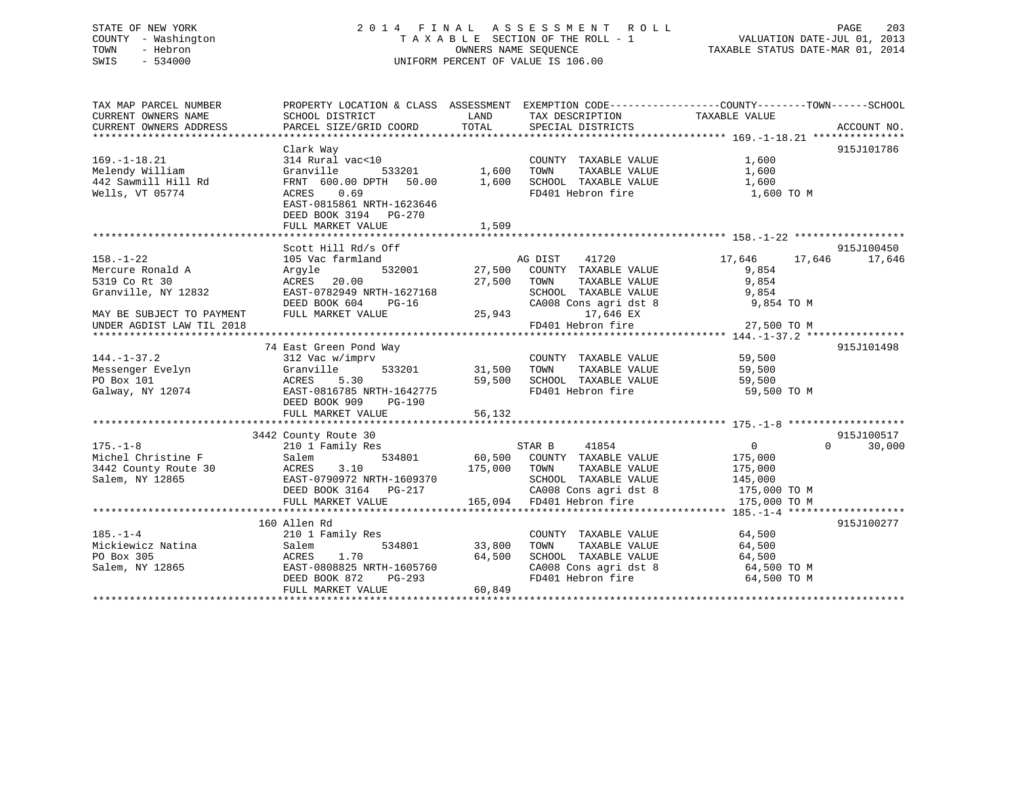# STATE OF NEW YORK 2 0 1 4 F I N A L A S S E S S M E N T R O L L PAGE 203 COUNTY - Washington T A X A B L E SECTION OF THE ROLL - 1 VALUATION DATE-JUL 01, 2013 TOWN - Hebron OWNERS NAME SEQUENCE TAXABLE STATUS DATE-MAR 01, 2014 SWIS - 534000 UNIFORM PERCENT OF VALUE IS 106.00

| TAX MAP PARCEL NUMBER<br>CURRENT OWNERS NAME<br>CURRENT OWNERS ADDRESS  | PROPERTY LOCATION & CLASS ASSESSMENT EXEMPTION CODE---------------COUNTY-------TOWN------SCHOOL<br>SCHOOL DISTRICT<br>PARCEL SIZE/GRID COORD | LAND<br>TOTAL                                | TAX DESCRIPTION TAXABLE VALUE<br>SPECIAL DISTRICTS                 |                      | ACCOUNT NO.        |
|-------------------------------------------------------------------------|----------------------------------------------------------------------------------------------------------------------------------------------|----------------------------------------------|--------------------------------------------------------------------|----------------------|--------------------|
|                                                                         |                                                                                                                                              |                                              |                                                                    |                      |                    |
|                                                                         | Clark Way                                                                                                                                    |                                              |                                                                    |                      | 915J101786         |
| $169. - 1 - 18.21$                                                      | 314 Rural vac<10                                                                                                                             |                                              | COUNTY TAXABLE VALUE                                               | 1,600                |                    |
| Melendy William                                                         | Granville                                                                                                                                    |                                              | TOWN<br>TAXABLE VALUE                                              | 1,600                |                    |
| 442 Sawmill Hill Rd                                                     | FRNT 600.00 DPTH 50.00                                                                                                                       | 。<br>「533201     1,600<br>TH  50.00    1,600 | SCHOOL TAXABLE VALUE                                               | 1,600                |                    |
| Wells, VT 05774                                                         | ACRES<br>0.69                                                                                                                                |                                              | FD401 Hebron fire                                                  | 1,600 TO M           |                    |
|                                                                         | EAST-0815861 NRTH-1623646<br>DEED BOOK 3194 PG-270<br>FULL MARKET VALUE                                                                      | 1,509                                        |                                                                    |                      |                    |
|                                                                         |                                                                                                                                              |                                              |                                                                    |                      |                    |
|                                                                         | Scott Hill Rd/s Off                                                                                                                          |                                              |                                                                    |                      | 915J100450         |
| $158. - 1 - 22$                                                         | 105 Vac farmland                                                                                                                             |                                              |                                                                    | 17,646 17,646        | 17,646             |
| Mercure Ronald A                                                        | 532001<br>Argyle                                                                                                                             |                                              | AG DIST 41720<br>27,500 COUNTY TAXABLE VALUE                       | 9,854                |                    |
| 5319 Co Rt 30                                                           | ACRES<br>20.00                                                                                                                               | 27,500 TOWN                                  | TAXABLE VALUE                                                      | 9,854                |                    |
| Granville, NY 12832                                                     | EAST-0782949 NRTH-1627168                                                                                                                    |                                              | SCHOOL TAXABLE VALUE                                               | 9,854                |                    |
|                                                                         | DEED BOOK 604<br>$PG-16$                                                                                                                     |                                              | SCHOOL TAXABLE VALUE<br>CA008 Cons agri dst 8                      | 9,854 TO M           |                    |
| MAY BE SUBJECT TO PAYMENT                                               | FULL MARKET VALUE                                                                                                                            |                                              | $25,943$ 17,646 EX                                                 |                      |                    |
| UNDER AGDIST LAW TIL 2018                                               |                                                                                                                                              |                                              | FD401 Hebron fire                                                  | 27,500 TO M          |                    |
|                                                                         |                                                                                                                                              |                                              |                                                                    |                      |                    |
|                                                                         | 74 East Green Pond Way                                                                                                                       |                                              |                                                                    |                      | 915J101498         |
| $144. - 1 - 37.2$                                                       | 312 Vac w/imprv                                                                                                                              |                                              | COUNTY TAXABLE VALUE 59,500                                        |                      |                    |
| Messenger Evelyn                                                        | Granville                                                                                                                                    | 533201 31,500 TOWN                           |                                                                    | TAXABLE VALUE 59,500 |                    |
| PO Box 101                                                              | ACRES<br>5.30                                                                                                                                | 59,500                                       | SCHOOL TAXABLE VALUE                                               | 59,500               |                    |
| Galway, NY 12074                                                        | EAST-0816785 NRTH-1642775                                                                                                                    |                                              | FD401 Hebron fire                                                  | 59,500 TO M          |                    |
|                                                                         | DEED BOOK 909<br>PG-190                                                                                                                      |                                              |                                                                    |                      |                    |
|                                                                         |                                                                                                                                              |                                              |                                                                    |                      |                    |
|                                                                         |                                                                                                                                              |                                              |                                                                    |                      |                    |
|                                                                         | 3442 County Route 30                                                                                                                         |                                              |                                                                    |                      | 915J100517         |
| $175. - 1 - 8$                                                          | 210 1 Family Res                                                                                                                             |                                              | STAR B<br>41854                                                    | $\overline{0}$       | $\Omega$<br>30,000 |
| 175.-1-8<br>Michel Christine F                                          | Salem                                                                                                                                        |                                              | 534801 60,500 COUNTY TAXABLE VALUE 175,000                         |                      |                    |
|                                                                         | 3.10                                                                                                                                         | 175,000 TOWN                                 | TAXABLE VALUE                                                      | 175,000              |                    |
| 3442 County Route 30 ACRES<br>Salem, NY 12865 BAST-0<br>Salem, NY 12865 | EAST-0790972 NRTH-1609370                                                                                                                    |                                              | SCHOOL TAXABLE VALUE                                               | 145,000              |                    |
|                                                                         | DEED BOOK 3164 PG-217                                                                                                                        |                                              | CA008 Cons agri dst 8 175,000 TO M                                 |                      |                    |
|                                                                         |                                                                                                                                              |                                              | 165,094 FD401 Hebron fire                                          | 175,000 TO M         |                    |
|                                                                         | FULL MARKET VALUE                                                                                                                            |                                              |                                                                    |                      |                    |
|                                                                         |                                                                                                                                              |                                              |                                                                    |                      |                    |
|                                                                         | 160 Allen Rd                                                                                                                                 |                                              |                                                                    |                      | 915J100277         |
| $185. - 1 - 4$                                                          | 210 1 Family Res                                                                                                                             |                                              | COUNTY TAXABLE VALUE                                               | 64,500               |                    |
| Mickiewicz Natina                                                       | Salem                                                                                                                                        | 534801 33,800                                | TOWN<br>TAXABLE VALUE                                              | 64,500               |                    |
| PO Box 305                                                              | 1.70<br>ACRES                                                                                                                                | 64,500                                       |                                                                    | 64,500               |                    |
| Salem, NY 12865                                                         | EAST-0808825 NRTH-1605760                                                                                                                    |                                              |                                                                    | 64,500 TO M          |                    |
|                                                                         | DEED BOOK 872<br>PG-293                                                                                                                      |                                              | SCHUOL TAXABLE VALUE<br>CA008 Cons agri dst 8<br>FD401 Hebron fire | 64,500 TO M          |                    |
|                                                                         | FULL MARKET VALUE                                                                                                                            | 60,849                                       |                                                                    |                      |                    |
|                                                                         |                                                                                                                                              |                                              |                                                                    |                      |                    |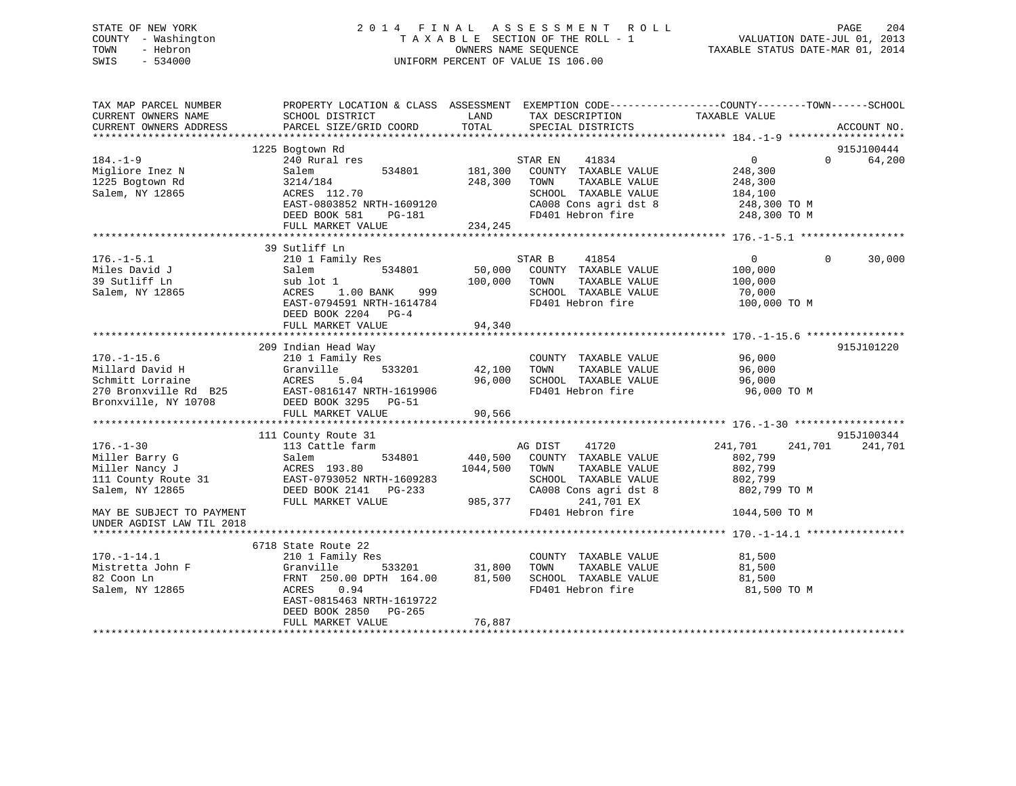# STATE OF NEW YORK 2 0 1 4 F I N A L A S S E S S M E N T R O L L PAGE 204 COUNTY - Washington T A X A B L E SECTION OF THE ROLL - 1 VALUATION DATE-JUL 01, 2013 TOWN - Hebron OWNERS NAME SEQUENCE TAXABLE STATUS DATE-MAR 01, 2014 SWIS - 534000 UNIFORM PERCENT OF VALUE IS 106.00

| TAX MAP PARCEL NUMBER<br>CURRENT OWNERS NAME<br>CURRENT OWNERS ADDRESS | PROPERTY LOCATION & CLASS ASSESSMENT<br>SCHOOL DISTRICT<br>PARCEL SIZE/GRID COORD | LAND<br>TOTAL | TAX DESCRIPTION<br>SPECIAL DISTRICTS          | EXEMPTION CODE-----------------COUNTY-------TOWN------SCHOOL<br>TAXABLE VALUE | ACCOUNT NO. |
|------------------------------------------------------------------------|-----------------------------------------------------------------------------------|---------------|-----------------------------------------------|-------------------------------------------------------------------------------|-------------|
|                                                                        |                                                                                   |               |                                               |                                                                               | 915J100444  |
| $184. - 1 - 9$                                                         | 1225 Bogtown Rd<br>240 Rural res                                                  |               | 41834<br>STAR EN                              | $\Omega$<br>$\Omega$                                                          | 64,200      |
|                                                                        | 534801                                                                            | 181,300       |                                               |                                                                               |             |
| Migliore Inez N<br>1225 Bogtown Rd                                     | Salem<br>3214/184                                                                 | 248,300       | COUNTY TAXABLE VALUE<br>TOWN<br>TAXABLE VALUE | 248,300                                                                       |             |
|                                                                        |                                                                                   |               |                                               | 248,300                                                                       |             |
| Salem, NY 12865                                                        | ACRES 112.70<br>EAST-0803852 NRTH-1609120                                         |               | SCHOOL TAXABLE VALUE<br>CA008 Cons agri dst 8 | 184,100                                                                       |             |
|                                                                        | DEED BOOK 581                                                                     |               | FD401 Hebron fire                             | 248,300 TO M                                                                  |             |
|                                                                        | PG-181<br>FULL MARKET VALUE                                                       | 234,245       |                                               | 248,300 TO M                                                                  |             |
|                                                                        |                                                                                   |               |                                               |                                                                               |             |
|                                                                        | 39 Sutliff Ln                                                                     |               |                                               |                                                                               |             |
| $176. - 1 - 5.1$                                                       | 210 1 Family Res                                                                  |               | STAR B<br>41854                               | $\overline{0}$<br>$\mathbf{0}$                                                | 30,000      |
| Miles David J                                                          | 534801<br>Salem                                                                   | 50,000        | COUNTY TAXABLE VALUE                          | 100,000                                                                       |             |
| 39 Sutliff Ln                                                          | sub lot 1                                                                         | 100,000       | TOWN<br>TAXABLE VALUE                         | 100,000                                                                       |             |
| Salem, NY 12865                                                        | 1.00 BANK<br>999<br>ACRES                                                         |               | SCHOOL TAXABLE VALUE                          | 70,000                                                                        |             |
|                                                                        | EAST-0794591 NRTH-1614784                                                         |               | FD401 Hebron fire                             | 100,000 TO M                                                                  |             |
|                                                                        | DEED BOOK 2204 PG-4                                                               |               |                                               |                                                                               |             |
|                                                                        | FULL MARKET VALUE                                                                 | 94,340        |                                               |                                                                               |             |
|                                                                        | ******************************                                                    | ************* |                                               |                                                                               |             |
|                                                                        | 209 Indian Head Way                                                               |               |                                               |                                                                               | 915J101220  |
| $170. - 1 - 15.6$                                                      | 210 1 Family Res                                                                  |               | COUNTY TAXABLE VALUE                          | 96,000                                                                        |             |
| Millard David H                                                        | Granville<br>533201                                                               | 42,100        | TOWN<br>TAXABLE VALUE                         | 96,000                                                                        |             |
| Schmitt Lorraine                                                       | ACRES<br>5.04                                                                     | 96,000        | SCHOOL TAXABLE VALUE                          | 96,000                                                                        |             |
| 270 Bronxville Rd B25                                                  | EAST-0816147 NRTH-1619906                                                         |               | FD401 Hebron fire                             | 96,000 TO M                                                                   |             |
| Bronxville, NY 10708                                                   | DEED BOOK 3295 PG-51                                                              |               |                                               |                                                                               |             |
|                                                                        | FULL MARKET VALUE                                                                 | 90,566        |                                               |                                                                               |             |
|                                                                        |                                                                                   |               |                                               |                                                                               |             |
|                                                                        | 111 County Route 31                                                               |               |                                               |                                                                               | 915J100344  |
| $176. - 1 - 30$                                                        | 113 Cattle farm                                                                   |               | 41720<br>AG DIST                              | 241,701<br>241,701                                                            | 241,701     |
| Miller Barry G                                                         | 534801<br>Salem                                                                   | 440,500       | COUNTY TAXABLE VALUE                          | 802,799                                                                       |             |
| Miller Nancy J                                                         | ACRES 193.80                                                                      | 1044,500      | TOWN<br>TAXABLE VALUE                         | 802,799                                                                       |             |
| 111 County Route 31                                                    | EAST-0793052 NRTH-1609283                                                         |               | SCHOOL TAXABLE VALUE                          | 802,799                                                                       |             |
| Salem, NY 12865                                                        | DEED BOOK 2141 PG-233                                                             |               | CA008 Cons agri dst 8                         | 802,799 TO M                                                                  |             |
|                                                                        | FULL MARKET VALUE                                                                 | 985,377       | 241,701 EX                                    |                                                                               |             |
| MAY BE SUBJECT TO PAYMENT                                              |                                                                                   |               | FD401 Hebron fire                             | 1044,500 TO M                                                                 |             |
| UNDER AGDIST LAW TIL 2018                                              |                                                                                   |               |                                               |                                                                               |             |
|                                                                        | 6718 State Route 22                                                               |               |                                               |                                                                               |             |
| $170. - 1 - 14.1$                                                      | 210 1 Family Res                                                                  |               | COUNTY TAXABLE VALUE                          | 81,500                                                                        |             |
| Mistretta John F                                                       | Granville<br>533201                                                               | 31,800        | TOWN<br>TAXABLE VALUE                         | 81,500                                                                        |             |
| 82 Coon Ln                                                             |                                                                                   | 81,500        | SCHOOL TAXABLE VALUE                          |                                                                               |             |
| Salem, NY 12865                                                        | FRNT 250.00 DPTH 164.00<br>ACRES<br>0.94                                          |               | FD401 Hebron fire                             | 81,500<br>81,500 TO M                                                         |             |
|                                                                        |                                                                                   |               |                                               |                                                                               |             |
|                                                                        | EAST-0815463 NRTH-1619722                                                         |               |                                               |                                                                               |             |
|                                                                        | DEED BOOK 2850<br>PG-265                                                          | 76,887        |                                               |                                                                               |             |
|                                                                        | FULL MARKET VALUE                                                                 |               |                                               |                                                                               |             |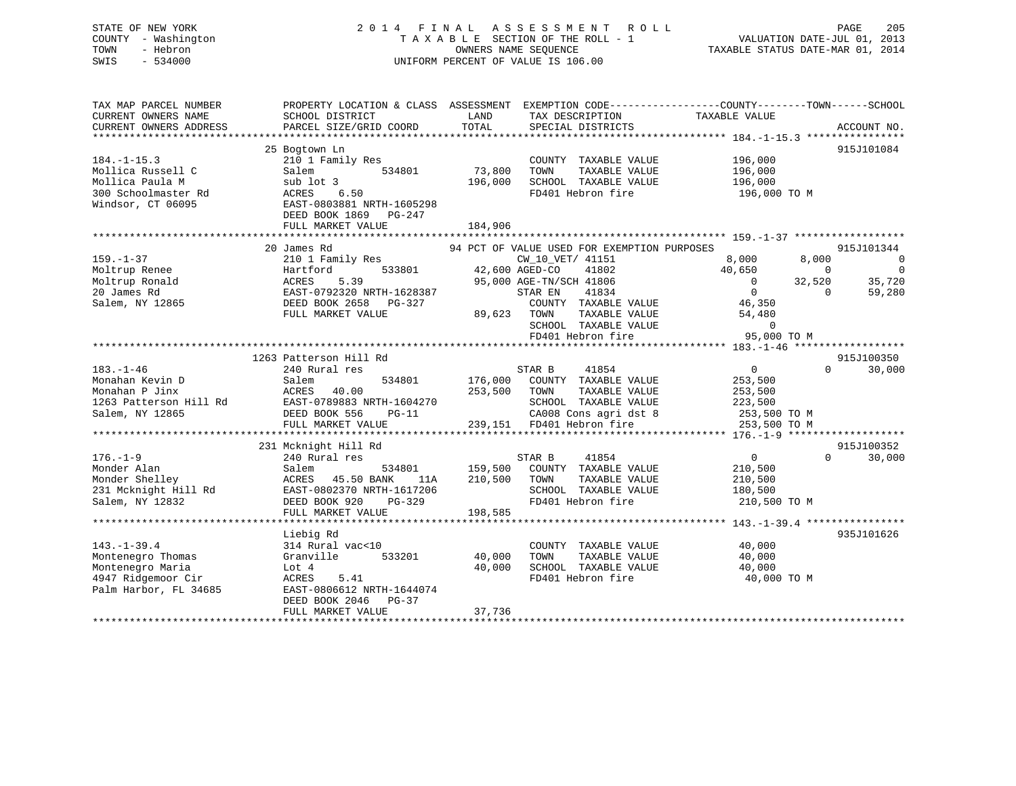# STATE OF NEW YORK 2 0 1 4 F I N A L A S S E S S M E N T R O L L PAGE 205 COUNTY - Washington T A X A B L E SECTION OF THE ROLL - 1 VALUATION DATE-JUL 01, 2013 TOWN - Hebron OWNERS NAME SEQUENCE TAXABLE STATUS DATE-MAR 01, 2014 SWIS - 534000 UNIFORM PERCENT OF VALUE IS 106.00

| TAX MAP PARCEL NUMBER<br>CURRENT OWNERS NAME<br>CURRENT OWNERS ADDRESS | PROPERTY LOCATION & CLASS ASSESSMENT<br>SCHOOL DISTRICT<br>PARCEL SIZE/GRID COORD | LAND<br>TOTAL      | TAX DESCRIPTION<br>SPECIAL DISTRICTS          | EXEMPTION CODE-----------------COUNTY-------TOWN------SCHOOL<br>TAXABLE VALUE | ACCOUNT NO.              |
|------------------------------------------------------------------------|-----------------------------------------------------------------------------------|--------------------|-----------------------------------------------|-------------------------------------------------------------------------------|--------------------------|
|                                                                        |                                                                                   |                    |                                               |                                                                               |                          |
|                                                                        | 25 Bogtown Ln                                                                     |                    |                                               |                                                                               | 915J101084               |
| $184. - 1 - 15.3$                                                      | 210 1 Family Res                                                                  |                    | COUNTY TAXABLE VALUE                          | 196,000                                                                       |                          |
| Mollica Russell C<br>Mollica Paula M                                   | 534801<br>Salem<br>sub lot 3                                                      | 73,800<br>196,000  | TOWN<br>TAXABLE VALUE<br>SCHOOL TAXABLE VALUE | 196,000<br>196,000                                                            |                          |
| 300 Schoolmaster Rd                                                    | ACRES<br>6.50                                                                     |                    | FD401 Hebron fire                             | 196,000 TO M                                                                  |                          |
| Windsor, CT 06095                                                      | EAST-0803881 NRTH-1605298<br>DEED BOOK 1869 PG-247                                |                    |                                               |                                                                               |                          |
|                                                                        | FULL MARKET VALUE                                                                 | 184,906            |                                               |                                                                               |                          |
|                                                                        | 20 James Rd                                                                       |                    | 94 PCT OF VALUE USED FOR EXEMPTION PURPOSES   |                                                                               | 915J101344               |
| $159. - 1 - 37$                                                        | 210 1 Family Res                                                                  |                    | CW_10_VET/ 41151                              | 8,000<br>8,000                                                                | $\overline{\phantom{0}}$ |
| Moltrup Renee                                                          | 533801<br>Hartford                                                                | 42,600 AGED-CO     | 41802                                         | 40,650<br>$\Omega$                                                            | $\overline{0}$           |
| Moltrup Ronald                                                         | 5.39<br>ACRES                                                                     |                    | 95,000 AGE-TN/SCH 41806                       | $\Omega$<br>32,520                                                            | 35,720                   |
| 20 James Rd                                                            | EAST-0792320 NRTH-1628387                                                         |                    | 41834<br>STAR EN                              | $\overline{0}$<br>$\Omega$                                                    | 59,280                   |
| Salem, NY 12865                                                        | DEED BOOK 2658 PG-327                                                             |                    | COUNTY TAXABLE VALUE                          | 46,350                                                                        |                          |
|                                                                        | FULL MARKET VALUE                                                                 |                    | 89,623 TOWN<br>TAXABLE VALUE                  | 54,480                                                                        |                          |
|                                                                        |                                                                                   |                    | SCHOOL TAXABLE VALUE                          | $\Omega$                                                                      |                          |
|                                                                        |                                                                                   |                    | FD401 Hebron fire                             | 95,000 TO M                                                                   |                          |
|                                                                        |                                                                                   |                    |                                               |                                                                               |                          |
|                                                                        | 1263 Patterson Hill Rd                                                            |                    |                                               |                                                                               | 915J100350               |
| $183. - 1 - 46$                                                        | 240 Rural res                                                                     |                    | STAR B<br>41854                               | $\overline{0}$<br>$\cap$                                                      | 30,000                   |
| Monahan Kevin D                                                        | 534801<br>Salem                                                                   |                    | 176,000 COUNTY TAXABLE VALUE                  | 253,500                                                                       |                          |
| Monahan P Jinx                                                         | ACRES<br>40.00                                                                    | 253,500 TOWN       | TAXABLE VALUE                                 | 253,500                                                                       |                          |
| 1263 Patterson Hill Rd                                                 | EAST-0789883 NRTH-1604270                                                         |                    | SCHOOL TAXABLE VALUE                          | 223,500                                                                       |                          |
| Salem, NY 12865                                                        | DEED BOOK 556<br>$PG-11$                                                          |                    | CA008 Cons agri dst 8                         | 253,500 TO M                                                                  |                          |
|                                                                        | FULL MARKET VALUE                                                                 |                    | 239,151 FD401 Hebron fire                     | 253,500 TO M                                                                  |                          |
|                                                                        |                                                                                   |                    |                                               |                                                                               |                          |
|                                                                        | 231 Mcknight Hill Rd                                                              |                    |                                               |                                                                               | 915J100352               |
| $176. - 1 - 9$                                                         | 240 Rural res                                                                     |                    | 41854<br>STAR B                               | $\overline{0}$                                                                | 30,000<br>$\Omega$       |
| Monder Alan<br>Monder Shelley                                          | Salem<br>534801<br>ACRES 45.50 BANK                                               | 159,500<br>210,500 | COUNTY TAXABLE VALUE<br>TOWN<br>TAXABLE VALUE | 210,500                                                                       |                          |
| 231 Mcknight Hill Rd                                                   | 11A<br>EAST-0802370 NRTH-1617206                                                  |                    | SCHOOL TAXABLE VALUE                          | 210,500<br>180,500                                                            |                          |
| Salem, NY 12832                                                        | DEED BOOK 920<br>PG-329                                                           |                    | FD401 Hebron fire                             | 210,500 TO M                                                                  |                          |
|                                                                        | FULL MARKET VALUE                                                                 | 198,585            |                                               |                                                                               |                          |
|                                                                        |                                                                                   |                    |                                               |                                                                               |                          |
|                                                                        | Liebig Rd                                                                         |                    |                                               |                                                                               | 935J101626               |
| $143. - 1 - 39.4$                                                      | 314 Rural vac<10                                                                  |                    | COUNTY TAXABLE VALUE                          | 40,000                                                                        |                          |
| Montenegro Thomas                                                      | Granville<br>533201                                                               | 40,000             | TAXABLE VALUE<br>TOWN                         | 40,000                                                                        |                          |
| Montenegro Maria                                                       | Lot 4                                                                             | 40,000             | SCHOOL TAXABLE VALUE                          | 40,000                                                                        |                          |
| 4947 Ridgemoor Cir                                                     | ACRES<br>5.41                                                                     |                    | FD401 Hebron fire                             | 40,000 TO M                                                                   |                          |
| Palm Harbor, FL 34685                                                  | EAST-0806612 NRTH-1644074                                                         |                    |                                               |                                                                               |                          |
|                                                                        | DEED BOOK 2046 PG-37                                                              |                    |                                               |                                                                               |                          |
|                                                                        | FULL MARKET VALUE                                                                 | 37,736             |                                               |                                                                               |                          |
|                                                                        |                                                                                   |                    |                                               |                                                                               |                          |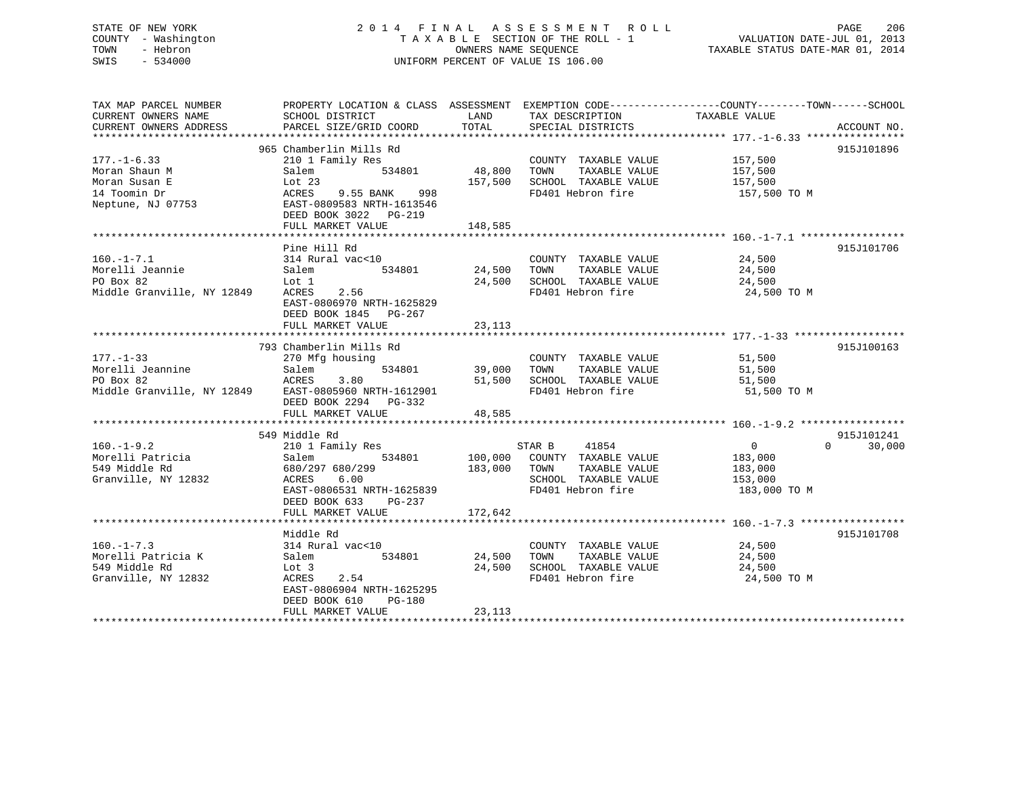# STATE OF NEW YORK 2 0 1 4 F I N A L A S S E S S M E N T R O L L PAGE 206 COUNTY - Washington T A X A B L E SECTION OF THE ROLL - 1 VALUATION DATE-JUL 01, 2013 TOWN - Hebron OWNERS NAME SEQUENCE TAXABLE STATUS DATE-MAR 01, 2014 SWIS - 534000 UNIFORM PERCENT OF VALUE IS 106.00

| TAX MAP PARCEL NUMBER                                             |                               |             |                                                            | PROPERTY LOCATION & CLASS ASSESSMENT EXEMPTION CODE----------------COUNTY-------TOWN------SCHOOL |
|-------------------------------------------------------------------|-------------------------------|-------------|------------------------------------------------------------|--------------------------------------------------------------------------------------------------|
| CURRENT OWNERS NAME                                               | SCHOOL DISTRICT               | LAND        | TAX DESCRIPTION                                            | TAXABLE VALUE                                                                                    |
| CURRENT OWNERS ADDRESS                                            | PARCEL SIZE/GRID COORD        | TOTAL       | SPECIAL DISTRICTS                                          | ACCOUNT NO.                                                                                      |
|                                                                   |                               |             |                                                            |                                                                                                  |
|                                                                   | 965 Chamberlin Mills Rd       |             |                                                            | 915J101896                                                                                       |
| $177. - 1 - 6.33$                                                 | 210 1 Family Res              |             | COUNTY TAXABLE VALUE                                       | 157,500                                                                                          |
| Moran Shaun M                                                     | 534801<br>Salem               | 48,800 TOWN | TAXABLE VALUE                                              | 157,500                                                                                          |
| Moran Susan E                                                     | Lot 23                        |             | 157,500 SCHOOL TAXABLE VALUE                               | 157,500                                                                                          |
| 14 Toomin Dr                                                      | ACRES 9.55 BANK 998           |             | FD401 Hebron fire                                          | 157,500 TO M                                                                                     |
| Neptune, NJ 07753                                                 | EAST-0809583 NRTH-1613546     |             |                                                            |                                                                                                  |
|                                                                   | DEED BOOK 3022 PG-219         |             |                                                            |                                                                                                  |
|                                                                   | FULL MARKET VALUE             | 148,585     |                                                            |                                                                                                  |
|                                                                   |                               |             |                                                            |                                                                                                  |
|                                                                   | Pine Hill Rd                  |             |                                                            | 915J101706                                                                                       |
| $160. - 1 - 7.1$                                                  | 314 Rural vac<10              |             | COUNTY TAXABLE VALUE                                       | 24,500                                                                                           |
| Morelli Jeannie                                                   | Salem                         |             | TAXABLE VALUE                                              | 24,500                                                                                           |
| PO Box 82                                                         | Lot 1                         |             | 24,500 SCHOOL TAXABLE VALUE                                | 24,500                                                                                           |
| Middle Granville, NY 12849                                        | ACRES 2.56                    |             | FD401 Hebron fire                                          | 24,500 TO M                                                                                      |
|                                                                   | EAST-0806970 NRTH-1625829     |             |                                                            |                                                                                                  |
|                                                                   | DEED BOOK 1845 PG-267         |             |                                                            |                                                                                                  |
|                                                                   | FULL MARKET VALUE             | 23,113      |                                                            |                                                                                                  |
|                                                                   |                               |             |                                                            |                                                                                                  |
|                                                                   | 793 Chamberlin Mills Rd       |             |                                                            | 915J100163                                                                                       |
| $177. - 1 - 33$                                                   | 270 Mfg housing               |             | COUNTY TAXABLE VALUE                                       | 51,500                                                                                           |
| Morelli Jeannine                                                  | 534801<br>Salem               | 39,000 TOWN | TAXABLE VALUE                                              | 51,500                                                                                           |
|                                                                   |                               |             | 51,500 SCHOOL TAXABLE VALUE                                | 51,500                                                                                           |
| PO Box 82<br>Middle Granville, NY 12849 EAST-0805960 NRTH-1612901 |                               |             | FD401 Hebron fire                                          | 51,500 TO M                                                                                      |
|                                                                   | DEED BOOK 2294 PG-332         |             |                                                            |                                                                                                  |
|                                                                   | FULL MARKET VALUE             | 48,585      |                                                            |                                                                                                  |
|                                                                   |                               |             |                                                            |                                                                                                  |
|                                                                   | 549 Middle Rd                 |             |                                                            | 915J101241                                                                                       |
| $160. - 1 - 9.2$                                                  | 210 1 Family Res              |             | STAR B 41854                                               | $\Omega$<br>30,000<br>$\overline{0}$                                                             |
|                                                                   | 534801<br>Salem               |             |                                                            |                                                                                                  |
| Norelli Patricia<br>549 Middle Rd                                 | 680/297 680/299               |             | 100,000 COUNTY TAXABLE VALUE<br>183,000 TOWN TAXABLE VALUE | 183,000<br>183,000                                                                               |
| Granville, NY 12832                                               | 6.00<br>ACRES                 |             |                                                            |                                                                                                  |
|                                                                   | EAST-0806531 NRTH-1625839     |             | SCHOOL TAXABLE VALUE 153,000<br>FD401 Hebron fire          | 183,000 TO M                                                                                     |
|                                                                   | PG-237                        |             |                                                            |                                                                                                  |
|                                                                   | DEED BOOK 633                 |             |                                                            |                                                                                                  |
|                                                                   | FULL MARKET VALUE             | 172,642     |                                                            |                                                                                                  |
|                                                                   |                               |             |                                                            |                                                                                                  |
|                                                                   | Middle Rd<br>314 Rural vac<10 |             | COUNTY TAXABLE VALUE 24,500                                | 915J101708                                                                                       |
| $160. - 1 - 7.3$                                                  |                               |             |                                                            |                                                                                                  |
| Morelli Patricia K                                                | 534801<br>Salem               |             | 24,500 TOWN<br>TAXABLE VALUE                               | 24,500                                                                                           |
| 549 Middle Rd                                                     | Lot 3                         |             | 24,500 SCHOOL TAXABLE VALUE                                | 24,500                                                                                           |
| Granville, NY 12832                                               | ACRES<br>2.54                 |             | FD401 Hebron fire                                          | 24,500 TO M                                                                                      |
|                                                                   | EAST-0806904 NRTH-1625295     |             |                                                            |                                                                                                  |
|                                                                   | DEED BOOK 610<br>PG-180       |             |                                                            |                                                                                                  |
|                                                                   | FULL MARKET VALUE             | 23,113      |                                                            |                                                                                                  |
|                                                                   |                               |             |                                                            |                                                                                                  |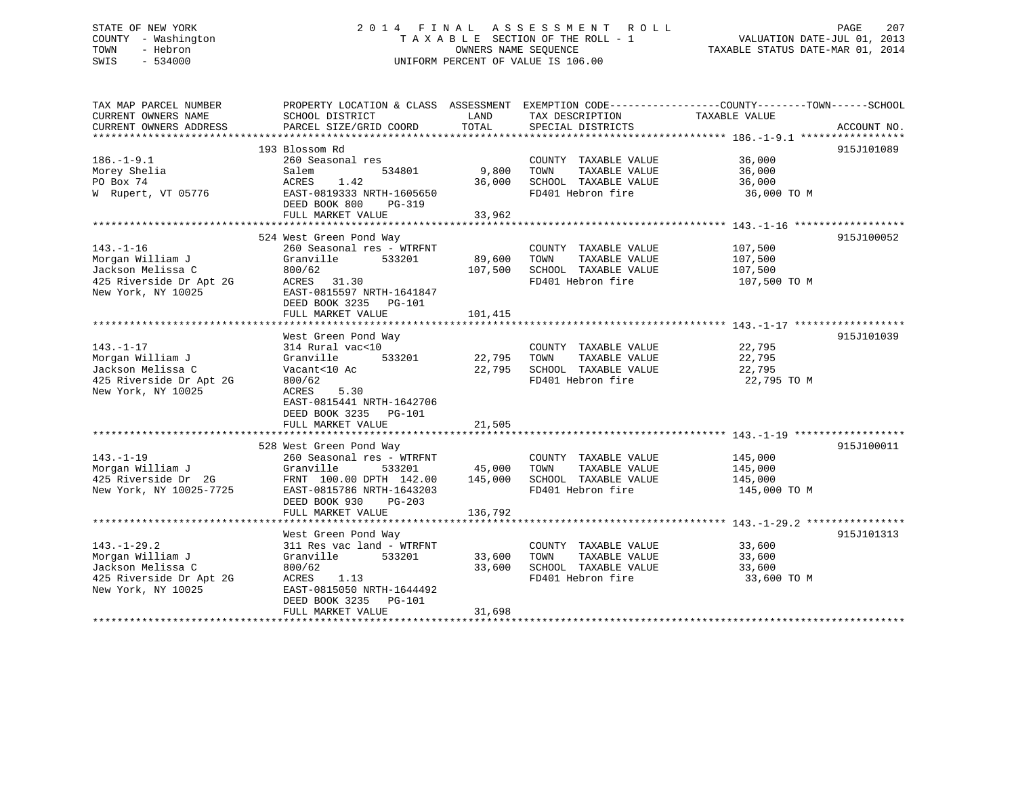# STATE OF NEW YORK 2 0 1 4 F I N A L A S S E S S M E N T R O L L PAGE 207 COUNTY - Washington T A X A B L E SECTION OF THE ROLL - 1 VALUATION DATE-JUL 01, 2013 TOWN - Hebron **CONNERS NAME SEQUENCE** TAXABLE STATUS DATE-MAR 01, 2014 SWIS - 534000 UNIFORM PERCENT OF VALUE IS 106.00

| TAX MAP PARCEL NUMBER<br>CURRENT OWNERS NAME<br>CURRENT OWNERS ADDRESS                                      | SCHOOL DISTRICT<br>PARCEL SIZE/GRID COORD                                                                                                                                                     | LAND<br>TOTAL                | TAX DESCRIPTION<br>SPECIAL DISTRICTS                                                              | PROPERTY LOCATION & CLASS ASSESSMENT EXEMPTION CODE----------------COUNTY-------TOWN-----SCHOOL<br>TAXABLE VALUE | ACCOUNT NO. |
|-------------------------------------------------------------------------------------------------------------|-----------------------------------------------------------------------------------------------------------------------------------------------------------------------------------------------|------------------------------|---------------------------------------------------------------------------------------------------|------------------------------------------------------------------------------------------------------------------|-------------|
| $186. - 1 - 9.1$<br>Morey Shelia<br>PO Box 74<br>W Rupert, VT 05776                                         | 193 Blossom Rd<br>260 Seasonal res<br>534801<br>Salem<br>ACRES<br>1.42<br>EAST-0819333 NRTH-1605650<br>DEED BOOK 800<br>PG-319<br>FULL MARKET VALUE                                           | 9,800<br>36,000<br>33,962    | COUNTY TAXABLE VALUE 36,000<br>TOWN<br>TAXABLE VALUE<br>SCHOOL TAXABLE VALUE<br>FD401 Hebron fire | 36,000<br>36,000<br>36,000 TO M                                                                                  | 915J101089  |
| $143. - 1 - 16$<br>Morgan William J<br>Jackson Melissa C<br>425 Riverside Dr Apt 2G<br>New York, NY 10025   | 524 West Green Pond Way<br>260 Seasonal res - WTRFNT<br>Granville<br>533201<br>800/62<br>ACRES 31.30<br>EAST-0815597 NRTH-1641847<br>DEED BOOK 3235 PG-101<br>FULL MARKET VALUE               | 89,600<br>107,500<br>101,415 | COUNTY TAXABLE VALUE<br>TOWN<br>TAXABLE VALUE<br>SCHOOL TAXABLE VALUE<br>FD401 Hebron fire        | 107,500<br>107,500<br>107,500<br>107,500 TO M                                                                    | 915J100052  |
| $143. - 1 - 17$<br>Morgan William J<br>Jackson Melissa C<br>425 Riverside Dr Apt 2G<br>New York, NY 10025   | West Green Pond Way<br>314 Rural vac<10<br>533201<br>Granville<br>Vacant<10 Ac<br>800/62<br>5.30<br>ACRES<br>EAST-0815441 NRTH-1642706<br>DEED BOOK 3235 PG-101<br>FULL MARKET VALUE          | 22,795<br>22,795<br>21,505   | COUNTY TAXABLE VALUE<br>TOWN<br>TAXABLE VALUE<br>SCHOOL TAXABLE VALUE<br>FD401 Hebron fire        | 22,795<br>22,795<br>22,795<br>22,795 TO M                                                                        | 915J101039  |
| $143. - 1 - 19$<br>Morgan William J<br>425 Riverside Dr 2G<br>New York, NY 10025-7725                       | 528 West Green Pond Way<br>260 Seasonal res - WTRFNT<br>Granville<br>533201<br>FRNT 100.00 DPTH 142.00 145,000<br>EAST-0815786 NRTH-1643203<br>DEED BOOK 930<br>$PG-203$<br>FULL MARKET VALUE | 45,000<br>136,792            | COUNTY TAXABLE VALUE<br>TOWN<br>TAXABLE VALUE<br>SCHOOL TAXABLE VALUE<br>FD401 Hebron fire        | 145,000<br>145,000<br>145,000<br>145,000 TO M                                                                    | 915J100011  |
| $143. - 1 - 29.2$<br>Morgan William J<br>Jackson Melissa C<br>425 Riverside Dr Apt 2G<br>New York, NY 10025 | West Green Pond Way<br>311 Res vac land - WTRFNT<br>Granville<br>533201<br>800/62<br>ACRES<br>1.13<br>EAST-0815050 NRTH-1644492<br>DEED BOOK 3235 PG-101<br>FULL MARKET VALUE                 | 33,600<br>33,600<br>31,698   | COUNTY TAXABLE VALUE<br>TAXABLE VALUE<br>TOWN<br>SCHOOL TAXABLE VALUE<br>FD401 Hebron fire        | 33,600<br>33,600<br>33,600<br>33,600 TO M                                                                        | 915J101313  |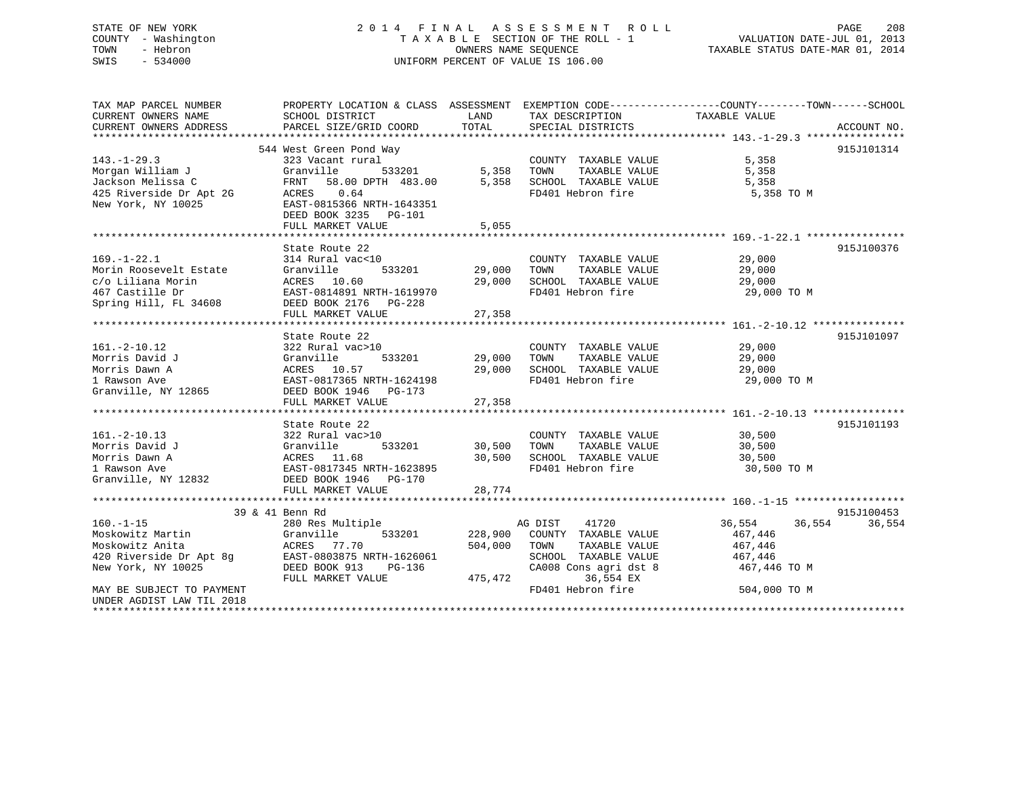# STATE OF NEW YORK 2 0 1 4 F I N A L A S S E S S M E N T R O L L PAGE 208 COUNTY - Washington T A X A B L E SECTION OF THE ROLL - 1 VALUATION DATE-JUL 01, 2013 TOWN - Hebron OWNERS NAME SEQUENCE TAXABLE STATUS DATE-MAR 01, 2014 SWIS - 534000 UNIFORM PERCENT OF VALUE IS 106.00

| TAX MAP PARCEL NUMBER     | PROPERTY LOCATION & CLASS ASSESSMENT EXEMPTION CODE----------------COUNTY-------TOWN------SCHOOL                                                                                                              |             |                                    |                  |                  |
|---------------------------|---------------------------------------------------------------------------------------------------------------------------------------------------------------------------------------------------------------|-------------|------------------------------------|------------------|------------------|
| CURRENT OWNERS NAME       | SCHOOL DISTRICT                                                                                                                                                                                               | LAND        | TAX DESCRIPTION                    | TAXABLE VALUE    |                  |
| CURRENT OWNERS ADDRESS    | PARCEL SIZE/GRID COORD                                                                                                                                                                                        | TOTAL       | SPECIAL DISTRICTS                  |                  | ACCOUNT NO.      |
|                           |                                                                                                                                                                                                               |             |                                    |                  |                  |
|                           | 544 West Green Pond Way                                                                                                                                                                                       |             |                                    |                  | 915J101314       |
| $143. - 1 - 29.3$         | 323 Vacant rural                                                                                                                                                                                              |             | COUNTY TAXABLE VALUE               | 5,358            |                  |
| Morgan William J          | 533201<br>Granville                                                                                                                                                                                           |             | 5,358 TOWN<br>TAXABLE VALUE        | 5,358            |                  |
| Jackson Melissa C         | FRNT 58.00 DPTH 483.00                                                                                                                                                                                        |             | 5,358 SCHOOL TAXABLE VALUE         | 5,358            |                  |
| 425 Riverside Dr Apt 2G   | ACRES 0.64                                                                                                                                                                                                    |             | FD401 Hebron fire                  | 5,358 TO M       |                  |
| New York, NY 10025        | EAST-0815366 NRTH-1643351                                                                                                                                                                                     |             |                                    |                  |                  |
|                           | DEED BOOK 3235 PG-101                                                                                                                                                                                         |             |                                    |                  |                  |
|                           | FULL MARKET VALUE                                                                                                                                                                                             | 5,055       |                                    |                  |                  |
|                           |                                                                                                                                                                                                               |             |                                    |                  |                  |
|                           | State Route 22                                                                                                                                                                                                |             |                                    |                  | 915J100376       |
| $169. - 1 - 22.1$         | 314 Rural vac<10                                                                                                                                                                                              |             | COUNTY TAXABLE VALUE               | 29,000           |                  |
| Morin Roosevelt Estate    | 533201<br>Granville                                                                                                                                                                                           | 29,000      | TOWN<br>TAXABLE VALUE              | 29,000           |                  |
| c/o Liliana Morin         | ACRES 10.60                                                                                                                                                                                                   | 29,000      | SCHOOL TAXABLE VALUE               | 29,000           |                  |
| 467 Castille Dr           | EAST-0814891 NRTH-1619970<br>DEED BOOK 2175 - 221                                                                                                                                                             |             | FD401 Hebron fire                  | 29,000 TO M      |                  |
| Spring Hill, FL 34608     | DEED BOOK 2176 PG-228                                                                                                                                                                                         |             |                                    |                  |                  |
|                           | FULL MARKET VALUE                                                                                                                                                                                             | 27,358      |                                    |                  |                  |
|                           |                                                                                                                                                                                                               |             |                                    |                  |                  |
|                           | State Route 22                                                                                                                                                                                                |             |                                    |                  | 915J101097       |
| $161.-2-10.12$            | 322 Rural vac>10                                                                                                                                                                                              |             | COUNTY TAXABLE VALUE 29,000        |                  |                  |
| Morris David J            | Granville<br>533201                                                                                                                                                                                           |             | 29,000 TOWN<br>TAXABLE VALUE       | 29,000           |                  |
| Morris Dawn A             | ACRES 10.57                                                                                                                                                                                                   |             | 29,000 SCHOOL TAXABLE VALUE 29,000 |                  |                  |
| 1 Rawson Ave              | EAST-0817365 NRTH-1624198                                                                                                                                                                                     |             | FD401 Hebron fire                  | 29,000 TO M      |                  |
| Granville, NY 12865       | DEED BOOK 1946 PG-173                                                                                                                                                                                         |             |                                    |                  |                  |
|                           | FULL MARKET VALUE                                                                                                                                                                                             | 27,358      |                                    |                  |                  |
|                           |                                                                                                                                                                                                               |             |                                    |                  |                  |
|                           | State Route 22                                                                                                                                                                                                |             |                                    |                  | 915J101193       |
| $161. - 2 - 10.13$        | 322 Rural vac>10                                                                                                                                                                                              |             | COUNTY TAXABLE VALUE               | 30,500<br>30,500 |                  |
|                           |                                                                                                                                                                                                               | 30,500 TOWN | TAXABLE VALUE                      | 30,500           |                  |
|                           |                                                                                                                                                                                                               |             | 30,500 SCHOOL TAXABLE VALUE        | 30,500           |                  |
|                           |                                                                                                                                                                                                               |             | FD401 Hebron fire                  | 30,500 TO M      |                  |
|                           | 161.-2-10.13<br>Morris David J<br>Morris Dawn A<br>1 Granville 533201<br>1 Granville 533201<br>1 ACRES<br>1 ACRES<br>1 1.68<br>1 East-0817345 NRTH-1623895<br>Granville, NY 12832<br>DEED BOOK 1946<br>PG-170 |             |                                    |                  |                  |
|                           | FULL MARKET VALUE                                                                                                                                                                                             | 28,774      |                                    |                  |                  |
|                           |                                                                                                                                                                                                               |             |                                    |                  |                  |
|                           | 39 & 41 Benn Rd                                                                                                                                                                                               |             |                                    |                  | 915J100453       |
| $160. -1 - 15$            | 280 Res Multiple                                                                                                                                                                                              |             | 41720<br>AG DIST                   | 36,554           | 36,554<br>36,554 |
| Moskowitz Martin          | Granville<br>533201                                                                                                                                                                                           |             | 228,900 COUNTY TAXABLE VALUE       | 467,446          |                  |
| Moskowitz Anita           | ACRES 77.70                                                                                                                                                                                                   | 504,000     | TOWN<br>TAXABLE VALUE              | 467,446          |                  |
| 420 Riverside Dr Apt 8g   | EAST-0803875 NRTH-1626061                                                                                                                                                                                     |             | SCHOOL TAXABLE VALUE               | 467,446          |                  |
| New York, NY 10025        | DEED BOOK 913<br>PG-136                                                                                                                                                                                       |             | CA008 Cons agri dst 8 467,446 TO M |                  |                  |
|                           | FULL MARKET VALUE                                                                                                                                                                                             | 475,472     | 36,554 EX                          |                  |                  |
| MAY BE SUBJECT TO PAYMENT |                                                                                                                                                                                                               |             | FD401 Hebron fire                  | 504,000 TO M     |                  |
| UNDER AGDIST LAW TIL 2018 |                                                                                                                                                                                                               |             |                                    |                  |                  |
|                           |                                                                                                                                                                                                               |             |                                    |                  |                  |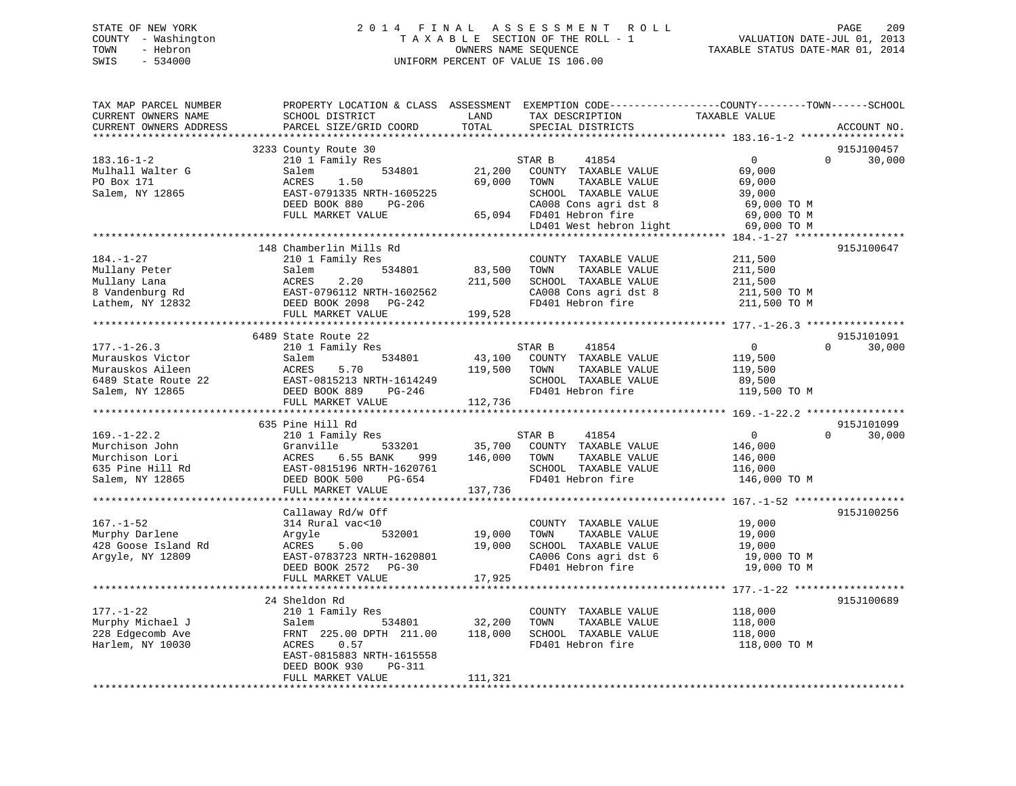# STATE OF NEW YORK 2 0 1 4 F I N A L A S S E S S M E N T R O L L PAGE 209 COUNTY - Washington T A X A B L E SECTION OF THE ROLL - 1 VALUATION DATE-JUL 01, 2013 TOWN - Hebron OWNERS NAME SEQUENCE TAXABLE STATUS DATE-MAR 01, 2014 SWIS - 534000 UNIFORM PERCENT OF VALUE IS 106.00

| TAX MAP PARCEL NUMBER<br>CURRENT OWNERS NAME<br>CURRENT OWNERS ADDRESS | PROPERTY LOCATION & CLASS ASSESSMENT<br>SCHOOL DISTRICT<br>PARCEL SIZE/GRID COORD | LAND<br>TOTAL | EXEMPTION CODE-----------------COUNTY-------TOWN------SCHOOL<br>TAX DESCRIPTION<br>SPECIAL DISTRICTS | TAXABLE VALUE  | ACCOUNT NO.                      |
|------------------------------------------------------------------------|-----------------------------------------------------------------------------------|---------------|------------------------------------------------------------------------------------------------------|----------------|----------------------------------|
| *************************                                              |                                                                                   |               |                                                                                                      |                |                                  |
| $183.16 - 1 - 2$                                                       | 3233 County Route 30<br>210 1 Family Res                                          |               | STAR B<br>41854                                                                                      | $\overline{0}$ | 915J100457<br>$\Omega$<br>30,000 |
| Mulhall Walter G                                                       | 534801<br>Salem                                                                   | 21,200        | COUNTY TAXABLE VALUE                                                                                 | 69,000         |                                  |
| PO Box 171                                                             | ACRES<br>1.50                                                                     | 69,000        | TOWN<br>TAXABLE VALUE                                                                                | 69,000         |                                  |
| Salem, NY 12865                                                        | EAST-0791335 NRTH-1605225                                                         |               | SCHOOL TAXABLE VALUE                                                                                 | 39,000         |                                  |
|                                                                        | DEED BOOK 880<br>PG-206                                                           |               | CA008 Cons agri dst 8                                                                                | 69,000 TO M    |                                  |
|                                                                        | FULL MARKET VALUE                                                                 |               | 65,094 FD401 Hebron fire                                                                             | 69,000 TO M    |                                  |
|                                                                        |                                                                                   |               | LD401 West hebron light                                                                              | 69,000 TO M    |                                  |
|                                                                        |                                                                                   |               |                                                                                                      |                |                                  |
|                                                                        | 148 Chamberlin Mills Rd                                                           |               |                                                                                                      |                | 915J100647                       |
| $184. - 1 - 27$                                                        | 210 1 Family Res                                                                  |               | COUNTY TAXABLE VALUE                                                                                 | 211,500        |                                  |
| Mullany Peter                                                          | 534801<br>Salem                                                                   | 83,500        | TOWN<br>TAXABLE VALUE                                                                                | 211,500        |                                  |
| Mullany Lana                                                           | ACRES<br>2.20                                                                     | 211,500       | SCHOOL TAXABLE VALUE                                                                                 | 211,500        |                                  |
| 8 Vandenburg Rd                                                        | EAST-0796112 NRTH-1602562                                                         |               | CA008 Cons agri dst 8                                                                                | 211,500 TO M   |                                  |
| Lathem, NY 12832                                                       | DEED BOOK 2098 PG-242                                                             |               | FD401 Hebron fire                                                                                    | 211,500 TO M   |                                  |
|                                                                        | FULL MARKET VALUE                                                                 | 199,528       |                                                                                                      |                |                                  |
|                                                                        |                                                                                   |               |                                                                                                      |                |                                  |
|                                                                        | 6489 State Route 22                                                               |               |                                                                                                      |                | 915J101091                       |
| $177. - 1 - 26.3$                                                      | 210 1 Family Res                                                                  |               | STAR B<br>41854                                                                                      | $\overline{0}$ | $\Omega$<br>30,000               |
|                                                                        | 534801                                                                            |               |                                                                                                      |                |                                  |
| Murauskos Victor                                                       | Salem                                                                             | 43,100        | COUNTY TAXABLE VALUE                                                                                 | 119,500        |                                  |
| Murauskos Aileen                                                       | ACRES<br>5.70                                                                     | 119,500       | TOWN<br>TAXABLE VALUE                                                                                | 119,500        |                                  |
| 6489 State Route 22                                                    | EAST-0815213 NRTH-1614249                                                         |               | SCHOOL TAXABLE VALUE                                                                                 | 89,500         |                                  |
| Salem, NY 12865                                                        | DEED BOOK 889<br>PG-246                                                           |               | FD401 Hebron fire                                                                                    | 119,500 TO M   |                                  |
|                                                                        | FULL MARKET VALUE                                                                 | 112,736       |                                                                                                      |                |                                  |
|                                                                        |                                                                                   |               |                                                                                                      |                |                                  |
|                                                                        | 635 Pine Hill Rd                                                                  |               |                                                                                                      |                | 915J101099                       |
| $169. - 1 - 22.2$                                                      | 210 1 Family Res                                                                  |               | STAR B<br>41854                                                                                      | $\overline{0}$ | $\Omega$<br>30,000               |
| Murchison John                                                         | Granville<br>533201                                                               | 35,700        | COUNTY TAXABLE VALUE                                                                                 | 146,000        |                                  |
| Murchison Lori                                                         | ACRES<br>6.55 BANK<br>999                                                         | 146,000       | TOWN<br>TAXABLE VALUE                                                                                | 146,000        |                                  |
| 635 Pine Hill Rd                                                       | EAST-0815196 NRTH-1620761                                                         |               | SCHOOL TAXABLE VALUE                                                                                 | 116,000        |                                  |
| Salem, NY 12865                                                        | DEED BOOK 500<br>PG-654                                                           |               | FD401 Hebron fire                                                                                    | 146,000 TO M   |                                  |
|                                                                        | FULL MARKET VALUE                                                                 | 137,736       |                                                                                                      |                |                                  |
|                                                                        |                                                                                   |               |                                                                                                      |                |                                  |
|                                                                        | Callaway Rd/w Off                                                                 |               |                                                                                                      |                | 915J100256                       |
| $167. - 1 - 52$                                                        | 314 Rural vac<10                                                                  |               | COUNTY TAXABLE VALUE                                                                                 | 19,000         |                                  |
| Murphy Darlene                                                         | 532001<br>Argyle                                                                  | 19,000        | TAXABLE VALUE<br>TOWN                                                                                | 19,000         |                                  |
| 428 Goose Island Rd                                                    | 5.00<br>ACRES                                                                     | 19,000        | SCHOOL TAXABLE VALUE                                                                                 | 19,000         |                                  |
| Argyle, NY 12809                                                       | EAST-0783723 NRTH-1620801                                                         |               | CA006 Cons agri dst 6                                                                                | 19,000 TO M    |                                  |
|                                                                        | DEED BOOK 2572 PG-30                                                              |               | FD401 Hebron fire                                                                                    | 19,000 TO M    |                                  |
|                                                                        | FULL MARKET VALUE                                                                 | 17,925        |                                                                                                      |                |                                  |
|                                                                        |                                                                                   |               |                                                                                                      |                |                                  |
|                                                                        | 24 Sheldon Rd                                                                     |               |                                                                                                      |                | 915J100689                       |
| $177. - 1 - 22$                                                        | 210 1 Family Res                                                                  |               | COUNTY TAXABLE VALUE                                                                                 | 118,000        |                                  |
| Murphy Michael J                                                       | Salem<br>534801                                                                   | 32,200        | TOWN<br>TAXABLE VALUE                                                                                | 118,000        |                                  |
| 228 Edgecomb Ave                                                       | FRNT 225.00 DPTH 211.00                                                           | 118,000       | SCHOOL TAXABLE VALUE                                                                                 | 118,000        |                                  |
| Harlem, NY 10030                                                       | ACRES<br>0.57                                                                     |               | FD401 Hebron fire                                                                                    | 118,000 TO M   |                                  |
|                                                                        | EAST-0815883 NRTH-1615558                                                         |               |                                                                                                      |                |                                  |
|                                                                        | DEED BOOK 930<br>PG-311                                                           |               |                                                                                                      |                |                                  |
|                                                                        | FULL MARKET VALUE                                                                 | 111,321       |                                                                                                      |                |                                  |
|                                                                        |                                                                                   |               |                                                                                                      |                |                                  |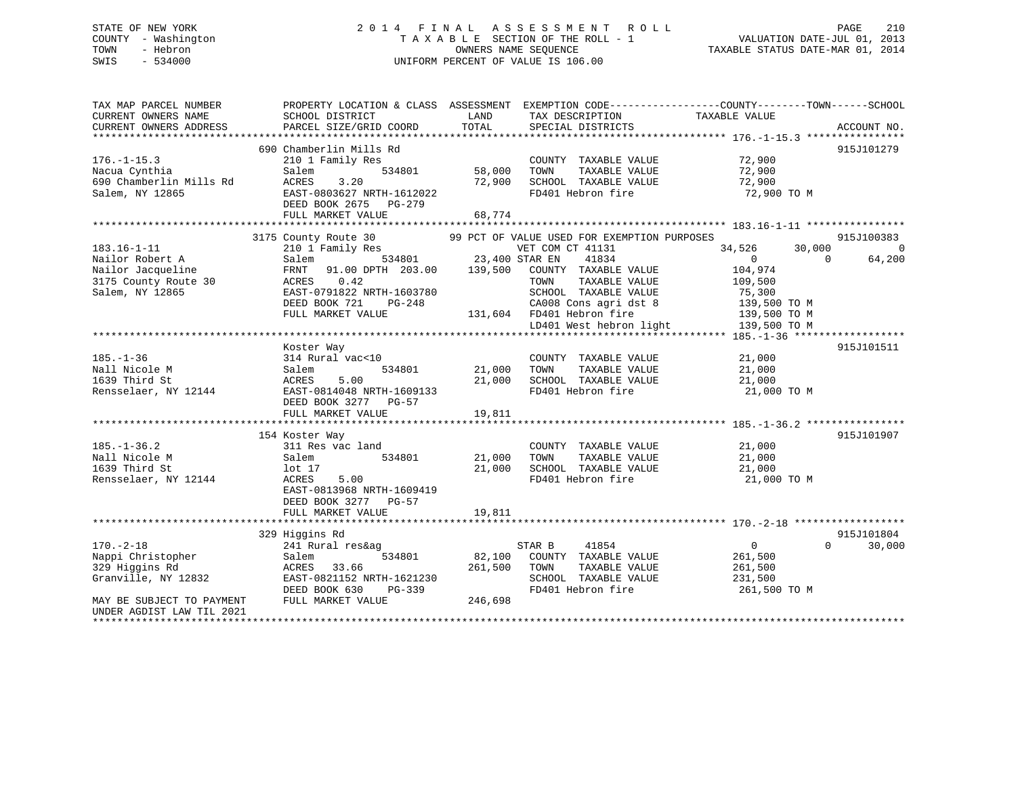# STATE OF NEW YORK 2 0 1 4 F I N A L A S S E S S M E N T R O L L PAGE 210 COUNTY - Washington T A X A B L E SECTION OF THE ROLL - 1 VALUATION DATE-JUL 01, 2013 TOWN - Hebron OWNERS NAME SEQUENCE TAXABLE STATUS DATE-MAR 01, 2014 SWIS - 534000 UNIFORM PERCENT OF VALUE IS 106.00

| TAX MAP PARCEL NUMBER<br>CURRENT OWNERS NAME           | PROPERTY LOCATION & CLASS ASSESSMENT<br>SCHOOL DISTRICT | LAND<br>TAX DESCRIPTION                     | EXEMPTION CODE-----------------COUNTY-------TOWN------SCHOOL<br>TAXABLE VALUE |
|--------------------------------------------------------|---------------------------------------------------------|---------------------------------------------|-------------------------------------------------------------------------------|
| CURRENT OWNERS ADDRESS                                 | PARCEL SIZE/GRID COORD                                  | TOTAL<br>SPECIAL DISTRICTS                  | ACCOUNT NO.                                                                   |
|                                                        |                                                         |                                             |                                                                               |
|                                                        | 690 Chamberlin Mills Rd                                 |                                             | 915J101279                                                                    |
| $176. - 1 - 15.3$                                      | 210 1 Family Res                                        | COUNTY TAXABLE VALUE                        | 72,900                                                                        |
| Nacua Cynthia                                          | 534801<br>Salem                                         | 58,000<br>TOWN<br>TAXABLE VALUE             | 72,900                                                                        |
| 690 Chamberlin Mills Rd                                | 3.20<br>ACRES                                           | 72,900<br>SCHOOL TAXABLE VALUE              | 72,900                                                                        |
| Salem, NY 12865                                        | EAST-0803627 NRTH-1612022<br>DEED BOOK 2675<br>PG-279   | FD401 Hebron fire                           | 72,900 TO M                                                                   |
|                                                        | FULL MARKET VALUE                                       | 68,774                                      |                                                                               |
|                                                        |                                                         |                                             |                                                                               |
|                                                        | 3175 County Route 30                                    | 99 PCT OF VALUE USED FOR EXEMPTION PURPOSES | 915J100383                                                                    |
| $183.16 - 1 - 11$                                      | 210 1 Family Res                                        | VET COM CT 41131                            | 34,526<br>30,000<br>$\Omega$                                                  |
| Nailor Robert A                                        | 534801<br>Salem                                         | 23,400 STAR EN<br>41834                     | 64,200<br>$\Omega$<br>$\Omega$                                                |
| Nailor Jacqueline                                      | 91.00 DPTH 203.00<br>FRNT                               | 139,500<br>COUNTY TAXABLE VALUE             | 104,974                                                                       |
| 3175 County Route 30                                   | ACRES<br>0.42                                           | TOWN<br>TAXABLE VALUE                       | 109,500                                                                       |
| Salem, NY 12865                                        | EAST-0791822 NRTH-1603780                               | SCHOOL TAXABLE VALUE                        | 75,300                                                                        |
|                                                        | DEED BOOK 721<br>PG-248                                 | CA008 Cons agri dst 8                       | 139,500 TO M                                                                  |
|                                                        | FULL MARKET VALUE                                       | 131,604 FD401 Hebron fire                   | 139,500 TO M                                                                  |
|                                                        |                                                         | LD401 West hebron light                     | 139,500 TO M                                                                  |
|                                                        |                                                         |                                             |                                                                               |
|                                                        | Koster Way                                              |                                             | 915J101511                                                                    |
| $185. - 1 - 36$                                        | 314 Rural vac<10                                        | COUNTY TAXABLE VALUE                        | 21,000                                                                        |
| Nall Nicole M                                          | 534801<br>Salem                                         | 21,000<br>TAXABLE VALUE<br>TOWN             | 21,000                                                                        |
| 1639 Third St                                          | 5.00<br>ACRES                                           | 21,000<br>SCHOOL TAXABLE VALUE              | 21,000                                                                        |
| Rensselaer, NY 12144                                   | EAST-0814048 NRTH-1609133                               | FD401 Hebron fire                           | 21,000 TO M                                                                   |
|                                                        | DEED BOOK 3277 PG-57                                    |                                             |                                                                               |
|                                                        | FULL MARKET VALUE                                       | 19,811                                      |                                                                               |
|                                                        |                                                         |                                             |                                                                               |
|                                                        | 154 Koster Way                                          |                                             | 915J101907                                                                    |
| $185. - 1 - 36.2$                                      | 311 Res vac land                                        | COUNTY TAXABLE VALUE                        | 21,000                                                                        |
| Nall Nicole M                                          | 534801<br>Salem                                         | 21,000<br>TOWN<br>TAXABLE VALUE             | 21,000                                                                        |
| 1639 Third St                                          | lot <sub>17</sub>                                       | 21,000<br>SCHOOL TAXABLE VALUE              | 21,000                                                                        |
| Rensselaer, NY 12144                                   | ACRES<br>5.00                                           | FD401 Hebron fire                           | 21,000 TO M                                                                   |
|                                                        | EAST-0813968 NRTH-1609419                               |                                             |                                                                               |
|                                                        | DEED BOOK 3277 PG-57                                    |                                             |                                                                               |
|                                                        | FULL MARKET VALUE                                       | 19,811                                      |                                                                               |
|                                                        |                                                         |                                             |                                                                               |
|                                                        | 329 Higgins Rd                                          |                                             | 915J101804                                                                    |
| $170. - 2 - 18$                                        |                                                         |                                             | $\overline{0}$<br>$\Omega$                                                    |
|                                                        | 241 Rural res&ag                                        | STAR B<br>41854                             | 30,000                                                                        |
| Nappi Christopher                                      | 534801<br>Salem                                         | 82,100<br>COUNTY TAXABLE VALUE              | 261,500                                                                       |
| 329 Higgins Rd                                         | 33.66<br>ACRES                                          | 261,500<br>TAXABLE VALUE<br>TOWN            | 261,500                                                                       |
| Granville, NY 12832                                    | EAST-0821152 NRTH-1621230                               | SCHOOL TAXABLE VALUE                        | 231,500                                                                       |
|                                                        | DEED BOOK 630<br>PG-339                                 | FD401 Hebron fire                           | 261,500 TO M                                                                  |
| MAY BE SUBJECT TO PAYMENT<br>UNDER AGDIST LAW TIL 2021 | FULL MARKET VALUE                                       | 246,698                                     |                                                                               |
|                                                        |                                                         |                                             |                                                                               |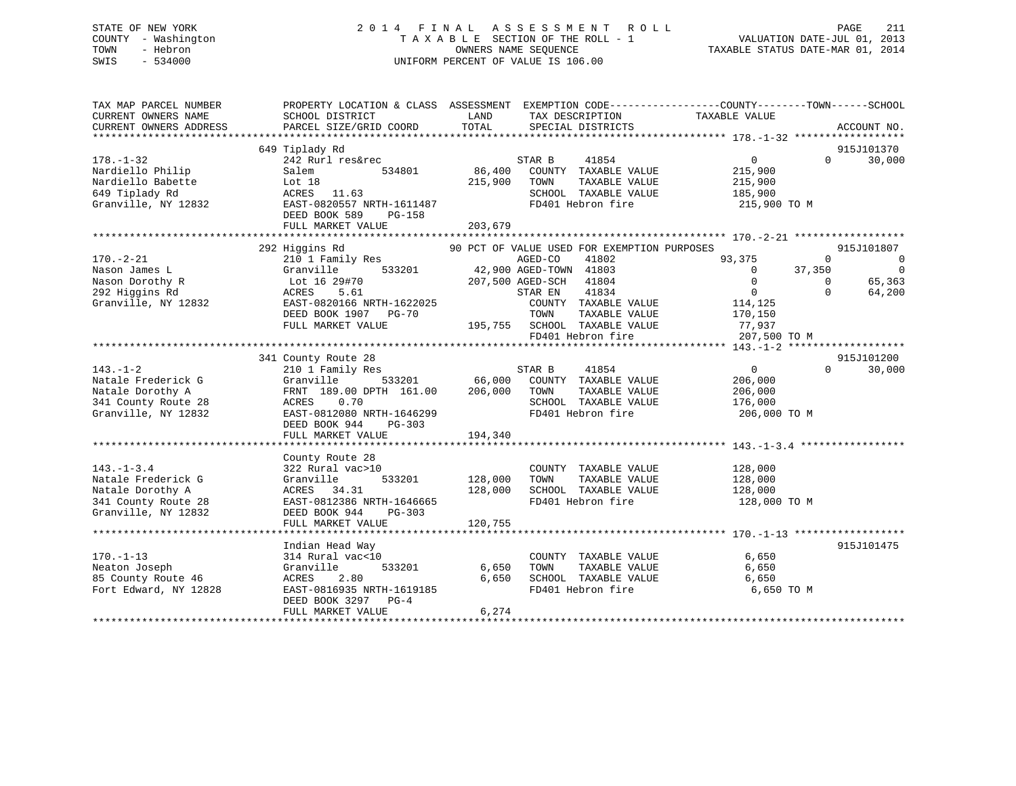# STATE OF NEW YORK 2 0 1 4 F I N A L A S S E S S M E N T R O L L PAGE 211 COUNTY - Washington T A X A B L E SECTION OF THE ROLL - 1 VALUATION DATE-JUL 01, 2013 TOWN - Hebron OWNERS NAME SEQUENCE TAXABLE STATUS DATE-MAR 01, 2014 SWIS - 534000 UNIFORM PERCENT OF VALUE IS 106.00

| TAX MAP PARCEL NUMBER<br>CURRENT OWNERS NAME                                                      | PROPERTY LOCATION & CLASS ASSESSMENT EXEMPTION CODE---------------COUNTY-------TOWN-----SCHOOL<br>SCHOOL DISTRICT                         | LAND                         | TAX DESCRIPTION                                                                                                       | TAXABLE VALUE                                        |                                          |
|---------------------------------------------------------------------------------------------------|-------------------------------------------------------------------------------------------------------------------------------------------|------------------------------|-----------------------------------------------------------------------------------------------------------------------|------------------------------------------------------|------------------------------------------|
| CURRENT OWNERS ADDRESS                                                                            | PARCEL SIZE/GRID COORD                                                                                                                    | TOTAL                        | SPECIAL DISTRICTS                                                                                                     |                                                      | ACCOUNT NO.                              |
|                                                                                                   | 649 Tiplady Rd                                                                                                                            |                              |                                                                                                                       |                                                      | 915J101370                               |
| $178. - 1 - 32$<br>Nardiello Philip<br>Nardiello Babette<br>649 Tiplady Rd<br>Granville, NY 12832 | 242 Rurl res&rec<br>534801<br>Salem<br>Lot 18<br>ACRES 11.63<br>EAST-0820557 NRTH-1611487<br>DEED BOOK 589<br>PG-158<br>FULL MARKET VALUE | 86,400<br>215,900<br>203,679 | 41854<br>STAR B<br>COUNTY TAXABLE VALUE<br>TOWN<br>TAXABLE VALUE<br>SCHOOL TAXABLE VALUE 185,900<br>FD401 Hebron fire | $\overline{0}$<br>215,900<br>215,900<br>215,900 TO M | $\Omega$<br>30,000                       |
| $170. - 2 - 21$                                                                                   | 292 Higgins Rd<br>210 1 Family Res                                                                                                        |                              | 90 PCT OF VALUE USED FOR EXEMPTION PURPOSES<br>AGED-CO<br>41802                                                       | 93,375                                               | 915J101807<br>$\Omega$<br>$\overline{0}$ |
| Nason James L                                                                                     | Granville                                                                                                                                 |                              | 533201 42,900 AGED-TOWN 41803                                                                                         | 37,350<br>$\Omega$                                   | $\overline{0}$                           |
| Nason Dorothy R                                                                                   | Lot 16 $29#70$                                                                                                                            |                              | 207,500 AGED-SCH 41804                                                                                                | $\overline{0}$                                       | 65,363<br>$\overline{0}$                 |
| 292 Higgins Rd                                                                                    | ACRES<br>5.61                                                                                                                             |                              | 41834<br>STAR EN                                                                                                      | $\overline{0}$                                       | 64,200<br>$\Omega$                       |
| Granville, NY 12832                                                                               | EAST-0820166 NRTH-1622025<br>DEED BOOK 1907 PG-70                                                                                         |                              | COUNTY TAXABLE VALUE<br>TOWN<br>TAXABLE VALUE                                                                         | 114,125<br>170,150                                   |                                          |
|                                                                                                   | FULL MARKET VALUE                                                                                                                         |                              | 195,755 SCHOOL TAXABLE VALUE                                                                                          | 77,937                                               |                                          |
|                                                                                                   |                                                                                                                                           |                              | FD401 Hebron fire                                                                                                     | 207,500 TO M                                         |                                          |
|                                                                                                   |                                                                                                                                           |                              |                                                                                                                       |                                                      |                                          |
| $143. - 1 - 2$                                                                                    | 341 County Route 28<br>210 1 Family Res                                                                                                   |                              | 41854<br>STAR B                                                                                                       | $\sim$ 0                                             | 915J101200<br>$\Omega$<br>30,000         |
| Natale Frederick G                                                                                | Granville                                                                                                                                 |                              | 533201 66,000 COUNTY TAXABLE VALUE                                                                                    | 206,000                                              |                                          |
| Natale Dorothy A                                                                                  | FRNT 189.00 DPTH 161.00 206,000                                                                                                           |                              | TOWN<br>TAXABLE VALUE                                                                                                 | 206,000                                              |                                          |
| 341 County Route 28<br>Granville, NY 12832                                                        | 0.70<br>ACRES<br>EAST-0812080 NRTH-1646299                                                                                                |                              | SCHOOL TAXABLE VALUE<br>FD401 Hebron fire                                                                             | 176,000<br>206,000 TO M                              |                                          |
|                                                                                                   | DEED BOOK 944<br>$PG-303$                                                                                                                 |                              |                                                                                                                       |                                                      |                                          |
|                                                                                                   | FULL MARKET VALUE                                                                                                                         | 194,340                      |                                                                                                                       |                                                      |                                          |
|                                                                                                   |                                                                                                                                           |                              |                                                                                                                       |                                                      |                                          |
| $143. - 1 - 3.4$                                                                                  | County Route 28<br>322 Rural vac>10                                                                                                       |                              | COUNTY TAXABLE VALUE                                                                                                  | 128,000                                              |                                          |
| Natale Frederick G                                                                                | 533201<br>Granville                                                                                                                       | 128,000                      | TOWN<br>TAXABLE VALUE                                                                                                 | 128,000                                              |                                          |
| Natale Dorothy A                                                                                  | ACRES 34.31                                                                                                                               | 128,000                      | SCHOOL TAXABLE VALUE                                                                                                  | 128,000                                              |                                          |
| 341 County Route 28                                                                               | EAST-0812386 NRTH-1646665                                                                                                                 |                              | FD401 Hebron fire                                                                                                     | 128,000 TO M                                         |                                          |
| Granville, NY 12832                                                                               | DEED BOOK 944<br>PG-303<br>FULL MARKET VALUE                                                                                              | 120,755                      |                                                                                                                       |                                                      |                                          |
|                                                                                                   |                                                                                                                                           |                              |                                                                                                                       |                                                      |                                          |
|                                                                                                   | Indian Head Way                                                                                                                           |                              |                                                                                                                       |                                                      | 915J101475                               |
| $170. - 1 - 13$<br>Neaton Joseph                                                                  | 314 Rural vac<10<br>Granville<br>533201                                                                                                   | 6,650                        | COUNTY TAXABLE VALUE<br>TAXABLE VALUE<br>TOWN                                                                         | 6,650<br>6,650                                       |                                          |
| 85 County Route 46                                                                                | ACRES<br>2.80                                                                                                                             | 6,650                        | SCHOOL TAXABLE VALUE                                                                                                  | 6,650                                                |                                          |
| Fort Edward, NY 12828                                                                             | EAST-0816935 NRTH-1619185                                                                                                                 |                              | FD401 Hebron fire                                                                                                     | 6,650 TO M                                           |                                          |
|                                                                                                   | DEED BOOK 3297 PG-4                                                                                                                       |                              |                                                                                                                       |                                                      |                                          |
|                                                                                                   | FULL MARKET VALUE                                                                                                                         | 6,274                        |                                                                                                                       |                                                      |                                          |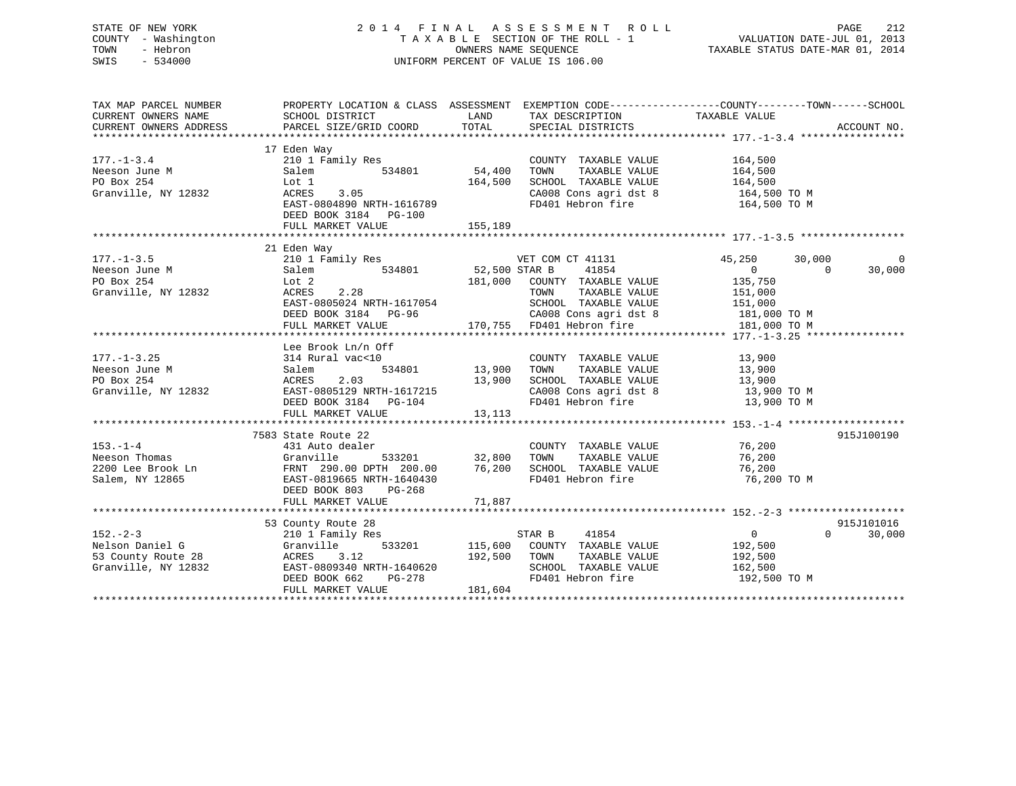# STATE OF NEW YORK 2 0 1 4 F I N A L A S S E S S M E N T R O L L PAGE 212 COUNTY - Washington T A X A B L E SECTION OF THE ROLL - 1 VALUATION DATE-JUL 01, 2013 TOWN - Hebron OWNERS NAME SEQUENCE TAXABLE STATUS DATE-MAR 01, 2014 SWIS - 534000 UNIFORM PERCENT OF VALUE IS 106.00

| TAX MAP PARCEL NUMBER                                                                               | PROPERTY LOCATION & CLASS ASSESSMENT EXEMPTION CODE---------------COUNTY-------TOWN-----SCHOOL                                                            |                                           |                                                                                                                                                                               |                                                                           |                                  |
|-----------------------------------------------------------------------------------------------------|-----------------------------------------------------------------------------------------------------------------------------------------------------------|-------------------------------------------|-------------------------------------------------------------------------------------------------------------------------------------------------------------------------------|---------------------------------------------------------------------------|----------------------------------|
| $177. - 1 - 3.4$<br>Neeson June M<br>PO Box 254<br>Granville, NY 12832                              | 17 Eden Way<br>210 1 Family Res<br>Salem<br>534801<br>Lot 1<br>ACRES 3.05<br>EAST-0804890 NRTH-1616789<br>DEED BOOK 3184 PG-100<br>FULL MARKET VALUE      | 54,400<br>164,500<br>155,189              | COUNTY TAXABLE VALUE<br>TAXABLE VALUE<br>TOWN<br>SCHOOL TAXABLE VALUE<br>CA008 Cons agri dst 8<br>FD401 Hebron fire                                                           | 164,500<br>164,500<br>164,500<br>164,500 TO M<br>164,500 TO M             |                                  |
| $177. - 1 - 3.5$<br>Neeson June M<br>DO Box 254<br>Granville, NY 12832                              | 21 Eden Way<br>210 1 Family Res<br>534801<br>Salem<br>Lot 2<br>ACRES<br>2.28<br>EAST-0805024 NRTH-1617054<br>DEED BOOK 3184 PG-96<br>FULL MARKET VALUE    | VET COM<br>52,500 STAR B                  | VET COM CT 41131<br>41854<br>181,000 COUNTY TAXABLE VALUE<br>TAXABLE VALUE<br>TOWN<br>SCHOOL TAXABLE VALUE<br>CA008 Cons agri dst 8 181,000 TO M<br>170,755 FD401 Hebron fire | 45,250<br>$\overline{0}$<br>135,750<br>151,000<br>151,000<br>181,000 TO M | 30,000<br>$\Omega$<br>30,000     |
| $177. - 1 - 3.25$<br>Neeson June M<br>PO Box 254<br>Granville, NY 12832                             | Lee Brook Ln/n Off<br>314 Rural vac<10<br>Salem<br>2.03<br>ACRES<br>ACRES 2.03<br>EAST-0805129 NRTH-1617215<br>DEED BOOK 3184 PG-104<br>FULL MARKET VALUE | 534801 13,900<br>13,900<br>13, 113        | COUNTY TAXABLE VALUE<br>TOWN<br>TAXABLE VALUE<br>SCHOOL TAXABLE VALUE $13,900$<br>CA008 Cons agri dst 8 $13,900$ TO M<br>FD401 Hebron fire $13,900$ TO M                      | 13,900<br>13,900                                                          |                                  |
| $153. - 1 - 4$<br>Neeson Thomas<br>Salem, NY 12865                                                  | 7583 State Route 22<br>431 Auto dealer<br>Granville<br>EAST-0819665 NRTH-1640430<br>DEED BOOK 803<br>PG-268<br>FULL MARKET VALUE                          | 533201 32,800<br>76,200<br>71,887         | COUNTY TAXABLE VALUE<br>TAXABLE VALUE<br>TOWN<br>SCHOOL TAXABLE VALUE<br>FD401 Hebron fire                                                                                    | 76,200<br>76,200<br>76,200<br>76,200 ТО М                                 | 915J100190                       |
| $152 - 2 - 3$<br>Nelson Daniel G<br>53 County Route 28<br>Cranville NY 12832<br>Granville, NY 12832 | 53 County Route 28<br>210 1 Family Res<br>Granville<br>ACRES<br>3.12<br>EAST-0809340 NRTH-1640620<br>DEED BOOK 662<br>FULL MARKET VALUE                   | 192,500<br>H-1640620<br>PG-278<br>181,604 | STAR B 41854<br>533201 115,600 COUNTY TAXABLE VALUE<br>TAXABLE VALUE<br>TOWN<br>SCHOOL TAXABLE VALUE<br>FD401 Hebron fire                                                     | $\overline{0}$<br>192,500<br>192,500<br>162,500<br>192,500 TO M           | 915J101016<br>$\Omega$<br>30,000 |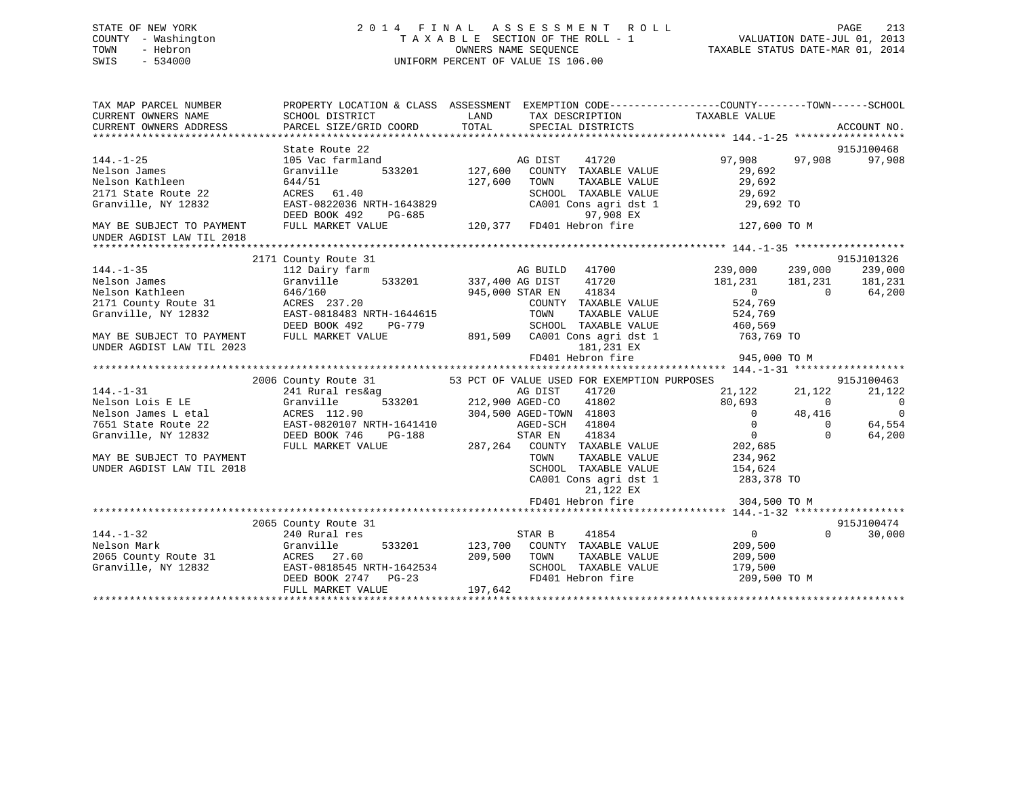# STATE OF NEW YORK 2 0 1 4 F I N A L A S S E S S M E N T R O L L PAGE 213 COUNTY - Washington T A X A B L E SECTION OF THE ROLL - 1 VALUATION DATE-JUL 01, 2013 TOWN - Hebron **CONNERS NAME SEQUENCE** TAXABLE STATUS DATE-MAR 01, 2014 SWIS - 534000 UNIFORM PERCENT OF VALUE IS 106.00

| TAX MAP PARCEL NUMBER<br>CURRENT OWNERS NAME<br>CURRENT OWNERS ADDRESS                                                                                             | SCHOOL DISTRICT<br>PARCEL SIZE/GRID COORD                                                                                                                          | LAND<br>TOTAL                        | TAX DESCRIPTION TAXABLE VALUE<br>SPECIAL DISTRICTS                                                                                                                                                                                                                                    | PROPERTY LOCATION & CLASS ASSESSMENT EXEMPTION CODE---------------COUNTY-------TOWN-----SCHOOL                                                                                                      | ACCOUNT NO.                                                                  |
|--------------------------------------------------------------------------------------------------------------------------------------------------------------------|--------------------------------------------------------------------------------------------------------------------------------------------------------------------|--------------------------------------|---------------------------------------------------------------------------------------------------------------------------------------------------------------------------------------------------------------------------------------------------------------------------------------|-----------------------------------------------------------------------------------------------------------------------------------------------------------------------------------------------------|------------------------------------------------------------------------------|
| $144. - 1 - 25$<br>Nelson James<br>Nelson Kathleen<br>2171 State Route 22<br>Granville, NY 12832<br>MAY BE SUBJECT TO PAYMENT<br>UNDER AGDIST LAW TIL 2018         | State Route 22<br>105 Vac farmland<br>Granville<br>644/51<br>ACRES 61.40<br>EAST-0822036 NRTH-1643829<br>DEED BOOK 492<br>FULL MARKET VALUE                        | 533201 127,600<br>127,600            | AG DIST<br>41720<br>COUNTY TAXABLE VALUE<br>TAXABLE VALUE<br>TOWN<br>SCHOOL TAXABLE VALUE<br>CA001 Cons agri dst 1<br>97,908 EX<br>97, 908 MHz<br>E 120, 377 PD401 Hebron fire                                                                                                        | 97,908<br>97,908<br>29,692<br>29,692<br>29,692<br>29,692 TO<br>127,600 TO M                                                                                                                         | 915J100468<br>97,908                                                         |
| $144. - 1 - 35$<br>Nelson James                                                                                                                                    | 2171 County Route 31<br>112 Dairy farm<br>533201 337,400 AG DIST<br>Granville                                                                                      |                                      | AG BUILD 41700<br>41720                                                                                                                                                                                                                                                               | 239,000<br>239,000<br>181,231<br>181,231                                                                                                                                                            | 915J101326<br>239,000<br>181,231                                             |
| Nelson Kathleen<br>2171 County Route 31<br>Granville, NY 12832<br>MAY BE SUBJECT TO PAYMENT<br>UNDER AGDIST LAW TIL 2023                                           | 646/160<br>ACRES 237.20<br>EAST-0818483 NRTH-1644615<br>DEED BOOK 492<br>PG-779<br>FULL MARKET VALUE                                                               |                                      | 41834<br>945,000 STAR EN<br>COUNTY TAXABLE VALUE<br>TOWN<br>TAXABLE VALUE<br>SCHOOL TAXABLE VALUE<br>891,509 CA001 Cons agri dst 1 763,769 TO<br>181,231 EX                                                                                                                           | $\overline{0}$<br>$\overline{0}$<br>524,769<br>524,769<br>460,569                                                                                                                                   | 64,200                                                                       |
|                                                                                                                                                                    |                                                                                                                                                                    |                                      |                                                                                                                                                                                                                                                                                       |                                                                                                                                                                                                     |                                                                              |
| $144. - 1 - 31$<br>Nelson Lois E LE<br>Nelson James L etal<br>7651 State Route 22<br>Granville, NY 12832<br>MAY BE SUBJECT TO PAYMENT<br>UNDER AGDIST LAW TIL 2018 | 2006 County Route 31<br>241 Rural res&ag<br>Granville<br>ACRES 112.90<br>ACRES 112.90<br>EAST-0820107 NRTH-1641410<br>DEED BOOK 746<br>PG-188<br>FULL MARKET VALUE | 533201 212,900 AGED-CO               | 53 PCT OF VALUE USED FOR EXEMPTION PURPOSES<br>AG DIST<br>41720<br>41802<br>304,500 AGED-TOWN 41803<br>AGED-SCH<br>41804<br>STAR EN 41834<br>287,264 COUNTY TAXABLE VALUE<br>TOWN<br>TAXABLE VALUE<br>SCHOOL TAXABLE VALUE<br>CA001 Cons agri dst 1<br>21,122 EX<br>FD401 Hebron fire | 21,122<br>21,122<br>80,693<br>$\overline{0}$<br>$\overline{0}$<br>48,416<br>$\overline{0}$<br>$\Omega$<br>$\overline{0}$<br>$\Omega$<br>202,685<br>234,962<br>154,624<br>283,378 TO<br>304,500 TO M | 915J100463<br>21,122<br>$\overline{0}$<br>$\overline{0}$<br>64,554<br>64,200 |
|                                                                                                                                                                    | 2065 County Route 31                                                                                                                                               |                                      |                                                                                                                                                                                                                                                                                       |                                                                                                                                                                                                     | 915J100474                                                                   |
| $144. - 1 - 32$<br>Nelson Mark<br>2065 County Route 31<br>Granville, NY 12832                                                                                      | 240 Rural res<br>Granville<br>ACRES 27.60 209<br>EAST-0818545 NRTH-1642534<br>DEED BOOK 2747 PG-23<br>FULL MARKET VALUE                                            | 533201 123,700<br>209,500<br>197,642 | STAR B<br>41854<br>COUNTY TAXABLE VALUE<br>TOWN<br>TAXABLE VALUE<br>SCHOOL TAXABLE VALUE<br>FD401 Hebron fire                                                                                                                                                                         | $\overline{0}$<br>$\Omega$<br>209,500<br>209,500<br>179,500<br>209,500 TO M                                                                                                                         | 30,000                                                                       |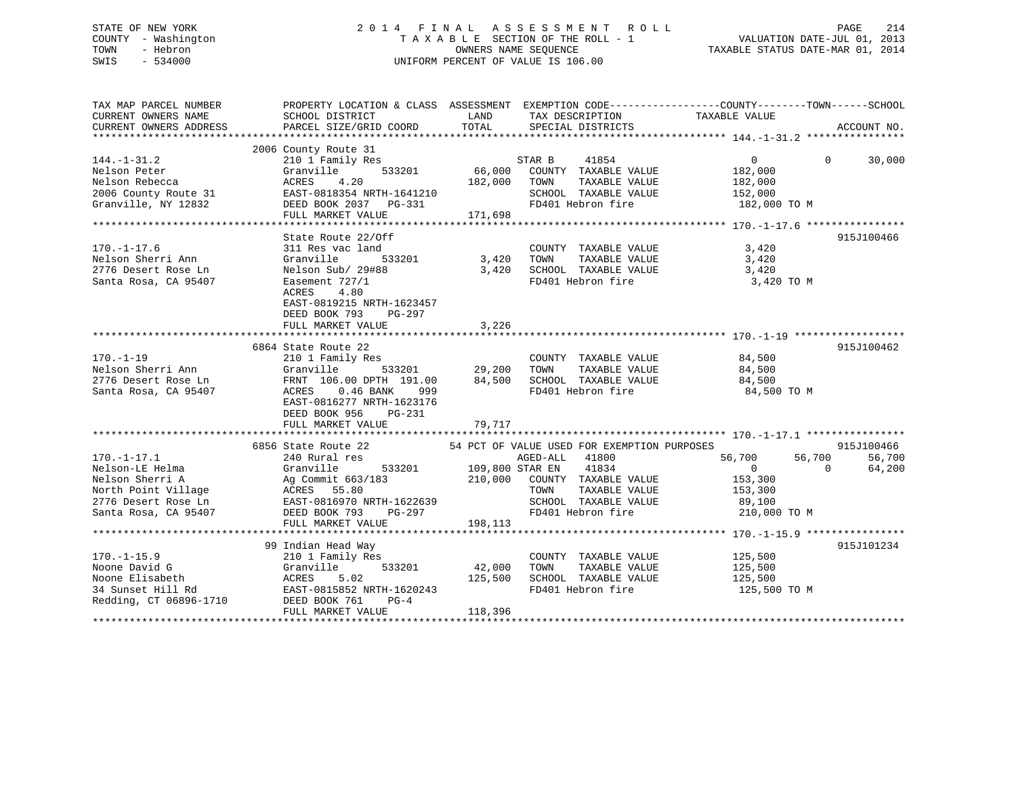# STATE OF NEW YORK 2 0 1 4 F I N A L A S S E S S M E N T R O L L PAGE 214 COUNTY - Washington T A X A B L E SECTION OF THE ROLL - 1 VALUATION DATE-JUL 01, 2013 TOWN - Hebron OWNERS NAME SEQUENCE TAXABLE STATUS DATE-MAR 01, 2014 SWIS - 534000 UNIFORM PERCENT OF VALUE IS 106.00

| TAX MAP PARCEL NUMBER<br>CURRENT OWNERS NAME<br>CURRENT OWNERS ADDRESS                | SCHOOL DISTRICT<br>PARCEL SIZE/GRID COORD                                                                                                                                                                                                                                                                                                                                         |         | LAND TAX DESCRIPTION<br>TOTAL SPECIAL DISTRICTS                                                                                                                                                                                                                                                                                                                                                                                                                                                                                                                                                                                                                                                                                    | PROPERTY LOCATION & CLASS ASSESSMENT EXEMPTION CODE-----------------COUNTY-------TOWN------SCHOOL<br>TAXABLE VALUE | ACCOUNT NO.                    |
|---------------------------------------------------------------------------------------|-----------------------------------------------------------------------------------------------------------------------------------------------------------------------------------------------------------------------------------------------------------------------------------------------------------------------------------------------------------------------------------|---------|------------------------------------------------------------------------------------------------------------------------------------------------------------------------------------------------------------------------------------------------------------------------------------------------------------------------------------------------------------------------------------------------------------------------------------------------------------------------------------------------------------------------------------------------------------------------------------------------------------------------------------------------------------------------------------------------------------------------------------|--------------------------------------------------------------------------------------------------------------------|--------------------------------|
|                                                                                       | 3006 County Route 31<br>144.-1-31.2 2006 County Route 31<br>Nelson Rebecca (Scanville 533201 66,000 COUNTY TAXABLE VALUE 182,000<br>Nelson Rebecca (ACRES 4.20 182,000 TOWN TAXABLE VALUE 182,000<br>2006 County Route 31 EAST-0818334                                                                                                                                            |         |                                                                                                                                                                                                                                                                                                                                                                                                                                                                                                                                                                                                                                                                                                                                    |                                                                                                                    |                                |
| $170. - 1 - 17.6$<br>Nelson Sherri Ann<br>2776 Desert Rose Ln<br>Santa Rosa, CA 95407 | State Route 22/Off<br>311 Res vac land<br>Granville<br>Nelson Sub/ 29#88<br>Easement 727/1<br>4.80<br>ACRES<br>EAST-0819215 NRTH-1623457<br>DEED BOOK 793 PG-297<br>FULL MARKET VALUE                                                                                                                                                                                             | 3,226   | $\begin{tabular}{lllllll} \multicolumn{2}{l}{{\small \texttt{COUNTY}}} & \multicolumn{2}{l}{\small \texttt{TAXABLE} } \texttt{VALUE} & \multicolumn{2}{l}{\small \texttt{3,420}}\\ \multicolumn{2}{l}{\small \texttt{COUNTY}} & \multicolumn{2}{l}{\small \texttt{TAXABLE} } \texttt{VALUE} & \multicolumn{2}{l}{\small \texttt{3,420}}\\ \multicolumn{2}{l}{\small \texttt{1}} & \multicolumn{2}{l}{\small \texttt{5}} & \multicolumn{2}{l}{\small \texttt{5}} & \multicolumn{2}{l}{\small \texttt{6}}$<br>$\begin{array}{ccccccccc} & 533201 & & 3,420 & & 70\text{WN} & & \text{TAXABLE VALUE} & & & 3,420 \\ \text{\textit{7 29#88}} & & & 3,420 & & \text{SCHOOL TAXABLE VALUE} & & & 3,420 \end{array}$<br>FD401 Hebron fire | 3,420 TO M                                                                                                         | 915J100466                     |
|                                                                                       | 170.-1-19<br>170.-1-19<br>210 1 Family Res<br>29,200 TOWN TAXABLE VALUE<br>2776 Desert Rose Ln<br>2776 Desert Rose Ln<br>2776 Desert Rose Ln<br>2776 Desert Rose Ln<br>2776 Desert Rose Ln<br>2776 Desert Rose Ln<br>2776 Desert Rose Ln<br>2776 Des<br>EAST-0816277 NRTH-1623176<br>DEED BOOK 956 PG-231<br>FULL MARKET VALUE 79,717                                             |         |                                                                                                                                                                                                                                                                                                                                                                                                                                                                                                                                                                                                                                                                                                                                    | 84,500 TO M                                                                                                        | 915J100462                     |
| $170. - 1 - 17.1$<br>Nelson-LE Helma                                                  | 6856 State Route 22 54 PCT OF VALUE USED FOR EXEMPTION PURPOSES<br>240 Rural res<br>Granville 533201 109,800 STAR EN<br>Nelson Sherri A and Mag Commit 663/183 210,000 COUNTY TAXABLE VALUE 153,300<br>North Point Village ACRES 55.80 210,000 COUNTY TAXABLE VALUE 153,300<br>North Point Village BACRES 55.80 TOWN TAXABLE VALUE 153,300<br>SANTA ROSA, CA<br>FULL MARKET VALUE | 198,113 | AGED-ALL 41800<br>41834                                                                                                                                                                                                                                                                                                                                                                                                                                                                                                                                                                                                                                                                                                            | 56,700   56,700<br>0    0                                                                                          | 915J100466<br>56,700<br>64,200 |
|                                                                                       | 99 Indian Head Way<br>210 1 Family Res<br>FULL MARKET VALUE                                                                                                                                                                                                                                                                                                                       | 118,396 | COUNTY TAXABLE VALUE 125,500<br>TOWN TAXABLE VALUE 125,500                                                                                                                                                                                                                                                                                                                                                                                                                                                                                                                                                                                                                                                                         | 125,500 TO M                                                                                                       | 915J101234                     |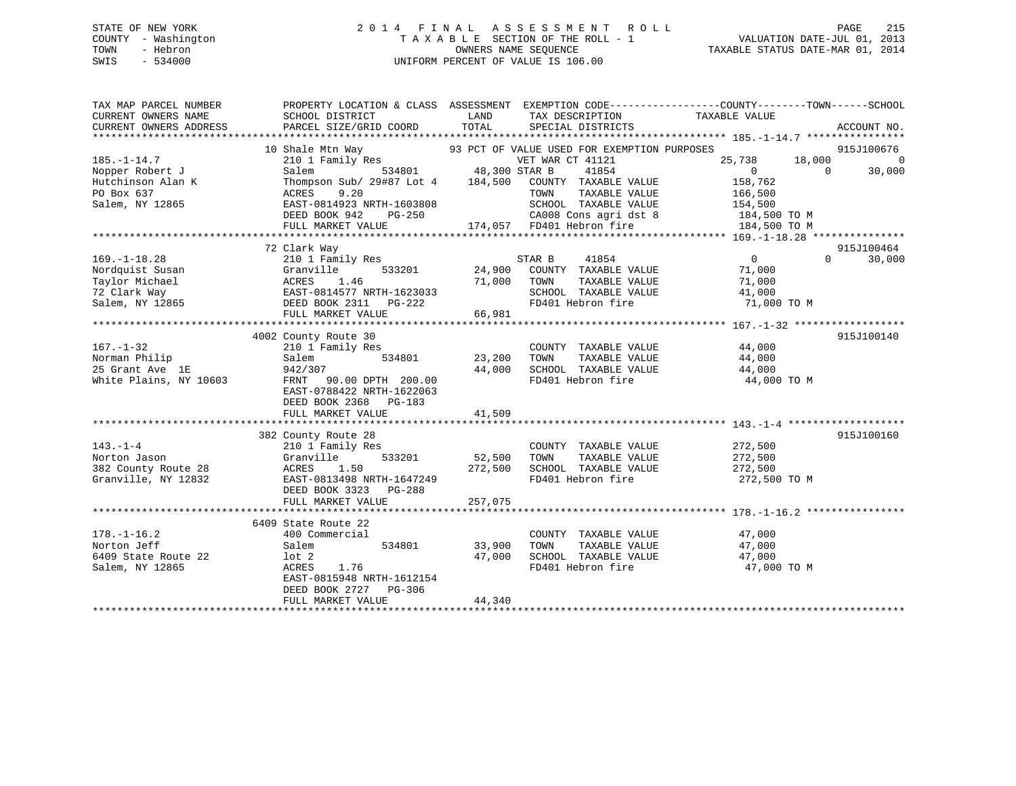# STATE OF NEW YORK 2 0 1 4 F I N A L A S S E S S M E N T R O L L PAGE 215 COUNTY - Washington T A X A B L E SECTION OF THE ROLL - 1 VALUATION DATE-JUL 01, 2013 TOWN - Hebron OWNERS NAME SEQUENCE TAXABLE STATUS DATE-MAR 01, 2014 SWIS - 534000 UNIFORM PERCENT OF VALUE IS 106.00

| TAX MAP PARCEL NUMBER                                                                         | PROPERTY LOCATION & CLASS ASSESSMENT EXEMPTION CODE---------------COUNTY-------TOWN-----SCHOOL                                                                                                                                       |          |                                                                                     |                                              |                          |
|-----------------------------------------------------------------------------------------------|--------------------------------------------------------------------------------------------------------------------------------------------------------------------------------------------------------------------------------------|----------|-------------------------------------------------------------------------------------|----------------------------------------------|--------------------------|
| CURRENT OWNERS NAME                                                                           | SCHOOL DISTRICT                                                                                                                                                                                                                      | LAND     | TAX DESCRIPTION                                                                     | TAXABLE VALUE                                |                          |
|                                                                                               |                                                                                                                                                                                                                                      |          |                                                                                     |                                              |                          |
|                                                                                               |                                                                                                                                                                                                                                      |          |                                                                                     |                                              | 915J100676               |
| $185. - 1 - 14.7$                                                                             | 10 Shale Mtn Way 93 PCT OF VALUE USED FOR EXEMPTION PURPOSES<br>210 1 Family Res VET WAR CT 41121<br>534801 48,300 STAR B 41854                                                                                                      |          |                                                                                     | 25,738 18,000                                | $\overline{\phantom{0}}$ |
| Nopper Robert J                                                                               |                                                                                                                                                                                                                                      |          |                                                                                     | $\overline{0}$                               | 30,000<br>$\overline{0}$ |
|                                                                                               |                                                                                                                                                                                                                                      |          |                                                                                     | 158,762                                      |                          |
|                                                                                               |                                                                                                                                                                                                                                      |          |                                                                                     |                                              |                          |
|                                                                                               |                                                                                                                                                                                                                                      |          |                                                                                     |                                              |                          |
|                                                                                               | Nopper Robert of the Thompson Sub/29#87 Lot 4 184,500 COUNTY TAXABLE VALUE<br>PO Box 637 ACRES 9.20 TOWN TAXABLE VALUE 166,500<br>Salem, NY 12865 EAST-0814923 NRTH-1603808 SCHOOL TAXABLE VALUE 154,500<br>DEED ROOK 942 PG-250 CA0 |          |                                                                                     |                                              |                          |
|                                                                                               | FULL MARKET VALUE                                                                                                                                                                                                                    |          | PG-250 CA008 Cons agri dst 8 184,500 TO M<br>174,057 FD401 Hebron fire 184,500 TO M |                                              |                          |
|                                                                                               |                                                                                                                                                                                                                                      |          |                                                                                     |                                              |                          |
|                                                                                               | 72 Clark Way                                                                                                                                                                                                                         |          |                                                                                     |                                              | 915J100464               |
| $169. - 1 - 18.28$                                                                            | 210 1 Family Res                                                                                                                                                                                                                     |          | 1y Res 533201 24,900 COUNTY TAXABLE VALUE                                           | $\begin{array}{c} 0 \\ 71.000 \end{array}$   | $\Omega$<br>30,000       |
|                                                                                               | 169.-1-18.28<br>Nordquist Susan<br>Nordquist Susan Granville 533201 24,900 COUNTY<br>Taylor Michael ACRES 1.46 71,000 TOWN<br>72 Clark Way EAST-0814577 NRTH-1623033<br>Salem, NY 12865<br>DEED BOOK 2311 PG-222<br>PG-222 FD401 He  |          |                                                                                     | 71,000                                       |                          |
|                                                                                               |                                                                                                                                                                                                                                      |          |                                                                                     | TAXABLE VALUE 71,000                         |                          |
|                                                                                               |                                                                                                                                                                                                                                      |          | SCHOOL TAXABLE VALUE 41,000<br>FD401 Hebron fire 71,000                             |                                              |                          |
|                                                                                               |                                                                                                                                                                                                                                      |          |                                                                                     | 71,000 TO M                                  |                          |
|                                                                                               | FULL MARKET VALUE                                                                                                                                                                                                                    | 66,981   |                                                                                     |                                              |                          |
|                                                                                               |                                                                                                                                                                                                                                      |          |                                                                                     |                                              |                          |
|                                                                                               | 4002 County Route 30                                                                                                                                                                                                                 |          |                                                                                     |                                              | 915J100140               |
| $167. - 1 - 32$                                                                               | 210 1 Family Res COUNTY<br>Salem 534801 23,200 TOWN                                                                                                                                                                                  |          | COUNTY TAXABLE VALUE 44,000<br>TOWN TAXABLE VALUE 44,000                            |                                              |                          |
|                                                                                               |                                                                                                                                                                                                                                      |          |                                                                                     |                                              |                          |
| 167.-1-32 210 1 Fam<br>Norman Philip 25 Grant Ave 1E 942/307<br>White Plains, NY 10603 FRNT 9 |                                                                                                                                                                                                                                      | 44,000   | SCHOOL TAXABLE VALUE 44,000                                                         |                                              |                          |
|                                                                                               | FRNT 90.00 DPTH 200.00                                                                                                                                                                                                               |          | FD401 Hebron fire                                                                   | 44,000 TO M                                  |                          |
|                                                                                               | EAST-0788422 NRTH-1622063                                                                                                                                                                                                            |          |                                                                                     |                                              |                          |
|                                                                                               | DEED BOOK 2368 PG-183                                                                                                                                                                                                                |          |                                                                                     |                                              |                          |
|                                                                                               | FULL MARKET VALUE                                                                                                                                                                                                                    | 41,509   |                                                                                     |                                              |                          |
|                                                                                               |                                                                                                                                                                                                                                      |          |                                                                                     |                                              |                          |
|                                                                                               | 382 County Route 28                                                                                                                                                                                                                  |          |                                                                                     |                                              | 915J100160               |
| $143. - 1 - 4$                                                                                | 210 1 Family Res                                                                                                                                                                                                                     |          | COUNTY TAXABLE VALUE 272,500                                                        |                                              |                          |
| Norton Jason<br>382 County Route 28 6 ACRES                                                   | 533201<br>Granville                                                                                                                                                                                                                  |          | 52,500 TOWN TAXABLE VALUE 272,500<br>272,500 SCHOOL TAXABLE VALUE 272,500           |                                              |                          |
|                                                                                               | 1.50                                                                                                                                                                                                                                 |          |                                                                                     |                                              |                          |
| Granville, NY 12832                                                                           | EAST-0813498 NRTH-1647249                                                                                                                                                                                                            | 272, 300 | FD401 Hebron fire 272,500 TO M                                                      |                                              |                          |
|                                                                                               | DEED BOOK 3323 PG-288                                                                                                                                                                                                                |          |                                                                                     |                                              |                          |
|                                                                                               | FULL MARKET VALUE                                                                                                                                                                                                                    | 257,075  |                                                                                     |                                              |                          |
|                                                                                               | 6409 State Route 22                                                                                                                                                                                                                  |          |                                                                                     |                                              |                          |
| $178. - 1 - 16.2$                                                                             | 400 Commercial                                                                                                                                                                                                                       |          | COUNTY TAXABLE VALUE                                                                |                                              |                          |
| Norton Jeff                                                                                   | 534801 33,900 TOWN<br>Salem                                                                                                                                                                                                          |          |                                                                                     | TAXABLE VALUE 47,000<br>TAXABLE VALUE 47,000 |                          |
| 6409 State Route 22                                                                           | $1$ ot $2$                                                                                                                                                                                                                           | 47,000   | SCHOOL TAXABLE VALUE 47,000                                                         |                                              |                          |
| Salem, NY 12865                                                                               | ACRES 1.76                                                                                                                                                                                                                           |          | FD401 Hebron fire                                                                   | 47,000 TO M                                  |                          |
|                                                                                               | EAST-0815948 NRTH-1612154                                                                                                                                                                                                            |          |                                                                                     |                                              |                          |
|                                                                                               | DEED BOOK 2727 PG-306                                                                                                                                                                                                                |          |                                                                                     |                                              |                          |
|                                                                                               | FULL MARKET VALUE                                                                                                                                                                                                                    | 44,340   |                                                                                     |                                              |                          |
|                                                                                               |                                                                                                                                                                                                                                      |          |                                                                                     |                                              |                          |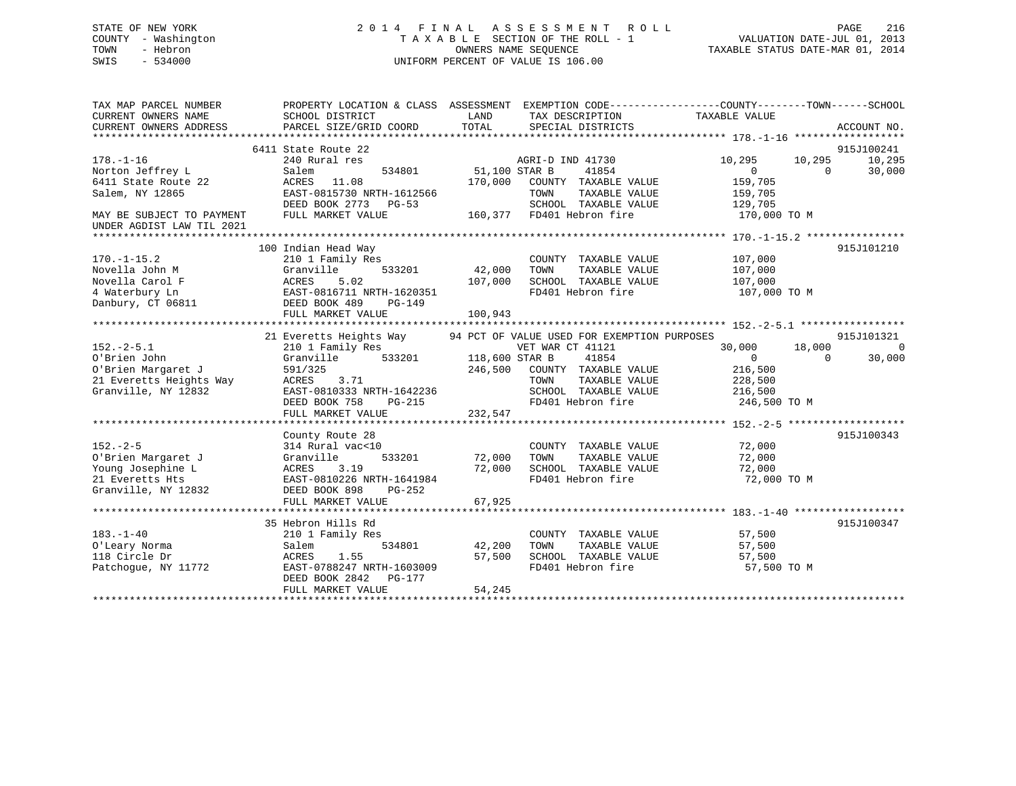# STATE OF NEW YORK 2 0 1 4 F I N A L A S S E S S M E N T R O L L PAGE 216 COUNTY - Washington T A X A B L E SECTION OF THE ROLL - 1 VALUATION DATE-JUL 01, 2013 TOWN - Hebron OWNERS NAME SEQUENCE TAXABLE STATUS DATE-MAR 01, 2014 SWIS - 534000 UNIFORM PERCENT OF VALUE IS 106.00

| TAX MAP PARCEL NUMBER<br>CURRENT OWNERS NAME<br>CURRENT OWNERS ADDRESS | PROPERTY LOCATION & CLASS ASSESSMENT<br>SCHOOL DISTRICT<br>PARCEL SIZE/GRID COORD | LAND<br>TOTAL  | TAX DESCRIPTION<br>SPECIAL DISTRICTS        | EXEMPTION CODE-----------------COUNTY-------TOWN------SCHOOL<br>TAXABLE VALUE | ACCOUNT NO.          |
|------------------------------------------------------------------------|-----------------------------------------------------------------------------------|----------------|---------------------------------------------|-------------------------------------------------------------------------------|----------------------|
| $178. - 1 - 16$                                                        | 6411 State Route 22<br>240 Rural res                                              |                | AGRI-D IND 41730                            | 10,295<br>10,295                                                              | 915J100241<br>10,295 |
| Norton Jeffrey L                                                       | 534801<br>Salem                                                                   | 51,100 STAR B  | 41854                                       | $\overline{0}$<br>$\Omega$                                                    | 30,000               |
| 6411 State Route 22                                                    | 11.08<br>ACRES                                                                    | 170,000        | COUNTY TAXABLE VALUE                        | 159,705                                                                       |                      |
| Salem, NY 12865                                                        | EAST-0815730 NRTH-1612566                                                         |                | TOWN<br>TAXABLE VALUE                       | 159,705                                                                       |                      |
|                                                                        | DEED BOOK 2773 PG-53                                                              |                | SCHOOL TAXABLE VALUE                        | 129,705                                                                       |                      |
| MAY BE SUBJECT TO PAYMENT<br>UNDER AGDIST LAW TIL 2021                 | FULL MARKET VALUE                                                                 |                | 160,377 FD401 Hebron fire                   | 170,000 TO M                                                                  |                      |
|                                                                        |                                                                                   |                |                                             |                                                                               |                      |
|                                                                        | 100 Indian Head Way                                                               |                |                                             |                                                                               | 915J101210           |
| $170. - 1 - 15.2$                                                      | 210 1 Family Res                                                                  |                | COUNTY TAXABLE VALUE                        | 107,000                                                                       |                      |
| Novella John M                                                         | 533201<br>Granville                                                               | 42,000         | TOWN<br>TAXABLE VALUE                       | 107,000                                                                       |                      |
| Novella Carol F                                                        | ACRES<br>5.02                                                                     | 107,000        | SCHOOL TAXABLE VALUE                        | 107,000                                                                       |                      |
| 4 Waterbury Ln                                                         | EAST-0816711 NRTH-1620351                                                         |                | FD401 Hebron fire                           | 107,000 TO M                                                                  |                      |
| Danbury, CT 06811                                                      | DEED BOOK 489<br><b>PG-149</b>                                                    |                |                                             |                                                                               |                      |
|                                                                        | FULL MARKET VALUE                                                                 | 100,943        |                                             |                                                                               |                      |
|                                                                        |                                                                                   |                |                                             |                                                                               |                      |
|                                                                        | 21 Everetts Heights Way                                                           |                | 94 PCT OF VALUE USED FOR EXEMPTION PURPOSES |                                                                               | 915J101321           |
| $152 - 2 - 5.1$                                                        | 210 1 Family Res                                                                  |                | VET WAR CT 41121                            | 30,000<br>18,000                                                              | $\Omega$             |
| O'Brien John                                                           | Granville<br>533201                                                               | 118,600 STAR B | 41854                                       | $\overline{0}$<br>$\Omega$                                                    | 30,000               |
| O'Brien Margaret J                                                     | 591/325                                                                           | 246,500        | COUNTY TAXABLE VALUE                        | 216,500                                                                       |                      |
| 21 Everetts Heights Way                                                | 3.71<br>ACRES                                                                     |                | TOWN<br>TAXABLE VALUE                       | 228,500                                                                       |                      |
| Granville, NY 12832                                                    | EAST-0810333 NRTH-1642236                                                         |                | SCHOOL TAXABLE VALUE                        | 216,500                                                                       |                      |
|                                                                        | DEED BOOK 758<br>$PG-215$                                                         |                | FD401 Hebron fire                           | 246,500 TO M                                                                  |                      |
|                                                                        | FULL MARKET VALUE                                                                 | 232,547        |                                             |                                                                               |                      |
|                                                                        |                                                                                   |                |                                             |                                                                               |                      |
|                                                                        | County Route 28                                                                   |                |                                             |                                                                               | 915J100343           |
| $152. - 2 - 5$                                                         | 314 Rural vac<10                                                                  |                | COUNTY TAXABLE VALUE                        | 72,000                                                                        |                      |
| O'Brien Margaret J                                                     | Granville<br>533201                                                               | 72,000         | TOWN<br>TAXABLE VALUE                       | 72,000                                                                        |                      |
| Young Josephine L                                                      | 3.19<br>ACRES                                                                     | 72,000         | SCHOOL TAXABLE VALUE                        | 72,000                                                                        |                      |
| 21 Everetts Hts                                                        | EAST-0810226 NRTH-1641984                                                         |                | FD401 Hebron fire                           | 72,000 TO M                                                                   |                      |
| Granville, NY 12832                                                    | DEED BOOK 898<br>$PG-252$                                                         |                |                                             |                                                                               |                      |
|                                                                        | FULL MARKET VALUE                                                                 | 67,925         |                                             |                                                                               |                      |
|                                                                        |                                                                                   |                |                                             |                                                                               |                      |
|                                                                        | 35 Hebron Hills Rd                                                                |                |                                             |                                                                               | 915J100347           |
| $183. - 1 - 40$                                                        | 210 1 Family Res                                                                  |                | COUNTY TAXABLE VALUE                        | 57,500                                                                        |                      |
| O'Leary Norma                                                          | 534801<br>Salem                                                                   | 42,200         | TOWN<br>TAXABLE VALUE                       | 57,500                                                                        |                      |
| 118 Circle Dr                                                          | 1.55<br>ACRES                                                                     | 57,500         | SCHOOL TAXABLE VALUE                        | 57,500                                                                        |                      |
| Patchoque, NY 11772                                                    | EAST-0788247 NRTH-1603009<br>DEED BOOK 2842<br>PG-177                             |                | FD401 Hebron fire                           | 57,500 TO M                                                                   |                      |
|                                                                        | FULL MARKET VALUE                                                                 | 54,245         |                                             |                                                                               |                      |
|                                                                        |                                                                                   |                |                                             |                                                                               |                      |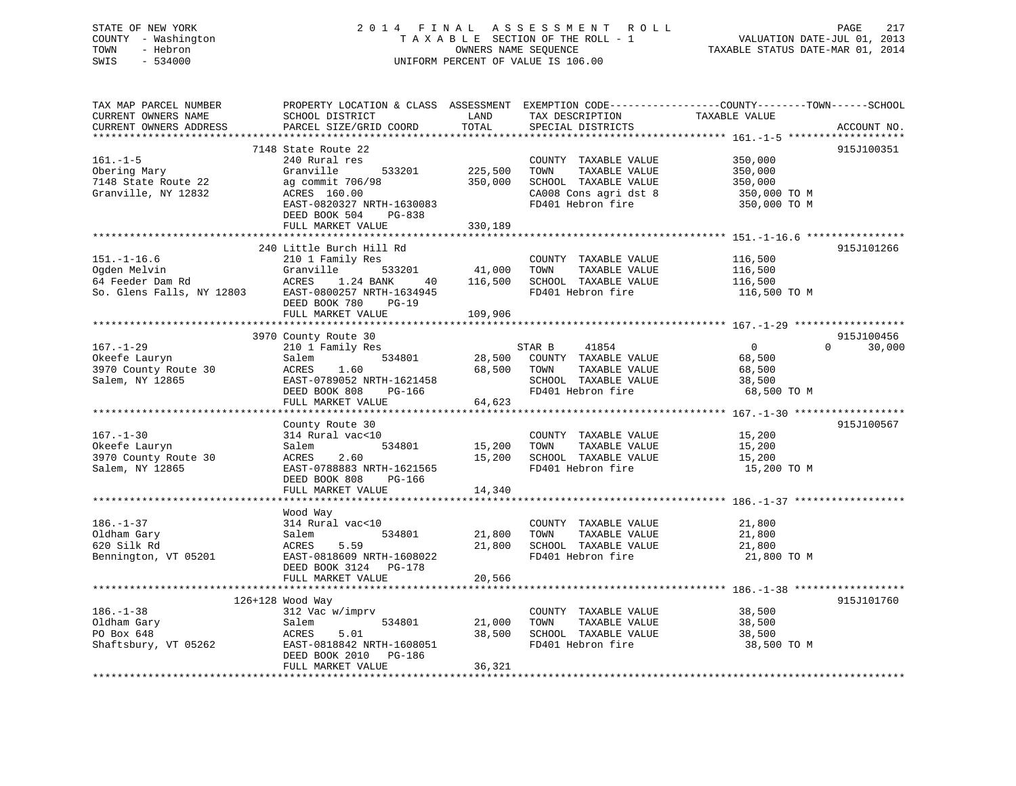## STATE OF NEW YORK 2 0 1 4 F I N A L A S S E S S M E N T R O L L PAGE 217 COUNTY - Washington T A X A B L E SECTION OF THE ROLL - 1 VALUATION DATE-JUL 01, 2013 TOWN - Hebron **CONNERS NAME SEQUENCE** TAXABLE STATUS DATE-MAR 01, 2014 SWIS - 534000 UNIFORM PERCENT OF VALUE IS 106.00

| TAX MAP PARCEL NUMBER<br>CURRENT OWNERS NAME<br>CURRENT OWNERS ADDRESS             | PROPERTY LOCATION & CLASS ASSESSMENT<br>SCHOOL DISTRICT<br>PARCEL SIZE/GRID COORD                                                                                             | LAND<br>TOTAL                 | TAX DESCRIPTION<br>SPECIAL DISTRICTS                                                                                | EXEMPTION CODE-----------------COUNTY-------TOWN------SCHOOL<br>TAXABLE VALUE | ACCOUNT NO.          |
|------------------------------------------------------------------------------------|-------------------------------------------------------------------------------------------------------------------------------------------------------------------------------|-------------------------------|---------------------------------------------------------------------------------------------------------------------|-------------------------------------------------------------------------------|----------------------|
| $161. - 1 - 5$<br>Obering Mary<br>7148 State Route 22<br>Granville, NY 12832       | 7148 State Route 22<br>240 Rural res<br>Granville<br>533201<br>ag commit 706/98<br>ACRES 160.00<br>EAST-0820327 NRTH-1630083<br>DEED BOOK 504<br>PG-838<br>FULL MARKET VALUE  | 225,500<br>350,000<br>330,189 | COUNTY TAXABLE VALUE<br>TOWN<br>TAXABLE VALUE<br>SCHOOL TAXABLE VALUE<br>CA008 Cons agri dst 8<br>FD401 Hebron fire | 350,000<br>350,000<br>350,000<br>350,000 TO M<br>350,000 TO M                 | 915J100351           |
| $151. - 1 - 16.6$<br>Ogden Melvin<br>64 Feeder Dam Rd<br>So. Glens Falls, NY 12803 | 240 Little Burch Hill Rd<br>210 1 Family Res<br>Granville<br>533201<br>ACRES<br>1.24 BANK<br>40<br>EAST-0800257 NRTH-1634945<br>DEED BOOK 780<br>$PG-19$<br>FULL MARKET VALUE | 41,000<br>116,500<br>109,906  | COUNTY TAXABLE VALUE<br>TOWN<br>TAXABLE VALUE<br>SCHOOL TAXABLE VALUE<br>FD401 Hebron fire                          | 116,500<br>116,500<br>116,500<br>116,500 TO M                                 | 915J101266           |
| $167. - 1 - 29$<br>Okeefe Lauryn<br>3970 County Route 30<br>Salem, NY 12865        | 3970 County Route 30<br>210 1 Family Res<br>534801<br>Salem<br>1.60<br>ACRES<br>EAST-0789052 NRTH-1621458<br>DEED BOOK 808<br>PG-166<br>FULL MARKET VALUE                     | 28,500<br>68,500<br>64,623    | STAR B<br>41854<br>COUNTY TAXABLE VALUE<br>TAXABLE VALUE<br>TOWN<br>SCHOOL TAXABLE VALUE<br>FD401 Hebron fire       | $\overline{0}$<br>$\Omega$<br>68,500<br>68,500<br>38,500<br>68,500 TO M       | 915J100456<br>30,000 |
| $167. - 1 - 30$<br>Okeefe Lauryn<br>3970 County Route 30<br>Salem, NY 12865        | County Route 30<br>314 Rural vac<10<br>534801<br>Salem<br>2.60<br>ACRES<br>EAST-0788883 NRTH-1621565<br>DEED BOOK 808<br>PG-166<br>FULL MARKET VALUE                          | 15,200<br>15,200<br>14,340    | COUNTY TAXABLE VALUE<br>TOWN<br>TAXABLE VALUE<br>SCHOOL TAXABLE VALUE<br>FD401 Hebron fire                          | 15,200<br>15,200<br>15,200<br>15,200 TO M                                     | 915J100567           |
| $186. - 1 - 37$<br>Oldham Gary<br>620 Silk Rd<br>Bennington, VT 05201              | Wood Way<br>314 Rural vac<10<br>Salem<br>534801<br>5.59<br>ACRES<br>EAST-0818609 NRTH-1608022<br>DEED BOOK 3124 PG-178<br>FULL MARKET VALUE                                   | 21,800<br>21,800<br>20,566    | COUNTY TAXABLE VALUE<br>TOWN<br>TAXABLE VALUE<br>SCHOOL TAXABLE VALUE<br>FD401 Hebron fire                          | 21,800<br>21,800<br>21,800<br>21,800 TO M                                     |                      |
| $186. - 1 - 38$<br>Oldham Gary<br>PO Box 648<br>Shaftsbury, VT 05262               | 126+128 Wood Way<br>312 Vac w/imprv<br>534801<br>Salem<br>5.01<br>ACRES<br>EAST-0818842 NRTH-1608051<br>DEED BOOK 2010 PG-186<br>FULL MARKET VALUE                            | 21,000<br>38,500<br>36,321    | COUNTY TAXABLE VALUE<br>TOWN<br>TAXABLE VALUE<br>SCHOOL TAXABLE VALUE<br>FD401 Hebron fire                          | 38,500<br>38,500<br>38,500<br>38,500 TO M                                     | 915J101760           |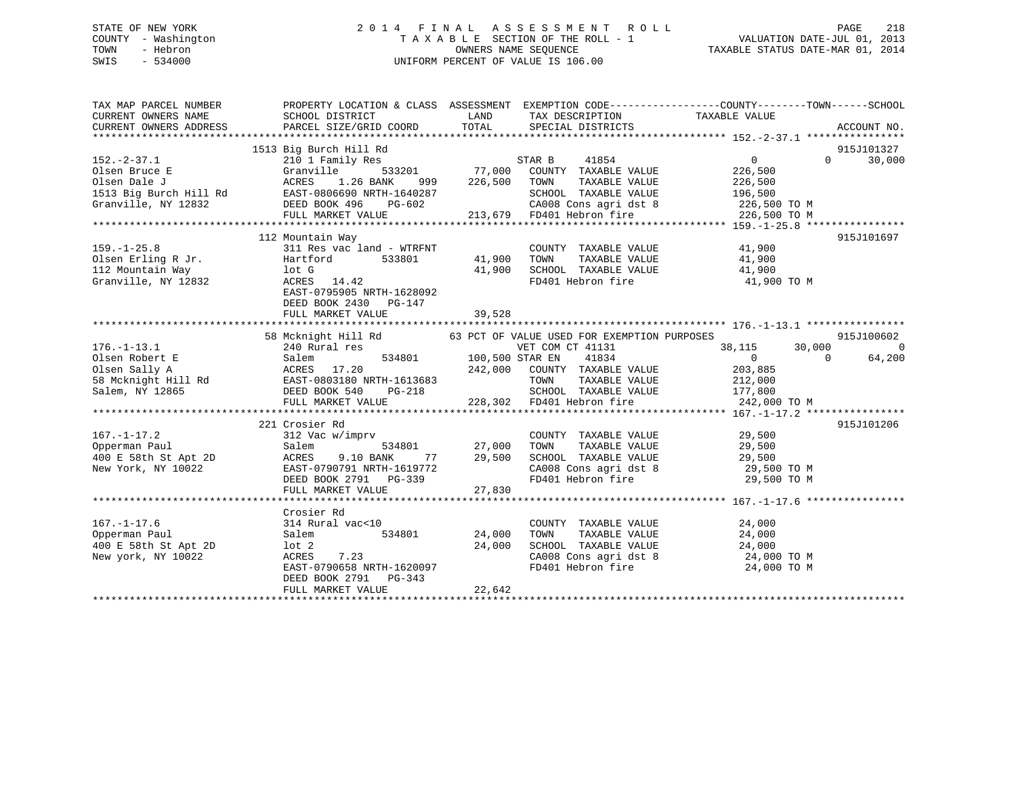## STATE OF NEW YORK 2 0 1 4 F I N A L A S S E S S M E N T R O L L PAGE 218 COUNTY - Washington T A X A B L E SECTION OF THE ROLL - 1 VALUATION DATE-JUL 01, 2013 TOWN - Hebron OWNERS NAME SEQUENCE TAXABLE STATUS DATE-MAR 01, 2014 SWIS - 534000 UNIFORM PERCENT OF VALUE IS 106.00

| TAX MAP PARCEL NUMBER<br>CURRENT OWNERS NAME SCHOOL DISTRICT LAND TAX DESCRIPTION TAXABLE VALUE<br>CURRENT OWNERS ADDRESS PARCEL SIZE/GRID COORD TOTAL SPECIAL DISTRICTS ACCOUNT NO.                                                             | PROPERTY LOCATION & CLASS ASSESSMENT EXEMPTION CODE----------------COUNTY-------TOWN------SCHOOL                                                                         |                                 |                                                                                                                                                                         |                                         |                                        |
|--------------------------------------------------------------------------------------------------------------------------------------------------------------------------------------------------------------------------------------------------|--------------------------------------------------------------------------------------------------------------------------------------------------------------------------|---------------------------------|-------------------------------------------------------------------------------------------------------------------------------------------------------------------------|-----------------------------------------|----------------------------------------|
| $152. -2 - 37.1$                                                                                                                                                                                                                                 | 1513 Big Burch Hill Rd                                                                                                                                                   |                                 |                                                                                                                                                                         |                                         | 915J101327<br>$\overline{0}$<br>30,000 |
|                                                                                                                                                                                                                                                  | 112 Mountain Way<br>DEED BOOK 2430 PG-147<br>FULL MARKET VALUE                                                                                                           | COUNTY<br>41,900 TOWN<br>39,528 |                                                                                                                                                                         |                                         | 915J101697                             |
|                                                                                                                                                                                                                                                  | 58 Mcknight Hill Rd 63 PCT OF VALUE USED FOR EXEMPTION PURPOSES<br>240 Rural res 63 PCT OF VET COM CT 41131                                                              |                                 |                                                                                                                                                                         | CT 41131 $38,115$ 30,000<br>41834 0 0 6 | 915J100602<br>$\bigcap$<br>64,200      |
| 167.-1-17.2<br>221 COUNTY TAXABLE VALUE<br>29,500<br>27,000 TOWN TAXABLE VALUE<br>29,500<br>400 E 58th St Apt 2D<br>ACRES 9.10 BANK 77 29,500 SCHOOL TAXABLE VALUE<br>New York, NY 10022<br>EAST-0790791 NRTH-1619772<br>EAST-0790791 NRTH-16197 | 221 Crosier Rd                                                                                                                                                           |                                 |                                                                                                                                                                         |                                         | 915J101206                             |
| $167. - 1 - 17.6$<br>Opperman Paul<br>400 E 58th St Apt 2D<br>New york, NY 10022                                                                                                                                                                 | Crosier Rd<br>314 Rural vac<10<br>534801 24,000<br>Salem<br>1ot 2 24,000<br>ACRES 7.23 24,000<br>EAST-0790658 NRTH-1620097<br>DEED BOOK 2791 PG-343<br>FULL MARKET VALUE | 22,642                          | COUNTY TAXABLE VALUE $24,000$<br>TOWN TAXABLE VALUE $24,000$<br>SCHOOL TAXABLE VALUE $24,000$<br>CA008 Cons agri dst 8 $24,000$ TO M<br>FD401 Hebron fire $24,000$ TO M |                                         |                                        |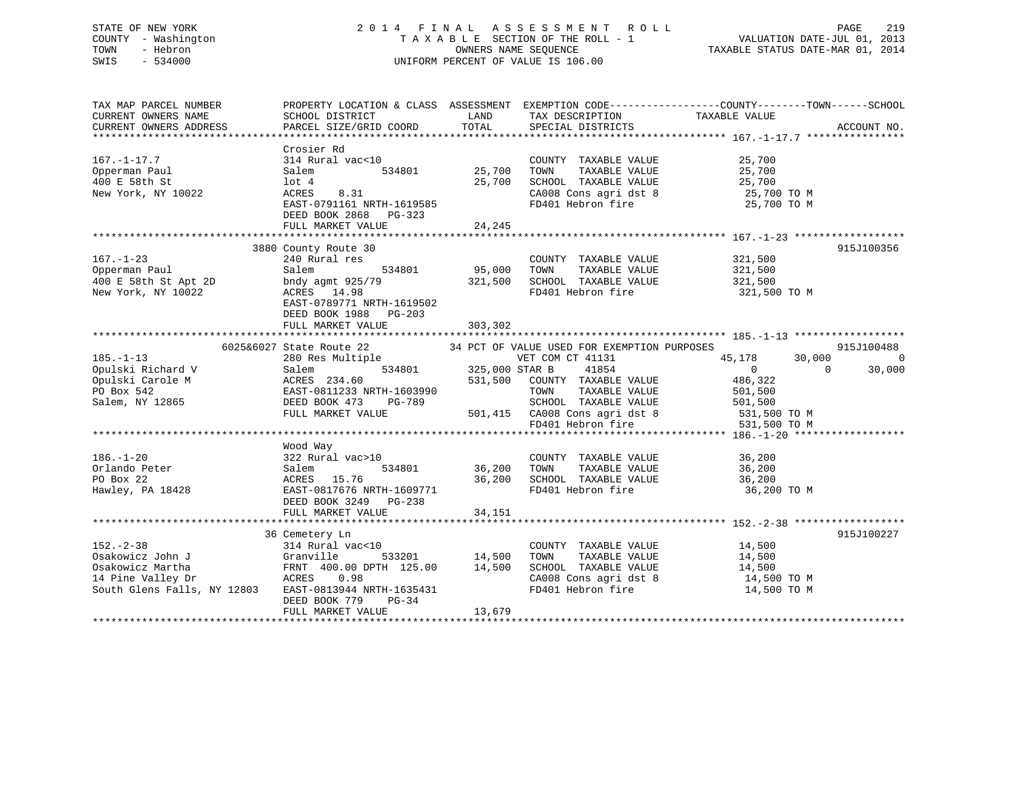## STATE OF NEW YORK 2 0 1 4 F I N A L A S S E S S M E N T R O L L PAGE 219 COUNTY - Washington T A X A B L E SECTION OF THE ROLL - 1 VALUATION DATE-JUL 01, 2013 TOWN - Hebron OWNERS NAME SEQUENCE TAXABLE STATUS DATE-MAR 01, 2014 SWIS - 534000 UNIFORM PERCENT OF VALUE IS 106.00

| TAX MAP PARCEL NUMBER<br>CURRENT OWNERS NAME<br>CURRENT OWNERS ADDRESS                                     | SCHOOL DISTRICT<br>PARCEL SIZE/GRID COORD                                                                                                                                           | LAND<br>TOTAL                        | TAX DESCRIPTION<br>SPECIAL DISTRICTS                                                                                                                                                            | PROPERTY LOCATION & CLASS ASSESSMENT EXEMPTION CODE----------------COUNTY-------TOWN------SCHOOL<br>TAXABLE VALUE | ACCOUNT NO.                      |
|------------------------------------------------------------------------------------------------------------|-------------------------------------------------------------------------------------------------------------------------------------------------------------------------------------|--------------------------------------|-------------------------------------------------------------------------------------------------------------------------------------------------------------------------------------------------|-------------------------------------------------------------------------------------------------------------------|----------------------------------|
| $167. - 1 - 17.7$<br>Opperman Paul<br>400 E 58th St<br>New York, NY 10022                                  | Crosier Rd<br>314 Rural vac<10<br>Salem<br>534801<br>$1$ ot $4$<br>ACRES<br>8.31<br>EAST-0791161 NRTH-1619585<br>DEED BOOK 2868 PG-323<br>FULL MARKET VALUE                         | 25,700<br>25,700<br>24,245           | COUNTY TAXABLE VALUE<br>TAXABLE VALUE<br>TOWN<br>SCHOOL TAXABLE VALUE<br>CA008 Cons agri dst 8<br>FD401 Hebron fire                                                                             | 25,700<br>25,700<br>25,700<br>25,700 TO M<br>25,700 TO M                                                          |                                  |
|                                                                                                            | 3880 County Route 30                                                                                                                                                                |                                      |                                                                                                                                                                                                 |                                                                                                                   | 915J100356                       |
| $167. - 1 - 23$<br>Opperman Paul<br>400 E 58th St Apt 2D<br>New York, NY 10022                             | 240 Rural res<br>Salem<br>534801<br>bndy agmt 925/79<br>ACRES<br>14.98<br>EAST-0789771 NRTH-1619502<br>DEED BOOK 1988<br>PG-203<br>FULL MARKET VALUE                                | 95,000<br>321,500<br>303,302         | COUNTY TAXABLE VALUE<br>TOWN<br>TAXABLE VALUE<br>SCHOOL TAXABLE VALUE<br>FD401 Hebron fire                                                                                                      | 321,500<br>321,500<br>321,500<br>321,500 TO M                                                                     |                                  |
|                                                                                                            |                                                                                                                                                                                     |                                      |                                                                                                                                                                                                 |                                                                                                                   |                                  |
| $185. - 1 - 13$<br>Opulski Richard V<br>Opulski Carole M<br>PO Box 542<br>Salem, NY 12865                  | 6025&6027 State Route 22<br>280 Res Multiple<br>534801<br>Salem<br>ACRES 234.60<br>EAST-0811233 NRTH-1603990<br>DEED BOOK 473<br>PG-789<br>FULL MARKET VALUE                        | 325,000 STAR B<br>531,500<br>501,415 | 34 PCT OF VALUE USED FOR EXEMPTION PURPOSES<br>VET COM CT 41131<br>41854<br>COUNTY TAXABLE VALUE<br>TOWN<br>TAXABLE VALUE<br>SCHOOL TAXABLE VALUE<br>CA008 Cons agri dst 8<br>FD401 Hebron fire | 45,178<br>30,000<br>$\Omega$<br>$\Omega$<br>486,322<br>501,500<br>501,500<br>531,500 TO M<br>531,500 TO M         | 915J100488<br>$\Omega$<br>30,000 |
|                                                                                                            |                                                                                                                                                                                     |                                      |                                                                                                                                                                                                 |                                                                                                                   |                                  |
| $186. - 1 - 20$<br>Orlando Peter<br>PO Box 22<br>Hawley, PA 18428                                          | Wood Way<br>322 Rural vac>10<br>534801<br>Salem<br>ACRES<br>15.76<br>EAST-0817676 NRTH-1609771<br>DEED BOOK 3249 PG-238<br>FULL MARKET VALUE                                        | 36,200<br>36,200<br>34,151           | COUNTY TAXABLE VALUE<br>TOWN<br>TAXABLE VALUE<br>SCHOOL TAXABLE VALUE<br>FD401 Hebron fire                                                                                                      | 36,200<br>36,200<br>36,200<br>36,200 TO M                                                                         |                                  |
|                                                                                                            |                                                                                                                                                                                     |                                      |                                                                                                                                                                                                 |                                                                                                                   |                                  |
| $152 - 2 - 38$<br>Osakowicz John J<br>Osakowicz Martha<br>14 Pine Valley Dr<br>South Glens Falls, NY 12803 | 36 Cemetery Ln<br>314 Rural vac<10<br>Granville<br>533201<br>FRNT 400.00 DPTH 125.00<br>ACRES<br>0.98<br>EAST-0813944 NRTH-1635431<br>DEED BOOK 779<br>$PG-34$<br>FULL MARKET VALUE | 14,500<br>14,500<br>13,679           | COUNTY TAXABLE VALUE<br>TAXABLE VALUE<br>TOWN<br>SCHOOL TAXABLE VALUE<br>CA008 Cons agri dst 8<br>FD401 Hebron fire                                                                             | 14,500<br>14,500<br>14,500<br>14,500 TO M<br>14,500 TO M                                                          | 915J100227                       |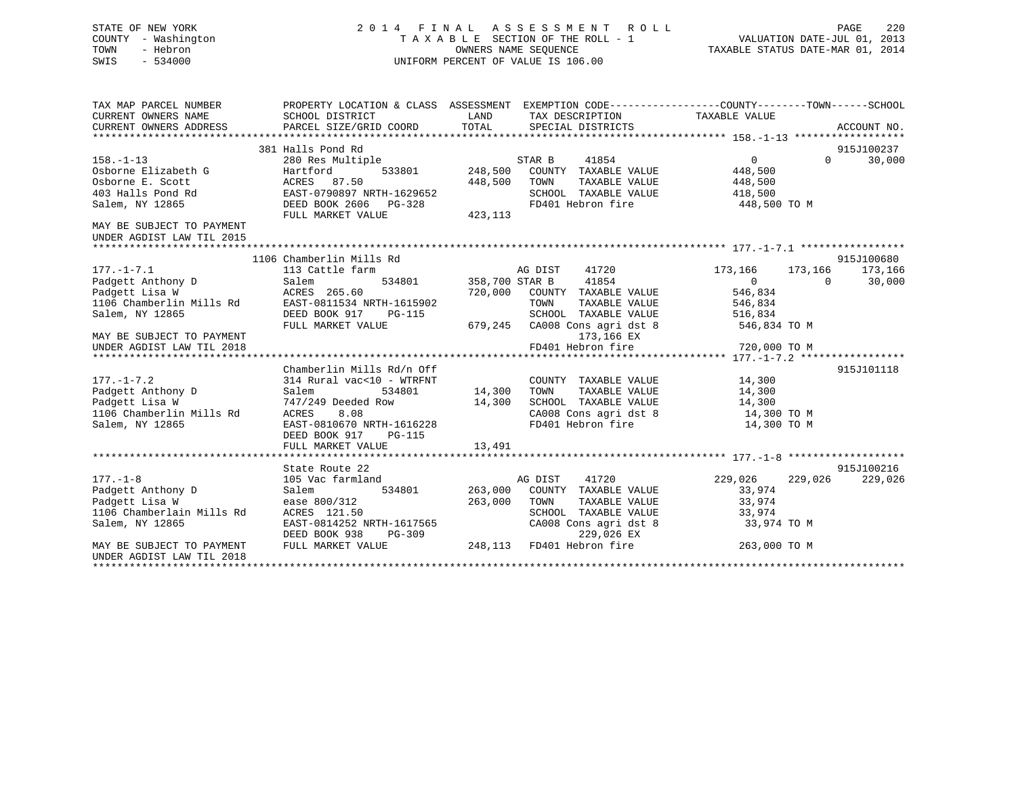## STATE OF NEW YORK 2 0 1 4 F I N A L A S S E S S M E N T R O L L PAGE 220 COUNTY - Washington T A X A B L E SECTION OF THE ROLL - 1 VALUATION DATE-JUL 01, 2013 TOWN - Hebron OWNERS NAME SEQUENCE TAXABLE STATUS DATE-MAR 01, 2014 SWIS - 534000 UNIFORM PERCENT OF VALUE IS 106.00

| TAX MAP PARCEL NUMBER<br>CURRENT OWNERS NAME<br>CURRENT OWNERS ADDRESS                                                                                                                                 | SCHOOL DISTRICT<br>PARCEL SIZE/GRID COORD                                                                                                                                       | PROPERTY LOCATION & CLASS ASSESSMENT EXEMPTION CODE----------------COUNTY-------TOWN------SCHOOL<br>LAND<br>TAX DESCRIPTION TAXABLE VALUE<br>TOTAL<br>SPECIAL DISTRICTS                                                            | ACCOUNT NO.                                                                                                                                              |
|--------------------------------------------------------------------------------------------------------------------------------------------------------------------------------------------------------|---------------------------------------------------------------------------------------------------------------------------------------------------------------------------------|------------------------------------------------------------------------------------------------------------------------------------------------------------------------------------------------------------------------------------|----------------------------------------------------------------------------------------------------------------------------------------------------------|
|                                                                                                                                                                                                        | 381 Halls Pond Rd                                                                                                                                                               |                                                                                                                                                                                                                                    | 915J100237                                                                                                                                               |
| $158. - 1 - 13$<br>Osborne Elizabeth G<br>Osborne E. Scott<br>403 Halls Pond Rd<br>Salem, NY 12865                                                                                                     | 280 Res Multiple<br>533801<br>Hartford<br>ACRES 87.50<br>EAST-0790897 NRTH-1629652<br>DEED BOOK 2606 PG-328                                                                     | STAR B<br>41854<br>248,500<br>COUNTY TAXABLE VALUE<br>448,500<br>TAXABLE VALUE<br>TOWN<br>SCHOOL TAXABLE VALUE<br>FD401 Hebron fire                                                                                                | 0<br>30,000<br>$\Omega$<br>448,500<br>448,500<br>418,500<br>448,500 TO M                                                                                 |
|                                                                                                                                                                                                        | FULL MARKET VALUE                                                                                                                                                               | 423,113                                                                                                                                                                                                                            |                                                                                                                                                          |
| MAY BE SUBJECT TO PAYMENT<br>UNDER AGDIST LAW TIL 2015                                                                                                                                                 |                                                                                                                                                                                 |                                                                                                                                                                                                                                    |                                                                                                                                                          |
|                                                                                                                                                                                                        | 1106 Chamberlin Mills Rd                                                                                                                                                        |                                                                                                                                                                                                                                    | 915J100680                                                                                                                                               |
| $177. - 1 - 7.1$<br>Padgett Anthony D<br>Padgett Lisa W<br>Padgect Lisa w<br>1106 Chamberlin Mills Rd<br>Salem, NY 12865<br>MAY BE SUBJECT TO PAYMENT<br>UNDER AGDIST LAW TIL 2018<br>$177. - 1 - 7.2$ | 113 Cattle farm<br>Salem<br>ACRES 265.60<br>EAST-0811534 NRTH-1615902<br>DEED BOOK 917<br>PG-115<br>FULL MARKET VALUE<br>Chamberlin Mills Rd/n Off<br>314 Rural vac<10 - WTRFNT | AG DIST<br>41720<br>41854<br>534801 358,700 STAR B<br>720,000<br>COUNTY TAXABLE VALUE<br>TAXABLE VALUE<br>TOWN<br>SCHOOL TAXABLE VALUE<br>679,245 CA008 Cons agri dst 8<br>173,166 EX<br>FD401 Hebron fire<br>COUNTY TAXABLE VALUE | 173,166<br>173,166<br>173,166<br>30,000<br>$\Omega$<br>$\Omega$<br>546,834<br>546,834<br>516,834<br>546,834 TO M<br>720,000 TO M<br>915J101118<br>14,300 |
| Padgett Anthony D<br>Padgett Lisa W<br>1106 Chamberlin Mills Rd<br>Salem, NY 12865                                                                                                                     | Salem<br>534801<br>747/249 Deeded Row<br>ACRES<br>8.08<br>EAST-0810670 NRTH-1616228<br>DEED BOOK 917<br>PG-115<br>FULL MARKET VALUE                                             | 14,300<br>TAXABLE VALUE<br>TOWN<br>14,300<br>SCHOOL TAXABLE VALUE<br>CA008 Cons agri dst 8<br>FD401 Hebron fire<br>13,491                                                                                                          | 14,300<br>14,300<br>14,300 TO M<br>14,300 TO M                                                                                                           |
| $177. - 1 - 8$<br>Padgett Anthony D<br>Padgett Lisa W<br>1106 Chamberlain Mills Rd<br>Salem, NY 12865                                                                                                  | State Route 22<br>105 Vac farmland<br>534801<br>Salem<br>ease 800/312<br>ACRES 121.50<br>EAST-0814252 NRTH-1617565<br>DEED BOOK 938<br>PG-309                                   | AG DIST<br>41720<br>263,000<br>COUNTY TAXABLE VALUE<br>263,000<br>TOWN<br>TAXABLE VALUE<br>SCHOOL TAXABLE VALUE<br>CA008 Cons agri dst 8<br>229,026 EX                                                                             | 915J100216<br>229,026<br>229,026<br>229,026<br>33,974<br>33,974<br>33,974<br>33,974 TO M                                                                 |
| MAY BE SUBJECT TO PAYMENT<br>UNDER AGDIST LAW TIL 2018                                                                                                                                                 | FULL MARKET VALUE                                                                                                                                                               | 248,113 FD401 Hebron fire                                                                                                                                                                                                          | 263,000 TO M                                                                                                                                             |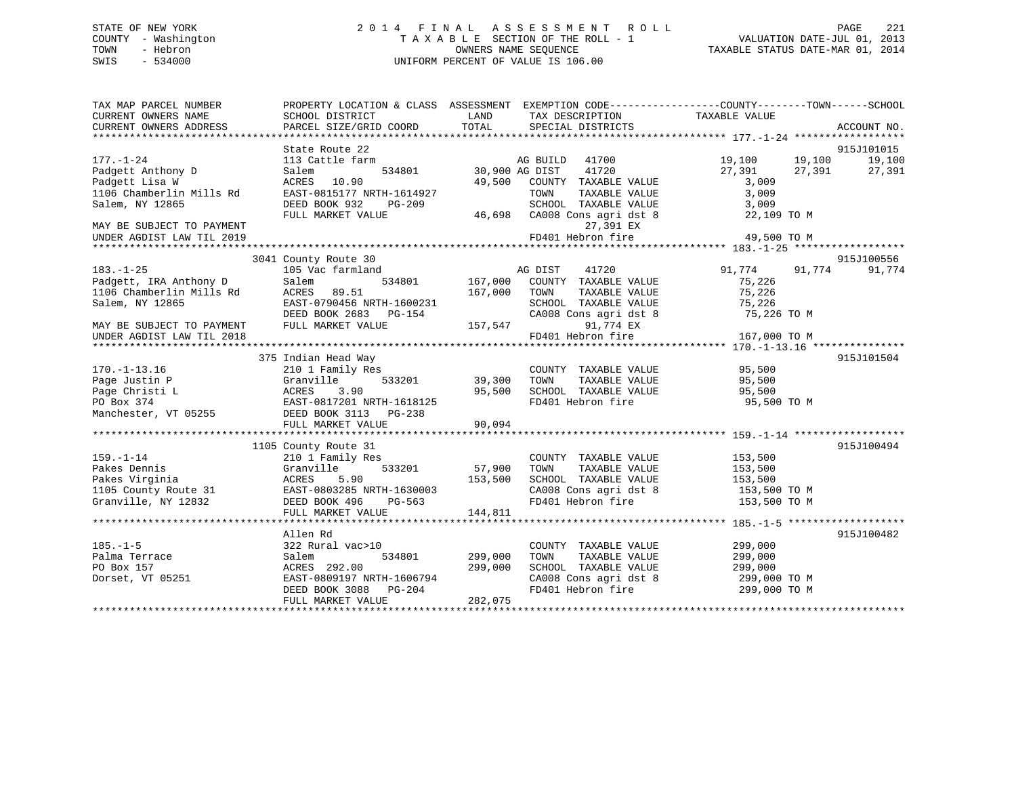## STATE OF NEW YORK 2 0 1 4 F I N A L A S S E S S M E N T R O L L PAGE 221 COUNTY - Washington T A X A B L E SECTION OF THE ROLL - 1 VALUATION DATE-JUL 01, 2013 TOWN - Hebron OWNERS NAME SEQUENCE TAXABLE STATUS DATE-MAR 01, 2014 SWIS - 534000 UNIFORM PERCENT OF VALUE IS 106.00

| TAX MAP PARCEL NUMBER<br>CURRENT OWNERS NAME<br>CURRENT OWNERS ADDRESS                                                             | SCHOOL DISTRICT<br>PARCEL SIZE/GRID COORD                                                                                                                     | LAND<br>TAX DESCRIPTION<br>TOTAL<br>SPECIAL DISTRICTS                                                                                                                           | PROPERTY LOCATION & CLASS ASSESSMENT EXEMPTION CODE---------------COUNTY-------TOWN-----SCHOOL<br>TAXABLE VALUE<br>ACCOUNT NO. |
|------------------------------------------------------------------------------------------------------------------------------------|---------------------------------------------------------------------------------------------------------------------------------------------------------------|---------------------------------------------------------------------------------------------------------------------------------------------------------------------------------|--------------------------------------------------------------------------------------------------------------------------------|
| $177. - 1 - 24$<br>Padgett Anthony D<br>Padgett Lisa W<br>1106 Chamberlin Mills Rd<br>Salem, NY 12865<br>MAY BE SUBJECT TO PAYMENT | State Route 22<br>113 Cattle farm<br>534801<br>Salem<br>ACRES 10.90<br>EAST-0815177 NRTH-1614927<br>DEED BOOK 932<br>PG-209<br>FULL MARKET VALUE              | AG BUILD<br>41700<br>41720<br>30,900 AG DIST<br>49,500<br>COUNTY TAXABLE VALUE<br>TOWN<br>TAXABLE VALUE<br>SCHOOL TAXABLE VALUE<br>46,698<br>CA008 Cons agri dst 8<br>27,391 EX | 915J101015<br>19,100<br>19,100<br>19,100<br>27,391<br>27,391<br>27,391<br>3,009<br>3,009<br>3,009<br>22,109 TO M               |
| UNDER AGDIST LAW TIL 2019                                                                                                          |                                                                                                                                                               | FD401 Hebron fire                                                                                                                                                               | 49,500 TO M                                                                                                                    |
| $183. - 1 - 25$<br>Padgett, IRA Anthony D<br>1106 Chamberlin Mills Rd<br>Salem, NY 12865<br>MAY BE SUBJECT TO PAYMENT              | 3041 County Route 30<br>105 Vac farmland<br>Salem<br>534801<br>ACRES 89.51<br>EAST-0790456 NRTH-1600231<br>DEED BOOK 2683 PG-154<br>FULL MARKET VALUE         | AG DIST<br>41720<br>167,000<br>COUNTY TAXABLE VALUE<br>167,000<br>TOWN<br>TAXABLE VALUE<br>SCHOOL TAXABLE VALUE<br>CA008 Cons agri dst 8<br>157,547<br>91,774 EX                | 915J100556<br>91,774<br>91,774<br>91,774<br>75,226<br>75,226<br>75,226<br>75,226 TO M                                          |
| UNDER AGDIST LAW TIL 2018                                                                                                          |                                                                                                                                                               | FD401 Hebron fire                                                                                                                                                               | 167,000 TO M                                                                                                                   |
| $170. - 1 - 13.16$<br>Page Justin P<br>Page Christi L<br>PO Box 374<br>Manchester, VT 05255                                        | 375 Indian Head Way<br>210 1 Family Res<br>533201<br>Granville<br>ACRES<br>3.90<br>EAST-0817201 NRTH-1618125<br>DEED BOOK 3113 PG-238<br>FULL MARKET VALUE    | COUNTY TAXABLE VALUE<br>39,300<br>TOWN<br>TAXABLE VALUE<br>95,500<br>SCHOOL TAXABLE VALUE<br>FD401 Hebron fire<br>90,094                                                        | 915J101504<br>95,500<br>95,500<br>95,500<br>95,500 TO M                                                                        |
| $159. - 1 - 14$<br>Pakes Dennis<br>Pakes Virginia<br>1105 County Route 31<br>Granville, NY 12832                                   | 1105 County Route 31<br>210 1 Family Res<br>533201<br>Granville<br>ACRES<br>5.90<br>EAST-0803285 NRTH-1630003<br>DEED BOOK 496<br>PG-563<br>FULL MARKET VALUE | COUNTY TAXABLE VALUE<br>57,900<br>TOWN<br>TAXABLE VALUE<br>153,500<br>SCHOOL TAXABLE VALUE<br>CA008 Cons agri dst 8<br>FD401 Hebron fire<br>144,811                             | 915J100494<br>153,500<br>153,500<br>153,500<br>153,500 TO M<br>153,500 TO M                                                    |
| $185. - 1 - 5$<br>Palma Terrace<br>PO Box 157<br>Dorset, VT 05251                                                                  | Allen Rd<br>322 Rural vac>10<br>Salem<br>534801<br>ACRES 292.00<br>EAST-0809197 NRTH-1606794<br>DEED BOOK 3088 PG-204<br>FULL MARKET VALUE                    | COUNTY TAXABLE VALUE<br>299,000<br>TAXABLE VALUE<br>TOWN<br>299,000<br>SCHOOL TAXABLE VALUE<br>CA008 Cons agri dst 8<br>FD401 Hebron fire<br>282,075                            | 915J100482<br>299,000<br>299,000<br>299,000<br>299,000 TO M<br>299,000 TO M                                                    |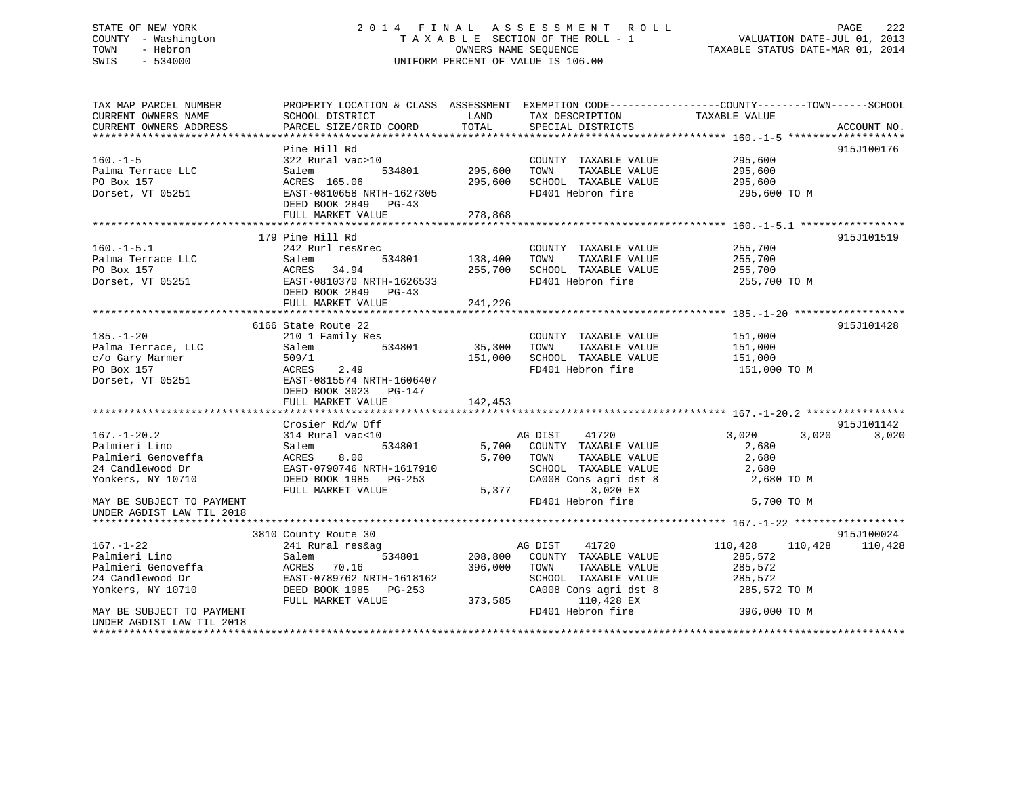## STATE OF NEW YORK 2 0 1 4 F I N A L A S S E S S M E N T R O L L PAGE 222 COUNTY - Washington T A X A B L E SECTION OF THE ROLL - 1 VALUATION DATE-JUL 01, 2013 TOWN - Hebron **CONNERS NAME SEQUENCE** TAXABLE STATUS DATE-MAR 01, 2014 SWIS - 534000 UNIFORM PERCENT OF VALUE IS 106.00

| TAX MAP PARCEL NUMBER<br>CURRENT OWNERS NAME<br>CURRENT OWNERS ADDRESS                                                                                      | SCHOOL DISTRICT<br>PARCEL SIZE/GRID COORD                                                                                                                       | LAND<br>TAX DESCRIPTION<br>TOTAL<br>SPECIAL DISTRICTS                                                                                                                                  | PROPERTY LOCATION & CLASS ASSESSMENT EXEMPTION CODE---------------COUNTY-------TOWN-----SCHOOL<br>TAXABLE VALUE<br>ACCOUNT NO. |
|-------------------------------------------------------------------------------------------------------------------------------------------------------------|-----------------------------------------------------------------------------------------------------------------------------------------------------------------|----------------------------------------------------------------------------------------------------------------------------------------------------------------------------------------|--------------------------------------------------------------------------------------------------------------------------------|
| $160. -1 - 5$<br>Palma Terrace LLC<br>PO Box 157<br>Dorset, VT 05251                                                                                        | Pine Hill Rd<br>322 Rural vac>10<br>534801<br>Salem<br>ACRES 165.06<br>EAST-0810658 NRTH-1627305<br>DEED BOOK 2849 PG-43<br>FULL MARKET VALUE                   | COUNTY TAXABLE VALUE<br>295,600<br>TOWN<br>TAXABLE VALUE<br>295,600<br>SCHOOL TAXABLE VALUE<br>FD401 Hebron fire<br>278,868                                                            | 915J100176<br>295,600<br>295,600<br>295,600<br>295,600 TO M                                                                    |
| $160. - 1 - 5.1$<br>Palma Terrace LLC<br>PO Box 157<br>Dorset, VT 05251                                                                                     | 179 Pine Hill Rd<br>242 Rurl res&rec<br>Salem<br>534801<br>34.94<br>ACRES<br>EAST-0810370 NRTH-1626533<br>DEED BOOK 2849 PG-43<br>FULL MARKET VALUE             | COUNTY TAXABLE VALUE<br>138,400<br>TAXABLE VALUE<br>TOWN<br>255,700<br>SCHOOL TAXABLE VALUE<br>FD401 Hebron fire<br>241,226                                                            | 915J101519<br>255,700<br>255,700<br>255,700<br>255,700 TO M                                                                    |
| $185. - 1 - 20$<br>Palma Terrace, LLC<br>c/o Gary Marmer<br>PO Box 157<br>Dorset, VT 05251                                                                  | 6166 State Route 22<br>210 1 Family Res<br>Salem<br>534801<br>509/1<br>ACRES<br>2.49<br>EAST-0815574 NRTH-1606407<br>DEED BOOK 3023 PG-147<br>FULL MARKET VALUE | COUNTY TAXABLE VALUE<br>35,300<br>TAXABLE VALUE<br>TOWN<br>SCHOOL TAXABLE VALUE<br>151,000<br>FD401 Hebron fire<br>142,453                                                             | 915J101428<br>151,000<br>151,000<br>151,000<br>151,000 TO M                                                                    |
| $167. - 1 - 20.2$<br>Palmieri Lino<br>Palmieri Genoveffa<br>24 Candlewood Dr<br>Yonkers, NY 10710<br>MAY BE SUBJECT TO PAYMENT<br>UNDER AGDIST LAW TIL 2018 | Crosier Rd/w Off<br>314 Rural vac<10<br>Salem<br>534801<br>ACRES<br>8.00<br>EAST-0790746 NRTH-1617910<br>DEED BOOK 1985 PG-253<br>FULL MARKET VALUE             | AG DIST<br>41720<br>5,700<br>COUNTY TAXABLE VALUE<br>5,700<br>TOWN<br>TAXABLE VALUE<br>SCHOOL TAXABLE VALUE<br>CA008 Cons agri dst 8<br>5,377<br>3,020 EX<br>FD401 Hebron fire         | 915J101142<br>3,020<br>3,020<br>3,020<br>2,680<br>2,680<br>2,680<br>2,680 TO M<br>5,700 TO M                                   |
| $167. - 1 - 22$<br>Palmieri Lino<br>Palmieri Genoveffa<br>24 Candlewood Dr<br>Yonkers, NY 10710<br>MAY BE SUBJECT TO PAYMENT<br>UNDER AGDIST LAW TIL 2018   | 3810 County Route 30<br>241 Rural res&ag<br>534801<br>Salem<br>ACRES 70.16<br>EAST-0789762 NRTH-1618162<br>DEED BOOK 1985 PG-253<br>FULL MARKET VALUE           | AG DIST<br>41720<br>208,800<br>COUNTY TAXABLE VALUE<br>396,000<br>TAXABLE VALUE<br>TOWN<br>SCHOOL TAXABLE VALUE<br>CA008 Cons agri dst 8<br>110,428 EX<br>373,585<br>FD401 Hebron fire | 915J100024<br>110,428<br>110,428<br>110,428<br>285,572<br>285,572<br>285,572<br>285,572 TO M<br>396,000 TO M                   |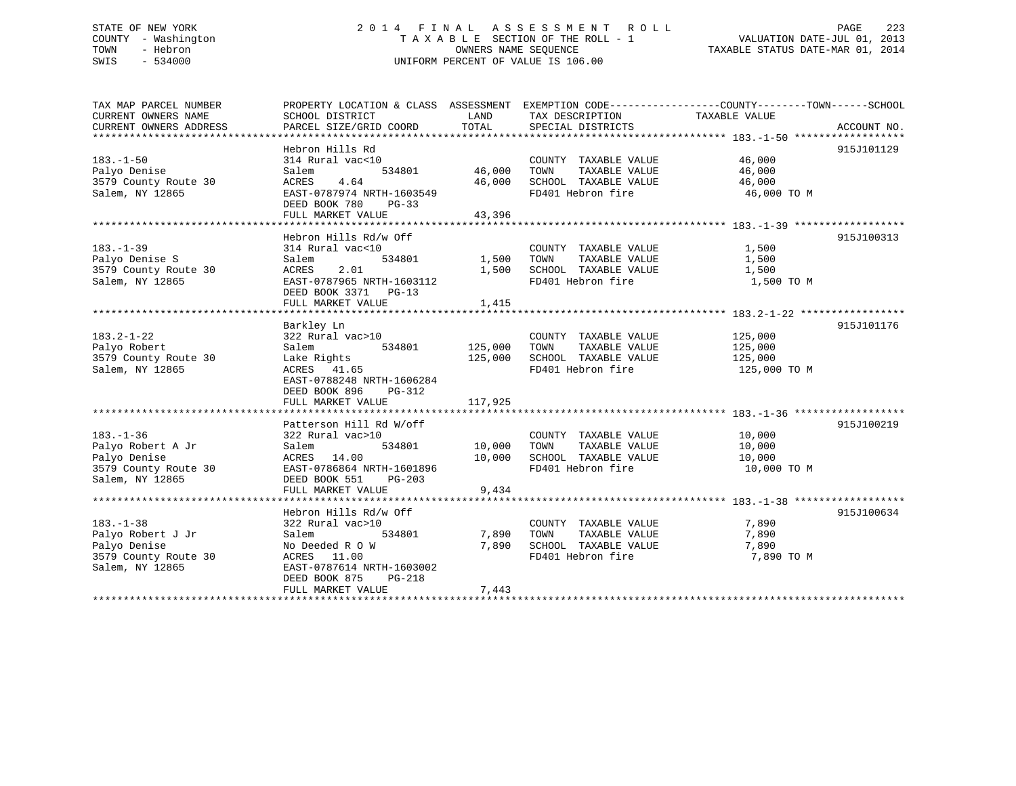## STATE OF NEW YORK 2 0 1 4 F I N A L A S S E S S M E N T R O L L PAGE 223 COUNTY - Washington T A X A B L E SECTION OF THE ROLL - 1 VALUATION DATE-JUL 01, 2013 TOWN - Hebron OWNERS NAME SEQUENCE TAXABLE STATUS DATE-MAR 01, 2014 SWIS - 534000 UNIFORM PERCENT OF VALUE IS 106.00

| TAX MAP PARCEL NUMBER  | PROPERTY LOCATION & CLASS ASSESSMENT EXEMPTION CODE---------------COUNTY-------TOWN-----SCHOOL |                   |                                                  |                  |             |
|------------------------|------------------------------------------------------------------------------------------------|-------------------|--------------------------------------------------|------------------|-------------|
| CURRENT OWNERS NAME    | SCHOOL DISTRICT                                                                                | LAND              | TAX DESCRIPTION                                  | TAXABLE VALUE    |             |
| CURRENT OWNERS ADDRESS | PARCEL SIZE/GRID COORD                                                                         | TOTAL             | SPECIAL DISTRICTS                                |                  | ACCOUNT NO. |
|                        |                                                                                                |                   |                                                  |                  |             |
|                        | Hebron Hills Rd                                                                                |                   |                                                  |                  | 915J101129  |
| $183. - 1 - 50$        | 314 Rural vac<10                                                                               |                   | COUNTY TAXABLE VALUE                             | 46,000<br>46,000 |             |
| Palyo Denise           | Salem                                                                                          | 534801 46,000     | TAXABLE VALUE<br>TOWN                            | 46,000           |             |
| 3579 County Route 30   | 4.64<br>ACRES                                                                                  | 46,000            | SCHOOL TAXABLE VALUE 46,000                      |                  |             |
| Salem, NY 12865        | EAST-0787974 NRTH-1603549                                                                      |                   | FD401 Hebron fire                                | 46,000 TO M      |             |
|                        | DEED BOOK 780 PG-33                                                                            |                   |                                                  |                  |             |
|                        | FULL MARKET VALUE                                                                              | 43,396            |                                                  |                  |             |
|                        |                                                                                                |                   |                                                  |                  |             |
|                        | Hebron Hills Rd/w Off                                                                          |                   |                                                  |                  | 915J100313  |
| $183. - 1 - 39$        | 314 Rural vac<10                                                                               |                   | COUNTY TAXABLE VALUE                             | 1,500            |             |
| Palyo Denise S         | 534801<br>Salem                                                                                | $1,500$ TOWN      | TAXABLE VALUE                                    | 1,500            |             |
| 3579 County Route 30   | ACRES<br>2.01                                                                                  |                   | 1,500 SCHOOL TAXABLE VALUE                       | 1,500            |             |
| Salem, NY 12865        | EAST-0787965 NRTH-1603112                                                                      |                   | FD401 Hebron fire                                | 1,500 TO M       |             |
|                        | DEED BOOK 3371 PG-13                                                                           |                   |                                                  |                  |             |
|                        | FULL MARKET VALUE                                                                              | 1,415             |                                                  |                  |             |
|                        |                                                                                                |                   |                                                  |                  |             |
|                        | Barkley Ln                                                                                     |                   |                                                  |                  | 915J101176  |
| $183.2 - 1 - 22$       | 322 Rural vac>10                                                                               |                   | COUNTY TAXABLE VALUE                             | 125,000          |             |
| Palyo Robert           | Salem<br>534801 125,000 TOWN                                                                   |                   | TAXABLE VALUE                                    | 125,000          |             |
| 3579 County Route 30   | Lake Rights                                                                                    |                   | 125,000 SCHOOL TAXABLE VALUE                     | 125,000          |             |
| Salem, NY 12865        | ACRES 41.65                                                                                    |                   | FD401 Hebron fire                                | 125,000 TO M     |             |
|                        | EAST-0788248 NRTH-1606284                                                                      |                   |                                                  |                  |             |
|                        | DEED BOOK 896<br>PG-312                                                                        |                   |                                                  |                  |             |
|                        |                                                                                                |                   |                                                  |                  |             |
|                        |                                                                                                |                   |                                                  |                  | 915J100219  |
| $183. - 1 - 36$        | Patterson Hill Rd W/off<br>322 Rural vac>10                                                    |                   | COUNTY TAXABLE VALUE                             | 10,000           |             |
| Palyo Robert A Jr      | 534801<br>Salem                                                                                | 10,000 TOWN       | TAXABLE VALUE                                    | 10,000           |             |
| Palyo Denise           | ACRES 14.00                                                                                    | 10,000            |                                                  |                  |             |
| 3579 County Route 30   | EAST-0786864 NRTH-1601896                                                                      |                   | SCHOOL TAXABLE VALUE 10,000<br>FD401 Hebron fire | 10,000 TO M      |             |
| Salem, NY 12865        | DEED BOOK 551<br>PG-203                                                                        |                   |                                                  |                  |             |
|                        | FULL MARKET VALUE                                                                              | 9,434             |                                                  |                  |             |
|                        |                                                                                                |                   |                                                  |                  |             |
|                        | Hebron Hills Rd/w Off                                                                          |                   |                                                  |                  | 915J100634  |
| $183. - 1 - 38$        | 322 Rural vac>10                                                                               |                   | COUNTY TAXABLE VALUE                             | 7,890            |             |
| Palyo Robert J Jr      | Salem                                                                                          | 534801 7,890 TOWN | TAXABLE VALUE                                    | 7,890            |             |
| Palyo Denise           | No Deeded R O W                                                                                |                   | 7,890 SCHOOL TAXABLE VALUE                       | 7,890            |             |
| 3579 County Route 30   | ACRES 11.00                                                                                    |                   | FD401 Hebron fire                                | 7,890 TO M       |             |
| Salem, NY 12865        | EAST-0787614 NRTH-1603002                                                                      |                   |                                                  |                  |             |
|                        | DEED BOOK 875<br>$PG-218$                                                                      |                   |                                                  |                  |             |
|                        | FULL MARKET VALUE                                                                              | 7,443             |                                                  |                  |             |
|                        |                                                                                                |                   |                                                  |                  |             |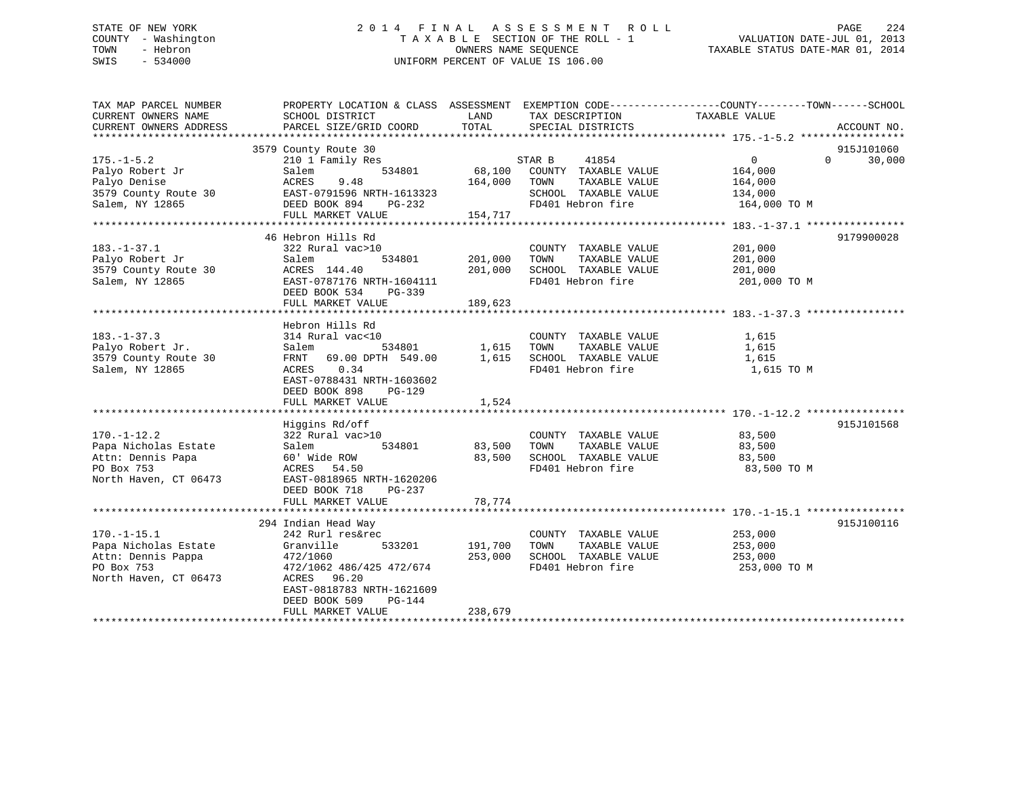## STATE OF NEW YORK 2 0 1 4 F I N A L A S S E S S M E N T R O L L PAGE 224 COUNTY - Washington T A X A B L E SECTION OF THE ROLL - 1 VALUATION DATE-JUL 01, 2013 TOWN - Hebron OWNERS NAME SEQUENCE TAXABLE STATUS DATE-MAR 01, 2014 SWIS - 534000 UNIFORM PERCENT OF VALUE IS 106.00

| TAX MAP PARCEL NUMBER<br>CURRENT OWNERS NAME<br>CURRENT OWNERS ADDRESS                                 | PROPERTY LOCATION & CLASS ASSESSMENT EXEMPTION CODE---------------COUNTY-------TOWN-----SCHOOL<br>SCHOOL DISTRICT<br>PARCEL SIZE/GRID COORD                                                        | LAND<br>TOTAL                 | TAX DESCRIPTION<br>SPECIAL DISTRICTS                                                                          | TAXABLE VALUE                                                   | ACCOUNT NO.                      |
|--------------------------------------------------------------------------------------------------------|----------------------------------------------------------------------------------------------------------------------------------------------------------------------------------------------------|-------------------------------|---------------------------------------------------------------------------------------------------------------|-----------------------------------------------------------------|----------------------------------|
| $175. - 1 - 5.2$<br>Palyo Robert Jr<br>Palyo Denise<br>3579 County Route 30<br>Salem, NY 12865         | 3579 County Route 30<br>210 1 Family Res<br>534801<br>Salem<br>ACRES<br>9.48<br>EAST-0791596 NRTH-1613323<br>DEED BOOK 894<br>PG-232<br>FULL MARKET VALUE                                          | 68,100<br>164,000<br>154,717  | STAR B<br>41854<br>COUNTY TAXABLE VALUE<br>TOWN<br>TAXABLE VALUE<br>SCHOOL TAXABLE VALUE<br>FD401 Hebron fire | $\overline{0}$<br>164,000<br>164,000<br>134,000<br>164,000 TO M | 915J101060<br>$\Omega$<br>30,000 |
| $183. - 1 - 37.1$<br>Palyo Robert Jr<br>3579 County Route 30<br>Salem, NY 12865                        | 46 Hebron Hills Rd<br>322 Rural vac>10<br>Salem<br>534801<br>ACRES 144.40<br>EAST-0787176 NRTH-1604111<br>DEED BOOK 534<br>PG-339<br>FULL MARKET VALUE                                             | 201,000<br>201,000<br>189,623 | COUNTY TAXABLE VALUE<br>TAXABLE VALUE<br>TOWN<br>SCHOOL TAXABLE VALUE<br>FD401 Hebron fire                    | 201,000<br>201,000<br>201,000<br>201,000 TO M                   | 9179900028                       |
| $183. - 1 - 37.3$<br>Palyo Robert Jr.<br>3579 County Route 30<br>Salem, NY 12865                       | Hebron Hills Rd<br>314 Rural vac<10<br>534801<br>Salem<br>FRNT 69.00 DPTH 549.00<br>0.34<br>ACRES<br>EAST-0788431 NRTH-1603602<br>DEED BOOK 898<br>$PG-129$<br>FULL MARKET VALUE                   | 1,615<br>1,615<br>1,524       | COUNTY TAXABLE VALUE<br>TOWN<br>TAXABLE VALUE<br>SCHOOL TAXABLE VALUE<br>FD401 Hebron fire                    | 1,615<br>1,615<br>1,615<br>1,615 TO M                           |                                  |
| $170. - 1 - 12.2$<br>Papa Nicholas Estate<br>Attn: Dennis Papa<br>PO Box 753<br>North Haven, CT 06473  | Higgins Rd/off<br>322 Rural vac>10<br>534801<br>Salem<br>60' Wide ROW<br>ACRES<br>54.50<br>EAST-0818965 NRTH-1620206<br>DEED BOOK 718<br>PG-237<br>FULL MARKET VALUE                               | 83,500<br>83,500<br>78,774    | COUNTY TAXABLE VALUE<br>TOWN<br>TAXABLE VALUE<br>SCHOOL TAXABLE VALUE<br>FD401 Hebron fire                    | 83,500<br>83,500<br>83,500<br>83,500 TO M                       | 915J101568                       |
| $170. - 1 - 15.1$<br>Papa Nicholas Estate<br>Attn: Dennis Pappa<br>PO Box 753<br>North Haven, CT 06473 | 294 Indian Head Way<br>242 Rurl res&rec<br>Granville<br>533201<br>472/1060<br>472/1062 486/425 472/674<br>ACRES 96.20<br>EAST-0818783 NRTH-1621609<br>DEED BOOK 509<br>PG-144<br>FULL MARKET VALUE | 191,700<br>253,000<br>238,679 | COUNTY TAXABLE VALUE<br>TOWN<br>TAXABLE VALUE<br>SCHOOL TAXABLE VALUE<br>FD401 Hebron fire                    | 253,000<br>253,000<br>253,000<br>253,000 TO M                   | 915J100116                       |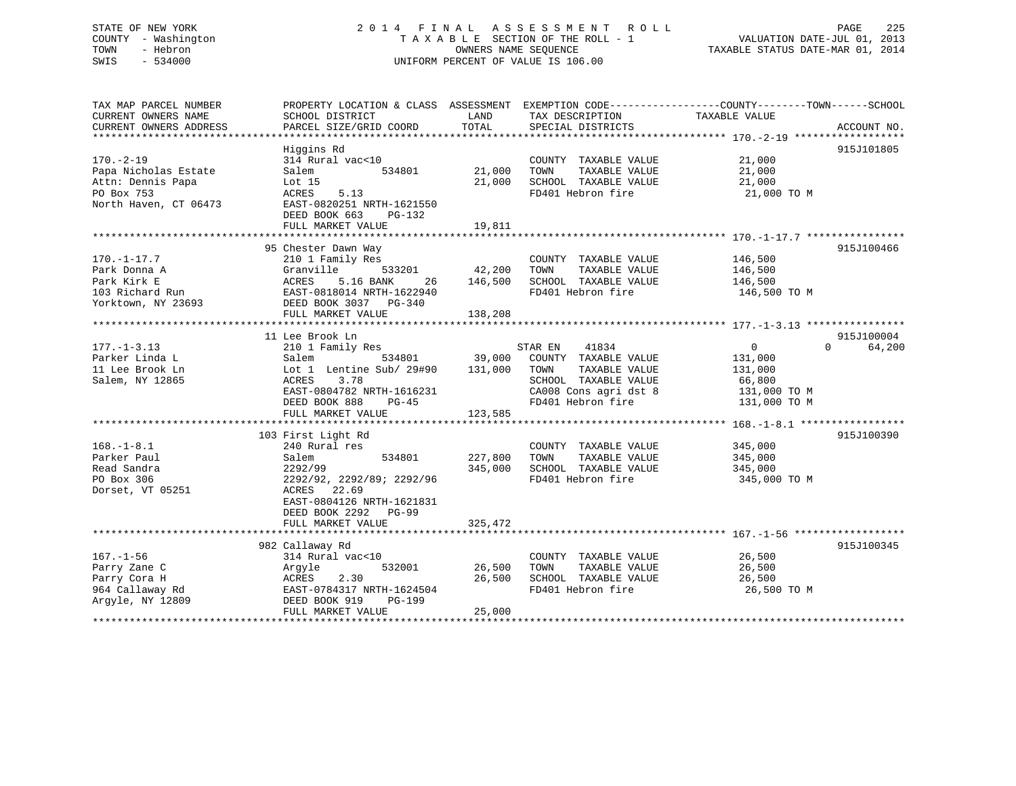## STATE OF NEW YORK 2 0 1 4 F I N A L A S S E S S M E N T R O L L PAGE 225 COUNTY - Washington T A X A B L E SECTION OF THE ROLL - 1 VALUATION DATE-JUL 01, 2013 TOWN - Hebron **CONNERS NAME SEQUENCE** TAXABLE STATUS DATE-MAR 01, 2014 SWIS - 534000 UNIFORM PERCENT OF VALUE IS 106.00

| TAX MAP PARCEL NUMBER     |                                  |               |                       | PROPERTY LOCATION & CLASS ASSESSMENT EXEMPTION CODE----------------COUNTY-------TOWN------SCHOOL |
|---------------------------|----------------------------------|---------------|-----------------------|--------------------------------------------------------------------------------------------------|
| CURRENT OWNERS NAME       | SCHOOL DISTRICT                  | LAND          | TAX DESCRIPTION       | TAXABLE VALUE                                                                                    |
| CURRENT OWNERS ADDRESS    | PARCEL SIZE/GRID COORD           | TOTAL         | SPECIAL DISTRICTS     | ACCOUNT NO.                                                                                      |
| ************************* |                                  |               |                       |                                                                                                  |
|                           | Higgins Rd                       |               |                       | 915J101805                                                                                       |
| $170. - 2 - 19$           | 314 Rural vac<10                 |               | COUNTY TAXABLE VALUE  | 21,000                                                                                           |
| Papa Nicholas Estate      | 534801<br>Salem                  | 21,000        | TOWN<br>TAXABLE VALUE | 21,000                                                                                           |
| Attn: Dennis Papa         | Lot 15                           | 21,000        | SCHOOL TAXABLE VALUE  | 21,000                                                                                           |
| PO Box 753                | ACRES<br>5.13                    |               | FD401 Hebron fire     | 21,000 TO M                                                                                      |
| North Haven, CT 06473     | EAST-0820251 NRTH-1621550        |               |                       |                                                                                                  |
|                           | DEED BOOK 663<br>PG-132          |               |                       |                                                                                                  |
|                           | FULL MARKET VALUE                | 19,811        |                       |                                                                                                  |
|                           |                                  |               |                       |                                                                                                  |
|                           | 95 Chester Dawn Way              |               |                       | 915J100466                                                                                       |
| $170. - 1 - 17.7$         | 210 1 Family Res                 |               | COUNTY TAXABLE VALUE  | 146,500                                                                                          |
| Park Donna A              | 533201<br>Granville              | 42,200        | TOWN<br>TAXABLE VALUE | 146,500                                                                                          |
| Park Kirk E               | 5.16 BANK<br>ACRES<br>26         | 146,500       | SCHOOL TAXABLE VALUE  | 146,500                                                                                          |
| 103 Richard Run           | EAST-0818014 NRTH-1622940        |               | FD401 Hebron fire     | 146,500 TO M                                                                                     |
| Yorktown, NY 23693        | DEED BOOK 3037 PG-340            |               |                       |                                                                                                  |
|                           | FULL MARKET VALUE                | 138,208       |                       |                                                                                                  |
|                           |                                  |               |                       |                                                                                                  |
|                           |                                  |               |                       |                                                                                                  |
|                           | 11 Lee Brook Ln                  |               |                       | 915J100004<br>$\Omega$                                                                           |
| $177. - 1 - 3.13$         | 210 1 Family Res                 |               | 41834<br>STAR EN      | $\overline{0}$<br>64,200                                                                         |
| Parker Linda L            | Salem                            | 534801 39,000 | COUNTY TAXABLE VALUE  | 131,000                                                                                          |
| 11 Lee Brook Ln           | Lot 1 Lentine Sub/ 29#90 131,000 |               | TOWN<br>TAXABLE VALUE | 131,000                                                                                          |
| Salem, NY 12865           | ACRES<br>3.78                    |               | SCHOOL TAXABLE VALUE  | 66,800                                                                                           |
|                           | EAST-0804782 NRTH-1616231        |               | CA008 Cons agri dst 8 | 131,000 TO M                                                                                     |
|                           | DEED BOOK 888<br>PG-45           |               | FD401 Hebron fire     | 131,000 TO M                                                                                     |
|                           | FULL MARKET VALUE                | 123,585       |                       |                                                                                                  |
|                           |                                  |               |                       |                                                                                                  |
|                           | 103 First Light Rd               |               |                       | 915J100390                                                                                       |
| $168. - 1 - 8.1$          | 240 Rural res                    |               | COUNTY TAXABLE VALUE  | 345,000                                                                                          |
| Parker Paul               | 534801<br>Salem                  | 227,800       | TOWN<br>TAXABLE VALUE | 345,000                                                                                          |
| Read Sandra               | 2292/99                          | 345,000       | SCHOOL TAXABLE VALUE  | 345,000                                                                                          |
| PO Box 306                | 2292/92, 2292/89; 2292/96        |               | FD401 Hebron fire     | 345,000 TO M                                                                                     |
| Dorset, VT 05251          | ACRES 22.69                      |               |                       |                                                                                                  |
|                           | EAST-0804126 NRTH-1621831        |               |                       |                                                                                                  |
|                           | DEED BOOK 2292 PG-99             |               |                       |                                                                                                  |
|                           | FULL MARKET VALUE                | 325,472       |                       |                                                                                                  |
|                           |                                  |               |                       |                                                                                                  |
|                           | 982 Callaway Rd                  |               |                       | 915J100345                                                                                       |
| $167. - 1 - 56$           | 314 Rural vac<10                 |               | COUNTY TAXABLE VALUE  | 26,500                                                                                           |
| Parry Zane C              | 532001<br>Argyle                 | 26,500        | TOWN<br>TAXABLE VALUE | 26,500                                                                                           |
| Parry Cora H              | 2.30<br>ACRES                    | 26,500        | SCHOOL TAXABLE VALUE  | 26,500                                                                                           |
| 964 Callaway Rd           | EAST-0784317 NRTH-1624504        |               | FD401 Hebron fire     | 26,500 TO M                                                                                      |
| Argyle, NY 12809          | DEED BOOK 919<br>PG-199          |               |                       |                                                                                                  |
|                           | FULL MARKET VALUE                | 25,000        |                       |                                                                                                  |
|                           |                                  |               |                       |                                                                                                  |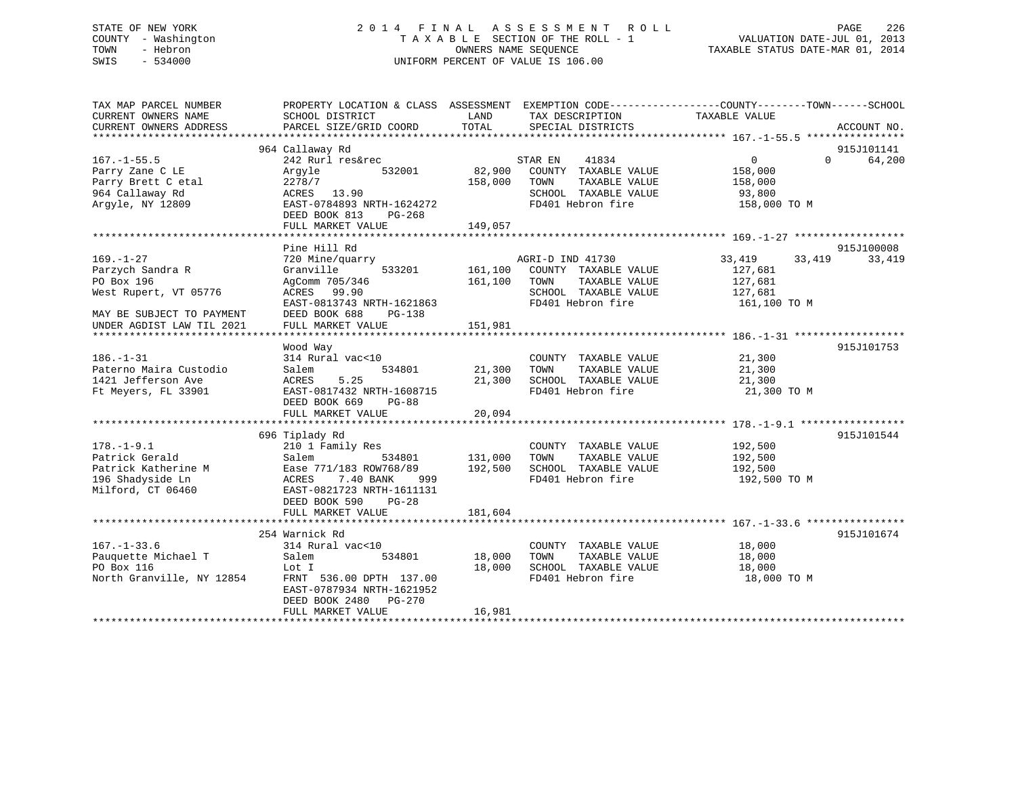## STATE OF NEW YORK 2 0 1 4 F I N A L A S S E S S M E N T R O L L PAGE 226 COUNTY - Washington T A X A B L E SECTION OF THE ROLL - 1 VALUATION DATE-JUL 01, 2013 TOWN - Hebron OWNERS NAME SEQUENCE TAXABLE STATUS DATE-MAR 01, 2014 SWIS - 534000 UNIFORM PERCENT OF VALUE IS 106.00

| TAX MAP PARCEL NUMBER<br>CURRENT OWNERS NAME<br>CURRENT OWNERS ADDRESS                                                               | PROPERTY LOCATION & CLASS ASSESSMENT<br>SCHOOL DISTRICT<br>PARCEL SIZE/GRID COORD                                                                                                               | LAND<br>TOTAL                 | TAX DESCRIPTION<br>SPECIAL DISTRICTS                                                                           | EXEMPTION CODE-----------------COUNTY-------TOWN------SCHOOL<br>TAXABLE VALUE | ACCOUNT NO.          |
|--------------------------------------------------------------------------------------------------------------------------------------|-------------------------------------------------------------------------------------------------------------------------------------------------------------------------------------------------|-------------------------------|----------------------------------------------------------------------------------------------------------------|-------------------------------------------------------------------------------|----------------------|
| $167. - 1 - 55.5$<br>Parry Zane C LE<br>Parry Brett C etal<br>964 Callaway Rd<br>Argyle, NY 12809                                    | 964 Callaway Rd<br>242 Rurl res&rec<br>532001<br>Arqyle<br>2278/7<br>ACRES 13.90<br>EAST-0784893 NRTH-1624272<br>DEED BOOK 813<br>$PG-268$<br>FULL MARKET VALUE                                 | 82,900<br>158,000<br>149,057  | STAR EN<br>41834<br>COUNTY TAXABLE VALUE<br>TOWN<br>TAXABLE VALUE<br>SCHOOL TAXABLE VALUE<br>FD401 Hebron fire | 0<br>$\Omega$<br>158,000<br>158,000<br>93,800<br>158,000 TO M                 | 915J101141<br>64,200 |
| $169. - 1 - 27$<br>Parzych Sandra R<br>PO Box 196<br>West Rupert, VT 05776<br>MAY BE SUBJECT TO PAYMENT<br>UNDER AGDIST LAW TIL 2021 | Pine Hill Rd<br>720 Mine/quarry<br>Granville<br>533201<br>AgComm 705/346<br>ACRES 99.90<br>EAST-0813743 NRTH-1621863<br>DEED BOOK 688<br>$PG-138$<br>FULL MARKET VALUE                          | 161,100<br>161,100<br>151,981 | AGRI-D IND 41730<br>COUNTY TAXABLE VALUE<br>TOWN<br>TAXABLE VALUE<br>SCHOOL TAXABLE VALUE<br>FD401 Hebron fire | 33,419<br>33,419<br>127,681<br>127,681<br>127,681<br>161,100 TO M             | 915J100008<br>33,419 |
| $186. - 1 - 31$<br>Paterno Maira Custodio<br>1421 Jefferson Ave<br>Ft Meyers, FL 33901                                               | Wood Way<br>314 Rural vac<10<br>534801<br>Salem<br>5.25<br>ACRES<br>EAST-0817432 NRTH-1608715<br>DEED BOOK 669<br>PG-88<br>FULL MARKET VALUE                                                    | 21,300<br>21,300<br>20,094    | COUNTY TAXABLE VALUE<br>TAXABLE VALUE<br>TOWN<br>SCHOOL TAXABLE VALUE<br>FD401 Hebron fire                     | 21,300<br>21,300<br>21,300<br>21,300 TO M                                     | 915J101753           |
| $178. - 1 - 9.1$<br>Patrick Gerald<br>Patrick Katherine M<br>196 Shadyside Ln<br>Milford, CT 06460                                   | 696 Tiplady Rd<br>210 1 Family Res<br>Salem<br>534801<br>Ease 771/183 ROW768/89<br>7.40 BANK<br>ACRES<br>999<br>EAST-0821723 NRTH-1611131<br>DEED BOOK 590<br><b>PG-28</b><br>FULL MARKET VALUE | 131,000<br>192,500<br>181,604 | COUNTY TAXABLE VALUE<br>TAXABLE VALUE<br>TOWN<br>SCHOOL TAXABLE VALUE<br>FD401 Hebron fire                     | 192,500<br>192,500<br>192,500<br>192,500 TO M                                 | 915J101544           |
| $167. - 1 - 33.6$<br>Pauquette Michael T<br>PO Box 116<br>North Granville, NY 12854                                                  | 254 Warnick Rd<br>314 Rural vac<10<br>534801<br>Salem<br>Lot I<br>FRNT 536.00 DPTH 137.00<br>EAST-0787934 NRTH-1621952<br>DEED BOOK 2480<br>PG-270<br>FULL MARKET VALUE                         | 18,000<br>18,000<br>16,981    | COUNTY TAXABLE VALUE<br>TOWN<br>TAXABLE VALUE<br>SCHOOL TAXABLE VALUE<br>FD401 Hebron fire                     | 18,000<br>18,000<br>18,000<br>18,000 TO M                                     | 915J101674           |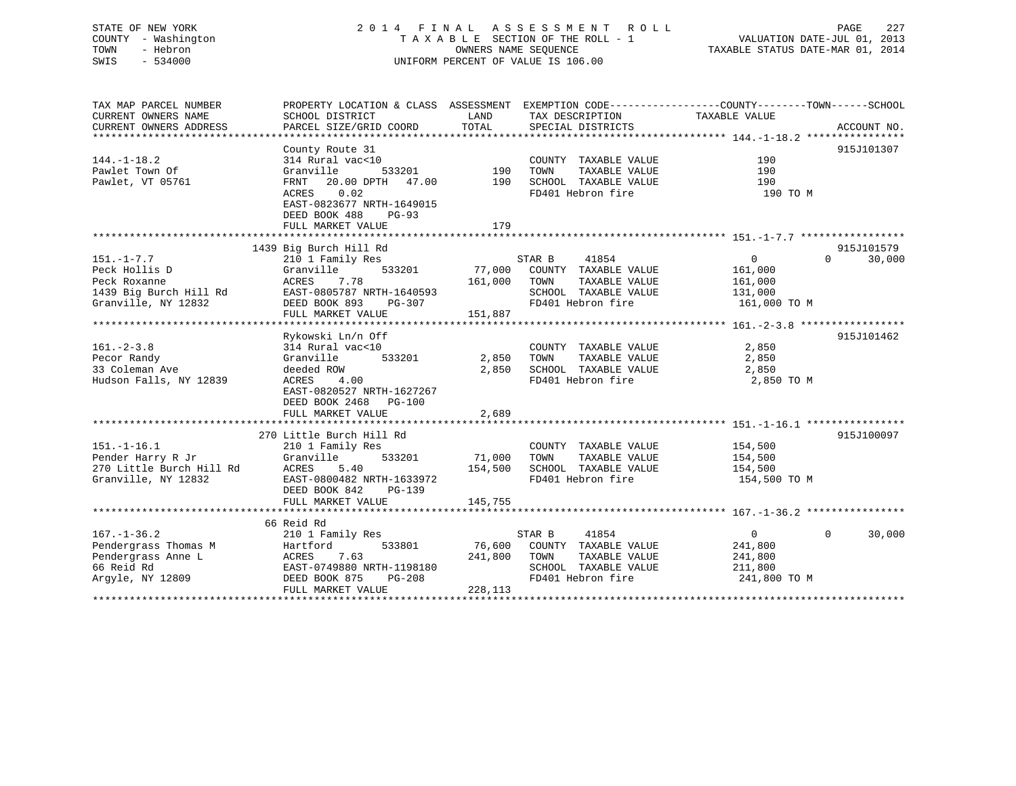## STATE OF NEW YORK 2 0 1 4 F I N A L A S S E S S M E N T R O L L PAGE 227 COUNTY - Washington T A X A B L E SECTION OF THE ROLL - 1 VALUATION DATE-JUL 01, 2013 TOWN - Hebron OWNERS NAME SEQUENCE TAXABLE STATUS DATE-MAR 01, 2014 SWIS - 534000 UNIFORM PERCENT OF VALUE IS 106.00

| TAX MAP PARCEL NUMBER    | PROPERTY LOCATION & CLASS ASSESSMENT EXEMPTION CODE----------------COUNTY-------TOWN-----SCHOOL |               |                       |                |                    |
|--------------------------|-------------------------------------------------------------------------------------------------|---------------|-----------------------|----------------|--------------------|
| CURRENT OWNERS NAME      | SCHOOL DISTRICT                                                                                 | LAND          | TAX DESCRIPTION       | TAXABLE VALUE  |                    |
| CURRENT OWNERS ADDRESS   | PARCEL SIZE/GRID COORD                                                                          | TOTAL         | SPECIAL DISTRICTS     |                | ACCOUNT NO.        |
|                          |                                                                                                 |               |                       |                |                    |
|                          | County Route 31                                                                                 |               |                       |                | 915J101307         |
| $144. - 1 - 18.2$        | 314 Rural vac<10                                                                                |               | COUNTY TAXABLE VALUE  | 190            |                    |
| Pawlet Town Of           | 533201<br>Granville                                                                             | 190           | TOWN<br>TAXABLE VALUE | 190            |                    |
| Pawlet, VT 05761         | FRNT 20.00 DPTH 47.00 190 SCHOOL TAXABLE VALUE                                                  |               |                       | 190            |                    |
|                          | ACRES 0.02                                                                                      |               | FD401 Hebron fire     | 190 TO M       |                    |
|                          | EAST-0823677 NRTH-1649015                                                                       |               |                       |                |                    |
|                          | DEED BOOK 488<br>PG-93                                                                          |               |                       |                |                    |
|                          | FULL MARKET VALUE                                                                               | 179           |                       |                |                    |
|                          |                                                                                                 |               |                       |                |                    |
|                          | 1439 Big Burch Hill Rd                                                                          |               |                       |                | 915J101579         |
| $151. - 1 - 7.7$         | 210 1 Family Res                                                                                |               | STAR B<br>41854       | 0              | $\Omega$<br>30,000 |
| Peck Hollis D            | Granville                                                                                       | 533201 77,000 | COUNTY TAXABLE VALUE  | 161,000        |                    |
| Peck Roxanne             | ACRES<br>7.78                                                                                   | 161,000       | TAXABLE VALUE<br>TOWN | 161,000        |                    |
| 1439 Big Burch Hill Rd   | EAST-0805787 NRTH-1640593                                                                       |               | SCHOOL TAXABLE VALUE  | 131,000        |                    |
| Granville, NY 12832      | DEED BOOK 893<br>PG-307                                                                         |               | FD401 Hebron fire     | 161,000 TO M   |                    |
|                          | FULL MARKET VALUE                                                                               | 151,887       |                       |                |                    |
|                          |                                                                                                 |               |                       |                |                    |
|                          | Rykowski Ln/n Off                                                                               |               |                       |                | 915J101462         |
| $161. - 2 - 3.8$         | 314 Rural vac<10                                                                                |               | COUNTY TAXABLE VALUE  | 2,850          |                    |
| Pecor Randy              | Granville<br>533201                                                                             | 2,850         | TAXABLE VALUE<br>TOWN | 2,850          |                    |
| 33 Coleman Ave           | deeded ROW                                                                                      | 2,850         | SCHOOL TAXABLE VALUE  | 2,850          |                    |
| Hudson Falls, NY 12839   | ACRES 4.00                                                                                      |               | FD401 Hebron fire     | 2,850 TO M     |                    |
|                          | EAST-0820527 NRTH-1627267                                                                       |               |                       |                |                    |
|                          | DEED BOOK 2468 PG-100                                                                           |               |                       |                |                    |
|                          | FULL MARKET VALUE                                                                               | 2,689         |                       |                |                    |
|                          |                                                                                                 |               |                       |                |                    |
|                          | 270 Little Burch Hill Rd                                                                        |               |                       |                | 915J100097         |
| $151. - 1 - 16.1$        | 210 1 Family Res                                                                                |               | COUNTY TAXABLE VALUE  | 154,500        |                    |
| Pender Harry R Jr        | 533201<br>Granville                                                                             | 71,000        | TOWN<br>TAXABLE VALUE | 154,500        |                    |
| 270 Little Burch Hill Rd | ACRES<br>5.40                                                                                   | 154,500       | SCHOOL TAXABLE VALUE  | 154,500        |                    |
| Granville, NY 12832      | EAST-0800482 NRTH-1633972                                                                       |               | FD401 Hebron fire     | 154,500 TO M   |                    |
|                          | DEED BOOK 842<br>PG-139                                                                         |               |                       |                |                    |
|                          | FULL MARKET VALUE                                                                               | 145,755       |                       |                |                    |
|                          |                                                                                                 |               |                       |                |                    |
|                          | 66 Reid Rd                                                                                      |               |                       |                |                    |
| $167. - 1 - 36.2$        | 210 1 Family Res                                                                                |               | 41854<br>STAR B       | $\overline{0}$ | $\Omega$<br>30,000 |
| Pendergrass Thomas M     | 533801<br>Hartford                                                                              | 76,600        | COUNTY TAXABLE VALUE  | 241,800        |                    |
| Pendergrass Anne L       | ACRES 7.63                                                                                      | 241,800       | TOWN<br>TAXABLE VALUE | 241,800        |                    |
| 66 Reid Rd               | EAST-0749880 NRTH-1198180                                                                       |               | SCHOOL TAXABLE VALUE  | 211,800        |                    |
| Argyle, NY 12809         | DEED BOOK 875<br><b>PG-208</b>                                                                  |               | FD401 Hebron fire     | 241,800 TO M   |                    |
|                          | FULL MARKET VALUE                                                                               | 228,113       |                       |                |                    |
|                          |                                                                                                 |               |                       |                |                    |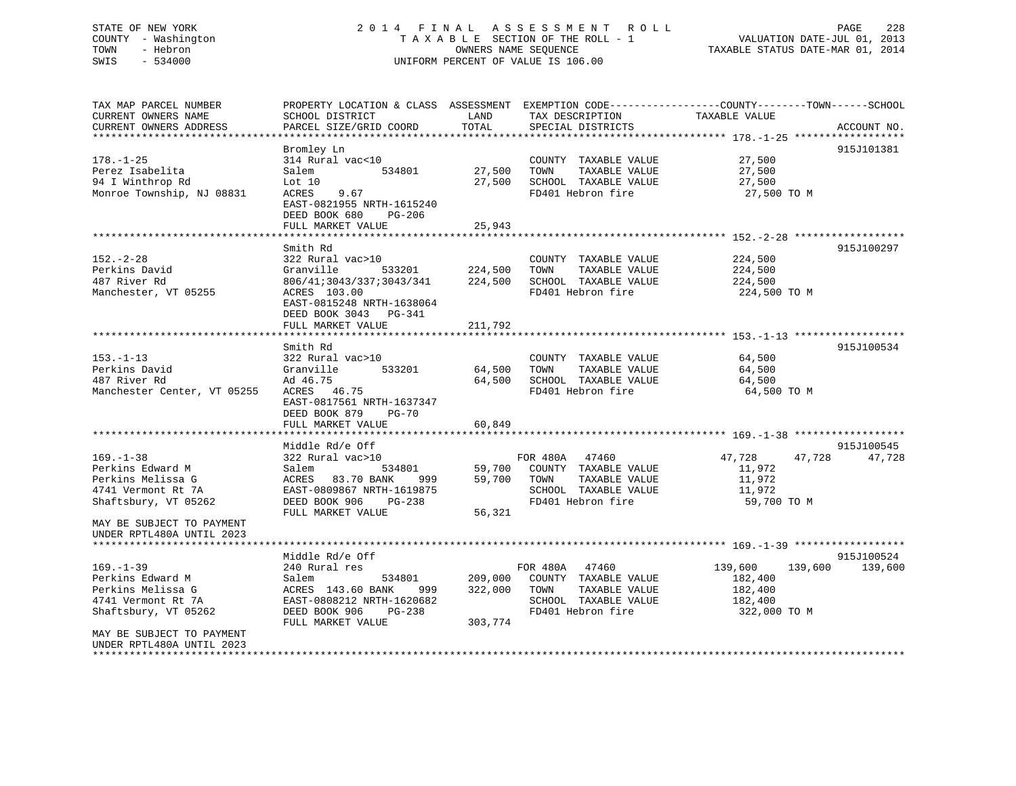## STATE OF NEW YORK 2 0 1 4 F I N A L A S S E S S M E N T R O L L PAGE 228 COUNTY - Washington T A X A B L E SECTION OF THE ROLL - 1 VALUATION DATE-JUL 01, 2013 TOWN - Hebron OWNERS NAME SEQUENCE TAXABLE STATUS DATE-MAR 01, 2014 SWIS - 534000 UNIFORM PERCENT OF VALUE IS 106.00

TAX MAP PARCEL NUMBER PROPERTY LOCATION & CLASS ASSESSMENT EXEMPTION CODE------------------COUNTY--------TOWN------SCHOOL

CURRENT OWNERS NAME SCHOOL DISTRICT THE LAND TAX DESCRIPTION TAXABLE VALUE CURRENT OWNERS ADDRESS PARCEL SIZE/GRID COORD TOTAL SPECIAL DISTRICTS ACCOUNT NO. \*\*\*\*\*\*\*\*\*\*\*\*\*\*\*\*\*\*\*\*\*\*\*\*\*\*\*\*\*\*\*\*\*\*\*\*\*\*\*\*\*\*\*\*\*\*\*\*\*\*\*\*\*\*\*\*\*\*\*\*\*\*\*\*\*\*\*\*\*\*\*\*\*\*\*\*\*\*\*\*\*\*\*\*\*\*\*\*\*\*\*\*\*\*\*\*\*\*\*\*\*\*\* 178.-1-25 \*\*\*\*\*\*\*\*\*\*\*\*\*\*\*\*\*\* Bromley Ln 915J101381 178.-1-25 314 Rural vac<10 COUNTY TAXABLE VALUE 27,500 Perez Isabelita Salem 534801 27,500 TOWN TAXABLE VALUE 27,500 94 I Winthrop Rd Lot 10 27,500 SCHOOL TAXABLE VALUE 27,500 Monroe Township, NJ 08831 ACRES 9.67 FD401 Hebron fire 27,500 TO M EAST-0821955 NRTH-1615240 DEED BOOK 680 PG-206FULL MARKET VALUE 25,943 \*\*\*\*\*\*\*\*\*\*\*\*\*\*\*\*\*\*\*\*\*\*\*\*\*\*\*\*\*\*\*\*\*\*\*\*\*\*\*\*\*\*\*\*\*\*\*\*\*\*\*\*\*\*\*\*\*\*\*\*\*\*\*\*\*\*\*\*\*\*\*\*\*\*\*\*\*\*\*\*\*\*\*\*\*\*\*\*\*\*\*\*\*\*\*\*\*\*\*\*\*\*\* 152.-2-28 \*\*\*\*\*\*\*\*\*\*\*\*\*\*\*\*\*\* Smith Rd 915J100297152.-2-28 322 Rural vac>10 COUNTY TAXABLE VALUE 224,500 Perkins David Granville 533201 224,500 TOWN TAXABLE VALUE 224,500 487 River Rd 806/41;3043/337;3043/341 224,500 SCHOOL TAXABLE VALUE 224,500 Manchester, VT 05255 ACRES 103.00 CHO FD401 Hebron fire 224,500 TO M EAST-0815248 NRTH-1638064 DEED BOOK 3043 PG-341FULL MARKET VALUE 211,792 \*\*\*\*\*\*\*\*\*\*\*\*\*\*\*\*\*\*\*\*\*\*\*\*\*\*\*\*\*\*\*\*\*\*\*\*\*\*\*\*\*\*\*\*\*\*\*\*\*\*\*\*\*\*\*\*\*\*\*\*\*\*\*\*\*\*\*\*\*\*\*\*\*\*\*\*\*\*\*\*\*\*\*\*\*\*\*\*\*\*\*\*\*\*\*\*\*\*\*\*\*\*\* 153.-1-13 \*\*\*\*\*\*\*\*\*\*\*\*\*\*\*\*\*\* Smith Rd 915J100534153.-1-13 322 Rural vac>10 COUNTY TAXABLE VALUE 64,500 Perkins David Granville 533201 64,500 TOWN TAXABLE VALUE 64,500 487 River Rd Ad 46.75 64,500 SCHOOL TAXABLE VALUE 64,500 Manchester Center, VT 05255 ACRES 46.75 FD401 Hebron fire 64,500 TO M EAST-0817561 NRTH-1637347 DEED BOOK 879 PG-70FULL MARKET VALUE 60.849 \*\*\*\*\*\*\*\*\*\*\*\*\*\*\*\*\*\*\*\*\*\*\*\*\*\*\*\*\*\*\*\*\*\*\*\*\*\*\*\*\*\*\*\*\*\*\*\*\*\*\*\*\*\*\*\*\*\*\*\*\*\*\*\*\*\*\*\*\*\*\*\*\*\*\*\*\*\*\*\*\*\*\*\*\*\*\*\*\*\*\*\*\*\*\*\*\*\*\*\*\*\*\* 169.-1-38 \*\*\*\*\*\*\*\*\*\*\*\*\*\*\*\*\*\* Middle Rd/e Off 915J100545 169.-1-38 322 Rural vac>10 FOR 480A 47460 47,728 47,728 47,728 Perkins Edward M Salem 534801 59,700 COUNTY TAXABLE VALUE 11,972 Perkins Melissa G ACRES 83.70 BANK 999 59,700 TOWN TAXABLE VALUE 11,972 4741 Vermont Rt 7A EAST-0809867 NRTH-1619875 SCHOOL TAXABLE VALUE 11,972 Shaftsbury, VT 05262 DEED BOOK 906 PG-238 FD401 Hebron fire 59,700 TO M<br>FULL MARKET VALUE 56.321 FULL MARKET VALUE MAY BE SUBJECT TO PAYMENTUNDER RPTL480A UNTIL 2023 \*\*\*\*\*\*\*\*\*\*\*\*\*\*\*\*\*\*\*\*\*\*\*\*\*\*\*\*\*\*\*\*\*\*\*\*\*\*\*\*\*\*\*\*\*\*\*\*\*\*\*\*\*\*\*\*\*\*\*\*\*\*\*\*\*\*\*\*\*\*\*\*\*\*\*\*\*\*\*\*\*\*\*\*\*\*\*\*\*\*\*\*\*\*\*\*\*\*\*\*\*\*\* 169.-1-39 \*\*\*\*\*\*\*\*\*\*\*\*\*\*\*\*\*\*Middle Rd/e Off 915J100524 169.-1-39 240 Rural res FOR 480A 47460 139,600 139,600 139,600 Perkins Edward M Salem 534801 209,000 COUNTY TAXABLE VALUE 182,400 Perkins Melissa G  $ACRES$  143.60 BANK 999 322,000 TOWN TAXABLE VALUE 182,400 4741 Vermont Rt 7A EAST-0808212 NRTH-1620682 SCHOOL TAXABLE VALUE 182,400 Shaftsbury, VT 05262 DEED BOOK 906 PG-238 FD401 Hebron fire 322,000 TO M DEED BOOK 906 PG-238<br>FULL MARKET VALUE 303,774 MAY BE SUBJECT TO PAYMENTUNDER RPTL480A UNTIL 2023\*\*\*\*\*\*\*\*\*\*\*\*\*\*\*\*\*\*\*\*\*\*\*\*\*\*\*\*\*\*\*\*\*\*\*\*\*\*\*\*\*\*\*\*\*\*\*\*\*\*\*\*\*\*\*\*\*\*\*\*\*\*\*\*\*\*\*\*\*\*\*\*\*\*\*\*\*\*\*\*\*\*\*\*\*\*\*\*\*\*\*\*\*\*\*\*\*\*\*\*\*\*\*\*\*\*\*\*\*\*\*\*\*\*\*\*\*\*\*\*\*\*\*\*\*\*\*\*\*\*\*\*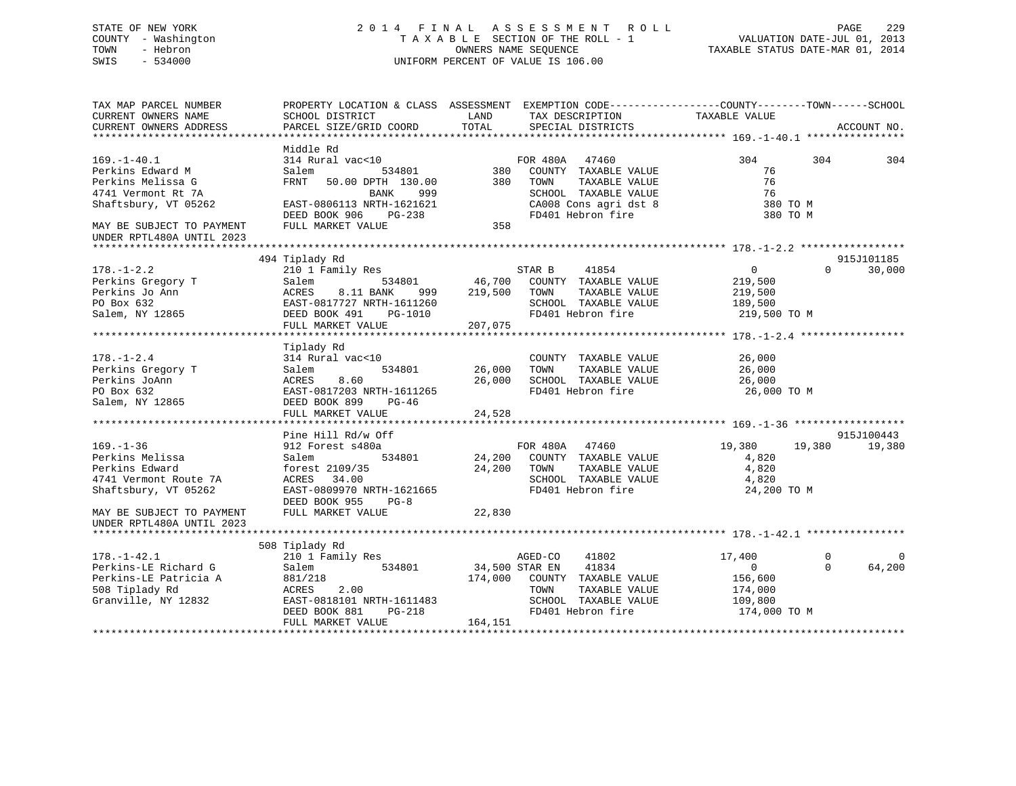## STATE OF NEW YORK 2 0 1 4 F I N A L A S S E S S M E N T R O L L PAGE 229 COUNTY - Washington T A X A B L E SECTION OF THE ROLL - 1 VALUATION DATE-JUL 01, 2013 TOWN - Hebron OWNERS NAME SEQUENCE TAXABLE STATUS DATE-MAR 01, 2014 SWIS - 534000 UNIFORM PERCENT OF VALUE IS 106.00

| TAX MAP PARCEL NUMBER<br>CURRENT OWNERS NAME<br>CURRENT OWNERS ADDRESS | PROPERTY LOCATION & CLASS ASSESSMENT EXEMPTION CODE----------------COUNTY-------TOWN-----SCHOOL<br>SCHOOL DISTRICT<br>PARCEL SIZE/GRID COORD | LAND<br>TOTAL  | TAX DESCRIPTION<br>SPECIAL DISTRICTS          | TAXABLE VALUE    | ACCOUNT NO.        |          |
|------------------------------------------------------------------------|----------------------------------------------------------------------------------------------------------------------------------------------|----------------|-----------------------------------------------|------------------|--------------------|----------|
|                                                                        |                                                                                                                                              |                |                                               |                  |                    |          |
| $169. - 1 - 40.1$                                                      | Middle Rd<br>314 Rural vac<10                                                                                                                |                | FOR 480A 47460                                | 304              | 304<br>304         |          |
| Perkins Edward M<br>Perkins Melissa G                                  | 534801<br>Salem<br>FRNT<br>50.00 DPTH 130.00                                                                                                 | 380<br>380     | COUNTY TAXABLE VALUE<br>TOWN<br>TAXABLE VALUE | 76<br>76         |                    |          |
| 4741 Vermont Rt 7A                                                     | <b>BANK</b><br>999                                                                                                                           |                | SCHOOL TAXABLE VALUE                          | 76               |                    |          |
| Shaftsbury, VT 05262                                                   | EAST-0806113 NRTH-1621621                                                                                                                    |                | CA008 Cons agri dst 8                         | 380 TO M         |                    |          |
|                                                                        | DEED BOOK 906 PG-238                                                                                                                         |                | FD401 Hebron fire                             | 380 TO M         |                    |          |
| MAY BE SUBJECT TO PAYMENT<br>UNDER RPTL480A UNTIL 2023                 | FULL MARKET VALUE                                                                                                                            | 358            |                                               |                  |                    |          |
|                                                                        |                                                                                                                                              |                |                                               |                  |                    |          |
|                                                                        | 494 Tiplady Rd                                                                                                                               |                |                                               |                  | 915J101185         |          |
| $178. - 1 - 2.2$                                                       | 210 1 Family Res                                                                                                                             |                | STAR B<br>41854                               | $\overline{0}$   | 30,000<br>$\Omega$ |          |
| Perkins Gregory T                                                      | Salem<br>534801                                                                                                                              |                | 46,700 COUNTY TAXABLE VALUE                   | 219,500          |                    |          |
| Perkins Jo Ann                                                         | ACRES<br>8.11 BANK<br>999                                                                                                                    | 219,500        | TAXABLE VALUE<br>TOWN                         | 219,500          |                    |          |
| PO Box 632                                                             | EAST-0817727 NRTH-1611260                                                                                                                    |                | SCHOOL TAXABLE VALUE                          | 189,500          |                    |          |
| Salem, NY 12865                                                        | DEED BOOK 491<br>PG-1010                                                                                                                     |                | FD401 Hebron fire                             | 219,500 TO M     |                    |          |
|                                                                        | FULL MARKET VALUE                                                                                                                            | 207,075        |                                               |                  |                    |          |
|                                                                        |                                                                                                                                              |                |                                               |                  |                    |          |
|                                                                        | Tiplady Rd                                                                                                                                   |                |                                               |                  |                    |          |
| $178. - 1 - 2.4$<br>Perkins Gregory T                                  | 314 Rural vac<10<br>534801                                                                                                                   | 26,000         | COUNTY TAXABLE VALUE<br>TAXABLE VALUE<br>TOWN | 26,000<br>26,000 |                    |          |
| Perkins JoAnn                                                          | Salem<br>ACRES<br>8.60                                                                                                                       |                | SCHOOL TAXABLE VALUE                          | 26,000           |                    |          |
| PO Box 632                                                             | EAST-0817203 NRTH-1611265                                                                                                                    | 26,000         | FD401 Hebron fire                             | 26,000 TO M      |                    |          |
| Salem, NY 12865                                                        | DEED BOOK 899<br>PG-46                                                                                                                       |                |                                               |                  |                    |          |
|                                                                        | FULL MARKET VALUE                                                                                                                            | 24,528         |                                               |                  |                    |          |
|                                                                        |                                                                                                                                              |                |                                               |                  |                    |          |
|                                                                        | Pine Hill Rd/w Off                                                                                                                           |                |                                               |                  | 915J100443         |          |
| $169. - 1 - 36$                                                        | 912 Forest s480a                                                                                                                             |                | FOR 480A 47460                                | 19,380           | 19,380<br>19,380   |          |
| Perkins Melissa                                                        | 534801<br>Salem                                                                                                                              |                | 24,200 COUNTY TAXABLE VALUE                   | 4,820            |                    |          |
| Perkins Edward                                                         | forest 2109/35                                                                                                                               | 24,200         | TOWN<br>TAXABLE VALUE                         | 4,820            |                    |          |
| 4741 Vermont Route 7A                                                  | 34.00<br>ACRES                                                                                                                               |                | SCHOOL TAXABLE VALUE                          | 4,820            |                    |          |
| Shaftsbury, VT 05262                                                   | EAST-0809970 NRTH-1621665                                                                                                                    |                | FD401 Hebron fire                             | 24,200 TO M      |                    |          |
|                                                                        | DEED BOOK 955<br>$PG-8$                                                                                                                      |                |                                               |                  |                    |          |
| MAY BE SUBJECT TO PAYMENT                                              | FULL MARKET VALUE                                                                                                                            | 22,830         |                                               |                  |                    |          |
| UNDER RPTL480A UNTIL 2023                                              |                                                                                                                                              |                |                                               |                  |                    |          |
|                                                                        |                                                                                                                                              |                |                                               |                  |                    |          |
|                                                                        | 508 Tiplady Rd                                                                                                                               |                |                                               |                  |                    |          |
| $178. - 1 - 42.1$                                                      | 210 1 Family Res                                                                                                                             |                | 41802<br>AGED-CO                              | 17,400           | $\mathbf 0$        | $\Omega$ |
| Perkins-LE Richard G                                                   | 534801<br>Salem                                                                                                                              | 34,500 STAR EN | 41834                                         | $\Omega$         | 64,200<br>$\Omega$ |          |
| Perkins-LE Patricia A                                                  | 881/218                                                                                                                                      | 174,000        | COUNTY TAXABLE VALUE                          | 156,600          |                    |          |
| 508 Tiplady Rd                                                         | 2.00<br>ACRES                                                                                                                                |                | TOWN<br>TAXABLE VALUE                         | 174,000          |                    |          |
| Granville, NY 12832                                                    | EAST-0818101 NRTH-1611483                                                                                                                    |                | SCHOOL TAXABLE VALUE                          | 109,800          |                    |          |
|                                                                        | DEED BOOK 881<br>$PG-218$                                                                                                                    |                | FD401 Hebron fire                             | 174,000 TO M     |                    |          |
|                                                                        | FULL MARKET VALUE                                                                                                                            | 164,151        |                                               |                  |                    |          |
|                                                                        |                                                                                                                                              |                |                                               |                  |                    |          |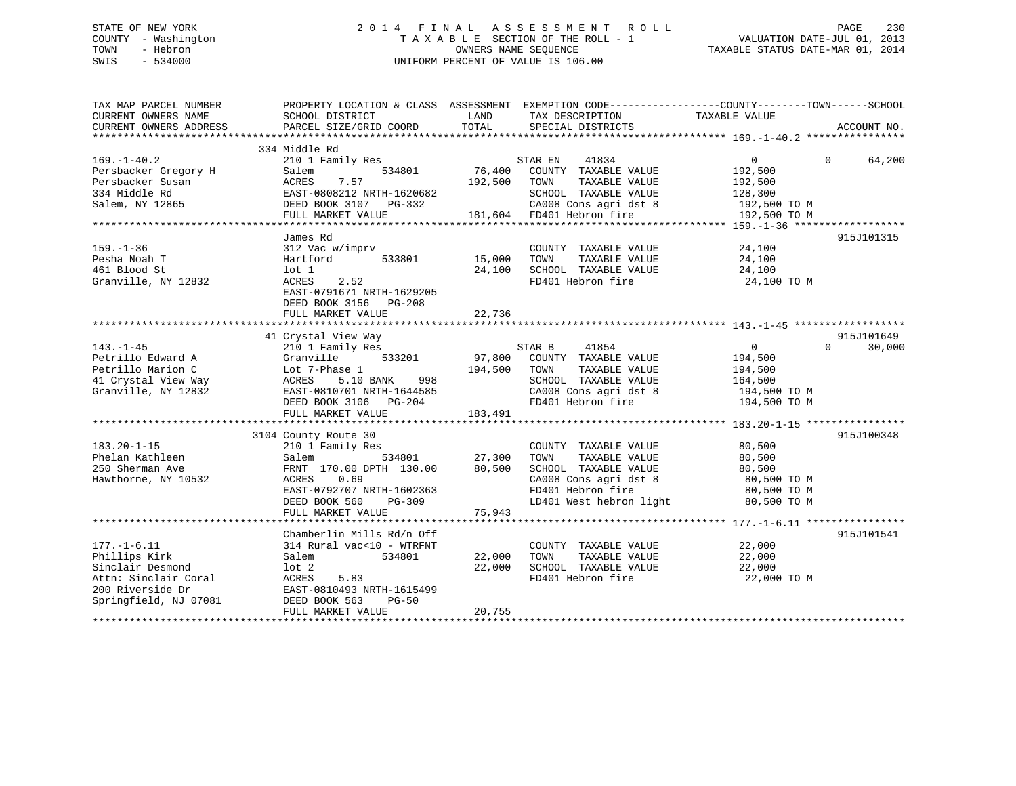## STATE OF NEW YORK 2 0 1 4 F I N A L A S S E S S M E N T R O L L PAGE 230 COUNTY - Washington T A X A B L E SECTION OF THE ROLL - 1 VALUATION DATE-JUL 01, 2013 TOWN - Hebron OWNERS NAME SEQUENCE TAXABLE STATUS DATE-MAR 01, 2014 SWIS - 534000 UNIFORM PERCENT OF VALUE IS 106.00

| TAX MAP PARCEL NUMBER<br>CURRENT OWNERS NAME<br>CURRENT OWNERS ADDRESS                                                      | PROPERTY LOCATION & CLASS ASSESSMENT EXEMPTION CODE----------------COUNTY-------TOWN------SCHOOL<br>SCHOOL DISTRICT<br>PARCEL SIZE/GRID COORD                                     | LAND<br>TOTAL                | TAX DESCRIPTION<br>SPECIAL DISTRICTS                                                                                                                                                | TAXABLE VALUE                                                           | ACCOUNT NO.                      |
|-----------------------------------------------------------------------------------------------------------------------------|-----------------------------------------------------------------------------------------------------------------------------------------------------------------------------------|------------------------------|-------------------------------------------------------------------------------------------------------------------------------------------------------------------------------------|-------------------------------------------------------------------------|----------------------------------|
| $169. - 1 - 40.2$<br>Persbacker Gregory H<br>Persbacker Susan<br>334 Middle Rd<br>Salem, NY 12865                           | 334 Middle Rd<br>210 1 Family Res<br>534801<br>Salem<br>7.57<br>ACRES<br>EAST-0808212 NRTH-1620682<br>DEED BOOK 3107 PG-332<br>FULL MARKET VALUE                                  | 76,400<br>192,500            | 41834<br>STAR EN<br>COUNTY TAXABLE VALUE<br>TAXABLE VALUE<br>TOWN<br>SCHOOL TAXABLE VALUE<br>CA008 Cons agri dst 8 192,500 TO M<br>181,604 FD401 Hebron fire                        | $\overline{0}$<br>192,500<br>192,500<br>128,300<br>192,500 TO M         | $\Omega$<br>64,200               |
| $159. - 1 - 36$<br>Pesha Noah T<br>461 Blood St<br>Granville, NY 12832                                                      | James Rd<br>312 Vac w/imprv<br>533801<br>Hartford<br>lot 1<br>2.52<br>ACRES<br>EAST-0791671 NRTH-1629205<br>DEED BOOK 3156 PG-208                                                 | 15,000<br>24,100             | COUNTY TAXABLE VALUE 24,100<br>TAXABLE VALUE<br>TOWN<br>SCHOOL TAXABLE VALUE<br>FD401 Hebron fire                                                                                   | 24,100<br>24,100<br>24,100 TO M                                         | 915J101315                       |
| $143. - 1 - 45$<br>Petrillo Edward A<br>Petrillo Marion C<br>41 Crystal View Way<br>Granville, NY 12832                     | 41 Crystal View Way<br>210 1 Family Res<br>533201<br>Granville<br>Lot 7-Phase 1<br>998<br>ACRES 5.10 BANA<br>DEED BOOK 3106 PG-204<br>FULL MARKET VALUE                           | 97,800<br>194,500<br>183,491 | STAR B<br>41854<br>COUNTY TAXABLE VALUE<br>TOWN<br>TAXABLE VALUE<br>SCHOOL TAXABLE VALUE<br>SCHOOL TAXABLE VALUE 164,500<br>CA008 Cons agri dst 8 194,500 TO M<br>FD401 Hebron fire | $\overline{0}$<br>194,500<br>194,500<br>164,500<br>194,500 TO M         | 915J101649<br>$\Omega$<br>30,000 |
| $183.20 - 1 - 15$<br>Phelan Kathleen<br>250 Sherman Ave<br>Hawthorne, NY 10532                                              | 3104 County Route 30<br>210 1 Family Res<br>534801<br>Salem<br>FRNT 170.00 DPTH 130.00<br>ACRES 0.69<br>EAST-0792707 NRTH-1602363<br>DEED BOOK 560<br>PG-309<br>FULL MARKET VALUE | 27,300<br>80,500<br>75,943   | COUNTY TAXABLE VALUE<br>TAXABLE VALUE<br>TOWN<br>SCHOOL TAXABLE VALUE<br>SCHOOL IAANDEL<br>CA008 Cons agri dst 8<br>LD401 West hebron light                                         | 80,500<br>80,500<br>80,500<br>80,500 TO M<br>80,500 TO M<br>80,500 TO M | 915J100348                       |
| $177. - 1 - 6.11$<br>Phillips Kirk<br>Sinclair Desmond<br>Attn: Sinclair Coral<br>200 Riverside Dr<br>Springfield, NJ 07081 | Chamberlin Mills Rd/n Off<br>314 Rural vac<10 - WTRFNT<br>Salem<br>534801<br>lot 2<br>ACRES<br>5.83<br>EAST-0810493 NRTH-1615499<br>DEED BOOK 563<br>$PG-50$<br>FULL MARKET VALUE | 22,000<br>22,000<br>20,755   | COUNTY TAXABLE VALUE<br>TAXABLE VALUE<br>TOWN<br>SCHOOL TAXABLE VALUE<br>FD401 Hebron fire                                                                                          | 22,000<br>22,000<br>22,000<br>22,000 TO M                               | 915J101541                       |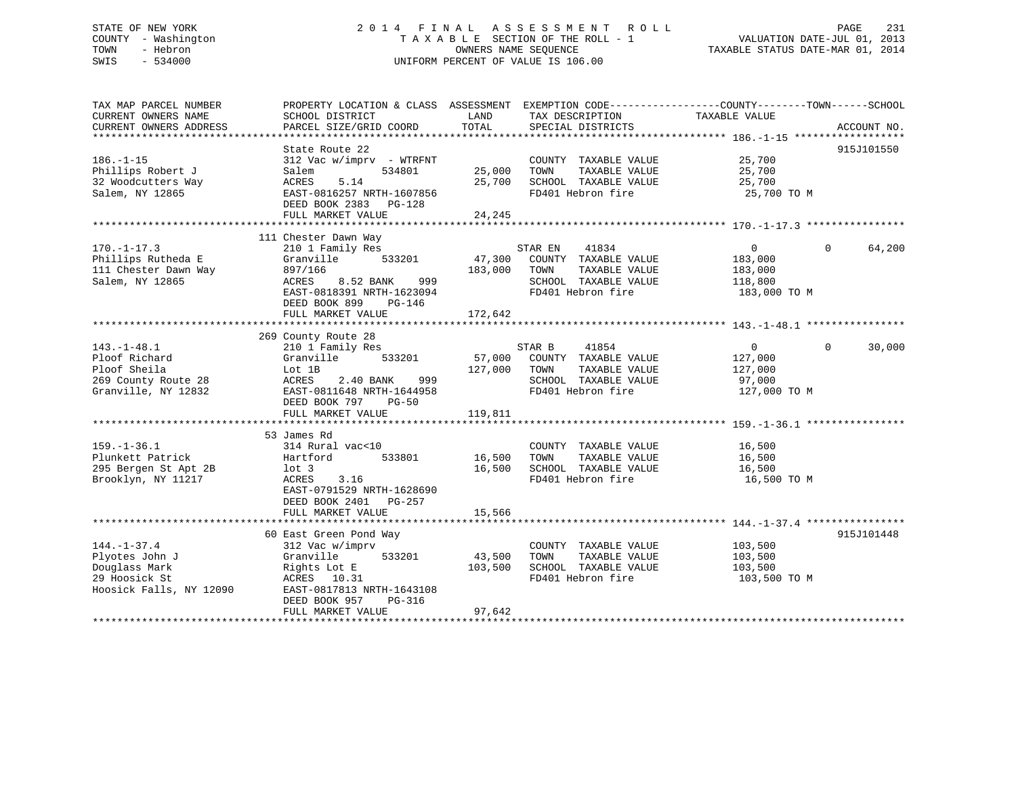## STATE OF NEW YORK 2 0 1 4 F I N A L A S S E S S M E N T R O L L PAGE 231 COUNTY - Washington T A X A B L E SECTION OF THE ROLL - 1 VALUATION DATE-JUL 01, 2013 TOWN - Hebron OWNERS NAME SEQUENCE TAXABLE STATUS DATE-MAR 01, 2014 SWIS - 534000 UNIFORM PERCENT OF VALUE IS 106.00

| TAX MAP PARCEL NUMBER   | PROPERTY LOCATION & CLASS ASSESSMENT EXEMPTION CODE----------------COUNTY-------TOWN-----SCHOOL |               |                             |                |                    |
|-------------------------|-------------------------------------------------------------------------------------------------|---------------|-----------------------------|----------------|--------------------|
| CURRENT OWNERS NAME     | SCHOOL DISTRICT                                                                                 | LAND<br>TOTAL | TAX DESCRIPTION             | TAXABLE VALUE  |                    |
| CURRENT OWNERS ADDRESS  | PARCEL SIZE/GRID COORD                                                                          |               | SPECIAL DISTRICTS           |                | ACCOUNT NO.        |
|                         | State Route 22                                                                                  |               |                             |                | 915J101550         |
| $186. - 1 - 15$         | 312 Vac w/imprv - WTRFNT                                                                        |               | COUNTY TAXABLE VALUE 25,700 |                |                    |
| Phillips Robert J       | 534801<br>Salem                                                                                 | 25,000        | TOWN<br>TAXABLE VALUE       | 25,700         |                    |
| 32 Woodcutters Way      | 5.14<br>ACRES                                                                                   | 25,700        | SCHOOL TAXABLE VALUE        | 25,700         |                    |
| Salem, NY 12865         | EAST-0816257 NRTH-1607856                                                                       |               | FD401 Hebron fire           | 25,700 TO M    |                    |
|                         | DEED BOOK 2383 PG-128                                                                           |               |                             |                |                    |
|                         | FULL MARKET VALUE                                                                               | 24,245        |                             |                |                    |
|                         |                                                                                                 |               |                             |                |                    |
|                         | 111 Chester Dawn Way                                                                            |               |                             |                |                    |
| $170. - 1 - 17.3$       | 210 1 Family Res                                                                                |               | 41834<br>STAR EN            | $\overline{0}$ | 64,200<br>$\Omega$ |
| Phillips Rutheda E      | 533201<br>Granville                                                                             | 47,300        | COUNTY TAXABLE VALUE        | 183,000        |                    |
| 111 Chester Dawn Way    | 897/166                                                                                         | 183,000 TOWN  | TAXABLE VALUE               | 183,000        |                    |
| Salem, NY 12865         | 999<br>ACRES<br>8.52 BANK                                                                       |               | SCHOOL TAXABLE VALUE        | 118,800        |                    |
|                         | EAST-0818391 NRTH-1623094                                                                       |               | FD401 Hebron fire           | 183,000 TO M   |                    |
|                         | DEED BOOK 899<br>PG-146                                                                         |               |                             |                |                    |
|                         | FULL MARKET VALUE                                                                               | 172,642       |                             |                |                    |
|                         |                                                                                                 |               |                             |                |                    |
|                         | 269 County Route 28                                                                             |               |                             |                |                    |
| $143. - 1 - 48.1$       | 210 1 Family Res                                                                                |               | 41854<br>STAR B             | 0              | $\Omega$<br>30,000 |
| Ploof Richard           | 533201<br>Granville                                                                             |               | 57,000 COUNTY TAXABLE VALUE | 127,000        |                    |
| Ploof Sheila            | Lot 1B                                                                                          | 127,000 TOWN  | TAXABLE VALUE               | 127,000        |                    |
| 269 County Route 28     | ACRES<br>2.40 BANK<br>999                                                                       |               | SCHOOL TAXABLE VALUE        | 97,000         |                    |
| Granville, NY 12832     | EAST-0811648 NRTH-1644958                                                                       |               | FD401 Hebron fire           | 127,000 TO M   |                    |
|                         | DEED BOOK 797<br>PG-50                                                                          |               |                             |                |                    |
|                         | FULL MARKET VALUE                                                                               | 119,811       |                             |                |                    |
|                         |                                                                                                 |               |                             |                |                    |
| $159. - 1 - 36.1$       | 53 James Rd<br>314 Rural vac<10                                                                 |               | COUNTY TAXABLE VALUE        | 16,500         |                    |
| Plunkett Patrick        | 533801<br>Hartford                                                                              | 16,500        | TAXABLE VALUE<br>TOWN       | 16,500         |                    |
| 295 Bergen St Apt 2B    | lot 3                                                                                           | 16,500        | SCHOOL TAXABLE VALUE        | 16,500         |                    |
| Brooklyn, NY 11217      | ACRES<br>3.16                                                                                   |               | FD401 Hebron fire           | 16,500 TO M    |                    |
|                         | EAST-0791529 NRTH-1628690                                                                       |               |                             |                |                    |
|                         | DEED BOOK 2401 PG-257                                                                           |               |                             |                |                    |
|                         | FULL MARKET VALUE                                                                               | 15,566        |                             |                |                    |
|                         |                                                                                                 |               |                             |                |                    |
|                         | 60 East Green Pond Way                                                                          |               |                             |                | 915J101448         |
| $144. - 1 - 37.4$       | 312 Vac w/imprv                                                                                 |               | COUNTY TAXABLE VALUE        | 103,500        |                    |
| Plyotes John J          | Granville<br>533201                                                                             | 43,500        | TOWN<br>TAXABLE VALUE       | 103,500        |                    |
| Douglass Mark           | Rights Lot E                                                                                    | 103,500       | SCHOOL TAXABLE VALUE        | 103,500        |                    |
| 29 Hoosick St           | ACRES 10.31                                                                                     |               | FD401 Hebron fire           | 103,500 TO M   |                    |
| Hoosick Falls, NY 12090 | EAST-0817813 NRTH-1643108                                                                       |               |                             |                |                    |
|                         | DEED BOOK 957<br>$PG-316$                                                                       |               |                             |                |                    |
|                         | FULL MARKET VALUE                                                                               | 97,642        |                             |                |                    |
|                         |                                                                                                 |               |                             |                |                    |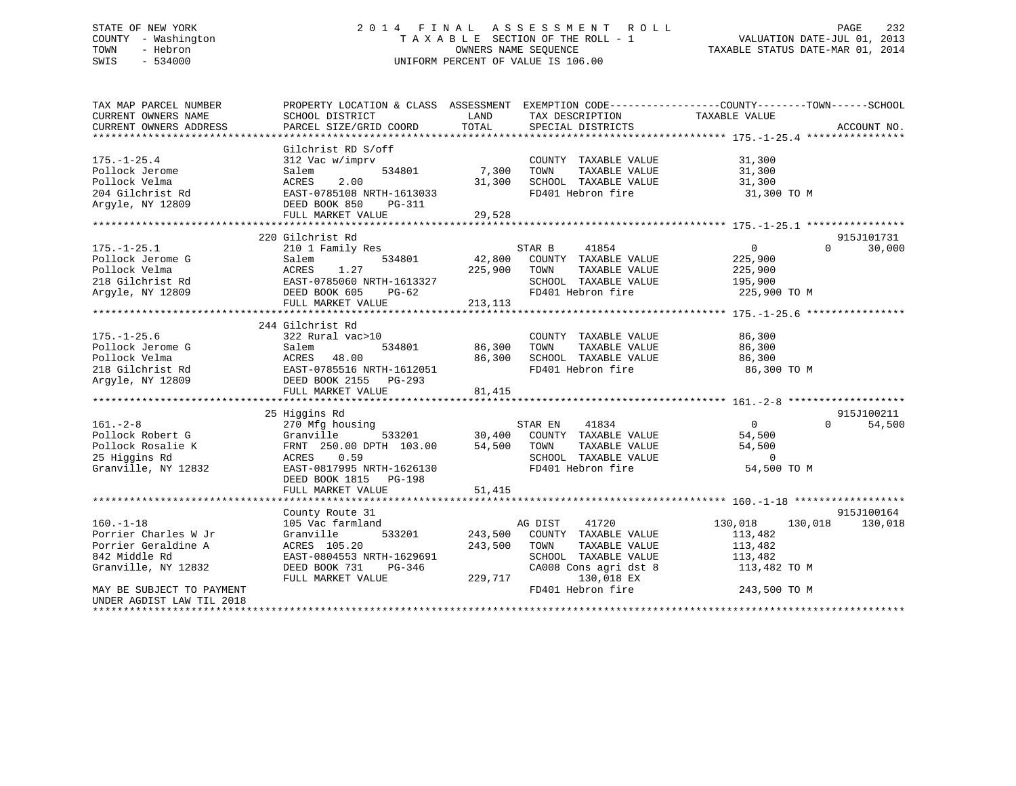## STATE OF NEW YORK 2 0 1 4 F I N A L A S S E S S M E N T R O L L PAGE 232 COUNTY - Washington T A X A B L E SECTION OF THE ROLL - 1 VALUATION DATE-JUL 01, 2013 TOWN - Hebron OWNERS NAME SEQUENCE TAXABLE STATUS DATE-MAR 01, 2014 SWIS - 534000 UNIFORM PERCENT OF VALUE IS 106.00

| TAX MAP PARCEL NUMBER     | PROPERTY LOCATION & CLASS ASSESSMENT EXEMPTION CODE---------------COUNTY-------TOWN-----SCHOOL |         |                             |                    |                    |
|---------------------------|------------------------------------------------------------------------------------------------|---------|-----------------------------|--------------------|--------------------|
| CURRENT OWNERS NAME       | SCHOOL DISTRICT                                                                                | LAND    | TAX DESCRIPTION             | TAXABLE VALUE      |                    |
| CURRENT OWNERS ADDRESS    | PARCEL SIZE/GRID COORD                                                                         | TOTAL   | SPECIAL DISTRICTS           |                    | ACCOUNT NO.        |
|                           |                                                                                                |         |                             |                    |                    |
|                           | Gilchrist RD S/off                                                                             |         |                             |                    |                    |
| $175. - 1 - 25.4$         | 312 Vac w/imprv                                                                                |         | COUNTY TAXABLE VALUE        | 31,300             |                    |
| Pollock Jerome            | 534801<br>Salem                                                                                | 7,300   | TOWN<br>TAXABLE VALUE       | 31,300             |                    |
| Pollock Velma             | 2.00<br>ACRES                                                                                  | 31,300  | SCHOOL TAXABLE VALUE        | 31,300             |                    |
| 204 Gilchrist Rd          | EAST-0785108 NRTH-1613033                                                                      |         | FD401 Hebron fire           | 31,300 TO M        |                    |
| Arqyle, NY 12809          | DEED BOOK 850<br>PG-311                                                                        |         |                             |                    |                    |
|                           | FULL MARKET VALUE                                                                              | 29,528  |                             |                    |                    |
|                           |                                                                                                |         |                             |                    |                    |
|                           | 220 Gilchrist Rd                                                                               |         |                             |                    | 915J101731         |
| $175. - 1 - 25.1$         | 210 1 Family Res                                                                               |         | STAR B<br>41854             | $\overline{0}$     | 30,000<br>$\Omega$ |
| Pollock Jerome G          | 534801                                                                                         | 42,800  | COUNTY TAXABLE VALUE        | 225,900            |                    |
|                           | Salem<br>1.27                                                                                  |         | TAXABLE VALUE               |                    |                    |
| Pollock Velma             | ACRES                                                                                          | 225,900 | TOWN                        | 225,900            |                    |
| 218 Gilchrist Rd          | EAST-0785060 NRTH-1613327                                                                      |         | SCHOOL TAXABLE VALUE        | 195,900            |                    |
| Argyle, NY 12809          | DEED BOOK 605<br>PG-62                                                                         |         | FD401 Hebron fire           | 225,900 TO M       |                    |
|                           | FULL MARKET VALUE                                                                              | 213,113 |                             |                    |                    |
|                           |                                                                                                |         |                             |                    |                    |
|                           | 244 Gilchrist Rd                                                                               |         |                             |                    |                    |
| $175. - 1 - 25.6$         | 322 Rural vac>10                                                                               |         | COUNTY TAXABLE VALUE        | 86,300             |                    |
| Pollock Jerome G          | 534801<br>Salem                                                                                | 86,300  | TOWN<br>TAXABLE VALUE       | 86,300             |                    |
| Pollock Velma             | ACRES<br>48.00                                                                                 | 86,300  | SCHOOL TAXABLE VALUE        | 86,300             |                    |
| 218 Gilchrist Rd          | EAST-0785516 NRTH-1612051                                                                      |         | FD401 Hebron fire           | 86,300 TO M        |                    |
| Arqyle, NY 12809          | DEED BOOK 2155 PG-293                                                                          |         |                             |                    |                    |
|                           | FULL MARKET VALUE                                                                              | 81,415  |                             |                    |                    |
|                           |                                                                                                |         |                             |                    |                    |
|                           | 25 Higgins Rd                                                                                  |         |                             |                    | 915J100211         |
| $161. - 2 - 8$            | 270 Mfg housing                                                                                |         | STAR EN<br>41834            | $\overline{0}$     | $\Omega$<br>54,500 |
| Pollock Robert G          | Granville<br>533201                                                                            |         | 30,400 COUNTY TAXABLE VALUE | 54,500             |                    |
| Pollock Rosalie K         | FRNT 250.00 DPTH 103.00                                                                        | 54,500  | TAXABLE VALUE<br>TOWN       | 54,500             |                    |
| 25 Higgins Rd             | ACRES 0.59                                                                                     |         | SCHOOL TAXABLE VALUE        | $\overline{0}$     |                    |
| Granville, NY 12832       | EAST-0817995 NRTH-1626130                                                                      |         | FD401 Hebron fire           | 54,500 TO M        |                    |
|                           | DEED BOOK 1815 PG-198                                                                          |         |                             |                    |                    |
|                           | FULL MARKET VALUE                                                                              | 51,415  |                             |                    |                    |
|                           |                                                                                                |         |                             |                    |                    |
|                           | County Route 31                                                                                |         |                             |                    | 915J100164         |
| $160. -1 - 18$            | 105 Vac farmland                                                                               |         | AG DIST<br>41720            | 130,018<br>130,018 | 130,018            |
| Porrier Charles W Jr      | Granville<br>533201                                                                            | 243,500 | COUNTY TAXABLE VALUE        | 113,482            |                    |
| Porrier Geraldine A       | ACRES 105.20                                                                                   | 243,500 | TOWN<br>TAXABLE VALUE       | 113,482            |                    |
| 842 Middle Rd             |                                                                                                |         |                             |                    |                    |
|                           | EAST-0804553 NRTH-1629691                                                                      |         | SCHOOL TAXABLE VALUE        | 113,482            |                    |
| Granville, NY 12832       | DEED BOOK 731<br>PG-346                                                                        |         | CA008 Cons agri dst 8       | 113,482 TO M       |                    |
|                           | FULL MARKET VALUE                                                                              | 229,717 | 130,018 EX                  |                    |                    |
| MAY BE SUBJECT TO PAYMENT |                                                                                                |         | FD401 Hebron fire           | 243,500 TO M       |                    |
| UNDER AGDIST LAW TIL 2018 |                                                                                                |         |                             |                    |                    |
| *********************     |                                                                                                |         |                             |                    |                    |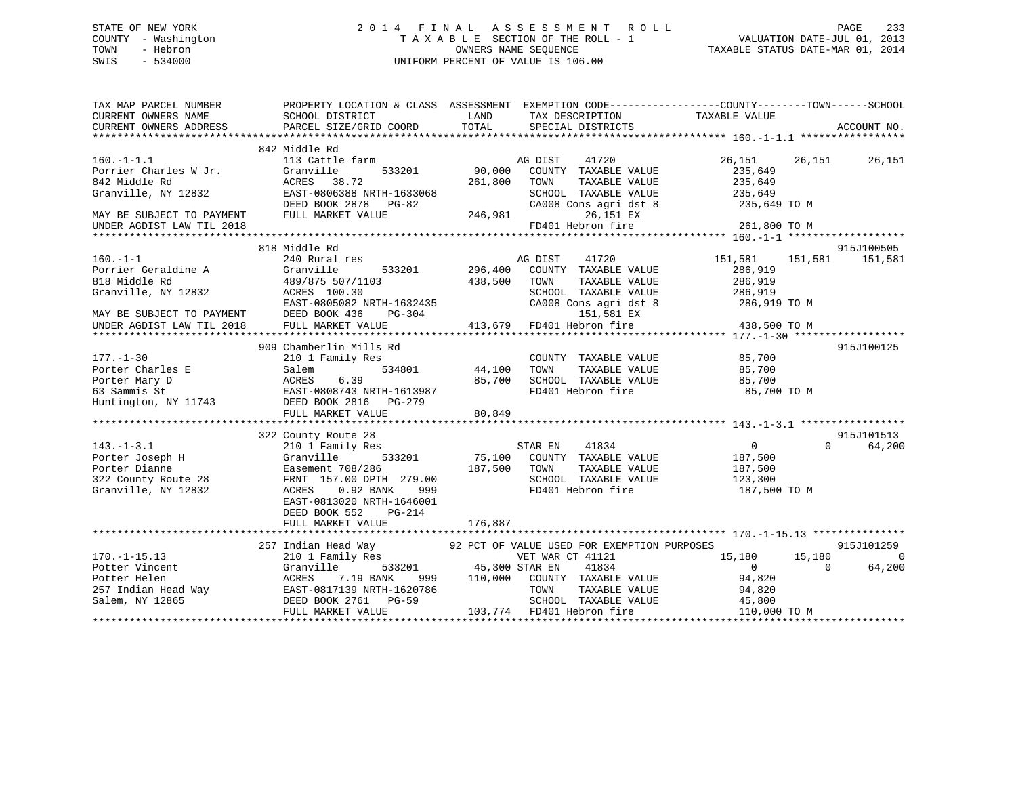## STATE OF NEW YORK 2 0 1 4 F I N A L A S S E S S M E N T R O L L PAGE 233 COUNTY - Washington T A X A B L E SECTION OF THE ROLL - 1 VALUATION DATE-JUL 01, 2013 TOWN - Hebron **CONNERS NAME SEQUENCE** TAXABLE STATUS DATE-MAR 01, 2014 SWIS - 534000 UNIFORM PERCENT OF VALUE IS 106.00

| TAX MAP PARCEL NUMBER                                             |                                                                                                                                                                                                                                                                                                                                   |         |                                                                                               | PROPERTY LOCATION & CLASS ASSESSMENT EXEMPTION CODE----------------COUNTY-------TOWN------SCHOOL |                                           |
|-------------------------------------------------------------------|-----------------------------------------------------------------------------------------------------------------------------------------------------------------------------------------------------------------------------------------------------------------------------------------------------------------------------------|---------|-----------------------------------------------------------------------------------------------|--------------------------------------------------------------------------------------------------|-------------------------------------------|
| CURRENT OWNERS NAME<br>CURRENT OWNERS ADDRESS<br>PARCEL SIZE/GRID |                                                                                                                                                                                                                                                                                                                                   | LAND    | TAX DESCRIPTION                                                                               | TAXABLE VALUE                                                                                    |                                           |
|                                                                   |                                                                                                                                                                                                                                                                                                                                   |         |                                                                                               |                                                                                                  |                                           |
|                                                                   | 842 Middle Rd                                                                                                                                                                                                                                                                                                                     |         |                                                                                               |                                                                                                  |                                           |
| $160. -1 - 1.1$                                                   | 113 Cattle farm<br>Portier Charles W Jr.<br>Portier Charles W Jr. (Granville 1933201 90,000 COUNTY T<br>842 Middle Rd (ACRES 38.72 261,800 TOWN T<br>Granville, NY 12832 EAST-0806388 NRTH-1633068 SCHOOL T<br>DEED BOOK 2878 PG-82 CA008 CON<br>MAY BE SUB                                                                       |         | AG DIST<br>COUNTY TAXABLE VALUE<br>TAXABLE VALUE<br>SCHOOL TAXABLE VALUE 235,649<br>26,151 EX | 41720 26,151 26,151 26,151<br>235,649<br>235,649<br>CA008 Cons agri dst 8 235,649 TO M           |                                           |
|                                                                   |                                                                                                                                                                                                                                                                                                                                   |         |                                                                                               |                                                                                                  |                                           |
| $160. - 1 - 1$                                                    | 818 Middle Rd<br>240 Rural res<br>160.-1-1<br>Porrier Geraldine A (Granville 533201 296,400 COUNTY TAXABLE VALUE<br>818 Middle Rd 489/875 507/1103 438,500 TOWN TAXABLE VALUE 286,919<br>Granville, NY 12832 ACRES 100.30 SCHOOL TAXABLE VALUE 286,919<br>MAY BE SUBJECT                                                          |         | AG DIST<br>41720                                                                              | 151,581 151,581 151,581                                                                          | 915J100505                                |
|                                                                   |                                                                                                                                                                                                                                                                                                                                   |         |                                                                                               |                                                                                                  |                                           |
| $177. - 1 - 30$                                                   | 909 Chamberlin Mills Rd<br>210 1 Family Res<br>177.-1-30 210 1 Family Res COUNTY TAXABLE VALUE 85,700<br>Porter Charles E Salem 534801 44,100 TOWN TAXABLE VALUE 85,700<br>Porter Mary D ACRES 6.39 85,700 SCHOOL TAXABLE VALUE 85,700<br>63 Sammis St EAST-0808743 NRTH-1613987 F                                                |         | COUNTY TAXABLE VALUE 85,700<br>TOWN TAXABLE VALUE 85,700                                      |                                                                                                  | 915J100125                                |
|                                                                   |                                                                                                                                                                                                                                                                                                                                   |         |                                                                                               |                                                                                                  |                                           |
|                                                                   | 322 County Route 28<br>143.-1-3.1<br>Porter Joseph H (210 1 Family Res STAR EN 41834<br>Porter Dianne Easement 708/286<br>322 County Route 28<br>Granville, NY 12832<br>Cunty 12832<br>County Route 28<br>Cranville, NY 12832<br>Cunty 12832<br>Cunty Route 28<br>Cranvil<br>EAST-0813020 NRTH-1646001<br>DEED BOOK 552<br>PG-214 |         | SCHOOL TAXABLE VALUE $123,300$                                                                | $\begin{array}{c} 0 \\ 187,500 \\ 187,500 \end{array}$<br>187,500 TO M                           | 915J101513<br>$0 \qquad \qquad$<br>64,200 |
|                                                                   | FULL MARKET VALUE                                                                                                                                                                                                                                                                                                                 | 176,887 |                                                                                               |                                                                                                  |                                           |
|                                                                   | 257 Indian Head Way 92 PCT OF VALUE USED FOR EXEMPTION PURPOSES<br>170.-1-15.13<br>Potter Vincent (1101 Family Res (1121 ASSEMBLE VALUE 15,180 15,180 15,180 0<br>Potter Wincent (1121 ACRES 7.19 BANK 999 110,000 COUNTY TAXABLE VALUE 94,820 0 64,200<br>257 Indian Head Way EAST-0817139 NRTH-16207                            |         |                                                                                               |                                                                                                  | 915J101259<br>$\overline{0}$<br>64,200    |
|                                                                   |                                                                                                                                                                                                                                                                                                                                   |         |                                                                                               |                                                                                                  |                                           |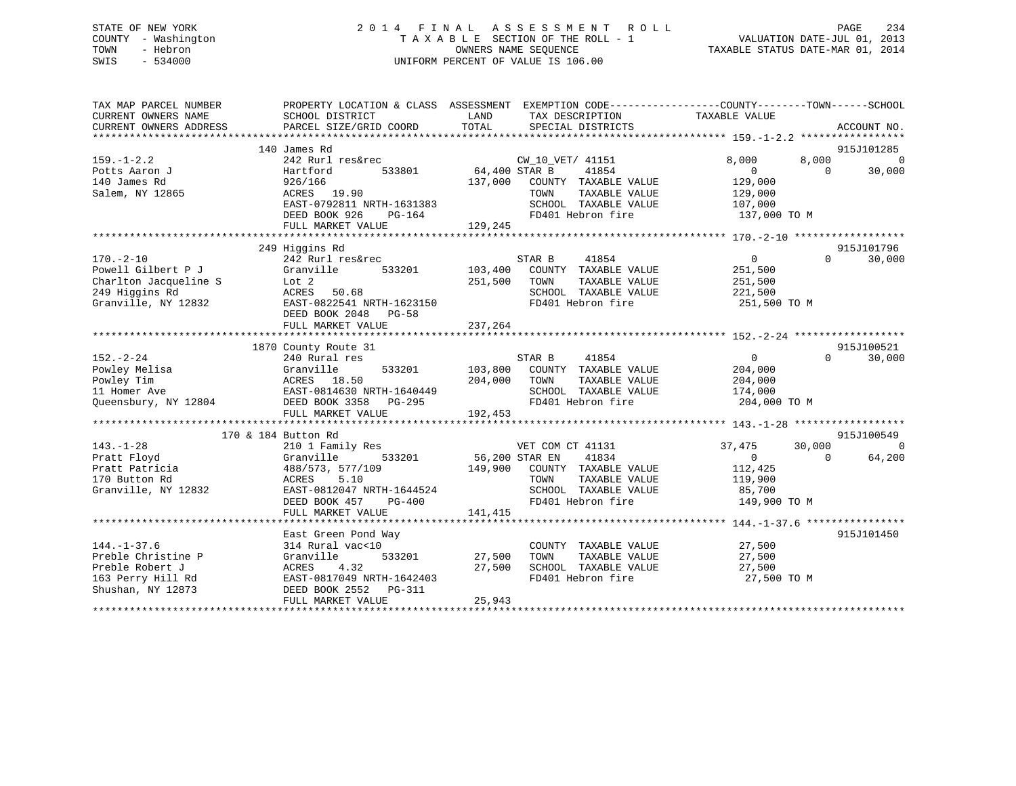## STATE OF NEW YORK 2 0 1 4 F I N A L A S S E S S M E N T R O L L PAGE 234 COUNTY - Washington T A X A B L E SECTION OF THE ROLL - 1 VALUATION DATE-JUL 01, 2013 TOWN - Hebron OWNERS NAME SEQUENCE TAXABLE STATUS DATE-MAR 01, 2014 SWIS - 534000 UNIFORM PERCENT OF VALUE IS 106.00

| TAX MAP PARCEL NUMBER<br>CURRENT OWNERS NAME<br>CURRENT OWNERS ADDRESS | PROPERTY LOCATION & CLASS ASSESSMENT EXEMPTION CODE----------------COUNTY-------TOWN------SCHOOL<br>SCHOOL DISTRICT<br>PARCEL SIZE/GRID COORD | LAND<br><b>TOTAL</b> | TAX DESCRIPTION TAXABLE VALUE<br>SPECIAL DISTRICTS |                  | ACCOUNT NO.        |
|------------------------------------------------------------------------|-----------------------------------------------------------------------------------------------------------------------------------------------|----------------------|----------------------------------------------------|------------------|--------------------|
|                                                                        |                                                                                                                                               |                      |                                                    |                  |                    |
|                                                                        | 140 James Rd                                                                                                                                  |                      |                                                    |                  | 915J101285         |
| $159. - 1 - 2.2$                                                       | 242 Rurl res&rec                                                                                                                              |                      | CW 10 VET/ 41151                                   | 8,000<br>8,000   | $\Omega$           |
| Potts Aaron J                                                          | Hartford<br>533801                                                                                                                            | 64,400 STAR B        | 41854                                              | $\overline{0}$   | $\Omega$<br>30,000 |
| 140 James Rd                                                           | 926/166                                                                                                                                       | 137,000              | COUNTY TAXABLE VALUE                               | 129,000          |                    |
| Salem, NY 12865                                                        | ACRES 19.90                                                                                                                                   |                      | TOWN<br>TAXABLE VALUE                              | 129,000          |                    |
|                                                                        | EAST-0792811 NRTH-1631383                                                                                                                     |                      | SCHOOL TAXABLE VALUE                               | 107,000          |                    |
|                                                                        | DEED BOOK 926<br>PG-164                                                                                                                       |                      | FD401 Hebron fire                                  | 137,000 TO M     |                    |
|                                                                        | FULL MARKET VALUE                                                                                                                             | 129,245              |                                                    |                  |                    |
|                                                                        |                                                                                                                                               |                      |                                                    |                  |                    |
|                                                                        | 249 Higgins Rd                                                                                                                                |                      |                                                    |                  | 915J101796         |
| $170. - 2 - 10$                                                        | 242 Rurl res&rec                                                                                                                              |                      | STAR B<br>41854                                    | $\mathbf{0}$     | 30,000<br>$\Omega$ |
| Powell Gilbert P J                                                     | Granville<br>533201                                                                                                                           | 103,400              | COUNTY TAXABLE VALUE                               | 251,500          |                    |
| Charlton Jacqueline S                                                  | Lot 2                                                                                                                                         | 251,500              | TOWN<br>TAXABLE VALUE                              | 251,500          |                    |
| 249 Higgins Rd                                                         | ACRES<br>50.68                                                                                                                                |                      | SCHOOL TAXABLE VALUE                               | 221,500          |                    |
| Granville, NY 12832                                                    | EAST-0822541 NRTH-1623150                                                                                                                     |                      | FD401 Hebron fire                                  | 251,500 TO M     |                    |
|                                                                        | DEED BOOK 2048 PG-58                                                                                                                          |                      |                                                    |                  |                    |
|                                                                        | FULL MARKET VALUE                                                                                                                             | 237,264              |                                                    |                  |                    |
|                                                                        |                                                                                                                                               |                      |                                                    |                  |                    |
|                                                                        | 1870 County Route 31                                                                                                                          |                      |                                                    |                  | 915J100521         |
| $152. - 2 - 24$                                                        | 240 Rural res                                                                                                                                 |                      | STAR B<br>41854                                    | $\mathbf{0}$     | $\Omega$<br>30,000 |
| Powley Melisa                                                          | Granville<br>533201                                                                                                                           | 103,800              | COUNTY TAXABLE VALUE                               | 204,000          |                    |
| Powley Tim                                                             | ACRES 18.50                                                                                                                                   | 204,000              | TAXABLE VALUE<br>TOWN                              | 204,000          |                    |
| 11 Homer Ave                                                           | EAST-0814630 NRTH-1640449                                                                                                                     |                      | SCHOOL TAXABLE VALUE                               | 174,000          |                    |
| Queensbury, NY 12804                                                   | DEED BOOK 3358<br>PG-295                                                                                                                      |                      | FD401 Hebron fire                                  | 204,000 TO M     |                    |
|                                                                        | FULL MARKET VALUE                                                                                                                             | 192,453              |                                                    |                  |                    |
|                                                                        |                                                                                                                                               |                      |                                                    |                  |                    |
|                                                                        | 170 & 184 Button Rd                                                                                                                           |                      |                                                    |                  | 915J100549         |
| $143. - 1 - 28$                                                        | 210 1 Family Res                                                                                                                              |                      | VET COM CT 41131                                   | 37,475<br>30,000 | $\Omega$           |
| Pratt Floyd                                                            | Granville<br>533201                                                                                                                           | 56,200 STAR EN       | 41834                                              | $\overline{0}$   | 64,200<br>$\Omega$ |
| Pratt Patricia                                                         | 488/573, 577/109                                                                                                                              | 149,900              | COUNTY TAXABLE VALUE                               | 112,425          |                    |
| 170 Button Rd                                                          | 5.10<br>ACRES                                                                                                                                 |                      | TAXABLE VALUE<br>TOWN                              | 119,900          |                    |
| Granville, NY 12832                                                    | EAST-0812047 NRTH-1644524                                                                                                                     |                      | SCHOOL TAXABLE VALUE                               | 85,700           |                    |
|                                                                        | DEED BOOK 457<br>PG-400                                                                                                                       |                      | FD401 Hebron fire                                  | 149,900 TO M     |                    |
|                                                                        | FULL MARKET VALUE                                                                                                                             | 141,415              |                                                    |                  |                    |
|                                                                        |                                                                                                                                               |                      |                                                    |                  |                    |
|                                                                        | East Green Pond Way                                                                                                                           |                      |                                                    |                  | 915J101450         |
| $144. - 1 - 37.6$                                                      | 314 Rural vac<10                                                                                                                              |                      | COUNTY TAXABLE VALUE                               | 27,500           |                    |
| Preble Christine P                                                     | Granville<br>533201                                                                                                                           | 27,500               | TAXABLE VALUE<br>TOWN                              | 27,500           |                    |
| Preble Robert J                                                        | <b>ACRES</b><br>4.32                                                                                                                          | 27,500               | SCHOOL TAXABLE VALUE                               | 27,500           |                    |
| 163 Perry Hill Rd                                                      | EAST-0817049 NRTH-1642403                                                                                                                     |                      | FD401 Hebron fire                                  | 27,500 TO M      |                    |
| Shushan, NY 12873                                                      | DEED BOOK 2552<br>PG-311                                                                                                                      |                      |                                                    |                  |                    |
|                                                                        | FULL MARKET VALUE                                                                                                                             | 25,943               |                                                    |                  |                    |
|                                                                        |                                                                                                                                               |                      |                                                    |                  |                    |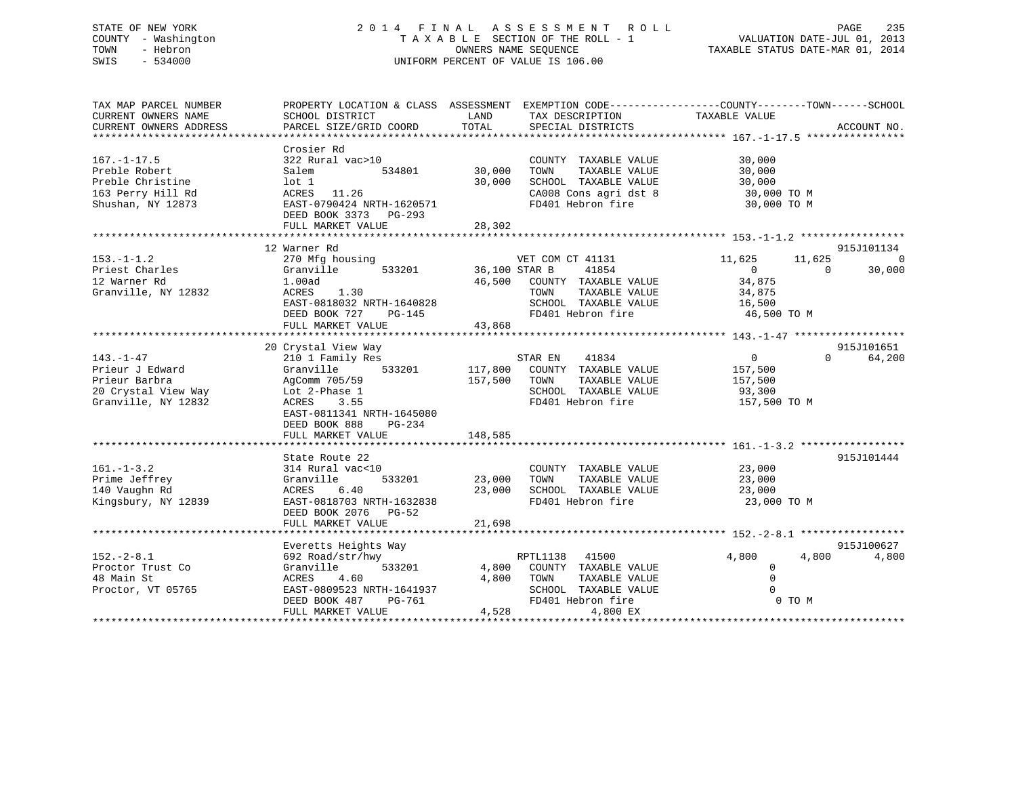## STATE OF NEW YORK 2 0 1 4 F I N A L A S S E S S M E N T R O L L PAGE 235 COUNTY - Washington T A X A B L E SECTION OF THE ROLL - 1 VALUATION DATE-JUL 01, 2013 TOWN - Hebron OWNERS NAME SEQUENCE TAXABLE STATUS DATE-MAR 01, 2014 SWIS - 534000 UNIFORM PERCENT OF VALUE IS 106.00

| TAX MAP PARCEL NUMBER<br>CURRENT OWNERS NAME<br>CURRENT OWNERS ADDRESS                            | SCHOOL DISTRICT<br>PARCEL SIZE/GRID COORD                                                                                                                                                      | LAND<br>TOTAL                 | TAX DESCRIPTION<br>SPECIAL DISTRICTS                                                                                           | PROPERTY LOCATION & CLASS ASSESSMENT EXEMPTION CODE----------------COUNTY-------TOWN------SCHOOL<br>TAXABLE VALUE | ACCOUNT NO.          |
|---------------------------------------------------------------------------------------------------|------------------------------------------------------------------------------------------------------------------------------------------------------------------------------------------------|-------------------------------|--------------------------------------------------------------------------------------------------------------------------------|-------------------------------------------------------------------------------------------------------------------|----------------------|
| $167. - 1 - 17.5$<br>Preble Robert<br>Preble Christine<br>163 Perry Hill Rd<br>Shushan, NY 12873  | Crosier Rd<br>322 Rural vac>10<br>534801<br>Salem<br>$1$ ot $1$<br>11.26<br>ACRES<br>EAST-0790424 NRTH-1620571<br>DEED BOOK 3373 PG-293<br>FULL MARKET VALUE                                   | 30,000<br>30,000<br>28,302    | COUNTY TAXABLE VALUE<br>TAXABLE VALUE<br>TOWN<br>SCHOOL TAXABLE VALUE<br>CA008 Cons agri dst 8<br>FD401 Hebron fire            | 30,000<br>30,000<br>30,000<br>30,000 TO M<br>30,000 TO M                                                          |                      |
|                                                                                                   | 12 Warner Rd                                                                                                                                                                                   |                               |                                                                                                                                |                                                                                                                   | 915J101134           |
| $153. - 1 - 1.2$<br>Priest Charles<br>12 Warner Rd<br>Granville, NY 12832                         | 270 Mfg housing<br>533201<br>Granville<br>1.00ad<br>ACRES<br>1.30<br>EAST-0818032 NRTH-1640828<br>DEED BOOK 727<br>PG-145<br>FULL MARKET VALUE                                                 | 36,100 STAR B<br>43,868       | VET COM CT 41131<br>41854<br>46,500 COUNTY TAXABLE VALUE<br>TAXABLE VALUE<br>TOWN<br>SCHOOL TAXABLE VALUE<br>FD401 Hebron fire | 11,625<br>11,625<br>$\overline{0}$<br>$\Omega$<br>34,875<br>34,875<br>16,500<br>46,500 TO M                       | $\Omega$<br>30,000   |
|                                                                                                   |                                                                                                                                                                                                |                               |                                                                                                                                |                                                                                                                   |                      |
| $143. - 1 - 47$<br>Prieur J Edward<br>Prieur Barbra<br>20 Crystal View Way<br>Granville, NY 12832 | 20 Crystal View Way<br>210 1 Family Res<br>533201<br>Granville<br>AgComm 705/59<br>Lot 2-Phase 1<br>3.55<br>ACRES<br>EAST-0811341 NRTH-1645080<br>DEED BOOK 888<br>PG-234<br>FULL MARKET VALUE | 117,800<br>157,500<br>148,585 | STAR EN<br>41834<br>COUNTY TAXABLE VALUE<br>TOWN<br>TAXABLE VALUE<br>SCHOOL TAXABLE VALUE<br>FD401 Hebron fire                 | $\overline{0}$<br>$\Omega$<br>157,500<br>157,500<br>93,300<br>157,500 TO M                                        | 915J101651<br>64,200 |
|                                                                                                   |                                                                                                                                                                                                |                               |                                                                                                                                |                                                                                                                   |                      |
| $161. - 1 - 3.2$<br>Prime Jeffrey<br>140 Vaughn Rd<br>Kingsbury, NY 12839                         | State Route 22<br>314 Rural vac<10<br>533201<br>Granville<br>ACRES<br>6.40<br>EAST-0818703 NRTH-1632838<br>DEED BOOK 2076 PG-52<br>FULL MARKET VALUE                                           | 23,000<br>23,000<br>21,698    | COUNTY TAXABLE VALUE<br>TOWN<br>TAXABLE VALUE<br>SCHOOL TAXABLE VALUE<br>FD401 Hebron fire                                     | 23,000<br>23,000<br>23,000<br>23,000 TO M                                                                         | 915J101444           |
|                                                                                                   |                                                                                                                                                                                                |                               |                                                                                                                                |                                                                                                                   |                      |
| $152. - 2 - 8.1$<br>Proctor Trust Co<br>48 Main St<br>Proctor, VT 05765                           | Everetts Heights Way<br>692 Road/str/hwy<br>533201<br>Granville<br>4.60<br>ACRES<br>EAST-0809523 NRTH-1641937<br>DEED BOOK 487<br>PG-761<br>FULL MARKET VALUE                                  | 4,800<br>4,528                | RPTL1138 41500<br>4,800 COUNTY TAXABLE VALUE<br>TOWN<br>TAXABLE VALUE<br>SCHOOL TAXABLE VALUE<br>FD401 Hebron fire<br>4,800 EX | 4,800<br>4,800<br>$\mathbf{0}$<br>$\mathbf 0$<br>$\Omega$<br>0 TO M                                               | 915J100627<br>4,800  |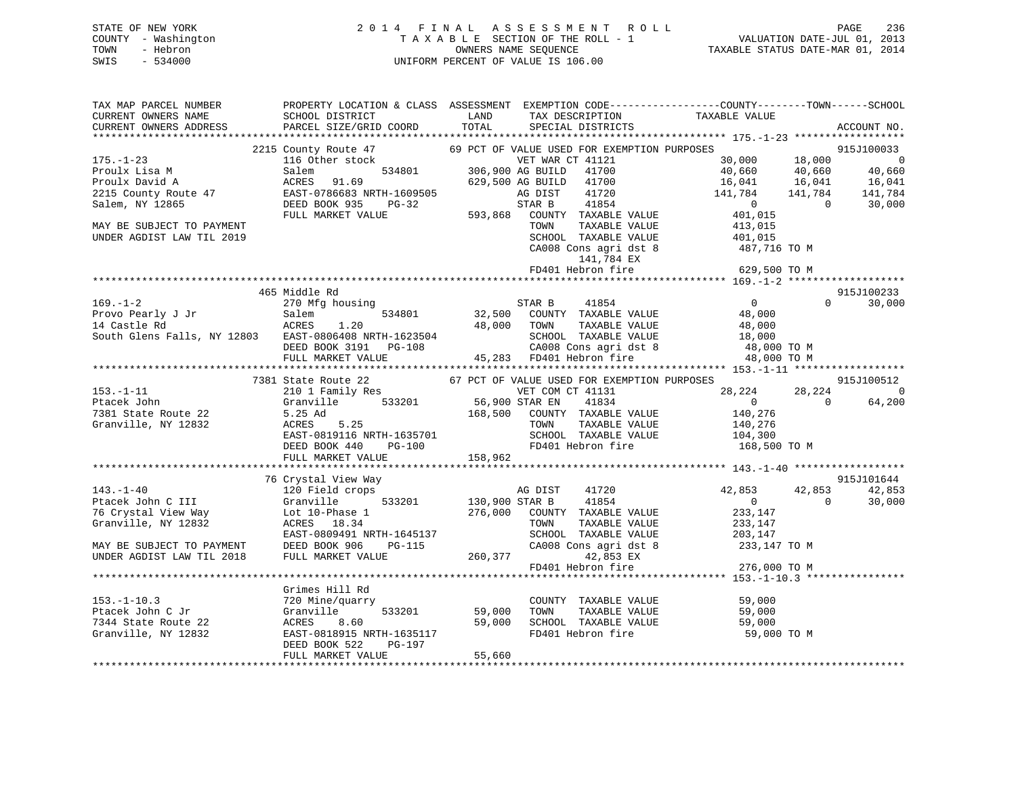## STATE OF NEW YORK 2 0 1 4 F I N A L A S S E S S M E N T R O L L PAGE 236 COUNTY - Washington T A X A B L E SECTION OF THE ROLL - 1 VALUATION DATE-JUL 01, 2013 TOWN - Hebron OWNERS NAME SEQUENCE TAXABLE STATUS DATE-MAR 01, 2014 SWIS - 534000 UNIFORM PERCENT OF VALUE IS 106.00

| TAX MAP PARCEL NUMBER<br>CURRENT OWNERS NAME                                                                                                                                                                                               | <b>Example 12</b> LAND<br>SCHOOL DISTRICT                                                         |                 | TAX DESCRIPTION                                             | PROPERTY LOCATION & CLASS ASSESSMENT EXEMPTION CODE---------------COUNTY-------TOWN------SCHOOL<br>TAXABLE VALUE |                                    |
|--------------------------------------------------------------------------------------------------------------------------------------------------------------------------------------------------------------------------------------------|---------------------------------------------------------------------------------------------------|-----------------|-------------------------------------------------------------|------------------------------------------------------------------------------------------------------------------|------------------------------------|
| CURRENT OWNERS ADDRESS                                                                                                                                                                                                                     | PARCEL SIZE/GRID COORD                                                                            | TOTAL           | SPECIAL DISTRICTS                                           |                                                                                                                  | ACCOUNT NO.                        |
|                                                                                                                                                                                                                                            | 2215 County Route 47                                                                              |                 | 69 PCT OF VALUE USED FOR EXEMPTION PURPOSES                 |                                                                                                                  | 915J100033                         |
| $175. - 1 - 23$                                                                                                                                                                                                                            | 116 Other stock                                                                                   |                 |                                                             | 30,000                                                                                                           |                                    |
| Proulx Lisa M                                                                                                                                                                                                                              | Salem                                                                                             |                 | VET WAR CT 41121<br>534801 306,900 AG BUILD 41700           | 18,000<br>40,660<br>40,660                                                                                       | $0$<br>40,660                      |
| Proulx David A                                                                                                                                                                                                                             | ACRES 91.69                                                                                       |                 | 629,500 AG BUILD 41700                                      |                                                                                                                  |                                    |
| 2215 County Route 47                                                                                                                                                                                                                       | EAST-0786683 NRTH-1609505                                                                         |                 | 41720<br>AG DIST                                            | 16,041 16,041<br>141,784 141,784                                                                                 | $16,041$<br>$141,784$              |
| Salem, NY 12865                                                                                                                                                                                                                            | DEED BOOK 935                                                                                     |                 |                                                             | $\overline{0}$<br>$\overline{0}$                                                                                 | 30,000                             |
|                                                                                                                                                                                                                                            |                                                                                                   |                 | PG-32<br>LUE 593,868 COUNTY TAXABLE VALUE                   | 401,015                                                                                                          |                                    |
|                                                                                                                                                                                                                                            | FULL MARKET VALUE                                                                                 |                 |                                                             |                                                                                                                  |                                    |
| MAY BE SUBJECT TO PAYMENT                                                                                                                                                                                                                  |                                                                                                   |                 | TOWN<br>TAXABLE VALUE                                       | 413,015<br>401,015                                                                                               |                                    |
| UNDER AGDIST LAW TIL 2019                                                                                                                                                                                                                  |                                                                                                   |                 | SCHOOL TAXABLE VALUE                                        |                                                                                                                  |                                    |
|                                                                                                                                                                                                                                            |                                                                                                   |                 | CA008 Cons agri dst 8                                       | 487,716 TO M                                                                                                     |                                    |
|                                                                                                                                                                                                                                            |                                                                                                   |                 | 141,784 EX                                                  |                                                                                                                  |                                    |
|                                                                                                                                                                                                                                            |                                                                                                   |                 |                                                             |                                                                                                                  |                                    |
|                                                                                                                                                                                                                                            |                                                                                                   |                 |                                                             |                                                                                                                  |                                    |
|                                                                                                                                                                                                                                            | 465 Middle Rd                                                                                     |                 |                                                             |                                                                                                                  | 915J100233                         |
| $169. - 1 - 2$                                                                                                                                                                                                                             | 270 Mfg housing                                                                                   |                 | STAR B<br>41854                                             | $\overline{0}$                                                                                                   | 30,000<br>$\Omega$                 |
|                                                                                                                                                                                                                                            | 534801                                                                                            |                 | 32,500 COUNTY TAXABLE VALUE                                 | 48,000                                                                                                           |                                    |
|                                                                                                                                                                                                                                            | 1.20                                                                                              |                 | 48,000 TOWN                                                 | TOWN TAXABLE VALUE<br>SCHOOL TAXABLE VALUE 18,000<br>48,000 TO M 48,000 TO M                                     |                                    |
| South Glens Falls, NY 12803<br>South Glens Falls, NY 12803<br>DEED BOOK 3191 PG-108<br>FULL MARKET VALUE 45,283                                                                                                                            |                                                                                                   |                 |                                                             |                                                                                                                  |                                    |
|                                                                                                                                                                                                                                            |                                                                                                   |                 | CA008 Cons agri dst 8<br>45,283 FD401 Hebron fire           |                                                                                                                  |                                    |
|                                                                                                                                                                                                                                            |                                                                                                   |                 |                                                             | 48,000 TO M                                                                                                      |                                    |
|                                                                                                                                                                                                                                            |                                                                                                   |                 |                                                             |                                                                                                                  |                                    |
|                                                                                                                                                                                                                                            | 7381 State Route 22<br>State Route 22<br>210 1 Family Res                                         |                 | 67 PCT OF VALUE USED FOR EXEMPTION PURPOSES                 |                                                                                                                  | 915J100512                         |
| $153. - 1 - 11$                                                                                                                                                                                                                            | 210 1 Family Res<br>Granville 533201 56,900 STAR EN 41834<br>5.25 Ad 168,500 COUNTY TAXABLE VALUE |                 |                                                             | 28,224                                                                                                           | 28,224<br>$\overline{\phantom{0}}$ |
| Ptacek John                                                                                                                                                                                                                                |                                                                                                   |                 |                                                             | $\overline{0}$<br>$\Omega$                                                                                       | 64,200                             |
| 7381 State Route 22                                                                                                                                                                                                                        |                                                                                                   |                 |                                                             | 140,276                                                                                                          |                                    |
| Granville, NY 12832                                                                                                                                                                                                                        | $ACRES$ 5.25<br>$RCRES$ 5.25                                                                      |                 | TAXABLE VALUE<br>TOWN                                       | 140,276                                                                                                          |                                    |
|                                                                                                                                                                                                                                            |                                                                                                   |                 | SCHOOL TAXABLE VALUE                                        | 104,300                                                                                                          |                                    |
|                                                                                                                                                                                                                                            |                                                                                                   |                 | FD401 Hebron fire                                           | 168,500 TO M                                                                                                     |                                    |
|                                                                                                                                                                                                                                            | ACRES 5.25<br>EAST-0819116 NRTH-1635701<br>DEED BOOK 440 PG-100<br>FULL MARKET VALUE 158,962      |                 |                                                             |                                                                                                                  |                                    |
|                                                                                                                                                                                                                                            |                                                                                                   |                 |                                                             |                                                                                                                  |                                    |
|                                                                                                                                                                                                                                            | 76 Crystal View Way                                                                               |                 |                                                             |                                                                                                                  | 915J101644                         |
|                                                                                                                                                                                                                                            |                                                                                                   |                 | AG DIST 41720                                               | 42,853<br>42,853                                                                                                 | 42,853                             |
|                                                                                                                                                                                                                                            |                                                                                                   |                 | 533201 130,900 STAR B 41854<br>276,000 COUNTY TAXABLE VALUE | $\Omega$<br>$\overline{0}$                                                                                       | 30,000                             |
|                                                                                                                                                                                                                                            |                                                                                                   |                 |                                                             | 233,147                                                                                                          |                                    |
| 143.-1-40<br>Ptacek John C III (120 Field crops<br>76 Crystal View Way (120 Field crops<br>76 Crystal View Way (1010-Phase 1<br>Granville, NY 12832 (2015)<br>2021 MAY BE SUBJECT TO PAYMENT (2019)<br>2021 MAY BE SUBJECT TO PAYMENT (201 |                                                                                                   |                 | TOWN<br>TAXABLE VALUE                                       | 233,147                                                                                                          |                                    |
|                                                                                                                                                                                                                                            | RTH-1645137<br>PG-115<br>EAST-0809491 NRTH-1645137                                                |                 | SCHOOL TAXABLE VALUE 203,147                                |                                                                                                                  |                                    |
|                                                                                                                                                                                                                                            |                                                                                                   |                 | CA008 Cons agri dst 8                                       | 233,147 TO M                                                                                                     |                                    |
| UNDER AGDIST LAW TIL 2018                                                                                                                                                                                                                  | FULL MARKET VALUE                                                                                 |                 | 260,377<br>42,853 EX                                        |                                                                                                                  |                                    |
|                                                                                                                                                                                                                                            |                                                                                                   |                 | FD401 Hebron fire                                           | 276,000 TO M                                                                                                     |                                    |
|                                                                                                                                                                                                                                            |                                                                                                   |                 |                                                             |                                                                                                                  |                                    |
|                                                                                                                                                                                                                                            | Grimes Hill Rd                                                                                    |                 |                                                             |                                                                                                                  |                                    |
| $153.-1-10.3$                                                                                                                                                                                                                              | 720 Mine/quarry                                                                                   |                 | COUNTY TAXABLE VALUE                                        | 59,000                                                                                                           |                                    |
| Ptacek John C Jr                                                                                                                                                                                                                           | Granville                                                                                         | $533201$ 59,000 | TAXABLE VALUE<br>TOWN                                       | 59,000                                                                                                           |                                    |
| 7344 State Route 22                                                                                                                                                                                                                        | ACRES<br>8.60                                                                                     |                 | SCHOOL TAXABLE VALUE                                        | 59,000                                                                                                           |                                    |
| Granville, NY 12832                                                                                                                                                                                                                        | EAST-0818915 NRTH-1635117                                                                         | 59,000          | FD401 Hebron fire                                           | 59,000 TO M                                                                                                      |                                    |
|                                                                                                                                                                                                                                            | DEED BOOK 522<br>PG-197                                                                           |                 |                                                             |                                                                                                                  |                                    |
|                                                                                                                                                                                                                                            | FULL MARKET VALUE                                                                                 | 55,660          |                                                             |                                                                                                                  |                                    |
|                                                                                                                                                                                                                                            |                                                                                                   |                 |                                                             |                                                                                                                  |                                    |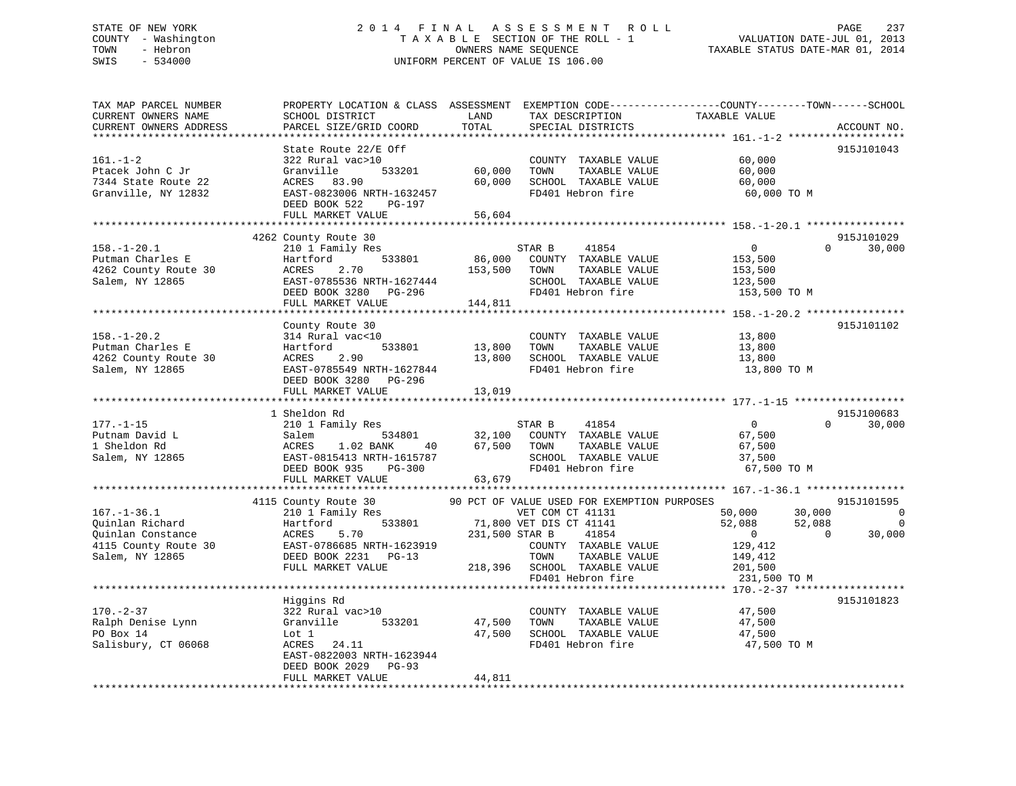## STATE OF NEW YORK 2 0 1 4 F I N A L A S S E S S M E N T R O L L PAGE 237 COUNTY - Washington T A X A B L E SECTION OF THE ROLL - 1 VALUATION DATE-JUL 01, 2013 TOWN - Hebron OWNERS NAME SEQUENCE TAXABLE STATUS DATE-MAR 01, 2014 SWIS - 534000 UNIFORM PERCENT OF VALUE IS 106.00

| TAX MAP PARCEL NUMBER<br>CURRENT OWNERS NAME<br>CURRENT OWNERS ADDRESS                                     | PROPERTY LOCATION & CLASS ASSESSMENT<br>SCHOOL DISTRICT<br>PARCEL SIZE/GRID COORD                                                                           | LAND<br>TOTAL              | TAX DESCRIPTION<br>SPECIAL DISTRICTS                                                                                                                                                                      | EXEMPTION CODE-----------------COUNTY-------TOWN------SCHOOL<br>TAXABLE VALUE                           | ACCOUNT NO.                                                          |
|------------------------------------------------------------------------------------------------------------|-------------------------------------------------------------------------------------------------------------------------------------------------------------|----------------------------|-----------------------------------------------------------------------------------------------------------------------------------------------------------------------------------------------------------|---------------------------------------------------------------------------------------------------------|----------------------------------------------------------------------|
| **********************<br>$161. - 1 - 2$<br>Ptacek John C Jr<br>7344 State Route 22<br>Granville, NY 12832 | State Route 22/E Off<br>322 Rural vac>10<br>Granville<br>533201<br>ACRES 83.90<br>EAST-0823006 NRTH-1632457<br>DEED BOOK 522<br>PG-197<br>FULL MARKET VALUE | 60,000<br>60,000<br>56,604 | COUNTY TAXABLE VALUE<br>TOWN<br>TAXABLE VALUE<br>SCHOOL TAXABLE VALUE<br>FD401 Hebron fire                                                                                                                | 60,000<br>60,000<br>60,000<br>60,000 TO M                                                               | 915J101043                                                           |
|                                                                                                            | 4262 County Route 30                                                                                                                                        |                            |                                                                                                                                                                                                           |                                                                                                         | 915J101029                                                           |
| $158. - 1 - 20.1$<br>Putman Charles E<br>4262 County Route 30<br>Salem, NY 12865                           | 210 1 Family Res<br>533801<br>Hartford<br>2.70<br>ACRES<br>EAST-0785536 NRTH-1627444<br>DEED BOOK 3280 PG-296                                               | 86,000<br>153,500          | 41854<br>STAR B<br>COUNTY TAXABLE VALUE<br>TOWN<br>TAXABLE VALUE<br>SCHOOL TAXABLE VALUE<br>FD401 Hebron fire                                                                                             | $\overline{0}$<br>153,500<br>153,500<br>123,500<br>153,500 TO M                                         | $\Omega$<br>30,000                                                   |
|                                                                                                            | FULL MARKET VALUE                                                                                                                                           | 144,811                    |                                                                                                                                                                                                           |                                                                                                         |                                                                      |
| $158. - 1 - 20.2$<br>Putman Charles E<br>4262 County Route 30<br>Salem, NY 12865                           | County Route 30<br>314 Rural vac<10<br>Hartford<br>533801<br>ACRES<br>2.90<br>EAST-0785549 NRTH-1627844<br>DEED BOOK 3280 PG-296<br>FULL MARKET VALUE       | 13,800<br>13,800<br>13,019 | COUNTY TAXABLE VALUE<br>TOWN<br>TAXABLE VALUE<br>SCHOOL TAXABLE VALUE<br>FD401 Hebron fire                                                                                                                | 13,800<br>13,800<br>13,800<br>13,800 TO M                                                               | 915J101102                                                           |
|                                                                                                            |                                                                                                                                                             |                            |                                                                                                                                                                                                           |                                                                                                         |                                                                      |
| $177. - 1 - 15$<br>Putnam David L<br>1 Sheldon Rd<br>Salem, NY 12865                                       | 1 Sheldon Rd<br>210 1 Family Res<br>Salem<br>534801<br>ACRES<br>1.02 BANK<br>40<br>EAST-0815413 NRTH-1615787<br>DEED BOOK 935<br>PG-300                     | 67,500                     | STAR B<br>41854<br>32,100 COUNTY TAXABLE VALUE<br>TOWN<br>TAXABLE VALUE<br>SCHOOL TAXABLE VALUE<br>FD401 Hebron fire                                                                                      | $\overline{0}$<br>67,500<br>67,500<br>37,500<br>67,500 TO M                                             | 915J100683<br>30,000<br>$\Omega$                                     |
|                                                                                                            | FULL MARKET VALUE                                                                                                                                           | 63,679                     |                                                                                                                                                                                                           |                                                                                                         |                                                                      |
|                                                                                                            |                                                                                                                                                             |                            |                                                                                                                                                                                                           |                                                                                                         |                                                                      |
| $167. - 1 - 36.1$<br>Quinlan Richard<br>Ouinlan Constance<br>4115 County Route 30<br>Salem, NY 12865       | 4115 County Route 30<br>210 1 Family Res<br>533801<br>Hartford<br>5.70<br>ACRES<br>EAST-0786685 NRTH-1623919<br>DEED BOOK 2231 PG-13<br>FULL MARKET VALUE   | 231,500 STAR B             | 90 PCT OF VALUE USED FOR EXEMPTION PURPOSES<br>VET COM CT 41131<br>71,800 VET DIS CT 41141<br>41854<br>COUNTY TAXABLE VALUE<br>TOWN<br>TAXABLE VALUE<br>218,396 SCHOOL TAXABLE VALUE<br>FD401 Hebron fire | 50,000<br>30,000<br>52,088<br>52,088<br>$\overline{0}$<br>129,412<br>149,412<br>201,500<br>231,500 TO M | 915J101595<br>$\overline{0}$<br>$\overline{0}$<br>30,000<br>$\Omega$ |
|                                                                                                            |                                                                                                                                                             |                            |                                                                                                                                                                                                           |                                                                                                         |                                                                      |
| $170. - 2 - 37$<br>Ralph Denise Lynn<br>PO Box 14<br>Salisbury, CT 06068                                   | Higgins Rd<br>322 Rural vac>10<br>Granville<br>533201<br>Lot 1<br>ACRES<br>24.11<br>EAST-0822003 NRTH-1623944<br>DEED BOOK 2029 PG-93                       | 47,500<br>47,500           | COUNTY TAXABLE VALUE<br>TOWN<br>TAXABLE VALUE<br>SCHOOL TAXABLE VALUE<br>FD401 Hebron fire                                                                                                                | 47,500<br>47,500<br>47,500<br>47,500 TO M                                                               | 915J101823                                                           |
|                                                                                                            | FULL MARKET VALUE                                                                                                                                           | 44,811                     |                                                                                                                                                                                                           |                                                                                                         |                                                                      |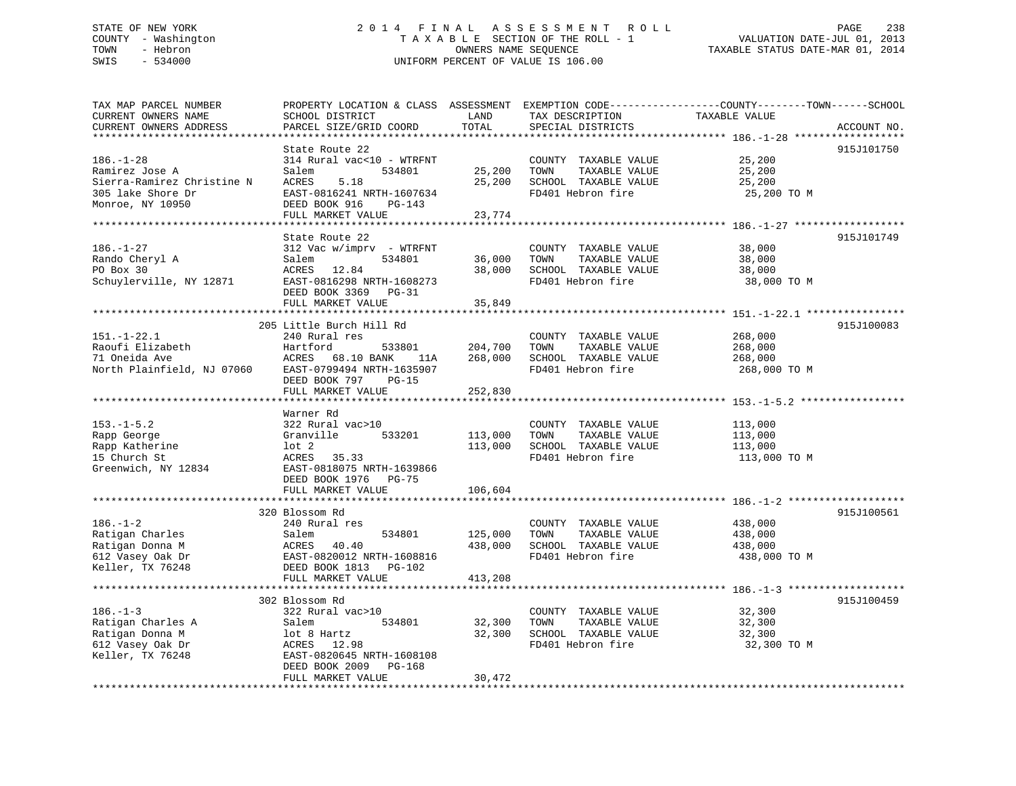## STATE OF NEW YORK 2 0 1 4 F I N A L A S S E S S M E N T R O L L PAGE 238 COUNTY - Washington T A X A B L E SECTION OF THE ROLL - 1 VALUATION DATE-JUL 01, 2013 TOWN - Hebron OWNERS NAME SEQUENCE TAXABLE STATUS DATE-MAR 01, 2014 SWIS - 534000 UNIFORM PERCENT OF VALUE IS 106.00

| TAX MAP PARCEL NUMBER<br>CURRENT OWNERS NAME | PROPERTY LOCATION & CLASS ASSESSMENT EXEMPTION CODE---------------COUNTY-------TOWN-----SCHOOL<br>SCHOOL DISTRICT | LAND    | TAX DESCRIPTION                               | TAXABLE VALUE    |             |
|----------------------------------------------|-------------------------------------------------------------------------------------------------------------------|---------|-----------------------------------------------|------------------|-------------|
| CURRENT OWNERS ADDRESS                       | PARCEL SIZE/GRID COORD                                                                                            | TOTAL   | SPECIAL DISTRICTS                             |                  | ACCOUNT NO. |
|                                              |                                                                                                                   |         |                                               |                  | 915J101750  |
| $186. - 1 - 28$<br>Ramirez Jose A            | State Route 22<br>314 Rural vac<10 - WTRFNT<br>Salem<br>534801                                                    | 25,200  | COUNTY TAXABLE VALUE<br>TAXABLE VALUE<br>TOWN | 25,200<br>25,200 |             |
| Sierra-Ramirez Christine N                   | 5.18<br>ACRES                                                                                                     | 25,200  | SCHOOL TAXABLE VALUE                          | 25,200           |             |
| 305 lake Shore Dr                            | EAST-0816241 NRTH-1607634                                                                                         |         | FD401 Hebron fire                             | 25,200 TO M      |             |
| Monroe, NY 10950                             | DEED BOOK 916<br>PG-143<br>FULL MARKET VALUE                                                                      | 23,774  |                                               |                  |             |
|                                              |                                                                                                                   |         |                                               |                  |             |
|                                              | State Route 22                                                                                                    |         |                                               |                  | 915J101749  |
| $186. - 1 - 27$                              | 312 Vac w/imprv - WTRFNT                                                                                          |         | COUNTY TAXABLE VALUE                          | 38,000           |             |
| $Rando Cheryl A$                             | Salem<br>534801                                                                                                   | 36,000  | TOWN<br>TAXABLE VALUE                         | 38,000           |             |
|                                              | ACRES 12.84                                                                                                       |         | 38,000 SCHOOL TAXABLE VALUE                   | 38,000           |             |
| Schuylerville, NY 12871                      | EAST-0816298 NRTH-1608273<br>DEED BOOK 3369 PG-31                                                                 |         | FD401 Hebron fire                             | 38,000 TO M      |             |
|                                              | FULL MARKET VALUE                                                                                                 | 35,849  |                                               |                  |             |
|                                              |                                                                                                                   |         |                                               |                  |             |
|                                              | 205 Little Burch Hill Rd                                                                                          |         |                                               |                  | 915J100083  |
| $151. - 1 - 22.1$                            | 240 Rural res                                                                                                     |         | COUNTY TAXABLE VALUE                          | 268,000          |             |
| Raoufi Elizabeth                             | Hartford<br>533801                                                                                                | 204,700 | TOWN<br>TAXABLE VALUE                         | 268,000          |             |
| 71 Oneida Ave                                | ACRES 68.10 BANK<br>11A                                                                                           | 268,000 | SCHOOL TAXABLE VALUE                          | 268,000          |             |
| North Plainfield, NJ 07060                   | EAST-0799494 NRTH-1635907                                                                                         |         | FD401 Hebron fire                             | 268,000 TO M     |             |
|                                              | DEED BOOK 797 PG-15                                                                                               |         |                                               |                  |             |
|                                              | FULL MARKET VALUE                                                                                                 | 252,830 |                                               |                  |             |
|                                              | Warner Rd                                                                                                         |         |                                               |                  |             |
| $153. - 1 - 5.2$                             | 322 Rural vac>10                                                                                                  |         | COUNTY TAXABLE VALUE                          | 113,000          |             |
| Rapp George                                  | Granville<br>533201                                                                                               | 113,000 | TOWN<br>TAXABLE VALUE                         | 113,000          |             |
| Rapp Katherine                               | $1$ ot $2$                                                                                                        | 113,000 | SCHOOL TAXABLE VALUE                          | 113,000          |             |
| 15 Church St                                 | ACRES 35.33                                                                                                       |         | FD401 Hebron fire                             | 113,000 TO M     |             |
| Greenwich, NY 12834                          | EAST-0818075 NRTH-1639866                                                                                         |         |                                               |                  |             |
|                                              | DEED BOOK 1976 PG-75                                                                                              |         |                                               |                  |             |
|                                              | FULL MARKET VALUE                                                                                                 | 106,604 |                                               |                  |             |
|                                              |                                                                                                                   |         |                                               |                  |             |
|                                              | 320 Blossom Rd                                                                                                    |         |                                               |                  | 915J100561  |
| $186. - 1 - 2$                               | 240 Rural res                                                                                                     |         | COUNTY TAXABLE VALUE                          | 438,000          |             |
| Ratigan Charles                              | 534801<br>Salem                                                                                                   | 125,000 | TAXABLE VALUE<br>TOWN                         | 438,000          |             |
| Ratigan Donna M                              | ACRES 40.40                                                                                                       | 438,000 | SCHOOL TAXABLE VALUE                          | 438,000          |             |
| 612 Vasey Oak Dr                             | EAST-0820012 NRTH-1608816                                                                                         |         | FD401 Hebron fire                             | 438,000 TO M     |             |
| Keller, TX 76248                             | DEED BOOK 1813 PG-102                                                                                             |         |                                               |                  |             |
|                                              | FULL MARKET VALUE                                                                                                 | 413,208 |                                               |                  |             |
|                                              |                                                                                                                   |         |                                               |                  |             |
|                                              | 302 Blossom Rd                                                                                                    |         |                                               |                  | 915J100459  |
| $186. - 1 - 3$                               | 322 Rural vac>10                                                                                                  |         | COUNTY TAXABLE VALUE                          | 32,300           |             |
| Ratigan Charles A<br>Ditional Donna M        | 534801<br>Salem                                                                                                   | 32,300  | TOWN<br>TAXABLE VALUE                         | 32,300           |             |
|                                              | lot 8 Hartz                                                                                                       | 32,300  | SCHOOL TAXABLE VALUE                          | 32,300           |             |
| 612 Vasey Oak Dr                             | ACRES 12.98                                                                                                       |         | FD401 Hebron fire                             | 32,300 TO M      |             |
| Keller, TX 76248                             | EAST-0820645 NRTH-1608108                                                                                         |         |                                               |                  |             |
|                                              | DEED BOOK 2009 PG-168                                                                                             |         |                                               |                  |             |
|                                              | FULL MARKET VALUE                                                                                                 | 30,472  |                                               |                  |             |
|                                              |                                                                                                                   |         |                                               |                  |             |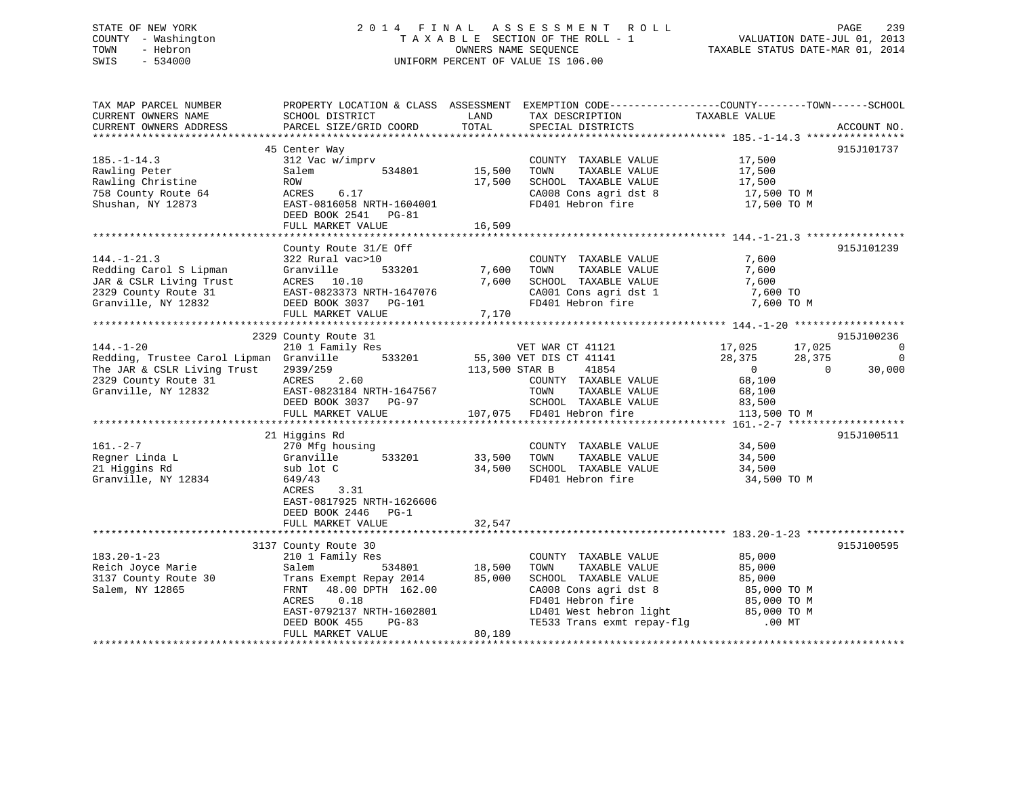## STATE OF NEW YORK 2 0 1 4 F I N A L A S S E S S M E N T R O L L PAGE 239 COUNTY - Washington T A X A B L E SECTION OF THE ROLL - 1 VALUATION DATE-JUL 01, 2013 TOWN - Hebron OWNERS NAME SEQUENCE TAXABLE STATUS DATE-MAR 01, 2014 SWIS - 534000 UNIFORM PERCENT OF VALUE IS 106.00

| TAX MAP PARCEL NUMBER<br>CURRENT OWNERS NAME<br>CURRENT OWNERS ADDRESS                                                                   | PROPERTY LOCATION & CLASS ASSESSMENT<br>SCHOOL DISTRICT<br>PARCEL SIZE/GRID COORD                                                                                         | LAND<br>TOTAL              | EXEMPTION CODE-----------------COUNTY-------TOWN------SCHOOL<br>TAX DESCRIPTION<br>SPECIAL DISTRICTS                                                       | TAXABLE VALUE                                                                                        | ACCOUNT NO.                                                             |
|------------------------------------------------------------------------------------------------------------------------------------------|---------------------------------------------------------------------------------------------------------------------------------------------------------------------------|----------------------------|------------------------------------------------------------------------------------------------------------------------------------------------------------|------------------------------------------------------------------------------------------------------|-------------------------------------------------------------------------|
|                                                                                                                                          |                                                                                                                                                                           |                            |                                                                                                                                                            |                                                                                                      |                                                                         |
| $185. - 1 - 14.3$<br>Rawling Peter<br>Rawling Christine<br>758 County Route 64<br>Shushan, NY 12873                                      | 45 Center Way<br>312 Vac w/imprv<br>534801<br>Salem<br>ROW<br>6.17<br>ACRES<br>EAST-0816058 NRTH-1604001<br>DEED BOOK 2541 PG-81<br>FULL MARKET VALUE                     | 15,500<br>17,500<br>16,509 | COUNTY TAXABLE VALUE<br>TAXABLE VALUE<br>TOWN<br>SCHOOL TAXABLE VALUE<br>CA008 Cons agri dst 8<br>FD401 Hebron fire                                        | 17,500<br>17,500<br>17,500<br>17,500 TO M<br>17,500 TO M                                             | 915J101737                                                              |
|                                                                                                                                          |                                                                                                                                                                           |                            |                                                                                                                                                            |                                                                                                      |                                                                         |
| $144. - 1 - 21.3$<br>Redding Carol S Lipman<br>JAR & CSLR Living Trust<br>2329 County Route 31<br>Granville, NY 12832                    | County Route 31/E Off<br>322 Rural vac>10<br>Granville<br>533201<br>ACRES 10.10<br>ACRES 10.10<br>EAST-0823373 NRTH-1647076<br>DEED BOOK 3037 PG-101<br>FULL MARKET VALUE | 7,600<br>7,600<br>7,170    | COUNTY TAXABLE VALUE<br>TAXABLE VALUE<br>TOWN<br>SCHOOL TAXABLE VALUE<br>SCHOOL TAXABLE VALUE<br>CA001 Cons agri dst 1<br>FD401 Hebron fire                | 7,600<br>7,600<br>7,600<br>7,600 TO<br>7,600 TO M                                                    | 915J101239                                                              |
|                                                                                                                                          |                                                                                                                                                                           |                            |                                                                                                                                                            |                                                                                                      |                                                                         |
| $144. - 1 - 20$<br>Redding, Trustee Carol Lipman Granville<br>The JAR & CSLR Living Trust<br>2329 County Route 31<br>Granville, NY 12832 | 2329 County Route 31<br>210 1 Family Res<br>533201<br>2939/259<br>ACRES<br>2.60<br>EAST-0823184 NRTH-1647567<br>DEED BOOK 3037 PG-97<br>FULL MARKET VALUE                 | 113,500 STAR B             | VET WAR CT 41121<br>55,300 VET DIS CT 41141<br>41854<br>COUNTY TAXABLE VALUE<br>TOWN<br>TAXABLE VALUE<br>SCHOOL TAXABLE VALUE<br>107,075 FD401 Hebron fire | 17,025<br>17,025<br>28,375<br>28,375<br>$\overline{0}$<br>68,100<br>68,100<br>83,500<br>113,500 TO M | 915J100236<br>$\overline{0}$<br>$\mathbf 0$<br>30,000<br>$\overline{0}$ |
|                                                                                                                                          | 21 Higgins Rd                                                                                                                                                             |                            |                                                                                                                                                            |                                                                                                      | 915J100511                                                              |
| $161. - 2 - 7$<br>Regner Linda L<br>21 Higgins Rd<br>Granville, NY 12834                                                                 | 270 Mfg housing<br>Granville<br>533201<br>sub lot C<br>649/43<br>ACRES<br>3.31<br>EAST-0817925 NRTH-1626606<br>DEED BOOK 2446<br>$PG-1$                                   | 33,500<br>34,500           | COUNTY TAXABLE VALUE<br>TAXABLE VALUE<br>TOWN<br>SCHOOL TAXABLE VALUE<br>FD401 Hebron fire                                                                 | 34,500<br>34,500<br>34,500<br>34,500 TO M                                                            |                                                                         |
|                                                                                                                                          | FULL MARKET VALUE                                                                                                                                                         | 32,547                     |                                                                                                                                                            |                                                                                                      |                                                                         |
| $183.20 - 1 - 23$<br>Reich Joyce Marie<br>3137 County Route 30<br>Salem, NY 12865                                                        | 3137 County Route 30<br>210 1 Family Res<br>Salem<br>534801<br>Trans Exempt Repay 2014<br>48.00 DPTH 162.00<br>FRNT<br>ACRES<br>0.18                                      | 18,500<br>85,000           | COUNTY TAXABLE VALUE<br>TAXABLE VALUE<br>TOWN<br>SCHOOL TAXABLE VALUE<br>CA008 Cons agri dst 8<br>FD401 Hebron fire                                        | 85,000<br>85,000<br>85,000<br>85,000 TO M<br>85,000 TO M                                             | 915J100595                                                              |
|                                                                                                                                          | EAST-0792137 NRTH-1602801<br>DEED BOOK 455<br>$PG-83$<br>FULL MARKET VALUE                                                                                                | 80,189                     | LD401 West hebron light<br>TE533 Trans exmt repay-flg                                                                                                      | 85,000 TO M<br>$.00$ MT                                                                              |                                                                         |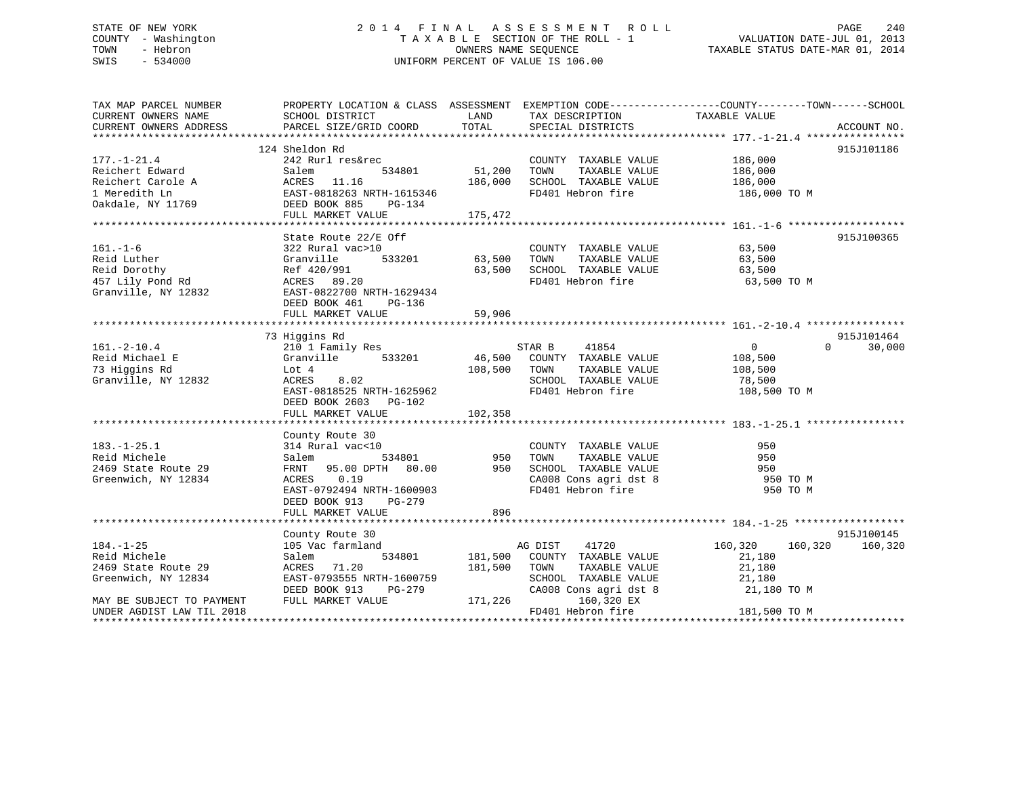## STATE OF NEW YORK 2 0 1 4 F I N A L A S S E S S M E N T R O L L PAGE 240 COUNTY - Washington T A X A B L E SECTION OF THE ROLL - 1 VALUATION DATE-JUL 01, 2013 TOWN - Hebron OWNERS NAME SEQUENCE TAXABLE STATUS DATE-MAR 01, 2014 SWIS - 534000 UNIFORM PERCENT OF VALUE IS 106.00

| TAX MAP PARCEL NUMBER<br>CURRENT OWNERS NAME                                                                                                                                                                                                              | PROPERTY LOCATION & CLASS ASSESSMENT EXEMPTION CODE---------------COUNTY-------TOWN------SCHOOL<br>SCHOOL DISTRICT                       | LAND                                 | TAX DESCRIPTION TAXABLE VALUE                                                                                                                                                                                                                                                                                                  |                                                                                                                                                                                                                                                                    |                             |
|-----------------------------------------------------------------------------------------------------------------------------------------------------------------------------------------------------------------------------------------------------------|------------------------------------------------------------------------------------------------------------------------------------------|--------------------------------------|--------------------------------------------------------------------------------------------------------------------------------------------------------------------------------------------------------------------------------------------------------------------------------------------------------------------------------|--------------------------------------------------------------------------------------------------------------------------------------------------------------------------------------------------------------------------------------------------------------------|-----------------------------|
|                                                                                                                                                                                                                                                           |                                                                                                                                          |                                      |                                                                                                                                                                                                                                                                                                                                |                                                                                                                                                                                                                                                                    |                             |
|                                                                                                                                                                                                                                                           | 124 Sheldon Rd                                                                                                                           |                                      |                                                                                                                                                                                                                                                                                                                                |                                                                                                                                                                                                                                                                    | 915J101186                  |
| $177. - 1 - 21.4$<br>Reichert Edward<br>Reference Manual Acres 11.16<br>1 Meredith Ln EAST-0818263 NRTH-1615346<br>0akdale, NY 11769 DEED BOOK 885 PG-134<br>FULL MARKET VALUE 175                                                                        | 242 Rurl res&rec<br>Salem                                                                                                                | 534801 51,200<br>186,000<br>175,472  | COUNTY TAXABLE VALUE 186,000<br>TOWN<br>SCHOOL TAXABLE VALUE                                                                                                                                                                                                                                                                   | TAXABLE VALUE 186,000<br>TAXABLE VALUE 186,000<br>FD401 Hebron fire 186,000 TO M                                                                                                                                                                                   |                             |
|                                                                                                                                                                                                                                                           |                                                                                                                                          |                                      |                                                                                                                                                                                                                                                                                                                                |                                                                                                                                                                                                                                                                    |                             |
| $161. - 1 - 6$<br>161.-1-6<br>Reid Luther Granville 533201<br>Reid Dorothy Ref 420/991<br>457 Lily Pond Rd ACRES 89.20<br>Granville, NY 12832<br>EAST-0822700 NRTH-1629434 FD401 Hebron fire 63,500<br>Granville, NY 12832 EAST-0822700 NRTH-1629434<br>E | State Route 22/E Off<br>322 Rural vac>10<br>DEED BOOK 461 PG-136                                                                         |                                      | $\begin{tabular}{lllllll} \multicolumn{2}{c}{\text{COUNTY}} & \text{TAXABLE} & \text{VALUE} & & & & 63,500 \\ \multicolumn{2}{c}{\text{TANARLE}} & \text{VALUE} & & & & 63,500 \\ \multicolumn{2}{c}{\text{TANARLE}} & \text{VALUE} & & & & 63,500 \\ \multicolumn{2}{c}{\text{TANARLE}} & \text{VALUE} & & & & \end{tabular}$ | 63,500 TO M                                                                                                                                                                                                                                                        | 915J100365                  |
|                                                                                                                                                                                                                                                           | 73 Higgins Rd                                                                                                                            |                                      |                                                                                                                                                                                                                                                                                                                                |                                                                                                                                                                                                                                                                    | 915J101464                  |
| $161. - 2 - 10.4$<br>Reid Michael E<br>73 Higgins Rd<br>Granville, NY 12832                                                                                                                                                                               | 210 1 Family Res<br>Granville 533201<br>Lot 4<br>ACRES<br>8.02<br>ACRES 8.02<br>EAST-0818525 NRTH-1625962<br>DEED BOOK 2603 PG-102       | 108,500 TOWN                         | STAR B<br>41854<br>46,500 COUNTY TAXABLE VALUE<br>TAXABLE VALUE<br>SCHOOL TAXABLE VALUE<br>FD401 Hebron fire                                                                                                                                                                                                                   | $\begin{matrix}0\\0\end{matrix}$<br>108,500<br>78,500<br>108,500 TO M                                                                                                                                                                                              | $0 \qquad \qquad$<br>30,000 |
| $183. - 1 - 25.1$<br>Reid Michele<br>2469 State Route 29<br>Greenwich, NY 12834                                                                                                                                                                           | County Route 30<br>ACRES 0.19<br>EAST-0792494 NRTH-1600903<br>DEED BOOK 913<br>PG-279<br>FULL MARKET VALUE                               | 896                                  | COUNTY TAXABLE VALUE<br>TAXABLE VALUE<br>TOWN<br>SCHOOL TAXABLE VALUE<br>CA008 Cons agri dst 8<br>FD401 Hebron fire                                                                                                                                                                                                            | 950<br>950<br>950<br>950 TO M<br>950 TO M                                                                                                                                                                                                                          |                             |
|                                                                                                                                                                                                                                                           |                                                                                                                                          |                                      |                                                                                                                                                                                                                                                                                                                                |                                                                                                                                                                                                                                                                    | 915J100145                  |
| $184. - 1 - 25$<br>Reid Michele<br>2469 State Route 29<br>Greenwich, NY 12834<br>MAY BE SUBJECT TO PAYMENT                                                                                                                                                | County Route 30<br>105 Vac farmland<br>Salem<br>ACRES 71.20<br>EAST-0793555 NRTH-1600759<br>DEED BOOK 913<br>PG-279<br>FULL MARKET VALUE | 534801 181,500<br>181,500<br>171,226 | 41720<br>AG DIST<br>COUNTY TAXABLE VALUE<br>TOWN<br>TAXABLE VALUE<br>CA008 Cons agri dst 8<br>160,320 EX                                                                                                                                                                                                                       | 160,320<br>21,180<br>21,180<br>$\begin{tabular}{lllllllllll} \texttt{SCHOOL} & \texttt{TXABLE} & \texttt{VALUE} & & \texttt{21,180} \\ \texttt{CA008} & \texttt{Cons}\ \texttt{agri}\ \texttt{dst}\ 8 & & \texttt{21,180} \ \texttt{TO}\ \texttt{M} \end{tabular}$ | 160,320 160,320             |
| UNDER AGDIST LAW TIL 2018<br>*********************                                                                                                                                                                                                        |                                                                                                                                          |                                      | FD401 Hebron fire                                                                                                                                                                                                                                                                                                              | 181,500 TO M                                                                                                                                                                                                                                                       |                             |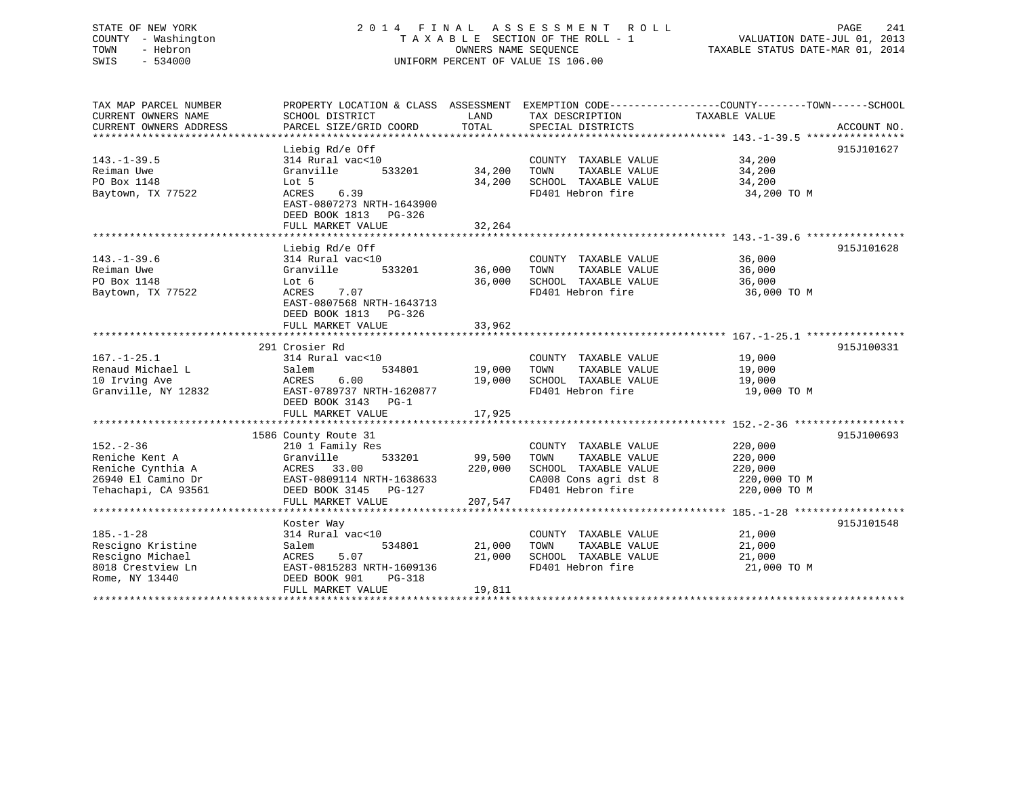## STATE OF NEW YORK 2 0 1 4 F I N A L A S S E S S M E N T R O L L PAGE 241 COUNTY - Washington T A X A B L E SECTION OF THE ROLL - 1 VALUATION DATE-JUL 01, 2013 TOWN - Hebron OWNERS NAME SEQUENCE TAXABLE STATUS DATE-MAR 01, 2014 SWIS - 534000 UNIFORM PERCENT OF VALUE IS 106.00

| TAX MAP PARCEL NUMBER  |                                          |         |                             | PROPERTY LOCATION & CLASS ASSESSMENT EXEMPTION CODE----------------COUNTY-------TOWN-----SCHOOL |
|------------------------|------------------------------------------|---------|-----------------------------|-------------------------------------------------------------------------------------------------|
| CURRENT OWNERS NAME    | SCHOOL DISTRICT                          | LAND    | TAX DESCRIPTION             | TAXABLE VALUE                                                                                   |
| CURRENT OWNERS ADDRESS | PARCEL SIZE/GRID COORD                   | TOTAL   | SPECIAL DISTRICTS           | ACCOUNT NO.                                                                                     |
|                        |                                          |         |                             |                                                                                                 |
|                        | Liebig Rd/e Off                          |         |                             | 915J101627                                                                                      |
| $143. - 1 - 39.5$      | 314 Rural vac<10                         |         | COUNTY TAXABLE VALUE        | $34,200$<br>$34,200$                                                                            |
| Reiman Uwe             | 533201<br>Granville                      | 34,200  | TOWN<br>TAXABLE VALUE       | 34,200                                                                                          |
| PO Box 1148            | Lot 5                                    | 34,200  | SCHOOL TAXABLE VALUE        | 34,200                                                                                          |
| Baytown, TX 77522      | 6.39<br>ACRES                            |         | FD401 Hebron fire           | 34,200 TO M                                                                                     |
|                        | EAST-0807273 NRTH-1643900                |         |                             |                                                                                                 |
|                        | DEED BOOK 1813 PG-326                    |         |                             |                                                                                                 |
|                        | FULL MARKET VALUE                        | 32,264  |                             |                                                                                                 |
|                        |                                          |         |                             |                                                                                                 |
|                        | Liebig Rd/e Off                          |         |                             | 915J101628                                                                                      |
| $143. - 1 - 39.6$      | 314 Rural vac<10                         |         | COUNTY TAXABLE VALUE        | 36,000                                                                                          |
| Reiman Uwe             | 533201<br>Granville                      | 36,000  | TAXABLE VALUE<br>TOWN       | 36,000                                                                                          |
| PO Box 1148            | Lot 6                                    | 36,000  | SCHOOL TAXABLE VALUE        | 36,000                                                                                          |
| Baytown, TX 77522      | 7.07<br>ACRES                            |         | FD401 Hebron fire           | 36,000 TO M                                                                                     |
|                        | EAST-0807568 NRTH-1643713                |         |                             |                                                                                                 |
|                        | DEED BOOK 1813 PG-326                    |         |                             |                                                                                                 |
|                        |                                          | 33,962  |                             |                                                                                                 |
|                        | FULL MARKET VALUE                        |         |                             |                                                                                                 |
|                        | 291 Crosier Rd                           |         |                             | 915J100331                                                                                      |
| $167. - 1 - 25.1$      | 314 Rural vac<10                         |         | COUNTY TAXABLE VALUE 19,000 |                                                                                                 |
| Renaud Michael L       | 534801<br>Salem                          | 19,000  | TOWN<br>TAXABLE VALUE       | 19,000                                                                                          |
| 10 Irving Ave          | 6.00<br>ACRES                            | 19,000  | SCHOOL TAXABLE VALUE        | 19,000                                                                                          |
| Granville, NY 12832    | EAST-0789737 NRTH-1620877                |         | FD401 Hebron fire           | 19,000 TO M                                                                                     |
|                        |                                          |         |                             |                                                                                                 |
|                        | DEED BOOK 3143 PG-1<br>FULL MARKET VALUE |         |                             |                                                                                                 |
|                        |                                          | 17,925  |                             |                                                                                                 |
|                        | 1586 County Route 31                     |         |                             | 915J100693                                                                                      |
| $152 - 2 - 36$         | 210 1 Family Res                         |         | COUNTY TAXABLE VALUE        | 220,000                                                                                         |
| Reniche Kent A         | Granville<br>533201                      | 99,500  | TOWN<br>TAXABLE VALUE       | 220,000                                                                                         |
| Reniche Cynthia A      | ACRES 33.00                              | 220,000 | SCHOOL TAXABLE VALUE        | 220,000                                                                                         |
| 26940 El Camino Dr     | EAST-0809114 NRTH-1638633                |         | CA008 Cons agri dst 8       | 220,000 TO M                                                                                    |
| Tehachapi, CA 93561    | DEED BOOK 3145 PG-127                    |         | FD401 Hebron fire           | 220,000 TO M                                                                                    |
|                        | FULL MARKET VALUE                        | 207,547 |                             |                                                                                                 |
|                        |                                          |         |                             |                                                                                                 |
|                        |                                          |         |                             | 915J101548                                                                                      |
| $185. - 1 - 28$        | Koster Way<br>314 Rural vac<10           |         | COUNTY TAXABLE VALUE        | 21,000                                                                                          |
| Rescigno Kristine      | Salem<br>534801                          | 21,000  | TOWN<br>TAXABLE VALUE       | 21,000                                                                                          |
| Rescigno Michael       | 5.07<br>ACRES                            | 21,000  | SCHOOL TAXABLE VALUE        | 21,000                                                                                          |
| 8018 Crestview Ln      | EAST-0815283 NRTH-1609136                |         | FD401 Hebron fire           | 21,000 TO M                                                                                     |
| Rome, NY 13440         | DEED BOOK 901<br>PG-318                  |         |                             |                                                                                                 |
|                        | FULL MARKET VALUE                        | 19,811  |                             |                                                                                                 |
|                        |                                          |         |                             |                                                                                                 |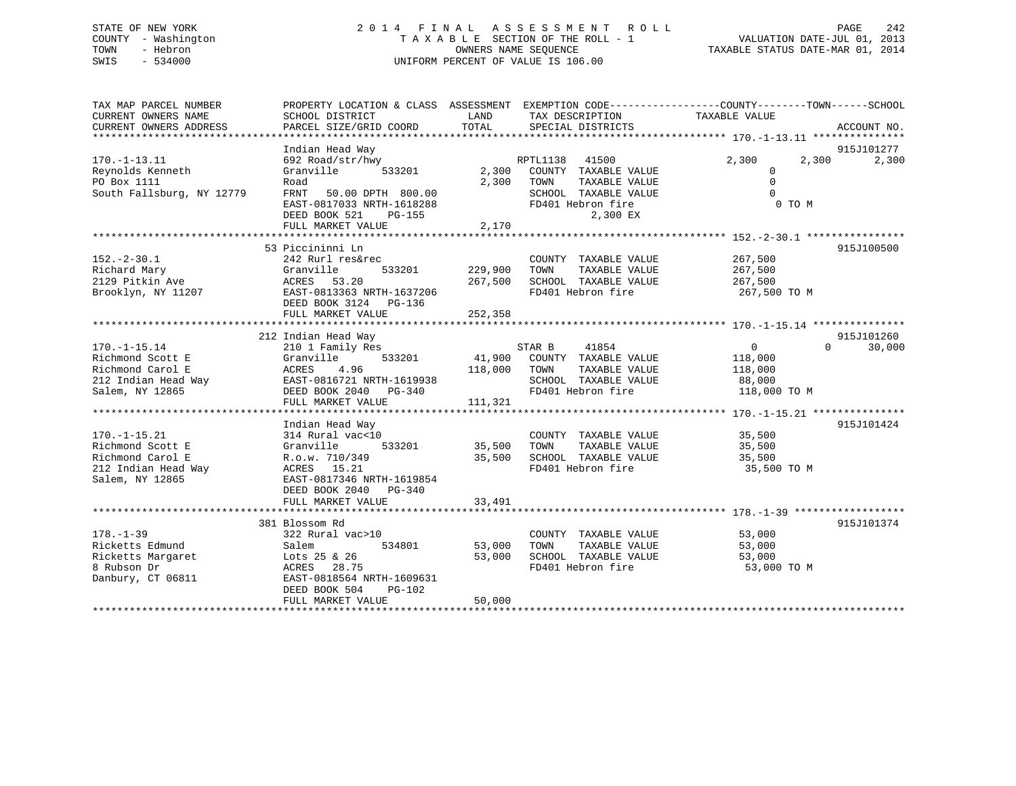## STATE OF NEW YORK 2 0 1 4 F I N A L A S S E S S M E N T R O L L PAGE 242 COUNTY - Washington T A X A B L E SECTION OF THE ROLL - 1 VALUATION DATE-JUL 01, 2013 TOWN - Hebron OWNERS NAME SEQUENCE TAXABLE STATUS DATE-MAR 01, 2014 SWIS - 534000 UNIFORM PERCENT OF VALUE IS 106.00

| TAX MAP PARCEL NUMBER<br>CURRENT OWNERS NAME<br>CURRENT OWNERS ADDRESS                               | PROPERTY LOCATION & CLASS ASSESSMENT EXEMPTION CODE----------------COUNTY-------TOWN------SCHOOL<br>SCHOOL DISTRICT<br>PARCEL SIZE/GRID COORD                                | LAND<br>TOTAL                 | TAX DESCRIPTION<br>SPECIAL DISTRICTS                                                                                              | TAXABLE VALUE                                                  | ACCOUNT NO.         |
|------------------------------------------------------------------------------------------------------|------------------------------------------------------------------------------------------------------------------------------------------------------------------------------|-------------------------------|-----------------------------------------------------------------------------------------------------------------------------------|----------------------------------------------------------------|---------------------|
| $170. - 1 - 13.11$<br>Reynolds Kenneth<br>PO Box 1111<br>South Fallsburg, NY 12779                   | Indian Head Way<br>692 Road/str/hwy<br>Granville<br>533201<br>Road<br>FRNT<br>50.00 DPTH 800.00<br>EAST-0817033 NRTH-1618288<br>DEED BOOK 521<br>PG-155<br>FULL MARKET VALUE | 2,300<br>2,170                | RPTL1138<br>41500<br>2,300 COUNTY TAXABLE VALUE<br>TAXABLE VALUE<br>TOWN<br>SCHOOL TAXABLE VALUE<br>FD401 Hebron fire<br>2,300 EX | 2,300<br>2,300<br>$\Omega$<br>$\Omega$<br>$\Omega$<br>0 TO M   | 915J101277<br>2,300 |
|                                                                                                      |                                                                                                                                                                              |                               |                                                                                                                                   |                                                                |                     |
| $152. - 2 - 30.1$<br>Richard Mary<br>2129 Pitkin Ave<br>Brooklyn, NY 11207                           | 53 Piccininni Ln<br>242 Rurl res&rec<br>Granville<br>533201<br>53.20<br>ACRES<br>EAST-0813363 NRTH-1637206<br>DEED BOOK 3124 PG-136<br>FULL MARKET VALUE                     | 229,900<br>267,500<br>252,358 | COUNTY TAXABLE VALUE<br>TAXABLE VALUE<br>TOWN<br>SCHOOL TAXABLE VALUE<br>FD401 Hebron fire                                        | 267,500<br>267,500<br>267,500<br>267,500 TO M                  | 915J100500          |
|                                                                                                      |                                                                                                                                                                              |                               |                                                                                                                                   |                                                                |                     |
|                                                                                                      | 212 Indian Head Way                                                                                                                                                          |                               |                                                                                                                                   |                                                                | 915J101260          |
| $170. - 1 - 15.14$<br>Richmond Scott E<br>Richmond Carol E<br>212 Indian Head Way<br>Salem, NY 12865 | 210 1 Family Res<br>Granville<br>533201<br>ACRES<br>4.96<br>EAST-0816721 NRTH-1619938<br>DEED BOOK 2040 PG-340<br>FULL MARKET VALUE                                          | 41,900<br>118,000<br>111,321  | STAR B<br>41854<br>COUNTY TAXABLE VALUE<br>TOWN<br>TAXABLE VALUE<br>SCHOOL TAXABLE VALUE<br>FD401 Hebron fire                     | $\overline{0}$<br>118,000<br>118,000<br>88,000<br>118,000 TO M | $\Omega$<br>30,000  |
|                                                                                                      | Indian Head Way                                                                                                                                                              |                               |                                                                                                                                   |                                                                | 915J101424          |
| $170. - 1 - 15.21$<br>Richmond Scott E<br>Richmond Carol E<br>212 Indian Head Way<br>Salem, NY 12865 | 314 Rural vac<10<br>Granville<br>533201<br>R.o.w. 710/349<br>ACRES 15.21<br>EAST-0817346 NRTH-1619854<br>DEED BOOK 2040 PG-340                                               | 35,500<br>35,500              | COUNTY TAXABLE VALUE<br>TAXABLE VALUE<br>TOWN<br>SCHOOL TAXABLE VALUE<br>FD401 Hebron fire                                        | 35,500<br>35,500<br>35,500<br>35,500 TO M                      |                     |
|                                                                                                      | FULL MARKET VALUE                                                                                                                                                            | 33,491                        |                                                                                                                                   |                                                                |                     |
|                                                                                                      | 381 Blossom Rd                                                                                                                                                               |                               |                                                                                                                                   |                                                                | 915J101374          |
| $178. - 1 - 39$<br>Ricketts Edmund<br>Ricketts Margaret<br>8 Rubson Dr<br>Danbury, CT 06811          | 322 Rural vac>10<br>534801<br>Salem<br>Lots 25 & 26<br>ACRES 28.75<br>EAST-0818564 NRTH-1609631<br>DEED BOOK 504<br><b>PG-102</b><br>FULL MARKET VALUE                       | 53,000<br>53,000<br>50,000    | COUNTY TAXABLE VALUE<br>TOWN<br>TAXABLE VALUE<br>SCHOOL TAXABLE VALUE<br>FD401 Hebron fire                                        | 53,000<br>53,000<br>53,000<br>53,000 TO M                      |                     |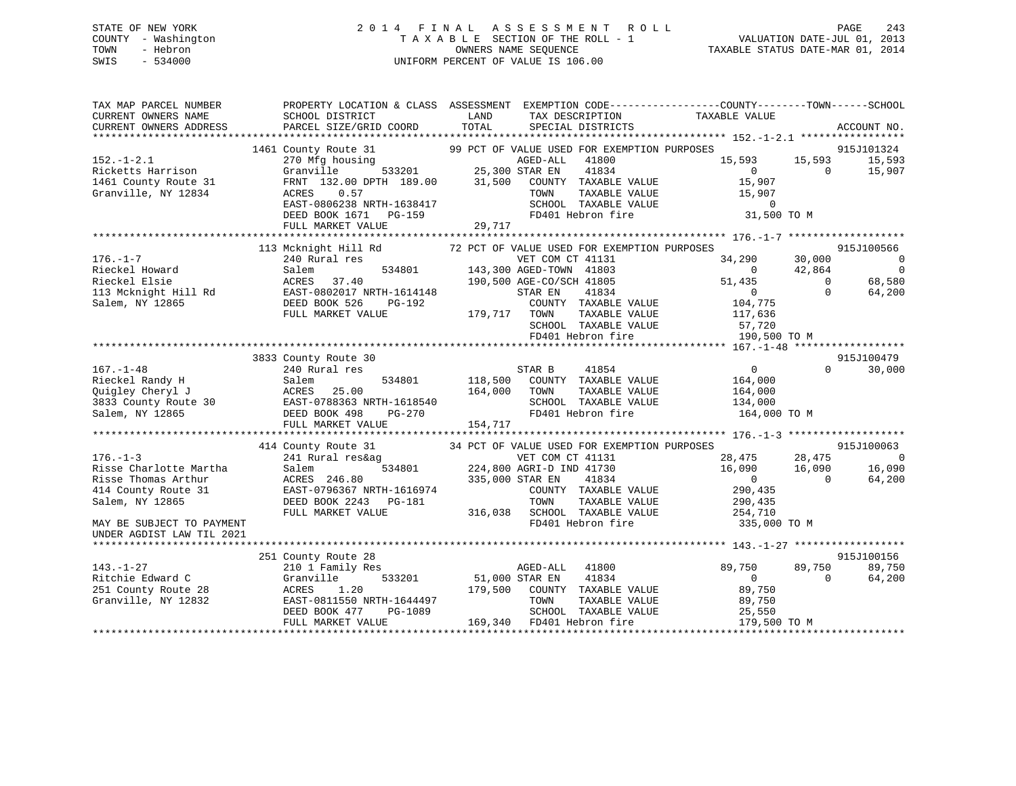## STATE OF NEW YORK 2 0 1 4 F I N A L A S S E S S M E N T R O L L PAGE 243 COUNTY - Washington T A X A B L E SECTION OF THE ROLL - 1 VALUATION DATE-JUL 01, 2013 TOWN - Hebron OWNERS NAME SEQUENCE TAXABLE STATUS DATE-MAR 01, 2014 SWIS - 534000 UNIFORM PERCENT OF VALUE IS 106.00

| TAX MAP PARCEL NUMBER<br>CURRENT OWNERS NAME<br>CURRENT OWNERS ADDRESS                                                                 | SCHOOL DISTRICT<br>PARCEL SIZE/GRID COORD                                                                                                                                                                                                                                                                                                  | TAX DESCRIPTION TAXABLE VALUE SPECIAL DISTRICTS<br>LAND<br>TOTAL                                                                                                                                                                                                                                                        | PROPERTY LOCATION & CLASS ASSESSMENT EXEMPTION CODE---------------COUNTY-------TOWN------SCHOOL<br>ACCOUNT NO.                                                                                                                |
|----------------------------------------------------------------------------------------------------------------------------------------|--------------------------------------------------------------------------------------------------------------------------------------------------------------------------------------------------------------------------------------------------------------------------------------------------------------------------------------------|-------------------------------------------------------------------------------------------------------------------------------------------------------------------------------------------------------------------------------------------------------------------------------------------------------------------------|-------------------------------------------------------------------------------------------------------------------------------------------------------------------------------------------------------------------------------|
| $152. - 1 - 2.1$<br>Ricketts Harrison<br>1461 County Route 31<br>Granville, NY 12834                                                   | 0.57<br>ACRES<br>EAST-0806238 NRTH-1638417<br>DEED BOOK 1671 PG-159                                                                                                                                                                                                                                                                        | 1461 County Route 31 99 PCT OF VALUE USED FOR EXEMPTION PURPOSES 270 Mfg housing a per of value and the set of the set of the set of the set of the set of the set of the set of the set of the set of the set of the set of<br>TAXABLE VALUE<br>TOWN<br>SCHOOL TAXABLE VALUE<br>FD401 Hebron fire<br>FD401 Hebron fire | 915J101324<br>15,593<br>15,593<br>15,593<br>$\overline{0}$<br>$\sim$ 0<br>15,907<br>15,907<br>15,907<br>$\sim$ 0<br>31,500 TO M                                                                                               |
|                                                                                                                                        | FULL MARKET VALUE                                                                                                                                                                                                                                                                                                                          | 29,717                                                                                                                                                                                                                                                                                                                  |                                                                                                                                                                                                                               |
| $176. - 1 - 7$<br>Rieckel Howard<br>Rieckel Elsie                                                                                      | 113 Mcknight Hill Rd<br>240 Rural res<br>Salem<br>ACRES 37.40<br>FULL MARKET VALUE                                                                                                                                                                                                                                                         | 72 PCT OF VALUE USED FOR EXEMPTION PURPOSES<br>VET COM CT 41131<br>534801 143,300 AGED-TOWN 41803<br>190,500 AGE-CO/SCH 41805<br>STAR EN<br>41834<br>COUNTY TAXABLE VALUE<br>179,717 TOWN                                                                                                                               | 915J100566<br>30,000<br>34,290<br>$\sim$ 0<br>$\sim$ 0<br>42,864<br>$\overline{0}$<br>$\overline{0}$<br>68,580<br>51,435<br>$\Omega$<br>$\begin{smallmatrix}&&0\104\end{smallmatrix}$ ,775<br>64,200<br>TAXABLE VALUE 117,636 |
|                                                                                                                                        |                                                                                                                                                                                                                                                                                                                                            |                                                                                                                                                                                                                                                                                                                         | SCHOOL TAXABLE VALUE 57,720<br>FD401 Hebron fire 190,500 TO M                                                                                                                                                                 |
|                                                                                                                                        |                                                                                                                                                                                                                                                                                                                                            |                                                                                                                                                                                                                                                                                                                         |                                                                                                                                                                                                                               |
| $167. - 1 - 48$                                                                                                                        | 3833 County Route 30<br>240 Rural res<br>Rieckel Randy H<br>Rieckel Randy H<br>25.1em 534801<br>25.00<br>3833 County Route 30<br>3835 COUNTER 25.00<br>25.00<br>25.00<br>25.00<br>25.00<br>25.00<br>25.00<br>25.00<br>25.00<br>25.00<br>25.00<br>25.00<br>25.00<br>25.00<br>25.00<br>25.00<br>25.00<br>25.00<br>25.00<br>FULL MARKET VALUE | STAR B<br>41854<br>534801 118,500 COUNTY TAXABLE VALUE 164,000<br>164,000<br>TAXABLE VALUE<br>TOWN<br>SCHOOL TAXABLE VALUE<br>FD401 Hebron fire<br>154,717                                                                                                                                                              | 915J100479<br>$\overline{0}$<br>$\Omega$<br>30,000<br>164,000<br>134,000<br>164,000 TO M                                                                                                                                      |
|                                                                                                                                        |                                                                                                                                                                                                                                                                                                                                            |                                                                                                                                                                                                                                                                                                                         |                                                                                                                                                                                                                               |
| $176. - 1 - 3$<br>Risse Charlotte Martha<br>Risse Thomas Arthur<br>414 County Route 31<br>Salem, NY 12865<br>MAY BE SUBJECT TO PAYMENT | 414 County Route 31<br>ACRES 246.00<br>EAST-0796367 NRTH-1616974<br>CAAR PG-181<br>DEED BOOK 2243 PG-181<br>FULL MARKET VALUE                                                                                                                                                                                                              | 34 PCT OF VALUE USED FOR EXEMPTION PURPOSES<br>241 Rural res&ag<br>241 Rural res&ag<br>224,800 AGRI-D IND 41730<br>VET COM CT 41131<br>335,000 STAR EN<br>41834<br>COUNTY TAXABLE VALUE<br>TOWN                                                                                                                         | 915J100063<br>$28,475$ $28,475$ 0<br>16,090 16,090 16,090<br>0 0 64,200<br>290,435<br>TAXABLE VALUE 290,435<br>254,710<br>FD401 Hebron fire 335,000 TO M                                                                      |
| UNDER AGDIST LAW TIL 2021                                                                                                              |                                                                                                                                                                                                                                                                                                                                            |                                                                                                                                                                                                                                                                                                                         |                                                                                                                                                                                                                               |
| $143. - 1 - 27$<br>Ritchie Edward C<br>251 County Route 28<br>Granville, NY 12832                                                      | 251 County Route 28<br>210 1 Family Res<br>Granville<br>1.20<br>ACRES<br>EAST-0811550 NRTH-1644497<br>$PG-1089$<br>DEED BOOK 477<br>FULL MARKET VALUE                                                                                                                                                                                      | AGED-ALL<br>41800<br>533201 51,000 STAR EN 41834<br>0 179,500 COUNTY TAXABLE VALUE<br>TOWN<br>TAXABLE VALUE<br>SCHOOL TAXABLE VALUE<br>169,340 FD401 Hebron fire                                                                                                                                                        | 915J100156<br>89,750<br>89,750<br>89,750<br>64,200<br>$\overline{0}$<br>$\Omega$<br>89,750<br>89,750<br>25,550<br>179,500 TO M                                                                                                |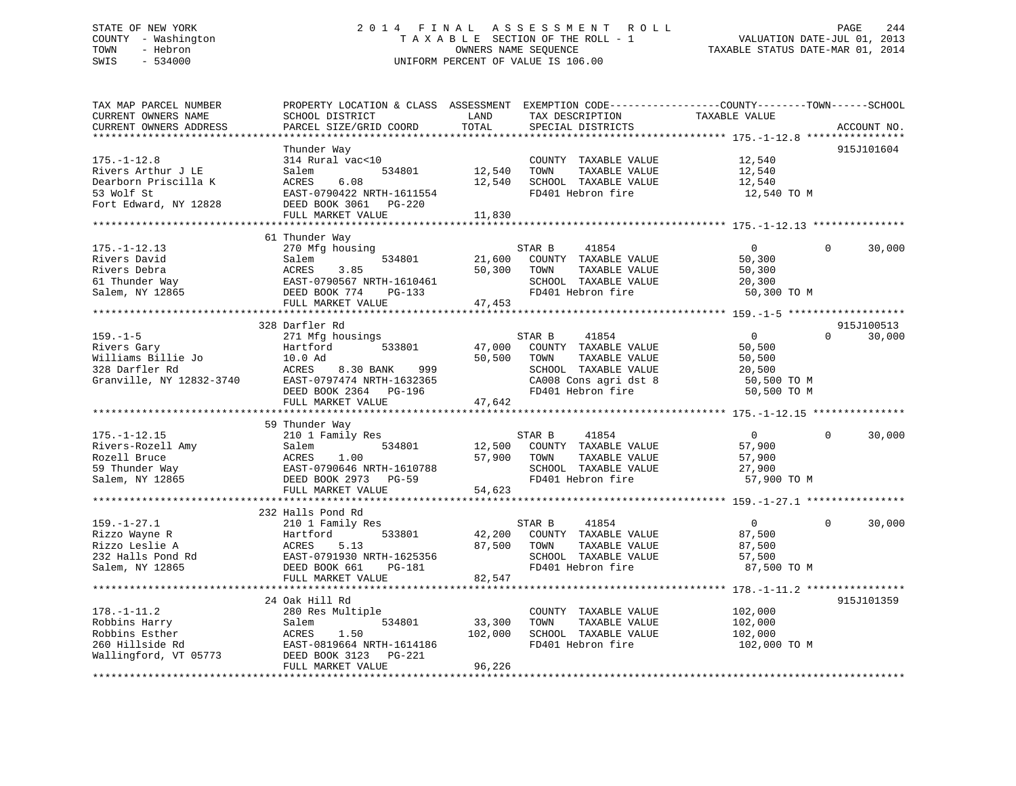## STATE OF NEW YORK 2 0 1 4 F I N A L A S S E S S M E N T R O L L PAGE 244 COUNTY - Washington T A X A B L E SECTION OF THE ROLL - 1 VALUATION DATE-JUL 01, 2013 TOWN - Hebron OWNERS NAME SEQUENCE TAXABLE STATUS DATE-MAR 01, 2014 SWIS - 534000 UNIFORM PERCENT OF VALUE IS 106.00

| TAX MAP PARCEL NUMBER<br>CURRENT OWNERS NAME<br>CURRENT OWNERS ADDRESS<br>**********************       | PROPERTY LOCATION & CLASS ASSESSMENT<br>SCHOOL DISTRICT<br>PARCEL SIZE/GRID COORD                                                                                                 | LAND<br>TAX DESCRIPTION<br>TOTAL<br>SPECIAL DISTRICTS                                                                                       | EXEMPTION CODE-----------------COUNTY-------TOWN------SCHOOL<br>TAXABLE VALUE<br>ACCOUNT NO. |
|--------------------------------------------------------------------------------------------------------|-----------------------------------------------------------------------------------------------------------------------------------------------------------------------------------|---------------------------------------------------------------------------------------------------------------------------------------------|----------------------------------------------------------------------------------------------|
| $175. - 1 - 12.8$<br>Rivers Arthur J LE<br>Dearborn Priscilla K<br>53 Wolf St<br>Fort Edward, NY 12828 | Thunder Way<br>314 Rural vac<10<br>534801<br>Salem<br>ACRES<br>6.08<br>EAST-0790422 NRTH-1611554<br>DEED BOOK 3061<br>PG-220<br>FULL MARKET VALUE                                 | COUNTY TAXABLE VALUE<br>12,540<br>TOWN<br>TAXABLE VALUE<br>12,540<br>SCHOOL TAXABLE VALUE<br>FD401 Hebron fire<br>11,830                    | 915J101604<br>12,540<br>12,540<br>12,540<br>12,540 TO M                                      |
| $175. - 1 - 12.13$<br>Rivers David<br>Rivers Debra<br>61 Thunder Way<br>Salem, NY 12865                | 61 Thunder Way<br>270 Mfg housing<br>Salem<br>534801<br>ACRES<br>3.85<br>EAST-0790567 NRTH-1610461<br>DEED BOOK 774<br>$PG-133$<br>FULL MARKET VALUE                              | STAR B<br>41854<br>21,600<br>COUNTY TAXABLE VALUE<br>50,300<br>TOWN<br>TAXABLE VALUE<br>SCHOOL TAXABLE VALUE<br>FD401 Hebron fire<br>47,453 | 30,000<br>$\overline{0}$<br>$\Omega$<br>50,300<br>50,300<br>20,300<br>50,300 TO M            |
|                                                                                                        |                                                                                                                                                                                   |                                                                                                                                             |                                                                                              |
| $159. - 1 - 5$<br>Rivers Gary<br>Williams Billie Jo<br>328 Darfler Rd<br>Granville, NY 12832-3740      | 328 Darfler Rd<br>271 Mfg housings<br>Hartford<br>533801<br>10.0 Ad<br>ACRES<br>8.30 BANK<br>999<br>EAST-0797474 NRTH-1632365                                                     | STAR B<br>41854<br>47,000<br>COUNTY TAXABLE VALUE<br>50,500<br>TOWN<br>TAXABLE VALUE<br>SCHOOL TAXABLE VALUE<br>CA008 Cons agri dst 8       | 915J100513<br>0<br>$\Omega$<br>30,000<br>50,500<br>50,500<br>20,500<br>50,500 TO M           |
|                                                                                                        | DEED BOOK 2364 PG-196<br>FULL MARKET VALUE                                                                                                                                        | FD401 Hebron fire<br>47,642                                                                                                                 | 50,500 TO M                                                                                  |
| $175. - 1 - 12.15$<br>Rivers-Rozell Amy<br>Rozell Bruce<br>59 Thunder Way<br>Salem, NY 12865           | 59 Thunder Way<br>210 1 Family Res<br>534801<br>Salem<br>ACRES<br>1.00<br>EAST-0790646 NRTH-1610788<br>DEED BOOK 2973 PG-59<br>FULL MARKET VALUE<br>***************************** | 41854<br>STAR B<br>12,500<br>COUNTY TAXABLE VALUE<br>57,900<br>TOWN<br>TAXABLE VALUE<br>SCHOOL TAXABLE VALUE<br>FD401 Hebron fire<br>54,623 | $\mathbf 0$<br>$\Omega$<br>30,000<br>57,900<br>57,900<br>27,900<br>57,900 TO M               |
|                                                                                                        |                                                                                                                                                                                   |                                                                                                                                             |                                                                                              |
| $159. - 1 - 27.1$<br>Rizzo Wayne R<br>Rizzo Leslie A<br>232 Halls Pond Rd<br>Salem, NY 12865           | 232 Halls Pond Rd<br>210 1 Family Res<br>533801<br>Hartford<br>ACRES<br>5.13<br>EAST-0791930 NRTH-1625356<br>DEED BOOK 661<br>PG-181                                              | 41854<br>STAR B<br>42,200<br>COUNTY TAXABLE VALUE<br>87,500<br>TOWN<br>TAXABLE VALUE<br>SCHOOL TAXABLE VALUE<br>FD401 Hebron fire           | 30,000<br>$\overline{0}$<br>$\Omega$<br>87,500<br>87,500<br>57,500<br>87,500 TO M            |
|                                                                                                        |                                                                                                                                                                                   |                                                                                                                                             |                                                                                              |
|                                                                                                        | FULL MARKET VALUE<br>24 Oak Hill Rd                                                                                                                                               | 82,547                                                                                                                                      | 915J101359                                                                                   |
| $178. - 1 - 11.2$<br>Robbins Harry<br>Robbins Esther<br>260 Hillside Rd<br>Wallingford, VT 05773       | 280 Res Multiple<br>Salem<br>534801<br>ACRES<br>1.50<br>EAST-0819664 NRTH-1614186<br>DEED BOOK 3123<br>PG-221<br>FULL MARKET VALUE                                                | COUNTY TAXABLE VALUE<br>33,300<br>TOWN<br>TAXABLE VALUE<br>102,000<br>SCHOOL TAXABLE VALUE<br>FD401 Hebron fire<br>96,226                   | 102,000<br>102,000<br>102,000<br>102,000 TO M                                                |
|                                                                                                        |                                                                                                                                                                                   |                                                                                                                                             |                                                                                              |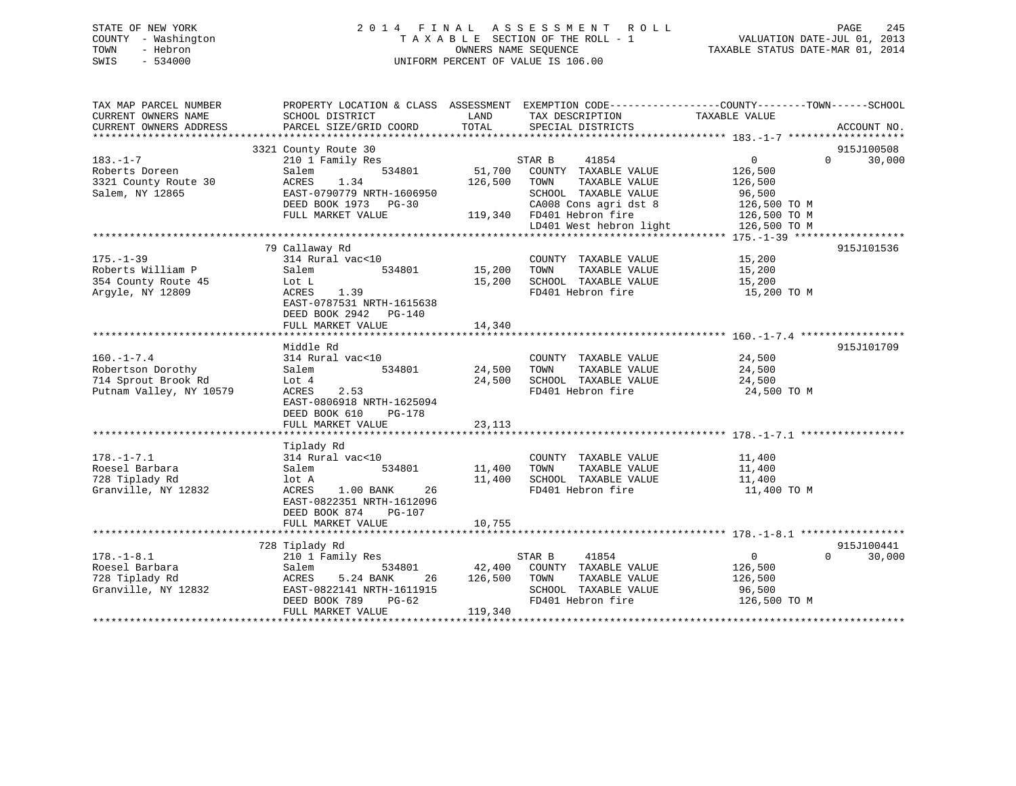## STATE OF NEW YORK 2 0 1 4 F I N A L A S S E S S M E N T R O L L PAGE 245 COUNTY - Washington T A X A B L E SECTION OF THE ROLL - 1 VALUATION DATE-JUL 01, 2013 TOWN - Hebron OWNERS NAME SEQUENCE TAXABLE STATUS DATE-MAR 01, 2014 SWIS - 534000 UNIFORM PERCENT OF VALUE IS 106.00

| TAX MAP PARCEL NUMBER<br>CURRENT OWNERS NAME<br>CURRENT OWNERS ADDRESS                  | PROPERTY LOCATION & CLASS ASSESSMENT EXEMPTION CODE---------------COUNTY-------TOWN-----SCHOOL<br>SCHOOL DISTRICT<br>PARCEL SIZE/GRID COORD                     | LAND<br>TOTAL                | TAX DESCRIPTION<br>SPECIAL DISTRICTS                                                                                        | TAXABLE VALUE                                                | ACCOUNT NO.                      |
|-----------------------------------------------------------------------------------------|-----------------------------------------------------------------------------------------------------------------------------------------------------------------|------------------------------|-----------------------------------------------------------------------------------------------------------------------------|--------------------------------------------------------------|----------------------------------|
|                                                                                         |                                                                                                                                                                 |                              |                                                                                                                             |                                                              |                                  |
| $183. - 1 - 7$                                                                          | 3321 County Route 30<br>210 1 Family Res                                                                                                                        |                              | 41854<br>STAR B                                                                                                             | $0 \qquad \qquad$                                            | 915J100508<br>$\Omega$<br>30,000 |
| Roberts Doreen<br>3321 County Route 30<br>Salem, NY 12865                               | 534801<br>Salem<br>1.34<br>ACRES<br>EAST-0790779 NRTH-1606950<br>DEED BOOK 1973 PG-30<br>FULL MARKET VALUE                                                      | 51,700<br>126,500            | COUNTY TAXABLE VALUE<br>TAXABLE VALUE<br>TOWN<br>SCHOOL TAXABLE VALUE<br>CA008 Cons agri dst 8<br>119,340 FD401 Hebron fire | 126,500<br>126,500<br>96,500<br>126,500 TO M<br>126,500 TO M |                                  |
|                                                                                         |                                                                                                                                                                 |                              | LD401 West hebron light                                                                                                     | 126,500 TO M                                                 |                                  |
|                                                                                         |                                                                                                                                                                 |                              |                                                                                                                             |                                                              |                                  |
| $175. - 1 - 39$<br>Roberts William P<br>354 County Route 45<br>Arqyle, NY 12809         | 79 Callaway Rd<br>314 Rural vac<10<br>Salem<br>534801<br>Lot L<br>1.39<br>ACRES<br>EAST-0787531 NRTH-1615638<br>DEED BOOK 2942<br>$PG-140$<br>FULL MARKET VALUE | 15,200<br>15,200<br>14,340   | COUNTY TAXABLE VALUE<br>TAXABLE VALUE<br>TOWN<br>SCHOOL TAXABLE VALUE<br>FD401 Hebron fire                                  | 15,200<br>15,200<br>15,200<br>15,200 TO M                    | 915J101536                       |
|                                                                                         |                                                                                                                                                                 |                              |                                                                                                                             |                                                              |                                  |
| $160. - 1 - 7.4$<br>Robertson Dorothy<br>714 Sprout Brook Rd<br>Putnam Valley, NY 10579 | Middle Rd<br>314 Rural vac<10<br>534801<br>Salem<br>Lot 4<br>2.53<br>ACRES<br>EAST-0806918 NRTH-1625094<br>DEED BOOK 610<br><b>PG-178</b><br>FULL MARKET VALUE  | 24,500<br>24,500<br>23,113   | COUNTY TAXABLE VALUE<br>TAXABLE VALUE<br>TOWN<br>SCHOOL TAXABLE VALUE<br>FD401 Hebron fire                                  | 24,500<br>24,500<br>24,500<br>24,500 TO M                    | 915J101709                       |
|                                                                                         |                                                                                                                                                                 |                              |                                                                                                                             |                                                              |                                  |
| $178. - 1 - 7.1$<br>Roesel Barbara<br>728 Tiplady Rd<br>Granville, NY 12832             | Tiplady Rd<br>314 Rural vac<10<br>Salem<br>534801<br>lot A<br>ACRES<br>1.00 BANK<br>26<br>EAST-0822351 NRTH-1612096<br>DEED BOOK 874<br><b>PG-107</b>           | 11,400<br>11,400<br>10,755   | COUNTY TAXABLE VALUE<br>TOWN<br>TAXABLE VALUE<br>SCHOOL TAXABLE VALUE<br>FD401 Hebron fire                                  | 11,400<br>11,400<br>11,400<br>11,400 TO M                    |                                  |
|                                                                                         | FULL MARKET VALUE                                                                                                                                               |                              |                                                                                                                             |                                                              |                                  |
|                                                                                         | 728 Tiplady Rd                                                                                                                                                  |                              |                                                                                                                             |                                                              | 915J100441                       |
| $178. - 1 - 8.1$<br>Roesel Barbara<br>728 Tiplady Rd<br>Granville, NY 12832             | 210 1 Family Res<br>534801<br>Salem<br>ACRES<br>5.24 BANK<br>26<br>EAST-0822141 NRTH-1611915<br>DEED BOOK 789<br>$PG-62$<br>FULL MARKET VALUE                   | 42,400<br>126,500<br>119,340 | STAR B<br>41854<br>COUNTY TAXABLE VALUE<br>TOWN<br>TAXABLE VALUE<br>SCHOOL TAXABLE VALUE<br>FD401 Hebron fire               | $\mathbf{0}$<br>126,500<br>126,500<br>96,500<br>126,500 TO M | $\Omega$<br>30,000               |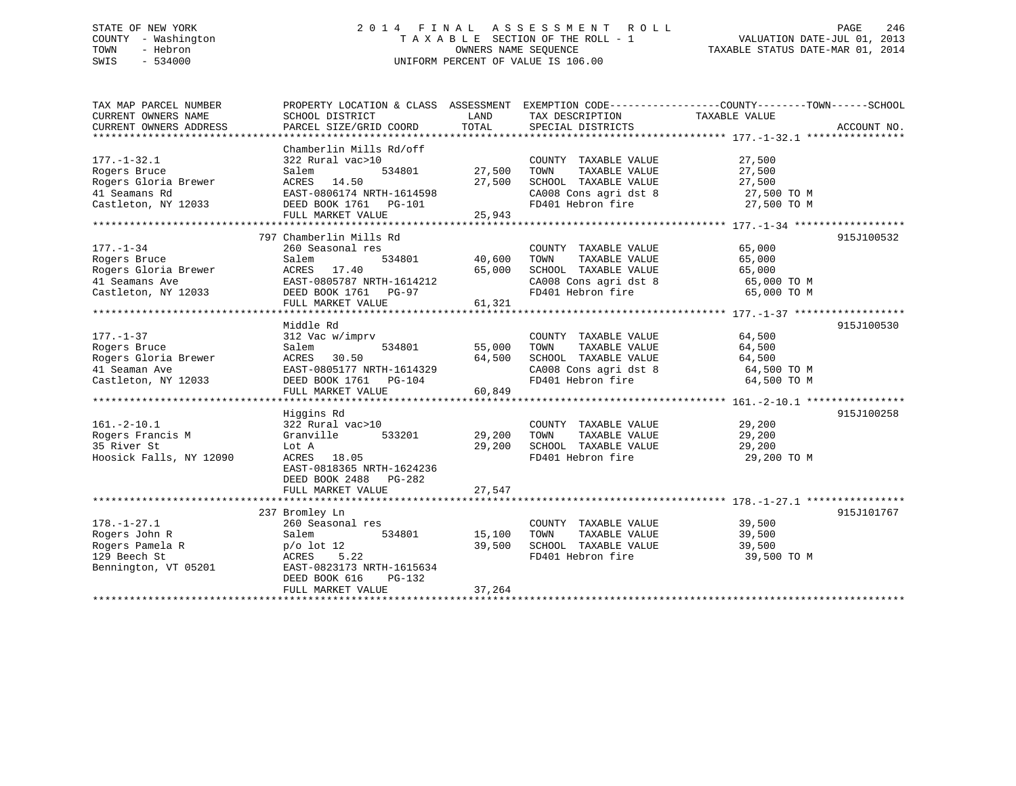## STATE OF NEW YORK 2 0 1 4 F I N A L A S S E S S M E N T R O L L PAGE 246 COUNTY - Washington T A X A B L E SECTION OF THE ROLL - 1 VALUATION DATE-JUL 01, 2013 TOWN - Hebron OWNERS NAME SEQUENCE TAXABLE STATUS DATE-MAR 01, 2014 SWIS - 534000 UNIFORM PERCENT OF VALUE IS 106.00

| TAX MAP PARCEL NUMBER                | PROPERTY LOCATION & CLASS ASSESSMENT EXEMPTION CODE----------------COUNTY-------TOWN-----SCHOOL |        |                                            |                                |             |
|--------------------------------------|-------------------------------------------------------------------------------------------------|--------|--------------------------------------------|--------------------------------|-------------|
| CURRENT OWNERS NAME                  | SCHOOL DISTRICT                                                                                 | LAND   | TAX DESCRIPTION                            | TAXABLE VALUE                  |             |
| CURRENT OWNERS ADDRESS               | PARCEL SIZE/GRID COORD                                                                          | TOTAL  | SPECIAL DISTRICTS                          |                                | ACCOUNT NO. |
|                                      |                                                                                                 |        |                                            |                                |             |
|                                      | Chamberlin Mills Rd/off                                                                         |        |                                            |                                |             |
| $177. - 1 - 32.1$                    | 322 Rural vac>10                                                                                |        | COUNTY TAXABLE VALUE                       | 27,500                         |             |
| Rogers Bruce                         | 534801<br>Salem                                                                                 | 27,500 | TOWN<br>TAXABLE VALUE                      | 27,500                         |             |
| Rogers Gloria Brewer                 | ACRES 14.50                                                                                     | 27,500 | SCHOOL TAXABLE VALUE                       | 27,500                         |             |
| 41 Seamans Rd                        | EAST-0806174 NRTH-1614598                                                                       |        |                                            | 27,500 TO M                    |             |
| Castleton, NY 12033                  | DEED BOOK 1761 PG-101                                                                           |        | CA008 Cons agri dst 8<br>FD401 Hebron fire | 27,500 TO M                    |             |
|                                      | FULL MARKET VALUE                                                                               | 25,943 |                                            |                                |             |
|                                      |                                                                                                 |        |                                            |                                |             |
|                                      | 797 Chamberlin Mills Rd                                                                         |        |                                            |                                | 915J100532  |
| $177. - 1 - 34$                      | 260 Seasonal res                                                                                |        | COUNTY TAXABLE VALUE                       | 65,000                         |             |
|                                      | Salem                                                                                           | 40,600 | TAXABLE VALUE<br>TOWN                      | 65,000                         |             |
| Rogers Bruce<br>Rogers Gloria Brewer | 534801                                                                                          |        | SCHOOL TAXABLE VALUE                       |                                |             |
|                                      | ACRES 17.40                                                                                     | 65,000 |                                            | $65,000$ TO M<br>$65,000$ TO M |             |
| 41 Seamans Ave                       | EAST-0805787 NRTH-1614212                                                                       |        | CA008 Cons agri dst 8                      |                                |             |
| Castleton, NY 12033                  | DEED BOOK 1761 PG-97                                                                            |        | FD401 Hebron fire                          | 65,000 TO M                    |             |
|                                      | FULL MARKET VALUE                                                                               | 61,321 |                                            |                                |             |
|                                      |                                                                                                 |        |                                            |                                |             |
|                                      | Middle Rd                                                                                       |        |                                            |                                | 915J100530  |
| $177. - 1 - 37$                      | 312 Vac w/imprv                                                                                 |        | COUNTY TAXABLE VALUE                       | 64,500                         |             |
| Rogers Bruce                         | 534801<br>Salem                                                                                 | 55,000 | TAXABLE VALUE<br>TOWN                      | 64,500                         |             |
| Rogers Gloria Brewer                 | 30.50<br>ACRES                                                                                  | 64,500 | SCHOOL TAXABLE VALUE                       | 64,500                         |             |
| 41 Seaman Ave                        | EAST-0805177 NRTH-1614329                                                                       |        | CA008 Cons agri dst 8                      | 64,500 TO M                    |             |
| Castleton, NY 12033                  | DEED BOOK 1761    PG-104                                                                        |        | FD401 Hebron fire                          | 64,500 TO M                    |             |
|                                      | FULL MARKET VALUE                                                                               | 60,849 |                                            |                                |             |
|                                      |                                                                                                 |        |                                            |                                |             |
|                                      | Higgins Rd                                                                                      |        |                                            |                                | 915J100258  |
| $161.-2-10.1$                        | 322 Rural vac>10                                                                                |        | COUNTY TAXABLE VALUE                       | 29,200                         |             |
| Rogers Francis M                     | Granville<br>533201                                                                             | 29,200 | TOWN<br>TAXABLE VALUE                      | 29,200                         |             |
| 35 River St                          | Lot A                                                                                           | 29,200 | SCHOOL TAXABLE VALUE                       | 29,200                         |             |
| Hoosick Falls, NY 12090              | ACRES 18.05                                                                                     |        | FD401 Hebron fire                          | 29,200 TO M                    |             |
|                                      | EAST-0818365 NRTH-1624236                                                                       |        |                                            |                                |             |
|                                      | DEED BOOK 2488 PG-282                                                                           |        |                                            |                                |             |
|                                      | FULL MARKET VALUE                                                                               | 27,547 |                                            |                                |             |
|                                      |                                                                                                 |        |                                            |                                |             |
|                                      | 237 Bromley Ln                                                                                  |        |                                            |                                | 915J101767  |
| $178. - 1 - 27.1$                    | 260 Seasonal res                                                                                |        | COUNTY TAXABLE VALUE                       | 39,500                         |             |
| Rogers John R                        | Salem<br>534801                                                                                 | 15,100 | TOWN<br>TAXABLE VALUE                      | 39,500                         |             |
| Rogers Pamela R                      | $p/o$ lot 12                                                                                    | 39,500 | SCHOOL TAXABLE VALUE                       | 39,500                         |             |
| 129 Beech St                         | ACRES<br>5.22                                                                                   |        | FD401 Hebron fire                          | 39,500 TO M                    |             |
| Bennington, VT 05201                 | EAST-0823173 NRTH-1615634                                                                       |        |                                            |                                |             |
|                                      |                                                                                                 |        |                                            |                                |             |
|                                      | DEED BOOK 616<br>PG-132                                                                         |        |                                            |                                |             |
|                                      | FULL MARKET VALUE                                                                               | 37,264 |                                            |                                |             |
|                                      |                                                                                                 |        |                                            |                                |             |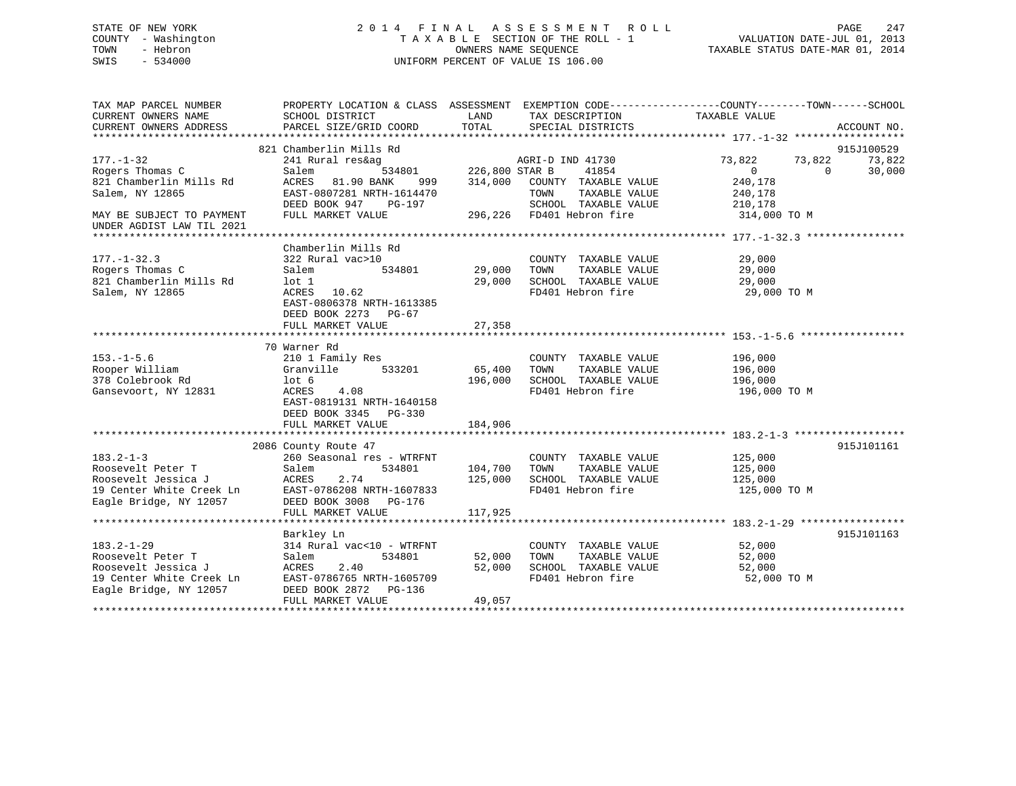## STATE OF NEW YORK 2 0 1 4 F I N A L A S S E S S M E N T R O L L PAGE 247 COUNTY - Washington T A X A B L E SECTION OF THE ROLL - 1 VALUATION DATE-JUL 01, 2013 TOWN - Hebron OWNERS NAME SEQUENCE TAXABLE STATUS DATE-MAR 01, 2014 SWIS - 534000 UNIFORM PERCENT OF VALUE IS 106.00

| TAX MAP PARCEL NUMBER                             | PROPERTY LOCATION & CLASS ASSESSMENT EXEMPTION CODE---------------COUNTY-------TOWN-----SCHOOL |                       |                           |               |          |             |
|---------------------------------------------------|------------------------------------------------------------------------------------------------|-----------------------|---------------------------|---------------|----------|-------------|
| CURRENT OWNERS NAME                               | SCHOOL DISTRICT                                                                                | LAND                  | TAX DESCRIPTION           | TAXABLE VALUE |          |             |
| CURRENT OWNERS ADDRESS                            | PARCEL SIZE/GRID COORD                                                                         | TOTAL                 | SPECIAL DISTRICTS         |               |          | ACCOUNT NO. |
|                                                   |                                                                                                |                       |                           |               |          |             |
|                                                   | 821 Chamberlin Mills Rd                                                                        |                       |                           |               |          | 915J100529  |
| $177. - 1 - 32$                                   | 241 Rural res&ag                                                                               |                       | AGRI-D IND 41730          | 73,822        | 73,822   | 73,822      |
| Rogers Thomas C                                   | Salem                                                                                          | 534801 226,800 STAR B | 41854                     | $\Omega$      | $\Omega$ | 30,000      |
| 821 Chamberlin Mills Rd                           | ACRES 81.90 BANK<br>999                                                                        | 314,000               | COUNTY TAXABLE VALUE      | 240,178       |          |             |
| Salem, NY 12865                                   | EAST-0807281 NRTH-1614470                                                                      |                       | TAXABLE VALUE<br>TOWN     | 240,178       |          |             |
|                                                   | DEED BOOK 947 PG-197                                                                           |                       | SCHOOL TAXABLE VALUE      | 210,178       |          |             |
| MAY BE SUBJECT TO PAYMENT                         | FULL MARKET VALUE                                                                              |                       | 296,226 FD401 Hebron fire | 314,000 TO M  |          |             |
| UNDER AGDIST LAW TIL 2021                         |                                                                                                |                       |                           |               |          |             |
|                                                   |                                                                                                |                       |                           |               |          |             |
|                                                   | Chamberlin Mills Rd                                                                            |                       |                           |               |          |             |
| $177. - 1 - 32.3$                                 | 322 Rural vac>10                                                                               |                       | COUNTY TAXABLE VALUE      | 29,000        |          |             |
| Rogers Thomas C                                   | Salem<br>534801                                                                                | 29,000                | TOWN<br>TAXABLE VALUE     | 29,000        |          |             |
| 821 Chamberlin Mills Rd                           | $1$ ot $1$                                                                                     | 29,000                | SCHOOL TAXABLE VALUE      | 29,000        |          |             |
| Salem, NY 12865                                   | ACRES 10.62                                                                                    |                       | FD401 Hebron fire         | 29,000 TO M   |          |             |
|                                                   | EAST-0806378 NRTH-1613385                                                                      |                       |                           |               |          |             |
|                                                   | DEED BOOK 2273 PG-67                                                                           |                       |                           |               |          |             |
|                                                   | FULL MARKET VALUE                                                                              | 27,358                |                           |               |          |             |
|                                                   |                                                                                                |                       |                           |               |          |             |
|                                                   | 70 Warner Rd                                                                                   |                       |                           |               |          |             |
| $153. - 1 - 5.6$                                  | 210 1 Family Res                                                                               |                       | COUNTY TAXABLE VALUE      | 196,000       |          |             |
| Rooper William                                    | Granville<br>533201                                                                            | 65,400                | TOWN<br>TAXABLE VALUE     | 196,000       |          |             |
| 378 Colebrook Rd                                  | lot <sub>6</sub>                                                                               | 196,000               | SCHOOL TAXABLE VALUE      | 196,000       |          |             |
| Gansevoort, NY 12831                              | ACRES<br>4.08                                                                                  |                       | FD401 Hebron fire         | 196,000 TO M  |          |             |
|                                                   | EAST-0819131 NRTH-1640158                                                                      |                       |                           |               |          |             |
|                                                   | DEED BOOK 3345 PG-330                                                                          |                       |                           |               |          |             |
|                                                   | FULL MARKET VALUE                                                                              | 184,906               |                           |               |          |             |
|                                                   |                                                                                                |                       |                           |               |          |             |
|                                                   | 2086 County Route 47                                                                           |                       |                           |               |          | 915J101161  |
| $183.2 - 1 - 3$                                   | 260 Seasonal res - WTRFNT                                                                      |                       | COUNTY TAXABLE VALUE      | 125,000       |          |             |
| Roosevelt Peter T                                 | 534801<br>Salem                                                                                | 104,700               | TOWN<br>TAXABLE VALUE     | 125,000       |          |             |
| Roosevelt Jessica J                               | 2.74<br>ACRES                                                                                  | 125,000               | SCHOOL TAXABLE VALUE      | 125,000       |          |             |
| 19 Center White Creek Ln<br>Facle Bridge NY 12057 | EAST-0786208 NRTH-1607833                                                                      |                       | FD401 Hebron fire         | 125,000 TO M  |          |             |
| Eagle Bridge, NY 12057                            | DEED BOOK 3008 PG-176                                                                          |                       |                           |               |          |             |
|                                                   | FULL MARKET VALUE                                                                              | 117,925               |                           |               |          |             |
|                                                   |                                                                                                |                       |                           |               |          |             |
|                                                   | Barkley Ln                                                                                     |                       |                           |               |          | 915J101163  |
| $183.2 - 1 - 29$                                  | 314 Rural vac<10 - WTRFNT                                                                      |                       | COUNTY TAXABLE VALUE      | 52,000        |          |             |
| Roosevelt Peter T                                 | 534801<br>Salem                                                                                | 52,000                | TAXABLE VALUE<br>TOWN     | 52,000        |          |             |
| Roosevelt Jessica J                               | ACRES<br>2.40                                                                                  | 52,000                | SCHOOL TAXABLE VALUE      | 52,000        |          |             |
| 19 Center White Creek Ln                          | EAST-0786765 NRTH-1605709                                                                      |                       | FD401 Hebron fire         | 52,000 TO M   |          |             |
| Eagle Bridge, NY 12057                            | DEED BOOK 2872 PG-136                                                                          |                       |                           |               |          |             |
|                                                   | FULL MARKET VALUE                                                                              | 49,057                |                           |               |          |             |
|                                                   |                                                                                                |                       |                           |               |          |             |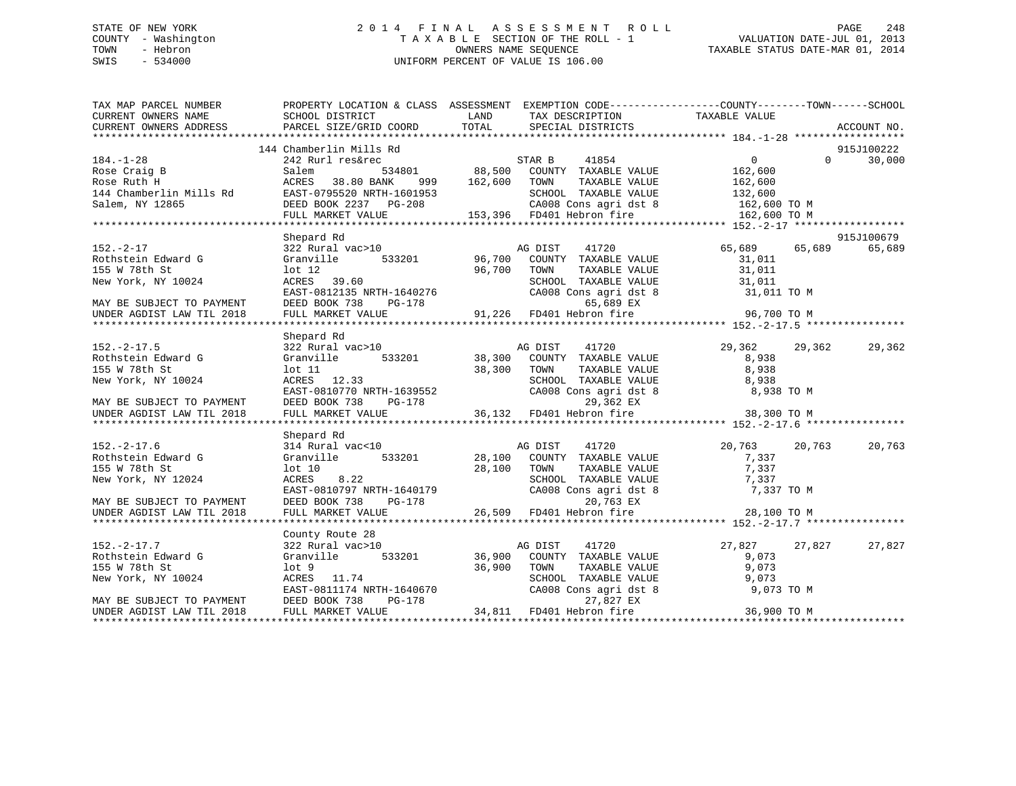## STATE OF NEW YORK 2 0 1 4 F I N A L A S S E S S M E N T R O L L PAGE 248 COUNTY - Washington T A X A B L E SECTION OF THE ROLL - 1 VALUATION DATE-JUL 01, 2013 TOWN - Hebron OWNERS NAME SEQUENCE TAXABLE STATUS DATE-MAR 01, 2014 SWIS - 534000 UNIFORM PERCENT OF VALUE IS 106.00

| TAX MAP PARCEL NUMBER                                         |                                | PROPERTY LOCATION & CLASS ASSESSMENT EXEMPTION CODE-----------------COUNTY-------TOWN------SCHOOL                                                                                                                                                     |                                          |
|---------------------------------------------------------------|--------------------------------|-------------------------------------------------------------------------------------------------------------------------------------------------------------------------------------------------------------------------------------------------------|------------------------------------------|
| CURRENT OWNERS NAME SCHOOL DISTRICT<br>CURRENT OWNERS ADDRESS | PARCEL SIZE/GRID COORD         | <b>EXAMPLE STATE STATE</b><br>TAX DESCRIPTION<br>TOTAL<br>SPECIAL DISTRICTS                                                                                                                                                                           | TAXABLE VALUE<br>ACCOUNT NO.             |
|                                                               |                                |                                                                                                                                                                                                                                                       |                                          |
|                                                               | 144 Chamberlin Mills Rd        |                                                                                                                                                                                                                                                       | 915J100222                               |
| $184. - 1 - 28$                                               |                                | 242 Rurl res&rec<br>242 Rurl res&rec<br>34801 534801 88,500 COUNTY TAXABLE VALUE 162,600<br>ACRES 38.80 BANK 999 162,600 TOWN TAXABLE VALUE 162.600<br>FAST-0795520 NETH 163.505                                                                      | $\Omega$<br>30,000                       |
|                                                               |                                |                                                                                                                                                                                                                                                       |                                          |
|                                                               |                                |                                                                                                                                                                                                                                                       |                                          |
|                                                               |                                |                                                                                                                                                                                                                                                       |                                          |
|                                                               |                                |                                                                                                                                                                                                                                                       |                                          |
|                                                               |                                | 164.-1-20<br>Rose Craig B<br>Rose Craig B<br>Salem Mills Rd<br>EAST-0795520 NRTH-1601953<br>Salem, NY 12865<br>FULL MARKET VALUE<br>FULL MARKET VALUE<br>THE MORE SALEM CAOR COUNTY TAXABLE VALUE<br>SCHOOL TAXABLE VALUE<br>SCHOOL TAXABLE VALUE<br> |                                          |
|                                                               |                                |                                                                                                                                                                                                                                                       |                                          |
| $152. - 2 - 17$                                               | Shepard Rd<br>322 Rural vac>10 | AG DIST<br>41720                                                                                                                                                                                                                                      | 915J100679<br>65,689<br>65,689<br>65,689 |
| Rothstein Edward G                                            | Granville                      | COUNTY TAXABLE VALUE                                                                                                                                                                                                                                  | 31,011                                   |
|                                                               | 533201 96,700<br>96,700        | TAXABLE VALUE                                                                                                                                                                                                                                         |                                          |
|                                                               |                                |                                                                                                                                                                                                                                                       |                                          |
|                                                               |                                |                                                                                                                                                                                                                                                       |                                          |
|                                                               |                                |                                                                                                                                                                                                                                                       |                                          |
|                                                               |                                |                                                                                                                                                                                                                                                       |                                          |
|                                                               |                                | 155 W 78th St $X = 155$ W 78th St $X = 155$ W 78th St $X = 155$ W 78th St $X = 155$ W 78th St $X = 155$ W 78th St $X = 155$ W 78th St $X = 155$ W 78th St $X = 155$ W 78th St $X = 155$ W 78th St $X = 155$ W 78th St $X = 155$ W 78th St             |                                          |
|                                                               | Shepard Rd                     |                                                                                                                                                                                                                                                       |                                          |
| $152. - 2 - 17.5$                                             | 322 Rural vac>10               | AG DIST<br>41720                                                                                                                                                                                                                                      | 29,362<br>29,362<br>29,362               |
| Rothstein Edward G                                            | Granville                      | 533201 38,300                                                                                                                                                                                                                                         |                                          |
| 155 W 78th St                                                 | $1$ ot $11$                    | COUNTY TAXABLE VALUE<br>TOWN     TAXABLE VALUE<br>38,300<br>TOWN                                                                                                                                                                                      | 8,938<br>8,938                           |
|                                                               |                                |                                                                                                                                                                                                                                                       |                                          |
|                                                               |                                |                                                                                                                                                                                                                                                       |                                          |
|                                                               |                                | SCHOOL TAXABLE VALUE<br>CA008 Cons agri dst 8 8,938<br>29,362 EX 8,938                                                                                                                                                                                |                                          |
|                                                               |                                | New York, NY 10024<br>MAY BE SUBJECT TO PAYMENT DEED BOOK 738 PG-178 (20008 Cons agri dst 8 8,938 TO M<br>MAY BE SUBJECT TO PAYMENT DEED BOOK 738 PG-178 29,362 EX<br>UNDER AGDIST LAW TIL 2018 FULL MARKET VALUE 36,132 FD401 Hebro                  |                                          |
|                                                               |                                |                                                                                                                                                                                                                                                       |                                          |
|                                                               | Shepard Rd                     |                                                                                                                                                                                                                                                       |                                          |
| $152. - 2 - 17.6$                                             | 314 Rural vac<10               | $\begin{array}{ccc} 0 & \text{AG DIST} & 41720 \\ 533201 & 28,100 & \text{COUNTY} & \text{TAXABLE VALUE} \end{array}$                                                                                                                                 | 20,763<br>20,763<br>20,763               |
| Rothstein Edward G                                            | Granville                      |                                                                                                                                                                                                                                                       | 7,337                                    |
| 155 W 78th St                                                 |                                | $\begin{tabular}{lllllllll} \textsc{TONN} & \textsc{TAXABLE} & \textsc{VALUE} & \textsc{7,337} \\ \textsc{SCHOOL} & \textsc{TAXABLE} & \textsc{VALUE} & \textsc{7,337} \end{tabular}$                                                                 |                                          |
| New York, NY 12024                                            |                                |                                                                                                                                                                                                                                                       |                                          |
|                                                               |                                | CA008 Cons agri dst 8                                                                                                                                                                                                                                 | 7,337 TO M                               |
| MAY BE SUBJECT TO PAYMENT<br>UNDER AGDIST LAW TIL 2018        |                                | 01.10 28,100 TOWN TAXABLE VAL 28,100 TOWN TAXABLE VAL 28,100 TOWN TAXABLE VAL 28,100 TOWN CACHOL TAXABLE VAL 28,100 TOWN CA008 Cons agri dst<br>DEED BOOK 738 PG-178 26,509 FD401 Hebron fire<br>FULL MARKET VALUE 26,509 FD401 He<br>20,763 EX       | 28,100 TO M                              |
|                                                               |                                |                                                                                                                                                                                                                                                       |                                          |
|                                                               | County Route 28                |                                                                                                                                                                                                                                                       |                                          |
| $152 - 2 - 17.7$                                              | 322 Rural vac>10               | AG DIST<br>41720                                                                                                                                                                                                                                      | 27,827<br>27,827<br>27,827               |
| Rothstein Edward G                                            | Granville                      | COUNTY TAXABLE VALUE                                                                                                                                                                                                                                  | 9,073                                    |
| 155 W 78th St                                                 | lot 9                          | 36,900                                                                                                                                                                                                                                                |                                          |
| New York, NY 10024                                            | ACRES 11.74                    | TOWN TAXABLE VALUE 9,073<br>SCHOOL TAXABLE VALUE 9,073<br>CA008 Cons agri dst 8 9,073 TO M                                                                                                                                                            |                                          |
|                                                               |                                |                                                                                                                                                                                                                                                       |                                          |
| MAY BE SUBJECT TO PAYMENT                                     | DEED BOOK 738                  | ACRES 11.74<br>EAST-0811174 NRTH-1640670 CA008 Cons agri dst<br>DEED BOOK 738 PG-178 27,827 EX<br>FULL MARKET VALUE 34,811 FD401 Hebron fire                                                                                                          |                                          |
| UNDER AGDIST LAW TIL 2018                                     |                                |                                                                                                                                                                                                                                                       | 36,900 TO M                              |
|                                                               |                                |                                                                                                                                                                                                                                                       |                                          |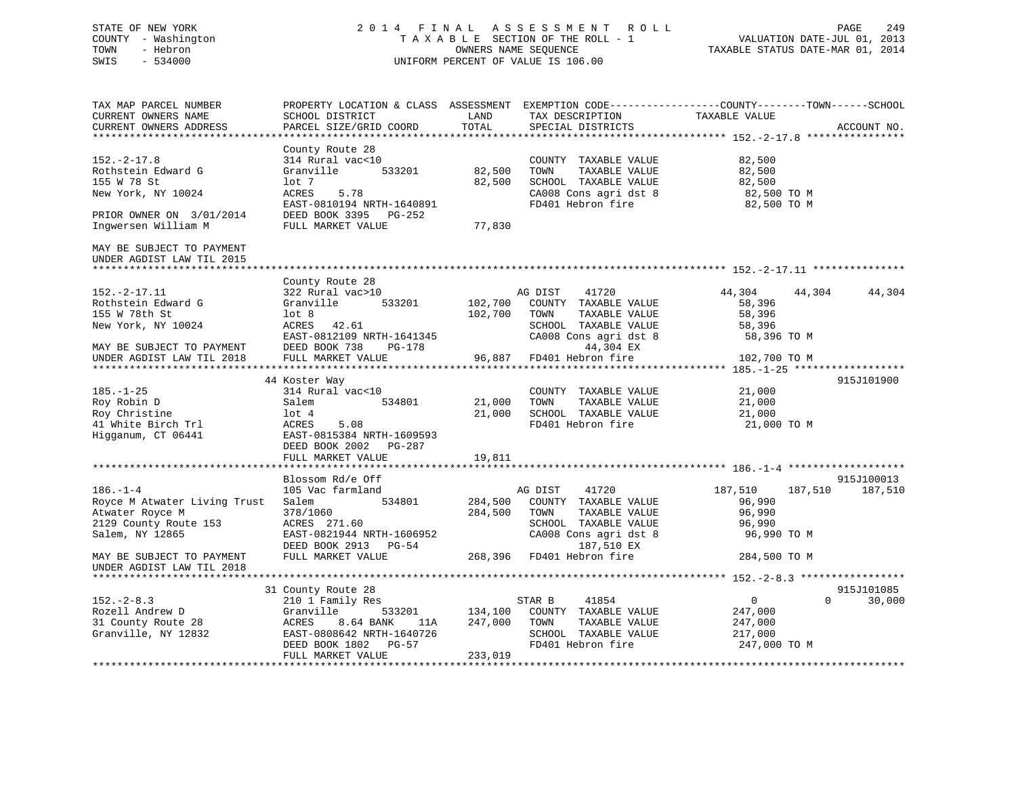## STATE OF NEW YORK 2 0 1 4 F I N A L A S S E S S M E N T R O L L PAGE 249 COUNTY - Washington T A X A B L E SECTION OF THE ROLL - 1 VALUATION DATE-JUL 01, 2013 TOWN - Hebron OWNERS NAME SEQUENCE TAXABLE STATUS DATE-MAR 01, 2014 SWIS - 534000 UNIFORM PERCENT OF VALUE IS 106.00

TAX MAP PARCEL NUMBER PROPERTY LOCATION & CLASS ASSESSMENT EXEMPTION CODE------------------COUNTY--------TOWN------SCHOOL

CURRENT OWNERS NAME SCHOOL DISTRICT LAND TAX DESCRIPTION TAXABLE VALUE

| CURRENT OWNERS ADDRESS<br>***************************** | PARCEL SIZE/GRID COORD           | TOTAL              | SPECIAL DISTRICTS                             |                        |          | ACCOUNT NO. |
|---------------------------------------------------------|----------------------------------|--------------------|-----------------------------------------------|------------------------|----------|-------------|
|                                                         | County Route 28                  |                    |                                               |                        |          |             |
| $152. - 2 - 17.8$                                       | 314 Rural vac<10                 |                    | COUNTY TAXABLE VALUE                          | 82,500                 |          |             |
| Rothstein Edward G                                      | 533201<br>Granville              | 82,500             | TAXABLE VALUE<br>TOWN                         | 82,500                 |          |             |
| 155 W 78 St                                             | lot 7                            | 82,500             | SCHOOL TAXABLE VALUE                          | 82,500                 |          |             |
| New York, NY 10024                                      | <b>ACRES</b><br>5.78             |                    | CA008 Cons agri dst 8                         | 82,500 TO M            |          |             |
|                                                         | EAST-0810194 NRTH-1640891        |                    | FD401 Hebron fire                             | 82,500 TO M            |          |             |
| PRIOR OWNER ON 3/01/2014                                | DEED BOOK 3395<br>PG-252         |                    |                                               |                        |          |             |
| Inqwersen William M                                     | FULL MARKET VALUE                | 77,830             |                                               |                        |          |             |
| MAY BE SUBJECT TO PAYMENT<br>UNDER AGDIST LAW TIL 2015  |                                  |                    |                                               |                        |          |             |
|                                                         | County Route 28                  |                    |                                               |                        |          |             |
| $152.-2-17.11$                                          | 322 Rural vac>10                 |                    | 41720<br>AG DIST                              | 44,304                 | 44,304   | 44,304      |
| Rothstein Edward G                                      | Granville<br>533201              | 102,700            | COUNTY TAXABLE VALUE                          | 58,396                 |          |             |
| 155 W 78th St                                           | $1$ ot 8                         | 102,700            | TAXABLE VALUE<br>TOWN                         | 58,396                 |          |             |
| New York, NY 10024                                      | ACRES<br>42.61                   |                    | SCHOOL TAXABLE VALUE                          | 58,396                 |          |             |
|                                                         | EAST-0812109 NRTH-1641345        |                    | CA008 Cons agri dst 8                         | 58,396 TO M            |          |             |
| MAY BE SUBJECT TO PAYMENT                               | DEED BOOK 738<br>$PG-178$        |                    | 44,304 EX                                     |                        |          |             |
| UNDER AGDIST LAW TIL 2018                               | FULL MARKET VALUE                | 96,887             | FD401 Hebron fire                             | 102,700 TO M           |          |             |
|                                                         |                                  |                    | **********************                        | $185. - 1 - 25$ ****** |          |             |
|                                                         | 44 Koster Way                    |                    |                                               |                        |          | 915J101900  |
| $185. - 1 - 25$                                         | 314 Rural vac<10                 |                    | TAXABLE VALUE<br>COUNTY                       | 21,000                 |          |             |
| Roy Robin D                                             | Salem<br>534801                  | 21,000             | TAXABLE VALUE<br>TOWN                         | 21,000                 |          |             |
| Roy Christine                                           | $1$ ot $4$                       | 21,000             | SCHOOL TAXABLE VALUE                          | 21,000                 |          |             |
| 41 White Birch Trl                                      | 5.08<br>ACRES                    |                    | FD401 Hebron fire                             | 21,000 TO M            |          |             |
| Higganum, CT 06441                                      | EAST-0815384 NRTH-1609593        |                    |                                               |                        |          |             |
|                                                         | DEED BOOK 2002 PG-287            |                    |                                               |                        |          |             |
|                                                         | FULL MARKET VALUE                | 19,811             |                                               |                        |          |             |
| *******************************                         |                                  |                    |                                               |                        |          |             |
|                                                         | Blossom Rd/e Off                 |                    |                                               |                        |          | 915J100013  |
| $186. - 1 - 4$                                          | 105 Vac farmland<br>534801       |                    | AG DIST<br>41720                              | 187,510                | 187,510  | 187,510     |
| Royce M Atwater Living Trust<br>Atwater Royce M         | Salem<br>378/1060                | 284,500<br>284,500 | COUNTY TAXABLE VALUE<br>TAXABLE VALUE<br>TOWN | 96,990<br>96,990       |          |             |
| 2129 County Route 153                                   | ACRES 271.60                     |                    | SCHOOL TAXABLE VALUE                          | 96,990                 |          |             |
| Salem, NY 12865                                         | EAST-0821944 NRTH-1606952        |                    | CA008 Cons agri dst 8                         | 96,990 TO M            |          |             |
|                                                         | DEED BOOK 2913 PG-54             |                    | 187,510 EX                                    |                        |          |             |
| MAY BE SUBJECT TO PAYMENT                               | FULL MARKET VALUE                | 268,396            | FD401 Hebron fire                             | 284,500 TO M           |          |             |
| UNDER AGDIST LAW TIL 2018                               |                                  |                    |                                               |                        |          |             |
|                                                         |                                  |                    |                                               |                        |          |             |
|                                                         | 31 County Route 28               |                    |                                               |                        |          | 915J101085  |
| $152 - 2 - 8.3$                                         | 210 1 Family Res                 |                    | 41854<br>STAR B                               | 0                      | $\Omega$ | 30,000      |
| Rozell Andrew D                                         | Granville<br>533201              | 134,100            | COUNTY TAXABLE VALUE                          | 247,000                |          |             |
| 31 County Route 28                                      | <b>ACRES</b><br>8.64 BANK<br>11A | 247,000            | TAXABLE VALUE<br>TOWN                         | 247,000                |          |             |
| Granville, NY 12832                                     | EAST-0808642 NRTH-1640726        |                    | SCHOOL TAXABLE VALUE                          | 217,000                |          |             |
|                                                         | DEED BOOK 1802 PG-57             |                    | FD401 Hebron fire                             | 247,000 TO M           |          |             |
|                                                         | FULL MARKET VALUE                | 233,019            |                                               |                        |          |             |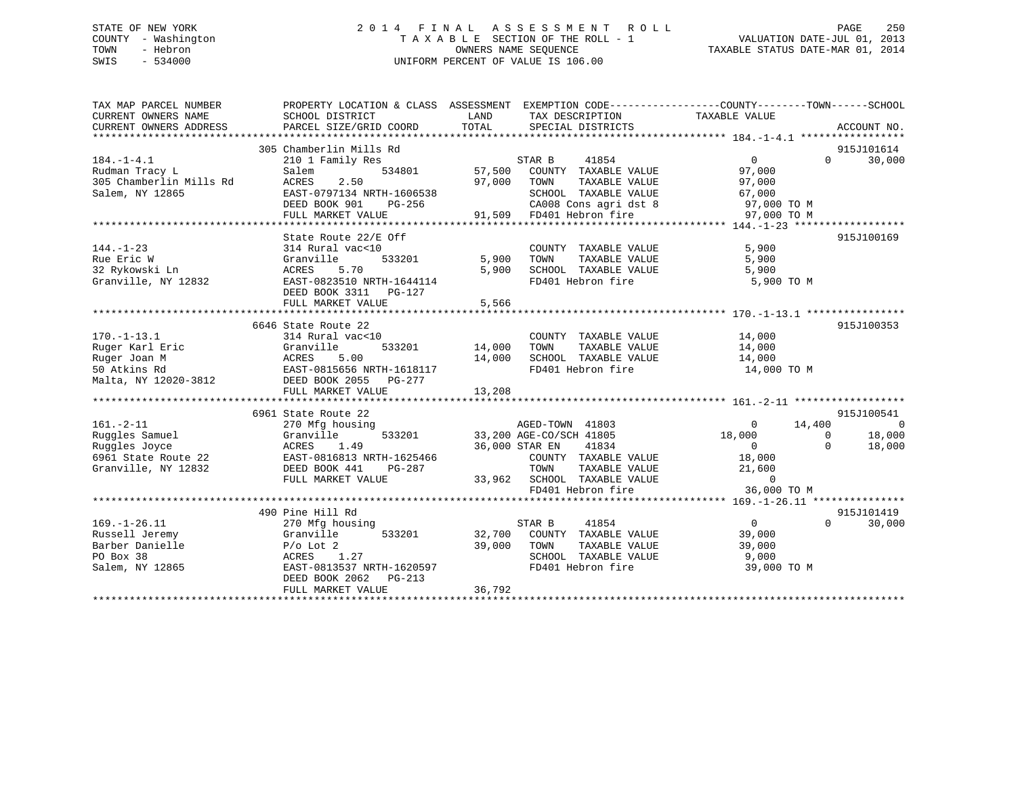## STATE OF NEW YORK 2 0 1 4 F I N A L A S S E S S M E N T R O L L PAGE 250 COUNTY - Washington T A X A B L E SECTION OF THE ROLL - 1 VALUATION DATE-JUL 01, 2013 TOWN - Hebron OWNERS NAME SEQUENCE TAXABLE STATUS DATE-MAR 01, 2014 SWIS - 534000 UNIFORM PERCENT OF VALUE IS 106.00

| TAX MAP PARCEL NUMBER<br>CURRENT OWNERS NAME | PROPERTY LOCATION & CLASS ASSESSMENT<br>SCHOOL DISTRICT | LAND                    | EXEMPTION CODE----------------COUNTY-------TOWN------SCHOOL<br>TAX DESCRIPTION | TAXABLE VALUE  |          |             |
|----------------------------------------------|---------------------------------------------------------|-------------------------|--------------------------------------------------------------------------------|----------------|----------|-------------|
| CURRENT OWNERS ADDRESS                       | PARCEL SIZE/GRID COORD                                  | TOTAL                   | SPECIAL DISTRICTS                                                              |                |          | ACCOUNT NO. |
|                                              |                                                         |                         |                                                                                |                |          |             |
|                                              | 305 Chamberlin Mills Rd                                 |                         |                                                                                |                |          | 915J101614  |
| $184. - 1 - 4.1$                             | 210 1 Family Res                                        | STAR B                  | 41854                                                                          | $\overline{0}$ | $\Omega$ | 30,000      |
| Rudman Tracy L                               | Salem<br>534801                                         | 57,500                  | COUNTY TAXABLE VALUE                                                           | 97,000         |          |             |
| 305 Chamberlin Mills Rd                      | 2.50<br>ACRES                                           | 97,000<br>TOWN          | TAXABLE VALUE                                                                  | 97,000         |          |             |
| Salem, NY 12865                              | EAST-0797134 NRTH-1606538                               |                         | SCHOOL TAXABLE VALUE                                                           | 67,000         |          |             |
|                                              | DEED BOOK 901<br>PG-256                                 |                         | CA008 Cons agri dst 8                                                          | 97,000 TO M    |          |             |
|                                              | FULL MARKET VALUE                                       | 91,509                  | FD401 Hebron fire                                                              | 97,000 TO M    |          |             |
|                                              |                                                         |                         |                                                                                |                |          |             |
|                                              | State Route 22/E Off                                    |                         |                                                                                |                |          | 915J100169  |
| $144. - 1 - 23$                              | 314 Rural vac<10                                        |                         | COUNTY TAXABLE VALUE                                                           | 5,900          |          |             |
| Rue Eric W                                   | 533201<br>Granville                                     | 5,900<br>TOWN           | TAXABLE VALUE                                                                  | 5,900          |          |             |
| 32 Rykowski Ln                               | 5.70<br>ACRES                                           | 5,900                   | SCHOOL TAXABLE VALUE                                                           | 5,900          |          |             |
| Granville, NY 12832                          | EAST-0823510 NRTH-1644114                               |                         | FD401 Hebron fire                                                              | 5,900 TO M     |          |             |
|                                              | DEED BOOK 3311 PG-127                                   |                         |                                                                                |                |          |             |
|                                              | FULL MARKET VALUE                                       | 5,566                   |                                                                                |                |          |             |
|                                              |                                                         |                         |                                                                                |                |          |             |
|                                              | 6646 State Route 22                                     |                         |                                                                                |                |          | 915J100353  |
| $170. - 1 - 13.1$                            | 314 Rural vac<10                                        |                         | COUNTY TAXABLE VALUE                                                           | 14,000         |          |             |
| Ruger Karl Eric                              | Granville<br>533201                                     | 14,000<br>TOWN          | TAXABLE VALUE                                                                  | 14,000         |          |             |
| Ruger Joan M                                 | 5.00<br>ACRES                                           | 14,000                  | SCHOOL TAXABLE VALUE                                                           | 14,000         |          |             |
| 50 Atkins Rd                                 | EAST-0815656 NRTH-1618117                               |                         | FD401 Hebron fire                                                              | 14,000 TO M    |          |             |
| Malta, NY 12020-3812                         | DEED BOOK 2055 PG-277                                   |                         |                                                                                |                |          |             |
|                                              | FULL MARKET VALUE                                       | 13,208                  |                                                                                |                |          |             |
|                                              |                                                         |                         |                                                                                |                |          |             |
|                                              | 6961 State Route 22                                     |                         |                                                                                |                |          | 915J100541  |
| $161. - 2 - 11$                              | 270 Mfg housing                                         |                         | AGED-TOWN 41803                                                                | $\overline{0}$ | 14,400   | 0           |
| Ruggles Samuel                               | Granville<br>533201                                     | 33,200 AGE-CO/SCH 41805 |                                                                                | 18,000         | $\Omega$ | 18,000      |
| Ruggles Joyce                                | 1.49<br>ACRES                                           | 36,000 STAR EN          | 41834                                                                          | $\Omega$       | $\Omega$ | 18,000      |
| 6961 State Route 22                          | EAST-0816813 NRTH-1625466                               |                         | COUNTY TAXABLE VALUE                                                           | 18,000         |          |             |
| Granville, NY 12832                          | DEED BOOK 441<br>PG-287                                 | TOWN                    | TAXABLE VALUE                                                                  | 21,600         |          |             |
|                                              | FULL MARKET VALUE                                       |                         | 33,962 SCHOOL TAXABLE VALUE                                                    | $\overline{0}$ |          |             |
|                                              |                                                         |                         | FD401 Hebron fire                                                              | 36,000 TO M    |          |             |
|                                              |                                                         |                         |                                                                                |                |          |             |
|                                              | 490 Pine Hill Rd                                        |                         |                                                                                |                |          | 915J101419  |
| $169. - 1 - 26.11$                           | 270 Mfg housing                                         | STAR B                  | 41854                                                                          | $\overline{0}$ | $\Omega$ | 30,000      |
| Russell Jeremy                               | 533201<br>Granville                                     | 32,700                  | COUNTY TAXABLE VALUE                                                           | 39,000         |          |             |
| Barber Danielle                              | $P/O$ Lot $2$                                           | 39,000<br>TOWN          | TAXABLE VALUE                                                                  | 39,000         |          |             |
| PO Box 38                                    | ACRES<br>1.27                                           |                         | SCHOOL TAXABLE VALUE                                                           | 9,000          |          |             |
| Salem, NY 12865                              | EAST-0813537 NRTH-1620597                               |                         | FD401 Hebron fire                                                              | 39,000 TO M    |          |             |
|                                              | DEED BOOK 2062<br>$PG-213$                              |                         |                                                                                |                |          |             |
|                                              | FULL MARKET VALUE                                       | 36,792                  |                                                                                |                |          |             |
|                                              |                                                         |                         |                                                                                |                |          |             |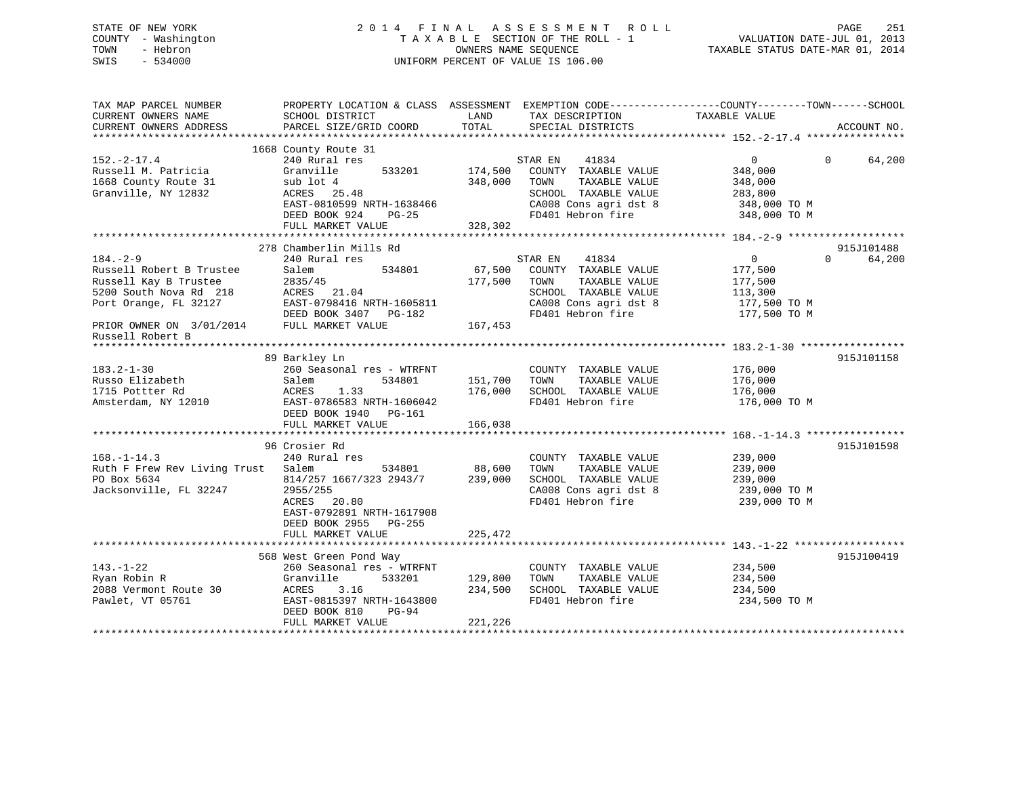## STATE OF NEW YORK 2 0 1 4 F I N A L A S S E S S M E N T R O L L PAGE 251 COUNTY - Washington T A X A B L E SECTION OF THE ROLL - 1 VALUATION DATE-JUL 01, 2013 TOWN - Hebron OWNERS NAME SEQUENCE TAXABLE STATUS DATE-MAR 01, 2014 SWIS - 534000 UNIFORM PERCENT OF VALUE IS 106.00

| TAX MAP PARCEL NUMBER<br>CURRENT OWNERS NAME<br>CURRENT OWNERS ADDRESS                                                 | PROPERTY LOCATION & CLASS ASSESSMENT EXEMPTION CODE----------------COUNTY-------TOWN------SCHOOL<br>SCHOOL DISTRICT<br>PARCEL SIZE/GRID COORD                          | LAND<br>TOTAL                 | TAX DESCRIPTION<br>SPECIAL DISTRICTS                                                                                                    | TAXABLE VALUE                                                                   | ACCOUNT NO.        |
|------------------------------------------------------------------------------------------------------------------------|------------------------------------------------------------------------------------------------------------------------------------------------------------------------|-------------------------------|-----------------------------------------------------------------------------------------------------------------------------------------|---------------------------------------------------------------------------------|--------------------|
| $152. - 2 - 17.4$<br>Russell M. Patricia<br>1668 County Route 31<br>Granville, NY 12832                                | 1668 County Route 31<br>240 Rural res<br>533201<br>Granville<br>sub lot 4<br>ACRES 25.48<br>EAST-0810599 NRTH-1638466<br>DEED BOOK 924<br>$PG-25$<br>FULL MARKET VALUE | 174,500<br>348,000<br>328,302 | STAR EN<br>41834<br>COUNTY TAXABLE VALUE<br>TAXABLE VALUE<br>TOWN<br>SCHOOL TAXABLE VALUE<br>CA008 Cons agri dst 8<br>FD401 Hebron fire | $\Omega$<br>348,000<br>348,000<br>283,800<br>348,000 TO M<br>348,000 TO M       | $\Omega$<br>64,200 |
|                                                                                                                        | 278 Chamberlin Mills Rd                                                                                                                                                |                               |                                                                                                                                         |                                                                                 | 915J101488         |
| $184. - 2 - 9$<br>Russell Robert B Trustee<br>Russell Kay B Trustee<br>5200 South Nova Rd 218<br>Port Orange, FL 32127 | 240 Rural res<br>534801<br>Salem<br>2835/45<br>ACRES 21.04<br>EAST-0798416 NRTH-1605811<br>DEED BOOK 3407 PG-182                                                       | 67,500<br>177,500             | STAR EN<br>41834<br>COUNTY TAXABLE VALUE<br>TAXABLE VALUE<br>TOWN<br>SCHOOL TAXABLE VALUE<br>CA008 Cons agri dst 8<br>FD401 Hebron fire | $\overline{0}$<br>177,500<br>177,500<br>113,300<br>177,500 TO M<br>177,500 TO M | $\Omega$<br>64,200 |
| PRIOR OWNER ON 3/01/2014 FULL MARKET VALUE<br>Russell Robert B                                                         |                                                                                                                                                                        | 167,453                       |                                                                                                                                         |                                                                                 |                    |
|                                                                                                                        |                                                                                                                                                                        |                               |                                                                                                                                         |                                                                                 |                    |
| $183.2 - 1 - 30$<br>Russo Elizabeth<br>1715 Pottter Rd<br>Amsterdam, NY 12010                                          | 89 Barkley Ln<br>260 Seasonal res - WTRFNT<br>534801<br>Salem<br>ACRES<br>1.33<br>EAST-0786583 NRTH-1606042<br>DEED BOOK 1940 PG-161<br>FULL MARKET VALUE              | 151,700<br>176,000<br>166,038 | COUNTY TAXABLE VALUE<br>TOWN<br>TAXABLE VALUE<br>SCHOOL TAXABLE VALUE<br>FD401 Hebron fire                                              | 176,000<br>176,000<br>176,000<br>176,000 TO M                                   | 915J101158         |
|                                                                                                                        |                                                                                                                                                                        |                               |                                                                                                                                         |                                                                                 |                    |
| $168. - 1 - 14.3$<br>Ruth F Frew Rev Living Trust<br>PO Box 5634<br>Jacksonville, FL 32247                             | 96 Crosier Rd<br>240 Rural res<br>Salem<br>534801<br>814/257 1667/323 2943/7<br>2955/255<br>ACRES 20.80<br>EAST-0792891 NRTH-1617908<br>DEED BOOK 2955 PG-255          | 88,600<br>239,000             | COUNTY TAXABLE VALUE<br>TAXABLE VALUE<br>TOWN<br>SCHOOL TAXABLE VALUE<br>CA008 Cons agri dst 8<br>FD401 Hebron fire                     | 239,000<br>239,000<br>239,000<br>239,000 TO M<br>239,000 TO M                   | 915J101598         |
|                                                                                                                        | FULL MARKET VALUE                                                                                                                                                      | 225,472                       |                                                                                                                                         |                                                                                 |                    |
|                                                                                                                        |                                                                                                                                                                        |                               |                                                                                                                                         |                                                                                 |                    |
| $143. - 1 - 22$<br>Ryan Robin R<br>2088 Vermont Route 30<br>Pawlet, VT 05761                                           | 568 West Green Pond Way<br>260 Seasonal res - WTRFNT<br>Granville<br>533201<br>3.16<br>ACRES<br>EAST-0815397 NRTH-1643800<br>DEED BOOK 810<br>$PG-94$                  | 129,800<br>234,500            | COUNTY TAXABLE VALUE<br>TOWN<br>TAXABLE VALUE<br>SCHOOL TAXABLE VALUE<br>FD401 Hebron fire                                              | 234,500<br>234,500<br>234,500<br>234,500 TO M                                   | 915J100419         |
|                                                                                                                        | FULL MARKET VALUE                                                                                                                                                      | 221,226                       |                                                                                                                                         |                                                                                 |                    |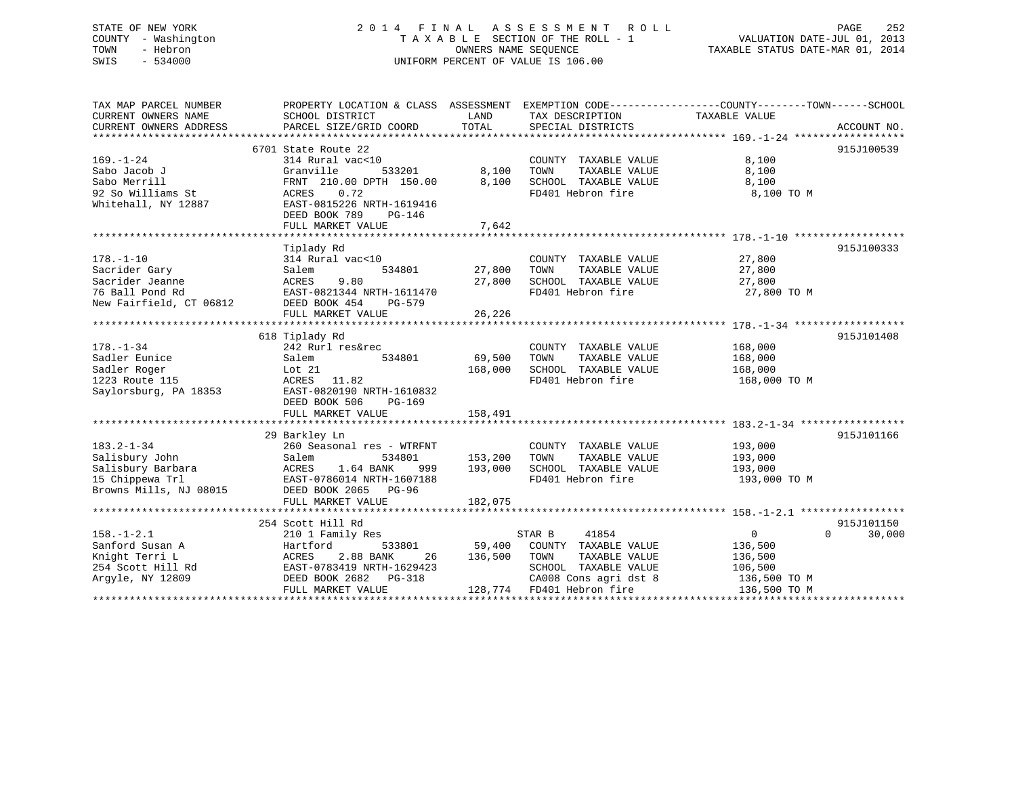# STATE OF NEW YORK 252 2014 FINAL ASSESSMENT ROLL 2014 PAGE 252 COUNTY - Washington  $T A X A B L E$  SECTION OF THE ROLL - 1<br>TOWN - Hebron DATE-JUL 2001 OWNERS NAME SEQUENCE SWIS - 534000 UNIFORM PERCENT OF VALUE IS 106.00

252 PAGE<br>VALUATION DATE-JUL 01, 2013

TAXABLE STATUS DATE-MAR 01, 2014

| TAX MAP PARCEL NUMBER<br>CURRENT OWNERS NAME<br>CURRENT OWNERS ADDRESS                               | SCHOOL DISTRICT<br>PARCEL SIZE/GRID COORD                                                                                                                                               | LAND<br>TOTAL                 | TAX DESCRIPTION<br>SPECIAL DISTRICTS                                                                                                           | PROPERTY LOCATION & CLASS ASSESSMENT EXEMPTION CODE---------------COUNTY-------TOWN-----SCHOOL<br>TAXABLE VALUE<br>ACCOUNT NO. |
|------------------------------------------------------------------------------------------------------|-----------------------------------------------------------------------------------------------------------------------------------------------------------------------------------------|-------------------------------|------------------------------------------------------------------------------------------------------------------------------------------------|--------------------------------------------------------------------------------------------------------------------------------|
| $169. - 1 - 24$<br>Sabo Jacob J<br>Sabo Merrill<br>92 So Williams St<br>Whitehall, NY 12887          | 6701 State Route 22<br>314 Rural vac<10<br>Granville<br>533201<br>FRNT 210.00 DPTH 150.00<br>0.72<br>ACRES<br>EAST-0815226 NRTH-1619416<br>DEED BOOK 789<br>PG-146<br>FULL MARKET VALUE | 8,100<br>8,100<br>7,642       | COUNTY TAXABLE VALUE<br>TOWN<br>TAXABLE VALUE<br>SCHOOL TAXABLE VALUE<br>FD401 Hebron fire                                                     | 915J100539<br>8,100<br>8,100<br>8,100<br>8,100 TO M                                                                            |
| $178. - 1 - 10$<br>Sacrider Gary<br>Sacrider Jeanne<br>76 Ball Pond Rd<br>New Fairfield, CT 06812    | Tiplady Rd<br>314 Rural vac<10<br>Salem<br>534801<br>ACRES<br>9.80<br>EAST-0821344 NRTH-1611470<br>DEED BOOK 454<br>PG-579<br>FULL MARKET VALUE                                         | 27,800<br>27,800<br>26,226    | COUNTY TAXABLE VALUE<br>TOWN<br>TAXABLE VALUE<br>SCHOOL TAXABLE VALUE<br>FD401 Hebron fire                                                     | 915J100333<br>27,800<br>27,800<br>27,800<br>27,800 TO M                                                                        |
| $178. - 1 - 34$<br>Sadler Eunice<br>Sadler Roger<br>1223 Route 115<br>Saylorsburg, PA 18353          | 618 Tiplady Rd<br>242 Rurl res&rec<br>Salem<br>534801<br>Lot 21<br>ACRES 11.82<br>EAST-0820190 NRTH-1610832<br>DEED BOOK 506<br>PG-169<br>FULL MARKET VALUE                             | 69,500<br>168,000<br>158,491  | COUNTY TAXABLE VALUE<br>TOWN<br>TAXABLE VALUE<br>SCHOOL TAXABLE VALUE<br>FD401 Hebron fire                                                     | 915J101408<br>168,000<br>168,000<br>168,000<br>168,000 TO M                                                                    |
| $183.2 - 1 - 34$<br>Salisbury John<br>Salisbury Barbara<br>15 Chippewa Trl<br>Browns Mills, NJ 08015 | 29 Barkley Ln<br>260 Seasonal res - WTRFNT<br>Salem<br>534801<br>1.64 BANK<br>ACRES<br>999<br>EAST-0786014 NRTH-1607188<br>DEED BOOK 2065<br>PG-96<br>FULL MARKET VALUE                 | 153,200<br>193,000<br>182,075 | COUNTY TAXABLE VALUE<br>TAXABLE VALUE<br>TOWN<br>SCHOOL TAXABLE VALUE<br>FD401 Hebron fire                                                     | 915J101166<br>193,000<br>193,000<br>193,000<br>193,000 TO M                                                                    |
| $158. - 1 - 2.1$<br>Sanford Susan A<br>Knight Terri L<br>254 Scott Hill Rd<br>Argyle, NY 12809       | 254 Scott Hill Rd<br>210 1 Family Res<br>Hartford<br>533801<br>2.88 BANK<br>ACRES<br>26<br>EAST-0783419 NRTH-1629423<br>DEED BOOK 2682<br>PG-318<br>FULL MARKET VALUE                   | 59,400<br>136,500             | 41854<br>STAR B<br>COUNTY TAXABLE VALUE<br>TOWN<br>TAXABLE VALUE<br>SCHOOL TAXABLE VALUE<br>CA008 Cons agri dst 8<br>128,774 FD401 Hebron fire | 915J101150<br>$\mathbf{0}$<br>$\Omega$<br>30,000<br>136,500<br>136,500<br>106,500<br>136,500 TO M<br>136,500 TO M              |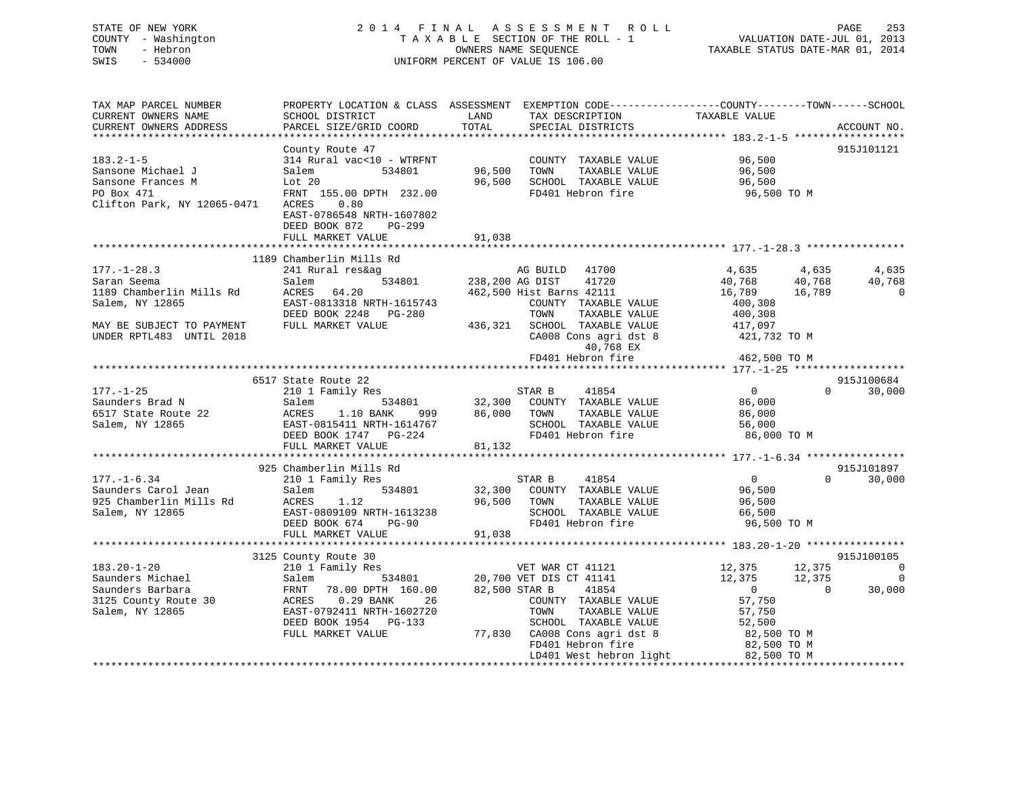# STATE OF NEW YORK 2 0 1 4 F I N A L A S S E S S M E N T R O L L PAGE 253 COUNTY - Washington T A X A B L E SECTION OF THE ROLL - 1 VALUATION DATE-JUL 01, 2013 TOWN - Hebron OWNERS NAME SEQUENCE TAXABLE STATUS DATE-MAR 01, 2014 SWIS - 534000 UNIFORM PERCENT OF VALUE IS 106.00

| TAX MAP PARCEL NUMBER<br>CURRENT OWNERS NAME<br>CURRENT OWNERS ADDRESS                                 | PROPERTY LOCATION & CLASS ASSESSMENT<br>SCHOOL DISTRICT<br>PARCEL SIZE/GRID COORD                                                                                            | LAND<br>TOTAL              | EXEMPTION CODE-----------------COUNTY-------TOWN------SCHOOL<br>TAX DESCRIPTION<br>SPECIAL DISTRICTS                                                                                                          | TAXABLE VALUE                                                                                                                     | ACCOUNT NO.                                   |
|--------------------------------------------------------------------------------------------------------|------------------------------------------------------------------------------------------------------------------------------------------------------------------------------|----------------------------|---------------------------------------------------------------------------------------------------------------------------------------------------------------------------------------------------------------|-----------------------------------------------------------------------------------------------------------------------------------|-----------------------------------------------|
| $183.2 - 1 - 5$<br>Sansone Michael J<br>Sansone Frances M<br>PO Box 471<br>Clifton Park, NY 12065-0471 | County Route 47<br>314 Rural vac<10 - WTRFNT<br>534801<br>Salem<br>Lot 20<br>FRNT 155.00 DPTH 232.00<br>ACRES<br>0.80<br>EAST-0786548 NRTH-1607802                           | 96,500<br>96,500           | COUNTY TAXABLE VALUE<br>TOWN<br>TAXABLE VALUE<br>SCHOOL TAXABLE VALUE<br>FD401 Hebron fire                                                                                                                    | 96,500<br>96,500<br>96,500<br>96,500 TO M                                                                                         | 915J101121                                    |
|                                                                                                        | DEED BOOK 872<br>$PG-299$<br>FULL MARKET VALUE                                                                                                                               | 91,038                     |                                                                                                                                                                                                               |                                                                                                                                   |                                               |
|                                                                                                        | 1189 Chamberlin Mills Rd                                                                                                                                                     |                            |                                                                                                                                                                                                               |                                                                                                                                   |                                               |
| $177. - 1 - 28.3$<br>Saran Seema<br>1189 Chamberlin Mills Rd<br>Salem, NY 12865                        | 241 Rural res&ag<br>Salem<br>534801<br>ACRES<br>64.20<br>EAST-0813318 NRTH-1615743<br>DEED BOOK 2248<br>PG-280                                                               | 238,200 AG DIST            | AG BUILD 41700<br>41720<br>462,500 Hist Barns 42111<br>COUNTY TAXABLE VALUE<br>TOWN<br>TAXABLE VALUE                                                                                                          | 4,635<br>40,768<br>40,768<br>16,789<br>16,789<br>400,308<br>400,308                                                               | 4,635<br>4,635<br>40,768<br>$\mathbf 0$       |
| MAY BE SUBJECT TO PAYMENT<br>UNDER RPTL483 UNTIL 2018                                                  | FULL MARKET VALUE                                                                                                                                                            | 436,321                    | SCHOOL TAXABLE VALUE<br>CA008 Cons agri dst 8<br>40,768 EX<br>FD401 Hebron fire                                                                                                                               | 417,097<br>421,732 TO M<br>462,500 TO M                                                                                           |                                               |
|                                                                                                        |                                                                                                                                                                              |                            |                                                                                                                                                                                                               |                                                                                                                                   |                                               |
| $177. - 1 - 25$                                                                                        | 6517 State Route 22                                                                                                                                                          |                            | STAR B<br>41854                                                                                                                                                                                               | $\overline{0}$                                                                                                                    | 915J100684<br>$\Omega$<br>30,000              |
| Saunders Brad N<br>6517 State Route 22<br>Salem, NY 12865                                              | 210 1 Family Res<br>534801<br>Salem<br>ACRES<br>1.10 BANK<br>999<br>EAST-0815411 NRTH-1614767<br>DEED BOOK 1747 PG-224<br>FULL MARKET VALUE<br>**********************        | 32,300<br>86,000<br>81,132 | COUNTY TAXABLE VALUE<br>TOWN<br>TAXABLE VALUE<br>SCHOOL TAXABLE VALUE<br>FD401 Hebron fire                                                                                                                    | 86,000<br>86,000<br>56,000<br>86,000 TO M                                                                                         |                                               |
|                                                                                                        | 925 Chamberlin Mills Rd                                                                                                                                                      |                            |                                                                                                                                                                                                               |                                                                                                                                   | 915J101897                                    |
| $177. - 1 - 6.34$<br>Saunders Carol Jean<br>925 Chamberlin Mills Rd<br>Salem, NY 12865                 | 210 1 Family Res<br>Salem<br>534801<br>ACRES<br>1.12<br>EAST-0809109 NRTH-1613238<br>DEED BOOK 674<br>PG-90<br>FULL MARKET VALUE                                             | 32,300<br>96,500<br>91,038 | STAR B<br>41854<br>COUNTY TAXABLE VALUE<br>TAXABLE VALUE<br>TOWN<br>SCHOOL TAXABLE VALUE<br>FD401 Hebron fire                                                                                                 | $\overline{0}$<br>96,500<br>96,500<br>66,500<br>96,500 TO M                                                                       | $\Omega$<br>30,000                            |
|                                                                                                        |                                                                                                                                                                              |                            |                                                                                                                                                                                                               |                                                                                                                                   |                                               |
|                                                                                                        | 3125 County Route 30                                                                                                                                                         |                            |                                                                                                                                                                                                               |                                                                                                                                   | 915J100105                                    |
| $183.20 - 1 - 20$<br>Saunders Michael<br>Saunders Barbara<br>3125 County Route 30<br>Salem, NY 12865   | 210 1 Family Res<br>Salem<br>534801<br>FRNT<br>78.00 DPTH 160.00<br>ACRES<br>0.29 BANK<br>26<br>EAST-0792411 NRTH-1602720<br>DEED BOOK 1954<br>$PG-133$<br>FULL MARKET VALUE | 82,500 STAR B              | VET WAR CT 41121<br>20,700 VET DIS CT 41141<br>41854<br>COUNTY TAXABLE VALUE<br>TOWN<br>TAXABLE VALUE<br>SCHOOL TAXABLE VALUE<br>77,830 CA008 Cons agri dst 8<br>FD401 Hebron fire<br>LD401 West hebron light | 12,375<br>12,375<br>12,375<br>12,375<br>$\overline{0}$<br>57,750<br>57,750<br>52,500<br>82,500 TO M<br>82,500 TO M<br>82,500 TO M | $\mathbf 0$<br>$\Omega$<br>$\Omega$<br>30,000 |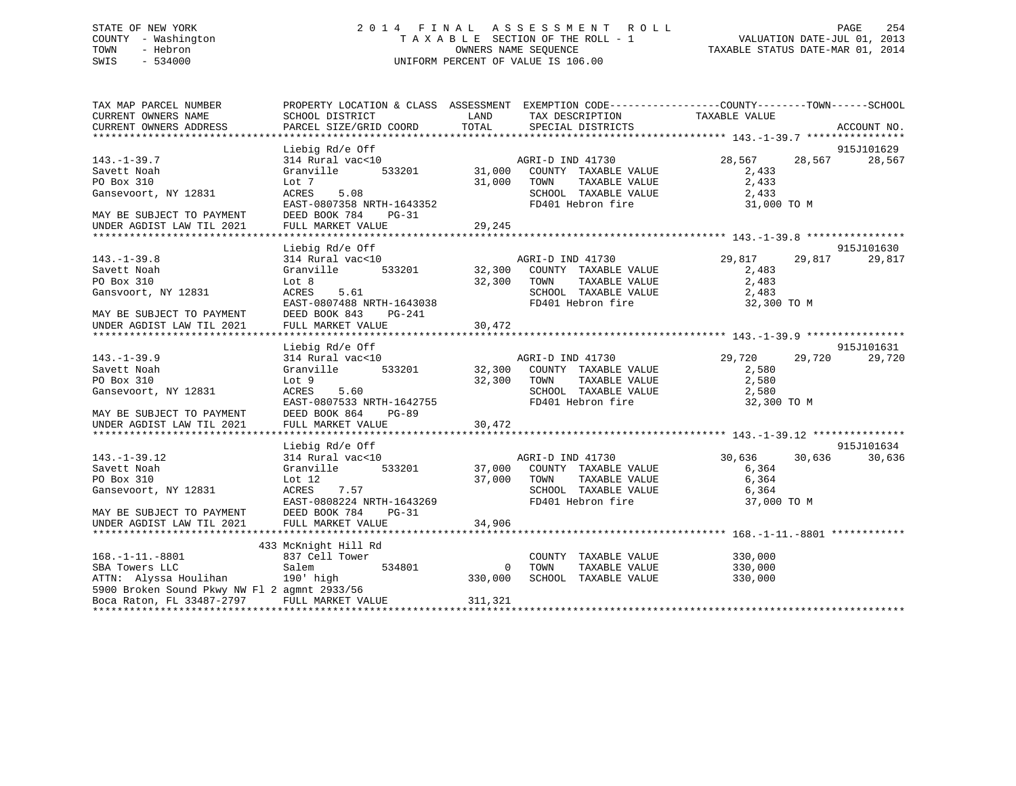# STATE OF NEW YORK 2 0 1 4 F I N A L A S S E S S M E N T R O L L PAGE 254 COUNTY - Washington T A X A B L E SECTION OF THE ROLL - 1 VALUATION DATE-JUL 01, 2013 TOWN - Hebron OWNERS NAME SEQUENCE TAXABLE STATUS DATE-MAR 01, 2014 SWIS - 534000 UNIFORM PERCENT OF VALUE IS 106.00

| 915J101629<br>Liebig Rd/e Off<br>28,567<br>$143. - 1 - 39.7$<br>314 Rural vac<10<br>AGRI-D IND 41730<br>28,567<br>28,567                         | ACCOUNT NO. |
|--------------------------------------------------------------------------------------------------------------------------------------------------|-------------|
|                                                                                                                                                  |             |
|                                                                                                                                                  |             |
|                                                                                                                                                  |             |
| 533201<br>Savett Noah<br>Granville<br>31,000<br>COUNTY TAXABLE VALUE<br>2,433<br>31,000<br>PO Box 310<br>Lot 7<br>TOWN<br>TAXABLE VALUE<br>2,433 |             |
| 5.08<br>SCHOOL TAXABLE VALUE<br>2,433<br>ACRES                                                                                                   |             |
| Gansevoort, NY 12831<br>EAST-0807358 NRTH-1643352<br>FD401 Hebron fire<br>31,000 TO M                                                            |             |
| DEED BOOK 784<br>PG-31<br>MAY BE SUBJECT TO PAYMENT                                                                                              |             |
| FULL MARKET VALUE<br>29,245<br>UNDER AGDIST LAW TIL 2021                                                                                         |             |
|                                                                                                                                                  |             |
| Liebig Rd/e Off<br>915J101630                                                                                                                    |             |
| $143. - 1 - 39.8$<br>314 Rural vac<10<br>AGRI-D IND 41730<br>29,817<br>29,817                                                                    | 29,817      |
| 533201 32,300<br>Granville<br>Savett Noah<br>COUNTY TAXABLE VALUE<br>2,483                                                                       |             |
| PO Box 310<br>32,300<br>TAXABLE VALUE<br>2,483<br>Lot 8<br>TOWN                                                                                  |             |
| SCHOOL TAXABLE VALUE<br>Gansvoort, NY 12831<br>ACRES<br>5.61<br>2,483                                                                            |             |
| EAST-0807488 NRTH-1643038<br>FD401 Hebron fire<br>32,300 TO M                                                                                    |             |
| DEED BOOK 843<br>PG-241<br>MAY BE SUBJECT TO PAYMENT                                                                                             |             |
| FULL MARKET VALUE<br>30,472<br>UNDER AGDIST LAW TIL 2021                                                                                         |             |
|                                                                                                                                                  |             |
| 915J101631<br>Liebig Rd/e Off                                                                                                                    |             |
| 29,720<br>$143. - 1 - 39.9$<br>314 Rural vac<10<br>AGRI-D IND 41730<br>29,720                                                                    | 29,720      |
| 533201 32,300<br>Granville<br>COUNTY TAXABLE VALUE<br>Savett Noah<br>2,580                                                                       |             |
| 2,580<br>PO Box 310<br>32,300<br>TAXABLE VALUE<br>Lot 9<br>TOWN                                                                                  |             |
| 5.60<br>Gansevoort, NY 12831<br>ACRES<br>SCHOOL TAXABLE VALUE<br>2,580                                                                           |             |
| FD401 Hebron fire<br>EAST-0807533 NRTH-1642755<br>32,300 TO M                                                                                    |             |
| DEED BOOK 864<br>MAY BE SUBJECT TO PAYMENT<br>PG-89                                                                                              |             |
| 30,472<br>UNDER AGDIST LAW TIL 2021<br>FULL MARKET VALUE                                                                                         |             |
|                                                                                                                                                  |             |
| 915J101634<br>Liebig Rd/e Off                                                                                                                    |             |
| 30,636<br>30,636<br>$143. - 1 - 39.12$<br>314 Rural vac<10<br>AGRI-D IND 41730                                                                   | 30,636      |
| Savett Noah<br>Granville<br>533201<br>37,000 COUNTY TAXABLE VALUE<br>6,364                                                                       |             |
| 37,000<br>TAXABLE VALUE<br>6,364<br>PO Box 310<br>Lot $12$<br>TOWN                                                                               |             |
| 7.57<br>SCHOOL TAXABLE VALUE<br>Gansevoort, NY 12831<br>ACRES<br>6,364                                                                           |             |
| EAST-0808224 NRTH-1643269<br>FD401 Hebron fire<br>37,000 TO M                                                                                    |             |
| MAY BE SUBJECT TO PAYMENT<br>DEED BOOK 784<br>PG-31                                                                                              |             |
| FULL MARKET VALUE<br>34,906<br>UNDER AGDIST LAW TIL 2021                                                                                         |             |
|                                                                                                                                                  |             |
| 433 McKnight Hill Rd                                                                                                                             |             |
| $168. -1 - 11. -8801$<br>837 Cell Tower<br>COUNTY TAXABLE VALUE<br>330,000                                                                       |             |
| SBA Towers LLC<br>Salem<br>534801<br>$\mathbf 0$<br>TOWN<br>330,000<br>TAXABLE VALUE                                                             |             |
| ATTN: Alyssa Houlihan 190' high<br>330,000<br>SCHOOL TAXABLE VALUE<br>330,000                                                                    |             |
| 5900 Broken Sound Pkwy NW Fl 2 agmnt 2933/56                                                                                                     |             |
| Boca Raton, FL 33487-2797<br>FULL MARKET VALUE<br>311,321                                                                                        |             |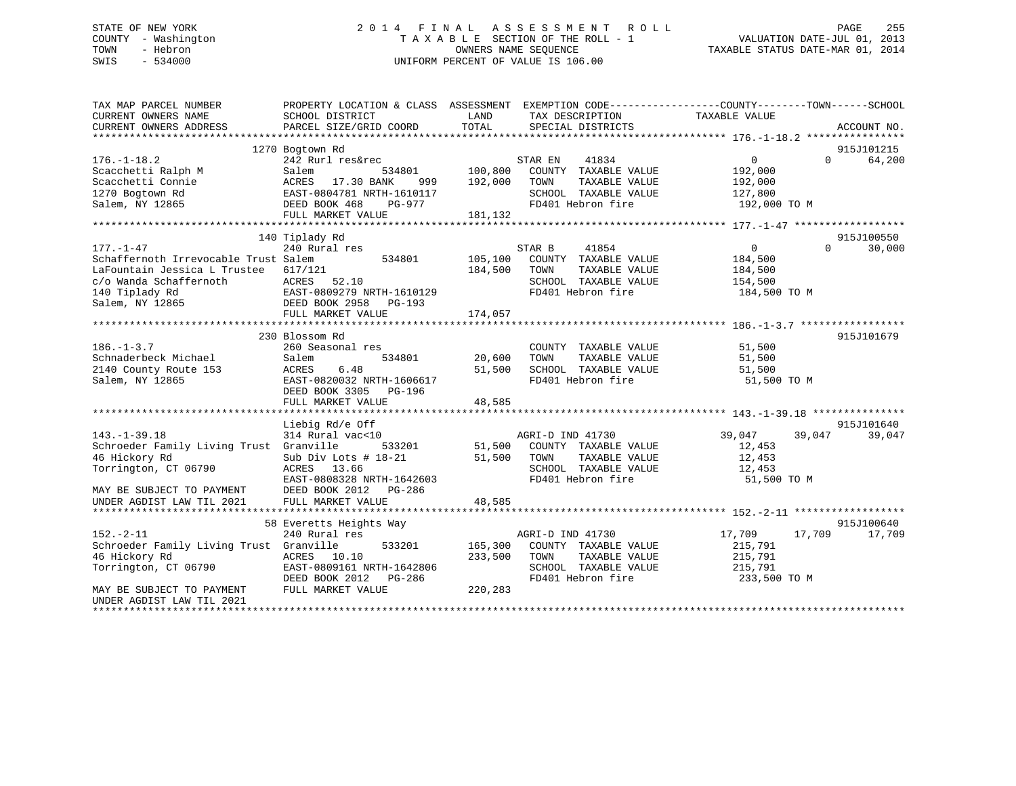# STATE OF NEW YORK 2 0 1 4 F I N A L A S S E S S M E N T R O L L PAGE 255 COUNTY - Washington T A X A B L E SECTION OF THE ROLL - 1 VALUATION DATE-JUL 01, 2013 TOWN - Hebron OWNERS NAME SEQUENCE TAXABLE STATUS DATE-MAR 01, 2014 SWIS - 534000 UNIFORM PERCENT OF VALUE IS 106.00

| 915J101215<br>1270 Bogtown Rd<br>64,200<br>$176. - 1 - 18.2$<br>242 Rurl res&rec<br>STAR EN<br>41834<br>$\overline{0}$<br>$\Omega$<br>100,800<br>Scacchetti Ralph M<br>534801<br>COUNTY TAXABLE VALUE<br>192,000<br>Salem<br>Scacchetti Connie<br>ACRES<br>17.30 BANK<br>192,000<br>TOWN<br>TAXABLE VALUE<br>999<br>192,000<br>1270 Bogtown Rd<br>EAST-0804781 NRTH-1610117<br>SCHOOL TAXABLE VALUE<br>127,800<br>Salem, NY 12865<br>DEED BOOK 468<br>FD401 Hebron fire<br>192,000 TO M<br>PG-977<br>FULL MARKET VALUE<br>181,132<br>915J100550<br>140 Tiplady Rd<br>$177. - 1 - 47$<br>240 Rural res<br>$\overline{0}$<br>30,000<br>STAR B<br>41854<br>$\Omega$<br>Schaffernoth Irrevocable Trust Salem<br>534801<br>105,100<br>COUNTY TAXABLE VALUE<br>184,500<br>LaFountain Jessica L Trustee<br>184,500<br>TOWN<br>184,500<br>617/121<br>TAXABLE VALUE<br>c/o Wanda Schaffernoth<br>ACRES 52.10<br>SCHOOL TAXABLE VALUE<br>154,500<br>140 Tiplady Rd<br>EAST-0809279 NRTH-1610129<br>FD401 Hebron fire<br>184,500 TO M<br>Salem, NY 12865<br>DEED BOOK 2958 PG-193<br>174,057<br>FULL MARKET VALUE<br>230 Blossom Rd<br>915J101679<br>$186. - 1 - 3.7$<br>260 Seasonal res<br>COUNTY TAXABLE VALUE<br>51,500<br>Schnaderbeck Michael<br>Salem<br>534801<br>20,600<br>TOWN<br>TAXABLE VALUE<br>51,500<br>2140 County Route 153<br>ACRES<br>6.48<br>51,500<br>SCHOOL TAXABLE VALUE<br>51,500<br>FD401 Hebron fire<br>Salem, NY 12865<br>EAST-0820032 NRTH-1606617<br>51,500 TO M<br>DEED BOOK 3305 PG-196<br>FULL MARKET VALUE<br>48,585<br>915J101640<br>Liebig Rd/e Off<br>39,047<br>$143. - 1 - 39.18$<br>314 Rural vac<10<br>AGRI-D IND 41730<br>39,047<br>39,047<br>Schroeder Family Living Trust Granville<br>533201<br>51,500<br>COUNTY TAXABLE VALUE<br>12,453<br>46 Hickory Rd<br>Sub Div Lots # 18-21<br>51,500<br>TOWN<br>TAXABLE VALUE<br>12,453<br>Torrington, CT 06790<br>SCHOOL TAXABLE VALUE<br>ACRES 13.66<br>12,453<br>FD401 Hebron fire<br>EAST-0808328 NRTH-1642603<br>51,500 TO M<br>DEED BOOK 2012    PG-286<br>MAY BE SUBJECT TO PAYMENT<br>48,585<br>UNDER AGDIST LAW TIL 2021<br>FULL MARKET VALUE<br>915J100640<br>58 Everetts Heights Way<br>$152. - 2 - 11$<br>240 Rural res<br>AGRI-D IND 41730<br>17,709<br>17,709<br>17,709<br>Schroeder Family Living Trust Granville<br>533201<br>165,300<br>COUNTY TAXABLE VALUE<br>215,791<br>46 Hickory Rd<br>233,500<br>215,791<br>ACRES<br>10.10<br>TOWN<br>TAXABLE VALUE<br>SCHOOL TAXABLE VALUE<br>Torrington, CT 06790<br>EAST-0809161 NRTH-1642806<br>215,791<br>FD401 Hebron fire<br>DEED BOOK 2012 PG-286<br>233,500 TO M<br>FULL MARKET VALUE<br>220,283<br>MAY BE SUBJECT TO PAYMENT<br>UNDER AGDIST LAW TIL 2021 | TAX MAP PARCEL NUMBER<br>CURRENT OWNERS NAME<br>CURRENT OWNERS ADDRESS | PROPERTY LOCATION & CLASS ASSESSMENT EXEMPTION CODE----------------COUNTY-------TOWN-----SCHOOL<br>SCHOOL DISTRICT<br>PARCEL SIZE/GRID COORD | LAND<br>TOTAL | TAX DESCRIPTION<br>SPECIAL DISTRICTS | TAXABLE VALUE | ACCOUNT NO. |
|---------------------------------------------------------------------------------------------------------------------------------------------------------------------------------------------------------------------------------------------------------------------------------------------------------------------------------------------------------------------------------------------------------------------------------------------------------------------------------------------------------------------------------------------------------------------------------------------------------------------------------------------------------------------------------------------------------------------------------------------------------------------------------------------------------------------------------------------------------------------------------------------------------------------------------------------------------------------------------------------------------------------------------------------------------------------------------------------------------------------------------------------------------------------------------------------------------------------------------------------------------------------------------------------------------------------------------------------------------------------------------------------------------------------------------------------------------------------------------------------------------------------------------------------------------------------------------------------------------------------------------------------------------------------------------------------------------------------------------------------------------------------------------------------------------------------------------------------------------------------------------------------------------------------------------------------------------------------------------------------------------------------------------------------------------------------------------------------------------------------------------------------------------------------------------------------------------------------------------------------------------------------------------------------------------------------------------------------------------------------------------------------------------------------------------------------------------------------------------------------------------------------------------------------------------------------------------------------------------------------------------------------------------------------------------------------------|------------------------------------------------------------------------|----------------------------------------------------------------------------------------------------------------------------------------------|---------------|--------------------------------------|---------------|-------------|
|                                                                                                                                                                                                                                                                                                                                                                                                                                                                                                                                                                                                                                                                                                                                                                                                                                                                                                                                                                                                                                                                                                                                                                                                                                                                                                                                                                                                                                                                                                                                                                                                                                                                                                                                                                                                                                                                                                                                                                                                                                                                                                                                                                                                                                                                                                                                                                                                                                                                                                                                                                                                                                                                                                   |                                                                        |                                                                                                                                              |               |                                      |               |             |
|                                                                                                                                                                                                                                                                                                                                                                                                                                                                                                                                                                                                                                                                                                                                                                                                                                                                                                                                                                                                                                                                                                                                                                                                                                                                                                                                                                                                                                                                                                                                                                                                                                                                                                                                                                                                                                                                                                                                                                                                                                                                                                                                                                                                                                                                                                                                                                                                                                                                                                                                                                                                                                                                                                   |                                                                        |                                                                                                                                              |               |                                      |               |             |
|                                                                                                                                                                                                                                                                                                                                                                                                                                                                                                                                                                                                                                                                                                                                                                                                                                                                                                                                                                                                                                                                                                                                                                                                                                                                                                                                                                                                                                                                                                                                                                                                                                                                                                                                                                                                                                                                                                                                                                                                                                                                                                                                                                                                                                                                                                                                                                                                                                                                                                                                                                                                                                                                                                   |                                                                        |                                                                                                                                              |               |                                      |               |             |
|                                                                                                                                                                                                                                                                                                                                                                                                                                                                                                                                                                                                                                                                                                                                                                                                                                                                                                                                                                                                                                                                                                                                                                                                                                                                                                                                                                                                                                                                                                                                                                                                                                                                                                                                                                                                                                                                                                                                                                                                                                                                                                                                                                                                                                                                                                                                                                                                                                                                                                                                                                                                                                                                                                   |                                                                        |                                                                                                                                              |               |                                      |               |             |
|                                                                                                                                                                                                                                                                                                                                                                                                                                                                                                                                                                                                                                                                                                                                                                                                                                                                                                                                                                                                                                                                                                                                                                                                                                                                                                                                                                                                                                                                                                                                                                                                                                                                                                                                                                                                                                                                                                                                                                                                                                                                                                                                                                                                                                                                                                                                                                                                                                                                                                                                                                                                                                                                                                   |                                                                        |                                                                                                                                              |               |                                      |               |             |
|                                                                                                                                                                                                                                                                                                                                                                                                                                                                                                                                                                                                                                                                                                                                                                                                                                                                                                                                                                                                                                                                                                                                                                                                                                                                                                                                                                                                                                                                                                                                                                                                                                                                                                                                                                                                                                                                                                                                                                                                                                                                                                                                                                                                                                                                                                                                                                                                                                                                                                                                                                                                                                                                                                   |                                                                        |                                                                                                                                              |               |                                      |               |             |
|                                                                                                                                                                                                                                                                                                                                                                                                                                                                                                                                                                                                                                                                                                                                                                                                                                                                                                                                                                                                                                                                                                                                                                                                                                                                                                                                                                                                                                                                                                                                                                                                                                                                                                                                                                                                                                                                                                                                                                                                                                                                                                                                                                                                                                                                                                                                                                                                                                                                                                                                                                                                                                                                                                   |                                                                        |                                                                                                                                              |               |                                      |               |             |
|                                                                                                                                                                                                                                                                                                                                                                                                                                                                                                                                                                                                                                                                                                                                                                                                                                                                                                                                                                                                                                                                                                                                                                                                                                                                                                                                                                                                                                                                                                                                                                                                                                                                                                                                                                                                                                                                                                                                                                                                                                                                                                                                                                                                                                                                                                                                                                                                                                                                                                                                                                                                                                                                                                   |                                                                        |                                                                                                                                              |               |                                      |               |             |
|                                                                                                                                                                                                                                                                                                                                                                                                                                                                                                                                                                                                                                                                                                                                                                                                                                                                                                                                                                                                                                                                                                                                                                                                                                                                                                                                                                                                                                                                                                                                                                                                                                                                                                                                                                                                                                                                                                                                                                                                                                                                                                                                                                                                                                                                                                                                                                                                                                                                                                                                                                                                                                                                                                   |                                                                        |                                                                                                                                              |               |                                      |               |             |
|                                                                                                                                                                                                                                                                                                                                                                                                                                                                                                                                                                                                                                                                                                                                                                                                                                                                                                                                                                                                                                                                                                                                                                                                                                                                                                                                                                                                                                                                                                                                                                                                                                                                                                                                                                                                                                                                                                                                                                                                                                                                                                                                                                                                                                                                                                                                                                                                                                                                                                                                                                                                                                                                                                   |                                                                        |                                                                                                                                              |               |                                      |               |             |
|                                                                                                                                                                                                                                                                                                                                                                                                                                                                                                                                                                                                                                                                                                                                                                                                                                                                                                                                                                                                                                                                                                                                                                                                                                                                                                                                                                                                                                                                                                                                                                                                                                                                                                                                                                                                                                                                                                                                                                                                                                                                                                                                                                                                                                                                                                                                                                                                                                                                                                                                                                                                                                                                                                   |                                                                        |                                                                                                                                              |               |                                      |               |             |
|                                                                                                                                                                                                                                                                                                                                                                                                                                                                                                                                                                                                                                                                                                                                                                                                                                                                                                                                                                                                                                                                                                                                                                                                                                                                                                                                                                                                                                                                                                                                                                                                                                                                                                                                                                                                                                                                                                                                                                                                                                                                                                                                                                                                                                                                                                                                                                                                                                                                                                                                                                                                                                                                                                   |                                                                        |                                                                                                                                              |               |                                      |               |             |
|                                                                                                                                                                                                                                                                                                                                                                                                                                                                                                                                                                                                                                                                                                                                                                                                                                                                                                                                                                                                                                                                                                                                                                                                                                                                                                                                                                                                                                                                                                                                                                                                                                                                                                                                                                                                                                                                                                                                                                                                                                                                                                                                                                                                                                                                                                                                                                                                                                                                                                                                                                                                                                                                                                   |                                                                        |                                                                                                                                              |               |                                      |               |             |
|                                                                                                                                                                                                                                                                                                                                                                                                                                                                                                                                                                                                                                                                                                                                                                                                                                                                                                                                                                                                                                                                                                                                                                                                                                                                                                                                                                                                                                                                                                                                                                                                                                                                                                                                                                                                                                                                                                                                                                                                                                                                                                                                                                                                                                                                                                                                                                                                                                                                                                                                                                                                                                                                                                   |                                                                        |                                                                                                                                              |               |                                      |               |             |
|                                                                                                                                                                                                                                                                                                                                                                                                                                                                                                                                                                                                                                                                                                                                                                                                                                                                                                                                                                                                                                                                                                                                                                                                                                                                                                                                                                                                                                                                                                                                                                                                                                                                                                                                                                                                                                                                                                                                                                                                                                                                                                                                                                                                                                                                                                                                                                                                                                                                                                                                                                                                                                                                                                   |                                                                        |                                                                                                                                              |               |                                      |               |             |
|                                                                                                                                                                                                                                                                                                                                                                                                                                                                                                                                                                                                                                                                                                                                                                                                                                                                                                                                                                                                                                                                                                                                                                                                                                                                                                                                                                                                                                                                                                                                                                                                                                                                                                                                                                                                                                                                                                                                                                                                                                                                                                                                                                                                                                                                                                                                                                                                                                                                                                                                                                                                                                                                                                   |                                                                        |                                                                                                                                              |               |                                      |               |             |
|                                                                                                                                                                                                                                                                                                                                                                                                                                                                                                                                                                                                                                                                                                                                                                                                                                                                                                                                                                                                                                                                                                                                                                                                                                                                                                                                                                                                                                                                                                                                                                                                                                                                                                                                                                                                                                                                                                                                                                                                                                                                                                                                                                                                                                                                                                                                                                                                                                                                                                                                                                                                                                                                                                   |                                                                        |                                                                                                                                              |               |                                      |               |             |
|                                                                                                                                                                                                                                                                                                                                                                                                                                                                                                                                                                                                                                                                                                                                                                                                                                                                                                                                                                                                                                                                                                                                                                                                                                                                                                                                                                                                                                                                                                                                                                                                                                                                                                                                                                                                                                                                                                                                                                                                                                                                                                                                                                                                                                                                                                                                                                                                                                                                                                                                                                                                                                                                                                   |                                                                        |                                                                                                                                              |               |                                      |               |             |
|                                                                                                                                                                                                                                                                                                                                                                                                                                                                                                                                                                                                                                                                                                                                                                                                                                                                                                                                                                                                                                                                                                                                                                                                                                                                                                                                                                                                                                                                                                                                                                                                                                                                                                                                                                                                                                                                                                                                                                                                                                                                                                                                                                                                                                                                                                                                                                                                                                                                                                                                                                                                                                                                                                   |                                                                        |                                                                                                                                              |               |                                      |               |             |
|                                                                                                                                                                                                                                                                                                                                                                                                                                                                                                                                                                                                                                                                                                                                                                                                                                                                                                                                                                                                                                                                                                                                                                                                                                                                                                                                                                                                                                                                                                                                                                                                                                                                                                                                                                                                                                                                                                                                                                                                                                                                                                                                                                                                                                                                                                                                                                                                                                                                                                                                                                                                                                                                                                   |                                                                        |                                                                                                                                              |               |                                      |               |             |
|                                                                                                                                                                                                                                                                                                                                                                                                                                                                                                                                                                                                                                                                                                                                                                                                                                                                                                                                                                                                                                                                                                                                                                                                                                                                                                                                                                                                                                                                                                                                                                                                                                                                                                                                                                                                                                                                                                                                                                                                                                                                                                                                                                                                                                                                                                                                                                                                                                                                                                                                                                                                                                                                                                   |                                                                        |                                                                                                                                              |               |                                      |               |             |
|                                                                                                                                                                                                                                                                                                                                                                                                                                                                                                                                                                                                                                                                                                                                                                                                                                                                                                                                                                                                                                                                                                                                                                                                                                                                                                                                                                                                                                                                                                                                                                                                                                                                                                                                                                                                                                                                                                                                                                                                                                                                                                                                                                                                                                                                                                                                                                                                                                                                                                                                                                                                                                                                                                   |                                                                        |                                                                                                                                              |               |                                      |               |             |
|                                                                                                                                                                                                                                                                                                                                                                                                                                                                                                                                                                                                                                                                                                                                                                                                                                                                                                                                                                                                                                                                                                                                                                                                                                                                                                                                                                                                                                                                                                                                                                                                                                                                                                                                                                                                                                                                                                                                                                                                                                                                                                                                                                                                                                                                                                                                                                                                                                                                                                                                                                                                                                                                                                   |                                                                        |                                                                                                                                              |               |                                      |               |             |
|                                                                                                                                                                                                                                                                                                                                                                                                                                                                                                                                                                                                                                                                                                                                                                                                                                                                                                                                                                                                                                                                                                                                                                                                                                                                                                                                                                                                                                                                                                                                                                                                                                                                                                                                                                                                                                                                                                                                                                                                                                                                                                                                                                                                                                                                                                                                                                                                                                                                                                                                                                                                                                                                                                   |                                                                        |                                                                                                                                              |               |                                      |               |             |
|                                                                                                                                                                                                                                                                                                                                                                                                                                                                                                                                                                                                                                                                                                                                                                                                                                                                                                                                                                                                                                                                                                                                                                                                                                                                                                                                                                                                                                                                                                                                                                                                                                                                                                                                                                                                                                                                                                                                                                                                                                                                                                                                                                                                                                                                                                                                                                                                                                                                                                                                                                                                                                                                                                   |                                                                        |                                                                                                                                              |               |                                      |               |             |
|                                                                                                                                                                                                                                                                                                                                                                                                                                                                                                                                                                                                                                                                                                                                                                                                                                                                                                                                                                                                                                                                                                                                                                                                                                                                                                                                                                                                                                                                                                                                                                                                                                                                                                                                                                                                                                                                                                                                                                                                                                                                                                                                                                                                                                                                                                                                                                                                                                                                                                                                                                                                                                                                                                   |                                                                        |                                                                                                                                              |               |                                      |               |             |
|                                                                                                                                                                                                                                                                                                                                                                                                                                                                                                                                                                                                                                                                                                                                                                                                                                                                                                                                                                                                                                                                                                                                                                                                                                                                                                                                                                                                                                                                                                                                                                                                                                                                                                                                                                                                                                                                                                                                                                                                                                                                                                                                                                                                                                                                                                                                                                                                                                                                                                                                                                                                                                                                                                   |                                                                        |                                                                                                                                              |               |                                      |               |             |
|                                                                                                                                                                                                                                                                                                                                                                                                                                                                                                                                                                                                                                                                                                                                                                                                                                                                                                                                                                                                                                                                                                                                                                                                                                                                                                                                                                                                                                                                                                                                                                                                                                                                                                                                                                                                                                                                                                                                                                                                                                                                                                                                                                                                                                                                                                                                                                                                                                                                                                                                                                                                                                                                                                   |                                                                        |                                                                                                                                              |               |                                      |               |             |
|                                                                                                                                                                                                                                                                                                                                                                                                                                                                                                                                                                                                                                                                                                                                                                                                                                                                                                                                                                                                                                                                                                                                                                                                                                                                                                                                                                                                                                                                                                                                                                                                                                                                                                                                                                                                                                                                                                                                                                                                                                                                                                                                                                                                                                                                                                                                                                                                                                                                                                                                                                                                                                                                                                   |                                                                        |                                                                                                                                              |               |                                      |               |             |
|                                                                                                                                                                                                                                                                                                                                                                                                                                                                                                                                                                                                                                                                                                                                                                                                                                                                                                                                                                                                                                                                                                                                                                                                                                                                                                                                                                                                                                                                                                                                                                                                                                                                                                                                                                                                                                                                                                                                                                                                                                                                                                                                                                                                                                                                                                                                                                                                                                                                                                                                                                                                                                                                                                   |                                                                        |                                                                                                                                              |               |                                      |               |             |
|                                                                                                                                                                                                                                                                                                                                                                                                                                                                                                                                                                                                                                                                                                                                                                                                                                                                                                                                                                                                                                                                                                                                                                                                                                                                                                                                                                                                                                                                                                                                                                                                                                                                                                                                                                                                                                                                                                                                                                                                                                                                                                                                                                                                                                                                                                                                                                                                                                                                                                                                                                                                                                                                                                   |                                                                        |                                                                                                                                              |               |                                      |               |             |
|                                                                                                                                                                                                                                                                                                                                                                                                                                                                                                                                                                                                                                                                                                                                                                                                                                                                                                                                                                                                                                                                                                                                                                                                                                                                                                                                                                                                                                                                                                                                                                                                                                                                                                                                                                                                                                                                                                                                                                                                                                                                                                                                                                                                                                                                                                                                                                                                                                                                                                                                                                                                                                                                                                   |                                                                        |                                                                                                                                              |               |                                      |               |             |
|                                                                                                                                                                                                                                                                                                                                                                                                                                                                                                                                                                                                                                                                                                                                                                                                                                                                                                                                                                                                                                                                                                                                                                                                                                                                                                                                                                                                                                                                                                                                                                                                                                                                                                                                                                                                                                                                                                                                                                                                                                                                                                                                                                                                                                                                                                                                                                                                                                                                                                                                                                                                                                                                                                   |                                                                        |                                                                                                                                              |               |                                      |               |             |
|                                                                                                                                                                                                                                                                                                                                                                                                                                                                                                                                                                                                                                                                                                                                                                                                                                                                                                                                                                                                                                                                                                                                                                                                                                                                                                                                                                                                                                                                                                                                                                                                                                                                                                                                                                                                                                                                                                                                                                                                                                                                                                                                                                                                                                                                                                                                                                                                                                                                                                                                                                                                                                                                                                   |                                                                        |                                                                                                                                              |               |                                      |               |             |
|                                                                                                                                                                                                                                                                                                                                                                                                                                                                                                                                                                                                                                                                                                                                                                                                                                                                                                                                                                                                                                                                                                                                                                                                                                                                                                                                                                                                                                                                                                                                                                                                                                                                                                                                                                                                                                                                                                                                                                                                                                                                                                                                                                                                                                                                                                                                                                                                                                                                                                                                                                                                                                                                                                   |                                                                        |                                                                                                                                              |               |                                      |               |             |
|                                                                                                                                                                                                                                                                                                                                                                                                                                                                                                                                                                                                                                                                                                                                                                                                                                                                                                                                                                                                                                                                                                                                                                                                                                                                                                                                                                                                                                                                                                                                                                                                                                                                                                                                                                                                                                                                                                                                                                                                                                                                                                                                                                                                                                                                                                                                                                                                                                                                                                                                                                                                                                                                                                   |                                                                        |                                                                                                                                              |               |                                      |               |             |
|                                                                                                                                                                                                                                                                                                                                                                                                                                                                                                                                                                                                                                                                                                                                                                                                                                                                                                                                                                                                                                                                                                                                                                                                                                                                                                                                                                                                                                                                                                                                                                                                                                                                                                                                                                                                                                                                                                                                                                                                                                                                                                                                                                                                                                                                                                                                                                                                                                                                                                                                                                                                                                                                                                   |                                                                        |                                                                                                                                              |               |                                      |               |             |
|                                                                                                                                                                                                                                                                                                                                                                                                                                                                                                                                                                                                                                                                                                                                                                                                                                                                                                                                                                                                                                                                                                                                                                                                                                                                                                                                                                                                                                                                                                                                                                                                                                                                                                                                                                                                                                                                                                                                                                                                                                                                                                                                                                                                                                                                                                                                                                                                                                                                                                                                                                                                                                                                                                   |                                                                        |                                                                                                                                              |               |                                      |               |             |
|                                                                                                                                                                                                                                                                                                                                                                                                                                                                                                                                                                                                                                                                                                                                                                                                                                                                                                                                                                                                                                                                                                                                                                                                                                                                                                                                                                                                                                                                                                                                                                                                                                                                                                                                                                                                                                                                                                                                                                                                                                                                                                                                                                                                                                                                                                                                                                                                                                                                                                                                                                                                                                                                                                   |                                                                        |                                                                                                                                              |               |                                      |               |             |
|                                                                                                                                                                                                                                                                                                                                                                                                                                                                                                                                                                                                                                                                                                                                                                                                                                                                                                                                                                                                                                                                                                                                                                                                                                                                                                                                                                                                                                                                                                                                                                                                                                                                                                                                                                                                                                                                                                                                                                                                                                                                                                                                                                                                                                                                                                                                                                                                                                                                                                                                                                                                                                                                                                   |                                                                        |                                                                                                                                              |               |                                      |               |             |
|                                                                                                                                                                                                                                                                                                                                                                                                                                                                                                                                                                                                                                                                                                                                                                                                                                                                                                                                                                                                                                                                                                                                                                                                                                                                                                                                                                                                                                                                                                                                                                                                                                                                                                                                                                                                                                                                                                                                                                                                                                                                                                                                                                                                                                                                                                                                                                                                                                                                                                                                                                                                                                                                                                   |                                                                        |                                                                                                                                              |               |                                      |               |             |
|                                                                                                                                                                                                                                                                                                                                                                                                                                                                                                                                                                                                                                                                                                                                                                                                                                                                                                                                                                                                                                                                                                                                                                                                                                                                                                                                                                                                                                                                                                                                                                                                                                                                                                                                                                                                                                                                                                                                                                                                                                                                                                                                                                                                                                                                                                                                                                                                                                                                                                                                                                                                                                                                                                   |                                                                        |                                                                                                                                              |               |                                      |               |             |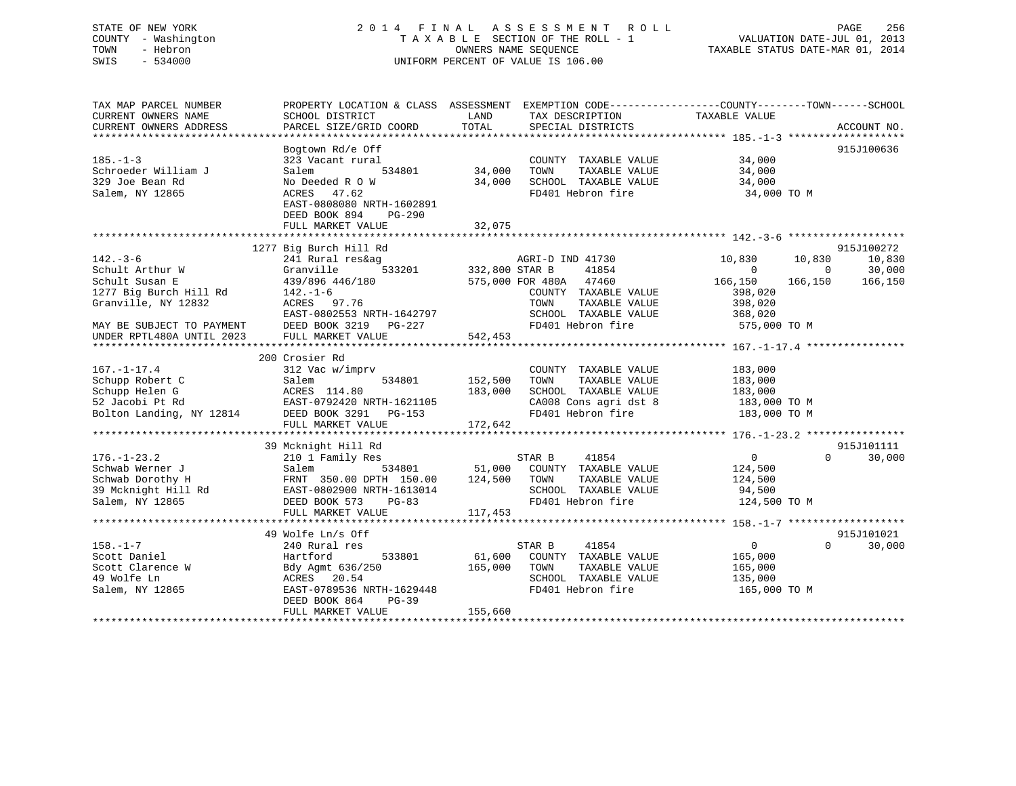# STATE OF NEW YORK 2 0 1 4 F I N A L A S S E S S M E N T R O L L PAGE 256 COUNTY - Washington T A X A B L E SECTION OF THE ROLL - 1 VALUATION DATE-JUL 01, 2013 TOWN - Hebron OWNERS NAME SEQUENCE TAXABLE STATUS DATE-MAR 01, 2014 SWIS - 534000 UNIFORM PERCENT OF VALUE IS 106.00

| TAX MAP PARCEL NUMBER<br>CURRENT OWNERS NAME<br>CURRENT OWNERS ADDRESS                                                                                         | PROPERTY LOCATION & CLASS ASSESSMENT<br>SCHOOL DISTRICT<br>PARCEL SIZE/GRID COORD                                                                                                | LAND<br>TOTAL                    | TAX DESCRIPTION<br>SPECIAL DISTRICTS                                                                                                              | EXEMPTION CODE-----------------COUNTY--------TOWN------SCHOOL<br>TAXABLE VALUE                                              | ACCOUNT NO.                               |
|----------------------------------------------------------------------------------------------------------------------------------------------------------------|----------------------------------------------------------------------------------------------------------------------------------------------------------------------------------|----------------------------------|---------------------------------------------------------------------------------------------------------------------------------------------------|-----------------------------------------------------------------------------------------------------------------------------|-------------------------------------------|
| $185. - 1 - 3$<br>Schroeder William J<br>329 Joe Bean Rd<br>Salem, NY 12865                                                                                    | Bogtown Rd/e Off<br>323 Vacant rural<br>534801<br>Salem<br>No Deeded R O W<br>ACRES<br>47.62<br>EAST-0808080 NRTH-1602891<br>DEED BOOK 894<br>PG-290<br>FULL MARKET VALUE        | 34,000<br>34,000<br>32,075       | COUNTY TAXABLE VALUE<br>TOWN<br>TAXABLE VALUE<br>SCHOOL TAXABLE VALUE<br>FD401 Hebron fire                                                        | 34,000<br>34,000<br>34,000<br>34,000 TO M                                                                                   | 915J100636                                |
| $142. - 3 - 6$<br>Schult Arthur W<br>Schult Susan E<br>1277 Big Burch Hill Rd<br>Granville, NY 12832<br>MAY BE SUBJECT TO PAYMENT<br>UNDER RPTL480A UNTIL 2023 | 1277 Big Burch Hill Rd<br>241 Rural res&ag<br>Granville<br>439/896 446/180<br>142.-1-6<br>ACRES 97.76<br>EAST-0802553 NRTH-1642797<br>DEED BOOK 3219 PG-227<br>FULL MARKET VALUE | 533201 332,800 STAR B<br>542,453 | AGRI-D IND 41730<br>41854<br>575,000 FOR 480A 47460<br>COUNTY TAXABLE VALUE<br>TAXABLE VALUE<br>TOWN<br>SCHOOL TAXABLE VALUE<br>FD401 Hebron fire | 10,830<br>10,830<br>$\overline{0}$<br>$\overline{0}$<br>166,150<br>166,150<br>398,020<br>398,020<br>368,020<br>575,000 TO M | 915J100272<br>10,830<br>30,000<br>166,150 |
| $167. - 1 - 17.4$<br>Schupp Robert C<br>Schupp Helen G<br>52 Jacobi Pt Rd<br>Bolton Landing, NY 12814                                                          | 200 Crosier Rd<br>312 Vac w/imprv<br>Salem<br>534801<br>ACRES 114.80<br>EAST-0792420 NRTH-1621105<br>DEED BOOK 3291 PG-153<br>FULL MARKET VALUE                                  | 152,500<br>183,000<br>172,642    | COUNTY TAXABLE VALUE<br>TAXABLE VALUE<br>TOWN<br>SCHOOL TAXABLE VALUE<br>CA008 Cons agri dst 8<br>FD401 Hebron fire                               | 183,000<br>183,000<br>183,000<br>183,000 TO M<br>183,000 TO M                                                               |                                           |
| $176. - 1 - 23.2$<br>Schwab Werner J<br>Salem, NY 12865                                                                                                        | 39 Mcknight Hill Rd<br>210 1 Family Res<br>Salem<br>DEED BOOK 573<br>PG-83<br>FULL MARKET VALUE                                                                                  | 117,453                          | STAR B<br>41854<br>534801 51,000 COUNTY TAXABLE VALUE<br>TOWN<br>TAXABLE VALUE<br>SCHOOL TAXABLE VALUE<br>FD401 Hebron fire                       | $\overline{0}$<br>$\Omega$<br>124,500<br>124,500<br>94,500<br>124,500 TO M                                                  | 915J101111<br>30,000                      |
| $158. - 1 - 7$<br>Scott Daniel<br>Scott Clarence W<br>49 Wolfe Ln<br>Salem, NY 12865                                                                           | 49 Wolfe Ln/s Off<br>240 Rural res<br>Hartford<br>533801<br>Bdy Agmt 636/250<br>ACRES 20.54<br>EAST-0789536 NRTH-1629448<br>DEED BOOK 864<br>PG-39<br>FULL MARKET VALUE          | 61,600<br>165,000<br>155,660     | STAR B<br>41854<br>COUNTY TAXABLE VALUE<br>TOWN<br>TAXABLE VALUE<br>SCHOOL TAXABLE VALUE<br>FD401 Hebron fire                                     | $\overline{0}$<br>$\Omega$<br>165,000<br>165,000<br>135,000<br>165,000 TO M                                                 | 915J101021<br>30,000                      |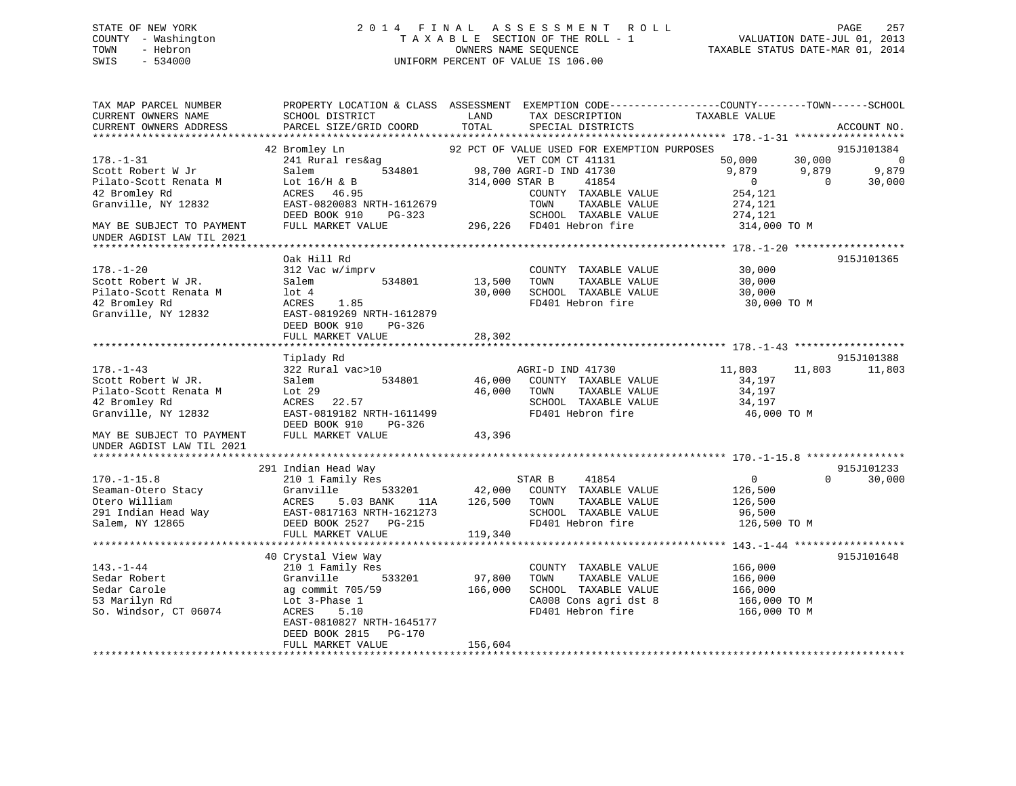# STATE OF NEW YORK 2 0 1 4 F I N A L A S S E S S M E N T R O L L PAGE 257 COUNTY - Washington T A X A B L E SECTION OF THE ROLL - 1 VALUATION DATE-JUL 01, 2013 TOWN - Hebron **CONNERS NAME SEQUENCE** TAXABLE STATUS DATE-MAR 01, 2014 SWIS - 534000 UNIFORM PERCENT OF VALUE IS 106.00

| TAX MAP PARCEL NUMBER                  |                                                                                                                                                                                                                                      |                   |                                                 | PROPERTY LOCATION & CLASS ASSESSMENT EXEMPTION CODE----------------COUNTY-------TOWN------SCHOOL |               |
|----------------------------------------|--------------------------------------------------------------------------------------------------------------------------------------------------------------------------------------------------------------------------------------|-------------------|-------------------------------------------------|--------------------------------------------------------------------------------------------------|---------------|
| CURRENT OWNERS NAME                    | SCHOOL DISTRICT                                                                                                                                                                                                                      | LAND              | TAX DESCRIPTION                                 | TAXABLE VALUE                                                                                    |               |
| CURRENT OWNERS ADDRESS                 | PARCEL SIZE/GRID COORD                                                                                                                                                                                                               | TOTAL             | SPECIAL DISTRICTS                               |                                                                                                  | ACCOUNT NO.   |
|                                        |                                                                                                                                                                                                                                      |                   |                                                 |                                                                                                  |               |
|                                        | 42 Bromley Ln<br>Bromley Ln<br>241 Rural res&ag 634801<br>534801 98,700 AGRI-D IND 41730<br>314.000 STAR B 41854                                                                                                                     |                   | 92 PCT OF VALUE USED FOR EXEMPTION PURPOSES     |                                                                                                  | 915J101384    |
| $178. - 1 - 31$                        |                                                                                                                                                                                                                                      |                   | VET COM CT 41131                                | $\begin{array}{cccc} 50,000 & 30,000 & 0 \\ 9,879 & 9,879 & 9,879 \\ 0 & 0 & 30,000 \end{array}$ |               |
| Scott Robert W Jr                      |                                                                                                                                                                                                                                      |                   |                                                 |                                                                                                  |               |
|                                        |                                                                                                                                                                                                                                      |                   |                                                 |                                                                                                  |               |
|                                        | EAST-0820083 NRTH-1612679<br>DEED BOOK 910                                                                                                                                                                                           |                   | COUNTY TAXABLE VALUE                            | 254,121                                                                                          |               |
| Granville, NY 12832                    |                                                                                                                                                                                                                                      |                   | TOWN<br>TAXABLE VALUE                           | 274,121                                                                                          |               |
|                                        | DEED BOOK 910 PG-323 SCHOOL TAXABLE VALUE 274,121<br>FULL MARKET VALUE 296,226 FD401 Hebron fire 314,000 TO M                                                                                                                        |                   |                                                 |                                                                                                  |               |
| MAY BE SUBJECT TO PAYMENT              |                                                                                                                                                                                                                                      |                   |                                                 |                                                                                                  |               |
| UNDER AGDIST LAW TIL 2021              |                                                                                                                                                                                                                                      |                   |                                                 |                                                                                                  |               |
|                                        | Oak Hill Rd                                                                                                                                                                                                                          |                   |                                                 |                                                                                                  | 915J101365    |
| $178. - 1 - 20$                        | 312 Vac w/imprv                                                                                                                                                                                                                      |                   | COUNTY TAXABLE VALUE                            | 30,000                                                                                           |               |
| Scott Robert W JR.                     | Salem                                                                                                                                                                                                                                | 534801 13,500     | TAXABLE VALUE<br>TOWN                           | 30,000                                                                                           |               |
|                                        | lot 4                                                                                                                                                                                                                                | 30,000            |                                                 |                                                                                                  |               |
| Pilato-Scott Renata M<br>42 Bromley Rd | 1.85<br>ACRES                                                                                                                                                                                                                        |                   |                                                 | SCHOOL TAXABLE VALUE 30,000<br>FD401 Hebron fire 30,000 TO M                                     |               |
| Granville, NY 12832                    | EAST-0819269 NRTH-1612879                                                                                                                                                                                                            |                   |                                                 |                                                                                                  |               |
|                                        | DEED BOOK 910<br>PG-326                                                                                                                                                                                                              |                   |                                                 |                                                                                                  |               |
|                                        | FULL MARKET VALUE                                                                                                                                                                                                                    | 28,302            |                                                 |                                                                                                  |               |
|                                        |                                                                                                                                                                                                                                      |                   |                                                 |                                                                                                  |               |
|                                        | Tiplady Rd                                                                                                                                                                                                                           |                   |                                                 |                                                                                                  | 915J101388    |
| $178. - 1 - 43$                        | 322 Rural vac>10                                                                                                                                                                                                                     |                   |                                                 | 11,803<br>11,803                                                                                 | 11,803        |
| Scott Robert W JR.                     | 534801<br>Salem                                                                                                                                                                                                                      |                   | AGRI-D IND 41730<br>46,000 COUNTY TAXABLE VALUE | 34,197                                                                                           |               |
| Pilato-Scott Renata M                  | Lot 29                                                                                                                                                                                                                               | 46,000            | TOWN                                            | 34,197                                                                                           |               |
| 42 Bromley Rd                          | ACRES 22.57                                                                                                                                                                                                                          |                   |                                                 | 34,197                                                                                           |               |
| Granville, NY 12832                    | EAST-0819182 NRTH-1611499                                                                                                                                                                                                            |                   | FD401 Hebron fire                               | 46,000 TO M                                                                                      |               |
|                                        | DEED BOOK 910<br>PG-326                                                                                                                                                                                                              |                   |                                                 |                                                                                                  |               |
| MAY BE SUBJECT TO PAYMENT              | FULL MARKET VALUE                                                                                                                                                                                                                    | 43,396            |                                                 |                                                                                                  |               |
| UNDER AGDIST LAW TIL 2021              |                                                                                                                                                                                                                                      |                   |                                                 |                                                                                                  |               |
|                                        |                                                                                                                                                                                                                                      |                   |                                                 |                                                                                                  |               |
|                                        | 291 Indian Head Way                                                                                                                                                                                                                  |                   |                                                 |                                                                                                  | 915J101233    |
| $170. - 1 - 15.8$                      | 210 1 Family Res                                                                                                                                                                                                                     |                   | STAR B 41854                                    | $\overline{0}$                                                                                   | $0 \t 30,000$ |
|                                        |                                                                                                                                                                                                                                      |                   |                                                 | 126,500                                                                                          |               |
|                                        | Seaman-Otero Stacy<br>Chero William (Chero William ACRES 5.03 BANK 11A 126,500 COUNTY TAXABLE VALUE<br>291 Indian Head Way EAST-0817163 NRTH-1621273 SCHOOL TAXABLE VALUE<br>291 Indian Head Way EAST-0817163 NRTH-1621273 SCHOOL TA |                   |                                                 | 126,500<br>96,500                                                                                |               |
|                                        |                                                                                                                                                                                                                                      |                   |                                                 | 126,500 TO M                                                                                     |               |
|                                        | FULL MARKET VALUE                                                                                                                                                                                                                    | 119,340           |                                                 |                                                                                                  |               |
|                                        |                                                                                                                                                                                                                                      |                   |                                                 |                                                                                                  |               |
|                                        | 40 Crystal View Way                                                                                                                                                                                                                  |                   |                                                 |                                                                                                  | 915J101648    |
| $143. - 1 - 44$                        | 210 1 Family Res                                                                                                                                                                                                                     |                   | COUNTY TAXABLE VALUE 166,000                    |                                                                                                  |               |
| Sedar Robert                           | Granville 533201                                                                                                                                                                                                                     |                   | TOWN<br>TAXABLE VALUE                           |                                                                                                  |               |
| Sedar Carole                           | Granville 53320<br>ag commit 705/59                                                                                                                                                                                                  | 97,800<br>166,000 | SCHOOL TAXABLE VALUE                            | 166,000<br>166,000                                                                               |               |
| 53 Marilyn Rd                          | Lot 3-Phase 1                                                                                                                                                                                                                        |                   |                                                 |                                                                                                  |               |
| So. Windsor, CT 06074                  | <b>ACRES</b><br>5.10                                                                                                                                                                                                                 |                   |                                                 | CA008 Cons agri dst 8 166,000 TO M<br>FD401 Hebron fire 166,000 TO M                             |               |
|                                        | EAST-0810827 NRTH-1645177                                                                                                                                                                                                            |                   |                                                 |                                                                                                  |               |
|                                        | DEED BOOK 2815<br>$PG-170$                                                                                                                                                                                                           |                   |                                                 |                                                                                                  |               |
|                                        | FULL MARKET VALUE                                                                                                                                                                                                                    | 156,604           |                                                 |                                                                                                  |               |
|                                        |                                                                                                                                                                                                                                      |                   |                                                 |                                                                                                  |               |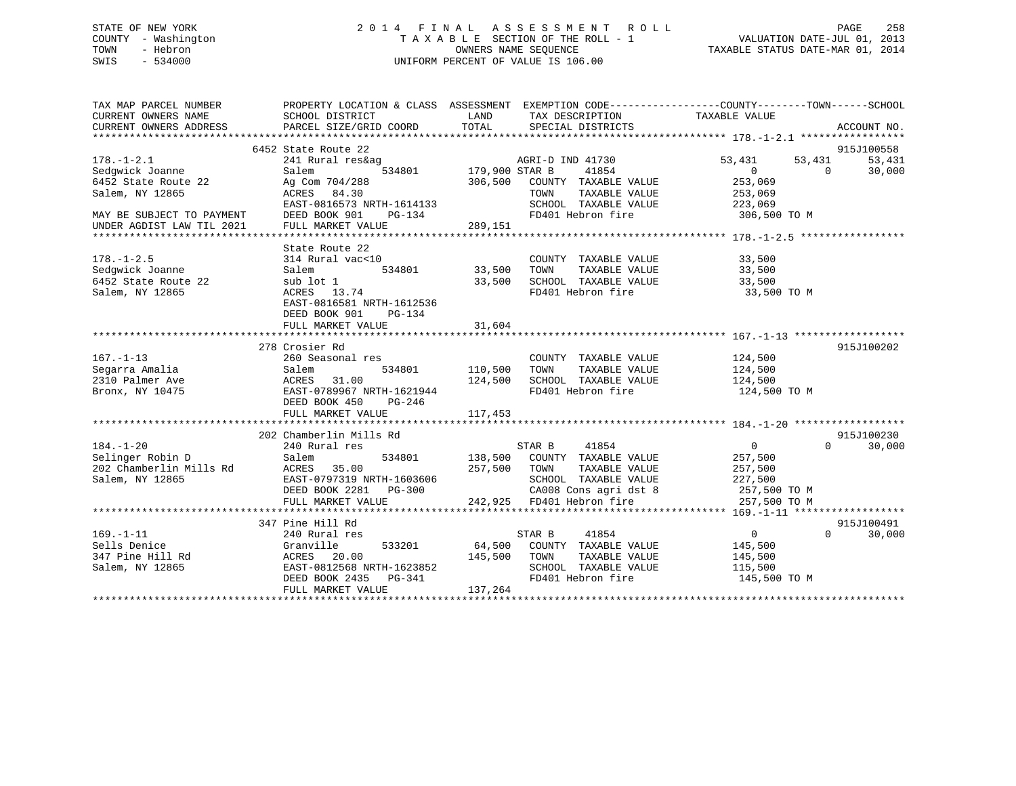# STATE OF NEW YORK 2 0 1 4 F I N A L A S S E S S M E N T R O L L PAGE 258 COUNTY - Washington T A X A B L E SECTION OF THE ROLL - 1 VALUATION DATE-JUL 01, 2013 TOWN - Hebron OWNERS NAME SEQUENCE TAXABLE STATUS DATE-MAR 01, 2014 SWIS - 534000 UNIFORM PERCENT OF VALUE IS 106.00

| TAX MAP PARCEL NUMBER<br>CURRENT OWNERS NAME<br>CURRENT OWNERS ADDRESS                                     | SCHOOL DISTRICT<br>PARCEL SIZE/GRID COORD                                                                                                              | LAND<br>TOTAL<br>SPECIAL DISTRICTS                                                                                                                                   | PROPERTY LOCATION & CLASS ASSESSMENT EXEMPTION CODE---------------COUNTY-------TOWN-----SCHOOL<br>TAX DESCRIPTION TAXABLE VALUE<br>ACCOUNT NO. |
|------------------------------------------------------------------------------------------------------------|--------------------------------------------------------------------------------------------------------------------------------------------------------|----------------------------------------------------------------------------------------------------------------------------------------------------------------------|------------------------------------------------------------------------------------------------------------------------------------------------|
| $178. - 1 - 2.1$<br>Sedqwick Joanne<br>6452 State Route 22<br>Salem, NY 12865<br>MAY BE SUBJECT TO PAYMENT | 6452 State Route 22<br>241 Rural res&ag<br>Salem<br>534801<br>Ag Com 704/288<br>ACRES 84.30<br>EAST-0816573 NRTH-1614133<br>DEED BOOK 901<br>PG-134    | AGRI-D IND 41730<br>179,900 STAR B<br>41854<br>306,500<br>COUNTY TAXABLE VALUE<br>TAXABLE VALUE<br>TOWN<br>SCHOOL TAXABLE VALUE<br>FD401 Hebron fire                 | 915J100558<br>53,431<br>53,431<br>53,431<br>$\Omega$<br>$\Omega$<br>30,000<br>253,069<br>253,069<br>223,069<br>306,500 TO M                    |
| UNDER AGDIST LAW TIL 2021                                                                                  | FULL MARKET VALUE                                                                                                                                      | 289,151                                                                                                                                                              |                                                                                                                                                |
| $178. - 1 - 2.5$<br>Sedqwick Joanne<br>6452 State Route 22<br>Salem, NY 12865                              | State Route 22<br>314 Rural vac<10<br>534801<br>Salem<br>sub lot 1<br>ACRES 13.74<br>EAST-0816581 NRTH-1612536<br>DEED BOOK 901<br>PG-134              | COUNTY TAXABLE VALUE<br>33,500<br>TAXABLE VALUE<br>TOWN<br>33,500<br>SCHOOL TAXABLE VALUE<br>FD401 Hebron fire                                                       | 33,500<br>33,500<br>33,500<br>33,500 TO M                                                                                                      |
|                                                                                                            | FULL MARKET VALUE                                                                                                                                      | 31,604                                                                                                                                                               |                                                                                                                                                |
| $167. - 1 - 13$<br>Segarra Amalia<br>2310 Palmer Ave<br>Bronx, NY 10475                                    | 278 Crosier Rd<br>260 Seasonal res<br>534801<br>Salem<br>31.00<br>ACRES<br>EAST-0789967 NRTH-1621944<br>DEED BOOK 450<br>$PG-246$<br>FULL MARKET VALUE | COUNTY TAXABLE VALUE<br>110,500<br>TOWN<br>TAXABLE VALUE<br>SCHOOL TAXABLE VALUE<br>124,500<br>FD401 Hebron fire<br>117,453                                          | 915J100202<br>124,500<br>124,500<br>124,500<br>124,500 TO M                                                                                    |
|                                                                                                            | 202 Chamberlin Mills Rd                                                                                                                                |                                                                                                                                                                      | 915J100230                                                                                                                                     |
| $184. - 1 - 20$<br>Selinger Robin D<br>202 Chamberlin Mills Rd<br>Salem, NY 12865                          | 240 Rural res<br>534801<br>Salem<br>ACRES 35.00<br>EAST-0797319 NRTH-1603606<br>DEED BOOK 2281<br>$PG-300$<br>FULL MARKET VALUE                        | STAR B<br>41854<br>138,500<br>COUNTY TAXABLE VALUE<br>257,500<br>TOWN<br>TAXABLE VALUE<br>SCHOOL TAXABLE VALUE<br>CA008 Cons agri dst 8<br>242,925 FD401 Hebron fire | $\overline{0}$<br>$\Omega$<br>30,000<br>257,500<br>257,500<br>227,500<br>257,500 TO M<br>257,500 TO M                                          |
|                                                                                                            |                                                                                                                                                        |                                                                                                                                                                      |                                                                                                                                                |
| $169. - 1 - 11$<br>Sells Denice<br>347 Pine Hill Rd<br>Salem, NY 12865                                     | 347 Pine Hill Rd<br>240 Rural res<br>Granville<br>533201<br>ACRES 20.00<br>EAST-0812568 NRTH-1623852<br>DEED BOOK 2435 PG-341<br>FULL MARKET VALUE     | 41854<br>STAR B<br>COUNTY TAXABLE VALUE<br>64,500<br>145,500<br>TOWN<br>TAXABLE VALUE<br>SCHOOL TAXABLE VALUE<br>FD401 Hebron fire<br>137,264                        | 915J100491<br>$\overline{0}$<br>$\Omega$<br>30,000<br>145,500<br>145,500<br>115,500<br>145,500 TO M                                            |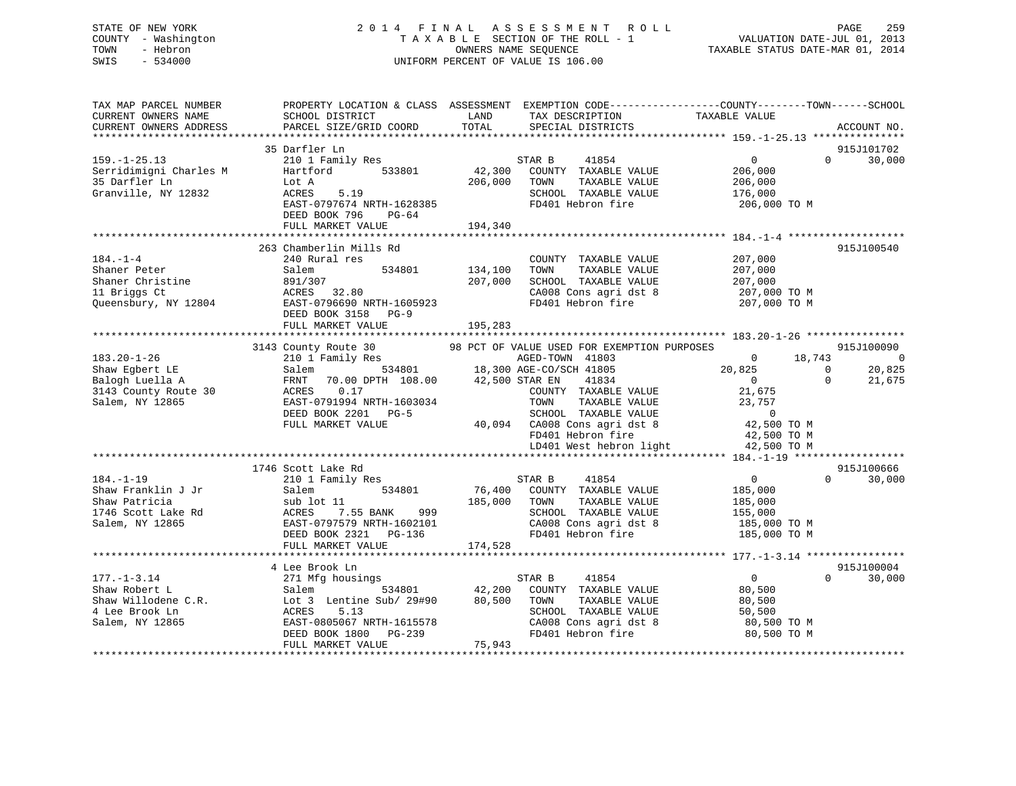# STATE OF NEW YORK 2 0 1 4 F I N A L A S S E S S M E N T R O L L PAGE 259 COUNTY - Washington T A X A B L E SECTION OF THE ROLL - 1 VALUATION DATE-JUL 01, 2013 TOWN - Hebron OWNERS NAME SEQUENCE TAXABLE STATUS DATE-MAR 01, 2014 SWIS - 534000 UNIFORM PERCENT OF VALUE IS 106.00

| TAX MAP PARCEL NUMBER<br>CURRENT OWNERS NAME<br>CURRENT OWNERS ADDRESS | SCHOOL DISTRICT<br>PARCEL SIZE/GRID COORD             | LAND<br>TOTAL  | TAX DESCRIPTION<br>SPECIAL DISTRICTS        | PROPERTY LOCATION & CLASS ASSESSMENT EXEMPTION CODE----------------COUNTY-------TOWN-----SCHOOL<br>TAXABLE VALUE | ACCOUNT NO.    |
|------------------------------------------------------------------------|-------------------------------------------------------|----------------|---------------------------------------------|------------------------------------------------------------------------------------------------------------------|----------------|
|                                                                        | 35 Darfler Ln                                         |                |                                             |                                                                                                                  | 915J101702     |
| $159. - 1 - 25.13$                                                     |                                                       |                | 41854<br>STAR B                             | $\overline{0}$<br>$\Omega$                                                                                       |                |
|                                                                        | 210 1 Family Res<br>Hartford<br>533801                | 42,300         | COUNTY TAXABLE VALUE                        | 206,000                                                                                                          | 30,000         |
| Serridimigni Charles M<br>35 Darfler Ln                                |                                                       | 206,000        | TOWN<br>TAXABLE VALUE                       | 206,000                                                                                                          |                |
| Granville, NY 12832                                                    | Lot A<br>ACRES<br>5.19                                |                | SCHOOL TAXABLE VALUE                        |                                                                                                                  |                |
|                                                                        |                                                       |                | FD401 Hebron fire                           | 176,000                                                                                                          |                |
|                                                                        | EAST-0797674 NRTH-1628385<br>DEED BOOK 796<br>$PG-64$ |                |                                             | 206,000 ТО М                                                                                                     |                |
|                                                                        | FULL MARKET VALUE                                     | 194,340        |                                             |                                                                                                                  |                |
|                                                                        |                                                       |                |                                             |                                                                                                                  |                |
|                                                                        | 263 Chamberlin Mills Rd                               |                |                                             |                                                                                                                  | 915J100540     |
| $184. - 1 - 4$                                                         | 240 Rural res                                         |                | COUNTY TAXABLE VALUE                        | 207,000                                                                                                          |                |
| Shaner Peter                                                           | Salem<br>534801                                       | 134,100        | TOWN<br>TAXABLE VALUE                       | 207,000                                                                                                          |                |
| Shaner Christine                                                       | 891/307                                               | 207,000        | SCHOOL TAXABLE VALUE                        | 207,000                                                                                                          |                |
| 11 Briggs Ct                                                           | 32.80<br>ACRES                                        |                | CA008 Cons agri dst 8                       | 207,000 TO M                                                                                                     |                |
| Queensbury, NY 12804                                                   | EAST-0796690 NRTH-1605923                             |                | FD401 Hebron fire                           | 207,000 TO M                                                                                                     |                |
|                                                                        | DEED BOOK 3158 PG-9                                   |                |                                             |                                                                                                                  |                |
|                                                                        | FULL MARKET VALUE                                     | 195,283        |                                             |                                                                                                                  |                |
|                                                                        |                                                       |                |                                             |                                                                                                                  |                |
|                                                                        | 3143 County Route 30                                  |                | 98 PCT OF VALUE USED FOR EXEMPTION PURPOSES |                                                                                                                  | 915J100090     |
| $183.20 - 1 - 26$                                                      | 210 1 Family Res                                      |                | AGED-TOWN 41803                             | $\Omega$<br>18,743                                                                                               | $\overline{0}$ |
| Shaw Egbert LE                                                         | 534801<br>Salem                                       |                | 18,300 AGE-CO/SCH 41805                     | 20,825<br>$\mathbf 0$                                                                                            | 20,825         |
| Balogh Luella A                                                        | 70.00 DPTH 108.00<br>FRNT                             | 42,500 STAR EN | 41834                                       | $\Omega$<br>$\Omega$                                                                                             | 21,675         |
| 3143 County Route 30                                                   | 0.17<br>ACRES                                         |                | COUNTY TAXABLE VALUE                        | 21,675                                                                                                           |                |
| Salem, NY 12865                                                        | EAST-0791994 NRTH-1603034                             |                | TOWN<br>TAXABLE VALUE                       | 23,757                                                                                                           |                |
|                                                                        | DEED BOOK 2201 PG-5                                   |                | SCHOOL TAXABLE VALUE                        | $\overline{0}$                                                                                                   |                |
|                                                                        | FULL MARKET VALUE                                     |                | 40,094 CA008 Cons agri dst 8                | 42,500 TO M                                                                                                      |                |
|                                                                        |                                                       |                | FD401 Hebron fire                           | 42,500 TO M                                                                                                      |                |
|                                                                        |                                                       |                | LD401 West hebron light                     | 42,500 TO M                                                                                                      |                |
|                                                                        |                                                       |                |                                             |                                                                                                                  |                |
|                                                                        | 1746 Scott Lake Rd                                    |                |                                             |                                                                                                                  | 915J100666     |
| $184. - 1 - 19$                                                        | 210 1 Family Res                                      |                | 41854<br>STAR B                             | $\Omega$<br>$\Omega$                                                                                             | 30,000         |
| Shaw Franklin J Jr                                                     | 534801<br>Salem                                       | 76,400         | COUNTY TAXABLE VALUE                        | 185,000                                                                                                          |                |
| Shaw Patricia                                                          | sub lot 11                                            | 185,000        | TAXABLE VALUE<br>TOWN                       | 185,000                                                                                                          |                |
| 1746 Scott Lake Rd                                                     | 7.55 BANK<br>999<br>ACRES                             |                | SCHOOL TAXABLE VALUE                        | 155,000                                                                                                          |                |
| Salem, NY 12865                                                        | EAST-0797579 NRTH-1602101                             |                | CA008 Cons agri dst 8                       | 185,000 TO M                                                                                                     |                |
|                                                                        | DEED BOOK 2321 PG-136                                 |                | FD401 Hebron fire                           | 185,000 TO M                                                                                                     |                |
|                                                                        | FULL MARKET VALUE                                     | 174,528        |                                             |                                                                                                                  |                |
|                                                                        |                                                       |                |                                             |                                                                                                                  |                |
|                                                                        | 4 Lee Brook Ln                                        |                |                                             |                                                                                                                  | 915J100004     |
| $177. - 1 - 3.14$                                                      | 271 Mfg housings                                      |                | STAR B<br>41854                             | $\overline{0}$<br>$\Omega$                                                                                       | 30,000         |
| Shaw Robert L                                                          | 534801<br>Salem                                       | 42,200         | COUNTY TAXABLE VALUE                        | 80,500                                                                                                           |                |
| Shaw Willodene C.R.                                                    | Lot 3 Lentine Sub/ 29#90                              | 80,500         | TAXABLE VALUE<br>TOWN                       | 80,500                                                                                                           |                |
| 4 Lee Brook Ln                                                         | ACRES<br>5.13                                         |                | SCHOOL TAXABLE VALUE                        | 50,500                                                                                                           |                |
| Salem, NY 12865                                                        | EAST-0805067 NRTH-1615578                             |                | CA008 Cons agri dst 8                       | 80,500 TO M                                                                                                      |                |
|                                                                        | DEED BOOK 1800<br>PG-239                              |                | FD401 Hebron fire                           | 80,500 TO M                                                                                                      |                |
|                                                                        | FULL MARKET VALUE                                     | 75,943         |                                             |                                                                                                                  |                |
|                                                                        |                                                       |                |                                             |                                                                                                                  |                |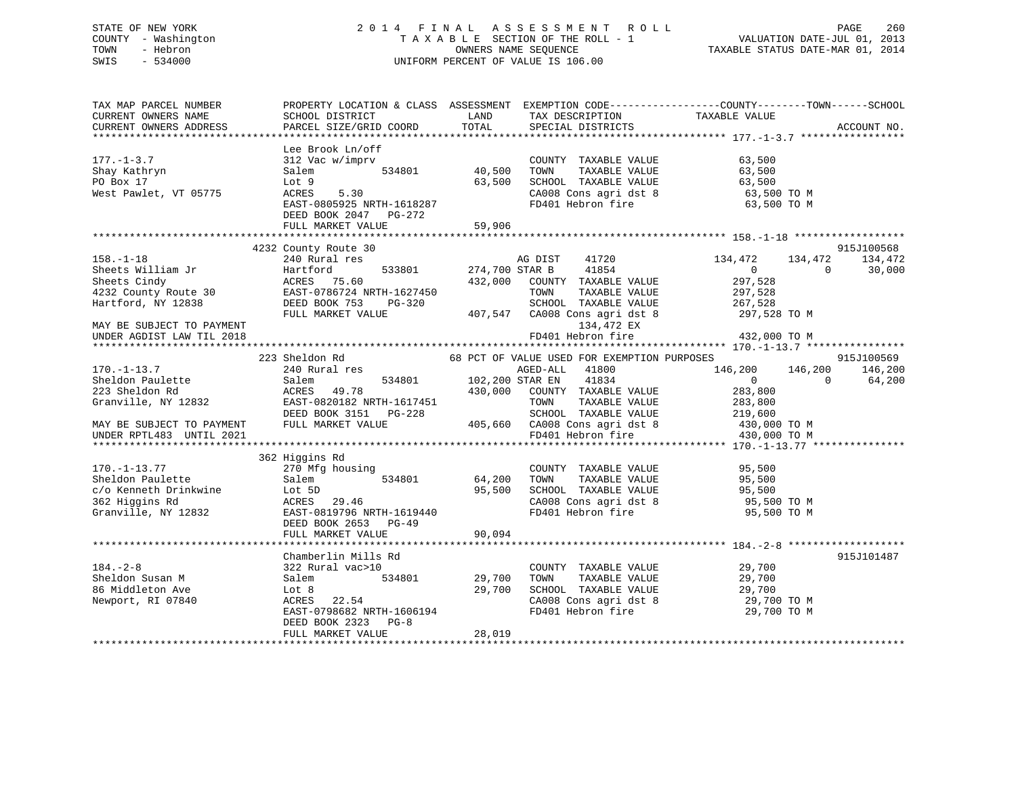# STATE OF NEW YORK 2 0 1 4 F I N A L A S S E S S M E N T R O L L PAGE 260 COUNTY - Washington T A X A B L E SECTION OF THE ROLL - 1 VALUATION DATE-JUL 01, 2013 TOWN - Hebron **CONNERS NAME SEQUENCE** TAXABLE STATUS DATE-MAR 01, 2014 SWIS - 534000 UNIFORM PERCENT OF VALUE IS 106.00

| TAX MAP PARCEL NUMBER<br>CURRENT OWNERS NAME<br>CURRENT OWNERS ADDRESS                                                                | SCHOOL DISTRICT<br>PARCEL SIZE/GRID COORD                                                                                                                                                                                                                                                       | LAND<br>TOTAL                     | TAX DESCRIPTION TAXABLE VALUE SPECIAL DISTRICTS                                                                                                                              | PROPERTY LOCATION & CLASS ASSESSMENT EXEMPTION CODE----------------COUNTY-------TOWN-----SCHOOL                                                                      | ACCOUNT NO.                     |
|---------------------------------------------------------------------------------------------------------------------------------------|-------------------------------------------------------------------------------------------------------------------------------------------------------------------------------------------------------------------------------------------------------------------------------------------------|-----------------------------------|------------------------------------------------------------------------------------------------------------------------------------------------------------------------------|----------------------------------------------------------------------------------------------------------------------------------------------------------------------|---------------------------------|
| $177. - 1 - 3.7$<br>Shay Kathryn<br>PO Box 17<br>West Pawlet, VT 05775                                                                | Lee Brook Ln/off<br>312 Vac w/imprv<br>Salem<br>Lot 9<br>ACRES<br>5.30<br>EAST-0805925 NRTH-1618287<br>DEED BOOK 2047 PG-272<br>FULL MARKET VALUE                                                                                                                                               | 534801 40,500<br>63,500<br>59,906 | COUNTY TAXABLE VALUE<br>TOWN<br>SCHOOL TAXABLE VALUE 63,500<br>CA008 Cons agri dst 8 63,500 TO M<br>FD401 Hebron fire                                                        | 63,500<br>TAXABLE VALUE 63,500<br>63,500 TO M                                                                                                                        |                                 |
|                                                                                                                                       |                                                                                                                                                                                                                                                                                                 |                                   |                                                                                                                                                                              |                                                                                                                                                                      |                                 |
| $158. - 1 - 18$<br>MAY BE SUBJECT TO PAYMENT                                                                                          | 4232 County Route 30<br>e de la construcción de la construcción de la construcción de la construcción de la construcción de la construcción<br>En la construcción de la construcción de la construcción de la construcción de la construcción de la const<br>240 Rural res<br>FULL MARKET VALUE |                                   | AG DIST 41720<br>533801 274,700 STAR B 41854<br>432,000 COUNTY TAXABLE VALUE<br>TOWN<br>TAXABLE VALUE<br>SCHOOL TAXABLE VALUE<br>407,547 CA008 Cons agri dst 8<br>134,472 EX | 134,472<br>134,472<br>$\overline{0}$<br>$\Omega$<br>297,528<br>297,528<br>267,528<br>297,528 TO M                                                                    | 915J100568<br>134,472<br>30,000 |
|                                                                                                                                       |                                                                                                                                                                                                                                                                                                 |                                   |                                                                                                                                                                              |                                                                                                                                                                      |                                 |
|                                                                                                                                       |                                                                                                                                                                                                                                                                                                 |                                   |                                                                                                                                                                              |                                                                                                                                                                      |                                 |
| $170. - 1 - 13.7$<br>Sheldon Paulette<br>223 Sheldon Rd<br>Granville, NY 12832                                                        | 223 Sheldon Rd 68 PCT OF VALUE USED FOR EXEMPTION PURPOSES<br>240 Rural res<br>Salem<br>ACRES 49.78<br>EAST-0820182 NRTH-1617451<br>DEED BOOK 3151 PG-228                                                                                                                                       |                                   | AGED-ALL 41800<br>al res<br>$534801$ $102,200$ STAR EN $41834$<br>$49.78$ $430,000$ COUNTY TAXABLE VALUE<br>TOWN<br>TAXABLE VALUE                                            | 146,200<br>146,200<br>$\overline{0}$<br>$\Omega$<br>283,800<br>283,800<br>SCHOOL TAXABLE VALUE<br>SCHOOL TAXABLE VALUE 219,600<br>21008 Cons agri dst 8 430,000 TO M | 915J100569<br>146,200<br>64,200 |
| MAY BE SUBJECT TO PAYMENT                                                                                                             | FULL MARKET VALUE                                                                                                                                                                                                                                                                               |                                   | 405,660 CA008 Cons agri dst 8<br>FD401 Hebron fire                                                                                                                           |                                                                                                                                                                      |                                 |
| UNDER RPTL483 UNTIL 2021                                                                                                              |                                                                                                                                                                                                                                                                                                 |                                   |                                                                                                                                                                              | 430,000 TO M                                                                                                                                                         |                                 |
|                                                                                                                                       |                                                                                                                                                                                                                                                                                                 |                                   |                                                                                                                                                                              |                                                                                                                                                                      |                                 |
| $170. - 1 - 13.77$<br>Sheldon Paulette<br>c/o Kenneth Drinkwine<br>362 Higgins Rd<br>Granville, NY 12832<br>EAST-0819796 DRTH-1619440 | 362 Higgins Rd<br>270 Mfg housing<br>DEED BOOK 2653 PG-49<br>FULL MARKET VALUE                                                                                                                                                                                                                  | 534801 64,200<br>95,500<br>90,094 | COUNTY TAXABLE VALUE<br>TOWN<br>FD401 Hebron fire                                                                                                                            | 95,500<br>TAXABLE VALUE 95,500<br>TAXABLE VALUE 95,500<br>SCHOOL TAXABLE VALUE 95,500<br>CA008 Cons agri dst 8 95,500 TO M<br>95,500 TO M                            |                                 |
|                                                                                                                                       |                                                                                                                                                                                                                                                                                                 |                                   |                                                                                                                                                                              |                                                                                                                                                                      |                                 |
| $184. - 2 - 8$<br>Sheldon Susan M<br>86 Middleton Ave<br>Newport, RI 07840                                                            | Chamberlin Mills Rd<br>322 Rural vac>10<br>Salem<br>534801<br>Lot 8<br>ACRES 22.54<br>EAST-0798682 NRTH-1606194<br>DEED BOOK 2323 PG-8                                                                                                                                                          | रेव<br>२४८०1 29,700<br>29,700     | COUNTY TAXABLE VALUE<br>TOWN TAXABLE VALUE 29,700<br>SCHOOL TAXABLE VALUE<br>CA008 Cons agri dst 8<br>FD401 Hebron fire                                                      | 29,700<br>29,700 то м<br>29,700 TO M                                                                                                                                 | 915J101487                      |
|                                                                                                                                       | FULL MARKET VALUE                                                                                                                                                                                                                                                                               | 28,019                            |                                                                                                                                                                              |                                                                                                                                                                      |                                 |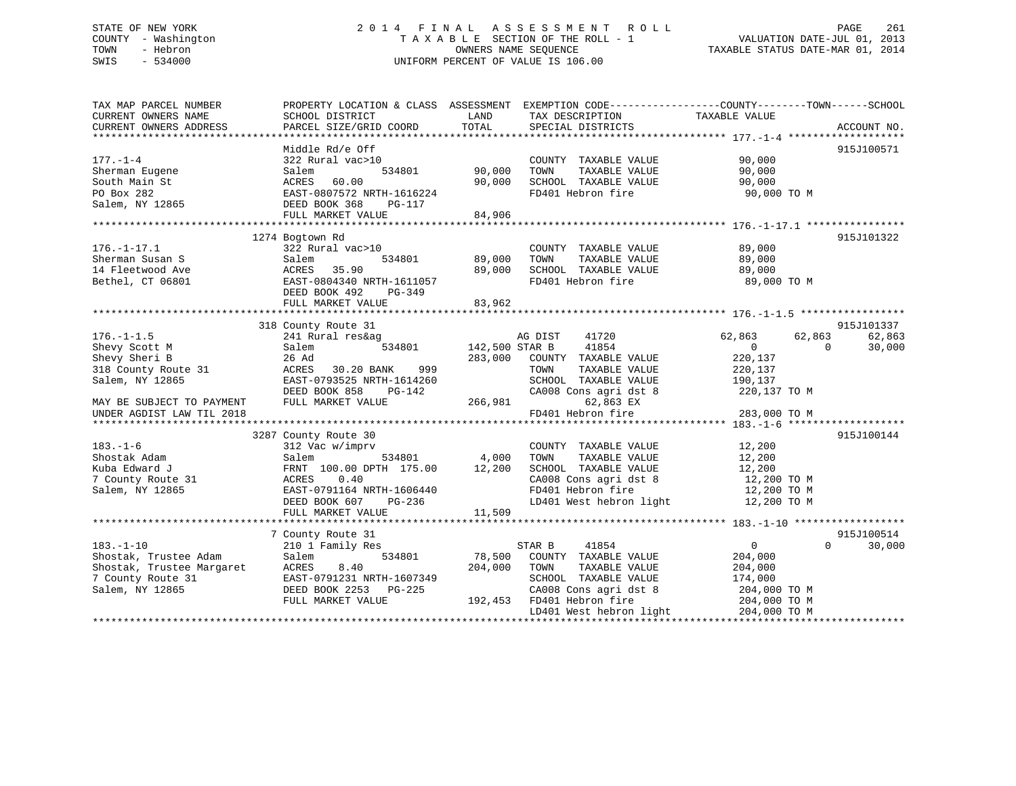# STATE OF NEW YORK 2 0 1 4 F I N A L A S S E S S M E N T R O L L PAGE 261 COUNTY - Washington T A X A B L E SECTION OF THE ROLL - 1 VALUATION DATE-JUL 01, 2013 TOWN - Hebron **CONNERS NAME SEQUENCE** TAXABLE STATUS DATE-MAR 01, 2014 SWIS - 534000 UNIFORM PERCENT OF VALUE IS 106.00

| TAX MAP PARCEL NUMBER                          |                                           |                |                                      | PROPERTY LOCATION & CLASS ASSESSMENT EXEMPTION CODE---------------COUNTY-------TOWN------SCHOOL |             |
|------------------------------------------------|-------------------------------------------|----------------|--------------------------------------|-------------------------------------------------------------------------------------------------|-------------|
| CURRENT OWNERS NAME<br>CURRENT OWNERS ADDRESS  | SCHOOL DISTRICT<br>PARCEL SIZE/GRID COORD | LAND<br>TOTAL  | TAX DESCRIPTION<br>SPECIAL DISTRICTS | TAXABLE VALUE                                                                                   | ACCOUNT NO. |
|                                                |                                           |                |                                      |                                                                                                 |             |
|                                                | Middle Rd/e Off                           |                |                                      |                                                                                                 | 915J100571  |
| $177. - 1 - 4$                                 | 322 Rural vac>10                          |                | COUNTY TAXABLE VALUE                 | 90,000                                                                                          |             |
| Sherman Eugene                                 | 534801<br>Salem                           | 90,000         | TOWN<br>TAXABLE VALUE                | 90,000                                                                                          |             |
| South Main St                                  | ACRES<br>60.00                            | 90,000         | SCHOOL TAXABLE VALUE                 | 90,000                                                                                          |             |
| PO Box 282                                     | EAST-0807572 NRTH-1616224                 |                | FD401 Hebron fire                    | 90,000 TO M                                                                                     |             |
| Salem, NY 12865                                | DEED BOOK 368<br>PG-117                   |                |                                      |                                                                                                 |             |
|                                                | FULL MARKET VALUE                         | 84,906         |                                      |                                                                                                 |             |
|                                                | 1274 Bogtown Rd                           |                |                                      |                                                                                                 | 915J101322  |
| $176. - 1 - 17.1$                              | 322 Rural vac>10                          |                | COUNTY TAXABLE VALUE                 | 89,000                                                                                          |             |
| Sherman Susan S                                | Salem<br>534801                           | 89,000         | TAXABLE VALUE<br>TOWN                | 89,000                                                                                          |             |
| 14 Fleetwood Ave                               | ACRES 35.90                               | 89,000         | SCHOOL TAXABLE VALUE                 | 89,000                                                                                          |             |
| Bethel, CT 06801                               | EAST-0804340 NRTH-1611057                 |                | FD401 Hebron fire                    | 89,000 TO M                                                                                     |             |
|                                                | DEED BOOK 492<br>PG-349                   |                |                                      |                                                                                                 |             |
|                                                | FULL MARKET VALUE                         | 83,962         |                                      |                                                                                                 |             |
|                                                |                                           |                |                                      |                                                                                                 |             |
|                                                | 318 County Route 31                       |                |                                      |                                                                                                 | 915J101337  |
| $176. - 1 - 1.5$                               | 241 Rural res&ag                          |                | AG DIST<br>41720                     | 62,863<br>62,863                                                                                | 62,863      |
| Shevy Scott M                                  | 534801<br>Salem                           | 142,500 STAR B | 41854                                | $\overline{0}$<br>$\Omega$                                                                      | 30,000      |
| Shevy Sheri B                                  | 26 Ad                                     | 283,000        | COUNTY TAXABLE VALUE                 | 220,137                                                                                         |             |
| 318 County Route 31                            | ACRES<br>30.20 BANK<br>999                |                | TOWN<br>TAXABLE VALUE                | 220,137                                                                                         |             |
| Salem, NY 12865                                | EAST-0793525 NRTH-1614260                 |                | SCHOOL TAXABLE VALUE                 | 190,137                                                                                         |             |
|                                                | DEED BOOK 858<br>PG-142                   |                | CA008 Cons agri dst 8                | 220,137 TO M                                                                                    |             |
| MAY BE SUBJECT TO PAYMENT                      | FULL MARKET VALUE                         | 266,981        | 62,863 EX                            |                                                                                                 |             |
| UNDER AGDIST LAW TIL 2018                      |                                           |                | FD401 Hebron fire                    | 283,000 TO M                                                                                    |             |
|                                                | 3287 County Route 30                      |                |                                      |                                                                                                 | 915J100144  |
| $183. - 1 - 6$                                 | 312 Vac w/imprv                           |                | COUNTY TAXABLE VALUE                 | 12,200                                                                                          |             |
| Shostak Adam                                   | 534801<br>Salem                           | 4,000          | TAXABLE VALUE<br>TOWN                | 12,200                                                                                          |             |
| Kuba Edward J                                  | FRNT 100.00 DPTH 175.00                   | 12,200         | SCHOOL TAXABLE VALUE                 | 12,200                                                                                          |             |
| 7 County Route 31                              | 0.40<br>ACRES                             |                | CA008 Cons agri dst 8                | 12,200 TO M                                                                                     |             |
| Salem, NY 12865                                | EAST-0791164 NRTH-1606440                 |                | FD401 Hebron fire                    | 12,200 TO M                                                                                     |             |
|                                                | PG-236<br>DEED BOOK 607                   |                | LD401 West hebron light              | 12,200 TO M                                                                                     |             |
|                                                | FULL MARKET VALUE                         | 11,509         |                                      |                                                                                                 |             |
|                                                |                                           |                |                                      |                                                                                                 |             |
|                                                | 7 County Route 31                         |                |                                      |                                                                                                 | 915J100514  |
| $183. - 1 - 10$                                | 210 1 Family Res                          |                | 41854<br>STAR B                      | $\overline{0}$<br>$\Omega$                                                                      | 30,000      |
| Shostak, Trustee Adam                          | 534801<br>Salem                           | 78,500         | COUNTY TAXABLE VALUE                 | 204,000                                                                                         |             |
| Shostak, Trustee Margaret<br>7 County Route 31 | ACRES<br>8.40                             | 204,000        | TOWN<br>TAXABLE VALUE                | 204,000                                                                                         |             |
| 7 County Route 31                              | EAST-0791231 NRTH-1607349                 |                | SCHOOL TAXABLE VALUE                 | 174,000                                                                                         |             |
| Salem, NY 12865                                | DEED BOOK 2253 PG-225                     |                | CA008 Cons agri dst 8                | 204,000 TO M                                                                                    |             |
|                                                | FULL MARKET VALUE                         | 192,453        | FD401 Hebron fire                    | 204,000 TO M                                                                                    |             |
|                                                |                                           |                | LD401 West hebron light              | 204,000 TO M                                                                                    |             |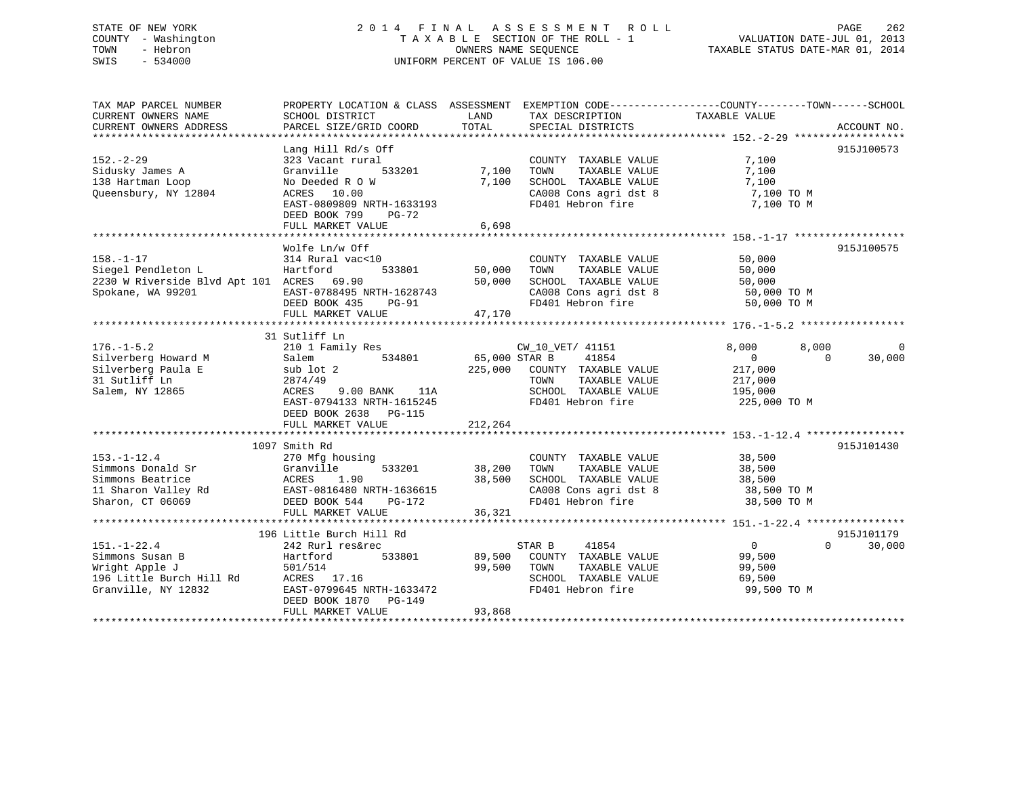# STATE OF NEW YORK 2 0 1 4 F I N A L A S S E S S M E N T R O L L PAGE 262 COUNTY - Washington T A X A B L E SECTION OF THE ROLL - 1 VALUATION DATE-JUL 01, 2013 TOWN - Hebron OWNERS NAME SEQUENCE TAXABLE STATUS DATE-MAR 01, 2014 SWIS - 534000 UNIFORM PERCENT OF VALUE IS 106.00

| TAX MAP PARCEL NUMBER<br>CURRENT OWNERS NAME<br>CURRENT OWNERS ADDRESS                                                                            | PROPERTY LOCATION & CLASS ASSESSMENT EXEMPTION CODE---------------COUNTY-------TOWN-----SCHOOL<br>SCHOOL DISTRICT<br>PARCEL SIZE/GRID COORD                                                     | LAND<br>TOTAL              | TAX DESCRIPTION<br>SPECIAL DISTRICTS                                                                                                               | TAXABLE VALUE                                                                      | ACCOUNT NO.                      |
|---------------------------------------------------------------------------------------------------------------------------------------------------|-------------------------------------------------------------------------------------------------------------------------------------------------------------------------------------------------|----------------------------|----------------------------------------------------------------------------------------------------------------------------------------------------|------------------------------------------------------------------------------------|----------------------------------|
| $152 - 2 - 29$<br>Sidusky James A<br>138 Hartman Loop<br>Queensbury, NY 12804                                                                     | Lang Hill Rd/s Off<br>323 Vacant rural<br>533201<br>Granville<br>No Deeded R O W<br>ACRES 10.00<br>EAST-0809809 NRTH-1633193<br>DEED BOOK 799<br>$PG-72$<br>FULL MARKET VALUE                   | 7,100<br>7,100<br>6,698    | COUNTY TAXABLE VALUE<br>TOWN<br>TAXABLE VALUE<br>SCHOOL TAXABLE VALUE<br>CA008 Cons agri dst 8<br>FD401 Hebron fire                                | 7,100<br>7,100<br>7,100<br>7,100 TO M<br>7,100 TO M                                | 915J100573                       |
| $158. - 1 - 17$<br>Siegel Pendleton L<br>2230 W Riverside Blvd Apt 101 ACRES 69.90<br>Spokane, WA 99201                                           | Wolfe Ln/w Off<br>314 Rural vac<10<br>533801<br>Hartford<br>EAST-0788495 NRTH-1628743<br>DEED BOOK 435<br>$PG-91$<br>FULL MARKET VALUE                                                          | 50,000<br>50,000<br>47,170 | COUNTY TAXABLE VALUE<br>TOWN<br>TAXABLE VALUE<br>SCHOOL TAXABLE VALUE<br>CA008 Cons agri dst 8 50,000 TO M<br>FD401 Hebron fire 50,000 TO M        | 50,000<br>50,000                                                                   | 915J100575                       |
| $176. - 1 - 5.2$<br>Silverberg Howard M<br>Silverberg Paula E<br>31 Sutliff Ln<br>Salem, NY 12865                                                 | 31 Sutliff Ln<br>210 1 Family Res<br>534801 65,000 STAR B<br>Salem<br>sub lot 2<br>2874/49<br>9.00 BANK 11A<br>ACRES<br>EAST-0794133 NRTH-1615245<br>DEED BOOK 2638 PG-115<br>FULL MARKET VALUE | 212,264                    | CW_10_VET/ 41151<br>41854<br>225,000 COUNTY TAXABLE VALUE<br>TOWN<br>TAXABLE VALUE<br>SCHOOL TAXABLE VALUE 195,000<br>FD401 Hebron fire            | 8,000<br>8,000<br>$\overline{0}$<br>$\Omega$<br>217,000<br>217,000<br>225,000 TO M | $\Omega$<br>30,000               |
| $153. - 1 - 12.4$<br>Simmons Donald Sr<br>Simmons Beatrice<br>Simmons Beatrice<br>11 Sharon Valley Rd<br>Sharon, CT 06069<br>DEED BOOK 544 PG-172 | 1097 Smith Rd<br>270 Mfg housing<br>533201<br>Granville<br>ACRES 1.90<br>FULL MARKET VALUE                                                                                                      | 38,200<br>38,500<br>36,321 | COUNTY TAXABLE VALUE<br>TAXABLE VALUE<br>TOWN<br>SCHOOL TAXABLE VALUE 38,500<br>CA008 Cons agri dst 8 38,500 TO M<br>FD401 Hebron fire 38,500 TO M | 38,500<br>38,500                                                                   | 915J101430                       |
| $151. - 1 - 22.4$<br>Simmons Susan B<br>Wright Apple J<br>196 Little Burch Hill Rd<br>Granville, NY 12832                                         | 196 Little Burch Hill Rd<br>242 Rurl res&rec<br>533801<br>Hartford<br>501/514<br>ACRES 17.16<br>EAST-0799645 NRTH-1633472<br>DEED BOOK 1870 PG-149<br>FULL MARKET VALUE                         | 99,500<br>93,868           | STAR B<br>41854<br>89,500 COUNTY TAXABLE VALUE<br>TOWN<br>TAXABLE VALUE<br>SCHOOL TAXABLE VALUE<br>FD401 Hebron fire                               | $\overline{0}$<br>99,500<br>99,500<br>69,500<br>99,500 TO M                        | 915J101179<br>$\Omega$<br>30,000 |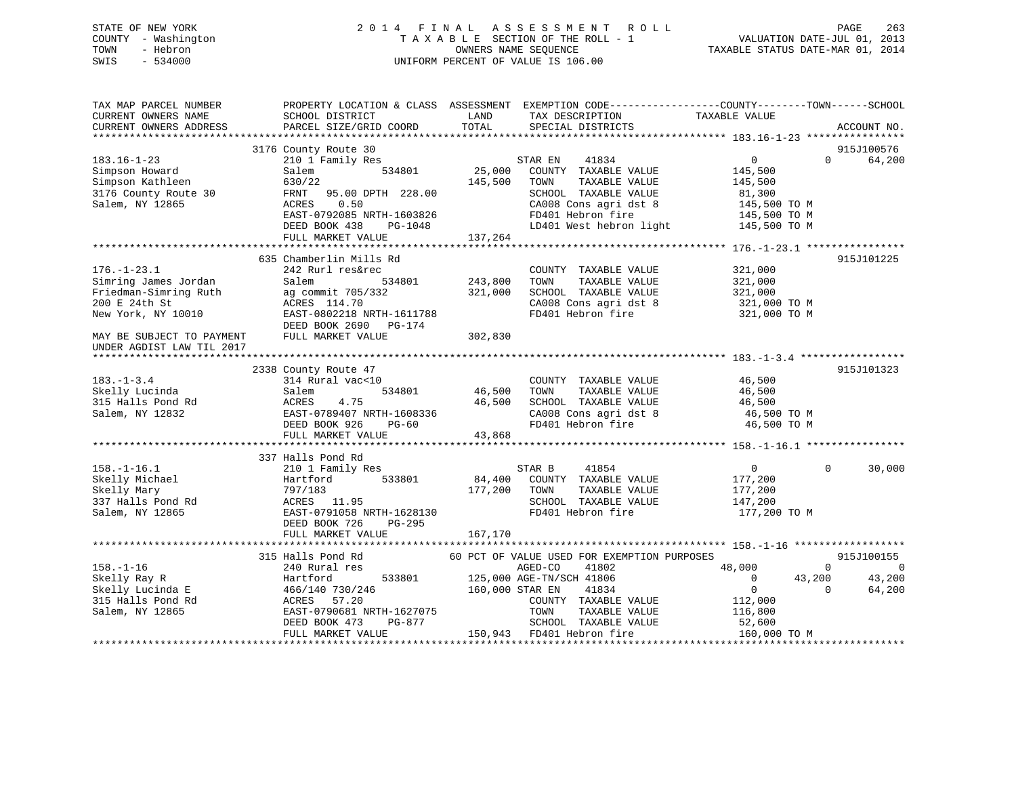# STATE OF NEW YORK 2 0 1 4 F I N A L A S S E S S M E N T R O L L PAGE 263 COUNTY - Washington T A X A B L E SECTION OF THE ROLL - 1 VALUATION DATE-JUL 01, 2013 TOWN - Hebron OWNERS NAME SEQUENCE TAXABLE STATUS DATE-MAR 01, 2014 SWIS - 534000 UNIFORM PERCENT OF VALUE IS 106.00

| TAX MAP PARCEL NUMBER<br>CURRENT OWNERS NAME<br>CURRENT OWNERS ADDRESS                                    | PROPERTY LOCATION & CLASS ASSESSMENT EXEMPTION CODE---------------COUNTY-------TOWN-----SCHOOL<br>SCHOOL DISTRICT<br>PARCEL SIZE/GRID COORD | LAND<br>TOTAL      | TAX DESCRIPTION<br>SPECIAL DISTRICTS                                                                                | TAXABLE VALUE                                                 |          | ACCOUNT NO.          |
|-----------------------------------------------------------------------------------------------------------|---------------------------------------------------------------------------------------------------------------------------------------------|--------------------|---------------------------------------------------------------------------------------------------------------------|---------------------------------------------------------------|----------|----------------------|
|                                                                                                           |                                                                                                                                             |                    |                                                                                                                     |                                                               |          |                      |
| $183.16 - 1 - 23$<br>Simpson Howard                                                                       | 3176 County Route 30<br>210 1 Family Res<br>534801<br>Salem                                                                                 | 25,000             | 41834<br>STAR EN<br>COUNTY TAXABLE VALUE                                                                            | $\overline{0}$<br>145,500                                     | $\Omega$ | 915J100576<br>64,200 |
| Simpson Kathleen<br>3176 County Route 30<br>Salem, NY 12865                                               | 630/22<br>95.00 DPTH 228.00<br>FRNT<br>ACRES<br>0.50                                                                                        | 145,500            | TOWN<br>TAXABLE VALUE<br>SCHOOL TAXABLE VALUE<br>CA008 Cons agri dst 8                                              | 145,500<br>81,300<br>145,500 TO M                             |          |                      |
|                                                                                                           | EAST-0792085 NRTH-1603826<br>DEED BOOK 438<br>PG-1048<br>FULL MARKET VALUE                                                                  | 137,264            | FD401 Hebron fire<br>LD401 West hebron light                                                                        | 145,500 TO M<br>145,500 TO M                                  |          |                      |
|                                                                                                           |                                                                                                                                             |                    |                                                                                                                     |                                                               |          |                      |
|                                                                                                           | 635 Chamberlin Mills Rd                                                                                                                     |                    |                                                                                                                     |                                                               |          | 915J101225           |
| $176. - 1 - 23.1$<br>Simring James Jordan<br>Friedman-Simring Ruth<br>200 E 24th St<br>New York, NY 10010 | 242 Rurl res&rec<br>Salem<br>534801<br>ag commit 705/332<br>ACRES 114.70<br>EAST-0802218 NRTH-1611788<br>DEED BOOK 2690 PG-174              | 243,800<br>321,000 | COUNTY TAXABLE VALUE<br>TOWN<br>TAXABLE VALUE<br>SCHOOL TAXABLE VALUE<br>CA008 Cons agri dst 8<br>FD401 Hebron fire | 321,000<br>321,000<br>321,000<br>321,000 TO M<br>321,000 TO M |          |                      |
| MAY BE SUBJECT TO PAYMENT<br>UNDER AGDIST LAW TIL 2017                                                    | FULL MARKET VALUE                                                                                                                           | 302,830            |                                                                                                                     |                                                               |          |                      |
|                                                                                                           |                                                                                                                                             |                    |                                                                                                                     |                                                               |          |                      |
| $183. - 1 - 3.4$                                                                                          | 2338 County Route 47<br>314 Rural vac<10                                                                                                    |                    | COUNTY TAXABLE VALUE                                                                                                | 46,500                                                        |          | 915J101323           |
| Skelly Lucinda                                                                                            | 534801<br>Salem                                                                                                                             | 46,500             | TOWN<br>TAXABLE VALUE                                                                                               | 46,500                                                        |          |                      |
| 315 Halls Pond Rd                                                                                         | 4.75<br>ACRES                                                                                                                               | 46,500             | SCHOOL TAXABLE VALUE                                                                                                | 46,500                                                        |          |                      |
| Salem, NY 12832                                                                                           | EAST-0789407 NRTH-1608336<br>DEED BOOK 926<br>$PG-60$                                                                                       |                    | CA008 Cons agri dst 8<br>FD401 Hebron fire                                                                          | 46,500 TO M<br>46,500 TO M                                    |          |                      |
|                                                                                                           | FULL MARKET VALUE                                                                                                                           | 43,868             |                                                                                                                     |                                                               |          |                      |
|                                                                                                           | 337 Halls Pond Rd                                                                                                                           |                    |                                                                                                                     |                                                               |          |                      |
| $158. - 1 - 16.1$                                                                                         | 210 1 Family Res                                                                                                                            |                    | STAR B<br>41854                                                                                                     | $\overline{0}$                                                | $\Omega$ | 30,000               |
| Skelly Michael                                                                                            | 533801<br>Hartford                                                                                                                          | 84,400             | COUNTY TAXABLE VALUE                                                                                                | 177,200                                                       |          |                      |
| Skelly Mary                                                                                               | 797/183                                                                                                                                     | 177,200            | TOWN<br>TAXABLE VALUE                                                                                               | 177,200                                                       |          |                      |
| 337 Halls Pond Rd                                                                                         | ACRES 11.95                                                                                                                                 |                    | SCHOOL TAXABLE VALUE                                                                                                | 147,200                                                       |          |                      |
| Salem, NY 12865                                                                                           | EAST-0791058 NRTH-1628130<br>DEED BOOK 726<br>PG-295                                                                                        |                    | FD401 Hebron fire                                                                                                   | 177,200 TO M                                                  |          |                      |
|                                                                                                           | FULL MARKET VALUE                                                                                                                           | 167,170            |                                                                                                                     |                                                               |          |                      |
|                                                                                                           | 315 Halls Pond Rd                                                                                                                           |                    | 60 PCT OF VALUE USED FOR EXEMPTION PURPOSES                                                                         |                                                               |          | 915J100155           |
| $158. - 1 - 16$                                                                                           | 240 Rural res                                                                                                                               |                    | AGED-CO<br>41802                                                                                                    | 48,000                                                        | $\Omega$ | $\Omega$             |
| Skelly Ray R                                                                                              | 533801<br>Hartford                                                                                                                          |                    | 125,000 AGE-TN/SCH 41806                                                                                            | $\overline{0}$                                                | 43,200   | 43,200               |
| Skelly Lucinda E<br>315 Halls Pond Rd                                                                     | 466/140 730/246<br>ACRES<br>57.20                                                                                                           | 160,000 STAR EN    | 41834                                                                                                               | $\overline{0}$                                                | $\Omega$ | 64,200               |
| Salem, NY 12865                                                                                           | EAST-0790681 NRTH-1627075                                                                                                                   |                    | COUNTY TAXABLE VALUE<br>TOWN<br>TAXABLE VALUE                                                                       | 112,000<br>116,800                                            |          |                      |
|                                                                                                           | PG-877<br>DEED BOOK 473                                                                                                                     |                    | SCHOOL TAXABLE VALUE                                                                                                | 52,600                                                        |          |                      |
|                                                                                                           | FULL MARKET VALUE                                                                                                                           |                    | 150,943 FD401 Hebron fire                                                                                           | 160,000 TO M                                                  |          |                      |
|                                                                                                           |                                                                                                                                             |                    |                                                                                                                     |                                                               |          | *******************  |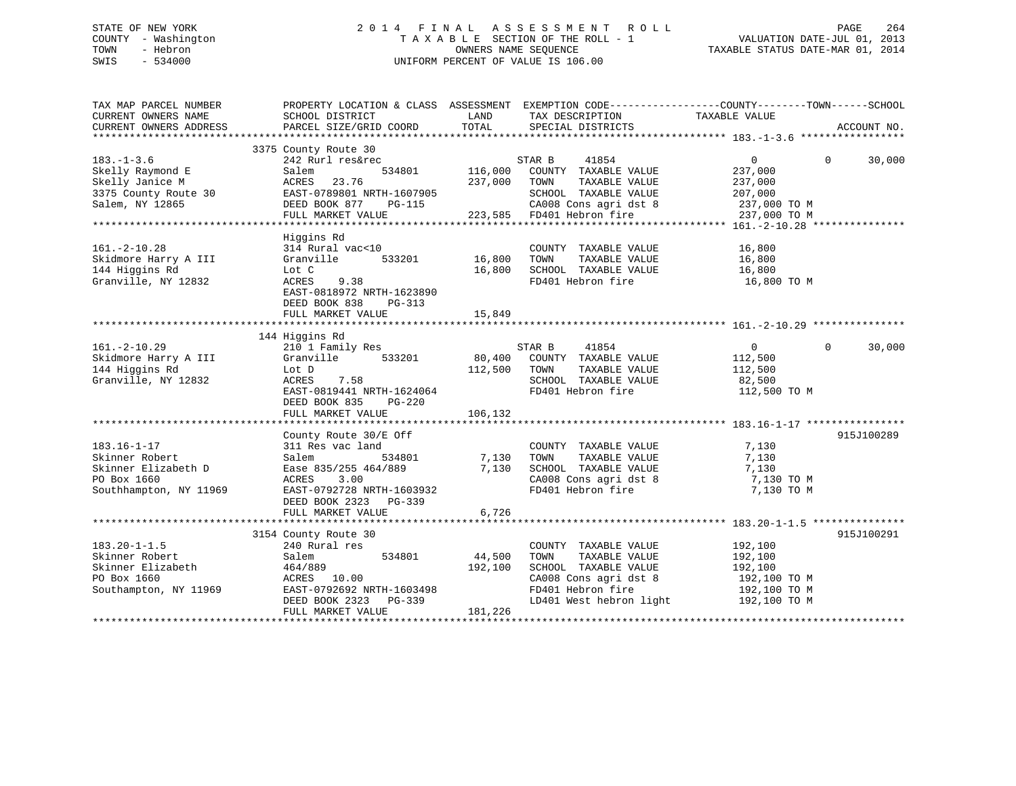# STATE OF NEW YORK 2 0 1 4 F I N A L A S S E S S M E N T R O L L PAGE 264 COUNTY - Washington T A X A B L E SECTION OF THE ROLL - 1 VALUATION DATE-JUL 01, 2013 TOWN - Hebron OWNERS NAME SEQUENCE TAXABLE STATUS DATE-MAR 01, 2014 SWIS - 534000 UNIFORM PERCENT OF VALUE IS 106.00

| TAX MAP PARCEL NUMBER<br>CURRENT OWNERS NAME<br>CURRENT OWNERS ADDRESS                              | PROPERTY LOCATION & CLASS ASSESSMENT EXEMPTION CODE---------------COUNTY-------TOWN-----SCHOOL<br>SCHOOL DISTRICT<br>PARCEL SIZE/GRID COORD                   | LAND<br>TOTAL                | TAX DESCRIPTION<br>SPECIAL DISTRICTS                                                                                                                                                                     | TAXABLE VALUE                                                  | ACCOUNT NO.        |
|-----------------------------------------------------------------------------------------------------|---------------------------------------------------------------------------------------------------------------------------------------------------------------|------------------------------|----------------------------------------------------------------------------------------------------------------------------------------------------------------------------------------------------------|----------------------------------------------------------------|--------------------|
|                                                                                                     |                                                                                                                                                               |                              |                                                                                                                                                                                                          |                                                                |                    |
| $183. - 1 - 3.6$<br>Skelly Raymond E<br>Skelly Janice M<br>3375 County Route 30<br>Salem, NY 12865  | 3375 County Route 30<br>242 Rurl res&rec<br>Salem<br>534801<br>ACRES<br>23.76<br>EAST-0789801 NRTH-1607905<br>DEED BOOK 877<br>PG-115<br>FULL MARKET VALUE    | 116,000<br>237,000           | STAR B<br>41854<br>COUNTY TAXABLE VALUE<br>TOWN<br>TAXABLE VALUE<br>SCHOOL TAXABLE VALUE<br>SCHOOL TAXABLE VALUE 207,000<br>CA008 Cons agri dst 8 237,000 TO M<br>223,585 FD401 Hebron fire 237,000 TO M | $0 \qquad \qquad$<br>237,000<br>237,000<br>207,000             | $\Omega$<br>30,000 |
|                                                                                                     |                                                                                                                                                               |                              |                                                                                                                                                                                                          |                                                                |                    |
| $161. - 2 - 10.28$<br>Skidmore Harry A III<br>144 Higgins Rd<br>Granville, NY 12832                 | Higgins Rd<br>314 Rural vac<10<br>Granville<br>533201<br>Lot C<br>9.38<br>ACRES<br>EAST-0818972 NRTH-1623890<br>DEED BOOK 838<br>PG-313                       | 16,800<br>16,800             | COUNTY TAXABLE VALUE<br>TOWN<br>TAXABLE VALUE<br>SCHOOL TAXABLE VALUE<br>FD401 Hebron fire                                                                                                               | 16,800<br>16,800<br>16,800<br>16,800 TO M                      |                    |
|                                                                                                     |                                                                                                                                                               |                              |                                                                                                                                                                                                          |                                                                |                    |
|                                                                                                     |                                                                                                                                                               |                              |                                                                                                                                                                                                          |                                                                |                    |
| $161. - 2 - 10.29$<br>Skidmore Harry A III<br>144 Higgins Rd<br>Granville, NY 12832                 | 144 Higgins Rd<br>210 1 Family Res<br>Granville<br>533201<br>Lot D<br>ACRES<br>7.58<br>EAST-0819441 NRTH-1624064<br>DEED BOOK 835<br>PG-220                   | 80,400<br>112,500            | 41854<br>STAR B<br>COUNTY TAXABLE VALUE<br>TOWN<br>TAXABLE VALUE<br>SCHOOL TAXABLE VALUE<br>FD401 Hebron fire                                                                                            | $\overline{0}$<br>112,500<br>112,500<br>82,500<br>112,500 TO M | $\Omega$<br>30,000 |
|                                                                                                     |                                                                                                                                                               |                              |                                                                                                                                                                                                          |                                                                |                    |
| $183.16 - 1 - 17$<br>Skinner Robert<br>Skinner Elizabeth D<br>PO Box 1660<br>Southhampton, NY 11969 | County Route 30/E Off<br>311 Res vac land<br>534801<br>Salem<br>Ease 835/255 464/889<br>ACRES<br>3.00<br>EAST-0792728 NRTH-1603932<br>DEED BOOK 2323 PG-339   | 7,130<br>7,130               | COUNTY TAXABLE VALUE<br>TOWN<br>TAXABLE VALUE<br>SCHOOL TAXABLE VALUE<br>CA008 Cons agri dst 8<br>FD401 Hebron fire                                                                                      | 7,130<br>7,130<br>7,130<br>7,130 TO M<br>7,130 TO M            | 915J100289         |
|                                                                                                     | FULL MARKET VALUE                                                                                                                                             | 6,726                        |                                                                                                                                                                                                          |                                                                |                    |
|                                                                                                     |                                                                                                                                                               |                              |                                                                                                                                                                                                          |                                                                |                    |
| $183.20 - 1 - 1.5$<br>Skinner Robert<br>Skinner Elizabeth<br>PO Box 1660<br>Southampton, NY 11969   | 3154 County Route 30<br>240 Rural res<br>534801<br>Salem<br>464/889<br>ACRES 10.00<br>EAST-0792692 NRTH-1603498<br>DEED BOOK 2323 PG-339<br>FULL MARKET VALUE | 44,500<br>192,100<br>181,226 | COUNTY TAXABLE VALUE<br>TOWN<br>TAXABLE VALUE<br>SCHOOL TAXABLE VALUE<br>CA008 Cons agri dst 8<br>FD401 Hebron fire<br>LD401 West hebron light 192,100 TO M                                              | 192,100<br>192,100<br>192,100<br>192,100 TO M<br>192,100 TO M  | 915J100291         |
|                                                                                                     |                                                                                                                                                               |                              |                                                                                                                                                                                                          |                                                                |                    |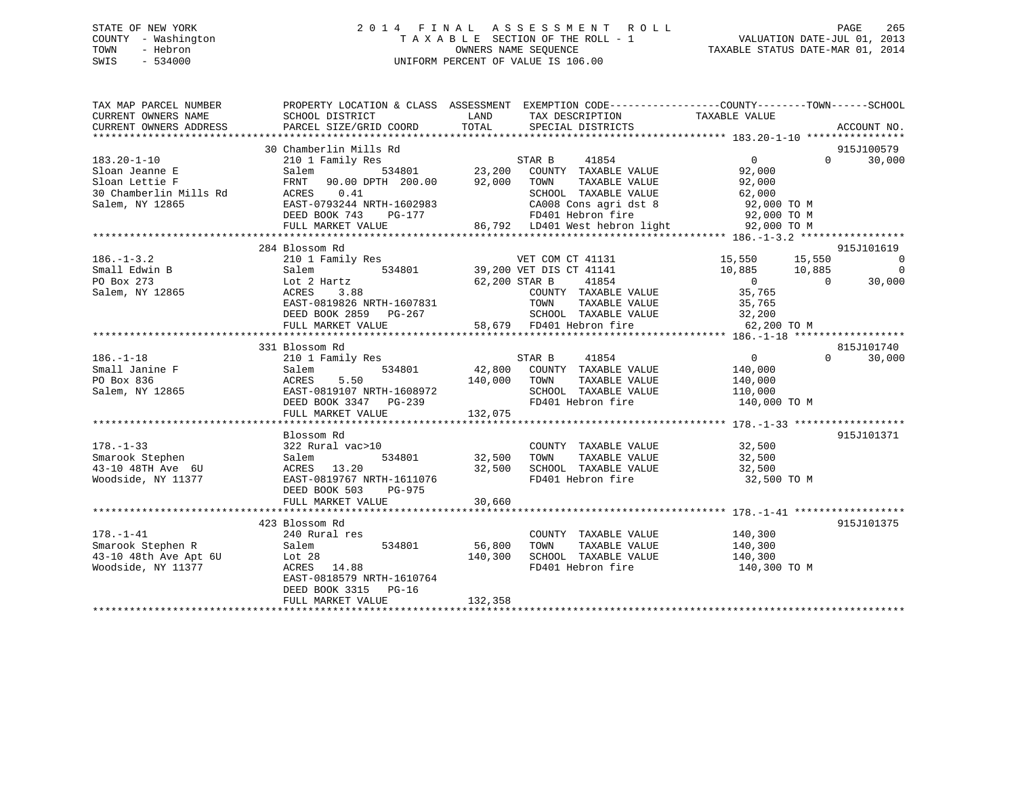# STATE OF NEW YORK 2 0 1 4 F I N A L A S S E S S M E N T R O L L PAGE 265 COUNTY - Washington T A X A B L E SECTION OF THE ROLL - 1 VALUATION DATE-JUL 01, 2013 TOWN - Hebron OWNERS NAME SEQUENCE TAXABLE STATUS DATE-MAR 01, 2014 SWIS - 534000 UNIFORM PERCENT OF VALUE IS 106.00

| TAX MAP PARCEL NUMBER  |                                                   | PROPERTY LOCATION & CLASS ASSESSMENT EXEMPTION CODE-----------------COUNTY--------TOWN------SCHOOL |                                           |
|------------------------|---------------------------------------------------|----------------------------------------------------------------------------------------------------|-------------------------------------------|
| CURRENT OWNERS NAME    | SCHOOL DISTRICT                                   | LAND<br>TAX DESCRIPTION                                                                            | TAXABLE VALUE                             |
| CURRENT OWNERS ADDRESS | PARCEL SIZE/GRID COORD                            | TOTAL<br>SPECIAL DISTRICTS                                                                         | ACCOUNT NO.                               |
|                        |                                                   |                                                                                                    |                                           |
|                        | 30 Chamberlin Mills Rd                            |                                                                                                    | 915J100579                                |
| $183.20 - 1 - 10$      | 210 1 Family Res                                  | STAR B 41854<br>534801 23,200 COUNTY TAXABLE VALUE                                                 | $\overline{0}$<br>$\Omega$<br>30,000      |
| Sloan Jeanne E         | Salem                                             |                                                                                                    | 92,000                                    |
| Sloan Lettie F         | FRNT 90.00 DPTH 200.00 92,000 TOWN                | TOWN TAXABLE VALUE 92,000<br>SCHOOL TAXABLE VALUE 62,000                                           |                                           |
| 30 Chamberlin Mills Rd | ACRES 0.41                                        |                                                                                                    |                                           |
| Salem, NY 12865        | EAST-0793244 NRTH-1602983<br>DEED BOOK 743 PG-177 | CA008 Cons agri dst 8 92,000 TO M                                                                  |                                           |
|                        | FULL MARKET VALUE                                 |                                                                                                    |                                           |
|                        |                                                   |                                                                                                    |                                           |
|                        | 284 Blossom Rd                                    |                                                                                                    | 915J101619                                |
| $186. - 1 - 3.2$       | 210 1 Family Res                                  | AN A COM CT 41131<br>amily Res 534801 39,200 VET DIS CT 41141<br>534801 62,200 STAR B 41854        | 15,550 15,550<br>$\overline{\phantom{0}}$ |
| Small Edwin B          | Salem                                             |                                                                                                    | $\overline{0}$<br>10,885 10,885           |
| PO Box 273             | Lot 2 Hartz                                       |                                                                                                    | $\overline{0}$<br>$\sim$ 0<br>30,000      |
| Salem, NY 12865        | ACRES<br>3.88                                     |                                                                                                    | 35,765                                    |
|                        | EAST-0819826 NRTH-1607831                         | COUNTY TAXABLE VALUE<br>TOWN     TAXABLE VALUE                                                     | 35,765                                    |
|                        |                                                   |                                                                                                    |                                           |
|                        |                                                   |                                                                                                    |                                           |
|                        |                                                   |                                                                                                    |                                           |
|                        | 331 Blossom Rd                                    |                                                                                                    | 815J101740                                |
| $186. - 1 - 18$        | 210 1 Family Res                                  | STAR B<br>41854                                                                                    | $\overline{0}$<br>$\Omega$<br>30,000      |
| Small Janine F         | Salem                                             | 534801 42,800 COUNTY TAXABLE VALUE 140,000                                                         |                                           |
| PO Box 836             | 5.50<br>ACRES                                     | TAXABLE VALUE<br>140,000<br>TOWN                                                                   | 140,000                                   |
| Salem, NY 12865        | EAST-0819107 NRTH-1608972                         | SCHOOL TAXABLE VALUE 110,000                                                                       |                                           |
|                        | DEED BOOK 3347 PG-239                             | FD401 Hebron fire                                                                                  | 140,000 TO M                              |
|                        | FULL MARKET VALUE                                 | 132,075                                                                                            |                                           |
|                        |                                                   |                                                                                                    |                                           |
|                        | Blossom Rd                                        |                                                                                                    | 915J101371                                |
| $178. - 1 - 33$        | 322 Rural vac>10                                  | COUNTY TAXABLE VALUE 32,500                                                                        |                                           |
| Smarook Stephen        | 534801<br>Salem                                   | 32,500<br>TOWN      TAXABLE  VALUE<br>SCHOOL   TAXABLE  VALUE                                      | 32,500<br>32,500                          |
| 43-10 48TH Ave 6U      | ACRES 13.20                                       | 32,500                                                                                             |                                           |
| Woodside, NY 11377     | EAST-0819767 NRTH-1611076                         | FD401 Hebron fire 32,500 TO M                                                                      |                                           |
|                        | DEED BOOK 503<br>PG-975                           |                                                                                                    |                                           |
|                        | FULL MARKET VALUE                                 | 30,660                                                                                             |                                           |
|                        |                                                   |                                                                                                    |                                           |
|                        | 423 Blossom Rd                                    |                                                                                                    | 915J101375                                |
| $178. - 1 - 41$        | 240 Rural res                                     | COUNTY TAXABLE VALUE                                                                               | 140,300                                   |
| Smarook Stephen R      | 534801<br>Salem                                   | 56,800<br>TAXABLE VALUE<br>TOWN                                                                    | 140,300                                   |
| 43-10 48th Ave Apt 6U  | Lot 28                                            | SCHOOL TAXABLE VALUE 140,300<br>140,300                                                            |                                           |
| Woodside, NY 11377     | ACRES 14.88                                       | FD401 Hebron fire                                                                                  | 140,300 TO M                              |
|                        | EAST-0818579 NRTH-1610764                         |                                                                                                    |                                           |
|                        | DEED BOOK 3315 PG-16                              |                                                                                                    |                                           |
|                        | FULL MARKET VALUE                                 | 132,358                                                                                            |                                           |
|                        |                                                   |                                                                                                    |                                           |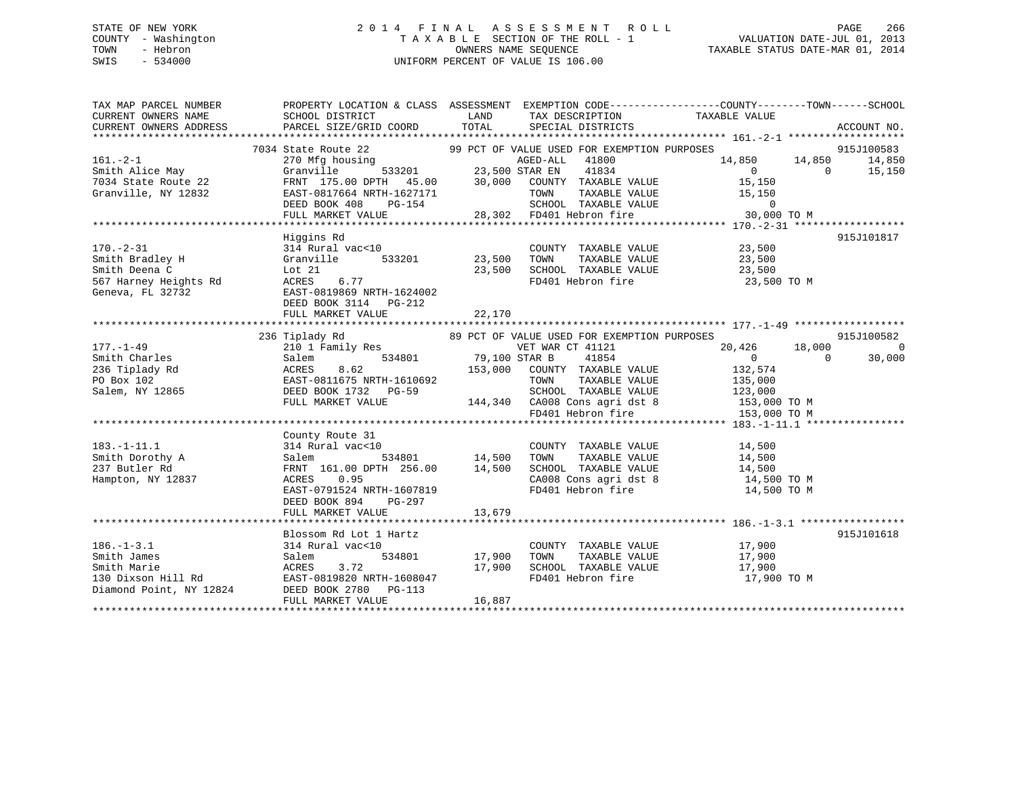# STATE OF NEW YORK 2 0 1 4 F I N A L A S S E S S M E N T R O L L PAGE 266 COUNTY - Washington T A X A B L E SECTION OF THE ROLL - 1 VALUATION DATE-JUL 01, 2013 TOWN - Hebron OWNERS NAME SEQUENCE TAXABLE STATUS DATE-MAR 01, 2014 SWIS - 534000 UNIFORM PERCENT OF VALUE IS 106.00

TAX MAP PARCEL NUMBER PROPERTY LOCATION & CLASS ASSESSMENT EXEMPTION CODE------------------COUNTY--------TOWN------SCHOOL

| CURRENT OWNERS NAME                                                                                                                                                                                                                                      | SCHOOL DISTRICT                                                                                               | LAND                  | TAX DESCRIPTION                             | TAXABLE VALUE                                                                                           |                          |
|----------------------------------------------------------------------------------------------------------------------------------------------------------------------------------------------------------------------------------------------------------|---------------------------------------------------------------------------------------------------------------|-----------------------|---------------------------------------------|---------------------------------------------------------------------------------------------------------|--------------------------|
| CURRENT OWNERS ADDRESS                                                                                                                                                                                                                                   | PARCEL SIZE/GRID COORD TOTAL SPECIAL DISTRICTS                                                                |                       |                                             |                                                                                                         | ACCOUNT NO.              |
|                                                                                                                                                                                                                                                          |                                                                                                               |                       |                                             |                                                                                                         |                          |
|                                                                                                                                                                                                                                                          | 7034 State Route 22 99 PCT OF VALUE USED FOR EXEMPTION PURPOSES                                               |                       |                                             |                                                                                                         | 915J100583               |
|                                                                                                                                                                                                                                                          |                                                                                                               |                       |                                             |                                                                                                         | 14,850 14,850<br>14,850  |
|                                                                                                                                                                                                                                                          |                                                                                                               |                       |                                             |                                                                                                         | $\overline{0}$<br>15,150 |
|                                                                                                                                                                                                                                                          |                                                                                                               |                       |                                             |                                                                                                         |                          |
|                                                                                                                                                                                                                                                          |                                                                                                               |                       |                                             |                                                                                                         |                          |
|                                                                                                                                                                                                                                                          |                                                                                                               |                       |                                             |                                                                                                         |                          |
|                                                                                                                                                                                                                                                          |                                                                                                               |                       |                                             |                                                                                                         |                          |
|                                                                                                                                                                                                                                                          |                                                                                                               |                       |                                             |                                                                                                         |                          |
|                                                                                                                                                                                                                                                          | Higgins Rd                                                                                                    |                       |                                             |                                                                                                         | 915J101817               |
| $170. - 2 - 31$                                                                                                                                                                                                                                          | 314 Rural vac<10                                                                                              |                       |                                             | COUNTY TAXABLE VALUE 23,500                                                                             |                          |
|                                                                                                                                                                                                                                                          | Granville 533201                                                                                              | 23,500 TOWN           |                                             |                                                                                                         |                          |
|                                                                                                                                                                                                                                                          | Lot 21                                                                                                        |                       |                                             |                                                                                                         |                          |
| Smith Bradley H<br>Smith Deena C<br>567 Harney Heights Rd                                                                                                                                                                                                | 6.77                                                                                                          |                       |                                             | 23,500 TOWN TAXABLE VALUE 23,500<br>23,500 SCHOOL TAXABLE VALUE 23,500<br>FD401 Hebron fire 23,500 TO M |                          |
|                                                                                                                                                                                                                                                          | ACRES                                                                                                         |                       |                                             |                                                                                                         |                          |
| Geneva, FL 32732                                                                                                                                                                                                                                         | EAST-0819869 NRTH-1624002                                                                                     |                       |                                             |                                                                                                         |                          |
|                                                                                                                                                                                                                                                          | DEED BOOK 3114 PG-212                                                                                         |                       |                                             |                                                                                                         |                          |
|                                                                                                                                                                                                                                                          | FULL MARKET VALUE                                                                                             | 22,170                |                                             |                                                                                                         |                          |
|                                                                                                                                                                                                                                                          |                                                                                                               |                       |                                             |                                                                                                         |                          |
|                                                                                                                                                                                                                                                          | 236 Tiplady Rd                                                                                                |                       | 89 PCT OF VALUE USED FOR EXEMPTION PURPOSES |                                                                                                         | 915J100582               |
| $177. - 1 - 49$                                                                                                                                                                                                                                          | 210 1 Family Res<br>Salem 534801 79,100 STAR B                                                                |                       | VET WAR CT 41121                            | $20,426$ $18,000$ 0                                                                                     | $\mathcal{C}$            |
| Smith Charles                                                                                                                                                                                                                                            |                                                                                                               |                       | 41854                                       |                                                                                                         | 30,000                   |
| 236 Tiplady Rd<br>236 Tiplady Rd<br>236 Tiplady Rd<br>236 Tiplady Rd<br>236 Tiplady Rd<br>236 Tiplady Rd<br>236 Tiplady Rd<br>236 Tiplady Rd<br>236 Tiplady Rd<br>236 Tiplady Rd<br>236 Tiplady Rd<br>236 Tiplady Rd<br>236 Tiplady Rd<br>236 Tiplady Rd | ACRES 8.62 153,000 COUNTY TAXABLE VALUE<br>EAST-0811675 NRTH-1610692 TOWN TAXABLE VALUE                       |                       |                                             | 132,574                                                                                                 |                          |
|                                                                                                                                                                                                                                                          |                                                                                                               |                       | TAXABLE VALUE                               | 135,000                                                                                                 |                          |
|                                                                                                                                                                                                                                                          |                                                                                                               |                       |                                             | SCHOOL TAXABLE VALUE 123,000                                                                            |                          |
|                                                                                                                                                                                                                                                          |                                                                                                               |                       |                                             |                                                                                                         |                          |
|                                                                                                                                                                                                                                                          | FULL MARKET VALUE 144,340 CA008 Cons agri dst 8 153,000 TO M<br>FD401 Hebron fire 153,000 TO M                |                       |                                             |                                                                                                         |                          |
|                                                                                                                                                                                                                                                          |                                                                                                               |                       |                                             |                                                                                                         |                          |
|                                                                                                                                                                                                                                                          | County Route 31                                                                                               |                       |                                             |                                                                                                         |                          |
| $183. - 1 - 11.1$                                                                                                                                                                                                                                        | 314 Rural vac<10                                                                                              |                       | COUNTY TAXABLE VALUE                        | 14,500                                                                                                  |                          |
| Smith Dorothy A                                                                                                                                                                                                                                          | al vac<10 COUNT<br>Salem                                                                                      |                       | TAXABLE VALUE                               | 14,500                                                                                                  |                          |
| 237 Butler Rd                                                                                                                                                                                                                                            |                                                                                                               |                       |                                             |                                                                                                         |                          |
| Hampton, NY 12837                                                                                                                                                                                                                                        | FRNT 161.00 DPTH 256.00 14,500 SCHOOL TAXABLE VALUE 14,500 14,500 NORES 0.95 CA008 CONS agridst 8 14,500 TO M |                       |                                             |                                                                                                         |                          |
|                                                                                                                                                                                                                                                          | EAST-0791524 NRTH-1607819                                                                                     |                       | FD401 Hebron fire                           | 14,500 TO M                                                                                             |                          |
|                                                                                                                                                                                                                                                          | DEED BOOK 894 PG-297                                                                                          |                       |                                             |                                                                                                         |                          |
|                                                                                                                                                                                                                                                          | FULL MARKET VALUE                                                                                             | 13,679                |                                             |                                                                                                         |                          |
|                                                                                                                                                                                                                                                          |                                                                                                               |                       |                                             |                                                                                                         |                          |
|                                                                                                                                                                                                                                                          | Blossom Rd Lot 1 Hartz                                                                                        |                       |                                             |                                                                                                         | 915J101618               |
| $186. - 1 - 3.1$                                                                                                                                                                                                                                         | 314 Rural vac<10                                                                                              |                       | COUNTY TAXABLE VALUE                        | 17,900                                                                                                  |                          |
| Smith James                                                                                                                                                                                                                                              | 534801<br>Salem                                                                                               | COUNTY<br>17,900 TOWN | TAXABLE VALUE                               | 17,900                                                                                                  |                          |
|                                                                                                                                                                                                                                                          |                                                                                                               |                       | 17,900 SCHOOL TAXABLE VALUE                 | 17,900                                                                                                  |                          |
|                                                                                                                                                                                                                                                          | EAST-0819820 NRTH-1608047                                                                                     |                       | FD401 Hebron fire                           | 17,900 TO M                                                                                             |                          |
| Smith Marie<br>Smith Marie<br>130 Dixson Hill Rd<br>26. BAST-0819820 NRTH-160804<br>Diamond Point, NY 12824<br>DEED BOOK 2780 PG-113                                                                                                                     |                                                                                                               |                       |                                             |                                                                                                         |                          |
|                                                                                                                                                                                                                                                          |                                                                                                               |                       |                                             |                                                                                                         |                          |
|                                                                                                                                                                                                                                                          | FULL MARKET VALUE                                                                                             | 16,887                |                                             |                                                                                                         |                          |
|                                                                                                                                                                                                                                                          |                                                                                                               |                       |                                             |                                                                                                         |                          |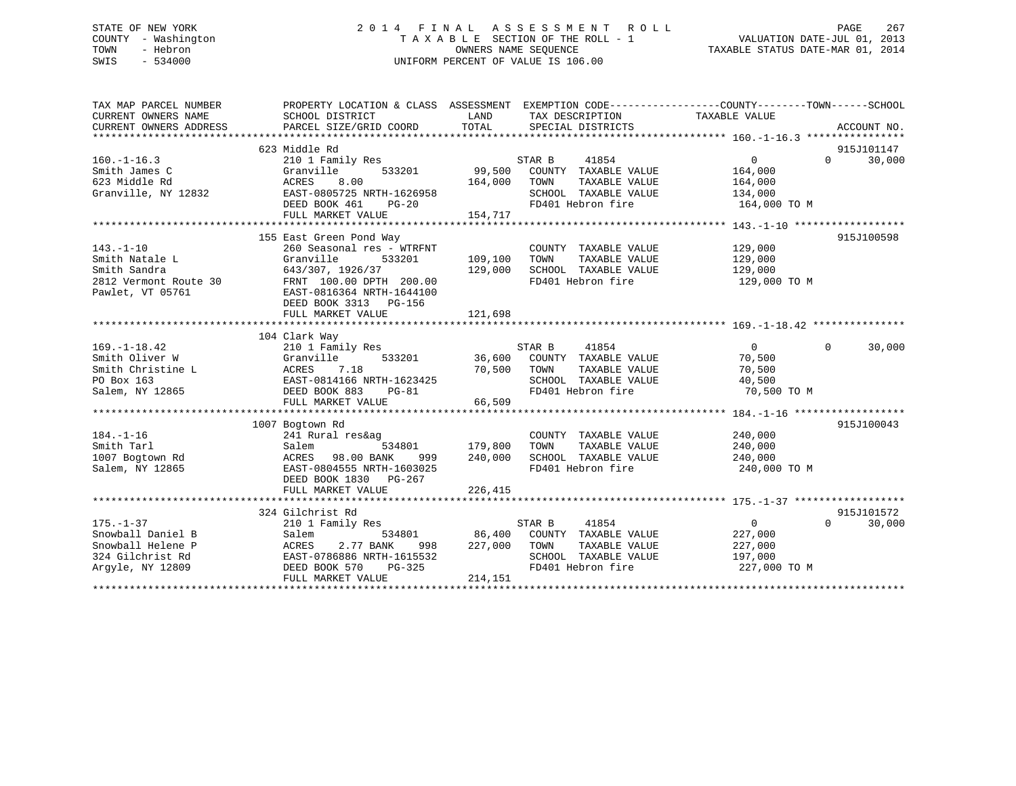# STATE OF NEW YORK 2 0 1 4 F I N A L A S S E S S M E N T R O L L PAGE 267 COUNTY - Washington T A X A B L E SECTION OF THE ROLL - 1 VALUATION DATE-JUL 01, 2013 TOWN - Hebron OWNERS NAME SEQUENCE TAXABLE STATUS DATE-MAR 01, 2014 SWIS - 534000 UNIFORM PERCENT OF VALUE IS 106.00

| TAX MAP PARCEL NUMBER<br>CURRENT OWNERS NAME<br>CURRENT OWNERS ADDRESS                            | PROPERTY LOCATION & CLASS ASSESSMENT<br>SCHOOL DISTRICT<br>PARCEL SIZE/GRID COORD                                                                                                                     | LAND<br>TOTAL                     | EXEMPTION CODE-----------------COUNTY-------TOWN------SCHOOL<br>TAX DESCRIPTION<br>SPECIAL DISTRICTS                 | TAXABLE VALUE                                                   | ACCOUNT NO.                      |
|---------------------------------------------------------------------------------------------------|-------------------------------------------------------------------------------------------------------------------------------------------------------------------------------------------------------|-----------------------------------|----------------------------------------------------------------------------------------------------------------------|-----------------------------------------------------------------|----------------------------------|
| $160. - 1 - 16.3$<br>Smith James C<br>623 Middle Rd<br>Granville, NY 12832                        | 623 Middle Rd<br>210 1 Family Res<br>Granville<br>533201<br>8.00<br>ACRES<br>EAST-0805725 NRTH-1626958<br>DEED BOOK 461<br>$PG-20$<br>FULL MARKET VALUE                                               | 99,500<br>164,000<br>154,717      | STAR B<br>41854<br>COUNTY TAXABLE VALUE<br>TAXABLE VALUE<br>TOWN<br>SCHOOL TAXABLE VALUE<br>FD401 Hebron fire        | $\Omega$<br>164,000<br>164,000<br>134,000<br>164,000 TO M       | 915J101147<br>$\Omega$<br>30,000 |
| $143. - 1 - 10$<br>Smith Natale L<br>Smith Sandra<br>2812 Vermont Route 30<br>Pawlet, VT 05761    | 155 East Green Pond Way<br>260 Seasonal res - WTRFNT<br>Granville<br>533201<br>643/307, 1926/37<br>FRNT 100.00 DPTH 200.00<br>EAST-0816364 NRTH-1644100<br>DEED BOOK 3313 PG-156<br>FULL MARKET VALUE | 109,100<br>129,000<br>121,698     | COUNTY TAXABLE VALUE<br>TAXABLE VALUE<br>TOWN<br>SCHOOL TAXABLE VALUE<br>FD401 Hebron fire                           | 129,000<br>129,000<br>129,000<br>129,000 TO M                   | 915J100598                       |
| $169. - 1 - 18.42$<br>Smith Oliver W<br>Smith Christine L<br>PO Box 163<br>Salem, NY 12865        | 104 Clark Way<br>210 1 Family Res<br>Granville<br>DEED BOOK 883<br>$PG-81$<br>FULL MARKET VALUE                                                                                                       | 533201 36,600<br>70,500<br>66,509 | 41854<br>STAR B<br>COUNTY TAXABLE VALUE<br>TOWN<br>TAXABLE VALUE<br>SCHOOL TAXABLE VALUE<br>FD401 Hebron fire        | $\overline{0}$<br>70,500<br>70,500<br>40,500<br>70,500 TO M     | $\Omega$<br>30,000               |
| $184. - 1 - 16$<br>Smith Tarl<br>1007 Bogtown Rd<br>Salem, NY 12865                               | 1007 Bogtown Rd<br>241 Rural res&ag<br>534801<br>Salem<br>ACRES<br>98.00 BANK<br>999<br>EAST-0804555 NRTH-1603025<br>DEED BOOK 1830 PG-267<br>FULL MARKET VALUE                                       | 179,800<br>240,000<br>226,415     | COUNTY TAXABLE VALUE<br>TAXABLE VALUE<br>TOWN<br>SCHOOL TAXABLE VALUE<br>FD401 Hebron fire                           | 240,000<br>240,000<br>240,000<br>240,000 TO M                   | 915J100043                       |
| $175. - 1 - 37$<br>Snowball Daniel B<br>Snowball Helene P<br>324 Gilchrist Rd<br>Arqyle, NY 12809 | 324 Gilchrist Rd<br>210 1 Family Res<br>Salem<br>534801<br>2.77 BANK<br>ACRES<br>998<br>EAST-0786886 NRTH-1615532<br>DEED BOOK 570<br>PG-325<br>FULL MARKET VALUE                                     | 227,000<br>214,151                | STAR B<br>41854<br>86,400 COUNTY TAXABLE VALUE<br>TOWN<br>TAXABLE VALUE<br>SCHOOL TAXABLE VALUE<br>FD401 Hebron fire | $\overline{0}$<br>227,000<br>227,000<br>197,000<br>227,000 TO M | 915J101572<br>$\Omega$<br>30,000 |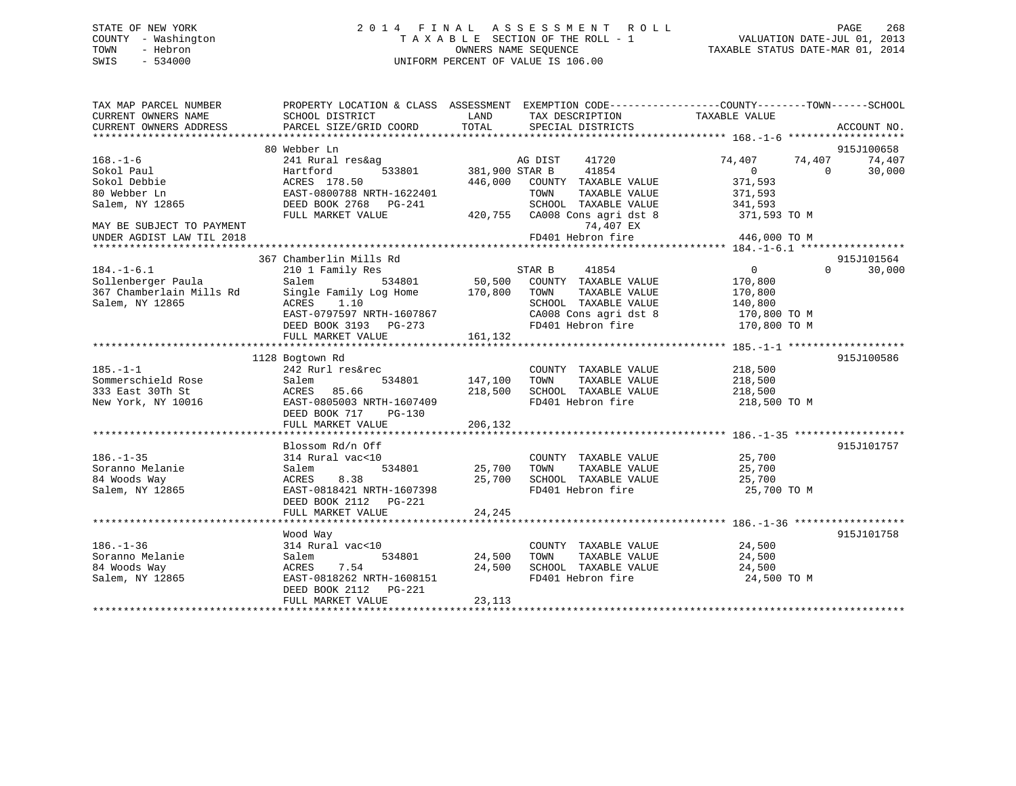# STATE OF NEW YORK 2 0 1 4 F I N A L A S S E S S M E N T R O L L PAGE 268 COUNTY - Washington T A X A B L E SECTION OF THE ROLL - 1 VALUATION DATE-JUL 01, 2013 TOWN - Hebron **CONNERS NAME SEQUENCE** TAXABLE STATUS DATE-MAR 01, 2014 SWIS - 534000 UNIFORM PERCENT OF VALUE IS 106.00

| TAX MAP PARCEL NUMBER<br>CURRENT OWNERS NAME | SCHOOL DISTRICT                                      | LAND           | TAX DESCRIPTION                    | PROPERTY LOCATION & CLASS ASSESSMENT EXEMPTION CODE---------------COUNTY-------TOWN-----SCHOOL<br>TAXABLE VALUE |                      |
|----------------------------------------------|------------------------------------------------------|----------------|------------------------------------|-----------------------------------------------------------------------------------------------------------------|----------------------|
| CURRENT OWNERS ADDRESS                       | PARCEL SIZE/GRID COORD                               | TOTAL          | SPECIAL DISTRICTS                  |                                                                                                                 | ACCOUNT NO.          |
|                                              |                                                      |                |                                    |                                                                                                                 |                      |
| $168. - 1 - 6$                               | 80 Webber Ln<br>241 Rural res&ag                     |                | 41720<br>AG DIST                   | 74,407<br>74,407                                                                                                | 915J100658<br>74,407 |
| Sokol Paul                                   | Hartford<br>533801                                   | 381,900 STAR B | 41854                              | $\Omega$<br>$\Omega$                                                                                            | 30,000               |
| Sokol Debbie                                 | ACRES 178.50                                         | 446,000        | COUNTY TAXABLE VALUE               | 371,593                                                                                                         |                      |
| 80 Webber Ln                                 | EAST-0800788 NRTH-1622401                            |                | TOWN<br>TAXABLE VALUE              | 371,593                                                                                                         |                      |
| Salem, NY 12865                              | DEED BOOK 2768 PG-241                                |                | SCHOOL TAXABLE VALUE               | 341,593                                                                                                         |                      |
| MAY BE SUBJECT TO PAYMENT                    | FULL MARKET VALUE                                    | 420,755        | CA008 Cons agri dst 8<br>74,407 EX | 371,593 TO M                                                                                                    |                      |
| UNDER AGDIST LAW TIL 2018                    |                                                      |                | FD401 Hebron fire                  | 446,000 TO M                                                                                                    |                      |
|                                              |                                                      |                |                                    |                                                                                                                 |                      |
|                                              | 367 Chamberlin Mills Rd                              |                |                                    |                                                                                                                 | 915J101564           |
| $184. - 1 - 6.1$                             | 210 1 Family Res                                     |                | STAR B<br>41854                    | $\Omega$<br>$\overline{0}$                                                                                      | 30,000               |
| Sollenberger Paula                           | 534801<br>Salem                                      | 50,500         | COUNTY TAXABLE VALUE               | 170,800                                                                                                         |                      |
| 367 Chamberlain Mills Rd                     | Single Family Log Home 170,800                       |                | TOWN<br>TAXABLE VALUE              | 170,800                                                                                                         |                      |
| Salem, NY 12865                              | ACRES<br>1.10                                        |                | SCHOOL TAXABLE VALUE               | 140,800                                                                                                         |                      |
|                                              | EAST-0797597 NRTH-1607867                            |                | CA008 Cons agri dst 8              | 170,800 TO M                                                                                                    |                      |
|                                              | DEED BOOK 3193 PG-273                                |                | FD401 Hebron fire                  | 170,800 TO M                                                                                                    |                      |
|                                              | FULL MARKET VALUE                                    | 161,132        |                                    |                                                                                                                 |                      |
|                                              |                                                      |                |                                    |                                                                                                                 |                      |
|                                              | 1128 Bogtown Rd                                      |                |                                    |                                                                                                                 | 915J100586           |
| $185. - 1 - 1$                               | 242 Rurl res&rec                                     |                | COUNTY TAXABLE VALUE               | 218,500                                                                                                         |                      |
| Sommerschield Rose                           | 534801<br>Salem                                      | 147,100        | TOWN<br>TAXABLE VALUE              | 218,500                                                                                                         |                      |
| 333 East 30Th St                             | ACRES 85.66                                          | 218,500        | SCHOOL TAXABLE VALUE               | 218,500                                                                                                         |                      |
| New York, NY 10016                           | EAST-0805003 NRTH-1607409<br>DEED BOOK 717<br>PG-130 |                | FD401 Hebron fire                  | 218,500 TO M                                                                                                    |                      |
|                                              | FULL MARKET VALUE                                    | 206,132        |                                    |                                                                                                                 |                      |
|                                              |                                                      |                |                                    |                                                                                                                 |                      |
|                                              | Blossom Rd/n Off                                     |                |                                    |                                                                                                                 | 915J101757           |
| $186. - 1 - 35$                              | 314 Rural vac<10                                     |                | COUNTY TAXABLE VALUE               | 25,700                                                                                                          |                      |
| Soranno Melanie                              | 534801<br>Salem                                      | 25,700         | TOWN<br>TAXABLE VALUE              | 25,700                                                                                                          |                      |
| 84 Woods Way                                 | 8.38<br>ACRES                                        | 25,700         | SCHOOL TAXABLE VALUE               | 25,700                                                                                                          |                      |
| Salem, NY 12865                              | EAST-0818421 NRTH-1607398                            |                | FD401 Hebron fire                  | 25,700 TO M                                                                                                     |                      |
|                                              | DEED BOOK 2112    PG-221                             |                |                                    |                                                                                                                 |                      |
|                                              | FULL MARKET VALUE                                    | 24,245         |                                    |                                                                                                                 |                      |
|                                              | Wood Way                                             |                |                                    |                                                                                                                 | 915J101758           |
| $186. - 1 - 36$                              | 314 Rural vac<10                                     |                | COUNTY TAXABLE VALUE               | 24,500                                                                                                          |                      |
| Soranno Melanie                              | 534801<br>Salem                                      | 24,500         | TOWN<br>TAXABLE VALUE              | 24,500                                                                                                          |                      |
| 84 Woods Way                                 | 7.54<br>ACRES                                        | 24,500         | SCHOOL TAXABLE VALUE               | 24,500                                                                                                          |                      |
| Salem, NY 12865                              | EAST-0818262 NRTH-1608151                            |                | FD401 Hebron fire                  | 24,500 TO M                                                                                                     |                      |
|                                              | DEED BOOK 2112<br>PG-221                             |                |                                    |                                                                                                                 |                      |
|                                              | FULL MARKET VALUE                                    | 23,113         |                                    |                                                                                                                 |                      |
|                                              |                                                      |                |                                    |                                                                                                                 |                      |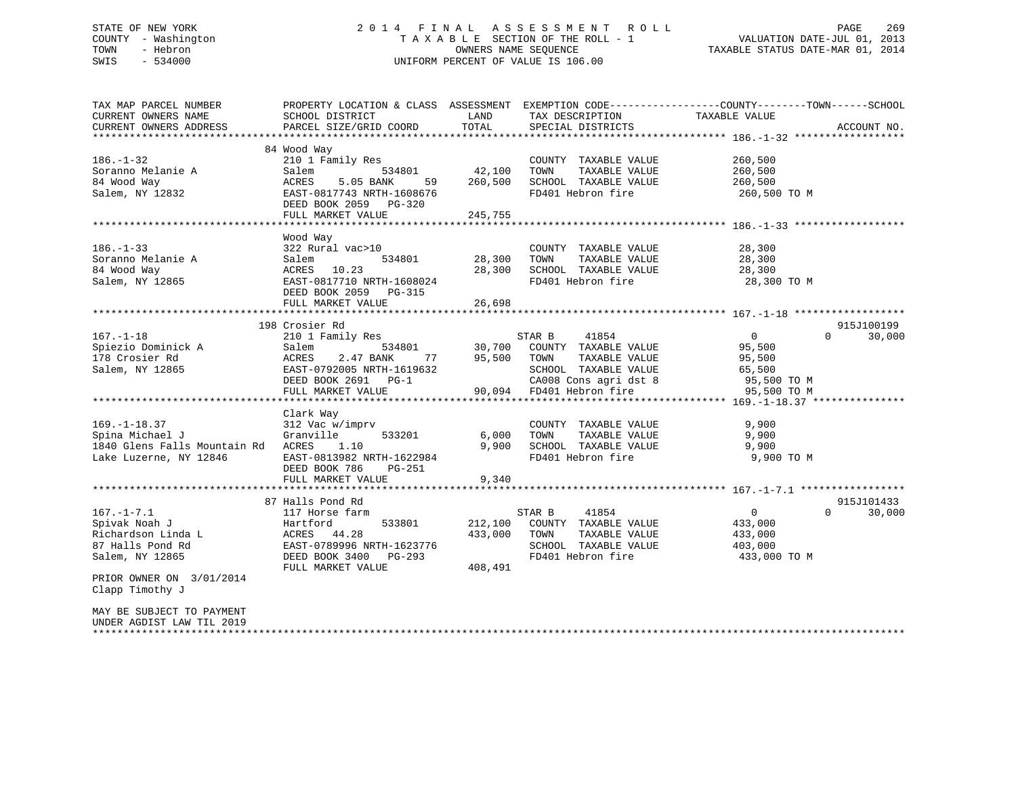# STATE OF NEW YORK 2 0 1 4 F I N A L A S S E S S M E N T R O L L PAGE 269 COUNTY - Washington T A X A B L E SECTION OF THE ROLL - 1 VALUATION DATE-JUL 01, 2013 TOWN - Hebron OWNERS NAME SEQUENCE TAXABLE STATUS DATE-MAR 01, 2014 SWIS - 534000 UNIFORM PERCENT OF VALUE IS 106.00

| TAX MAP PARCEL NUMBER                             | PROPERTY LOCATION & CLASS ASSESSMENT                  |                   |                                       | EXEMPTION CODE-----------------COUNTY-------TOWN------SCHOOL     |             |
|---------------------------------------------------|-------------------------------------------------------|-------------------|---------------------------------------|------------------------------------------------------------------|-------------|
| CURRENT OWNERS NAME                               | SCHOOL DISTRICT                                       | LAND              | TAX DESCRIPTION                       | TAXABLE VALUE                                                    |             |
| CURRENT OWNERS ADDRESS                            | PARCEL SIZE/GRID COORD                                | TOTAL             | SPECIAL DISTRICTS                     |                                                                  | ACCOUNT NO. |
|                                                   |                                                       |                   |                                       |                                                                  |             |
| $186. - 1 - 32$                                   | 84 Wood Way<br>210 1 Family Res                       |                   | COUNTY TAXABLE VALUE                  | 260,500                                                          |             |
| Soranno Melanie A                                 | Salem<br>534801                                       | 42,100            | TOWN<br>TAXABLE VALUE                 | 260,500                                                          |             |
|                                                   |                                                       |                   | SCHOOL TAXABLE VALUE                  |                                                                  |             |
| 84 Wood Way                                       | 5.05 BANK<br>ACRES<br>59<br>EAST-0817743 NRTH-1608676 | 260,500           | FD401 Hebron fire                     | 260,500                                                          |             |
| Salem, NY 12832                                   |                                                       |                   |                                       | 260,500 TO M                                                     |             |
|                                                   | DEED BOOK 2059 PG-320<br>FULL MARKET VALUE            |                   |                                       |                                                                  |             |
|                                                   |                                                       | 245,755           |                                       |                                                                  |             |
|                                                   | Wood Way                                              |                   |                                       |                                                                  |             |
| $186. - 1 - 33$                                   | 322 Rural vac>10                                      |                   | COUNTY TAXABLE VALUE                  | 28,300                                                           |             |
| Soranno Melanie A                                 | Salem<br>534801                                       | 28,300            | TOWN<br>TAXABLE VALUE                 | 28,300                                                           |             |
| 84 Wood Way                                       | 10.23<br>ACRES                                        | 28,300            | SCHOOL TAXABLE VALUE                  | 28,300                                                           |             |
| Salem, NY 12865                                   | EAST-0817710 NRTH-1608024                             |                   | FD401 Hebron fire                     | 28,300 TO M                                                      |             |
|                                                   | DEED BOOK 2059 PG-315                                 |                   |                                       |                                                                  |             |
|                                                   | FULL MARKET VALUE                                     | 26,698            |                                       |                                                                  |             |
|                                                   |                                                       |                   |                                       |                                                                  |             |
|                                                   | 198 Crosier Rd                                        |                   |                                       |                                                                  | 915J100199  |
| $167. - 1 - 18$                                   |                                                       |                   | 41854<br>STAR B                       | $0 \qquad \qquad$<br>$\Omega$                                    | 30,000      |
|                                                   | 210 1 Family Res                                      |                   |                                       |                                                                  |             |
| Spiezio Dominick A                                | 534801<br>Salem                                       | 30,700            | COUNTY TAXABLE VALUE                  | 95,500                                                           |             |
| 178 Crosier Rd                                    | 2.47 BANK<br>ACRES                                    | 95,500<br>77 — 17 | TOWN<br>TAXABLE VALUE                 | 95,500                                                           |             |
| Salem, NY 12865                                   | EAST-0792005 NRTH-1619632                             |                   | SCHOOL TAXABLE VALUE                  | 65,500                                                           |             |
|                                                   | DEED BOOK 2691 PG-1                                   |                   | CA008 Cons agri dst 8                 | 95,500 TO M                                                      |             |
|                                                   | FULL MARKET VALUE<br>************************         |                   | 90,094 FD401 Hebron fire              | 95,500 TO M<br>********************************* 169.-1-18.37 ** |             |
|                                                   |                                                       |                   |                                       |                                                                  |             |
|                                                   | Clark Way                                             |                   |                                       |                                                                  |             |
| $169. - 1 - 18.37$<br>Spina Michael J             | 312 Vac w/imprv<br>Granville                          |                   | COUNTY TAXABLE VALUE<br>TAXABLE VALUE | 9,900<br>9,900                                                   |             |
|                                                   | 533201                                                | 6,000             | TOWN                                  |                                                                  |             |
| 1840 Glens Falls Mountain Rd ACRES                | 1.10                                                  | 9,900             | SCHOOL TAXABLE VALUE                  | 9,900                                                            |             |
| Lake Luzerne, NY 12846                            | EAST-0813982 NRTH-1622984                             |                   | FD401 Hebron fire                     | 9,900 TO M                                                       |             |
|                                                   | DEED BOOK 786<br>PG-251                               |                   |                                       |                                                                  |             |
|                                                   | FULL MARKET VALUE                                     | 9,340             |                                       |                                                                  |             |
|                                                   | 87 Halls Pond Rd                                      |                   |                                       |                                                                  | 915J101433  |
| $167. - 1 - 7.1$                                  |                                                       |                   |                                       | $\Omega$                                                         | 30,000      |
|                                                   | 117 Horse farm                                        |                   | STAR B<br>41854                       | $\overline{0}$                                                   |             |
| Spivak Noah J                                     | 533801<br>Hartford                                    | 212,100           | COUNTY TAXABLE VALUE                  | 433,000                                                          |             |
| Richardson Linda L                                | 44.28<br>ACRES                                        | 433,000           | TOWN<br>TAXABLE VALUE                 | 433,000                                                          |             |
| 87 Halls Pond Rd                                  | EAST-0789996 NRTH-1623776                             |                   | SCHOOL TAXABLE VALUE                  | 403,000                                                          |             |
| Salem, NY 12865                                   | DEED BOOK 3400 PG-293                                 |                   | FD401 Hebron fire                     | 433,000 TO M                                                     |             |
|                                                   | FULL MARKET VALUE                                     | 408,491           |                                       |                                                                  |             |
| PRIOR OWNER ON 3/01/2014                          |                                                       |                   |                                       |                                                                  |             |
| Clapp Timothy J                                   |                                                       |                   |                                       |                                                                  |             |
|                                                   |                                                       |                   |                                       |                                                                  |             |
| MAY BE SUBJECT TO PAYMENT                         |                                                       |                   |                                       |                                                                  |             |
| UNDER AGDIST LAW TIL 2019<br>******************** |                                                       |                   |                                       |                                                                  |             |
|                                                   |                                                       |                   |                                       |                                                                  |             |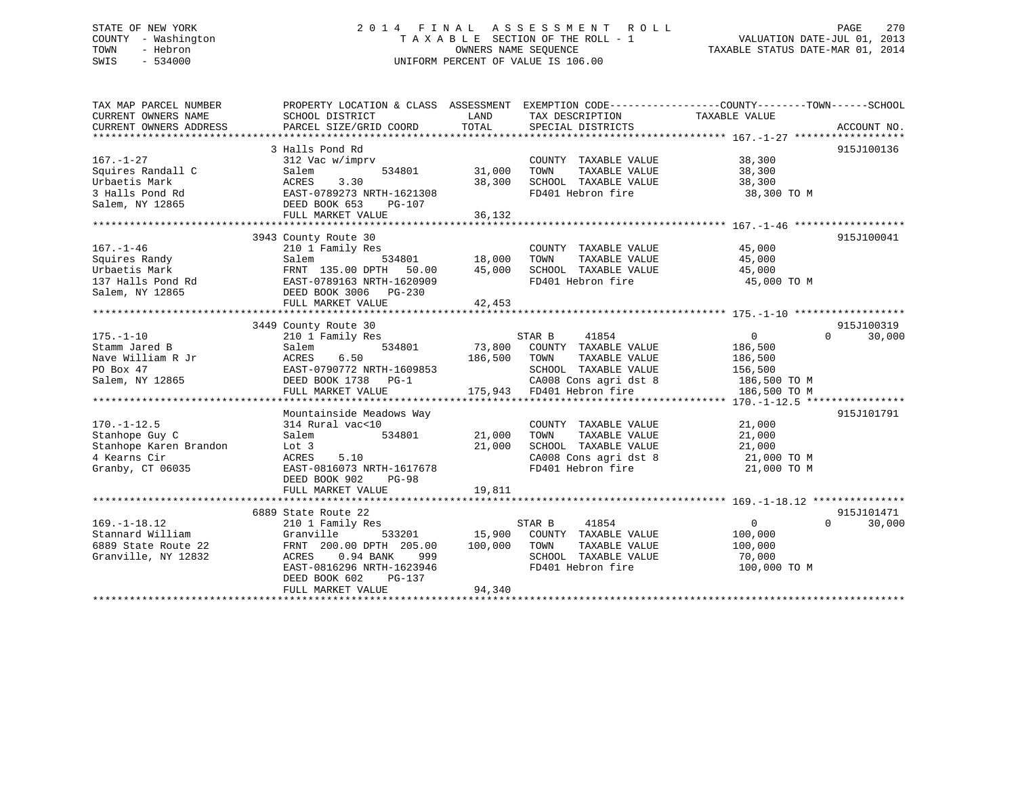# STATE OF NEW YORK 2 0 1 4 F I N A L A S S E S S M E N T R O L L PAGE 270 COUNTY - Washington T A X A B L E SECTION OF THE ROLL - 1 VALUATION DATE-JUL 01, 2013 TOWN - Hebron OWNERS NAME SEQUENCE TAXABLE STATUS DATE-MAR 01, 2014 SWIS - 534000 UNIFORM PERCENT OF VALUE IS 106.00

| TAX MAP PARCEL NUMBER<br>CURRENT OWNERS NAME<br>CURRENT OWNERS ADDRESS                            | PROPERTY LOCATION & CLASS ASSESSMENT EXEMPTION CODE---------------COUNTY-------TOWN-----SCHOOL<br>SCHOOL DISTRICT<br>PARCEL SIZE/GRID COORD                                                           | LAND<br>TOTAL               | TAX DESCRIPTION<br>SPECIAL DISTRICTS                                                                                                           | TAXABLE VALUE                                                                 | ACCOUNT NO.                      |
|---------------------------------------------------------------------------------------------------|-------------------------------------------------------------------------------------------------------------------------------------------------------------------------------------------------------|-----------------------------|------------------------------------------------------------------------------------------------------------------------------------------------|-------------------------------------------------------------------------------|----------------------------------|
| $167. - 1 - 27$<br>Squires Randall C<br>Urbaetis Mark<br>3 Halls Pond Rd<br>Salem, NY 12865       | 3 Halls Pond Rd<br>312 Vac w/imprv<br>534801<br>Salem<br>3.30<br>ACRES<br>EAST-0789273 NRTH-1621308<br>DEED BOOK 653<br>PG-107<br>FULL MARKET VALUE                                                   | 31,000<br>38,300<br>36,132  | COUNTY TAXABLE VALUE<br>TAXABLE VALUE<br>TOWN<br>SCHOOL TAXABLE VALUE<br>FD401 Hebron fire                                                     | 38,300<br>38,300<br>38,300<br>38,300 TO M                                     | 915J100136                       |
| $167. - 1 - 46$<br>Squires Randy<br>Urbaetis Mark<br>137 Halls Pond Rd<br>Salem, NY 12865         | 3943 County Route 30<br>210 1 Family Res<br>534801<br>Salem<br>FRNT 135.00 DPTH 50.00<br>EAST-0789163 NRTH-1620909<br>DEED BOOK 3006 PG-230<br>FULL MARKET VALUE                                      | 18,000<br>45,000<br>42,453  | COUNTY TAXABLE VALUE<br>TOWN<br>TAXABLE VALUE<br>SCHOOL TAXABLE VALUE<br>FD401 Hebron fire                                                     | 45,000<br>45,000<br>45,000<br>45,000 TO M                                     | 915J100041                       |
| $175. - 1 - 10$<br>Stamm Jared B<br>Nave William R Jr<br>PO Box 47<br>Salem, NY 12865             | 3449 County Route 30<br>210 1 Family Res<br>534801<br>Salem<br>6.50<br>ACRES<br>EAST-0790772 NRTH-1609853<br>DEED BOOK 1738 PG-1<br>FULL MARKET VALUE                                                 | 73,800<br>186,500           | STAR B<br>41854<br>COUNTY TAXABLE VALUE<br>TOWN<br>TAXABLE VALUE<br>SCHOOL TAXABLE VALUE<br>CA008 Cons agri dst 8<br>175,943 FD401 Hebron fire | $\mathbf{0}$<br>186,500<br>186,500<br>156,500<br>186,500 TO M<br>186,500 TO M | 915J100319<br>$\Omega$<br>30,000 |
| $170. - 1 - 12.5$<br>Stanhope Guy C<br>Stanhope Karen Brandon<br>4 Kearns Cir<br>Granby, CT 06035 | Mountainside Meadows Way<br>314 Rural vac<10<br>Salem<br>534801<br>Lot 3<br>5.10<br>ACRES<br>EAST-0816073 NRTH-1617678<br>DEED BOOK 902<br><b>PG-98</b><br>FULL MARKET VALUE                          | 21,000<br>21,000<br>19,811  | COUNTY TAXABLE VALUE<br>TOWN<br>TAXABLE VALUE<br>SCHOOL TAXABLE VALUE<br>CA008 Cons agri dst 8<br>FD401 Hebron fire                            | 21,000<br>21,000<br>21,000<br>21,000 TO M<br>21,000 TO M                      | 915J101791                       |
| $169. - 1 - 18.12$<br>Stannard William<br>6889 State Route 22<br>Granville, NY 12832              | 6889 State Route 22<br>210 1 Family Res<br>Granville<br>533201<br>FRNT 200.00 DPTH 205.00<br>ACRES<br>$0.94$ BANK<br>999<br>EAST-0816296 NRTH-1623946<br>DEED BOOK 602<br>PG-137<br>FULL MARKET VALUE | 15,900<br>100,000<br>94,340 | STAR B<br>41854<br>COUNTY TAXABLE VALUE<br>TAXABLE VALUE<br>TOWN<br>SCHOOL TAXABLE VALUE<br>FD401 Hebron fire                                  | $\overline{0}$<br>100,000<br>100,000<br>70,000<br>100,000 TO M                | 915J101471<br>30,000<br>$\Omega$ |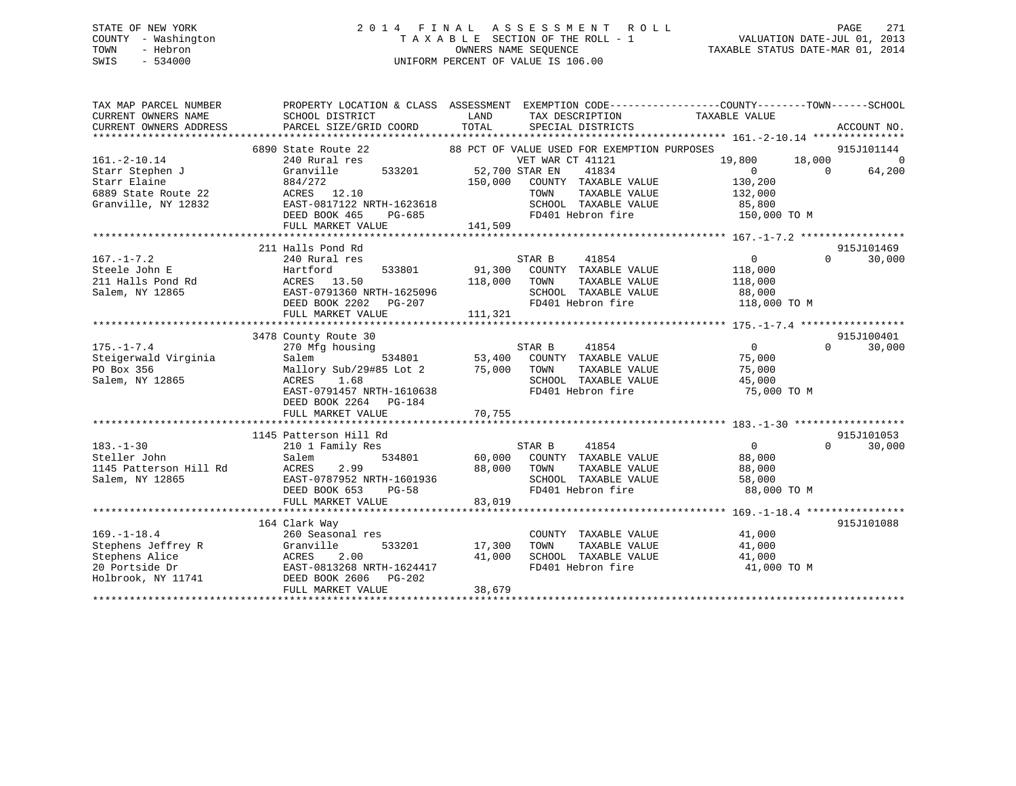# STATE OF NEW YORK 2 0 1 4 F I N A L A S S E S S M E N T R O L L PAGE 271 COUNTY - Washington T A X A B L E SECTION OF THE ROLL - 1 VALUATION DATE-JUL 01, 2013 TOWN - Hebron OWNERS NAME SEQUENCE TAXABLE STATUS DATE-MAR 01, 2014 SWIS - 534000 UNIFORM PERCENT OF VALUE IS 106.00

| TAX MAP PARCEL NUMBER       | PROPERTY LOCATION & CLASS ASSESSMENT EXEMPTION CODE---------------COUNTY-------TOWN-----SCHOOL                                                                                                                                       |              |                                             |                |                |             |
|-----------------------------|--------------------------------------------------------------------------------------------------------------------------------------------------------------------------------------------------------------------------------------|--------------|---------------------------------------------|----------------|----------------|-------------|
| CURRENT OWNERS NAME         | SCHOOL DISTRICT                                                                                                                                                                                                                      | LAND         | TAX DESCRIPTION                             | TAXABLE VALUE  |                |             |
| CURRENT OWNERS ADDRESS      | PARCEL SIZE/GRID COORD                                                                                                                                                                                                               | TOTAL        | SPECIAL DISTRICTS                           |                |                | ACCOUNT NO. |
|                             |                                                                                                                                                                                                                                      |              |                                             |                |                |             |
|                             | 6890 State Route 22                                                                                                                                                                                                                  |              | 88 PCT OF VALUE USED FOR EXEMPTION PURPOSES |                |                | 915J101144  |
| $161.-2-10.14$              | 240 Rural res                                                                                                                                                                                                                        |              | VET WAR CT 41121                            | 19,800         | 18,000         | $\sim$ 0    |
| Starr Stephen J             | Granville 533201 52,700 STAR EN                                                                                                                                                                                                      |              | 41834                                       | $\overline{0}$ | $\overline{0}$ | 64,200      |
| Starr Elaine                | 884/272                                                                                                                                                                                                                              |              | 150,000 COUNTY TAXABLE VALUE                | 130,200        |                |             |
| 6889 State Route 22         | ACRES 12.10                                                                                                                                                                                                                          |              | TOWN<br>TAXABLE VALUE                       | 132,000        |                |             |
| Granville, NY 12832         | EAST-0817122 NRTH-1623618                                                                                                                                                                                                            |              | SCHOOL TAXABLE VALUE 85,800                 |                |                |             |
|                             | DEED BOOK 465<br>PG-685                                                                                                                                                                                                              |              | FD401 Hebron fire 150,000 TO M              |                |                |             |
|                             |                                                                                                                                                                                                                                      |              |                                             |                |                |             |
|                             |                                                                                                                                                                                                                                      |              |                                             |                |                |             |
|                             | 211 Halls Pond Rd                                                                                                                                                                                                                    |              |                                             |                |                | 915J101469  |
| $167. - 1 - 7.2$            | 240 Rural res                                                                                                                                                                                                                        |              | 41854<br>STAR B                             | $\overline{0}$ | $\Omega$       | 30,000      |
| Steele John E               | Hartford                                                                                                                                                                                                                             |              | 533801 91,300 COUNTY TAXABLE VALUE 118,000  |                |                |             |
|                             | 211 Halls Pond Rd<br>211 Halls Pond Rd<br>214 MY 12865<br>2002 - 2003 Polar Polar Polar Press Press Press Press Press Press Press Press Press Press Press Press Press Press Press Press Press Press Press Press Press Press Press Pr | 118,000 TOWN | TAXABLE VALUE                               | 118,000        |                |             |
|                             |                                                                                                                                                                                                                                      |              | SCHOOL TAXABLE VALUE 88,000                 |                |                |             |
|                             | DEED BOOK 2202 PG-207                                                                                                                                                                                                                |              | FD401 Hebron fire 118,000 TO M              |                |                |             |
|                             | FULL MARKET VALUE                                                                                                                                                                                                                    | 111,321      |                                             |                |                |             |
|                             |                                                                                                                                                                                                                                      |              |                                             |                |                |             |
|                             | 3478 County Route 30                                                                                                                                                                                                                 |              |                                             |                |                | 915J100401  |
| $175. - 1 - 7.4$            | 270 Mfg housing                                                                                                                                                                                                                      |              | STAR B 41854                                | $\overline{0}$ | $\cap$         | 30,000      |
| Steigerwald Virginia        | Salem                                                                                                                                                                                                                                |              | 534801 53,400 COUNTY TAXABLE VALUE          | 75,000         |                |             |
| sock 356<br>Salem, NY 12865 | Mallory Sub/29#85 Lot 2 75,000 TOWN                                                                                                                                                                                                  |              | TAXABLE VALUE                               | 75,000         |                |             |
|                             | 1.68<br>ACRES                                                                                                                                                                                                                        |              |                                             |                |                |             |
|                             | EAST-0791457 NRTH-1610638                                                                                                                                                                                                            |              | FD401 Hebron fire                           | 75,000 TO M    |                |             |
|                             | DEED BOOK 2264 PG-184                                                                                                                                                                                                                |              |                                             |                |                |             |
|                             | FULL MARKET VALUE                                                                                                                                                                                                                    | 70,755       |                                             |                |                |             |
|                             |                                                                                                                                                                                                                                      |              |                                             |                |                |             |
|                             | 1145 Patterson Hill Rd                                                                                                                                                                                                               |              |                                             |                |                | 915J101053  |
| $183. - 1 - 30$             | 210 1 Family Res                                                                                                                                                                                                                     |              | STAR B<br>41854                             | $\overline{0}$ | $\Omega$       | 30,000      |
| Steller John                | Salem                                                                                                                                                                                                                                |              | 534801 60,000 COUNTY TAXABLE VALUE          | 88,000         |                |             |
| 1145 Patterson Hill Rd      | 2.99<br>ACRES                                                                                                                                                                                                                        | 88,000 TOWN  | TAXABLE VALUE                               | 88,000         |                |             |
| Salem, NY 12865             | EAST-0787952 NRTH-1601936                                                                                                                                                                                                            |              | SCHOOL TAXABLE VALUE                        | 58,000         |                |             |
|                             | DEED BOOK 653 PG-58                                                                                                                                                                                                                  |              | FD401 Hebron fire                           | 88,000 TO M    |                |             |
|                             | FULL MARKET VALUE                                                                                                                                                                                                                    | 83,019       |                                             |                |                |             |
|                             |                                                                                                                                                                                                                                      |              |                                             |                |                |             |
|                             | 164 Clark Way                                                                                                                                                                                                                        |              |                                             |                |                | 915J101088  |
| $169. - 1 - 18.4$           | 260 Seasonal res                                                                                                                                                                                                                     |              | COUNTY TAXABLE VALUE 41,000                 |                |                |             |
|                             |                                                                                                                                                                                                                                      | 17,300       | TAXABLE VALUE<br>TAXARLE VALIE<br>TOWN      | 41,000         |                |             |
|                             |                                                                                                                                                                                                                                      | 41,000       | SCHOOL TAXABLE VALUE                        | 41,000         |                |             |
|                             |                                                                                                                                                                                                                                      |              | FD401 Hebron fire                           | 41,000 TO M    |                |             |
|                             | ${\tt Holbrook, NY~11741} {\tt DEED\ B00K\ 2606\  \  \, PG-202}$                                                                                                                                                                     |              |                                             |                |                |             |
|                             | FULL MARKET VALUE                                                                                                                                                                                                                    | 38,679       |                                             |                |                |             |
|                             |                                                                                                                                                                                                                                      |              |                                             |                |                |             |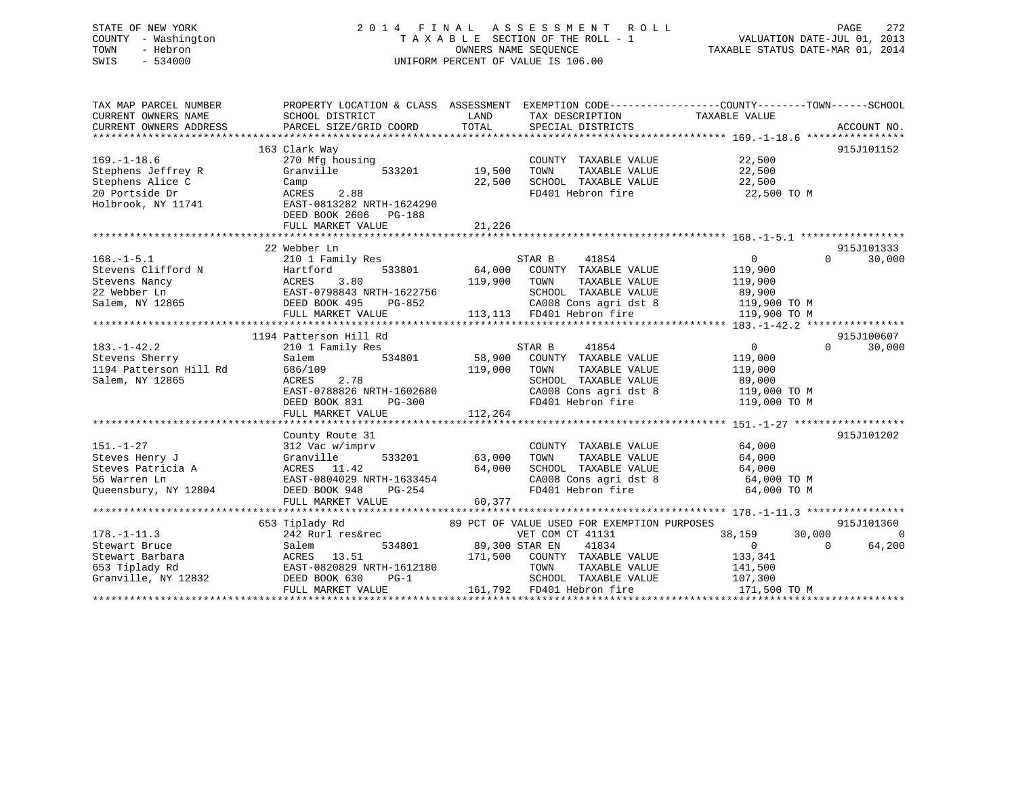# STATE OF NEW YORK 2 0 1 4 F I N A L A S S E S S M E N T R O L L PAGE 272 COUNTY - Washington T A X A B L E SECTION OF THE ROLL - 1 VALUATION DATE-JUL 01, 2013 TOWN - Hebron OWNERS NAME SEQUENCE TAXABLE STATUS DATE-MAR 01, 2014 SWIS - 534000 UNIFORM PERCENT OF VALUE IS 106.00

| TAX MAP PARCEL NUMBER<br>CURRENT OWNERS NAME<br>CURRENT OWNERS ADDRESS                              | PROPERTY LOCATION & CLASS ASSESSMENT<br>SCHOOL DISTRICT<br>PARCEL SIZE/GRID COORD                                                                     | LAND<br>TOTAL              | TAX DESCRIPTION<br>SPECIAL DISTRICTS                                                                                                                                           | EXEMPTION CODE----------------COUNTY-------TOWN------SCHOOL<br>TAXABLE VALUE                    | ACCOUNT NO.                      |
|-----------------------------------------------------------------------------------------------------|-------------------------------------------------------------------------------------------------------------------------------------------------------|----------------------------|--------------------------------------------------------------------------------------------------------------------------------------------------------------------------------|-------------------------------------------------------------------------------------------------|----------------------------------|
| $169. - 1 - 18.6$<br>Stephens Jeffrey R<br>Stephens Alice C<br>20 Portside Dr<br>Holbrook, NY 11741 | 163 Clark Way<br>270 Mfg housing<br>Granville<br>533201<br>Camp<br>2.88<br>ACRES<br>EAST-0813282 NRTH-1624290<br>DEED BOOK 2606<br>PG-188             | 19,500<br>22,500           | COUNTY TAXABLE VALUE<br>TAXABLE VALUE<br>TOWN<br>SCHOOL TAXABLE VALUE<br>FD401 Hebron fire                                                                                     | 22,500<br>22,500<br>22,500<br>22,500 TO M                                                       | 915J101152                       |
|                                                                                                     | FULL MARKET VALUE                                                                                                                                     | 21,226                     |                                                                                                                                                                                |                                                                                                 |                                  |
|                                                                                                     | 22 Webber Ln                                                                                                                                          |                            |                                                                                                                                                                                |                                                                                                 | 915J101333                       |
| $168. - 1 - 5.1$<br>Stevens Clifford N<br>Stevens Nancy<br>22 Webber Ln<br>Salem, NY 12865          | 210 1 Family Res<br>533801<br>Hartford<br>3.80<br>ACRES<br>EAST-0798843 NRTH-1622756<br>DEED BOOK 495<br>PG-852<br>FULL MARKET VALUE                  | 64,000<br>119,900          | STAR B<br>41854<br>COUNTY TAXABLE VALUE<br>TOWN<br>TAXABLE VALUE<br>SCHOOL TAXABLE VALUE<br>CA008 Cons agri dst 8<br>113,113 FD401 Hebron fire                                 | $0 \qquad \qquad$<br>$\Omega$<br>119,900<br>119,900<br>89,900<br>119,900 TO M<br>119,900 TO M   | 30,000                           |
|                                                                                                     |                                                                                                                                                       |                            |                                                                                                                                                                                |                                                                                                 |                                  |
| $183. - 1 - 42.2$<br>Stevens Sherry<br>1194 Patterson Hill Rd<br>Salem, NY 12865                    | 1194 Patterson Hill Rd<br>210 1 Family Res<br>Salem<br>534801<br>686/109<br>ACRES<br>2.78<br>EAST-0788826 NRTH-1602680<br>DEED BOOK 831<br>PG-300     | 58,900<br>119,000          | STAR B<br>41854<br>COUNTY TAXABLE VALUE<br>TOWN<br>TAXABLE VALUE<br>SCHOOL TAXABLE VALUE<br>CA008 Cons agri dst 8<br>FD401 Hebron fire                                         | $\Omega$<br>$\overline{0}$<br>119,000<br>119,000<br>89,000<br>119,000 TO M<br>119,000 TO M      | 915J100607<br>30,000             |
|                                                                                                     | FULL MARKET VALUE                                                                                                                                     | 112,264                    |                                                                                                                                                                                |                                                                                                 |                                  |
| $151. - 1 - 27$<br>Steves Henry J<br>Steves Patricia A<br>56 Warren Ln<br>Oueensbury, NY 12804      | County Route 31<br>312 Vac w/imprv<br>533201<br>Granville<br>ACRES 11.42<br>EAST-0804029 NRTH-1633454<br>DEED BOOK 948<br>PG-254<br>FULL MARKET VALUE | 63,000<br>64,000<br>60,377 | COUNTY TAXABLE VALUE<br>TOWN<br>TAXABLE VALUE<br>SCHOOL TAXABLE VALUE<br>CA008 Cons agri dst 8<br>FD401 Hebron fire                                                            | 64,000<br>64,000<br>64,000<br>64,000 TO M<br>64,000 TO M                                        | 915J101202                       |
|                                                                                                     | *********************************                                                                                                                     |                            |                                                                                                                                                                                |                                                                                                 |                                  |
| $178. - 1 - 11.3$<br>Stewart Bruce<br>Stewart Barbara<br>653 Tiplady Rd<br>Granville, NY 12832      | 653 Tiplady Rd<br>242 Rurl res&rec<br>534801<br>Salem<br>ACRES<br>13.51<br>EAST-0820829 NRTH-1612180<br>DEED BOOK 630<br>$PG-1$<br>FULL MARKET VALUE  | 89,300 STAR EN<br>161,792  | 89 PCT OF VALUE USED FOR EXEMPTION PURPOSES<br>VET COM CT 41131<br>41834<br>171,500 COUNTY TAXABLE VALUE<br>TOWN<br>TAXABLE VALUE<br>SCHOOL TAXABLE VALUE<br>FD401 Hebron fire | 30,000<br>38,159<br>$\Omega$<br>$\overline{0}$<br>133,341<br>141,500<br>107,300<br>171,500 TO M | 915J101360<br>$\Omega$<br>64,200 |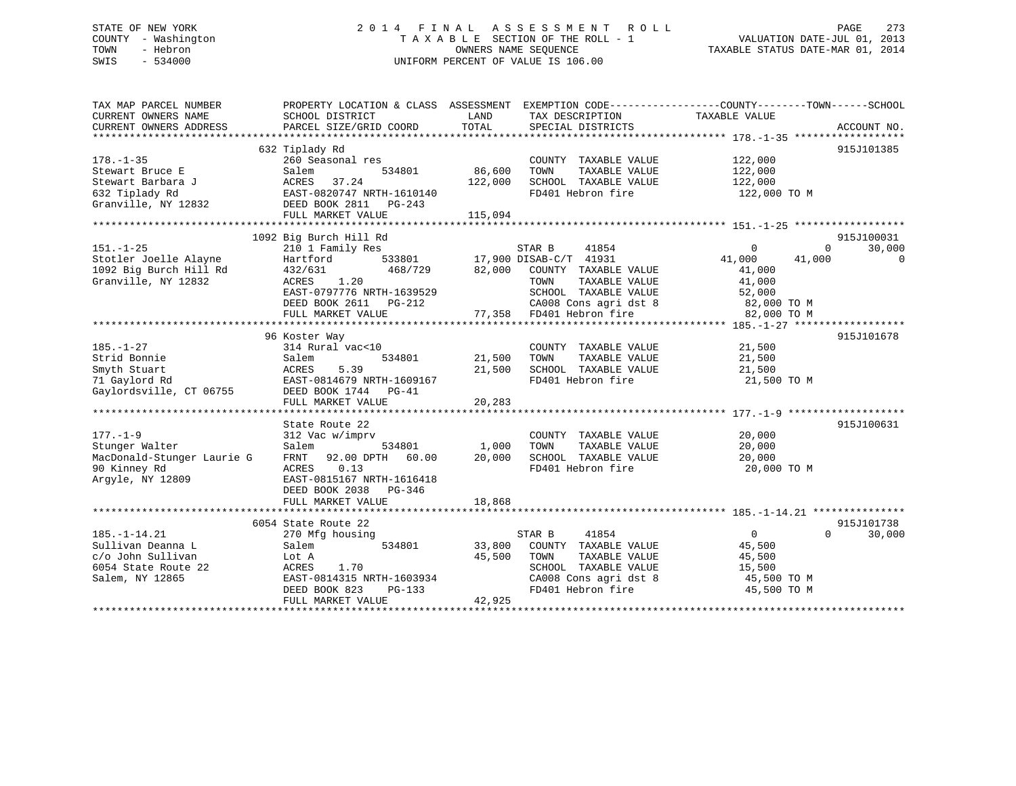# STATE OF NEW YORK 2 0 1 4 F I N A L A S S E S S M E N T R O L L PAGE 273 COUNTY - Washington T A X A B L E SECTION OF THE ROLL - 1 VALUATION DATE-JUL 01, 2013 TOWN - Hebron OWNERS NAME SEQUENCE TAXABLE STATUS DATE-MAR 01, 2014 SWIS - 534000 UNIFORM PERCENT OF VALUE IS 106.00

| TAX MAP PARCEL NUMBER                                                                                  | PROPERTY LOCATION & CLASS ASSESSMENT EXEMPTION CODE---------------COUNTY-------TOWN-----SCHOOL |         |                                                                       |                  |                        |
|--------------------------------------------------------------------------------------------------------|------------------------------------------------------------------------------------------------|---------|-----------------------------------------------------------------------|------------------|------------------------|
| CURRENT OWNERS NAME                                                                                    | SCHOOL DISTRICT                                                                                | LAND    | TAX DESCRIPTION                                                       | TAXABLE VALUE    |                        |
| CURRENT OWNERS ADDRESS                                                                                 | PARCEL SIZE/GRID COORD                                                                         | TOTAL   | SPECIAL DISTRICTS                                                     |                  | ACCOUNT NO.            |
|                                                                                                        |                                                                                                |         |                                                                       |                  |                        |
|                                                                                                        | 632 Tiplady Rd                                                                                 |         |                                                                       |                  | 915J101385             |
| $178. - 1 - 35$                                                                                        | 260 Seasonal res                                                                               |         | COUNTY TAXABLE VALUE 122,000                                          |                  |                        |
| Stewart Bruce E                                                                                        | 534801<br>Salem                                                                                | 86,600  | TOWN<br>TAXABLE VALUE                                                 | 122,000          |                        |
|                                                                                                        |                                                                                                | 122,000 | SCHOOL TAXABLE VALUE                                                  | 122,000          |                        |
| Stewart Bruce $\overline{J}$ ACRES $37.24$<br>Stewart Barbara $\overline{J}$ BAST-0820747 NRTH-1610140 |                                                                                                |         | FD401 Hebron fire                                                     | 122,000 TO M     |                        |
| Granville, NY 12832 DEED BOOK 2811 PG-243                                                              |                                                                                                |         |                                                                       |                  |                        |
|                                                                                                        | FULL MARKET VALUE                                                                              | 115,094 |                                                                       |                  |                        |
|                                                                                                        |                                                                                                |         |                                                                       |                  |                        |
|                                                                                                        | 1092 Big Burch Hill Rd                                                                         |         |                                                                       |                  | 915J100031             |
| $151. - 1 - 25$                                                                                        | 210 1 Family Res                                                                               |         | STAR B<br>41854                                                       | $\overline{0}$   | 30,000<br>$\mathbf{0}$ |
| Stotler Joelle Alayne                                                                                  | Hartford                                                                                       |         | 533801 17,900 DISAB-C/T 41931                                         | 41,000<br>41,000 | 0                      |
| 1092 Big Burch Hill Rd                                                                                 | 468/729<br>432/631                                                                             |         | 82,000 COUNTY TAXABLE VALUE                                           | 41,000           |                        |
| Granville, NY 12832                                                                                    | ACRES 1.20                                                                                     |         | TOWN<br>TAXABLE VALUE                                                 | 41,000           |                        |
|                                                                                                        | EAST-0797776 NRTH-1639529                                                                      |         |                                                                       |                  |                        |
|                                                                                                        | DEED BOOK 2611 PG-212                                                                          |         | SCHOOL TAXABLE VALUE 52,000<br>CA008 Cons agri dst 8 62,000 TO M      |                  |                        |
|                                                                                                        | FULL MARKET VALUE                                                                              |         | 77,358 FD401 Hebron fire                                              | 82,000 TO M      |                        |
|                                                                                                        |                                                                                                |         |                                                                       |                  |                        |
|                                                                                                        | 96 Koster Way                                                                                  |         |                                                                       |                  | 915J101678             |
| $185. - 1 - 27$                                                                                        | 314 Rural vac<10                                                                               |         | COUNTY TAXABLE VALUE                                                  | 21,500           |                        |
| Strid Bonnie                                                                                           | Salem<br>534801                                                                                | 21,500  | TAXABLE VALUE<br>TOWN                                                 | 21,500           |                        |
| Smyth Stuart                                                                                           | 5.39                                                                                           | 21,500  | SCHOOL TAXABLE VALUE                                                  | 21,500           |                        |
| 71 Gaylord Rd                                                                                          | ACRES<br>EAST-(<br>EAST-0814679 NRTH-1609167                                                   |         | FD401 Hebron fire                                                     | 21,500 TO M      |                        |
| Gaylordsville, CT 06755 DEED BOOK 1744 PG-41                                                           |                                                                                                |         |                                                                       |                  |                        |
|                                                                                                        | FULL MARKET VALUE                                                                              | 20,283  |                                                                       |                  |                        |
|                                                                                                        |                                                                                                |         |                                                                       |                  |                        |
|                                                                                                        | State Route 22                                                                                 |         |                                                                       |                  | 915J100631             |
| $177. - 1 - 9$                                                                                         | 312 Vac w/imprv                                                                                |         | COUNTY TAXABLE VALUE                                                  | 20,000           |                        |
| Stunger Walter                                                                                         | Salem                                                                                          | 1,000   | TAXABLE VALUE<br>TOWN                                                 | 20,000           |                        |
| MacDonald-Stunger Laurie G                                                                             | 534801                                                                                         |         | SCHOOL TAXABLE VALUE                                                  | 20,000           |                        |
| 90 Kinney Rd                                                                                           | FRNT 92.00 DPTH 60.00 20,000<br>ACRES<br>0.13                                                  |         | FD401 Hebron fire                                                     | 20,000 TO M      |                        |
|                                                                                                        |                                                                                                |         |                                                                       |                  |                        |
| Argyle, NY 12809                                                                                       | EAST-0815167 NRTH-1616418                                                                      |         |                                                                       |                  |                        |
|                                                                                                        | DEED BOOK 2038 PG-346                                                                          |         |                                                                       |                  |                        |
|                                                                                                        | FULL MARKET VALUE                                                                              | 18,868  |                                                                       |                  |                        |
|                                                                                                        |                                                                                                |         |                                                                       |                  |                        |
|                                                                                                        | 6054 State Route 22                                                                            |         |                                                                       |                  | 915J101738             |
| $185. - 1 - 14.21$                                                                                     | 270 Mfg housing                                                                                |         | 41854<br>STAR B                                                       | $\overline{0}$   | 30,000<br>$\Omega$     |
| Sullivan Deanna L                                                                                      | 534801<br>Salem                                                                                |         | 33,800 COUNTY TAXABLE VALUE                                           | 45,500           |                        |
| c/o John Sullivan                                                                                      | Lot A                                                                                          | 45,500  | TOWN<br>TAXABLE VALUE                                                 | 45,500           |                        |
| 6054 State Route 22                                                                                    | ACRES<br>1.70                                                                                  |         | SCHOOL TAXABLE VALUE<br>SCHOOL TAXABLE VALUE<br>CA008 Cons agri dst 8 | 15,500           |                        |
| Salem, NY 12865                                                                                        | EAST-0814315 NRTH-1603934                                                                      |         |                                                                       | 45,500 TO M      |                        |
|                                                                                                        | DEED BOOK 823<br>PG-133                                                                        |         | FD401 Hebron fire                                                     | 45,500 TO M      |                        |
|                                                                                                        | FULL MARKET VALUE                                                                              | 42,925  |                                                                       |                  |                        |
|                                                                                                        |                                                                                                |         |                                                                       |                  |                        |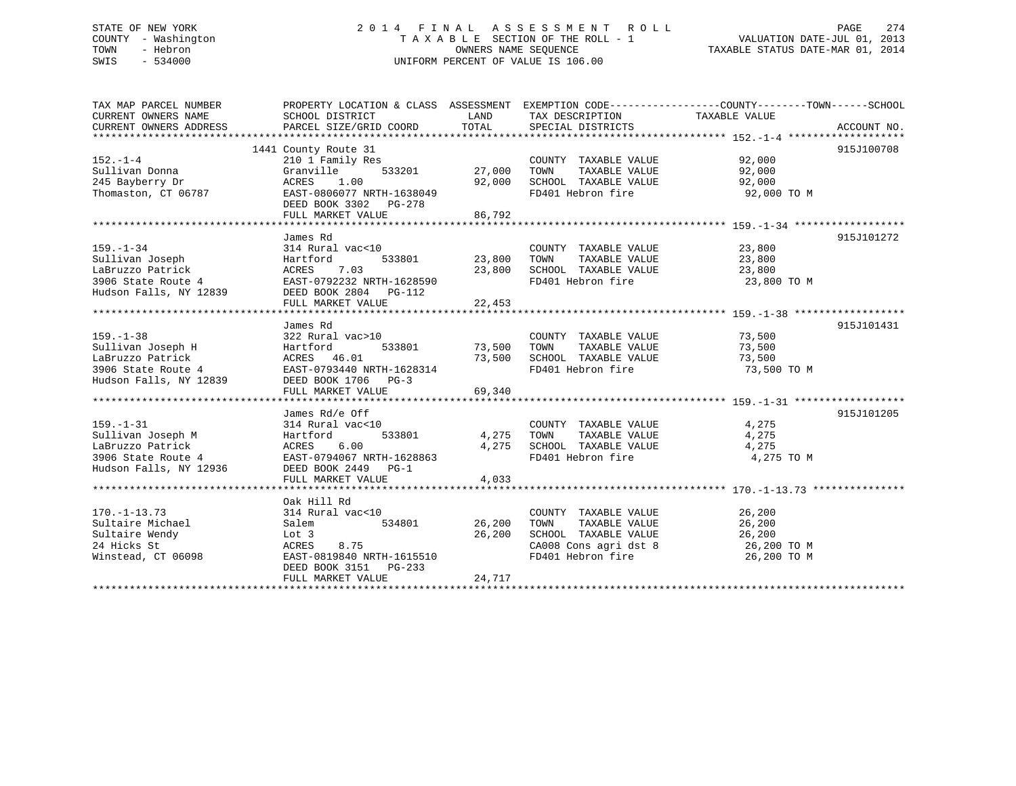# STATE OF NEW YORK 2 0 1 4 F I N A L A S S E S S M E N T R O L L PAGE 274 COUNTY - Washington T A X A B L E SECTION OF THE ROLL - 1 VALUATION DATE-JUL 01, 2013 TOWN - Hebron OWNERS NAME SEQUENCE TAXABLE STATUS DATE-MAR 01, 2014 SWIS - 534000 UNIFORM PERCENT OF VALUE IS 106.00

| TAX MAP PARCEL NUMBER                                            | PROPERTY LOCATION & CLASS ASSESSMENT EXEMPTION CODE----------------COUNTY-------TOWN------SCHOOL |               |                                                                  |                                |             |
|------------------------------------------------------------------|--------------------------------------------------------------------------------------------------|---------------|------------------------------------------------------------------|--------------------------------|-------------|
| CURRENT OWNERS NAME                                              | SCHOOL DISTRICT                                                                                  | LAND          | TAX DESCRIPTION                                                  | TAXABLE VALUE                  |             |
| CURRENT OWNERS ADDRESS                                           | PARCEL SIZE/GRID COORD                                                                           | TOTAL         | SPECIAL DISTRICTS                                                |                                | ACCOUNT NO. |
|                                                                  |                                                                                                  |               |                                                                  |                                |             |
|                                                                  | 1441 County Route 31                                                                             |               |                                                                  |                                | 915J100708  |
| $152. - 1 - 4$                                                   | 210 1 Family Res                                                                                 |               | COUNTY TAXABLE VALUE 92,000                                      |                                |             |
| Sullivan Donna                                                   | 533201<br>Granville                                                                              | 27,000        | TOWN      TAXABLE VALUE<br>SCHOOL   TAXABLE VALUE                | 92,000<br>92.000               |             |
| 245 Bayberry Dr                                                  | 1.00<br>ACRES                                                                                    | 92,000        |                                                                  | 92,000                         |             |
| Thomaston, CT 06787                                              | EAST-0806077 NRTH-1638049                                                                        |               | FD401 Hebron fire 92,000 TO M                                    |                                |             |
|                                                                  | DEED BOOK 3302 PG-278                                                                            |               |                                                                  |                                |             |
|                                                                  | FULL MARKET VALUE                                                                                | 86,792        |                                                                  |                                |             |
|                                                                  | James Rd                                                                                         |               |                                                                  |                                | 915J101272  |
| $159. - 1 - 34$                                                  | 314 Rural vac<10                                                                                 |               | COUNTY TAXABLE VALUE 23,800                                      |                                |             |
|                                                                  |                                                                                                  | 533801 23,800 | TOWN                                                             |                                |             |
|                                                                  |                                                                                                  |               |                                                                  | TAXABLE VALUE 23,800<br>23,800 |             |
|                                                                  |                                                                                                  |               | 23,800 SCHOOL TAXABLE VALUE<br>FD401 Hebron fire                 | 23,800 TO M                    |             |
|                                                                  |                                                                                                  |               |                                                                  |                                |             |
|                                                                  | FULL MARKET VALUE 22,453                                                                         |               |                                                                  |                                |             |
|                                                                  |                                                                                                  |               |                                                                  |                                |             |
|                                                                  | James Rd                                                                                         |               |                                                                  |                                | 915J101431  |
| $159. - 1 - 38$                                                  | 322 Rural vac>10                                                                                 |               | COUNTY TAXABLE VALUE                                             | 73,500                         |             |
| Sullivan Joseph H                                                | Hartford                                                                                         |               | TAXABLE VALUE                                                    | 73,500                         |             |
|                                                                  | ACRES 46.01                                                                                      |               | 73,500 SCHOOL TAXABLE VALUE                                      | 73,500                         |             |
|                                                                  | EAST-0793440 NRTH-1628314                                                                        |               | FD401 Hebron fire                                                | 73,500 TO M                    |             |
| LaBruzzo Patrick<br>3906 State Route 4<br>Hudson Falls, NY 12839 | DEED BOOK 1706 PG-3                                                                              |               |                                                                  |                                |             |
|                                                                  | FULL MARKET VALUE                                                                                | 69,340        |                                                                  |                                |             |
|                                                                  |                                                                                                  |               |                                                                  |                                |             |
|                                                                  | James Rd/e Off                                                                                   |               |                                                                  |                                | 915J101205  |
| $159. - 1 - 31$                                                  | 314 Rural vac<10                                                                                 |               | COUNTY TAXABLE VALUE 4,275                                       |                                |             |
| Sullivan Joseph M                                                | 533801<br>Hartford                                                                               | 4,275         | TAXABLE VALUE<br>TOWN                                            | 4,275                          |             |
| LaBruzzo Patrick                                                 | ACRES 6.00                                                                                       | 4,275         | SCHOOL TAXABLE VALUE                                             | 4,275                          |             |
| 3906 State Route 4                                               | EAST-0794067 NRTH-1628863                                                                        |               | FD401 Hebron fire                                                | 4,275 TO M                     |             |
| Hudson Falls, NY 12936                                           | DEED BOOK 2449 PG-1<br>FULL MARKET VALUE                                                         | 4,033         |                                                                  |                                |             |
|                                                                  |                                                                                                  |               |                                                                  |                                |             |
|                                                                  | Oak Hill Rd                                                                                      |               |                                                                  |                                |             |
| $170. - 1 - 13.73$                                               | 314 Rural vac<10                                                                                 |               | COUNTY TAXABLE VALUE 26,200                                      |                                |             |
| Sultaire Michael                                                 | Salem<br>534801                                                                                  | 26,200        | TOWN<br>TAXABLE VALUE                                            | 26,200                         |             |
| Sultaire Wendy                                                   | Lot 3                                                                                            | 26,200        |                                                                  |                                |             |
| 24 Hicks St                                                      | 8.75<br>ACRES                                                                                    |               | SCHOOL TAXABLE VALUE 26,200<br>CA008 Cons agri dst 8 26,200 TO M |                                |             |
| Winstead, CT 06098                                               | EAST-0819840 NRTH-1615510                                                                        |               | FD401 Hebron fire                                                | 26,200 TO M                    |             |
|                                                                  | DEED BOOK 3151 PG-233                                                                            |               |                                                                  |                                |             |
|                                                                  | FULL MARKET VALUE                                                                                | 24,717        |                                                                  |                                |             |
|                                                                  |                                                                                                  |               |                                                                  |                                |             |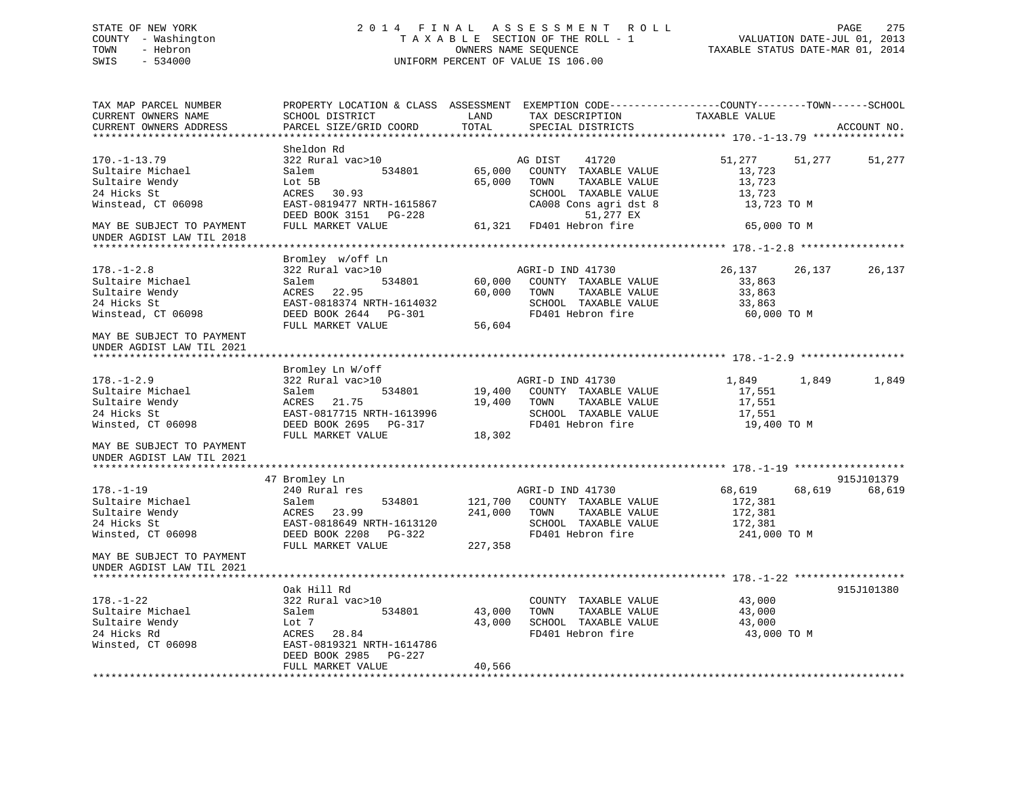# STATE OF NEW YORK 2 0 1 4 F I N A L A S S E S S M E N T R O L L PAGE 275 COUNTY - Washington T A X A B L E SECTION OF THE ROLL - 1 VALUATION DATE-JUL 01, 2013 TOWN - Hebron OWNERS NAME SEQUENCE TAXABLE STATUS DATE-MAR 01, 2014 SWIS - 534000 UNIFORM PERCENT OF VALUE IS 106.00

| TAX MAP PARCEL NUMBER<br>CURRENT OWNERS NAME<br>CURRENT OWNERS ADDRESS                                                     | PROPERTY LOCATION & CLASS ASSESSMENT<br>SCHOOL DISTRICT<br>PARCEL SIZE/GRID COORD                                                                     | LAND<br>TOTAL                 | EXEMPTION CODE-----------------COUNTY--------TOWN------SCHOOL<br>TAX DESCRIPTION<br>SPECIAL DISTRICTS                                                       | TAXABLE VALUE                                                      |        | ACCOUNT NO. |
|----------------------------------------------------------------------------------------------------------------------------|-------------------------------------------------------------------------------------------------------------------------------------------------------|-------------------------------|-------------------------------------------------------------------------------------------------------------------------------------------------------------|--------------------------------------------------------------------|--------|-------------|
| **************************                                                                                                 |                                                                                                                                                       |                               |                                                                                                                                                             |                                                                    |        |             |
| $170. - 1 - 13.79$<br>Sultaire Michael<br>Sultaire Wendy<br>24 Hicks St<br>Winstead, CT 06098<br>MAY BE SUBJECT TO PAYMENT | Sheldon Rd<br>322 Rural vac>10<br>534801<br>Salem<br>Lot 5B<br>ACRES 30.93<br>EAST-0819477 NRTH-1615867<br>DEED BOOK 3151 PG-228<br>FULL MARKET VALUE | 65,000<br>65,000              | AG DIST<br>41720<br>COUNTY TAXABLE VALUE<br>TOWN<br>TAXABLE VALUE<br>SCHOOL TAXABLE VALUE<br>CA008 Cons agri dst 8<br>51,277 EX<br>61,321 FD401 Hebron fire | 51,277<br>13,723<br>13,723<br>13,723<br>13,723 TO M<br>65,000 TO M | 51,277 | 51,277      |
| UNDER AGDIST LAW TIL 2018                                                                                                  |                                                                                                                                                       |                               |                                                                                                                                                             |                                                                    |        |             |
| $178. - 1 - 2.8$<br>Sultaire Michael<br>Sultaire Wendy<br>24 Hicks St<br>Winstead, CT 06098                                | Bromley w/off Ln<br>322 Rural vac>10<br>534801<br>Salem<br>ACRES<br>22.95<br>EAST-0818374 NRTH-1614032<br>DEED BOOK 2644 PG-301<br>FULL MARKET VALUE  | 60,000<br>60,000<br>56,604    | AGRI-D IND 41730<br>COUNTY TAXABLE VALUE<br>TAXABLE VALUE<br>TOWN<br>SCHOOL TAXABLE VALUE<br>FD401 Hebron fire                                              | 26,137<br>33,863<br>33,863<br>33,863<br>60,000 TO M                | 26,137 | 26,137      |
| MAY BE SUBJECT TO PAYMENT<br>UNDER AGDIST LAW TIL 2021                                                                     |                                                                                                                                                       |                               |                                                                                                                                                             |                                                                    |        |             |
|                                                                                                                            | Bromley Ln W/off                                                                                                                                      |                               |                                                                                                                                                             |                                                                    |        |             |
| $178. - 1 - 2.9$<br>Sultaire Michael<br>Sultaire Wendy<br>24 Hicks St<br>Winsted, CT 06098                                 | 322 Rural vac>10<br>534801<br>Salem<br>ACRES<br>21.75<br>EAST-0817715 NRTH-1613996<br>DEED BOOK 2695 PG-317<br>FULL MARKET VALUE                      | 19,400<br>19,400<br>18,302    | AGRI-D IND 41730<br>COUNTY TAXABLE VALUE<br>TOWN<br>TAXABLE VALUE<br>SCHOOL TAXABLE VALUE<br>FD401 Hebron fire                                              | 1,849<br>17,551<br>17,551<br>17,551<br>19,400 TO M                 | 1,849  | 1,849       |
| MAY BE SUBJECT TO PAYMENT<br>UNDER AGDIST LAW TIL 2021                                                                     |                                                                                                                                                       |                               |                                                                                                                                                             |                                                                    |        |             |
|                                                                                                                            | 47 Bromley Ln                                                                                                                                         |                               |                                                                                                                                                             |                                                                    |        | 915J101379  |
| $178. - 1 - 19$<br>Sultaire Michael<br>Sultaire Wendy<br>24 Hicks St<br>Winsted, CT 06098                                  | 240 Rural res<br>534801<br>Salem<br>ACRES<br>23.99<br>EAST-0818649 NRTH-1613120<br>DEED BOOK 2208 PG-322<br>FULL MARKET VALUE                         | 121,700<br>241,000<br>227,358 | AGRI-D IND 41730<br>COUNTY TAXABLE VALUE<br>TOWN<br>TAXABLE VALUE<br>SCHOOL TAXABLE VALUE<br>FD401 Hebron fire                                              | 68,619<br>172,381<br>172,381<br>172,381<br>241,000 TO M            | 68,619 | 68,619      |
| MAY BE SUBJECT TO PAYMENT<br>UNDER AGDIST LAW TIL 2021                                                                     |                                                                                                                                                       |                               |                                                                                                                                                             |                                                                    |        |             |
|                                                                                                                            | Oak Hill Rd                                                                                                                                           |                               |                                                                                                                                                             |                                                                    |        | 915J101380  |
| $178. - 1 - 22$<br>Sultaire Michael<br>Sultaire Wendy<br>24 Hicks Rd<br>Winsted, CT 06098                                  | 322 Rural vac>10<br>534801<br>Salem<br>Lot 7<br>ACRES<br>28.84<br>EAST-0819321 NRTH-1614786<br>DEED BOOK 2985 PG-227                                  | 43,000<br>43,000              | COUNTY TAXABLE VALUE<br>TAXABLE VALUE<br>TOWN<br>SCHOOL TAXABLE VALUE<br>FD401 Hebron fire                                                                  | 43,000<br>43,000<br>43,000<br>43,000 TO M                          |        |             |
|                                                                                                                            | FULL MARKET VALUE                                                                                                                                     | 40,566                        |                                                                                                                                                             |                                                                    |        |             |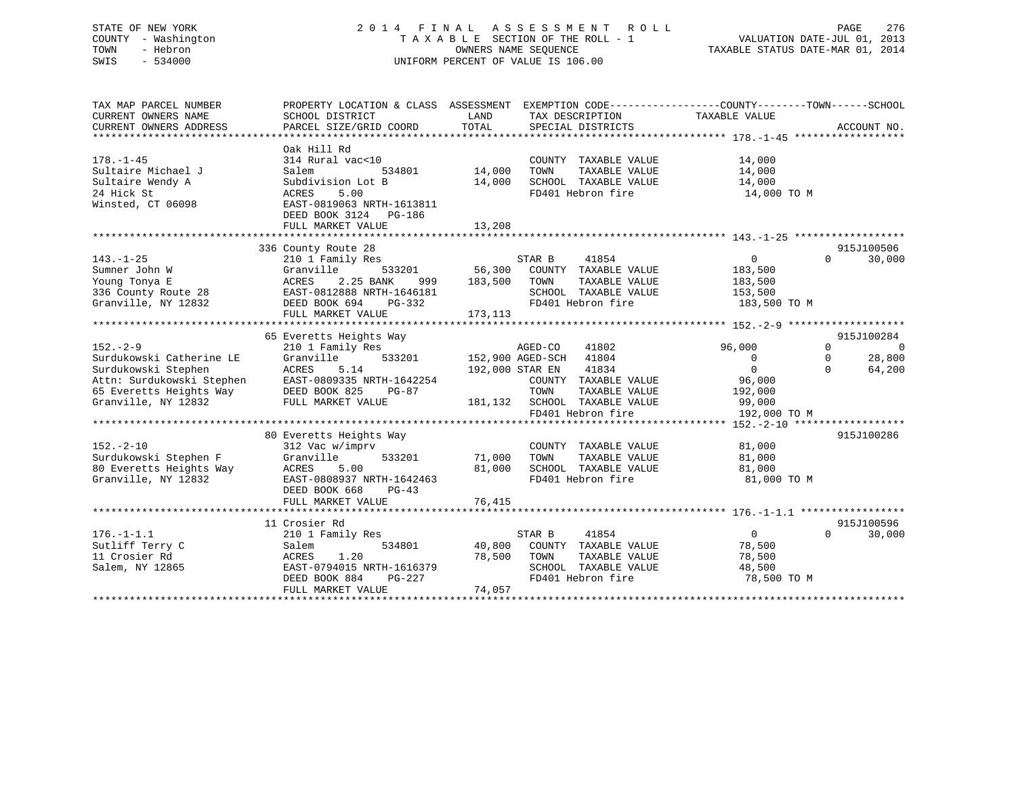# STATE OF NEW YORK 2 0 1 4 F I N A L A S S E S S M E N T R O L L PAGE 276 COUNTY - Washington T A X A B L E SECTION OF THE ROLL - 1 VALUATION DATE-JUL 01, 2013 TOWN - Hebron OWNERS NAME SEQUENCE TAXABLE STATUS DATE-MAR 01, 2014 SWIS - 534000 UNIFORM PERCENT OF VALUE IS 106.00

| TAX MAP PARCEL NUMBER<br>CURRENT OWNERS NAME<br>CURRENT OWNERS ADDRESS                                                                                                                              | PROPERTY LOCATION & CLASS ASSESSMENT<br>SCHOOL DISTRICT<br>PARCEL SIZE/GRID COORD                                                                                          | LAND<br>TAX DESCRIPTION<br>TOTAL<br>SPECIAL DISTRICTS                                                                                                                               | EXEMPTION CODE-----------------COUNTY-------TOWN------SCHOOL<br>TAXABLE VALUE<br>ACCOUNT NO.                                                                                   |
|-----------------------------------------------------------------------------------------------------------------------------------------------------------------------------------------------------|----------------------------------------------------------------------------------------------------------------------------------------------------------------------------|-------------------------------------------------------------------------------------------------------------------------------------------------------------------------------------|--------------------------------------------------------------------------------------------------------------------------------------------------------------------------------|
| $178. - 1 - 45$<br>Sultaire Michael J<br>Sultaire Wendy A<br>24 Hick St<br>Winsted, CT 06098                                                                                                        | Oak Hill Rd<br>314 Rural vac<10<br>Salem<br>534801<br>Subdivision Lot B<br>5.00<br>ACRES<br>EAST-0819063 NRTH-1613811<br>DEED BOOK 3124 PG-186<br>FULL MARKET VALUE        | COUNTY TAXABLE VALUE<br>14,000<br>TOWN<br>TAXABLE VALUE<br>14,000<br>SCHOOL TAXABLE VALUE<br>FD401 Hebron fire<br>13,208                                                            | 14,000<br>14,000<br>14,000<br>14,000 TO M                                                                                                                                      |
|                                                                                                                                                                                                     |                                                                                                                                                                            |                                                                                                                                                                                     |                                                                                                                                                                                |
| $143. - 1 - 25$<br>Sumner John W<br>Young Tonya E<br>336 County Route 28<br>Granville, NY 12832                                                                                                     | 336 County Route 28<br>210 1 Family Res<br>533201<br>Granville<br>ACRES<br>2.25 BANK<br>999<br>EAST-0812888 NRTH-1646181<br>DEED BOOK 694<br>$PG-332$<br>FULL MARKET VALUE | STAR B<br>41854<br>56,300 COUNTY TAXABLE VALUE<br>183,500<br>TOWN<br>TAXABLE VALUE<br>SCHOOL TAXABLE VALUE<br>FD401 Hebron fire<br>173,113                                          | 915J100506<br>30,000<br>$\overline{0}$<br>$\Omega$<br>183,500<br>183,500<br>153,500<br>183,500 TO M                                                                            |
|                                                                                                                                                                                                     |                                                                                                                                                                            |                                                                                                                                                                                     |                                                                                                                                                                                |
| $152 - 2 - 9$<br>Surdukowski Catherine LE<br>Surdukowski Stephen<br>Attn: Surdukowski Stephen<br>Attn: Surdukowski Stephen<br>65 Everetts Heights Way<br>Granville. NY 12832<br>Granville, NY 12832 | 65 Everetts Heights Way<br>210 1 Family Res<br>Granville<br>5.14<br>ACRES<br>EAST-0809335 NRTH-1642254<br>DEED BOOK 825<br>PG-87<br>FULL MARKET VALUE                      | AGED-CO<br>41802<br>533201 152,900 AGED-SCH 41804<br>41834<br>192,000 STAR EN<br>COUNTY TAXABLE VALUE<br>TOWN<br>TAXABLE VALUE<br>181,132 SCHOOL TAXABLE VALUE<br>FD401 Hebron fire | 915J100284<br>96,000<br>$\Omega$<br>$\Omega$<br>28,800<br>$\overline{0}$<br>$\mathbf 0$<br>$\overline{0}$<br>$\Omega$<br>64,200<br>96,000<br>192,000<br>99,000<br>192,000 TO M |
|                                                                                                                                                                                                     |                                                                                                                                                                            |                                                                                                                                                                                     |                                                                                                                                                                                |
| $152. - 2 - 10$<br>Surdukowski Stephen F<br>80 Everetts Heights Way<br>Granville, NY 12832                                                                                                          | 80 Everetts Heights Way<br>312 Vac w/imprv<br>Granville<br>533201<br>ACRES<br>5.00<br>EAST-0808937 NRTH-1642463<br>DEED BOOK 668<br>$PG-43$<br>FULL MARKET VALUE           | COUNTY TAXABLE VALUE<br>71,000<br>TOWN<br>TAXABLE VALUE<br>81,000<br>SCHOOL TAXABLE VALUE<br>FD401 Hebron fire<br>76,415                                                            | 915J100286<br>81,000<br>81,000<br>81,000<br>81,000 TO M                                                                                                                        |
|                                                                                                                                                                                                     |                                                                                                                                                                            |                                                                                                                                                                                     |                                                                                                                                                                                |
| $176. - 1 - 1.1$<br>Sutliff Terry C<br>11 Crosier Rd<br>Salem, NY 12865                                                                                                                             | 11 Crosier Rd<br>210 1 Family Res<br>534801<br>Salem<br>ACRES<br>1.20<br>EAST-0794015 NRTH-1616379<br>$PG-227$<br>DEED BOOK 884<br>FULL MARKET VALUE                       | STAR B<br>41854<br>40,800<br>COUNTY TAXABLE VALUE<br>78,500<br>TOWN<br>TAXABLE VALUE<br>SCHOOL TAXABLE VALUE<br>FD401 Hebron fire<br>74,057                                         | 915J100596<br>$\overline{0}$<br>30,000<br>$\Omega$<br>78,500<br>78,500<br>48,500<br>78,500 TO M                                                                                |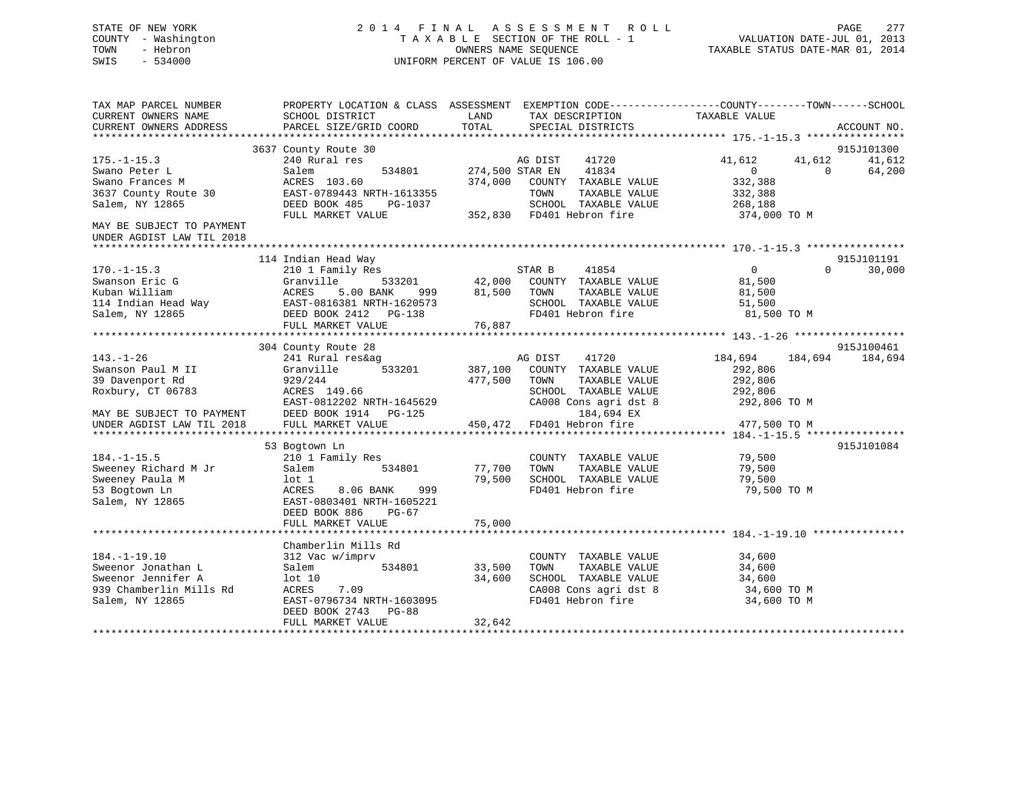# STATE OF NEW YORK 2 0 1 4 F I N A L A S S E S S M E N T R O L L PAGE 277 COUNTY - Washington T A X A B L E SECTION OF THE ROLL - 1 VALUATION DATE-JUL 01, 2013 TOWN - Hebron OWNERS NAME SEQUENCE TAXABLE STATUS DATE-MAR 01, 2014 SWIS - 534000 UNIFORM PERCENT OF VALUE IS 106.00

| TAX MAP PARCEL NUMBER<br>CURRENT OWNERS NAME<br>CURRENT OWNERS ADDRESS | PROPERTY LOCATION & CLASS ASSESSMENT EXEMPTION CODE----------------COUNTY-------TOWN-----SCHOOL<br>SCHOOL DISTRICT<br>PARCEL SIZE/GRID COORD | LAND<br>TOTAL   | TAX DESCRIPTION<br>SPECIAL DISTRICTS              | TAXABLE VALUE  | ACCOUNT NO. |         |
|------------------------------------------------------------------------|----------------------------------------------------------------------------------------------------------------------------------------------|-----------------|---------------------------------------------------|----------------|-------------|---------|
|                                                                        |                                                                                                                                              |                 |                                                   |                |             |         |
|                                                                        | 3637 County Route 30                                                                                                                         |                 |                                                   |                | 915J101300  |         |
| $175. - 1 - 15.3$                                                      | 240 Rural res                                                                                                                                |                 | AG DIST<br>41720                                  | 41,612         | 41,612      | 41,612  |
| Swano Peter L                                                          | Salem<br>534801                                                                                                                              | 274,500 STAR EN | 41834                                             | $\Omega$       | $\Omega$    | 64,200  |
| Swano Frances M                                                        | ACRES 103.60                                                                                                                                 | 374,000         | COUNTY TAXABLE VALUE                              | 332,388        |             |         |
| 3637 County Route 30                                                   | EAST-0789443 NRTH-1613355                                                                                                                    |                 | TAXABLE VALUE<br>TOWN                             | 332,388        |             |         |
| Salem, NY 12865                                                        | DEED BOOK 485<br>PG-1037                                                                                                                     |                 | SCHOOL TAXABLE VALUE<br>352,830 FD401 Hebron fire | 268,188        |             |         |
|                                                                        | FULL MARKET VALUE                                                                                                                            |                 |                                                   | 374,000 TO M   |             |         |
| MAY BE SUBJECT TO PAYMENT<br>UNDER AGDIST LAW TIL 2018                 |                                                                                                                                              |                 |                                                   |                |             |         |
|                                                                        |                                                                                                                                              |                 |                                                   |                |             |         |
|                                                                        | 114 Indian Head Way                                                                                                                          |                 |                                                   |                | 915J101191  |         |
| $170. - 1 - 15.3$                                                      | 210 1 Family Res                                                                                                                             |                 | STAR B<br>41854                                   | $\overline{0}$ | $\cap$      | 30,000  |
| Swanson Eric G                                                         | Granville<br>533201                                                                                                                          | 42,000          | COUNTY TAXABLE VALUE                              | 81,500         |             |         |
| Kuban William                                                          | ACRES<br>5.00 BANK<br>999                                                                                                                    | 81,500          | TAXABLE VALUE<br>TOWN                             | 81,500         |             |         |
| 114 Indian Head Way                                                    | EAST-0816381 NRTH-1620573                                                                                                                    |                 | SCHOOL TAXABLE VALUE                              | 51,500         |             |         |
| Salem, NY 12865                                                        | DEED BOOK 2412 PG-138                                                                                                                        |                 | FD401 Hebron fire                                 | 81,500 TO M    |             |         |
|                                                                        | FULL MARKET VALUE                                                                                                                            | 76,887          |                                                   |                |             |         |
|                                                                        |                                                                                                                                              |                 |                                                   |                |             |         |
|                                                                        | 304 County Route 28                                                                                                                          |                 |                                                   |                | 915J100461  |         |
| $143. - 1 - 26$                                                        | 241 Rural res&ag                                                                                                                             |                 | AG DIST<br>41720                                  | 184,694        | 184,694     | 184,694 |
| Swanson Paul M II                                                      | Granville<br>533201                                                                                                                          | 387,100         | COUNTY TAXABLE VALUE                              | 292,806        |             |         |
| 39 Davenport Rd                                                        | 929/244                                                                                                                                      | 477,500         | TOWN<br>TAXABLE VALUE                             | 292,806        |             |         |
| Roxbury, CT 06783                                                      | ACRES 149.66                                                                                                                                 |                 | SCHOOL TAXABLE VALUE                              | 292,806        |             |         |
|                                                                        | EAST-0812202 NRTH-1645629                                                                                                                    |                 | CA008 Cons agri dst 8                             | 292,806 TO M   |             |         |
| MAY BE SUBJECT TO PAYMENT                                              | DEED BOOK 1914    PG-125                                                                                                                     |                 | 184,694 EX                                        |                |             |         |
| UNDER AGDIST LAW TIL 2018                                              | FULL MARKET VALUE                                                                                                                            | 450,472         | FD401 Hebron fire                                 | 477,500 TO M   |             |         |
|                                                                        |                                                                                                                                              |                 |                                                   |                |             |         |
|                                                                        | 53 Bogtown Ln                                                                                                                                |                 |                                                   |                | 915J101084  |         |
| $184. - 1 - 15.5$                                                      | 210 1 Family Res                                                                                                                             |                 | COUNTY TAXABLE VALUE                              | 79,500         |             |         |
| Sweeney Richard M Jr                                                   | Salem<br>534801                                                                                                                              | 77,700          | TAXABLE VALUE<br>TOWN                             | 79,500         |             |         |
| Sweeney Paula M                                                        | lot 1                                                                                                                                        | 79,500          | SCHOOL TAXABLE VALUE                              | 79,500         |             |         |
| 53 Bogtown Ln                                                          | 8.06 BANK<br>999<br>ACRES                                                                                                                    |                 | FD401 Hebron fire                                 | 79,500 TO M    |             |         |
| Salem, NY 12865                                                        | EAST-0803401 NRTH-1605221                                                                                                                    |                 |                                                   |                |             |         |
|                                                                        | DEED BOOK 886<br>PG-67                                                                                                                       |                 |                                                   |                |             |         |
|                                                                        | FULL MARKET VALUE                                                                                                                            | 75,000          |                                                   |                |             |         |
|                                                                        |                                                                                                                                              |                 |                                                   |                |             |         |
|                                                                        | Chamberlin Mills Rd                                                                                                                          |                 |                                                   |                |             |         |
| $184. - 1 - 19.10$                                                     | 312 Vac w/imprv                                                                                                                              |                 | COUNTY TAXABLE VALUE                              | 34,600         |             |         |
| Sweenor Jonathan L                                                     | Salem<br>534801                                                                                                                              | 33,500          | TAXABLE VALUE<br>TOWN                             | 34,600         |             |         |
| Sweenor Jennifer A                                                     | lot 10                                                                                                                                       | 34,600          | SCHOOL TAXABLE VALUE                              | 34,600         |             |         |
| 939 Chamberlin Mills Rd                                                | ACRES<br>7.09                                                                                                                                |                 | CA008 Cons agri dst 8                             | 34,600 TO M    |             |         |
| Salem, NY 12865                                                        | EAST-0796734 NRTH-1603095                                                                                                                    |                 | FD401 Hebron fire                                 | 34,600 TO M    |             |         |
|                                                                        | DEED BOOK 2743<br>PG-88                                                                                                                      |                 |                                                   |                |             |         |
|                                                                        | FULL MARKET VALUE                                                                                                                            | 32,642          |                                                   |                |             |         |
|                                                                        |                                                                                                                                              |                 |                                                   |                |             |         |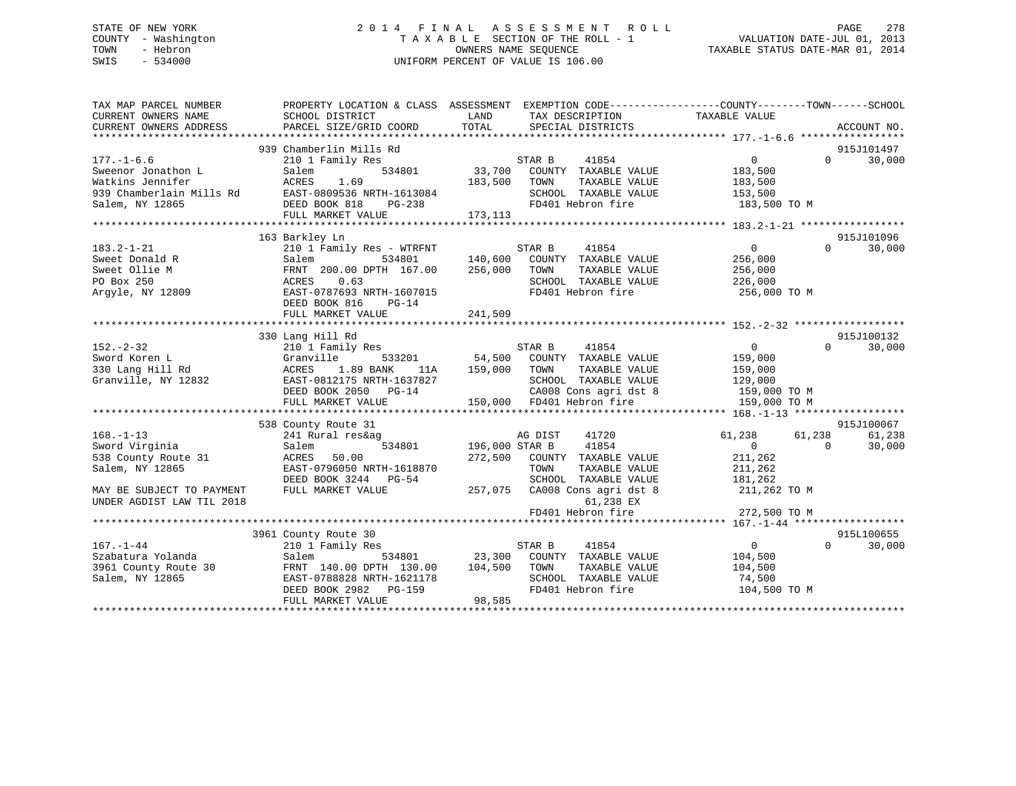# STATE OF NEW YORK 2 0 1 4 F I N A L A S S E S S M E N T R O L L PAGE 278 COUNTY - Washington T A X A B L E SECTION OF THE ROLL - 1 VALUATION DATE-JUL 01, 2013 TOWN - Hebron OWNERS NAME SEQUENCE TAXABLE STATUS DATE-MAR 01, 2014 SWIS - 534000 UNIFORM PERCENT OF VALUE IS 106.00

| TAX MAP PARCEL NUMBER<br>CURRENT OWNERS NAME<br>CURRENT OWNERS ADDRESS                                    | SCHOOL DISTRICT<br>PARCEL SIZE/GRID COORD                                                                                                                                                | PROPERTY LOCATION & CLASS ASSESSMENT EXEMPTION CODE---------------COUNTY-------TOWN-----SCHOOL<br>LAND<br>TAX DESCRIPTION<br>TOTAL<br>SPECIAL DISTRICTS       | TAXABLE VALUE<br>ACCOUNT NO.                                                                          |
|-----------------------------------------------------------------------------------------------------------|------------------------------------------------------------------------------------------------------------------------------------------------------------------------------------------|---------------------------------------------------------------------------------------------------------------------------------------------------------------|-------------------------------------------------------------------------------------------------------|
| $177. - 1 - 6.6$<br>Sweenor Jonathon L<br>Watkins Jennifer<br>939 Chamberlain Mills Rd<br>Salem, NY 12865 | 939 Chamberlin Mills Rd<br>210 1 Family Res<br>534801<br>Salem<br>ACRES<br>1.69<br>EAST-0809536 NRTH-1613084<br>DEED BOOK 818<br>PG-238                                                  | STAR B 41854<br>33,700 COUNTY TAXABLE VALUE<br>183,500<br>TOWN<br>TAXABLE VALUE<br>SCHOOL TAXABLE VALUE<br>FD401 Hebron fire                                  | 915J101497<br>30,000<br>$\overline{0}$<br>$\Omega$<br>183,500<br>183,500<br>153,500<br>183,500 TO M   |
|                                                                                                           | FULL MARKET VALUE                                                                                                                                                                        | 173, 113                                                                                                                                                      |                                                                                                       |
| $183.2 - 1 - 21$<br>Sweet Donald R<br>Sweet Ollie M<br>PO Box 250<br>Argyle, NY 12809                     | 163 Barkley Ln<br>210 1 Family Res - WTRFNT<br>534801<br>Salem<br>FRNT 200.00 DPTH 167.00<br>ACRES<br>0.63<br>EAST-0787693 NRTH-1607015<br>DEED BOOK 816<br>$PG-14$<br>FULL MARKET VALUE | STAR B<br>41854<br>140,600 COUNTY TAXABLE VALUE<br>256,000<br>TOWN<br>TAXABLE VALUE<br>SCHOOL TAXABLE VALUE<br>FD401 Hebron fire<br>241,509                   | 915J101096<br>0<br>30,000<br>$\Omega$<br>256,000<br>256,000<br>226,000<br>256,000 ТО М                |
|                                                                                                           | 330 Lang Hill Rd                                                                                                                                                                         |                                                                                                                                                               | 915J100132                                                                                            |
| $152 - 2 - 32$<br>Sword Koren L<br>330 Lang Hill Rd<br>Granville, NY 12832                                | 210 1 Family Res<br>Granville<br>533201<br>ACRES 1.89 BANK<br>11A<br>EAST-0812175 NRTH-1637827<br>DEED BOOK 2050 PG-14<br>FULL MARKET VALUE                                              | 41854<br>STAR B<br>54,500 COUNTY TAXABLE VALUE<br>159,000 TOWN<br>TAXABLE VALUE<br>SCHOOL TAXABLE VALUE<br>CA008 Cons agri dst 8<br>150,000 FD401 Hebron fire | $\overline{0}$<br>$\Omega$<br>30,000<br>159,000<br>159,000<br>129,000<br>159,000 TO M<br>159,000 TO M |
|                                                                                                           | 538 County Route 31                                                                                                                                                                      |                                                                                                                                                               | 915J100067                                                                                            |
| $168. - 1 - 13$<br>Sword Virginia<br>538 County Route 31<br>Salem, NY 12865                               | 241 Rural res&ag<br>534801 196,000 STAR B<br>Salem<br>ACRES 50.00<br>EAST-0796050 NRTH-1618870<br>DEED BOOK 3244 PG-54                                                                   | 41720<br>AG DIST<br>41854<br>272,500<br>COUNTY TAXABLE VALUE<br>TOWN<br>TAXABLE VALUE<br>SCHOOL TAXABLE VALUE                                                 | 61,238<br>61,238<br>61,238<br>$\Omega$<br>$\Omega$<br>30,000<br>211,262<br>211,262<br>181,262         |
| MAY BE SUBJECT TO PAYMENT<br>UNDER AGDIST LAW TIL 2018                                                    | FULL MARKET VALUE                                                                                                                                                                        | 257,075<br>CA008 Cons agri dst 8<br>61,238 EX<br>FD401 Hebron fire                                                                                            | 211,262 TO M<br>272,500 TO M                                                                          |
|                                                                                                           |                                                                                                                                                                                          |                                                                                                                                                               |                                                                                                       |
| $167. - 1 - 44$<br>Szabatura Yolanda<br>3961 County Route 30<br>Salem, NY 12865                           | 3961 County Route 30<br>210 1 Family Res<br>534801<br>Salem<br>FRNT 140.00 DPTH 130.00<br>EAST-0788828 NRTH-1621178<br>DEED BOOK 2982 PG-159<br>FULL MARKET VALUE                        | 41854<br>STAR B<br>23,300 COUNTY TAXABLE VALUE<br>104,500<br>TOWN<br>TAXABLE VALUE<br>SCHOOL TAXABLE VALUE<br>FD401 Hebron fire<br>98,585                     | 915L100655<br>$\overline{0}$<br>$\Omega$<br>30,000<br>104,500<br>104,500<br>74,500<br>104,500 TO M    |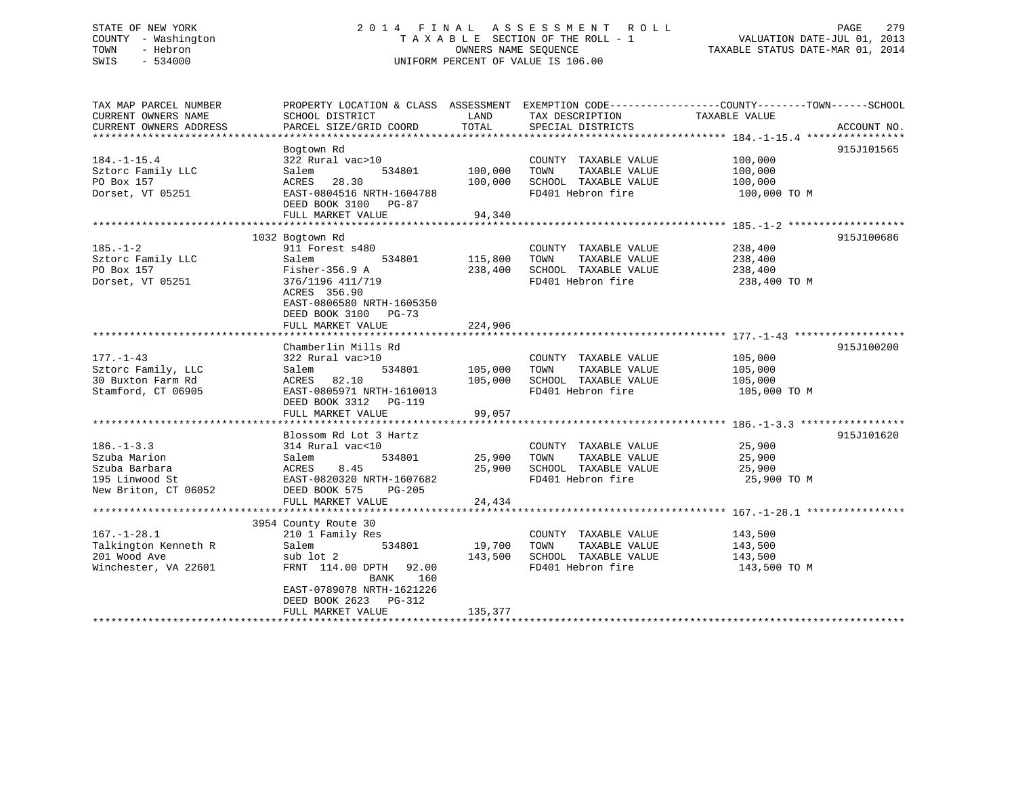# STATE OF NEW YORK 2 0 1 4 F I N A L A S S E S S M E N T R O L L PAGE 279 COUNTY - Washington T A X A B L E SECTION OF THE ROLL - 1 VALUATION DATE-JUL 01, 2013 TOWN - Hebron OWNERS NAME SEQUENCE TAXABLE STATUS DATE-MAR 01, 2014 SWIS - 534000 UNIFORM PERCENT OF VALUE IS 106.00

TAX MAP PARCEL NUMBER PROPERTY LOCATION & CLASS ASSESSMENT EXEMPTION CODE------------------COUNTY--------TOWN------SCHOOL CURRENT OWNERS NAME SCHOOL DISTRICT LAND TAX DESCRIPTION TAXABLE VALUECURRENT OWNERS ADDRESS PARCEL SIZE/GRID COORD TOTAL SPECIAL DISTRICTS ACCOUNT NO. \*\*\*\*\*\*\*\*\*\*\*\*\*\*\*\*\*\*\*\*\*\*\*\*\*\*\*\*\*\*\*\*\*\*\*\*\*\*\*\*\*\*\*\*\*\*\*\*\*\*\*\*\*\*\*\*\*\*\*\*\*\*\*\*\*\*\*\*\*\*\*\*\*\*\*\*\*\*\*\*\*\*\*\*\*\*\*\*\*\*\*\*\*\*\*\*\*\*\*\*\*\*\* 184.-1-15.4 \*\*\*\*\*\*\*\*\*\*\*\*\*\*\*\* Bogtown Rd 915J101565 184.-1-15.4 322 Rural vac>10 COUNTY TAXABLE VALUE 100,000 Sztorc Family LLC Salem 534801 100,000 TOWN TAXABLE VALUE 100,000 PO Box 157 ACRES 28.30 100,000 SCHOOL TAXABLE VALUE 100,000 Dorset, VT 05251 EAST-0804516 NRTH-1604788 FD401 Hebron fire 100,000 TO M DEED BOOK 3100 PG-87 FULL MARKET VALUE 94,340 \*\*\*\*\*\*\*\*\*\*\*\*\*\*\*\*\*\*\*\*\*\*\*\*\*\*\*\*\*\*\*\*\*\*\*\*\*\*\*\*\*\*\*\*\*\*\*\*\*\*\*\*\*\*\*\*\*\*\*\*\*\*\*\*\*\*\*\*\*\*\*\*\*\*\*\*\*\*\*\*\*\*\*\*\*\*\*\*\*\*\*\*\*\*\*\*\*\*\*\*\*\*\* 185.-1-2 \*\*\*\*\*\*\*\*\*\*\*\*\*\*\*\*\*\*\* 1032 Bogtown Rd 915J100686 185.-1-2 911 Forest s480 COUNTY TAXABLE VALUE 238,400 Sztorc Family LLC Salem 534801 115,800 TOWN TAXABLE VALUE 238,400 PO Box 157 Fisher-356.9 A 238,400 SCHOOL TAXABLE VALUE 238,400 Dorset, VT 05251 376/1196 411/719 FD401 Hebron fire 238,400 TO M ACRES 356.90 EAST-0806580 NRTH-1605350 DEED BOOK 3100 PG-73FULL MARKET VALUE 224,906 \*\*\*\*\*\*\*\*\*\*\*\*\*\*\*\*\*\*\*\*\*\*\*\*\*\*\*\*\*\*\*\*\*\*\*\*\*\*\*\*\*\*\*\*\*\*\*\*\*\*\*\*\*\*\*\*\*\*\*\*\*\*\*\*\*\*\*\*\*\*\*\*\*\*\*\*\*\*\*\*\*\*\*\*\*\*\*\*\*\*\*\*\*\*\*\*\*\*\*\*\*\*\* 177.-1-43 \*\*\*\*\*\*\*\*\*\*\*\*\*\*\*\*\*\*915J100200 Chamberlin Mills Rd 177.-1-43 322 Rural vac>10 COUNTY TAXABLE VALUE 105,000 Sztorc Family, LLC Salem 534801 105,000 TOWN TAXABLE VALUE 105,000 30 Buxton Farm Rd ACRES 82.10 105,000 SCHOOL TAXABLE VALUE 105,000 Stamford, CT 06905 EAST-0805971 NRTH-1610013 FD401 Hebron fire 105,000 TO M DEED BOOK 3312 PG-119PEED BOOK SULL THE STREET RESERVED BY 199,057 \*\*\*\*\*\*\*\*\*\*\*\*\*\*\*\*\*\*\*\*\*\*\*\*\*\*\*\*\*\*\*\*\*\*\*\*\*\*\*\*\*\*\*\*\*\*\*\*\*\*\*\*\*\*\*\*\*\*\*\*\*\*\*\*\*\*\*\*\*\*\*\*\*\*\*\*\*\*\*\*\*\*\*\*\*\*\*\*\*\*\*\*\*\*\*\*\*\*\*\*\*\*\* 186.-1-3.3 \*\*\*\*\*\*\*\*\*\*\*\*\*\*\*\*\*Blossom Rd Lot 3 Hartz 915J101620 186.-1-3.3 314 Rural vac<10 COUNTY TAXABLE VALUE 25,900 Szuba Marion Salem 534801 25,900 TOWN TAXABLE VALUE 25,900 Szuba Barbara ACRES 8.45 25,900 SCHOOL TAXABLE VALUE 25,900 195 Linwood St EAST-0820320 NRTH-1607682 FD401 Hebron fire 25,900 TO M New Briton, CT 06052 DEED BOOK 575 PG-205 FULL MARKET VALUE 24,434 \*\*\*\*\*\*\*\*\*\*\*\*\*\*\*\*\*\*\*\*\*\*\*\*\*\*\*\*\*\*\*\*\*\*\*\*\*\*\*\*\*\*\*\*\*\*\*\*\*\*\*\*\*\*\*\*\*\*\*\*\*\*\*\*\*\*\*\*\*\*\*\*\*\*\*\*\*\*\*\*\*\*\*\*\*\*\*\*\*\*\*\*\*\*\*\*\*\*\*\*\*\*\* 167.-1-28.1 \*\*\*\*\*\*\*\*\*\*\*\*\*\*\*\* 3954 County Route 30 167.-1-28.1 210 1 Family Res COUNTY TAXABLE VALUE 143,500 Talkington Kenneth R Salem 534801 19,700 TOWN TAXABLE VALUE 143,500 201 Wood Ave sub lot 2 143,500 SCHOOL TAXABLE VALUE 143,500 Winchester, VA 22601 FRNT 114.00 DPTH 92.00 FD401 Hebron fire 143,500 TO M BANK 160 EAST-0789078 NRTH-1621226 DEED BOOK 2623 PG-312FULL MARKET VALUE 135,377 \*\*\*\*\*\*\*\*\*\*\*\*\*\*\*\*\*\*\*\*\*\*\*\*\*\*\*\*\*\*\*\*\*\*\*\*\*\*\*\*\*\*\*\*\*\*\*\*\*\*\*\*\*\*\*\*\*\*\*\*\*\*\*\*\*\*\*\*\*\*\*\*\*\*\*\*\*\*\*\*\*\*\*\*\*\*\*\*\*\*\*\*\*\*\*\*\*\*\*\*\*\*\*\*\*\*\*\*\*\*\*\*\*\*\*\*\*\*\*\*\*\*\*\*\*\*\*\*\*\*\*\*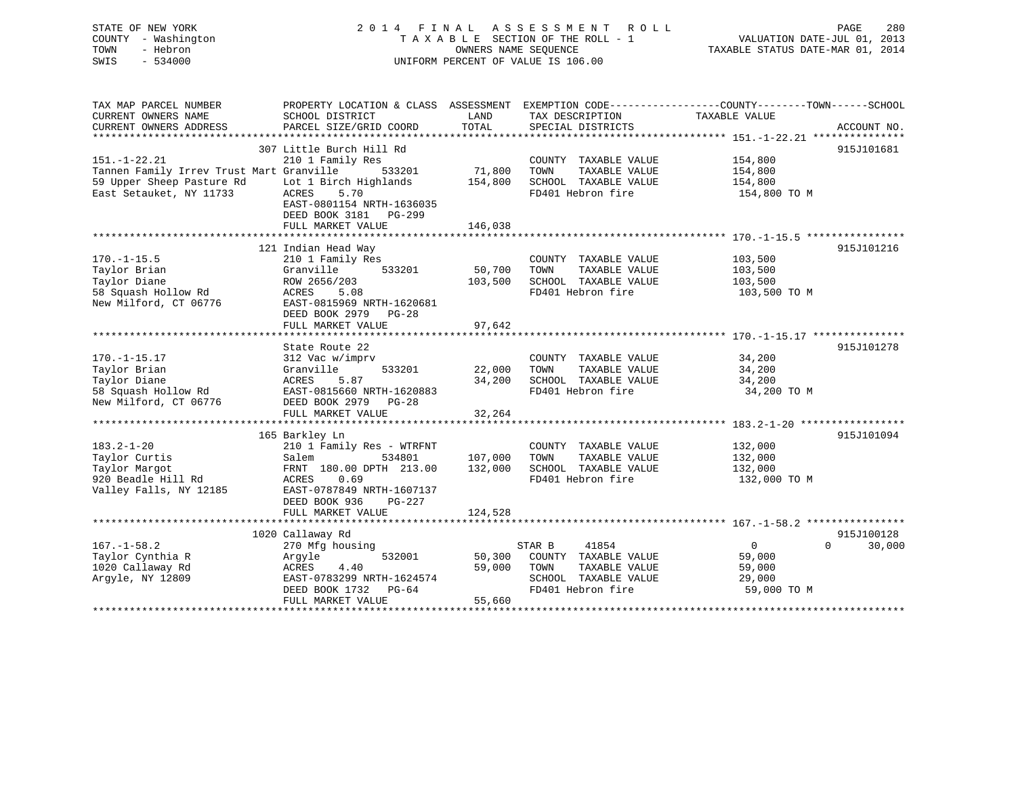# STATE OF NEW YORK 2 0 1 4 F I N A L A S S E S S M E N T R O L L PAGE 280 COUNTY - Washington T A X A B L E SECTION OF THE ROLL - 1 VALUATION DATE-JUL 01, 2013 TOWN - Hebron **CONNERS NAME SEQUENCE** TAXABLE STATUS DATE-MAR 01, 2014 SWIS - 534000 UNIFORM PERCENT OF VALUE IS 106.00

| TAX MAP PARCEL NUMBER                    | PROPERTY LOCATION & CLASS ASSESSMENT |         | EXEMPTION CODE-----------------COUNTY--------TOWN------SCHOOL |                |                    |
|------------------------------------------|--------------------------------------|---------|---------------------------------------------------------------|----------------|--------------------|
| CURRENT OWNERS NAME                      | SCHOOL DISTRICT                      | LAND    | TAX DESCRIPTION                                               | TAXABLE VALUE  |                    |
| CURRENT OWNERS ADDRESS                   | PARCEL SIZE/GRID COORD               | TOTAL   | SPECIAL DISTRICTS                                             |                | ACCOUNT NO.        |
|                                          |                                      |         |                                                               |                |                    |
|                                          | 307 Little Burch Hill Rd             |         |                                                               |                | 915J101681         |
| $151. - 1 - 22.21$                       | 210 1 Family Res                     |         | COUNTY TAXABLE VALUE                                          | 154,800        |                    |
| Tannen Family Irrev Trust Mart Granville | 533201                               | 71,800  | TOWN<br>TAXABLE VALUE                                         | 154,800        |                    |
| 59 Upper Sheep Pasture Rd                | Lot 1 Birch Highlands                | 154,800 | SCHOOL TAXABLE VALUE                                          | 154,800        |                    |
| East Setauket, NY 11733                  | ACRES<br>5.70                        |         | FD401 Hebron fire                                             | 154,800 TO M   |                    |
|                                          | EAST-0801154 NRTH-1636035            |         |                                                               |                |                    |
|                                          | DEED BOOK 3181 PG-299                |         |                                                               |                |                    |
|                                          | FULL MARKET VALUE                    | 146,038 |                                                               |                |                    |
|                                          |                                      |         |                                                               |                |                    |
|                                          | 121 Indian Head Way                  |         |                                                               |                | 915J101216         |
| $170. - 1 - 15.5$                        | 210 1 Family Res                     |         | COUNTY TAXABLE VALUE                                          | 103,500        |                    |
| Taylor Brian                             | Granville<br>533201                  | 50,700  | TAXABLE VALUE<br>TOWN                                         | 103,500        |                    |
| Taylor Diane                             | ROW 2656/203                         | 103,500 | SCHOOL TAXABLE VALUE                                          | 103,500        |                    |
| 58 Squash Hollow Rd                      | ACRES<br>5.08                        |         | FD401 Hebron fire                                             | 103,500 TO M   |                    |
| New Milford, CT 06776                    | EAST-0815969 NRTH-1620681            |         |                                                               |                |                    |
|                                          | DEED BOOK 2979<br>$PG-28$            |         |                                                               |                |                    |
|                                          | FULL MARKET VALUE                    | 97,642  |                                                               |                |                    |
|                                          |                                      |         |                                                               |                |                    |
|                                          | State Route 22                       |         |                                                               |                | 915J101278         |
| $170. - 1 - 15.17$                       | 312 Vac w/imprv                      |         | COUNTY TAXABLE VALUE                                          | 34,200         |                    |
| Taylor Brian                             | 533201<br>Granville                  | 22,000  | TAXABLE VALUE<br>TOWN                                         | 34,200         |                    |
| Taylor Diane                             | ACRES<br>5.87                        | 34,200  | SCHOOL TAXABLE VALUE                                          | 34,200         |                    |
| 58 Squash Hollow Rd                      | EAST-0815660 NRTH-1620883            |         | FD401 Hebron fire                                             | 34,200 TO M    |                    |
| New Milford, CT 06776                    | DEED BOOK 2979 PG-28                 |         |                                                               |                |                    |
|                                          | FULL MARKET VALUE                    | 32,264  |                                                               |                |                    |
|                                          |                                      |         |                                                               |                |                    |
|                                          | 165 Barkley Ln                       |         |                                                               |                | 915J101094         |
| $183.2 - 1 - 20$                         | 210 1 Family Res - WTRFNT            |         | COUNTY TAXABLE VALUE                                          | 132,000        |                    |
| Taylor Curtis                            | 534801<br>Salem                      | 107,000 | TOWN<br>TAXABLE VALUE                                         | 132,000        |                    |
| Taylor Margot                            | FRNT 180.00 DPTH 213.00              | 132,000 | SCHOOL TAXABLE VALUE                                          | 132,000        |                    |
| 920 Beadle Hill Rd                       | ACRES<br>0.69                        |         | FD401 Hebron fire                                             | 132,000 TO M   |                    |
| Valley Falls, NY 12185                   | EAST-0787849 NRTH-1607137            |         |                                                               |                |                    |
|                                          | DEED BOOK 936<br>$PG-227$            |         |                                                               |                |                    |
|                                          | FULL MARKET VALUE                    | 124,528 |                                                               |                |                    |
|                                          |                                      |         |                                                               |                |                    |
|                                          | 1020 Callaway Rd                     |         |                                                               |                | 915J100128         |
| $167. - 1 - 58.2$                        | 270 Mfg housing                      |         | 41854<br>STAR B                                               | $\overline{0}$ | $\Omega$<br>30,000 |
| Taylor Cynthia R                         | 532001<br>Argyle                     | 50,300  | COUNTY TAXABLE VALUE                                          | 59,000         |                    |
| 1020 Callaway Rd                         | 4.40<br>ACRES                        | 59,000  | TOWN<br>TAXABLE VALUE                                         | 59,000         |                    |
| Arqyle, NY 12809                         | EAST-0783299 NRTH-1624574            |         | SCHOOL TAXABLE VALUE                                          | 29,000         |                    |
|                                          | DEED BOOK 1732<br>PG-64              |         | FD401 Hebron fire                                             | 59,000 TO M    |                    |
|                                          | FULL MARKET VALUE                    | 55,660  |                                                               |                |                    |
|                                          |                                      |         |                                                               |                |                    |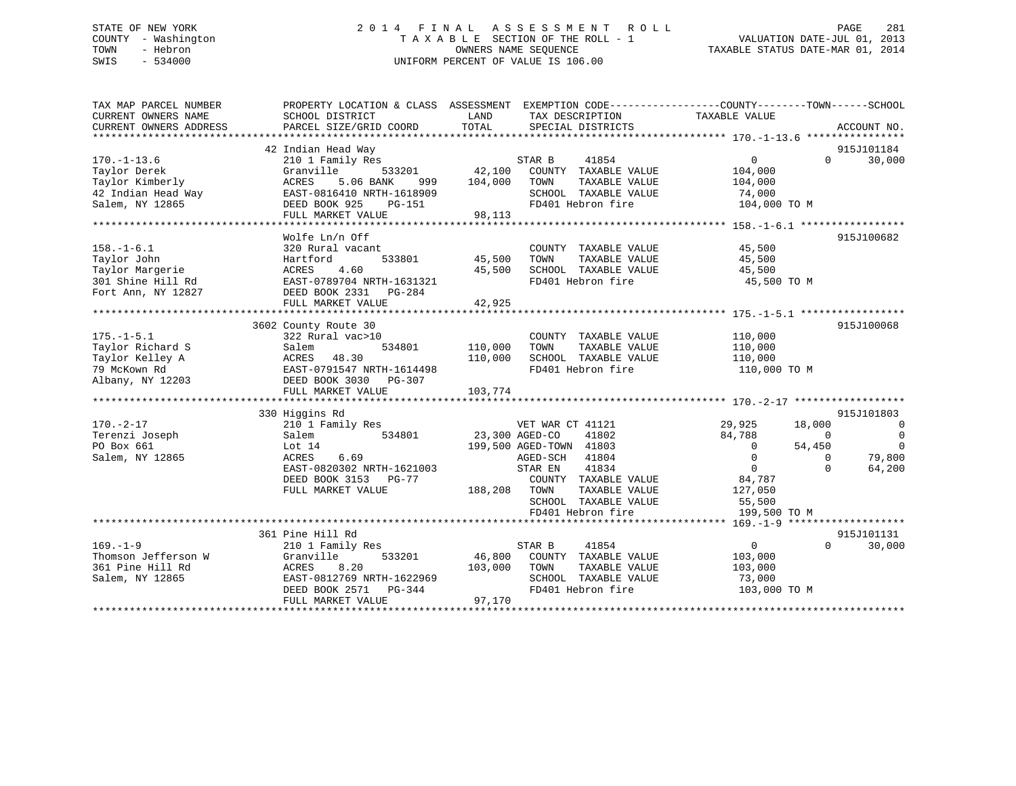# STATE OF NEW YORK 2 0 1 4 F I N A L A S S E S S M E N T R O L L PAGE 281 COUNTY - Washington T A X A B L E SECTION OF THE ROLL - 1 VALUATION DATE-JUL 01, 2013 TOWN - Hebron OWNERS NAME SEQUENCE TAXABLE STATUS DATE-MAR 01, 2014 SWIS - 534000 UNIFORM PERCENT OF VALUE IS 106.00

| TAX MAP PARCEL NUMBER                                    | PROPERTY LOCATION & CLASS ASSESSMENT EXEMPTION CODE---------------COUNTY-------TOWN-----SCHOOL |                |                             |                         |                |                |
|----------------------------------------------------------|------------------------------------------------------------------------------------------------|----------------|-----------------------------|-------------------------|----------------|----------------|
| CURRENT OWNERS NAME                                      | SCHOOL DISTRICT                                                                                | LAND           | TAX DESCRIPTION             | TAXABLE VALUE           |                |                |
| CURRENT OWNERS ADDRESS                                   | PARCEL SIZE/GRID COORD                                                                         | TOTAL          | SPECIAL DISTRICTS           |                         |                | ACCOUNT NO.    |
|                                                          |                                                                                                |                |                             |                         |                |                |
|                                                          | 42 Indian Head Way                                                                             |                |                             |                         |                | 915J101184     |
| $170. - 1 - 13.6$                                        | 210 1 Family Res                                                                               |                | STAR B<br>41854             | $0 \qquad \qquad$       | $\Omega$       | 30,000         |
| Taylor Derek                                             | 533201<br>Granville                                                                            |                | 42,100 COUNTY TAXABLE VALUE | 104,000                 |                |                |
| Taylor Kimberly                                          | 5.06 BANK<br>ACRES<br>999                                                                      | 104,000        | TOWN<br>TAXABLE VALUE       | 104,000                 |                |                |
|                                                          | EAST-0816410 NRTH-1618909                                                                      |                | SCHOOL TAXABLE VALUE        | 74,000                  |                |                |
| 42 Indian Head Way<br>Salem, NY 12865<br>Salem, NY 12865 | DEED BOOK 925<br><b>PG-151</b>                                                                 |                | FD401 Hebron fire           | 104,000 TO M            |                |                |
|                                                          | FULL MARKET VALUE                                                                              | 98,113         |                             |                         |                |                |
|                                                          |                                                                                                |                |                             |                         |                |                |
|                                                          | Wolfe Ln/n Off                                                                                 |                |                             |                         |                | 915J100682     |
| $158. - 1 - 6.1$                                         | 320 Rural vacant                                                                               |                | COUNTY TAXABLE VALUE        | 45,500                  |                |                |
| Taylor John                                              | Hartford                                                                                       | 533801 45,500  | TAXABLE VALUE<br>TOWN       | 45,500                  |                |                |
| Taylor Margerie                                          | ACRES<br>4.60                                                                                  | 45,500         | SCHOOL TAXABLE VALUE        | 45,500                  |                |                |
| 301 Shine Hill Rd                                        | ACRES 1.00<br>EAST-0789704 NRTH-1631321                                                        |                | FD401 Hebron fire           | 45,500 TO M             |                |                |
| Fort Ann, NY 12827                                       | DEED BOOK 2331<br>PG-284                                                                       |                |                             |                         |                |                |
|                                                          | FULL MARKET VALUE                                                                              | 42,925         |                             |                         |                |                |
|                                                          |                                                                                                |                |                             |                         |                |                |
|                                                          | 3602 County Route 30                                                                           |                |                             |                         |                | 915J100068     |
| $175. - 1 - 5.1$                                         | 322 Rural vac>10                                                                               |                | COUNTY TAXABLE VALUE        | 110,000                 |                |                |
| Taylor Richard S                                         | 534801<br>Salem                                                                                | 110,000        | TOWN<br>TAXABLE VALUE       | 110,000                 |                |                |
| Taylor Kelley A                                          | 48.30                                                                                          | 110,000        | SCHOOL TAXABLE VALUE        |                         |                |                |
| 79 McKown Rd                                             | ACRES<br>EAST-0791547 NRTH-1614498                                                             |                | FD401 Hebron fire           | 110,000<br>110,000 TO M |                |                |
|                                                          |                                                                                                |                |                             |                         |                |                |
| Albany, NY 12203                                         | DEED BOOK 3030 PG-307                                                                          |                |                             |                         |                |                |
|                                                          |                                                                                                |                |                             |                         |                |                |
|                                                          |                                                                                                |                |                             |                         |                |                |
|                                                          | 330 Higgins Rd                                                                                 |                |                             |                         |                | 915J101803     |
| $170. - 2 - 17$                                          | 210 1 Family Res                                                                               |                | VET WAR CT 41121            | 29,925                  | 18,000         | $\overline{0}$ |
| Terenzi Joseph                                           | 534801<br>Salem                                                                                | 23,300 AGED-CO | 41802                       | 84,788                  | $\overline{0}$ | $\overline{0}$ |
| PO Box 661                                               | Lot $14$                                                                                       |                | 199,500 AGED-TOWN 41803     | $\overline{0}$          | 54,450         | $\overline{0}$ |
| Salem, NY 12865                                          | ACRES<br>6.69                                                                                  |                | AGED-SCH<br>41804           | $\Omega$                | $\Omega$       | 79,800         |
|                                                          | EAST-0820302 NRTH-1621003                                                                      |                | 41834<br>STAR EN            | $\overline{0}$          | $\Omega$       | 64,200         |
|                                                          | DEED BOOK 3153 PG-77                                                                           |                | COUNTY TAXABLE VALUE        | 84,787                  |                |                |
|                                                          | FULL MARKET VALUE                                                                              | 188,208 TOWN   | TAXABLE VALUE               | 127,050                 |                |                |
|                                                          |                                                                                                |                | SCHOOL TAXABLE VALUE        | 55,500                  |                |                |
|                                                          |                                                                                                |                | FD401 Hebron fire           | 199,500 TO M            |                |                |
|                                                          |                                                                                                |                |                             |                         |                |                |
|                                                          | 361 Pine Hill Rd                                                                               |                |                             |                         |                | 915J101131     |
| $169. - 1 - 9$                                           | 210 1 Family Res                                                                               |                | STAR B<br>41854             | $\overline{0}$          | $\Omega$       | 30,000         |
| Thomson Jefferson W                                      | Granville<br>533201                                                                            |                | 46,800 COUNTY TAXABLE VALUE | 103,000                 |                |                |
| 361 Pine Hill Rd                                         | ACRES<br>8.20                                                                                  | 103,000        | TOWN<br>TAXABLE VALUE       | 103,000                 |                |                |
| Salem, NY 12865                                          | EAST-0812769 NRTH-1622969                                                                      |                | SCHOOL TAXABLE VALUE        | 73,000                  |                |                |
|                                                          | DEED BOOK 2571 PG-344                                                                          |                | FD401 Hebron fire           | 103,000 TO M            |                |                |
|                                                          | FULL MARKET VALUE                                                                              | 97,170         |                             |                         |                |                |
|                                                          |                                                                                                |                |                             |                         |                |                |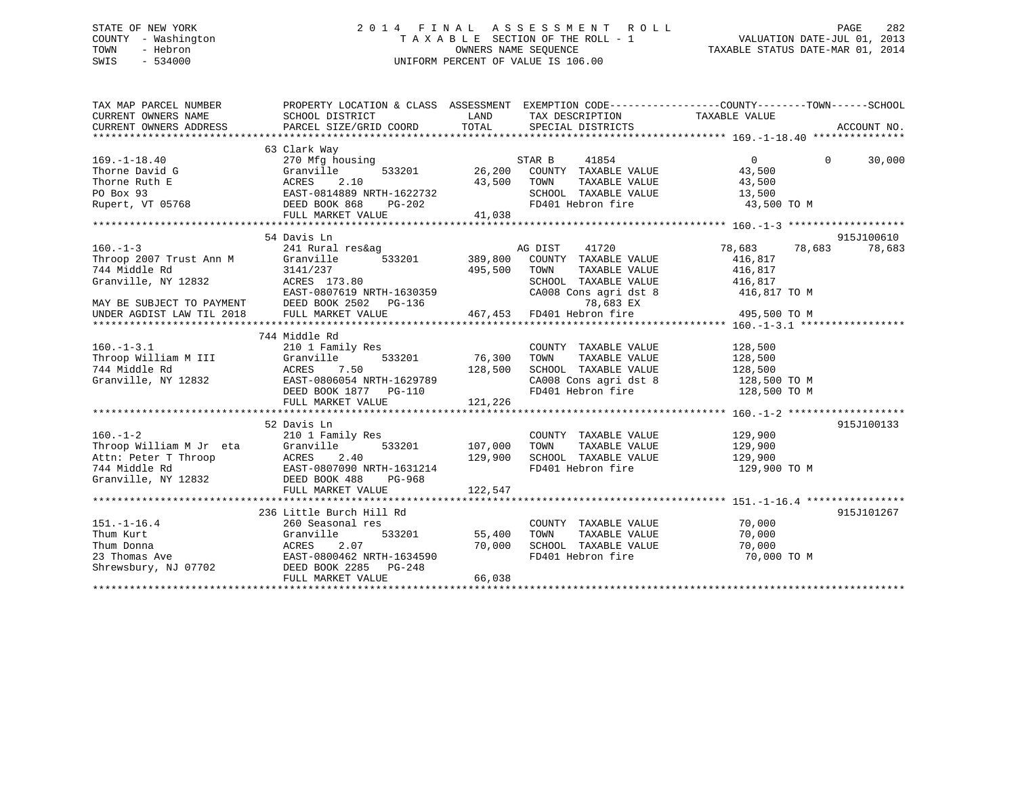# STATE OF NEW YORK 2 0 1 4 F I N A L A S S E S S M E N T R O L L PAGE 282 COUNTY - Washington T A X A B L E SECTION OF THE ROLL - 1 VALUATION DATE-JUL 01, 2013 TOWN - Hebron OWNERS NAME SEQUENCE TAXABLE STATUS DATE-MAR 01, 2014 SWIS - 534000 UNIFORM PERCENT OF VALUE IS 106.00

| TAX MAP PARCEL NUMBER<br>CURRENT OWNERS NAME<br>CURRENT OWNERS ADDRESS                                     | PROPERTY LOCATION & CLASS ASSESSMENT EXEMPTION CODE----------------COUNTY-------TOWN------SCHOOL<br>SCHOOL DISTRICT<br>PARCEL SIZE/GRID COORD | LAND<br>TOTAL      | TAX DESCRIPTION<br>SPECIAL DISTRICTS                                  | TAXABLE VALUE                          | ACCOUNT NO. |
|------------------------------------------------------------------------------------------------------------|-----------------------------------------------------------------------------------------------------------------------------------------------|--------------------|-----------------------------------------------------------------------|----------------------------------------|-------------|
|                                                                                                            |                                                                                                                                               |                    |                                                                       |                                        |             |
| $169. - 1 - 18.40$                                                                                         | 63 Clark Way<br>270 Mfg housing                                                                                                               |                    | STAR B<br>41854                                                       | $\Omega$<br>$\Omega$                   | 30,000      |
| Thorne David G<br>Thorne Ruth E<br>PO Box 93                                                               | Granville<br>533201<br>2.10<br>ACRES<br>EAST-0814889 NRTH-1622732                                                                             | 26,200<br>43,500   | COUNTY TAXABLE VALUE<br>TOWN<br>TAXABLE VALUE<br>SCHOOL TAXABLE VALUE | 43,500<br>43,500<br>13,500             |             |
| Rupert, VT 05768                                                                                           | DEED BOOK 868<br>PG-202<br>FULL MARKET VALUE                                                                                                  | 41,038             | FD401 Hebron fire                                                     | 43,500 TO M                            |             |
|                                                                                                            |                                                                                                                                               |                    |                                                                       |                                        |             |
|                                                                                                            | 54 Davis Ln                                                                                                                                   |                    |                                                                       |                                        | 915J100610  |
| $160. -1 - 3$<br>Throop 2007 Trust Ann M<br>744 Middle Rd                                                  | 241 Rural res&ag<br>533201<br>Granville<br>3141/237                                                                                           | 389,800<br>495,500 | AG DIST<br>41720<br>COUNTY TAXABLE VALUE<br>TOWN<br>TAXABLE VALUE     | 78,683<br>78,683<br>416,817<br>416,817 | 78,683      |
| Granville, NY 12832<br>MAY BE SUBJECT TO PAYMENT<br>MAY BE SUBJECT TO PAYMENT<br>UNDER AGDIST LAW TIL 2018 | ACRES 173.80<br>EAST-0807619 NRTH-1630359<br>DEED BOOK 2502 PG-136                                                                            |                    | SCHOOL TAXABLE VALUE<br>CA008 Cons agri dst 8<br>78,683 EX            | 416,817<br>416,817 TO M                |             |
|                                                                                                            | FULL MARKET VALUE                                                                                                                             |                    | 467,453 FD401 Hebron fire                                             | 495,500 TO M                           |             |
|                                                                                                            |                                                                                                                                               |                    |                                                                       |                                        |             |
|                                                                                                            | 744 Middle Rd                                                                                                                                 |                    |                                                                       |                                        |             |
| $160. -1 - 3.1$                                                                                            | 210 1 Family Res                                                                                                                              |                    | COUNTY TAXABLE VALUE                                                  | 128,500                                |             |
| Throop William M III                                                                                       | Granville<br>533201                                                                                                                           | 76,300             | TOWN<br>TAXABLE VALUE                                                 | 128,500                                |             |
| 744 Middle Rd                                                                                              | ACRES<br>7.50                                                                                                                                 | 128,500            | SCHOOL TAXABLE VALUE                                                  | 128,500                                |             |
| Granville, NY 12832                                                                                        | EAST-0806054 NRTH-1629789                                                                                                                     |                    | CA008 Cons agri dst 8                                                 | 128,500 TO M                           |             |
|                                                                                                            | DEED BOOK 1877 PG-110<br>FULL MARKET VALUE                                                                                                    | 121,226            | FD401 Hebron fire                                                     | 128,500 TO M                           |             |
|                                                                                                            |                                                                                                                                               |                    |                                                                       |                                        |             |
|                                                                                                            | 52 Davis Ln                                                                                                                                   |                    |                                                                       |                                        | 915J100133  |
| $160. - 1 - 2$                                                                                             | 210 1 Family Res                                                                                                                              |                    | COUNTY TAXABLE VALUE                                                  | 129,900                                |             |
| Throop William M Jr eta                                                                                    | Granville<br>533201                                                                                                                           | 107,000            | TAXABLE VALUE<br>TOWN                                                 | 129,900                                |             |
| Attn: Peter T Throop                                                                                       | ACRES<br>2.40                                                                                                                                 | 129,900            | SCHOOL TAXABLE VALUE<br>FD401 Hebron fire                             | 129,900                                |             |
| 744 Middle Rd<br>Granville, NY 12832                                                                       | EAST-0807090 NRTH-1631214<br>DEED BOOK 488<br>PG-968<br>FULL MARKET VALUE                                                                     | 122,547            |                                                                       | 129,900 TO M                           |             |
|                                                                                                            |                                                                                                                                               |                    |                                                                       |                                        |             |
|                                                                                                            | 236 Little Burch Hill Rd                                                                                                                      |                    |                                                                       |                                        | 915J101267  |
| $151. - 1 - 16.4$                                                                                          | 260 Seasonal res                                                                                                                              |                    | COUNTY TAXABLE VALUE                                                  | 70,000                                 |             |
| Thum Kurt                                                                                                  | Granville<br>533201                                                                                                                           | 55,400             | TOWN<br>TAXABLE VALUE                                                 | 70,000                                 |             |
| Thum Donna                                                                                                 | ACRES<br>2.07                                                                                                                                 | 70,000             | SCHOOL TAXABLE VALUE                                                  | 70,000                                 |             |
| 23 Thomas Ave                                                                                              | EAST-0800462 NRTH-1634590                                                                                                                     |                    | FD401 Hebron fire                                                     | 70,000 TO M                            |             |
| Shrewsbury, NJ 07702                                                                                       | DEED BOOK 2285<br>PG-248                                                                                                                      |                    |                                                                       |                                        |             |
|                                                                                                            | FULL MARKET VALUE                                                                                                                             | 66,038             |                                                                       |                                        |             |
|                                                                                                            |                                                                                                                                               |                    |                                                                       |                                        |             |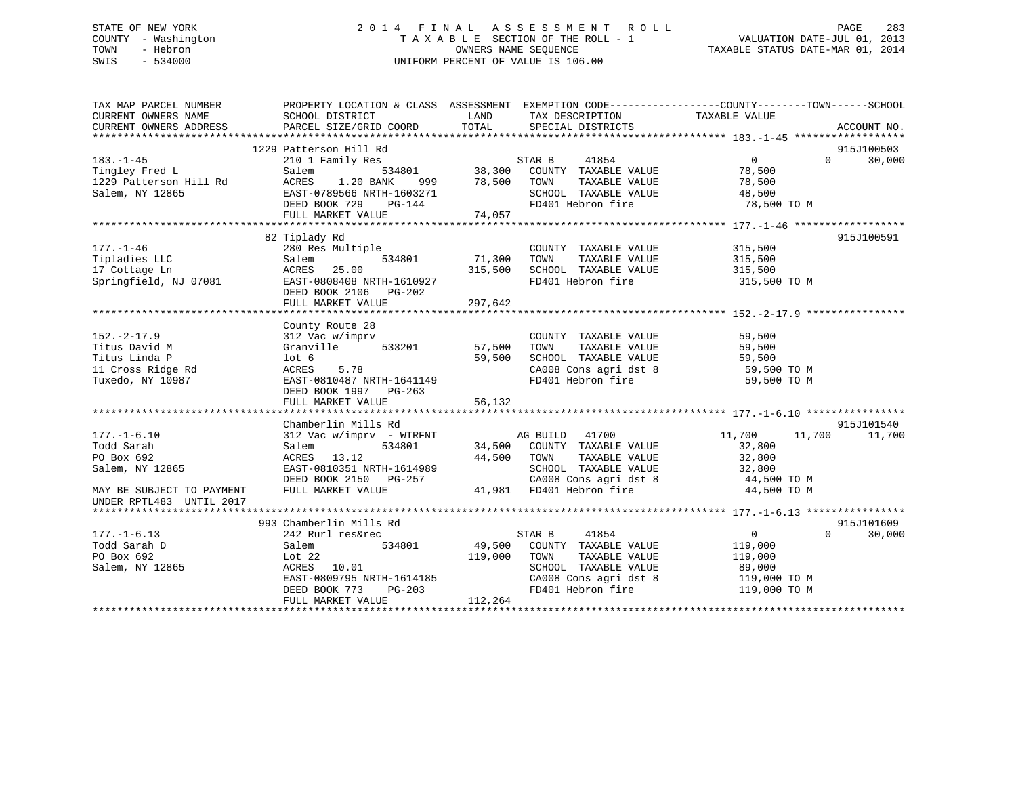# STATE OF NEW YORK 2 0 1 4 F I N A L A S S E S S M E N T R O L L PAGE 283 COUNTY - Washington T A X A B L E SECTION OF THE ROLL - 1 VALUATION DATE-JUL 01, 2013 TOWN - Hebron OWNERS NAME SEQUENCE TAXABLE STATUS DATE-MAR 01, 2014 SWIS - 534000 UNIFORM PERCENT OF VALUE IS 106.00

| TOTAL<br>CURRENT OWNERS ADDRESS<br>PARCEL SIZE/GRID COORD<br>SPECIAL DISTRICTS<br>ACCOUNT NO.<br>1229 Patterson Hill Rd<br>915J100503<br>$\begin{array}{cccc}\n 3 & 534801 & 38,300 & 00 \end{array}$ $\begin{array}{cccc}\n 38,300 & 00 \end{array}$<br>30,000<br>$183. - 1 - 45$<br>210 1 Family Res<br>$\overline{0}$<br>$\Omega$<br>Tingley Fred L<br>78,500<br>Salem<br>1.20 BANK<br>999 78,500<br>1229 Patterson Hill Rd<br>ACRES<br>TOWN<br>TAXABLE VALUE<br>78,500<br>Salem, NY 12865<br>EAST-0789566 NRTH-1603271<br>SCHOOL TAXABLE VALUE<br>48,500<br>FD401 Hebron fire<br>DEED BOOK 729<br>PG-144<br>78,500 TO M<br>FULL MARKET VALUE<br>74,057<br>82 Tiplady Rd<br>915J100591<br>$177. - 1 - 46$<br>280 Res Multiple<br>COUNTY TAXABLE VALUE<br>315,500<br>71,300<br>Tipladies LLC<br>534801<br>TOWN<br>TAXABLE VALUE<br>Salem<br>315,500<br>SCHOOL TAXABLE VALUE<br>17 Cottage Ln<br>ACRES<br>25.00<br>315,500<br>315,500<br>Springfield, NJ 07081<br>FD401 Hebron fire<br>EAST-0808408 NRTH-1610927<br>315,500 TO M<br>DEED BOOK 2106 PG-202<br>297,642<br>FULL MARKET VALUE<br>County Route 28<br>$152. - 2 - 17.9$<br>312 Vac w/imprv<br>COUNTY TAXABLE VALUE<br>59,500<br>533201<br>Titus David M<br>Granville<br>57,500<br>TOWN<br>TAXABLE VALUE<br>59,500<br>Titus Linda P<br>$1$ ot 6<br>59,500<br>SCHOOL TAXABLE VALUE<br>59,500<br>CA008 Cons agri dst 8 59,500 TO M<br>11 Cross Ridge Rd<br>5.78<br>ACRES<br>EAST-0810487 NRTH-1641149<br>FD401 Hebron fire<br>Tuxedo, NY 10987<br>59,500 TO M<br>DEED BOOK 1997 PG-263<br>56,132<br>FULL MARKET VALUE<br>Chamberlin Mills Rd<br>915J101540<br>AG BUILD 41700<br>$177. - 1 - 6.10$<br>312 Vac w/imprv - WTRFNT<br>11,700<br>11,700<br>11,700<br>Todd Sarah<br>534801<br>34,500 COUNTY TAXABLE VALUE<br>32,800<br>Salem<br>PO Box 692<br>ACRES 13.12<br>44,500 TOWN<br>TOWN      TAXABLE  VALUE<br>SCHOOL   TAXABLE  VALUE<br>32,800<br>EAST-0810351 NRTH-1614989<br>Salem, NY 12865<br>32,800<br>CA008 Cons agri dst 8<br>DEED BOOK 2150 PG-257<br>44,500 TO M<br>41,981 FD401 Hebron fire<br>FULL MARKET VALUE<br>44,500 TO M<br>MAY BE SUBJECT TO PAYMENT<br>UNDER RPTL483 UNTIL 2017<br>915J101609<br>993 Chamberlin Mills Rd<br>$177. - 1 - 6.13$<br>STAR B<br>41854<br>0<br>$\Omega$<br>30,000<br>242 Rurl res&rec<br>49,500 COUNTY TAXABLE VALUE<br>Todd Sarah D<br>Salem<br>534801<br>119,000<br>PO Box 692<br>119,000<br>TOWN<br>TAXABLE VALUE<br>Lot $22$<br>119,000<br>Salem, NY 12865<br>ACRES 10.01<br>SCHOOL TAXABLE VALUE<br>89,000<br>119,000 TO M<br>EAST-0809795 NRTH-1614185<br>CA008 Cons agri dst 8<br>FD401 Hebron fire<br>DEED BOOK 773<br>PG-203<br>119,000 TO M<br>112,264<br>FULL MARKET VALUE | TAX MAP PARCEL NUMBER<br>CURRENT OWNERS NAME | PROPERTY LOCATION & CLASS ASSESSMENT EXEMPTION CODE----------------COUNTY-------TOWN------SCHOOL<br>SCHOOL DISTRICT | LAND | TAX DESCRIPTION | TAXABLE VALUE |  |
|------------------------------------------------------------------------------------------------------------------------------------------------------------------------------------------------------------------------------------------------------------------------------------------------------------------------------------------------------------------------------------------------------------------------------------------------------------------------------------------------------------------------------------------------------------------------------------------------------------------------------------------------------------------------------------------------------------------------------------------------------------------------------------------------------------------------------------------------------------------------------------------------------------------------------------------------------------------------------------------------------------------------------------------------------------------------------------------------------------------------------------------------------------------------------------------------------------------------------------------------------------------------------------------------------------------------------------------------------------------------------------------------------------------------------------------------------------------------------------------------------------------------------------------------------------------------------------------------------------------------------------------------------------------------------------------------------------------------------------------------------------------------------------------------------------------------------------------------------------------------------------------------------------------------------------------------------------------------------------------------------------------------------------------------------------------------------------------------------------------------------------------------------------------------------------------------------------------------------------------------------------------------------------------------------------------------------------------------------------------------------------------------------------------------------------------------------------------------------------------------------------------------------------------------------------------------------------------------------------------------------------------------------------------------------------------------|----------------------------------------------|---------------------------------------------------------------------------------------------------------------------|------|-----------------|---------------|--|
|                                                                                                                                                                                                                                                                                                                                                                                                                                                                                                                                                                                                                                                                                                                                                                                                                                                                                                                                                                                                                                                                                                                                                                                                                                                                                                                                                                                                                                                                                                                                                                                                                                                                                                                                                                                                                                                                                                                                                                                                                                                                                                                                                                                                                                                                                                                                                                                                                                                                                                                                                                                                                                                                                                |                                              |                                                                                                                     |      |                 |               |  |
|                                                                                                                                                                                                                                                                                                                                                                                                                                                                                                                                                                                                                                                                                                                                                                                                                                                                                                                                                                                                                                                                                                                                                                                                                                                                                                                                                                                                                                                                                                                                                                                                                                                                                                                                                                                                                                                                                                                                                                                                                                                                                                                                                                                                                                                                                                                                                                                                                                                                                                                                                                                                                                                                                                |                                              |                                                                                                                     |      |                 |               |  |
|                                                                                                                                                                                                                                                                                                                                                                                                                                                                                                                                                                                                                                                                                                                                                                                                                                                                                                                                                                                                                                                                                                                                                                                                                                                                                                                                                                                                                                                                                                                                                                                                                                                                                                                                                                                                                                                                                                                                                                                                                                                                                                                                                                                                                                                                                                                                                                                                                                                                                                                                                                                                                                                                                                |                                              |                                                                                                                     |      |                 |               |  |
|                                                                                                                                                                                                                                                                                                                                                                                                                                                                                                                                                                                                                                                                                                                                                                                                                                                                                                                                                                                                                                                                                                                                                                                                                                                                                                                                                                                                                                                                                                                                                                                                                                                                                                                                                                                                                                                                                                                                                                                                                                                                                                                                                                                                                                                                                                                                                                                                                                                                                                                                                                                                                                                                                                |                                              |                                                                                                                     |      |                 |               |  |
|                                                                                                                                                                                                                                                                                                                                                                                                                                                                                                                                                                                                                                                                                                                                                                                                                                                                                                                                                                                                                                                                                                                                                                                                                                                                                                                                                                                                                                                                                                                                                                                                                                                                                                                                                                                                                                                                                                                                                                                                                                                                                                                                                                                                                                                                                                                                                                                                                                                                                                                                                                                                                                                                                                |                                              |                                                                                                                     |      |                 |               |  |
|                                                                                                                                                                                                                                                                                                                                                                                                                                                                                                                                                                                                                                                                                                                                                                                                                                                                                                                                                                                                                                                                                                                                                                                                                                                                                                                                                                                                                                                                                                                                                                                                                                                                                                                                                                                                                                                                                                                                                                                                                                                                                                                                                                                                                                                                                                                                                                                                                                                                                                                                                                                                                                                                                                |                                              |                                                                                                                     |      |                 |               |  |
|                                                                                                                                                                                                                                                                                                                                                                                                                                                                                                                                                                                                                                                                                                                                                                                                                                                                                                                                                                                                                                                                                                                                                                                                                                                                                                                                                                                                                                                                                                                                                                                                                                                                                                                                                                                                                                                                                                                                                                                                                                                                                                                                                                                                                                                                                                                                                                                                                                                                                                                                                                                                                                                                                                |                                              |                                                                                                                     |      |                 |               |  |
|                                                                                                                                                                                                                                                                                                                                                                                                                                                                                                                                                                                                                                                                                                                                                                                                                                                                                                                                                                                                                                                                                                                                                                                                                                                                                                                                                                                                                                                                                                                                                                                                                                                                                                                                                                                                                                                                                                                                                                                                                                                                                                                                                                                                                                                                                                                                                                                                                                                                                                                                                                                                                                                                                                |                                              |                                                                                                                     |      |                 |               |  |
|                                                                                                                                                                                                                                                                                                                                                                                                                                                                                                                                                                                                                                                                                                                                                                                                                                                                                                                                                                                                                                                                                                                                                                                                                                                                                                                                                                                                                                                                                                                                                                                                                                                                                                                                                                                                                                                                                                                                                                                                                                                                                                                                                                                                                                                                                                                                                                                                                                                                                                                                                                                                                                                                                                |                                              |                                                                                                                     |      |                 |               |  |
|                                                                                                                                                                                                                                                                                                                                                                                                                                                                                                                                                                                                                                                                                                                                                                                                                                                                                                                                                                                                                                                                                                                                                                                                                                                                                                                                                                                                                                                                                                                                                                                                                                                                                                                                                                                                                                                                                                                                                                                                                                                                                                                                                                                                                                                                                                                                                                                                                                                                                                                                                                                                                                                                                                |                                              |                                                                                                                     |      |                 |               |  |
|                                                                                                                                                                                                                                                                                                                                                                                                                                                                                                                                                                                                                                                                                                                                                                                                                                                                                                                                                                                                                                                                                                                                                                                                                                                                                                                                                                                                                                                                                                                                                                                                                                                                                                                                                                                                                                                                                                                                                                                                                                                                                                                                                                                                                                                                                                                                                                                                                                                                                                                                                                                                                                                                                                |                                              |                                                                                                                     |      |                 |               |  |
|                                                                                                                                                                                                                                                                                                                                                                                                                                                                                                                                                                                                                                                                                                                                                                                                                                                                                                                                                                                                                                                                                                                                                                                                                                                                                                                                                                                                                                                                                                                                                                                                                                                                                                                                                                                                                                                                                                                                                                                                                                                                                                                                                                                                                                                                                                                                                                                                                                                                                                                                                                                                                                                                                                |                                              |                                                                                                                     |      |                 |               |  |
|                                                                                                                                                                                                                                                                                                                                                                                                                                                                                                                                                                                                                                                                                                                                                                                                                                                                                                                                                                                                                                                                                                                                                                                                                                                                                                                                                                                                                                                                                                                                                                                                                                                                                                                                                                                                                                                                                                                                                                                                                                                                                                                                                                                                                                                                                                                                                                                                                                                                                                                                                                                                                                                                                                |                                              |                                                                                                                     |      |                 |               |  |
|                                                                                                                                                                                                                                                                                                                                                                                                                                                                                                                                                                                                                                                                                                                                                                                                                                                                                                                                                                                                                                                                                                                                                                                                                                                                                                                                                                                                                                                                                                                                                                                                                                                                                                                                                                                                                                                                                                                                                                                                                                                                                                                                                                                                                                                                                                                                                                                                                                                                                                                                                                                                                                                                                                |                                              |                                                                                                                     |      |                 |               |  |
|                                                                                                                                                                                                                                                                                                                                                                                                                                                                                                                                                                                                                                                                                                                                                                                                                                                                                                                                                                                                                                                                                                                                                                                                                                                                                                                                                                                                                                                                                                                                                                                                                                                                                                                                                                                                                                                                                                                                                                                                                                                                                                                                                                                                                                                                                                                                                                                                                                                                                                                                                                                                                                                                                                |                                              |                                                                                                                     |      |                 |               |  |
|                                                                                                                                                                                                                                                                                                                                                                                                                                                                                                                                                                                                                                                                                                                                                                                                                                                                                                                                                                                                                                                                                                                                                                                                                                                                                                                                                                                                                                                                                                                                                                                                                                                                                                                                                                                                                                                                                                                                                                                                                                                                                                                                                                                                                                                                                                                                                                                                                                                                                                                                                                                                                                                                                                |                                              |                                                                                                                     |      |                 |               |  |
|                                                                                                                                                                                                                                                                                                                                                                                                                                                                                                                                                                                                                                                                                                                                                                                                                                                                                                                                                                                                                                                                                                                                                                                                                                                                                                                                                                                                                                                                                                                                                                                                                                                                                                                                                                                                                                                                                                                                                                                                                                                                                                                                                                                                                                                                                                                                                                                                                                                                                                                                                                                                                                                                                                |                                              |                                                                                                                     |      |                 |               |  |
|                                                                                                                                                                                                                                                                                                                                                                                                                                                                                                                                                                                                                                                                                                                                                                                                                                                                                                                                                                                                                                                                                                                                                                                                                                                                                                                                                                                                                                                                                                                                                                                                                                                                                                                                                                                                                                                                                                                                                                                                                                                                                                                                                                                                                                                                                                                                                                                                                                                                                                                                                                                                                                                                                                |                                              |                                                                                                                     |      |                 |               |  |
|                                                                                                                                                                                                                                                                                                                                                                                                                                                                                                                                                                                                                                                                                                                                                                                                                                                                                                                                                                                                                                                                                                                                                                                                                                                                                                                                                                                                                                                                                                                                                                                                                                                                                                                                                                                                                                                                                                                                                                                                                                                                                                                                                                                                                                                                                                                                                                                                                                                                                                                                                                                                                                                                                                |                                              |                                                                                                                     |      |                 |               |  |
|                                                                                                                                                                                                                                                                                                                                                                                                                                                                                                                                                                                                                                                                                                                                                                                                                                                                                                                                                                                                                                                                                                                                                                                                                                                                                                                                                                                                                                                                                                                                                                                                                                                                                                                                                                                                                                                                                                                                                                                                                                                                                                                                                                                                                                                                                                                                                                                                                                                                                                                                                                                                                                                                                                |                                              |                                                                                                                     |      |                 |               |  |
|                                                                                                                                                                                                                                                                                                                                                                                                                                                                                                                                                                                                                                                                                                                                                                                                                                                                                                                                                                                                                                                                                                                                                                                                                                                                                                                                                                                                                                                                                                                                                                                                                                                                                                                                                                                                                                                                                                                                                                                                                                                                                                                                                                                                                                                                                                                                                                                                                                                                                                                                                                                                                                                                                                |                                              |                                                                                                                     |      |                 |               |  |
|                                                                                                                                                                                                                                                                                                                                                                                                                                                                                                                                                                                                                                                                                                                                                                                                                                                                                                                                                                                                                                                                                                                                                                                                                                                                                                                                                                                                                                                                                                                                                                                                                                                                                                                                                                                                                                                                                                                                                                                                                                                                                                                                                                                                                                                                                                                                                                                                                                                                                                                                                                                                                                                                                                |                                              |                                                                                                                     |      |                 |               |  |
|                                                                                                                                                                                                                                                                                                                                                                                                                                                                                                                                                                                                                                                                                                                                                                                                                                                                                                                                                                                                                                                                                                                                                                                                                                                                                                                                                                                                                                                                                                                                                                                                                                                                                                                                                                                                                                                                                                                                                                                                                                                                                                                                                                                                                                                                                                                                                                                                                                                                                                                                                                                                                                                                                                |                                              |                                                                                                                     |      |                 |               |  |
|                                                                                                                                                                                                                                                                                                                                                                                                                                                                                                                                                                                                                                                                                                                                                                                                                                                                                                                                                                                                                                                                                                                                                                                                                                                                                                                                                                                                                                                                                                                                                                                                                                                                                                                                                                                                                                                                                                                                                                                                                                                                                                                                                                                                                                                                                                                                                                                                                                                                                                                                                                                                                                                                                                |                                              |                                                                                                                     |      |                 |               |  |
|                                                                                                                                                                                                                                                                                                                                                                                                                                                                                                                                                                                                                                                                                                                                                                                                                                                                                                                                                                                                                                                                                                                                                                                                                                                                                                                                                                                                                                                                                                                                                                                                                                                                                                                                                                                                                                                                                                                                                                                                                                                                                                                                                                                                                                                                                                                                                                                                                                                                                                                                                                                                                                                                                                |                                              |                                                                                                                     |      |                 |               |  |
|                                                                                                                                                                                                                                                                                                                                                                                                                                                                                                                                                                                                                                                                                                                                                                                                                                                                                                                                                                                                                                                                                                                                                                                                                                                                                                                                                                                                                                                                                                                                                                                                                                                                                                                                                                                                                                                                                                                                                                                                                                                                                                                                                                                                                                                                                                                                                                                                                                                                                                                                                                                                                                                                                                |                                              |                                                                                                                     |      |                 |               |  |
|                                                                                                                                                                                                                                                                                                                                                                                                                                                                                                                                                                                                                                                                                                                                                                                                                                                                                                                                                                                                                                                                                                                                                                                                                                                                                                                                                                                                                                                                                                                                                                                                                                                                                                                                                                                                                                                                                                                                                                                                                                                                                                                                                                                                                                                                                                                                                                                                                                                                                                                                                                                                                                                                                                |                                              |                                                                                                                     |      |                 |               |  |
|                                                                                                                                                                                                                                                                                                                                                                                                                                                                                                                                                                                                                                                                                                                                                                                                                                                                                                                                                                                                                                                                                                                                                                                                                                                                                                                                                                                                                                                                                                                                                                                                                                                                                                                                                                                                                                                                                                                                                                                                                                                                                                                                                                                                                                                                                                                                                                                                                                                                                                                                                                                                                                                                                                |                                              |                                                                                                                     |      |                 |               |  |
|                                                                                                                                                                                                                                                                                                                                                                                                                                                                                                                                                                                                                                                                                                                                                                                                                                                                                                                                                                                                                                                                                                                                                                                                                                                                                                                                                                                                                                                                                                                                                                                                                                                                                                                                                                                                                                                                                                                                                                                                                                                                                                                                                                                                                                                                                                                                                                                                                                                                                                                                                                                                                                                                                                |                                              |                                                                                                                     |      |                 |               |  |
|                                                                                                                                                                                                                                                                                                                                                                                                                                                                                                                                                                                                                                                                                                                                                                                                                                                                                                                                                                                                                                                                                                                                                                                                                                                                                                                                                                                                                                                                                                                                                                                                                                                                                                                                                                                                                                                                                                                                                                                                                                                                                                                                                                                                                                                                                                                                                                                                                                                                                                                                                                                                                                                                                                |                                              |                                                                                                                     |      |                 |               |  |
|                                                                                                                                                                                                                                                                                                                                                                                                                                                                                                                                                                                                                                                                                                                                                                                                                                                                                                                                                                                                                                                                                                                                                                                                                                                                                                                                                                                                                                                                                                                                                                                                                                                                                                                                                                                                                                                                                                                                                                                                                                                                                                                                                                                                                                                                                                                                                                                                                                                                                                                                                                                                                                                                                                |                                              |                                                                                                                     |      |                 |               |  |
|                                                                                                                                                                                                                                                                                                                                                                                                                                                                                                                                                                                                                                                                                                                                                                                                                                                                                                                                                                                                                                                                                                                                                                                                                                                                                                                                                                                                                                                                                                                                                                                                                                                                                                                                                                                                                                                                                                                                                                                                                                                                                                                                                                                                                                                                                                                                                                                                                                                                                                                                                                                                                                                                                                |                                              |                                                                                                                     |      |                 |               |  |
|                                                                                                                                                                                                                                                                                                                                                                                                                                                                                                                                                                                                                                                                                                                                                                                                                                                                                                                                                                                                                                                                                                                                                                                                                                                                                                                                                                                                                                                                                                                                                                                                                                                                                                                                                                                                                                                                                                                                                                                                                                                                                                                                                                                                                                                                                                                                                                                                                                                                                                                                                                                                                                                                                                |                                              |                                                                                                                     |      |                 |               |  |
|                                                                                                                                                                                                                                                                                                                                                                                                                                                                                                                                                                                                                                                                                                                                                                                                                                                                                                                                                                                                                                                                                                                                                                                                                                                                                                                                                                                                                                                                                                                                                                                                                                                                                                                                                                                                                                                                                                                                                                                                                                                                                                                                                                                                                                                                                                                                                                                                                                                                                                                                                                                                                                                                                                |                                              |                                                                                                                     |      |                 |               |  |
|                                                                                                                                                                                                                                                                                                                                                                                                                                                                                                                                                                                                                                                                                                                                                                                                                                                                                                                                                                                                                                                                                                                                                                                                                                                                                                                                                                                                                                                                                                                                                                                                                                                                                                                                                                                                                                                                                                                                                                                                                                                                                                                                                                                                                                                                                                                                                                                                                                                                                                                                                                                                                                                                                                |                                              |                                                                                                                     |      |                 |               |  |
|                                                                                                                                                                                                                                                                                                                                                                                                                                                                                                                                                                                                                                                                                                                                                                                                                                                                                                                                                                                                                                                                                                                                                                                                                                                                                                                                                                                                                                                                                                                                                                                                                                                                                                                                                                                                                                                                                                                                                                                                                                                                                                                                                                                                                                                                                                                                                                                                                                                                                                                                                                                                                                                                                                |                                              |                                                                                                                     |      |                 |               |  |
|                                                                                                                                                                                                                                                                                                                                                                                                                                                                                                                                                                                                                                                                                                                                                                                                                                                                                                                                                                                                                                                                                                                                                                                                                                                                                                                                                                                                                                                                                                                                                                                                                                                                                                                                                                                                                                                                                                                                                                                                                                                                                                                                                                                                                                                                                                                                                                                                                                                                                                                                                                                                                                                                                                |                                              |                                                                                                                     |      |                 |               |  |
|                                                                                                                                                                                                                                                                                                                                                                                                                                                                                                                                                                                                                                                                                                                                                                                                                                                                                                                                                                                                                                                                                                                                                                                                                                                                                                                                                                                                                                                                                                                                                                                                                                                                                                                                                                                                                                                                                                                                                                                                                                                                                                                                                                                                                                                                                                                                                                                                                                                                                                                                                                                                                                                                                                |                                              |                                                                                                                     |      |                 |               |  |
|                                                                                                                                                                                                                                                                                                                                                                                                                                                                                                                                                                                                                                                                                                                                                                                                                                                                                                                                                                                                                                                                                                                                                                                                                                                                                                                                                                                                                                                                                                                                                                                                                                                                                                                                                                                                                                                                                                                                                                                                                                                                                                                                                                                                                                                                                                                                                                                                                                                                                                                                                                                                                                                                                                |                                              |                                                                                                                     |      |                 |               |  |
|                                                                                                                                                                                                                                                                                                                                                                                                                                                                                                                                                                                                                                                                                                                                                                                                                                                                                                                                                                                                                                                                                                                                                                                                                                                                                                                                                                                                                                                                                                                                                                                                                                                                                                                                                                                                                                                                                                                                                                                                                                                                                                                                                                                                                                                                                                                                                                                                                                                                                                                                                                                                                                                                                                |                                              |                                                                                                                     |      |                 |               |  |
|                                                                                                                                                                                                                                                                                                                                                                                                                                                                                                                                                                                                                                                                                                                                                                                                                                                                                                                                                                                                                                                                                                                                                                                                                                                                                                                                                                                                                                                                                                                                                                                                                                                                                                                                                                                                                                                                                                                                                                                                                                                                                                                                                                                                                                                                                                                                                                                                                                                                                                                                                                                                                                                                                                |                                              |                                                                                                                     |      |                 |               |  |
|                                                                                                                                                                                                                                                                                                                                                                                                                                                                                                                                                                                                                                                                                                                                                                                                                                                                                                                                                                                                                                                                                                                                                                                                                                                                                                                                                                                                                                                                                                                                                                                                                                                                                                                                                                                                                                                                                                                                                                                                                                                                                                                                                                                                                                                                                                                                                                                                                                                                                                                                                                                                                                                                                                |                                              |                                                                                                                     |      |                 |               |  |
|                                                                                                                                                                                                                                                                                                                                                                                                                                                                                                                                                                                                                                                                                                                                                                                                                                                                                                                                                                                                                                                                                                                                                                                                                                                                                                                                                                                                                                                                                                                                                                                                                                                                                                                                                                                                                                                                                                                                                                                                                                                                                                                                                                                                                                                                                                                                                                                                                                                                                                                                                                                                                                                                                                |                                              |                                                                                                                     |      |                 |               |  |
|                                                                                                                                                                                                                                                                                                                                                                                                                                                                                                                                                                                                                                                                                                                                                                                                                                                                                                                                                                                                                                                                                                                                                                                                                                                                                                                                                                                                                                                                                                                                                                                                                                                                                                                                                                                                                                                                                                                                                                                                                                                                                                                                                                                                                                                                                                                                                                                                                                                                                                                                                                                                                                                                                                |                                              |                                                                                                                     |      |                 |               |  |
|                                                                                                                                                                                                                                                                                                                                                                                                                                                                                                                                                                                                                                                                                                                                                                                                                                                                                                                                                                                                                                                                                                                                                                                                                                                                                                                                                                                                                                                                                                                                                                                                                                                                                                                                                                                                                                                                                                                                                                                                                                                                                                                                                                                                                                                                                                                                                                                                                                                                                                                                                                                                                                                                                                |                                              |                                                                                                                     |      |                 |               |  |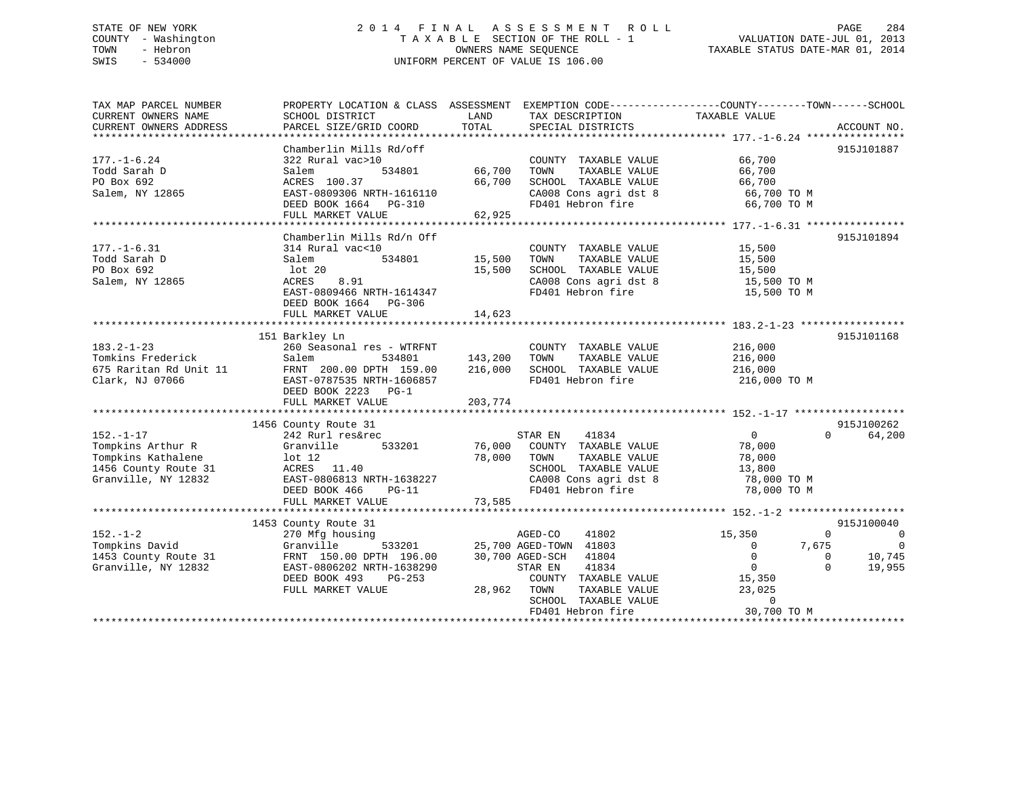# STATE OF NEW YORK 2 0 1 4 F I N A L A S S E S S M E N T R O L L PAGE 284 COUNTY - Washington T A X A B L E SECTION OF THE ROLL - 1 VALUATION DATE-JUL 01, 2013 TOWN - Hebron OWNERS NAME SEQUENCE TAXABLE STATUS DATE-MAR 01, 2014 SWIS - 534000 UNIFORM PERCENT OF VALUE IS 106.00

TAX MAP PARCEL NUMBER PROPERTY LOCATION & CLASS ASSESSMENT EXEMPTION CODE------------------COUNTY--------TOWN------SCHOOL

CURRENT OWNERS NAME SCHOOL DISTRICT LAND TAX DESCRIPTION TAXABLE VALUE CURRENT OWNERS ADDRESS PARCEL SIZE/GRID COORD TOTAL SPECIAL DISTRICTS ACCOUNT NO. \*\*\*\*\*\*\*\*\*\*\*\*\*\*\*\*\*\*\*\*\*\*\*\*\*\*\*\*\*\*\*\*\*\*\*\*\*\*\*\*\*\*\*\*\*\*\*\*\*\*\*\*\*\*\*\*\*\*\*\*\*\*\*\*\*\*\*\*\*\*\*\*\*\*\*\*\*\*\*\*\*\*\*\*\*\*\*\*\*\*\*\*\*\*\*\*\*\*\*\*\*\*\* 177.-1-6.24 \*\*\*\*\*\*\*\*\*\*\*\*\*\*\*\* Chamberlin Mills Rd/off 915J101887 177.-1-6.24 322 Rural vac>10 COUNTY TAXABLE VALUE 66,700 Todd Sarah D Salem 534801 66,700 TOWN TAXABLE VALUE 66,700 PO Box 692 ACRES 100.37 66,700 SCHOOL TAXABLE VALUE 66,700 Salem, NY 12865 EAST-0809306 NRTH-1616110 CA008 Cons agri dst 8 66,700 TO M DEED BOOK 1664 PG-310 FD401 Hebron fire 66,700 TO M FULL MARKET VALUE 62,925 \*\*\*\*\*\*\*\*\*\*\*\*\*\*\*\*\*\*\*\*\*\*\*\*\*\*\*\*\*\*\*\*\*\*\*\*\*\*\*\*\*\*\*\*\*\*\*\*\*\*\*\*\*\*\*\*\*\*\*\*\*\*\*\*\*\*\*\*\*\*\*\*\*\*\*\*\*\*\*\*\*\*\*\*\*\*\*\*\*\*\*\*\*\*\*\*\*\*\*\*\*\*\* 177.-1-6.31 \*\*\*\*\*\*\*\*\*\*\*\*\*\*\*\*Chamberlin Mills Rd/n Off 915J101894 177.-1-6.31 314 Rural vac<10 COUNTY TAXABLE VALUE 15,500 Todd Sarah D Salem 534801 15,500 TOWN TAXABLE VALUE 15,500 PO Box 692 lot 20 15,500 SCHOOL TAXABLE VALUE 15,500 Salem, NY 12865 ACRES 8.91 CA008 Cons agri dst 8 15,500 TO M EAST-0809466 NRTH-1614347 FD401 Hebron fire 15,500 TO M DEED BOOK 1664 PG-306 FULL MARKET VALUE 14,623 \*\*\*\*\*\*\*\*\*\*\*\*\*\*\*\*\*\*\*\*\*\*\*\*\*\*\*\*\*\*\*\*\*\*\*\*\*\*\*\*\*\*\*\*\*\*\*\*\*\*\*\*\*\*\*\*\*\*\*\*\*\*\*\*\*\*\*\*\*\*\*\*\*\*\*\*\*\*\*\*\*\*\*\*\*\*\*\*\*\*\*\*\*\*\*\*\*\*\*\*\*\*\* 183.2-1-23 \*\*\*\*\*\*\*\*\*\*\*\*\*\*\*\*\* 151 Barkley Ln 915J101168 183.2-1-23 260 Seasonal res - WTRFNT COUNTY TAXABLE VALUE 216,000 Tomkins Frederick Salem 534801 143,200 TOWN TAXABLE VALUE 216,000 675 Raritan Rd Unit 11 FRNT 200.00 DPTH 159.00 216,000 SCHOOL TAXABLE VALUE 216,000 Clark, NJ 07066 EAST-0787535 NRTH-1606857 FD401 Hebron fire 216,000 TO M DEED BOOK 2223 PG-1FULL MARKET VALUE 203,774 \*\*\*\*\*\*\*\*\*\*\*\*\*\*\*\*\*\*\*\*\*\*\*\*\*\*\*\*\*\*\*\*\*\*\*\*\*\*\*\*\*\*\*\*\*\*\*\*\*\*\*\*\*\*\*\*\*\*\*\*\*\*\*\*\*\*\*\*\*\*\*\*\*\*\*\*\*\*\*\*\*\*\*\*\*\*\*\*\*\*\*\*\*\*\*\*\*\*\*\*\*\*\* 152.-1-17 \*\*\*\*\*\*\*\*\*\*\*\*\*\*\*\*\*\*915J100262 1456 County Route 31 915J100262 152.-1-17 242 Rurl res&rec STAR EN 41834 0 0 64,200 Tompkins Arthur R Granville 533201 76,000 COUNTY TAXABLE VALUE 78,000 Tompkins Kathalene lot 12 78,000 TOWN TAXABLE VALUE 78,000 1456 County Route 31 ACRES 11.40 SCHOOL TAXABLE VALUE 13,800 Granville, NY 12832 EAST-0806813 NRTH-1638227 CA008 Cons agri dst 8 78,000 TO M DEED BOOK 466 PG-11 FD401 Hebron fire 78,000 TO M FULL MARKET VALUE 73,585 \*\*\*\*\*\*\*\*\*\*\*\*\*\*\*\*\*\*\*\*\*\*\*\*\*\*\*\*\*\*\*\*\*\*\*\*\*\*\*\*\*\*\*\*\*\*\*\*\*\*\*\*\*\*\*\*\*\*\*\*\*\*\*\*\*\*\*\*\*\*\*\*\*\*\*\*\*\*\*\*\*\*\*\*\*\*\*\*\*\*\*\*\*\*\*\*\*\*\*\*\*\*\* 152.-1-2 \*\*\*\*\*\*\*\*\*\*\*\*\*\*\*\*\*\*\* 1453 County Route 31 915J100040 152.-1-2 270 Mfg housing AGED-CO 41802 15,350 0 0 Tompkins David Granville 533201 25,700 AGED-TOWN 41803 0 7,675 0 1453 County Route 31 FRNT 150.00 DPTH 196.00 30,700 AGED-SCH 41804 0 0 10,745 Granville, NY 12832 EAST-0806202 NRTH-1638290 STAR EN 41834 0 0 19,955 DEED BOOK 493 PG-253 COUNTY TAXABLE VALUE 15,350 FULL MARKET VALUE 28,962 TOWN TAXABLE VALUE 23,025 SCHOOL TAXABLE VALUE 0FD401 Hebron fire 30,700 TO M

\*\*\*\*\*\*\*\*\*\*\*\*\*\*\*\*\*\*\*\*\*\*\*\*\*\*\*\*\*\*\*\*\*\*\*\*\*\*\*\*\*\*\*\*\*\*\*\*\*\*\*\*\*\*\*\*\*\*\*\*\*\*\*\*\*\*\*\*\*\*\*\*\*\*\*\*\*\*\*\*\*\*\*\*\*\*\*\*\*\*\*\*\*\*\*\*\*\*\*\*\*\*\*\*\*\*\*\*\*\*\*\*\*\*\*\*\*\*\*\*\*\*\*\*\*\*\*\*\*\*\*\*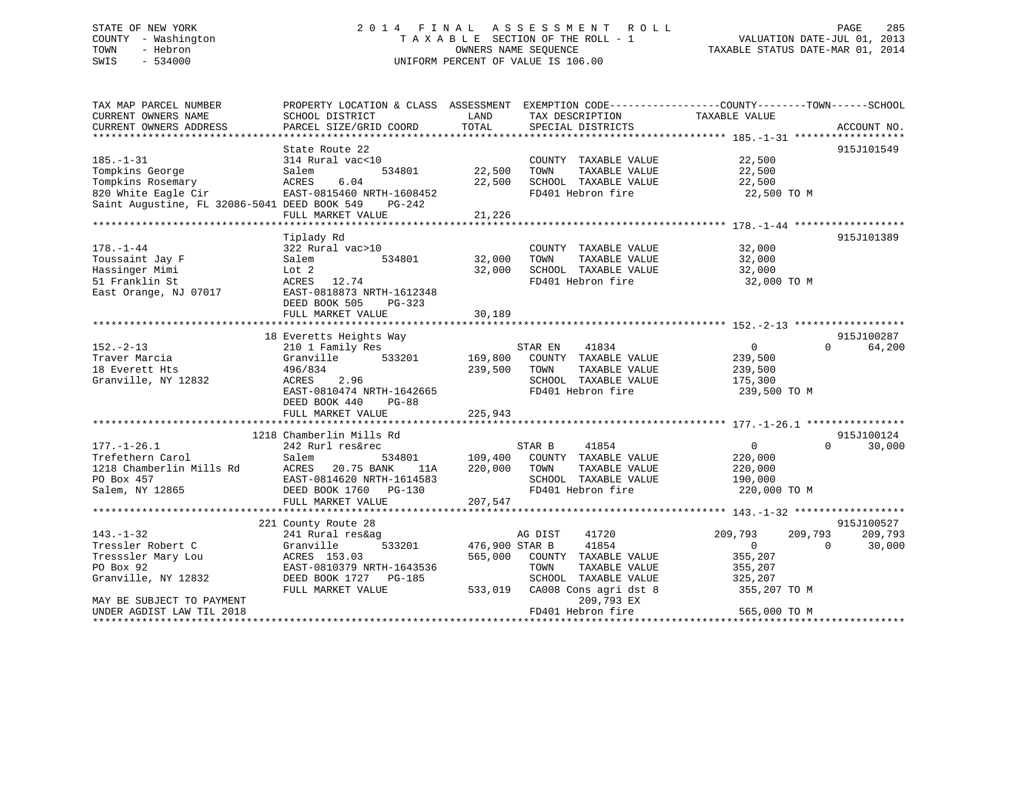TAX MAP PARCEL NUMBER PROPERTY LOCATION & CLASS ASSESSMENT EXEMPTION CODE------------------COUNTY--------TOWN------SCHOOL CURRENT OWNERS NAME SCHOOL DISTRICT LAND TAX DESCRIPTION TAXABLE VALUE CURRENT OWNERS ADDRESS PARCEL SIZE/GRID COORD TOTAL SPECIAL DISTRICTS ACCOUNT NO. \*\*\*\*\*\*\*\*\*\*\*\*\*\*\*\*\*\*\*\*\*\*\*\*\*\*\*\*\*\*\*\*\*\*\*\*\*\*\*\*\*\*\*\*\*\*\*\*\*\*\*\*\*\*\*\*\*\*\*\*\*\*\*\*\*\*\*\*\*\*\*\*\*\*\*\*\*\*\*\*\*\*\*\*\*\*\*\*\*\*\*\*\*\*\*\*\*\*\*\*\*\*\* 185.-1-31 \*\*\*\*\*\*\*\*\*\*\*\*\*\*\*\*\*\*State Route 22 915J101549 185.-1-31 314 Rural vac<10 COUNTY TAXABLE VALUE 22,500 Tompkins George Salem 534801 22,500 TOWN TAXABLE VALUE 22,500 Tompkins Rosemary ACRES 6.04 22,500 SCHOOL TAXABLE VALUE 22,500 820 White Eagle Cir EAST-0815460 NRTH-1608452 FD401 Hebron fire 22,500 TO M Saint Augustine, FL 32086-5041 DEED BOOK 549 PG-242 FULL MARKET VALUE 21,226 \*\*\*\*\*\*\*\*\*\*\*\*\*\*\*\*\*\*\*\*\*\*\*\*\*\*\*\*\*\*\*\*\*\*\*\*\*\*\*\*\*\*\*\*\*\*\*\*\*\*\*\*\*\*\*\*\*\*\*\*\*\*\*\*\*\*\*\*\*\*\*\*\*\*\*\*\*\*\*\*\*\*\*\*\*\*\*\*\*\*\*\*\*\*\*\*\*\*\*\*\*\*\* 178.-1-44 \*\*\*\*\*\*\*\*\*\*\*\*\*\*\*\*\*\* Tiplady Rd 915J101389 178.-1-44 322 Rural vac>10 COUNTY TAXABLE VALUE 32,000 Toussaint Jay F Salem 534801 32,000 TOWN TAXABLE VALUE 32,000 Hassinger Mimi Lot 2 32,000 SCHOOL TAXABLE VALUE 32,000 51 Franklin St ACRES 12.74 FD401 Hebron fire 32,000 TO M East Orange, NJ 07017 EAST-0818873 NRTH-1612348 DEED BOOK 505 PG-323 FULL MARKET VALUE 30,189 \*\*\*\*\*\*\*\*\*\*\*\*\*\*\*\*\*\*\*\*\*\*\*\*\*\*\*\*\*\*\*\*\*\*\*\*\*\*\*\*\*\*\*\*\*\*\*\*\*\*\*\*\*\*\*\*\*\*\*\*\*\*\*\*\*\*\*\*\*\*\*\*\*\*\*\*\*\*\*\*\*\*\*\*\*\*\*\*\*\*\*\*\*\*\*\*\*\*\*\*\*\*\* 152.-2-13 \*\*\*\*\*\*\*\*\*\*\*\*\*\*\*\*\*\*915J100287 18 Everetts Heights Way 915J100287 152.-2-13 210 1 Family Res STAR EN 41834 0 0 64,200 Traver Marcia Granville 533201 169,800 COUNTY TAXABLE VALUE 239,500 18 Everett Hts 496/834 239,500 TOWN TAXABLE VALUE 239,500 Granville, NY 12832 ACRES 2.96 SCHOOL TAXABLE VALUE 175,300 EAST-0810474 NRTH-1642665 FD401 Hebron fire 239,500 TO M DEED BOOK 440 PG-88 FULL MARKET VALUE 225,943 \*\*\*\*\*\*\*\*\*\*\*\*\*\*\*\*\*\*\*\*\*\*\*\*\*\*\*\*\*\*\*\*\*\*\*\*\*\*\*\*\*\*\*\*\*\*\*\*\*\*\*\*\*\*\*\*\*\*\*\*\*\*\*\*\*\*\*\*\*\*\*\*\*\*\*\*\*\*\*\*\*\*\*\*\*\*\*\*\*\*\*\*\*\*\*\*\*\*\*\*\*\*\* 177.-1-26.1 \*\*\*\*\*\*\*\*\*\*\*\*\*\*\*\*1218 Chamberlin Mills Rd<br>
242 Rurl res&rec 314801 915J100124 915J100124<br>
Trefethern Carol Salem 534801 109.400 COUNTY TAYARE 1218 Chamborlin Mills Rd<br>
218 Chamborlin Mills Rd<br>
30,000 177.-1-26.1 242 Rurl res&rec STAR B 41854 0 0 30,000 Trefethern Carol Salem 534801 109,400 COUNTY TAXABLE VALUE 220,000 1218 Chamberlin Mills Rd ACRES 20.75 BANK 11A 220,000 TOWN TAXABLE VALUE 220,000 PO Box 457 EAST-0814620 NRTH-1614583 SCHOOL TAXABLE VALUE 190,000 Salem, NY 12865 DEED BOOK 1760 PG-130 FD401 Hebron fire 220,000 TO M FULL MARKET VALUE 207,547 \*\*\*\*\*\*\*\*\*\*\*\*\*\*\*\*\*\*\*\*\*\*\*\*\*\*\*\*\*\*\*\*\*\*\*\*\*\*\*\*\*\*\*\*\*\*\*\*\*\*\*\*\*\*\*\*\*\*\*\*\*\*\*\*\*\*\*\*\*\*\*\*\*\*\*\*\*\*\*\*\*\*\*\*\*\*\*\*\*\*\*\*\*\*\*\*\*\*\*\*\*\*\* 143.-1-32 \*\*\*\*\*\*\*\*\*\*\*\*\*\*\*\*\*\* 221 County Route 28 915J100527 143.-1-32 241 Rural res&ag AG DIST 41720 209,793 209,793 209,793 Tressler Robert C Granville 533201 476,900 STAR B 41854 0 0 30,000 Tresssler Mary Lou ACRES 153.03 565,000 COUNTY TAXABLE VALUE 355,207 PO Box 92 EAST-0810379 NRTH-1643536 TOWN TAXABLE VALUE 355,207 Granville, NY 12832 DEED BOOK 1727 PG-185 SCHOOL TAXABLE VALUE 325,207 FULL MARKET VALUE 533,019 CA008 Cons agri dst 8 355,207 TO M MAY BE SUBJECT TO PAYMENT 209,793 EX UNDER AGDIST LAW TIL 2018 FD401 Hebron fire 565,000 TO M \*\*\*\*\*\*\*\*\*\*\*\*\*\*\*\*\*\*\*\*\*\*\*\*\*\*\*\*\*\*\*\*\*\*\*\*\*\*\*\*\*\*\*\*\*\*\*\*\*\*\*\*\*\*\*\*\*\*\*\*\*\*\*\*\*\*\*\*\*\*\*\*\*\*\*\*\*\*\*\*\*\*\*\*\*\*\*\*\*\*\*\*\*\*\*\*\*\*\*\*\*\*\*\*\*\*\*\*\*\*\*\*\*\*\*\*\*\*\*\*\*\*\*\*\*\*\*\*\*\*\*\*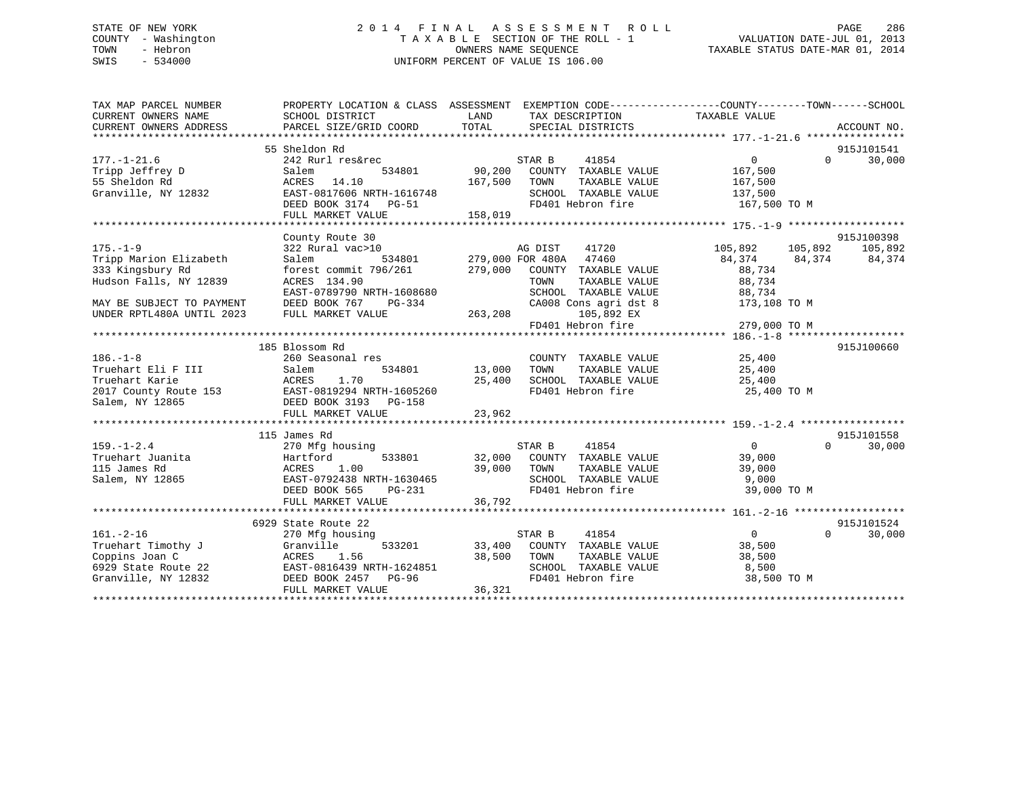# STATE OF NEW YORK 2 0 1 4 F I N A L A S S E S S M E N T R O L L PAGE 286 COUNTY - Washington T A X A B L E SECTION OF THE ROLL - 1 VALUATION DATE-JUL 01, 2013 TOWN - Hebron OWNERS NAME SEQUENCE TAXABLE STATUS DATE-MAR 01, 2014 SWIS - 534000 UNIFORM PERCENT OF VALUE IS 106.00

| TAX MAP PARCEL NUMBER     | PROPERTY LOCATION & CLASS ASSESSMENT EXEMPTION CODE----------------COUNTY-------TOWN-----SCHOOL |                    |                                               |                 |          |               |
|---------------------------|-------------------------------------------------------------------------------------------------|--------------------|-----------------------------------------------|-----------------|----------|---------------|
| CURRENT OWNERS NAME       | SCHOOL DISTRICT                                                                                 | LAND               | TAX DESCRIPTION                               | TAXABLE VALUE   |          |               |
| CURRENT OWNERS ADDRESS    | PARCEL SIZE/GRID COORD                                                                          | TOTAL              | SPECIAL DISTRICTS                             |                 |          | ACCOUNT NO.   |
|                           |                                                                                                 |                    |                                               |                 |          |               |
|                           | 55 Sheldon Rd                                                                                   |                    |                                               |                 |          | 915J101541    |
| $177. - 1 - 21.6$         | 242 Rurl res&rec                                                                                |                    | STAR B<br>41854                               | $\overline{0}$  | $\Omega$ | 30,000        |
| Tripp Jeffrey D           | 534801<br>Salem                                                                                 |                    | 90,200 COUNTY TAXABLE VALUE                   | 167,500         |          |               |
| 55 Sheldon Rd             | ACRES 14.10                                                                                     | 167,500            | TOWN<br>TAXABLE VALUE                         | 167,500         |          |               |
| Granville, NY 12832       | EAST-0817606 NRTH-1616748                                                                       |                    | SCHOOL TAXABLE VALUE 137,500                  |                 |          |               |
|                           | DEED BOOK 3174 PG-51                                                                            |                    | FD401 Hebron fire                             | 167,500 TO M    |          |               |
|                           | FULL MARKET VALUE                                                                               | 158,019            |                                               |                 |          |               |
|                           |                                                                                                 |                    |                                               |                 |          |               |
|                           | County Route 30                                                                                 |                    |                                               |                 |          | 915J100398    |
| $175. - 1 - 9$            | 322 Rural vac>10                                                                                |                    | AG DIST<br>41720                              | 105,892 105,892 |          | 105,892       |
| Tripp Marion Elizabeth    |                                                                                                 |                    |                                               | 84,374          |          | 84,374 84,374 |
| 333 Kingsbury Rd          | Salem 534801 279,000 FOR 480A 47460<br>forest commit 796/261 279,000 COUNTY TAXABLE VALUE       |                    |                                               | 88,734          |          |               |
| Hudson Falls, NY 12839    | ACRES 134.90                                                                                    |                    | TAXABLE VALUE<br>TOWN                         | 88,734          |          |               |
|                           | EAST-0789790 NRTH-1608680                                                                       |                    |                                               | 88,734          |          |               |
| MAY BE SUBJECT TO PAYMENT | DEED BOOK 767                                                                                   | $PG-334$           | SCHOOL TAXABLE VALUE<br>CA008 Cons agri dst 8 | 173,108 TO M    |          |               |
| UNDER RPTL480A UNTIL 2023 | FULL MARKET VALUE                                                                               | 263, 208           | 105,892 EX                                    |                 |          |               |
|                           |                                                                                                 |                    | FD401 Hebron fire                             | 279,000 TO M    |          |               |
|                           |                                                                                                 |                    |                                               |                 |          |               |
|                           | 185 Blossom Rd                                                                                  |                    |                                               |                 |          | 915J100660    |
| $186. - 1 - 8$            | 260 Seasonal res                                                                                |                    | COUNTY TAXABLE VALUE 25,400                   |                 |          |               |
| Truehart Eli F III        | Salem                                                                                           | 534801 13,000 TOWN | TAXABLE VALUE                                 | 25,400          |          |               |
|                           |                                                                                                 |                    | SCHOOL TAXABLE VALUE 25,400                   |                 |          |               |
|                           |                                                                                                 |                    | FD401 Hebron fire                             | 25,400 TO M     |          |               |
|                           |                                                                                                 |                    |                                               |                 |          |               |
|                           | FULL MARKET VALUE                                                                               | 23,962             |                                               |                 |          |               |
|                           |                                                                                                 |                    |                                               |                 |          |               |
|                           | 115 James Rd                                                                                    |                    |                                               |                 |          | 915J101558    |
| $159. - 1 - 2.4$          | 270 Mfg housing                                                                                 |                    | STAR B<br>41854                               | $\overline{0}$  | $\Omega$ | 30,000        |
| Truehart Juanita          | Hartford                                                                                        |                    | 533801 32,000 COUNTY TAXABLE VALUE            | 39,000          |          |               |
| 115 James Rd              | 1.00<br>ACRES                                                                                   | 39,000             | TOWN<br>TAXABLE VALUE                         | 39,000          |          |               |
| Salem, NY 12865           | EAST-0792438 NRTH-1630465                                                                       |                    | SCHOOL TAXABLE VALUE                          | 9,000           |          |               |
|                           | DEED BOOK 565<br>PG-231                                                                         |                    | FD401 Hebron fire                             | 39,000 TO M     |          |               |
|                           | FULL MARKET VALUE                                                                               | 36,792             |                                               |                 |          |               |
|                           |                                                                                                 |                    |                                               |                 |          |               |
|                           | 6929 State Route 22                                                                             |                    |                                               |                 |          | 915J101524    |
| $161. - 2 - 16$           | 270 Mfg housing                                                                                 |                    | 41854<br>STAR B                               | $\overline{0}$  | $\Omega$ | 30,000        |
| Truehart Timothy J        | Granville                                                                                       |                    | 533201 33,400 COUNTY TAXABLE VALUE            | 38,500          |          |               |
| Coppins Joan C            | ACRES<br>1.56                                                                                   | 38,500 TOWN        | TAXABLE VALUE                                 | 38,500          |          |               |
| 6929 State Route 22       | EAST-0816439 NRTH-1624851                                                                       |                    | SCHOOL TAXABLE VALUE                          | 8,500           |          |               |
| Granville, NY 12832       | DEED BOOK 2457 PG-96                                                                            |                    | FD401 Hebron fire                             | 38,500 TO M     |          |               |
|                           | FULL MARKET VALUE                                                                               | 36,321             |                                               |                 |          |               |
|                           |                                                                                                 |                    |                                               |                 |          |               |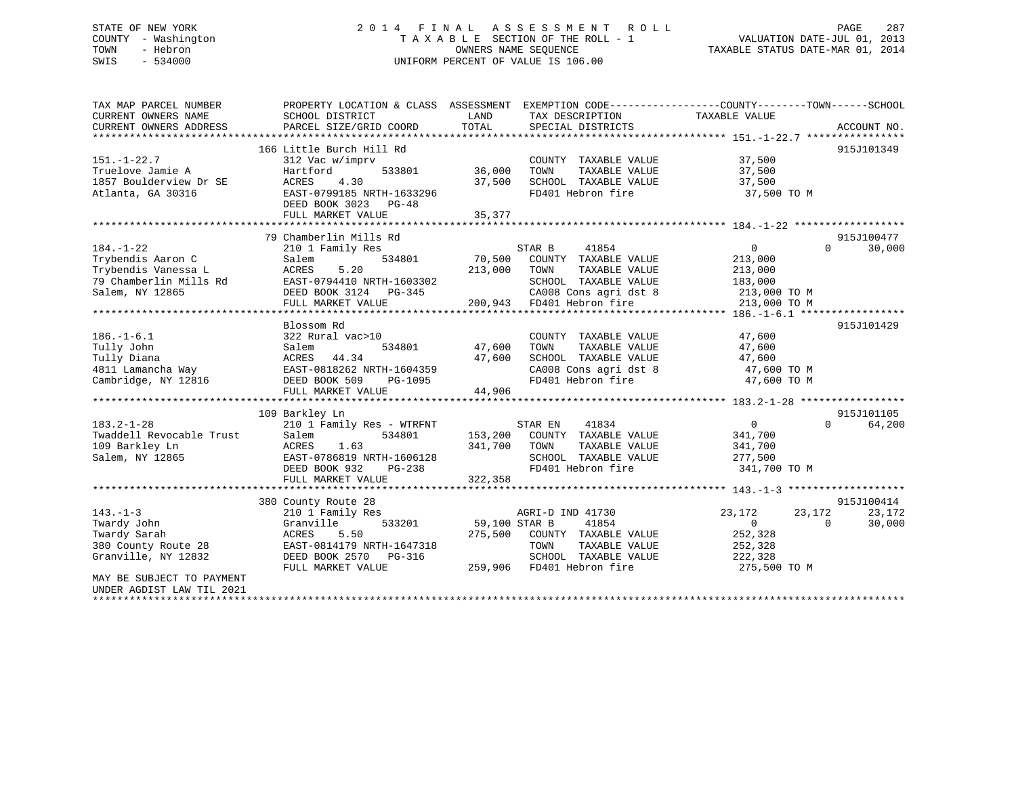# STATE OF NEW YORK 2 0 1 4 F I N A L A S S E S S M E N T R O L L PAGE 287 COUNTY - Washington T A X A B L E SECTION OF THE ROLL - 1 VALUATION DATE-JUL 01, 2013 TOWN - Hebron OWNERS NAME SEQUENCE TAXABLE STATUS DATE-MAR 01, 2014 SWIS - 534000 UNIFORM PERCENT OF VALUE IS 106.00

| 166 Little Burch Hill Rd<br>915J101349<br>$151. - 1 - 22.7$<br>37,500<br>312 Vac w/imprv<br>COUNTY TAXABLE VALUE<br>Truelove Jamie A<br>Hartford<br>36,000<br>TAXABLE VALUE<br>37,500<br>533801<br>TOWN<br>1857 Boulderview Dr SE<br>SCHOOL TAXABLE VALUE<br>ACRES<br>4.30<br>37,500<br>37,500<br>Atlanta, GA 30316<br>EAST-0799185 NRTH-1633296<br>FD401 Hebron fire<br>37,500 TO M<br>DEED BOOK 3023 PG-48<br>35,377<br>FULL MARKET VALUE<br>79 Chamberlin Mills Rd<br>915J100477<br>$\overline{0}$<br>$\Omega$<br>$184. - 1 - 22$<br>210 1 Family Res<br>STAR B<br>41854<br>Trybendis Aaron C<br>534801<br>70,500<br>COUNTY TAXABLE VALUE<br>Salem<br>213,000<br>Trybendis Vanessa L<br><b>ACRES</b><br>5.20<br>213,000<br>TOWN<br>TAXABLE VALUE<br>213,000<br>79 Chamberlin Mills Rd<br>EAST-0794410 NRTH-1603302<br>SCHOOL TAXABLE VALUE<br>183,000 | EXEMPTION CODE-----------------COUNTY-------TOWN------SCHOOL<br>ACCOUNT NO. |
|----------------------------------------------------------------------------------------------------------------------------------------------------------------------------------------------------------------------------------------------------------------------------------------------------------------------------------------------------------------------------------------------------------------------------------------------------------------------------------------------------------------------------------------------------------------------------------------------------------------------------------------------------------------------------------------------------------------------------------------------------------------------------------------------------------------------------------------------------------|-----------------------------------------------------------------------------|
|                                                                                                                                                                                                                                                                                                                                                                                                                                                                                                                                                                                                                                                                                                                                                                                                                                                          |                                                                             |
|                                                                                                                                                                                                                                                                                                                                                                                                                                                                                                                                                                                                                                                                                                                                                                                                                                                          |                                                                             |
|                                                                                                                                                                                                                                                                                                                                                                                                                                                                                                                                                                                                                                                                                                                                                                                                                                                          |                                                                             |
|                                                                                                                                                                                                                                                                                                                                                                                                                                                                                                                                                                                                                                                                                                                                                                                                                                                          |                                                                             |
|                                                                                                                                                                                                                                                                                                                                                                                                                                                                                                                                                                                                                                                                                                                                                                                                                                                          |                                                                             |
|                                                                                                                                                                                                                                                                                                                                                                                                                                                                                                                                                                                                                                                                                                                                                                                                                                                          |                                                                             |
|                                                                                                                                                                                                                                                                                                                                                                                                                                                                                                                                                                                                                                                                                                                                                                                                                                                          |                                                                             |
|                                                                                                                                                                                                                                                                                                                                                                                                                                                                                                                                                                                                                                                                                                                                                                                                                                                          |                                                                             |
|                                                                                                                                                                                                                                                                                                                                                                                                                                                                                                                                                                                                                                                                                                                                                                                                                                                          |                                                                             |
|                                                                                                                                                                                                                                                                                                                                                                                                                                                                                                                                                                                                                                                                                                                                                                                                                                                          |                                                                             |
|                                                                                                                                                                                                                                                                                                                                                                                                                                                                                                                                                                                                                                                                                                                                                                                                                                                          | 30,000                                                                      |
|                                                                                                                                                                                                                                                                                                                                                                                                                                                                                                                                                                                                                                                                                                                                                                                                                                                          |                                                                             |
|                                                                                                                                                                                                                                                                                                                                                                                                                                                                                                                                                                                                                                                                                                                                                                                                                                                          |                                                                             |
|                                                                                                                                                                                                                                                                                                                                                                                                                                                                                                                                                                                                                                                                                                                                                                                                                                                          |                                                                             |
| CA008 Cons agri dst 8<br>Salem, NY 12865<br>DEED BOOK 3124 PG-345<br>213,000 TO M                                                                                                                                                                                                                                                                                                                                                                                                                                                                                                                                                                                                                                                                                                                                                                        |                                                                             |
| 200,943 FD401 Hebron fire<br>FULL MARKET VALUE<br>213,000 TO M                                                                                                                                                                                                                                                                                                                                                                                                                                                                                                                                                                                                                                                                                                                                                                                           |                                                                             |
|                                                                                                                                                                                                                                                                                                                                                                                                                                                                                                                                                                                                                                                                                                                                                                                                                                                          |                                                                             |
| Blossom Rd<br>915J101429                                                                                                                                                                                                                                                                                                                                                                                                                                                                                                                                                                                                                                                                                                                                                                                                                                 |                                                                             |
| $186. - 1 - 6.1$<br>322 Rural vac>10<br>COUNTY TAXABLE VALUE<br>47,600                                                                                                                                                                                                                                                                                                                                                                                                                                                                                                                                                                                                                                                                                                                                                                                   |                                                                             |
| 47,600<br>Tully John<br>534801<br>TOWN<br>TAXABLE VALUE<br>47,600<br>Salem                                                                                                                                                                                                                                                                                                                                                                                                                                                                                                                                                                                                                                                                                                                                                                               |                                                                             |
| Tully Diana<br>ACRES 44.34<br>47,600<br>SCHOOL TAXABLE VALUE<br>47,600                                                                                                                                                                                                                                                                                                                                                                                                                                                                                                                                                                                                                                                                                                                                                                                   |                                                                             |
| EAST-0818262 NRTH-1604359<br>4811 Lamancha Way<br>CA008 Cons agri dst 8<br>47,600 TO M                                                                                                                                                                                                                                                                                                                                                                                                                                                                                                                                                                                                                                                                                                                                                                   |                                                                             |
| FD401 Hebron fire<br>Cambridge, NY 12816<br>DEED BOOK 509<br>PG-1095<br>47,600 TO M                                                                                                                                                                                                                                                                                                                                                                                                                                                                                                                                                                                                                                                                                                                                                                      |                                                                             |
| FULL MARKET VALUE<br>44,906                                                                                                                                                                                                                                                                                                                                                                                                                                                                                                                                                                                                                                                                                                                                                                                                                              |                                                                             |
|                                                                                                                                                                                                                                                                                                                                                                                                                                                                                                                                                                                                                                                                                                                                                                                                                                                          |                                                                             |
| 109 Barkley Ln<br>915J101105                                                                                                                                                                                                                                                                                                                                                                                                                                                                                                                                                                                                                                                                                                                                                                                                                             |                                                                             |
| $183.2 - 1 - 28$<br>210 1 Family Res - WTRFNT<br>STAR EN<br>41834<br>0<br>$\Omega$                                                                                                                                                                                                                                                                                                                                                                                                                                                                                                                                                                                                                                                                                                                                                                       | 64,200                                                                      |
| Twaddell Revocable Trust<br>Salem<br>534801<br>153,200<br>COUNTY TAXABLE VALUE<br>341,700                                                                                                                                                                                                                                                                                                                                                                                                                                                                                                                                                                                                                                                                                                                                                                |                                                                             |
| 109 Barkley Ln<br>341,700<br>ACRES<br>1.63<br>TOWN<br>TAXABLE VALUE<br>341,700                                                                                                                                                                                                                                                                                                                                                                                                                                                                                                                                                                                                                                                                                                                                                                           |                                                                             |
| Salem, NY 12865<br>EAST-0786819 NRTH-1606128<br>SCHOOL TAXABLE VALUE<br>277,500                                                                                                                                                                                                                                                                                                                                                                                                                                                                                                                                                                                                                                                                                                                                                                          |                                                                             |
| PG-238<br>FD401 Hebron fire<br>DEED BOOK 932<br>341,700 TO M                                                                                                                                                                                                                                                                                                                                                                                                                                                                                                                                                                                                                                                                                                                                                                                             |                                                                             |
| FULL MARKET VALUE<br>322,358                                                                                                                                                                                                                                                                                                                                                                                                                                                                                                                                                                                                                                                                                                                                                                                                                             |                                                                             |
|                                                                                                                                                                                                                                                                                                                                                                                                                                                                                                                                                                                                                                                                                                                                                                                                                                                          |                                                                             |
| 915J100414<br>380 County Route 28                                                                                                                                                                                                                                                                                                                                                                                                                                                                                                                                                                                                                                                                                                                                                                                                                        |                                                                             |
| $143. - 1 - 3$<br>210 1 Family Res<br>AGRI-D IND 41730<br>23,172<br>23,172                                                                                                                                                                                                                                                                                                                                                                                                                                                                                                                                                                                                                                                                                                                                                                               | 23,172                                                                      |
| Twardy John<br>Granville<br>533201<br>59,100 STAR B<br>41854<br>$\overline{0}$<br>$\Omega$                                                                                                                                                                                                                                                                                                                                                                                                                                                                                                                                                                                                                                                                                                                                                               | 30,000                                                                      |
| Twardy Sarah<br>252,328<br>ACRES<br>5.50<br>275,500<br>COUNTY TAXABLE VALUE                                                                                                                                                                                                                                                                                                                                                                                                                                                                                                                                                                                                                                                                                                                                                                              |                                                                             |
| EAST-0814179 NRTH-1647318<br>TAXABLE VALUE<br>380 County Route 28<br>TOWN<br>252,328                                                                                                                                                                                                                                                                                                                                                                                                                                                                                                                                                                                                                                                                                                                                                                     |                                                                             |
| SCHOOL TAXABLE VALUE<br>Granville, NY 12832<br>DEED BOOK 2570<br>PG-316<br>222,328                                                                                                                                                                                                                                                                                                                                                                                                                                                                                                                                                                                                                                                                                                                                                                       |                                                                             |
| FD401 Hebron fire<br>FULL MARKET VALUE<br>259,906<br>275,500 TO M                                                                                                                                                                                                                                                                                                                                                                                                                                                                                                                                                                                                                                                                                                                                                                                        |                                                                             |
| MAY BE SUBJECT TO PAYMENT<br>UNDER AGDIST LAW TIL 2021                                                                                                                                                                                                                                                                                                                                                                                                                                                                                                                                                                                                                                                                                                                                                                                                   |                                                                             |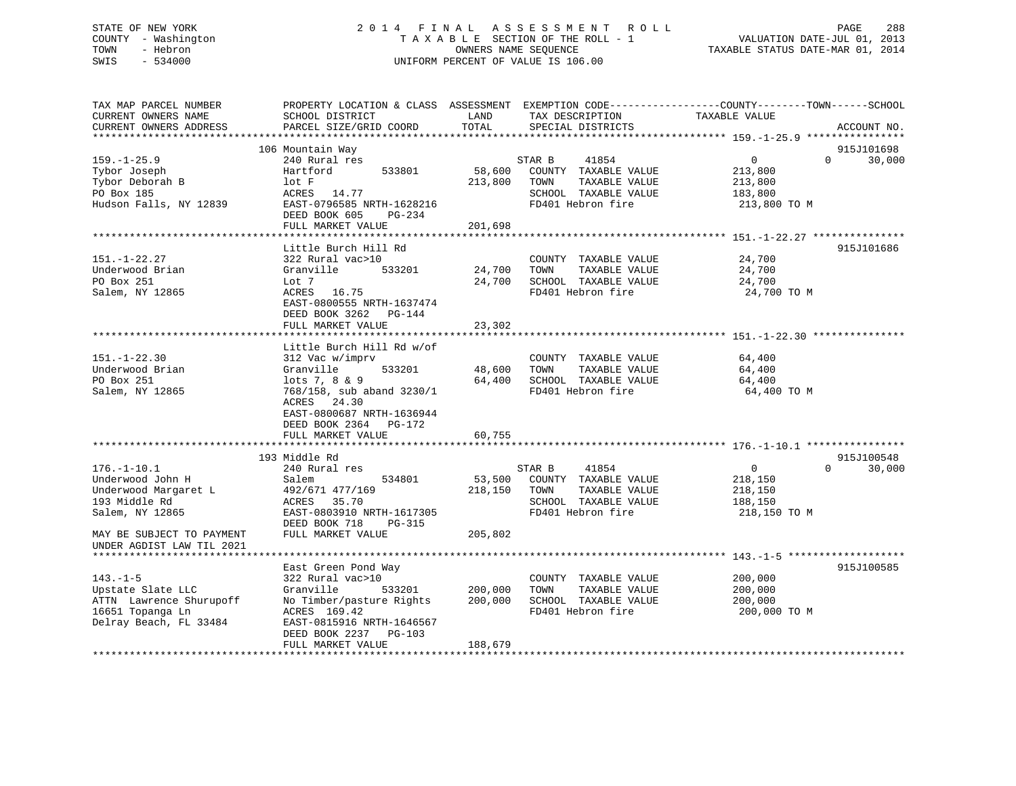# STATE OF NEW YORK 2 0 1 4 F I N A L A S S E S S M E N T R O L L PAGE 288 COUNTY - Washington T A X A B L E SECTION OF THE ROLL - 1 VALUATION DATE-JUL 01, 2013 TOWN - Hebron **CONNERS NAME SEQUENCE** TAXABLE STATUS DATE-MAR 01, 2014 SWIS - 534000 UNIFORM PERCENT OF VALUE IS 106.00

| TAX MAP PARCEL NUMBER<br>CURRENT OWNERS NAME                                                                 | PROPERTY LOCATION & CLASS ASSESSMENT EXEMPTION CODE---------------COUNTY-------TOWN------SCHOOL<br>SCHOOL DISTRICT                                               | LAND               | TAX DESCRIPTION                                                                                               | TAXABLE VALUE                                                   |                    |
|--------------------------------------------------------------------------------------------------------------|------------------------------------------------------------------------------------------------------------------------------------------------------------------|--------------------|---------------------------------------------------------------------------------------------------------------|-----------------------------------------------------------------|--------------------|
| CURRENT OWNERS ADDRESS<br>*********************                                                              | PARCEL SIZE/GRID COORD                                                                                                                                           | TOTAL              | SPECIAL DISTRICTS                                                                                             |                                                                 | ACCOUNT NO.        |
|                                                                                                              | 106 Mountain Way                                                                                                                                                 |                    |                                                                                                               |                                                                 | 915J101698         |
| $159. - 1 - 25.9$<br>Tybor Joseph<br>Tybor Deborah B                                                         | 240 Rural res<br>533801<br>Hartford<br>lot F                                                                                                                     | 58,600<br>213,800  | STAR B<br>41854<br>COUNTY TAXABLE VALUE<br>TAXABLE VALUE<br>TOWN                                              | $\mathbf 0$<br>213,800<br>213,800                               | $\Omega$<br>30,000 |
| PO Box 185<br>Hudson Falls, NY 12839                                                                         | ACRES 14.77<br>EAST-0796585 NRTH-1628216<br>DEED BOOK 605<br>PG-234<br>FULL MARKET VALUE                                                                         | 201,698            | SCHOOL TAXABLE VALUE<br>FD401 Hebron fire                                                                     | 183,800<br>213,800 TO M                                         |                    |
|                                                                                                              |                                                                                                                                                                  |                    |                                                                                                               |                                                                 |                    |
|                                                                                                              | Little Burch Hill Rd                                                                                                                                             |                    |                                                                                                               |                                                                 | 915J101686         |
| $151. - 1 - 22.27$<br>Underwood Brian<br>PO Box 251<br>Salem, NY 12865                                       | 322 Rural vac>10<br>533201<br>Granville<br>Lot 7<br>ACRES 16.75<br>EAST-0800555 NRTH-1637474<br>DEED BOOK 3262 PG-144                                            | 24,700<br>24,700   | COUNTY TAXABLE VALUE<br>TOWN<br>TAXABLE VALUE<br>SCHOOL TAXABLE VALUE<br>FD401 Hebron fire                    | 24,700<br>24,700<br>24,700<br>24,700 TO M                       |                    |
|                                                                                                              | FULL MARKET VALUE                                                                                                                                                | 23,302             |                                                                                                               |                                                                 |                    |
|                                                                                                              |                                                                                                                                                                  |                    |                                                                                                               |                                                                 |                    |
|                                                                                                              | Little Burch Hill Rd w/of                                                                                                                                        |                    |                                                                                                               |                                                                 |                    |
| $151. - 1 - 22.30$<br>Underwood Brian<br>PO Box 251                                                          | 312 Vac w/imprv<br>533201<br>Granville<br>lots 7, 8 & 9                                                                                                          | 48,600<br>64,400   | COUNTY TAXABLE VALUE<br>TOWN<br>TAXABLE VALUE<br>SCHOOL TAXABLE VALUE                                         | 64,400<br>64,400<br>64,400                                      |                    |
| Salem, NY 12865                                                                                              | 768/158, sub aband 3230/1<br>ACRES 24.30<br>EAST-0800687 NRTH-1636944<br>DEED BOOK 2364 PG-172<br>FULL MARKET VALUE                                              | 60,755             | FD401 Hebron fire                                                                                             | 64,400 TO M                                                     |                    |
|                                                                                                              |                                                                                                                                                                  |                    |                                                                                                               |                                                                 |                    |
|                                                                                                              | 193 Middle Rd                                                                                                                                                    |                    |                                                                                                               |                                                                 | 915J100548         |
| $176. - 1 - 10.1$<br>Underwood John H<br>Underwood Margaret L<br>193 Middle Rd<br>Salem, NY 12865            | 240 Rural res<br>Salem<br>534801<br>492/671 477/169<br>ACRES<br>35.70<br>EAST-0803910 NRTH-1617305<br>DEED BOOK 718<br>PG-315                                    | 53,500<br>218,150  | 41854<br>STAR B<br>COUNTY TAXABLE VALUE<br>TOWN<br>TAXABLE VALUE<br>SCHOOL TAXABLE VALUE<br>FD401 Hebron fire | $\overline{0}$<br>218,150<br>218,150<br>188,150<br>218,150 TO M | $\Omega$<br>30,000 |
| MAY BE SUBJECT TO PAYMENT<br>UNDER AGDIST LAW TIL 2021                                                       | FULL MARKET VALUE                                                                                                                                                | 205,802            |                                                                                                               |                                                                 |                    |
|                                                                                                              |                                                                                                                                                                  |                    |                                                                                                               |                                                                 |                    |
| $143. - 1 - 5$<br>Upstate Slate LLC<br>ATTN Lawrence Shurupoff<br>16651 Topanga Ln<br>Delray Beach, FL 33484 | East Green Pond Way<br>322 Rural vac>10<br>Granville<br>533201<br>No Timber/pasture Rights<br>ACRES 169.42<br>EAST-0815916 NRTH-1646567<br>DEED BOOK 2237 PG-103 | 200,000<br>200,000 | COUNTY TAXABLE VALUE<br>TOWN<br>TAXABLE VALUE<br>SCHOOL TAXABLE VALUE<br>FD401 Hebron fire                    | 200,000<br>200,000<br>200,000<br>200,000 TO M                   | 915J100585         |
|                                                                                                              | FULL MARKET VALUE                                                                                                                                                | 188,679            |                                                                                                               |                                                                 |                    |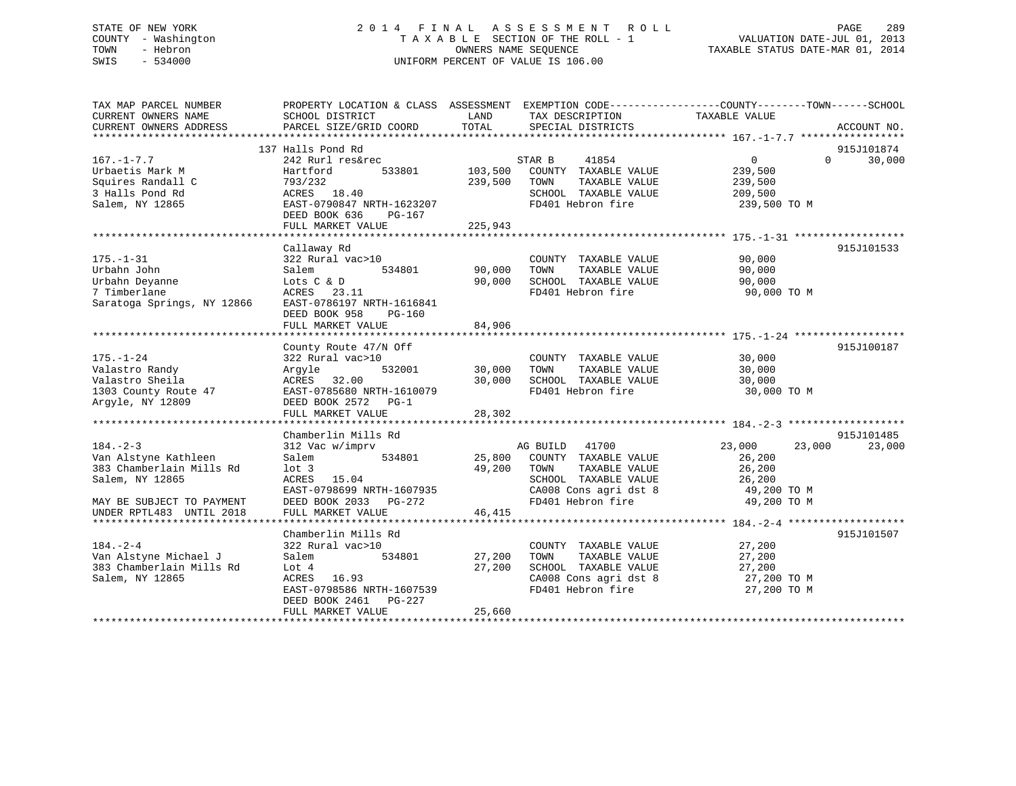# STATE OF NEW YORK 2 0 1 4 F I N A L A S S E S S M E N T R O L L PAGE 289 COUNTY - Washington T A X A B L E SECTION OF THE ROLL - 1 VALUATION DATE-JUL 01, 2013 TOWN - Hebron OWNERS NAME SEQUENCE TAXABLE STATUS DATE-MAR 01, 2014 SWIS - 534000 UNIFORM PERCENT OF VALUE IS 106.00

| TAX MAP PARCEL NUMBER<br>CURRENT OWNERS NAME<br>CURRENT OWNERS ADDRESS                                                                         | PROPERTY LOCATION & CLASS ASSESSMENT EXEMPTION CODE---------------COUNTY-------TOWN-----SCHOOL<br>SCHOOL DISTRICT<br>PARCEL SIZE/GRID COORD                        | LAND<br>TOTAL                 | TAX DESCRIPTION<br>SPECIAL DISTRICTS                                                                                                                                    | TAXABLE VALUE                                                                          | ACCOUNT NO.          |
|------------------------------------------------------------------------------------------------------------------------------------------------|--------------------------------------------------------------------------------------------------------------------------------------------------------------------|-------------------------------|-------------------------------------------------------------------------------------------------------------------------------------------------------------------------|----------------------------------------------------------------------------------------|----------------------|
| $167. - 1 - 7.7$<br>Urbaetis Mark M<br>Squires Randall C<br>3 Halls Pond Rd<br>Salem, NY 12865                                                 | 137 Halls Pond Rd<br>242 Rurl res&rec<br>533801<br>Hartford<br>793/232<br>ACRES 18.40<br>EAST-0790847 NRTH-1623207<br>DEED BOOK 636<br>PG-167<br>FULL MARKET VALUE | 103,500<br>239,500<br>225,943 | STAR B<br>41854<br>COUNTY TAXABLE VALUE<br>TOWN<br>TAXABLE VALUE<br>SCHOOL TAXABLE VALUE<br>FD401 Hebron fire                                                           | $0 \qquad \qquad$<br>$\Omega$<br>239,500<br>239,500<br>209,500<br>239,500 TO M         | 915J101874<br>30,000 |
| $175. - 1 - 31$<br>Urbahn John<br>Urbahn Deyanne<br>7 Timberlane<br>Saratoga Springs, NY 12866                                                 | Callaway Rd<br>322 Rural vac>10<br>534801<br>Salem<br>Lots C & D<br>ACRES 23.11<br>EAST-0786197 NRTH-1616841<br>DEED BOOK 958<br>PG-160<br>FULL MARKET VALUE       | 90,000<br>90,000<br>84,906    | COUNTY TAXABLE VALUE<br>TAXABLE VALUE<br>TOWN<br>SCHOOL TAXABLE VALUE<br>FD401 Hebron fire                                                                              | 90,000<br>90,000<br>90,000<br>90,000 TO M                                              | 915J101533           |
| $175. - 1 - 24$<br>Valastro Randy<br>Valastro Sheila<br>1303 County Route 47<br>Argyle, NY 12809                                               | County Route 47/N Off<br>322 Rural vac>10<br>532001<br>Argyle<br>ACRES 32.00<br>EAST-0785680 NRTH-1610079<br>DEED BOOK 2572 PG-1<br>FULL MARKET VALUE              | 30,000<br>30,000<br>28,302    | COUNTY TAXABLE VALUE<br>TAXABLE VALUE<br>TOWN<br>SCHOOL TAXABLE VALUE<br>FD401 Hebron fire                                                                              | 30,000<br>30,000<br>30,000<br>30,000 TO M                                              | 915J100187           |
| $184. - 2 - 3$<br>Van Alstyne Kathleen<br>383 Chamberlain Mills Rd<br>Salem, NY 12865<br>MAY BE SUBJECT TO PAYMENT<br>UNDER RPTL483 UNTIL 2018 | Chamberlin Mills Rd<br>312 Vac w/imprv<br>534801<br>Salem<br>$1$ ot 3<br>ACRES 15.04<br>EAST-0798699 NRTH-1607935<br>DEED BOOK 2033 PG-272<br>FULL MARKET VALUE    | 49,200<br>46,415              | 41700<br>AG BUILD<br>25,800 COUNTY TAXABLE VALUE<br>TOWN<br>TAXABLE VALUE<br>SCHOOL TAXABLE VALUE<br>SCHOOL TAXABLE VALUE<br>CA008 Cons agri dst 8<br>FD401 Hebron fire | 23,000<br>23,000<br>26,200<br>26,200<br>26,200<br>26,2∪∪<br>49,200 TO M<br>49,200 TO M | 915J101485<br>23,000 |
| *************************<br>$184. - 2 - 4$<br>Van Alstyne Michael J<br>383 Chamberlain Mills Rd<br>Salem, NY 12865                            | Chamberlin Mills Rd<br>322 Rural vac>10<br>534801<br>Salem<br>Lot 4<br>ACRES 16.93<br>EAST-0798586 NRTH-1607539<br>DEED BOOK 2461<br>PG-227<br>FULL MARKET VALUE   | 27,200<br>27,200<br>25,660    | COUNTY TAXABLE VALUE<br>TAXABLE VALUE<br>TOWN<br>SCHOOL TAXABLE VALUE<br>CA008 Cons agri dst 8<br>FD401 Hebron fire                                                     | 27,200<br>27,200<br>27,200<br>27,200 TO M<br>27,200 TO M                               | 915J101507           |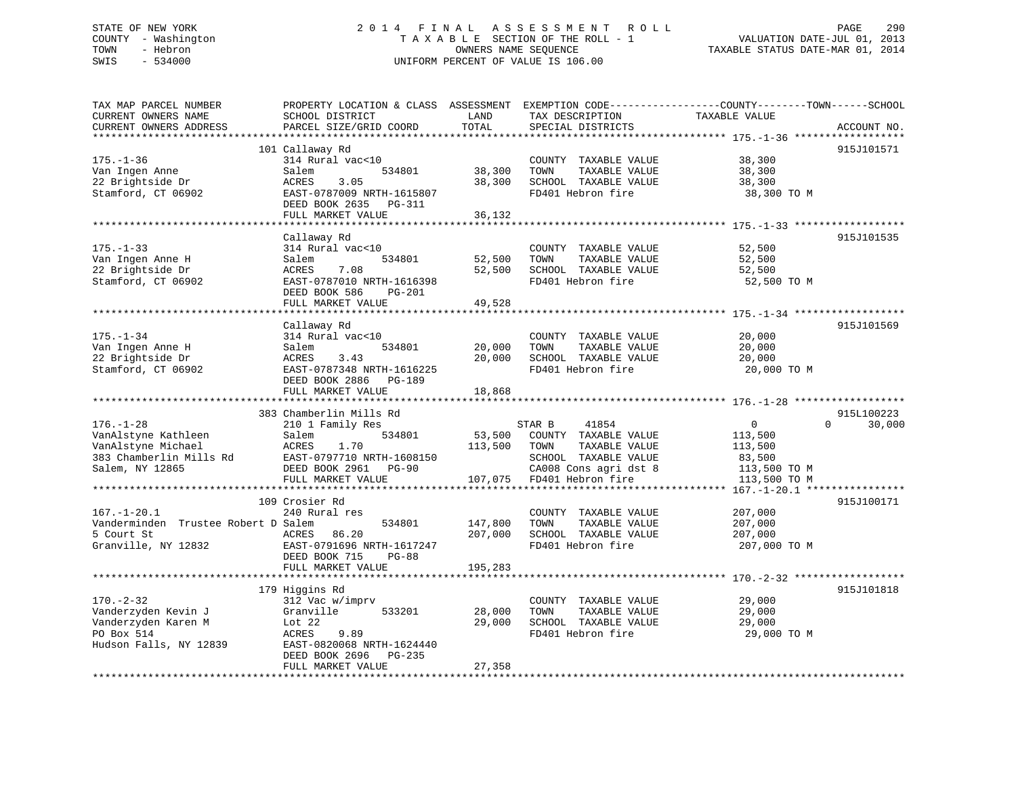# STATE OF NEW YORK 290 2014 FINAL ASSESSMENT ROLL 2011 PAGE 290 COUNTY - Washington  $T A X A B L E$  SECTION OF THE ROLL - 1<br>TOWN - Hebron DATE-JUL 000NERS NAME SEQUENCE SWIS - 534000 UNIFORM PERCENT OF VALUE IS 106.00

TAXABLE STATUS DATE-MAR 01, 2014

| TAX MAP PARCEL NUMBER               |                           |         |                                           | PROPERTY LOCATION & CLASS ASSESSMENT EXEMPTION CODE----------------COUNTY-------TOWN------SCHOOL |
|-------------------------------------|---------------------------|---------|-------------------------------------------|--------------------------------------------------------------------------------------------------|
| CURRENT OWNERS NAME                 | SCHOOL DISTRICT           | LAND    | TAX DESCRIPTION                           | TAXABLE VALUE                                                                                    |
| CURRENT OWNERS ADDRESS              | PARCEL SIZE/GRID COORD    | TOTAL   | SPECIAL DISTRICTS                         | ACCOUNT NO.                                                                                      |
|                                     |                           |         |                                           |                                                                                                  |
|                                     | 101 Callaway Rd           |         |                                           | 915J101571                                                                                       |
| $175. - 1 - 36$                     | 314 Rural vac<10          |         | COUNTY TAXABLE VALUE                      | 38,300                                                                                           |
| Van Ingen Anne                      | Salem<br>534801           | 38,300  | TOWN<br>TAXABLE VALUE                     | 38,300                                                                                           |
| 22 Brightside Dr                    | ACRES<br>3.05             | 38,300  | SCHOOL TAXABLE VALUE                      | 38,300                                                                                           |
| Stamford, CT 06902                  | EAST-0787009 NRTH-1615807 |         | FD401 Hebron fire                         | 38,300 TO M                                                                                      |
|                                     | DEED BOOK 2635 PG-311     |         |                                           |                                                                                                  |
|                                     | FULL MARKET VALUE         | 36,132  |                                           |                                                                                                  |
|                                     |                           |         |                                           |                                                                                                  |
|                                     | Callaway Rd               |         |                                           | 915J101535                                                                                       |
| $175. - 1 - 33$                     | 314 Rural vac<10          |         | COUNTY TAXABLE VALUE                      | 52,500                                                                                           |
| Van Ingen Anne H                    | Salem<br>534801           | 52,500  | TAXABLE VALUE<br>TOWN                     | 52,500                                                                                           |
| 22 Brightside Dr                    | ACRES<br>7.08             | 52,500  | SCHOOL TAXABLE VALUE                      | 52,500                                                                                           |
| Stamford, CT 06902                  | EAST-0787010 NRTH-1616398 |         | FD401 Hebron fire                         | 52,500 TO M                                                                                      |
|                                     | DEED BOOK 586<br>$PG-201$ |         |                                           |                                                                                                  |
|                                     | FULL MARKET VALUE         | 49,528  |                                           |                                                                                                  |
|                                     |                           |         |                                           |                                                                                                  |
|                                     |                           |         |                                           |                                                                                                  |
|                                     | Callaway Rd               |         |                                           | 915J101569                                                                                       |
| $175. - 1 - 34$                     | 314 Rural vac<10          |         | COUNTY TAXABLE VALUE                      | 20,000                                                                                           |
| Van Ingen Anne H                    | Salem<br>534801           | 20,000  | TOWN<br>TAXABLE VALUE                     | 20,000                                                                                           |
| 22 Brightside Dr                    | ACRES<br>3.43             | 20,000  | SCHOOL TAXABLE VALUE                      | 20,000                                                                                           |
| Stamford, CT 06902                  | EAST-0787348 NRTH-1616225 |         | FD401 Hebron fire                         | 20,000 TO M                                                                                      |
|                                     | DEED BOOK 2886 PG-189     |         |                                           |                                                                                                  |
|                                     |                           |         |                                           |                                                                                                  |
|                                     | FULL MARKET VALUE         | 18,868  |                                           |                                                                                                  |
|                                     |                           |         |                                           |                                                                                                  |
|                                     | 383 Chamberlin Mills Rd   |         |                                           | 915L100223                                                                                       |
| $176. - 1 - 28$                     | 210 1 Family Res          |         | 41854<br>STAR B                           | $\overline{0}$<br>30,000<br>$\Omega$                                                             |
| VanAlstyne Kathleen                 | 534801<br>Salem           | 53,500  | COUNTY TAXABLE VALUE                      | 113,500                                                                                          |
| VanAlstyne Michael                  | ACRES<br>1.70             | 113,500 | TAXABLE VALUE<br>TOWN                     | 113,500                                                                                          |
| 383 Chamberlin Mills Rd             | EAST-0797710 NRTH-1608150 |         | SCHOOL TAXABLE VALUE                      | 83,500                                                                                           |
| Salem, NY 12865                     | DEED BOOK 2961 PG-90      |         | CA008 Cons agri dst 8                     | 113,500 TO M                                                                                     |
|                                     | FULL MARKET VALUE         |         | 107,075 FD401 Hebron fire                 | 113,500 TO M                                                                                     |
|                                     |                           |         |                                           |                                                                                                  |
|                                     | 109 Crosier Rd            |         |                                           | 915J100171                                                                                       |
| $167. - 1 - 20.1$                   | 240 Rural res             |         | COUNTY TAXABLE VALUE                      | 207,000                                                                                          |
| Vanderminden Trustee Robert D Salem | 534801                    | 147,800 | TOWN<br>TAXABLE VALUE                     | 207,000                                                                                          |
| 5 Court St                          | ACRES<br>86.20            |         |                                           |                                                                                                  |
|                                     | EAST-0791696 NRTH-1617247 | 207,000 | SCHOOL TAXABLE VALUE<br>FD401 Hebron fire | 207,000                                                                                          |
| Granville, NY 12832                 | $PG-88$                   |         |                                           | 207,000 TO M                                                                                     |
|                                     | DEED BOOK 715             |         |                                           |                                                                                                  |
|                                     | FULL MARKET VALUE         | 195,283 |                                           |                                                                                                  |
|                                     |                           |         |                                           |                                                                                                  |
|                                     | 179 Higgins Rd            |         |                                           | 915J101818                                                                                       |
| $170. - 2 - 32$                     | 312 Vac w/imprv           |         | COUNTY TAXABLE VALUE                      | 29,000                                                                                           |
| Vanderzyden Kevin J                 | Granville<br>533201       | 28,000  | TOWN<br>TAXABLE VALUE                     | 29,000                                                                                           |
| Vanderzyden Karen M                 | Lot 22                    | 29,000  | SCHOOL TAXABLE VALUE                      | 29,000                                                                                           |
| PO Box 514                          | ACRES<br>9.89             |         | FD401 Hebron fire                         | 29,000 TO M                                                                                      |
| Hudson Falls, NY 12839              | EAST-0820068 NRTH-1624440 |         |                                           |                                                                                                  |
|                                     | DEED BOOK 2696 PG-235     |         |                                           |                                                                                                  |
|                                     | FULL MARKET VALUE         | 27,358  |                                           |                                                                                                  |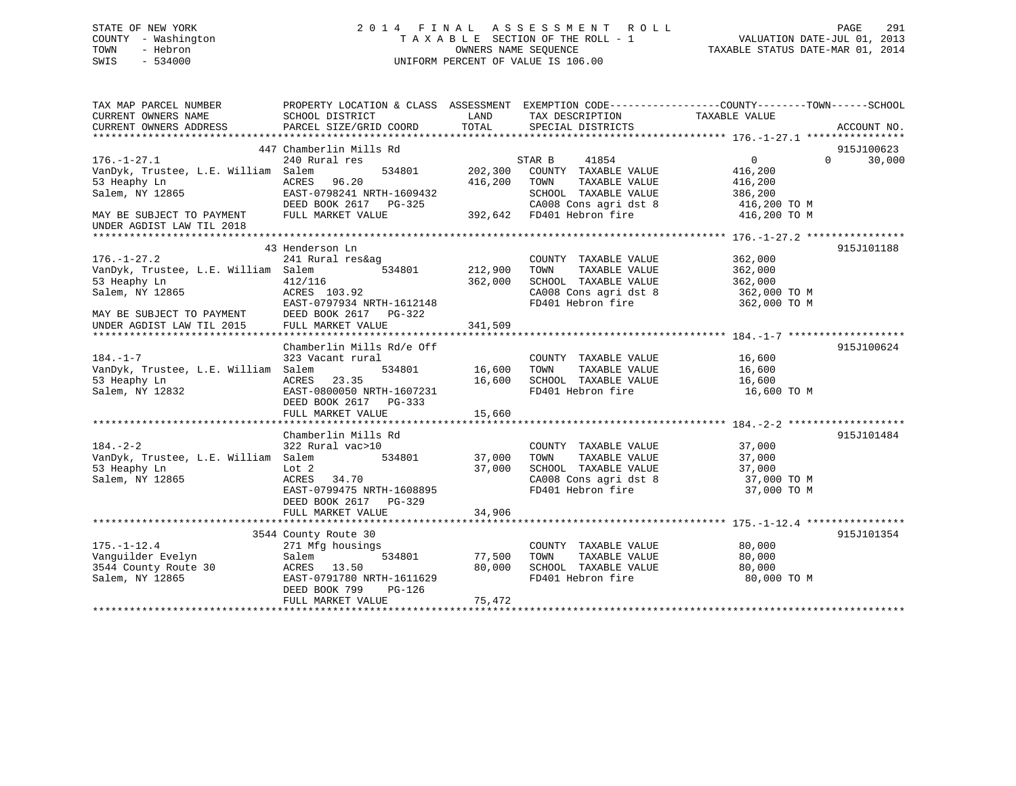# STATE OF NEW YORK 2 0 1 4 F I N A L A S S E S S M E N T R O L L PAGE 291 COUNTY - Washington T A X A B L E SECTION OF THE ROLL - 1 VALUATION DATE-JUL 01, 2013 TOWN - Hebron OWNERS NAME SEQUENCE TAXABLE STATUS DATE-MAR 01, 2014 SWIS - 534000 UNIFORM PERCENT OF VALUE IS 106.00

| TAX MAP PARCEL NUMBER<br>CURRENT OWNERS NAME           | PROPERTY LOCATION & CLASS ASSESSMENT EXEMPTION CODE----------------COUNTY-------TOWN------SCHOOL<br>SCHOOL DISTRICT | LAND    | TAX DESCRIPTION                                                            | TAXABLE VALUE              |             |
|--------------------------------------------------------|---------------------------------------------------------------------------------------------------------------------|---------|----------------------------------------------------------------------------|----------------------------|-------------|
| CURRENT OWNERS ADDRESS                                 | PARCEL SIZE/GRID COORD                                                                                              | TOTAL   | SPECIAL DISTRICTS                                                          |                            | ACCOUNT NO. |
|                                                        |                                                                                                                     |         |                                                                            |                            |             |
|                                                        | 447 Chamberlin Mills Rd                                                                                             |         |                                                                            |                            | 915J100623  |
| $176. - 1 - 27.1$                                      | 240 Rural res                                                                                                       |         | STAR B<br>41854                                                            | $\overline{0}$<br>$\Omega$ | 30,000      |
| VanDyk, Trustee, L.E. William Salem                    | 534801                                                                                                              | 202,300 | COUNTY TAXABLE VALUE                                                       | 416,200                    |             |
| 53 Heaphy Ln                                           | ACRES<br>96.20                                                                                                      | 416,200 | TAXABLE VALUE<br>TOWN                                                      | 416,200                    |             |
| Salem, NY 12865                                        | EAST-0798241 NRTH-1609432                                                                                           |         | SCHOOL TAXABLE VALUE                                                       | 386,200                    |             |
|                                                        | DEED BOOK 2617 PG-325                                                                                               |         | CA008 Cons agri dst 8                                                      | 416,200 TO M               |             |
| MAY BE SUBJECT TO PAYMENT<br>UNDER AGDIST LAW TIL 2018 | FULL MARKET VALUE                                                                                                   |         | 392,642 FD401 Hebron fire                                                  | 416,200 TO M               |             |
|                                                        |                                                                                                                     |         |                                                                            |                            |             |
|                                                        | 43 Henderson Ln                                                                                                     |         |                                                                            |                            | 915J101188  |
| $176. - 1 - 27.2$                                      | 241 Rural res&ag                                                                                                    |         | COUNTY TAXABLE VALUE                                                       | 362,000                    |             |
| VanDyk, Trustee, L.E. William Salem                    | 534801                                                                                                              | 212,900 | TAXABLE VALUE<br>TOWN                                                      | 362,000                    |             |
| 53 Heaphy Ln                                           | 412/116                                                                                                             | 362,000 | SCHOOL TAXABLE VALUE                                                       | 362,000                    |             |
| Salem, NY 12865                                        | ACRES 103.92                                                                                                        |         | CA008 Cons agri dst 8                                                      | 362,000 TO M               |             |
|                                                        | EAST-0797934 NRTH-1612148                                                                                           |         | FD401 Hebron fire                                                          | 362,000 TO M               |             |
| MAY BE SUBJECT TO PAYMENT                              | DEED BOOK 2617 PG-322                                                                                               |         |                                                                            |                            |             |
| UNDER AGDIST LAW TIL 2015                              | FULL MARKET VALUE                                                                                                   | 341,509 |                                                                            |                            |             |
|                                                        |                                                                                                                     |         |                                                                            |                            |             |
|                                                        | Chamberlin Mills Rd/e Off                                                                                           |         |                                                                            |                            | 915J100624  |
| $184. - 1 - 7$                                         | 323 Vacant rural                                                                                                    |         | COUNTY TAXABLE VALUE                                                       | 16,600                     |             |
| VanDyk, Trustee, L.E. William Salem                    | 534801                                                                                                              | 16,600  | TAXABLE VALUE<br>TOWN                                                      | 16,600                     |             |
| 53 Heaphy Ln                                           | ACRES<br>23.35                                                                                                      | 16,600  | SCHOOL TAXABLE VALUE                                                       | 16,600                     |             |
| Salem, NY 12832                                        | EAST-0800050 NRTH-1607231                                                                                           |         | FD401 Hebron fire                                                          | 16,600 TO M                |             |
|                                                        | DEED BOOK 2617 PG-333                                                                                               |         |                                                                            |                            |             |
|                                                        | FULL MARKET VALUE                                                                                                   | 15,660  |                                                                            |                            |             |
|                                                        |                                                                                                                     |         |                                                                            |                            |             |
|                                                        | Chamberlin Mills Rd                                                                                                 |         |                                                                            |                            | 915J101484  |
| $184. - 2 - 2$                                         | 322 Rural vac>10                                                                                                    |         | COUNTY TAXABLE VALUE                                                       | 37,000                     |             |
| VanDyk, Trustee, L.E. William Salem                    | 534801                                                                                                              | 37,000  | TOWN<br>TAXABLE VALUE<br>TOWN      TAXABLE VALUE<br>SCHOOL   TAXABLE VALUE | 37,000                     |             |
| 53 Heaphy Ln                                           | Lot 2                                                                                                               | 37,000  |                                                                            | 37,000                     |             |
| Salem, NY 12865                                        | ACRES<br>34.70                                                                                                      |         | CA008 Cons agri dst 8                                                      | 37,000 TO M                |             |
|                                                        | EAST-0799475 NRTH-1608895                                                                                           |         | FD401 Hebron fire                                                          | 37,000 TO M                |             |
|                                                        | DEED BOOK 2617<br>$PG-329$                                                                                          |         |                                                                            |                            |             |
|                                                        | FULL MARKET VALUE                                                                                                   | 34,906  |                                                                            |                            |             |
|                                                        | 3544 County Route 30                                                                                                |         |                                                                            |                            | 915J101354  |
| $175. - 1 - 12.4$                                      | 271 Mfg housings                                                                                                    |         | COUNTY TAXABLE VALUE                                                       | 80,000                     |             |
| Vanquilder Evelyn                                      | Salem<br>534801                                                                                                     | 77,500  | TAXABLE VALUE<br>TOWN                                                      | 80,000                     |             |
| 3544 County Route 30                                   | ACRES 13.50                                                                                                         | 80,000  | SCHOOL TAXABLE VALUE                                                       | 80,000                     |             |
| Salem, NY 12865                                        | EAST-0791780 NRTH-1611629                                                                                           |         | FD401 Hebron fire                                                          | 80,000 TO M                |             |
|                                                        | DEED BOOK 799<br>PG-126                                                                                             |         |                                                                            |                            |             |
|                                                        | FULL MARKET VALUE                                                                                                   | 75,472  |                                                                            |                            |             |
|                                                        |                                                                                                                     |         |                                                                            |                            |             |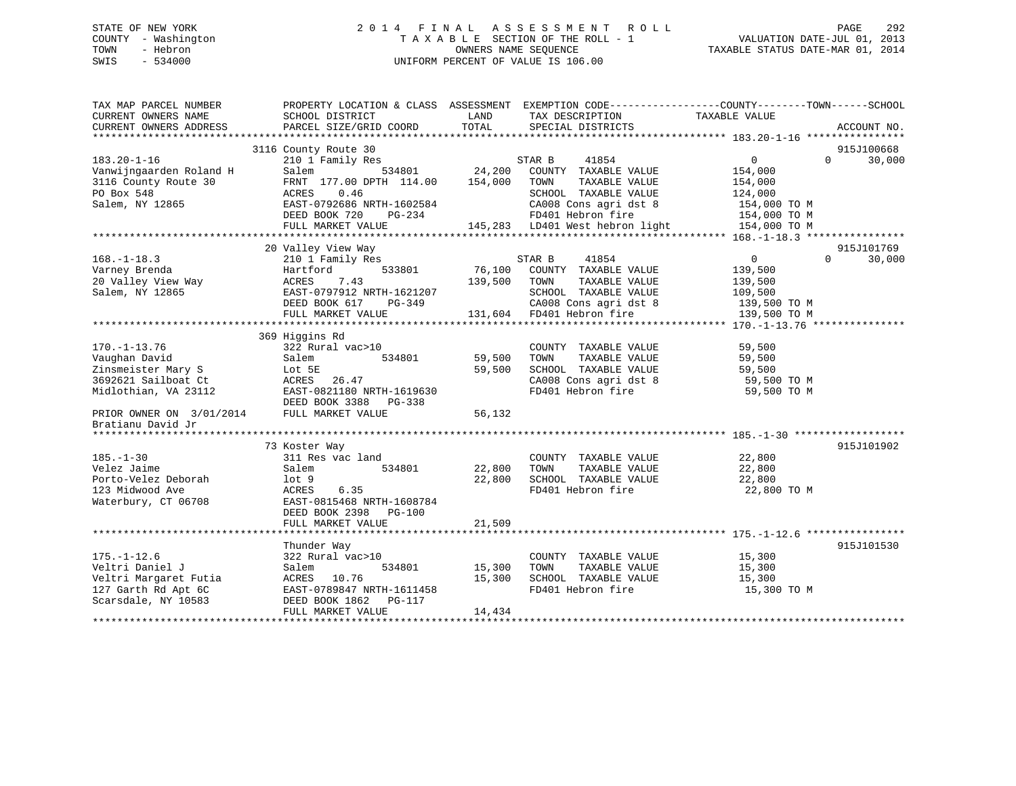# STATE OF NEW YORK 2 0 1 4 F I N A L A S S E S S M E N T R O L L PAGE 292 COUNTY - Washington T A X A B L E SECTION OF THE ROLL - 1 VALUATION DATE-JUL 01, 2013 TOWN - Hebron OWNERS NAME SEQUENCE TAXABLE STATUS DATE-MAR 01, 2014 SWIS - 534000 UNIFORM PERCENT OF VALUE IS 106.00

| TAX MAP PARCEL NUMBER<br>CURRENT OWNERS NAME | SCHOOL DISTRICT                          | LAND    | PROPERTY LOCATION & CLASS ASSESSMENT EXEMPTION CODE---------------COUNTY-------TOWN-----SCHOOL<br>TAX DESCRIPTION | TAXABLE VALUE     |                    |
|----------------------------------------------|------------------------------------------|---------|-------------------------------------------------------------------------------------------------------------------|-------------------|--------------------|
| CURRENT OWNERS ADDRESS                       | PARCEL SIZE/GRID COORD                   | TOTAL   | SPECIAL DISTRICTS                                                                                                 |                   | ACCOUNT NO.        |
|                                              |                                          |         |                                                                                                                   |                   | 915J100668         |
| $183.20 - 1 - 16$                            | 3116 County Route 30<br>210 1 Family Res |         | STAR B<br>41854                                                                                                   | $0 \qquad \qquad$ | 30,000<br>$\Omega$ |
| Vanwijngaarden Roland H                      | 534801<br>Salem                          | 24,200  | COUNTY TAXABLE VALUE                                                                                              | 154,000           |                    |
| 3116 County Route 30                         | FRNT 177.00 DPTH 114.00                  | 154,000 | TAXABLE VALUE<br>TOWN                                                                                             | 154,000           |                    |
| PO Box 548                                   | ACRES<br>0.46                            |         | SCHOOL TAXABLE VALUE                                                                                              | 124,000           |                    |
| Salem, NY 12865                              | EAST-0792686 NRTH-1602584                |         | CA008 Cons agri dst 8                                                                                             | 154,000 TO M      |                    |
|                                              | DEED BOOK 720<br>PG-234                  |         | FD401 Hebron fire                                                                                                 | 154,000 TO M      |                    |
|                                              | FULL MARKET VALUE                        |         | 145,283 LD401 West hebron light                                                                                   | 154,000 TO M      |                    |
|                                              |                                          |         |                                                                                                                   |                   |                    |
|                                              | 20 Valley View Way                       |         |                                                                                                                   |                   | 915J101769         |
| $168. - 1 - 18.3$                            | 210 1 Family Res                         |         | STAR B<br>41854                                                                                                   | $\overline{0}$    | $\Omega$<br>30,000 |
| Varney Brenda                                | 533801<br>Hartford                       | 76,100  | COUNTY TAXABLE VALUE                                                                                              | 139,500           |                    |
| 20 Valley View Way                           | 7.43<br>ACRES                            | 139,500 | TOWN<br>TAXABLE VALUE                                                                                             | 139,500           |                    |
| Salem, NY 12865                              | EAST-0797912 NRTH-1621207                |         | SCHOOL TAXABLE VALUE                                                                                              | 109,500           |                    |
|                                              | DEED BOOK 617<br>PG-349                  |         | CA008 Cons agri dst 8                                                                                             | 139,500 TO M      |                    |
|                                              | FULL MARKET VALUE                        |         | 131,604 FD401 Hebron fire                                                                                         | 139,500 TO M      |                    |
|                                              |                                          |         |                                                                                                                   |                   |                    |
|                                              | 369 Higgins Rd                           |         |                                                                                                                   |                   |                    |
| $170. - 1 - 13.76$                           | 322 Rural vac>10                         |         | COUNTY TAXABLE VALUE                                                                                              | 59,500            |                    |
| Vaughan David                                | Salem<br>534801                          | 59,500  | TOWN<br>TAXABLE VALUE                                                                                             | 59,500            |                    |
| Zinsmeister Mary S                           | Lot 5E                                   | 59,500  | SCHOOL TAXABLE VALUE                                                                                              | 59,500            |                    |
| 3692621 Sailboat Ct                          | ACRES<br>26.47                           |         | CA008 Cons agri dst 8                                                                                             | 59,500 TO M       |                    |
| Midlothian, VA 23112                         | EAST-0821180 NRTH-1619630                |         | FD401 Hebron fire                                                                                                 | 59,500 TO M       |                    |
|                                              | DEED BOOK 3388<br>$PG-338$               |         |                                                                                                                   |                   |                    |
| PRIOR OWNER ON 3/01/2014                     | FULL MARKET VALUE                        | 56,132  |                                                                                                                   |                   |                    |
| Bratianu David Jr                            |                                          |         |                                                                                                                   |                   |                    |
|                                              |                                          |         |                                                                                                                   |                   |                    |
|                                              | 73 Koster Way                            |         |                                                                                                                   |                   | 915J101902         |
| $185. - 1 - 30$                              | 311 Res vac land                         |         | COUNTY TAXABLE VALUE                                                                                              | 22,800            |                    |
| Velez Jaime                                  | Salem<br>534801                          | 22,800  | TOWN<br>TAXABLE VALUE                                                                                             | 22,800            |                    |
| Porto-Velez Deborah                          | lot <sub>9</sub>                         | 22,800  | SCHOOL TAXABLE VALUE                                                                                              | 22,800            |                    |
| 123 Midwood Ave                              | 6.35<br>ACRES                            |         | FD401 Hebron fire                                                                                                 | 22,800 TO M       |                    |
| Waterbury, CT 06708                          | EAST-0815468 NRTH-1608784                |         |                                                                                                                   |                   |                    |
|                                              | DEED BOOK 2398<br>PG-100                 |         |                                                                                                                   |                   |                    |
|                                              | FULL MARKET VALUE                        | 21,509  |                                                                                                                   |                   |                    |
|                                              |                                          |         |                                                                                                                   |                   |                    |
|                                              | Thunder Way                              |         |                                                                                                                   |                   | 915J101530         |
| $175. - 1 - 12.6$                            | 322 Rural vac>10                         |         | COUNTY TAXABLE VALUE                                                                                              | 15,300            |                    |
| Veltri Daniel J                              | Salem<br>534801                          | 15,300  | TAXABLE VALUE<br>TOWN                                                                                             | 15,300            |                    |
| Veltri Margaret Futia                        | ACRES 10.76                              | 15,300  | SCHOOL TAXABLE VALUE                                                                                              | 15,300            |                    |
| 127 Garth Rd Apt 6C                          | EAST-0789847 NRTH-1611458                |         | FD401 Hebron fire                                                                                                 | 15,300 TO M       |                    |
| Scarsdale, NY 10583                          | DEED BOOK 1862<br>PG-117                 |         |                                                                                                                   |                   |                    |
|                                              | FULL MARKET VALUE                        | 14,434  |                                                                                                                   |                   |                    |
|                                              |                                          |         |                                                                                                                   |                   |                    |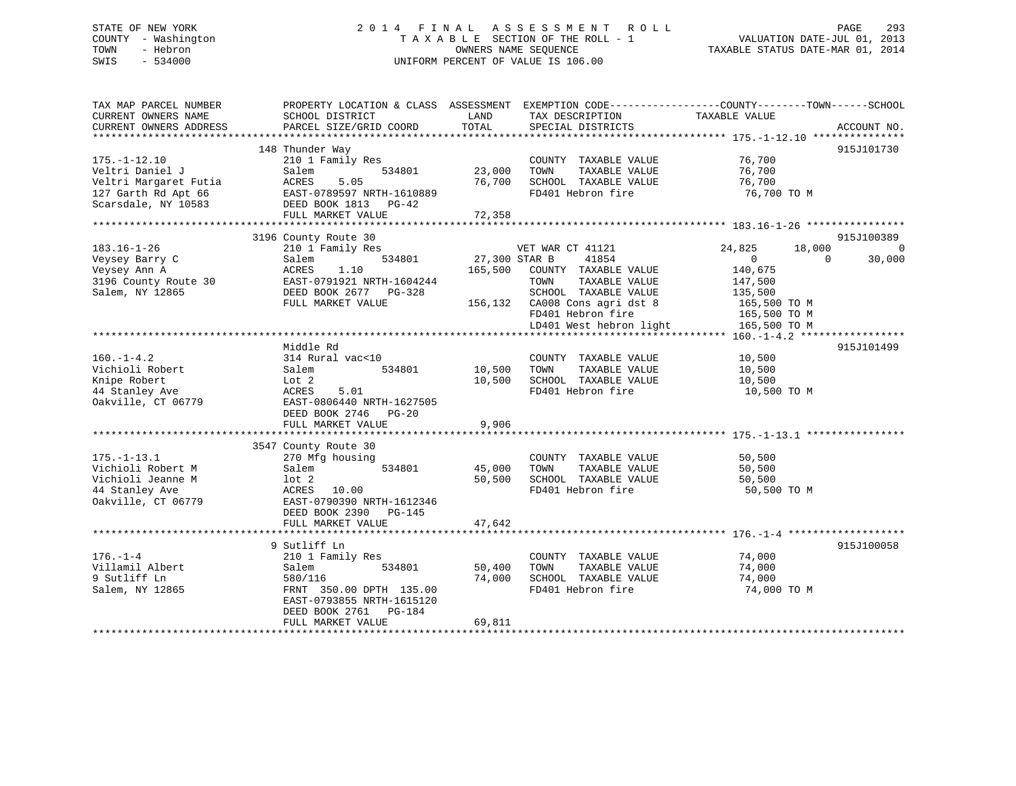# STATE OF NEW YORK 2 0 1 4 F I N A L A S S E S S M E N T R O L L PAGE 293 COUNTY - Washington T A X A B L E SECTION OF THE ROLL - 1 VALUATION DATE-JUL 01, 2013 TOWN - Hebron OWNERS NAME SEQUENCE TAXABLE STATUS DATE-MAR 01, 2014 SWIS - 534000 UNIFORM PERCENT OF VALUE IS 106.00

| TAX MAP PARCEL NUMBER<br>CURRENT OWNERS NAME<br>CURRENT OWNERS ADDRESS | PROPERTY LOCATION & CLASS ASSESSMENT EXEMPTION CODE----------------COUNTY-------TOWN------SCHOOL<br>SCHOOL DISTRICT<br>PARCEL SIZE/GRID COORD | LAND<br>TOTAL | TAX DESCRIPTION<br>SPECIAL DISTRICTS | TAXABLE VALUE                | ACCOUNT NO. |
|------------------------------------------------------------------------|-----------------------------------------------------------------------------------------------------------------------------------------------|---------------|--------------------------------------|------------------------------|-------------|
|                                                                        |                                                                                                                                               |               |                                      |                              |             |
|                                                                        | 148 Thunder Way                                                                                                                               |               |                                      |                              | 915J101730  |
| $175. - 1 - 12.10$                                                     | 210 1 Family Res                                                                                                                              |               | COUNTY TAXABLE VALUE                 | 76,700                       |             |
| Veltri Daniel J                                                        | Salem<br>534801                                                                                                                               | 23,000        | TOWN<br>TAXABLE VALUE                | 76,700                       |             |
| Veltri Margaret Futia                                                  | 5.05<br>ACRES                                                                                                                                 | 76,700        | SCHOOL TAXABLE VALUE                 | 76,700                       |             |
| 127 Garth Rd Apt 66                                                    | EAST-0789597 NRTH-1610889                                                                                                                     |               | FD401 Hebron fire                    | 76,700 TO M                  |             |
| Scarsdale, NY 10583                                                    | DEED BOOK 1813 PG-42                                                                                                                          | 72,358        |                                      |                              |             |
|                                                                        | FULL MARKET VALUE                                                                                                                             |               |                                      |                              |             |
|                                                                        | 3196 County Route 30                                                                                                                          |               |                                      |                              | 915J100389  |
| $183.16 - 1 - 26$                                                      | 210 1 Family Res                                                                                                                              |               | VET WAR CT 41121                     | 24,825<br>18,000             | $\Omega$    |
| Veysey Barry C                                                         | 534801<br>Salem                                                                                                                               | 27,300 STAR B | 41854                                | $\overline{0}$<br>$\Omega$   | 30,000      |
| Veysey Ann A                                                           | 1.10<br>ACRES                                                                                                                                 |               | 165,500 COUNTY TAXABLE VALUE         | 140,675                      |             |
| 3196 County Route 30                                                   | EAST-0791921 NRTH-1604244                                                                                                                     |               | TOWN<br>TAXABLE VALUE                | 147,500                      |             |
| Salem, NY 12865                                                        | DEED BOOK 2677 PG-328                                                                                                                         |               | SCHOOL TAXABLE VALUE                 | 135,500                      |             |
|                                                                        | FULL MARKET VALUE                                                                                                                             |               | 156,132 CA008 Cons agri dst 8        | 165,500 TO M                 |             |
|                                                                        |                                                                                                                                               |               | FD401 Hebron fire                    |                              |             |
|                                                                        |                                                                                                                                               |               | LD401 West hebron light              | 165,500 TO M<br>165,500 TO M |             |
|                                                                        |                                                                                                                                               |               |                                      |                              |             |
|                                                                        | Middle Rd                                                                                                                                     |               |                                      |                              | 915J101499  |
| $160. - 1 - 4.2$                                                       | 314 Rural vac<10                                                                                                                              |               | COUNTY TAXABLE VALUE                 | 10,500                       |             |
| Vichioli Robert                                                        | 534801<br>Salem                                                                                                                               | 10,500        | TAXABLE VALUE<br>TOWN                | 10,500                       |             |
| Knipe Robert                                                           | Lot 2                                                                                                                                         | 10,500        | SCHOOL TAXABLE VALUE                 | 10,500                       |             |
| 44 Stanley Ave                                                         | ACRES<br>5.01                                                                                                                                 |               | FD401 Hebron fire                    | 10,500 TO M                  |             |
| Oakville, CT 06779                                                     | EAST-0806440 NRTH-1627505                                                                                                                     |               |                                      |                              |             |
|                                                                        | DEED BOOK 2746 PG-20                                                                                                                          |               |                                      |                              |             |
|                                                                        | FULL MARKET VALUE                                                                                                                             | 9,906         |                                      |                              |             |
|                                                                        |                                                                                                                                               |               |                                      |                              |             |
|                                                                        | 3547 County Route 30                                                                                                                          |               |                                      |                              |             |
| $175. - 1 - 13.1$                                                      | 270 Mfg housing                                                                                                                               |               | COUNTY TAXABLE VALUE                 | 50,500                       |             |
| Vichioli Robert M                                                      | 534801<br>Salem                                                                                                                               | 45,000        | TAXABLE VALUE<br>TOWN                | 50,500                       |             |
| Vichioli Jeanne M                                                      | lot <sub>2</sub>                                                                                                                              | 50,500        | SCHOOL TAXABLE VALUE                 | 50,500                       |             |
| 44 Stanley Ave                                                         | ACRES 10.00                                                                                                                                   |               | FD401 Hebron fire                    | 50,500 TO M                  |             |
| Oakville, CT 06779                                                     | EAST-0790390 NRTH-1612346                                                                                                                     |               |                                      |                              |             |
|                                                                        | DEED BOOK 2390 PG-145                                                                                                                         |               |                                      |                              |             |
|                                                                        | FULL MARKET VALUE                                                                                                                             | 47,642        |                                      |                              |             |
|                                                                        |                                                                                                                                               |               |                                      |                              |             |
|                                                                        | 9 Sutliff Ln                                                                                                                                  |               |                                      |                              | 915J100058  |
| $176. - 1 - 4$                                                         | 210 1 Family Res                                                                                                                              |               | COUNTY TAXABLE VALUE                 | 74,000                       |             |
| Villamil Albert                                                        | Salem<br>534801                                                                                                                               | 50,400        | TOWN<br>TAXABLE VALUE                | 74,000                       |             |
| 9 Sutliff Ln                                                           | 580/116                                                                                                                                       | 74,000        | SCHOOL TAXABLE VALUE                 | 74,000                       |             |
| Salem, NY 12865                                                        | FRNT 350.00 DPTH 135.00                                                                                                                       |               | FD401 Hebron fire                    | 74,000 TO M                  |             |
|                                                                        | EAST-0793855 NRTH-1615120                                                                                                                     |               |                                      |                              |             |
|                                                                        | DEED BOOK 2761 PG-184                                                                                                                         |               |                                      |                              |             |
|                                                                        | FULL MARKET VALUE                                                                                                                             | 69,811        |                                      |                              |             |
|                                                                        |                                                                                                                                               |               |                                      |                              |             |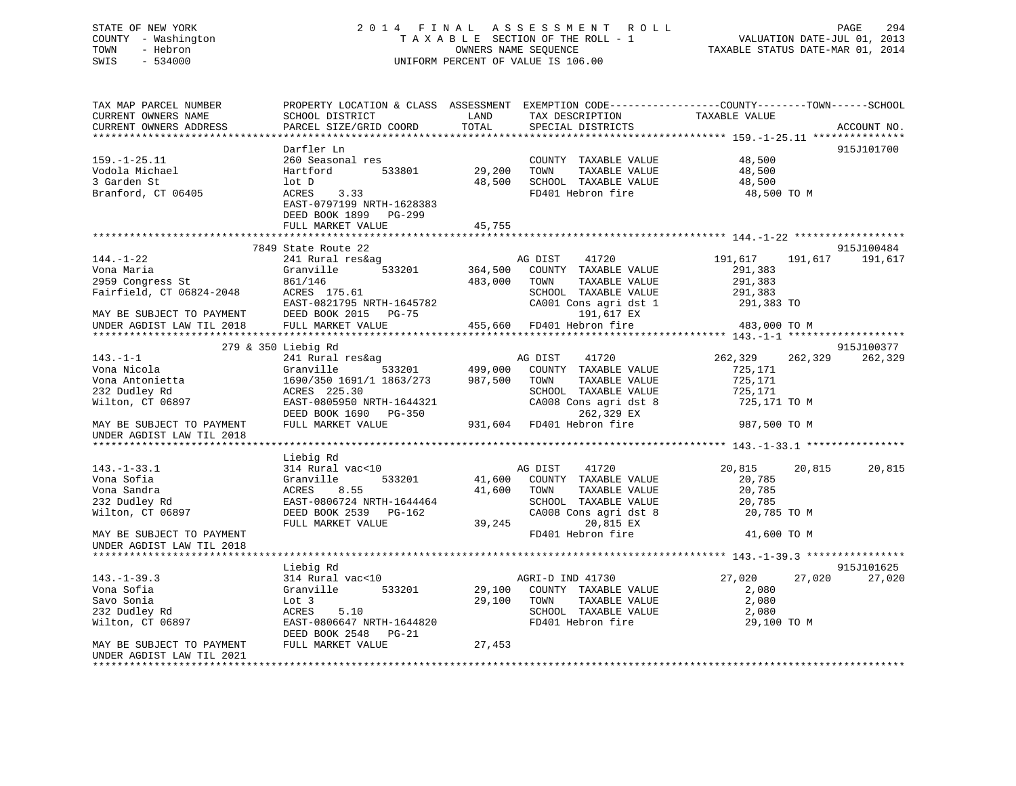# STATE OF NEW YORK 2 0 1 4 F I N A L A S S E S S M E N T R O L L PAGE 294 COUNTY - Washington T A X A B L E SECTION OF THE ROLL - 1 VALUATION DATE-JUL 01, 2013 TOWN - Hebron OWNERS NAME SEQUENCE TAXABLE STATUS DATE-MAR 01, 2014 SWIS - 534000 UNIFORM PERCENT OF VALUE IS 106.00

| TAX MAP PARCEL NUMBER<br>CURRENT OWNERS NAME<br>CURRENT OWNERS ADDRESS | SCHOOL DISTRICT<br>PARCEL SIZE/GRID COORD | PROPERTY LOCATION & CLASS ASSESSMENT EXEMPTION CODE---------------COUNTY-------TOWN-----SCHOOL<br>LAND<br>TAX DESCRIPTION<br>TOTAL<br>SPECIAL DISTRICTS | TAXABLE VALUE<br>ACCOUNT NO.  |
|------------------------------------------------------------------------|-------------------------------------------|---------------------------------------------------------------------------------------------------------------------------------------------------------|-------------------------------|
|                                                                        |                                           |                                                                                                                                                         |                               |
|                                                                        | Darfler Ln                                |                                                                                                                                                         | 915J101700                    |
| $159. - 1 - 25.11$                                                     | 260 Seasonal res                          | COUNTY TAXABLE VALUE                                                                                                                                    | 48,500                        |
| Vodola Michael<br>3 Garden St                                          | 533801<br>Hartford<br>lot D               | 29,200<br>TAXABLE VALUE<br>TOWN                                                                                                                         | 48,500                        |
| Branford, CT 06405                                                     | ACRES<br>3.33                             | 48,500<br>SCHOOL TAXABLE VALUE<br>FD401 Hebron fire                                                                                                     | 48,500<br>48,500 TO M         |
|                                                                        | EAST-0797199 NRTH-1628383                 |                                                                                                                                                         |                               |
|                                                                        | DEED BOOK 1899 PG-299                     |                                                                                                                                                         |                               |
|                                                                        | FULL MARKET VALUE                         | 45,755                                                                                                                                                  |                               |
|                                                                        |                                           |                                                                                                                                                         |                               |
|                                                                        | 7849 State Route 22                       |                                                                                                                                                         | 915J100484                    |
| $144. - 1 - 22$                                                        | 241 Rural res&ag                          | 41720<br>AG DIST                                                                                                                                        | 191,617<br>191,617<br>191,617 |
| Vona Maria                                                             | Granville<br>533201                       | 364,500<br>COUNTY TAXABLE VALUE                                                                                                                         | 291,383                       |
| 2959 Congress St                                                       | 861/146                                   | 483,000<br>TAXABLE VALUE<br>TOWN                                                                                                                        | 291,383                       |
| Fairfield, CT 06824-2048                                               | ACRES 175.61                              | SCHOOL TAXABLE VALUE                                                                                                                                    | 291,383                       |
|                                                                        | EAST-0821795 NRTH-1645782                 | CA001 Cons agri dst 1                                                                                                                                   | 291,383 TO                    |
| MAY BE SUBJECT TO PAYMENT                                              | DEED BOOK 2015 PG-75                      | 191,617 EX                                                                                                                                              |                               |
| UNDER AGDIST LAW TIL 2018                                              | FULL MARKET VALUE                         | 455,660 FD401 Hebron fire                                                                                                                               | 483,000 TO M                  |
|                                                                        |                                           |                                                                                                                                                         |                               |
|                                                                        | 279 & 350 Liebig Rd                       |                                                                                                                                                         | 915J100377                    |
| $143. - 1 - 1$                                                         | 241 Rural res&ag                          | 41720<br>AG DIST                                                                                                                                        | 262,329<br>262,329<br>262,329 |
| Vona Nicola                                                            | 533201<br>Granville                       | 499,000<br>COUNTY TAXABLE VALUE                                                                                                                         | 725,171                       |
| Vona Antonietta                                                        | 1690/350 1691/1 1863/273                  | 987,500<br>TOWN<br>TAXABLE VALUE                                                                                                                        | 725,171                       |
| 232 Dudley Rd                                                          | ACRES 225.30                              | SCHOOL TAXABLE VALUE                                                                                                                                    | 725,171                       |
| Wilton, CT 06897                                                       | EAST-0805950 NRTH-1644321                 | CA008 Cons agri dst 8                                                                                                                                   | 725,171 TO M                  |
|                                                                        | DEED BOOK 1690 PG-350                     | 262,329 EX                                                                                                                                              |                               |
| MAY BE SUBJECT TO PAYMENT                                              | FULL MARKET VALUE                         | 931,604 FD401 Hebron fire                                                                                                                               | 987,500 TO M                  |
| UNDER AGDIST LAW TIL 2018                                              |                                           |                                                                                                                                                         |                               |
|                                                                        | Liebig Rd                                 |                                                                                                                                                         |                               |
| $143. - 1 - 33.1$                                                      | 314 Rural vac<10                          | 41720<br>AG DIST                                                                                                                                        | 20,815<br>20,815<br>20,815    |
| Vona Sofia                                                             | 533201<br>Granville                       | 41,600<br>COUNTY TAXABLE VALUE                                                                                                                          | 20,785                        |
| Vona Sandra                                                            | 8.55<br>ACRES                             | 41,600<br>TAXABLE VALUE<br>TOWN                                                                                                                         | 20,785                        |
| 232 Dudley Rd                                                          | EAST-0806724 NRTH-1644464                 | SCHOOL TAXABLE VALUE                                                                                                                                    | 20,785                        |
| Wilton, CT 06897                                                       | DEED BOOK 2539 PG-162                     | CA008 Cons agri dst 8                                                                                                                                   | 20,785 TO M                   |
|                                                                        | FULL MARKET VALUE                         | 39,245<br>20,815 EX                                                                                                                                     |                               |
| MAY BE SUBJECT TO PAYMENT                                              |                                           | FD401 Hebron fire                                                                                                                                       | 41,600 TO M                   |
| UNDER AGDIST LAW TIL 2018                                              |                                           |                                                                                                                                                         |                               |
|                                                                        |                                           |                                                                                                                                                         |                               |
|                                                                        | Liebig Rd                                 |                                                                                                                                                         | 915J101625                    |
| $143. - 1 - 39.3$                                                      | 314 Rural vac<10                          | AGRI-D IND 41730                                                                                                                                        | 27,020<br>27,020<br>27,020    |
| Vona Sofia                                                             | Granville<br>533201                       | 29,100<br>COUNTY TAXABLE VALUE                                                                                                                          | 2,080                         |
| Savo Sonia                                                             | Lot 3                                     | 29,100<br>TOWN<br>TAXABLE VALUE                                                                                                                         | 2,080                         |
| 232 Dudley Rd                                                          | ACRES<br>5.10                             | SCHOOL TAXABLE VALUE                                                                                                                                    | 2,080                         |
| Wilton, CT 06897                                                       | EAST-0806647 NRTH-1644820                 | FD401 Hebron fire                                                                                                                                       | 29,100 TO M                   |
|                                                                        | DEED BOOK 2548 PG-21                      |                                                                                                                                                         |                               |
| MAY BE SUBJECT TO PAYMENT                                              | FULL MARKET VALUE                         | 27,453                                                                                                                                                  |                               |
| UNDER AGDIST LAW TIL 2021                                              |                                           |                                                                                                                                                         |                               |
|                                                                        |                                           |                                                                                                                                                         |                               |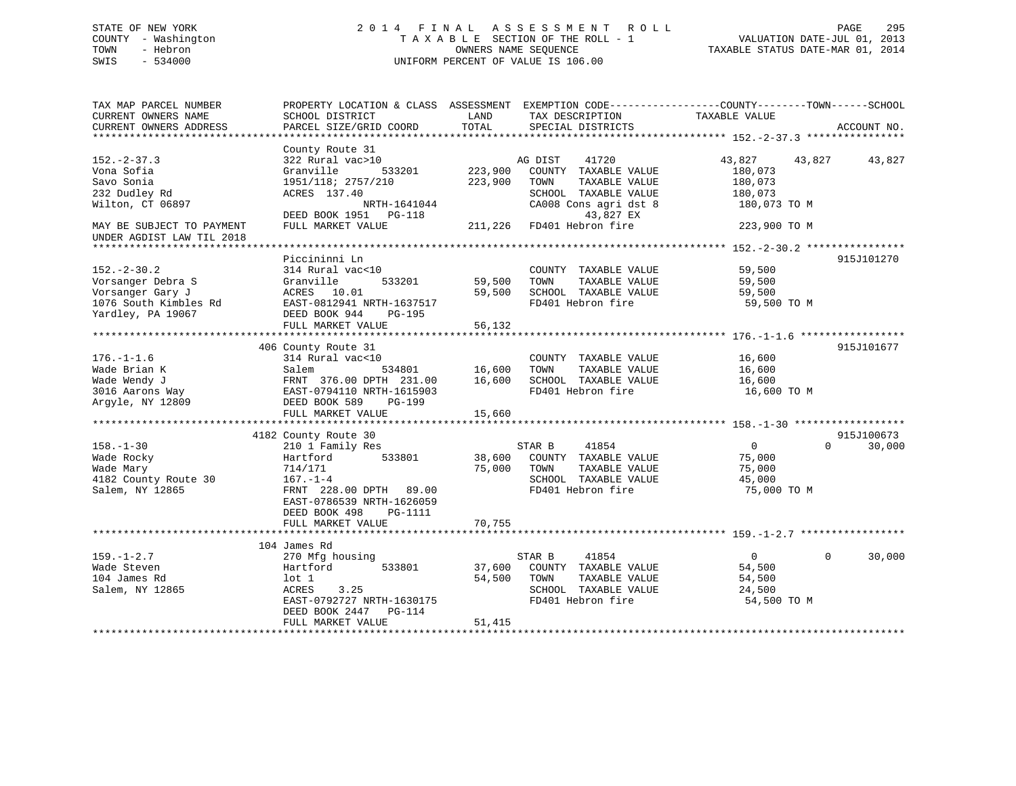# STATE OF NEW YORK 2 0 1 4 F I N A L A S S E S S M E N T R O L L PAGE 295 COUNTY - Washington T A X A B L E SECTION OF THE ROLL - 1 VALUATION DATE-JUL 01, 2013 TOWN - Hebron OWNERS NAME SEQUENCE TAXABLE STATUS DATE-MAR 01, 2014 SWIS - 534000 UNIFORM PERCENT OF VALUE IS 106.00

| TAX MAP PARCEL NUMBER<br>CURRENT OWNERS NAME<br>CURRENT OWNERS ADDRESS                                          | PROPERTY LOCATION & CLASS ASSESSMENT EXEMPTION CODE----------------COUNTY-------TOWN------SCHOOL<br>SCHOOL DISTRICT<br>PARCEL SIZE/GRID COORD                  | LAND<br>TOTAL                 | TAX DESCRIPTION<br>SPECIAL DISTRICTS                                                                                                                 | TAXABLE VALUE                                                                  | ACCOUNT NO.        |
|-----------------------------------------------------------------------------------------------------------------|----------------------------------------------------------------------------------------------------------------------------------------------------------------|-------------------------------|------------------------------------------------------------------------------------------------------------------------------------------------------|--------------------------------------------------------------------------------|--------------------|
|                                                                                                                 |                                                                                                                                                                |                               |                                                                                                                                                      |                                                                                |                    |
| $152. - 2 - 37.3$<br>Vona Sofia<br>Savo Sonia<br>232 Dudley Rd<br>Wilton, CT 06897<br>MAY BE SUBJECT TO PAYMENT | County Route 31<br>322 Rural vac>10<br>Granville<br>533201<br>1951/118; 2757/210<br>ACRES 137.40<br>NRTH-1641044<br>DEED BOOK 1951 PG-118<br>FULL MARKET VALUE | 223,900<br>223,900<br>211,226 | AG DIST<br>41720<br>COUNTY TAXABLE VALUE<br>TOWN<br>TAXABLE VALUE<br>SCHOOL TAXABLE VALUE<br>CA008 Cons agri dst 8<br>43,827 EX<br>FD401 Hebron fire | 43,827 43,827<br>180,073<br>180,073<br>180,073<br>180,073 TO M<br>223,900 TO M | 43,827             |
| UNDER AGDIST LAW TIL 2018                                                                                       |                                                                                                                                                                |                               |                                                                                                                                                      |                                                                                |                    |
| $152. - 2 - 30.2$<br>Vorsanger Debra S<br>Vorsanger Gary J<br>1076 South Kimbles Rd<br>Yardley, PA 19067        | Piccininni Ln<br>314 Rural vac<10<br>Granville<br>533201<br>ACRES 10.01<br>EAST-0812941 NRTH-1637517<br>DEED BOOK 944<br>PG-195<br>FULL MARKET VALUE           | 59,500<br>59,500<br>56,132    | COUNTY TAXABLE VALUE<br>TAXABLE VALUE<br>TOWN<br>SCHOOL TAXABLE VALUE<br>FD401 Hebron fire                                                           | 59,500<br>59,500<br>59,500<br>59,500 TO M                                      | 915J101270         |
|                                                                                                                 | 406 County Route 31                                                                                                                                            |                               |                                                                                                                                                      |                                                                                | 915J101677         |
| $176. - 1 - 1.6$<br>Wade Brian K<br>Wade Wendy J<br>3016 Aarons Way<br>Argyle, NY 12809                         | 314 Rural vac<10<br>534801<br>Salem<br>FRNT 376.00 DPTH 231.00<br>EAST-0794110 NRTH-1615903<br>DEED BOOK 589<br>PG-199<br>FULL MARKET VALUE                    | 16,600<br>16,600<br>15,660    | COUNTY TAXABLE VALUE<br>TOWN<br>TAXABLE VALUE<br>SCHOOL TAXABLE VALUE<br>FD401 Hebron fire                                                           | 16,600<br>16,600<br>16,600<br>16,600 TO M                                      |                    |
|                                                                                                                 | 4182 County Route 30                                                                                                                                           |                               |                                                                                                                                                      |                                                                                | 915J100673         |
| $158. - 1 - 30$<br>Wade Rocky<br>Wade Mary<br>4182 County Route 30<br>Salem, NY 12865                           | 210 1 Family Res<br>533801<br>Hartford<br>714/171<br>$167. - 1 - 4$<br>FRNT 228.00 DPTH 89.00<br>EAST-0786539 NRTH-1626059<br>DEED BOOK 498<br><b>PG-1111</b>  | 75,000                        | STAR B<br>41854<br>38,600 COUNTY TAXABLE VALUE<br>TAXABLE VALUE<br>TOWN<br>SCHOOL TAXABLE VALUE<br>FD401 Hebron fire                                 | $\overline{0}$<br>75,000<br>75,000<br>45,000<br>75,000 TO M                    | $\Omega$<br>30,000 |
|                                                                                                                 | FULL MARKET VALUE                                                                                                                                              | 70,755                        |                                                                                                                                                      |                                                                                |                    |
|                                                                                                                 | 104 James Rd                                                                                                                                                   |                               |                                                                                                                                                      |                                                                                |                    |
| $159. - 1 - 2.7$<br>Wade Steven<br>104 James Rd<br>Salem, NY 12865                                              | 270 Mfg housing<br>533801<br>Hartford<br>$1$ ot $1$<br>ACRES<br>3.25<br>EAST-0792727 NRTH-1630175<br>DEED BOOK 2447<br>PG-114                                  | 37,600<br>54,500              | 41854<br>STAR B<br>COUNTY TAXABLE VALUE<br>TAXABLE VALUE<br>TOWN<br>SCHOOL TAXABLE VALUE<br>FD401 Hebron fire                                        | $\overline{0}$<br>54,500<br>54,500<br>24,500<br>54,500 TO M                    | $\Omega$<br>30,000 |
|                                                                                                                 | FULL MARKET VALUE                                                                                                                                              | 51,415                        |                                                                                                                                                      |                                                                                |                    |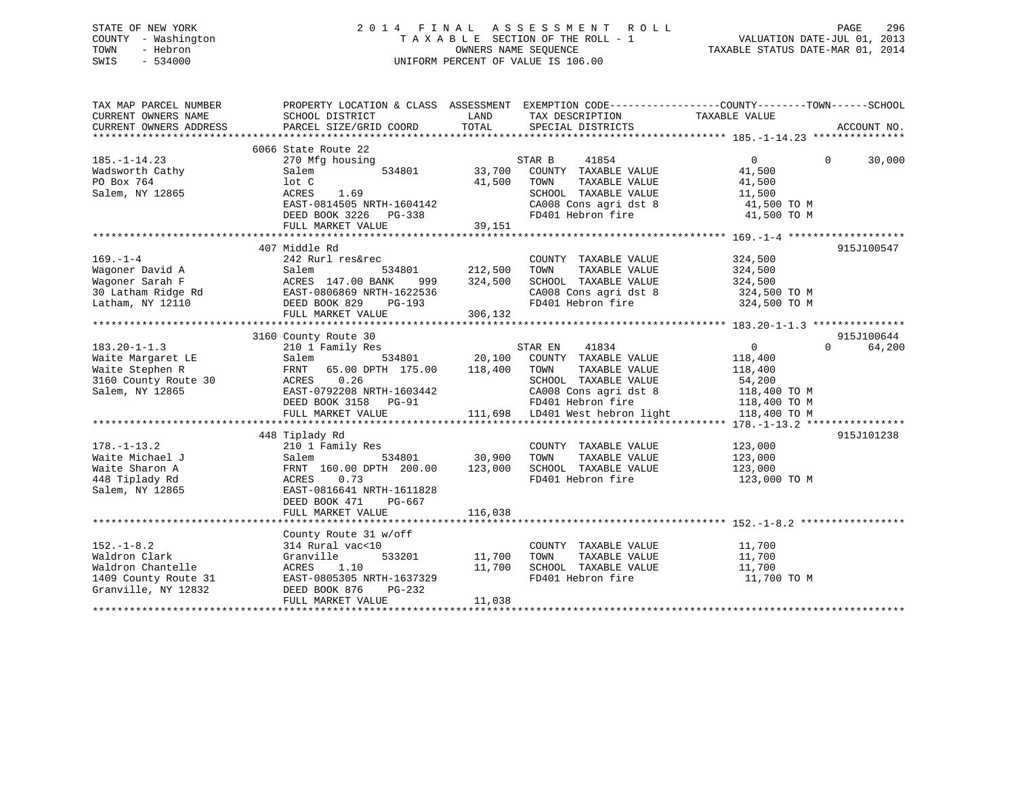# STATE OF NEW YORK 2 0 1 4 F I N A L A S S E S S M E N T R O L L PAGE 296 COUNTY - Washington T A X A B L E SECTION OF THE ROLL - 1 VALUATION DATE-JUL 01, 2013 TOWN - Hebron OWNERS NAME SEQUENCE TAXABLE STATUS DATE-MAR 01, 2014 SWIS - 534000 UNIFORM PERCENT OF VALUE IS 106.00

| TAX MAP PARCEL NUMBER<br>CURRENT OWNERS NAME<br>CURRENT OWNERS ADDRESS | PROPERTY LOCATION & CLASS ASSESSMENT EXEMPTION CODE---------------COUNTY-------TOWN-----SCHOOL<br>SCHOOL DISTRICT<br>PARCEL SIZE/GRID COORD | LAND<br>TOTAL  | TAX DESCRIPTION<br>SPECIAL DISTRICTS | TAXABLE VALUE  | ACCOUNT NO.        |
|------------------------------------------------------------------------|---------------------------------------------------------------------------------------------------------------------------------------------|----------------|--------------------------------------|----------------|--------------------|
|                                                                        |                                                                                                                                             |                |                                      |                |                    |
|                                                                        | 6066 State Route 22                                                                                                                         |                |                                      |                |                    |
| $185. - 1 - 14.23$                                                     | 270 Mfg housing                                                                                                                             |                | STAR B<br>41854                      | $\overline{0}$ | 30,000<br>$\Omega$ |
| Wadsworth Cathy                                                        | 534801<br>Salem                                                                                                                             | 33,700         | COUNTY TAXABLE VALUE                 | 41,500         |                    |
| PO Box 764                                                             | lot C                                                                                                                                       | 41,500         | TOWN<br>TAXABLE VALUE                | 41,500         |                    |
| Salem, NY 12865                                                        | ACRES<br>1.69                                                                                                                               |                | SCHOOL TAXABLE VALUE                 | 11,500         |                    |
|                                                                        | EAST-0814505 NRTH-1604142                                                                                                                   |                |                                      |                |                    |
|                                                                        | DEED BOOK 3226 PG-338                                                                                                                       | 39,151         | FD401 Hebron fire                    | 41,500 TO M    |                    |
|                                                                        | FULL MARKET VALUE                                                                                                                           |                |                                      |                |                    |
|                                                                        |                                                                                                                                             |                |                                      |                |                    |
|                                                                        | 407 Middle Rd                                                                                                                               |                |                                      |                | 915J100547         |
| $169. - 1 - 4$                                                         | 242 Rurl res&rec                                                                                                                            |                | COUNTY TAXABLE VALUE                 | 324,500        |                    |
| Wagoner David A                                                        | Salem                                                                                                                                       | 534801 212,500 | TAXABLE VALUE<br>TOWN                | 324,500        |                    |
| Wagoner Sarah F                                                        | ACRES 147.00 BANK<br>999                                                                                                                    | 324,500        | SCHOOL TAXABLE VALUE                 | 324,500        |                    |
| 30 Latham Ridge Rd EAST-0806869 NRTH-1622536                           |                                                                                                                                             |                | CA008 Cons agri dst 8                | 324,500 TO M   |                    |
| Latham, NY 12110                                                       | DEED BOOK 829<br>PG-193                                                                                                                     |                | FD401 Hebron fire                    | 324,500 TO M   |                    |
|                                                                        | FULL MARKET VALUE                                                                                                                           | 306,132        |                                      |                |                    |
|                                                                        |                                                                                                                                             |                |                                      |                |                    |
|                                                                        | 3160 County Route 30                                                                                                                        |                |                                      |                | 915J100644         |
| $183.20 - 1 - 1.3$                                                     | 210 1 Family Res                                                                                                                            |                | 41834<br>STAR EN                     | $\overline{0}$ | $\Omega$<br>64,200 |
| Waite Margaret LE                                                      | 534801<br>Salem                                                                                                                             | 20,100         | COUNTY TAXABLE VALUE                 |                |                    |
| Waite Stephen R                                                        | 65.00 DPTH 175.00<br>FRNT                                                                                                                   | 118,400        | TOWN<br>TAXABLE VALUE                | 118,400        |                    |
|                                                                        | 0.26                                                                                                                                        |                |                                      | 118,400        |                    |
| 3160 County Route 30                                                   | ACRES                                                                                                                                       |                | SCHOOL TAXABLE VALUE                 | 54,200         |                    |
| Salem, NY 12865                                                        | EAST-0792208 NRTH-1603442                                                                                                                   |                | CA008 Cons agri dst 8                | 118,400 TO M   |                    |
|                                                                        | DEED BOOK 3158 PG-91                                                                                                                        |                | FD401 Hebron fire                    | 118,400 TO M   |                    |
|                                                                        | FULL MARKET VALUE                                                                                                                           |                | 111,698 LD401 West hebron light      | 118,400 TO M   |                    |
|                                                                        |                                                                                                                                             |                |                                      |                |                    |
|                                                                        | 448 Tiplady Rd                                                                                                                              |                |                                      |                | 915J101238         |
| $178. - 1 - 13.2$                                                      | 210 1 Family Res                                                                                                                            |                | COUNTY TAXABLE VALUE                 | 123,000        |                    |
| Waite Michael J                                                        | 534801<br>Salem                                                                                                                             | 30,900         | TOWN<br>TAXABLE VALUE                | 123,000        |                    |
| Waite Sharon A                                                         | FRNT 160.00 DPTH 200.00                                                                                                                     | 123,000        | SCHOOL TAXABLE VALUE                 | 123,000        |                    |
| 448 Tiplady Rd                                                         | 0.73<br>ACRES                                                                                                                               |                | FD401 Hebron fire                    | 123,000 TO M   |                    |
| Salem, NY 12865                                                        | EAST-0816641 NRTH-1611828                                                                                                                   |                |                                      |                |                    |
|                                                                        | DEED BOOK 471<br>PG-667                                                                                                                     |                |                                      |                |                    |
|                                                                        | FULL MARKET VALUE                                                                                                                           | 116,038        |                                      |                |                    |
|                                                                        |                                                                                                                                             |                |                                      |                |                    |
|                                                                        | County Route 31 w/off                                                                                                                       |                |                                      |                |                    |
| $152. - 1 - 8.2$                                                       | 314 Rural vac<10                                                                                                                            |                | COUNTY TAXABLE VALUE                 | 11,700         |                    |
| Waldron Clark                                                          | 533201<br>Granville                                                                                                                         | 11,700         | TAXABLE VALUE<br>TOWN                | 11,700         |                    |
| Waldron Chantelle                                                      | ACRES<br>1.10                                                                                                                               | 11,700         | SCHOOL TAXABLE VALUE                 | 11,700         |                    |
| 1409 County Route 31                                                   | EAST-0805305 NRTH-1637329                                                                                                                   |                | FD401 Hebron fire                    | 11,700 TO M    |                    |
| Granville, NY 12832                                                    | $PG-232$<br>DEED BOOK 876                                                                                                                   |                |                                      |                |                    |
|                                                                        | FULL MARKET VALUE                                                                                                                           | 11,038         |                                      |                |                    |
|                                                                        |                                                                                                                                             |                |                                      |                |                    |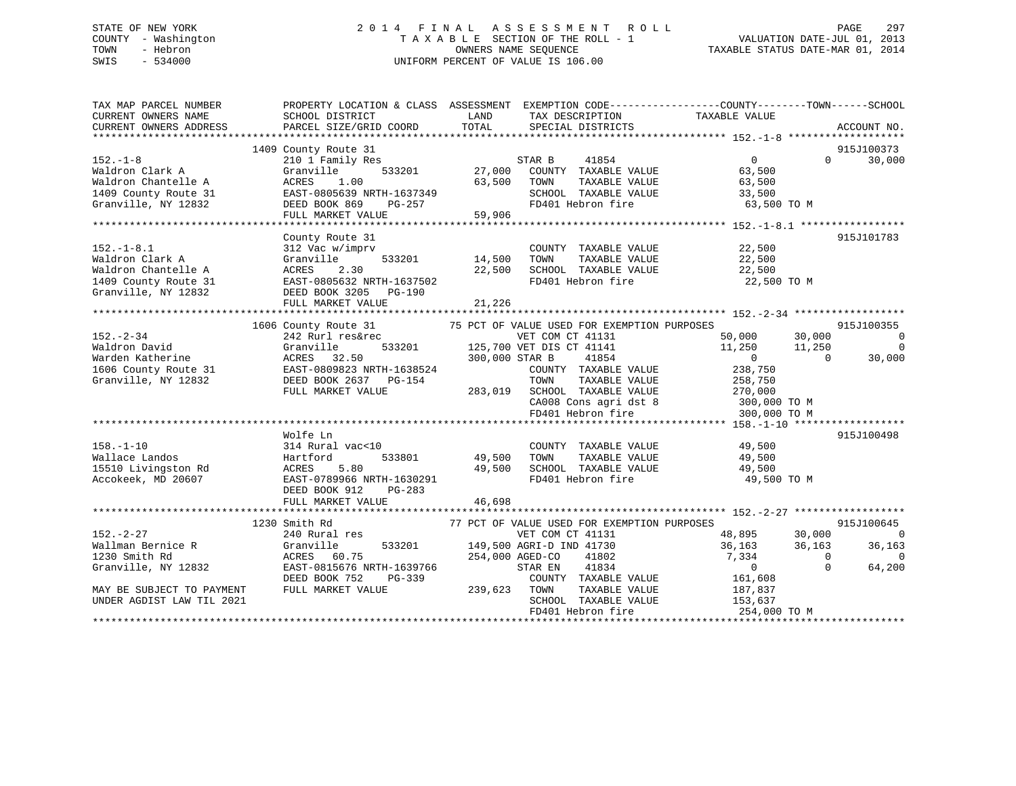# STATE OF NEW YORK 2 0 1 4 F I N A L A S S E S S M E N T R O L L PAGE 297 COUNTY - Washington T A X A B L E SECTION OF THE ROLL - 1 VALUATION DATE-JUL 01, 2013 TOWN - Hebron OWNERS NAME SEQUENCE TAXABLE STATUS DATE-MAR 01, 2014 SWIS - 534000 UNIFORM PERCENT OF VALUE IS 106.00

| TAX MAP PARCEL NUMBER<br>CURRENT OWNERS NAME<br>CURRENT OWNERS ADDRESS | SCHOOL DISTRICT<br>PARCEL SIZE/GRID COORD                                                         | PROPERTY LOCATION & CLASS ASSESSMENT EXEMPTION CODE----------------COUNTY-------TOWN------SCHOOL<br>LAND TAX DESCRIPTION<br>TOTAL SPECIAL DISTRICTS                                                                                    | TAXABLE VALUE<br>ACCOUNT NO.         |
|------------------------------------------------------------------------|---------------------------------------------------------------------------------------------------|----------------------------------------------------------------------------------------------------------------------------------------------------------------------------------------------------------------------------------------|--------------------------------------|
|                                                                        |                                                                                                   |                                                                                                                                                                                                                                        |                                      |
|                                                                        | 1409 County Route 31                                                                              | County Route 31<br>210 1 Family Res<br>Granville 533201 27,000 COUNTY TAXABLE VALUE<br>27,000 COUNTY TAXABLE VALUE                                                                                                                     | 915J100373                           |
| $152. - 1 - 8$                                                         |                                                                                                   |                                                                                                                                                                                                                                        | $\overline{0}$<br>30,000<br>$\Omega$ |
|                                                                        |                                                                                                   |                                                                                                                                                                                                                                        |                                      |
|                                                                        |                                                                                                   |                                                                                                                                                                                                                                        |                                      |
|                                                                        |                                                                                                   |                                                                                                                                                                                                                                        |                                      |
|                                                                        |                                                                                                   |                                                                                                                                                                                                                                        |                                      |
|                                                                        |                                                                                                   | VALUE WALD CLAIR SERVICE SALUS (1999)<br>Waldron Clark A Granville A GCRES 1.00 63,500 TOWN TAXABLE VALUE 63,500<br>Maldron Chantelle A ACRES 1.00 63,500 TOWN TAXABLE VALUE 63,500<br>TAXABLE VALUE 63,500 SCHOOL TAXABLE VALUE 33,   |                                      |
|                                                                        |                                                                                                   | 192.-1-8.1<br>Valdron Clark A Granville (22,500 SCHOOL TAXABLE VALUE 22,500 Valdron Chantelle A Granville (22,500<br>Valdron Chantelle A ACRES 2.30 22,500 SCHOOL TAXABLE VALUE 22,500<br>1409 County Route 31 EAST-0805632 NRTH-163   |                                      |
|                                                                        |                                                                                                   |                                                                                                                                                                                                                                        | 915J101783                           |
|                                                                        |                                                                                                   |                                                                                                                                                                                                                                        |                                      |
|                                                                        |                                                                                                   |                                                                                                                                                                                                                                        |                                      |
|                                                                        |                                                                                                   |                                                                                                                                                                                                                                        |                                      |
|                                                                        |                                                                                                   | FD401 Hebron fire 22,500 TO M                                                                                                                                                                                                          |                                      |
|                                                                        |                                                                                                   |                                                                                                                                                                                                                                        |                                      |
|                                                                        |                                                                                                   |                                                                                                                                                                                                                                        |                                      |
|                                                                        |                                                                                                   |                                                                                                                                                                                                                                        |                                      |
|                                                                        |                                                                                                   | 1606 County Route 31 75 PCT OF VALUE USED FOR EXEMPTION PURPOSES 915J10<br>242 Rurl res&rec VET COM CT 41131 50,000 30,000<br>Granville 533201 125,700 VET DIS CT 41141 11,250 11,250<br>ACRES 32.50 300,000 STAR B 41854 0 0 3<br>EAS | 915J100355                           |
|                                                                        |                                                                                                   |                                                                                                                                                                                                                                        | $\overline{0}$                       |
|                                                                        |                                                                                                   |                                                                                                                                                                                                                                        | $\overline{0}$                       |
|                                                                        |                                                                                                   |                                                                                                                                                                                                                                        | 30,000                               |
|                                                                        |                                                                                                   |                                                                                                                                                                                                                                        |                                      |
|                                                                        |                                                                                                   |                                                                                                                                                                                                                                        |                                      |
|                                                                        |                                                                                                   |                                                                                                                                                                                                                                        |                                      |
|                                                                        |                                                                                                   |                                                                                                                                                                                                                                        |                                      |
|                                                                        |                                                                                                   |                                                                                                                                                                                                                                        |                                      |
|                                                                        |                                                                                                   |                                                                                                                                                                                                                                        |                                      |
|                                                                        | Wolfe Ln                                                                                          |                                                                                                                                                                                                                                        | 915J100498                           |
|                                                                        |                                                                                                   | COUNTY TAXABLE VALUE 49,500<br>0<br>533801 49,500 TOWN                                                                                                                                                                                 |                                      |
|                                                                        |                                                                                                   |                                                                                                                                                                                                                                        |                                      |
|                                                                        |                                                                                                   |                                                                                                                                                                                                                                        |                                      |
|                                                                        |                                                                                                   |                                                                                                                                                                                                                                        |                                      |
|                                                                        | DEED BOOK 912<br>PG-283                                                                           |                                                                                                                                                                                                                                        |                                      |
|                                                                        |                                                                                                   | 46,698                                                                                                                                                                                                                                 |                                      |
|                                                                        |                                                                                                   |                                                                                                                                                                                                                                        |                                      |
|                                                                        | 1230 Smith Rd                                                                                     |                                                                                                                                                                                                                                        | 915J100645                           |
| 152.-2-27<br>Wallman Bernice R<br>1230 Smith Rd<br>Granville, NY 12832 |                                                                                                   |                                                                                                                                                                                                                                        | $\overline{0}$                       |
|                                                                        |                                                                                                   |                                                                                                                                                                                                                                        | 36,163                               |
|                                                                        |                                                                                                   |                                                                                                                                                                                                                                        | $\Omega$                             |
|                                                                        |                                                                                                   |                                                                                                                                                                                                                                        | 64,200                               |
|                                                                        | ACRES 60.75 254,000 AGED-CO<br>EAST-0815676 NRTH-1639766 STAR EN<br>DEED BOOK 752 PG-339 COUNTY T | COUNTY TAXABLE VALUE 161,608                                                                                                                                                                                                           |                                      |
| MAY BE SUBJECT TO PAYMENT                                              | FULL MARKET VALUE                                                                                 | 239,623 TOWN                                                                                                                                                                                                                           |                                      |
| UNDER AGDIST LAW TIL 2021                                              |                                                                                                   | TAXABLE VALUE 187,837<br>TAXABLE VALUE 153,637<br>SCHOOL TAXABLE VALUE                                                                                                                                                                 |                                      |
|                                                                        |                                                                                                   | FD401 Hebron fire                                                                                                                                                                                                                      | 254,000 TO M                         |
|                                                                        |                                                                                                   |                                                                                                                                                                                                                                        |                                      |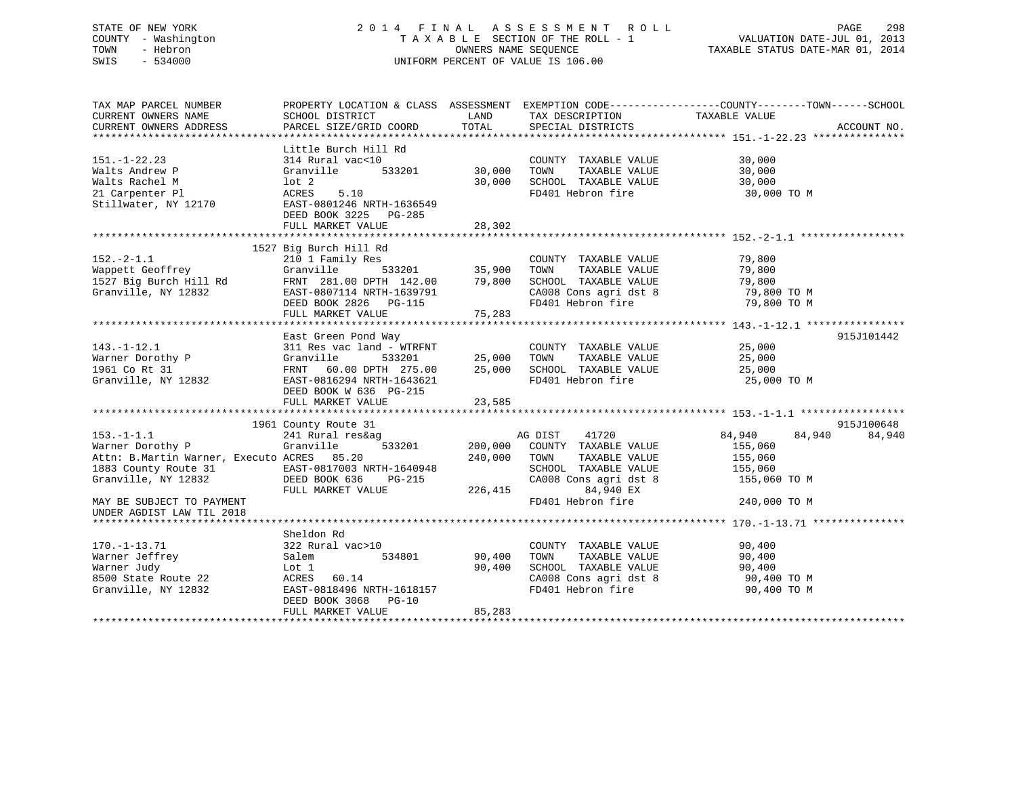# STATE OF NEW YORK 2 0 1 4 F I N A L A S S E S S M E N T R O L L PAGE 298 COUNTY - Washington T A X A B L E SECTION OF THE ROLL - 1 VALUATION DATE-JUL 01, 2013 TOWN - Hebron OWNERS NAME SEQUENCE TAXABLE STATUS DATE-MAR 01, 2014 SWIS - 534000 UNIFORM PERCENT OF VALUE IS 106.00

| TAX MAP PARCEL NUMBER<br>CURRENT OWNERS NAME                                                                                                                                                                                             | SCHOOL DISTRICT                                                                                                                          | LAND                | TAX DESCRIPTION                                                                                                                                                                                      | PROPERTY LOCATION & CLASS ASSESSMENT EXEMPTION CODE---------------COUNTY-------TOWN------SCHOOL<br>TAXABLE VALUE |             |
|------------------------------------------------------------------------------------------------------------------------------------------------------------------------------------------------------------------------------------------|------------------------------------------------------------------------------------------------------------------------------------------|---------------------|------------------------------------------------------------------------------------------------------------------------------------------------------------------------------------------------------|------------------------------------------------------------------------------------------------------------------|-------------|
| CURRENT OWNERS ADDRESS                                                                                                                                                                                                                   | PARCEL SIZE/GRID COORD                                                                                                                   | TOTAL               | SPECIAL DISTRICTS                                                                                                                                                                                    |                                                                                                                  | ACCOUNT NO. |
|                                                                                                                                                                                                                                          |                                                                                                                                          |                     |                                                                                                                                                                                                      |                                                                                                                  |             |
| $151. - 1 - 22.23$<br>Walts Andrew P<br>Walts Rachel M<br>21 Carpenter Pl<br>Stillwater, NY 12170 EAST-0801246 NRTH-1636549                                                                                                              | Little Burch Hill Rd<br>314 Rural vac<10<br>Granville 533201 30,000<br>lot 2<br>ACRES 5.10<br>DEED BOOK 3225 PG-285<br>FULL MARKET VALUE | 30,000<br>28,302    | COUNTY TAXABLE VALUE<br>TOWN<br>TAXABLE VALUE<br>SCHOOL TAXABLE VALUE 30,000<br>FD401 Hebron fire 30,000 TO M                                                                                        | 30,000<br>30,000                                                                                                 |             |
|                                                                                                                                                                                                                                          |                                                                                                                                          |                     |                                                                                                                                                                                                      |                                                                                                                  |             |
| 152.-2-1.1 210 1 Family Res<br>Wappett Geoffrey Granville 533201 35,900 TOWN TAXABLE VALUE 79,800<br>1527 Big Burch Hill Rd FRNT 281.00 DPTH 142.00 79,800 SCHOOL TAXABLE VALUE 79,800<br>Granville, NY 12832                            | 1527 Big Burch Hill Rd<br>EAST-0807114 NRTH-1639791<br>DEED BOOK 2826 PG-115<br>FULL MARKET VALUE                                        | 75,283              | CA008 Cons agri dst 8<br>FD401 Hebron fire                                                                                                                                                           | 79,800 TO M<br>79,800 TO M                                                                                       |             |
|                                                                                                                                                                                                                                          | East Green Pond Way                                                                                                                      |                     |                                                                                                                                                                                                      |                                                                                                                  | 915J101442  |
| East Green Pond Way<br>East Green Pond Way<br>311 Res vac land - WTRFNT<br>Warner Dorothy P (Granville 533201 25,000 TOWN TAXABLE VALUE<br>1961 Co Rt 31 FRNT 60.00 DPTH 275.00 25,000 SCHOOL TAXABLE VALUE<br>Granville, NY 12832 EAST- | DEED BOOK W 636 PG-215                                                                                                                   |                     | $\begin{tabular}{lllllllll} \multicolumn{2}{c}{\textbf{COUNTY}} & \textbf{TAXABLE VALUE} & & & & 25,000 \\ \multicolumn{2}{c}{\textbf{TOWN}} & \textbf{TAXABLE VALUE} & & & 25,000 \\ \end{tabular}$ | 25,000<br>25,000 TO M                                                                                            |             |
|                                                                                                                                                                                                                                          |                                                                                                                                          |                     |                                                                                                                                                                                                      |                                                                                                                  |             |
|                                                                                                                                                                                                                                          | 1961 County Route 31                                                                                                                     |                     |                                                                                                                                                                                                      |                                                                                                                  | 915J100648  |
| $153. - 1 - 1.1$<br>Warner Dorothy P<br>Attn: B.Martin Warner, Executo ACRES 85.20<br>1883 County Route 31 EAST-0817003 NRTH-1640948<br>Granville, NY 12832 DEED BOOK 636 PG-215                                                         | 241 Rural res&ag<br>Granville<br>533201 200,000<br>FULL MARKET VALUE                                                                     | 240,000<br>226, 415 | AG DIST<br>41720<br>COUNTY TAXABLE VALUE<br>TOWN<br>TAXABLE VALUE<br>SCHOOL TAXABLE VALUE 155,060<br>CA008 Cons agri dst 8<br>84,940 EX                                                              | 84,940<br>84,940<br>155,060<br>155,060<br>155,060 TO M                                                           | 84,940      |
| MAY BE SUBJECT TO PAYMENT<br>UNDER AGDIST LAW TIL 2018                                                                                                                                                                                   |                                                                                                                                          |                     | FD401 Hebron fire                                                                                                                                                                                    | 240,000 TO M                                                                                                     |             |
|                                                                                                                                                                                                                                          | Sheldon Rd                                                                                                                               |                     |                                                                                                                                                                                                      |                                                                                                                  |             |
| 170.-1-13.71<br>Warner Jeffrey<br>Warner Judy<br>8500 State Route 22<br>Granville, NY 12832                                                                                                                                              | 322 Rural vac>10<br>534801<br>Salem<br>Lot 1<br>ACRES 60.14<br>EAST-0818496 NRTH-1618157<br>DEED BOOK 3068 PG-10                         | 90,400<br>90,400    | COUNTY TAXABLE VALUE<br>TAXABLE VALUE<br>TOWN<br>SCHOOL TAXABLE VALUE<br>CA008 Cons agri dst 8<br>FD401 Hebron fire                                                                                  | 90,400<br>90,400<br>90,400<br>90,400 TO M<br>90,400 TO M                                                         |             |
|                                                                                                                                                                                                                                          | FULL MARKET VALUE                                                                                                                        | 85,283              |                                                                                                                                                                                                      |                                                                                                                  |             |
|                                                                                                                                                                                                                                          |                                                                                                                                          |                     |                                                                                                                                                                                                      |                                                                                                                  |             |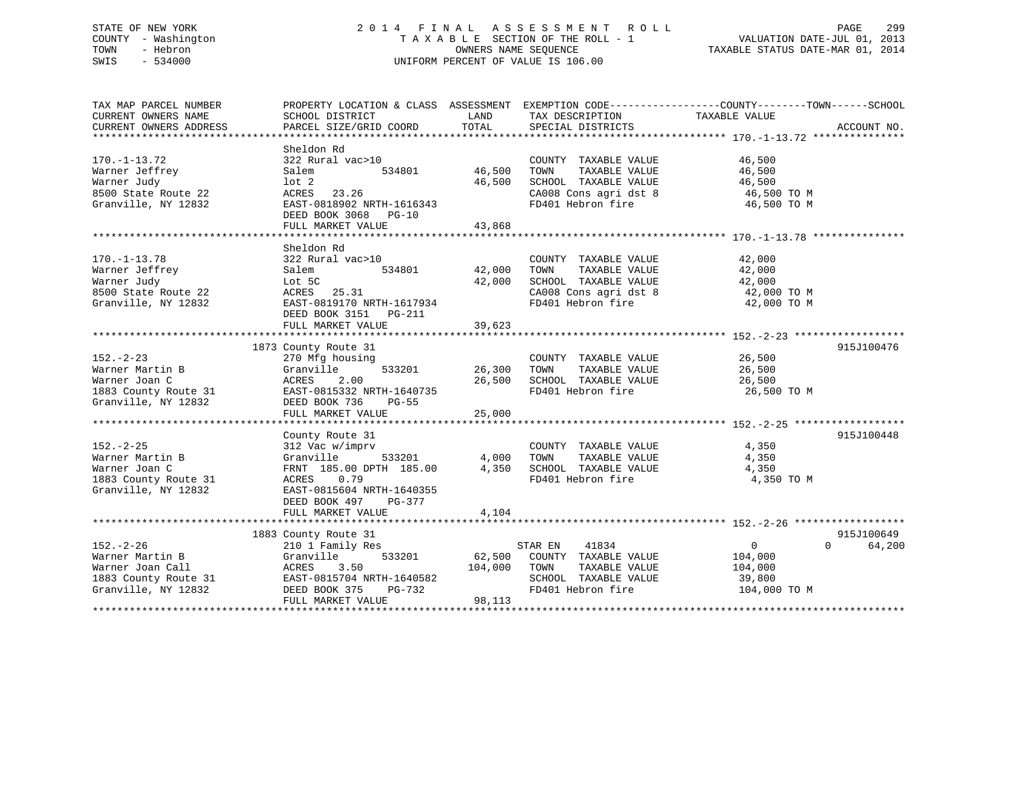# STATE OF NEW YORK 2 0 1 4 F I N A L A S S E S S M E N T R O L L PAGE 299 COUNTY - Washington T A X A B L E SECTION OF THE ROLL - 1 VALUATION DATE-JUL 01, 2013 TOWN - Hebron OWNERS NAME SEQUENCE TAXABLE STATUS DATE-MAR 01, 2014 SWIS - 534000 UNIFORM PERCENT OF VALUE IS 106.00

| TAX MAP PARCEL NUMBER                                           | PROPERTY LOCATION & CLASS ASSESSMENT EXEMPTION CODE----------------COUNTY-------TOWN-----SCHOOL     |               |                                                                                                                                                            |                            |             |
|-----------------------------------------------------------------|-----------------------------------------------------------------------------------------------------|---------------|------------------------------------------------------------------------------------------------------------------------------------------------------------|----------------------------|-------------|
| CURRENT OWNERS NAME                                             | SCHOOL DISTRICT                                                                                     | LAND          | TAX DESCRIPTION                                                                                                                                            | TAXABLE VALUE              |             |
| CURRENT OWNERS ADDRESS                                          | PARCEL SIZE/GRID COORD                                                                              | TOTAL         | SPECIAL DISTRICTS                                                                                                                                          |                            | ACCOUNT NO. |
|                                                                 |                                                                                                     |               |                                                                                                                                                            |                            |             |
|                                                                 | Sheldon Rd                                                                                          |               |                                                                                                                                                            |                            |             |
| $170. - 1 - 13.72$                                              | 322 Rural vac>10                                                                                    |               | COUNTY TAXABLE VALUE 46,500                                                                                                                                |                            |             |
| Warner Jeffrey                                                  | Salem                                                                                               | 534801 46,500 | TAXABLE VALUE<br>TOWN                                                                                                                                      | 46,500                     |             |
| Warner Judy                                                     | lot <sub>2</sub>                                                                                    | 46,500        |                                                                                                                                                            |                            |             |
| 8500 State Route 22                                             | ACRES 23.26                                                                                         |               | SCHOOL TAXABLE VALUE 46,500<br>CA008 Cons agri dst 8 46,500 TO M                                                                                           |                            |             |
| Granville, NY 12832                                             | EAST-0818902 NRTH-1616343                                                                           |               | FD401 Hebron fire 46,500 TO M                                                                                                                              |                            |             |
|                                                                 | DEED BOOK 3068 PG-10                                                                                |               |                                                                                                                                                            |                            |             |
|                                                                 | FULL MARKET VALUE                                                                                   | 43,868        |                                                                                                                                                            |                            |             |
|                                                                 |                                                                                                     |               |                                                                                                                                                            |                            |             |
|                                                                 | Sheldon Rd                                                                                          |               |                                                                                                                                                            |                            |             |
| $170. - 1 - 13.78$                                              | 322 Rural vac>10                                                                                    |               | COUNTY TAXABLE VALUE                                                                                                                                       | 42,000                     |             |
| Warner Jeffrey                                                  | Salem<br>534801                                                                                     | 42,000        | TAXABLE VALUE<br>TOWN                                                                                                                                      | 42,000                     |             |
| Warner Judy                                                     | Lot 5C                                                                                              | 42,000        | SCHOOL TAXABLE VALUE                                                                                                                                       | 42,000                     |             |
| 8500 State Route 22                                             | ACRES 25.31                                                                                         |               |                                                                                                                                                            |                            |             |
| Granville, NY 12832                                             | EAST-0819170 NRTH-1617934                                                                           |               | $\begin{array}{ll}\n\text{CA008 Cons agri dist 8} & 42,000\text{ TO M} \\ \text{F0401 Hahron fire} & 42,000\text{ TO M}\n\end{array}$<br>FD401 Hebron fire | 42,000 TO M                |             |
|                                                                 | DEED BOOK 3151 PG-211                                                                               |               |                                                                                                                                                            |                            |             |
|                                                                 | FULL MARKET VALUE                                                                                   | 39,623        |                                                                                                                                                            |                            |             |
|                                                                 |                                                                                                     |               |                                                                                                                                                            |                            |             |
|                                                                 | 1873 County Route 31                                                                                |               |                                                                                                                                                            |                            | 915J100476  |
| $152. - 2 - 23$                                                 | 270 Mfg housing                                                                                     |               | COUNTY TAXABLE VALUE                                                                                                                                       | 26,500                     |             |
| Warner Martin B                                                 | Granville                                                                                           | 533201 26,300 | TOWN<br>TAXABLE VALUE                                                                                                                                      | 26,500                     |             |
| Warner Joan C                                                   | ACRES<br>2.00                                                                                       | 26,500        |                                                                                                                                                            | 26,500                     |             |
| 1883 County Route 31                                            | EAST-0815332 NRTH-1640735                                                                           |               | SCHOOL TAXABLE VALUE<br>FD401 Hebron fire                                                                                                                  | 26,500 TO M                |             |
| Granville, NY 12832                                             | DEED BOOK 736<br><b>PG-55</b>                                                                       |               |                                                                                                                                                            |                            |             |
|                                                                 | FULL MARKET VALUE                                                                                   | 25,000        |                                                                                                                                                            |                            |             |
|                                                                 |                                                                                                     |               |                                                                                                                                                            |                            |             |
|                                                                 | County Route 31                                                                                     |               |                                                                                                                                                            |                            | 915J100448  |
| $152. - 2 - 25$                                                 | 312 Vac w/imprv                                                                                     |               | COUNTY TAXABLE VALUE                                                                                                                                       | 4,350                      |             |
| Warner Martin B                                                 |                                                                                                     |               |                                                                                                                                                            | 4,350                      |             |
| Warner Joan C                                                   | Granville 533201 $4,000$ TOWN TAXABLE VALUE<br>FRNT 185.00 DPTH 185.00 $4,350$ SCHOOL TAXABLE VALUE |               |                                                                                                                                                            | 4,350                      |             |
| 1883 County Route 31                                            | 0.79<br>ACRES                                                                                       |               | FD401 Hebron fire                                                                                                                                          | 4,350 TO M                 |             |
| Granville, NY 12832                                             | EAST-0815604 NRTH-1640355                                                                           |               |                                                                                                                                                            |                            |             |
|                                                                 | DEED BOOK 497<br>PG-377                                                                             |               |                                                                                                                                                            |                            |             |
|                                                                 | FULL MARKET VALUE                                                                                   | 4,104         |                                                                                                                                                            |                            |             |
|                                                                 |                                                                                                     |               |                                                                                                                                                            |                            |             |
|                                                                 |                                                                                                     |               |                                                                                                                                                            |                            | 915J100649  |
| $152. - 2 - 26$                                                 | 1883 County Route 31<br>210 1 Family Res<br>210 1 Family Res                                        |               | STAR EN 41834                                                                                                                                              | $\overline{0}$<br>$\Omega$ | 64,200      |
| Warner Martin B                                                 | Granville                                                                                           |               | 533201 62,500 COUNTY TAXABLE VALUE                                                                                                                         | 104,000                    |             |
| Warner Joan Call                                                | ACRES<br>3.50                                                                                       | 104,000       | TAXABLE VALUE<br>TOWN                                                                                                                                      | 104,000                    |             |
|                                                                 | EAST-0815704 NRTH-1640582                                                                           |               | SCHOOL TAXABLE VALUE                                                                                                                                       | 39,800                     |             |
| Warner Joan Call<br>1883 County Route 31<br>Granville, NY 12832 | DEED BOOK 375<br>PG-732                                                                             |               | FD401 Hebron fire                                                                                                                                          | 104,000 TO M               |             |
|                                                                 | FULL MARKET VALUE                                                                                   | 98,113        |                                                                                                                                                            |                            |             |
|                                                                 |                                                                                                     |               |                                                                                                                                                            |                            |             |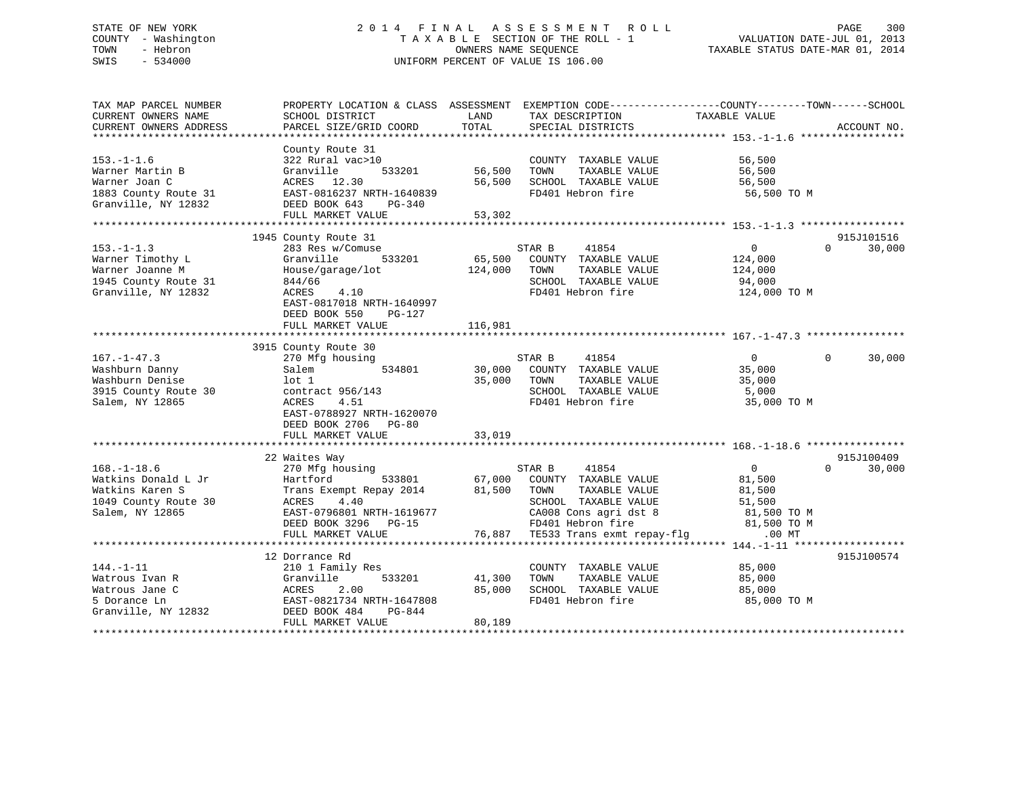# STATE OF NEW YORK 2 0 1 4 F I N A L A S S E S S M E N T R O L L PAGE 300 COUNTY - Washington T A X A B L E SECTION OF THE ROLL - 1 VALUATION DATE-JUL 01, 2013 TOWN - Hebron OWNERS NAME SEQUENCE TAXABLE STATUS DATE-MAR 01, 2014 SWIS - 534000 UNIFORM PERCENT OF VALUE IS 106.00

| TAX MAP PARCEL NUMBER  | PROPERTY LOCATION & CLASS ASSESSMENT EXEMPTION CODE---------------COUNTY-------TOWN-----SCHOOL |         |                                   |                |                    |
|------------------------|------------------------------------------------------------------------------------------------|---------|-----------------------------------|----------------|--------------------|
| CURRENT OWNERS NAME    | SCHOOL DISTRICT                                                                                | LAND    | TAX DESCRIPTION                   | TAXABLE VALUE  |                    |
| CURRENT OWNERS ADDRESS | PARCEL SIZE/GRID COORD                                                                         | TOTAL   | SPECIAL DISTRICTS                 |                | ACCOUNT NO.        |
|                        |                                                                                                |         |                                   |                |                    |
|                        | County Route 31                                                                                |         |                                   |                |                    |
| $153. - 1 - 1.6$       | 322 Rural vac>10                                                                               |         | COUNTY TAXABLE VALUE              | 56,500         |                    |
| Warner Martin B        | Granville<br>533201                                                                            | 56,500  | TAXABLE VALUE<br>TOWN             | 56,500         |                    |
| Warner Joan C          | ACRES 12.30                                                                                    | 56,500  | SCHOOL TAXABLE VALUE              | 56,500         |                    |
| 1883 County Route 31   | EAST-0816237 NRTH-1640839                                                                      |         | FD401 Hebron fire                 | 56,500 TO M    |                    |
| Granville, NY 12832    | DEED BOOK 643<br>PG-340                                                                        |         |                                   |                |                    |
|                        | FULL MARKET VALUE                                                                              | 53,302  |                                   |                |                    |
|                        |                                                                                                |         |                                   |                |                    |
|                        | 1945 County Route 31                                                                           |         |                                   |                | 915J101516         |
| $153. - 1 - 1.3$       | 283 Res w/Comuse                                                                               |         | STAR B<br>41854                   | $\overline{0}$ | 30,000<br>$\Omega$ |
| Warner Timothy L       | Granville<br>533201                                                                            | 65,500  | COUNTY TAXABLE VALUE              | 124,000        |                    |
| Warner Joanne M        |                                                                                                | 124,000 | TAXABLE VALUE                     |                |                    |
|                        | House/garage/lot                                                                               |         | TOWN                              | 124,000        |                    |
| 1945 County Route 31   | 844/66                                                                                         |         | SCHOOL TAXABLE VALUE              | 94,000         |                    |
| Granville, NY 12832    | 4.10<br>ACRES                                                                                  |         | FD401 Hebron fire                 | 124,000 TO M   |                    |
|                        | EAST-0817018 NRTH-1640997                                                                      |         |                                   |                |                    |
|                        | DEED BOOK 550<br>PG-127                                                                        |         |                                   |                |                    |
|                        | FULL MARKET VALUE                                                                              | 116,981 |                                   |                |                    |
|                        |                                                                                                |         |                                   |                |                    |
|                        | 3915 County Route 30                                                                           |         |                                   |                |                    |
| $167. - 1 - 47.3$      | 270 Mfg housing                                                                                |         | STAR B<br>41854                   | 0              | $\Omega$<br>30,000 |
| Washburn Danny         | 534801<br>Salem                                                                                | 30,000  | COUNTY TAXABLE VALUE              | 35,000         |                    |
| Washburn Denise        | lot 1                                                                                          | 35,000  | TOWN<br>TAXABLE VALUE             | 35,000         |                    |
| 3915 County Route 30   | contract $956/143$                                                                             |         | SCHOOL TAXABLE VALUE              | 5,000          |                    |
| Salem, NY 12865        | ACRES<br>4.51                                                                                  |         | FD401 Hebron fire                 | 35,000 TO M    |                    |
|                        | EAST-0788927 NRTH-1620070                                                                      |         |                                   |                |                    |
|                        | DEED BOOK 2706 PG-80                                                                           |         |                                   |                |                    |
|                        | FULL MARKET VALUE                                                                              | 33,019  |                                   |                |                    |
|                        |                                                                                                |         |                                   |                |                    |
|                        | 22 Waites Way                                                                                  |         |                                   |                | 915J100409         |
| $168. - 1 - 18.6$      | 270 Mfg housing                                                                                |         | STAR B<br>41854                   | $\overline{0}$ | 30,000<br>$\Omega$ |
| Watkins Donald L Jr    | Hartford<br>533801                                                                             | 67,000  | COUNTY TAXABLE VALUE              | 81,500         |                    |
| Watkins Karen S        | Trans Exempt Repay 2014                                                                        | 81,500  | TOWN<br>TAXABLE VALUE             | 81,500         |                    |
| 1049 County Route 30   | ACRES<br>4.40                                                                                  |         | SCHOOL TAXABLE VALUE              | 51,500         |                    |
| Salem, NY 12865        | EAST-0796801 NRTH-1619677                                                                      |         | CA008 Cons agri dst 8             | 81,500 TO M    |                    |
|                        |                                                                                                |         |                                   |                |                    |
|                        | DEED BOOK 3296 PG-15                                                                           |         | FD401 Hebron fire                 | 81,500 TO M    |                    |
|                        | FULL MARKET VALUE                                                                              |         | 76,887 TE533 Trans exmt repay-flg | $.00$ MT       |                    |
|                        |                                                                                                |         |                                   |                |                    |
|                        | 12 Dorrance Rd                                                                                 |         |                                   |                | 915J100574         |
| $144. - 1 - 11$        | 210 1 Family Res                                                                               |         | COUNTY TAXABLE VALUE              | 85,000         |                    |
| Watrous Ivan R         | Granville<br>533201                                                                            | 41,300  | TAXABLE VALUE<br>TOWN             | 85,000         |                    |
| Watrous Jane C         | ACRES<br>2.00                                                                                  | 85,000  | SCHOOL TAXABLE VALUE              | 85,000         |                    |
| 5 Dorance Ln           | EAST-0821734 NRTH-1647808                                                                      |         | FD401 Hebron fire                 | 85,000 TO M    |                    |
| Granville, NY 12832    | DEED BOOK 484<br>PG-844                                                                        |         |                                   |                |                    |
|                        | FULL MARKET VALUE                                                                              | 80,189  |                                   |                |                    |
|                        |                                                                                                |         |                                   |                |                    |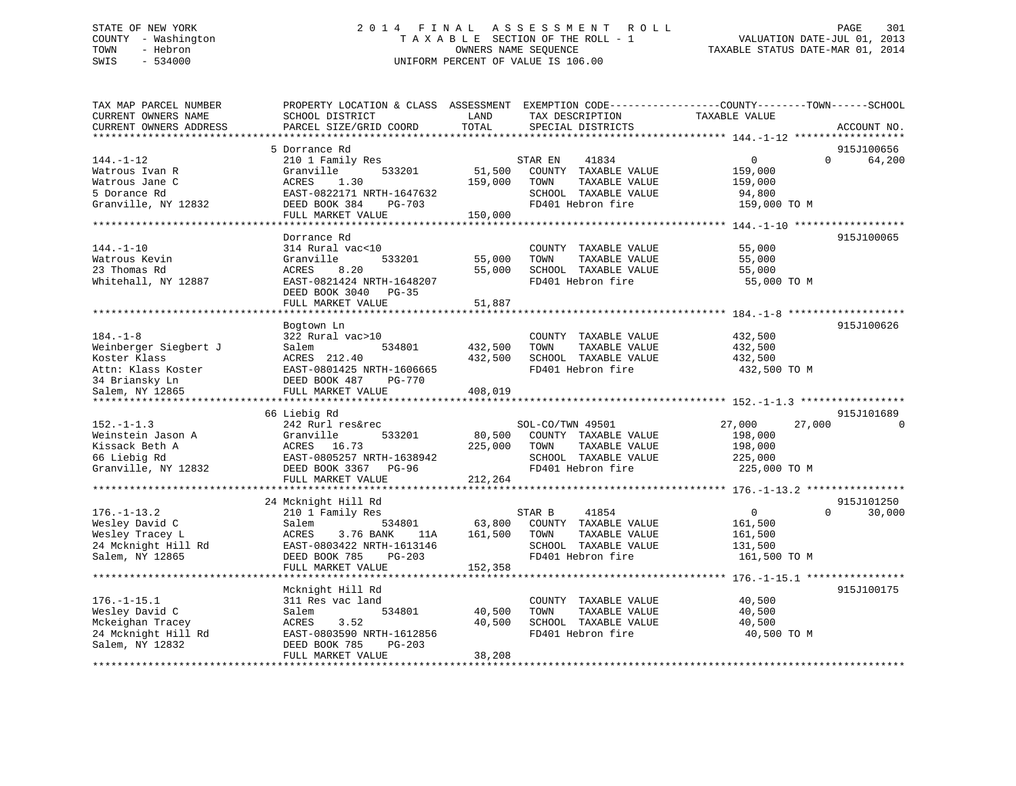# STATE OF NEW YORK 2 0 1 4 F I N A L A S S E S S M E N T R O L L PAGE 301 COUNTY - Washington T A X A B L E SECTION OF THE ROLL - 1 VALUATION DATE-JUL 01, 2013 TOWN - Hebron OWNERS NAME SEQUENCE TAXABLE STATUS DATE-MAR 01, 2014 SWIS - 534000 UNIFORM PERCENT OF VALUE IS 106.00

| TAX MAP PARCEL NUMBER<br>CURRENT OWNERS NAME | PROPERTY LOCATION & CLASS ASSESSMENT<br>SCHOOL DISTRICT | LAND    | TAX DESCRIPTION       | EXEMPTION CODE-----------------COUNTY-------TOWN------SCHOOL<br>TAXABLE VALUE |             |
|----------------------------------------------|---------------------------------------------------------|---------|-----------------------|-------------------------------------------------------------------------------|-------------|
| CURRENT OWNERS ADDRESS                       | PARCEL SIZE/GRID COORD                                  | TOTAL   | SPECIAL DISTRICTS     |                                                                               | ACCOUNT NO. |
| *******************                          |                                                         |         |                       |                                                                               |             |
|                                              | 5 Dorrance Rd                                           |         |                       |                                                                               | 915J100656  |
| $144. - 1 - 12$                              | 210 1 Family Res                                        |         | 41834<br>STAR EN      | $\mathbf{0}$<br>$\Omega$                                                      | 64,200      |
| Watrous Ivan R                               | Granville<br>533201                                     | 51,500  | COUNTY TAXABLE VALUE  | 159,000                                                                       |             |
| Watrous Jane C                               | ACRES<br>1.30                                           | 159,000 | TAXABLE VALUE<br>TOWN | 159,000                                                                       |             |
| 5 Dorance Rd                                 | EAST-0822171 NRTH-1647632                               |         | SCHOOL TAXABLE VALUE  | 94,800                                                                        |             |
| Granville, NY 12832                          | DEED BOOK 384<br>PG-703                                 |         | FD401 Hebron fire     | 159,000 TO M                                                                  |             |
|                                              | FULL MARKET VALUE                                       | 150,000 |                       |                                                                               |             |
|                                              |                                                         |         |                       |                                                                               |             |
|                                              | Dorrance Rd                                             |         |                       |                                                                               | 915J100065  |
| $144. - 1 - 10$                              | 314 Rural vac<10                                        |         | COUNTY TAXABLE VALUE  | 55,000                                                                        |             |
| Watrous Kevin                                | 533201<br>Granville                                     | 55,000  | TAXABLE VALUE<br>TOWN | 55,000                                                                        |             |
| 23 Thomas Rd                                 | 8.20<br>ACRES                                           | 55,000  | SCHOOL TAXABLE VALUE  | 55,000                                                                        |             |
| Whitehall, NY 12887                          | EAST-0821424 NRTH-1648207                               |         | FD401 Hebron fire     | 55,000 TO M                                                                   |             |
|                                              | DEED BOOK 3040 PG-35                                    |         |                       |                                                                               |             |
|                                              | FULL MARKET VALUE                                       | 51,887  |                       |                                                                               |             |
|                                              | ******************                                      |         |                       | ***************** 184.-1-8                                                    |             |
|                                              | Bogtown Ln                                              |         |                       |                                                                               | 915J100626  |
| $184. - 1 - 8$                               | 322 Rural vac>10                                        |         | COUNTY TAXABLE VALUE  | 432,500                                                                       |             |
| Weinberger Siegbert J                        | 534801<br>Salem                                         | 432,500 | TAXABLE VALUE<br>TOWN | 432,500                                                                       |             |
| Koster Klass                                 | ACRES 212.40                                            | 432,500 | SCHOOL TAXABLE VALUE  | 432,500                                                                       |             |
| Attn: Klass Koster                           | EAST-0801425 NRTH-1606665                               |         | FD401 Hebron fire     | 432,500 TO M                                                                  |             |
| 34 Briansky Ln                               | DEED BOOK 487<br><b>PG-770</b>                          |         |                       |                                                                               |             |
| Salem, NY 12865                              | FULL MARKET VALUE                                       | 408,019 |                       |                                                                               |             |
|                                              |                                                         |         |                       |                                                                               |             |
|                                              | 66 Liebig Rd                                            |         |                       |                                                                               | 915J101689  |
| $152. - 1 - 1.3$                             | 242 Rurl res&rec                                        |         | SOL-CO/TWN 49501      | 27,000<br>27,000                                                              |             |
| Weinstein Jason A                            | Granville<br>533201                                     | 80,500  | COUNTY TAXABLE VALUE  | 198,000                                                                       |             |
| Kissack Beth A                               | 16.73<br>ACRES                                          | 225,000 | TAXABLE VALUE<br>TOWN | 198,000                                                                       |             |
| 66 Liebig Rd                                 | EAST-0805257 NRTH-1638942                               |         | SCHOOL TAXABLE VALUE  | 225,000                                                                       |             |
| Granville, NY 12832                          | DEED BOOK 3367<br>$PG-96$                               |         | FD401 Hebron fire     | 225,000 TO M                                                                  |             |
|                                              | FULL MARKET VALUE                                       | 212,264 |                       |                                                                               |             |
|                                              | 24 Mcknight Hill Rd                                     |         |                       |                                                                               | 915J101250  |
| $176. - 1 - 13.2$                            | 210 1 Family Res                                        |         | STAR B<br>41854       | $\mathbf{0}$<br>$\Omega$                                                      | 30,000      |
| Wesley David C                               | Salem<br>534801                                         | 63,800  | COUNTY TAXABLE VALUE  | 161,500                                                                       |             |
| Wesley Tracey L                              | ACRES<br>3.76 BANK<br>11A                               | 161,500 | TOWN<br>TAXABLE VALUE | 161,500                                                                       |             |
| 24 Mcknight Hill Rd                          | EAST-0803422 NRTH-1613146                               |         | SCHOOL TAXABLE VALUE  | 131,500                                                                       |             |
| Salem, NY 12865                              | DEED BOOK 785<br>PG-203                                 |         | FD401 Hebron fire     | 161,500 TO M                                                                  |             |
|                                              | FULL MARKET VALUE                                       | 152,358 |                       |                                                                               |             |
|                                              | *******************************                         |         |                       |                                                                               |             |
|                                              | Mcknight Hill Rd                                        |         |                       |                                                                               | 915J100175  |
| $176. - 1 - 15.1$                            | 311 Res vac land                                        |         | COUNTY TAXABLE VALUE  | 40,500                                                                        |             |
| Wesley David C                               | 534801<br>Salem                                         | 40,500  | TAXABLE VALUE<br>TOWN | 40,500                                                                        |             |
| Mckeighan Tracey                             | ACRES<br>3.52                                           | 40,500  | SCHOOL TAXABLE VALUE  | 40,500                                                                        |             |
| 24 Mcknight Hill Rd                          | EAST-0803590 NRTH-1612856                               |         | FD401 Hebron fire     | 40,500 TO M                                                                   |             |
| Salem, NY 12832                              | DEED BOOK 785<br>$PG-203$                               |         |                       |                                                                               |             |
|                                              | FULL MARKET VALUE                                       | 38,208  |                       |                                                                               |             |
|                                              |                                                         |         |                       |                                                                               |             |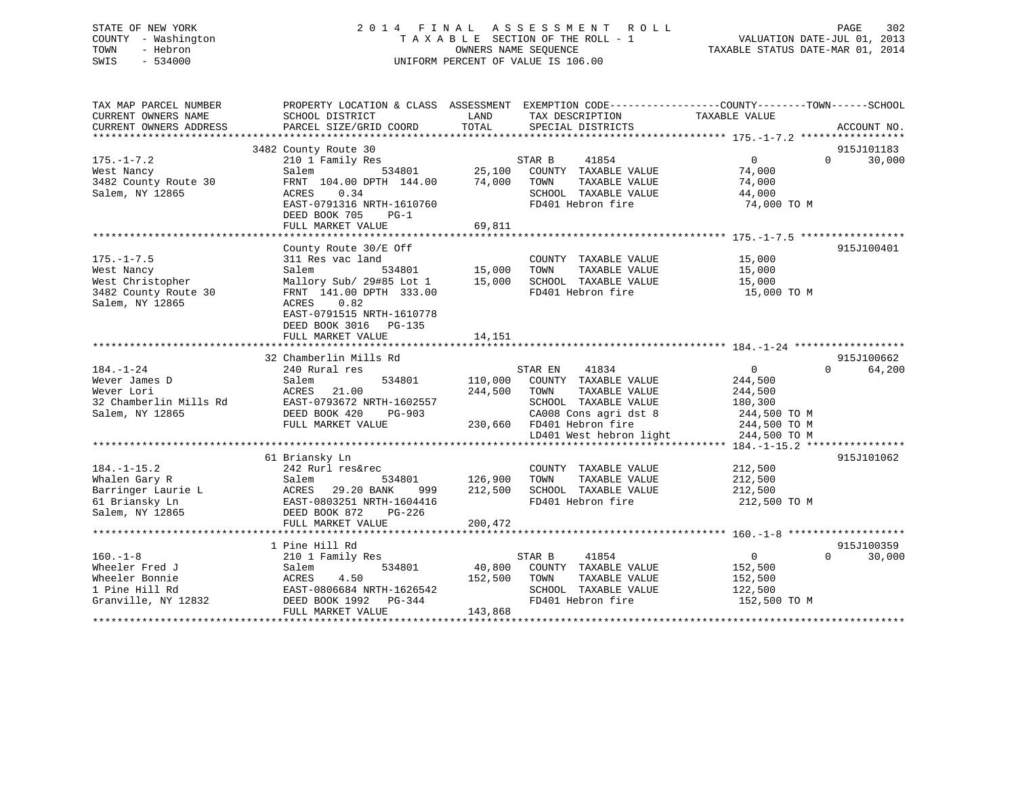# STATE OF NEW YORK 2 0 1 4 F I N A L A S S E S S M E N T R O L L PAGE 302 COUNTY - Washington T A X A B L E SECTION OF THE ROLL - 1 VALUATION DATE-JUL 01, 2013 TOWN - Hebron OWNERS NAME SEQUENCE TAXABLE STATUS DATE-MAR 01, 2014 SWIS - 534000 UNIFORM PERCENT OF VALUE IS 106.00

| TAX MAP PARCEL NUMBER<br>CURRENT OWNERS NAME<br>CURRENT OWNERS ADDRESS | SCHOOL DISTRICT<br>PARCEL SIZE/GRID COORD | LAND<br>TOTAL | PROPERTY LOCATION & CLASS ASSESSMENT EXEMPTION CODE---------------COUNTY-------TOWN------SCHOOL<br>TAX DESCRIPTION<br>SPECIAL DISTRICTS | TAXABLE VALUE     | ACCOUNT NO.        |
|------------------------------------------------------------------------|-------------------------------------------|---------------|-----------------------------------------------------------------------------------------------------------------------------------------|-------------------|--------------------|
|                                                                        |                                           |               |                                                                                                                                         |                   |                    |
|                                                                        | 3482 County Route 30                      |               |                                                                                                                                         |                   | 915J101183         |
| $175. - 1 - 7.2$                                                       | 210 1 Family Res                          |               | STAR B<br>41854                                                                                                                         | $\overline{0}$    | 30,000<br>$\Omega$ |
| West Nancy                                                             | 534801<br>Salem                           | 25,100        | COUNTY TAXABLE VALUE                                                                                                                    | 74,000            |                    |
| 3482 County Route 30                                                   | FRNT 104.00 DPTH 144.00                   | 74,000        | TOWN<br>TAXABLE VALUE                                                                                                                   | 74,000            |                    |
| Salem, NY 12865                                                        | 0.34<br>ACRES                             |               | SCHOOL TAXABLE VALUE                                                                                                                    | 44,000            |                    |
|                                                                        | EAST-0791316 NRTH-1610760                 |               | FD401 Hebron fire                                                                                                                       | 74,000 TO M       |                    |
|                                                                        | DEED BOOK 705<br>$PG-1$                   |               |                                                                                                                                         |                   |                    |
|                                                                        | FULL MARKET VALUE                         | 69,811        |                                                                                                                                         |                   |                    |
|                                                                        |                                           |               |                                                                                                                                         |                   |                    |
|                                                                        | County Route 30/E Off                     |               |                                                                                                                                         |                   | 915J100401         |
| $175. - 1 - 7.5$                                                       | 311 Res vac land                          |               | COUNTY TAXABLE VALUE                                                                                                                    | 15,000            |                    |
| West Nancy                                                             | Salem                                     | 534801 15,000 | TAXABLE VALUE<br>TOWN                                                                                                                   | 15,000            |                    |
| West Christopher                                                       | Mallory Sub/ 29#85 Lot 1 15,000           |               | SCHOOL TAXABLE VALUE                                                                                                                    | 15,000            |                    |
| 3482 County Route 30                                                   | FRNT 141.00 DPTH 333.00                   |               | FD401 Hebron fire                                                                                                                       | 15,000 TO M       |                    |
| Salem, NY 12865                                                        | ACRES<br>0.82                             |               |                                                                                                                                         |                   |                    |
|                                                                        | EAST-0791515 NRTH-1610778                 |               |                                                                                                                                         |                   |                    |
|                                                                        | DEED BOOK 3016<br>PG-135                  |               |                                                                                                                                         |                   |                    |
|                                                                        | FULL MARKET VALUE                         | 14,151        |                                                                                                                                         |                   |                    |
|                                                                        |                                           |               |                                                                                                                                         |                   |                    |
|                                                                        | 32 Chamberlin Mills Rd                    |               |                                                                                                                                         |                   | 915J100662         |
| $184. - 1 - 24$                                                        | 240 Rural res                             |               | 41834<br>STAR EN                                                                                                                        | $\overline{0}$    | $\Omega$<br>64,200 |
| Wever James D                                                          | 534801<br>Salem                           | 110,000       | COUNTY TAXABLE VALUE                                                                                                                    | 244,500           |                    |
| Wever Lori                                                             | 21.00<br>ACRES                            | 244,500       | TAXABLE VALUE<br>TOWN                                                                                                                   | 244,500           |                    |
| 32 Chamberlin Mills Rd                                                 | EAST-0793672 NRTH-1602557                 |               | SCHOOL TAXABLE VALUE                                                                                                                    | 180,300           |                    |
| Salem, NY 12865                                                        | DEED BOOK 420<br>PG-903                   |               | CA008 Cons agri dst 8                                                                                                                   | 244,500 TO M      |                    |
|                                                                        | FULL MARKET VALUE                         |               | 230,660 FD401 Hebron fire                                                                                                               | 244,500 TO M      |                    |
|                                                                        |                                           |               | LD401 West hebron light                                                                                                                 | 244,500 TO M      |                    |
|                                                                        |                                           |               |                                                                                                                                         |                   |                    |
|                                                                        | 61 Briansky Ln                            |               |                                                                                                                                         |                   | 915J101062         |
| $184. - 1 - 15.2$                                                      | 242 Rurl res&rec                          |               | COUNTY TAXABLE VALUE                                                                                                                    | 212,500           |                    |
| Whalen Gary R                                                          | Salem<br>534801                           | 126,900       | TOWN<br>TAXABLE VALUE                                                                                                                   | 212,500           |                    |
|                                                                        | ACRES<br>29.20 BANK<br>999                | 212,500       | SCHOOL TAXABLE VALUE                                                                                                                    | 212,500           |                    |
| Barringer Laurie L<br>61 Briansky Ln                                   | EAST-0803251 NRTH-1604416                 |               | FD401 Hebron fire                                                                                                                       | 212,500 TO M      |                    |
| Salem, NY 12865                                                        | DEED BOOK 872<br>PG-226                   |               |                                                                                                                                         |                   |                    |
|                                                                        | FULL MARKET VALUE                         | 200,472       |                                                                                                                                         |                   |                    |
|                                                                        |                                           |               |                                                                                                                                         |                   |                    |
|                                                                        | 1 Pine Hill Rd                            |               |                                                                                                                                         |                   | 915J100359         |
| $160. - 1 - 8$                                                         | 210 1 Family Res                          |               | STAR B<br>41854                                                                                                                         | $0 \qquad \qquad$ | $\Omega$<br>30,000 |
| Wheeler Fred J                                                         | Salem<br>534801                           | 40,800        | COUNTY TAXABLE VALUE                                                                                                                    | 152,500           |                    |
| Wheeler Bonnie                                                         | ACRES<br>4.50                             | 152,500       | TOWN<br>TAXABLE VALUE                                                                                                                   | 152,500           |                    |
| 1 Pine Hill Rd                                                         | EAST-0806684 NRTH-1626542                 |               | SCHOOL TAXABLE VALUE                                                                                                                    | 122,500           |                    |
| Granville, NY 12832                                                    | DEED BOOK 1992    PG-344                  |               | FD401 Hebron fire                                                                                                                       | 152,500 TO M      |                    |
|                                                                        | FULL MARKET VALUE                         | 143,868       |                                                                                                                                         |                   |                    |
|                                                                        |                                           |               |                                                                                                                                         |                   |                    |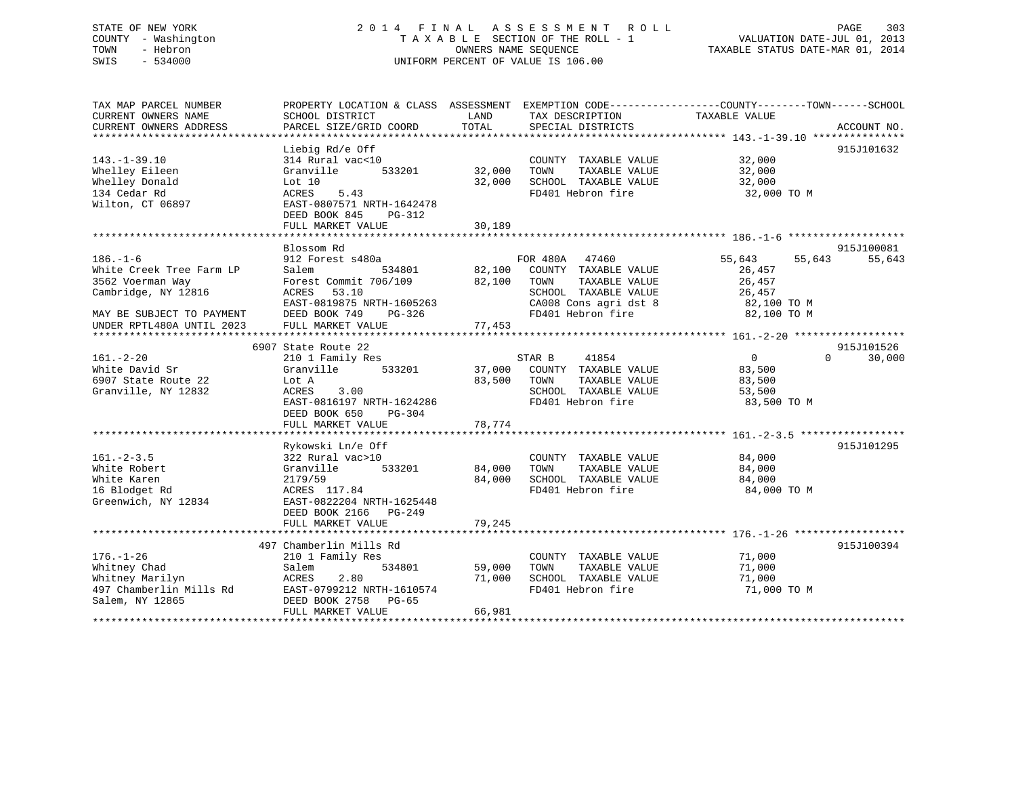# STATE OF NEW YORK 2 0 1 4 F I N A L A S S E S S M E N T R O L L PAGE 303 COUNTY - Washington T A X A B L E SECTION OF THE ROLL - 1 VALUATION DATE-JUL 01, 2013 TOWN - Hebron OWNERS NAME SEQUENCE TAXABLE STATUS DATE-MAR 01, 2014 SWIS - 534000 UNIFORM PERCENT OF VALUE IS 106.00

| TAX MAP PARCEL NUMBER     |                            |        | PROPERTY LOCATION & CLASS ASSESSMENT EXEMPTION CODE---------------COUNTY-------TOWN-----SCHOOL |               |                    |
|---------------------------|----------------------------|--------|------------------------------------------------------------------------------------------------|---------------|--------------------|
| CURRENT OWNERS NAME       | SCHOOL DISTRICT            | LAND   | TAX DESCRIPTION                                                                                | TAXABLE VALUE |                    |
| CURRENT OWNERS ADDRESS    | PARCEL SIZE/GRID COORD     | TOTAL  | SPECIAL DISTRICTS                                                                              |               | ACCOUNT NO.        |
|                           |                            |        |                                                                                                |               |                    |
|                           | Liebig Rd/e Off            |        |                                                                                                |               | 915J101632         |
| $143. - 1 - 39.10$        | 314 Rural vac<10           |        | COUNTY TAXABLE VALUE                                                                           | 32,000        |                    |
| Whelley Eileen            | 533201<br>Granville        | 32,000 | TOWN<br>TAXABLE VALUE                                                                          | 32,000        |                    |
| Whelley Donald            | Lot $10$                   | 32,000 | SCHOOL TAXABLE VALUE                                                                           | 32,000        |                    |
| 134 Cedar Rd              | ACRES<br>5.43              |        | FD401 Hebron fire                                                                              | 32,000 TO M   |                    |
| Wilton, CT 06897          | EAST-0807571 NRTH-1642478  |        |                                                                                                |               |                    |
|                           | DEED BOOK 845<br>PG-312    |        |                                                                                                |               |                    |
|                           | FULL MARKET VALUE          | 30,189 |                                                                                                |               |                    |
|                           |                            |        |                                                                                                |               |                    |
|                           | Blossom Rd                 |        |                                                                                                |               | 915J100081         |
| $186. - 1 - 6$            | 912 Forest s480a           |        | FOR 480A 47460                                                                                 | 55,643        | 55,643             |
| White Creek Tree Farm LP  | 534801                     | 82,100 | COUNTY TAXABLE VALUE                                                                           | 55,643        |                    |
|                           | Salem                      |        |                                                                                                | 26,457        |                    |
| 3562 Voerman Way          | Forest Commit 706/109      | 82,100 | TAXABLE VALUE<br>TOWN                                                                          | 26,457        |                    |
| Cambridge, NY 12816       | ACRES<br>53.10             |        | SCHOOL TAXABLE VALUE                                                                           | 26,457        |                    |
|                           | EAST-0819875 NRTH-1605263  |        | CA008 Cons agri dst 8                                                                          | 82,100 TO M   |                    |
| MAY BE SUBJECT TO PAYMENT | DEED BOOK 749<br>$PG-326$  |        | FD401 Hebron fire                                                                              | 82,100 TO M   |                    |
| UNDER RPTL480A UNTIL 2023 | FULL MARKET VALUE          | 77,453 |                                                                                                |               |                    |
|                           |                            |        |                                                                                                |               |                    |
|                           | 6907 State Route 22        |        |                                                                                                |               | 915J101526         |
| $161. - 2 - 20$           | 210 1 Family Res           |        | 41854<br>STAR B                                                                                | $\Omega$      | $\Omega$<br>30,000 |
| White David Sr            | Granville<br>533201        | 37,000 | COUNTY TAXABLE VALUE                                                                           | 83,500        |                    |
| 6907 State Route 22       | Lot A                      | 83,500 | TAXABLE VALUE<br>TOWN                                                                          | 83,500        |                    |
| Granville, NY 12832       | ACRES<br>3.00              |        | SCHOOL TAXABLE VALUE                                                                           | 53,500        |                    |
|                           | EAST-0816197 NRTH-1624286  |        | FD401 Hebron fire                                                                              | 83,500 TO M   |                    |
|                           | DEED BOOK 650<br>$PG-304$  |        |                                                                                                |               |                    |
|                           | FULL MARKET VALUE          | 78,774 |                                                                                                |               |                    |
|                           |                            |        |                                                                                                |               |                    |
|                           | Rykowski Ln/e Off          |        |                                                                                                |               | 915J101295         |
| $161. - 2 - 3.5$          | 322 Rural vac>10           |        | COUNTY TAXABLE VALUE                                                                           | 84,000        |                    |
| White Robert              | Granville<br>533201        | 84,000 | TOWN<br>TAXABLE VALUE                                                                          | 84,000        |                    |
| White Karen               | 2179/59                    | 84,000 | SCHOOL TAXABLE VALUE                                                                           | 84,000        |                    |
| 16 Blodget Rd             | ACRES 117.84               |        | FD401 Hebron fire                                                                              | 84,000 TO M   |                    |
| Greenwich, NY 12834       | EAST-0822204 NRTH-1625448  |        |                                                                                                |               |                    |
|                           | DEED BOOK 2166<br>$PG-249$ |        |                                                                                                |               |                    |
|                           | FULL MARKET VALUE          | 79,245 |                                                                                                |               |                    |
|                           |                            |        |                                                                                                |               |                    |
|                           | 497 Chamberlin Mills Rd    |        |                                                                                                |               | 915J100394         |
| $176. - 1 - 26$           | 210 1 Family Res           |        | COUNTY TAXABLE VALUE                                                                           | 71,000        |                    |
| Whitney Chad              | Salem<br>534801            | 59,000 | TOWN<br>TAXABLE VALUE                                                                          | 71,000        |                    |
| Whitney Marilyn           | ACRES<br>2.80              | 71,000 | SCHOOL TAXABLE VALUE                                                                           | 71,000        |                    |
| 497 Chamberlin Mills Rd   | EAST-0799212 NRTH-1610574  |        | FD401 Hebron fire                                                                              | 71,000 TO M   |                    |
| Salem, NY 12865           | DEED BOOK 2758<br>$PG-65$  |        |                                                                                                |               |                    |
|                           | FULL MARKET VALUE          | 66,981 |                                                                                                |               |                    |
|                           |                            |        |                                                                                                |               |                    |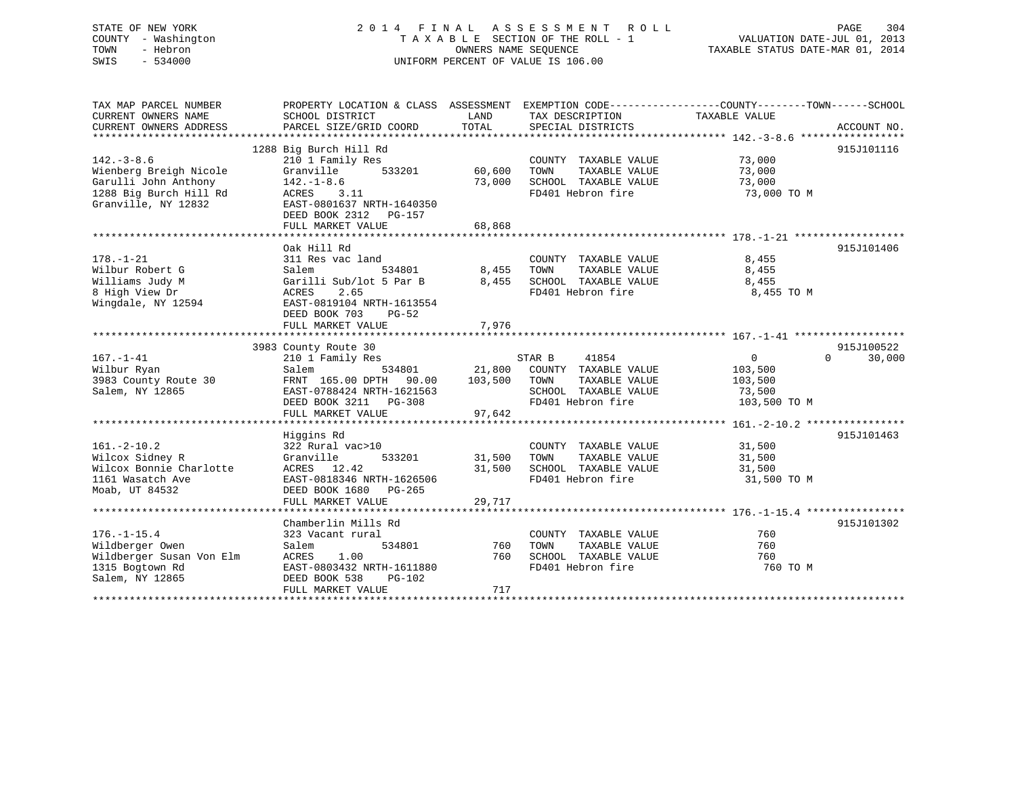# STATE OF NEW YORK 2 0 1 4 F I N A L A S S E S S M E N T R O L L PAGE 304 COUNTY - Washington T A X A B L E SECTION OF THE ROLL - 1 VALUATION DATE-JUL 01, 2013 TOWN - Hebron OWNERS NAME SEQUENCE TAXABLE STATUS DATE-MAR 01, 2014 SWIS - 534000 UNIFORM PERCENT OF VALUE IS 106.00

TAX MAP PARCEL NUMBER PROPERTY LOCATION & CLASS ASSESSMENT EXEMPTION CODE------------------COUNTY--------TOWN------SCHOOL

CURRENT OWNERS NAME SCHOOL DISTRICT LAND TAX DESCRIPTION TAXABLE VALUE CURRENT OWNERS ADDRESS PARCEL SIZE/GRID COORD TOTAL SPECIAL DISTRICTS ACCOUNT NO. \*\*\*\*\*\*\*\*\*\*\*\*\*\*\*\*\*\*\*\*\*\*\*\*\*\*\*\*\*\*\*\*\*\*\*\*\*\*\*\*\*\*\*\*\*\*\*\*\*\*\*\*\*\*\*\*\*\*\*\*\*\*\*\*\*\*\*\*\*\*\*\*\*\*\*\*\*\*\*\*\*\*\*\*\*\*\*\*\*\*\*\*\*\*\*\*\*\*\*\*\*\*\* 142.-3-8.6 \*\*\*\*\*\*\*\*\*\*\*\*\*\*\*\*\* 1288 Big Burch Hill Rd 915J101116 142.-3-8.6 210 1 Family Res COUNTY TAXABLE VALUE 73,000 Wienberg Breigh Nicole Granville 533201 60,600 TOWN TAXABLE VALUE 73,000 Garulli John Anthony 142.-1-8.6 73,000 SCHOOL TAXABLE VALUE 73,000 1288 Big Burch Hill Rd ACRES 3.11 FD401 Hebron fire 73,000 TO M Granville, NY 12832 EAST-0801637 NRTH-1640350 DEED BOOK 2312 PG-157FULL MARKET VALUE 68,868 \*\*\*\*\*\*\*\*\*\*\*\*\*\*\*\*\*\*\*\*\*\*\*\*\*\*\*\*\*\*\*\*\*\*\*\*\*\*\*\*\*\*\*\*\*\*\*\*\*\*\*\*\*\*\*\*\*\*\*\*\*\*\*\*\*\*\*\*\*\*\*\*\*\*\*\*\*\*\*\*\*\*\*\*\*\*\*\*\*\*\*\*\*\*\*\*\*\*\*\*\*\*\* 178.-1-21 \*\*\*\*\*\*\*\*\*\*\*\*\*\*\*\*\*\* Oak Hill Rd 915J101406178.-1-21 311 Res vac land COUNTY TAXABLE VALUE 8,455 Wilbur Robert G Salem 534801 8,455 TOWN TAXABLE VALUE 8,455 Williams Judy M Garilli Sub/lot 5 Par B 8,455 SCHOOL TAXABLE VALUE 8,455 8 High View Dr ACRES 2.65 FD401 Hebron fire 8,455 TO M 0 high vicw 21<br>Wingdale, NY 12594 EAST-0819104 NRTH-1613554 DEED BOOK 703 PG-52 PLIL MARKET VALUE 7,976 \*\*\*\*\*\*\*\*\*\*\*\*\*\*\*\*\*\*\*\*\*\*\*\*\*\*\*\*\*\*\*\*\*\*\*\*\*\*\*\*\*\*\*\*\*\*\*\*\*\*\*\*\*\*\*\*\*\*\*\*\*\*\*\*\*\*\*\*\*\*\*\*\*\*\*\*\*\*\*\*\*\*\*\*\*\*\*\*\*\*\*\*\*\*\*\*\*\*\*\*\*\*\* 167.-1-41 \*\*\*\*\*\*\*\*\*\*\*\*\*\*\*\*\*\* 3983 County Route 30 915J100522 167.-1-41 210 1 Family Res STAR B 41854 0 0 30,000 Wilbur Ryan Salem 534801 21,800 COUNTY TAXABLE VALUE 103,500 3983 County Route 30 FRNT 165.00 DPTH 90.00 103,500 TOWN TAXABLE VALUE 103,500 Salem, NY 12865 EAST-0788424 NRTH-1621563 SCHOOL TAXABLE VALUE 73,500 DEED BOOK 3211 PG-308 FD401 Hebron fire 103,500 TO M DEED BOOK 3211 PG-308<br>FULL MARKET VALUE 97,642 \*\*\*\*\*\*\*\*\*\*\*\*\*\*\*\*\*\*\*\*\*\*\*\*\*\*\*\*\*\*\*\*\*\*\*\*\*\*\*\*\*\*\*\*\*\*\*\*\*\*\*\*\*\*\*\*\*\*\*\*\*\*\*\*\*\*\*\*\*\*\*\*\*\*\*\*\*\*\*\*\*\*\*\*\*\*\*\*\*\*\*\*\*\*\*\*\*\*\*\*\*\*\* 161.-2-10.2 \*\*\*\*\*\*\*\*\*\*\*\*\*\*\*\* Higgins Rd 915J101463 161.-2-10.2 322 Rural vac>10 COUNTY TAXABLE VALUE 31,500 Wilcox Sidney R Granville 533201 31,500 TOWN TAXABLE VALUE 31,500 Wilcox Bonnie Charlotte ACRES 12.42 31,500 SCHOOL TAXABLE VALUE 31,500 1161 Wasatch Ave EAST-0818346 NRTH-1626506 FD401 Hebron fire 31,500 TO M Moab, UT 84532 DEED BOOK 1680 PG-265 FULL MARKET VALUE 29,717 \*\*\*\*\*\*\*\*\*\*\*\*\*\*\*\*\*\*\*\*\*\*\*\*\*\*\*\*\*\*\*\*\*\*\*\*\*\*\*\*\*\*\*\*\*\*\*\*\*\*\*\*\*\*\*\*\*\*\*\*\*\*\*\*\*\*\*\*\*\*\*\*\*\*\*\*\*\*\*\*\*\*\*\*\*\*\*\*\*\*\*\*\*\*\*\*\*\*\*\*\*\*\* 176.-1-15.4 \*\*\*\*\*\*\*\*\*\*\*\*\*\*\*\* Chamberlin Mills Rd 915J101302176.-1-15.4 323 Vacant rural COUNTY TAXABLE VALUE 760Wildberger Owen Salem 534801 760 TOWN TAXABLE VALUE 760 Wildberger Susan Von Elm ACRES 1.00 760 SCHOOL TAXABLE VALUE 760 1315 Bogtown Rd EAST-0803432 NRTH-1611880 FD401 Hebron fire 760 TO M Salem, NY 12865 DEED BOOK 538 PG-102 FULL MARKET VALUE 717 \*\*\*\*\*\*\*\*\*\*\*\*\*\*\*\*\*\*\*\*\*\*\*\*\*\*\*\*\*\*\*\*\*\*\*\*\*\*\*\*\*\*\*\*\*\*\*\*\*\*\*\*\*\*\*\*\*\*\*\*\*\*\*\*\*\*\*\*\*\*\*\*\*\*\*\*\*\*\*\*\*\*\*\*\*\*\*\*\*\*\*\*\*\*\*\*\*\*\*\*\*\*\*\*\*\*\*\*\*\*\*\*\*\*\*\*\*\*\*\*\*\*\*\*\*\*\*\*\*\*\*\*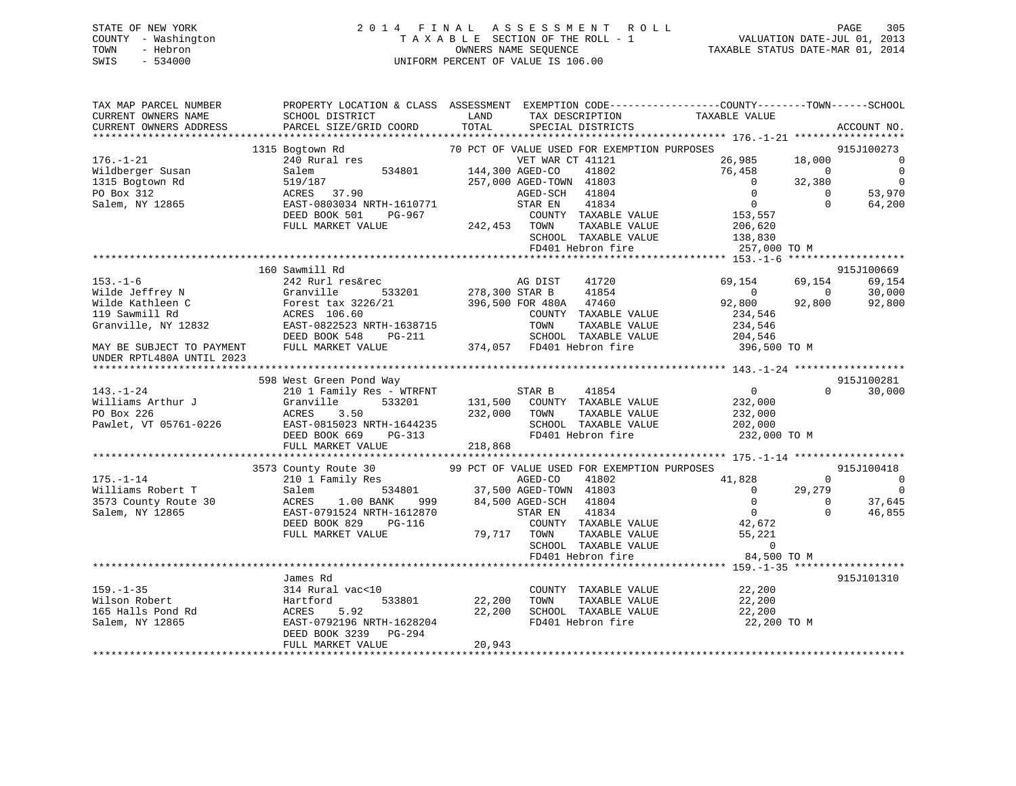# STATE OF NEW YORK 2 0 1 4 F I N A L A S S E S S M E N T R O L L PAGE 305 COUNTY - Washington T A X A B L E SECTION OF THE ROLL - 1 VALUATION DATE-JUL 01, 2013 TOWN - Hebron OWNERS NAME SEQUENCE TAXABLE STATUS DATE-MAR 01, 2014 SWIS - 534000 UNIFORM PERCENT OF VALUE IS 106.00

| TAX MAP PARCEL NUMBER<br>CURRENT OWNERS NAME<br>CURRENT OWNERS ADDRESS | PROPERTY LOCATION & CLASS ASSESSMENT EXEMPTION CODE---------------COUNTY-------TOWN-----SCHOOL<br>SCHOOL DISTRICT<br>PARCEL SIZE/GRID COORD | LAND<br>TOTAL  | TAX DESCRIPTION<br>SPECIAL DISTRICTS        | TAXABLE VALUE              |                      | ACCOUNT NO.    |
|------------------------------------------------------------------------|---------------------------------------------------------------------------------------------------------------------------------------------|----------------|---------------------------------------------|----------------------------|----------------------|----------------|
|                                                                        |                                                                                                                                             |                |                                             |                            |                      |                |
|                                                                        | 1315 Bogtown Rd                                                                                                                             |                | 70 PCT OF VALUE USED FOR EXEMPTION PURPOSES |                            |                      | 915J100273     |
| $176. - 1 - 21$                                                        | 240 Rural res                                                                                                                               |                | VET WAR CT 41121                            | 26,985                     | 18,000               | $\sim$ 0       |
| Wildberger Susan                                                       | Salem                                                                                                                                       |                | 41802                                       | 76,458                     | $\Omega$             | $\overline{0}$ |
| 1315 Bogtown Rd                                                        | 519/187                                                                                                                                     |                | 257,000 AGED-TOWN 41803                     | $\overline{0}$             | 32,380               | $\overline{0}$ |
| PO Box 312                                                             | $ACRES$ 37.90                                                                                                                               |                | AGED-SCH 41804                              | $\overline{0}$             | $\Omega$             | 53,970         |
| Salem, NY 12865                                                        | EAST-0803034 NRTH-1610771                                                                                                                   |                | 41834<br>STAR EN                            | $\overline{0}$             | $\Omega$             | 64,200         |
|                                                                        | DEED BOOK 501<br>PG-967                                                                                                                     |                | COUNTY TAXABLE VALUE                        | 153,557                    |                      |                |
|                                                                        | FULL MARKET VALUE                                                                                                                           | 242,453 TOWN   | TAXABLE VALUE                               | 206,620                    |                      |                |
|                                                                        |                                                                                                                                             |                | SCHOOL TAXABLE VALUE                        | 138,830                    |                      |                |
|                                                                        |                                                                                                                                             |                | FD401 Hebron fire                           | 257,000 TO M               |                      |                |
|                                                                        | 160 Sawmill Rd                                                                                                                              |                |                                             |                            |                      | 915J100669     |
| $153. - 1 - 6$                                                         | 242 Rurl res&rec                                                                                                                            |                | AG DIST 41720                               | 69,154                     | 69,154               | 69,154         |
| Wilde Jeffrey N                                                        |                                                                                                                                             | 278,300 STAR B | 41854                                       | $\Omega$                   | $\overline{0}$       | 30,000         |
| Wilde Kathleen C                                                       |                                                                                                                                             |                | 396,500 FOR 480A 47460                      | 92,800                     | 92,800               | 92,800         |
| 119 Sawmill Rd                                                         | Granville 533201<br>Forest tax 3226/21<br>ACRES 106.60                                                                                      |                | COUNTY TAXABLE VALUE                        | 234,546                    |                      |                |
| Granville, NY 12832                                                    | EAST-0822523 NRTH-1638715                                                                                                                   |                | TOWN<br>TAXABLE VALUE                       | 234,546                    |                      |                |
|                                                                        | DEED BOOK 548<br><b>PG-211</b>                                                                                                              |                | SCHOOL TAXABLE VALUE                        | 204,546                    |                      |                |
| MAY BE SUBJECT TO PAYMENT                                              | FULL MARKET VALUE                                                                                                                           |                | 374,057 FD401 Hebron fire                   | 396,500 TO M               |                      |                |
| UNDER RPTL480A UNTIL 2023                                              |                                                                                                                                             |                |                                             |                            |                      |                |
|                                                                        |                                                                                                                                             |                |                                             |                            |                      |                |
|                                                                        | 598 West Green Pond Way                                                                                                                     |                |                                             |                            |                      | 915J100281     |
| $143. - 1 - 24$                                                        | 210 1 Family Res - WTRFNT                                                                                                                   | STAR B         | 41854                                       | $\overline{0}$             | $\Omega$             | 30,000         |
| Williams Arthur J                                                      | 533201<br>Granville                                                                                                                         |                | 131,500 COUNTY TAXABLE VALUE                | 232,000                    |                      |                |
| PO Box 226                                                             | ACRES<br>3.50                                                                                                                               | 232,000 TOWN   | TAXABLE VALUE                               | 232,000                    |                      |                |
| Pawlet, VT 05761-0226                                                  | EAST-0815023 NRTH-1644235<br>DERT-0815023 NRTH-1644235                                                                                      |                | SCHOOL TAXABLE VALUE                        | 202,000                    |                      |                |
|                                                                        |                                                                                                                                             |                | FD401 Hebron fire                           | 232,000 TO M               |                      |                |
|                                                                        | FULL MARKET VALUE                                                                                                                           | 218,868        |                                             |                            |                      |                |
|                                                                        |                                                                                                                                             |                |                                             |                            |                      |                |
|                                                                        | 3573 County Route 30<br>210 1 Family Res                                                                                                    |                | 99 PCT OF VALUE USED FOR EXEMPTION PURPOSES |                            |                      | 915J100418     |
| $175. - 1 - 14$                                                        |                                                                                                                                             |                | AGED-CO<br>41802                            | 41,828                     | $\Omega$             | $\sim$ 0       |
| Williams Robert T                                                      | Salem                                                                                                                                       |                | 534801 37,500 AGED-TOWN 41803               | $\overline{0}$<br>$\Omega$ | 29,279               | $\overline{0}$ |
| 3573 County Route 30                                                   | ACRES<br>$1.00$ BANK<br>999                                                                                                                 |                | 84,500 AGED-SCH 41804                       | $\overline{0}$             | $\Omega$<br>$\Omega$ | 37,645         |
| Salem, NY 12865                                                        | EAST-0791524 NRTH-1612870<br>DEED BOOK 829 PG-116                                                                                           |                | 41834<br>STAR EN<br>COUNTY TAXABLE VALUE    | 42,672                     |                      | 46,855         |
|                                                                        |                                                                                                                                             |                |                                             | 55,221                     |                      |                |
|                                                                        | FULL MARKET VALUE                                                                                                                           | 79,717 TOWN    | TAXABLE VALUE<br>SCHOOL TAXABLE VALUE       | $\overline{0}$             |                      |                |
|                                                                        |                                                                                                                                             |                | FD401 Hebron fire                           | 84,500 TO M                |                      |                |
|                                                                        |                                                                                                                                             |                |                                             |                            |                      |                |
|                                                                        | James Rd                                                                                                                                    |                |                                             |                            |                      | 915J101310     |
| $159. - 1 - 35$                                                        | 314 Rural vac<10                                                                                                                            |                | COUNTY TAXABLE VALUE                        | 22,200                     |                      |                |
| Wilson Robert                                                          | Hartford<br>533801                                                                                                                          | 22,200         | TAXABLE VALUE<br>TOWN                       | 22,200                     |                      |                |
| 165 Halls Pond Rd                                                      | ACRES<br>5.92                                                                                                                               | 22,200         | SCHOOL TAXABLE VALUE                        | 22,200                     |                      |                |
| Salem, NY 12865                                                        | EAST-0792196 NRTH-1628204                                                                                                                   |                | FD401 Hebron fire                           | 22,200 TO M                |                      |                |
|                                                                        | DEED BOOK 3239 PG-294                                                                                                                       |                |                                             |                            |                      |                |
|                                                                        | FULL MARKET VALUE                                                                                                                           | 20,943         |                                             |                            |                      |                |
|                                                                        |                                                                                                                                             |                |                                             |                            |                      |                |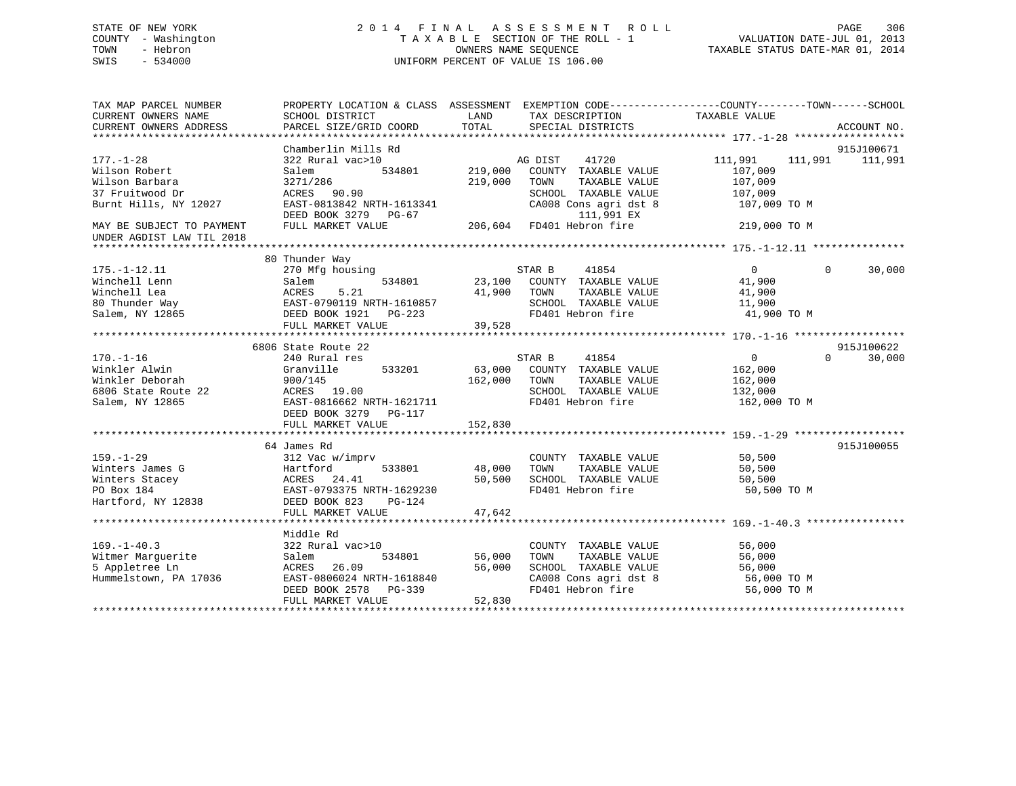# STATE OF NEW YORK 2 0 1 4 F I N A L A S S E S S M E N T R O L L PAGE 306 COUNTY - Washington T A X A B L E SECTION OF THE ROLL - 1 VALUATION DATE-JUL 01, 2013 TOWN - Hebron OWNERS NAME SEQUENCE TAXABLE STATUS DATE-MAR 01, 2014 SWIS - 534000 UNIFORM PERCENT OF VALUE IS 106.00

| TAX MAP PARCEL NUMBER     | PROPERTY LOCATION & CLASS ASSESSMENT EXEMPTION CODE---------------COUNTY-------TOWN-----SCHOOL                                        |         |                                                   |                         |                             |
|---------------------------|---------------------------------------------------------------------------------------------------------------------------------------|---------|---------------------------------------------------|-------------------------|-----------------------------|
| CURRENT OWNERS NAME       | SCHOOL DISTRICT                                                                                                                       | LAND    | TAX DESCRIPTION                                   | TAXABLE VALUE           |                             |
| CURRENT OWNERS ADDRESS    | PARCEL SIZE/GRID COORD                                                                                                                | TOTAL   | SPECIAL DISTRICTS                                 |                         | ACCOUNT NO.                 |
|                           |                                                                                                                                       |         |                                                   |                         |                             |
|                           | Chamberlin Mills Rd                                                                                                                   |         |                                                   |                         | 915J100671                  |
| $177. - 1 - 28$           | 322 Rural vac>10                                                                                                                      |         | AG DIST 41720                                     | 111,991 111,991 111,991 |                             |
| Wilson Robert             | Salem<br>534801                                                                                                                       | 219,000 | COUNTY TAXABLE VALUE                              | 107,009                 |                             |
| Wilson Barbara            | 3271/286                                                                                                                              | 219,000 | TOWN<br>TAXABLE VALUE                             | 107,009                 |                             |
| 37 Fruitwood Dr           | ACRES 90.90                                                                                                                           |         | SCHOOL TAXABLE VALUE                              | 107,009                 |                             |
| Burnt Hills, NY 12027     | EAST-0813842 NRTH-1613341                                                                                                             |         | CA008 Cons agri dst 8 107,009 TO M                |                         |                             |
|                           | DEED BOOK 3279 PG-67                                                                                                                  |         | 111,991 EX                                        |                         |                             |
| MAY BE SUBJECT TO PAYMENT | FULL MARKET VALUE                                                                                                                     |         | 206,604 FD401 Hebron fire                         | 219,000 TO M            |                             |
| UNDER AGDIST LAW TIL 2018 |                                                                                                                                       |         |                                                   |                         |                             |
|                           |                                                                                                                                       |         |                                                   |                         |                             |
|                           | 80 Thunder Way                                                                                                                        |         |                                                   |                         |                             |
| $175. - 1 - 12.11$        | 270 Mfg housing                                                                                                                       |         | STAR B 41854                                      | $\overline{0}$          | $0 \qquad \qquad$<br>30,000 |
| Winchell Lenn             | Salem                                                                                                                                 |         | 534801 23,100 COUNTY TAXABLE VALUE                | 41,900                  |                             |
|                           |                                                                                                                                       |         | TOWN      TAXABLE VALUE<br>SCHOOL   TAXABLE VALUE | 41,900                  |                             |
|                           |                                                                                                                                       |         |                                                   | 11,900                  |                             |
|                           | Winchell Lea<br>80 Thunder Way<br>80 Thunder Way<br>80 Thunder Way<br>82 EAST-0790119 NRTH-1610857<br>22 BOOK 1921 PG-223<br>82 FD401 |         | FD401 Hebron fire                                 | 41,900 TO M             |                             |
|                           | FULL MARKET VALUE                                                                                                                     | 39,528  |                                                   |                         |                             |
|                           |                                                                                                                                       |         |                                                   |                         |                             |
|                           | 6806 State Route 22                                                                                                                   |         |                                                   |                         | 915J100622                  |
| $170. - 1 - 16$           | 240 Rural res                                                                                                                         |         | STAR B<br>41854                                   | $\sim$ 0                | 30,000<br>$\Omega$          |
| Winkler Alwin             | 533201<br>Granville                                                                                                                   |         | 63,000 COUNTY TAXABLE VALUE                       | 162,000                 |                             |
| Winkler Deborah           | 900/145                                                                                                                               | 162,000 | TOWN<br>TAXABLE VALUE                             | 162,000                 |                             |
| 6806 State Route 22       | ACRES 19.00                                                                                                                           |         | SCHOOL TAXABLE VALUE                              | 132,000                 |                             |
| Salem, NY 12865           | EAST-0816662 NRTH-1621711                                                                                                             |         | FD401 Hebron fire                                 | 162,000 TO M            |                             |
|                           | DEED BOOK 3279 PG-117                                                                                                                 |         |                                                   |                         |                             |
|                           | FULL MARKET VALUE                                                                                                                     | 152,830 |                                                   |                         |                             |
|                           |                                                                                                                                       |         |                                                   |                         |                             |
|                           | 64 James Rd                                                                                                                           |         |                                                   |                         | 915J100055                  |
| $159. - 1 - 29$           | 312 Vac w/imprv                                                                                                                       |         | COUNTY TAXABLE VALUE                              | 50,500                  |                             |
| Winters James G           | 533801<br>Hartford                                                                                                                    | 48,000  | TOWN<br>TAXABLE VALUE                             | 50,500                  |                             |
| Winters Stacey            | ACRES 24.41<br>EAST-0793375 NRTH-1629230                                                                                              | 50,500  | SCHOOL TAXABLE VALUE                              | 50,500                  |                             |
| PO Box 184                |                                                                                                                                       |         | FD401 Hebron fire                                 | 50,500 TO M             |                             |
| Hartford, NY 12838        | DEED BOOK 823<br>PG-124                                                                                                               |         |                                                   |                         |                             |
|                           | FULL MARKET VALUE                                                                                                                     | 47,642  |                                                   |                         |                             |
|                           |                                                                                                                                       |         |                                                   |                         |                             |
|                           | Middle Rd                                                                                                                             |         |                                                   |                         |                             |
| $169. - 1 - 40.3$         | 322 Rural vac>10                                                                                                                      |         | COUNTY TAXABLE VALUE                              | 56,000                  |                             |
| Witmer Marguerite         | 534801<br>Salem                                                                                                                       | 56,000  | TOWN<br>TAXABLE VALUE                             | 56,000                  |                             |
| 5 Appletree Ln            | ACRES 26.09                                                                                                                           | 56,000  | SCHOOL TAXABLE VALUE                              | 56,000                  |                             |
| Hummelstown, PA 17036     | EAST-0806024 NRTH-1618840                                                                                                             |         |                                                   |                         |                             |
|                           | DEED BOOK 2578 PG-339                                                                                                                 |         | FD401 Hebron fire                                 | 56,000 TO M             |                             |
|                           | FULL MARKET VALUE                                                                                                                     | 52,830  |                                                   |                         |                             |
|                           |                                                                                                                                       |         |                                                   |                         |                             |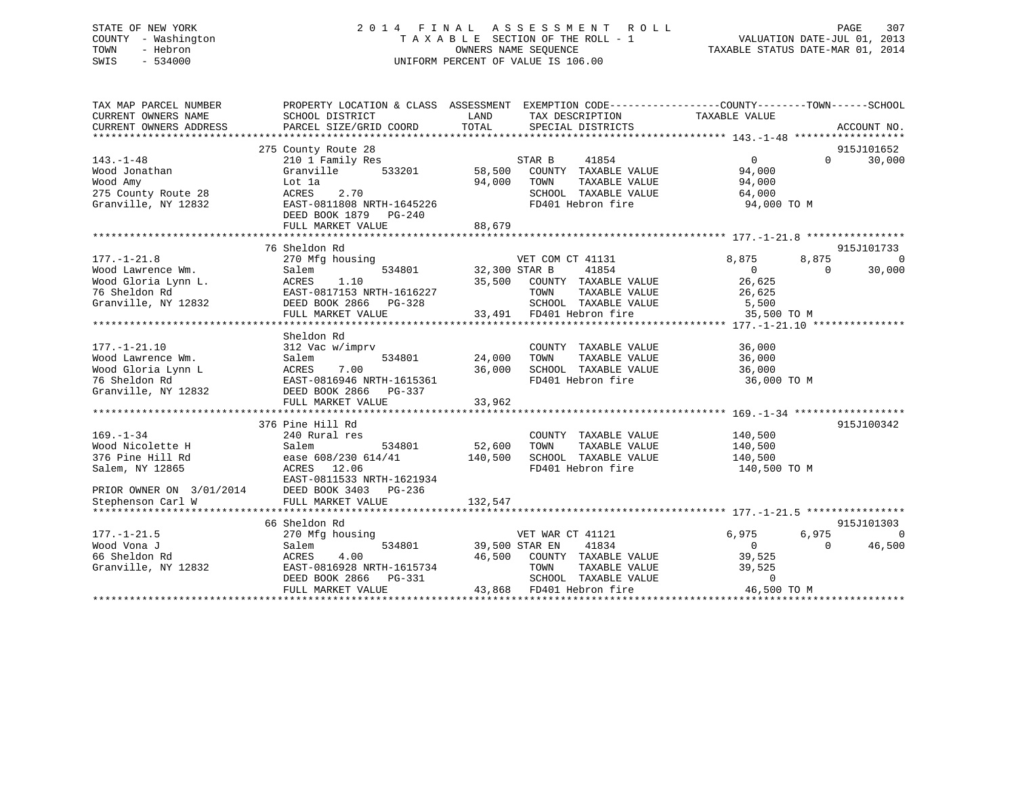# STATE OF NEW YORK 2 0 1 4 F I N A L A S S E S S M E N T R O L L PAGE 307 COUNTY - Washington T A X A B L E SECTION OF THE ROLL - 1 VALUATION DATE-JUL 01, 2013 TOWN - Hebron OWNERS NAME SEQUENCE TAXABLE STATUS DATE-MAR 01, 2014 SWIS - 534000 UNIFORM PERCENT OF VALUE IS 106.00

| TAX MAP PARCEL NUMBER<br>CURRENT OWNERS NAME<br>CURRENT OWNERS ADDRESS                                                                               | SCHOOL DISTRICT<br>PARCEL SIZE/GRID COORD                                                                                                                   | LAND<br>TAX DESCRIPTION<br>TOTAL<br>SPECIAL DISTRICTS                                                                                                          | PROPERTY LOCATION & CLASS ASSESSMENT EXEMPTION CODE---------------COUNTY-------TOWN------SCHOOL<br>TAXABLE VALUE<br>ACCOUNT NO. |
|------------------------------------------------------------------------------------------------------------------------------------------------------|-------------------------------------------------------------------------------------------------------------------------------------------------------------|----------------------------------------------------------------------------------------------------------------------------------------------------------------|---------------------------------------------------------------------------------------------------------------------------------|
| $143. - 1 - 48$<br>Wood Jonathan<br>Wood Amy<br>275 County Route 28<br>Granville, NY 12832                                                           | 275 County Route 28<br>210 1 Family Res<br>Granville<br>533201<br>Lot 1a<br>2.70<br>ACRES<br>EAST-0811808 NRTH-1645226<br>DEED BOOK 1879 PG-240             | STAR B<br>41854<br>58,500<br>COUNTY TAXABLE VALUE<br>94,000<br>TAXABLE VALUE<br>TOWN<br>SCHOOL TAXABLE VALUE<br>FD401 Hebron fire                              | 915J101652<br>$\overline{0}$<br>$\Omega$<br>30,000<br>94,000<br>94,000<br>64,000<br>94,000 TO M                                 |
|                                                                                                                                                      | FULL MARKET VALUE                                                                                                                                           | 88,679                                                                                                                                                         |                                                                                                                                 |
|                                                                                                                                                      | 76 Sheldon Rd                                                                                                                                               |                                                                                                                                                                | 915J101733                                                                                                                      |
| $177. - 1 - 21.8$<br>Wood Lawrence Wm.                                                                                                               | 270 Mfg housing<br>534801<br>Salem<br>EAST-0817153 NRTH-1616227<br>$PG-328$<br>FULL MARKET VALUE                                                            | VET COM CT 41131<br>$32,300$ STAR B<br>41854<br>35,500 COUNTY TAXABLE VALUE<br>TOWN<br>TAXABLE VALUE<br>SCHOOL TAXABLE VALUE<br>33,491 FD401 Hebron fire       | 8,875<br>8,875<br>$\bigcap$<br>$\overline{0}$<br>30,000<br>$\Omega$<br>26,625<br>26,625<br>5,500<br>35,500 TO M                 |
|                                                                                                                                                      | Sheldon Rd                                                                                                                                                  |                                                                                                                                                                |                                                                                                                                 |
| $177. - 1 - 21.10$<br>Wood Lawrence Wm.<br>Nood Gloria Lynn L<br>Mood Gloria Lynn L<br>76 Sheldon Rd<br>Granville, NY 12832<br>DEED BOOK 2866 PG-337 | 312 Vac w/imprv<br>Salem<br>534801<br>FULL MARKET VALUE                                                                                                     | COUNTY TAXABLE VALUE<br>24,000<br>TAXABLE VALUE<br>TOWN<br>36,000<br>SCHOOL TAXABLE VALUE<br>FD401 Hebron fire<br>33,962                                       | 36,000<br>36,000<br>36,000<br>36,000 TO M                                                                                       |
|                                                                                                                                                      |                                                                                                                                                             |                                                                                                                                                                |                                                                                                                                 |
| $169. - 1 - 34$<br>Wood Nicolette H<br>376 Pine Hill Rd<br>Salem, NY 12865<br>PRIOR OWNER ON 3/01/2014                                               | 376 Pine Hill Rd<br>240 Rural res<br>534801<br>Salem<br>ease 608/230 614/41 140,500<br>ACRES 12.06<br>EAST-0811533 NRTH-1621934<br>DEED BOOK 3403<br>PG-236 | COUNTY TAXABLE VALUE<br>52,600<br>TAXABLE VALUE<br>TOWN<br>SCHOOL TAXABLE VALUE<br>FD401 Hebron fire                                                           | 915J100342<br>140,500<br>140,500<br>140,500<br>140,500 TO M                                                                     |
| Stephenson Carl W                                                                                                                                    | FULL MARKET VALUE                                                                                                                                           | 132,547                                                                                                                                                        |                                                                                                                                 |
|                                                                                                                                                      | 66 Sheldon Rd                                                                                                                                               |                                                                                                                                                                | 915J101303                                                                                                                      |
| $177. - 1 - 21.5$<br>Wood Vona J<br>66 Sheldon Rd<br>Granville, NY 12832                                                                             | 270 Mfg housing<br>Salem<br>ACRES<br>4.00<br>EAST-0816928 NRTH-1615734<br>DEED BOOK 2866 PG-331<br>FULL MARKET VALUE                                        | VET WAR CT 41121<br>534801 39,500 STAR EN<br>41834<br>46,500 COUNTY TAXABLE VALUE<br>TOWN<br>TAXABLE VALUE<br>SCHOOL TAXABLE VALUE<br>43,868 FD401 Hebron fire | $\Omega$<br>6,975<br>6,975<br>$\Omega$<br>$\Omega$<br>46,500<br>39,525<br>39,525<br>$\Omega$<br>46,500 TO M                     |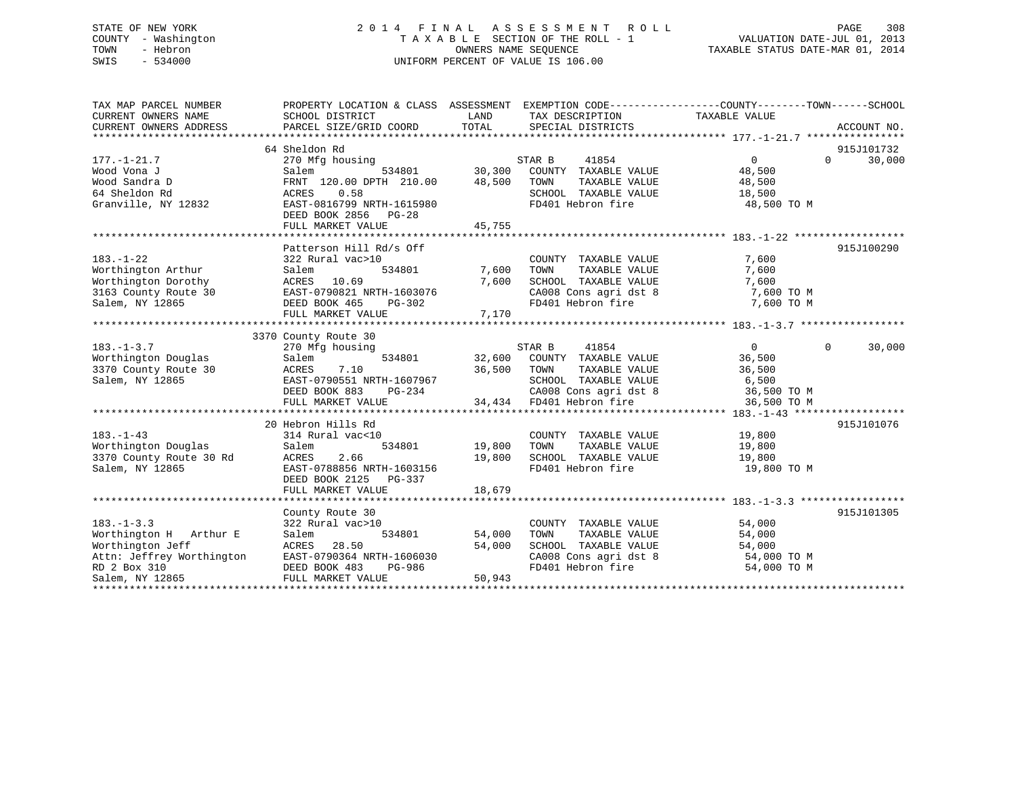# STATE OF NEW YORK 2 0 1 4 F I N A L A S S E S S M E N T R O L L PAGE 308 COUNTY - Washington T A X A B L E SECTION OF THE ROLL - 1 VALUATION DATE-JUL 01, 2013 TOWN - Hebron OWNERS NAME SEQUENCE TAXABLE STATUS DATE-MAR 01, 2014 SWIS - 534000 UNIFORM PERCENT OF VALUE IS 106.00

| TAX MAP PARCEL NUMBER                                          | PROPERTY LOCATION & CLASS ASSESSMENT EXEMPTION CODE----------------COUNTY-------TOWN------SCHOOL                                                                                                                                   |                                 |                                                       |                      |                    |
|----------------------------------------------------------------|------------------------------------------------------------------------------------------------------------------------------------------------------------------------------------------------------------------------------------|---------------------------------|-------------------------------------------------------|----------------------|--------------------|
| CURRENT OWNERS NAME<br>CURRENT OWNERS ADDRESS                  | SCHOOL DISTRICT<br>PARCEL SIZE/GRID COORD                                                                                                                                                                                          | LAND<br>TOTAL                   | TAX DESCRIPTION<br>SPECIAL DISTRICTS                  | TAXABLE VALUE        | ACCOUNT NO.        |
|                                                                |                                                                                                                                                                                                                                    |                                 |                                                       |                      |                    |
|                                                                | 64 Sheldon Rd                                                                                                                                                                                                                      |                                 |                                                       |                      | 915J101732         |
| $177. - 1 - 21.7$                                              | 270 Mfg housing<br>Salem 534801 30,300 COUNTY TAXABLE VALUE<br>FRNT 120.00 DPTH 210.00 48,500 TOWN TAXABLE VALUE                                                                                                                   |                                 |                                                       | $\overline{0}$       | 30,000<br>$\Omega$ |
| Wood Vona J                                                    |                                                                                                                                                                                                                                    |                                 |                                                       | 48,500               |                    |
| Wood Sandra D                                                  |                                                                                                                                                                                                                                    |                                 |                                                       | TAXABLE VALUE 48,500 |                    |
| 64 Sheldon Rd                                                  | ACRES<br>0.58                                                                                                                                                                                                                      |                                 | SCHOOL TAXABLE VALUE 18,500                           |                      |                    |
| Granville, NY 12832                                            | EAST-0816799 NRTH-1615980                                                                                                                                                                                                          |                                 | FD401 Hebron fire                                     | 48,500 TO M          |                    |
|                                                                | DEED BOOK 2856 PG-28                                                                                                                                                                                                               |                                 |                                                       |                      |                    |
|                                                                |                                                                                                                                                                                                                                    |                                 |                                                       |                      |                    |
|                                                                |                                                                                                                                                                                                                                    |                                 |                                                       |                      |                    |
|                                                                | Patterson Hill Rd/s Off                                                                                                                                                                                                            |                                 |                                                       |                      | 915J100290         |
| $183. - 1 - 22$                                                | 322 Rural vac>10                                                                                                                                                                                                                   | COUNTY<br>7,600 TOWN            | COUNTY TAXABLE VALUE                                  | 7,600                |                    |
| Worthington Arthur<br>Worthington Dorothy <b>ACRES</b> 10.69   | 534801<br>Salem                                                                                                                                                                                                                    |                                 | TAXABLE VALUE<br>7,600 SCHOOL TAXABLE VALUE           | 7,600                |                    |
|                                                                |                                                                                                                                                                                                                                    |                                 |                                                       | 7,600                |                    |
|                                                                |                                                                                                                                                                                                                                    |                                 | CA008 Cons agri dst 8 7,600 TO M<br>FD401 Hebron fire | 7,600 TO M           |                    |
|                                                                | FULL MARKET VALUE                                                                                                                                                                                                                  | 7,170                           |                                                       |                      |                    |
|                                                                |                                                                                                                                                                                                                                    |                                 |                                                       |                      |                    |
|                                                                | 3370 County Route 30                                                                                                                                                                                                               |                                 |                                                       |                      |                    |
| $183. - 1 - 3.7$                                               | 270 Mfg housing                                                                                                                                                                                                                    |                                 | 41854<br>STAR B                                       | $\Omega$             | 30,000<br>$\Omega$ |
| Worthington Douglas                                            | Salem                                                                                                                                                                                                                              |                                 | 534801 32,600 COUNTY TAXABLE VALUE 36,500             |                      |                    |
| 3370 County Route 30                                           |                                                                                                                                                                                                                                    | 36,500 TOWN                     | TAXABLE VALUE                                         | 36,500               |                    |
| Salem, NY 12865                                                | ACRES       7.10<br>EAST-0790551  NRTH-1607967                                                                                                                                                                                     |                                 | SCHOOL TAXABLE VALUE 6,500                            |                      |                    |
|                                                                | DEED BOOK 883                                                                                                                                                                                                                      | H-1607967<br>PG-234<br>E 34,434 | CA008 Cons agri dst 8 36,500 TO M                     |                      |                    |
|                                                                | FULL MARKET VALUE                                                                                                                                                                                                                  |                                 | 34,434 FD401 Hebron fire                              | 36,500 TO M          |                    |
|                                                                |                                                                                                                                                                                                                                    |                                 |                                                       |                      |                    |
|                                                                | 20 Hebron Hills Rd                                                                                                                                                                                                                 |                                 |                                                       |                      | 915J101076         |
| $183. - 1 - 43$                                                | 314 Rural vac<10                                                                                                                                                                                                                   |                                 | COUNTY TAXABLE VALUE 19,800                           | TAXABLE VALUE 19,800 |                    |
| Worthington Douglas                                            | Salem                                                                                                                                                                                                                              | 534801 19,800                   | TOWN                                                  |                      |                    |
| 3370 County Route 30 Rd                                        | 2.66<br>ACRES                                                                                                                                                                                                                      | 19,800                          | SCHOOL TAXABLE VALUE 19,800<br>FD401 Hebron fire      |                      |                    |
| Salem, NY 12865                                                | EAST-0788856 NRTH-1603156<br>DEED BOOK 2125 PG-337                                                                                                                                                                                 |                                 |                                                       | 19,800 TO M          |                    |
|                                                                | FULL MARKET VALUE                                                                                                                                                                                                                  | 18,679                          |                                                       |                      |                    |
|                                                                |                                                                                                                                                                                                                                    |                                 |                                                       |                      |                    |
|                                                                | County Route 30                                                                                                                                                                                                                    |                                 |                                                       |                      | 915J101305         |
| $183. - 1 - 3.3$                                               | 322 Rural vac>10                                                                                                                                                                                                                   |                                 | COUNTY TAXABLE VALUE 54,000                           |                      |                    |
|                                                                | 534801<br>Salem                                                                                                                                                                                                                    | 54,000                          |                                                       | 54,000               |                    |
| Worthington H Arthur E<br>Worthington Jeff<br>Worthington Jeff | 28.50<br>ACRES                                                                                                                                                                                                                     | 54,000                          | TOWN       TAXABLE  VALUE<br>SCHOOL    TAXABLE  VALUE | 54,000               |                    |
|                                                                |                                                                                                                                                                                                                                    |                                 |                                                       |                      |                    |
|                                                                |                                                                                                                                                                                                                                    |                                 |                                                       |                      |                    |
|                                                                | Attn: Jeffrey Worthington EAST-0790364 NRTH-1606030 CA008 Cons agri dst 8 54,000 TO M<br>RD 2 Box 310 DEED BOOK 483 PG-986 FD401 Hebron fire 54,000 TO M<br>Salem, NY 12865 FULL MARKET VALUE 50,943 FD401 Hebron fire 54,000 TO M |                                 |                                                       |                      |                    |
|                                                                |                                                                                                                                                                                                                                    |                                 |                                                       |                      |                    |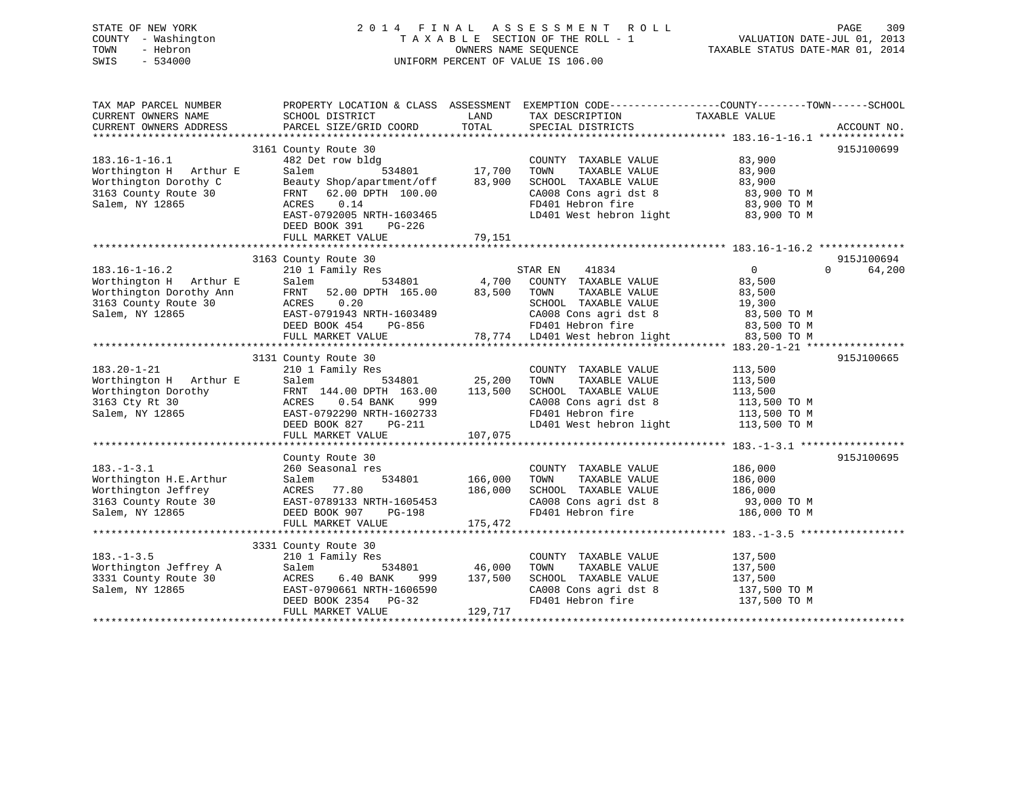# STATE OF NEW YORK 2 0 1 4 F I N A L A S S E S S M E N T R O L L PAGE 309 COUNTY - Washington T A X A B L E SECTION OF THE ROLL - 1 VALUATION DATE-JUL 01, 2013 TOWN - Hebron OWNERS NAME SEQUENCE TAXABLE STATUS DATE-MAR 01, 2014 SWIS - 534000 UNIFORM PERCENT OF VALUE IS 106.00

| LAND<br>TAXABLE VALUE<br>CURRENT OWNERS NAME<br>SCHOOL DISTRICT<br>TAX DESCRIPTION<br>TOTAL<br>CURRENT OWNERS ADDRESS<br>PARCEL SIZE/GRID COORD<br>SPECIAL DISTRICTS<br>ACCOUNT NO.<br>3161 County Route 30<br>915J100699<br>482 Det row bldg<br>83,900<br>$183.16 - 1 - 16.1$<br>COUNTY TAXABLE VALUE<br>17,700<br>Worthington H Arthur E<br>Salem<br>534801<br>TOWN<br>TAXABLE VALUE<br>83,900<br>Worthington Dorothy C<br>83,900<br>SCHOOL TAXABLE VALUE<br>83,900<br>Beauty Shop/apartment/off<br>3163 County Route 30<br>62.00 DPTH 100.00<br>CA008 Cons agri dst 8<br>83,900 TO M<br>FRNT<br>Salem, NY 12865<br>ACRES<br>0.14<br>FD401 Hebron fire<br>83,900 TO M<br>LD401 West hebron light<br>EAST-0792005 NRTH-1603465<br>83,900 TO M<br>DEED BOOK 391<br>PG-226<br>79,151<br>FULL MARKET VALUE<br>915J100694<br>3163 County Route 30<br>$\overline{0}$<br>$183.16 - 1 - 16.2$<br>210 1 Family Res<br>STAR EN<br>41834<br>$\Omega$<br>4,700<br>Worthington H Arthur E<br>Salem<br>534801<br>COUNTY TAXABLE VALUE<br>83,500<br>Worthington Dorothy Ann<br>FRNT 52.00 DPTH 165.00<br>83,500<br>TOWN<br>TAXABLE VALUE<br>83,500<br>3163 County Route 30<br>ACRES<br>0.20<br>SCHOOL TAXABLE VALUE<br>19,300 | EXEMPTION CODE-----------------COUNTY-------TOWN------SCHOOL |
|------------------------------------------------------------------------------------------------------------------------------------------------------------------------------------------------------------------------------------------------------------------------------------------------------------------------------------------------------------------------------------------------------------------------------------------------------------------------------------------------------------------------------------------------------------------------------------------------------------------------------------------------------------------------------------------------------------------------------------------------------------------------------------------------------------------------------------------------------------------------------------------------------------------------------------------------------------------------------------------------------------------------------------------------------------------------------------------------------------------------------------------------------------------------------------------------------------------|--------------------------------------------------------------|
|                                                                                                                                                                                                                                                                                                                                                                                                                                                                                                                                                                                                                                                                                                                                                                                                                                                                                                                                                                                                                                                                                                                                                                                                                  |                                                              |
|                                                                                                                                                                                                                                                                                                                                                                                                                                                                                                                                                                                                                                                                                                                                                                                                                                                                                                                                                                                                                                                                                                                                                                                                                  |                                                              |
|                                                                                                                                                                                                                                                                                                                                                                                                                                                                                                                                                                                                                                                                                                                                                                                                                                                                                                                                                                                                                                                                                                                                                                                                                  |                                                              |
|                                                                                                                                                                                                                                                                                                                                                                                                                                                                                                                                                                                                                                                                                                                                                                                                                                                                                                                                                                                                                                                                                                                                                                                                                  |                                                              |
|                                                                                                                                                                                                                                                                                                                                                                                                                                                                                                                                                                                                                                                                                                                                                                                                                                                                                                                                                                                                                                                                                                                                                                                                                  |                                                              |
|                                                                                                                                                                                                                                                                                                                                                                                                                                                                                                                                                                                                                                                                                                                                                                                                                                                                                                                                                                                                                                                                                                                                                                                                                  |                                                              |
|                                                                                                                                                                                                                                                                                                                                                                                                                                                                                                                                                                                                                                                                                                                                                                                                                                                                                                                                                                                                                                                                                                                                                                                                                  |                                                              |
|                                                                                                                                                                                                                                                                                                                                                                                                                                                                                                                                                                                                                                                                                                                                                                                                                                                                                                                                                                                                                                                                                                                                                                                                                  |                                                              |
|                                                                                                                                                                                                                                                                                                                                                                                                                                                                                                                                                                                                                                                                                                                                                                                                                                                                                                                                                                                                                                                                                                                                                                                                                  |                                                              |
|                                                                                                                                                                                                                                                                                                                                                                                                                                                                                                                                                                                                                                                                                                                                                                                                                                                                                                                                                                                                                                                                                                                                                                                                                  |                                                              |
|                                                                                                                                                                                                                                                                                                                                                                                                                                                                                                                                                                                                                                                                                                                                                                                                                                                                                                                                                                                                                                                                                                                                                                                                                  |                                                              |
|                                                                                                                                                                                                                                                                                                                                                                                                                                                                                                                                                                                                                                                                                                                                                                                                                                                                                                                                                                                                                                                                                                                                                                                                                  |                                                              |
|                                                                                                                                                                                                                                                                                                                                                                                                                                                                                                                                                                                                                                                                                                                                                                                                                                                                                                                                                                                                                                                                                                                                                                                                                  |                                                              |
|                                                                                                                                                                                                                                                                                                                                                                                                                                                                                                                                                                                                                                                                                                                                                                                                                                                                                                                                                                                                                                                                                                                                                                                                                  |                                                              |
|                                                                                                                                                                                                                                                                                                                                                                                                                                                                                                                                                                                                                                                                                                                                                                                                                                                                                                                                                                                                                                                                                                                                                                                                                  | 64,200                                                       |
|                                                                                                                                                                                                                                                                                                                                                                                                                                                                                                                                                                                                                                                                                                                                                                                                                                                                                                                                                                                                                                                                                                                                                                                                                  |                                                              |
|                                                                                                                                                                                                                                                                                                                                                                                                                                                                                                                                                                                                                                                                                                                                                                                                                                                                                                                                                                                                                                                                                                                                                                                                                  |                                                              |
|                                                                                                                                                                                                                                                                                                                                                                                                                                                                                                                                                                                                                                                                                                                                                                                                                                                                                                                                                                                                                                                                                                                                                                                                                  |                                                              |
| Salem, NY 12865<br>EAST-0791943 NRTH-1603489<br>CA008 Cons agri dst 8<br>83,500 TO M                                                                                                                                                                                                                                                                                                                                                                                                                                                                                                                                                                                                                                                                                                                                                                                                                                                                                                                                                                                                                                                                                                                             |                                                              |
| FD401 Hebron fire<br>DEED BOOK 454<br>PG-856<br>83,500 TO M                                                                                                                                                                                                                                                                                                                                                                                                                                                                                                                                                                                                                                                                                                                                                                                                                                                                                                                                                                                                                                                                                                                                                      |                                                              |
| 78,774 LD401 West hebron light<br>FULL MARKET VALUE<br>83,500 TO M                                                                                                                                                                                                                                                                                                                                                                                                                                                                                                                                                                                                                                                                                                                                                                                                                                                                                                                                                                                                                                                                                                                                               |                                                              |
|                                                                                                                                                                                                                                                                                                                                                                                                                                                                                                                                                                                                                                                                                                                                                                                                                                                                                                                                                                                                                                                                                                                                                                                                                  |                                                              |
| 3131 County Route 30<br>915J100665                                                                                                                                                                                                                                                                                                                                                                                                                                                                                                                                                                                                                                                                                                                                                                                                                                                                                                                                                                                                                                                                                                                                                                               |                                                              |
| $183.20 - 1 - 21$<br>210 1 Family Res<br>COUNTY TAXABLE VALUE<br>113,500                                                                                                                                                                                                                                                                                                                                                                                                                                                                                                                                                                                                                                                                                                                                                                                                                                                                                                                                                                                                                                                                                                                                         |                                                              |
| 25,200<br>Worthington H Arthur E<br>534801<br>TOWN<br>TAXABLE VALUE<br>113,500<br>Salem                                                                                                                                                                                                                                                                                                                                                                                                                                                                                                                                                                                                                                                                                                                                                                                                                                                                                                                                                                                                                                                                                                                          |                                                              |
| 113,500<br>Worthington Dorothy<br>FRNT 144.00 DPTH 163.00<br>SCHOOL TAXABLE VALUE<br>113,500                                                                                                                                                                                                                                                                                                                                                                                                                                                                                                                                                                                                                                                                                                                                                                                                                                                                                                                                                                                                                                                                                                                     |                                                              |
| 3163 Cty Rt 30<br>ACRES<br>CA008 Cons agri dst 8<br>113,500 TO M<br>$0.54$ BANK<br>999                                                                                                                                                                                                                                                                                                                                                                                                                                                                                                                                                                                                                                                                                                                                                                                                                                                                                                                                                                                                                                                                                                                           |                                                              |
| FD401 Hebron fire<br>Salem, NY 12865<br>EAST-0792290 NRTH-1602733<br>113,500 TO M                                                                                                                                                                                                                                                                                                                                                                                                                                                                                                                                                                                                                                                                                                                                                                                                                                                                                                                                                                                                                                                                                                                                |                                                              |
| LD401 West hebron light<br>113,500 TO M<br>DEED BOOK 827<br>PG-211                                                                                                                                                                                                                                                                                                                                                                                                                                                                                                                                                                                                                                                                                                                                                                                                                                                                                                                                                                                                                                                                                                                                               |                                                              |
| 107,075<br>FULL MARKET VALUE                                                                                                                                                                                                                                                                                                                                                                                                                                                                                                                                                                                                                                                                                                                                                                                                                                                                                                                                                                                                                                                                                                                                                                                     |                                                              |
|                                                                                                                                                                                                                                                                                                                                                                                                                                                                                                                                                                                                                                                                                                                                                                                                                                                                                                                                                                                                                                                                                                                                                                                                                  |                                                              |
| 915J100695<br>County Route 30                                                                                                                                                                                                                                                                                                                                                                                                                                                                                                                                                                                                                                                                                                                                                                                                                                                                                                                                                                                                                                                                                                                                                                                    |                                                              |
| $183. - 1 - 3.1$<br>260 Seasonal res<br>COUNTY TAXABLE VALUE<br>186,000                                                                                                                                                                                                                                                                                                                                                                                                                                                                                                                                                                                                                                                                                                                                                                                                                                                                                                                                                                                                                                                                                                                                          |                                                              |
| Worthington H.E.Arthur<br>534801<br>166,000<br>TOWN<br>TAXABLE VALUE<br>Salem<br>186,000                                                                                                                                                                                                                                                                                                                                                                                                                                                                                                                                                                                                                                                                                                                                                                                                                                                                                                                                                                                                                                                                                                                         |                                                              |
| 77.80<br>186,000<br>SCHOOL TAXABLE VALUE<br>186,000<br>Worthington Jeffrey<br>ACRES                                                                                                                                                                                                                                                                                                                                                                                                                                                                                                                                                                                                                                                                                                                                                                                                                                                                                                                                                                                                                                                                                                                              |                                                              |
| CA008 Cons agri dst 8<br>3163 County Route 30<br>EAST-0789133 NRTH-1605453<br>93,000 TO M                                                                                                                                                                                                                                                                                                                                                                                                                                                                                                                                                                                                                                                                                                                                                                                                                                                                                                                                                                                                                                                                                                                        |                                                              |
| FD401 Hebron fire<br>DEED BOOK 907<br><b>PG-198</b><br>186,000 TO M                                                                                                                                                                                                                                                                                                                                                                                                                                                                                                                                                                                                                                                                                                                                                                                                                                                                                                                                                                                                                                                                                                                                              |                                                              |
| Salem, NY 12865<br>FULL MARKET VALUE<br>175,472                                                                                                                                                                                                                                                                                                                                                                                                                                                                                                                                                                                                                                                                                                                                                                                                                                                                                                                                                                                                                                                                                                                                                                  |                                                              |
|                                                                                                                                                                                                                                                                                                                                                                                                                                                                                                                                                                                                                                                                                                                                                                                                                                                                                                                                                                                                                                                                                                                                                                                                                  |                                                              |
| 3331 County Route 30                                                                                                                                                                                                                                                                                                                                                                                                                                                                                                                                                                                                                                                                                                                                                                                                                                                                                                                                                                                                                                                                                                                                                                                             |                                                              |
| $183. - 1 - 3.5$<br>210 1 Family Res<br>137,500<br>COUNTY TAXABLE VALUE                                                                                                                                                                                                                                                                                                                                                                                                                                                                                                                                                                                                                                                                                                                                                                                                                                                                                                                                                                                                                                                                                                                                          |                                                              |
| 46,000<br>Salem<br>534801<br>TOWN<br>TAXABLE VALUE                                                                                                                                                                                                                                                                                                                                                                                                                                                                                                                                                                                                                                                                                                                                                                                                                                                                                                                                                                                                                                                                                                                                                               |                                                              |
| Worthington Jeffrey A<br>137,500                                                                                                                                                                                                                                                                                                                                                                                                                                                                                                                                                                                                                                                                                                                                                                                                                                                                                                                                                                                                                                                                                                                                                                                 |                                                              |
| 3331 County Route 30<br>6.40 BANK<br>137,500<br>SCHOOL TAXABLE VALUE<br>137,500<br>ACRES<br>999                                                                                                                                                                                                                                                                                                                                                                                                                                                                                                                                                                                                                                                                                                                                                                                                                                                                                                                                                                                                                                                                                                                  |                                                              |
| Salem, NY 12865<br>CA008 Cons agri dst 8<br>EAST-0790661 NRTH-1606590<br>137,500 TO M                                                                                                                                                                                                                                                                                                                                                                                                                                                                                                                                                                                                                                                                                                                                                                                                                                                                                                                                                                                                                                                                                                                            |                                                              |
| FD401 Hebron fire<br>DEED BOOK 2354<br>PG-32<br>137,500 TO M                                                                                                                                                                                                                                                                                                                                                                                                                                                                                                                                                                                                                                                                                                                                                                                                                                                                                                                                                                                                                                                                                                                                                     |                                                              |
| FULL MARKET VALUE<br>129,717                                                                                                                                                                                                                                                                                                                                                                                                                                                                                                                                                                                                                                                                                                                                                                                                                                                                                                                                                                                                                                                                                                                                                                                     |                                                              |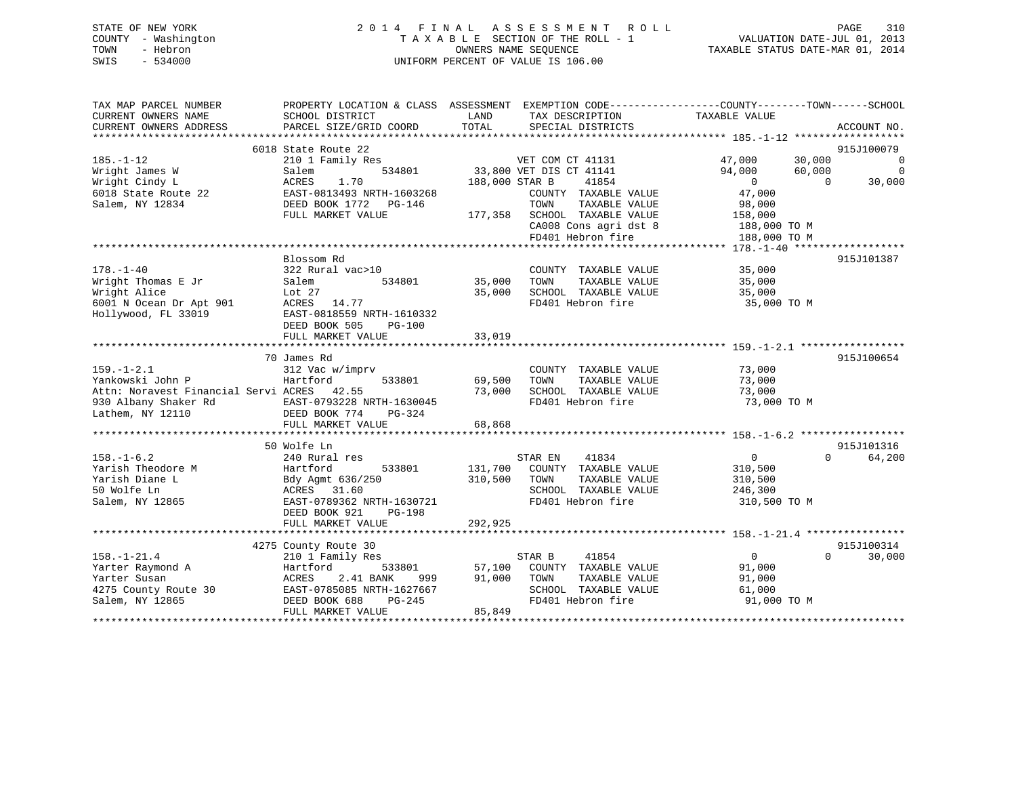# STATE OF NEW YORK 2 0 1 4 F I N A L A S S E S S M E N T R O L L PAGE 310 COUNTY - Washington T A X A B L E SECTION OF THE ROLL - 1 VALUATION DATE-JUL 01, 2013 TOWN - Hebron OWNERS NAME SEQUENCE TAXABLE STATUS DATE-MAR 01, 2014 SWIS - 534000 UNIFORM PERCENT OF VALUE IS 106.00

| 6018 State Route 22<br>210 1 Family Res                                                                                                          |                                                                                                                                                               |                                                                                                                |                                                                                                              |                                       |
|--------------------------------------------------------------------------------------------------------------------------------------------------|---------------------------------------------------------------------------------------------------------------------------------------------------------------|----------------------------------------------------------------------------------------------------------------|--------------------------------------------------------------------------------------------------------------|---------------------------------------|
|                                                                                                                                                  |                                                                                                                                                               |                                                                                                                |                                                                                                              |                                       |
|                                                                                                                                                  |                                                                                                                                                               | VET COM CT 41131                                                                                               | 30,000<br>47,000                                                                                             | 915J100079<br>$\mathbf 0$<br>$\Omega$ |
| ACRES<br>1.70<br>EAST-0813493 NRTH-1603268                                                                                                       |                                                                                                                                                               | 41854<br>COUNTY TAXABLE VALUE                                                                                  | $\overline{0}$<br>47,000                                                                                     | 30,000<br>$\Omega$                    |
| FULL MARKET VALUE                                                                                                                                |                                                                                                                                                               | CA008 Cons agri dst 8<br>FD401 Hebron fire                                                                     | 158,000<br>188,000 TO M<br>188,000 TO M                                                                      |                                       |
|                                                                                                                                                  |                                                                                                                                                               |                                                                                                                |                                                                                                              |                                       |
| Blossom Rd<br>322 Rural vac>10<br>534801<br>Salem<br>Lot 27<br>ACRES 14.77<br>EAST-0818559 NRTH-1610332<br>DEED BOOK 505<br>$PG-100$             | 35,000<br>35,000                                                                                                                                              | COUNTY TAXABLE VALUE<br>TOWN<br>TAXABLE VALUE<br>SCHOOL TAXABLE VALUE<br>FD401 Hebron fire                     | 35,000<br>35,000<br>35,000<br>35,000 TO M                                                                    | 915J101387                            |
|                                                                                                                                                  |                                                                                                                                                               |                                                                                                                |                                                                                                              |                                       |
|                                                                                                                                                  |                                                                                                                                                               |                                                                                                                |                                                                                                              |                                       |
| 312 Vac w/imprv<br>533801<br>Hartford<br>Attn: Noravest Financial Servi ACRES 42.55<br>EAST-0793228 NRTH-1630045<br>DEED BOOK 774<br>PG-324      | 69,500<br>73,000                                                                                                                                              | COUNTY TAXABLE VALUE<br>TOWN<br>TAXABLE VALUE<br>SCHOOL TAXABLE VALUE<br>FD401 Hebron fire                     | 73,000<br>73,000<br>73,000<br>73,000 TO M                                                                    | 915J100654                            |
|                                                                                                                                                  |                                                                                                                                                               |                                                                                                                |                                                                                                              |                                       |
|                                                                                                                                                  |                                                                                                                                                               |                                                                                                                |                                                                                                              |                                       |
| 240 Rural res<br>Hartford<br>533801<br>Bdy Agmt 636/250<br>ACRES 31.60<br>EAST-0789362 NRTH-1630721<br>DEED BOOK 921<br>PG-198                   | 131,700<br>310,500                                                                                                                                            | STAR EN<br>41834<br>COUNTY TAXABLE VALUE<br>TOWN<br>TAXABLE VALUE<br>SCHOOL TAXABLE VALUE<br>FD401 Hebron fire | $\overline{0}$<br>310,500<br>310,500<br>246,300<br>310,500 TO M                                              | 915J101316<br>$\Omega$<br>64,200      |
|                                                                                                                                                  |                                                                                                                                                               |                                                                                                                |                                                                                                              |                                       |
|                                                                                                                                                  |                                                                                                                                                               |                                                                                                                |                                                                                                              | 915J100314                            |
| 210 1 Family Res<br>533801<br>Hartford<br>2.41 BANK<br>ACRES<br>999<br>EAST-0785085 NRTH-1627667<br>DEED BOOK 688<br>PG-245<br>FULL MARKET VALUE | 57,100<br>91,000                                                                                                                                              | 41854<br>COUNTY TAXABLE VALUE<br>TAXABLE VALUE<br>TOWN<br>SCHOOL TAXABLE VALUE<br>FD401 Hebron fire            | $\overline{0}$<br>91,000<br>91,000<br>61,000<br>91,000 TO M                                                  | $\Omega$<br>30,000                    |
|                                                                                                                                                  | 534801<br>Salem<br>DEED BOOK 1772 PG-146<br>FULL MARKET VALUE<br>70 James Rd<br>FULL MARKET VALUE<br>50 Wolfe Ln<br>FULL MARKET VALUE<br>4275 County Route 30 | 33,019<br>68,868<br>292,925<br>85,849                                                                          | 33,800 VET DIS CT 41141<br>188,000 STAR B<br>TAXABLE VALUE<br>TOWN<br>177,358 SCHOOL TAXABLE VALUE<br>STAR B | 94,000<br>60,000<br>98,000            |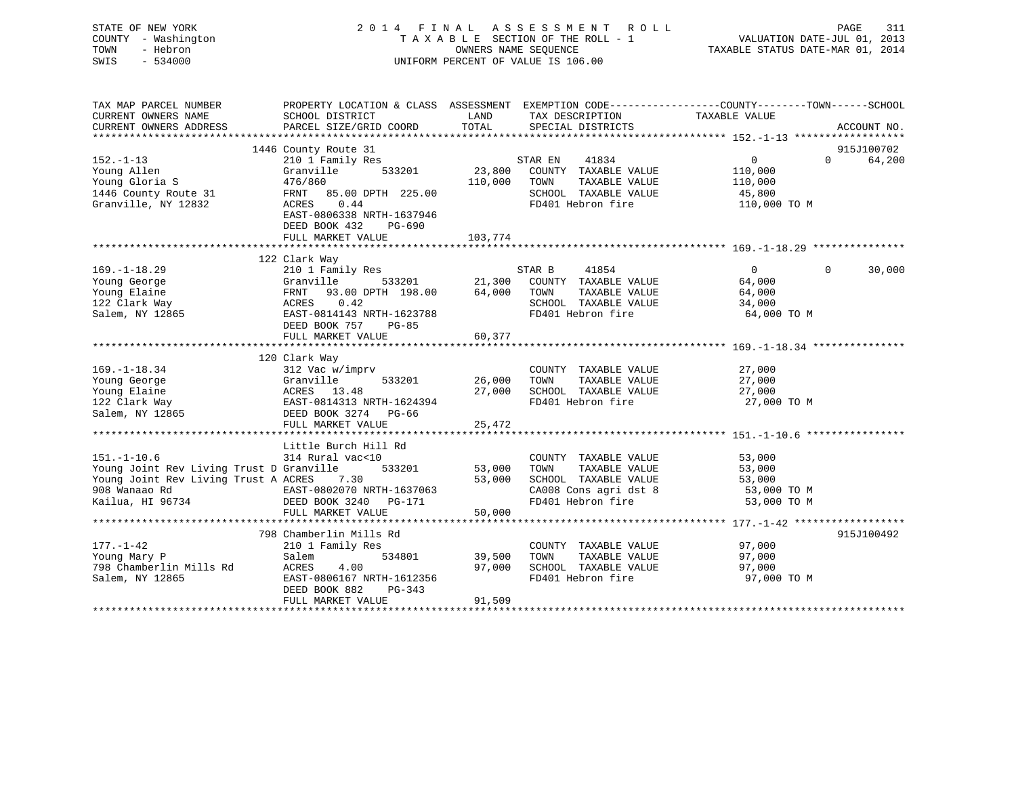| STATE OF NEW YORK<br>COUNTY - Washington<br>- Hebron<br>TOWN<br>SWIS<br>$-534000$ |                                                                                                         | OWNERS NAME SEOUENCE | 2014 FINAL ASSESSMENT ROLL<br>T A X A B L E SECTION OF THE ROLL - 1<br>UNIFORM PERCENT OF VALUE IS 106.00 | PAGE<br>311<br>VALUATION DATE-JUL 01, 2013<br>TAXABLE STATUS DATE-MAR 01, 2014                                    |
|-----------------------------------------------------------------------------------|---------------------------------------------------------------------------------------------------------|----------------------|-----------------------------------------------------------------------------------------------------------|-------------------------------------------------------------------------------------------------------------------|
| TAX MAP PARCEL NUMBER                                                             |                                                                                                         |                      |                                                                                                           | PROPERTY LOCATION & CLASS ASSESSMENT EXEMPTION CODE----------------COUNTY-------TOWN------SCHOOL<br>TAXABLE VALUE |
| CURRENT OWNERS NAME<br>CURRENT OWNERS ADDRESS                                     | SCHOOL DISTRICT<br>PARCEL SIZE/GRID COORD                                                               | LAND<br>TOTAL        | TAX DESCRIPTION<br>SPECIAL DISTRICTS                                                                      | ACCOUNT NO.                                                                                                       |
|                                                                                   |                                                                                                         |                      |                                                                                                           |                                                                                                                   |
|                                                                                   | 1446 County Route 31                                                                                    |                      |                                                                                                           | 915J100702                                                                                                        |
| $152. - 1 - 13$                                                                   | 210 1 Family Res                                                                                        |                      | STAR EN<br>41834                                                                                          | $\overline{0}$<br>$\Omega$<br>64,200                                                                              |
| Young Allen                                                                       | 533201<br>Granville                                                                                     | 23,800               | COUNTY TAXABLE VALUE                                                                                      | 110,000                                                                                                           |
| Young Gloria S<br>1446 County Route 31                                            | 476/860<br>FRNT 85.00 DPTH 225.00                                                                       | 110,000              | TAXABLE VALUE<br>TOWN<br>SCHOOL TAXABLE VALUE                                                             | 110,000                                                                                                           |
| Granville, NY 12832                                                               | ACRES<br>0.44                                                                                           |                      | FD401 Hebron fire                                                                                         | 45,800<br>110,000 TO M                                                                                            |
|                                                                                   | EAST-0806338 NRTH-1637946                                                                               |                      |                                                                                                           |                                                                                                                   |
|                                                                                   | DEED BOOK 432<br>PG-690                                                                                 |                      |                                                                                                           |                                                                                                                   |
|                                                                                   | FULL MARKET VALUE                                                                                       | 103,774              |                                                                                                           |                                                                                                                   |
|                                                                                   |                                                                                                         |                      |                                                                                                           |                                                                                                                   |
| $169. - 1 - 18.29$                                                                | 122 Clark Way<br>210 1 Family Res                                                                       |                      | STAR B<br>41854                                                                                           | 30,000<br>$\overline{0}$<br>$\Omega$                                                                              |
| Young George                                                                      | Granville<br>533201                                                                                     | 21,300               | COUNTY TAXABLE VALUE                                                                                      | 64,000                                                                                                            |
| Young Elaine                                                                      | FRNT<br>93.00 DPTH 198.00                                                                               | 64,000               | TOWN<br>TAXABLE VALUE                                                                                     | 64,000                                                                                                            |
| 122 Clark Way                                                                     | ACRES 0.42                                                                                              |                      | SCHOOL TAXABLE VALUE                                                                                      | 34,000                                                                                                            |
| Salem, NY 12865                                                                   | EAST-0814143 NRTH-1623788                                                                               |                      | FD401 Hebron fire                                                                                         | 64,000 TO M                                                                                                       |
|                                                                                   | DEED BOOK 757<br>$PG-85$                                                                                |                      |                                                                                                           |                                                                                                                   |
|                                                                                   | FULL MARKET VALUE                                                                                       | 60,377               |                                                                                                           |                                                                                                                   |
|                                                                                   | 120 Clark Way                                                                                           |                      |                                                                                                           |                                                                                                                   |
| $169. - 1 - 18.34$                                                                | 312 Vac w/imprv                                                                                         |                      | COUNTY TAXABLE VALUE                                                                                      | 27,000                                                                                                            |
| Young George                                                                      |                                                                                                         | 26,000               | TOWN<br>TAXABLE VALUE                                                                                     | 27,000                                                                                                            |
| Young Elaine                                                                      |                                                                                                         | 27,000               | SCHOOL TAXABLE VALUE                                                                                      | 27,000                                                                                                            |
| 122 Clark Way                                                                     | Granville<br>ACRES 13.48<br>EAST-0814313 NRTH-1624394<br>DEED BOOK 3274 PG-66<br>~~~~~~~~~ MARKET VALUE |                      | FD401 Hebron fire                                                                                         | 27,000 TO M                                                                                                       |
| Salem, NY 12865                                                                   |                                                                                                         | 25,472               |                                                                                                           |                                                                                                                   |
|                                                                                   |                                                                                                         |                      |                                                                                                           |                                                                                                                   |
|                                                                                   | Little Burch Hill Rd                                                                                    |                      |                                                                                                           |                                                                                                                   |
| $151. - 1 - 10.6$                                                                 | 314 Rural vac<10                                                                                        |                      | COUNTY TAXABLE VALUE                                                                                      | 53,000                                                                                                            |
| Young Joint Rev Living Trust D Granville                                          | 533201                                                                                                  | 53,000               | TAXABLE VALUE<br>TOWN                                                                                     | 53,000                                                                                                            |
| Young Joint Rev Living Trust A ACRES 7.30                                         |                                                                                                         | 53,000               | SCHOOL TAXABLE VALUE                                                                                      | 53,000                                                                                                            |
| 908 Wanaao Rd<br>Kailua, HI 96734                                                 | EAST-0802070 NRTH-1637063<br>DEED BOOK 3240 DO 171<br>DEED BOOK 3240 PG-171                             |                      | CA008 Cons agri dst 8<br>FD401 Hebron fire                                                                | 53,000 TO M<br>53,000 TO M                                                                                        |
|                                                                                   | FULL MARKET VALUE                                                                                       | 50,000               |                                                                                                           |                                                                                                                   |
|                                                                                   |                                                                                                         |                      |                                                                                                           |                                                                                                                   |
|                                                                                   | 798 Chamberlin Mills Rd                                                                                 |                      |                                                                                                           | 915J100492                                                                                                        |
| $177. - 1 - 42$                                                                   | 210 1 Family Res                                                                                        |                      | COUNTY TAXABLE VALUE                                                                                      | 97,000                                                                                                            |
| Young Mary P                                                                      | Salem<br>534801                                                                                         | 39,500               | TOWN<br>TAXABLE VALUE                                                                                     | 97,000                                                                                                            |
| 798 Chamberlin Mills Rd<br>Salem, NY 12865                                        | ACRES<br>4.00<br>EAST-0806167 NRTH-1612356                                                              | 97,000               | SCHOOL TAXABLE VALUE<br>FD401 Hebron fire                                                                 | 97,000<br>97,000 TO M                                                                                             |
|                                                                                   | DEED BOOK 882<br>PG-343                                                                                 |                      |                                                                                                           |                                                                                                                   |
|                                                                                   | FULL MARKET VALUE                                                                                       | 91,509               |                                                                                                           |                                                                                                                   |
|                                                                                   |                                                                                                         |                      |                                                                                                           |                                                                                                                   |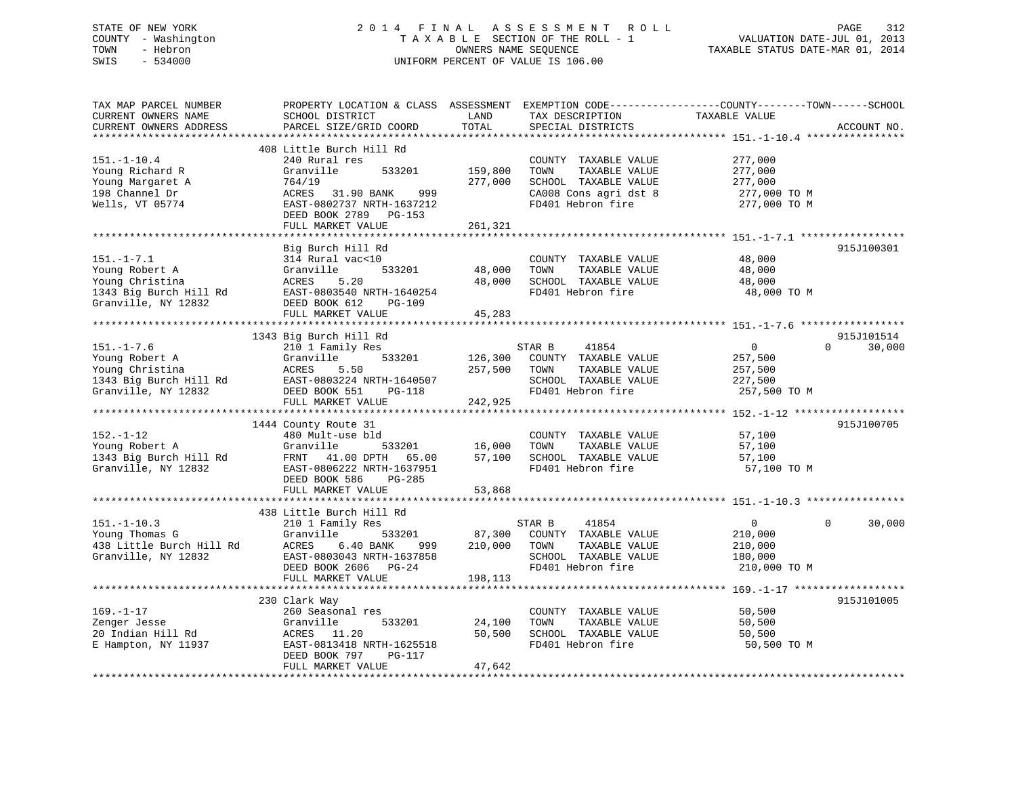# STATE OF NEW YORK 2 0 1 4 F I N A L A S S E S S M E N T R O L L PAGE 312 COUNTY - Washington T A X A B L E SECTION OF THE ROLL - 1 VALUATION DATE-JUL 01, 2013 TOWN - Hebron **CONNERS NAME SEQUENCE** TAXABLE STATUS DATE-MAR 01, 2014 SWIS - 534000 UNIFORM PERCENT OF VALUE IS 106.00

| TAX MAP PARCEL NUMBER<br>CURRENT OWNERS NAME<br>CURRENT OWNERS ADDRESS                                 | PROPERTY LOCATION & CLASS ASSESSMENT<br>SCHOOL DISTRICT<br>PARCEL SIZE/GRID COORD                                                                                       | LAND<br>TOTAL                 | TAX DESCRIPTION<br>SPECIAL DISTRICTS                                                                                | EXEMPTION CODE-----------------COUNTY-------TOWN------SCHOOL<br>TAXABLE VALUE | ACCOUNT NO.        |
|--------------------------------------------------------------------------------------------------------|-------------------------------------------------------------------------------------------------------------------------------------------------------------------------|-------------------------------|---------------------------------------------------------------------------------------------------------------------|-------------------------------------------------------------------------------|--------------------|
| *********************                                                                                  | *************************                                                                                                                                               |                               |                                                                                                                     |                                                                               |                    |
| $151. - 1 - 10.4$<br>Young Richard R<br>Young Margaret A<br>198 Channel Dr<br>Wells, VT 05774          | 408 Little Burch Hill Rd<br>240 Rural res<br>Granville<br>533201<br>764/19<br>ACRES 31.90 BANK<br>999<br>EAST-0802737 NRTH-1637212<br>DEED BOOK 2789 PG-153             | 159,800<br>277,000            | COUNTY TAXABLE VALUE<br>TAXABLE VALUE<br>TOWN<br>SCHOOL TAXABLE VALUE<br>CA008 Cons agri dst 8<br>FD401 Hebron fire | 277,000<br>277,000<br>277,000<br>277,000 TO M<br>277,000 TO M                 |                    |
|                                                                                                        | FULL MARKET VALUE                                                                                                                                                       | 261,321                       |                                                                                                                     |                                                                               |                    |
| $151. - 1 - 7.1$<br>Young Robert A<br>Young Christina<br>1343 Big Burch Hill Rd<br>Granville, NY 12832 | Big Burch Hill Rd<br>314 Rural vac<10<br>533201<br>Granville<br>ACRES<br>5.20<br>EAST-0803540 NRTH-1640254<br>DEED BOOK 612<br>PG-109                                   | 48,000<br>48,000              | COUNTY TAXABLE VALUE<br>TOWN<br>TAXABLE VALUE<br>SCHOOL TAXABLE VALUE<br>FD401 Hebron fire                          | 48,000<br>48,000<br>48,000<br>48,000 TO M                                     | 915J100301         |
|                                                                                                        | FULL MARKET VALUE                                                                                                                                                       | 45,283                        |                                                                                                                     |                                                                               |                    |
|                                                                                                        | 1343 Big Burch Hill Rd                                                                                                                                                  |                               |                                                                                                                     |                                                                               | 915J101514         |
| $151. - 1 - 7.6$<br>Young Robert A<br>Young Christina<br>1343 Big Burch Hill Rd<br>Granville, NY 12832 | 210 1 Family Res<br>Granville<br>533201<br>ACRES<br>5.50<br>EAST-0803224 NRTH-1640507<br>DEED BOOK 551<br>PG-118<br>FULL MARKET VALUE                                   | 126,300<br>257,500<br>242,925 | STAR B<br>41854<br>COUNTY TAXABLE VALUE<br>TOWN<br>TAXABLE VALUE<br>SCHOOL TAXABLE VALUE<br>FD401 Hebron fire       | $\mathbf 0$<br>257,500<br>257,500<br>227,500<br>257,500 TO M                  | $\Omega$<br>30,000 |
|                                                                                                        |                                                                                                                                                                         |                               |                                                                                                                     |                                                                               |                    |
| $152. - 1 - 12$<br>Young Robert A<br>1343 Big Burch Hill Rd<br>Granville, NY 12832                     | 1444 County Route 31<br>480 Mult-use bld<br>Granville<br>533201<br>FRNT 41.00 DPTH 65.00<br>EAST-0806222 NRTH-1637951<br>DEED BOOK 586<br>$PG-285$<br>FULL MARKET VALUE | 16,000<br>57,100<br>53,868    | COUNTY TAXABLE VALUE<br>TAXABLE VALUE<br>TOWN<br>SCHOOL TAXABLE VALUE<br>FD401 Hebron fire                          | 57,100<br>57,100<br>57,100<br>57,100 TO M                                     | 915J100705         |
|                                                                                                        | 438 Little Burch Hill Rd                                                                                                                                                |                               |                                                                                                                     |                                                                               |                    |
| $151. - 1 - 10.3$<br>Young Thomas G<br>438 Little Burch Hill Rd<br>Granville, NY 12832                 | 210 1 Family Res<br>Granville<br>533201<br>ACRES<br>6.40 BANK<br>999<br>EAST-0803043 NRTH-1637858<br>DEED BOOK 2606 PG-24<br>FULL MARKET VALUE                          | 87,300<br>210,000<br>198,113  | STAR B<br>41854<br>COUNTY TAXABLE VALUE<br>TAXABLE VALUE<br>TOWN<br>SCHOOL TAXABLE VALUE<br>FD401 Hebron fire       | $\overline{0}$<br>210,000<br>210,000<br>180,000<br>210,000 TO M               | 30,000<br>$\Omega$ |
|                                                                                                        |                                                                                                                                                                         |                               |                                                                                                                     |                                                                               |                    |
| $169. - 1 - 17$<br>Zenger Jesse<br>20 Indian Hill Rd<br>E Hampton, NY 11937                            | 230 Clark Way<br>260 Seasonal res<br>Granville<br>533201<br>ACRES 11.20<br>EAST-0813418 NRTH-1625518<br>DEED BOOK 797<br>PG-117<br>FULL MARKET VALUE                    | 24,100<br>50,500<br>47,642    | COUNTY TAXABLE VALUE<br>TOWN<br>TAXABLE VALUE<br>SCHOOL TAXABLE VALUE<br>FD401 Hebron fire                          | 50,500<br>50,500<br>50,500<br>50,500 TO M                                     | 915J101005         |
|                                                                                                        |                                                                                                                                                                         |                               |                                                                                                                     |                                                                               |                    |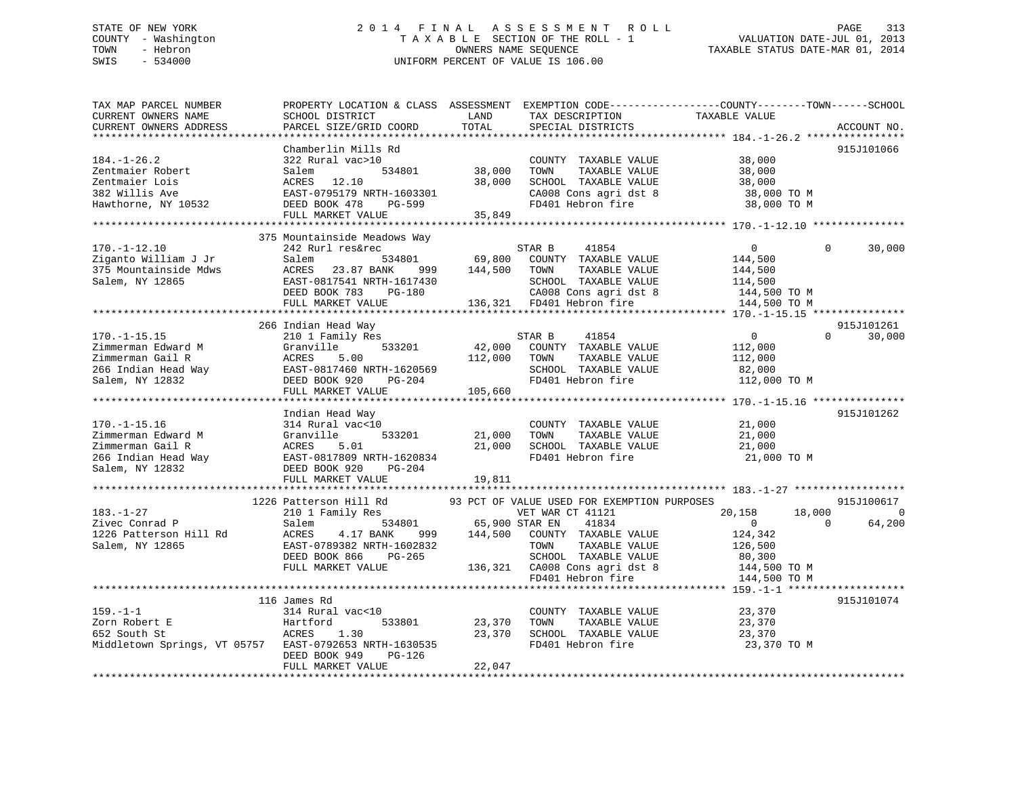# STATE OF NEW YORK 2 0 1 4 F I N A L A S S E S S M E N T R O L L PAGE 313 COUNTY - Washington T A X A B L E SECTION OF THE ROLL - 1 VALUATION DATE-JUL 01, 2013 TOWN - Hebron OWNERS NAME SEQUENCE TAXABLE STATUS DATE-MAR 01, 2014 SWIS - 534000 UNIFORM PERCENT OF VALUE IS 106.00

| TAX MAP PARCEL NUMBER<br>CURRENT OWNERS NAME<br>CURRENT OWNERS ADDRESS<br>*********************           | PROPERTY LOCATION & CLASS ASSESSMENT<br>SCHOOL DISTRICT<br>PARCEL SIZE/GRID COORD                                                                                              | LAND<br>TOTAL                | TAX DESCRIPTION<br>SPECIAL DISTRICTS                                                                                                                                                                    | EXEMPTION CODE-----------------COUNTY-------TOWN------SCHOOL<br>TAXABLE VALUE                          | ACCOUNT NO.                                        |
|-----------------------------------------------------------------------------------------------------------|--------------------------------------------------------------------------------------------------------------------------------------------------------------------------------|------------------------------|---------------------------------------------------------------------------------------------------------------------------------------------------------------------------------------------------------|--------------------------------------------------------------------------------------------------------|----------------------------------------------------|
| $184. - 1 - 26.2$<br>Zentmaier Robert<br>Zentmaier Lois<br>382 Willis Ave<br>Hawthorne, NY 10532          | Chamberlin Mills Rd<br>322 Rural vac>10<br>534801<br>Salem<br>ACRES 12.10<br>EAST-0795179 NRTH-1603301<br>DEED BOOK 478<br>PG-599<br>FULL MARKET VALUE                         | 38,000<br>38,000<br>35,849   | COUNTY TAXABLE VALUE<br>TOWN<br>TAXABLE VALUE<br>SCHOOL TAXABLE VALUE<br>CA008 Cons agri dst 8<br>FD401 Hebron fire                                                                                     | 38,000<br>38,000<br>38,000<br>38,000 TO M<br>38,000 TO M                                               | 915J101066                                         |
| $170. - 1 - 12.10$<br>Ziganto William J Jr<br>375 Mountainside Mdws<br>Salem, NY 12865                    | 375 Mountainside Meadows Way<br>242 Rurl res&rec<br>534801<br>Salem<br>ACRES<br>23.87 BANK<br>999<br>EAST-0817541 NRTH-1617430<br>DEED BOOK 783<br>PG-180<br>FULL MARKET VALUE | 69,800<br>144,500            | STAR B<br>41854<br>COUNTY TAXABLE VALUE<br>TOWN<br>TAXABLE VALUE<br>SCHOOL TAXABLE VALUE<br>CA008 Cons agri dst 8<br>136,321 FD401 Hebron fire                                                          | $\overline{0}$<br>144,500<br>144,500<br>114,500<br>t 8 $\frac{144,500}{144,500}$ TO M<br>144 F.00 TO M | 30,000<br>$\Omega$                                 |
| $170. - 1 - 15.15$<br>Zimmerman Edward M<br>Zimmerman Gail R<br>266 Indian Head Way<br>Salem, NY 12832    | 266 Indian Head Way<br>210 1 Family Res<br>533201<br>Granville<br>5.00<br>ACRES<br>EAST-0817460 NRTH-1620569<br>DEED BOOK 920<br>PG-204<br>FULL MARKET VALUE                   | 42,000<br>112,000<br>105,660 | STAR B<br>41854<br>COUNTY TAXABLE VALUE<br>TOWN<br>TAXABLE VALUE<br>SCHOOL TAXABLE VALUE<br>FD401 Hebron fire                                                                                           | $\overline{0}$<br>112,000<br>112,000<br>82,000<br>112,000 TO M                                         | 915J101261<br>30,000<br>$\Omega$                   |
| $170. - 1 - 15.16$<br>Zimmerman Edward M<br>Zimmerman Gail R<br>266 Indian Head Way<br>Salem, NY 12832    | Indian Head Way<br>314 Rural vac<10<br>533201<br>Granville<br>ACRES<br>5.01<br>EAST-0817809 NRTH-1620834<br>DEED BOOK 920<br>PG-204<br>FULL MARKET VALUE                       | 21,000<br>21,000<br>19,811   | COUNTY TAXABLE VALUE<br>TOWN<br>TAXABLE VALUE<br>SCHOOL TAXABLE VALUE<br>FD401 Hebron fire                                                                                                              | 21,000<br>21,000<br>21,000<br>21,000 TO M                                                              | 915J101262                                         |
| $183. - 1 - 27$<br>Zivec Conrad P<br>1226 Patterson Hill Rd<br>Salem, NY 12865                            | 1226 Patterson Hill Rd<br>210 1 Family Res<br>534801<br>Salem<br>ACRES<br>4.17 BANK<br>999<br>EAST-0789382 NRTH-1602832<br>DEED BOOK 866<br>PG-265<br>FULL MARKET VALUE        | 65,900 STAR EN<br>144,500    | 93 PCT OF VALUE USED FOR EXEMPTION PURPOSES<br>VET WAR CT 41121<br>41834<br>COUNTY TAXABLE VALUE<br>TOWN<br>TAXABLE VALUE<br>SCHOOL TAXABLE VALUE<br>136,321 CA008 Cons agri dst 8<br>FD401 Hebron fire | 20,158<br>18,000<br>$\Omega$<br>124,342<br>126,500<br>80,300<br>144,500 TO M                           | 915J100617<br>$\overline{0}$<br>$\Omega$<br>64,200 |
| $159. - 1 - 1$<br>Zorn Robert E<br>652 South St<br>Middletown Springs, VT 05757 EAST-0792653 NRTH-1630535 | 116 James Rd<br>314 Rural vac<10<br>533801<br>Hartford<br>ACRES<br>1.30<br>DEED BOOK 949<br>PG-126<br>FULL MARKET VALUE                                                        | 23,370<br>23,370<br>22,047   | COUNTY TAXABLE VALUE<br>TOWN<br>TAXABLE VALUE<br>SCHOOL TAXABLE VALUE<br>FD401 Hebron fire                                                                                                              | 144,500 TO M<br>23,370<br>23,370<br>23,370<br>23,370 TO M                                              | 915J101074                                         |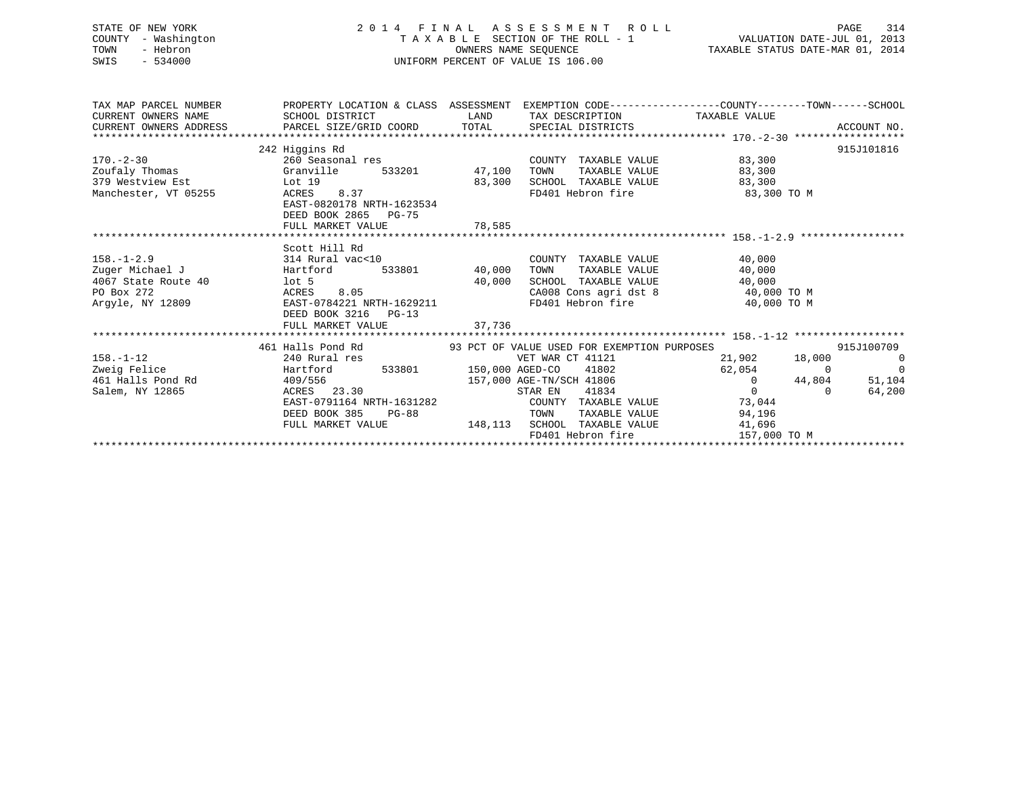STATE OF NEW YORK 2 0 1 4 F I N A L A S S E S S M E N T R O L L PAGE 314 COUNTY - Washington T A X A B L E SECTION OF THE ROLL - 1 VALUATION DATE-JUL 01, 2013 TOWN - Hebron OWNERS NAME SEQUENCE TAXABLE STATUS DATE-MAR 01, 2014 SWIS - 534000 UNIFORM PERCENT OF VALUE IS 106.00

|                           | TAX MAP PARCEL NUMBER THE PROPERTY LOCATION & CLASS ASSESSMENT EXEMPTION CODE--------------COUNTY-------TOWN------SCHOOL |                    |                                                                            |                      |                          |
|---------------------------|--------------------------------------------------------------------------------------------------------------------------|--------------------|----------------------------------------------------------------------------|----------------------|--------------------------|
|                           | SCHOOL DISTRICT                                                                                                          |                    |                                                                            |                      |                          |
|                           |                                                                                                                          |                    |                                                                            |                      |                          |
|                           |                                                                                                                          |                    |                                                                            |                      |                          |
|                           | 242 Higgins Rd                                                                                                           |                    |                                                                            |                      | 915J101816               |
| $170. - 2 - 30$           | 260 Seasonal res                                                                                                         |                    | COUNTY TAXABLE VALUE 63,300                                                |                      |                          |
| Zoufaly Thomas Granville  | 533201 47,100 TOWN                                                                                                       |                    |                                                                            | TAXABLE VALUE 83,300 |                          |
| 379 Westview Est Lot 19   |                                                                                                                          | 83,300             | SCHOOL TAXABLE VALUE 63,300                                                |                      |                          |
| Manchester, VT 05255      | ACRES 8.37                                                                                                               |                    | FD401 Hebron fire 83,300 TO M                                              |                      |                          |
|                           | EAST-0820178 NRTH-1623534                                                                                                |                    |                                                                            |                      |                          |
|                           | DEED BOOK 2865 PG-75                                                                                                     |                    |                                                                            |                      |                          |
|                           | FULL MARKET VALUE                                                                                                        | 78,585             |                                                                            |                      |                          |
|                           |                                                                                                                          |                    |                                                                            |                      |                          |
|                           | Scott Hill Rd                                                                                                            |                    |                                                                            |                      |                          |
| $158. - 1 - 2.9$          | 314 Rural vac<10                                                                                                         |                    | COUNTY TAXABLE VALUE 40,000                                                |                      |                          |
| Zuger Michael J Bartford  |                                                                                                                          | 533801 40,000 TOWN | TAXABLE VALUE                                                              | 40,000               |                          |
| 4067 State Route 40 lot 5 |                                                                                                                          |                    | $40,000$ SCHOOL TAXABLE VALUE $40,000$ CA008 Cons agri dst 8 $40,000$ TO M |                      |                          |
| PO Box 272                | 8.05<br>ACRES                                                                                                            |                    |                                                                            |                      |                          |
| Arqyle, NY 12809          | EAST-0784221 NRTH-1629211                                                                                                |                    | FD401 Hebron fire                                                          | 40,000 TO M          |                          |
|                           | DEED BOOK 3216 PG-13                                                                                                     |                    |                                                                            |                      |                          |
|                           |                                                                                                                          |                    |                                                                            |                      |                          |
|                           |                                                                                                                          |                    |                                                                            |                      |                          |
|                           | 461 Halls Pond Rd 693 PCT OF VALUE USED FOR EXEMPTION PURPOSES                                                           |                    |                                                                            |                      | 915J100709               |
| $158. - 1 - 12$           | 240 Rural res                                                                                                            |                    | VET WAR CT 41121                                                           | 21,902 18,000        | $\overline{\phantom{0}}$ |
| Zweig Felice              | Hartford 533801 150,000 AGED-CO 41802<br>409/556 157,000 AGE-TN/SCH 41806                                                |                    |                                                                            | 62,054 0             | $\overline{\phantom{0}}$ |
| 461 Halls Pond Rd         |                                                                                                                          |                    |                                                                            | $\overline{0}$       | 44,804<br>51,104         |
| Salem, NY 12865           | ACRES 23.30                                                                                                              |                    | STAR EN<br>41834                                                           | $\overline{0}$       | 64,200<br>$\Omega$       |
|                           | EAST-0791164 NRTH-1631282                                                                                                |                    | COUNTY TAXABLE VALUE 73,044                                                |                      |                          |
|                           | DEED BOOK 385<br>$PG-88$                                                                                                 |                    | TOWN                                                                       | TAXABLE VALUE 94,196 |                          |
|                           | FULL MARKET VALUE                                                                                                        |                    | 148,113 SCHOOL TAXABLE VALUE                                               | 41,696               |                          |
|                           |                                                                                                                          |                    | FD401 Hebron fire                                                          | 157,000 TO M         |                          |
|                           |                                                                                                                          |                    |                                                                            |                      |                          |
|                           |                                                                                                                          |                    |                                                                            |                      |                          |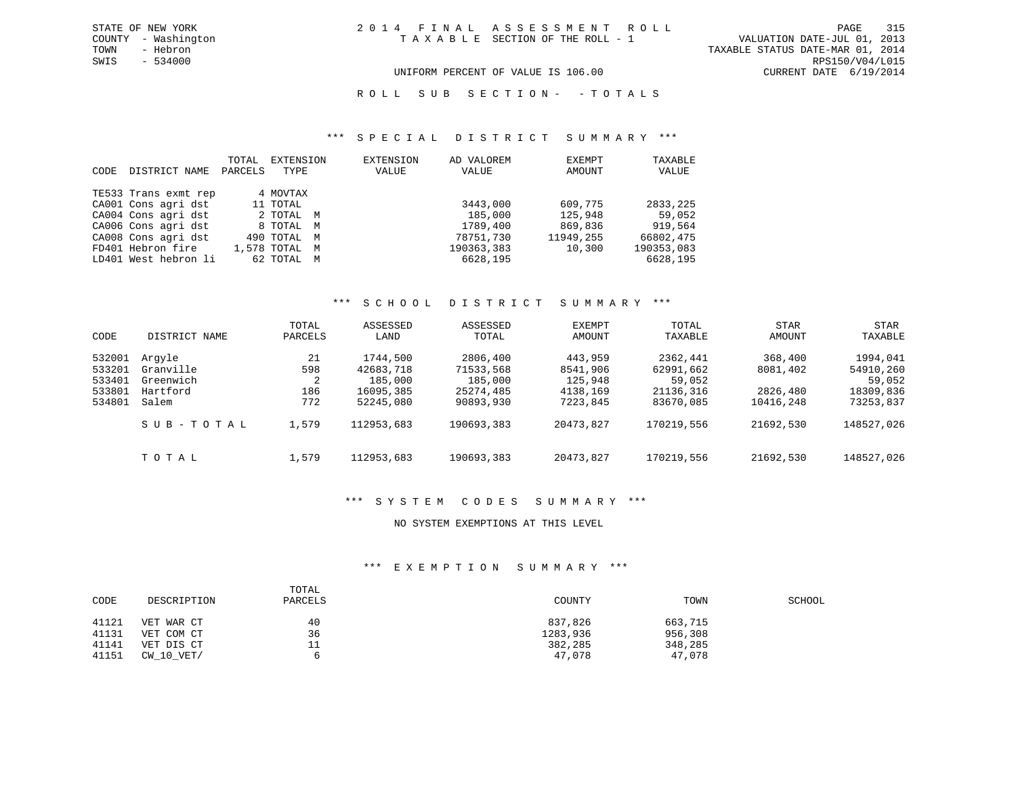UNIFORM PERCENT OF VALUE IS 106.00 CURRENT DATE 6/19/2014

ROLL SUB SECTION - - TOTALS

### \*\*\* S P E C I A L D I S T R I C T S U M M A R Y \*\*\*

| CODE | DISTRICT NAME        | TOTAL<br>PARCELS | EXTENSION<br>TYPE | EXTENSION<br>VALUE | AD VALOREM<br>VALUE | EXEMPT<br>AMOUNT | TAXABLE<br>VALUE |
|------|----------------------|------------------|-------------------|--------------------|---------------------|------------------|------------------|
|      | TE533 Trans exmt rep |                  | 4 MOVTAX          |                    |                     |                  |                  |
|      | CA001 Cons agri dst  |                  | 11 TOTAL          |                    | 3443,000            | 609,775          | 2833,225         |
|      | CA004 Cons agri dst  |                  | 2 TOTAL M         |                    | 185,000             | 125,948          | 59,052           |
|      | CA006 Cons agri dst  |                  | 8 TOTAL M         |                    | 1789,400            | 869,836          | 919,564          |
|      | CA008 Cons agri dst  |                  | 490 TOTAL M       |                    | 78751,730           | 11949,255        | 66802,475        |
|      | FD401 Hebron fire    |                  | 1,578 TOTAL M     |                    | 190363,383          | 10,300           | 190353,083       |
|      | LD401 West hebron li |                  | 62 TOTAL M        |                    | 6628,195            |                  | 6628,195         |

### \*\*\* S C H O O L D I S T R I C T S U M M A R Y \*\*\*

| CODE                                           | DISTRICT NAME                                         | TOTAL<br>PARCELS             | ASSESSED<br>LAND                                           | ASSESSED<br>TOTAL                                          | EXEMPT<br>AMOUNT                                       | TOTAL<br>TAXABLE                                          | <b>STAR</b><br>AMOUNT                        | <b>STAR</b><br>TAXABLE                                    |
|------------------------------------------------|-------------------------------------------------------|------------------------------|------------------------------------------------------------|------------------------------------------------------------|--------------------------------------------------------|-----------------------------------------------------------|----------------------------------------------|-----------------------------------------------------------|
| 532001<br>533201<br>533401<br>533801<br>534801 | Arqyle<br>Granville<br>Greenwich<br>Hartford<br>Salem | 21<br>598<br>2<br>186<br>772 | 1744,500<br>42683,718<br>185,000<br>16095,385<br>52245,080 | 2806,400<br>71533,568<br>185,000<br>25274,485<br>90893,930 | 443,959<br>8541,906<br>125,948<br>4138,169<br>7223,845 | 2362,441<br>62991,662<br>59,052<br>21136,316<br>83670,085 | 368,400<br>8081,402<br>2826,480<br>10416,248 | 1994,041<br>54910,260<br>59,052<br>18309,836<br>73253,837 |
|                                                | SUB-TOTAL                                             | 1,579                        | 112953,683                                                 | 190693,383                                                 | 20473,827                                              | 170219,556                                                | 21692,530                                    | 148527,026                                                |
|                                                | TOTAL                                                 | 1,579                        | 112953,683                                                 | 190693,383                                                 | 20473,827                                              | 170219,556                                                | 21692,530                                    | 148527,026                                                |

### \*\*\* S Y S T E M C O D E S S U M M A R Y \*\*\*

### NO SYSTEM EXEMPTIONS AT THIS LEVEL

### \*\*\* E X E M P T I O N S U M M A R Y \*\*\*

| CODE  | DESCRIPTION    | TOTAL<br>PARCELS | COUNTY   | TOWN    | SCHOOL |
|-------|----------------|------------------|----------|---------|--------|
| 41121 | VET WAR CT     | 40               | 837,826  | 663,715 |        |
| 41131 | VET COM CT     | 36               | 1283,936 | 956,308 |        |
| 41141 | VET DIS CT     | <b>__</b>        | 382,285  | 348,285 |        |
| 41151 | $CW$ 10 $VET/$ | ь                | 47,078   | 47,078  |        |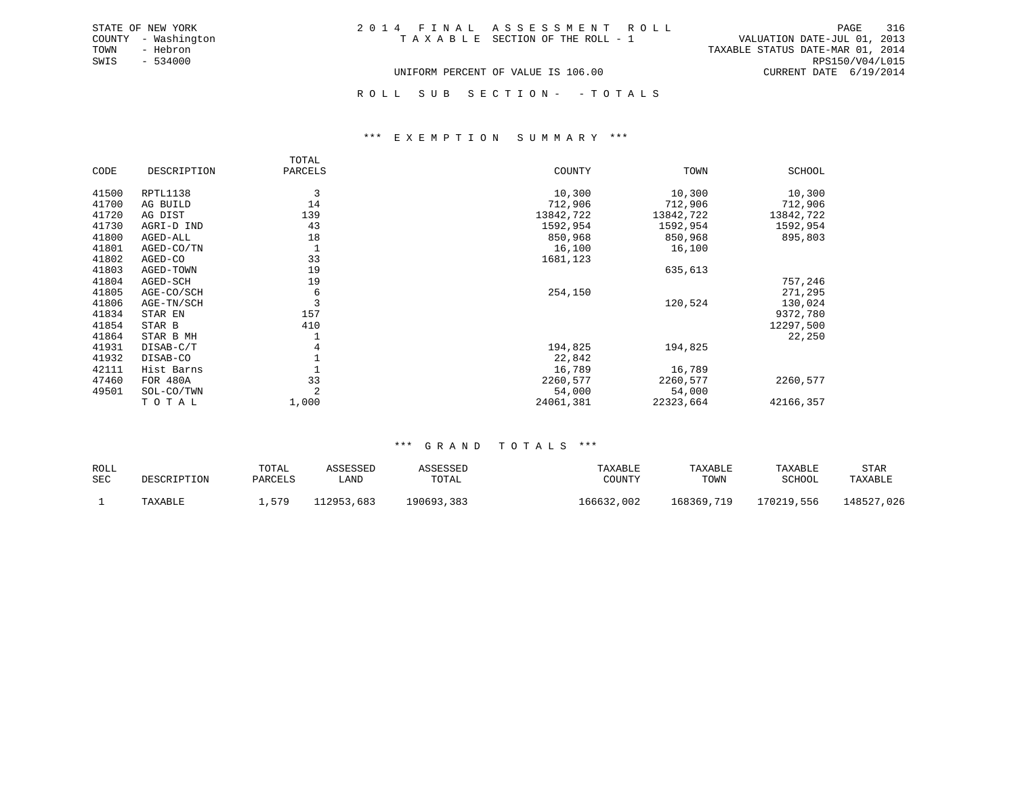| 2014 FINAL ASSESSMENT ROLL         |  |                                  | PAGE            | 316 |
|------------------------------------|--|----------------------------------|-----------------|-----|
| TAXABLE SECTION OF THE ROLL - 1    |  | VALUATION DATE-JUL 01, 2013      |                 |     |
|                                    |  | TAXABLE STATUS DATE-MAR 01, 2014 |                 |     |
|                                    |  |                                  | RPS150/V04/L015 |     |
| UNIFORM PERCENT OF VALUE IS 106.00 |  | CURRENT DATE 6/19/2014           |                 |     |

COUNTY - Washington TOWN - Hebron SWIS - 534000

STATE OF NEW YORK

ROLL SUB SECTION - - TOTALS

#### \*\*\* E X E M P T I O N S U M M A R Y \*\*\*

|       |             | TOTAL   |           |           |           |
|-------|-------------|---------|-----------|-----------|-----------|
| CODE  | DESCRIPTION | PARCELS | COUNTY    | TOWN      | SCHOOL    |
| 41500 | RPTL1138    | 3       | 10,300    | 10,300    | 10,300    |
| 41700 | AG BUILD    | 14      | 712,906   | 712,906   | 712,906   |
| 41720 | AG DIST     | 139     | 13842,722 | 13842,722 | 13842,722 |
| 41730 | AGRI-D IND  | 43      | 1592,954  | 1592,954  | 1592,954  |
| 41800 | AGED-ALL    | 18      | 850,968   | 850,968   | 895,803   |
| 41801 | AGED-CO/TN  | 1       | 16,100    | 16,100    |           |
| 41802 | AGED-CO     | 33      | 1681,123  |           |           |
| 41803 | AGED-TOWN   | 19      |           | 635,613   |           |
| 41804 | AGED-SCH    | 19      |           |           | 757,246   |
| 41805 | AGE-CO/SCH  | 6       | 254,150   |           | 271,295   |
| 41806 | AGE-TN/SCH  | 3       |           | 120,524   | 130,024   |
| 41834 | STAR EN     | 157     |           |           | 9372,780  |
| 41854 | STAR B      | 410     |           |           | 12297,500 |
| 41864 | STAR B MH   |         |           |           | 22,250    |
| 41931 | DISAB-C/T   | 4       | 194,825   | 194,825   |           |
| 41932 | DISAB-CO    |         | 22,842    |           |           |
| 42111 | Hist Barns  |         | 16,789    | 16,789    |           |
| 47460 | FOR 480A    | 33      | 2260,577  | 2260,577  | 2260,577  |
| 49501 | SOL-CO/TWN  | 2       | 54,000    | 54,000    |           |
|       | TOTAL       | 1,000   | 24061,381 | 22323,664 | 42166,357 |

| ROLL       |             | TOTAL   | ASSESSED   | ASSESSED   | TAXABLE    | TAXABLE    | TAXABLE    | STAR           |
|------------|-------------|---------|------------|------------|------------|------------|------------|----------------|
| <b>SEC</b> | DESCRIPTION | PARCELS | ∟AND       | TOTAL      | COUNTY     | TOWN       | SCHOOL     | TAXABLE        |
|            | TAXABLE     | 579     | 112953,683 | 190693,383 | 166632,002 | 168369,719 | 170219,556 | 148527<br>,026 |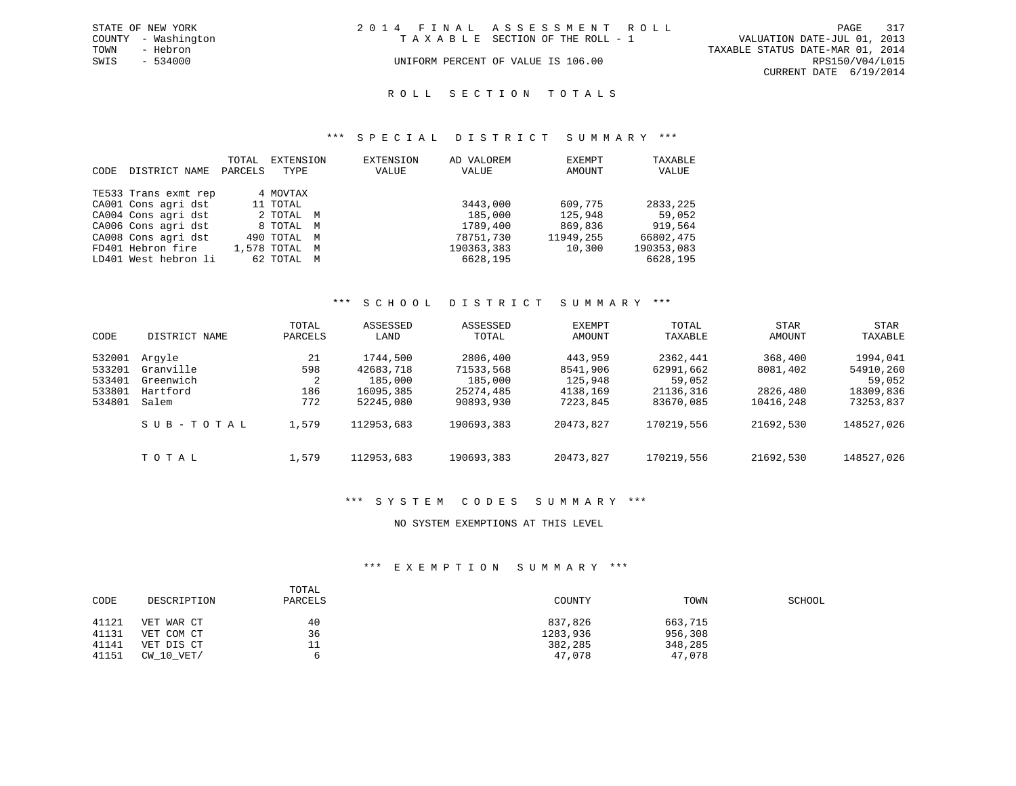|      | STATE OF NEW YORK   | 2014 FINAL ASSESSMENT ROLL |                                    |                                  |                        | PAGE 317 |
|------|---------------------|----------------------------|------------------------------------|----------------------------------|------------------------|----------|
|      | COUNTY - Washington |                            | TAXABLE SECTION OF THE ROLL - 1    | VALUATION DATE-JUL 01, 2013      |                        |          |
| TOWN | - Hebron            |                            |                                    | TAXABLE STATUS DATE-MAR 01, 2014 |                        |          |
| SWIS | $-534000$           |                            | UNIFORM PERCENT OF VALUE IS 106.00 |                                  | RPS150/V04/L015        |          |
|      |                     |                            |                                    |                                  | CURRENT DATE 6/19/2014 |          |

#### R O L L S E C T I O N T O T A L S

### \*\*\* S P E C I A L D I S T R I C T S U M M A R Y \*\*\*

| CODE | DISTRICT NAME        | TOTAL<br>PARCELS | EXTENSION<br>TYPE | EXTENSION<br>VALUE | AD VALOREM<br>VALUE | EXEMPT<br>AMOUNT | TAXABLE<br>VALUE |
|------|----------------------|------------------|-------------------|--------------------|---------------------|------------------|------------------|
|      | TE533 Trans exmt rep |                  | 4 MOVTAX          |                    |                     |                  |                  |
|      | CA001 Cons agri dst  |                  | 11 TOTAL          |                    | 3443,000            | 609,775          | 2833, 225        |
|      | CA004 Cons agri dst  |                  | 2 TOTAL M         |                    | 185,000             | 125,948          | 59,052           |
|      | CA006 Cons agri dst  |                  | 8 TOTAL M         |                    | 1789,400            | 869,836          | 919,564          |
|      | CA008 Cons agri dst  |                  | 490 TOTAL M       |                    | 78751,730           | 11949,255        | 66802,475        |
|      | FD401 Hebron fire    |                  | 1,578 TOTAL M     |                    | 190363,383          | 10,300           | 190353,083       |
|      | LD401 West hebron li |                  | 62 TOTAL M        |                    | 6628,195            |                  | 6628,195         |

### \*\*\* S C H O O L D I S T R I C T S U M M A R Y \*\*\*

| CODE                                           | DISTRICT NAME                                         | TOTAL<br>PARCELS             | ASSESSED<br>LAND                                           | ASSESSED<br>TOTAL                                          | EXEMPT<br><b>AMOUNT</b>                                | TOTAL<br>TAXABLE                                          | <b>STAR</b><br>AMOUNT                        | <b>STAR</b><br>TAXABLE                                    |
|------------------------------------------------|-------------------------------------------------------|------------------------------|------------------------------------------------------------|------------------------------------------------------------|--------------------------------------------------------|-----------------------------------------------------------|----------------------------------------------|-----------------------------------------------------------|
| 532001<br>533201<br>533401<br>533801<br>534801 | Arqyle<br>Granville<br>Greenwich<br>Hartford<br>Salem | 21<br>598<br>2<br>186<br>772 | 1744,500<br>42683,718<br>185,000<br>16095,385<br>52245,080 | 2806,400<br>71533,568<br>185,000<br>25274,485<br>90893,930 | 443,959<br>8541,906<br>125,948<br>4138,169<br>7223,845 | 2362,441<br>62991,662<br>59,052<br>21136,316<br>83670,085 | 368,400<br>8081,402<br>2826,480<br>10416,248 | 1994,041<br>54910,260<br>59,052<br>18309,836<br>73253,837 |
|                                                | SUB-TOTAL                                             | 1,579                        | 112953,683                                                 | 190693,383                                                 | 20473,827                                              | 170219,556                                                | 21692,530                                    | 148527,026                                                |
|                                                | TOTAL                                                 | 1,579                        | 112953,683                                                 | 190693,383                                                 | 20473,827                                              | 170219,556                                                | 21692,530                                    | 148527,026                                                |

### \*\*\* S Y S T E M C O D E S S U M M A R Y \*\*\*

### NO SYSTEM EXEMPTIONS AT THIS LEVEL

### \*\*\* E X E M P T I O N S U M M A R Y \*\*\*

| CODE  | DESCRIPTION    | TOTAL<br>PARCELS | COUNTY   | TOWN    | SCHOOL |
|-------|----------------|------------------|----------|---------|--------|
| 41121 | VET WAR CT     | 40               | 837,826  | 663,715 |        |
| 41131 | VET COM CT     | 36               | 1283,936 | 956,308 |        |
| 41141 | VET DIS CT     | TT               | 382,285  | 348,285 |        |
| 41151 | $CW$ 10 $VET/$ |                  | 47,078   | 47,078  |        |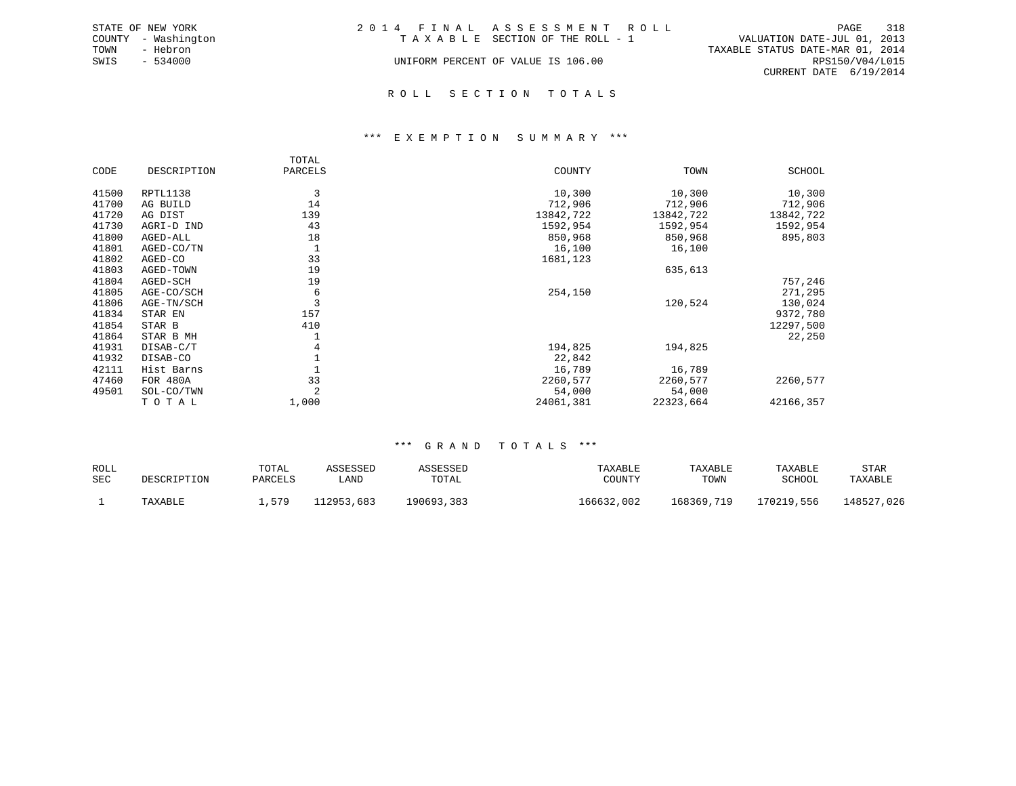|      | STATE OF NEW YORK   | 2014 FINAL ASSESSMENT ROLL         |                                  | PAGE                   | 318 |
|------|---------------------|------------------------------------|----------------------------------|------------------------|-----|
|      | COUNTY - Washington | TAXABLE SECTION OF THE ROLL - 1    | VALUATION DATE-JUL 01, 2013      |                        |     |
| TOWN | - Hebron            |                                    | TAXABLE STATUS DATE-MAR 01, 2014 |                        |     |
| SWIS | $-534000$           | UNIFORM PERCENT OF VALUE IS 106.00 |                                  | RPS150/V04/L015        |     |
|      |                     |                                    |                                  | CURRENT DATE 6/19/2014 |     |
|      |                     |                                    |                                  |                        |     |

### R O L L S E C T I O N T O T A L S

### \*\*\* E X E M P T I O N S U M M A R Y \*\*\*

|       |             | TOTAL   |           |           |               |
|-------|-------------|---------|-----------|-----------|---------------|
| CODE  | DESCRIPTION | PARCELS | COUNTY    | TOWN      | <b>SCHOOL</b> |
| 41500 | RPTL1138    | 3       | 10,300    | 10,300    | 10,300        |
| 41700 | AG BUILD    | 14      | 712,906   | 712,906   | 712,906       |
| 41720 | AG DIST     | 139     | 13842,722 | 13842,722 | 13842,722     |
| 41730 | AGRI-D IND  | 43      | 1592,954  | 1592,954  | 1592,954      |
| 41800 | AGED-ALL    | 18      | 850,968   | 850,968   | 895,803       |
| 41801 | AGED-CO/TN  |         | 16,100    | 16,100    |               |
| 41802 | AGED-CO     | 33      | 1681,123  |           |               |
| 41803 | AGED-TOWN   | 19      |           | 635,613   |               |
| 41804 | AGED-SCH    | 19      |           |           | 757,246       |
| 41805 | AGE-CO/SCH  | 6       | 254,150   |           | 271,295       |
| 41806 | AGE-TN/SCH  | 3       |           | 120,524   | 130,024       |
| 41834 | STAR EN     | 157     |           |           | 9372,780      |
| 41854 | STAR B      | 410     |           |           | 12297,500     |
| 41864 | STAR B MH   |         |           |           | 22,250        |
| 41931 | DISAB-C/T   | 4       | 194,825   | 194,825   |               |
| 41932 | DISAB-CO    |         | 22,842    |           |               |
| 42111 | Hist Barns  |         | 16,789    | 16,789    |               |
| 47460 | FOR 480A    | 33      | 2260,577  | 2260,577  | 2260,577      |
| 49501 | SOL-CO/TWN  | 2       | 54,000    | 54,000    |               |
|       | TOTAL       | 1,000   | 24061,381 | 22323,664 | 42166,357     |

| ROLL       |             | TOTAL   | ASSESSED   | ASSESSED   | TAXABLE    | TAXABLE    | TAXABLE    | STAR       |
|------------|-------------|---------|------------|------------|------------|------------|------------|------------|
| <b>SEC</b> | DESCRIPTION | PARCELS | LAND       | TOTAL      | COUNTY     | TOWN       | SCHOOL     | TAXABLE    |
|            | TAXABLE     | 579     | 112953,683 | 190693,383 | 166632,002 | 168369,719 | 170219,556 | 148527,026 |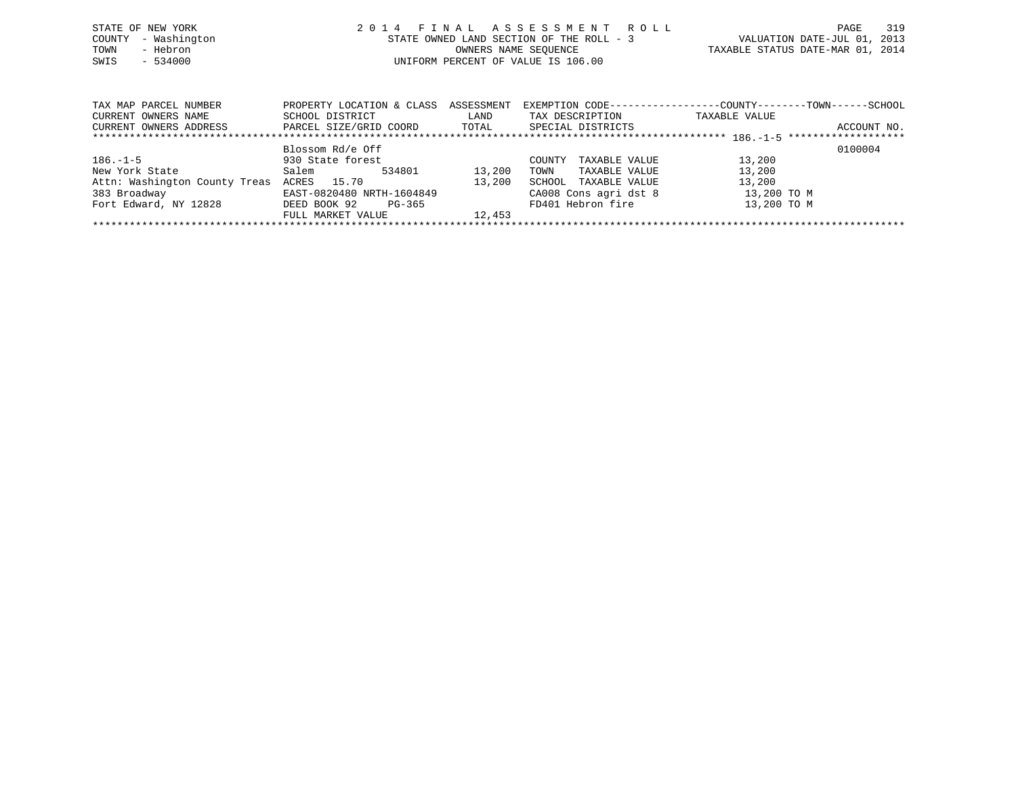| STATE OF NEW YORK   | 2014 FINAL ASSESSMENT ROLL               | 319<br>PAGE                      |
|---------------------|------------------------------------------|----------------------------------|
| COUNTY - Washington | STATE OWNED LAND SECTION OF THE ROLL - 3 | VALUATION DATE-JUL 01, 2013      |
| - Hebron<br>TOWN    | OWNERS NAME SEOUENCE                     | TAXABLE STATUS DATE-MAR 01, 2014 |
| $-534000$<br>SWIS   | UNIFORM PERCENT OF VALUE IS 106.00       |                                  |
|                     |                                          |                                  |

| TAX MAP PARCEL NUMBER         | PROPERTY LOCATION & CLASS | ASSESSMENT | EXEMPTION CODE-----------------COUNTY-------TOWN------SCHOOL |               |             |
|-------------------------------|---------------------------|------------|--------------------------------------------------------------|---------------|-------------|
| CURRENT OWNERS NAME           | SCHOOL DISTRICT           | LAND       | TAX DESCRIPTION                                              | TAXABLE VALUE |             |
| CURRENT OWNERS ADDRESS        | PARCEL SIZE/GRID COORD    | TOTAL      | SPECIAL DISTRICTS                                            |               | ACCOUNT NO. |
|                               |                           |            |                                                              |               |             |
|                               | Blossom Rd/e Off          |            |                                                              |               | 0100004     |
| $186. - 1 - 5$                | 930 State forest          |            | COUNTY<br>TAXABLE VALUE                                      | 13,200        |             |
| New York State                | 534801<br>Salem           | 13,200     | TAXABLE VALUE<br>TOWN                                        | 13,200        |             |
| Attn: Washington County Treas | ACRES 15.70               | 13,200     | TAXABLE VALUE<br>SCHOOL                                      | 13,200        |             |
| 383 Broadway                  | EAST-0820480 NRTH-1604849 |            | CA008 Cons agri dst 8                                        | 13,200 TO M   |             |
| Fort Edward, NY 12828         | DEED BOOK 92<br>PG-365    |            | FD401 Hebron fire                                            | 13,200 TO M   |             |
|                               | FULL MARKET VALUE         | 12,453     |                                                              |               |             |
|                               |                           |            |                                                              |               |             |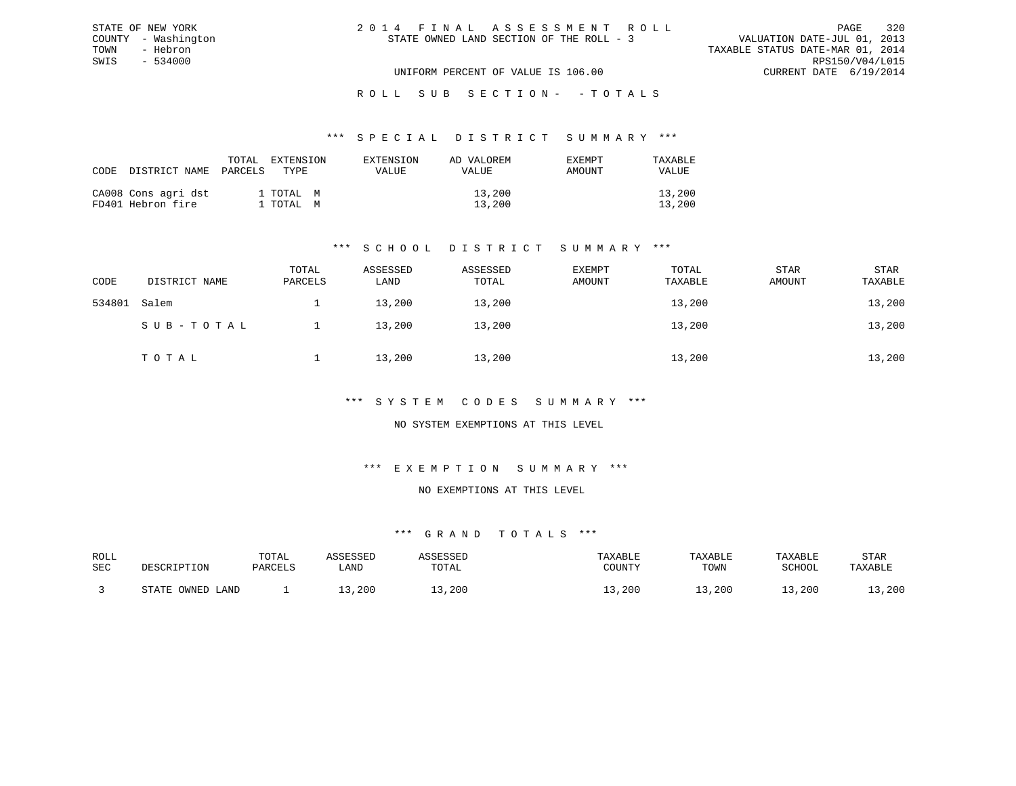| 2014 FINAL ASSESSMENT ROLL               | 320<br>PAGE                      |
|------------------------------------------|----------------------------------|
| STATE OWNED LAND SECTION OF THE ROLL - 3 | VALUATION DATE-JUL 01, 2013      |
|                                          | TAXABLE STATUS DATE-MAR 01, 2014 |
|                                          | RPS150/V04/L015                  |
| UNIFORM PERCENT OF VALUE IS 106.00       | CURRENT DATE 6/19/2014           |

#### \*\*\* S P E C I A L D I S T R I C T S U M M A R Y \*\*\*

| CODE DISTRICT NAME PARCELS               | TOTAL | EXTENSION<br>TYPE.     | EXTENSION<br>VALUE | AD VALOREM<br>VALUE | EXEMPT<br>AMOUNT | TAXARLE<br>VALUE |
|------------------------------------------|-------|------------------------|--------------------|---------------------|------------------|------------------|
| CA008 Cons agri dst<br>FD401 Hebron fire |       | 1 TOTAL M<br>1 ТОТАL М |                    | 13,200<br>13,200    |                  | 13,200<br>13,200 |

STATE OF NEW YORK COUNTY - Washington TOWN - Hebron SWIS - 534000

### \*\*\* S C H O O L D I S T R I C T S U M M A R Y \*\*\*

| CODE   | DISTRICT NAME | TOTAL<br>PARCELS | ASSESSED<br>LAND | ASSESSED<br>TOTAL | EXEMPT<br>AMOUNT | TOTAL<br>TAXABLE | STAR<br>AMOUNT | STAR<br>TAXABLE |
|--------|---------------|------------------|------------------|-------------------|------------------|------------------|----------------|-----------------|
| 534801 | Salem         |                  | 13,200           | 13,200            |                  | 13,200           |                | 13,200          |
|        | SUB-TOTAL     |                  | 13,200           | 13,200            |                  | 13,200           |                | 13,200          |
|        | TOTAL         |                  | 13,200           | 13,200            |                  | 13,200           |                | 13,200          |

### \*\*\* S Y S T E M C O D E S S U M M A R Y \*\*\*

### NO SYSTEM EXEMPTIONS AT THIS LEVEL

### \*\*\* E X E M P T I O N S U M M A R Y \*\*\*

#### NO EXEMPTIONS AT THIS LEVEL

| ROLL |                                              | TOTAL   | 7 CCFCCFF |       | TAXABLE | TAXABLE | TAXABLE | STAR    |
|------|----------------------------------------------|---------|-----------|-------|---------|---------|---------|---------|
| SEC  | DESCRIPTION                                  | PARCELS | LAND      | TOTAL | COUNTY  | TOWN    | SCHOOL  | TAXABLE |
|      |                                              |         |           |       |         |         |         |         |
|      | OWNED<br>$\sim$ $\sim$ $\sim$ $\sim$<br>LAND |         | ,200      | ,200  | , 200   | , 200   | ,200    | ,200    |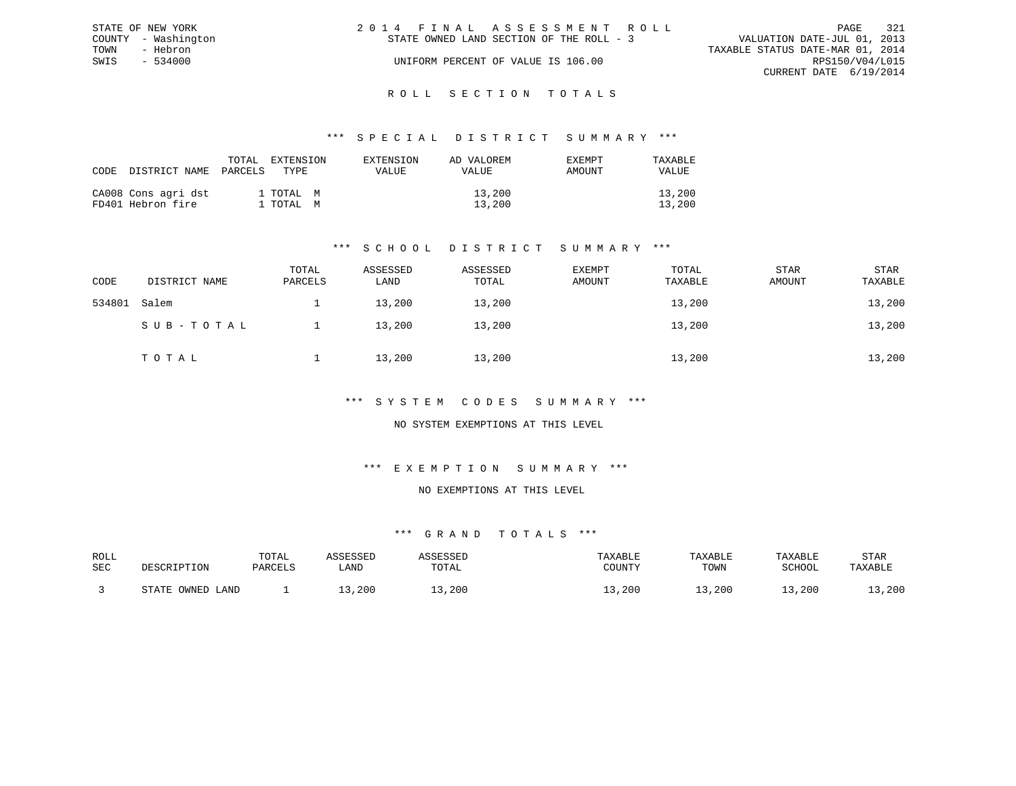| STATE OF NEW YORK   |  | 2014 FINAL ASSESSMENT ROLL               |                                  |                        | PAGE | - 321 |
|---------------------|--|------------------------------------------|----------------------------------|------------------------|------|-------|
| COUNTY - Washington |  | STATE OWNED LAND SECTION OF THE ROLL - 3 | VALUATION DATE-JUL 01, 2013      |                        |      |       |
| TOWN<br>- Hebron    |  |                                          | TAXABLE STATUS DATE-MAR 01, 2014 |                        |      |       |
| $-534000$<br>SWIS   |  | UNIFORM PERCENT OF VALUE IS 106.00       |                                  | RPS150/V04/L015        |      |       |
|                     |  |                                          |                                  | CURRENT DATE 6/19/2014 |      |       |
|                     |  |                                          |                                  |                        |      |       |

### R O L L S E C T I O N T O T A L S

### \*\*\* S P E C I A L D I S T R I C T S U M M A R Y \*\*\*

| CODE | DISTRICT NAME                            | TOTAL<br>EXTENSION<br>PARCELS<br>TYPE. | EXTENSION<br>VALUE | AD VALOREM<br>VALUE | <b>EXEMPT</b><br>AMOUNT | TAXABLE<br>VALUE |
|------|------------------------------------------|----------------------------------------|--------------------|---------------------|-------------------------|------------------|
|      | CA008 Cons agri dst<br>FD401 Hebron fire | 1 TOTAL M<br>1 TOTAL M                 |                    | 13,200<br>13,200    |                         | 13,200<br>13,200 |

### \*\*\* S C H O O L D I S T R I C T S U M M A R Y \*\*\*

| CODE   | DISTRICT NAME | TOTAL<br>PARCELS | ASSESSED<br>LAND | ASSESSED<br>TOTAL | <b>EXEMPT</b><br>AMOUNT | TOTAL<br>TAXABLE | <b>STAR</b><br>AMOUNT | STAR<br>TAXABLE |
|--------|---------------|------------------|------------------|-------------------|-------------------------|------------------|-----------------------|-----------------|
| 534801 | Salem         |                  | 13,200           | 13,200            |                         | 13,200           |                       | 13,200          |
|        | SUB-TOTAL     |                  | 13,200           | 13,200            |                         | 13,200           |                       | 13,200          |
|        | TOTAL         |                  | 13,200           | 13,200            |                         | 13,200           |                       | 13,200          |

### \*\*\* S Y S T E M C O D E S S U M M A R Y \*\*\*

### NO SYSTEM EXEMPTIONS AT THIS LEVEL

### \*\*\* E X E M P T I O N S U M M A R Y \*\*\*

#### NO EXEMPTIONS AT THIS LEVEL

| ROLL |                      | TOTAL   | .ccrccrr |       | TAXABLE | TAXABLE | TAXABLE | STAR    |
|------|----------------------|---------|----------|-------|---------|---------|---------|---------|
| SEC  | DESCRIPTION          | PARCELS | ∟AND     | TOTAL | COUNTY  | TOWN    | SCHOOL  | TAXABLE |
|      | OWNED<br>CDR<br>LAND |         | ,200     | ,200  | , 200   | 13,200  | 13,200  | , 200   |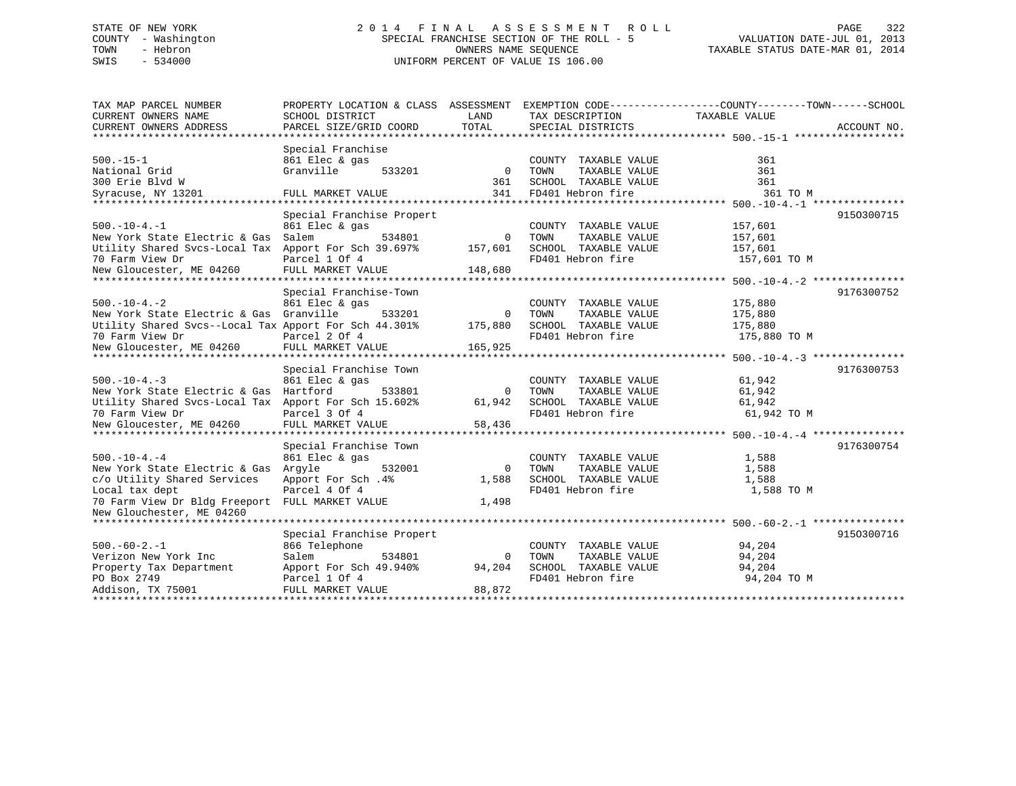# STATE OF NEW YORK 2 0 1 4 F I N A L A S S E S S M E N T R O L L PAGE 322 COUNTY - Washington SPECIAL FRANCHISE SECTION OF THE ROLL - 5 VALUATION DATE-JUL 01, 2013 TOWN - Hebron OWNERS NAME SEQUENCE TAXABLE STATUS DATE-MAR 01, 2014 SWIS - 534000 UNIFORM PERCENT OF VALUE IS 106.00

| TAX MAP PARCEL NUMBER                                 | PROPERTY LOCATION & CLASS ASSESSMENT |              |                       | EXEMPTION CODE-----------------COUNTY-------TOWN------SCHOOL |             |
|-------------------------------------------------------|--------------------------------------|--------------|-----------------------|--------------------------------------------------------------|-------------|
| CURRENT OWNERS NAME                                   | SCHOOL DISTRICT                      | LAND         | TAX DESCRIPTION       | TAXABLE VALUE                                                |             |
| CURRENT OWNERS ADDRESS                                | PARCEL SIZE/GRID COORD               | TOTAL        | SPECIAL DISTRICTS     |                                                              | ACCOUNT NO. |
|                                                       |                                      |              |                       |                                                              |             |
|                                                       | Special Franchise                    |              |                       |                                                              |             |
| $500. -15 - 1$                                        | 861 Elec & gas                       |              | COUNTY TAXABLE VALUE  | 361                                                          |             |
| National Grid                                         | Granville<br>533201                  | $\mathbf{0}$ | TAXABLE VALUE<br>TOWN | 361                                                          |             |
| 300 Erie Blvd W                                       |                                      | 361          | SCHOOL TAXABLE VALUE  | 361                                                          |             |
| Syracuse, NY 13201                                    | FULL MARKET VALUE                    | 341          | FD401 Hebron fire     | 361 TO M                                                     |             |
|                                                       |                                      |              |                       |                                                              |             |
|                                                       | Special Franchise Propert            |              |                       |                                                              | 9150300715  |
| $500. -10 - 4. -1$                                    | 861 Elec & gas                       |              | COUNTY TAXABLE VALUE  | 157,601                                                      |             |
| New York State Electric & Gas                         | Salem<br>534801                      | $\Omega$     | TOWN<br>TAXABLE VALUE | 157,601                                                      |             |
| Utility Shared Svcs-Local Tax                         | Apport For Sch 39.697%               | 157,601      | SCHOOL TAXABLE VALUE  | 157,601                                                      |             |
| 70 Farm View Dr                                       | Parcel 1 Of 4                        |              | FD401 Hebron fire     | 157,601 TO M                                                 |             |
| New Gloucester, ME 04260                              | FULL MARKET VALUE                    | 148,680      |                       |                                                              |             |
|                                                       |                                      |              |                       |                                                              |             |
|                                                       | Special Franchise-Town               |              |                       |                                                              | 9176300752  |
| $500. - 10 - 4. - 2$                                  | 861 Elec & gas                       |              | COUNTY TAXABLE VALUE  | 175,880                                                      |             |
| New York State Electric & Gas Granville               | 533201                               | 0            | TOWN<br>TAXABLE VALUE | 175,880                                                      |             |
| Utility Shared Svcs--Local Tax Apport For Sch 44.301% |                                      | 175,880      | SCHOOL TAXABLE VALUE  | 175,880                                                      |             |
| 70 Farm View Dr                                       | Parcel 2 Of 4                        |              | FD401 Hebron fire     | 175,880 TO M                                                 |             |
| New Gloucester, ME 04260                              | FULL MARKET VALUE                    | 165,925      |                       |                                                              |             |
|                                                       |                                      |              |                       |                                                              |             |
|                                                       | Special Franchise Town               |              |                       |                                                              | 9176300753  |
| $500. -10 - 4. -3$                                    | 861 Elec & gas                       |              | COUNTY TAXABLE VALUE  | 61,942                                                       |             |
| New York State Electric & Gas Hartford                | 533801                               | $\Omega$     | TAXABLE VALUE<br>TOWN | 61,942                                                       |             |
| Utility Shared Svcs-Local Tax                         | Apport For Sch 15.602%               | 61,942       | SCHOOL TAXABLE VALUE  | 61,942                                                       |             |
| 70 Farm View Dr                                       | Parcel 3 Of 4                        |              | FD401 Hebron fire     | 61,942 TO M                                                  |             |
| New Gloucester, ME 04260                              | FULL MARKET VALUE                    | 58,436       |                       |                                                              |             |
|                                                       |                                      |              |                       |                                                              |             |
|                                                       | Special Franchise Town               |              |                       |                                                              | 9176300754  |
| $500. - 10 - 4. - 4$                                  | 861 Elec & gas                       |              | COUNTY TAXABLE VALUE  | 1,588                                                        |             |
| New York State Electric & Gas                         | Arqyle<br>532001                     | $\Omega$     | TAXABLE VALUE<br>TOWN | 1,588                                                        |             |
| c/o Utility Shared Services                           | Apport For Sch. 4%                   | 1,588        | SCHOOL TAXABLE VALUE  | 1,588                                                        |             |
| Local tax dept                                        | Parcel 4 Of 4                        |              | FD401 Hebron fire     | 1,588 TO M                                                   |             |
| 70 Farm View Dr Bldg Freeport FULL MARKET VALUE       |                                      | 1,498        |                       |                                                              |             |
| New Glouchester, ME 04260                             |                                      |              |                       |                                                              |             |
|                                                       |                                      |              |                       |                                                              |             |
|                                                       | Special Franchise Propert            |              |                       |                                                              | 9150300716  |
| $500. -60 - 2. -1$                                    | 866 Telephone                        |              | COUNTY TAXABLE VALUE  | 94,204                                                       |             |
| Verizon New York Inc                                  | 534801<br>Salem                      | $\Omega$     | TOWN<br>TAXABLE VALUE | 94,204                                                       |             |
| Property Tax Department                               | Apport For Sch 49.940%               | 94,204       | SCHOOL TAXABLE VALUE  | 94,204                                                       |             |
| PO Box 2749                                           | Parcel 1 Of 4                        |              | FD401 Hebron fire     | 94,204 TO M                                                  |             |
| Addison, TX 75001                                     | FULL MARKET VALUE                    | 88,872       |                       |                                                              |             |
|                                                       |                                      |              |                       |                                                              |             |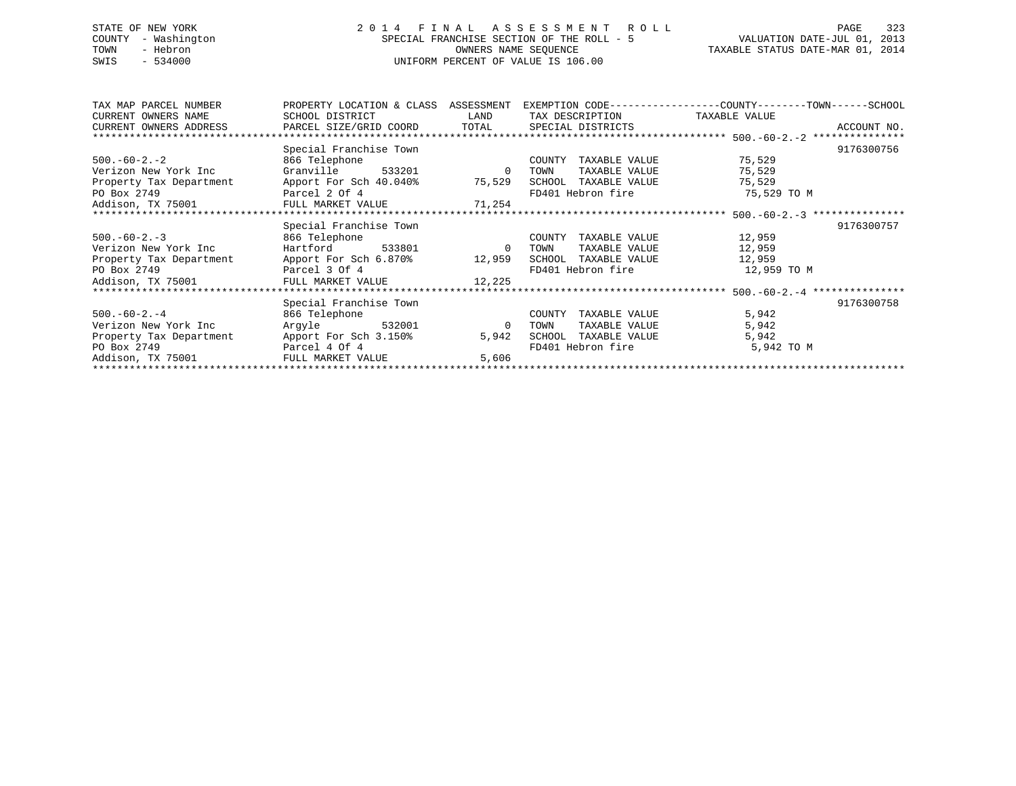# STATE OF NEW YORK 2 0 1 4 F I N A L A S S E S S M E N T R O L L PAGE 323 COUNTY - Washington SPECIAL FRANCHISE SECTION OF THE ROLL - 5 VALUATION DATE-JUL 01, 2013 TOWN - Hebron **CONNERS NAME SEQUENCE** TAXABLE STATUS DATE-MAR 01, 2014 SWIS - 534000 UNIFORM PERCENT OF VALUE IS 106.00

| TAX MAP PARCEL NUMBER   | PROPERTY LOCATION & CLASS ASSESSMENT                                       |                | EXEMPTION CODE----------------COUNTY-------TOWN------SCHOOL |             |            |
|-------------------------|----------------------------------------------------------------------------|----------------|-------------------------------------------------------------|-------------|------------|
| CURRENT OWNERS NAME     | SCHOOL DISTRICT                                                            | <b>LAND</b>    | TAX DESCRIPTION TAXABLE VALUE                               |             |            |
|                         |                                                                            |                |                                                             |             |            |
|                         |                                                                            |                |                                                             |             |            |
|                         | Special Franchise Town                                                     |                |                                                             |             | 9176300756 |
| $500.-60-2.-2$          | 866 Telephone                                                              |                | TAXABLE VALUE<br>COUNTY                                     | 75,529      |            |
| Verizon New York Inc    | Granville 533201                                                           | $\overline{0}$ | TAXABLE VALUE<br>TOWN                                       | 75,529      |            |
|                         | Property Tax Department Apport For Sch 40.040% 75,529 SCHOOL TAXABLE VALUE |                |                                                             | 75,529      |            |
|                         |                                                                            |                | FD401 Hebron fire                                           | 75,529 TO M |            |
|                         |                                                                            |                |                                                             |             |            |
|                         |                                                                            |                |                                                             |             |            |
|                         | Special Franchise Town                                                     |                |                                                             |             | 9176300757 |
| $500.-60-2.-3$          | 866 Telephone                                                              |                | COUNTY<br>TAXABLE VALUE                                     | 12,959      |            |
| Verizon New York Inc    | Hartford 533801 0                                                          |                | TOWN<br>TAXABLE VALUE                                       | 12,959      |            |
|                         | Property Tax Department Apport For Sch 6.870% 12,959 SCHOOL TAXABLE VALUE  |                |                                                             | 12,959      |            |
| PO Box 2749             | Parcel 3 Of 4                                                              |                | FD401 Hebron fire                                           | 12,959 TO M |            |
|                         | Addison, TX 75001 FULL MARKET VALUE 12,225                                 |                |                                                             |             |            |
|                         |                                                                            |                |                                                             |             |            |
|                         | Special Franchise Town                                                     |                |                                                             |             | 9176300758 |
| $500.-60-2.-4$          | 866 Telephone                                                              |                | TAXABLE VALUE<br>COUNTY                                     | 5,942       |            |
| Verizon New York Inc    | Argyle 532001                                                              | $\overline{0}$ | TAXABLE VALUE<br>TOWN                                       | 5,942       |            |
| Property Tax Department | Apport For Sch 3.150%                                                      | 5,942          | SCHOOL<br>TAXABLE VALUE                                     | 5,942       |            |
| PO Box 2749             | Parcel 4 Of 4                                                              |                | FD401 Hebron fire                                           | 5,942 TO M  |            |
|                         |                                                                            | 5,606          |                                                             |             |            |
|                         |                                                                            |                |                                                             |             |            |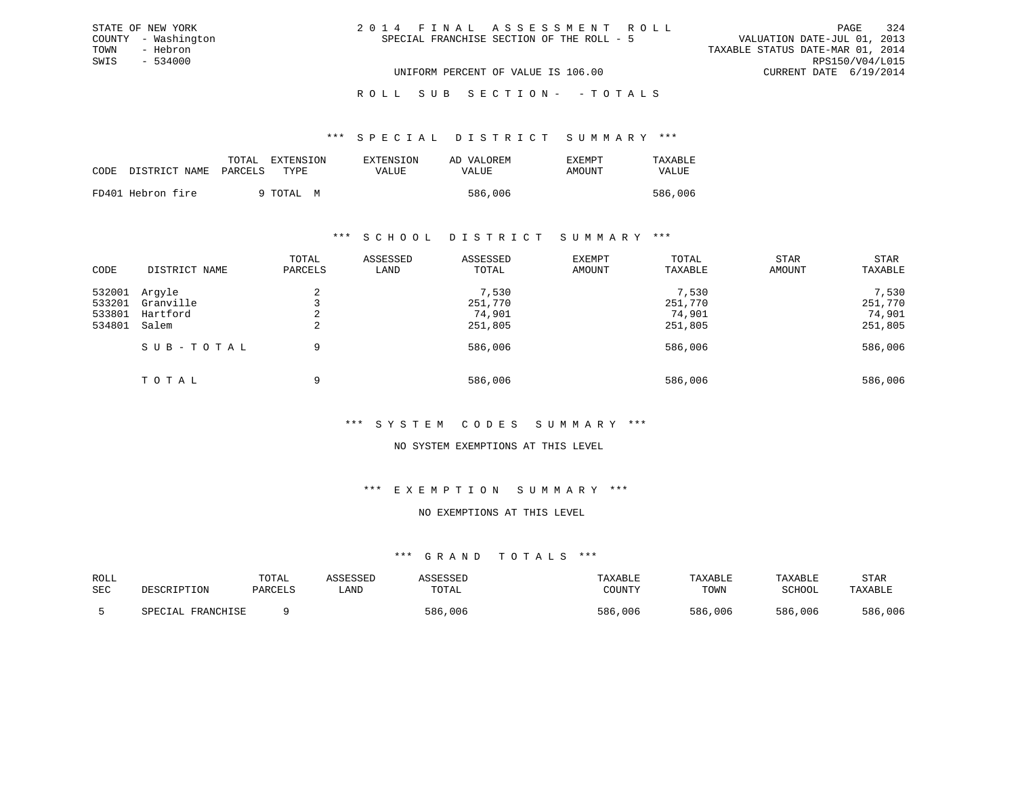| 2014 FINAL ASSESSMENT ROLL                |                                  | PAGE                        | 324 |
|-------------------------------------------|----------------------------------|-----------------------------|-----|
| SPECIAL FRANCHISE SECTION OF THE ROLL - 5 |                                  | VALUATION DATE-JUL 01, 2013 |     |
|                                           | TAXABLE STATUS DATE-MAR 01, 2014 |                             |     |
|                                           |                                  | RPS150/V04/L015             |     |
| UNIFORM PERCENT OF VALUE IS 106.00        |                                  | CURRENT DATE 6/19/2014      |     |

ROLL SUB SECTION - - TOTALS

#### \*\*\* S P E C I A L D I S T R I C T S U M M A R Y \*\*\*

| CODE | DISTRICT NAME     | TOTAL<br>PARCELS | EXTENSION<br>TYPE. | EXTENSION<br>VALUE | AD VALOREM<br>VALUE | EXEMPT<br>AMOUNT | TAXABLE<br>VALUE |
|------|-------------------|------------------|--------------------|--------------------|---------------------|------------------|------------------|
|      | FD401 Hebron fire |                  | 9 TOTAL M          |                    | 586,006             |                  | 586,006          |

STATE OF NEW YORK COUNTY - Washington TOWN - Hebron SWIS - 534000

### \*\*\* S C H O O L D I S T R I C T S U M M A R Y \*\*\*

| CODE                                 | DISTRICT NAME                            | TOTAL<br>PARCELS | ASSESSED<br>LAND | ASSESSED<br>TOTAL                     | <b>EXEMPT</b><br>AMOUNT | TOTAL<br>TAXABLE                      | STAR<br>AMOUNT | STAR<br>TAXABLE                       |
|--------------------------------------|------------------------------------------|------------------|------------------|---------------------------------------|-------------------------|---------------------------------------|----------------|---------------------------------------|
| 532001<br>533201<br>533801<br>534801 | Arqyle<br>Granville<br>Hartford<br>Salem | ∠<br>$\epsilon$  |                  | 7,530<br>251,770<br>74,901<br>251,805 |                         | 7,530<br>251,770<br>74,901<br>251,805 |                | 7,530<br>251,770<br>74,901<br>251,805 |
|                                      | SUB-TOTAL<br>TOTAL                       | 9<br>9           |                  | 586,006<br>586,006                    |                         | 586,006<br>586,006                    |                | 586,006<br>586,006                    |

### \*\*\* S Y S T E M C O D E S S U M M A R Y \*\*\*

### NO SYSTEM EXEMPTIONS AT THIS LEVEL

### \*\*\* E X E M P T I O N S U M M A R Y \*\*\*

#### NO EXEMPTIONS AT THIS LEVEL

| ROLL<br>SEC | DESCRIPTION          | TOTAL<br>PARCELS | LAND | TOTAL   | TAXABLE<br>COUNTY | TAXABLE<br>TOWN | TAXABLE<br>SCHOOL | STAR<br>TAXABLE |
|-------------|----------------------|------------------|------|---------|-------------------|-----------------|-------------------|-----------------|
|             | FRANCHISE<br>SPECIAL |                  |      | 586,006 | 586,006           | 586,006         | 586,006           | 586,006         |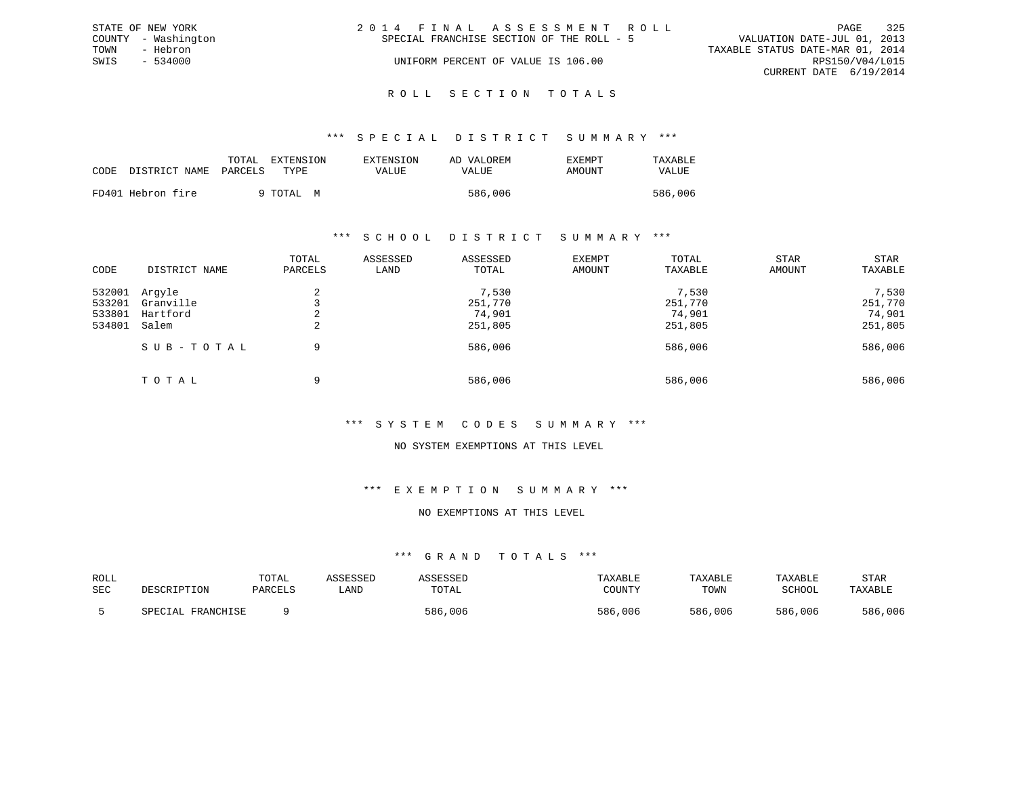| STATE OF NEW YORK   | 2014 FINAL ASSESSMENT ROLL<br>PAGE                                       | 325 |
|---------------------|--------------------------------------------------------------------------|-----|
| COUNTY - Washington | VALUATION DATE-JUL 01, 2013<br>SPECIAL FRANCHISE SECTION OF THE ROLL - 5 |     |
| TOWN<br>- Hebron    | TAXABLE STATUS DATE-MAR 01, 2014                                         |     |
| SWIS<br>$-534000$   | RPS150/V04/L015<br>UNIFORM PERCENT OF VALUE IS 106.00                    |     |
|                     | CURRENT DATE 6/19/2014                                                   |     |
|                     |                                                                          |     |

#### R O L L S E C T I O N T O T A L S

#### \*\*\* S P E C I A L D I S T R I C T S U M M A R Y \*\*\*

|      |                       | TOTAL | EXTENSION | <b>EXTENSION</b> | AD VALOREM | <b>EXEMPT</b> | TAXABLE |
|------|-----------------------|-------|-----------|------------------|------------|---------------|---------|
| CODE | DISTRICT NAME PARCELS |       | TYPE.     | VALUE            | VALUE      | AMOUNT        | VALUE   |
|      | FD401 Hebron fire     |       | 9 TOTAL M |                  | 586,006    |               | 586,006 |

#### \*\*\* S C H O O L D I S T R I C T S U M M A R Y \*\*\*

| CODE                                 | DISTRICT NAME                            | TOTAL<br>PARCELS         | ASSESSED<br>LAND | ASSESSED<br>TOTAL                     | EXEMPT<br>AMOUNT | TOTAL<br>TAXABLE                      | <b>STAR</b><br>AMOUNT | STAR<br>TAXABLE                       |
|--------------------------------------|------------------------------------------|--------------------------|------------------|---------------------------------------|------------------|---------------------------------------|-----------------------|---------------------------------------|
| 532001<br>533201<br>533801<br>534801 | Arqyle<br>Granville<br>Hartford<br>Salem | $\sim$<br>$\overline{a}$ |                  | 7,530<br>251,770<br>74,901<br>251,805 |                  | 7,530<br>251,770<br>74,901<br>251,805 |                       | 7,530<br>251,770<br>74,901<br>251,805 |
|                                      | SUB-TOTAL                                | 9                        |                  | 586,006                               |                  | 586,006                               |                       | 586,006                               |
|                                      | TOTAL                                    | 9                        |                  | 586,006                               |                  | 586,006                               |                       | 586,006                               |

# \*\*\* S Y S T E M C O D E S S U M M A R Y \*\*\*

# NO SYSTEM EXEMPTIONS AT THIS LEVEL

### \*\*\* E X E M P T I O N S U M M A R Y \*\*\*

#### NO EXEMPTIONS AT THIS LEVEL

| ROLL<br>SEC | DESCRIPTION             | TOTAL<br>PARCELS | LAND | TOTAL   | TAXABLE<br>COUNTY | TAXABLE<br>TOWN | TAXABLE<br>SCHOOL | STAR<br>TAXABLE |
|-------------|-------------------------|------------------|------|---------|-------------------|-----------------|-------------------|-----------------|
|             | , FRANCHISE<br>SPECIAL. |                  |      | 586,006 | 586,006           | 586,006         | 586,006           | 586,006         |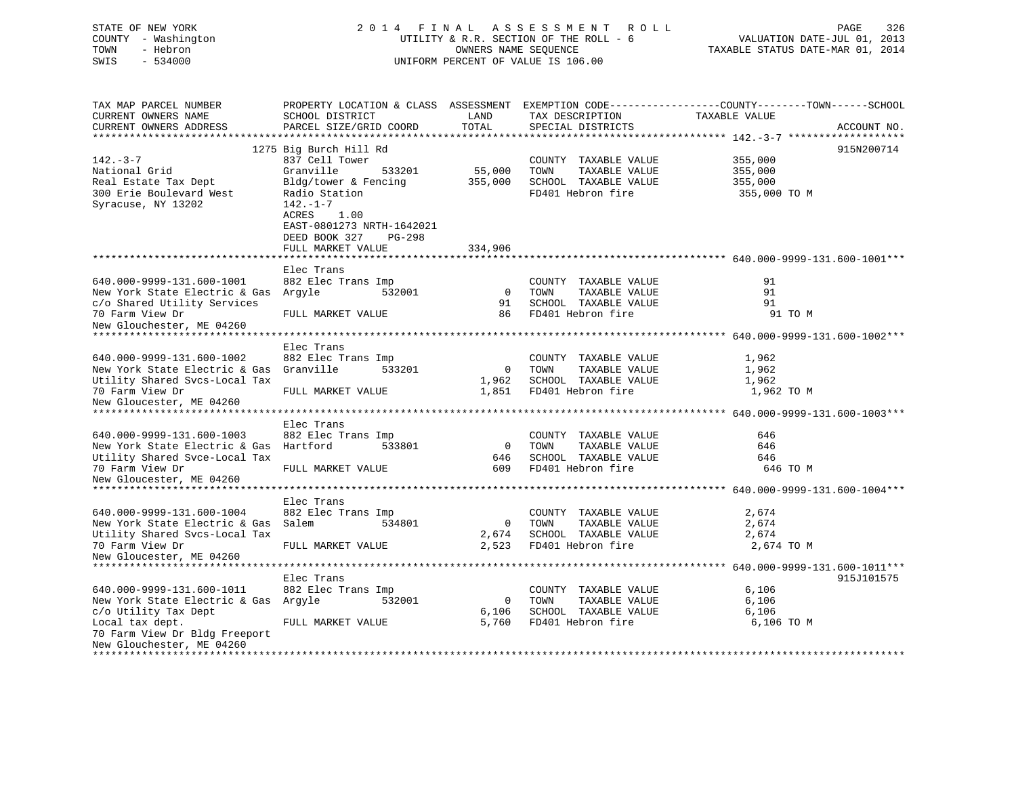| COUNTY<br>- Washington                             |                           |                      | UTILITY & R.R. SECTION OF THE ROLL - 6 | VALUATION DATE-JUL 01, 2013                                                                      |
|----------------------------------------------------|---------------------------|----------------------|----------------------------------------|--------------------------------------------------------------------------------------------------|
| TOWN<br>- Hebron                                   |                           | OWNERS NAME SEQUENCE |                                        | TAXABLE STATUS DATE-MAR 01, 2014                                                                 |
| SWIS<br>$-534000$                                  |                           |                      | UNIFORM PERCENT OF VALUE IS 106.00     |                                                                                                  |
|                                                    |                           |                      |                                        |                                                                                                  |
|                                                    |                           |                      |                                        |                                                                                                  |
|                                                    |                           |                      |                                        |                                                                                                  |
| TAX MAP PARCEL NUMBER                              |                           |                      |                                        | PROPERTY LOCATION & CLASS ASSESSMENT EXEMPTION CODE----------------COUNTY-------TOWN------SCHOOL |
| CURRENT OWNERS NAME                                | SCHOOL DISTRICT           | LAND                 | TAX DESCRIPTION                        | TAXABLE VALUE                                                                                    |
| CURRENT OWNERS ADDRESS                             | PARCEL SIZE/GRID COORD    | TOTAL                | SPECIAL DISTRICTS                      | ACCOUNT NO.                                                                                      |
| ************************                           |                           |                      |                                        |                                                                                                  |
|                                                    | 1275 Big Burch Hill Rd    |                      |                                        | 915N200714                                                                                       |
| $142. - 3 - 7$                                     | 837 Cell Tower            |                      | COUNTY TAXABLE VALUE                   | 355,000                                                                                          |
| National Grid                                      | Granville<br>533201       | 55,000               | TOWN<br>TAXABLE VALUE                  | 355,000                                                                                          |
| Real Estate Tax Dept                               | Bldg/tower & Fencing      | 355,000              | SCHOOL TAXABLE VALUE                   | 355,000                                                                                          |
| 300 Erie Boulevard West                            | Radio Station             |                      | FD401 Hebron fire                      | 355,000 TO M                                                                                     |
| Syracuse, NY 13202                                 | $142. - 1 - 7$            |                      |                                        |                                                                                                  |
|                                                    | ACRES<br>1.00             |                      |                                        |                                                                                                  |
|                                                    | EAST-0801273 NRTH-1642021 |                      |                                        |                                                                                                  |
|                                                    | DEED BOOK 327<br>PG-298   |                      |                                        |                                                                                                  |
|                                                    | FULL MARKET VALUE         | 334,906              |                                        |                                                                                                  |
| ******************************                     | ********************      |                      |                                        |                                                                                                  |
|                                                    |                           |                      |                                        |                                                                                                  |
|                                                    | Elec Trans                |                      |                                        |                                                                                                  |
| 640.000-9999-131.600-1001                          | 882 Elec Trans Imp        |                      | COUNTY TAXABLE VALUE                   | 91                                                                                               |
| New York State Electric & Gas Argyle               | 532001                    | $\overline{0}$       | TAXABLE VALUE<br>TOWN                  | 91                                                                                               |
| c/o Shared Utility Services                        |                           | 91                   | SCHOOL TAXABLE VALUE                   | 91                                                                                               |
| 70 Farm View Dr                                    | FULL MARKET VALUE         | 86                   | FD401 Hebron fire                      | 91 TO M                                                                                          |
| New Glouchester, ME 04260                          |                           |                      |                                        |                                                                                                  |
| ******************************                     |                           |                      |                                        |                                                                                                  |
|                                                    | Elec Trans                |                      |                                        |                                                                                                  |
| 640.000-9999-131.600-1002                          | 882 Elec Trans Imp        |                      | COUNTY TAXABLE VALUE                   | 1,962                                                                                            |
| New York State Electric & Gas                      | Granville<br>533201       | $\mathbf 0$          | TOWN<br>TAXABLE VALUE                  | 1,962                                                                                            |
| Utility Shared Svcs-Local Tax                      |                           | 1,962                | SCHOOL TAXABLE VALUE                   | 1,962                                                                                            |
| 70 Farm View Dr                                    | FULL MARKET VALUE         | 1,851                | FD401 Hebron fire                      | 1,962 TO M                                                                                       |
| New Gloucester, ME 04260                           |                           |                      |                                        |                                                                                                  |
|                                                    |                           |                      |                                        |                                                                                                  |
|                                                    | Elec Trans                |                      |                                        |                                                                                                  |
| 640.000-9999-131.600-1003                          | 882 Elec Trans Imp        |                      | COUNTY TAXABLE VALUE                   | 646                                                                                              |
| New York State Electric & Gas Hartford             | 533801                    | $\overline{0}$       | TOWN<br>TAXABLE VALUE                  | 646                                                                                              |
| Utility Shared Svce-Local Tax                      |                           | 646                  | SCHOOL TAXABLE VALUE                   | 646                                                                                              |
|                                                    |                           |                      | FD401 Hebron fire                      |                                                                                                  |
| 70 Farm View Dr                                    | FULL MARKET VALUE         | 609                  |                                        | 646 TO M                                                                                         |
| New Gloucester, ME 04260<br>********************** |                           |                      |                                        |                                                                                                  |
|                                                    |                           |                      |                                        |                                                                                                  |
|                                                    | Elec Trans                |                      |                                        |                                                                                                  |
| 640.000-9999-131.600-1004                          | 882 Elec Trans Imp        |                      | COUNTY TAXABLE VALUE                   | 2,674                                                                                            |
| New York State Electric & Gas                      | Salem<br>534801           | $\overline{0}$       | TOWN<br>TAXABLE VALUE                  | 2,674                                                                                            |
| Utility Shared Svcs-Local Tax                      |                           | 2,674                | SCHOOL TAXABLE VALUE                   | 2,674                                                                                            |
| 70 Farm View Dr                                    | FULL MARKET VALUE         | 2,523                | FD401 Hebron fire                      | 2,674 TO M                                                                                       |
| New Gloucester, ME 04260                           |                           |                      |                                        |                                                                                                  |
|                                                    |                           |                      |                                        |                                                                                                  |
|                                                    | Elec Trans                |                      |                                        | 915J101575                                                                                       |
| 640.000-9999-131.600-1011                          | 882 Elec Trans Imp        |                      | COUNTY TAXABLE VALUE                   | 6,106                                                                                            |
| New York State Electric & Gas Argyle               | 532001                    | $\overline{0}$       | TOWN<br>TAXABLE VALUE                  | 6,106                                                                                            |
| c/o Utility Tax Dept                               |                           | 6,106                | SCHOOL TAXABLE VALUE                   | 6,106                                                                                            |
| Local tax dept.                                    | FULL MARKET VALUE         | 5,760                | FD401 Hebron fire                      | 6,106 TO M                                                                                       |
| 70 Farm View Dr Bldg Freeport                      |                           |                      |                                        |                                                                                                  |
| New Glouchester, ME 04260                          |                           |                      |                                        |                                                                                                  |
| **********************                             |                           |                      |                                        |                                                                                                  |

STATE OF NEW YORK 2 0 1 4 F I N A L A S S E S S M E N T R O L L PAGE 326

326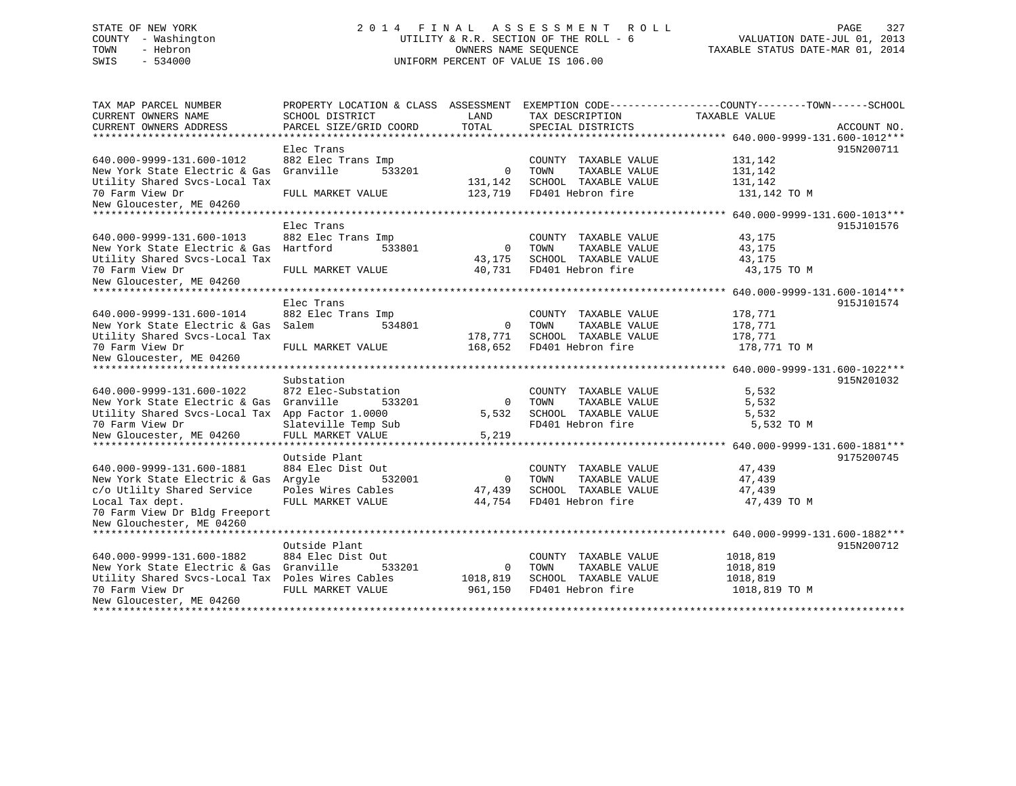# STATE OF NEW YORK 2 0 1 4 F I N A L A S S E S S M E N T R O L L PAGE 327 COUNTY - Washington UTILITY & R.R. SECTION OF THE ROLL - 6 VALUATION DATE-JUL 01, 2013 TOWN - Hebron OWNERS NAME SEQUENCE TAXABLE STATUS DATE-MAR 01, 2014 SWIS - 534000 UNIFORM PERCENT OF VALUE IS 106.00

| TAX MAP PARCEL NUMBER<br>CURRENT OWNERS NAME     | PROPERTY LOCATION & CLASS ASSESSMENT<br>SCHOOL DISTRICT | LAND        | TAX DESCRIPTION       | EXEMPTION CODE----------------COUNTY-------TOWN------SCHOOL<br>TAXABLE VALUE |             |
|--------------------------------------------------|---------------------------------------------------------|-------------|-----------------------|------------------------------------------------------------------------------|-------------|
| CURRENT OWNERS ADDRESS                           | PARCEL SIZE/GRID COORD                                  | TOTAL       | SPECIAL DISTRICTS     |                                                                              | ACCOUNT NO. |
|                                                  |                                                         |             |                       |                                                                              |             |
|                                                  | Elec Trans                                              |             |                       |                                                                              | 915N200711  |
| 640.000-9999-131.600-1012                        | 882 Elec Trans Imp                                      |             | COUNTY TAXABLE VALUE  | 131,142                                                                      |             |
| New York State Electric & Gas                    | Granville<br>533201                                     | $\Omega$    | TAXABLE VALUE<br>TOWN | 131,142                                                                      |             |
| Utility Shared Svcs-Local Tax                    |                                                         | 131,142     | SCHOOL TAXABLE VALUE  | 131,142                                                                      |             |
| 70 Farm View Dr                                  | FULL MARKET VALUE                                       | 123,719     | FD401 Hebron fire     | 131,142 TO M                                                                 |             |
| New Gloucester, ME 04260                         |                                                         |             |                       |                                                                              |             |
| ******************************                   |                                                         |             |                       |                                                                              |             |
|                                                  | Elec Trans                                              |             |                       |                                                                              | 915J101576  |
| 640.000-9999-131.600-1013                        | 882 Elec Trans Imp                                      |             | COUNTY TAXABLE VALUE  | 43,175                                                                       |             |
| New York State Electric & Gas                    | Hartford<br>533801                                      | $\mathbf 0$ | TOWN<br>TAXABLE VALUE | 43,175                                                                       |             |
| Utility Shared Svcs-Local Tax                    |                                                         | 43,175      | SCHOOL TAXABLE VALUE  | 43,175                                                                       |             |
| 70 Farm View Dr                                  | FULL MARKET VALUE                                       | 40,731      | FD401 Hebron fire     | 43,175 TO M                                                                  |             |
| New Gloucester, ME 04260                         |                                                         |             |                       |                                                                              |             |
|                                                  |                                                         |             |                       |                                                                              |             |
|                                                  | Elec Trans                                              |             |                       |                                                                              | 915J101574  |
| 640.000-9999-131.600-1014                        | 882 Elec Trans Imp                                      |             | COUNTY TAXABLE VALUE  | 178,771                                                                      |             |
| New York State Electric & Gas                    | Salem<br>534801                                         | $\mathbf 0$ | TOWN<br>TAXABLE VALUE | 178,771                                                                      |             |
| Utility Shared Svcs-Local Tax                    |                                                         | 178,771     | SCHOOL TAXABLE VALUE  | 178,771                                                                      |             |
| 70 Farm View Dr                                  | FULL MARKET VALUE                                       | 168,652     | FD401 Hebron fire     | 178,771 TO M                                                                 |             |
| New Gloucester, ME 04260                         |                                                         |             |                       |                                                                              |             |
|                                                  |                                                         |             |                       |                                                                              |             |
|                                                  | Substation                                              |             |                       |                                                                              | 915N201032  |
| 640.000-9999-131.600-1022                        | 872 Elec-Substation                                     |             | COUNTY TAXABLE VALUE  | 5,532                                                                        |             |
| New York State Electric & Gas                    | Granville<br>533201                                     | $\mathbf 0$ | TOWN<br>TAXABLE VALUE | 5,532                                                                        |             |
| Utility Shared Svcs-Local Tax App Factor 1.0000  |                                                         | 5,532       | SCHOOL TAXABLE VALUE  | 5,532                                                                        |             |
| 70 Farm View Dr                                  | Slateville Temp Sub                                     |             | FD401 Hebron fire     | 5,532 TO M                                                                   |             |
| New Gloucester, ME 04260                         | FULL MARKET VALUE                                       | 5,219       |                       |                                                                              |             |
|                                                  |                                                         |             |                       |                                                                              |             |
|                                                  | Outside Plant                                           |             |                       |                                                                              | 9175200745  |
| 640.000-9999-131.600-1881                        | 884 Elec Dist Out                                       |             | COUNTY TAXABLE VALUE  | 47,439                                                                       |             |
| New York State Electric & Gas                    | Arqyle<br>532001                                        | 0           | TOWN<br>TAXABLE VALUE | 47,439                                                                       |             |
| c/o Utlilty Shared Service                       | Poles Wires Cables                                      | 47,439      | SCHOOL TAXABLE VALUE  | 47,439                                                                       |             |
| Local Tax dept.                                  | FULL MARKET VALUE                                       | 44,754      | FD401 Hebron fire     | 47,439 TO M                                                                  |             |
| 70 Farm View Dr Bldg Freeport                    |                                                         |             |                       |                                                                              |             |
| New Glouchester, ME 04260                        |                                                         |             |                       |                                                                              |             |
|                                                  |                                                         |             |                       |                                                                              |             |
|                                                  | Outside Plant                                           |             |                       |                                                                              | 915N200712  |
| 640.000-9999-131.600-1882                        | 884 Elec Dist Out                                       |             | COUNTY TAXABLE VALUE  | 1018,819                                                                     |             |
| New York State Electric & Gas                    | Granville<br>533201                                     | $\mathbf 0$ | TOWN<br>TAXABLE VALUE | 1018,819                                                                     |             |
| Utility Shared Svcs-Local Tax Poles Wires Cables |                                                         | 1018,819    | SCHOOL TAXABLE VALUE  | 1018,819                                                                     |             |
| 70 Farm View Dr                                  | FULL MARKET VALUE                                       | 961,150     | FD401 Hebron fire     | 1018,819 TO M                                                                |             |
| New Gloucester, ME 04260                         |                                                         |             |                       |                                                                              |             |
|                                                  |                                                         |             |                       |                                                                              |             |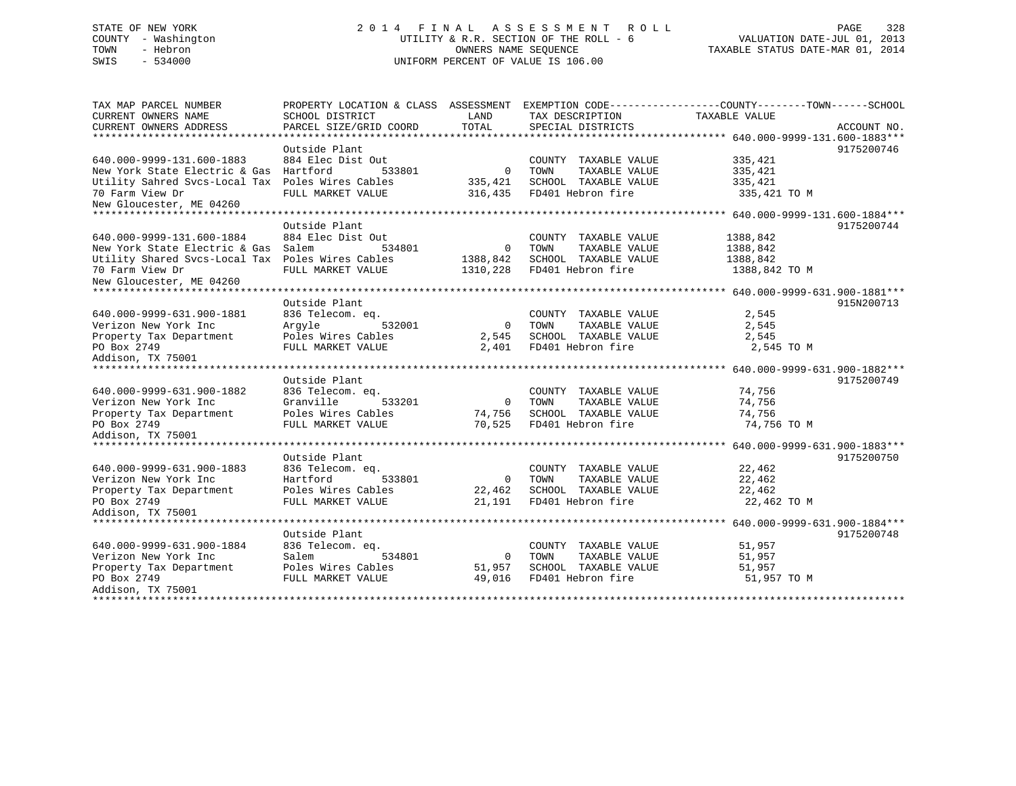# STATE OF NEW YORK 2 0 1 4 F I N A L A S S E S S M E N T R O L L PAGE 328COUNTY - Washington  $U1$  UTILITY & R.R. SECTION OF THE ROLL - 6<br>TOWN - Hebron DATE-JUL 000NERS NAME SEQUENCE SWIS - 534000 UNIFORM PERCENT OF VALUE IS 106.00

TAXABLE STATUS DATE-MAR 01, 2014

| TAX MAP PARCEL NUMBER                            | PROPERTY LOCATION & CLASS ASSESSMENT EXEMPTION CODE---------------COUNTY-------TOWN-----SCHOOL |                |                       |               |             |
|--------------------------------------------------|------------------------------------------------------------------------------------------------|----------------|-----------------------|---------------|-------------|
| CURRENT OWNERS NAME                              | SCHOOL DISTRICT                                                                                | LAND           | TAX DESCRIPTION       | TAXABLE VALUE |             |
| CURRENT OWNERS ADDRESS                           | PARCEL SIZE/GRID COORD                                                                         | TOTAL          | SPECIAL DISTRICTS     |               | ACCOUNT NO. |
|                                                  |                                                                                                |                |                       |               |             |
|                                                  | Outside Plant                                                                                  |                |                       |               | 9175200746  |
| 640.000-9999-131.600-1883                        | 884 Elec Dist Out                                                                              |                | COUNTY TAXABLE VALUE  | 335,421       |             |
| New York State Electric & Gas Hartford           | 533801                                                                                         | $\overline{0}$ | TAXABLE VALUE<br>TOWN | 335,421       |             |
| Utility Sahred Svcs-Local Tax Poles Wires Cables |                                                                                                | 335,421        | SCHOOL TAXABLE VALUE  | 335,421       |             |
| 70 Farm View Dr                                  | FULL MARKET VALUE                                                                              | 316,435        | FD401 Hebron fire     | 335,421 TO M  |             |
| New Gloucester, ME 04260                         |                                                                                                |                |                       |               |             |
|                                                  |                                                                                                |                |                       |               |             |
|                                                  | Outside Plant                                                                                  |                |                       |               | 9175200744  |
| 640.000-9999-131.600-1884                        | 884 Elec Dist Out                                                                              |                | COUNTY TAXABLE VALUE  | 1388,842      |             |
| New York State Electric & Gas Salem              | 534801                                                                                         | $\overline{0}$ | TOWN<br>TAXABLE VALUE | 1388,842      |             |
| Utility Shared Svcs-Local Tax Poles Wires Cables |                                                                                                | 1388,842       | SCHOOL TAXABLE VALUE  | 1388,842      |             |
| 70 Farm View Dr                                  | FULL MARKET VALUE                                                                              | 1310,228       | FD401 Hebron fire     | 1388,842 TO M |             |
| New Gloucester, ME 04260                         |                                                                                                |                |                       |               |             |
|                                                  |                                                                                                |                |                       |               |             |
|                                                  | Outside Plant                                                                                  |                |                       |               | 915N200713  |
| 640.000-9999-631.900-1881                        | 836 Telecom. eq.                                                                               |                | COUNTY TAXABLE VALUE  | 2,545         |             |
| Verizon New York Inc                             | Arqyle<br>532001                                                                               | $\overline{0}$ | TOWN<br>TAXABLE VALUE | 2,545         |             |
| Property Tax Department                          | Poles Wires Cables                                                                             | 2,545          | SCHOOL TAXABLE VALUE  | 2,545         |             |
| PO Box 2749                                      | FULL MARKET VALUE                                                                              | 2,401          | FD401 Hebron fire     | 2,545 TO M    |             |
| Addison, TX 75001                                |                                                                                                |                |                       |               |             |
|                                                  |                                                                                                |                |                       |               |             |
|                                                  | Outside Plant                                                                                  |                |                       |               | 9175200749  |
| 640.000-9999-631.900-1882                        | 836 Telecom. eq.                                                                               |                | COUNTY TAXABLE VALUE  | 74,756        |             |
| Verizon New York Inc                             | Granville<br>533201                                                                            | 0              | TAXABLE VALUE<br>TOWN | 74,756        |             |
| Property Tax Department                          | Poles Wires Cables                                                                             | 74,756         | SCHOOL TAXABLE VALUE  | 74,756        |             |
| PO Box 2749                                      | FULL MARKET VALUE                                                                              | 70,525         | FD401 Hebron fire     | 74,756 TO M   |             |
| Addison, TX 75001                                |                                                                                                |                |                       |               |             |
|                                                  |                                                                                                |                |                       |               |             |
|                                                  | Outside Plant                                                                                  |                |                       |               | 9175200750  |
| 640.000-9999-631.900-1883                        | 836 Telecom. eq.                                                                               |                | COUNTY TAXABLE VALUE  | 22,462        |             |
| Verizon New York Inc                             | Hartford<br>533801                                                                             | $\overline{0}$ | TOWN<br>TAXABLE VALUE | 22,462        |             |
| Property Tax Department                          | Poles Wires Cables                                                                             | 22,462         | SCHOOL TAXABLE VALUE  | 22,462        |             |
| PO Box 2749                                      | FULL MARKET VALUE                                                                              | 21,191         | FD401 Hebron fire     | 22,462 TO M   |             |
| Addison, TX 75001                                |                                                                                                |                |                       |               |             |
|                                                  |                                                                                                |                |                       |               |             |
|                                                  | Outside Plant                                                                                  |                |                       |               | 9175200748  |
| 640.000-9999-631.900-1884                        | 836 Telecom. eq.                                                                               |                | COUNTY TAXABLE VALUE  | 51,957        |             |
| Verizon New York Inc                             | 534801<br>Salem                                                                                | $\overline{0}$ | TOWN<br>TAXABLE VALUE | 51,957        |             |
| Property Tax Department                          | Poles Wires Cables                                                                             | 51,957         | SCHOOL TAXABLE VALUE  | 51,957        |             |
| PO Box 2749                                      | FULL MARKET VALUE                                                                              | 49,016         | FD401 Hebron fire     | 51,957 TO M   |             |
| Addison, TX 75001                                |                                                                                                |                |                       |               |             |
|                                                  |                                                                                                |                |                       |               |             |
|                                                  |                                                                                                |                |                       |               |             |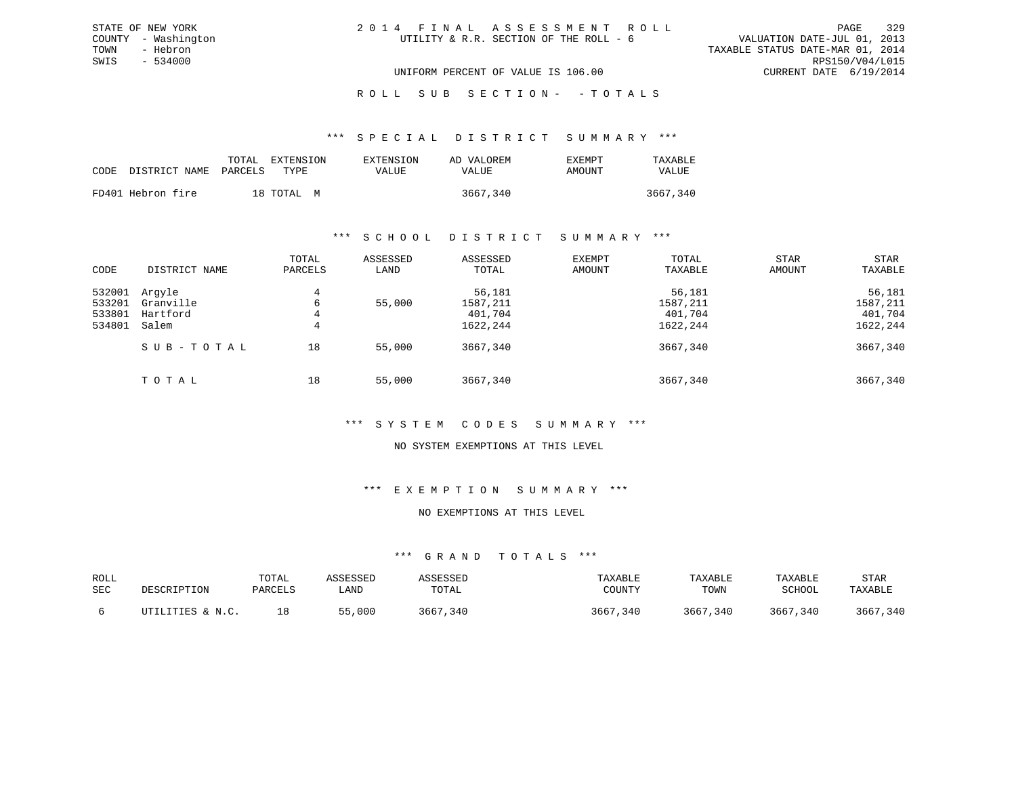\*\*\* S P E C I A L D I S T R I C T S U M M A R Y \*\*\*

|      |                       | TOTAL | EXTENSION  | EXTENSION | AD VALOREM | <b>EXEMPT</b> | TAXARLE  |
|------|-----------------------|-------|------------|-----------|------------|---------------|----------|
| CODE | DISTRICT NAME PARCELS |       | TYPE       | VALUE     | VALUE      | AMOUNT        | VALUE    |
|      |                       |       |            |           |            |               |          |
|      | FD401 Hebron fire     |       | 18 TOTAL M |           | 3667,340   |               | 3667,340 |

#### \*\*\* S C H O O L D I S T R I C T S U M M A R Y \*\*\*

| CODE                                 | DISTRICT NAME                            | TOTAL<br>PARCELS           | ASSESSED<br>LAND | ASSESSED<br>TOTAL                         | EXEMPT<br>AMOUNT                          | TOTAL<br>TAXABLE | STAR<br>AMOUNT | STAR<br>TAXABLE                           |
|--------------------------------------|------------------------------------------|----------------------------|------------------|-------------------------------------------|-------------------------------------------|------------------|----------------|-------------------------------------------|
| 532001<br>533201<br>533801<br>534801 | Argyle<br>Granville<br>Hartford<br>Salem | 4<br>55,000<br>6<br>4<br>4 |                  | 56,181<br>1587,211<br>401,704<br>1622,244 | 56,181<br>1587,211<br>401,704<br>1622,244 |                  |                | 56,181<br>1587,211<br>401,704<br>1622,244 |
|                                      | SUB-TOTAL                                | 18                         | 55,000           | 3667,340                                  |                                           | 3667,340         |                | 3667,340                                  |
|                                      | TOTAL                                    | 18                         | 55,000           | 3667,340                                  |                                           | 3667,340         |                | 3667,340                                  |

# \*\*\* S Y S T E M C O D E S S U M M A R Y \*\*\*

# NO SYSTEM EXEMPTIONS AT THIS LEVEL

#### \*\*\* E X E M P T I O N S U M M A R Y \*\*\*

#### NO EXEMPTIONS AT THIS LEVEL

| ROLL<br>SEC | DESCRIPTION             | TOTAL<br>PARCELS | ASSESSED<br>LAND | ASSESSEL<br>TOTAL | TAXABLE<br>COUNTY | TAXABLE<br>TOWN | TAXABLE<br>SCHOOL | STAR<br>TAXABLE |
|-------------|-------------------------|------------------|------------------|-------------------|-------------------|-----------------|-------------------|-----------------|
|             | LITIES & N.C.<br>ת ידיד | 18               | 55,000           | 3667<br>340،      | 3667<br>,340      | 3667<br>,340    | 340<br>3667       | 3667,340        |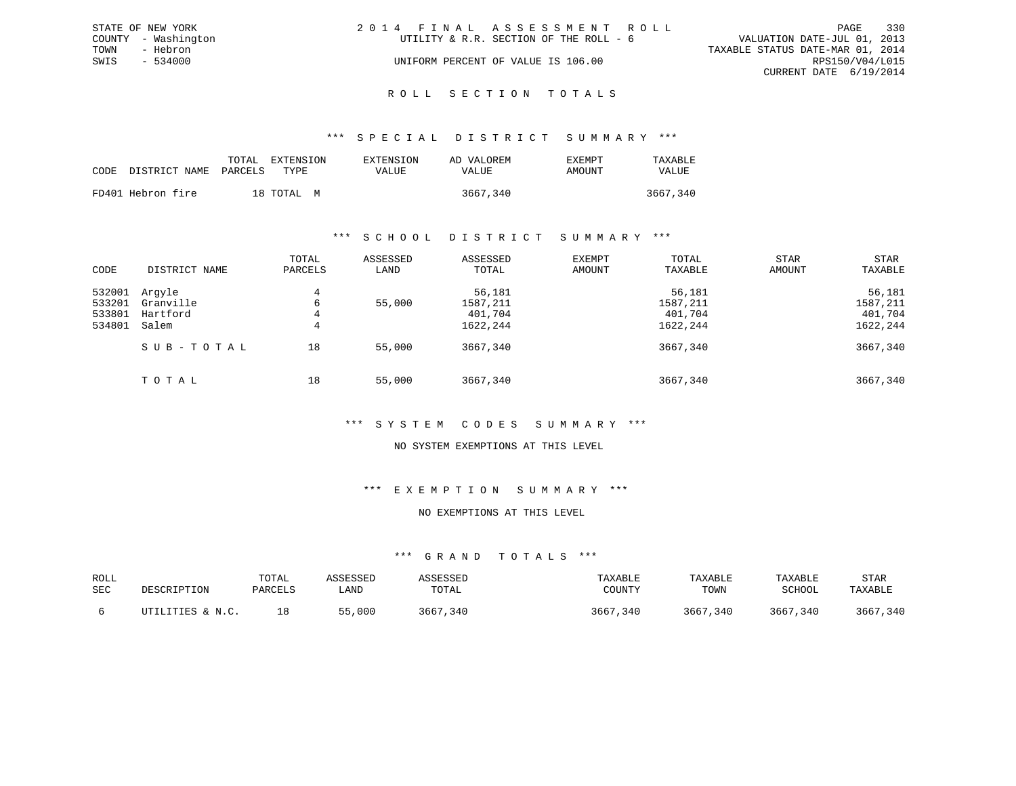|      | STATE OF NEW YORK   | 2014 FINAL ASSESSMENT ROLL |                                        |                                  |                        | PAGE | 330 |
|------|---------------------|----------------------------|----------------------------------------|----------------------------------|------------------------|------|-----|
|      | COUNTY - Washington |                            | UTILITY & R.R. SECTION OF THE ROLL - 6 | VALUATION DATE-JUL 01, 2013      |                        |      |     |
| TOWN | - Hebron            |                            |                                        | TAXABLE STATUS DATE-MAR 01, 2014 |                        |      |     |
| SWIS | $-534000$           |                            | UNIFORM PERCENT OF VALUE IS 106.00     |                                  | RPS150/V04/L015        |      |     |
|      |                     |                            |                                        |                                  | CURRENT DATE 6/19/2014 |      |     |
|      |                     |                            |                                        |                                  |                        |      |     |

#### R O L L S E C T I O N T O T A L S

#### \*\*\* S P E C I A L D I S T R I C T S U M M A R Y \*\*\*

|                            | TOTAL | EXTENSION  | EXTENSION    | AD VALOREM | EXEMPT | TAXABLE  |
|----------------------------|-------|------------|--------------|------------|--------|----------|
| CODE DISTRICT NAME PARCELS |       | TYPE.      | <b>VALUE</b> | VALUE      | AMOUNT | VALUE    |
| FD401 Hebron fire          |       | 18 TOTAL M |              | 3667,340   |        | 3667,340 |

#### \*\*\* S C H O O L D I S T R I C T S U M M A R Y \*\*\*

| CODE                                 | DISTRICT NAME                            | TOTAL<br>PARCELS | ASSESSED<br>LAND | ASSESSED<br>TOTAL                         | EXEMPT<br>AMOUNT | TOTAL<br>TAXABLE                          | <b>STAR</b><br>AMOUNT | STAR<br>TAXABLE                           |
|--------------------------------------|------------------------------------------|------------------|------------------|-------------------------------------------|------------------|-------------------------------------------|-----------------------|-------------------------------------------|
| 532001<br>533201<br>533801<br>534801 | Argyle<br>Granville<br>Hartford<br>Salem | 4<br>6<br>4<br>4 | 55,000           | 56,181<br>1587,211<br>401,704<br>1622,244 |                  | 56,181<br>1587,211<br>401,704<br>1622,244 |                       | 56,181<br>1587,211<br>401,704<br>1622,244 |
|                                      | SUB-TOTAL                                | 18               | 55,000           | 3667,340                                  |                  | 3667,340                                  |                       | 3667,340                                  |
|                                      | TOTAL                                    | 18               | 55,000           | 3667,340                                  |                  | 3667,340                                  |                       | 3667,340                                  |

# \*\*\* S Y S T E M C O D E S S U M M A R Y \*\*\*

# NO SYSTEM EXEMPTIONS AT THIS LEVEL

### \*\*\* E X E M P T I O N S U M M A R Y \*\*\*

#### NO EXEMPTIONS AT THIS LEVEL

| ROLL<br>SEC | DESCRIPTION      | TOTAL<br>PARCELS | ASSESSED<br>∟AND | ASSESSED<br>TOTAL | TAXABLE<br>COUNTY | TAXABLE<br>TOWN | TAXABLE<br>SCHOOL | STAR<br>TAXABLE |
|-------------|------------------|------------------|------------------|-------------------|-------------------|-----------------|-------------------|-----------------|
|             | UTILITIES & N.C. |                  | 55,000           | 3667,340          | 3667,340          | 3667,340        | 3667,340          | 3667,340        |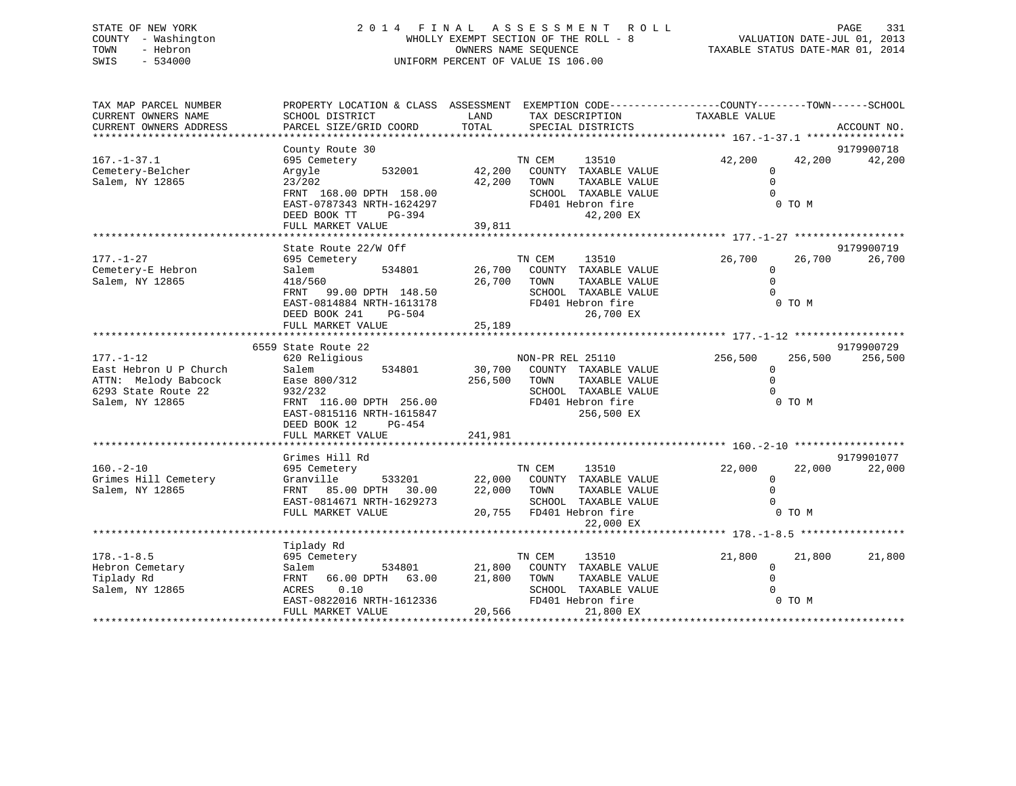# STATE OF NEW YORK 2 0 1 4 F I N A L A S S E S S M E N T R O L L PAGE 331 COUNTY - Washington WHOLLY EXEMPT SECTION OF THE ROLL - 8 VALUATION DATE-JUL 01, 2013 TOWN - Hebron OWNERS NAME SEQUENCE TAXABLE STATUS DATE-MAR 01, 2014 SWIS - 534000 UNIFORM PERCENT OF VALUE IS 106.00

| TAX MAP PARCEL NUMBER<br>CURRENT OWNERS NAME<br>CURRENT OWNERS ADDRESS | PROPERTY LOCATION & CLASS ASSESSMENT EXEMPTION CODE---------------COUNTY-------TOWN-----SCHOOL<br>SCHOOL DISTRICT<br>PARCEL SIZE/GRID COORD | LAND<br>TOTAL |                  | TAX DESCRIPTION<br>SPECIAL DISTRICTS | TAXABLE VALUE |                | ACCOUNT NO. |
|------------------------------------------------------------------------|---------------------------------------------------------------------------------------------------------------------------------------------|---------------|------------------|--------------------------------------|---------------|----------------|-------------|
|                                                                        |                                                                                                                                             |               |                  |                                      |               |                |             |
|                                                                        | County Route 30                                                                                                                             |               |                  |                                      |               |                | 9179900718  |
| $167. - 1 - 37.1$                                                      | 695 Cemetery                                                                                                                                |               | TN CEM           | 13510                                | 42,200        | 42,200         | 42,200      |
| Cemetery-Belcher                                                       | 532001<br>Argyle                                                                                                                            | 42,200        |                  | COUNTY TAXABLE VALUE                 |               | $\Omega$       |             |
| Salem, NY 12865                                                        | 23/202                                                                                                                                      | 42,200 TOWN   |                  | TAXABLE VALUE                        |               | $\circ$        |             |
|                                                                        | FRNT 168.00 DPTH 158.00                                                                                                                     |               |                  | SCHOOL TAXABLE VALUE                 |               | $\Omega$       |             |
|                                                                        | EAST-0787343 NRTH-1624297                                                                                                                   |               |                  | FD401 Hebron fire                    |               | 0 TO M         |             |
|                                                                        | DEED BOOK TT<br>PG-394                                                                                                                      |               |                  | 42,200 EX                            |               |                |             |
|                                                                        | FULL MARKET VALUE                                                                                                                           | 39,811        |                  |                                      |               |                |             |
|                                                                        |                                                                                                                                             |               |                  |                                      |               |                |             |
|                                                                        | State Route 22/W Off                                                                                                                        |               |                  |                                      |               |                | 9179900719  |
| $177. - 1 - 27$                                                        | 695 Cemetery                                                                                                                                |               | TN CEM           | 13510                                | 26,700        | 26,700         | 26,700      |
| Cemetery-E Hebron                                                      | 534801<br>Salem                                                                                                                             |               |                  | 26,700 COUNTY TAXABLE VALUE          |               | $\Omega$       |             |
| Salem, NY 12865                                                        | 418/560                                                                                                                                     | 26,700 TOWN   |                  | TAXABLE VALUE                        |               | $\Omega$       |             |
|                                                                        | 99.00 DPTH 148.50<br>FRNT                                                                                                                   |               |                  | SCHOOL TAXABLE VALUE                 |               | $\Omega$       |             |
|                                                                        | EAST-0814884 NRTH-1613178                                                                                                                   |               |                  | FD401 Hebron fire                    |               | 0 TO M         |             |
|                                                                        | DEED BOOK 241<br>PG-504                                                                                                                     |               |                  | 26,700 EX                            |               |                |             |
|                                                                        | FULL MARKET VALUE                                                                                                                           | 25,189        |                  |                                      |               |                |             |
|                                                                        |                                                                                                                                             |               |                  |                                      |               |                |             |
|                                                                        | 6559 State Route 22                                                                                                                         |               |                  |                                      |               |                | 9179900729  |
| $177. - 1 - 12$                                                        | 620 Religious                                                                                                                               |               | NON-PR REL 25110 |                                      | 256,500       | 256,500        | 256,500     |
| East Hebron U P Church                                                 | Salem<br>534801                                                                                                                             |               |                  | 30,700 COUNTY TAXABLE VALUE          |               | $\Omega$       |             |
| ATTN: Melody Babcock                                                   | Ease 800/312                                                                                                                                | 256,500 TOWN  |                  | TAXABLE VALUE                        |               | $\Omega$       |             |
| 6293 State Route 22                                                    | 932/232                                                                                                                                     |               |                  | SCHOOL TAXABLE VALUE                 |               |                |             |
| Salem, NY 12865                                                        | FRNT 116.00 DPTH 256.00                                                                                                                     |               |                  | FD401 Hebron fire                    |               | 0 TO M         |             |
|                                                                        | EAST-0815116 NRTH-1615847                                                                                                                   |               |                  | 256,500 EX                           |               |                |             |
|                                                                        | DEED BOOK 12<br>PG-454                                                                                                                      |               |                  |                                      |               |                |             |
|                                                                        | FULL MARKET VALUE                                                                                                                           | 241,981       |                  |                                      |               |                |             |
|                                                                        |                                                                                                                                             |               |                  |                                      |               |                |             |
|                                                                        | Grimes Hill Rd                                                                                                                              |               |                  |                                      |               |                | 9179901077  |
| $160. -2 - 10$                                                         | 695 Cemetery                                                                                                                                |               | TN CEM           | 13510                                | 22,000        | 22,000         | 22,000      |
| Grimes Hill Cemetery                                                   | 533201 22,000 COUNTY TAXABLE VALUE<br>Granville                                                                                             |               |                  |                                      |               | $\overline{0}$ |             |
| Salem, NY 12865                                                        | FRNT 85.00 DPTH 30.00                                                                                                                       | 22,000 TOWN   |                  | TAXABLE VALUE                        |               | $\mathbf 0$    |             |
|                                                                        | EAST-0814671 NRTH-1629273                                                                                                                   |               |                  | SCHOOL TAXABLE VALUE                 |               | $\Omega$       |             |
|                                                                        | FULL MARKET VALUE                                                                                                                           |               |                  | 20,755 FD401 Hebron fire             |               | 0 TO M         |             |
|                                                                        |                                                                                                                                             |               |                  | 22,000 EX                            |               |                |             |
|                                                                        | Tiplady Rd                                                                                                                                  |               |                  |                                      |               |                |             |
| $178. - 1 - 8.5$                                                       | 695 Cemetery                                                                                                                                |               | TN CEM           | 13510                                | 21,800        | 21,800         | 21,800      |
| Hebron Cemetary                                                        | 534801<br>Salem                                                                                                                             | 21,800        |                  | COUNTY TAXABLE VALUE                 |               | 0              |             |
| Tiplady Rd                                                             | FRNT 66.00 DPTH 63.00                                                                                                                       | 21,800        | TOWN             | TAXABLE VALUE                        |               | $\mathbf 0$    |             |
| Salem, NY 12865                                                        | 0.10<br>ACRES                                                                                                                               |               |                  | SCHOOL TAXABLE VALUE                 |               | $\Omega$       |             |
|                                                                        | EAST-0822016 NRTH-1612336                                                                                                                   |               |                  | FD401 Hebron fire                    |               | 0 TO M         |             |
|                                                                        | FULL MARKET VALUE                                                                                                                           | 20,566        |                  | 21,800 EX                            |               |                |             |
|                                                                        |                                                                                                                                             |               |                  |                                      |               |                |             |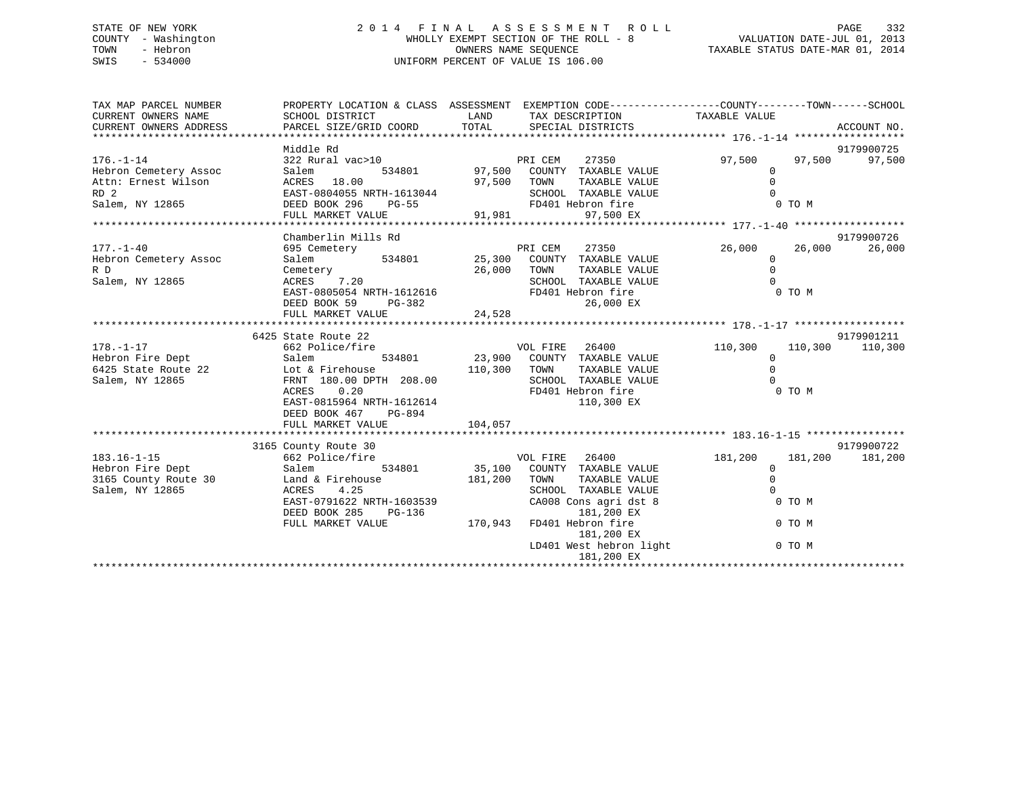# STATE OF NEW YORK 2 0 1 4 F I N A L A S S E S S M E N T R O L L PAGE 332 COUNTY - Washington WHOLLY EXEMPT SECTION OF THE ROLL - 8 VALUATION DATE-JUL 01, 2013 TOWN - Hebron OWNERS NAME SEQUENCE TAXABLE STATUS DATE-MAR 01, 2014 SWIS - 534000 UNIFORM PERCENT OF VALUE IS 106.00

| Middle Rd<br>9179900725<br>$176. - 1 - 14$<br>322 Rural vac>10<br>97,500<br>97,500<br>97,500<br>PRI CEM<br>27350<br>97,500 COUNTY TAXABLE VALUE<br>534801<br>Hebron Cemetery Assoc<br>Salem<br>$\Omega$<br>$\Omega$<br>Attn: Ernest Wilson<br>ACRES 18.00<br>97,500<br>TOWN<br>TAXABLE VALUE<br>RD <sub>2</sub><br>SCHOOL TAXABLE VALUE<br>EAST-0804055 NRTH-1613044<br>$\Omega$<br>Salem, NY 12865<br>DEED BOOK 296<br>FD401 Hebron fire<br>0 TO M<br>$PG-55$<br>91,981<br>97,500 EX<br>FULL MARKET VALUE<br>Chamberlin Mills Rd<br>9179900726<br>$177. - 1 - 40$<br>PRI CEM<br>26,000<br>26,000<br>26,000<br>695 Cemetery<br>$534801$ 25,300<br>27350<br>COUNTY TAXABLE VALUE<br>Hebron Cemetery Assoc<br>Salem<br>$\mathbf 0$<br>$\Omega$<br>Cemetery<br>26,000<br>TAXABLE VALUE<br>R D<br>TOWN<br>7.20<br>Salem, NY 12865<br>ACRES<br>SCHOOL TAXABLE VALUE<br>$\Omega$<br>EAST-0805054 NRTH-1612616<br>FD401 Hebron fire<br>0 TO M<br>DEED BOOK 59<br>26,000 EX<br>PG-382<br>24,528<br>FULL MARKET VALUE<br>9179901211<br>6425 State Route 22<br>$178. - 1 - 17$<br>26400<br>110,300<br>662 Police/fire<br>VOL FIRE<br>110,300<br>110,300<br>Hebron Fire Dept<br>23,900 COUNTY TAXABLE VALUE<br>534801<br>Salem<br>$\mathbf 0$<br>$\Omega$<br>6425 State Route 22<br>Lot & Firehouse<br>110,300<br>TAXABLE VALUE<br>TOWN<br>FRNT 180.00 DPTH 208.00<br>Salem, NY 12865<br>SCHOOL TAXABLE VALUE<br>$\Omega$<br>FD401 Hebron fire<br>0 TO M<br>ACRES<br>0.20<br>EAST-0815964 NRTH-1612614<br>110,300 EX<br>DEED BOOK 467<br>PG-894<br>104,057<br>FULL MARKET VALUE<br>9179900722<br>3165 County Route 30<br>$183.16 - 1 - 15$<br>VOL FIRE 26400<br>181,200<br>662 Police/fire<br>181,200<br>181,200<br>Hebron Fire Dept<br>534801 35,100<br>COUNTY TAXABLE VALUE<br>Salem<br>$\mathbf 0$<br>3165 County Route 30<br>181,200<br>$\mathbf 0$<br>Land & Firehouse<br>TOWN<br>TAXABLE VALUE<br>$\Omega$<br>Salem, NY 12865<br>ACRES<br>4.25<br>SCHOOL TAXABLE VALUE<br>EAST-0791622 NRTH-1603539<br>CA008 Cons agri dst 8<br>0 TO M<br>DEED BOOK 285<br>PG-136<br>181,200 EX<br>170,943<br>FULL MARKET VALUE<br>FD401 Hebron fire<br>0 TO M<br>181,200 EX<br>LD401 West hebron light<br>0 TO M | TAX MAP PARCEL NUMBER<br>CURRENT OWNERS NAME<br>CURRENT OWNERS ADDRESS | PROPERTY LOCATION & CLASS ASSESSMENT EXEMPTION CODE----------------COUNTY-------TOWN------SCHOOL<br>SCHOOL DISTRICT<br>PARCEL SIZE/GRID COORD | LAND<br>TOTAL | TAX DESCRIPTION TAXABLE VALUE<br>SPECIAL DISTRICTS | ACCOUNT NO. |
|----------------------------------------------------------------------------------------------------------------------------------------------------------------------------------------------------------------------------------------------------------------------------------------------------------------------------------------------------------------------------------------------------------------------------------------------------------------------------------------------------------------------------------------------------------------------------------------------------------------------------------------------------------------------------------------------------------------------------------------------------------------------------------------------------------------------------------------------------------------------------------------------------------------------------------------------------------------------------------------------------------------------------------------------------------------------------------------------------------------------------------------------------------------------------------------------------------------------------------------------------------------------------------------------------------------------------------------------------------------------------------------------------------------------------------------------------------------------------------------------------------------------------------------------------------------------------------------------------------------------------------------------------------------------------------------------------------------------------------------------------------------------------------------------------------------------------------------------------------------------------------------------------------------------------------------------------------------------------------------------------------------------------------------------------------------------------------------------------------------------------------------------------------------------------------------------|------------------------------------------------------------------------|-----------------------------------------------------------------------------------------------------------------------------------------------|---------------|----------------------------------------------------|-------------|
|                                                                                                                                                                                                                                                                                                                                                                                                                                                                                                                                                                                                                                                                                                                                                                                                                                                                                                                                                                                                                                                                                                                                                                                                                                                                                                                                                                                                                                                                                                                                                                                                                                                                                                                                                                                                                                                                                                                                                                                                                                                                                                                                                                                              |                                                                        |                                                                                                                                               |               |                                                    |             |
|                                                                                                                                                                                                                                                                                                                                                                                                                                                                                                                                                                                                                                                                                                                                                                                                                                                                                                                                                                                                                                                                                                                                                                                                                                                                                                                                                                                                                                                                                                                                                                                                                                                                                                                                                                                                                                                                                                                                                                                                                                                                                                                                                                                              |                                                                        |                                                                                                                                               |               |                                                    |             |
|                                                                                                                                                                                                                                                                                                                                                                                                                                                                                                                                                                                                                                                                                                                                                                                                                                                                                                                                                                                                                                                                                                                                                                                                                                                                                                                                                                                                                                                                                                                                                                                                                                                                                                                                                                                                                                                                                                                                                                                                                                                                                                                                                                                              |                                                                        |                                                                                                                                               |               |                                                    |             |
|                                                                                                                                                                                                                                                                                                                                                                                                                                                                                                                                                                                                                                                                                                                                                                                                                                                                                                                                                                                                                                                                                                                                                                                                                                                                                                                                                                                                                                                                                                                                                                                                                                                                                                                                                                                                                                                                                                                                                                                                                                                                                                                                                                                              |                                                                        |                                                                                                                                               |               |                                                    |             |
|                                                                                                                                                                                                                                                                                                                                                                                                                                                                                                                                                                                                                                                                                                                                                                                                                                                                                                                                                                                                                                                                                                                                                                                                                                                                                                                                                                                                                                                                                                                                                                                                                                                                                                                                                                                                                                                                                                                                                                                                                                                                                                                                                                                              |                                                                        |                                                                                                                                               |               |                                                    |             |
|                                                                                                                                                                                                                                                                                                                                                                                                                                                                                                                                                                                                                                                                                                                                                                                                                                                                                                                                                                                                                                                                                                                                                                                                                                                                                                                                                                                                                                                                                                                                                                                                                                                                                                                                                                                                                                                                                                                                                                                                                                                                                                                                                                                              |                                                                        |                                                                                                                                               |               |                                                    |             |
|                                                                                                                                                                                                                                                                                                                                                                                                                                                                                                                                                                                                                                                                                                                                                                                                                                                                                                                                                                                                                                                                                                                                                                                                                                                                                                                                                                                                                                                                                                                                                                                                                                                                                                                                                                                                                                                                                                                                                                                                                                                                                                                                                                                              |                                                                        |                                                                                                                                               |               |                                                    |             |
|                                                                                                                                                                                                                                                                                                                                                                                                                                                                                                                                                                                                                                                                                                                                                                                                                                                                                                                                                                                                                                                                                                                                                                                                                                                                                                                                                                                                                                                                                                                                                                                                                                                                                                                                                                                                                                                                                                                                                                                                                                                                                                                                                                                              |                                                                        |                                                                                                                                               |               |                                                    |             |
|                                                                                                                                                                                                                                                                                                                                                                                                                                                                                                                                                                                                                                                                                                                                                                                                                                                                                                                                                                                                                                                                                                                                                                                                                                                                                                                                                                                                                                                                                                                                                                                                                                                                                                                                                                                                                                                                                                                                                                                                                                                                                                                                                                                              |                                                                        |                                                                                                                                               |               |                                                    |             |
|                                                                                                                                                                                                                                                                                                                                                                                                                                                                                                                                                                                                                                                                                                                                                                                                                                                                                                                                                                                                                                                                                                                                                                                                                                                                                                                                                                                                                                                                                                                                                                                                                                                                                                                                                                                                                                                                                                                                                                                                                                                                                                                                                                                              |                                                                        |                                                                                                                                               |               |                                                    |             |
|                                                                                                                                                                                                                                                                                                                                                                                                                                                                                                                                                                                                                                                                                                                                                                                                                                                                                                                                                                                                                                                                                                                                                                                                                                                                                                                                                                                                                                                                                                                                                                                                                                                                                                                                                                                                                                                                                                                                                                                                                                                                                                                                                                                              |                                                                        |                                                                                                                                               |               |                                                    |             |
|                                                                                                                                                                                                                                                                                                                                                                                                                                                                                                                                                                                                                                                                                                                                                                                                                                                                                                                                                                                                                                                                                                                                                                                                                                                                                                                                                                                                                                                                                                                                                                                                                                                                                                                                                                                                                                                                                                                                                                                                                                                                                                                                                                                              |                                                                        |                                                                                                                                               |               |                                                    |             |
|                                                                                                                                                                                                                                                                                                                                                                                                                                                                                                                                                                                                                                                                                                                                                                                                                                                                                                                                                                                                                                                                                                                                                                                                                                                                                                                                                                                                                                                                                                                                                                                                                                                                                                                                                                                                                                                                                                                                                                                                                                                                                                                                                                                              |                                                                        |                                                                                                                                               |               |                                                    |             |
|                                                                                                                                                                                                                                                                                                                                                                                                                                                                                                                                                                                                                                                                                                                                                                                                                                                                                                                                                                                                                                                                                                                                                                                                                                                                                                                                                                                                                                                                                                                                                                                                                                                                                                                                                                                                                                                                                                                                                                                                                                                                                                                                                                                              |                                                                        |                                                                                                                                               |               |                                                    |             |
|                                                                                                                                                                                                                                                                                                                                                                                                                                                                                                                                                                                                                                                                                                                                                                                                                                                                                                                                                                                                                                                                                                                                                                                                                                                                                                                                                                                                                                                                                                                                                                                                                                                                                                                                                                                                                                                                                                                                                                                                                                                                                                                                                                                              |                                                                        |                                                                                                                                               |               |                                                    |             |
|                                                                                                                                                                                                                                                                                                                                                                                                                                                                                                                                                                                                                                                                                                                                                                                                                                                                                                                                                                                                                                                                                                                                                                                                                                                                                                                                                                                                                                                                                                                                                                                                                                                                                                                                                                                                                                                                                                                                                                                                                                                                                                                                                                                              |                                                                        |                                                                                                                                               |               |                                                    |             |
|                                                                                                                                                                                                                                                                                                                                                                                                                                                                                                                                                                                                                                                                                                                                                                                                                                                                                                                                                                                                                                                                                                                                                                                                                                                                                                                                                                                                                                                                                                                                                                                                                                                                                                                                                                                                                                                                                                                                                                                                                                                                                                                                                                                              |                                                                        |                                                                                                                                               |               |                                                    |             |
|                                                                                                                                                                                                                                                                                                                                                                                                                                                                                                                                                                                                                                                                                                                                                                                                                                                                                                                                                                                                                                                                                                                                                                                                                                                                                                                                                                                                                                                                                                                                                                                                                                                                                                                                                                                                                                                                                                                                                                                                                                                                                                                                                                                              |                                                                        |                                                                                                                                               |               |                                                    |             |
|                                                                                                                                                                                                                                                                                                                                                                                                                                                                                                                                                                                                                                                                                                                                                                                                                                                                                                                                                                                                                                                                                                                                                                                                                                                                                                                                                                                                                                                                                                                                                                                                                                                                                                                                                                                                                                                                                                                                                                                                                                                                                                                                                                                              |                                                                        |                                                                                                                                               |               |                                                    |             |
|                                                                                                                                                                                                                                                                                                                                                                                                                                                                                                                                                                                                                                                                                                                                                                                                                                                                                                                                                                                                                                                                                                                                                                                                                                                                                                                                                                                                                                                                                                                                                                                                                                                                                                                                                                                                                                                                                                                                                                                                                                                                                                                                                                                              |                                                                        |                                                                                                                                               |               |                                                    |             |
|                                                                                                                                                                                                                                                                                                                                                                                                                                                                                                                                                                                                                                                                                                                                                                                                                                                                                                                                                                                                                                                                                                                                                                                                                                                                                                                                                                                                                                                                                                                                                                                                                                                                                                                                                                                                                                                                                                                                                                                                                                                                                                                                                                                              |                                                                        |                                                                                                                                               |               |                                                    |             |
|                                                                                                                                                                                                                                                                                                                                                                                                                                                                                                                                                                                                                                                                                                                                                                                                                                                                                                                                                                                                                                                                                                                                                                                                                                                                                                                                                                                                                                                                                                                                                                                                                                                                                                                                                                                                                                                                                                                                                                                                                                                                                                                                                                                              |                                                                        |                                                                                                                                               |               |                                                    |             |
|                                                                                                                                                                                                                                                                                                                                                                                                                                                                                                                                                                                                                                                                                                                                                                                                                                                                                                                                                                                                                                                                                                                                                                                                                                                                                                                                                                                                                                                                                                                                                                                                                                                                                                                                                                                                                                                                                                                                                                                                                                                                                                                                                                                              |                                                                        |                                                                                                                                               |               |                                                    |             |
|                                                                                                                                                                                                                                                                                                                                                                                                                                                                                                                                                                                                                                                                                                                                                                                                                                                                                                                                                                                                                                                                                                                                                                                                                                                                                                                                                                                                                                                                                                                                                                                                                                                                                                                                                                                                                                                                                                                                                                                                                                                                                                                                                                                              |                                                                        |                                                                                                                                               |               |                                                    |             |
|                                                                                                                                                                                                                                                                                                                                                                                                                                                                                                                                                                                                                                                                                                                                                                                                                                                                                                                                                                                                                                                                                                                                                                                                                                                                                                                                                                                                                                                                                                                                                                                                                                                                                                                                                                                                                                                                                                                                                                                                                                                                                                                                                                                              |                                                                        |                                                                                                                                               |               |                                                    |             |
|                                                                                                                                                                                                                                                                                                                                                                                                                                                                                                                                                                                                                                                                                                                                                                                                                                                                                                                                                                                                                                                                                                                                                                                                                                                                                                                                                                                                                                                                                                                                                                                                                                                                                                                                                                                                                                                                                                                                                                                                                                                                                                                                                                                              |                                                                        |                                                                                                                                               |               |                                                    |             |
|                                                                                                                                                                                                                                                                                                                                                                                                                                                                                                                                                                                                                                                                                                                                                                                                                                                                                                                                                                                                                                                                                                                                                                                                                                                                                                                                                                                                                                                                                                                                                                                                                                                                                                                                                                                                                                                                                                                                                                                                                                                                                                                                                                                              |                                                                        |                                                                                                                                               |               |                                                    |             |
|                                                                                                                                                                                                                                                                                                                                                                                                                                                                                                                                                                                                                                                                                                                                                                                                                                                                                                                                                                                                                                                                                                                                                                                                                                                                                                                                                                                                                                                                                                                                                                                                                                                                                                                                                                                                                                                                                                                                                                                                                                                                                                                                                                                              |                                                                        |                                                                                                                                               |               |                                                    |             |
|                                                                                                                                                                                                                                                                                                                                                                                                                                                                                                                                                                                                                                                                                                                                                                                                                                                                                                                                                                                                                                                                                                                                                                                                                                                                                                                                                                                                                                                                                                                                                                                                                                                                                                                                                                                                                                                                                                                                                                                                                                                                                                                                                                                              |                                                                        |                                                                                                                                               |               |                                                    |             |
|                                                                                                                                                                                                                                                                                                                                                                                                                                                                                                                                                                                                                                                                                                                                                                                                                                                                                                                                                                                                                                                                                                                                                                                                                                                                                                                                                                                                                                                                                                                                                                                                                                                                                                                                                                                                                                                                                                                                                                                                                                                                                                                                                                                              |                                                                        |                                                                                                                                               |               |                                                    |             |
|                                                                                                                                                                                                                                                                                                                                                                                                                                                                                                                                                                                                                                                                                                                                                                                                                                                                                                                                                                                                                                                                                                                                                                                                                                                                                                                                                                                                                                                                                                                                                                                                                                                                                                                                                                                                                                                                                                                                                                                                                                                                                                                                                                                              |                                                                        |                                                                                                                                               |               |                                                    |             |
|                                                                                                                                                                                                                                                                                                                                                                                                                                                                                                                                                                                                                                                                                                                                                                                                                                                                                                                                                                                                                                                                                                                                                                                                                                                                                                                                                                                                                                                                                                                                                                                                                                                                                                                                                                                                                                                                                                                                                                                                                                                                                                                                                                                              |                                                                        |                                                                                                                                               |               |                                                    |             |
|                                                                                                                                                                                                                                                                                                                                                                                                                                                                                                                                                                                                                                                                                                                                                                                                                                                                                                                                                                                                                                                                                                                                                                                                                                                                                                                                                                                                                                                                                                                                                                                                                                                                                                                                                                                                                                                                                                                                                                                                                                                                                                                                                                                              |                                                                        |                                                                                                                                               |               |                                                    |             |
|                                                                                                                                                                                                                                                                                                                                                                                                                                                                                                                                                                                                                                                                                                                                                                                                                                                                                                                                                                                                                                                                                                                                                                                                                                                                                                                                                                                                                                                                                                                                                                                                                                                                                                                                                                                                                                                                                                                                                                                                                                                                                                                                                                                              |                                                                        |                                                                                                                                               |               |                                                    |             |
|                                                                                                                                                                                                                                                                                                                                                                                                                                                                                                                                                                                                                                                                                                                                                                                                                                                                                                                                                                                                                                                                                                                                                                                                                                                                                                                                                                                                                                                                                                                                                                                                                                                                                                                                                                                                                                                                                                                                                                                                                                                                                                                                                                                              |                                                                        |                                                                                                                                               |               |                                                    |             |
|                                                                                                                                                                                                                                                                                                                                                                                                                                                                                                                                                                                                                                                                                                                                                                                                                                                                                                                                                                                                                                                                                                                                                                                                                                                                                                                                                                                                                                                                                                                                                                                                                                                                                                                                                                                                                                                                                                                                                                                                                                                                                                                                                                                              |                                                                        |                                                                                                                                               |               |                                                    |             |
|                                                                                                                                                                                                                                                                                                                                                                                                                                                                                                                                                                                                                                                                                                                                                                                                                                                                                                                                                                                                                                                                                                                                                                                                                                                                                                                                                                                                                                                                                                                                                                                                                                                                                                                                                                                                                                                                                                                                                                                                                                                                                                                                                                                              |                                                                        |                                                                                                                                               |               |                                                    |             |
|                                                                                                                                                                                                                                                                                                                                                                                                                                                                                                                                                                                                                                                                                                                                                                                                                                                                                                                                                                                                                                                                                                                                                                                                                                                                                                                                                                                                                                                                                                                                                                                                                                                                                                                                                                                                                                                                                                                                                                                                                                                                                                                                                                                              |                                                                        |                                                                                                                                               |               | 181,200 EX                                         |             |
|                                                                                                                                                                                                                                                                                                                                                                                                                                                                                                                                                                                                                                                                                                                                                                                                                                                                                                                                                                                                                                                                                                                                                                                                                                                                                                                                                                                                                                                                                                                                                                                                                                                                                                                                                                                                                                                                                                                                                                                                                                                                                                                                                                                              |                                                                        |                                                                                                                                               |               |                                                    |             |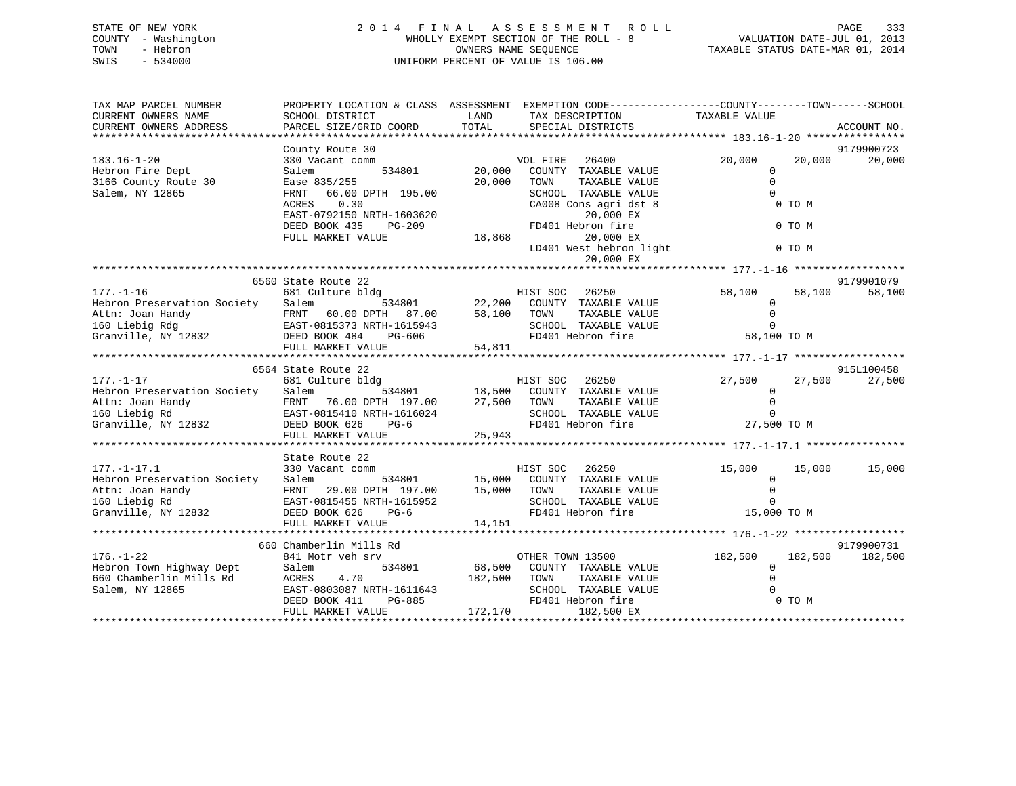# STATE OF NEW YORK 2 0 1 4 F I N A L A S S E S S M E N T R O L L PAGE 333 COUNTY - Washington WHOLLY EXEMPT SECTION OF THE ROLL - 8 VALUATION DATE-JUL 01, 2013 TOWN - Hebron OWNERS NAME SEQUENCE TAXABLE STATUS DATE-MAR 01, 2014 SWIS - 534000 UNIFORM PERCENT OF VALUE IS 106.00

| TAX MAP PARCEL NUMBER<br>CURRENT OWNERS NAME                                                                                 | PROPERTY LOCATION & CLASS ASSESSMENT<br>SCHOOL DISTRICT     | LAND                                    | EXEMPTION CODE-----------------COUNTY-------TOWN------SCHOOL<br>TAX DESCRIPTION                                                                         | TAXABLE VALUE                 |                    |
|------------------------------------------------------------------------------------------------------------------------------|-------------------------------------------------------------|-----------------------------------------|---------------------------------------------------------------------------------------------------------------------------------------------------------|-------------------------------|--------------------|
| CURRENT OWNERS ADDRESS                                                                                                       | PARCEL SIZE/GRID COORD                                      | TOTAL                                   | SPECIAL DISTRICTS                                                                                                                                       |                               | ACCOUNT NO.        |
|                                                                                                                              | County Route 30                                             |                                         |                                                                                                                                                         |                               | 9179900723         |
| $183.16 - 1 - 20$<br>Hebron Fire Dept                                                                                        | 330 Vacant comm<br>534801<br>Salem                          | 20,000                                  | VOL FIRE 26400<br>COUNTY TAXABLE VALUE                                                                                                                  | 20,000<br>$\Omega$            | 20,000<br>20,000   |
| 3166 County Route 30                                                                                                         | Ease 835/255                                                | 20,000                                  | TOWN<br>TAXABLE VALUE                                                                                                                                   | $\mathbf 0$                   |                    |
| Salem, NY 12865                                                                                                              | 66.00 DPTH 195.00<br>FRNT                                   |                                         | SCHOOL TAXABLE VALUE                                                                                                                                    | $\Omega$                      |                    |
|                                                                                                                              | 0.30<br>ACRES                                               |                                         | CA008 Cons agri dst 8                                                                                                                                   | 0 TO M                        |                    |
|                                                                                                                              | EAST-0792150 NRTH-1603620<br>DEED BOOK 435<br>PG-209        |                                         | 20,000 EX<br>FD401 Hebron fire                                                                                                                          | 0 TO M                        |                    |
|                                                                                                                              | FULL MARKET VALUE                                           | $\texttt{FD401} \ \texttt{H} \\ 18,868$ | 20,000 EX                                                                                                                                               |                               |                    |
|                                                                                                                              |                                                             |                                         | LD401 West hebron light<br>20,000 EX                                                                                                                    | 0 TO M                        |                    |
|                                                                                                                              |                                                             |                                         |                                                                                                                                                         |                               |                    |
|                                                                                                                              | 6560 State Route 22                                         |                                         |                                                                                                                                                         |                               | 9179901079         |
| $177. - 1 - 16$<br>Hebron Preservation Society Salem                                                                         | 681 Culture bldg                                            |                                         | HIST SOC 26250<br>534801 22,200 COUNTY TAXABLE VALUE                                                                                                    | 58,100<br>$\mathbf{0}$        | 58,100<br>58,100   |
| Attn: Joan Handy                                                                                                             |                                                             | 58,100                                  | TAXABLE VALUE<br>TOWN                                                                                                                                   | $\Omega$                      |                    |
| 160 Liebig Rdg                                                                                                               |                                                             |                                         | SCHOOL TAXABLE VALUE                                                                                                                                    | $\Omega$                      |                    |
| Granville, NY 12832                                                                                                          | y<br>EAST-0815373 NRTH-1615943<br>2832 DEED BOOK 484 PG-606 |                                         | FD401 Hebron fire                                                                                                                                       | 58,100 TO M                   |                    |
|                                                                                                                              | FULL MARKET VALUE                                           | 54,811                                  |                                                                                                                                                         |                               |                    |
|                                                                                                                              | 6564 State Route 22                                         |                                         |                                                                                                                                                         |                               | 915L100458         |
| $177. - 1 - 17$                                                                                                              | 681 Culture bldg                                            |                                         |                                                                                                                                                         | 27,500                        | 27,500<br>27,500   |
| Hebron Preservation Society Salem                                                                                            |                                                             |                                         | 3<br>F34801 18,500 COUNTY TAXABLE VALUE                                                                                                                 | $\Omega$                      |                    |
|                                                                                                                              |                                                             | 27,500 TOWN                             | TAXABLE VALUE                                                                                                                                           | $\mathbf 0$                   |                    |
| Attn: Joan Handy FRNT 76.00 DPTH 197.00<br>160 Liebig Rd EAST-0815410 NRTH-1616024<br>Granville, NY 12832 DEED BOOK 626 PG-6 |                                                             |                                         | SCHOOL TAXABLE VALUE<br>FD401 Hebron fire                                                                                                               | $\Omega$<br>27,500 TO M       |                    |
|                                                                                                                              | FULL MARKET VALUE                                           | 25,943                                  |                                                                                                                                                         |                               |                    |
|                                                                                                                              |                                                             |                                         |                                                                                                                                                         |                               |                    |
|                                                                                                                              | State Route 22                                              |                                         |                                                                                                                                                         |                               |                    |
| $177. - 1 - 17.1$                                                                                                            | 330 Vacant comm                                             |                                         | HIST SOC 26250                                                                                                                                          | 15,000                        | 15,000<br>15,000   |
| Hebron Preservation Society                                                                                                  | Salem<br>FRNT 29.00 DPTH 197.00                             |                                         | 534801 15,000 COUNTY TAXABLE VALUE<br>TH 197.00 15,000 TOWN TAXABLE VALUE<br>TH-1615952 SCHOOL TAXABLE VALUE<br>PG-6 FD401 Hebron fire<br>TAXABLE VALUE | $\overline{0}$<br>$\mathbf 0$ |                    |
| Attn: Joan Handy<br>160 Liebig Rd                                                                                            | EAST-0815455 NRTH-1615952                                   |                                         | SCHOOL TAXABLE VALUE                                                                                                                                    | $\Omega$                      |                    |
| Granville, NY 12832                                                                                                          | DEED BOOK 626<br>$PG-6$                                     |                                         |                                                                                                                                                         | 15,000 TO M                   |                    |
|                                                                                                                              | FULL MARKET VALUE                                           | 14,151                                  |                                                                                                                                                         |                               |                    |
|                                                                                                                              | 660 Chamberlin Mills Rd                                     |                                         |                                                                                                                                                         |                               | 9179900731         |
| $176. - 1 - 22$                                                                                                              | 841 Motr veh srv                                            |                                         | OTHER TOWN 13500                                                                                                                                        | 182,500                       | 182,500<br>182,500 |
| Hebron Town Highway Dept                                                                                                     | 534801<br>Salem                                             |                                         | 68,500 COUNTY TAXABLE VALUE                                                                                                                             | $\Omega$                      |                    |
| 660 Chamberlin Mills Rd                                                                                                      | 4.70<br>ACRES                                               | 182,500 TOWN                            | TAXABLE VALUE                                                                                                                                           | $\Omega$                      |                    |
| Salem, NY 12865                                                                                                              |                                                             |                                         | SCHOOL TAXABLE VALUE                                                                                                                                    |                               |                    |
|                                                                                                                              |                                                             |                                         | FD401 Hebron fire<br>182,500 EX                                                                                                                         | 0 TO M                        |                    |
|                                                                                                                              |                                                             |                                         |                                                                                                                                                         |                               |                    |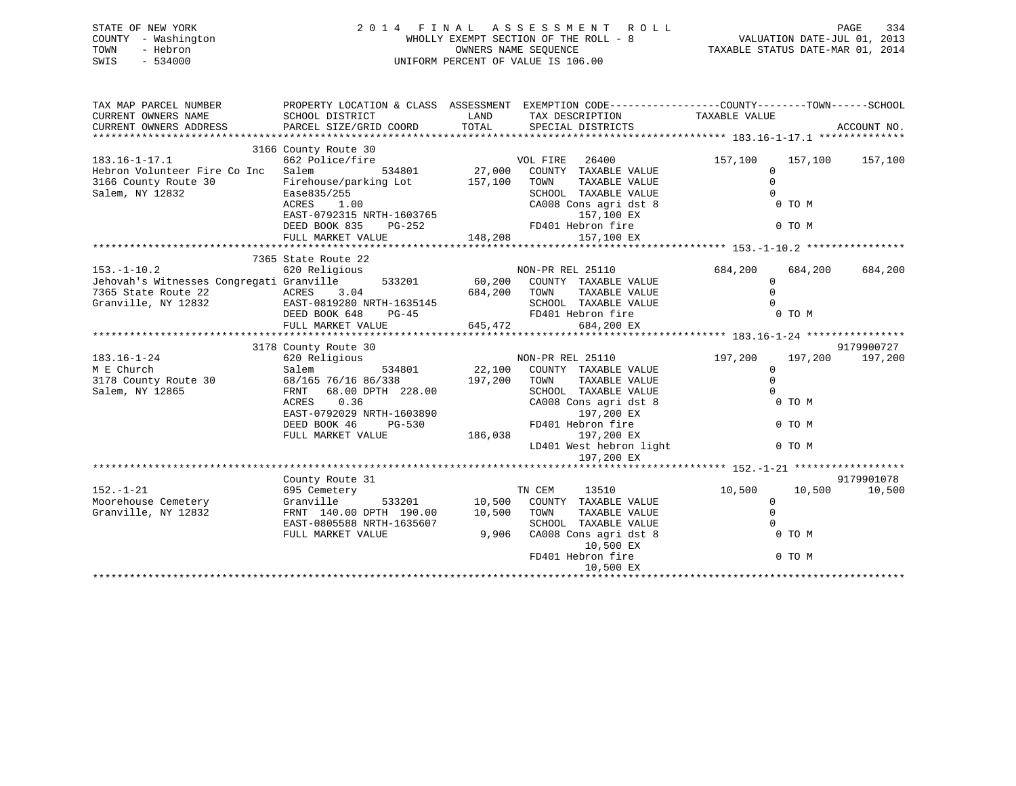| STATE OF NEW YORK   | 2014 FINAL ASSESSMENT ROLL            | 334<br>PAGE                      |
|---------------------|---------------------------------------|----------------------------------|
| COUNTY - Washington | WHOLLY EXEMPT SECTION OF THE ROLL - 8 | VALUATION DATE-JUL 01, 2013      |
| TOWN<br>- Hebron    | OWNERS NAME SEOUENCE                  | TAXABLE STATUS DATE-MAR 01, 2014 |
| SWIS<br>- 534000    | UNIFORM PERCENT OF VALUE IS 106.00    |                                  |

| TAX MAP PARCEL NUMBER                                                                                                                                                                                                                                  | PROPERTY LOCATION & CLASS ASSESSMENT EXEMPTION CODE---------------COUNTY-------TOWN-----SCHOOL                   |              |                                                           |                         |         |                 |
|--------------------------------------------------------------------------------------------------------------------------------------------------------------------------------------------------------------------------------------------------------|------------------------------------------------------------------------------------------------------------------|--------------|-----------------------------------------------------------|-------------------------|---------|-----------------|
| CURRENT OWNERS NAME                                                                                                                                                                                                                                    | SCHOOL DISTRICT                                                                                                  |              | LAND TAX DESCRIPTION                                      | TAXABLE VALUE           |         |                 |
| CURRENT OWNERS ADDRESS                                                                                                                                                                                                                                 | PARCEL SIZE/GRID COORD                                                                                           | TOTAL        | SPECIAL DISTRICTS                                         |                         |         | ACCOUNT NO.     |
|                                                                                                                                                                                                                                                        |                                                                                                                  |              |                                                           |                         |         |                 |
|                                                                                                                                                                                                                                                        | 3166 County Route 30                                                                                             |              |                                                           |                         |         |                 |
| $183.16 - 1 - 17.1$                                                                                                                                                                                                                                    | 662 Police/fire                                                                                                  |              | VOL FIRE 26400                                            | 157,100                 |         | 157,100 157,100 |
| Hebron Volunteer Fire Co Inc Salem<br>3166 County Route 30                                                                                                                                                                                             |                                                                                                                  | 157,100 TOWN | $27,000$ COUNTY TAXABLE VALUE<br>TAXABLE VALUE            | $\Omega$<br>$\mathbf 0$ |         |                 |
| Salem, NY 12832                                                                                                                                                                                                                                        | Firehouse/parking Lot<br>Ease835/255                                                                             |              | SCHOOL TAXABLE VALUE                                      | $\Omega$                |         |                 |
|                                                                                                                                                                                                                                                        | ACRES 1.00                                                                                                       |              | CA008 Cons agri dst 8                                     | O TO M                  |         |                 |
|                                                                                                                                                                                                                                                        |                                                                                                                  |              |                                                           |                         |         |                 |
|                                                                                                                                                                                                                                                        | EAST-0792315 NRTH-1603765<br>DEED BOOK 835 PG-252 FD401 Hebron fire<br>FULL MARKET VALUE 148,208 1988 117,100 EX |              |                                                           |                         | 0 TO M  |                 |
|                                                                                                                                                                                                                                                        |                                                                                                                  |              |                                                           |                         |         |                 |
|                                                                                                                                                                                                                                                        |                                                                                                                  |              |                                                           |                         |         |                 |
|                                                                                                                                                                                                                                                        | 7365 State Route 22                                                                                              |              |                                                           |                         |         |                 |
| $153. - 1 - 10.2$                                                                                                                                                                                                                                      | 620 Religious NON-PR REL 25110                                                                                   |              |                                                           | 684,200                 | 684,200 | 684,200         |
| Jehovah's Witnesses Congregati Granville 533201 60,200 COUNTY TAXABLE VALUE                                                                                                                                                                            |                                                                                                                  |              |                                                           | $\circ$                 |         |                 |
| 7365 State Route 22                                                                                                                                                                                                                                    |                                                                                                                  |              |                                                           | $\overline{0}$          |         |                 |
| Granville, NY 12832                                                                                                                                                                                                                                    | ACRES 3.04 684,200 TOWN TAXABLE VALUE<br>EAST-0819280 NRTH-1635145 SCHOOL TAXABLE VALUE                          |              |                                                           |                         |         |                 |
|                                                                                                                                                                                                                                                        | $PG-45$<br>DEED BOOK 648                                                                                         |              | FD401 Hebron fire                                         |                         |         |                 |
|                                                                                                                                                                                                                                                        | FULL MARKET VALUE 645,472                                                                                        |              | 684,200 EX                                                |                         |         |                 |
|                                                                                                                                                                                                                                                        |                                                                                                                  |              |                                                           |                         |         |                 |
|                                                                                                                                                                                                                                                        | 3178 County Route 30                                                                                             |              |                                                           |                         |         | 9179900727      |
| 183.16-1-24                                                                                                                                                                                                                                            | 620 Religious                                                                                                    |              | NON-PR REL 25110                                          | 197,200 197,200         |         | 197,200         |
|                                                                                                                                                                                                                                                        | 534801                                                                                                           |              | 22,100 COUNTY TAXABLE VALUE<br>197,200 TOWN TAXABLE VALUE | $\circ$                 |         |                 |
| M E Church<br>3178 County Route 30<br>53480<br>53486<br>53486<br>53486<br>53486<br>53486<br>53486<br>53486<br>53486<br>53486<br>53486<br>53486<br>53486<br>53486<br>53486<br>53486<br>5426<br>5426<br>FRNT 68.00<br>5426<br>FRNT 68.00<br>5426<br>FRNT |                                                                                                                  |              | TAXABLE VALUE                                             | $\mathbf 0$             |         |                 |
|                                                                                                                                                                                                                                                        | FRNT 68.00 DPTH 228.00                                                                                           |              | SCHOOL TAXABLE VALUE                                      | $\Omega$                |         |                 |
|                                                                                                                                                                                                                                                        | 0.36<br>ACRES                                                                                                    |              | CA008 Cons agri dst 8                                     | <b>O</b> TOM            |         |                 |
|                                                                                                                                                                                                                                                        | EAST-0792029 NRTH-1603890<br>DEED BOOK 46 PG-530                                                                 |              | 197,200 EX                                                |                         |         |                 |
|                                                                                                                                                                                                                                                        |                                                                                                                  |              | FD401 Hebron fire                                         |                         | 0 TO M  |                 |
|                                                                                                                                                                                                                                                        | FULL MARKET VALUE                                                                                                |              | 186,038 197,200 EX                                        |                         |         |                 |
|                                                                                                                                                                                                                                                        |                                                                                                                  |              | LD401 West hebron light                                   |                         | 0 TO M  |                 |
|                                                                                                                                                                                                                                                        |                                                                                                                  |              | 197,200 EX                                                |                         |         |                 |
|                                                                                                                                                                                                                                                        | County Route 31                                                                                                  |              |                                                           |                         |         | 9179901078      |
| $152. - 1 - 21$                                                                                                                                                                                                                                        | 695 Cemetery                                                                                                     |              | TN CEM<br>13510                                           | 10,500                  | 10,500  | 10,500          |
| Moorehouse Cemetery                                                                                                                                                                                                                                    | Granville                                                                                                        |              | 533201 10,500 COUNTY TAXABLE VALUE                        | $\overline{0}$          |         |                 |
| Granville, NY 12832                                                                                                                                                                                                                                    | FRNT 140.00 DPTH 190.00 10,500 TOWN                                                                              |              | TAXABLE VALUE                                             | $\mathbf 0$             |         |                 |
|                                                                                                                                                                                                                                                        | EAST-0805588 NRTH-1635607                                                                                        |              | SCHOOL TAXABLE VALUE                                      | $\mathbf 0$             |         |                 |
|                                                                                                                                                                                                                                                        | FULL MARKET VALUE                                                                                                | 9,906        | CA008 Cons agri dst 8                                     |                         | 0 TO M  |                 |
|                                                                                                                                                                                                                                                        |                                                                                                                  |              | 10,500 EX                                                 |                         |         |                 |
|                                                                                                                                                                                                                                                        |                                                                                                                  |              | FD401 Hebron fire                                         |                         | 0 TO M  |                 |
|                                                                                                                                                                                                                                                        |                                                                                                                  |              | 10,500 EX                                                 |                         |         |                 |
|                                                                                                                                                                                                                                                        |                                                                                                                  |              |                                                           |                         |         |                 |

PAGE 334<br>JUL 01, 2013<br>MAR 01, 2014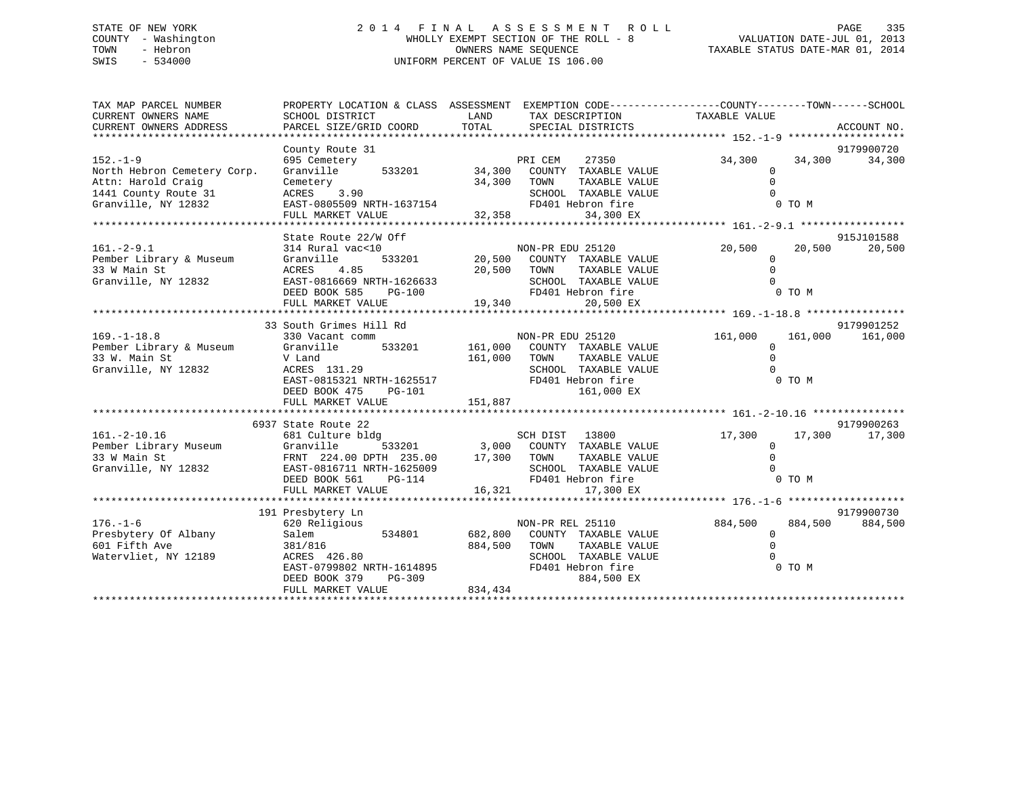# STATE OF NEW YORK 2 0 1 4 F I N A L A S S E S S M E N T R O L L PAGE 335 COUNTY - Washington WHOLLY EXEMPT SECTION OF THE ROLL - 8 VALUATION DATE-JUL 01, 2013 TOWN - Hebron OWNERS NAME SEQUENCE TAXABLE STATUS DATE-MAR 01, 2014 SWIS - 534000 UNIFORM PERCENT OF VALUE IS 106.00

| TAX MAP PARCEL NUMBER<br>CURRENT OWNERS NAME<br>CURRENT OWNERS ADDRESS                                             | PROPERTY LOCATION & CLASS ASSESSMENT EXEMPTION CODE----------------COUNTY-------TOWN------SCHOOL<br>SCHOOL DISTRICT<br>PARCEL SIZE/GRID COORD                                 | LAND<br>TOTAL                                    | TAX DESCRIPTION TAXABLE VALUE<br>SPECIAL DISTRICTS                                                                           |                                                 |                   | ACCOUNT NO.           |
|--------------------------------------------------------------------------------------------------------------------|-------------------------------------------------------------------------------------------------------------------------------------------------------------------------------|--------------------------------------------------|------------------------------------------------------------------------------------------------------------------------------|-------------------------------------------------|-------------------|-----------------------|
| $152. - 1 - 9$<br>North Hebron Cemetery Corp.<br>Attn: Harold Craig<br>1441 County Route 31<br>Granville, NY 12832 | County Route 31<br>695 Cemetery<br>Granville<br>Cemetery<br>3.90<br>ACRES<br>EAST-0805509 NRTH-1637154                                                                        | 533201 34,300<br>34,300<br>$7154$ $32,358$ $FD4$ | PRI CEM<br>27350<br>COUNTY TAXABLE VALUE<br>TOWN<br>TAXABLE VALUE<br>SCHOOL TAXABLE VALUE<br>FD401 Hebron fire               | 34,300<br>$\mathbf{0}$<br>$\Omega$<br>$\Omega$  | 34,300<br>0 TO M  | 9179900720<br>34,300  |
|                                                                                                                    | FULL MARKET VALUE                                                                                                                                                             |                                                  | 34,300 EX                                                                                                                    |                                                 |                   |                       |
| $161. - 2 - 9.1$<br>Pember Library & Museum<br>33 W Main St<br>Granville, NY 12832                                 | State Route 22/W Off<br>314 Rural vac<10<br>533201<br>Granville<br>4.85<br>ACRES<br>EAST-0816669 NRTH-1626633<br>DEED BOOK 585<br>PG-100<br>FULL MARKET VALUE                 | 20,500 TOWN<br>SCHC<br>FD40<br>19,340            | NON-PR EDU 25120<br>20,500 COUNTY TAXABLE VALUE<br>TAXABLE VALUE<br>SCHOOL TAXABLE VALUE<br>FD401 Hebron fire<br>20,500 EX   | 20,500<br>$\mathbf 0$<br>$\Omega$<br>$\Omega$   | 20,500<br>0 TO M  | 915J101588<br>20,500  |
| $169. - 1 - 18.8$<br>Pember Library & Museum<br>33 W. Main St<br>Granville, NY 12832                               | 33 South Grimes Hill Rd<br>330 Vacant comm<br>Granville<br>V Land<br>ACRES 131.29<br>EAST-0815321 NRTH-1625517<br>DEED BOOK 475<br>PG-101<br>FULL MARKET VALUE                | 533201 161,000<br>161,000<br>151,887             | NON-PR EDU 25120<br>COUNTY TAXABLE VALUE<br>TAXABLE VALUE<br>TOWN<br>SCHOOL TAXABLE VALUE<br>FD401 Hebron fire<br>161,000 EX | 161,000<br>$\mathbf{0}$<br>$\Omega$<br>$\Omega$ | 161,000<br>0 TO M | 9179901252<br>161,000 |
| $161. - 2 - 10.16$<br>161.-2-10.16<br>Pember Library Museum<br>33 W Main St<br>33 W Main St<br>Granville, NY 12832 | 6937 State Route 22<br>681 Culture bldg<br>Granville<br>FRNT 224.00 DPTH 235.00<br>EAST-0816711 NRTH-1625009<br>DEED BOOK 561<br>PG-114<br>FULL MARKET VALUE                  | 17,300 TOWN<br>16,321                            | TAXABLE VALUE<br>SCHOOL TAXABLE VALUE<br>FD401 Hebron fire<br>17,300 EX                                                      | 17,300<br>$\Omega$<br>$\Omega$<br>$\Omega$      | 17,300<br>0 TO M  | 9179900263<br>17,300  |
| $176. - 1 - 6$<br>Presbytery Of Albany<br>601 Fifth Ave<br>Watervliet, NY 12189                                    | 191 Presbytery Ln<br>620 Religious<br>Salem<br>534801<br>381/816<br>ACRES 426.80<br>ACRES 420.00<br>EAST-0799802 NRTH-1614895<br>DEED BOOK 379<br>PG-309<br>FULL MARKET VALUE | 682,800<br>884,500<br>834,434                    | NON-PR REL 25110<br>COUNTY TAXABLE VALUE<br>TAXABLE VALUE<br>TOWN<br>SCHOOL TAXABLE VALUE<br>FD401 Hebron fire<br>884,500 EX | 884,500<br>$\overline{0}$<br>$\Omega$           | 884,500<br>0 TO M | 9179900730<br>884,500 |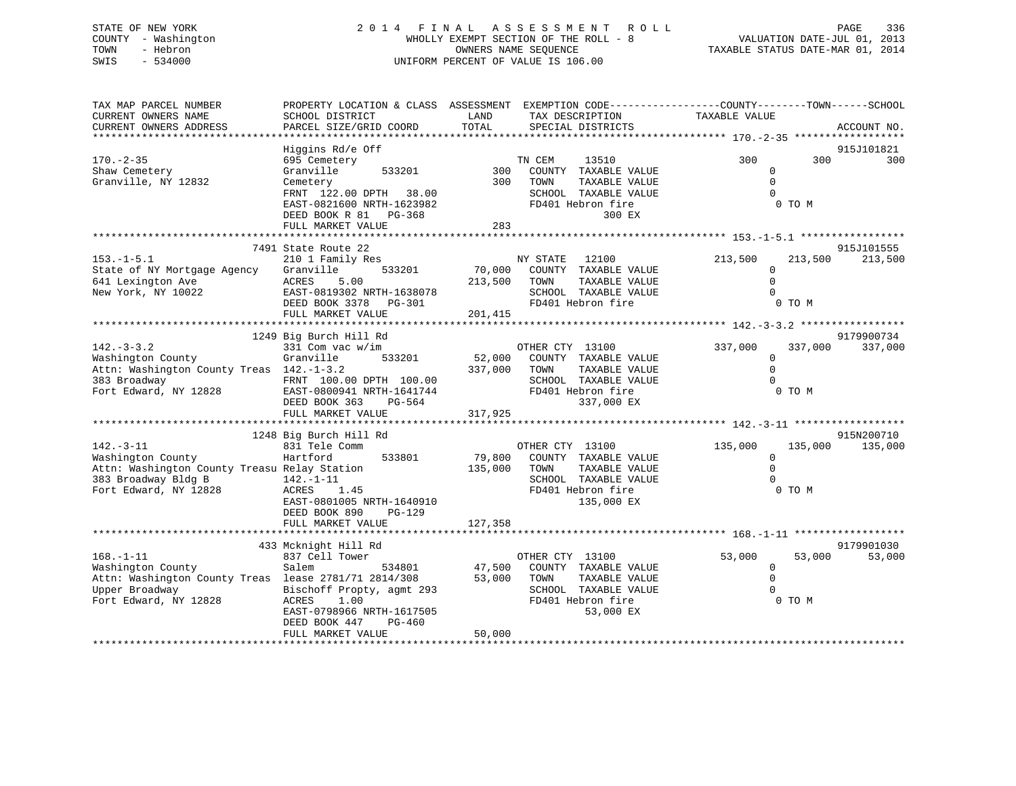# STATE OF NEW YORK 2 0 1 4 F I N A L A S S E S S M E N T R O L L PAGE 336 COUNTY - Washington WHOLLY EXEMPT SECTION OF THE ROLL - 8 VALUATION DATE-JUL 01, 2013 TOWN - Hebron OWNERS NAME SEQUENCE TAXABLE STATUS DATE-MAR 01, 2014 SWIS - 534000 UNIFORM PERCENT OF VALUE IS 106.00

| TAX MAP PARCEL NUMBER<br>CURRENT OWNERS NAME<br>CURRENT OWNERS ADDRESS                                                                  | PROPERTY LOCATION & CLASS ASSESSMENT EXEMPTION CODE----------------COUNTY-------TOWN------SCHOOL<br>SCHOOL DISTRICT<br>PARCEL SIZE/GRID COORD                               | LAND<br>TOTAL                | TAX DESCRIPTION<br>SPECIAL DISTRICTS                                                                                        | TAXABLE VALUE                                            | ACCOUNT NO.                      |
|-----------------------------------------------------------------------------------------------------------------------------------------|-----------------------------------------------------------------------------------------------------------------------------------------------------------------------------|------------------------------|-----------------------------------------------------------------------------------------------------------------------------|----------------------------------------------------------|----------------------------------|
|                                                                                                                                         |                                                                                                                                                                             |                              |                                                                                                                             |                                                          |                                  |
| $170. - 2 - 35$<br>Shaw Cemetery<br>Granville, NY 12832                                                                                 | Higgins Rd/e Off<br>695 Cemetery<br>Granville<br>533201<br>Cemetery<br>FRNT 122.00 DPTH 38.00<br>EAST-0821600 NRTH-1623982<br>DEED BOOK R 81<br>PG-368<br>FULL MARKET VALUE | 300<br>300<br>283            | TN CEM<br>13510<br>COUNTY TAXABLE VALUE<br>TOWN<br>TAXABLE VALUE<br>SCHOOL TAXABLE VALUE<br>FD401 Hebron fire<br>300 EX     | 300<br>0<br>$\Omega$<br>$\Omega$<br>0 TO M               | 915J101821<br>300<br>300         |
|                                                                                                                                         |                                                                                                                                                                             |                              |                                                                                                                             |                                                          |                                  |
| $153. - 1 - 5.1$<br>State of NY Mortgage Agency<br>641 Lexington Ave<br>New York, NY 10022                                              | 7491 State Route 22<br>210 1 Family Res<br>Granville<br>533201<br>ACRES<br>5.00<br>EAST-0819302 NRTH-1638078<br>DEED BOOK 3378<br>PG-301<br>FULL MARKET VALUE               | 70,000<br>213,500<br>201,415 | NY STATE<br>12100<br>COUNTY TAXABLE VALUE<br>TAXABLE VALUE<br>TOWN<br>SCHOOL TAXABLE VALUE<br>FD401 Hebron fire             | 213,500<br>$\Omega$<br>$\Omega$<br>$\Omega$<br>0 TO M    | 915J101555<br>213,500<br>213,500 |
|                                                                                                                                         |                                                                                                                                                                             |                              |                                                                                                                             |                                                          |                                  |
| $142. - 3 - 3.2$<br>Washington County<br>Attn: Washington County Treas 142.-1-3.2<br>383 Broadway<br>Fort Edward, NY 12828              | 1249 Big Burch Hill Rd<br>331 Com vac w/im<br>Granville<br>533201<br>FRNT 100.00 DPTH 100.00<br>EAST-0800941 NRTH-1641744<br>DEED BOOK 363<br>PG-564<br>FULL MARKET VALUE   | 52,000<br>337,000<br>317,925 | OTHER CTY 13100<br>COUNTY TAXABLE VALUE<br>TAXABLE VALUE<br>TOWN<br>SCHOOL TAXABLE VALUE<br>FD401 Hebron fire<br>337,000 EX | 337,000<br>$\Omega$<br>$\Omega$<br>$\Omega$<br>0 TO M    | 9179900734<br>337,000<br>337,000 |
|                                                                                                                                         | 1248 Big Burch Hill Rd                                                                                                                                                      |                              |                                                                                                                             |                                                          | 915N200710                       |
| $142. - 3 - 11$<br>Washington County<br>Attn: Washington County Treasu Relay Station<br>383 Broadway Bldg B<br>Fort Edward, NY 12828    | 831 Tele Comm<br>Hartford<br>533801<br>$142. - 1 - 11$<br>ACRES<br>1.45<br>EAST-0801005 NRTH-1640910<br>DEED BOOK 890<br>$PG-129$                                           | 79,800<br>135,000            | OTHER CTY 13100<br>COUNTY TAXABLE VALUE<br>TOWN<br>TAXABLE VALUE<br>SCHOOL TAXABLE VALUE<br>FD401 Hebron fire<br>135,000 EX | 135,000<br>$\mathbf 0$<br>$\Omega$<br>$\Omega$<br>0 TO M | 135,000<br>135,000               |
|                                                                                                                                         | FULL MARKET VALUE                                                                                                                                                           | 127,358                      |                                                                                                                             |                                                          |                                  |
| $168. - 1 - 11$<br>Washington County<br>Attn: Washington County Treas lease 2781/71 2814/308<br>Upper Broadway<br>Fort Edward, NY 12828 | 433 Mcknight Hill Rd<br>837 Cell Tower<br>Salem<br>534801<br>Bischoff Propty, agmt 293<br>ACRES<br>1.00                                                                     | 47,500<br>53,000             | OTHER CTY 13100<br>COUNTY TAXABLE VALUE<br>TOWN<br>TAXABLE VALUE<br>SCHOOL TAXABLE VALUE<br>FD401 Hebron fire               | 53,000<br>0<br>$\Omega$<br>$\Omega$<br>0 TO M            | 9179901030<br>53,000<br>53,000   |
|                                                                                                                                         | EAST-0798966 NRTH-1617505<br>DEED BOOK 447<br>$PG-460$<br>FULL MARKET VALUE                                                                                                 | 50,000                       | 53,000 EX                                                                                                                   |                                                          |                                  |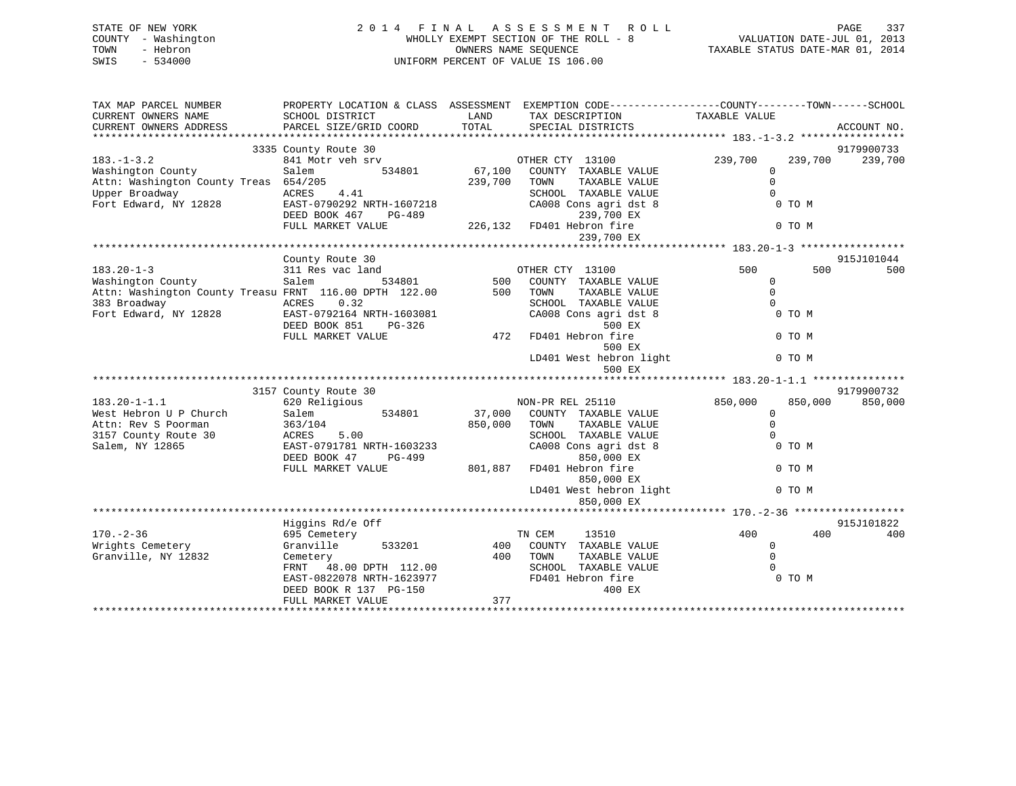| STATE OF NEW YORK<br>- Washington<br>COUNTY<br>- Hebron<br>TOWN<br>SWIS<br>$-534000$ | 2014 FINAL                           |         | A S S E S S M E N T R O L L<br>WHOLLY EXEMPT SECTION OF THE ROLL - 8<br>OWNERS NAME SEOUENCE<br>UNIFORM PERCENT OF VALUE IS 106.00 | VALUATION DATE-JUL 01, 2013<br>TAXABLE STATUS DATE-MAR 01, 2014 | 337<br>PAGE        |
|--------------------------------------------------------------------------------------|--------------------------------------|---------|------------------------------------------------------------------------------------------------------------------------------------|-----------------------------------------------------------------|--------------------|
| TAX MAP PARCEL NUMBER                                                                | PROPERTY LOCATION & CLASS ASSESSMENT |         | EXEMPTION CODE-----------------COUNTY-------TOWN------SCHOOL                                                                       |                                                                 |                    |
| CURRENT OWNERS NAME                                                                  | SCHOOL DISTRICT                      | LAND    | TAX DESCRIPTION TAXABLE VALUE                                                                                                      |                                                                 |                    |
| CURRENT OWNERS ADDRESS                                                               |                                      |         | PARCEL SIZE/GRID COORD TOTAL SPECIAL DISTRICTS                                                                                     |                                                                 | ACCOUNT NO.        |
|                                                                                      |                                      |         |                                                                                                                                    |                                                                 |                    |
|                                                                                      | 3335 County Route 30                 |         |                                                                                                                                    |                                                                 | 9179900733         |
| $183. -1 - 3.2$                                                                      | 841 Motr veh srv                     |         | OTHER CTY 13100                                                                                                                    | 239,700                                                         | 239,700<br>239,700 |
| Washington County                                                                    | Salem<br>534801                      | 67,100  | COUNTY TAXABLE VALUE                                                                                                               | $\mathbf 0$                                                     |                    |
| Attn: Washington County Treas 654/205                                                |                                      | 239,700 | TOWN<br>TAXABLE VALUE                                                                                                              |                                                                 |                    |
| Upper Broadway                                                                       | ACRES 4.41                           |         | TAXABLE VALUE<br>SCHOOL                                                                                                            |                                                                 |                    |
| Fort Edward, NY 12828                                                                | EAST-0790292 NRTH-1607218            |         | CA008 Cons agri dst 8                                                                                                              | 0 TO M                                                          |                    |
|                                                                                      | DEED BOOK 467<br>PG-489              |         | 239,700 EX                                                                                                                         |                                                                 |                    |
|                                                                                      | FULL MARKET VALUE                    |         | 226,132 FD401 Hebron fire                                                                                                          | 0 TO M                                                          |                    |
|                                                                                      |                                      |         | 239,700 EX                                                                                                                         |                                                                 |                    |
|                                                                                      |                                      |         |                                                                                                                                    |                                                                 |                    |
|                                                                                      | County Route 30                      |         |                                                                                                                                    |                                                                 | 915J101044         |
| $183.20 - 1 - 3$                                                                     | 311 Res vac land                     |         | OTHER CTY 13100                                                                                                                    | 500                                                             | 500<br>500         |
| Washington County                                                                    | Salem<br>534801                      | 500     | COUNTY TAXABLE VALUE                                                                                                               |                                                                 |                    |

Attn: Washington County Treasu FRNT 116.00 DPTH 122.00 500 TOWN TAXABLE VALUE 0 383 Broadway ACRES 0.32 SCHOOL TAXABLE VALUE 0

| Fort Edward, NY 12828  | EAST-0792164 NRTH-1603081<br>DEED BOOK 851<br>PG-326 |         | CA008 Cons agri dst 8<br>500 EX   | 0 TO M             |            |
|------------------------|------------------------------------------------------|---------|-----------------------------------|--------------------|------------|
|                        | FULL MARKET VALUE                                    | 472     | FD401 Hebron fire<br>500 EX       | 0 TO M             |            |
|                        |                                                      |         | LD401 West hebron light<br>500 EX | 0 TO M             |            |
|                        |                                                      |         |                                   |                    |            |
|                        | 3157 County Route 30                                 |         |                                   |                    | 9179900732 |
| 183.20-1-1.1           | 620 Religious                                        |         | NON-PR REL 25110                  | 850,000<br>850,000 | 850,000    |
| West Hebron U P Church | Salem 534801                                         | 37,000  | COUNTY TAXABLE VALUE              | $\Omega$           |            |
| Attn: Rev S Poorman    | 363/104                                              | 850,000 | TAXABLE VALUE<br>TOWN             |                    |            |
| 3157 County Route 30   | ACRES 5.00                                           |         | SCHOOL TAXABLE VALUE              |                    |            |
| Salem, NY 12865        | EAST-0791781 NRTH-1603233                            |         | CA008 Cons agri dst 8             | 0 TO M             |            |
|                        | DEED BOOK 47<br>PG-499                               |         | 850,000 EX                        |                    |            |
|                        | FULL MARKET VALUE                                    | 801,887 | FD401 Hebron fire                 | 0 TO M             |            |
|                        |                                                      |         | 850,000 EX                        |                    |            |
|                        |                                                      |         | LD401 West hebron light           | 0 TO M             |            |
|                        |                                                      |         | 850,000 EX                        |                    |            |
|                        |                                                      |         |                                   |                    |            |
|                        | Higgins Rd/e Off                                     |         |                                   |                    | 915J101822 |
| $170. - 2 - 36$        | 695 Cemetery                                         |         | 13510<br>TN CEM                   | 400<br>400         | 400        |
| Wrights Cemetery       | Granville 533201                                     |         | 400 COUNTY<br>TAXABLE VALUE       | 0                  |            |
| Granville, NY 12832    | Cemetery                                             | 400     | TOWN<br>TAXABLE VALUE             |                    |            |
|                        | FRNT 48.00 DPTH 112.00                               |         | SCHOOL TAXABLE VALUE              |                    |            |
|                        | EAST-0822078 NRTH-1623977                            |         | FD401 Hebron fire                 | 0 TO M             |            |
|                        | DEED BOOK R 137 PG-150                               |         | 400 EX                            |                    |            |
|                        | FULL MARKET VALUE                                    | 377     |                                   |                    |            |
|                        |                                                      |         |                                   |                    |            |
|                        |                                                      |         |                                   |                    |            |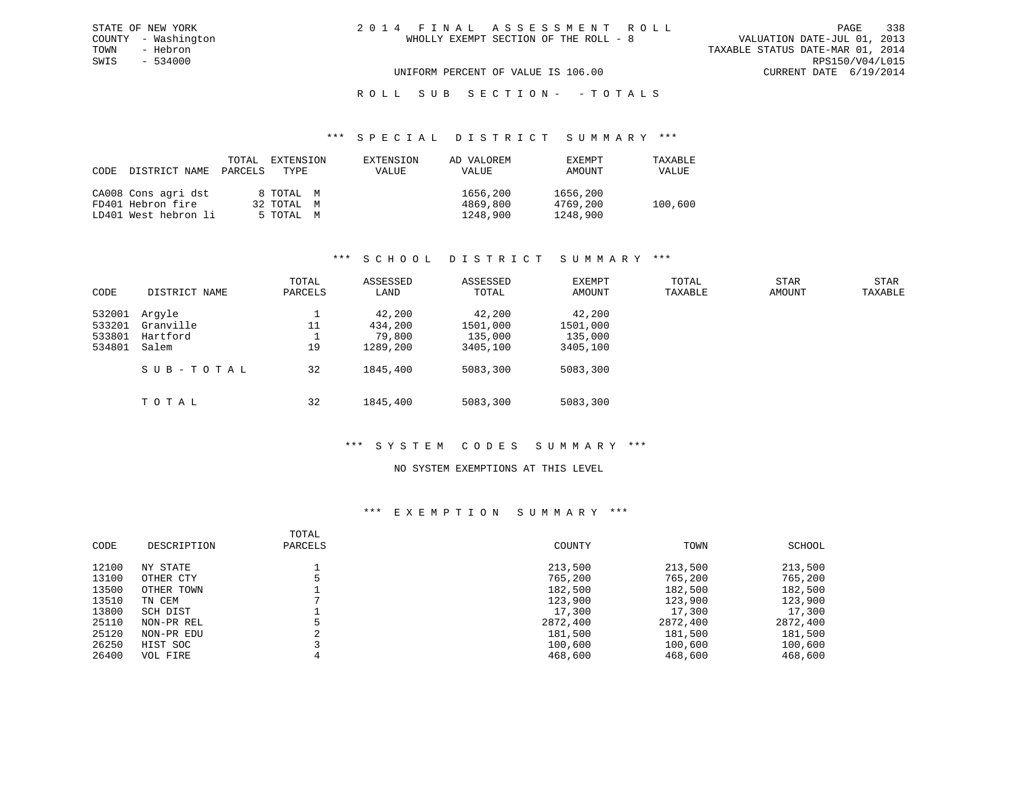VALUATION DATE-JUL 01, 2013 TOWN - Hebron TAXABLE STATUS DATE-MAR 01, 2014 SWIS - 534000 RPS150/V04/L015 UNIFORM PERCENT OF VALUE IS 106.00 CURRENT DATE 6/19/2014

# ROLL SUB SECTION - - TOTALS

#### \*\*\* S P E C I A L D I S T R I C T S U M M A R Y \*\*\*

| CODE DISTRICT NAME   | TOTAL<br>PARCELS | EXTENSION<br>TYPE | EXTENSION<br>VALUE | AD VALOREM<br>VALUE | EXEMPT<br>AMOUNT | TAXABLE<br>VALUE |
|----------------------|------------------|-------------------|--------------------|---------------------|------------------|------------------|
| CA008 Cons agri dst  |                  | 8 TOTAL M         |                    | 1656,200            | 1656,200         |                  |
| FD401 Hebron fire    |                  | 32 TOTAL M        |                    | 4869,800            | 4769,200         | 100,600          |
| LD401 West hebron li |                  | 5 TOTAL M         |                    | 1248,900            | 1248,900         |                  |

#### \*\*\* S C H O O L D I S T R I C T S U M M A R Y \*\*\*

| CODE                       | DISTRICT NAME                   | TOTAL<br>PARCELS | ASSESSED<br>LAND            | ASSESSED<br>TOTAL             | EXEMPT<br>AMOUNT              | TOTAL<br>TAXABLE | <b>STAR</b><br>AMOUNT | <b>STAR</b><br>TAXABLE |
|----------------------------|---------------------------------|------------------|-----------------------------|-------------------------------|-------------------------------|------------------|-----------------------|------------------------|
| 532001<br>533201<br>533801 | Arqyle<br>Granville<br>Hartford | 11               | 42,200<br>434,200<br>79,800 | 42,200<br>1501,000<br>135,000 | 42,200<br>1501,000<br>135,000 |                  |                       |                        |
| 534801                     | Salem                           | 19               | 1289,200                    | 3405,100                      | 3405,100                      |                  |                       |                        |
|                            | SUB-TOTAL                       | 32               | 1845,400                    | 5083,300                      | 5083,300                      |                  |                       |                        |
|                            | TOTAL                           | 32               | 1845,400                    | 5083,300                      | 5083,300                      |                  |                       |                        |

# \*\*\* S Y S T E M C O D E S S U M M A R Y \*\*\*

#### NO SYSTEM EXEMPTIONS AT THIS LEVEL

| CODE  | DESCRIPTION | TOTAL<br>PARCELS | COUNTY   | TOWN     | SCHOOL   |
|-------|-------------|------------------|----------|----------|----------|
| 12100 | NY STATE    |                  | 213,500  | 213,500  | 213,500  |
| 13100 | OTHER CTY   |                  | 765,200  | 765,200  | 765,200  |
| 13500 | OTHER TOWN  |                  | 182,500  | 182,500  | 182,500  |
| 13510 | TN CEM      |                  | 123,900  | 123,900  | 123,900  |
| 13800 | SCH DIST    |                  | 17,300   | 17,300   | 17,300   |
| 25110 | NON-PR REL  |                  | 2872,400 | 2872,400 | 2872,400 |
| 25120 | NON-PR EDU  | $\Omega$<br>z.   | 181,500  | 181,500  | 181,500  |
| 26250 | HIST SOC    |                  | 100,600  | 100,600  | 100,600  |
| 26400 | VOL FIRE    |                  | 468,600  | 468,600  | 468,600  |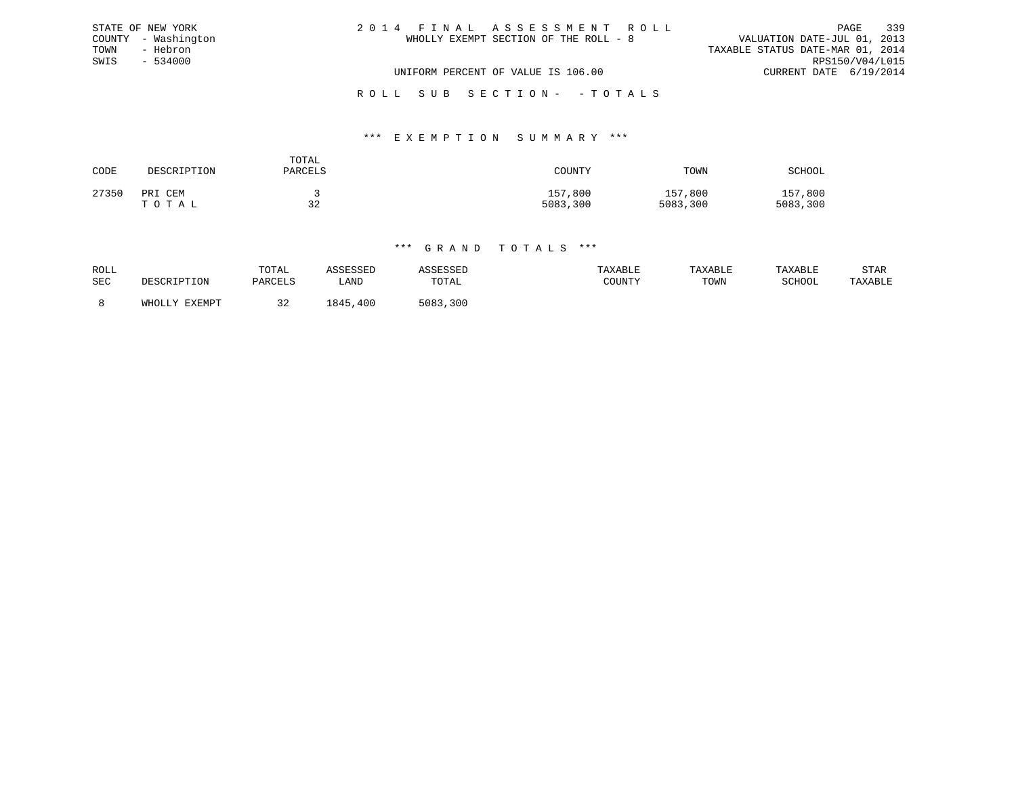| STATE OF NEW YORK   | 2014 FINAL ASSESSMENT ROLL            | 339<br>PAGE                      |
|---------------------|---------------------------------------|----------------------------------|
| COUNTY - Washington | WHOLLY EXEMPT SECTION OF THE ROLL - 8 | VALUATION DATE-JUL 01, 2013      |
| TOWN<br>- Hebron    |                                       | TAXABLE STATUS DATE-MAR 01, 2014 |
| SWIS<br>$-534000$   |                                       | RPS150/V04/L015                  |
|                     | UNIFORM PERCENT OF VALUE IS 106.00    | CURRENT DATE 6/19/2014           |
|                     | ROLL SUB SECTION- - TOTALS            |                                  |

#### \*\*\* E X E M P T I O N S U M M A R Y \*\*\*

| CODE  | DESCRIPTION      | TOTAL<br>PARCELS | COUNTY              | TOWN                | SCHOOL              |
|-------|------------------|------------------|---------------------|---------------------|---------------------|
| 27350 | PRI CEM<br>TOTAL | 32               | 157,800<br>5083,300 | 157,800<br>5083,300 | 157,800<br>5083,300 |

| ROLL<br><b>SEC</b> | DESCRIPTION   | TOTAL<br>PARCELS | <i><b>COTCOTT</b></i><br>חדר ה<br>LAND | <b>\SSESSED</b><br>TOTAL | TAXABLE<br>COUNTY | TAXABLE<br>TOWN | TAXABLE<br>SCHOOL | STAR<br>TAXABLE |
|--------------------|---------------|------------------|----------------------------------------|--------------------------|-------------------|-----------------|-------------------|-----------------|
|                    | WHOLLY EXEMPT | 32               | 845<br>,400                            | 5083,300                 |                   |                 |                   |                 |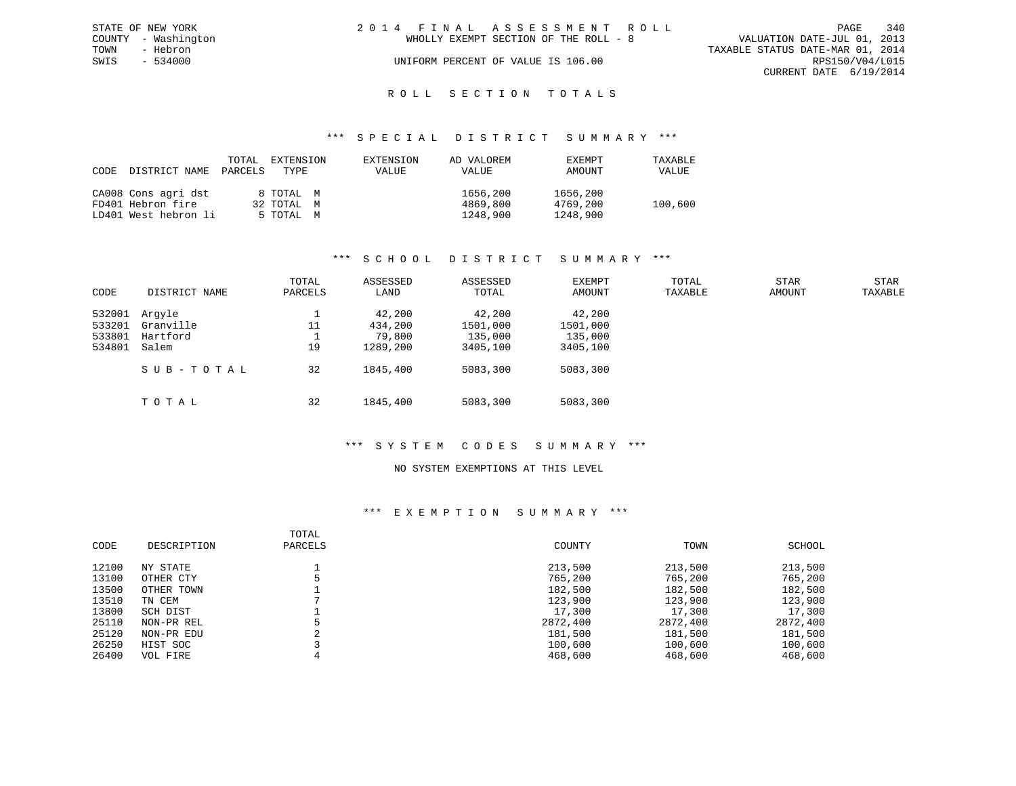| STATE OF NEW YORK |                     | 2014 FINAL ASSESSMENT ROLL |                                       |                                  |                        | PAGE | 340 |
|-------------------|---------------------|----------------------------|---------------------------------------|----------------------------------|------------------------|------|-----|
|                   | COUNTY - Washington |                            | WHOLLY EXEMPT SECTION OF THE ROLL - 8 | VALUATION DATE-JUL 01, 2013      |                        |      |     |
| TOWN              | - Hebron            |                            |                                       | TAXABLE STATUS DATE-MAR 01, 2014 |                        |      |     |
| SWIS              | $-534000$           |                            | UNIFORM PERCENT OF VALUE IS 106.00    |                                  | RPS150/V04/L015        |      |     |
|                   |                     |                            |                                       |                                  | CURRENT DATE 6/19/2014 |      |     |
|                   |                     |                            |                                       |                                  |                        |      |     |

# ROLL SECTION TOTALS

#### \*\*\* S P E C I A L D I S T R I C T S U M M A R Y \*\*\*

| CODE | DISTRICT NAME        | TOTAL<br>PARCELS | EXTENSION<br>TYPE | EXTENSION<br><b>VALUE</b> | AD VALOREM<br>VALUE | <b>EXEMPT</b><br>AMOUNT | TAXABLE<br>VALUE |
|------|----------------------|------------------|-------------------|---------------------------|---------------------|-------------------------|------------------|
|      | CA008 Cons agri dst  |                  | 8 TOTAL M         |                           | 1656,200            | 1656,200                |                  |
|      | FD401 Hebron fire    |                  | 32 TOTAL M        |                           | 4869,800            | 4769,200                | 100,600          |
|      | LD401 West hebron li |                  | 5 TOTAL M         |                           | 1248,900            | 1248,900                |                  |

#### \*\*\* S C H O O L D I S T R I C T S U M M A R Y \*\*\*

| CODE                                 | DISTRICT NAME                            | TOTAL<br>PARCELS | ASSESSED<br>LAND                        | ASSESSED<br>TOTAL                         | EXEMPT<br>AMOUNT                          | TOTAL<br>TAXABLE | <b>STAR</b><br>AMOUNT | <b>STAR</b><br>TAXABLE |
|--------------------------------------|------------------------------------------|------------------|-----------------------------------------|-------------------------------------------|-------------------------------------------|------------------|-----------------------|------------------------|
| 532001<br>533201<br>533801<br>534801 | Arqyle<br>Granville<br>Hartford<br>Salem | 11<br>19         | 42,200<br>434,200<br>79,800<br>1289,200 | 42,200<br>1501,000<br>135,000<br>3405,100 | 42,200<br>1501,000<br>135,000<br>3405,100 |                  |                       |                        |
|                                      | SUB-TOTAL                                | 32               | 1845,400                                | 5083,300                                  | 5083,300                                  |                  |                       |                        |
|                                      | TOTAL                                    | 32               | 1845,400                                | 5083,300                                  | 5083,300                                  |                  |                       |                        |

#### \*\*\* S Y S T E M C O D E S S U M M A R Y \*\*\*

### NO SYSTEM EXEMPTIONS AT THIS LEVEL

| CODE  | DESCRIPTION | TOTAL<br>PARCELS | COUNTY   | TOWN     | SCHOOL   |
|-------|-------------|------------------|----------|----------|----------|
| 12100 | NY STATE    |                  | 213,500  | 213,500  | 213,500  |
| 13100 | OTHER CTY   |                  | 765,200  | 765,200  | 765,200  |
| 13500 | OTHER TOWN  |                  | 182,500  | 182,500  | 182,500  |
| 13510 | TN CEM      |                  | 123,900  | 123,900  | 123,900  |
| 13800 | SCH DIST    |                  | 17,300   | 17,300   | 17,300   |
| 25110 | NON-PR REL  |                  | 2872,400 | 2872,400 | 2872,400 |
| 25120 | NON-PR EDU  | $\sim$           | 181,500  | 181,500  | 181,500  |
| 26250 | HIST SOC    |                  | 100,600  | 100,600  | 100,600  |
| 26400 | VOL FIRE    |                  | 468,600  | 468,600  | 468,600  |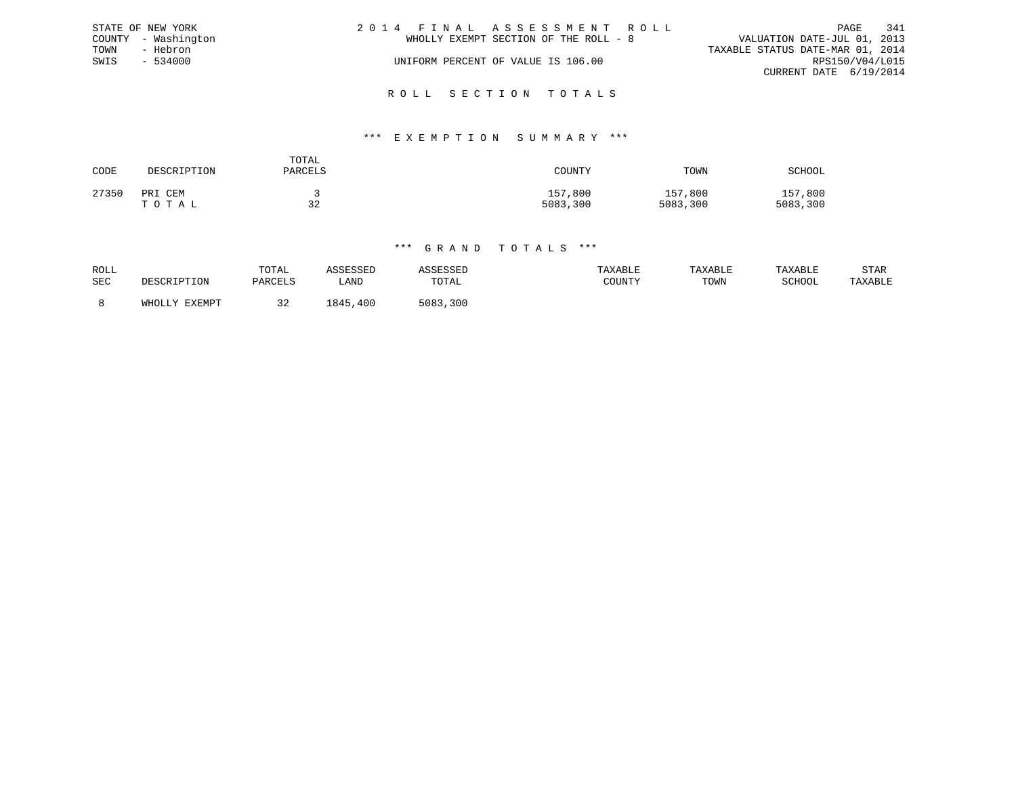|      | STATE OF NEW YORK   | 2014 FINAL ASSESSMENT ROLL            | 341<br>PAGE                      |
|------|---------------------|---------------------------------------|----------------------------------|
|      | COUNTY - Washington | WHOLLY EXEMPT SECTION OF THE ROLL - 8 | VALUATION DATE-JUL 01, 2013      |
| TOWN | - Hebron            |                                       | TAXABLE STATUS DATE-MAR 01, 2014 |
| SWIS | $-534000$           | UNIFORM PERCENT OF VALUE IS 106.00    | RPS150/V04/L015                  |
|      |                     |                                       | CURRENT DATE 6/19/2014           |
|      |                     |                                       |                                  |

# \*\*\* E X E M P T I O N S U M M A R Y \*\*\*

R O L L S E C T I O N T O T A L S

| CODE  | DESCRIPTION      | TOTAL<br>PARCELS | COUNTY              | TOWN                | SCHOOL              |
|-------|------------------|------------------|---------------------|---------------------|---------------------|
| 27350 | PRI CEM<br>TOTAL | 32               | 157,800<br>5083,300 | 157,800<br>5083,300 | 157,800<br>5083,300 |

|            | DESCRIPTION   |         |              |          |         |         |         |         |
|------------|---------------|---------|--------------|----------|---------|---------|---------|---------|
| ROLL       |               | TOTAL   | ASSESSED     | ASSESSED | TAXABLE | TAXABLE | TAXABLE | STAR    |
| <b>SEC</b> |               | PARCELS | LAND         | TOTAL    | COUNTY  | TOWN    | SCHOOL  | TAXABLE |
|            | WHOLLY EXEMPT | 32      | 1845<br>,400 | 5083,300 |         |         |         |         |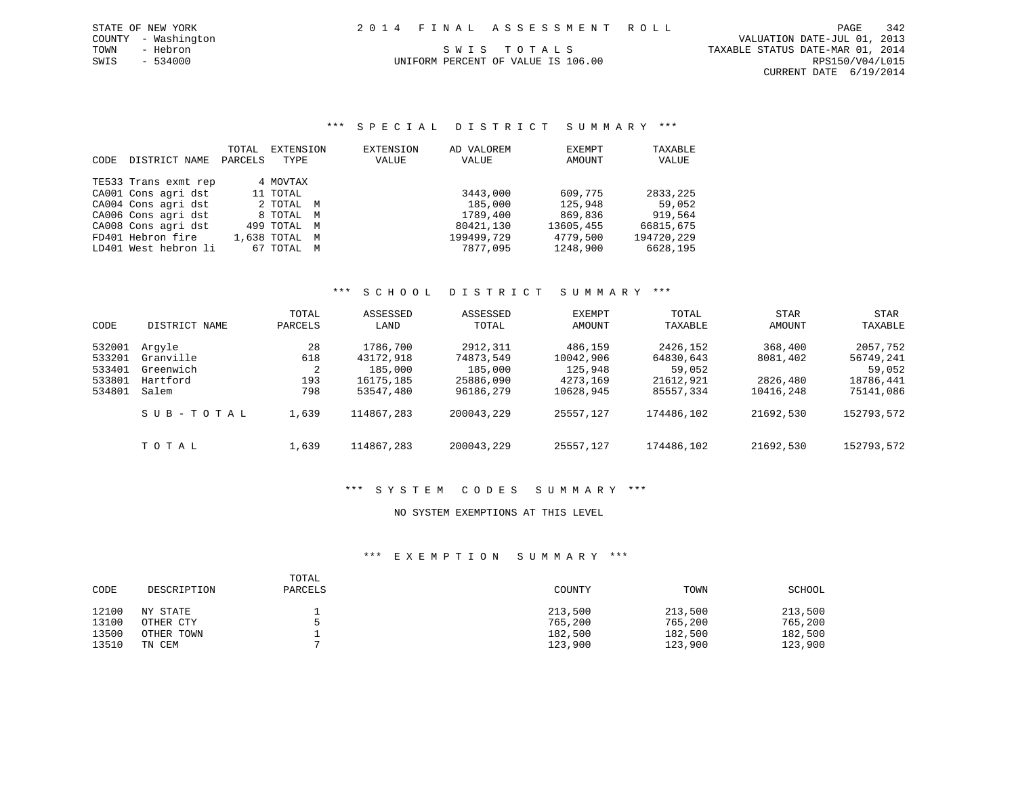\*\*\* S P E C I A L D I S T R I C T S U M M A R Y \*\*\*

|      |                      | TOTAL   | EXTENSION     | EXTENSION | AD VALOREM | EXEMPT    | TAXABLE    |
|------|----------------------|---------|---------------|-----------|------------|-----------|------------|
| CODE | DISTRICT NAME        | PARCELS | TYPE          | VALUE     | VALUE      | AMOUNT    | VALUE      |
|      | TE533 Trans exmt rep |         | 4 MOVTAX      |           |            |           |            |
|      | CA001 Cons agri dst  |         | 11 TOTAL      |           | 3443,000   | 609,775   | 2833,225   |
|      | CA004 Cons agri dst  |         | 2 TOTAL M     |           | 185,000    | 125,948   | 59,052     |
|      | CA006 Cons agri dst  |         | 8 TOTAL M     |           | 1789,400   | 869,836   | 919,564    |
|      | CA008 Cons agri dst  |         | 499 TOTAL M   |           | 80421,130  | 13605,455 | 66815,675  |
|      | FD401 Hebron fire    |         | 1,638 TOTAL M |           | 199499,729 | 4779,500  | 194720,229 |
|      | LD401 West hebron li |         | 67 TOTAL M    |           | 7877,095   | 1248,900  | 6628,195   |

# \*\*\* S C H O O L D I S T R I C T S U M M A R Y \*\*\*

| CODE             | DISTRICT NAME          | TOTAL<br>PARCELS | ASSESSED<br>LAND       | ASSESSED<br>TOTAL      | EXEMPT<br>AMOUNT      | TOTAL<br>TAXABLE       | STAR<br>AMOUNT        | STAR<br>TAXABLE        |
|------------------|------------------------|------------------|------------------------|------------------------|-----------------------|------------------------|-----------------------|------------------------|
| 532001           | Arqyle                 | 28               | 1786,700               | 2912,311               | 486,159               | 2426,152               | 368,400               | 2057,752               |
| 533201<br>533401 | Granville<br>Greenwich | 618<br>2         | 43172,918<br>185,000   | 74873,549<br>185,000   | 10042,906<br>125,948  | 64830,643<br>59,052    | 8081,402              | 56749,241<br>59,052    |
| 533801<br>534801 | Hartford<br>Salem      | 193<br>798       | 16175,185<br>53547,480 | 25886,090<br>96186,279 | 4273,169<br>10628,945 | 21612,921<br>85557,334 | 2826,480<br>10416,248 | 18786,441<br>75141,086 |
|                  |                        |                  |                        |                        |                       |                        |                       |                        |
|                  | SUB-TOTAL              | 1,639            | 114867,283             | 200043,229             | 25557.127             | 174486,102             | 21692,530             | 152793,572             |
|                  | TOTAL                  | 1,639            | 114867,283             | 200043,229             | 25557,127             | 174486,102             | 21692,530             | 152793,572             |

#### \*\*\* S Y S T E M C O D E S S U M M A R Y \*\*\*

### NO SYSTEM EXEMPTIONS AT THIS LEVEL

| CODE                    | DESCRIPTION                         | TOTAL<br>PARCELS | COUNTY                        | TOWN                          | SCHOOL                        |
|-------------------------|-------------------------------------|------------------|-------------------------------|-------------------------------|-------------------------------|
| 12100<br>13100<br>13500 | NY STATE<br>OTHER CTY<br>OTHER TOWN |                  | 213,500<br>765,200<br>182,500 | 213,500<br>765,200<br>182,500 | 213,500<br>765,200<br>182,500 |
| 13510                   | TN CEM                              |                  | 123,900                       | 123,900                       | 123,900                       |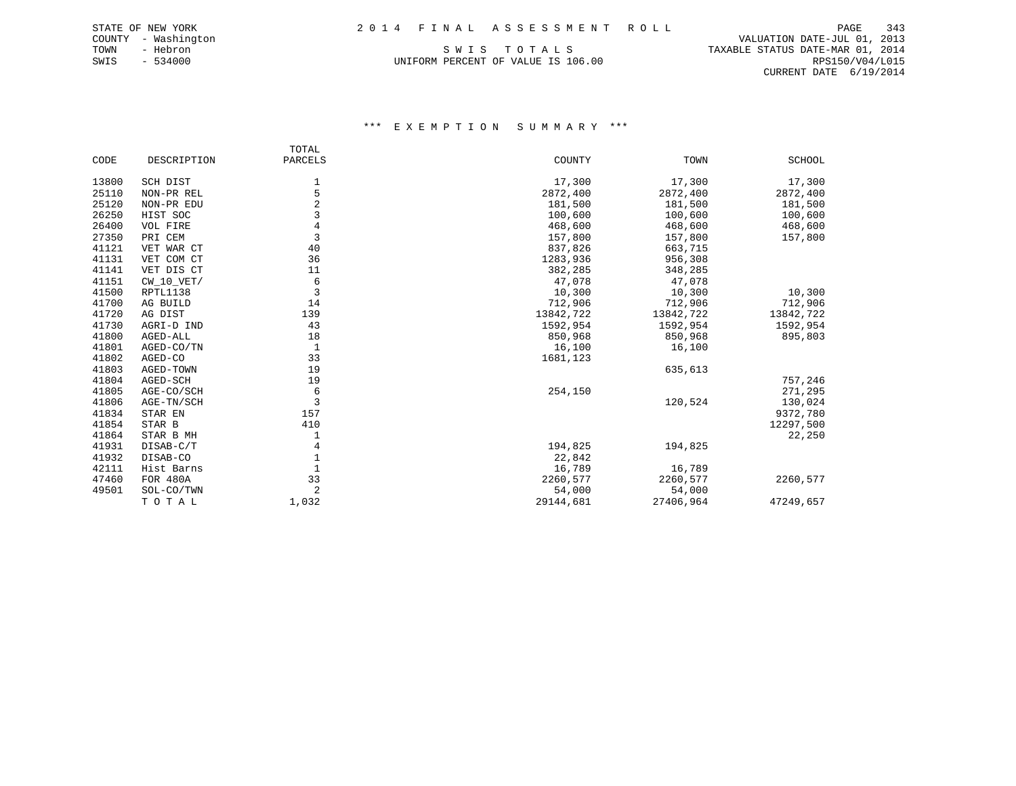TOWN - Hebron S W I S T O T A L S TAXABLE STATUS DATE-MAR 01, 2014 UNIFORM PERCENT OF VALUE IS 106.00 CONTROL CONTROL CONTROLLER PERSISO/V04/L015

 COUNTY - Washington VALUATION DATE-JUL 01, 2013 CURRENT DATE 6/19/2014

|       |              | TOTAL          |           |           |           |
|-------|--------------|----------------|-----------|-----------|-----------|
| CODE  | DESCRIPTION  | PARCELS        | COUNTY    | TOWN      | SCHOOL    |
| 13800 | SCH DIST     | 1              | 17,300    | 17,300    | 17,300    |
| 25110 | NON-PR REL   | 5              | 2872,400  | 2872,400  | 2872,400  |
| 25120 | NON-PR EDU   | $\overline{a}$ | 181,500   | 181,500   | 181,500   |
| 26250 | HIST SOC     | 3              | 100,600   | 100,600   | 100,600   |
| 26400 | VOL FIRE     | $\overline{4}$ | 468,600   | 468,600   | 468,600   |
| 27350 | PRI CEM      | 3              | 157,800   | 157,800   | 157,800   |
| 41121 | VET WAR CT   | 40             | 837,826   | 663,715   |           |
| 41131 | VET COM CT   | 36             | 1283,936  | 956,308   |           |
| 41141 | VET DIS CT   | 11             | 382,285   | 348,285   |           |
| 41151 | $CW_10_VET/$ | 6              | 47,078    | 47,078    |           |
| 41500 | RPTL1138     | 3              | 10,300    | 10,300    | 10,300    |
| 41700 | AG BUILD     | 14             | 712,906   | 712,906   | 712,906   |
| 41720 | AG DIST      | 139            | 13842,722 | 13842,722 | 13842,722 |
| 41730 | AGRI-D IND   | 43             | 1592,954  | 1592,954  | 1592,954  |
| 41800 | AGED-ALL     | 18             | 850,968   | 850,968   | 895,803   |
| 41801 | AGED-CO/TN   | 1              | 16,100    | 16,100    |           |
| 41802 | AGED-CO      | 33             | 1681,123  |           |           |
| 41803 | AGED-TOWN    | 19             |           | 635,613   |           |
| 41804 | AGED-SCH     | 19             |           |           | 757,246   |
| 41805 | AGE-CO/SCH   | 6              | 254,150   |           | 271,295   |
| 41806 | AGE-TN/SCH   | 3              |           | 120,524   | 130,024   |
| 41834 | STAR EN      | 157            |           |           | 9372,780  |
| 41854 | STAR B       | 410            |           |           | 12297,500 |
| 41864 | STAR B MH    |                |           |           | 22,250    |
| 41931 | DISAB-C/T    | 4              | 194,825   | 194,825   |           |
| 41932 | DISAB-CO     |                | 22,842    |           |           |
| 42111 | Hist Barns   |                | 16,789    | 16,789    |           |
| 47460 | FOR 480A     | 33             | 2260,577  | 2260,577  | 2260,577  |
| 49501 | SOL-CO/TWN   | 2              | 54,000    | 54,000    |           |
|       | TOTAL        | 1,032          | 29144,681 | 27406,964 | 47249,657 |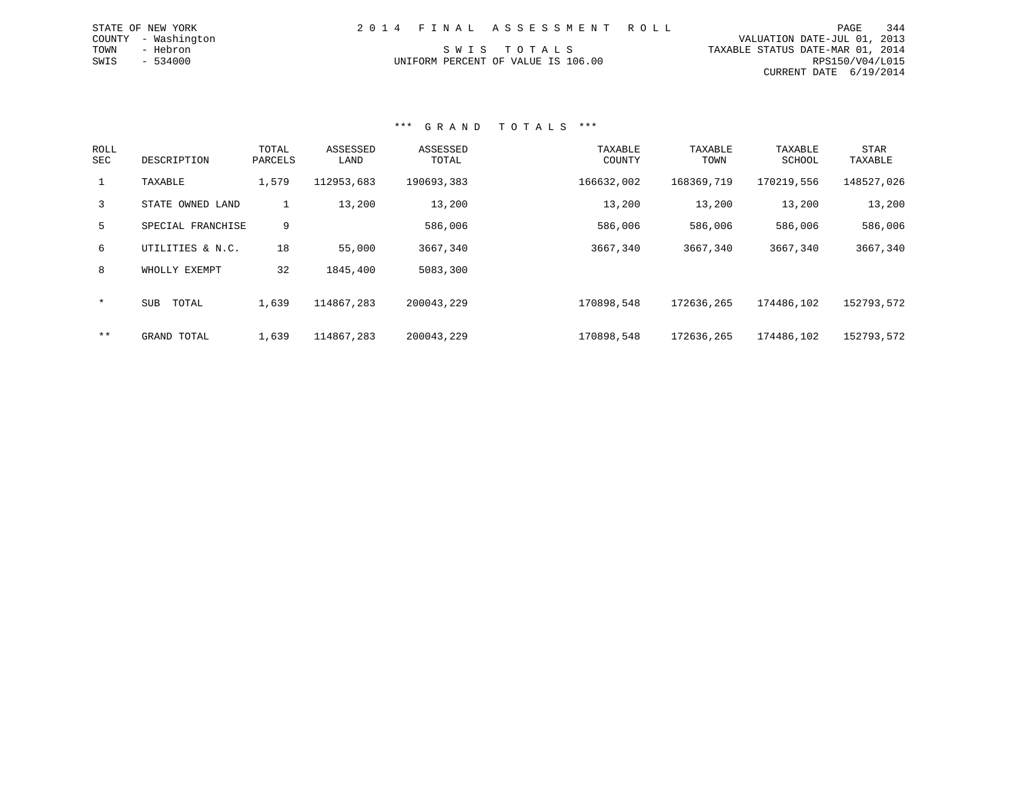| 2014 FINAL ASSESSMENT ROLL         |                                  | 344<br>PAGE     |
|------------------------------------|----------------------------------|-----------------|
|                                    | VALUATION DATE-JUL 01, 2013      |                 |
| SWIS TOTALS                        | TAXABLE STATUS DATE-MAR 01, 2014 |                 |
| UNIFORM PERCENT OF VALUE IS 106.00 |                                  | RPS150/V04/L015 |
|                                    | CURRENT DATE 6/19/2014           |                 |

#### \*\*\* G R A N D T O T A L S \*\*\*

STATE OF NEW YORK COUNTY - Washington TOWN - Hebron  $SWIS$  - 534000

| ROLL<br>SEC | DESCRIPTION         | TOTAL<br>PARCELS | ASSESSED<br>LAND | ASSESSED<br>TOTAL | TAXABLE<br>COUNTY | TAXABLE<br>TOWN | TAXABLE<br>SCHOOL | <b>STAR</b><br>TAXABLE |
|-------------|---------------------|------------------|------------------|-------------------|-------------------|-----------------|-------------------|------------------------|
|             | TAXABLE             | 1,579            | 112953,683       | 190693,383        | 166632,002        | 168369,719      | 170219,556        | 148527,026             |
| 3           | STATE OWNED LAND    | $\perp$          | 13,200           | 13,200            | 13,200            | 13,200          | 13,200            | 13,200                 |
| 5           | SPECIAL FRANCHISE   | 9                |                  | 586,006           | 586,006           | 586,006         | 586,006           | 586,006                |
| 6           | UTILITIES & N.C.    | 18               | 55,000           | 3667,340          | 3667,340          | 3667,340        | 3667,340          | 3667,340               |
| 8           | WHOLLY EXEMPT       | 32               | 1845,400         | 5083,300          |                   |                 |                   |                        |
| $\star$     | <b>SUB</b><br>TOTAL | 1,639            | 114867,283       | 200043,229        | 170898,548        | 172636,265      | 174486,102        | 152793,572             |
| $***$       | GRAND TOTAL         | 1,639            | 114867,283       | 200043,229        | 170898.548        | 172636,265      | 174486,102        | 152793,572             |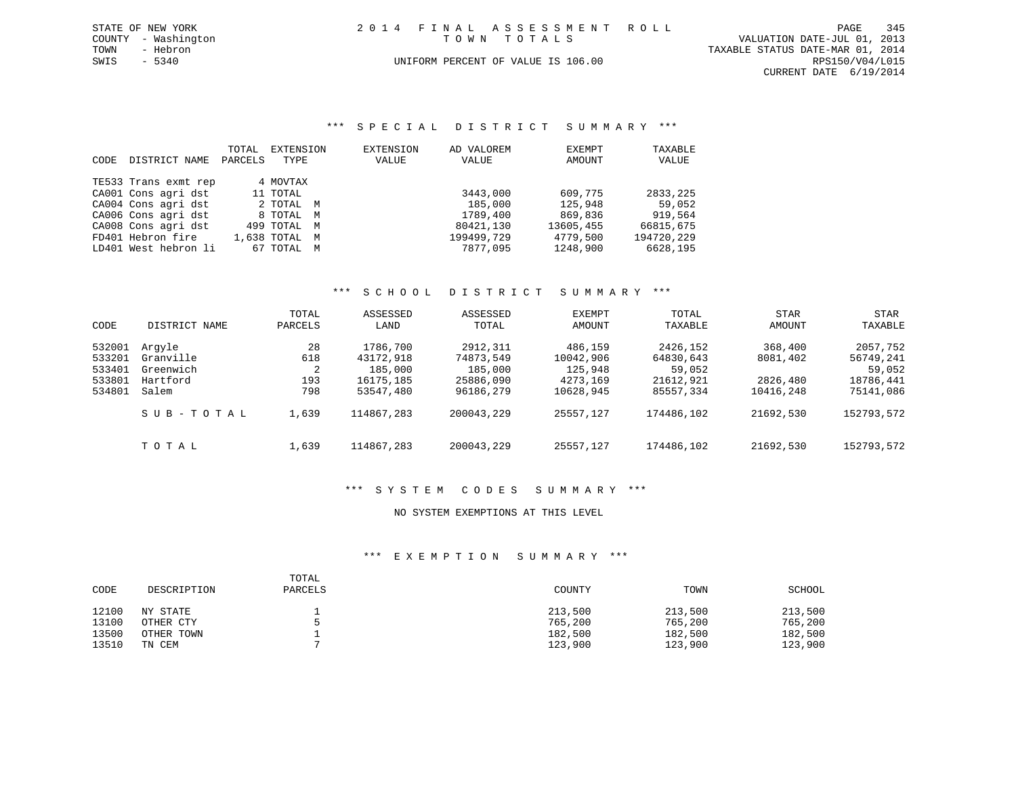| STATE OF NEW YORK   | 2014 FINAL ASSESSMENT ROLL         | 345<br>PAGE                      |
|---------------------|------------------------------------|----------------------------------|
| COUNTY - Washington | TOWN TOTALS                        | VALUATION DATE-JUL 01, 2013      |
| TOWN<br>- Hebron    |                                    | TAXABLE STATUS DATE-MAR 01, 2014 |
| SWIS - 5340         | UNIFORM PERCENT OF VALUE IS 106.00 | RPS150/V04/L015                  |
|                     |                                    | CURRENT DATE 6/19/2014           |

\*\*\* S P E C I A L D I S T R I C T S U M M A R Y \*\*\*

|      |                      | TOTAL   | EXTENSION   |   | EXTENSION | AD VALOREM | EXEMPT    | TAXABLE    |
|------|----------------------|---------|-------------|---|-----------|------------|-----------|------------|
| CODE | DISTRICT NAME        | PARCELS | TYPE        |   | VALUE     | VALUE      | AMOUNT    | VALUE      |
|      |                      |         |             |   |           |            |           |            |
|      | TE533 Trans exmt rep |         | 4 MOVTAX    |   |           |            |           |            |
|      | CA001 Cons agri dst  |         | 11 TOTAL    |   |           | 3443,000   | 609,775   | 2833,225   |
|      | CA004 Cons agri dst  |         | 2 TOTAL     | M |           | 185,000    | 125,948   | 59,052     |
|      | CA006 Cons agri dst  |         | 8 TOTAL     | M |           | 1789,400   | 869,836   | 919,564    |
|      | CA008 Cons agri dst  |         | 499 TOTAL   | M |           | 80421,130  | 13605,455 | 66815,675  |
|      | FD401 Hebron fire    |         | 1,638 TOTAL | M |           | 199499,729 | 4779,500  | 194720,229 |
|      | LD401 West hebron li |         | 67 TOTAL    | M |           | 7877,095   | 1248,900  | 6628,195   |

# \*\*\* S C H O O L D I S T R I C T S U M M A R Y \*\*\*

| CODE                                           | DISTRICT NAME                                         | TOTAL<br>PARCELS             | ASSESSED<br>LAND                                           | ASSESSED<br>TOTAL                                          | <b>EXEMPT</b><br>AMOUNT                                  | TOTAL<br>TAXABLE                                          | STAR<br>AMOUNT                               | STAR<br>TAXABLE                                           |
|------------------------------------------------|-------------------------------------------------------|------------------------------|------------------------------------------------------------|------------------------------------------------------------|----------------------------------------------------------|-----------------------------------------------------------|----------------------------------------------|-----------------------------------------------------------|
| 532001<br>533201<br>533401<br>533801<br>534801 | Arqyle<br>Granville<br>Greenwich<br>Hartford<br>Salem | 28<br>618<br>2<br>193<br>798 | 1786,700<br>43172,918<br>185,000<br>16175,185<br>53547,480 | 2912,311<br>74873,549<br>185,000<br>25886,090<br>96186,279 | 486,159<br>10042,906<br>125,948<br>4273,169<br>10628,945 | 2426,152<br>64830,643<br>59,052<br>21612,921<br>85557,334 | 368,400<br>8081,402<br>2826,480<br>10416,248 | 2057,752<br>56749,241<br>59,052<br>18786,441<br>75141,086 |
|                                                | SUB-TOTAL                                             | 1,639                        | 114867,283                                                 | 200043,229                                                 | 25557.127                                                | 174486,102                                                | 21692,530                                    | 152793,572                                                |
|                                                | TOTAL                                                 | 1,639                        | 114867,283                                                 | 200043,229                                                 | 25557.127                                                | 174486,102                                                | 21692,530                                    | 152793,572                                                |

#### \*\*\* S Y S T E M C O D E S S U M M A R Y \*\*\*

#### NO SYSTEM EXEMPTIONS AT THIS LEVEL

| CODE  | DESCRIPTION | TOTAL<br>PARCELS | COUNTY  | TOWN    | SCHOOL  |
|-------|-------------|------------------|---------|---------|---------|
| 12100 | NY STATE    |                  | 213,500 | 213,500 | 213,500 |
| 13100 | OTHER CTY   |                  | 765,200 | 765,200 | 765,200 |
| 13500 | OTHER TOWN  |                  | 182,500 | 182,500 | 182,500 |
| 13510 | TN CEM      |                  | 123,900 | 123,900 | 123,900 |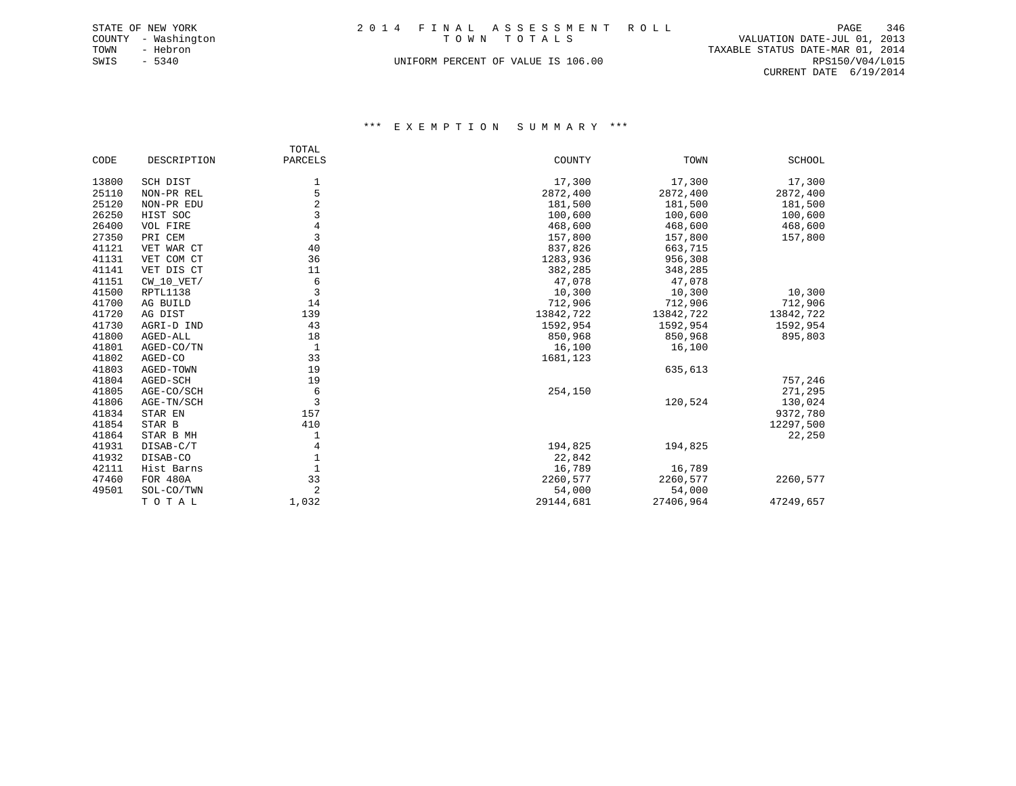|      | STATE OF NEW YORK   | 2014 FINAL ASSESSMENT ROLL                 | PAGE            | 346 |
|------|---------------------|--------------------------------------------|-----------------|-----|
|      | COUNTY - Washington | TOWN TOTALS<br>VALUATION DATE-JUL 01, 2013 |                 |     |
| TOWN | - Hebron            | TAXABLE STATUS DATE-MAR 01, 2014           |                 |     |
| SWIS | $-5340$             | UNIFORM PERCENT OF VALUE IS 106.00         | RPS150/V04/L015 |     |
|      |                     | CURRENT DATE 6/19/2014                     |                 |     |

### \*\*\* E X E M P T I O N S U M M A R Y \*\*\*

|       |              | TOTAL          |           |           |           |
|-------|--------------|----------------|-----------|-----------|-----------|
| CODE  | DESCRIPTION  | PARCELS        | COUNTY    | TOWN      | SCHOOL    |
| 13800 | SCH DIST     | 1              | 17,300    | 17,300    | 17,300    |
| 25110 | NON-PR REL   | 5              | 2872,400  | 2872,400  | 2872,400  |
| 25120 | NON-PR EDU   | $\overline{c}$ | 181,500   | 181,500   | 181,500   |
| 26250 | HIST SOC     | 3              | 100,600   | 100,600   | 100,600   |
| 26400 | VOL FIRE     | $\overline{4}$ | 468,600   | 468,600   | 468,600   |
| 27350 | PRI CEM      | 3              | 157,800   | 157,800   | 157,800   |
| 41121 | VET WAR CT   | 40             | 837,826   | 663,715   |           |
| 41131 | VET COM CT   | 36             | 1283,936  | 956,308   |           |
| 41141 | VET DIS CT   | 11             | 382,285   | 348,285   |           |
| 41151 | $CW_10_VET/$ | 6              | 47,078    | 47,078    |           |
| 41500 | RPTL1138     | 3              | 10,300    | 10,300    | 10,300    |
| 41700 | AG BUILD     | 14             | 712,906   | 712,906   | 712,906   |
| 41720 | AG DIST      | 139            | 13842,722 | 13842,722 | 13842,722 |
| 41730 | AGRI-D IND   | 43             | 1592,954  | 1592,954  | 1592,954  |
| 41800 | AGED-ALL     | 18             | 850,968   | 850,968   | 895,803   |
| 41801 | AGED-CO/TN   | $\mathbf{1}$   | 16,100    | 16,100    |           |
| 41802 | AGED-CO      | 33             | 1681,123  |           |           |
| 41803 | AGED-TOWN    | 19             |           | 635,613   |           |
| 41804 | AGED-SCH     | 19             |           |           | 757,246   |
| 41805 | AGE-CO/SCH   | 6              | 254,150   |           | 271,295   |
| 41806 | AGE-TN/SCH   | 3              |           | 120,524   | 130,024   |
| 41834 | STAR EN      | 157            |           |           | 9372,780  |
| 41854 | STAR B       | 410            |           |           | 12297,500 |
| 41864 | STAR B MH    | 1              |           |           | 22,250    |
| 41931 | DISAB-C/T    | 4              | 194,825   | 194,825   |           |
| 41932 | DISAB-CO     |                | 22,842    |           |           |
| 42111 | Hist Barns   | $\mathbf{1}$   | 16,789    | 16,789    |           |
| 47460 | FOR 480A     | 33             | 2260,577  | 2260,577  | 2260,577  |
| 49501 | SOL-CO/TWN   | 2              | 54,000    | 54,000    |           |
|       | TOTAL        | 1,032          | 29144,681 | 27406,964 | 47249,657 |